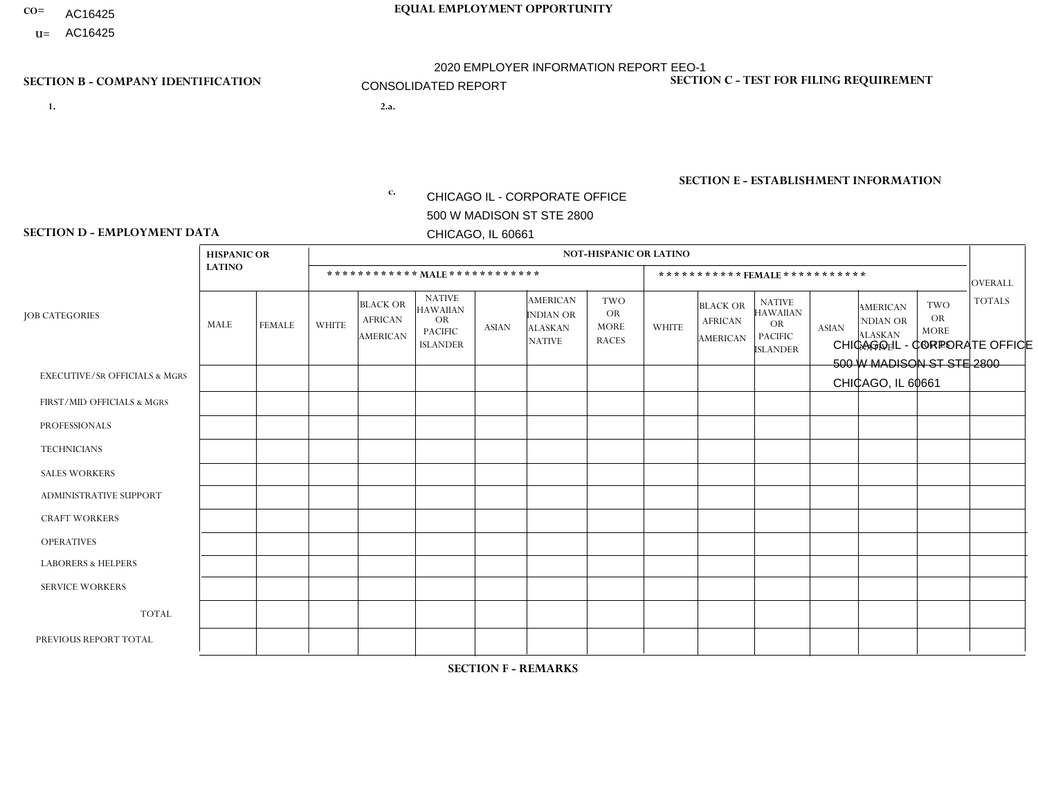- AC16425
- **U=**

# **CO= EQUAL EMPLOYMENT OPPORTUNITY** 2020 EMPLOYER INFORMATION REPORT EEO-1 CONSOLIDATED REPORT

**SECTION D - EMPLOYMENT DATA**

- **1. 2.a.** CHICAGO IL CORPORATE OFFICE 500 W MADISON ST STE 2800 CHICAGO, IL 60661
- 2.a. CHICAGO IL CORPORATE OFFICE 500 W MADISON ST STE 2800 CHICAGO, IL 60661

EIN= 952920557

### **SECTION B - COMPANY IDENTIFICATION SECTION C - TEST FOR FILING REQUIREMENT**

1- Y 2- Y 3- N DUNS= 000123456

**SECTION E - ESTABLISHMENT INFORMATION c.** NAICS: 551114 - Corporate, Subsidiary, and Regional Managing Offices

|                                          | <b>HISPANIC OR</b> |               |              |                                                      |                                                                                    |              |                                                                        | <b>NOT-HISPANIC OR LATINO</b>                          |              |                                                      |                                                                              |                 |                                                                       |                                                        |                |
|------------------------------------------|--------------------|---------------|--------------|------------------------------------------------------|------------------------------------------------------------------------------------|--------------|------------------------------------------------------------------------|--------------------------------------------------------|--------------|------------------------------------------------------|------------------------------------------------------------------------------|-----------------|-----------------------------------------------------------------------|--------------------------------------------------------|----------------|
|                                          | <b>LATINO</b>      |               |              |                                                      | ************ MALE ************                                                     |              |                                                                        |                                                        |              | *********** FEMALE ***********                       |                                                                              |                 |                                                                       |                                                        | <b>OVERALL</b> |
| <b>JOB CATEGORIES</b>                    | <b>MALE</b>        | <b>FEMALE</b> | <b>WHITE</b> | <b>BLACK OR</b><br><b>AFRICAN</b><br><b>AMERICAN</b> | <b>NATIVE</b><br><b>HAWAIIAN</b><br><b>OR</b><br><b>PACIFIC</b><br><b>ISLANDER</b> | <b>ASIAN</b> | <b>AMERICAN</b><br><b>INDIAN OR</b><br><b>ALASKAN</b><br><b>NATIVE</b> | <b>TWO</b><br><b>OR</b><br><b>MORE</b><br><b>RACES</b> | <b>WHITE</b> | <b>BLACK OR</b><br><b>AFRICAN</b><br><b>AMERICAN</b> | <b>NATIVE</b><br><b>HAWAIIAN</b><br>OR.<br><b>PACIFIC</b><br><b>ISLANDER</b> | <b>ASIAN</b>    | <b>AMERICAN</b><br><b>NDIAN OR</b><br><b>ALASKAN</b><br><b>NATIVE</b> | <b>TWO</b><br><b>OR</b><br><b>MORE</b><br><b>RACES</b> | <b>TOTALS</b>  |
| <b>EXECUTIVE/SR OFFICIALS &amp; MGRS</b> | 10                 | $\Omega$      | 126          | 3                                                    | $\Omega$                                                                           | 2            | $\Omega$                                                               | 5                                                      | 26           |                                                      | $\Omega$                                                                     | $\overline{2}$  | $\Omega$                                                              | $\Omega$                                               | 175            |
| FIRST/MID OFFICIALS & MGRS               | 160                | 28            | 1046         | 60                                                   | 3                                                                                  | 20           | 5                                                                      | 38                                                     | 209          | 18                                                   | $\Omega$                                                                     | $\overline{7}$  | $\Omega$                                                              | $\mathbf{1}$                                           | 1595           |
| <b>PROFESSIONALS</b>                     | 63                 | 31            | 421          | 32                                                   | $\mathbf 0$                                                                        | 17           | 1                                                                      | 21                                                     | 193          | 20                                                   | $\Omega$                                                                     | 12 <sup>°</sup> | $\Omega$                                                              | 15                                                     | 826            |
| <b>TECHNICIANS</b>                       | $\Omega$           | $\Omega$      | $\Omega$     | $\Omega$                                             | $\Omega$                                                                           | $\Omega$     | $\Omega$                                                               | $\Omega$                                               | 0            | $\Omega$                                             | $\Omega$                                                                     | $\Omega$        | $\Omega$                                                              | $\Omega$                                               | $\Omega$       |
| <b>SALES WORKERS</b>                     | 408                | 85            | 1034         | 85                                                   | $\overline{7}$                                                                     | 16           | 11                                                                     | 63                                                     | 245          | 14                                                   |                                                                              | 3               | 4                                                                     | 11                                                     | 1987           |
| <b>ADMINISTRATIVE SUPPORT</b>            | 150                | 252           | 322          | 50                                                   | 1                                                                                  | 9            | $\overline{4}$                                                         | 22                                                     | 450          | 76                                                   | $\overline{2}$                                                               | 19              | 5                                                                     | 20                                                     | 1382           |
| <b>CRAFT WORKERS</b>                     | 180                | $\Omega$      | 417          | 43                                                   | 5                                                                                  | 13           | 4                                                                      | 21                                                     | 4            | $\Omega$                                             | $\mathbf{0}$                                                                 | 0               | $\Omega$                                                              | $\Omega$                                               | 687            |
| <b>OPERATIVES</b>                        | 1284               | 57            | 2675         | 803                                                  | 14                                                                                 | 75           | 22                                                                     | 190                                                    | 156          | 28                                                   | $\Omega$                                                                     | 5               | $\overline{2}$                                                        | 12                                                     | 5323           |
| <b>LABORERS &amp; HELPERS</b>            | 634                | 46            | 1053         | 506                                                  | 22                                                                                 | 65           | 15                                                                     | 122                                                    | 171          | 58                                                   | $\Omega$                                                                     | $\overline{7}$  | $\Omega$                                                              | 16                                                     | 2715           |
| <b>SERVICE WORKERS</b>                   | 11                 | 24            | 22           | 6                                                    | $\Omega$                                                                           |              | $\Omega$                                                               | $\overline{4}$                                         | 47           | $\overline{7}$                                       | $\mathbf{0}$                                                                 | $\Omega$        | $\Omega$                                                              | 14                                                     | 136            |
| <b>TOTAL</b>                             | 2900               | 523           | 7116         | 1588                                                 | 52                                                                                 | 218          | 62                                                                     | 486                                                    | 1501         | 222                                                  | 3                                                                            | 55              | 11                                                                    | 89                                                     | 14826          |
| PREVIOUS REPORT TOTAL                    | 3336               | 601           | 8272         | 2013                                                 | 68                                                                                 | 260          | 76                                                                     | 669                                                    | 1773         | 286                                                  | 4                                                                            | 69              | 17                                                                    | 121                                                    | 17565          |

**SECTION F - REMARKS**

DATES OF PAYROLL PERIOD: 11/29/2020 THRU 12/12/2020 **SECTION G - CERTIFICATION CERTIFIED DATE [EST]: 8/20/2021 2:49 PM**

CERTIFYING OFFICIAL: Denise Moore EMAIL: denise.eden@lkqcorp.com EEO1 REPORT CONTACT PERSON: Denise Moore EMAIL: denise.eden@lkqcorp.com

TITLE: HRIS Manager PHONE: 615-280-4004 TITLE: HRIS Manager PHONE: 615-280-4004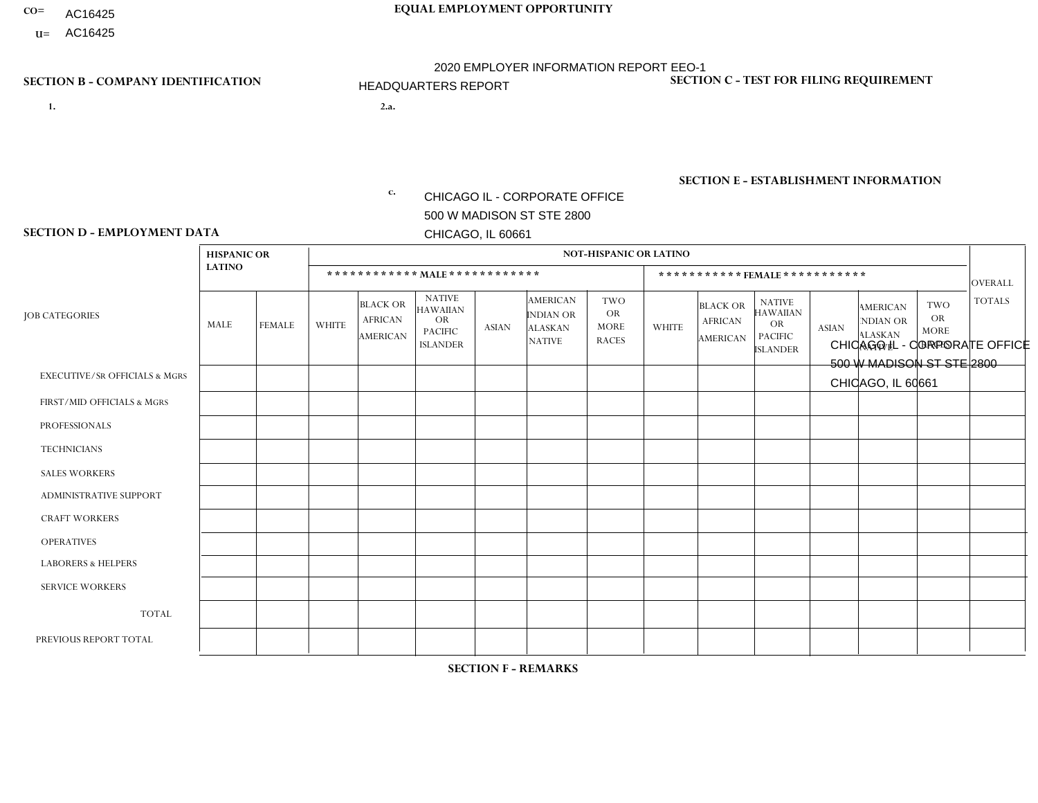- AC16425
- **U=**

# **CO= EQUAL EMPLOYMENT OPPORTUNITY** AC16425 2020 EMPLOYER INFORMATION REPORT EEO-1 HEADQUARTERS REPORT

**SECTION D - EMPLOYMENT DATA**

- **1. 2.a.** CHICAGO IL CORPORATE OFFICE 500 W MADISON ST STE 2800 CHICAGO, IL 60661
- 2.a. CHICAGO IL CORPORATE OFFICE 500 W MADISON ST STE 2800 CHICAGO, IL 60661

 $c.$  EIN= 952920557

### **SECTION B - COMPANY IDENTIFICATION SECTION C - TEST FOR FILING REQUIREMENT**

1- Y 2- Y 3- N DUNS= 000123456

# **SECTION E - ESTABLISHMENT INFORMATION c.** NAICS: 551114 - Corporate, Subsidiary, and Regional Managing Offices

### **HISPANIC OR NOT-HISPANIC OR LATINO LATINO \* \* \* \* \* \* \* \* \* \* \* \* MALE \* \* \* \* \* \* \* \* \* \* \* \* \* \* \* \* \* \* \* \* \* \* \* FEMALE \* \* \* \* \* \* \* \* \* \* \*** OVERALL  $TWO$   $TOTALS$ OR MORE NATIVE RACES ALASKAN INDIAN OR **AMERICAN** ASIAN ISLANDER PACIFIC OR NATIVE HAWAIIAN BLACK OR AFRICAN AMERICAN **WHITE** TWO OR MORE NATIVE RACES ALASKAN INDIAN OR AMERICAN ASIAN NATIVE HAWAIIAN PACIFIC OR ISLANDER BLACK OR AFRICAN AMERICAN MALE FEMALE WHITE JOB CATEGORIES EXECUTIVE/SR OFFICIALS & MGRS FIRST/MID OFFICIALS & MGRS PROFESSIONALS **TECHNICIANS** SALES WORKERS ADMINISTRATIVE SUPPORT CRAFT WORKERS OPERATIVES LABORERS & HELPERS SERVICE WORKERS TOTAL PREVIOUS REPORT TOTAL 1  $\Omega$ 1 0 0 0 0 0 0 0 2 3 0 1 1 0 0 0 0  $\Omega$ 0 0 2 1 12 7 12 0 0 1 0 0  $\overline{0}$ 0 32 35 0  $\overline{0}$ 1 0 0 0 0 0  $\overline{0}$ 0 1 3 0  $\Omega$ 0 0 0 0 0  $\Omega$  $\Omega$ 0 0  $\Omega$ 0 1 1 0 0 0 0 0  $\overline{0}$ 0 2 2 0  $\Omega$  $\Omega$ 0 0 0 0  $\Omega$  $\Omega$  $\Omega$ 0  $\Omega$ 1  $\Omega$  $\Omega$ 0 0 0 0  $\Omega$  $\Omega$ 0 1 3 5  $\Omega$ 5 0 0 1 0  $\Omega$  $\Omega$ 0 11 16  $\Omega$ 2  $\Omega$ 0 0 0 0  $\Omega$  $\Omega$ 0 2 2  $\Omega$  $\Omega$  $\Omega$ 0  $\Omega$ 0 0  $\Omega$  $\Omega$  $\Omega$ 0  $\Omega$ 1 2 3 0 0 0 0  $\Omega$  $\Omega$ 0 6 7  $\Omega$  $\Omega$  $\Omega$ 0  $\Omega$ 0  $\Omega$  $\Omega$  $\Omega$  $\Omega$ 0  $\Omega$  $\Omega$  $\Omega$ 1 0  $\Omega$ 0  $\Omega$  $\Omega$  $\Omega$  $\Omega$ 1 2 20 13 25 0 0 2 0 0 0 0 60 74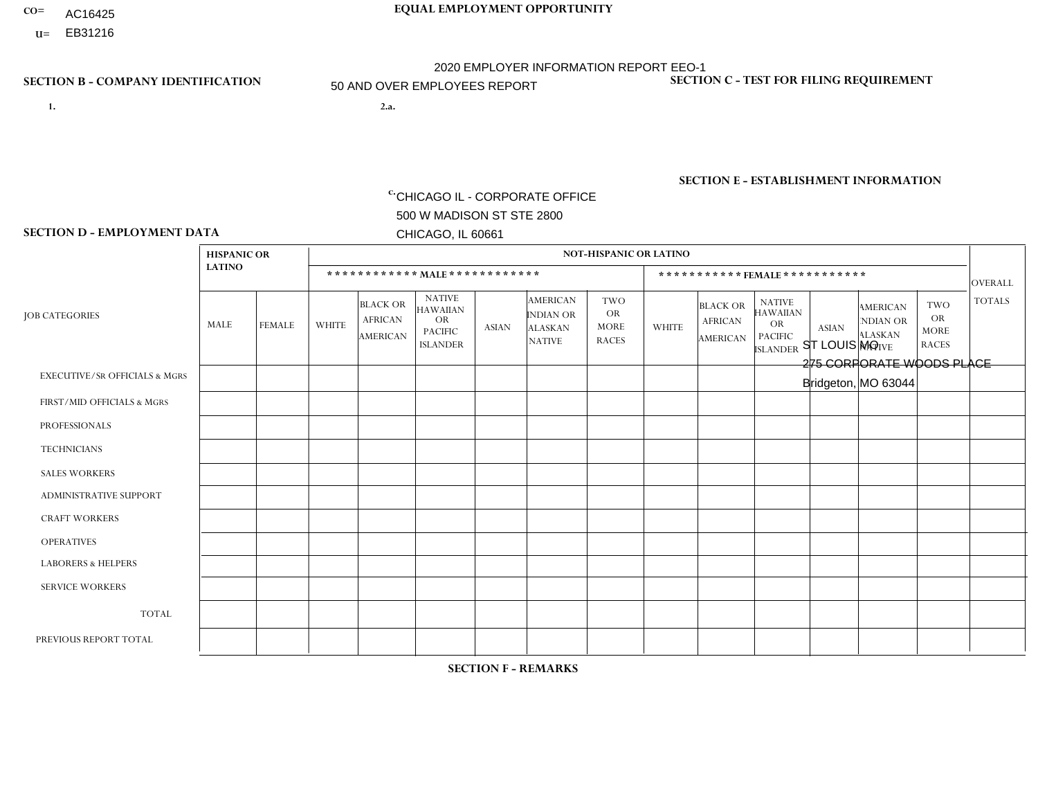- AC16425
- **U=**

- **1. 2.a.** CHICAGO IL CORPORATE OFFICE 500 W MADISON ST STE 2800 CHICAGO, IL 60661
- 2.a. ST LOUIS MO 275 CORPORATE WOODS PLACE Bridgeton, MO 63044

c. EIN= 952920557

# **SECTION B - COMPANY IDENTIFICATION SECTION C - TEST FOR FILING REQUIREMENT**

1- Y 2- Y 3- N DUNS= 000123456

**SECTION E - ESTABLISHMENT INFORMATION c.** NAICS: 423140

### **SECTION D - EMPLOYMENT DATA**

|                                          | <b>HISPANIC OR</b> |                |                |                                                      |                                                                                    |              |                                                                        | <b>NOT-HISPANIC OR LATINO</b>                          |              |                                               |                                                                             |              |                                                                       |                                                        |                |
|------------------------------------------|--------------------|----------------|----------------|------------------------------------------------------|------------------------------------------------------------------------------------|--------------|------------------------------------------------------------------------|--------------------------------------------------------|--------------|-----------------------------------------------|-----------------------------------------------------------------------------|--------------|-----------------------------------------------------------------------|--------------------------------------------------------|----------------|
|                                          | <b>LATINO</b>      |                |                |                                                      | ************ MALE *************                                                    |              |                                                                        |                                                        |              | ***********FEMALE***********                  |                                                                             |              |                                                                       |                                                        | <b>OVERALL</b> |
| <b>JOB CATEGORIES</b>                    | MALE               | <b>FEMALE</b>  | <b>WHITE</b>   | <b>BLACK OR</b><br><b>AFRICAN</b><br><b>AMERICAN</b> | <b>NATIVE</b><br><b>HAWAIIAN</b><br><b>OR</b><br><b>PACIFIC</b><br><b>ISLANDER</b> | <b>ASIAN</b> | <b>AMERICAN</b><br><b>INDIAN OR</b><br><b>ALASKAN</b><br><b>NATIVE</b> | <b>TWO</b><br><b>OR</b><br><b>MORE</b><br><b>RACES</b> | <b>WHITE</b> | <b>BLACK OR</b><br><b>AFRICAN</b><br>AMERICAN | <b>NATIVE</b><br><b>HAWAIIAN</b><br>OR<br><b>PACIFIC</b><br><b>ISLANDER</b> | <b>ASIAN</b> | <b>AMERICAN</b><br><b>NDIAN OR</b><br><b>ALASKAN</b><br><b>NATIVE</b> | <b>TWO</b><br><b>OR</b><br><b>MORE</b><br><b>RACES</b> | <b>TOTALS</b>  |
| <b>EXECUTIVE/SR OFFICIALS &amp; MGRS</b> | $\Omega$           | $\Omega$       | $\mathbf 0$    | $\mathbf 0$                                          | $\mathbf 0$                                                                        | $\Omega$     | $\Omega$                                                               | $\Omega$                                               | $\Omega$     | $\Omega$                                      | $\Omega$                                                                    | $\Omega$     | $\Omega$                                                              | $\Omega$                                               | $\Omega$       |
| FIRST/MID OFFICIALS & MGRS               | 0                  | $\mathbf{1}$   | $\overline{4}$ | $\mathbf 0$                                          | $\Omega$                                                                           | $\Omega$     | $\Omega$                                                               | $\Omega$                                               | 0            | $\Omega$                                      | $\Omega$                                                                    | $\Omega$     | $\Omega$                                                              | $\Omega$                                               | 5              |
| <b>PROFESSIONALS</b>                     | 0                  | $\Omega$       | $\mathbf 0$    | $\mathbf 0$                                          | 0                                                                                  | $\Omega$     | $\Omega$                                                               | $\Omega$                                               | 0            | $\Omega$                                      | $\Omega$                                                                    | $\Omega$     | $\Omega$                                                              | $\Omega$                                               | $\mathbf 0$    |
| <b>TECHNICIANS</b>                       | 0                  | $\overline{0}$ | $\mathbf 0$    | $\mathbf 0$                                          | $\mathbf 0$                                                                        | $\mathbf 0$  | $\Omega$                                                               | $\Omega$                                               | 0            | $\mathbf 0$                                   | $\mathbf 0$                                                                 | $\mathbf 0$  | $\mathbf 0$                                                           | $\mathbf 0$                                            | $\mathbf 0$    |
| <b>SALES WORKERS</b>                     | 0                  | $\Omega$       | 9              | $\mathbf 0$                                          | $\Omega$                                                                           | $\Omega$     | $\Omega$                                                               | $\Omega$                                               |              | $\Omega$                                      | $\Omega$                                                                    | $\Omega$     | $\Omega$                                                              | $\overline{2}$                                         | 12             |
| <b>ADMINISTRATIVE SUPPORT</b>            | 0                  | 0              | $\mathbf 0$    | $\mathbf 0$                                          | $\mathbf 0$                                                                        | $\Omega$     | $\Omega$                                                               | $\Omega$                                               | 0            | $\Omega$                                      | $\Omega$                                                                    | $\Omega$     | $\Omega$                                                              | $\Omega$                                               | $\Omega$       |
| <b>CRAFT WORKERS</b>                     | 0                  | $\Omega$       | $\Omega$       | $\mathbf 0$                                          | $\Omega$                                                                           | $\Omega$     | $\Omega$                                                               | $\Omega$                                               | 0            | $\Omega$                                      | $\Omega$                                                                    | $\Omega$     | $\Omega$                                                              | $\Omega$                                               | $\Omega$       |
| <b>OPERATIVES</b>                        | 0                  | $\overline{0}$ | 19             | $\overline{7}$                                       | 0                                                                                  | $\Omega$     | $\Omega$                                                               | $\Omega$                                               | 0            | $\Omega$                                      | $\Omega$                                                                    | $\Omega$     | 0                                                                     | $\Omega$                                               | 26             |
| <b>LABORERS &amp; HELPERS</b>            |                    | $\Omega$       | $\overline{2}$ | $\overline{4}$                                       | $\mathbf{0}$                                                                       | 0            | $\Omega$                                                               |                                                        | $\Omega$     | $\Omega$                                      | $\Omega$                                                                    | $\Omega$     | $\Omega$                                                              | $\Omega$                                               | 8              |
| <b>SERVICE WORKERS</b>                   | 0                  | $\Omega$       | $\mathbf 0$    | 0                                                    | 0                                                                                  | $\Omega$     | $\Omega$                                                               | $\Omega$                                               | $\Omega$     | $\Omega$                                      | $\Omega$                                                                    | $\Omega$     | $\Omega$                                                              | $\Omega$                                               | $\mathbf 0$    |
| <b>TOTAL</b>                             | 1                  | $\mathbf{1}$   | 34             | 11                                                   | 0                                                                                  | 0            | $\Omega$                                                               | 1                                                      |              | 0                                             | $\mathbf 0$                                                                 | $\mathbf 0$  | $\mathbf 0$                                                           | 2                                                      | 51             |
| PREVIOUS REPORT TOTAL                    | $\overline{2}$     | $\mathbf 1$    | 39             | 13                                                   | $\Omega$                                                                           | $\Omega$     | $\Omega$                                                               |                                                        | 3            | $\Omega$                                      | $\Omega$                                                                    | $\Omega$     | $\Omega$                                                              | $\overline{2}$                                         | 61             |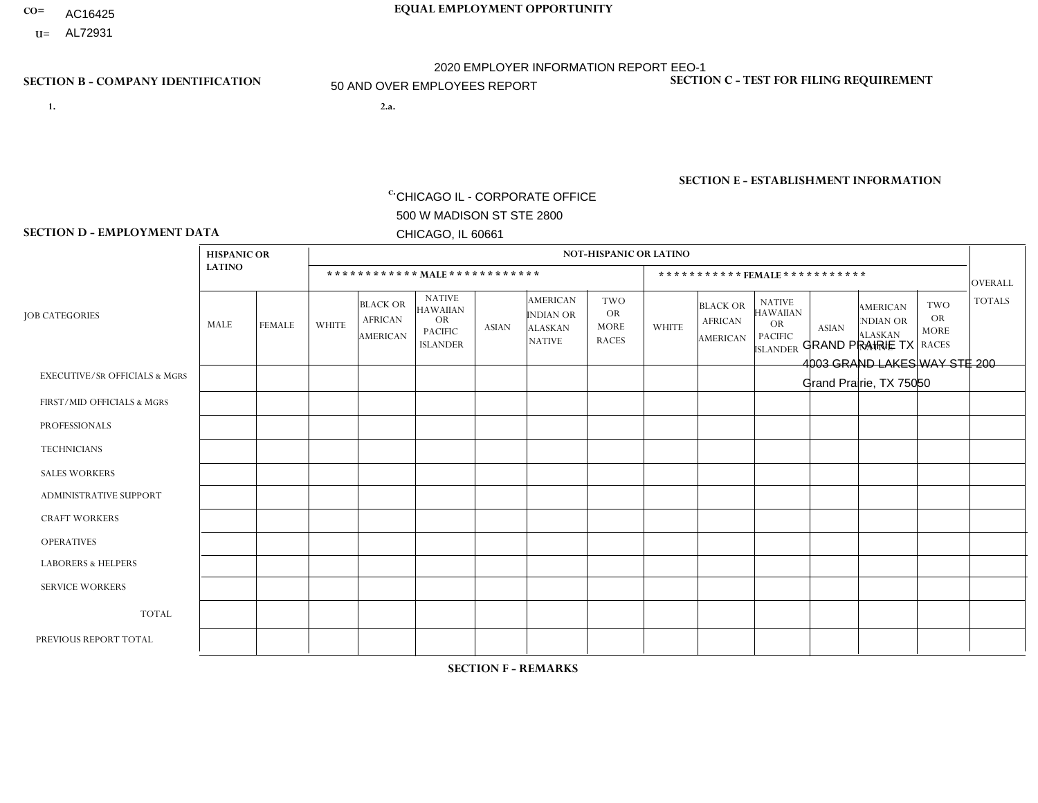- AC16425
- **U=**

- **1. 2.a.** CHICAGO IL CORPORATE OFFICE 500 W MADISON ST STE 2800 CHICAGO, IL 60661
- 2.a. GRAND PRAIRIE TX 4003 GRAND LAKES WAY STE 200 Grand Prairie, TX 75050

c. EIN= 952920557

# **SECTION B - COMPANY IDENTIFICATION SECTION C - TEST FOR FILING REQUIREMENT**

1- Y 2- Y 3- N DUNS= 000123456

**SECTION E - ESTABLISHMENT INFORMATION c.** NAICS: 423140

### **SECTION D - EMPLOYMENT DATA**

|                                          | <b>HISPANIC OR</b> |                |              |                                               |                                                                                    |              |                                                                        | <b>NOT-HISPANIC OR LATINO</b>                          |                |                                               |                                                                             |                |                                                                       |                                                        |                |
|------------------------------------------|--------------------|----------------|--------------|-----------------------------------------------|------------------------------------------------------------------------------------|--------------|------------------------------------------------------------------------|--------------------------------------------------------|----------------|-----------------------------------------------|-----------------------------------------------------------------------------|----------------|-----------------------------------------------------------------------|--------------------------------------------------------|----------------|
|                                          | <b>LATINO</b>      |                |              | ************ MALE ************                |                                                                                    |              |                                                                        |                                                        |                | ***********FEMALE***********                  |                                                                             |                |                                                                       |                                                        | <b>OVERALL</b> |
| <b>JOB CATEGORIES</b>                    | MALE               | <b>FEMALE</b>  | <b>WHITE</b> | <b>BLACK OR</b><br><b>AFRICAN</b><br>AMERICAN | <b>NATIVE</b><br><b>HAWAIIAN</b><br><b>OR</b><br><b>PACIFIC</b><br><b>ISLANDER</b> | ASIAN        | <b>AMERICAN</b><br><b>INDIAN OR</b><br><b>ALASKAN</b><br><b>NATIVE</b> | <b>TWO</b><br><b>OR</b><br><b>MORE</b><br><b>RACES</b> | <b>WHITE</b>   | <b>BLACK OR</b><br><b>AFRICAN</b><br>AMERICAN | <b>NATIVE</b><br><b>HAWAIIAN</b><br>OR<br><b>PACIFIC</b><br><b>ISLANDER</b> | <b>ASIAN</b>   | <b>AMERICAN</b><br><b>NDIAN OR</b><br><b>ALASKAN</b><br><b>NATIVE</b> | <b>TWO</b><br><b>OR</b><br><b>MORE</b><br><b>RACES</b> | <b>TOTALS</b>  |
| <b>EXECUTIVE/SR OFFICIALS &amp; MGRS</b> | $\Omega$           | $\Omega$       | $\Omega$     | $\Omega$                                      | $\Omega$                                                                           | $\mathbf{0}$ | $\Omega$                                                               | $\Omega$                                               | 0              | $\Omega$                                      | $\Omega$                                                                    | $\Omega$       | $\Omega$                                                              | $\Omega$                                               | $\mathbf 0$    |
| FIRST/MID OFFICIALS & MGRS               | $\overline{2}$     | $\Omega$       | 9            | $\mathbf 0$                                   | $\Omega$                                                                           | $\Omega$     | $\Omega$                                                               | $\Omega$                                               |                | $\Omega$                                      | $\Omega$                                                                    | $\mathbf{0}$   | $\Omega$                                                              | $\mathbf{0}$                                           | 12             |
| <b>PROFESSIONALS</b>                     | 0                  | $\Omega$       | $\Omega$     | $\mathbf 0$                                   | $\Omega$                                                                           | $\Omega$     | $\Omega$                                                               | $\Omega$                                               | 0              | $\Omega$                                      | $\Omega$                                                                    | $\Omega$       | $\Omega$                                                              | $\Omega$                                               | $\overline{0}$ |
| <b>TECHNICIANS</b>                       | $\Omega$           | $\overline{0}$ | $\mathbf 0$  | $\mathbf 0$                                   | $\mathbf 0$                                                                        | $\Omega$     | $\Omega$                                                               | $\Omega$                                               | $\Omega$       | $\mathbf 0$                                   | $\Omega$                                                                    | $\mathbf 0$    | $\mathbf 0$                                                           | $\mathbf 0$                                            | $\mathbf{0}$   |
| <b>SALES WORKERS</b>                     | 14                 | 4              | 13           | $\overline{4}$                                | $\Omega$                                                                           | $\Omega$     | $\overline{\mathbf{1}}$                                                | 3                                                      | $\Omega$       | $\overline{1}$                                | $\Omega$                                                                    | $\Omega$       | $\Omega$                                                              | $\Omega$                                               | 40             |
| <b>ADMINISTRATIVE SUPPORT</b>            | $\Omega$           | 3              | $\Omega$     | $\mathbf 0$                                   | $\Omega$                                                                           | $\Omega$     | $\Omega$                                                               | $\Omega$                                               | 0              | $\Omega$                                      | $\Omega$                                                                    |                | $\Omega$                                                              | $\mathbf{0}$                                           | 4              |
| <b>CRAFT WORKERS</b>                     | 0                  | $\Omega$       | $\Omega$     | $\mathbf 0$                                   | $\Omega$                                                                           | $\Omega$     | $\Omega$                                                               | $\Omega$                                               | 0              | $\Omega$                                      | $\Omega$                                                                    | $\Omega$       | $\Omega$                                                              | $\Omega$                                               | $\mathbf 0$    |
| <b>OPERATIVES</b>                        | 6                  | $\Omega$       | 3            | $\Omega$                                      | $\Omega$                                                                           | $\Omega$     | $\Omega$                                                               |                                                        | 0              | $\Omega$                                      | $\Omega$                                                                    | $\Omega$       | $\Omega$                                                              | $\Omega$                                               | 10             |
| <b>LABORERS &amp; HELPERS</b>            | 25                 | $\Omega$       | 5            | 8                                             | $\mathbf{0}$                                                                       | $\Omega$     | $\Omega$                                                               |                                                        |                | $\Omega$                                      | $\Omega$                                                                    | $\Omega$       | $\Omega$                                                              | $\Omega$                                               | 40             |
| <b>SERVICE WORKERS</b>                   | 0                  | $\mathbf{1}$   | $\mathbf 0$  | 0                                             | 0                                                                                  | $\Omega$     | $\Omega$                                                               | $\Omega$                                               | $\Omega$       | $\Omega$                                      | $\Omega$                                                                    | $\mathbf 0$    | $\Omega$                                                              | $\Omega$                                               | $\mathbf{1}$   |
| <b>TOTAL</b>                             | 47                 | 8              | 30           | 12                                            | 0                                                                                  | $\mathbf 0$  | 1                                                                      | 5                                                      | $\overline{2}$ |                                               | $\mathbf 0$                                                                 |                | 0                                                                     | $\mathbf 0$                                            | 107            |
| PREVIOUS REPORT TOTAL                    | 54                 | 11             | 30           | 21                                            | $\Omega$                                                                           | $\Omega$     | -1                                                                     | 8                                                      | $\overline{7}$ |                                               | $\Omega$                                                                    | $\overline{2}$ | $\Omega$                                                              | $\mathbf 0$                                            | 135            |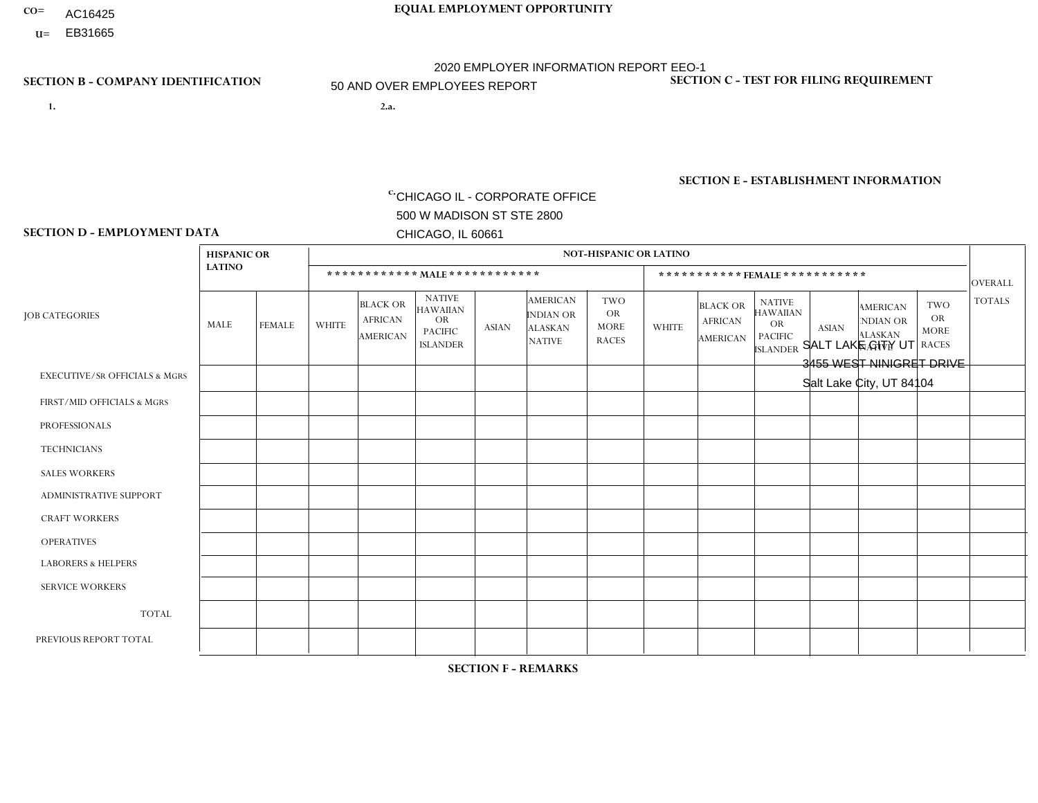- AC16425
- **U=**

- **1. 2.a.** CHICAGO IL CORPORATE OFFICE 500 W MADISON ST STE 2800 CHICAGO, IL 60661
- 2.a. SALT LAKE CITY UT 3455 WEST NINIGRET DRIVE Salt Lake City, UT 84104

EIN= 952920557

# **SECTION B - COMPANY IDENTIFICATION SECTION C - TEST FOR FILING REQUIREMENT**

1- Y 2- Y 3- N DUNS= 000123456

**SECTION E - ESTABLISHMENT INFORMATION c.** NAICS: 423140

### **SECTION D - EMPLOYMENT DATA**

|                                          | <b>HISPANIC OR</b> |                |              |                                               |                                                                                    |              |                                                                        | NOT-HISPANIC OR LATINO                                 |                |                                               |                                                                             |              |                                                                       |                                                        |                |
|------------------------------------------|--------------------|----------------|--------------|-----------------------------------------------|------------------------------------------------------------------------------------|--------------|------------------------------------------------------------------------|--------------------------------------------------------|----------------|-----------------------------------------------|-----------------------------------------------------------------------------|--------------|-----------------------------------------------------------------------|--------------------------------------------------------|----------------|
|                                          | <b>LATINO</b>      |                |              |                                               | ************ MALE ************                                                     |              |                                                                        |                                                        |                | ***********FEMALE***********                  |                                                                             |              |                                                                       |                                                        | <b>OVERALL</b> |
| <b>JOB CATEGORIES</b>                    | MALE               | <b>FEMALE</b>  | <b>WHITE</b> | <b>BLACK OR</b><br><b>AFRICAN</b><br>AMERICAN | <b>NATIVE</b><br><b>HAWAIIAN</b><br><b>OR</b><br><b>PACIFIC</b><br><b>ISLANDER</b> | ASIAN        | <b>AMERICAN</b><br><b>INDIAN OR</b><br><b>ALASKAN</b><br><b>NATIVE</b> | <b>TWO</b><br><b>OR</b><br><b>MORE</b><br><b>RACES</b> | <b>WHITE</b>   | <b>BLACK OR</b><br><b>AFRICAN</b><br>AMERICAN | <b>NATIVE</b><br><b>HAWAIIAN</b><br>OR<br><b>PACIFIC</b><br><b>ISLANDER</b> | <b>ASIAN</b> | <b>AMERICAN</b><br><b>NDIAN OR</b><br><b>ALASKAN</b><br><b>NATIVE</b> | <b>TWO</b><br><b>OR</b><br><b>MORE</b><br><b>RACES</b> | <b>TOTALS</b>  |
| <b>EXECUTIVE/SR OFFICIALS &amp; MGRS</b> | $\Omega$           | $\Omega$       | $\Omega$     | $\Omega$                                      | $\Omega$                                                                           | $\mathbf{0}$ | $\Omega$                                                               | $\Omega$                                               | 0              | $\Omega$                                      | $\Omega$                                                                    | $\Omega$     | $\Omega$                                                              | $\Omega$                                               | $\mathbf{0}$   |
| FIRST/MID OFFICIALS & MGRS               |                    | $\Omega$       | 5            | $\mathbf 0$                                   | $\Omega$                                                                           | $\Omega$     | $\Omega$                                                               |                                                        | $\overline{2}$ | $\Omega$                                      | $\Omega$                                                                    | $\mathbf{0}$ | $\Omega$                                                              | $\mathbf{0}$                                           | 9              |
| <b>PROFESSIONALS</b>                     | $\Omega$           | $\Omega$       | $\Omega$     | $\mathbf 0$                                   | $\Omega$                                                                           | $\Omega$     | $\Omega$                                                               | $\Omega$                                               | 0              | $\Omega$                                      | $\Omega$                                                                    | $\Omega$     | $\Omega$                                                              | $\Omega$                                               | $\mathbf{0}$   |
| <b>TECHNICIANS</b>                       | 0                  | $\overline{0}$ | $\Omega$     | $\mathbf 0$                                   | $\mathbf 0$                                                                        | $\Omega$     | $\Omega$                                                               | $\Omega$                                               | $\Omega$       | $\Omega$                                      | $\Omega$                                                                    | $\mathbf 0$  | $\mathbf 0$                                                           | $\mathbf 0$                                            | $\mathbf{0}$   |
| <b>SALES WORKERS</b>                     | 3                  | $\mathbf{1}$   | 21           | $\Omega$                                      | $\overline{2}$                                                                     | $\Omega$     | $\overline{\mathbf{1}}$                                                | $\overline{2}$                                         | 0              | $\Omega$                                      | $\Omega$                                                                    | $\Omega$     | $\Omega$                                                              | $\Omega$                                               | 30             |
| <b>ADMINISTRATIVE SUPPORT</b>            | 0                  | $\Omega$       | $\Omega$     | $\mathbf 0$                                   | $\Omega$                                                                           | $\Omega$     | $\Omega$                                                               | $\Omega$                                               |                | $\Omega$                                      | $\Omega$                                                                    | $\Omega$     | $\Omega$                                                              | $\Omega$                                               | $\mathbf{1}$   |
| <b>CRAFT WORKERS</b>                     | 0                  | $\Omega$       | $\Omega$     | $\mathbf 0$                                   | $\Omega$                                                                           | $\Omega$     | $\Omega$                                                               | $\Omega$                                               | 0              | $\Omega$                                      | $\Omega$                                                                    | $\Omega$     | $\Omega$                                                              | $\Omega$                                               | $\mathbf 0$    |
| <b>OPERATIVES</b>                        | $\overline{2}$     | $\Omega$       | 3            | $\Omega$                                      | $\Omega$                                                                           | $\Omega$     | $\Omega$                                                               | $\Omega$                                               | $\overline{0}$ | $\Omega$                                      | $\Omega$                                                                    | $\Omega$     | $\Omega$                                                              | $\Omega$                                               | 5              |
| <b>LABORERS &amp; HELPERS</b>            | $\overline{2}$     | $\Omega$       | 5            | $\overline{1}$                                | $\overline{2}$                                                                     | -1           | -1                                                                     | $\Omega$                                               | $\Omega$       | $\Omega$                                      | $\Omega$                                                                    | $\Omega$     | $\Omega$                                                              | $\Omega$                                               | 12             |
| <b>SERVICE WORKERS</b>                   | 0                  | $\Omega$       | $\mathbf 0$  | 0                                             | 0                                                                                  | $\Omega$     | $\Omega$                                                               | $\Omega$                                               | $\Omega$       | $\Omega$                                      | $\Omega$                                                                    | $\Omega$     | $\Omega$                                                              | $\Omega$                                               | $\mathbf 0$    |
| <b>TOTAL</b>                             | 8                  | $\mathbf{1}$   | 34           | $\overline{A}$                                | 4                                                                                  | -1           | 2                                                                      | 3                                                      | 3              | 0                                             | $\Omega$                                                                    | $\mathbf 0$  | 0                                                                     | $\mathbf 0$                                            | 57             |
| PREVIOUS REPORT TOTAL                    | 14                 | $\mathbf{1}$   | 43           | $\overline{1}$                                | 4                                                                                  | -1           | 2                                                                      | 4                                                      | 3              | $\Omega$                                      | $\Omega$                                                                    | $\Omega$     | $\Omega$                                                              | $\mathbf 0$                                            | 73             |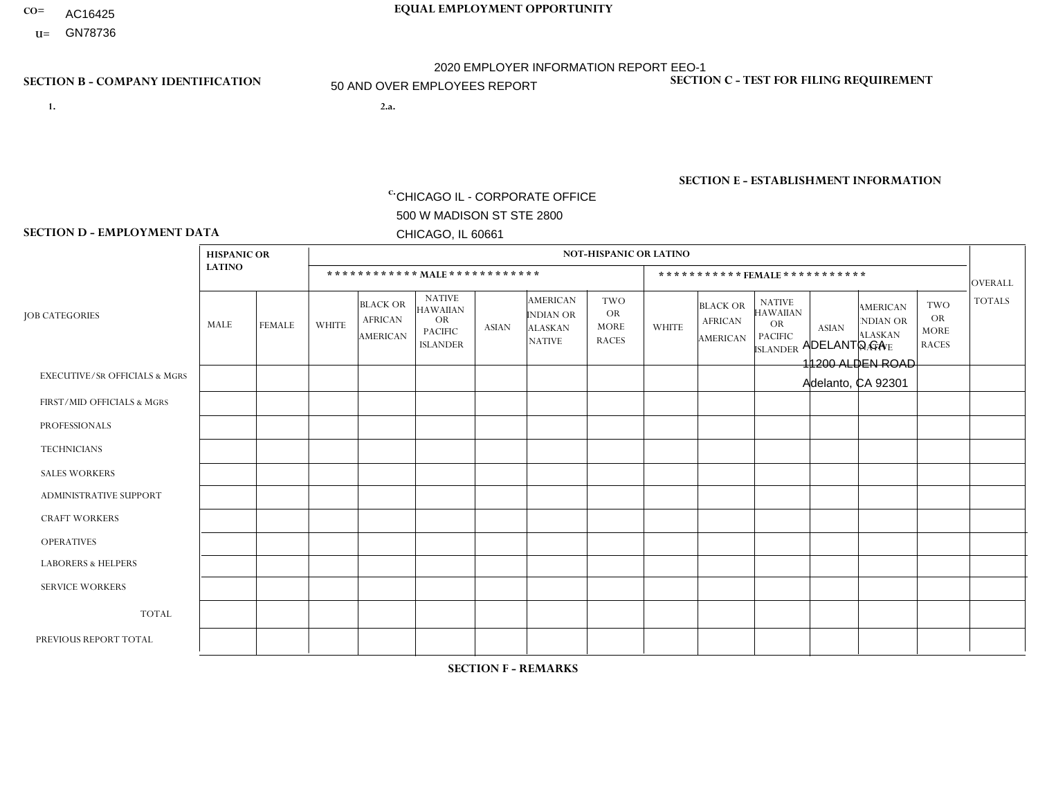- AC16425
- **U=**

**1. 2.a.** CHICAGO IL - CORPORATE OFFICE 500 W MADISON ST STE 2800 CHICAGO, IL 60661

2.a. ADELANTO CA 11200 ALDEN ROAD Adelanto, CA 92301

EIN= 364261867

# **SECTION B - COMPANY IDENTIFICATION SECTION C - TEST FOR FILING REQUIREMENT**

1- Y 2- Y 3- N DUNS= 000123456

**SECTION E - ESTABLISHMENT INFORMATION c.** NAICS: 423140

### **SECTION D - EMPLOYMENT DATA**

|                                          | <b>HISPANIC OR</b> |                |              |                                                      |                                                                                    |              |                                                                        | <b>NOT-HISPANIC OR LATINO</b>                          |              |                                                      |                                                                                    |              |                                                                       |                                                        |                |
|------------------------------------------|--------------------|----------------|--------------|------------------------------------------------------|------------------------------------------------------------------------------------|--------------|------------------------------------------------------------------------|--------------------------------------------------------|--------------|------------------------------------------------------|------------------------------------------------------------------------------------|--------------|-----------------------------------------------------------------------|--------------------------------------------------------|----------------|
|                                          | <b>LATINO</b>      |                |              | ************ MALE ************                       |                                                                                    |              |                                                                        |                                                        |              |                                                      | ***********FEMALE***********                                                       |              |                                                                       |                                                        | <b>OVERALL</b> |
| <b>JOB CATEGORIES</b>                    | <b>MALE</b>        | <b>FEMALE</b>  | <b>WHITE</b> | <b>BLACK OR</b><br><b>AFRICAN</b><br><b>AMERICAN</b> | <b>NATIVE</b><br><b>HAWAIIAN</b><br><b>OR</b><br><b>PACIFIC</b><br><b>ISLANDER</b> | <b>ASIAN</b> | <b>AMERICAN</b><br><b>INDIAN OR</b><br><b>ALASKAN</b><br><b>NATIVE</b> | <b>TWO</b><br><b>OR</b><br><b>MORE</b><br><b>RACES</b> | <b>WHITE</b> | <b>BLACK OR</b><br><b>AFRICAN</b><br><b>AMERICAN</b> | <b>NATIVE</b><br><b>HAWAIIAN</b><br><b>OR</b><br><b>PACIFIC</b><br><b>ISLANDER</b> | <b>ASIAN</b> | <b>AMERICAN</b><br><b>NDIAN OR</b><br><b>ALASKAN</b><br><b>NATIVE</b> | <b>TWO</b><br><b>OR</b><br><b>MORE</b><br><b>RACES</b> | <b>TOTALS</b>  |
| <b>EXECUTIVE/SR OFFICIALS &amp; MGRS</b> | $\Omega$           | $\Omega$       | $\Omega$     | $\Omega$                                             | $\Omega$                                                                           | $\Omega$     | $\Omega$                                                               | $\Omega$                                               | $\Omega$     | $\mathbf{0}$                                         | $\mathbf{0}$                                                                       | $\Omega$     | $\Omega$                                                              | $\Omega$                                               | $\Omega$       |
| FIRST/MID OFFICIALS & MGRS               | $\overline{2}$     | $\Omega$       | $\Omega$     | $\mathbf 0$                                          | 0                                                                                  | $\Omega$     | $\Omega$                                                               | $\Omega$                                               | $\Omega$     | $\mathbf{0}$                                         | $\mathbf{0}$                                                                       | $\Omega$     | $\Omega$                                                              | $\Omega$                                               | $\overline{2}$ |
| <b>PROFESSIONALS</b>                     | $\Omega$           | $\Omega$       | $\mathbf 0$  | $\mathbf 0$                                          | $\overline{0}$                                                                     | $\Omega$     | $\overline{0}$                                                         | $\Omega$                                               | $\Omega$     | $\Omega$                                             | $\mathbf{0}$                                                                       | $\Omega$     | $\Omega$                                                              | $\Omega$                                               | $\mathbf 0$    |
| <b>TECHNICIANS</b>                       | $\Omega$           | $\mathbf 0$    | $\Omega$     | $\mathbf 0$                                          | 0                                                                                  | $\Omega$     | $\overline{0}$                                                         | $\Omega$                                               | $\mathbf 0$  | $\mathbf 0$                                          | $\mathbf 0$                                                                        | $\mathbf 0$  | $\Omega$                                                              | $\Omega$                                               | $\mathbf 0$    |
| <b>SALES WORKERS</b>                     | -1                 | $\Omega$       | $\Omega$     | $\Omega$                                             | $\Omega$                                                                           | $\Omega$     | $\Omega$                                                               | $\Omega$                                               | $\Omega$     | $\Omega$                                             | $\Omega$                                                                           | $\Omega$     | $\Omega$                                                              | $\Omega$                                               | $\mathbf{1}$   |
| <b>ADMINISTRATIVE SUPPORT</b>            | 5                  | $\overline{1}$ | 1            | $\mathbf{1}$                                         | $\mathbf 0$                                                                        | $\Omega$     | $\Omega$                                                               | $\Omega$                                               | $\Omega$     | $\mathbf{0}$                                         | $\mathbf{0}$                                                                       | $\Omega$     | $\Omega$                                                              | $\Omega$                                               | 8              |
| <b>CRAFT WORKERS</b>                     | 11                 | $\mathbf 0$    | 1            | $\mathbf 0$                                          | 0                                                                                  | $\Omega$     | $\Omega$                                                               |                                                        | $\Omega$     | $\Omega$                                             | $\Omega$                                                                           | $\Omega$     | $\Omega$                                                              | $\Omega$                                               | 13             |
| <b>OPERATIVES</b>                        | 24                 | $\mathbf 0$    | 10           | $\overline{2}$                                       | 0                                                                                  | $\Omega$     | $\overline{0}$                                                         | 6                                                      | 1            | $\Omega$                                             | $\Omega$                                                                           | $\Omega$     | $\Omega$                                                              | $\mathbf{0}$                                           | 43             |
| <b>LABORERS &amp; HELPERS</b>            | $\Omega$           | $\Omega$       | $\Omega$     | $\mathbf{1}$                                         | 0                                                                                  | $\Omega$     | $\Omega$                                                               | $\Omega$                                               | $\Omega$     | $\Omega$                                             | $\mathbf{0}$                                                                       | $\Omega$     | $\Omega$                                                              | $\Omega$                                               | $\mathbf{1}$   |
| <b>SERVICE WORKERS</b>                   | 0                  | 0              | $\Omega$     | 0                                                    | 0                                                                                  | $\Omega$     | $\Omega$                                                               | $\Omega$                                               | $\Omega$     | $\Omega$                                             | $\mathbf{0}$                                                                       | $\Omega$     | $\Omega$                                                              | $\Omega$                                               | 0              |
| <b>TOTAL</b>                             | 43                 | $\mathbf{1}$   | 12           | $\overline{4}$                                       | 0                                                                                  | $\mathbf 0$  | $\mathbf 0$                                                            | $\overline{7}$                                         | 1            | $\mathbf{0}$                                         | $\Omega$                                                                           | $\mathbf 0$  | $\Omega$                                                              | $\Omega$                                               | 68             |
| PREVIOUS REPORT TOTAL                    | 45                 | 3              | 9            | 6                                                    | 0                                                                                  | $\Omega$     | $\Omega$                                                               | 12                                                     | $\Omega$     | $\Omega$                                             | $\mathbf{0}$                                                                       | $\Omega$     | $\Omega$                                                              | 2                                                      | 77             |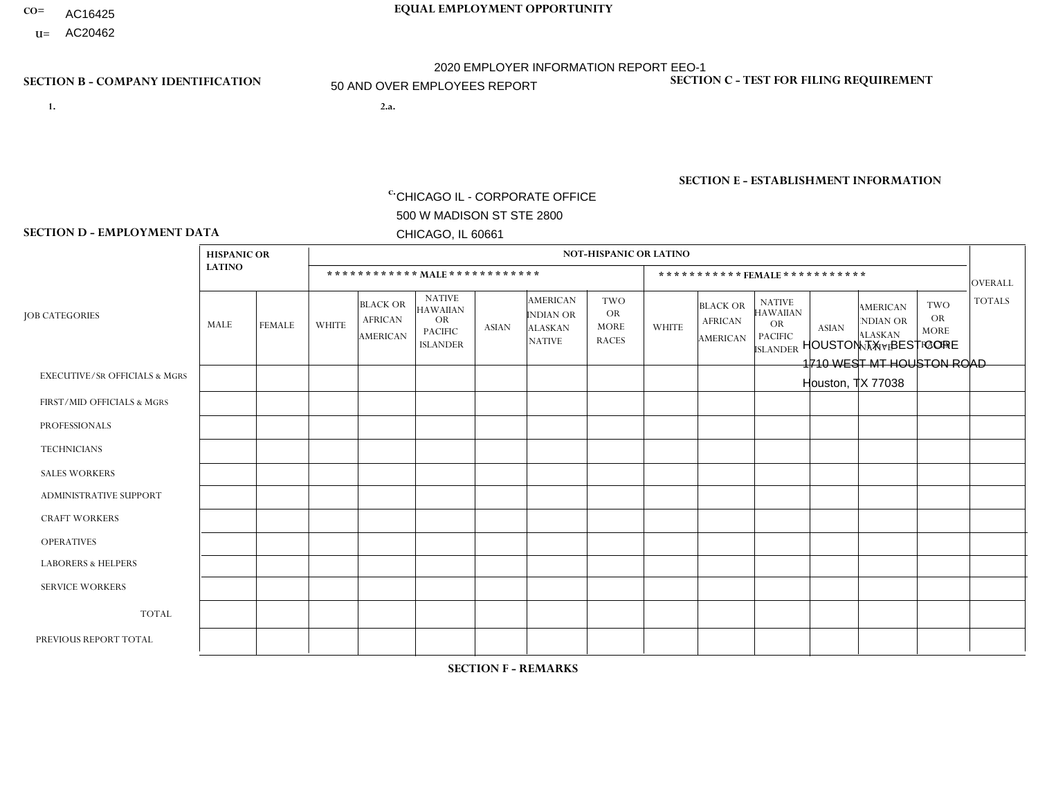- AC16425
- **U=**

- **1. 2.a.** CHICAGO IL CORPORATE OFFICE 500 W MADISON ST STE 2800 CHICAGO, IL 60661
- 2.a. HOUSTON TX BEST CORE 1710 WEST MT HOUSTON ROAD Houston, TX 77038

c. EIN= 952920557

# **SECTION B - COMPANY IDENTIFICATION SECTION C - TEST FOR FILING REQUIREMENT**

1- Y 2- Y 3- N DUNS= 000123456

**SECTION E - ESTABLISHMENT INFORMATION c.** NAICS: 423140

### **SECTION D - EMPLOYMENT DATA**

|                                          | <b>HISPANIC OR</b> |               |                |                                                      |                                                                                    |              |                                                                 | <b>NOT-HISPANIC OR LATINO</b>                          |                |                                                      |                                                                                    |              |                                                                       |                                                        |                |
|------------------------------------------|--------------------|---------------|----------------|------------------------------------------------------|------------------------------------------------------------------------------------|--------------|-----------------------------------------------------------------|--------------------------------------------------------|----------------|------------------------------------------------------|------------------------------------------------------------------------------------|--------------|-----------------------------------------------------------------------|--------------------------------------------------------|----------------|
|                                          | <b>LATINO</b>      |               |                | ************ MALE ************                       |                                                                                    |              |                                                                 |                                                        |                |                                                      | ***********FEMALE***********                                                       |              |                                                                       |                                                        | <b>OVERALL</b> |
| <b>JOB CATEGORIES</b>                    | <b>MALE</b>        | <b>FEMALE</b> | <b>WHITE</b>   | <b>BLACK OR</b><br><b>AFRICAN</b><br><b>AMERICAN</b> | <b>NATIVE</b><br><b>HAWAIIAN</b><br><b>OR</b><br><b>PACIFIC</b><br><b>ISLANDER</b> | <b>ASIAN</b> | <b>AMERICAN</b><br>INDIAN OR<br><b>ALASKAN</b><br><b>NATIVE</b> | <b>TWO</b><br><b>OR</b><br><b>MORE</b><br><b>RACES</b> | <b>WHITE</b>   | <b>BLACK OR</b><br><b>AFRICAN</b><br><b>AMERICAN</b> | <b>NATIVE</b><br><b>HAWAIIAN</b><br><b>OR</b><br><b>PACIFIC</b><br><b>ISLANDER</b> | <b>ASIAN</b> | <b>AMERICAN</b><br><b>NDIAN OR</b><br><b>ALASKAN</b><br><b>NATIVE</b> | <b>TWO</b><br><b>OR</b><br><b>MORE</b><br><b>RACES</b> | <b>TOTALS</b>  |
| <b>EXECUTIVE/SR OFFICIALS &amp; MGRS</b> | $\mathbf{0}$       | $\Omega$      | $\Omega$       | $\Omega$                                             | 0                                                                                  | $\Omega$     | $\Omega$                                                        | $\Omega$                                               | $\Omega$       | $\mathbf{0}$                                         | $\Omega$                                                                           | $\Omega$     | $\Omega$                                                              | $\Omega$                                               | $\Omega$       |
| FIRST/MID OFFICIALS & MGRS               | 3                  | $\Omega$      | $\overline{7}$ | $\mathbf 0$                                          | $\mathbf 0$                                                                        | $\Omega$     | $\Omega$                                                        | $\Omega$                                               | 1              | $\mathbf{0}$                                         | $\Omega$                                                                           | $\Omega$     | $\Omega$                                                              | $\Omega$                                               | 11             |
| <b>PROFESSIONALS</b>                     | $\Omega$           | $\mathbf 0$   | 1              | $\mathbf 0$                                          | $\Omega$                                                                           | $\Omega$     | $\Omega$                                                        | $\Omega$                                               | $\Omega$       | $\Omega$                                             | $\Omega$                                                                           | $\Omega$     | $\Omega$                                                              | $\mathbf{0}$                                           | $\mathbf{1}$   |
| <b>TECHNICIANS</b>                       | $\Omega$           | $\Omega$      | $\Omega$       | $\Omega$                                             | 0                                                                                  | $\Omega$     | $\overline{0}$                                                  | $\Omega$                                               | $\Omega$       | $\Omega$                                             | $\Omega$                                                                           | $\Omega$     | $\mathbf{0}$                                                          | $\Omega$                                               | $\mathbf 0$    |
| <b>SALES WORKERS</b>                     | 1                  | $\Omega$      | 3              | $\Omega$                                             | $\Omega$                                                                           | $\Omega$     | $\Omega$                                                        | $\Omega$                                               | $\mathbf{1}$   | $\Omega$                                             | $\Omega$                                                                           | $\Omega$     | $\Omega$                                                              | $\mathbf{0}$                                           | 5              |
| <b>ADMINISTRATIVE SUPPORT</b>            | $\overline{2}$     | $\mathbf 0$   | $\Omega$       | $\mathbf 0$                                          | $\mathbf 0$                                                                        | $\mathbf 0$  | $\Omega$                                                        | $\Omega$                                               | $\Omega$       |                                                      | $\Omega$                                                                           | $\Omega$     | $\Omega$                                                              | $\Omega$                                               | 3              |
| <b>CRAFT WORKERS</b>                     | 9                  | $\Omega$      | $\Omega$       | $\mathbf{1}$                                         | 0                                                                                  | $\Omega$     | $\Omega$                                                        | $\Omega$                                               | $\Omega$       | $\Omega$                                             | $\Omega$                                                                           | $\Omega$     | $\Omega$                                                              | $\Omega$                                               | 10             |
| <b>OPERATIVES</b>                        | 8                  | $\Omega$      | $\Omega$       | $\mathbf 0$                                          | $\mathbf{1}$                                                                       | $\Omega$     | $\Omega$                                                        |                                                        | $\Omega$       | $\Omega$                                             | $\Omega$                                                                           | $\Omega$     | $\Omega$                                                              | $\Omega$                                               | 10             |
| <b>LABORERS &amp; HELPERS</b>            | 65                 | $\Omega$      | 1              | 4                                                    | 0                                                                                  | $\Omega$     | 1                                                               | $\overline{4}$                                         | $\Omega$       | $\Omega$                                             | $\Omega$                                                                           | $\Omega$     | $\Omega$                                                              | $\Omega$                                               | 75             |
| <b>SERVICE WORKERS</b>                   | $\Omega$           | 0             | $\Omega$       | 0                                                    | $\mathbf{0}$                                                                       | $\Omega$     | $\Omega$                                                        | $\Omega$                                               | $\Omega$       | $\Omega$                                             | $\Omega$                                                                           | $\Omega$     | $\Omega$                                                              | $\Omega$                                               | $\mathbf 0$    |
| <b>TOTAL</b>                             | 88                 | 0             | 12             | 5                                                    | $\mathbf{1}$                                                                       | $\mathbf 0$  | 1                                                               | 5                                                      | $\overline{2}$ |                                                      | $\Omega$                                                                           | $\mathbf 0$  | $\Omega$                                                              | $\mathbf 0$                                            | 115            |
| PREVIOUS REPORT TOTAL                    | 103                | $\mathbf 0$   | 12             | $\overline{7}$                                       | 1                                                                                  | $\Omega$     | 1                                                               | 4                                                      | 2              | 2                                                    | $\mathbf{0}$                                                                       | $\Omega$     | $\Omega$                                                              | $\mathbf 0$                                            | 132            |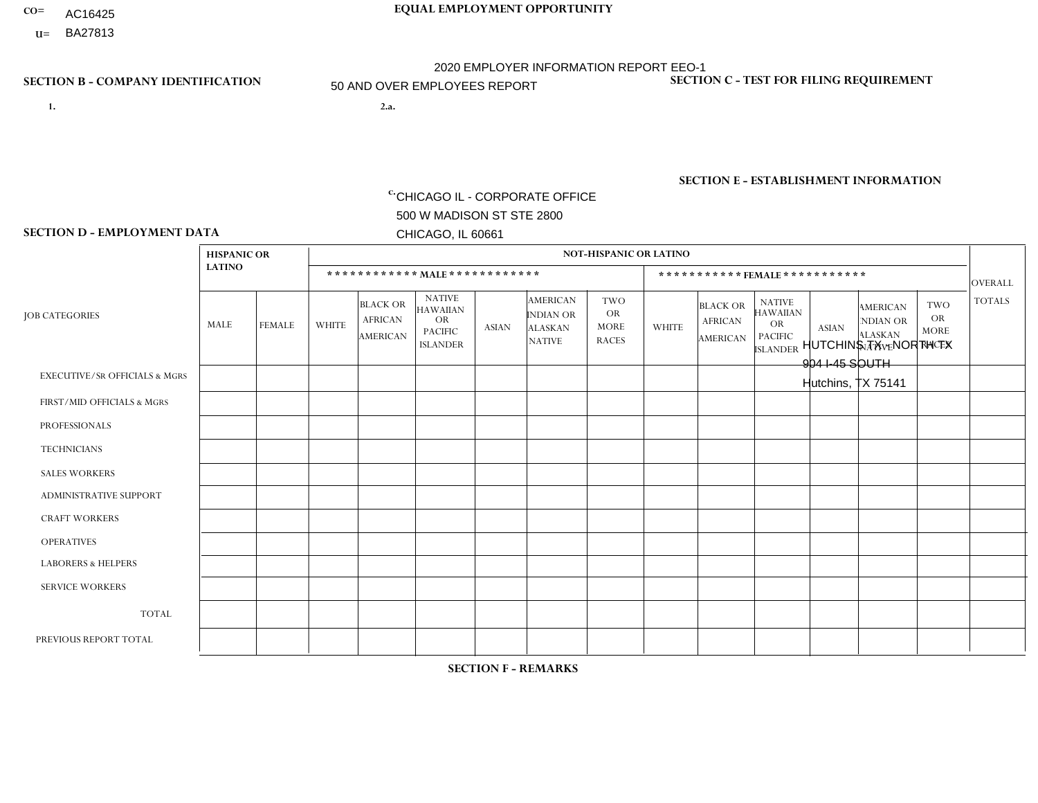- AC16425
- **U=**

**1. 2.a.** CHICAGO IL - CORPORATE OFFICE 500 W MADISON ST STE 2800 CHICAGO, IL 60661

2.a. HUTCHINS TX - NORTH TX 904 I-45 SOUTH Hutchins, TX 75141

EIN= 952920557

# **SECTION B - COMPANY IDENTIFICATION SECTION C - TEST FOR FILING REQUIREMENT**

1- Y 2- Y 3- N DUNS= 000123456

**SECTION E - ESTABLISHMENT INFORMATION c.** NAICS: 423140

### **SECTION D - EMPLOYMENT DATA**

|                                          | <b>HISPANIC OR</b> |                |              |                                                      |                                                                                    |              |                                                                        | <b>NOT-HISPANIC OR LATINO</b>                          |                |                                               |                                                                                    |              |                                                                       |                                                        |                |
|------------------------------------------|--------------------|----------------|--------------|------------------------------------------------------|------------------------------------------------------------------------------------|--------------|------------------------------------------------------------------------|--------------------------------------------------------|----------------|-----------------------------------------------|------------------------------------------------------------------------------------|--------------|-----------------------------------------------------------------------|--------------------------------------------------------|----------------|
|                                          | <b>LATINO</b>      |                |              | ************ MALE ************                       |                                                                                    |              |                                                                        |                                                        |                | ***********FEMALE***********                  |                                                                                    |              |                                                                       |                                                        | <b>OVERALL</b> |
| <b>JOB CATEGORIES</b>                    | MALE               | <b>FEMALE</b>  | <b>WHITE</b> | <b>BLACK OR</b><br><b>AFRICAN</b><br><b>AMERICAN</b> | <b>NATIVE</b><br><b>HAWAIIAN</b><br><b>OR</b><br><b>PACIFIC</b><br><b>ISLANDER</b> | ASIAN        | <b>AMERICAN</b><br><b>INDIAN OR</b><br><b>ALASKAN</b><br><b>NATIVE</b> | <b>TWO</b><br><b>OR</b><br><b>MORE</b><br><b>RACES</b> | <b>WHITE</b>   | <b>BLACK OR</b><br><b>AFRICAN</b><br>AMERICAN | <b>NATIVE</b><br><b>HAWAIIAN</b><br><b>OR</b><br><b>PACIFIC</b><br><b>ISLANDER</b> | <b>ASIAN</b> | <b>AMERICAN</b><br><b>NDIAN OR</b><br><b>ALASKAN</b><br><b>NATIVE</b> | <b>TWO</b><br><b>OR</b><br><b>MORE</b><br><b>RACES</b> | <b>TOTALS</b>  |
| <b>EXECUTIVE/SR OFFICIALS &amp; MGRS</b> | $\Omega$           | $\Omega$       | $\Omega$     | $\mathbf 0$                                          | $\Omega$                                                                           | $\mathbf{0}$ | $\Omega$                                                               | $\Omega$                                               | 0              | $\Omega$                                      | $\Omega$                                                                           | $\Omega$     | $\Omega$                                                              | $\Omega$                                               | $\mathbf{0}$   |
| FIRST/MID OFFICIALS & MGRS               | $\overline{2}$     | $\Omega$       | 5            | $\mathbf 0$                                          | $\Omega$                                                                           | $\Omega$     | $\Omega$                                                               | $\Omega$                                               | $\overline{2}$ | $\Omega$                                      | $\Omega$                                                                           | $\Omega$     | $\Omega$                                                              | $\Omega$                                               | 9              |
| <b>PROFESSIONALS</b>                     | 0                  | $\overline{0}$ |              | 1                                                    | $\Omega$                                                                           | $\Omega$     | $\Omega$                                                               | $\Omega$                                               | 0              | $\Omega$                                      | $\Omega$                                                                           | $\Omega$     | $\Omega$                                                              | $\Omega$                                               | $\overline{2}$ |
| <b>TECHNICIANS</b>                       | 0                  | $\Omega$       | $\Omega$     | $\mathbf 0$                                          | $\Omega$                                                                           | $\Omega$     | $\Omega$                                                               | $\Omega$                                               | $\Omega$       | $\Omega$                                      | $\Omega$                                                                           | $\Omega$     | $\Omega$                                                              | $\Omega$                                               | $\Omega$       |
| <b>SALES WORKERS</b>                     | 11                 | $\overline{2}$ | 23           | $\Omega$                                             | $\Omega$                                                                           | $\mathbf{1}$ | $\Omega$                                                               |                                                        |                | $\Omega$                                      | $\Omega$                                                                           | $\Omega$     | $\Omega$                                                              | $\Omega$                                               | 39             |
| <b>ADMINISTRATIVE SUPPORT</b>            |                    | 0              |              | $\mathbf 0$                                          | 0                                                                                  | $\Omega$     | $\Omega$                                                               | $\Omega$                                               |                | $\Omega$                                      | $\Omega$                                                                           | $\mathbf{0}$ | $\mathbf{0}$                                                          | $\mathbf 0$                                            | 3              |
| <b>CRAFT WORKERS</b>                     | 6                  | $\Omega$       | $\Omega$     | $\mathbf 0$                                          | $\Omega$                                                                           | $\Omega$     | $\Omega$                                                               | $\Omega$                                               | 0              | $\Omega$                                      | $\Omega$                                                                           | $\Omega$     | $\Omega$                                                              | $\Omega$                                               | 6              |
| <b>OPERATIVES</b>                        | 4                  | $\Omega$       | 3            | 5                                                    | $\Omega$                                                                           | $\Omega$     | $\Omega$                                                               | $\overline{2}$                                         | $\Omega$       | $\Omega$                                      | $\Omega$                                                                           | $\Omega$     | $\Omega$                                                              | $\Omega$                                               | 14             |
| <b>LABORERS &amp; HELPERS</b>            | $\overline{2}$     | $\Omega$       | -1           | 5                                                    | $\Omega$                                                                           | $\Omega$     | $\Omega$                                                               |                                                        | $\Omega$       | $\Omega$                                      | $\Omega$                                                                           | $\Omega$     | $\Omega$                                                              | $\mathbf{0}$                                           | 9              |
| <b>SERVICE WORKERS</b>                   |                    | $\Omega$       | $\Omega$     | 0                                                    | 0                                                                                  | $\Omega$     | $\Omega$                                                               | $\Omega$                                               | $\Omega$       | $\Omega$                                      | $\Omega$                                                                           | $\Omega$     | $\Omega$                                                              | $\mathbf 0$                                            | $\mathbf{1}$   |
| <b>TOTAL</b>                             | 27                 | $\overline{2}$ | 34           | 11                                                   | 0                                                                                  | 1            | $\Omega$                                                               | 4                                                      | 4              | $\Omega$                                      | $\Omega$                                                                           | $\mathbf 0$  | 0                                                                     | $\mathbf 0$                                            | 83             |
| PREVIOUS REPORT TOTAL                    | 29                 | 6              | 45           | 16                                                   | 0                                                                                  | -1           | $\Omega$                                                               | 5                                                      | 6              | $\Omega$                                      | $\Omega$                                                                           | $\Omega$     | $\Omega$                                                              | $\mathbf 0$                                            | 108            |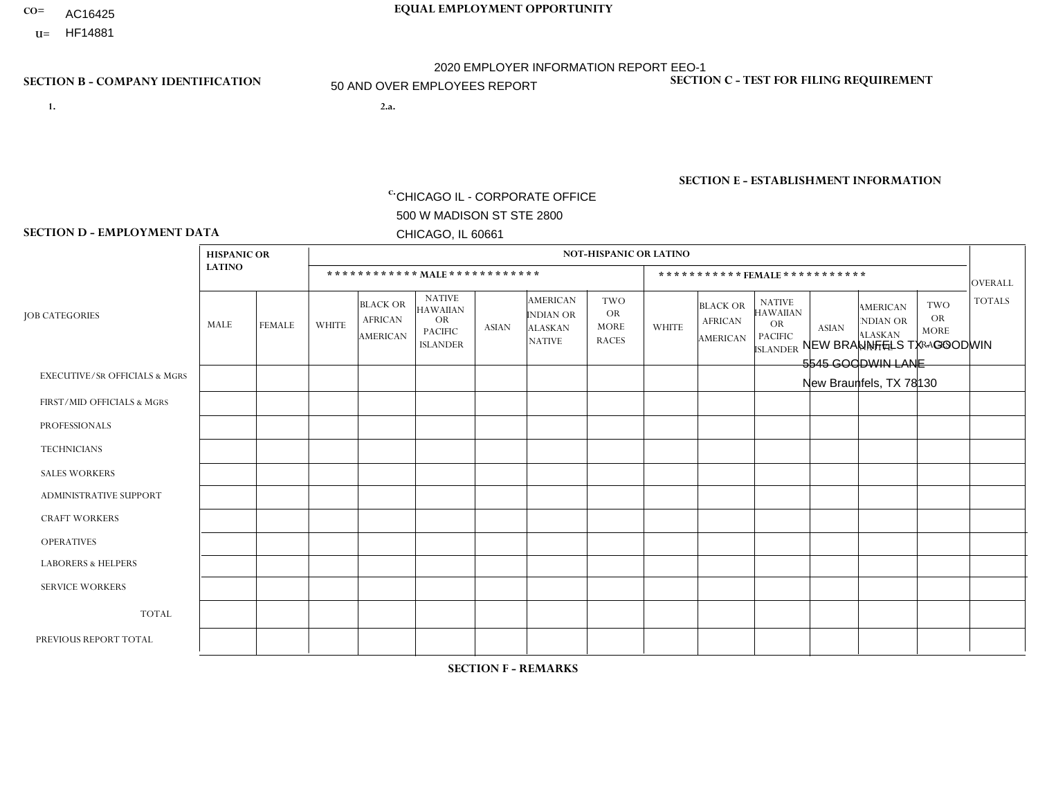- **CO= EQUAL EMPLOYMENT OPPORTUNITY** AC16425
- **U=**

# **SECTION B - COMPANY IDENTIFICATION SECTION C - TEST FOR FILING REQUIREMENT**

- **1. 2.a.** CHICAGO IL CORPORATE OFFICE 500 W MADISON ST STE 2800 CHICAGO, IL 60661
- 2.a. NEW BRAUNFELS TX GOODWIN 5545 GOODWIN LANE New Braunfels, TX 78130

2020 EMPLOYER INFORMATION REPORT EEO-1 50 AND OVER EMPLOYEES REPORT

EIN= 952920557

1- Y 2- Y 3- N DUNS= 000123456

**SECTION E - ESTABLISHMENT INFORMATION c.** NAICS: 423140

### **SECTION D - EMPLOYMENT DATA**

|                                          | <b>HISPANIC OR</b> |               |                |                                                      |                                                                             |              |                                                                 | <b>NOT-HISPANIC OR LATINO</b>                          |              |                                               |                                                                                    |              |                                                                       |                                                        |                 |
|------------------------------------------|--------------------|---------------|----------------|------------------------------------------------------|-----------------------------------------------------------------------------|--------------|-----------------------------------------------------------------|--------------------------------------------------------|--------------|-----------------------------------------------|------------------------------------------------------------------------------------|--------------|-----------------------------------------------------------------------|--------------------------------------------------------|-----------------|
|                                          | <b>LATINO</b>      |               |                |                                                      | ************ MALE************                                               |              |                                                                 |                                                        |              |                                               | ***********FEMALE***********                                                       |              |                                                                       |                                                        | <b>OVERALL</b>  |
| <b>JOB CATEGORIES</b>                    | MALE               | <b>FEMALE</b> | <b>WHITE</b>   | <b>BLACK OR</b><br><b>AFRICAN</b><br><b>AMERICAN</b> | <b>NATIVE</b><br><b>HAWAIIAN</b><br>OR<br><b>PACIFIC</b><br><b>ISLANDER</b> | <b>ASIAN</b> | <b>AMERICAN</b><br>INDIAN OR<br><b>ALASKAN</b><br><b>NATIVE</b> | <b>TWO</b><br><b>OR</b><br><b>MORE</b><br><b>RACES</b> | <b>WHITE</b> | <b>BLACK OR</b><br><b>AFRICAN</b><br>AMERICAN | <b>NATIVE</b><br><b>HAWAIIAN</b><br><b>OR</b><br><b>PACIFIC</b><br><b>ISLANDER</b> | <b>ASIAN</b> | <b>AMERICAN</b><br><b>NDIAN OR</b><br><b>ALASKAN</b><br><b>NATIVE</b> | <b>TWO</b><br><b>OR</b><br><b>MORE</b><br><b>RACES</b> | <b>TOTALS</b>   |
| <b>EXECUTIVE/SR OFFICIALS &amp; MGRS</b> | $\Omega$           | $\Omega$      | $\mathbf 0$    | $\mathbf 0$                                          | $\mathbf 0$                                                                 | $\Omega$     | $\Omega$                                                        | $\Omega$                                               | $\Omega$     | $\Omega$                                      | $\Omega$                                                                           | $\Omega$     | $\mathbf{0}$                                                          | $\Omega$                                               | $\mathbf 0$     |
| FIRST/MID OFFICIALS & MGRS               | $\overline{2}$     | $\Omega$      | $\overline{c}$ | $\mathbf 0$                                          | $\mathbf 0$                                                                 | $\Omega$     | $\Omega$                                                        | $\Omega$                                               |              | $\Omega$                                      | $\mathbf{0}$                                                                       | $\mathbf{0}$ | $\Omega$                                                              | $\Omega$                                               | $5\phantom{.0}$ |
| <b>PROFESSIONALS</b>                     | 0                  | $\Omega$      | $\mathbf{1}$   | $\mathbf 0$                                          | $\mathbf 0$                                                                 | $\Omega$     | $\Omega$                                                        | $\Omega$                                               | $\Omega$     | $\Omega$                                      | $\Omega$                                                                           | $\Omega$     | $\Omega$                                                              | $\mathbf{0}$                                           | $\mathbf{1}$    |
| <b>TECHNICIANS</b>                       | 0                  | $\mathbf 0$   | $\mathbf 0$    | $\mathbf 0$                                          | $\mathbf 0$                                                                 | $\mathbf 0$  | $\Omega$                                                        | $\Omega$                                               | $\mathbf 0$  | $\mathbf 0$                                   | $\mathbf 0$                                                                        | $\mathbf 0$  | $\mathbf 0$                                                           | $\mathbf 0$                                            | $\mathbf 0$     |
| <b>SALES WORKERS</b>                     | 0                  | $\mathbf{1}$  | 3              | $\mathbf 0$                                          | $\Omega$                                                                    | $\Omega$     | $\Omega$                                                        | $\Omega$                                               | $\Omega$     | $\Omega$                                      | $\Omega$                                                                           | $\Omega$     | $\Omega$                                                              | $\Omega$                                               | $\overline{4}$  |
| <b>ADMINISTRATIVE SUPPORT</b>            | $\overline{2}$     | $\mathbf 0$   | 2              | $\mathbf 0$                                          | $\mathbf 0$                                                                 | $\mathbf 0$  | $\Omega$                                                        | $\Omega$                                               | $\Omega$     | $\Omega$                                      | $\Omega$                                                                           | $\Omega$     | $\Omega$                                                              | $\Omega$                                               | $\overline{4}$  |
| <b>CRAFT WORKERS</b>                     | 8                  | $\Omega$      | 8              | $\mathbf 0$                                          | $\Omega$                                                                    | $\Omega$     | $\Omega$                                                        | $\Omega$                                               | $\Omega$     | $\Omega$                                      | $\Omega$                                                                           | $\Omega$     | $\Omega$                                                              | $\mathbf{0}$                                           | 16              |
| <b>OPERATIVES</b>                        | 11                 | $\mathbf 0$   | $\overline{4}$ | $\mathbf 0$                                          | $\overline{2}$                                                              | $\mathbf 0$  | $\Omega$                                                        | 1                                                      | $\Omega$     | $\Omega$                                      | $\Omega$                                                                           | $\Omega$     | $\Omega$                                                              | $\Omega$                                               | 18              |
| <b>LABORERS &amp; HELPERS</b>            | 9                  | $\Omega$      | 3              | $\mathbf 0$                                          | $\mathbf 0$                                                                 | $\mathbf 0$  | $\Omega$                                                        | $\overline{2}$                                         | $\Omega$     | $\Omega$                                      | $\Omega$                                                                           | $\Omega$     | $\Omega$                                                              | $\Omega$                                               | 14              |
| <b>SERVICE WORKERS</b>                   | 0                  | $\mathbf 0$   | $\mathbf 0$    | 0                                                    | $\mathbf 0$                                                                 | $\mathbf 0$  | $\Omega$                                                        | $\Omega$                                               | $\Omega$     | $\Omega$                                      | $\Omega$                                                                           | $\Omega$     | $\Omega$                                                              | $\mathbf{0}$                                           | $\mathbf 0$     |
| <b>TOTAL</b>                             | 32                 | $\mathbf{1}$  | 23             | $\mathbf 0$                                          | $\overline{2}$                                                              | $\mathbf 0$  | $\Omega$                                                        | 3                                                      |              | 0                                             | $\mathbf 0$                                                                        | $\mathbf 0$  | $\mathbf 0$                                                           | $\mathbf 0$                                            | 62              |
| PREVIOUS REPORT TOTAL                    | 40                 | $\mathbf{1}$  | 27             | $\overline{2}$                                       | $\overline{2}$                                                              | $\Omega$     | $\Omega$                                                        | $\overline{2}$                                         |              | $\Omega$                                      | $\Omega$                                                                           | $\Omega$     | $\mathbf{0}$                                                          | $\Omega$                                               | 75              |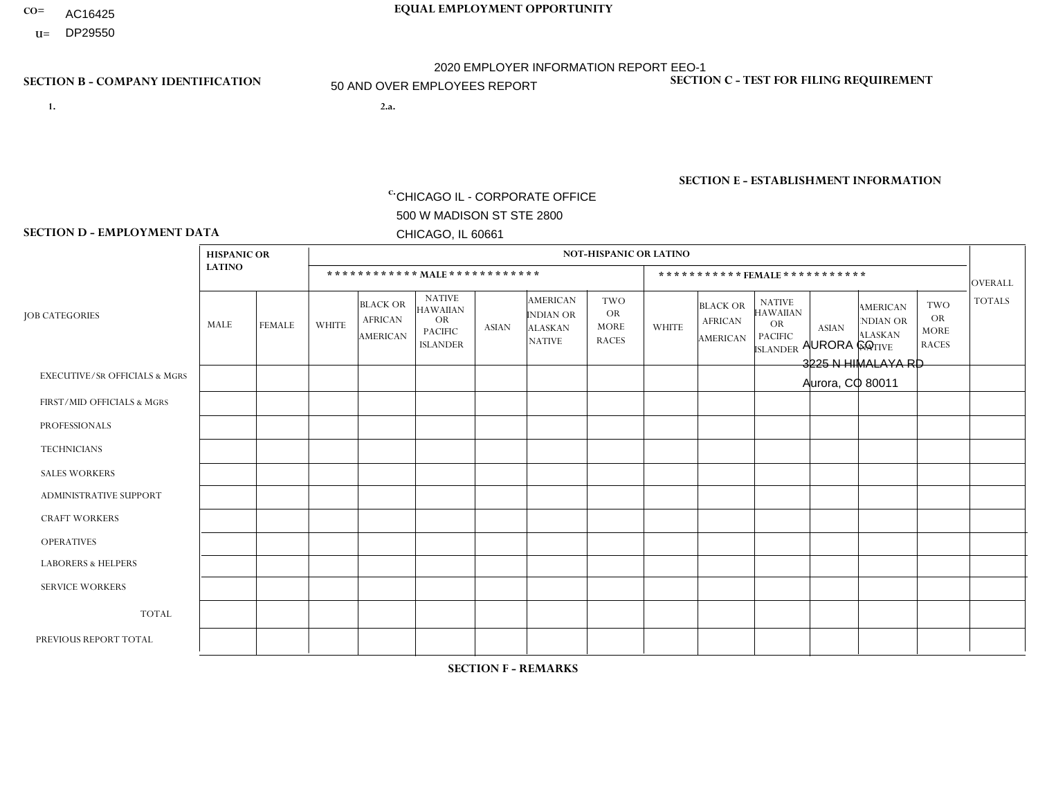- AC16425
- **U=**

**1. 2.a.** CHICAGO IL - CORPORATE OFFICE 500 W MADISON ST STE 2800 CHICAGO, IL 60661

2.a. AURORA CO 3225 N HIMALAYA RD Aurora, CO 80011

EIN= 952920557

# **SECTION B - COMPANY IDENTIFICATION SECTION C - TEST FOR FILING REQUIREMENT**

1- Y 2- Y 3- N DUNS= 000123456

**SECTION E - ESTABLISHMENT INFORMATION c.** NAICS: 423140

### **SECTION D - EMPLOYMENT DATA**

|                                          | <b>HISPANIC OR</b> |                |                |                                                      |                                                                                    |              |                                                                        | <b>NOT-HISPANIC OR LATINO</b>                          |              |                                               |                                                                                    |              |                                                                |                                                        |                |
|------------------------------------------|--------------------|----------------|----------------|------------------------------------------------------|------------------------------------------------------------------------------------|--------------|------------------------------------------------------------------------|--------------------------------------------------------|--------------|-----------------------------------------------|------------------------------------------------------------------------------------|--------------|----------------------------------------------------------------|--------------------------------------------------------|----------------|
|                                          | <b>LATINO</b>      |                |                | ************ MALE ************                       |                                                                                    |              |                                                                        |                                                        |              |                                               | *********** FEMALE ***********                                                     |              |                                                                |                                                        | <b>OVERALL</b> |
| <b>JOB CATEGORIES</b>                    | <b>MALE</b>        | <b>FEMALE</b>  | <b>WHITE</b>   | <b>BLACK OR</b><br><b>AFRICAN</b><br><b>AMERICAN</b> | <b>NATIVE</b><br><b>HAWAIIAN</b><br><b>OR</b><br><b>PACIFIC</b><br><b>ISLANDER</b> | <b>ASIAN</b> | <b>AMERICAN</b><br><b>INDIAN OR</b><br><b>ALASKAN</b><br><b>NATIVE</b> | <b>TWO</b><br><b>OR</b><br><b>MORE</b><br><b>RACES</b> | <b>WHITE</b> | <b>BLACK OR</b><br><b>AFRICAN</b><br>AMERICAN | <b>NATIVE</b><br><b>HAWAIIAN</b><br><b>OR</b><br><b>PACIFIC</b><br><b>ISLANDER</b> | <b>ASIAN</b> | <b>AMERICAN</b><br>NDIAN OR<br><b>ALASKAN</b><br><b>NATIVE</b> | <b>TWO</b><br><b>OR</b><br><b>MORE</b><br><b>RACES</b> | <b>TOTALS</b>  |
| <b>EXECUTIVE/SR OFFICIALS &amp; MGRS</b> | $\Omega$           | $\Omega$       | $\mathbf{0}$   | $\Omega$                                             | $\Omega$                                                                           | $\Omega$     | $\Omega$                                                               | $\Omega$                                               | 0            | $\Omega$                                      | $\Omega$                                                                           | $\Omega$     | $\Omega$                                                       | $\Omega$                                               | $\Omega$       |
| FIRST/MID OFFICIALS & MGRS               | 2                  | $\Omega$       | 4              | $\Omega$                                             | $\Omega$                                                                           | $\Omega$     | $\Omega$                                                               | $\Omega$                                               | 1            | $\Omega$                                      | 0                                                                                  | $\Omega$     | $\Omega$                                                       | $\Omega$                                               | $\overline{7}$ |
| <b>PROFESSIONALS</b>                     | $\Omega$           | $\overline{0}$ | 1              | $\mathbf 0$                                          | $\Omega$                                                                           | $\Omega$     | $\Omega$                                                               | $\Omega$                                               | $\Omega$     | $\Omega$                                      | 0                                                                                  | 0            | $\Omega$                                                       | $\mathbf 0$                                            | $\mathbf{1}$   |
| <b>TECHNICIANS</b>                       | $\Omega$           | $\Omega$       | $\Omega$       | $\Omega$                                             | $\Omega$                                                                           | $\Omega$     | $\Omega$                                                               | $\Omega$                                               | $\Omega$     | $\Omega$                                      | $\overline{0}$                                                                     | $\mathbf 0$  | $\Omega$                                                       | $\mathbf 0$                                            | $\Omega$       |
| <b>SALES WORKERS</b>                     | 11                 | 3              | $\overline{7}$ | 3                                                    | 1                                                                                  | $\Omega$     | $\Omega$                                                               | $\overline{2}$                                         | $\Omega$     | $\Omega$                                      | $\Omega$                                                                           | $\Omega$     | $\Omega$                                                       | $\Omega$                                               | 27             |
| <b>ADMINISTRATIVE SUPPORT</b>            | $\Omega$           | $\overline{2}$ | $\Omega$       | $\mathbf 0$                                          | 0                                                                                  | $\Omega$     | $\Omega$                                                               | $\Omega$                                               | 0            | $\Omega$                                      | 0                                                                                  | $\mathbf 0$  | $\Omega$                                                       | $\mathbf 0$                                            | $\overline{2}$ |
| <b>CRAFT WORKERS</b>                     | $\Omega$           | $\Omega$       | $\Omega$       | $\mathbf 0$                                          | $\Omega$                                                                           | $\Omega$     | $\Omega$                                                               | $\Omega$                                               | 0            | $\Omega$                                      | 0                                                                                  | $\Omega$     | $\Omega$                                                       | $\Omega$                                               | $\Omega$       |
| <b>OPERATIVES</b>                        | $\overline{7}$     | $\Omega$       | 9              | $\mathbf 0$                                          | $\Omega$                                                                           | $\Omega$     | $\Omega$                                                               | $\Omega$                                               | 1            | $\Omega$                                      | 0                                                                                  | $\mathbf 0$  | $\Omega$                                                       | $\Omega$                                               | 17             |
| <b>LABORERS &amp; HELPERS</b>            | 10                 | $\mathbf{1}$   | -1             | $\overline{ }$                                       | $\Omega$                                                                           | $\Omega$     | $\Omega$                                                               | $\overline{2}$                                         | 1            | $\Omega$                                      | $\Omega$                                                                           | $\Omega$     | $\Omega$                                                       | $\Omega$                                               | 16             |
| <b>SERVICE WORKERS</b>                   | $\Omega$           | $\Omega$       | $\Omega$       | 0                                                    | $\mathbf 0$                                                                        | $\Omega$     | $\Omega$                                                               | $\Omega$                                               | $\Omega$     | $\Omega$                                      | $\Omega$                                                                           | $\mathbf 0$  | $\Omega$                                                       | $\Omega$                                               | $\mathbf 0$    |
| <b>TOTAL</b>                             | 30                 | 6              | 22             | 4                                                    | 1                                                                                  | 0            | $\Omega$                                                               | $\overline{4}$                                         | 3            | $\mathbf{0}$                                  | 0                                                                                  | $\mathbf 0$  | 0                                                              | $\mathbf 0$                                            | 70             |
| PREVIOUS REPORT TOTAL                    | 29                 | $\overline{7}$ | 22             | 10 <sup>°</sup>                                      | $\mathbf 0$                                                                        | $\Omega$     | $\Omega$                                                               | $\overline{4}$                                         | 3            | $\mathbf{1}$                                  | 0                                                                                  | $\mathbf 0$  | 1                                                              | $\overline{1}$                                         | 78             |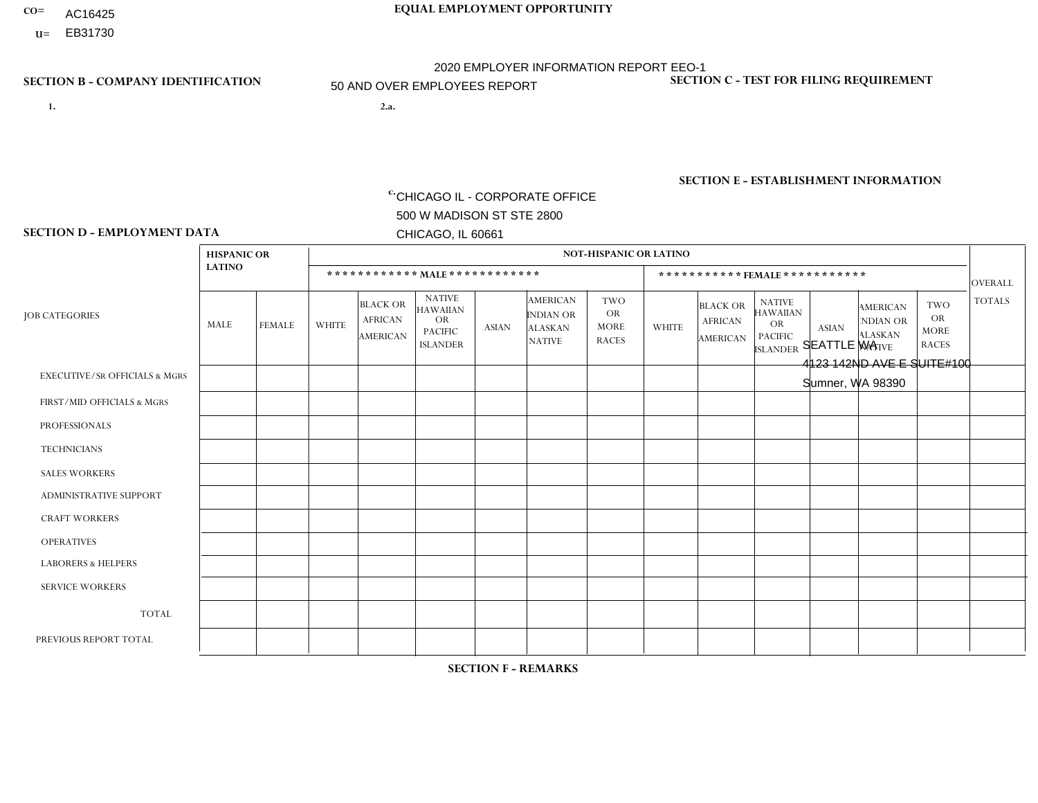- AC16425
- **U=**

- **1. 2.a.** CHICAGO IL CORPORATE OFFICE 500 W MADISON ST STE 2800 CHICAGO, IL 60661
- 2.a. SEATTLE WA 4123 142ND AVE E SUITE#100 Sumner, WA 98390

EIN= 952920557

# **SECTION B - COMPANY IDENTIFICATION SECTION C - TEST FOR FILING REQUIREMENT**

1- Y 2- Y 3- N DUNS= 000123456

**SECTION E - ESTABLISHMENT INFORMATION c.** NAICS: 423140

### **SECTION D - EMPLOYMENT DATA**

|                                          | <b>HISPANIC OR</b> |                |              |                                                      |                                                                                    |              |                                                                        | <b>NOT-HISPANIC OR LATINO</b>                          |                |                                               |                                                                                    |              |                                                                       |                                                        |                 |
|------------------------------------------|--------------------|----------------|--------------|------------------------------------------------------|------------------------------------------------------------------------------------|--------------|------------------------------------------------------------------------|--------------------------------------------------------|----------------|-----------------------------------------------|------------------------------------------------------------------------------------|--------------|-----------------------------------------------------------------------|--------------------------------------------------------|-----------------|
|                                          | <b>LATINO</b>      |                |              | ************ MALE ************                       |                                                                                    |              |                                                                        |                                                        |                | ***********FEMALE***********                  |                                                                                    |              |                                                                       |                                                        | <b>OVERALL</b>  |
| <b>JOB CATEGORIES</b>                    | MALE               | <b>FEMALE</b>  | <b>WHITE</b> | <b>BLACK OR</b><br><b>AFRICAN</b><br><b>AMERICAN</b> | <b>NATIVE</b><br><b>HAWAIIAN</b><br><b>OR</b><br><b>PACIFIC</b><br><b>ISLANDER</b> | ASIAN        | <b>AMERICAN</b><br><b>INDIAN OR</b><br><b>ALASKAN</b><br><b>NATIVE</b> | <b>TWO</b><br><b>OR</b><br><b>MORE</b><br><b>RACES</b> | <b>WHITE</b>   | <b>BLACK OR</b><br><b>AFRICAN</b><br>AMERICAN | <b>NATIVE</b><br><b>HAWAIIAN</b><br><b>OR</b><br><b>PACIFIC</b><br><b>ISLANDER</b> | <b>ASIAN</b> | <b>AMERICAN</b><br><b>NDIAN OR</b><br><b>ALASKAN</b><br><b>NATIVE</b> | <b>TWO</b><br><b>OR</b><br><b>MORE</b><br><b>RACES</b> | <b>TOTALS</b>   |
| <b>EXECUTIVE/SR OFFICIALS &amp; MGRS</b> | $\Omega$           | $\Omega$       | $\Omega$     | $\mathbf 0$                                          | $\Omega$                                                                           | $\mathbf{0}$ | $\Omega$                                                               | $\Omega$                                               | 0              | $\Omega$                                      | $\Omega$                                                                           | $\Omega$     | $\Omega$                                                              | $\mathbf{0}$                                           | $\mathbf 0$     |
| FIRST/MID OFFICIALS & MGRS               |                    | $\overline{1}$ | 3            | $\overline{1}$                                       | $\Omega$                                                                           | -1           | $\Omega$                                                               | $\overline{2}$                                         | 0              | $\Omega$                                      | $\Omega$                                                                           |              | $\Omega$                                                              | $\mathbf{0}$                                           | 10 <sup>°</sup> |
| <b>PROFESSIONALS</b>                     | 0                  | $\Omega$       | 4            | $\mathbf 0$                                          | $\Omega$                                                                           | $\Omega$     | $\Omega$                                                               | $\Omega$                                               | 0              | $\Omega$                                      | $\Omega$                                                                           | $\mathbf{0}$ | $\Omega$                                                              | $\mathbf{0}$                                           | $\overline{4}$  |
| <b>TECHNICIANS</b>                       | 0                  | $\overline{0}$ | $\Omega$     | $\mathbf 0$                                          | $\Omega$                                                                           | $\Omega$     | $\Omega$                                                               | $\Omega$                                               | $\Omega$       | $\Omega$                                      | $\Omega$                                                                           | $\Omega$     | $\Omega$                                                              | $\Omega$                                               | $\overline{0}$  |
| <b>SALES WORKERS</b>                     | $\Omega$           | $\mathbf{1}$   | 6            | $\mathbf 0$                                          | $\Omega$                                                                           | $\Omega$     | $\Omega$                                                               |                                                        |                | $\Omega$                                      | $\Omega$                                                                           | $\Omega$     | $\Omega$                                                              | $\Omega$                                               | 9               |
| ADMINISTRATIVE SUPPORT                   | $\Omega$           | $\Omega$       | $\Omega$     | $\Omega$                                             | $\Omega$                                                                           | $\Omega$     | $\Omega$                                                               | $\Omega$                                               | 3              | $\Omega$                                      | $\Omega$                                                                           | $\Omega$     | $\mathbf{0}$                                                          | $\mathbf{1}$                                           | $\overline{4}$  |
| <b>CRAFT WORKERS</b>                     | 0                  | $\Omega$       | $\Omega$     | $\mathbf 0$                                          | $\Omega$                                                                           | $\Omega$     | $\Omega$                                                               | $\Omega$                                               | 0              | $\Omega$                                      | $\Omega$                                                                           | $\mathbf{0}$ | $\Omega$                                                              | $\Omega$                                               | $\Omega$        |
| <b>OPERATIVES</b>                        |                    | $\Omega$       | 14           | 3                                                    |                                                                                    | -1           | -1                                                                     | 4                                                      | 5              | $\Omega$                                      | $\Omega$                                                                           | $\mathbf{0}$ | $\Omega$                                                              | $\Omega$                                               | 30              |
| <b>LABORERS &amp; HELPERS</b>            | $\overline{2}$     | $\Omega$       | 11           | 4                                                    | $\Omega$                                                                           | 1            | $\Omega$                                                               | $\overline{2}$                                         | 6              | $\Omega$                                      | $\Omega$                                                                           | $\Omega$     | $\Omega$                                                              | 2                                                      | 28              |
| <b>SERVICE WORKERS</b>                   | 0                  | $\mathbf 0$    | 3            | 0                                                    | 0                                                                                  | $\mathbf 0$  | $\Omega$                                                               |                                                        | $\overline{7}$ | $\Omega$                                      | $\Omega$                                                                           | 0            | $\Omega$                                                              | $\mathbf 0$                                            | 11              |
| <b>TOTAL</b>                             | 4                  | $\overline{2}$ | 41           | 8                                                    |                                                                                    | 3            | $\overline{\mathbf{1}}$                                                | 10                                                     | 22             | $\Omega$                                      | $\Omega$                                                                           |              | 0                                                                     | 3                                                      | 96              |
| PREVIOUS REPORT TOTAL                    | 5                  | $\overline{2}$ | 65           | 10                                                   |                                                                                    | 6            | $\overline{2}$                                                         | 10                                                     | 35             | $\Omega$                                      | $\Omega$                                                                           | 3            | 1                                                                     | 5                                                      | 145             |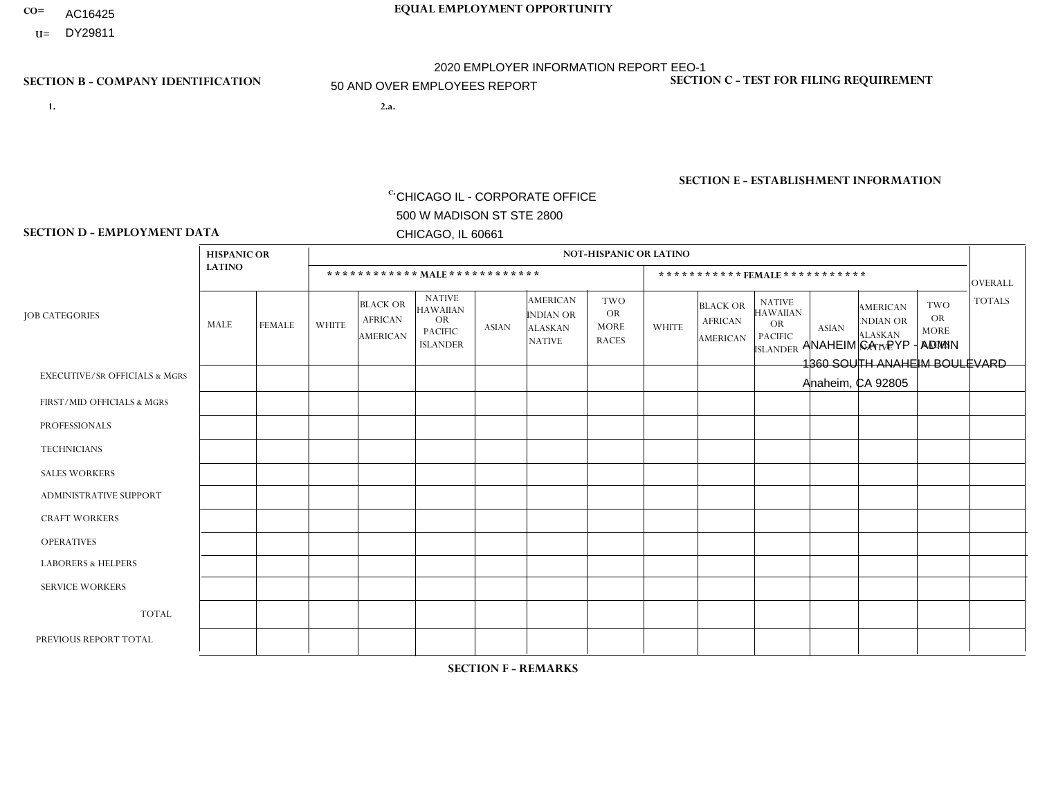- AC16425
- **U=** DY29811

- **1. 2.a.** CHICAGO IL CORPORATE OFFICE 500 W MADISON ST STE 2800 CHICAGO, IL 60661
- 2.a. ANAHEIM CA PYP ADMIN 1360 SOUTH ANAHEIM BOULEVARD Anaheim, CA 92805

EIN= 953406551

# **SECTION B - COMPANY IDENTIFICATION SECTION C - TEST FOR FILING REQUIREMENT**

1- Y 2- Y 3- N DUNS= 000123456

**SECTION E - ESTABLISHMENT INFORMATION c.** NAICS: 551114

### **SECTION D - EMPLOYMENT DATA**

|                                          | <b>HISPANIC OR</b> |              |                |                                                      |                                                                                    |                |                                                                        | <b>NOT-HISPANIC OR LATINO</b>                          |              |                                               |                                                                                    |                |                                                                |                                                        |                |
|------------------------------------------|--------------------|--------------|----------------|------------------------------------------------------|------------------------------------------------------------------------------------|----------------|------------------------------------------------------------------------|--------------------------------------------------------|--------------|-----------------------------------------------|------------------------------------------------------------------------------------|----------------|----------------------------------------------------------------|--------------------------------------------------------|----------------|
|                                          | <b>LATINO</b>      |              |                |                                                      | ************ MAIE************                                                      |                |                                                                        |                                                        |              | ***********FEMALE***********                  |                                                                                    |                |                                                                |                                                        | <b>OVERALL</b> |
| <b>JOB CATEGORIES</b>                    | MALE               | FEMALE       | <b>WHITE</b>   | <b>BLACK OR</b><br><b>AFRICAN</b><br><b>AMERICAN</b> | <b>NATIVE</b><br><b>HAWAIIAN</b><br><b>OR</b><br><b>PACIFIC</b><br><b>ISLANDER</b> | <b>ASIAN</b>   | <b>AMERICAN</b><br><b>INDIAN OR</b><br><b>ALASKAN</b><br><b>NATIVE</b> | <b>TWO</b><br><b>OR</b><br><b>MORE</b><br><b>RACES</b> | <b>WHITE</b> | <b>BLACK OR</b><br><b>AFRICAN</b><br>AMERICAN | <b>NATIVE</b><br><b>HAWAIIAN</b><br><b>OR</b><br><b>PACIFIC</b><br><b>ISLANDER</b> | <b>ASIAN</b>   | <b>AMERICAN</b><br>NDIAN OR<br><b>ALASKAN</b><br><b>NATIVE</b> | <b>TWO</b><br><b>OR</b><br><b>MORE</b><br><b>RACES</b> | <b>TOTALS</b>  |
| <b>EXECUTIVE/SR OFFICIALS &amp; MGRS</b> | $\Omega$           | $\Omega$     | $\Omega$       | $\mathbf 0$                                          | $\Omega$                                                                           | $\mathbf{0}$   | $\Omega$                                                               | $\Omega$                                               |              | $\Omega$                                      | $\Omega$                                                                           | $\Omega$       | $\Omega$                                                       | $\Omega$                                               | $\mathbf{1}$   |
| FIRST/MID OFFICIALS & MGRS               | 3                  | $\mathbf{1}$ | 1              | $\mathbf 0$                                          | $\Omega$                                                                           | -1             | $\Omega$                                                               | $\Omega$                                               |              | $\Omega$                                      | $\Omega$                                                                           | $\mathbf{0}$   | $\Omega$                                                       | $\mathbf 0$                                            | $\overline{7}$ |
| <b>PROFESSIONALS</b>                     | 3                  | 14           | 3              | $\mathbf 0$                                          | $\mathbf 0$                                                                        | $\Omega$       | $\Omega$                                                               |                                                        |              | $\Omega$                                      | $\Omega$                                                                           |                | 0                                                              | 6                                                      | 29             |
| <b>TECHNICIANS</b>                       | 0                  | $\mathbf 0$  | $\mathbf 0$    | $\mathbf 0$                                          | $\mathbf 0$                                                                        | $\Omega$       | $\Omega$                                                               | $\Omega$                                               | $\Omega$     | $\Omega$                                      | $\Omega$                                                                           | $\mathbf 0$    | $\mathbf 0$                                                    | $\mathbf 0$                                            | $\overline{0}$ |
| <b>SALES WORKERS</b>                     | $\Omega$           | $\Omega$     | $\Omega$       | $\mathbf 0$                                          | $\Omega$                                                                           | $\Omega$       | $\Omega$                                                               | $\Omega$                                               | 0            | $\Omega$                                      | $\Omega$                                                                           | $\Omega$       | $\Omega$                                                       | $\mathbf{0}$                                           | $\mathbf 0$    |
| <b>ADMINISTRATIVE SUPPORT</b>            |                    | 14           | $\Omega$       | $\mathbf 0$                                          | $\Omega$                                                                           | $\Omega$       | $\Omega$                                                               | $\Omega$                                               | 6            | 3                                             | $\Omega$                                                                           | 3              | $\Omega$                                                       | 3                                                      | 30             |
| <b>CRAFT WORKERS</b>                     | $\Omega$           | $\Omega$     | $\Omega$       | $\mathbf 0$                                          | $\Omega$                                                                           | $\Omega$       | $\Omega$                                                               | $\Omega$                                               | 0            | $\Omega$                                      | $\Omega$                                                                           | $\Omega$       | $\Omega$                                                       | $\Omega$                                               | $\mathbf{0}$   |
| <b>OPERATIVES</b>                        | 0                  | $\Omega$     | 1              | $\mathbf 0$                                          | $\Omega$                                                                           | $\Omega$       | $\Omega$                                                               | $\Omega$                                               | $\Omega$     | $\Omega$                                      | $\Omega$                                                                           | $\Omega$       | $\Omega$                                                       | $\Omega$                                               | $\mathbf{1}$   |
| <b>LABORERS &amp; HELPERS</b>            | 0                  | $\Omega$     | $\Omega$       | $\mathbf 0$                                          | $\Omega$                                                                           | $\Omega$       | $\Omega$                                                               | $\Omega$                                               | 0            | $\Omega$                                      | $\Omega$                                                                           | $\Omega$       | $\Omega$                                                       | $\Omega$                                               | 0              |
| <b>SERVICE WORKERS</b>                   | 0                  | 4            | $\mathbf 0$    | 0                                                    | $\mathbf{0}$                                                                       | $\Omega$       | $\Omega$                                                               |                                                        | $\Omega$     | $\Omega$                                      | $\Omega$                                                                           | $\Omega$       | $\Omega$                                                       | 10                                                     | 15             |
| <b>TOTAL</b>                             | $\overline{7}$     | 33           | 5              | 0                                                    | 0                                                                                  | 1              | $\Omega$                                                               | $\overline{2}$                                         | 9            | 3                                             | $\Omega$                                                                           | 4              | $\Omega$                                                       | 19                                                     | 83             |
| PREVIOUS REPORT TOTAL                    | 6                  | 33           | $\overline{7}$ | $\mathbf 0$                                          | $\mathbf 0$                                                                        | $\overline{1}$ | $\Omega$                                                               | $\overline{2}$                                         | 9            | $\overline{2}$                                | $\Omega$                                                                           | $\overline{4}$ | $\Omega$                                                       | 8                                                      | 72             |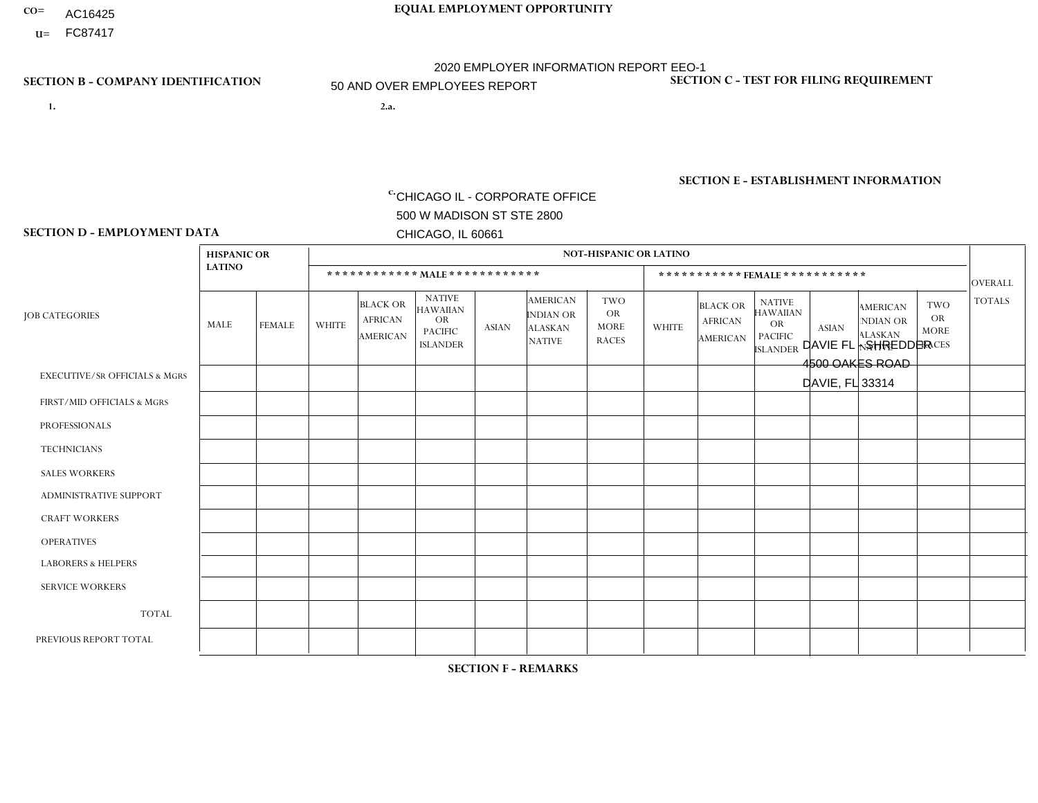- AC16425
- **U=**

**1. 2.a.** CHICAGO IL - CORPORATE OFFICE 500 W MADISON ST STE 2800 CHICAGO, IL 60661

2.a. DAVIE FL - SHREDDER 4500 OAKES ROAD DAVIE, FL 33314

EIN= 952920557

# **SECTION B - COMPANY IDENTIFICATION SECTION C - TEST FOR FILING REQUIREMENT**

1- Y 2- Y 3- N DUNS= 000123456

**SECTION E - ESTABLISHMENT INFORMATION c.** NAICS: 423140

### **SECTION D - EMPLOYMENT DATA**

|                                          | <b>HISPANIC OR</b> |               |                |                                                      |                                                                                    |              |                                                                        | <b>NOT-HISPANIC OR LATINO</b>                          |                |                                               |                                                                                    |              |                                                                       |                                                        |                |
|------------------------------------------|--------------------|---------------|----------------|------------------------------------------------------|------------------------------------------------------------------------------------|--------------|------------------------------------------------------------------------|--------------------------------------------------------|----------------|-----------------------------------------------|------------------------------------------------------------------------------------|--------------|-----------------------------------------------------------------------|--------------------------------------------------------|----------------|
|                                          | <b>LATINO</b>      |               |                |                                                      | ************ MAIE************                                                      |              |                                                                        |                                                        |                |                                               | ***********FEMALE***********                                                       |              |                                                                       |                                                        | <b>OVERALL</b> |
| <b>JOB CATEGORIES</b>                    | MALE               | <b>FEMALE</b> | <b>WHITE</b>   | <b>BLACK OR</b><br><b>AFRICAN</b><br><b>AMERICAN</b> | <b>NATIVE</b><br><b>HAWAIIAN</b><br><b>OR</b><br><b>PACIFIC</b><br><b>ISLANDER</b> | <b>ASIAN</b> | <b>AMERICAN</b><br><b>INDIAN OR</b><br><b>ALASKAN</b><br><b>NATIVE</b> | <b>TWO</b><br><b>OR</b><br><b>MORE</b><br><b>RACES</b> | <b>WHITE</b>   | <b>BLACK OR</b><br><b>AFRICAN</b><br>AMERICAN | <b>NATIVE</b><br><b>HAWAIIAN</b><br><b>OR</b><br><b>PACIFIC</b><br><b>ISLANDER</b> | <b>ASIAN</b> | <b>AMERICAN</b><br><b>NDIAN OR</b><br><b>ALASKAN</b><br><b>NATIVE</b> | <b>TWO</b><br><b>OR</b><br><b>MORE</b><br><b>RACES</b> | <b>TOTALS</b>  |
| <b>EXECUTIVE/SR OFFICIALS &amp; MGRS</b> | $\Omega$           | 0             | $\mathbf 0$    | $\mathbf 0$                                          | 0                                                                                  | $\mathbf 0$  | $\Omega$                                                               | $\Omega$                                               | $\Omega$       | $\Omega$                                      | $\Omega$                                                                           | $\mathbf 0$  | 0                                                                     | $\mathbf 0$                                            | $\mathbf 0$    |
| FIRST/MID OFFICIALS & MGRS               | $\overline{2}$     | $\mathbf{1}$  | $\overline{1}$ | $\overline{1}$                                       | $\Omega$                                                                           | $\Omega$     | $\Omega$                                                               | $\Omega$                                               | $\overline{0}$ | 1                                             | $\Omega$                                                                           | $\Omega$     | $\Omega$                                                              | $\Omega$                                               | 6              |
| <b>PROFESSIONALS</b>                     | 0                  | $\mathbf 0$   | ×              | $\mathbf 0$                                          | $\Omega$                                                                           | $\Omega$     | $\Omega$                                                               | $\Omega$                                               | 0              | $\Omega$                                      | $\Omega$                                                                           | $\Omega$     | $\Omega$                                                              | $\mathbf{0}$                                           | $\mathbf{1}$   |
| <b>TECHNICIANS</b>                       | 0                  | $\mathbf 0$   | $\mathbf 0$    | $\mathbf 0$                                          | $\Omega$                                                                           | $\Omega$     | $\Omega$                                                               | $\Omega$                                               | 0              | $\Omega$                                      | $\Omega$                                                                           | $\Omega$     | $\Omega$                                                              | $\Omega$                                               | $\mathbf{0}$   |
| <b>SALES WORKERS</b>                     | $\Omega$           | $\Omega$      | $\Omega$       | $\mathbf 0$                                          | $\Omega$                                                                           | $\Omega$     | $\Omega$                                                               | $\Omega$                                               | $\Omega$       | $\Omega$                                      | $\Omega$                                                                           | $\Omega$     | $\Omega$                                                              | $\Omega$                                               | $\mathbf{0}$   |
| ADMINISTRATIVE SUPPORT                   | 1                  | $\mathbf{1}$  | $\Omega$       | $\mathbf 0$                                          | $\Omega$                                                                           | $\Omega$     | $\Omega$                                                               | $\Omega$                                               | 0              | $\Omega$                                      | $\Omega$                                                                           | $\Omega$     | $\Omega$                                                              | $\Omega$                                               | $\overline{2}$ |
| <b>CRAFT WORKERS</b>                     | $\overline{2}$     | $\mathbf 0$   | $\Omega$       | $\mathbf 0$                                          | 0                                                                                  | $\Omega$     | $\Omega$                                                               | $\Omega$                                               | $\Omega$       | $\Omega$                                      | $\Omega$                                                                           | $\mathbf{0}$ | $\mathbf{0}$                                                          | $\mathbf 0$                                            | $\overline{2}$ |
| <b>OPERATIVES</b>                        | 12                 | $\mathbf{1}$  | 4              | 18                                                   | $\Omega$                                                                           | $\Omega$     | $\Omega$                                                               | $\overline{2}$                                         | 0              | $\Omega$                                      | $\Omega$                                                                           | $\Omega$     | $\Omega$                                                              | $\mathbf{1}$                                           | 38             |
| <b>LABORERS &amp; HELPERS</b>            |                    | $\Omega$      | 1              | 2                                                    | $\mathbf{0}$                                                                       | $\Omega$     | $\Omega$                                                               | $\Omega$                                               | $\Omega$       | $\Omega$                                      | $\Omega$                                                                           | $\Omega$     | $\Omega$                                                              | $\Omega$                                               | $\overline{4}$ |
| <b>SERVICE WORKERS</b>                   | 0                  | $\Omega$      | $\mathbf 0$    | $\overline{ }$                                       | $\mathbf{0}$                                                                       | $\mathbf 0$  | $\Omega$                                                               | $\Omega$                                               | 0              | $\overline{2}$                                | $\Omega$                                                                           | $\Omega$     | $\Omega$                                                              | $\mathbf 0$                                            | 3              |
| <b>TOTAL</b>                             | 18                 | 3             | $\overline{7}$ | 22                                                   | 0                                                                                  | $\Omega$     | $\Omega$                                                               | $\overline{2}$                                         | $\Omega$       | 3                                             | $\Omega$                                                                           | $\mathbf 0$  | $\Omega$                                                              | $\mathbf{1}$                                           | 56             |
| PREVIOUS REPORT TOTAL                    | 10                 | 3             | 11             | 24                                                   | $\mathbf{0}$                                                                       | $\Omega$     | $\Omega$                                                               | 2                                                      | 0              | 1                                             | $\Omega$                                                                           | $\Omega$     | 0                                                                     | $\mathbf 0$                                            | 51             |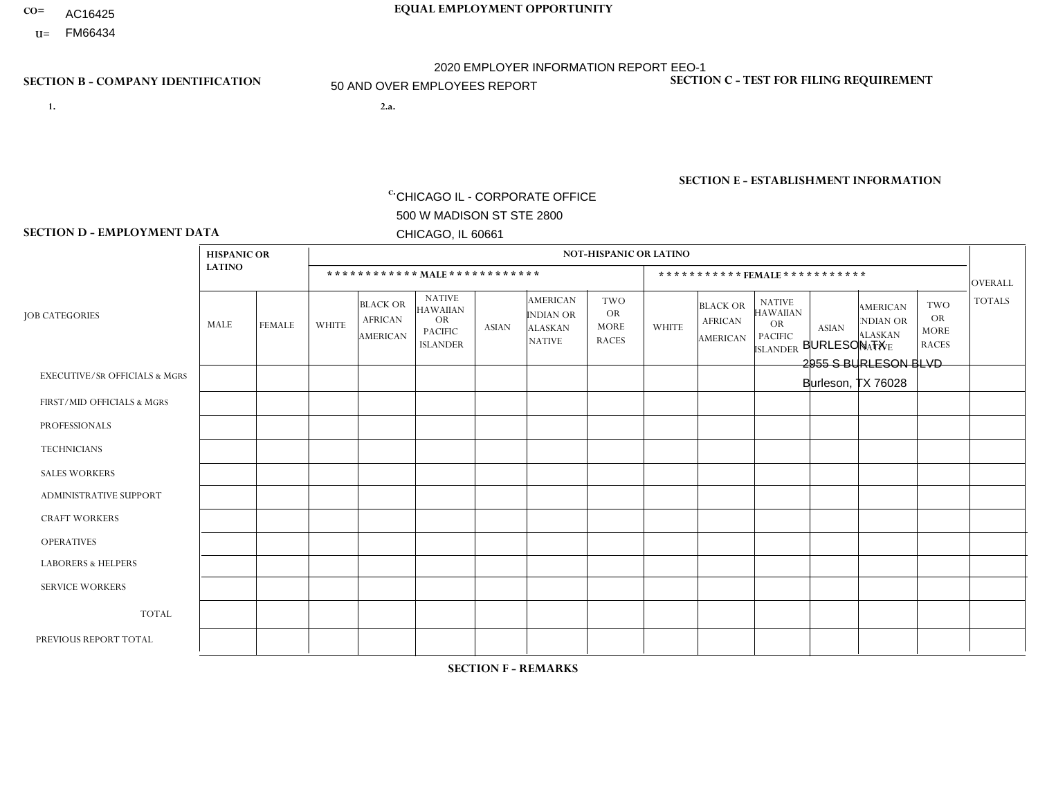- AC16425
- **U=**

- **1. 2.a.** CHICAGO IL CORPORATE OFFICE 500 W MADISON ST STE 2800 CHICAGO, IL 60661
- 2.a. BURLESON TX 2955 S BURLESON BLVD Burleson, TX 76028

EIN= 952920557

# **SECTION B - COMPANY IDENTIFICATION SECTION C - TEST FOR FILING REQUIREMENT**

1- Y 2- Y 3- N DUNS= 000123456

**SECTION E - ESTABLISHMENT INFORMATION c.** NAICS: 423140

### **SECTION D - EMPLOYMENT DATA**

|                                          | <b>HISPANIC OR</b> |                |                |                                                      |                                                                                    |              |                                                                 | <b>NOT-HISPANIC OR LATINO</b>                          |                |                                                      |                                                                                    |              |                                                                       |                                                        |                 |
|------------------------------------------|--------------------|----------------|----------------|------------------------------------------------------|------------------------------------------------------------------------------------|--------------|-----------------------------------------------------------------|--------------------------------------------------------|----------------|------------------------------------------------------|------------------------------------------------------------------------------------|--------------|-----------------------------------------------------------------------|--------------------------------------------------------|-----------------|
|                                          | <b>LATINO</b>      |                |                | ************ MALE ************                       |                                                                                    |              |                                                                 |                                                        |                |                                                      | ***********FEMALE***********                                                       |              |                                                                       |                                                        | <b>OVERALL</b>  |
| <b>JOB CATEGORIES</b>                    | <b>MALE</b>        | <b>FEMALE</b>  | <b>WHITE</b>   | <b>BLACK OR</b><br><b>AFRICAN</b><br><b>AMERICAN</b> | <b>NATIVE</b><br><b>HAWAIIAN</b><br><b>OR</b><br><b>PACIFIC</b><br><b>ISLANDER</b> | <b>ASIAN</b> | <b>AMERICAN</b><br>INDIAN OR<br><b>ALASKAN</b><br><b>NATIVE</b> | <b>TWO</b><br><b>OR</b><br><b>MORE</b><br><b>RACES</b> | <b>WHITE</b>   | <b>BLACK OR</b><br><b>AFRICAN</b><br><b>AMERICAN</b> | <b>NATIVE</b><br><b>HAWAIIAN</b><br><b>OR</b><br><b>PACIFIC</b><br><b>ISLANDER</b> | <b>ASIAN</b> | <b>AMERICAN</b><br><b>NDIAN OR</b><br><b>ALASKAN</b><br><b>NATIVE</b> | <b>TWO</b><br><b>OR</b><br><b>MORE</b><br><b>RACES</b> | <b>TOTALS</b>   |
| <b>EXECUTIVE/SR OFFICIALS &amp; MGRS</b> | $\mathbf{0}$       | $\Omega$       | $\Omega$       | $\Omega$                                             | 0                                                                                  | $\Omega$     | $\Omega$                                                        | $\Omega$                                               | $\Omega$       | $\mathbf{0}$                                         | $\Omega$                                                                           | $\Omega$     | $\Omega$                                                              | $\Omega$                                               | $\Omega$        |
| FIRST/MID OFFICIALS & MGRS               | $\Omega$           | $\Omega$       | $\overline{c}$ | $\mathbf{1}$                                         | 0                                                                                  | $\Omega$     | $\Omega$                                                        | $\Omega$                                               | 3              | $\Omega$                                             | $\Omega$                                                                           | $\Omega$     | $\Omega$                                                              | $\Omega$                                               | 6               |
| <b>PROFESSIONALS</b>                     | $\Omega$           | $\mathbf 0$    | $\overline{2}$ | $\mathbf 0$                                          | $\overline{0}$                                                                     | $\Omega$     | $\Omega$                                                        | $\Omega$                                               | $\Omega$       | $\Omega$                                             | $\Omega$                                                                           | $\Omega$     | $\Omega$                                                              | $\mathbf{0}$                                           | $\overline{2}$  |
| <b>TECHNICIANS</b>                       | $\Omega$           | $\Omega$       | $\Omega$       | $\Omega$                                             | 0                                                                                  | $\Omega$     | $\overline{0}$                                                  | $\Omega$                                               | $\Omega$       | $\Omega$                                             | $\Omega$                                                                           | $\Omega$     | $\mathbf{0}$                                                          | $\Omega$                                               | $\Omega$        |
| <b>SALES WORKERS</b>                     | $\overline{1}$     | $\Omega$       | 13             | $\mathbf{0}$                                         | 0                                                                                  | $\Omega$     | $\Omega$                                                        |                                                        | $\overline{2}$ | $\Omega$                                             | $\Omega$                                                                           | $\Omega$     | $\Omega$                                                              | $\mathbf{0}$                                           | 17              |
| <b>ADMINISTRATIVE SUPPORT</b>            | $\Omega$           | $\mathbf 0$    | 3              | 2                                                    | $\mathbf 0$                                                                        | $\mathbf 0$  | $\Omega$                                                        | $\Omega$                                               | 5              | $\mathbf{0}$                                         | $\Omega$                                                                           | $\Omega$     | $\Omega$                                                              | $\Omega$                                               | 10 <sup>°</sup> |
| <b>CRAFT WORKERS</b>                     | 10                 | $\Omega$       | 5              | $\mathbf 0$                                          | 0                                                                                  | $\Omega$     | $\Omega$                                                        | $\Omega$                                               | $\Omega$       | $\Omega$                                             | $\Omega$                                                                           | $\Omega$     | $\Omega$                                                              | $\Omega$                                               | 15              |
| <b>OPERATIVES</b>                        | 10                 | 0              | 13             | $\overline{4}$                                       | 0                                                                                  | $\Omega$     | $\Omega$                                                        | $\Omega$                                               | $\Omega$       | $\Omega$                                             | $\Omega$                                                                           | $\Omega$     | $\Omega$                                                              | $\Omega$                                               | 27              |
| <b>LABORERS &amp; HELPERS</b>            | -1                 | $\Omega$       | 8              | $\mathbf{1}$                                         | 0                                                                                  | $\Omega$     | $\Omega$                                                        |                                                        | $\Omega$       | $\Omega$                                             | $\Omega$                                                                           | $\Omega$     | $\Omega$                                                              | $\Omega$                                               | 11              |
| <b>SERVICE WORKERS</b>                   | $\Omega$           | 1              | $\Omega$       | $\mathbf 0$                                          | $\mathbf{0}$                                                                       | $\Omega$     | $\Omega$                                                        | $\Omega$                                               | $\Omega$       | $\Omega$                                             | $\Omega$                                                                           | $\Omega$     | $\Omega$                                                              | $\Omega$                                               | $\mathbf{1}$    |
| <b>TOTAL</b>                             | 22                 | $\mathbf{1}$   | 46             | 8                                                    | 0                                                                                  | $\mathbf 0$  | $\Omega$                                                        | $\overline{2}$                                         | 10             | $\Omega$                                             | $\Omega$                                                                           | $\mathbf 0$  | $\Omega$                                                              | $\Omega$                                               | 89              |
| PREVIOUS REPORT TOTAL                    | 19                 | $\overline{2}$ | 46             | 14                                                   | $\mathbf 0$                                                                        | $\Omega$     | $\overline{1}$                                                  | $\overline{4}$                                         | 9              | $\Omega$                                             | $\mathbf{0}$                                                                       | $\Omega$     | $\Omega$                                                              | $\mathbf 0$                                            | 95              |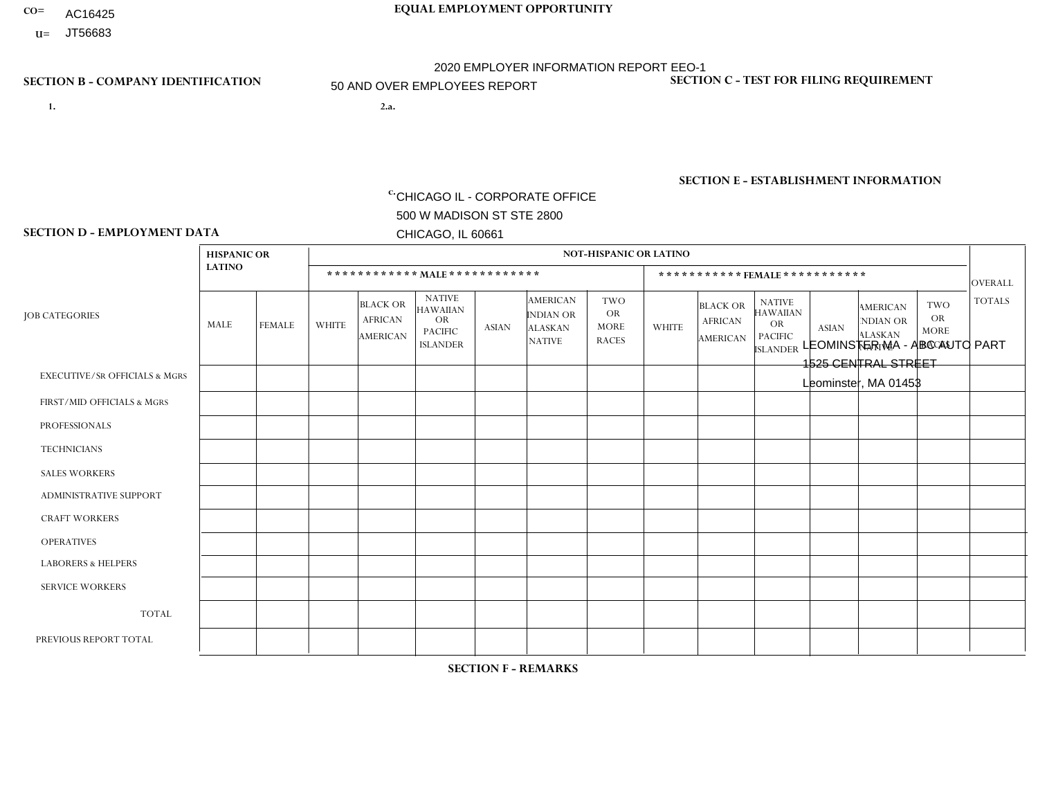- **CO= EQUAL EMPLOYMENT OPPORTUNITY** AC16425
	- **U=**

**1. 2.a.** CHICAGO IL - CORPORATE OFFICE 500 W MADISON ST STE 2800 CHICAGO, IL 60661

2.a. LEOMINSTER MA - ABC AUTO PART 1525 CENTRAL STREET Leominster, MA 01453

2020 EMPLOYER INFORMATION REPORT EEO-1 50 AND OVER EMPLOYEES REPORT

c. EIN= 952920557

# **SECTION B - COMPANY IDENTIFICATION SECTION C - TEST FOR FILING REQUIREMENT**

1- Y 2- Y 3- N DUNS= 000123456

**SECTION E - ESTABLISHMENT INFORMATION c.** NAICS: 423140

### **SECTION D - EMPLOYMENT DATA**

|                                          | <b>HISPANIC OR</b> |               |                |                                                      |                                                                                    |              |                                                                        | <b>NOT-HISPANIC OR LATINO</b>                          |                |                                                      |                                                                                    |              |                                                                       |                                                        |                |
|------------------------------------------|--------------------|---------------|----------------|------------------------------------------------------|------------------------------------------------------------------------------------|--------------|------------------------------------------------------------------------|--------------------------------------------------------|----------------|------------------------------------------------------|------------------------------------------------------------------------------------|--------------|-----------------------------------------------------------------------|--------------------------------------------------------|----------------|
|                                          | <b>LATINO</b>      |               |                |                                                      | ************ MALE *************                                                    |              |                                                                        |                                                        |                | ***********FEMALE***********                         |                                                                                    |              |                                                                       |                                                        | <b>OVERALL</b> |
| <b>JOB CATEGORIES</b>                    | MALE               | <b>FEMALE</b> | <b>WHITE</b>   | <b>BLACK OR</b><br><b>AFRICAN</b><br><b>AMERICAN</b> | <b>NATIVE</b><br><b>HAWAIIAN</b><br><b>OR</b><br><b>PACIFIC</b><br><b>ISLANDER</b> | <b>ASIAN</b> | <b>AMERICAN</b><br><b>INDIAN OR</b><br><b>ALASKAN</b><br><b>NATIVE</b> | <b>TWO</b><br><b>OR</b><br><b>MORE</b><br><b>RACES</b> | <b>WHITE</b>   | <b>BLACK OR</b><br><b>AFRICAN</b><br><b>AMERICAN</b> | <b>NATIVE</b><br><b>HAWAIIAN</b><br><b>OR</b><br><b>PACIFIC</b><br><b>ISLANDER</b> | <b>ASIAN</b> | <b>AMERICAN</b><br><b>NDIAN OR</b><br><b>ALASKAN</b><br><b>NATIVE</b> | <b>TWO</b><br><b>OR</b><br><b>MORE</b><br><b>RACES</b> | <b>TOTALS</b>  |
| <b>EXECUTIVE/SR OFFICIALS &amp; MGRS</b> | 0                  | $\Omega$      | $\Omega$       | $\mathbf 0$                                          | $\Omega$                                                                           | $\Omega$     | $\Omega$                                                               | $\Omega$                                               | 0              | $\Omega$                                             | $\Omega$                                                                           | $\Omega$     | $\Omega$                                                              | $\Omega$                                               | $\Omega$       |
| FIRST/MID OFFICIALS & MGRS               | 0                  | $\Omega$      | 5              | $\mathbf 0$                                          | $\mathbf 0$                                                                        | $\Omega$     | $\Omega$                                                               | $\Omega$                                               |                | $\Omega$                                             | $\Omega$                                                                           | $\Omega$     | $\Omega$                                                              | $\Omega$                                               | 6              |
| <b>PROFESSIONALS</b>                     | 0                  | $\mathbf{0}$  | $\overline{2}$ | $\mathbf 0$                                          | $\mathbf 0$                                                                        | $\Omega$     | $\Omega$                                                               | $\Omega$                                               | 0              | $\Omega$                                             | $\Omega$                                                                           | $\Omega$     | $\Omega$                                                              | $\Omega$                                               | 2              |
| <b>TECHNICIANS</b>                       | 0                  | $\Omega$      | $\Omega$       | $\mathbf 0$                                          | $\Omega$                                                                           | $\Omega$     | $\Omega$                                                               | $\Omega$                                               | $\Omega$       | $\Omega$                                             | $\Omega$                                                                           | $\Omega$     | $\Omega$                                                              | $\Omega$                                               | $\mathbf 0$    |
| <b>SALES WORKERS</b>                     | $\overline{2}$     | $\Omega$      | 17             | $\mathbf{1}$                                         | $\Omega$                                                                           | $\Omega$     | $\Omega$                                                               | $\Omega$                                               | $\overline{2}$ | $\Omega$                                             | $\Omega$                                                                           | $\Omega$     | $\Omega$                                                              | $\Omega$                                               | 22             |
| <b>ADMINISTRATIVE SUPPORT</b>            | 0                  | 0             | 2              | $\mathbf 0$                                          | $\mathbf 0$                                                                        | $\Omega$     | $\Omega$                                                               | $\Omega$                                               | 0              | $\Omega$                                             | $\Omega$                                                                           | $\Omega$     | $\Omega$                                                              | $\Omega$                                               | 2              |
| <b>CRAFT WORKERS</b>                     | 5                  | $\Omega$      | 11             | $\mathbf 0$                                          | $\Omega$                                                                           | $\Omega$     | $\Omega$                                                               | $\Omega$                                               | $\Omega$       | $\Omega$                                             | $\Omega$                                                                           | $\Omega$     | $\Omega$                                                              | $\Omega$                                               | 16             |
| <b>OPERATIVES</b>                        | 3                  | $\Omega$      | 8              | $\mathbf 0$                                          | 0                                                                                  | $\Omega$     | $\Omega$                                                               | $\Omega$                                               | $\Omega$       | $\Omega$                                             | $\Omega$                                                                           | $\Omega$     | $\Omega$                                                              | $\Omega$                                               | 11             |
| <b>LABORERS &amp; HELPERS</b>            | $\overline{2}$     | $\Omega$      | 6              | $\mathbf 0$                                          | 0                                                                                  | $\Omega$     | $\Omega$                                                               | $\Omega$                                               | $\Omega$       | $\Omega$                                             | $\Omega$                                                                           | $\Omega$     | $\Omega$                                                              | $\Omega$                                               | 8              |
| <b>SERVICE WORKERS</b>                   | 0                  | $\Omega$      | $\mathbf 0$    | $\mathbf 0$                                          | 0                                                                                  | 0            | $\Omega$                                                               | $\Omega$                                               | $\Omega$       | $\Omega$                                             | $\Omega$                                                                           | $\Omega$     | $\Omega$                                                              | $\Omega$                                               | $\mathbf 0$    |
| <b>TOTAL</b>                             | 12                 | 0             | 51             | 1                                                    | 0                                                                                  | 0            | $\Omega$                                                               | $\Omega$                                               | 3              | $\Omega$                                             | $\Omega$                                                                           | $\mathbf 0$  | $\Omega$                                                              | 0                                                      | 67             |
| PREVIOUS REPORT TOTAL                    | 15                 | 0             | 70             | $\overline{2}$                                       | $\mathbf 0$                                                                        | $\Omega$     | $\Omega$                                                               | $\Omega$                                               | 4              | $\Omega$                                             | $\Omega$                                                                           | $\Omega$     | $\Omega$                                                              | $\overline{1}$                                         | 92             |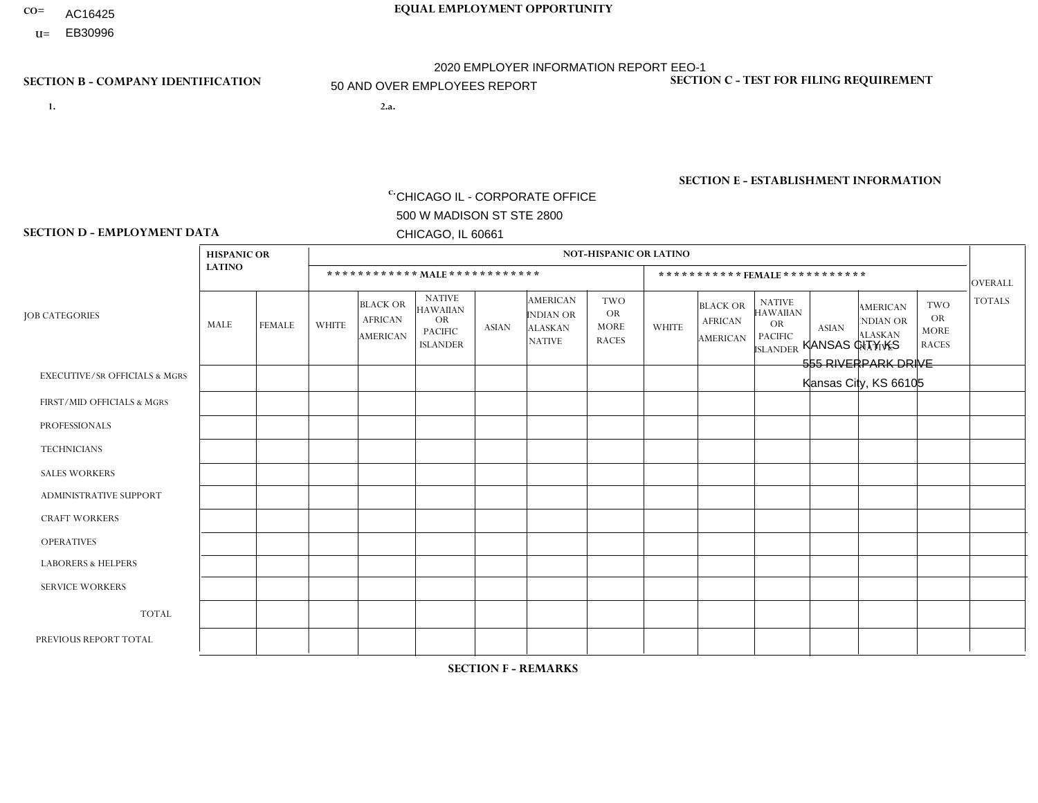- AC16425
- **U=**

- **1. 2.a.** CHICAGO IL CORPORATE OFFICE 500 W MADISON ST STE 2800 CHICAGO, IL 60661
- 2.a. KANSAS CITY KS 555 RIVERPARK DRIVE Kansas City, KS 66105

c. EIN= 952920557

# **SECTION B - COMPANY IDENTIFICATION SECTION C - TEST FOR FILING REQUIREMENT**

1- Y 2- Y 3- N DUNS= 000123456

**SECTION E - ESTABLISHMENT INFORMATION c.** NAICS: 423140

### **SECTION D - EMPLOYMENT DATA**

|                                          | <b>HISPANIC OR</b> |               |              |                                                      |                                                                                    |              |                                                                 | <b>NOT-HISPANIC OR LATINO</b>                          |                |                                                      |                                                                                    |              |                                                                       |                                                        |                |
|------------------------------------------|--------------------|---------------|--------------|------------------------------------------------------|------------------------------------------------------------------------------------|--------------|-----------------------------------------------------------------|--------------------------------------------------------|----------------|------------------------------------------------------|------------------------------------------------------------------------------------|--------------|-----------------------------------------------------------------------|--------------------------------------------------------|----------------|
|                                          | <b>LATINO</b>      |               |              | ************ MALE ************                       |                                                                                    |              |                                                                 |                                                        |                |                                                      | ***********FEMALE***********                                                       |              |                                                                       |                                                        | <b>OVERALL</b> |
| <b>JOB CATEGORIES</b>                    | <b>MALE</b>        | <b>FEMALE</b> | <b>WHITE</b> | <b>BLACK OR</b><br><b>AFRICAN</b><br><b>AMERICAN</b> | <b>NATIVE</b><br><b>HAWAIIAN</b><br><b>OR</b><br><b>PACIFIC</b><br><b>ISLANDER</b> | <b>ASIAN</b> | <b>AMERICAN</b><br>INDIAN OR<br><b>ALASKAN</b><br><b>NATIVE</b> | <b>TWO</b><br><b>OR</b><br><b>MORE</b><br><b>RACES</b> | <b>WHITE</b>   | <b>BLACK OR</b><br><b>AFRICAN</b><br><b>AMERICAN</b> | <b>NATIVE</b><br><b>HAWAIIAN</b><br><b>OR</b><br><b>PACIFIC</b><br><b>ISLANDER</b> | <b>ASIAN</b> | <b>AMERICAN</b><br><b>NDIAN OR</b><br><b>ALASKAN</b><br><b>NATIVE</b> | <b>TWO</b><br><b>OR</b><br><b>MORE</b><br><b>RACES</b> | <b>TOTALS</b>  |
| <b>EXECUTIVE/SR OFFICIALS &amp; MGRS</b> | $\Omega$           | $\Omega$      | $\Omega$     | $\mathbf 0$                                          | $\Omega$                                                                           | $\Omega$     | $\Omega$                                                        | $\Omega$                                               | $\Omega$       | $\Omega$                                             | $\mathbf{0}$                                                                       | $\Omega$     | $\Omega$                                                              | $\Omega$                                               | $\mathbf{0}$   |
| FIRST/MID OFFICIALS & MGRS               | $\Omega$           | $\Omega$      | 5            | $\Omega$                                             | $\Omega$                                                                           | $\Omega$     | $\Omega$                                                        | $\Omega$                                               | $\Omega$       | $\Omega$                                             | $\Omega$                                                                           | $\Omega$     | $\Omega$                                                              | $\Omega$                                               | 5              |
| <b>PROFESSIONALS</b>                     | $\Omega$           | $\Omega$      | $\mathbf 0$  | $\mathbf 0$                                          | $\Omega$                                                                           | $\Omega$     | $\Omega$                                                        | $\Omega$                                               | $\Omega$       | $\Omega$                                             | $\Omega$                                                                           | $\Omega$     | $\Omega$                                                              | $\Omega$                                               | $\mathbf 0$    |
| <b>TECHNICIANS</b>                       | $\Omega$           | $\mathbf 0$   | $\Omega$     | $\mathbf 0$                                          | $\mathbf 0$                                                                        | $\Omega$     | $\overline{0}$                                                  | $\Omega$                                               | $\mathbf 0$    | $\mathbf 0$                                          | $\mathbf 0$                                                                        | $\mathbf 0$  | $\Omega$                                                              | $\mathbf{0}$                                           | $\mathbf 0$    |
| <b>SALES WORKERS</b>                     | 3                  | 4             | 15           | 3                                                    | 0                                                                                  | $\Omega$     | $\Omega$                                                        | $\overline{2}$                                         | 3              | $\Omega$                                             | $\Omega$                                                                           | $\Omega$     | $\Omega$                                                              | $\Omega$                                               | 30             |
| <b>ADMINISTRATIVE SUPPORT</b>            | $\Omega$           | $\mathbf 0$   | $\mathbf 0$  | $\mathbf 0$                                          | $\mathbf 0$                                                                        | $\mathbf 0$  | $\Omega$                                                        | $\Omega$                                               | 1              |                                                      | $\mathbf{0}$                                                                       | $\Omega$     | $\Omega$                                                              | $\Omega$                                               | $\overline{2}$ |
| <b>CRAFT WORKERS</b>                     | $\Omega$           | $\Omega$      | $\mathbf{0}$ | $\mathbf 0$                                          | $\Omega$                                                                           | $\Omega$     | $\Omega$                                                        | $\Omega$                                               | $\Omega$       | $\Omega$                                             | $\Omega$                                                                           | $\Omega$     | $\Omega$                                                              | $\Omega$                                               | $\Omega$       |
| <b>OPERATIVES</b>                        | $\Omega$           | $\mathbf{1}$  | 3            | $\overline{2}$                                       | 0                                                                                  | $\Omega$     | $\Omega$                                                        | $\Omega$                                               | $\mathbf{1}$   | $\Omega$                                             | $\mathbf{0}$                                                                       | $\Omega$     | $\Omega$                                                              | $\Omega$                                               | $\overline{7}$ |
| <b>LABORERS &amp; HELPERS</b>            | $\overline{2}$     | $\mathbf 0$   | 9            | $\overline{2}$                                       | $\mathbf{0}$                                                                       | 14           | $\Omega$                                                        |                                                        | $\overline{2}$ |                                                      | $\Omega$                                                                           | $\Omega$     | $\Omega$                                                              | $\mathbf{0}$                                           | 31             |
| <b>SERVICE WORKERS</b>                   | $\Omega$           | $\Omega$      | $\Omega$     | $\mathbf 0$                                          | $\mathbf{0}$                                                                       | $\Omega$     | $\Omega$                                                        | $\Omega$                                               | $\Omega$       | $\Omega$                                             | $\Omega$                                                                           | $\Omega$     | $\Omega$                                                              | $\Omega$                                               | $\mathbf 0$    |
| <b>TOTAL</b>                             | 5                  | 5             | 32           | $\overline{7}$                                       | 0                                                                                  | 14           | $\Omega$                                                        | 3                                                      | $\overline{7}$ | 2                                                    | $\mathbf 0$                                                                        | $\mathbf 0$  | 0                                                                     | $\mathbf 0$                                            | 75             |
| PREVIOUS REPORT TOTAL                    | 12                 | 3             | 33           | 19                                                   | $\Omega$                                                                           | 5            | $\Omega$                                                        | $\overline{2}$                                         | 5              | $\overline{2}$                                       | $\Omega$                                                                           | $\Omega$     | $\Omega$                                                              |                                                        | 82             |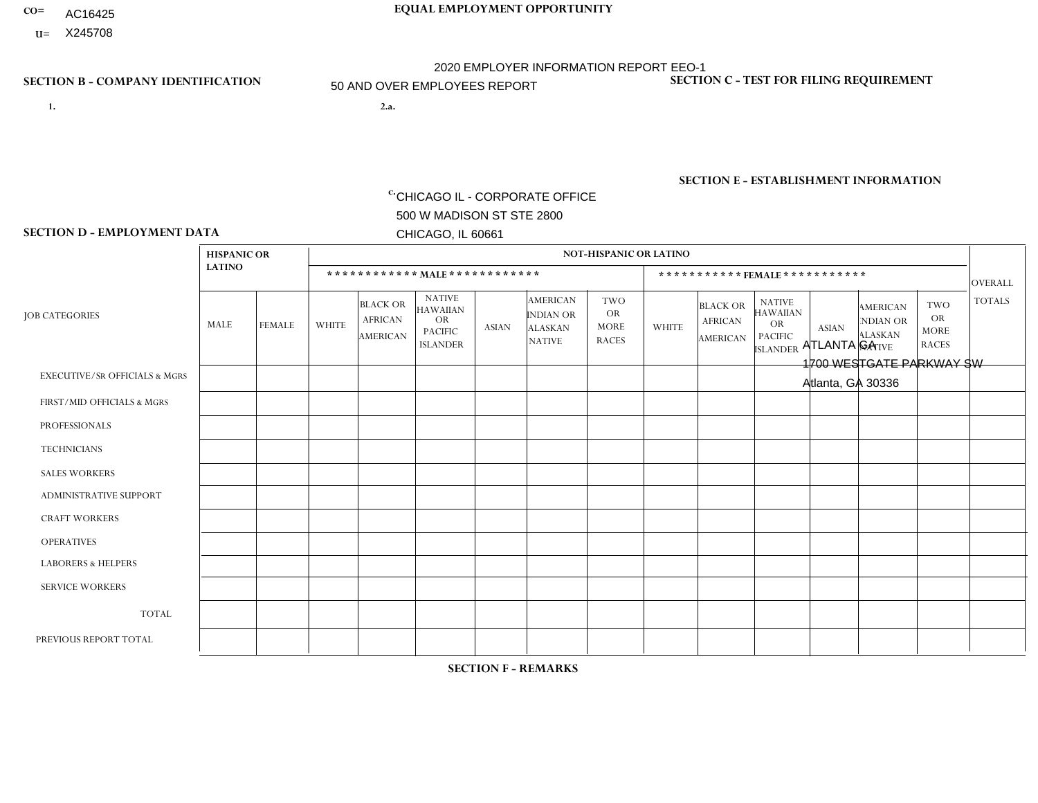- AC16425
- **U=**

- **1. 2.a.** CHICAGO IL CORPORATE OFFICE 500 W MADISON ST STE 2800 CHICAGO, IL 60661
- 2.a. ATLANTA GA 1700 WESTGATE PARKWAY SW Atlanta, GA 30336

c. EIN= 952920557

# **SECTION B - COMPANY IDENTIFICATION SECTION C - TEST FOR FILING REQUIREMENT**

1- Y 2- Y 3- N DUNS= 000123456

**SECTION E - ESTABLISHMENT INFORMATION c.** NAICS: 423140

### **SECTION D - EMPLOYMENT DATA**

|                                          | <b>HISPANIC OR</b> |                |              |                                                      |                                                                                    |              |                                                                 | <b>NOT-HISPANIC OR LATINO</b>                          |                |                                                      |                                                                                    |              |                                                                       |                                                        |                |
|------------------------------------------|--------------------|----------------|--------------|------------------------------------------------------|------------------------------------------------------------------------------------|--------------|-----------------------------------------------------------------|--------------------------------------------------------|----------------|------------------------------------------------------|------------------------------------------------------------------------------------|--------------|-----------------------------------------------------------------------|--------------------------------------------------------|----------------|
|                                          | <b>LATINO</b>      |                |              | ************ MALE ************                       |                                                                                    |              |                                                                 |                                                        |                |                                                      | ***********FEMALE***********                                                       |              |                                                                       |                                                        | <b>OVERALL</b> |
| <b>JOB CATEGORIES</b>                    | <b>MALE</b>        | <b>FEMALE</b>  | <b>WHITE</b> | <b>BLACK OR</b><br><b>AFRICAN</b><br><b>AMERICAN</b> | <b>NATIVE</b><br><b>HAWAIIAN</b><br><b>OR</b><br><b>PACIFIC</b><br><b>ISLANDER</b> | <b>ASIAN</b> | <b>AMERICAN</b><br>INDIAN OR<br><b>ALASKAN</b><br><b>NATIVE</b> | <b>TWO</b><br><b>OR</b><br><b>MORE</b><br><b>RACES</b> | <b>WHITE</b>   | <b>BLACK OR</b><br><b>AFRICAN</b><br><b>AMERICAN</b> | <b>NATIVE</b><br><b>HAWAIIAN</b><br><b>OR</b><br><b>PACIFIC</b><br><b>ISLANDER</b> | <b>ASIAN</b> | <b>AMERICAN</b><br><b>NDIAN OR</b><br><b>ALASKAN</b><br><b>NATIVE</b> | <b>TWO</b><br><b>OR</b><br><b>MORE</b><br><b>RACES</b> | <b>TOTALS</b>  |
| <b>EXECUTIVE/SR OFFICIALS &amp; MGRS</b> | $\mathbf{0}$       | $\Omega$       |              | $\Omega$                                             | 0                                                                                  | $\Omega$     | $\Omega$                                                        | $\Omega$                                               | $\Omega$       | $\mathbf{0}$                                         | $\Omega$                                                                           | $\Omega$     | $\Omega$                                                              | $\Omega$                                               |                |
| FIRST/MID OFFICIALS & MGRS               | и                  | $\Omega$       | 10           | 5                                                    | 0                                                                                  | $\Omega$     | $\Omega$                                                        | $\Omega$                                               | 3              | 2                                                    | $\Omega$                                                                           | $\Omega$     | $\Omega$                                                              | $\Omega$                                               | 21             |
| <b>PROFESSIONALS</b>                     |                    | $\mathbf 0$    | 1            | $\mathbf 0$                                          | $\overline{0}$                                                                     | $\Omega$     | $\Omega$                                                        | $\Omega$                                               | 1              | $\Omega$                                             | $\Omega$                                                                           | $\Omega$     | $\Omega$                                                              | $\mathbf{0}$                                           | 3              |
| <b>TECHNICIANS</b>                       | $\Omega$           | $\Omega$       | $\Omega$     | $\Omega$                                             | 0                                                                                  | $\Omega$     | $\overline{0}$                                                  | $\Omega$                                               | $\Omega$       | $\Omega$                                             | $\Omega$                                                                           | $\Omega$     | $\mathbf{0}$                                                          | $\Omega$                                               | $\mathbf 0$    |
| <b>SALES WORKERS</b>                     | $\overline{1}$     | $\Omega$       | 10           | 3                                                    | $\Omega$                                                                           | $\Omega$     | $\Omega$                                                        | $\Omega$                                               | $\overline{2}$ | $\Omega$                                             | $\Omega$                                                                           | $\Omega$     | $\Omega$                                                              | $\mathbf{0}$                                           | 16             |
| <b>ADMINISTRATIVE SUPPORT</b>            | $\Omega$           | 3              | $\Omega$     | 2                                                    | $\mathbf 0$                                                                        | $\mathbf 0$  | $\Omega$                                                        |                                                        | 8              | 9                                                    | $\Omega$                                                                           | $\Omega$     | $\Omega$                                                              | $\overline{2}$                                         | 25             |
| <b>CRAFT WORKERS</b>                     | $\Omega$           | $\Omega$       | 0            | $\mathbf 0$                                          | 0                                                                                  | $\Omega$     | $\Omega$                                                        | $\Omega$                                               | $\Omega$       | $\mathbf{0}$                                         | $\Omega$                                                                           | $\Omega$     | $\Omega$                                                              | $\Omega$                                               | $\Omega$       |
| <b>OPERATIVES</b>                        |                    | $\Omega$       | 5            | 21                                                   | $\mathbf{0}$                                                                       | $\mathbf 0$  | $\Omega$                                                        | $\overline{2}$                                         | 3              | 1                                                    | $\mathbf{0}$                                                                       | $\Omega$     | $\Omega$                                                              | $\Omega$                                               | 33             |
| <b>LABORERS &amp; HELPERS</b>            | 3                  | $\overline{2}$ | 6            | 33                                                   | 0                                                                                  | $\mathbf{1}$ | 1                                                               | 2                                                      | $\mathbf{1}$   | 3                                                    | $\Omega$                                                                           | $\Omega$     | $\Omega$                                                              | $\Omega$                                               | 52             |
| <b>SERVICE WORKERS</b>                   | $\Omega$           | 0              | $\Omega$     | 0                                                    | $\mathbf 0$                                                                        | $\mathbf 0$  | $\Omega$                                                        | $\Omega$                                               | $\overline{2}$ | $\Omega$                                             | $\Omega$                                                                           | $\Omega$     | $\Omega$                                                              | $\Omega$                                               | $\overline{2}$ |
| <b>TOTAL</b>                             | $\overline{7}$     | 5              | 33           | 64                                                   | 0                                                                                  | $\mathbf 1$  | 1                                                               | 5                                                      | 20             | 15                                                   | $\Omega$                                                                           | $\mathbf 0$  | $\Omega$                                                              | $\overline{2}$                                         | 153            |
| PREVIOUS REPORT TOTAL                    | $\overline{7}$     | $\overline{4}$ | 38           | 87                                                   | $\mathbf 0$                                                                        | $\Omega$     | $\overline{2}$                                                  | $\overline{7}$                                         | 24             | 28                                                   | $\mathbf{0}$                                                                       |              | $\Omega$                                                              | $\overline{4}$                                         | 202            |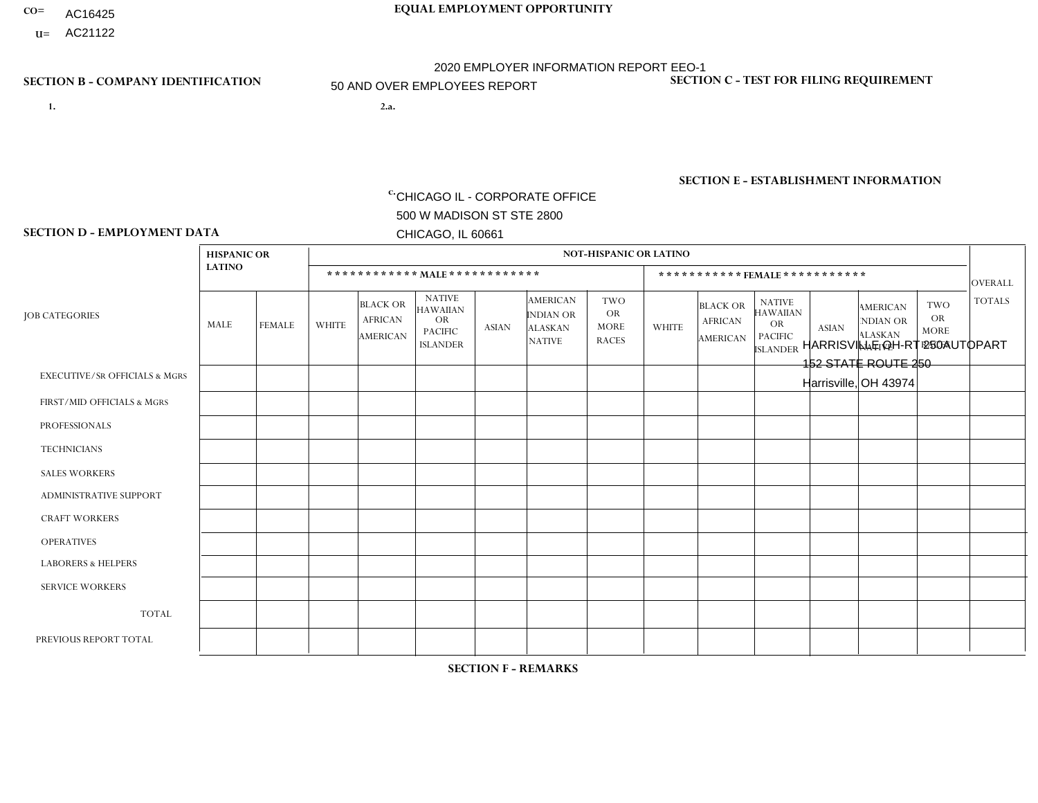- **CO= EQUAL EMPLOYMENT OPPORTUNITY** AC16425
- **U=**

**1. 2.a.** CHICAGO IL - CORPORATE OFFICE 500 W MADISON ST STE 2800 CHICAGO, IL 60661

2.a. HARRISVILLE OH-RT 250AUTOPART 152 STATE ROUTE 250 Harrisville, OH 43974

2020 EMPLOYER INFORMATION REPORT EEO-1 50 AND OVER EMPLOYEES REPORT

c. EIN= 952920557

# **SECTION B - COMPANY IDENTIFICATION SECTION C - TEST FOR FILING REQUIREMENT**

1- Y 2- Y 3- N DUNS= 000123456

**SECTION E - ESTABLISHMENT INFORMATION c.** NAICS: 423140

### **SECTION D - EMPLOYMENT DATA**

|                                          | <b>HISPANIC OR</b> |                |                |                                                      |                                                                                    |              |                                                                        | <b>NOT-HISPANIC OR LATINO</b>                          |                |                                               |                                                                                    |              |                                                                       |                                                        |                |
|------------------------------------------|--------------------|----------------|----------------|------------------------------------------------------|------------------------------------------------------------------------------------|--------------|------------------------------------------------------------------------|--------------------------------------------------------|----------------|-----------------------------------------------|------------------------------------------------------------------------------------|--------------|-----------------------------------------------------------------------|--------------------------------------------------------|----------------|
|                                          | <b>LATINO</b>      |                |                |                                                      | ************ MAIE************                                                      |              |                                                                        |                                                        |                | ***********FEMALE***********                  |                                                                                    |              |                                                                       |                                                        | <b>OVERALL</b> |
| <b>JOB CATEGORIES</b>                    | <b>MALE</b>        | <b>FEMALE</b>  | <b>WHITE</b>   | <b>BLACK OR</b><br><b>AFRICAN</b><br><b>AMERICAN</b> | <b>NATIVE</b><br><b>HAWAIIAN</b><br><b>OR</b><br><b>PACIFIC</b><br><b>ISLANDER</b> | <b>ASIAN</b> | <b>AMERICAN</b><br><b>INDIAN OR</b><br><b>ALASKAN</b><br><b>NATIVE</b> | <b>TWO</b><br><b>OR</b><br><b>MORE</b><br><b>RACES</b> | <b>WHITE</b>   | <b>BLACK OR</b><br><b>AFRICAN</b><br>AMERICAN | <b>NATIVE</b><br><b>HAWAIIAN</b><br><b>OR</b><br><b>PACIFIC</b><br><b>ISLANDER</b> | <b>ASIAN</b> | <b>AMERICAN</b><br><b>NDIAN OR</b><br><b>ALASKAN</b><br><b>NATIVE</b> | <b>TWO</b><br><b>OR</b><br><b>MORE</b><br><b>RACES</b> | <b>TOTALS</b>  |
| <b>EXECUTIVE/SR OFFICIALS &amp; MGRS</b> | $\Omega$           | $\Omega$       | $\Omega$       | $\Omega$                                             | $\Omega$                                                                           | $\Omega$     | $\Omega$                                                               | $\Omega$                                               | $\Omega$       | $\Omega$                                      | $\Omega$                                                                           | $\Omega$     | $\Omega$                                                              | $\Omega$                                               | $\mathbf 0$    |
| FIRST/MID OFFICIALS & MGRS               | 0                  | $\mathbf 0$    | $\overline{7}$ | $\Omega$                                             | $\mathbf{0}$                                                                       | $\mathbf{0}$ | $\Omega$                                                               | 0                                                      |                | $\Omega$                                      | $\Omega$                                                                           | $\Omega$     | $\Omega$                                                              | $\Omega$                                               | 8              |
| <b>PROFESSIONALS</b>                     | $\mathbf{0}$       | $\mathbf 0$    | $\mathbf 0$    | $\mathbf 0$                                          | $\Omega$                                                                           | $\Omega$     | $\Omega$                                                               | 0                                                      | $\Omega$       | $\Omega$                                      | 0                                                                                  | $\mathbf 0$  | $\Omega$                                                              | $\mathbf 0$                                            | $\mathbf 0$    |
| <b>TECHNICIANS</b>                       | 0                  | $\mathbf 0$    | $\Omega$       | $\mathbf 0$                                          | $\Omega$                                                                           | $\Omega$     | $\Omega$                                                               | 0                                                      | $\Omega$       | $\Omega$                                      | $\mathbf 0$                                                                        | $\mathbf 0$  | $\Omega$                                                              | $\mathbf 0$                                            | $\mathbf 0$    |
| <b>SALES WORKERS</b>                     | $\Omega$           | $\Omega$       | 15             | $\mathbf{1}$                                         | $\mathbf{0}$                                                                       | $\Omega$     | $\Omega$                                                               | 0                                                      | 3              | $\Omega$                                      | $\Omega$                                                                           | $\Omega$     | $\Omega$                                                              | $\Omega$                                               | 19             |
| <b>ADMINISTRATIVE SUPPORT</b>            | $\Omega$           | $\mathbf 0$    | 8              | $\mathbf 0$                                          | $\mathbf{0}$                                                                       | $\Omega$     | $\Omega$                                                               | 1                                                      | $\overline{2}$ | $\Omega$                                      | $\Omega$                                                                           | $\Omega$     | $\Omega$                                                              | $\Omega$                                               | 11             |
| <b>CRAFT WORKERS</b>                     | 0                  | $\mathbf 0$    | 14             | $\mathbf 0$                                          |                                                                                    | $\Omega$     | 0                                                                      | 1                                                      | $\Omega$       | $\Omega$                                      | $\Omega$                                                                           | $\Omega$     | $\Omega$                                                              | $\Omega$                                               | 16             |
| <b>OPERATIVES</b>                        | 0                  | $\Omega$       | 18             | $\Omega$                                             | $\mathbf{0}$                                                                       | $\mathbf{0}$ | $\Omega$                                                               | 0                                                      | $\Omega$       | $\Omega$                                      | $\Omega$                                                                           | $\Omega$     | $\Omega$                                                              | $\Omega$                                               | 18             |
| <b>LABORERS &amp; HELPERS</b>            | 0                  | $\overline{0}$ | 6              | $\mathbf 0$                                          | $\mathbf{0}$                                                                       | $\mathbf{0}$ | $\Omega$                                                               | 0                                                      | $\Omega$       | $\Omega$                                      | $\Omega$                                                                           | $\Omega$     | $\Omega$                                                              | $\Omega$                                               | 6              |
| <b>SERVICE WORKERS</b>                   | $\Omega$           | $\Omega$       | $\mathbf 0$    | $\mathbf 0$                                          | $\Omega$                                                                           | $\mathbf{0}$ | $\Omega$                                                               | $\Omega$                                               | $\Omega$       | $\Omega$                                      | $\Omega$                                                                           | $\Omega$     | $\Omega$                                                              | $\Omega$                                               | 0              |
| <b>TOTAL</b>                             | $\Omega$           | $\mathbf 0$    | 68             | $\mathbf{1}$                                         |                                                                                    | $\mathbf{0}$ | 0                                                                      | $\overline{2}$                                         | 6              | $\Omega$                                      | $\Omega$                                                                           | $\Omega$     | $\Omega$                                                              | $\Omega$                                               | 78             |
| PREVIOUS REPORT TOTAL                    | 0                  |                | 82             | 2                                                    |                                                                                    | $\Omega$     | $\Omega$                                                               | 3                                                      | 11             | $\Omega$                                      | 0                                                                                  | $\mathbf 0$  | $\Omega$                                                              | $\mathbf 0$                                            | 100            |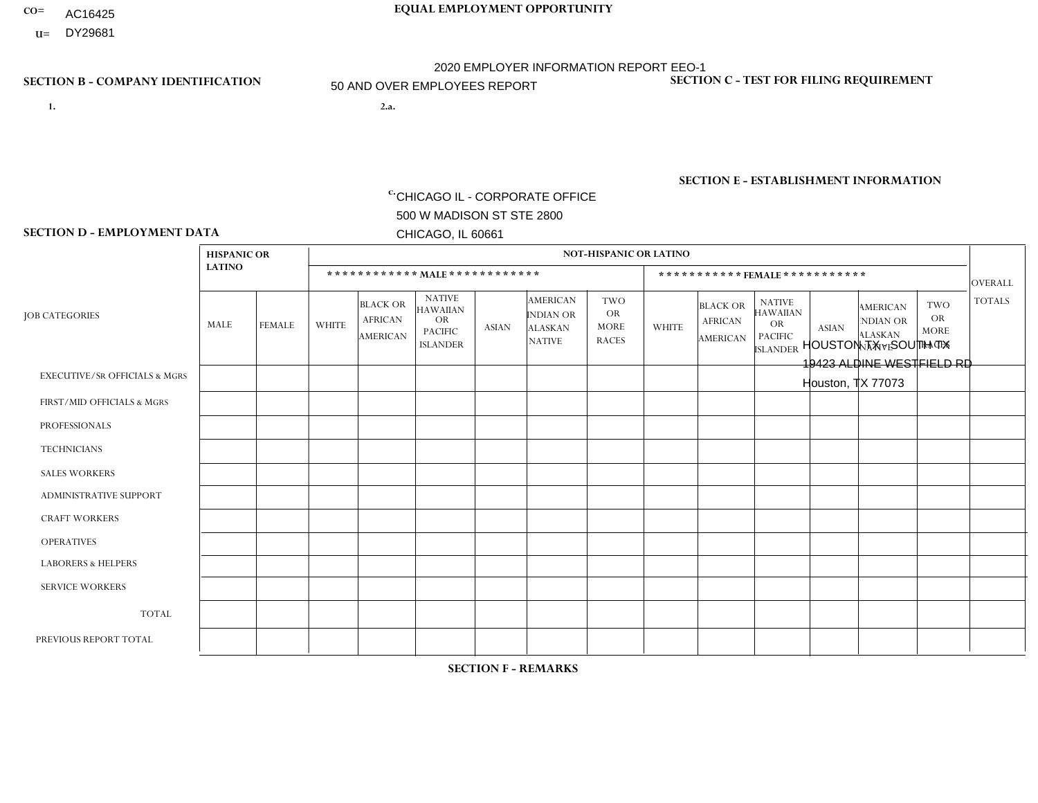- AC16425
- **U=**

- **1. 2.a.** CHICAGO IL CORPORATE OFFICE 500 W MADISON ST STE 2800 CHICAGO, IL 60661
- 2.a. HOUSTON TX SOUTH TX 19423 ALDINE WESTFIELD RD Houston, TX 77073

c. EIN= 952920557

# **SECTION B - COMPANY IDENTIFICATION SECTION C - TEST FOR FILING REQUIREMENT**

1- Y 2- Y 3- N DUNS= 000123456

**SECTION E - ESTABLISHMENT INFORMATION c.** NAICS: 423140

### **SECTION D - EMPLOYMENT DATA**

|                                          | <b>HISPANIC OR</b> |               |                |                                                      |                                                                                    |              |                                                                 | <b>NOT-HISPANIC OR LATINO</b>                          |                |                                                      |                                                                                    |              |                                                                       |                                                        |                |
|------------------------------------------|--------------------|---------------|----------------|------------------------------------------------------|------------------------------------------------------------------------------------|--------------|-----------------------------------------------------------------|--------------------------------------------------------|----------------|------------------------------------------------------|------------------------------------------------------------------------------------|--------------|-----------------------------------------------------------------------|--------------------------------------------------------|----------------|
|                                          | <b>LATINO</b>      |               |                | ************ MALE ************                       |                                                                                    |              |                                                                 |                                                        |                |                                                      | ***********FEMALE***********                                                       |              |                                                                       |                                                        | <b>OVERALL</b> |
| <b>JOB CATEGORIES</b>                    | <b>MALE</b>        | <b>FEMALE</b> | <b>WHITE</b>   | <b>BLACK OR</b><br><b>AFRICAN</b><br><b>AMERICAN</b> | <b>NATIVE</b><br><b>HAWAIIAN</b><br><b>OR</b><br><b>PACIFIC</b><br><b>ISLANDER</b> | <b>ASIAN</b> | <b>AMERICAN</b><br>INDIAN OR<br><b>ALASKAN</b><br><b>NATIVE</b> | <b>TWO</b><br><b>OR</b><br><b>MORE</b><br><b>RACES</b> | <b>WHITE</b>   | <b>BLACK OR</b><br><b>AFRICAN</b><br><b>AMERICAN</b> | <b>NATIVE</b><br><b>HAWAIIAN</b><br><b>OR</b><br><b>PACIFIC</b><br><b>ISLANDER</b> | <b>ASIAN</b> | <b>AMERICAN</b><br><b>NDIAN OR</b><br><b>ALASKAN</b><br><b>NATIVE</b> | <b>TWO</b><br><b>OR</b><br><b>MORE</b><br><b>RACES</b> | <b>TOTALS</b>  |
| <b>EXECUTIVE/SR OFFICIALS &amp; MGRS</b> | $\Omega$           | $\Omega$      | $\Omega$       | $\mathbf 0$                                          | $\Omega$                                                                           | $\Omega$     | $\Omega$                                                        | $\Omega$                                               | $\Omega$       | $\Omega$                                             | $\mathbf{0}$                                                                       | $\Omega$     | $\Omega$                                                              | $\Omega$                                               | $\mathbf{0}$   |
| FIRST/MID OFFICIALS & MGRS               | $\overline{2}$     | $\Omega$      | 1              | $\Omega$                                             | $\Omega$                                                                           | $\Omega$     | $\Omega$                                                        | $\Omega$                                               | 1              | $\mathbf{0}$                                         | $\Omega$                                                                           | $\Omega$     | $\Omega$                                                              | $\Omega$                                               | $\overline{4}$ |
| <b>PROFESSIONALS</b>                     |                    | 0             | $\overline{c}$ | $\mathbf 0$                                          | $\Omega$                                                                           | $\Omega$     | $\Omega$                                                        | $\Omega$                                               | $\Omega$       |                                                      | $\mathbf{0}$                                                                       | $\Omega$     | $\Omega$                                                              | $\Omega$                                               | $\overline{4}$ |
| <b>TECHNICIANS</b>                       | $\Omega$           | $\mathbf 0$   | $\Omega$       | $\mathbf 0$                                          | 0                                                                                  | $\Omega$     | $\overline{0}$                                                  | $\Omega$                                               | $\mathbf 0$    | $\mathbf 0$                                          | $\mathbf 0$                                                                        | $\mathbf 0$  | $\Omega$                                                              | $\Omega$                                               | $\mathbf 0$    |
| <b>SALES WORKERS</b>                     | 4                  | $\Omega$      | 4              | $\Omega$                                             | 0                                                                                  | $\Omega$     | $\Omega$                                                        | $\Omega$                                               | $\Omega$       | $\Omega$                                             | $\Omega$                                                                           | $\Omega$     | $\Omega$                                                              | $\Omega$                                               | 8              |
| <b>ADMINISTRATIVE SUPPORT</b>            | 4                  | $\mathbf{1}$  | 1              | $\overline{1}$                                       | $\mathbf 0$                                                                        | $\mathbf 0$  | $\Omega$                                                        | $\Omega$                                               | $\Omega$       | $\Omega$                                             | $\mathbf{0}$                                                                       | $\Omega$     | $\Omega$                                                              | $\Omega$                                               | $\overline{7}$ |
| <b>CRAFT WORKERS</b>                     | 14                 | $\Omega$      | $\overline{2}$ | $\mathbf 0$                                          | $\Omega$                                                                           | $\Omega$     | $\Omega$                                                        | $\Omega$                                               | $\Omega$       | $\Omega$                                             | $\Omega$                                                                           | $\Omega$     | $\Omega$                                                              | $\Omega$                                               | 16             |
| <b>OPERATIVES</b>                        | 22                 | $\Omega$      | 4              | $\overline{2}$                                       | 0                                                                                  | $\Omega$     | $\Omega$                                                        | $\Omega$                                               | $\mathbf{1}$   | $\Omega$                                             | $\Omega$                                                                           | $\Omega$     | $\Omega$                                                              | $\Omega$                                               | 29             |
| <b>LABORERS &amp; HELPERS</b>            | 4                  | $\mathbf 0$   | 3              | $\mathbf{1}$                                         | 0                                                                                  | $\mathbf 0$  | $\Omega$                                                        | $\Omega$                                               | $\Omega$       | $\Omega$                                             | $\Omega$                                                                           | $\Omega$     | $\Omega$                                                              | $\Omega$                                               | 8              |
| <b>SERVICE WORKERS</b>                   | $\Omega$           | $\Omega$      | 0              | $\mathbf 0$                                          | $\mathbf 0$                                                                        | $\Omega$     | $\Omega$                                                        | $\Omega$                                               | $\Omega$       | $\Omega$                                             | $\Omega$                                                                           | $\Omega$     | $\Omega$                                                              | $\Omega$                                               | $\mathbf 0$    |
| <b>TOTAL</b>                             | 51                 | $\mathbf{1}$  | 17             | $\overline{4}$                                       | 0                                                                                  | $\mathbf 0$  | $\Omega$                                                        | $\Omega$                                               | $\overline{2}$ | $\overline{1}$                                       | $\mathbf 0$                                                                        | $\mathbf 0$  | 0                                                                     | $\mathbf 0$                                            | 76             |
| PREVIOUS REPORT TOTAL                    | 53                 | 3             | 23             | $\overline{7}$                                       | $\Omega$                                                                           | $\Omega$     | $\Omega$                                                        | $\overline{2}$                                         | $\mathbf 1$    |                                                      | $\Omega$                                                                           | $\Omega$     | $\Omega$                                                              | $\mathbf{0}$                                           | 90             |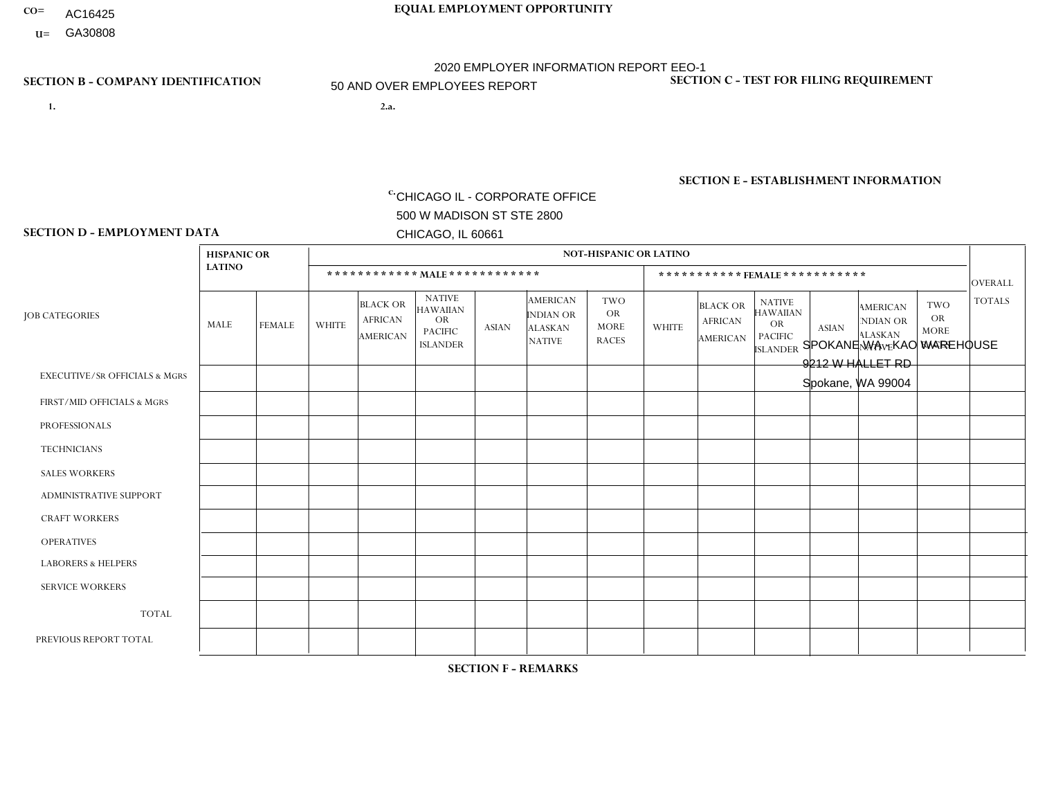- **CO= EQUAL EMPLOYMENT OPPORTUNITY** AC16425
	- **U=**

# 2020 EMPLOYER INFORMATION REPORT EEO-1 50 AND OVER EMPLOYEES REPORT

**1. 2.a.** CHICAGO IL - CORPORATE OFFICE 500 W MADISON ST STE 2800 CHICAGO, IL 60661

2.a. SPOKANE WA - KAO WAREHOUSE 9212 W HALLET RD Spokane, WA 99004

c. EIN= 952920557

# **SECTION B - COMPANY IDENTIFICATION SECTION C - TEST FOR FILING REQUIREMENT**

1- Y 2- Y 3- N DUNS= 000123456

**SECTION E - ESTABLISHMENT INFORMATION c.** NAICS: 423140

### **SECTION D - EMPLOYMENT DATA**

|                                          | <b>HISPANIC OR</b> |                |                |                                                      |                                                                                    |              |                                                                 | <b>NOT-HISPANIC OR LATINO</b>                          |                |                                               |                                                                                    |              |                                                                       |                                                        |                |
|------------------------------------------|--------------------|----------------|----------------|------------------------------------------------------|------------------------------------------------------------------------------------|--------------|-----------------------------------------------------------------|--------------------------------------------------------|----------------|-----------------------------------------------|------------------------------------------------------------------------------------|--------------|-----------------------------------------------------------------------|--------------------------------------------------------|----------------|
|                                          | <b>LATINO</b>      |                |                | ************ MALE ************                       |                                                                                    |              |                                                                 |                                                        |                |                                               | ***********FEMALE***********                                                       |              |                                                                       |                                                        | <b>OVERALL</b> |
| <b>JOB CATEGORIES</b>                    | <b>MALE</b>        | <b>FEMALE</b>  | <b>WHITE</b>   | <b>BLACK OR</b><br><b>AFRICAN</b><br><b>AMERICAN</b> | <b>NATIVE</b><br><b>HAWAIIAN</b><br><b>OR</b><br><b>PACIFIC</b><br><b>ISLANDER</b> | <b>ASIAN</b> | <b>AMERICAN</b><br>INDIAN OR<br><b>ALASKAN</b><br><b>NATIVE</b> | <b>TWO</b><br><b>OR</b><br><b>MORE</b><br><b>RACES</b> | <b>WHITE</b>   | <b>BLACK OR</b><br><b>AFRICAN</b><br>AMERICAN | <b>NATIVE</b><br><b>HAWAIIAN</b><br><b>OR</b><br><b>PACIFIC</b><br><b>ISLANDER</b> | <b>ASIAN</b> | <b>AMERICAN</b><br><b>NDIAN OR</b><br><b>ALASKAN</b><br><b>NATIVE</b> | <b>TWO</b><br><b>OR</b><br><b>MORE</b><br><b>RACES</b> | <b>TOTALS</b>  |
| <b>EXECUTIVE/SR OFFICIALS &amp; MGRS</b> | $\Omega$           | $\Omega$       |                | $\Omega$                                             | 0                                                                                  | $\Omega$     | $\Omega$                                                        | $\Omega$                                               | $\Omega$       | $\Omega$                                      | $\Omega$                                                                           | $\Omega$     | $\Omega$                                                              | $\Omega$                                               |                |
| FIRST/MID OFFICIALS & MGRS               |                    | 1              | 4              | $\overline{c}$                                       | $\Omega$                                                                           | $\Omega$     | $\Omega$                                                        | 1                                                      | 0              | $\Omega$                                      | 0                                                                                  | $\Omega$     | $\Omega$                                                              | $\Omega$                                               | 9              |
| <b>PROFESSIONALS</b>                     | $\Omega$           | $\Omega$       | $\overline{2}$ | $\mathbf 0$                                          | $\Omega$                                                                           | $\Omega$     | $\Omega$                                                        | $\Omega$                                               | $\Omega$       | $\Omega$                                      | 0                                                                                  | 0            | $\Omega$                                                              | $\mathbf 0$                                            | $\overline{2}$ |
| <b>TECHNICIANS</b>                       | $\Omega$           | $\mathbf 0$    | $\Omega$       | $\mathbf 0$                                          | $\mathbf 0$                                                                        | $\Omega$     | $\Omega$                                                        | $\Omega$                                               | 0              | $\mathbf 0$                                   | 0                                                                                  | $\mathbf 0$  | $\Omega$                                                              | $\mathbf 0$                                            | $\mathbf{0}$   |
| <b>SALES WORKERS</b>                     | $\Omega$           | $\Omega$       | $\Omega$       | $\Omega$                                             | $\Omega$                                                                           | $\Omega$     | $\Omega$                                                        | $\Omega$                                               | $\Omega$       | $\Omega$                                      | $\Omega$                                                                           | $\Omega$     | $\Omega$                                                              | $\Omega$                                               | $\Omega$       |
| <b>ADMINISTRATIVE SUPPORT</b>            | $\Omega$           | $\Omega$       | 1              | 0                                                    | $\Omega$                                                                           | $\Omega$     | $\Omega$                                                        | $\Omega$                                               | 0              | $\Omega$                                      | 0                                                                                  | $\Omega$     | $\Omega$                                                              | $\Omega$                                               | $\overline{1}$ |
| <b>CRAFT WORKERS</b>                     | $\Omega$           | $\Omega$       | $\Omega$       | $\mathbf 0$                                          | $\Omega$                                                                           | $\Omega$     | $\Omega$                                                        | $\Omega$                                               | 0              | $\Omega$                                      | 0                                                                                  | $\Omega$     | $\Omega$                                                              | $\Omega$                                               | $\Omega$       |
| <b>OPERATIVES</b>                        | 5                  | $\Omega$       | 19             | $\overline{2}$                                       | $\mathbf 0$                                                                        | $\Omega$     | $\Omega$                                                        | 1                                                      | $\Omega$       | $\Omega$                                      | 0                                                                                  | $\mathbf 0$  | $\Omega$                                                              | $\Omega$                                               | 27             |
| <b>LABORERS &amp; HELPERS</b>            | 5                  | $\Omega$       | 33             | $\mathbf 0$                                          | $\overline{1}$                                                                     | 4            | 1                                                               | $\overline{1}$                                         | 9              | $\overline{1}$                                | 0                                                                                  | $\Omega$     | $\Omega$                                                              | $\Omega$                                               | 55             |
| <b>SERVICE WORKERS</b>                   | $\Omega$           | $\Omega$       | $\Omega$       | $\mathbf 0$                                          | $\mathbf 0$                                                                        | $\Omega$     | $\Omega$                                                        | $\Omega$                                               | 0              | $\Omega$                                      | $\Omega$                                                                           | $\mathbf 0$  | $\Omega$                                                              | $\Omega$                                               | $\mathbf 0$    |
| <b>TOTAL</b>                             | 11                 | $\mathbf{1}$   | 60             | 4                                                    | 1                                                                                  | 4            | 1                                                               | 3                                                      | 9              | $\mathbf{1}$                                  | 0                                                                                  | $\mathbf 0$  | 0                                                                     | $\mathbf 0$                                            | 95             |
| PREVIOUS REPORT TOTAL                    | 10                 | $\overline{2}$ | 50             | 5                                                    | $\overline{2}$                                                                     | 2            | 1                                                               | 3                                                      | $\overline{7}$ | $\overline{1}$                                | 0                                                                                  | $\Omega$     | $\Omega$                                                              | $\mathbf 0$                                            | 83             |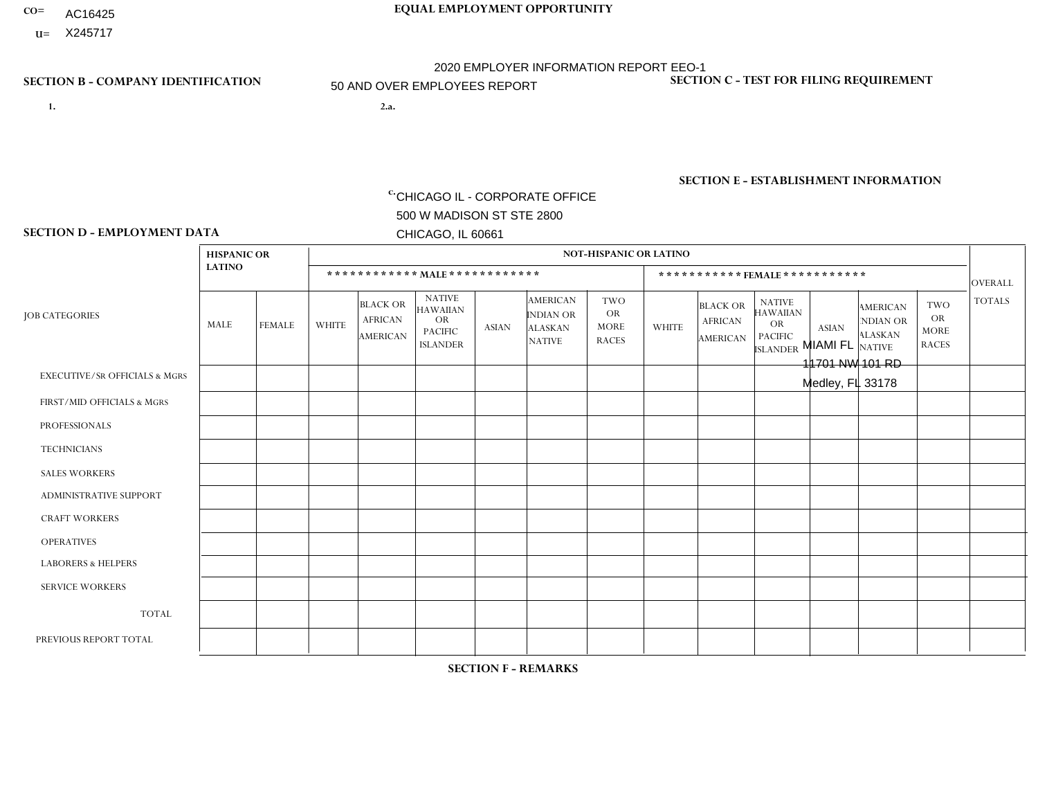- AC16425
- **U=**

**1. 2.a.** CHICAGO IL - CORPORATE OFFICE 500 W MADISON ST STE 2800 CHICAGO, IL 60661

2.a. MIAMI FL 11701 NW 101 RD Medley, FL 33178

c. EIN= 952920557

# **SECTION B - COMPANY IDENTIFICATION SECTION C - TEST FOR FILING REQUIREMENT**

1- Y 2- Y 3- N DUNS= 000123456

**SECTION E - ESTABLISHMENT INFORMATION c.** NAICS: 423140

### **SECTION D - EMPLOYMENT DATA**

|                                          | <b>HISPANIC OR</b> |                |                |                                                      |                                                                                    |              |                                                                 | <b>NOT-HISPANIC OR LATINO</b>                          |              |                                                      |                                                                                    |              |                                                                       |                                                        |                |
|------------------------------------------|--------------------|----------------|----------------|------------------------------------------------------|------------------------------------------------------------------------------------|--------------|-----------------------------------------------------------------|--------------------------------------------------------|--------------|------------------------------------------------------|------------------------------------------------------------------------------------|--------------|-----------------------------------------------------------------------|--------------------------------------------------------|----------------|
|                                          | <b>LATINO</b>      |                |                |                                                      |                                                                                    |              |                                                                 |                                                        |              |                                                      |                                                                                    |              |                                                                       |                                                        |                |
|                                          |                    |                |                | ************ MALE ************                       |                                                                                    |              |                                                                 |                                                        |              |                                                      | ***********FEMALE***********                                                       |              |                                                                       |                                                        | <b>OVERALL</b> |
| <b>JOB CATEGORIES</b>                    | <b>MALE</b>        | <b>FEMALE</b>  | <b>WHITE</b>   | <b>BLACK OR</b><br><b>AFRICAN</b><br><b>AMERICAN</b> | <b>NATIVE</b><br><b>HAWAIIAN</b><br><b>OR</b><br><b>PACIFIC</b><br><b>ISLANDER</b> | <b>ASIAN</b> | <b>AMERICAN</b><br>INDIAN OR<br><b>ALASKAN</b><br><b>NATIVE</b> | <b>TWO</b><br><b>OR</b><br><b>MORE</b><br><b>RACES</b> | <b>WHITE</b> | <b>BLACK OR</b><br><b>AFRICAN</b><br><b>AMERICAN</b> | <b>NATIVE</b><br><b>HAWAIIAN</b><br><b>OR</b><br><b>PACIFIC</b><br><b>ISLANDER</b> | <b>ASIAN</b> | <b>AMERICAN</b><br><b>NDIAN OR</b><br><b>ALASKAN</b><br><b>NATIVE</b> | <b>TWO</b><br><b>OR</b><br><b>MORE</b><br><b>RACES</b> | <b>TOTALS</b>  |
| <b>EXECUTIVE/SR OFFICIALS &amp; MGRS</b> | $\mathbf{0}$       | $\Omega$       | $\Omega$       | $\Omega$                                             | 0                                                                                  | $\Omega$     | $\Omega$                                                        | $\Omega$                                               | $\Omega$     | $\mathbf{0}$                                         | $\Omega$                                                                           | $\Omega$     | $\Omega$                                                              | $\Omega$                                               | $\Omega$       |
| FIRST/MID OFFICIALS & MGRS               | 5                  | $\Omega$       | $\Omega$       | $\mathbf 0$                                          | $\mathbf 0$                                                                        | $\Omega$     | $\Omega$                                                        | $\Omega$                                               | $\Omega$     | $\Omega$                                             | $\Omega$                                                                           | $\Omega$     | $\Omega$                                                              | $\Omega$                                               | 5              |
| <b>PROFESSIONALS</b>                     | $\Omega$           | $\mathbf 0$    | 1              | $\mathbf 0$                                          | $\overline{0}$                                                                     | $\Omega$     | $\Omega$                                                        | $\Omega$                                               | $\Omega$     | $\Omega$                                             | $\Omega$                                                                           | $\Omega$     | $\Omega$                                                              | $\Omega$                                               | $\mathbf{1}$   |
| <b>TECHNICIANS</b>                       | $\Omega$           | $\Omega$       | $\Omega$       | $\Omega$                                             | 0                                                                                  | $\Omega$     | $\overline{0}$                                                  | $\Omega$                                               | $\Omega$     | $\Omega$                                             | $\Omega$                                                                           | $\Omega$     | $\mathbf{0}$                                                          | $\Omega$                                               | $\Omega$       |
| <b>SALES WORKERS</b>                     | 15                 | $\Omega$       | 1              | $\mathbf{1}$                                         | 0                                                                                  | $\Omega$     | $\Omega$                                                        | $\Omega$                                               | $\Omega$     | $\Omega$                                             | $\Omega$                                                                           | $\Omega$     | $\Omega$                                                              | $\Omega$                                               | 17             |
| <b>ADMINISTRATIVE SUPPORT</b>            | $\Omega$           | $\overline{2}$ | $\Omega$       | $\mathbf 0$                                          | $\mathbf 0$                                                                        | $\mathbf 0$  | $\Omega$                                                        | $\Omega$                                               | $\Omega$     | $\mathbf{0}$                                         | $\Omega$                                                                           | $\Omega$     | $\Omega$                                                              | $\Omega$                                               | $\overline{2}$ |
| <b>CRAFT WORKERS</b>                     | $\Omega$           | $\Omega$       | $\Omega$       | 0                                                    | 0                                                                                  | $\Omega$     | $\Omega$                                                        | $\Omega$                                               | $\Omega$     | $\Omega$                                             | $\Omega$                                                                           | $\Omega$     | $\Omega$                                                              | $\Omega$                                               | $\Omega$       |
| <b>OPERATIVES</b>                        | 16                 | $\mathbf{1}$   | $\overline{c}$ | $\mathbf{1}$                                         | 0                                                                                  | $\Omega$     | $\Omega$                                                        | $\Omega$                                               | $\Omega$     | $\Omega$                                             | $\Omega$                                                                           | $\Omega$     | $\Omega$                                                              | $\Omega$                                               | 20             |
| <b>LABORERS &amp; HELPERS</b>            | 22                 | $\Omega$       | $\Omega$       | $\mathbf 0$                                          | 0                                                                                  | $\Omega$     | $\Omega$                                                        | $\Omega$                                               | $\Omega$     | $\Omega$                                             | $\Omega$                                                                           | $\Omega$     | $\Omega$                                                              | $\Omega$                                               | 22             |
| <b>SERVICE WORKERS</b>                   | $\Omega$           | 0              | $\Omega$       | 0                                                    | $\mathbf 0$                                                                        | $\Omega$     | $\Omega$                                                        | $\Omega$                                               | $\Omega$     | $\Omega$                                             | $\Omega$                                                                           | $\Omega$     | $\Omega$                                                              | $\Omega$                                               | $\mathbf 0$    |
| <b>TOTAL</b>                             | 58                 | 3              | 4              | $\overline{2}$                                       | 0                                                                                  | $\mathbf 0$  | $\mathbf{0}$                                                    | $\Omega$                                               | 0            | $\Omega$                                             | $\Omega$                                                                           | $\mathbf 0$  | $\Omega$                                                              | $\Omega$                                               | 67             |
| PREVIOUS REPORT TOTAL                    | 88                 | $\overline{7}$ | 3              | 3                                                    | 0                                                                                  | $\Omega$     | $\Omega$                                                        | 2                                                      | $\Omega$     | $\Omega$                                             | $\mathbf{0}$                                                                       | $\Omega$     | $\Omega$                                                              | $\mathbf 0$                                            | 103            |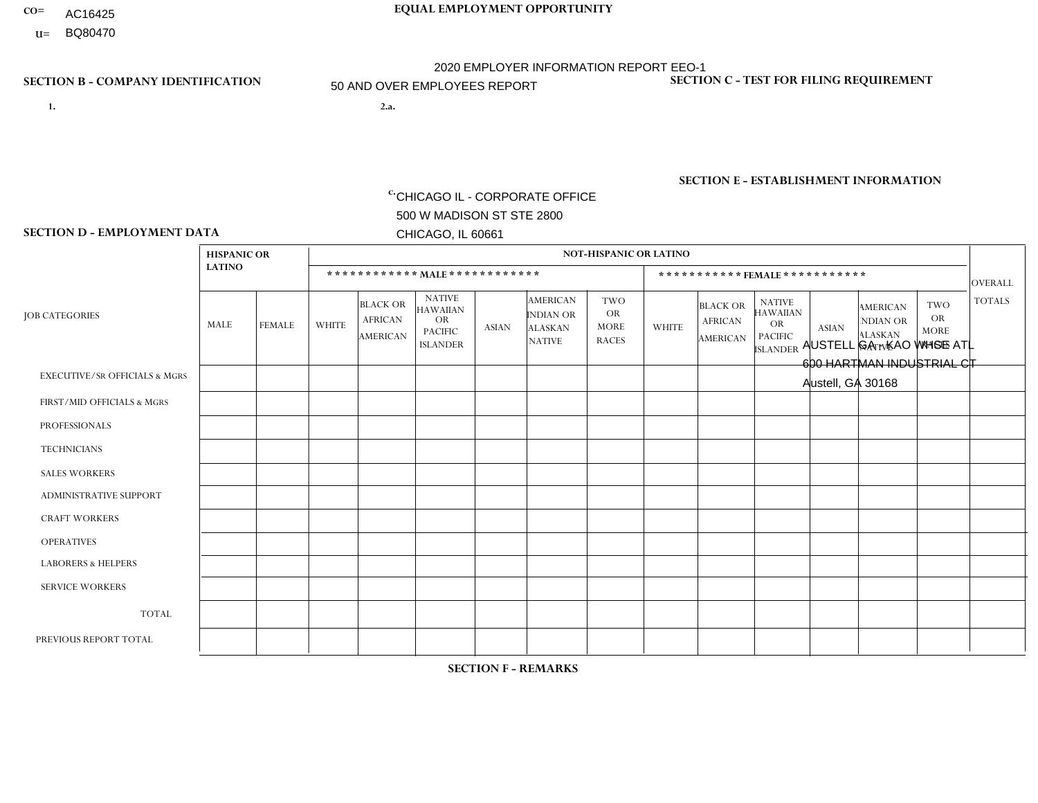- AC16425
- **U=**

- **1. 2.a.** CHICAGO IL CORPORATE OFFICE 500 W MADISON ST STE 2800 CHICAGO, IL 60661
- 2.a. AUSTELL GA KAO WHSE ATL 600 HARTMAN INDUSTRIAL CT Austell, GA 30168

c. EIN= 952920557

# **SECTION B - COMPANY IDENTIFICATION SECTION C - TEST FOR FILING REQUIREMENT**

1- Y 2- Y 3- N DUNS= 000123456

**SECTION E - ESTABLISHMENT INFORMATION c.** NAICS: 423140

### **SECTION D - EMPLOYMENT DATA**

|                                          | <b>HISPANIC OR</b>   |               |                |                                                      |                                                                             |              |                                                                        | <b>NOT-HISPANIC OR LATINO</b>                          |                |                                               |                                                                                    |              |                                                                       |                                                        |                |
|------------------------------------------|----------------------|---------------|----------------|------------------------------------------------------|-----------------------------------------------------------------------------|--------------|------------------------------------------------------------------------|--------------------------------------------------------|----------------|-----------------------------------------------|------------------------------------------------------------------------------------|--------------|-----------------------------------------------------------------------|--------------------------------------------------------|----------------|
|                                          | <b>LATINO</b>        |               |                |                                                      | ************ MAIE************                                               |              |                                                                        |                                                        |                | ***********FEMALE***********                  |                                                                                    |              |                                                                       |                                                        | <b>OVERALL</b> |
| <b>JOB CATEGORIES</b>                    | <b>MALE</b>          | <b>FEMALE</b> | <b>WHITE</b>   | <b>BLACK OR</b><br><b>AFRICAN</b><br><b>AMERICAN</b> | <b>NATIVE</b><br>HAWAIIAN<br><b>OR</b><br><b>PACIFIC</b><br><b>ISLANDER</b> | <b>ASIAN</b> | <b>AMERICAN</b><br><b>INDIAN OR</b><br><b>ALASKAN</b><br><b>NATIVE</b> | <b>TWO</b><br><b>OR</b><br><b>MORE</b><br><b>RACES</b> | <b>WHITE</b>   | <b>BLACK OR</b><br><b>AFRICAN</b><br>AMERICAN | <b>NATIVE</b><br><b>HAWAIIAN</b><br><b>OR</b><br><b>PACIFIC</b><br><b>ISLANDER</b> | <b>ASIAN</b> | <b>AMERICAN</b><br><b>NDIAN OR</b><br><b>ALASKAN</b><br><b>NATIVE</b> | <b>TWO</b><br><b>OR</b><br><b>MORE</b><br><b>RACES</b> | <b>TOTALS</b>  |
| <b>EXECUTIVE/SR OFFICIALS &amp; MGRS</b> | $\Omega$             | $\Omega$      | 1              | $\Omega$                                             | $\mathbf{0}$                                                                | $\Omega$     | $\Omega$                                                               | $\Omega$                                               | $\Omega$       | $\Omega$                                      | $\Omega$                                                                           | $\Omega$     | $\Omega$                                                              | $\Omega$                                               | $\mathbf{1}$   |
| FIRST/MID OFFICIALS & MGRS               | 0                    | $\mathbf 0$   | 4              | $\overline{7}$                                       | $\Omega$                                                                    | $\mathbf{0}$ | $\Omega$                                                               | 0                                                      | $\overline{2}$ |                                               | $\Omega$                                                                           | 0            | $\Omega$                                                              | $\mathbf 0$                                            | 14             |
| <b>PROFESSIONALS</b>                     | 0                    | $\mathbf 0$   | 3              | $\mathbf{1}$                                         | $\Omega$                                                                    | $\Omega$     | $\Omega$                                                               | 1                                                      | $\overline{2}$ | 2                                             | 0                                                                                  | 0            | $\Omega$                                                              | $\mathbf 0$                                            | 9              |
| <b>TECHNICIANS</b>                       | 0                    | $\mathbf 0$   | $\mathbf 0$    | $\mathbf 0$                                          | $\Omega$                                                                    | $\Omega$     | $\Omega$                                                               | 0                                                      | $\Omega$       | $\Omega$                                      | $\mathbf 0$                                                                        | $\mathbf 0$  | $\Omega$                                                              | $\mathbf 0$                                            | $\mathbf 0$    |
| <b>SALES WORKERS</b>                     | $\mathbf 0$          | $\Omega$      | 1              | $\Omega$                                             | $\Omega$                                                                    | $\Omega$     | $\Omega$                                                               | 0                                                      | $\overline{2}$ | $\Omega$                                      | $\Omega$                                                                           | $\mathbf{0}$ | $\Omega$                                                              | $\Omega$                                               | 3              |
| ADMINISTRATIVE SUPPORT                   | 1                    |               | $\Omega$       | 3                                                    | $\mathbf{0}$                                                                | $\Omega$     | $\Omega$                                                               | 0                                                      | $\overline{2}$ | $\Omega$                                      | $\Omega$                                                                           | $\Omega$     | $\Omega$                                                              | $\Omega$                                               | $\overline{7}$ |
| <b>CRAFT WORKERS</b>                     | 0                    | $\Omega$      | $\mathbf 0$    | $\Omega$                                             | $\mathbf{0}$                                                                | $\Omega$     | 0                                                                      | $\Omega$                                               | $\Omega$       | $\Omega$                                      | $\Omega$                                                                           | $\Omega$     | $\Omega$                                                              | $\Omega$                                               | $\Omega$       |
| <b>OPERATIVES</b>                        | 0                    | $\Omega$      | $\overline{7}$ | 30                                                   | $\Omega$                                                                    | 1            | $\Omega$                                                               | 0                                                      |                | 2                                             | $\Omega$                                                                           | $\Omega$     | $\Omega$                                                              | $\Omega$                                               | 41             |
| <b>LABORERS &amp; HELPERS</b>            | $\blacktriangleleft$ | $\Omega$      | 6              | 70                                                   | $\Omega$                                                                    | $\Omega$     | $\Omega$                                                               | 4                                                      | 3              | 14                                            | $\Omega$                                                                           | $\Omega$     | $\Omega$                                                              | $\overline{4}$                                         | 102            |
| <b>SERVICE WORKERS</b>                   | $\Omega$             | $\mathbf 0$   | 0              | $\mathbf 0$                                          | $\Omega$                                                                    | $\mathbf{0}$ | $\Omega$                                                               | 0                                                      | $\Omega$       | $\Omega$                                      | $\Omega$                                                                           | $\mathbf 0$  | $\Omega$                                                              | $\Omega$                                               | 0              |
| <b>TOTAL</b>                             | $\overline{2}$       |               | 22             | 111                                                  | $\mathbf 0$                                                                 | 1            | $\Omega$                                                               | 5                                                      | 12             | 19                                            | $\Omega$                                                                           | $\mathbf 0$  | $\Omega$                                                              | $\overline{4}$                                         | 177            |
| PREVIOUS REPORT TOTAL                    | 2                    | 3             | 22             | 97                                                   | $\mathbf{0}$                                                                | $\Omega$     | $\Omega$                                                               | 4                                                      | 13             | 22                                            | $\Omega$                                                                           | $\Omega$     | $\Omega$                                                              | $\overline{4}$                                         | 167            |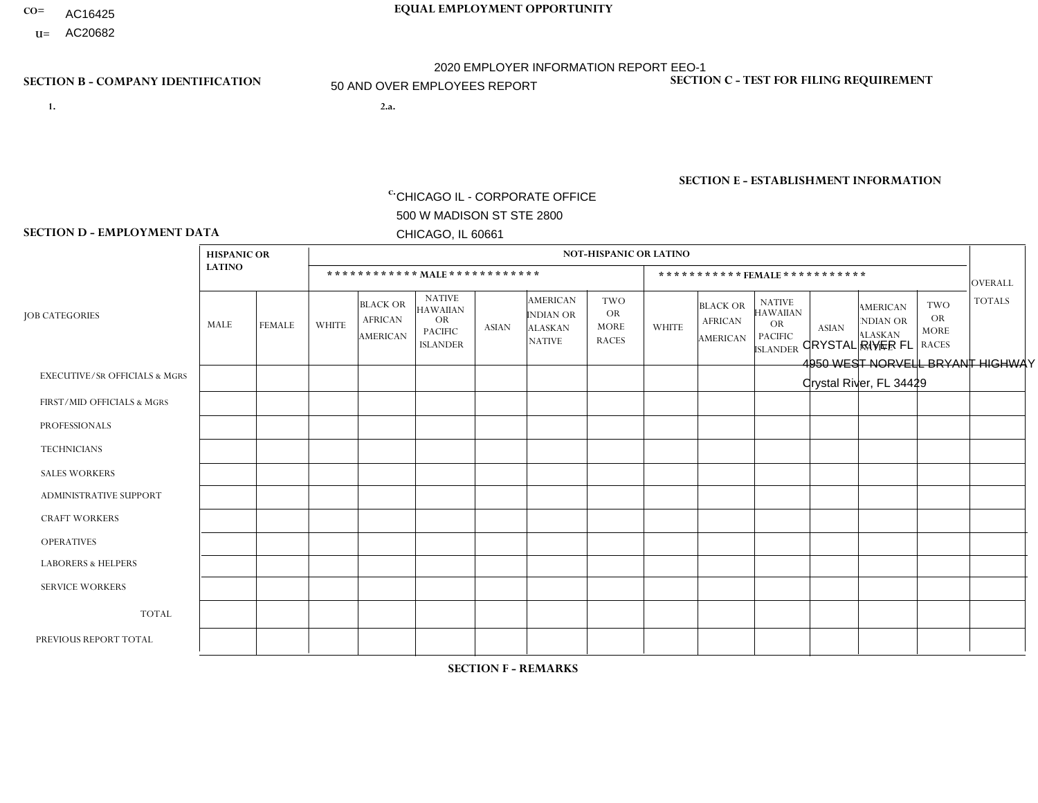- AC16425
- **U=**

- **1. 2.a.** CHICAGO IL CORPORATE OFFICE 500 W MADISON ST STE 2800 CHICAGO, IL 60661
- 2.a. CRYSTAL RIVER FL 4950 WEST NORVELL BRYANT HIGHWAY Crystal River, FL 34429

c. EIN= 952920557

# **SECTION B - COMPANY IDENTIFICATION SECTION C - TEST FOR FILING REQUIREMENT**

1- Y 2- Y 3- N DUNS= 000123456

**SECTION E - ESTABLISHMENT INFORMATION c.** NAICS: 423140

### **SECTION D - EMPLOYMENT DATA**

|                                          | <b>HISPANIC OR</b> |                |                |                                                      |                                                                                    |              |                                                                 | <b>NOT-HISPANIC OR LATINO</b>                          |                |                                                      |                                                                             |              |                                                                       |                                                        |                |
|------------------------------------------|--------------------|----------------|----------------|------------------------------------------------------|------------------------------------------------------------------------------------|--------------|-----------------------------------------------------------------|--------------------------------------------------------|----------------|------------------------------------------------------|-----------------------------------------------------------------------------|--------------|-----------------------------------------------------------------------|--------------------------------------------------------|----------------|
|                                          | <b>LATINO</b>      |                |                | ************ MALE ************                       |                                                                                    |              |                                                                 |                                                        |                |                                                      | *********** FEMALE ***********                                              |              |                                                                       |                                                        | <b>OVERALL</b> |
| <b>JOB CATEGORIES</b>                    | <b>MALE</b>        | <b>FEMALE</b>  | <b>WHITE</b>   | <b>BLACK OR</b><br><b>AFRICAN</b><br><b>AMERICAN</b> | <b>NATIVE</b><br><b>HAWAIIAN</b><br><b>OR</b><br><b>PACIFIC</b><br><b>ISLANDER</b> | <b>ASIAN</b> | <b>AMERICAN</b><br>INDIAN OR<br><b>ALASKAN</b><br><b>NATIVE</b> | <b>TWO</b><br><b>OR</b><br><b>MORE</b><br><b>RACES</b> | <b>WHITE</b>   | <b>BLACK OR</b><br><b>AFRICAN</b><br><b>AMERICAN</b> | <b>NATIVE</b><br><b>HAWAIIAN</b><br>OR<br><b>PACIFIC</b><br><b>ISLANDER</b> | <b>ASIAN</b> | <b>AMERICAN</b><br><b>NDIAN OR</b><br><b>ALASKAN</b><br><b>NATIVE</b> | <b>TWO</b><br><b>OR</b><br><b>MORE</b><br><b>RACES</b> | <b>TOTALS</b>  |
| <b>EXECUTIVE/SR OFFICIALS &amp; MGRS</b> | $\Omega$           | $\Omega$       | $\Omega$       | $\mathbf{0}$                                         | $\Omega$                                                                           | $\Omega$     | $\Omega$                                                        | $\Omega$                                               | 1              | $\Omega$                                             | $\Omega$                                                                    | $\Omega$     | $\Omega$                                                              | $\Omega$                                               |                |
| FIRST/MID OFFICIALS & MGRS               | 2                  | $\Omega$       | 9              | $\overline{ }$                                       | $\Omega$                                                                           | $\Omega$     | $\Omega$                                                        | $\Omega$                                               | 1              | $\Omega$                                             | 0                                                                           | $\mathbf 0$  | $\Omega$                                                              | $\Omega$                                               | 13             |
| <b>PROFESSIONALS</b>                     | $\Omega$           | $\mathbf 0$    | 5              | $\mathbf 0$                                          | $\Omega$                                                                           | $\Omega$     | $\Omega$                                                        | $\Omega$                                               | $\overline{2}$ | $\Omega$                                             | 0                                                                           | $\mathbf 0$  | $\Omega$                                                              | $\mathbf 0$                                            | $\overline{7}$ |
| <b>TECHNICIANS</b>                       | $\Omega$           | $\Omega$       | $\Omega$       | $\Omega$                                             | $\Omega$                                                                           | $\Omega$     | $\Omega$                                                        | $\Omega$                                               | $\Omega$       | $\Omega$                                             | $\Omega$                                                                    | $\Omega$     | $\Omega$                                                              | $\Omega$                                               | $\Omega$       |
| <b>SALES WORKERS</b>                     |                    | $\Omega$       | 13             | $\Omega$                                             | $\Omega$                                                                           | $\Omega$     | $\Omega$                                                        | $\Omega$                                               | 5              | $\Omega$                                             | $\Omega$                                                                    | $\Omega$     | $\Omega$                                                              | $\Omega$                                               | 19             |
| <b>ADMINISTRATIVE SUPPORT</b>            |                    | $\Omega$       | 3              | $\mathbf 0$                                          | $\Omega$                                                                           | $\Omega$     | $\Omega$                                                        | $\Omega$                                               | $\overline{7}$ | $\Omega$                                             | 0                                                                           | $\Omega$     | $\Omega$                                                              | $\Omega$                                               | 11             |
| <b>CRAFT WORKERS</b>                     | 2                  | $\Omega$       | 17             | $\overline{2}$                                       | $\Omega$                                                                           | $\Omega$     | 1                                                               | 2                                                      | 1              | $\Omega$                                             | 0                                                                           | $\Omega$     | $\Omega$                                                              | $\Omega$                                               | 25             |
| <b>OPERATIVES</b>                        | 6                  | $\Omega$       | 47             | 4                                                    | 0                                                                                  | $\Omega$     | $\Omega$                                                        | $\Omega$                                               | 4              | $\Omega$                                             | 0                                                                           | $\Omega$     | $\Omega$                                                              | $\Omega$                                               | 61             |
| <b>LABORERS &amp; HELPERS</b>            | $\Omega$           | $\Omega$       | $\overline{7}$ | $\mathbf 0$                                          | $\Omega$                                                                           | $\Omega$     | $\Omega$                                                        | $\Omega$                                               | 0              | $\Omega$                                             | $\Omega$                                                                    | $\Omega$     | $\Omega$                                                              | $\Omega$                                               | $\overline{7}$ |
| <b>SERVICE WORKERS</b>                   | $\Omega$           | 0              | $\mathbf{0}$   | $\mathbf 0$                                          | $\mathbf 0$                                                                        | $\Omega$     | $\Omega$                                                        | $\Omega$                                               | 0              | $\mathbf{0}$                                         | $\Omega$                                                                    | 0            | $\Omega$                                                              | $\mathbf 0$                                            | $\overline{0}$ |
| <b>TOTAL</b>                             | 12                 | $\Omega$       | 101            | $\overline{7}$                                       | $\mathbf 0$                                                                        | $\Omega$     | 1                                                               | $\overline{2}$                                         | 21             | $\Omega$                                             | $\mathbf 0$                                                                 | 0            | $\Omega$                                                              | $\Omega$                                               | 144            |
| PREVIOUS REPORT TOTAL                    | 19                 | $\overline{0}$ | 137            | 12                                                   | 0                                                                                  | 2            | $\overline{2}$                                                  | 5                                                      | 30             | $\Omega$                                             | 0                                                                           | $\mathbf 0$  | 0                                                                     | $\mathbf 0$                                            | 207            |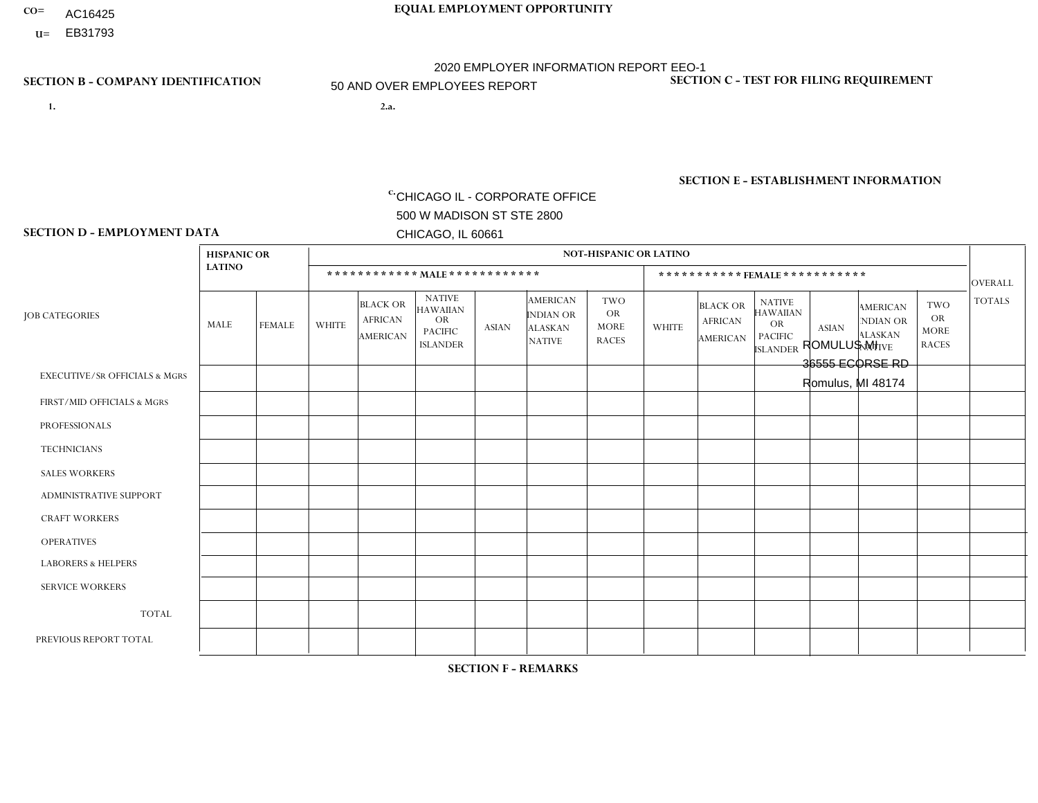- AC16425
- **U=**

- **1. 2.a.** CHICAGO IL CORPORATE OFFICE 500 W MADISON ST STE 2800 CHICAGO, IL 60661
- 2.a. ROMULUS MI 36555 ECORSE RD Romulus, MI 48174

EIN= 952920557

# **SECTION B - COMPANY IDENTIFICATION SECTION C - TEST FOR FILING REQUIREMENT**

1- Y 2- Y 3- N DUNS= 000123456

**SECTION E - ESTABLISHMENT INFORMATION c.** NAICS: 423140

### **SECTION D - EMPLOYMENT DATA**

|                                          | <b>HISPANIC OR</b> |                      |                |                                               |                                                                                    |              |                                                                        | <b>NOT-HISPANIC OR LATINO</b>                          |                         |                                               |                                                                             |              |                                                                       |                                                        |                |
|------------------------------------------|--------------------|----------------------|----------------|-----------------------------------------------|------------------------------------------------------------------------------------|--------------|------------------------------------------------------------------------|--------------------------------------------------------|-------------------------|-----------------------------------------------|-----------------------------------------------------------------------------|--------------|-----------------------------------------------------------------------|--------------------------------------------------------|----------------|
|                                          | <b>LATINO</b>      |                      |                | ************ MALE ************                |                                                                                    |              |                                                                        |                                                        |                         | ***********FEMALE***********                  |                                                                             |              |                                                                       |                                                        | <b>OVERALL</b> |
| <b>JOB CATEGORIES</b>                    | MALE               | <b>FEMALE</b>        | <b>WHITE</b>   | <b>BLACK OR</b><br><b>AFRICAN</b><br>AMERICAN | <b>NATIVE</b><br><b>HAWAIIAN</b><br><b>OR</b><br><b>PACIFIC</b><br><b>ISLANDER</b> | <b>ASIAN</b> | <b>AMERICAN</b><br><b>INDIAN OR</b><br><b>ALASKAN</b><br><b>NATIVE</b> | <b>TWO</b><br><b>OR</b><br><b>MORE</b><br><b>RACES</b> | <b>WHITE</b>            | <b>BLACK OR</b><br><b>AFRICAN</b><br>AMERICAN | <b>NATIVE</b><br><b>HAWAIIAN</b><br>OR<br><b>PACIFIC</b><br><b>ISLANDER</b> | <b>ASIAN</b> | <b>AMERICAN</b><br><b>NDIAN OR</b><br><b>ALASKAN</b><br><b>NATIVE</b> | <b>TWO</b><br><b>OR</b><br><b>MORE</b><br><b>RACES</b> | <b>TOTALS</b>  |
| <b>EXECUTIVE/SR OFFICIALS &amp; MGRS</b> | $\Omega$           | $\Omega$             | $\Omega$       | $\mathbf 0$                                   | $\Omega$                                                                           | $\Omega$     | $\Omega$                                                               | $\Omega$                                               | $\Omega$                | $\Omega$                                      | $\Omega$                                                                    | $\Omega$     | $\Omega$                                                              | $\mathbf{0}$                                           | $\mathbf{0}$   |
| FIRST/MID OFFICIALS & MGRS               | 0                  | $\Omega$             | 4              | $\mathbf 0$                                   | $\Omega$                                                                           | $\Omega$     | $\Omega$                                                               | $\Omega$                                               |                         | $\Omega$                                      | $\Omega$                                                                    | $\Omega$     | $\Omega$                                                              | $\Omega$                                               | 5              |
| <b>PROFESSIONALS</b>                     | 0                  | $\Omega$             | $\Omega$       | $\mathbf 0$                                   | $\Omega$                                                                           | $\Omega$     | $\Omega$                                                               | $\Omega$                                               | 0                       | $\Omega$                                      | $\Omega$                                                                    | $\Omega$     | $\Omega$                                                              | $\Omega$                                               | $\mathbf{0}$   |
| <b>TECHNICIANS</b>                       | 0                  | $\mathbf 0$          | $\Omega$       | $\mathbf 0$                                   | $\mathbf 0$                                                                        | $\Omega$     | $\Omega$                                                               | $\Omega$                                               | $\Omega$                | $\mathbf 0$                                   | $\Omega$                                                                    | $\mathbf 0$  | 0                                                                     | $\mathbf 0$                                            | $\mathbf 0$    |
| <b>SALES WORKERS</b>                     | $\Omega$           | $\Omega$             | $\overline{2}$ | $\Omega$                                      | $\Omega$                                                                           | $\Omega$     | $\Omega$                                                               | $\Omega$                                               | $\overline{2}$          | $\Omega$                                      | $\Omega$                                                                    | $\Omega$     | $\Omega$                                                              | $\mathbf{0}$                                           | $\overline{4}$ |
| <b>ADMINISTRATIVE SUPPORT</b>            | $\Omega$           | $\mathbf{1}$         |                | $\mathbf 0$                                   | $\mathbf 0$                                                                        | $\Omega$     | $\Omega$                                                               | $\Omega$                                               | $\overline{2}$          | $\Omega$                                      | $\Omega$                                                                    | $\mathbf{0}$ | $\mathbf{0}$                                                          | $\mathbf 0$                                            | 4              |
| <b>CRAFT WORKERS</b>                     | $\Omega$           | $\Omega$             | $\Omega$       | $\Omega$                                      | $\Omega$                                                                           | $\Omega$     | $\Omega$                                                               | $\Omega$                                               | $\Omega$                | $\Omega$                                      | $\Omega$                                                                    | $\Omega$     | $\Omega$                                                              | $\Omega$                                               | $\Omega$       |
| <b>OPERATIVES</b>                        | 4                  | $\Omega$             | 22             | 9                                             | $\Omega$                                                                           | $\Omega$     | $\Omega$                                                               | $\overline{2}$                                         |                         | $\Omega$                                      | $\Omega$                                                                    | $\Omega$     | $\Omega$                                                              | $\Omega$                                               | 38             |
| <b>LABORERS &amp; HELPERS</b>            | и                  | $\Omega$             | 23             | 16                                            | $\mathbf{0}$                                                                       | -1           | $\overline{\phantom{a}}$                                               | $\overline{2}$                                         | $\overline{\mathbf{A}}$ | $\blacktriangleleft$                          | $\Omega$                                                                    | $\mathbf{0}$ | $\Omega$                                                              | $\mathbf{0}$                                           | 46             |
| <b>SERVICE WORKERS</b>                   | 0                  | $\Omega$             | $\Omega$       | $\mathbf 0$                                   | $\mathbf{0}$                                                                       | $\Omega$     | $\Omega$                                                               | $\Omega$                                               | $\Omega$                | $\Omega$                                      | $\Omega$                                                                    | $\Omega$     | $\Omega$                                                              | $\Omega$                                               | $\overline{0}$ |
| <b>TOTAL</b>                             | 5                  | $\mathbf{1}$         | 52             | 25                                            | $\mathbf{0}$                                                                       | $\mathbf 1$  | 1                                                                      | 4                                                      | $\overline{7}$          | $\mathbf 1$                                   | $\Omega$                                                                    | $\mathbf 0$  | 0                                                                     | $\mathbf 0$                                            | 97             |
| PREVIOUS REPORT TOTAL                    | 5                  | $\blacktriangleleft$ | 64             | 42                                            | $\Omega$                                                                           | $\Omega$     | $\overline{\phantom{a}}$                                               | $\overline{7}$                                         | 11                      |                                               | $\Omega$                                                                    | $\Omega$     | $\Omega$                                                              | $\mathbf{1}$                                           | 133            |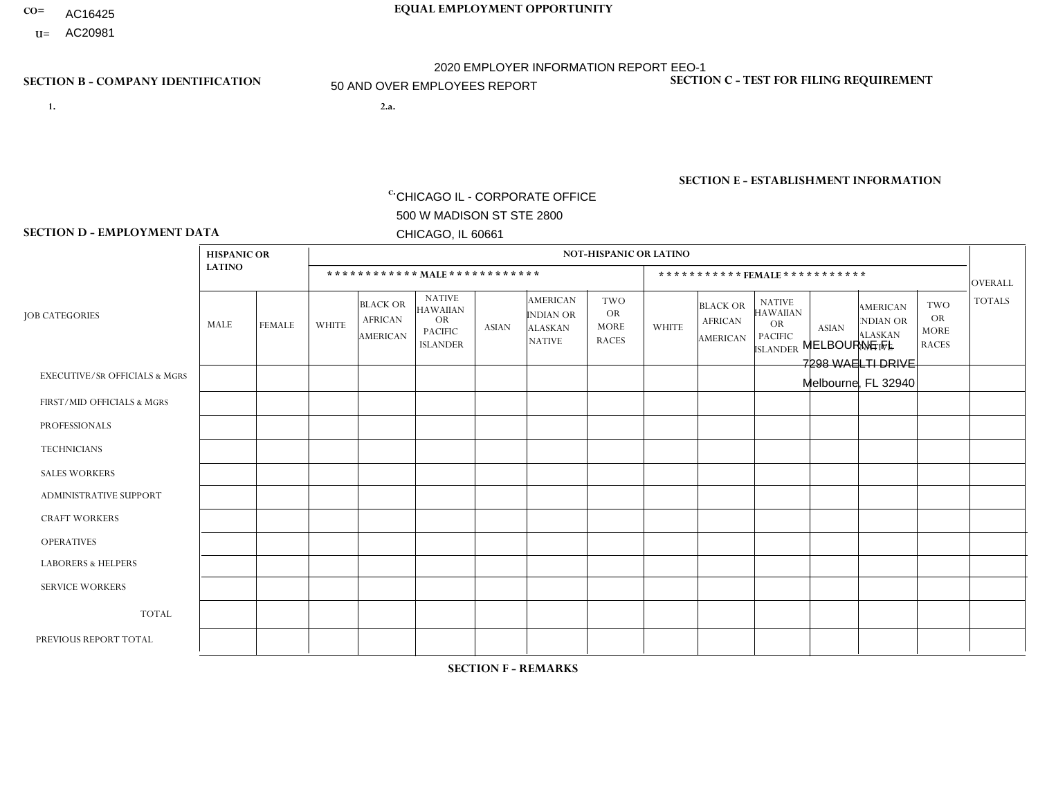- AC16425
- **U=**

**1. 2.a.** CHICAGO IL - CORPORATE OFFICE 500 W MADISON ST STE 2800 CHICAGO, IL 60661

2.a. MELBOURNE FL 7298 WAELTI DRIVE Melbourne, FL 32940

EIN= 952920557

# **SECTION B - COMPANY IDENTIFICATION SECTION C - TEST FOR FILING REQUIREMENT**

1- Y 2- Y 3- N DUNS= 000123456

**SECTION E - ESTABLISHMENT INFORMATION c.** NAICS: 423140

### **SECTION D - EMPLOYMENT DATA**

|                                          | <b>HISPANIC OR</b> |               |                |                                                      |                                                                                    |              |                                                                        | <b>NOT-HISPANIC OR LATINO</b>                          |                |                                               |                                                                             |              |                                                                       |                                                        |                      |
|------------------------------------------|--------------------|---------------|----------------|------------------------------------------------------|------------------------------------------------------------------------------------|--------------|------------------------------------------------------------------------|--------------------------------------------------------|----------------|-----------------------------------------------|-----------------------------------------------------------------------------|--------------|-----------------------------------------------------------------------|--------------------------------------------------------|----------------------|
|                                          | <b>LATINO</b>      |               |                | ************ MALE ************                       |                                                                                    |              |                                                                        |                                                        |                |                                               | *********** FEMALE ***********                                              |              |                                                                       |                                                        | <b>OVERALL</b>       |
| <b>JOB CATEGORIES</b>                    | <b>MALE</b>        | <b>FEMALE</b> | <b>WHITE</b>   | <b>BLACK OR</b><br><b>AFRICAN</b><br><b>AMERICAN</b> | <b>NATIVE</b><br><b>HAWAIIAN</b><br><b>OR</b><br><b>PACIFIC</b><br><b>ISLANDER</b> | <b>ASIAN</b> | <b>AMERICAN</b><br><b>INDIAN OR</b><br><b>ALASKAN</b><br><b>NATIVE</b> | <b>TWO</b><br><b>OR</b><br><b>MORE</b><br><b>RACES</b> | <b>WHITE</b>   | <b>BLACK OR</b><br><b>AFRICAN</b><br>AMERICAN | <b>NATIVE</b><br><b>HAWAIIAN</b><br>OR<br><b>PACIFIC</b><br><b>ISLANDER</b> | <b>ASIAN</b> | <b>AMERICAN</b><br><b>NDIAN OR</b><br><b>ALASKAN</b><br><b>NATIVE</b> | <b>TWO</b><br><b>OR</b><br><b>MORE</b><br><b>RACES</b> | <b>TOTALS</b>        |
| <b>EXECUTIVE/SR OFFICIALS &amp; MGRS</b> | $\Omega$           | $\Omega$      | $\Omega$       | $\mathbf 0$                                          | $\mathbf 0$                                                                        | $\Omega$     | $\Omega$                                                               | $\Omega$                                               | $\Omega$       | $\Omega$                                      | $\mathbf 0$                                                                 | $\mathbf 0$  | $\Omega$                                                              | $\Omega$                                               | $\mathbf 0$          |
| FIRST/MID OFFICIALS & MGRS               | $\Omega$           | 0             | 2              | $\mathbf 0$                                          | $\mathbf{0}$                                                                       | $\Omega$     | $\Omega$                                                               | $\Omega$                                               | 1              | $\Omega$                                      | $\Omega$                                                                    | $\mathbf 0$  | 0                                                                     | $\mathbf 0$                                            | 3                    |
| <b>PROFESSIONALS</b>                     | $\Omega$           | $\Omega$      | 3              | $\mathbf 0$                                          | $\Omega$                                                                           | $\Omega$     | $\Omega$                                                               | $\Omega$                                               | $\Omega$       | $\Omega$                                      | $\Omega$                                                                    | $\Omega$     | $\Omega$                                                              | $\Omega$                                               | 3                    |
| <b>TECHNICIANS</b>                       | $\Omega$           | $\Omega$      | $\Omega$       | $\mathbf 0$                                          | $\Omega$                                                                           | $\Omega$     | $\Omega$                                                               | $\Omega$                                               | 0              | $\Omega$                                      | 0                                                                           | 0            | $\Omega$                                                              | $\mathbf 0$                                            | $\overline{0}$       |
| <b>SALES WORKERS</b>                     | -1                 | $\Omega$      | $\overline{7}$ | $\mathbf 0$                                          | $\Omega$                                                                           | $\Omega$     | $\Omega$                                                               | $\Omega$                                               | $\overline{0}$ | $\Omega$                                      | $\Omega$                                                                    | $\Omega$     | $\Omega$                                                              | $\Omega$                                               | 8                    |
| ADMINISTRATIVE SUPPORT                   | $\Omega$           | $\mathbf 0$   | 1              | $\mathbf 0$                                          | 0                                                                                  | $\Omega$     | $\Omega$                                                               | $\Omega$                                               | 0              | $\Omega$                                      | 0                                                                           | $\mathbf 0$  | 0                                                                     | $\mathbf 0$                                            | $\blacktriangleleft$ |
| <b>CRAFT WORKERS</b>                     | $\Omega$           | $\Omega$      | 3              | $\Omega$                                             | $\Omega$                                                                           | $\Omega$     | $\Omega$                                                               | 1                                                      | 0              | $\Omega$                                      | 0                                                                           | $\Omega$     | $\Omega$                                                              | $\Omega$                                               | $\overline{4}$       |
| <b>OPERATIVES</b>                        | 3                  | $\Omega$      | 15             | 5                                                    | $\Omega$                                                                           | $\Omega$     | $\Omega$                                                               | 2                                                      | $\Omega$       | $\Omega$                                      | 0                                                                           | $\Omega$     | $\Omega$                                                              | $\Omega$                                               | 25                   |
| <b>LABORERS &amp; HELPERS</b>            | $\Omega$           | $\Omega$      | 9              | $\overline{2}$                                       | $\mathbf 0$                                                                        | $\Omega$     | $\Omega$                                                               | $\Omega$                                               | $\Omega$       | $\Omega$                                      | $\Omega$                                                                    | $\Omega$     | $\Omega$                                                              | $\Omega$                                               | 11                   |
| <b>SERVICE WORKERS</b>                   | $\Omega$           | 0             | $\mathbf 0$    | 0                                                    | $\mathbf 0$                                                                        | $\mathbf 0$  | $\Omega$                                                               | $\Omega$                                               | 0              | $\Omega$                                      | 0                                                                           | $\mathbf 0$  | $\Omega$                                                              | $\mathbf 0$                                            | $\overline{0}$       |
| <b>TOTAL</b>                             | 4                  | 0             | 40             | $\overline{7}$                                       | 0                                                                                  | 0            | $\Omega$                                                               | 3                                                      | $\mathbf{1}$   | $\Omega$                                      | $\Omega$                                                                    | $\mathbf 0$  | $\Omega$                                                              | $\mathbf 0$                                            | 55                   |
| PREVIOUS REPORT TOTAL                    | 8                  | $\Omega$      | 47             | 8                                                    | $\Omega$                                                                           | $\Omega$     | $\Omega$                                                               | 8                                                      | 3              | $\Omega$                                      | 0                                                                           | $\mathbf 0$  | $\Omega$                                                              | 0                                                      | 74                   |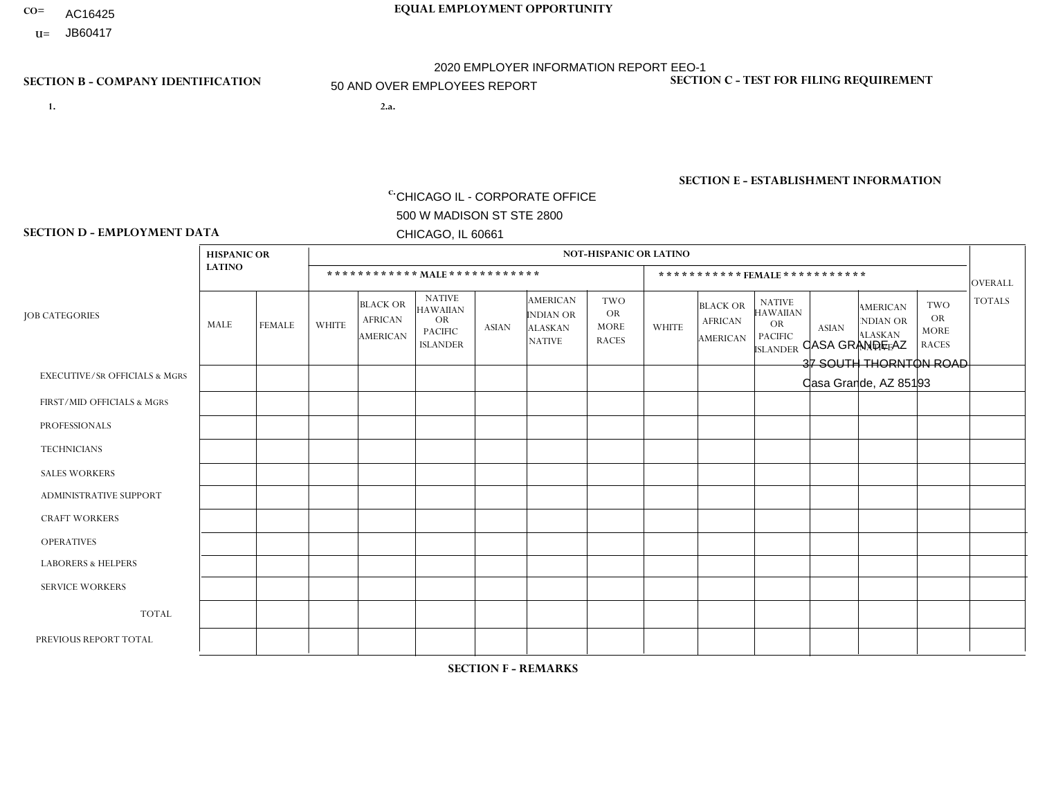- **CO= EQUAL EMPLOYMENT OPPORTUNITY** AC16425
- **U=**

- **1. 2.a.** CHICAGO IL CORPORATE OFFICE 500 W MADISON ST STE 2800 CHICAGO, IL 60661
- 2.a. CASA GRANDE AZ 37 SOUTH THORNTON ROAD Casa Grande, AZ 85193

2020 EMPLOYER INFORMATION REPORT EEO-1 50 AND OVER EMPLOYEES REPORT

c. EIN= 952920557

# **SECTION B - COMPANY IDENTIFICATION SECTION C - TEST FOR FILING REQUIREMENT**

1- Y 2- Y 3- N DUNS= 000123456

**SECTION E - ESTABLISHMENT INFORMATION c.** NAICS: 423140

### **SECTION D - EMPLOYMENT DATA**

|                                          | <b>HISPANIC OR</b> |                |              |                                                      |                                                                                    |              |                                                                        | <b>NOT-HISPANIC OR LATINO</b>                          |              |                                               |                                                                                    |              |                                                                       |                                                        |                |
|------------------------------------------|--------------------|----------------|--------------|------------------------------------------------------|------------------------------------------------------------------------------------|--------------|------------------------------------------------------------------------|--------------------------------------------------------|--------------|-----------------------------------------------|------------------------------------------------------------------------------------|--------------|-----------------------------------------------------------------------|--------------------------------------------------------|----------------|
|                                          | <b>LATINO</b>      |                |              | ************ MALE ************                       |                                                                                    |              |                                                                        |                                                        |              | ***********FEMALE***********                  |                                                                                    |              |                                                                       |                                                        | <b>OVERALL</b> |
| <b>JOB CATEGORIES</b>                    | MALE               | <b>FEMALE</b>  | <b>WHITE</b> | <b>BLACK OR</b><br><b>AFRICAN</b><br><b>AMERICAN</b> | <b>NATIVE</b><br><b>HAWAIIAN</b><br><b>OR</b><br><b>PACIFIC</b><br><b>ISLANDER</b> | ASIAN        | <b>AMERICAN</b><br><b>INDIAN OR</b><br><b>ALASKAN</b><br><b>NATIVE</b> | <b>TWO</b><br><b>OR</b><br><b>MORE</b><br><b>RACES</b> | <b>WHITE</b> | <b>BLACK OR</b><br><b>AFRICAN</b><br>AMERICAN | <b>NATIVE</b><br><b>HAWAIIAN</b><br><b>OR</b><br><b>PACIFIC</b><br><b>ISLANDER</b> | <b>ASIAN</b> | <b>AMERICAN</b><br><b>NDIAN OR</b><br><b>ALASKAN</b><br><b>NATIVE</b> | <b>TWO</b><br><b>OR</b><br><b>MORE</b><br><b>RACES</b> | <b>TOTALS</b>  |
| <b>EXECUTIVE/SR OFFICIALS &amp; MGRS</b> | $\Omega$           | $\Omega$       | $\Omega$     | $\mathbf 0$                                          | $\Omega$                                                                           | $\mathbf{0}$ | $\Omega$                                                               | $\Omega$                                               | 0            | $\Omega$                                      | $\Omega$                                                                           | $\Omega$     | $\Omega$                                                              | $\Omega$                                               | $\mathbf{0}$   |
| FIRST/MID OFFICIALS & MGRS               | 0                  | $\Omega$       | 3            | $\mathbf 0$                                          | $\Omega$                                                                           | $\Omega$     | $\Omega$                                                               |                                                        | 0            | $\Omega$                                      | $\Omega$                                                                           | $\Omega$     | $\Omega$                                                              | $\Omega$                                               | $\overline{4}$ |
| <b>PROFESSIONALS</b>                     | 0                  | $\mathbf 0$    | $\mathbf 0$  | $\mathbf 0$                                          | $\Omega$                                                                           | $\Omega$     | $\Omega$                                                               | $\Omega$                                               | 0            | $\Omega$                                      | $\Omega$                                                                           | $\Omega$     | $\Omega$                                                              | $\Omega$                                               | $\mathbf{0}$   |
| <b>TECHNICIANS</b>                       | 0                  | $\Omega$       | $\Omega$     | $\mathbf 0$                                          | $\Omega$                                                                           | $\Omega$     | $\Omega$                                                               | $\Omega$                                               | $\Omega$     | $\Omega$                                      | $\Omega$                                                                           | $\Omega$     | $\Omega$                                                              | $\Omega$                                               | $\mathbf{0}$   |
| <b>SALES WORKERS</b>                     | 0                  | $\Omega$       | $\Omega$     | $\Omega$                                             | $\Omega$                                                                           | $\Omega$     | $\Omega$                                                               | $\Omega$                                               | 0            | $\Omega$                                      | $\Omega$                                                                           | $\Omega$     | $\Omega$                                                              | $\Omega$                                               | $\Omega$       |
| <b>ADMINISTRATIVE SUPPORT</b>            | $\overline{2}$     | $\overline{2}$ |              | $\mathbf 0$                                          | 0                                                                                  | $\Omega$     | $\Omega$                                                               | $\Omega$                                               | $\Omega$     | $\Omega$                                      | $\Omega$                                                                           | $\mathbf{0}$ | $\mathbf{0}$                                                          | $\mathbf 0$                                            | 5              |
| <b>CRAFT WORKERS</b>                     | 6                  | $\Omega$       | 10           | $\mathbf 0$                                          | $\Omega$                                                                           | $\Omega$     | $\Omega$                                                               | $\Omega$                                               | 0            | $\Omega$                                      | $\Omega$                                                                           | $\Omega$     | $\Omega$                                                              | $\Omega$                                               | 16             |
| <b>OPERATIVES</b>                        | 10                 | $\Omega$       | 12           | $\mathbf 0$                                          | $\Omega$                                                                           | $\Omega$     | $\Omega$                                                               | $\Omega$                                               |              | $\Omega$                                      | $\Omega$                                                                           | $\Omega$     | $\Omega$                                                              | $\Omega$                                               | 23             |
| <b>LABORERS &amp; HELPERS</b>            | $\overline{2}$     | $\Omega$       | 4            | $\mathbf 0$                                          | $\Omega$                                                                           | $\Omega$     | $\Omega$                                                               | $\Omega$                                               | $\Omega$     | $\Omega$                                      | $\Omega$                                                                           | $\Omega$     | $\Omega$                                                              | $\Omega$                                               | 6              |
| <b>SERVICE WORKERS</b>                   | 0                  | $\Omega$       | $\Omega$     | 0                                                    | 0                                                                                  | $\Omega$     | $\Omega$                                                               | $\Omega$                                               | $\Omega$     | $\Omega$                                      | $\Omega$                                                                           | $\Omega$     | $\Omega$                                                              | $\mathbf 0$                                            | $\overline{0}$ |
| <b>TOTAL</b>                             | 20                 | $\overline{2}$ | 30           | 0                                                    | 0                                                                                  | $\mathbf 0$  | $\Omega$                                                               |                                                        |              | $\Omega$                                      | $\Omega$                                                                           | $\mathbf 0$  | 0                                                                     | $\mathbf 0$                                            | 54             |
| PREVIOUS REPORT TOTAL                    | 26                 | $\mathbf{1}$   | 29           | $\mathbf 0$                                          |                                                                                    | $\Omega$     | $\Omega$                                                               |                                                        |              | $\Omega$                                      | $\Omega$                                                                           | $\Omega$     | $\Omega$                                                              | $\mathbf 0$                                            | 59             |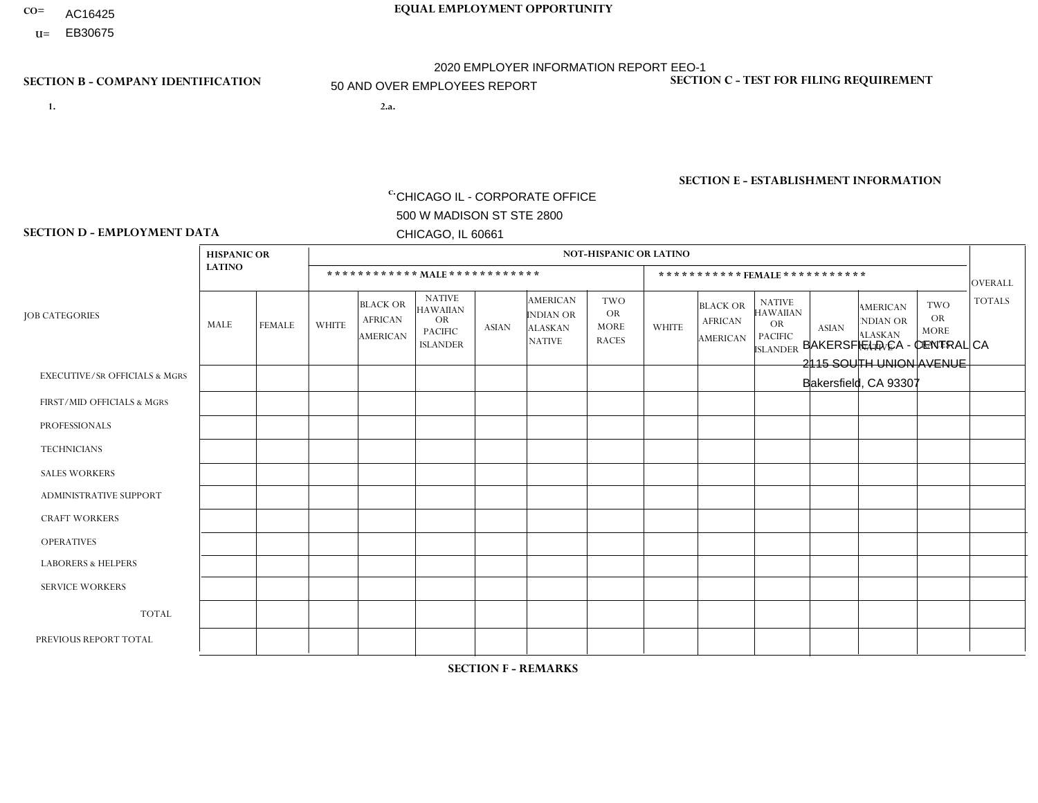- **CO= EQUAL EMPLOYMENT OPPORTUNITY** AC16425
	- **U=**

# **SECTION B - COMPANY IDENTIFICATION SECTION C - TEST FOR FILING REQUIREMENT**

- **1. 2.a.** CHICAGO IL CORPORATE OFFICE 500 W MADISON ST STE 2800 CHICAGO, IL 60661
- 2.a. BAKERSFIELD CA CENTRAL CA 2115 SOUTH UNION AVENUE Bakersfield, CA 93307

2020 EMPLOYER INFORMATION REPORT EEO-1 50 AND OVER EMPLOYEES REPORT

EIN= 952907390

1- Y 2- Y 3- N DUNS= 000123456

**SECTION E - ESTABLISHMENT INFORMATION c.** NAICS: 423140

### **SECTION D - EMPLOYMENT DATA**

|                                          | <b>HISPANIC OR</b> |                |                |                                                      |                                                                                    |              |                                                                        | <b>NOT-HISPANIC OR LATINO</b>                          |              |                                               |                                                                                    |                |                                                                       |                                                        |                |
|------------------------------------------|--------------------|----------------|----------------|------------------------------------------------------|------------------------------------------------------------------------------------|--------------|------------------------------------------------------------------------|--------------------------------------------------------|--------------|-----------------------------------------------|------------------------------------------------------------------------------------|----------------|-----------------------------------------------------------------------|--------------------------------------------------------|----------------|
|                                          | <b>LATINO</b>      |                |                | ************ MALE ************                       |                                                                                    |              |                                                                        |                                                        |              | ***********FEMALE***********                  |                                                                                    |                |                                                                       |                                                        | <b>OVERALL</b> |
| <b>JOB CATEGORIES</b>                    | MALE               | <b>FEMALE</b>  | <b>WHITE</b>   | <b>BLACK OR</b><br><b>AFRICAN</b><br><b>AMERICAN</b> | <b>NATIVE</b><br><b>HAWAIIAN</b><br><b>OR</b><br><b>PACIFIC</b><br><b>ISLANDER</b> | ASIAN        | <b>AMERICAN</b><br><b>INDIAN OR</b><br><b>ALASKAN</b><br><b>NATIVE</b> | <b>TWO</b><br><b>OR</b><br><b>MORE</b><br><b>RACES</b> | <b>WHITE</b> | <b>BLACK OR</b><br><b>AFRICAN</b><br>AMERICAN | <b>NATIVE</b><br><b>HAWAIIAN</b><br><b>OR</b><br><b>PACIFIC</b><br><b>ISLANDER</b> | <b>ASIAN</b>   | <b>AMERICAN</b><br><b>NDIAN OR</b><br><b>ALASKAN</b><br><b>NATIVE</b> | <b>TWO</b><br><b>OR</b><br><b>MORE</b><br><b>RACES</b> | <b>TOTALS</b>  |
| <b>EXECUTIVE/SR OFFICIALS &amp; MGRS</b> | $\Omega$           | $\Omega$       | $\Omega$       | $\mathbf 0$                                          | $\Omega$                                                                           | $\mathbf{0}$ | $\Omega$                                                               | $\Omega$                                               | 0            | $\Omega$                                      | $\Omega$                                                                           | $\Omega$       | $\Omega$                                                              | $\Omega$                                               | $\mathbf{0}$   |
| FIRST/MID OFFICIALS & MGRS               | 0                  | $\Omega$       | 3              | $\mathbf 0$                                          | $\Omega$                                                                           | $\Omega$     | $\Omega$                                                               | $\Omega$                                               | 0            | $\Omega$                                      | $\Omega$                                                                           |                | $\Omega$                                                              | $\Omega$                                               | $\overline{4}$ |
| <b>PROFESSIONALS</b>                     | 0                  | $\overline{0}$ |                | $\mathbf 0$                                          | $\Omega$                                                                           | $\Omega$     | $\Omega$                                                               | $\Omega$                                               | 0            | $\Omega$                                      | $\Omega$                                                                           | $\Omega$       | $\Omega$                                                              | $\Omega$                                               | $\mathbf{1}$   |
| <b>TECHNICIANS</b>                       | 0                  | $\Omega$       | $\Omega$       | $\mathbf 0$                                          | $\Omega$                                                                           | $\Omega$     | $\Omega$                                                               | $\Omega$                                               | $\Omega$     | $\Omega$                                      | $\Omega$                                                                           | $\Omega$       | $\Omega$                                                              | $\Omega$                                               | $\mathbf{0}$   |
| <b>SALES WORKERS</b>                     | 4                  | $\Omega$       | $\overline{c}$ | $\Omega$                                             | $\Omega$                                                                           | $\Omega$     | $\Omega$                                                               | $\Omega$                                               | 0            | $\Omega$                                      | $\Omega$                                                                           | $\Omega$       | $\Omega$                                                              | $\mathbf{1}$                                           | $\overline{7}$ |
| <b>ADMINISTRATIVE SUPPORT</b>            | 4                  | $\overline{2}$ | $\Omega$       | $\mathbf 0$                                          | 0                                                                                  | $\Omega$     | $\Omega$                                                               | $\Omega$                                               | $\Omega$     | $\Omega$                                      | $\Omega$                                                                           | $\overline{1}$ | $\mathbf{0}$                                                          | $\mathbf 0$                                            | $\overline{7}$ |
| <b>CRAFT WORKERS</b>                     | 5                  | $\Omega$       | 3              | $\mathbf 0$                                          |                                                                                    | 3            | $\Omega$                                                               | $\Omega$                                               | 0            | $\Omega$                                      | $\Omega$                                                                           | $\Omega$       | $\Omega$                                                              | $\Omega$                                               | 12             |
| <b>OPERATIVES</b>                        | 17                 | $\mathbf{1}$   | 5              | $\overline{c}$                                       | $\Omega$                                                                           | $\mathbf{1}$ | $\Omega$                                                               | $\Omega$                                               | $\Omega$     | $\Omega$                                      | $\Omega$                                                                           | $\Omega$       | $\Omega$                                                              | $\Omega$                                               | 26             |
| <b>LABORERS &amp; HELPERS</b>            | 5                  | $\overline{2}$ | 6              | $\mathbf 0$                                          | -1                                                                                 | $\Omega$     | $\Omega$                                                               | $\Omega$                                               | $\Omega$     | $\Omega$                                      | $\Omega$                                                                           | $\Omega$       | $\Omega$                                                              | $\Omega$                                               | 14             |
| <b>SERVICE WORKERS</b>                   | 0                  | $\Omega$       | $\Omega$       | 0                                                    | 0                                                                                  | $\Omega$     | $\Omega$                                                               | $\Omega$                                               | $\Omega$     | $\Omega$                                      | $\Omega$                                                                           | $\Omega$       | $\Omega$                                                              | $\mathbf 0$                                            | 0              |
| <b>TOTAL</b>                             | 35                 | 5              | 20             | $\overline{c}$                                       | $\overline{c}$                                                                     | 4            | $\Omega$                                                               | $\Omega$                                               | $\Omega$     | $\Omega$                                      | $\Omega$                                                                           | $\overline{2}$ | 0                                                                     | $\mathbf{1}$                                           | 71             |
| PREVIOUS REPORT TOTAL                    | 46                 | 8              | 21             | $\overline{2}$                                       | 3                                                                                  | 4            | $\Omega$                                                               | $\Omega$                                               |              | $\Omega$                                      | $\Omega$                                                                           | $\overline{1}$ | 0                                                                     | 2                                                      | 88             |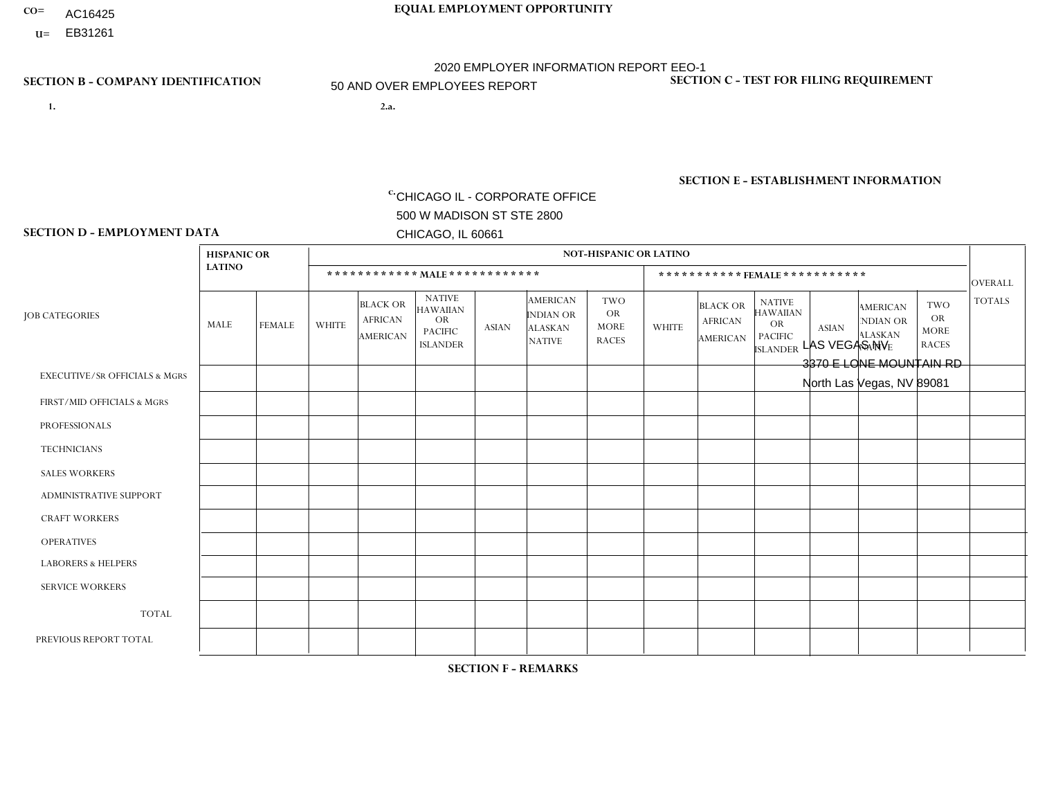- AC16425
- **U=**

- **1. 2.a.** CHICAGO IL CORPORATE OFFICE 500 W MADISON ST STE 2800 CHICAGO, IL 60661
- 2.a. LAS VEGAS NV 3370 E LONE MOUNTAIN RD North Las Vegas, NV 89081

c. EIN= 952920557

# **SECTION B - COMPANY IDENTIFICATION SECTION C - TEST FOR FILING REQUIREMENT**

1- Y 2- Y 3- N DUNS= 000123456

**SECTION E - ESTABLISHMENT INFORMATION c.** NAICS: 423140

### **SECTION D - EMPLOYMENT DATA**

|                                          | <b>HISPANIC OR</b> |                |                |                                               |                                                                                    |                |                                                                        | NOT-HISPANIC OR LATINO                                 |                |                                               |                                                                             |              |                                                                       |                                                        |                |
|------------------------------------------|--------------------|----------------|----------------|-----------------------------------------------|------------------------------------------------------------------------------------|----------------|------------------------------------------------------------------------|--------------------------------------------------------|----------------|-----------------------------------------------|-----------------------------------------------------------------------------|--------------|-----------------------------------------------------------------------|--------------------------------------------------------|----------------|
|                                          | <b>LATINO</b>      |                |                | ************ MALE ************                |                                                                                    |                |                                                                        |                                                        |                | ***********FEMALE***********                  |                                                                             |              |                                                                       |                                                        | <b>OVERALL</b> |
| <b>JOB CATEGORIES</b>                    | MALE               | <b>FEMALE</b>  | <b>WHITE</b>   | <b>BLACK OR</b><br><b>AFRICAN</b><br>AMERICAN | <b>NATIVE</b><br><b>HAWAIIAN</b><br><b>OR</b><br><b>PACIFIC</b><br><b>ISLANDER</b> | ASIAN          | <b>AMERICAN</b><br><b>INDIAN OR</b><br><b>ALASKAN</b><br><b>NATIVE</b> | <b>TWO</b><br><b>OR</b><br><b>MORE</b><br><b>RACES</b> | <b>WHITE</b>   | <b>BLACK OR</b><br><b>AFRICAN</b><br>AMERICAN | <b>NATIVE</b><br><b>HAWAIIAN</b><br>OR<br><b>PACIFIC</b><br><b>ISLANDER</b> | <b>ASIAN</b> | <b>AMERICAN</b><br><b>NDIAN OR</b><br><b>ALASKAN</b><br><b>NATIVE</b> | <b>TWO</b><br><b>OR</b><br><b>MORE</b><br><b>RACES</b> | <b>TOTALS</b>  |
| <b>EXECUTIVE/SR OFFICIALS &amp; MGRS</b> | $\Omega$           | $\Omega$       | $\Omega$       | $\Omega$                                      | $\Omega$                                                                           | $\mathbf{0}$   | $\Omega$                                                               | $\Omega$                                               | 0              | $\Omega$                                      | $\Omega$                                                                    | $\Omega$     | $\Omega$                                                              | $\Omega$                                               | $\mathbf{0}$   |
| FIRST/MID OFFICIALS & MGRS               | 4                  | $\mathbf 0$    | 4              | $\mathbf 0$                                   | $\Omega$                                                                           | $\Omega$       | $\Omega$                                                               |                                                        | 0              | $\Omega$                                      | $\Omega$                                                                    | $\Omega$     | $\Omega$                                                              | $\Omega$                                               | 6              |
| <b>PROFESSIONALS</b>                     | 0                  | $\Omega$       | 1              | $\mathbf 0$                                   | $\Omega$                                                                           | $\Omega$       | $\Omega$                                                               | $\Omega$                                               | 0              | $\Omega$                                      | $\Omega$                                                                    | $\Omega$     | $\Omega$                                                              | $\Omega$                                               | $\mathbf{1}$   |
| <b>TECHNICIANS</b>                       | $\Omega$           | $\mathbf 0$    | $\Omega$       | $\mathbf 0$                                   | $\mathbf 0$                                                                        | $\Omega$       | $\Omega$                                                               | $\Omega$                                               | $\Omega$       | $\Omega$                                      | $\Omega$                                                                    | $\mathbf 0$  | $\mathbf 0$                                                           | $\mathbf 0$                                            | $\mathbf{0}$   |
| <b>SALES WORKERS</b>                     | 13                 | $\mathbf{1}$   | 4              | $\Omega$                                      | $\Omega$                                                                           | $\overline{2}$ | $\Omega$                                                               |                                                        | $\overline{2}$ | $\Omega$                                      | $\Omega$                                                                    | $\Omega$     | $\Omega$                                                              | $\Omega$                                               | 23             |
| <b>ADMINISTRATIVE SUPPORT</b>            |                    | $\overline{1}$ |                | $\mathbf 0$                                   | $\Omega$                                                                           | $\Omega$       | $\Omega$                                                               | $\Omega$                                               |                | $\Omega$                                      | $\Omega$                                                                    | $\Omega$     | $\Omega$                                                              | $\mathbf{0}$                                           | $\overline{4}$ |
| <b>CRAFT WORKERS</b>                     | 4                  | $\Omega$       | $\Omega$       | $\mathbf 0$                                   | $\Omega$                                                                           | $\Omega$       | $\Omega$                                                               | $\Omega$                                               | 0              | $\Omega$                                      | $\Omega$                                                                    | $\Omega$     | $\Omega$                                                              | $\Omega$                                               | $\overline{4}$ |
| <b>OPERATIVES</b>                        | 5                  | $\mathbf{1}$   | 3              | 3                                             | $\Omega$                                                                           | $\Omega$       | $\Omega$                                                               |                                                        |                | $\Omega$                                      | $\Omega$                                                                    | $\Omega$     | $\Omega$                                                              | $\Omega$                                               | 14             |
| <b>LABORERS &amp; HELPERS</b>            | 5                  | $\Omega$       | $\overline{c}$ | $\overline{1}$                                | 1                                                                                  | $\Omega$       | $\Omega$                                                               | 3                                                      | 0              | $\Omega$                                      | $\Omega$                                                                    | $\Omega$     | $\Omega$                                                              | $\Omega$                                               | 12             |
| <b>SERVICE WORKERS</b>                   | 0                  | $\Omega$       | $\mathbf 0$    | 0                                             | 0                                                                                  | $\Omega$       | $\Omega$                                                               | $\Omega$                                               | $\Omega$       | $\Omega$                                      | $\Omega$                                                                    | $\Omega$     | $\Omega$                                                              | $\Omega$                                               | $\overline{0}$ |
| <b>TOTAL</b>                             | 32                 | 3              | 12             | 4                                             |                                                                                    | 2              | $\Omega$                                                               | 6                                                      | 4              | 0                                             | $\Omega$                                                                    | $\mathbf 0$  | 0                                                                     | $\mathbf 0$                                            | 64             |
| PREVIOUS REPORT TOTAL                    | 53                 | 6              | 15             | 9                                             | $\overline{2}$                                                                     | 2              | $\Omega$                                                               | 4                                                      | 4              | $\overline{2}$                                | $\Omega$                                                                    | $\mathbf{0}$ | $\Omega$                                                              | $\mathbf{1}$                                           | 98             |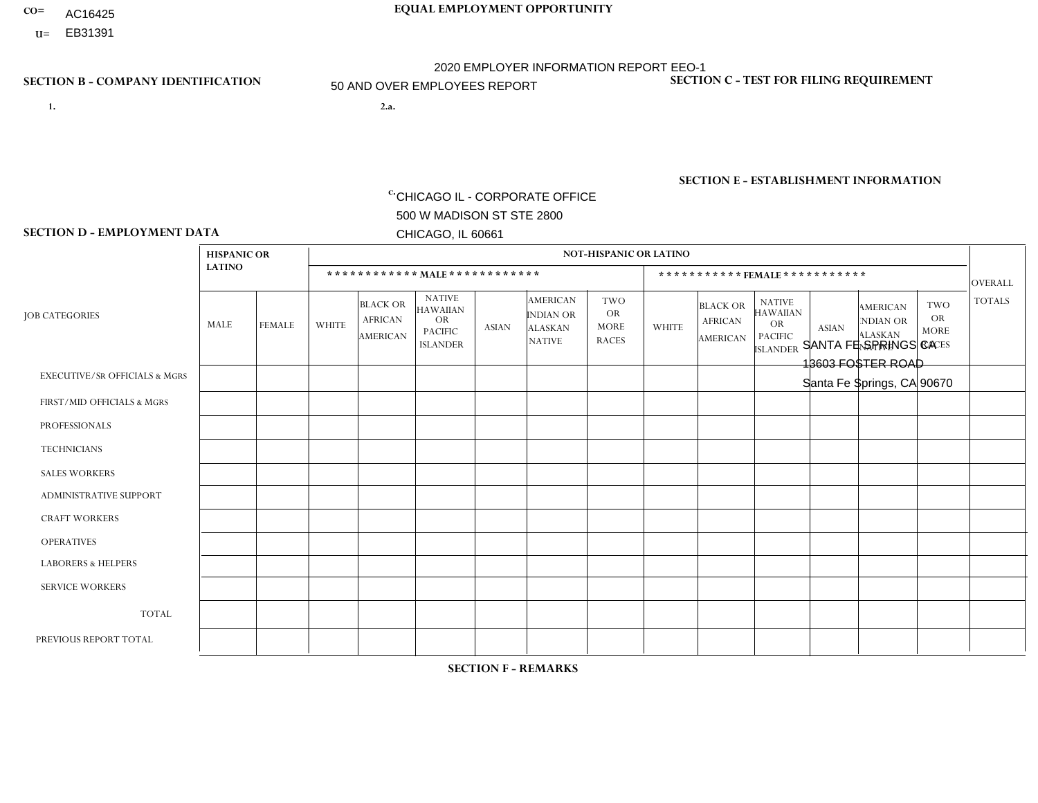- AC16425
- **U=**

**SECTION D - EMPLOYMENT DATA**

- **1. 2.a.** CHICAGO IL CORPORATE OFFICE 500 W MADISON ST STE 2800 CHICAGO, IL 60661
- 2.a. SANTA FE SPRINGS CA 13603 FOSTER ROAD Santa Fe Springs, CA 90670

 $c.$  EIN= 952920557

### **SECTION B - COMPANY IDENTIFICATION SECTION C - TEST FOR FILING REQUIREMENT**

1- Y 2- Y 3- N DUNS= 000123456

### **SECTION E - ESTABLISHMENT INFORMATION c.**

NAICS: 423140 - Motor Vehicle Parts (Used) Merchant Wholesalers

### **HISPANIC OR NOT-HISPANIC OR LATINO LATINO \* \* \* \* \* \* \* \* \* \* \* \* MALE \* \* \* \* \* \* \* \* \* \* \* \* \* \* \* \* \* \* \* \* \* \* \* FEMALE \* \* \* \* \* \* \* \* \* \* \*** OVERALL  $TWO$   $TOTALS$ OR MORE NATIVE RACES ALASKAN INDIAN OR AMERICAN ASIAN ISLANDER PACIFIC OR NATIVE HAWAIIAN BLACK OR AFRICAN AMERICAN **WHITE** TWO OR MORE NATIVE RACES ALASKAN INDIAN OR AMERICAN ASIAN NATIVE HAWAIIAN PACIFIC OR ISLANDER BLACK OR AFRICAN AMERICAN MALE FEMALE WHITE JOB CATEGORIES EXECUTIVE/SR OFFICIALS & MGRS FIRST/MID OFFICIALS & MGRS PROFESSIONALS **TECHNICIANS** SALES WORKERS ADMINISTRATIVE SUPPORT CRAFT WORKERS OPERATIVES LABORERS & HELPERS SERVICE WORKERS TOTAL PREVIOUS REPORT TOTAL 0 2 0 0 6 1 0 13 14 0 36 62 0 1 0 0 1 1 0  $\Omega$ 0 3 6 7 0 1 0 0 2 0 0 0 1 0 4 5 0  $\overline{0}$ 0 0 0 0 0 0 1 0 1 3 0  $\Omega$ 0 0 0 0 0  $\Omega$  $\Omega$ 0 0 0 0  $\Omega$ 0 0 0 1 0 0  $\overline{0}$ 0 1 1 0  $\Omega$ 0 0 0 0 0  $\Omega$  $\Omega$ 0 0 1 0  $\Omega$  $\Omega$ 0 0 0 0 2  $\Omega$ 0 2 5 0  $\Omega$ 0 0 0 1 0  $\Omega$  $\Omega$ 0 1 1 0  $\Omega$  $\Omega$ 0 0 0 0  $\Omega$  $\Omega$ 0 0  $\Omega$  $\Omega$  $\Omega$  $\Omega$ 0  $\Omega$ 0 0  $\Omega$  $\Omega$ 0 0  $\Omega$ 0  $\Omega$ 0 0 0 0 0  $\Omega$  $\Omega$ 0 0  $\Omega$  $\Omega$  $\Omega$ 0 0  $\Omega$ 0 0  $\Omega$  $\Omega$  $\Omega$ 0  $\Omega$  $\Omega$  $\Omega$ 0 0  $\Omega$ 0  $\Omega$  $\Omega$  $\Omega$  $\Omega$ 0 0 0 4 0 0 9 4 0 15 16 3 51 85

**SECTION F - REMARKS**

2020 pandemic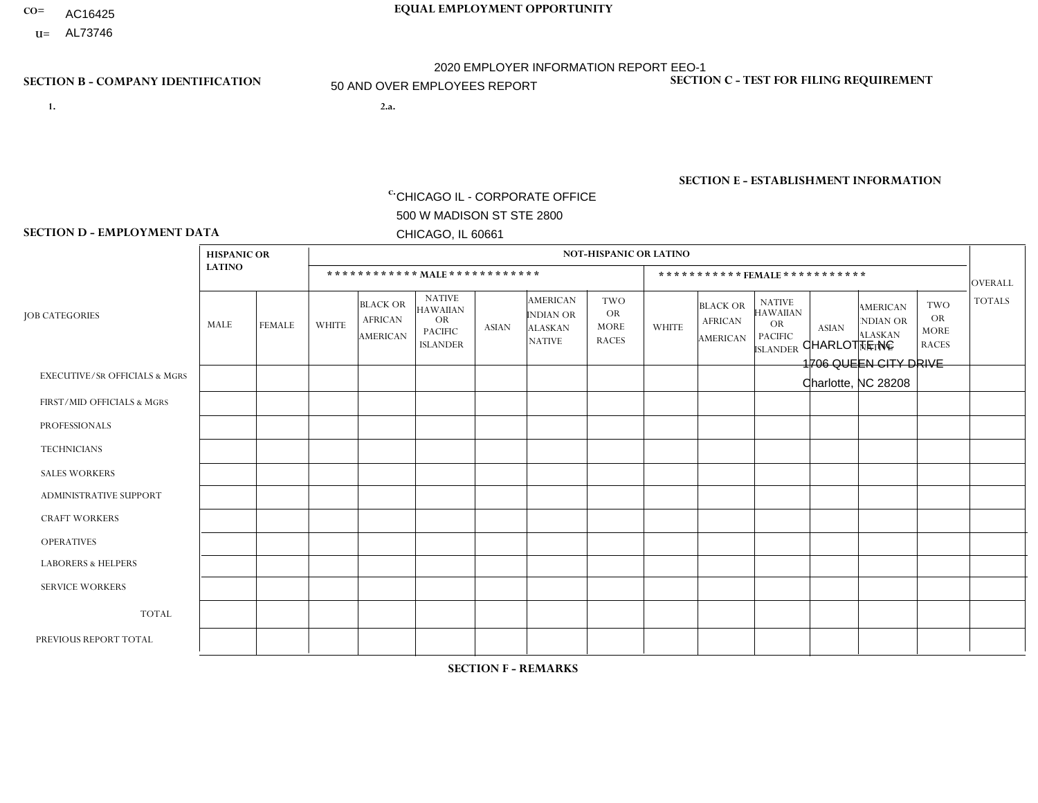- AC16425
- **U=**

- **1. 2.a.** CHICAGO IL CORPORATE OFFICE 500 W MADISON ST STE 2800 CHICAGO, IL 60661
- 2.a. CHARLOTTE NC 1706 QUEEN CITY DRIVE Charlotte, NC 28208

c. EIN= 952920557

# **SECTION B - COMPANY IDENTIFICATION SECTION C - TEST FOR FILING REQUIREMENT**

1- Y 2- Y 3- N DUNS= 000123456

**SECTION E - ESTABLISHMENT INFORMATION c.** NAICS: 423140

### **SECTION D - EMPLOYMENT DATA**

|                                          | <b>HISPANIC OR</b> |               |              |                                                      |                                                                                    |              |                                                                        | <b>NOT-HISPANIC OR LATINO</b>                          |                |                                               |                                                                                    |              |                                                                |                                                        |                |
|------------------------------------------|--------------------|---------------|--------------|------------------------------------------------------|------------------------------------------------------------------------------------|--------------|------------------------------------------------------------------------|--------------------------------------------------------|----------------|-----------------------------------------------|------------------------------------------------------------------------------------|--------------|----------------------------------------------------------------|--------------------------------------------------------|----------------|
|                                          | <b>LATINO</b>      |               |              | ************ MALE ************                       |                                                                                    |              |                                                                        |                                                        |                |                                               | ***********FEMALE***********                                                       |              |                                                                |                                                        | <b>OVERALL</b> |
| <b>JOB CATEGORIES</b>                    | <b>MALE</b>        | <b>FEMALE</b> | <b>WHITE</b> | <b>BLACK OR</b><br><b>AFRICAN</b><br><b>AMERICAN</b> | <b>NATIVE</b><br><b>HAWAIIAN</b><br><b>OR</b><br><b>PACIFIC</b><br><b>ISLANDER</b> | <b>ASIAN</b> | <b>AMERICAN</b><br><b>INDIAN OR</b><br><b>ALASKAN</b><br><b>NATIVE</b> | <b>TWO</b><br><b>OR</b><br><b>MORE</b><br><b>RACES</b> | <b>WHITE</b>   | <b>BLACK OR</b><br><b>AFRICAN</b><br>AMERICAN | <b>NATIVE</b><br><b>HAWAIIAN</b><br><b>OR</b><br><b>PACIFIC</b><br><b>ISLANDER</b> | <b>ASIAN</b> | <b>AMERICAN</b><br>NDIAN OR<br><b>ALASKAN</b><br><b>NATIVE</b> | <b>TWO</b><br><b>OR</b><br><b>MORE</b><br><b>RACES</b> | <b>TOTALS</b>  |
| <b>EXECUTIVE/SR OFFICIALS &amp; MGRS</b> | $\Omega$           | $\mathbf 0$   | $\Omega$     | $\mathbf 0$                                          | $\mathbf 0$                                                                        | $\mathbf 0$  | $\Omega$                                                               | $\Omega$                                               | $\Omega$       | $\Omega$                                      | $\Omega$                                                                           | $\Omega$     | $\Omega$                                                       | $\Omega$                                               | $\mathbf 0$    |
| FIRST/MID OFFICIALS & MGRS               | $\Omega$           | 0             | 5            | 3                                                    | $\mathbf{0}$                                                                       | $\mathbf 0$  | $\Omega$                                                               | $\Omega$                                               | $\Omega$       | $\Omega$                                      | $\Omega$                                                                           | $\Omega$     | $\Omega$                                                       | $\Omega$                                               | 8              |
| <b>PROFESSIONALS</b>                     | $\Omega$           | $\Omega$      | $\Omega$     | $\mathbf 0$                                          | $\Omega$                                                                           | $\Omega$     | $\Omega$                                                               | $\Omega$                                               | $\mathbf{1}$   | $\Omega$                                      | $\Omega$                                                                           | $\Omega$     | $\Omega$                                                       | $\mathbf{0}$                                           | $\mathbf{1}$   |
| <b>TECHNICIANS</b>                       | $\Omega$           | $\mathbf 0$   | $\Omega$     | $\mathbf 0$                                          | $\mathbf{0}$                                                                       | $\Omega$     | $\Omega$                                                               | $\Omega$                                               | $\mathbf{0}$   | $\Omega$                                      | $\Omega$                                                                           | $\Omega$     | $\mathbf{0}$                                                   | $\Omega$                                               | $\mathbf 0$    |
| <b>SALES WORKERS</b>                     | 2                  | $\Omega$      | 1            | $\mathbf 0$                                          | 0                                                                                  | $\Omega$     | $\Omega$                                                               | $\Omega$                                               | $\overline{4}$ | $\Omega$                                      | $\Omega$                                                                           | $\Omega$     | $\Omega$                                                       | $\mathbf{0}$                                           | $\overline{7}$ |
| <b>ADMINISTRATIVE SUPPORT</b>            | $\Omega$           | $\mathbf 0$   | $\mathbf 0$  | $\mathbf{1}$                                         | $\mathbf 0$                                                                        | $\mathbf 0$  | $\Omega$                                                               | $\Omega$                                               | $\overline{2}$ | $\Omega$                                      | $\Omega$                                                                           | $\Omega$     | $\Omega$                                                       | $\mathbf 0$                                            | 3              |
| <b>CRAFT WORKERS</b>                     | $\Omega$           | $\Omega$      | $\Omega$     | $\Omega$                                             | $\Omega$                                                                           | $\Omega$     | $\Omega$                                                               | $\Omega$                                               | $\Omega$       | $\Omega$                                      | $\mathbf{0}$                                                                       | $\Omega$     | $\Omega$                                                       | $\Omega$                                               | $\Omega$       |
| <b>OPERATIVES</b>                        | 3                  | $\Omega$      | 3            | 12                                                   | $\mathbf 0$                                                                        | $\Omega$     | $\Omega$                                                               | 2                                                      | $\Omega$       | $\Omega$                                      | $\Omega$                                                                           | $\Omega$     | $\Omega$                                                       | $\Omega$                                               | 20             |
| <b>LABORERS &amp; HELPERS</b>            | $\overline{2}$     | $\Omega$      | 12           | 23                                                   | 0                                                                                  | $\mathbf 0$  | $\Omega$                                                               | $\Omega$                                               | $\mathbf 1$    | 2                                             | $\Omega$                                                                           | $\Omega$     | $\Omega$                                                       | $\Omega$                                               | 40             |
| <b>SERVICE WORKERS</b>                   | $\Omega$           | $\mathbf 0$   | 0            | $\mathbf 0$                                          | $\mathbf 0$                                                                        | $\mathbf 0$  | $\Omega$                                                               | $\Omega$                                               | $\Omega$       | $\Omega$                                      | $\Omega$                                                                           | $\mathbf 0$  | $\Omega$                                                       | $\mathbf 0$                                            | 0              |
| <b>TOTAL</b>                             | $\overline{7}$     | $\mathbf 0$   | 21           | 39                                                   | 0                                                                                  | $\mathbf 0$  | $\Omega$                                                               | $\overline{2}$                                         | 8              | 2                                             | $\Omega$                                                                           | $\mathbf 0$  | $\Omega$                                                       | $\Omega$                                               | 79             |
| PREVIOUS REPORT TOTAL                    | $\overline{7}$     |               | 28           | 56                                                   | $\mathbf{0}$                                                                       | $\Omega$     | $\Omega$                                                               | 9                                                      | 8              | 4                                             | $\mathbf{0}$                                                                       | $\Omega$     | $\Omega$                                                       | $\mathbf 0$                                            | 113            |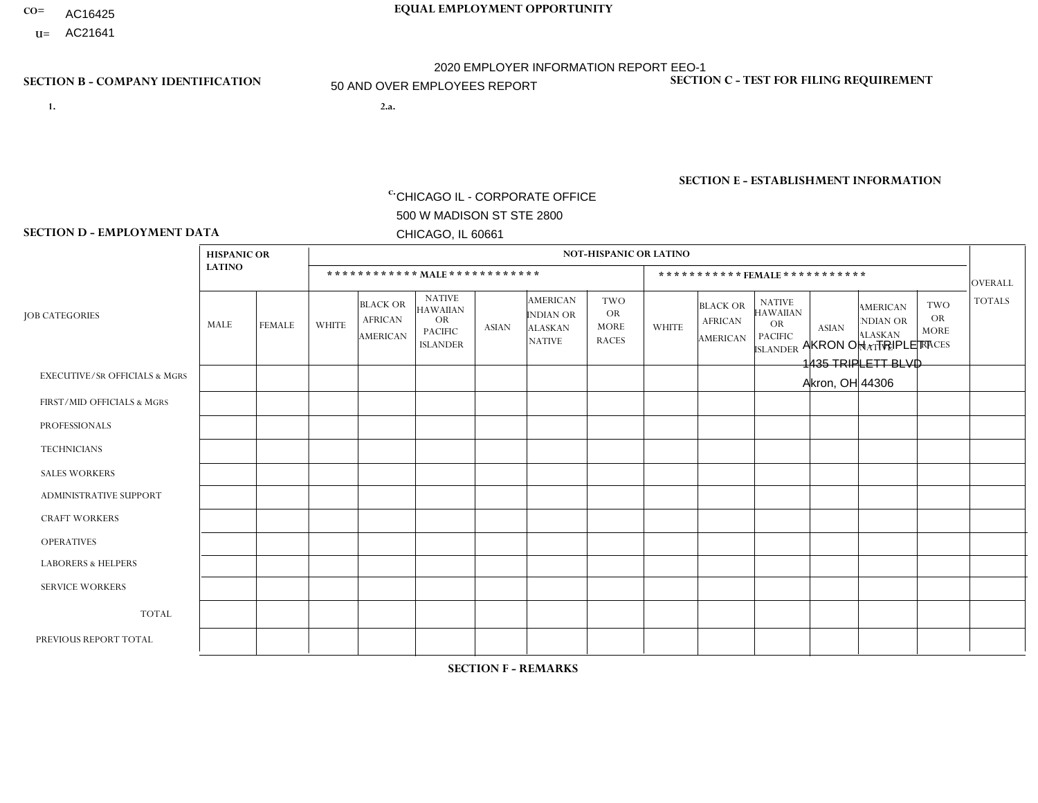- AC16425
- **U=**

**1. 2.a.** CHICAGO IL - CORPORATE OFFICE 500 W MADISON ST STE 2800 CHICAGO, IL 60661

2.a. AKRON OH - TRIPLETT 1435 TRIPLETT BLVD Akron, OH 44306

EIN= 952920557

# **SECTION B - COMPANY IDENTIFICATION SECTION C - TEST FOR FILING REQUIREMENT**

1- Y 2- Y 3- N DUNS= 000123456

**SECTION E - ESTABLISHMENT INFORMATION c.** NAICS: 423140

### **SECTION D - EMPLOYMENT DATA**

|                                          | <b>HISPANIC OR</b> |               |              |                                                      |                                                                                    |              |                                                                        | <b>NOT-HISPANIC OR LATINO</b>                          |                |                                               |                                                                                    |              |                                                                |                                                        |                |
|------------------------------------------|--------------------|---------------|--------------|------------------------------------------------------|------------------------------------------------------------------------------------|--------------|------------------------------------------------------------------------|--------------------------------------------------------|----------------|-----------------------------------------------|------------------------------------------------------------------------------------|--------------|----------------------------------------------------------------|--------------------------------------------------------|----------------|
|                                          | <b>LATINO</b>      |               |              | ************ MALE ************                       |                                                                                    |              |                                                                        |                                                        |                |                                               | *********** FEMALE ***********                                                     |              |                                                                |                                                        | <b>OVERALL</b> |
| <b>JOB CATEGORIES</b>                    | <b>MALE</b>        | <b>FEMALE</b> | <b>WHITE</b> | <b>BLACK OR</b><br><b>AFRICAN</b><br><b>AMERICAN</b> | <b>NATIVE</b><br><b>HAWAIIAN</b><br><b>OR</b><br><b>PACIFIC</b><br><b>ISLANDER</b> | <b>ASIAN</b> | <b>AMERICAN</b><br><b>INDIAN OR</b><br><b>ALASKAN</b><br><b>NATIVE</b> | <b>TWO</b><br><b>OR</b><br><b>MORE</b><br><b>RACES</b> | <b>WHITE</b>   | <b>BLACK OR</b><br><b>AFRICAN</b><br>AMERICAN | <b>NATIVE</b><br><b>HAWAIIAN</b><br><b>OR</b><br><b>PACIFIC</b><br><b>ISLANDER</b> | <b>ASIAN</b> | <b>AMERICAN</b><br>NDIAN OR<br><b>ALASKAN</b><br><b>NATIVE</b> | <b>TWO</b><br><b>OR</b><br><b>MORE</b><br><b>RACES</b> | <b>TOTALS</b>  |
| <b>EXECUTIVE/SR OFFICIALS &amp; MGRS</b> | $\Omega$           | $\Omega$      |              | $\Omega$                                             | $\Omega$                                                                           | $\Omega$     | $\Omega$                                                               | $\Omega$                                               | 0              | $\Omega$                                      | $\Omega$                                                                           | $\Omega$     | $\Omega$                                                       | $\Omega$                                               |                |
| FIRST/MID OFFICIALS & MGRS               | $\Omega$           | $\Omega$      | 18           | $\mathbf 0$                                          | $\Omega$                                                                           | $\Omega$     | $\Omega$                                                               | $\Omega$                                               | 9              | $\Omega$                                      | 0                                                                                  | 1            | $\Omega$                                                       | $\Omega$                                               | 28             |
| <b>PROFESSIONALS</b>                     | $\Omega$           | $\Omega$      | 11           | $\mathbf 0$                                          | $\Omega$                                                                           | $\mathbf{1}$ | $\Omega$                                                               | $\Omega$                                               | 10             | $\Omega$                                      | 0                                                                                  | $\mathbf 0$  | $\Omega$                                                       | $\mathbf 0$                                            | 22             |
| <b>TECHNICIANS</b>                       | $\Omega$           | $\Omega$      | $\Omega$     | $\mathbf 0$                                          | $\Omega$                                                                           | $\Omega$     | $\Omega$                                                               | $\Omega$                                               | 0              | $\Omega$                                      | 0                                                                                  | $\mathbf 0$  | $\Omega$                                                       | $\mathbf 0$                                            | $\overline{0}$ |
| <b>SALES WORKERS</b>                     | $\Omega$           | $\mathbf{1}$  | 31           | 1                                                    | $\Omega$                                                                           | $\Omega$     | $\Omega$                                                               | $\Omega$                                               | 19             | 3                                             | 0                                                                                  | $\Omega$     | $\Omega$                                                       | $\Omega$                                               | 55             |
| <b>ADMINISTRATIVE SUPPORT</b>            | $\Omega$           | 0             | 5            | $\mathbf 0$                                          | 0                                                                                  | $\Omega$     | $\Omega$                                                               | $\Omega$                                               | 18             | 3                                             | 0                                                                                  | $\mathbf 0$  | $\Omega$                                                       | $\mathbf 0$                                            | 26             |
| <b>CRAFT WORKERS</b>                     | $\Omega$           | $\Omega$      | 15           | $\mathbf 0$                                          | $\Omega$                                                                           | $\Omega$     | $\Omega$                                                               | $\Omega$                                               | 0              | $\Omega$                                      | 0                                                                                  | $\Omega$     | $\Omega$                                                       | $\Omega$                                               | 15             |
| <b>OPERATIVES</b>                        | 2                  | $\Omega$      | 47           | 13                                                   | $\mathbf 0$                                                                        | $\Omega$     | $\Omega$                                                               | 3                                                      | $\overline{2}$ | 2                                             | 0                                                                                  | $\mathbf 0$  | $\Omega$                                                       | $\Omega$                                               | 69             |
| <b>LABORERS &amp; HELPERS</b>            | $\Omega$           | $\Omega$      | $\mathbf{0}$ | $\overline{1}$                                       | $\mathbf 0$                                                                        | $\Omega$     | $\Omega$                                                               | $\Omega$                                               | $\Omega$       | $\Omega$                                      | $\Omega$                                                                           | $\Omega$     | $\Omega$                                                       | $\Omega$                                               | $\mathbf{1}$   |
| <b>SERVICE WORKERS</b>                   | $\Omega$           | 0             | $\Omega$     | 0                                                    | $\mathbf 0$                                                                        | $\Omega$     | $\Omega$                                                               | $\Omega$                                               | 0              | $\Omega$                                      | $\Omega$                                                                           | $\mathbf 0$  | $\Omega$                                                       | $\Omega$                                               | $\mathbf 0$    |
| <b>TOTAL</b>                             | $\overline{c}$     | $\mathbf{1}$  | 128          | 15                                                   | $\mathbf 0$                                                                        | 1            | $\Omega$                                                               | 3                                                      | 58             | 8                                             | 0                                                                                  | 1            | 0                                                              | $\mathbf 0$                                            | 217            |
| PREVIOUS REPORT TOTAL                    | 2                  |               | 164          | 28                                                   | $\mathbf 0$                                                                        | 2            | $\Omega$                                                               | $\overline{7}$                                         | 82             | 11                                            | 0                                                                                  | $\mathbf 0$  | $\Omega$                                                       | $\mathbf 0$                                            | 297            |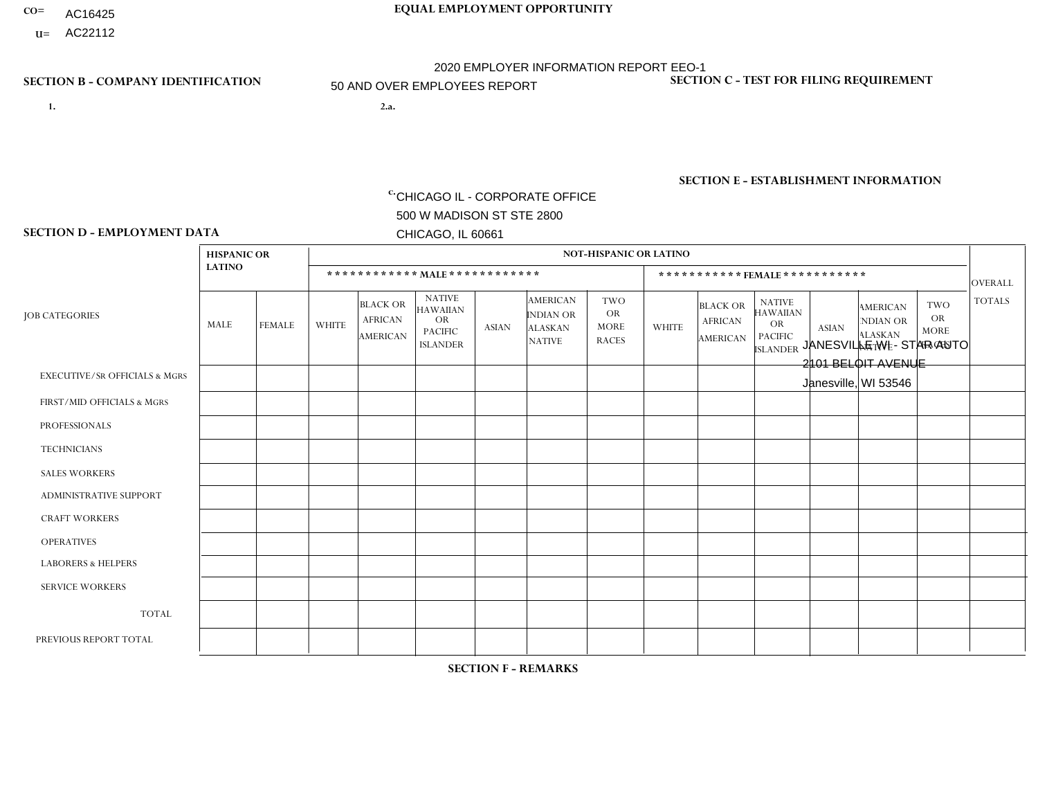- AC16425
- **U=**

**1. 2.a.** CHICAGO IL - CORPORATE OFFICE 500 W MADISON ST STE 2800 CHICAGO, IL 60661

2.a. JANESVILLE WI - STAR AUTO 2101 BELOIT AVENUE Janesville, WI 53546

EIN= 952920557

# **SECTION B - COMPANY IDENTIFICATION SECTION C - TEST FOR FILING REQUIREMENT**

1- Y 2- Y 3- N DUNS= 000123456

**SECTION E - ESTABLISHMENT INFORMATION c.** NAICS: 423140

### **SECTION D - EMPLOYMENT DATA**

|                                          | <b>HISPANIC OR</b> |               |                |                                                      |                                                                                    |              |                                                                        | <b>NOT-HISPANIC OR LATINO</b>                          |              |                                               |                                                                             |              |                                                                       |                                                        |                |
|------------------------------------------|--------------------|---------------|----------------|------------------------------------------------------|------------------------------------------------------------------------------------|--------------|------------------------------------------------------------------------|--------------------------------------------------------|--------------|-----------------------------------------------|-----------------------------------------------------------------------------|--------------|-----------------------------------------------------------------------|--------------------------------------------------------|----------------|
|                                          | <b>LATINO</b>      |               |                | ************ MALE ************                       |                                                                                    |              |                                                                        |                                                        |              | ***********FEMALE***********                  |                                                                             |              |                                                                       |                                                        | <b>OVERALL</b> |
| <b>JOB CATEGORIES</b>                    | MALE               | <b>FEMALE</b> | <b>WHITE</b>   | <b>BLACK OR</b><br><b>AFRICAN</b><br><b>AMERICAN</b> | <b>NATIVE</b><br><b>HAWAIIAN</b><br><b>OR</b><br><b>PACIFIC</b><br><b>ISLANDER</b> | <b>ASIAN</b> | <b>AMERICAN</b><br><b>INDIAN OR</b><br><b>ALASKAN</b><br><b>NATIVE</b> | <b>TWO</b><br><b>OR</b><br><b>MORE</b><br><b>RACES</b> | <b>WHITE</b> | <b>BLACK OR</b><br><b>AFRICAN</b><br>AMERICAN | <b>NATIVE</b><br><b>HAWAIIAN</b><br>OR<br><b>PACIFIC</b><br><b>ISLANDER</b> | <b>ASIAN</b> | <b>AMERICAN</b><br><b>NDIAN OR</b><br><b>ALASKAN</b><br><b>NATIVE</b> | <b>TWO</b><br><b>OR</b><br><b>MORE</b><br><b>RACES</b> | <b>TOTALS</b>  |
| <b>EXECUTIVE/SR OFFICIALS &amp; MGRS</b> | $\Omega$           | $\Omega$      | $\Omega$       | $\mathbf 0$                                          | $\Omega$                                                                           | $\Omega$     | $\Omega$                                                               | $\Omega$                                               | $\Omega$     | $\Omega$                                      | $\Omega$                                                                    | $\Omega$     | $\Omega$                                                              | $\Omega$                                               | $\mathbf 0$    |
| FIRST/MID OFFICIALS & MGRS               | 0                  | $\mathbf 0$   | 5              | $\mathbf 0$                                          | 0                                                                                  | $\Omega$     | $\Omega$                                                               | $\Omega$                                               |              | $\Omega$                                      | $\Omega$                                                                    | $\Omega$     | $\Omega$                                                              | $\Omega$                                               | 6              |
| <b>PROFESSIONALS</b>                     | 0                  | $\Omega$      | 5              | $\mathbf 0$                                          | $\Omega$                                                                           | $\Omega$     | $\Omega$                                                               | $\Omega$                                               | 0            | $\Omega$                                      | $\Omega$                                                                    | $\Omega$     | $\Omega$                                                              | $\Omega$                                               | 5              |
| <b>TECHNICIANS</b>                       | 0                  | $\Omega$      | $\Omega$       | $\Omega$                                             | $\Omega$                                                                           | $\Omega$     | $\Omega$                                                               | $\Omega$                                               | $\Omega$     | $\Omega$                                      | $\Omega$                                                                    | $\Omega$     | $\Omega$                                                              | $\Omega$                                               | $\Omega$       |
| <b>SALES WORKERS</b>                     | 0                  | $\Omega$      | $\overline{7}$ | $\Omega$                                             | $\Omega$                                                                           | $\Omega$     | $\Omega$                                                               | $\Omega$                                               | 4            | $\Omega$                                      | $\Omega$                                                                    | $\Omega$     | $\Omega$                                                              | $\Omega$                                               | 11             |
| ADMINISTRATIVE SUPPORT                   | 0                  | $\Omega$      |                | $\mathbf 0$                                          | $\Omega$                                                                           | $\Omega$     | $\Omega$                                                               | $\Omega$                                               | 3            | $\Omega$                                      | $\Omega$                                                                    | $\Omega$     | $\Omega$                                                              | $\Omega$                                               | $\overline{4}$ |
| <b>CRAFT WORKERS</b>                     | 0                  | $\Omega$      | 6              | 1                                                    | $\Omega$                                                                           | $\Omega$     | $\Omega$                                                               | $\Omega$                                               | 0            | $\Omega$                                      | $\Omega$                                                                    | $\Omega$     | $\Omega$                                                              | $\Omega$                                               | $\overline{7}$ |
| <b>OPERATIVES</b>                        | 1                  | $\Omega$      | 30             | $\mathbf 0$                                          | $\Omega$                                                                           | $\Omega$     | $\Omega$                                                               |                                                        | $\Omega$     | $\Omega$                                      | $\Omega$                                                                    | $\Omega$     | $\Omega$                                                              | $\Omega$                                               | 32             |
| <b>LABORERS &amp; HELPERS</b>            | $\Omega$           | $\Omega$      | $\overline{ }$ | $\mathbf 0$                                          | $\mathbf 0$                                                                        | $\Omega$     | $\Omega$                                                               | $\Omega$                                               | $\Omega$     | $\Omega$                                      | $\Omega$                                                                    | $\Omega$     | $\Omega$                                                              | $\mathbf 0$                                            | $\mathbf{1}$   |
| <b>SERVICE WORKERS</b>                   | 0                  | $\Omega$      | $\Omega$       | $\mathbf 0$                                          | $\mathbf{0}$                                                                       | $\Omega$     | $\Omega$                                                               | $\Omega$                                               | $\Omega$     | $\Omega$                                      | $\Omega$                                                                    | $\Omega$     | $\Omega$                                                              | $\Omega$                                               | $\overline{0}$ |
| <b>TOTAL</b>                             | 1                  | 0             | 55             | $\mathbf{1}$                                         | 0                                                                                  | $\Omega$     | $\Omega$                                                               |                                                        | 8            | $\Omega$                                      | $\Omega$                                                                    | $\mathbf 0$  | 0                                                                     | $\mathbf 0$                                            | 66             |
| PREVIOUS REPORT TOTAL                    | $\overline{2}$     | $\Omega$      | 76             | $\overline{1}$                                       | $\Omega$                                                                           | $\Omega$     | $\Omega$                                                               |                                                        | 9            | $\Omega$                                      | $\Omega$                                                                    | $\Omega$     | $\Omega$                                                              | $\mathbf{1}$                                           | 90             |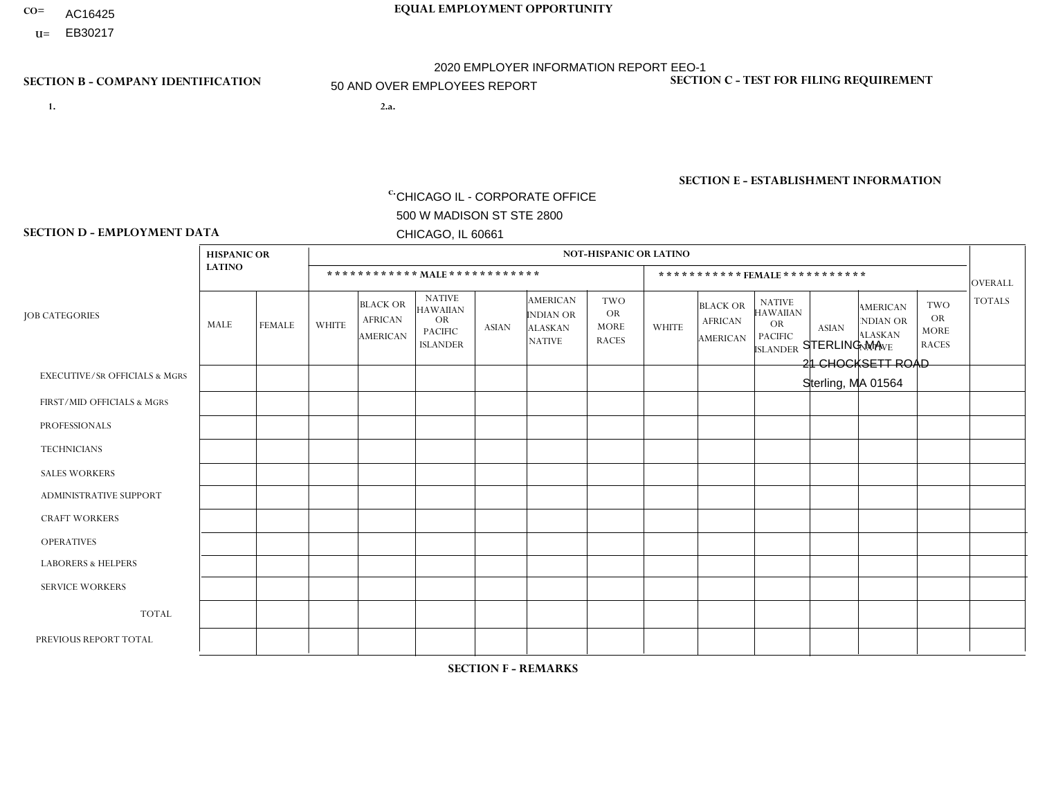- AC16425
- **U=**

- **1. 2.a.** CHICAGO IL CORPORATE OFFICE 500 W MADISON ST STE 2800 CHICAGO, IL 60661
- 2.a. STERLING MA 21 CHOCKSETT ROAD Sterling, MA 01564

c. EIN= 952920557

# **SECTION B - COMPANY IDENTIFICATION SECTION C - TEST FOR FILING REQUIREMENT**

1- Y 2- Y 3- N DUNS= 000123456

**SECTION E - ESTABLISHMENT INFORMATION c.** NAICS: 423140

### **SECTION D - EMPLOYMENT DATA**

|                                          | <b>HISPANIC OR</b> |                |              |                                                      |                                                                                    |              |                                                                        | <b>NOT-HISPANIC OR LATINO</b>                          |                |                                               |                                                                             |              |                                                                       |                                                        |                |
|------------------------------------------|--------------------|----------------|--------------|------------------------------------------------------|------------------------------------------------------------------------------------|--------------|------------------------------------------------------------------------|--------------------------------------------------------|----------------|-----------------------------------------------|-----------------------------------------------------------------------------|--------------|-----------------------------------------------------------------------|--------------------------------------------------------|----------------|
|                                          | <b>LATINO</b>      |                |              | ************ MALE ************                       |                                                                                    |              |                                                                        |                                                        |                | ***********FEMALE***********                  |                                                                             |              |                                                                       |                                                        | <b>OVERALL</b> |
| <b>JOB CATEGORIES</b>                    | MALE               | <b>FEMALE</b>  | <b>WHITE</b> | <b>BLACK OR</b><br><b>AFRICAN</b><br><b>AMERICAN</b> | <b>NATIVE</b><br><b>HAWAIIAN</b><br><b>OR</b><br><b>PACIFIC</b><br><b>ISLANDER</b> | <b>ASIAN</b> | <b>AMERICAN</b><br><b>INDIAN OR</b><br><b>ALASKAN</b><br><b>NATIVE</b> | <b>TWO</b><br><b>OR</b><br><b>MORE</b><br><b>RACES</b> | <b>WHITE</b>   | <b>BLACK OR</b><br><b>AFRICAN</b><br>AMERICAN | <b>NATIVE</b><br><b>HAWAIIAN</b><br>OR<br><b>PACIFIC</b><br><b>ISLANDER</b> | <b>ASIAN</b> | <b>AMERICAN</b><br><b>NDIAN OR</b><br><b>ALASKAN</b><br><b>NATIVE</b> | <b>TWO</b><br><b>OR</b><br><b>MORE</b><br><b>RACES</b> | <b>TOTALS</b>  |
| <b>EXECUTIVE/SR OFFICIALS &amp; MGRS</b> | $\Omega$           | $\Omega$       | $\Omega$     | $\Omega$                                             | $\Omega$                                                                           | $\mathbf{0}$ | $\Omega$                                                               | $\Omega$                                               | 0              | $\Omega$                                      | $\Omega$                                                                    | $\Omega$     | $\Omega$                                                              | $\Omega$                                               | $\Omega$       |
| FIRST/MID OFFICIALS & MGRS               |                    | $\Omega$       | 4            | $\mathbf 0$                                          | $\Omega$                                                                           | $\Omega$     | $\Omega$                                                               | $\Omega$                                               | $\Omega$       | $\Omega$                                      | $\Omega$                                                                    | $\Omega$     | $\Omega$                                                              | $\mathbf 0$                                            | 5              |
| <b>PROFESSIONALS</b>                     | 0                  | $\Omega$       | 1            | $\mathbf 0$                                          | $\Omega$                                                                           | $\Omega$     | $\Omega$                                                               | $\Omega$                                               | 0              | $\Omega$                                      | $\Omega$                                                                    | $\Omega$     | $\Omega$                                                              | $\Omega$                                               | $\mathbf{1}$   |
| <b>TECHNICIANS</b>                       | $\Omega$           | $\overline{0}$ | $\Omega$     | $\mathbf 0$                                          | $\mathbf 0$                                                                        | $\Omega$     | $\Omega$                                                               | $\Omega$                                               | $\overline{0}$ | $\Omega$                                      | $\Omega$                                                                    | $\mathbf 0$  | $\mathbf 0$                                                           | $\mathbf 0$                                            | $\mathbf{0}$   |
| <b>SALES WORKERS</b>                     | $\Omega$           | $\Omega$       | $\Omega$     | $\Omega$                                             | $\Omega$                                                                           | $\Omega$     | $\Omega$                                                               | $\Omega$                                               | $\Omega$       | $\Omega$                                      | $\Omega$                                                                    | $\mathbf{0}$ | $\Omega$                                                              | $\mathbf{0}$                                           | $\Omega$       |
| ADMINISTRATIVE SUPPORT                   | 0                  | 0              | $\mathbf 0$  | $\mathbf 0$                                          | 0                                                                                  | $\Omega$     | $\Omega$                                                               | $\Omega$                                               |                | $\Omega$                                      | $\Omega$                                                                    | $\Omega$     | $\Omega$                                                              | $\mathbf 0$                                            | $\mathbf{1}$   |
| <b>CRAFT WORKERS</b>                     | 0                  | $\Omega$       | $\Omega$     | $\mathbf 0$                                          | $\Omega$                                                                           | $\Omega$     | $\Omega$                                                               | $\Omega$                                               | 0              | $\Omega$                                      | $\Omega$                                                                    | $\mathbf{0}$ | $\Omega$                                                              | $\Omega$                                               | $\Omega$       |
| <b>OPERATIVES</b>                        | 5                  | $\Omega$       | 34           | $\overline{1}$                                       | $\Omega$                                                                           | $\Omega$     | -1                                                                     | $\Omega$                                               | 0              | $\Omega$                                      | $\Omega$                                                                    | $\Omega$     | $\Omega$                                                              | $\Omega$                                               | 41             |
| <b>LABORERS &amp; HELPERS</b>            | 11                 | $\Omega$       | 12           | $\mathbf 0$                                          | 1                                                                                  | $\Omega$     | $\Omega$                                                               | 3                                                      | $\Omega$       | $\Omega$                                      | $\Omega$                                                                    | $\Omega$     | $\Omega$                                                              | $\Omega$                                               | 27             |
| <b>SERVICE WORKERS</b>                   | 0                  | 0              | $\mathbf 0$  | 0                                                    | 0                                                                                  | $\Omega$     | $\Omega$                                                               | $\Omega$                                               | $\Omega$       | $\Omega$                                      | $\Omega$                                                                    | $\mathbf 0$  | 0                                                                     | $\mathbf 0$                                            | $\mathbf{0}$   |
| <b>TOTAL</b>                             | 17                 | $\mathbf 0$    | 51           | $\overline{ }$                                       |                                                                                    | $\Omega$     |                                                                        | 3                                                      |                | $\Omega$                                      | $\Omega$                                                                    | $\Omega$     | $\Omega$                                                              | $\Omega$                                               | 75             |
| PREVIOUS REPORT TOTAL                    | 23                 | $\Omega$       | 58           | 4                                                    | $\overline{2}$                                                                     | 1            | -1                                                                     | $\overline{7}$                                         |                | $\Omega$                                      | $\Omega$                                                                    | $\mathbf{0}$ | $\Omega$                                                              | $\mathbf 0$                                            | 97             |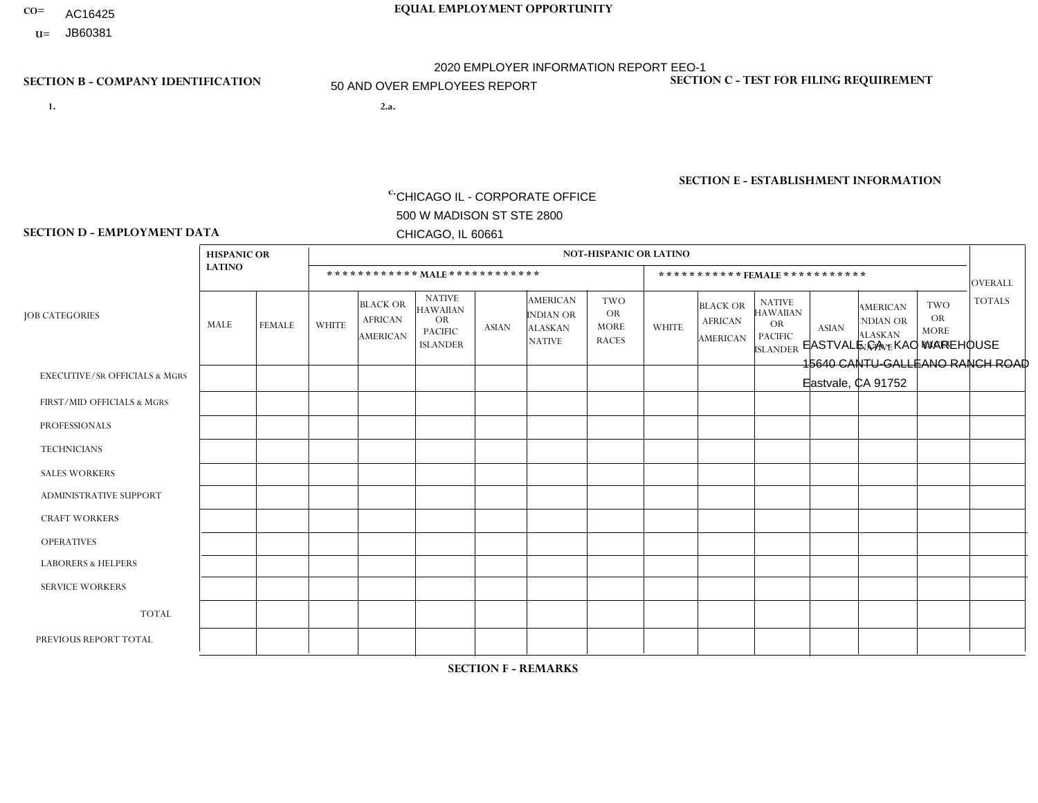- AC16425
- **U=**

**1. 2.a.** CHICAGO IL - CORPORATE OFFICE 500 W MADISON ST STE 2800 CHICAGO, IL 60661

**CO= EQUAL EMPLOYMENT OPPORTUNITY** 2020 EMPLOYER INFORMATION REPORT EEO-1 50 AND OVER EMPLOYEES REPORT

> 2.a. EASTVALE CA - KAO WAREHOUSE 15640 CANTU-GALLEANO RANCH ROAD Eastvale, CA 91752

c. EIN= 952920557

# **SECTION B - COMPANY IDENTIFICATION SECTION C - TEST FOR FILING REQUIREMENT**

1- Y 2- Y 3- N DUNS= 000123456

**SECTION E - ESTABLISHMENT INFORMATION c.** NAICS: 423140

### **SECTION D - EMPLOYMENT DATA**

|                                          | <b>HISPANIC OR</b> |               |                |                                                      |                                                                                    |                |                                                                        | <b>NOT-HISPANIC OR LATINO</b>                          |                |                                                      |                                                                                    |                |                                                                       |                                                        |                |
|------------------------------------------|--------------------|---------------|----------------|------------------------------------------------------|------------------------------------------------------------------------------------|----------------|------------------------------------------------------------------------|--------------------------------------------------------|----------------|------------------------------------------------------|------------------------------------------------------------------------------------|----------------|-----------------------------------------------------------------------|--------------------------------------------------------|----------------|
|                                          | <b>LATINO</b>      |               |                |                                                      | ************ MALE *************                                                    |                |                                                                        |                                                        |                | ***********FEMALE***********                         |                                                                                    |                |                                                                       |                                                        | <b>OVERALL</b> |
| <b>JOB CATEGORIES</b>                    | MALE               | <b>FEMALE</b> | <b>WHITE</b>   | <b>BLACK OR</b><br><b>AFRICAN</b><br><b>AMERICAN</b> | <b>NATIVE</b><br><b>HAWAIIAN</b><br><b>OR</b><br><b>PACIFIC</b><br><b>ISLANDER</b> | <b>ASIAN</b>   | <b>AMERICAN</b><br><b>INDIAN OR</b><br><b>ALASKAN</b><br><b>NATIVE</b> | <b>TWO</b><br><b>OR</b><br><b>MORE</b><br><b>RACES</b> | <b>WHITE</b>   | <b>BLACK OR</b><br><b>AFRICAN</b><br><b>AMERICAN</b> | <b>NATIVE</b><br><b>HAWAIIAN</b><br><b>OR</b><br><b>PACIFIC</b><br><b>ISLANDER</b> | <b>ASIAN</b>   | <b>AMERICAN</b><br><b>NDIAN OR</b><br><b>ALASKAN</b><br><b>NATIVE</b> | <b>TWO</b><br><b>OR</b><br><b>MORE</b><br><b>RACES</b> | <b>TOTALS</b>  |
| <b>EXECUTIVE/SR OFFICIALS &amp; MGRS</b> | 0                  | $\Omega$      | 1              | $\mathbf 0$                                          | $\Omega$                                                                           | $\Omega$       | $\Omega$                                                               | $\Omega$                                               | 0              | $\Omega$                                             | $\Omega$                                                                           | $\Omega$       | $\Omega$                                                              | $\Omega$                                               |                |
| FIRST/MID OFFICIALS & MGRS               | 5                  | $\Omega$      | 8              | $\mathbf 0$                                          | $\mathbf 0$                                                                        | $\overline{2}$ | $\Omega$                                                               | $\Omega$                                               | 0              | $\Omega$                                             | $\Omega$                                                                           | $\Omega$       | $\Omega$                                                              | $\Omega$                                               | 15             |
| <b>PROFESSIONALS</b>                     |                    | $\mathbf{1}$  | 3              | $\mathbf 0$                                          | $\mathbf 0$                                                                        | $\Omega$       | $\Omega$                                                               | $\Omega$                                               | $\Omega$       | $\Omega$                                             | $\Omega$                                                                           | $\mathbf 0$    | $\Omega$                                                              | $\Omega$                                               | 5              |
| <b>TECHNICIANS</b>                       | 0                  | $\Omega$      | $\Omega$       | 0                                                    | $\mathbf 0$                                                                        | $\Omega$       | $\Omega$                                                               | $\Omega$                                               | $\Omega$       | $\Omega$                                             | $\Omega$                                                                           | $\Omega$       | $\Omega$                                                              | $\Omega$                                               | $\mathbf 0$    |
| <b>SALES WORKERS</b>                     | 1                  | $\mathbf{1}$  | 3              | $\mathbf 0$                                          | $\Omega$                                                                           | $\Omega$       | $\Omega$                                                               | $\Omega$                                               |                | $\Omega$                                             | $\Omega$                                                                           | $\Omega$       |                                                                       | $\Omega$                                               | $\overline{7}$ |
| <b>ADMINISTRATIVE SUPPORT</b>            | 0                  | $\mathbf{1}$  | $\overline{2}$ | $\mathbf 0$                                          | $\mathbf 0$                                                                        | 0              | $\Omega$                                                               | $\Omega$                                               | $\overline{2}$ | $\Omega$                                             | $\Omega$                                                                           | $\Omega$       | $\Omega$                                                              | $\Omega$                                               | 5              |
| <b>CRAFT WORKERS</b>                     | 0                  | $\Omega$      | $\mathbf 0$    | $\mathbf 0$                                          | 0                                                                                  | $\Omega$       | $\Omega$                                                               | $\Omega$                                               | $\Omega$       | $\Omega$                                             | $\Omega$                                                                           | $\Omega$       | $\Omega$                                                              | $\Omega$                                               | $\Omega$       |
| <b>OPERATIVES</b>                        | 21                 | $\mathbf{1}$  | 6              | 1                                                    | 0                                                                                  | $\Omega$       | $\Omega$                                                               | $\Omega$                                               | 0              | $\Omega$                                             | $\Omega$                                                                           | $\Omega$       | $\Omega$                                                              | $\Omega$                                               | 29             |
| <b>LABORERS &amp; HELPERS</b>            | 37                 | 11            | 21             | 6                                                    | 0                                                                                  | 3              | $\Omega$                                                               | 6                                                      | 5              | 1                                                    | $\Omega$                                                                           | -1             | 0                                                                     | $\Omega$                                               | 91             |
| <b>SERVICE WORKERS</b>                   | 0                  | $\Omega$      | 1              | $\mathbf 0$                                          | 0                                                                                  | 0              | $\Omega$                                                               | $\Omega$                                               | $\Omega$       | $\Omega$                                             | $\Omega$                                                                           | $\Omega$       | $\Omega$                                                              | $\Omega$                                               | $\mathbf{1}$   |
| <b>TOTAL</b>                             | 65                 | 15            | 45             | $\overline{7}$                                       | 0                                                                                  | 5              | $\Omega$                                                               | 6                                                      | 8              | 1                                                    | $\mathbf 0$                                                                        |                |                                                                       | 0                                                      | 154            |
| PREVIOUS REPORT TOTAL                    | 61                 | 23            | 36             | $\overline{7}$                                       | $\mathbf 0$                                                                        | 8              | $\Omega$                                                               | $\overline{7}$                                         | 10             | 1                                                    | $\Omega$                                                                           | $\overline{2}$ |                                                                       | $\mathbf{1}$                                           | 157            |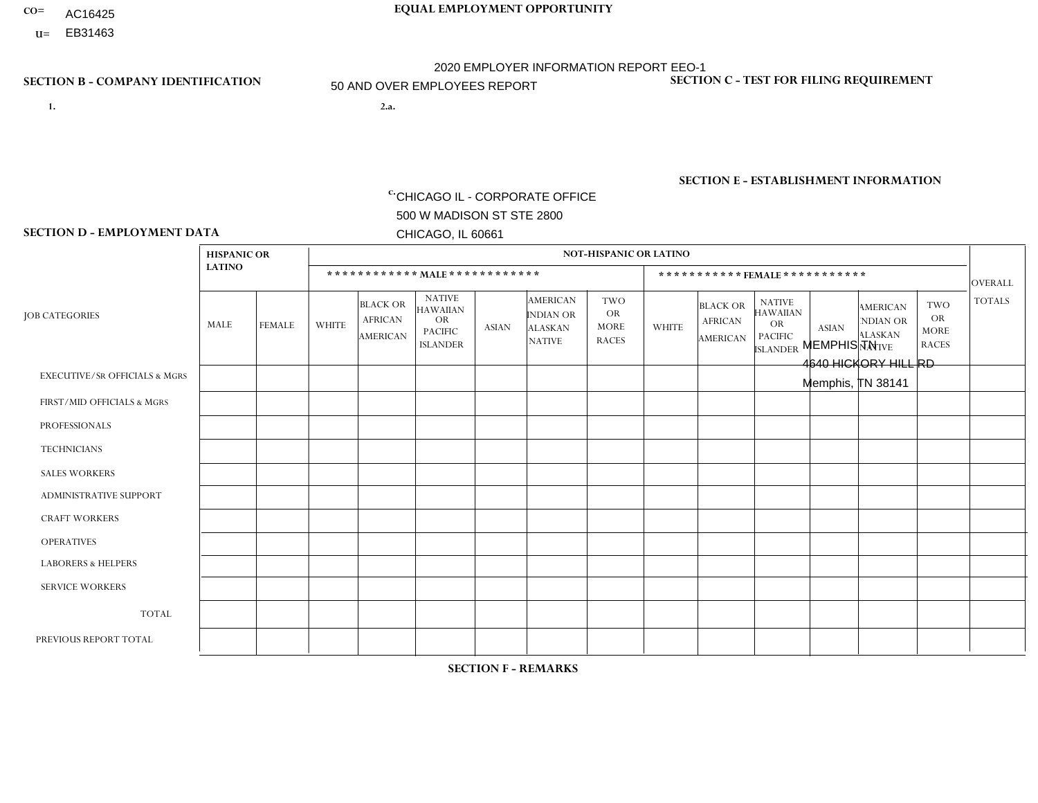- AC16425
- **U=**

- **1. 2.a.** CHICAGO IL CORPORATE OFFICE 500 W MADISON ST STE 2800 CHICAGO, IL 60661
- 2.a. MEMPHIS TN 4640 HICKORY HILL RD Memphis, TN 38141

c. EIN= 952920557

# **SECTION B - COMPANY IDENTIFICATION SECTION C - TEST FOR FILING REQUIREMENT**

1- Y 2- Y 3- N DUNS= 000123456

**SECTION E - ESTABLISHMENT INFORMATION c.** NAICS: 423140

### **SECTION D - EMPLOYMENT DATA**

|                                          | <b>HISPANIC OR</b> |               |              |                                                      |                                                                                    |              |                                                                        | <b>NOT-HISPANIC OR LATINO</b>                          |                |                                               |                                                                                    |              |                                                                |                                                        |                |
|------------------------------------------|--------------------|---------------|--------------|------------------------------------------------------|------------------------------------------------------------------------------------|--------------|------------------------------------------------------------------------|--------------------------------------------------------|----------------|-----------------------------------------------|------------------------------------------------------------------------------------|--------------|----------------------------------------------------------------|--------------------------------------------------------|----------------|
|                                          | <b>LATINO</b>      |               |              | ************ MALE ************                       |                                                                                    |              |                                                                        |                                                        |                |                                               | *********** FEMALE ***********                                                     |              |                                                                |                                                        | <b>OVERALL</b> |
| <b>JOB CATEGORIES</b>                    | <b>MALE</b>        | <b>FEMALE</b> | <b>WHITE</b> | <b>BLACK OR</b><br><b>AFRICAN</b><br><b>AMERICAN</b> | <b>NATIVE</b><br><b>HAWAIIAN</b><br><b>OR</b><br><b>PACIFIC</b><br><b>ISLANDER</b> | <b>ASIAN</b> | <b>AMERICAN</b><br><b>INDIAN OR</b><br><b>ALASKAN</b><br><b>NATIVE</b> | <b>TWO</b><br><b>OR</b><br><b>MORE</b><br><b>RACES</b> | <b>WHITE</b>   | <b>BLACK OR</b><br><b>AFRICAN</b><br>AMERICAN | <b>NATIVE</b><br><b>HAWAIIAN</b><br><b>OR</b><br><b>PACIFIC</b><br><b>ISLANDER</b> | <b>ASIAN</b> | <b>AMERICAN</b><br>NDIAN OR<br><b>ALASKAN</b><br><b>NATIVE</b> | <b>TWO</b><br><b>OR</b><br><b>MORE</b><br><b>RACES</b> | <b>TOTALS</b>  |
| <b>EXECUTIVE/SR OFFICIALS &amp; MGRS</b> | $\Omega$           | $\Omega$      | $\mathbf{0}$ | $\mathbf 0$                                          | $\Omega$                                                                           | $\Omega$     | $\Omega$                                                               | $\Omega$                                               | 0              | $\Omega$                                      | $\Omega$                                                                           | $\Omega$     | $\Omega$                                                       | $\Omega$                                               | $\Omega$       |
| FIRST/MID OFFICIALS & MGRS               | $\Omega$           | $\Omega$      | 3            | $\overline{ }$                                       | $\Omega$                                                                           | $\Omega$     | $\Omega$                                                               | $\Omega$                                               | $\overline{2}$ | $\Omega$                                      | 0                                                                                  | $\Omega$     | $\Omega$                                                       | $\Omega$                                               | 6              |
| <b>PROFESSIONALS</b>                     | $\Omega$           | $\Omega$      | $\mathbf 0$  | $\mathbf 0$                                          | $\Omega$                                                                           | $\Omega$     | $\Omega$                                                               | $\mathbf{1}$                                           | $\Omega$       | $\Omega$                                      | 0                                                                                  | 0            | $\Omega$                                                       | $\mathbf 0$                                            | $\mathbf{1}$   |
| <b>TECHNICIANS</b>                       | $\Omega$           | $\Omega$      | $\Omega$     | $\Omega$                                             | $\Omega$                                                                           | $\Omega$     | $\Omega$                                                               | $\Omega$                                               | $\Omega$       | $\Omega$                                      | 0                                                                                  | $\mathbf 0$  | $\Omega$                                                       | $\mathbf 0$                                            | $\Omega$       |
| <b>SALES WORKERS</b>                     | 1                  | $\Omega$      | 4            | $\overline{ }$                                       | $\Omega$                                                                           | $\Omega$     | $\Omega$                                                               | $\Omega$                                               | $\Omega$       | $\Omega$                                      | $\Omega$                                                                           | $\Omega$     | $\Omega$                                                       | $\Omega$                                               | 6              |
| <b>ADMINISTRATIVE SUPPORT</b>            | $\Omega$           | 0             | 1            | $\mathbf 0$                                          | 0                                                                                  | $\Omega$     | $\Omega$                                                               | $\Omega$                                               | 1              | $\Omega$                                      | 0                                                                                  | $\mathbf 0$  | $\Omega$                                                       | $\mathbf 0$                                            | $\overline{2}$ |
| <b>CRAFT WORKERS</b>                     | $\Omega$           | $\Omega$      | $\mathbf{0}$ | $\Omega$                                             | $\Omega$                                                                           | $\Omega$     | $\Omega$                                                               | $\Omega$                                               | 0              | $\Omega$                                      | 0                                                                                  | $\Omega$     | $\Omega$                                                       | $\Omega$                                               | $\Omega$       |
| <b>OPERATIVES</b>                        |                    | $\Omega$      | 14           | 27                                                   | $\mathbf 0$                                                                        | $\Omega$     | $\Omega$                                                               | 1                                                      | 1              | $\overline{1}$                                | 0                                                                                  | $\mathbf 0$  | $\Omega$                                                       | $\Omega$                                               | 45             |
| <b>LABORERS &amp; HELPERS</b>            | $\Omega$           | $\Omega$      | -1           | 3                                                    | $\Omega$                                                                           | $\Omega$     | $\Omega$                                                               | $\Omega$                                               | $\Omega$       | $\Omega$                                      | $\Omega$                                                                           | $\Omega$     | $\Omega$                                                       | $\Omega$                                               | 4              |
| <b>SERVICE WORKERS</b>                   | $\Omega$           | $\Omega$      | $\Omega$     | $\mathbf 0$                                          | $\mathbf 0$                                                                        | $\Omega$     | $\Omega$                                                               | $\Omega$                                               | 0              | $\Omega$                                      | $\Omega$                                                                           | $\mathbf 0$  | $\Omega$                                                       | $\Omega$                                               | $\mathbf{0}$   |
| <b>TOTAL</b>                             | $\overline{c}$     | 0             | 23           | 32                                                   | $\mathbf 0$                                                                        | 0            | $\Omega$                                                               | $\overline{2}$                                         | 4              | $\mathbf{1}$                                  | 0                                                                                  | $\mathbf 0$  | 0                                                              | $\mathbf 0$                                            | 64             |
| PREVIOUS REPORT TOTAL                    | 3                  | $\Omega$      | 27           | 35                                                   | $\mathbf 0$                                                                        | $\Omega$     | $\Omega$                                                               | 2                                                      | 5              | $\overline{1}$                                | 0                                                                                  | $\Omega$     | $\Omega$                                                       | $\mathbf 0$                                            | 73             |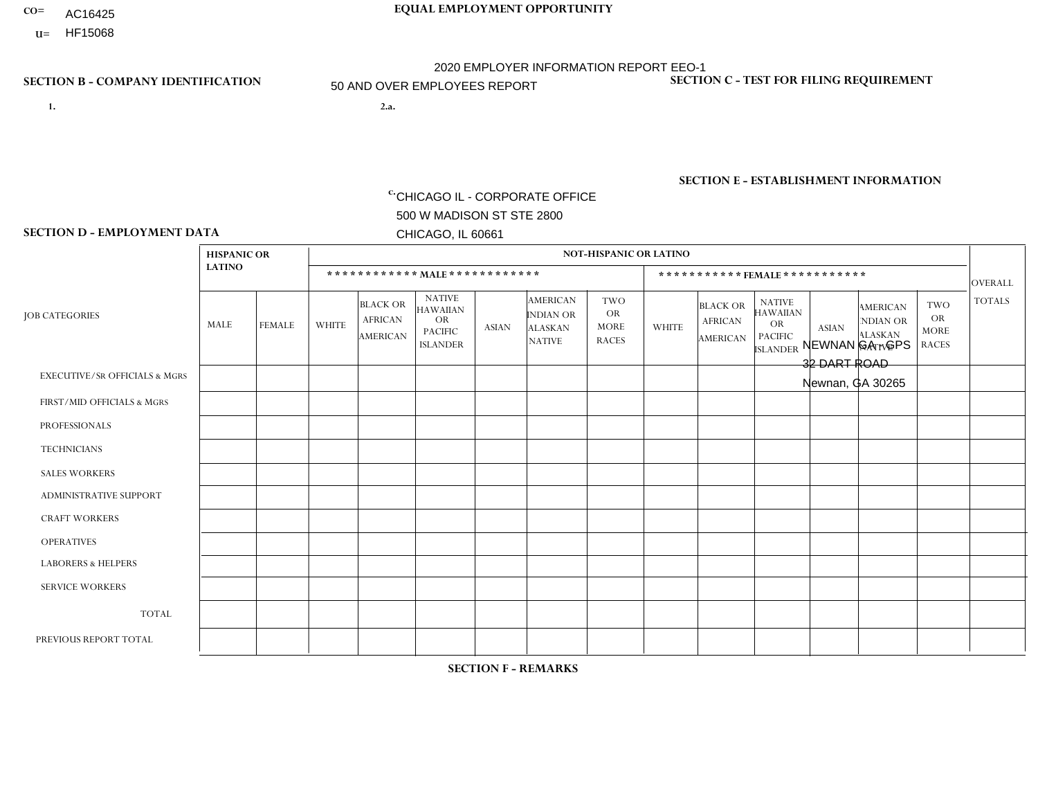- AC16425
- **U=**

**1. 2.a.** CHICAGO IL - CORPORATE OFFICE 500 W MADISON ST STE 2800 CHICAGO, IL 60661

2.a. NEWNAN GA - GPS 32 DART ROAD Newnan, GA 30265

c. EIN= 952920557

# **SECTION B - COMPANY IDENTIFICATION SECTION C - TEST FOR FILING REQUIREMENT**

1- Y 2- Y 3- N DUNS= 000123456

**SECTION E - ESTABLISHMENT INFORMATION c.** NAICS: 423140

### **SECTION D - EMPLOYMENT DATA**

|                                          | <b>HISPANIC OR</b> |                |                |                                                      |                                                                                    |                |                                                                 | <b>NOT-HISPANIC OR LATINO</b>                          |                |                                                      |                                                                                    |              |                                                                       |                                                        |                |
|------------------------------------------|--------------------|----------------|----------------|------------------------------------------------------|------------------------------------------------------------------------------------|----------------|-----------------------------------------------------------------|--------------------------------------------------------|----------------|------------------------------------------------------|------------------------------------------------------------------------------------|--------------|-----------------------------------------------------------------------|--------------------------------------------------------|----------------|
|                                          | <b>LATINO</b>      |                |                | ************ MALE ************                       |                                                                                    |                |                                                                 |                                                        |                |                                                      | ***********FEMALE***********                                                       |              |                                                                       |                                                        | <b>OVERALL</b> |
| <b>JOB CATEGORIES</b>                    | <b>MALE</b>        | <b>FEMALE</b>  | <b>WHITE</b>   | <b>BLACK OR</b><br><b>AFRICAN</b><br><b>AMERICAN</b> | <b>NATIVE</b><br><b>HAWAIIAN</b><br><b>OR</b><br><b>PACIFIC</b><br><b>ISLANDER</b> | <b>ASIAN</b>   | <b>AMERICAN</b><br>INDIAN OR<br><b>ALASKAN</b><br><b>NATIVE</b> | <b>TWO</b><br><b>OR</b><br><b>MORE</b><br><b>RACES</b> | <b>WHITE</b>   | <b>BLACK OR</b><br><b>AFRICAN</b><br><b>AMERICAN</b> | <b>NATIVE</b><br><b>HAWAIIAN</b><br><b>OR</b><br><b>PACIFIC</b><br><b>ISLANDER</b> | <b>ASIAN</b> | <b>AMERICAN</b><br><b>NDIAN OR</b><br><b>ALASKAN</b><br><b>NATIVE</b> | <b>TWO</b><br><b>OR</b><br><b>MORE</b><br><b>RACES</b> | <b>TOTALS</b>  |
| <b>EXECUTIVE/SR OFFICIALS &amp; MGRS</b> | $\mathbf{0}$       | $\Omega$       | $\Omega$       | $\Omega$                                             | 0                                                                                  | $\Omega$       | $\Omega$                                                        | $\Omega$                                               | $\Omega$       | $\mathbf{0}$                                         | $\Omega$                                                                           | $\Omega$     | $\Omega$                                                              | $\Omega$                                               | $\Omega$       |
| FIRST/MID OFFICIALS & MGRS               | $\Omega$           | $\Omega$       | $\overline{7}$ | $\mathbf 0$                                          | $\mathbf 0$                                                                        | $\Omega$       | $\Omega$                                                        | $\Omega$                                               | $\Omega$       | $\Omega$                                             | $\Omega$                                                                           | $\Omega$     | $\Omega$                                                              | $\Omega$                                               | $\overline{7}$ |
| <b>PROFESSIONALS</b>                     | $\Omega$           | $\Omega$       | 4              | $\mathbf{1}$                                         | $\Omega$                                                                           | $\Omega$       | $\Omega$                                                        | $\Omega$                                               | $\Omega$       | $\Omega$                                             | $\Omega$                                                                           | $\Omega$     | $\Omega$                                                              | $\mathbf{0}$                                           | 5              |
| <b>TECHNICIANS</b>                       | $\Omega$           | $\Omega$       | $\Omega$       | $\Omega$                                             | 0                                                                                  | $\Omega$       | $\overline{0}$                                                  | $\Omega$                                               | $\Omega$       | $\Omega$                                             | $\Omega$                                                                           | $\Omega$     | $\mathbf{0}$                                                          | $\Omega$                                               | $\mathbf 0$    |
| <b>SALES WORKERS</b>                     | $\Omega$           | $\Omega$       | $\Omega$       | $\Omega$                                             | 0                                                                                  | $\Omega$       | $\Omega$                                                        | $\Omega$                                               | $\mathbf{1}$   | $\overline{1}$                                       | $\Omega$                                                                           | $\Omega$     | $\Omega$                                                              | $\mathbf{0}$                                           | $\overline{2}$ |
| <b>ADMINISTRATIVE SUPPORT</b>            | $\Omega$           | $\mathbf 0$    |                | $\mathbf 0$                                          | $\mathbf 0$                                                                        | $\mathbf 0$    | $\Omega$                                                        | $\Omega$                                               | $\overline{2}$ | $\mathbf{0}$                                         | $\Omega$                                                                           | $\Omega$     | $\Omega$                                                              | $\Omega$                                               | 3              |
| <b>CRAFT WORKERS</b>                     | $\Omega$           | $\Omega$       | $\Omega$       | $\mathbf 0$                                          | 0                                                                                  | $\Omega$       | $\Omega$                                                        | $\Omega$                                               | $\Omega$       | $\Omega$                                             | $\Omega$                                                                           | $\Omega$     | $\Omega$                                                              | $\Omega$                                               | $\Omega$       |
| <b>OPERATIVES</b>                        | $\overline{2}$     | $\Omega$       | 22             | 14                                                   | $\mathbf{0}$                                                                       | $\overline{1}$ | $\Omega$                                                        | 3                                                      | 3              | 8                                                    | $\Omega$                                                                           | $\Omega$     | $\Omega$                                                              | 2                                                      | 55             |
| <b>LABORERS &amp; HELPERS</b>            | $\Omega$           | $\Omega$       | 4              | $\overline{7}$                                       | 0                                                                                  | $\Omega$       | $\Omega$                                                        | $\Omega$                                               | 3              | 2                                                    | $\Omega$                                                                           | $\Omega$     | $\Omega$                                                              | $\Omega$                                               | 16             |
| <b>SERVICE WORKERS</b>                   | $\Omega$           | $\Omega$       | $\Omega$       | 0                                                    | $\mathbf 0$                                                                        | $\Omega$       | $\Omega$                                                        | $\Omega$                                               | $\mathbf 1$    |                                                      | $\Omega$                                                                           | $\Omega$     | $\Omega$                                                              | $\Omega$                                               | $\overline{2}$ |
| <b>TOTAL</b>                             | $\overline{2}$     | $\mathbf 0$    | 38             | 22                                                   | 0                                                                                  | $\mathbf 1$    | $\Omega$                                                        | 3                                                      | 10             | 12                                                   | $\Omega$                                                                           | $\mathbf 0$  | $\Omega$                                                              | 2                                                      | 90             |
| PREVIOUS REPORT TOTAL                    | 2                  | $\overline{2}$ | 38             | 32                                                   | $\mathbf 0$                                                                        | $\Omega$       | $\Omega$                                                        | 5                                                      | 10             | 17                                                   | $\mathbf{0}$                                                                       | $\Omega$     | $\mathbf{0}$                                                          | $\overline{1}$                                         | 107            |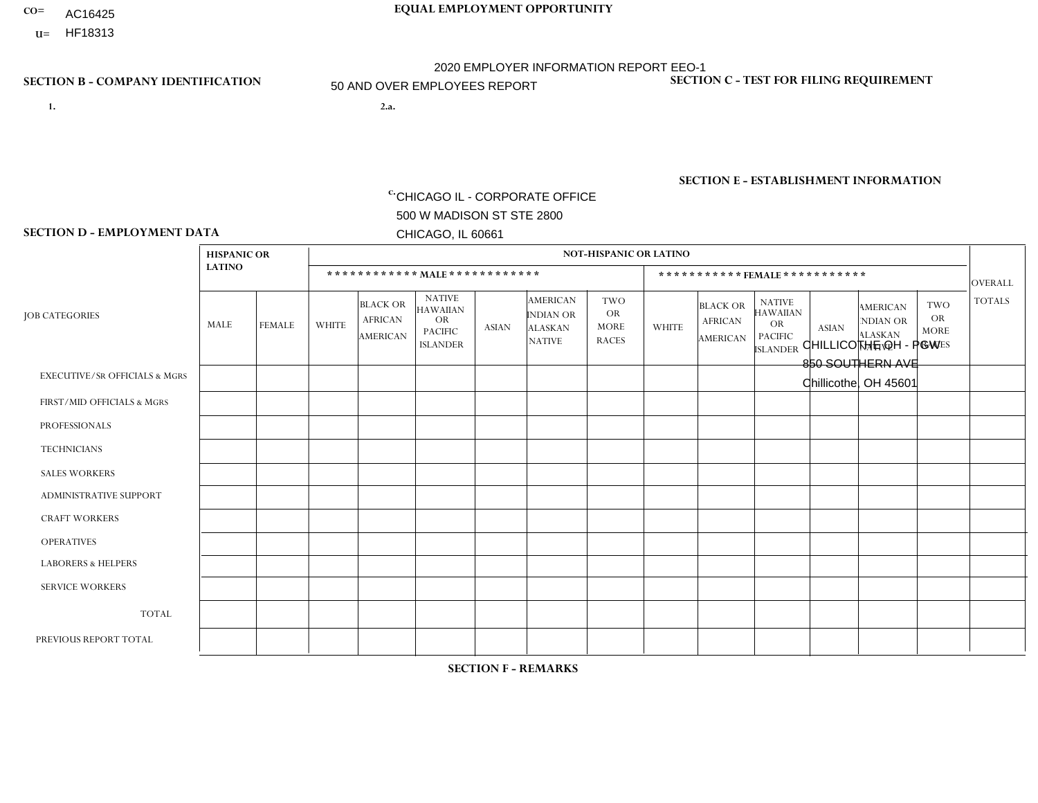- AC16425
- **U=**

**1. 2.a.** CHICAGO IL - CORPORATE OFFICE 500 W MADISON ST STE 2800 CHICAGO, IL 60661

2.a. CHILLICOTHE OH - PGW 850 SOUTHERN AVE Chillicothe, OH 45601

c. EIN= 952920557

## **SECTION B - COMPANY IDENTIFICATION SECTION C - TEST FOR FILING REQUIREMENT**

1- Y 2- Y 3- N DUNS= 000123456

**SECTION E - ESTABLISHMENT INFORMATION c.** NAICS: 811122

### **SECTION D - EMPLOYMENT DATA**

|                                          | <b>HISPANIC OR</b> |               |              |                                                      |                                                                                    |              |                                                                 | <b>NOT-HISPANIC OR LATINO</b>                          |                |                                               |                                                                                    |              |                                                                       |                                                        |                |
|------------------------------------------|--------------------|---------------|--------------|------------------------------------------------------|------------------------------------------------------------------------------------|--------------|-----------------------------------------------------------------|--------------------------------------------------------|----------------|-----------------------------------------------|------------------------------------------------------------------------------------|--------------|-----------------------------------------------------------------------|--------------------------------------------------------|----------------|
|                                          | <b>LATINO</b>      |               |              | ************ MALE ************                       |                                                                                    |              |                                                                 |                                                        |                |                                               | ***********FEMALE***********                                                       |              |                                                                       |                                                        | <b>OVERALL</b> |
| <b>JOB CATEGORIES</b>                    | MALE               | <b>FEMALE</b> | <b>WHITE</b> | <b>BLACK OR</b><br><b>AFRICAN</b><br><b>AMERICAN</b> | <b>NATIVE</b><br><b>HAWAIIAN</b><br><b>OR</b><br><b>PACIFIC</b><br><b>ISLANDER</b> | <b>ASIAN</b> | <b>AMERICAN</b><br>INDIAN OR<br><b>ALASKAN</b><br><b>NATIVE</b> | <b>TWO</b><br><b>OR</b><br><b>MORE</b><br><b>RACES</b> | <b>WHITE</b>   | <b>BLACK OR</b><br><b>AFRICAN</b><br>AMERICAN | <b>NATIVE</b><br><b>HAWAIIAN</b><br><b>OR</b><br><b>PACIFIC</b><br><b>ISLANDER</b> | <b>ASIAN</b> | <b>AMERICAN</b><br><b>NDIAN OR</b><br><b>ALASKAN</b><br><b>NATIVE</b> | <b>TWO</b><br><b>OR</b><br><b>MORE</b><br><b>RACES</b> | <b>TOTALS</b>  |
| <b>EXECUTIVE/SR OFFICIALS &amp; MGRS</b> |                    | $\Omega$      |              | $\Omega$                                             | 0                                                                                  | $\Omega$     | $\Omega$                                                        | $\Omega$                                               | $\Omega$       | $\Omega$                                      | $\Omega$                                                                           | $\Omega$     | $\Omega$                                                              | $\Omega$                                               | $\overline{2}$ |
| FIRST/MID OFFICIALS & MGRS               | $\Omega$           | $\Omega$      | 4            | $\mathbf 0$                                          | $\Omega$                                                                           | $\Omega$     | $\Omega$                                                        | $\Omega$                                               | 1              | $\Omega$                                      | 0                                                                                  | $\Omega$     | $\Omega$                                                              | $\Omega$                                               | $\overline{2}$ |
| <b>PROFESSIONALS</b>                     | $\Omega$           | $\Omega$      | 2            | $\mathbf 0$                                          | $\Omega$                                                                           | $\Omega$     | $\Omega$                                                        | $\Omega$                                               | 1              | $\Omega$                                      | 0                                                                                  | 0            | $\Omega$                                                              | $\mathbf 0$                                            | 3              |
| <b>TECHNICIANS</b>                       | $\Omega$           | $\mathbf 0$   | $\Omega$     | $\mathbf 0$                                          | $\mathbf 0$                                                                        | $\Omega$     | $\Omega$                                                        | $\Omega$                                               | 0              | $\mathbf 0$                                   | 0                                                                                  | $\mathbf 0$  | $\Omega$                                                              | $\mathbf 0$                                            | $\mathbf{0}$   |
| <b>SALES WORKERS</b>                     | $\Omega$           | $\Omega$      | $\Omega$     | $\Omega$                                             | $\Omega$                                                                           | $\Omega$     | $\Omega$                                                        | $\Omega$                                               | $\Omega$       | $\Omega$                                      | $\Omega$                                                                           | $\Omega$     | $\Omega$                                                              | $\Omega$                                               | $\Omega$       |
| <b>ADMINISTRATIVE SUPPORT</b>            | $\Omega$           | $\Omega$      | 1            | 0                                                    | $\Omega$                                                                           | $\Omega$     | $\Omega$                                                        | $\Omega$                                               | 1              | $\Omega$                                      | 0                                                                                  | $\Omega$     | $\Omega$                                                              | $\Omega$                                               | $\overline{2}$ |
| <b>CRAFT WORKERS</b>                     | $\Omega$           | $\Omega$      | $\Omega$     | $\mathbf 0$                                          | $\Omega$                                                                           | $\Omega$     | $\Omega$                                                        | $\Omega$                                               | $\Omega$       | $\Omega$                                      | 0                                                                                  | $\Omega$     | $\Omega$                                                              | $\Omega$                                               | $\Omega$       |
| <b>OPERATIVES</b>                        | $\Omega$           | $\Omega$      | 10           | $\mathbf 0$                                          | $\mathbf 0$                                                                        | $\Omega$     | $\Omega$                                                        | $\Omega$                                               | $\overline{2}$ | $\Omega$                                      | 0                                                                                  | $\mathbf 0$  | $\Omega$                                                              | $\Omega$                                               | 12             |
| <b>LABORERS &amp; HELPERS</b>            | $\Omega$           | $\Omega$      | 64           | 4                                                    | $\Omega$                                                                           | $\Omega$     | $\Omega$                                                        | 5                                                      | 16             | $\overline{1}$                                | 0                                                                                  | $\Omega$     | $\Omega$                                                              | -1                                                     | 91             |
| <b>SERVICE WORKERS</b>                   | $\Omega$           | $\Omega$      | $\Omega$     | $\mathbf 0$                                          | $\mathbf 0$                                                                        | $\Omega$     | $\Omega$                                                        | $\Omega$                                               | 0              | $\Omega$                                      | 0                                                                                  | $\mathbf 0$  | $\Omega$                                                              | 0                                                      | $\overline{0}$ |
| <b>TOTAL</b>                             | -1                 | $\mathbf 0$   | 79           | $\overline{4}$                                       | $\mathbf{0}$                                                                       | 0            | $\Omega$                                                        | 5                                                      | 21             | $\mathbf{1}$                                  | 0                                                                                  | $\mathbf 0$  | 0                                                                     | $\mathbf 1$                                            | 112            |
| PREVIOUS REPORT TOTAL                    | $\Omega$           | $\Omega$      | 87           | $\overline{ }$                                       | 0                                                                                  | $\Omega$     | $\Omega$                                                        | 5                                                      | 27             | $\overline{1}$                                | 0                                                                                  | $\Omega$     | $\Omega$                                                              |                                                        | 122            |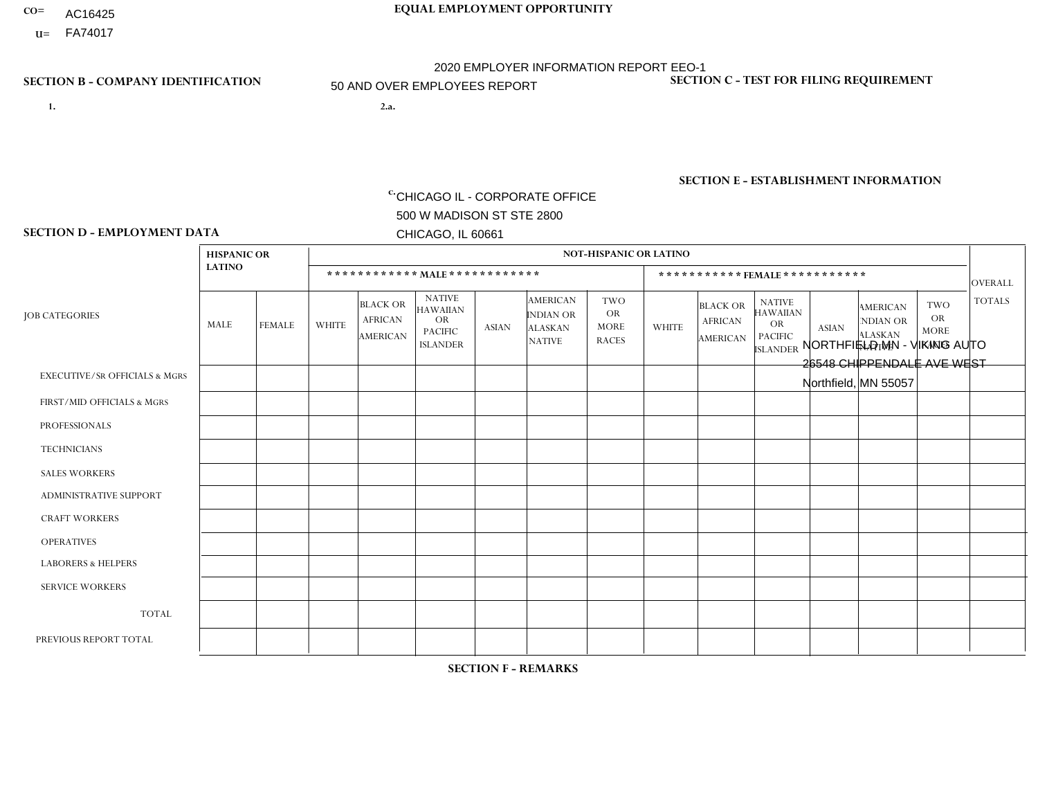- **CO= EQUAL EMPLOYMENT OPPORTUNITY** AC16425
	- **U=**

- **1. 2.a.** CHICAGO IL CORPORATE OFFICE 500 W MADISON ST STE 2800 CHICAGO, IL 60661
- 2.a. NORTHFIELD MN VIKING AUTO 26548 CHIPPENDALE AVE WEST Northfield, MN 55057

2020 EMPLOYER INFORMATION REPORT EEO-1 50 AND OVER EMPLOYEES REPORT

c. EIN= 952920557

## **SECTION B - COMPANY IDENTIFICATION SECTION C - TEST FOR FILING REQUIREMENT**

1- Y 2- Y 3- N DUNS= 000123456

**SECTION E - ESTABLISHMENT INFORMATION c.** NAICS: 423140

## **SECTION D - EMPLOYMENT DATA**

|                                          | <b>HISPANIC OR</b> |               |                |                                                      |                                                                                    |              |                                                                        | <b>NOT-HISPANIC OR LATINO</b>                          |                |                                                      |                                                                                    |              |                                                                       |                                                        |                |
|------------------------------------------|--------------------|---------------|----------------|------------------------------------------------------|------------------------------------------------------------------------------------|--------------|------------------------------------------------------------------------|--------------------------------------------------------|----------------|------------------------------------------------------|------------------------------------------------------------------------------------|--------------|-----------------------------------------------------------------------|--------------------------------------------------------|----------------|
|                                          | <b>LATINO</b>      |               |                |                                                      | ************ MALE ************                                                     |              |                                                                        |                                                        |                |                                                      | ***********FEMALE***********                                                       |              |                                                                       |                                                        | <b>OVERALL</b> |
| <b>JOB CATEGORIES</b>                    | MALE               | <b>FEMALE</b> | <b>WHITE</b>   | <b>BLACK OR</b><br><b>AFRICAN</b><br><b>AMERICAN</b> | <b>NATIVE</b><br><b>HAWAIIAN</b><br><b>OR</b><br><b>PACIFIC</b><br><b>ISLANDER</b> | <b>ASIAN</b> | <b>AMERICAN</b><br><b>INDIAN OR</b><br><b>ALASKAN</b><br><b>NATIVE</b> | <b>TWO</b><br><b>OR</b><br><b>MORE</b><br><b>RACES</b> | <b>WHITE</b>   | <b>BLACK OR</b><br><b>AFRICAN</b><br><b>AMERICAN</b> | <b>NATIVE</b><br><b>HAWAIIAN</b><br><b>OR</b><br><b>PACIFIC</b><br><b>ISLANDER</b> | <b>ASIAN</b> | <b>AMERICAN</b><br><b>NDIAN OR</b><br><b>ALASKAN</b><br><b>NATIVE</b> | <b>TWO</b><br><b>OR</b><br><b>MORE</b><br><b>RACES</b> | <b>TOTALS</b>  |
| <b>EXECUTIVE/SR OFFICIALS &amp; MGRS</b> | 0                  | $\Omega$      | $\Omega$       | $\mathbf 0$                                          | $\Omega$                                                                           | $\Omega$     | $\Omega$                                                               | $\Omega$                                               | 0              | $\Omega$                                             | $\Omega$                                                                           | $\Omega$     | $\Omega$                                                              | $\Omega$                                               | $\Omega$       |
| FIRST/MID OFFICIALS & MGRS               | 0                  | $\Omega$      | 4              | $\mathbf 0$                                          | $\mathbf 0$                                                                        | $\Omega$     | $\Omega$                                                               | $\Omega$                                               | 0              | $\Omega$                                             | $\Omega$                                                                           | $\Omega$     | $\Omega$                                                              | $\Omega$                                               | $\overline{4}$ |
| <b>PROFESSIONALS</b>                     | 0                  | $\mathbf{0}$  | $\mathbf 0$    | $\mathbf 0$                                          | $\mathbf 0$                                                                        | $\Omega$     | $\Omega$                                                               | $\Omega$                                               | $\Omega$       | $\Omega$                                             | $\Omega$                                                                           | $\Omega$     | $\Omega$                                                              | $\Omega$                                               | $\mathbf 0$    |
| <b>TECHNICIANS</b>                       | 0                  | $\Omega$      | $\Omega$       | 0                                                    | $\mathbf 0$                                                                        | $\Omega$     | $\Omega$                                                               | $\Omega$                                               | $\Omega$       | $\Omega$                                             | $\Omega$                                                                           | $\Omega$     | $\Omega$                                                              | $\Omega$                                               | $\mathbf 0$    |
| <b>SALES WORKERS</b>                     | 0                  | 0             | 4              | $\mathbf 0$                                          | $\Omega$                                                                           | $\Omega$     | $\Omega$                                                               | $\Omega$                                               | $\overline{2}$ | $\Omega$                                             | $\Omega$                                                                           | $\Omega$     | $\Omega$                                                              | $\Omega$                                               | 6              |
| <b>ADMINISTRATIVE SUPPORT</b>            |                    | 0             | 1              | $\mathbf 0$                                          | $\mathbf 0$                                                                        | $\Omega$     | $\Omega$                                                               | $\Omega$                                               | 3              | $\Omega$                                             | $\Omega$                                                                           | $\Omega$     | $\Omega$                                                              | $\Omega$                                               | 5              |
| <b>CRAFT WORKERS</b>                     | 3                  | $\Omega$      | $\overline{7}$ | $\mathbf 0$                                          | $\Omega$                                                                           | $\Omega$     | $\Omega$                                                               | $\Omega$                                               | $\Omega$       | $\Omega$                                             | $\Omega$                                                                           | $\Omega$     | $\Omega$                                                              | $\Omega$                                               | 10             |
| <b>OPERATIVES</b>                        |                    | $\Omega$      | 19             | $\mathbf 0$                                          | 0                                                                                  | $\Omega$     | 1                                                                      | 1                                                      | $\overline{2}$ | $\Omega$                                             | $\Omega$                                                                           | $\Omega$     | $\Omega$                                                              | $\Omega$                                               | 24             |
| <b>LABORERS &amp; HELPERS</b>            | 0                  | $\Omega$      | 8              | 1                                                    | 0                                                                                  | $\Omega$     | $\Omega$                                                               | 3                                                      |                | $\Omega$                                             | $\Omega$                                                                           | $\Omega$     | 0                                                                     | $\Omega$                                               | 13             |
| <b>SERVICE WORKERS</b>                   | 0                  | $\Omega$      | $\mathbf 0$    | $\mathbf 0$                                          | 0                                                                                  | 0            | $\Omega$                                                               | $\Omega$                                               | $\Omega$       | $\Omega$                                             | $\Omega$                                                                           | $\Omega$     | $\Omega$                                                              | $\Omega$                                               | $\mathbf 0$    |
| <b>TOTAL</b>                             | 5                  | 0             | 43             | 1                                                    | 0                                                                                  | 0            |                                                                        | 4                                                      | 8              | 0                                                    | $\Omega$                                                                           | $\mathbf 0$  | $\Omega$                                                              | 0                                                      | 62             |
| PREVIOUS REPORT TOTAL                    | 8                  | $\Omega$      | 51             | 3                                                    | $\mathbf 0$                                                                        | 0            |                                                                        | 5                                                      | 8              | $\Omega$                                             | $\Omega$                                                                           | $\Omega$     | $\Omega$                                                              | $\mathbf 0$                                            | 76             |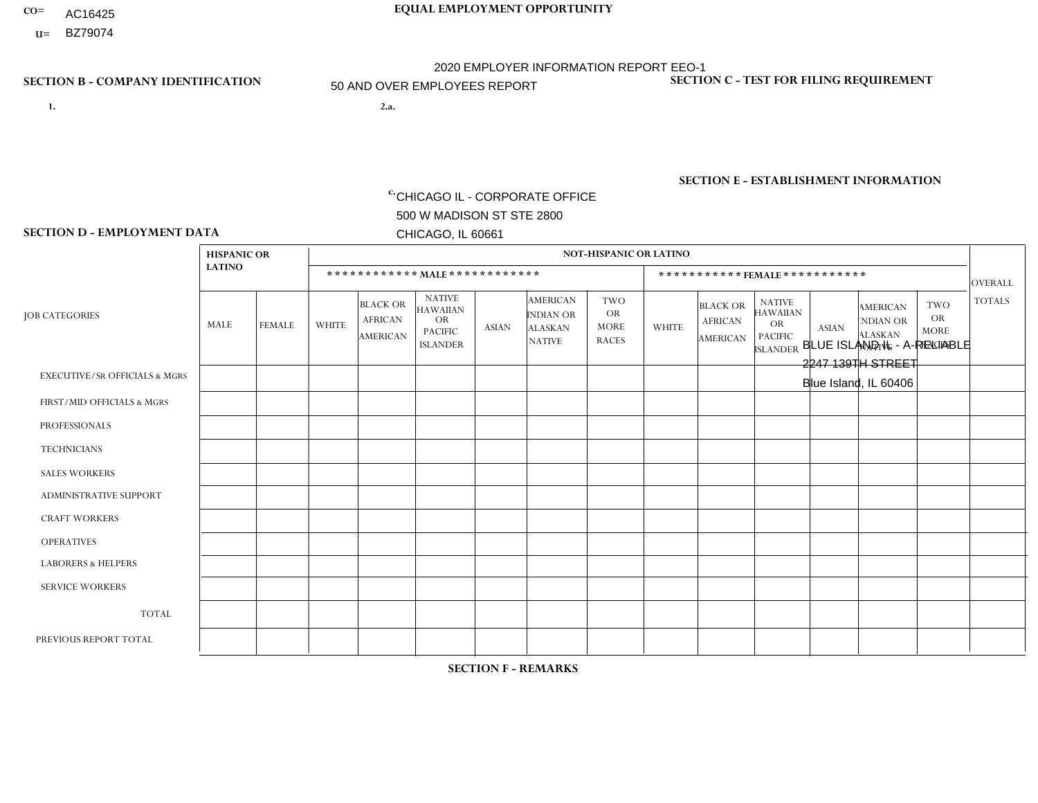- **CO= EQUAL EMPLOYMENT OPPORTUNITY** AC16425
	- **U=**

# 2020 EMPLOYER INFORMATION REPORT EEO-1 50 AND OVER EMPLOYEES REPORT

**1. 2.a.** CHICAGO IL - CORPORATE OFFICE 500 W MADISON ST STE 2800 CHICAGO, IL 60661

BLUE ISLAND IL - A-RELIABLE 2247 139TH STREET Blue Island, IL 60406

EIN= 952920557

## **SECTION B - COMPANY IDENTIFICATION SECTION C - TEST FOR FILING REQUIREMENT**

1- Y 2- Y 3- N DUNS= 000123456

**SECTION E - ESTABLISHMENT INFORMATION c.** NAICS: 423140

### **SECTION D - EMPLOYMENT DATA**

| <b>NOT-HISPANIC OR LATINO</b><br><b>HISPANIC OR</b><br><b>LATINO</b><br>************ MAIE************<br>***********FEMALE***********<br><b>NATIVE</b><br><b>AMERICAN</b><br><b>TWO</b><br><b>NATIVE</b><br><b>BLACK OR</b><br><b>TWO</b><br><b>BLACK OR</b><br><b>AMERICAN</b><br><b>HAWAIIAN</b><br><b>HAWAIIAN</b><br><b>OR</b><br><b>INDIAN OR</b><br><b>JOB CATEGORIES</b><br><b>OR</b><br><b>AFRICAN</b><br><b>OR</b><br><b>AFRICAN</b><br><b>NDIAN OR</b><br><b>OR</b><br>MALE<br><b>WHITE</b><br><b>FEMALE</b><br><b>MORE</b><br><b>WHITE</b><br><b>ASIAN</b><br><b>ASIAN</b><br><b>ALASKAN</b><br><b>PACIFIC</b><br><b>MORE</b><br><b>ALASKAN</b><br><b>PACIFIC</b><br><b>AMERICAN</b><br>AMERICAN<br><b>RACES</b><br><b>NATIVE</b><br><b>ISLANDER</b><br><b>RACES</b><br><b>NATIVE</b><br><b>ISLANDER</b><br><b>EXECUTIVE/SR OFFICIALS &amp; MGRS</b><br>$\Omega$<br>$\Omega$<br>$\mathbf 0$<br>$\Omega$<br>$\Omega$<br>$\Omega$<br>$\Omega$<br>$\Omega$<br>$\Omega$<br>$\mathbf{0}$<br>$\mathbf{0}$<br>$\Omega$<br>$\Omega$<br>3<br>$\Omega$<br>$\overline{2}$<br>$\Omega$<br>$\Omega$<br>0<br>$\Omega$<br>$\Omega$<br>$\Omega$<br>$\Omega$<br>$\Omega$<br>$\Omega$<br>1<br>FIRST/MID OFFICIALS & MGRS<br>$\Omega$<br>$\Omega$<br>$\Omega$<br>$\Omega$<br>$\Omega$<br>$\Omega$<br>$\Omega$<br>$\Omega$<br>$\Omega$<br>$\Omega$<br>$\Omega$<br><b>PROFESSIONALS</b><br>1<br>$\mathbf 0$<br>$\mathbf 0$<br>$\Omega$<br>$\Omega$<br>$\Omega$<br>0<br>$\Omega$<br>$\Omega$<br>$\mathbf{0}$<br>$\Omega$<br>$\Omega$<br>$\Omega$<br>$\Omega$<br><b>TECHNICIANS</b><br>3<br>$\overline{2}$<br>$\Omega$<br>$\mathbf{1}$<br>$\Omega$<br>$\Omega$<br>$\Omega$<br>$\Omega$<br>$\Omega$<br>$\Omega$<br>$\Omega$<br>$\Omega$<br>$\Omega$<br><b>SALES WORKERS</b><br><b>ADMINISTRATIVE SUPPORT</b><br>3<br>$\Omega$<br>$\Omega$<br>$\mathbf{1}$<br>$\Omega$<br>$\Omega$<br>$\Omega$<br>$\Omega$<br>$\Omega$<br>$\Omega$<br>$\Omega$<br>$\Omega$<br>$\Omega$<br><b>CRAFT WORKERS</b><br>3<br>$\overline{7}$<br>2<br>$\Omega$<br>$\Omega$<br>$\Omega$<br>$\Omega$<br>$\Omega$<br>$\Omega$<br>$\Omega$<br>$\Omega$<br>$\Omega$<br>$\Omega$ | <b>OVERALL</b><br><b>TOTALS</b><br>$\Omega$<br>$\Omega$<br>$\Omega$ | $\mathbf 0$<br>6 |
|--------------------------------------------------------------------------------------------------------------------------------------------------------------------------------------------------------------------------------------------------------------------------------------------------------------------------------------------------------------------------------------------------------------------------------------------------------------------------------------------------------------------------------------------------------------------------------------------------------------------------------------------------------------------------------------------------------------------------------------------------------------------------------------------------------------------------------------------------------------------------------------------------------------------------------------------------------------------------------------------------------------------------------------------------------------------------------------------------------------------------------------------------------------------------------------------------------------------------------------------------------------------------------------------------------------------------------------------------------------------------------------------------------------------------------------------------------------------------------------------------------------------------------------------------------------------------------------------------------------------------------------------------------------------------------------------------------------------------------------------------------------------------------------------------------------------------------------------------------------------------------------------------------------------------------------------------------------------------------------------------------------------------------------------------------------------------------------------------------------------------------------|---------------------------------------------------------------------|------------------|
|                                                                                                                                                                                                                                                                                                                                                                                                                                                                                                                                                                                                                                                                                                                                                                                                                                                                                                                                                                                                                                                                                                                                                                                                                                                                                                                                                                                                                                                                                                                                                                                                                                                                                                                                                                                                                                                                                                                                                                                                                                                                                                                                      |                                                                     |                  |
|                                                                                                                                                                                                                                                                                                                                                                                                                                                                                                                                                                                                                                                                                                                                                                                                                                                                                                                                                                                                                                                                                                                                                                                                                                                                                                                                                                                                                                                                                                                                                                                                                                                                                                                                                                                                                                                                                                                                                                                                                                                                                                                                      |                                                                     |                  |
|                                                                                                                                                                                                                                                                                                                                                                                                                                                                                                                                                                                                                                                                                                                                                                                                                                                                                                                                                                                                                                                                                                                                                                                                                                                                                                                                                                                                                                                                                                                                                                                                                                                                                                                                                                                                                                                                                                                                                                                                                                                                                                                                      |                                                                     |                  |
|                                                                                                                                                                                                                                                                                                                                                                                                                                                                                                                                                                                                                                                                                                                                                                                                                                                                                                                                                                                                                                                                                                                                                                                                                                                                                                                                                                                                                                                                                                                                                                                                                                                                                                                                                                                                                                                                                                                                                                                                                                                                                                                                      |                                                                     |                  |
|                                                                                                                                                                                                                                                                                                                                                                                                                                                                                                                                                                                                                                                                                                                                                                                                                                                                                                                                                                                                                                                                                                                                                                                                                                                                                                                                                                                                                                                                                                                                                                                                                                                                                                                                                                                                                                                                                                                                                                                                                                                                                                                                      |                                                                     |                  |
|                                                                                                                                                                                                                                                                                                                                                                                                                                                                                                                                                                                                                                                                                                                                                                                                                                                                                                                                                                                                                                                                                                                                                                                                                                                                                                                                                                                                                                                                                                                                                                                                                                                                                                                                                                                                                                                                                                                                                                                                                                                                                                                                      |                                                                     | $\overline{2}$   |
|                                                                                                                                                                                                                                                                                                                                                                                                                                                                                                                                                                                                                                                                                                                                                                                                                                                                                                                                                                                                                                                                                                                                                                                                                                                                                                                                                                                                                                                                                                                                                                                                                                                                                                                                                                                                                                                                                                                                                                                                                                                                                                                                      | $\Omega$                                                            | $\mathbf 0$      |
|                                                                                                                                                                                                                                                                                                                                                                                                                                                                                                                                                                                                                                                                                                                                                                                                                                                                                                                                                                                                                                                                                                                                                                                                                                                                                                                                                                                                                                                                                                                                                                                                                                                                                                                                                                                                                                                                                                                                                                                                                                                                                                                                      | $\Omega$                                                            | 6                |
|                                                                                                                                                                                                                                                                                                                                                                                                                                                                                                                                                                                                                                                                                                                                                                                                                                                                                                                                                                                                                                                                                                                                                                                                                                                                                                                                                                                                                                                                                                                                                                                                                                                                                                                                                                                                                                                                                                                                                                                                                                                                                                                                      | $\Omega$                                                            | $\overline{4}$   |
|                                                                                                                                                                                                                                                                                                                                                                                                                                                                                                                                                                                                                                                                                                                                                                                                                                                                                                                                                                                                                                                                                                                                                                                                                                                                                                                                                                                                                                                                                                                                                                                                                                                                                                                                                                                                                                                                                                                                                                                                                                                                                                                                      | $\Omega$                                                            | 12 <sup>°</sup>  |
| <b>OPERATIVES</b><br>15<br>12<br>$\Omega$<br>$\mathbf 0$<br>$\Omega$<br>$\overline{0}$<br>$\Omega$<br>$\Omega$<br>$\Omega$<br>$\mathbf{0}$<br>$\Omega$<br>$\Omega$<br>$\mathbf 1$                                                                                                                                                                                                                                                                                                                                                                                                                                                                                                                                                                                                                                                                                                                                                                                                                                                                                                                                                                                                                                                                                                                                                                                                                                                                                                                                                                                                                                                                                                                                                                                                                                                                                                                                                                                                                                                                                                                                                    | $\Omega$                                                            | 28               |
| <b>LABORERS &amp; HELPERS</b><br>$\Omega$<br>0<br>0<br>$\blacktriangleleft$<br>$\Omega$<br>$\Omega$<br>$\Omega$<br>$\Omega$<br>$\Omega$<br>$\Omega$<br>$\Omega$<br>$\overline{\mathbf{A}}$<br>-1                                                                                                                                                                                                                                                                                                                                                                                                                                                                                                                                                                                                                                                                                                                                                                                                                                                                                                                                                                                                                                                                                                                                                                                                                                                                                                                                                                                                                                                                                                                                                                                                                                                                                                                                                                                                                                                                                                                                     | $\Omega$                                                            | 3                |
| <b>SERVICE WORKERS</b><br>$\mathbf 0$<br>$\mathbf 0$<br>$\mathbf 0$<br>$\mathbf 0$<br>$\Omega$<br>$\Omega$<br>$\Omega$<br>$\Omega$<br>$\Omega$<br>$\Omega$<br>0<br>$\mathbf{0}$<br>$\mathbf 0$                                                                                                                                                                                                                                                                                                                                                                                                                                                                                                                                                                                                                                                                                                                                                                                                                                                                                                                                                                                                                                                                                                                                                                                                                                                                                                                                                                                                                                                                                                                                                                                                                                                                                                                                                                                                                                                                                                                                       | $\mathbf 0$                                                         | 0                |
| <b>TOTAL</b><br>5<br>25<br>24<br>$\mathbf 0$<br>0<br>$\Omega$<br>$\Omega$<br>6<br>$\Omega$<br>$\Omega$<br>$\Omega$<br>$\mathbf{1}$<br>$\Omega$                                                                                                                                                                                                                                                                                                                                                                                                                                                                                                                                                                                                                                                                                                                                                                                                                                                                                                                                                                                                                                                                                                                                                                                                                                                                                                                                                                                                                                                                                                                                                                                                                                                                                                                                                                                                                                                                                                                                                                                       | $\Omega$                                                            | 61               |
| 39<br>27<br>10<br>$\mathbf{1}$<br>$\overline{1}$<br>$\overline{0}$<br>8<br>$\Omega$<br>$\Omega$<br>$\mathbf 0$<br>$\mathbf{0}$<br>$\Omega$<br>PREVIOUS REPORT TOTAL                                                                                                                                                                                                                                                                                                                                                                                                                                                                                                                                                                                                                                                                                                                                                                                                                                                                                                                                                                                                                                                                                                                                                                                                                                                                                                                                                                                                                                                                                                                                                                                                                                                                                                                                                                                                                                                                                                                                                                  | $\mathbf 0$                                                         | 87               |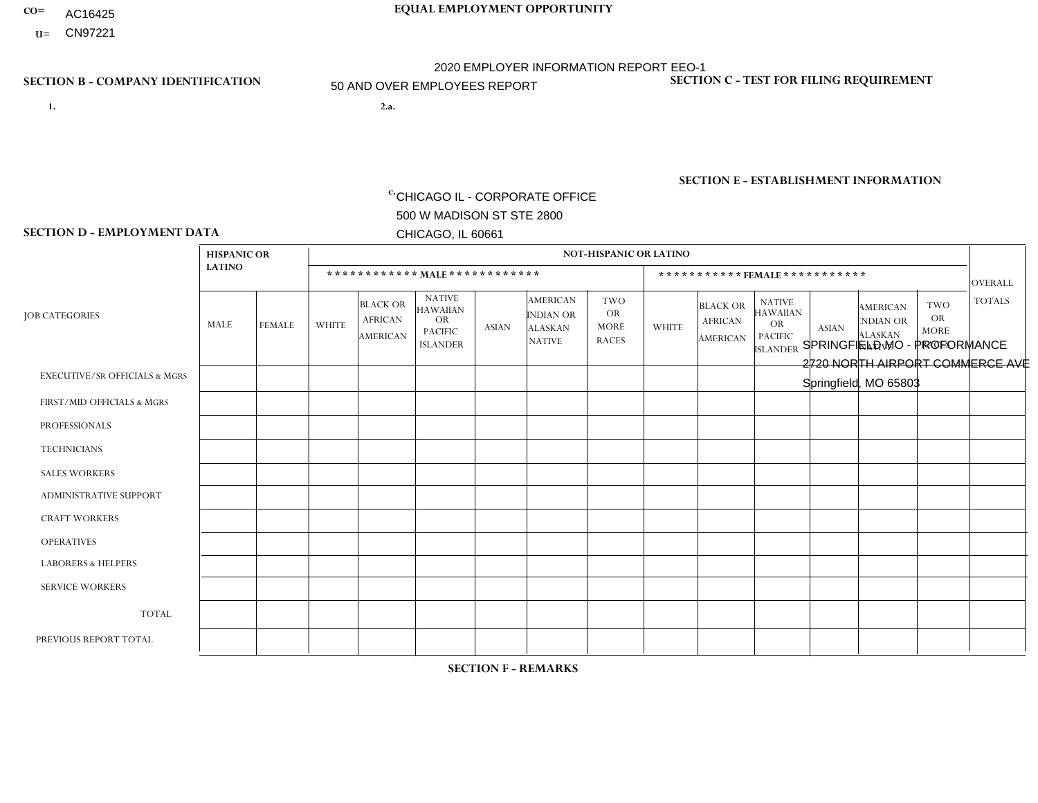- AC16425
- **U=**

**1. 2.a.** CHICAGO IL - CORPORATE OFFICE 500 W MADISON ST STE 2800 CHICAGO, IL 60661

**CO= EQUAL EMPLOYMENT OPPORTUNITY** 2020 EMPLOYER INFORMATION REPORT EEO-1 50 AND OVER EMPLOYEES REPORT

> 2.a. SPRINGFIELD MO - PROFORMANCE 2720 NORTH AIRPORT COMMERCE AVE Springfield, MO 65803

c. EIN= 952920557

## **SECTION B - COMPANY IDENTIFICATION SECTION C - TEST FOR FILING REQUIREMENT**

1- Y 2- Y 3- N DUNS= 000123456

**SECTION E - ESTABLISHMENT INFORMATION c.** NAICS: 333618

### **SECTION D - EMPLOYMENT DATA**

|                                          | <b>HISPANIC OR</b> |                      |                |                                               |                                                                                    |              |                                                                        | <b>NOT-HISPANIC OR LATINO</b>                          |                |                                               |                                                                             |                      |                                                                       |                                                        |                 |
|------------------------------------------|--------------------|----------------------|----------------|-----------------------------------------------|------------------------------------------------------------------------------------|--------------|------------------------------------------------------------------------|--------------------------------------------------------|----------------|-----------------------------------------------|-----------------------------------------------------------------------------|----------------------|-----------------------------------------------------------------------|--------------------------------------------------------|-----------------|
|                                          | <b>LATINO</b>      |                      |                | ************ MALE ************                |                                                                                    |              |                                                                        |                                                        |                | ***********FEMALE***********                  |                                                                             |                      |                                                                       |                                                        | <b>OVERALL</b>  |
| <b>JOB CATEGORIES</b>                    | MALE               | <b>FEMALE</b>        | <b>WHITE</b>   | <b>BLACK OR</b><br><b>AFRICAN</b><br>AMERICAN | <b>NATIVE</b><br><b>HAWAIIAN</b><br><b>OR</b><br><b>PACIFIC</b><br><b>ISLANDER</b> | ASIAN        | <b>AMERICAN</b><br><b>INDIAN OR</b><br><b>ALASKAN</b><br><b>NATIVE</b> | <b>TWO</b><br><b>OR</b><br><b>MORE</b><br><b>RACES</b> | <b>WHITE</b>   | <b>BLACK OR</b><br><b>AFRICAN</b><br>AMERICAN | <b>NATIVE</b><br><b>HAWAIIAN</b><br>OR<br><b>PACIFIC</b><br><b>ISLANDER</b> | <b>ASIAN</b>         | <b>AMERICAN</b><br><b>NDIAN OR</b><br><b>ALASKAN</b><br><b>NATIVE</b> | <b>TWO</b><br><b>OR</b><br><b>MORE</b><br><b>RACES</b> | <b>TOTALS</b>   |
| <b>EXECUTIVE/SR OFFICIALS &amp; MGRS</b> | $\Omega$           | $\Omega$             | $\Omega$       | $\Omega$                                      | $\Omega$                                                                           | $\mathbf{0}$ | $\Omega$                                                               | $\Omega$                                               | 0              | $\Omega$                                      | $\Omega$                                                                    | $\Omega$             | $\Omega$                                                              | $\Omega$                                               | $\mathbf 0$     |
| FIRST/MID OFFICIALS & MGRS               | 0                  | $\Omega$             | 6              | $\mathbf 0$                                   | $\Omega$                                                                           | $\Omega$     | $\Omega$                                                               | $\Omega$                                               | $\overline{2}$ | $\Omega$                                      | $\Omega$                                                                    | $\mathbf{0}$         | $\Omega$                                                              | $\mathbf{0}$                                           | 8               |
| <b>PROFESSIONALS</b>                     | 0                  | $\Omega$             | $\overline{c}$ | $\mathbf 0$                                   | $\Omega$                                                                           | $\Omega$     | $\Omega$                                                               | $\Omega$                                               | $\overline{2}$ | $\Omega$                                      | $\Omega$                                                                    | $\Omega$             | $\Omega$                                                              | $\Omega$                                               | $\overline{4}$  |
| <b>TECHNICIANS</b>                       | 0                  | $\mathbf 0$          | $\Omega$       | $\mathbf 0$                                   | $\mathbf 0$                                                                        | $\Omega$     | $\Omega$                                                               | $\Omega$                                               | $\Omega$       | $\mathbf 0$                                   | $\Omega$                                                                    | $\mathbf 0$          | $\mathbf 0$                                                           | $\mathbf 0$                                            | $\mathbf{0}$    |
| <b>SALES WORKERS</b>                     | $\Omega$           | $\Omega$             | 1              | $\mathbf 0$                                   | $\Omega$                                                                           | $\Omega$     | $\Omega$                                                               | $\Omega$                                               | 0              | $\Omega$                                      | $\Omega$                                                                    | $\Omega$             | $\Omega$                                                              | $\Omega$                                               | $\overline{1}$  |
| <b>ADMINISTRATIVE SUPPORT</b>            | 0                  | $\Omega$             | 5              | $\mathbf 0$                                   | $\Omega$                                                                           |              | $\Omega$                                                               | $\Omega$                                               | 4              | $\Omega$                                      | $\Omega$                                                                    | $\Omega$             | $\Omega$                                                              | $\mathbf{0}$                                           | 10 <sup>°</sup> |
| <b>CRAFT WORKERS</b>                     | 0                  | $\Omega$             | $\Omega$       | $\mathbf 0$                                   | $\Omega$                                                                           | $\Omega$     | $\Omega$                                                               | $\Omega$                                               | 0              | $\Omega$                                      | $\Omega$                                                                    | $\Omega$             | $\Omega$                                                              | $\Omega$                                               | $\Omega$        |
| <b>OPERATIVES</b>                        | 6                  | $\mathbf{1}$         | 112            | $\overline{7}$                                | $\Omega$                                                                           | $\Omega$     | 2                                                                      | 9                                                      | 10             | $\Omega$                                      | $\Omega$                                                                    | $\blacktriangleleft$ | $\Omega$                                                              | $\mathbf{1}$                                           | 149             |
| <b>LABORERS &amp; HELPERS</b>            | 0                  | $\Omega$             | $\overline{7}$ | $\mathbf 0$                                   | $\mathbf{0}$                                                                       | $\Omega$     | $\Omega$                                                               | $\Omega$                                               | 3              | $\Omega$                                      | $\Omega$                                                                    | $\Omega$             | $\Omega$                                                              | $\Omega$                                               | 10              |
| <b>SERVICE WORKERS</b>                   | 0                  | 0                    | $\mathbf 0$    | 0                                             | 0                                                                                  | $\Omega$     | $\Omega$                                                               | $\Omega$                                               | $\Omega$       | $\Omega$                                      | $\Omega$                                                                    | $\mathbf 0$          | $\Omega$                                                              | $\Omega$                                               | $\overline{0}$  |
| <b>TOTAL</b>                             | 6                  | $\mathbf{1}$         | 133            | $\overline{7}$                                | 0                                                                                  | -1           | 2                                                                      | 9                                                      | 21             | $\mathbf 0$                                   | $\mathbf 0$                                                                 |                      | 0                                                                     | $\mathbf{1}$                                           | 182             |
| PREVIOUS REPORT TOTAL                    | 5                  | $\blacktriangleleft$ | 158            | $\overline{7}$                                | $\Omega$                                                                           | 2            | 2                                                                      | 9                                                      | 22             | $\overline{1}$                                | $\mathbf{0}$                                                                | $\overline{A}$       | 0                                                                     | $\mathbf{1}$                                           | 209             |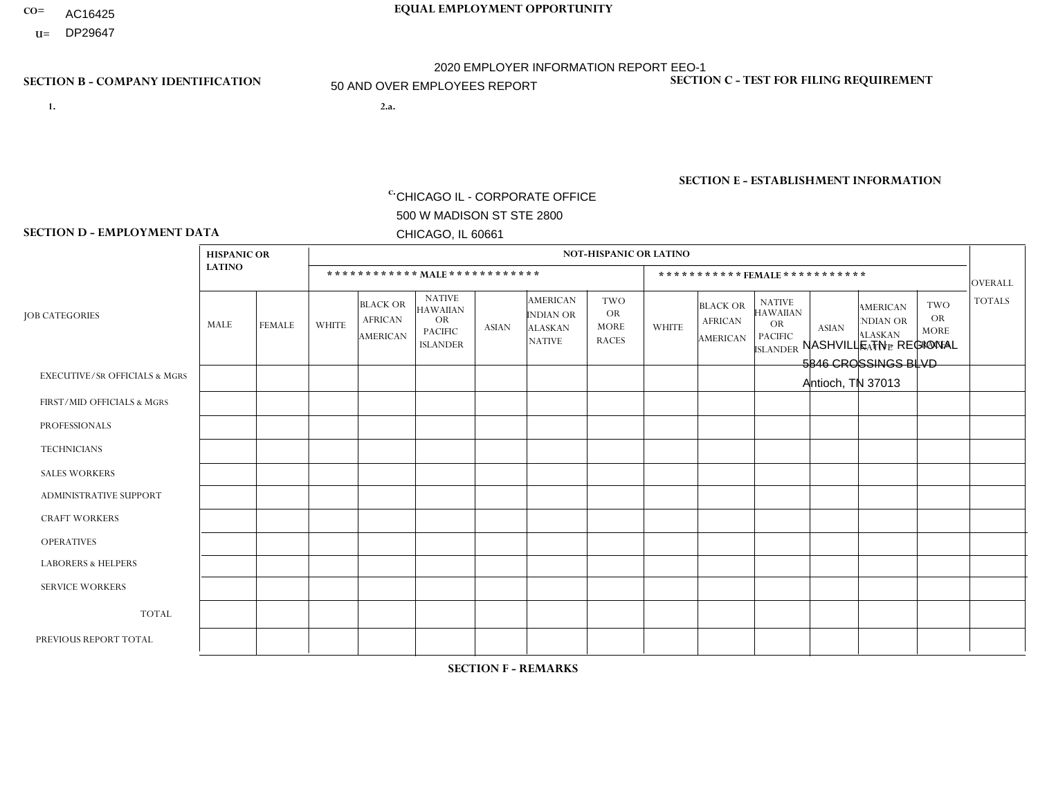- AC16425
- **U=**

**1. 2.a.** CHICAGO IL - CORPORATE OFFICE 500 W MADISON ST STE 2800 CHICAGO, IL 60661

2.a. NASHVILLE TN - REGIONAL 5846 CROSSINGS BLVD Antioch, TN 37013

c. EIN= 952920557

## **SECTION B - COMPANY IDENTIFICATION SECTION C - TEST FOR FILING REQUIREMENT**

1- Y 2- Y 3- N DUNS= 000123456

**SECTION E - ESTABLISHMENT INFORMATION c.** NAICS: 551114

### **SECTION D - EMPLOYMENT DATA**

|                                          | <b>HISPANIC OR</b> |                |                |                                                      |                                                                                    |              |                                                                 | <b>NOT-HISPANIC OR LATINO</b>                          |                |                                                      |                                                                                    |                |                                                                       |                                                        |                |
|------------------------------------------|--------------------|----------------|----------------|------------------------------------------------------|------------------------------------------------------------------------------------|--------------|-----------------------------------------------------------------|--------------------------------------------------------|----------------|------------------------------------------------------|------------------------------------------------------------------------------------|----------------|-----------------------------------------------------------------------|--------------------------------------------------------|----------------|
|                                          | <b>LATINO</b>      |                |                |                                                      | ************ MALE ************                                                     |              |                                                                 |                                                        |                |                                                      | *********** FEMALE ***********                                                     |                |                                                                       |                                                        | <b>OVERALL</b> |
| <b>JOB CATEGORIES</b>                    | <b>MALE</b>        | <b>FEMALE</b>  | <b>WHITE</b>   | <b>BLACK OR</b><br><b>AFRICAN</b><br><b>AMERICAN</b> | <b>NATIVE</b><br><b>HAWAIIAN</b><br><b>OR</b><br><b>PACIFIC</b><br><b>ISLANDER</b> | <b>ASIAN</b> | <b>AMERICAN</b><br>INDIAN OR<br><b>ALASKAN</b><br><b>NATIVE</b> | <b>TWO</b><br><b>OR</b><br><b>MORE</b><br><b>RACES</b> | <b>WHITE</b>   | <b>BLACK OR</b><br><b>AFRICAN</b><br><b>AMERICAN</b> | <b>NATIVE</b><br><b>HAWAIIAN</b><br><b>OR</b><br><b>PACIFIC</b><br><b>ISLANDER</b> | <b>ASIAN</b>   | <b>AMERICAN</b><br><b>NDIAN OR</b><br><b>ALASKAN</b><br><b>NATIVE</b> | <b>TWO</b><br><b>OR</b><br><b>MORE</b><br><b>RACES</b> | <b>TOTALS</b>  |
| <b>EXECUTIVE/SR OFFICIALS &amp; MGRS</b> | 4                  | $\mathbf 0$    | 62             | $\overline{c}$                                       | $\mathbf 0$                                                                        | 2            | $\Omega$                                                        | 3                                                      | 11             | $\overline{1}$                                       | $\mathbf 0$                                                                        | $\mathbf 0$    | $\Omega$                                                              | $\mathbf 0$                                            | 85             |
| FIRST/MID OFFICIALS & MGRS               | 4                  | $\overline{2}$ | 105            | 3                                                    | 1                                                                                  | 3            | 1                                                               | $\overline{4}$                                         | 22             | 5                                                    | 0                                                                                  | $\Omega$       | $\Omega$                                                              | $\Omega$                                               | 150            |
| <b>PROFESSIONALS</b>                     | 12                 | 3              | 154            | 16                                                   | $\mathbf 0$                                                                        | 9            | $\Omega$                                                        | 13                                                     | 75             | 12                                                   | $\Omega$                                                                           | $\overline{7}$ | $\Omega$                                                              | 6                                                      | 307            |
| <b>TECHNICIANS</b>                       | $\Omega$           | $\mathbf{0}$   | $\mathbf 0$    | $\mathbf 0$                                          | $\Omega$                                                                           | $\Omega$     | $\Omega$                                                        | $\Omega$                                               | $\Omega$       | $\Omega$                                             | $\mathbf{0}$                                                                       | 0              | $\Omega$                                                              | $\mathbf 0$                                            | $\overline{0}$ |
| <b>SALES WORKERS</b>                     | $\overline{1}$     | $\overline{0}$ | 33             | $\mathbf{1}$                                         | $\mathbf 0$                                                                        | $\mathbf{1}$ | $\Omega$                                                        | $\Omega$                                               | $\overline{7}$ | $\mathbf 0$                                          | $\overline{0}$                                                                     | $\mathbf 0$    | $\mathbf 0$                                                           | $\overline{1}$                                         | 44             |
| ADMINISTRATIVE SUPPORT                   | $\Omega$           | $\overline{2}$ | 15             | $\mathbf 0$                                          | 1                                                                                  | $\Omega$     | $\Omega$                                                        | $\overline{2}$                                         | 44             | $\overline{7}$                                       | $\Omega$                                                                           | $\mathbf{1}$   | 1                                                                     | 2                                                      | 75             |
| <b>CRAFT WORKERS</b>                     | $\Omega$           | $\mathbf 0$    | $\mathbf 0$    | $\mathbf 0$                                          | 0                                                                                  | $\Omega$     | $\Omega$                                                        | $\Omega$                                               | 0              | $\Omega$                                             | 0                                                                                  | $\mathbf 0$    | $\Omega$                                                              | $\mathbf 0$                                            | $\overline{0}$ |
| <b>OPERATIVES</b>                        | 15                 | $\Omega$       | 74             | 5                                                    | $\Omega$                                                                           | $\mathbf{1}$ | $\blacktriangleleft$                                            | $\overline{4}$                                         | $\mathbf{1}$   | $\blacktriangleleft$                                 | 0                                                                                  | $\Omega$       | $\overline{1}$                                                        | $\Omega$                                               | 103            |
| <b>LABORERS &amp; HELPERS</b>            | $\Omega$           | $\Omega$       | $\Omega$       | $\mathbf 0$                                          | $\mathbf 0$                                                                        | $\Omega$     | $\Omega$                                                        | $\Omega$                                               | $\Omega$       | $\Omega$                                             | $\Omega$                                                                           | $\Omega$       | $\Omega$                                                              | $\Omega$                                               | $\mathbf 0$    |
| <b>SERVICE WORKERS</b>                   |                    | $\Omega$       | $\overline{c}$ | $\mathbf 0$                                          | $\mathbf 0$                                                                        | $\Omega$     | $\Omega$                                                        | $\Omega$                                               | 3              | $\Omega$                                             | 0                                                                                  | $\Omega$       | $\Omega$                                                              | $\Omega$                                               | 6              |
| <b>TOTAL</b>                             | 37                 | $\overline{7}$ | 445            | 27                                                   | $\overline{2}$                                                                     | 16           | $\overline{2}$                                                  | 26                                                     | 163            | 26                                                   | 0                                                                                  | 8              | 2                                                                     | 9                                                      | 770            |
| PREVIOUS REPORT TOTAL                    | 38                 | 8              | 464            | 29                                                   | 1                                                                                  | 18           | 3                                                               | 24                                                     | 157            | 25                                                   | 0                                                                                  | 11             | $\overline{2}$                                                        | 12                                                     | 792            |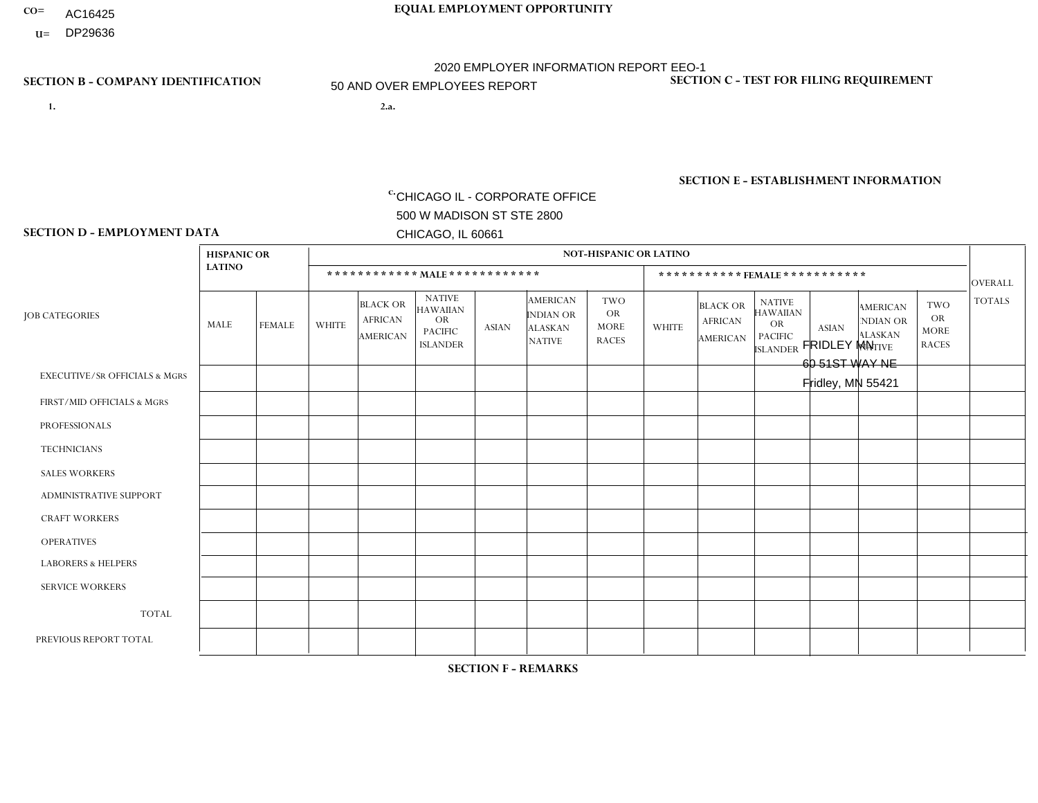- AC16425
- **U=**

**1. 2.a.** CHICAGO IL - CORPORATE OFFICE 500 W MADISON ST STE 2800 CHICAGO, IL 60661

2.a. FRIDLEY MN 60 51ST WAY NE Fridley, MN 55421

EIN= 952920557

## **SECTION B - COMPANY IDENTIFICATION SECTION C - TEST FOR FILING REQUIREMENT**

1- Y 2- Y 3- N DUNS= 000123456

**SECTION E - ESTABLISHMENT INFORMATION c.** NAICS: 423140

### **SECTION D - EMPLOYMENT DATA**

|                                          | <b>HISPANIC OR</b> |                |              |                                                      |                                                                                    |                |                                                                 | <b>NOT-HISPANIC OR LATINO</b>                          |                |                                               |                                                                                    |              |                                                                |                                                        |                |
|------------------------------------------|--------------------|----------------|--------------|------------------------------------------------------|------------------------------------------------------------------------------------|----------------|-----------------------------------------------------------------|--------------------------------------------------------|----------------|-----------------------------------------------|------------------------------------------------------------------------------------|--------------|----------------------------------------------------------------|--------------------------------------------------------|----------------|
|                                          | <b>LATINO</b>      |                |              |                                                      | ************ MALE ************                                                     |                |                                                                 |                                                        |                | ***********FEMALE***********                  |                                                                                    |              |                                                                |                                                        | <b>OVERALL</b> |
| <b>JOB CATEGORIES</b>                    | MALE               | <b>FEMALE</b>  | <b>WHITE</b> | <b>BLACK OR</b><br><b>AFRICAN</b><br><b>AMERICAN</b> | <b>NATIVE</b><br><b>HAWAIIAN</b><br><b>OR</b><br><b>PACIFIC</b><br><b>ISLANDER</b> | <b>ASIAN</b>   | <b>AMERICAN</b><br>INDIAN OR<br><b>ALASKAN</b><br><b>NATIVE</b> | <b>TWO</b><br><b>OR</b><br><b>MORE</b><br><b>RACES</b> | <b>WHITE</b>   | <b>BLACK OR</b><br><b>AFRICAN</b><br>AMERICAN | <b>NATIVE</b><br><b>HAWAIIAN</b><br><b>OR</b><br><b>PACIFIC</b><br><b>ISLANDER</b> | <b>ASIAN</b> | <b>AMERICAN</b><br>NDIAN OR<br><b>ALASKAN</b><br><b>NATIVE</b> | <b>TWO</b><br><b>OR</b><br><b>MORE</b><br><b>RACES</b> | <b>TOTALS</b>  |
| <b>EXECUTIVE/SR OFFICIALS &amp; MGRS</b> | $\Omega$           | $\Omega$       | $\Omega$     | $\Omega$                                             | $\Omega$                                                                           | $\mathbf{0}$   | $\Omega$                                                        | $\Omega$                                               | 0              | $\Omega$                                      | $\Omega$                                                                           | $\Omega$     | $\Omega$                                                       | $\Omega$                                               | $\Omega$       |
| FIRST/MID OFFICIALS & MGRS               | 0                  | $\Omega$       | 3            | $\mathbf 0$                                          | $\Omega$                                                                           | $\mathbf{0}$   | $\mathbf{0}$                                                    |                                                        | 0              | $\Omega$                                      | $\Omega$                                                                           | $\Omega$     | $\Omega$                                                       | $\Omega$                                               | $\overline{4}$ |
| <b>PROFESSIONALS</b>                     | 0                  | $\Omega$       | $\Omega$     | $\mathbf 0$                                          | $\Omega$                                                                           | $\Omega$       | $\Omega$                                                        | $\Omega$                                               | 0              | $\Omega$                                      | $\Omega$                                                                           | $\Omega$     | $\Omega$                                                       | $\Omega$                                               | $\mathbf{0}$   |
| <b>TECHNICIANS</b>                       | 0                  | $\overline{0}$ | $\Omega$     | $\mathbf 0$                                          | $\overline{0}$                                                                     | $\Omega$       | $\Omega$                                                        | $\Omega$                                               | $\Omega$       | $\Omega$                                      | $\Omega$                                                                           | $\mathbf 0$  | $\mathbf 0$                                                    | $\mathbf 0$                                            | $\mathbf 0$    |
| <b>SALES WORKERS</b>                     | $\Omega$           | $\Omega$       | 16           | $\Omega$                                             | $\Omega$                                                                           | $\Omega$       | $\Omega$                                                        | $\Omega$                                               | 3              | $\Omega$                                      | $\Omega$                                                                           | $\Omega$     | $\Omega$                                                       | $\Omega$                                               | 19             |
| <b>ADMINISTRATIVE SUPPORT</b>            | 0                  | $\Omega$       | $\Omega$     | $\mathbf 0$                                          | $\Omega$                                                                           | $\mathbf{0}$   | $\Omega$                                                        | $\Omega$                                               | $\overline{2}$ | $\Omega$                                      | $\Omega$                                                                           | $\Omega$     | 1                                                              | $\Omega$                                               | 3              |
| <b>CRAFT WORKERS</b>                     | 0                  | $\Omega$       | $\Omega$     | $\mathbf 0$                                          | $\Omega$                                                                           | $\Omega$       | $\Omega$                                                        | $\Omega$                                               | 0              | $\Omega$                                      | $\Omega$                                                                           | $\Omega$     | $\Omega$                                                       | $\Omega$                                               | $\Omega$       |
| <b>OPERATIVES</b>                        | $\overline{2}$     | $\Omega$       | 19           | $\overline{1}$                                       | $\mathbf 0$                                                                        | -1             | $\Omega$                                                        | $\Omega$                                               | $\overline{0}$ | $\Omega$                                      | $\Omega$                                                                           | $\mathbf 0$  | $\mathbf 0$                                                    | $\mathbf 0$                                            | 23             |
| <b>LABORERS &amp; HELPERS</b>            | $\overline{2}$     | $\Omega$       | 20           | $\overline{1}$                                       | $\Omega$                                                                           | $\Omega$       | $\Omega$                                                        |                                                        | $\Omega$       | $\Omega$                                      | $\Omega$                                                                           | $\Omega$     | $\Omega$                                                       | $\Omega$                                               | 24             |
| <b>SERVICE WORKERS</b>                   | 0                  | $\Omega$       | $\Omega$     | 0                                                    | 0                                                                                  | $\Omega$       | $\Omega$                                                        | $\Omega$                                               | $\Omega$       | $\Omega$                                      | $\Omega$                                                                           | 0            | $\Omega$                                                       | $\Omega$                                               | $\mathbf 0$    |
| <b>TOTAL</b>                             | 4                  | $\mathbf 0$    | 58           | $\overline{c}$                                       | 0                                                                                  | -1             | $\Omega$                                                        | $\overline{2}$                                         | 5              | $\Omega$                                      | $\Omega$                                                                           | $\mathbf 0$  | 1                                                              | $\mathbf 0$                                            | 73             |
| PREVIOUS REPORT TOTAL                    | $\overline{2}$     | $\Omega$       | 64           | $\overline{4}$                                       | 0                                                                                  | $\overline{1}$ | $\Omega$                                                        | 4                                                      | 5              | $\Omega$                                      | $\Omega$                                                                           | $\Omega$     | 1                                                              | $\mathbf{1}$                                           | 82             |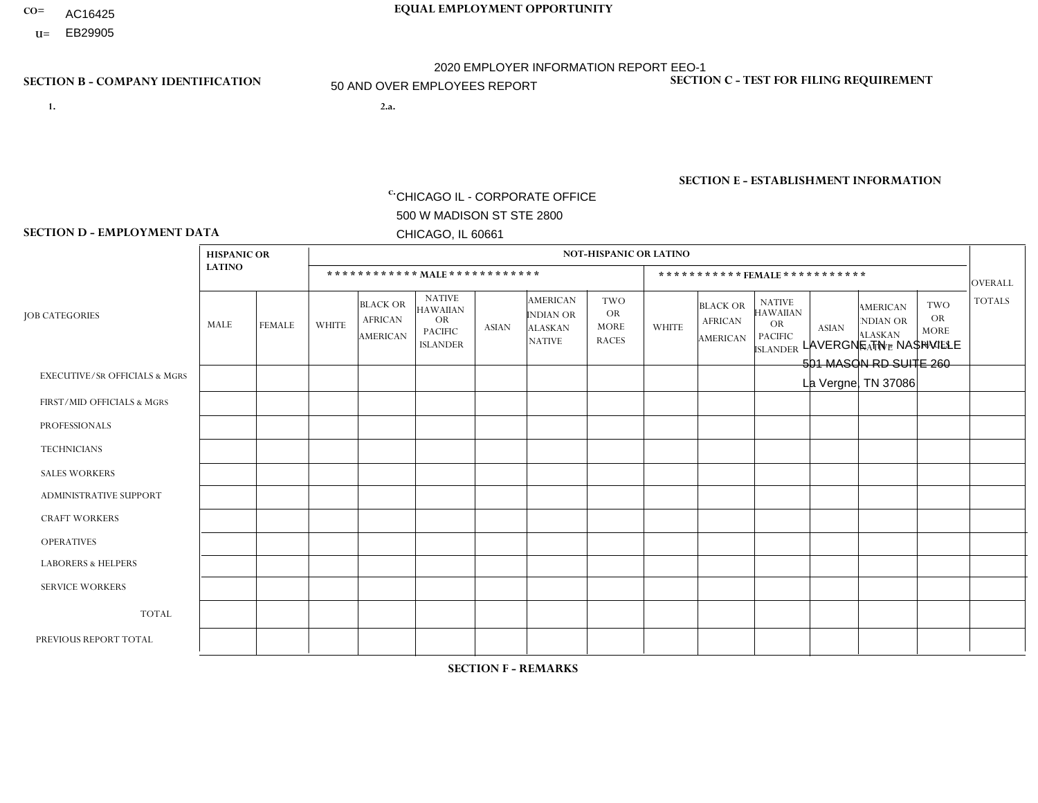- AC16425
- **U=**

**1. 2.a.** CHICAGO IL - CORPORATE OFFICE 500 W MADISON ST STE 2800 CHICAGO, IL 60661

2.a. LAVERGNE TN - NASHVILLE 501 MASON RD SUITE 260 La Vergne, TN 37086

c. EIN= 952920557

## **SECTION B - COMPANY IDENTIFICATION SECTION C - TEST FOR FILING REQUIREMENT**

1- Y 2- Y 3- N DUNS= 000123456

**SECTION E - ESTABLISHMENT INFORMATION c.** NAICS: 423140

### **SECTION D - EMPLOYMENT DATA**

|                                          | <b>HISPANIC OR</b> |               |                |                                                      |                                                                                    |              |                                                                 | <b>NOT-HISPANIC OR LATINO</b>                          |                |                                                      |                                                                                    |              |                                                                       |                                                        |                |
|------------------------------------------|--------------------|---------------|----------------|------------------------------------------------------|------------------------------------------------------------------------------------|--------------|-----------------------------------------------------------------|--------------------------------------------------------|----------------|------------------------------------------------------|------------------------------------------------------------------------------------|--------------|-----------------------------------------------------------------------|--------------------------------------------------------|----------------|
|                                          | <b>LATINO</b>      |               |                |                                                      | ************ MAIE************                                                      |              |                                                                 |                                                        |                |                                                      | ***********FEMALE***********                                                       |              |                                                                       |                                                        | <b>OVERALL</b> |
| <b>JOB CATEGORIES</b>                    | MALE               | <b>FEMALE</b> | <b>WHITE</b>   | <b>BLACK OR</b><br><b>AFRICAN</b><br><b>AMERICAN</b> | <b>NATIVE</b><br><b>HAWAIIAN</b><br><b>OR</b><br><b>PACIFIC</b><br><b>ISLANDER</b> | <b>ASIAN</b> | <b>AMERICAN</b><br>INDIAN OR<br><b>ALASKAN</b><br><b>NATIVE</b> | <b>TWO</b><br><b>OR</b><br><b>MORE</b><br><b>RACES</b> | <b>WHITE</b>   | <b>BLACK OR</b><br><b>AFRICAN</b><br><b>AMERICAN</b> | <b>NATIVE</b><br><b>HAWAIIAN</b><br><b>OR</b><br><b>PACIFIC</b><br><b>ISLANDER</b> | <b>ASIAN</b> | <b>AMERICAN</b><br><b>NDIAN OR</b><br><b>ALASKAN</b><br><b>NATIVE</b> | <b>TWO</b><br><b>OR</b><br><b>MORE</b><br><b>RACES</b> | <b>TOTALS</b>  |
| <b>EXECUTIVE/SR OFFICIALS &amp; MGRS</b> | $\Omega$           | $\Omega$      | $\mathbf 0$    | $\Omega$                                             | $\Omega$                                                                           | $\Omega$     | $\Omega$                                                        | $\Omega$                                               | $\Omega$       | $\Omega$                                             | $\mathbf{0}$                                                                       | $\Omega$     | $\Omega$                                                              | 0                                                      | $\Omega$       |
| FIRST/MID OFFICIALS & MGRS               | 0                  | $\mathbf{0}$  | $\overline{7}$ | $\mathbf 0$                                          | $\mathbf 0$                                                                        | $\Omega$     | $\Omega$                                                        | $\Omega$                                               |                | $\Omega$                                             | $\Omega$                                                                           | $\mathbf{0}$ | $\mathbf{0}$                                                          | $\Omega$                                               | 8              |
| <b>PROFESSIONALS</b>                     | 0                  | $\mathbf{0}$  | $\mathbf{1}$   | $\mathbf 0$                                          | $\mathbf 0$                                                                        | $\Omega$     | $\Omega$                                                        | $\Omega$                                               |                | $\Omega$                                             | $\Omega$                                                                           | $\Omega$     | $\Omega$                                                              | $\Omega$                                               | $\overline{2}$ |
| <b>TECHNICIANS</b>                       | 0                  | $\mathbf 0$   | $\mathbf 0$    | $\mathbf 0$                                          | $\mathbf 0$                                                                        | $\Omega$     | $\Omega$                                                        | $\Omega$                                               | $\Omega$       | $\Omega$                                             | $\mathbf{0}$                                                                       | $\Omega$     | $\mathbf{0}$                                                          | $\Omega$                                               | $\mathbf 0$    |
| <b>SALES WORKERS</b>                     | $\overline{1}$     | $\mathbf 0$   | 11             | $\mathbf 0$                                          | $\mathbf 0$                                                                        | $\Omega$     | $\mathbf{0}$                                                    | $\Omega$                                               | 5              | $\Omega$                                             | $\Omega$                                                                           | $\mathbf{0}$ | $\Omega$                                                              | $\mathbf{0}$                                           | 17             |
| <b>ADMINISTRATIVE SUPPORT</b>            | 0                  | $\mathbf 0$   | $\mathbf{1}$   | $\mathbf 0$                                          | $\mathbf 0$                                                                        | $\mathbf 0$  | $\mathbf{0}$                                                    | $\Omega$                                               | $\overline{2}$ | $\Omega$                                             | $\Omega$                                                                           | $\Omega$     | $\mathbf{0}$                                                          | $\Omega$                                               | 3              |
| <b>CRAFT WORKERS</b>                     | 0                  | $\Omega$      | $\mathbf{0}$   | $\mathbf 0$                                          | $\Omega$                                                                           | $\Omega$     | $\mathbf{0}$                                                    | $\Omega$                                               | $\Omega$       | $\Omega$                                             | $\Omega$                                                                           | $\mathbf{0}$ | $\Omega$                                                              | $\Omega$                                               | $\Omega$       |
| <b>OPERATIVES</b>                        | 4                  | $\Omega$      | 22             | 4                                                    | $\Omega$                                                                           | $\mathbf{1}$ | $\Omega$                                                        | $\Omega$                                               | 3              | $\Omega$                                             | $\Omega$                                                                           | $\Omega$     | $\mathbf{0}$                                                          | 1                                                      | 35             |
| <b>LABORERS &amp; HELPERS</b>            | 1                  | $\Omega$      | 10             | $\mathbf{1}$                                         | $\Omega$                                                                           | $\Omega$     | $\Omega$                                                        | $\Omega$                                               |                | $\Omega$                                             | $\Omega$                                                                           | $\Omega$     | $\Omega$                                                              | $\Omega$                                               | 13             |
| <b>SERVICE WORKERS</b>                   | 0                  | $\mathbf 0$   | $\overline{1}$ | $\mathbf 0$                                          | $\mathbf 0$                                                                        | $\mathbf 0$  | $\mathbf{0}$                                                    | $\Omega$                                               |                | $\Omega$                                             | $\mathbf{0}$                                                                       | $\mathbf{0}$ | $\mathbf{0}$                                                          | $\Omega$                                               | 2              |
| <b>TOTAL</b>                             | 6                  | $\mathbf 0$   | 53             | 5                                                    | $\mathbf 0$                                                                        | $\mathbf{1}$ | $\Omega$                                                        | $\mathbf 0$                                            | 14             | 0                                                    | $\mathbf 0$                                                                        | $\mathbf 0$  | 0                                                                     | 1                                                      | 80             |
| PREVIOUS REPORT TOTAL                    | 4                  | $\mathbf 0$   | 56             | 10                                                   | $\mathbf 0$                                                                        | $\mathbf{1}$ | $\Omega$                                                        | $\Omega$                                               | 12             | $\Omega$                                             | $\mathbf{0}$                                                                       | $\Omega$     | $\Omega$                                                              | 1                                                      | 84             |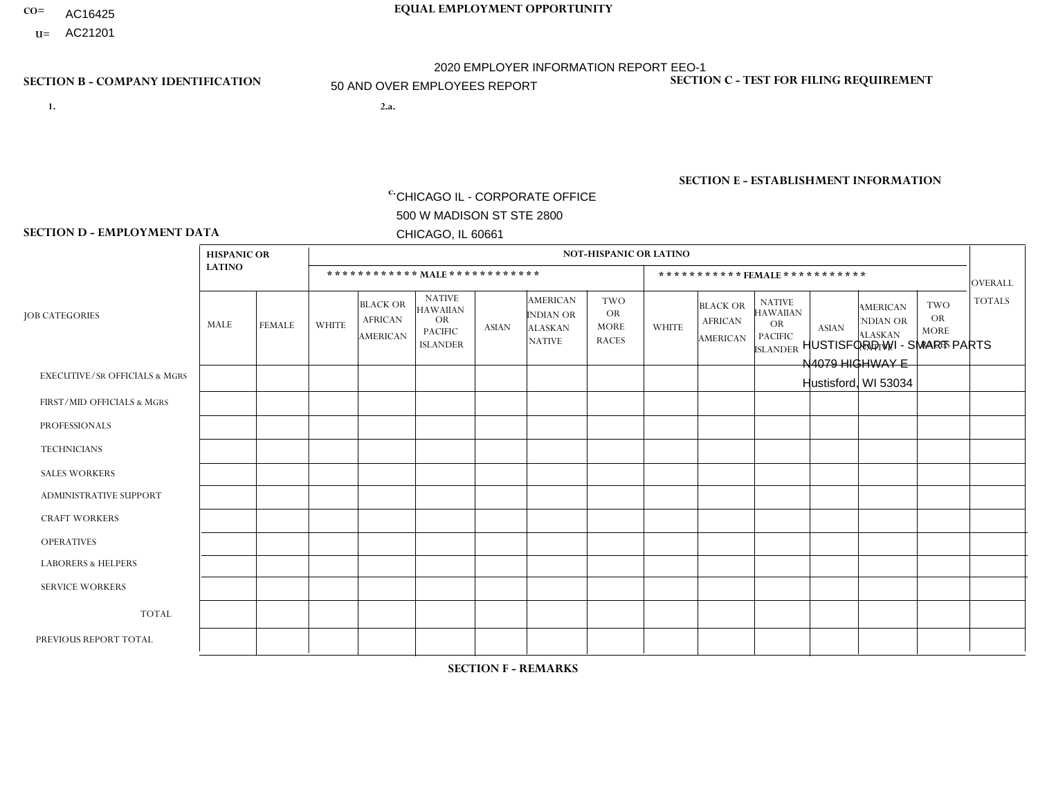- **CO= EQUAL EMPLOYMENT OPPORTUNITY** AC16425
- **U=**

## **SECTION B - COMPANY IDENTIFICATION SECTION C - TEST FOR FILING REQUIREMENT**

- **1. 2.a.** CHICAGO IL CORPORATE OFFICE 500 W MADISON ST STE 2800 CHICAGO, IL 60661
- 2.a. HUSTISFORD WI SMART PARTS N4079 HIGHWAY E Hustisford, WI 53034

2020 EMPLOYER INFORMATION REPORT EEO-1 50 AND OVER EMPLOYEES REPORT

c. EIN= 952920557

1- Y 2- Y 3- N DUNS= 000123456

**SECTION E - ESTABLISHMENT INFORMATION c.** NAICS: 423140

### **SECTION D - EMPLOYMENT DATA**

|                                          | <b>HISPANIC OR</b> |               |                |                                                      |                                                                                    |              |                                                                        | <b>NOT-HISPANIC OR LATINO</b>                          |                |                                               |                                                                                    |              |                                                                       |                                                        |                |
|------------------------------------------|--------------------|---------------|----------------|------------------------------------------------------|------------------------------------------------------------------------------------|--------------|------------------------------------------------------------------------|--------------------------------------------------------|----------------|-----------------------------------------------|------------------------------------------------------------------------------------|--------------|-----------------------------------------------------------------------|--------------------------------------------------------|----------------|
|                                          | <b>LATINO</b>      |               |                |                                                      | ************ MALE ************                                                     |              |                                                                        |                                                        |                | ***********FEMALE***********                  |                                                                                    |              |                                                                       |                                                        | <b>OVERALL</b> |
| <b>JOB CATEGORIES</b>                    | MALE               | <b>FEMALE</b> | <b>WHITE</b>   | <b>BLACK OR</b><br><b>AFRICAN</b><br><b>AMERICAN</b> | <b>NATIVE</b><br><b>HAWAIIAN</b><br><b>OR</b><br><b>PACIFIC</b><br><b>ISLANDER</b> | ASIAN        | <b>AMERICAN</b><br><b>INDIAN OR</b><br><b>ALASKAN</b><br><b>NATIVE</b> | <b>TWO</b><br><b>OR</b><br><b>MORE</b><br><b>RACES</b> | <b>WHITE</b>   | <b>BLACK OR</b><br><b>AFRICAN</b><br>AMERICAN | <b>NATIVE</b><br><b>HAWAIIAN</b><br><b>OR</b><br><b>PACIFIC</b><br><b>ISLANDER</b> | <b>ASIAN</b> | <b>AMERICAN</b><br><b>NDIAN OR</b><br><b>ALASKAN</b><br><b>NATIVE</b> | <b>TWO</b><br><b>OR</b><br><b>MORE</b><br><b>RACES</b> | <b>TOTALS</b>  |
| <b>EXECUTIVE/SR OFFICIALS &amp; MGRS</b> | $\Omega$           | $\Omega$      | $\Omega$       | $\mathbf 0$                                          | $\Omega$                                                                           | $\mathbf{0}$ | $\Omega$                                                               | $\Omega$                                               | 0              | $\Omega$                                      | $\Omega$                                                                           | $\Omega$     | $\Omega$                                                              | $\Omega$                                               | $\mathbf{0}$   |
| FIRST/MID OFFICIALS & MGRS               | 0                  | $\Omega$      |                | $\mathbf 0$                                          | $\Omega$                                                                           | $\Omega$     | $\Omega$                                                               | $\Omega$                                               | 3              | $\Omega$                                      | $\Omega$                                                                           | $\Omega$     | $\Omega$                                                              | $\Omega$                                               | $\overline{4}$ |
| <b>PROFESSIONALS</b>                     | 0                  | $\mathbf 0$   | 2              | $\mathbf 0$                                          | $\Omega$                                                                           | $\Omega$     | $\Omega$                                                               | $\Omega$                                               |                | $\Omega$                                      | $\Omega$                                                                           | $\Omega$     | $\Omega$                                                              | $\Omega$                                               | 3              |
| <b>TECHNICIANS</b>                       | 0                  | $\Omega$      | $\Omega$       | $\mathbf 0$                                          | $\Omega$                                                                           | $\Omega$     | $\Omega$                                                               | $\Omega$                                               | $\Omega$       | $\Omega$                                      | $\Omega$                                                                           | $\Omega$     | $\Omega$                                                              | $\Omega$                                               | $\mathbf{0}$   |
| <b>SALES WORKERS</b>                     | 0                  | $\Omega$      | 6              | $\Omega$                                             | $\Omega$                                                                           | $\Omega$     | $\Omega$                                                               | $\Omega$                                               | $\overline{2}$ | $\Omega$                                      | $\Omega$                                                                           | $\Omega$     | $\overline{1}$                                                        | $\Omega$                                               | 9              |
| <b>ADMINISTRATIVE SUPPORT</b>            | 0                  | 0             | 4              | $\mathbf 0$                                          | 0                                                                                  | $\Omega$     | $\Omega$                                                               | $\Omega$                                               |                | $\Omega$                                      | $\Omega$                                                                           | $\mathbf{0}$ | $\mathbf{0}$                                                          | $\mathbf 0$                                            | 5              |
| <b>CRAFT WORKERS</b>                     | 0                  | $\Omega$      | $\overline{7}$ | $\mathbf 0$                                          | $\Omega$                                                                           | $\Omega$     | $\Omega$                                                               | $\Omega$                                               | 0              | $\Omega$                                      | $\Omega$                                                                           | $\Omega$     | $\Omega$                                                              | $\Omega$                                               | $\overline{7}$ |
| <b>OPERATIVES</b>                        |                    | $\Omega$      | 20             | $\mathbf 0$                                          | $\Omega$                                                                           | $\Omega$     | $\Omega$                                                               | $\Omega$                                               | 3              | $\Omega$                                      | $\Omega$                                                                           | $\Omega$     | $\Omega$                                                              | $\Omega$                                               | 24             |
| <b>LABORERS &amp; HELPERS</b>            | 0                  | $\Omega$      | $\Omega$       | $\mathbf 0$                                          | $\Omega$                                                                           | $\Omega$     | $\Omega$                                                               | $\Omega$                                               | $\Omega$       | $\Omega$                                      | $\Omega$                                                                           | $\mathbf{0}$ | $\Omega$                                                              | $\overline{1}$                                         | $\mathbf{1}$   |
| <b>SERVICE WORKERS</b>                   | 0                  | $\Omega$      | $\Omega$       | 0                                                    | 0                                                                                  | $\Omega$     | $\Omega$                                                               | $\Omega$                                               | $\Omega$       | $\Omega$                                      | $\Omega$                                                                           | $\Omega$     | $\Omega$                                                              | $\mathbf 0$                                            | $\overline{0}$ |
| <b>TOTAL</b>                             | 1                  | 0             | 40             | 0                                                    | 0                                                                                  | $\mathbf 0$  | $\Omega$                                                               | $\Omega$                                               | 10             | $\Omega$                                      | $\Omega$                                                                           | $\mathbf 0$  | $\overline{1}$                                                        | $\mathbf{1}$                                           | 53             |
| PREVIOUS REPORT TOTAL                    | $\overline{2}$     | $\Omega$      | 51             | $\overline{1}$                                       | 0                                                                                  | $\mathbf{0}$ | $\Omega$                                                               |                                                        | 14             | $\Omega$                                      | $\Omega$                                                                           | $\Omega$     | 1                                                                     | $\mathbf{1}$                                           | 71             |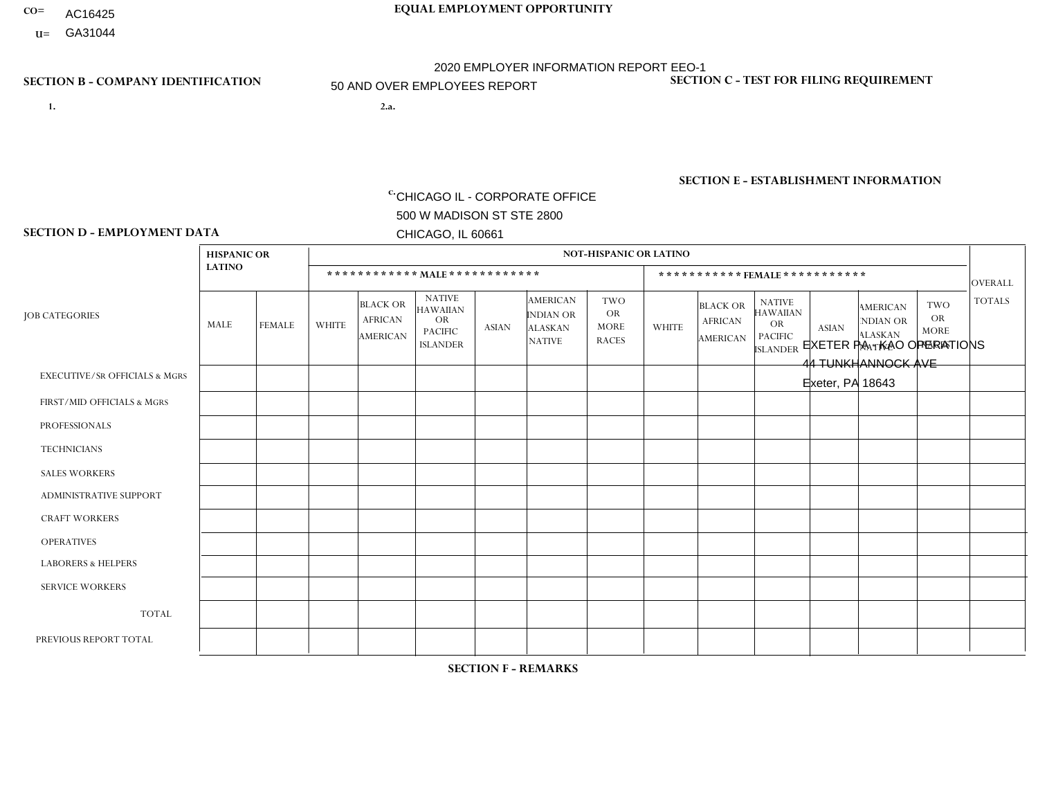- **CO= EQUAL EMPLOYMENT OPPORTUNITY** AC16425
	- **U=**

## **SECTION B - COMPANY IDENTIFICATION SECTION C - TEST FOR FILING REQUIREMENT**

**1. 2.a.** CHICAGO IL - CORPORATE OFFICE 500 W MADISON ST STE 2800 CHICAGO, IL 60661

2.a. EXETER PA - KAO OPERATIONS 44 TUNKHANNOCK AVE Exeter, PA 18643

2020 EMPLOYER INFORMATION REPORT EEO-1 50 AND OVER EMPLOYEES REPORT

EIN= 952920557

1- Y 2- Y 3- N DUNS= 000123456

**SECTION E - ESTABLISHMENT INFORMATION c.** NAICS: 423140

### **SECTION D - EMPLOYMENT DATA**

|                                          | <b>HISPANIC OR</b> |                |                 |                                               |                                                                                    |              |                                                                        | <b>NOT-HISPANIC OR LATINO</b>                          |                |                                               |                                                                             |              |                                                                       |                                                        |                |
|------------------------------------------|--------------------|----------------|-----------------|-----------------------------------------------|------------------------------------------------------------------------------------|--------------|------------------------------------------------------------------------|--------------------------------------------------------|----------------|-----------------------------------------------|-----------------------------------------------------------------------------|--------------|-----------------------------------------------------------------------|--------------------------------------------------------|----------------|
|                                          | <b>LATINO</b>      |                |                 |                                               | ************ MAIE************                                                      |              |                                                                        |                                                        |                |                                               | *********** FEMALE ***********                                              |              |                                                                       |                                                        | <b>OVERALL</b> |
| <b>JOB CATEGORIES</b>                    | MALE               | <b>FEMALE</b>  | <b>WHITE</b>    | <b>BLACK OR</b><br><b>AFRICAN</b><br>AMERICAN | <b>NATIVE</b><br><b>HAWAIIAN</b><br><b>OR</b><br><b>PACIFIC</b><br><b>ISLANDER</b> | <b>ASIAN</b> | <b>AMERICAN</b><br><b>INDIAN OR</b><br><b>ALASKAN</b><br><b>NATIVE</b> | <b>TWO</b><br><b>OR</b><br><b>MORE</b><br><b>RACES</b> | <b>WHITE</b>   | <b>BLACK OR</b><br><b>AFRICAN</b><br>AMERICAN | <b>NATIVE</b><br><b>HAWAIIAN</b><br>OR<br><b>PACIFIC</b><br><b>ISLANDER</b> | <b>ASIAN</b> | <b>AMERICAN</b><br><b>NDIAN OR</b><br><b>ALASKAN</b><br><b>NATIVE</b> | <b>TWO</b><br><b>OR</b><br><b>MORE</b><br><b>RACES</b> | <b>TOTALS</b>  |
| <b>EXECUTIVE/SR OFFICIALS &amp; MGRS</b> | $\mathbf{0}$       | $\Omega$       | 19              | 0                                             | $\Omega$                                                                           | $\Omega$     | $\Omega$                                                               | $\Omega$                                               | 4              | $\Omega$                                      | $\Omega$                                                                    |              | $\Omega$                                                              | $\Omega$                                               | 24             |
| FIRST/MID OFFICIALS & MGRS               | 0                  | 1              | 23              | $\mathbf 0$                                   | $\mathbf{0}$                                                                       | $\Omega$     | $\Omega$                                                               | $\Omega$                                               | 11             | $\Omega$                                      | $\Omega$                                                                    | $\Omega$     | $\Omega$                                                              | 1                                                      | 36             |
| <b>PROFESSIONALS</b>                     | 1                  | $\mathbf{0}$   | 42              | 0                                             | $\Omega$                                                                           | $\Omega$     | $\Omega$                                                               | $\Omega$                                               | 37             | $\Omega$                                      | $\Omega$                                                                    | $\mathbf 0$  | $\Omega$                                                              | $\Omega$                                               | 80             |
| <b>TECHNICIANS</b>                       | $\mathbf 0$        | $\mathbf 0$    | $\mathbf 0$     | $\mathbf 0$                                   | $\Omega$                                                                           | $\Omega$     | $\Omega$                                                               | $\mathbf 0$                                            | $\Omega$       | $\mathbf 0$                                   | $\Omega$                                                                    | $\Omega$     | $\Omega$                                                              | $\Omega$                                               | $\mathbf 0$    |
| <b>SALES WORKERS</b>                     | $\mathbf 0$        | $\mathbf 0$    | 5               | $\mathbf{1}$                                  | $\Omega$                                                                           | $\Omega$     | $\Omega$                                                               | $\Omega$                                               | $\overline{2}$ | $\Omega$                                      | $\Omega$                                                                    | $\Omega$     | $\Omega$                                                              | $\Omega$                                               | 8              |
| ADMINISTRATIVE SUPPORT                   | $\mathbf 0$        | 1              | 15              | $\overline{2}$                                | $\mathbf{0}$                                                                       | $\Omega$     | $\Omega$                                                               | $\Omega$                                               | 39             | 2                                             | $\Omega$                                                                    | $\Omega$     | $\Omega$                                                              | $\Omega$                                               | 59             |
| <b>CRAFT WORKERS</b>                     | $\Omega$           | 0              | 5               | 0                                             | $\Omega$                                                                           | $\Omega$     | $\Omega$                                                               | $\Omega$                                               | $\Omega$       | $\Omega$                                      | $\Omega$                                                                    | $\Omega$     | $\Omega$                                                              | $\Omega$                                               | 5              |
| <b>OPERATIVES</b>                        | $\mathbf 0$        | $\mathbf 0$    | 42              | $\mathbf{1}$                                  | $\Omega$                                                                           | $\Omega$     | $\Omega$                                                               | $\Omega$                                               | $\overline{2}$ | $\Omega$                                      | $\Omega$                                                                    | $\Omega$     | $\Omega$                                                              | $\Omega$                                               | 45             |
| <b>LABORERS &amp; HELPERS</b>            | $\mathbf{0}$       | $\Omega$       | $5\phantom{.0}$ | 0                                             | $\Omega$                                                                           | $\Omega$     | $\Omega$                                                               | $\Omega$                                               | $\Omega$       | $\Omega$                                      | $\Omega$                                                                    | $\Omega$     | $\Omega$                                                              | $\Omega$                                               | 5              |
| <b>SERVICE WORKERS</b>                   |                    | $\overline{2}$ | $\overline{4}$  | 0                                             | $\Omega$                                                                           | $\Omega$     | $\Omega$                                                               | $\Omega$                                               | 9              | $\Omega$                                      | $\Omega$                                                                    | $\Omega$     | $\Omega$                                                              | $\Omega$                                               | 16             |
| <b>TOTAL</b>                             | $\overline{2}$     | 4              | 160             | 4                                             | $\Omega$                                                                           | $\Omega$     | $\Omega$                                                               | $\Omega$                                               | 104            | $\overline{2}$                                | $\Omega$                                                                    |              | $\Omega$                                                              | $\mathbf{1}$                                           | 278            |
| PREVIOUS REPORT TOTAL                    | 2                  | 3              | 163             | $\mathbf 0$                                   | $\Omega$                                                                           | $\Omega$     | $\Omega$                                                               |                                                        | 108            | $\overline{4}$                                | 0                                                                           |              | $\Omega$                                                              | 2                                                      | 284            |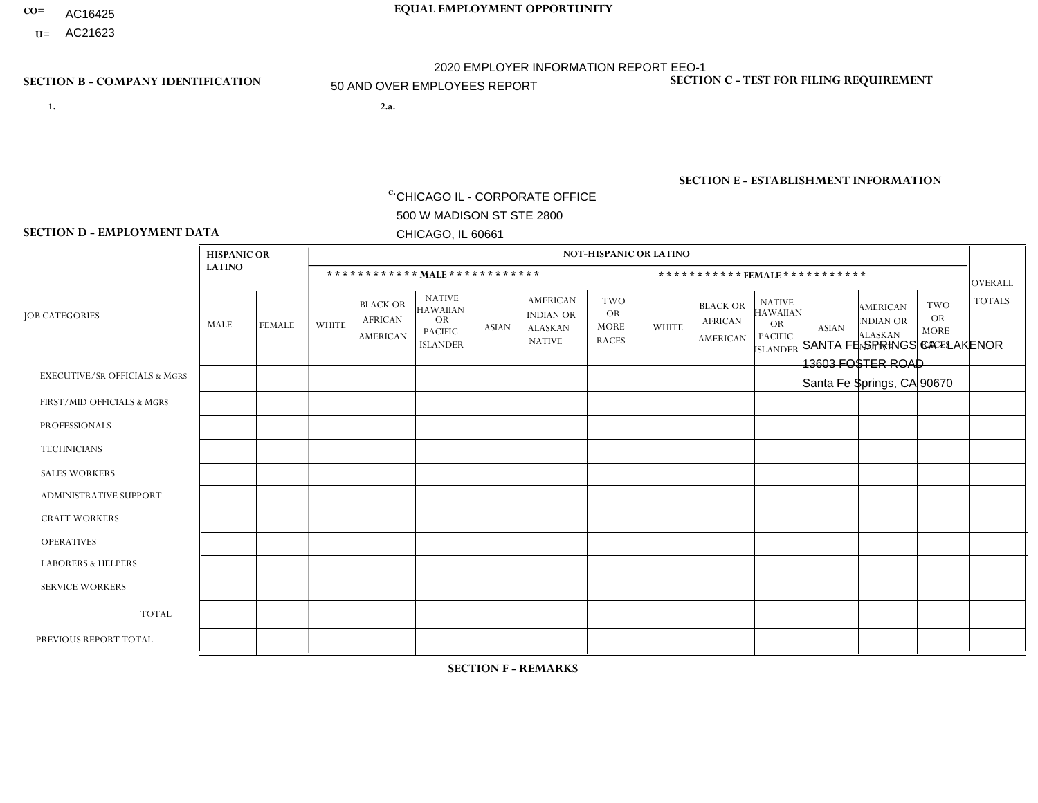- **CO= EQUAL EMPLOYMENT OPPORTUNITY** AC16425
- **U=** AC21623 2020 EMPLOYER INFORMATION REPORT EEO-1

**SECTION D - EMPLOYMENT DATA**

- **1. 2.a.** CHICAGO IL CORPORATE OFFICE 500 W MADISON ST STE 2800 CHICAGO, IL 60661
- 2.a. SANTA FE SPRINGS CA LAKENOR 13603 FOSTER ROAD Santa Fe Springs, CA 90670

50 AND OVER EMPLOYEES REPORT

EIN= 364261867

### **SECTION B - COMPANY IDENTIFICATION SECTION C - TEST FOR FILING REQUIREMENT**

1- Y 2- Y 3- N DUNS= 000123456

### **SECTION E - ESTABLISHMENT INFORMATION c.**

NAICS: 423140 - Motor Vehicle Parts (Used) Merchant Wholesalers

### **HISPANIC OR NOT-HISPANIC OR LATINO LATINO \* \* \* \* \* \* \* \* \* \* \* \* MALE \* \* \* \* \* \* \* \* \* \* \* \* \* \* \* \* \* \* \* \* \* \* \* FEMALE \* \* \* \* \* \* \* \* \* \* \*** OVERALL  $TWO$   $TOTALS$ OR MORE NATIVE RACES ALASKAN INDIAN OR AMERICAN ASIAN ISLANDER PACIFIC OR NATIVE HAWAIIAN BLACK OR AFRICAN AMERICAN **WHITE** TWO OR MORE NATIVE RACES ALASKAN INDIAN OR AMERICAN ASIAN NATIVE HAWAIIAN PACIFIC OR ISLANDER BLACK OR AFRICAN AMERICAN MALE FEMALE WHITE JOB CATEGORIES EXECUTIVE/SR OFFICIALS & MGRS FIRST/MID OFFICIALS & MGRS PROFESSIONALS **TECHNICIANS** SALES WORKERS ADMINISTRATIVE SUPPORT CRAFT WORKERS OPERATIVES LABORERS & HELPERS SERVICE WORKERS TOTAL PREVIOUS REPORT TOTAL 0 4 1 0 10 0 0 18 10 0 43 68 0 1 0 0 0 7 0  $\Omega$ 0 3 11 13 0  $\Omega$ 0 0 1 0 0 0  $\overline{0}$ 0 1 5 0  $\overline{0}$ 0 0 0 0 0 0  $\overline{0}$ 0 0 2 0  $\Omega$ 0 0 0 0 0  $\Omega$  $\Omega$ 0 0 0 0  $\Omega$ 0 0 3 0 0 0  $\overline{0}$ 0 3 4 0  $\Omega$ 0 0 0 0 0  $\Omega$  $\Omega$ 0 0  $\Omega$ 0  $\Omega$  $\Omega$ 0 1 0 0 2 2 0 5 5 0  $\Omega$  $\Omega$ 0 1 0 0  $\Omega$  $\Omega$ 0 1 3 0  $\Omega$  $\Omega$ 0 0 0 0  $\Omega$  $\Omega$ 0 0  $\Omega$  $\Omega$  $\Omega$  $\Omega$ 0  $\Omega$ 0 0  $\Omega$  $\Omega$ 0 0  $\Omega$ 0  $\Omega$ 0 0 0 1 0  $\Omega$  $\Omega$ 0 1 1  $\Omega$  $\Omega$  $\Omega$ 0 0 0 0  $\Omega$  $\Omega$  $\Omega$ 0  $\Omega$  $\Omega$  $\Omega$ 0 0  $\Omega$ 0 0  $\Omega$  $\Omega$  $\Omega$ 0 0 0 5 1 0 16 8 0 20 12 3 65 101

**SECTION F - REMARKS**

2020 pandemic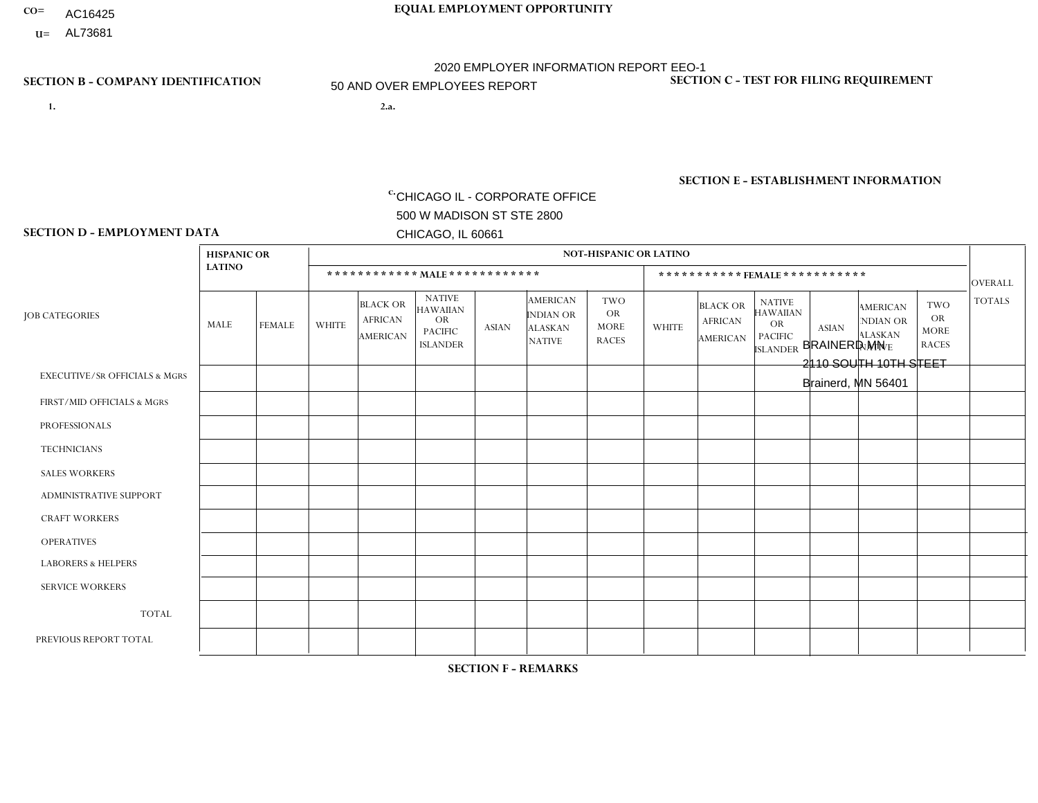- AC16425
- **U=**

- **1. 2.a.** CHICAGO IL CORPORATE OFFICE 500 W MADISON ST STE 2800 CHICAGO, IL 60661
- 2.a. BRAINERD MN 2110 SOUTH 10TH STEET Brainerd, MN 56401

EIN= 952920557

## **SECTION B - COMPANY IDENTIFICATION SECTION C - TEST FOR FILING REQUIREMENT**

1- Y 2- Y 3- N DUNS= 000123456

**SECTION E - ESTABLISHMENT INFORMATION c.** NAICS: 339999

### **SECTION D - EMPLOYMENT DATA**

|                                          | <b>HISPANIC OR</b> |               |                |                                                      |                                                                                    |              |                                                                        | <b>NOT-HISPANIC OR LATINO</b>                          |                |                                               |                                                                                    |              |                                                                       |                                                        |                |
|------------------------------------------|--------------------|---------------|----------------|------------------------------------------------------|------------------------------------------------------------------------------------|--------------|------------------------------------------------------------------------|--------------------------------------------------------|----------------|-----------------------------------------------|------------------------------------------------------------------------------------|--------------|-----------------------------------------------------------------------|--------------------------------------------------------|----------------|
|                                          | <b>LATINO</b>      |               |                |                                                      | ************ MALE ************                                                     |              |                                                                        |                                                        |                | ***********FEMALE***********                  |                                                                                    |              |                                                                       |                                                        | <b>OVERALL</b> |
| <b>JOB CATEGORIES</b>                    | MALE               | <b>FEMALE</b> | <b>WHITE</b>   | <b>BLACK OR</b><br><b>AFRICAN</b><br><b>AMERICAN</b> | <b>NATIVE</b><br><b>HAWAIIAN</b><br><b>OR</b><br><b>PACIFIC</b><br><b>ISLANDER</b> | ASIAN        | <b>AMERICAN</b><br><b>INDIAN OR</b><br><b>ALASKAN</b><br><b>NATIVE</b> | <b>TWO</b><br><b>OR</b><br><b>MORE</b><br><b>RACES</b> | <b>WHITE</b>   | <b>BLACK OR</b><br><b>AFRICAN</b><br>AMERICAN | <b>NATIVE</b><br><b>HAWAIIAN</b><br><b>OR</b><br><b>PACIFIC</b><br><b>ISLANDER</b> | <b>ASIAN</b> | <b>AMERICAN</b><br><b>NDIAN OR</b><br><b>ALASKAN</b><br><b>NATIVE</b> | <b>TWO</b><br><b>OR</b><br><b>MORE</b><br><b>RACES</b> | <b>TOTALS</b>  |
| <b>EXECUTIVE/SR OFFICIALS &amp; MGRS</b> | $\Omega$           | $\Omega$      | $\Omega$       | $\mathbf 0$                                          | $\Omega$                                                                           | $\mathbf{0}$ | $\Omega$                                                               | $\Omega$                                               | 0              | $\Omega$                                      | $\Omega$                                                                           | $\Omega$     | $\Omega$                                                              | $\Omega$                                               | $\mathbf 0$    |
| FIRST/MID OFFICIALS & MGRS               | 0                  | $\Omega$      | $\overline{7}$ | $\mathbf 0$                                          | $\Omega$                                                                           | $\Omega$     | $\Omega$                                                               | $\Omega$                                               |                | $\Omega$                                      | $\Omega$                                                                           | $\Omega$     | $\Omega$                                                              | $\Omega$                                               | 8              |
| <b>PROFESSIONALS</b>                     | 0                  | $\Omega$      | $\Omega$       | $\mathbf 0$                                          | $\Omega$                                                                           | $\Omega$     | $\Omega$                                                               | $\Omega$                                               | 0              | $\Omega$                                      | $\Omega$                                                                           | $\Omega$     | $\Omega$                                                              | $\Omega$                                               | $\mathbf{0}$   |
| <b>TECHNICIANS</b>                       | 0                  | $\Omega$      | $\Omega$       | $\mathbf 0$                                          | $\Omega$                                                                           | $\Omega$     | $\Omega$                                                               | $\Omega$                                               | $\Omega$       | $\Omega$                                      | $\Omega$                                                                           | $\Omega$     | $\Omega$                                                              | $\Omega$                                               | $\mathbf{0}$   |
| <b>SALES WORKERS</b>                     | $\Omega$           | $\Omega$      |                | $\mathbf 0$                                          | $\Omega$                                                                           | $\Omega$     | $\Omega$                                                               | $\Omega$                                               | $\Omega$       | $\Omega$                                      | $\Omega$                                                                           | $\Omega$     | $\Omega$                                                              | $\Omega$                                               | $\mathbf{1}$   |
| <b>ADMINISTRATIVE SUPPORT</b>            | $\Omega$           | $\Omega$      | $\Omega$       | $\Omega$                                             | $\Omega$                                                                           | $\Omega$     | $\Omega$                                                               | $\Omega$                                               | $\overline{2}$ | $\Omega$                                      | $\Omega$                                                                           | $\Omega$     | $\mathbf{0}$                                                          | $\Omega$                                               | $\overline{2}$ |
| <b>CRAFT WORKERS</b>                     | 0                  | $\Omega$      | $\Omega$       | $\mathbf 0$                                          | $\Omega$                                                                           | $\Omega$     | $\Omega$                                                               | $\Omega$                                               | 0              | $\Omega$                                      | $\Omega$                                                                           | $\Omega$     | $\Omega$                                                              | $\Omega$                                               | $\Omega$       |
| <b>OPERATIVES</b>                        |                    | $\Omega$      | 53             | $\Omega$                                             | $\Omega$                                                                           | 1            | $\Omega$                                                               | $\overline{2}$                                         | $\Omega$       | $\Omega$                                      | $\Omega$                                                                           | $\Omega$     | $\Omega$                                                              | $\Omega$                                               | 57             |
| <b>LABORERS &amp; HELPERS</b>            | $\Omega$           | $\Omega$      | 3              | $\mathbf 0$                                          | $\Omega$                                                                           | $\Omega$     | $\Omega$                                                               | $\Omega$                                               | 0              | $\Omega$                                      | $\Omega$                                                                           | $\Omega$     | $\Omega$                                                              | $\Omega$                                               | 3              |
| <b>SERVICE WORKERS</b>                   | 0                  | $\mathbf 0$   | $\mathbf 0$    | $\mathbf 0$                                          | 0                                                                                  | $\mathbf 0$  | $\Omega$                                                               | $\Omega$                                               | $\Omega$       | $\Omega$                                      | $\Omega$                                                                           | $\mathbf 0$  | $\Omega$                                                              | $\mathbf 0$                                            | $\mathbf 0$    |
| <b>TOTAL</b>                             | 1                  | 0             | 64             | 0                                                    | 0                                                                                  | 1            | $\Omega$                                                               | $\overline{2}$                                         | 3              | $\Omega$                                      | $\Omega$                                                                           | $\mathbf 0$  | 0                                                                     | $\mathbf 0$                                            | 71             |
| PREVIOUS REPORT TOTAL                    | $\overline{2}$     | $\Omega$      | 81             | $\mathbf 0$                                          | $\mathbf 0$                                                                        |              | $\Omega$                                                               | $\overline{2}$                                         | 5              | $\Omega$                                      | $\Omega$                                                                           | $\Omega$     | $\Omega$                                                              | $\Omega$                                               | 91             |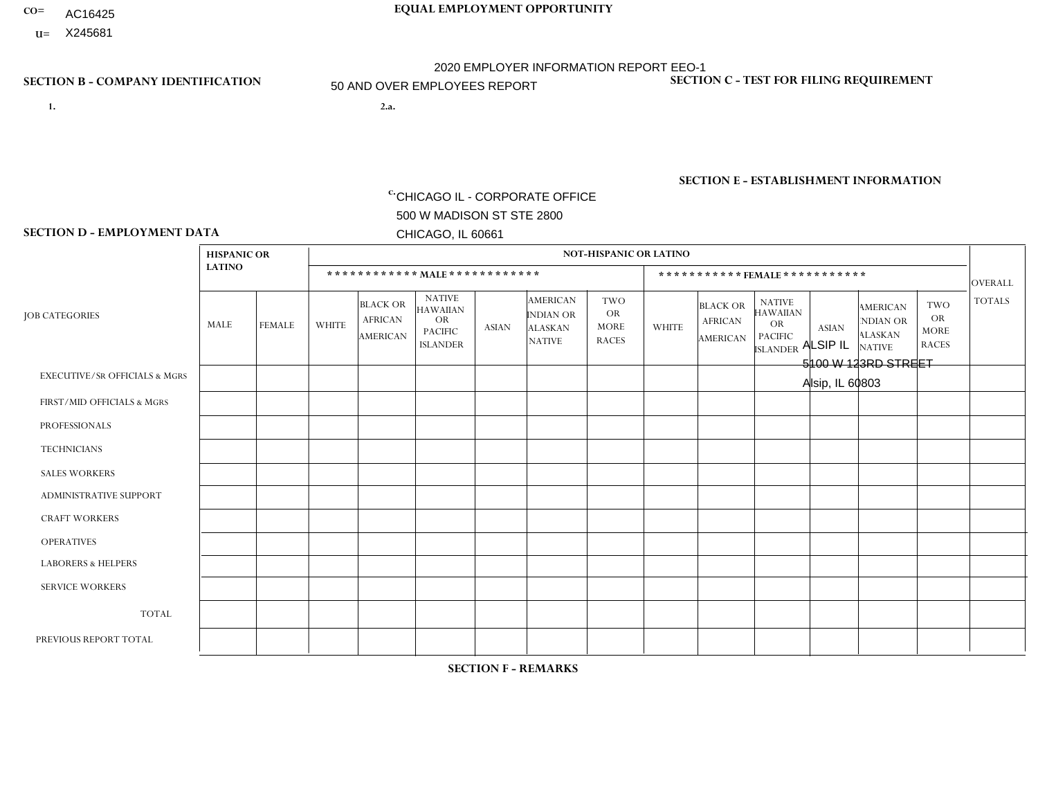- **CO= EQUAL EMPLOYMENT OPPORTUNITY** AC16425
- **U=** X245681 2020 EMPLOYER INFORMATION REPORT EEO-1

**1. 2.a.** CHICAGO IL - CORPORATE OFFICE 500 W MADISON ST STE 2800 CHICAGO, IL 60661

**SECTION D - EMPLOYMENT DATA**

2.a. ALSIP IL 5100 W 123RD STREET Alsip, IL 60803

50 AND OVER EMPLOYEES REPORT

 $c.$  EIN= 952920557

### **SECTION B - COMPANY IDENTIFICATION SECTION C - TEST FOR FILING REQUIREMENT**

1- Y 2- Y 3- N DUNS= 000123456

### **SECTION E - ESTABLISHMENT INFORMATION c.**

NAICS: 423140 - Motor Vehicle Parts (Used) Merchant Wholesalers

### **HISPANIC OR NOT-HISPANIC OR LATINO LATINO \* \* \* \* \* \* \* \* \* \* \* \* MALE \* \* \* \* \* \* \* \* \* \* \* \* \* \* \* \* \* \* \* \* \* \* \* FEMALE \* \* \* \* \* \* \* \* \* \* \*** OVERALL  $TWO$   $TOTALS$ OR MORE NATIVE RACES ALASKAN INDIAN OR AMERICAN ASIAN ISLANDER PACIFIC OR NATIVE HAWAIIAN BLACK OR AFRICAN AMERICAN **WHITE** TWO OR MORE NATIVE RACES ALASKAN INDIAN OR AMERICAN ASIAN NATIVE HAWAIIAN PACIFIC OR ISLANDER BLACK OR AFRICAN AMERICAN MALE FEMALE WHITE JOB CATEGORIES EXECUTIVE/SR OFFICIALS & MGRS FIRST/MID OFFICIALS & MGRS PROFESSIONALS **TECHNICIANS** SALES WORKERS ADMINISTRATIVE SUPPORT CRAFT WORKERS OPERATIVES LABORERS & HELPERS SERVICE WORKERS TOTAL PREVIOUS REPORT TOTAL 0 1 0 0 2 0 0 10 22 0 35 55 0  $\Omega$ 0 0 2 2 0 0 1 0 5 6 0 4 0 0 8 0 0 10 11 0 33 49 0 1 0 0 0 0 0 9 24 0 34 55 0  $\Omega$ 0 0 0 0 0  $\Omega$  $\Omega$ 0 0 1 0  $\Omega$ 0 0 0 0 0 0  $\overline{0}$ 0 0 0 0  $\Omega$ 0 0 0 0 0  $\Omega$  $\Omega$ 0 0  $\Omega$ 0  $\Omega$  $\Omega$ 0 0 0 0 1 3 0 4 6 0 1 0 0 0 1 0  $\Omega$ 1 0 3 4 0  $\Omega$  $\Omega$ 0 0 0 0  $\Omega$ 1 0 1 3  $\Omega$  $\Omega$  $\Omega$ 0  $\Omega$ 0 0  $\Omega$  $\Omega$ 0 0  $\Omega$ 0  $\Omega$ 0 0 0 0 0  $\Omega$  $\Omega$ 0 0  $\Omega$  $\Omega$  $\Omega$ 0 0 0 0 0  $\Omega$  $\Omega$  $\Omega$ 0  $\Omega$  $\Omega$  $\Omega$ 0 0  $\Omega$ 0 0  $\Omega$ 1  $\Omega$ 1 1 0 7 0 0 12 3 0 30 64 0 116 180

**SECTION F - REMARKS**

2020 pandemic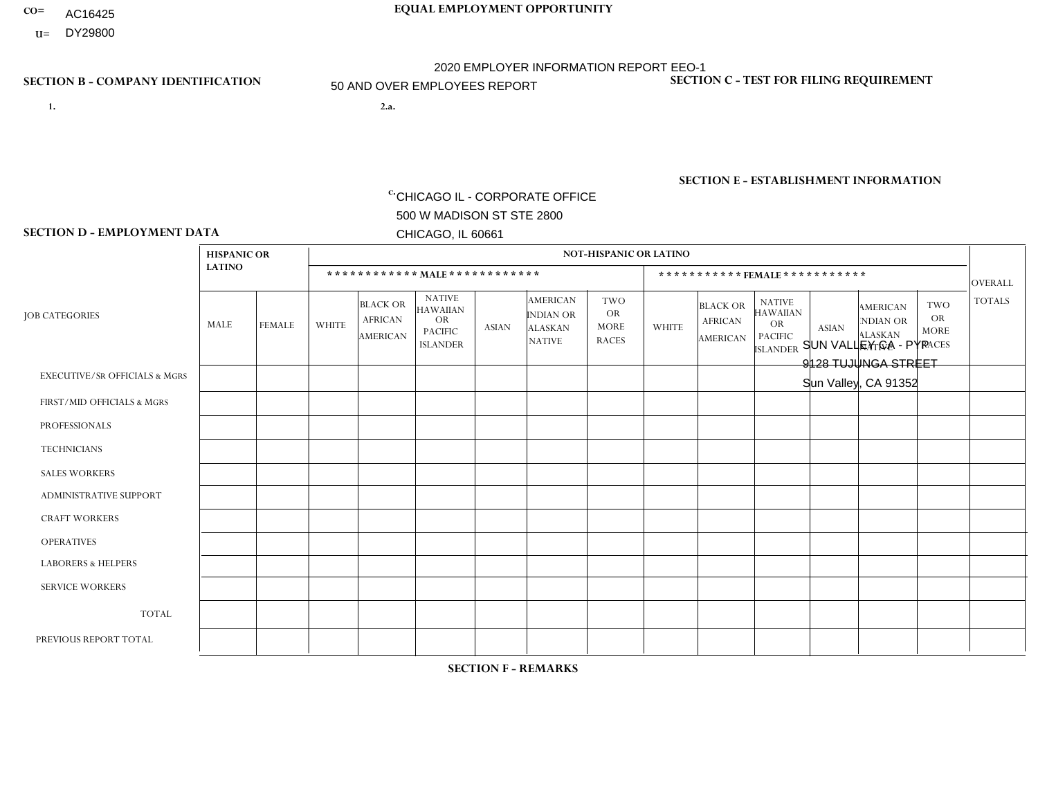- AC16425
- **U=**

**1. 2.a.** CHICAGO IL - CORPORATE OFFICE 500 W MADISON ST STE 2800 CHICAGO, IL 60661

2.a. SUN VALLEY CA - PYP 9128 TUJUNGA STREET Sun Valley, CA 91352

EIN= 953406551

## **SECTION B - COMPANY IDENTIFICATION SECTION C - TEST FOR FILING REQUIREMENT**

1- Y 2- Y 3- N DUNS= 000123456

**SECTION E - ESTABLISHMENT INFORMATION c.** NAICS: 423140

### **SECTION D - EMPLOYMENT DATA**

|                                          | <b>HISPANIC OR</b> |                |                |                                                      |                                                                                    |              |                                                                 | <b>NOT-HISPANIC OR LATINO</b>                          |              |                                                      |                                                                                    |              |                                                                       |                                                        |                 |
|------------------------------------------|--------------------|----------------|----------------|------------------------------------------------------|------------------------------------------------------------------------------------|--------------|-----------------------------------------------------------------|--------------------------------------------------------|--------------|------------------------------------------------------|------------------------------------------------------------------------------------|--------------|-----------------------------------------------------------------------|--------------------------------------------------------|-----------------|
|                                          | <b>LATINO</b>      |                |                | ************ MALE ************                       |                                                                                    |              |                                                                 |                                                        |              |                                                      | ***********FEMALE***********                                                       |              |                                                                       |                                                        | <b>OVERALL</b>  |
| <b>JOB CATEGORIES</b>                    | MALE               | <b>FEMALE</b>  | <b>WHITE</b>   | <b>BLACK OR</b><br><b>AFRICAN</b><br><b>AMERICAN</b> | <b>NATIVE</b><br><b>HAWAIIAN</b><br><b>OR</b><br><b>PACIFIC</b><br><b>ISLANDER</b> | <b>ASIAN</b> | <b>AMERICAN</b><br>INDIAN OR<br><b>ALASKAN</b><br><b>NATIVE</b> | <b>TWO</b><br><b>OR</b><br><b>MORE</b><br><b>RACES</b> | <b>WHITE</b> | <b>BLACK OR</b><br><b>AFRICAN</b><br><b>AMERICAN</b> | <b>NATIVE</b><br><b>HAWAIIAN</b><br><b>OR</b><br><b>PACIFIC</b><br><b>ISLANDER</b> | <b>ASIAN</b> | <b>AMERICAN</b><br><b>NDIAN OR</b><br><b>ALASKAN</b><br><b>NATIVE</b> | <b>TWO</b><br><b>OR</b><br><b>MORE</b><br><b>RACES</b> | <b>TOTALS</b>   |
| <b>EXECUTIVE/SR OFFICIALS &amp; MGRS</b> | $\mathbf{0}$       | $\Omega$       | $\Omega$       | $\Omega$                                             | 0                                                                                  | $\Omega$     | $\Omega$                                                        | $\Omega$                                               | $\Omega$     | $\mathbf{0}$                                         | $\Omega$                                                                           | $\Omega$     | $\Omega$                                                              | $\Omega$                                               | $\Omega$        |
| FIRST/MID OFFICIALS & MGRS               | $\overline{2}$     | $\overline{1}$ | $\Omega$       | $\Omega$                                             | $\mathbf{0}$                                                                       | $\Omega$     | $\Omega$                                                        | $\Omega$                                               | $\Omega$     | $\Omega$                                             | $\Omega$                                                                           | $\Omega$     | $\Omega$                                                              | $\Omega$                                               | 3               |
| <b>PROFESSIONALS</b>                     |                    | $\Omega$       | $\mathbf 0$    | $\mathbf 0$                                          | $\overline{0}$                                                                     | $\Omega$     | $\Omega$                                                        | $\Omega$                                               | $\Omega$     | $\Omega$                                             | $\Omega$                                                                           | $\Omega$     | $\Omega$                                                              | $\mathbf{0}$                                           | $\mathbf{1}$    |
| <b>TECHNICIANS</b>                       | $\Omega$           | $\Omega$       | $\Omega$       | $\Omega$                                             | 0                                                                                  | $\Omega$     | $\overline{0}$                                                  | $\Omega$                                               | $\Omega$     | $\Omega$                                             | $\Omega$                                                                           | $\Omega$     | $\mathbf{0}$                                                          | $\Omega$                                               | $\mathbf 0$     |
| <b>SALES WORKERS</b>                     | 6                  | $\Omega$       | $\Omega$       | $\Omega$                                             | 0                                                                                  | $\Omega$     | $\Omega$                                                        | $\Omega$                                               | $\Omega$     | $\Omega$                                             | $\Omega$                                                                           | $\Omega$     | $\Omega$                                                              | $\mathbf{0}$                                           | 6               |
| <b>ADMINISTRATIVE SUPPORT</b>            | 3                  | 6              | 1              | $\mathbf 0$                                          | $\mathbf 0$                                                                        | $\Omega$     | $\Omega$                                                        | $\Omega$                                               | $\Omega$     | $\mathbf{0}$                                         | $\Omega$                                                                           | $\Omega$     | $\Omega$                                                              | $\Omega$                                               | 10 <sup>°</sup> |
| <b>CRAFT WORKERS</b>                     | $\Omega$           | $\Omega$       | $\Omega$       | 0                                                    | 0                                                                                  | $\Omega$     | $\Omega$                                                        | $\Omega$                                               | $\Omega$     | $\Omega$                                             | $\Omega$                                                                           | $\Omega$     | $\Omega$                                                              | $\Omega$                                               | $\Omega$        |
| <b>OPERATIVES</b>                        | 29                 | 0              | $\overline{c}$ | $\mathbf 0$                                          | 0                                                                                  | $\Omega$     | $\Omega$                                                        | $\Omega$                                               | $\Omega$     | $\Omega$                                             | $\Omega$                                                                           | $\Omega$     | $\Omega$                                                              | $\Omega$                                               | 31              |
| <b>LABORERS &amp; HELPERS</b>            | $\overline{2}$     | $\Omega$       | $\Omega$       | $\mathbf 0$                                          | 0                                                                                  | $\Omega$     | $\Omega$                                                        | $\Omega$                                               | $\Omega$     | $\Omega$                                             | $\Omega$                                                                           | $\Omega$     | $\Omega$                                                              | $\Omega$                                               | $\overline{2}$  |
| <b>SERVICE WORKERS</b>                   | $\Omega$           | $\Omega$       | $\Omega$       | 0                                                    | $\mathbf 0$                                                                        | $\Omega$     | $\Omega$                                                        | $\Omega$                                               | $\Omega$     | $\Omega$                                             | $\Omega$                                                                           | $\Omega$     | $\Omega$                                                              | $\Omega$                                               | 0               |
| <b>TOTAL</b>                             | 43                 | $\overline{7}$ | 3              | 0                                                    | 0                                                                                  | $\mathbf 0$  | $\Omega$                                                        | $\Omega$                                               | 0            | $\Omega$                                             | $\Omega$                                                                           | $\mathbf 0$  | $\Omega$                                                              | $\Omega$                                               | 53              |
| PREVIOUS REPORT TOTAL                    | 35                 | 9              |                | $\mathbf{1}$                                         | 0                                                                                  | $\Omega$     | $\Omega$                                                        | 3                                                      | $\Omega$     | $\Omega$                                             | $\mathbf{0}$                                                                       | $\Omega$     | $\Omega$                                                              | $\mathbf 0$                                            | 49              |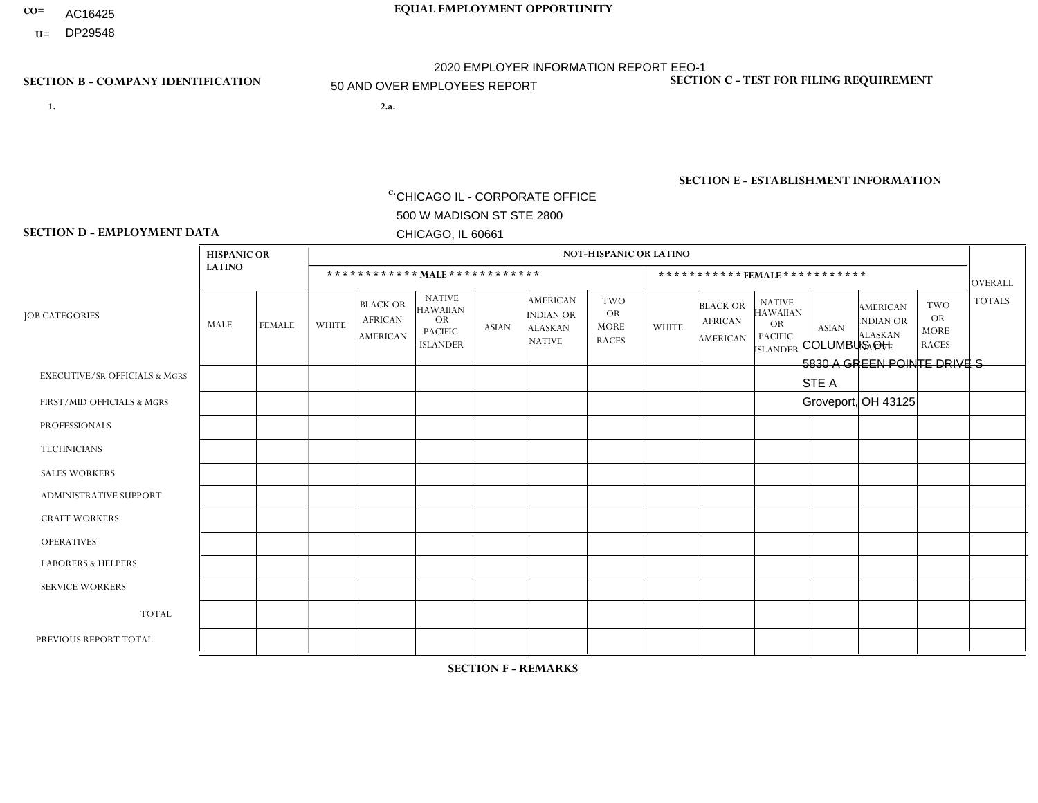- AC16425
- **U=**

- **1. 2.a.** CHICAGO IL CORPORATE OFFICE 500 W MADISON ST STE 2800 CHICAGO, IL 60661
- 2.a. COLUMBUS OH 5830 A GREEN POINTE DRIVE S STE A Groveport, OH 43125
	- c. EIN= 952920557

## **SECTION B - COMPANY IDENTIFICATION SECTION C - TEST FOR FILING REQUIREMENT**

1- Y 2- Y 3- N DUNS= 000123456

**SECTION E - ESTABLISHMENT INFORMATION c.** NAICS: 423140

### **SECTION D - EMPLOYMENT DATA**

|                                          | <b>HISPANIC OR</b> |               |                |                                                      |                                                                                    |                |                                                                        | <b>NOT-HISPANIC OR LATINO</b>                          |              |                                               |                                                                                    |                |                                                                |                                                        |                |
|------------------------------------------|--------------------|---------------|----------------|------------------------------------------------------|------------------------------------------------------------------------------------|----------------|------------------------------------------------------------------------|--------------------------------------------------------|--------------|-----------------------------------------------|------------------------------------------------------------------------------------|----------------|----------------------------------------------------------------|--------------------------------------------------------|----------------|
|                                          | <b>LATINO</b>      |               |                | ************ MALE ************                       |                                                                                    |                |                                                                        |                                                        |              |                                               | ***********FEMALE***********                                                       |                |                                                                |                                                        | <b>OVERALL</b> |
| <b>JOB CATEGORIES</b>                    | MALE               | <b>FEMALE</b> | <b>WHITE</b>   | <b>BLACK OR</b><br><b>AFRICAN</b><br><b>AMERICAN</b> | <b>NATIVE</b><br><b>HAWAIIAN</b><br><b>OR</b><br><b>PACIFIC</b><br><b>ISLANDER</b> | ASIAN          | <b>AMERICAN</b><br><b>INDIAN OR</b><br><b>ALASKAN</b><br><b>NATIVE</b> | <b>TWO</b><br><b>OR</b><br><b>MORE</b><br><b>RACES</b> | <b>WHITE</b> | <b>BLACK OR</b><br><b>AFRICAN</b><br>AMERICAN | <b>NATIVE</b><br><b>HAWAIIAN</b><br><b>OR</b><br><b>PACIFIC</b><br><b>ISLANDER</b> | <b>ASIAN</b>   | <b>AMERICAN</b><br>NDIAN OR<br><b>ALASKAN</b><br><b>NATIVE</b> | <b>TWO</b><br><b>OR</b><br><b>MORE</b><br><b>RACES</b> | <b>TOTALS</b>  |
| <b>EXECUTIVE/SR OFFICIALS &amp; MGRS</b> | $\Omega$           | $\mathbf 0$   | $\Omega$       | $\mathbf 0$                                          | $\mathbf 0$                                                                        | $\mathbf 0$    | $\Omega$                                                               | $\Omega$                                               | $\Omega$     | $\Omega$                                      | $\Omega$                                                                           | $\Omega$       | $\Omega$                                                       | $\Omega$                                               | $\mathbf 0$    |
| FIRST/MID OFFICIALS & MGRS               | $\Omega$           | 0             | $\overline{7}$ | $\mathbf{1}$                                         | $\mathbf 0$                                                                        | $\mathbf 0$    | $\Omega$                                                               | $\Omega$                                               | 3            | $\Omega$                                      | $\Omega$                                                                           | $\Omega$       | $\Omega$                                                       | $\Omega$                                               | 11             |
| <b>PROFESSIONALS</b>                     | $\Omega$           | $\Omega$      | $\Omega$       | $\mathbf 0$                                          | $\Omega$                                                                           | $\Omega$       | $\Omega$                                                               | $\Omega$                                               | $\Omega$     | $\Omega$                                      | $\Omega$                                                                           | $\Omega$       | $\Omega$                                                       | $\mathbf{0}$                                           | $\mathbf 0$    |
| <b>TECHNICIANS</b>                       | $\Omega$           | $\mathbf 0$   | $\Omega$       | $\mathbf 0$                                          | $\mathbf{0}$                                                                       | $\Omega$       | $\Omega$                                                               | $\Omega$                                               | $\mathbf{0}$ | $\Omega$                                      | $\Omega$                                                                           | $\Omega$       | $\Omega$                                                       | $\Omega$                                               | $\mathbf 0$    |
| <b>SALES WORKERS</b>                     | $\Omega$           | $\Omega$      | 8              | $\mathbf 0$                                          | 0                                                                                  | $\Omega$       | $\Omega$                                                               | $\Omega$                                               | 9            | $\Omega$                                      | $\Omega$                                                                           | $\overline{1}$ | $\Omega$                                                       | $\mathbf{0}$                                           | 18             |
| <b>ADMINISTRATIVE SUPPORT</b>            | $\Omega$           | $\mathbf 0$   | 4              | $\mathbf 0$                                          | $\mathbf{0}$                                                                       | $\mathbf 0$    | $\Omega$                                                               | $\Omega$                                               | 5            | $\Omega$                                      | $\Omega$                                                                           | $\Omega$       | $\Omega$                                                       | $\mathbf 0$                                            | 9              |
| <b>CRAFT WORKERS</b>                     | $\Omega$           | $\Omega$      | $\Omega$       | $\mathbf 0$                                          | 0                                                                                  | $\Omega$       | $\Omega$                                                               | $\Omega$                                               | $\Omega$     | $\Omega$                                      | $\mathbf{0}$                                                                       | $\Omega$       | $\Omega$                                                       | $\Omega$                                               | $\Omega$       |
| <b>OPERATIVES</b>                        | $\Omega$           | $\Omega$      | 18             | 5                                                    | 0                                                                                  | $\Omega$       | $\Omega$                                                               | $\Omega$                                               | $\mathbf{1}$ | $\Omega$                                      | $\Omega$                                                                           | $\Omega$       | $\Omega$                                                       | $\Omega$                                               | 24             |
| <b>LABORERS &amp; HELPERS</b>            | $\Omega$           | $\Omega$      | 25             | 4                                                    | 0                                                                                  | $\mathbf 0$    | $\Omega$                                                               | $\overline{2}$                                         | 5            | $\Omega$                                      | $\mathbf{0}$                                                                       | $\Omega$       | $\Omega$                                                       | $\Omega$                                               | 36             |
| <b>SERVICE WORKERS</b>                   | $\Omega$           | $\mathbf 0$   | $\mathbf 0$    | 0                                                    | $\mathbf{0}$                                                                       | $\mathbf 0$    | $\Omega$                                                               | $\Omega$                                               | $\Omega$     | $\Omega$                                      | $\Omega$                                                                           | $\mathbf 0$    | $\Omega$                                                       | $\mathbf 0$                                            | 0              |
| <b>TOTAL</b>                             | $\Omega$           | $\mathbf 0$   | 62             | 10                                                   | 0                                                                                  | $\mathbf 0$    | $\Omega$                                                               | $\overline{2}$                                         | 23           | $\Omega$                                      | $\Omega$                                                                           |                | $\Omega$                                                       | $\Omega$                                               | 98             |
| PREVIOUS REPORT TOTAL                    | $\Omega$           | $\Omega$      | 80             | 22                                                   | $\mathbf 0$                                                                        | $\overline{4}$ | $\Omega$                                                               | 10                                                     | 25           | $\Omega$                                      | $\mathbf{0}$                                                                       | $\overline{2}$ | $\Omega$                                                       | $\mathbf 0$                                            | 143            |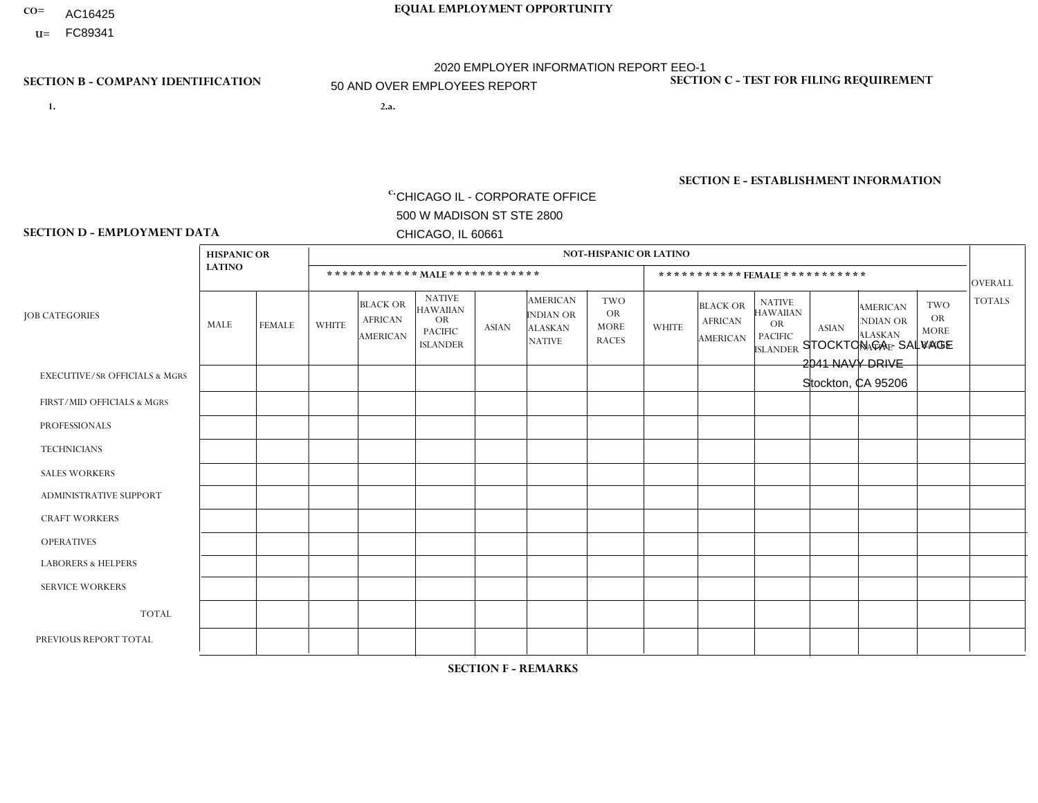- AC16425
- **U=**

**1. 2.a.** CHICAGO IL - CORPORATE OFFICE 500 W MADISON ST STE 2800 CHICAGO, IL 60661

2.a. STOCKTON CA - SALVAGE 2041 NAVY DRIVE Stockton, CA 95206

EIN= 364261871

## **SECTION B - COMPANY IDENTIFICATION SECTION C - TEST FOR FILING REQUIREMENT**

1- Y 2- Y 3- N DUNS= 000123456

**SECTION E - ESTABLISHMENT INFORMATION c.** NAICS: 423140

### **SECTION D - EMPLOYMENT DATA**

|                                          | <b>HISPANIC OR</b> |               |                |                                                      |                                                                                    |                |                                                                 | <b>NOT-HISPANIC OR LATINO</b>                          |                |                                                      |                                                                                    |              |                                                                       |                                                        |                |
|------------------------------------------|--------------------|---------------|----------------|------------------------------------------------------|------------------------------------------------------------------------------------|----------------|-----------------------------------------------------------------|--------------------------------------------------------|----------------|------------------------------------------------------|------------------------------------------------------------------------------------|--------------|-----------------------------------------------------------------------|--------------------------------------------------------|----------------|
|                                          | <b>LATINO</b>      |               |                | ************ MALE ************                       |                                                                                    |                |                                                                 |                                                        |                |                                                      | ***********FEMALE***********                                                       |              |                                                                       |                                                        | <b>OVERALL</b> |
| <b>JOB CATEGORIES</b>                    | MALE               | <b>FEMALE</b> | <b>WHITE</b>   | <b>BLACK OR</b><br><b>AFRICAN</b><br><b>AMERICAN</b> | <b>NATIVE</b><br><b>HAWAIIAN</b><br><b>OR</b><br><b>PACIFIC</b><br><b>ISLANDER</b> | <b>ASIAN</b>   | <b>AMERICAN</b><br>INDIAN OR<br><b>ALASKAN</b><br><b>NATIVE</b> | <b>TWO</b><br><b>OR</b><br><b>MORE</b><br><b>RACES</b> | <b>WHITE</b>   | <b>BLACK OR</b><br><b>AFRICAN</b><br><b>AMERICAN</b> | <b>NATIVE</b><br><b>HAWAIIAN</b><br><b>OR</b><br><b>PACIFIC</b><br><b>ISLANDER</b> | <b>ASIAN</b> | <b>AMERICAN</b><br><b>NDIAN OR</b><br><b>ALASKAN</b><br><b>NATIVE</b> | <b>TWO</b><br><b>OR</b><br><b>MORE</b><br><b>RACES</b> | <b>TOTALS</b>  |
| <b>EXECUTIVE/SR OFFICIALS &amp; MGRS</b> | $\Omega$           | $\Omega$      | $\Omega$       | $\mathbf 0$                                          | $\Omega$                                                                           | $\Omega$       | $\Omega$                                                        | $\Omega$                                               | $\Omega$       | $\Omega$                                             | $\mathbf{0}$                                                                       | $\Omega$     | $\Omega$                                                              | $\Omega$                                               | $\mathbf 0$    |
| FIRST/MID OFFICIALS & MGRS               |                    | $\Omega$      | $\overline{2}$ | $\Omega$                                             | $\Omega$                                                                           | $\overline{2}$ | $\Omega$                                                        | $\Omega$                                               | $\Omega$       | $\Omega$                                             | $\Omega$                                                                           | $\Omega$     | $\Omega$                                                              | $\Omega$                                               | 5              |
| <b>PROFESSIONALS</b>                     | $\Omega$           | 0             | $\mathbf 0$    | $\mathbf 0$                                          | $\Omega$                                                                           | $\Omega$       | $\Omega$                                                        | $\Omega$                                               | $\Omega$       | $\Omega$                                             | $\Omega$                                                                           | $\Omega$     | $\Omega$                                                              | $\Omega$                                               | $\mathbf 0$    |
| <b>TECHNICIANS</b>                       | $\Omega$           | $\mathbf 0$   | $\Omega$       | $\mathbf 0$                                          | 0                                                                                  | $\Omega$       | $\overline{0}$                                                  | $\Omega$                                               | $\mathbf 0$    | $\mathbf 0$                                          | $\mathbf 0$                                                                        | $\mathbf 0$  | $\Omega$                                                              | $\Omega$                                               | $\mathbf 0$    |
| <b>SALES WORKERS</b>                     | 3                  | 3             | 4              | $\Omega$                                             | 0                                                                                  | $\Omega$       | $\Omega$                                                        |                                                        | $\overline{2}$ | $\Omega$                                             | $\Omega$                                                                           | $\Omega$     | $\Omega$                                                              | $\Omega$                                               | 13             |
| <b>ADMINISTRATIVE SUPPORT</b>            | 3                  | $\mathbf{1}$  | $\mathbf 0$    | $\mathbf 0$                                          | $\mathbf 0$                                                                        | $\overline{2}$ | $\Omega$                                                        | $\Omega$                                               | $\Omega$       | $\Omega$                                             | $\mathbf{0}$                                                                       | $\Omega$     | $\Omega$                                                              | $\Omega$                                               | 6              |
| <b>CRAFT WORKERS</b>                     | $\overline{2}$     | $\Omega$      | $\mathbf{0}$   | $\mathbf 0$                                          | $\mathbf 0$                                                                        | $\overline{1}$ | $\Omega$                                                        | $\Omega$                                               | $\Omega$       | $\Omega$                                             | $\Omega$                                                                           | $\Omega$     | $\Omega$                                                              | $\Omega$                                               | 3              |
| <b>OPERATIVES</b>                        | 12                 | $\mathbf{1}$  | 9              | 3                                                    | 0                                                                                  | 12             | $\Omega$                                                        | 3                                                      | $\Omega$       | $\Omega$                                             | $\Omega$                                                                           | $\Omega$     | $\Omega$                                                              | $\Omega$                                               | 40             |
| <b>LABORERS &amp; HELPERS</b>            | 9                  | $\mathbf 0$   | 4              | $\mathbf{1}$                                         | 0                                                                                  | $\overline{4}$ | $\Omega$                                                        |                                                        | $\Omega$       | $\Omega$                                             | $\Omega$                                                                           | $\Omega$     | $\Omega$                                                              | $\Omega$                                               | 19             |
| <b>SERVICE WORKERS</b>                   | $\Omega$           | $\Omega$      | 0              | $\mathbf 0$                                          | $\mathbf{0}$                                                                       | $\Omega$       | $\Omega$                                                        | $\Omega$                                               | $\Omega$       | $\Omega$                                             | $\Omega$                                                                           | $\Omega$     | $\Omega$                                                              | $\Omega$                                               | $\mathbf 0$    |
| <b>TOTAL</b>                             | 30                 | 5             | 19             | $\overline{4}$                                       | 0                                                                                  | 21             | $\mathbf{0}$                                                    | 5                                                      | $\overline{2}$ | $\mathbf 0$                                          | $\mathbf 0$                                                                        | $\mathbf 0$  | 0                                                                     | $\mathbf 0$                                            | 86             |
| PREVIOUS REPORT TOTAL                    | 32                 | 3             | 22             | $\overline{7}$                                       | $\Omega$                                                                           | 29             | $\Omega$                                                        | 5                                                      | 3              | $\Omega$                                             | $\Omega$                                                                           | $\Omega$     | $\Omega$                                                              |                                                        | 102            |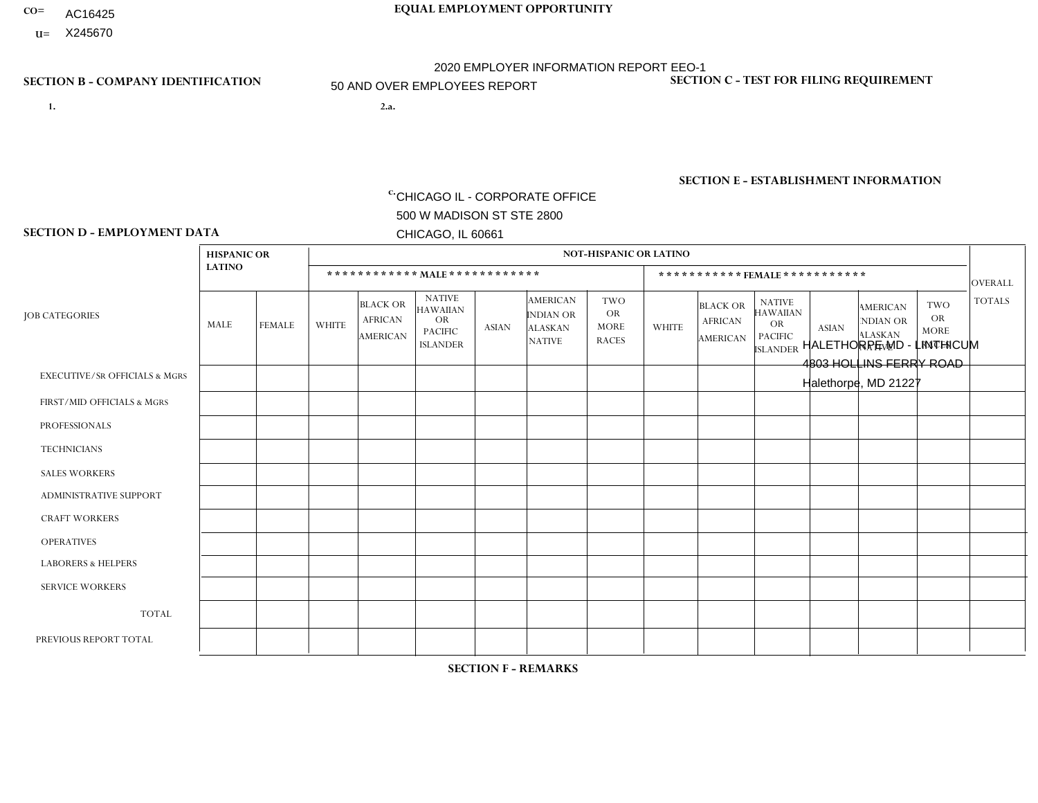- **CO= EQUAL EMPLOYMENT OPPORTUNITY** AC16425
	- **U=**

## **SECTION B - COMPANY IDENTIFICATION SECTION C - TEST FOR FILING REQUIREMENT**

- **1. 2.a.** CHICAGO IL CORPORATE OFFICE 500 W MADISON ST STE 2800 CHICAGO, IL 60661
- 2.a. HALETHORPE MD LINTHICUM 4803 HOLLINS FERRY ROAD Halethorpe, MD 21227

2020 EMPLOYER INFORMATION REPORT EEO-1 50 AND OVER EMPLOYEES REPORT

c. EIN= 952920557

1- Y 2- Y 3- N DUNS= 000123456

**SECTION E - ESTABLISHMENT INFORMATION c.** NAICS: 423140

## **SECTION D - EMPLOYMENT DATA**

|                                          | <b>HISPANIC OR</b> |               |              |                                               |                                                                                    |              |                                                                        | <b>NOT-HISPANIC OR LATINO</b>                          |              |                                               |                                                                             |              |                                                                       |                                                        |                |
|------------------------------------------|--------------------|---------------|--------------|-----------------------------------------------|------------------------------------------------------------------------------------|--------------|------------------------------------------------------------------------|--------------------------------------------------------|--------------|-----------------------------------------------|-----------------------------------------------------------------------------|--------------|-----------------------------------------------------------------------|--------------------------------------------------------|----------------|
|                                          | <b>LATINO</b>      |               |              | ************ MALE ************                |                                                                                    |              |                                                                        |                                                        |              | ***********FEMALE***********                  |                                                                             |              |                                                                       |                                                        | <b>OVERALL</b> |
| <b>JOB CATEGORIES</b>                    | MALE               | <b>FEMALE</b> | <b>WHITE</b> | <b>BLACK OR</b><br><b>AFRICAN</b><br>AMERICAN | <b>NATIVE</b><br><b>HAWAIIAN</b><br><b>OR</b><br><b>PACIFIC</b><br><b>ISLANDER</b> | <b>ASIAN</b> | <b>AMERICAN</b><br><b>INDIAN OR</b><br><b>ALASKAN</b><br><b>NATIVE</b> | <b>TWO</b><br><b>OR</b><br><b>MORE</b><br><b>RACES</b> | <b>WHITE</b> | <b>BLACK OR</b><br><b>AFRICAN</b><br>AMERICAN | <b>NATIVE</b><br><b>HAWAIIAN</b><br>OR<br><b>PACIFIC</b><br><b>ISLANDER</b> | <b>ASIAN</b> | <b>AMERICAN</b><br><b>NDIAN OR</b><br><b>ALASKAN</b><br><b>NATIVE</b> | <b>TWO</b><br><b>OR</b><br><b>MORE</b><br><b>RACES</b> | <b>TOTALS</b>  |
| <b>EXECUTIVE/SR OFFICIALS &amp; MGRS</b> | $\Omega$           | $\Omega$      |              | $\mathbf 0$                                   | $\Omega$                                                                           | $\Omega$     | $\Omega$                                                               | $\Omega$                                               | $\Omega$     | $\Omega$                                      | $\Omega$                                                                    | $\Omega$     | $\Omega$                                                              | $\Omega$                                               | 1              |
| FIRST/MID OFFICIALS & MGRS               | $\overline{2}$     | $\Omega$      | 5            | $\mathbf 0$                                   | $\Omega$                                                                           | $\Omega$     | $\Omega$                                                               | $\Omega$                                               | 3            |                                               | $\Omega$                                                                    | $\Omega$     | $\Omega$                                                              | $\Omega$                                               | 11             |
| <b>PROFESSIONALS</b>                     | 0                  | $\Omega$      | $\Omega$     | $\mathbf 0$                                   | $\Omega$                                                                           | $\Omega$     | $\Omega$                                                               | $\Omega$                                               | 0            | $\Omega$                                      | $\Omega$                                                                    | $\Omega$     | $\Omega$                                                              | $\Omega$                                               | $\overline{0}$ |
| <b>TECHNICIANS</b>                       | 0                  | $\mathbf 0$   | $\Omega$     | $\mathbf 0$                                   | $\mathbf 0$                                                                        | $\Omega$     | $\Omega$                                                               | $\Omega$                                               | $\Omega$     | $\Omega$                                      | $\Omega$                                                                    | $\mathbf 0$  | $\mathbf 0$                                                           | $\mathbf 0$                                            | $\mathbf{0}$   |
| <b>SALES WORKERS</b>                     | $\overline{2}$     | $\Omega$      | 8            | $\Omega$                                      | $\Omega$                                                                           | $\Omega$     | $\Omega$                                                               | $\Omega$                                               | 5            | $\overline{2}$                                | $\Omega$                                                                    | $\Omega$     | $\Omega$                                                              | $\Omega$                                               | 17             |
| <b>ADMINISTRATIVE SUPPORT</b>            | $\Omega$           | $\mathbf 0$   |              | $\mathbf 0$                                   | $\mathbf 0$                                                                        | $\Omega$     | $\Omega$                                                               | $\Omega$                                               |              | $\Omega$                                      | $\Omega$                                                                    | $\Omega$     | $\Omega$                                                              | $\mathbf 0$                                            | 2              |
| <b>CRAFT WORKERS</b>                     | 0                  | $\Omega$      | $\Omega$     | $\Omega$                                      | $\Omega$                                                                           | $\Omega$     | $\Omega$                                                               | $\Omega$                                               | $\Omega$     | $\Omega$                                      | $\Omega$                                                                    | $\Omega$     | $\Omega$                                                              | $\Omega$                                               | $\Omega$       |
| <b>OPERATIVES</b>                        | $\overline{2}$     | $\Omega$      | 15           | 13                                            | $\Omega$                                                                           | $\Omega$     | $\Omega$                                                               | $\Omega$                                               | 0            | $\Omega$                                      | $\Omega$                                                                    | $\Omega$     | $\Omega$                                                              | $\Omega$                                               | 30             |
| <b>LABORERS &amp; HELPERS</b>            | 4                  | 3             | 16           | 11                                            | $\mathbf{0}$                                                                       | $\Omega$     | $\Omega$                                                               | $\Omega$                                               |              | $\Omega$                                      | $\Omega$                                                                    | $\mathbf{0}$ | $\Omega$                                                              | $\mathbf{0}$                                           | 35             |
| <b>SERVICE WORKERS</b>                   | 0                  | $\Omega$      | $\Omega$     | $\mathbf 0$                                   | $\mathbf{0}$                                                                       | $\Omega$     | $\Omega$                                                               | $\Omega$                                               | $\Omega$     | $\Omega$                                      | $\Omega$                                                                    | $\Omega$     | $\Omega$                                                              | $\Omega$                                               | $\mathbf 0$    |
| <b>TOTAL</b>                             | 10                 | 3             | 46           | 24                                            | $\mathbf{0}$                                                                       | $\mathbf 0$  | $\Omega$                                                               | $\Omega$                                               | 10           | 3                                             | $\Omega$                                                                    | $\mathbf 0$  | 0                                                                     | $\mathbf 0$                                            | 96             |
| PREVIOUS REPORT TOTAL                    | 11                 | 4             | 60           | 45                                            | $\Omega$                                                                           | -1           |                                                                        | $\overline{4}$                                         | 14           | 5                                             | $\Omega$                                                                    | $\Omega$     | $\Omega$                                                              | $\Omega$                                               | 145            |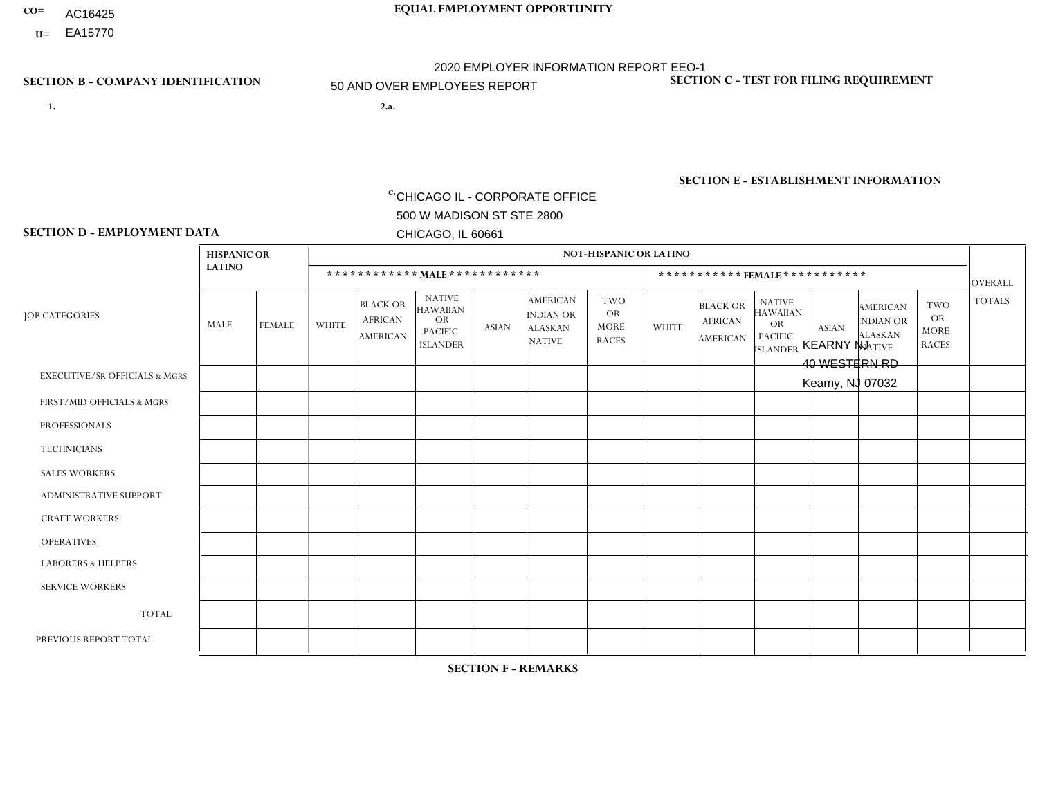- AC16425
- **U=**

**SECTION D - EMPLOYMENT DATA**

**1. 2.a.** CHICAGO IL - CORPORATE OFFICE 500 W MADISON ST STE 2800 CHICAGO, IL 60661

2.a. KEARNY NJ 40 WESTERN RD Kearny, NJ 07032

 $c.$  EIN= 952920557

### **SECTION B - COMPANY IDENTIFICATION SECTION C - TEST FOR FILING REQUIREMENT**

1- Y 2- Y 3- N DUNS= 000123456

### **SECTION E - ESTABLISHMENT INFORMATION c.**

NAICS: 423140 - Motor Vehicle Parts (Used) Merchant Wholesalers

### **HISPANIC OR NOT-HISPANIC OR LATINO LATINO \* \* \* \* \* \* \* \* \* \* \* \* MALE \* \* \* \* \* \* \* \* \* \* \* \* \* \* \* \* \* \* \* \* \* \* \* FEMALE \* \* \* \* \* \* \* \* \* \* \*** OVERALL  $TWO$   $TOTALS$ OR MORE NATIVE RACES ALASKAN INDIAN OR **AMERICAN** ASIAN ISLANDER PACIFIC OR NATIVE HAWAIIAN BLACK OR AFRICAN AMERICAN **WHITE** TWO OR MORE NATIVE RACES ALASKAN INDIAN OR AMERICAN ASIAN NATIVE HAWAIIAN PACIFIC OR ISLANDER BLACK OR AFRICAN AMERICAN MALE FEMALE WHITE JOB CATEGORIES EXECUTIVE/SR OFFICIALS & MGRS FIRST/MID OFFICIALS & MGRS PROFESSIONALS **TECHNICIANS** SALES WORKERS ADMINISTRATIVE SUPPORT CRAFT WORKERS OPERATIVES LABORERS & HELPERS SERVICE WORKERS TOTAL PREVIOUS REPORT TOTAL 0 1 0 0 6 0 0 6 14 1 28 43 0  $\Omega$ 0 0 0 1 0 0 0 0 1 8 0 2 0 0 5 0 0 1 2 0 10 14 0 1 0 0 2 0 0 3 3 0 9 22 0  $\Omega$ 0 0 1 0 0  $\Omega$  $\Omega$ 0 1 1 0  $\Omega$ 0 0 0 0 0 1  $\overline{0}$ 0 1 2 0  $\Omega$ 0 0 0 0 0  $\Omega$  $\Omega$ 0 0  $\Omega$ 0 1  $\Omega$ 0 0 0 0 2 1 0 4 4 0  $\Omega$  $\Omega$ 0 0 0 0  $\Omega$  $\Omega$ 0 0  $\Omega$ 0  $\Omega$  $\Omega$ 0 0 0 0  $\Omega$  $\Omega$ 0 0 1  $\Omega$  $\Omega$  $\Omega$ 0  $\Omega$ 0 0  $\Omega$  $\Omega$ 0 0  $\Omega$ 0  $\Omega$ 0 0 0 0 0  $\Omega$  $\Omega$ 0 0  $\Omega$  $\Omega$  $\Omega$ 0 0 0 0 0  $\Omega$  $\Omega$  $\Omega$ 0  $\Omega$  $\Omega$  $\Omega$ 0 0  $\Omega$ 0 0 1 1  $\Omega$ 2 3 0 5 0 0 14 1 0 14 21 1 56 98

**SECTION F - REMARKS**

2020 pandemic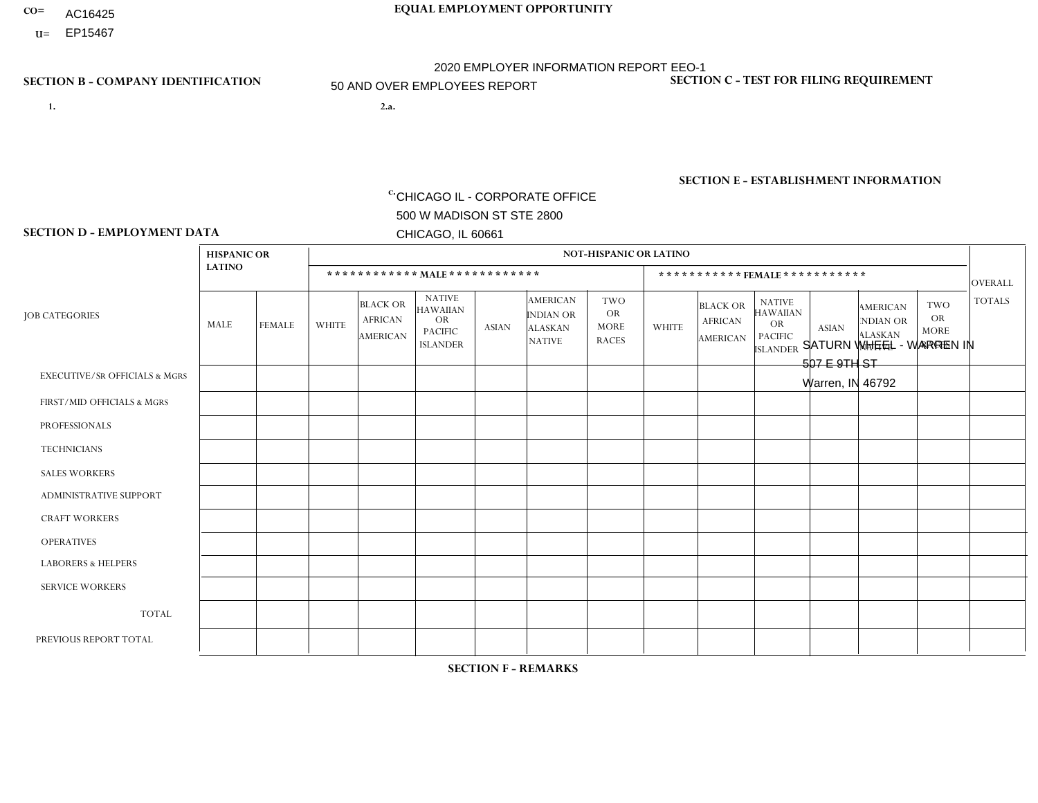- AC16425
- **U=**

**1. 2.a.** CHICAGO IL - CORPORATE OFFICE 500 W MADISON ST STE 2800 CHICAGO, IL 60661

2.a. SATURN WHEEL - WARREN IN 507 E 9TH ST Warren, IN 46792

**SECTION B - COMPANY IDENTIFICATION SECTION C - TEST FOR FILING REQUIREMENT** 

1- Y 2- Y 3- N DUNS= 000123456

EIN= 952920557

## **SECTION E - ESTABLISHMENT INFORMATION c.** NAICS: 339999

### **SECTION D - EMPLOYMENT DATA**

|                                          | <b>HISPANIC OR</b> |             |                |                                                      |                                                                                    |              |                                                                        | <b>NOT-HISPANIC OR LATINO</b>                          |                |                                               |                                                                                    |              |                                                                |                                                        |                |
|------------------------------------------|--------------------|-------------|----------------|------------------------------------------------------|------------------------------------------------------------------------------------|--------------|------------------------------------------------------------------------|--------------------------------------------------------|----------------|-----------------------------------------------|------------------------------------------------------------------------------------|--------------|----------------------------------------------------------------|--------------------------------------------------------|----------------|
|                                          | <b>LATINO</b>      |             |                |                                                      | ************ MAIE************                                                      |              |                                                                        |                                                        |                | *********** FEMALE ***********                |                                                                                    |              |                                                                |                                                        | <b>OVERALL</b> |
| <b>JOB CATEGORIES</b>                    | MALE               | FEMALE      | <b>WHITE</b>   | <b>BLACK OR</b><br><b>AFRICAN</b><br><b>AMERICAN</b> | <b>NATIVE</b><br><b>HAWAIIAN</b><br><b>OR</b><br><b>PACIFIC</b><br><b>ISLANDER</b> | <b>ASIAN</b> | <b>AMERICAN</b><br><b>INDIAN OR</b><br><b>ALASKAN</b><br><b>NATIVE</b> | <b>TWO</b><br><b>OR</b><br><b>MORE</b><br><b>RACES</b> | <b>WHITE</b>   | <b>BLACK OR</b><br><b>AFRICAN</b><br>AMERICAN | <b>NATIVE</b><br><b>HAWAIIAN</b><br><b>OR</b><br><b>PACIFIC</b><br><b>ISLANDER</b> | <b>ASIAN</b> | <b>AMERICAN</b><br>NDIAN OR<br><b>ALASKAN</b><br><b>NATIVE</b> | <b>TWO</b><br><b>OR</b><br><b>MORE</b><br><b>RACES</b> | <b>TOTALS</b>  |
| <b>EXECUTIVE/SR OFFICIALS &amp; MGRS</b> | $\Omega$           | $\Omega$    | $\Omega$       | $\Omega$                                             | $\Omega$                                                                           | $\mathbf{0}$ | $\Omega$                                                               | $\Omega$                                               | 0              | $\Omega$                                      | $\Omega$                                                                           | $\Omega$     | $\Omega$                                                       | $\Omega$                                               | $\Omega$       |
| FIRST/MID OFFICIALS & MGRS               | 0                  | $\Omega$    | 1              | $\mathbf 0$                                          | $\Omega$                                                                           | $\mathbf{0}$ | $\mathbf{0}$                                                           | $\Omega$                                               | 0              | $\Omega$                                      | $\Omega$                                                                           | $\Omega$     | $\Omega$                                                       | $\mathbf 0$                                            | $\mathbf{1}$   |
| <b>PROFESSIONALS</b>                     | 0                  | $\Omega$    | $\Omega$       | $\mathbf 0$                                          | $\Omega$                                                                           | $\Omega$     | $\Omega$                                                               | $\Omega$                                               | 0              | $\Omega$                                      | $\Omega$                                                                           | $\mathbf 0$  | $\Omega$                                                       | $\Omega$                                               | $\overline{0}$ |
| <b>TECHNICIANS</b>                       | $\Omega$           | $\mathbf 0$ | $\Omega$       | $\mathbf 0$                                          | $\Omega$                                                                           | $\Omega$     | $\Omega$                                                               | $\Omega$                                               | $\overline{0}$ | $\Omega$                                      | $\Omega$                                                                           | $\Omega$     | $\Omega$                                                       | $\mathbf 0$                                            | $\mathbf 0$    |
| <b>SALES WORKERS</b>                     | $\Omega$           | $\Omega$    | $\Omega$       | $\mathbf 0$                                          | $\Omega$                                                                           | $\Omega$     | $\Omega$                                                               | $\Omega$                                               | $\Omega$       | $\Omega$                                      | $\Omega$                                                                           | $\Omega$     | $\Omega$                                                       | $\mathbf{0}$                                           | $\mathbf 0$    |
| <b>ADMINISTRATIVE SUPPORT</b>            | 0                  | $\mathbf 0$ | $\mathbf 0$    | $\mathbf 0$                                          | $\mathbf 0$                                                                        | $\mathbf{0}$ | $\Omega$                                                               | $\Omega$                                               |                | $\Omega$                                      | $\Omega$                                                                           | $\Omega$     | $\Omega$                                                       | $\mathbf 0$                                            | $\mathbf{1}$   |
| <b>CRAFT WORKERS</b>                     | 0                  | $\Omega$    | $\Omega$       | $\Omega$                                             | $\Omega$                                                                           | $\Omega$     | $\Omega$                                                               | $\Omega$                                               | 0              | $\Omega$                                      | $\Omega$                                                                           | $\mathbf{0}$ | $\Omega$                                                       | $\Omega$                                               | $\Omega$       |
| <b>OPERATIVES</b>                        | 3                  | $\Omega$    | 30             | $\overline{2}$                                       | $\Omega$                                                                           | -1           | $\Omega$                                                               | 3                                                      | $\overline{7}$ | $\Omega$                                      | $\Omega$                                                                           | $\Omega$     | $\Omega$                                                       | $\Omega$                                               | 46             |
| <b>LABORERS &amp; HELPERS</b>            | 0                  | $\Omega$    | $\overline{2}$ | $\mathbf 0$                                          | $\Omega$                                                                           | $\Omega$     | $\Omega$                                                               | $\Omega$                                               | $\Omega$       | $\Omega$                                      | $\Omega$                                                                           | $\Omega$     | $\Omega$                                                       | $\Omega$                                               | $\overline{2}$ |
| <b>SERVICE WORKERS</b>                   | $\Omega$           | $\Omega$    | $\mathbf 0$    | $\mathbf 0$                                          | 0                                                                                  | $\mathbf 0$  | $\Omega$                                                               | $\Omega$                                               | $\Omega$       | $\Omega$                                      | $\Omega$                                                                           | 0            | $\Omega$                                                       | $\mathbf 0$                                            | $\mathbf{0}$   |
| <b>TOTAL</b>                             | 3                  | $\mathbf 0$ | 33             | $\overline{c}$                                       | $\mathbf{0}$                                                                       | -1           | $\Omega$                                                               | 3                                                      | 8              | $\Omega$                                      | $\Omega$                                                                           | $\mathbf 0$  | 0                                                              | $\mathbf 0$                                            | 50             |
| PREVIOUS REPORT TOTAL                    |                    | $\Omega$    | 35             | $\overline{2}$                                       | $\Omega$                                                                           | $\mathbf{0}$ | $\Omega$                                                               | 3                                                      | 5              | $\Omega$                                      | $\Omega$                                                                           | $\Omega$     | $\Omega$                                                       | $\mathbf 0$                                            | 46             |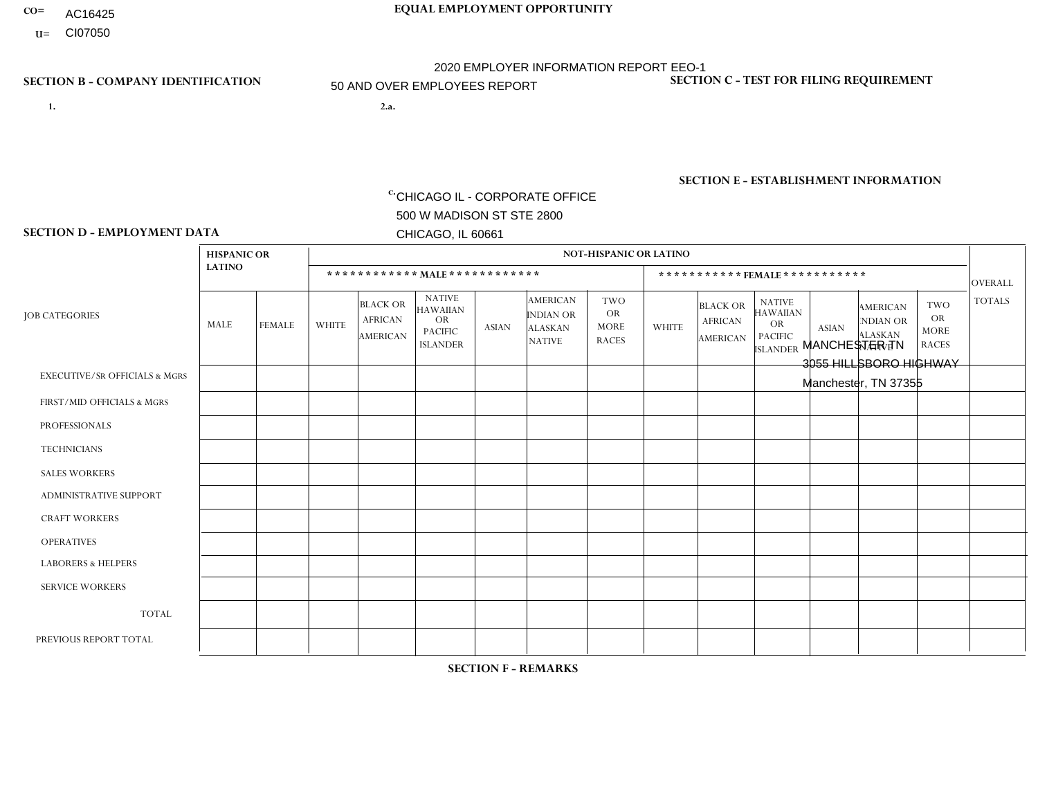- **CO= EQUAL EMPLOYMENT OPPORTUNITY** AC16425
	- **U=**

## **SECTION B - COMPANY IDENTIFICATION SECTION C - TEST FOR FILING REQUIREMENT**

- **1. 2.a.** CHICAGO IL CORPORATE OFFICE 500 W MADISON ST STE 2800 CHICAGO, IL 60661
- 2.a. MANCHESTER TN 3055 HILLSBORO HIGHWAY Manchester, TN 37355

2020 EMPLOYER INFORMATION REPORT EEO-1 50 AND OVER EMPLOYEES REPORT

c. EIN= 952920557

1- Y 2- Y 3- N DUNS= 000123456

**SECTION E - ESTABLISHMENT INFORMATION c.** NAICS: 423140

### **SECTION D - EMPLOYMENT DATA**

|                                          | <b>HISPANIC OR</b> |               |                |                                                      |                                                                                    |              |                                                                        | <b>NOT-HISPANIC OR LATINO</b>                          |                |                                               |                                                                                    |              |                                                                       |                                                        |                |
|------------------------------------------|--------------------|---------------|----------------|------------------------------------------------------|------------------------------------------------------------------------------------|--------------|------------------------------------------------------------------------|--------------------------------------------------------|----------------|-----------------------------------------------|------------------------------------------------------------------------------------|--------------|-----------------------------------------------------------------------|--------------------------------------------------------|----------------|
|                                          | <b>LATINO</b>      |               |                |                                                      | ************ MALE ************                                                     |              |                                                                        |                                                        |                | ***********FEMALE***********                  |                                                                                    |              |                                                                       |                                                        | <b>OVERALL</b> |
| <b>JOB CATEGORIES</b>                    | MALE               | <b>FEMALE</b> | <b>WHITE</b>   | <b>BLACK OR</b><br><b>AFRICAN</b><br><b>AMERICAN</b> | <b>NATIVE</b><br><b>HAWAIIAN</b><br><b>OR</b><br><b>PACIFIC</b><br><b>ISLANDER</b> | ASIAN        | <b>AMERICAN</b><br><b>INDIAN OR</b><br><b>ALASKAN</b><br><b>NATIVE</b> | <b>TWO</b><br><b>OR</b><br><b>MORE</b><br><b>RACES</b> | <b>WHITE</b>   | <b>BLACK OR</b><br><b>AFRICAN</b><br>AMERICAN | <b>NATIVE</b><br><b>HAWAIIAN</b><br><b>OR</b><br><b>PACIFIC</b><br><b>ISLANDER</b> | <b>ASIAN</b> | <b>AMERICAN</b><br><b>NDIAN OR</b><br><b>ALASKAN</b><br><b>NATIVE</b> | <b>TWO</b><br><b>OR</b><br><b>MORE</b><br><b>RACES</b> | <b>TOTALS</b>  |
| <b>EXECUTIVE/SR OFFICIALS &amp; MGRS</b> | $\Omega$           | $\Omega$      | $\Omega$       | $\mathbf 0$                                          | $\Omega$                                                                           | $\mathbf{0}$ | $\Omega$                                                               | $\Omega$                                               | 0              | $\Omega$                                      | $\Omega$                                                                           | $\Omega$     | $\Omega$                                                              | $\Omega$                                               | $\mathbf{0}$   |
| FIRST/MID OFFICIALS & MGRS               | 0                  | $\Omega$      | 5              | $\mathbf 0$                                          | $\Omega$                                                                           | $\Omega$     | $\Omega$                                                               | $\Omega$                                               |                | $\Omega$                                      | $\Omega$                                                                           | $\Omega$     | $\Omega$                                                              | $\Omega$                                               | 6              |
| <b>PROFESSIONALS</b>                     | 0                  | $\mathbf 0$   | $\mathbf 0$    | $\mathbf 0$                                          | $\Omega$                                                                           | $\Omega$     | $\Omega$                                                               | $\Omega$                                               | 0              | $\Omega$                                      | $\Omega$                                                                           | $\Omega$     | $\Omega$                                                              | $\Omega$                                               | $\mathbf{0}$   |
| <b>TECHNICIANS</b>                       | 0                  | $\Omega$      | $\Omega$       | $\Omega$                                             | $\Omega$                                                                           | $\Omega$     | $\Omega$                                                               | $\Omega$                                               | $\Omega$       | $\Omega$                                      | $\Omega$                                                                           | $\Omega$     | $\Omega$                                                              | $\Omega$                                               | $\mathbf{0}$   |
| <b>SALES WORKERS</b>                     | 0                  | $\Omega$      | $\overline{7}$ | $\Omega$                                             | $\Omega$                                                                           | $\Omega$     | $\Omega$                                                               | $\Omega$                                               | 0              | $\Omega$                                      | $\Omega$                                                                           | $\Omega$     | $\Omega$                                                              | $\Omega$                                               | $\overline{7}$ |
| <b>ADMINISTRATIVE SUPPORT</b>            | 0                  | 0             | 8              | $\mathbf 0$                                          | 0                                                                                  | $\Omega$     | $\Omega$                                                               | $\Omega$                                               | $\overline{2}$ | $\Omega$                                      | $\Omega$                                                                           | $\mathbf{0}$ | $\mathbf{0}$                                                          | $\mathbf 0$                                            | 10             |
| <b>CRAFT WORKERS</b>                     | $\overline{2}$     | $\Omega$      | 4              | $\mathbf 0$                                          | $\Omega$                                                                           | $\Omega$     | $\Omega$                                                               | $\Omega$                                               | 0              | $\Omega$                                      | $\Omega$                                                                           | $\Omega$     | $\Omega$                                                              | $\Omega$                                               | 6              |
| <b>OPERATIVES</b>                        |                    | $\Omega$      | 34             | $\mathbf 0$                                          | $\Omega$                                                                           | $\Omega$     | $\overline{ }$                                                         | $\Omega$                                               | $\Omega$       | $\Omega$                                      | $\Omega$                                                                           | $\Omega$     | $\Omega$                                                              | $\Omega$                                               | 36             |
| <b>LABORERS &amp; HELPERS</b>            | 0                  | $\Omega$      | 5              | $\mathbf 0$                                          | $\Omega$                                                                           | $\Omega$     | $\Omega$                                                               | $\Omega$                                               | $\Omega$       | $\Omega$                                      | $\Omega$                                                                           | $\mathbf{0}$ | $\Omega$                                                              | $\mathbf{0}$                                           | 5              |
| <b>SERVICE WORKERS</b>                   | 0                  | $\Omega$      | $\Omega$       | 0                                                    | 0                                                                                  | $\Omega$     | $\Omega$                                                               | $\Omega$                                               | $\Omega$       | $\Omega$                                      | $\Omega$                                                                           | $\Omega$     | $\Omega$                                                              | $\Omega$                                               | $\overline{0}$ |
| <b>TOTAL</b>                             | 3                  | 0             | 63             | 0                                                    | 0                                                                                  | $\mathbf 0$  | $\overline{1}$                                                         | $\Omega$                                               | 3              | $\Omega$                                      | $\Omega$                                                                           | $\mathbf 0$  | 0                                                                     | $\mathbf 0$                                            | 70             |
| PREVIOUS REPORT TOTAL                    | 3                  | $\Omega$      | 62             | $\mathbf{1}$                                         | 0                                                                                  | $\Omega$     | $\overline{ }$                                                         |                                                        | 6              | $\Omega$                                      | $\Omega$                                                                           | $\Omega$     | $\Omega$                                                              | $\mathbf 0$                                            | 74             |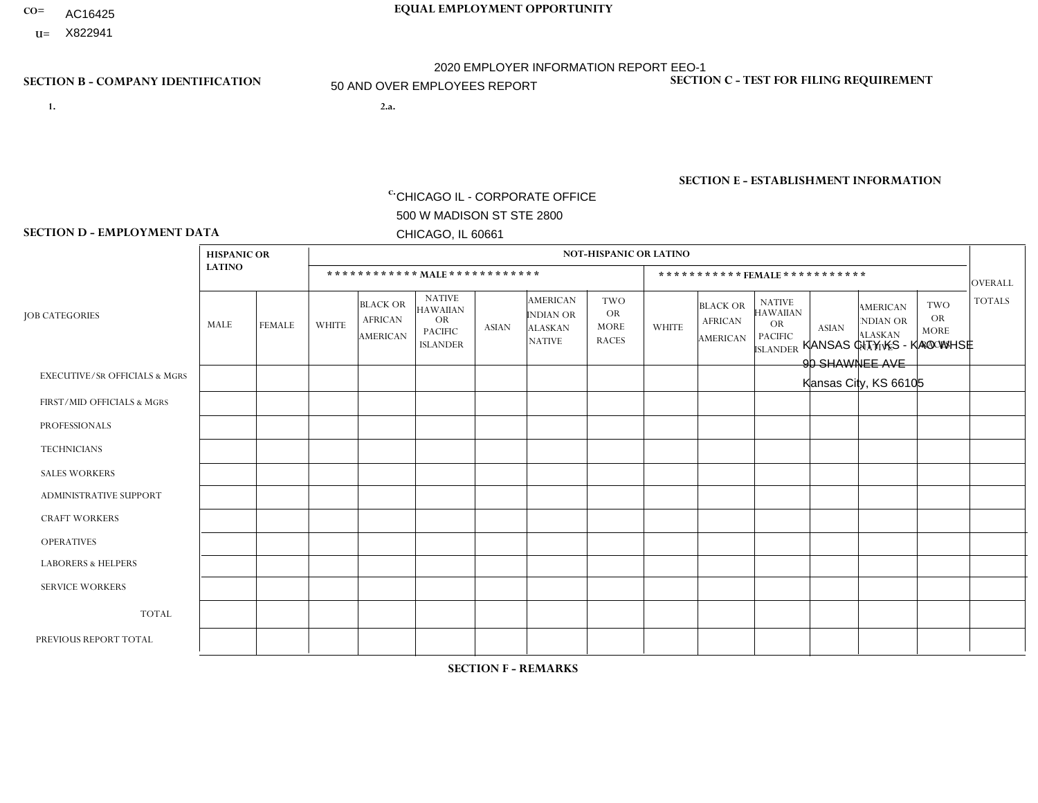- **CO= EQUAL EMPLOYMENT OPPORTUNITY** AC16425
- **U=**

## **SECTION B - COMPANY IDENTIFICATION SECTION C - TEST FOR FILING REQUIREMENT**

**1. 2.a.** CHICAGO IL - CORPORATE OFFICE 500 W MADISON ST STE 2800 CHICAGO, IL 60661

2.a. KANSAS CITY KS - KAO WHSE 90 SHAWNEE AVE Kansas City, KS 66105

2020 EMPLOYER INFORMATION REPORT EEO-1 50 AND OVER EMPLOYEES REPORT

c. EIN= 952920557

1- Y 2- Y 3- N DUNS= 000123456

**SECTION E - ESTABLISHMENT INFORMATION c.** NAICS: 423140

### **SECTION D - EMPLOYMENT DATA**

|                                          | <b>HISPANIC OR</b> |                |                |                                                      |                                                                                    |              |                                                                 | <b>NOT-HISPANIC OR LATINO</b>                          |                      |                                               |                                                                                    |              |                                                                       |                                                        |                |
|------------------------------------------|--------------------|----------------|----------------|------------------------------------------------------|------------------------------------------------------------------------------------|--------------|-----------------------------------------------------------------|--------------------------------------------------------|----------------------|-----------------------------------------------|------------------------------------------------------------------------------------|--------------|-----------------------------------------------------------------------|--------------------------------------------------------|----------------|
|                                          | <b>LATINO</b>      |                |                | ************ MALE ************                       |                                                                                    |              |                                                                 |                                                        |                      |                                               | ***********FEMALE***********                                                       |              |                                                                       |                                                        | <b>OVERALL</b> |
| <b>JOB CATEGORIES</b>                    | MALE               | <b>FEMALE</b>  | <b>WHITE</b>   | <b>BLACK OR</b><br><b>AFRICAN</b><br><b>AMERICAN</b> | <b>NATIVE</b><br><b>HAWAIIAN</b><br><b>OR</b><br><b>PACIFIC</b><br><b>ISLANDER</b> | <b>ASIAN</b> | <b>AMERICAN</b><br>INDIAN OR<br><b>ALASKAN</b><br><b>NATIVE</b> | <b>TWO</b><br><b>OR</b><br><b>MORE</b><br><b>RACES</b> | <b>WHITE</b>         | <b>BLACK OR</b><br><b>AFRICAN</b><br>AMERICAN | <b>NATIVE</b><br><b>HAWAIIAN</b><br><b>OR</b><br><b>PACIFIC</b><br><b>ISLANDER</b> | <b>ASIAN</b> | <b>AMERICAN</b><br><b>NDIAN OR</b><br><b>ALASKAN</b><br><b>NATIVE</b> | <b>TWO</b><br><b>OR</b><br><b>MORE</b><br><b>RACES</b> | <b>TOTALS</b>  |
| <b>EXECUTIVE/SR OFFICIALS &amp; MGRS</b> | $\Omega$           | $\Omega$       | 4              | $\Omega$                                             | 0                                                                                  | $\Omega$     | $\Omega$                                                        | $\Omega$                                               | $\Omega$             | $\Omega$                                      | $\Omega$                                                                           | $\Omega$     | $\Omega$                                                              | $\Omega$                                               | 4              |
| FIRST/MID OFFICIALS & MGRS               | $\Omega$           | $\Omega$       | 11             | $\overline{ }$                                       | $\Omega$                                                                           | $\Omega$     | $\Omega$                                                        | $\Omega$                                               | 3                    | $\overline{1}$                                | 0                                                                                  | $\Omega$     | $\Omega$                                                              | $\Omega$                                               | 16             |
| <b>PROFESSIONALS</b>                     | 3                  | $\Omega$       | 1              | $\mathbf 0$                                          | $\Omega$                                                                           | $\Omega$     | $\Omega$                                                        | $\Omega$                                               | 1                    | $\Omega$                                      | 0                                                                                  | 0            | $\Omega$                                                              | $\mathbf 0$                                            | 5              |
| <b>TECHNICIANS</b>                       | $\Omega$           | $\mathbf 0$    | $\Omega$       | $\mathbf 0$                                          | $\mathbf 0$                                                                        | $\Omega$     | $\Omega$                                                        | $\Omega$                                               | 0                    | $\mathbf 0$                                   | 0                                                                                  | $\mathbf 0$  | $\Omega$                                                              | $\mathbf 0$                                            | $\mathbf 0$    |
| <b>SALES WORKERS</b>                     | $\Omega$           | $\mathbf{1}$   | 4              | $\Omega$                                             | $\Omega$                                                                           | $\Omega$     | $\Omega$                                                        | $\Omega$                                               | $\mathbf{1}$         | $\Omega$                                      | $\Omega$                                                                           | $\Omega$     | $\Omega$                                                              | $\Omega$                                               | 6              |
| <b>ADMINISTRATIVE SUPPORT</b>            | $\Omega$           | $\mathbf{1}$   | $\overline{2}$ | $\overline{1}$                                       | $\Omega$                                                                           | $\Omega$     | $\Omega$                                                        | $\Omega$                                               | 1                    | $\overline{1}$                                | 0                                                                                  | $\Omega$     | $\Omega$                                                              | $\Omega$                                               | 6              |
| <b>CRAFT WORKERS</b>                     | $\Omega$           | $\Omega$       | $\Omega$       | $\mathbf 0$                                          | $\Omega$                                                                           | $\Omega$     | $\Omega$                                                        | $\Omega$                                               | $\Omega$             | $\Omega$                                      | 0                                                                                  | $\mathbf 0$  | $\Omega$                                                              | $\Omega$                                               | $\Omega$       |
| <b>OPERATIVES</b>                        | 4                  | $\Omega$       | 15             | $\overline{4}$                                       | $\mathbf 0$                                                                        | $\Omega$     | $\Omega$                                                        | 1                                                      | 1                    | $\Omega$                                      | 0                                                                                  | $\mathbf 0$  | $\Omega$                                                              | $\overline{1}$                                         | 26             |
| <b>LABORERS &amp; HELPERS</b>            | 3                  | $\Omega$       | 10             | 30                                                   | $\Omega$                                                                           | 3            | $\Omega$                                                        | 3                                                      | $\blacktriangleleft$ | 6                                             | 0                                                                                  | $\Omega$     | $\Omega$                                                              | $\Omega$                                               | 56             |
| <b>SERVICE WORKERS</b>                   | $\Omega$           | $\Omega$       | $\Omega$       | $\mathbf 0$                                          | $\mathbf 0$                                                                        | $\Omega$     | $\Omega$                                                        | $\Omega$                                               | 0                    | $\Omega$                                      | $\Omega$                                                                           | $\mathbf 0$  | $\Omega$                                                              | $\mathbf 0$                                            | $\overline{0}$ |
| <b>TOTAL</b>                             | 10                 | $\overline{2}$ | 47             | 36                                                   | $\mathbf 0$                                                                        | 3            | $\Omega$                                                        | $\overline{4}$                                         | 8                    | 8                                             | 0                                                                                  | $\mathbf 0$  | 0                                                                     | $\mathbf 1$                                            | 119            |
| PREVIOUS REPORT TOTAL                    | $\overline{7}$     | 3              | 39             | 31                                                   | 0                                                                                  | 6            | 1                                                               | $\overline{7}$                                         | $\overline{7}$       | 9                                             | 0                                                                                  | $\Omega$     | $\Omega$                                                              | $\mathbf 0$                                            | 110            |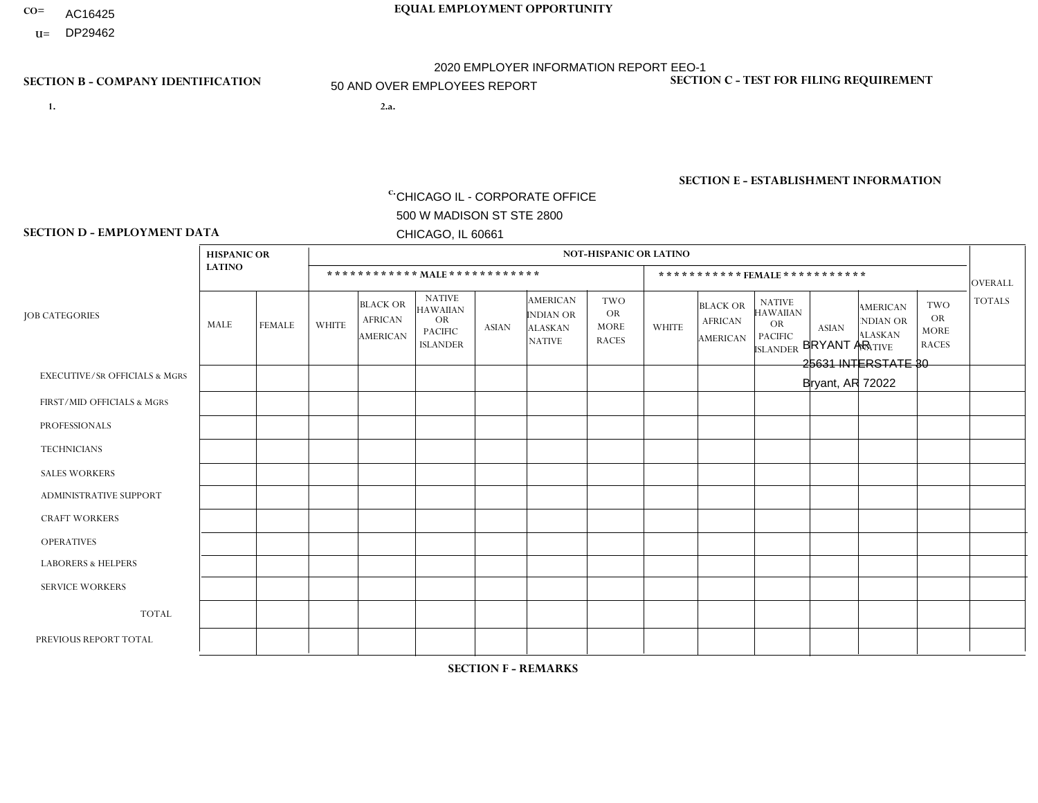- AC16425
- **U=**

- **1. 2.a.** CHICAGO IL CORPORATE OFFICE 500 W MADISON ST STE 2800 CHICAGO, IL 60661
- 2.a. BRYANT AR 25631 INTERSTATE 30 Bryant, AR 72022

EIN= 952920557

## **SECTION B - COMPANY IDENTIFICATION SECTION C - TEST FOR FILING REQUIREMENT**

1- Y 2- Y 3- N DUNS= 000123456

**SECTION E - ESTABLISHMENT INFORMATION c.** NAICS: 423140

### **SECTION D - EMPLOYMENT DATA**

|                                          | <b>HISPANIC OR</b> |               |              |                                                      |                                                                                    |              |                                                                 | <b>NOT-HISPANIC OR LATINO</b>                          |                |                                                      |                                                                                    |              |                                                                       |                                                        |                |
|------------------------------------------|--------------------|---------------|--------------|------------------------------------------------------|------------------------------------------------------------------------------------|--------------|-----------------------------------------------------------------|--------------------------------------------------------|----------------|------------------------------------------------------|------------------------------------------------------------------------------------|--------------|-----------------------------------------------------------------------|--------------------------------------------------------|----------------|
|                                          | <b>LATINO</b>      |               |              | ************ MALE ************                       |                                                                                    |              |                                                                 |                                                        |                |                                                      | ***********FEMALE***********                                                       |              |                                                                       |                                                        | <b>OVERALL</b> |
| <b>JOB CATEGORIES</b>                    | MALE               | <b>FEMALE</b> | <b>WHITE</b> | <b>BLACK OR</b><br><b>AFRICAN</b><br><b>AMERICAN</b> | <b>NATIVE</b><br><b>HAWAIIAN</b><br><b>OR</b><br><b>PACIFIC</b><br><b>ISLANDER</b> | <b>ASIAN</b> | <b>AMERICAN</b><br>INDIAN OR<br><b>ALASKAN</b><br><b>NATIVE</b> | <b>TWO</b><br><b>OR</b><br><b>MORE</b><br><b>RACES</b> | <b>WHITE</b>   | <b>BLACK OR</b><br><b>AFRICAN</b><br><b>AMERICAN</b> | <b>NATIVE</b><br><b>HAWAIIAN</b><br><b>OR</b><br><b>PACIFIC</b><br><b>ISLANDER</b> | <b>ASIAN</b> | <b>AMERICAN</b><br><b>NDIAN OR</b><br><b>ALASKAN</b><br><b>NATIVE</b> | <b>TWO</b><br><b>OR</b><br><b>MORE</b><br><b>RACES</b> | <b>TOTALS</b>  |
| <b>EXECUTIVE/SR OFFICIALS &amp; MGRS</b> | $\mathbf{0}$       | $\Omega$      | $\Omega$     | $\Omega$                                             | 0                                                                                  | $\Omega$     | $\Omega$                                                        | $\Omega$                                               | $\Omega$       | $\mathbf{0}$                                         | $\Omega$                                                                           | $\Omega$     | $\Omega$                                                              | $\Omega$                                               | $\Omega$       |
| FIRST/MID OFFICIALS & MGRS               | $\Omega$           | $\Omega$      | 8            | $\mathbf 0$                                          | $\mathbf 0$                                                                        | $\Omega$     | $\Omega$                                                        | $\Omega$                                               | 1              | $\mathbf{0}$                                         | $\Omega$                                                                           | $\Omega$     | $\Omega$                                                              | $\Omega$                                               | 9              |
| <b>PROFESSIONALS</b>                     | $\Omega$           | $\Omega$      | $\mathbf 0$  | $\mathbf 0$                                          | $\overline{0}$                                                                     | $\Omega$     | $\Omega$                                                        | $\Omega$                                               | $\Omega$       | $\Omega$                                             | $\Omega$                                                                           | $\Omega$     | $\Omega$                                                              | $\mathbf{0}$                                           | $\mathbf 0$    |
| <b>TECHNICIANS</b>                       | $\Omega$           | $\Omega$      | $\Omega$     | $\Omega$                                             | 0                                                                                  | $\Omega$     | $\overline{0}$                                                  | $\Omega$                                               | $\Omega$       | $\Omega$                                             | $\Omega$                                                                           | $\Omega$     | $\mathbf{0}$                                                          | $\Omega$                                               | $\Omega$       |
| <b>SALES WORKERS</b>                     | $\overline{2}$     | $\Omega$      | 16           | $\mathbf{1}$                                         | 0                                                                                  | $\Omega$     | $\Omega$                                                        | $\Omega$                                               | $\overline{4}$ | $\Omega$                                             | $\Omega$                                                                           | $\Omega$     | $\Omega$                                                              | $\mathbf{0}$                                           | 23             |
| <b>ADMINISTRATIVE SUPPORT</b>            | $\Omega$           | $\mathbf 0$   | $\mathbf{0}$ | $\mathbf 0$                                          | $\mathbf 0$                                                                        | $\mathbf 0$  | $\Omega$                                                        | $\Omega$                                               | 1              | $\mathbf{0}$                                         | $\Omega$                                                                           | $\Omega$     | $\Omega$                                                              | $\Omega$                                               | $\mathbf{1}$   |
| <b>CRAFT WORKERS</b>                     | $\Omega$           | $\Omega$      | $\Omega$     | $\mathbf 0$                                          | 0                                                                                  | $\Omega$     | $\Omega$                                                        | $\Omega$                                               | $\Omega$       | $\mathbf{0}$                                         | $\Omega$                                                                           | $\Omega$     | $\Omega$                                                              | $\Omega$                                               | $\Omega$       |
| <b>OPERATIVES</b>                        | $\Omega$           | $\Omega$      | 10           | $\overline{2}$                                       | 0                                                                                  | $\Omega$     | $\overline{0}$                                                  |                                                        | $\mathbf{1}$   | $\Omega$                                             | $\Omega$                                                                           | $\Omega$     | $\Omega$                                                              | $\Omega$                                               | 14             |
| <b>LABORERS &amp; HELPERS</b>            | $\Omega$           | $\Omega$      | 9            | 3                                                    | 0                                                                                  | $\Omega$     | $\overline{1}$                                                  |                                                        | 1              | $\Omega$                                             | $\Omega$                                                                           | $\Omega$     | $\Omega$                                                              | $\Omega$                                               | 15             |
| <b>SERVICE WORKERS</b>                   | $\Omega$           | 0             | $\Omega$     | 0                                                    | $\mathbf 0$                                                                        | $\Omega$     | $\Omega$                                                        | $\Omega$                                               | $\Omega$       | $\Omega$                                             | $\Omega$                                                                           | $\Omega$     | $\Omega$                                                              | $\Omega$                                               | $\mathbf 0$    |
| <b>TOTAL</b>                             | $\overline{2}$     | 0             | 43           | 6                                                    | 0                                                                                  | $\mathbf 0$  | 1                                                               | 2                                                      | 8              | $\Omega$                                             | $\Omega$                                                                           | $\mathbf 0$  | $\Omega$                                                              | $\Omega$                                               | 62             |
| PREVIOUS REPORT TOTAL                    |                    | $\mathbf{1}$  | 49           | 8                                                    | 0                                                                                  | $\Omega$     | $\mathbf{1}$                                                    |                                                        | 9              | $\Omega$                                             | $\mathbf{0}$                                                                       | $\Omega$     | $\Omega$                                                              | $\mathbf 0$                                            | 70             |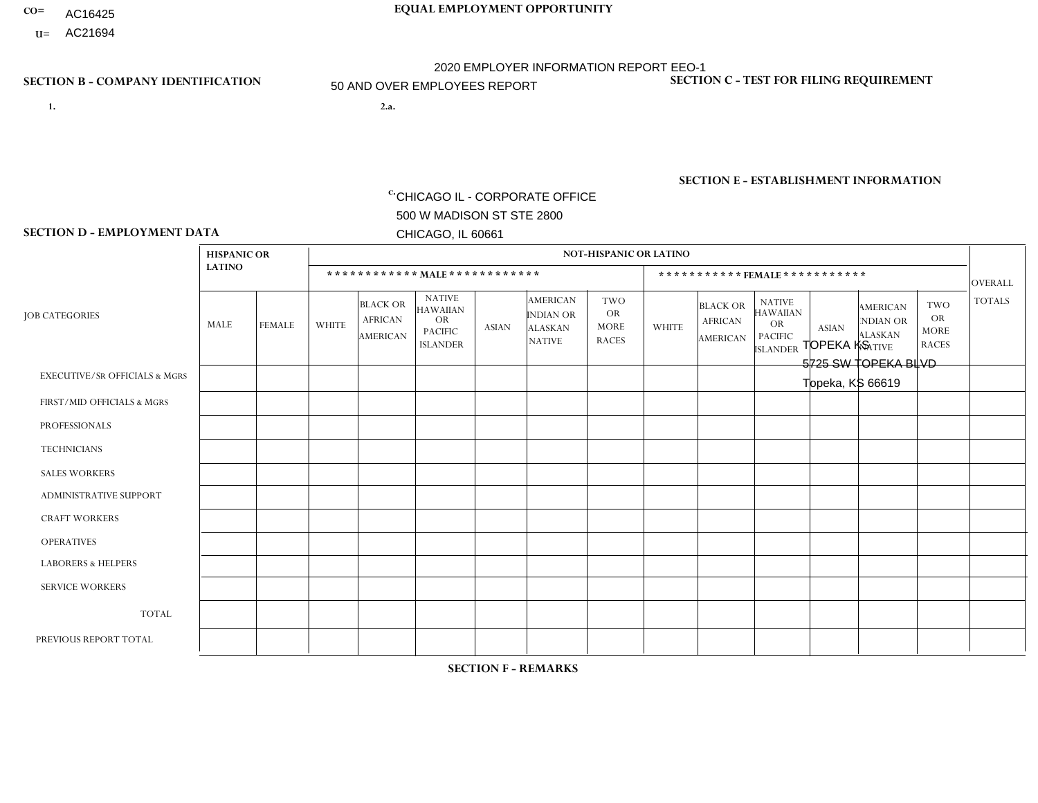- AC16425
- **U=** AC21694

- **1. 2.a.** CHICAGO IL CORPORATE OFFICE 500 W MADISON ST STE 2800 CHICAGO, IL 60661
- 2.a. TOPEKA KS 5725 SW TOPEKA BLVD Topeka, KS 66619

EIN= 952920557

## **SECTION B - COMPANY IDENTIFICATION SECTION C - TEST FOR FILING REQUIREMENT**

1- Y 2- Y 3- N DUNS= 000123456

**SECTION E - ESTABLISHMENT INFORMATION c.** NAICS: 423140

### **SECTION D - EMPLOYMENT DATA**

|                                          | <b>HISPANIC OR</b> |               |                |                                                      |                                                                                    |              |                                                                        | <b>NOT-HISPANIC OR LATINO</b>                          |                |                                               |                                                                                    |              |                                                                       |                                                        |                |
|------------------------------------------|--------------------|---------------|----------------|------------------------------------------------------|------------------------------------------------------------------------------------|--------------|------------------------------------------------------------------------|--------------------------------------------------------|----------------|-----------------------------------------------|------------------------------------------------------------------------------------|--------------|-----------------------------------------------------------------------|--------------------------------------------------------|----------------|
|                                          | <b>LATINO</b>      |               |                | ************ MALE ************                       |                                                                                    |              |                                                                        |                                                        |                |                                               | ***********FEMALE***********                                                       |              |                                                                       |                                                        | <b>OVERALL</b> |
| <b>JOB CATEGORIES</b>                    | MALE               | <b>FEMALE</b> | <b>WHITE</b>   | <b>BLACK OR</b><br><b>AFRICAN</b><br><b>AMERICAN</b> | <b>NATIVE</b><br><b>HAWAIIAN</b><br><b>OR</b><br><b>PACIFIC</b><br><b>ISLANDER</b> | <b>ASIAN</b> | <b>AMERICAN</b><br><b>INDIAN OR</b><br><b>ALASKAN</b><br><b>NATIVE</b> | <b>TWO</b><br><b>OR</b><br><b>MORE</b><br><b>RACES</b> | <b>WHITE</b>   | <b>BLACK OR</b><br><b>AFRICAN</b><br>AMERICAN | <b>NATIVE</b><br><b>HAWAIIAN</b><br><b>OR</b><br><b>PACIFIC</b><br><b>ISLANDER</b> | <b>ASIAN</b> | <b>AMERICAN</b><br><b>NDIAN OR</b><br><b>ALASKAN</b><br><b>NATIVE</b> | <b>TWO</b><br><b>OR</b><br><b>MORE</b><br><b>RACES</b> | <b>TOTALS</b>  |
| <b>EXECUTIVE/SR OFFICIALS &amp; MGRS</b> | $\Omega$           | $\Omega$      | $\overline{ }$ | $\Omega$                                             | $\Omega$                                                                           | $\mathbf{0}$ | $\Omega$                                                               | $\Omega$                                               | 0              | $\Omega$                                      | $\Omega$                                                                           | $\Omega$     | $\Omega$                                                              | $\Omega$                                               |                |
| FIRST/MID OFFICIALS & MGRS               | $\Omega$           | $\Omega$      | 14             | $\mathbf 0$                                          | $\Omega$                                                                           | $\Omega$     | $\Omega$                                                               | $\Omega$                                               | $\overline{2}$ | $\Omega$                                      | 0                                                                                  | $\Omega$     | $\Omega$                                                              | $\Omega$                                               | 16             |
| <b>PROFESSIONALS</b>                     |                    | $\mathbf 0$   | 26             | $\mathbf 0$                                          | $\mathbf 0$                                                                        | $\Omega$     | $\Omega$                                                               | $\Omega$                                               | 1              | $\Omega$                                      | 0                                                                                  | $\mathbf 0$  | $\Omega$                                                              | $\Omega$                                               | 28             |
| <b>TECHNICIANS</b>                       | $\Omega$           | $\Omega$      | $\Omega$       | $\Omega$                                             | $\Omega$                                                                           | $\Omega$     | $\Omega$                                                               | $\Omega$                                               | $\Omega$       | $\Omega$                                      | $\Omega$                                                                           | $\Omega$     | $\Omega$                                                              | $\Omega$                                               | $\mathbf{0}$   |
| <b>SALES WORKERS</b>                     | 3                  | $\Omega$      | 35             | $\Omega$                                             | 1                                                                                  | $\Omega$     | $\Omega$                                                               | 1                                                      | $\overline{2}$ | $\Omega$                                      | 0                                                                                  | $\Omega$     | $\Omega$                                                              | $\Omega$                                               | 42             |
| <b>ADMINISTRATIVE SUPPORT</b>            |                    | $\Omega$      | $\overline{7}$ | $\mathbf 0$                                          | $\mathbf 0$                                                                        | $\Omega$     | $\Omega$                                                               | $\Omega$                                               | 5              | $\Omega$                                      | 0                                                                                  | $\Omega$     | $\Omega$                                                              | $\Omega$                                               | 13             |
| <b>CRAFT WORKERS</b>                     | $\Omega$           | $\Omega$      | 14             | $\Omega$                                             | 1                                                                                  | 2            | $\Omega$                                                               | $\overline{2}$                                         | 0              | $\Omega$                                      | 0                                                                                  | $\Omega$     | $\Omega$                                                              | $\Omega$                                               | 19             |
| <b>OPERATIVES</b>                        | 2                  | $\Omega$      | 29             | 3                                                    | $\Omega$                                                                           | $\Omega$     | $\Omega$                                                               | $\Omega$                                               | 1              | $\Omega$                                      | 0                                                                                  | $\Omega$     | $\Omega$                                                              | $\Omega$                                               | 35             |
| <b>LABORERS &amp; HELPERS</b>            | 3                  | $\Omega$      | 10             | $\mathbf 0$                                          | $\mathbf 0$                                                                        | $\Omega$     | $\Omega$                                                               | 1                                                      | $\Omega$       | $\Omega$                                      | 0                                                                                  | $\mathbf 0$  | $\Omega$                                                              | $\Omega$                                               | 14             |
| <b>SERVICE WORKERS</b>                   | $\Omega$           | $\Omega$      | $\mathbf{0}$   | $\mathbf 0$                                          | $\Omega$                                                                           | $\Omega$     | $\Omega$                                                               | $\Omega$                                               | 0              | $\Omega$                                      | $\Omega$                                                                           | 0            | $\Omega$                                                              | $\Omega$                                               | $\overline{0}$ |
| <b>TOTAL</b>                             | 10                 | $\Omega$      | 136            | 3                                                    | $\overline{2}$                                                                     | 2            | $\Omega$                                                               | $\overline{4}$                                         | 11             | $\Omega$                                      | 0                                                                                  | $\mathbf 0$  | $\Omega$                                                              | $\mathbf 0$                                            | 168            |
| PREVIOUS REPORT TOTAL                    | 14                 | $\Omega$      | 145            | 3                                                    | 3                                                                                  | 2            | $\Omega$                                                               | $\overline{4}$                                         | 11             | $\Omega$                                      | $\Omega$                                                                           | $\mathbf 0$  | $\mathbf 0$                                                           | $\mathbf 0$                                            | 182            |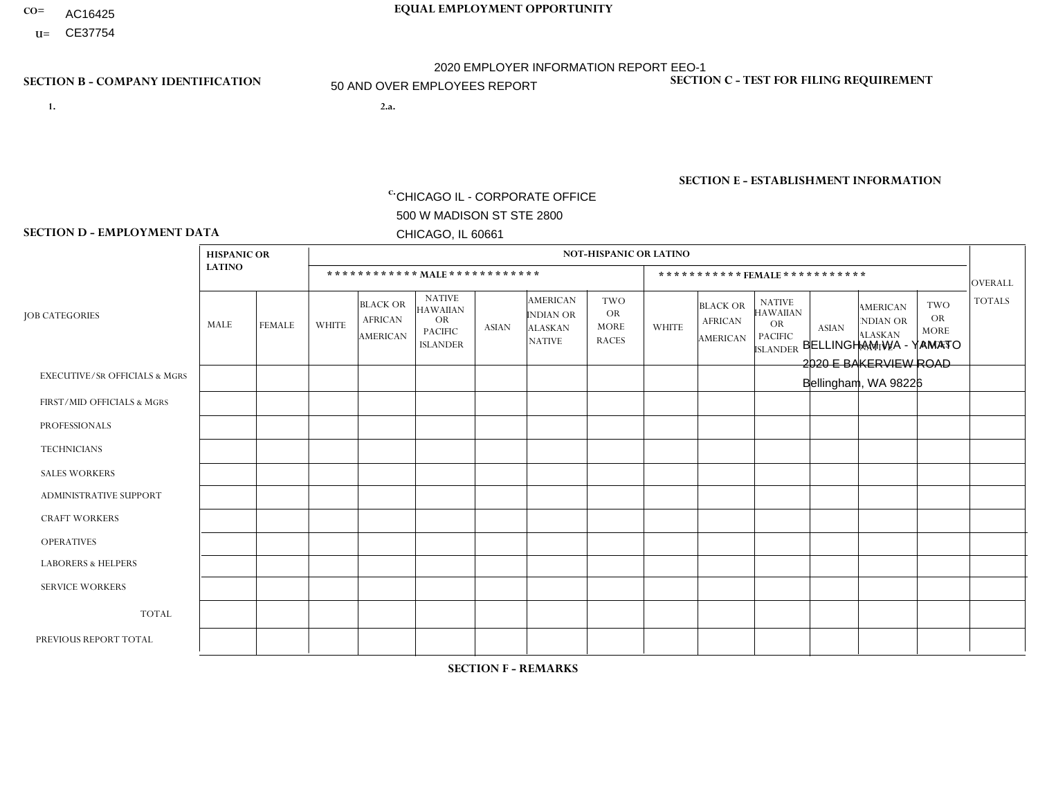- **CO= EQUAL EMPLOYMENT OPPORTUNITY** AC16425
- **U=**

## **SECTION B - COMPANY IDENTIFICATION SECTION C - TEST FOR FILING REQUIREMENT**

- **1. 2.a.** CHICAGO IL CORPORATE OFFICE 500 W MADISON ST STE 2800 CHICAGO, IL 60661
- 2.a. BELLINGHAM WA YAMATO 2020 E BAKERVIEW ROAD Bellingham, WA 98226

2020 EMPLOYER INFORMATION REPORT EEO-1 50 AND OVER EMPLOYEES REPORT

c. EIN= 952920557

1- Y 2- Y 3- N DUNS= 000123456

**SECTION E - ESTABLISHMENT INFORMATION c.** NAICS: 336390

## **SECTION D - EMPLOYMENT DATA**

|                                          | <b>HISPANIC OR</b> |               |              |                                               |                                                                                    |                |                                                                        | <b>NOT-HISPANIC OR LATINO</b>                          |              |                                               |                                                                             |                |                                                                       |                                                        |                 |
|------------------------------------------|--------------------|---------------|--------------|-----------------------------------------------|------------------------------------------------------------------------------------|----------------|------------------------------------------------------------------------|--------------------------------------------------------|--------------|-----------------------------------------------|-----------------------------------------------------------------------------|----------------|-----------------------------------------------------------------------|--------------------------------------------------------|-----------------|
|                                          | <b>LATINO</b>      |               |              | ************ MALE ************                |                                                                                    |                |                                                                        |                                                        |              | ***********FEMALE***********                  |                                                                             |                |                                                                       |                                                        | <b>OVERALL</b>  |
| <b>JOB CATEGORIES</b>                    | MALE               | <b>FEMALE</b> | <b>WHITE</b> | <b>BLACK OR</b><br><b>AFRICAN</b><br>AMERICAN | <b>NATIVE</b><br><b>HAWAIIAN</b><br><b>OR</b><br><b>PACIFIC</b><br><b>ISLANDER</b> | <b>ASIAN</b>   | <b>AMERICAN</b><br><b>INDIAN OR</b><br><b>ALASKAN</b><br><b>NATIVE</b> | <b>TWO</b><br><b>OR</b><br><b>MORE</b><br><b>RACES</b> | <b>WHITE</b> | <b>BLACK OR</b><br><b>AFRICAN</b><br>AMERICAN | <b>NATIVE</b><br><b>HAWAIIAN</b><br>OR<br><b>PACIFIC</b><br><b>ISLANDER</b> | <b>ASIAN</b>   | <b>AMERICAN</b><br><b>NDIAN OR</b><br><b>ALASKAN</b><br><b>NATIVE</b> | <b>TWO</b><br><b>OR</b><br><b>MORE</b><br><b>RACES</b> | <b>TOTALS</b>   |
| <b>EXECUTIVE/SR OFFICIALS &amp; MGRS</b> | $\Omega$           | $\Omega$      | $\Omega$     | $\mathbf 0$                                   | $\Omega$                                                                           | $\Omega$       | $\Omega$                                                               | $\Omega$                                               | $\Omega$     | $\Omega$                                      | $\Omega$                                                                    | $\Omega$       | $\Omega$                                                              | $\mathbf{0}$                                           | $\mathbf 0$     |
| FIRST/MID OFFICIALS & MGRS               |                    | $\Omega$      | 6            | $\mathbf 0$                                   | $\Omega$                                                                           | $\overline{2}$ | $\Omega$                                                               | $\Omega$                                               |              | $\Omega$                                      | $\Omega$                                                                    | $\Omega$       | $\Omega$                                                              | $\Omega$                                               | 10 <sup>°</sup> |
| <b>PROFESSIONALS</b>                     | 0                  | $\Omega$      | $\Omega$     | $\mathbf 0$                                   | $\Omega$                                                                           | $\Omega$       | $\Omega$                                                               | $\Omega$                                               | 0            | $\Omega$                                      | $\Omega$                                                                    | $\Omega$       | $\Omega$                                                              | $\Omega$                                               | $\overline{0}$  |
| <b>TECHNICIANS</b>                       | 0                  | $\mathbf 0$   | $\Omega$     | $\mathbf 0$                                   | $\mathbf 0$                                                                        | $\Omega$       | $\Omega$                                                               | $\Omega$                                               | $\Omega$     | $\mathbf 0$                                   | $\Omega$                                                                    | $\mathbf 0$    | 0                                                                     | $\mathbf 0$                                            | $\mathbf 0$     |
| <b>SALES WORKERS</b>                     | $\Omega$           | $\Omega$      | 1            | $\Omega$                                      | $\Omega$                                                                           | $\Omega$       | $\Omega$                                                               | $\Omega$                                               | 0            | $\Omega$                                      | $\Omega$                                                                    | $\Omega$       | $\Omega$                                                              | $\Omega$                                               | $\mathbf{1}$    |
| <b>ADMINISTRATIVE SUPPORT</b>            | $\Omega$           | $\mathbf 0$   |              | $\mathbf 0$                                   | $\mathbf 0$                                                                        | $\Omega$       | $\Omega$                                                               | $\Omega$                                               | $\Omega$     | $\Omega$                                      | $\Omega$                                                                    | $\mathbf{0}$   | $\mathbf 0$                                                           | $\mathbf{1}$                                           | 2               |
| <b>CRAFT WORKERS</b>                     | 0                  | $\Omega$      | $\Omega$     | $\mathbf 0$                                   | $\Omega$                                                                           | $\Omega$       | $\Omega$                                                               | $\Omega$                                               | $\Omega$     | $\Omega$                                      | $\Omega$                                                                    | $\Omega$       | $\Omega$                                                              | $\Omega$                                               | $\Omega$        |
| <b>OPERATIVES</b>                        | 34                 | 5             | 25           | 4                                             | $\Omega$                                                                           | 24             | 1                                                                      | 3                                                      | 4            | $\Omega$                                      | $\Omega$                                                                    | $\Omega$       | $\Omega$                                                              | $\Omega$                                               | 100             |
| <b>LABORERS &amp; HELPERS</b>            | 6                  | 5             | 13           | $\mathbf 0$                                   | $\mathbf{0}$                                                                       | 4              | $\overline{2}$                                                         |                                                        | 10           | $\Omega$                                      | $\Omega$                                                                    | 2              | $\Omega$                                                              | $\mathbf{0}$                                           | 43              |
| <b>SERVICE WORKERS</b>                   | 0                  | $\Omega$      | $\Omega$     | 0                                             | $\mathbf{0}$                                                                       | $\Omega$       | $\Omega$                                                               | $\Omega$                                               | $\Omega$     | $\Omega$                                      | $\Omega$                                                                    | $\Omega$       | $\Omega$                                                              | $\Omega$                                               | $\mathbf{0}$    |
| <b>TOTAL</b>                             | 41                 | 10            | 46           | $\overline{4}$                                | $\mathbf{0}$                                                                       | 30             | 3                                                                      | 4                                                      | 15           | $\Omega$                                      | $\Omega$                                                                    | 2              | 0                                                                     | $\mathbf{1}$                                           | 156             |
| PREVIOUS REPORT TOTAL                    | 48                 | 8             | 58           | $\overline{4}$                                | $\Omega$                                                                           | 33             | 3                                                                      | $\overline{4}$                                         | 17           | $\Omega$                                      | $\Omega$                                                                    | $\overline{4}$ | 1                                                                     | $\overline{2}$                                         | 182             |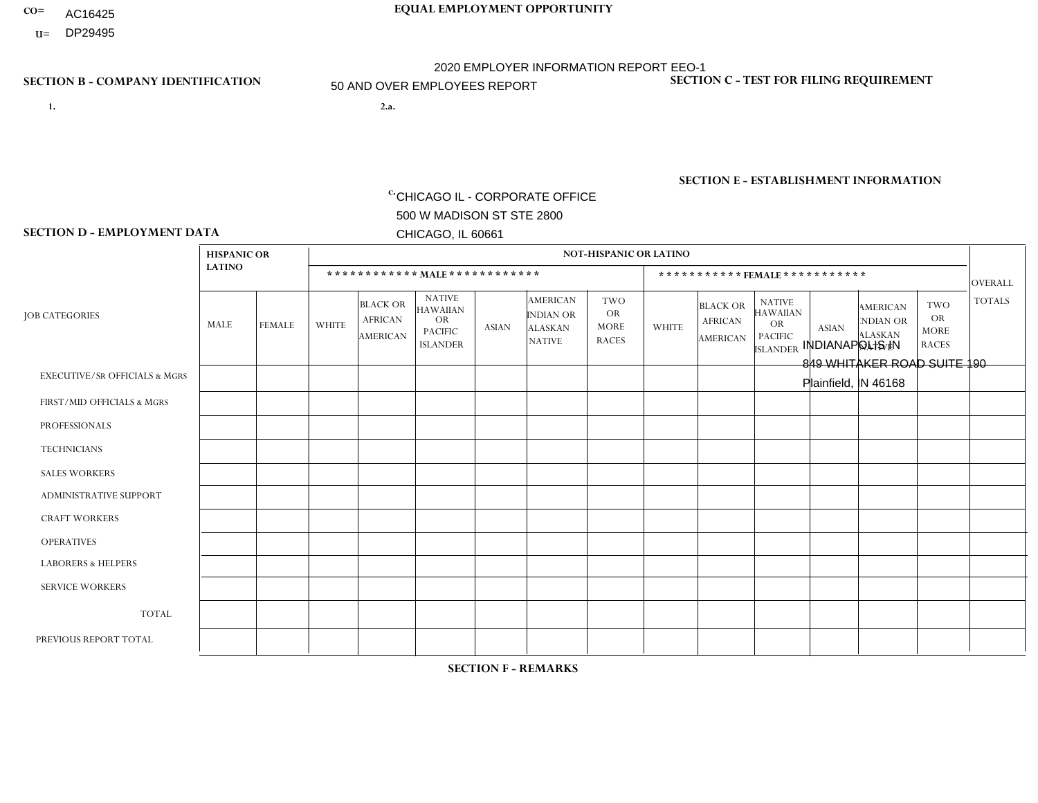- **CO= EQUAL EMPLOYMENT OPPORTUNITY** AC16425
- **U=**

- **1. 2.a.** CHICAGO IL CORPORATE OFFICE 500 W MADISON ST STE 2800 CHICAGO, IL 60661
- 2.a. INDIANAPOLIS IN 849 WHITAKER ROAD SUITE 190 Plainfield, IN 46168

2020 EMPLOYER INFORMATION REPORT EEO-1 50 AND OVER EMPLOYEES REPORT

c. EIN= 952920557

## **SECTION B - COMPANY IDENTIFICATION SECTION C - TEST FOR FILING REQUIREMENT**

1- Y 2- Y 3- N DUNS= 000123456

**SECTION E - ESTABLISHMENT INFORMATION c.** NAICS: 423140

### **SECTION D - EMPLOYMENT DATA**

|                                          | <b>HISPANIC OR</b> |               |                |                                                      |                                                                                    |              |                                                                        | <b>NOT-HISPANIC OR LATINO</b>                          |                |                                               |                                                                                    |                |                                                                       |                                                        |                |
|------------------------------------------|--------------------|---------------|----------------|------------------------------------------------------|------------------------------------------------------------------------------------|--------------|------------------------------------------------------------------------|--------------------------------------------------------|----------------|-----------------------------------------------|------------------------------------------------------------------------------------|----------------|-----------------------------------------------------------------------|--------------------------------------------------------|----------------|
|                                          | <b>LATINO</b>      |               |                |                                                      | ************ MALE ************                                                     |              |                                                                        |                                                        |                | ***********FEMALE***********                  |                                                                                    |                |                                                                       |                                                        | <b>OVERALL</b> |
| <b>JOB CATEGORIES</b>                    | MALE               | <b>FEMALE</b> | <b>WHITE</b>   | <b>BLACK OR</b><br><b>AFRICAN</b><br><b>AMERICAN</b> | <b>NATIVE</b><br><b>HAWAIIAN</b><br><b>OR</b><br><b>PACIFIC</b><br><b>ISLANDER</b> | ASIAN        | <b>AMERICAN</b><br><b>INDIAN OR</b><br><b>ALASKAN</b><br><b>NATIVE</b> | <b>TWO</b><br><b>OR</b><br><b>MORE</b><br><b>RACES</b> | <b>WHITE</b>   | <b>BLACK OR</b><br><b>AFRICAN</b><br>AMERICAN | <b>NATIVE</b><br><b>HAWAIIAN</b><br><b>OR</b><br><b>PACIFIC</b><br><b>ISLANDER</b> | <b>ASIAN</b>   | <b>AMERICAN</b><br><b>NDIAN OR</b><br><b>ALASKAN</b><br><b>NATIVE</b> | <b>TWO</b><br><b>OR</b><br><b>MORE</b><br><b>RACES</b> | <b>TOTALS</b>  |
| <b>EXECUTIVE/SR OFFICIALS &amp; MGRS</b> | $\Omega$           | $\Omega$      |                | $\mathbf 0$                                          | $\Omega$                                                                           | $\mathbf{0}$ | $\Omega$                                                               | $\Omega$                                               | 0              | $\Omega$                                      | $\Omega$                                                                           | $\Omega$       | $\Omega$                                                              | $\Omega$                                               | $\mathbf{1}$   |
| FIRST/MID OFFICIALS & MGRS               | 0                  | $\mathbf 1$   | $\overline{c}$ | $\overline{1}$                                       | $\Omega$                                                                           | $\Omega$     | $\Omega$                                                               | $\Omega$                                               |                | $\Omega$                                      | $\Omega$                                                                           | $\Omega$       | $\Omega$                                                              | $\Omega$                                               | 5              |
| <b>PROFESSIONALS</b>                     | 0                  | $\mathbf 0$   | 2              | $\mathbf 0$                                          | $\Omega$                                                                           | $\Omega$     | $\Omega$                                                               | $\Omega$                                               | 0              | $\Omega$                                      | $\Omega$                                                                           | $\Omega$       | $\Omega$                                                              | $\Omega$                                               | $\overline{2}$ |
| <b>TECHNICIANS</b>                       | 0                  | $\Omega$      | $\Omega$       | $\mathbf 0$                                          | $\Omega$                                                                           | $\Omega$     | $\Omega$                                                               | $\Omega$                                               | $\Omega$       | $\Omega$                                      | $\Omega$                                                                           | $\Omega$       | $\Omega$                                                              | $\Omega$                                               | $\mathbf{0}$   |
| <b>SALES WORKERS</b>                     | 0                  | $\Omega$      | 4              | $\Omega$                                             | $\Omega$                                                                           | $\Omega$     | $\Omega$                                                               | $\Omega$                                               | 0              | $\Omega$                                      | $\Omega$                                                                           | $\Omega$       | $\Omega$                                                              | $\Omega$                                               | $\overline{4}$ |
| <b>ADMINISTRATIVE SUPPORT</b>            | 0                  | 0             | 3              | 2                                                    | 0                                                                                  | $\Omega$     | $\Omega$                                                               | $\Omega$                                               | $\overline{2}$ | $\Omega$                                      | $\Omega$                                                                           | $\Omega$       | $\mathbf{0}$                                                          | $\mathbf 0$                                            | $\overline{7}$ |
| <b>CRAFT WORKERS</b>                     | 0                  | $\Omega$      | 4              | $\mathbf 0$                                          | $\Omega$                                                                           | $\Omega$     | $\Omega$                                                               | $\Omega$                                               | 0              | $\Omega$                                      | $\Omega$                                                                           | $\Omega$       | $\Omega$                                                              | $\Omega$                                               | $\overline{4}$ |
| <b>OPERATIVES</b>                        | $\overline{2}$     | $\Omega$      | 22             | $\overline{7}$                                       | $\Omega$                                                                           | $\Omega$     | $\Omega$                                                               | $\Omega$                                               |                | $\Omega$                                      | $\Omega$                                                                           | $\Omega$       | $\Omega$                                                              | $\Omega$                                               | 32             |
| <b>LABORERS &amp; HELPERS</b>            | 3                  | $\Omega$      | 8              | $\overline{2}$                                       | $\Omega$                                                                           | $\Omega$     | $\Omega$                                                               | $\overline{2}$                                         | 3              | $\Omega$                                      | $\Omega$                                                                           | $\Omega$       | $\Omega$                                                              | $\overline{1}$                                         | 19             |
| <b>SERVICE WORKERS</b>                   | 0                  | $\Omega$      | $\Omega$       | 0                                                    | 0                                                                                  | $\Omega$     | $\Omega$                                                               | $\Omega$                                               | $\Omega$       | $\Omega$                                      | $\Omega$                                                                           | $\Omega$       | $\Omega$                                                              | $\mathbf 0$                                            | 0              |
| <b>TOTAL</b>                             | 5                  | $\mathbf{1}$  | 46             | 12                                                   | $\mathbf{0}$                                                                       | $\mathbf 0$  | $\Omega$                                                               | $\overline{2}$                                         | $\overline{7}$ | $\Omega$                                      | $\Omega$                                                                           | $\mathbf 0$    | 0                                                                     | $\mathbf{1}$                                           | 74             |
| PREVIOUS REPORT TOTAL                    | 9                  | 3             | 62             | 18                                                   | 0                                                                                  | $\mathbf{0}$ | $\Omega$                                                               | $\Omega$                                               | 11             | $\overline{2}$                                | $\Omega$                                                                           | $\overline{1}$ | 0                                                                     | $\mathbf{1}$                                           | 107            |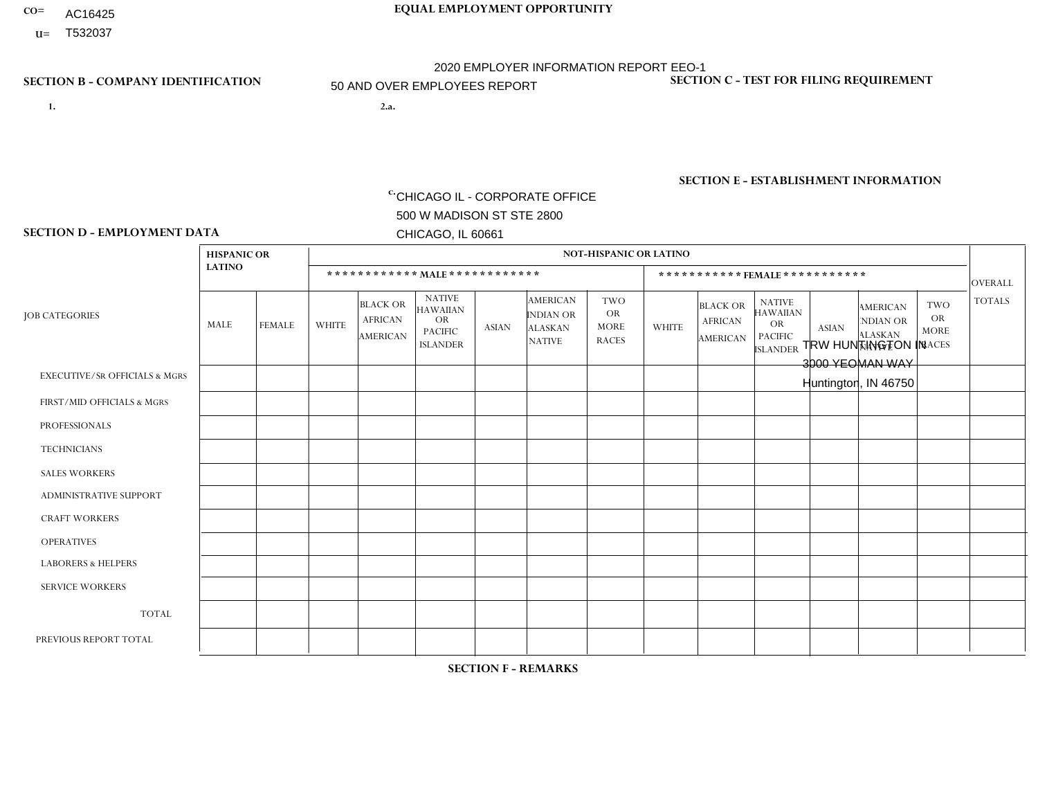- AC16425
- **U=**

**1. 2.a.** CHICAGO IL - CORPORATE OFFICE 500 W MADISON ST STE 2800 CHICAGO, IL 60661

2.a. TRW HUNTINGTON IN 3000 YEOMAN WAY Huntington, IN 46750

c. EIN= 952920557

## **SECTION B - COMPANY IDENTIFICATION SECTION C - TEST FOR FILING REQUIREMENT**

1- Y 2- Y 3- N DUNS= 000123456

**SECTION E - ESTABLISHMENT INFORMATION c.** NAICS: 339999

### **SECTION D - EMPLOYMENT DATA**

|                                          | <b>HISPANIC OR</b> |               |                |                                                      |                                                                                    |              |                                                                        | <b>NOT-HISPANIC OR LATINO</b>                          |                |                                               |                                                                                    |              |                                                                       |                                                        |                |
|------------------------------------------|--------------------|---------------|----------------|------------------------------------------------------|------------------------------------------------------------------------------------|--------------|------------------------------------------------------------------------|--------------------------------------------------------|----------------|-----------------------------------------------|------------------------------------------------------------------------------------|--------------|-----------------------------------------------------------------------|--------------------------------------------------------|----------------|
|                                          | <b>LATINO</b>      |               |                | ************ MAIE************                        |                                                                                    |              |                                                                        |                                                        |                |                                               | ***********FEMALE***********                                                       |              |                                                                       |                                                        | <b>OVERALL</b> |
| <b>JOB CATEGORIES</b>                    | MALE               | <b>FEMALE</b> | <b>WHITE</b>   | <b>BLACK OR</b><br><b>AFRICAN</b><br><b>AMERICAN</b> | <b>NATIVE</b><br><b>HAWAIIAN</b><br><b>OR</b><br><b>PACIFIC</b><br><b>ISLANDER</b> | <b>ASIAN</b> | <b>AMERICAN</b><br><b>INDIAN OR</b><br><b>ALASKAN</b><br><b>NATIVE</b> | <b>TWO</b><br><b>OR</b><br><b>MORE</b><br><b>RACES</b> | <b>WHITE</b>   | <b>BLACK OR</b><br><b>AFRICAN</b><br>AMERICAN | <b>NATIVE</b><br><b>HAWAIIAN</b><br><b>OR</b><br><b>PACIFIC</b><br><b>ISLANDER</b> | <b>ASIAN</b> | <b>AMERICAN</b><br><b>NDIAN OR</b><br><b>ALASKAN</b><br><b>NATIVE</b> | <b>TWO</b><br><b>OR</b><br><b>MORE</b><br><b>RACES</b> | <b>TOTALS</b>  |
| <b>EXECUTIVE/SR OFFICIALS &amp; MGRS</b> | $\Omega$           | $\Omega$      | $\overline{c}$ | $\mathbf 0$                                          | $\Omega$                                                                           | $\Omega$     | $\Omega$                                                               | $\Omega$                                               | 1              | $\mathbf{0}$                                  | $\mathbf{0}$                                                                       | $\Omega$     | $\Omega$                                                              | $\Omega$                                               | 3              |
| FIRST/MID OFFICIALS & MGRS               | $\Omega$           | $\Omega$      | $\Omega$       | 0                                                    | 0                                                                                  | $\Omega$     | $\Omega$                                                               | $\Omega$                                               | $\overline{2}$ | $\Omega$                                      | $\Omega$                                                                           | $\Omega$     | $\Omega$                                                              | $\Omega$                                               | $\overline{2}$ |
| <b>PROFESSIONALS</b>                     | $\Omega$           | $\Omega$      | $\overline{c}$ | $\Omega$                                             | $\Omega$                                                                           | $\Omega$     | $\Omega$                                                               | $\Omega$                                               | $\overline{2}$ | $\Omega$                                      | $\Omega$                                                                           | $\Omega$     | $\Omega$                                                              | $\Omega$                                               | $\overline{4}$ |
| <b>TECHNICIANS</b>                       | $\Omega$           | $\mathbf 0$   | $\Omega$       | $\mathbf 0$                                          | 0                                                                                  | $\Omega$     | $\Omega$                                                               | $\Omega$                                               | $\mathbf{0}$   | $\Omega$                                      | $\Omega$                                                                           | $\Omega$     | $\Omega$                                                              | $\Omega$                                               | $\mathbf 0$    |
| <b>SALES WORKERS</b>                     | $\Omega$           | $\Omega$      | $\Omega$       | $\Omega$                                             | $\Omega$                                                                           | $\Omega$     | $\Omega$                                                               | $\Omega$                                               | $\Omega$       | $\Omega$                                      | $\Omega$                                                                           | $\Omega$     | $\Omega$                                                              | $\mathbf{0}$                                           | $\mathbf 0$    |
| <b>ADMINISTRATIVE SUPPORT</b>            | $\Omega$           | $\Omega$      | $\Omega$       | $\Omega$                                             | $\Omega$                                                                           | $\Omega$     | $\Omega$                                                               | $\Omega$                                               | $\overline{2}$ | $\Omega$                                      | $\Omega$                                                                           | $\Omega$     | $\Omega$                                                              | $\Omega$                                               | $\overline{2}$ |
| <b>CRAFT WORKERS</b>                     | 0                  | $\Omega$      | $\Omega$       | $\mathbf 0$                                          | $\Omega$                                                                           | $\Omega$     | $\Omega$                                                               | $\Omega$                                               | $\Omega$       | $\Omega$                                      | $\Omega$                                                                           | $\Omega$     | $\Omega$                                                              | $\Omega$                                               | $\Omega$       |
| <b>OPERATIVES</b>                        | $\Omega$           | $\Omega$      | 51             | $\mathbf 0$                                          | $\Omega$                                                                           | $\Omega$     | $\overline{0}$                                                         | $\Omega$                                               | 11             | $\Omega$                                      | $\mathbf{0}$                                                                       | $\Omega$     | $\Omega$                                                              | $\Omega$                                               | 62             |
| <b>LABORERS &amp; HELPERS</b>            | $\Omega$           | $\Omega$      | 4              | $\mathbf 0$                                          | 0                                                                                  | $\Omega$     | $\Omega$                                                               | $\Omega$                                               | $\Omega$       | $\Omega$                                      | $\Omega$                                                                           | $\Omega$     | $\Omega$                                                              | $\Omega$                                               | 4              |
| <b>SERVICE WORKERS</b>                   | $\Omega$           | $\mathbf 0$   | 0              | $\mathbf 0$                                          | $\mathbf 0$                                                                        | $\mathbf 0$  | $\Omega$                                                               | $\Omega$                                               | $\Omega$       | $\Omega$                                      | $\mathbf{0}$                                                                       | $\mathbf 0$  | $\Omega$                                                              | $\mathbf 0$                                            | 0              |
| <b>TOTAL</b>                             | $\Omega$           | $\mathbf 0$   | 59             | $\mathbf 0$                                          | 0                                                                                  | $\mathbf 0$  | $\Omega$                                                               | $\Omega$                                               | 18             | $\Omega$                                      | $\Omega$                                                                           | $\Omega$     | $\Omega$                                                              | $\Omega$                                               | 77             |
| PREVIOUS REPORT TOTAL                    |                    | $\mathbf 0$   | 72             | $\mathbf 0$                                          | 0                                                                                  | $\Omega$     | $\Omega$                                                               | $\Omega$                                               | 21             | $\Omega$                                      | $\mathbf{0}$                                                                       | $\Omega$     | $\Omega$                                                              | $\mathbf 0$                                            | 94             |
|                                          |                    |               |                |                                                      |                                                                                    |              |                                                                        |                                                        |                |                                               |                                                                                    |              |                                                                       |                                                        |                |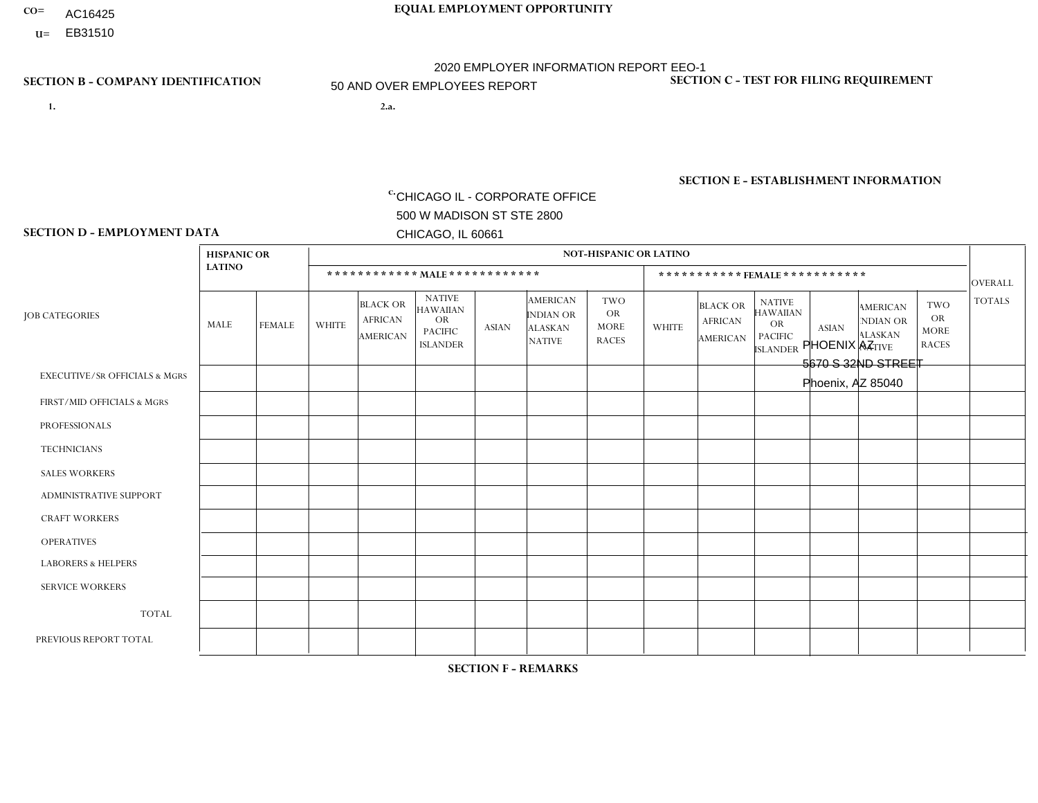- AC16425
- **U=**

- **1. 2.a.** CHICAGO IL CORPORATE OFFICE 500 W MADISON ST STE 2800 CHICAGO, IL 60661
- 2.a. PHOENIX AZ 5670 S 32ND STREET Phoenix, AZ 85040

EIN= 952920557

## **SECTION B - COMPANY IDENTIFICATION SECTION C - TEST FOR FILING REQUIREMENT**

1- Y 2- Y 3- N DUNS= 000123456

**SECTION E - ESTABLISHMENT INFORMATION c.** NAICS: 423140

## **SECTION D - EMPLOYMENT DATA**

|                                          | <b>HISPANIC OR</b> |                |              |                                                      |                                                                                    |                |                                                                 | <b>NOT-HISPANIC OR LATINO</b>                          |                |                                                      |                                                                                    |              |                                                                       |                                                        |                |
|------------------------------------------|--------------------|----------------|--------------|------------------------------------------------------|------------------------------------------------------------------------------------|----------------|-----------------------------------------------------------------|--------------------------------------------------------|----------------|------------------------------------------------------|------------------------------------------------------------------------------------|--------------|-----------------------------------------------------------------------|--------------------------------------------------------|----------------|
|                                          | <b>LATINO</b>      |                |              | ************ MALE ************                       |                                                                                    |                |                                                                 |                                                        |                |                                                      | *********** FEMALE ***********                                                     |              |                                                                       |                                                        | <b>OVERALL</b> |
| <b>JOB CATEGORIES</b>                    | MALE               | <b>FEMALE</b>  | <b>WHITE</b> | <b>BLACK OR</b><br><b>AFRICAN</b><br><b>AMERICAN</b> | <b>NATIVE</b><br><b>HAWAIIAN</b><br><b>OR</b><br><b>PACIFIC</b><br><b>ISLANDER</b> | <b>ASIAN</b>   | <b>AMERICAN</b><br>INDIAN OR<br><b>ALASKAN</b><br><b>NATIVE</b> | <b>TWO</b><br><b>OR</b><br><b>MORE</b><br><b>RACES</b> | <b>WHITE</b>   | <b>BLACK OR</b><br><b>AFRICAN</b><br><b>AMERICAN</b> | <b>NATIVE</b><br><b>HAWAIIAN</b><br><b>OR</b><br><b>PACIFIC</b><br><b>ISLANDER</b> | <b>ASIAN</b> | <b>AMERICAN</b><br><b>NDIAN OR</b><br><b>ALASKAN</b><br><b>NATIVE</b> | <b>TWO</b><br><b>OR</b><br><b>MORE</b><br><b>RACES</b> | <b>TOTALS</b>  |
| <b>EXECUTIVE/SR OFFICIALS &amp; MGRS</b> | $\Omega$           | $\Omega$       | $\Omega$     | $\Omega$                                             | $\Omega$                                                                           | $\Omega$       | $\Omega$                                                        | 0                                                      | $\Omega$       | $\mathbf{0}$                                         | $\mathbf{0}$                                                                       | $\Omega$     | $\Omega$                                                              | $\Omega$                                               | $\Omega$       |
| FIRST/MID OFFICIALS & MGRS               |                    | $\Omega$       | 6            | $\mathbf 0$                                          | 0                                                                                  | $\overline{1}$ | $\overline{0}$                                                  |                                                        | $\overline{2}$ | $\Omega$                                             | $\mathbf{0}$                                                                       | $\mathbf 0$  | $\Omega$                                                              | $\Omega$                                               | 11             |
| <b>PROFESSIONALS</b>                     | $\Omega$           | $\Omega$       | 1            | $\mathbf 0$                                          | $\Omega$                                                                           | $\Omega$       | $\Omega$                                                        | $\Omega$                                               | $\Omega$       | $\Omega$                                             | $\Omega$                                                                           | $\Omega$     | $\Omega$                                                              | $\Omega$                                               | $\mathbf{1}$   |
| <b>TECHNICIANS</b>                       | $\Omega$           | $\mathbf 0$    | $\Omega$     | $\mathbf 0$                                          | 0                                                                                  | $\Omega$       | $\overline{0}$                                                  | $\Omega$                                               | $\mathbf 0$    | $\mathbf 0$                                          | $\mathbf 0$                                                                        | $\mathbf 0$  | $\Omega$                                                              | $\mathbf 0$                                            | $\mathbf 0$    |
| <b>SALES WORKERS</b>                     | 15                 | $\mathbf{1}$   | 17           | $\overline{2}$                                       | 0                                                                                  | $\Omega$       | 1                                                               |                                                        | $\overline{2}$ | $\Omega$                                             | $\Omega$                                                                           | $\Omega$     | $\Omega$                                                              | $\overline{1}$                                         | 40             |
| <b>ADMINISTRATIVE SUPPORT</b>            | $\Omega$           | $\Omega$       | $\Omega$     | $\mathbf 0$                                          | $\Omega$                                                                           | $\Omega$       | $\Omega$                                                        | $\Omega$                                               | 1              | $\mathbf{0}$                                         | $\mathbf{0}$                                                                       | $\Omega$     | $\Omega$                                                              | $\Omega$                                               | $\mathbf{1}$   |
| <b>CRAFT WORKERS</b>                     | $\Omega$           | 0              | 0            | $\mathbf 0$                                          | 0                                                                                  | $\mathbf 0$    | $\Omega$                                                        | $\Omega$                                               | $\Omega$       | $\Omega$                                             | $\mathbf{0}$                                                                       | $\Omega$     | $\Omega$                                                              | $\Omega$                                               | $\mathbf 0$    |
| <b>OPERATIVES</b>                        | 3                  | $\overline{2}$ | 6            | $\mathbf{1}$                                         | $\Omega$                                                                           | $\Omega$       | $\overline{0}$                                                  | $\Omega$                                               | $\mathbf 1$    | $\Omega$                                             | $\Omega$                                                                           | $\Omega$     | $\Omega$                                                              | $\mathbf{0}$                                           | 13             |
| <b>LABORERS &amp; HELPERS</b>            | 9                  | $\Omega$       | 4            | $\mathbf{1}$                                         | $\overline{7}$                                                                     | $\Omega$       | $\Omega$                                                        | $\Omega$                                               | $\Omega$       | $\Omega$                                             | $\Omega$                                                                           | $\mathbf 0$  | $\Omega$                                                              | $\Omega$                                               | 21             |
| <b>SERVICE WORKERS</b>                   | 0                  | 0              | 0            | 0                                                    | 0                                                                                  | $\Omega$       | $\Omega$                                                        | $\Omega$                                               | $\Omega$       | $\Omega$                                             | $\Omega$                                                                           | $\Omega$     | $\Omega$                                                              | $\mathbf 0$                                            | $\mathbf 0$    |
| <b>TOTAL</b>                             | 28                 | 3              | 34           | $\overline{4}$                                       | $\overline{7}$                                                                     | $\mathbf{1}$   | 1                                                               | 2                                                      | 6              | $\mathbf 0$                                          | $\mathbf 0$                                                                        | $\mathbf 0$  | $\Omega$                                                              | $\overline{1}$                                         | 87             |
| PREVIOUS REPORT TOTAL                    | 40                 | $\overline{7}$ | 37           | 3                                                    | 11                                                                                 | $\overline{1}$ | $\overline{2}$                                                  | 5                                                      | 6              | $\mathbf{0}$                                         | $\mathbf{0}$                                                                       | $\Omega$     | $\Omega$                                                              | $\overline{\mathbf{1}}$                                | 113            |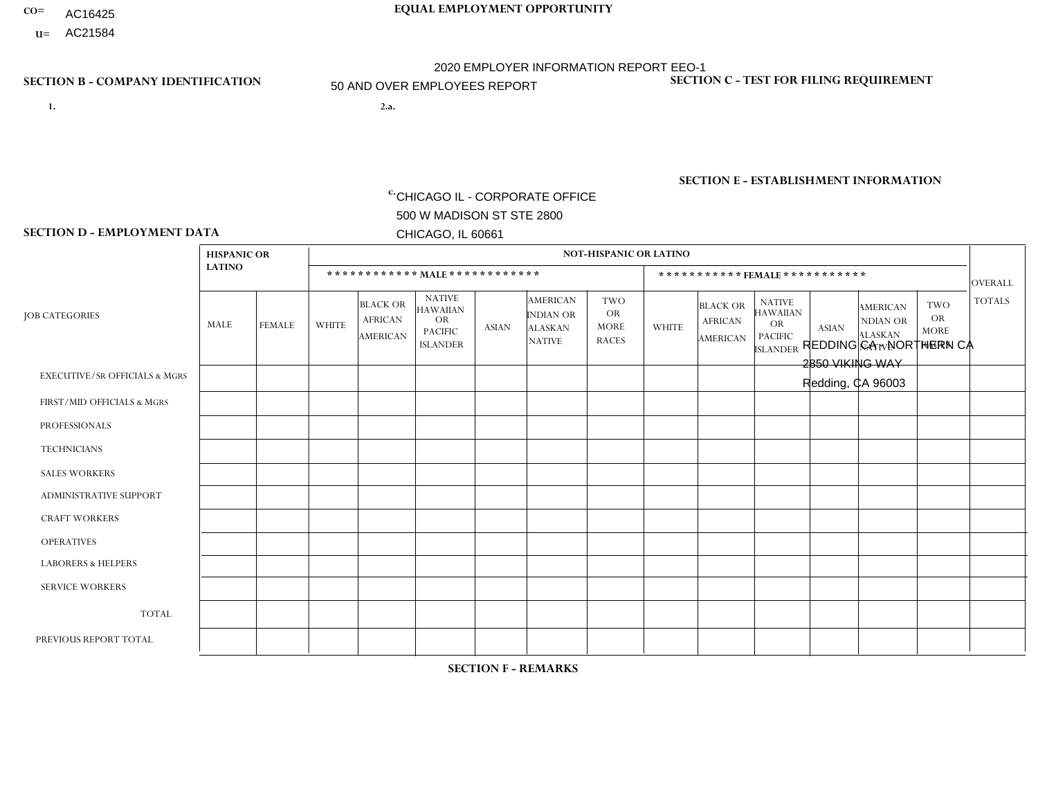- AC16425
- **U=** AC21584

**1. 2.a.** CHICAGO IL - CORPORATE OFFICE 500 W MADISON ST STE 2800 CHICAGO, IL 60661

2.a. REDDING CA - NORTHERN CA 2850 VIKING WAY Redding, CA 96003

EIN= 364261871

## **SECTION B - COMPANY IDENTIFICATION SECTION C - TEST FOR FILING REQUIREMENT**

1- Y 2- Y 3- N DUNS= 000123456

**SECTION E - ESTABLISHMENT INFORMATION c.** NAICS: 423140

### **SECTION D - EMPLOYMENT DATA**

|                                          | <b>HISPANIC OR</b> |                      |                |                                                      |                                                                                    |                |                                                                        | <b>NOT-HISPANIC OR LATINO</b>                          |                |                                               |                                                                                    |              |                                                                |                                                        |                |
|------------------------------------------|--------------------|----------------------|----------------|------------------------------------------------------|------------------------------------------------------------------------------------|----------------|------------------------------------------------------------------------|--------------------------------------------------------|----------------|-----------------------------------------------|------------------------------------------------------------------------------------|--------------|----------------------------------------------------------------|--------------------------------------------------------|----------------|
|                                          | <b>LATINO</b>      |                      |                | ************ MALE ************                       |                                                                                    |                |                                                                        |                                                        |                |                                               | *********** FEMALE ***********                                                     |              |                                                                |                                                        | <b>OVERALL</b> |
| <b>JOB CATEGORIES</b>                    | MALE               | <b>FEMALE</b>        | <b>WHITE</b>   | <b>BLACK OR</b><br><b>AFRICAN</b><br><b>AMERICAN</b> | <b>NATIVE</b><br><b>HAWAIIAN</b><br><b>OR</b><br><b>PACIFIC</b><br><b>ISLANDER</b> | <b>ASIAN</b>   | <b>AMERICAN</b><br><b>INDIAN OR</b><br><b>ALASKAN</b><br><b>NATIVE</b> | <b>TWO</b><br><b>OR</b><br><b>MORE</b><br><b>RACES</b> | <b>WHITE</b>   | <b>BLACK OR</b><br><b>AFRICAN</b><br>AMERICAN | <b>NATIVE</b><br><b>HAWAIIAN</b><br><b>OR</b><br><b>PACIFIC</b><br><b>ISLANDER</b> | <b>ASIAN</b> | <b>AMERICAN</b><br>NDIAN OR<br><b>ALASKAN</b><br><b>NATIVE</b> | <b>TWO</b><br><b>OR</b><br><b>MORE</b><br><b>RACES</b> | <b>TOTALS</b>  |
| <b>EXECUTIVE/SR OFFICIALS &amp; MGRS</b> | $\Omega$           | $\Omega$             | $\mathbf{0}$   | $\Omega$                                             | $\Omega$                                                                           | $\Omega$       | $\Omega$                                                               | $\Omega$                                               | 0              | $\Omega$                                      | $\Omega$                                                                           | $\Omega$     | $\Omega$                                                       | $\Omega$                                               | $\Omega$       |
| FIRST/MID OFFICIALS & MGRS               | $\Omega$           | $\Omega$             | $\overline{7}$ | $\mathbf 0$                                          | $\Omega$                                                                           | $\Omega$       | $\Omega$                                                               | $\Omega$                                               | 0              | $\Omega$                                      | 0                                                                                  | $\Omega$     | $\Omega$                                                       | $\Omega$                                               | $\overline{7}$ |
| <b>PROFESSIONALS</b>                     | $\Omega$           | $\mathbf 0$          | $\overline{1}$ | $\mathbf 0$                                          | $\Omega$                                                                           | $\Omega$       | $\Omega$                                                               | $\Omega$                                               | $\Omega$       | $\Omega$                                      | 0                                                                                  | 0            | $\Omega$                                                       | $\mathbf 0$                                            | $\mathbf{1}$   |
| <b>TECHNICIANS</b>                       | $\Omega$           | $\Omega$             | $\Omega$       | $\Omega$                                             | $\Omega$                                                                           | $\Omega$       | $\Omega$                                                               | $\Omega$                                               | $\Omega$       | $\Omega$                                      | 0                                                                                  | $\mathbf 0$  | $\Omega$                                                       | $\mathbf 0$                                            | $\Omega$       |
| <b>SALES WORKERS</b>                     | 1                  | $\Omega$             | 12             | $\Omega$                                             | $\Omega$                                                                           | $\overline{1}$ | 1                                                                      | $\mathbf 1$                                            | $\Omega$       | $\Omega$                                      | $\Omega$                                                                           | $\Omega$     | $\Omega$                                                       | $\Omega$                                               | 16             |
| <b>ADMINISTRATIVE SUPPORT</b>            | $\Omega$           | $\Omega$             | 4              | $\mathbf 0$                                          | 0                                                                                  | $\Omega$       | 1                                                                      | $\overline{2}$                                         | $\overline{2}$ | $\Omega$                                      | 0                                                                                  | $\mathbf 0$  | $\Omega$                                                       | $\mathbf 0$                                            | 9              |
| <b>CRAFT WORKERS</b>                     |                    | $\Omega$             | 14             | $\mathbf 0$                                          | 1                                                                                  | $\Omega$       | $\Omega$                                                               | $\Omega$                                               | 0              | $\Omega$                                      | 0                                                                                  | $\Omega$     | $\Omega$                                                       | $\Omega$                                               | 16             |
| <b>OPERATIVES</b>                        | 4                  | $\Omega$             | 33             | $\overline{1}$                                       |                                                                                    | 2              | $\Omega$                                                               | 1                                                      | 1              | $\Omega$                                      | 0                                                                                  | $\mathbf 0$  | $\Omega$                                                       | $\Omega$                                               | 43             |
| <b>LABORERS &amp; HELPERS</b>            | $\Omega$           | $\Omega$             | $\mathbf{0}$   | $\mathbf 0$                                          | $\Omega$                                                                           | $\Omega$       | $\Omega$                                                               | $\Omega$                                               | $\Omega$       | $\Omega$                                      | $\Omega$                                                                           | $\Omega$     | $\Omega$                                                       | $\Omega$                                               | $\mathbf 0$    |
| <b>SERVICE WORKERS</b>                   | $\Omega$           | $\Omega$             | $\Omega$       | 0                                                    | $\Omega$                                                                           | $\Omega$       | $\Omega$                                                               | $\Omega$                                               | 0              | $\Omega$                                      | $\Omega$                                                                           | $\mathbf 0$  | $\Omega$                                                       | $\Omega$                                               | $\mathbf 0$    |
| <b>TOTAL</b>                             | 6                  | 0                    | 71             | $\overline{A}$                                       | $\overline{2}$                                                                     | 3              | $\overline{2}$                                                         | $\overline{4}$                                         | 3              | $\Omega$                                      | 0                                                                                  | $\mathbf 0$  | 0                                                              | $\mathbf 0$                                            | 92             |
| PREVIOUS REPORT TOTAL                    | 9                  | $\blacktriangleleft$ | 81             | $\overline{2}$                                       | $\overline{2}$                                                                     | 6              | 3                                                                      | $5^{\circ}$                                            | $\overline{7}$ | $\Omega$                                      | 0                                                                                  | $\mathbf 0$  | $\Omega$                                                       | $\mathbf 0$                                            | 116            |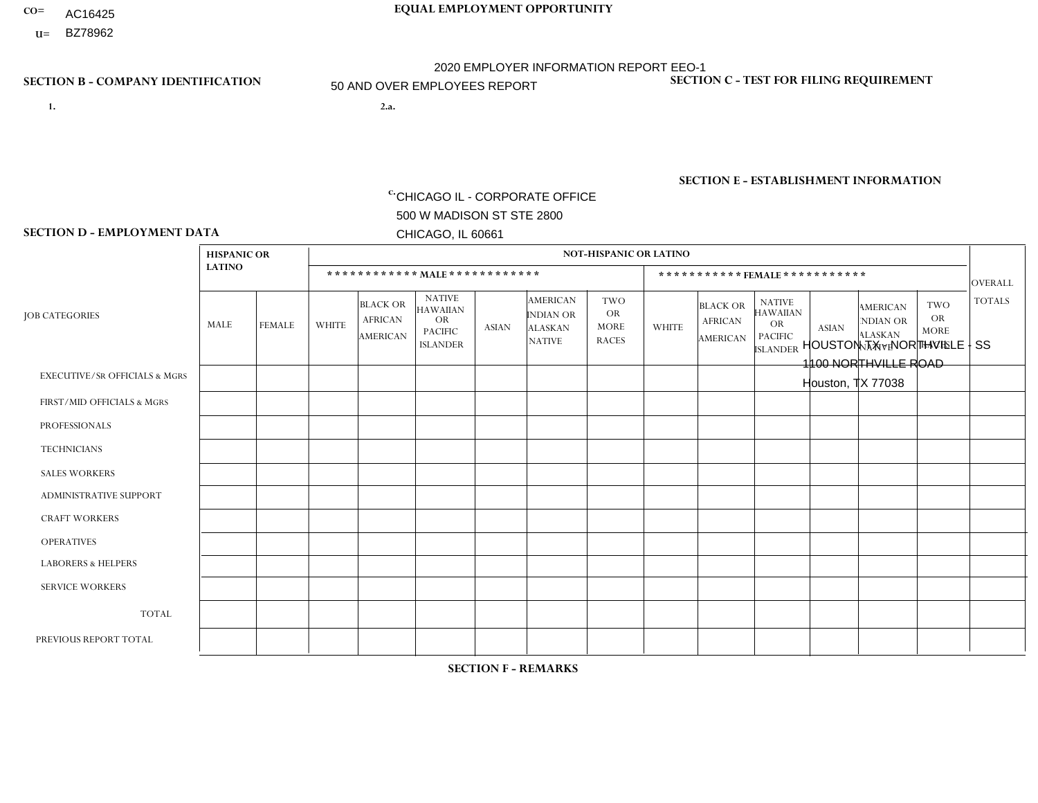- AC16425
- **U=**

**1. 2.a.** CHICAGO IL - CORPORATE OFFICE 500 W MADISON ST STE 2800 CHICAGO, IL 60661

2.a. HOUSTON TX - NORTHVILLE - SS 1100 NORTHVILLE ROAD Houston, TX 77038

c. EIN= 952920557

## **SECTION B - COMPANY IDENTIFICATION SECTION C - TEST FOR FILING REQUIREMENT**

1- Y 2- Y 3- N DUNS= 000123456

**SECTION E - ESTABLISHMENT INFORMATION c.** NAICS: 423140

### **SECTION D - EMPLOYMENT DATA**

|                                          | <b>HISPANIC OR</b><br><b>LATINO</b> |                |              |                                                      |                                                                                    | <b>NOT-HISPANIC OR LATINO</b> |                                                                        |                                                        |              |                                               |                                                                                    |              |                                                                |                                                        |                |  |  |  |
|------------------------------------------|-------------------------------------|----------------|--------------|------------------------------------------------------|------------------------------------------------------------------------------------|-------------------------------|------------------------------------------------------------------------|--------------------------------------------------------|--------------|-----------------------------------------------|------------------------------------------------------------------------------------|--------------|----------------------------------------------------------------|--------------------------------------------------------|----------------|--|--|--|
|                                          |                                     |                |              | ************ MAIE************                        |                                                                                    |                               |                                                                        |                                                        |              |                                               | ***********FEMALE***********                                                       |              |                                                                |                                                        | <b>OVERALL</b> |  |  |  |
| <b>JOB CATEGORIES</b>                    | MALE                                | <b>FEMALE</b>  | <b>WHITE</b> | <b>BLACK OR</b><br><b>AFRICAN</b><br><b>AMERICAN</b> | <b>NATIVE</b><br><b>HAWAIIAN</b><br><b>OR</b><br><b>PACIFIC</b><br><b>ISLANDER</b> | <b>ASIAN</b>                  | <b>AMERICAN</b><br><b>INDIAN OR</b><br><b>ALASKAN</b><br><b>NATIVE</b> | <b>TWO</b><br><b>OR</b><br><b>MORE</b><br><b>RACES</b> | <b>WHITE</b> | <b>BLACK OR</b><br><b>AFRICAN</b><br>AMERICAN | <b>NATIVE</b><br><b>HAWAIIAN</b><br><b>OR</b><br><b>PACIFIC</b><br><b>ISLANDER</b> | <b>ASIAN</b> | <b>AMERICAN</b><br>NDIAN OR<br><b>ALASKAN</b><br><b>NATIVE</b> | <b>TWO</b><br><b>OR</b><br><b>MORE</b><br><b>RACES</b> | <b>TOTALS</b>  |  |  |  |
| <b>EXECUTIVE/SR OFFICIALS &amp; MGRS</b> | $\Omega$                            | $\mathbf 0$    | $\Omega$     | $\mathbf 0$                                          | $\mathbf 0$                                                                        | $\mathbf 0$                   | $\Omega$                                                               | $\Omega$                                               | $\mathbf 0$  | $\Omega$                                      | $\Omega$                                                                           | $\mathbf 0$  | $\Omega$                                                       | $\Omega$                                               | $\mathbf 0$    |  |  |  |
| FIRST/MID OFFICIALS & MGRS               | $\overline{2}$                      | $\Omega$       | 1            | $\mathbf{1}$                                         | $\Omega$                                                                           | $\Omega$                      | $\Omega$                                                               | $\Omega$                                               | 1            | $\Omega$                                      | $\Omega$                                                                           | $\Omega$     | $\Omega$                                                       | $\mathbf{0}$                                           | 5              |  |  |  |
| <b>PROFESSIONALS</b>                     |                                     | $\mathbf 0$    | 3            | $\mathbf{1}$                                         | $\Omega$                                                                           | $\Omega$                      | $\Omega$                                                               | $\Omega$                                               | $\Omega$     | $\Omega$                                      | $\mathbf{0}$                                                                       | $\Omega$     | $\Omega$                                                       | $\Omega$                                               | 5              |  |  |  |
| <b>TECHNICIANS</b>                       | $\Omega$                            | $\mathbf 0$    | $\mathbf 0$  | $\mathbf 0$                                          | $\mathbf 0$                                                                        | $\mathbf 0$                   | $\Omega$                                                               | $\Omega$                                               | $\mathbf 0$  | $\mathbf 0$                                   | $\Omega$                                                                           | $\Omega$     | $\Omega$                                                       | $\mathbf{0}$                                           | $\mathbf 0$    |  |  |  |
| <b>SALES WORKERS</b>                     | 5                                   | $\overline{4}$ | 1            | $\Omega$                                             | $\Omega$                                                                           | $\Omega$                      | $\overline{0}$                                                         | $\Omega$                                               | $\Omega$     | $\Omega$                                      | $\Omega$                                                                           | $\Omega$     | $\Omega$                                                       | $\mathbf{0}$                                           | 10             |  |  |  |
| ADMINISTRATIVE SUPPORT                   | $\overline{1}$                      | 19             | $\mathbf{0}$ | $\mathbf 0$                                          | $\mathbf{0}$                                                                       | $\Omega$                      | $\Omega$                                                               |                                                        | $\Omega$     | 5                                             | $\Omega$                                                                           | $\Omega$     | $\Omega$                                                       | $\overline{\mathbf{1}}$                                | 27             |  |  |  |
| <b>CRAFT WORKERS</b>                     |                                     | $\mathbf 0$    | $\mathbf 0$  | $\mathbf 0$                                          | 0                                                                                  | $\mathbf 0$                   | $\overline{0}$                                                         | $\Omega$                                               | $\Omega$     | $\Omega$                                      | $\mathbf{0}$                                                                       | $\Omega$     | $\Omega$                                                       | $\Omega$                                               | $\mathbf{1}$   |  |  |  |
| <b>OPERATIVES</b>                        | 10                                  | $\mathbf{1}$   | $\Omega$     | $\mathbf{1}$                                         | $\Omega$                                                                           | $\Omega$                      | $\Omega$                                                               | $\Omega$                                               | $\Omega$     | $\Omega$                                      | $\Omega$                                                                           | $\Omega$     | $\Omega$                                                       | $\Omega$                                               | 12             |  |  |  |
| <b>LABORERS &amp; HELPERS</b>            | $\Omega$                            | $\Omega$       | $\Omega$     | $\mathbf 0$                                          | 0                                                                                  | $\Omega$                      | $\Omega$                                                               | $\Omega$                                               | $\Omega$     | $\Omega$                                      | $\Omega$                                                                           | $\Omega$     | $\Omega$                                                       | $\Omega$                                               | 0              |  |  |  |
| <b>SERVICE WORKERS</b>                   | $\Omega$                            | $\mathbf 0$    | 0            | $\mathbf 0$                                          | $\mathbf 0$                                                                        | $\mathbf 0$                   | $\overline{0}$                                                         | $\Omega$                                               | $\Omega$     | $\Omega$                                      | $\Omega$                                                                           | $\mathbf 0$  | $\Omega$                                                       | $\mathbf 0$                                            | 0              |  |  |  |
| <b>TOTAL</b>                             | 20                                  | 24             | 5            | 3                                                    | 0                                                                                  | $\mathbf 0$                   | $\Omega$                                                               |                                                        | $\mathbf 1$  | 5                                             | $\Omega$                                                                           | $\Omega$     | $\Omega$                                                       | $\overline{1}$                                         | 60             |  |  |  |
| PREVIOUS REPORT TOTAL                    | 16                                  | 20             | 6            | $\overline{4}$                                       | 0                                                                                  | $\Omega$                      | $\overline{0}$                                                         | $\mathbf{1}$                                           | $\mathbf{1}$ | 5                                             | $\mathbf{0}$                                                                       | $\Omega$     | $\mathbf{0}$                                                   | $\overline{\mathbf{1}}$                                | 54             |  |  |  |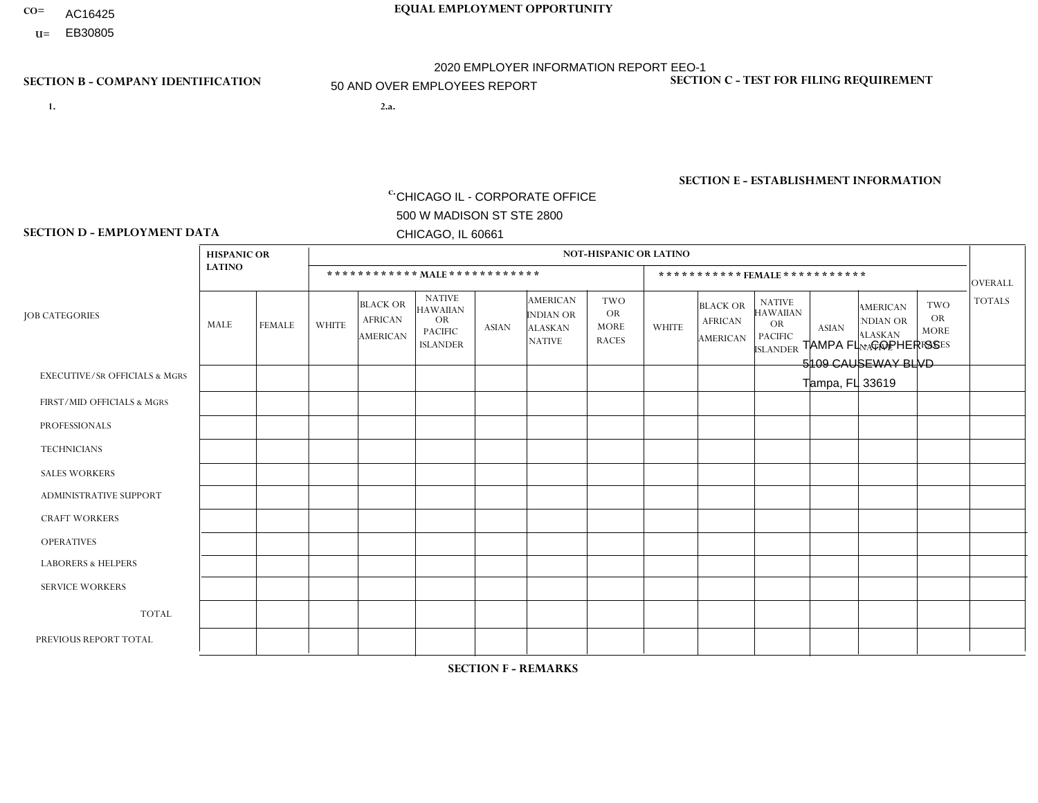- AC16425
- **U=**

**1. 2.a.** CHICAGO IL - CORPORATE OFFICE 500 W MADISON ST STE 2800 CHICAGO, IL 60661

2.a. TAMPA FL - COPHER SS 5109 CAUSEWAY BLVD Tampa, FL 33619

EIN= 952920557

## **SECTION B - COMPANY IDENTIFICATION SECTION C - TEST FOR FILING REQUIREMENT**

1- Y 2- Y 3- N DUNS= 000123456

**SECTION E - ESTABLISHMENT INFORMATION c.** NAICS: 423140

### **SECTION D - EMPLOYMENT DATA**

|                                          |                | <b>NOT-HISPANIC OR LATINO</b> |                |                                                      |                                                                                    |              |                                                                        |                                                        |                |                                                      |                                                                                    |              |                                                                |                                                        |                |
|------------------------------------------|----------------|-------------------------------|----------------|------------------------------------------------------|------------------------------------------------------------------------------------|--------------|------------------------------------------------------------------------|--------------------------------------------------------|----------------|------------------------------------------------------|------------------------------------------------------------------------------------|--------------|----------------------------------------------------------------|--------------------------------------------------------|----------------|
|                                          | <b>LATINO</b>  |                               |                | ************ MAIE************                        |                                                                                    |              |                                                                        |                                                        |                |                                                      | *********** FEMALE ***********                                                     |              |                                                                |                                                        | <b>OVERALL</b> |
| <b>JOB CATEGORIES</b>                    | MALE           | <b>FEMALE</b>                 | <b>WHITE</b>   | <b>BLACK OR</b><br><b>AFRICAN</b><br><b>AMERICAN</b> | <b>NATIVE</b><br><b>HAWAIIAN</b><br><b>OR</b><br><b>PACIFIC</b><br><b>ISLANDER</b> | <b>ASIAN</b> | <b>AMERICAN</b><br><b>INDIAN OR</b><br><b>ALASKAN</b><br><b>NATIVE</b> | <b>TWO</b><br><b>OR</b><br><b>MORE</b><br><b>RACES</b> | <b>WHITE</b>   | <b>BLACK OR</b><br><b>AFRICAN</b><br><b>AMERICAN</b> | <b>NATIVE</b><br><b>HAWAIIAN</b><br><b>OR</b><br><b>PACIFIC</b><br><b>ISLANDER</b> | <b>ASIAN</b> | <b>AMERICAN</b><br>NDIAN OR<br><b>ALASKAN</b><br><b>NATIVE</b> | <b>TWO</b><br><b>OR</b><br><b>MORE</b><br><b>RACES</b> | <b>TOTALS</b>  |
| <b>EXECUTIVE/SR OFFICIALS &amp; MGRS</b> | $\Omega$       | $\Omega$                      | $\mathbf{0}$   |                                                      | $\mathbf 0$                                                                        | $\Omega$     | $\Omega$                                                               | $\Omega$                                               | 0              | $\Omega$                                             | 0                                                                                  | $\mathbf 0$  | $\Omega$                                                       | $\mathbf 0$                                            | $\overline{1}$ |
| FIRST/MID OFFICIALS & MGRS               | $\Omega$       | $\Omega$                      | $\overline{c}$ | $\Omega$                                             | 0                                                                                  | $\Omega$     | $\Omega$                                                               | $\Omega$                                               | $\Omega$       | $\Omega$                                             | 0                                                                                  | $\Omega$     | $\Omega$                                                       | $\Omega$                                               | $\overline{2}$ |
| <b>PROFESSIONALS</b>                     | $\Omega$       | $\mathbf{1}$                  | 1              | $\overline{ }$                                       | $\Omega$                                                                           | $\mathbf{0}$ | $\Omega$                                                               | $\mathbf{1}$                                           | 1              | $\Omega$                                             | $\Omega$                                                                           | $\mathbf 0$  | $\Omega$                                                       | $\mathbf 0$                                            | 5              |
| <b>TECHNICIANS</b>                       | $\Omega$       | $\Omega$                      | $\Omega$       | $\mathbf 0$                                          | $\Omega$                                                                           | $\Omega$     | $\Omega$                                                               | $\Omega$                                               | $\Omega$       | $\Omega$                                             | 0                                                                                  | 0            | $\Omega$                                                       | $\mathbf 0$                                            | $\mathbf{0}$   |
| <b>SALES WORKERS</b>                     | $\Omega$       | $\Omega$                      | $\Omega$       | $\Omega$                                             | $\Omega$                                                                           | $\Omega$     | $\Omega$                                                               | $\Omega$                                               | $\overline{0}$ | $\Omega$                                             | $\Omega$                                                                           | $\Omega$     | $\Omega$                                                       | $\Omega$                                               | $\Omega$       |
| <b>ADMINISTRATIVE SUPPORT</b>            | 10             | 22                            | $\Omega$       | $\overline{2}$                                       | $\Omega$                                                                           | $\Omega$     | $\Omega$                                                               | $\Omega$                                               | 6              | 10                                                   | $\Omega$                                                                           | $\Omega$     | $\Omega$                                                       | $\Omega$                                               | 50             |
| <b>CRAFT WORKERS</b>                     | $\overline{2}$ | $\Omega$                      | 3              | $\mathbf 0$                                          | $\Omega$                                                                           | $\Omega$     | $\Omega$                                                               | $\Omega$                                               | 0              | $\Omega$                                             | 0                                                                                  | $\Omega$     | $\Omega$                                                       | $\Omega$                                               | 5              |
| <b>OPERATIVES</b>                        | 4              | $\Omega$                      | 1              | $\overline{\mathbf{A}}$                              | $\Omega$                                                                           | $\Omega$     | $\Omega$                                                               | 1                                                      | $\Omega$       | $\Omega$                                             | $\Omega$                                                                           | $\Omega$     | $\Omega$                                                       | $\Omega$                                               | $\overline{7}$ |
| <b>LABORERS &amp; HELPERS</b>            | $\Omega$       | $\Omega$                      | $\Omega$       | $\mathbf 0$                                          | 0                                                                                  | $\Omega$     | $\Omega$                                                               | $\Omega$                                               | $\Omega$       | $\Omega$                                             | 0                                                                                  | $\Omega$     | $\Omega$                                                       | $\Omega$                                               | $\overline{0}$ |
| <b>SERVICE WORKERS</b>                   | $\Omega$       | $\Omega$                      | $\mathbf 0$    | 0                                                    | $\mathbf 0$                                                                        | $\Omega$     | $\Omega$                                                               | $\Omega$                                               | 0              | $\Omega$                                             | $\Omega$                                                                           | $\mathbf 0$  | $\Omega$                                                       | $\Omega$                                               | $\mathbf{0}$   |
| <b>TOTAL</b>                             | 16             | 23                            | $\overline{7}$ | 5                                                    | $\Omega$                                                                           | $\Omega$     | $\Omega$                                                               | 2                                                      | $\overline{7}$ | 10 <sup>°</sup>                                      | $\Omega$                                                                           | $\mathbf 0$  | $\Omega$                                                       | $\Omega$                                               | 70             |
| PREVIOUS REPORT TOTAL                    | 12             | 22                            | 6              | 12                                                   | $\mathbf 0$                                                                        | $\Omega$     | $\Omega$                                                               | $\overline{2}$                                         | 6              | 12                                                   | 0                                                                                  | $\Omega$     | $\Omega$                                                       |                                                        | 73             |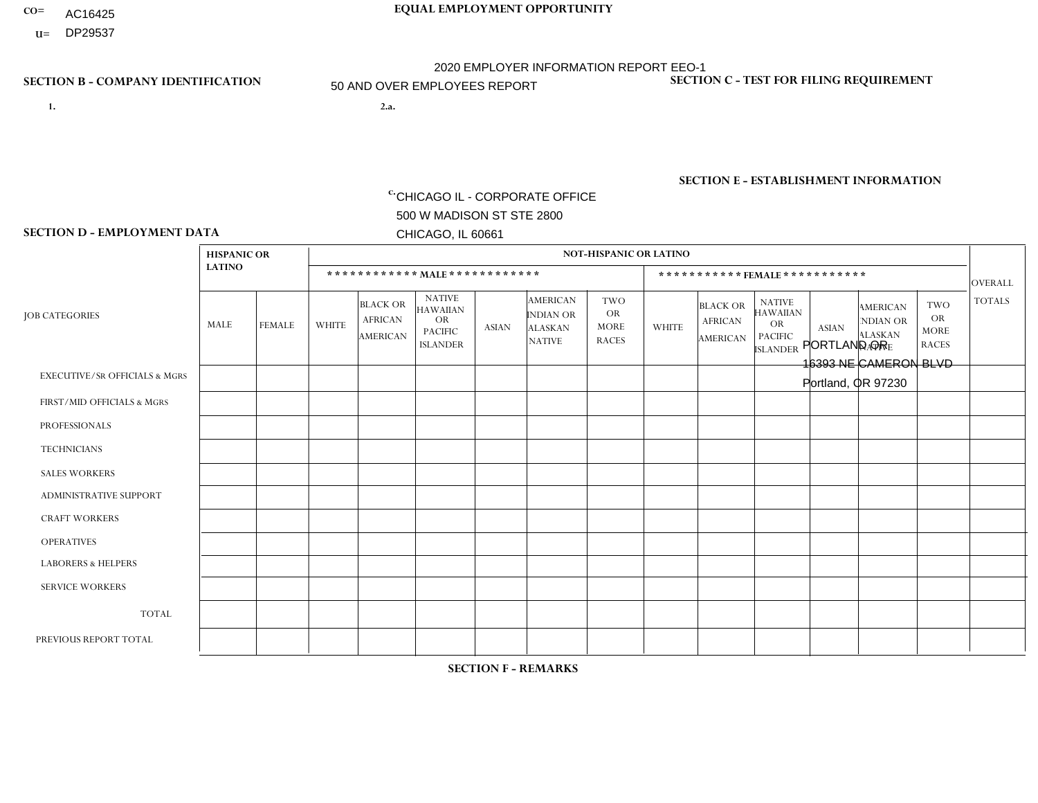- AC16425
- **U=**

- **1. 2.a.** CHICAGO IL CORPORATE OFFICE 500 W MADISON ST STE 2800 CHICAGO, IL 60661
- 2.a. PORTLAND OR 16393 NE CAMERON BLVD Portland, OR 97230

c. EIN= 952920557

## **SECTION B - COMPANY IDENTIFICATION SECTION C - TEST FOR FILING REQUIREMENT**

1- Y 2- Y 3- N DUNS= 000123456

**SECTION E - ESTABLISHMENT INFORMATION c.** NAICS: 423140

### **SECTION D - EMPLOYMENT DATA**

|                                          | <b>HISPANIC OR</b> |                      | <b>NOT-HISPANIC OR LATINO</b> |                                                      |                                                                                    |                |                                                                        |                                                 |                |                                               |                                                                             |                |                                                                       |                                                        |                |
|------------------------------------------|--------------------|----------------------|-------------------------------|------------------------------------------------------|------------------------------------------------------------------------------------|----------------|------------------------------------------------------------------------|-------------------------------------------------|----------------|-----------------------------------------------|-----------------------------------------------------------------------------|----------------|-----------------------------------------------------------------------|--------------------------------------------------------|----------------|
|                                          | <b>LATINO</b>      |                      |                               |                                                      | ************ MALE ************                                                     |                |                                                                        |                                                 |                | ***********FEMALE***********                  |                                                                             |                |                                                                       |                                                        | <b>OVERALL</b> |
| <b>JOB CATEGORIES</b>                    | MALE               | FEMALE               | <b>WHITE</b>                  | <b>BLACK OR</b><br><b>AFRICAN</b><br><b>AMERICAN</b> | <b>NATIVE</b><br><b>HAWAIIAN</b><br><b>OR</b><br><b>PACIFIC</b><br><b>ISLANDER</b> | <b>ASIAN</b>   | <b>AMERICAN</b><br><b>INDIAN OR</b><br><b>ALASKAN</b><br><b>NATIVE</b> | TWO<br><b>OR</b><br><b>MORE</b><br><b>RACES</b> | <b>WHITE</b>   | <b>BLACK OR</b><br><b>AFRICAN</b><br>AMERICAN | <b>NATIVE</b><br><b>HAWAIIAN</b><br>OR<br><b>PACIFIC</b><br><b>ISLANDER</b> | <b>ASIAN</b>   | <b>AMERICAN</b><br><b>NDIAN OR</b><br><b>ALASKAN</b><br><b>NATIVE</b> | <b>TWO</b><br><b>OR</b><br><b>MORE</b><br><b>RACES</b> | <b>TOTALS</b>  |
| <b>EXECUTIVE/SR OFFICIALS &amp; MGRS</b> | $\Omega$           | $\Omega$             | $\Omega$                      | $\Omega$                                             | $\Omega$                                                                           | $\mathbf{0}$   | $\Omega$                                                               | $\Omega$                                        | 0              | $\Omega$                                      | $\Omega$                                                                    | $\mathbf{0}$   | $\Omega$                                                              | $\Omega$                                               | $\Omega$       |
| FIRST/MID OFFICIALS & MGRS               | 0                  | $\Omega$             | 4                             | $\mathbf 0$                                          | $\Omega$                                                                           | $\mathbf{0}$   | $\Omega$                                                               | $\Omega$                                        | 3              | $\Omega$                                      | $\Omega$                                                                    | $\Omega$       | $\Omega$                                                              | $\mathbf 0$                                            | $\overline{7}$ |
| <b>PROFESSIONALS</b>                     | 0                  | $\mathbf 0$          | 1                             | $\mathbf 0$                                          | $\mathbf 0$                                                                        | $\Omega$       | $\Omega$                                                               | $\Omega$                                        | 1              | 0                                             | $\mathbf 0$                                                                 | $\mathbf{1}$   | 0                                                                     | $\mathbf 0$                                            | 3              |
| <b>TECHNICIANS</b>                       | $\Omega$           | $\Omega$             | $\Omega$                      | $\mathbf 0$                                          | $\Omega$                                                                           | $\Omega$       | $\Omega$                                                               | $\Omega$                                        | $\overline{0}$ | $\Omega$                                      | $\Omega$                                                                    | $\Omega$       | $\Omega$                                                              | $\Omega$                                               | $\mathbf{0}$   |
| <b>SALES WORKERS</b>                     |                    | $\mathbf 1$          | 3                             | $\mathbf 0$                                          | $\Omega$                                                                           | $\Omega$       | $\Omega$                                                               | $\Omega$                                        | $\Omega$       | $\Omega$                                      | $\Omega$                                                                    | $\Omega$       | $\Omega$                                                              | $\Omega$                                               | 5              |
| <b>ADMINISTRATIVE SUPPORT</b>            | 0                  | $\mathbf 1$          | $\Omega$                      | $\mathbf 0$                                          | $\Omega$                                                                           | $\Omega$       | $\Omega$                                                               | $\Omega$                                        | $\overline{2}$ | $\Omega$                                      | $\Omega$                                                                    | $\Omega$       | $\Omega$                                                              | $\Omega$                                               | 3              |
| <b>CRAFT WORKERS</b>                     | 0                  | $\Omega$             | $\Omega$                      | $\mathbf 0$                                          | $\mathbf{0}$                                                                       | $\Omega$       | $\Omega$                                                               | $\Omega$                                        | 0              | $\Omega$                                      | $\Omega$                                                                    | $\Omega$       | $\Omega$                                                              | $\Omega$                                               | $\mathbf 0$    |
| <b>OPERATIVES</b>                        | 3                  | $\Omega$             | 17                            | $\Omega$                                             | $\Omega$                                                                           | $\Omega$       | $\overline{\mathbf{A}}$                                                | $\overline{2}$                                  | $\Omega$       | $\Omega$                                      | $\Omega$                                                                    | $\Omega$       | $\Omega$                                                              | $\Omega$                                               | 23             |
| <b>LABORERS &amp; HELPERS</b>            | 3                  | $\Omega$             | 12                            | $\overline{c}$                                       | $\Omega$                                                                           | $\overline{2}$ | $\Omega$                                                               |                                                 | $\Omega$       |                                               | $\Omega$                                                                    | $\Omega$       | $\Omega$                                                              | $\Omega$                                               | 21             |
| <b>SERVICE WORKERS</b>                   | 0                  | 0                    | 1                             | 0                                                    | 0                                                                                  | $\Omega$       | $\Omega$                                                               | $\Omega$                                        |                | $\Omega$                                      | $\Omega$                                                                    | $\mathbf 0$    | 0                                                                     | $\mathbf 0$                                            | $\overline{2}$ |
| <b>TOTAL</b>                             | $\overline{7}$     | $\overline{2}$       | 38                            | $\overline{c}$                                       | $\Omega$                                                                           | 2              |                                                                        | 3                                               | $\overline{7}$ |                                               | $\Omega$                                                                    |                | $\Omega$                                                              | $\Omega$                                               | 64             |
| PREVIOUS REPORT TOTAL                    | 9                  | $\blacktriangleleft$ | 54                            | 5                                                    | 2                                                                                  | 2              | 2                                                                      | $\overline{7}$                                  | 12             | $\overline{2}$                                | $\mathbf{0}$                                                                | $\overline{ }$ | $\Omega$                                                              | $\mathbf 0$                                            | 97             |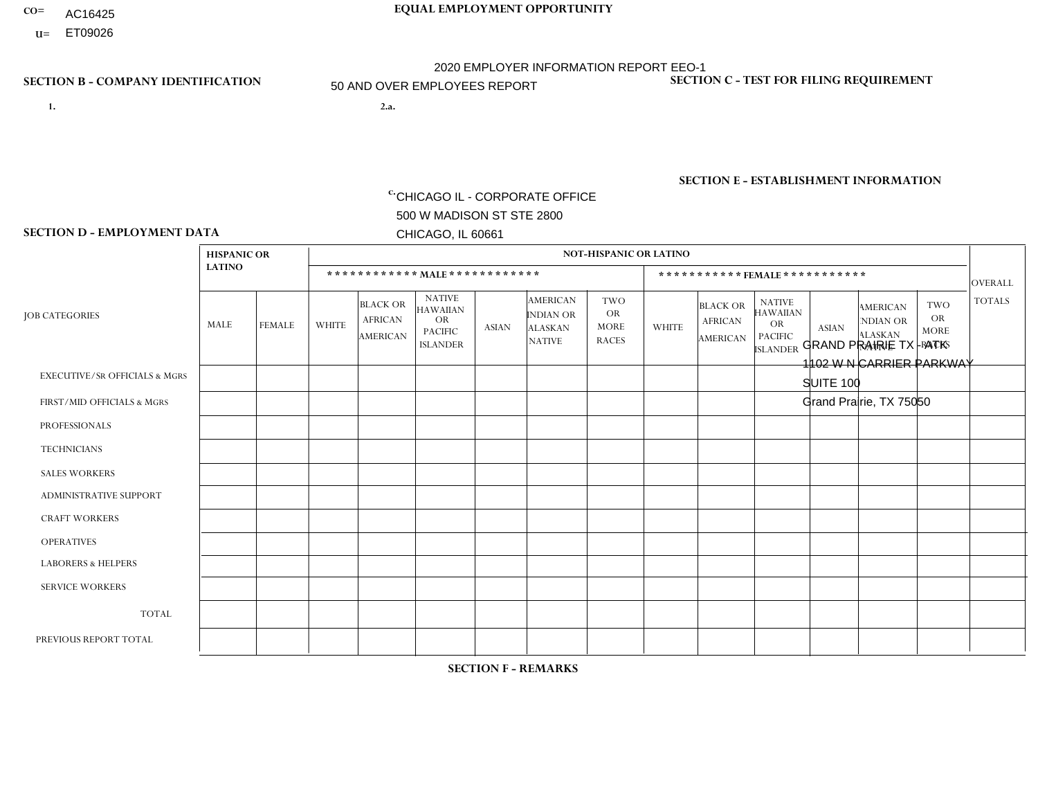- AC16425
- **U=** ET09026

- **1. 2.a.** CHICAGO IL CORPORATE OFFICE 500 W MADISON ST STE 2800 CHICAGO, IL 60661
- GRAND PRAIRIE TX ATK 1102 W N CARRIER PARKWAY SUITE 100 Grand Prairie, TX 75050
	- EIN= 952920557

## **SECTION B - COMPANY IDENTIFICATION SECTION C - TEST FOR FILING REQUIREMENT**

1- Y 2- Y 3- N DUNS= 000123456

**SECTION E - ESTABLISHMENT INFORMATION c.** NAICS: 336390

## **SECTION D - EMPLOYMENT DATA**

|                                          | <b>HISPANIC OR</b> |               | <b>NOT-HISPANIC OR LATINO</b> |                                                      |                                                                                    |                |                                                                        |                                                        |                |                                                      |                                                                                    |              |                                                                |                                                        |                |
|------------------------------------------|--------------------|---------------|-------------------------------|------------------------------------------------------|------------------------------------------------------------------------------------|----------------|------------------------------------------------------------------------|--------------------------------------------------------|----------------|------------------------------------------------------|------------------------------------------------------------------------------------|--------------|----------------------------------------------------------------|--------------------------------------------------------|----------------|
|                                          | <b>LATINO</b>      |               |                               | ************ MAIE************                        |                                                                                    |                |                                                                        |                                                        |                |                                                      | ***********FEMALE***********                                                       |              |                                                                |                                                        | <b>OVERALL</b> |
| <b>JOB CATEGORIES</b>                    | MALE               | <b>FEMALE</b> | <b>WHITE</b>                  | <b>BLACK OR</b><br><b>AFRICAN</b><br><b>AMERICAN</b> | <b>NATIVE</b><br><b>HAWAIIAN</b><br><b>OR</b><br><b>PACIFIC</b><br><b>ISLANDER</b> | <b>ASIAN</b>   | <b>AMERICAN</b><br><b>INDIAN OR</b><br><b>ALASKAN</b><br><b>NATIVE</b> | <b>TWO</b><br><b>OR</b><br><b>MORE</b><br><b>RACES</b> | <b>WHITE</b>   | <b>BLACK OR</b><br><b>AFRICAN</b><br><b>AMERICAN</b> | <b>NATIVE</b><br><b>HAWAIIAN</b><br><b>OR</b><br><b>PACIFIC</b><br><b>ISLANDER</b> | <b>ASIAN</b> | <b>AMERICAN</b><br>NDIAN OR<br><b>ALASKAN</b><br><b>NATIVE</b> | <b>TWO</b><br><b>OR</b><br><b>MORE</b><br><b>RACES</b> | <b>TOTALS</b>  |
| <b>EXECUTIVE/SR OFFICIALS &amp; MGRS</b> | $\Omega$           | $\Omega$      | 2                             | $\Omega$                                             | $\Omega$                                                                           | $\Omega$       | $\Omega$                                                               | $\Omega$                                               | 1              | $\mathbf{0}$                                         | $\Omega$                                                                           | $\Omega$     | $\Omega$                                                       | $\Omega$                                               | 3              |
| FIRST/MID OFFICIALS & MGRS               | 6                  | $\mathbf{1}$  | 12                            | $\mathbf 0$                                          | $\mathbf{0}$                                                                       | $\overline{1}$ | $\Omega$                                                               |                                                        | 1              | $\mathbf{0}$                                         | $\Omega$                                                                           | $\mathbf 0$  | $\Omega$                                                       | $\Omega$                                               | 22             |
| <b>PROFESSIONALS</b>                     | 0                  | $\mathbf{1}$  | 6                             | $\mathbf 0$                                          | 0                                                                                  | $\overline{2}$ | $\overline{0}$                                                         | $\Omega$                                               | 1              | $\Omega$                                             | $\Omega$                                                                           | $\mathbf 0$  | $\Omega$                                                       | $\mathbf{0}$                                           | 10             |
| <b>TECHNICIANS</b>                       | $\Omega$           | $\mathbf 0$   | $\Omega$                      | $\mathbf 0$                                          | 0                                                                                  | $\Omega$       | $\overline{0}$                                                         | $\Omega$                                               | $\mathbf 0$    | $\mathbf 0$                                          | $\mathbf 0$                                                                        | $\mathbf 0$  | $\Omega$                                                       | $\mathbf{0}$                                           | $\mathbf 0$    |
| <b>SALES WORKERS</b>                     | $\overline{7}$     | $\mathbf 0$   | $\overline{7}$                | $\mathbf 0$                                          | 0                                                                                  | $\Omega$       | $\Omega$                                                               | $\Omega$                                               | $\Omega$       | $\Omega$                                             | $\Omega$                                                                           | $\Omega$     | $\Omega$                                                       | $\mathbf{0}$                                           | 14             |
| <b>ADMINISTRATIVE SUPPORT</b>            | 4                  | 6             | 5                             | $\overline{2}$                                       | $\mathbf 0$                                                                        | $\Omega$       | $\Omega$                                                               | $\overline{2}$                                         | $\overline{2}$ | $\Omega$                                             | $\mathbf{0}$                                                                       | $\Omega$     | $\Omega$                                                       | 3                                                      | 24             |
| <b>CRAFT WORKERS</b>                     | $\Omega$           | $\Omega$      | $\mathbf{0}$                  | $\mathbf 0$                                          | 0                                                                                  | $\Omega$       | $\Omega$                                                               | $\Omega$                                               | $\Omega$       | $\Omega$                                             | $\Omega$                                                                           | $\Omega$     | $\Omega$                                                       | $\Omega$                                               | $\Omega$       |
| <b>OPERATIVES</b>                        | 12                 | 5             | 10                            | 3                                                    | $\mathbf 0$                                                                        | $\mathbf{1}$   | $\mathbf{1}$                                                           | 1                                                      | $\Omega$       | $\Omega$                                             | $\mathbf{0}$                                                                       | $\Omega$     | $\Omega$                                                       | $\Omega$                                               | 33             |
| <b>LABORERS &amp; HELPERS</b>            | 8                  | $\Omega$      | -1                            | $\overline{c}$                                       | 0                                                                                  | $\Omega$       | $\overline{0}$                                                         |                                                        | $\Omega$       | $\Omega$                                             | $\mathbf{0}$                                                                       | $\Omega$     | $\Omega$                                                       | $\Omega$                                               | 12             |
| <b>SERVICE WORKERS</b>                   | $\Omega$           | 6             | 1                             | $\mathbf{1}$                                         | $\mathbf 0$                                                                        | $\mathbf 0$    | $\Omega$                                                               |                                                        | $\Omega$       | $\Omega$                                             | $\Omega$                                                                           | $\Omega$     | $\Omega$                                                       | 2                                                      | 11             |
| <b>TOTAL</b>                             | 37                 | 19            | 44                            | 8                                                    | 0                                                                                  | $\overline{4}$ | $\mathbf{1}$                                                           | 6                                                      | 5              | $\Omega$                                             | $\Omega$                                                                           | $\mathbf{0}$ | $\Omega$                                                       | 5                                                      | 129            |
| PREVIOUS REPORT TOTAL                    | 43                 | 15            | 46                            | 9                                                    | 0                                                                                  | $\overline{2}$ | 1                                                                      | 3                                                      | 10             | 3                                                    | $\Omega$                                                                           |              | $\Omega$                                                       | 2                                                      | 135            |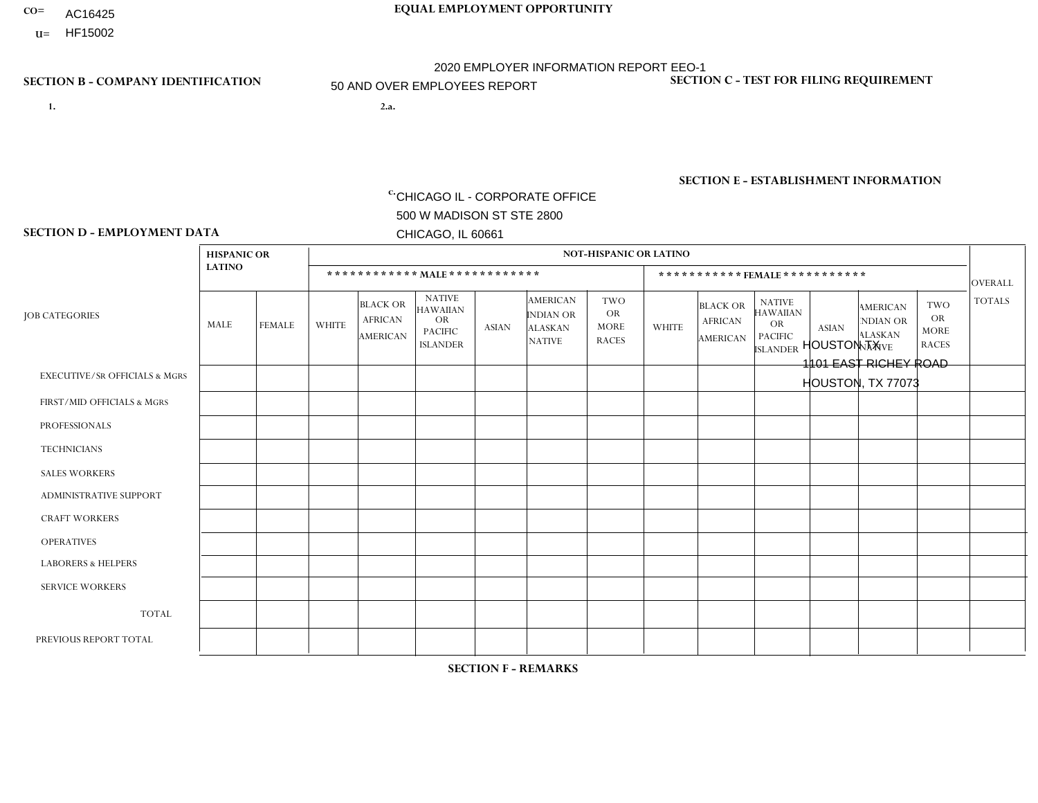- AC16425
- **U=**

- **1. 2.a.** CHICAGO IL CORPORATE OFFICE 500 W MADISON ST STE 2800 CHICAGO, IL 60661
- 2.a. HOUSTON TX 1101 EAST RICHEY ROAD HOUSTON, TX 77073

**SECTION B - COMPANY IDENTIFICATION SECTION C - TEST FOR FILING REQUIREMENT**

**SECTION E - ESTABLISHMENT INFORMATION c.**

1- Y 2- Y 3- N DUNS= 000123456

NAICS: 423140

EIN= 952920557

|                                          | <b>HISPANIC OR</b> |                | <b>NOT-HISPANIC OR LATINO</b> |                                                      |                                                                                    |              |                                                                        |                                                        |              |                                               |                                                                                    |                |                                                                       |                                                        |                |  |
|------------------------------------------|--------------------|----------------|-------------------------------|------------------------------------------------------|------------------------------------------------------------------------------------|--------------|------------------------------------------------------------------------|--------------------------------------------------------|--------------|-----------------------------------------------|------------------------------------------------------------------------------------|----------------|-----------------------------------------------------------------------|--------------------------------------------------------|----------------|--|
|                                          | <b>LATINO</b>      |                |                               |                                                      | ************ MAIE************                                                      |              |                                                                        |                                                        |              |                                               | ***********FEMALE***********                                                       |                |                                                                       |                                                        | <b>OVERALL</b> |  |
| <b>JOB CATEGORIES</b>                    | <b>MALE</b>        | <b>FEMALE</b>  | <b>WHITE</b>                  | <b>BLACK OR</b><br><b>AFRICAN</b><br><b>AMERICAN</b> | <b>NATIVE</b><br><b>HAWAIIAN</b><br><b>OR</b><br><b>PACIFIC</b><br><b>ISLANDER</b> | <b>ASIAN</b> | <b>AMERICAN</b><br><b>INDIAN OR</b><br><b>ALASKAN</b><br><b>NATIVE</b> | <b>TWO</b><br><b>OR</b><br><b>MORE</b><br><b>RACES</b> | <b>WHITE</b> | <b>BLACK OR</b><br><b>AFRICAN</b><br>AMERICAN | <b>NATIVE</b><br><b>HAWAIIAN</b><br><b>OR</b><br><b>PACIFIC</b><br><b>ISLANDER</b> | <b>ASIAN</b>   | <b>AMERICAN</b><br><b>NDIAN OR</b><br><b>ALASKAN</b><br><b>NATIVE</b> | <b>TWO</b><br><b>OR</b><br><b>MORE</b><br><b>RACES</b> | <b>TOTALS</b>  |  |
| <b>EXECUTIVE/SR OFFICIALS &amp; MGRS</b> | $\mathbf 0$        | $\mathbf 0$    | 1                             | $\Omega$                                             | $\Omega$                                                                           | 0            | $\Omega$                                                               | $\Omega$                                               | $\Omega$     | $\mathbf{0}$                                  | $\Omega$                                                                           | $\Omega$       | $\mathbf 0$                                                           | $\mathbf 0$                                            |                |  |
| FIRST/MID OFFICIALS & MGRS               | $\overline{2}$     |                | 1                             | $\Omega$                                             | $\Omega$                                                                           | 0            | $\Omega$                                                               | -1                                                     | $\Omega$     | $\Omega$                                      | $\Omega$                                                                           | $\Omega$       | $\mathbf 0$                                                           | $\Omega$                                               | 5              |  |
| <b>PROFESSIONALS</b>                     | 0                  | $\mathbf 0$    | $\mathbf{1}$                  | $\Omega$                                             | $\Omega$                                                                           | 0            | $\mathbf 0$                                                            | $\mathbf 0$                                            | $\Omega$     | $\Omega$                                      | $\mathbf 0$                                                                        | $\mathbf 0$    | $\mathbf 0$                                                           | $\mathbf 0$                                            | $\mathbf{1}$   |  |
| <b>TECHNICIANS</b>                       | 0                  | $\mathbf 0$    | $\mathbf 0$                   | $\Omega$                                             | $\Omega$                                                                           | 0            | $\Omega$                                                               | $\Omega$                                               | $\Omega$     | $\Omega$                                      | $\Omega$                                                                           | $\Omega$       | $\mathbf 0$                                                           | $\mathbf 0$                                            | $\mathbf 0$    |  |
| <b>SALES WORKERS</b>                     | 12                 | $\overline{4}$ | 6                             | $\overline{7}$                                       | $\Omega$                                                                           | 0            | $\mathbf{0}$                                                           | 3                                                      | $\Omega$     | $\Omega$                                      | $\Omega$                                                                           | $\mathbf 0$    | $\mathbf 0$                                                           | $\mathbf 0$                                            | 32             |  |
| <b>ADMINISTRATIVE SUPPORT</b>            | 0                  | $\overline{2}$ | $\Omega$                      | $\Omega$                                             | $\Omega$                                                                           | 0            | $\Omega$                                                               | $\Omega$                                               | $\Omega$     | 2                                             | $\Omega$                                                                           | $\Omega$       | $\mathbf 0$                                                           | 0                                                      | 4              |  |
| <b>CRAFT WORKERS</b>                     | 0                  | $\mathbf 0$    | 0                             | $\Omega$                                             | $\Omega$                                                                           | 0            | $\mathbf{0}$                                                           | $\mathbf 0$                                            | $\Omega$     | $\Omega$                                      | $\mathbf{0}$                                                                       | $\mathbf 0$    | $\mathbf 0$                                                           | $\mathbf 0$                                            | 0              |  |
| <b>OPERATIVES</b>                        | 10                 | $\mathbf 0$    | $\overline{c}$                | 4                                                    | $\Omega$                                                                           | 0            | $\mathbf 0$                                                            | $\mathbf 0$                                            | $\Omega$     | $\mathbf 0$                                   | $\mathbf{0}$                                                                       | $\overline{0}$ | $\mathbf{0}$                                                          | $\mathbf 0$                                            | 16             |  |
| <b>LABORERS &amp; HELPERS</b>            | 8                  | $\mathbf{0}$   | 1                             | 4                                                    | $\Omega$                                                                           | 0            | $\Omega$                                                               | 1                                                      | $\Omega$     | $\Omega$                                      | $\Omega$                                                                           | $\mathbf{0}$   | $\Omega$                                                              | $\Omega$                                               | 14             |  |
| <b>SERVICE WORKERS</b>                   | 0                  | $\mathbf 0$    | $\Omega$                      | $\Omega$                                             | $\Omega$                                                                           | $\Omega$     | $\Omega$                                                               | $\Omega$                                               | $\Omega$     | $\Omega$                                      | $\Omega$                                                                           | $\Omega$       | $\Omega$                                                              | $\Omega$                                               | $\mathbf 0$    |  |
| <b>TOTAL</b>                             | 32                 | $\overline{7}$ | 12                            | 15                                                   | $\Omega$                                                                           | 0            | $\mathbf 0$                                                            | 5                                                      | $\Omega$     | 2                                             | 0                                                                                  | $\mathbf 0$    | $\mathbf{0}$                                                          | $\mathbf 0$                                            | 73             |  |
| PREVIOUS REPORT TOTAL                    | 44                 | 9              | 16                            | 20                                                   | $\Omega$                                                                           | $\mathbf{1}$ |                                                                        | 4                                                      |              | 3                                             | $\Omega$                                                                           | $\Omega$       | 0                                                                     | $\overline{2}$                                         | 101            |  |

**SECTION D - EMPLOYMENT DATA**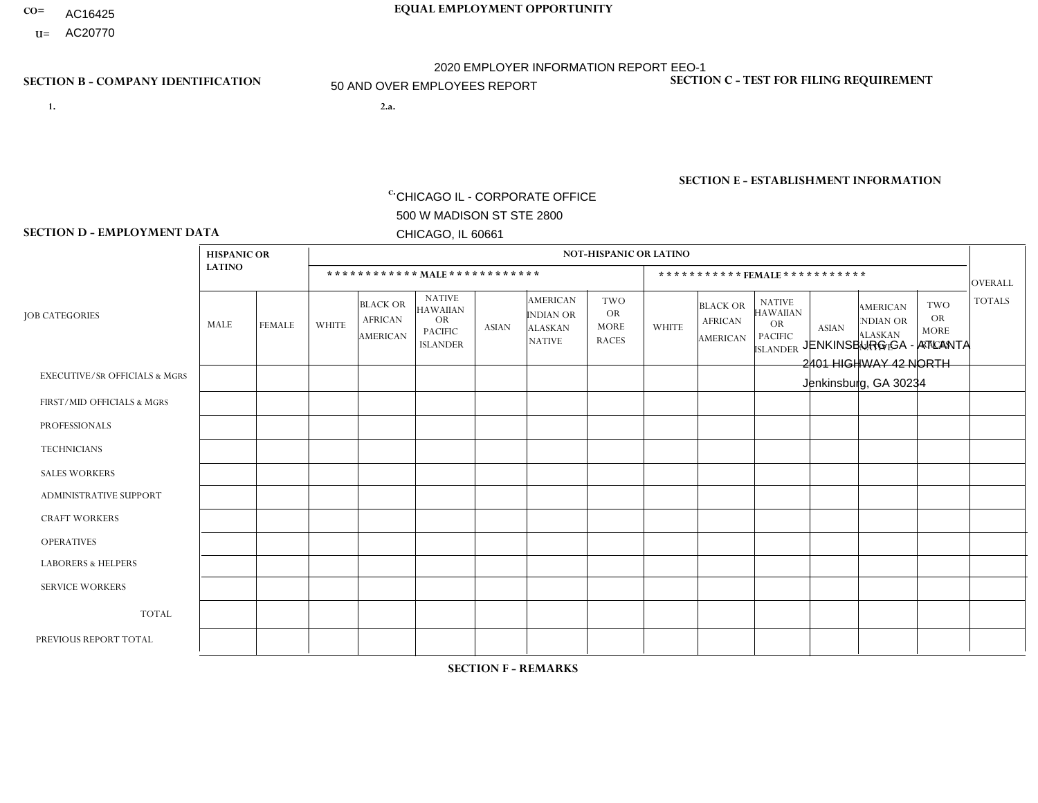- **CO= EQUAL EMPLOYMENT OPPORTUNITY** AC16425
	- **U=**

- **1. 2.a.** CHICAGO IL CORPORATE OFFICE 500 W MADISON ST STE 2800 CHICAGO, IL 60661
- 2.a. JENKINSBURG GA ATLANTA 2401 HIGHWAY 42 NORTH Jenkinsburg, GA 30234

2020 EMPLOYER INFORMATION REPORT EEO-1 50 AND OVER EMPLOYEES REPORT

c. EIN= 952920557

## **SECTION B - COMPANY IDENTIFICATION SECTION C - TEST FOR FILING REQUIREMENT**

1- Y 2- Y 3- N DUNS= 000123456

**SECTION E - ESTABLISHMENT INFORMATION c.** NAICS: 423140

### **SECTION D - EMPLOYMENT DATA**

|                                          | <b>HISPANIC OR</b> |                | <b>NOT-HISPANIC OR LATINO</b> |                                                      |                                                                                    |              |                                                                        |                                                        |                |                                               |                                                                                    |              |                                                                       |                                                        |                |
|------------------------------------------|--------------------|----------------|-------------------------------|------------------------------------------------------|------------------------------------------------------------------------------------|--------------|------------------------------------------------------------------------|--------------------------------------------------------|----------------|-----------------------------------------------|------------------------------------------------------------------------------------|--------------|-----------------------------------------------------------------------|--------------------------------------------------------|----------------|
|                                          | <b>LATINO</b>      |                |                               | ************ MALE ************                       |                                                                                    |              |                                                                        |                                                        |                | ***********FEMALE***********                  |                                                                                    |              |                                                                       |                                                        | <b>OVERALL</b> |
| <b>JOB CATEGORIES</b>                    | MALE               | <b>FEMALE</b>  | <b>WHITE</b>                  | <b>BLACK OR</b><br><b>AFRICAN</b><br><b>AMERICAN</b> | <b>NATIVE</b><br><b>HAWAIIAN</b><br><b>OR</b><br><b>PACIFIC</b><br><b>ISLANDER</b> | ASIAN        | <b>AMERICAN</b><br><b>INDIAN OR</b><br><b>ALASKAN</b><br><b>NATIVE</b> | <b>TWO</b><br><b>OR</b><br><b>MORE</b><br><b>RACES</b> | <b>WHITE</b>   | <b>BLACK OR</b><br><b>AFRICAN</b><br>AMERICAN | <b>NATIVE</b><br><b>HAWAIIAN</b><br><b>OR</b><br><b>PACIFIC</b><br><b>ISLANDER</b> | <b>ASIAN</b> | <b>AMERICAN</b><br><b>NDIAN OR</b><br><b>ALASKAN</b><br><b>NATIVE</b> | <b>TWO</b><br><b>OR</b><br><b>MORE</b><br><b>RACES</b> | <b>TOTALS</b>  |
| <b>EXECUTIVE/SR OFFICIALS &amp; MGRS</b> | $\Omega$           | $\Omega$       | $\Omega$                      | $\mathbf 0$                                          | $\Omega$                                                                           | $\mathbf{0}$ | $\Omega$                                                               | $\Omega$                                               | 0              | $\Omega$                                      | $\Omega$                                                                           | $\Omega$     | $\Omega$                                                              | $\Omega$                                               | $\mathbf{0}$   |
| FIRST/MID OFFICIALS & MGRS               | 0                  | $\Omega$       |                               | $\overline{c}$                                       | $\Omega$                                                                           | $\Omega$     | $\Omega$                                                               | $\Omega$                                               | $\overline{2}$ | $\Omega$                                      | $\Omega$                                                                           | $\Omega$     | $\Omega$                                                              | $\Omega$                                               | 5              |
| <b>PROFESSIONALS</b>                     | 0                  | $\mathbf 0$    | $\mathbf 0$                   | $\mathbf 0$                                          | $\Omega$                                                                           | $\Omega$     | $\Omega$                                                               | $\Omega$                                               |                | $\Omega$                                      | $\Omega$                                                                           | $\Omega$     | $\Omega$                                                              | $\Omega$                                               | $\mathbf{1}$   |
| <b>TECHNICIANS</b>                       | 0                  | $\Omega$       | $\Omega$                      | $\mathbf 0$                                          | $\Omega$                                                                           | $\Omega$     | $\Omega$                                                               | $\Omega$                                               | $\Omega$       | $\Omega$                                      | $\Omega$                                                                           | $\Omega$     | $\Omega$                                                              | $\Omega$                                               | $\mathbf{0}$   |
| <b>SALES WORKERS</b>                     | 0                  | $\Omega$       | 3                             | $\Omega$                                             | $\Omega$                                                                           | $\Omega$     | $\Omega$                                                               |                                                        | $\overline{2}$ | $\Omega$                                      | $\Omega$                                                                           | $\Omega$     | $\Omega$                                                              | $\Omega$                                               | 6              |
| <b>ADMINISTRATIVE SUPPORT</b>            | 0                  | 0              | 4                             | $\mathbf 0$                                          | 0                                                                                  | $\Omega$     | $\Omega$                                                               | $\Omega$                                               | $\overline{2}$ | 3                                             | $\Omega$                                                                           | $\mathbf{0}$ | $\mathbf{0}$                                                          | $\mathbf 0$                                            | 9              |
| <b>CRAFT WORKERS</b>                     |                    | $\Omega$       | 4                             | 4                                                    | $\Omega$                                                                           | $\Omega$     | $\Omega$                                                               |                                                        | 0              | $\Omega$                                      | $\Omega$                                                                           | $\Omega$     | $\Omega$                                                              | $\Omega$                                               | 10             |
| <b>OPERATIVES</b>                        |                    | $\overline{1}$ | 16                            | 16                                                   | $\mathbf{0}$                                                                       | 2            | 1                                                                      | 3                                                      |                | $\Omega$                                      | $\Omega$                                                                           | $\Omega$     | $\Omega$                                                              | $\Omega$                                               | 41             |
| <b>LABORERS &amp; HELPERS</b>            | 0                  | $\Omega$       | 3                             | $\mathbf 0$                                          | $\Omega$                                                                           | $\Omega$     | $\Omega$                                                               | $\Omega$                                               | $\overline{2}$ | $\Omega$                                      | $\Omega$                                                                           | $\mathbf{0}$ | $\Omega$                                                              | $\Omega$                                               | 5              |
| <b>SERVICE WORKERS</b>                   | 0                  | $\Omega$       | $\Omega$                      | $\mathbf 0$                                          | 0                                                                                  | $\Omega$     | $\Omega$                                                               | $\Omega$                                               | $\Omega$       | $\Omega$                                      | $\Omega$                                                                           | $\Omega$     | $\Omega$                                                              | $\mathbf 0$                                            | $\overline{0}$ |
| <b>TOTAL</b>                             | $\overline{2}$     | $\mathbf{1}$   | 31                            | 22                                                   | 0                                                                                  | 2            | -1                                                                     | 5                                                      | 10             | 3                                             | $\Omega$                                                                           | $\mathbf 0$  | 0                                                                     | $\mathbf 0$                                            | 77             |
| PREVIOUS REPORT TOTAL                    | 5                  | $\overline{2}$ | 49                            | 32                                                   | 0                                                                                  | $\Omega$     | $\overline{ }$                                                         | 8                                                      | 14             |                                               | $\Omega$                                                                           | $\Omega$     | 1                                                                     | $\mathbf 0$                                            | 113            |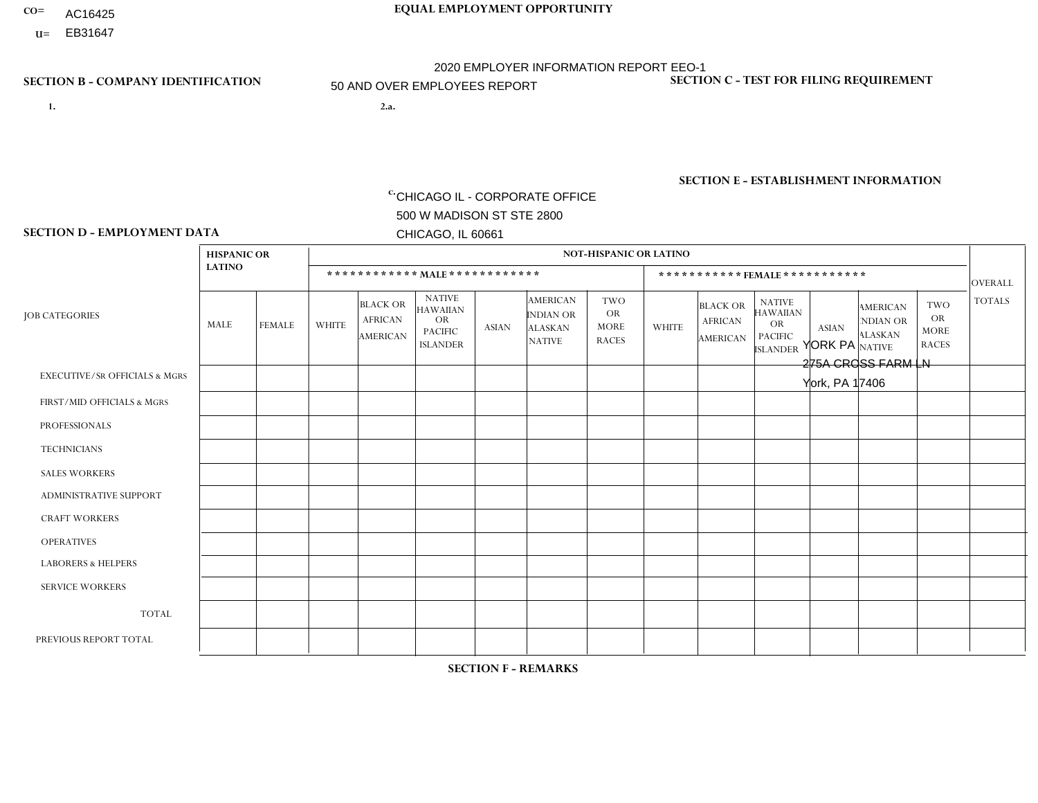- AC16425
- **U=**

**1. 2.a.** CHICAGO IL - CORPORATE OFFICE 500 W MADISON ST STE 2800 CHICAGO, IL 60661

2.a. YORK PA 275A CROSS FARM LN York, PA 17406

EIN= 952920557

## **SECTION B - COMPANY IDENTIFICATION SECTION C - TEST FOR FILING REQUIREMENT**

1- Y 2- Y 3- N DUNS= 000123456

**SECTION E - ESTABLISHMENT INFORMATION c.** NAICS: 423140

### **SECTION D - EMPLOYMENT DATA**

|                                          |               | <b>NOT-HISPANIC OR LATINO</b> |              |                                                      |                                                                                    |              |                                                                        |                                                        |                |                                               |                                                                                    |              |                                                                |                                                        |                |
|------------------------------------------|---------------|-------------------------------|--------------|------------------------------------------------------|------------------------------------------------------------------------------------|--------------|------------------------------------------------------------------------|--------------------------------------------------------|----------------|-----------------------------------------------|------------------------------------------------------------------------------------|--------------|----------------------------------------------------------------|--------------------------------------------------------|----------------|
|                                          | <b>LATINO</b> |                               |              | ************ MALE ************                       |                                                                                    |              |                                                                        |                                                        |                |                                               | *********** FEMALE ***********                                                     |              |                                                                |                                                        | <b>OVERALL</b> |
| <b>JOB CATEGORIES</b>                    | MALE          | <b>FEMALE</b>                 | <b>WHITE</b> | <b>BLACK OR</b><br><b>AFRICAN</b><br><b>AMERICAN</b> | <b>NATIVE</b><br><b>HAWAIIAN</b><br><b>OR</b><br><b>PACIFIC</b><br><b>ISLANDER</b> | <b>ASIAN</b> | <b>AMERICAN</b><br><b>INDIAN OR</b><br><b>ALASKAN</b><br><b>NATIVE</b> | <b>TWO</b><br><b>OR</b><br><b>MORE</b><br><b>RACES</b> | <b>WHITE</b>   | <b>BLACK OR</b><br><b>AFRICAN</b><br>AMERICAN | <b>NATIVE</b><br><b>HAWAIIAN</b><br><b>OR</b><br><b>PACIFIC</b><br><b>ISLANDER</b> | <b>ASIAN</b> | <b>AMERICAN</b><br>NDIAN OR<br><b>ALASKAN</b><br><b>NATIVE</b> | <b>TWO</b><br><b>OR</b><br><b>MORE</b><br><b>RACES</b> | <b>TOTALS</b>  |
| <b>EXECUTIVE/SR OFFICIALS &amp; MGRS</b> | $\Omega$      | $\Omega$                      | $\mathbf{0}$ | $\Omega$                                             | $\Omega$                                                                           | $\Omega$     | $\Omega$                                                               | $\Omega$                                               | 0              | $\Omega$                                      | $\Omega$                                                                           | $\Omega$     | $\Omega$                                                       | $\Omega$                                               | $\Omega$       |
| FIRST/MID OFFICIALS & MGRS               | $\Omega$      | $\Omega$                      | 5            | $\Omega$                                             | $\Omega$                                                                           | $\Omega$     | $\Omega$                                                               | 1                                                      | 1              | $\Omega$                                      | 0                                                                                  | $\Omega$     | $\Omega$                                                       | $\Omega$                                               | $\overline{7}$ |
| <b>PROFESSIONALS</b>                     | $\Omega$      | $\overline{0}$                | 1            | $\mathbf 0$                                          | $\Omega$                                                                           | $\Omega$     | $\Omega$                                                               | $\Omega$                                               | $\Omega$       | $\Omega$                                      | 0                                                                                  | 0            | $\Omega$                                                       | $\mathbf 0$                                            | $\mathbf{1}$   |
| <b>TECHNICIANS</b>                       | $\Omega$      | $\Omega$                      | $\Omega$     | $\Omega$                                             | $\Omega$                                                                           | $\Omega$     | $\Omega$                                                               | $\Omega$                                               | $\Omega$       | $\Omega$                                      | 0                                                                                  | $\mathbf 0$  | $\Omega$                                                       | $\mathbf 0$                                            | $\Omega$       |
| <b>SALES WORKERS</b>                     | 2             | $\Omega$                      | 3            | $\Omega$                                             | $\Omega$                                                                           | $\Omega$     | $\Omega$                                                               | $\Omega$                                               | $\Omega$       | $\Omega$                                      | $\Omega$                                                                           | $\Omega$     | $\Omega$                                                       | $\Omega$                                               | 5              |
| <b>ADMINISTRATIVE SUPPORT</b>            | $\Omega$      | $\Omega$                      | $\Omega$     | $\overline{ }$                                       | 0                                                                                  | $\Omega$     | $\Omega$                                                               | $\Omega$                                               | $\overline{2}$ | $\Omega$                                      | 0                                                                                  | $\mathbf 0$  | $\Omega$                                                       | $\mathbf 0$                                            | 3              |
| <b>CRAFT WORKERS</b>                     | $\Omega$      | $\Omega$                      | $\mathbf{0}$ | $\mathbf 0$                                          | $\Omega$                                                                           | $\Omega$     | $\Omega$                                                               | $\Omega$                                               | 0              | $\Omega$                                      | 0                                                                                  | $\Omega$     | $\Omega$                                                       | $\Omega$                                               | $\Omega$       |
| <b>OPERATIVES</b>                        | 2             | $\Omega$                      | 19           | $\overline{2}$                                       | $\Omega$                                                                           | $\Omega$     | $\Omega$                                                               | 1                                                      | 0              | $\Omega$                                      | 0                                                                                  | $\mathbf 0$  | $\Omega$                                                       | $\Omega$                                               | 24             |
| <b>LABORERS &amp; HELPERS</b>            | 2             | $\Omega$                      | 12           | $\overline{1}$                                       | $\Omega$                                                                           | $\Omega$     | $\Omega$                                                               | $\Omega$                                               | $\Omega$       | $\Omega$                                      | $\Omega$                                                                           | $\Omega$     | $\Omega$                                                       | $\Omega$                                               | 15             |
| <b>SERVICE WORKERS</b>                   | $\Omega$      | $\Omega$                      | $\Omega$     | 0                                                    | $\Omega$                                                                           | $\Omega$     | $\Omega$                                                               | $\Omega$                                               | 0              | $\Omega$                                      | $\Omega$                                                                           | $\mathbf 0$  | $\Omega$                                                       | $\Omega$                                               | $\mathbf 0$    |
| <b>TOTAL</b>                             | 6             | 0                             | 40           | 4                                                    | $\mathbf{0}$                                                                       | 0            | $\Omega$                                                               | $\overline{2}$                                         | 3              | $\Omega$                                      | 0                                                                                  | $\mathbf 0$  | 0                                                              | $\mathbf 0$                                            | 55             |
| PREVIOUS REPORT TOTAL                    | 12            | $\mathbf{1}$                  | 44           | 8                                                    | 0                                                                                  | $\Omega$     | $\Omega$                                                               | 5                                                      | $\overline{2}$ | $\Omega$                                      | 0                                                                                  | $\Omega$     | $\Omega$                                                       | $\mathbf 0$                                            | 72             |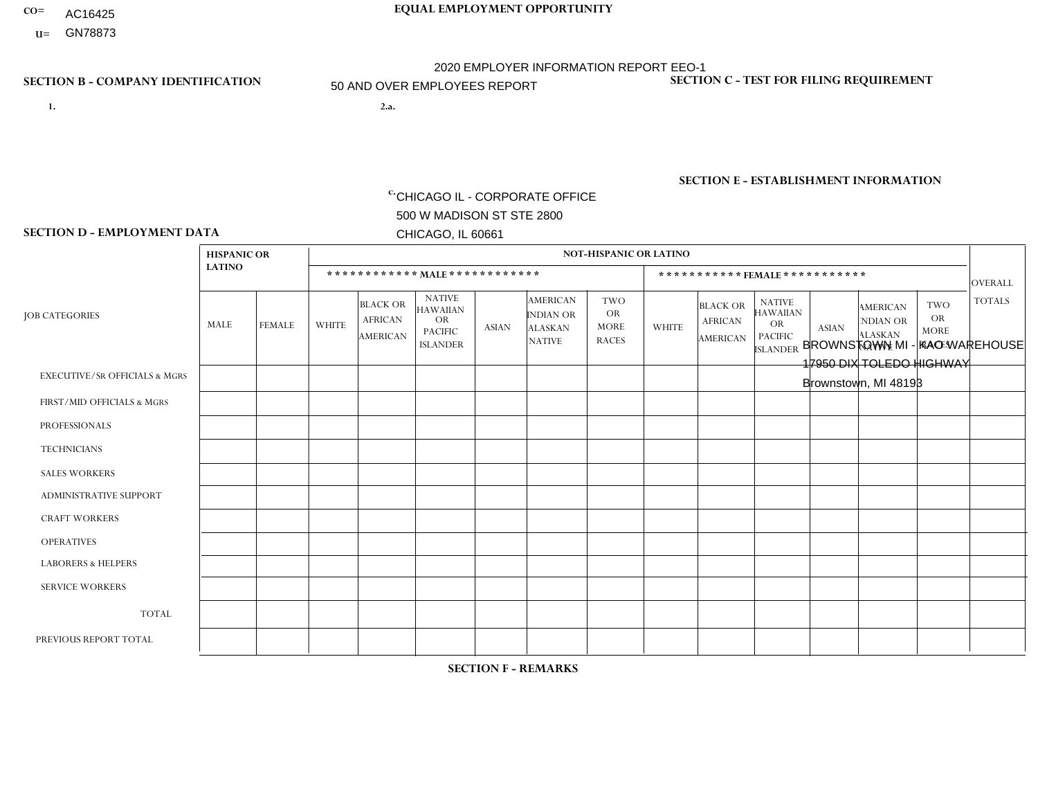- **CO= EQUAL EMPLOYMENT OPPORTUNITY** AC16425
	- **U=**

- **1. 2.a.** CHICAGO IL CORPORATE OFFICE 500 W MADISON ST STE 2800 CHICAGO, IL 60661
- 2.a. BROWNSTOWN MI KAO WAREHOUSE 17950 DIX TOLEDO HIGHWAY Brownstown, MI 48193

2020 EMPLOYER INFORMATION REPORT EEO-1 50 AND OVER EMPLOYEES REPORT

c. EIN= 952920557

## **SECTION B - COMPANY IDENTIFICATION SECTION C - TEST FOR FILING REQUIREMENT**

1- Y 2- Y 3- N DUNS= 000123456

**SECTION E - ESTABLISHMENT INFORMATION c.** NAICS: 423140

## **SECTION D - EMPLOYMENT DATA**

|                                          | <b>HISPANIC OR</b> |              | <b>NOT-HISPANIC OR LATINO</b> |                                                      |                                                                                    |              |                                                                 |                                                        |                |                                                      |                                                                                    |              |                                                                       |                                                        |                |
|------------------------------------------|--------------------|--------------|-------------------------------|------------------------------------------------------|------------------------------------------------------------------------------------|--------------|-----------------------------------------------------------------|--------------------------------------------------------|----------------|------------------------------------------------------|------------------------------------------------------------------------------------|--------------|-----------------------------------------------------------------------|--------------------------------------------------------|----------------|
|                                          | <b>LATINO</b>      |              |                               |                                                      | ************ MALE ************                                                     |              |                                                                 |                                                        |                |                                                      | ***********FEMALE***********                                                       |              |                                                                       |                                                        | <b>OVERALL</b> |
| <b>JOB CATEGORIES</b>                    | MALE               | FEMALE       | <b>WHITE</b>                  | <b>BLACK OR</b><br><b>AFRICAN</b><br><b>AMERICAN</b> | <b>NATIVE</b><br><b>HAWAIIAN</b><br><b>OR</b><br><b>PACIFIC</b><br><b>ISLANDER</b> | <b>ASIAN</b> | <b>AMERICAN</b><br>INDIAN OR<br><b>ALASKAN</b><br><b>NATIVE</b> | <b>TWO</b><br><b>OR</b><br><b>MORE</b><br><b>RACES</b> | <b>WHITE</b>   | <b>BLACK OR</b><br><b>AFRICAN</b><br><b>AMERICAN</b> | <b>NATIVE</b><br><b>HAWAIIAN</b><br><b>OR</b><br><b>PACIFIC</b><br><b>ISLANDER</b> | <b>ASIAN</b> | <b>AMERICAN</b><br><b>NDIAN OR</b><br><b>ALASKAN</b><br><b>NATIVE</b> | <b>TWO</b><br><b>OR</b><br><b>MORE</b><br><b>RACES</b> | <b>TOTALS</b>  |
| <b>EXECUTIVE/SR OFFICIALS &amp; MGRS</b> | $\Omega$           | $\Omega$     | $\overline{\mathbf{1}}$       | $\mathbf 0$                                          | $\mathbf 0$                                                                        | $\Omega$     | $\Omega$                                                        | $\Omega$                                               | $\Omega$       | $\Omega$                                             | $\Omega$                                                                           | $\mathbf{0}$ | $\Omega$                                                              | $\Omega$                                               |                |
| FIRST/MID OFFICIALS & MGRS               | 0                  | $\mathbf{0}$ | 8                             | $\mathbf{1}$                                         | $\mathbf 0$                                                                        | $\mathbf 0$  | $\Omega$                                                        | 1                                                      |                | $\Omega$                                             | $\mathbf{0}$                                                                       | $\mathbf{0}$ | $\Omega$                                                              | $\Omega$                                               | 11             |
| <b>PROFESSIONALS</b>                     | 0                  | $\mathbf{0}$ | $\mathbf{1}$                  | $\mathbf 0$                                          | $\mathbf 0$                                                                        | $\mathbf{0}$ | $\Omega$                                                        | $\Omega$                                               | $\Omega$       | $\Omega$                                             | $\Omega$                                                                           | $\mathbf 0$  | $\Omega$                                                              | $\mathbf{0}$                                           | $\overline{1}$ |
| <b>TECHNICIANS</b>                       | 0                  | $\mathbf 0$  | $\mathbf 0$                   | $\mathbf 0$                                          | $\mathbf 0$                                                                        | $\mathbf 0$  | $\mathbf{0}$                                                    | $\Omega$                                               | $\mathbf 0$    | $\mathbf 0$                                          | $\mathbf 0$                                                                        | $\mathbf 0$  | $\mathbf 0$                                                           | $\mathbf 0$                                            | $\mathbf 0$    |
| <b>SALES WORKERS</b>                     | 0                  | $\mathbf 0$  | $\mathbf 0$                   | $\mathbf 0$                                          | $\mathbf 0$                                                                        | $\Omega$     | $\mathbf{0}$                                                    | $\Omega$                                               | $\Omega$       | $\Omega$                                             | $\mathbf{0}$                                                                       | $\mathbf{0}$ | $\Omega$                                                              | $\Omega$                                               | $\mathbf 0$    |
| <b>ADMINISTRATIVE SUPPORT</b>            | $\Omega$           | $\Omega$     | $\mathbf 0$                   | $\Omega$                                             | $\mathbf 0$                                                                        | $\Omega$     | $\mathbf{0}$                                                    | $\Omega$                                               |                | $\blacktriangleleft$                                 | $\Omega$                                                                           | $\mathbf{0}$ | $\Omega$                                                              | $\Omega$                                               | 2              |
| <b>CRAFT WORKERS</b>                     | 0                  | $\Omega$     | $\mathbf 0$                   | $\mathbf 0$                                          | $\Omega$                                                                           | $\Omega$     | $\Omega$                                                        | $\Omega$                                               | $\Omega$       | $\Omega$                                             | $\Omega$                                                                           | $\Omega$     | $\Omega$                                                              | $\Omega$                                               | $\Omega$       |
| <b>OPERATIVES</b>                        |                    | $\mathbf 0$  | 17                            | $\overline{4}$                                       | $\mathbf 0$                                                                        | $\mathbf 0$  | $\Omega$                                                        | $\Omega$                                               | $\overline{2}$ | $\Omega$                                             | $\Omega$                                                                           | $\mathbf{0}$ | $\Omega$                                                              | $\mathbf{0}$                                           | 24             |
| <b>LABORERS &amp; HELPERS</b>            | 4                  | $\Omega$     | 22                            | 29                                                   | $\mathbf 0$                                                                        | $\Omega$     | -1                                                              | $\overline{2}$                                         | 12             | 13                                                   | $\mathbf{0}$                                                                       | $\Omega$     | $\Omega$                                                              | $\overline{ }$                                         | 84             |
| <b>SERVICE WORKERS</b>                   | 0                  | $\mathbf 0$  | $\mathbf 0$                   | $\mathbf 0$                                          | $\mathbf 0$                                                                        | $\mathbf 0$  | $\Omega$                                                        | $\Omega$                                               | $\Omega$       | $\Omega$                                             | $\Omega$                                                                           | $\Omega$     | $\mathbf{0}$                                                          | $\mathbf{0}$                                           | $\overline{0}$ |
| <b>TOTAL</b>                             | 5                  | 0            | 49                            | 34                                                   | 0                                                                                  | 0            | -1                                                              | 3                                                      | 16             | 14                                                   | $\Omega$                                                                           | $\mathbf 0$  | 0                                                                     | $\mathbf{1}$                                           | 123            |
| PREVIOUS REPORT TOTAL                    | 4                  | $\mathbf 0$  | 33                            | 34                                                   | $\mathbf 0$                                                                        | $\Omega$     | $\Omega$                                                        | $\overline{2}$                                         | 15             | 13                                                   | $\mathbf{0}$                                                                       | $\Omega$     | $\Omega$                                                              | $\overline{c}$                                         | 103            |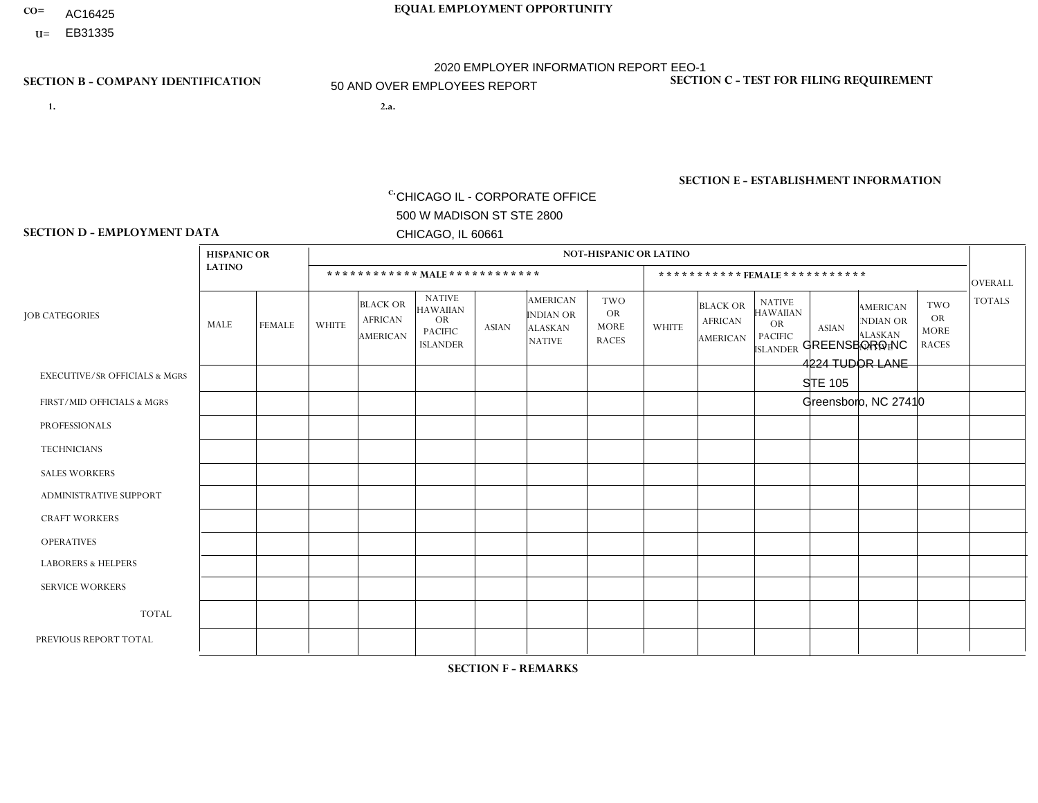- AC16425
- **U=**

**1. 2.a.** CHICAGO IL - CORPORATE OFFICE 500 W MADISON ST STE 2800 CHICAGO, IL 60661

2.a. GREENSBORO NC 4224 TUDOR LANE STE 105 Greensboro, NC 27410

EIN= 952920557

## **SECTION B - COMPANY IDENTIFICATION SECTION C - TEST FOR FILING REQUIREMENT**

1- Y 2- Y 3- N DUNS= 000123456

**SECTION E - ESTABLISHMENT INFORMATION c.** NAICS: 423140

### **SECTION D - EMPLOYMENT DATA**

|                                          | <b>HISPANIC OR</b><br><b>LATINO</b> |               | <b>NOT-HISPANIC OR LATINO</b> |                                                      |                                                                                    |              |                                                                        |                                                        |                |                                               |                                                                                    |              |                                                                       |                                                        |                |
|------------------------------------------|-------------------------------------|---------------|-------------------------------|------------------------------------------------------|------------------------------------------------------------------------------------|--------------|------------------------------------------------------------------------|--------------------------------------------------------|----------------|-----------------------------------------------|------------------------------------------------------------------------------------|--------------|-----------------------------------------------------------------------|--------------------------------------------------------|----------------|
|                                          |                                     |               |                               |                                                      | ************ MAIE************                                                      |              |                                                                        |                                                        |                |                                               | ***********FEMALE***********                                                       |              |                                                                       |                                                        | <b>OVERALL</b> |
| <b>JOB CATEGORIES</b>                    | <b>MALE</b>                         | <b>FEMALE</b> | <b>WHITE</b>                  | <b>BLACK OR</b><br><b>AFRICAN</b><br><b>AMERICAN</b> | <b>NATIVE</b><br><b>HAWAIIAN</b><br><b>OR</b><br><b>PACIFIC</b><br><b>ISLANDER</b> | <b>ASIAN</b> | <b>AMERICAN</b><br><b>INDIAN OR</b><br><b>ALASKAN</b><br><b>NATIVE</b> | <b>TWO</b><br><b>OR</b><br><b>MORE</b><br><b>RACES</b> | <b>WHITE</b>   | <b>BLACK OR</b><br><b>AFRICAN</b><br>AMERICAN | <b>NATIVE</b><br><b>HAWAIIAN</b><br><b>OR</b><br><b>PACIFIC</b><br><b>ISLANDER</b> | <b>ASIAN</b> | <b>AMERICAN</b><br><b>NDIAN OR</b><br><b>ALASKAN</b><br><b>NATIVE</b> | <b>TWO</b><br><b>OR</b><br><b>MORE</b><br><b>RACES</b> | <b>TOTALS</b>  |
| <b>EXECUTIVE/SR OFFICIALS &amp; MGRS</b> | $\mathbf 0$                         | 0             | $\mathbf 0$                   | $\mathbf 0$                                          | $\Omega$                                                                           | $\Omega$     | $\Omega$                                                               | $\Omega$                                               | $\Omega$       | $\Omega$                                      | $\Omega$                                                                           | 0            | $\Omega$                                                              | $\Omega$                                               | $\mathbf 0$    |
| FIRST/MID OFFICIALS & MGRS               | 0                                   | $\mathbf 0$   | 6                             | -1                                                   | $\Omega$                                                                           | $\Omega$     | $\Omega$                                                               | $\Omega$                                               | $\Omega$       | $\Omega$                                      | $\Omega$                                                                           | $\Omega$     | $\Omega$                                                              | $\mathbf 0$                                            | $\overline{7}$ |
| <b>PROFESSIONALS</b>                     | 0                                   | 0             | $\overline{1}$                | $\Omega$                                             | $\Omega$                                                                           | $\mathbf{0}$ | $\Omega$                                                               | $\Omega$                                               | 3              | $\Omega$                                      | $\Omega$                                                                           | $\Omega$     | $\Omega$                                                              | $\Omega$                                               | 4              |
| <b>TECHNICIANS</b>                       | 0                                   | 0             | $\Omega$                      | 0                                                    | $\Omega$                                                                           | $\Omega$     | $\Omega$                                                               | $\Omega$                                               | $\Omega$       | $\Omega$                                      | $\Omega$                                                                           | $\Omega$     | $\Omega$                                                              | $\mathbf 0$                                            | $\overline{0}$ |
| <b>SALES WORKERS</b>                     | 1                                   | $\Omega$      | 14                            | $\Omega$                                             | $\mathbf{0}$                                                                       | $\Omega$     | $\Omega$                                                               | $\Omega$                                               | $\mathbf{1}$   | $\Omega$                                      | $\Omega$                                                                           | $\Omega$     | $\Omega$                                                              | $\mathbf{0}$                                           | 16             |
| ADMINISTRATIVE SUPPORT                   | 0                                   | $\mathbf 0$   | 1                             | $\mathbf 0$                                          | $\Omega$                                                                           | $\Omega$     | $\mathbf{0}$                                                           | $\Omega$                                               | $\Omega$       | $\Omega$                                      | $\mathbf{0}$                                                                       | $\Omega$     | $\Omega$                                                              | $\mathbf 0$                                            | $\overline{1}$ |
| <b>CRAFT WORKERS</b>                     | 0                                   | $\Omega$      | $\Omega$                      | $\Omega$                                             | $\Omega$                                                                           | $\mathbf{0}$ | $\Omega$                                                               | $\Omega$                                               | $\Omega$       | $\Omega$                                      | $\mathbf{0}$                                                                       | $\Omega$     | $\Omega$                                                              | $\mathbf{0}$                                           | $\Omega$       |
| <b>OPERATIVES</b>                        | 1                                   | $\Omega$      | 31                            | 9                                                    | $\Omega$                                                                           | $\Omega$     | $\Omega$                                                               | 2                                                      | $\Omega$       | $\Omega$                                      | $\Omega$                                                                           | $\Omega$     | $\Omega$                                                              | $\mathbf{0}$                                           | 43             |
| <b>LABORERS &amp; HELPERS</b>            | 1                                   | $\Omega$      | $\overline{c}$                | 1                                                    | $\Omega$                                                                           | $\Omega$     | $\Omega$                                                               | $\Omega$                                               | $\Omega$       | $\Omega$                                      | $\Omega$                                                                           | $\Omega$     | $\Omega$                                                              | $\mathbf{0}$                                           | 4              |
| <b>SERVICE WORKERS</b>                   | 0                                   | $\mathbf 0$   | 0                             | 0                                                    | $\mathbf 0$                                                                        | $\mathbf{0}$ | $\Omega$                                                               | $\Omega$                                               | $\Omega$       | $\Omega$                                      | $\mathbf{0}$                                                                       | 0            | $\Omega$                                                              | $\mathbf 0$                                            | $\mathbf{0}$   |
| <b>TOTAL</b>                             | 3                                   | 0             | 55                            | 11                                                   | $\mathbf 0$                                                                        | $\mathbf{0}$ | $\Omega$                                                               | 2                                                      | $\overline{4}$ | $\Omega$                                      | $\mathbf{0}$                                                                       | 0            | $\Omega$                                                              | $\mathbf 0$                                            | 75             |
| PREVIOUS REPORT TOTAL                    | 3                                   | $\Omega$      | 63                            | 14                                                   | $\Omega$                                                                           | $\Omega$     | $\Omega$                                                               | $\overline{2}$                                         | $\overline{4}$ | $\Omega$                                      | $\mathbf{0}$                                                                       | $\Omega$     | $\Omega$                                                              | $\Omega$                                               | 86             |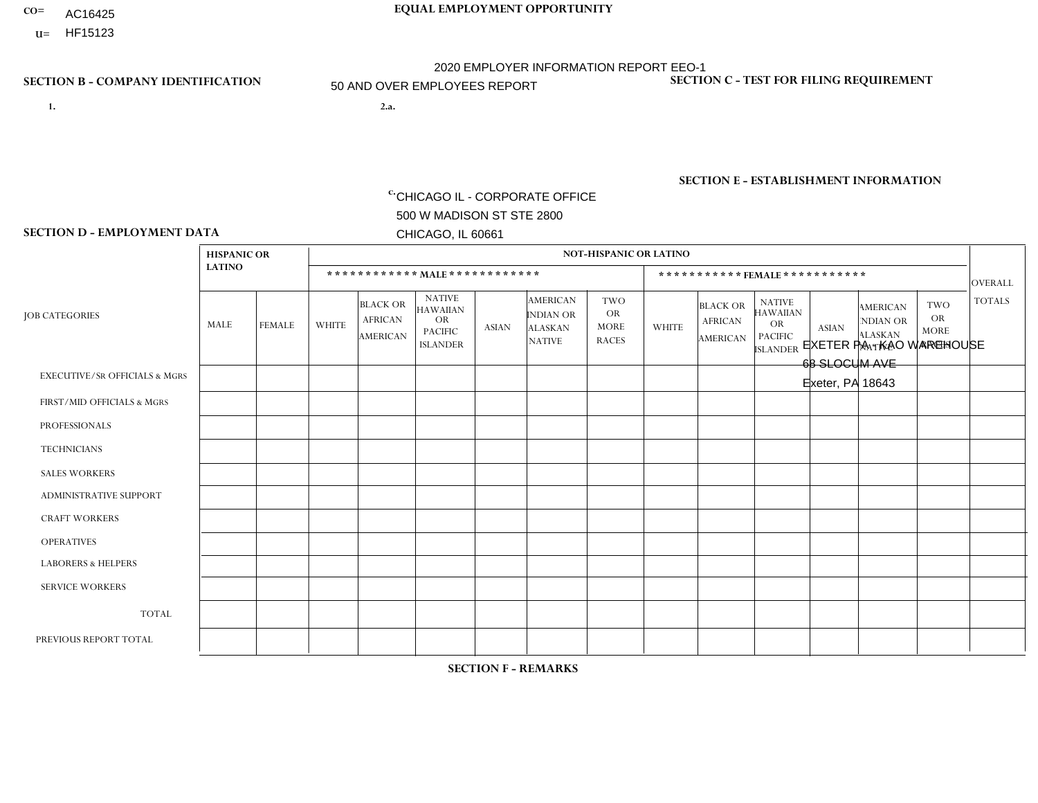- AC16425
- **U=**

**1. 2.a.** CHICAGO IL - CORPORATE OFFICE 500 W MADISON ST STE 2800 CHICAGO, IL 60661

2.a. EXETER PA - KAO WAREHOUSE 68 SLOCUM AVE Exeter, PA 18643

EIN= 952920557

# **SECTION B - COMPANY IDENTIFICATION SECTION C - TEST FOR FILING REQUIREMENT**

1- Y 2- Y 3- N DUNS= 000123456

**SECTION E - ESTABLISHMENT INFORMATION c.** NAICS: 423140

### **SECTION D - EMPLOYMENT DATA**

|                                          | <b>HISPANIC OR</b> |                |              |                                                      |                                                                                    |              |                                                                        | <b>NOT-HISPANIC OR LATINO</b>                          |                |                                               |                                                                                    |              |                                                                       |                                                        |                |
|------------------------------------------|--------------------|----------------|--------------|------------------------------------------------------|------------------------------------------------------------------------------------|--------------|------------------------------------------------------------------------|--------------------------------------------------------|----------------|-----------------------------------------------|------------------------------------------------------------------------------------|--------------|-----------------------------------------------------------------------|--------------------------------------------------------|----------------|
|                                          | <b>LATINO</b>      |                |              |                                                      | ************ MAIE************                                                      |              |                                                                        |                                                        |                | *********** FEMALE ***********                |                                                                                    |              |                                                                       |                                                        | <b>OVERALL</b> |
| <b>JOB CATEGORIES</b>                    | MALE               | FEMALE         | <b>WHITE</b> | <b>BLACK OR</b><br><b>AFRICAN</b><br><b>AMERICAN</b> | <b>NATIVE</b><br><b>HAWAIIAN</b><br><b>OR</b><br><b>PACIFIC</b><br><b>ISLANDER</b> | <b>ASIAN</b> | <b>AMERICAN</b><br><b>INDIAN OR</b><br><b>ALASKAN</b><br><b>NATIVE</b> | <b>TWO</b><br><b>OR</b><br><b>MORE</b><br><b>RACES</b> | <b>WHITE</b>   | <b>BLACK OR</b><br><b>AFRICAN</b><br>AMERICAN | <b>NATIVE</b><br><b>HAWAIIAN</b><br><b>OR</b><br><b>PACIFIC</b><br><b>ISLANDER</b> | <b>ASIAN</b> | <b>AMERICAN</b><br><b>NDIAN OR</b><br><b>ALASKAN</b><br><b>NATIVE</b> | <b>TWO</b><br><b>OR</b><br><b>MORE</b><br><b>RACES</b> | <b>TOTALS</b>  |
| <b>EXECUTIVE/SR OFFICIALS &amp; MGRS</b> | $\Omega$           | $\Omega$       | 2            | $\Omega$                                             | $\Omega$                                                                           | $\mathbf{0}$ | $\Omega$                                                               | $\Omega$                                               | 0              | $\Omega$                                      | $\Omega$                                                                           | $\Omega$     | $\Omega$                                                              | $\Omega$                                               | $\overline{2}$ |
| FIRST/MID OFFICIALS & MGRS               | 0                  | $\Omega$       | 13           | $\mathbf 0$                                          | $\Omega$                                                                           | $\mathbf{0}$ | $\mathbf{0}$                                                           |                                                        | 0              | $\Omega$                                      | $\Omega$                                                                           | $\Omega$     | $\Omega$                                                              | $\Omega$                                               | 14             |
| <b>PROFESSIONALS</b>                     | 0                  | $\mathbf{0}$   | 1            | $\mathbf 0$                                          | $\Omega$                                                                           | $\Omega$     | $\Omega$                                                               | $\Omega$                                               | $\overline{2}$ | $\Omega$                                      | $\Omega$                                                                           | $\mathbf 0$  | $\Omega$                                                              | $\Omega$                                               | 3              |
| <b>TECHNICIANS</b>                       | $\Omega$           | $\mathbf 0$    | $\Omega$     | $\mathbf 0$                                          | $\Omega$                                                                           | $\Omega$     | $\Omega$                                                               | $\Omega$                                               | $\overline{0}$ | $\Omega$                                      | $\Omega$                                                                           | $\Omega$     | $\Omega$                                                              | $\mathbf 0$                                            | $\mathbf 0$    |
| <b>SALES WORKERS</b>                     | $\Omega$           | $\Omega$       | $\Omega$     | $\mathbf 0$                                          | $\Omega$                                                                           | $\Omega$     | $\Omega$                                                               | $\Omega$                                               | $\Omega$       | $\Omega$                                      | $\Omega$                                                                           | $\mathbf{0}$ | $\Omega$                                                              | $\mathbf{0}$                                           | $\mathbf 0$    |
| <b>ADMINISTRATIVE SUPPORT</b>            | 0                  | $\mathbf 0$    | 4            | $\mathbf 0$                                          | $\mathbf 0$                                                                        | $\mathbf{0}$ | $\Omega$                                                               | $\Omega$                                               | 5              | $\Omega$                                      | $\Omega$                                                                           | $\mathbf 0$  | $\Omega$                                                              | $\mathbf 0$                                            | 9              |
| <b>CRAFT WORKERS</b>                     | 0                  | $\Omega$       | $\Omega$     | $\Omega$                                             | $\Omega$                                                                           | $\Omega$     | $\Omega$                                                               | $\Omega$                                               | 0              | $\Omega$                                      | $\Omega$                                                                           | $\mathbf{0}$ | $\Omega$                                                              | $\Omega$                                               | $\Omega$       |
| <b>OPERATIVES</b>                        | 0                  | $\Omega$       | $\Omega$     | $\Omega$                                             | $\Omega$                                                                           | $\Omega$     | $\Omega$                                                               | $\Omega$                                               | 0              | $\Omega$                                      | $\Omega$                                                                           | $\Omega$     | $\Omega$                                                              | $\Omega$                                               | $\Omega$       |
| <b>LABORERS &amp; HELPERS</b>            | 4                  | $\overline{2}$ | 85           | 4                                                    | $\Omega$                                                                           | $\Omega$     | $\Omega$                                                               | $\overline{2}$                                         | 38             | $\overline{2}$                                | $\Omega$                                                                           | $\Omega$     | $\Omega$                                                              | $\overline{1}$                                         | 138            |
| <b>SERVICE WORKERS</b>                   | 0                  | $\mathbf 0$    | 2            | $\mathbf 0$                                          | 0                                                                                  | $\Omega$     | $\Omega$                                                               | $\Omega$                                               | $\overline{2}$ | $\Omega$                                      | $\Omega$                                                                           | 0            | $\Omega$                                                              | $\mathbf 0$                                            | 4              |
| <b>TOTAL</b>                             | 4                  | 2              | 107          | 4                                                    | $\mathbf{0}$                                                                       | $\mathbf 0$  | $\Omega$                                                               | 3                                                      | 47             | $\overline{2}$                                | $\Omega$                                                                           | $\mathbf 0$  | 0                                                                     | $\mathbf{1}$                                           | 170            |
| PREVIOUS REPORT TOTAL                    | 4                  | 4              | 135          | 8                                                    | $\Omega$                                                                           | $\mathbf{0}$ | $\Omega$                                                               | 5                                                      | 58             | $\overline{2}$                                | $\Omega$                                                                           | $\Omega$     | 0                                                                     | $\mathbf{1}$                                           | 217            |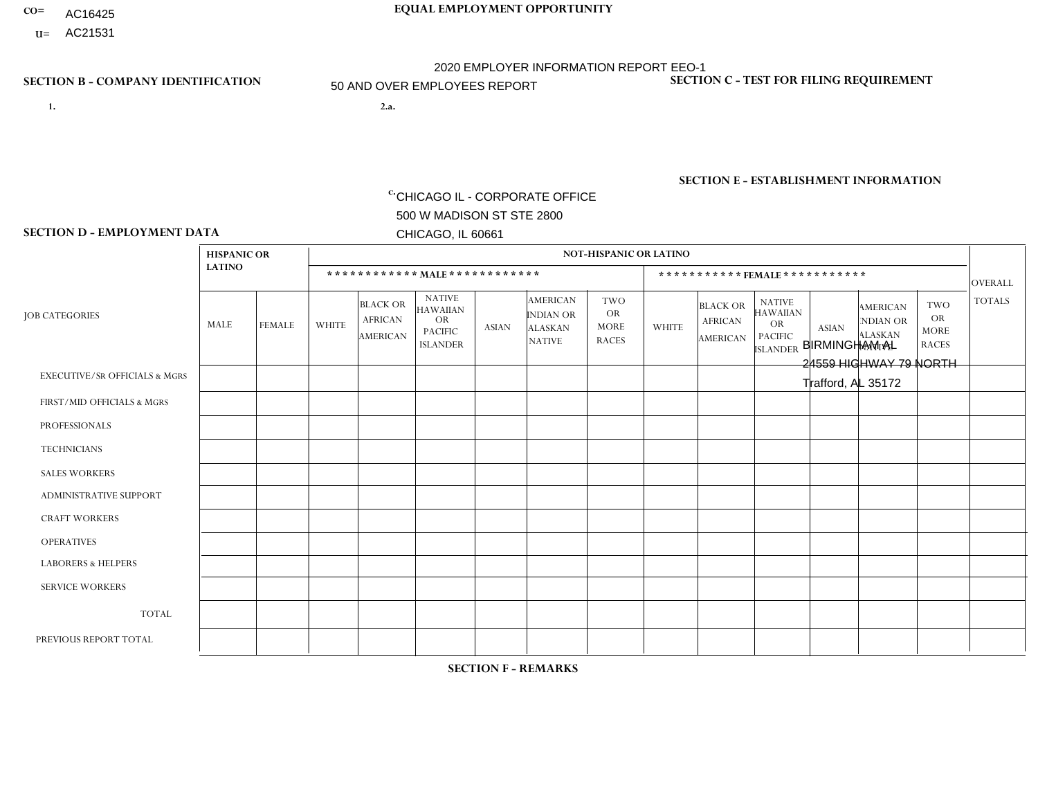- AC16425
- **U=**

- **1. 2.a.** CHICAGO IL CORPORATE OFFICE 500 W MADISON ST STE 2800 CHICAGO, IL 60661
- 2.a. BIRMINGHAM AL 24559 HIGHWAY 79 NORTH Trafford, AL 35172

c. EIN= 952920557

# **SECTION B - COMPANY IDENTIFICATION SECTION C - TEST FOR FILING REQUIREMENT**

1- Y 2- Y 3- N DUNS= 000123456

**SECTION E - ESTABLISHMENT INFORMATION c.** NAICS: 423140

### **SECTION D - EMPLOYMENT DATA**

|                                          | <b>HISPANIC OR</b> |                |              |                                                      |                                                                                    |              |                                                                        | <b>NOT-HISPANIC OR LATINO</b>                          |                |                                               |                                                                                    |              |                                                                       |                                                        |                |
|------------------------------------------|--------------------|----------------|--------------|------------------------------------------------------|------------------------------------------------------------------------------------|--------------|------------------------------------------------------------------------|--------------------------------------------------------|----------------|-----------------------------------------------|------------------------------------------------------------------------------------|--------------|-----------------------------------------------------------------------|--------------------------------------------------------|----------------|
|                                          | <b>LATINO</b>      |                |              |                                                      | ************ MALE ************                                                     |              |                                                                        |                                                        |                | ***********FEMALE***********                  |                                                                                    |              |                                                                       |                                                        | <b>OVERALL</b> |
| <b>JOB CATEGORIES</b>                    | MALE               | <b>FEMALE</b>  | <b>WHITE</b> | <b>BLACK OR</b><br><b>AFRICAN</b><br><b>AMERICAN</b> | <b>NATIVE</b><br><b>HAWAIIAN</b><br><b>OR</b><br><b>PACIFIC</b><br><b>ISLANDER</b> | ASIAN        | <b>AMERICAN</b><br><b>INDIAN OR</b><br><b>ALASKAN</b><br><b>NATIVE</b> | <b>TWO</b><br><b>OR</b><br><b>MORE</b><br><b>RACES</b> | <b>WHITE</b>   | <b>BLACK OR</b><br><b>AFRICAN</b><br>AMERICAN | <b>NATIVE</b><br><b>HAWAIIAN</b><br><b>OR</b><br><b>PACIFIC</b><br><b>ISLANDER</b> | <b>ASIAN</b> | <b>AMERICAN</b><br><b>NDIAN OR</b><br><b>ALASKAN</b><br><b>NATIVE</b> | <b>TWO</b><br><b>OR</b><br><b>MORE</b><br><b>RACES</b> | <b>TOTALS</b>  |
| <b>EXECUTIVE/SR OFFICIALS &amp; MGRS</b> | $\Omega$           | $\Omega$       | $\Omega$     | $\mathbf 0$                                          | $\Omega$                                                                           | $\mathbf{0}$ | $\Omega$                                                               | $\Omega$                                               | 0              | $\Omega$                                      | $\Omega$                                                                           | $\Omega$     | $\Omega$                                                              | $\Omega$                                               | $\mathbf{0}$   |
| FIRST/MID OFFICIALS & MGRS               | 0                  | $\Omega$       | 3            | $\mathbf 0$                                          | $\Omega$                                                                           | $\Omega$     | $\Omega$                                                               | $\Omega$                                               | 3              | $\Omega$                                      | $\Omega$                                                                           | $\Omega$     | $\Omega$                                                              | $\Omega$                                               | 6              |
| <b>PROFESSIONALS</b>                     | 0                  | $\overline{0}$ | 1            | $\mathbf 0$                                          | $\Omega$                                                                           | $\Omega$     | $\Omega$                                                               | $\Omega$                                               | 0              | $\Omega$                                      | $\Omega$                                                                           | $\Omega$     | $\Omega$                                                              | $\Omega$                                               | $\mathbf{1}$   |
| <b>TECHNICIANS</b>                       | 0                  | $\Omega$       | $\Omega$     | $\mathbf 0$                                          | $\Omega$                                                                           | $\Omega$     | $\Omega$                                                               | $\Omega$                                               | $\Omega$       | $\Omega$                                      | $\Omega$                                                                           | $\Omega$     | $\Omega$                                                              | $\Omega$                                               | $\mathbf{0}$   |
| <b>SALES WORKERS</b>                     | 0                  | $\Omega$       | 5            | $\Omega$                                             | $\Omega$                                                                           | $\Omega$     | $\Omega$                                                               | $\Omega$                                               | $\overline{2}$ | $\Omega$                                      | $\Omega$                                                                           | $\Omega$     | $\Omega$                                                              | $\Omega$                                               | $\overline{7}$ |
| <b>ADMINISTRATIVE SUPPORT</b>            | $\Omega$           | $\overline{1}$ | 6            | $\mathbf 0$                                          | 0                                                                                  | $\Omega$     | $\Omega$                                                               | $\Omega$                                               | $\Omega$       | $\Omega$                                      | $\Omega$                                                                           | $\mathbf{0}$ | $\mathbf{0}$                                                          | $\mathbf 0$                                            | $\overline{7}$ |
| <b>CRAFT WORKERS</b>                     | 0                  | $\Omega$       | 5            | $\mathbf 0$                                          | $\Omega$                                                                           | $\Omega$     | $\Omega$                                                               | $\Omega$                                               | 0              | $\Omega$                                      | $\Omega$                                                                           | $\Omega$     | $\Omega$                                                              | $\Omega$                                               | 5              |
| <b>OPERATIVES</b>                        |                    | $\Omega$       | 28           | 5                                                    | $\Omega$                                                                           | $\Omega$     | $\Omega$                                                               | $\Omega$                                               | $\Omega$       | $\Omega$                                      | $\Omega$                                                                           | $\Omega$     | $\Omega$                                                              | $\Omega$                                               | 34             |
| <b>LABORERS &amp; HELPERS</b>            | 0                  | $\Omega$       | 2            | $\mathbf 0$                                          | $\Omega$                                                                           | $\Omega$     | $\Omega$                                                               | $\Omega$                                               | $\Omega$       | $\Omega$                                      | $\Omega$                                                                           | $\mathbf{0}$ | $\Omega$                                                              | $\mathbf{0}$                                           | $\overline{2}$ |
| <b>SERVICE WORKERS</b>                   | 0                  | $\Omega$       | $\Omega$     | 0                                                    | 0                                                                                  | $\Omega$     | $\Omega$                                                               | $\Omega$                                               | $\Omega$       | $\Omega$                                      | $\Omega$                                                                           | $\Omega$     | $\Omega$                                                              | $\mathbf 0$                                            | $\overline{0}$ |
| <b>TOTAL</b>                             | 1                  | $\mathbf{1}$   | 50           | 5                                                    | 0                                                                                  | $\mathbf 0$  | $\Omega$                                                               | $\Omega$                                               | 5              | $\Omega$                                      | $\Omega$                                                                           | $\mathbf 0$  | 0                                                                     | $\mathbf 0$                                            | 62             |
| PREVIOUS REPORT TOTAL                    |                    | $\mathbf{1}$   | 56           | 5                                                    | $\Omega$                                                                           | $\mathbf{0}$ | $\Omega$                                                               | $\Omega$                                               | 8              | $\Omega$                                      | 1                                                                                  | $\Omega$     | $\Omega$                                                              | $\mathbf 0$                                            | 72             |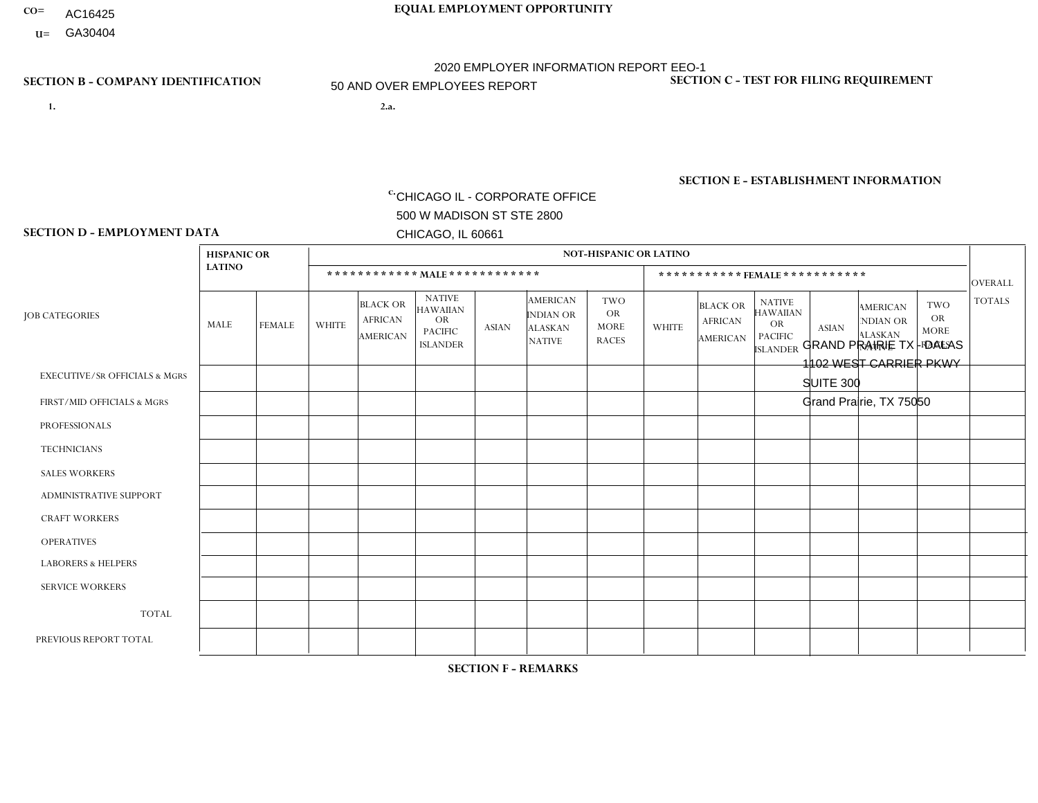- AC16425
- **U=**

- **1. 2.a.** CHICAGO IL CORPORATE OFFICE 500 W MADISON ST STE 2800 CHICAGO, IL 60661
- 2.a. GRAND PRAIRIE TX DALAS 1102 WEST CARRIER PKWY SUITE 300 Grand Prairie, TX 75050
	- EIN= 952920557

# **SECTION B - COMPANY IDENTIFICATION SECTION C - TEST FOR FILING REQUIREMENT**

1- Y 2- Y 3- N DUNS= 000123456

**SECTION E - ESTABLISHMENT INFORMATION c.** NAICS: 423140

### **SECTION D - EMPLOYMENT DATA**

|                                          | <b>HISPANIC OR</b> |               |                |                                                      |                                                                             |              |                                                                        | <b>NOT-HISPANIC OR LATINO</b>                   |              |                                               |                                                                             |              |                                                                       |                                                 |                |
|------------------------------------------|--------------------|---------------|----------------|------------------------------------------------------|-----------------------------------------------------------------------------|--------------|------------------------------------------------------------------------|-------------------------------------------------|--------------|-----------------------------------------------|-----------------------------------------------------------------------------|--------------|-----------------------------------------------------------------------|-------------------------------------------------|----------------|
|                                          | <b>LATINO</b>      |               |                |                                                      | ************ MALE ************                                              |              |                                                                        |                                                 |              | *********** FEMALE ***********                |                                                                             |              |                                                                       |                                                 | <b>OVERALL</b> |
| <b>JOB CATEGORIES</b>                    | MALE               | <b>FEMALE</b> | <b>WHITE</b>   | <b>BLACK OR</b><br><b>AFRICAN</b><br><b>AMERICAN</b> | <b>NATIVE</b><br><b>HAWAIIAN</b><br>OR<br><b>PACIFIC</b><br><b>ISLANDER</b> | <b>ASIAN</b> | <b>AMERICAN</b><br><b>INDIAN OR</b><br><b>ALASKAN</b><br><b>NATIVE</b> | TWO<br><b>OR</b><br><b>MORE</b><br><b>RACES</b> | <b>WHITE</b> | <b>BLACK OR</b><br><b>AFRICAN</b><br>AMERICAN | <b>NATIVE</b><br><b>HAWAIIAN</b><br>OR<br><b>PACIFIC</b><br><b>ISLANDER</b> | <b>ASIAN</b> | <b>AMERICAN</b><br><b>NDIAN OR</b><br><b>ALASKAN</b><br><b>NATIVE</b> | TWO<br><b>OR</b><br><b>MORE</b><br><b>RACES</b> | <b>TOTALS</b>  |
| <b>EXECUTIVE/SR OFFICIALS &amp; MGRS</b> |                    | $\mathbf 0$   | $\mathbf 0$    | 0                                                    | $\Omega$                                                                    | $\Omega$     | $\Omega$                                                               | 0                                               | $\Omega$     | $\Omega$                                      | $\Omega$                                                                    | 0            | $\Omega$                                                              | $\Omega$                                        | $\overline{1}$ |
| FIRST/MID OFFICIALS & MGRS               | $\overline{2}$     | $\mathbf 0$   | $\overline{1}$ | 0                                                    | $\Omega$                                                                    | 0            | $\Omega$                                                               | 0                                               | $\Omega$     | $\Omega$                                      | $\Omega$                                                                    | 0            | $\Omega$                                                              | $\mathbf{0}$                                    | 3              |
| <b>PROFESSIONALS</b>                     | $\mathbf 0$        | $\mathbf 0$   | $\mathbf 0$    | $\mathbf 0$                                          | $\Omega$                                                                    | $\Omega$     | $\Omega$                                                               | $\Omega$                                        | $\Omega$     | $\Omega$                                      | $\Omega$                                                                    | 0            | $\Omega$                                                              | $\mathbf 0$                                     | $\mathbf 0$    |
| <b>TECHNICIANS</b>                       | 0                  | $\mathbf 0$   | $\mathbf 0$    | $\mathbf 0$                                          | $\Omega$                                                                    | $\Omega$     | $\Omega$                                                               | 0                                               | $\Omega$     | $\Omega$                                      | $\Omega$                                                                    | $\mathbf 0$  | $\Omega$                                                              | $\Omega$                                        | $\mathbf 0$    |
| <b>SALES WORKERS</b>                     | $\mathbf 0$        | $\mathbf 0$   | $\mathbf 0$    | $\mathbf 0$                                          | $\Omega$                                                                    | $\Omega$     | $\Omega$                                                               | 0                                               | $\Omega$     | $\Omega$                                      | $\Omega$                                                                    | 0            | $\Omega$                                                              | $\Omega$                                        | $\mathbf 0$    |
| <b>ADMINISTRATIVE SUPPORT</b>            | $\Omega$           | $\mathbf 0$   | $\Omega$       | $\Omega$                                             | $\Omega$                                                                    | $\Omega$     | $\Omega$                                                               | 0                                               | $\Omega$     | $\Omega$                                      | $\Omega$                                                                    | $\Omega$     | $\Omega$                                                              | $\Omega$                                        | $\mathbf 0$    |
| <b>CRAFT WORKERS</b>                     | $\Omega$           | $\mathbf 0$   | $\mathbf 0$    | $\mathbf{0}$                                         | $\Omega$                                                                    | 0            | $\Omega$                                                               | 0                                               | $\Omega$     | $\Omega$                                      | $\Omega$                                                                    | 0            | $\Omega$                                                              | $\mathbf{0}$                                    | $\Omega$       |
| <b>OPERATIVES</b>                        | 22                 | 5             | 6              | 14                                                   | $\Omega$                                                                    | $\Omega$     | $\Omega$                                                               | 4                                               | $\Omega$     | 2                                             | $\Omega$                                                                    | 0            | $\Omega$                                                              | $\mathbf{0}$                                    | 53             |
| <b>LABORERS &amp; HELPERS</b>            | $\mathbf 0$        | $\mathbf 0$   | $\mathbf 0$    | $\mathbf 0$                                          | $\Omega$                                                                    | $\Omega$     | $\Omega$                                                               | $\Omega$                                        | $\Omega$     | $\Omega$                                      | $\Omega$                                                                    | 0            | $\Omega$                                                              | $\mathbf{0}$                                    | $\mathbf 0$    |
| <b>SERVICE WORKERS</b>                   | $\mathbf 0$        | $\mathbf 0$   | 0              | $\mathbf 0$                                          | 0                                                                           | $\Omega$     | $\Omega$                                                               | 0                                               | $\Omega$     | $\Omega$                                      | $\Omega$                                                                    | 0            | $\Omega$                                                              | $\mathbf 0$                                     | 0              |
| <b>TOTAL</b>                             | 25                 | 5             | $\overline{7}$ | 14                                                   | $\mathbf 0$                                                                 | $\mathbf 0$  | $\Omega$                                                               | 4                                               | $\Omega$     | 2                                             | $\mathbf 0$                                                                 | 0            | 0                                                                     | $\mathbf 0$                                     | 57             |
| PREVIOUS REPORT TOTAL                    | 25                 | 5             | 6              | 20                                                   | $\Omega$                                                                    | $\mathbf{1}$ | $\Omega$                                                               | 5                                               |              | 1                                             | $\Omega$                                                                    | 0            | $\Omega$                                                              | $\Omega$                                        | 64             |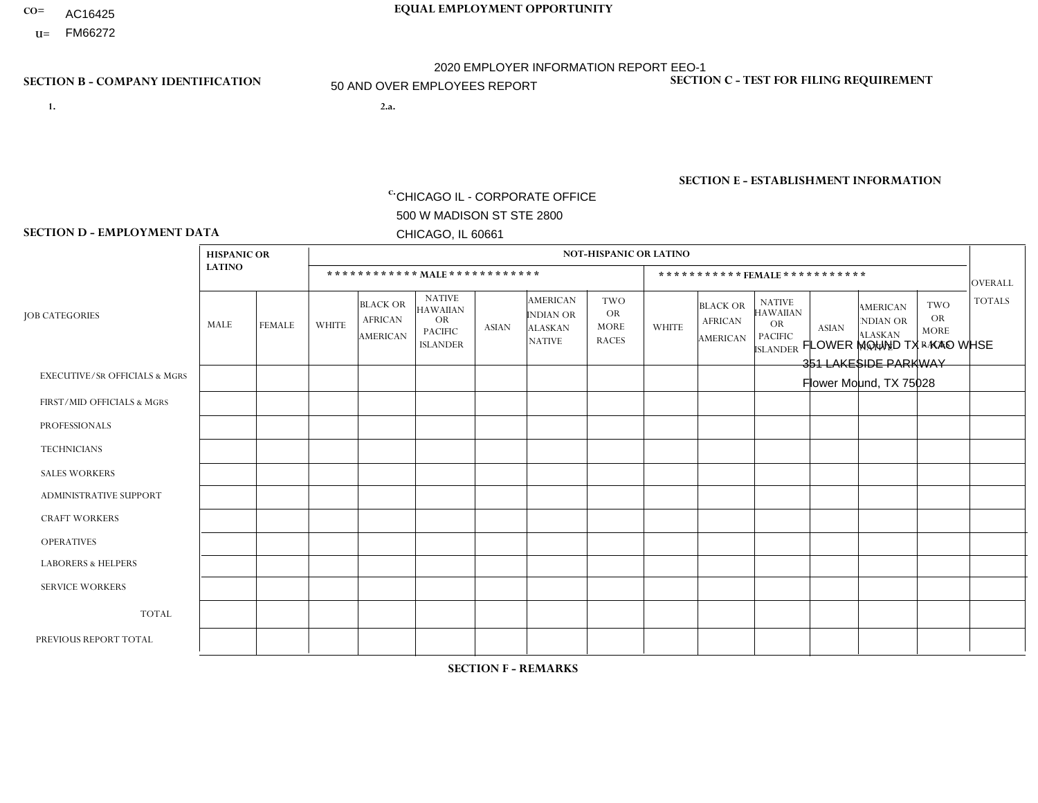- **CO= EQUAL EMPLOYMENT OPPORTUNITY** AC16425
	- **U=**

- **1. 2.a.** CHICAGO IL CORPORATE OFFICE 500 W MADISON ST STE 2800 CHICAGO, IL 60661
- 2.a. FLOWER MOUND TX KAO WHSE 351 LAKESIDE PARKWAY Flower Mound, TX 75028

2020 EMPLOYER INFORMATION REPORT EEO-1 50 AND OVER EMPLOYEES REPORT

c. EIN= 952920557

# **SECTION B - COMPANY IDENTIFICATION SECTION C - TEST FOR FILING REQUIREMENT**

1- Y 2- Y 3- N DUNS= 000123456

**SECTION E - ESTABLISHMENT INFORMATION c.** NAICS: 423140

### **SECTION D - EMPLOYMENT DATA**

|                                          | <b>HISPANIC OR</b> |                |              |                                                      |                                                                                    |                |                                                                        | <b>NOT-HISPANIC OR LATINO</b>                          |                |                                               |                                                                                    |                |                                                                       |                                                        |                |
|------------------------------------------|--------------------|----------------|--------------|------------------------------------------------------|------------------------------------------------------------------------------------|----------------|------------------------------------------------------------------------|--------------------------------------------------------|----------------|-----------------------------------------------|------------------------------------------------------------------------------------|----------------|-----------------------------------------------------------------------|--------------------------------------------------------|----------------|
|                                          | <b>LATINO</b>      |                |              | ************ MALE ************                       |                                                                                    |                |                                                                        |                                                        |                | ***********FEMALE***********                  |                                                                                    |                |                                                                       |                                                        | <b>OVERALL</b> |
| <b>JOB CATEGORIES</b>                    | MALE               | <b>FEMALE</b>  | <b>WHITE</b> | <b>BLACK OR</b><br><b>AFRICAN</b><br><b>AMERICAN</b> | <b>NATIVE</b><br><b>HAWAIIAN</b><br><b>OR</b><br><b>PACIFIC</b><br><b>ISLANDER</b> | ASIAN          | <b>AMERICAN</b><br><b>INDIAN OR</b><br><b>ALASKAN</b><br><b>NATIVE</b> | <b>TWO</b><br><b>OR</b><br><b>MORE</b><br><b>RACES</b> | <b>WHITE</b>   | <b>BLACK OR</b><br><b>AFRICAN</b><br>AMERICAN | <b>NATIVE</b><br><b>HAWAIIAN</b><br><b>OR</b><br><b>PACIFIC</b><br><b>ISLANDER</b> | <b>ASIAN</b>   | <b>AMERICAN</b><br><b>NDIAN OR</b><br><b>ALASKAN</b><br><b>NATIVE</b> | <b>TWO</b><br><b>OR</b><br><b>MORE</b><br><b>RACES</b> | <b>TOTALS</b>  |
| <b>EXECUTIVE/SR OFFICIALS &amp; MGRS</b> | $\overline{2}$     | $\Omega$       | 6            | $\Omega$                                             | $\Omega$                                                                           | $\mathbf{0}$   | $\Omega$                                                               | $\Omega$                                               | 0              | $\Omega$                                      | $\Omega$                                                                           | $\Omega$       | $\Omega$                                                              | $\Omega$                                               | 8              |
| FIRST/MID OFFICIALS & MGRS               |                    | $\Omega$       | 6            | $\overline{c}$                                       | $\Omega$                                                                           | $\Omega$       | $\Omega$                                                               | $\Omega$                                               | 4              | $\blacktriangleleft$                          | $\Omega$                                                                           | $\Omega$       | $\Omega$                                                              | $\Omega$                                               | 14             |
| <b>PROFESSIONALS</b>                     | 0                  | $\overline{0}$ | 5            | 1                                                    | $\Omega$                                                                           | $\Omega$       | $\Omega$                                                               | $\Omega$                                               | $\overline{2}$ |                                               | $\Omega$                                                                           | $\Omega$       | $\Omega$                                                              | $\Omega$                                               | 9              |
| <b>TECHNICIANS</b>                       | 0                  | $\Omega$       | $\Omega$     | $\Omega$                                             | $\Omega$                                                                           | $\Omega$       | $\Omega$                                                               | $\Omega$                                               | $\Omega$       | $\Omega$                                      | $\Omega$                                                                           | $\Omega$       | $\Omega$                                                              | $\Omega$                                               | $\mathbf{0}$   |
| <b>SALES WORKERS</b>                     | 1                  | $\overline{2}$ | 3            | $\Omega$                                             | $\Omega$                                                                           | $\Omega$       | $\Omega$                                                               | $\Omega$                                               | $\overline{2}$ | $\Omega$                                      | $\Omega$                                                                           | $\Omega$       | $\Omega$                                                              | $\Omega$                                               | 8              |
| <b>ADMINISTRATIVE SUPPORT</b>            | $\overline{2}$     | $\mathbf 0$    |              | $\mathbf 0$                                          | 0                                                                                  | -1             | $\Omega$                                                               | $\Omega$                                               |                | $\Omega$                                      | $\Omega$                                                                           | $\Omega$       | $\mathbf{0}$                                                          | $\mathbf 0$                                            | 5              |
| <b>CRAFT WORKERS</b>                     | 0                  | $\Omega$       | $\Omega$     | $\mathbf 0$                                          | $\Omega$                                                                           | $\Omega$       | $\Omega$                                                               | $\Omega$                                               | 0              | $\Omega$                                      | $\Omega$                                                                           | $\Omega$       | $\Omega$                                                              | $\Omega$                                               | $\Omega$       |
| <b>OPERATIVES</b>                        | 11                 | $\Omega$       | 5            | $\overline{7}$                                       | $\Omega$                                                                           | $\Omega$       | $\Omega$                                                               |                                                        | $\Omega$       | $\overline{2}$                                | $\Omega$                                                                           | $\Omega$       | $\Omega$                                                              | $\Omega$                                               | 26             |
| <b>LABORERS &amp; HELPERS</b>            | 17                 | 6              | 12           | 18                                                   | -1                                                                                 | $\overline{7}$ | $\Omega$                                                               | 4                                                      | $\overline{2}$ | 3                                             | $\Omega$                                                                           | 4              | $\Omega$                                                              | $\Omega$                                               | 74             |
| <b>SERVICE WORKERS</b>                   | 3                  | $\Omega$       | $\Omega$     | $\overline{2}$                                       | 0                                                                                  | -1             | $\Omega$                                                               |                                                        |                | 3                                             | $\Omega$                                                                           | $\Omega$       | $\Omega$                                                              | $\Omega$                                               | 11             |
| <b>TOTAL</b>                             | 37                 | 8              | 38           | 30                                                   |                                                                                    | 9              | $\Omega$                                                               | 6                                                      | 12             | 10                                            | $\Omega$                                                                           | $\overline{4}$ | 0                                                                     | $\mathbf 0$                                            | 155            |
| PREVIOUS REPORT TOTAL                    | 23                 | 9              | 46           | 22                                                   |                                                                                    | 3              | $\Omega$                                                               | $\overline{4}$                                         | 10             | 11                                            | $\Omega$                                                                           | 5              | 0                                                                     | $\mathbf 0$                                            | 134            |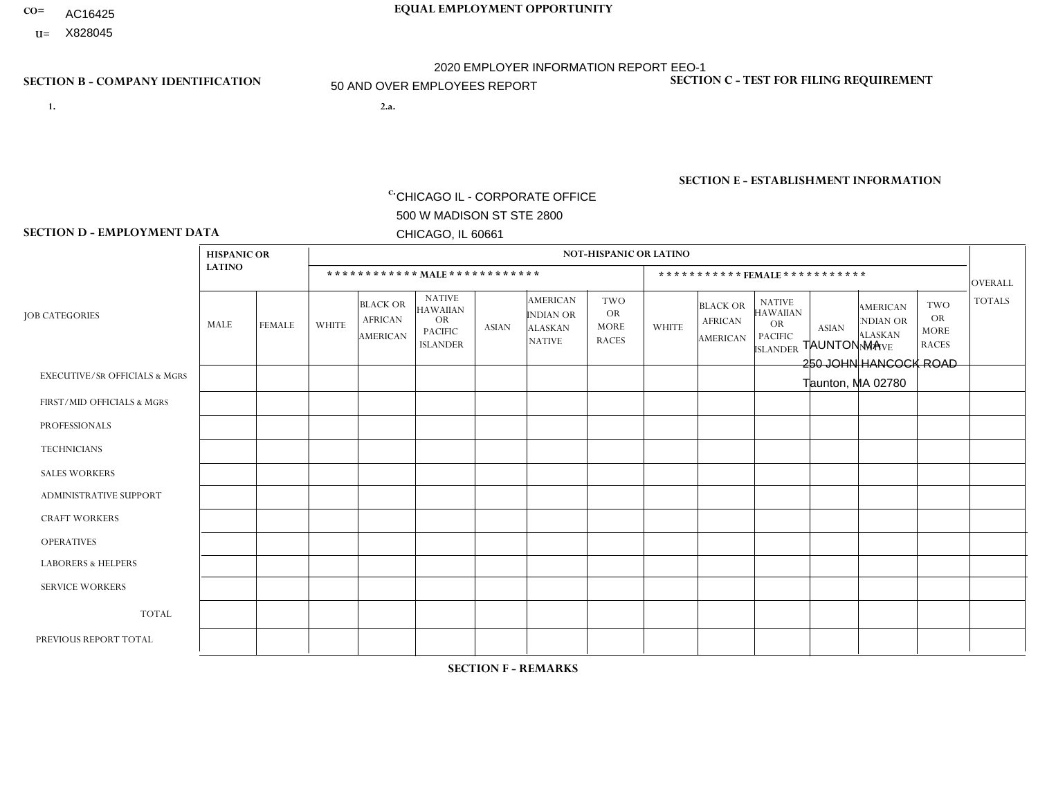- AC16425
- **U=**

- **1. 2.a.** CHICAGO IL CORPORATE OFFICE 500 W MADISON ST STE 2800 CHICAGO, IL 60661
- 2.a. TAUNTON MA 250 JOHN HANCOCK ROAD Taunton, MA 02780

c. EIN= 952920557

# **SECTION B - COMPANY IDENTIFICATION SECTION C - TEST FOR FILING REQUIREMENT**

1- Y 2- Y 3- N DUNS= 000123456

**SECTION E - ESTABLISHMENT INFORMATION c.** NAICS: 423140

### **SECTION D - EMPLOYMENT DATA**

|                                          | <b>HISPANIC OR</b> |                |              |                                                      |                                                                                    |              |                                                                        | <b>NOT-HISPANIC OR LATINO</b>                          |                |                                               |                                                                             |              |                                                                       |                                                        |                |
|------------------------------------------|--------------------|----------------|--------------|------------------------------------------------------|------------------------------------------------------------------------------------|--------------|------------------------------------------------------------------------|--------------------------------------------------------|----------------|-----------------------------------------------|-----------------------------------------------------------------------------|--------------|-----------------------------------------------------------------------|--------------------------------------------------------|----------------|
|                                          | <b>LATINO</b>      |                |              |                                                      | ************ MALE ************                                                     |              |                                                                        |                                                        |                | ***********FEMALE***********                  |                                                                             |              |                                                                       |                                                        | <b>OVERALL</b> |
| <b>JOB CATEGORIES</b>                    | MALE               | <b>FEMALE</b>  | <b>WHITE</b> | <b>BLACK OR</b><br><b>AFRICAN</b><br><b>AMERICAN</b> | <b>NATIVE</b><br><b>HAWAIIAN</b><br><b>OR</b><br><b>PACIFIC</b><br><b>ISLANDER</b> | <b>ASIAN</b> | <b>AMERICAN</b><br><b>INDIAN OR</b><br><b>ALASKAN</b><br><b>NATIVE</b> | <b>TWO</b><br><b>OR</b><br><b>MORE</b><br><b>RACES</b> | <b>WHITE</b>   | <b>BLACK OR</b><br><b>AFRICAN</b><br>AMERICAN | <b>NATIVE</b><br><b>HAWAIIAN</b><br>OR<br><b>PACIFIC</b><br><b>ISLANDER</b> | <b>ASIAN</b> | <b>AMERICAN</b><br><b>NDIAN OR</b><br><b>ALASKAN</b><br><b>NATIVE</b> | <b>TWO</b><br><b>OR</b><br><b>MORE</b><br><b>RACES</b> | <b>TOTALS</b>  |
| <b>EXECUTIVE/SR OFFICIALS &amp; MGRS</b> | $\Omega$           | $\Omega$       | $\Omega$     | $\Omega$                                             | $\Omega$                                                                           | $\mathbf{0}$ | $\Omega$                                                               | $\Omega$                                               | 0              | $\Omega$                                      | $\Omega$                                                                    | $\Omega$     | $\Omega$                                                              | $\Omega$                                               | $\Omega$       |
| FIRST/MID OFFICIALS & MGRS               |                    | $\Omega$       | 4            | $\mathbf 0$                                          | $\Omega$                                                                           | $\mathbf{0}$ | $\Omega$                                                               | $\Omega$                                               | $\overline{2}$ | $\Omega$                                      | $\Omega$                                                                    | $\Omega$     | $\Omega$                                                              | $\mathbf 0$                                            | $\overline{7}$ |
| <b>PROFESSIONALS</b>                     | 0                  | $\Omega$       | 1            | $\mathbf 0$                                          | $\Omega$                                                                           | $\Omega$     | $\Omega$                                                               | $\Omega$                                               | 3              | $\Omega$                                      | $\Omega$                                                                    | $\Omega$     | $\Omega$                                                              | $\Omega$                                               | $\overline{4}$ |
| <b>TECHNICIANS</b>                       | $\Omega$           | $\overline{0}$ | $\Omega$     | $\mathbf 0$                                          | $\mathbf 0$                                                                        | $\Omega$     | $\Omega$                                                               | $\Omega$                                               | $\Omega$       | $\Omega$                                      | $\Omega$                                                                    | $\mathbf 0$  | $\mathbf 0$                                                           | $\mathbf 0$                                            | $\mathbf{0}$   |
| <b>SALES WORKERS</b>                     |                    | $\Omega$       | 4            | $\Omega$                                             | $\Omega$                                                                           | $\Omega$     | $\Omega$                                                               | $\Omega$                                               | 9              | $\Omega$                                      | $\Omega$                                                                    | $\mathbf{0}$ | $\Omega$                                                              | $\mathbf{0}$                                           | 14             |
| <b>ADMINISTRATIVE SUPPORT</b>            |                    | 0              | $\mathbf 0$  | $\mathbf 0$                                          | 0                                                                                  | $\Omega$     | $\Omega$                                                               | $\Omega$                                               | 13             | $\Omega$                                      | $\Omega$                                                                    | $\Omega$     | $\Omega$                                                              | $\mathbf{1}$                                           | 15             |
| <b>CRAFT WORKERS</b>                     | $\Omega$           | $\Omega$       | $\Omega$     | $\mathbf 0$                                          | $\Omega$                                                                           | $\Omega$     | $\Omega$                                                               | $\Omega$                                               | $\Omega$       | $\Omega$                                      | $\Omega$                                                                    | $\mathbf{0}$ | $\Omega$                                                              | $\Omega$                                               | $\Omega$       |
| <b>OPERATIVES</b>                        | 4                  | $\Omega$       | 11           | $\overline{2}$                                       | $\Omega$                                                                           | $\Omega$     | $\Omega$                                                               | 4                                                      | 0              | $\Omega$                                      | $\Omega$                                                                    | $\Omega$     | $\Omega$                                                              | $\Omega$                                               | 21             |
| <b>LABORERS &amp; HELPERS</b>            | 0                  | 1              | 9            | 4                                                    | 1                                                                                  | $\Omega$     | $\Omega$                                                               | $\overline{2}$                                         | $\Omega$       | $\Omega$                                      | $\Omega$                                                                    | $\Omega$     | $\Omega$                                                              | $\Omega$                                               | 17             |
| <b>SERVICE WORKERS</b>                   | 0                  | 0              | $\mathbf 0$  | 0                                                    | 0                                                                                  | $\Omega$     | $\Omega$                                                               | $\Omega$                                               | $\Omega$       | $\Omega$                                      | $\Omega$                                                                    | $\mathbf 0$  | 0                                                                     | $\mathbf 0$                                            | $\mathbf{0}$   |
| <b>TOTAL</b>                             | $\overline{7}$     | $\mathbf{1}$   | 29           | 6                                                    |                                                                                    | $\Omega$     | $\Omega$                                                               | 6                                                      | 27             | $\Omega$                                      | $\Omega$                                                                    | $\Omega$     | $\Omega$                                                              | $\mathbf{1}$                                           | 78             |
| PREVIOUS REPORT TOTAL                    | 10                 | $\overline{2}$ | 49           | 5                                                    |                                                                                    | $\Omega$     | $\Omega$                                                               | $\overline{7}$                                         | 24             | $\Omega$                                      | $\Omega$                                                                    | $\mathbf{0}$ | $\Omega$                                                              | 2                                                      | 100            |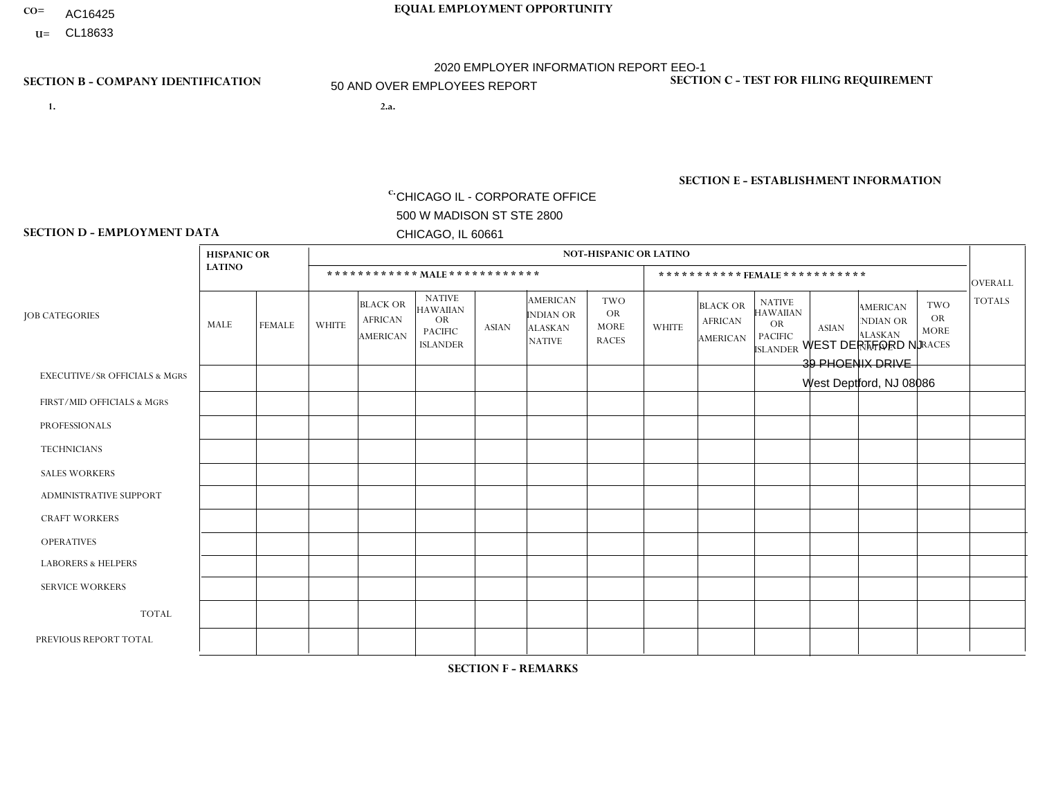- AC16425
- **U=**

- **1. 2.a.** CHICAGO IL CORPORATE OFFICE 500 W MADISON ST STE 2800 CHICAGO, IL 60661
- 2.a. WEST DEPTFORD NJ 39 PHOENIX DRIVE West Deptford, NJ 08086

c. EIN= 952920557

# **SECTION B - COMPANY IDENTIFICATION SECTION C - TEST FOR FILING REQUIREMENT**

1- Y 2- Y 3- N DUNS= 000123456

**SECTION E - ESTABLISHMENT INFORMATION c.** NAICS: 423140

### **SECTION D - EMPLOYMENT DATA**

|                                          | <b>HISPANIC OR</b> |               |              |                                                      |                                                                                    |              |                                                                 | <b>NOT-HISPANIC OR LATINO</b>                          |                |                                                      |                                                                             |                |                                                                |                                                        |                      |
|------------------------------------------|--------------------|---------------|--------------|------------------------------------------------------|------------------------------------------------------------------------------------|--------------|-----------------------------------------------------------------|--------------------------------------------------------|----------------|------------------------------------------------------|-----------------------------------------------------------------------------|----------------|----------------------------------------------------------------|--------------------------------------------------------|----------------------|
|                                          | <b>LATINO</b>      |               |              | ************ MALE ************                       |                                                                                    |              |                                                                 |                                                        |                |                                                      | ***********FEMALE***********                                                |                |                                                                |                                                        | <b>OVERALL</b>       |
| <b>JOB CATEGORIES</b>                    | <b>MALE</b>        | <b>FEMALE</b> | <b>WHITE</b> | <b>BLACK OR</b><br><b>AFRICAN</b><br><b>AMERICAN</b> | <b>NATIVE</b><br><b>HAWAIIAN</b><br><b>OR</b><br><b>PACIFIC</b><br><b>ISLANDER</b> | <b>ASIAN</b> | <b>AMERICAN</b><br>INDIAN OR<br><b>ALASKAN</b><br><b>NATIVE</b> | <b>TWO</b><br><b>OR</b><br><b>MORE</b><br><b>RACES</b> | <b>WHITE</b>   | <b>BLACK OR</b><br><b>AFRICAN</b><br><b>AMERICAN</b> | <b>NATIVE</b><br><b>HAWAIIAN</b><br>OR<br><b>PACIFIC</b><br><b>ISLANDER</b> | <b>ASIAN</b>   | <b>AMERICAN</b><br>NDIAN OR<br><b>ALASKAN</b><br><b>NATIVE</b> | <b>TWO</b><br><b>OR</b><br><b>MORE</b><br><b>RACES</b> | <b>TOTALS</b>        |
| <b>EXECUTIVE/SR OFFICIALS &amp; MGRS</b> | $\Omega$           | $\Omega$      | $\Omega$     | $\Omega$                                             | 0                                                                                  | $\Omega$     | $\Omega$                                                        | $\Omega$                                               | 0              | $\Omega$                                             | $\Omega$                                                                    | $\Omega$       | $\Omega$                                                       | $\Omega$                                               | $\Omega$             |
| FIRST/MID OFFICIALS & MGRS               | 2                  | $\Omega$      | 5            | $\overline{ }$                                       | 0                                                                                  | $\mathbf{0}$ | $\Omega$                                                        | $\Omega$                                               | 1              | $\Omega$                                             | 0                                                                           | $\mathbf 0$    | $\Omega$                                                       | $\mathbf 0$                                            | 9                    |
| <b>PROFESSIONALS</b>                     |                    | $\Omega$      | $\Omega$     | $\mathbf 0$                                          | $\Omega$                                                                           | $\Omega$     | $\Omega$                                                        | $\Omega$                                               | 0              | $\Omega$                                             | 0                                                                           | $\Omega$       | $\Omega$                                                       | $\mathbf 0$                                            | $\mathbf{1}$         |
| <b>TECHNICIANS</b>                       | $\mathbf 0$        | $\mathbf 0$   | $\Omega$     | $\mathbf 0$                                          | $\mathbf 0$                                                                        | $\Omega$     | $\Omega$                                                        | $\Omega$                                               | 0              | $\mathbf 0$                                          | 0                                                                           | $\mathbf 0$    | $\Omega$                                                       | $\mathbf 0$                                            | $\mathbf{0}$         |
| <b>SALES WORKERS</b>                     | 4                  | $\mathbf{1}$  | 6            | $\Omega$                                             | $\Omega$                                                                           | $\Omega$     | $\Omega$                                                        | $\Omega$                                               | $\mathbf 1$    | $\Omega$                                             | $\Omega$                                                                    | $\Omega$       | $\Omega$                                                       | $\Omega$                                               | 12                   |
| <b>ADMINISTRATIVE SUPPORT</b>            | $\Omega$           | $\Omega$      | $\Omega$     | $\mathbf 0$                                          | $\Omega$                                                                           | $\Omega$     | $\Omega$                                                        | $\Omega$                                               | 1              | $\Omega$                                             | 0                                                                           | $\Omega$       | $\Omega$                                                       | $\Omega$                                               | $\blacktriangleleft$ |
| <b>CRAFT WORKERS</b>                     | $\Omega$           | $\Omega$      | $\mathbf{0}$ | $\mathbf 0$                                          | $\mathbf 0$                                                                        | $\Omega$     | $\Omega$                                                        | $\Omega$                                               | 0              | $\Omega$                                             | 0                                                                           | $\mathbf 0$    | $\Omega$                                                       | $\mathbf 0$                                            | $\Omega$             |
| <b>OPERATIVES</b>                        | 9                  | $\Omega$      | 15           | 10                                                   | $\Omega$                                                                           | $\Omega$     | $\Omega$                                                        | 1                                                      | $\Omega$       | $\Omega$                                             | $\Omega$                                                                    | $\Omega$       | $\Omega$                                                       | $\Omega$                                               | 35                   |
| <b>LABORERS &amp; HELPERS</b>            | $\overline{7}$     | $\Omega$      | 6            | 3                                                    | $\mathbf 0$                                                                        | $\Omega$     | $\Omega$                                                        | $\overline{2}$                                         | 1              | $\Omega$                                             | 0                                                                           | $\mathbf 0$    | $\Omega$                                                       | $\Omega$                                               | 19                   |
| <b>SERVICE WORKERS</b>                   | $\Omega$           | 0             | $\mathbf 0$  | $\mathbf 0$                                          | $\mathbf 0$                                                                        | $\Omega$     | $\Omega$                                                        | $\Omega$                                               | 0              | $\Omega$                                             | $\Omega$                                                                    | 0              | $\Omega$                                                       | $\mathbf 0$                                            | $\mathbf 0$          |
| <b>TOTAL</b>                             | 23                 | $\mathbf{1}$  | 32           | 14                                                   | $\mathbf 0$                                                                        | 0            | $\Omega$                                                        | 3                                                      | $\overline{4}$ | $\mathbf 0$                                          | 0                                                                           | $\mathbf 0$    | $\Omega$                                                       | $\mathbf 0$                                            | 77                   |
| PREVIOUS REPORT TOTAL                    | 22                 | 3             | 47           | 13                                                   | $\Omega$                                                                           | $\Omega$     | $\Omega$                                                        | 4                                                      | 5              | $\overline{1}$                                       | 0                                                                           | $\overline{2}$ | $\Omega$                                                       | $\mathbf 0$                                            | 97                   |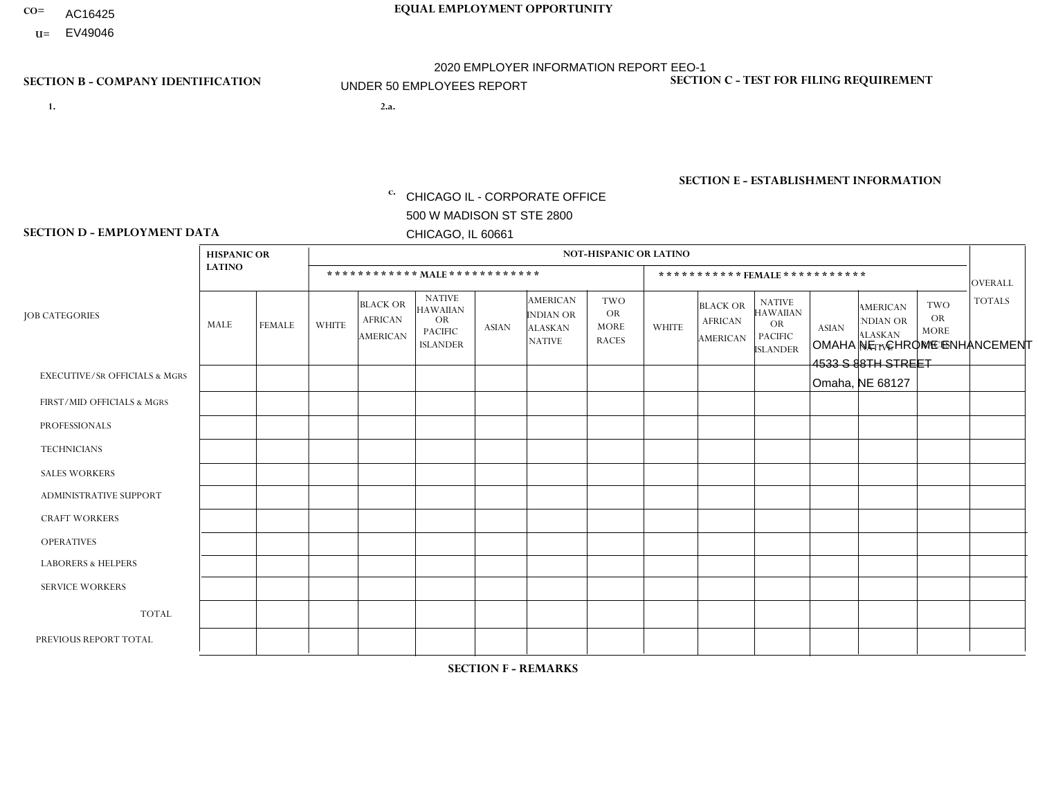- **CO= EQUAL EMPLOYMENT OPPORTUNITY** AC16425
	- **U=** EV49046

# 2020 EMPLOYER INFORMATION REPORT EEO-1 UNDER 50 EMPLOYEES REPORT

- **1. 2.a.** CHICAGO IL CORPORATE OFFICE 500 W MADISON ST STE 2800 CHICAGO, IL 60661
- 2.a. OMAHA NE CHROME ENHANCEMENT 4533 S 88TH STREET Omaha, NE 68127

**SECTION B - COMPANY IDENTIFICATION SECTION C - TEST FOR FILING REQUIREMENT** 

1- Y 2- Y 3- N DUNS= 000123456

c. EIN= 952920557

## **SECTION E - ESTABLISHMENT INFORMATION c.** NAICS: 423140

### **SECTION D - EMPLOYMENT DATA**

|                                          | <b>HISPANIC OR</b> |               |                |                                                      |                                                                             |              |                                                                        | <b>NOT-HISPANIC OR LATINO</b>                          |                      |                                               |                                                                                    |              |                                                                       |                                                        |                |
|------------------------------------------|--------------------|---------------|----------------|------------------------------------------------------|-----------------------------------------------------------------------------|--------------|------------------------------------------------------------------------|--------------------------------------------------------|----------------------|-----------------------------------------------|------------------------------------------------------------------------------------|--------------|-----------------------------------------------------------------------|--------------------------------------------------------|----------------|
|                                          | <b>LATINO</b>      |               |                |                                                      | ************ MALE ************                                              |              |                                                                        |                                                        |                      |                                               | *********** FEMALE ***********                                                     |              |                                                                       |                                                        | <b>OVERALL</b> |
| <b>JOB CATEGORIES</b>                    | MALE               | <b>FEMALE</b> | <b>WHITE</b>   | <b>BLACK OR</b><br><b>AFRICAN</b><br><b>AMERICAN</b> | <b>NATIVE</b><br><b>HAWAIIAN</b><br>OR<br><b>PACIFIC</b><br><b>ISLANDER</b> | <b>ASIAN</b> | <b>AMERICAN</b><br><b>INDIAN OR</b><br><b>ALASKAN</b><br><b>NATIVE</b> | <b>TWO</b><br><b>OR</b><br><b>MORE</b><br><b>RACES</b> | <b>WHITE</b>         | <b>BLACK OR</b><br><b>AFRICAN</b><br>AMERICAN | <b>NATIVE</b><br><b>HAWAIIAN</b><br><b>OR</b><br><b>PACIFIC</b><br><b>ISLANDER</b> | <b>ASIAN</b> | <b>AMERICAN</b><br><b>NDIAN OR</b><br><b>ALASKAN</b><br><b>NATIVE</b> | <b>TWO</b><br><b>OR</b><br><b>MORE</b><br><b>RACES</b> | <b>TOTALS</b>  |
| <b>EXECUTIVE/SR OFFICIALS &amp; MGRS</b> | $\Omega$           | $\mathbf 0$   | $\mathbf 0$    | 0                                                    | $\Omega$                                                                    | $\Omega$     | $\Omega$                                                               | 0                                                      | $\Omega$             | $\Omega$                                      | 0                                                                                  | $\mathbf 0$  | $\Omega$                                                              | $\Omega$                                               | $\mathbf 0$    |
| FIRST/MID OFFICIALS & MGRS               | $\Omega$           | $\mathbf 0$   | 5              | 0                                                    | $\Omega$                                                                    | $\mathbf{0}$ | $\Omega$                                                               | 0                                                      | $\Omega$             | $\mathbf{0}$                                  | 0                                                                                  | $\Omega$     | $\Omega$                                                              | $\Omega$                                               | 5              |
| <b>PROFESSIONALS</b>                     | $\Omega$           | $\mathbf 0$   | $\mathbf 0$    | $\mathbf{0}$                                         | $\Omega$                                                                    | $\Omega$     | $\Omega$                                                               | 0                                                      | $\Omega$             | $\Omega$                                      | 0                                                                                  | $\Omega$     | $\Omega$                                                              | $\Omega$                                               | $\mathbf 0$    |
| <b>TECHNICIANS</b>                       | 0                  | 0             | $\mathbf 0$    | $\mathbf 0$                                          | $\Omega$                                                                    | $\Omega$     | $\Omega$                                                               | $\Omega$                                               | $\Omega$             | $\Omega$                                      | 0                                                                                  | $\mathbf 0$  | $\Omega$                                                              | $\Omega$                                               | 0              |
| <b>SALES WORKERS</b>                     | $\Omega$           | $\mathbf 0$   | $\overline{c}$ | $\Omega$                                             | $\Omega$                                                                    | $\Omega$     | $\Omega$                                                               | $\Omega$                                               | $\Omega$             | $\Omega$                                      | $\Omega$                                                                           | $\Omega$     | $\Omega$                                                              | $\Omega$                                               | 2              |
| ADMINISTRATIVE SUPPORT                   | $\mathbf{0}$       | $\mathbf 0$   | $\mathbf 0$    | $\mathbf 0$                                          | $\mathbf 0$                                                                 | $\Omega$     | $\Omega$                                                               | $\Omega$                                               | $\blacktriangleleft$ | $\mathbf{0}$                                  | 0                                                                                  | $\Omega$     | $\mathbf{0}$                                                          | $\Omega$                                               | $\mathbf{1}$   |
| <b>CRAFT WORKERS</b>                     | $\Omega$           | $\Omega$      | $\mathbf 0$    | $\Omega$                                             | $\Omega$                                                                    | $\Omega$     | $\Omega$                                                               | 0                                                      | $\Omega$             | $\mathbf{0}$                                  | 0                                                                                  | $\Omega$     | $\Omega$                                                              | $\Omega$                                               | $\mathbf 0$    |
| <b>OPERATIVES</b>                        | $\Omega$           | 0             | $\mathbf 0$    | $\mathbf 0$                                          | $\Omega$                                                                    | $\Omega$     | $\Omega$                                                               | 0                                                      | $\Omega$             | $\Omega$                                      | $\Omega$                                                                           | $\Omega$     | $\Omega$                                                              | $\Omega$                                               | $\mathbf 0$    |
| <b>LABORERS &amp; HELPERS</b>            | $\Omega$           | 0             | $\mathbf 0$    | 0                                                    | $\Omega$                                                                    | $\Omega$     | $\Omega$                                                               | 0                                                      | $\Omega$             | $\Omega$                                      | 0                                                                                  | $\Omega$     | $\Omega$                                                              | $\Omega$                                               | $\mathbf 0$    |
| <b>SERVICE WORKERS</b>                   | $\Omega$           | 0             | $\mathbf 0$    | $\mathbf 0$                                          | $\mathbf 0$                                                                 | $\mathbf{0}$ | $\Omega$                                                               | 0                                                      | $\Omega$             | $\Omega$                                      | 0                                                                                  | 0            | $\Omega$                                                              | $\Omega$                                               | $\mathbf 0$    |
| <b>TOTAL</b>                             | $\mathbf 0$        | 0             | $\overline{7}$ | 0                                                    | $\mathbf 0$                                                                 | $\Omega$     | $\Omega$                                                               | 0                                                      | $\mathbf{1}$         | $\mathbf{0}$                                  | $\Omega$                                                                           | 0            | $\Omega$                                                              | $\Omega$                                               | 8              |
| PREVIOUS REPORT TOTAL                    | $\Omega$           | $\mathbf 0$   | 8              | $\Omega$                                             | $\Omega$                                                                    | $\Omega$     | $\Omega$                                                               | 0                                                      | 2                    | $\mathbf{0}$                                  | 0                                                                                  | $\Omega$     | $\Omega$                                                              | $\Omega$                                               | 10             |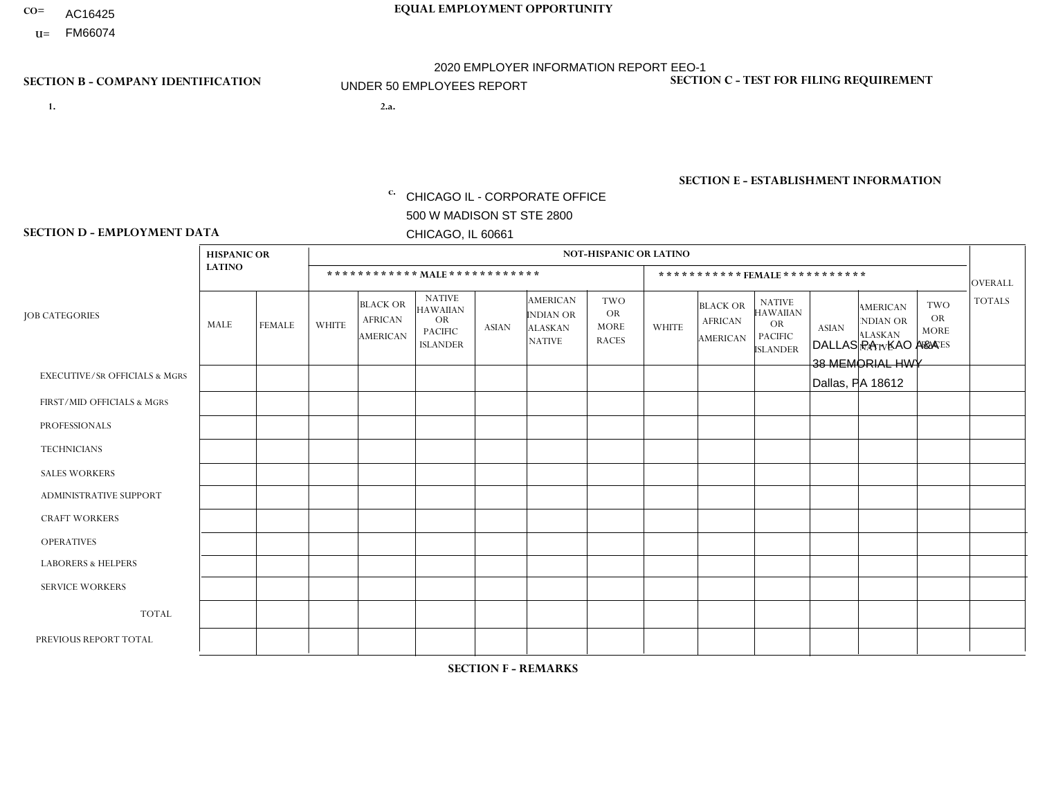- AC16425
- **U=**

**1. 2.a.** CHICAGO IL - CORPORATE OFFICE 500 W MADISON ST STE 2800 CHICAGO, IL 60661

DALLAS PA - KAO A&A 38 MEMORIAL HWY Dallas, PA 18612

EIN= 952920557

# **SECTION B - COMPANY IDENTIFICATION SECTION C - TEST FOR FILING REQUIREMENT**

1- Y 2- Y 3- N DUNS= 000123456

**SECTION E - ESTABLISHMENT INFORMATION c.** NAICS: 423140

### **SECTION D - EMPLOYMENT DATA**

|                                          | <b>HISPANIC OR</b> |               |                |                                                      |                                                                                    |              |                                                                        | <b>NOT-HISPANIC OR LATINO</b>                          |                |                                               |                                                                                    |              |                                                                       |                                                        |                |
|------------------------------------------|--------------------|---------------|----------------|------------------------------------------------------|------------------------------------------------------------------------------------|--------------|------------------------------------------------------------------------|--------------------------------------------------------|----------------|-----------------------------------------------|------------------------------------------------------------------------------------|--------------|-----------------------------------------------------------------------|--------------------------------------------------------|----------------|
|                                          | <b>LATINO</b>      |               |                | ************ MALE ************                       |                                                                                    |              |                                                                        |                                                        |                | ***********FEMALE***********                  |                                                                                    |              |                                                                       |                                                        | <b>OVERALL</b> |
| <b>JOB CATEGORIES</b>                    | MALE               | <b>FEMALE</b> | <b>WHITE</b>   | <b>BLACK OR</b><br><b>AFRICAN</b><br><b>AMERICAN</b> | <b>NATIVE</b><br><b>HAWAIIAN</b><br><b>OR</b><br><b>PACIFIC</b><br><b>ISLANDER</b> | ASIAN        | <b>AMERICAN</b><br><b>INDIAN OR</b><br><b>ALASKAN</b><br><b>NATIVE</b> | <b>TWO</b><br><b>OR</b><br><b>MORE</b><br><b>RACES</b> | <b>WHITE</b>   | <b>BLACK OR</b><br><b>AFRICAN</b><br>AMERICAN | <b>NATIVE</b><br><b>HAWAIIAN</b><br><b>OR</b><br><b>PACIFIC</b><br><b>ISLANDER</b> | <b>ASIAN</b> | <b>AMERICAN</b><br><b>NDIAN OR</b><br><b>ALASKAN</b><br><b>NATIVE</b> | <b>TWO</b><br><b>OR</b><br><b>MORE</b><br><b>RACES</b> | <b>TOTALS</b>  |
| <b>EXECUTIVE/SR OFFICIALS &amp; MGRS</b> | $\Omega$           | $\Omega$      | $\Omega$       | $\mathbf 0$                                          | $\Omega$                                                                           | $\mathbf{0}$ | $\Omega$                                                               | $\Omega$                                               | 0              | $\Omega$                                      | $\Omega$                                                                           | $\Omega$     | $\Omega$                                                              | $\Omega$                                               | $\mathbf{0}$   |
| FIRST/MID OFFICIALS & MGRS               | 0                  | $\Omega$      |                | $\mathbf 0$                                          | $\Omega$                                                                           | $\Omega$     | $\Omega$                                                               | $\Omega$                                               | 0              | $\Omega$                                      | $\Omega$                                                                           | $\Omega$     | $\Omega$                                                              | $\Omega$                                               | $\mathbf{1}$   |
| <b>PROFESSIONALS</b>                     | 0                  | $\mathbf 0$   | $\mathbf 0$    | $\mathbf 0$                                          | $\Omega$                                                                           | $\Omega$     | $\Omega$                                                               | $\Omega$                                               | 0              | $\Omega$                                      | $\Omega$                                                                           | $\Omega$     | $\Omega$                                                              | $\Omega$                                               | $\mathbf{0}$   |
| <b>TECHNICIANS</b>                       | 0                  | $\Omega$      | $\Omega$       | $\mathbf 0$                                          | $\Omega$                                                                           | $\Omega$     | $\Omega$                                                               | $\Omega$                                               | $\Omega$       | $\Omega$                                      | $\Omega$                                                                           | $\Omega$     | $\Omega$                                                              | $\Omega$                                               | $\mathbf{0}$   |
| <b>SALES WORKERS</b>                     | 0                  | $\Omega$      | 6              | $\Omega$                                             | $\Omega$                                                                           | $\Omega$     | $\Omega$                                                               | $\Omega$                                               | 0              | $\Omega$                                      | $\Omega$                                                                           | $\Omega$     | $\Omega$                                                              | $\Omega$                                               | 6              |
| <b>ADMINISTRATIVE SUPPORT</b>            | 0                  | 0             | $\Omega$       | $\mathbf 0$                                          | 0                                                                                  | $\Omega$     | $\Omega$                                                               | $\Omega$                                               | $\Omega$       | $\Omega$                                      | $\Omega$                                                                           | $\mathbf{0}$ | $\mathbf{0}$                                                          | $\mathbf 0$                                            | $\mathbf 0$    |
| <b>CRAFT WORKERS</b>                     | 0                  | $\Omega$      | $\Omega$       | $\mathbf 0$                                          | $\Omega$                                                                           | $\Omega$     | $\Omega$                                                               | $\Omega$                                               | 0              | $\Omega$                                      | $\Omega$                                                                           | $\Omega$     | $\Omega$                                                              | $\Omega$                                               | $\mathbf 0$    |
| <b>OPERATIVES</b>                        | 0                  | $\Omega$      | $\Omega$       | $\mathbf 0$                                          | $\Omega$                                                                           | $\Omega$     | $\Omega$                                                               | $\Omega$                                               |                | $\Omega$                                      | $\Omega$                                                                           | $\Omega$     | $\Omega$                                                              | $\Omega$                                               | $\mathbf{1}$   |
| <b>LABORERS &amp; HELPERS</b>            | 0                  | $\Omega$      | $\Omega$       | $\mathbf 0$                                          | $\Omega$                                                                           | $\Omega$     | $\Omega$                                                               | $\Omega$                                               | $\Omega$       | $\Omega$                                      | $\Omega$                                                                           | $\Omega$     | $\Omega$                                                              | $\Omega$                                               | $\mathbf 0$    |
| <b>SERVICE WORKERS</b>                   | 0                  | $\Omega$      | $\mathbf 0$    | 0                                                    | 0                                                                                  | $\Omega$     | $\Omega$                                                               | $\Omega$                                               | $\Omega$       | $\Omega$                                      | $\Omega$                                                                           | $\Omega$     | $\Omega$                                                              | $\Omega$                                               | $\overline{0}$ |
| <b>TOTAL</b>                             | $\mathbf 0$        | 0             | $\overline{7}$ | 0                                                    | 0                                                                                  | $\mathbf 0$  | $\Omega$                                                               | $\Omega$                                               |                | 0                                             | $\Omega$                                                                           | $\mathbf 0$  | 0                                                                     | $\mathbf 0$                                            | 8              |
| PREVIOUS REPORT TOTAL                    | 0                  | $\Omega$      | 6              | $\mathbf 0$                                          | $\Omega$                                                                           | $\mathbf{0}$ | $\Omega$                                                               | $\Omega$                                               | $\overline{2}$ | $\Omega$                                      | $\Omega$                                                                           | $\Omega$     | $\Omega$                                                              | $\mathbf 0$                                            | 8              |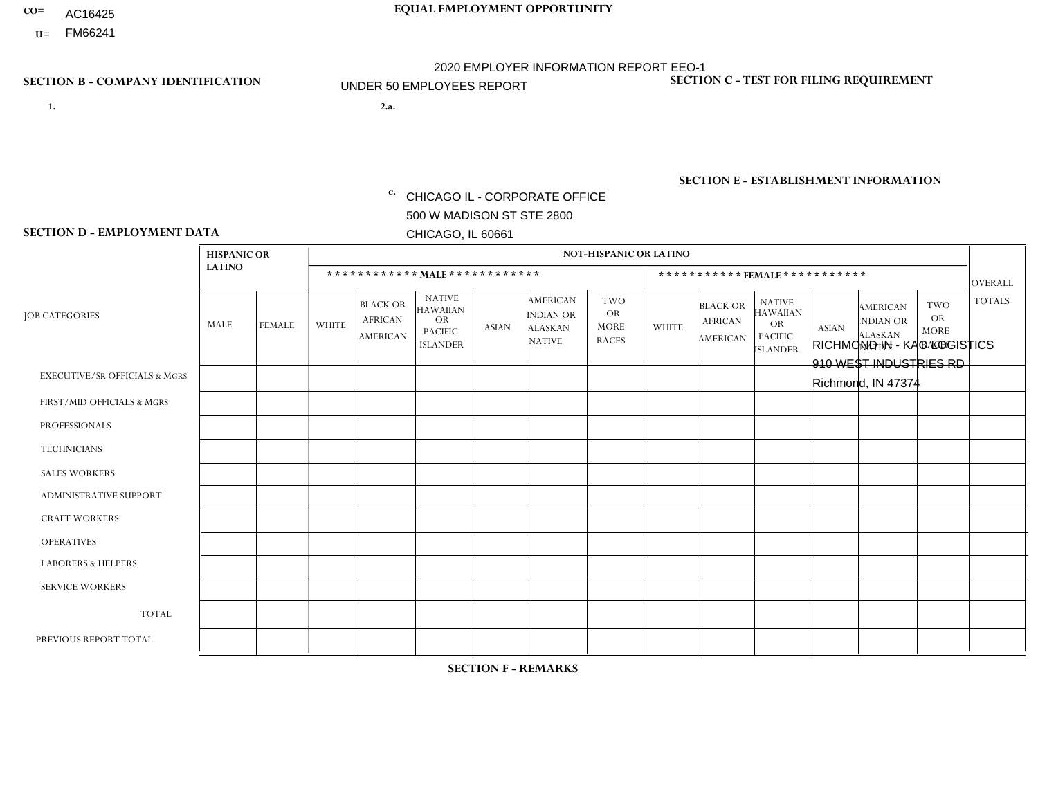- AC16425
- **U=**

- **1. 2.a.** CHICAGO IL CORPORATE OFFICE 500 W MADISON ST STE 2800 CHICAGO, IL 60661
- 2.a. RICHMOND IN KAO LOGISTICS 910 WEST INDUSTRIES RD Richmond, IN 47374

c. EIN= 952920557

# **SECTION B - COMPANY IDENTIFICATION SECTION C - TEST FOR FILING REQUIREMENT**

1- Y 2- Y 3- N DUNS= 000123456

**SECTION E - ESTABLISHMENT INFORMATION c.** NAICS: 423140

### **SECTION D - EMPLOYMENT DATA**

|                                          | <b>HISPANIC OR</b> |               |              |                                                      |                                                                                    |                      |                                                                        | <b>NOT-HISPANIC OR LATINO</b>                          |              |                                               |                                                                                    |              |                                                                       |                                                        |                |
|------------------------------------------|--------------------|---------------|--------------|------------------------------------------------------|------------------------------------------------------------------------------------|----------------------|------------------------------------------------------------------------|--------------------------------------------------------|--------------|-----------------------------------------------|------------------------------------------------------------------------------------|--------------|-----------------------------------------------------------------------|--------------------------------------------------------|----------------|
|                                          | <b>LATINO</b>      |               |              | ************ MALE ************                       |                                                                                    |                      |                                                                        |                                                        |              |                                               | ***********FEMALE***********                                                       |              |                                                                       |                                                        | <b>OVERALL</b> |
| <b>JOB CATEGORIES</b>                    | <b>MALE</b>        | <b>FEMALE</b> | <b>WHITE</b> | <b>BLACK OR</b><br><b>AFRICAN</b><br><b>AMERICAN</b> | <b>NATIVE</b><br><b>HAWAIIAN</b><br><b>OR</b><br><b>PACIFIC</b><br><b>ISLANDER</b> | <b>ASIAN</b>         | <b>AMERICAN</b><br><b>INDIAN OR</b><br><b>ALASKAN</b><br><b>NATIVE</b> | <b>TWO</b><br><b>OR</b><br><b>MORE</b><br><b>RACES</b> | <b>WHITE</b> | <b>BLACK OR</b><br><b>AFRICAN</b><br>AMERICAN | <b>NATIVE</b><br><b>HAWAIIAN</b><br><b>OR</b><br><b>PACIFIC</b><br><b>ISLANDER</b> | <b>ASIAN</b> | <b>AMERICAN</b><br><b>NDIAN OR</b><br><b>ALASKAN</b><br><b>NATIVE</b> | <b>TWO</b><br><b>OR</b><br><b>MORE</b><br><b>RACES</b> | <b>TOTALS</b>  |
| <b>EXECUTIVE/SR OFFICIALS &amp; MGRS</b> | $\Omega$           | $\mathbf 0$   | $\Omega$     | $\mathbf 0$                                          | $\mathbf 0$                                                                        | $\mathbf 0$          | $\Omega$                                                               | $\Omega$                                               | $\Omega$     | $\Omega$                                      | $\Omega$                                                                           | $\Omega$     | $\Omega$                                                              | $\Omega$                                               | $\mathbf 0$    |
| FIRST/MID OFFICIALS & MGRS               | $\Omega$           | $\mathbf 0$   | 2            | $\mathbf 0$                                          | $\mathbf{0}$                                                                       | $\mathbf 0$          | $\Omega$                                                               | $\Omega$                                               | $\Omega$     | $\Omega$                                      | $\Omega$                                                                           | $\Omega$     | $\Omega$                                                              | $\Omega$                                               | $\overline{2}$ |
| <b>PROFESSIONALS</b>                     | $\Omega$           | $\Omega$      | 1            | $\mathbf 0$                                          | $\Omega$                                                                           | $\Omega$             | $\Omega$                                                               | $\Omega$                                               | $\Omega$     | $\Omega$                                      | $\Omega$                                                                           | $\Omega$     | $\Omega$                                                              | $\mathbf{0}$                                           | $\mathbf{1}$   |
| <b>TECHNICIANS</b>                       | $\Omega$           | $\mathbf 0$   | $\Omega$     | $\mathbf 0$                                          | $\mathbf{0}$                                                                       | $\Omega$             | $\overline{0}$                                                         | $\Omega$                                               | $\mathbf{0}$ | $\Omega$                                      | $\Omega$                                                                           | $\Omega$     | $\Omega$                                                              | $\Omega$                                               | $\mathbf 0$    |
| <b>SALES WORKERS</b>                     | $\Omega$           | $\Omega$      | $\Omega$     | $\mathbf 0$                                          | 0                                                                                  | $\Omega$             | $\Omega$                                                               | $\Omega$                                               | $\Omega$     | $\Omega$                                      | $\Omega$                                                                           | $\Omega$     | $\Omega$                                                              | $\mathbf{0}$                                           | $\mathbf 0$    |
| <b>ADMINISTRATIVE SUPPORT</b>            | $\Omega$           | $\mathbf 0$   | 0            | $\mathbf 0$                                          | $\mathbf{0}$                                                                       | $\mathbf 0$          | $\Omega$                                                               | $\Omega$                                               | 0            | $\Omega$                                      | $\Omega$                                                                           | $\Omega$     | $\Omega$                                                              | $\mathbf 0$                                            | $\mathbf 0$    |
| <b>CRAFT WORKERS</b>                     | $\Omega$           | $\Omega$      | $\Omega$     | $\mathbf 0$                                          | 0                                                                                  | $\Omega$             | $\Omega$                                                               | $\Omega$                                               | $\Omega$     | $\Omega$                                      | $\mathbf{0}$                                                                       | $\Omega$     | $\Omega$                                                              | $\Omega$                                               | $\Omega$       |
| <b>OPERATIVES</b>                        | $\Omega$           | $\Omega$      | 30           | $\mathbf 0$                                          | $\mathbf{0}$                                                                       | $\mathbf{1}$         | $\Omega$                                                               | $\Omega$                                               | $\Omega$     | $\Omega$                                      | $\Omega$                                                                           | $\Omega$     | $\Omega$                                                              | $\Omega$                                               | 31             |
| <b>LABORERS &amp; HELPERS</b>            | 0                  | $\Omega$      | $\mathbf 0$  | $\mathbf 0$                                          | 0                                                                                  | $\Omega$             | $\Omega$                                                               | $\Omega$                                               | $\Omega$     | $\Omega$                                      | $\Omega$                                                                           | $\Omega$     | $\Omega$                                                              | $\mathbf{0}$                                           | 0              |
| <b>SERVICE WORKERS</b>                   | $\Omega$           | $\mathbf 0$   | 0            | $\mathbf 0$                                          | $\mathbf 0$                                                                        | $\mathbf 0$          | $\Omega$                                                               | $\Omega$                                               | $\Omega$     | $\Omega$                                      | $\Omega$                                                                           | $\mathbf 0$  | $\Omega$                                                              | $\mathbf 0$                                            | 0              |
| <b>TOTAL</b>                             | $\Omega$           | $\mathbf 0$   | 33           | 0                                                    | 0                                                                                  | $\mathbf{1}$         | $\Omega$                                                               | $\Omega$                                               | $\Omega$     | $\Omega$                                      | $\Omega$                                                                           | $\mathbf 0$  | $\Omega$                                                              | $\Omega$                                               | 34             |
| PREVIOUS REPORT TOTAL                    | $\Omega$           | $\Omega$      | 32           | $\mathbf 0$                                          | $\mathbf{0}$                                                                       | $\blacktriangleleft$ | $\Omega$                                                               | $\Omega$                                               | $\Omega$     | $\Omega$                                      | $\mathbf{0}$                                                                       | $\Omega$     | $\Omega$                                                              | $\Omega$                                               | 33             |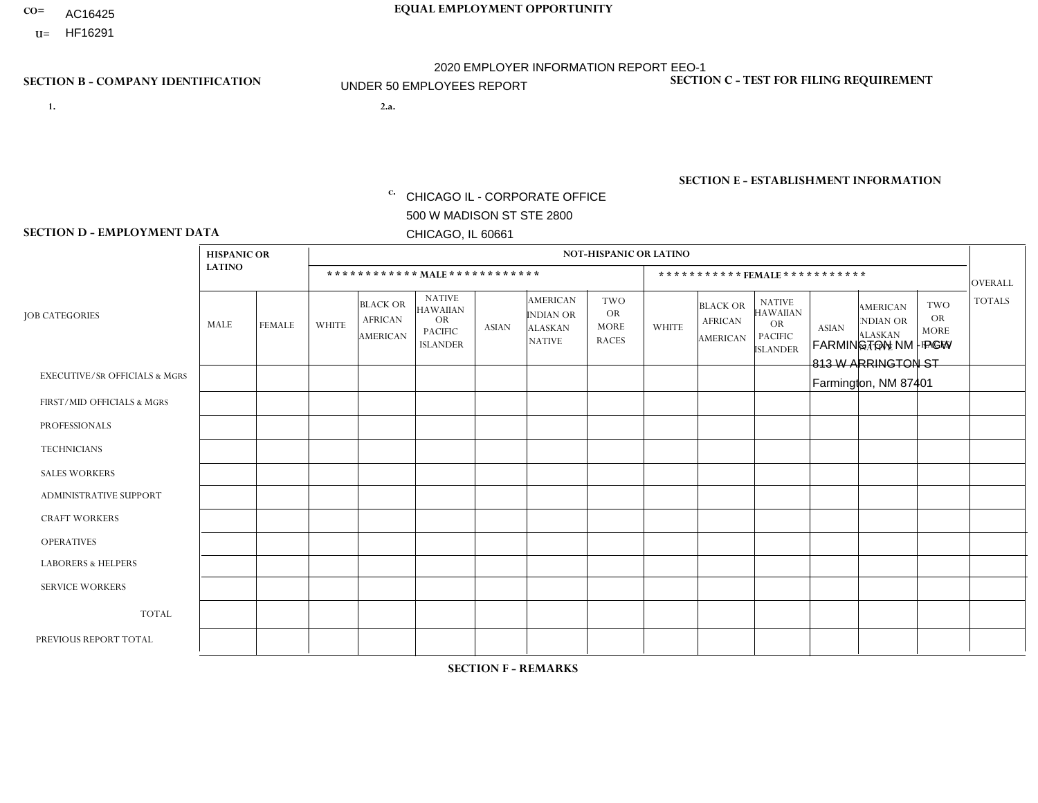- AC16425
- **U=**

**1. 2.a.** CHICAGO IL - CORPORATE OFFICE 500 W MADISON ST STE 2800 CHICAGO, IL 60661

FARMINGTON NM - PGW 813 W ARRINGTON ST Farmington, NM 87401

c. EIN= 952920557

# **SECTION B - COMPANY IDENTIFICATION SECTION C - TEST FOR FILING REQUIREMENT**

1- Y 2- Y 3- N DUNS= 000123456

**SECTION E - ESTABLISHMENT INFORMATION c.** NAICS: 811122

### **SECTION D - EMPLOYMENT DATA**

|                                          | <b>HISPANIC OR</b> |               |                |                                                      |                                                                                    |              |                                                                        | <b>NOT-HISPANIC OR LATINO</b>                          |              |                                                      |                                                                                    |              |                                                                       |                                                        |                |
|------------------------------------------|--------------------|---------------|----------------|------------------------------------------------------|------------------------------------------------------------------------------------|--------------|------------------------------------------------------------------------|--------------------------------------------------------|--------------|------------------------------------------------------|------------------------------------------------------------------------------------|--------------|-----------------------------------------------------------------------|--------------------------------------------------------|----------------|
|                                          | <b>LATINO</b>      |               |                | ************ MALE ************                       |                                                                                    |              |                                                                        |                                                        |              |                                                      | ***********FEMALE***********                                                       |              |                                                                       |                                                        | <b>OVERALL</b> |
| <b>JOB CATEGORIES</b>                    | <b>MALE</b>        | <b>FEMALE</b> | <b>WHITE</b>   | <b>BLACK OR</b><br><b>AFRICAN</b><br><b>AMERICAN</b> | <b>NATIVE</b><br><b>HAWAIIAN</b><br><b>OR</b><br><b>PACIFIC</b><br><b>ISLANDER</b> | <b>ASIAN</b> | <b>AMERICAN</b><br><b>INDIAN OR</b><br><b>ALASKAN</b><br><b>NATIVE</b> | <b>TWO</b><br><b>OR</b><br><b>MORE</b><br><b>RACES</b> | <b>WHITE</b> | <b>BLACK OR</b><br><b>AFRICAN</b><br><b>AMERICAN</b> | <b>NATIVE</b><br><b>HAWAIIAN</b><br><b>OR</b><br><b>PACIFIC</b><br><b>ISLANDER</b> | <b>ASIAN</b> | <b>AMERICAN</b><br><b>NDIAN OR</b><br><b>ALASKAN</b><br><b>NATIVE</b> | <b>TWO</b><br><b>OR</b><br><b>MORE</b><br><b>RACES</b> | <b>TOTALS</b>  |
| <b>EXECUTIVE/SR OFFICIALS &amp; MGRS</b> | $\mathbf{0}$       | $\Omega$      | $\Omega$       | $\Omega$                                             | 0                                                                                  | $\Omega$     | $\Omega$                                                               | $\Omega$                                               | $\Omega$     | $\mathbf{0}$                                         | $\Omega$                                                                           | $\Omega$     | $\Omega$                                                              | $\Omega$                                               | $\Omega$       |
| FIRST/MID OFFICIALS & MGRS               | $\Omega$           | $\Omega$      | 1              | $\Omega$                                             | $\mathbf{0}$                                                                       | $\Omega$     | $\Omega$                                                               | $\Omega$                                               | $\Omega$     | $\Omega$                                             | $\Omega$                                                                           | $\Omega$     | $\Omega$                                                              | $\Omega$                                               | $\mathbf{1}$   |
| <b>PROFESSIONALS</b>                     | $\Omega$           | $\Omega$      | $\mathbf 0$    | $\mathbf 0$                                          | $\overline{0}$                                                                     | $\Omega$     | $\Omega$                                                               | $\Omega$                                               | $\Omega$     | $\Omega$                                             | $\Omega$                                                                           | $\Omega$     | $\Omega$                                                              | $\Omega$                                               | $\mathbf 0$    |
| <b>TECHNICIANS</b>                       | $\Omega$           | $\Omega$      | $\Omega$       | $\Omega$                                             | 0                                                                                  | $\Omega$     | $\overline{0}$                                                         | $\Omega$                                               | $\Omega$     | $\Omega$                                             | $\Omega$                                                                           | $\Omega$     | $\mathbf{0}$                                                          | $\Omega$                                               | $\mathbf 0$    |
| <b>SALES WORKERS</b>                     | $\Omega$           | $\Omega$      | $\Omega$       | $\Omega$                                             | $\Omega$                                                                           | $\Omega$     | $\Omega$                                                               | $\Omega$                                               | $\Omega$     | $\Omega$                                             | $\Omega$                                                                           | $\Omega$     | $\Omega$                                                              | $\Omega$                                               | $\mathbf 0$    |
| <b>ADMINISTRATIVE SUPPORT</b>            | $\Omega$           | $\mathbf 0$   | $\Omega$       | $\mathbf 0$                                          | $\mathbf 0$                                                                        | $\Omega$     | $\Omega$                                                               | $\Omega$                                               | $\Omega$     | $\Omega$                                             | $\Omega$                                                                           | $\Omega$     | $\Omega$                                                              | $\Omega$                                               | $\mathbf 0$    |
| <b>CRAFT WORKERS</b>                     | $\Omega$           | $\Omega$      | $\Omega$       | 0                                                    | 0                                                                                  | $\Omega$     | $\Omega$                                                               | $\Omega$                                               | $\Omega$     | $\Omega$                                             | $\Omega$                                                                           | $\Omega$     | $\Omega$                                                              | $\Omega$                                               | $\Omega$       |
| <b>OPERATIVES</b>                        | $\Omega$           | $\Omega$      | $\overline{c}$ | $\mathbf 0$                                          | 0                                                                                  | $\Omega$     | $\overline{0}$                                                         | $\Omega$                                               | $\Omega$     | $\Omega$                                             | $\Omega$                                                                           | $\Omega$     | $\Omega$                                                              | $\Omega$                                               | $\overline{2}$ |
| <b>LABORERS &amp; HELPERS</b>            | $\Omega$           | $\Omega$      | $\Omega$       | $\mathbf 0$                                          | 0                                                                                  | $\Omega$     | 1                                                                      | $\Omega$                                               | $\Omega$     | $\Omega$                                             | $\Omega$                                                                           | $\Omega$     | $\Omega$                                                              | $\mathbf{0}$                                           | $\mathbf{1}$   |
| <b>SERVICE WORKERS</b>                   | $\Omega$           | $\Omega$      | $\Omega$       | 0                                                    | $\mathbf{0}$                                                                       | $\Omega$     | $\Omega$                                                               | $\Omega$                                               | $\Omega$     | $\Omega$                                             | $\Omega$                                                                           | $\Omega$     | $\Omega$                                                              | $\Omega$                                               | 0              |
| <b>TOTAL</b>                             | 0                  | $\mathbf 0$   | 3              | $\mathbf 0$                                          | 0                                                                                  | $\mathbf 0$  | 1                                                                      | $\Omega$                                               | 0            | $\Omega$                                             | $\Omega$                                                                           | $\mathbf 0$  | $\Omega$                                                              | $\mathbf 0$                                            | 4              |
| PREVIOUS REPORT TOTAL                    | $\Omega$           | $\mathbf 0$   | 2              | $\mathbf 0$                                          | 0                                                                                  | $\Omega$     | 1                                                                      | $\Omega$                                               | $\Omega$     | $\Omega$                                             | $\mathbf{0}$                                                                       | $\Omega$     | $\Omega$                                                              | $\Omega$                                               | 3              |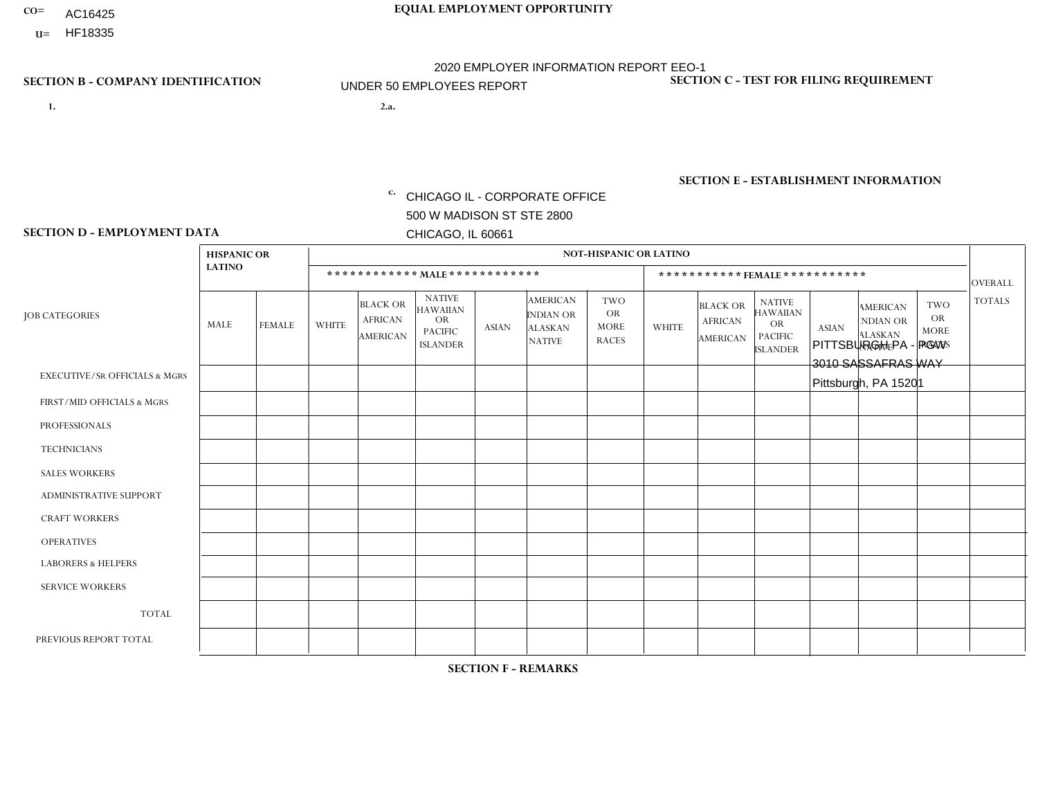- AC16425
- **U=**

**1. 2.a.** CHICAGO IL - CORPORATE OFFICE 500 W MADISON ST STE 2800 CHICAGO, IL 60661

2.a. PITTSBURGH PA - PGW 3010 SASSAFRAS WAY Pittsburgh, PA 15201

c. EIN= 952920557

# **SECTION B - COMPANY IDENTIFICATION SECTION C - TEST FOR FILING REQUIREMENT**

1- Y 2- Y 3- N DUNS= 000123456

**SECTION E - ESTABLISHMENT INFORMATION c.** NAICS: 811122

### **SECTION D - EMPLOYMENT DATA**

|                                          | <b>HISPANIC OR</b> |             |                |                                                      |                                                                                    |              |                                                                        | <b>NOT-HISPANIC OR LATINO</b>                          |              |                                               |                                                                                    |              |                                                                |                                                        |                |
|------------------------------------------|--------------------|-------------|----------------|------------------------------------------------------|------------------------------------------------------------------------------------|--------------|------------------------------------------------------------------------|--------------------------------------------------------|--------------|-----------------------------------------------|------------------------------------------------------------------------------------|--------------|----------------------------------------------------------------|--------------------------------------------------------|----------------|
|                                          | <b>LATINO</b>      |             |                |                                                      | ************ MAIE************                                                      |              |                                                                        |                                                        |              | ***********FEMALE***********                  |                                                                                    |              |                                                                |                                                        | <b>OVERALL</b> |
| <b>JOB CATEGORIES</b>                    | MALE               | FEMALE      | <b>WHITE</b>   | <b>BLACK OR</b><br><b>AFRICAN</b><br><b>AMERICAN</b> | <b>NATIVE</b><br><b>HAWAIIAN</b><br><b>OR</b><br><b>PACIFIC</b><br><b>ISLANDER</b> | <b>ASIAN</b> | <b>AMERICAN</b><br><b>INDIAN OR</b><br><b>ALASKAN</b><br><b>NATIVE</b> | <b>TWO</b><br><b>OR</b><br><b>MORE</b><br><b>RACES</b> | <b>WHITE</b> | <b>BLACK OR</b><br><b>AFRICAN</b><br>AMERICAN | <b>NATIVE</b><br><b>HAWAIIAN</b><br><b>OR</b><br><b>PACIFIC</b><br><b>ISLANDER</b> | <b>ASIAN</b> | <b>AMERICAN</b><br>NDIAN OR<br><b>ALASKAN</b><br><b>NATIVE</b> | <b>TWO</b><br><b>OR</b><br><b>MORE</b><br><b>RACES</b> | <b>TOTALS</b>  |
| <b>EXECUTIVE/SR OFFICIALS &amp; MGRS</b> | $\Omega$           | $\Omega$    | $\Omega$       | $\mathbf 0$                                          | $\Omega$                                                                           | $\mathbf{0}$ | $\Omega$                                                               | $\Omega$                                               | $\Omega$     | $\Omega$                                      | $\Omega$                                                                           | $\Omega$     | $\Omega$                                                       | $\mathbf{0}$                                           | $\mathbf{0}$   |
| FIRST/MID OFFICIALS & MGRS               | 0                  | 0           | 1              | $\mathbf 0$                                          | $\Omega$                                                                           | $\Omega$     | $\Omega$                                                               | $\Omega$                                               | 0            | $\Omega$                                      | $\Omega$                                                                           | $\mathbf{0}$ | $\Omega$                                                       | $\mathbf 0$                                            | $\mathbf{1}$   |
| <b>PROFESSIONALS</b>                     | $\Omega$           | $\mathbf 0$ | $\mathbf 0$    | $\mathbf 0$                                          | $\mathbf 0$                                                                        | $\Omega$     | $\Omega$                                                               | $\Omega$                                               | 0            | $\Omega$                                      | $\Omega$                                                                           | $\mathbf 0$  | 0                                                              | $\mathbf 0$                                            | $\mathbf{0}$   |
| <b>TECHNICIANS</b>                       | 0                  | $\mathbf 0$ | $\mathbf 0$    | $\mathbf 0$                                          | $\mathbf 0$                                                                        | $\Omega$     | $\Omega$                                                               | $\Omega$                                               | $\Omega$     | $\Omega$                                      | $\Omega$                                                                           | $\mathbf 0$  | $\Omega$                                                       | $\mathbf 0$                                            | $\mathbf 0$    |
| <b>SALES WORKERS</b>                     | $\Omega$           | $\mathbf 0$ | $\Omega$       | $\mathbf 0$                                          | $\Omega$                                                                           | $\Omega$     | $\Omega$                                                               | $\Omega$                                               | 0            | $\Omega$                                      | $\Omega$                                                                           | $\Omega$     | $\Omega$                                                       | $\mathbf{0}$                                           | $\mathbf 0$    |
| <b>ADMINISTRATIVE SUPPORT</b>            | 0                  | $\Omega$    | $\Omega$       | $\mathbf 0$                                          | $\Omega$                                                                           | $\Omega$     | $\Omega$                                                               | $\Omega$                                               | $\Omega$     | $\Omega$                                      | $\Omega$                                                                           | $\mathbf{0}$ | $\mathbf{0}$                                                   | $\mathbf{0}$                                           | $\mathbf 0$    |
| <b>CRAFT WORKERS</b>                     | 0                  | $\Omega$    | $\Omega$       | $\mathbf 0$                                          | $\Omega$                                                                           | $\Omega$     | $\Omega$                                                               | $\Omega$                                               | 0            | $\Omega$                                      | $\Omega$                                                                           | $\Omega$     | $\Omega$                                                       | $\Omega$                                               | $\Omega$       |
| <b>OPERATIVES</b>                        | 0                  | $\Omega$    | $\overline{2}$ | 2                                                    | $\Omega$                                                                           | $\Omega$     | $\Omega$                                                               |                                                        | $\Omega$     | $\Omega$                                      | $\Omega$                                                                           | $\Omega$     | $\Omega$                                                       | $\Omega$                                               | 5              |
| <b>LABORERS &amp; HELPERS</b>            | 0                  | $\Omega$    | $\Omega$       | $\overline{1}$                                       | $\Omega$                                                                           | $\Omega$     | $\Omega$                                                               | $\Omega$                                               | 0            | $\Omega$                                      | $\Omega$                                                                           | $\Omega$     | $\Omega$                                                       | $\Omega$                                               | $\mathbf{1}$   |
| <b>SERVICE WORKERS</b>                   | 0                  | $\Omega$    | $\mathbf 0$    | 0                                                    | $\mathbf{0}$                                                                       | $\Omega$     | $\Omega$                                                               | $\Omega$                                               | $\Omega$     | $\Omega$                                      | $\Omega$                                                                           | $\Omega$     | $\Omega$                                                       | $\mathbf 0$                                            | $\overline{0}$ |
| <b>TOTAL</b>                             | $\Omega$           | 0           | 3              | 3                                                    | 0                                                                                  | $\mathbf 0$  | $\Omega$                                                               |                                                        | $\Omega$     | $\Omega$                                      | $\Omega$                                                                           | $\mathbf 0$  | 0                                                              | $\mathbf 0$                                            | $\overline{7}$ |
| PREVIOUS REPORT TOTAL                    | $\Omega$           | $\Omega$    | 3              | $\overline{1}$                                       | $\Omega$                                                                           | $\Omega$     | $\Omega$                                                               | 4                                                      |              | $\Omega$                                      | $\Omega$                                                                           | $\Omega$     | $\Omega$                                                       | $\mathbf 0$                                            | 9              |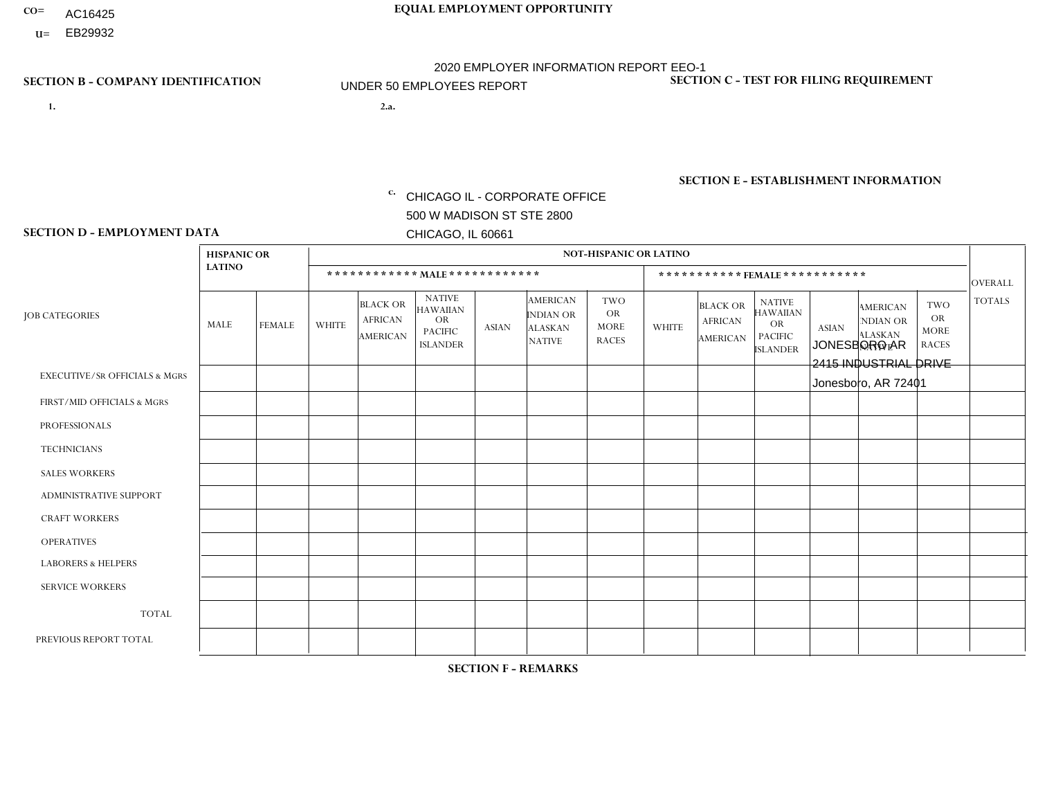- AC16425
- **U=**

- **1. 2.a.** CHICAGO IL CORPORATE OFFICE 500 W MADISON ST STE 2800 CHICAGO, IL 60661
- 2.a. JONESBORO AR 2415 INDUSTRIAL DRIVE Jonesboro, AR 72401

EIN= 952920557

# **SECTION B - COMPANY IDENTIFICATION SECTION C - TEST FOR FILING REQUIREMENT**

1- Y 2- Y 3- N DUNS= 000123456

**SECTION E - ESTABLISHMENT INFORMATION c.** NAICS: 423140

### **SECTION D - EMPLOYMENT DATA**

|                                          | <b>HISPANIC OR</b> |               |              |                                                      |                                                                                    |              |                                                                        | <b>NOT-HISPANIC OR LATINO</b>                          |                |                                               |                                                                                    |              |                                                                |                                                        |                |
|------------------------------------------|--------------------|---------------|--------------|------------------------------------------------------|------------------------------------------------------------------------------------|--------------|------------------------------------------------------------------------|--------------------------------------------------------|----------------|-----------------------------------------------|------------------------------------------------------------------------------------|--------------|----------------------------------------------------------------|--------------------------------------------------------|----------------|
|                                          | <b>LATINO</b>      |               |              | ************ MALE ************                       |                                                                                    |              |                                                                        |                                                        |                |                                               | *********** FEMALE ***********                                                     |              |                                                                |                                                        | <b>OVERALL</b> |
| <b>JOB CATEGORIES</b>                    | <b>MALE</b>        | <b>FEMALE</b> | <b>WHITE</b> | <b>BLACK OR</b><br><b>AFRICAN</b><br><b>AMERICAN</b> | <b>NATIVE</b><br><b>HAWAIIAN</b><br><b>OR</b><br><b>PACIFIC</b><br><b>ISLANDER</b> | <b>ASIAN</b> | <b>AMERICAN</b><br><b>INDIAN OR</b><br><b>ALASKAN</b><br><b>NATIVE</b> | <b>TWO</b><br><b>OR</b><br><b>MORE</b><br><b>RACES</b> | <b>WHITE</b>   | <b>BLACK OR</b><br><b>AFRICAN</b><br>AMERICAN | <b>NATIVE</b><br><b>HAWAIIAN</b><br><b>OR</b><br><b>PACIFIC</b><br><b>ISLANDER</b> | <b>ASIAN</b> | <b>AMERICAN</b><br>NDIAN OR<br><b>ALASKAN</b><br><b>NATIVE</b> | <b>TWO</b><br><b>OR</b><br><b>MORE</b><br><b>RACES</b> | <b>TOTALS</b>  |
| <b>EXECUTIVE/SR OFFICIALS &amp; MGRS</b> | $\Omega$           | $\Omega$      | $\mathbf{0}$ | $\Omega$                                             | $\Omega$                                                                           | $\Omega$     | $\Omega$                                                               | $\Omega$                                               | 0              | $\Omega$                                      | $\Omega$                                                                           | $\Omega$     | $\Omega$                                                       | $\Omega$                                               | $\Omega$       |
| FIRST/MID OFFICIALS & MGRS               | $\Omega$           | $\Omega$      | 1            | $\mathbf{0}$                                         | $\Omega$                                                                           | $\Omega$     | $\Omega$                                                               | $\Omega$                                               | 1              | $\Omega$                                      | 0                                                                                  | $\Omega$     | $\Omega$                                                       | $\Omega$                                               | $\overline{2}$ |
| <b>PROFESSIONALS</b>                     | $\Omega$           | $\Omega$      | $\Omega$     | $\mathbf 0$                                          | $\Omega$                                                                           | $\Omega$     | $\Omega$                                                               | $\Omega$                                               | $\Omega$       | $\Omega$                                      | 0                                                                                  | 0            | $\Omega$                                                       | $\mathbf 0$                                            | $\mathbf{0}$   |
| <b>TECHNICIANS</b>                       | $\Omega$           | $\Omega$      | $\Omega$     | $\Omega$                                             | $\Omega$                                                                           | $\Omega$     | $\Omega$                                                               | $\Omega$                                               | $\Omega$       | $\Omega$                                      | 0                                                                                  | $\mathbf 0$  | $\Omega$                                                       | $\mathbf 0$                                            | $\overline{0}$ |
| <b>SALES WORKERS</b>                     | $\Omega$           | $\Omega$      | 13           | $\Omega$                                             | $\Omega$                                                                           | $\Omega$     | $\Omega$                                                               | $\Omega$                                               | 1              | $\Omega$                                      | $\Omega$                                                                           | $\Omega$     | $\Omega$                                                       | $\Omega$                                               | 14             |
| <b>ADMINISTRATIVE SUPPORT</b>            | $\Omega$           | $\Omega$      | $\mathbf{0}$ | $\mathbf 0$                                          | 0                                                                                  | $\Omega$     | $\Omega$                                                               | $\Omega$                                               | 0              | $\Omega$                                      | 0                                                                                  | $\mathbf 0$  | $\Omega$                                                       | $\mathbf 0$                                            | $\overline{0}$ |
| <b>CRAFT WORKERS</b>                     | $\Omega$           | $\Omega$      | $\Omega$     | $\mathbf 0$                                          | $\Omega$                                                                           | $\Omega$     | $\Omega$                                                               | $\Omega$                                               | $\Omega$       | $\Omega$                                      | 0                                                                                  | $\Omega$     | $\Omega$                                                       | $\Omega$                                               | $\Omega$       |
| <b>OPERATIVES</b>                        | $\Omega$           | $\Omega$      | 3            | $\mathbf 0$                                          | $\Omega$                                                                           | $\Omega$     | $\Omega$                                                               | $\Omega$                                               | 0              | $\Omega$                                      | 0                                                                                  | $\mathbf 0$  | $\Omega$                                                       | $\Omega$                                               | 3              |
| <b>LABORERS &amp; HELPERS</b>            | $\Omega$           | $\Omega$      | 4            | $\overline{ }$                                       | $\Omega$                                                                           | $\Omega$     | $\Omega$                                                               | $\Omega$                                               | $\Omega$       | $\Omega$                                      | $\Omega$                                                                           | $\Omega$     | $\Omega$                                                       | $\Omega$                                               | 5              |
| <b>SERVICE WORKERS</b>                   | $\Omega$           | $\Omega$      | $\Omega$     | 0                                                    | $\Omega$                                                                           | $\Omega$     | $\Omega$                                                               | $\Omega$                                               | 0              | $\Omega$                                      | $\Omega$                                                                           | $\mathbf 0$  | $\Omega$                                                       | $\Omega$                                               | $\mathbf{0}$   |
| <b>TOTAL</b>                             | 0                  | 0             | 21           | $\overline{1}$                                       | $\mathbf{0}$                                                                       | 0            | $\Omega$                                                               | $\Omega$                                               | $\overline{2}$ | $\Omega$                                      | 0                                                                                  | $\mathbf 0$  | 0                                                              | $\mathbf 0$                                            | 24             |
| PREVIOUS REPORT TOTAL                    | $\Omega$           | $\Omega$      | 20           | $\overline{2}$                                       | 0                                                                                  | $\Omega$     | $\Omega$                                                               | 1                                                      | 1              | $\Omega$                                      | 0                                                                                  | $\mathbf 0$  | $\Omega$                                                       | $\mathbf 0$                                            | 24             |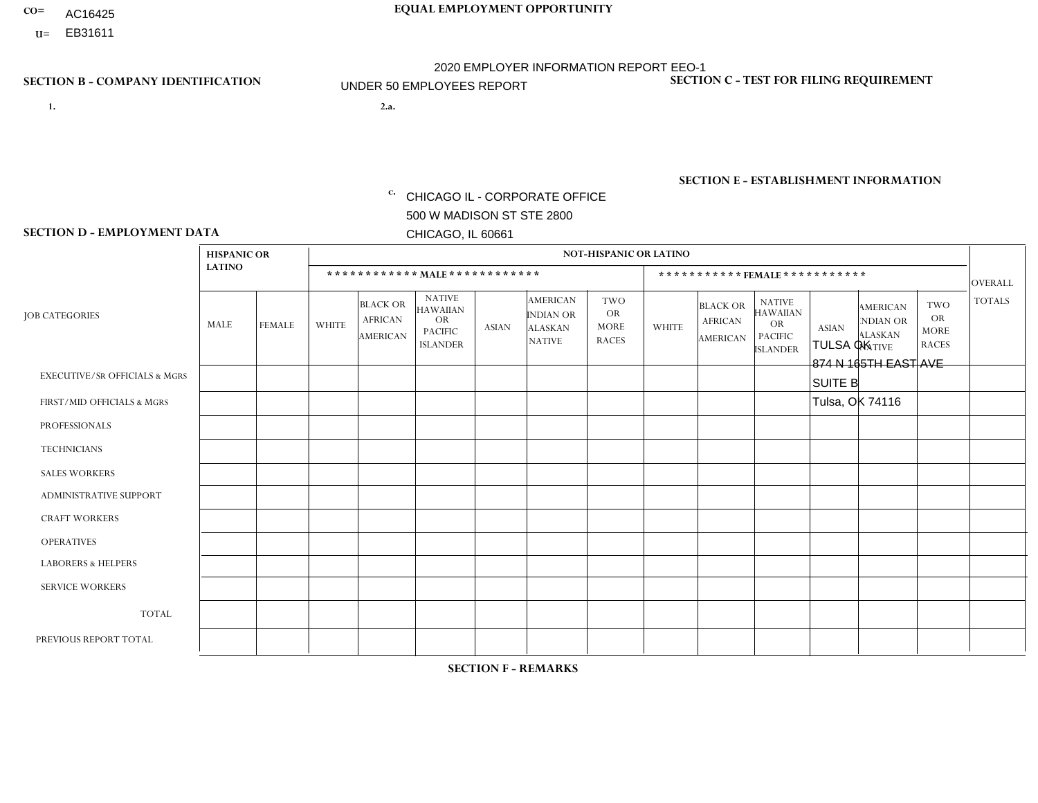- AC16425
- **U=**

**1. 2.a.** CHICAGO IL - CORPORATE OFFICE 500 W MADISON ST STE 2800 CHICAGO, IL 60661

2.a. TULSA OK 874 N 165TH EAST AVE SUITE B Tulsa, OK 74116

EIN= 952920557

# **SECTION B - COMPANY IDENTIFICATION SECTION C - TEST FOR FILING REQUIREMENT**

1- Y 2- Y 3- N DUNS= 000123456

**SECTION E - ESTABLISHMENT INFORMATION c.** NAICS: 423140

### **SECTION D - EMPLOYMENT DATA**

|                                          | <b>HISPANIC OR</b> |               |                |                                                      |                                                                                    |                |                                                                        | <b>NOT-HISPANIC OR LATINO</b>                          |              |                                               |                                                                                    |              |                                                                       |                                                        |                |
|------------------------------------------|--------------------|---------------|----------------|------------------------------------------------------|------------------------------------------------------------------------------------|----------------|------------------------------------------------------------------------|--------------------------------------------------------|--------------|-----------------------------------------------|------------------------------------------------------------------------------------|--------------|-----------------------------------------------------------------------|--------------------------------------------------------|----------------|
|                                          | <b>LATINO</b>      |               |                |                                                      | ************ MALE ************                                                     |                |                                                                        |                                                        |              | ***********FEMALE***********                  |                                                                                    |              |                                                                       |                                                        | <b>OVERALL</b> |
| <b>JOB CATEGORIES</b>                    | MALE               | <b>FEMALE</b> | <b>WHITE</b>   | <b>BLACK OR</b><br><b>AFRICAN</b><br><b>AMERICAN</b> | <b>NATIVE</b><br><b>HAWAIIAN</b><br><b>OR</b><br><b>PACIFIC</b><br><b>ISLANDER</b> | <b>ASIAN</b>   | <b>AMERICAN</b><br><b>INDIAN OR</b><br><b>ALASKAN</b><br><b>NATIVE</b> | <b>TWO</b><br><b>OR</b><br><b>MORE</b><br><b>RACES</b> | <b>WHITE</b> | <b>BLACK OR</b><br><b>AFRICAN</b><br>AMERICAN | <b>NATIVE</b><br><b>HAWAIIAN</b><br><b>OR</b><br><b>PACIFIC</b><br><b>ISLANDER</b> | <b>ASIAN</b> | <b>AMERICAN</b><br><b>NDIAN OR</b><br><b>ALASKAN</b><br><b>NATIVE</b> | <b>TWO</b><br><b>OR</b><br><b>MORE</b><br><b>RACES</b> | <b>TOTALS</b>  |
| <b>EXECUTIVE/SR OFFICIALS &amp; MGRS</b> | $\mathbf 0$        | $\mathbf 0$   | $\mathbf 0$    | $\mathbf 0$                                          | $\mathbf 0$                                                                        | $\Omega$       | $\Omega$                                                               | $\Omega$                                               | $\Omega$     | $\Omega$                                      | $\mathbf 0$                                                                        | $\mathbf 0$  | $\Omega$                                                              | 0                                                      | $\mathbf 0$    |
| FIRST/MID OFFICIALS & MGRS               | $\mathbf 0$        | $\Omega$      | 3              | $\mathbf 0$                                          | $\mathbf{0}$                                                                       | $\Omega$       |                                                                        | 0                                                      |              | $\Omega$                                      | $\Omega$                                                                           | $\Omega$     | $\Omega$                                                              | $\Omega$                                               | 5              |
| <b>PROFESSIONALS</b>                     | 0                  | $\mathbf 0$   | $\mathbf 0$    | $\Omega$                                             | $\mathbf{0}$                                                                       | $\Omega$       | $\Omega$                                                               | 0                                                      | $\Omega$     | $\Omega$                                      | $\Omega$                                                                           | $\Omega$     | $\Omega$                                                              | $\Omega$                                               | $\mathbf 0$    |
| <b>TECHNICIANS</b>                       | $\mathbf 0$        | $\mathbf{0}$  | $\mathbf 0$    | $\mathbf{0}$                                         | $\Omega$                                                                           | $\Omega$       | $\Omega$                                                               | $\Omega$                                               | $\Omega$     | $\Omega$                                      | $\mathbf 0$                                                                        | $\Omega$     | $\Omega$                                                              | $\mathbf 0$                                            | $\overline{0}$ |
| <b>SALES WORKERS</b>                     | $\overline{2}$     | $\mathbf{0}$  | $\overline{7}$ | $\mathbf{1}$                                         | $\Omega$                                                                           | 1              | 3                                                                      | 0                                                      | 4            | $\Omega$                                      | $\mathbf 0$                                                                        | $\mathbf 0$  | $\Omega$                                                              | $\Omega$                                               | 18             |
| ADMINISTRATIVE SUPPORT                   | $\mathbf 0$        | $\mathbf 0$   | $\mathbf 0$    | $\Omega$                                             | $\Omega$                                                                           | $\Omega$       | $\Omega$                                                               | 0                                                      | $\Omega$     | $\Omega$                                      | $\Omega$                                                                           | $\mathbf{0}$ | $\Omega$                                                              | $\Omega$                                               | $\mathbf 0$    |
| <b>CRAFT WORKERS</b>                     | 0                  | $\mathbf 0$   | $\mathbf 0$    | $\mathbf 0$                                          | $\mathbf 0$                                                                        | $\Omega$       | $\Omega$                                                               | 0                                                      | $\Omega$     | $\Omega$                                      | $\Omega$                                                                           | $\mathbf 0$  | $\Omega$                                                              | $\mathbf 0$                                            | $\mathbf 0$    |
| <b>OPERATIVES</b>                        | 1                  | $\mathbf 0$   | $\overline{4}$ | 1                                                    | $\Omega$                                                                           | $\Omega$       | $\Omega$                                                               | 1                                                      | $\Omega$     | $\Omega$                                      | $\Omega$                                                                           | $\Omega$     | $\Omega$                                                              | $\mathbf 0$                                            | $\overline{7}$ |
| <b>LABORERS &amp; HELPERS</b>            | $\Omega$           | $\Omega$      | $\overline{4}$ | $\Omega$                                             | $\Omega$                                                                           | $\Omega$       | $\Omega$                                                               | 1                                                      | $\Omega$     | $\Omega$                                      | $\Omega$                                                                           | $\Omega$     | $\Omega$                                                              | $\Omega$                                               | 5              |
| <b>SERVICE WORKERS</b>                   | $\Omega$           | $\Omega$      | $\Omega$       | $\mathbf 0$                                          | $\Omega$                                                                           | $\mathbf{0}$   | $\Omega$                                                               | 0                                                      | $\Omega$     | $\Omega$                                      | $\Omega$                                                                           | $\Omega$     | $\Omega$                                                              | $\Omega$                                               | $\mathbf 0$    |
| <b>TOTAL</b>                             | 3                  | $\mathbf 0$   | 18             | $\overline{2}$                                       | $\mathbf 0$                                                                        |                | 4                                                                      | $\overline{2}$                                         | 5            | $\Omega$                                      | $\mathbf 0$                                                                        | $\mathbf 0$  | $\Omega$                                                              | $\mathbf 0$                                            | 35             |
| PREVIOUS REPORT TOTAL                    | 1                  | $\mathbf 0$   | 16             | 2                                                    | $\Omega$                                                                           | $\overline{1}$ | 4                                                                      | $\overline{2}$                                         | 5            | $\Omega$                                      | $\mathbf 0$                                                                        | $\mathbf 0$  | 1                                                                     | $\mathbf 0$                                            | 32             |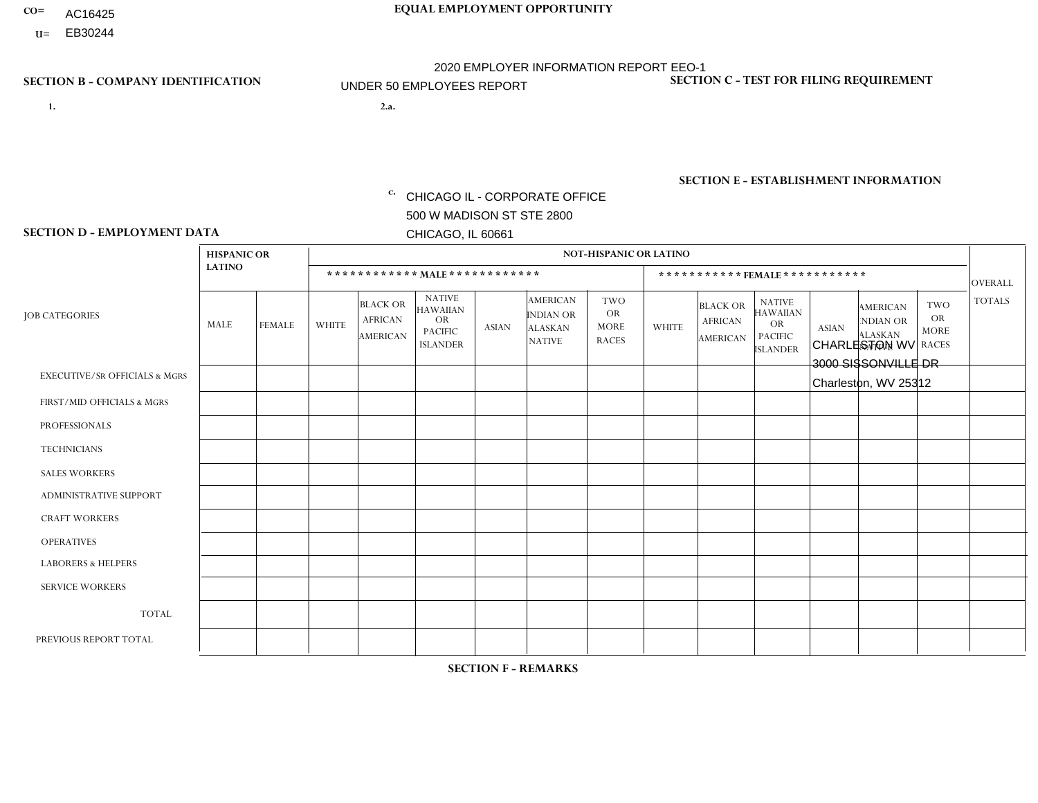- AC16425
- **U=**

- **1. 2.a.** CHICAGO IL CORPORATE OFFICE 500 W MADISON ST STE 2800 CHICAGO, IL 60661
- 2.a. CHARLESTON WV 3000 SISSONVILLE DR Charleston, WV 25312

EIN= 952920557

# **SECTION B - COMPANY IDENTIFICATION SECTION C - TEST FOR FILING REQUIREMENT**

1- Y 2- Y 3- N DUNS= 000123456

**SECTION E - ESTABLISHMENT INFORMATION c.** NAICS: 423140

### **SECTION D - EMPLOYMENT DATA**

|                                          | <b>HISPANIC OR</b> |               |              |                                                      |                                                                                    |              |                                                                        | <b>NOT-HISPANIC OR LATINO</b>                          |              |                                                      |                                                                                    |              |                                                                       |                                                        |                |
|------------------------------------------|--------------------|---------------|--------------|------------------------------------------------------|------------------------------------------------------------------------------------|--------------|------------------------------------------------------------------------|--------------------------------------------------------|--------------|------------------------------------------------------|------------------------------------------------------------------------------------|--------------|-----------------------------------------------------------------------|--------------------------------------------------------|----------------|
|                                          | <b>LATINO</b>      |               |              | ************ MALE ************                       |                                                                                    |              |                                                                        |                                                        |              |                                                      | ***********FEMALE***********                                                       |              |                                                                       |                                                        | <b>OVERALL</b> |
| <b>JOB CATEGORIES</b>                    | <b>MALE</b>        | <b>FEMALE</b> | <b>WHITE</b> | <b>BLACK OR</b><br><b>AFRICAN</b><br><b>AMERICAN</b> | <b>NATIVE</b><br><b>HAWAIIAN</b><br><b>OR</b><br><b>PACIFIC</b><br><b>ISLANDER</b> | <b>ASIAN</b> | <b>AMERICAN</b><br><b>INDIAN OR</b><br><b>ALASKAN</b><br><b>NATIVE</b> | <b>TWO</b><br><b>OR</b><br><b>MORE</b><br><b>RACES</b> | <b>WHITE</b> | <b>BLACK OR</b><br><b>AFRICAN</b><br><b>AMERICAN</b> | <b>NATIVE</b><br><b>HAWAIIAN</b><br><b>OR</b><br><b>PACIFIC</b><br><b>ISLANDER</b> | <b>ASIAN</b> | <b>AMERICAN</b><br><b>NDIAN OR</b><br><b>ALASKAN</b><br><b>NATIVE</b> | <b>TWO</b><br><b>OR</b><br><b>MORE</b><br><b>RACES</b> | <b>TOTALS</b>  |
| <b>EXECUTIVE/SR OFFICIALS &amp; MGRS</b> | $\mathbf{0}$       | $\Omega$      | $\Omega$     | $\Omega$                                             | 0                                                                                  | $\Omega$     | $\Omega$                                                               | $\Omega$                                               | $\Omega$     | $\mathbf{0}$                                         | $\Omega$                                                                           | $\Omega$     | $\Omega$                                                              | $\Omega$                                               | $\Omega$       |
| FIRST/MID OFFICIALS & MGRS               | $\Omega$           | $\Omega$      | 5            | $\mathbf 0$                                          | $\mathbf 0$                                                                        | $\Omega$     | $\Omega$                                                               | $\Omega$                                               | $\Omega$     | $\Omega$                                             | $\Omega$                                                                           | $\Omega$     | $\Omega$                                                              | $\Omega$                                               | 5              |
| <b>PROFESSIONALS</b>                     | $\Omega$           | $\Omega$      | $\mathbf 0$  | $\mathbf 0$                                          | $\overline{0}$                                                                     | $\Omega$     | $\Omega$                                                               | $\Omega$                                               | $\Omega$     | $\Omega$                                             | $\Omega$                                                                           | $\Omega$     | $\Omega$                                                              | $\Omega$                                               | $\mathbf 0$    |
| <b>TECHNICIANS</b>                       | $\Omega$           | $\Omega$      | $\Omega$     | $\Omega$                                             | 0                                                                                  | $\Omega$     | $\overline{0}$                                                         | $\Omega$                                               | $\Omega$     | $\Omega$                                             | $\Omega$                                                                           | $\Omega$     | $\mathbf{0}$                                                          | $\Omega$                                               | $\mathbf 0$    |
| <b>SALES WORKERS</b>                     | $\Omega$           | $\Omega$      | $\Omega$     | $\Omega$                                             | $\Omega$                                                                           | $\Omega$     | $\Omega$                                                               | $\Omega$                                               | $\Omega$     | $\Omega$                                             | $\Omega$                                                                           | $\Omega$     | $\Omega$                                                              | $\Omega$                                               | $\mathbf 0$    |
| <b>ADMINISTRATIVE SUPPORT</b>            | $\Omega$           | $\mathbf 0$   | $\Omega$     | $\mathbf 0$                                          | $\mathbf 0$                                                                        | $\mathbf 0$  | $\Omega$                                                               | $\Omega$                                               | $\Omega$     | $\Omega$                                             | $\Omega$                                                                           | $\Omega$     | $\Omega$                                                              | $\Omega$                                               | $\mathbf{0}$   |
| <b>CRAFT WORKERS</b>                     | $\Omega$           | $\Omega$      | $\Omega$     | 0                                                    | 0                                                                                  | $\Omega$     | $\Omega$                                                               | $\Omega$                                               | $\Omega$     | $\Omega$                                             | $\Omega$                                                                           | $\Omega$     | $\Omega$                                                              | $\Omega$                                               | $\Omega$       |
| <b>OPERATIVES</b>                        | $\Omega$           | $\Omega$      | 9            | $\mathbf 0$                                          | 0                                                                                  | $\Omega$     | $\Omega$                                                               |                                                        | $\Omega$     | $\Omega$                                             | $\Omega$                                                                           | $\Omega$     | $\Omega$                                                              | $\Omega$                                               | 10             |
| <b>LABORERS &amp; HELPERS</b>            | $\Omega$           | $\Omega$      | 3            | $\mathbf 0$                                          | 0                                                                                  | $\Omega$     | $\Omega$                                                               | $\Omega$                                               | $\Omega$     | $\Omega$                                             | $\Omega$                                                                           | $\Omega$     | $\Omega$                                                              | $\Omega$                                               | 3              |
| <b>SERVICE WORKERS</b>                   | $\Omega$           | $\Omega$      | $\Omega$     | 0                                                    | $\mathbf{0}$                                                                       | $\Omega$     | $\Omega$                                                               | $\Omega$                                               | $\Omega$     | $\Omega$                                             | $\Omega$                                                                           | $\Omega$     | $\Omega$                                                              | $\Omega$                                               | 0              |
| <b>TOTAL</b>                             | 0                  | 0             | 17           | $\mathbf 0$                                          | 0                                                                                  | $\mathbf{0}$ | $\mathbf{0}$                                                           |                                                        | 0            | $\Omega$                                             | $\Omega$                                                                           | $\mathbf 0$  | $\Omega$                                                              | $\Omega$                                               | 18             |
| PREVIOUS REPORT TOTAL                    | $\Omega$           | $\Omega$      | 22           | $\mathbf 0$                                          | 0                                                                                  | $\Omega$     | $\Omega$                                                               |                                                        | 2            | $\Omega$                                             | $\mathbf{0}$                                                                       | $\Omega$     | $\Omega$                                                              | $\mathbf 0$                                            | 25             |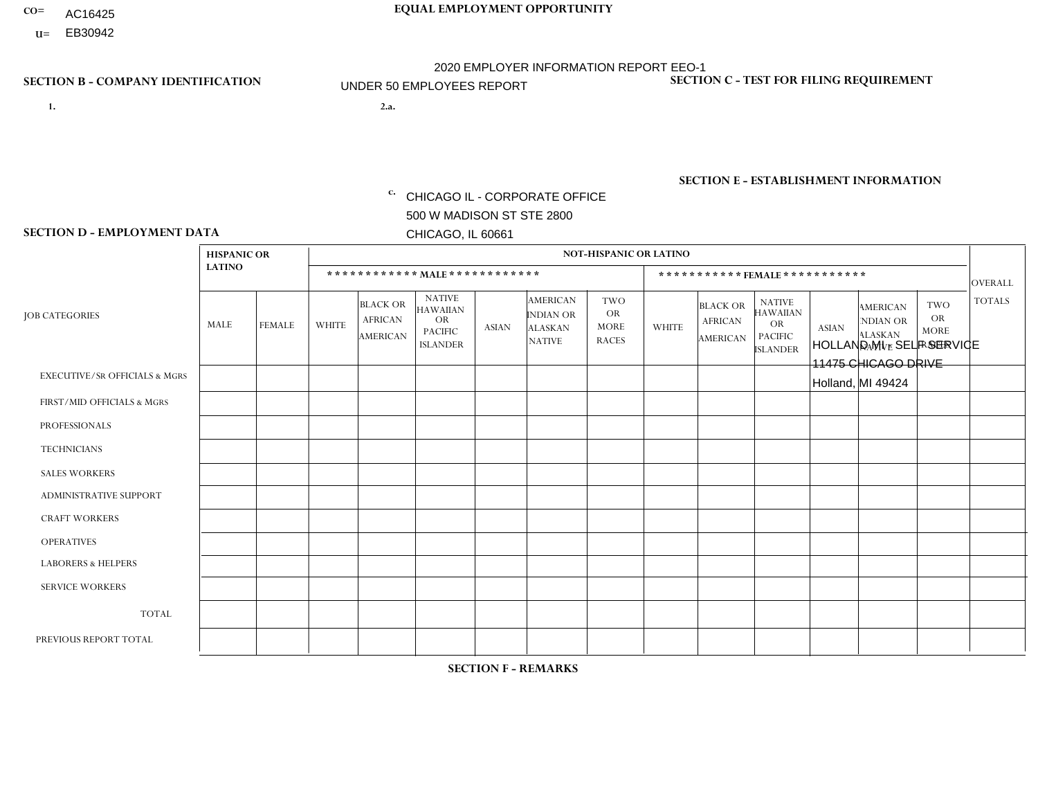- AC16425
- **U=**

**1. 2.a.** CHICAGO IL - CORPORATE OFFICE 500 W MADISON ST STE 2800 CHICAGO, IL 60661

2.a. HOLLAND MI - SELF SERVICE 11475 CHICAGO DRIVE Holland, MI 49424

EIN= 952920557

# **SECTION B - COMPANY IDENTIFICATION SECTION C - TEST FOR FILING REQUIREMENT**

1- Y 2- Y 3- N DUNS= 000123456

**SECTION E - ESTABLISHMENT INFORMATION c.** NAICS: 423140

### **SECTION D - EMPLOYMENT DATA**

|                                          | <b>HISPANIC OR</b> |               |                |                                                      |                                                                                    |              |                                                                        | <b>NOT-HISPANIC OR LATINO</b>                          |                         |                                               |                                                                                    |              |                                                                       |                                                        |                 |
|------------------------------------------|--------------------|---------------|----------------|------------------------------------------------------|------------------------------------------------------------------------------------|--------------|------------------------------------------------------------------------|--------------------------------------------------------|-------------------------|-----------------------------------------------|------------------------------------------------------------------------------------|--------------|-----------------------------------------------------------------------|--------------------------------------------------------|-----------------|
|                                          | <b>LATINO</b>      |               |                |                                                      | ************ MAIE************                                                      |              |                                                                        |                                                        |                         | ***********FEMALE***********                  |                                                                                    |              |                                                                       |                                                        | <b>OVERALL</b>  |
| <b>JOB CATEGORIES</b>                    | <b>MALE</b>        | <b>FEMALE</b> | <b>WHITE</b>   | <b>BLACK OR</b><br><b>AFRICAN</b><br><b>AMERICAN</b> | <b>NATIVE</b><br><b>HAWAIIAN</b><br><b>OR</b><br><b>PACIFIC</b><br><b>ISLANDER</b> | <b>ASIAN</b> | <b>AMERICAN</b><br><b>INDIAN OR</b><br><b>ALASKAN</b><br><b>NATIVE</b> | <b>TWO</b><br><b>OR</b><br><b>MORE</b><br><b>RACES</b> | <b>WHITE</b>            | <b>BLACK OR</b><br><b>AFRICAN</b><br>AMERICAN | <b>NATIVE</b><br><b>HAWAIIAN</b><br><b>OR</b><br><b>PACIFIC</b><br><b>ISLANDER</b> | <b>ASIAN</b> | <b>AMERICAN</b><br><b>NDIAN OR</b><br><b>ALASKAN</b><br><b>NATIVE</b> | <b>TWO</b><br><b>OR</b><br><b>MORE</b><br><b>RACES</b> | <b>TOTALS</b>   |
| <b>EXECUTIVE/SR OFFICIALS &amp; MGRS</b> | $\mathbf{0}$       | $\Omega$      | $\Omega$       | $\Omega$                                             | $\mathbf{0}$                                                                       | $\Omega$     | $\Omega$                                                               | $\Omega$                                               | $\Omega$                | $\Omega$                                      | $\Omega$                                                                           | $\Omega$     | $\Omega$                                                              | $\Omega$                                               | $\mathbf 0$     |
| FIRST/MID OFFICIALS & MGRS               | 0                  | $\mathbf 0$   | $\overline{1}$ | $\mathbf 0$                                          | $\mathbf{0}$                                                                       | $\mathbf{0}$ | $\Omega$                                                               | 0                                                      | $\Omega$                | $\Omega$                                      | $\Omega$                                                                           | $\mathbf 0$  | $\Omega$                                                              | $\mathbf 0$                                            | $\mathbf{1}$    |
| <b>PROFESSIONALS</b>                     | 0                  | $\mathbf 0$   | $\mathbf 0$    | $\mathbf 0$                                          | $\Omega$                                                                           | $\Omega$     | $\Omega$                                                               | 0                                                      | $\Omega$                | $\Omega$                                      | 0                                                                                  | $\mathbf 0$  | $\Omega$                                                              | $\mathbf 0$                                            | $\mathbf{0}$    |
| <b>TECHNICIANS</b>                       | 0                  | $\mathbf 0$   | $\mathbf 0$    | $\mathbf 0$                                          | $\Omega$                                                                           | $\Omega$     | $\Omega$                                                               | 0                                                      | $\Omega$                | $\Omega$                                      | $\mathbf 0$                                                                        | $\mathbf 0$  | $\Omega$                                                              | $\mathbf 0$                                            | $\mathbf 0$     |
| <b>SALES WORKERS</b>                     | $\mathbf 0$        | $\mathbf 0$   | 1              | $\mathbf 0$                                          | $\Omega$                                                                           | $\Omega$     | $\Omega$                                                               | 1                                                      | $\overline{\mathbf{A}}$ | $\Omega$                                      | $\Omega$                                                                           | $\mathbf{0}$ | $\Omega$                                                              | $\Omega$                                               | 3               |
| <b>ADMINISTRATIVE SUPPORT</b>            | 1                  |               | 1              | $\Omega$                                             | $\mathbf{0}$                                                                       | $\Omega$     | $\Omega$                                                               | 0                                                      | $\Omega$                | $\Omega$                                      | $\Omega$                                                                           | $\Omega$     | $\Omega$                                                              | $\Omega$                                               | 3               |
| <b>CRAFT WORKERS</b>                     | $\Omega$           | $\Omega$      | $\mathbf 0$    | $\Omega$                                             | $\Omega$                                                                           | $\Omega$     | $\Omega$                                                               | 0                                                      | $\Omega$                | $\Omega$                                      | $\Omega$                                                                           | $\Omega$     | $\Omega$                                                              | $\Omega$                                               | $\Omega$        |
| <b>OPERATIVES</b>                        | 0                  | $\Omega$      | 3              | $\mathbf{1}$                                         | $\mathbf{0}$                                                                       | $\Omega$     | $\Omega$                                                               | 1                                                      | $\Omega$                | $\Omega$                                      | $\Omega$                                                                           | $\Omega$     | $\Omega$                                                              | $\Omega$                                               | 5               |
| <b>LABORERS &amp; HELPERS</b>            | 0                  | $\Omega$      | $\mathbf 0$    | $\Omega$                                             | $\mathbf{0}$                                                                       | $\Omega$     | $\Omega$                                                               | 0                                                      | $\Omega$                | $\Omega$                                      | $\Omega$                                                                           | $\Omega$     | $\Omega$                                                              | $\Omega$                                               | 0               |
| <b>SERVICE WORKERS</b>                   | $\Omega$           | $\mathbf 0$   | $\mathbf 0$    | $\mathbf 0$                                          | $\mathbf{0}$                                                                       | $\mathbf{0}$ | $\Omega$                                                               | 0                                                      | $\Omega$                | $\Omega$                                      | $\Omega$                                                                           | $\mathbf 0$  | $\Omega$                                                              | $\Omega$                                               | 0               |
| <b>TOTAL</b>                             | 1                  |               | 6              | 1                                                    | $\mathbf 0$                                                                        | $\mathbf{0}$ | $\Omega$                                                               | $\overline{2}$                                         | -1                      | $\Omega$                                      | 0                                                                                  | $\mathbf 0$  | $\Omega$                                                              | 0                                                      | 12              |
| PREVIOUS REPORT TOTAL                    | 1                  | $\Omega$      | 5              | $\mathbf{1}$                                         | $\Omega$                                                                           | $\Omega$     | $\Omega$                                                               | 1                                                      | 2                       | $\Omega$                                      | $\Omega$                                                                           | $\Omega$     | $\Omega$                                                              | $\mathbf 0$                                            | 10 <sup>°</sup> |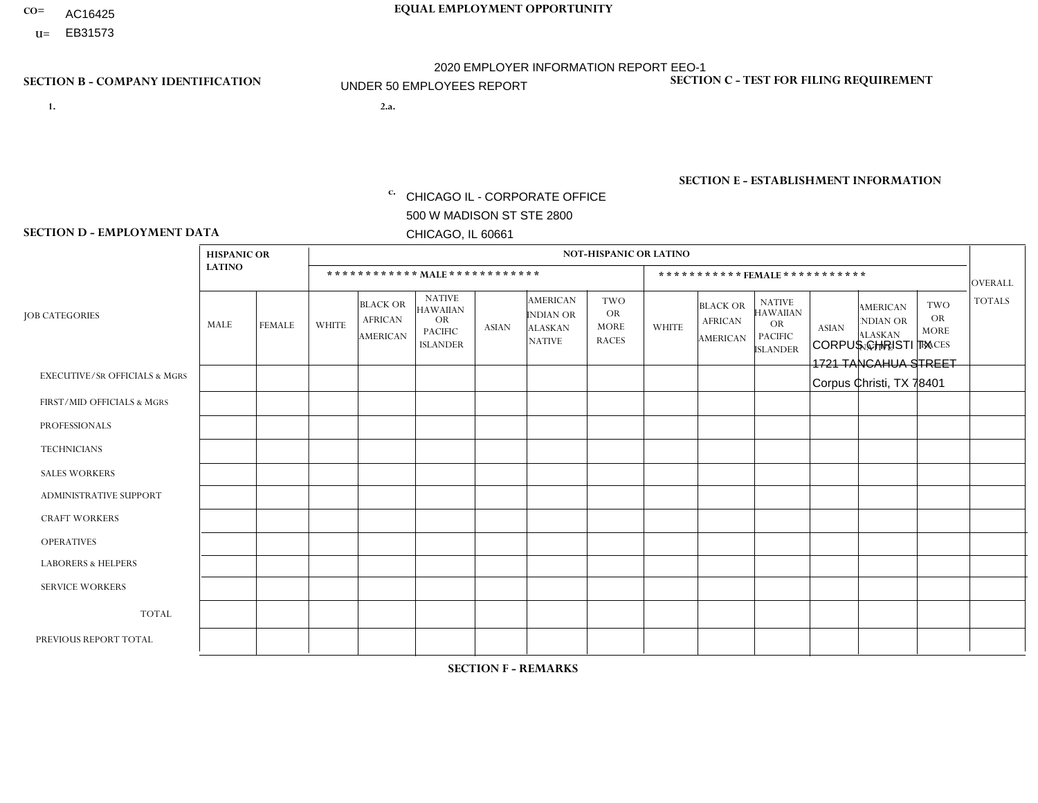- AC16425
- **U=**

- **1. 2.a.** CHICAGO IL CORPORATE OFFICE 500 W MADISON ST STE 2800 CHICAGO, IL 60661
- 2.a. CORPUS CHRISTI TX 1721 TANCAHUA STREET Corpus Christi, TX 78401

c. EIN= 952920557

# **SECTION B - COMPANY IDENTIFICATION SECTION C - TEST FOR FILING REQUIREMENT**

1- Y 2- Y 3- N DUNS= 000123456

**SECTION E - ESTABLISHMENT INFORMATION c.** NAICS: 423140

## **SECTION D - EMPLOYMENT DATA**

|                                          | <b>HISPANIC OR</b> |                |                |                                                      |                                                                                    |              |                                                                        | <b>NOT-HISPANIC OR LATINO</b>                          |              |                                               |                                                                                    |              |                                                                       |                                                        |                 |
|------------------------------------------|--------------------|----------------|----------------|------------------------------------------------------|------------------------------------------------------------------------------------|--------------|------------------------------------------------------------------------|--------------------------------------------------------|--------------|-----------------------------------------------|------------------------------------------------------------------------------------|--------------|-----------------------------------------------------------------------|--------------------------------------------------------|-----------------|
|                                          | <b>LATINO</b>      |                |                | ************ MAIE************                        |                                                                                    |              |                                                                        |                                                        |              |                                               | ***********FEMALE***********                                                       |              |                                                                       |                                                        | <b>OVERALL</b>  |
| <b>JOB CATEGORIES</b>                    | <b>MALE</b>        | <b>FEMALE</b>  | <b>WHITE</b>   | <b>BLACK OR</b><br><b>AFRICAN</b><br><b>AMERICAN</b> | <b>NATIVE</b><br><b>HAWAIIAN</b><br><b>OR</b><br><b>PACIFIC</b><br><b>ISLANDER</b> | <b>ASIAN</b> | <b>AMERICAN</b><br><b>INDIAN OR</b><br><b>ALASKAN</b><br><b>NATIVE</b> | <b>TWO</b><br><b>OR</b><br><b>MORE</b><br><b>RACES</b> | <b>WHITE</b> | <b>BLACK OR</b><br><b>AFRICAN</b><br>AMERICAN | <b>NATIVE</b><br><b>HAWAIIAN</b><br><b>OR</b><br><b>PACIFIC</b><br><b>ISLANDER</b> | <b>ASIAN</b> | <b>AMERICAN</b><br><b>NDIAN OR</b><br><b>ALASKAN</b><br><b>NATIVE</b> | <b>TWO</b><br><b>OR</b><br><b>MORE</b><br><b>RACES</b> | <b>TOTALS</b>   |
| <b>EXECUTIVE/SR OFFICIALS &amp; MGRS</b> | $\Omega$           | $\Omega$       | $\Omega$       | $\mathbf 0$                                          | $\Omega$                                                                           | $\Omega$     | $\Omega$                                                               | $\Omega$                                               | $\Omega$     | $\mathbf{0}$                                  | $\mathbf{0}$                                                                       | $\Omega$     | $\Omega$                                                              | $\Omega$                                               | $\mathbf 0$     |
| FIRST/MID OFFICIALS & MGRS               | $\Omega$           | $\Omega$       | $\overline{1}$ | $\Omega$                                             | 0                                                                                  | $\Omega$     | $\Omega$                                                               | $\Omega$                                               | $\Omega$     | $\Omega$                                      | $\Omega$                                                                           | $\Omega$     | $\Omega$                                                              | $\Omega$                                               | $\mathbf{1}$    |
| <b>PROFESSIONALS</b>                     | $\Omega$           | $\Omega$       | $\Omega$       | $\Omega$                                             | $\Omega$                                                                           | $\Omega$     | $\Omega$                                                               | $\Omega$                                               | $\Omega$     | $\Omega$                                      | $\Omega$                                                                           | $\Omega$     | $\Omega$                                                              | $\Omega$                                               | $\mathbf 0$     |
| <b>TECHNICIANS</b>                       | $\Omega$           | $\mathbf 0$    | $\Omega$       | $\mathbf 0$                                          | 0                                                                                  | $\Omega$     | $\Omega$                                                               | $\Omega$                                               | $\mathbf{0}$ | $\Omega$                                      | $\Omega$                                                                           | $\Omega$     | $\Omega$                                                              | $\Omega$                                               | $\mathbf 0$     |
| <b>SALES WORKERS</b>                     | $\overline{2}$     | $\mathbf{1}$   | 1              | $\mathbf{1}$                                         | $\Omega$                                                                           | $\Omega$     | $\Omega$                                                               | $\Omega$                                               | $\Omega$     | $\Omega$                                      | $\Omega$                                                                           |              | $\Omega$                                                              | $\Omega$                                               | 6               |
| <b>ADMINISTRATIVE SUPPORT</b>            | $\Omega$           | $\overline{1}$ | $\Omega$       | $\Omega$                                             | $\Omega$                                                                           | $\Omega$     | $\Omega$                                                               | $\Omega$                                               | $\Omega$     | $\Omega$                                      | $\Omega$                                                                           | $\Omega$     | $\Omega$                                                              | $\Omega$                                               | $\mathbf{1}$    |
| <b>CRAFT WORKERS</b>                     | 0                  | $\Omega$       | $\mathbf 0$    | $\mathbf 0$                                          | $\Omega$                                                                           | $\Omega$     | $\Omega$                                                               | $\Omega$                                               | $\Omega$     | $\Omega$                                      | $\Omega$                                                                           | $\Omega$     | $\Omega$                                                              | $\Omega$                                               | $\mathbf{0}$    |
| <b>OPERATIVES</b>                        | $\Omega$           | $\Omega$       | $\Omega$       | $\mathbf 0$                                          | $\Omega$                                                                           | $\Omega$     | $\overline{0}$                                                         | $\Omega$                                               | $\Omega$     | $\Omega$                                      | $\mathbf{0}$                                                                       | $\Omega$     | $\Omega$                                                              | $\Omega$                                               | $\mathbf{0}$    |
| <b>LABORERS &amp; HELPERS</b>            | $\overline{2}$     | $\Omega$       | $\Omega$       | $\Omega$                                             | 0                                                                                  | $\Omega$     | $\Omega$                                                               | $\Omega$                                               | $\Omega$     | $\Omega$                                      | $\Omega$                                                                           | $\Omega$     | $\Omega$                                                              | $\Omega$                                               | $\overline{2}$  |
| <b>SERVICE WORKERS</b>                   | $\Omega$           | $\mathbf 0$    | 0              | $\mathbf 0$                                          | $\mathbf 0$                                                                        | $\mathbf 0$  | $\Omega$                                                               | $\Omega$                                               | $\Omega$     | $\Omega$                                      | $\Omega$                                                                           | $\mathbf 0$  | $\Omega$                                                              | $\mathbf 0$                                            | 0               |
| <b>TOTAL</b>                             | 4                  | $\overline{2}$ | $\overline{c}$ | $\mathbf{1}$                                         | 0                                                                                  | $\mathbf{0}$ | $\Omega$                                                               | $\Omega$                                               | $\Omega$     | $\Omega$                                      | $\Omega$                                                                           |              | $\Omega$                                                              | $\Omega$                                               | 10 <sup>°</sup> |
| PREVIOUS REPORT TOTAL                    | 5                  | $\overline{2}$ | $\overline{2}$ | 2                                                    | 0                                                                                  | $\Omega$     | $\Omega$                                                               | $\Omega$                                               | $\Omega$     | $\Omega$                                      | $\mathbf{0}$                                                                       |              | $\Omega$                                                              | $\mathbf 0$                                            | 12              |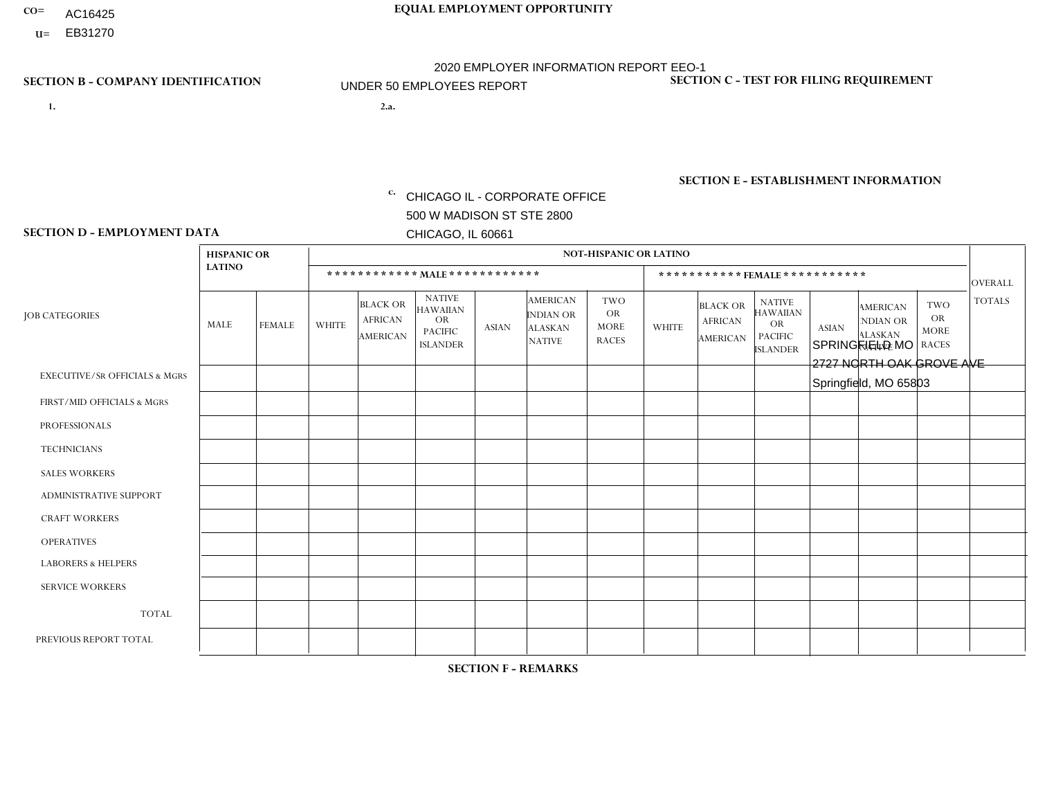- AC16425
- **U=**

- **1. 2.a.** CHICAGO IL CORPORATE OFFICE 500 W MADISON ST STE 2800 CHICAGO, IL 60661
- 2.a. SPRINGFIELD MO 2727 NORTH OAK GROVE AVE Springfield, MO 65803

c. EIN= 952920557

# **SECTION B - COMPANY IDENTIFICATION SECTION C - TEST FOR FILING REQUIREMENT**

1- Y 2- Y 3- N DUNS= 000123456

**SECTION E - ESTABLISHMENT INFORMATION c.** NAICS: 423140

### **SECTION D - EMPLOYMENT DATA**

|                                          | <b>HISPANIC OR</b> |               |                |                                                      |                                                                                    |              |                                                                        | <b>NOT-HISPANIC OR LATINO</b>                          |                |                                                      |                                                                                    |              |                                                                       |                                                        |                |
|------------------------------------------|--------------------|---------------|----------------|------------------------------------------------------|------------------------------------------------------------------------------------|--------------|------------------------------------------------------------------------|--------------------------------------------------------|----------------|------------------------------------------------------|------------------------------------------------------------------------------------|--------------|-----------------------------------------------------------------------|--------------------------------------------------------|----------------|
|                                          | <b>LATINO</b>      |               |                | ************ MALE ************                       |                                                                                    |              |                                                                        |                                                        |                |                                                      | ***********FEMALE***********                                                       |              |                                                                       |                                                        | <b>OVERALL</b> |
| <b>JOB CATEGORIES</b>                    | <b>MALE</b>        | <b>FEMALE</b> | <b>WHITE</b>   | <b>BLACK OR</b><br><b>AFRICAN</b><br><b>AMERICAN</b> | <b>NATIVE</b><br><b>HAWAIIAN</b><br><b>OR</b><br><b>PACIFIC</b><br><b>ISLANDER</b> | <b>ASIAN</b> | <b>AMERICAN</b><br><b>INDIAN OR</b><br><b>ALASKAN</b><br><b>NATIVE</b> | <b>TWO</b><br><b>OR</b><br><b>MORE</b><br><b>RACES</b> | <b>WHITE</b>   | <b>BLACK OR</b><br><b>AFRICAN</b><br><b>AMERICAN</b> | <b>NATIVE</b><br><b>HAWAIIAN</b><br><b>OR</b><br><b>PACIFIC</b><br><b>ISLANDER</b> | <b>ASIAN</b> | <b>AMERICAN</b><br><b>NDIAN OR</b><br><b>ALASKAN</b><br><b>NATIVE</b> | <b>TWO</b><br><b>OR</b><br><b>MORE</b><br><b>RACES</b> | <b>TOTALS</b>  |
| <b>EXECUTIVE/SR OFFICIALS &amp; MGRS</b> | $\mathbf{0}$       | $\Omega$      | $\Omega$       | $\Omega$                                             | 0                                                                                  | $\Omega$     | $\Omega$                                                               | $\Omega$                                               | $\Omega$       | $\mathbf{0}$                                         | $\Omega$                                                                           | $\Omega$     | $\Omega$                                                              | $\Omega$                                               | $\Omega$       |
| FIRST/MID OFFICIALS & MGRS               | $\Omega$           | $\Omega$      | 4              | $\mathbf 0$                                          | $\mathbf{0}$                                                                       | $\Omega$     | $\Omega$                                                               | $\Omega$                                               | 1              | $\mathbf{0}$                                         | $\Omega$                                                                           | $\Omega$     | $\Omega$                                                              | $\Omega$                                               | 5              |
| <b>PROFESSIONALS</b>                     | $\Omega$           | $\Omega$      | $\mathbf 0$    | $\mathbf 0$                                          | $\overline{0}$                                                                     | $\Omega$     | $\Omega$                                                               | $\Omega$                                               | $\Omega$       | $\Omega$                                             | $\Omega$                                                                           | $\Omega$     | $\Omega$                                                              | $\mathbf{0}$                                           | $\mathbf 0$    |
| <b>TECHNICIANS</b>                       | $\Omega$           | $\Omega$      | $\Omega$       | $\Omega$                                             | 0                                                                                  | $\Omega$     | $\overline{0}$                                                         | $\Omega$                                               | $\Omega$       | $\Omega$                                             | $\Omega$                                                                           | $\Omega$     | $\mathbf{0}$                                                          | $\Omega$                                               | $\mathbf 0$    |
| <b>SALES WORKERS</b>                     | $\overline{1}$     | $\Omega$      | 13             | $\mathbf{0}$                                         | 0                                                                                  | $\Omega$     | $\Omega$                                                               | $\Omega$                                               | $\Omega$       | $\Omega$                                             | $\Omega$                                                                           | $\Omega$     | $\Omega$                                                              | $\mathbf{0}$                                           | 14             |
| <b>ADMINISTRATIVE SUPPORT</b>            | $\Omega$           | $\mathbf 0$   | $\mathbf{0}$   | $\mathbf 0$                                          | $\mathbf 0$                                                                        | $\mathbf 0$  | $\Omega$                                                               | $\Omega$                                               | $\Omega$       | $\Omega$                                             | $\Omega$                                                                           | $\Omega$     | $\Omega$                                                              | $\Omega$                                               | $\mathbf 0$    |
| <b>CRAFT WORKERS</b>                     | $\Omega$           | $\Omega$      | $\Omega$       | 0                                                    | 0                                                                                  | $\Omega$     | $\Omega$                                                               | $\Omega$                                               | $\Omega$       | $\Omega$                                             | $\Omega$                                                                           | $\Omega$     | $\Omega$                                                              | $\Omega$                                               | $\Omega$       |
| <b>OPERATIVES</b>                        | $\Omega$           | $\Omega$      | $\overline{c}$ | $\mathbf{1}$                                         | 0                                                                                  | $\Omega$     | $\Omega$                                                               |                                                        | $\Omega$       | $\Omega$                                             | $\Omega$                                                                           | $\Omega$     | $\Omega$                                                              | $\Omega$                                               | 4              |
| <b>LABORERS &amp; HELPERS</b>            | $\Omega$           | $\Omega$      | 4              | $\mathbf 0$                                          | 0                                                                                  | $\Omega$     | $\Omega$                                                               | $\Omega$                                               | $\mathbf{1}$   | $\Omega$                                             | $\Omega$                                                                           | $\Omega$     | $\Omega$                                                              | $\Omega$                                               | 5              |
| <b>SERVICE WORKERS</b>                   | $\Omega$           | $\Omega$      | $\Omega$       | 0                                                    | $\mathbf 0$                                                                        | $\Omega$     | $\Omega$                                                               | $\Omega$                                               | $\Omega$       | $\Omega$                                             | $\Omega$                                                                           | $\Omega$     | $\Omega$                                                              | $\Omega$                                               | 0              |
| <b>TOTAL</b>                             | 1                  | 0             | 23             | $\mathbf{1}$                                         | 0                                                                                  | $\mathbf 0$  | $\mathbf{0}$                                                           |                                                        | $\overline{2}$ | $\Omega$                                             | $\Omega$                                                                           | $\mathbf 0$  | $\Omega$                                                              | $\Omega$                                               | 28             |
| PREVIOUS REPORT TOTAL                    |                    | $\mathbf 0$   | 27             | $\mathbf 0$                                          | 0                                                                                  | $\Omega$     | $\overline{0}$                                                         | $\Omega$                                               | $\overline{2}$ | $\Omega$                                             | $\mathbf{0}$                                                                       | $\Omega$     | $\Omega$                                                              | $\mathbf 0$                                            | 30             |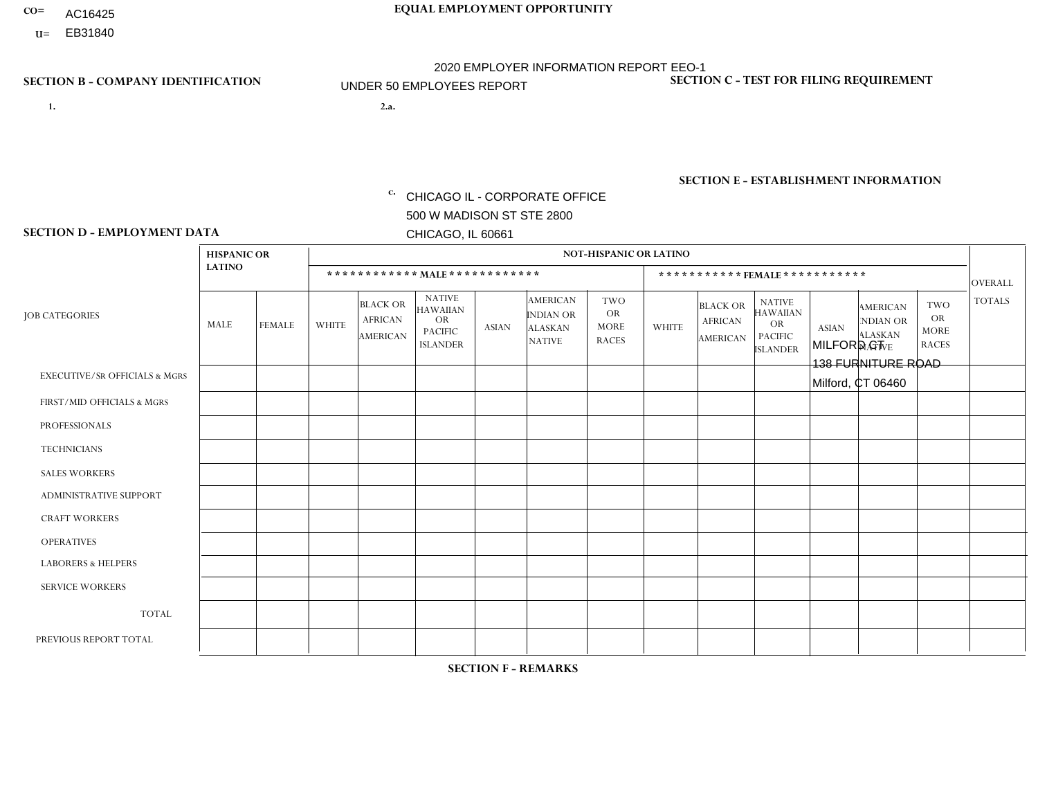- AC16425
- **U=**

**1. 2.a.** CHICAGO IL - CORPORATE OFFICE 500 W MADISON ST STE 2800 CHICAGO, IL 60661

2.a. MILFORD CT 138 FURNITURE ROAD Milford, CT 06460

EIN= 952920557

# **SECTION B - COMPANY IDENTIFICATION SECTION C - TEST FOR FILING REQUIREMENT**

1- Y 2- Y 3- N DUNS= 000123456

**SECTION E - ESTABLISHMENT INFORMATION c.** NAICS: 423140

### **SECTION D - EMPLOYMENT DATA**

|                                          | <b>HISPANIC OR</b> |                |              |                                                      |                                                                                    |              |                                                                        | <b>NOT-HISPANIC OR LATINO</b>                          |              |                                               |                                                                                    |              |                                                                       |                                                        |                |
|------------------------------------------|--------------------|----------------|--------------|------------------------------------------------------|------------------------------------------------------------------------------------|--------------|------------------------------------------------------------------------|--------------------------------------------------------|--------------|-----------------------------------------------|------------------------------------------------------------------------------------|--------------|-----------------------------------------------------------------------|--------------------------------------------------------|----------------|
|                                          | <b>LATINO</b>      |                |              |                                                      | ************ MALE ************                                                     |              |                                                                        |                                                        |              | ***********FEMALE***********                  |                                                                                    |              |                                                                       |                                                        | <b>OVERALL</b> |
| <b>JOB CATEGORIES</b>                    | MALE               | <b>FEMALE</b>  | <b>WHITE</b> | <b>BLACK OR</b><br><b>AFRICAN</b><br><b>AMERICAN</b> | <b>NATIVE</b><br><b>HAWAIIAN</b><br><b>OR</b><br><b>PACIFIC</b><br><b>ISLANDER</b> | ASIAN        | <b>AMERICAN</b><br><b>INDIAN OR</b><br><b>ALASKAN</b><br><b>NATIVE</b> | <b>TWO</b><br><b>OR</b><br><b>MORE</b><br><b>RACES</b> | <b>WHITE</b> | <b>BLACK OR</b><br><b>AFRICAN</b><br>AMERICAN | <b>NATIVE</b><br><b>HAWAIIAN</b><br><b>OR</b><br><b>PACIFIC</b><br><b>ISLANDER</b> | <b>ASIAN</b> | <b>AMERICAN</b><br><b>NDIAN OR</b><br><b>ALASKAN</b><br><b>NATIVE</b> | <b>TWO</b><br><b>OR</b><br><b>MORE</b><br><b>RACES</b> | <b>TOTALS</b>  |
| <b>EXECUTIVE/SR OFFICIALS &amp; MGRS</b> | $\Omega$           | $\Omega$       | $\Omega$     | $\mathbf 0$                                          | $\Omega$                                                                           | $\mathbf{0}$ | $\Omega$                                                               | $\Omega$                                               | 0            | $\Omega$                                      | $\Omega$                                                                           | $\Omega$     | $\Omega$                                                              | $\Omega$                                               | $\mathbf{0}$   |
| FIRST/MID OFFICIALS & MGRS               | 0                  | $\Omega$       | 3            | $\mathbf 0$                                          | $\Omega$                                                                           | $\Omega$     | $\Omega$                                                               |                                                        | 0            | $\Omega$                                      | $\Omega$                                                                           | $\Omega$     | $\Omega$                                                              | $\Omega$                                               | $\overline{4}$ |
| <b>PROFESSIONALS</b>                     | 0                  | $\overline{0}$ | $\mathbf 0$  | $\mathbf 0$                                          | $\Omega$                                                                           | $\Omega$     | $\Omega$                                                               | $\Omega$                                               | 0            | $\Omega$                                      | $\Omega$                                                                           | $\Omega$     | $\Omega$                                                              | $\Omega$                                               | $\mathbf{0}$   |
| <b>TECHNICIANS</b>                       | 0                  | $\Omega$       | $\Omega$     | $\Omega$                                             | $\Omega$                                                                           | $\Omega$     | $\Omega$                                                               | $\Omega$                                               | $\Omega$     | $\Omega$                                      | $\Omega$                                                                           | $\Omega$     | $\Omega$                                                              | $\Omega$                                               | $\mathbf{0}$   |
| <b>SALES WORKERS</b>                     | 0                  | $\Omega$       | 1            | $\Omega$                                             | $\Omega$                                                                           | $\Omega$     | $\Omega$                                                               | $\Omega$                                               | 0            | $\Omega$                                      | $\Omega$                                                                           | $\Omega$     | $\Omega$                                                              | $\Omega$                                               | $\mathbf{1}$   |
| <b>ADMINISTRATIVE SUPPORT</b>            | 0                  | 0              | $\Omega$     | $\mathbf 0$                                          | 0                                                                                  | $\Omega$     | $\Omega$                                                               | $\Omega$                                               | $\Omega$     | $\Omega$                                      | $\Omega$                                                                           | $\mathbf{0}$ | $\mathbf{0}$                                                          | $\mathbf 0$                                            | $\mathbf 0$    |
| <b>CRAFT WORKERS</b>                     | 0                  | $\Omega$       | $\Omega$     | $\mathbf 0$                                          | $\Omega$                                                                           | $\Omega$     | $\Omega$                                                               | $\Omega$                                               | 0            | $\Omega$                                      | $\Omega$                                                                           | $\Omega$     | $\Omega$                                                              | $\Omega$                                               | $\Omega$       |
| <b>OPERATIVES</b>                        | $\overline{2}$     | $\Omega$       | 5            | $\overline{c}$                                       | $\Omega$                                                                           | $\Omega$     | $\Omega$                                                               |                                                        | $\Omega$     | $\Omega$                                      | $\Omega$                                                                           | $\Omega$     | $\Omega$                                                              | $\Omega$                                               | 10             |
| <b>LABORERS &amp; HELPERS</b>            | 0                  | $\mathbf{1}$   | 3            | $\mathbf 0$                                          | $\Omega$                                                                           | $\Omega$     | $\Omega$                                                               | $\Omega$                                               | $\Omega$     | $\Omega$                                      | $\Omega$                                                                           | $\mathbf{0}$ | $\Omega$                                                              | $\mathbf{0}$                                           | 4              |
| <b>SERVICE WORKERS</b>                   | 0                  | $\Omega$       | $\Omega$     | 0                                                    | 0                                                                                  | $\Omega$     | $\Omega$                                                               | $\Omega$                                               | $\Omega$     | $\Omega$                                      | $\Omega$                                                                           | $\Omega$     | $\Omega$                                                              | $\mathbf 0$                                            | $\overline{0}$ |
| <b>TOTAL</b>                             | $\overline{2}$     | $\mathbf{1}$   | 12           | $\overline{c}$                                       | 0                                                                                  | $\mathbf 0$  | $\Omega$                                                               | $\overline{2}$                                         | $\Omega$     | $\Omega$                                      | $\Omega$                                                                           | $\mathbf 0$  | 0                                                                     | $\mathbf 0$                                            | 19             |
| PREVIOUS REPORT TOTAL                    | 6                  | $\mathbf{1}$   | 19           | 6                                                    | $\Omega$                                                                           | $\mathbf{0}$ | $\Omega$                                                               | 3                                                      | 0            | $\Omega$                                      | $\Omega$                                                                           | $\Omega$     | $\Omega$                                                              | $\mathbf 0$                                            | 35             |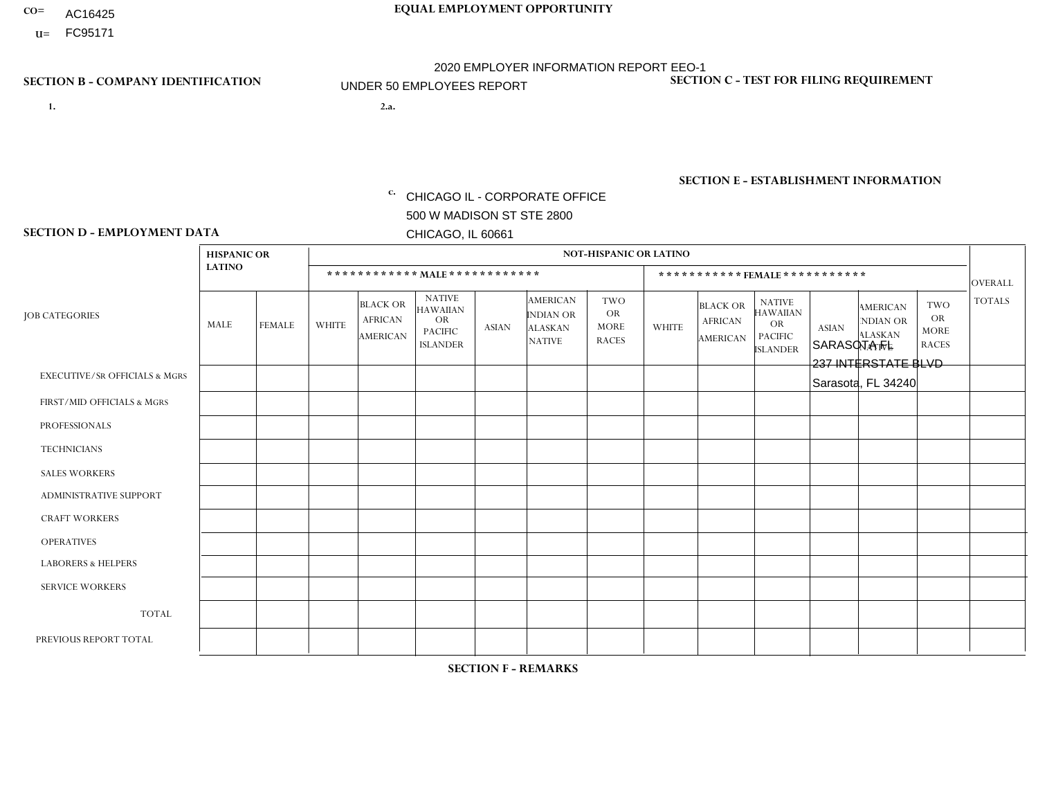- AC16425
- **U=**

- **1. 2.a.** CHICAGO IL CORPORATE OFFICE 500 W MADISON ST STE 2800 CHICAGO, IL 60661
- 2.a. SARASOTA FL 237 INTERSTATE BLVD Sarasota, FL 34240

EIN= 952920557

# **SECTION B - COMPANY IDENTIFICATION SECTION C - TEST FOR FILING REQUIREMENT**

1- Y 2- Y 3- N DUNS= 000123456

**SECTION E - ESTABLISHMENT INFORMATION c.** NAICS: 423140

### **SECTION D - EMPLOYMENT DATA**

|                                          | <b>HISPANIC OR</b> |               |                |                                                      |                                                                                    |              |                                                                        | <b>NOT-HISPANIC OR LATINO</b>                          |              |                                               |                                                                                    |              |                                                                       |                                                        |                      |
|------------------------------------------|--------------------|---------------|----------------|------------------------------------------------------|------------------------------------------------------------------------------------|--------------|------------------------------------------------------------------------|--------------------------------------------------------|--------------|-----------------------------------------------|------------------------------------------------------------------------------------|--------------|-----------------------------------------------------------------------|--------------------------------------------------------|----------------------|
|                                          | <b>LATINO</b>      |               |                | ************ MALE ************                       |                                                                                    |              |                                                                        |                                                        |              |                                               | *********** FEMALE ***********                                                     |              |                                                                       |                                                        | <b>OVERALL</b>       |
| <b>JOB CATEGORIES</b>                    | <b>MALE</b>        | <b>FEMALE</b> | <b>WHITE</b>   | <b>BLACK OR</b><br><b>AFRICAN</b><br><b>AMERICAN</b> | <b>NATIVE</b><br><b>HAWAIIAN</b><br><b>OR</b><br><b>PACIFIC</b><br><b>ISLANDER</b> | <b>ASIAN</b> | <b>AMERICAN</b><br><b>INDIAN OR</b><br><b>ALASKAN</b><br><b>NATIVE</b> | <b>TWO</b><br><b>OR</b><br><b>MORE</b><br><b>RACES</b> | <b>WHITE</b> | <b>BLACK OR</b><br><b>AFRICAN</b><br>AMERICAN | <b>NATIVE</b><br><b>HAWAIIAN</b><br><b>OR</b><br><b>PACIFIC</b><br><b>ISLANDER</b> | <b>ASIAN</b> | <b>AMERICAN</b><br><b>NDIAN OR</b><br><b>ALASKAN</b><br><b>NATIVE</b> | <b>TWO</b><br><b>OR</b><br><b>MORE</b><br><b>RACES</b> | <b>TOTALS</b>        |
| <b>EXECUTIVE/SR OFFICIALS &amp; MGRS</b> | $\Omega$           | $\Omega$      | $\mathbf{0}$   | $\Omega$                                             | $\Omega$                                                                           | $\Omega$     | $\Omega$                                                               | $\Omega$                                               | 0            | $\Omega$                                      | $\Omega$                                                                           | $\Omega$     | $\Omega$                                                              | $\Omega$                                               | $\Omega$             |
| FIRST/MID OFFICIALS & MGRS               | $\Omega$           | $\Omega$      | $\mathbf{0}$   | $\Omega$                                             | $\Omega$                                                                           | $\Omega$     | $\Omega$                                                               | $\Omega$                                               | 0            | $\Omega$                                      | 0                                                                                  | $\Omega$     | $\Omega$                                                              | $\Omega$                                               | $\overline{0}$       |
| <b>PROFESSIONALS</b>                     | $\Omega$           | $\Omega$      | $\mathbf 0$    | $\mathbf 0$                                          | $\Omega$                                                                           | $\Omega$     | $\Omega$                                                               | $\Omega$                                               | $\Omega$     | $\Omega$                                      | 0                                                                                  | $\mathbf 0$  | $\Omega$                                                              | $\mathbf 0$                                            | $\mathbf{0}$         |
| <b>TECHNICIANS</b>                       | $\Omega$           | $\Omega$      | $\Omega$       | $\Omega$                                             | $\Omega$                                                                           | $\Omega$     | $\Omega$                                                               | $\Omega$                                               | $\Omega$     | $\Omega$                                      | $\Omega$                                                                           | $\mathbf 0$  | $\Omega$                                                              | $\mathbf 0$                                            | $\Omega$             |
| <b>SALES WORKERS</b>                     | $\Omega$           | $\Omega$      | 1              | $\Omega$                                             | $\Omega$                                                                           | $\Omega$     | $\Omega$                                                               | $\Omega$                                               | $\Omega$     | $\Omega$                                      | $\Omega$                                                                           | $\Omega$     | $\Omega$                                                              | $\Omega$                                               | $\blacktriangleleft$ |
| <b>ADMINISTRATIVE SUPPORT</b>            | $\Omega$           | $\Omega$      | $\mathbf{0}$   | $\mathbf 0$                                          | 0                                                                                  | $\Omega$     | $\Omega$                                                               | $\Omega$                                               | 0            | $\Omega$                                      | 0                                                                                  | $\mathbf 0$  | $\Omega$                                                              | $\mathbf 0$                                            | $\mathbf 0$          |
| <b>CRAFT WORKERS</b>                     | $\Omega$           | $\Omega$      | $\Omega$       | $\mathbf 0$                                          | $\Omega$                                                                           | $\Omega$     | $\Omega$                                                               | $\Omega$                                               | 0            | $\Omega$                                      | 0                                                                                  | $\Omega$     | $\Omega$                                                              | $\Omega$                                               | $\Omega$             |
| <b>OPERATIVES</b>                        | $\Omega$           | $\Omega$      | $\Omega$       | $\mathbf 0$                                          | $\Omega$                                                                           | $\Omega$     | $\Omega$                                                               | $\Omega$                                               | 1            | $\Omega$                                      | 0                                                                                  | $\mathbf 0$  | $\Omega$                                                              | $\Omega$                                               | $\mathbf{1}$         |
| <b>LABORERS &amp; HELPERS</b>            | $\Omega$           | $\Omega$      | $\mathbf{0}$   | $\mathbf 0$                                          | $\Omega$                                                                           | $\Omega$     | $\Omega$                                                               | $\Omega$                                               | $\Omega$     | $\Omega$                                      | $\Omega$                                                                           | $\Omega$     | $\Omega$                                                              | $\Omega$                                               | $\mathbf 0$          |
| <b>SERVICE WORKERS</b>                   | $\Omega$           | $\Omega$      | $\Omega$       | $\mathbf 0$                                          | $\mathbf 0$                                                                        | $\Omega$     | $\Omega$                                                               | $\Omega$                                               | 0            | $\Omega$                                      | $\Omega$                                                                           | $\mathbf 0$  | $\Omega$                                                              | $\Omega$                                               | $\mathbf 0$          |
| <b>TOTAL</b>                             | 0                  | 0             | $\overline{ }$ | 0                                                    | $\mathbf 0$                                                                        | 0            | $\Omega$                                                               | $\Omega$                                               | $\mathbf{1}$ | $\mathbf 0$                                   | 0                                                                                  | $\mathbf 0$  | 0                                                                     | $\mathbf 0$                                            | $\overline{2}$       |
| PREVIOUS REPORT TOTAL                    | $\Omega$           | $\Omega$      |                | $\mathbf 0$                                          | 0                                                                                  | $\Omega$     | $\Omega$                                                               | $\Omega$                                               | 0            | $\Omega$                                      | 0                                                                                  | $\Omega$     | $\Omega$                                                              | $\mathbf 0$                                            | $\mathbf{1}$         |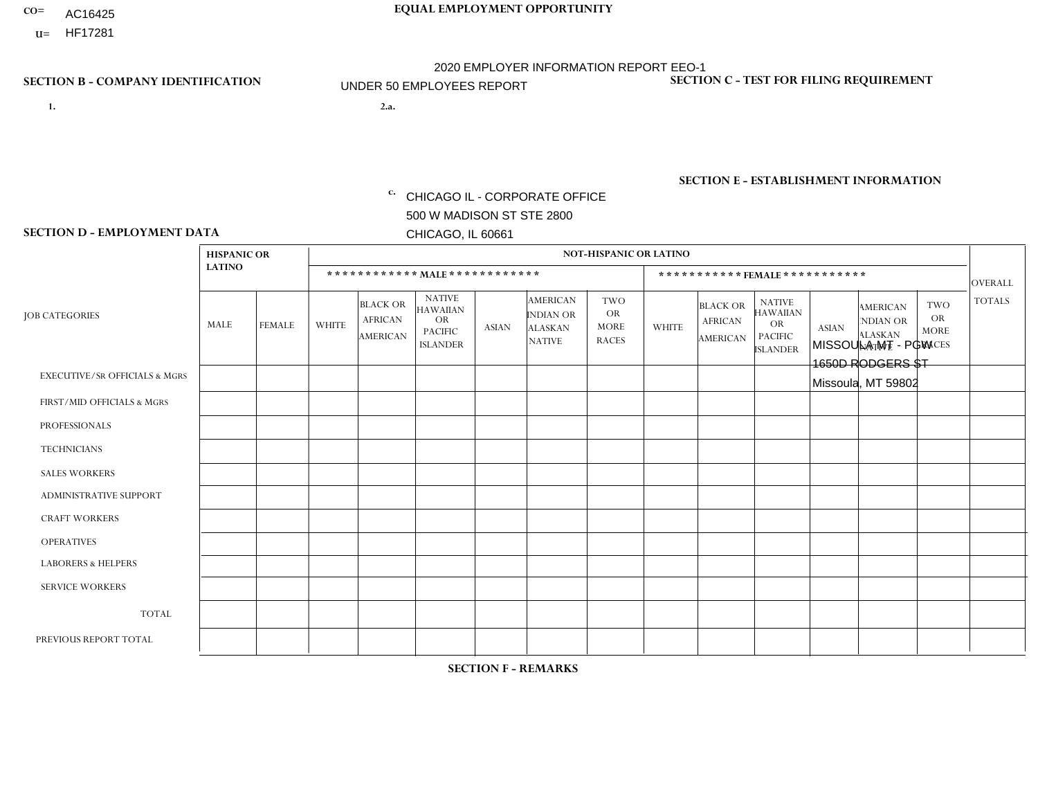- AC16425
- **U=**

**1. 2.a.** CHICAGO IL - CORPORATE OFFICE 500 W MADISON ST STE 2800 CHICAGO, IL 60661

2.a. MISSOULA MT - PGW 1650D RODGERS ST Missoula, MT 59802

EIN= 952920557

# **SECTION B - COMPANY IDENTIFICATION SECTION C - TEST FOR FILING REQUIREMENT**

1- Y 2- Y 3- N DUNS= 000123456

**SECTION E - ESTABLISHMENT INFORMATION c.** NAICS: 811122

### **SECTION D - EMPLOYMENT DATA**

|                                          | <b>HISPANIC OR</b> |                |                |                                                      |                                                                                    |              |                                                                 | <b>NOT-HISPANIC OR LATINO</b>                          |                |                                               |                                                                                    |              |                                                                |                                                        |                |
|------------------------------------------|--------------------|----------------|----------------|------------------------------------------------------|------------------------------------------------------------------------------------|--------------|-----------------------------------------------------------------|--------------------------------------------------------|----------------|-----------------------------------------------|------------------------------------------------------------------------------------|--------------|----------------------------------------------------------------|--------------------------------------------------------|----------------|
|                                          | <b>LATINO</b>      |                |                |                                                      | ************ MALE ************                                                     |              |                                                                 |                                                        |                | ***********FEMALE***********                  |                                                                                    |              |                                                                |                                                        | <b>OVERALL</b> |
| <b>JOB CATEGORIES</b>                    | MALE               | <b>FEMALE</b>  | <b>WHITE</b>   | <b>BLACK OR</b><br><b>AFRICAN</b><br><b>AMERICAN</b> | <b>NATIVE</b><br><b>HAWAIIAN</b><br><b>OR</b><br><b>PACIFIC</b><br><b>ISLANDER</b> | <b>ASIAN</b> | <b>AMERICAN</b><br>INDIAN OR<br><b>ALASKAN</b><br><b>NATIVE</b> | <b>TWO</b><br><b>OR</b><br><b>MORE</b><br><b>RACES</b> | <b>WHITE</b>   | <b>BLACK OR</b><br><b>AFRICAN</b><br>AMERICAN | <b>NATIVE</b><br><b>HAWAIIAN</b><br><b>OR</b><br><b>PACIFIC</b><br><b>ISLANDER</b> | <b>ASIAN</b> | <b>AMERICAN</b><br>NDIAN OR<br><b>ALASKAN</b><br><b>NATIVE</b> | <b>TWO</b><br><b>OR</b><br><b>MORE</b><br><b>RACES</b> | <b>TOTALS</b>  |
| <b>EXECUTIVE/SR OFFICIALS &amp; MGRS</b> | $\Omega$           | $\Omega$       | $\Omega$       | $\Omega$                                             | $\Omega$                                                                           | $\mathbf{0}$ | $\Omega$                                                        | $\Omega$                                               | 0              | $\Omega$                                      | $\Omega$                                                                           | $\Omega$     | $\Omega$                                                       | $\Omega$                                               | $\Omega$       |
| FIRST/MID OFFICIALS & MGRS               | 0                  | $\Omega$       | 1              | $\mathbf 0$                                          | $\Omega$                                                                           | $\mathbf{0}$ | $\mathbf{0}$                                                    | $\Omega$                                               | 0              | $\Omega$                                      | $\Omega$                                                                           | $\Omega$     | $\Omega$                                                       | $\Omega$                                               | $\mathbf{1}$   |
| <b>PROFESSIONALS</b>                     | 0                  | $\Omega$       | $\Omega$       | $\mathbf 0$                                          | $\Omega$                                                                           | $\Omega$     | $\Omega$                                                        | $\Omega$                                               | 0              | $\Omega$                                      | $\Omega$                                                                           | $\Omega$     | $\Omega$                                                       | $\Omega$                                               | $\mathbf{0}$   |
| <b>TECHNICIANS</b>                       | 0                  | $\overline{0}$ | $\mathbf 0$    | $\mathbf 0$                                          | $\overline{0}$                                                                     | $\Omega$     | $\Omega$                                                        | $\Omega$                                               | $\Omega$       | $\Omega$                                      | $\Omega$                                                                           | $\mathbf 0$  | $\mathbf 0$                                                    | $\mathbf 0$                                            | $\mathbf 0$    |
| <b>SALES WORKERS</b>                     | $\Omega$           | $\Omega$       | $\Omega$       | $\Omega$                                             | $\Omega$                                                                           | $\Omega$     | $\Omega$                                                        | $\Omega$                                               | $\overline{0}$ | $\Omega$                                      | $\Omega$                                                                           | $\Omega$     | $\Omega$                                                       | $\mathbf{0}$                                           | $\Omega$       |
| <b>ADMINISTRATIVE SUPPORT</b>            | 0                  | $\Omega$       | $\Omega$       | $\mathbf 0$                                          | $\Omega$                                                                           | $\mathbf{0}$ | $\Omega$                                                        | $\Omega$                                               | $\Omega$       | $\Omega$                                      | $\Omega$                                                                           | $\Omega$     | $\mathbf{0}$                                                   | $\Omega$                                               | $\mathbf 0$    |
| <b>CRAFT WORKERS</b>                     | 0                  | $\Omega$       | $\mathbf 0$    | $\mathbf 0$                                          | $\Omega$                                                                           | $\Omega$     | $\Omega$                                                        | $\Omega$                                               | 0              | $\Omega$                                      | $\Omega$                                                                           | $\mathbf{0}$ | $\Omega$                                                       | $\mathbf{0}$                                           | $\mathbf 0$    |
| <b>OPERATIVES</b>                        | 0                  | $\Omega$       | 6              | $\mathbf 0$                                          | $\mathbf 0$                                                                        | $\Omega$     | $\Omega$                                                        | $\Omega$                                               | $\overline{0}$ | $\Omega$                                      | $\Omega$                                                                           | $\mathbf 0$  | $\mathbf 0$                                                    | $\mathbf 0$                                            | 6              |
| <b>LABORERS &amp; HELPERS</b>            | 0                  | $\Omega$       | -1             | $\Omega$                                             | $\Omega$                                                                           | $\Omega$     | $\Omega$                                                        | $\Omega$                                               | 0              | $\Omega$                                      | $\Omega$                                                                           | $\mathbf{0}$ | $\Omega$                                                       | $\Omega$                                               | $\mathbf{1}$   |
| <b>SERVICE WORKERS</b>                   | 0                  | $\Omega$       | $\mathbf 0$    | 0                                                    | 0                                                                                  | $\Omega$     | $\mathbf{0}$                                                    | $\Omega$                                               | $\Omega$       | $\Omega$                                      | $\Omega$                                                                           | 0            | $\Omega$                                                       | $\mathbf 0$                                            | 0              |
| <b>TOTAL</b>                             | $\mathbf 0$        | $\mathbf 0$    | 8              | $\mathbf 0$                                          | 0                                                                                  | $\mathbf 0$  | $\Omega$                                                        | $\Omega$                                               | $\Omega$       | $\Omega$                                      | $\Omega$                                                                           | $\mathbf 0$  | 0                                                              | $\mathbf 0$                                            | 8              |
| PREVIOUS REPORT TOTAL                    | 0                  | $\mathbf 0$    | $\overline{7}$ | $\mathbf 0$                                          | $\Omega$                                                                           | $\Omega$     | $\Omega$                                                        | $\Omega$                                               | 0              | $\Omega$                                      | $\Omega$                                                                           | $\Omega$     | $\Omega$                                                       | $\mathbf 0$                                            | $\overline{7}$ |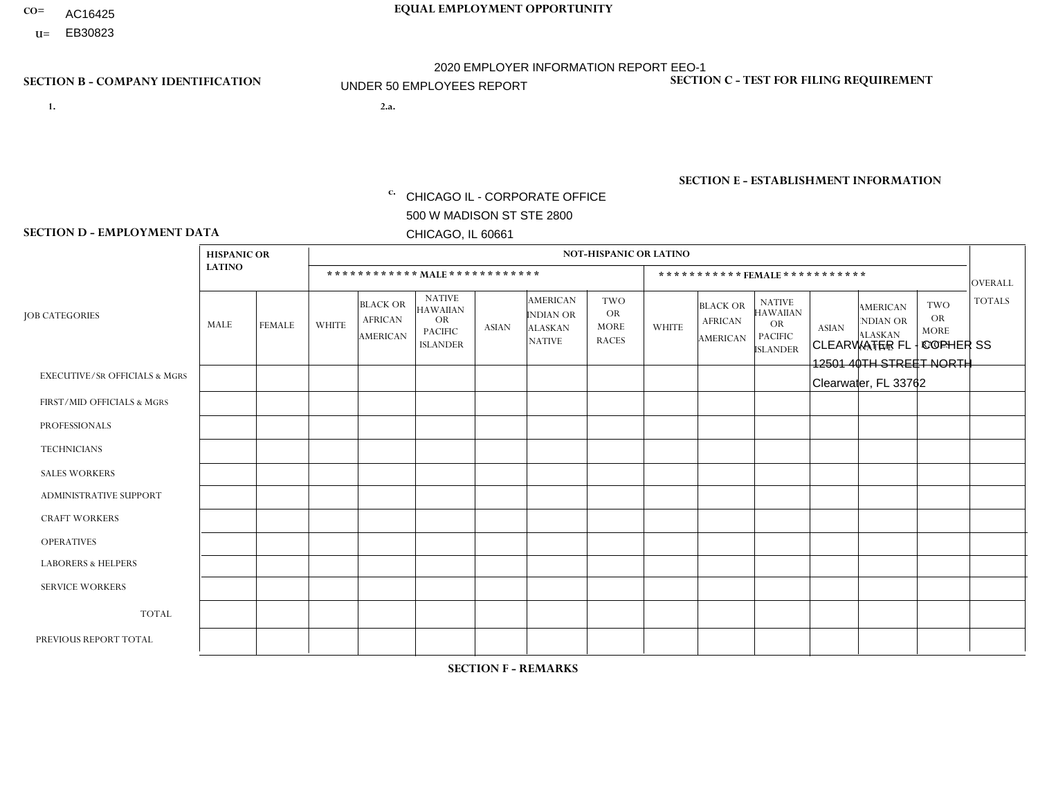- AC16425
- **U=**

- **1. 2.a.** CHICAGO IL CORPORATE OFFICE 500 W MADISON ST STE 2800 CHICAGO, IL 60661
- 2.a. CLEARWATER FL COPHER SS 12501 40TH STREET NORTH Clearwater, FL 33762

c. EIN= 952920557

# **SECTION B - COMPANY IDENTIFICATION SECTION C - TEST FOR FILING REQUIREMENT**

1- Y 2- Y 3- N DUNS= 000123456

**SECTION E - ESTABLISHMENT INFORMATION c.** NAICS: 423140

### **SECTION D - EMPLOYMENT DATA**

|                                          | <b>HISPANIC OR</b> |               |                         |                                                      |                                                                                    |              |                                                                        | <b>NOT-HISPANIC OR LATINO</b>                   |                |                                               |                                                                             |              |                                                                       |                                                        |                      |
|------------------------------------------|--------------------|---------------|-------------------------|------------------------------------------------------|------------------------------------------------------------------------------------|--------------|------------------------------------------------------------------------|-------------------------------------------------|----------------|-----------------------------------------------|-----------------------------------------------------------------------------|--------------|-----------------------------------------------------------------------|--------------------------------------------------------|----------------------|
|                                          | <b>LATINO</b>      |               |                         | ************ MAIE************                        |                                                                                    |              |                                                                        |                                                 |                |                                               | ***********FEMALE***********                                                |              |                                                                       |                                                        | <b>OVERALL</b>       |
| <b>JOB CATEGORIES</b>                    | <b>MALE</b>        | <b>FEMALE</b> | <b>WHITE</b>            | <b>BLACK OR</b><br><b>AFRICAN</b><br><b>AMERICAN</b> | <b>NATIVE</b><br><b>HAWAIIAN</b><br><b>OR</b><br><b>PACIFIC</b><br><b>ISLANDER</b> | <b>ASIAN</b> | <b>AMERICAN</b><br><b>INDIAN OR</b><br><b>ALASKAN</b><br><b>NATIVE</b> | TWO<br><b>OR</b><br><b>MORE</b><br><b>RACES</b> | <b>WHITE</b>   | <b>BLACK OR</b><br><b>AFRICAN</b><br>AMERICAN | NATIVE<br><b>HAWAIIAN</b><br><b>OR</b><br><b>PACIFIC</b><br><b>ISLANDER</b> | <b>ASIAN</b> | <b>AMERICAN</b><br><b>NDIAN OR</b><br><b>ALASKAN</b><br><b>NATIVE</b> | <b>TWO</b><br><b>OR</b><br><b>MORE</b><br><b>RACES</b> | <b>TOTALS</b>        |
| <b>EXECUTIVE/SR OFFICIALS &amp; MGRS</b> | $\Omega$           | $\Omega$      | $\Omega$                | $\mathbf 0$                                          | $\Omega$                                                                           | $\Omega$     | $\Omega$                                                               | $\Omega$                                        | $\Omega$       | $\Omega$                                      | $\Omega$                                                                    | $\Omega$     | $\Omega$                                                              | $\Omega$                                               | $\Omega$             |
| FIRST/MID OFFICIALS & MGRS               | $\Omega$           | $\mathbf 0$   | $\mathbf 0$             | $\overline{1}$                                       | 0                                                                                  | $\mathbf 0$  | $\Omega$                                                               | $\Omega$                                        | 0              | $\Omega$                                      | 0                                                                           | $\mathbf 0$  | $\Omega$                                                              | $\mathbf 0$                                            | $\blacktriangleleft$ |
| <b>PROFESSIONALS</b>                     | -1                 | $\mathbf 0$   | 1                       | 0                                                    | $\mathbf 0$                                                                        | $\Omega$     | $\Omega$                                                               | $\Omega$                                        | $\mathbf{1}$   | $\Omega$                                      | 0                                                                           | $\mathbf 0$  | $\Omega$                                                              | $\mathbf 0$                                            | 3                    |
| <b>TECHNICIANS</b>                       | $\Omega$           | $\mathbf 0$   | $\Omega$                | $\mathbf 0$                                          | $\mathbf 0$                                                                        | $\Omega$     | $\Omega$                                                               | $\Omega$                                        | $\Omega$       | $\Omega$                                      | 0                                                                           | $\mathbf 0$  | $\Omega$                                                              | $\mathbf 0$                                            | $\mathbf{0}$         |
| <b>SALES WORKERS</b>                     | $\Omega$           | $\Omega$      | 1                       | $\mathbf 0$                                          | $\Omega$                                                                           | $\Omega$     | $\Omega$                                                               | $\Omega$                                        | $\overline{0}$ | $\Omega$                                      | $\Omega$                                                                    | $\Omega$     | $\Omega$                                                              | $\Omega$                                               | $\blacktriangleleft$ |
| <b>ADMINISTRATIVE SUPPORT</b>            |                    | $\mathbf 0$   | $\overline{2}$          | $\mathbf 0$                                          | $\mathbf 0$                                                                        | $\Omega$     | $\Omega$                                                               | $\Omega$                                        | $\Omega$       | $\Omega$                                      | $\Omega$                                                                    | $\mathbf 0$  | $\Omega$                                                              | $\mathbf 0$                                            | 3                    |
| <b>CRAFT WORKERS</b>                     | $\Omega$           | $\Omega$      | $\overline{\mathbf{1}}$ | $\mathbf 0$                                          | $\mathbf 0$                                                                        | $\Omega$     | $\Omega$                                                               | $\Omega$                                        | $\Omega$       | $\Omega$                                      | $\Omega$                                                                    | $\mathbf 0$  | $\Omega$                                                              | $\mathbf 0$                                            | $\blacktriangleleft$ |
| <b>OPERATIVES</b>                        | 3                  | $\Omega$      | $\Omega$                | $\overline{1}$                                       | $\Omega$                                                                           | $\Omega$     | $\Omega$                                                               | $\Omega$                                        | $\Omega$       | $\Omega$                                      | $\Omega$                                                                    | $\mathbf 0$  | $\Omega$                                                              | $\Omega$                                               | 4                    |
| <b>LABORERS &amp; HELPERS</b>            | $\Omega$           | $\Omega$      | $\Omega$                | $\mathbf 0$                                          | $\overline{0}$                                                                     | $\Omega$     | $\Omega$                                                               | $\Omega$                                        | $\Omega$       | $\Omega$                                      | $\Omega$                                                                    | $\Omega$     | $\Omega$                                                              | $\Omega$                                               | $\mathbf{0}$         |
| <b>SERVICE WORKERS</b>                   | $\Omega$           | $\Omega$      | $\mathbf 0$             | 0                                                    | $\mathbf 0$                                                                        | $\mathbf 0$  | $\Omega$                                                               | $\Omega$                                        | $\Omega$       | $\Omega$                                      | $\Omega$                                                                    | $\mathbf 0$  | $\Omega$                                                              | $\Omega$                                               | $\mathbf 0$          |
| <b>TOTAL</b>                             | 5                  | 0             | 5                       | $\overline{2}$                                       | 0                                                                                  | 0            | $\Omega$                                                               | $\mathbf 0$                                     | $\mathbf{1}$   | $\mathbf 0$                                   | 0                                                                           | 0            | 0                                                                     | $\mathbf 0$                                            | 13                   |
| PREVIOUS REPORT TOTAL                    | 2                  | $\mathbf 0$   | $\overline{7}$          |                                                      | $\mathbf 0$                                                                        | $\Omega$     | $\Omega$                                                               | $\Omega$                                        | $\overline{2}$ | $\Omega$                                      | 0                                                                           | $\mathbf 0$  | $\Omega$                                                              | $\mathbf 0$                                            | 12                   |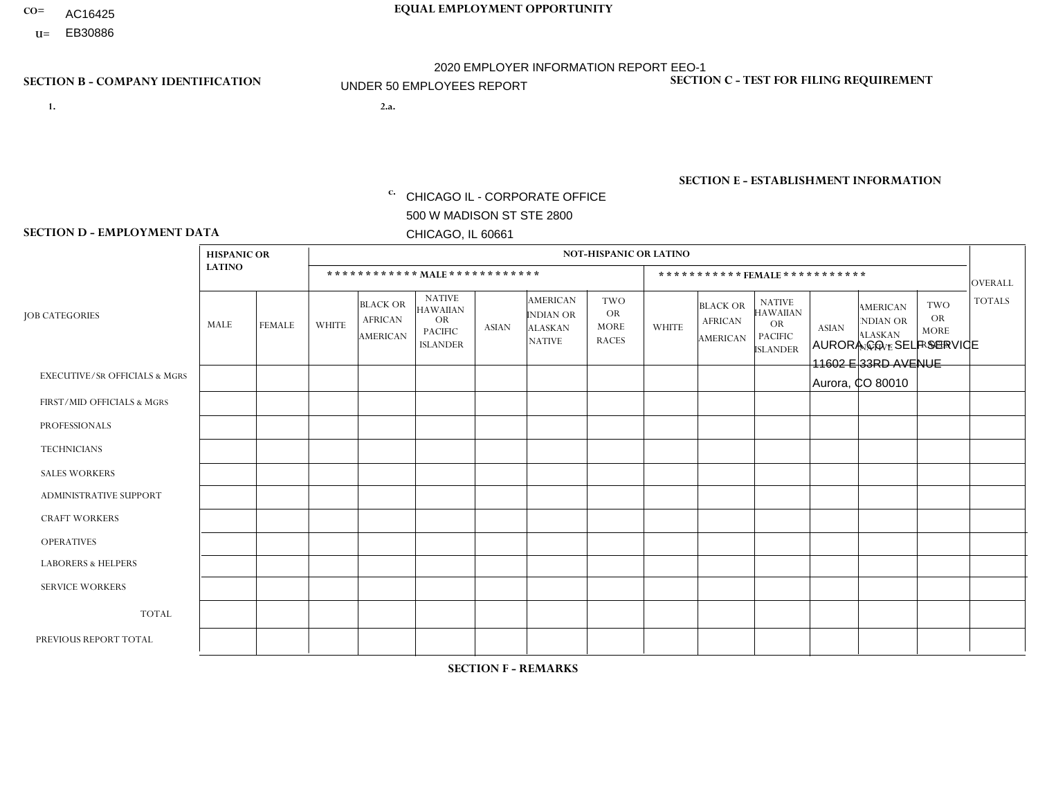- AC16425
- **U=**

**1. 2.a.** CHICAGO IL - CORPORATE OFFICE 500 W MADISON ST STE 2800 CHICAGO, IL 60661

2.a. AURORA CO - SELF SERVICE 11602 E 33RD AVENUE Aurora, CO 80010

c. EIN= 952920557

# **SECTION B - COMPANY IDENTIFICATION SECTION C - TEST FOR FILING REQUIREMENT**

1- Y 2- Y 3- N DUNS= 000123456

**SECTION E - ESTABLISHMENT INFORMATION c.** NAICS: 423140

### **SECTION D - EMPLOYMENT DATA**

|                                          | <b>HISPANIC OR</b> |                |                |                                               |                                                                                    |                |                                                                        | <b>NOT-HISPANIC OR LATINO</b>                          |              |                                                      |                                                                                    |              |                                                                       |                                                        |                |
|------------------------------------------|--------------------|----------------|----------------|-----------------------------------------------|------------------------------------------------------------------------------------|----------------|------------------------------------------------------------------------|--------------------------------------------------------|--------------|------------------------------------------------------|------------------------------------------------------------------------------------|--------------|-----------------------------------------------------------------------|--------------------------------------------------------|----------------|
|                                          | <b>LATINO</b>      |                |                |                                               | ************ MALE ************                                                     |                |                                                                        |                                                        |              |                                                      | ***********FEMALE***********                                                       |              |                                                                       |                                                        | <b>OVERALL</b> |
| <b>JOB CATEGORIES</b>                    | MALE               | <b>FEMALE</b>  | <b>WHITE</b>   | <b>BLACK OR</b><br><b>AFRICAN</b><br>AMERICAN | <b>NATIVE</b><br><b>HAWAIIAN</b><br><b>OR</b><br><b>PACIFIC</b><br><b>ISLANDER</b> | <b>ASIAN</b>   | <b>AMERICAN</b><br><b>INDIAN OR</b><br><b>ALASKAN</b><br><b>NATIVE</b> | <b>TWO</b><br><b>OR</b><br><b>MORE</b><br><b>RACES</b> | <b>WHITE</b> | <b>BLACK OR</b><br><b>AFRICAN</b><br><b>AMERICAN</b> | <b>NATIVE</b><br><b>HAWAIIAN</b><br><b>OR</b><br><b>PACIFIC</b><br><b>ISLANDER</b> | <b>ASIAN</b> | <b>AMERICAN</b><br><b>NDIAN OR</b><br><b>ALASKAN</b><br><b>NATIVE</b> | <b>TWO</b><br><b>OR</b><br><b>MORE</b><br><b>RACES</b> | <b>TOTALS</b>  |
| <b>EXECUTIVE/SR OFFICIALS &amp; MGRS</b> | $\Omega$           | 0              | $\mathbf 0$    | $\mathbf 0$                                   | 0                                                                                  | $\mathbf 0$    | $\Omega$                                                               | $\Omega$                                               | $\Omega$     | $\Omega$                                             | $\Omega$                                                                           | $\mathbf 0$  | 0                                                                     | $\mathbf 0$                                            | $\mathbf 0$    |
| FIRST/MID OFFICIALS & MGRS               | 0                  | $\Omega$       | $\overline{c}$ | $\Omega$                                      | $\Omega$                                                                           | $\Omega$       | $\Omega$                                                               | $\Omega$                                               | 0            | $\Omega$                                             | $\Omega$                                                                           | $\Omega$     | $\Omega$                                                              | $\Omega$                                               | $\overline{2}$ |
| <b>PROFESSIONALS</b>                     | 0                  | $\mathbf 0$    | $\mathbf 0$    | $\mathbf 0$                                   | $\mathbf 0$                                                                        | $\Omega$       | $\Omega$                                                               | $\Omega$                                               | $\Omega$     | $\Omega$                                             | $\Omega$                                                                           | $\mathbf{0}$ | $\Omega$                                                              | $\mathbf 0$                                            | $\mathbf{0}$   |
| <b>TECHNICIANS</b>                       | 0                  | $\mathbf{0}$   | $\mathbf 0$    | $\mathbf 0$                                   | $\Omega$                                                                           | $\Omega$       | $\Omega$                                                               | $\Omega$                                               | 0            | $\Omega$                                             | $\Omega$                                                                           | $\mathbf 0$  | $\Omega$                                                              | $\Omega$                                               | $\overline{0}$ |
| <b>SALES WORKERS</b>                     | 0                  | $\overline{0}$ | $\Omega$       | $\mathbf 0$                                   | $\overline{0}$                                                                     | $\Omega$       | $\Omega$                                                               | $\Omega$                                               | $\Omega$     | $\Omega$                                             | $\Omega$                                                                           | $\mathbf 0$  | $\mathbf 0$                                                           | $\mathbf 0$                                            | $\mathbf{0}$   |
| ADMINISTRATIVE SUPPORT                   | $\overline{ }$     | 3              |                | $\overline{1}$                                | $\Omega$                                                                           | -1             | $\Omega$                                                               | $\Omega$                                               | 3            | $\Omega$                                             | $\Omega$                                                                           | $\Omega$     | $\Omega$                                                              | $\Omega$                                               | 10             |
| <b>CRAFT WORKERS</b>                     |                    | $\mathbf 0$    |                | $\mathbf 0$                                   | 0                                                                                  | $\Omega$       | $\Omega$                                                               | $\Omega$                                               | 0            | $\Omega$                                             | $\Omega$                                                                           | $\mathbf{0}$ | $\Omega$                                                              | $\mathbf 0$                                            | 2              |
| <b>OPERATIVES</b>                        | $\overline{7}$     | $\Omega$       | 3              | $\mathbf 0$                                   | $\Omega$                                                                           | $\Omega$       | $\Omega$                                                               |                                                        | $\Omega$     | $\Omega$                                             | $\Omega$                                                                           | $\Omega$     | $\Omega$                                                              | $\Omega$                                               | 11             |
| <b>LABORERS &amp; HELPERS</b>            | $\Omega$           | $\Omega$       | $\Omega$       | $\mathbf 0$                                   | $\mathbf 0$                                                                        | $\Omega$       | $\Omega$                                                               | $\Omega$                                               | $\Omega$     | $\Omega$                                             | $\Omega$                                                                           | $\Omega$     | $\Omega$                                                              | $\Omega$                                               | $\mathbf{0}$   |
| <b>SERVICE WORKERS</b>                   | 0                  | $\Omega$       | $\mathbf 0$    | $\mathbf 0$                                   | $\mathbf{0}$                                                                       | $\Omega$       | $\Omega$                                                               | $\Omega$                                               | $\Omega$     | $\Omega$                                             | $\Omega$                                                                           | $\Omega$     | $\Omega$                                                              | $\Omega$                                               | $\overline{0}$ |
| <b>TOTAL</b>                             | 9                  | 3              | $\overline{7}$ | 1                                             | 0                                                                                  | $\mathbf{1}$   | $\Omega$                                                               |                                                        | 3            | $\Omega$                                             | $\Omega$                                                                           | $\mathbf 0$  | 0                                                                     | $\mathbf 0$                                            | 25             |
| PREVIOUS REPORT TOTAL                    | 11                 | $\overline{2}$ | 6              | $\mathbf 0$                                   | $\Omega$                                                                           | $\overline{2}$ | $\Omega$                                                               | $\Omega$                                               | 3            | $\Omega$                                             | $\Omega$                                                                           | $\Omega$     | $\Omega$                                                              | $\mathbf 0$                                            | 24             |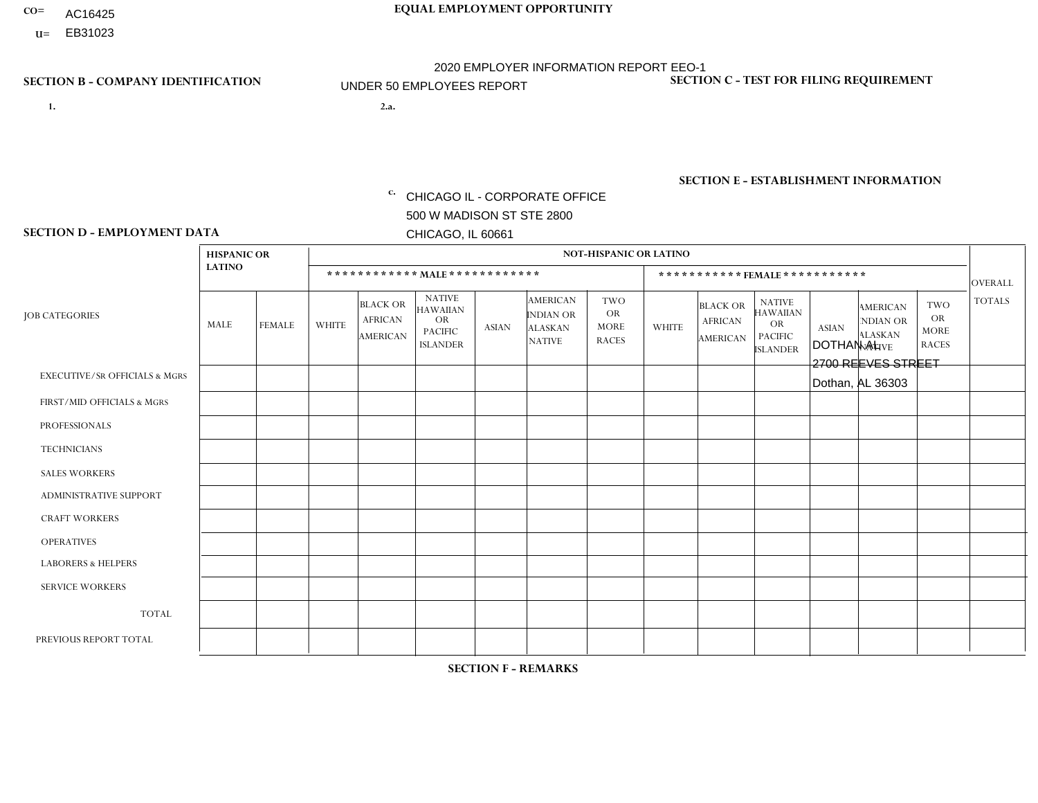- AC16425
- **U=**

- **1. 2.a.** CHICAGO IL CORPORATE OFFICE 500 W MADISON ST STE 2800 CHICAGO, IL 60661
- 2.a. DOTHAN AL 2700 REEVES STREET Dothan, AL 36303

EIN= 952920557

# **SECTION B - COMPANY IDENTIFICATION SECTION C - TEST FOR FILING REQUIREMENT**

1- Y 2- Y 3- N DUNS= 000123456

**SECTION E - ESTABLISHMENT INFORMATION c.** NAICS: 423140

### **SECTION D - EMPLOYMENT DATA**

|                                          |                    | <b>NOT-HISPANIC OR LATINO</b> |              |                                                      |                                                                                    |              |                                                                        |                                                        |              |                                               |                                                                                    |              |                                                                       |                                                        |                |
|------------------------------------------|--------------------|-------------------------------|--------------|------------------------------------------------------|------------------------------------------------------------------------------------|--------------|------------------------------------------------------------------------|--------------------------------------------------------|--------------|-----------------------------------------------|------------------------------------------------------------------------------------|--------------|-----------------------------------------------------------------------|--------------------------------------------------------|----------------|
|                                          | <b>HISPANIC OR</b> |                               |              |                                                      |                                                                                    |              |                                                                        |                                                        |              |                                               |                                                                                    |              |                                                                       |                                                        |                |
|                                          | <b>LATINO</b>      |                               |              | ************ MALE ************                       |                                                                                    |              |                                                                        |                                                        |              |                                               | ***********FEMALE***********                                                       |              |                                                                       |                                                        | <b>OVERALL</b> |
| <b>JOB CATEGORIES</b>                    | <b>MALE</b>        | <b>FEMALE</b>                 | <b>WHITE</b> | <b>BLACK OR</b><br><b>AFRICAN</b><br><b>AMERICAN</b> | <b>NATIVE</b><br><b>HAWAIIAN</b><br><b>OR</b><br><b>PACIFIC</b><br><b>ISLANDER</b> | <b>ASIAN</b> | <b>AMERICAN</b><br><b>INDIAN OR</b><br><b>ALASKAN</b><br><b>NATIVE</b> | <b>TWO</b><br><b>OR</b><br><b>MORE</b><br><b>RACES</b> | <b>WHITE</b> | <b>BLACK OR</b><br><b>AFRICAN</b><br>AMERICAN | <b>NATIVE</b><br><b>HAWAIIAN</b><br><b>OR</b><br><b>PACIFIC</b><br><b>ISLANDER</b> | <b>ASIAN</b> | <b>AMERICAN</b><br><b>NDIAN OR</b><br><b>ALASKAN</b><br><b>NATIVE</b> | <b>TWO</b><br><b>OR</b><br><b>MORE</b><br><b>RACES</b> | <b>TOTALS</b>  |
| <b>EXECUTIVE/SR OFFICIALS &amp; MGRS</b> | $\Omega$           | $\mathbf 0$                   | $\Omega$     | $\mathbf 0$                                          | $\mathbf 0$                                                                        | $\mathbf 0$  | $\Omega$                                                               | $\Omega$                                               | $\mathbf 0$  | $\mathbf 0$                                   | $\Omega$                                                                           | $\mathbf 0$  | $\Omega$                                                              | $\mathbf 0$                                            | $\mathbf 0$    |
| FIRST/MID OFFICIALS & MGRS               | $\Omega$           | $\Omega$                      | 1            | $\Omega$                                             | 0                                                                                  | $\Omega$     | $\Omega$                                                               | $\Omega$                                               | $\Omega$     | $\Omega$                                      | $\Omega$                                                                           | $\Omega$     | $\Omega$                                                              | $\Omega$                                               | $\mathbf{1}$   |
| <b>PROFESSIONALS</b>                     | $\Omega$           | $\mathbf 0$                   | $\mathbf 0$  | $\mathbf 0$                                          | $\mathbf 0$                                                                        | $\mathbf 0$  | $\Omega$                                                               | $\Omega$                                               | $\Omega$     | $\Omega$                                      | $\Omega$                                                                           | $\mathbf 0$  | $\Omega$                                                              | $\mathbf 0$                                            | $\mathbf 0$    |
| <b>TECHNICIANS</b>                       | $\Omega$           | $\mathbf 0$                   | $\Omega$     | $\mathbf 0$                                          | $\Omega$                                                                           | $\Omega$     | $\Omega$                                                               | $\Omega$                                               | $\Omega$     | $\Omega$                                      | $\Omega$                                                                           | $\Omega$     | $\Omega$                                                              | $\Omega$                                               | $\mathbf 0$    |
| <b>SALES WORKERS</b>                     | $\Omega$           | $\mathbf 0$                   | 1            | $\mathbf 0$                                          | 0                                                                                  | $\Omega$     | $\Omega$                                                               | $\Omega$                                               | $\Omega$     | $\Omega$                                      | $\Omega$                                                                           | $\Omega$     | $\Omega$                                                              | $\Omega$                                               | $\mathbf{1}$   |
| ADMINISTRATIVE SUPPORT                   | $\Omega$           | $\mathbf 0$                   | $\Omega$     | $\mathbf 0$                                          | $\mathbf 0$                                                                        | $\mathbf 0$  | $\Omega$                                                               | $\Omega$                                               | $\mathbf{0}$ | $\Omega$                                      | $\Omega$                                                                           | $\Omega$     | $\Omega$                                                              | $\Omega$                                               | $\mathbf 0$    |
| <b>CRAFT WORKERS</b>                     | $\Omega$           | $\Omega$                      | $\Omega$     | $\mathbf 0$                                          | $\Omega$                                                                           | $\Omega$     | $\Omega$                                                               | $\Omega$                                               | $\Omega$     | $\Omega$                                      | $\mathbf{0}$                                                                       | $\Omega$     | $\Omega$                                                              | $\Omega$                                               | $\mathbf 0$    |
| <b>OPERATIVES</b>                        | $\Omega$           | $\mathbf 0$                   | 1            | $\mathbf 0$                                          | $\mathbf{0}$                                                                       | $\Omega$     | $\Omega$                                                               | $\Omega$                                               | $\Omega$     | $\Omega$                                      | $\Omega$                                                                           | $\Omega$     | $\Omega$                                                              | $\Omega$                                               | $\mathbf{1}$   |
| <b>LABORERS &amp; HELPERS</b>            | 0                  | $\Omega$                      | 1            | $\mathbf 0$                                          | 0                                                                                  | $\Omega$     | $\overline{0}$                                                         | $\Omega$                                               | $\Omega$     | $\Omega$                                      | $\Omega$                                                                           | $\Omega$     | $\Omega$                                                              | $\Omega$                                               | $\mathbf{1}$   |
| <b>SERVICE WORKERS</b>                   | $\Omega$           | $\mathbf 0$                   | 0            | 0                                                    | $\mathbf{0}$                                                                       | $\mathbf{0}$ | $\Omega$                                                               | $\Omega$                                               | $\Omega$     | $\Omega$                                      | $\Omega$                                                                           | $\mathbf 0$  | $\Omega$                                                              | $\mathbf 0$                                            | 0              |
| <b>TOTAL</b>                             | 0                  | $\mathbf 0$                   | 4            | $\mathbf 0$                                          | 0                                                                                  | $\mathbf 0$  | $\mathbf{0}$                                                           | 0                                                      | $\mathbf{0}$ | $\mathbf 0$                                   | $\mathbf{0}$                                                                       | $\mathbf{0}$ | 0                                                                     | 0                                                      | 4              |
| PREVIOUS REPORT TOTAL                    |                    | 0                             | 5            | $\mathbf 0$                                          | $\mathbf{0}$                                                                       | $\Omega$     | $\overline{0}$                                                         | $\Omega$                                               | $\Omega$     | $\Omega$                                      | $\mathbf{0}$                                                                       | $\Omega$     | $\Omega$                                                              | $\Omega$                                               | 6              |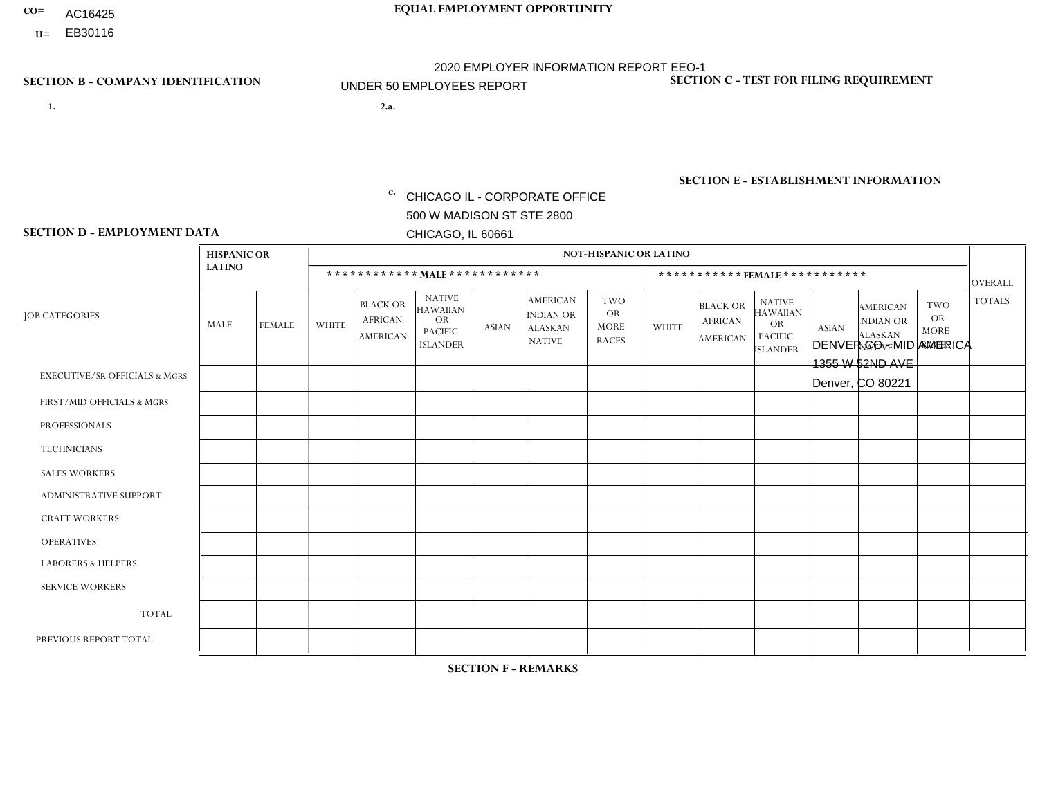- AC16425
- **U=**

**1. 2.a.** CHICAGO IL - CORPORATE OFFICE 500 W MADISON ST STE 2800 CHICAGO, IL 60661

2.a. DENVER CO - MID AMERICA 1355 W 52ND AVE Denver, CO 80221

c. EIN= 952920557

# **SECTION B - COMPANY IDENTIFICATION SECTION C - TEST FOR FILING REQUIREMENT**

1- Y 2- Y 3- N DUNS= 000123456

**SECTION E - ESTABLISHMENT INFORMATION c.** NAICS: 423140

### **SECTION D - EMPLOYMENT DATA**

|                                          | <b>HISPANIC OR</b> |                |                |                                                      |                                                                                    |              |                                                                        | <b>NOT-HISPANIC OR LATINO</b>                          |                |                                               |                                                                             |              |                                                                       |                                                        |                |
|------------------------------------------|--------------------|----------------|----------------|------------------------------------------------------|------------------------------------------------------------------------------------|--------------|------------------------------------------------------------------------|--------------------------------------------------------|----------------|-----------------------------------------------|-----------------------------------------------------------------------------|--------------|-----------------------------------------------------------------------|--------------------------------------------------------|----------------|
|                                          | <b>LATINO</b>      |                |                | ************ MALE ************                       |                                                                                    |              |                                                                        |                                                        |                |                                               | *********** FEMALE ***********                                              |              |                                                                       |                                                        | <b>OVERALL</b> |
| <b>JOB CATEGORIES</b>                    | <b>MALE</b>        | <b>FEMALE</b>  | <b>WHITE</b>   | <b>BLACK OR</b><br><b>AFRICAN</b><br><b>AMERICAN</b> | <b>NATIVE</b><br><b>HAWAIIAN</b><br><b>OR</b><br><b>PACIFIC</b><br><b>ISLANDER</b> | <b>ASIAN</b> | <b>AMERICAN</b><br><b>INDIAN OR</b><br><b>ALASKAN</b><br><b>NATIVE</b> | <b>TWO</b><br><b>OR</b><br><b>MORE</b><br><b>RACES</b> | <b>WHITE</b>   | <b>BLACK OR</b><br><b>AFRICAN</b><br>AMERICAN | <b>NATIVE</b><br><b>HAWAIIAN</b><br>OR<br><b>PACIFIC</b><br><b>ISLANDER</b> | <b>ASIAN</b> | <b>AMERICAN</b><br><b>NDIAN OR</b><br><b>ALASKAN</b><br><b>NATIVE</b> | <b>TWO</b><br><b>OR</b><br><b>MORE</b><br><b>RACES</b> | <b>TOTALS</b>  |
| <b>EXECUTIVE/SR OFFICIALS &amp; MGRS</b> | $\Omega$           | $\Omega$       | $\mathbf{0}$   | $\mathbf 0$                                          | $\mathbf 0$                                                                        | $\Omega$     | $\Omega$                                                               | $\Omega$                                               | $\Omega$       | $\Omega$                                      | $\mathbf 0$                                                                 | $\mathbf 0$  | $\Omega$                                                              | $\Omega$                                               | $\mathbf 0$    |
| FIRST/MID OFFICIALS & MGRS               | $\Omega$           | $\mathbf 1$    | 3              | $\mathbf 0$                                          | $\mathbf{0}$                                                                       | $\Omega$     | $\Omega$                                                               | $\Omega$                                               | 0              | $\Omega$                                      | $\Omega$                                                                    | $\mathbf 0$  | 0                                                                     | $\mathbf 0$                                            | $\overline{4}$ |
| <b>PROFESSIONALS</b>                     | $\Omega$           | $\Omega$       | $\Omega$       | $\mathbf 0$                                          | $\Omega$                                                                           | $\Omega$     | $\Omega$                                                               | $\Omega$                                               | $\Omega$       | $\Omega$                                      | $\Omega$                                                                    | $\Omega$     | $\Omega$                                                              | $\Omega$                                               | $\mathbf{0}$   |
| <b>TECHNICIANS</b>                       | $\Omega$           | $\Omega$       | $\Omega$       | $\mathbf 0$                                          | $\Omega$                                                                           | $\Omega$     | $\Omega$                                                               | $\Omega$                                               | 0              | $\Omega$                                      | 0                                                                           | 0            | $\Omega$                                                              | $\mathbf 0$                                            | $\overline{0}$ |
| <b>SALES WORKERS</b>                     | -1                 | $\mathbf{1}$   | $\Omega$       | $\mathbf 0$                                          | $\Omega$                                                                           | $\Omega$     | $\Omega$                                                               | $\overline{1}$                                         | $\mathbf{1}$   | $\mathbf{1}$                                  | $\Omega$                                                                    | $\Omega$     | $\Omega$                                                              | $\Omega$                                               | 5              |
| ADMINISTRATIVE SUPPORT                   | -1                 | 1              | 3              | $\mathbf 0$                                          | 0                                                                                  | $\mathbf{0}$ | $\Omega$                                                               | $\Omega$                                               | $\overline{2}$ | $\Omega$                                      | 0                                                                           | $\mathbf 0$  | 0                                                                     | $\mathbf 0$                                            | $\overline{7}$ |
| <b>CRAFT WORKERS</b>                     | 4                  | $\Omega$       | 1              | $\Omega$                                             | $\Omega$                                                                           | $\Omega$     | $\Omega$                                                               | 1                                                      | 0              | $\Omega$                                      | 0                                                                           | $\Omega$     | $\Omega$                                                              | $\Omega$                                               | 6              |
| <b>OPERATIVES</b>                        | 3                  | $\Omega$       | 3              | $\mathbf 0$                                          | $\Omega$                                                                           | $\Omega$     | $\Omega$                                                               | $\Omega$                                               | 0              | $\Omega$                                      | 0                                                                           | $\Omega$     | $\Omega$                                                              | $\Omega$                                               | 6              |
| <b>LABORERS &amp; HELPERS</b>            | 2                  | $\Omega$       | $\overline{c}$ | $\overline{1}$                                       | 0                                                                                  | $\Omega$     | $\Omega$                                                               | $\overline{2}$                                         | 1              | $\Omega$                                      | $\Omega$                                                                    | $\Omega$     | $\Omega$                                                              | $\Omega$                                               | 8              |
| <b>SERVICE WORKERS</b>                   |                    | $\mathbf{1}$   |                | 0                                                    | $\mathbf 0$                                                                        | $\mathbf 0$  | $\Omega$                                                               | $\Omega$                                               | $\overline{2}$ | $\blacktriangleleft$                          | 0                                                                           | $\mathbf 0$  | $\Omega$                                                              | $\mathbf 0$                                            | 6              |
| <b>TOTAL</b>                             | 12                 | $\overline{4}$ | 13             | $\mathbf{1}$                                         | 0                                                                                  | 0            | $\Omega$                                                               | $\overline{4}$                                         | 6              | 2                                             | $\Omega$                                                                    | $\mathbf 0$  | $\Omega$                                                              | $\mathbf 0$                                            | 42             |
| PREVIOUS REPORT TOTAL                    | 16                 | 5              | 17             | 3                                                    | $\Omega$                                                                           | $\Omega$     | $\Omega$                                                               | 3                                                      | 8              | $\overline{2}$                                | 0                                                                           | $\mathbf 0$  | $\Omega$                                                              | 0                                                      | 54             |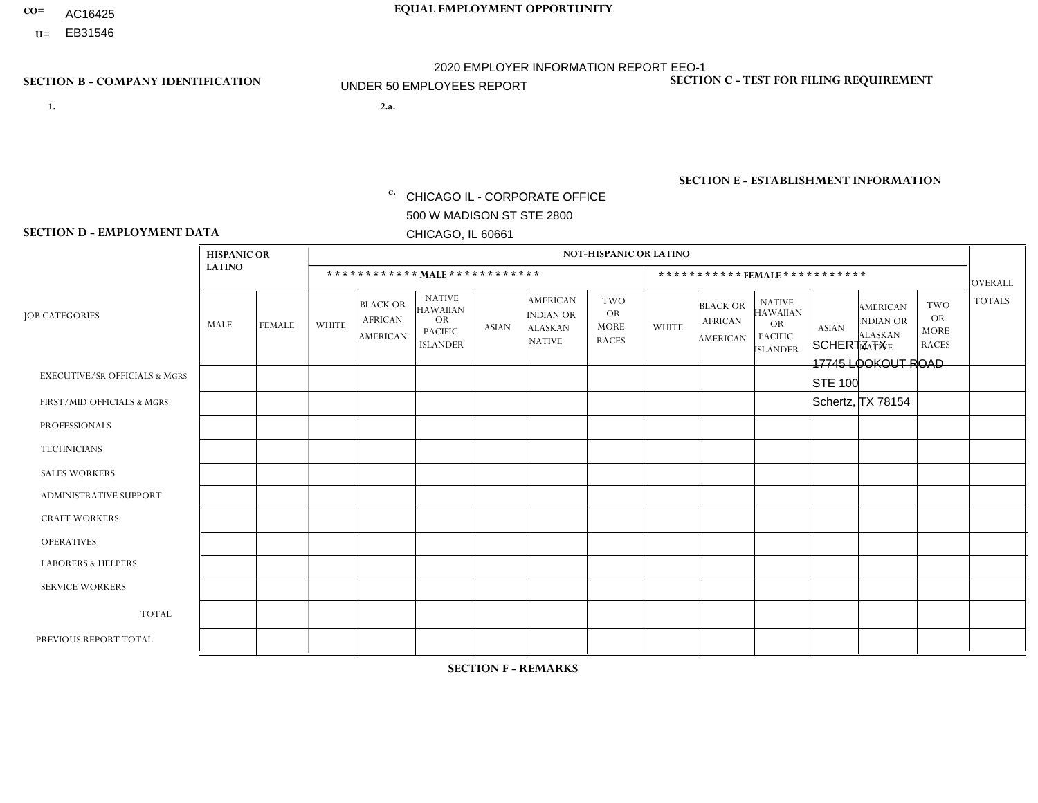- AC16425
- **U=**

- **1. 2.a.** CHICAGO IL CORPORATE OFFICE 500 W MADISON ST STE 2800 CHICAGO, IL 60661
- 2.a. SCHERTZ TX 17745 LOOKOUT ROAD STE 100 Schertz, TX 78154
	- EIN= 952920557

# **SECTION B - COMPANY IDENTIFICATION SECTION C - TEST FOR FILING REQUIREMENT**

1- Y 2- Y 3- N DUNS= 000123456

**SECTION E - ESTABLISHMENT INFORMATION c.** NAICS: 423140

### **SECTION D - EMPLOYMENT DATA**

|                                          | <b>HISPANIC OR</b> |                |                |                                                      |                                                                                    |                |                                                                 | <b>NOT-HISPANIC OR LATINO</b>                   |                |                                                      |                                                                                    |                      |                                                                       |                                                        |                |
|------------------------------------------|--------------------|----------------|----------------|------------------------------------------------------|------------------------------------------------------------------------------------|----------------|-----------------------------------------------------------------|-------------------------------------------------|----------------|------------------------------------------------------|------------------------------------------------------------------------------------|----------------------|-----------------------------------------------------------------------|--------------------------------------------------------|----------------|
|                                          | <b>LATINO</b>      |                |                |                                                      | ************ MALE ************                                                     |                |                                                                 |                                                 |                |                                                      | ***********FEMALE***********                                                       |                      |                                                                       |                                                        | <b>OVERALL</b> |
| <b>JOB CATEGORIES</b>                    | MALE               | <b>FEMALE</b>  | <b>WHITE</b>   | <b>BLACK OR</b><br><b>AFRICAN</b><br><b>AMERICAN</b> | <b>NATIVE</b><br><b>HAWAIIAN</b><br><b>OR</b><br><b>PACIFIC</b><br><b>ISLANDER</b> | <b>ASIAN</b>   | <b>AMERICAN</b><br>INDIAN OR<br><b>ALASKAN</b><br><b>NATIVE</b> | TWO<br><b>OR</b><br><b>MORE</b><br><b>RACES</b> | <b>WHITE</b>   | <b>BLACK OR</b><br><b>AFRICAN</b><br><b>AMERICAN</b> | <b>NATIVE</b><br><b>HAWAIIAN</b><br><b>OR</b><br><b>PACIFIC</b><br><b>ISLANDER</b> | <b>ASIAN</b>         | <b>AMERICAN</b><br><b>NDIAN OR</b><br><b>ALASKAN</b><br><b>NATIVE</b> | <b>TWO</b><br><b>OR</b><br><b>MORE</b><br><b>RACES</b> | <b>TOTALS</b>  |
| <b>EXECUTIVE/SR OFFICIALS &amp; MGRS</b> | $\mathbf 0$        | $\mathbf 0$    | $\mathbf 0$    | $\mathbf 0$                                          | $\mathbf 0$                                                                        | $\Omega$       | $\Omega$                                                        | 0                                               | $\Omega$       | $\mathbf 0$                                          | $\mathbf 0$                                                                        | $\mathbf 0$          | 0                                                                     | $\mathbf 0$                                            | $\mathbf 0$    |
| FIRST/MID OFFICIALS & MGRS               | 0                  | $\mathbf 0$    | $\mathbf{1}$   | $\mathbf 0$                                          | $\Omega$                                                                           | $\Omega$       | $\Omega$                                                        | 0                                               | 1              | $\Omega$                                             | $\mathbf{0}$                                                                       | $\Omega$             | $\Omega$                                                              | $\Omega$                                               | $\overline{2}$ |
| <b>PROFESSIONALS</b>                     | $\Omega$           | $\mathbf 0$    | $\mathbf 0$    | $\Omega$                                             | $\mathbf{0}$                                                                       | $\Omega$       | $\Omega$                                                        | $\Omega$                                        | $\Omega$       | $\mathbf{0}$                                         | $\mathbf{0}$                                                                       | $\mathbf 0$          | $\Omega$                                                              | $\Omega$                                               | $\mathbf 0$    |
| <b>TECHNICIANS</b>                       | 0                  | 0              | $\mathbf 0$    | $\Omega$                                             | $\Omega$                                                                           | $\Omega$       | $\Omega$                                                        | $\Omega$                                        | $\Omega$       | $\Omega$                                             | $\Omega$                                                                           | 0                    | 0                                                                     | $\Omega$                                               | $\mathbf 0$    |
| <b>SALES WORKERS</b>                     | $\overline{7}$     | $\overline{1}$ | $\overline{4}$ | 5                                                    | $\mathbf{0}$                                                                       | $\overline{0}$ | $\Omega$                                                        |                                                 | $\overline{2}$ | $\Omega$                                             | $\Omega$                                                                           | $\blacktriangleleft$ | 0                                                                     | $\Omega$                                               | 21             |
| ADMINISTRATIVE SUPPORT                   | $\mathbf 0$        | -1             | $\mathbf 0$    | $\mathbf{1}$                                         | $\Omega$                                                                           | $\Omega$       | $\Omega$                                                        | $\Omega$                                        | $\Omega$       | $\Omega$                                             | $\Omega$                                                                           | $\Omega$             | $\Omega$                                                              | $\Omega$                                               | 2              |
| <b>CRAFT WORKERS</b>                     | 0                  | $\mathbf 0$    | $\mathbf 0$    | $\mathbf 0$                                          | $\mathbf 0$                                                                        | $\Omega$       | $\Omega$                                                        | 0                                               | $\Omega$       | $\Omega$                                             | $\mathbf{0}$                                                                       | $\mathbf 0$          | 0                                                                     | $\mathbf 0$                                            | $\mathbf 0$    |
| <b>OPERATIVES</b>                        | $\overline{2}$     | $\mathbf 0$    | $\mathbf 0$    | $\mathbf 0$                                          | $\mathbf{0}$                                                                       | $\Omega$       | $\Omega$                                                        | $\Omega$                                        | $\Omega$       | $\Omega$                                             | $\mathbf{0}$                                                                       | $\mathbf 0$          | 0                                                                     | $\mathbf 0$                                            | 2              |
| <b>LABORERS &amp; HELPERS</b>            | 5                  | $\Omega$       | $\overline{c}$ | 2                                                    | $\mathbf{0}$                                                                       | $\Omega$       | $\Omega$                                                        |                                                 | 3              |                                                      | $\Omega$                                                                           | $\Omega$             | $\Omega$                                                              | $\Omega$                                               | 14             |
| <b>SERVICE WORKERS</b>                   | $\Omega$           | $\Omega$       | $\mathbf 0$    | $\Omega$                                             | $\Omega$                                                                           | $\Omega$       | $\Omega$                                                        | $\Omega$                                        | $\Omega$       | $\Omega$                                             | $\Omega$                                                                           | $\Omega$             | $\Omega$                                                              | $\Omega$                                               | $\mathbf 0$    |
| <b>TOTAL</b>                             | 14                 | $\overline{2}$ | $\overline{7}$ | 8                                                    | $\mathbf 0$                                                                        | 0              | $\Omega$                                                        | $\overline{2}$                                  | 6              | 1                                                    | $\mathbf{0}$                                                                       |                      | $\Omega$                                                              | $\Omega$                                               | 41             |
| PREVIOUS REPORT TOTAL                    | 27                 | 6              | 14             | 14                                                   | $\mathbf{0}$                                                                       | $\Omega$       | $\Omega$                                                        | $\overline{2}$                                  | 5              |                                                      | $\mathbf 0$                                                                        | 1                    | 0                                                                     | $\mathbf 0$                                            | 70             |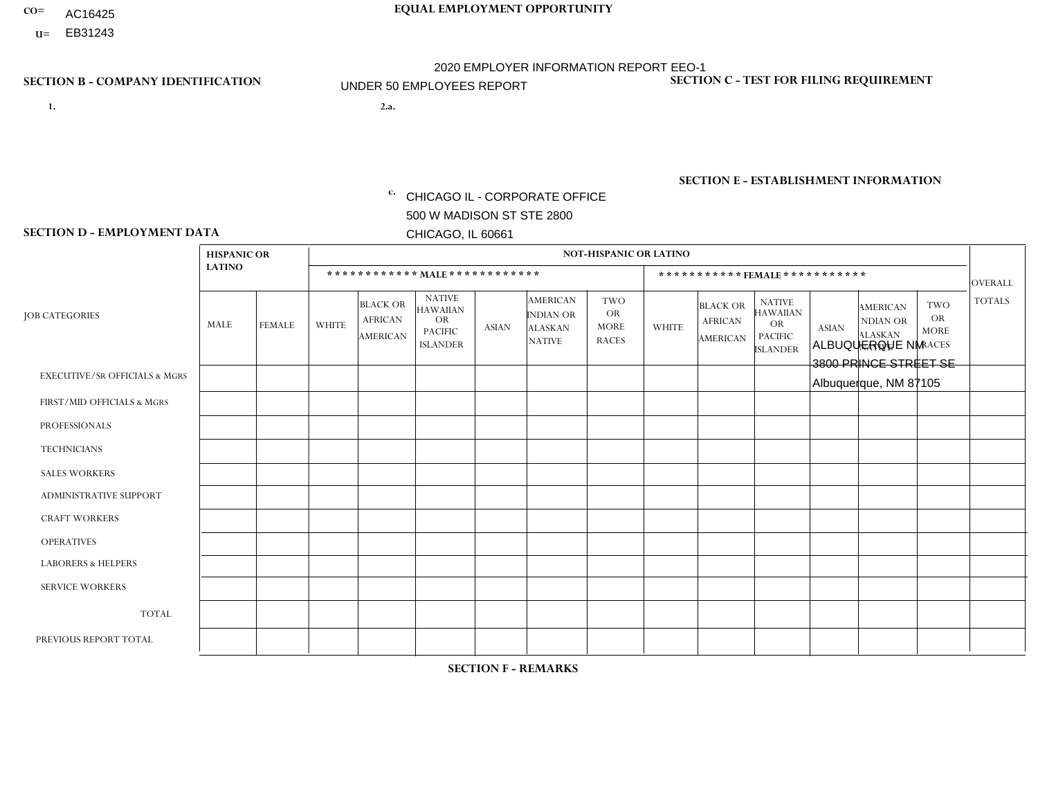- AC16425
- **U=**

- **1. 2.a.** CHICAGO IL CORPORATE OFFICE 500 W MADISON ST STE 2800 CHICAGO, IL 60661
- 2.a. ALBUQUERQUE NM 3800 PRINCE STREET SE Albuquerque, NM 87105

c. EIN= 952920557

# **SECTION B - COMPANY IDENTIFICATION SECTION C - TEST FOR FILING REQUIREMENT**

1- Y 2- Y 3- N DUNS= 000123456

**SECTION E - ESTABLISHMENT INFORMATION c.** NAICS: 423140

### **SECTION D - EMPLOYMENT DATA**

|                                          |                    |               | <b>NOT-HISPANIC OR LATINO</b> |                                                      |                                                                                    |              |                                                                        |                                                        |              |                                                      |                                                                                    |              |                                                                       |                                                        |                |
|------------------------------------------|--------------------|---------------|-------------------------------|------------------------------------------------------|------------------------------------------------------------------------------------|--------------|------------------------------------------------------------------------|--------------------------------------------------------|--------------|------------------------------------------------------|------------------------------------------------------------------------------------|--------------|-----------------------------------------------------------------------|--------------------------------------------------------|----------------|
|                                          | <b>HISPANIC OR</b> |               |                               |                                                      |                                                                                    |              |                                                                        |                                                        |              |                                                      |                                                                                    |              |                                                                       |                                                        |                |
|                                          | <b>LATINO</b>      |               |                               | ************ MALE ************                       |                                                                                    |              |                                                                        |                                                        |              |                                                      | ***********FEMALE***********                                                       |              |                                                                       |                                                        | <b>OVERALL</b> |
| <b>JOB CATEGORIES</b>                    | <b>MALE</b>        | <b>FEMALE</b> | <b>WHITE</b>                  | <b>BLACK OR</b><br><b>AFRICAN</b><br><b>AMERICAN</b> | <b>NATIVE</b><br><b>HAWAIIAN</b><br><b>OR</b><br><b>PACIFIC</b><br><b>ISLANDER</b> | <b>ASIAN</b> | <b>AMERICAN</b><br><b>INDIAN OR</b><br><b>ALASKAN</b><br><b>NATIVE</b> | <b>TWO</b><br><b>OR</b><br><b>MORE</b><br><b>RACES</b> | <b>WHITE</b> | <b>BLACK OR</b><br><b>AFRICAN</b><br><b>AMERICAN</b> | <b>NATIVE</b><br><b>HAWAIIAN</b><br><b>OR</b><br><b>PACIFIC</b><br><b>ISLANDER</b> | <b>ASIAN</b> | <b>AMERICAN</b><br><b>NDIAN OR</b><br><b>ALASKAN</b><br><b>NATIVE</b> | <b>TWO</b><br><b>OR</b><br><b>MORE</b><br><b>RACES</b> | <b>TOTALS</b>  |
| <b>EXECUTIVE/SR OFFICIALS &amp; MGRS</b> | $\mathbf{0}$       | $\Omega$      | $\Omega$                      | $\Omega$                                             | 0                                                                                  | $\Omega$     | $\Omega$                                                               | $\Omega$                                               | $\Omega$     | $\mathbf{0}$                                         | $\Omega$                                                                           | $\Omega$     | $\Omega$                                                              | $\Omega$                                               | $\Omega$       |
| FIRST/MID OFFICIALS & MGRS               | $\overline{2}$     | $\Omega$      | $\overline{c}$                | $\mathbf 0$                                          | $\mathbf 0$                                                                        | $\Omega$     | $\Omega$                                                               | $\Omega$                                               | 1            | $\mathbf{0}$                                         | $\Omega$                                                                           | $\Omega$     | $\Omega$                                                              | $\Omega$                                               | 5              |
| <b>PROFESSIONALS</b>                     | $\Omega$           | $\Omega$      | $\mathbf 0$                   | $\mathbf 0$                                          | $\overline{0}$                                                                     | $\Omega$     | $\Omega$                                                               | $\Omega$                                               | $\Omega$     | $\Omega$                                             | $\Omega$                                                                           | $\Omega$     | $\Omega$                                                              | $\mathbf{0}$                                           | $\mathbf 0$    |
| <b>TECHNICIANS</b>                       | $\Omega$           | $\Omega$      | $\Omega$                      | $\Omega$                                             | 0                                                                                  | $\Omega$     | $\overline{0}$                                                         | $\Omega$                                               | $\Omega$     | $\Omega$                                             | $\Omega$                                                                           | $\Omega$     | $\mathbf{0}$                                                          | $\Omega$                                               | $\Omega$       |
| <b>SALES WORKERS</b>                     | 8                  | $\Omega$      | 1                             | $\Omega$                                             | 0                                                                                  | $\Omega$     | $\Omega$                                                               | $\Omega$                                               | $\Omega$     | $\Omega$                                             | $\Omega$                                                                           | $\Omega$     | $\Omega$                                                              | $\mathbf{0}$                                           | 9              |
| <b>ADMINISTRATIVE SUPPORT</b>            | $\overline{2}$     | $\mathbf 0$   | $\overline{1}$                | $\mathbf 0$                                          | $\mathbf 0$                                                                        | $\mathbf 0$  | $\Omega$                                                               | $\Omega$                                               | $\Omega$     | $\Omega$                                             | $\Omega$                                                                           | $\Omega$     | $\Omega$                                                              | $\Omega$                                               | 3              |
| <b>CRAFT WORKERS</b>                     | 3                  | $\Omega$      | 3                             | $\mathbf 0$                                          | 0                                                                                  | $\Omega$     | $\Omega$                                                               | $\Omega$                                               | $\Omega$     | $\Omega$                                             | $\Omega$                                                                           | $\Omega$     | $\Omega$                                                              | $\Omega$                                               | 6              |
| <b>OPERATIVES</b>                        | 4                  | 0             | 1                             | 0                                                    | 0                                                                                  | $\Omega$     | $\overline{2}$                                                         |                                                        | $\Omega$     | $\Omega$                                             | $\Omega$                                                                           | $\Omega$     | $\Omega$                                                              | $\Omega$                                               | 8              |
| <b>LABORERS &amp; HELPERS</b>            | 5                  | $\Omega$      | 1                             | $\mathbf{1}$                                         | 0                                                                                  | $\Omega$     | 1                                                                      | $\Omega$                                               | $\Omega$     | $\Omega$                                             | $\Omega$                                                                           | $\Omega$     | $\Omega$                                                              | $\Omega$                                               | 8              |
| <b>SERVICE WORKERS</b>                   | $\Omega$           | $\Omega$      | $\Omega$                      | 0                                                    | $\mathbf{0}$                                                                       | $\Omega$     | $\Omega$                                                               | $\Omega$                                               | $\Omega$     | $\Omega$                                             | $\Omega$                                                                           | $\Omega$     | $\Omega$                                                              | $\Omega$                                               | 0              |
| <b>TOTAL</b>                             | 24                 | $\mathbf 0$   | 9                             | $\mathbf{1}$                                         | 0                                                                                  | $\mathbf 0$  | 3                                                                      |                                                        | 1            | $\Omega$                                             | $\Omega$                                                                           | $\mathbf 0$  | $\Omega$                                                              | $\mathbf 0$                                            | 39             |
| PREVIOUS REPORT TOTAL                    | 30                 | 3             | 10                            | $\mathbf 1$                                          | 0                                                                                  | $\Omega$     | $\Omega$                                                               | 3                                                      | 2            | $\Omega$                                             | $\mathbf{0}$                                                                       | $\Omega$     | $\mathbf{0}$                                                          | $\overline{1}$                                         | 50             |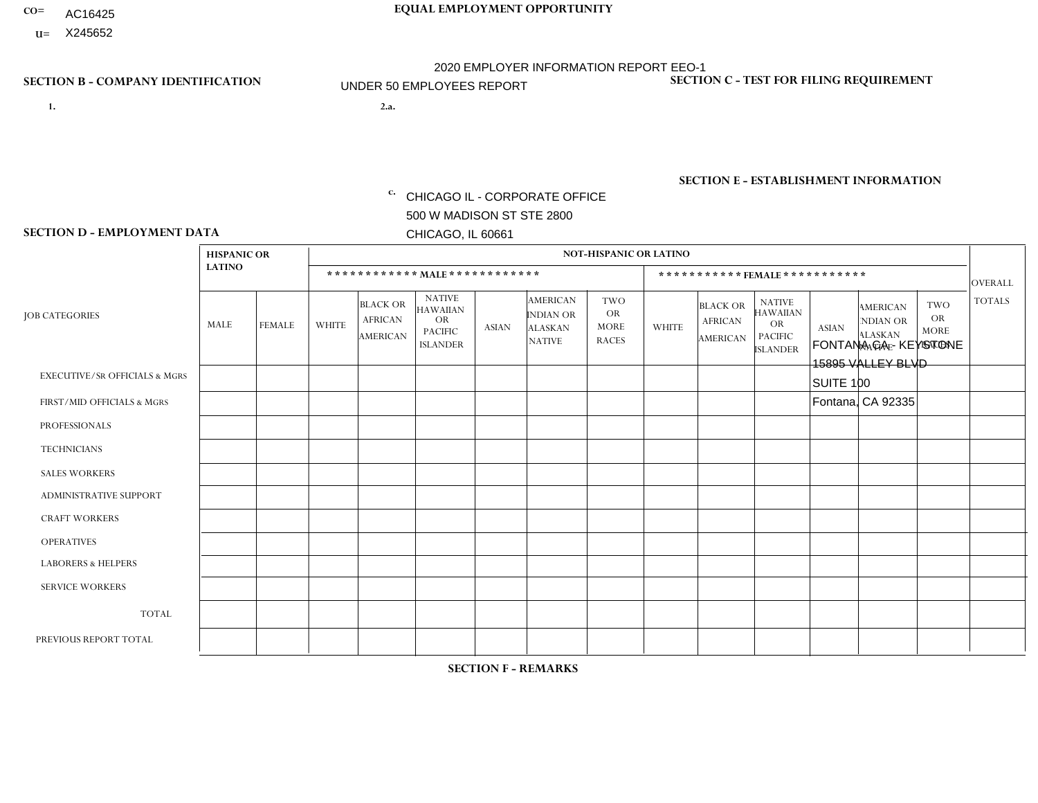- AC16425
- **U=**

- **1. 2.a.** CHICAGO IL CORPORATE OFFICE 500 W MADISON ST STE 2800 CHICAGO, IL 60661
- FONTANA CA KEYSTONE 15895 VALLEY BLVD SUITE 100 Fontana, CA 92335
	- EIN= 952920557

# **SECTION B - COMPANY IDENTIFICATION SECTION C - TEST FOR FILING REQUIREMENT**

1- Y 2- Y 3- N DUNS= 000123456

**SECTION E - ESTABLISHMENT INFORMATION c.** NAICS: 423140

## **SECTION D - EMPLOYMENT DATA**

|                                          | <b>HISPANIC OR</b> |                |                |                                                      |                                                                             |              |                                                                        | <b>NOT-HISPANIC OR LATINO</b>                   |                      |                                               |                                                                                    |              |                                                                       |                                                        |                |
|------------------------------------------|--------------------|----------------|----------------|------------------------------------------------------|-----------------------------------------------------------------------------|--------------|------------------------------------------------------------------------|-------------------------------------------------|----------------------|-----------------------------------------------|------------------------------------------------------------------------------------|--------------|-----------------------------------------------------------------------|--------------------------------------------------------|----------------|
|                                          | <b>LATINO</b>      |                |                |                                                      | ************ MALE ************                                              |              |                                                                        |                                                 |                      | ***********FEMALE ***********                 |                                                                                    |              |                                                                       |                                                        | <b>OVERALL</b> |
| <b>JOB CATEGORIES</b>                    | MALE               | <b>FEMALE</b>  | <b>WHITE</b>   | <b>BLACK OR</b><br><b>AFRICAN</b><br><b>AMERICAN</b> | <b>NATIVE</b><br>HAWAIIAN<br><b>OR</b><br><b>PACIFIC</b><br><b>ISLANDER</b> | <b>ASIAN</b> | <b>AMERICAN</b><br><b>INDIAN OR</b><br><b>ALASKAN</b><br><b>NATIVE</b> | TWO<br><b>OR</b><br><b>MORE</b><br><b>RACES</b> | <b>WHITE</b>         | <b>BLACK OR</b><br><b>AFRICAN</b><br>AMERICAN | <b>NATIVE</b><br><b>HAWAIIAN</b><br><b>OR</b><br><b>PACIFIC</b><br><b>ISLANDER</b> | <b>ASIAN</b> | <b>AMERICAN</b><br><b>NDIAN OR</b><br><b>ALASKAN</b><br><b>NATIVE</b> | <b>TWO</b><br><b>OR</b><br><b>MORE</b><br><b>RACES</b> | <b>TOTALS</b>  |
| <b>EXECUTIVE/SR OFFICIALS &amp; MGRS</b> | $\mathbf 0$        | $\mathbf 0$    | $\mathbf 0$    | $\mathbf 0$                                          | $\mathbf 0$                                                                 | $\Omega$     | $\Omega$                                                               | 0                                               | $\Omega$             | $\Omega$                                      | 0                                                                                  | $\mathbf 0$  | $\Omega$                                                              | 0                                                      | $\mathbf 0$    |
| FIRST/MID OFFICIALS & MGRS               | 1                  | $\Omega$       | $\overline{c}$ | $\Omega$                                             | $\mathbf{0}$                                                                | $\Omega$     | $\Omega$                                                               | $\Omega$                                        | $\Omega$             | $\Omega$                                      | $\Omega$                                                                           | $\Omega$     | $\Omega$                                                              | $\Omega$                                               | 3              |
| <b>PROFESSIONALS</b>                     | 0                  | $\mathbf 0$    | $\mathbf 0$    | $\mathbf 0$                                          | $\mathbf{0}$                                                                | $\Omega$     | $\Omega$                                                               | 0                                               | $\Omega$             | $\Omega$                                      | $\Omega$                                                                           | $\mathbf 0$  | $\Omega$                                                              | $\mathbf 0$                                            | $\mathbf 0$    |
| <b>TECHNICIANS</b>                       | 0                  | $\mathbf 0$    | $\mathbf 0$    | $\mathbf 0$                                          | $\Omega$                                                                    | $\Omega$     | $\Omega$                                                               | 0                                               | $\Omega$             | $\Omega$                                      | 0                                                                                  | $\mathbf 0$  | $\Omega$                                                              | $\mathbf 0$                                            | $\mathbf{0}$   |
| <b>SALES WORKERS</b>                     | 6                  | $\mathbf 0$    | $\overline{1}$ | $\mathbf 0$                                          | $\Omega$                                                                    | $\Omega$     | $\Omega$                                                               | $\mathbf{1}$                                    | $\overline{2}$       | $\Omega$                                      | $\mathbf{0}$                                                                       | $\mathbf 0$  | $\Omega$                                                              | $\mathbf 0$                                            | 10             |
| <b>ADMINISTRATIVE SUPPORT</b>            | $\mathbf{0}$       | -1             | $\mathbf 0$    | $\mathbf 0$                                          | $\mathbf{0}$                                                                | $\Omega$     | $\Omega$                                                               | $\Omega$                                        | $\blacktriangleleft$ | $\Omega$                                      | $\mathbf 0$                                                                        | $\Omega$     | $\Omega$                                                              | $\Omega$                                               | 2              |
| <b>CRAFT WORKERS</b>                     | $\Omega$           | $\Omega$       | $\mathbf 0$    | $\mathbf 0$                                          | $\mathbf 0$                                                                 | $\Omega$     | $\Omega$                                                               | 0                                               | $\Omega$             | $\Omega$                                      | $\mathbf 0$                                                                        | $\mathbf 0$  | $\Omega$                                                              | $\mathbf 0$                                            | $\overline{0}$ |
| <b>OPERATIVES</b>                        | 12                 | $\mathbf 0$    | 1              | 2                                                    | $\mathbf{0}$                                                                | $\mathbf{0}$ | 0                                                                      | 0                                               | $\Omega$             | $\Omega$                                      | $\Omega$                                                                           | $\Omega$     | $\Omega$                                                              | $\Omega$                                               | 15             |
| <b>LABORERS &amp; HELPERS</b>            | 8                  | $\overline{2}$ | 1              | $\mathbf 0$                                          |                                                                             | $\mathbf 0$  | 0                                                                      | 0                                               | $\Omega$             | $\Omega$                                      | $\Omega$                                                                           | $\mathbf 0$  | $\Omega$                                                              | $\mathbf 0$                                            | 12             |
| <b>SERVICE WORKERS</b>                   | $\Omega$           | $\overline{0}$ | $\mathbf 0$    | $\mathbf 0$                                          | $\mathbf{0}$                                                                | $\mathbf{0}$ | $\Omega$                                                               | 0                                               | $\Omega$             | $\Omega$                                      | $\Omega$                                                                           | $\Omega$     | $\Omega$                                                              | $\Omega$                                               | $\mathbf 0$    |
| <b>TOTAL</b>                             | 27                 | 3              | 5              | $\overline{2}$                                       |                                                                             | $\mathbf{0}$ | $\Omega$                                                               | $\overline{1}$                                  | 3                    | $\Omega$                                      | $\mathbf 0$                                                                        | $\mathbf 0$  | 0                                                                     | $\mathbf 0$                                            | 42             |
| PREVIOUS REPORT TOTAL                    | 47                 | 3              | $\overline{7}$ | 2                                                    |                                                                             | 1            | 0                                                                      | $\overline{2}$                                  | 3                    | $\Omega$                                      | 0                                                                                  | 0            | $\Omega$                                                              | 0                                                      | 66             |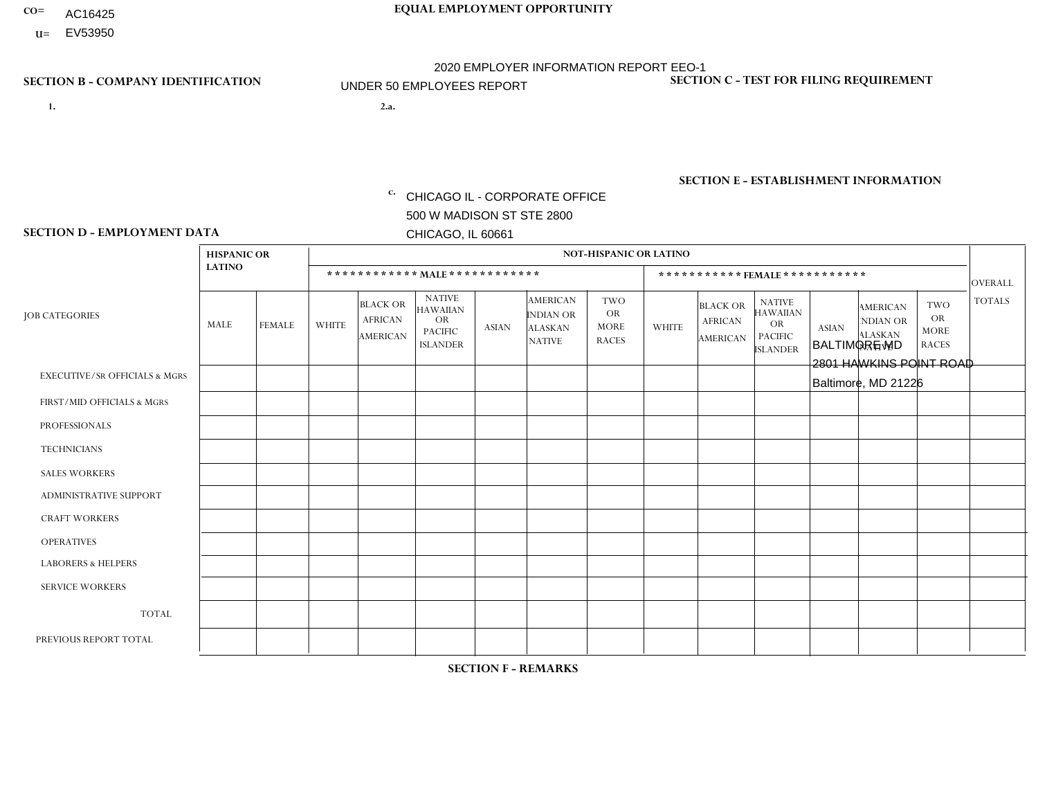- AC16425
- **U=**

- **1. 2.a.** CHICAGO IL CORPORATE OFFICE 500 W MADISON ST STE 2800 CHICAGO, IL 60661
- 2.a. BALTIMORE MD 2801 HAWKINS POINT ROAD Baltimore, MD 21226

EIN= 952920557

# **SECTION B - COMPANY IDENTIFICATION SECTION C - TEST FOR FILING REQUIREMENT**

1- Y 2- Y 3- N DUNS= 000123456

**SECTION E - ESTABLISHMENT INFORMATION c.** NAICS: 423140

### **SECTION D - EMPLOYMENT DATA**

|                                          | <b>HISPANIC OR</b> |               |                |                                                      |                                                                                    |              |                                                                        |                                                        |                |                                               |                                                                                    |              |                                                                       |                                                        |                |
|------------------------------------------|--------------------|---------------|----------------|------------------------------------------------------|------------------------------------------------------------------------------------|--------------|------------------------------------------------------------------------|--------------------------------------------------------|----------------|-----------------------------------------------|------------------------------------------------------------------------------------|--------------|-----------------------------------------------------------------------|--------------------------------------------------------|----------------|
|                                          |                    |               |                |                                                      |                                                                                    |              |                                                                        | <b>NOT-HISPANIC OR LATINO</b>                          |                |                                               |                                                                                    |              |                                                                       |                                                        |                |
|                                          | <b>LATINO</b>      |               |                | ************ MAIE************                        |                                                                                    |              |                                                                        |                                                        |                |                                               | ***********FEMALE ***********                                                      |              |                                                                       |                                                        | <b>OVERALL</b> |
| <b>JOB CATEGORIES</b>                    | <b>MALE</b>        | <b>FEMALE</b> | <b>WHITE</b>   | <b>BLACK OR</b><br><b>AFRICAN</b><br><b>AMERICAN</b> | <b>NATIVE</b><br><b>HAWAIIAN</b><br><b>OR</b><br><b>PACIFIC</b><br><b>ISLANDER</b> | <b>ASIAN</b> | <b>AMERICAN</b><br><b>INDIAN OR</b><br><b>ALASKAN</b><br><b>NATIVE</b> | <b>TWO</b><br><b>OR</b><br><b>MORE</b><br><b>RACES</b> | <b>WHITE</b>   | <b>BLACK OR</b><br><b>AFRICAN</b><br>AMERICAN | <b>NATIVE</b><br><b>HAWAIIAN</b><br><b>OR</b><br><b>PACIFIC</b><br><b>ISLANDER</b> | <b>ASIAN</b> | <b>AMERICAN</b><br><b>NDIAN OR</b><br><b>ALASKAN</b><br><b>NATIVE</b> | <b>TWO</b><br><b>OR</b><br><b>MORE</b><br><b>RACES</b> | <b>TOTALS</b>  |
| <b>EXECUTIVE/SR OFFICIALS &amp; MGRS</b> | $\Omega$           | $\Omega$      | $\Omega$       | $\mathbf 0$                                          | $\Omega$                                                                           | $\Omega$     | $\Omega$                                                               | $\Omega$                                               | $\Omega$       | $\mathbf{0}$                                  | $\mathbf{0}$                                                                       | $\Omega$     | $\Omega$                                                              | $\Omega$                                               | $\mathbf 0$    |
| FIRST/MID OFFICIALS & MGRS               | $\Omega$           | $\Omega$      | $\overline{1}$ | $\Omega$                                             | 0                                                                                  | $\Omega$     | $\Omega$                                                               | $\Omega$                                               | $\Omega$       | $\Omega$                                      | $\Omega$                                                                           | $\Omega$     | $\Omega$                                                              | $\Omega$                                               | $\mathbf{1}$   |
| <b>PROFESSIONALS</b>                     | $\Omega$           | $\Omega$      | $\Omega$       | $\Omega$                                             | $\Omega$                                                                           | $\Omega$     | $\Omega$                                                               | $\Omega$                                               | $\Omega$       | $\Omega$                                      | $\Omega$                                                                           | $\Omega$     | $\mathbf{0}$                                                          | $\overline{1}$                                         | $\mathbf{1}$   |
| <b>TECHNICIANS</b>                       | $\Omega$           | $\mathbf 0$   | $\Omega$       | $\mathbf 0$                                          | $\mathbf{0}$                                                                       | $\Omega$     | $\Omega$                                                               | $\Omega$                                               | $\mathbf{0}$   | $\Omega$                                      | $\Omega$                                                                           | $\Omega$     | $\Omega$                                                              | $\Omega$                                               | $\mathbf 0$    |
| <b>SALES WORKERS</b>                     | $\Omega$           | $\Omega$      | $\Omega$       | $\Omega$                                             | $\Omega$                                                                           | $\Omega$     | $\Omega$                                                               | $\Omega$                                               | $\Omega$       | $\Omega$                                      | $\Omega$                                                                           | $\Omega$     | $\Omega$                                                              | $\Omega$                                               | $\mathbf 0$    |
| <b>ADMINISTRATIVE SUPPORT</b>            | $\Omega$           | $\Omega$      | $\overline{2}$ | $\Omega$                                             | $\Omega$                                                                           | $\Omega$     | $\Omega$                                                               |                                                        | $\overline{2}$ | $\overline{1}$                                | $\Omega$                                                                           | $\Omega$     | $\Omega$                                                              | $\Omega$                                               | 6              |
| <b>CRAFT WORKERS</b>                     | 0                  | $\Omega$      | $\mathbf 0$    | $\mathbf 0$                                          | $\Omega$                                                                           | $\Omega$     | $\Omega$                                                               | $\Omega$                                               | $\Omega$       | $\Omega$                                      | $\Omega$                                                                           | $\Omega$     | $\Omega$                                                              | $\Omega$                                               | $\Omega$       |
| <b>OPERATIVES</b>                        | 3                  | $\Omega$      | 5              | 6                                                    | $\Omega$                                                                           | $\Omega$     | $\overline{0}$                                                         |                                                        | $\Omega$       | $\Omega$                                      | $\mathbf{0}$                                                                       | $\Omega$     | $\Omega$                                                              | $\Omega$                                               | 15             |
| <b>LABORERS &amp; HELPERS</b>            | $\Omega$           | $\Omega$      | $\Omega$       | $\mathbf 0$                                          | 0                                                                                  | $\Omega$     | $\Omega$                                                               | $\Omega$                                               | $\Omega$       | $\Omega$                                      | $\Omega$                                                                           | $\Omega$     | $\Omega$                                                              | $\Omega$                                               | 0              |
| <b>SERVICE WORKERS</b>                   | $\Omega$           | $\mathbf 0$   | 0              | $\mathbf 0$                                          | $\mathbf 0$                                                                        | $\mathbf 0$  | $\Omega$                                                               | $\Omega$                                               | $\Omega$       | $\Omega$                                      | $\Omega$                                                                           | $\mathbf 0$  | $\Omega$                                                              | $\mathbf 0$                                            | 0              |
| <b>TOTAL</b>                             | 3                  | $\mathbf 0$   | 8              | 6                                                    | 0                                                                                  | $\mathbf{0}$ | $\Omega$                                                               | 2                                                      | $\overline{2}$ | $\overline{1}$                                | $\Omega$                                                                           | $\Omega$     | $\Omega$                                                              | $\overline{1}$                                         | 23             |
| PREVIOUS REPORT TOTAL                    | 3                  | $\Omega$      | 6              | 9                                                    | 0                                                                                  | $\Omega$     | $\Omega$                                                               | 2                                                      | $\overline{2}$ |                                               | $\mathbf{0}$                                                                       | $\Omega$     | $\mathbf{0}$                                                          | $\overline{1}$                                         | 24             |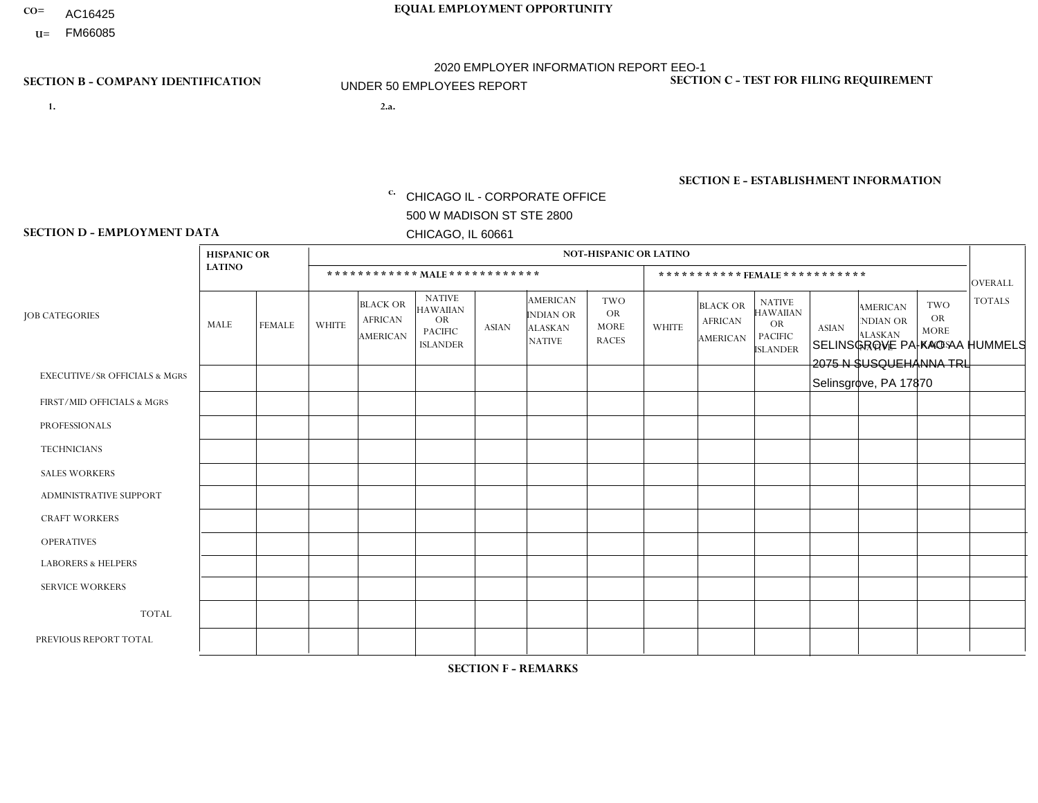- **CO= EQUAL EMPLOYMENT OPPORTUNITY** AC16425
	- **U=**

- **1. 2.a.** CHICAGO IL CORPORATE OFFICE 500 W MADISON ST STE 2800 CHICAGO, IL 60661
- **SECTION B COMPANY IDENTIFICATION SECTION C TEST FOR FILING REQUIREMENT** 2.a. SELINSGROVE PA-KAO AA HUMMELS 2075 N SUSQUEHANNA TRL

2020 EMPLOYER INFORMATION REPORT EEO-1 UNDER 50 EMPLOYEES REPORT

Selinsgrove, PA 17870

c. EIN= 952920557

1- Y 2- Y 3- N DUNS= 000123456

**SECTION E - ESTABLISHMENT INFORMATION c.** NAICS: 423140

### **SECTION D - EMPLOYMENT DATA**

|                                          | <b>HISPANIC OR</b> |               |                |                                                      |                                                                                    |              |                                                                        | <b>NOT-HISPANIC OR LATINO</b>                          |              |                                                      |                                                                                    |              |                                                                       |                                                  |                |
|------------------------------------------|--------------------|---------------|----------------|------------------------------------------------------|------------------------------------------------------------------------------------|--------------|------------------------------------------------------------------------|--------------------------------------------------------|--------------|------------------------------------------------------|------------------------------------------------------------------------------------|--------------|-----------------------------------------------------------------------|--------------------------------------------------|----------------|
|                                          | <b>LATINO</b>      |               |                |                                                      |                                                                                    |              |                                                                        |                                                        |              | ***********FEMALE ***********                        |                                                                                    |              |                                                                       |                                                  | <b>OVERALL</b> |
| <b>JOB CATEGORIES</b>                    | MALE               | <b>FEMALE</b> | <b>WHITE</b>   | <b>BLACK OR</b><br><b>AFRICAN</b><br><b>AMERICAN</b> | <b>NATIVE</b><br><b>HAWAIIAN</b><br><b>OR</b><br><b>PACIFIC</b><br><b>ISLANDER</b> | <b>ASIAN</b> | <b>AMERICAN</b><br><b>INDIAN OR</b><br><b>ALASKAN</b><br><b>NATIVE</b> | <b>TWO</b><br><b>OR</b><br><b>MORE</b><br><b>RACES</b> | <b>WHITE</b> | <b>BLACK OR</b><br><b>AFRICAN</b><br><b>AMERICAN</b> | <b>NATIVE</b><br><b>HAWAIIAN</b><br><b>OR</b><br><b>PACIFIC</b><br><b>ISLANDER</b> | <b>ASIAN</b> | <b>AMERICAN</b><br><b>NDIAN OR</b><br><b>ALASKAN</b><br><b>NATIVE</b> | <b>TWO</b><br>OR.<br><b>MORE</b><br><b>RACES</b> | <b>TOTALS</b>  |
| <b>EXECUTIVE/SR OFFICIALS &amp; MGRS</b> | $\mathbf 0$        | 0             | $\Omega$       | 0                                                    | $\Omega$                                                                           | $\Omega$     | $\Omega$                                                               | $\Omega$                                               | $\Omega$     | $\Omega$                                             | $\Omega$                                                                           | $\mathbf{0}$ | $\Omega$                                                              | $\mathbf 0$                                      | $\mathbf 0$    |
| FIRST/MID OFFICIALS & MGRS               | $\mathbf 0$        | 0             | 1              | 0                                                    | $\Omega$                                                                           | $\Omega$     | $\Omega$                                                               | $\Omega$                                               | $\Omega$     | $\Omega$                                             | 0                                                                                  | $\mathbf 0$  | $\Omega$                                                              | $\mathbf 0$                                      | $\mathbf{1}$   |
| <b>PROFESSIONALS</b>                     | $\mathbf 0$        | $\mathbf 0$   | $\Omega$       | $\Omega$                                             | $\Omega$                                                                           | $\Omega$     | $\Omega$                                                               | $\Omega$                                               | $\Omega$     | $\Omega$                                             | $\Omega$                                                                           | $\Omega$     | $\Omega$                                                              | $\Omega$                                         | $\overline{0}$ |
| <b>TECHNICIANS</b>                       | $\mathbf 0$        | 0             | $\Omega$       | $\Omega$                                             | $\Omega$                                                                           | $\Omega$     | $\Omega$                                                               | $\Omega$                                               | $\Omega$     | $\Omega$                                             | $\mathbf{0}$                                                                       | $\Omega$     | $\Omega$                                                              | $\Omega$                                         | $\Omega$       |
| <b>SALES WORKERS</b>                     | $\mathbf 0$        | $\mathbf 0$   | $\overline{2}$ | $\mathbf 0$                                          | $\Omega$                                                                           | $\Omega$     | $\Omega$                                                               | $\Omega$                                               | $\Omega$     | $\Omega$                                             | $\Omega$                                                                           | $\Omega$     | $\Omega$                                                              | $\Omega$                                         | $\overline{2}$ |
| ADMINISTRATIVE SUPPORT                   | $\mathbf 0$        | $\mathbf 0$   | $\Omega$       | $\mathbf 0$                                          | $\Omega$                                                                           | $\Omega$     | $\Omega$                                                               | $\Omega$                                               | $\Omega$     | $\Omega$                                             | $\mathbf{0}$                                                                       | $\Omega$     | $\Omega$                                                              | $\Omega$                                         | $\mathbf 0$    |
| <b>CRAFT WORKERS</b>                     | $\Omega$           | $\Omega$      | $\Omega$       | $\Omega$                                             | $\Omega$                                                                           | $\Omega$     | $\Omega$                                                               | $\Omega$                                               | $\Omega$     | $\Omega$                                             | $\Omega$                                                                           | $\mathbf{0}$ | $\Omega$                                                              | $\Omega$                                         | $\mathbf 0$    |
| <b>OPERATIVES</b>                        | 0                  | $\mathbf 0$   | $\overline{1}$ | 0                                                    | $\Omega$                                                                           | $\Omega$     | $\Omega$                                                               | $\Omega$                                               | $\Omega$     | $\Omega$                                             | $\Omega$                                                                           | $\Omega$     | $\Omega$                                                              | $\mathbf 0$                                      | $\mathbf{1}$   |
| <b>LABORERS &amp; HELPERS</b>            | $\mathbf 0$        | $\mathbf 0$   | $\Omega$       | 0                                                    | $\Omega$                                                                           | $\Omega$     | $\Omega$                                                               | $\Omega$                                               | $\Omega$     | $\Omega$                                             | $\Omega$                                                                           | $\Omega$     | $\Omega$                                                              | $\Omega$                                         | $\mathbf 0$    |
| <b>SERVICE WORKERS</b>                   | $\mathbf 0$        | $\mathbf 0$   | $\mathbf 0$    | 0                                                    | $\Omega$                                                                           | $\Omega$     | $\Omega$                                                               | $\Omega$                                               | $\Omega$     | $\Omega$                                             | $\mathbf{0}$                                                                       | $\mathbf{0}$ | $\Omega$                                                              | $\Omega$                                         | 0              |
| <b>TOTAL</b>                             | $\mathbf 0$        | 0             | $\overline{4}$ | 0                                                    | $\mathbf 0$                                                                        | $\Omega$     | $\Omega$                                                               | $\Omega$                                               | $\Omega$     | 0                                                    | 0                                                                                  | $\mathbf 0$  | 0                                                                     | 0                                                | 4              |
| PREVIOUS REPORT TOTAL                    | $\mathbf 0$        | $\mathbf 0$   | 6              | $\mathbf 0$                                          | $\Omega$                                                                           | $\Omega$     | $\Omega$                                                               | $\Omega$                                               | $\Omega$     | 0                                                    | 0                                                                                  | $\mathbf{0}$ | $\Omega$                                                              | 0                                                | 6              |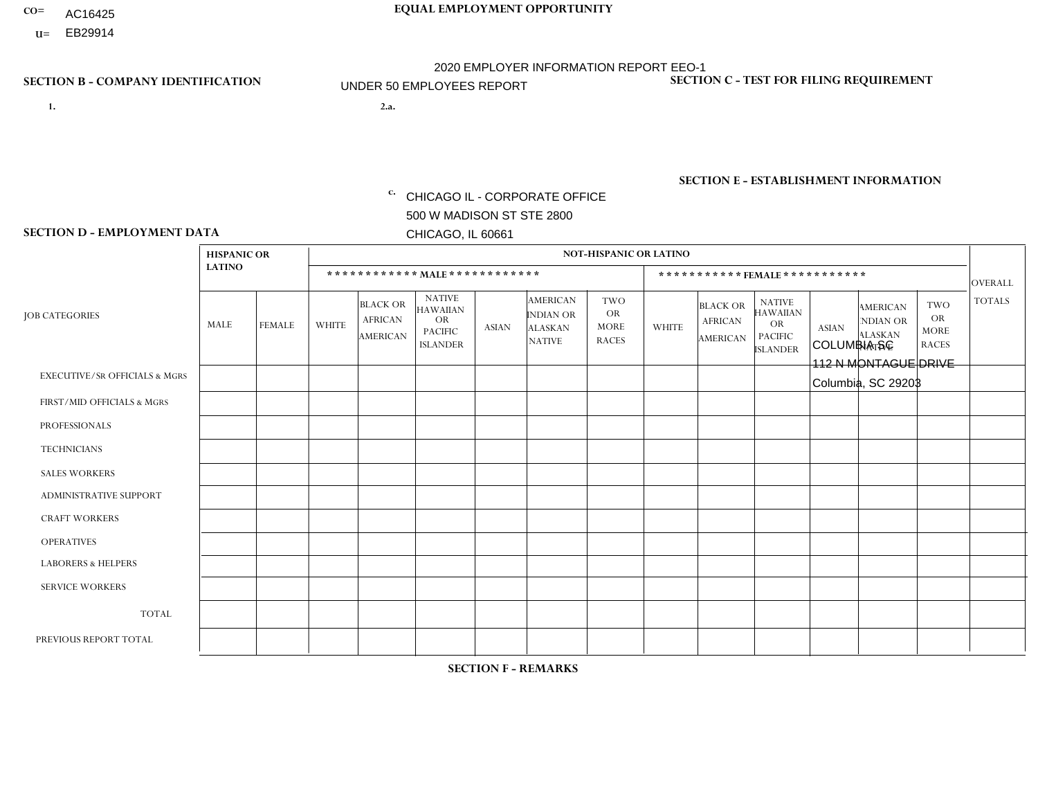- AC16425
- **U=**

- **1. 2.a.** CHICAGO IL CORPORATE OFFICE 500 W MADISON ST STE 2800 CHICAGO, IL 60661
- 2.a. COLUMBIA SC 112 N MONTAGUE DRIVE Columbia, SC 29203

EIN= 952920557

# **SECTION B - COMPANY IDENTIFICATION SECTION C - TEST FOR FILING REQUIREMENT**

1- Y 2- Y 3- N DUNS= 000123456

**SECTION E - ESTABLISHMENT INFORMATION c.** NAICS: 423140

### **SECTION D - EMPLOYMENT DATA**

|                                          | <b>HISPANIC OR</b> |               |                |                                                      |                                                                                    |              |                                                                        | <b>NOT-HISPANIC OR LATINO</b>                          |              |                                               |                                                                                    |              |                                                                       |                                                        |                |
|------------------------------------------|--------------------|---------------|----------------|------------------------------------------------------|------------------------------------------------------------------------------------|--------------|------------------------------------------------------------------------|--------------------------------------------------------|--------------|-----------------------------------------------|------------------------------------------------------------------------------------|--------------|-----------------------------------------------------------------------|--------------------------------------------------------|----------------|
|                                          | <b>LATINO</b>      |               |                | ************ MAIE************                        |                                                                                    |              |                                                                        |                                                        |              |                                               | ***********FEMALE ***********                                                      |              |                                                                       |                                                        | <b>OVERALL</b> |
| <b>JOB CATEGORIES</b>                    | <b>MALE</b>        | <b>FEMALE</b> | <b>WHITE</b>   | <b>BLACK OR</b><br><b>AFRICAN</b><br><b>AMERICAN</b> | <b>NATIVE</b><br><b>HAWAIIAN</b><br><b>OR</b><br><b>PACIFIC</b><br><b>ISLANDER</b> | <b>ASIAN</b> | <b>AMERICAN</b><br><b>INDIAN OR</b><br><b>ALASKAN</b><br><b>NATIVE</b> | <b>TWO</b><br><b>OR</b><br><b>MORE</b><br><b>RACES</b> | <b>WHITE</b> | <b>BLACK OR</b><br><b>AFRICAN</b><br>AMERICAN | <b>NATIVE</b><br><b>HAWAIIAN</b><br><b>OR</b><br><b>PACIFIC</b><br><b>ISLANDER</b> | <b>ASIAN</b> | <b>AMERICAN</b><br><b>NDIAN OR</b><br><b>ALASKAN</b><br><b>NATIVE</b> | <b>TWO</b><br><b>OR</b><br><b>MORE</b><br><b>RACES</b> | <b>TOTALS</b>  |
| <b>EXECUTIVE/SR OFFICIALS &amp; MGRS</b> | $\Omega$           | $\Omega$      | $\Omega$       | $\mathbf 0$                                          | $\Omega$                                                                           | $\Omega$     | $\Omega$                                                               | $\Omega$                                               | $\Omega$     | $\mathbf{0}$                                  | $\mathbf{0}$                                                                       | $\Omega$     | $\Omega$                                                              | $\Omega$                                               | $\mathbf 0$    |
| FIRST/MID OFFICIALS & MGRS               | $\Omega$           | $\Omega$      | $\overline{c}$ | $\mathbf{1}$                                         | 0                                                                                  | $\Omega$     | $\Omega$                                                               | $\Omega$                                               | 1            | $\Omega$                                      | $\Omega$                                                                           | $\Omega$     | $\Omega$                                                              | $\mathbf{0}$                                           | $\overline{4}$ |
| <b>PROFESSIONALS</b>                     | $\Omega$           | $\Omega$      | $\Omega$       | $\Omega$                                             | $\Omega$                                                                           | $\Omega$     | $\Omega$                                                               | $\Omega$                                               | $\Omega$     | $\Omega$                                      | $\Omega$                                                                           | $\Omega$     | $\Omega$                                                              | $\Omega$                                               | $\mathbf 0$    |
| <b>TECHNICIANS</b>                       | $\Omega$           | $\mathbf 0$   | $\Omega$       | $\mathbf 0$                                          | 0                                                                                  | $\Omega$     | $\Omega$                                                               | $\Omega$                                               | $\mathbf{0}$ | $\Omega$                                      | $\Omega$                                                                           | $\Omega$     | $\Omega$                                                              | $\Omega$                                               | $\mathbf 0$    |
| <b>SALES WORKERS</b>                     | $\Omega$           | $\Omega$      | 3              | $\Omega$                                             | $\Omega$                                                                           | $\Omega$     | $\Omega$                                                               | $\Omega$                                               | $\mathbf{1}$ | $\Omega$                                      | $\Omega$                                                                           | $\Omega$     | $\Omega$                                                              | $\mathbf{0}$                                           | $\overline{4}$ |
| ADMINISTRATIVE SUPPORT                   | $\Omega$           | $\Omega$      | $\Omega$       | $\Omega$                                             | $\Omega$                                                                           | $\Omega$     | $\Omega$                                                               | $\Omega$                                               | $\Omega$     | $\Omega$                                      | $\Omega$                                                                           | $\Omega$     | $\Omega$                                                              | $\Omega$                                               | $\mathbf 0$    |
| <b>CRAFT WORKERS</b>                     | 0                  | $\Omega$      | $\mathbf 0$    | $\mathbf 0$                                          | $\Omega$                                                                           | $\Omega$     | $\Omega$                                                               | $\Omega$                                               | $\Omega$     | $\Omega$                                      | $\Omega$                                                                           | $\Omega$     | $\Omega$                                                              | $\Omega$                                               | $\Omega$       |
| <b>OPERATIVES</b>                        | $\Omega$           | $\Omega$      | 12             | 3                                                    | 0                                                                                  | $\Omega$     | $\overline{0}$                                                         | $\Omega$                                               | $\Omega$     | $\Omega$                                      | $\mathbf{0}$                                                                       | $\Omega$     | $\Omega$                                                              | $\mathbf{0}$                                           | 15             |
| <b>LABORERS &amp; HELPERS</b>            | $\Omega$           | $\Omega$      | $\Omega$       | 4                                                    | 0                                                                                  | $\Omega$     | $\Omega$                                                               | $\Omega$                                               | $\mathbf{1}$ | $\Omega$                                      | $\Omega$                                                                           | $\Omega$     | $\Omega$                                                              | $\Omega$                                               | 5              |
| <b>SERVICE WORKERS</b>                   | $\Omega$           | $\mathbf 0$   | 0              | $\mathbf 0$                                          | $\mathbf 0$                                                                        | $\mathbf 0$  | $\Omega$                                                               | $\Omega$                                               | $\Omega$     | $\Omega$                                      | $\mathbf{0}$                                                                       | $\mathbf 0$  | $\Omega$                                                              | $\mathbf 0$                                            | 0              |
| <b>TOTAL</b>                             | $\Omega$           | $\mathbf 0$   | 17             | 8                                                    | 0                                                                                  | $\mathbf{0}$ | $\Omega$                                                               | $\Omega$                                               | 3            | $\Omega$                                      | $\Omega$                                                                           | $\Omega$     | $\Omega$                                                              | $\Omega$                                               | 28             |
| PREVIOUS REPORT TOTAL                    | $\Omega$           | $\Omega$      | 17             | 8                                                    | 0                                                                                  | $\Omega$     | $\overline{0}$                                                         |                                                        | 2            | $\Omega$                                      | $\mathbf{0}$                                                                       | $\Omega$     | $\Omega$                                                              | $\mathbf 0$                                            | 28             |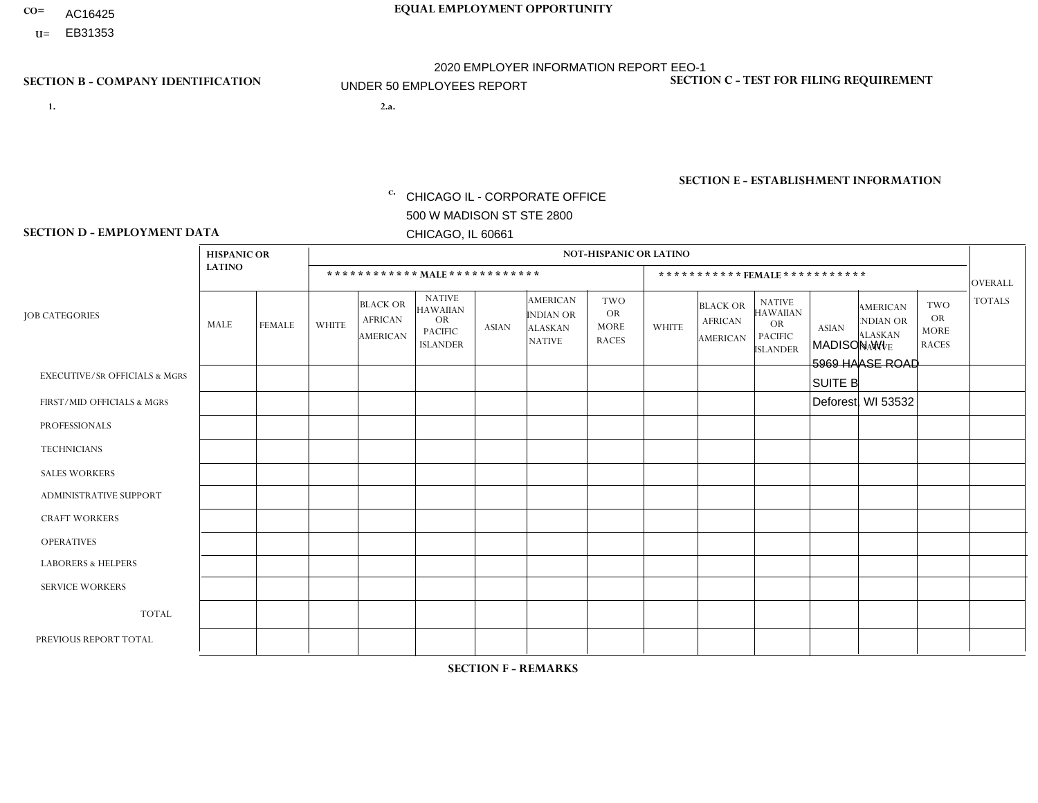- AC16425
- **U=**

- **1. 2.a.** CHICAGO IL CORPORATE OFFICE 500 W MADISON ST STE 2800 CHICAGO, IL 60661
- 2.a. MADISON WI 5969 HAASE ROAD SUITE B Deforest, WI 53532
	- EIN= 952920557

# **SECTION B - COMPANY IDENTIFICATION SECTION C - TEST FOR FILING REQUIREMENT**

1- Y 2- Y 3- N DUNS= 000123456

**SECTION E - ESTABLISHMENT INFORMATION c.** NAICS: 423140

### **SECTION D - EMPLOYMENT DATA**

|                                          | <b>HISPANIC OR</b> |               |                     |                                                      |                                                                                    |              |                                                                        | <b>NOT-HISPANIC OR LATINO</b>                          |              |                                               |                                                                             |              |                                                                       |                                                        |                |
|------------------------------------------|--------------------|---------------|---------------------|------------------------------------------------------|------------------------------------------------------------------------------------|--------------|------------------------------------------------------------------------|--------------------------------------------------------|--------------|-----------------------------------------------|-----------------------------------------------------------------------------|--------------|-----------------------------------------------------------------------|--------------------------------------------------------|----------------|
|                                          | <b>LATINO</b>      |               |                     |                                                      | ************ MAIE************                                                      |              |                                                                        |                                                        |              |                                               | ***********FEMALE***********                                                |              |                                                                       |                                                        | <b>OVERALL</b> |
| <b>JOB CATEGORIES</b>                    | MALE               | <b>FEMALE</b> | <b>WHITE</b>        | <b>BLACK OR</b><br><b>AFRICAN</b><br><b>AMERICAN</b> | <b>NATIVE</b><br><b>HAWAIIAN</b><br><b>OR</b><br><b>PACIFIC</b><br><b>ISLANDER</b> | <b>ASIAN</b> | <b>AMERICAN</b><br><b>INDIAN OR</b><br><b>ALASKAN</b><br><b>NATIVE</b> | <b>TWO</b><br><b>OR</b><br><b>MORE</b><br><b>RACES</b> | <b>WHITE</b> | <b>BLACK OR</b><br><b>AFRICAN</b><br>AMERICAN | <b>NATIVE</b><br><b>HAWAIIAN</b><br>OR<br><b>PACIFIC</b><br><b>ISLANDER</b> | <b>ASIAN</b> | <b>AMERICAN</b><br><b>NDIAN OR</b><br><b>ALASKAN</b><br><b>NATIVE</b> | <b>TWO</b><br><b>OR</b><br><b>MORE</b><br><b>RACES</b> | <b>TOTALS</b>  |
| <b>EXECUTIVE/SR OFFICIALS &amp; MGRS</b> | $\Omega$           | $\mathbf 0$   | $\mathbf 0$         | $\mathbf 0$                                          | $\Omega$                                                                           | $\Omega$     | $\Omega$                                                               | $\Omega$                                               | $\Omega$     | $\Omega$                                      | $\Omega$                                                                    | $\Omega$     | $\Omega$                                                              | $\Omega$                                               | $\mathbf 0$    |
| FIRST/MID OFFICIALS & MGRS               | $\mathbf 0$        | $\mathbf 0$   | $\overline{2}$      | 0                                                    | $\Omega$                                                                           | $\Omega$     | $\Omega$                                                               | $\Omega$                                               | $\Omega$     | $\Omega$                                      | $\Omega$                                                                    | $\Omega$     | $\Omega$                                                              | $\Omega$                                               | 2              |
| <b>PROFESSIONALS</b>                     | $\mathbf 0$        | 0             | $\mathsf{O}\xspace$ | 0                                                    | $\Omega$                                                                           | $\Omega$     | $\Omega$                                                               | $\Omega$                                               | $\Omega$     | $\Omega$                                      | $\Omega$                                                                    | $\mathbf 0$  | $\Omega$                                                              | $\Omega$                                               | $\mathbf 0$    |
| <b>TECHNICIANS</b>                       | $\mathbf 0$        | $\mathbf{0}$  | $\mathbf 0$         | 0                                                    | $\Omega$                                                                           | $\Omega$     | $\Omega$                                                               | $\Omega$                                               | $\Omega$     | $\Omega$                                      | $\Omega$                                                                    | $\Omega$     | $\Omega$                                                              | $\Omega$                                               | $\mathbf 0$    |
| <b>SALES WORKERS</b>                     | $\mathbf 0$        | $\mathbf 0$   | $\overline{c}$      | $\mathbf 0$                                          | $\Omega$                                                                           | $\Omega$     | $\Omega$                                                               | $\mathbf 0$                                            | 1            | $\mathbf 0$                                   | $\mathbf 0$                                                                 | $\mathbf 0$  | $\Omega$                                                              | $\Omega$                                               | 3              |
| ADMINISTRATIVE SUPPORT                   | $\mathbf 0$        | $\mathbf 0$   | $\mathbf 0$         | 0                                                    | $\Omega$                                                                           | $\Omega$     | $\Omega$                                                               | $\Omega$                                               | 1            | $\Omega$                                      | $\Omega$                                                                    | $\Omega$     | $\Omega$                                                              | $\Omega$                                               | $\mathbf{1}$   |
| <b>CRAFT WORKERS</b>                     | $\Omega$           | $\Omega$      | $\Omega$            | $\mathbf 0$                                          | $\mathbf{0}$                                                                       | $\Omega$     | $\Omega$                                                               | $\mathbf{0}$                                           | $\Omega$     | $\Omega$                                      | $\Omega$                                                                    | $\Omega$     | $\Omega$                                                              | $\Omega$                                               | $\mathbf 0$    |
| <b>OPERATIVES</b>                        | 0                  | 0             | 9                   | $\mathbf{1}$                                         | $\Omega$                                                                           | $\Omega$     | $\Omega$                                                               | $\Omega$                                               | $\Omega$     | $\Omega$                                      | $\Omega$                                                                    | $\Omega$     | $\Omega$                                                              | $\Omega$                                               | 10             |
| <b>LABORERS &amp; HELPERS</b>            | 0                  | $\mathbf{0}$  | $\mathbf{1}$        | $\mathbf 0$                                          | $\Omega$                                                                           | $\Omega$     | $\Omega$                                                               | $\Omega$                                               | 1            | $\Omega$                                      | $\Omega$                                                                    | $\Omega$     | $\Omega$                                                              | $\Omega$                                               | $\overline{2}$ |
| <b>SERVICE WORKERS</b>                   | $\mathbf{0}$       | $\mathbf{0}$  | $\mathbf 0$         | 0                                                    | $\Omega$                                                                           | $\Omega$     | $\Omega$                                                               | $\Omega$                                               | $\Omega$     | $\Omega$                                      | $\Omega$                                                                    | $\Omega$     | $\Omega$                                                              | $\Omega$                                               | 0              |
| <b>TOTAL</b>                             | $\mathbf{0}$       | $\mathbf 0$   | 14                  | $\mathbf 1$                                          | $\Omega$                                                                           | $\Omega$     | $\Omega$                                                               | $\Omega$                                               | 3            | $\Omega$                                      | $\Omega$                                                                    | $\Omega$     | $\Omega$                                                              | $\Omega$                                               | 18             |
| PREVIOUS REPORT TOTAL                    | $\mathbf 0$        | $\mathbf 0$   | 14                  | $\mathbf{1}$                                         | $\Omega$                                                                           | $\Omega$     | $\mathbf 0$                                                            | $\Omega$                                               | 4            | $\mathbf 0$                                   | 0                                                                           | $\mathbf 0$  | $\Omega$                                                              | $\mathbf 0$                                            | 19             |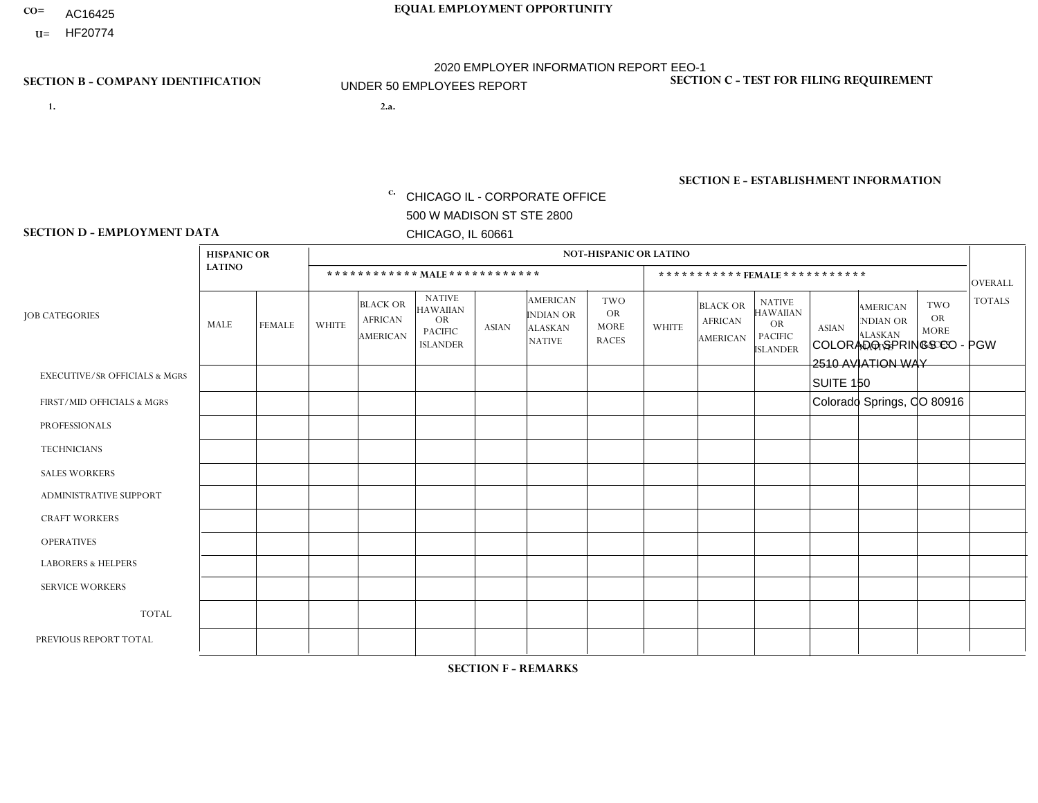- AC16425
- **U=**

- **1. 2.a.** CHICAGO IL CORPORATE OFFICE 500 W MADISON ST STE 2800 CHICAGO, IL 60661
- 2.a. COLORADO SPRINGS CO PGW 2510 AVIATION WAY SUITE 150 Colorado Springs, CO 80916
	- c. EIN= 952920557

# **SECTION B - COMPANY IDENTIFICATION SECTION C - TEST FOR FILING REQUIREMENT**

1- Y 2- Y 3- N DUNS= 000123456

**SECTION E - ESTABLISHMENT INFORMATION c.** NAICS: 811122

## **SECTION D - EMPLOYMENT DATA**

|                                          | <b>HISPANIC OR</b> |               |                |                                                      |                                                                             |              |                                                                        | <b>NOT-HISPANIC OR LATINO</b>                          |              |                                                      |                                                                                    |              |                                                                       |                                                  |                |
|------------------------------------------|--------------------|---------------|----------------|------------------------------------------------------|-----------------------------------------------------------------------------|--------------|------------------------------------------------------------------------|--------------------------------------------------------|--------------|------------------------------------------------------|------------------------------------------------------------------------------------|--------------|-----------------------------------------------------------------------|--------------------------------------------------|----------------|
|                                          | <b>LATINO</b>      |               |                |                                                      | ************ MALE ************                                              |              |                                                                        |                                                        |              | ***********FEMALE ***********                        |                                                                                    |              |                                                                       |                                                  | <b>OVERALL</b> |
| <b>JOB CATEGORIES</b>                    | MALE               | <b>FEMALE</b> | <b>WHITE</b>   | <b>BLACK OR</b><br><b>AFRICAN</b><br><b>AMERICAN</b> | <b>NATIVE</b><br><b>HAWAIIAN</b><br>OR<br><b>PACIFIC</b><br><b>ISLANDER</b> | <b>ASIAN</b> | <b>AMERICAN</b><br><b>INDIAN OR</b><br><b>ALASKAN</b><br><b>NATIVE</b> | <b>TWO</b><br><b>OR</b><br><b>MORE</b><br><b>RACES</b> | <b>WHITE</b> | <b>BLACK OR</b><br><b>AFRICAN</b><br><b>AMERICAN</b> | <b>NATIVE</b><br><b>HAWAIIAN</b><br><b>OR</b><br><b>PACIFIC</b><br><b>ISLANDER</b> | <b>ASIAN</b> | <b>AMERICAN</b><br><b>NDIAN OR</b><br><b>ALASKAN</b><br><b>NATIVE</b> | <b>TWO</b><br>OR.<br><b>MORE</b><br><b>RACES</b> | <b>TOTALS</b>  |
| <b>EXECUTIVE/SR OFFICIALS &amp; MGRS</b> | $\mathbf 0$        | 0             | $\Omega$       | $\Omega$                                             | $\Omega$                                                                    | $\Omega$     | $\Omega$                                                               | $\Omega$                                               | $\Omega$     | $\Omega$                                             | $\Omega$                                                                           | $\mathbf{0}$ | $\Omega$                                                              | $\Omega$                                         | $\mathbf 0$    |
| FIRST/MID OFFICIALS & MGRS               | $\mathbf 0$        | $\mathbf 0$   | $\overline{1}$ | $\mathbf 0$                                          | $\Omega$                                                                    | $\mathbf{0}$ | $\Omega$                                                               | $\Omega$                                               | $\Omega$     | $\Omega$                                             | $\Omega$                                                                           | $\mathbf{0}$ | $\Omega$                                                              | $\mathbf 0$                                      | $\mathbf{1}$   |
| <b>PROFESSIONALS</b>                     | $\Omega$           | $\Omega$      | $\Omega$       | $\Omega$                                             | $\Omega$                                                                    | $\Omega$     | $\Omega$                                                               | $\Omega$                                               | $\Omega$     | $\Omega$                                             | $\Omega$                                                                           | $\Omega$     | $\Omega$                                                              | $\Omega$                                         | $\overline{0}$ |
| <b>TECHNICIANS</b>                       | $\mathbf 0$        | $\mathbf 0$   | $\Omega$       | $\Omega$                                             | $\Omega$                                                                    | $\Omega$     | $\Omega$                                                               | $\Omega$                                               | $\Omega$     | $\Omega$                                             | $\Omega$                                                                           | $\Omega$     | $\Omega$                                                              | $\Omega$                                         | $\Omega$       |
| <b>SALES WORKERS</b>                     | $\mathbf 0$        | $\mathbf 0$   | $\Omega$       | $\Omega$                                             | $\Omega$                                                                    | $\Omega$     | $\Omega$                                                               | $\Omega$                                               | $\Omega$     | $\Omega$                                             | $\Omega$                                                                           | $\Omega$     | $\Omega$                                                              | $\Omega$                                         | $\Omega$       |
| ADMINISTRATIVE SUPPORT                   | $\mathbf 0$        | $\mathbf 0$   | $\Omega$       | 0                                                    | $\Omega$                                                                    | $\Omega$     | $\Omega$                                                               | $\Omega$                                               | $\Omega$     | $\Omega$                                             | $\mathbf{0}$                                                                       | $\mathbf{0}$ | $\Omega$                                                              | $\Omega$                                         | $\mathbf 0$    |
| <b>CRAFT WORKERS</b>                     | $\mathbf 0$        | $\mathbf 0$   | $\Omega$       | $\mathbf 0$                                          | $\Omega$                                                                    | $\Omega$     | $\Omega$                                                               | $\Omega$                                               | $\Omega$     | $\Omega$                                             | $\Omega$                                                                           | $\Omega$     | $\Omega$                                                              | $\Omega$                                         | $\mathbf 0$    |
| <b>OPERATIVES</b>                        | 2                  | $\mathbf 0$   | $\overline{1}$ | 0                                                    | $\Omega$                                                                    | $\Omega$     | $\Omega$                                                               | $\Omega$                                               | $\Omega$     | $\Omega$                                             | $\Omega$                                                                           | $\mathbf{0}$ | $\Omega$                                                              | $\Omega$                                         | 3              |
| <b>LABORERS &amp; HELPERS</b>            | $\mathbf 0$        | $\mathbf 0$   | $\Omega$       | 0                                                    | $\Omega$                                                                    | $\Omega$     | $\Omega$                                                               | $\Omega$                                               | $\Omega$     | $\Omega$                                             | $\Omega$                                                                           | $\Omega$     | $\Omega$                                                              | $\Omega$                                         | $\mathbf{0}$   |
| <b>SERVICE WORKERS</b>                   | $\Omega$           | $\mathbf 0$   | $\mathbf 0$    | 0                                                    | $\Omega$                                                                    | $\mathbf{0}$ | $\Omega$                                                               | $\Omega$                                               | $\Omega$     | $\Omega$                                             | $\mathbf{0}$                                                                       | $\mathbf{0}$ | $\Omega$                                                              | $\Omega$                                         | 0              |
| <b>TOTAL</b>                             | $\overline{2}$     | 0             | $\overline{2}$ | 0                                                    | $\mathbf 0$                                                                 | $\Omega$     | $\Omega$                                                               | $\Omega$                                               | $\Omega$     | $\mathbf 0$                                          | $\mathbf 0$                                                                        | $\mathbf 0$  | $\Omega$                                                              | $\mathbf 0$                                      | $\overline{4}$ |
| PREVIOUS REPORT TOTAL                    | $\overline{2}$     | $\mathbf 0$   | $\overline{c}$ | $\mathbf{1}$                                         | $\overline{1}$                                                              | $\Omega$     | $\Omega$                                                               |                                                        | $\Omega$     | $\Omega$                                             | $\Omega$                                                                           | $\mathbf{0}$ | $\Omega$                                                              | $\mathbf 0$                                      | $\overline{7}$ |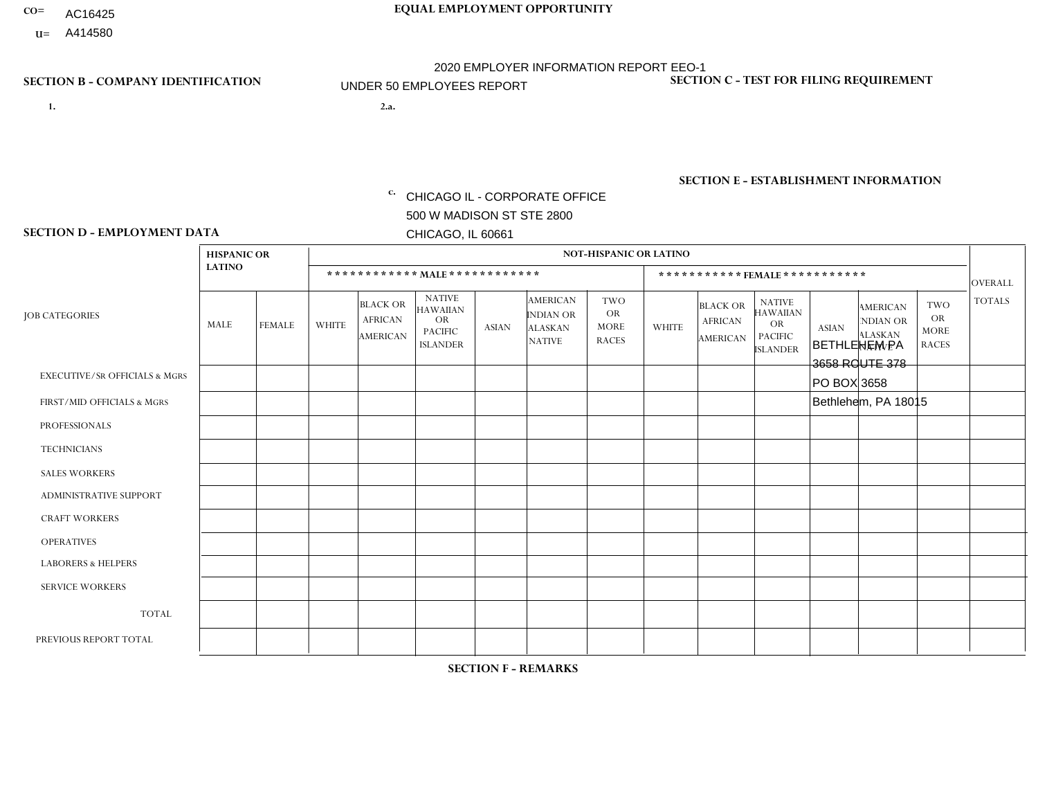- AC16425
- **U=**

- **1. 2.a.** CHICAGO IL CORPORATE OFFICE 500 W MADISON ST STE 2800 CHICAGO, IL 60661
- 2.a. BETHLEHEM PA 3658 ROUTE 378 PO BOX 3658 Bethlehem, PA 18015
	- EIN= 952920557

# **SECTION B - COMPANY IDENTIFICATION SECTION C - TEST FOR FILING REQUIREMENT**

1- Y 2- Y 3- N DUNS= 000123456

**SECTION E - ESTABLISHMENT INFORMATION c.** NAICS: 423140

### **SECTION D - EMPLOYMENT DATA**

|                                          | <b>HISPANIC OR</b> |               |              |                                                      |                                                                             |              |                                                                 | <b>NOT-HISPANIC OR LATINO</b>                          |                |                                               |                                                                             |              |                                                                       |                                                        |                |
|------------------------------------------|--------------------|---------------|--------------|------------------------------------------------------|-----------------------------------------------------------------------------|--------------|-----------------------------------------------------------------|--------------------------------------------------------|----------------|-----------------------------------------------|-----------------------------------------------------------------------------|--------------|-----------------------------------------------------------------------|--------------------------------------------------------|----------------|
|                                          | <b>LATINO</b>      |               |              | ************ MALE ************                       |                                                                             |              |                                                                 |                                                        |                |                                               | *********** FEMALE ***********                                              |              |                                                                       |                                                        | <b>OVERALL</b> |
| <b>JOB CATEGORIES</b>                    | <b>MALE</b>        | <b>FEMALE</b> | <b>WHITE</b> | <b>BLACK OR</b><br><b>AFRICAN</b><br><b>AMERICAN</b> | <b>NATIVE</b><br>HAWAIIAN<br><b>OR</b><br><b>PACIFIC</b><br><b>ISLANDER</b> | <b>ASIAN</b> | <b>AMERICAN</b><br>INDIAN OR<br><b>ALASKAN</b><br><b>NATIVE</b> | <b>TWO</b><br><b>OR</b><br><b>MORE</b><br><b>RACES</b> | <b>WHITE</b>   | <b>BLACK OR</b><br><b>AFRICAN</b><br>AMERICAN | <b>NATIVE</b><br><b>HAWAIIAN</b><br>OR<br><b>PACIFIC</b><br><b>ISLANDER</b> | <b>ASIAN</b> | <b>AMERICAN</b><br><b>NDIAN OR</b><br><b>ALASKAN</b><br><b>NATIVE</b> | <b>TWO</b><br><b>OR</b><br><b>MORE</b><br><b>RACES</b> | <b>TOTALS</b>  |
| <b>EXECUTIVE/SR OFFICIALS &amp; MGRS</b> | $\Omega$           | $\mathbf 0$   | $\Omega$     | $\mathbf 0$                                          | 0                                                                           | $\mathbf 0$  | $\Omega$                                                        | $\Omega$                                               | 0              | $\mathbf 0$                                   | 0                                                                           | $\mathbf 0$  | $\Omega$                                                              | $\mathbf 0$                                            | $\mathbf 0$    |
| FIRST/MID OFFICIALS & MGRS               | $\Omega$           | $\Omega$      | 4            | $\mathbf 0$                                          | $\Omega$                                                                    | $\Omega$     | $\Omega$                                                        | $\Omega$                                               | 0              | $\Omega$                                      | 0                                                                           | $\Omega$     | $\Omega$                                                              | $\Omega$                                               | $\overline{4}$ |
| <b>PROFESSIONALS</b>                     | $\Omega$           | $\mathbf 0$   | $\Omega$     | $\mathbf 0$                                          | $\mathbf 0$                                                                 | $\mathbf{0}$ | $\Omega$                                                        | $\Omega$                                               | 0              | $\Omega$                                      | 0                                                                           | $\mathbf 0$  | $\Omega$                                                              | $\mathbf 0$                                            | $\mathbf{0}$   |
| <b>TECHNICIANS</b>                       | $\Omega$           | $\Omega$      | $\mathbf 0$  | 0                                                    | $\Omega$                                                                    | $\Omega$     | $\Omega$                                                        | $\Omega$                                               | $\Omega$       | $\Omega$                                      | 0                                                                           | $\mathbf 0$  | $\Omega$                                                              | $\mathbf 0$                                            | $\mathbf{0}$   |
| <b>SALES WORKERS</b>                     | $\Omega$           | $\Omega$      | 3            | $\mathbf 0$                                          | $\Omega$                                                                    | $\Omega$     | $\Omega$                                                        | $\Omega$                                               | $\overline{0}$ | $\Omega$                                      | $\overline{0}$                                                              | $\mathbf 0$  | $\Omega$                                                              | $\mathbf 0$                                            | 3              |
| ADMINISTRATIVE SUPPORT                   | $\Omega$           | $\Omega$      | $\mathbf{0}$ | $\Omega$                                             | $\Omega$                                                                    | $\Omega$     | $\Omega$                                                        | $\Omega$                                               | $\mathbf 1$    | $\Omega$                                      | $\Omega$                                                                    | $\Omega$     | $\Omega$                                                              | $\Omega$                                               | $\mathbf{1}$   |
| <b>CRAFT WORKERS</b>                     | $\Omega$           | $\Omega$      | $\mathbf{0}$ | $\mathbf 0$                                          | 0                                                                           | $\Omega$     | $\Omega$                                                        | $\Omega$                                               | 0              | $\Omega$                                      | 0                                                                           | $\Omega$     | $\Omega$                                                              | $\Omega$                                               | $\Omega$       |
| <b>OPERATIVES</b>                        | 8                  | $\Omega$      | 18           | $\Omega$                                             | $\Omega$                                                                    | $\Omega$     | $\Omega$                                                        | 1                                                      | 0              | $\Omega$                                      | 0                                                                           | $\Omega$     | $\Omega$                                                              | $\Omega$                                               | 27             |
| <b>LABORERS &amp; HELPERS</b>            | 3                  | $\Omega$      | 5            | $\overline{A}$                                       | 0                                                                           | $\Omega$     | $\Omega$                                                        | $\Omega$                                               | 0              | $\Omega$                                      | 0                                                                           | $\Omega$     | $\Omega$                                                              | $\Omega$                                               | 9              |
| <b>SERVICE WORKERS</b>                   | $\Omega$           | $\Omega$      | $\mathbf{0}$ | 0                                                    | 0                                                                           | $\Omega$     | $\Omega$                                                        | $\Omega$                                               | 0              | $\Omega$                                      | 0                                                                           | $\Omega$     | $\Omega$                                                              | $\Omega$                                               | $\mathbf 0$    |
| <b>TOTAL</b>                             | 11                 | $\Omega$      | 30           | $\overline{ }$                                       | 0                                                                           | $\Omega$     | $\Omega$                                                        | 1                                                      | 1              | $\Omega$                                      | 0                                                                           | $\mathbf 0$  | $\Omega$                                                              | $\Omega$                                               | 44             |
| PREVIOUS REPORT TOTAL                    | 16                 | $\mathbf{1}$  | 43           | $\overline{2}$                                       | $\mathbf{0}$                                                                | $\Omega$     | $\Omega$                                                        | 1                                                      | 6              | 0                                             | 0                                                                           | $\mathbf 0$  | 0                                                                     | 0                                                      | 69             |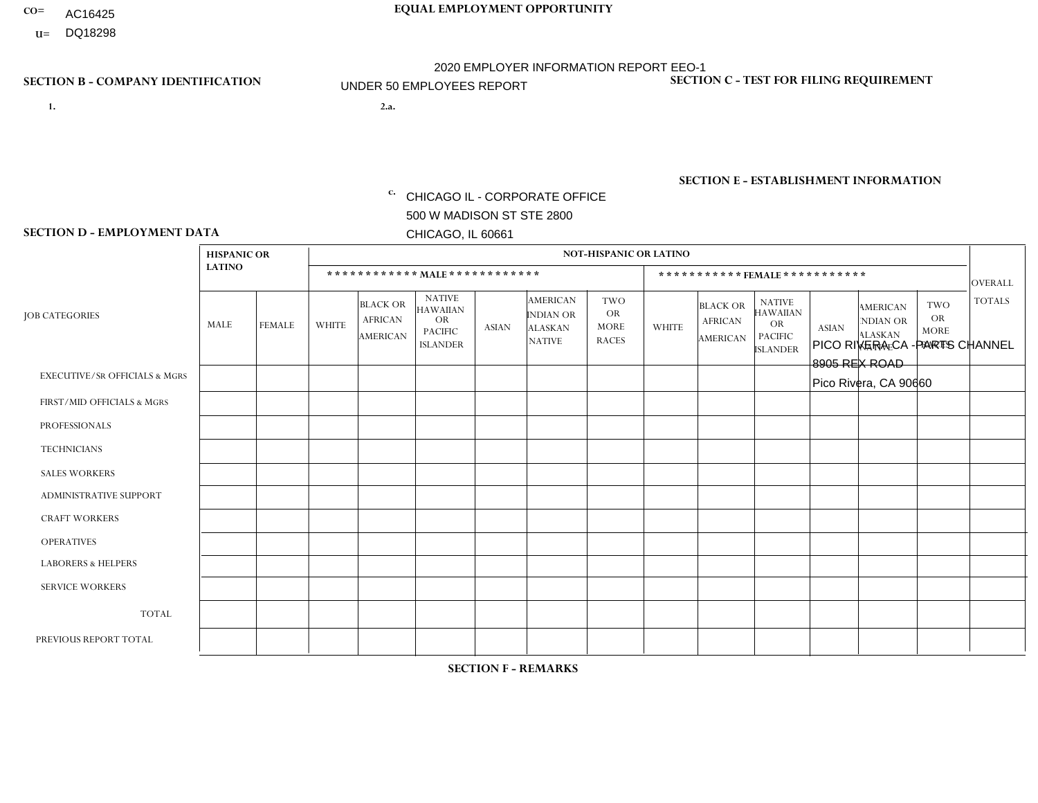- AC16425
- **U=**

**1. 2.a.** CHICAGO IL - CORPORATE OFFICE 500 W MADISON ST STE 2800 CHICAGO, IL 60661

2.a. PICO RIVERA CA -PARTS CHANNEL 8905 REX ROAD Pico Rivera, CA 90660

c. EIN= 952920557

# **SECTION B - COMPANY IDENTIFICATION SECTION C - TEST FOR FILING REQUIREMENT**

1- Y 2- Y 3- N DUNS= 000123456

**SECTION E - ESTABLISHMENT INFORMATION c.** NAICS: 441310

### **SECTION D - EMPLOYMENT DATA**

|                                          | <b>HISPANIC OR</b> |                |                |                                                      |                                                                                    |                |                                                                        | <b>NOT-HISPANIC OR LATINO</b>                          |              |                                                      |                                                                                    |              |                                                                       |                                                        |                |
|------------------------------------------|--------------------|----------------|----------------|------------------------------------------------------|------------------------------------------------------------------------------------|----------------|------------------------------------------------------------------------|--------------------------------------------------------|--------------|------------------------------------------------------|------------------------------------------------------------------------------------|--------------|-----------------------------------------------------------------------|--------------------------------------------------------|----------------|
|                                          | <b>LATINO</b>      |                |                | ************ MALE ************                       |                                                                                    |                |                                                                        |                                                        |              |                                                      | ***********FEMALE***********                                                       |              |                                                                       |                                                        | <b>OVERALL</b> |
| <b>JOB CATEGORIES</b>                    | <b>MALE</b>        | <b>FEMALE</b>  | <b>WHITE</b>   | <b>BLACK OR</b><br><b>AFRICAN</b><br><b>AMERICAN</b> | <b>NATIVE</b><br><b>HAWAIIAN</b><br><b>OR</b><br><b>PACIFIC</b><br><b>ISLANDER</b> | <b>ASIAN</b>   | <b>AMERICAN</b><br><b>INDIAN OR</b><br><b>ALASKAN</b><br><b>NATIVE</b> | <b>TWO</b><br><b>OR</b><br><b>MORE</b><br><b>RACES</b> | <b>WHITE</b> | <b>BLACK OR</b><br><b>AFRICAN</b><br><b>AMERICAN</b> | <b>NATIVE</b><br><b>HAWAIIAN</b><br><b>OR</b><br><b>PACIFIC</b><br><b>ISLANDER</b> | <b>ASIAN</b> | <b>AMERICAN</b><br><b>NDIAN OR</b><br><b>ALASKAN</b><br><b>NATIVE</b> | <b>TWO</b><br><b>OR</b><br><b>MORE</b><br><b>RACES</b> | <b>TOTALS</b>  |
| <b>EXECUTIVE/SR OFFICIALS &amp; MGRS</b> | $\Omega$           | $\Omega$       | $\Omega$       | $\Omega$                                             | $\Omega$                                                                           | $\Omega$       | $\Omega$                                                               | $\Omega$                                               | $\Omega$     | $\mathbf{0}$                                         | $\Omega$                                                                           | $\Omega$     | $\Omega$                                                              | $\Omega$                                               | $\Omega$       |
| FIRST/MID OFFICIALS & MGRS               | $\Omega$           | $\overline{1}$ | 1              | $\Omega$                                             | 0                                                                                  | $\Omega$       | 1                                                                      | $\Omega$                                               | $\Omega$     | $\mathbf{0}$                                         | $\mathbf{0}$                                                                       |              | $\Omega$                                                              | $\Omega$                                               | 4              |
| <b>PROFESSIONALS</b>                     | $\Omega$           | $\Omega$       | $\mathbf 0$    | $\mathbf 0$                                          | $\overline{0}$                                                                     | $\Omega$       | $\Omega$                                                               | $\Omega$                                               | $\Omega$     | $\Omega$                                             | $\mathbf{0}$                                                                       | $\Omega$     | $\Omega$                                                              | $\Omega$                                               | $\mathbf 0$    |
| <b>TECHNICIANS</b>                       | $\Omega$           | $\mathbf 0$    | $\Omega$       | $\mathbf 0$                                          | 0                                                                                  | $\Omega$       | $\overline{0}$                                                         | $\Omega$                                               | $\mathbf 0$  | $\mathbf 0$                                          | $\mathbf 0$                                                                        | $\mathbf 0$  | $\Omega$                                                              | $\mathbf{0}$                                           | $\mathbf 0$    |
| <b>SALES WORKERS</b>                     | 6                  | 3              | $\Omega$       | $\Omega$                                             | $\Omega$                                                                           | $\overline{2}$ | $\Omega$                                                               |                                                        | $\Omega$     | $\Omega$                                             | $\Omega$                                                                           | $\Omega$     | $\Omega$                                                              | $\mathbf{0}$                                           | 12             |
| <b>ADMINISTRATIVE SUPPORT</b>            | $\Omega$           | $\overline{1}$ | $\Omega$       | 0                                                    | $\mathbf 0$                                                                        | $\Omega$       | $\Omega$                                                               | $\Omega$                                               | $\Omega$     | $\mathbf{0}$                                         | $\mathbf{0}$                                                                       |              | $\Omega$                                                              | $\Omega$                                               | $\overline{2}$ |
| <b>CRAFT WORKERS</b>                     | $\Omega$           | $\Omega$       | $\mathbf 0$    | $\mathbf 0$                                          | 0                                                                                  | $\Omega$       | $\Omega$                                                               | $\Omega$                                               | $\Omega$     | $\Omega$                                             | $\Omega$                                                                           | $\Omega$     | $\Omega$                                                              | $\mathbf{0}$                                           | $\mathbf{0}$   |
| <b>OPERATIVES</b>                        | $\Omega$           | $\mathbf 0$    | $\Omega$       | $\mathbf 0$                                          | 0                                                                                  | $\mathbf 0$    | $\overline{0}$                                                         | $\Omega$                                               | $\Omega$     | $\Omega$                                             | $\Omega$                                                                           |              | $\Omega$                                                              | $\mathbf{0}$                                           | $\mathbf{1}$   |
| <b>LABORERS &amp; HELPERS</b>            | 10                 | $\Omega$       | 1              | $\Omega$                                             | 0                                                                                  | 5              | $\Omega$                                                               |                                                        | $\Omega$     | $\Omega$                                             | $\mathbf{0}$                                                                       | $\Omega$     | $\Omega$                                                              | $\Omega$                                               | 17             |
| <b>SERVICE WORKERS</b>                   | $\Omega$           | 0              | 0              | 0                                                    | 0                                                                                  | $\mathbf 0$    | $\Omega$                                                               | $\Omega$                                               | $\Omega$     | $\Omega$                                             | $\mathbf{0}$                                                                       | $\Omega$     | $\Omega$                                                              | $\Omega$                                               | 0              |
| <b>TOTAL</b>                             | 16                 | 5              | $\overline{c}$ | $\mathbf 0$                                          | 0                                                                                  | $\overline{7}$ | 1                                                                      | 2                                                      | 0            | $\Omega$                                             | $\Omega$                                                                           | 3            | $\Omega$                                                              | $\Omega$                                               | 36             |
| PREVIOUS REPORT TOTAL                    | 27                 | $\overline{7}$ | 2              | $\mathbf 0$                                          | 0                                                                                  | 6              | $\Omega$                                                               | 2                                                      | $\Omega$     | $\Omega$                                             | $\mathbf{0}$                                                                       | 5            | $\Omega$                                                              | $\mathbf 0$                                            | 49             |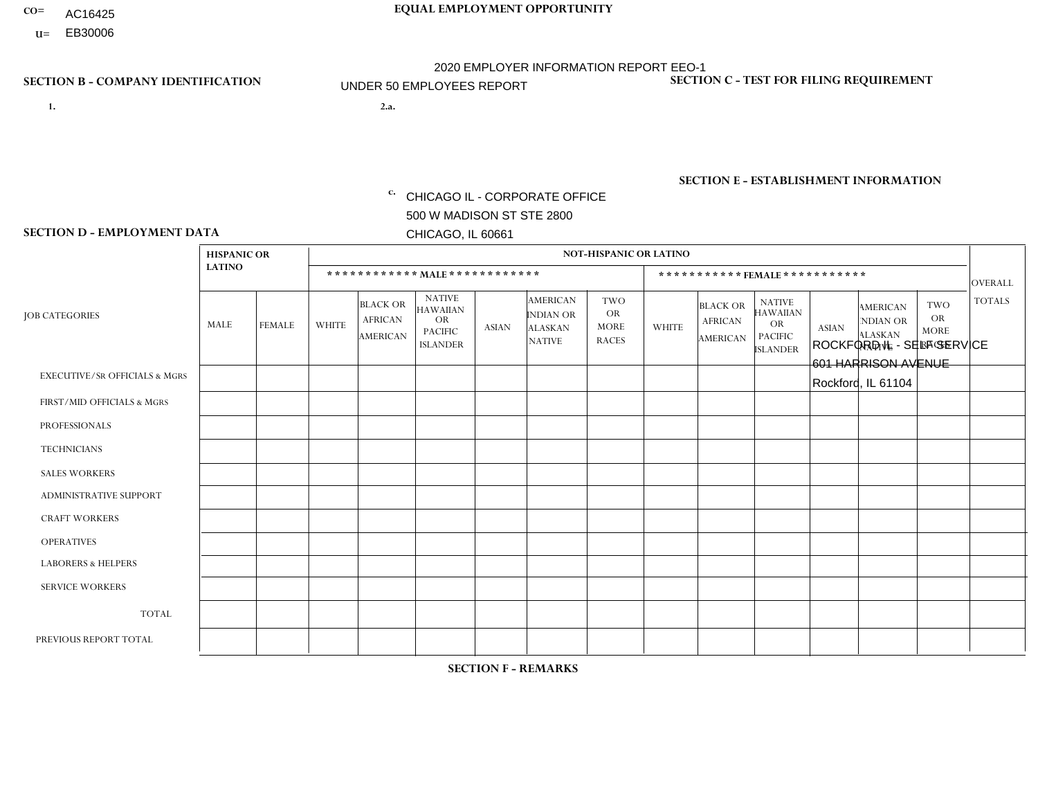- AC16425
- **U=**

**1. 2.a.** CHICAGO IL - CORPORATE OFFICE 500 W MADISON ST STE 2800 CHICAGO, IL 60661

2.a. ROCKFORD IL - SELF SERVICE 601 HARRISON AVENUE Rockford, IL 61104

EIN= 952920557

# **SECTION B - COMPANY IDENTIFICATION SECTION C - TEST FOR FILING REQUIREMENT**

1- Y 2- Y 3- N DUNS= 000123456

**SECTION E - ESTABLISHMENT INFORMATION c.** NAICS: 423140

### **SECTION D - EMPLOYMENT DATA**

|                                          | <b>HISPANIC OR</b> |                |                |                                               |                                                                                    |              |                                                                        | <b>NOT-HISPANIC OR LATINO</b>                          |                |                                               |                                                                                    |              |                                                                       |                                                        |                |
|------------------------------------------|--------------------|----------------|----------------|-----------------------------------------------|------------------------------------------------------------------------------------|--------------|------------------------------------------------------------------------|--------------------------------------------------------|----------------|-----------------------------------------------|------------------------------------------------------------------------------------|--------------|-----------------------------------------------------------------------|--------------------------------------------------------|----------------|
|                                          | <b>LATINO</b>      |                |                |                                               | ************ MALE ************                                                     |              |                                                                        |                                                        |                |                                               | ***********FEMALE***********                                                       |              |                                                                       |                                                        | <b>OVERALL</b> |
| <b>JOB CATEGORIES</b>                    | MALE               | <b>FEMALE</b>  | <b>WHITE</b>   | <b>BLACK OR</b><br><b>AFRICAN</b><br>AMERICAN | <b>NATIVE</b><br><b>HAWAIIAN</b><br><b>OR</b><br><b>PACIFIC</b><br><b>ISLANDER</b> | <b>ASIAN</b> | <b>AMERICAN</b><br><b>INDIAN OR</b><br><b>ALASKAN</b><br><b>NATIVE</b> | <b>TWO</b><br><b>OR</b><br><b>MORE</b><br><b>RACES</b> | <b>WHITE</b>   | <b>BLACK OR</b><br><b>AFRICAN</b><br>AMERICAN | <b>NATIVE</b><br><b>HAWAIIAN</b><br><b>OR</b><br><b>PACIFIC</b><br><b>ISLANDER</b> | <b>ASIAN</b> | <b>AMERICAN</b><br><b>NDIAN OR</b><br><b>ALASKAN</b><br><b>NATIVE</b> | <b>TWO</b><br><b>OR</b><br><b>MORE</b><br><b>RACES</b> | <b>TOTALS</b>  |
| <b>EXECUTIVE/SR OFFICIALS &amp; MGRS</b> | $\Omega$           | $\Omega$       | $\Omega$       | $\mathbf 0$                                   | 0                                                                                  | $\Omega$     | $\Omega$                                                               | $\Omega$                                               | $\Omega$       | $\Omega$                                      | $\Omega$                                                                           | $\mathbf 0$  | $\Omega$                                                              | $\Omega$                                               | $\mathbf 0$    |
| FIRST/MID OFFICIALS & MGRS               |                    | $\Omega$       | 1              | $\mathbf 0$                                   | $\Omega$                                                                           | $\Omega$     | $\Omega$                                                               | $\Omega$                                               | $\Omega$       | $\Omega$                                      | $\Omega$                                                                           | $\Omega$     | $\Omega$                                                              | $\mathbf{0}$                                           | $\overline{2}$ |
| <b>PROFESSIONALS</b>                     | 0                  | $\Omega$       | $\Omega$       | $\mathbf 0$                                   | $\Omega$                                                                           | $\Omega$     | $\Omega$                                                               | $\Omega$                                               | 0              | $\Omega$                                      | $\Omega$                                                                           | $\mathbf{0}$ | $\Omega$                                                              | $\mathbf{0}$                                           | $\mathbf{0}$   |
| <b>TECHNICIANS</b>                       | 0                  | $\mathbf{0}$   | $\Omega$       | $\mathbf 0$                                   | $\Omega$                                                                           | $\Omega$     | $\Omega$                                                               | $\Omega$                                               | 0              | $\Omega$                                      | $\Omega$                                                                           | $\mathbf 0$  | 0                                                                     | $\mathbf 0$                                            | $\mathbf{0}$   |
| <b>SALES WORKERS</b>                     | 0                  | $\overline{0}$ | $\overline{2}$ | $\mathbf 0$                                   | $\mathbf 0$                                                                        | $\Omega$     | $\Omega$                                                               | $\Omega$                                               |                | $\Omega$                                      | $\Omega$                                                                           | $\mathbf 0$  | $\mathbf 0$                                                           | $\mathbf 0$                                            | 3              |
| <b>ADMINISTRATIVE SUPPORT</b>            | $\Omega$           | $\Omega$       | $\Omega$       | $\Omega$                                      | $\Omega$                                                                           | $\Omega$     | $\Omega$                                                               | $\Omega$                                               | $\overline{1}$ | $\Omega$                                      | $\Omega$                                                                           | $\mathbf{0}$ | $\Omega$                                                              | $\mathbf{0}$                                           | $\mathbf{1}$   |
| <b>CRAFT WORKERS</b>                     | 0                  | $\Omega$       | $\Omega$       | $\mathbf 0$                                   | $\Omega$                                                                           | $\Omega$     | $\Omega$                                                               | $\Omega$                                               | $\Omega$       | $\Omega$                                      | $\Omega$                                                                           | $\Omega$     | $\Omega$                                                              | $\mathbf{0}$                                           | $\mathbf 0$    |
| <b>OPERATIVES</b>                        | $\overline{2}$     | 0              | 5              | $\overline{c}$                                | $\Omega$                                                                           | $\Omega$     | $\Omega$                                                               | $\Omega$                                               | 0              | $\Omega$                                      | $\Omega$                                                                           | $\Omega$     | $\Omega$                                                              | $\mathbf{0}$                                           | 9              |
| <b>LABORERS &amp; HELPERS</b>            | 0                  | $\Omega$       | $\Omega$       | $\mathbf 0$                                   | $\Omega$                                                                           | $\Omega$     | $\Omega$                                                               | $\Omega$                                               | $\Omega$       | $\Omega$                                      | $\Omega$                                                                           | $\Omega$     | $\Omega$                                                              | $\mathbf{0}$                                           | $\overline{0}$ |
| <b>SERVICE WORKERS</b>                   | 0                  | $\Omega$       | $\mathbf 0$    | 0                                             | $\mathbf{0}$                                                                       | $\Omega$     | $\Omega$                                                               | $\Omega$                                               | $\Omega$       | $\Omega$                                      | $\Omega$                                                                           | $\Omega$     | $\Omega$                                                              | $\Omega$                                               | $\overline{0}$ |
| <b>TOTAL</b>                             | 3                  | $\mathbf 0$    | 8              | $\overline{a}$                                | 0                                                                                  | $\Omega$     | $\Omega$                                                               | $\Omega$                                               | $\overline{2}$ | $\Omega$                                      | $\Omega$                                                                           | $\mathbf 0$  | 0                                                                     | $\mathbf{0}$                                           | 15             |
| PREVIOUS REPORT TOTAL                    |                    | $\overline{1}$ | 8              | $\overline{ }$                                | 0                                                                                  | $\Omega$     | $\Omega$                                                               | $\Omega$                                               |                | $\Omega$                                      | $\Omega$                                                                           | $\Omega$     | 0                                                                     | $\mathbf 0$                                            | 12             |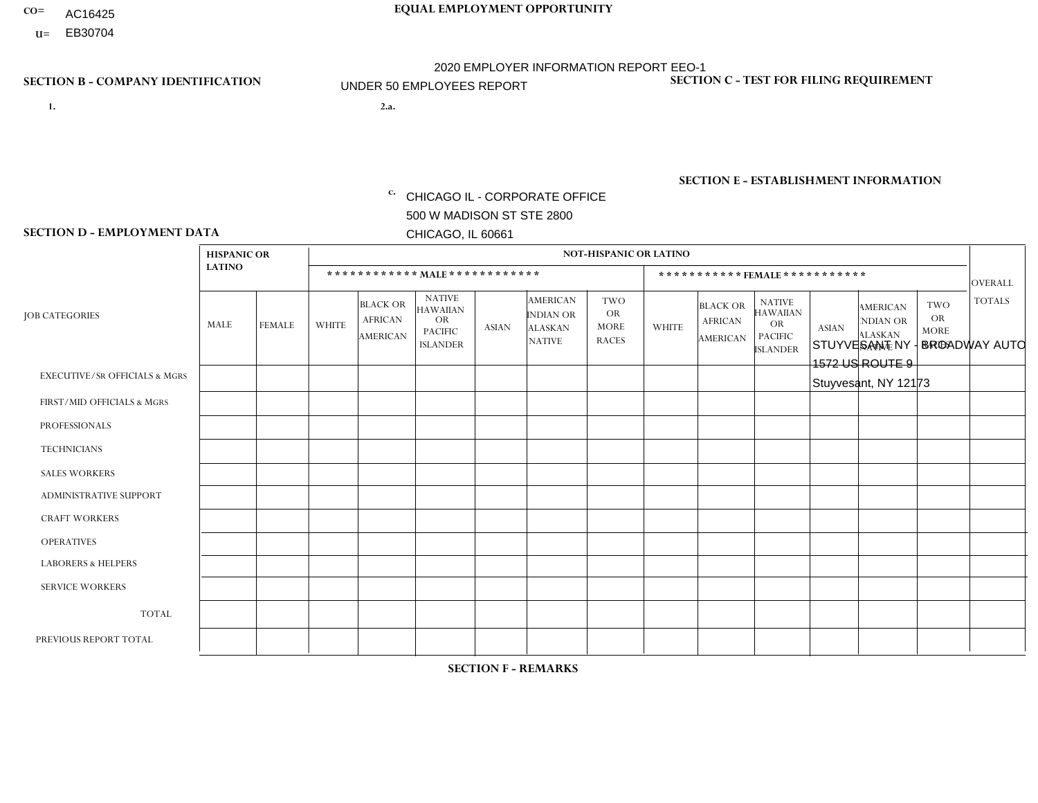- AC16425
- **U=**

**1. 2.a.** CHICAGO IL - CORPORATE OFFICE 500 W MADISON ST STE 2800 CHICAGO, IL 60661

2.a. STUYVESANT NY - BROADWAY AUTO 1572 US ROUTE 9 Stuyvesant, NY 12173

c. EIN= 952920557

# **SECTION B - COMPANY IDENTIFICATION SECTION C - TEST FOR FILING REQUIREMENT**

1- Y 2- Y 3- N DUNS= 000123456

**SECTION E - ESTABLISHMENT INFORMATION c.** NAICS: 423140

### **SECTION D - EMPLOYMENT DATA**

|                                          | <b>HISPANIC OR</b> |               |                |                                                      |                                                                                    |              |                                                                 | <b>NOT-HISPANIC OR LATINO</b>                          |                |                                                      |                                                                                    |              |                                                                       |                                                 |                |
|------------------------------------------|--------------------|---------------|----------------|------------------------------------------------------|------------------------------------------------------------------------------------|--------------|-----------------------------------------------------------------|--------------------------------------------------------|----------------|------------------------------------------------------|------------------------------------------------------------------------------------|--------------|-----------------------------------------------------------------------|-------------------------------------------------|----------------|
|                                          | <b>LATINO</b>      |               |                |                                                      |                                                                                    |              |                                                                 |                                                        |                | ***********FEMALE***********                         |                                                                                    |              |                                                                       |                                                 | <b>OVERALL</b> |
| <b>JOB CATEGORIES</b>                    | MALE               | <b>FEMALE</b> | <b>WHITE</b>   | <b>BLACK OR</b><br><b>AFRICAN</b><br><b>AMERICAN</b> | <b>NATIVE</b><br><b>HAWAIIAN</b><br><b>OR</b><br><b>PACIFIC</b><br><b>ISLANDER</b> | <b>ASIAN</b> | <b>AMERICAN</b><br>INDIAN OR<br><b>ALASKAN</b><br><b>NATIVE</b> | <b>TWO</b><br><b>OR</b><br><b>MORE</b><br><b>RACES</b> | <b>WHITE</b>   | <b>BLACK OR</b><br><b>AFRICAN</b><br><b>AMERICAN</b> | <b>NATIVE</b><br><b>HAWAIIAN</b><br><b>OR</b><br><b>PACIFIC</b><br><b>ISLANDER</b> | <b>ASIAN</b> | <b>AMERICAN</b><br><b>NDIAN OR</b><br><b>ALASKAN</b><br><b>NATIVE</b> | TWO<br><b>OR</b><br><b>MORE</b><br><b>RACES</b> | <b>TOTALS</b>  |
| <b>EXECUTIVE/SR OFFICIALS &amp; MGRS</b> | $\Omega$           | $\mathbf 0$   | $\Omega$       | 0                                                    | $\Omega$                                                                           | $\Omega$     | $\Omega$                                                        | $\Omega$                                               | $\Omega$       | $\Omega$                                             | $\Omega$                                                                           | 0            | $\Omega$                                                              | $\mathbf{0}$                                    | $\mathbf 0$    |
| FIRST/MID OFFICIALS & MGRS               |                    | $\mathbf 0$   | $\overline{1}$ | 0                                                    | $\Omega$                                                                           | $\Omega$     | $\Omega$                                                        | 0                                                      | $\overline{2}$ | $\Omega$                                             | $\Omega$                                                                           | 0            | $\Omega$                                                              | $\mathbf 0$                                     | $\overline{4}$ |
| <b>PROFESSIONALS</b>                     | $\mathbf 0$        | $\mathbf 0$   | $\Omega$       | $\mathbf{0}$                                         | $\Omega$                                                                           | $\Omega$     | $\Omega$                                                        | $\Omega$                                               | $\Omega$       | $\Omega$                                             | $\Omega$                                                                           | 0            | $\Omega$                                                              | $\mathbf{0}$                                    | $\mathbf 0$    |
| <b>TECHNICIANS</b>                       | 0                  | $\mathbf 0$   | $\Omega$       | $\mathbf{0}$                                         | $\Omega$                                                                           | $\Omega$     | $\Omega$                                                        | 0                                                      | $\Omega$       | $\Omega$                                             | $\Omega$                                                                           | 0            | $\Omega$                                                              | $\Omega$                                        | $\Omega$       |
| <b>SALES WORKERS</b>                     | $\mathbf 0$        | $\mathbf 0$   | $\overline{4}$ | $\Omega$                                             | $\Omega$                                                                           | $\Omega$     | $\Omega$                                                        | 0                                                      | $\Omega$       | $\Omega$                                             | $\Omega$                                                                           | $\Omega$     | $\Omega$                                                              | $\Omega$                                        | $\overline{4}$ |
| <b>ADMINISTRATIVE SUPPORT</b>            | $\Omega$           | $\mathbf 0$   | $\overline{2}$ | 0                                                    | $\Omega$                                                                           | $\Omega$     | $\Omega$                                                        | 0                                                      | $\Omega$       | $\Omega$                                             | $\Omega$                                                                           | 0            | $\Omega$                                                              | $\mathbf{0}$                                    | $\overline{2}$ |
| <b>CRAFT WORKERS</b>                     | $\mathbf 0$        | $\mathbf 0$   | 8              | 0                                                    | $\Omega$                                                                           | $\Omega$     | $\Omega$                                                        | 0                                                      | $\Omega$       | $\Omega$                                             | $\Omega$                                                                           | 0            | $\Omega$                                                              | $\mathbf{0}$                                    | 8              |
| <b>OPERATIVES</b>                        | 0                  | $\mathbf 0$   | 3              | $\mathbf 0$                                          | $\Omega$                                                                           | $\Omega$     | $\Omega$                                                        | 0                                                      | $\Omega$       | $\Omega$                                             | $\Omega$                                                                           | 0            | $\Omega$                                                              | $\mathbf{0}$                                    | 3              |
| <b>LABORERS &amp; HELPERS</b>            | $\mathbf 0$        | $\mathbf 0$   | 4              | 0                                                    | $\Omega$                                                                           | $\Omega$     | $\Omega$                                                        | $\Omega$                                               | $\Omega$       | $\Omega$                                             | $\Omega$                                                                           | 0            | $\Omega$                                                              | $\mathbf{0}$                                    | 4              |
| <b>SERVICE WORKERS</b>                   | $\mathbf 0$        | $\mathbf 0$   | $\mathbf 0$    | $\mathbf 0$                                          | $\Omega$                                                                           | $\Omega$     | $\Omega$                                                        | $\Omega$                                               | $\Omega$       | $\Omega$                                             | $\Omega$                                                                           | 0            | $\Omega$                                                              | $\mathbf 0$                                     | $\mathbf 0$    |
| <b>TOTAL</b>                             | 1                  | $\mathbf 0$   | 22             | 0                                                    | 0                                                                                  | $\Omega$     | $\Omega$                                                        | 0                                                      | $\overline{2}$ | $\Omega$                                             | $\mathbf 0$                                                                        | 0            | $\Omega$                                                              | $\mathbf 0$                                     | 25             |
| PREVIOUS REPORT TOTAL                    |                    | $\mathbf 0$   | 26             | $\mathbf 0$                                          | $\Omega$                                                                           | $\Omega$     | $\Omega$                                                        | $\overline{2}$                                         | 3              | $\Omega$                                             | $\Omega$                                                                           | 0            | $\Omega$                                                              | $\Omega$                                        | 32             |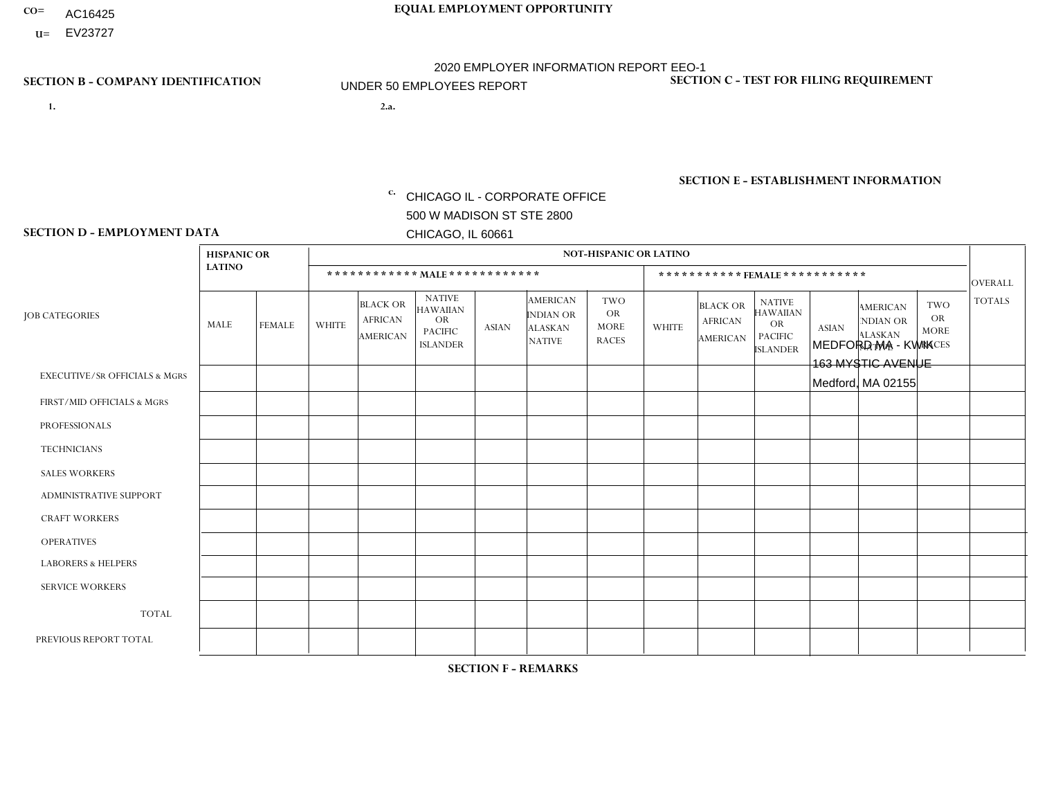- AC16425
- **U=**

**1. 2.a.** CHICAGO IL - CORPORATE OFFICE 500 W MADISON ST STE 2800 CHICAGO, IL 60661

2.a. MEDFORD MA - KWIK 163 MYSTIC AVENUE Medford, MA 02155

EIN= 952920557

## **SECTION B - COMPANY IDENTIFICATION SECTION C - TEST FOR FILING REQUIREMENT**

1- Y 2- Y 3- N DUNS= 000123456

**SECTION E - ESTABLISHMENT INFORMATION c.** NAICS: 423140

### **SECTION D - EMPLOYMENT DATA**

|                                          | <b>HISPANIC OR</b> |               |                |                                                      |                                                                                    |              |                                                                        | <b>NOT-HISPANIC OR LATINO</b>                          |                |                                                      |                                                                             |              |                                                                       |                                                        |                      |
|------------------------------------------|--------------------|---------------|----------------|------------------------------------------------------|------------------------------------------------------------------------------------|--------------|------------------------------------------------------------------------|--------------------------------------------------------|----------------|------------------------------------------------------|-----------------------------------------------------------------------------|--------------|-----------------------------------------------------------------------|--------------------------------------------------------|----------------------|
|                                          | <b>LATINO</b>      |               |                | ************ MALE ************                       |                                                                                    |              |                                                                        |                                                        |                |                                                      | ***********FEMALE***********                                                |              |                                                                       |                                                        | <b>OVERALL</b>       |
| <b>JOB CATEGORIES</b>                    | <b>MALE</b>        | <b>FEMALE</b> | <b>WHITE</b>   | <b>BLACK OR</b><br><b>AFRICAN</b><br><b>AMERICAN</b> | <b>NATIVE</b><br><b>HAWAIIAN</b><br><b>OR</b><br><b>PACIFIC</b><br><b>ISLANDER</b> | <b>ASIAN</b> | <b>AMERICAN</b><br><b>INDIAN OR</b><br><b>ALASKAN</b><br><b>NATIVE</b> | <b>TWO</b><br><b>OR</b><br><b>MORE</b><br><b>RACES</b> | <b>WHITE</b>   | <b>BLACK OR</b><br><b>AFRICAN</b><br><b>AMERICAN</b> | <b>NATIVE</b><br><b>HAWAIIAN</b><br>OR<br><b>PACIFIC</b><br><b>ISLANDER</b> | <b>ASIAN</b> | <b>AMERICAN</b><br><b>NDIAN OR</b><br><b>ALASKAN</b><br><b>NATIVE</b> | <b>TWO</b><br><b>OR</b><br><b>MORE</b><br><b>RACES</b> | <b>TOTALS</b>        |
| <b>EXECUTIVE/SR OFFICIALS &amp; MGRS</b> | $\Omega$           | $\Omega$      | $\Omega$       | $\mathbf 0$                                          | $\Omega$                                                                           | $\Omega$     | $\Omega$                                                               | $\Omega$                                               | $\Omega$       | $\Omega$                                             | $\Omega$                                                                    | $\Omega$     | $\Omega$                                                              | $\Omega$                                               | $\mathbf 0$          |
| FIRST/MID OFFICIALS & MGRS               | $\Omega$           | $\mathbf 0$   | $\overline{c}$ | $\mathbf 0$                                          | 0                                                                                  | $\Omega$     | $\Omega$                                                               | $\Omega$                                               | 0              | $\Omega$                                             | 0                                                                           | $\mathbf 0$  | $\Omega$                                                              | 0                                                      | $\overline{2}$       |
| <b>PROFESSIONALS</b>                     | $\Omega$           | $\Omega$      | $\Omega$       | $\mathbf 0$                                          | $\Omega$                                                                           | $\Omega$     | $\Omega$                                                               | $\Omega$                                               | $\Omega$       | $\Omega$                                             | 0                                                                           | $\Omega$     | $\Omega$                                                              | $\Omega$                                               | $\Omega$             |
| <b>TECHNICIANS</b>                       | $\Omega$           | $\Omega$      | $\Omega$       | $\Omega$                                             | $\Omega$                                                                           | $\Omega$     | $\Omega$                                                               | $\Omega$                                               | $\overline{0}$ | $\Omega$                                             | $\Omega$                                                                    | $\mathbf 0$  | $\Omega$                                                              | $\mathbf 0$                                            | $\Omega$             |
| <b>SALES WORKERS</b>                     | $\Omega$           | $\Omega$      | 5              | $\Omega$                                             | $\Omega$                                                                           | $\Omega$     | $\Omega$                                                               | $\Omega$                                               | $\Omega$       | $\Omega$                                             | $\Omega$                                                                    | $\Omega$     | $\Omega$                                                              | $\Omega$                                               | 5                    |
| ADMINISTRATIVE SUPPORT                   | $\Omega$           | $\Omega$      | $\mathbf{0}$   | $\mathbf 0$                                          | 0                                                                                  | $\Omega$     | $\Omega$                                                               | $\Omega$                                               | 1              | $\Omega$                                             | 0                                                                           | $\Omega$     | $\Omega$                                                              | $\Omega$                                               | $\blacktriangleleft$ |
| <b>CRAFT WORKERS</b>                     | $\Omega$           | $\Omega$      | $\Omega$       | $\mathbf 0$                                          | $\Omega$                                                                           | $\Omega$     | $\Omega$                                                               | $\Omega$                                               | $\Omega$       | $\Omega$                                             | 0                                                                           | $\Omega$     | $\Omega$                                                              | $\Omega$                                               | $\Omega$             |
| <b>OPERATIVES</b>                        | 1                  | $\Omega$      | 1              | $\mathbf 0$                                          | 0                                                                                  | $\Omega$     | $\Omega$                                                               | 1                                                      | 0              | $\Omega$                                             | 0                                                                           | $\mathbf 0$  | $\Omega$                                                              | $\Omega$                                               | 3                    |
| <b>LABORERS &amp; HELPERS</b>            | $\overline{2}$     | $\Omega$      | -1             | $\mathbf 0$                                          | 0                                                                                  | $\Omega$     | $\Omega$                                                               | $\Omega$                                               | $\Omega$       | $\Omega$                                             | 0                                                                           | $\Omega$     | $\Omega$                                                              | $\Omega$                                               | 3                    |
| <b>SERVICE WORKERS</b>                   | $\Omega$           | $\Omega$      | 0              | 0                                                    | $\mathbf 0$                                                                        | $\Omega$     | $\Omega$                                                               | $\Omega$                                               | 0              | $\Omega$                                             | $\Omega$                                                                    | $\mathbf 0$  | $\Omega$                                                              | $\Omega$                                               | $\mathbf{0}$         |
| <b>TOTAL</b>                             | 3                  | 0             | 9              | $\mathbf 0$                                          | $\mathbf 0$                                                                        | 0            | $\Omega$                                                               | $\mathbf{1}$                                           | $\mathbf{1}$   | $\Omega$                                             | $\Omega$                                                                    | $\mathbf 0$  | $\Omega$                                                              | $\mathbf 0$                                            | 14                   |
| PREVIOUS REPORT TOTAL                    | 3                  | $\Omega$      | 11             | $\overline{ }$                                       | 0                                                                                  | $\Omega$     | $\Omega$                                                               | $\mathbf{1}$                                           | 1              | $\Omega$                                             | 0                                                                           | $\mathbf 0$  | $\Omega$                                                              | 0                                                      | 17                   |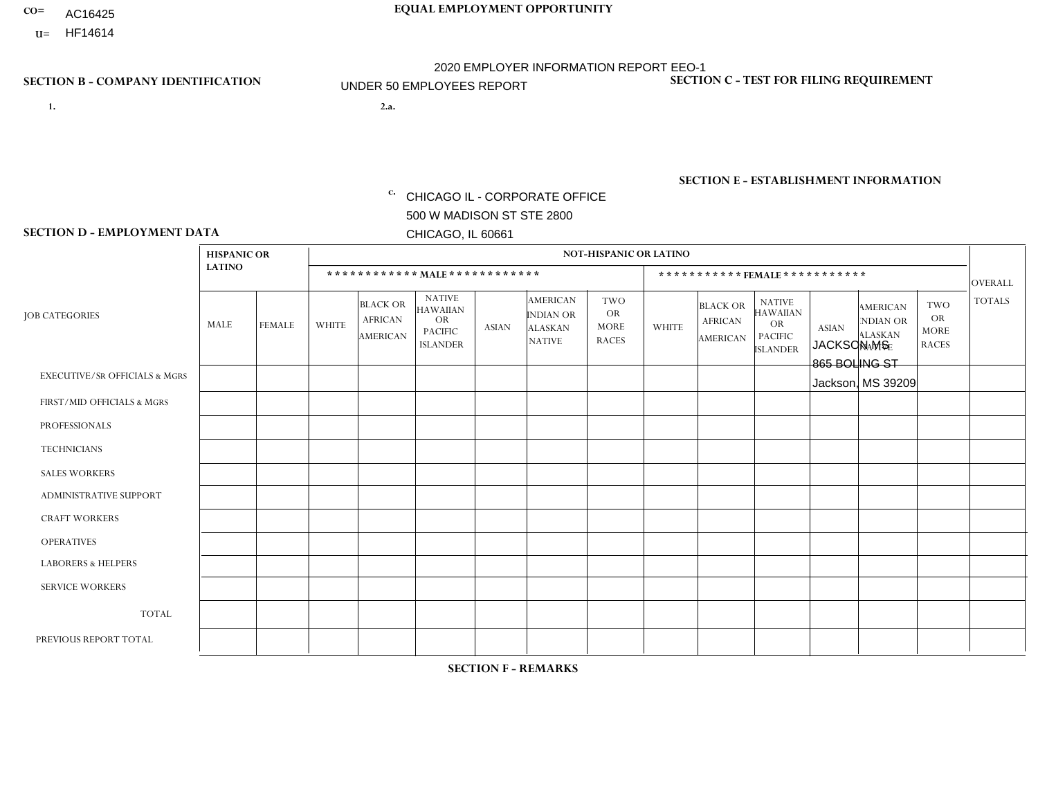- AC16425
- **U=**

**1. 2.a.** CHICAGO IL - CORPORATE OFFICE 500 W MADISON ST STE 2800 CHICAGO, IL 60661

2.a. JACKSON MS 865 BOLING ST Jackson, MS 39209

EIN= 952920557

## **SECTION B - COMPANY IDENTIFICATION SECTION C - TEST FOR FILING REQUIREMENT**

1- Y 2- Y 3- N DUNS= 000123456

**SECTION E - ESTABLISHMENT INFORMATION c.** NAICS: 423140

### **SECTION D - EMPLOYMENT DATA**

|                                          | <b>HISPANIC OR</b> |               |                |                                                      |                                                                                    |              |                                                                        | <b>NOT-HISPANIC OR LATINO</b>                          |              |                                                      |                                                                                    |              |                                                                       |                                                        |                |
|------------------------------------------|--------------------|---------------|----------------|------------------------------------------------------|------------------------------------------------------------------------------------|--------------|------------------------------------------------------------------------|--------------------------------------------------------|--------------|------------------------------------------------------|------------------------------------------------------------------------------------|--------------|-----------------------------------------------------------------------|--------------------------------------------------------|----------------|
|                                          | <b>LATINO</b>      |               |                | ************ MALE ************                       |                                                                                    |              |                                                                        |                                                        |              |                                                      | *********** FEMALE ***********                                                     |              |                                                                       |                                                        | <b>OVERALL</b> |
| <b>JOB CATEGORIES</b>                    | <b>MALE</b>        | <b>FEMALE</b> | <b>WHITE</b>   | <b>BLACK OR</b><br><b>AFRICAN</b><br><b>AMERICAN</b> | <b>NATIVE</b><br><b>HAWAIIAN</b><br><b>OR</b><br><b>PACIFIC</b><br><b>ISLANDER</b> | <b>ASIAN</b> | <b>AMERICAN</b><br><b>INDIAN OR</b><br><b>ALASKAN</b><br><b>NATIVE</b> | <b>TWO</b><br><b>OR</b><br><b>MORE</b><br><b>RACES</b> | <b>WHITE</b> | <b>BLACK OR</b><br><b>AFRICAN</b><br><b>AMERICAN</b> | <b>NATIVE</b><br><b>HAWAIIAN</b><br><b>OR</b><br><b>PACIFIC</b><br><b>ISLANDER</b> | <b>ASIAN</b> | <b>AMERICAN</b><br><b>NDIAN OR</b><br><b>ALASKAN</b><br><b>NATIVE</b> | <b>TWO</b><br><b>OR</b><br><b>MORE</b><br><b>RACES</b> | <b>TOTALS</b>  |
| <b>EXECUTIVE/SR OFFICIALS &amp; MGRS</b> | $\Omega$           | $\Omega$      | $\Omega$       | $\Omega$                                             | $\Omega$                                                                           | $\Omega$     | $\Omega$                                                               | $\Omega$                                               | $\Omega$     | $\mathbf{0}$                                         | $\mathbf{0}$                                                                       | $\Omega$     | $\Omega$                                                              | $\Omega$                                               | $\Omega$       |
| FIRST/MID OFFICIALS & MGRS               | $\Omega$           | $\Omega$      | $\Omega$       | $\mathbf 0$                                          | 0                                                                                  | $\Omega$     | $\Omega$                                                               | $\Omega$                                               | $\Omega$     | $\mathbf{0}$                                         | $\mathbf{0}$                                                                       | $\Omega$     | $\Omega$                                                              | $\Omega$                                               | 0              |
| <b>PROFESSIONALS</b>                     | $\Omega$           | $\Omega$      | $\mathbf 0$    | $\mathbf 0$                                          | $\overline{0}$                                                                     | $\Omega$     | $\overline{0}$                                                         | $\Omega$                                               | $\Omega$     | $\Omega$                                             | $\mathbf{0}$                                                                       | $\Omega$     | $\Omega$                                                              | $\Omega$                                               | $\mathbf 0$    |
| <b>TECHNICIANS</b>                       | $\mathbf 0$        | $\mathbf 0$   | $\Omega$       | $\mathbf 0$                                          | 0                                                                                  | $\Omega$     | $\overline{0}$                                                         | $\Omega$                                               | $\mathbf 0$  | $\mathbf 0$                                          | $\mathbf 0$                                                                        | $\mathbf 0$  | $\Omega$                                                              | $\mathbf{0}$                                           | $\mathbf 0$    |
| <b>SALES WORKERS</b>                     | $\Omega$           | $\Omega$      | $\Omega$       | $\Omega$                                             | $\Omega$                                                                           | $\Omega$     | $\Omega$                                                               | $\Omega$                                               | $\Omega$     | $\Omega$                                             | $\Omega$                                                                           | $\Omega$     | $\Omega$                                                              | $\mathbf{0}$                                           | $\mathbf 0$    |
| <b>ADMINISTRATIVE SUPPORT</b>            | $\Omega$           | $\Omega$      | $\Omega$       | 0                                                    | $\mathbf 0$                                                                        | $\Omega$     | $\Omega$                                                               | $\Omega$                                               | $\Omega$     | $\mathbf{0}$                                         | $\mathbf{0}$                                                                       | $\Omega$     | $\Omega$                                                              | $\Omega$                                               | $\mathbf 0$    |
| <b>CRAFT WORKERS</b>                     | 0                  | $\Omega$      | $\mathbf 0$    | $\mathbf 0$                                          | 0                                                                                  | $\Omega$     | $\Omega$                                                               | $\Omega$                                               | $\Omega$     | $\Omega$                                             | $\Omega$                                                                           | $\Omega$     | $\Omega$                                                              | $\Omega$                                               | $\mathbf 0$    |
| <b>OPERATIVES</b>                        | 0                  | $\mathbf 0$   | $\overline{c}$ | $\mathbf 0$                                          | 0                                                                                  | $\Omega$     | $\overline{0}$                                                         | $\Omega$                                               | $\Omega$     | $\Omega$                                             | $\Omega$                                                                           | $\Omega$     | $\Omega$                                                              | $\mathbf{0}$                                           | $\overline{2}$ |
| <b>LABORERS &amp; HELPERS</b>            | $\Omega$           | $\Omega$      | $\Omega$       | $\Omega$                                             | 0                                                                                  | $\Omega$     | $\Omega$                                                               | $\Omega$                                               | $\Omega$     | $\Omega$                                             | $\mathbf{0}$                                                                       | $\Omega$     | $\Omega$                                                              | $\Omega$                                               | 0              |
| <b>SERVICE WORKERS</b>                   | 0                  | 0             | 0              | 0                                                    | 0                                                                                  | $\Omega$     | $\Omega$                                                               | $\Omega$                                               | $\Omega$     | $\Omega$                                             | $\mathbf{0}$                                                                       | $\Omega$     | $\Omega$                                                              | $\Omega$                                               | 0              |
| <b>TOTAL</b>                             | 0                  | $\mathbf 0$   | $\overline{c}$ | $\mathbf 0$                                          | 0                                                                                  | $\mathbf 0$  | $\Omega$                                                               | $\Omega$                                               | 0            | $\Omega$                                             | $\Omega$                                                                           | $\mathbf 0$  | $\Omega$                                                              | $\mathbf 0$                                            | $\overline{2}$ |
| PREVIOUS REPORT TOTAL                    | $\Omega$           | $\Omega$      | 8              | 2                                                    | 0                                                                                  | $\Omega$     | $\Omega$                                                               | $\Omega$                                               | $\mathbf 1$  | $\Omega$                                             | $\mathbf{0}$                                                                       | $\Omega$     | $\Omega$                                                              | $\mathbf 0$                                            | 11             |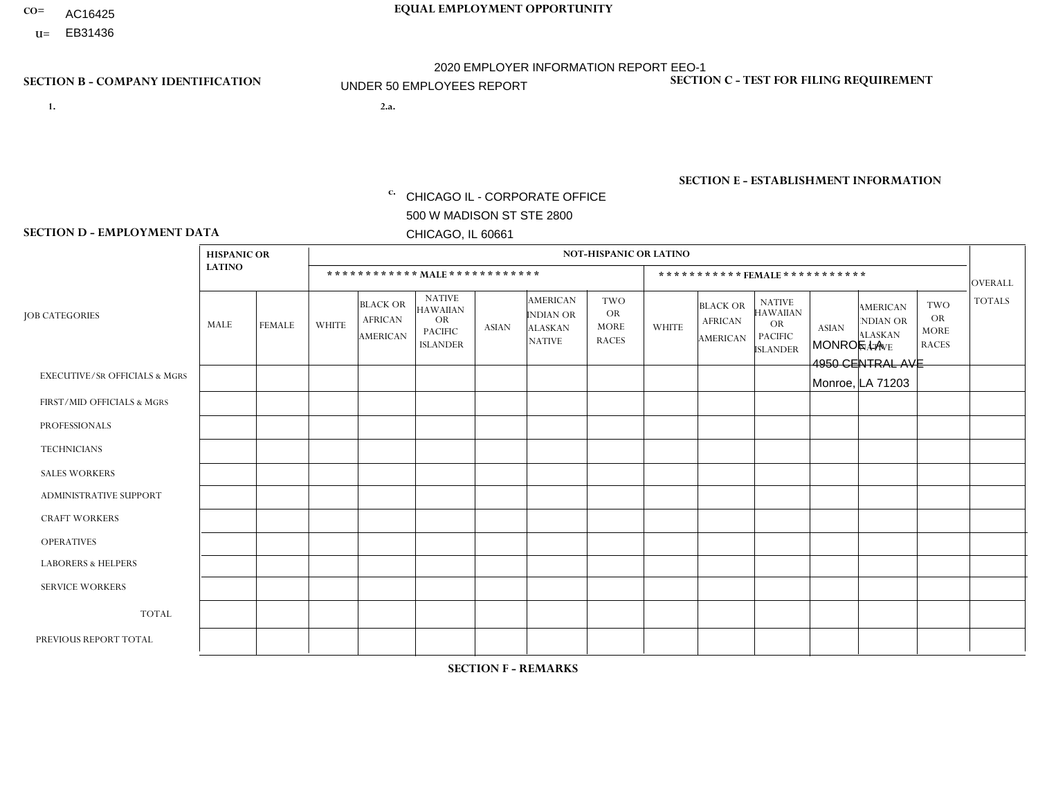- AC16425
- **U=**

**1. 2.a.** CHICAGO IL - CORPORATE OFFICE 500 W MADISON ST STE 2800 CHICAGO, IL 60661

2.a. MONROE LA 4950 CENTRAL AVE Monroe, LA 71203

EIN= 952920557

## **SECTION B - COMPANY IDENTIFICATION SECTION C - TEST FOR FILING REQUIREMENT**

1- Y 2- Y 3- N DUNS= 000123456

**SECTION E - ESTABLISHMENT INFORMATION c.** NAICS: 423140

### **SECTION D - EMPLOYMENT DATA**

|                                          | <b>HISPANIC OR</b> |               |                |                                                      |                                                                                    |                      |                                                                        | <b>NOT-HISPANIC OR LATINO</b>                          |                |                                               |                                                                                    |              |                                                                |                                                        |                |
|------------------------------------------|--------------------|---------------|----------------|------------------------------------------------------|------------------------------------------------------------------------------------|----------------------|------------------------------------------------------------------------|--------------------------------------------------------|----------------|-----------------------------------------------|------------------------------------------------------------------------------------|--------------|----------------------------------------------------------------|--------------------------------------------------------|----------------|
|                                          | <b>LATINO</b>      |               |                | ************ MALE ************                       |                                                                                    |                      |                                                                        |                                                        |                |                                               | *********** FEMALE ***********                                                     |              |                                                                |                                                        | <b>OVERALL</b> |
| <b>JOB CATEGORIES</b>                    | <b>MALE</b>        | <b>FEMALE</b> | <b>WHITE</b>   | <b>BLACK OR</b><br><b>AFRICAN</b><br><b>AMERICAN</b> | <b>NATIVE</b><br><b>HAWAIIAN</b><br><b>OR</b><br><b>PACIFIC</b><br><b>ISLANDER</b> | <b>ASIAN</b>         | <b>AMERICAN</b><br><b>INDIAN OR</b><br><b>ALASKAN</b><br><b>NATIVE</b> | <b>TWO</b><br><b>OR</b><br><b>MORE</b><br><b>RACES</b> | <b>WHITE</b>   | <b>BLACK OR</b><br><b>AFRICAN</b><br>AMERICAN | <b>NATIVE</b><br><b>HAWAIIAN</b><br><b>OR</b><br><b>PACIFIC</b><br><b>ISLANDER</b> | <b>ASIAN</b> | <b>AMERICAN</b><br>NDIAN OR<br><b>ALASKAN</b><br><b>NATIVE</b> | <b>TWO</b><br><b>OR</b><br><b>MORE</b><br><b>RACES</b> | <b>TOTALS</b>  |
| <b>EXECUTIVE/SR OFFICIALS &amp; MGRS</b> | $\Omega$           | $\Omega$      | $\mathbf{0}$   | $\Omega$                                             | $\Omega$                                                                           | $\Omega$             | $\Omega$                                                               | $\Omega$                                               | 0              | $\Omega$                                      | $\Omega$                                                                           | $\Omega$     | $\Omega$                                                       | $\Omega$                                               | $\Omega$       |
| FIRST/MID OFFICIALS & MGRS               | $\Omega$           | $\Omega$      | 1              | $\mathbf{0}$                                         | $\Omega$                                                                           | $\Omega$             | $\Omega$                                                               | $\Omega$                                               | 0              | $\Omega$                                      | 0                                                                                  | $\Omega$     | $\Omega$                                                       | $\Omega$                                               | $\mathbf{1}$   |
| <b>PROFESSIONALS</b>                     | $\Omega$           | $\mathbf 0$   | $\overline{1}$ | $\mathbf 0$                                          | $\Omega$                                                                           | $\Omega$             | $\Omega$                                                               | $\Omega$                                               | $\Omega$       | $\Omega$                                      | 0                                                                                  | 0            | $\Omega$                                                       | $\mathbf 0$                                            | $\mathbf{1}$   |
| <b>TECHNICIANS</b>                       | $\Omega$           | $\Omega$      | $\Omega$       | $\Omega$                                             | $\Omega$                                                                           | $\Omega$             | $\Omega$                                                               | $\Omega$                                               | $\Omega$       | $\Omega$                                      | $\overline{0}$                                                                     | $\mathbf 0$  | $\Omega$                                                       | $\mathbf 0$                                            | $\Omega$       |
| <b>SALES WORKERS</b>                     | $\Omega$           | $\Omega$      | $\overline{7}$ | $\overline{ }$                                       | $\Omega$                                                                           | $\Omega$             | $\Omega$                                                               | $\Omega$                                               | $\overline{2}$ | $\Omega$                                      | $\Omega$                                                                           | $\Omega$     | $\Omega$                                                       | $\Omega$                                               | 10             |
| <b>ADMINISTRATIVE SUPPORT</b>            | $\Omega$           | $\Omega$      | $\Omega$       | $\mathbf 0$                                          | 0                                                                                  | $\Omega$             | $\Omega$                                                               | $\Omega$                                               | 0              | $\Omega$                                      | 0                                                                                  | $\mathbf 0$  | $\Omega$                                                       | $\mathbf 0$                                            | $\overline{0}$ |
| <b>CRAFT WORKERS</b>                     | $\Omega$           | $\Omega$      | $\Omega$       | $\mathbf 0$                                          | $\Omega$                                                                           | $\Omega$             | $\Omega$                                                               | $\Omega$                                               | $\Omega$       | $\Omega$                                      | 0                                                                                  | $\Omega$     | $\Omega$                                                       | $\Omega$                                               | $\Omega$       |
| <b>OPERATIVES</b>                        | $\Omega$           | $\Omega$      | 1              | $\mathbf 0$                                          | $\Omega$                                                                           | $\Omega$             | $\Omega$                                                               | $\Omega$                                               | 0              | $\Omega$                                      | 0                                                                                  | $\mathbf 0$  | $\Omega$                                                       | $\Omega$                                               | $\mathbf{1}$   |
| <b>LABORERS &amp; HELPERS</b>            | $\Omega$           | $\Omega$      | $\overline{c}$ | $\overline{2}$                                       | $\Omega$                                                                           | $\blacktriangleleft$ | $\Omega$                                                               | $\mathbf 1$                                            | $\Omega$       | $\Omega$                                      | $\Omega$                                                                           | $\Omega$     | $\Omega$                                                       | $\Omega$                                               | 6              |
| <b>SERVICE WORKERS</b>                   | $\Omega$           | $\Omega$      | $\Omega$       | 0                                                    | $\mathbf 0$                                                                        | $\Omega$             | $\Omega$                                                               | $\Omega$                                               | 0              | $\Omega$                                      | $\Omega$                                                                           | $\mathbf 0$  | $\Omega$                                                       | $\Omega$                                               | $\mathbf 0$    |
| <b>TOTAL</b>                             | 0                  | 0             | 12             | 3                                                    | $\mathbf 0$                                                                        | $\blacktriangleleft$ | $\Omega$                                                               | $\overline{1}$                                         | $\overline{2}$ | $\mathbf 0$                                   | 0                                                                                  | $\mathbf 0$  | 0                                                              | $\mathbf 0$                                            | 19             |
| PREVIOUS REPORT TOTAL                    | $\Omega$           | $\Omega$      | 14             | $\overline{4}$                                       | 0                                                                                  |                      | $\Omega$                                                               |                                                        | 3              | $\Omega$                                      | 0                                                                                  | $\mathbf 0$  | $\Omega$                                                       | $\mathbf 0$                                            | 23             |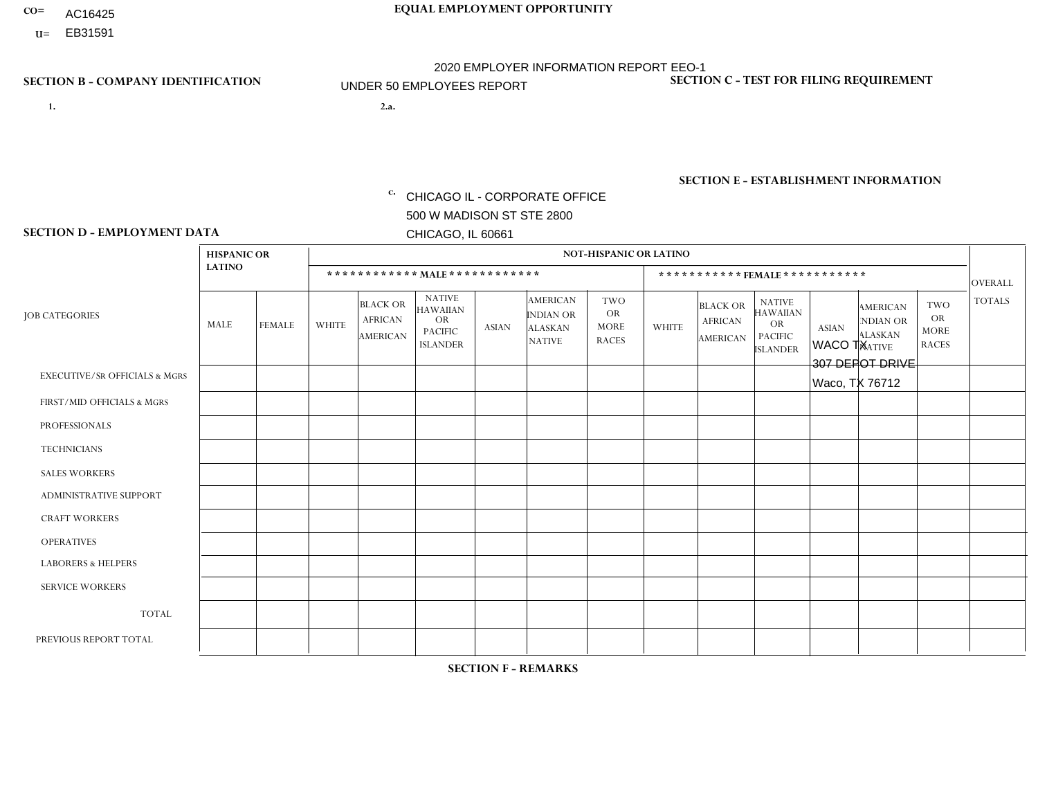- AC16425
- **U=**

**1. 2.a.** CHICAGO IL - CORPORATE OFFICE 500 W MADISON ST STE 2800 CHICAGO, IL 60661

WACO TX 307 DEPOT DRIVE Waco, TX 76712

EIN= 952920557

## **SECTION B - COMPANY IDENTIFICATION SECTION C - TEST FOR FILING REQUIREMENT**

1- Y 2- Y 3- N DUNS= 000123456

**SECTION E - ESTABLISHMENT INFORMATION c.** NAICS: 423140

### **SECTION D - EMPLOYMENT DATA**

|                                          | <b>HISPANIC OR</b> |                |                |                                               |                                                                                    |              |                                                                        | <b>NOT-HISPANIC OR LATINO</b>                          |                |                                               |                                                                             |              |                                                                       |                                                        |                |
|------------------------------------------|--------------------|----------------|----------------|-----------------------------------------------|------------------------------------------------------------------------------------|--------------|------------------------------------------------------------------------|--------------------------------------------------------|----------------|-----------------------------------------------|-----------------------------------------------------------------------------|--------------|-----------------------------------------------------------------------|--------------------------------------------------------|----------------|
|                                          | <b>LATINO</b>      |                |                | ************ MALE ************                |                                                                                    |              |                                                                        |                                                        |                | ***********FEMALE***********                  |                                                                             |              |                                                                       |                                                        | <b>OVERALL</b> |
| <b>JOB CATEGORIES</b>                    | MALE               | <b>FEMALE</b>  | <b>WHITE</b>   | <b>BLACK OR</b><br><b>AFRICAN</b><br>AMERICAN | <b>NATIVE</b><br><b>HAWAIIAN</b><br><b>OR</b><br><b>PACIFIC</b><br><b>ISLANDER</b> | ASIAN        | <b>AMERICAN</b><br><b>INDIAN OR</b><br><b>ALASKAN</b><br><b>NATIVE</b> | <b>TWO</b><br><b>OR</b><br><b>MORE</b><br><b>RACES</b> | <b>WHITE</b>   | <b>BLACK OR</b><br><b>AFRICAN</b><br>AMERICAN | <b>NATIVE</b><br><b>HAWAIIAN</b><br>OR<br><b>PACIFIC</b><br><b>ISLANDER</b> | <b>ASIAN</b> | <b>AMERICAN</b><br><b>NDIAN OR</b><br><b>ALASKAN</b><br><b>NATIVE</b> | <b>TWO</b><br><b>OR</b><br><b>MORE</b><br><b>RACES</b> | <b>TOTALS</b>  |
| <b>EXECUTIVE/SR OFFICIALS &amp; MGRS</b> | $\Omega$           | $\Omega$       | $\Omega$       | $\mathbf 0$                                   | $\Omega$                                                                           | $\Omega$     | $\Omega$                                                               | $\Omega$                                               | $\Omega$       | $\Omega$                                      | $\Omega$                                                                    | $\Omega$     | $\Omega$                                                              | $\Omega$                                               | $\mathbf{0}$   |
| FIRST/MID OFFICIALS & MGRS               |                    | $\Omega$       | 1              | $\Omega$                                      | $\Omega$                                                                           | $\Omega$     | $\Omega$                                                               | $\Omega$                                               | 0              | $\Omega$                                      | $\Omega$                                                                    | $\Omega$     | $\Omega$                                                              | $\Omega$                                               | $\overline{2}$ |
| <b>PROFESSIONALS</b>                     | 0                  | $\Omega$       | $\Omega$       | $\mathbf 0$                                   | $\Omega$                                                                           | $\Omega$     | $\Omega$                                                               | $\Omega$                                               | 0              | $\Omega$                                      | $\Omega$                                                                    | $\Omega$     | $\Omega$                                                              | $\Omega$                                               | $\mathbf{0}$   |
| <b>TECHNICIANS</b>                       | 0                  | $\mathbf 0$    | $\Omega$       | $\mathbf 0$                                   | $\mathbf 0$                                                                        | $\Omega$     | $\Omega$                                                               | $\Omega$                                               | $\Omega$       | $\Omega$                                      | $\Omega$                                                                    | $\mathbf 0$  | $\mathbf 0$                                                           | $\mathbf 0$                                            | $\mathbf{0}$   |
| <b>SALES WORKERS</b>                     | 4                  | $\Omega$       | $\overline{7}$ | $\Omega$                                      | $\Omega$                                                                           | $\Omega$     | $\Omega$                                                               | $\Omega$                                               | 1              | $\Omega$                                      | $\Omega$                                                                    | $\Omega$     | $\Omega$                                                              | $\Omega$                                               | 12             |
| <b>ADMINISTRATIVE SUPPORT</b>            | $\Omega$           | $\mathbf 0$    | $\Omega$       | $\mathbf 0$                                   | $\mathbf 0$                                                                        | $\Omega$     | $\Omega$                                                               | $\Omega$                                               |                | $\Omega$                                      | $\Omega$                                                                    | $\Omega$     | $\mathbf{0}$                                                          | $\mathbf 0$                                            | $\mathbf{1}$   |
| <b>CRAFT WORKERS</b>                     | $\Omega$           | $\Omega$       | $\Omega$       | $\Omega$                                      | $\Omega$                                                                           | $\Omega$     | $\Omega$                                                               | $\Omega$                                               | $\Omega$       | $\Omega$                                      | $\Omega$                                                                    | $\Omega$     | $\Omega$                                                              | $\Omega$                                               | $\Omega$       |
| <b>OPERATIVES</b>                        | 0                  | $\Omega$       | $\Omega$       | $\mathbf 0$                                   | $\Omega$                                                                           | $\Omega$     | $\Omega$                                                               | $\Omega$                                               | 0              | $\Omega$                                      | $\Omega$                                                                    | $\Omega$     | $\Omega$                                                              | $\Omega$                                               | $\mathbf{0}$   |
| <b>LABORERS &amp; HELPERS</b>            | 0                  | $\Omega$       | $\overline{c}$ | $\mathbf 0$                                   | $\mathbf{0}$                                                                       | $\Omega$     | $\Omega$                                                               | $\Omega$                                               | $\Omega$       | $\Omega$                                      | $\Omega$                                                                    | $\mathbf{0}$ | $\Omega$                                                              | $\mathbf{0}$                                           | $\overline{2}$ |
| <b>SERVICE WORKERS</b>                   | 0                  | $\Omega$       | $\Omega$       | 0                                             | $\mathbf{0}$                                                                       | $\Omega$     | $\Omega$                                                               | $\Omega$                                               | $\Omega$       | $\Omega$                                      | $\Omega$                                                                    | $\Omega$     | $\Omega$                                                              | $\Omega$                                               | $\overline{0}$ |
| <b>TOTAL</b>                             | 5                  | $\overline{0}$ | 10             | $\mathbf 0$                                   | $\mathbf{0}$                                                                       | $\Omega$     | $\Omega$                                                               | $\Omega$                                               | $\overline{2}$ | $\Omega$                                      | $\Omega$                                                                    | $\mathbf 0$  | 0                                                                     | $\mathbf 0$                                            | 17             |
| PREVIOUS REPORT TOTAL                    | 4                  | $\Omega$       | 13             | $\Omega$                                      | $\Omega$                                                                           | $\mathbf{0}$ | $\Omega$                                                               |                                                        | $\overline{2}$ | $\Omega$                                      | $\Omega$                                                                    | $\Omega$     | $\Omega$                                                              | $\Omega$                                               | 20             |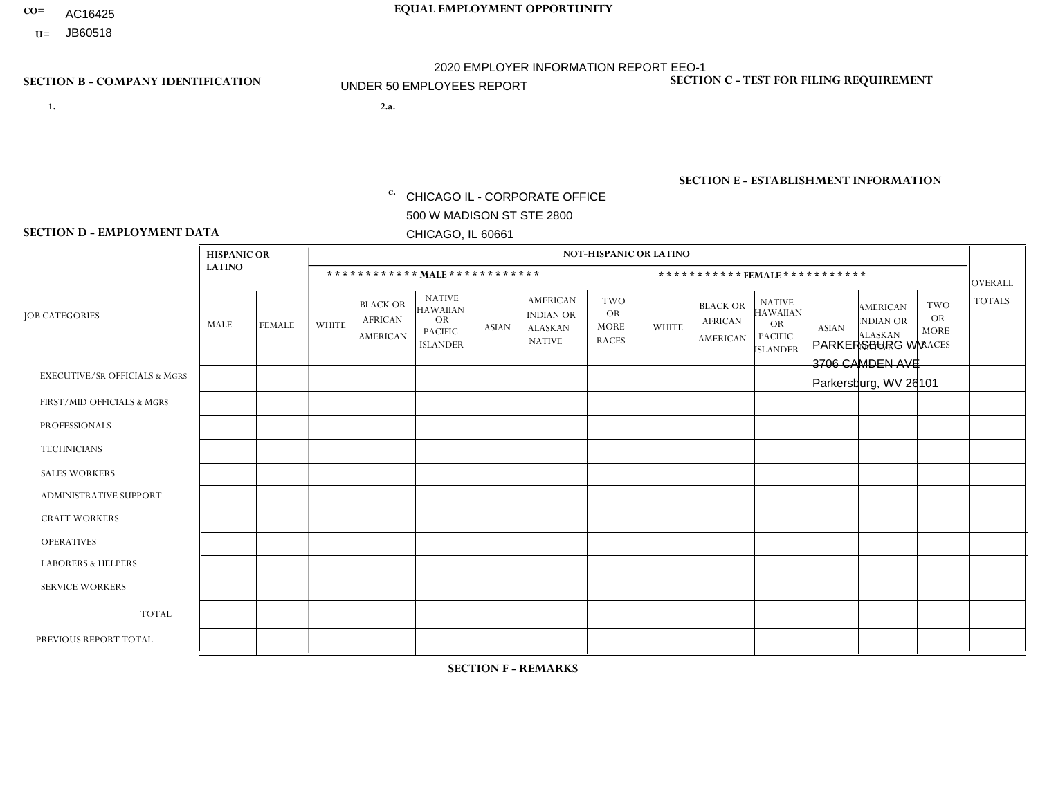- AC16425
- **U=**

- **1. 2.a.** CHICAGO IL CORPORATE OFFICE 500 W MADISON ST STE 2800 CHICAGO, IL 60661
- 2.a. PARKERSBURG WV 3706 CAMDEN AVE Parkersburg, WV 26101

c. EIN= 952920557

## **SECTION B - COMPANY IDENTIFICATION SECTION C - TEST FOR FILING REQUIREMENT**

1- Y 2- Y 3- N DUNS= 000123456

**SECTION E - ESTABLISHMENT INFORMATION c.** NAICS: 423140

### **SECTION D - EMPLOYMENT DATA**

|                                          | <b>HISPANIC OR</b> |                |                |                                                      |                                                                                    |              |                                                                        | <b>NOT-HISPANIC OR LATINO</b>                          |              |                                               |                                                                                    |              |                                                                       |                                                        |                |
|------------------------------------------|--------------------|----------------|----------------|------------------------------------------------------|------------------------------------------------------------------------------------|--------------|------------------------------------------------------------------------|--------------------------------------------------------|--------------|-----------------------------------------------|------------------------------------------------------------------------------------|--------------|-----------------------------------------------------------------------|--------------------------------------------------------|----------------|
|                                          | <b>LATINO</b>      |                |                | ************ MALE ************                       |                                                                                    |              |                                                                        |                                                        |              | ***********FEMALE***********                  |                                                                                    |              |                                                                       |                                                        | <b>OVERALL</b> |
| <b>JOB CATEGORIES</b>                    | MALE               | <b>FEMALE</b>  | <b>WHITE</b>   | <b>BLACK OR</b><br><b>AFRICAN</b><br><b>AMERICAN</b> | <b>NATIVE</b><br><b>HAWAIIAN</b><br><b>OR</b><br><b>PACIFIC</b><br><b>ISLANDER</b> | ASIAN        | <b>AMERICAN</b><br><b>INDIAN OR</b><br><b>ALASKAN</b><br><b>NATIVE</b> | <b>TWO</b><br><b>OR</b><br><b>MORE</b><br><b>RACES</b> | <b>WHITE</b> | <b>BLACK OR</b><br><b>AFRICAN</b><br>AMERICAN | <b>NATIVE</b><br><b>HAWAIIAN</b><br><b>OR</b><br><b>PACIFIC</b><br><b>ISLANDER</b> | <b>ASIAN</b> | <b>AMERICAN</b><br><b>NDIAN OR</b><br><b>ALASKAN</b><br><b>NATIVE</b> | <b>TWO</b><br><b>OR</b><br><b>MORE</b><br><b>RACES</b> | <b>TOTALS</b>  |
| <b>EXECUTIVE/SR OFFICIALS &amp; MGRS</b> | $\Omega$           | $\Omega$       | $\Omega$       | $\mathbf 0$                                          | $\Omega$                                                                           | $\mathbf{0}$ | $\Omega$                                                               | $\Omega$                                               | 0            | $\Omega$                                      | $\Omega$                                                                           | $\Omega$     | $\Omega$                                                              | $\Omega$                                               | $\mathbf{0}$   |
| FIRST/MID OFFICIALS & MGRS               | 0                  | $\Omega$       |                | $\mathbf 0$                                          | $\Omega$                                                                           | $\Omega$     | $\Omega$                                                               | $\Omega$                                               | 0            | $\Omega$                                      | $\Omega$                                                                           | $\Omega$     | $\Omega$                                                              | $\Omega$                                               | $\mathbf{1}$   |
| <b>PROFESSIONALS</b>                     | 0                  | $\overline{0}$ | $\mathbf 0$    | $\mathbf 0$                                          | $\Omega$                                                                           | $\Omega$     | $\Omega$                                                               | $\Omega$                                               | 0            | $\Omega$                                      | $\Omega$                                                                           | $\Omega$     | $\Omega$                                                              | $\Omega$                                               | $\mathbf{0}$   |
| <b>TECHNICIANS</b>                       | 0                  | $\Omega$       | $\Omega$       | $\mathbf 0$                                          | $\Omega$                                                                           | $\Omega$     | $\Omega$                                                               | $\Omega$                                               | $\Omega$     | $\Omega$                                      | $\Omega$                                                                           | $\Omega$     | $\Omega$                                                              | $\Omega$                                               | $\mathbf{0}$   |
| <b>SALES WORKERS</b>                     | 0                  | $\Omega$       | $\overline{c}$ | $\Omega$                                             | $\Omega$                                                                           | $\Omega$     | $\Omega$                                                               | $\Omega$                                               |              | $\Omega$                                      | $\Omega$                                                                           | $\Omega$     | $\Omega$                                                              | $\Omega$                                               | 3              |
| <b>ADMINISTRATIVE SUPPORT</b>            | 0                  | 0              | $\Omega$       | $\mathbf 0$                                          | 0                                                                                  | $\Omega$     | $\Omega$                                                               | $\Omega$                                               | $\Omega$     | $\Omega$                                      | $\Omega$                                                                           | $\mathbf{0}$ | $\mathbf{0}$                                                          | $\mathbf 0$                                            | $\mathbf 0$    |
| <b>CRAFT WORKERS</b>                     | 0                  | $\Omega$       | $\Omega$       | $\mathbf 0$                                          | $\Omega$                                                                           | $\Omega$     | $\Omega$                                                               | $\Omega$                                               | 0            | $\Omega$                                      | $\Omega$                                                                           | $\Omega$     | $\Omega$                                                              | $\Omega$                                               | $\Omega$       |
| <b>OPERATIVES</b>                        | 0                  | $\Omega$       | 8              | $\mathbf 0$                                          | $\Omega$                                                                           | $\Omega$     | $\Omega$                                                               | $\Omega$                                               | $\Omega$     | $\Omega$                                      | $\Omega$                                                                           | $\Omega$     | $\Omega$                                                              | $\Omega$                                               | 8              |
| <b>LABORERS &amp; HELPERS</b>            | 0                  | $\Omega$       | -1             | $\mathbf 0$                                          | $\Omega$                                                                           | $\Omega$     | $\Omega$                                                               | $\Omega$                                               | $\Omega$     | $\Omega$                                      | $\Omega$                                                                           | $\Omega$     | $\Omega$                                                              | $\mathbf 0$                                            | $\mathbf{1}$   |
| <b>SERVICE WORKERS</b>                   | 0                  | $\Omega$       | $\Omega$       | 0                                                    | 0                                                                                  | $\Omega$     | $\Omega$                                                               | $\Omega$                                               | $\Omega$     | $\Omega$                                      | $\Omega$                                                                           | $\Omega$     | $\Omega$                                                              | $\mathbf 0$                                            | $\overline{0}$ |
| <b>TOTAL</b>                             | $\mathbf 0$        | 0              | 12             | 0                                                    | 0                                                                                  | $\mathbf 0$  | $\Omega$                                                               | $\Omega$                                               |              | $\Omega$                                      | $\Omega$                                                                           | $\mathbf 0$  | 0                                                                     | $\mathbf 0$                                            | 13             |
| PREVIOUS REPORT TOTAL                    | 0                  | $\Omega$       | 17             | $\mathbf 0$                                          | $\Omega$                                                                           | $\mathbf{0}$ | $\Omega$                                                               | $\Omega$                                               |              | $\Omega$                                      | $\Omega$                                                                           | $\Omega$     | $\Omega$                                                              | $\mathbf 0$                                            | 18             |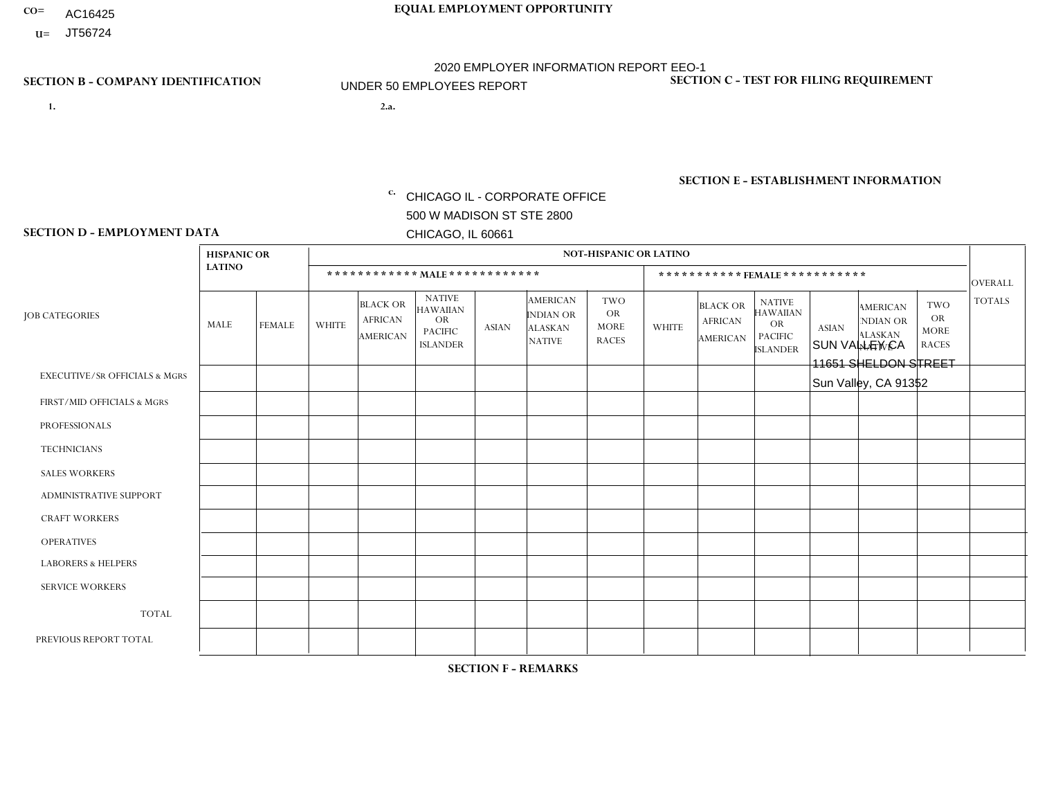- AC16425
- **U=**

- **1. 2.a.** CHICAGO IL CORPORATE OFFICE 500 W MADISON ST STE 2800 CHICAGO, IL 60661
- 2.a. SUN VALLEY CA 11651 SHELDON STREET Sun Valley, CA 91352

EIN= 364261867

## **SECTION B - COMPANY IDENTIFICATION SECTION C - TEST FOR FILING REQUIREMENT**

1- Y 2- Y 3- N DUNS= 000123456

**SECTION E - ESTABLISHMENT INFORMATION c.** NAICS: 423140

### **SECTION D - EMPLOYMENT DATA**

|                                          | <b>HISPANIC OR</b> |               |              |                                                      |                                                                                    |              |                                                                        | <b>NOT-HISPANIC OR LATINO</b>                          |              |                                               |                                                                                    |              |                                                                       |                                                        |                |
|------------------------------------------|--------------------|---------------|--------------|------------------------------------------------------|------------------------------------------------------------------------------------|--------------|------------------------------------------------------------------------|--------------------------------------------------------|--------------|-----------------------------------------------|------------------------------------------------------------------------------------|--------------|-----------------------------------------------------------------------|--------------------------------------------------------|----------------|
|                                          | <b>LATINO</b>      |               |              | ************ MAIE************                        |                                                                                    |              |                                                                        |                                                        |              |                                               | ***********FEMALE ***********                                                      |              |                                                                       |                                                        | <b>OVERALL</b> |
| <b>JOB CATEGORIES</b>                    | <b>MALE</b>        | <b>FEMALE</b> | <b>WHITE</b> | <b>BLACK OR</b><br><b>AFRICAN</b><br><b>AMERICAN</b> | <b>NATIVE</b><br><b>HAWAIIAN</b><br><b>OR</b><br><b>PACIFIC</b><br><b>ISLANDER</b> | <b>ASIAN</b> | <b>AMERICAN</b><br><b>INDIAN OR</b><br><b>ALASKAN</b><br><b>NATIVE</b> | <b>TWO</b><br><b>OR</b><br><b>MORE</b><br><b>RACES</b> | <b>WHITE</b> | <b>BLACK OR</b><br><b>AFRICAN</b><br>AMERICAN | <b>NATIVE</b><br><b>HAWAIIAN</b><br><b>OR</b><br><b>PACIFIC</b><br><b>ISLANDER</b> | <b>ASIAN</b> | <b>AMERICAN</b><br><b>NDIAN OR</b><br><b>ALASKAN</b><br><b>NATIVE</b> | <b>TWO</b><br><b>OR</b><br><b>MORE</b><br><b>RACES</b> | <b>TOTALS</b>  |
| <b>EXECUTIVE/SR OFFICIALS &amp; MGRS</b> | $\Omega$           | $\Omega$      | $\Omega$     | $\mathbf 0$                                          | $\Omega$                                                                           | $\Omega$     | $\Omega$                                                               | $\Omega$                                               | $\Omega$     | $\Omega$                                      | $\mathbf{0}$                                                                       | $\Omega$     | $\Omega$                                                              | $\Omega$                                               | $\mathbf 0$    |
| FIRST/MID OFFICIALS & MGRS               | $\Omega$           | $\Omega$      | $\Omega$     | $\Omega$                                             | 0                                                                                  | $\Omega$     | $\Omega$                                                               | $\Omega$                                               | $\Omega$     | $\Omega$                                      | $\Omega$                                                                           | $\Omega$     | $\Omega$                                                              | $\mathbf{0}$                                           | $\mathbf 0$    |
| <b>PROFESSIONALS</b>                     | $\Omega$           | $\Omega$      | $\Omega$     | $\Omega$                                             | $\Omega$                                                                           | $\Omega$     | $\Omega$                                                               | $\Omega$                                               | $\Omega$     | $\Omega$                                      | $\Omega$                                                                           | $\Omega$     | $\Omega$                                                              | $\Omega$                                               | $\mathbf 0$    |
| <b>TECHNICIANS</b>                       | $\Omega$           | $\mathbf 0$   | $\Omega$     | $\mathbf 0$                                          | 0                                                                                  | $\Omega$     | $\Omega$                                                               | $\Omega$                                               | $\mathbf{0}$ | $\Omega$                                      | $\Omega$                                                                           | $\Omega$     | $\Omega$                                                              | $\Omega$                                               | $\mathbf 0$    |
| <b>SALES WORKERS</b>                     | $\Omega$           | $\Omega$      | $\Omega$     | $\Omega$                                             | $\Omega$                                                                           | $\Omega$     | $\Omega$                                                               | $\Omega$                                               | $\Omega$     | $\Omega$                                      | $\Omega$                                                                           | $\Omega$     | $\Omega$                                                              | $\mathbf{0}$                                           | $\mathbf 0$    |
| <b>ADMINISTRATIVE SUPPORT</b>            | 1                  | $\Omega$      | $\Omega$     | $\Omega$                                             | $\Omega$                                                                           | $\Omega$     | $\Omega$                                                               | $\Omega$                                               | $\Omega$     | $\Omega$                                      | $\Omega$                                                                           | $\Omega$     | $\Omega$                                                              | $\Omega$                                               | $\mathbf{1}$   |
| <b>CRAFT WORKERS</b>                     | 0                  | $\Omega$      | $\mathbf 0$  | $\mathbf 0$                                          | $\Omega$                                                                           | $\Omega$     | $\Omega$                                                               | $\Omega$                                               | $\Omega$     | $\Omega$                                      | $\Omega$                                                                           | $\Omega$     | $\Omega$                                                              | $\Omega$                                               | $\mathbf 0$    |
| <b>OPERATIVES</b>                        | $\Omega$           | $\Omega$      | $\Omega$     | $\mathbf 0$                                          | $\Omega$                                                                           | $\Omega$     | $\overline{0}$                                                         | $\Omega$                                               | $\Omega$     | $\Omega$                                      | $\mathbf{0}$                                                                       | $\Omega$     | $\Omega$                                                              | $\Omega$                                               | $\mathbf 0$    |
| <b>LABORERS &amp; HELPERS</b>            | 0                  | $\Omega$      | $\Omega$     | $\mathbf 0$                                          | 0                                                                                  | $\Omega$     | $\Omega$                                                               | $\Omega$                                               | $\Omega$     | $\Omega$                                      | $\Omega$                                                                           | $\Omega$     | $\Omega$                                                              | $\Omega$                                               | 0              |
| <b>SERVICE WORKERS</b>                   | $\Omega$           | $\mathbf 0$   | 0            | $\mathbf 0$                                          | $\mathbf 0$                                                                        | $\mathbf 0$  | $\Omega$                                                               | $\Omega$                                               | $\Omega$     | $\Omega$                                      | $\Omega$                                                                           | $\mathbf 0$  | $\Omega$                                                              | $\mathbf 0$                                            | 0              |
| <b>TOTAL</b>                             | 1                  | $\mathbf 0$   | 0            | $\mathbf 0$                                          | 0                                                                                  | $\mathbf 0$  | $\Omega$                                                               | $\Omega$                                               | $\Omega$     | $\Omega$                                      | $\Omega$                                                                           | $\Omega$     | $\Omega$                                                              | $\mathbf 0$                                            | $\mathbf{1}$   |
| PREVIOUS REPORT TOTAL                    |                    | $\mathbf 0$   | $\Omega$     | $\mathbf 0$                                          | 0                                                                                  | $\Omega$     | $\Omega$                                                               | $\Omega$                                               | $\Omega$     | $\Omega$                                      | $\mathbf{0}$                                                                       | $\Omega$     | $\Omega$                                                              | $\mathbf 0$                                            | $\mathbf{1}$   |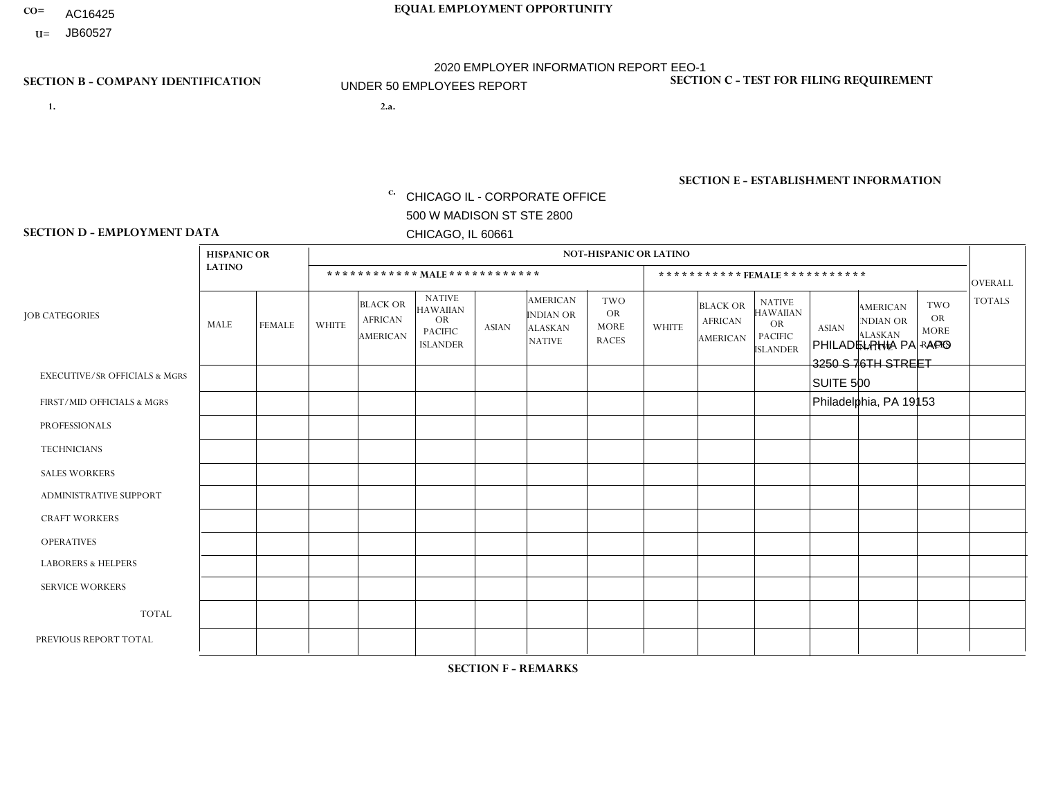- AC16425
- **U=**

**1. 2.a.** CHICAGO IL - CORPORATE OFFICE 500 W MADISON ST STE 2800 CHICAGO, IL 60661

2.a. PHILADELPHIA PA - APO 3250 S 76TH STREET SUITE 500 Philadelphia, PA 19153

EIN= 952920557

## **SECTION B - COMPANY IDENTIFICATION SECTION C - TEST FOR FILING REQUIREMENT**

1- Y 2- Y 3- N DUNS= 000123456

**SECTION E - ESTABLISHMENT INFORMATION c.** NAICS: 423140

### **SECTION D - EMPLOYMENT DATA**

|                                          | <b>HISPANIC OR</b> |                |              |                                                      |                                                                                    |              |                                                                        | <b>NOT-HISPANIC OR LATINO</b>                          |              |                                               |                                                                                    |              |                                                                       |                                                        |                |
|------------------------------------------|--------------------|----------------|--------------|------------------------------------------------------|------------------------------------------------------------------------------------|--------------|------------------------------------------------------------------------|--------------------------------------------------------|--------------|-----------------------------------------------|------------------------------------------------------------------------------------|--------------|-----------------------------------------------------------------------|--------------------------------------------------------|----------------|
|                                          | <b>LATINO</b>      |                |              |                                                      | ************ MALE ************                                                     |              |                                                                        |                                                        |              |                                               | ***********FEMALE***********                                                       |              |                                                                       |                                                        | <b>OVERALL</b> |
| <b>JOB CATEGORIES</b>                    | MALE               | <b>FEMALE</b>  | <b>WHITE</b> | <b>BLACK OR</b><br><b>AFRICAN</b><br><b>AMERICAN</b> | <b>NATIVE</b><br><b>HAWAIIAN</b><br><b>OR</b><br><b>PACIFIC</b><br><b>ISLANDER</b> | <b>ASIAN</b> | <b>AMERICAN</b><br><b>INDIAN OR</b><br><b>ALASKAN</b><br><b>NATIVE</b> | <b>TWO</b><br><b>OR</b><br><b>MORE</b><br><b>RACES</b> | <b>WHITE</b> | <b>BLACK OR</b><br><b>AFRICAN</b><br>AMERICAN | <b>NATIVE</b><br><b>HAWAIIAN</b><br><b>OR</b><br><b>PACIFIC</b><br><b>ISLANDER</b> | <b>ASIAN</b> | <b>AMERICAN</b><br><b>NDIAN OR</b><br><b>ALASKAN</b><br><b>NATIVE</b> | <b>TWO</b><br><b>OR</b><br><b>MORE</b><br><b>RACES</b> | <b>TOTALS</b>  |
| <b>EXECUTIVE/SR OFFICIALS &amp; MGRS</b> | $\mathbf 0$        | 0              | $\mathbf 0$  | 0                                                    | $\mathbf 0$                                                                        | $\Omega$     | $\Omega$                                                               | $\mathbf 0$                                            | 0            | $\mathbf 0$                                   | $\mathbf 0$                                                                        | $\mathbf 0$  | $\mathbf 0$                                                           | $\mathbf 0$                                            | $\mathbf 0$    |
| FIRST/MID OFFICIALS & MGRS               | 2                  | $\mathbf 0$    | $\mathbf 0$  | 0                                                    | $\Omega$                                                                           | $\Omega$     | $\Omega$                                                               | $\Omega$                                               | $\Omega$     | $\Omega$                                      | $\Omega$                                                                           | $\Omega$     | $\Omega$                                                              | $\Omega$                                               | 2              |
| <b>PROFESSIONALS</b>                     | $\mathbf 0$        | $\mathbf 0$    | $\mathbf 0$  | $\mathbf 0$                                          | $\Omega$                                                                           | $\Omega$     | $\Omega$                                                               | $\Omega$                                               | $\Omega$     | $\Omega$                                      | $\Omega$                                                                           | $\Omega$     | $\Omega$                                                              | $\Omega$                                               | $\mathbf 0$    |
| <b>TECHNICIANS</b>                       | $\mathbf 0$        | $\mathbf 0$    | $\mathbf 0$  | $\mathbf 0$                                          | $\Omega$                                                                           | $\Omega$     | $\Omega$                                                               | $\Omega$                                               | $\Omega$     | $\Omega$                                      | $\Omega$                                                                           | $\Omega$     | $\Omega$                                                              | $\Omega$                                               | $\mathbf 0$    |
| <b>SALES WORKERS</b>                     |                    | $\mathbf{1}$   | $\mathbf 0$  | $\mathbf 0$                                          | $\Omega$                                                                           | $\Omega$     | $\Omega$                                                               | $\mathbf 0$                                            | $\mathbf{0}$ | 0                                             | $\Omega$                                                                           | $\Omega$     | $\Omega$                                                              | $\mathbf 0$                                            | $\overline{2}$ |
| <b>ADMINISTRATIVE SUPPORT</b>            |                    | $\mathbf 0$    | $\mathbf 0$  | 0                                                    | $\Omega$                                                                           | $\Omega$     | $\Omega$                                                               | $\Omega$                                               | $\Omega$     | $\Omega$                                      | $\Omega$                                                                           | $\Omega$     | $\Omega$                                                              | $\Omega$                                               | $\mathbf{1}$   |
| <b>CRAFT WORKERS</b>                     | $\mathbf 0$        | $\mathbf 0$    | $\mathbf 0$  | $\mathbf 0$                                          | $\Omega$                                                                           | $\Omega$     | $\Omega$                                                               | $\Omega$                                               | $\Omega$     | $\Omega$                                      | $\Omega$                                                                           | $\Omega$     | $\Omega$                                                              | $\mathbf 0$                                            | $\mathbf 0$    |
| <b>OPERATIVES</b>                        | 0                  | $\mathbf 0$    | $\mathbf 0$  | $\mathbf 0$                                          | $\Omega$                                                                           | $\Omega$     | $\Omega$                                                               | $\Omega$                                               | $\Omega$     | $\Omega$                                      | $\Omega$                                                                           | $\Omega$     | $\Omega$                                                              | $\Omega$                                               | $\mathbf 0$    |
| <b>LABORERS &amp; HELPERS</b>            | $\overline{2}$     | $\mathbf{0}$   | $\mathbf{1}$ | 0                                                    | $\mathbf 0$                                                                        | $\mathbf 0$  | $\Omega$                                                               | $\Omega$                                               | 0            | 0                                             | $\Omega$                                                                           | $\Omega$     | $\Omega$                                                              | $\Omega$                                               | 3              |
| <b>SERVICE WORKERS</b>                   | $\mathbf 0$        | $\mathbf 0$    | $\mathbf 0$  | $\mathbf 0$                                          | $\Omega$                                                                           | $\Omega$     | $\Omega$                                                               | $\Omega$                                               | $\Omega$     | $\Omega$                                      | $\Omega$                                                                           | $\Omega$     | $\Omega$                                                              | $\Omega$                                               | $\mathbf 0$    |
| <b>TOTAL</b>                             | 6                  | $\overline{1}$ | $\mathbf{1}$ | $\mathbf 0$                                          | $\mathbf 0$                                                                        | $\Omega$     | $\Omega$                                                               | $\mathbf 0$                                            | 0            | $\mathbf 0$                                   | $\Omega$                                                                           | $\Omega$     | 0                                                                     | $\mathbf 0$                                            | 8              |
| PREVIOUS REPORT TOTAL                    | 6                  | $\mathbf{0}$   | $\mathbf 0$  | $\mathbf 0$                                          | $\Omega$                                                                           | $\Omega$     | $\Omega$                                                               | $\Omega$                                               | 0            | 0                                             | 0                                                                                  | $\mathbf 0$  | 0                                                                     | 0                                                      | 6              |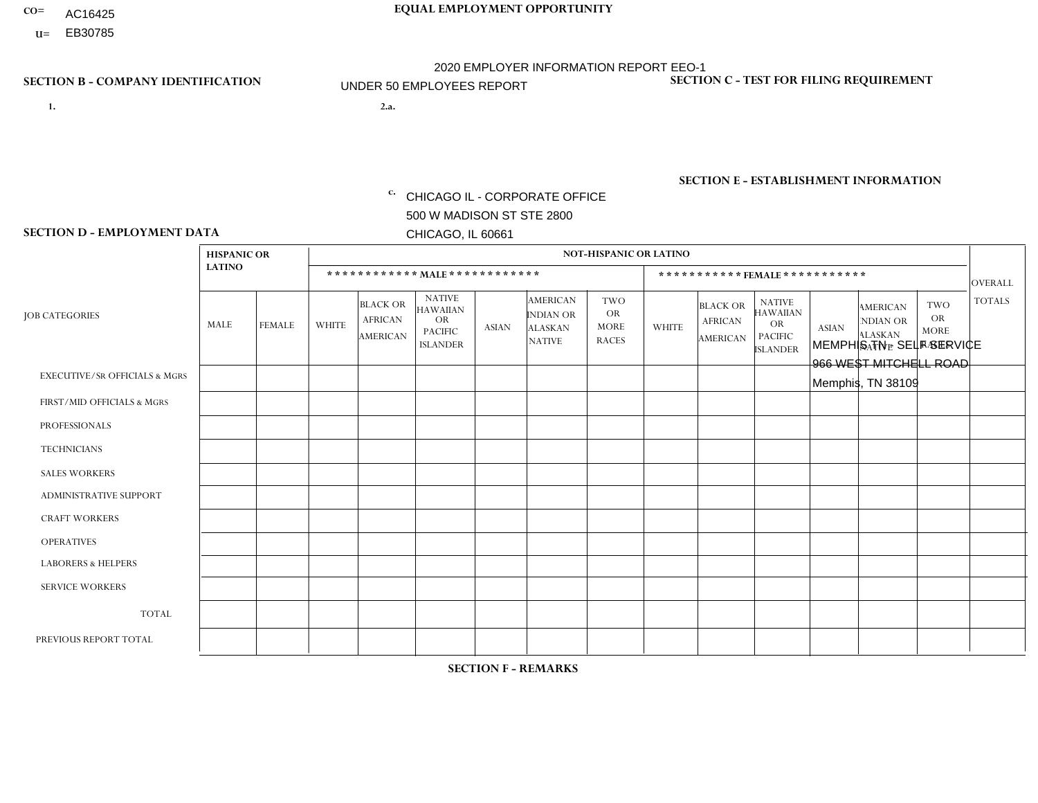- AC16425
- **U=**

- **1. 2.a.** CHICAGO IL CORPORATE OFFICE 500 W MADISON ST STE 2800 CHICAGO, IL 60661
- 2.a. MEMPHIS TN SELF SERVICE 966 WEST MITCHELL ROAD Memphis, TN 38109

c. EIN= 952920557

## **SECTION B - COMPANY IDENTIFICATION SECTION C - TEST FOR FILING REQUIREMENT**

1- Y 2- Y 3- N DUNS= 000123456

**SECTION E - ESTABLISHMENT INFORMATION c.** NAICS: 423140

### **SECTION D - EMPLOYMENT DATA**

|                                          | <b>HISPANIC OR</b> |               |                |                                                      |                                                                             |              |                                                                 | <b>NOT-HISPANIC OR LATINO</b>                          |              |                                                      |                                                                                    |              |                                                                       |                                                        |                |
|------------------------------------------|--------------------|---------------|----------------|------------------------------------------------------|-----------------------------------------------------------------------------|--------------|-----------------------------------------------------------------|--------------------------------------------------------|--------------|------------------------------------------------------|------------------------------------------------------------------------------------|--------------|-----------------------------------------------------------------------|--------------------------------------------------------|----------------|
|                                          | <b>LATINO</b>      |               |                |                                                      | ************ MALE************                                               |              |                                                                 |                                                        |              |                                                      | *********** FEMALE ***********                                                     |              |                                                                       |                                                        | <b>OVERALL</b> |
| <b>JOB CATEGORIES</b>                    | MALE               | <b>FEMALE</b> | <b>WHITE</b>   | <b>BLACK OR</b><br><b>AFRICAN</b><br><b>AMERICAN</b> | <b>NATIVE</b><br><b>HAWAIIAN</b><br>OR<br><b>PACIFIC</b><br><b>ISLANDER</b> | <b>ASIAN</b> | <b>AMERICAN</b><br>INDIAN OR<br><b>ALASKAN</b><br><b>NATIVE</b> | <b>TWO</b><br><b>OR</b><br><b>MORE</b><br><b>RACES</b> | <b>WHITE</b> | <b>BLACK OR</b><br><b>AFRICAN</b><br><b>AMERICAN</b> | <b>NATIVE</b><br><b>HAWAIIAN</b><br><b>OR</b><br><b>PACIFIC</b><br><b>ISLANDER</b> | <b>ASIAN</b> | <b>AMERICAN</b><br><b>NDIAN OR</b><br><b>ALASKAN</b><br><b>NATIVE</b> | <b>TWO</b><br><b>OR</b><br><b>MORE</b><br><b>RACES</b> | <b>TOTALS</b>  |
| <b>EXECUTIVE/SR OFFICIALS &amp; MGRS</b> | $\Omega$           | $\mathbf 0$   | $\mathbf 0$    | $\mathbf 0$                                          | $\mathbf 0$                                                                 | $\mathbf 0$  | $\Omega$                                                        | $\Omega$                                               | $\Omega$     | $\Omega$                                             | $\Omega$                                                                           | $\mathbf 0$  | $\Omega$                                                              | $\Omega$                                               | $\mathbf 0$    |
| FIRST/MID OFFICIALS & MGRS               | 0                  | $\mathbf{0}$  | 1              | $\mathbf 0$                                          | $\mathbf 0$                                                                 | $\mathbf 0$  | $\Omega$                                                        | $\Omega$                                               | $\Omega$     | $\Omega$                                             | $\Omega$                                                                           | $\Omega$     | $\mathbf{0}$                                                          | 0                                                      | $\overline{1}$ |
| <b>PROFESSIONALS</b>                     | 0                  | $\Omega$      | $\mathbf 0$    | $\mathbf 0$                                          | $\Omega$                                                                    | $\Omega$     | $\Omega$                                                        | $\Omega$                                               | $\Omega$     | $\overline{2}$                                       | $\Omega$                                                                           | $\Omega$     | $\Omega$                                                              | $\mathbf{0}$                                           | 2              |
| <b>TECHNICIANS</b>                       | 0                  | $\mathbf{0}$  | $\mathbf 0$    | $\mathbf 0$                                          | $\mathbf 0$                                                                 | $\mathbf{0}$ | $\Omega$                                                        | $\Omega$                                               | $\Omega$     | $\Omega$                                             | $\Omega$                                                                           | $\mathbf 0$  | $\Omega$                                                              | $\mathbf{0}$                                           | $\mathbf 0$    |
| <b>SALES WORKERS</b>                     | $\Omega$           | $\mathbf 0$   | $\mathbf 0$    | $\mathbf 0$                                          | $\mathbf 0$                                                                 | $\Omega$     | $\Omega$                                                        | $\Omega$                                               | $\Omega$     | $\Omega$                                             | $\mathbf{0}$                                                                       | $\Omega$     | $\mathbf{0}$                                                          | $\Omega$                                               | $\mathbf 0$    |
| <b>ADMINISTRATIVE SUPPORT</b>            | 0                  | $\mathbf 0$   | 1              | $\overline{4}$                                       | $\mathbf 0$                                                                 | $\mathbf 0$  | $\Omega$                                                        | $\Omega$                                               | $\Omega$     | 1                                                    | $\Omega$                                                                           | $\mathbf{0}$ | $\Omega$                                                              | $\mathbf 0$                                            | 6              |
| <b>CRAFT WORKERS</b>                     | 0                  | $\Omega$      | $\mathbf 0$    | $\mathbf 0$                                          | $\Omega$                                                                    | $\Omega$     | $\Omega$                                                        | $\Omega$                                               | $\Omega$     | $\Omega$                                             | $\Omega$                                                                           | $\Omega$     | $\Omega$                                                              | $\mathbf{0}$                                           | $\Omega$       |
| <b>OPERATIVES</b>                        | $\overline{2}$     | $\Omega$      | $\mathbf 0$    | $\overline{7}$                                       | $\mathbf 0$                                                                 | $\Omega$     | $\Omega$                                                        | $\Omega$                                               | $\Omega$     | $\Omega$                                             | $\Omega$                                                                           | $\Omega$     | $\Omega$                                                              | $\Omega$                                               | 9              |
| <b>LABORERS &amp; HELPERS</b>            | 0                  | $\Omega$      | $\mathbf 0$    | $\mathbf{1}$                                         | $\mathbf 0$                                                                 | $\Omega$     | $\Omega$                                                        | $\Omega$                                               | $\Omega$     | $\Omega$                                             | $\mathbf{0}$                                                                       | $\mathbf{0}$ | $\Omega$                                                              | $\Omega$                                               | $\mathbf 1$    |
| <b>SERVICE WORKERS</b>                   | 0                  | $\mathbf 0$   | $\mathbf 0$    | $\mathbf 0$                                          | $\mathbf 0$                                                                 | $\mathbf 0$  | $\Omega$                                                        | $\Omega$                                               | $\Omega$     | $\Omega$                                             | $\Omega$                                                                           | $\Omega$     | $\mathbf 0$                                                           | $\mathbf 0$                                            | $\mathbf{0}$   |
| <b>TOTAL</b>                             | $\overline{2}$     | $\mathbf 0$   | $\overline{2}$ | 12                                                   | $\mathbf 0$                                                                 | $\mathbf 0$  | $\Omega$                                                        | $\Omega$                                               | $\Omega$     | 3                                                    | $\Omega$                                                                           | $\Omega$     | $\Omega$                                                              | $\Omega$                                               | 19             |
| PREVIOUS REPORT TOTAL                    | $\overline{2}$     | $\mathbf 0$   | $\overline{c}$ | 8                                                    | $\mathbf 0$                                                                 | $\Omega$     | $\Omega$                                                        | $\Omega$                                               | $\Omega$     | $\overline{2}$                                       | $\Omega$                                                                           | $\Omega$     | $\mathbf{0}$                                                          | $\Omega$                                               | 14             |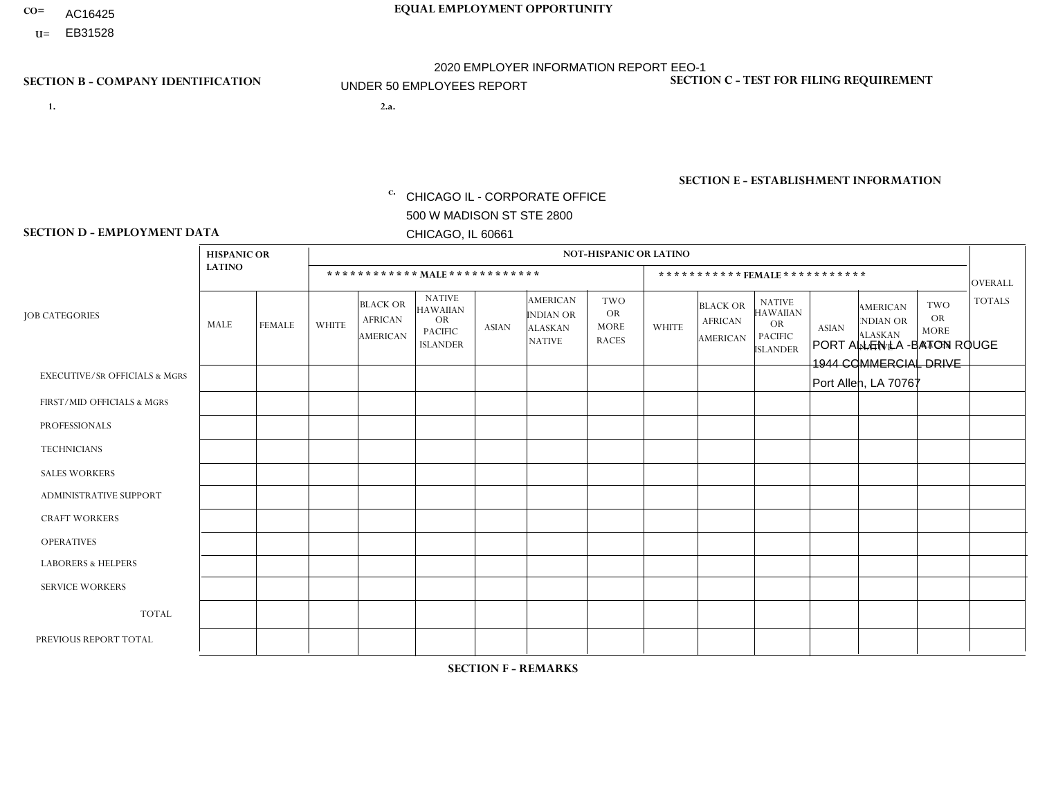- AC16425
- **U=**

**1. 2.a.** CHICAGO IL - CORPORATE OFFICE 500 W MADISON ST STE 2800 CHICAGO, IL 60661

2.a. PORT ALLEN LA -BATON ROUGE 1944 COMMERCIAL DRIVE Port Allen, LA 70767

EIN= 952920557

## **SECTION B - COMPANY IDENTIFICATION SECTION C - TEST FOR FILING REQUIREMENT**

1- Y 2- Y 3- N DUNS= 000123456

**SECTION E - ESTABLISHMENT INFORMATION c.** NAICS: 423140

### **SECTION D - EMPLOYMENT DATA**

|                                          | <b>HISPANIC OR</b> |               |                |                                                      |                                                                                    |              |                                                                 | <b>NOT-HISPANIC OR LATINO</b>                          |                         |                                               |                                                                                    |              |                                                                |                                                        |                |
|------------------------------------------|--------------------|---------------|----------------|------------------------------------------------------|------------------------------------------------------------------------------------|--------------|-----------------------------------------------------------------|--------------------------------------------------------|-------------------------|-----------------------------------------------|------------------------------------------------------------------------------------|--------------|----------------------------------------------------------------|--------------------------------------------------------|----------------|
|                                          | <b>LATINO</b>      |               |                |                                                      | ************ MALE ************                                                     |              |                                                                 |                                                        |                         | ***********FEMALE***********                  |                                                                                    |              |                                                                |                                                        | <b>OVERALL</b> |
| <b>JOB CATEGORIES</b>                    | MALE               | <b>FEMALE</b> | <b>WHITE</b>   | <b>BLACK OR</b><br><b>AFRICAN</b><br><b>AMERICAN</b> | <b>NATIVE</b><br><b>HAWAIIAN</b><br><b>OR</b><br><b>PACIFIC</b><br><b>ISLANDER</b> | <b>ASIAN</b> | <b>AMERICAN</b><br>INDIAN OR<br><b>ALASKAN</b><br><b>NATIVE</b> | <b>TWO</b><br><b>OR</b><br><b>MORE</b><br><b>RACES</b> | <b>WHITE</b>            | <b>BLACK OR</b><br><b>AFRICAN</b><br>AMERICAN | <b>NATIVE</b><br><b>HAWAIIAN</b><br><b>OR</b><br><b>PACIFIC</b><br><b>ISLANDER</b> | <b>ASIAN</b> | <b>AMERICAN</b><br>NDIAN OR<br><b>ALASKAN</b><br><b>NATIVE</b> | <b>TWO</b><br><b>OR</b><br><b>MORE</b><br><b>RACES</b> | <b>TOTALS</b>  |
| <b>EXECUTIVE/SR OFFICIALS &amp; MGRS</b> | $\Omega$           | $\Omega$      | $\Omega$       | $\Omega$                                             | $\Omega$                                                                           | $\mathbf{0}$ | $\Omega$                                                        | $\Omega$                                               | 0                       | $\Omega$                                      | $\Omega$                                                                           | $\Omega$     | $\Omega$                                                       | $\Omega$                                               | $\Omega$       |
| FIRST/MID OFFICIALS & MGRS               | 0                  | $\Omega$      | $\overline{c}$ | $\overline{1}$                                       | $\Omega$                                                                           | $\mathbf{0}$ | $\mathbf{0}$                                                    | $\Omega$                                               | 0                       | $\Omega$                                      | $\Omega$                                                                           | $\Omega$     | $\Omega$                                                       | $\Omega$                                               | 3              |
| <b>PROFESSIONALS</b>                     | 0                  | $\Omega$      | $\overline{1}$ | $\mathbf 0$                                          | $\Omega$                                                                           | $\Omega$     | $\Omega$                                                        | $\Omega$                                               | 0                       | $\Omega$                                      | $\Omega$                                                                           | $\Omega$     | $\Omega$                                                       | $\mathbf{0}$                                           | $\mathbf{1}$   |
| <b>TECHNICIANS</b>                       | 0                  | $\mathbf 0$   | $\Omega$       | $\mathbf 0$                                          | $\mathbf 0$                                                                        | $\Omega$     | $\Omega$                                                        | $\Omega$                                               | $\Omega$                | $\Omega$                                      | $\Omega$                                                                           | $\mathbf 0$  | $\mathbf 0$                                                    | $\mathbf 0$                                            | $\mathbf 0$    |
| <b>SALES WORKERS</b>                     | $\Omega$           | $\Omega$      | 8              | 9                                                    | $\Omega$                                                                           | $\Omega$     | -1                                                              | $\overline{2}$                                         | 3                       | $\Omega$                                      | $\Omega$                                                                           | $\Omega$     | $\Omega$                                                       | $\Omega$                                               | 23             |
| <b>ADMINISTRATIVE SUPPORT</b>            | 0                  | $\Omega$      | $\Omega$       | $\mathbf 0$                                          | $\Omega$                                                                           | $\mathbf{0}$ | $\mathbf{0}$                                                    | $\Omega$                                               | $\overline{2}$          | $\Omega$                                      | $\Omega$                                                                           | $\Omega$     | $\mathbf{0}$                                                   | $\Omega$                                               | 2              |
| <b>CRAFT WORKERS</b>                     | 0                  | $\Omega$      | $\Omega$       | $\mathbf 0$                                          | $\Omega$                                                                           | $\Omega$     | $\Omega$                                                        | $\Omega$                                               | 0                       | $\Omega$                                      | $\Omega$                                                                           | $\mathbf{0}$ | $\Omega$                                                       | $\mathbf{0}$                                           | $\Omega$       |
| <b>OPERATIVES</b>                        | 0                  | $\Omega$      | 1              | 5                                                    | $\Omega$                                                                           | $\Omega$     | $\Omega$                                                        |                                                        | 0                       |                                               | $\Omega$                                                                           | $\mathbf 0$  | $\mathbf 0$                                                    | $\mathbf 0$                                            | 8              |
| <b>LABORERS &amp; HELPERS</b>            | 0                  | $\Omega$      | 3              | 5                                                    | $\Omega$                                                                           | $\Omega$     | $\Omega$                                                        |                                                        | $\overline{\mathbf{A}}$ | $\blacktriangleleft$                          | $\Omega$                                                                           | $\mathbf{0}$ | $\Omega$                                                       | $\mathbf{0}$                                           | 11             |
| <b>SERVICE WORKERS</b>                   | 0                  | $\Omega$      | $\Omega$       | $\mathbf 0$                                          | 0                                                                                  | $\Omega$     | $\mathbf{0}$                                                    | $\Omega$                                               | $\Omega$                | $\Omega$                                      | $\Omega$                                                                           | 0            | $\Omega$                                                       | $\mathbf 0$                                            | 0              |
| <b>TOTAL</b>                             | $\mathbf 0$        | $\mathbf 0$   | 15             | 20                                                   | $\mathbf{0}$                                                                       | $\mathbf 0$  | -1                                                              | 4                                                      | 6                       | $\overline{2}$                                | $\Omega$                                                                           | $\mathbf 0$  | 0                                                              | $\mathbf 0$                                            | 48             |
| PREVIOUS REPORT TOTAL                    | 0                  | $\Omega$      | 13             | 23                                                   | $\mathbf 0$                                                                        | $\Omega$     | $\Omega$                                                        | 3                                                      | $\overline{7}$          | 5                                             | $\Omega$                                                                           | $\Omega$     | $\Omega$                                                       | $\mathbf 0$                                            | 51             |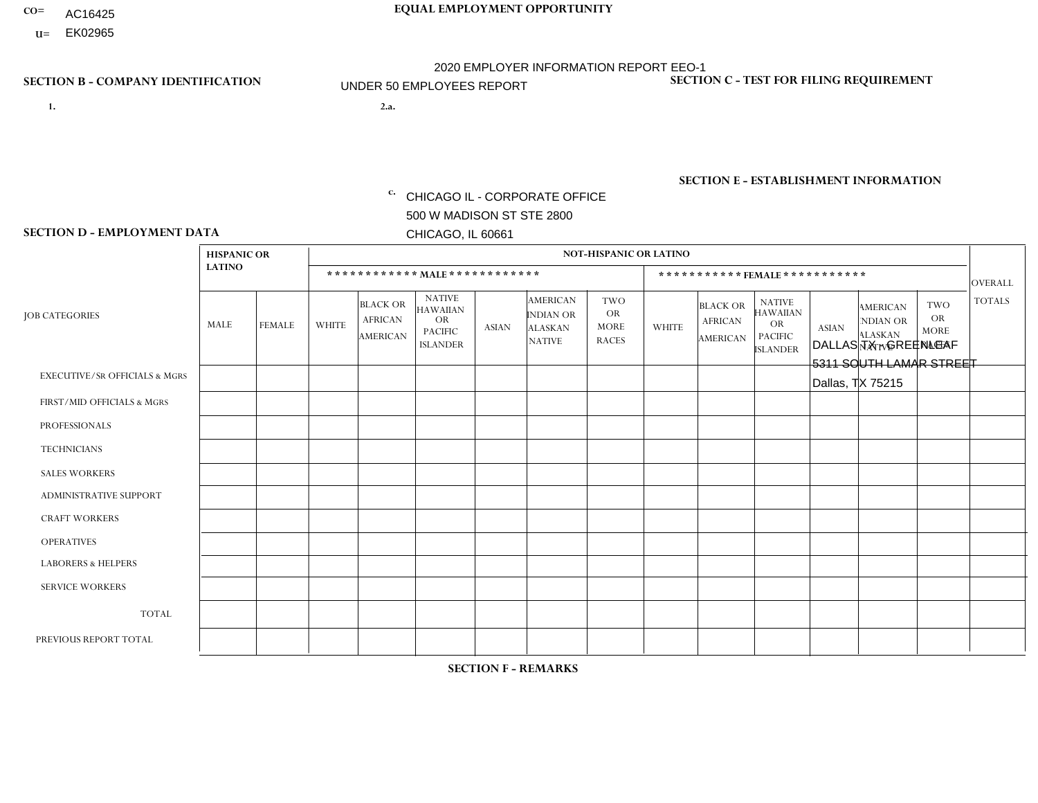- AC16425
- **U=**

- **1. 2.a.** CHICAGO IL CORPORATE OFFICE 500 W MADISON ST STE 2800 CHICAGO, IL 60661
- 2.a. DALLAS TX GREENLEAF 5311 SOUTH LAMAR STREET Dallas, TX 75215

EIN= 952920557

## **SECTION B - COMPANY IDENTIFICATION SECTION C - TEST FOR FILING REQUIREMENT**

1- Y 2- Y 3- N DUNS= 000123456

**SECTION E - ESTABLISHMENT INFORMATION c.** NAICS: 423140

### **SECTION D - EMPLOYMENT DATA**

|                                          | <b>HISPANIC OR</b>   |               |                |                                                      |                                                                                    |              |                                                                        | <b>NOT-HISPANIC OR LATINO</b>                          |              |                                               |                                                                                    |              |                                                                       |                                                        |                |
|------------------------------------------|----------------------|---------------|----------------|------------------------------------------------------|------------------------------------------------------------------------------------|--------------|------------------------------------------------------------------------|--------------------------------------------------------|--------------|-----------------------------------------------|------------------------------------------------------------------------------------|--------------|-----------------------------------------------------------------------|--------------------------------------------------------|----------------|
|                                          | <b>LATINO</b>        |               |                |                                                      | ************ MAIE************                                                      |              |                                                                        |                                                        |              | ***********FEMALE ***********                 |                                                                                    |              |                                                                       |                                                        | <b>OVERALL</b> |
| <b>JOB CATEGORIES</b>                    | <b>MALE</b>          | <b>FEMALE</b> | <b>WHITE</b>   | <b>BLACK OR</b><br><b>AFRICAN</b><br><b>AMERICAN</b> | <b>NATIVE</b><br><b>HAWAIIAN</b><br><b>OR</b><br><b>PACIFIC</b><br><b>ISLANDER</b> | <b>ASIAN</b> | <b>AMERICAN</b><br><b>INDIAN OR</b><br><b>ALASKAN</b><br><b>NATIVE</b> | <b>TWO</b><br><b>OR</b><br><b>MORE</b><br><b>RACES</b> | <b>WHITE</b> | <b>BLACK OR</b><br><b>AFRICAN</b><br>AMERICAN | <b>NATIVE</b><br><b>HAWAIIAN</b><br><b>OR</b><br><b>PACIFIC</b><br><b>ISLANDER</b> | <b>ASIAN</b> | <b>AMERICAN</b><br><b>NDIAN OR</b><br><b>ALASKAN</b><br><b>NATIVE</b> | <b>TWO</b><br><b>OR</b><br><b>MORE</b><br><b>RACES</b> | <b>TOTALS</b>  |
| <b>EXECUTIVE/SR OFFICIALS &amp; MGRS</b> | $\mathbf{0}$         | $\Omega$      | $\Omega$       | $\Omega$                                             | $\mathbf{0}$                                                                       | $\Omega$     | $\Omega$                                                               | $\Omega$                                               | $\Omega$     | $\Omega$                                      | $\Omega$                                                                           | $\Omega$     | $\Omega$                                                              | $\Omega$                                               | $\mathbf 0$    |
| FIRST/MID OFFICIALS & MGRS               | $\blacktriangleleft$ | $\mathbf 0$   | $\mathbf 0$    | $\mathbf 0$                                          | $\mathbf{0}$                                                                       | $\mathbf{0}$ | $\Omega$                                                               | 0                                                      | $\Omega$     | $\Omega$                                      | $\Omega$                                                                           | 0            | $\Omega$                                                              | $\mathbf 0$                                            | $\mathbf{1}$   |
| <b>PROFESSIONALS</b>                     | 0                    | $\mathbf 0$   | $\mathbf 0$    | $\mathbf 0$                                          | $\Omega$                                                                           | $\Omega$     | $\Omega$                                                               | 0                                                      | $\Omega$     | $\Omega$                                      | 0                                                                                  | $\mathbf 0$  | $\Omega$                                                              | $\mathbf 0$                                            | $\mathbf{0}$   |
| <b>TECHNICIANS</b>                       | 0                    | $\mathbf 0$   | $\mathbf 0$    | $\mathbf 0$                                          | $\Omega$                                                                           | $\Omega$     | $\Omega$                                                               | 0                                                      | $\Omega$     | $\Omega$                                      | $\mathbf 0$                                                                        | $\mathbf 0$  | $\Omega$                                                              | $\mathbf 0$                                            | $\mathbf 0$    |
| <b>SALES WORKERS</b>                     | $\mathbf 0$          | $\mathbf 0$   | $\mathbf 0$    | $\mathbf 0$                                          | $\Omega$                                                                           | $\Omega$     | $\Omega$                                                               | 0                                                      | $\Omega$     | $\Omega$                                      | $\Omega$                                                                           | $\mathbf{0}$ | $\Omega$                                                              | $\mathbf 0$                                            | $\mathbf 0$    |
| <b>ADMINISTRATIVE SUPPORT</b>            | $\Omega$             | $\Omega$      | 1              | 1                                                    | $\mathbf{0}$                                                                       | $\Omega$     | $\Omega$                                                               | 0                                                      | $\Omega$     | $\Omega$                                      | $\Omega$                                                                           | $\Omega$     | $\Omega$                                                              | $\Omega$                                               | $\overline{2}$ |
| <b>CRAFT WORKERS</b>                     | $\mathbf 1$          | $\Omega$      | 4              | $\Omega$                                             | $\Omega$                                                                           | $\Omega$     | $\Omega$                                                               | 0                                                      | $\Omega$     | $\Omega$                                      | $\Omega$                                                                           | $\Omega$     | $\Omega$                                                              | $\Omega$                                               | 5              |
| <b>OPERATIVES</b>                        | 3                    | $\Omega$      | 3              | $\mathbf{1}$                                         | $\mathbf{0}$                                                                       | $\Omega$     | $\Omega$                                                               | 0                                                      | $\Omega$     | $\Omega$                                      | $\Omega$                                                                           | $\Omega$     | $\Omega$                                                              | $\Omega$                                               | $\overline{7}$ |
| <b>LABORERS &amp; HELPERS</b>            | 0                    | $\Omega$      | $\overline{1}$ | $\Omega$                                             | $\mathbf{0}$                                                                       | $\Omega$     | $\Omega$                                                               | 0                                                      | $\Omega$     | $\Omega$                                      | $\Omega$                                                                           | $\Omega$     | $\Omega$                                                              | $\Omega$                                               | $\mathbf{1}$   |
| <b>SERVICE WORKERS</b>                   | $\mathbf 0$          | $\mathbf 0$   | $\mathbf 0$    | $\mathbf 0$                                          | $\mathbf{0}$                                                                       | $\mathbf{0}$ | $\Omega$                                                               | 0                                                      | $\Omega$     | $\Omega$                                      | $\Omega$                                                                           | $\mathbf 0$  | $\Omega$                                                              | $\Omega$                                               | 0              |
| <b>TOTAL</b>                             | 5                    | $\mathbf 0$   | 9              | 2                                                    | $\mathbf 0$                                                                        | $\mathbf{0}$ | $\Omega$                                                               | 0                                                      | $\Omega$     | $\Omega$                                      | 0                                                                                  | $\mathbf 0$  | $\Omega$                                                              | 0                                                      | 16             |
| PREVIOUS REPORT TOTAL                    | 11                   | $\Omega$      | 10             | 3                                                    | $\Omega$                                                                           | $\Omega$     | $\Omega$                                                               | $\Omega$                                               |              | $\Omega$                                      | $\Omega$                                                                           | $\mathbf{0}$ | $\Omega$                                                              | $\mathbf 0$                                            | 25             |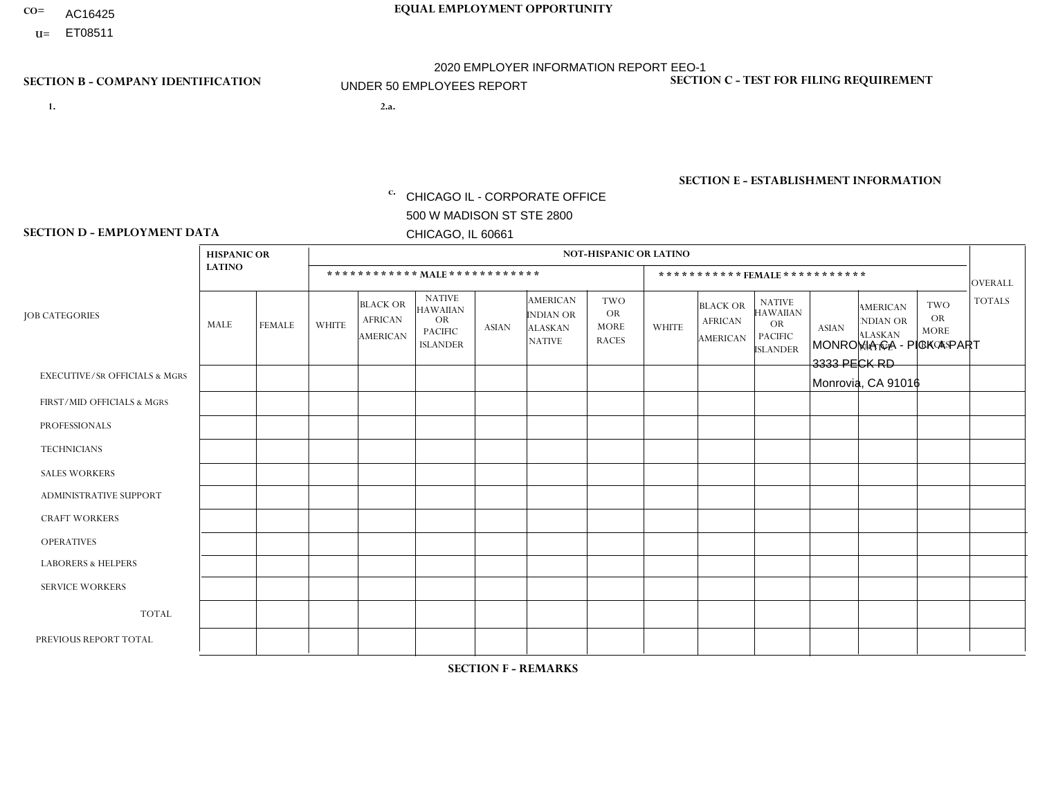- AC16425
- **U=**

**1. 2.a.** CHICAGO IL - CORPORATE OFFICE 500 W MADISON ST STE 2800 CHICAGO, IL 60661

2.a. MONROVIA CA - PICK A PART 3333 PECK RD Monrovia, CA 91016

EIN= 953072886

## **SECTION B - COMPANY IDENTIFICATION SECTION C - TEST FOR FILING REQUIREMENT**

1- Y 2- Y 3- N DUNS= 000123456

**SECTION E - ESTABLISHMENT INFORMATION c.** NAICS: 423140

### **SECTION D - EMPLOYMENT DATA**

|                                          | <b>HISPANIC OR</b> |                |              |                                                      |                                                                                    |              |                                                                        | <b>NOT-HISPANIC OR LATINO</b>                          |                |                                                      |                                                                                    |              |                                                                       |                                                        |                |
|------------------------------------------|--------------------|----------------|--------------|------------------------------------------------------|------------------------------------------------------------------------------------|--------------|------------------------------------------------------------------------|--------------------------------------------------------|----------------|------------------------------------------------------|------------------------------------------------------------------------------------|--------------|-----------------------------------------------------------------------|--------------------------------------------------------|----------------|
|                                          | <b>LATINO</b>      |                |              | ************ MALE ************                       |                                                                                    |              |                                                                        |                                                        |                |                                                      | ***********FEMALE***********                                                       |              |                                                                       |                                                        | <b>OVERALL</b> |
| <b>JOB CATEGORIES</b>                    | <b>MALE</b>        | <b>FEMALE</b>  | <b>WHITE</b> | <b>BLACK OR</b><br><b>AFRICAN</b><br><b>AMERICAN</b> | <b>NATIVE</b><br><b>HAWAIIAN</b><br><b>OR</b><br><b>PACIFIC</b><br><b>ISLANDER</b> | <b>ASIAN</b> | <b>AMERICAN</b><br><b>INDIAN OR</b><br><b>ALASKAN</b><br><b>NATIVE</b> | <b>TWO</b><br><b>OR</b><br><b>MORE</b><br><b>RACES</b> | <b>WHITE</b>   | <b>BLACK OR</b><br><b>AFRICAN</b><br><b>AMERICAN</b> | <b>NATIVE</b><br><b>HAWAIIAN</b><br><b>OR</b><br><b>PACIFIC</b><br><b>ISLANDER</b> | <b>ASIAN</b> | <b>AMERICAN</b><br><b>NDIAN OR</b><br><b>ALASKAN</b><br><b>NATIVE</b> | <b>TWO</b><br><b>OR</b><br><b>MORE</b><br><b>RACES</b> | <b>TOTALS</b>  |
| <b>EXECUTIVE/SR OFFICIALS &amp; MGRS</b> | $\Omega$           | $\Omega$       | $\Omega$     | $\Omega$                                             | $\Omega$                                                                           | $\Omega$     | $\Omega$                                                               | $\Omega$                                               | $\Omega$       | $\mathbf{0}$                                         | $\mathbf{0}$                                                                       | $\Omega$     | $\Omega$                                                              | $\Omega$                                               | $\Omega$       |
| FIRST/MID OFFICIALS & MGRS               | $\overline{2}$     | $\Omega$       | $\Omega$     | $\mathbf 0$                                          | 0                                                                                  | $\Omega$     | $\Omega$                                                               | $\Omega$                                               | 1              | $\mathbf{0}$                                         | $\mathbf{0}$                                                                       | $\Omega$     | $\Omega$                                                              | $\Omega$                                               | 3              |
| <b>PROFESSIONALS</b>                     |                    | $\Omega$       | $\mathbf 0$  | $\mathbf 0$                                          | $\overline{0}$                                                                     | $\Omega$     | $\overline{0}$                                                         | $\Omega$                                               | $\Omega$       | $\Omega$                                             | $\mathbf{0}$                                                                       | $\Omega$     | $\Omega$                                                              | $\Omega$                                               | $\mathbf{1}$   |
| <b>TECHNICIANS</b>                       | $\Omega$           | $\mathbf 0$    | $\Omega$     | $\mathbf 0$                                          | 0                                                                                  | $\Omega$     | $\overline{0}$                                                         | $\Omega$                                               | $\mathbf 0$    | $\mathbf 0$                                          | $\mathbf 0$                                                                        | $\mathbf 0$  | $\Omega$                                                              | $\mathbf{0}$                                           | $\mathbf 0$    |
| <b>SALES WORKERS</b>                     | 4                  | $\Omega$       | $\Omega$     | $\Omega$                                             | $\Omega$                                                                           | $\Omega$     | $\Omega$                                                               | $\Omega$                                               | $\Omega$       | $\Omega$                                             | $\Omega$                                                                           | $\Omega$     | $\Omega$                                                              | $\mathbf{0}$                                           | $\overline{4}$ |
| <b>ADMINISTRATIVE SUPPORT</b>            | 3                  | 4              | $\Omega$     | 0                                                    | $\mathbf 0$                                                                        | $\Omega$     | $\Omega$                                                               | $\Omega$                                               | $\Omega$       | $\mathbf{0}$                                         | $\mathbf{0}$                                                                       | $\Omega$     | $\Omega$                                                              | $\Omega$                                               | $\overline{7}$ |
| <b>CRAFT WORKERS</b>                     | 0                  | $\Omega$       | $\mathbf 0$  | $\mathbf 0$                                          | 0                                                                                  | $\Omega$     | $\Omega$                                                               | $\Omega$                                               | $\Omega$       | $\Omega$                                             | $\Omega$                                                                           | $\Omega$     | $\Omega$                                                              | $\mathbf{0}$                                           | $\mathbf 0$    |
| <b>OPERATIVES</b>                        | 16                 | $\mathbf 0$    | $\Omega$     | $\mathbf 0$                                          | 0                                                                                  | $\Omega$     | $\overline{0}$                                                         | $\Omega$                                               | 1              | $\Omega$                                             | $\Omega$                                                                           | $\Omega$     | $\Omega$                                                              | $\overline{1}$                                         | 18             |
| <b>LABORERS &amp; HELPERS</b>            | 6                  | $\Omega$       | $\Omega$     | $\Omega$                                             | 0                                                                                  | $\Omega$     | $\Omega$                                                               | $\Omega$                                               | $\Omega$       | $\Omega$                                             | $\mathbf{0}$                                                                       | $\Omega$     | $\Omega$                                                              | $\Omega$                                               | 6              |
| <b>SERVICE WORKERS</b>                   | 0                  | 0              | 0            | 0                                                    | 0                                                                                  | $\Omega$     | $\Omega$                                                               | $\Omega$                                               | $\Omega$       | $\Omega$                                             | $\mathbf{0}$                                                                       | $\Omega$     | $\Omega$                                                              | $\Omega$                                               | 0              |
| <b>TOTAL</b>                             | 32                 | $\overline{4}$ | 0            | $\mathbf 0$                                          | 0                                                                                  | $\mathbf 0$  | $\Omega$                                                               | $\Omega$                                               | $\overline{2}$ | $\Omega$                                             | $\Omega$                                                                           | $\mathbf 0$  | $\Omega$                                                              | $\overline{1}$                                         | 39             |
| PREVIOUS REPORT TOTAL                    | 34                 | 3              | $\Omega$     | $\mathbf 0$                                          | 0                                                                                  | $\Omega$     | $\Omega$                                                               | $\Omega$                                               | $\mathbf 1$    | $\Omega$                                             | $\mathbf{0}$                                                                       | $\Omega$     | $\Omega$                                                              | $\mathbf 0$                                            | 38             |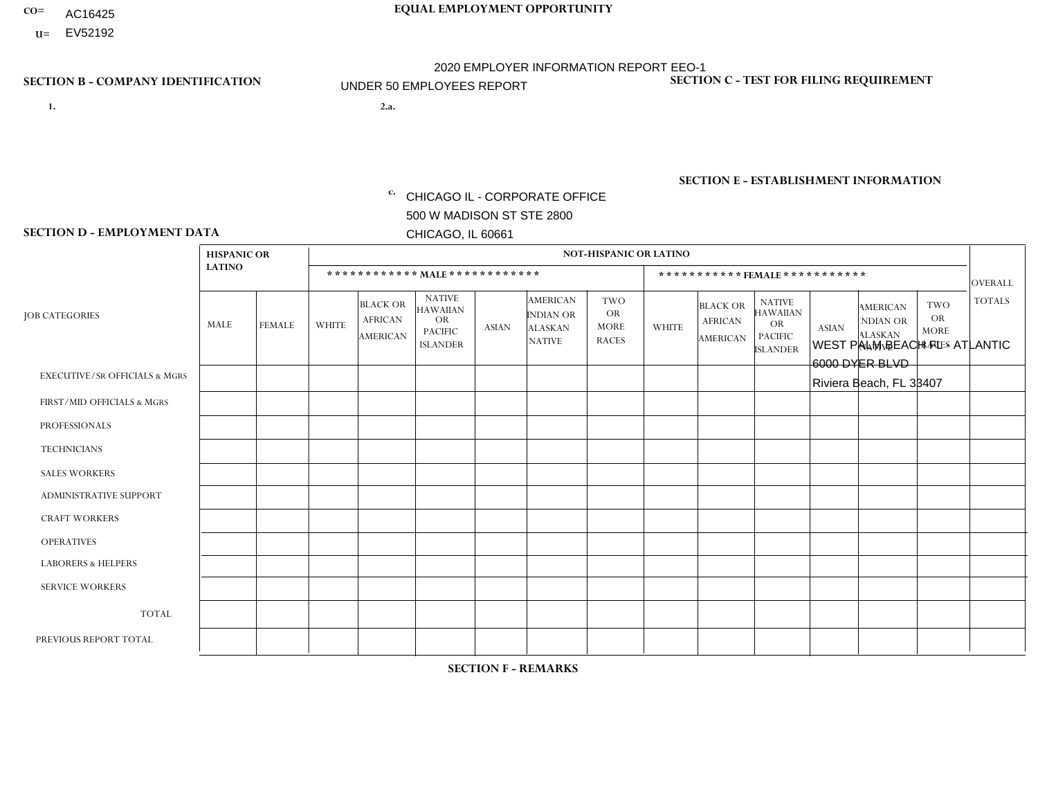- AC16425
- **U=** EV52192

**1. 2.a.** CHICAGO IL - CORPORATE OFFICE 500 W MADISON ST STE 2800 CHICAGO, IL 60661

2.a. WEST PALM BEACH FL - ATLANTIC 6000 DYER BLVD Riviera Beach, FL 33407

EIN= 952920557

## **SECTION B - COMPANY IDENTIFICATION SECTION C - TEST FOR FILING REQUIREMENT**

1- Y 2- Y 3- N DUNS= 000123456

**SECTION E - ESTABLISHMENT INFORMATION c.** NAICS: 423140

### **SECTION D - EMPLOYMENT DATA**

|                                          | <b>HISPANIC OR</b> |               |              |                                                      |                                                                                    |              |                                                                        | <b>NOT-HISPANIC OR LATINO</b>                          |              |                                               |                                                                                    |              |                                                                       |                                                        |                |
|------------------------------------------|--------------------|---------------|--------------|------------------------------------------------------|------------------------------------------------------------------------------------|--------------|------------------------------------------------------------------------|--------------------------------------------------------|--------------|-----------------------------------------------|------------------------------------------------------------------------------------|--------------|-----------------------------------------------------------------------|--------------------------------------------------------|----------------|
|                                          | <b>LATINO</b>      |               |              | ************ MALE ************                       |                                                                                    |              |                                                                        |                                                        |              |                                               | ***********FEMALE***********                                                       |              |                                                                       |                                                        | <b>OVERALL</b> |
| <b>JOB CATEGORIES</b>                    | <b>MALE</b>        | <b>FEMALE</b> | <b>WHITE</b> | <b>BLACK OR</b><br><b>AFRICAN</b><br><b>AMERICAN</b> | <b>NATIVE</b><br><b>HAWAIIAN</b><br><b>OR</b><br><b>PACIFIC</b><br><b>ISLANDER</b> | <b>ASIAN</b> | <b>AMERICAN</b><br><b>INDIAN OR</b><br><b>ALASKAN</b><br><b>NATIVE</b> | <b>TWO</b><br><b>OR</b><br><b>MORE</b><br><b>RACES</b> | <b>WHITE</b> | <b>BLACK OR</b><br><b>AFRICAN</b><br>AMERICAN | <b>NATIVE</b><br><b>HAWAIIAN</b><br><b>OR</b><br><b>PACIFIC</b><br><b>ISLANDER</b> | <b>ASIAN</b> | <b>AMERICAN</b><br><b>NDIAN OR</b><br><b>ALASKAN</b><br><b>NATIVE</b> | <b>TWO</b><br><b>OR</b><br><b>MORE</b><br><b>RACES</b> | <b>TOTALS</b>  |
| <b>EXECUTIVE/SR OFFICIALS &amp; MGRS</b> | $\Omega$           | $\mathbf 0$   | $\Omega$     | $\mathbf 0$                                          | $\mathbf 0$                                                                        | $\mathbf 0$  | $\Omega$                                                               | $\Omega$                                               | $\Omega$     | $\Omega$                                      | $\Omega$                                                                           | $\Omega$     | $\Omega$                                                              | $\Omega$                                               | $\mathbf 0$    |
| FIRST/MID OFFICIALS & MGRS               | $\Omega$           | 0             | 1            | $\mathbf 0$                                          | $\mathbf{0}$                                                                       | $\mathbf 0$  | $\Omega$                                                               | $\Omega$                                               | $\Omega$     | $\Omega$                                      | $\Omega$                                                                           | $\Omega$     | $\Omega$                                                              | $\Omega$                                               | $\mathbf{1}$   |
| <b>PROFESSIONALS</b>                     | $\Omega$           | $\Omega$      | $\Omega$     | $\mathbf 0$                                          | $\Omega$                                                                           | $\Omega$     | $\Omega$                                                               | $\Omega$                                               | $\Omega$     | $\Omega$                                      | $\Omega$                                                                           | $\Omega$     | $\Omega$                                                              | $\Omega$                                               | $\mathbf 0$    |
| <b>TECHNICIANS</b>                       | $\Omega$           | $\mathbf 0$   | $\Omega$     | $\mathbf 0$                                          | $\mathbf{0}$                                                                       | $\Omega$     | $\overline{0}$                                                         | $\Omega$                                               | $\mathbf{0}$ | $\Omega$                                      | $\Omega$                                                                           | $\Omega$     | $\Omega$                                                              | $\Omega$                                               | $\mathbf 0$    |
| <b>SALES WORKERS</b>                     | $\Omega$           | $\Omega$      | 1            | $\mathbf 0$                                          | 0                                                                                  | $\Omega$     | $\Omega$                                                               | $\Omega$                                               | $\Omega$     | $\Omega$                                      | $\Omega$                                                                           | $\Omega$     | $\Omega$                                                              | $\Omega$                                               | $\mathbf{1}$   |
| <b>ADMINISTRATIVE SUPPORT</b>            | 1                  | $\mathbf 0$   | $\Omega$     | $\mathbf 0$                                          | $\mathbf{0}$                                                                       | $\mathbf 0$  | $\Omega$                                                               | $\Omega$                                               | 0            |                                               | $\Omega$                                                                           | $\Omega$     | $\Omega$                                                              | $\mathbf 0$                                            | $\overline{2}$ |
| <b>CRAFT WORKERS</b>                     | $\Omega$           | $\Omega$      | $\Omega$     | $\Omega$                                             | 0                                                                                  | $\Omega$     | $\Omega$                                                               | $\Omega$                                               | $\Omega$     | $\Omega$                                      | $\mathbf{0}$                                                                       | $\Omega$     | $\Omega$                                                              | $\Omega$                                               | $\Omega$       |
| <b>OPERATIVES</b>                        | 1                  | $\mathbf{1}$  | 1            | $\overline{2}$                                       | $\Omega$                                                                           | $\Omega$     | $\Omega$                                                               | $\Omega$                                               | $\Omega$     | $\Omega$                                      | $\Omega$                                                                           | $\Omega$     | $\Omega$                                                              | $\Omega$                                               | 5              |
| <b>LABORERS &amp; HELPERS</b>            | $\Omega$           | $\Omega$      | $\Omega$     | $\mathbf 0$                                          | 0                                                                                  | $\Omega$     | $\Omega$                                                               | $\Omega$                                               | $\Omega$     | $\Omega$                                      | $\mathbf{0}$                                                                       | $\Omega$     | $\Omega$                                                              | $\mathbf{0}$                                           | 0              |
| <b>SERVICE WORKERS</b>                   | $\Omega$           | $\mathbf 0$   | 0            | $\mathbf 0$                                          | $\mathbf 0$                                                                        | $\mathbf 0$  | $\Omega$                                                               | $\Omega$                                               | $\Omega$     | $\mathbf 0$                                   | $\Omega$                                                                           | $\mathbf 0$  | $\Omega$                                                              | $\mathbf 0$                                            | 0              |
| <b>TOTAL</b>                             | 2                  | $\mathbf{1}$  | 3            | $\overline{2}$                                       | 0                                                                                  | $\mathbf 0$  | $\Omega$                                                               | $\Omega$                                               | $\Omega$     | $\overline{1}$                                | $\Omega$                                                                           | $\mathbf 0$  | $\Omega$                                                              | $\Omega$                                               | 9              |
| PREVIOUS REPORT TOTAL                    |                    | $\mathbf{1}$  | 1            | 1                                                    | $\mathbf 0$                                                                        | $\Omega$     | $\Omega$                                                               | $\Omega$                                               | $\mathbf{1}$ | $\mathbf{0}$                                  | $\mathbf{0}$                                                                       | $\Omega$     | $\Omega$                                                              | $\Omega$                                               | 5              |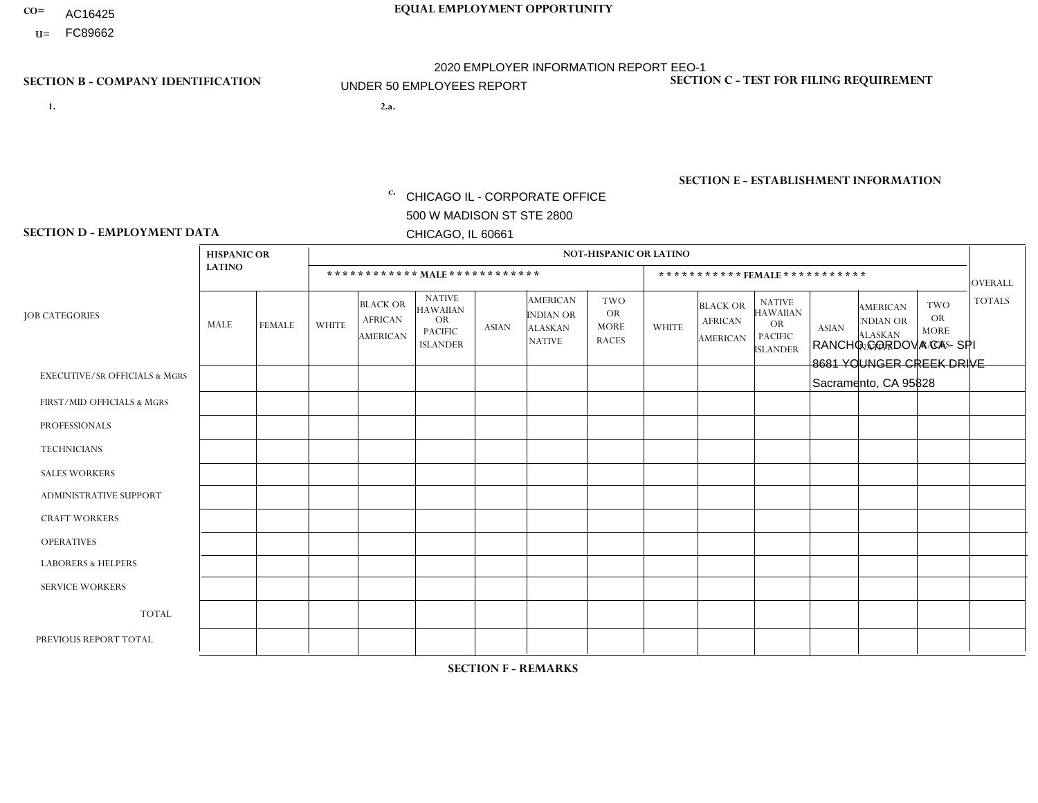- AC16425
- **U=**

- **1. 2.a.** CHICAGO IL CORPORATE OFFICE 500 W MADISON ST STE 2800 CHICAGO, IL 60661
- 2.a. RANCHO CORDOVA CA SPI 8681 YOUNGER CREEK DRIVE Sacramento, CA 95828

EIN= 364261871

## **SECTION B - COMPANY IDENTIFICATION SECTION C - TEST FOR FILING REQUIREMENT**

1- Y 2- Y 3- N DUNS= 000123456

**SECTION E - ESTABLISHMENT INFORMATION c.** NAICS: 423140

### **SECTION D - EMPLOYMENT DATA**

|                                          | <b>HISPANIC OR</b>      |               |                |                                                      |                                                                                    |                |                                                                        | <b>NOT-HISPANIC OR LATINO</b>                          |              |                                                      |                                                                                    |              |                                                                       |                                                        |                |
|------------------------------------------|-------------------------|---------------|----------------|------------------------------------------------------|------------------------------------------------------------------------------------|----------------|------------------------------------------------------------------------|--------------------------------------------------------|--------------|------------------------------------------------------|------------------------------------------------------------------------------------|--------------|-----------------------------------------------------------------------|--------------------------------------------------------|----------------|
|                                          | <b>LATINO</b>           |               |                | ************ MALE ************                       |                                                                                    |                |                                                                        |                                                        |              |                                                      | ***********FEMALE***********                                                       |              |                                                                       |                                                        | <b>OVERALL</b> |
| <b>JOB CATEGORIES</b>                    | <b>MALE</b>             | <b>FEMALE</b> | <b>WHITE</b>   | <b>BLACK OR</b><br><b>AFRICAN</b><br><b>AMERICAN</b> | <b>NATIVE</b><br><b>HAWAIIAN</b><br><b>OR</b><br><b>PACIFIC</b><br><b>ISLANDER</b> | <b>ASIAN</b>   | <b>AMERICAN</b><br><b>INDIAN OR</b><br><b>ALASKAN</b><br><b>NATIVE</b> | <b>TWO</b><br><b>OR</b><br><b>MORE</b><br><b>RACES</b> | <b>WHITE</b> | <b>BLACK OR</b><br><b>AFRICAN</b><br><b>AMERICAN</b> | <b>NATIVE</b><br><b>HAWAIIAN</b><br><b>OR</b><br><b>PACIFIC</b><br><b>ISLANDER</b> | <b>ASIAN</b> | <b>AMERICAN</b><br><b>NDIAN OR</b><br><b>ALASKAN</b><br><b>NATIVE</b> | <b>TWO</b><br><b>OR</b><br><b>MORE</b><br><b>RACES</b> | <b>TOTALS</b>  |
| <b>EXECUTIVE/SR OFFICIALS &amp; MGRS</b> | $\Omega$                | $\Omega$      | $\Omega$       | $\mathbf 0$                                          | $\Omega$                                                                           | $\Omega$       | $\Omega$                                                               | $\Omega$                                               | $\Omega$     | $\Omega$                                             | $\mathbf{0}$                                                                       | $\Omega$     | $\Omega$                                                              | $\Omega$                                               | $\mathbf 0$    |
| FIRST/MID OFFICIALS & MGRS               | $\Omega$                | $\Omega$      | $\overline{2}$ | $\Omega$                                             | $\Omega$                                                                           | $\Omega$       | $\Omega$                                                               | $\Omega$                                               | $\Omega$     | $\Omega$                                             | $\Omega$                                                                           | $\Omega$     | $\Omega$                                                              | $\Omega$                                               | $\overline{2}$ |
| <b>PROFESSIONALS</b>                     | $\Omega$                | $\Omega$      | $\Omega$       | $\mathbf 0$                                          | $\Omega$                                                                           | $\Omega$       | $\Omega$                                                               | $\Omega$                                               | $\Omega$     | $\Omega$                                             | $\Omega$                                                                           | $\Omega$     | $\Omega$                                                              | $\Omega$                                               | $\mathbf 0$    |
| <b>TECHNICIANS</b>                       | $\Omega$                | $\mathbf 0$   | $\Omega$       | $\mathbf 0$                                          | 0                                                                                  | $\Omega$       | $\overline{0}$                                                         | $\Omega$                                               | $\mathbf 0$  | $\mathbf 0$                                          | $\mathbf 0$                                                                        | $\mathbf 0$  | $\Omega$                                                              | $\mathbf{0}$                                           | $\mathbf 0$    |
| <b>SALES WORKERS</b>                     | $\Omega$                | $\Omega$      | $\Omega$       | $\mathbf{0}$                                         | 0                                                                                  | $\Omega$       | $\Omega$                                                               | $\Omega$                                               | $\Omega$     | $\Omega$                                             | $\Omega$                                                                           | $\Omega$     | $\Omega$                                                              | $\Omega$                                               | $\mathbf 0$    |
| <b>ADMINISTRATIVE SUPPORT</b>            | $\Omega$                | $\mathbf 0$   | $\mathbf 0$    | $\mathbf 0$                                          | $\mathbf 0$                                                                        | $\mathbf 0$    | $\Omega$                                                               | $\Omega$                                               | $\Omega$     | $\Omega$                                             | $\mathbf{0}$                                                                       | $\Omega$     | $\Omega$                                                              | $\mathbf{0}$                                           | $\mathbf 0$    |
| <b>CRAFT WORKERS</b>                     | $\Omega$                | $\Omega$      | $\mathbf{0}$   | $\mathbf 0$                                          | 0                                                                                  | $\Omega$       | $\Omega$                                                               | $\Omega$                                               | $\Omega$     | $\Omega$                                             | $\Omega$                                                                           | $\Omega$     | $\Omega$                                                              | $\Omega$                                               | $\Omega$       |
| <b>OPERATIVES</b>                        | 3                       | $\Omega$      | 3              | $\mathbf{1}$                                         | 0                                                                                  | $\overline{2}$ | $\overline{0}$                                                         | $\overline{4}$                                         | $\Omega$     | $\Omega$                                             | $\Omega$                                                                           | $\Omega$     | $\Omega$                                                              | $\Omega$                                               | 13             |
| <b>LABORERS &amp; HELPERS</b>            | $\overline{\mathbf{A}}$ | $\mathbf 0$   | -1             | $\mathbf 0$                                          | 0                                                                                  | $\mathbf 0$    | $\Omega$                                                               |                                                        | $\Omega$     | $\Omega$                                             | $\Omega$                                                                           | $\Omega$     | $\Omega$                                                              | $\Omega$                                               | 3              |
| <b>SERVICE WORKERS</b>                   | $\Omega$                | $\Omega$      | 0              | 0                                                    | $\Omega$                                                                           | $\Omega$       | $\Omega$                                                               | $\Omega$                                               | $\Omega$     | $\Omega$                                             | $\Omega$                                                                           | $\Omega$     | $\Omega$                                                              | $\Omega$                                               | 0              |
| <b>TOTAL</b>                             | 4                       | $\mathbf 0$   | 6              | $\mathbf{1}$                                         | 0                                                                                  | 2              | $\Omega$                                                               | 5                                                      | $\mathbf{0}$ | $\mathbf 0$                                          | $\mathbf 0$                                                                        | $\mathbf 0$  | 0                                                                     | $\mathbf 0$                                            | 18             |
| PREVIOUS REPORT TOTAL                    | 3                       | $\Omega$      | 6              | $\overline{c}$                                       | 1                                                                                  | 2              | $\Omega$                                                               | $\overline{2}$                                         | $\Omega$     | $\Omega$                                             | $\Omega$                                                                           | $\Omega$     | $\Omega$                                                              | $\mathbf{0}$                                           | 16             |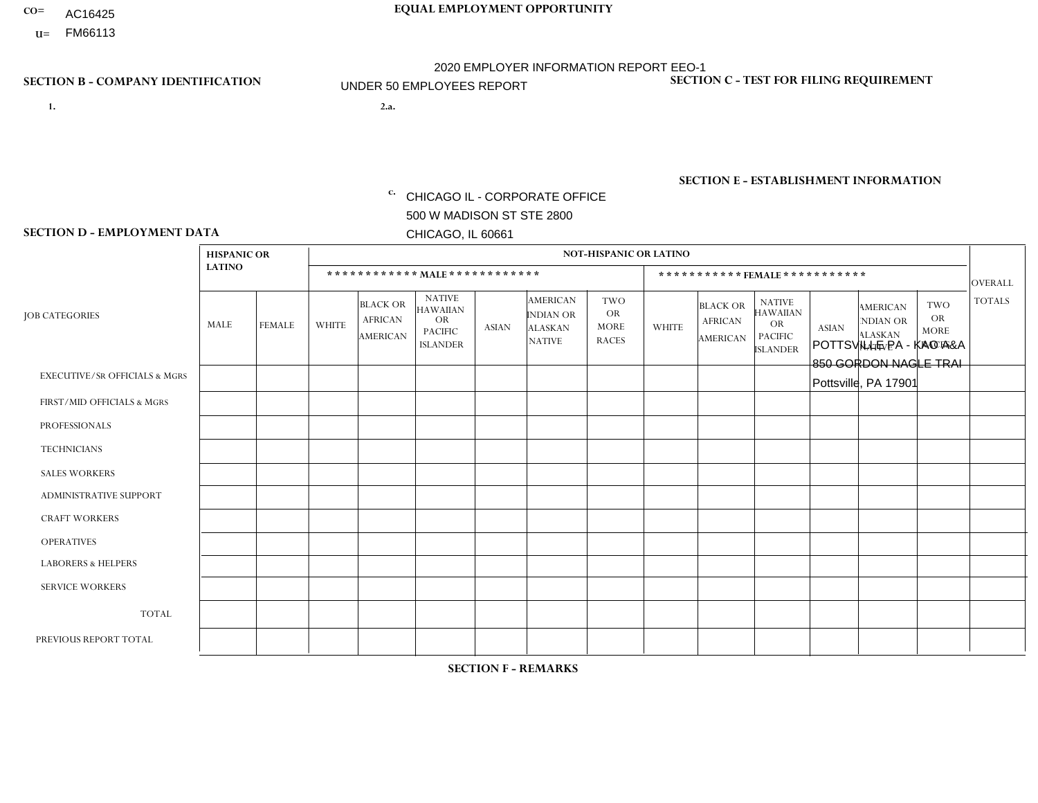- AC16425
- **U=**

**1. 2.a.** CHICAGO IL - CORPORATE OFFICE 500 W MADISON ST STE 2800 CHICAGO, IL 60661

POTTSVILLE PA - KAO A&A 850 GORDON NAGLE TRAI Pottsville, PA 17901

c. EIN= 952920557

## **SECTION B - COMPANY IDENTIFICATION SECTION C - TEST FOR FILING REQUIREMENT**

1- Y 2- Y 3- N DUNS= 000123456

**SECTION E - ESTABLISHMENT INFORMATION c.** NAICS: 423140

### **SECTION D - EMPLOYMENT DATA**

|                                          | <b>HISPANIC OR</b> |               |              |                                                      |                                                                                    |              |                                                                 | <b>NOT-HISPANIC OR LATINO</b>                          |                |                                               |                                                                                    |              |                                                                |                                                        |                |
|------------------------------------------|--------------------|---------------|--------------|------------------------------------------------------|------------------------------------------------------------------------------------|--------------|-----------------------------------------------------------------|--------------------------------------------------------|----------------|-----------------------------------------------|------------------------------------------------------------------------------------|--------------|----------------------------------------------------------------|--------------------------------------------------------|----------------|
|                                          | <b>LATINO</b>      |               |              |                                                      | ************ MALE ************                                                     |              |                                                                 |                                                        |                | ***********FEMALE***********                  |                                                                                    |              |                                                                |                                                        | <b>OVERALL</b> |
| <b>JOB CATEGORIES</b>                    | MALE               | <b>FEMALE</b> | <b>WHITE</b> | <b>BLACK OR</b><br><b>AFRICAN</b><br><b>AMERICAN</b> | <b>NATIVE</b><br><b>HAWAIIAN</b><br><b>OR</b><br><b>PACIFIC</b><br><b>ISLANDER</b> | <b>ASIAN</b> | <b>AMERICAN</b><br>INDIAN OR<br><b>ALASKAN</b><br><b>NATIVE</b> | <b>TWO</b><br><b>OR</b><br><b>MORE</b><br><b>RACES</b> | <b>WHITE</b>   | <b>BLACK OR</b><br><b>AFRICAN</b><br>AMERICAN | <b>NATIVE</b><br><b>HAWAIIAN</b><br><b>OR</b><br><b>PACIFIC</b><br><b>ISLANDER</b> | <b>ASIAN</b> | <b>AMERICAN</b><br>NDIAN OR<br><b>ALASKAN</b><br><b>NATIVE</b> | <b>TWO</b><br><b>OR</b><br><b>MORE</b><br><b>RACES</b> | <b>TOTALS</b>  |
| <b>EXECUTIVE/SR OFFICIALS &amp; MGRS</b> | $\Omega$           | $\Omega$      | $\Omega$     | $\Omega$                                             | $\Omega$                                                                           | $\mathbf{0}$ | $\Omega$                                                        | $\Omega$                                               | 0              | $\Omega$                                      | $\Omega$                                                                           | $\Omega$     | $\Omega$                                                       | $\Omega$                                               | $\Omega$       |
| FIRST/MID OFFICIALS & MGRS               | 0                  | $\Omega$      | 1            | $\mathbf 0$                                          | $\Omega$                                                                           | $\mathbf{0}$ | $\mathbf{0}$                                                    | $\Omega$                                               | 0              | $\Omega$                                      | $\Omega$                                                                           | $\Omega$     | $\Omega$                                                       | $\Omega$                                               | $\mathbf{1}$   |
| <b>PROFESSIONALS</b>                     | 0                  | $\Omega$      | $\Omega$     | $\mathbf 0$                                          | $\Omega$                                                                           | $\Omega$     | $\Omega$                                                        | $\Omega$                                               | 0              | $\Omega$                                      | $\Omega$                                                                           | $\Omega$     | $\Omega$                                                       | $\Omega$                                               | $\mathbf{0}$   |
| <b>TECHNICIANS</b>                       | 0                  | $\mathbf 0$   | $\mathbf 0$  | $\mathbf 0$                                          | $\mathbf 0$                                                                        | $\Omega$     | $\Omega$                                                        | $\Omega$                                               | $\overline{0}$ | $\Omega$                                      | $\Omega$                                                                           | $\mathbf 0$  | $\mathbf 0$                                                    | $\mathbf 0$                                            | $\mathbf 0$    |
| <b>SALES WORKERS</b>                     |                    | $\Omega$      | 3            | $\Omega$                                             | $\Omega$                                                                           | $\Omega$     | $\Omega$                                                        | $\Omega$                                               | $\overline{0}$ | $\Omega$                                      | $\Omega$                                                                           | $\Omega$     | $\Omega$                                                       | $\mathbf{0}$                                           | $\overline{4}$ |
| <b>ADMINISTRATIVE SUPPORT</b>            | 0                  | $\Omega$      | $\Omega$     | $\mathbf 0$                                          | $\Omega$                                                                           | $\mathbf{0}$ | $\Omega$                                                        | $\Omega$                                               | $\Omega$       | $\Omega$                                      | $\Omega$                                                                           | $\Omega$     | $\mathbf{0}$                                                   | $\Omega$                                               | $\mathbf 0$    |
| <b>CRAFT WORKERS</b>                     | 0                  | $\Omega$      | $\Omega$     | $\mathbf 0$                                          | $\Omega$                                                                           | $\Omega$     | $\Omega$                                                        | $\Omega$                                               | 0              | $\Omega$                                      | $\Omega$                                                                           | $\mathbf{0}$ | $\Omega$                                                       | $\mathbf{0}$                                           | $\mathbf 0$    |
| <b>OPERATIVES</b>                        | 0                  | $\mathbf 0$   | 1            | $\mathbf 0$                                          | $\mathbf 0$                                                                        | $\Omega$     | $\Omega$                                                        | $\Omega$                                               | $\overline{0}$ | $\Omega$                                      | $\Omega$                                                                           | $\mathbf 0$  | $\mathbf 0$                                                    | $\mathbf 0$                                            | $\mathbf{1}$   |
| <b>LABORERS &amp; HELPERS</b>            | 0                  | $\Omega$      | $\Omega$     | $\Omega$                                             | $\Omega$                                                                           | $\Omega$     | $\Omega$                                                        | $\Omega$                                               | 0              | $\Omega$                                      | $\Omega$                                                                           | $\mathbf{0}$ | $\Omega$                                                       | $\mathbf{0}$                                           | $\mathbf 0$    |
| <b>SERVICE WORKERS</b>                   | 0                  | $\Omega$      | $\mathbf 0$  | 0                                                    | 0                                                                                  | $\Omega$     | $\mathbf{0}$                                                    | $\Omega$                                               | $\Omega$       | $\Omega$                                      | $\Omega$                                                                           | 0            | $\Omega$                                                       | $\mathbf 0$                                            | 0              |
| <b>TOTAL</b>                             |                    | $\mathbf 0$   | 5            | $\mathbf 0$                                          | 0                                                                                  | $\mathbf 0$  | $\Omega$                                                        | $\Omega$                                               | $\Omega$       | $\Omega$                                      | $\Omega$                                                                           | $\mathbf 0$  | 0                                                              | $\mathbf 0$                                            | 6              |
| PREVIOUS REPORT TOTAL                    |                    | $\Omega$      | 5            | $\mathbf 0$                                          | $\Omega$                                                                           | $\Omega$     | $\Omega$                                                        | $\Omega$                                               | 0              | $\Omega$                                      | $\Omega$                                                                           | $\Omega$     | $\Omega$                                                       | $\mathbf 0$                                            | 6              |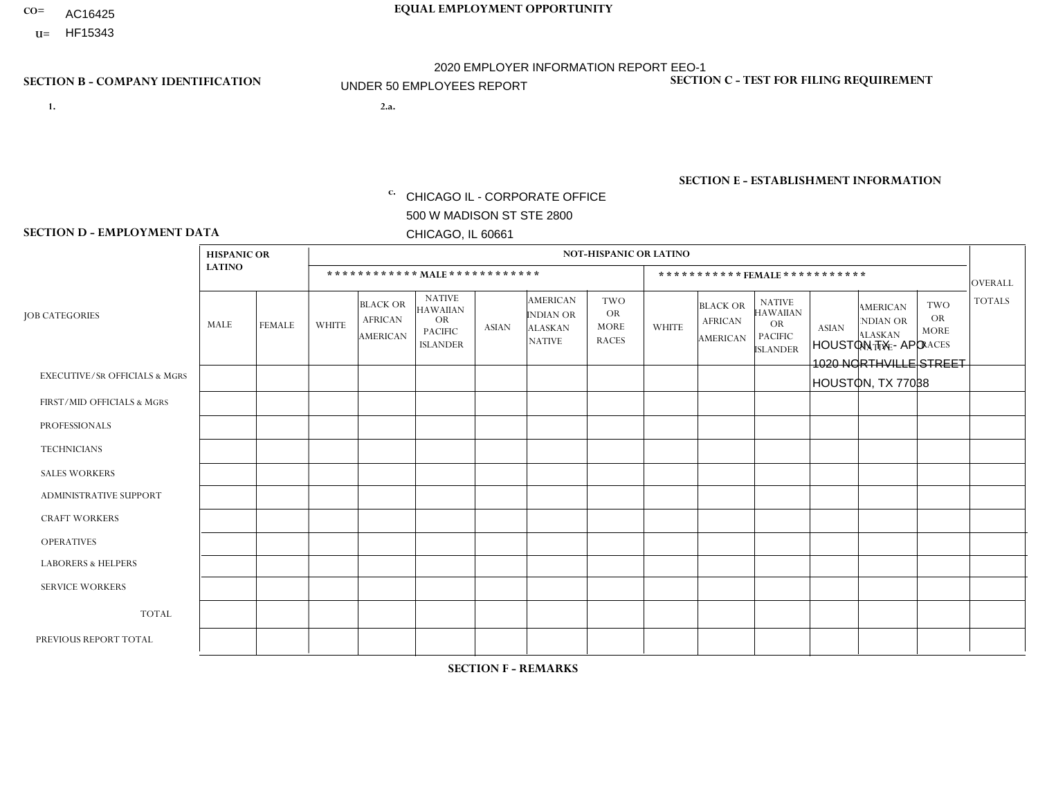- AC16425
- **U=**

**1. 2.a.** CHICAGO IL - CORPORATE OFFICE 500 W MADISON ST STE 2800 CHICAGO, IL 60661

2.a. HOUSTON TX - APO 1020 NORTHVILLE STREET HOUSTON, TX 77038

EIN= 952920557

## **SECTION B - COMPANY IDENTIFICATION SECTION C - TEST FOR FILING REQUIREMENT**

1- Y 2- Y 3- N DUNS= 000123456

**SECTION E - ESTABLISHMENT INFORMATION c.** NAICS: 423140

### **SECTION D - EMPLOYMENT DATA**

|                                          | <b>HISPANIC OR</b> |                |              |                                                      |                                                                                    |              |                                                                 | <b>NOT-HISPANIC OR LATINO</b>                          |              |                                               |                                                                                    |              |                                                                       |                                                        |                      |
|------------------------------------------|--------------------|----------------|--------------|------------------------------------------------------|------------------------------------------------------------------------------------|--------------|-----------------------------------------------------------------|--------------------------------------------------------|--------------|-----------------------------------------------|------------------------------------------------------------------------------------|--------------|-----------------------------------------------------------------------|--------------------------------------------------------|----------------------|
|                                          | <b>LATINO</b>      |                |              | ************ MALE ************                       |                                                                                    |              |                                                                 |                                                        |              |                                               | ***********FEMALE***********                                                       |              |                                                                       |                                                        | <b>OVERALL</b>       |
| <b>JOB CATEGORIES</b>                    | <b>MALE</b>        | <b>FEMALE</b>  | <b>WHITE</b> | <b>BLACK OR</b><br><b>AFRICAN</b><br><b>AMERICAN</b> | <b>NATIVE</b><br><b>HAWAIIAN</b><br><b>OR</b><br><b>PACIFIC</b><br><b>ISLANDER</b> | <b>ASIAN</b> | <b>AMERICAN</b><br>INDIAN OR<br><b>ALASKAN</b><br><b>NATIVE</b> | <b>TWO</b><br><b>OR</b><br><b>MORE</b><br><b>RACES</b> | <b>WHITE</b> | <b>BLACK OR</b><br><b>AFRICAN</b><br>AMERICAN | <b>NATIVE</b><br><b>HAWAIIAN</b><br><b>OR</b><br><b>PACIFIC</b><br><b>ISLANDER</b> | <b>ASIAN</b> | <b>AMERICAN</b><br><b>NDIAN OR</b><br><b>ALASKAN</b><br><b>NATIVE</b> | <b>TWO</b><br><b>OR</b><br><b>MORE</b><br><b>RACES</b> | <b>TOTALS</b>        |
| <b>EXECUTIVE/SR OFFICIALS &amp; MGRS</b> | $\Omega$           | $\Omega$       | $\Omega$     | $\Omega$                                             | 0                                                                                  | $\Omega$     | $\Omega$                                                        | $\Omega$                                               | $\Omega$     | $\Omega$                                      | $\Omega$                                                                           | $\Omega$     | $\Omega$                                                              | $\Omega$                                               | $\Omega$             |
| FIRST/MID OFFICIALS & MGRS               |                    | $\Omega$       | $\mathbf{0}$ | $\mathbf 0$                                          | $\Omega$                                                                           | $\Omega$     | $\Omega$                                                        | $\Omega$                                               | 0            | $\Omega$                                      | 0                                                                                  | $\Omega$     | $\Omega$                                                              | 0                                                      | $\mathbf{1}$         |
| <b>PROFESSIONALS</b>                     | $\Omega$           | $\Omega$       | $\Omega$     | $\mathbf 0$                                          | $\Omega$                                                                           | $\Omega$     | $\Omega$                                                        | $\Omega$                                               | $\Omega$     | $\Omega$                                      | 0                                                                                  | 0            | $\Omega$                                                              | $\mathbf 0$                                            | $\mathbf{0}$         |
| <b>TECHNICIANS</b>                       | $\Omega$           | $\mathbf 0$    | $\Omega$     | $\mathbf 0$                                          | $\mathbf 0$                                                                        | $\Omega$     | $\Omega$                                                        | $\Omega$                                               | 0            | $\mathbf 0$                                   | 0                                                                                  | $\mathbf 0$  | $\Omega$                                                              | $\mathbf 0$                                            | $\mathbf{0}$         |
| <b>SALES WORKERS</b>                     | $\Omega$           | $\mathbf{1}$   | $\Omega$     | $\Omega$                                             | $\Omega$                                                                           | $\Omega$     | $\Omega$                                                        | $\Omega$                                               | $\Omega$     | $\Omega$                                      | $\Omega$                                                                           | $\Omega$     | $\Omega$                                                              | $\Omega$                                               | $\blacktriangleleft$ |
| <b>ADMINISTRATIVE SUPPORT</b>            | $\Omega$           | $\Omega$       | $\mathbf{0}$ | $\mathbf 0$                                          | $\Omega$                                                                           | $\Omega$     | $\Omega$                                                        | $\Omega$                                               | 0            | $\Omega$                                      | 0                                                                                  | $\Omega$     | $\Omega$                                                              | $\Omega$                                               | $\mathbf 0$          |
| <b>CRAFT WORKERS</b>                     | $\Omega$           | $\Omega$       | $\Omega$     | $\mathbf 0$                                          | $\Omega$                                                                           | $\Omega$     | $\Omega$                                                        | $\Omega$                                               | 0            | $\Omega$                                      | $\Omega$                                                                           | $\Omega$     | $\Omega$                                                              | $\Omega$                                               | $\Omega$             |
| <b>OPERATIVES</b>                        | $\Omega$           | $\Omega$       | $\Omega$     | $\mathbf 0$                                          | $\mathbf 0$                                                                        | $\Omega$     | $\Omega$                                                        | $\Omega$                                               | $\Omega$     | $\Omega$                                      | 0                                                                                  | $\mathbf 0$  | $\Omega$                                                              | $\mathbf 0$                                            | $\mathbf 0$          |
| <b>LABORERS &amp; HELPERS</b>            | $\overline{ }$     | $\Omega$       | $\mathbf{0}$ | $\Omega$                                             | $\Omega$                                                                           | $\Omega$     | $\Omega$                                                        | $\Omega$                                               | 0            | $\Omega$                                      | 0                                                                                  | $\Omega$     | $\Omega$                                                              | $\Omega$                                               | $\mathbf{1}$         |
| <b>SERVICE WORKERS</b>                   | $\Omega$           | $\Omega$       | 0            | 0                                                    | $\mathbf 0$                                                                        | $\Omega$     | $\Omega$                                                        | $\Omega$                                               | 0            | $\Omega$                                      | $\Omega$                                                                           | $\mathbf 0$  | $\Omega$                                                              | $\Omega$                                               | $\mathbf 0$          |
| <b>TOTAL</b>                             | 2                  | $\overline{1}$ | $\mathbf 0$  | $\mathbf 0$                                          | $\mathbf 0$                                                                        | 0            | $\Omega$                                                        | $\Omega$                                               | 0            | $\Omega$                                      | 0                                                                                  | $\mathbf 0$  | $\mathbf 0$                                                           | $\mathbf 0$                                            | 3                    |
| PREVIOUS REPORT TOTAL                    | 3                  | $\mathbf{1}$   | $\Omega$     | $\mathbf 0$                                          | 0                                                                                  | $\Omega$     | $\Omega$                                                        | $\Omega$                                               | 0            | $\Omega$                                      | 0                                                                                  | $\Omega$     | $\Omega$                                                              | $\mathbf 0$                                            | $\overline{4}$       |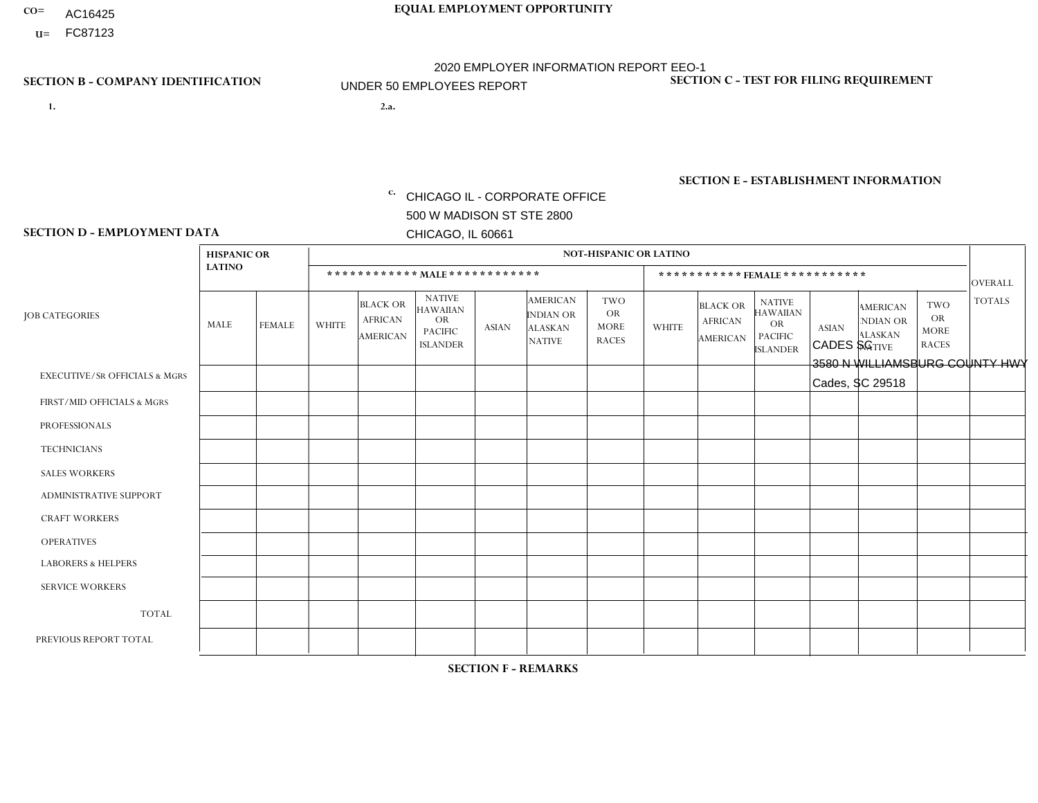- AC16425
- **U=**

- **1. 2.a.** CHICAGO IL CORPORATE OFFICE 500 W MADISON ST STE 2800 CHICAGO, IL 60661
- 2.a. CADES SC 3580 N WILLIAMSBURG COUNTY HWY Cades, SC 29518

c. EIN= 952920557

## **SECTION B - COMPANY IDENTIFICATION SECTION C - TEST FOR FILING REQUIREMENT**

1- Y 2- Y 3- N DUNS= 000123456

**SECTION E - ESTABLISHMENT INFORMATION c.** NAICS: 423140

### **SECTION D - EMPLOYMENT DATA**

|                                          | <b>HISPANIC OR</b> |               |              |                                                      |                                                                                    |             |                                                                        | <b>NOT-HISPANIC OR LATINO</b>                          |                |                                               |                                                                             |              |                                                                       |                                                        |                |
|------------------------------------------|--------------------|---------------|--------------|------------------------------------------------------|------------------------------------------------------------------------------------|-------------|------------------------------------------------------------------------|--------------------------------------------------------|----------------|-----------------------------------------------|-----------------------------------------------------------------------------|--------------|-----------------------------------------------------------------------|--------------------------------------------------------|----------------|
|                                          | <b>LATINO</b>      |               |              | ************ MALE ************                       |                                                                                    |             |                                                                        |                                                        |                | ***********FEMALE***********                  |                                                                             |              |                                                                       |                                                        | <b>OVERALL</b> |
| <b>JOB CATEGORIES</b>                    | MALE               | <b>FEMALE</b> | <b>WHITE</b> | <b>BLACK OR</b><br><b>AFRICAN</b><br><b>AMERICAN</b> | <b>NATIVE</b><br><b>HAWAIIAN</b><br><b>OR</b><br><b>PACIFIC</b><br><b>ISLANDER</b> | ASIAN       | <b>AMERICAN</b><br><b>INDIAN OR</b><br><b>ALASKAN</b><br><b>NATIVE</b> | <b>TWO</b><br><b>OR</b><br><b>MORE</b><br><b>RACES</b> | <b>WHITE</b>   | <b>BLACK OR</b><br><b>AFRICAN</b><br>AMERICAN | <b>NATIVE</b><br><b>HAWAIIAN</b><br>OR<br><b>PACIFIC</b><br><b>ISLANDER</b> | <b>ASIAN</b> | <b>AMERICAN</b><br><b>NDIAN OR</b><br><b>ALASKAN</b><br><b>NATIVE</b> | <b>TWO</b><br><b>OR</b><br><b>MORE</b><br><b>RACES</b> | <b>TOTALS</b>  |
| <b>EXECUTIVE/SR OFFICIALS &amp; MGRS</b> | $\Omega$           | $\Omega$      | $\Omega$     | $\mathbf 0$                                          | $\mathbf 0$                                                                        | $\Omega$    | $\Omega$                                                               | $\Omega$                                               | $\Omega$       | $\Omega$                                      | $\Omega$                                                                    | $\mathbf 0$  | $\Omega$                                                              | $\mathbf 0$                                            | $\mathbf{0}$   |
| FIRST/MID OFFICIALS & MGRS               | 0                  | 0             | 3            | $\mathbf 0$                                          | 0                                                                                  | $\Omega$    | $\Omega$                                                               | $\Omega$                                               |                | $\Omega$                                      | $\Omega$                                                                    | $\mathbf{0}$ | $\Omega$                                                              | $\mathbf 0$                                            | $\overline{4}$ |
| <b>PROFESSIONALS</b>                     | $\Omega$           | $\Omega$      | $\Omega$     | $\mathbf 0$                                          | $\Omega$                                                                           | $\Omega$    | $\Omega$                                                               | $\Omega$                                               | $\overline{0}$ | $\Omega$                                      | $\Omega$                                                                    | $\Omega$     | $\Omega$                                                              | $\Omega$                                               | $\mathbf 0$    |
| <b>TECHNICIANS</b>                       | 0                  | $\mathbf 0$   | $\Omega$     | $\mathbf 0$                                          | $\Omega$                                                                           | $\Omega$    | $\Omega$                                                               | $\Omega$                                               | $\Omega$       | $\Omega$                                      | $\Omega$                                                                    | $\Omega$     | $\Omega$                                                              | $\Omega$                                               | $\mathbf{0}$   |
| <b>SALES WORKERS</b>                     | $\Omega$           | $\Omega$      |              | $\mathbf 0$                                          | $\Omega$                                                                           | $\Omega$    | $\Omega$                                                               | $\Omega$                                               | $\overline{0}$ | $\Omega$                                      | $\Omega$                                                                    | $\Omega$     | $\Omega$                                                              | $\mathbf{0}$                                           | $\mathbf{1}$   |
| ADMINISTRATIVE SUPPORT                   | $\mathbf 0$        | $\mathbf 0$   |              | $\mathbf 0$                                          | 0                                                                                  | $\Omega$    | $\Omega$                                                               | $\Omega$                                               |                | $\Omega$                                      | $\Omega$                                                                    | $\Omega$     | $\Omega$                                                              | $\mathbf 0$                                            | $\overline{2}$ |
| <b>CRAFT WORKERS</b>                     | 0                  | $\Omega$      | 1            | $\mathbf 0$                                          | $\Omega$                                                                           | $\Omega$    | $\Omega$                                                               | $\Omega$                                               | 0              | $\Omega$                                      | $\Omega$                                                                    | $\Omega$     | $\Omega$                                                              | $\Omega$                                               | $\mathbf{1}$   |
| <b>OPERATIVES</b>                        | 0                  | $\Omega$      | 11           | 3                                                    | $\Omega$                                                                           | $\Omega$    | $\Omega$                                                               | $\Omega$                                               | $\Omega$       | $\Omega$                                      | $\Omega$                                                                    | $\Omega$     | $\Omega$                                                              | $\Omega$                                               | 14             |
| <b>LABORERS &amp; HELPERS</b>            | $\Omega$           | $\Omega$      | $\Omega$     | 3                                                    | $\mathbf 0$                                                                        | $\Omega$    | $\Omega$                                                               |                                                        | $\Omega$       | $\Omega$                                      | $\Omega$                                                                    | $\Omega$     | $\Omega$                                                              | $\Omega$                                               | $\overline{4}$ |
| <b>SERVICE WORKERS</b>                   | 0                  | $\mathbf 0$   | $\mathbf 0$  | $\mathbf 0$                                          | $\mathbf{0}$                                                                       | $\mathbf 0$ | $\Omega$                                                               | $\Omega$                                               | $\Omega$       | $\Omega$                                      | $\Omega$                                                                    | $\mathbf 0$  | $\Omega$                                                              | $\mathbf 0$                                            | $\overline{0}$ |
| <b>TOTAL</b>                             | $\Omega$           | 0             | 17           | 6                                                    | 0                                                                                  | $\Omega$    | $\Omega$                                                               |                                                        | $\overline{2}$ | $\Omega$                                      | $\Omega$                                                                    | $\mathbf 0$  | 0                                                                     | $\mathbf 0$                                            | 26             |
| PREVIOUS REPORT TOTAL                    |                    | $\Omega$      | 15           | 8                                                    | $\Omega$                                                                           | $\Omega$    | $\Omega$                                                               | $\overline{2}$                                         | $\overline{2}$ | $\Omega$                                      | $\Omega$                                                                    | $\Omega$     | $\Omega$                                                              | $\mathbf 0$                                            | 28             |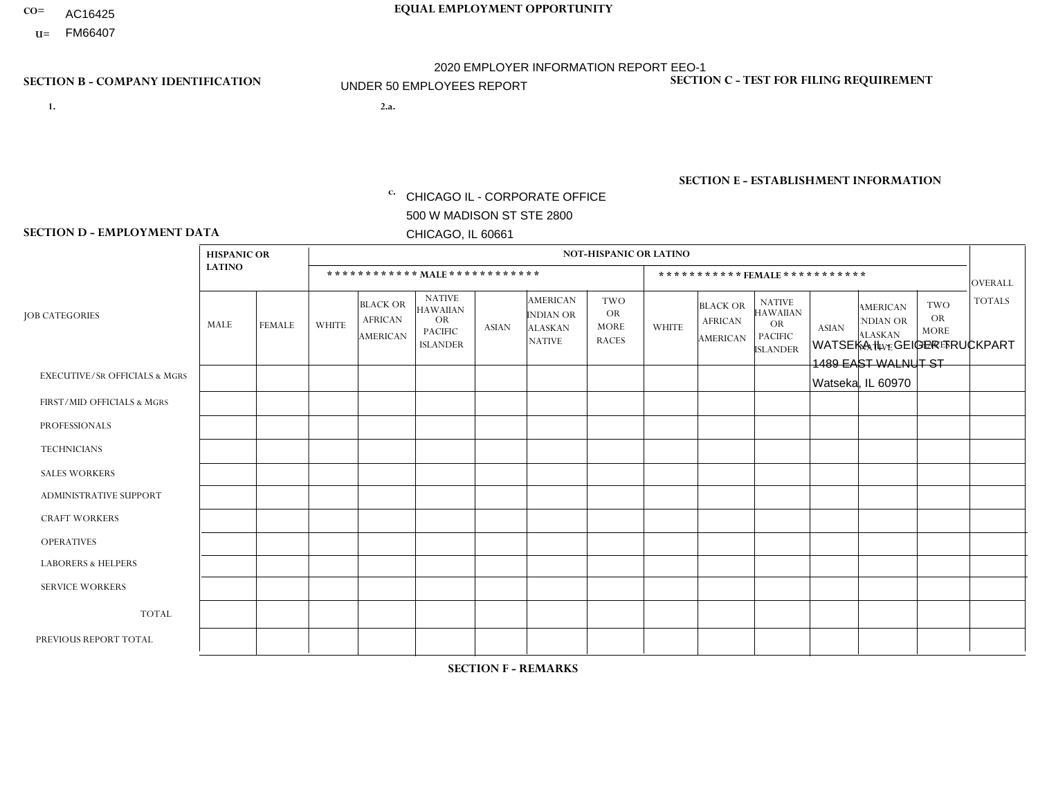- AC16425
- **U=**

**1. 2.a.** CHICAGO IL - CORPORATE OFFICE 500 W MADISON ST STE 2800 CHICAGO, IL 60661

2.a. WATSEKA IL - GEIGER TRUCKPART 1489 EAST WALNUT ST Watseka, IL 60970

EIN= 952920557

## **SECTION B - COMPANY IDENTIFICATION SECTION C - TEST FOR FILING REQUIREMENT**

1- Y 2- Y 3- N DUNS= 000123456

**SECTION E - ESTABLISHMENT INFORMATION c.** NAICS: 423140

### **SECTION D - EMPLOYMENT DATA**

|                                          | <b>HISPANIC OR</b> |               |                |                                                      |                                                                                    |              |                                                                 | <b>NOT-HISPANIC OR LATINO</b>                          |                |                                                      |                                                                                    |              |                                                                       |                                                        |                |
|------------------------------------------|--------------------|---------------|----------------|------------------------------------------------------|------------------------------------------------------------------------------------|--------------|-----------------------------------------------------------------|--------------------------------------------------------|----------------|------------------------------------------------------|------------------------------------------------------------------------------------|--------------|-----------------------------------------------------------------------|--------------------------------------------------------|----------------|
|                                          | <b>LATINO</b>      |               |                | ************ MALE ************                       |                                                                                    |              |                                                                 |                                                        |                |                                                      | ***********FEMALE***********                                                       |              |                                                                       |                                                        | <b>OVERALL</b> |
| <b>JOB CATEGORIES</b>                    | <b>MALE</b>        | <b>FEMALE</b> | <b>WHITE</b>   | <b>BLACK OR</b><br><b>AFRICAN</b><br><b>AMERICAN</b> | <b>NATIVE</b><br><b>HAWAIIAN</b><br><b>OR</b><br><b>PACIFIC</b><br><b>ISLANDER</b> | <b>ASIAN</b> | <b>AMERICAN</b><br>INDIAN OR<br><b>ALASKAN</b><br><b>NATIVE</b> | <b>TWO</b><br><b>OR</b><br><b>MORE</b><br><b>RACES</b> | <b>WHITE</b>   | <b>BLACK OR</b><br><b>AFRICAN</b><br><b>AMERICAN</b> | <b>NATIVE</b><br><b>HAWAIIAN</b><br><b>OR</b><br><b>PACIFIC</b><br><b>ISLANDER</b> | <b>ASIAN</b> | <b>AMERICAN</b><br><b>NDIAN OR</b><br><b>ALASKAN</b><br><b>NATIVE</b> | <b>TWO</b><br><b>OR</b><br><b>MORE</b><br><b>RACES</b> | <b>TOTALS</b>  |
| <b>EXECUTIVE/SR OFFICIALS &amp; MGRS</b> | $\Omega$           | $\Omega$      | $\mathbf{0}$   | $\mathbf 0$                                          | $\mathbf 0$                                                                        | $\Omega$     | $\Omega$                                                        | $\Omega$                                               | 0              | $\Omega$                                             | 0                                                                                  | $\mathbf 0$  | $\Omega$                                                              | $\Omega$                                               | $\mathbf 0$    |
| FIRST/MID OFFICIALS & MGRS               | $\Omega$           | $\Omega$      | 3              | $\Omega$                                             | 0                                                                                  | $\Omega$     | $\Omega$                                                        | $\Omega$                                               | $\Omega$       | $\Omega$                                             | 0                                                                                  | $\Omega$     | $\Omega$                                                              | $\Omega$                                               | 3              |
| <b>PROFESSIONALS</b>                     | $\Omega$           | $\mathbf 0$   | 1              | $\mathbf 0$                                          | $\Omega$                                                                           | $\mathbf{0}$ | $\Omega$                                                        | $\Omega$                                               | 1              | $\Omega$                                             | 0                                                                                  | $\mathbf 0$  | $\Omega$                                                              | $\mathbf 0$                                            | $\overline{2}$ |
| <b>TECHNICIANS</b>                       | $\Omega$           | $\Omega$      | $\Omega$       | $\mathbf 0$                                          | $\Omega$                                                                           | $\Omega$     | $\Omega$                                                        | $\Omega$                                               | $\Omega$       | $\Omega$                                             | $\Omega$                                                                           | $\Omega$     | $\Omega$                                                              | $\Omega$                                               | $\Omega$       |
| <b>SALES WORKERS</b>                     | $\Omega$           | $\Omega$      | $\overline{2}$ | $\mathbf 0$                                          | $\Omega$                                                                           | $\Omega$     | $\Omega$                                                        | $\Omega$                                               | $\overline{0}$ | $\Omega$                                             | 0                                                                                  | $\mathbf 0$  | $\Omega$                                                              | $\Omega$                                               | $\overline{2}$ |
| ADMINISTRATIVE SUPPORT                   | $\Omega$           | $\Omega$      | $\mathbf{0}$   | $\Omega$                                             | $\Omega$                                                                           | $\Omega$     | $\Omega$                                                        | $\Omega$                                               | 1              | $\Omega$                                             | $\Omega$                                                                           | $\Omega$     | $\Omega$                                                              | $\Omega$                                               | $\mathbf{1}$   |
| <b>CRAFT WORKERS</b>                     | $\Omega$           | $\Omega$      | 4              | $\mathbf 0$                                          | $\Omega$                                                                           | $\Omega$     | $\Omega$                                                        | $\Omega$                                               | $\Omega$       | $\Omega$                                             | 0                                                                                  | $\Omega$     | $\Omega$                                                              | $\Omega$                                               | $\overline{4}$ |
| <b>OPERATIVES</b>                        | $\Omega$           | $\Omega$      | $\overline{c}$ | $\mathbf{0}$                                         | $\Omega$                                                                           | $\Omega$     | $\Omega$                                                        | $\Omega$                                               | $\Omega$       | $\Omega$                                             | 0                                                                                  | $\Omega$     | $\Omega$                                                              | $\Omega$                                               | $\overline{2}$ |
| <b>LABORERS &amp; HELPERS</b>            | 1                  | $\Omega$      | 5              | $\mathbf 0$                                          | 0                                                                                  | $\Omega$     | $\Omega$                                                        | $\Omega$                                               | $\Omega$       | $\Omega$                                             | 0                                                                                  | $\Omega$     | $\Omega$                                                              | $\Omega$                                               | 6              |
| <b>SERVICE WORKERS</b>                   | $\Omega$           | $\Omega$      | $\mathbf{0}$   | 0                                                    | $\mathbf 0$                                                                        | $\Omega$     | $\Omega$                                                        | $\Omega$                                               | $\Omega$       | $\Omega$                                             | $\Omega$                                                                           | $\mathbf 0$  | $\Omega$                                                              | $\Omega$                                               | $\mathbf{0}$   |
| <b>TOTAL</b>                             |                    | 0             | 17             | $\mathbf 0$                                          | $\Omega$                                                                           | $\Omega$     | $\Omega$                                                        | $\Omega$                                               | $\overline{2}$ | $\Omega$                                             | $\Omega$                                                                           | $\mathbf 0$  | $\Omega$                                                              | $\Omega$                                               | 20             |
| PREVIOUS REPORT TOTAL                    | 2                  | $\Omega$      | 24             | $\mathbf 0$                                          | $\Omega$                                                                           | $\Omega$     | $\Omega$                                                        |                                                        | $\overline{2}$ | $\Omega$                                             | 0                                                                                  | $\Omega$     | $\Omega$                                                              | $\mathbf 0$                                            | 29             |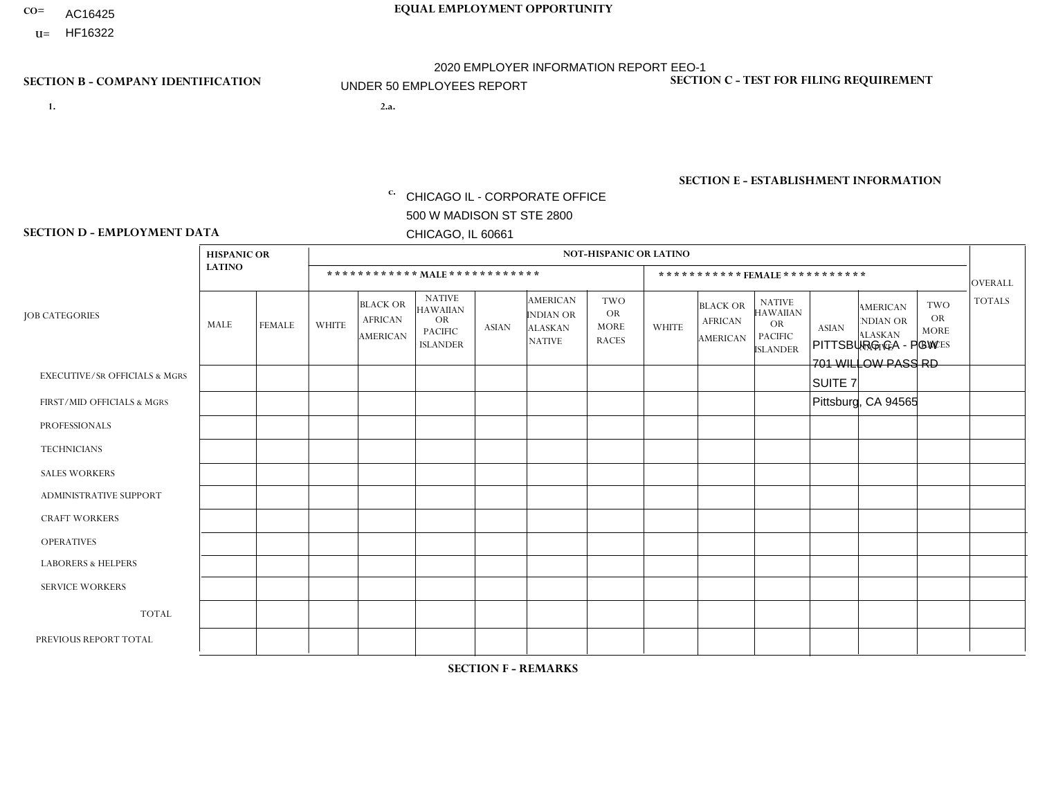- AC16425
- **U=**

**1. 2.a.** CHICAGO IL - CORPORATE OFFICE 500 W MADISON ST STE 2800 CHICAGO, IL 60661

2.a. PITTSBURG CA - PGW 701 WILLOW PASS RD SUITE 7 Pittsburg, CA 94565

EIN= 952920557

## **SECTION B - COMPANY IDENTIFICATION SECTION C - TEST FOR FILING REQUIREMENT**

1- Y 2- Y 3- N DUNS= 000123456

**SECTION E - ESTABLISHMENT INFORMATION c.** NAICS: 811122

### **SECTION D - EMPLOYMENT DATA**

|                                          | <b>HISPANIC OR</b> |               |                |                                                      |                                                                                    |              |                                                                        | <b>NOT-HISPANIC OR LATINO</b>                          |              |                                                      |                                                                                    |              |                                                                       |                                                        |                 |
|------------------------------------------|--------------------|---------------|----------------|------------------------------------------------------|------------------------------------------------------------------------------------|--------------|------------------------------------------------------------------------|--------------------------------------------------------|--------------|------------------------------------------------------|------------------------------------------------------------------------------------|--------------|-----------------------------------------------------------------------|--------------------------------------------------------|-----------------|
|                                          | <b>LATINO</b>      |               |                |                                                      | ************ MALE ************                                                     |              |                                                                        |                                                        |              | ***********FEMALE ***********                        |                                                                                    |              |                                                                       |                                                        | <b>OVERALL</b>  |
| <b>JOB CATEGORIES</b>                    | MALE               | <b>FEMALE</b> | WHITE          | <b>BLACK OR</b><br><b>AFRICAN</b><br><b>AMERICAN</b> | <b>NATIVE</b><br><b>HAWAIIAN</b><br><b>OR</b><br><b>PACIFIC</b><br><b>ISLANDER</b> | <b>ASIAN</b> | <b>AMERICAN</b><br><b>INDIAN OR</b><br><b>ALASKAN</b><br><b>NATIVE</b> | <b>TWO</b><br><b>OR</b><br><b>MORE</b><br><b>RACES</b> | <b>WHITE</b> | <b>BLACK OR</b><br><b>AFRICAN</b><br><b>AMERICAN</b> | <b>NATIVE</b><br><b>HAWAIIAN</b><br><b>OR</b><br><b>PACIFIC</b><br><b>ISLANDER</b> | <b>ASIAN</b> | <b>AMERICAN</b><br><b>NDIAN OR</b><br><b>ALASKAN</b><br><b>NATIVE</b> | <b>TWO</b><br><b>OR</b><br><b>MORE</b><br><b>RACES</b> | <b>TOTALS</b>   |
| <b>EXECUTIVE/SR OFFICIALS &amp; MGRS</b> | $\mathbf 0$        | 0             | $\Omega$       | 0                                                    | $\Omega$                                                                           | $\mathbf{0}$ | $\Omega$                                                               | $\Omega$                                               | $\Omega$     | $\Omega$                                             | $\Omega$                                                                           | $\mathbf 0$  | $\Omega$                                                              | 0                                                      | $\mathbf 0$     |
| FIRST/MID OFFICIALS & MGRS               | $\mathbf 0$        | 0             | 1              | $\mathbf 0$                                          | $\Omega$                                                                           | $\Omega$     | $\Omega$                                                               | $\Omega$                                               | $\Omega$     | $\Omega$                                             | $\Omega$                                                                           | $\Omega$     | $\Omega$                                                              | $\Omega$                                               | $\mathbf{1}$    |
| <b>PROFESSIONALS</b>                     | $\mathbf 0$        | $\mathbf 0$   | $\mathbf 0$    | $\mathbf 0$                                          | $\Omega$                                                                           | $\Omega$     | $\Omega$                                                               | $\Omega$                                               | $\Omega$     | $\Omega$                                             | $\Omega$                                                                           | $\mathbf{0}$ | $\Omega$                                                              | $\Omega$                                               | $\mathbf 0$     |
| <b>TECHNICIANS</b>                       | $\mathbf 0$        | $\mathbf 0$   | $\Omega$       | $\mathbf 0$                                          | $\Omega$                                                                           | $\Omega$     | $\Omega$                                                               | $\Omega$                                               | $\Omega$     | $\Omega$                                             | $\Omega$                                                                           | $\Omega$     | $\Omega$                                                              | $\mathbf 0$                                            | $\mathbf 0$     |
| <b>SALES WORKERS</b>                     | $\mathbf 0$        | $\mathbf 0$   | $\Omega$       | 0                                                    | $\Omega$                                                                           | $\Omega$     | $\Omega$                                                               | $\Omega$                                               | $\Omega$     | $\Omega$                                             | $\Omega$                                                                           | $\Omega$     | $\Omega$                                                              | $\Omega$                                               | $\mathbf 0$     |
| <b>ADMINISTRATIVE SUPPORT</b>            | $\mathbf 0$        | $\mathbf 0$   | $\Omega$       | $\mathbf 0$                                          | $\Omega$                                                                           | $\Omega$     | $\Omega$                                                               | $\Omega$                                               | $\Omega$     | $\mathbf 0$                                          | 0                                                                                  | $\Omega$     | $\Omega$                                                              | $\mathbf 0$                                            | $\mathbf 0$     |
| <b>CRAFT WORKERS</b>                     | $\mathbf 0$        | $\mathbf 0$   | $\Omega$       | $\mathbf 0$                                          | $\Omega$                                                                           | $\mathbf{0}$ | $\Omega$                                                               | $\Omega$                                               | $\Omega$     | $\Omega$                                             | $\mathbf{0}$                                                                       | $\Omega$     | $\Omega$                                                              | $\Omega$                                               | $\mathbf 0$     |
| <b>OPERATIVES</b>                        |                    | $\mathbf 0$   | 1              | $\overline{2}$                                       | $\mathbf 0$                                                                        | $\mathbf{0}$ |                                                                        |                                                        | $\Omega$     | $\Omega$                                             | $\Omega$                                                                           | $\mathbf{0}$ | $\Omega$                                                              | $\mathbf 0$                                            | 6               |
| <b>LABORERS &amp; HELPERS</b>            | $\mathbf 0$        | 0             | $\mathbf 0$    | $\mathbf 0$                                          | $\Omega$                                                                           | $\Omega$     | $\Omega$                                                               | $\Omega$                                               | $\Omega$     | $\Omega$                                             | $\mathbf{0}$                                                                       | $\Omega$     | $\Omega$                                                              | $\Omega$                                               | $\mathbf 0$     |
| <b>SERVICE WORKERS</b>                   | $\mathbf 0$        | $\mathbf 0$   | $\mathbf 0$    | 0                                                    | $\Omega$                                                                           | $\Omega$     | $\Omega$                                                               | $\Omega$                                               | $\Omega$     | $\Omega$                                             | $\mathbf{0}$                                                                       | $\mathbf{0}$ | $\Omega$                                                              | $\Omega$                                               | $\mathbf 0$     |
| <b>TOTAL</b>                             | $\overline{1}$     | 0             | $\overline{2}$ | 2                                                    | $\Omega$                                                                           | $\Omega$     |                                                                        |                                                        | $\Omega$     | $\Omega$                                             | $\mathbf{0}$                                                                       | $\Omega$     | $\Omega$                                                              | $\Omega$                                               | $\overline{7}$  |
| PREVIOUS REPORT TOTAL                    | $\overline{2}$     | $\mathbf 0$   | $\overline{4}$ | $\mathbf 0$                                          | $\mathbf 0$                                                                        | $\Omega$     | $\overline{2}$                                                         | $\overline{2}$                                         | $\Omega$     | 0                                                    | 0                                                                                  | $\mathbf 0$  | 0                                                                     | 0                                                      | 10 <sup>1</sup> |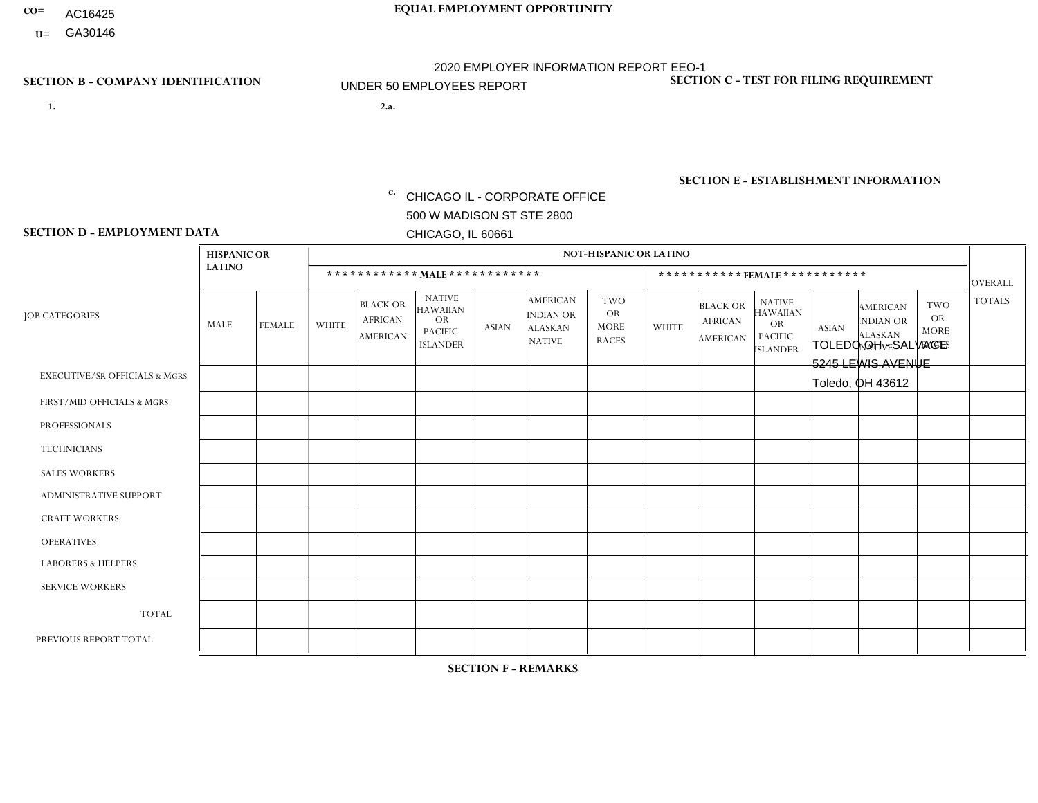- AC16425
- **U=**

**1. 2.a.** CHICAGO IL - CORPORATE OFFICE 500 W MADISON ST STE 2800 CHICAGO, IL 60661

2.a. TOLEDO OH - SALVAGE 5245 LEWIS AVENUE Toledo, OH 43612

c. EIN= 952920557

## **SECTION B - COMPANY IDENTIFICATION SECTION C - TEST FOR FILING REQUIREMENT**

1- Y 2- Y 3- N DUNS= 000123456

**SECTION E - ESTABLISHMENT INFORMATION c.** NAICS: 423140

### **SECTION D - EMPLOYMENT DATA**

|                                          | <b>HISPANIC OR</b> |               |                |                                                      |                                                                                    |              |                                                                        | <b>NOT-HISPANIC OR LATINO</b>                          |          |                                               |                                                                                    |              |                                                                       |                                                        |                |
|------------------------------------------|--------------------|---------------|----------------|------------------------------------------------------|------------------------------------------------------------------------------------|--------------|------------------------------------------------------------------------|--------------------------------------------------------|----------|-----------------------------------------------|------------------------------------------------------------------------------------|--------------|-----------------------------------------------------------------------|--------------------------------------------------------|----------------|
|                                          | <b>LATINO</b>      |               |                |                                                      | ************ MAIE************                                                      |              |                                                                        |                                                        |          | ***********FEMALE ***********                 |                                                                                    |              |                                                                       |                                                        | <b>OVERALL</b> |
| <b>JOB CATEGORIES</b>                    | <b>MALE</b>        | <b>FEMALE</b> | <b>WHITE</b>   | <b>BLACK OR</b><br><b>AFRICAN</b><br><b>AMERICAN</b> | <b>NATIVE</b><br><b>HAWAIIAN</b><br><b>OR</b><br><b>PACIFIC</b><br><b>ISLANDER</b> | <b>ASIAN</b> | <b>AMERICAN</b><br><b>INDIAN OR</b><br><b>ALASKAN</b><br><b>NATIVE</b> | <b>TWO</b><br><b>OR</b><br><b>MORE</b><br><b>RACES</b> | WHITE    | <b>BLACK OR</b><br><b>AFRICAN</b><br>AMERICAN | <b>NATIVE</b><br><b>HAWAIIAN</b><br><b>OR</b><br><b>PACIFIC</b><br><b>ISLANDER</b> | <b>ASIAN</b> | <b>AMERICAN</b><br><b>NDIAN OR</b><br><b>ALASKAN</b><br><b>NATIVE</b> | <b>TWO</b><br><b>OR</b><br><b>MORE</b><br><b>RACES</b> | <b>TOTALS</b>  |
| <b>EXECUTIVE/SR OFFICIALS &amp; MGRS</b> | $\mathbf{0}$       | $\Omega$      | $\Omega$       | $\Omega$                                             | $\mathbf{0}$                                                                       | $\Omega$     | $\Omega$                                                               | $\Omega$                                               | $\Omega$ | $\Omega$                                      | $\Omega$                                                                           | $\Omega$     | $\Omega$                                                              | $\Omega$                                               | $\Omega$       |
| FIRST/MID OFFICIALS & MGRS               | 0                  | $\mathbf 0$   | $\overline{2}$ | $\mathbf 0$                                          | $\mathbf{0}$                                                                       | $\mathbf{0}$ | $\Omega$                                                               | 0                                                      | $\Omega$ | $\Omega$                                      | $\Omega$                                                                           | $\mathbf 0$  | $\Omega$                                                              | 0                                                      | 2              |
| <b>PROFESSIONALS</b>                     | 0                  | $\mathbf 0$   | $\mathbf 0$    | $\mathbf 0$                                          | $\Omega$                                                                           | $\Omega$     | $\Omega$                                                               | 0                                                      | $\Omega$ | $\Omega$                                      | 0                                                                                  | $\mathbf 0$  | $\Omega$                                                              | $\mathbf 0$                                            | $\mathbf 0$    |
| <b>TECHNICIANS</b>                       | 0                  | $\mathbf 0$   | $\mathbf 0$    | $\mathbf 0$                                          | $\Omega$                                                                           | $\Omega$     | $\Omega$                                                               | 0                                                      | $\Omega$ | $\Omega$                                      | $\mathbf 0$                                                                        | $\mathbf 0$  | $\Omega$                                                              | $\mathbf 0$                                            | $\mathbf 0$    |
| <b>SALES WORKERS</b>                     | $\mathbf 0$        | $\mathbf 0$   | $\mathbf 0$    | $\mathbf 0$                                          | $\Omega$                                                                           | $\Omega$     | $\Omega$                                                               | 0                                                      | $\Omega$ | $\Omega$                                      | $\Omega$                                                                           | $\mathbf{0}$ | $\Omega$                                                              | $\Omega$                                               | $\mathbf 0$    |
| <b>ADMINISTRATIVE SUPPORT</b>            | $\Omega$           | $\Omega$      | $\overline{c}$ | $\Omega$                                             | $\mathbf{0}$                                                                       | $\Omega$     | $\Omega$                                                               | 0                                                      | $\Omega$ | $\Omega$                                      | $\Omega$                                                                           | $\Omega$     | $\Omega$                                                              | $\Omega$                                               | $\overline{2}$ |
| <b>CRAFT WORKERS</b>                     | $\Omega$           | $\Omega$      | 3              | $\Omega$                                             | $\mathbf{0}$                                                                       | $\Omega$     | $\Omega$                                                               | 0                                                      | $\Omega$ | $\Omega$                                      | $\Omega$                                                                           | $\Omega$     | $\Omega$                                                              | $\Omega$                                               | 3              |
| <b>OPERATIVES</b>                        | 0                  | $\Omega$      | 9              | $\mathbf{1}$                                         |                                                                                    | $\Omega$     | $\Omega$                                                               | 0                                                      | $\Omega$ | $\Omega$                                      | $\Omega$                                                                           | $\Omega$     | $\Omega$                                                              | $\Omega$                                               | 11             |
| <b>LABORERS &amp; HELPERS</b>            | 0                  | $\Omega$      | $\overline{c}$ | $\Omega$                                             | $\mathbf{0}$                                                                       | $\Omega$     | $\Omega$                                                               | 0                                                      | $\Omega$ | $\Omega$                                      | $\Omega$                                                                           | $\Omega$     | $\Omega$                                                              | $\Omega$                                               | $\overline{2}$ |
| <b>SERVICE WORKERS</b>                   | $\Omega$           | $\mathbf 0$   | $\mathbf 0$    | $\mathbf 0$                                          | $\mathbf{0}$                                                                       | $\mathbf{0}$ | $\Omega$                                                               | 0                                                      | $\Omega$ | $\Omega$                                      | $\Omega$                                                                           | $\mathbf 0$  | $\Omega$                                                              | $\Omega$                                               | 0              |
| <b>TOTAL</b>                             | $\mathbf 0$        | $\mathbf 0$   | 18             | $\mathbf{1}$                                         |                                                                                    | $\mathbf{0}$ | $\Omega$                                                               | 0                                                      | $\Omega$ | $\Omega$                                      | 0                                                                                  | $\mathbf 0$  | $\Omega$                                                              | $\mathbf 0$                                            | 20             |
| PREVIOUS REPORT TOTAL                    | $\Omega$           | $\Omega$      | 15             | $\Omega$                                             | $\Omega$                                                                           | $\Omega$     | $\Omega$                                                               | $\Omega$                                               | $\Omega$ | $\Omega$                                      | $\Omega$                                                                           | $\mathbf{0}$ | $\Omega$                                                              | $\mathbf 0$                                            | 15             |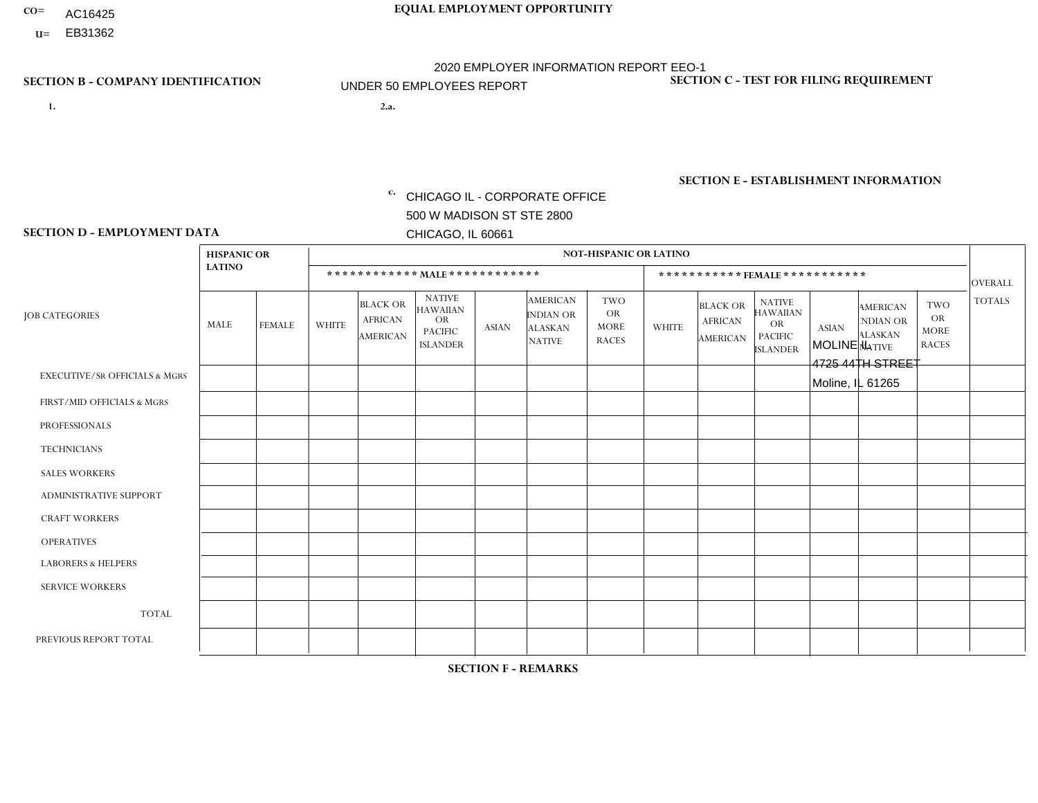- AC16425
- **U=**

- **1. 2.a.** CHICAGO IL CORPORATE OFFICE 500 W MADISON ST STE 2800 CHICAGO, IL 60661
- MOLINE IL 4725 44TH STREET Moline, IL 61265

EIN= 952920557

## **SECTION B - COMPANY IDENTIFICATION SECTION C - TEST FOR FILING REQUIREMENT**

1- Y 2- Y 3- N DUNS= 000123456

**SECTION E - ESTABLISHMENT INFORMATION c.** NAICS: 423140

### **SECTION D - EMPLOYMENT DATA**

|                                          | <b>HISPANIC OR</b> |               |                |                                                      |                                                                                    |              |                                                                        | <b>NOT-HISPANIC OR LATINO</b>                          |                |                                                      |                                                                                    |              |                                                                       |                                                        |                |
|------------------------------------------|--------------------|---------------|----------------|------------------------------------------------------|------------------------------------------------------------------------------------|--------------|------------------------------------------------------------------------|--------------------------------------------------------|----------------|------------------------------------------------------|------------------------------------------------------------------------------------|--------------|-----------------------------------------------------------------------|--------------------------------------------------------|----------------|
|                                          | <b>LATINO</b>      |               |                | ************ MALE ************                       |                                                                                    |              |                                                                        |                                                        |                |                                                      | ***********FEMALE***********                                                       |              |                                                                       |                                                        | <b>OVERALL</b> |
| <b>JOB CATEGORIES</b>                    | <b>MALE</b>        | <b>FEMALE</b> | <b>WHITE</b>   | <b>BLACK OR</b><br><b>AFRICAN</b><br><b>AMERICAN</b> | <b>NATIVE</b><br><b>HAWAIIAN</b><br><b>OR</b><br><b>PACIFIC</b><br><b>ISLANDER</b> | <b>ASIAN</b> | <b>AMERICAN</b><br><b>INDIAN OR</b><br><b>ALASKAN</b><br><b>NATIVE</b> | <b>TWO</b><br><b>OR</b><br><b>MORE</b><br><b>RACES</b> | <b>WHITE</b>   | <b>BLACK OR</b><br><b>AFRICAN</b><br><b>AMERICAN</b> | <b>NATIVE</b><br><b>HAWAIIAN</b><br><b>OR</b><br><b>PACIFIC</b><br><b>ISLANDER</b> | <b>ASIAN</b> | <b>AMERICAN</b><br><b>NDIAN OR</b><br><b>ALASKAN</b><br><b>NATIVE</b> | <b>TWO</b><br><b>OR</b><br><b>MORE</b><br><b>RACES</b> | <b>TOTALS</b>  |
| <b>EXECUTIVE/SR OFFICIALS &amp; MGRS</b> | $\mathbf{0}$       | $\Omega$      | $\Omega$       | $\Omega$                                             | 0                                                                                  | $\Omega$     | $\Omega$                                                               | $\Omega$                                               | $\Omega$       | $\mathbf{0}$                                         | $\Omega$                                                                           | $\Omega$     | $\Omega$                                                              | $\Omega$                                               | $\Omega$       |
| FIRST/MID OFFICIALS & MGRS               | $\Omega$           | $\Omega$      | 1              | $\Omega$                                             | $\mathbf{0}$                                                                       | $\Omega$     | $\Omega$                                                               | $\Omega$                                               | $\Omega$       | $\Omega$                                             | $\Omega$                                                                           | $\Omega$     | $\Omega$                                                              | $\Omega$                                               | $\mathbf{1}$   |
| <b>PROFESSIONALS</b>                     | $\Omega$           | $\Omega$      | $\mathbf 0$    | $\mathbf 0$                                          | $\overline{0}$                                                                     | $\Omega$     | $\Omega$                                                               | $\Omega$                                               | $\Omega$       | $\Omega$                                             | $\Omega$                                                                           | $\Omega$     | $\Omega$                                                              | $\mathbf{0}$                                           | $\mathbf 0$    |
| <b>TECHNICIANS</b>                       | $\Omega$           | $\Omega$      | $\Omega$       | $\Omega$                                             | 0                                                                                  | $\Omega$     | $\overline{0}$                                                         | $\Omega$                                               | $\Omega$       | $\Omega$                                             | $\Omega$                                                                           | $\Omega$     | $\mathbf{0}$                                                          | $\Omega$                                               | $\mathbf 0$    |
| <b>SALES WORKERS</b>                     | $\Omega$           | $\Omega$      | 1              | $\Omega$                                             | $\Omega$                                                                           | $\Omega$     | $\Omega$                                                               | $\Omega$                                               | $\overline{2}$ | $\Omega$                                             | $\Omega$                                                                           | $\Omega$     | $\Omega$                                                              | $\mathbf{0}$                                           | 3              |
| <b>ADMINISTRATIVE SUPPORT</b>            | $\Omega$           | $\mathbf 0$   | $\Omega$       | $\mathbf 0$                                          | $\mathbf 0$                                                                        | $\mathbf 0$  | $\Omega$                                                               | $\Omega$                                               | 1              | $\mathbf{0}$                                         | $\Omega$                                                                           | $\Omega$     | $\Omega$                                                              | $\Omega$                                               | $\mathbf{1}$   |
| <b>CRAFT WORKERS</b>                     | $\Omega$           | $\Omega$      | $\Omega$       | 0                                                    | 0                                                                                  | $\Omega$     | $\Omega$                                                               | $\Omega$                                               | $\Omega$       | $\Omega$                                             | $\Omega$                                                                           | $\Omega$     | $\Omega$                                                              | $\Omega$                                               | $\Omega$       |
| <b>OPERATIVES</b>                        |                    | $\Omega$      | 4              | 0                                                    | 0                                                                                  | $\Omega$     | $\Omega$                                                               | $\Omega$                                               | $\Omega$       | $\Omega$                                             | $\Omega$                                                                           | $\Omega$     | $\Omega$                                                              | $\Omega$                                               | 5              |
| <b>LABORERS &amp; HELPERS</b>            | $\Omega$           | $\Omega$      | $\overline{2}$ | $\mathbf 0$                                          | 0                                                                                  | $\Omega$     | $\Omega$                                                               | $\Omega$                                               | $\mathbf{1}$   | $\Omega$                                             | $\Omega$                                                                           | $\Omega$     | $\Omega$                                                              | $\Omega$                                               | 3              |
| <b>SERVICE WORKERS</b>                   | $\Omega$           | $\Omega$      | $\Omega$       | 0                                                    | $\mathbf 0$                                                                        | $\Omega$     | $\Omega$                                                               | $\Omega$                                               | $\Omega$       | $\Omega$                                             | $\Omega$                                                                           | $\Omega$     | $\Omega$                                                              | $\Omega$                                               | 0              |
| <b>TOTAL</b>                             | 1                  | $\mathbf 0$   | 8              | 0                                                    | 0                                                                                  | $\mathbf 0$  | $\Omega$                                                               | $\Omega$                                               | $\overline{4}$ | $\Omega$                                             | $\Omega$                                                                           | $\mathbf 0$  | $\Omega$                                                              | $\Omega$                                               | 13             |
| PREVIOUS REPORT TOTAL                    | $\Omega$           | $\mathbf 0$   | 8              | $\mathbf 0$                                          | 0                                                                                  | $\Omega$     | $\overline{0}$                                                         | $\Omega$                                               | 6              | $\Omega$                                             | $\mathbf{0}$                                                                       | $\Omega$     | $\Omega$                                                              | $\mathbf 0$                                            | 14             |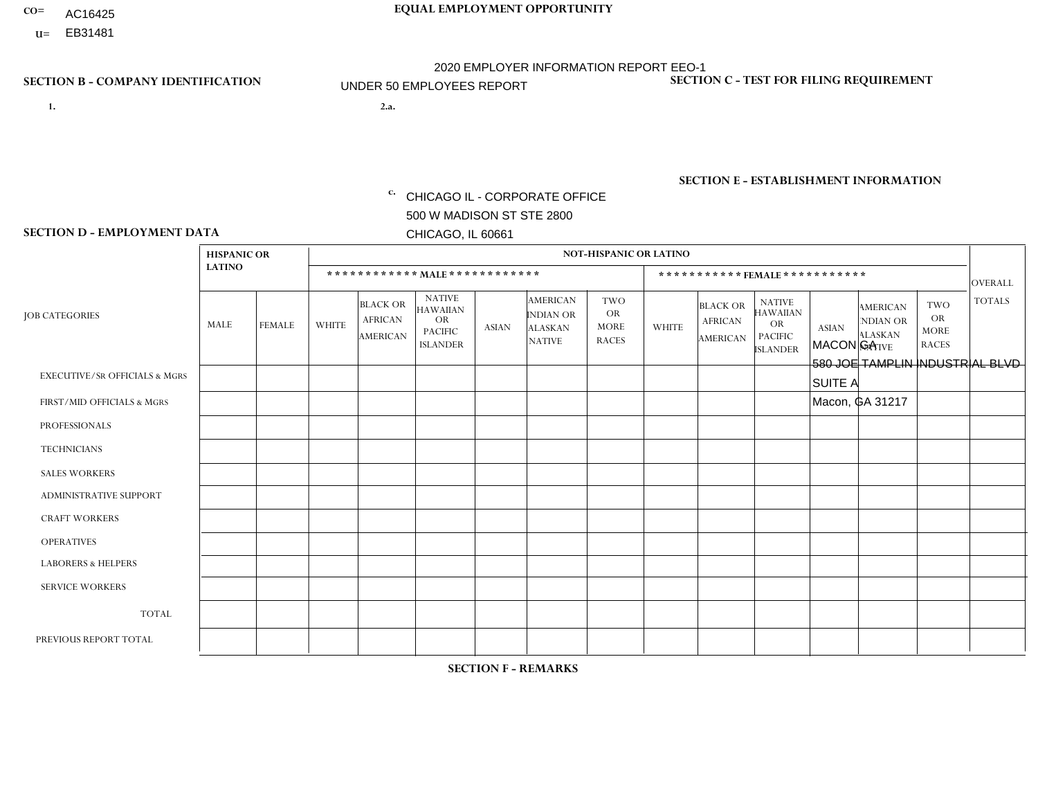- AC16425
- **U=**

- **1. 2.a.** CHICAGO IL CORPORATE OFFICE 500 W MADISON ST STE 2800 CHICAGO, IL 60661
- 2.a. MACON GA 580 JOE TAMPLIN INDUSTRIAL BLVD SUITE A Macon, GA 31217
	- EIN= 952920557

## **SECTION B - COMPANY IDENTIFICATION SECTION C - TEST FOR FILING REQUIREMENT**

1- Y 2- Y 3- N DUNS= 000123456

**SECTION E - ESTABLISHMENT INFORMATION c.** NAICS: 423140

### **SECTION D - EMPLOYMENT DATA**

|                                          | <b>HISPANIC OR</b> |               |                |                                                      |                                                                                    |              |                                                                        | <b>NOT-HISPANIC OR LATINO</b>                          |              |                                                      |                                                                                    |              |                                                                       |                                                        |                |
|------------------------------------------|--------------------|---------------|----------------|------------------------------------------------------|------------------------------------------------------------------------------------|--------------|------------------------------------------------------------------------|--------------------------------------------------------|--------------|------------------------------------------------------|------------------------------------------------------------------------------------|--------------|-----------------------------------------------------------------------|--------------------------------------------------------|----------------|
|                                          | <b>LATINO</b>      |               |                |                                                      | ************ MAIE************                                                      |              |                                                                        |                                                        |              | ***********FEMALE ***********                        |                                                                                    |              |                                                                       |                                                        | <b>OVERALL</b> |
| <b>JOB CATEGORIES</b>                    | MALE               | <b>FEMALE</b> | <b>WHITE</b>   | <b>BLACK OR</b><br><b>AFRICAN</b><br><b>AMERICAN</b> | <b>NATIVE</b><br><b>HAWAIIAN</b><br><b>OR</b><br><b>PACIFIC</b><br><b>ISLANDER</b> | <b>ASIAN</b> | <b>AMERICAN</b><br><b>INDIAN OR</b><br><b>ALASKAN</b><br><b>NATIVE</b> | <b>TWO</b><br><b>OR</b><br><b>MORE</b><br><b>RACES</b> | <b>WHITE</b> | <b>BLACK OR</b><br><b>AFRICAN</b><br><b>AMERICAN</b> | <b>NATIVE</b><br><b>HAWAIIAN</b><br><b>OR</b><br><b>PACIFIC</b><br><b>ISLANDER</b> | <b>ASIAN</b> | <b>AMERICAN</b><br><b>NDIAN OR</b><br><b>ALASKAN</b><br><b>NATIVE</b> | <b>TWO</b><br><b>OR</b><br><b>MORE</b><br><b>RACES</b> | <b>TOTALS</b>  |
| <b>EXECUTIVE/SR OFFICIALS &amp; MGRS</b> | $\mathbf 0$        | 0             | $\Omega$       | $\Omega$                                             | $\Omega$                                                                           | $\Omega$     | $\Omega$                                                               | $\Omega$                                               | $\Omega$     | $\Omega$                                             | $\mathbf{0}$                                                                       | $\mathbf{0}$ | $\Omega$                                                              | $\Omega$                                               | $\mathbf 0$    |
| FIRST/MID OFFICIALS & MGRS               | $\mathbf 0$        | $\mathbf 0$   | $\overline{c}$ | $\mathbf 0$                                          | $\Omega$                                                                           | $\Omega$     | $\Omega$                                                               | $\Omega$                                               | $\Omega$     | $\Omega$                                             | $\mathbf{0}$                                                                       | $\mathbf 0$  | $\Omega$                                                              | $\mathbf 0$                                            | $\overline{2}$ |
| <b>PROFESSIONALS</b>                     | $\mathbf 0$        | $\mathbf 0$   | $\mathbf 0$    | $\mathbf 0$                                          | $\Omega$                                                                           | $\Omega$     | $\Omega$                                                               | $\Omega$                                               | $\Omega$     | $\mathbf 0$                                          | 0                                                                                  | $\mathbf 0$  | $\Omega$                                                              | $\mathbf 0$                                            | $\mathbf 0$    |
| <b>TECHNICIANS</b>                       | $\mathbf 0$        | $\mathbf 0$   | $\Omega$       | $\mathbf 0$                                          | $\Omega$                                                                           | $\Omega$     | $\Omega$                                                               | $\Omega$                                               | 0            | $\mathbf 0$                                          | $\mathbf 0$                                                                        | $\mathbf 0$  | $\Omega$                                                              | $\mathbf 0$                                            | $\mathbf 0$    |
| <b>SALES WORKERS</b>                     | $\mathbf 0$        | $\mathbf 0$   | 3              | $\mathbf 0$                                          | $\Omega$                                                                           | $\Omega$     | $\Omega$                                                               | $\Omega$                                               | $\Omega$     | $\Omega$                                             | $\Omega$                                                                           | $\Omega$     | $\Omega$                                                              | $\Omega$                                               | 3              |
| <b>ADMINISTRATIVE SUPPORT</b>            | $\Omega$           | $\mathbf 0$   | $\Omega$       | 1                                                    | $\Omega$                                                                           | $\mathbf{0}$ | $\Omega$                                                               | $\Omega$                                               | 1            | $\Omega$                                             | $\Omega$                                                                           | $\mathbf{0}$ | $\Omega$                                                              | $\Omega$                                               | 2              |
| <b>CRAFT WORKERS</b>                     | $\mathbf 0$        | $\mathbf 0$   | $\Omega$       | 0                                                    | $\Omega$                                                                           | $\Omega$     | $\Omega$                                                               | $\Omega$                                               | $\Omega$     | $\Omega$                                             | $\Omega$                                                                           | $\mathbf{0}$ | $\Omega$                                                              | $\Omega$                                               | $\Omega$       |
| <b>OPERATIVES</b>                        | $\mathbf 0$        | 0             | $\overline{4}$ | $\overline{c}$                                       | $\Omega$                                                                           | $\Omega$     | $\Omega$                                                               | $\Omega$                                               | $\Omega$     | $\overline{2}$                                       | $\Omega$                                                                           | $\mathbf{0}$ | $\Omega$                                                              | $\Omega$                                               | 8              |
| <b>LABORERS &amp; HELPERS</b>            | $\Omega$           | $\Omega$      | $\overline{2}$ | $\mathbf{1}$                                         | $\Omega$                                                                           | $\Omega$     | $\Omega$                                                               | $\Omega$                                               | $\Omega$     | $\Omega$                                             | $\Omega$                                                                           | $\mathbf{0}$ | $\Omega$                                                              | $\Omega$                                               | 3              |
| <b>SERVICE WORKERS</b>                   | $\mathbf 0$        | $\mathbf 0$   | $\mathbf 0$    | 0                                                    | $\Omega$                                                                           | $\mathbf{0}$ | $\Omega$                                                               | $\Omega$                                               | $\Omega$     | $\Omega$                                             | $\mathbf{0}$                                                                       | $\mathbf{0}$ | $\Omega$                                                              | $\Omega$                                               | 0              |
| <b>TOTAL</b>                             | $\mathbf 0$        | $\mathbf 0$   | 11             | 4                                                    | $\mathbf 0$                                                                        | $\Omega$     | $\Omega$                                                               | $\Omega$                                               | 1            | $\overline{2}$                                       | $\mathbf 0$                                                                        | $\mathbf{0}$ | $\Omega$                                                              | $\mathbf 0$                                            | 18             |
| PREVIOUS REPORT TOTAL                    | $\mathbf 0$        | $\mathbf 0$   | 9              | $\overline{7}$                                       | $\Omega$                                                                           | $\Omega$     | $\Omega$                                                               |                                                        |              | $\overline{2}$                                       | $\Omega$                                                                           | $\Omega$     | $\Omega$                                                              | $\mathbf 0$                                            | 20             |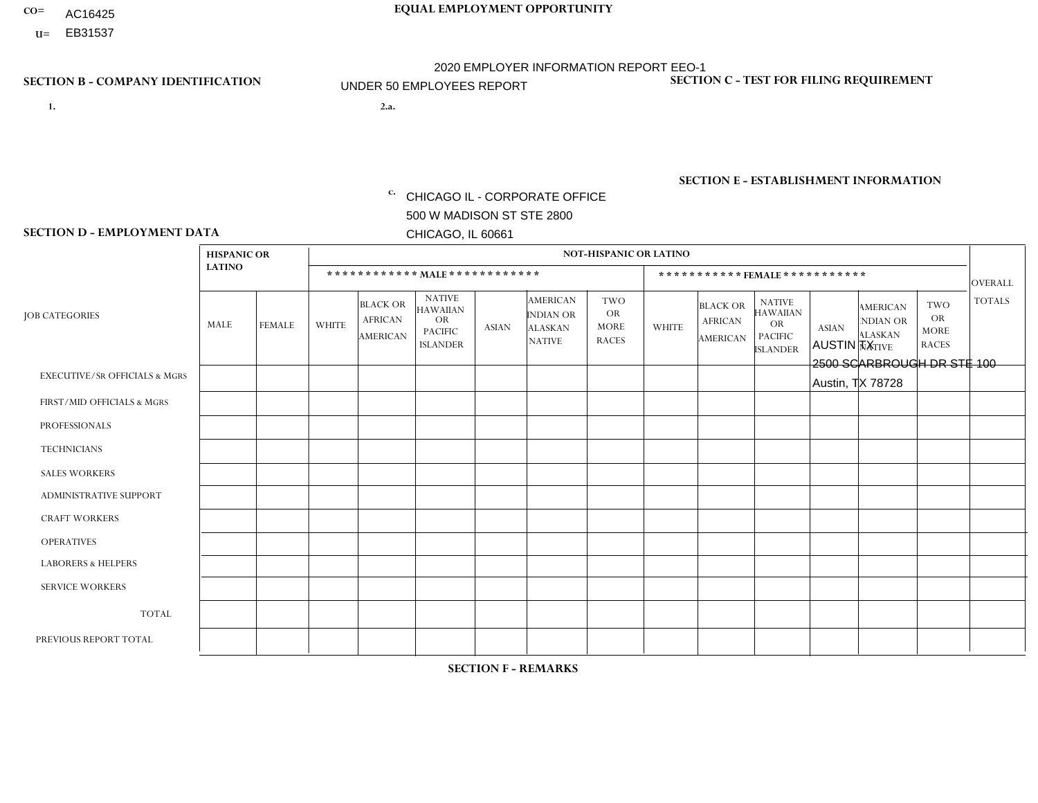- AC16425
- **U=**

- **1. 2.a.** CHICAGO IL CORPORATE OFFICE 500 W MADISON ST STE 2800 CHICAGO, IL 60661
- 2.a. AUSTIN TX 2500 SCARBROUGH DR STE 100 Austin, TX 78728

c. EIN= 952920557

## **SECTION B - COMPANY IDENTIFICATION SECTION C - TEST FOR FILING REQUIREMENT**

1- Y 2- Y 3- N DUNS= 000123456

**SECTION E - ESTABLISHMENT INFORMATION c.** NAICS: 423140

### **SECTION D - EMPLOYMENT DATA**

|                                          | <b>HISPANIC OR</b> |                         |                |                                                      |                                                                                    |              |                                                                        | <b>NOT-HISPANIC OR LATINO</b>                   |                |                                                      |                                                                                    |              |                                                                       |                                                        |                |
|------------------------------------------|--------------------|-------------------------|----------------|------------------------------------------------------|------------------------------------------------------------------------------------|--------------|------------------------------------------------------------------------|-------------------------------------------------|----------------|------------------------------------------------------|------------------------------------------------------------------------------------|--------------|-----------------------------------------------------------------------|--------------------------------------------------------|----------------|
|                                          | <b>LATINO</b>      |                         |                |                                                      | ************ MALE ************                                                     |              |                                                                        |                                                 |                | ***********FEMALE ***********                        |                                                                                    |              |                                                                       |                                                        | <b>OVERALL</b> |
| <b>JOB CATEGORIES</b>                    | <b>MALE</b>        | <b>FEMALE</b>           | <b>WHITE</b>   | <b>BLACK OR</b><br><b>AFRICAN</b><br><b>AMERICAN</b> | <b>NATIVE</b><br><b>HAWAIIAN</b><br><b>OR</b><br><b>PACIFIC</b><br><b>ISLANDER</b> | <b>ASIAN</b> | <b>AMERICAN</b><br><b>INDIAN OR</b><br><b>ALASKAN</b><br><b>NATIVE</b> | TWO<br><b>OR</b><br><b>MORE</b><br><b>RACES</b> | <b>WHITE</b>   | <b>BLACK OR</b><br><b>AFRICAN</b><br><b>AMERICAN</b> | <b>NATIVE</b><br><b>HAWAIIAN</b><br><b>OR</b><br><b>PACIFIC</b><br><b>ISLANDER</b> | <b>ASIAN</b> | <b>AMERICAN</b><br><b>NDIAN OR</b><br><b>ALASKAN</b><br><b>NATIVE</b> | <b>TWO</b><br><b>OR</b><br><b>MORE</b><br><b>RACES</b> | <b>TOTALS</b>  |
| <b>EXECUTIVE/SR OFFICIALS &amp; MGRS</b> | $\Omega$           | $\Omega$                | $\Omega$       | $\Omega$                                             | $\Omega$                                                                           | $\Omega$     | $\Omega$                                                               | $\Omega$                                        | $\Omega$       | $\Omega$                                             | $\Omega$                                                                           | $\Omega$     | $\Omega$                                                              | $\Omega$                                               | $\mathbf 0$    |
| FIRST/MID OFFICIALS & MGRS               | 1                  | $\Omega$                | $\overline{4}$ | $\mathbf 0$                                          | $\mathbf{0}$                                                                       | $\Omega$     | $\Omega$                                                               | 0                                               |                | $\Omega$                                             | $\Omega$                                                                           | $\mathbf 0$  | $\Omega$                                                              | $\mathbf 0$                                            | 6              |
| <b>PROFESSIONALS</b>                     | 0                  | $\Omega$                | $\Omega$       | $\Omega$                                             | $\Omega$                                                                           | $\Omega$     | $\Omega$                                                               | 0                                               | $\Omega$       | $\Omega$                                             | $\Omega$                                                                           | $\Omega$     | $\Omega$                                                              | $\Omega$                                               | $\Omega$       |
| <b>TECHNICIANS</b>                       | 0                  | $\Omega$                | $\Omega$       | $\Omega$                                             | $\Omega$                                                                           | $\Omega$     | $\Omega$                                                               | 0                                               | $\Omega$       | $\Omega$                                             | $\Omega$                                                                           | $\Omega$     | $\Omega$                                                              | $\Omega$                                               | $\Omega$       |
| <b>SALES WORKERS</b>                     | 5                  | $\overline{\mathbf{A}}$ | 4              | 3                                                    | $\mathbf{0}$                                                                       | $\Omega$     | $\Omega$                                                               | 1                                               | $\overline{2}$ | 1                                                    | $\Omega$                                                                           | $\Omega$     | $\Omega$                                                              | $\Omega$                                               | 17             |
| ADMINISTRATIVE SUPPORT                   | $\Omega$           |                         | $\overline{1}$ | $\Omega$                                             | $\mathbf{0}$                                                                       | $\Omega$     | $\Omega$                                                               | 0                                               | $\overline{2}$ | $\Omega$                                             | $\Omega$                                                                           | $\Omega$     | $\Omega$                                                              | $\Omega$                                               | $\overline{4}$ |
| <b>CRAFT WORKERS</b>                     | 0                  | $\mathbf 0$             | $\mathbf 0$    | $\Omega$                                             | $\mathbf{0}$                                                                       | $\Omega$     | 0                                                                      | $\Omega$                                        | $\Omega$       | $\Omega$                                             | $\Omega$                                                                           | $\Omega$     | $\Omega$                                                              | $\Omega$                                               | $\mathbf 0$    |
| <b>OPERATIVES</b>                        | 3                  | $\Omega$                | $\mathbf{3}$   | 3                                                    | $\mathbf{0}$                                                                       | $\Omega$     | $\Omega$                                                               | 0                                               | $\Omega$       | $\Omega$                                             | $\Omega$                                                                           | $\Omega$     | $\Omega$                                                              | $\Omega$                                               | 9              |
| <b>LABORERS &amp; HELPERS</b>            | 3                  | $\Omega$                | $\mathbf 0$    | $\overline{2}$                                       | $\Omega$                                                                           | $\Omega$     | $\Omega$                                                               | 1                                               | $\Omega$       | $\Omega$                                             | $\Omega$                                                                           | $\Omega$     | $\Omega$                                                              | $\Omega$                                               | 6              |
| <b>SERVICE WORKERS</b>                   | $\Omega$           | $\mathbf 0$             | $\mathbf 0$    | $\mathbf 0$                                          | $\overline{0}$                                                                     | $\mathbf{0}$ | $\Omega$                                                               | 0                                               | $\Omega$       | $\Omega$                                             | $\Omega$                                                                           | $\Omega$     | $\Omega$                                                              | $\Omega$                                               | 0              |
| <b>TOTAL</b>                             | 12                 | $\overline{2}$          | 12             | 8                                                    | $\Omega$                                                                           | $\mathbf{0}$ | $\Omega$                                                               | $\overline{2}$                                  | 5              | 1                                                    | $\mathbf 0$                                                                        | $\mathbf 0$  | $\Omega$                                                              | $\mathbf 0$                                            | 42             |
| PREVIOUS REPORT TOTAL                    | 12                 | $\overline{7}$          | 11             | 12                                                   | $\mathbf{0}$                                                                       |              | $\Omega$                                                               | 3                                               | $\overline{7}$ | 2                                                    | $\Omega$                                                                           | $\Omega$     | $\Omega$                                                              | $\mathbf 0$                                            | 55             |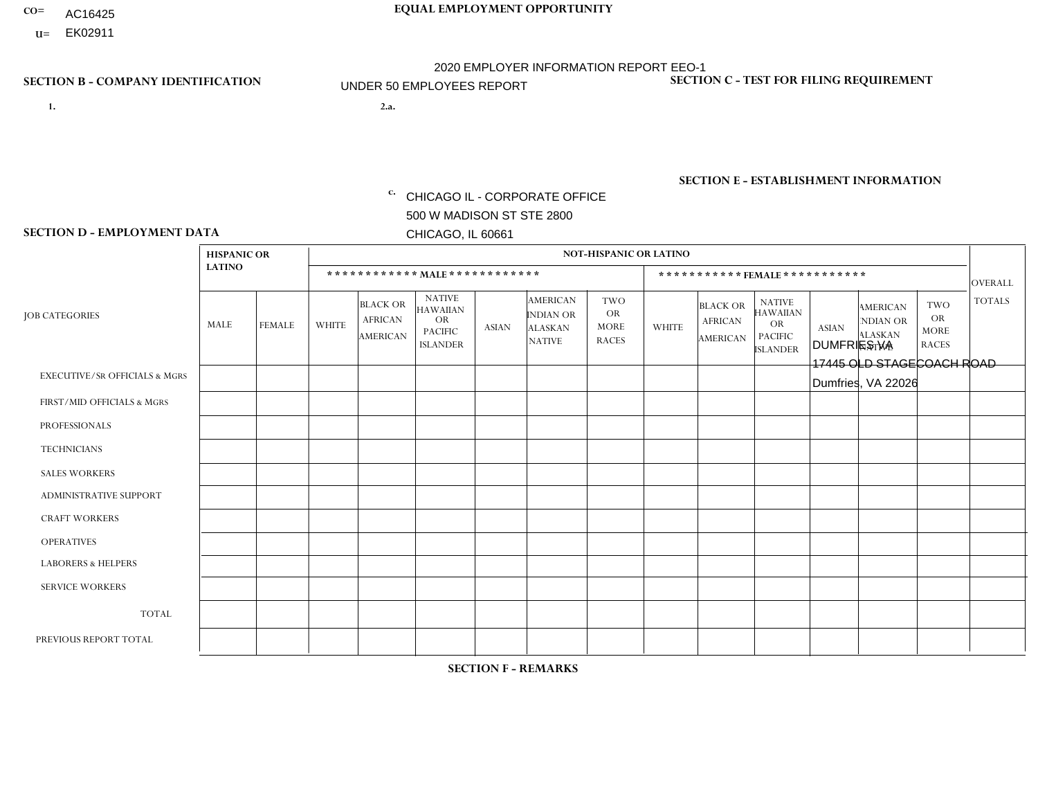- AC16425
- **U=**

- **1. 2.a.** CHICAGO IL CORPORATE OFFICE 500 W MADISON ST STE 2800 CHICAGO, IL 60661
- 2.a. DUMFRIES VA 17445 OLD STAGECOACH ROAD Dumfries, VA 22026

EIN= 952920557

## **SECTION B - COMPANY IDENTIFICATION SECTION C - TEST FOR FILING REQUIREMENT**

1- Y 2- Y 3- N DUNS= 000123456

**SECTION E - ESTABLISHMENT INFORMATION c.** NAICS: 423140

### **SECTION D - EMPLOYMENT DATA**

|                                          |                    |               | <b>NOT-HISPANIC OR LATINO</b> |                                                      |                                                                                    |              |                                                                 |                                                        |              |                                                      |                                                                                    |              |                                                                       |                                                        |                |
|------------------------------------------|--------------------|---------------|-------------------------------|------------------------------------------------------|------------------------------------------------------------------------------------|--------------|-----------------------------------------------------------------|--------------------------------------------------------|--------------|------------------------------------------------------|------------------------------------------------------------------------------------|--------------|-----------------------------------------------------------------------|--------------------------------------------------------|----------------|
|                                          | <b>HISPANIC OR</b> |               |                               |                                                      |                                                                                    |              |                                                                 |                                                        |              |                                                      |                                                                                    |              |                                                                       |                                                        |                |
|                                          | <b>LATINO</b>      |               |                               | ************ MALE ************                       |                                                                                    |              |                                                                 |                                                        |              |                                                      | ***********FEMALE***********                                                       |              |                                                                       |                                                        | <b>OVERALL</b> |
| <b>JOB CATEGORIES</b>                    | <b>MALE</b>        | <b>FEMALE</b> | <b>WHITE</b>                  | <b>BLACK OR</b><br><b>AFRICAN</b><br><b>AMERICAN</b> | <b>NATIVE</b><br><b>HAWAIIAN</b><br><b>OR</b><br><b>PACIFIC</b><br><b>ISLANDER</b> | <b>ASIAN</b> | <b>AMERICAN</b><br>INDIAN OR<br><b>ALASKAN</b><br><b>NATIVE</b> | <b>TWO</b><br><b>OR</b><br><b>MORE</b><br><b>RACES</b> | <b>WHITE</b> | <b>BLACK OR</b><br><b>AFRICAN</b><br><b>AMERICAN</b> | <b>NATIVE</b><br><b>HAWAIIAN</b><br><b>OR</b><br><b>PACIFIC</b><br><b>ISLANDER</b> | <b>ASIAN</b> | <b>AMERICAN</b><br><b>NDIAN OR</b><br><b>ALASKAN</b><br><b>NATIVE</b> | <b>TWO</b><br><b>OR</b><br><b>MORE</b><br><b>RACES</b> | <b>TOTALS</b>  |
| <b>EXECUTIVE/SR OFFICIALS &amp; MGRS</b> | $\mathbf{0}$       | $\Omega$      | $\Omega$                      | $\Omega$                                             | 0                                                                                  | $\Omega$     | $\Omega$                                                        | $\Omega$                                               | $\Omega$     | $\mathbf{0}$                                         | $\Omega$                                                                           | $\Omega$     | $\Omega$                                                              | $\Omega$                                               | $\Omega$       |
| FIRST/MID OFFICIALS & MGRS               | $\Omega$           | $\Omega$      | 3                             | $\mathbf 0$                                          | $\mathbf 0$                                                                        | $\Omega$     | $\Omega$                                                        | $\Omega$                                               | $\Omega$     | $\Omega$                                             | $\Omega$                                                                           | $\Omega$     | $\Omega$                                                              | $\Omega$                                               | 3              |
| <b>PROFESSIONALS</b>                     | $\Omega$           | $\Omega$      | $\mathbf 0$                   | $\mathbf 0$                                          | $\overline{0}$                                                                     | $\Omega$     | $\Omega$                                                        | $\Omega$                                               | $\Omega$     | $\Omega$                                             | $\Omega$                                                                           | $\Omega$     | $\Omega$                                                              | $\mathbf{0}$                                           | $\mathbf 0$    |
| <b>TECHNICIANS</b>                       | $\Omega$           | $\Omega$      | $\Omega$                      | $\Omega$                                             | 0                                                                                  | $\Omega$     | $\overline{0}$                                                  | $\Omega$                                               | $\Omega$     | $\Omega$                                             | $\Omega$                                                                           | $\Omega$     | $\mathbf{0}$                                                          | $\Omega$                                               | $\mathbf 0$    |
| <b>SALES WORKERS</b>                     | $\overline{1}$     | $\Omega$      | $\overline{2}$                | $\mathbf{1}$                                         | $\mathbf{1}$                                                                       | $\Omega$     | $\Omega$                                                        | $\overline{2}$                                         | $\Omega$     | $\Omega$                                             | $\Omega$                                                                           | $\Omega$     | $\Omega$                                                              | $\mathbf{0}$                                           | $\overline{7}$ |
| <b>ADMINISTRATIVE SUPPORT</b>            | $\Omega$           | $\mathbf 0$   |                               | 1                                                    | $\mathbf 0$                                                                        | $\Omega$     | $\Omega$                                                        | $\Omega$                                               | $\Omega$     |                                                      | $\Omega$                                                                           | $\Omega$     | $\Omega$                                                              | $\Omega$                                               | 3              |
| <b>CRAFT WORKERS</b>                     | $\Omega$           | $\Omega$      | 1                             | 4                                                    | 0                                                                                  | $\Omega$     | $\Omega$                                                        | $\Omega$                                               | $\Omega$     | $\Omega$                                             | $\Omega$                                                                           | $\Omega$     | $\Omega$                                                              | $\Omega$                                               | 5              |
| <b>OPERATIVES</b>                        | 3                  | $\Omega$      | $\overline{c}$                | $\mathbf{1}$                                         | 0                                                                                  | $\Omega$     | $\Omega$                                                        | 3                                                      | $\Omega$     | $\Omega$                                             | $\Omega$                                                                           | $\Omega$     | $\Omega$                                                              | $\Omega$                                               | 9              |
| <b>LABORERS &amp; HELPERS</b>            | -1                 | $\Omega$      | 1                             | 3                                                    | $\Omega$                                                                           | $\Omega$     | $\Omega$                                                        |                                                        | $\Omega$     | $\Omega$                                             | $\Omega$                                                                           | $\Omega$     | $\Omega$                                                              | $\Omega$                                               | 6              |
| <b>SERVICE WORKERS</b>                   | $\Omega$           | $\Omega$      | $\Omega$                      | 0                                                    | $\mathbf{0}$                                                                       | $\Omega$     | $\Omega$                                                        | $\Omega$                                               | $\Omega$     | $\Omega$                                             | $\Omega$                                                                           | $\Omega$     | $\Omega$                                                              | $\Omega$                                               | 0              |
| <b>TOTAL</b>                             | 5                  | 0             | 10                            | 10                                                   | $\mathbf{1}$                                                                       | $\mathbf 0$  | $\mathbf{0}$                                                    | 6                                                      | 0            |                                                      | $\Omega$                                                                           | $\mathbf 0$  | $\Omega$                                                              | $\Omega$                                               | 33             |
| PREVIOUS REPORT TOTAL                    | 8                  | $\Omega$      | 15                            | 22                                                   | $\mathbf{1}$                                                                       | $\Omega$     | $\overline{0}$                                                  | 6                                                      | $\mathbf 1$  | 2                                                    | $\mathbf{0}$                                                                       | $\Omega$     | $\Omega$                                                              | $\mathbf 0$                                            | 55             |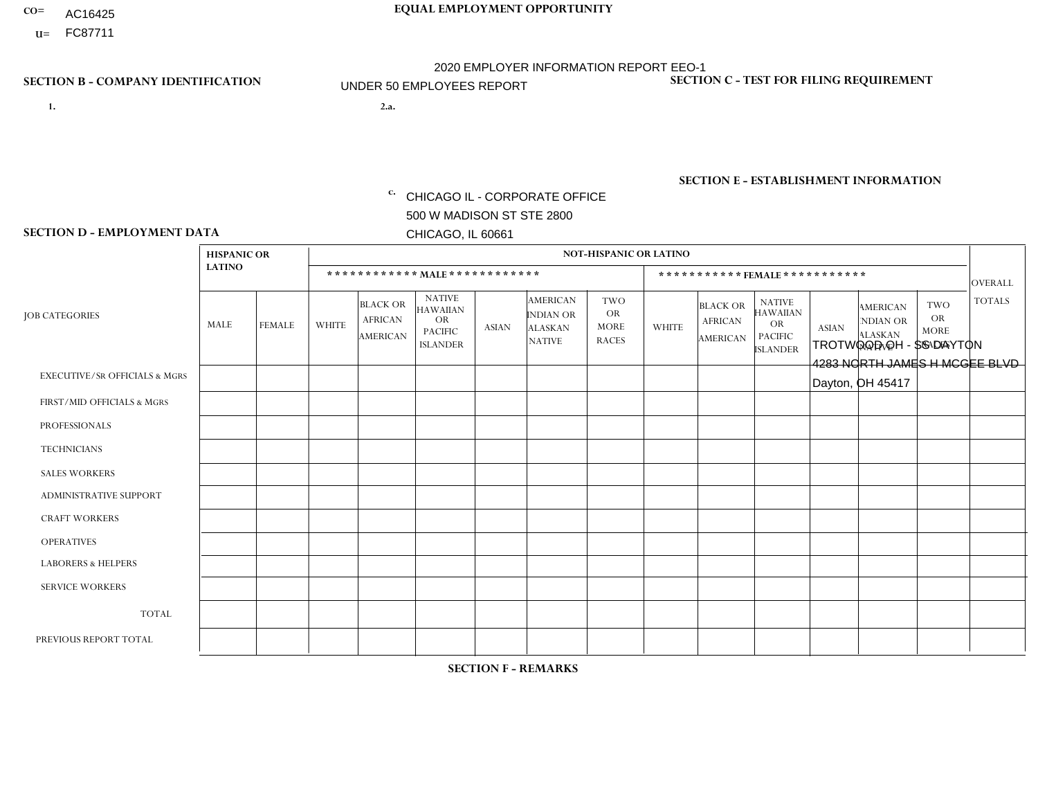- AC16425
- **U=**

- **1. 2.a.** CHICAGO IL CORPORATE OFFICE 500 W MADISON ST STE 2800 CHICAGO, IL 60661
- 2.a. TROTWOOD OH SS DAYTON 4283 NORTH JAMES H MCGEE BLVD Dayton, OH 45417

c. EIN= 952920557

## **SECTION B - COMPANY IDENTIFICATION SECTION C - TEST FOR FILING REQUIREMENT**

1- Y 2- Y 3- N DUNS= 000123456

**SECTION E - ESTABLISHMENT INFORMATION c.** NAICS: 423140

### **SECTION D - EMPLOYMENT DATA**

|                                          | <b>HISPANIC OR</b> |               |                          |                                                      |                                                                                    |             |                                                                        | <b>NOT-HISPANIC OR LATINO</b>                          |                |                                               |                                                                             |              |                                                                       |                                                        |                |
|------------------------------------------|--------------------|---------------|--------------------------|------------------------------------------------------|------------------------------------------------------------------------------------|-------------|------------------------------------------------------------------------|--------------------------------------------------------|----------------|-----------------------------------------------|-----------------------------------------------------------------------------|--------------|-----------------------------------------------------------------------|--------------------------------------------------------|----------------|
|                                          | <b>LATINO</b>      |               |                          | ************ MALE ************                       |                                                                                    |             |                                                                        |                                                        |                | ***********FEMALE***********                  |                                                                             |              |                                                                       |                                                        | <b>OVERALL</b> |
| <b>JOB CATEGORIES</b>                    | MALE               | <b>FEMALE</b> | <b>WHITE</b>             | <b>BLACK OR</b><br><b>AFRICAN</b><br><b>AMERICAN</b> | <b>NATIVE</b><br><b>HAWAIIAN</b><br><b>OR</b><br><b>PACIFIC</b><br><b>ISLANDER</b> | ASIAN       | <b>AMERICAN</b><br><b>INDIAN OR</b><br><b>ALASKAN</b><br><b>NATIVE</b> | <b>TWO</b><br><b>OR</b><br><b>MORE</b><br><b>RACES</b> | <b>WHITE</b>   | <b>BLACK OR</b><br><b>AFRICAN</b><br>AMERICAN | <b>NATIVE</b><br><b>HAWAIIAN</b><br>OR<br><b>PACIFIC</b><br><b>ISLANDER</b> | <b>ASIAN</b> | <b>AMERICAN</b><br><b>NDIAN OR</b><br><b>ALASKAN</b><br><b>NATIVE</b> | <b>TWO</b><br><b>OR</b><br><b>MORE</b><br><b>RACES</b> | <b>TOTALS</b>  |
| <b>EXECUTIVE/SR OFFICIALS &amp; MGRS</b> | $\Omega$           | $\Omega$      | $\Omega$                 | $\mathbf 0$                                          | $\mathbf 0$                                                                        | $\Omega$    | $\Omega$                                                               | $\Omega$                                               | $\Omega$       | $\Omega$                                      | $\Omega$                                                                    | $\mathbf 0$  | $\Omega$                                                              | $\mathbf 0$                                            | $\mathbf{0}$   |
| FIRST/MID OFFICIALS & MGRS               | 0                  | 0             | 1                        | $\mathbf 0$                                          | 0                                                                                  | $\Omega$    | $\Omega$                                                               | $\Omega$                                               | 0              | $\Omega$                                      | $\Omega$                                                                    | $\mathbf{0}$ | $\Omega$                                                              | $\mathbf 0$                                            | $\mathbf{1}$   |
| <b>PROFESSIONALS</b>                     | $\Omega$           | $\Omega$      | $\Omega$                 | $\mathbf 0$                                          | $\Omega$                                                                           | $\Omega$    | $\Omega$                                                               | $\Omega$                                               | $\overline{0}$ | $\Omega$                                      | $\Omega$                                                                    | $\Omega$     | $\Omega$                                                              | $\Omega$                                               | $\mathbf 0$    |
| <b>TECHNICIANS</b>                       | 0                  | $\mathbf 0$   | $\Omega$                 | $\mathbf 0$                                          | $\Omega$                                                                           | $\Omega$    | $\Omega$                                                               | $\Omega$                                               | $\Omega$       | $\Omega$                                      | $\Omega$                                                                    | $\Omega$     | $\Omega$                                                              | $\Omega$                                               | $\mathbf{0}$   |
| <b>SALES WORKERS</b>                     | $\Omega$           | $\Omega$      | $\Omega$                 | $\overline{1}$                                       | $\Omega$                                                                           | $\Omega$    | $\Omega$                                                               | $\Omega$                                               | $\overline{0}$ | $\Omega$                                      | $\Omega$                                                                    | $\Omega$     | $\Omega$                                                              | $\mathbf{0}$                                           | $\mathbf{1}$   |
| ADMINISTRATIVE SUPPORT                   | $\mathbf 0$        | 0             | $\Omega$                 | 3                                                    | 0                                                                                  | $\Omega$    | $\Omega$                                                               | $\Omega$                                               | $\overline{2}$ | $\Omega$                                      | $\Omega$                                                                    | $\Omega$     | $\mathbf{0}$                                                          | $\mathbf 0$                                            | 5              |
| <b>CRAFT WORKERS</b>                     | 0                  | $\Omega$      | $\overline{\phantom{a}}$ | $\mathbf 0$                                          | $\Omega$                                                                           | $\Omega$    | $\Omega$                                                               | $\Omega$                                               | 0              | $\Omega$                                      | $\Omega$                                                                    | $\Omega$     | $\Omega$                                                              | $\Omega$                                               | $\mathbf{1}$   |
| <b>OPERATIVES</b>                        | 0                  | $\Omega$      | 5                        | $\overline{1}$                                       | $\Omega$                                                                           | $\Omega$    | $\Omega$                                                               | $\Omega$                                               | $\Omega$       | $\Omega$                                      | $\Omega$                                                                    | $\Omega$     | $\Omega$                                                              | $\Omega$                                               | 6              |
| <b>LABORERS &amp; HELPERS</b>            | 0                  | $\Omega$      | $\mathbf 0$              | $\mathbf 0$                                          | $\mathbf 0$                                                                        | $\Omega$    | $\Omega$                                                               | $\Omega$                                               | $\Omega$       | $\Omega$                                      | $\Omega$                                                                    | $\Omega$     | $\Omega$                                                              | $\Omega$                                               | $\mathbf{0}$   |
| <b>SERVICE WORKERS</b>                   | 0                  | $\mathbf 0$   | $\mathbf 0$              | $\mathbf 0$                                          | $\mathbf{0}$                                                                       | $\mathbf 0$ | $\Omega$                                                               | $\Omega$                                               | $\Omega$       | $\Omega$                                      | $\Omega$                                                                    | $\mathbf 0$  | $\Omega$                                                              | $\mathbf 0$                                            | $\overline{0}$ |
| <b>TOTAL</b>                             | $\Omega$           | 0             | $\overline{7}$           | 5                                                    | 0                                                                                  | $\Omega$    | $\Omega$                                                               | $\Omega$                                               | $\overline{2}$ | $\Omega$                                      | $\Omega$                                                                    | $\mathbf 0$  | 0                                                                     | $\Omega$                                               | 14             |
| PREVIOUS REPORT TOTAL                    | 0                  | $\Omega$      | 4                        | 6                                                    | $\Omega$                                                                           | $\Omega$    | $\Omega$                                                               | $\Omega$                                               | $\overline{2}$ | $\Omega$                                      | $\Omega$                                                                    | $\Omega$     | $\Omega$                                                              | $\mathbf 0$                                            | 12             |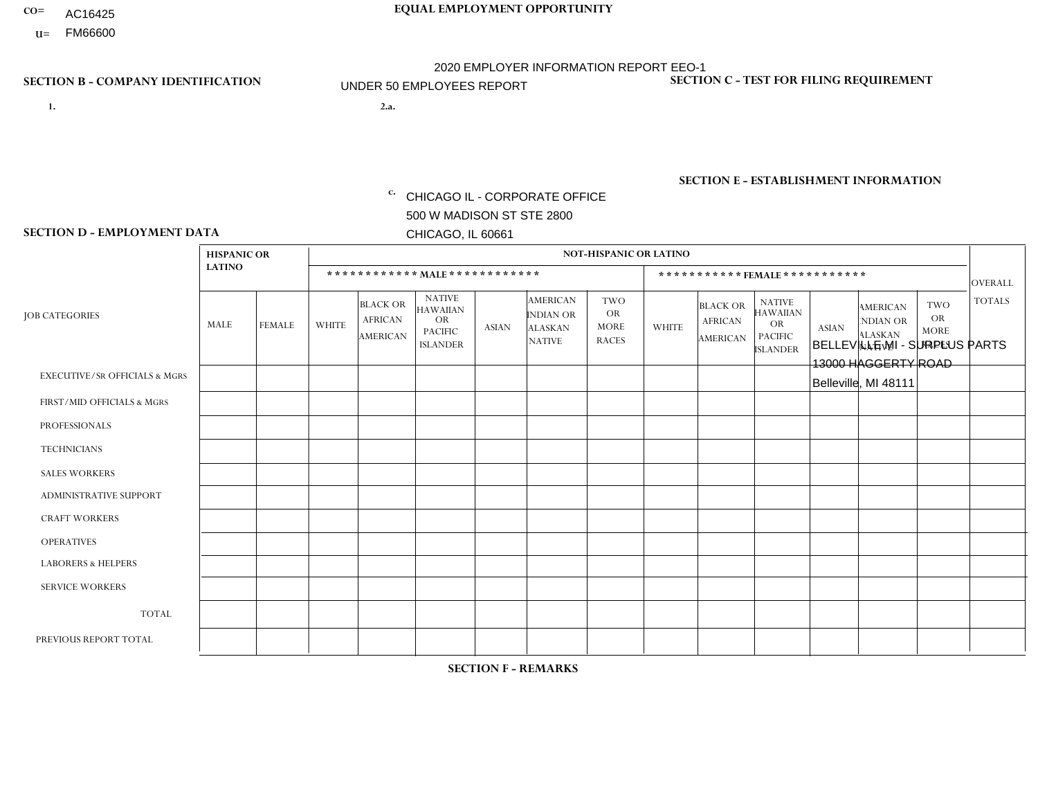- AC16425
- **U=**

**1. 2.a.** CHICAGO IL - CORPORATE OFFICE 500 W MADISON ST STE 2800 CHICAGO, IL 60661

2.a. BELLEVILLE MI - SURPLUS PARTS 13000 HAGGERTY ROAD Belleville, MI 48111

c. EIN= 952920557

## **SECTION B - COMPANY IDENTIFICATION SECTION C - TEST FOR FILING REQUIREMENT**

1- Y 2- Y 3- N DUNS= 000123456

**SECTION E - ESTABLISHMENT INFORMATION c.** NAICS: 423140

### **SECTION D - EMPLOYMENT DATA**

|                                          | <b>HISPANIC OR</b> |               |              |                                               |                                                                                    |          |                                                                        | <b>NOT-HISPANIC OR LATINO</b>                          |              |                                               |                                                                                    |              |                                                                       |                                                        |                |
|------------------------------------------|--------------------|---------------|--------------|-----------------------------------------------|------------------------------------------------------------------------------------|----------|------------------------------------------------------------------------|--------------------------------------------------------|--------------|-----------------------------------------------|------------------------------------------------------------------------------------|--------------|-----------------------------------------------------------------------|--------------------------------------------------------|----------------|
|                                          | <b>LATINO</b>      |               |              | ************ MALE ************                |                                                                                    |          |                                                                        |                                                        |              | ***********FEMALE***********                  |                                                                                    |              |                                                                       |                                                        | <b>OVERALL</b> |
| <b>JOB CATEGORIES</b>                    | MALE               | <b>FEMALE</b> | <b>WHITE</b> | <b>BLACK OR</b><br><b>AFRICAN</b><br>AMERICAN | <b>NATIVE</b><br><b>HAWAIIAN</b><br><b>OR</b><br><b>PACIFIC</b><br><b>ISLANDER</b> | ASIAN    | <b>AMERICAN</b><br><b>INDIAN OR</b><br><b>ALASKAN</b><br><b>NATIVE</b> | <b>TWO</b><br><b>OR</b><br><b>MORE</b><br><b>RACES</b> | <b>WHITE</b> | <b>BLACK OR</b><br><b>AFRICAN</b><br>AMERICAN | <b>NATIVE</b><br><b>HAWAIIAN</b><br><b>OR</b><br><b>PACIFIC</b><br><b>ISLANDER</b> | <b>ASIAN</b> | <b>AMERICAN</b><br><b>NDIAN OR</b><br><b>ALASKAN</b><br><b>NATIVE</b> | <b>TWO</b><br><b>OR</b><br><b>MORE</b><br><b>RACES</b> | <b>TOTALS</b>  |
| <b>EXECUTIVE/SR OFFICIALS &amp; MGRS</b> | $\Omega$           | $\mathbf 0$   | $\mathbf 0$  | $\mathbf 0$                                   | $\mathbf 0$                                                                        | $\Omega$ | $\Omega$                                                               | $\Omega$                                               | $\Omega$     | $\Omega$                                      | $\Omega$                                                                           | $\mathbf 0$  | $\mathbf 0$                                                           | $\mathbf 0$                                            | $\mathbf 0$    |
| FIRST/MID OFFICIALS & MGRS               | 0                  | $\Omega$      | $\Omega$     | $\Omega$                                      | $\Omega$                                                                           | $\Omega$ | $\Omega$                                                               | $\Omega$                                               | 0            | $\Omega$                                      | $\Omega$                                                                           | $\mathbf{0}$ | $\Omega$                                                              | $\mathbf{0}$                                           | $\mathbf{0}$   |
| <b>PROFESSIONALS</b>                     | 0                  | $\Omega$      | $\mathbf 0$  | $\mathbf 0$                                   | $\Omega$                                                                           | $\Omega$ | $\Omega$                                                               | $\Omega$                                               | 0            | $\Omega$                                      | $\Omega$                                                                           | $\Omega$     | $\Omega$                                                              | $\mathbf{0}$                                           | $\mathbf{0}$   |
| <b>TECHNICIANS</b>                       | $\Omega$           | $\mathbf 0$   | $\mathbf 0$  | $\mathbf 0$                                   | $\mathbf 0$                                                                        | $\Omega$ | $\Omega$                                                               | $\Omega$                                               | $\Omega$     | $\Omega$                                      | $\Omega$                                                                           | $\Omega$     | $\Omega$                                                              | $\Omega$                                               | $\mathbf{0}$   |
| <b>SALES WORKERS</b>                     | $\Omega$           | $\Omega$      | $\Omega$     | $\mathbf 0$                                   | $\Omega$                                                                           | $\Omega$ | $\Omega$                                                               | $\Omega$                                               | $\Omega$     | $\Omega$                                      | $\Omega$                                                                           | $\Omega$     | $\Omega$                                                              | $\Omega$                                               | $\Omega$       |
| ADMINISTRATIVE SUPPORT                   | $\Omega$           | $\Omega$      | $\Omega$     | $\Omega$                                      | $\Omega$                                                                           | $\Omega$ | $\Omega$                                                               | $\Omega$                                               | $\Omega$     | $\Omega$                                      | $\Omega$                                                                           | $\Omega$     | $\Omega$                                                              | $\Omega$                                               | $\mathbf 0$    |
| <b>CRAFT WORKERS</b>                     | 0                  | $\Omega$      | 1            | $\mathbf 0$                                   | $\Omega$                                                                           | $\Omega$ | $\Omega$                                                               | $\Omega$                                               | 0            | $\Omega$                                      | $\Omega$                                                                           | $\mathbf{0}$ | $\Omega$                                                              | $\Omega$                                               | $\mathbf{1}$   |
| <b>OPERATIVES</b>                        | 0                  | $\Omega$      | $\Omega$     | $\Omega$                                      | $\Omega$                                                                           | $\Omega$ | $\Omega$                                                               | $\Omega$                                               | $\Omega$     | $\Omega$                                      | $\Omega$                                                                           | $\Omega$     | $\Omega$                                                              | $\Omega$                                               | $\overline{0}$ |
| <b>LABORERS &amp; HELPERS</b>            | 0                  | $\Omega$      | $\Omega$     | $\mathbf 0$                                   | $\Omega$                                                                           | $\Omega$ | $\Omega$                                                               | $\Omega$                                               | $\Omega$     | $\Omega$                                      | $\Omega$                                                                           | $\Omega$     | $\Omega$                                                              | $\Omega$                                               | $\overline{0}$ |
| <b>SERVICE WORKERS</b>                   | 0                  | $\Omega$      | $\mathbf 0$  | $\mathbf 0$                                   | $\mathbf{0}$                                                                       | $\Omega$ | $\Omega$                                                               | $\Omega$                                               | $\Omega$     | $\Omega$                                      | $\Omega$                                                                           | $\Omega$     | $\Omega$                                                              | $\mathbf 0$                                            | $\mathbf{0}$   |
| <b>TOTAL</b>                             | $\Omega$           | $\Omega$      | -1           | 0                                             | $\Omega$                                                                           | $\Omega$ | $\Omega$                                                               | $\Omega$                                               | $\Omega$     | $\Omega$                                      | $\Omega$                                                                           | $\mathbf{0}$ | $\Omega$                                                              | $\mathbf 0$                                            | $\mathbf{1}$   |
| PREVIOUS REPORT TOTAL                    | 0                  | $\mathbf{0}$  |              | $\mathbf 0$                                   | $\Omega$                                                                           | $\Omega$ | $\Omega$                                                               | $\Omega$                                               | 0            | $\Omega$                                      | $\Omega$                                                                           | $\Omega$     | $\Omega$                                                              | $\mathbf 0$                                            | $\mathbf{1}$   |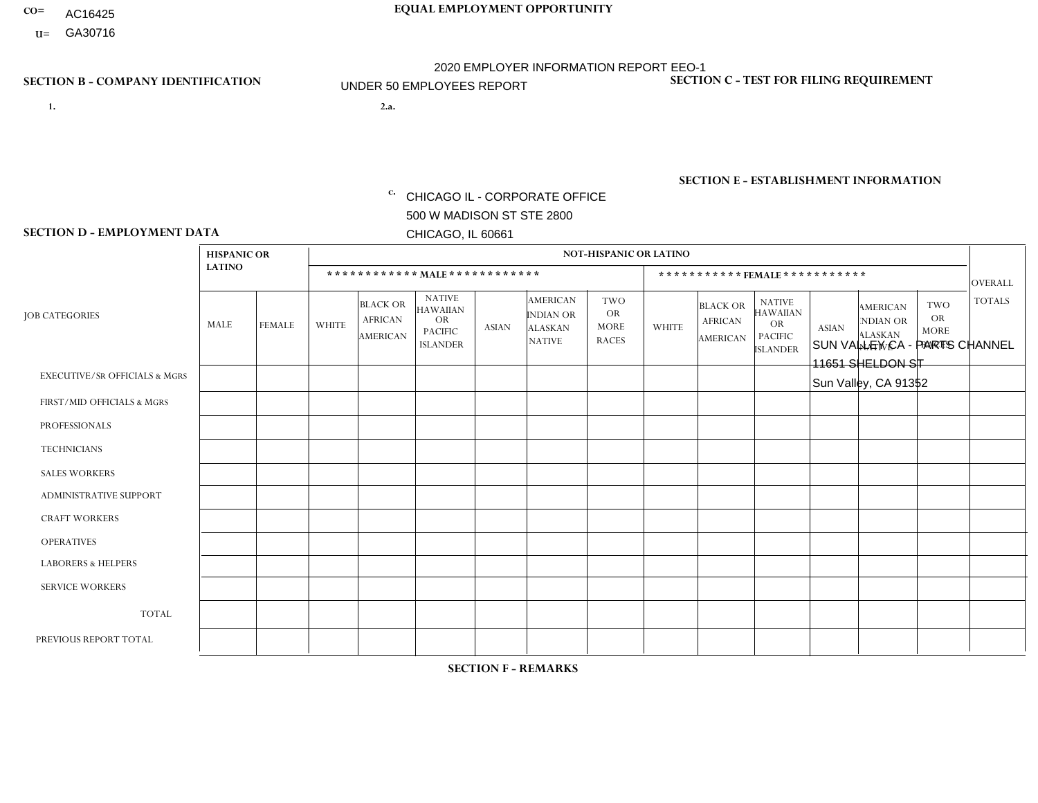- AC16425
- **U=**

**1. 2.a.** CHICAGO IL - CORPORATE OFFICE 500 W MADISON ST STE 2800 CHICAGO, IL 60661

2.a. SUN VALLEY CA - PARTS CHANNEL 11651 SHELDON ST Sun Valley, CA 91352

c. EIN= 952920557

## **SECTION B - COMPANY IDENTIFICATION SECTION C - TEST FOR FILING REQUIREMENT**

1- Y 2- Y 3- N DUNS= 000123456

**SECTION E - ESTABLISHMENT INFORMATION c.** NAICS: 423140

### **SECTION D - EMPLOYMENT DATA**

|                                          | <b>HISPANIC OR</b> |                |                |                                                      |                                                                                    |                      |                                                                        | <b>NOT-HISPANIC OR LATINO</b>                          |                |                                               |                                                                                    |              |                                                                       |                                                        |                |
|------------------------------------------|--------------------|----------------|----------------|------------------------------------------------------|------------------------------------------------------------------------------------|----------------------|------------------------------------------------------------------------|--------------------------------------------------------|----------------|-----------------------------------------------|------------------------------------------------------------------------------------|--------------|-----------------------------------------------------------------------|--------------------------------------------------------|----------------|
|                                          | <b>LATINO</b>      |                |                | ************ MALE ************                       |                                                                                    |                      |                                                                        |                                                        |                |                                               | *********** FEMALE ***********                                                     |              |                                                                       |                                                        | <b>OVERALL</b> |
| <b>JOB CATEGORIES</b>                    | <b>MALE</b>        | <b>FEMALE</b>  | <b>WHITE</b>   | <b>BLACK OR</b><br><b>AFRICAN</b><br><b>AMERICAN</b> | <b>NATIVE</b><br><b>HAWAIIAN</b><br><b>OR</b><br><b>PACIFIC</b><br><b>ISLANDER</b> | <b>ASIAN</b>         | <b>AMERICAN</b><br><b>INDIAN OR</b><br><b>ALASKAN</b><br><b>NATIVE</b> | <b>TWO</b><br><b>OR</b><br><b>MORE</b><br><b>RACES</b> | <b>WHITE</b>   | <b>BLACK OR</b><br><b>AFRICAN</b><br>AMERICAN | <b>NATIVE</b><br><b>HAWAIIAN</b><br><b>OR</b><br><b>PACIFIC</b><br><b>ISLANDER</b> | <b>ASIAN</b> | <b>AMERICAN</b><br><b>NDIAN OR</b><br><b>ALASKAN</b><br><b>NATIVE</b> | <b>TWO</b><br><b>OR</b><br><b>MORE</b><br><b>RACES</b> | <b>TOTALS</b>  |
| <b>EXECUTIVE/SR OFFICIALS &amp; MGRS</b> | $\Omega$           | $\Omega$       | $\mathbf{0}$   | $\Omega$                                             | $\Omega$                                                                           | $\Omega$             | $\Omega$                                                               | $\Omega$                                               | 0              | $\Omega$                                      | $\Omega$                                                                           | $\Omega$     | $\Omega$                                                              | $\Omega$                                               | $\Omega$       |
| FIRST/MID OFFICIALS & MGRS               | $\Omega$           | $\Omega$       | 1              | $\mathbf{0}$                                         | $\Omega$                                                                           | $\Omega$             | $\Omega$                                                               | $\Omega$                                               | 1              | $\Omega$                                      | 0                                                                                  | $\Omega$     | $\Omega$                                                              | $\Omega$                                               | $\overline{2}$ |
| <b>PROFESSIONALS</b>                     | $\Omega$           | $\Omega$       | $\Omega$       | $\mathbf 0$                                          | $\Omega$                                                                           | $\Omega$             | $\Omega$                                                               | $\Omega$                                               | $\Omega$       | $\Omega$                                      | 0                                                                                  | $\mathbf 0$  | $\Omega$                                                              | $\mathbf 0$                                            | $\mathbf{0}$   |
| <b>TECHNICIANS</b>                       | $\Omega$           | $\Omega$       | $\Omega$       | $\Omega$                                             | $\Omega$                                                                           | $\Omega$             | $\Omega$                                                               | $\Omega$                                               | $\Omega$       | $\Omega$                                      | $\Omega$                                                                           | $\mathbf 0$  | $\Omega$                                                              | $\mathbf 0$                                            | $\Omega$       |
| <b>SALES WORKERS</b>                     | -1                 | $\mathbf{1}$   | $\overline{c}$ | $\Omega$                                             | $\Omega$                                                                           | $\Omega$             | $\Omega$                                                               | $\Omega$                                               | $\Omega$       | $\Omega$                                      | $\mathbf{1}$                                                                       | $\Omega$     | $\Omega$                                                              | $\Omega$                                               | 5              |
| <b>ADMINISTRATIVE SUPPORT</b>            | $\Omega$           | $\Omega$       | $\Omega$       | $\mathbf 0$                                          | 0                                                                                  | $\Omega$             | $\Omega$                                                               | $\Omega$                                               | 1              | $\Omega$                                      | $\Omega$                                                                           | $\mathbf 0$  | $\Omega$                                                              | $\mathbf 0$                                            | $\mathbf 1$    |
| <b>CRAFT WORKERS</b>                     | $\Omega$           | $\Omega$       | $\Omega$       | $\mathbf 0$                                          | $\Omega$                                                                           | $\Omega$             | $\Omega$                                                               | $\Omega$                                               | 0              | $\Omega$                                      | 0                                                                                  | $\Omega$     | $\Omega$                                                              | $\Omega$                                               | $\Omega$       |
| <b>OPERATIVES</b>                        | 8                  | $\Omega$       | 1              | $\mathbf 0$                                          | $\Omega$                                                                           | $\Omega$             | $\Omega$                                                               | 1                                                      | 0              | $\Omega$                                      | 0                                                                                  | $\mathbf 0$  | $\Omega$                                                              | $\Omega$                                               | 10             |
| <b>LABORERS &amp; HELPERS</b>            | 4                  | $\Omega$       | -1             | $\mathbf 0$                                          | $\Omega$                                                                           | $\blacktriangleleft$ | $\Omega$                                                               | $\Omega$                                               | $\Omega$       | $\Omega$                                      | $\Omega$                                                                           | $\Omega$     | $\Omega$                                                              | $\Omega$                                               | 6              |
| <b>SERVICE WORKERS</b>                   | $\Omega$           | $\Omega$       | 0              | $\mathbf 0$                                          | $\Omega$                                                                           | $\Omega$             | $\Omega$                                                               | $\Omega$                                               | 0              | $\Omega$                                      | $\Omega$                                                                           | $\mathbf 0$  | $\Omega$                                                              | $\Omega$                                               | $\mathbf{0}$   |
| <b>TOTAL</b>                             | 13                 | $\mathbf{1}$   | 5              | 0                                                    | $\mathbf 0$                                                                        | $\blacktriangleleft$ | $\Omega$                                                               | $\mathbf 1$                                            | $\overline{2}$ | $\mathbf 0$                                   | $\mathbf{1}$                                                                       | $\mathbf 0$  | 0                                                                     | $\mathbf 0$                                            | 24             |
| PREVIOUS REPORT TOTAL                    | 15                 | $\overline{2}$ | 6              | $\mathbf 0$                                          | 0                                                                                  | 3                    | $\Omega$                                                               | $\overline{2}$                                         | $\overline{2}$ | $\Omega$                                      | 0                                                                                  | $\Omega$     | $\Omega$                                                              | $\mathbf 0$                                            | 30             |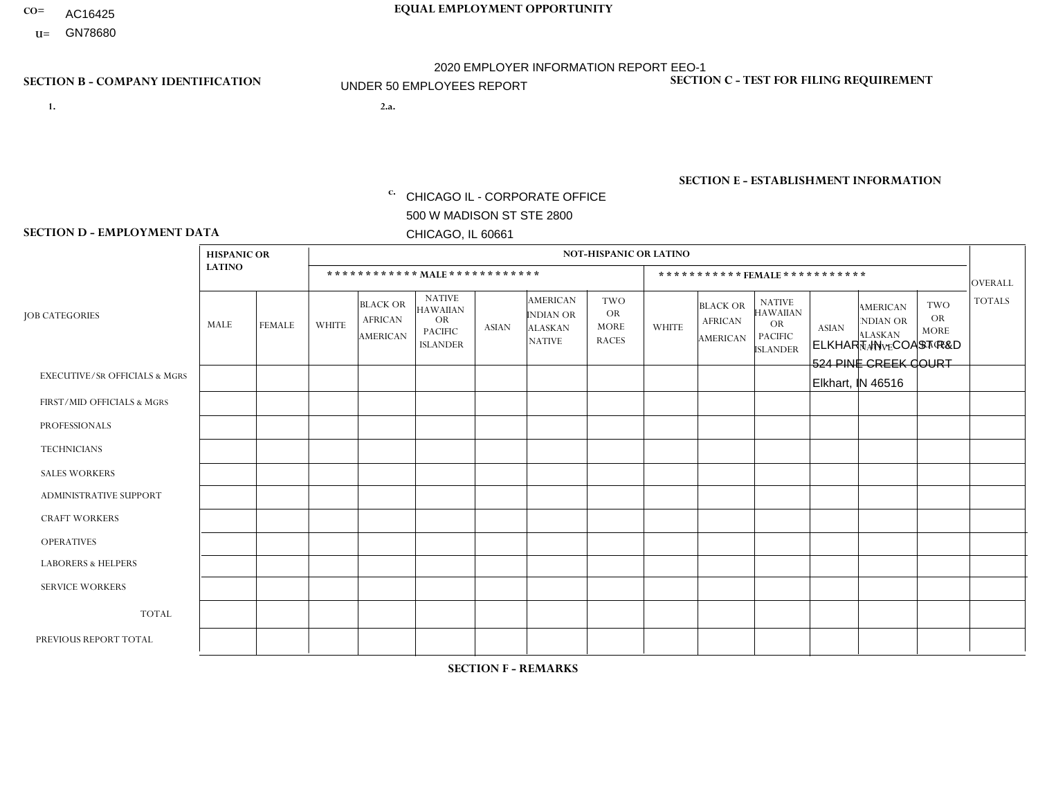- AC16425
- **U=**

**1. 2.a.** CHICAGO IL - CORPORATE OFFICE 500 W MADISON ST STE 2800 CHICAGO, IL 60661

ELKHART IN - COAST R&D 524 PINE CREEK COURT Elkhart, IN 46516

EIN= 952920557

## **SECTION B - COMPANY IDENTIFICATION SECTION C - TEST FOR FILING REQUIREMENT**

1- Y 2- Y 3- N DUNS= 000123456

**SECTION E - ESTABLISHMENT INFORMATION c.** NAICS: 423140

### **SECTION D - EMPLOYMENT DATA**

|                                          | <b>HISPANIC OR</b> |               |                |                                               |                                                                                    |              |                                                                        | <b>NOT-HISPANIC OR LATINO</b>                          |                |                                               |                                                                                    |              |                                                                       |                                                        |                 |
|------------------------------------------|--------------------|---------------|----------------|-----------------------------------------------|------------------------------------------------------------------------------------|--------------|------------------------------------------------------------------------|--------------------------------------------------------|----------------|-----------------------------------------------|------------------------------------------------------------------------------------|--------------|-----------------------------------------------------------------------|--------------------------------------------------------|-----------------|
|                                          | <b>LATINO</b>      |               |                | ************ MALE ************                |                                                                                    |              |                                                                        |                                                        |                |                                               | ***********FEMALE***********                                                       |              |                                                                       |                                                        | <b>OVERALL</b>  |
| <b>JOB CATEGORIES</b>                    | MALE               | <b>FEMALE</b> | <b>WHITE</b>   | <b>BLACK OR</b><br><b>AFRICAN</b><br>AMERICAN | <b>NATIVE</b><br><b>HAWAIIAN</b><br><b>OR</b><br><b>PACIFIC</b><br><b>ISLANDER</b> | <b>ASIAN</b> | <b>AMERICAN</b><br><b>INDIAN OR</b><br><b>ALASKAN</b><br><b>NATIVE</b> | <b>TWO</b><br><b>OR</b><br><b>MORE</b><br><b>RACES</b> | <b>WHITE</b>   | <b>BLACK OR</b><br><b>AFRICAN</b><br>AMERICAN | <b>NATIVE</b><br><b>HAWAIIAN</b><br><b>OR</b><br><b>PACIFIC</b><br><b>ISLANDER</b> | <b>ASIAN</b> | <b>AMERICAN</b><br><b>NDIAN OR</b><br><b>ALASKAN</b><br><b>NATIVE</b> | <b>TWO</b><br><b>OR</b><br><b>MORE</b><br><b>RACES</b> | <b>TOTALS</b>   |
| <b>EXECUTIVE/SR OFFICIALS &amp; MGRS</b> | $\mathbf 0$        | $\mathbf 0$   | $\mathbf 0$    | $\mathbf 0$                                   | $\mathbf 0$                                                                        | $\mathbf 0$  | $\Omega$                                                               | $\Omega$                                               | $\Omega$       | $\Omega$                                      | $\Omega$                                                                           | $\mathbf 0$  | $\mathbf 0$                                                           | $\mathbf 0$                                            | $\mathbf 0$     |
| FIRST/MID OFFICIALS & MGRS               | 0                  | $\Omega$      | $\overline{c}$ | $\mathbf 0$                                   | $\Omega$                                                                           | $\Omega$     | $\Omega$                                                               | $\Omega$                                               | 0              | $\Omega$                                      | $\Omega$                                                                           | $\mathbf{0}$ | $\Omega$                                                              | $\Omega$                                               | 2               |
| <b>PROFESSIONALS</b>                     | $\Omega$           | $\mathbf 0$   | $\overline{2}$ | $\mathbf 0$                                   | $\Omega$                                                                           | $\Omega$     | $\Omega$                                                               | $\Omega$                                               |                | $\Omega$                                      | $\Omega$                                                                           | $\mathbf 0$  | $\Omega$                                                              | $\mathbf 0$                                            | 3               |
| <b>TECHNICIANS</b>                       | 0                  | $\Omega$      | $\Omega$       | $\mathbf 0$                                   | $\Omega$                                                                           | $\Omega$     | $\Omega$                                                               | $\Omega$                                               | $\Omega$       | $\Omega$                                      | $\Omega$                                                                           | $\Omega$     | $\Omega$                                                              | $\Omega$                                               | $\mathbf{0}$    |
| <b>SALES WORKERS</b>                     | 0                  | $\Omega$      | $\Omega$       | $\mathbf 0$                                   | $\Omega$                                                                           | $\Omega$     | $\Omega$                                                               | $\Omega$                                               | $\Omega$       | $\Omega$                                      | $\Omega$                                                                           | $\Omega$     | $\Omega$                                                              | $\Omega$                                               | $\mathbf 0$     |
| ADMINISTRATIVE SUPPORT                   | $\Omega$           | $\mathbf 0$   | и              | $\mathbf 0$                                   | 0                                                                                  | $\Omega$     | $\Omega$                                                               | $\Omega$                                               | $\overline{2}$ | $\Omega$                                      | $\Omega$                                                                           | $\Omega$     | $\Omega$                                                              | $\mathbf 0$                                            | 3               |
| <b>CRAFT WORKERS</b>                     | 0                  | $\Omega$      | $\Omega$       | $\mathbf 0$                                   | $\Omega$                                                                           | $\Omega$     | $\Omega$                                                               | $\Omega$                                               | 0              | $\Omega$                                      | $\Omega$                                                                           | $\mathbf{0}$ | $\Omega$                                                              | $\mathbf{0}$                                           | $\mathbf 0$     |
| <b>OPERATIVES</b>                        | 0                  | $\Omega$      | $\mathbf 0$    | $\mathbf 0$                                   | $\Omega$                                                                           | $\Omega$     | $\Omega$                                                               | $\Omega$                                               | $\Omega$       | $\Omega$                                      | $\Omega$                                                                           | $\Omega$     | $\Omega$                                                              | $\Omega$                                               | $\mathbf 0$     |
| <b>LABORERS &amp; HELPERS</b>            | 0                  | $\Omega$      | $\Omega$       | $\mathbf 0$                                   | $\Omega$                                                                           | $\Omega$     | $\Omega$                                                               | $\Omega$                                               | $\overline{0}$ | $\Omega$                                      | $\Omega$                                                                           | $\Omega$     | $\Omega$                                                              | $\Omega$                                               | $\mathbf{0}$    |
| <b>SERVICE WORKERS</b>                   | 0                  | $\Omega$      | $\mathbf 0$    | 0                                             | 0                                                                                  | $\mathbf 0$  | $\Omega$                                                               | $\Omega$                                               | $\Omega$       | $\Omega$                                      | $\Omega$                                                                           | $\Omega$     | $\Omega$                                                              | $\mathbf 0$                                            | $\overline{0}$  |
| <b>TOTAL</b>                             | $\mathbf 0$        | 0             | 5              | 0                                             | 0                                                                                  | $\mathbf{0}$ | $\Omega$                                                               | $\Omega$                                               | 3              | 0                                             | $\Omega$                                                                           | 0            | 0                                                                     | $\mathbf 0$                                            | 8               |
| PREVIOUS REPORT TOTAL                    | 0                  | $\Omega$      | 5              | $\overline{1}$                                | $\Omega$                                                                           | $\Omega$     | $\Omega$                                                               | $\Omega$                                               | 4              | $\Omega$                                      | $\Omega$                                                                           | $\Omega$     | $\Omega$                                                              | $\mathbf 0$                                            | 10 <sup>°</sup> |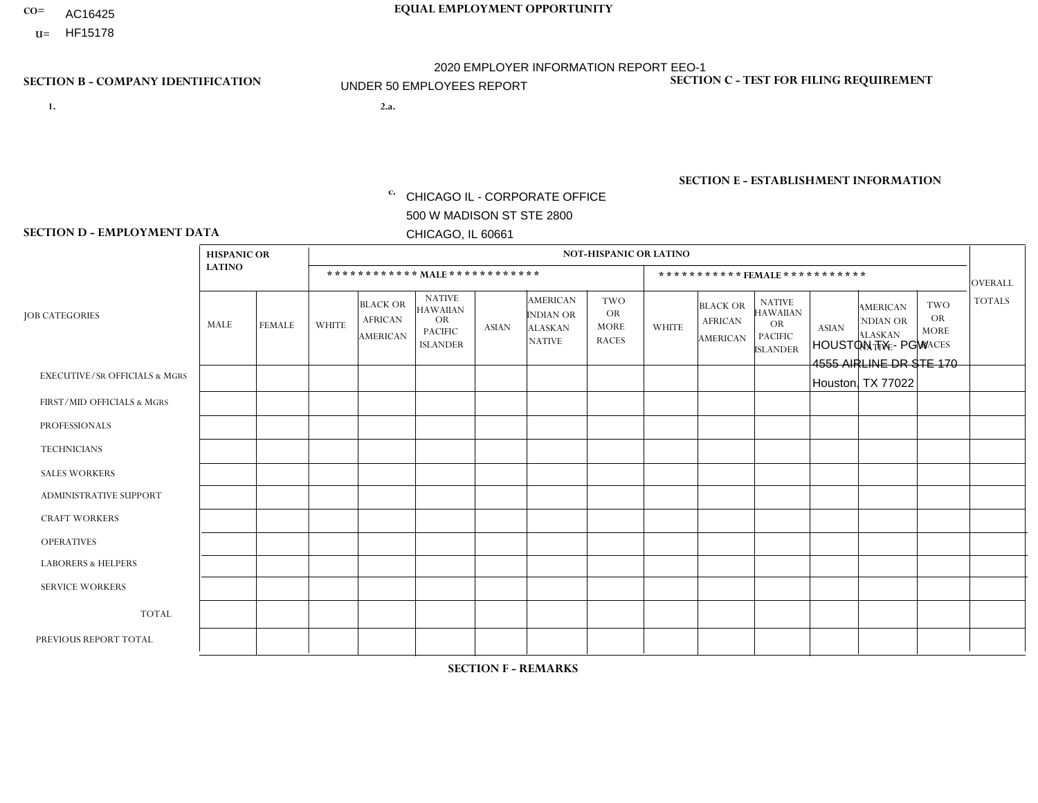- AC16425
- **U=**

- **1. 2.a.** CHICAGO IL CORPORATE OFFICE 500 W MADISON ST STE 2800 CHICAGO, IL 60661
- 2.a. HOUSTON TX PGW 4555 AIRLINE DR STE 170 Houston, TX 77022

EIN= 952920557

## **SECTION B - COMPANY IDENTIFICATION SECTION C - TEST FOR FILING REQUIREMENT**

1- Y 2- Y 3- N DUNS= 000123456

**SECTION E - ESTABLISHMENT INFORMATION c.** NAICS: 811122

### **SECTION D - EMPLOYMENT DATA**

|                                          | <b>HISPANIC OR</b> |               |              |                                                      |                                                                                    |              |                                                                        | <b>NOT-HISPANIC OR LATINO</b>                          |              |                                                      |                                                                                    |              |                                                                       |                                                        |                |
|------------------------------------------|--------------------|---------------|--------------|------------------------------------------------------|------------------------------------------------------------------------------------|--------------|------------------------------------------------------------------------|--------------------------------------------------------|--------------|------------------------------------------------------|------------------------------------------------------------------------------------|--------------|-----------------------------------------------------------------------|--------------------------------------------------------|----------------|
|                                          | <b>LATINO</b>      |               |              | ************ MALE ************                       |                                                                                    |              |                                                                        |                                                        |              |                                                      | *********** FEMALE ***********                                                     |              |                                                                       |                                                        | <b>OVERALL</b> |
| <b>JOB CATEGORIES</b>                    | <b>MALE</b>        | <b>FEMALE</b> | <b>WHITE</b> | <b>BLACK OR</b><br><b>AFRICAN</b><br><b>AMERICAN</b> | <b>NATIVE</b><br><b>HAWAIIAN</b><br><b>OR</b><br><b>PACIFIC</b><br><b>ISLANDER</b> | <b>ASIAN</b> | <b>AMERICAN</b><br><b>INDIAN OR</b><br><b>ALASKAN</b><br><b>NATIVE</b> | <b>TWO</b><br><b>OR</b><br><b>MORE</b><br><b>RACES</b> | <b>WHITE</b> | <b>BLACK OR</b><br><b>AFRICAN</b><br><b>AMERICAN</b> | <b>NATIVE</b><br><b>HAWAIIAN</b><br><b>OR</b><br><b>PACIFIC</b><br><b>ISLANDER</b> | <b>ASIAN</b> | <b>AMERICAN</b><br><b>NDIAN OR</b><br><b>ALASKAN</b><br><b>NATIVE</b> | <b>TWO</b><br><b>OR</b><br><b>MORE</b><br><b>RACES</b> | <b>TOTALS</b>  |
| <b>EXECUTIVE/SR OFFICIALS &amp; MGRS</b> | $\Omega$           | $\Omega$      | $\Omega$     | $\Omega$                                             | $\Omega$                                                                           | $\Omega$     | $\Omega$                                                               | $\Omega$                                               | $\Omega$     | $\mathbf{0}$                                         | $\Omega$                                                                           | $\Omega$     | $\Omega$                                                              | $\Omega$                                               | $\Omega$       |
| FIRST/MID OFFICIALS & MGRS               | $\Omega$           | $\Omega$      | $\Omega$     | $\mathbf{1}$                                         | 0                                                                                  | $\Omega$     | $\Omega$                                                               | $\Omega$                                               | $\Omega$     | $\mathbf{0}$                                         | $\mathbf{0}$                                                                       | $\Omega$     | $\Omega$                                                              | $\Omega$                                               | $\mathbf{1}$   |
| <b>PROFESSIONALS</b>                     | $\Omega$           | $\Omega$      | $\mathbf 0$  | $\mathbf 0$                                          | $\overline{0}$                                                                     | $\Omega$     | $\overline{0}$                                                         | $\Omega$                                               | $\Omega$     | $\Omega$                                             | $\mathbf{0}$                                                                       | $\Omega$     | $\Omega$                                                              | $\Omega$                                               | $\mathbf 0$    |
| <b>TECHNICIANS</b>                       | $\mathbf 0$        | $\mathbf 0$   | $\Omega$     | $\mathbf 0$                                          | 0                                                                                  | $\Omega$     | $\overline{0}$                                                         | $\Omega$                                               | $\mathbf 0$  | $\mathbf 0$                                          | $\mathbf 0$                                                                        | $\mathbf 0$  | $\Omega$                                                              | $\mathbf{0}$                                           | $\mathbf 0$    |
| <b>SALES WORKERS</b>                     | $\Omega$           | $\Omega$      | $\Omega$     | $\Omega$                                             | $\Omega$                                                                           | $\Omega$     | $\Omega$                                                               | $\Omega$                                               | $\Omega$     | $\Omega$                                             | $\Omega$                                                                           | $\Omega$     | $\Omega$                                                              | $\mathbf{0}$                                           | $\mathbf 0$    |
| <b>ADMINISTRATIVE SUPPORT</b>            | $\Omega$           | $\Omega$      | $\Omega$     | 0                                                    | $\mathbf 0$                                                                        | $\Omega$     | $\Omega$                                                               | $\Omega$                                               | $\Omega$     | $\mathbf{0}$                                         | $\mathbf{0}$                                                                       | $\Omega$     | $\Omega$                                                              | $\Omega$                                               | $\mathbf 0$    |
| <b>CRAFT WORKERS</b>                     | 0                  | $\Omega$      | $\mathbf 0$  | $\mathbf 0$                                          | 0                                                                                  | $\Omega$     | $\Omega$                                                               | $\Omega$                                               | $\Omega$     | $\Omega$                                             | $\Omega$                                                                           | $\Omega$     | $\Omega$                                                              | $\Omega$                                               | $\mathbf 0$    |
| <b>OPERATIVES</b>                        | 4                  | $\mathbf 0$   | $\Omega$     | 2                                                    | 0                                                                                  | $\Omega$     | $\overline{0}$                                                         | $\Omega$                                               | $\Omega$     | $\Omega$                                             | $\Omega$                                                                           | $\Omega$     | $\Omega$                                                              | $\mathbf{0}$                                           | 6              |
| <b>LABORERS &amp; HELPERS</b>            | $\Omega$           | $\Omega$      | $\Omega$     | $\Omega$                                             | 0                                                                                  | $\Omega$     | $\Omega$                                                               | $\Omega$                                               | $\Omega$     | $\Omega$                                             | $\mathbf{0}$                                                                       | $\Omega$     | $\Omega$                                                              | $\Omega$                                               | 0              |
| <b>SERVICE WORKERS</b>                   | 0                  | 0             | 0            | 0                                                    | 0                                                                                  | $\Omega$     | $\Omega$                                                               | $\Omega$                                               | $\Omega$     | $\Omega$                                             | $\mathbf{0}$                                                                       | $\Omega$     | $\Omega$                                                              | $\Omega$                                               | 0              |
| <b>TOTAL</b>                             | 4                  | $\mathbf 0$   | 0            | 3                                                    | 0                                                                                  | $\mathbf 0$  | $\Omega$                                                               | $\Omega$                                               | $\Omega$     | $\Omega$                                             | $\Omega$                                                                           | $\mathbf 0$  | $\Omega$                                                              | $\mathbf 0$                                            | $\overline{7}$ |
| PREVIOUS REPORT TOTAL                    |                    | $\mathbf 0$   | $\Omega$     | 3                                                    | 0                                                                                  | $\Omega$     | $\Omega$                                                               | $\Omega$                                               | $\Omega$     | $\Omega$                                             | $\mathbf{0}$                                                                       | $\Omega$     | $\Omega$                                                              | $\mathbf 0$                                            | $\overline{4}$ |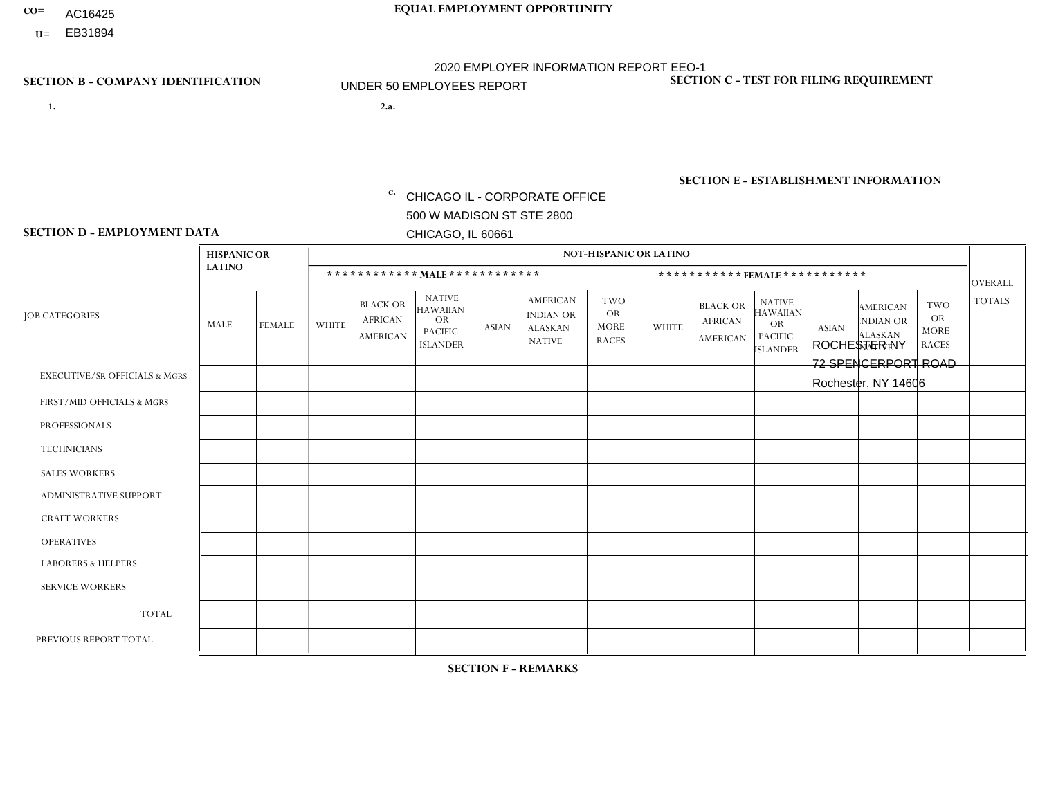- AC16425
- **U=**

- **1. 2.a.** CHICAGO IL CORPORATE OFFICE 500 W MADISON ST STE 2800 CHICAGO, IL 60661
- 2.a. ROCHESTER NY 72 SPENCERPORT ROAD Rochester, NY 14606

EIN= 952920557

## **SECTION B - COMPANY IDENTIFICATION SECTION C - TEST FOR FILING REQUIREMENT**

1- Y 2- Y 3- N DUNS= 000123456

**SECTION E - ESTABLISHMENT INFORMATION c.** NAICS: 423140

### **SECTION D - EMPLOYMENT DATA**

|                                          | <b>NOT-HISPANIC OR LATINO</b><br><b>HISPANIC OR</b> |               |                |                                                      |                                                                                    |              |                                                                        |                                                        |                |                                               |                                                                                    |              |                                                                       |                                                        |                                 |
|------------------------------------------|-----------------------------------------------------|---------------|----------------|------------------------------------------------------|------------------------------------------------------------------------------------|--------------|------------------------------------------------------------------------|--------------------------------------------------------|----------------|-----------------------------------------------|------------------------------------------------------------------------------------|--------------|-----------------------------------------------------------------------|--------------------------------------------------------|---------------------------------|
|                                          | <b>LATINO</b>                                       |               |                |                                                      | ************ MALE************                                                      |              |                                                                        |                                                        |                | ***********FEMALE***********                  |                                                                                    |              |                                                                       |                                                        |                                 |
| <b>JOB CATEGORIES</b>                    | MALE                                                | <b>FEMALE</b> | <b>WHITE</b>   | <b>BLACK OR</b><br><b>AFRICAN</b><br><b>AMERICAN</b> | <b>NATIVE</b><br><b>HAWAIIAN</b><br><b>OR</b><br><b>PACIFIC</b><br><b>ISLANDER</b> | <b>ASIAN</b> | <b>AMERICAN</b><br><b>INDIAN OR</b><br><b>ALASKAN</b><br><b>NATIVE</b> | <b>TWO</b><br><b>OR</b><br><b>MORE</b><br><b>RACES</b> | <b>WHITE</b>   | <b>BLACK OR</b><br><b>AFRICAN</b><br>AMERICAN | <b>NATIVE</b><br><b>HAWAIIAN</b><br><b>OR</b><br><b>PACIFIC</b><br><b>ISLANDER</b> | <b>ASIAN</b> | <b>AMERICAN</b><br><b>NDIAN OR</b><br><b>ALASKAN</b><br><b>NATIVE</b> | <b>TWO</b><br><b>OR</b><br><b>MORE</b><br><b>RACES</b> | <b>OVERALL</b><br><b>TOTALS</b> |
| <b>EXECUTIVE/SR OFFICIALS &amp; MGRS</b> | $\Omega$                                            | $\Omega$      | $\Omega$       | $\mathbf 0$                                          | $\Omega$                                                                           | $\mathbf{0}$ | $\mathbf{0}$                                                           | $\mathbf{0}$                                           | 0              | $\Omega$                                      | $\Omega$                                                                           | 0            | $\Omega$                                                              | $\mathbf 0$                                            | $\mathbf 0$                     |
| FIRST/MID OFFICIALS & MGRS               | 0                                                   | $\Omega$      | 3              | $\mathbf 0$                                          | $\Omega$                                                                           | $\Omega$     | -1                                                                     | $\Omega$                                               | 0              | $\Omega$                                      | $\Omega$                                                                           | $\mathbf{0}$ | $\Omega$                                                              | $\mathbf{0}$                                           | $\overline{4}$                  |
| <b>PROFESSIONALS</b>                     | 0                                                   | $\Omega$      | $\Omega$       | $\mathbf 0$                                          | $\Omega$                                                                           | $\Omega$     | $\Omega$                                                               |                                                        | 0              | $\Omega$                                      | $\Omega$                                                                           | $\Omega$     | $\Omega$                                                              | $\mathbf{0}$                                           | $\mathbf{1}$                    |
| <b>TECHNICIANS</b>                       | $\Omega$                                            | $\mathbf 0$   | $\mathbf 0$    | $\mathbf 0$                                          | $\mathbf 0$                                                                        | $\Omega$     | $\Omega$                                                               | $\Omega$                                               | $\Omega$       | $\mathbf 0$                                   | $\Omega$                                                                           | $\mathbf 0$  | $\mathbf 0$                                                           | $\mathbf 0$                                            | $\mathbf{0}$                    |
| <b>SALES WORKERS</b>                     | 0                                                   | $\Omega$      | $\Omega$       | $\Omega$                                             | $\Omega$                                                                           | $\Omega$     | $\Omega$                                                               | $\Omega$                                               | $\overline{0}$ | $\Omega$                                      | $\Omega$                                                                           | $\Omega$     | $\Omega$                                                              | $\Omega$                                               | $\mathbf 0$                     |
| <b>ADMINISTRATIVE SUPPORT</b>            | $\Omega$                                            | $\Omega$      | $\Omega$       | $\mathbf 0$                                          | $\Omega$                                                                           | $\Omega$     | $\Omega$                                                               | $\Omega$                                               | $\Omega$       | $\Omega$                                      | $\Omega$                                                                           | $\mathbf{0}$ | $\mathbf{0}$                                                          | $\Omega$                                               | $\mathbf 0$                     |
| <b>CRAFT WORKERS</b>                     | 0                                                   | $\Omega$      | $\Omega$       | $\mathbf 0$                                          | $\Omega$                                                                           | $\Omega$     | $\Omega$                                                               | $\Omega$                                               | 0              | $\Omega$                                      | $\Omega$                                                                           | $\mathbf{0}$ | $\Omega$                                                              | $\Omega$                                               | $\Omega$                        |
| <b>OPERATIVES</b>                        | $\overline{2}$                                      | $\Omega$      | 11             | 4                                                    | $\Omega$                                                                           | $\Omega$     | $\Omega$                                                               | $\Omega$                                               |                | $\Omega$                                      | $\Omega$                                                                           | $\mathbf{0}$ | $\Omega$                                                              | $\Omega$                                               | 18                              |
| <b>LABORERS &amp; HELPERS</b>            | 0                                                   | $\Omega$      | $\overline{ }$ | $\overline{1}$                                       | $\Omega$                                                                           | $\Omega$     | $\Omega$                                                               | $\Omega$                                               | 0              | $\Omega$                                      | $\Omega$                                                                           | $\Omega$     | $\Omega$                                                              | $\Omega$                                               | $\overline{2}$                  |
| <b>SERVICE WORKERS</b>                   | 0                                                   | $\mathbf 0$   | $\mathbf 0$    | $\mathbf 0$                                          | $\mathbf 0$                                                                        | $\mathbf 0$  | $\Omega$                                                               | $\Omega$                                               | $\Omega$       | $\Omega$                                      | $\Omega$                                                                           | $\mathbf 0$  | $\Omega$                                                              | $\mathbf 0$                                            | $\mathbf 0$                     |
| <b>TOTAL</b>                             | $\overline{2}$                                      | 0             | 15             | 5                                                    | 0                                                                                  | $\mathbf 0$  | $\overline{1}$                                                         |                                                        |                | $\Omega$                                      | $\Omega$                                                                           | $\mathbf 0$  | 0                                                                     | $\mathbf 0$                                            | 25                              |
| PREVIOUS REPORT TOTAL                    | 5                                                   | $\Omega$      | 22             | 5                                                    | $\Omega$                                                                           | $\Omega$     | $\overline{1}$                                                         |                                                        |                | $\Omega$                                      | $\Omega$                                                                           | $\Omega$     | $\Omega$                                                              | $\mathbf 0$                                            | 35                              |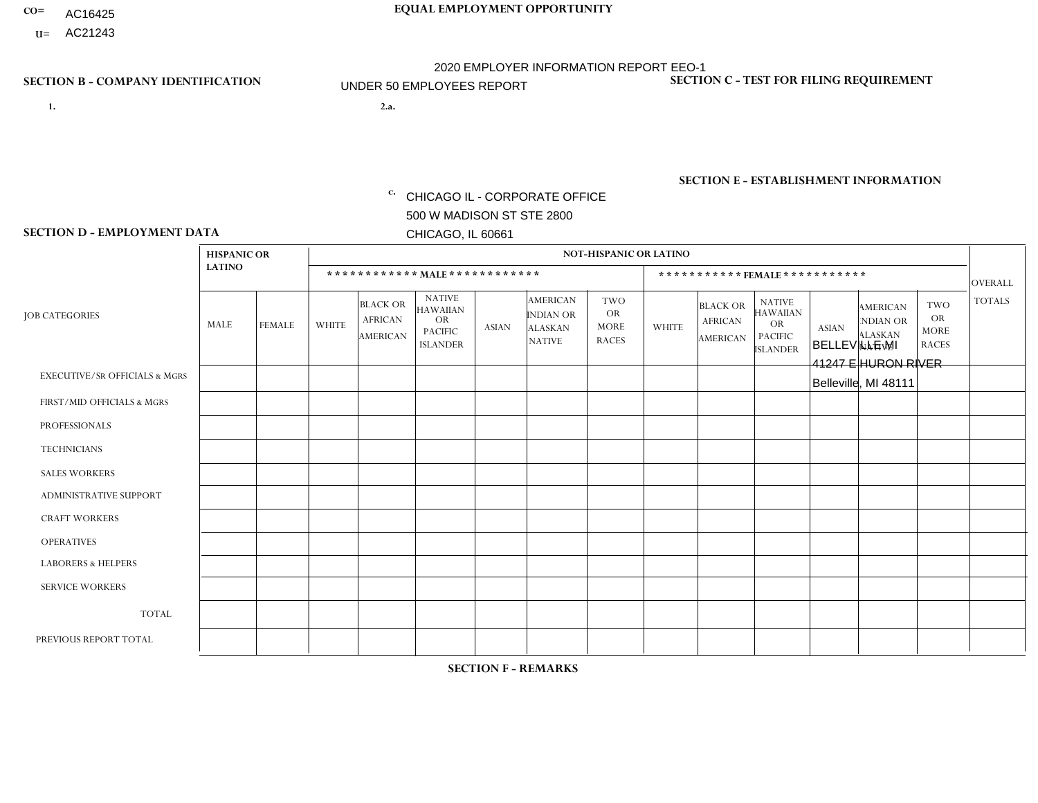- AC16425
- **U=**

- **1. 2.a.** CHICAGO IL CORPORATE OFFICE 500 W MADISON ST STE 2800 CHICAGO, IL 60661
- 2.a. BELLEVILLE MI 41247 E HURON RIVER Belleville, MI 48111

EIN= 952920557

## **SECTION B - COMPANY IDENTIFICATION SECTION C - TEST FOR FILING REQUIREMENT**

1- Y 2- Y 3- N DUNS= 000123456

**SECTION E - ESTABLISHMENT INFORMATION c.** NAICS: 423140

### **SECTION D - EMPLOYMENT DATA**

|                                          | <b>HISPANIC OR</b> |                |                |                                                      |                                                                                    |              |                                                                 | <b>NOT-HISPANIC OR LATINO</b>                          |                |                                                      |                                                                                    |              |                                                                       |                                                        |                |
|------------------------------------------|--------------------|----------------|----------------|------------------------------------------------------|------------------------------------------------------------------------------------|--------------|-----------------------------------------------------------------|--------------------------------------------------------|----------------|------------------------------------------------------|------------------------------------------------------------------------------------|--------------|-----------------------------------------------------------------------|--------------------------------------------------------|----------------|
|                                          | <b>LATINO</b>      |                |                | ************ MALE ************                       |                                                                                    |              |                                                                 |                                                        |                |                                                      | ***********FEMALE***********                                                       |              |                                                                       |                                                        | <b>OVERALL</b> |
| <b>JOB CATEGORIES</b>                    | <b>MALE</b>        | <b>FEMALE</b>  | <b>WHITE</b>   | <b>BLACK OR</b><br><b>AFRICAN</b><br><b>AMERICAN</b> | <b>NATIVE</b><br><b>HAWAIIAN</b><br><b>OR</b><br><b>PACIFIC</b><br><b>ISLANDER</b> | <b>ASIAN</b> | <b>AMERICAN</b><br>INDIAN OR<br><b>ALASKAN</b><br><b>NATIVE</b> | <b>TWO</b><br><b>OR</b><br><b>MORE</b><br><b>RACES</b> | <b>WHITE</b>   | <b>BLACK OR</b><br><b>AFRICAN</b><br><b>AMERICAN</b> | <b>NATIVE</b><br><b>HAWAIIAN</b><br><b>OR</b><br><b>PACIFIC</b><br><b>ISLANDER</b> | <b>ASIAN</b> | <b>AMERICAN</b><br><b>NDIAN OR</b><br><b>ALASKAN</b><br><b>NATIVE</b> | <b>TWO</b><br><b>OR</b><br><b>MORE</b><br><b>RACES</b> | <b>TOTALS</b>  |
| <b>EXECUTIVE/SR OFFICIALS &amp; MGRS</b> | $\Omega$           | $\Omega$       | $\Omega$       | $\mathbf 0$                                          | $\Omega$                                                                           | $\Omega$     | $\Omega$                                                        | $\Omega$                                               | $\Omega$       | $\Omega$                                             | $\mathbf{0}$                                                                       | $\Omega$     | $\Omega$                                                              | $\Omega$                                               | $\mathbf 0$    |
| FIRST/MID OFFICIALS & MGRS               | $\Omega$           | $\Omega$       | 4              | $\Omega$                                             | $\Omega$                                                                           | $\Omega$     | $\Omega$                                                        | $\Omega$                                               | $\Omega$       | $\Omega$                                             | $\Omega$                                                                           | $\Omega$     | $\Omega$                                                              | $\Omega$                                               | $\overline{4}$ |
| <b>PROFESSIONALS</b>                     | $\Omega$           | 0              | $\overline{c}$ | $\mathbf 0$                                          | $\Omega$                                                                           | $\Omega$     | $\Omega$                                                        | $\Omega$                                               | 1              | $\Omega$                                             | $\Omega$                                                                           | $\Omega$     | $\Omega$                                                              | $\Omega$                                               | 3              |
| <b>TECHNICIANS</b>                       | $\Omega$           | $\mathbf 0$    | $\Omega$       | $\mathbf 0$                                          | 0                                                                                  | $\Omega$     | $\overline{0}$                                                  | $\Omega$                                               | $\mathbf 0$    | $\mathbf 0$                                          | $\mathbf 0$                                                                        | $\mathbf 0$  | $\Omega$                                                              | $\mathbf{0}$                                           | $\mathbf 0$    |
| <b>SALES WORKERS</b>                     | $\Omega$           | $\Omega$       | 10             | $\mathbf{0}$                                         | 0                                                                                  | $\Omega$     | $\Omega$                                                        | $\Omega$                                               | 5              | $\Omega$                                             | $\Omega$                                                                           | $\Omega$     | $\Omega$                                                              | $\Omega$                                               | 15             |
| <b>ADMINISTRATIVE SUPPORT</b>            | $\Omega$           | $\mathbf 0$    | 5              | $\mathbf 0$                                          | $\mathbf 0$                                                                        | $\mathbf 0$  | $\Omega$                                                        | $\Omega$                                               | $\overline{2}$ | $\Omega$                                             | $\mathbf{0}$                                                                       | $\Omega$     | $\Omega$                                                              | $\mathbf{0}$                                           | $\overline{7}$ |
| <b>CRAFT WORKERS</b>                     | $\Omega$           | $\Omega$       | 5              | $\mathbf 0$                                          | $\Omega$                                                                           | $\Omega$     | $\Omega$                                                        | $\Omega$                                               | $\Omega$       | $\Omega$                                             | $\Omega$                                                                           | $\Omega$     | $\Omega$                                                              | $\Omega$                                               | 5              |
| <b>OPERATIVES</b>                        |                    | $\Omega$       | 4              | $\mathbf 0$                                          | 0                                                                                  | $\Omega$     | $\Omega$                                                        | $\overline{2}$                                         | $\Omega$       | $\Omega$                                             | $\Omega$                                                                           | $\Omega$     | $\Omega$                                                              | $\Omega$                                               | $\overline{7}$ |
| <b>LABORERS &amp; HELPERS</b>            | $\overline{2}$     | $\mathbf 0$    | 4              | $\mathbf 0$                                          | 0                                                                                  | $\mathbf 0$  | $\Omega$                                                        | $\Omega$                                               | $\Omega$       | $\Omega$                                             | $\Omega$                                                                           | $\Omega$     | $\Omega$                                                              | $\Omega$                                               | 6              |
| <b>SERVICE WORKERS</b>                   | $\Omega$           | $\Omega$       | $\Omega$       | $\mathbf 0$                                          | $\Omega$                                                                           | $\Omega$     | $\Omega$                                                        | $\Omega$                                               | $\Omega$       | $\Omega$                                             | $\Omega$                                                                           | $\Omega$     | $\Omega$                                                              | $\Omega$                                               | 0              |
| <b>TOTAL</b>                             | 3                  | $\mathbf 0$    | 34             | $\mathbf 0$                                          | 0                                                                                  | $\mathbf{0}$ | $\Omega$                                                        | 2                                                      | 8              | $\mathbf 0$                                          | $\mathbf 0$                                                                        | $\mathbf 0$  | $\Omega$                                                              | $\mathbf 0$                                            | 47             |
| PREVIOUS REPORT TOTAL                    | 3                  | $\overline{2}$ | 42             | 1                                                    | $\Omega$                                                                           | $\Omega$     | $\Omega$                                                        | 3                                                      | 9              | $\Omega$                                             | $\Omega$                                                                           | $\Omega$     | $\Omega$                                                              | $\mathbf{0}$                                           | 60             |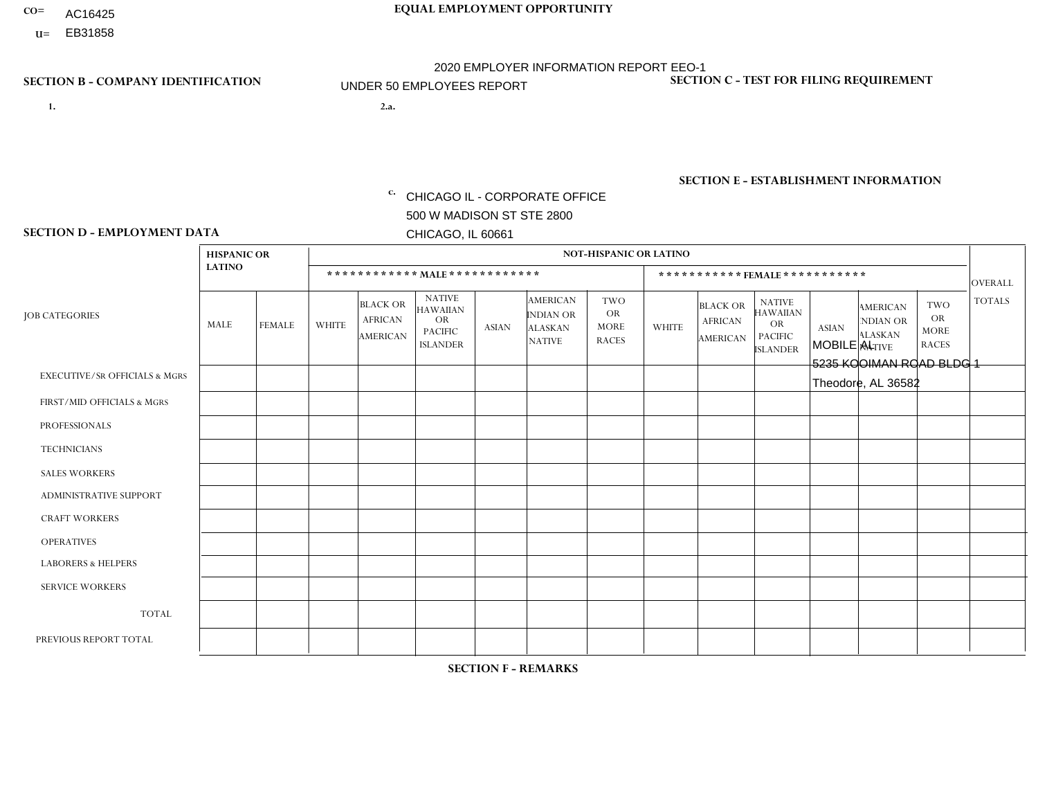- AC16425
- **U=**

- **1. 2.a.** CHICAGO IL CORPORATE OFFICE 500 W MADISON ST STE 2800 CHICAGO, IL 60661
- 2.a. MOBILE AL 5235 KOOIMAN ROAD BLDG 1 Theodore, AL 36582

EIN= 952920557

## **SECTION B - COMPANY IDENTIFICATION SECTION C - TEST FOR FILING REQUIREMENT**

1- Y 2- Y 3- N DUNS= 000123456

**SECTION E - ESTABLISHMENT INFORMATION c.** NAICS: 423140

### **SECTION D - EMPLOYMENT DATA**

|                                          | <b>HISPANIC OR</b> |                |              |                                                      |                                                                                    |              |                                                                        | <b>NOT-HISPANIC OR LATINO</b>                          |                |                                                      |                                                                             |              |                                                                       |                                                        |                |
|------------------------------------------|--------------------|----------------|--------------|------------------------------------------------------|------------------------------------------------------------------------------------|--------------|------------------------------------------------------------------------|--------------------------------------------------------|----------------|------------------------------------------------------|-----------------------------------------------------------------------------|--------------|-----------------------------------------------------------------------|--------------------------------------------------------|----------------|
|                                          | <b>LATINO</b>      |                |              |                                                      | ************ MALE ************                                                     |              |                                                                        |                                                        |                |                                                      | *********** FEMALE ***********                                              |              |                                                                       |                                                        | <b>OVERALL</b> |
| <b>JOB CATEGORIES</b>                    | MALE               | <b>FEMALE</b>  | <b>WHITE</b> | <b>BLACK OR</b><br><b>AFRICAN</b><br><b>AMERICAN</b> | <b>NATIVE</b><br><b>HAWAIIAN</b><br><b>OR</b><br><b>PACIFIC</b><br><b>ISLANDER</b> | <b>ASIAN</b> | <b>AMERICAN</b><br><b>INDIAN OR</b><br><b>ALASKAN</b><br><b>NATIVE</b> | <b>TWO</b><br><b>OR</b><br><b>MORE</b><br><b>RACES</b> | <b>WHITE</b>   | <b>BLACK OR</b><br><b>AFRICAN</b><br><b>AMERICAN</b> | <b>NATIVE</b><br><b>HAWAIIAN</b><br>OR<br><b>PACIFIC</b><br><b>ISLANDER</b> | <b>ASIAN</b> | <b>AMERICAN</b><br><b>NDIAN OR</b><br><b>ALASKAN</b><br><b>NATIVE</b> | <b>TWO</b><br><b>OR</b><br><b>MORE</b><br><b>RACES</b> | <b>TOTALS</b>  |
| <b>EXECUTIVE/SR OFFICIALS &amp; MGRS</b> | $\Omega$           | $\Omega$       | $\Omega$     | $\mathbf 0$                                          | $\Omega$                                                                           | $\Omega$     | $\Omega$                                                               | $\Omega$                                               | $\Omega$       | $\Omega$                                             | $\Omega$                                                                    | $\Omega$     | $\Omega$                                                              | $\Omega$                                               | $\Omega$       |
| FIRST/MID OFFICIALS & MGRS               | 0                  | $\Omega$       | 1            | $\mathbf 0$                                          | $\mathbf 0$                                                                        | $\Omega$     | $\Omega$                                                               | $\Omega$                                               |                | $\Omega$                                             | $\Omega$                                                                    | $\Omega$     | $\Omega$                                                              | $\Omega$                                               | 2              |
| <b>PROFESSIONALS</b>                     | $\Omega$           | $\Omega$       | $\Omega$     | $\mathbf 0$                                          | $\Omega$                                                                           | $\Omega$     | $\Omega$                                                               | $\Omega$                                               | $\Omega$       | $\Omega$                                             | $\Omega$                                                                    | $\Omega$     | $\Omega$                                                              | $\Omega$                                               | $\mathbf 0$    |
| <b>TECHNICIANS</b>                       | 0                  | $\mathbf{0}$   | $\mathbf 0$  | $\mathbf 0$                                          | 0                                                                                  | $\Omega$     | $\Omega$                                                               | $\Omega$                                               | $\Omega$       | $\Omega$                                             | $\Omega$                                                                    | $\Omega$     | $\Omega$                                                              | $\Omega$                                               | $\mathbf 0$    |
| <b>SALES WORKERS</b>                     | 0                  | $\Omega$       | $\mathbf 0$  | $\mathbf 0$                                          | $\mathbf 0$                                                                        | $\Omega$     | $\Omega$                                                               | $\Omega$                                               | 3              | $\Omega$                                             | $\Omega$                                                                    | $\Omega$     | $\Omega$                                                              | $\Omega$                                               | 3              |
| ADMINISTRATIVE SUPPORT                   | 0                  | $\Omega$       | $\mathbf 0$  | $\mathbf 0$                                          | 0                                                                                  | $\Omega$     | $\Omega$                                                               | $\Omega$                                               |                | $\Omega$                                             | $\Omega$                                                                    | $\Omega$     | $\Omega$                                                              | $\Omega$                                               | $\overline{1}$ |
| <b>CRAFT WORKERS</b>                     | 0                  | $\Omega$       | $\mathbf 0$  | $\mathbf 0$                                          | $\mathbf 0$                                                                        | $\Omega$     | $\Omega$                                                               | $\Omega$                                               | $\Omega$       | $\Omega$                                             | $\Omega$                                                                    | $\Omega$     | $\Omega$                                                              | $\Omega$                                               | $\Omega$       |
| <b>OPERATIVES</b>                        | 0                  | $\Omega$       | 4            | 3                                                    | $\Omega$                                                                           | $\Omega$     | $\Omega$                                                               | $\Omega$                                               | $\overline{2}$ | $\Omega$                                             | $\Omega$                                                                    | $\Omega$     | $\Omega$                                                              | $\Omega$                                               | 9              |
| <b>LABORERS &amp; HELPERS</b>            | 0                  | $\Omega$       | 4            | $\mathbf 0$                                          | $\Omega$                                                                           | $\Omega$     | $\Omega$                                                               | $\Omega$                                               | 0              | $\Omega$                                             | $\Omega$                                                                    | $\Omega$     | $\Omega$                                                              | $\Omega$                                               | $\overline{4}$ |
| <b>SERVICE WORKERS</b>                   | 0                  | $\mathbf 0$    | $\mathbf 0$  | $\mathbf 0$                                          | $\mathbf 0$                                                                        | $\mathbf 0$  | $\Omega$                                                               | $\Omega$                                               | $\Omega$       | $\Omega$                                             | $\Omega$                                                                    | $\mathbf 0$  | $\Omega$                                                              | 0                                                      | $\mathbf 0$    |
| <b>TOTAL</b>                             | 0                  | 0              | 9            | 3                                                    | 0                                                                                  | 0            | $\Omega$                                                               | $\Omega$                                               | $\overline{7}$ | $\Omega$                                             | $\Omega$                                                                    | $\mathbf 0$  | $\Omega$                                                              | $\Omega$                                               | 19             |
| PREVIOUS REPORT TOTAL                    | 0                  | $\overline{0}$ | 13           | 3                                                    | $\mathbf 0$                                                                        | $\Omega$     | $\Omega$                                                               | $\Omega$                                               | $\overline{7}$ | $\Omega$                                             | $\Omega$                                                                    | $\Omega$     | $\Omega$                                                              | $\mathbf 0$                                            | 23             |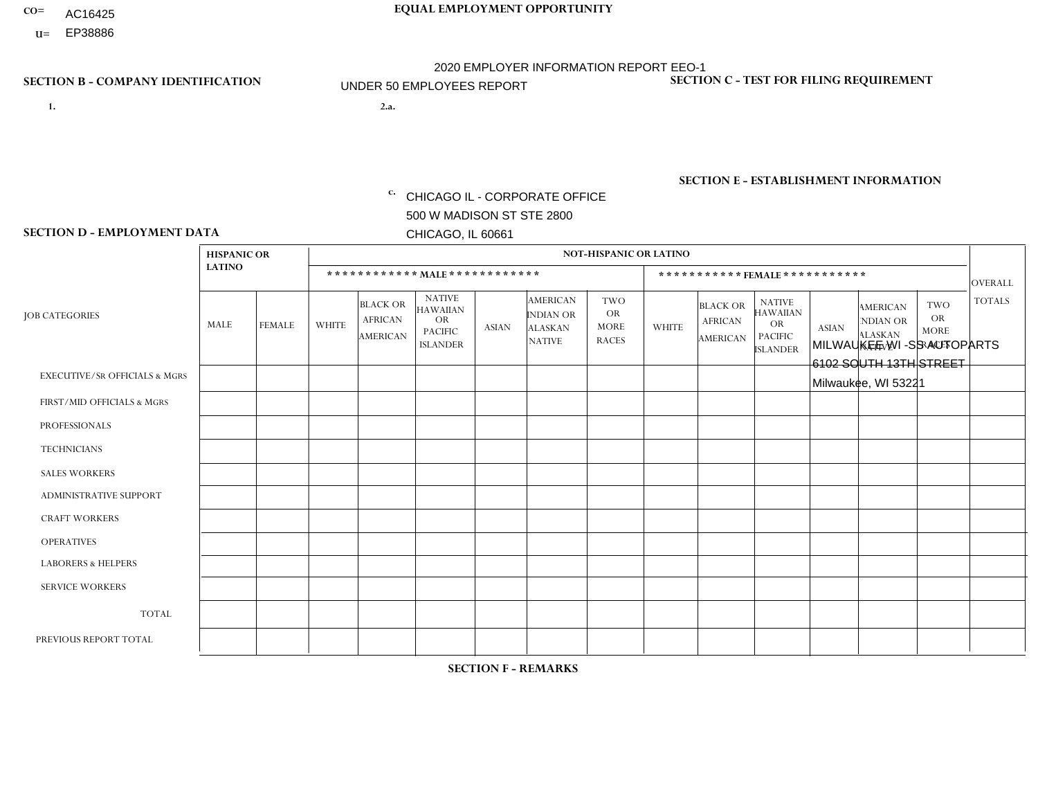- AC16425
- **U=**

- **1. 2.a.** CHICAGO IL CORPORATE OFFICE 500 W MADISON ST STE 2800 CHICAGO, IL 60661
- 2.a. MILWAUKEE WI -SS AUTOPARTS 6102 SOUTH 13TH STREET Milwaukee, WI 53221

c. EIN= 952920557

## **SECTION B - COMPANY IDENTIFICATION SECTION C - TEST FOR FILING REQUIREMENT**

1- Y 2- Y 3- N DUNS= 000123456

**SECTION E - ESTABLISHMENT INFORMATION c.** NAICS: 423140

### **SECTION D - EMPLOYMENT DATA**

|                                          | <b>HISPANIC OR</b> |               |              |                                                      |                                                                                    |              |                                                                        | <b>NOT-HISPANIC OR LATINO</b>                          |              |                                               |                                                                                    |              |                                                                |                                                        |                |
|------------------------------------------|--------------------|---------------|--------------|------------------------------------------------------|------------------------------------------------------------------------------------|--------------|------------------------------------------------------------------------|--------------------------------------------------------|--------------|-----------------------------------------------|------------------------------------------------------------------------------------|--------------|----------------------------------------------------------------|--------------------------------------------------------|----------------|
|                                          | <b>LATINO</b>      |               |              | ************ MAIE************                        |                                                                                    |              |                                                                        |                                                        |              |                                               | *********** FEMALE ***********                                                     |              |                                                                |                                                        | <b>OVERALL</b> |
| <b>JOB CATEGORIES</b>                    | <b>MALE</b>        | <b>FEMALE</b> | <b>WHITE</b> | <b>BLACK OR</b><br><b>AFRICAN</b><br><b>AMERICAN</b> | <b>NATIVE</b><br><b>HAWAIIAN</b><br><b>OR</b><br><b>PACIFIC</b><br><b>ISLANDER</b> | <b>ASIAN</b> | <b>AMERICAN</b><br><b>INDIAN OR</b><br><b>ALASKAN</b><br><b>NATIVE</b> | <b>TWO</b><br><b>OR</b><br><b>MORE</b><br><b>RACES</b> | <b>WHITE</b> | <b>BLACK OR</b><br><b>AFRICAN</b><br>AMERICAN | <b>NATIVE</b><br><b>HAWAIIAN</b><br><b>OR</b><br><b>PACIFIC</b><br><b>ISLANDER</b> | <b>ASIAN</b> | <b>AMERICAN</b><br>NDIAN OR<br><b>ALASKAN</b><br><b>NATIVE</b> | <b>TWO</b><br><b>OR</b><br><b>MORE</b><br><b>RACES</b> | <b>TOTALS</b>  |
| <b>EXECUTIVE/SR OFFICIALS &amp; MGRS</b> | $\Omega$           | $\Omega$      | $\Omega$     | $\Omega$                                             | $\Omega$                                                                           | $\Omega$     | $\Omega$                                                               | $\Omega$                                               | $\Omega$     | $\Omega$                                      | $\Omega$                                                                           | $\Omega$     | $\Omega$                                                       | $\Omega$                                               | $\Omega$       |
| FIRST/MID OFFICIALS & MGRS               | $\Omega$           | $\mathbf 0$   | 1            | $\mathbf 0$                                          | 0                                                                                  | $\Omega$     | $\Omega$                                                               | $\Omega$                                               | 0            | $\Omega$                                      | 0                                                                                  | $\mathbf 0$  | $\Omega$                                                       | $\mathbf 0$                                            | $\mathbf{1}$   |
| <b>PROFESSIONALS</b>                     | $\Omega$           | $\mathbf 0$   | $\mathbf 0$  | $\mathbf 0$                                          | $\Omega$                                                                           | $\Omega$     | $\Omega$                                                               | $\Omega$                                               | $\Omega$     | $\mathbf 0$                                   | 0                                                                                  | $\mathbf 0$  | $\Omega$                                                       | $\mathbf 0$                                            | $\overline{0}$ |
| <b>TECHNICIANS</b>                       | $\Omega$           | $\mathbf 0$   | $\Omega$     | $\mathbf 0$                                          | $\mathbf 0$                                                                        | $\Omega$     | $\Omega$                                                               | $\Omega$                                               | 0            | $\mathbf 0$                                   | 0                                                                                  | $\mathbf 0$  | $\Omega$                                                       | $\mathbf 0$                                            | $\mathbf{0}$   |
| <b>SALES WORKERS</b>                     | $\Omega$           | $\Omega$      | $\Omega$     | $\mathbf 0$                                          | $\mathbf 0$                                                                        | $\Omega$     | $\Omega$                                                               | $\Omega$                                               | $\Omega$     | $\Omega$                                      | $\Omega$                                                                           | $\Omega$     | $\Omega$                                                       | $\Omega$                                               | $\mathbf 0$    |
| <b>ADMINISTRATIVE SUPPORT</b>            | 5                  | $\Omega$      |              | $\mathbf 0$                                          | $\Omega$                                                                           | $\Omega$     | $\Omega$                                                               | $\Omega$                                               | 1            | $\Omega$                                      | 0                                                                                  | $\Omega$     | $\Omega$                                                       | $\Omega$                                               | $\overline{7}$ |
| <b>CRAFT WORKERS</b>                     | $\Omega$           | $\Omega$      | $\mathbf{0}$ | $\mathbf 0$                                          | $\Omega$                                                                           | $\Omega$     | $\Omega$                                                               | $\Omega$                                               | 0            | $\Omega$                                      | 0                                                                                  | $\Omega$     | $\Omega$                                                       | $\Omega$                                               | $\Omega$       |
| <b>OPERATIVES</b>                        | 6                  | $\Omega$      | 1            | $\mathbf 0$                                          | $\Omega$                                                                           | $\Omega$     | $\Omega$                                                               | $\mathbf{1}$                                           | 0            | $\Omega$                                      | 0                                                                                  | $\Omega$     | $\Omega$                                                       | $\Omega$                                               | 8              |
| <b>LABORERS &amp; HELPERS</b>            | $\Omega$           | $\Omega$      | $\mathbf{0}$ | $\mathbf 0$                                          | 0                                                                                  | $\Omega$     | $\Omega$                                                               | $\Omega$                                               | $\Omega$     | $\Omega$                                      | 0                                                                                  | $\Omega$     | $\Omega$                                                       | $\Omega$                                               | $\mathbf{0}$   |
| <b>SERVICE WORKERS</b>                   | $\Omega$           | $\Omega$      | $\mathbf 0$  | 0                                                    | $\mathbf 0$                                                                        | $\Omega$     | $\Omega$                                                               | $\Omega$                                               | 0            | $\Omega$                                      | $\Omega$                                                                           | $\mathbf 0$  | $\Omega$                                                       | $\Omega$                                               | $\mathbf{0}$   |
| <b>TOTAL</b>                             | 11                 | 0             | 3            | 0                                                    | $\mathbf 0$                                                                        | 0            | $\Omega$                                                               | $\mathbf 1$                                            | $\mathbf{1}$ | $\Omega$                                      | 0                                                                                  | 0            | $\Omega$                                                       | $\mathbf 0$                                            | 16             |
| PREVIOUS REPORT TOTAL                    | 4                  | $\Omega$      | 4            | $\overline{2}$                                       | $\Omega$                                                                           | $\Omega$     | $\Omega$                                                               | $\Omega$                                               | 1            | 2                                             | 0                                                                                  | $\mathbf 0$  | $\Omega$                                                       | $\mathbf 0$                                            | 13             |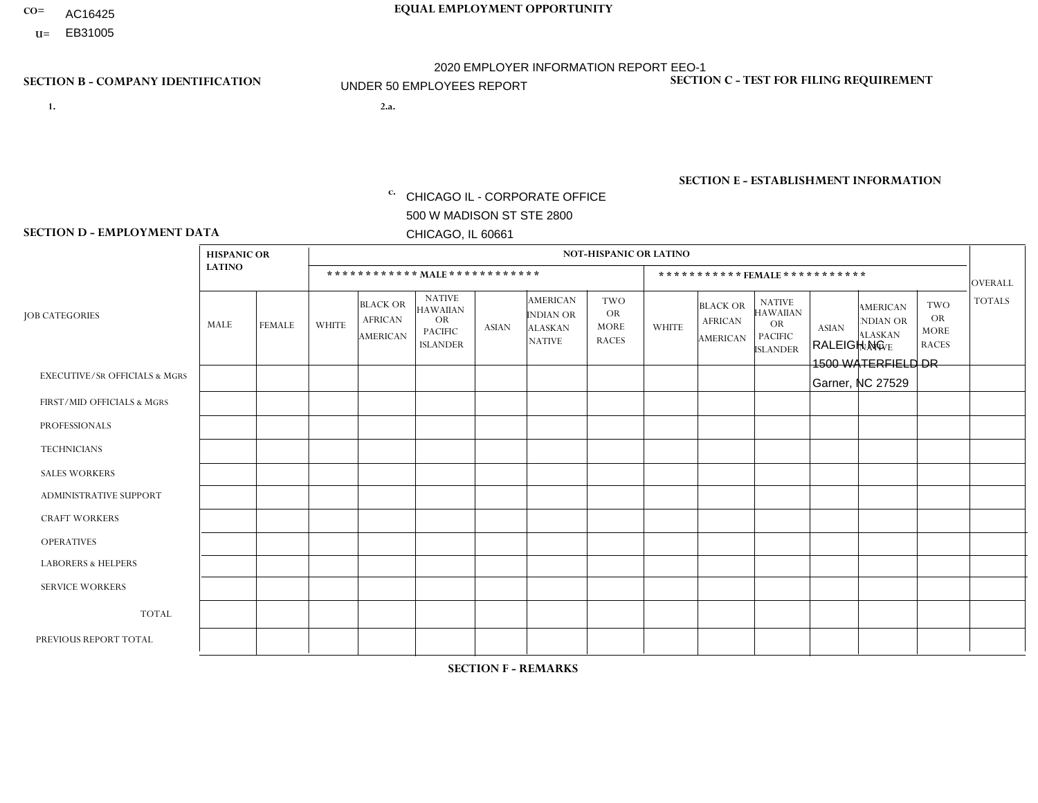- AC16425
- **U=**

- **1. 2.a.** CHICAGO IL CORPORATE OFFICE 500 W MADISON ST STE 2800 CHICAGO, IL 60661
- 2.a. RALEIGH NC 1500 WATERFIELD DR Garner, NC 27529

EIN= 952920557

## **SECTION B - COMPANY IDENTIFICATION SECTION C - TEST FOR FILING REQUIREMENT**

1- Y 2- Y 3- N DUNS= 000123456

**SECTION E - ESTABLISHMENT INFORMATION c.** NAICS: 423140

### **SECTION D - EMPLOYMENT DATA**

|                                          | <b>HISPANIC OR</b> |               |              |                                                      |                                                                                    |              |                                                                        | <b>NOT-HISPANIC OR LATINO</b>                          |                |                                               |                                                                                    |              |                                                                |                                                        |                |
|------------------------------------------|--------------------|---------------|--------------|------------------------------------------------------|------------------------------------------------------------------------------------|--------------|------------------------------------------------------------------------|--------------------------------------------------------|----------------|-----------------------------------------------|------------------------------------------------------------------------------------|--------------|----------------------------------------------------------------|--------------------------------------------------------|----------------|
|                                          | <b>LATINO</b>      |               |              | ************ MALE ************                       |                                                                                    |              |                                                                        |                                                        |                |                                               | *********** FEMALE ***********                                                     |              |                                                                |                                                        | <b>OVERALL</b> |
| <b>JOB CATEGORIES</b>                    | <b>MALE</b>        | <b>FEMALE</b> | <b>WHITE</b> | <b>BLACK OR</b><br><b>AFRICAN</b><br><b>AMERICAN</b> | <b>NATIVE</b><br><b>HAWAIIAN</b><br><b>OR</b><br><b>PACIFIC</b><br><b>ISLANDER</b> | <b>ASIAN</b> | <b>AMERICAN</b><br><b>INDIAN OR</b><br><b>ALASKAN</b><br><b>NATIVE</b> | <b>TWO</b><br><b>OR</b><br><b>MORE</b><br><b>RACES</b> | <b>WHITE</b>   | <b>BLACK OR</b><br><b>AFRICAN</b><br>AMERICAN | <b>NATIVE</b><br><b>HAWAIIAN</b><br><b>OR</b><br><b>PACIFIC</b><br><b>ISLANDER</b> | <b>ASIAN</b> | <b>AMERICAN</b><br>NDIAN OR<br><b>ALASKAN</b><br><b>NATIVE</b> | <b>TWO</b><br><b>OR</b><br><b>MORE</b><br><b>RACES</b> | <b>TOTALS</b>  |
| <b>EXECUTIVE/SR OFFICIALS &amp; MGRS</b> | $\Omega$           | $\Omega$      |              | $\Omega$                                             | $\Omega$                                                                           | $\Omega$     | $\Omega$                                                               | $\Omega$                                               | 0              | $\Omega$                                      | $\Omega$                                                                           | $\Omega$     | $\Omega$                                                       | $\Omega$                                               |                |
| FIRST/MID OFFICIALS & MGRS               | $\Omega$           | $\Omega$      | 4            | $\overline{ }$                                       | $\Omega$                                                                           | $\Omega$     | $\Omega$                                                               | $\Omega$                                               | 1              | $\Omega$                                      | 0                                                                                  | $\Omega$     | $\Omega$                                                       | $\Omega$                                               | 6              |
| <b>PROFESSIONALS</b>                     | $\Omega$           | $\Omega$      | $\mathbf 0$  | $\mathbf 0$                                          | $\Omega$                                                                           | $\Omega$     | $\Omega$                                                               | $\Omega$                                               | $\Omega$       | $\Omega$                                      | 0                                                                                  | 0            | $\Omega$                                                       | $\mathbf 0$                                            | $\mathbf{0}$   |
| <b>TECHNICIANS</b>                       | $\Omega$           | $\Omega$      | $\Omega$     | $\Omega$                                             | $\Omega$                                                                           | $\Omega$     | $\Omega$                                                               | $\Omega$                                               | $\Omega$       | $\Omega$                                      | $\Omega$                                                                           | $\mathbf 0$  | $\Omega$                                                       | $\mathbf 0$                                            | $\Omega$       |
| <b>SALES WORKERS</b>                     | $\Omega$           | $\Omega$      | 11           | $\Omega$                                             | $\Omega$                                                                           | $\Omega$     | $\Omega$                                                               | $\mathbf 1$                                            | $\overline{2}$ | $\Omega$                                      | $\Omega$                                                                           | $\Omega$     | $\Omega$                                                       | $\Omega$                                               | 14             |
| <b>ADMINISTRATIVE SUPPORT</b>            | $\Omega$           | $\Omega$      | $\Omega$     | $\mathbf 0$                                          | 0                                                                                  | $\Omega$     | $\Omega$                                                               | $\Omega$                                               | $\overline{2}$ | $\Omega$                                      | 0                                                                                  | $\mathbf 0$  | $\Omega$                                                       | $\mathbf 0$                                            | $\overline{2}$ |
| <b>CRAFT WORKERS</b>                     | $\Omega$           | $\Omega$      | $\Omega$     | $\mathbf 0$                                          | $\Omega$                                                                           | $\Omega$     | $\Omega$                                                               | $\Omega$                                               | 0              | $\Omega$                                      | 0                                                                                  | $\Omega$     | $\Omega$                                                       | $\Omega$                                               | $\Omega$       |
| <b>OPERATIVES</b>                        |                    | $\Omega$      | 5            | 8                                                    | $\Omega$                                                                           | $\Omega$     | $\Omega$                                                               | 1                                                      | 0              | $\Omega$                                      | 0                                                                                  | $\mathbf 0$  | $\Omega$                                                       | $\Omega$                                               | 15             |
| <b>LABORERS &amp; HELPERS</b>            | $\Omega$           | $\Omega$      | -1           | $\overline{2}$                                       | $\Omega$                                                                           | $\Omega$     | $\Omega$                                                               | $\Omega$                                               | $\Omega$       | $\Omega$                                      | $\Omega$                                                                           | $\Omega$     | $\Omega$                                                       | $\Omega$                                               | 3              |
| <b>SERVICE WORKERS</b>                   |                    | $\Omega$      | $\Omega$     | 0                                                    | $\mathbf 0$                                                                        | $\Omega$     | $\Omega$                                                               | $\Omega$                                               | $\overline{2}$ | $\Omega$                                      | $\Omega$                                                                           | $\mathbf 0$  | $\Omega$                                                       | $\Omega$                                               | 3              |
| <b>TOTAL</b>                             | $\overline{c}$     | 0             | 22           | 11                                                   | $\mathbf 0$                                                                        | 0            | $\Omega$                                                               | $\overline{2}$                                         | $\overline{7}$ | $\Omega$                                      | 0                                                                                  | $\mathbf 0$  | 0                                                              | $\mathbf 0$                                            | 44             |
| PREVIOUS REPORT TOTAL                    |                    | $\Omega$      | 31           | 17                                                   | $\mathbf 0$                                                                        | $\Omega$     | $\Omega$                                                               | 3                                                      | 10             | 2                                             | 0                                                                                  | $\mathbf 0$  | $\Omega$                                                       |                                                        | 65             |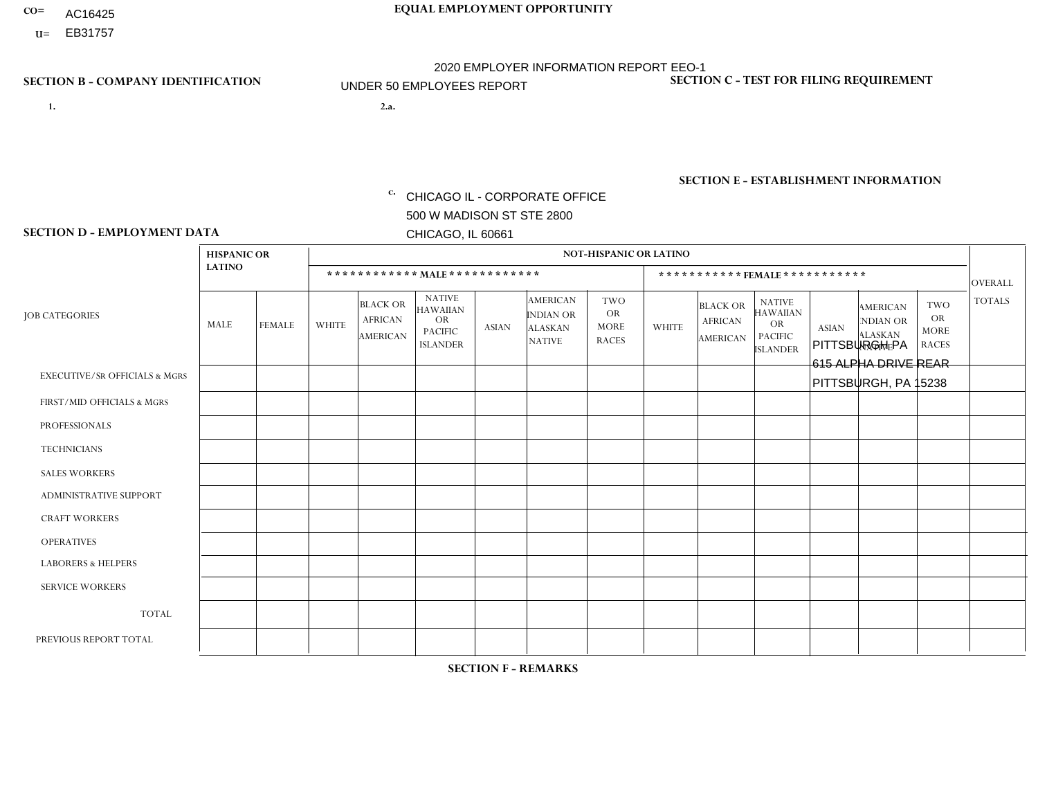- AC16425
- **U=**

- **1. 2.a.** CHICAGO IL CORPORATE OFFICE 500 W MADISON ST STE 2800 CHICAGO, IL 60661
- 2.a. PITTSBURGH PA 615 ALPHA DRIVE REAR PITTSBURGH, PA 15238

EIN= 952920557

## **SECTION B - COMPANY IDENTIFICATION SECTION C - TEST FOR FILING REQUIREMENT**

1- Y 2- Y 3- N DUNS= 000123456

**SECTION E - ESTABLISHMENT INFORMATION c.** NAICS: 423140

### **SECTION D - EMPLOYMENT DATA**

|                                          | <b>HISPANIC OR</b> |               |              |                                                      |                                                                                    |              |                                                                 | <b>NOT-HISPANIC OR LATINO</b>                          |              |                                                      |                                                                                    |              |                                                                       |                                                        |                 |
|------------------------------------------|--------------------|---------------|--------------|------------------------------------------------------|------------------------------------------------------------------------------------|--------------|-----------------------------------------------------------------|--------------------------------------------------------|--------------|------------------------------------------------------|------------------------------------------------------------------------------------|--------------|-----------------------------------------------------------------------|--------------------------------------------------------|-----------------|
|                                          | <b>LATINO</b>      |               |              | ************ MALE ************                       |                                                                                    |              |                                                                 |                                                        |              |                                                      | ***********FEMALE***********                                                       |              |                                                                       |                                                        | <b>OVERALL</b>  |
| <b>JOB CATEGORIES</b>                    | <b>MALE</b>        | <b>FEMALE</b> | <b>WHITE</b> | <b>BLACK OR</b><br><b>AFRICAN</b><br><b>AMERICAN</b> | <b>NATIVE</b><br><b>HAWAIIAN</b><br><b>OR</b><br><b>PACIFIC</b><br><b>ISLANDER</b> | <b>ASIAN</b> | <b>AMERICAN</b><br>INDIAN OR<br><b>ALASKAN</b><br><b>NATIVE</b> | <b>TWO</b><br><b>OR</b><br><b>MORE</b><br><b>RACES</b> | <b>WHITE</b> | <b>BLACK OR</b><br><b>AFRICAN</b><br><b>AMERICAN</b> | <b>NATIVE</b><br><b>HAWAIIAN</b><br><b>OR</b><br><b>PACIFIC</b><br><b>ISLANDER</b> | <b>ASIAN</b> | <b>AMERICAN</b><br><b>NDIAN OR</b><br><b>ALASKAN</b><br><b>NATIVE</b> | <b>TWO</b><br><b>OR</b><br><b>MORE</b><br><b>RACES</b> | <b>TOTALS</b>   |
| <b>EXECUTIVE/SR OFFICIALS &amp; MGRS</b> | $\Omega$           | $\Omega$      | $\Omega$     | $\mathbf 0$                                          | $\Omega$                                                                           | $\Omega$     | $\Omega$                                                        | $\Omega$                                               | $\Omega$     | $\Omega$                                             | $\mathbf{0}$                                                                       | $\Omega$     | $\Omega$                                                              | $\Omega$                                               | $\mathbf 0$     |
| FIRST/MID OFFICIALS & MGRS               | $\Omega$           | $\Omega$      | 5            | $\Omega$                                             | $\Omega$                                                                           | $\Omega$     | $\Omega$                                                        | $\Omega$                                               | $\Omega$     |                                                      | $\Omega$                                                                           | $\Omega$     | $\Omega$                                                              | $\Omega$                                               | 6               |
| <b>PROFESSIONALS</b>                     | $\Omega$           | $\Omega$      | $\mathbf 0$  | $\mathbf 0$                                          | $\Omega$                                                                           | $\Omega$     | $\Omega$                                                        | $\Omega$                                               | $\Omega$     | $\Omega$                                             | $\mathbf{0}$                                                                       | $\Omega$     | $\Omega$                                                              | $\Omega$                                               | $\mathbf 0$     |
| <b>TECHNICIANS</b>                       | $\Omega$           | $\mathbf 0$   | $\Omega$     | $\mathbf 0$                                          | 0                                                                                  | $\Omega$     | $\overline{0}$                                                  | $\Omega$                                               | $\mathbf 0$  | $\mathbf 0$                                          | $\mathbf 0$                                                                        | $\mathbf 0$  | $\Omega$                                                              | $\Omega$                                               | $\mathbf 0$     |
| <b>SALES WORKERS</b>                     | $\Omega$           | $\Omega$      | 9            | $\Omega$                                             | 0                                                                                  | $\Omega$     | $\Omega$                                                        |                                                        | $\Omega$     | $\Omega$                                             | $\Omega$                                                                           | $\Omega$     | $\Omega$                                                              | $\Omega$                                               | 10 <sup>°</sup> |
| <b>ADMINISTRATIVE SUPPORT</b>            | $\Omega$           | $\mathbf 0$   | $\mathbf 0$  | $\mathbf 0$                                          | $\mathbf 0$                                                                        | $\mathbf 0$  | $\Omega$                                                        |                                                        | 5            |                                                      | $\mathbf{0}$                                                                       | $\Omega$     | $\Omega$                                                              | $\Omega$                                               | $\overline{7}$  |
| <b>CRAFT WORKERS</b>                     | $\Omega$           | $\Omega$      | $\mathbf{0}$ | $\mathbf 0$                                          | $\Omega$                                                                           | $\Omega$     | $\Omega$                                                        | $\Omega$                                               | $\Omega$     | $\Omega$                                             | $\Omega$                                                                           | $\Omega$     | $\Omega$                                                              | $\Omega$                                               | $\Omega$        |
| <b>OPERATIVES</b>                        |                    | $\Omega$      | 10           | $\mathbf 0$                                          | 0                                                                                  | $\Omega$     | $\Omega$                                                        | $\Omega$                                               | $\Omega$     | $\Omega$                                             | $\Omega$                                                                           | $\Omega$     | $\Omega$                                                              | $\Omega$                                               | 11              |
| <b>LABORERS &amp; HELPERS</b>            | $\Omega$           | $\Omega$      | 8            | $\mathbf{1}$                                         | 0                                                                                  | $\mathbf 0$  | $\Omega$                                                        |                                                        | $\mathbf{1}$ | $\Omega$                                             | $\Omega$                                                                           | $\Omega$     | $\Omega$                                                              | $\Omega$                                               | 11              |
| <b>SERVICE WORKERS</b>                   | $\Omega$           | $\Omega$      | $\Omega$     | $\mathbf 0$                                          | $\Omega$                                                                           | $\Omega$     | $\Omega$                                                        | $\Omega$                                               | $\Omega$     | $\Omega$                                             | $\Omega$                                                                           | $\Omega$     | $\Omega$                                                              | $\Omega$                                               | $\mathbf 0$     |
| <b>TOTAL</b>                             | 1                  | $\mathbf 0$   | 32           | $\mathbf{1}$                                         | 0                                                                                  | $\mathbf 0$  | $\Omega$                                                        | 3                                                      | 6            | 2                                                    | $\mathbf 0$                                                                        | $\mathbf 0$  | 0                                                                     | $\mathbf 0$                                            | 45              |
| PREVIOUS REPORT TOTAL                    |                    | $\Omega$      | 54           | $\overline{2}$                                       | $\Omega$                                                                           | $\Omega$     | $\Omega$                                                        | 3                                                      | 4            | $\Omega$                                             | $\Omega$                                                                           | $\Omega$     | $\Omega$                                                              | $\mathbf{0}$                                           | 64              |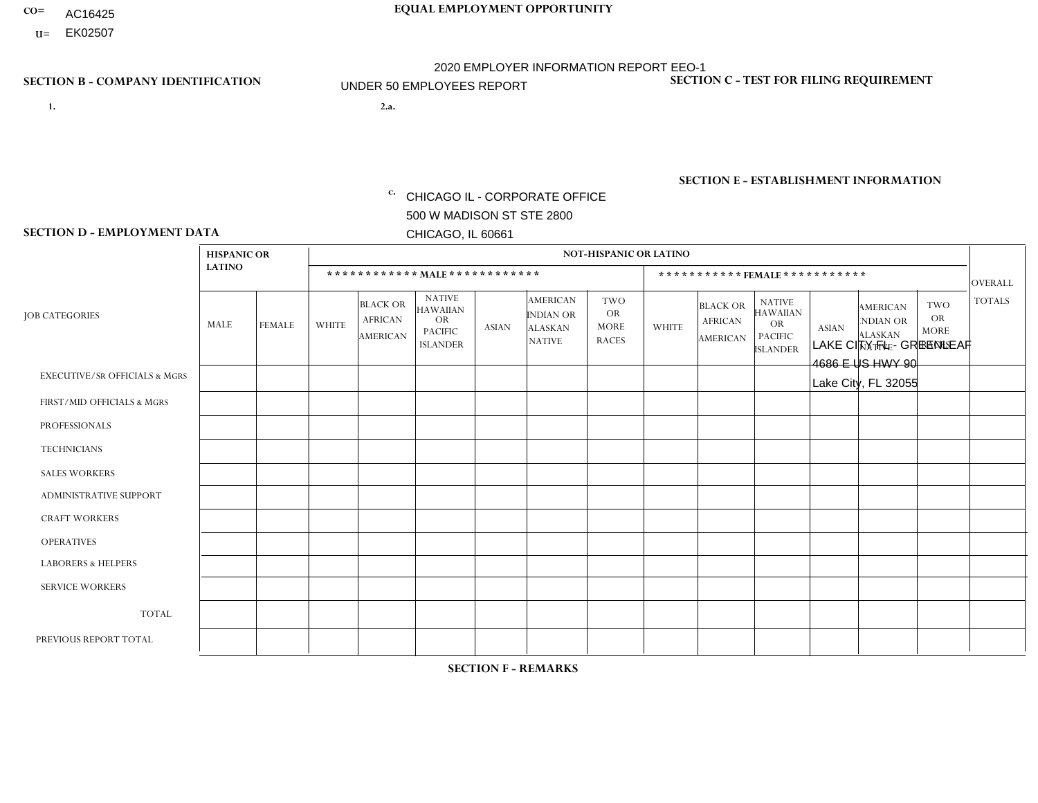- AC16425
- **U=** EK02507

**1. 2.a.** CHICAGO IL - CORPORATE OFFICE 500 W MADISON ST STE 2800 CHICAGO, IL 60661

2.a. LAKE CITY FL - GREENLEAF 4686 E US HWY 90 Lake City, FL 32055

EIN= 952920557

## **SECTION B - COMPANY IDENTIFICATION SECTION C - TEST FOR FILING REQUIREMENT**

1- Y 2- Y 3- N DUNS= 000123456

**SECTION E - ESTABLISHMENT INFORMATION c.** NAICS: 423140

### **SECTION D - EMPLOYMENT DATA**

|                                          | <b>HISPANIC OR</b> |               |                |                                                      |                                                                                    |              |                                                                        | <b>NOT-HISPANIC OR LATINO</b>                          |                |                                               |                                                                                    |              |                                                                       |                                                        |                |
|------------------------------------------|--------------------|---------------|----------------|------------------------------------------------------|------------------------------------------------------------------------------------|--------------|------------------------------------------------------------------------|--------------------------------------------------------|----------------|-----------------------------------------------|------------------------------------------------------------------------------------|--------------|-----------------------------------------------------------------------|--------------------------------------------------------|----------------|
|                                          | <b>LATINO</b>      |               |                | ************ MALE ************                       |                                                                                    |              |                                                                        |                                                        |                | ***********FEMALE***********                  |                                                                                    |              |                                                                       |                                                        | <b>OVERALL</b> |
| <b>JOB CATEGORIES</b>                    | MALE               | <b>FEMALE</b> | <b>WHITE</b>   | <b>BLACK OR</b><br><b>AFRICAN</b><br><b>AMERICAN</b> | <b>NATIVE</b><br><b>HAWAIIAN</b><br><b>OR</b><br><b>PACIFIC</b><br><b>ISLANDER</b> | ASIAN        | <b>AMERICAN</b><br><b>INDIAN OR</b><br><b>ALASKAN</b><br><b>NATIVE</b> | <b>TWO</b><br><b>OR</b><br><b>MORE</b><br><b>RACES</b> | <b>WHITE</b>   | <b>BLACK OR</b><br><b>AFRICAN</b><br>AMERICAN | <b>NATIVE</b><br><b>HAWAIIAN</b><br><b>OR</b><br><b>PACIFIC</b><br><b>ISLANDER</b> | <b>ASIAN</b> | <b>AMERICAN</b><br><b>NDIAN OR</b><br><b>ALASKAN</b><br><b>NATIVE</b> | <b>TWO</b><br><b>OR</b><br><b>MORE</b><br><b>RACES</b> | <b>TOTALS</b>  |
| <b>EXECUTIVE/SR OFFICIALS &amp; MGRS</b> | $\Omega$           | $\Omega$      | $\Omega$       | $\mathbf 0$                                          | $\Omega$                                                                           | $\mathbf{0}$ | $\Omega$                                                               | $\Omega$                                               | 0              | $\Omega$                                      | $\Omega$                                                                           | $\Omega$     | $\Omega$                                                              | $\Omega$                                               | $\mathbf{0}$   |
| FIRST/MID OFFICIALS & MGRS               |                    | $\Omega$      | $\overline{c}$ | $\mathbf 0$                                          | $\Omega$                                                                           | $\Omega$     | $\Omega$                                                               | $\Omega$                                               |                | $\Omega$                                      | $\Omega$                                                                           | $\Omega$     | $\Omega$                                                              | $\Omega$                                               | $\overline{4}$ |
| <b>PROFESSIONALS</b>                     | 0                  | $\mathbf 0$   | $\mathbf 0$    | $\mathbf 0$                                          | $\Omega$                                                                           | $\Omega$     | $\Omega$                                                               | $\Omega$                                               | 0              | $\Omega$                                      | $\Omega$                                                                           | $\Omega$     | $\Omega$                                                              | $\Omega$                                               | $\mathbf{0}$   |
| <b>TECHNICIANS</b>                       | 0                  | $\Omega$      | $\Omega$       | $\Omega$                                             | $\Omega$                                                                           | $\Omega$     | $\Omega$                                                               | $\Omega$                                               | 0              | $\Omega$                                      | $\Omega$                                                                           | $\Omega$     | $\Omega$                                                              | $\Omega$                                               | $\mathbf{0}$   |
| <b>SALES WORKERS</b>                     |                    | $\Omega$      | 3              | $\Omega$                                             | $\Omega$                                                                           | $\Omega$     | $\Omega$                                                               | $\Omega$                                               | 0              | $\Omega$                                      | $\Omega$                                                                           | $\Omega$     | $\Omega$                                                              | $\Omega$                                               | $\overline{4}$ |
| <b>ADMINISTRATIVE SUPPORT</b>            | 0                  | 0             | 3              | $\mathbf 0$                                          | 0                                                                                  | $\Omega$     | $\Omega$                                                               | $\Omega$                                               |                | $\Omega$                                      | $\Omega$                                                                           | $\Omega$     | $\mathbf{0}$                                                          | $\mathbf 0$                                            | 4              |
| <b>CRAFT WORKERS</b>                     | 0                  | $\Omega$      | 3              | $\mathbf 0$                                          | $\Omega$                                                                           | $\Omega$     | $\Omega$                                                               | $\Omega$                                               | 1              | $\Omega$                                      | $\Omega$                                                                           | $\Omega$     | $\Omega$                                                              | $\Omega$                                               | $\overline{4}$ |
| <b>OPERATIVES</b>                        | 0                  | $\Omega$      | 15             | $\overline{2}$                                       | $\Omega$                                                                           | $\Omega$     | $\Omega$                                                               | $\overline{2}$                                         | $\overline{2}$ | $\Omega$                                      | $\Omega$                                                                           | $\Omega$     | $\Omega$                                                              | $\Omega$                                               | 21             |
| <b>LABORERS &amp; HELPERS</b>            | 0                  | $\Omega$      | $\Omega$       | $\mathbf 0$                                          | $\Omega$                                                                           | $\Omega$     | $\Omega$                                                               | $\Omega$                                               | $\Omega$       | $\Omega$                                      | $\Omega$                                                                           | $\Omega$     | $\Omega$                                                              | $\Omega$                                               | $\mathbf 0$    |
| <b>SERVICE WORKERS</b>                   | 0                  | $\Omega$      | $\Omega$       | 0                                                    | 0                                                                                  | $\Omega$     | $\Omega$                                                               | $\Omega$                                               | $\Omega$       | $\Omega$                                      | $\Omega$                                                                           | $\Omega$     | $\Omega$                                                              | $\Omega$                                               | $\overline{0}$ |
| <b>TOTAL</b>                             | $\overline{2}$     | 0             | 26             | $\overline{c}$                                       | 0                                                                                  | $\mathbf 0$  | $\Omega$                                                               | $\overline{2}$                                         | 5              | $\Omega$                                      | $\Omega$                                                                           | $\mathbf 0$  | 0                                                                     | $\mathbf 0$                                            | 37             |
| PREVIOUS REPORT TOTAL                    | $\overline{2}$     | $\Omega$      | 43             | 3                                                    | $\Omega$                                                                           | $\mathbf{0}$ | $\Omega$                                                               | $\Omega$                                               | 4              | $\Omega$                                      | $\Omega$                                                                           | $\Omega$     | $\Omega$                                                              | $\mathbf 0$                                            | 52             |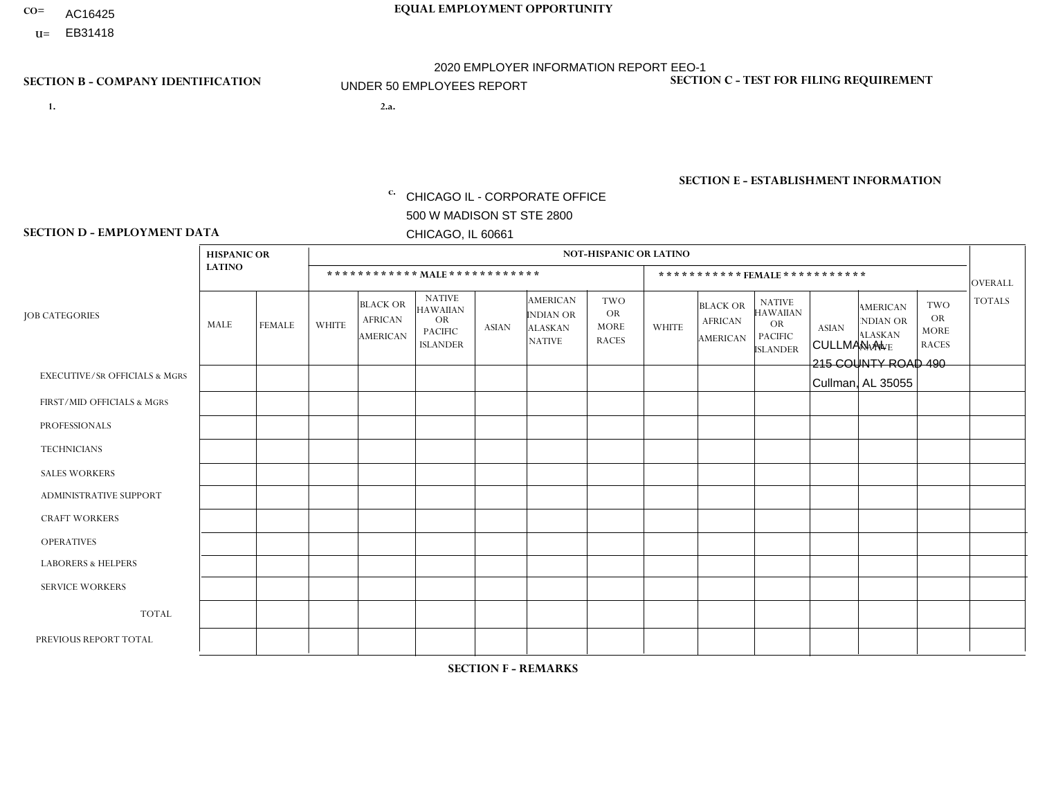- AC16425
- **U=**

- **1. 2.a.** CHICAGO IL CORPORATE OFFICE 500 W MADISON ST STE 2800 CHICAGO, IL 60661
- 2.a. CULLMAN AL 215 COUNTY ROAD 490 Cullman, AL 35055

EIN= 952920557

## **SECTION B - COMPANY IDENTIFICATION SECTION C - TEST FOR FILING REQUIREMENT**

1- Y 2- Y 3- N DUNS= 000123456

**SECTION E - ESTABLISHMENT INFORMATION c.** NAICS: 423140

### **SECTION D - EMPLOYMENT DATA**

|                                          | <b>HISPANIC OR</b> |                |                |                                                      |                                                                                    |              |                                                                        | <b>NOT-HISPANIC OR LATINO</b>                          |                |                                               |                                                                                    |              |                                                                |                                                        |                 |
|------------------------------------------|--------------------|----------------|----------------|------------------------------------------------------|------------------------------------------------------------------------------------|--------------|------------------------------------------------------------------------|--------------------------------------------------------|----------------|-----------------------------------------------|------------------------------------------------------------------------------------|--------------|----------------------------------------------------------------|--------------------------------------------------------|-----------------|
|                                          | <b>LATINO</b>      |                |                |                                                      | ************ MALE ************                                                     |              |                                                                        |                                                        |                |                                               | *********** FEMALE ***********                                                     |              |                                                                |                                                        | <b>OVERALL</b>  |
| <b>JOB CATEGORIES</b>                    | MALE               | FEMALE         | <b>WHITE</b>   | <b>BLACK OR</b><br><b>AFRICAN</b><br><b>AMERICAN</b> | <b>NATIVE</b><br><b>HAWAIIAN</b><br><b>OR</b><br><b>PACIFIC</b><br><b>ISLANDER</b> | <b>ASIAN</b> | <b>AMERICAN</b><br><b>INDIAN OR</b><br><b>ALASKAN</b><br><b>NATIVE</b> | <b>TWO</b><br><b>OR</b><br><b>MORE</b><br><b>RACES</b> | <b>WHITE</b>   | <b>BLACK OR</b><br><b>AFRICAN</b><br>AMERICAN | <b>NATIVE</b><br><b>HAWAIIAN</b><br><b>OR</b><br><b>PACIFIC</b><br><b>ISLANDER</b> | <b>ASIAN</b> | <b>AMERICAN</b><br>NDIAN OR<br><b>ALASKAN</b><br><b>NATIVE</b> | <b>TWO</b><br><b>OR</b><br><b>MORE</b><br><b>RACES</b> | <b>TOTALS</b>   |
| <b>EXECUTIVE/SR OFFICIALS &amp; MGRS</b> | $\Omega$           | $\Omega$       | $\mathbf{0}$   | $\Omega$                                             | 0                                                                                  | $\Omega$     | $\Omega$                                                               | $\Omega$                                               | 0              | $\Omega$                                      | 0                                                                                  | $\Omega$     | $\Omega$                                                       | $\Omega$                                               | $\Omega$        |
| FIRST/MID OFFICIALS & MGRS               | $\Omega$           | $\Omega$       | 3              | 0                                                    | $\Omega$                                                                           | $\Omega$     | $\Omega$                                                               | $\Omega$                                               | 1              | $\Omega$                                      | 0                                                                                  | $\mathbf 0$  | $\Omega$                                                       | $\mathbf 0$                                            | 4               |
| <b>PROFESSIONALS</b>                     | $\Omega$           | $\mathbf 0$    | $\mathbf 0$    | $\mathbf 0$                                          | $\mathbf 0$                                                                        | $\Omega$     | $\Omega$                                                               | $\Omega$                                               | 0              | $\mathbf{0}$                                  | 0                                                                                  | 0            | $\Omega$                                                       | $\mathbf 0$                                            | $\mathbf{0}$    |
| <b>TECHNICIANS</b>                       | $\Omega$           | $\Omega$       | $\Omega$       | $\mathbf 0$                                          | $\Omega$                                                                           | $\Omega$     | $\Omega$                                                               | $\Omega$                                               | $\overline{0}$ | $\Omega$                                      | $\Omega$                                                                           | $\Omega$     | $\Omega$                                                       | $\Omega$                                               | $\mathbf{0}$    |
| <b>SALES WORKERS</b>                     | $\Omega$           | 1              | $\overline{2}$ | $\overline{ }$                                       | $\Omega$                                                                           | $\mathbf{0}$ | $\Omega$                                                               | $\Omega$                                               | 0              | $\Omega$                                      | $\Omega$                                                                           | $\Omega$     | $\Omega$                                                       | $\Omega$                                               | $\overline{4}$  |
| <b>ADMINISTRATIVE SUPPORT</b>            | $\Omega$           | 1              | $\Omega$       | $\Omega$                                             | $\Omega$                                                                           | $\Omega$     | $\Omega$                                                               | $\Omega$                                               | 0              | $\Omega$                                      | 0                                                                                  | $\Omega$     | $\Omega$                                                       | $\Omega$                                               | -1              |
| <b>CRAFT WORKERS</b>                     | $\Omega$           | $\Omega$       | $\mathbf{0}$   | $\mathbf 0$                                          | $\mathbf 0$                                                                        | $\Omega$     | $\Omega$                                                               | $\Omega$                                               | $\Omega$       | $\Omega$                                      | 0                                                                                  | $\mathbf 0$  | $\Omega$                                                       | $\mathbf 0$                                            | $\mathbf 0$     |
| <b>OPERATIVES</b>                        | $\Omega$           | $\Omega$       | 20             | 3                                                    | $\Omega$                                                                           | $\Omega$     | $\Omega$                                                               | $\Omega$                                               | $\Omega$       | $\Omega$                                      | $\Omega$                                                                           | $\Omega$     | $\Omega$                                                       | $\Omega$                                               | 23              |
| <b>LABORERS &amp; HELPERS</b>            | и                  | $\Omega$       | $\overline{7}$ | $\overline{ }$                                       | $\Omega$                                                                           | $\Omega$     | $\Omega$                                                               | $\Omega$                                               | 1              | $\Omega$                                      | 0                                                                                  | $\Omega$     | $\Omega$                                                       | $\Omega$                                               | 10 <sup>°</sup> |
| <b>SERVICE WORKERS</b>                   | $\Omega$           | 0              | $\mathbf 0$    | 0                                                    | $\mathbf 0$                                                                        | $\Omega$     | $\Omega$                                                               | $\Omega$                                               | 0              | $\Omega$                                      | $\Omega$                                                                           | 0            | $\Omega$                                                       | $\mathbf 0$                                            | $\overline{0}$  |
| <b>TOTAL</b>                             |                    | $\overline{2}$ | 32             | 5                                                    | 0                                                                                  | $\Omega$     | $\Omega$                                                               | $\Omega$                                               | $\overline{2}$ | $\Omega$                                      | 0                                                                                  | $\mathbf 0$  | $\Omega$                                                       | $\Omega$                                               | 42              |
| PREVIOUS REPORT TOTAL                    | 2                  | $\overline{2}$ | 31             | 3                                                    | 0                                                                                  | $\Omega$     | $\Omega$                                                               | $\Omega$                                               | 4              | $\Omega$                                      | 0                                                                                  | $\mathbf 0$  | $\Omega$                                                       | $\mathbf 0$                                            | 42              |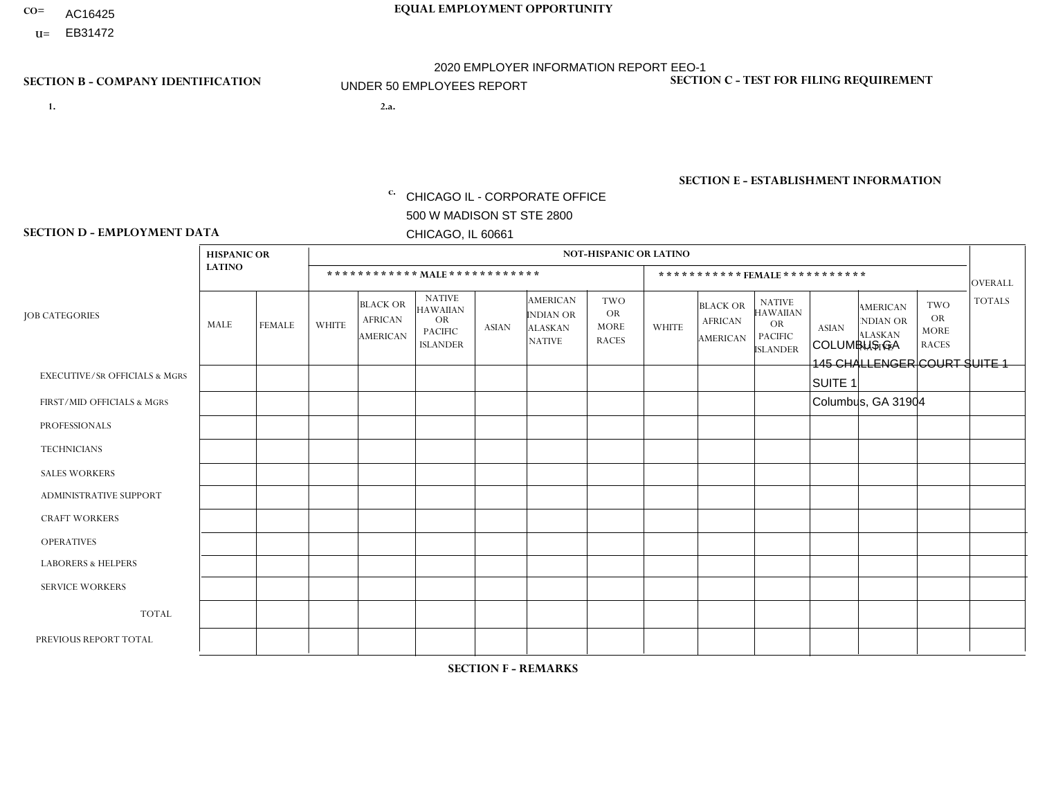- AC16425
- **U=**

- **1. 2.a.** CHICAGO IL CORPORATE OFFICE 500 W MADISON ST STE 2800 CHICAGO, IL 60661
- 2.a. COLUMBUS GA 145 CHALLENGER COURT SUITE 1 SUITE 1 Columbus, GA 31904
	- EIN= 952920557

## **SECTION B - COMPANY IDENTIFICATION SECTION C - TEST FOR FILING REQUIREMENT**

1- Y 2- Y 3- N DUNS= 000123456

**SECTION E - ESTABLISHMENT INFORMATION c.** NAICS: 423140

### **SECTION D - EMPLOYMENT DATA**

|                                          | <b>HISPANIC OR</b> |               |                |                                                      |                                                                                    |             |                                                                        | <b>NOT-HISPANIC OR LATINO</b>                          |                |                                               |                                                                             |              |                                                                       |                                                        |                 |
|------------------------------------------|--------------------|---------------|----------------|------------------------------------------------------|------------------------------------------------------------------------------------|-------------|------------------------------------------------------------------------|--------------------------------------------------------|----------------|-----------------------------------------------|-----------------------------------------------------------------------------|--------------|-----------------------------------------------------------------------|--------------------------------------------------------|-----------------|
|                                          | <b>LATINO</b>      |               |                | ************ MALE ************                       |                                                                                    |             |                                                                        |                                                        |                | ***********FEMALE***********                  |                                                                             |              |                                                                       |                                                        | <b>OVERALL</b>  |
| <b>JOB CATEGORIES</b>                    | MALE               | <b>FEMALE</b> | <b>WHITE</b>   | <b>BLACK OR</b><br><b>AFRICAN</b><br><b>AMERICAN</b> | <b>NATIVE</b><br><b>HAWAIIAN</b><br><b>OR</b><br><b>PACIFIC</b><br><b>ISLANDER</b> | ASIAN       | <b>AMERICAN</b><br><b>INDIAN OR</b><br><b>ALASKAN</b><br><b>NATIVE</b> | <b>TWO</b><br><b>OR</b><br><b>MORE</b><br><b>RACES</b> | <b>WHITE</b>   | <b>BLACK OR</b><br><b>AFRICAN</b><br>AMERICAN | <b>NATIVE</b><br><b>HAWAIIAN</b><br>OR<br><b>PACIFIC</b><br><b>ISLANDER</b> | <b>ASIAN</b> | <b>AMERICAN</b><br><b>NDIAN OR</b><br><b>ALASKAN</b><br><b>NATIVE</b> | <b>TWO</b><br><b>OR</b><br><b>MORE</b><br><b>RACES</b> | <b>TOTALS</b>   |
| <b>EXECUTIVE/SR OFFICIALS &amp; MGRS</b> | $\Omega$           | $\Omega$      | $\Omega$       | $\mathbf 0$                                          | $\mathbf 0$                                                                        | $\Omega$    | $\Omega$                                                               | $\Omega$                                               | $\Omega$       | $\Omega$                                      | $\Omega$                                                                    | $\mathbf 0$  | $\Omega$                                                              | $\mathbf 0$                                            | $\mathbf{0}$    |
| FIRST/MID OFFICIALS & MGRS               | 0                  | 0             | 1              | $\mathbf 0$                                          | 0                                                                                  | $\Omega$    | $\Omega$                                                               | $\Omega$                                               | 0              | $\Omega$                                      | $\Omega$                                                                    | $\mathbf{0}$ | $\Omega$                                                              | $\mathbf 0$                                            | $\mathbf{1}$    |
| <b>PROFESSIONALS</b>                     | $\Omega$           | $\Omega$      | $\Omega$       | $\mathbf 0$                                          | $\Omega$                                                                           | $\Omega$    | $\Omega$                                                               | $\Omega$                                               | $\overline{0}$ | $\Omega$                                      | $\Omega$                                                                    | $\Omega$     | $\Omega$                                                              | $\Omega$                                               | $\mathbf 0$     |
| <b>TECHNICIANS</b>                       | 0                  | $\mathbf 0$   | $\Omega$       | $\mathbf 0$                                          | $\Omega$                                                                           | $\Omega$    | $\Omega$                                                               | $\Omega$                                               | $\Omega$       | $\Omega$                                      | $\Omega$                                                                    | $\Omega$     | $\Omega$                                                              | $\Omega$                                               | $\mathbf{0}$    |
| <b>SALES WORKERS</b>                     | $\Omega$           | $\Omega$      | $\Omega$       | $\mathbf 0$                                          | $\Omega$                                                                           | $\Omega$    | $\Omega$                                                               | $\Omega$                                               | $\overline{0}$ | $\Omega$                                      | $\Omega$                                                                    | $\Omega$     | $\Omega$                                                              | $\mathbf{0}$                                           | $\mathbf{0}$    |
| ADMINISTRATIVE SUPPORT                   | $\mathbf 0$        | 0             | $\mathbf 0$    | $\mathbf 0$                                          | 0                                                                                  | $\Omega$    | $\Omega$                                                               | $\Omega$                                               | $\Omega$       | $\Omega$                                      | $\Omega$                                                                    | $\mathbf{0}$ | $\mathbf{0}$                                                          | $\mathbf 0$                                            | $\mathbf 0$     |
| <b>CRAFT WORKERS</b>                     | 0                  | $\Omega$      | $\Omega$       | $\mathbf 0$                                          | $\Omega$                                                                           | $\Omega$    | $\Omega$                                                               | $\Omega$                                               | 0              | $\Omega$                                      | $\Omega$                                                                    | $\Omega$     | $\Omega$                                                              | $\Omega$                                               | $\Omega$        |
| <b>OPERATIVES</b>                        | 0                  | $\Omega$      | 3              | $\overline{c}$                                       | $\Omega$                                                                           | $\Omega$    | $\Omega$                                                               | $\Omega$                                               | $\Omega$       | $\Omega$                                      | $\Omega$                                                                    | $\Omega$     | $\Omega$                                                              | $\Omega$                                               | 5               |
| <b>LABORERS &amp; HELPERS</b>            | 0                  | $\Omega$      | $\overline{ }$ | $\mathbf 0$                                          | $\mathbf 0$                                                                        | $\Omega$    | $\Omega$                                                               | $\Omega$                                               | $\Omega$       | $\Omega$                                      | $\Omega$                                                                    | $\Omega$     | $\Omega$                                                              | $\Omega$                                               | $\mathbf{1}$    |
| <b>SERVICE WORKERS</b>                   | 0                  | $\mathbf 0$   | $\mathbf 0$    | $\mathbf 0$                                          | $\mathbf{0}$                                                                       | $\mathbf 0$ | $\Omega$                                                               | $\Omega$                                               | $\Omega$       | $\Omega$                                      | $\Omega$                                                                    | $\mathbf 0$  | $\Omega$                                                              | $\mathbf 0$                                            | $\overline{0}$  |
| <b>TOTAL</b>                             | $\Omega$           | 0             | 5              | $\overline{2}$                                       | 0                                                                                  | $\Omega$    | $\Omega$                                                               | $\Omega$                                               | $\Omega$       | $\Omega$                                      | $\Omega$                                                                    | $\mathbf 0$  | 0                                                                     | $\mathbf 0$                                            | $\overline{7}$  |
| PREVIOUS REPORT TOTAL                    | 0                  | $\Omega$      | 5              | $\overline{1}$                                       | $\Omega$                                                                           | $\Omega$    | $\Omega$                                                               | $\Omega$                                               | 0              | $\Omega$                                      | $\Omega$                                                                    | $\Omega$     | $\Omega$                                                              | $\mathbf 0$                                            | $6\phantom{.}6$ |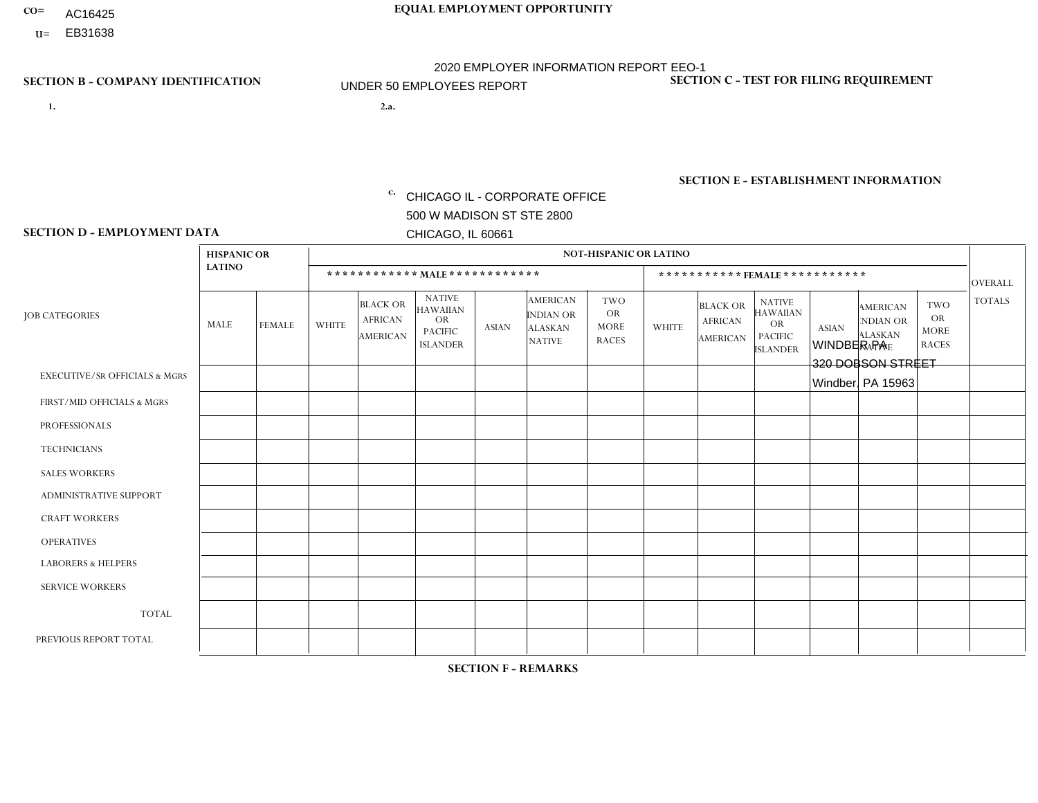- AC16425
- **U=**

- **1. 2.a.** CHICAGO IL CORPORATE OFFICE 500 W MADISON ST STE 2800 CHICAGO, IL 60661
- 2.a. WINDBER PA 320 DOBSON STREET Windber, PA 15963

EIN= 952920557

## **SECTION B - COMPANY IDENTIFICATION SECTION C - TEST FOR FILING REQUIREMENT**

1- Y 2- Y 3- N DUNS= 000123456

**SECTION E - ESTABLISHMENT INFORMATION c.** NAICS: 423140

### **SECTION D - EMPLOYMENT DATA**

|                                          | <b>HISPANIC OR</b> |               |                |                                                      |                                                                                    |              | <b>NOT-HISPANIC OR LATINO</b>                                          |                                                        |                |                                                      |                                                                                    |              |                                                                       |                                                        |                |
|------------------------------------------|--------------------|---------------|----------------|------------------------------------------------------|------------------------------------------------------------------------------------|--------------|------------------------------------------------------------------------|--------------------------------------------------------|----------------|------------------------------------------------------|------------------------------------------------------------------------------------|--------------|-----------------------------------------------------------------------|--------------------------------------------------------|----------------|
|                                          | <b>LATINO</b>      |               |                | ************ MALE ************                       |                                                                                    |              |                                                                        |                                                        |                |                                                      | ***********FEMALE***********                                                       |              |                                                                       |                                                        | <b>OVERALL</b> |
| <b>JOB CATEGORIES</b>                    | <b>MALE</b>        | <b>FEMALE</b> | <b>WHITE</b>   | <b>BLACK OR</b><br><b>AFRICAN</b><br><b>AMERICAN</b> | <b>NATIVE</b><br><b>HAWAIIAN</b><br><b>OR</b><br><b>PACIFIC</b><br><b>ISLANDER</b> | <b>ASIAN</b> | <b>AMERICAN</b><br><b>INDIAN OR</b><br><b>ALASKAN</b><br><b>NATIVE</b> | <b>TWO</b><br><b>OR</b><br><b>MORE</b><br><b>RACES</b> | <b>WHITE</b>   | <b>BLACK OR</b><br><b>AFRICAN</b><br><b>AMERICAN</b> | <b>NATIVE</b><br><b>HAWAIIAN</b><br><b>OR</b><br><b>PACIFIC</b><br><b>ISLANDER</b> | <b>ASIAN</b> | <b>AMERICAN</b><br><b>NDIAN OR</b><br><b>ALASKAN</b><br><b>NATIVE</b> | <b>TWO</b><br><b>OR</b><br><b>MORE</b><br><b>RACES</b> | <b>TOTALS</b>  |
| <b>EXECUTIVE/SR OFFICIALS &amp; MGRS</b> | $\mathbf{0}$       | $\Omega$      | $\Omega$       | $\Omega$                                             | 0                                                                                  | $\Omega$     | $\Omega$                                                               | $\Omega$                                               | $\Omega$       | $\mathbf{0}$                                         | $\Omega$                                                                           | $\Omega$     | $\Omega$                                                              | $\Omega$                                               | $\Omega$       |
| FIRST/MID OFFICIALS & MGRS               | $\Omega$           | $\Omega$      | 3              | $\mathbf 0$                                          | $\mathbf{0}$                                                                       | $\Omega$     | $\Omega$                                                               | $\Omega$                                               | $\Omega$       | $\Omega$                                             | $\Omega$                                                                           | $\Omega$     | $\Omega$                                                              | $\Omega$                                               | 3              |
| <b>PROFESSIONALS</b>                     | $\Omega$           | $\mathbf 0$   | 1              | $\mathbf 0$                                          | $\overline{0}$                                                                     | $\Omega$     | $\Omega$                                                               | $\Omega$                                               | $\Omega$       | $\Omega$                                             | $\Omega$                                                                           | $\Omega$     | $\Omega$                                                              | $\mathbf{0}$                                           | $\mathbf{1}$   |
| <b>TECHNICIANS</b>                       | $\Omega$           | $\Omega$      | $\Omega$       | $\Omega$                                             | 0                                                                                  | $\Omega$     | $\overline{0}$                                                         | $\Omega$                                               | $\Omega$       | $\Omega$                                             | $\Omega$                                                                           | $\Omega$     | $\mathbf{0}$                                                          | $\Omega$                                               | $\mathbf 0$    |
| <b>SALES WORKERS</b>                     | $\Omega$           | $\Omega$      | $\Omega$       | $\Omega$                                             | $\Omega$                                                                           | $\Omega$     | $\Omega$                                                               | $\Omega$                                               | $\overline{2}$ | $\Omega$                                             | $\Omega$                                                                           | $\Omega$     | $\Omega$                                                              | $\mathbf{0}$                                           | $\overline{2}$ |
| <b>ADMINISTRATIVE SUPPORT</b>            | $\Omega$           | $\mathbf 0$   | $\Omega$       | $\mathbf 0$                                          | $\mathbf 0$                                                                        | $\mathbf 0$  | $\Omega$                                                               | $\Omega$                                               | 1              | $\mathbf{0}$                                         | $\Omega$                                                                           | $\Omega$     | $\Omega$                                                              | $\Omega$                                               | $\mathbf{1}$   |
| <b>CRAFT WORKERS</b>                     | $\Omega$           | $\Omega$      | $\Omega$       | 0                                                    | 0                                                                                  | $\Omega$     | $\Omega$                                                               | $\Omega$                                               | $\Omega$       | $\Omega$                                             | $\Omega$                                                                           | $\Omega$     | $\Omega$                                                              | $\Omega$                                               | $\Omega$       |
| <b>OPERATIVES</b>                        | $\Omega$           | $\Omega$      | $\overline{7}$ | 0                                                    | 0                                                                                  | $\Omega$     | $\Omega$                                                               | $\Omega$                                               | $\Omega$       | $\Omega$                                             | $\Omega$                                                                           | $\Omega$     | $\Omega$                                                              | $\Omega$                                               | $\overline{7}$ |
| <b>LABORERS &amp; HELPERS</b>            | $\Omega$           | $\Omega$      | 5              | $\mathbf 0$                                          | 0                                                                                  | $\Omega$     | $\Omega$                                                               | $\Omega$                                               | $\Omega$       | $\Omega$                                             | $\Omega$                                                                           | $\Omega$     | $\Omega$                                                              | $\Omega$                                               | 5              |
| <b>SERVICE WORKERS</b>                   | $\Omega$           | $\Omega$      | $\Omega$       | 0                                                    | $\mathbf 0$                                                                        | $\Omega$     | $\Omega$                                                               | $\Omega$                                               | $\Omega$       | $\Omega$                                             | $\Omega$                                                                           | $\Omega$     | $\Omega$                                                              | $\Omega$                                               | 0              |
| <b>TOTAL</b>                             | $\mathbf{0}$       | 0             | 16             | $\mathbf 0$                                          | 0                                                                                  | $\mathbf 0$  | $\Omega$                                                               | $\Omega$                                               | 3              | $\Omega$                                             | $\Omega$                                                                           | $\mathbf 0$  | $\Omega$                                                              | $\Omega$                                               | 19             |
| PREVIOUS REPORT TOTAL                    | $\Omega$           | $\Omega$      | 20             | $\mathbf 0$                                          | 0                                                                                  | $\Omega$     | $\overline{0}$                                                         | $\Omega$                                               | 4              | $\Omega$                                             | $\mathbf{0}$                                                                       | $\Omega$     | $\Omega$                                                              | $\mathbf 0$                                            | 24             |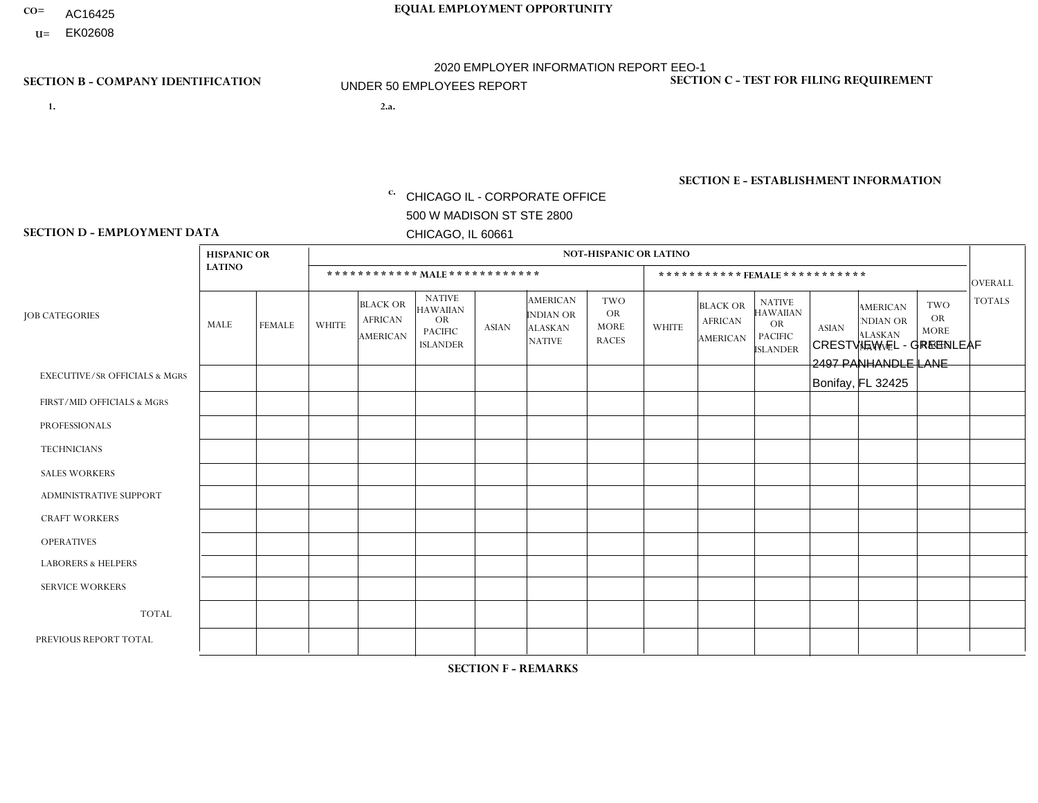- AC16425
- **U=**

**1. 2.a.** CHICAGO IL - CORPORATE OFFICE 500 W MADISON ST STE 2800 CHICAGO, IL 60661

2.a. CRESTVIEW FL - GREENLEAF 2497 PANHANDLE LANE Bonifay, FL 32425

**SECTION B - COMPANY IDENTIFICATION SECTION C - TEST FOR FILING REQUIREMENT** 

1- Y 2- Y 3- N DUNS= 000123456

|                   | <b>SECTION E - ESTABLISHMENT INFORMATION</b> |
|-------------------|----------------------------------------------|
| c. EIN= 952920557 | NAICS: 423140                                |

### **SECTION D - EMPLOYMENT DATA**

|                                          | <b>HISPANIC OR</b> |               |                |                                                      |                                                                                    |              |                                                                        | <b>NOT-HISPANIC OR LATINO</b>                          |                |                                               |                                                                                    |              |                                                                       |                                                        |                |
|------------------------------------------|--------------------|---------------|----------------|------------------------------------------------------|------------------------------------------------------------------------------------|--------------|------------------------------------------------------------------------|--------------------------------------------------------|----------------|-----------------------------------------------|------------------------------------------------------------------------------------|--------------|-----------------------------------------------------------------------|--------------------------------------------------------|----------------|
|                                          | <b>LATINO</b>      |               |                | ************ MAIE************                        |                                                                                    |              |                                                                        |                                                        |                |                                               | ***********FEMALE***********                                                       |              |                                                                       |                                                        | <b>OVERALL</b> |
| <b>IOB CATEGORIES</b>                    | <b>MALE</b>        | <b>FEMALE</b> | <b>WHITE</b>   | <b>BLACK OR</b><br><b>AFRICAN</b><br><b>AMERICAN</b> | <b>NATIVE</b><br><b>HAWAIIAN</b><br><b>OR</b><br><b>PACIFIC</b><br><b>ISLANDER</b> | <b>ASIAN</b> | <b>AMERICAN</b><br><b>INDIAN OR</b><br><b>ALASKAN</b><br><b>NATIVE</b> | <b>TWO</b><br><b>OR</b><br><b>MORE</b><br><b>RACES</b> | <b>WHITE</b>   | <b>BLACK OR</b><br><b>AFRICAN</b><br>AMERICAN | <b>NATIVE</b><br><b>HAWAIIAN</b><br><b>OR</b><br><b>PACIFIC</b><br><b>ISLANDER</b> | <b>ASIAN</b> | <b>AMERICAN</b><br><b>NDIAN OR</b><br><b>ALASKAN</b><br><b>NATIVE</b> | <b>TWO</b><br><b>OR</b><br><b>MORE</b><br><b>RACES</b> | <b>TOTALS</b>  |
| <b>EXECUTIVE/SR OFFICIALS &amp; MGRS</b> | $\Omega$           | $\Omega$      | $\Omega$       | $\Omega$                                             | 0                                                                                  | $\Omega$     | $\Omega$                                                               | $\Omega$                                               | $\Omega$       | $\mathbf{0}$                                  | $\Omega$                                                                           | $\Omega$     | $\Omega$                                                              | $\Omega$                                               | $\mathbf 0$    |
| FIRST/MID OFFICIALS & MGRS               | 0                  | $\Omega$      | 4              | $\mathbf 0$                                          | $\Omega$                                                                           | $\Omega$     | $\Omega$                                                               | $\Omega$                                               | $\Omega$       | $\mathbf{0}$                                  | $\mathbf{0}$                                                                       | $\Omega$     | $\Omega$                                                              | $\Omega$                                               | $\overline{4}$ |
| <b>PROFESSIONALS</b>                     | $\Omega$           | $\mathbf 0$   | $\Omega$       | $\mathbf 0$                                          | 0                                                                                  | $\Omega$     | $\overline{0}$                                                         | $\Omega$                                               | $\mathbf 0$    | $\Omega$                                      | $\mathbf{0}$                                                                       | $\Omega$     | $\Omega$                                                              | $\mathbf{0}$                                           | $\mathbf 0$    |
| <b>TECHNICIANS</b>                       | $\Omega$           | $\Omega$      | $\Omega$       | $\Omega$                                             | $\Omega$                                                                           | $\Omega$     | $\overline{0}$                                                         | $\Omega$                                               | $\Omega$       | $\Omega$                                      | $\Omega$                                                                           | $\Omega$     | $\Omega$                                                              | $\mathbf{0}$                                           | $\Omega$       |
| <b>SALES WORKERS</b>                     | $\Omega$           | $\Omega$      | 5              | $\Omega$                                             | $\Omega$                                                                           | $\Omega$     | $\Omega$                                                               | $\Omega$                                               | $\Omega$       | $\Omega$                                      | $\Omega$                                                                           | $\Omega$     | $\Omega$                                                              | $\Omega$                                               | 5              |
| <b>ADMINISTRATIVE SUPPORT</b>            | $\Omega$           | $\Omega$      | 1              | $\mathbf 0$                                          | 0                                                                                  | $\Omega$     | $\Omega$                                                               | $\Omega$                                               | $\overline{2}$ | $\mathbf{0}$                                  | $\mathbf{0}$                                                                       | $\Omega$     | $\Omega$                                                              | $\Omega$                                               | 3              |
| <b>CRAFT WORKERS</b>                     | $\Omega$           | $\Omega$      | $\overline{c}$ | 0                                                    | $\mathbf 0$                                                                        | $\Omega$     | $\Omega$                                                               | $\Omega$                                               | $\Omega$       | $\Omega$                                      | $\mathbf{0}$                                                                       | $\Omega$     | $\Omega$                                                              | $\Omega$                                               | $\overline{2}$ |
| <b>OPERATIVES</b>                        | 0                  | $\Omega$      | 14             | $\mathbf{1}$                                         | $\Omega$                                                                           | $\Omega$     | $\Omega$                                                               | $\Omega$                                               | $\Omega$       | $\Omega$                                      | $\Omega$                                                                           | $\Omega$     | $\Omega$                                                              | $\Omega$                                               | 15             |
| <b>LABORERS &amp; HELPERS</b>            | $\Omega$           | $\mathbf 0$   | 5              | $\mathbf 0$                                          | $\mathbf 0$                                                                        | $\mathbf 0$  | $\Omega$                                                               | $\Omega$                                               | $\Omega$       | $\Omega$                                      | $\Omega$                                                                           | $\mathbf 0$  | $\Omega$                                                              | $\Omega$                                               | 5              |
| <b>SERVICE WORKERS</b>                   | $\Omega$           | $\Omega$      | $\Omega$       | $\mathbf 0$                                          | 0                                                                                  | $\Omega$     | $\Omega$                                                               | $\Omega$                                               | $\Omega$       | $\Omega$                                      | $\Omega$                                                                           | $\Omega$     | $\Omega$                                                              | $\Omega$                                               | 0              |
| <b>TOTAL</b>                             | $\Omega$           | $\mathbf 0$   | 31             | $\mathbf{1}$                                         | 0                                                                                  | $\Omega$     | $\Omega$                                                               | $\Omega$                                               | $\overline{2}$ | $\Omega$                                      | $\Omega$                                                                           | $\mathbf 0$  | $\Omega$                                                              | $\Omega$                                               | 34             |
| PREVIOUS REPORT TOTAL                    | 0                  | $\Omega$      | 34             | 1                                                    | $\overline{2}$                                                                     | $\Omega$     | $\Omega$                                                               |                                                        | $\overline{2}$ | $\Omega$                                      | $\mathbf{0}$                                                                       | $\Omega$     | $\Omega$                                                              | $\mathbf 0$                                            | 40             |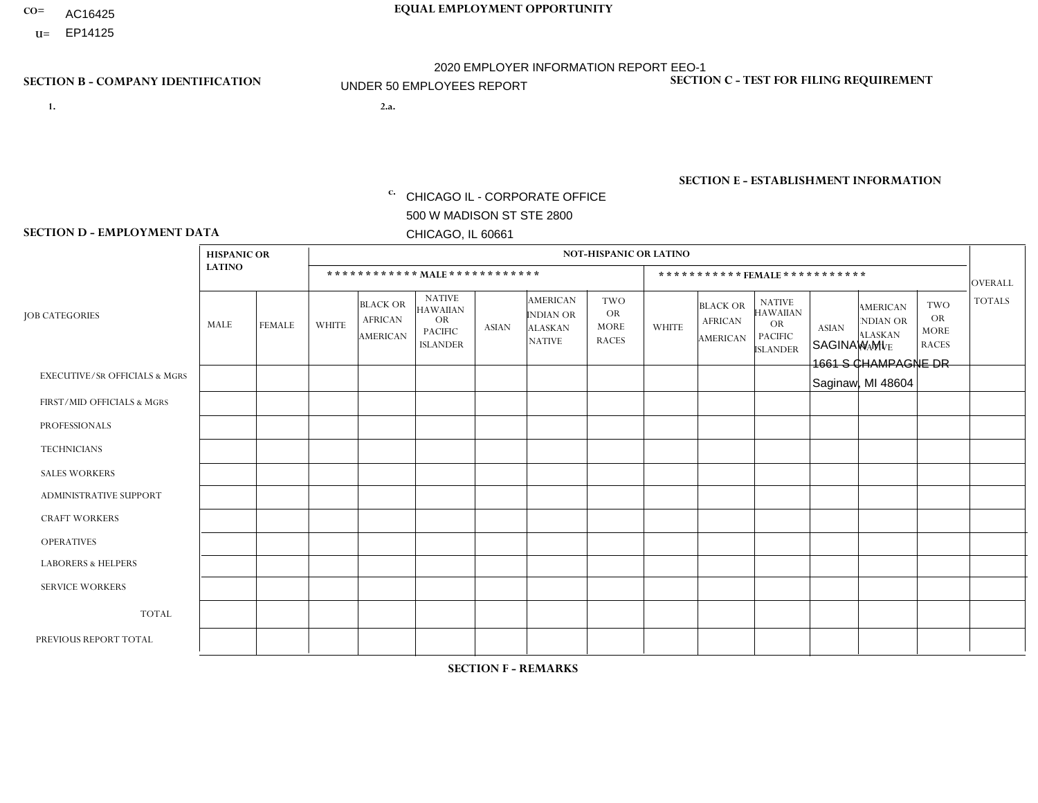- AC16425
- **U=**

- **1. 2.a.** CHICAGO IL CORPORATE OFFICE 500 W MADISON ST STE 2800 CHICAGO, IL 60661
- 2.a. SAGINAW MI 1661 S CHAMPAGNE DR Saginaw, MI 48604

c. EIN= 952920557

## **SECTION B - COMPANY IDENTIFICATION SECTION C - TEST FOR FILING REQUIREMENT**

1- Y 2- Y 3- N DUNS= 000123456

**SECTION E - ESTABLISHMENT INFORMATION c.** NAICS: 423140

### **SECTION D - EMPLOYMENT DATA**

|                                          | <b>HISPANIC OR</b> |               |                |                                                      |                                                                                    |              |                                                                        | <b>NOT-HISPANIC OR LATINO</b>                          |                |                                               |                                                                             |              |                                                                       |                                                        |                |
|------------------------------------------|--------------------|---------------|----------------|------------------------------------------------------|------------------------------------------------------------------------------------|--------------|------------------------------------------------------------------------|--------------------------------------------------------|----------------|-----------------------------------------------|-----------------------------------------------------------------------------|--------------|-----------------------------------------------------------------------|--------------------------------------------------------|----------------|
|                                          | <b>LATINO</b>      |               |                | ************ MALE ************                       |                                                                                    |              |                                                                        |                                                        |                |                                               | *********** FEMALE ***********                                              |              |                                                                       |                                                        | <b>OVERALL</b> |
| <b>JOB CATEGORIES</b>                    | <b>MALE</b>        | <b>FEMALE</b> | <b>WHITE</b>   | <b>BLACK OR</b><br><b>AFRICAN</b><br><b>AMERICAN</b> | <b>NATIVE</b><br><b>HAWAIIAN</b><br><b>OR</b><br><b>PACIFIC</b><br><b>ISLANDER</b> | <b>ASIAN</b> | <b>AMERICAN</b><br><b>INDIAN OR</b><br><b>ALASKAN</b><br><b>NATIVE</b> | <b>TWO</b><br><b>OR</b><br><b>MORE</b><br><b>RACES</b> | <b>WHITE</b>   | <b>BLACK OR</b><br><b>AFRICAN</b><br>AMERICAN | <b>NATIVE</b><br><b>HAWAIIAN</b><br>OR<br><b>PACIFIC</b><br><b>ISLANDER</b> | <b>ASIAN</b> | <b>AMERICAN</b><br><b>NDIAN OR</b><br><b>ALASKAN</b><br><b>NATIVE</b> | <b>TWO</b><br><b>OR</b><br><b>MORE</b><br><b>RACES</b> | <b>TOTALS</b>  |
| <b>EXECUTIVE/SR OFFICIALS &amp; MGRS</b> | $\Omega$           | $\Omega$      | $\Omega$       | $\mathbf 0$                                          | $\mathbf 0$                                                                        | $\Omega$     | $\Omega$                                                               | $\Omega$                                               | $\Omega$       | $\Omega$                                      | $\mathbf 0$                                                                 | $\mathbf 0$  | $\Omega$                                                              | $\Omega$                                               | $\mathbf 0$    |
| FIRST/MID OFFICIALS & MGRS               | $\Omega$           | 0             | -1             | $\mathbf 0$                                          | $\mathbf{0}$                                                                       | $\Omega$     | $\Omega$                                                               | $\Omega$                                               | 0              | $\Omega$                                      | $\Omega$                                                                    | $\mathbf 0$  | 0                                                                     | 0                                                      | $\mathbf{1}$   |
| <b>PROFESSIONALS</b>                     | $\Omega$           | $\Omega$      | $\Omega$       | $\mathbf 0$                                          | $\Omega$                                                                           | $\Omega$     | $\Omega$                                                               | $\Omega$                                               | $\Omega$       | $\Omega$                                      | $\Omega$                                                                    | $\Omega$     | $\Omega$                                                              | $\Omega$                                               | $\mathbf{0}$   |
| <b>TECHNICIANS</b>                       | $\Omega$           | $\Omega$      | $\Omega$       | $\mathbf 0$                                          | $\Omega$                                                                           | $\Omega$     | $\Omega$                                                               | $\Omega$                                               | 0              | $\Omega$                                      | 0                                                                           | 0            | $\Omega$                                                              | $\mathbf 0$                                            | $\overline{0}$ |
| <b>SALES WORKERS</b>                     | $\Omega$           | $\Omega$      | $\Omega$       | $\mathbf 0$                                          | $\Omega$                                                                           | $\Omega$     | $\Omega$                                                               | $\Omega$                                               | $\overline{0}$ | $\Omega$                                      | $\Omega$                                                                    | $\Omega$     | $\Omega$                                                              | $\Omega$                                               | $\mathbf{0}$   |
| ADMINISTRATIVE SUPPORT                   | $\Omega$           | $\mathbf 0$   | $\Omega$       | $\mathbf 0$                                          | 0                                                                                  | $\mathbf{0}$ | $\Omega$                                                               | $\Omega$                                               | 0              | $\Omega$                                      | 0                                                                           | $\mathbf 0$  | 0                                                                     | $\mathbf 0$                                            | $\overline{0}$ |
| <b>CRAFT WORKERS</b>                     | $\Omega$           | $\Omega$      | $\mathbf{0}$   | $\Omega$                                             | $\Omega$                                                                           | $\Omega$     | $\Omega$                                                               | $\Omega$                                               | 0              | $\Omega$                                      | 0                                                                           | $\Omega$     | $\Omega$                                                              | $\Omega$                                               | $\Omega$       |
| <b>OPERATIVES</b>                        | $\Omega$           | $\Omega$      | 3              | $\overline{1}$                                       | $\Omega$                                                                           | $\Omega$     | $\Omega$                                                               | $\Omega$                                               | $\Omega$       | $\Omega$                                      | 0                                                                           | $\Omega$     | $\Omega$                                                              | $\Omega$                                               | 4              |
| <b>LABORERS &amp; HELPERS</b>            | $\Omega$           | $\Omega$      | $\overline{2}$ | $\mathbf 0$                                          | 0                                                                                  | $\Omega$     | $\Omega$                                                               | $\Omega$                                               | $\Omega$       | $\Omega$                                      | $\Omega$                                                                    | $\Omega$     | $\Omega$                                                              | $\Omega$                                               | $\overline{2}$ |
| <b>SERVICE WORKERS</b>                   | $\Omega$           | $\mathbf 0$   | $\mathbf 0$    | 0                                                    | $\mathbf 0$                                                                        | $\mathbf 0$  | $\Omega$                                                               | $\Omega$                                               | 0              | $\Omega$                                      | 0                                                                           | $\mathbf 0$  | $\Omega$                                                              | $\mathbf 0$                                            | $\mathbf{0}$   |
| <b>TOTAL</b>                             | $\Omega$           | 0             | 6              | $\overline{1}$                                       | 0                                                                                  | 0            | $\Omega$                                                               | $\Omega$                                               | 0              | $\Omega$                                      | $\Omega$                                                                    | $\mathbf 0$  | $\Omega$                                                              | $\mathbf 0$                                            | $\overline{7}$ |
| PREVIOUS REPORT TOTAL                    | $\Omega$           | $\Omega$      | $\overline{7}$ | $\mathbf 0$                                          | $\mathbf 0$                                                                        | $\Omega$     | $\Omega$                                                               | $\Omega$                                               | 1              | $\Omega$                                      | 0                                                                           | $\mathbf 0$  | $\Omega$                                                              | $\mathbf 0$                                            | 8              |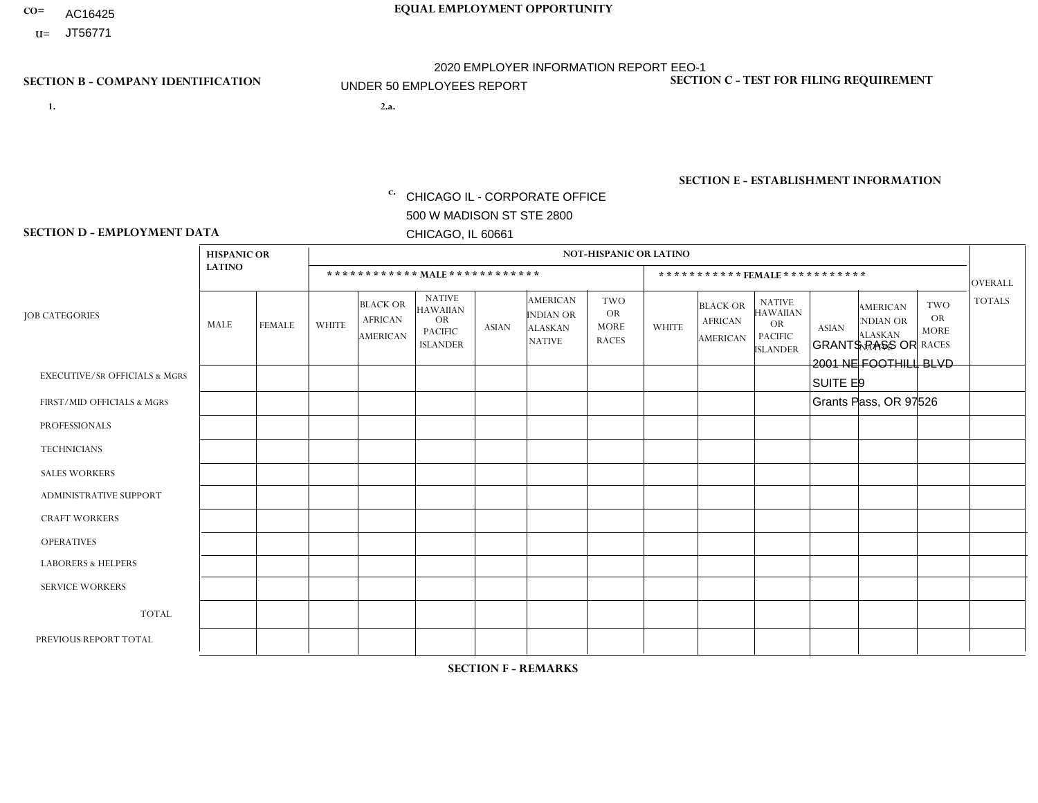- AC16425
- **U=**

- **1. 2.a.** CHICAGO IL CORPORATE OFFICE 500 W MADISON ST STE 2800 CHICAGO, IL 60661
- 2.a. GRANTS PASS OR 2001 NE FOOTHILL BLVD SUITE E9 Grants Pass, OR 97526
	- EIN= 952920557

## **SECTION B - COMPANY IDENTIFICATION SECTION C - TEST FOR FILING REQUIREMENT**

1- Y 2- Y 3- N DUNS= 000123456

**SECTION E - ESTABLISHMENT INFORMATION c.** NAICS: 423140

### **SECTION D - EMPLOYMENT DATA**

|                                          | <b>HISPANIC OR</b> |               |              |                                                      |                                                                                    |              |                                                                        | <b>NOT-HISPANIC OR LATINO</b>                          |              |                                               |                                                                                    |              |                                                                       |                                                        |                |
|------------------------------------------|--------------------|---------------|--------------|------------------------------------------------------|------------------------------------------------------------------------------------|--------------|------------------------------------------------------------------------|--------------------------------------------------------|--------------|-----------------------------------------------|------------------------------------------------------------------------------------|--------------|-----------------------------------------------------------------------|--------------------------------------------------------|----------------|
|                                          | <b>LATINO</b>      |               |              | ************ MALE ************                       |                                                                                    |              |                                                                        |                                                        |              | *********** FEMALE ***********                |                                                                                    |              |                                                                       |                                                        | <b>OVERALL</b> |
| <b>JOB CATEGORIES</b>                    | <b>MALE</b>        | <b>FEMALE</b> | <b>WHITE</b> | <b>BLACK OR</b><br><b>AFRICAN</b><br><b>AMERICAN</b> | <b>NATIVE</b><br><b>HAWAIIAN</b><br><b>OR</b><br><b>PACIFIC</b><br><b>ISLANDER</b> | <b>ASIAN</b> | <b>AMERICAN</b><br><b>INDIAN OR</b><br><b>ALASKAN</b><br><b>NATIVE</b> | <b>TWO</b><br><b>OR</b><br><b>MORE</b><br><b>RACES</b> | <b>WHITE</b> | <b>BLACK OR</b><br><b>AFRICAN</b><br>AMERICAN | <b>NATIVE</b><br><b>HAWAIIAN</b><br><b>OR</b><br><b>PACIFIC</b><br><b>ISLANDER</b> | <b>ASIAN</b> | <b>AMERICAN</b><br><b>NDIAN OR</b><br><b>ALASKAN</b><br><b>NATIVE</b> | <b>TWO</b><br><b>OR</b><br><b>MORE</b><br><b>RACES</b> | <b>TOTALS</b>  |
| <b>EXECUTIVE/SR OFFICIALS &amp; MGRS</b> | $\Omega$           | $\Omega$      | $\Omega$     | $\mathbf 0$                                          | $\Omega$                                                                           | $\Omega$     | $\Omega$                                                               | $\Omega$                                               | $\Omega$     | $\Omega$                                      | $\Omega$                                                                           | $\Omega$     | $\Omega$                                                              | $\Omega$                                               | $\mathbf 0$    |
| FIRST/MID OFFICIALS & MGRS               | 1                  | 0             | 0            | $\mathbf 0$                                          | $\mathbf 0$                                                                        | $\mathbf 0$  | $\Omega$                                                               | $\Omega$                                               | $\Omega$     | $\mathbf{0}$                                  | $\Omega$                                                                           | $\mathbf 0$  | $\Omega$                                                              | $\mathbf 0$                                            | $\mathbf{1}$   |
| <b>PROFESSIONALS</b>                     | $\Omega$           | $\Omega$      | $\Omega$     | $\mathbf 0$                                          | $\Omega$                                                                           | $\Omega$     | $\Omega$                                                               | $\Omega$                                               | $\Omega$     | $\Omega$                                      | $\Omega$                                                                           | $\Omega$     | $\Omega$                                                              | $\Omega$                                               | $\mathbf 0$    |
| <b>TECHNICIANS</b>                       | $\Omega$           | $\Omega$      | $\Omega$     | $\mathbf 0$                                          | $\Omega$                                                                           | $\Omega$     | $\overline{0}$                                                         | $\Omega$                                               | $\Omega$     | $\Omega$                                      | $\Omega$                                                                           | $\Omega$     | $\Omega$                                                              | $\mathbf{0}$                                           | $\mathbf 0$    |
| <b>SALES WORKERS</b>                     | $\Omega$           | $\Omega$      | $\Omega$     | $\Omega$                                             | 0                                                                                  | $\Omega$     | $\Omega$                                                               | $\Omega$                                               | $\Omega$     | $\Omega$                                      | $\Omega$                                                                           | $\Omega$     | $\Omega$                                                              | $\Omega$                                               | $\mathbf 0$    |
| ADMINISTRATIVE SUPPORT                   | $\Omega$           | $\Omega$      | $\Omega$     | $\mathbf 0$                                          | $\mathbf 0$                                                                        | $\Omega$     | $\Omega$                                                               | $\Omega$                                               | $\Omega$     | $\Omega$                                      | $\Omega$                                                                           | $\Omega$     | $\Omega$                                                              | $\Omega$                                               | 0              |
| <b>CRAFT WORKERS</b>                     | $\Omega$           | $\Omega$      | $\mathbf 0$  | $\mathbf 0$                                          | $\Omega$                                                                           | $\Omega$     | $\Omega$                                                               | $\Omega$                                               | $\Omega$     | $\Omega$                                      | $\Omega$                                                                           | $\Omega$     | $\Omega$                                                              | $\Omega$                                               | $\mathbf 0$    |
| <b>OPERATIVES</b>                        | $\Omega$           | $\Omega$      | $\Omega$     | $\mathbf 0$                                          | $\mathbf 0$                                                                        | $\mathbf 0$  | $\mathbf{1}$                                                           | $\Omega$                                               | 1            | $\Omega$                                      | $\mathbf{0}$                                                                       | $\Omega$     | $\Omega$                                                              | $\Omega$                                               | $\overline{2}$ |
| <b>LABORERS &amp; HELPERS</b>            | 0                  | $\Omega$      | 0            | $\mathbf 0$                                          | 0                                                                                  | $\mathbf 0$  | $\Omega$                                                               | $\Omega$                                               | $\Omega$     | $\Omega$                                      | $\mathbf{0}$                                                                       | $\Omega$     | $\Omega$                                                              | $\Omega$                                               | 0              |
| <b>SERVICE WORKERS</b>                   | $\Omega$           | $\Omega$      | 0            | 0                                                    | $\mathbf{0}$                                                                       | $\mathbf 0$  | $\Omega$                                                               | $\Omega$                                               | $\Omega$     | $\Omega$                                      | $\Omega$                                                                           | $\Omega$     | $\Omega$                                                              | $\Omega$                                               | 0              |
| <b>TOTAL</b>                             | 1                  | $\mathbf 0$   | 0            | $\mathbf 0$                                          | 0                                                                                  | $\mathbf 0$  | $\mathbf{1}$                                                           | $\Omega$                                               | $\mathbf{1}$ | $\Omega$                                      | $\Omega$                                                                           | $\mathbf 0$  | $\Omega$                                                              | $\Omega$                                               | 3              |
| PREVIOUS REPORT TOTAL                    |                    | 0             | 1            | $\mathbf 0$                                          | $\mathbf{0}$                                                                       | $\Omega$     | 1                                                                      | $\Omega$                                               | $\mathbf{1}$ | $\mathbf{0}$                                  | $\mathbf{0}$                                                                       | $\Omega$     | $\Omega$                                                              | $\Omega$                                               | $\overline{4}$ |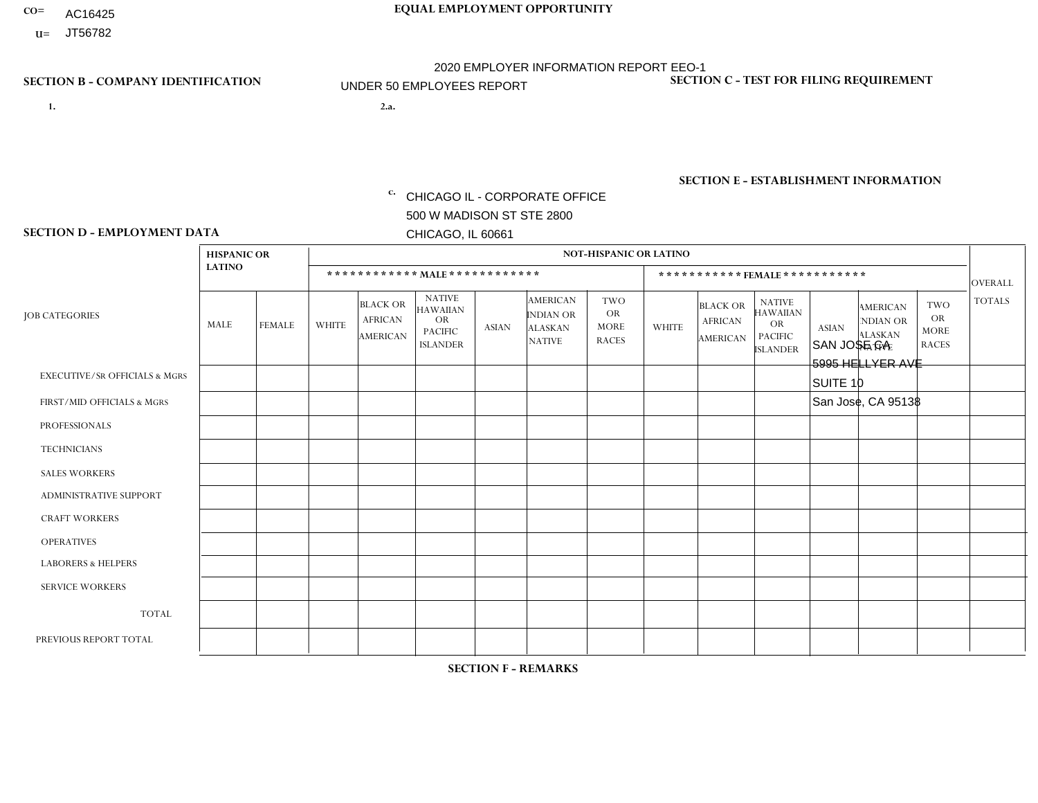- AC16425
- **U=**

- **1. 2.a.** CHICAGO IL CORPORATE OFFICE 500 W MADISON ST STE 2800 CHICAGO, IL 60661
- 2.a. SAN JOSE CA 5995 HELLYER AVE SUITE 10 San Jose, CA 95138
	- EIN= 952920557

## **SECTION B - COMPANY IDENTIFICATION SECTION C - TEST FOR FILING REQUIREMENT**

1- Y 2- Y 3- N DUNS= 000123456

**SECTION E - ESTABLISHMENT INFORMATION c.** NAICS: 423140

### **SECTION D - EMPLOYMENT DATA**

|                                          | <b>HISPANIC OR</b> |               |                |                                                      |                                                                                    |             |                                                                        | <b>NOT-HISPANIC OR LATINO</b>                          |                |                                               |                                                                                    |              |                                                                       |                                                        |                |
|------------------------------------------|--------------------|---------------|----------------|------------------------------------------------------|------------------------------------------------------------------------------------|-------------|------------------------------------------------------------------------|--------------------------------------------------------|----------------|-----------------------------------------------|------------------------------------------------------------------------------------|--------------|-----------------------------------------------------------------------|--------------------------------------------------------|----------------|
|                                          | <b>LATINO</b>      |               |                |                                                      | ************ MALE ************                                                     |             |                                                                        |                                                        |                |                                               | *********** FEMALE ***********                                                     |              |                                                                       |                                                        | <b>OVERALL</b> |
| <b>JOB CATEGORIES</b>                    | MALE               | <b>FEMALE</b> | <b>WHITE</b>   | <b>BLACK OR</b><br><b>AFRICAN</b><br><b>AMERICAN</b> | <b>NATIVE</b><br><b>HAWAIIAN</b><br><b>OR</b><br><b>PACIFIC</b><br><b>ISLANDER</b> | ASIAN       | <b>AMERICAN</b><br><b>INDIAN OR</b><br><b>ALASKAN</b><br><b>NATIVE</b> | <b>TWO</b><br><b>OR</b><br><b>MORE</b><br><b>RACES</b> | <b>WHITE</b>   | <b>BLACK OR</b><br><b>AFRICAN</b><br>AMERICAN | <b>NATIVE</b><br><b>HAWAIIAN</b><br><b>OR</b><br><b>PACIFIC</b><br><b>ISLANDER</b> | <b>ASIAN</b> | <b>AMERICAN</b><br><b>NDIAN OR</b><br><b>ALASKAN</b><br><b>NATIVE</b> | <b>TWO</b><br><b>OR</b><br><b>MORE</b><br><b>RACES</b> | <b>TOTALS</b>  |
| <b>EXECUTIVE/SR OFFICIALS &amp; MGRS</b> | $\Omega$           | 0             | $\mathbf 0$    | $\mathbf 0$                                          | 0                                                                                  | $\mathbf 0$ | $\Omega$                                                               | $\Omega$                                               | $\Omega$       | $\Omega$                                      | $\Omega$                                                                           | $\mathbf 0$  | 0                                                                     | $\mathbf 0$                                            | $\mathbf 0$    |
| FIRST/MID OFFICIALS & MGRS               | 0                  | $\Omega$      | 1              | $\mathbf 0$                                          | $\Omega$                                                                           | $\Omega$    | $\Omega$                                                               | $\Omega$                                               | $\Omega$       | $\Omega$                                      | $\Omega$                                                                           | $\Omega$     | $\Omega$                                                              | $\mathbf{0}$                                           | $\mathbf{1}$   |
| <b>PROFESSIONALS</b>                     | 0                  | $\mathbf 0$   | $\mathbf 0$    | $\mathbf 0$                                          | $\Omega$                                                                           | $\Omega$    | $\Omega$                                                               | $\Omega$                                               | 0              | $\Omega$                                      | $\Omega$                                                                           | $\mathbf{0}$ | $\Omega$                                                              | $\mathbf{0}$                                           | $\mathbf{0}$   |
| <b>TECHNICIANS</b>                       | 0                  | $\Omega$      | $\mathbf 0$    | $\mathbf 0$                                          | $\Omega$                                                                           | $\Omega$    | $\Omega$                                                               | $\Omega$                                               | 0              | $\Omega$                                      | $\Omega$                                                                           | $\Omega$     | $\Omega$                                                              | $\Omega$                                               | $\mathbf{0}$   |
| <b>SALES WORKERS</b>                     | $\mathbf 0$        | $\mathbf 0$   | $\mathbf 0$    | $\mathbf 0$                                          | $\mathbf 0$                                                                        | $\Omega$    | $\Omega$                                                               | $\Omega$                                               | $\Omega$       | $\Omega$                                      | $\Omega$                                                                           | $\Omega$     | 0                                                                     | $\Omega$                                               | $\mathbf{0}$   |
| <b>ADMINISTRATIVE SUPPORT</b>            | 1                  | $\mathbf 0$   | 1              | $\mathbf 0$                                          | $\mathbf 0$                                                                        | $\Omega$    | $\Omega$                                                               | $\Omega$                                               | $\overline{0}$ | $\Omega$                                      | $\Omega$                                                                           | $\Omega$     | $\Omega$                                                              | $\Omega$                                               | $\overline{2}$ |
| <b>CRAFT WORKERS</b>                     | $\Omega$           | $\mathbf 0$   | $\Omega$       | $\mathbf 0$                                          | 0                                                                                  | $\Omega$    | $\Omega$                                                               | $\Omega$                                               | $\Omega$       | $\Omega$                                      | $\Omega$                                                                           | $\Omega$     | $\mathbf{0}$                                                          | $\Omega$                                               | $\mathbf 0$    |
| <b>OPERATIVES</b>                        | 4                  | $\Omega$      | $\Omega$       | 3                                                    | $\Omega$                                                                           | 1           | $\Omega$                                                               | -4                                                     | 1              | $\Omega$                                      | $\Omega$                                                                           | $\Omega$     | $\Omega$                                                              | $\mathbf{0}$                                           | 10             |
| <b>LABORERS &amp; HELPERS</b>            | и                  | 0             | $\mathbf 0$    | $\mathbf 0$                                          | 0                                                                                  | 1           | $\Omega$                                                               | $\Omega$                                               | $\Omega$       | $\Omega$                                      | $\Omega$                                                                           | $\Omega$     | $\Omega$                                                              | $\Omega$                                               | $\overline{2}$ |
| <b>SERVICE WORKERS</b>                   | 0                  | $\Omega$      | $\mathbf 0$    | 0                                                    | 0                                                                                  | $\Omega$    | $\Omega$                                                               | $\Omega$                                               | 0              | $\Omega$                                      | $\Omega$                                                                           | $\Omega$     | $\Omega$                                                              | $\Omega$                                               | $\mathbf{0}$   |
| <b>TOTAL</b>                             | 6                  | $\mathbf 0$   | $\overline{c}$ | $\mathbf{3}$                                         | 0                                                                                  | 2           | $\mathbf{0}$                                                           |                                                        |                | $\Omega$                                      | $\Omega$                                                                           | $\mathbf{0}$ | $\Omega$                                                              | $\mathbf 0$                                            | 15             |
| PREVIOUS REPORT TOTAL                    | 0                  | $\mathbf{0}$  | 3              | $\mathbf 0$                                          | 0                                                                                  | 3           | $\Omega$                                                               |                                                        |                | $\Omega$                                      | $\Omega$                                                                           | $\mathbf 0$  | 0                                                                     | $\mathbf 0$                                            | 8              |
|                                          |                    |               |                |                                                      |                                                                                    |             |                                                                        |                                                        |                |                                               |                                                                                    |              |                                                                       |                                                        |                |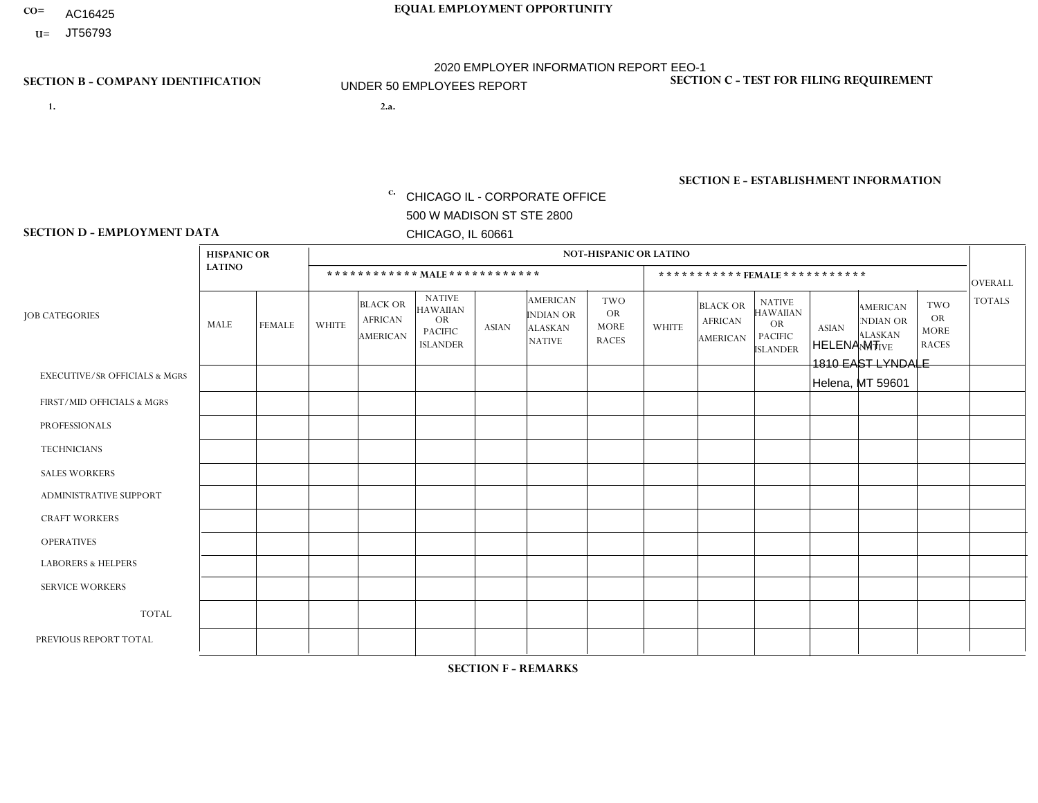- AC16425
- **U=**

**1. 2.a.** CHICAGO IL - CORPORATE OFFICE 500 W MADISON ST STE 2800 CHICAGO, IL 60661

2.a. HELENA MT 1810 EAST LYNDALE Helena, MT 59601

EIN= 952920557

## **SECTION B - COMPANY IDENTIFICATION SECTION C - TEST FOR FILING REQUIREMENT**

1- Y 2- Y 3- N DUNS= 000123456

**SECTION E - ESTABLISHMENT INFORMATION c.** NAICS: 423140

### **SECTION D - EMPLOYMENT DATA**

|                                          | <b>HISPANIC OR</b> |                |              |                                                      |                                                                                    |              |                                                                        | <b>NOT-HISPANIC OR LATINO</b>                          |              |                                               |                                                                                    |              |                                                                       |                                                        |                |
|------------------------------------------|--------------------|----------------|--------------|------------------------------------------------------|------------------------------------------------------------------------------------|--------------|------------------------------------------------------------------------|--------------------------------------------------------|--------------|-----------------------------------------------|------------------------------------------------------------------------------------|--------------|-----------------------------------------------------------------------|--------------------------------------------------------|----------------|
|                                          | <b>LATINO</b>      |                |              | ************ MALE ************                       |                                                                                    |              |                                                                        |                                                        |              | ***********FEMALE***********                  |                                                                                    |              |                                                                       |                                                        | <b>OVERALL</b> |
| <b>JOB CATEGORIES</b>                    | MALE               | <b>FEMALE</b>  | <b>WHITE</b> | <b>BLACK OR</b><br><b>AFRICAN</b><br><b>AMERICAN</b> | <b>NATIVE</b><br><b>HAWAIIAN</b><br><b>OR</b><br><b>PACIFIC</b><br><b>ISLANDER</b> | ASIAN        | <b>AMERICAN</b><br><b>INDIAN OR</b><br><b>ALASKAN</b><br><b>NATIVE</b> | <b>TWO</b><br><b>OR</b><br><b>MORE</b><br><b>RACES</b> | <b>WHITE</b> | <b>BLACK OR</b><br><b>AFRICAN</b><br>AMERICAN | <b>NATIVE</b><br><b>HAWAIIAN</b><br><b>OR</b><br><b>PACIFIC</b><br><b>ISLANDER</b> | <b>ASIAN</b> | <b>AMERICAN</b><br><b>NDIAN OR</b><br><b>ALASKAN</b><br><b>NATIVE</b> | <b>TWO</b><br><b>OR</b><br><b>MORE</b><br><b>RACES</b> | <b>TOTALS</b>  |
| <b>EXECUTIVE/SR OFFICIALS &amp; MGRS</b> | $\Omega$           | $\Omega$       | $\Omega$     | $\mathbf 0$                                          | $\Omega$                                                                           | $\mathbf{0}$ | $\Omega$                                                               | $\Omega$                                               | 0            | $\Omega$                                      | $\Omega$                                                                           | $\Omega$     | $\Omega$                                                              | $\Omega$                                               | $\mathbf{0}$   |
| FIRST/MID OFFICIALS & MGRS               | 0                  | $\Omega$       | 3            | $\mathbf 0$                                          | $\Omega$                                                                           | $\Omega$     | $\Omega$                                                               | $\Omega$                                               | 0            | $\Omega$                                      | $\Omega$                                                                           | $\Omega$     | $\Omega$                                                              | $\Omega$                                               | 3              |
| <b>PROFESSIONALS</b>                     | 0                  | $\overline{0}$ | $\mathbf 0$  | $\mathbf 0$                                          | $\Omega$                                                                           | $\Omega$     | $\Omega$                                                               | $\Omega$                                               | 0            | $\Omega$                                      | $\Omega$                                                                           | $\Omega$     | $\Omega$                                                              | $\Omega$                                               | $\mathbf{0}$   |
| <b>TECHNICIANS</b>                       | 0                  | $\Omega$       | $\Omega$     | $\mathbf 0$                                          | $\Omega$                                                                           | $\Omega$     | $\Omega$                                                               | $\Omega$                                               | $\Omega$     | $\Omega$                                      | $\Omega$                                                                           | $\Omega$     | $\Omega$                                                              | $\Omega$                                               | $\mathbf{0}$   |
| <b>SALES WORKERS</b>                     | 0                  | $\Omega$       | $\Omega$     | $\Omega$                                             | $\Omega$                                                                           | $\Omega$     | $\Omega$                                                               | $\Omega$                                               | 0            | $\Omega$                                      | $\Omega$                                                                           | $\Omega$     | $\Omega$                                                              | $\Omega$                                               | $\Omega$       |
| <b>ADMINISTRATIVE SUPPORT</b>            | 0                  | 0              | $\Omega$     | $\mathbf 0$                                          | 0                                                                                  | $\Omega$     | $\Omega$                                                               | $\Omega$                                               | $\Omega$     | $\Omega$                                      | $\Omega$                                                                           | $\mathbf{0}$ | $\mathbf{0}$                                                          | $\mathbf 0$                                            | $\mathbf 0$    |
| <b>CRAFT WORKERS</b>                     | 0                  | $\Omega$       | $\Omega$     | $\mathbf 0$                                          | $\Omega$                                                                           | $\Omega$     | $\Omega$                                                               | $\Omega$                                               | 0            | $\Omega$                                      | $\Omega$                                                                           | $\Omega$     | $\Omega$                                                              | $\Omega$                                               | $\Omega$       |
| <b>OPERATIVES</b>                        | 0                  | $\Omega$       | 5            | $\mathbf 0$                                          | $\Omega$                                                                           | $\Omega$     | $\Omega$                                                               | $\Omega$                                               |              | $\Omega$                                      | $\Omega$                                                                           | $\Omega$     | $\Omega$                                                              | $\Omega$                                               | 6              |
| <b>LABORERS &amp; HELPERS</b>            | 0                  | $\Omega$       | $\Omega$     | $\mathbf 0$                                          | $\Omega$                                                                           | $\Omega$     | $\Omega$                                                               | $\Omega$                                               | $\Omega$     | $\Omega$                                      | $\Omega$                                                                           | $\mathbf{0}$ | $\Omega$                                                              | $\mathbf{0}$                                           | $\mathbf 0$    |
| <b>SERVICE WORKERS</b>                   | 0                  | $\Omega$       | $\mathbf 0$  | 0                                                    | 0                                                                                  | $\Omega$     | $\Omega$                                                               | $\Omega$                                               | $\Omega$     | $\Omega$                                      | $\Omega$                                                                           | $\Omega$     | $\Omega$                                                              | $\Omega$                                               | $\overline{0}$ |
| <b>TOTAL</b>                             | $\mathbf 0$        | 0              | 8            | 0                                                    | 0                                                                                  | $\mathbf 0$  | $\Omega$                                                               | $\Omega$                                               |              | $\Omega$                                      | $\Omega$                                                                           | $\mathbf 0$  | 0                                                                     | $\mathbf 0$                                            | 9              |
| PREVIOUS REPORT TOTAL                    | 0                  | $\Omega$       | 10           | $\mathbf 0$                                          | $\Omega$                                                                           | $\mathbf{0}$ | $\Omega$                                                               | $\Omega$                                               |              | $\Omega$                                      | $\Omega$                                                                           | $\Omega$     | $\Omega$                                                              | $\mathbf 0$                                            | 11             |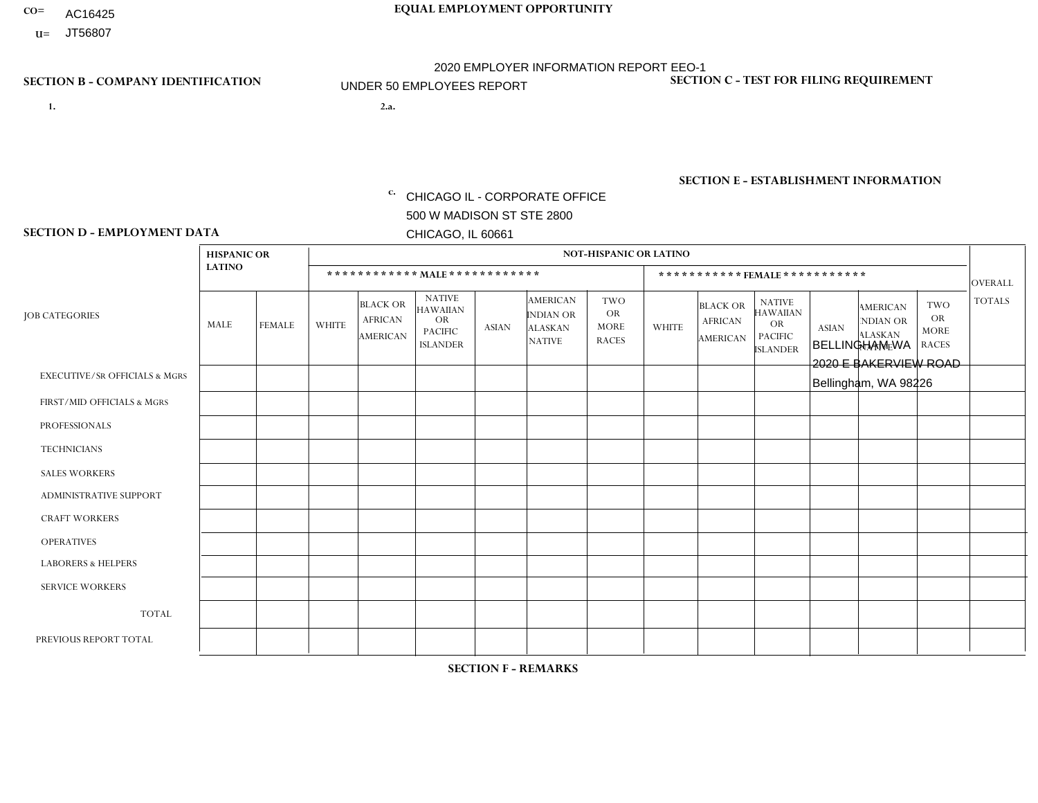- AC16425
- **U=**

- **1. 2.a.** CHICAGO IL CORPORATE OFFICE 500 W MADISON ST STE 2800 CHICAGO, IL 60661
- 2.a. BELLINGHAM WA 2020 E BAKERVIEW ROAD Bellingham, WA 98226

c. EIN= 952920557

## **SECTION B - COMPANY IDENTIFICATION SECTION C - TEST FOR FILING REQUIREMENT**

1- Y 2- Y 3- N DUNS= 000123456

**SECTION E - ESTABLISHMENT INFORMATION c.** NAICS: 423140

### **SECTION D - EMPLOYMENT DATA**

|                                          | <b>HISPANIC OR</b> |               |                |                                                      |                                                                                    |                |                                                                        | <b>NOT-HISPANIC OR LATINO</b>                          |              |                                               |                                                                                    |              |                                                                       |                                                        |                |
|------------------------------------------|--------------------|---------------|----------------|------------------------------------------------------|------------------------------------------------------------------------------------|----------------|------------------------------------------------------------------------|--------------------------------------------------------|--------------|-----------------------------------------------|------------------------------------------------------------------------------------|--------------|-----------------------------------------------------------------------|--------------------------------------------------------|----------------|
|                                          | <b>LATINO</b>      |               |                | ************ MAIE************                        |                                                                                    |                |                                                                        |                                                        |              |                                               | ***********FEMALE***********                                                       |              |                                                                       |                                                        | <b>OVERALL</b> |
| <b>JOB CATEGORIES</b>                    | <b>MALE</b>        | <b>FEMALE</b> | <b>WHITE</b>   | <b>BLACK OR</b><br><b>AFRICAN</b><br><b>AMERICAN</b> | <b>NATIVE</b><br><b>HAWAIIAN</b><br><b>OR</b><br><b>PACIFIC</b><br><b>ISLANDER</b> | <b>ASIAN</b>   | <b>AMERICAN</b><br><b>INDIAN OR</b><br><b>ALASKAN</b><br><b>NATIVE</b> | <b>TWO</b><br><b>OR</b><br><b>MORE</b><br><b>RACES</b> | <b>WHITE</b> | <b>BLACK OR</b><br><b>AFRICAN</b><br>AMERICAN | <b>NATIVE</b><br><b>HAWAIIAN</b><br><b>OR</b><br><b>PACIFIC</b><br><b>ISLANDER</b> | <b>ASIAN</b> | <b>AMERICAN</b><br><b>NDIAN OR</b><br><b>ALASKAN</b><br><b>NATIVE</b> | <b>TWO</b><br><b>OR</b><br><b>MORE</b><br><b>RACES</b> | <b>TOTALS</b>  |
| <b>EXECUTIVE/SR OFFICIALS &amp; MGRS</b> | $\Omega$           | $\Omega$      | $\Omega$       | $\mathbf 0$                                          | $\Omega$                                                                           | $\Omega$       | $\Omega$                                                               | $\Omega$                                               | $\Omega$     | $\Omega$                                      | $\mathbf{0}$                                                                       | $\Omega$     | $\Omega$                                                              | $\Omega$                                               | $\mathbf 0$    |
| FIRST/MID OFFICIALS & MGRS               | $\Omega$           | $\Omega$      | $\Omega$       | $\Omega$                                             | 0                                                                                  | $\overline{1}$ | $\Omega$                                                               | $\Omega$                                               | $\Omega$     | $\Omega$                                      | $\Omega$                                                                           | $\Omega$     | $\Omega$                                                              | $\mathbf{0}$                                           | $\mathbf{1}$   |
| <b>PROFESSIONALS</b>                     | $\Omega$           | $\Omega$      | $\Omega$       | $\Omega$                                             | $\Omega$                                                                           | $\Omega$       | $\Omega$                                                               | $\Omega$                                               | $\Omega$     | $\Omega$                                      | $\Omega$                                                                           | $\Omega$     | $\Omega$                                                              | $\Omega$                                               | $\mathbf 0$    |
| <b>TECHNICIANS</b>                       | $\Omega$           | $\mathbf 0$   | $\Omega$       | $\mathbf 0$                                          | $\mathbf{0}$                                                                       | $\Omega$       | $\Omega$                                                               | $\Omega$                                               | $\mathbf{0}$ | $\Omega$                                      | $\Omega$                                                                           | $\Omega$     | $\Omega$                                                              | $\Omega$                                               | $\mathbf 0$    |
| <b>SALES WORKERS</b>                     | $\Omega$           | $\Omega$      | $\Omega$       | $\Omega$                                             | $\Omega$                                                                           | $\Omega$       | $\Omega$                                                               | $\Omega$                                               | $\Omega$     | $\Omega$                                      | $\Omega$                                                                           | $\Omega$     | $\Omega$                                                              | $\mathbf{0}$                                           | $\mathbf 0$    |
| ADMINISTRATIVE SUPPORT                   | $\Omega$           | $\Omega$      | $\Omega$       | $\Omega$                                             | $\Omega$                                                                           | $\Omega$       | $\Omega$                                                               | $\Omega$                                               | $\Omega$     | $\Omega$                                      | $\Omega$                                                                           | $\Omega$     | $\Omega$                                                              | $\Omega$                                               | $\mathbf 0$    |
| <b>CRAFT WORKERS</b>                     | 0                  | $\Omega$      | $\mathbf 0$    | $\mathbf 0$                                          | $\Omega$                                                                           | $\Omega$       | $\Omega$                                                               | $\Omega$                                               | $\Omega$     | $\Omega$                                      | $\Omega$                                                                           | $\Omega$     | $\Omega$                                                              | $\Omega$                                               | $\mathbf 0$    |
| <b>OPERATIVES</b>                        |                    | $\Omega$      | $\Omega$       | $\mathbf 0$                                          | $\Omega$                                                                           | $\Omega$       | $\overline{0}$                                                         |                                                        | $\Omega$     | $\Omega$                                      | $\mathbf{0}$                                                                       | $\Omega$     | $\Omega$                                                              | $\Omega$                                               | $\overline{2}$ |
| <b>LABORERS &amp; HELPERS</b>            | 0                  | $\Omega$      | $\Omega$       | $\mathbf 0$                                          | 0                                                                                  | $\Omega$       | $\Omega$                                                               | $\Omega$                                               | $\Omega$     | $\Omega$                                      | $\Omega$                                                                           | $\Omega$     | $\Omega$                                                              | $\Omega$                                               | 0              |
| <b>SERVICE WORKERS</b>                   | $\Omega$           | $\mathbf 0$   | 0              | $\mathbf 0$                                          | $\mathbf 0$                                                                        | $\mathbf 0$    | $\Omega$                                                               | $\Omega$                                               | $\Omega$     | $\Omega$                                      | $\Omega$                                                                           | $\mathbf 0$  | $\Omega$                                                              | $\mathbf 0$                                            | 0              |
| <b>TOTAL</b>                             | 1                  | $\mathbf 0$   | 0              | $\mathbf 0$                                          | 0                                                                                  | $\mathbf{1}$   | $\Omega$                                                               |                                                        | $\Omega$     | $\Omega$                                      | $\Omega$                                                                           | $\Omega$     | $\Omega$                                                              | $\Omega$                                               | 3              |
| PREVIOUS REPORT TOTAL                    |                    | $\mathbf 0$   | $\overline{2}$ | $\mathbf 0$                                          | 0                                                                                  | $\Omega$       | $\Omega$                                                               | $\Omega$                                               | $\Omega$     | $\Omega$                                      | $\mathbf{0}$                                                                       | $\Omega$     | $\Omega$                                                              | $\Omega$                                               | 3              |
|                                          |                    |               |                |                                                      |                                                                                    |                |                                                                        |                                                        |              |                                               |                                                                                    |              |                                                                       |                                                        |                |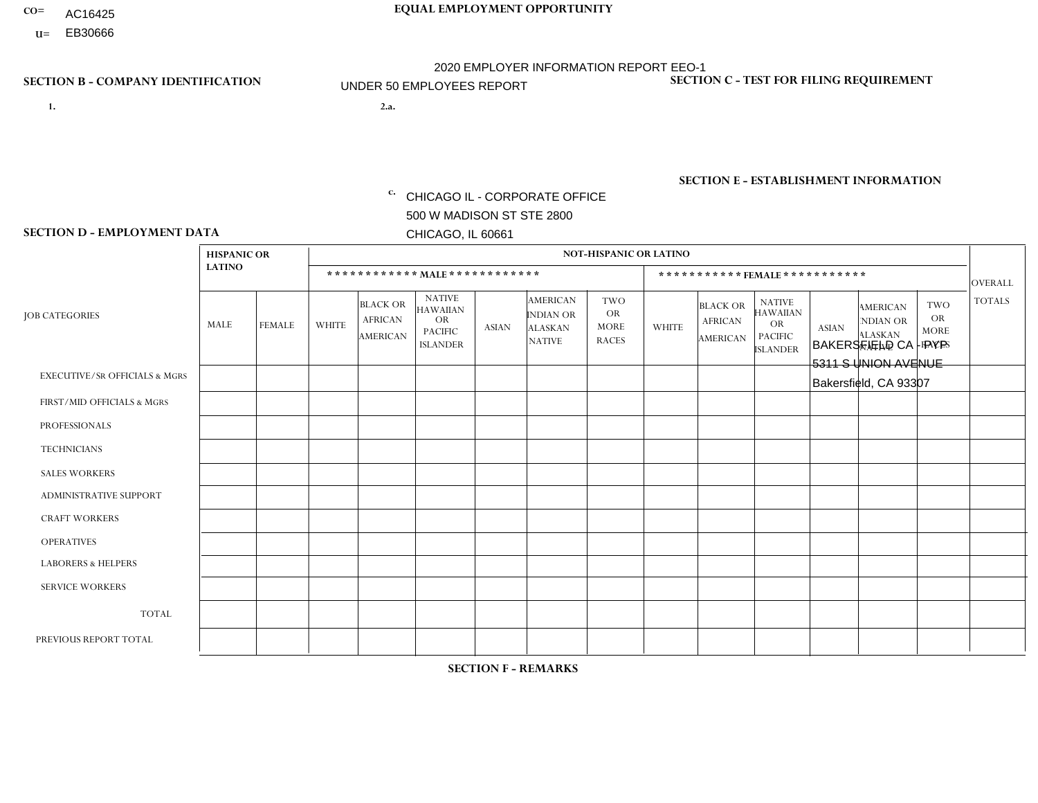- AC16425
- **U=**

**1. 2.a.** CHICAGO IL - CORPORATE OFFICE 500 W MADISON ST STE 2800 CHICAGO, IL 60661

2.a. BAKERSFIELD CA - PYP 5311 S UNION AVENUE Bakersfield, CA 93307

EIN= 953406551

## **SECTION B - COMPANY IDENTIFICATION SECTION C - TEST FOR FILING REQUIREMENT**

1- Y 2- Y 3- N DUNS= 000123456

**SECTION E - ESTABLISHMENT INFORMATION c.** NAICS: 423140

### **SECTION D - EMPLOYMENT DATA**

|                                          | <b>HISPANIC OR</b> |                |              |                                                      |                                                                                    |              |                                                                        | <b>NOT-HISPANIC OR LATINO</b>                          |              |                                                      |                                                                             |              |                                                                       |                                                        |                |
|------------------------------------------|--------------------|----------------|--------------|------------------------------------------------------|------------------------------------------------------------------------------------|--------------|------------------------------------------------------------------------|--------------------------------------------------------|--------------|------------------------------------------------------|-----------------------------------------------------------------------------|--------------|-----------------------------------------------------------------------|--------------------------------------------------------|----------------|
|                                          | <b>LATINO</b>      |                |              |                                                      | ************ MALE ************                                                     |              |                                                                        |                                                        |              | ***********FEMALE***********                         |                                                                             |              |                                                                       |                                                        | <b>OVERALL</b> |
| <b>JOB CATEGORIES</b>                    | MALE               | <b>FEMALE</b>  | <b>WHITE</b> | <b>BLACK OR</b><br><b>AFRICAN</b><br><b>AMERICAN</b> | <b>NATIVE</b><br><b>HAWAIIAN</b><br><b>OR</b><br><b>PACIFIC</b><br><b>ISLANDER</b> | <b>ASIAN</b> | <b>AMERICAN</b><br><b>INDIAN OR</b><br><b>ALASKAN</b><br><b>NATIVE</b> | <b>TWO</b><br><b>OR</b><br><b>MORE</b><br><b>RACES</b> | <b>WHITE</b> | <b>BLACK OR</b><br><b>AFRICAN</b><br><b>AMERICAN</b> | <b>NATIVE</b><br><b>HAWAIIAN</b><br>OR<br><b>PACIFIC</b><br><b>ISLANDER</b> | <b>ASIAN</b> | <b>AMERICAN</b><br><b>NDIAN OR</b><br><b>ALASKAN</b><br><b>NATIVE</b> | <b>TWO</b><br><b>OR</b><br><b>MORE</b><br><b>RACES</b> | <b>TOTALS</b>  |
| <b>EXECUTIVE/SR OFFICIALS &amp; MGRS</b> | $\Omega$           | $\Omega$       | $\Omega$     | $\mathbf 0$                                          | $\Omega$                                                                           | $\Omega$     | $\Omega$                                                               | $\Omega$                                               | $\Omega$     | $\Omega$                                             | $\Omega$                                                                    | $\Omega$     | $\Omega$                                                              | $\mathbf{0}$                                           | $\mathbf 0$    |
| FIRST/MID OFFICIALS & MGRS               | $\overline{2}$     | $\mathbf 0$    | $\Omega$     | $\mathbf 0$                                          | $\Omega$                                                                           | $\Omega$     | $\Omega$                                                               | $\Omega$                                               | 0            | $\Omega$                                             | $\Omega$                                                                    | $\mathbf{0}$ | $\Omega$                                                              | $\mathbf{0}$                                           | $\overline{2}$ |
| <b>PROFESSIONALS</b>                     | 0                  | $\Omega$       | $\Omega$     | $\Omega$                                             | $\Omega$                                                                           | $\Omega$     | $\Omega$                                                               | $\Omega$                                               | 0            | $\Omega$                                             | $\Omega$                                                                    | $\Omega$     | $\Omega$                                                              | $\Omega$                                               | $\Omega$       |
| <b>TECHNICIANS</b>                       | 0                  | $\Omega$       | $\Omega$     | $\Omega$                                             | $\Omega$                                                                           | $\Omega$     | $\Omega$                                                               | $\Omega$                                               | $\Omega$     | $\Omega$                                             | $\Omega$                                                                    | $\Omega$     | $\Omega$                                                              | $\Omega$                                               | $\Omega$       |
| <b>SALES WORKERS</b>                     |                    | $\Omega$       | $\Omega$     | $\Omega$                                             | $\Omega$                                                                           | $\mathbf{1}$ | $\Omega$                                                               |                                                        | 0            | $\Omega$                                             | $\Omega$                                                                    | $\Omega$     | $\Omega$                                                              | $\mathbf{0}$                                           | 3              |
| ADMINISTRATIVE SUPPORT                   |                    | $\overline{2}$ | $\Omega$     | $\mathbf 0$                                          | $\Omega$                                                                           | $\Omega$     | $\Omega$                                                               | $\Omega$                                               | $\Omega$     | $\Omega$                                             | $\Omega$                                                                    | $\Omega$     | $\Omega$                                                              | $\Omega$                                               | 3              |
| <b>CRAFT WORKERS</b>                     | 0                  | $\Omega$       | $\Omega$     | $\mathbf 0$                                          | $\Omega$                                                                           | $\Omega$     | $\Omega$                                                               | $\Omega$                                               | 0            | $\Omega$                                             | $\Omega$                                                                    | $\mathbf{0}$ | $\Omega$                                                              | $\mathbf{0}$                                           | $\Omega$       |
| <b>OPERATIVES</b>                        | 8                  | $\mathbf{1}$   | 2            | $\mathbf 0$                                          | 1                                                                                  | $\Omega$     | $\Omega$                                                               | $\Omega$                                               | $\Omega$     | $\Omega$                                             | $\Omega$                                                                    | $\mathbf{0}$ | $\Omega$                                                              | $\Omega$                                               | 12             |
| <b>LABORERS &amp; HELPERS</b>            | $\Omega$           | $\Omega$       | $\mathbf 0$  | $\mathbf 0$                                          | $\mathbf 0$                                                                        | $\Omega$     | $\Omega$                                                               | $\Omega$                                               | $\Omega$     | $\Omega$                                             | $\Omega$                                                                    | $\Omega$     | $\Omega$                                                              | $\Omega$                                               | 0              |
| <b>SERVICE WORKERS</b>                   | 0                  | $\Omega$       | $\Omega$     | $\mathbf 0$                                          | $\mathbf{0}$                                                                       | $\Omega$     | $\Omega$                                                               | $\Omega$                                               | $\Omega$     | $\Omega$                                             | $\Omega$                                                                    | $\Omega$     | $\Omega$                                                              | $\Omega$                                               | $\overline{0}$ |
| <b>TOTAL</b>                             | 12                 | 3              | 2            | 0                                                    |                                                                                    | 1            | $\Omega$                                                               |                                                        | 0            | $\Omega$                                             | $\Omega$                                                                    | $\mathbf 0$  | 0                                                                     | $\mathbf 0$                                            | 20             |
| PREVIOUS REPORT TOTAL                    | 12                 | $\overline{4}$ |              | $\mathbf 0$                                          | $\Omega$                                                                           | $\Omega$     | $\Omega$                                                               | $\Omega$                                               | 0            | $\Omega$                                             | $\Omega$                                                                    | $\Omega$     | $\Omega$                                                              | $\mathbf 0$                                            | 17             |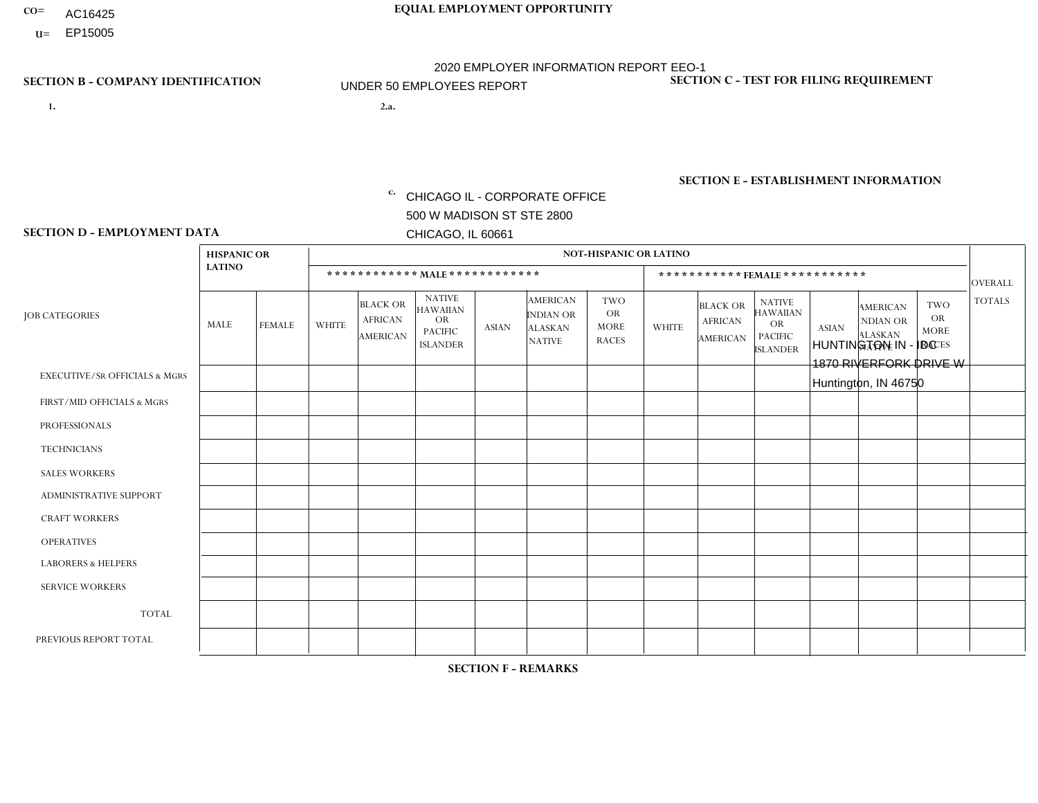- AC16425
- **U=**

- **1. 2.a.** CHICAGO IL CORPORATE OFFICE 500 W MADISON ST STE 2800 CHICAGO, IL 60661
- 2.a. HUNTINGTON IN IDC 1870 RIVERFORK DRIVE W Huntington, IN 46750

c. EIN= 952920557

## **SECTION B - COMPANY IDENTIFICATION SECTION C - TEST FOR FILING REQUIREMENT**

1- Y 2- Y 3- N DUNS= 000123456

**SECTION E - ESTABLISHMENT INFORMATION c.** NAICS: 339999

### **SECTION D - EMPLOYMENT DATA**

|                                          | <b>HISPANIC OR</b> |               |                |                                               |                                                                                    |              |                                                                        | NOT-HISPANIC OR LATINO                                 |                |                                               |                                                                             |              |                                                                       |                                                        |                |
|------------------------------------------|--------------------|---------------|----------------|-----------------------------------------------|------------------------------------------------------------------------------------|--------------|------------------------------------------------------------------------|--------------------------------------------------------|----------------|-----------------------------------------------|-----------------------------------------------------------------------------|--------------|-----------------------------------------------------------------------|--------------------------------------------------------|----------------|
|                                          | <b>LATINO</b>      |               |                | ************ MALE ************                |                                                                                    |              |                                                                        |                                                        |                | ***********FEMALE***********                  |                                                                             |              |                                                                       |                                                        | <b>OVERALL</b> |
| <b>JOB CATEGORIES</b>                    | MALE               | <b>FEMALE</b> | <b>WHITE</b>   | <b>BLACK OR</b><br><b>AFRICAN</b><br>AMERICAN | <b>NATIVE</b><br><b>HAWAIIAN</b><br><b>OR</b><br><b>PACIFIC</b><br><b>ISLANDER</b> | ASIAN        | <b>AMERICAN</b><br><b>INDIAN OR</b><br><b>ALASKAN</b><br><b>NATIVE</b> | <b>TWO</b><br><b>OR</b><br><b>MORE</b><br><b>RACES</b> | <b>WHITE</b>   | <b>BLACK OR</b><br><b>AFRICAN</b><br>AMERICAN | <b>NATIVE</b><br><b>HAWAIIAN</b><br>OR<br><b>PACIFIC</b><br><b>ISLANDER</b> | <b>ASIAN</b> | <b>AMERICAN</b><br><b>NDIAN OR</b><br><b>ALASKAN</b><br><b>NATIVE</b> | <b>TWO</b><br><b>OR</b><br><b>MORE</b><br><b>RACES</b> | <b>TOTALS</b>  |
| <b>EXECUTIVE/SR OFFICIALS &amp; MGRS</b> | $\Omega$           | $\Omega$      | $\Omega$       | $\Omega$                                      | $\Omega$                                                                           | $\mathbf{0}$ | $\Omega$                                                               | $\Omega$                                               | 0              | $\Omega$                                      | $\Omega$                                                                    | $\Omega$     | $\Omega$                                                              | $\Omega$                                               | $\mathbf{0}$   |
| FIRST/MID OFFICIALS & MGRS               | 0                  | $\mathbf 0$   | 2              | $\mathbf 0$                                   | $\Omega$                                                                           | $\Omega$     | $\Omega$                                                               | $\Omega$                                               |                | $\Omega$                                      | $\Omega$                                                                    | $\Omega$     | $\Omega$                                                              | $\Omega$                                               | 3              |
| <b>PROFESSIONALS</b>                     | 0                  | $\Omega$      | 4              | $\mathbf 0$                                   | $\Omega$                                                                           | $\Omega$     | $\Omega$                                                               | $\Omega$                                               |                | $\Omega$                                      | $\Omega$                                                                    | $\Omega$     | $\Omega$                                                              | $\Omega$                                               | 5              |
| <b>TECHNICIANS</b>                       | 0                  | $\mathbf 0$   | $\mathbf 0$    | $\mathbf 0$                                   | $\mathbf 0$                                                                        | $\Omega$     | $\Omega$                                                               | $\Omega$                                               | $\Omega$       | $\Omega$                                      | $\Omega$                                                                    | $\mathbf 0$  | $\mathbf 0$                                                           | $\mathbf 0$                                            | $\mathbf 0$    |
| <b>SALES WORKERS</b>                     | $\Omega$           | $\Omega$      | $\Omega$       | $\Omega$                                      | $\Omega$                                                                           | $\Omega$     | $\Omega$                                                               | $\Omega$                                               | 0              | $\Omega$                                      | $\Omega$                                                                    | $\Omega$     | $\Omega$                                                              | $\Omega$                                               | $\Omega$       |
| <b>ADMINISTRATIVE SUPPORT</b>            | 0                  | $\Omega$      | $\overline{7}$ | $\mathbf 0$                                   | $\Omega$                                                                           | $\Omega$     | $\Omega$                                                               | $\Omega$                                               | 5              | $\Omega$                                      | $\Omega$                                                                    | $\Omega$     | $\Omega$                                                              | $\Omega$                                               | 12             |
| <b>CRAFT WORKERS</b>                     | 0                  | $\Omega$      | $\Omega$       | $\mathbf 0$                                   | $\Omega$                                                                           | $\Omega$     | $\Omega$                                                               | $\Omega$                                               | 0              | $\Omega$                                      | $\Omega$                                                                    | $\Omega$     | $\Omega$                                                              | $\Omega$                                               | $\mathbf{0}$   |
| <b>OPERATIVES</b>                        | 0                  | $\Omega$      | 9              | $\Omega$                                      | $\Omega$                                                                           | $\Omega$     | $\Omega$                                                               | $\Omega$                                               | $\overline{2}$ | $\Omega$                                      | $\Omega$                                                                    | $\Omega$     | $\Omega$                                                              | $\Omega$                                               | 11             |
| <b>LABORERS &amp; HELPERS</b>            | 0                  | $\Omega$      | 13             | $\mathbf 0$                                   | $\mathbf{0}$                                                                       | $\Omega$     | $\Omega$                                                               | $\Omega$                                               | 5              | $\Omega$                                      | $\Omega$                                                                    | $\Omega$     | $\Omega$                                                              | $\Omega$                                               | 18             |
| <b>SERVICE WORKERS</b>                   | 0                  | $\Omega$      | $\mathbf 0$    | 0                                             | 0                                                                                  | $\Omega$     | $\Omega$                                                               | $\Omega$                                               | $\Omega$       | $\Omega$                                      | $\Omega$                                                                    | $\Omega$     | $\Omega$                                                              | $\Omega$                                               | $\mathbf 0$    |
| <b>TOTAL</b>                             | 0                  | $\mathbf 0$   | 35             | $\mathbf 0$                                   | 0                                                                                  | $\mathbf 0$  | $\Omega$                                                               | $\Omega$                                               | 14             | $\mathbf 0$                                   | $\Omega$                                                                    | $\mathbf 0$  | 0                                                                     | $\mathbf 0$                                            | 49             |
| PREVIOUS REPORT TOTAL                    | 0                  | $\Omega$      | 38             | $\mathbf 0$                                   | $\Omega$                                                                           | $\Omega$     | -1                                                                     | $\Omega$                                               | 16             | $\Omega$                                      | $\Omega$                                                                    | $\mathbf{0}$ | $\Omega$                                                              | $\mathbf 0$                                            | 55             |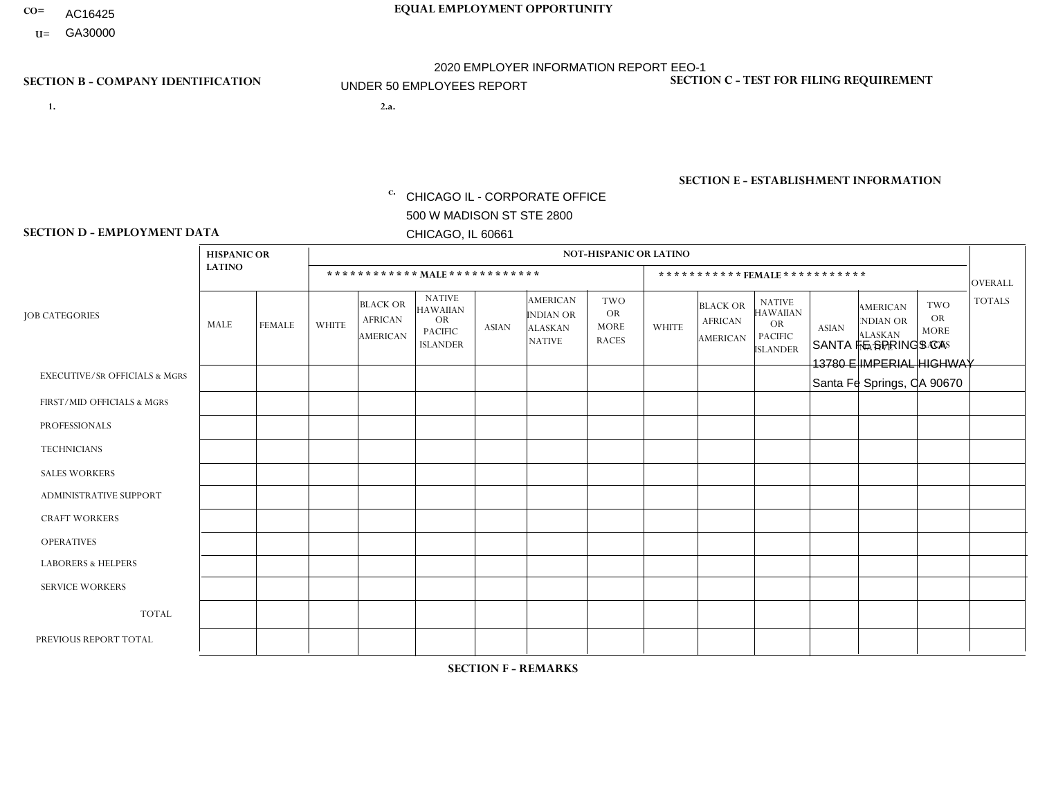- AC16425
- **U=**

- **1. 2.a.** CHICAGO IL CORPORATE OFFICE 500 W MADISON ST STE 2800 CHICAGO, IL 60661
- 2.a. SANTA FE SPRINGS CA 13780 E IMPERIAL HIGHWAY Santa Fe Springs, CA 90670

EIN= 953072886

## **SECTION B - COMPANY IDENTIFICATION SECTION C - TEST FOR FILING REQUIREMENT**

1- Y 2- Y 3- N DUNS= 000123456

**SECTION E - ESTABLISHMENT INFORMATION c.** NAICS: 423140

### **SECTION D - EMPLOYMENT DATA**

|                                          | <b>HISPANIC OR</b> |               |                |                                                      |                                                                                    |              |                                                                        | <b>NOT-HISPANIC OR LATINO</b>                          |              |                                               |                                                                                    |              |                                                                |                                                        |                |
|------------------------------------------|--------------------|---------------|----------------|------------------------------------------------------|------------------------------------------------------------------------------------|--------------|------------------------------------------------------------------------|--------------------------------------------------------|--------------|-----------------------------------------------|------------------------------------------------------------------------------------|--------------|----------------------------------------------------------------|--------------------------------------------------------|----------------|
|                                          | <b>LATINO</b>      |               |                | ************ MAIE************                        |                                                                                    |              |                                                                        |                                                        |              |                                               | ***********FEMALE ***********                                                      |              |                                                                |                                                        | <b>OVERALL</b> |
| <b>JOB CATEGORIES</b>                    | <b>MALE</b>        | <b>FEMALE</b> | <b>WHITE</b>   | <b>BLACK OR</b><br><b>AFRICAN</b><br><b>AMERICAN</b> | <b>NATIVE</b><br><b>HAWAIIAN</b><br><b>OR</b><br><b>PACIFIC</b><br><b>ISLANDER</b> | <b>ASIAN</b> | <b>AMERICAN</b><br><b>INDIAN OR</b><br><b>ALASKAN</b><br><b>NATIVE</b> | <b>TWO</b><br><b>OR</b><br><b>MORE</b><br><b>RACES</b> | <b>WHITE</b> | <b>BLACK OR</b><br><b>AFRICAN</b><br>AMERICAN | <b>NATIVE</b><br><b>HAWAIIAN</b><br><b>OR</b><br><b>PACIFIC</b><br><b>ISLANDER</b> | <b>ASIAN</b> | <b>AMERICAN</b><br>NDIAN OR<br><b>ALASKAN</b><br><b>NATIVE</b> | <b>TWO</b><br><b>OR</b><br><b>MORE</b><br><b>RACES</b> | <b>TOTALS</b>  |
| <b>EXECUTIVE/SR OFFICIALS &amp; MGRS</b> | $\Omega$           | $\mathbf 0$   | $\Omega$       | $\mathbf 0$                                          | $\mathbf 0$                                                                        | $\mathbf 0$  | $\Omega$                                                               | $\Omega$                                               | $\mathbf 0$  | $\Omega$                                      | $\Omega$                                                                           | $\mathbf 0$  | $\Omega$                                                       | $\Omega$                                               | $\mathbf 0$    |
| FIRST/MID OFFICIALS & MGRS               | 1                  | $\Omega$      | 1              | $\Omega$                                             | $\Omega$                                                                           | $\Omega$     | $\Omega$                                                               | $\Omega$                                               | $\Omega$     | $\Omega$                                      | $\Omega$                                                                           | $\Omega$     | $\Omega$                                                       | $\mathbf{0}$                                           | $\overline{2}$ |
| <b>PROFESSIONALS</b>                     |                    | $\mathbf 0$   | 1              | $\mathbf 0$                                          | $\Omega$                                                                           | $\Omega$     | $\Omega$                                                               | $\Omega$                                               | $\Omega$     | $\Omega$                                      | $\mathbf{0}$                                                                       | $\Omega$     | $\Omega$                                                       | $\Omega$                                               | $\overline{2}$ |
| <b>TECHNICIANS</b>                       | $\Omega$           | $\mathbf 0$   | $\mathbf 0$    | $\mathbf 0$                                          | $\mathbf 0$                                                                        | $\mathbf 0$  | $\Omega$                                                               | $\Omega$                                               | $\mathbf 0$  | $\mathbf 0$                                   | $\Omega$                                                                           | $\Omega$     | $\Omega$                                                       | $\mathbf{0}$                                           | $\mathbf 0$    |
| <b>SALES WORKERS</b>                     | 6                  | $\Omega$      | $\Omega$       | $\Omega$                                             | $\Omega$                                                                           | $\Omega$     | $\Omega$                                                               | $\Omega$                                               | $\Omega$     | $\Omega$                                      | $\Omega$                                                                           | $\Omega$     | $\Omega$                                                       | $\Omega$                                               | 6              |
| ADMINISTRATIVE SUPPORT                   | 3                  | 4             | $\Omega$       | $\mathbf 0$                                          | $\mathbf 0$                                                                        | $\Omega$     | $\Omega$                                                               | $\Omega$                                               | $\Omega$     | $\Omega$                                      | $\Omega$                                                                           | $\Omega$     | $\Omega$                                                       |                                                        | 8              |
| <b>CRAFT WORKERS</b>                     | $\Omega$           | $\mathbf 0$   | $\mathbf 0$    | $\mathbf 0$                                          | 0                                                                                  | $\Omega$     | $\overline{0}$                                                         | $\Omega$                                               | $\Omega$     | $\Omega$                                      | $\mathbf{0}$                                                                       | $\Omega$     | $\Omega$                                                       | $\Omega$                                               | $\mathbf 0$    |
| <b>OPERATIVES</b>                        | 23                 | $\mathbf{1}$  | $\Omega$       | $\mathbf{1}$                                         | $\Omega$                                                                           | $\Omega$     | $\Omega$                                                               | $\Omega$                                               | $\Omega$     | $\Omega$                                      | $\Omega$                                                                           | $\Omega$     | $\Omega$                                                       | $\Omega$                                               | 25             |
| <b>LABORERS &amp; HELPERS</b>            | 2                  | $\Omega$      | $\Omega$       | $\mathbf 0$                                          | 0                                                                                  | $\Omega$     | $\Omega$                                                               | $\Omega$                                               | $\Omega$     | $\Omega$                                      | $\Omega$                                                                           | $\Omega$     | $\Omega$                                                       | $\Omega$                                               | $\overline{2}$ |
| <b>SERVICE WORKERS</b>                   | $\Omega$           | $\mathbf 0$   | 0              | 0                                                    | $\mathbf 0$                                                                        | $\mathbf 0$  | $\overline{0}$                                                         | $\Omega$                                               | $\Omega$     | $\Omega$                                      | $\Omega$                                                                           | $\mathbf 0$  | $\Omega$                                                       | $\mathbf 0$                                            | 0              |
| <b>TOTAL</b>                             | 36                 | 5             | $\overline{c}$ | $\mathbf{1}$                                         | 0                                                                                  | $\mathbf 0$  | $\Omega$                                                               | $\Omega$                                               | $\Omega$     | $\Omega$                                      | $\Omega$                                                                           | $\Omega$     | 0                                                              | $\overline{1}$                                         | 45             |
| PREVIOUS REPORT TOTAL                    | 29                 | 6             | 1              | 1                                                    | 0                                                                                  | $\Omega$     | $\overline{0}$                                                         | $\Omega$                                               | $\Omega$     | $\Omega$                                      | $\mathbf{0}$                                                                       | $\Omega$     | $\mathbf{0}$                                                   | $\overline{\mathbf{1}}$                                | 38             |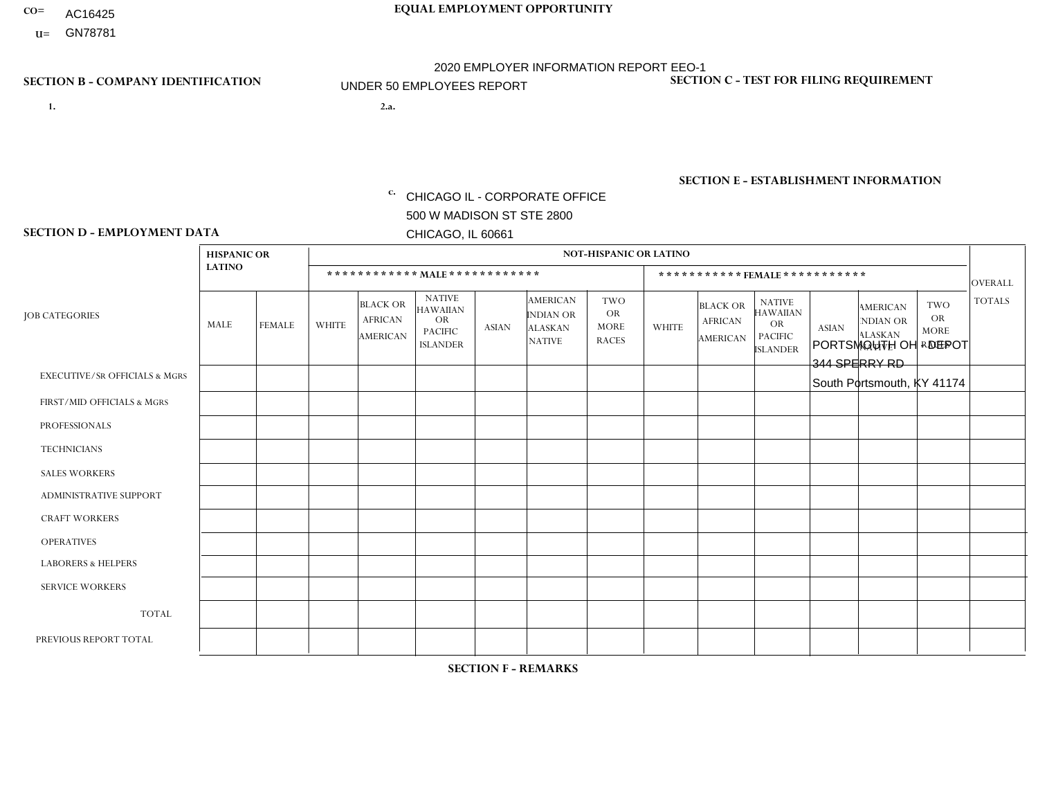- AC16425
- **U=**

**1. 2.a.** CHICAGO IL - CORPORATE OFFICE 500 W MADISON ST STE 2800 CHICAGO, IL 60661

2.a. PORTSMOUTH OH - DEPOT 344 SPERRY RD South Portsmouth, KY 41174

c. EIN= 952920557

## **SECTION B - COMPANY IDENTIFICATION SECTION C - TEST FOR FILING REQUIREMENT**

1- Y 2- Y 3- N DUNS= 000123456

**SECTION E - ESTABLISHMENT INFORMATION c.** NAICS: 423140

### **SECTION D - EMPLOYMENT DATA**

|                                          | <b>HISPANIC OR</b> |               |              |                                                      |                                                                                    |              |                                                                 | NOT-HISPANIC OR LATINO                                 |                |                                               |                                                                             |              |                                                                       |                                                        |                |
|------------------------------------------|--------------------|---------------|--------------|------------------------------------------------------|------------------------------------------------------------------------------------|--------------|-----------------------------------------------------------------|--------------------------------------------------------|----------------|-----------------------------------------------|-----------------------------------------------------------------------------|--------------|-----------------------------------------------------------------------|--------------------------------------------------------|----------------|
|                                          | <b>LATINO</b>      |               |              | ************ MALE ************                       |                                                                                    |              |                                                                 |                                                        |                |                                               | *********** FEMALE ***********                                              |              |                                                                       |                                                        | <b>OVERALL</b> |
| <b>JOB CATEGORIES</b>                    | <b>MALE</b>        | <b>FEMALE</b> | <b>WHITE</b> | <b>BLACK OR</b><br><b>AFRICAN</b><br><b>AMERICAN</b> | <b>NATIVE</b><br><b>HAWAIIAN</b><br><b>OR</b><br><b>PACIFIC</b><br><b>ISLANDER</b> | <b>ASIAN</b> | <b>AMERICAN</b><br>INDIAN OR<br><b>ALASKAN</b><br><b>NATIVE</b> | <b>TWO</b><br><b>OR</b><br><b>MORE</b><br><b>RACES</b> | <b>WHITE</b>   | <b>BLACK OR</b><br><b>AFRICAN</b><br>AMERICAN | <b>NATIVE</b><br><b>HAWAIIAN</b><br>OR<br><b>PACIFIC</b><br><b>ISLANDER</b> | <b>ASIAN</b> | <b>AMERICAN</b><br><b>NDIAN OR</b><br><b>ALASKAN</b><br><b>NATIVE</b> | <b>TWO</b><br><b>OR</b><br><b>MORE</b><br><b>RACES</b> | <b>TOTALS</b>  |
| <b>EXECUTIVE/SR OFFICIALS &amp; MGRS</b> | $\Omega$           | $\Omega$      | $\Omega$     | $\mathbf 0$                                          | $\Omega$                                                                           | $\Omega$     | $\Omega$                                                        | $\Omega$                                               | $\Omega$       | $\Omega$                                      | $\Omega$                                                                    | $\mathbf 0$  | $\Omega$                                                              | $\Omega$                                               | $\mathbf 0$    |
| FIRST/MID OFFICIALS & MGRS               | $\Omega$           | $\Omega$      | $\Omega$     | $\mathbf 0$                                          | $\Omega$                                                                           | $\Omega$     | $\Omega$                                                        | $\Omega$                                               | $\Omega$       | $\Omega$                                      | $\Omega$                                                                    | $\Omega$     | $\Omega$                                                              | $\Omega$                                               | $\mathbf{0}$   |
| <b>PROFESSIONALS</b>                     | $\Omega$           | $\Omega$      | $\Omega$     | $\Omega$                                             | $\Omega$                                                                           | $\mathbf{0}$ | $\Omega$                                                        | $\Omega$                                               | 0              | $\Omega$                                      | 0                                                                           | $\Omega$     | $\Omega$                                                              | $\Omega$                                               | $\overline{0}$ |
| <b>TECHNICIANS</b>                       | $\Omega$           | $\Omega$      | $\Omega$     | $\mathbf 0$                                          | $\Omega$                                                                           | $\Omega$     | $\Omega$                                                        | $\Omega$                                               | 0              | $\Omega$                                      | 0                                                                           | 0            | $\Omega$                                                              | 0                                                      | $\overline{0}$ |
| <b>SALES WORKERS</b>                     | $\Omega$           | $\Omega$      | $\Omega$     | $\Omega$                                             | $\Omega$                                                                           | $\Omega$     | $\Omega$                                                        | $\Omega$                                               | $\overline{0}$ | $\Omega$                                      | $\overline{0}$                                                              | $\Omega$     | $\Omega$                                                              | $\Omega$                                               | $\mathbf 0$    |
| <b>ADMINISTRATIVE SUPPORT</b>            | $\Omega$           | $\Omega$      | $\mathbf{0}$ | $\Omega$                                             | $\Omega$                                                                           | $\Omega$     | $\Omega$                                                        | $\Omega$                                               | 0              | $\Omega$                                      | 0                                                                           | $\Omega$     | $\Omega$                                                              | $\Omega$                                               | $\Omega$       |
| <b>CRAFT WORKERS</b>                     | $\Omega$           | $\Omega$      | $\Omega$     | $\mathbf 0$                                          | $\Omega$                                                                           | $\Omega$     | $\Omega$                                                        | $\Omega$                                               | $\Omega$       | $\Omega$                                      | $\Omega$                                                                    | $\Omega$     | $\Omega$                                                              | $\Omega$                                               | $\Omega$       |
| <b>OPERATIVES</b>                        | $\Omega$           | $\Omega$      | 4            | $\Omega$                                             | $\Omega$                                                                           | $\Omega$     | $\Omega$                                                        | $\Omega$                                               | $\Omega$       | $\Omega$                                      | $\Omega$                                                                    | $\Omega$     | $\Omega$                                                              | $\Omega$                                               | 4              |
| <b>LABORERS &amp; HELPERS</b>            | $\Omega$           | $\Omega$      | $\mathbf{0}$ | $\mathbf 0$                                          | $\Omega$                                                                           | $\Omega$     | $\Omega$                                                        | $\Omega$                                               | $\Omega$       | $\Omega$                                      | 0                                                                           | $\Omega$     | $\Omega$                                                              | $\Omega$                                               | $\mathbf{0}$   |
| <b>SERVICE WORKERS</b>                   | $\Omega$           | $\mathbf 0$   | $\mathbf 0$  | $\mathbf 0$                                          | $\mathbf 0$                                                                        | $\mathbf 0$  | $\Omega$                                                        | $\Omega$                                               | $\Omega$       | $\Omega$                                      | $\mathbf 0$                                                                 | $\mathbf 0$  | $\Omega$                                                              | $\mathbf 0$                                            | $\mathbf 0$    |
| <b>TOTAL</b>                             | $\Omega$           | 0             | 4            | 0                                                    | $\mathbf 0$                                                                        | $\Omega$     | $\Omega$                                                        | $\Omega$                                               | 0              | $\Omega$                                      | 0                                                                           | $\mathbf 0$  | $\Omega$                                                              | $\mathbf 0$                                            | 4              |
| PREVIOUS REPORT TOTAL                    | $\Omega$           | $\Omega$      | 5            | $\mathbf 0$                                          | 0                                                                                  | $\Omega$     | $\Omega$                                                        | $\Omega$                                               | $\Omega$       | $\Omega$                                      | $\Omega$                                                                    | $\Omega$     | $\Omega$                                                              | $\mathbf 0$                                            | 5              |
|                                          |                    |               |              |                                                      |                                                                                    |              |                                                                 |                                                        |                |                                               |                                                                             |              |                                                                       |                                                        |                |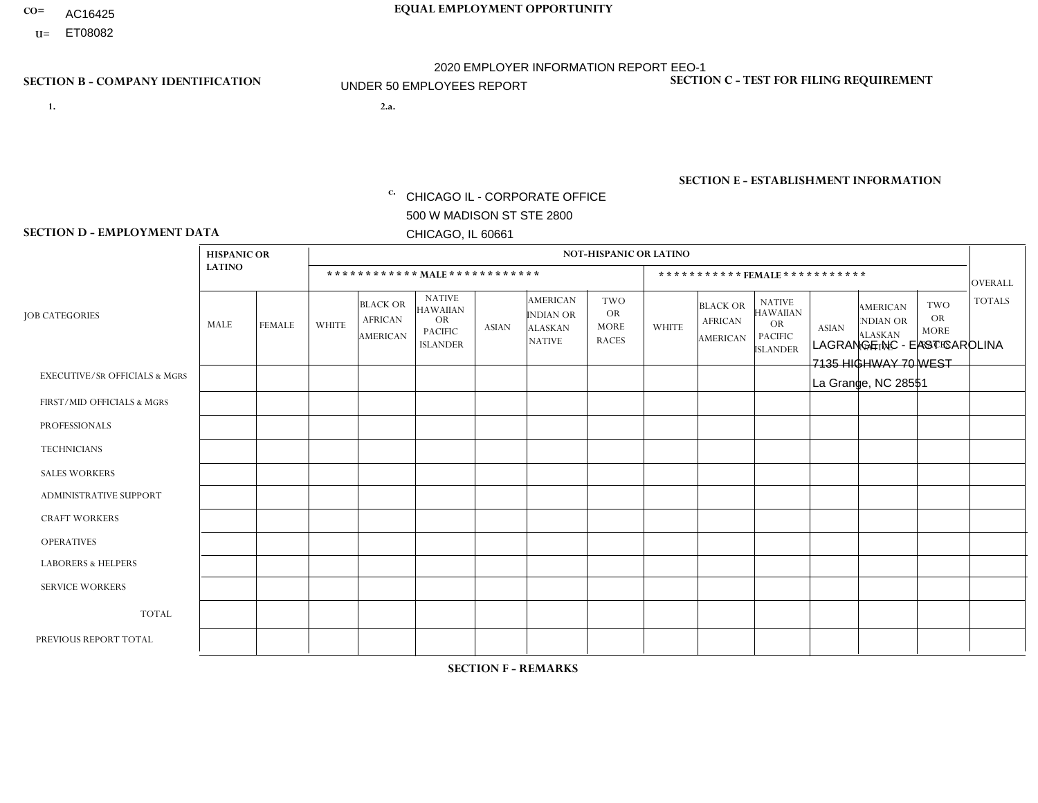- AC16425
- **U=**

**1. 2.a.** CHICAGO IL - CORPORATE OFFICE 500 W MADISON ST STE 2800 CHICAGO, IL 60661

2.a. LAGRANGE NC - EAST CAROLINA 7135 HIGHWAY 70 WEST La Grange, NC 28551

c. EIN= 952920557

## **SECTION B - COMPANY IDENTIFICATION SECTION C - TEST FOR FILING REQUIREMENT**

1- Y 2- Y 3- N DUNS= 000123456

**SECTION E - ESTABLISHMENT INFORMATION c.** NAICS: 423140

### **SECTION D - EMPLOYMENT DATA**

|                                          | <b>HISPANIC OR</b> |               |                |                                                      |                                                                             |              |                                                                        | <b>NOT-HISPANIC OR LATINO</b>                          |                |                                                      |                                                                                    |              |                                                                |                                                        |                |
|------------------------------------------|--------------------|---------------|----------------|------------------------------------------------------|-----------------------------------------------------------------------------|--------------|------------------------------------------------------------------------|--------------------------------------------------------|----------------|------------------------------------------------------|------------------------------------------------------------------------------------|--------------|----------------------------------------------------------------|--------------------------------------------------------|----------------|
|                                          | <b>LATINO</b>      |               |                |                                                      | ************ MALE ************                                              |              |                                                                        |                                                        |                |                                                      | ***********FEMALE ***********                                                      |              |                                                                |                                                        | <b>OVERALL</b> |
| <b>JOB CATEGORIES</b>                    | MALE               | <b>FEMALE</b> | <b>WHITE</b>   | <b>BLACK OR</b><br><b>AFRICAN</b><br><b>AMERICAN</b> | <b>NATIVE</b><br>HAWAIIAN<br><b>OR</b><br><b>PACIFIC</b><br><b>ISLANDER</b> | <b>ASIAN</b> | <b>AMERICAN</b><br><b>INDIAN OR</b><br><b>ALASKAN</b><br><b>NATIVE</b> | <b>TWO</b><br><b>OR</b><br><b>MORE</b><br><b>RACES</b> | <b>WHITE</b>   | <b>BLACK OR</b><br><b>AFRICAN</b><br><b>AMERICAN</b> | <b>NATIVE</b><br><b>HAWAIIAN</b><br><b>OR</b><br><b>PACIFIC</b><br><b>ISLANDER</b> | <b>ASIAN</b> | <b>AMERICAN</b><br>NDIAN OR<br><b>ALASKAN</b><br><b>NATIVE</b> | <b>TWO</b><br><b>OR</b><br><b>MORE</b><br><b>RACES</b> | <b>TOTALS</b>  |
| <b>EXECUTIVE/SR OFFICIALS &amp; MGRS</b> | $\Omega$           | 0             | $\Omega$       | $\Omega$                                             | $\Omega$                                                                    | $\Omega$     | $\Omega$                                                               | $\Omega$                                               | $\Omega$       | $\Omega$                                             | $\Omega$                                                                           | $\Omega$     | $\Omega$                                                       | $\Omega$                                               | $\mathbf 0$    |
| FIRST/MID OFFICIALS & MGRS               | $\Omega$           | $\mathbf 0$   | $\overline{c}$ | $\Omega$                                             | $\Omega$                                                                    | $\Omega$     | $\Omega$                                                               | 0                                                      | $\overline{ }$ | $\Omega$                                             | $\Omega$                                                                           | $\Omega$     | $\Omega$                                                       | $\Omega$                                               | 3              |
| <b>PROFESSIONALS</b>                     | $\Omega$           | $\mathbf 0$   | $\Omega$       | $\Omega$                                             | $\mathbf{0}$                                                                | $\Omega$     | $\Omega$                                                               | 0                                                      | $\Omega$       | $\Omega$                                             | $\Omega$                                                                           | $\Omega$     | $\Omega$                                                       | $\Omega$                                               | $\mathbf{0}$   |
| <b>TECHNICIANS</b>                       | $\mathbf 0$        | 0             | $\mathbf 0$    | $\Omega$                                             | $\Omega$                                                                    | $\Omega$     | $\Omega$                                                               | $\Omega$                                               | $\Omega$       | $\Omega$                                             | $\Omega$                                                                           | $\Omega$     | $\Omega$                                                       | $\Omega$                                               | $\mathbf 0$    |
| <b>SALES WORKERS</b>                     | $\mathbf 0$        | $\mathbf 0$   | $\overline{c}$ | $\Omega$                                             | $\Omega$                                                                    | $\Omega$     | $\Omega$                                                               | $\Omega$                                               | $\Omega$       | $\Omega$                                             | $\Omega$                                                                           | $\Omega$     | $\Omega$                                                       | $\Omega$                                               | $\overline{2}$ |
| <b>ADMINISTRATIVE SUPPORT</b>            | 1                  | $\mathbf 0$   | $\overline{1}$ | $\Omega$                                             | $\Omega$                                                                    | $\mathbf{0}$ | $\Omega$                                                               | 0                                                      | $\overline{2}$ | $\Omega$                                             | $\Omega$                                                                           | $\Omega$     | $\Omega$                                                       |                                                        | 5              |
| <b>CRAFT WORKERS</b>                     | $\overline{2}$     | $\mathbf 0$   | 2              | $\mathbf{1}$                                         | $\mathbf{0}$                                                                | $\Omega$     | $\Omega$                                                               | 1                                                      | $\Omega$       | $\Omega$                                             | $\Omega$                                                                           | $\Omega$     | $\Omega$                                                       | $\Omega$                                               | 6              |
| <b>OPERATIVES</b>                        | 2                  | $\mathbf 0$   | 14             | $\mathbf{1}$                                         | $\mathbf{0}$                                                                | $\Omega$     | $\Omega$                                                               | 0                                                      | $\mathbf{1}$   | $\Omega$                                             | $\Omega$                                                                           | $\Omega$     | $\Omega$                                                       | $\Omega$                                               | 18             |
| <b>LABORERS &amp; HELPERS</b>            | -1                 | $\mathbf 0$   | $\mathbf{1}$   | 0                                                    | $\mathbf{0}$                                                                | $\Omega$     | $\Omega$                                                               | $\Omega$                                               | $\Omega$       | $\Omega$                                             | $\Omega$                                                                           | $\Omega$     | $\Omega$                                                       | $\Omega$                                               | $\overline{2}$ |
| <b>SERVICE WORKERS</b>                   | $\mathbf 0$        | $\mathbf 0$   | $\mathbf 0$    | $\mathbf 0$                                          | $\Omega$                                                                    | $\Omega$     | $\Omega$                                                               | $\Omega$                                               | $\Omega$       | $\Omega$                                             | $\Omega$                                                                           | 0            | $\Omega$                                                       | $\mathbf 0$                                            | 0              |
| <b>TOTAL</b>                             | 6                  | 0             | 22             | $\overline{c}$                                       | $\mathbf{0}$                                                                | $\mathbf{0}$ | $\Omega$                                                               | 1                                                      | 4              | $\Omega$                                             | $\Omega$                                                                           | $\mathbf 0$  | $\Omega$                                                       | $\overline{1}$                                         | 36             |
| PREVIOUS REPORT TOTAL                    | 6                  | $\mathbf 0$   | 30             | 6                                                    | $\Omega$                                                                    | $\Omega$     |                                                                        | 1                                                      | 6              | $\Omega$                                             | $\Omega$                                                                           | $\Omega$     | $\Omega$                                                       |                                                        | 51             |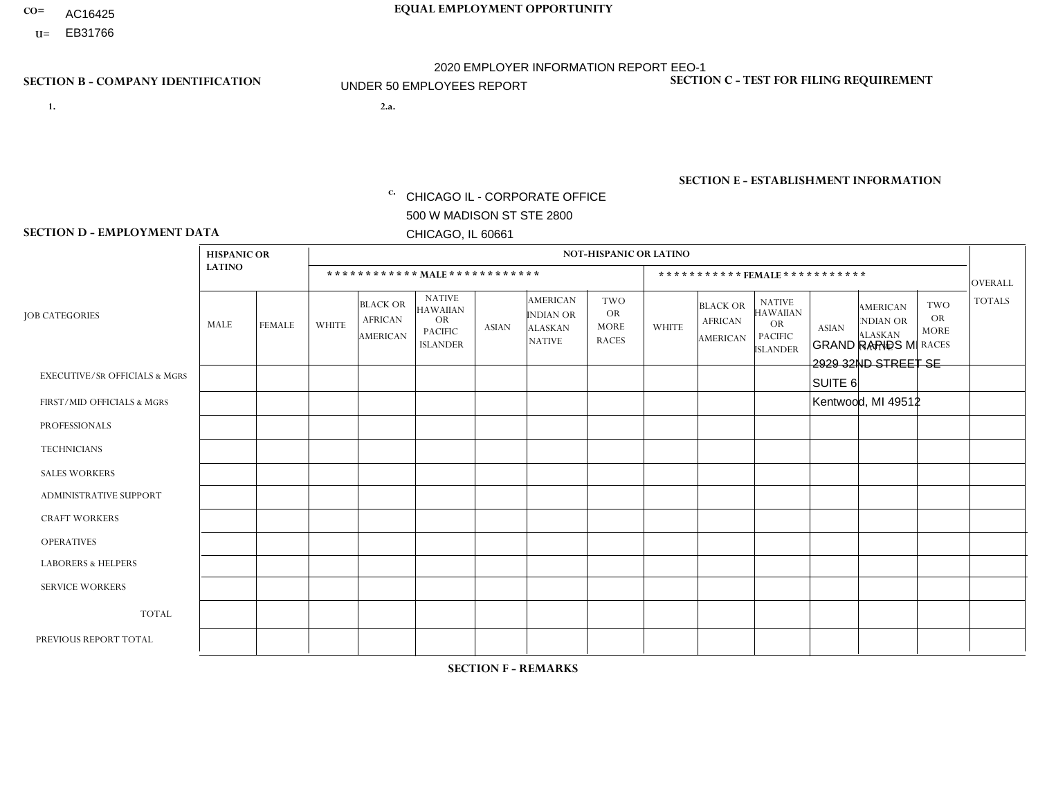- AC16425
- **U=**

- **1. 2.a.** CHICAGO IL CORPORATE OFFICE 500 W MADISON ST STE 2800 CHICAGO, IL 60661
- GRAND RAPIDS MI 2929 32ND STREET SE SUITE 6 Kentwood, MI 49512
	- EIN= 952920557

## **SECTION B - COMPANY IDENTIFICATION SECTION C - TEST FOR FILING REQUIREMENT**

1- Y 2- Y 3- N DUNS= 000123456

**SECTION E - ESTABLISHMENT INFORMATION c.** NAICS: 423140

### **SECTION D - EMPLOYMENT DATA**

|                                          | <b>HISPANIC OR</b> |                |              |                                                      |                                                                                    |              |                                                                        | <b>NOT-HISPANIC OR LATINO</b>                          |                |                                               |                                                                             |              |                                                                       |                                                        |                |
|------------------------------------------|--------------------|----------------|--------------|------------------------------------------------------|------------------------------------------------------------------------------------|--------------|------------------------------------------------------------------------|--------------------------------------------------------|----------------|-----------------------------------------------|-----------------------------------------------------------------------------|--------------|-----------------------------------------------------------------------|--------------------------------------------------------|----------------|
|                                          | <b>LATINO</b>      |                |              | ************ MALE ************                       |                                                                                    |              |                                                                        |                                                        |                | ***********FEMALE***********                  |                                                                             |              |                                                                       |                                                        | <b>OVERALL</b> |
| <b>JOB CATEGORIES</b>                    | MALE               | <b>FEMALE</b>  | <b>WHITE</b> | <b>BLACK OR</b><br><b>AFRICAN</b><br><b>AMERICAN</b> | <b>NATIVE</b><br><b>HAWAIIAN</b><br><b>OR</b><br><b>PACIFIC</b><br><b>ISLANDER</b> | ASIAN        | <b>AMERICAN</b><br><b>INDIAN OR</b><br><b>ALASKAN</b><br><b>NATIVE</b> | <b>TWO</b><br><b>OR</b><br><b>MORE</b><br><b>RACES</b> | <b>WHITE</b>   | <b>BLACK OR</b><br><b>AFRICAN</b><br>AMERICAN | <b>NATIVE</b><br><b>HAWAIIAN</b><br>OR<br><b>PACIFIC</b><br><b>ISLANDER</b> | <b>ASIAN</b> | <b>AMERICAN</b><br><b>NDIAN OR</b><br><b>ALASKAN</b><br><b>NATIVE</b> | <b>TWO</b><br><b>OR</b><br><b>MORE</b><br><b>RACES</b> | <b>TOTALS</b>  |
| <b>EXECUTIVE/SR OFFICIALS &amp; MGRS</b> | $\Omega$           | $\Omega$       | $\Omega$     | $\mathbf 0$                                          | $\Omega$                                                                           | $\mathbf{0}$ | $\Omega$                                                               | $\Omega$                                               | 0              | $\Omega$                                      | $\Omega$                                                                    | 0            | $\Omega$                                                              | $\mathbf 0$                                            | $\mathbf 0$    |
| FIRST/MID OFFICIALS & MGRS               | 0                  | $\Omega$       | 4            | $\mathbf 0$                                          | $\Omega$                                                                           | $\mathbf{0}$ | $\Omega$                                                               | $\Omega$                                               | 0              | $\Omega$                                      | $\Omega$                                                                    | $\mathbf{0}$ | $\Omega$                                                              | $\mathbf{0}$                                           | $\overline{4}$ |
| <b>PROFESSIONALS</b>                     | 0                  | $\mathbf 0$    | 1            | $\mathbf 0$                                          | $\Omega$                                                                           | $\Omega$     | $\Omega$                                                               | $\Omega$                                               | 0              | $\Omega$                                      | $\Omega$                                                                    | $\mathbf{0}$ | $\Omega$                                                              | $\mathbf 0$                                            | $\mathbf{1}$   |
| <b>TECHNICIANS</b>                       | 0                  | $\Omega$       | $\Omega$     | $\mathbf 0$                                          | $\Omega$                                                                           | $\Omega$     | $\Omega$                                                               | $\Omega$                                               | 0              | $\Omega$                                      | $\Omega$                                                                    | $\Omega$     | $\Omega$                                                              | $\Omega$                                               | $\mathbf{0}$   |
| <b>SALES WORKERS</b>                     | 0                  | $\Omega$       | 3            | $\mathbf 0$                                          | $\Omega$                                                                           | $\Omega$     | $\Omega$                                                               | $\Omega$                                               | $\Omega$       | $\Omega$                                      | $\Omega$                                                                    | $\Omega$     | $\Omega$                                                              | $\Omega$                                               | 3              |
| <b>ADMINISTRATIVE SUPPORT</b>            | $\Omega$           | $\Omega$       | 1            | $\Omega$                                             | $\Omega$                                                                           | $\Omega$     | $\Omega$                                                               | $\Omega$                                               | $\overline{0}$ | $\Omega$                                      | $\Omega$                                                                    | $\Omega$     | $\Omega$                                                              | $\Omega$                                               | $\mathbf{1}$   |
| <b>CRAFT WORKERS</b>                     | 0                  | $\Omega$       | $\Omega$     | $\mathbf 0$                                          | $\Omega$                                                                           | $\Omega$     | $\Omega$                                                               | $\Omega$                                               | $\Omega$       | $\Omega$                                      | $\Omega$                                                                    | $\mathbf{0}$ | $\mathbf{0}$                                                          | $\Omega$                                               | $\mathbf{0}$   |
| <b>OPERATIVES</b>                        | 0                  | $\Omega$       | 13           | 3                                                    | $\Omega$                                                                           | $\Omega$     | $\Omega$                                                               | $\Omega$                                               | 1              | $\Omega$                                      | $\Omega$                                                                    | $\mathbf{0}$ | $\Omega$                                                              | $\mathbf{0}$                                           | 17             |
| <b>LABORERS &amp; HELPERS</b>            | 6                  | $\Omega$       | $\mathbf{3}$ | 5                                                    | 0                                                                                  | $\Omega$     | $\Omega$                                                               | $\overline{2}$                                         | $\Omega$       | $\Omega$                                      | $\Omega$                                                                    | $\Omega$     | $\Omega$                                                              | $\Omega$                                               | 16             |
| <b>SERVICE WORKERS</b>                   | 0                  | $\Omega$       | $\Omega$     | $\mathbf 0$                                          | $\Omega$                                                                           | $\Omega$     | $\Omega$                                                               | $\Omega$                                               | 0              | $\Omega$                                      | $\Omega$                                                                    | $\Omega$     | $\Omega$                                                              | $\Omega$                                               | $\mathbf 0$    |
| <b>TOTAL</b>                             | 6                  | $\mathbf 0$    | 25           | 8                                                    | 0                                                                                  | $\Omega$     | $\Omega$                                                               | $\overline{2}$                                         | 1              | $\Omega$                                      | $\Omega$                                                                    | $\mathbf{0}$ | $\Omega$                                                              | $\mathbf 0$                                            | 42             |
| PREVIOUS REPORT TOTAL                    | 9                  | $\overline{0}$ | 27           | 12                                                   | $\mathbf 0$                                                                        | $\Omega$     | $\Omega$                                                               | 3                                                      |                | $\Omega$                                      | $\Omega$                                                                    | $\mathbf 0$  | 0                                                                     | $\mathbf 0$                                            | 52             |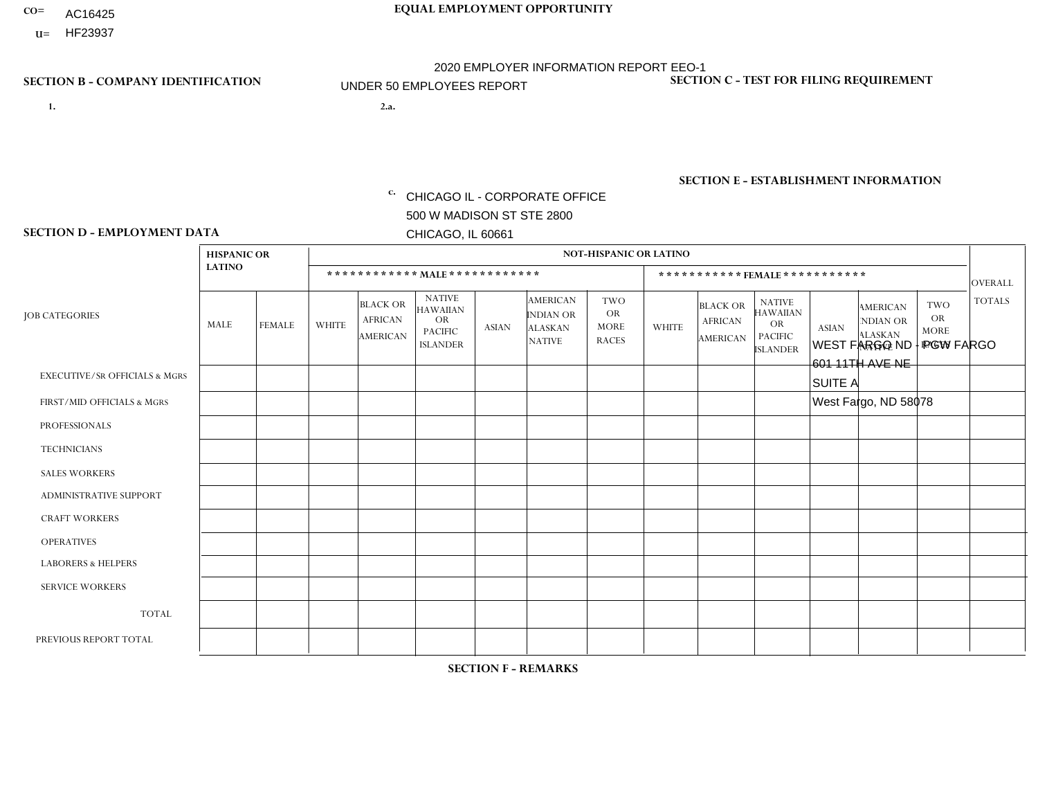- AC16425
- **U=**

**1. 2.a.** CHICAGO IL - CORPORATE OFFICE 500 W MADISON ST STE 2800 CHICAGO, IL 60661

WEST FARGO ND - PGW FARGO 601 11TH AVE NE SUITE A West Fargo, ND 58078

c. EIN= 952920557

## **SECTION B - COMPANY IDENTIFICATION SECTION C - TEST FOR FILING REQUIREMENT**

1- Y 2- Y 3- N DUNS= 000123456

**SECTION E - ESTABLISHMENT INFORMATION c.** NAICS: 811122

### **SECTION D - EMPLOYMENT DATA**

|                                          | <b>HISPANIC OR</b> |               |                |                                                      |                                                                                    |              |                                                                        | <b>NOT-HISPANIC OR LATINO</b>                          |              |                                                      |                                                                             |              |                                                                       |                                                        |                |
|------------------------------------------|--------------------|---------------|----------------|------------------------------------------------------|------------------------------------------------------------------------------------|--------------|------------------------------------------------------------------------|--------------------------------------------------------|--------------|------------------------------------------------------|-----------------------------------------------------------------------------|--------------|-----------------------------------------------------------------------|--------------------------------------------------------|----------------|
|                                          | <b>LATINO</b>      |               |                |                                                      | ************ MALE ************                                                     |              |                                                                        |                                                        |              |                                                      | *********** FEMALE ***********                                              |              |                                                                       |                                                        | <b>OVERALL</b> |
| <b>JOB CATEGORIES</b>                    | <b>MALE</b>        | <b>FEMALE</b> | <b>WHITE</b>   | <b>BLACK OR</b><br><b>AFRICAN</b><br><b>AMERICAN</b> | <b>NATIVE</b><br><b>HAWAIIAN</b><br><b>OR</b><br><b>PACIFIC</b><br><b>ISLANDER</b> | <b>ASIAN</b> | <b>AMERICAN</b><br><b>INDIAN OR</b><br><b>ALASKAN</b><br><b>NATIVE</b> | <b>TWO</b><br><b>OR</b><br><b>MORE</b><br><b>RACES</b> | <b>WHITE</b> | <b>BLACK OR</b><br><b>AFRICAN</b><br><b>AMERICAN</b> | <b>NATIVE</b><br><b>HAWAIIAN</b><br>OR<br><b>PACIFIC</b><br><b>ISLANDER</b> | <b>ASIAN</b> | <b>AMERICAN</b><br><b>NDIAN OR</b><br><b>ALASKAN</b><br><b>NATIVE</b> | <b>TWO</b><br><b>OR</b><br><b>MORE</b><br><b>RACES</b> | <b>TOTALS</b>  |
| <b>EXECUTIVE/SR OFFICIALS &amp; MGRS</b> | $\Omega$           | $\mathbf 0$   | $\mathbf 0$    | $\Omega$                                             | $\Omega$                                                                           | $\Omega$     | $\Omega$                                                               | $\Omega$                                               | $\Omega$     | $\Omega$                                             | $\Omega$                                                                    | $\Omega$     | $\Omega$                                                              | $\Omega$                                               | $\mathbf 0$    |
| FIRST/MID OFFICIALS & MGRS               | $\Omega$           | $\mathbf 0$   | 1              | 0                                                    | $\mathbf{0}$                                                                       | $\Omega$     | $\Omega$                                                               | $\Omega$                                               | $\Omega$     | 0                                                    | $\Omega$                                                                    | 0            | $\Omega$                                                              | $\Omega$                                               | $\mathbf{1}$   |
| <b>PROFESSIONALS</b>                     | $\Omega$           | 0             | $\mathbf 0$    | $\Omega$                                             | $\Omega$                                                                           | $\Omega$     | $\Omega$                                                               | $\Omega$                                               | $\Omega$     | 0                                                    | $\Omega$                                                                    | 0            | $\Omega$                                                              | $\Omega$                                               | $\mathbf{0}$   |
| <b>TECHNICIANS</b>                       | $\mathbf 0$        | 0             | $\mathbf 0$    | $\mathbf 0$                                          | $\Omega$                                                                           | $\Omega$     | $\Omega$                                                               | $\Omega$                                               | 0            | 0                                                    | $\Omega$                                                                    | $\Omega$     | $\Omega$                                                              | $\Omega$                                               | $\mathbf 0$    |
| <b>SALES WORKERS</b>                     | $\Omega$           | $\mathbf 0$   | $\mathbf 0$    | $\Omega$                                             | $\mathbf{0}$                                                                       | $\Omega$     | $\Omega$                                                               | $\Omega$                                               | $\Omega$     | $\Omega$                                             | $\Omega$                                                                    | $\Omega$     | $\Omega$                                                              | $\Omega$                                               | $\mathbf 0$    |
| <b>ADMINISTRATIVE SUPPORT</b>            | $\Omega$           | $\Omega$      | $\Omega$       | $\Omega$                                             | $\Omega$                                                                           | $\Omega$     | $\Omega$                                                               | $\Omega$                                               | $\Omega$     | 0                                                    | $\Omega$                                                                    | 0            | $\Omega$                                                              | $\Omega$                                               | $\mathbf{0}$   |
| <b>CRAFT WORKERS</b>                     | $\Omega$           | $\Omega$      | $\mathbf 0$    | $\Omega$                                             | $\mathbf{0}$                                                                       | $\mathbf{0}$ | $\Omega$                                                               | $\Omega$                                               | $\Omega$     | 0                                                    | $\Omega$                                                                    | 0            | $\Omega$                                                              | $\Omega$                                               | $\mathbf 0$    |
| <b>OPERATIVES</b>                        | $\Omega$           | $\Omega$      | $\overline{2}$ | $\mathbf{1}$                                         | $\Omega$                                                                           | $\Omega$     | $\Omega$                                                               | $\Omega$                                               | $\Omega$     | 0                                                    | $\Omega$                                                                    | $\mathbf{1}$ | $\Omega$                                                              | $\Omega$                                               | 4              |
| <b>LABORERS &amp; HELPERS</b>            | $\Omega$           | $\Omega$      | $\mathbf{1}$   | $\Omega$                                             | $\Omega$                                                                           | $\Omega$     | $\Omega$                                                               | $\Omega$                                               | $\Omega$     | $\overline{1}$                                       | $\Omega$                                                                    | 0            | $\Omega$                                                              | $\Omega$                                               | $\overline{a}$ |
| <b>SERVICE WORKERS</b>                   | $\Omega$           | 0             | $\mathbf 0$    | $\mathbf 0$                                          | $\Omega$                                                                           | $\Omega$     | $\Omega$                                                               | $\Omega$                                               | $\Omega$     | $\Omega$                                             | $\Omega$                                                                    | 0            | $\Omega$                                                              | $\Omega$                                               | $\mathbf 0$    |
| <b>TOTAL</b>                             | $\mathbf{0}$       | $\mathbf 0$   | $\overline{4}$ | $\mathbf 1$                                          | 0                                                                                  | $\mathbf 0$  | $\Omega$                                                               | $\Omega$                                               | $\mathbf 0$  | 1                                                    | $\mathbf 0$                                                                 | $\mathbf 1$  | $\mathbf 0$                                                           | $\mathbf 0$                                            | $\overline{7}$ |
| PREVIOUS REPORT TOTAL                    | 1                  | 0             | $\mathbf{3}$   | $\mathbf 1$                                          | $\Omega$                                                                           | $\Omega$     | $\Omega$                                                               | $\Omega$                                               | $\Omega$     | 0                                                    | $\mathbf 0$                                                                 | 0            | $\mathbf 0$                                                           | $\Omega$                                               | 5              |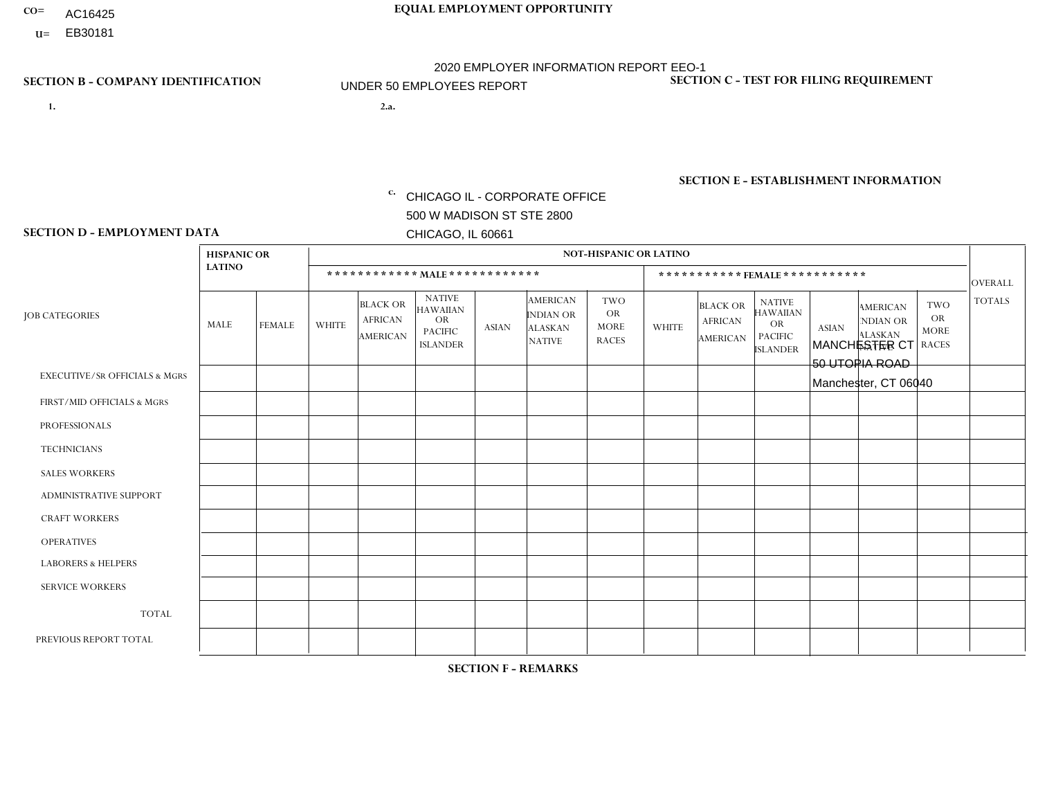- AC16425
- **U=**

**1. 2.a.** CHICAGO IL - CORPORATE OFFICE 500 W MADISON ST STE 2800 CHICAGO, IL 60661

2.a. MANCHESTER CT 50 UTOPIA ROAD Manchester, CT 06040

EIN= 952920557

## **SECTION B - COMPANY IDENTIFICATION SECTION C - TEST FOR FILING REQUIREMENT**

1- Y 2- Y 3- N DUNS= 000123456

**SECTION E - ESTABLISHMENT INFORMATION c.** NAICS: 423140

### **SECTION D - EMPLOYMENT DATA**

|                                          | <b>HISPANIC OR</b> |               |                |                                                      |                                                                                    |              |                                                                        | <b>NOT-HISPANIC OR LATINO</b>                          |              |                                                      |                                                                                    |              |                                                                       |                                                        |                |
|------------------------------------------|--------------------|---------------|----------------|------------------------------------------------------|------------------------------------------------------------------------------------|--------------|------------------------------------------------------------------------|--------------------------------------------------------|--------------|------------------------------------------------------|------------------------------------------------------------------------------------|--------------|-----------------------------------------------------------------------|--------------------------------------------------------|----------------|
|                                          | <b>LATINO</b>      |               |                | ************ MALE ************                       |                                                                                    |              |                                                                        |                                                        |              |                                                      | *********** FEMALE ***********                                                     |              |                                                                       |                                                        | <b>OVERALL</b> |
| <b>JOB CATEGORIES</b>                    | <b>MALE</b>        | <b>FEMALE</b> | <b>WHITE</b>   | <b>BLACK OR</b><br><b>AFRICAN</b><br><b>AMERICAN</b> | <b>NATIVE</b><br><b>HAWAIIAN</b><br><b>OR</b><br><b>PACIFIC</b><br><b>ISLANDER</b> | <b>ASIAN</b> | <b>AMERICAN</b><br><b>INDIAN OR</b><br><b>ALASKAN</b><br><b>NATIVE</b> | <b>TWO</b><br><b>OR</b><br><b>MORE</b><br><b>RACES</b> | <b>WHITE</b> | <b>BLACK OR</b><br><b>AFRICAN</b><br><b>AMERICAN</b> | <b>NATIVE</b><br><b>HAWAIIAN</b><br><b>OR</b><br><b>PACIFIC</b><br><b>ISLANDER</b> | <b>ASIAN</b> | <b>AMERICAN</b><br><b>NDIAN OR</b><br><b>ALASKAN</b><br><b>NATIVE</b> | <b>TWO</b><br><b>OR</b><br><b>MORE</b><br><b>RACES</b> | <b>TOTALS</b>  |
| <b>EXECUTIVE/SR OFFICIALS &amp; MGRS</b> | $\Omega$           | $\Omega$      | $\mathbf{0}$   | $\mathbf 0$                                          | $\Omega$                                                                           | $\Omega$     | $\Omega$                                                               | $\Omega$                                               | $\Omega$     | $\Omega$                                             | $\Omega$                                                                           | $\Omega$     | $\Omega$                                                              | $\Omega$                                               | $\mathbf 0$    |
| FIRST/MID OFFICIALS & MGRS               | $\Omega$           | $\Omega$      | $\overline{2}$ | $\Omega$                                             | $\Omega$                                                                           | $\Omega$     | $\Omega$                                                               | $\Omega$                                               | 1            | $\Omega$                                             | 0                                                                                  | $\Omega$     | $\Omega$                                                              | $\Omega$                                               | 3              |
| <b>PROFESSIONALS</b>                     | $\Omega$           | $\Omega$      | $\Omega$       | $\mathbf 0$                                          | $\Omega$                                                                           | $\Omega$     | $\Omega$                                                               | $\Omega$                                               | $\Omega$     | $\Omega$                                             | 0                                                                                  | 0            | $\Omega$                                                              | $\mathbf 0$                                            | $\Omega$       |
| <b>TECHNICIANS</b>                       | $\Omega$           | $\mathbf 0$   | $\Omega$       | $\mathbf 0$                                          | $\mathbf 0$                                                                        | $\Omega$     | $\Omega$                                                               | $\Omega$                                               | 0            | $\mathbf 0$                                          | 0                                                                                  | $\mathbf 0$  | $\Omega$                                                              | $\mathbf 0$                                            | $\mathbf{0}$   |
| <b>SALES WORKERS</b>                     | $\Omega$           | $\Omega$      | $\overline{2}$ | $\Omega$                                             | $\Omega$                                                                           | $\Omega$     | $\Omega$                                                               | $\Omega$                                               | $\Omega$     | $\Omega$                                             | $\Omega$                                                                           | $\Omega$     | $\Omega$                                                              | $\Omega$                                               | $\overline{2}$ |
| <b>ADMINISTRATIVE SUPPORT</b>            | $\Omega$           | $\mathbf 0$   | $\Omega$       | $\mathbf 0$                                          | 0                                                                                  | $\Omega$     | $\Omega$                                                               | $\Omega$                                               | $\Omega$     | $\Omega$                                             | $\Omega$                                                                           | $\mathbf 0$  | $\Omega$                                                              | $\mathbf 0$                                            | $\mathbf{0}$   |
| <b>CRAFT WORKERS</b>                     | $\Omega$           | $\Omega$      | $\mathbf{0}$   | $\mathbf 0$                                          | $\Omega$                                                                           | $\Omega$     | $\Omega$                                                               | $\Omega$                                               | 0            | $\Omega$                                             | $\Omega$                                                                           | $\Omega$     | $\Omega$                                                              | $\Omega$                                               | $\Omega$       |
| <b>OPERATIVES</b>                        | 3                  | $\Omega$      | $\overline{2}$ | $\overline{1}$                                       | $\Omega$                                                                           | $\Omega$     | $\Omega$                                                               | $\Omega$                                               | $\Omega$     | $\Omega$                                             | 0                                                                                  | $\Omega$     | $\Omega$                                                              | $\Omega$                                               | 6              |
| <b>LABORERS &amp; HELPERS</b>            | и                  | $\Omega$      | и              | $\mathbf 0$                                          | $\Omega$                                                                           | $\mathbf{0}$ | $\Omega$                                                               | $\Omega$                                               | $\Omega$     | $\Omega$                                             | $\Omega$                                                                           | $\mathbf 0$  | $\Omega$                                                              | $\Omega$                                               | $\overline{2}$ |
| <b>SERVICE WORKERS</b>                   | $\Omega$           | $\Omega$      | $\mathbf 0$    | $\mathbf 0$                                          | $\mathbf 0$                                                                        | $\Omega$     | $\Omega$                                                               | $\Omega$                                               | 0            | $\Omega$                                             | $\Omega$                                                                           | $\Omega$     | $\Omega$                                                              | $\Omega$                                               | $\mathbf 0$    |
| <b>TOTAL</b>                             | 4                  | $\mathbf 0$   | $\overline{7}$ | $\overline{ }$                                       | $\mathbf 0$                                                                        | $\Omega$     | $\Omega$                                                               | $\Omega$                                               | $\mathbf{1}$ | $\mathbf 0$                                          | 0                                                                                  | $\mathbf 0$  | 0                                                                     | $\mathbf 0$                                            | 13             |
| PREVIOUS REPORT TOTAL                    | 4                  | $\Omega$      | 11             | $\overline{c}$                                       | $\overline{0}$                                                                     | $\Omega$     | $\Omega$                                                               | $\Omega$                                               | 4            | $\Omega$                                             | $\Omega$                                                                           | $\Omega$     | $\Omega$                                                              | $\mathbf 0$                                            | 21             |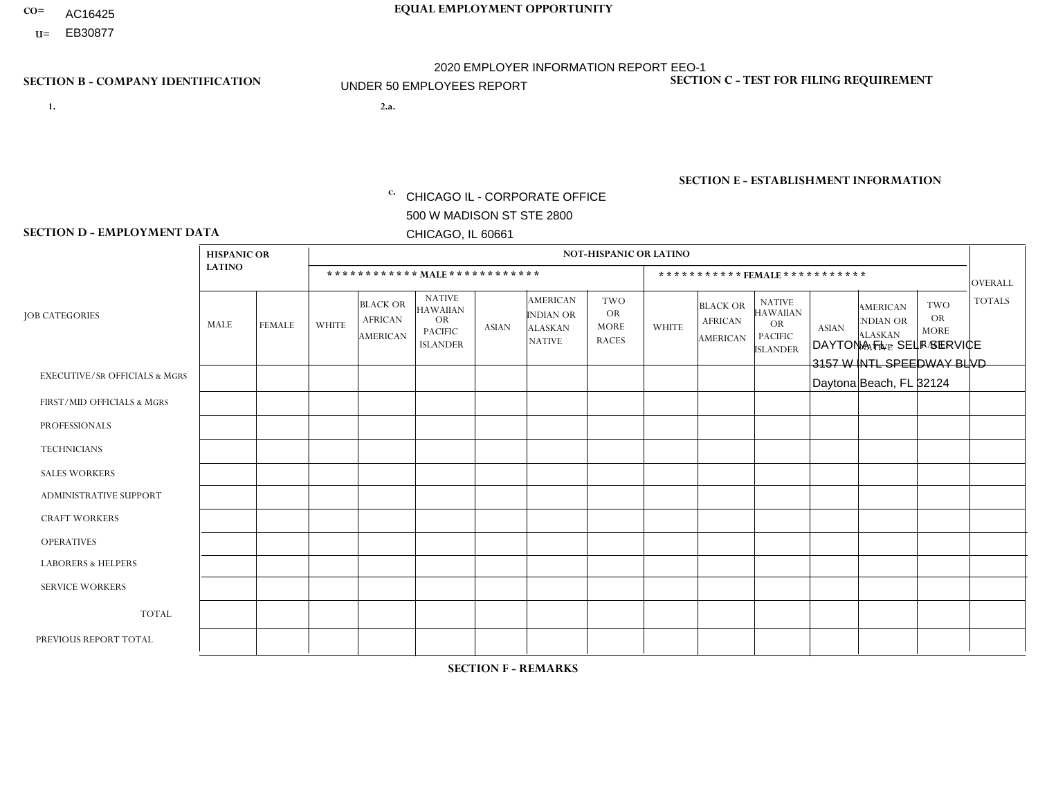- AC16425
- **U=**

- **1. 2.a.** CHICAGO IL CORPORATE OFFICE 500 W MADISON ST STE 2800 CHICAGO, IL 60661
- 2.a. DAYTONA FL SELF SERVICE 3157 W INTL SPEEDWAY BLVD Daytona Beach, FL 32124

c. EIN= 952920557

## **SECTION B - COMPANY IDENTIFICATION SECTION C - TEST FOR FILING REQUIREMENT**

1- Y 2- Y 3- N DUNS= 000123456

**SECTION E - ESTABLISHMENT INFORMATION c.** NAICS: 423140

### **SECTION D - EMPLOYMENT DATA**

|                                          | <b>HISPANIC OR</b> |               |                |                                                      |                                                                                    |              |                                                                        | <b>NOT-HISPANIC OR LATINO</b>                          |                |                                                      |                                                                                    |              |                                                                       |                                                        |                |
|------------------------------------------|--------------------|---------------|----------------|------------------------------------------------------|------------------------------------------------------------------------------------|--------------|------------------------------------------------------------------------|--------------------------------------------------------|----------------|------------------------------------------------------|------------------------------------------------------------------------------------|--------------|-----------------------------------------------------------------------|--------------------------------------------------------|----------------|
|                                          | <b>LATINO</b>      |               |                | ************ MALE ************                       |                                                                                    |              |                                                                        |                                                        |                |                                                      | ***********FEMALE***********                                                       |              |                                                                       |                                                        | <b>OVERALL</b> |
| <b>JOB CATEGORIES</b>                    | <b>MALE</b>        | <b>FEMALE</b> | <b>WHITE</b>   | <b>BLACK OR</b><br><b>AFRICAN</b><br><b>AMERICAN</b> | <b>NATIVE</b><br><b>HAWAIIAN</b><br><b>OR</b><br><b>PACIFIC</b><br><b>ISLANDER</b> | <b>ASIAN</b> | <b>AMERICAN</b><br><b>INDIAN OR</b><br><b>ALASKAN</b><br><b>NATIVE</b> | <b>TWO</b><br><b>OR</b><br><b>MORE</b><br><b>RACES</b> | <b>WHITE</b>   | <b>BLACK OR</b><br><b>AFRICAN</b><br><b>AMERICAN</b> | <b>NATIVE</b><br><b>HAWAIIAN</b><br><b>OR</b><br><b>PACIFIC</b><br><b>ISLANDER</b> | <b>ASIAN</b> | <b>AMERICAN</b><br><b>NDIAN OR</b><br><b>ALASKAN</b><br><b>NATIVE</b> | <b>TWO</b><br><b>OR</b><br><b>MORE</b><br><b>RACES</b> | <b>TOTALS</b>  |
| <b>EXECUTIVE/SR OFFICIALS &amp; MGRS</b> | $\Omega$           | $\mathbf 0$   | $\Omega$       | $\mathbf 0$                                          | $\mathbf 0$                                                                        | $\mathbf 0$  | $\Omega$                                                               | $\Omega$                                               | $\Omega$       | $\Omega$                                             | $\Omega$                                                                           | $\mathbf 0$  | $\Omega$                                                              | $\Omega$                                               | $\mathbf 0$    |
| FIRST/MID OFFICIALS & MGRS               | $\Omega$           | $\Omega$      | 1              | $\Omega$                                             | 0                                                                                  | $\Omega$     | $\Omega$                                                               | $\Omega$                                               | 1              | $\mathbf{0}$                                         | $\Omega$                                                                           | $\Omega$     | $\Omega$                                                              | $\Omega$                                               | $\overline{2}$ |
| <b>PROFESSIONALS</b>                     | $\overline{2}$     | $\mathbf 0$   | $\overline{c}$ | $\mathbf 0$                                          | $\mathbf 0$                                                                        | $\mathbf 0$  | $\Omega$                                                               | $\Omega$                                               | $\mathbf 0$    | $\Omega$                                             | $\mathbf{0}$                                                                       | $\mathbf 0$  | $\Omega$                                                              | $\mathbf 0$                                            | $\overline{4}$ |
| <b>TECHNICIANS</b>                       | $\Omega$           | $\mathbf 0$   | $\Omega$       | $\mathbf 0$                                          | 0                                                                                  | $\Omega$     | $\overline{0}$                                                         | $\Omega$                                               | $\mathbf{0}$   | $\mathbf 0$                                          | $\Omega$                                                                           | $\Omega$     | $\Omega$                                                              | $\Omega$                                               | $\mathbf 0$    |
| <b>SALES WORKERS</b>                     | $\Omega$           | $\Omega$      | $\Omega$       | $\Omega$                                             | $\Omega$                                                                           | $\Omega$     | $\Omega$                                                               | $\Omega$                                               | $\Omega$       | $\Omega$                                             | $\Omega$                                                                           | $\Omega$     | $\Omega$                                                              | $\mathbf{0}$                                           | $\Omega$       |
| <b>ADMINISTRATIVE SUPPORT</b>            | $\Omega$           | $\mathbf 0$   | 3              | $\mathbf 0$                                          | $\mathbf 0$                                                                        | $\Omega$     | $\Omega$                                                               |                                                        | 1              | $\Omega$                                             | $\Omega$                                                                           | $\Omega$     | $\Omega$                                                              | $\mathbf{0}$                                           | 5              |
| <b>CRAFT WORKERS</b>                     | $\Omega$           | $\Omega$      | $\mathbf{0}$   | $\mathbf 0$                                          | 0                                                                                  | $\Omega$     | $\Omega$                                                               | $\Omega$                                               | $\Omega$       | $\Omega$                                             | $\Omega$                                                                           | $\Omega$     | $\Omega$                                                              | $\Omega$                                               | $\Omega$       |
| <b>OPERATIVES</b>                        | $\overline{7}$     | $\mathbf 0$   | 1              | $\mathbf 0$                                          | 0                                                                                  | $\mathbf 0$  | $\Omega$                                                               |                                                        | $\Omega$       | $\Omega$                                             | $\Omega$                                                                           | $\Omega$     | $\Omega$                                                              | $\Omega$                                               | 9              |
| <b>LABORERS &amp; HELPERS</b>            | $\Omega$           | $\Omega$      | $\Omega$       | $\mathbf 0$                                          | 0                                                                                  | $\Omega$     | $\Omega$                                                               | $\Omega$                                               | $\Omega$       | $\Omega$                                             | $\Omega$                                                                           | $\Omega$     | $\Omega$                                                              | $\Omega$                                               | 0              |
| <b>SERVICE WORKERS</b>                   | $\Omega$           | $\mathbf 0$   | 0              | 0                                                    | $\mathbf{0}$                                                                       | $\mathbf 0$  | $\Omega$                                                               | $\Omega$                                               | $\Omega$       | $\Omega$                                             | $\Omega$                                                                           | $\mathbf 0$  | $\Omega$                                                              | $\mathbf 0$                                            | 0              |
| <b>TOTAL</b>                             | 9                  | $\mathbf 0$   | $\overline{7}$ | $\mathbf 0$                                          | 0                                                                                  | $\mathbf{0}$ | $\Omega$                                                               | 2                                                      | $\overline{2}$ | $\Omega$                                             | $\Omega$                                                                           | $\mathbf 0$  | $\Omega$                                                              | $\Omega$                                               | 20             |
| PREVIOUS REPORT TOTAL                    | 8                  | $\Omega$      | 5              | $\Omega$                                             | $\Omega$                                                                           | $\Omega$     | $\mathbf{1}$                                                           |                                                        | $\overline{2}$ | $\overline{2}$                                       | $\Omega$                                                                           | $\Omega$     | $\Omega$                                                              | $\Omega$                                               | 19             |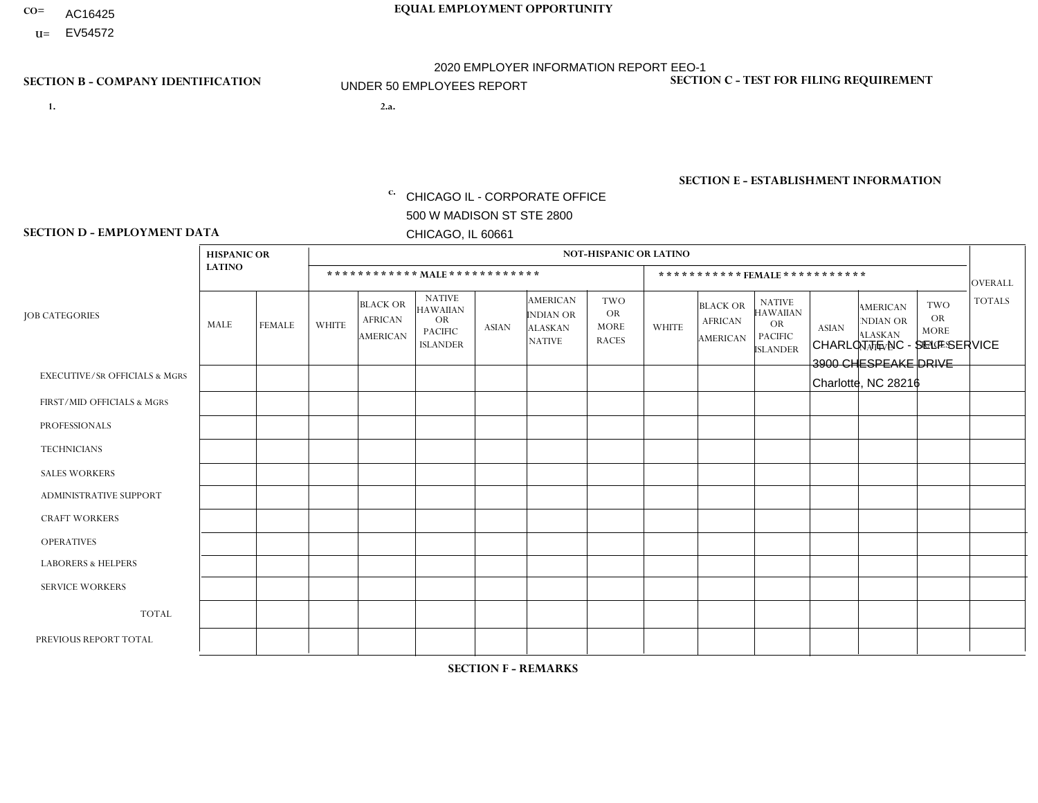- AC16425
- **U=**

**1. 2.a.** CHICAGO IL - CORPORATE OFFICE 500 W MADISON ST STE 2800 CHICAGO, IL 60661

2.a. CHARLOTTE NC - SELF SERVICE 3900 CHESPEAKE DRIVE Charlotte, NC 28216

EIN= 952920557

## **SECTION B - COMPANY IDENTIFICATION SECTION C - TEST FOR FILING REQUIREMENT**

1- Y 2- Y 3- N DUNS= 000123456

**SECTION E - ESTABLISHMENT INFORMATION c.** NAICS: 423140

### **SECTION D - EMPLOYMENT DATA**

|                                          | <b>HISPANIC OR</b> |                |                |                                                      |                                                                                    |              |                                                                        | <b>NOT-HISPANIC OR LATINO</b>                          |              |                                               |                                                                                    |              |                                                                |                                                        |                |
|------------------------------------------|--------------------|----------------|----------------|------------------------------------------------------|------------------------------------------------------------------------------------|--------------|------------------------------------------------------------------------|--------------------------------------------------------|--------------|-----------------------------------------------|------------------------------------------------------------------------------------|--------------|----------------------------------------------------------------|--------------------------------------------------------|----------------|
|                                          | <b>LATINO</b>      |                |                | ************ MALE ************                       |                                                                                    |              |                                                                        |                                                        |              |                                               | *********** FEMALE ***********                                                     |              |                                                                |                                                        | <b>OVERALL</b> |
| <b>JOB CATEGORIES</b>                    | <b>MALE</b>        | <b>FEMALE</b>  | <b>WHITE</b>   | <b>BLACK OR</b><br><b>AFRICAN</b><br><b>AMERICAN</b> | <b>NATIVE</b><br><b>HAWAIIAN</b><br><b>OR</b><br><b>PACIFIC</b><br><b>ISLANDER</b> | <b>ASIAN</b> | <b>AMERICAN</b><br><b>INDIAN OR</b><br><b>ALASKAN</b><br><b>NATIVE</b> | <b>TWO</b><br><b>OR</b><br><b>MORE</b><br><b>RACES</b> | <b>WHITE</b> | <b>BLACK OR</b><br><b>AFRICAN</b><br>AMERICAN | <b>NATIVE</b><br><b>HAWAIIAN</b><br><b>OR</b><br><b>PACIFIC</b><br><b>ISLANDER</b> | <b>ASIAN</b> | <b>AMERICAN</b><br>NDIAN OR<br><b>ALASKAN</b><br><b>NATIVE</b> | <b>TWO</b><br><b>OR</b><br><b>MORE</b><br><b>RACES</b> | <b>TOTALS</b>  |
| <b>EXECUTIVE/SR OFFICIALS &amp; MGRS</b> | $\Omega$           | $\Omega$       | $\mathbf{0}$   | $\Omega$                                             | $\Omega$                                                                           | $\Omega$     | $\Omega$                                                               | $\Omega$                                               | 0            | $\Omega$                                      | $\Omega$                                                                           | $\Omega$     | $\Omega$                                                       | $\Omega$                                               | $\Omega$       |
| FIRST/MID OFFICIALS & MGRS               | $\Omega$           | $\Omega$       | 1              | $\mathbf{0}$                                         | $\Omega$                                                                           | $\Omega$     | $\Omega$                                                               | $\Omega$                                               | 0            | $\Omega$                                      | 0                                                                                  | $\Omega$     | $\Omega$                                                       | $\Omega$                                               | $\mathbf{1}$   |
| <b>PROFESSIONALS</b>                     |                    | $\mathbf 0$    | $\Omega$       | $\mathbf 0$                                          | $\Omega$                                                                           | $\Omega$     | $\Omega$                                                               | $\Omega$                                               | $\Omega$     | $\Omega$                                      | 0                                                                                  | 0            | $\Omega$                                                       | $\mathbf 0$                                            | $\mathbf{1}$   |
| <b>TECHNICIANS</b>                       | $\Omega$           | $\Omega$       | $\Omega$       | $\Omega$                                             | $\Omega$                                                                           | $\Omega$     | $\Omega$                                                               | $\Omega$                                               | $\Omega$     | $\Omega$                                      | 0                                                                                  | $\mathbf 0$  | $\Omega$                                                       | $\mathbf 0$                                            | $\mathbf{0}$   |
| <b>SALES WORKERS</b>                     | $\Omega$           | $\Omega$       | $\Omega$       | $\Omega$                                             | $\Omega$                                                                           | $\Omega$     | $\Omega$                                                               | $\Omega$                                               | $\Omega$     | $\Omega$                                      | $\Omega$                                                                           | $\Omega$     | $\Omega$                                                       | $\Omega$                                               | $\Omega$       |
| <b>ADMINISTRATIVE SUPPORT</b>            | 3                  | $\overline{2}$ | 1              | $\mathbf 0$                                          | 0                                                                                  | $\Omega$     | $\Omega$                                                               | $\Omega$                                               | 0            | $\Omega$                                      | 0                                                                                  | $\mathbf 0$  | $\Omega$                                                       | $\mathbf 0$                                            | 6              |
| <b>CRAFT WORKERS</b>                     | $\Omega$           | $\Omega$       | $\Omega$       | $\mathbf 0$                                          | $\Omega$                                                                           | $\Omega$     | $\Omega$                                                               | $\Omega$                                               | 0            | $\Omega$                                      | 0                                                                                  | $\Omega$     | $\Omega$                                                       | $\Omega$                                               | $\Omega$       |
| <b>OPERATIVES</b>                        | 6                  | $\Omega$       | $\Omega$       | 3                                                    | $\Omega$                                                                           | 2            | $\Omega$                                                               | $\Omega$                                               | 0            | $\Omega$                                      | 0                                                                                  | $\mathbf 0$  | $\Omega$                                                       | $\Omega$                                               | 11             |
| <b>LABORERS &amp; HELPERS</b>            | $\Omega$           | $\Omega$       | $\mathbf{0}$   | $\mathbf 0$                                          | $\Omega$                                                                           | $\Omega$     | $\Omega$                                                               | $\Omega$                                               | $\Omega$     | $\Omega$                                      | $\Omega$                                                                           | $\Omega$     | $\Omega$                                                       | $\Omega$                                               | $\mathbf 0$    |
| <b>SERVICE WORKERS</b>                   | $\Omega$           | $\Omega$       | $\Omega$       | $\mathbf 0$                                          | $\Omega$                                                                           | $\Omega$     | $\Omega$                                                               | $\Omega$                                               | 0            | $\Omega$                                      | $\Omega$                                                                           | $\mathbf 0$  | $\Omega$                                                       | $\Omega$                                               | $\mathbf 0$    |
| <b>TOTAL</b>                             | 10                 | $\overline{2}$ | $\overline{c}$ | 3                                                    | $\mathbf 0$                                                                        | 2            | $\Omega$                                                               | $\Omega$                                               | 0            | $\mathbf 0$                                   | 0                                                                                  | $\mathbf 0$  | 0                                                              | $\mathbf 0$                                            | 19             |
| PREVIOUS REPORT TOTAL                    | 6                  | $\overline{2}$ | 3              | 5                                                    | $\Omega$                                                                           | 2            | $\Omega$                                                               | $\Omega$                                               | 0            | $\Omega$                                      | 0                                                                                  | $\mathbf 0$  | $\Omega$                                                       | $\mathbf 0$                                            | 18             |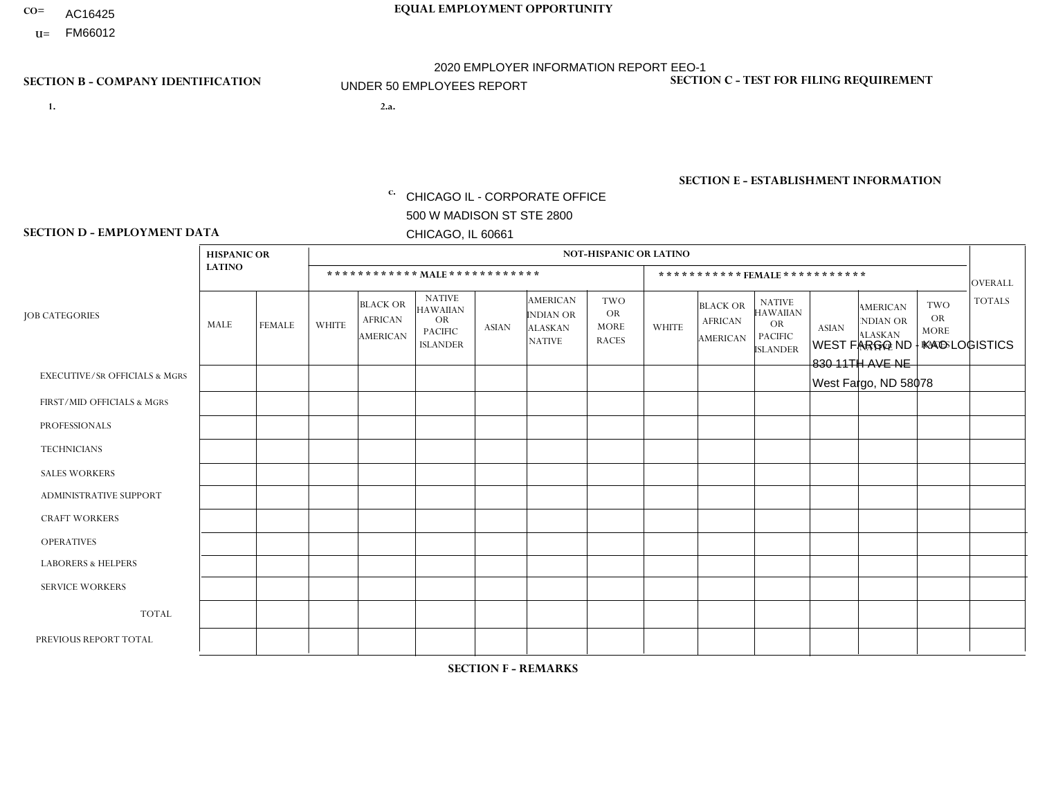- AC16425
- **U=**

**1. 2.a.** CHICAGO IL - CORPORATE OFFICE 500 W MADISON ST STE 2800 CHICAGO, IL 60661

WEST FARGO ND - KAO LOGISTICS 830 11TH AVE NE West Fargo, ND 58078

c. EIN= 952920557

## **SECTION B - COMPANY IDENTIFICATION SECTION C - TEST FOR FILING REQUIREMENT**

1- Y 2- Y 3- N DUNS= 000123456

**SECTION E - ESTABLISHMENT INFORMATION c.** NAICS: 423140

### **SECTION D - EMPLOYMENT DATA**

|                                          | <b>HISPANIC OR</b> |               |              |                                                      |                                                                                    |              |                                                                 | <b>NOT-HISPANIC OR LATINO</b>                          |              |                                                      |                                                                                    |              |                                                                       |                                                        |                |
|------------------------------------------|--------------------|---------------|--------------|------------------------------------------------------|------------------------------------------------------------------------------------|--------------|-----------------------------------------------------------------|--------------------------------------------------------|--------------|------------------------------------------------------|------------------------------------------------------------------------------------|--------------|-----------------------------------------------------------------------|--------------------------------------------------------|----------------|
|                                          | <b>LATINO</b>      |               |              | ************ MALE ************                       |                                                                                    |              |                                                                 |                                                        |              |                                                      | ***********FEMALE***********                                                       |              |                                                                       |                                                        | <b>OVERALL</b> |
| <b>JOB CATEGORIES</b>                    | <b>MALE</b>        | <b>FEMALE</b> | <b>WHITE</b> | <b>BLACK OR</b><br><b>AFRICAN</b><br><b>AMERICAN</b> | <b>NATIVE</b><br><b>HAWAIIAN</b><br><b>OR</b><br><b>PACIFIC</b><br><b>ISLANDER</b> | <b>ASIAN</b> | <b>AMERICAN</b><br>INDIAN OR<br><b>ALASKAN</b><br><b>NATIVE</b> | <b>TWO</b><br><b>OR</b><br><b>MORE</b><br><b>RACES</b> | <b>WHITE</b> | <b>BLACK OR</b><br><b>AFRICAN</b><br><b>AMERICAN</b> | <b>NATIVE</b><br><b>HAWAIIAN</b><br><b>OR</b><br><b>PACIFIC</b><br><b>ISLANDER</b> | <b>ASIAN</b> | <b>AMERICAN</b><br><b>NDIAN OR</b><br><b>ALASKAN</b><br><b>NATIVE</b> | <b>TWO</b><br><b>OR</b><br><b>MORE</b><br><b>RACES</b> | <b>TOTALS</b>  |
| <b>EXECUTIVE/SR OFFICIALS &amp; MGRS</b> | $\mathbf{0}$       | $\Omega$      | $\Omega$     | $\Omega$                                             | 0                                                                                  | $\Omega$     | $\Omega$                                                        | $\Omega$                                               | $\Omega$     | $\mathbf{0}$                                         | $\Omega$                                                                           | $\Omega$     | $\Omega$                                                              | $\Omega$                                               | $\Omega$       |
| FIRST/MID OFFICIALS & MGRS               | $\Omega$           | $\Omega$      | $\Omega$     | $\mathbf 0$                                          | $\mathbf{0}$                                                                       | $\Omega$     | $\Omega$                                                        | $\Omega$                                               | 1            | $\mathbf{0}$                                         | $\Omega$                                                                           | $\Omega$     | $\Omega$                                                              | $\Omega$                                               | $\mathbf{1}$   |
| <b>PROFESSIONALS</b>                     | $\Omega$           | $\mathbf 0$   | 1            | $\mathbf 0$                                          | $\overline{0}$                                                                     | $\Omega$     | $\Omega$                                                        | $\Omega$                                               | $\Omega$     | $\Omega$                                             | $\Omega$                                                                           | $\Omega$     | $\Omega$                                                              | $\mathbf{0}$                                           | $\mathbf{1}$   |
| <b>TECHNICIANS</b>                       | $\Omega$           | $\Omega$      | $\Omega$     | $\Omega$                                             | 0                                                                                  | $\Omega$     | $\overline{0}$                                                  | $\Omega$                                               | $\Omega$     | $\Omega$                                             | $\Omega$                                                                           | $\Omega$     | $\mathbf{0}$                                                          | $\Omega$                                               | $\mathbf 0$    |
| <b>SALES WORKERS</b>                     | $\Omega$           | $\Omega$      | $\Omega$     | $\Omega$                                             | $\Omega$                                                                           | $\Omega$     | $\Omega$                                                        | $\Omega$                                               | $\Omega$     | $\Omega$                                             | $\Omega$                                                                           | $\Omega$     | $\Omega$                                                              | $\mathbf{0}$                                           | $\mathbf 0$    |
| <b>ADMINISTRATIVE SUPPORT</b>            | $\Omega$           | $\mathbf 0$   | $\Omega$     | $\mathbf 0$                                          | $\mathbf 0$                                                                        | $\mathbf 0$  | $\Omega$                                                        | $\Omega$                                               | $\Omega$     | $\Omega$                                             | $\Omega$                                                                           | $\Omega$     | $\Omega$                                                              | $\Omega$                                               | $\mathbf{0}$   |
| <b>CRAFT WORKERS</b>                     | $\Omega$           | $\Omega$      | $\Omega$     | $\mathbf 0$                                          | 0                                                                                  | $\Omega$     | $\Omega$                                                        | $\Omega$                                               | $\Omega$     | $\Omega$                                             | $\Omega$                                                                           | $\Omega$     | $\Omega$                                                              | $\Omega$                                               | $\Omega$       |
| <b>OPERATIVES</b>                        |                    | $\Omega$      | 8            | $\mathbf{1}$                                         | 0                                                                                  | $\Omega$     | $\Omega$                                                        |                                                        | $\Omega$     | $\Omega$                                             | $\Omega$                                                                           | $\Omega$     | $\Omega$                                                              | $\Omega$                                               | 11             |
| <b>LABORERS &amp; HELPERS</b>            | $\Omega$           | $\Omega$      | $\Omega$     | $\mathbf 0$                                          | 0                                                                                  | $\Omega$     | $\Omega$                                                        | $\Omega$                                               | $\Omega$     | $\Omega$                                             | $\Omega$                                                                           | $\Omega$     | $\Omega$                                                              | $\Omega$                                               | $\mathbf 0$    |
| <b>SERVICE WORKERS</b>                   | $\Omega$           | $\Omega$      | $\Omega$     | 0                                                    | $\mathbf 0$                                                                        | $\Omega$     | $\Omega$                                                        | $\Omega$                                               | $\Omega$     | $\Omega$                                             | $\Omega$                                                                           | $\Omega$     | $\Omega$                                                              | $\Omega$                                               | 0              |
| <b>TOTAL</b>                             | 1                  | $\mathbf 0$   | 9            | $\mathbf{1}$                                         | 0                                                                                  | $\mathbf 0$  | $\mathbf{0}$                                                    |                                                        | 1            | $\Omega$                                             | $\Omega$                                                                           | $\mathbf 0$  | $\Omega$                                                              | $\Omega$                                               | 13             |
| PREVIOUS REPORT TOTAL                    |                    | $\mathbf 0$   | 8            | 3                                                    | 0                                                                                  | $\Omega$     | $\Omega$                                                        |                                                        | 1            |                                                      | $\mathbf{0}$                                                                       | $\Omega$     | $\Omega$                                                              | $\mathbf 0$                                            | 15             |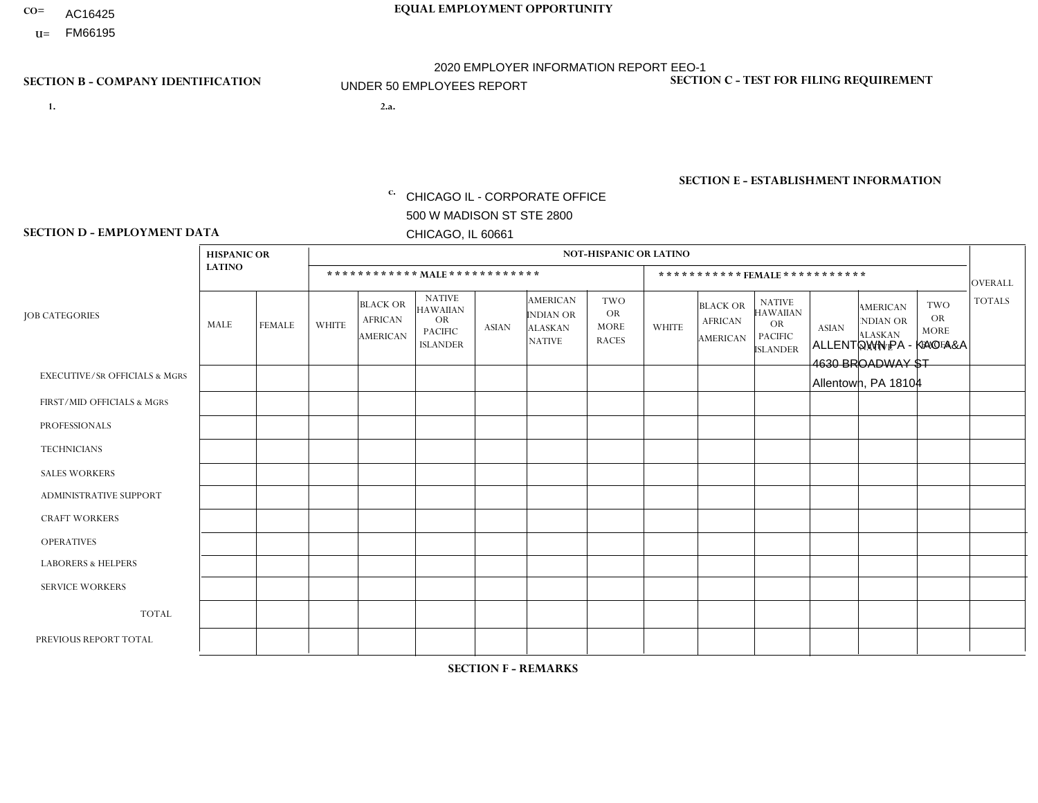- AC16425
- **U=**

**1. 2.a.** CHICAGO IL - CORPORATE OFFICE 500 W MADISON ST STE 2800 CHICAGO, IL 60661

2.a. ALLENTOWN PA - KAO A&A 4630 BROADWAY ST Allentown, PA 18104

c. EIN= 952920557

## **SECTION B - COMPANY IDENTIFICATION SECTION C - TEST FOR FILING REQUIREMENT**

1- Y 2- Y 3- N DUNS= 000123456

**SECTION E - ESTABLISHMENT INFORMATION c.** NAICS: 423140

### **SECTION D - EMPLOYMENT DATA**

|                                          | <b>HISPANIC OR</b> |               |                |                                                      |                                                                                    |              |                                                                        | <b>NOT-HISPANIC OR LATINO</b>                          |              |                                               |                                                                                    |              |                                                                       |                                                        |                |
|------------------------------------------|--------------------|---------------|----------------|------------------------------------------------------|------------------------------------------------------------------------------------|--------------|------------------------------------------------------------------------|--------------------------------------------------------|--------------|-----------------------------------------------|------------------------------------------------------------------------------------|--------------|-----------------------------------------------------------------------|--------------------------------------------------------|----------------|
|                                          | <b>LATINO</b>      |               |                | ************ MALE ************                       |                                                                                    |              |                                                                        |                                                        |              |                                               | ***********FEMALE***********                                                       |              |                                                                       |                                                        | <b>OVERALL</b> |
| <b>JOB CATEGORIES</b>                    | <b>MALE</b>        | <b>FEMALE</b> | <b>WHITE</b>   | <b>BLACK OR</b><br><b>AFRICAN</b><br><b>AMERICAN</b> | <b>NATIVE</b><br><b>HAWAIIAN</b><br><b>OR</b><br><b>PACIFIC</b><br><b>ISLANDER</b> | <b>ASIAN</b> | <b>AMERICAN</b><br><b>INDIAN OR</b><br><b>ALASKAN</b><br><b>NATIVE</b> | <b>TWO</b><br><b>OR</b><br><b>MORE</b><br><b>RACES</b> | <b>WHITE</b> | <b>BLACK OR</b><br><b>AFRICAN</b><br>AMERICAN | <b>NATIVE</b><br><b>HAWAIIAN</b><br><b>OR</b><br><b>PACIFIC</b><br><b>ISLANDER</b> | <b>ASIAN</b> | <b>AMERICAN</b><br><b>NDIAN OR</b><br><b>ALASKAN</b><br><b>NATIVE</b> | <b>TWO</b><br><b>OR</b><br><b>MORE</b><br><b>RACES</b> | <b>TOTALS</b>  |
| <b>EXECUTIVE/SR OFFICIALS &amp; MGRS</b> | $\Omega$           | $\mathbf 0$   | $\Omega$       | $\mathbf 0$                                          | $\mathbf 0$                                                                        | $\mathbf 0$  | $\Omega$                                                               | $\Omega$                                               | $\Omega$     | $\Omega$                                      | $\Omega$                                                                           | $\Omega$     | $\Omega$                                                              | $\Omega$                                               | $\mathbf 0$    |
| FIRST/MID OFFICIALS & MGRS               | $\Omega$           | 0             | 1              | $\mathbf 0$                                          | $\mathbf 0$                                                                        | $\mathbf 0$  | $\Omega$                                                               | $\Omega$                                               | $\Omega$     | $\Omega$                                      | $\Omega$                                                                           | $\Omega$     | $\Omega$                                                              | $\Omega$                                               | $\mathbf{1}$   |
| <b>PROFESSIONALS</b>                     | $\Omega$           | $\Omega$      | $\Omega$       | $\mathbf 0$                                          | $\Omega$                                                                           | $\Omega$     | $\Omega$                                                               | $\Omega$                                               | $\Omega$     | $\Omega$                                      | $\Omega$                                                                           | $\Omega$     | $\Omega$                                                              | $\mathbf{0}$                                           | $\mathbf 0$    |
| <b>TECHNICIANS</b>                       | $\Omega$           | $\mathbf 0$   | $\Omega$       | $\mathbf 0$                                          | $\mathbf 0$                                                                        | $\Omega$     | $\overline{0}$                                                         | $\Omega$                                               | $\mathbf{0}$ | $\Omega$                                      | $\Omega$                                                                           | $\Omega$     | $\Omega$                                                              | $\Omega$                                               | $\mathbf 0$    |
| <b>SALES WORKERS</b>                     | $\Omega$           | $\Omega$      | $\Omega$       | $\mathbf{1}$                                         | 0                                                                                  | $\Omega$     | $\Omega$                                                               | 1                                                      | $\mathbf{1}$ | $\Omega$                                      | $\Omega$                                                                           | $\Omega$     | $\Omega$                                                              | $\mathbf{0}$                                           | 3              |
| <b>ADMINISTRATIVE SUPPORT</b>            | $\Omega$           | $\mathbf 0$   | 0              | $\mathbf 0$                                          | $\mathbf 0$                                                                        | $\mathbf 0$  | $\Omega$                                                               | $\Omega$                                               | 0            | $\Omega$                                      | $\Omega$                                                                           | $\Omega$     | $\Omega$                                                              | $\mathbf 0$                                            | $\mathbf 0$    |
| <b>CRAFT WORKERS</b>                     | $\Omega$           | $\Omega$      | $\Omega$       | $\mathbf 0$                                          | 0                                                                                  | $\Omega$     | $\Omega$                                                               | $\Omega$                                               | $\Omega$     | $\Omega$                                      | $\mathbf{0}$                                                                       | $\Omega$     | $\Omega$                                                              | $\Omega$                                               | $\Omega$       |
| <b>OPERATIVES</b>                        | 1                  | $\Omega$      | $\Omega$       | 0                                                    | $\Omega$                                                                           | $\Omega$     | $\Omega$                                                               | $\Omega$                                               | $\Omega$     | $\Omega$                                      | $\Omega$                                                                           | $\Omega$     | $\Omega$                                                              | $\Omega$                                               | $\mathbf{1}$   |
| <b>LABORERS &amp; HELPERS</b>            | 0                  | $\Omega$      | $\mathbf 0$    | $\mathbf 0$                                          | 0                                                                                  | $\mathbf 0$  | $\Omega$                                                               | $\Omega$                                               | $\Omega$     | $\Omega$                                      | $\mathbf{0}$                                                                       | $\Omega$     | $\Omega$                                                              | $\mathbf{0}$                                           | 0              |
| <b>SERVICE WORKERS</b>                   | $\Omega$           | $\mathbf 0$   | 0              | $\mathbf 0$                                          | $\mathbf 0$                                                                        | $\mathbf 0$  | $\Omega$                                                               | $\Omega$                                               | $\Omega$     | $\Omega$                                      | $\Omega$                                                                           | $\mathbf 0$  | $\Omega$                                                              | $\mathbf 0$                                            | 0              |
| <b>TOTAL</b>                             | 1                  | $\mathbf 0$   | 1              | $\mathbf{1}$                                         | 0                                                                                  | $\mathbf 0$  | $\Omega$                                                               |                                                        | $\mathbf{1}$ | $\Omega$                                      | $\Omega$                                                                           | $\mathbf 0$  | $\Omega$                                                              | $\Omega$                                               | 5              |
| PREVIOUS REPORT TOTAL                    |                    | 0             | $\overline{2}$ | 1                                                    | $\mathbf 0$                                                                        | $\Omega$     | $\Omega$                                                               |                                                        | 1            | $\mathbf{0}$                                  | $\mathbf{0}$                                                                       | $\Omega$     | $\Omega$                                                              | $\Omega$                                               | 6              |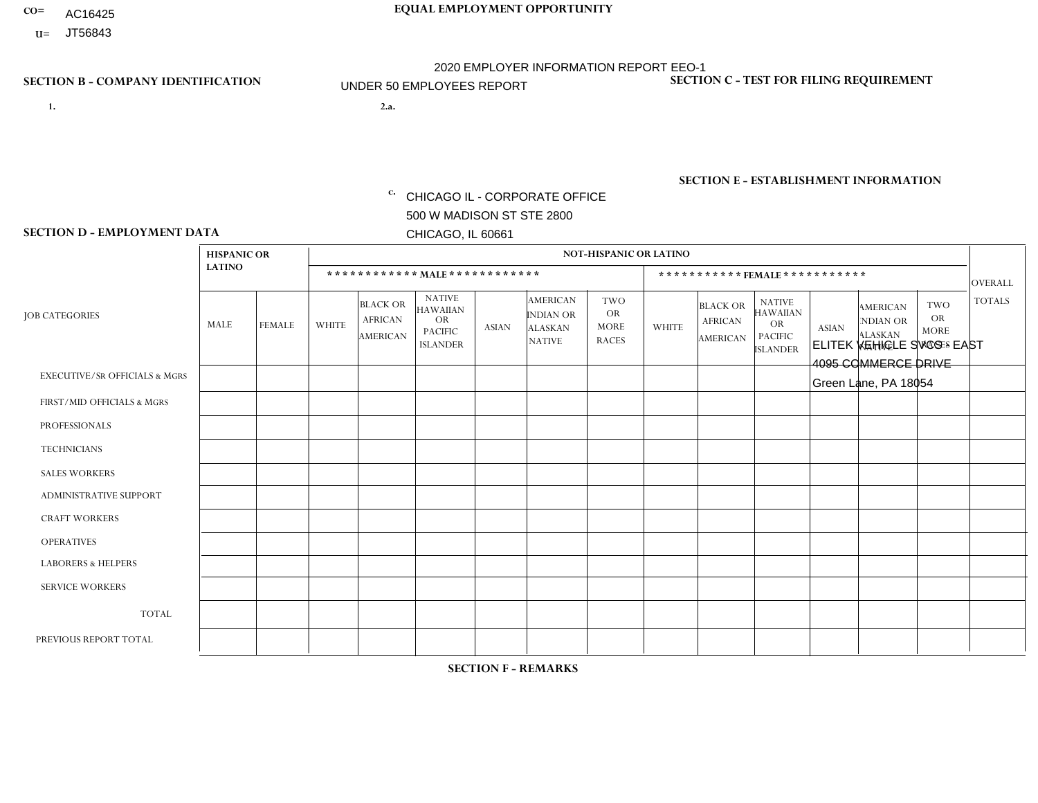- AC16425
- **U=**

**1. 2.a.** CHICAGO IL - CORPORATE OFFICE 500 W MADISON ST STE 2800 CHICAGO, IL 60661

2.a. ELITEK VEHICLE SVCS - EAST 4095 COMMERCE DRIVE Green Lane, PA 18054

EIN= 952920557

## **SECTION B - COMPANY IDENTIFICATION SECTION C - TEST FOR FILING REQUIREMENT**

1- Y 2- Y 3- N DUNS= 000123456

**SECTION E - ESTABLISHMENT INFORMATION c.** NAICS: 423140

### **SECTION D - EMPLOYMENT DATA**

|                                          | <b>HISPANIC OR</b> |               |                |                                                      |                                                                                    |                      |                                                                 | <b>NOT-HISPANIC OR LATINO</b>                          |                |                                               |                                                                             |              |                                                                       |                                                        |                |
|------------------------------------------|--------------------|---------------|----------------|------------------------------------------------------|------------------------------------------------------------------------------------|----------------------|-----------------------------------------------------------------|--------------------------------------------------------|----------------|-----------------------------------------------|-----------------------------------------------------------------------------|--------------|-----------------------------------------------------------------------|--------------------------------------------------------|----------------|
|                                          | <b>LATINO</b>      |               |                | ************ MALE ************                       |                                                                                    |                      |                                                                 |                                                        |                |                                               | *********** FEMALE ***********                                              |              |                                                                       |                                                        | <b>OVERALL</b> |
| <b>JOB CATEGORIES</b>                    | <b>MALE</b>        | <b>FEMALE</b> | <b>WHITE</b>   | <b>BLACK OR</b><br><b>AFRICAN</b><br><b>AMERICAN</b> | <b>NATIVE</b><br><b>HAWAIIAN</b><br><b>OR</b><br><b>PACIFIC</b><br><b>ISLANDER</b> | <b>ASIAN</b>         | <b>AMERICAN</b><br>INDIAN OR<br><b>ALASKAN</b><br><b>NATIVE</b> | <b>TWO</b><br><b>OR</b><br><b>MORE</b><br><b>RACES</b> | <b>WHITE</b>   | <b>BLACK OR</b><br><b>AFRICAN</b><br>AMERICAN | <b>NATIVE</b><br><b>HAWAIIAN</b><br>OR<br><b>PACIFIC</b><br><b>ISLANDER</b> | <b>ASIAN</b> | <b>AMERICAN</b><br><b>NDIAN OR</b><br><b>ALASKAN</b><br><b>NATIVE</b> | <b>TWO</b><br><b>OR</b><br><b>MORE</b><br><b>RACES</b> | <b>TOTALS</b>  |
| <b>EXECUTIVE/SR OFFICIALS &amp; MGRS</b> | $\Omega$           | $\Omega$      | $\Omega$       | $\mathbf 0$                                          | $\Omega$                                                                           | $\Omega$             | $\Omega$                                                        | $\Omega$                                               | $\Omega$       | $\Omega$                                      | $\Omega$                                                                    | $\mathbf 0$  | $\Omega$                                                              | $\Omega$                                               | $\mathbf 0$    |
| FIRST/MID OFFICIALS & MGRS               | $\Omega$           | $\Omega$      | $\overline{7}$ | $\mathbf 0$                                          | $\Omega$                                                                           | $\mathbf{0}$         | $\Omega$                                                        | 1                                                      | 1              | $\Omega$                                      | $\Omega$                                                                    | $\Omega$     | $\Omega$                                                              | $\Omega$                                               | 9              |
| <b>PROFESSIONALS</b>                     | $\Omega$           | $\Omega$      | $\Omega$       | $\Omega$                                             | $\Omega$                                                                           | $\mathbf{0}$         | $\Omega$                                                        | $\Omega$                                               | 0              | $\Omega$                                      | 0                                                                           | $\Omega$     | $\Omega$                                                              | $\Omega$                                               | $\overline{0}$ |
| <b>TECHNICIANS</b>                       | $\Omega$           | $\Omega$      | $\Omega$       | $\mathbf 0$                                          | $\Omega$                                                                           | $\Omega$             | $\Omega$                                                        | $\Omega$                                               | 0              | $\Omega$                                      | 0                                                                           | 0            | $\Omega$                                                              | 0                                                      | $\overline{0}$ |
| <b>SALES WORKERS</b>                     | $\Omega$           | $\Omega$      | $\Omega$       | $\mathbf 0$                                          | $\Omega$                                                                           | $\Omega$             | $\Omega$                                                        | $\Omega$                                               | $\overline{0}$ | $\Omega$                                      | $\overline{0}$                                                              | $\Omega$     | $\Omega$                                                              | $\Omega$                                               | $\mathbf 0$    |
| ADMINISTRATIVE SUPPORT                   | $\Omega$           | $\Omega$      | $\mathbf{0}$   | $\Omega$                                             | $\Omega$                                                                           | $\Omega$             | $\Omega$                                                        | $\Omega$                                               | 1              | $\Omega$                                      | 0                                                                           | $\Omega$     | $\Omega$                                                              | $\Omega$                                               | $\mathbf{1}$   |
| <b>CRAFT WORKERS</b>                     | $\Omega$           | $\Omega$      | $\Omega$       | $\mathbf 0$                                          | $\Omega$                                                                           | $\Omega$             | $\Omega$                                                        | $\Omega$                                               | $\Omega$       | $\Omega$                                      | $\Omega$                                                                    | $\Omega$     | $\Omega$                                                              | $\Omega$                                               | $\Omega$       |
| <b>OPERATIVES</b>                        |                    | $\Omega$      | 4              | $\overline{A}$                                       | $\Omega$                                                                           | $\mathbf{1}$         | $\Omega$                                                        | $\Omega$                                               | $\Omega$       | $\Omega$                                      | $\Omega$                                                                    | $\Omega$     | $\Omega$                                                              | $\Omega$                                               | $\overline{7}$ |
| <b>LABORERS &amp; HELPERS</b>            | $\Omega$           | $\Omega$      | $\mathbf{0}$   | $\mathbf 0$                                          | $\Omega$                                                                           | $\Omega$             | $\Omega$                                                        | $\Omega$                                               | $\Omega$       | $\Omega$                                      | 0                                                                           | $\Omega$     | $\Omega$                                                              | $\Omega$                                               | $\mathbf{0}$   |
| <b>SERVICE WORKERS</b>                   | $\Omega$           | $\mathbf 0$   | $\mathbf 0$    | 0                                                    | $\mathbf 0$                                                                        | $\mathbf 0$          | $\Omega$                                                        | $\Omega$                                               | $\Omega$       | $\Omega$                                      | $\mathbf 0$                                                                 | $\mathbf 0$  | $\Omega$                                                              | $\mathbf 0$                                            | $\mathbf 0$    |
| <b>TOTAL</b>                             | -1                 | 0             | 11             | $\overline{ }$                                       | $\mathbf 0$                                                                        | $\blacktriangleleft$ | $\Omega$                                                        | 1                                                      | $\overline{2}$ | $\Omega$                                      | 0                                                                           | $\mathbf 0$  | $\Omega$                                                              | $\mathbf 0$                                            | 17             |
| PREVIOUS REPORT TOTAL                    |                    | $\mathbf{1}$  | 14             | $\overline{A}$                                       | 0                                                                                  | $\Omega$             | $\Omega$                                                        |                                                        | $\overline{2}$ | $\Omega$                                      | $\Omega$                                                                    | $\Omega$     | $\Omega$                                                              | $\mathbf 0$                                            | 20             |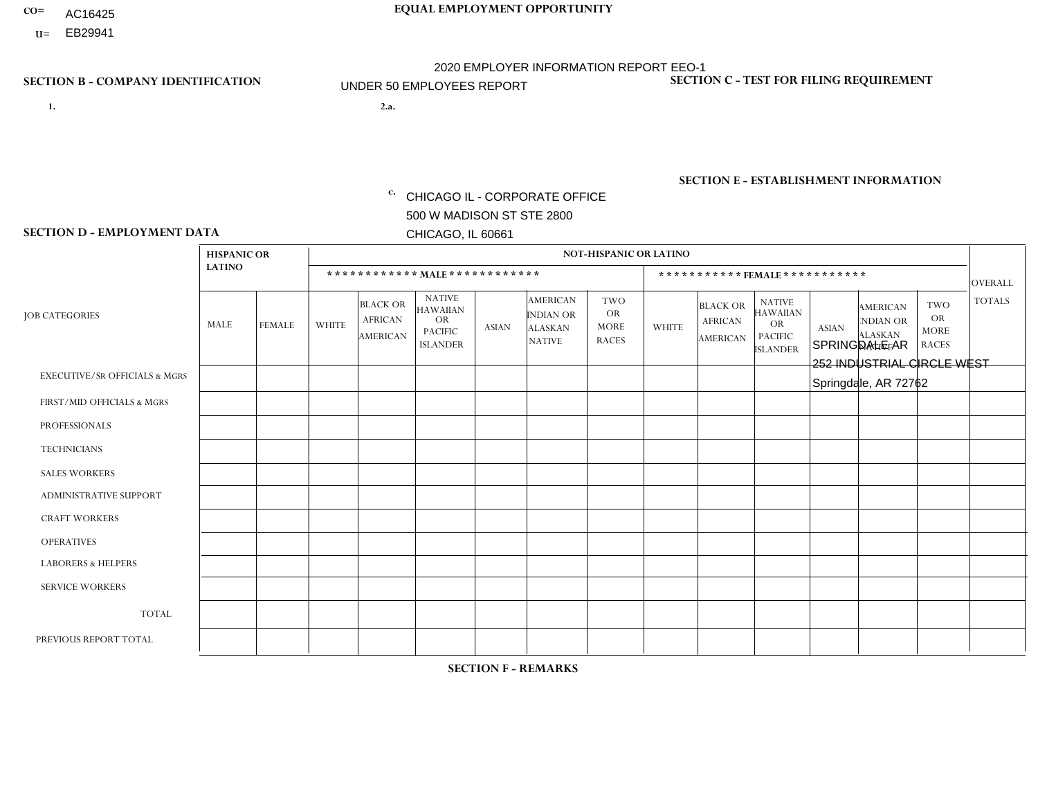- AC16425
- **U=**

- **1. 2.a.** CHICAGO IL CORPORATE OFFICE 500 W MADISON ST STE 2800 CHICAGO, IL 60661
- 2.a. SPRINGDALE AR 252 INDUSTRIAL CIRCLE WEST Springdale, AR 72762

EIN= 952920557

## **SECTION B - COMPANY IDENTIFICATION SECTION C - TEST FOR FILING REQUIREMENT**

1- Y 2- Y 3- N DUNS= 000123456

**SECTION E - ESTABLISHMENT INFORMATION c.** NAICS: 423140

### **SECTION D - EMPLOYMENT DATA**

|                                          |                                     | <b>NOT-HISPANIC OR LATINO</b> |              |                                                      |                                                                                    |              |                                                                        |                                                        |                |                                               |                                                                                    |              |                                                                |                                                        |                      |
|------------------------------------------|-------------------------------------|-------------------------------|--------------|------------------------------------------------------|------------------------------------------------------------------------------------|--------------|------------------------------------------------------------------------|--------------------------------------------------------|----------------|-----------------------------------------------|------------------------------------------------------------------------------------|--------------|----------------------------------------------------------------|--------------------------------------------------------|----------------------|
|                                          | <b>HISPANIC OR</b><br><b>LATINO</b> |                               |              |                                                      |                                                                                    |              |                                                                        |                                                        |                |                                               |                                                                                    |              |                                                                |                                                        |                      |
|                                          |                                     |                               |              | ************ MALE ************                       |                                                                                    |              |                                                                        |                                                        |                |                                               | *********** FEMALE ***********                                                     |              |                                                                |                                                        | <b>OVERALL</b>       |
| <b>JOB CATEGORIES</b>                    | MALE                                | <b>FEMALE</b>                 | <b>WHITE</b> | <b>BLACK OR</b><br><b>AFRICAN</b><br><b>AMERICAN</b> | <b>NATIVE</b><br><b>HAWAIIAN</b><br><b>OR</b><br><b>PACIFIC</b><br><b>ISLANDER</b> | <b>ASIAN</b> | <b>AMERICAN</b><br><b>INDIAN OR</b><br><b>ALASKAN</b><br><b>NATIVE</b> | <b>TWO</b><br><b>OR</b><br><b>MORE</b><br><b>RACES</b> | <b>WHITE</b>   | <b>BLACK OR</b><br><b>AFRICAN</b><br>AMERICAN | <b>NATIVE</b><br><b>HAWAIIAN</b><br><b>OR</b><br><b>PACIFIC</b><br><b>ISLANDER</b> | <b>ASIAN</b> | <b>AMERICAN</b><br>NDIAN OR<br><b>ALASKAN</b><br><b>NATIVE</b> | <b>TWO</b><br><b>OR</b><br><b>MORE</b><br><b>RACES</b> | <b>TOTALS</b>        |
| <b>EXECUTIVE/SR OFFICIALS &amp; MGRS</b> | $\Omega$                            | $\Omega$                      | $\Omega$     | $\mathbf 0$                                          | 0                                                                                  | $\Omega$     | $\Omega$                                                               | $\Omega$                                               | $\Omega$       | $\Omega$                                      | 0                                                                                  | $\mathbf 0$  | $\Omega$                                                       | 0                                                      | $\mathbf 0$          |
| FIRST/MID OFFICIALS & MGRS               | $\Omega$                            | $\Omega$                      | 2            | $\mathbf 0$                                          | $\Omega$                                                                           | $\Omega$     | $\Omega$                                                               | $\Omega$                                               | 0              | $\Omega$                                      | 0                                                                                  | $\Omega$     | $\Omega$                                                       | $\Omega$                                               | $\overline{2}$       |
| <b>PROFESSIONALS</b>                     | $\Omega$                            | $\Omega$                      | $\Omega$     | $\mathbf 0$                                          | $\Omega$                                                                           | $\Omega$     | $\Omega$                                                               | $\Omega$                                               | 0              | $\Omega$                                      | 0                                                                                  | $\Omega$     | $\Omega$                                                       | $\mathbf 0$                                            | $\mathbf{0}$         |
| <b>TECHNICIANS</b>                       | $\Omega$                            | $\overline{0}$                | $\Omega$     | $\mathbf 0$                                          | $\mathbf 0$                                                                        | $\Omega$     | $\Omega$                                                               | $\Omega$                                               | 0              | $\mathbf 0$                                   | 0                                                                                  | $\mathbf 0$  | $\Omega$                                                       | $\mathbf 0$                                            | $\overline{0}$       |
| <b>SALES WORKERS</b>                     | $\overline{2}$                      | $\mathbf{1}$                  | 10           | $\Omega$                                             | $\Omega$                                                                           | $\Omega$     | $\Omega$                                                               | $\mathbf 1$                                            | $\Omega$       | $\Omega$                                      | $\overline{0}$                                                                     | $\Omega$     | $\Omega$                                                       | $\Omega$                                               | 14                   |
| <b>ADMINISTRATIVE SUPPORT</b>            | $\Omega$                            | $\Omega$                      | $\mathbf{0}$ | $\mathbf 0$                                          | 0                                                                                  | $\Omega$     | $\Omega$                                                               | $\Omega$                                               | 1              | $\Omega$                                      | $\Omega$                                                                           | $\Omega$     | $\Omega$                                                       | $\Omega$                                               | $\blacktriangleleft$ |
| <b>CRAFT WORKERS</b>                     | $\Omega$                            | $\Omega$                      | $\Omega$     | $\mathbf 0$                                          | $\Omega$                                                                           | $\Omega$     | $\Omega$                                                               | $\Omega$                                               | 0              | $\Omega$                                      | 0                                                                                  | $\Omega$     | $\Omega$                                                       | $\Omega$                                               | $\Omega$             |
| <b>OPERATIVES</b>                        | $\Omega$                            | $\Omega$                      | 2            | $\mathbf 0$                                          | $\Omega$                                                                           | $\Omega$     | $\Omega$                                                               | $\Omega$                                               | 0              | $\Omega$                                      | $\Omega$                                                                           | $\mathbf 0$  | $\Omega$                                                       | $\Omega$                                               | $\overline{2}$       |
| <b>LABORERS &amp; HELPERS</b>            | 2                                   | $\Omega$                      | 6            | $\mathbf 0$                                          | 0                                                                                  | $\Omega$     | $\Omega$                                                               | $\Omega$                                               | $\Omega$       | $\Omega$                                      | 0                                                                                  | $\Omega$     | $\Omega$                                                       | $\Omega$                                               | 8                    |
| <b>SERVICE WORKERS</b>                   | $\Omega$                            | $\mathbf 0$                   | $\Omega$     | $\mathbf 0$                                          | $\mathbf 0$                                                                        | $\mathbf 0$  | $\Omega$                                                               | $\Omega$                                               | $\Omega$       | $\Omega$                                      | $\mathbf 0$                                                                        | $\mathbf 0$  | $\Omega$                                                       | $\mathbf 0$                                            | $\mathbf 0$          |
| <b>TOTAL</b>                             | 4                                   | $\mathbf{1}$                  | 20           | $\mathbf 0$                                          | $\mathbf 0$                                                                        | 0            | $\Omega$                                                               | 1                                                      | $\mathbf{1}$   | $\Omega$                                      | 0                                                                                  | $\mathbf 0$  | $\Omega$                                                       | $\mathbf 0$                                            | 27                   |
| PREVIOUS REPORT TOTAL                    | $\overline{7}$                      |                               | 21           | $\mathbf 0$                                          | 0                                                                                  | $\Omega$     | $\Omega$                                                               | $\Omega$                                               | $\overline{2}$ | $\Omega$                                      | 0                                                                                  | $\Omega$     | $\Omega$                                                       | $\mathbf 0$                                            | 31                   |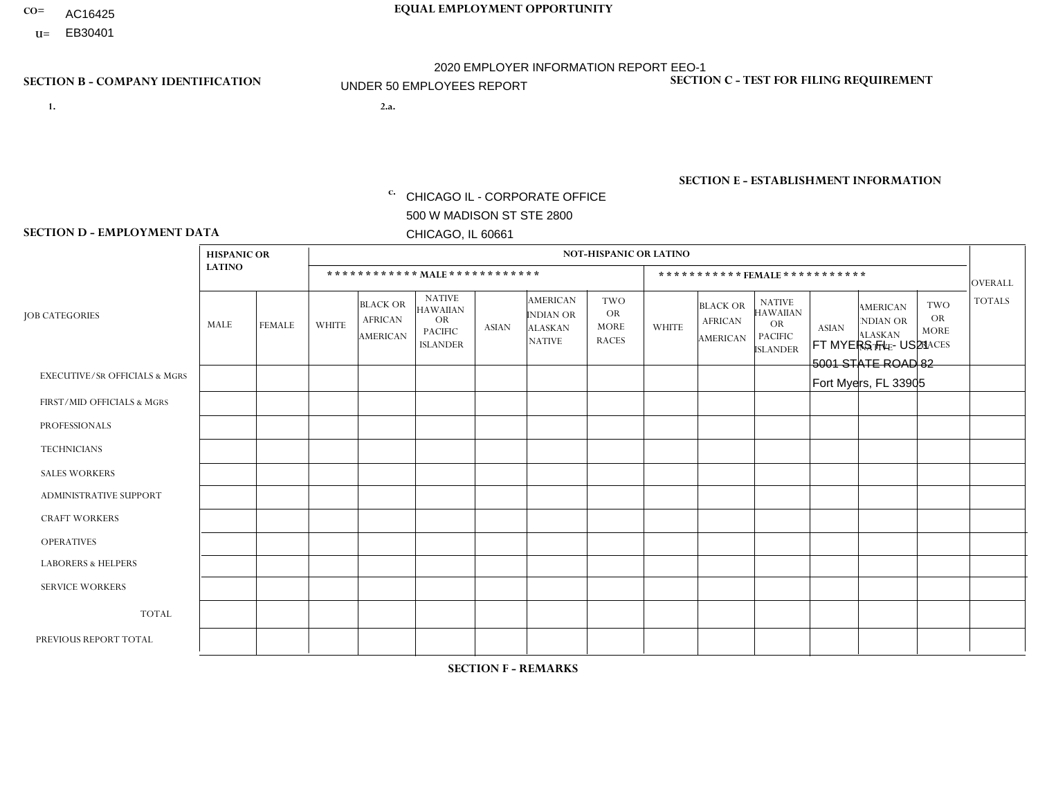- AC16425
- **U=**

**1. 2.a.** CHICAGO IL - CORPORATE OFFICE 500 W MADISON ST STE 2800 CHICAGO, IL 60661

2.a. FT MYERS FL - US21 5001 STATE ROAD 82 Fort Myers, FL 33905

EIN= 952920557

## **SECTION B - COMPANY IDENTIFICATION SECTION C - TEST FOR FILING REQUIREMENT**

1- Y 2- Y 3- N DUNS= 000123456

**SECTION E - ESTABLISHMENT INFORMATION c.** NAICS: 423140

### **SECTION D - EMPLOYMENT DATA**

|                                          | <b>HISPANIC OR</b> |               |                |                                                      |                                                                                    |              |                                                                        | <b>NOT-HISPANIC OR LATINO</b>                          |              |                                               |                                                                                    |              |                                                                |                                                        |                |
|------------------------------------------|--------------------|---------------|----------------|------------------------------------------------------|------------------------------------------------------------------------------------|--------------|------------------------------------------------------------------------|--------------------------------------------------------|--------------|-----------------------------------------------|------------------------------------------------------------------------------------|--------------|----------------------------------------------------------------|--------------------------------------------------------|----------------|
|                                          | <b>LATINO</b>      |               |                | ************ MALE ************                       |                                                                                    |              |                                                                        |                                                        |              |                                               | *********** FEMALE ***********                                                     |              |                                                                |                                                        | <b>OVERALL</b> |
| <b>JOB CATEGORIES</b>                    | MALE               | <b>FEMALE</b> | <b>WHITE</b>   | <b>BLACK OR</b><br><b>AFRICAN</b><br><b>AMERICAN</b> | <b>NATIVE</b><br><b>HAWAIIAN</b><br><b>OR</b><br><b>PACIFIC</b><br><b>ISLANDER</b> | <b>ASIAN</b> | <b>AMERICAN</b><br><b>INDIAN OR</b><br><b>ALASKAN</b><br><b>NATIVE</b> | <b>TWO</b><br><b>OR</b><br><b>MORE</b><br><b>RACES</b> | <b>WHITE</b> | <b>BLACK OR</b><br><b>AFRICAN</b><br>AMERICAN | <b>NATIVE</b><br><b>HAWAIIAN</b><br><b>OR</b><br><b>PACIFIC</b><br><b>ISLANDER</b> | <b>ASIAN</b> | <b>AMERICAN</b><br>NDIAN OR<br><b>ALASKAN</b><br><b>NATIVE</b> | <b>TWO</b><br><b>OR</b><br><b>MORE</b><br><b>RACES</b> | <b>TOTALS</b>  |
| <b>EXECUTIVE/SR OFFICIALS &amp; MGRS</b> | $\Omega$           | $\Omega$      | $\Omega$       | $\Omega$                                             | $\Omega$                                                                           | $\Omega$     | $\Omega$                                                               | $\Omega$                                               | $\Omega$     | $\mathbf{0}$                                  | $\mathbf{0}$                                                                       | $\Omega$     | $\Omega$                                                       | $\Omega$                                               | $\mathbf 0$    |
| FIRST/MID OFFICIALS & MGRS               | $\Omega$           | 0             | $\overline{c}$ | 0                                                    | $\mathbf 0$                                                                        | $\Omega$     | $\Omega$                                                               | $\Omega$                                               | $\Omega$     | $\mathbf{0}$                                  | $\mathbf{0}$                                                                       | $\Omega$     | $\Omega$                                                       | $\Omega$                                               | $\overline{2}$ |
| <b>PROFESSIONALS</b>                     | $\Omega$           | $\mathbf 0$   | 1              | $\mathbf 0$                                          | 0                                                                                  | $\mathbf 0$  | $\Omega$                                                               | $\Omega$                                               | $\mathbf{0}$ | $\Omega$                                      | $\Omega$                                                                           | $\Omega$     | $\Omega$                                                       | $\Omega$                                               | $\mathbf{1}$   |
| <b>TECHNICIANS</b>                       | $\Omega$           | $\Omega$      | $\Omega$       | 0                                                    | $\Omega$                                                                           | $\Omega$     | $\overline{0}$                                                         | $\Omega$                                               | $\Omega$     | $\Omega$                                      | $\Omega$                                                                           | $\Omega$     | $\Omega$                                                       | $\mathbf{0}$                                           | $\mathbf 0$    |
| <b>SALES WORKERS</b>                     | $\Omega$           | 1             | -1             | $\mathbf 0$                                          | $\mathbf 0$                                                                        | $\Omega$     | $\Omega$                                                               | $\Omega$                                               | $\Omega$     | $\Omega$                                      | $\Omega$                                                                           | $\Omega$     | $\Omega$                                                       | $\Omega$                                               | $\overline{2}$ |
| <b>ADMINISTRATIVE SUPPORT</b>            | $\Omega$           | $\Omega$      | $\overline{c}$ | $\Omega$                                             | 0                                                                                  | $\Omega$     | $\Omega$                                                               | $\Omega$                                               | $\Omega$     | $\mathbf{0}$                                  | $\Omega$                                                                           | $\Omega$     | $\Omega$                                                       | $\Omega$                                               | 2              |
| <b>CRAFT WORKERS</b>                     | 1                  | $\Omega$      | $\Omega$       | $\mathbf 0$                                          | 0                                                                                  | $\Omega$     | $\Omega$                                                               | $\Omega$                                               | $\Omega$     | $\Omega$                                      | $\mathbf{0}$                                                                       | $\Omega$     | $\Omega$                                                       | $\Omega$                                               | $\mathbf{1}$   |
| <b>OPERATIVES</b>                        | 6                  | $\Omega$      | 5              | $\Omega$                                             | $\Omega$                                                                           | $\Omega$     | $\Omega$                                                               | $\Omega$                                               | $\Omega$     | $\Omega$                                      | $\mathbf{0}$                                                                       | $\Omega$     | $\Omega$                                                       | $\Omega$                                               | 11             |
| <b>LABORERS &amp; HELPERS</b>            | 4                  | $\Omega$      | $\Omega$       | 0                                                    | $\Omega$                                                                           | $\Omega$     | $\Omega$                                                               | $\Omega$                                               | $\Omega$     | $\Omega$                                      | $\Omega$                                                                           | $\Omega$     | $\Omega$                                                       | $\Omega$                                               | $\mathbf{1}$   |
| <b>SERVICE WORKERS</b>                   | 0                  | $\mathbf 0$   | 0              | $\boldsymbol{0}$                                     | 0                                                                                  | $\mathbf 0$  | $\Omega$                                                               | $\Omega$                                               | $\Omega$     | $\Omega$                                      | $\Omega$                                                                           | $\mathbf 0$  | $\Omega$                                                       | $\mathbf 0$                                            | 0              |
| <b>TOTAL</b>                             | 8                  | $\mathbf{1}$  | 11             | $\mathbf 0$                                          | 0                                                                                  | $\mathbf{0}$ | $\Omega$                                                               | $\Omega$                                               | $\Omega$     | $\Omega$                                      | $\Omega$                                                                           | $\Omega$     | $\Omega$                                                       | $\Omega$                                               | 20             |
| PREVIOUS REPORT TOTAL                    | 11                 | $\mathbf{1}$  | 15             | 3                                                    | 0                                                                                  | $\Omega$     | 0                                                                      | $\Omega$                                               | $\Omega$     | $\mathbf{0}$                                  | $\mathbf{0}$                                                                       | $\Omega$     | $\Omega$                                                       | $\mathbf 0$                                            | 30             |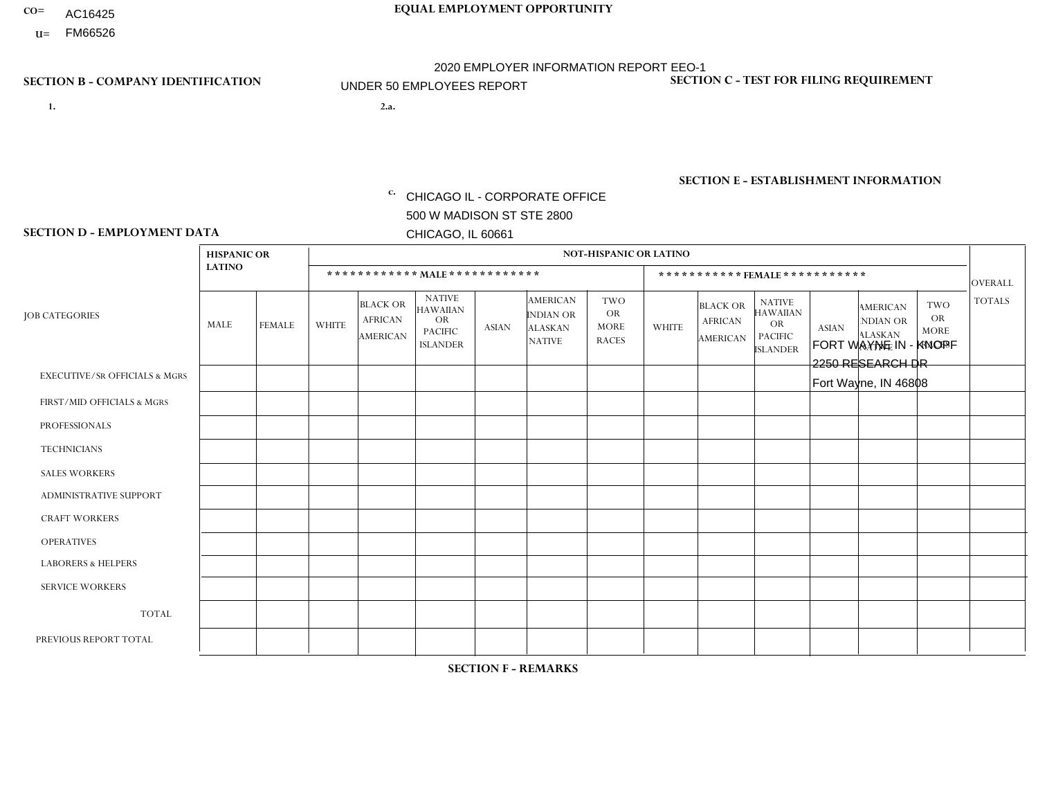- AC16425
- **U=**

**1. 2.a.** CHICAGO IL - CORPORATE OFFICE 500 W MADISON ST STE 2800 CHICAGO, IL 60661

2.a. FORT WAYNE IN - KNOPF 2250 RESEARCH DR Fort Wayne, IN 46808

c. EIN= 952920557

## **SECTION B - COMPANY IDENTIFICATION SECTION C - TEST FOR FILING REQUIREMENT**

1- Y 2- Y 3- N DUNS= 000123456

**SECTION E - ESTABLISHMENT INFORMATION c.** NAICS: 423140

### **SECTION D - EMPLOYMENT DATA**

|                                          | <b>HISPANIC OR</b> |               |              |                                                      |                                                                                    |              |                                                                 | NOT-HISPANIC OR LATINO                                 |                |                                               |                                                                             |              |                                                                       |                                                        |                |
|------------------------------------------|--------------------|---------------|--------------|------------------------------------------------------|------------------------------------------------------------------------------------|--------------|-----------------------------------------------------------------|--------------------------------------------------------|----------------|-----------------------------------------------|-----------------------------------------------------------------------------|--------------|-----------------------------------------------------------------------|--------------------------------------------------------|----------------|
|                                          | <b>LATINO</b>      |               |              | ************ MALE ************                       |                                                                                    |              |                                                                 |                                                        |                |                                               | *********** FEMALE ***********                                              |              |                                                                       |                                                        | <b>OVERALL</b> |
| <b>JOB CATEGORIES</b>                    | <b>MALE</b>        | <b>FEMALE</b> | <b>WHITE</b> | <b>BLACK OR</b><br><b>AFRICAN</b><br><b>AMERICAN</b> | <b>NATIVE</b><br><b>HAWAIIAN</b><br><b>OR</b><br><b>PACIFIC</b><br><b>ISLANDER</b> | <b>ASIAN</b> | <b>AMERICAN</b><br>INDIAN OR<br><b>ALASKAN</b><br><b>NATIVE</b> | <b>TWO</b><br><b>OR</b><br><b>MORE</b><br><b>RACES</b> | <b>WHITE</b>   | <b>BLACK OR</b><br><b>AFRICAN</b><br>AMERICAN | <b>NATIVE</b><br><b>HAWAIIAN</b><br>OR<br><b>PACIFIC</b><br><b>ISLANDER</b> | <b>ASIAN</b> | <b>AMERICAN</b><br><b>NDIAN OR</b><br><b>ALASKAN</b><br><b>NATIVE</b> | <b>TWO</b><br><b>OR</b><br><b>MORE</b><br><b>RACES</b> | <b>TOTALS</b>  |
| <b>EXECUTIVE/SR OFFICIALS &amp; MGRS</b> | $\Omega$           | $\Omega$      | $\Omega$     | $\mathbf 0$                                          | $\Omega$                                                                           | $\Omega$     | $\Omega$                                                        | $\Omega$                                               | $\Omega$       | $\Omega$                                      | $\Omega$                                                                    | $\mathbf 0$  | $\Omega$                                                              | $\Omega$                                               | $\mathbf 0$    |
| FIRST/MID OFFICIALS & MGRS               | $\Omega$           | $\Omega$      | $\Omega$     | $\overline{ }$                                       | $\Omega$                                                                           | $\Omega$     | $\Omega$                                                        | $\Omega$                                               | $\Omega$       | $\Omega$                                      | $\Omega$                                                                    | $\Omega$     | $\Omega$                                                              | $\Omega$                                               | $\mathbf{1}$   |
| <b>PROFESSIONALS</b>                     | $\Omega$           | $\Omega$      | $\Omega$     | $\overline{1}$                                       | $\Omega$                                                                           | $\Omega$     | $\Omega$                                                        | $\Omega$                                               | 0              | $\Omega$                                      | 0                                                                           | $\Omega$     | $\Omega$                                                              | $\Omega$                                               | $\mathbf{1}$   |
| <b>TECHNICIANS</b>                       | $\Omega$           | $\Omega$      | $\Omega$     | $\mathbf 0$                                          | $\Omega$                                                                           | $\Omega$     | $\Omega$                                                        | $\Omega$                                               | 0              | $\Omega$                                      | 0                                                                           | 0            | $\Omega$                                                              | $\mathbf 0$                                            | $\overline{0}$ |
| <b>SALES WORKERS</b>                     | $\Omega$           | $\Omega$      | $\Omega$     | $\Omega$                                             | $\Omega$                                                                           | $\Omega$     | $\Omega$                                                        | $\Omega$                                               | $\overline{0}$ | $\Omega$                                      | $\overline{0}$                                                              | $\Omega$     | $\Omega$                                                              | $\Omega$                                               | $\mathbf 0$    |
| ADMINISTRATIVE SUPPORT                   | $\Omega$           | $\Omega$      | $\mathbf{0}$ | $\Omega$                                             | $\Omega$                                                                           | $\Omega$     | $\Omega$                                                        | $\Omega$                                               | 0              | $\Omega$                                      | 0                                                                           | $\Omega$     | $\Omega$                                                              | $\Omega$                                               | $\Omega$       |
| <b>CRAFT WORKERS</b>                     | $\Omega$           | $\Omega$      | $\Omega$     | $\mathbf 0$                                          | $\Omega$                                                                           | $\Omega$     | $\Omega$                                                        | $\Omega$                                               | $\Omega$       | $\Omega$                                      | $\Omega$                                                                    | $\Omega$     | $\Omega$                                                              | $\Omega$                                               | $\Omega$       |
| <b>OPERATIVES</b>                        | $\Omega$           | $\Omega$      | $\Omega$     | $\Omega$                                             | $\Omega$                                                                           | $\Omega$     | $\Omega$                                                        | $\Omega$                                               | $\Omega$       | $\Omega$                                      | $\Omega$                                                                    | $\Omega$     | $\Omega$                                                              | $\Omega$                                               | $\overline{0}$ |
| <b>LABORERS &amp; HELPERS</b>            | $\Omega$           | $\Omega$      | $\Omega$     | $\mathbf 0$                                          | $\Omega$                                                                           | $\Omega$     | $\Omega$                                                        | $\Omega$                                               | $\Omega$       | $\Omega$                                      | 0                                                                           | $\Omega$     | $\Omega$                                                              | $\Omega$                                               | $\mathbf{0}$   |
| <b>SERVICE WORKERS</b>                   | $\Omega$           | $\mathbf 0$   | $\mathbf 0$  | 0                                                    | $\mathbf 0$                                                                        | $\mathbf 0$  | $\Omega$                                                        | $\Omega$                                               | $\Omega$       | $\Omega$                                      | $\mathbf 0$                                                                 | $\mathbf 0$  | $\Omega$                                                              | $\mathbf 0$                                            | $\mathbf{0}$   |
| <b>TOTAL</b>                             | $\Omega$           | 0             | $\mathbf 0$  | $\overline{2}$                                       | $\mathbf 0$                                                                        | $\Omega$     | $\Omega$                                                        | $\Omega$                                               | 0              | $\Omega$                                      | 0                                                                           | $\mathbf 0$  | $\Omega$                                                              | $\mathbf 0$                                            | $\overline{2}$ |
| PREVIOUS REPORT TOTAL                    | $\Omega$           | $\Omega$      | $\Omega$     | $\overline{2}$                                       | $\Omega$                                                                           | $\Omega$     | $\Omega$                                                        | $\Omega$                                               | $\Omega$       | $\Omega$                                      | $\Omega$                                                                    | $\Omega$     | $\Omega$                                                              | $\mathbf 0$                                            | $\overline{2}$ |
|                                          |                    |               |              |                                                      |                                                                                    |              |                                                                 |                                                        |                |                                               |                                                                             |              |                                                                       |                                                        |                |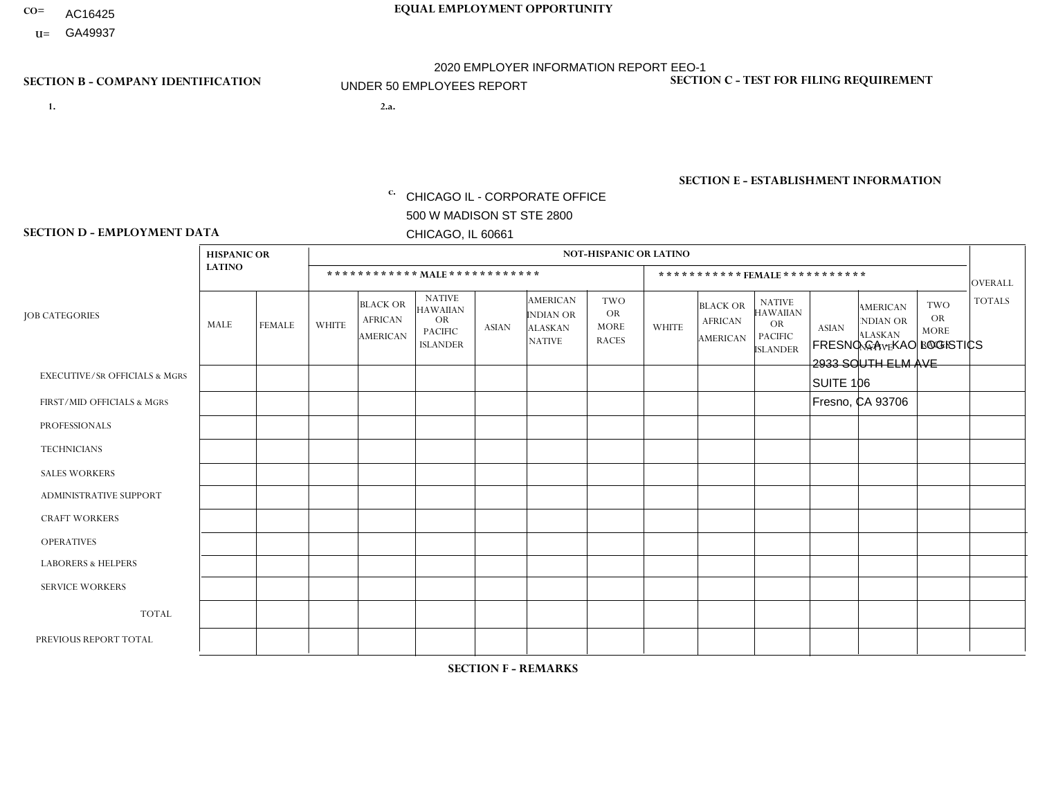- AC16425
- **U=**

- **1. 2.a.** CHICAGO IL CORPORATE OFFICE 500 W MADISON ST STE 2800 CHICAGO, IL 60661
- 2.a. FRESNO CA KAO LOGISTICS 2933 SOUTH ELM AVE SUITE 106 Fresno, CA 93706
	- EIN= 952920557

## **SECTION B - COMPANY IDENTIFICATION SECTION C - TEST FOR FILING REQUIREMENT**

1- Y 2- Y 3- N DUNS= 000123456

**SECTION E - ESTABLISHMENT INFORMATION c.** NAICS: 423140

### **SECTION D - EMPLOYMENT DATA**

|                                          | <b>HISPANIC OR</b> |               |                |                                                      |                                                                                    |              |                                                                        | <b>NOT-HISPANIC OR LATINO</b>                          |              |                                                      |                                                                                    |              |                                                                       |                                                        |                |
|------------------------------------------|--------------------|---------------|----------------|------------------------------------------------------|------------------------------------------------------------------------------------|--------------|------------------------------------------------------------------------|--------------------------------------------------------|--------------|------------------------------------------------------|------------------------------------------------------------------------------------|--------------|-----------------------------------------------------------------------|--------------------------------------------------------|----------------|
|                                          | <b>LATINO</b>      |               |                |                                                      | ************ MALE ************                                                     |              |                                                                        |                                                        |              | ***********FEMALE***********                         |                                                                                    |              |                                                                       |                                                        | <b>OVERALL</b> |
| <b>JOB CATEGORIES</b>                    | MALE               | <b>FEMALE</b> | <b>WHITE</b>   | <b>BLACK OR</b><br><b>AFRICAN</b><br><b>AMERICAN</b> | <b>NATIVE</b><br><b>HAWAIIAN</b><br><b>OR</b><br><b>PACIFIC</b><br><b>ISLANDER</b> | <b>ASIAN</b> | <b>AMERICAN</b><br><b>INDIAN OR</b><br><b>ALASKAN</b><br><b>NATIVE</b> | <b>TWO</b><br><b>OR</b><br><b>MORE</b><br><b>RACES</b> | <b>WHITE</b> | <b>BLACK OR</b><br><b>AFRICAN</b><br><b>AMERICAN</b> | <b>NATIVE</b><br><b>HAWAIIAN</b><br><b>OR</b><br><b>PACIFIC</b><br><b>ISLANDER</b> | <b>ASIAN</b> | <b>AMERICAN</b><br><b>NDIAN OR</b><br><b>ALASKAN</b><br><b>NATIVE</b> | <b>TWO</b><br><b>OR</b><br><b>MORE</b><br><b>RACES</b> | <b>TOTALS</b>  |
| <b>EXECUTIVE/SR OFFICIALS &amp; MGRS</b> | $\mathbf 0$        | $\mathbf 0$   | $\mathbf 0$    | $\mathbf 0$                                          | $\mathbf 0$                                                                        | $\mathbf{0}$ | $\Omega$                                                               | $\Omega$                                               | $\Omega$     | $\Omega$                                             | $\mathbf 0$                                                                        | $\mathbf 0$  | $\Omega$                                                              | $\mathbf 0$                                            | $\mathbf 0$    |
| FIRST/MID OFFICIALS & MGRS               | $\mathbf 0$        | $\mathbf 0$   | $\Omega$       | $\mathbf 0$                                          | $\Omega$                                                                           | $\Omega$     | $\Omega$                                                               |                                                        | $\Omega$     | $\Omega$                                             | $\Omega$                                                                           | $\Omega$     | $\Omega$                                                              | $\Omega$                                               | $\mathbf{1}$   |
| <b>PROFESSIONALS</b>                     |                    | 0             | $\mathbf 0$    | $\mathbf 0$                                          | $\Omega$                                                                           | $\Omega$     | $\Omega$                                                               | $\Omega$                                               | $\Omega$     | $\Omega$                                             | $\Omega$                                                                           | $\mathbf 0$  | $\Omega$                                                              | $\mathbf 0$                                            | $\mathbf{1}$   |
| <b>TECHNICIANS</b>                       | $\mathbf 0$        | 0             | $\mathbf 0$    | $\mathbf 0$                                          | $\Omega$                                                                           | $\Omega$     | $\Omega$                                                               | $\Omega$                                               | $\Omega$     | $\Omega$                                             | $\Omega$                                                                           | $\Omega$     | $\Omega$                                                              | $\mathbf 0$                                            | $\mathbf 0$    |
| <b>SALES WORKERS</b>                     | $\mathbf 0$        | $\mathbf 0$   | $\Omega$       | $\mathbf 0$                                          | $\Omega$                                                                           | $\Omega$     | $\Omega$                                                               | $\Omega$                                               | $\Omega$     | $\Omega$                                             | $\Omega$                                                                           | $\Omega$     | $\Omega$                                                              | $\Omega$                                               | $\mathbf 0$    |
| <b>ADMINISTRATIVE SUPPORT</b>            | $\mathbf 0$        | $\mathbf 0$   | $\Omega$       | $\mathbf 0$                                          | $\Omega$                                                                           | $\Omega$     | $\Omega$                                                               | $\Omega$                                               | $\Omega$     | $\Omega$                                             | $\Omega$                                                                           | $\Omega$     | $\Omega$                                                              | $\mathbf 0$                                            | $\mathbf 0$    |
| <b>CRAFT WORKERS</b>                     | $\mathbf 0$        | $\mathbf 0$   | $\Omega$       | 0                                                    | $\Omega$                                                                           | $\Omega$     | $\Omega$                                                               | $\Omega$                                               | $\Omega$     | $\Omega$                                             | $\Omega$                                                                           | $\Omega$     | $\Omega$                                                              | $\Omega$                                               | $\mathbf 0$    |
| <b>OPERATIVES</b>                        | 6                  | $\mathbf{1}$  | $\overline{1}$ | 0                                                    | $\Omega$                                                                           | 1            | $\Omega$                                                               | $\Omega$                                               | $\Omega$     | $\Omega$                                             | $\Omega$                                                                           | $\Omega$     | $\Omega$                                                              | $\Omega$                                               | 9              |
| <b>LABORERS &amp; HELPERS</b>            | $\mathbf 0$        | $\mathbf 0$   | $\mathbf 0$    | 0                                                    | $\Omega$                                                                           | $\Omega$     | $\Omega$                                                               | $\Omega$                                               | $\Omega$     | $\Omega$                                             | $\Omega$                                                                           | $\mathbf{0}$ | $\Omega$                                                              | $\Omega$                                               | 0              |
| <b>SERVICE WORKERS</b>                   | $\Omega$           | $\mathbf 0$   | $\mathbf 0$    | 0                                                    | $\Omega$                                                                           | $\Omega$     | $\Omega$                                                               | $\Omega$                                               | $\Omega$     | $\Omega$                                             | $\Omega$                                                                           | $\mathbf{0}$ | $\Omega$                                                              | $\Omega$                                               | $\mathbf 0$    |
| <b>TOTAL</b>                             | $\overline{7}$     | 1             | $\overline{A}$ | 0                                                    | $\Omega$                                                                           | 1            | $\Omega$                                                               |                                                        | $\Omega$     | $\Omega$                                             | $\Omega$                                                                           | $\mathbf{0}$ | $\Omega$                                                              | $\Omega$                                               | 11             |
| PREVIOUS REPORT TOTAL                    | $\overline{7}$     | 1             | 2              | 2                                                    | $\Omega$                                                                           | 1            | $\Omega$                                                               |                                                        | $\Omega$     | $\Omega$                                             | $\Omega$                                                                           | $\Omega$     | 0                                                                     | $\mathbf 0$                                            | 14             |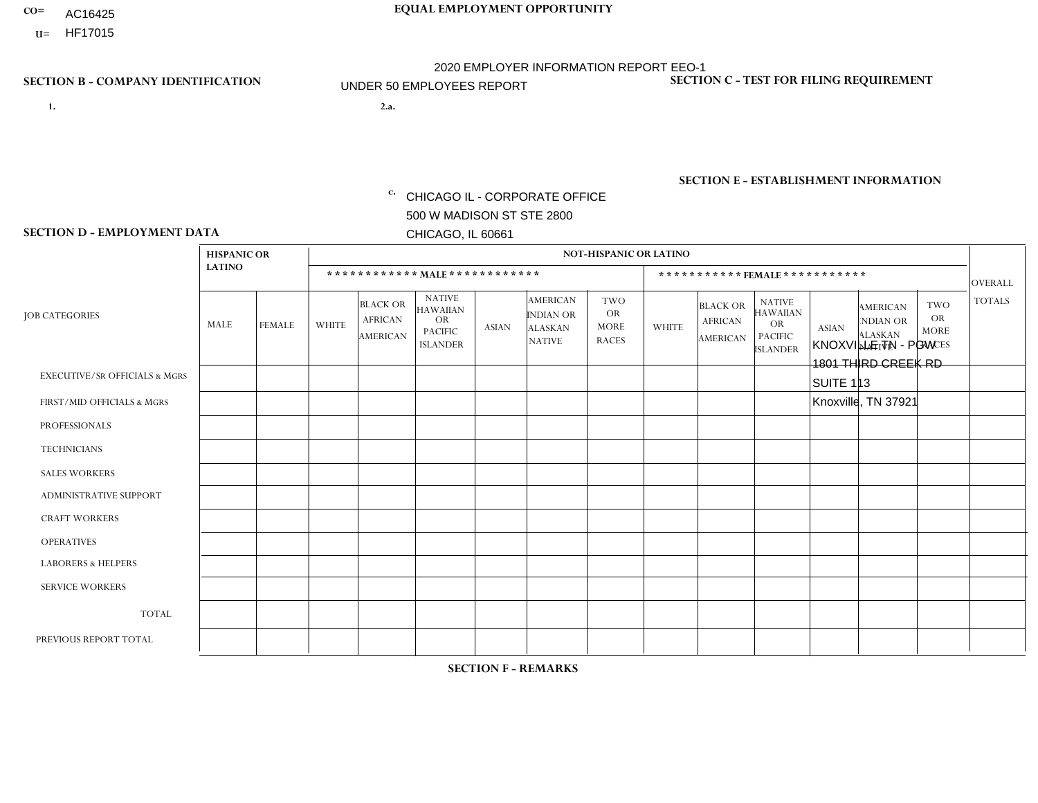- AC16425
- **U=**

- **1. 2.a.** CHICAGO IL CORPORATE OFFICE 500 W MADISON ST STE 2800 CHICAGO, IL 60661
- 2.a. KNOXVILLE TN PGW 1801 THIRD CREEK RD SUITE 113 Knoxville, TN 37921
	- EIN= 952920557

## **SECTION B - COMPANY IDENTIFICATION SECTION C - TEST FOR FILING REQUIREMENT**

1- Y 2- Y 3- N DUNS= 000123456

**SECTION E - ESTABLISHMENT INFORMATION c.** NAICS: 811122

### **SECTION D - EMPLOYMENT DATA**

|                                          | <b>HISPANIC OR</b> |               |              |                                                      |                                                                      |              |                                                                        | <b>NOT-HISPANIC OR LATINO</b>                   |              |                                               |                                                                                    |              |                                                                       |                                                        |                |
|------------------------------------------|--------------------|---------------|--------------|------------------------------------------------------|----------------------------------------------------------------------|--------------|------------------------------------------------------------------------|-------------------------------------------------|--------------|-----------------------------------------------|------------------------------------------------------------------------------------|--------------|-----------------------------------------------------------------------|--------------------------------------------------------|----------------|
|                                          | <b>LATINO</b>      |               |              |                                                      | ************ MALE ************                                       |              |                                                                        |                                                 |              | ***********FEMALE ***********                 |                                                                                    |              |                                                                       |                                                        | <b>OVERALL</b> |
| <b>JOB CATEGORIES</b>                    | MALE               | <b>FEMALE</b> | <b>WHITE</b> | <b>BLACK OR</b><br><b>AFRICAN</b><br><b>AMERICAN</b> | <b>NATIVE</b><br>HAWAIIAN<br>OR<br><b>PACIFIC</b><br><b>ISLANDER</b> | <b>ASIAN</b> | <b>AMERICAN</b><br><b>INDIAN OR</b><br><b>ALASKAN</b><br><b>NATIVE</b> | TWO<br><b>OR</b><br><b>MORE</b><br><b>RACES</b> | <b>WHITE</b> | <b>BLACK OR</b><br><b>AFRICAN</b><br>AMERICAN | <b>NATIVE</b><br><b>HAWAIIAN</b><br><b>OR</b><br><b>PACIFIC</b><br><b>ISLANDER</b> | <b>ASIAN</b> | <b>AMERICAN</b><br><b>NDIAN OR</b><br><b>ALASKAN</b><br><b>NATIVE</b> | <b>TWO</b><br><b>OR</b><br><b>MORE</b><br><b>RACES</b> | <b>TOTALS</b>  |
| <b>EXECUTIVE/SR OFFICIALS &amp; MGRS</b> | $\mathbf 0$        | $\mathbf 0$   | $\mathbf 0$  | $\mathbf 0$                                          | $\mathbf{0}$                                                         | $\Omega$     | $\Omega$                                                               | 0                                               | $\Omega$     | $\Omega$                                      | $\mathbf 0$                                                                        | $\mathbf 0$  | $\Omega$                                                              | $\mathbf 0$                                            | $\mathbf 0$    |
| FIRST/MID OFFICIALS & MGRS               | 0                  | $\mathbf 0$   | 1            | $\Omega$                                             | $\mathbf{0}$                                                         | $\Omega$     | 0                                                                      | 0                                               | $\Omega$     | $\Omega$                                      | $\Omega$                                                                           | $\Omega$     | $\Omega$                                                              | $\Omega$                                               | $\mathbf{1}$   |
| <b>PROFESSIONALS</b>                     | 0                  | $\mathbf 0$   | $\mathbf 0$  | $\mathbf 0$                                          | $\mathbf{0}$                                                         | $\Omega$     | $\Omega$                                                               | 0                                               | $\Omega$     | $\Omega$                                      | $\Omega$                                                                           | $\mathbf 0$  | $\Omega$                                                              | $\mathbf 0$                                            | $\mathbf 0$    |
| <b>TECHNICIANS</b>                       | 0                  | $\mathbf 0$   | $\mathbf 0$  | $\mathbf 0$                                          | $\Omega$                                                             | $\Omega$     | $\Omega$                                                               | 0                                               | $\Omega$     | $\Omega$                                      | $\mathbf 0$                                                                        | $\mathbf 0$  | $\Omega$                                                              | $\mathbf 0$                                            | $\mathbf 0$    |
| <b>SALES WORKERS</b>                     | 0                  | $\mathbf 0$   | $\mathbf 0$  | $\mathbf 0$                                          | $\Omega$                                                             | $\Omega$     | $\Omega$                                                               | $\Omega$                                        | $\Omega$     | $\Omega$                                      | $\Omega$                                                                           | $\mathbf 0$  | $\Omega$                                                              | $\Omega$                                               | $\mathbf 0$    |
| <b>ADMINISTRATIVE SUPPORT</b>            | $\Omega$           | $\Omega$      | $\Omega$     | $\Omega$                                             | $\mathbf{0}$                                                         | $\mathbf{0}$ | $\Omega$                                                               | 0                                               | $\Omega$     | $\Omega$                                      | $\Omega$                                                                           | $\Omega$     | $\Omega$                                                              | $\Omega$                                               | $\Omega$       |
| <b>CRAFT WORKERS</b>                     | $\Omega$           | $\Omega$      | $\Omega$     | $\Omega$                                             | $\mathbf{0}$                                                         | $\Omega$     | $\Omega$                                                               | 0                                               | $\Omega$     | $\Omega$                                      | $\Omega$                                                                           | $\Omega$     | $\Omega$                                                              | $\Omega$                                               | $\mathbf 0$    |
| <b>OPERATIVES</b>                        | 0                  | $\Omega$      | 4            | $\Omega$                                             | $\mathbf{0}$                                                         | $\mathbf{0}$ | 0                                                                      | 0                                               | $\Omega$     | $\Omega$                                      | $\Omega$                                                                           | $\Omega$     | $\Omega$                                                              | $\Omega$                                               | $\overline{4}$ |
| <b>LABORERS &amp; HELPERS</b>            | 0                  | $\mathbf 0$   | 1            | $\mathbf 0$                                          | $\mathbf{0}$                                                         | $\mathbf{0}$ | $\Omega$                                                               | 0                                               | $\Omega$     | $\Omega$                                      | $\Omega$                                                                           | $\Omega$     | $\Omega$                                                              | $\Omega$                                               | $\mathbf{1}$   |
| <b>SERVICE WORKERS</b>                   | $\Omega$           | $\Omega$      | $\mathbf 0$  | $\Omega$                                             | $\mathbf{0}$                                                         | $\mathbf{0}$ | $\Omega$                                                               | 0                                               | $\Omega$     | $\Omega$                                      | $\Omega$                                                                           | $\Omega$     | $\Omega$                                                              | $\Omega$                                               | $\Omega$       |
| <b>TOTAL</b>                             | $\Omega$           | $\Omega$      | 6            | $\mathbf 0$                                          | $\mathbf{0}$                                                         | $\Omega$     | $\Omega$                                                               | 0                                               | $\Omega$     | $\Omega$                                      | $\Omega$                                                                           | $\Omega$     | $\Omega$                                                              | $\Omega$                                               | 6              |
| PREVIOUS REPORT TOTAL                    | 0                  | $\mathbf{0}$  | 4            | 2                                                    | 0                                                                    | $\Omega$     | 0                                                                      | 0                                               | $\Omega$     | 0                                             | 0                                                                                  | 0            | 0                                                                     | 0                                                      | 6              |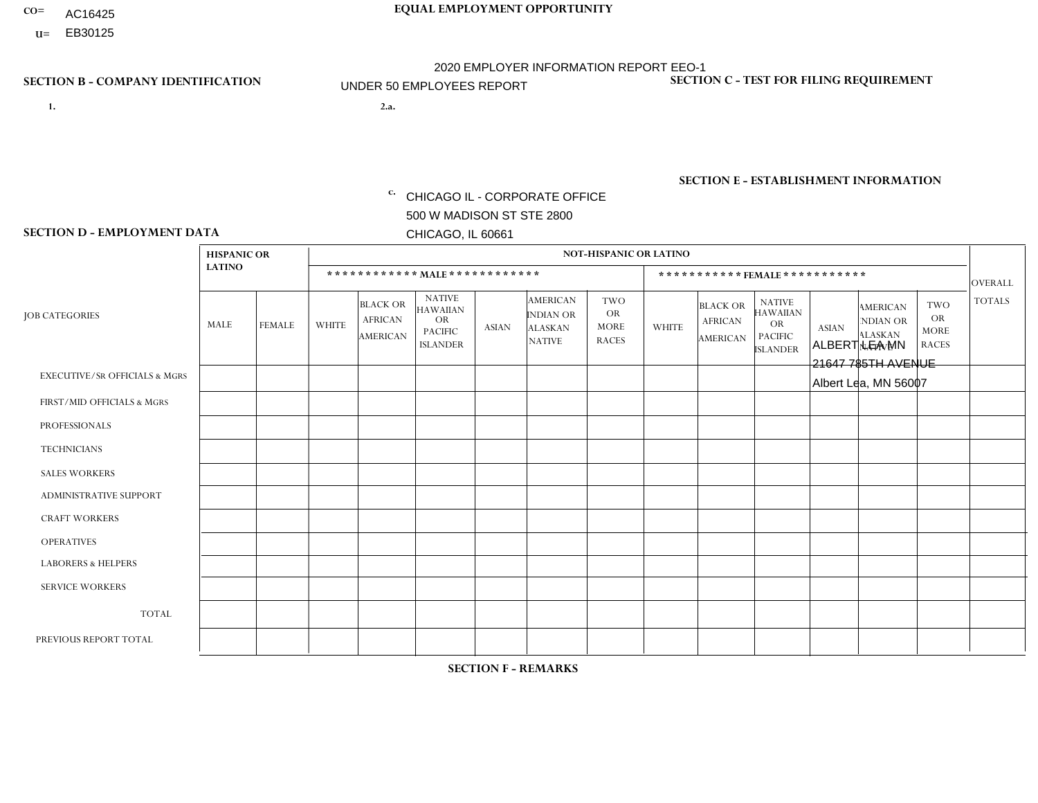- AC16425
- **U=**

**1. 2.a.** CHICAGO IL - CORPORATE OFFICE 500 W MADISON ST STE 2800 CHICAGO, IL 60661

2.a. ALBERT LEA MN 21647 785TH AVENUE Albert Lea, MN 56007

EIN= 952920557

## **SECTION B - COMPANY IDENTIFICATION SECTION C - TEST FOR FILING REQUIREMENT**

1- Y 2- Y 3- N DUNS= 000123456

**SECTION E - ESTABLISHMENT INFORMATION c.** NAICS: 423140

### **SECTION D - EMPLOYMENT DATA**

|                                          | <b>HISPANIC OR</b> |               |                |                                                      |                                                                                    |                |                                                                        | <b>NOT-HISPANIC OR LATINO</b>                          |              |                                               |                                                                                    |              |                                                                |                                                        |                |
|------------------------------------------|--------------------|---------------|----------------|------------------------------------------------------|------------------------------------------------------------------------------------|----------------|------------------------------------------------------------------------|--------------------------------------------------------|--------------|-----------------------------------------------|------------------------------------------------------------------------------------|--------------|----------------------------------------------------------------|--------------------------------------------------------|----------------|
|                                          | <b>LATINO</b>      |               |                | ************ MAIE************                        |                                                                                    |                |                                                                        |                                                        |              |                                               | ***********FEMALE***********                                                       |              |                                                                |                                                        | <b>OVERALL</b> |
| <b>JOB CATEGORIES</b>                    | <b>MALE</b>        | <b>FEMALE</b> | <b>WHITE</b>   | <b>BLACK OR</b><br><b>AFRICAN</b><br><b>AMERICAN</b> | <b>NATIVE</b><br><b>HAWAIIAN</b><br><b>OR</b><br><b>PACIFIC</b><br><b>ISLANDER</b> | <b>ASIAN</b>   | <b>AMERICAN</b><br><b>INDIAN OR</b><br><b>ALASKAN</b><br><b>NATIVE</b> | <b>TWO</b><br><b>OR</b><br><b>MORE</b><br><b>RACES</b> | <b>WHITE</b> | <b>BLACK OR</b><br><b>AFRICAN</b><br>AMERICAN | <b>NATIVE</b><br><b>HAWAIIAN</b><br><b>OR</b><br><b>PACIFIC</b><br><b>ISLANDER</b> | <b>ASIAN</b> | <b>AMERICAN</b><br>NDIAN OR<br><b>ALASKAN</b><br><b>NATIVE</b> | <b>TWO</b><br><b>OR</b><br><b>MORE</b><br><b>RACES</b> | <b>TOTALS</b>  |
| <b>EXECUTIVE/SR OFFICIALS &amp; MGRS</b> | $\Omega$           | $\Omega$      | $\Omega$       | $\Omega$                                             | 0                                                                                  | $\Omega$       | $\Omega$                                                               | $\Omega$                                               | $\Omega$     | $\mathbf{0}$                                  | $\Omega$                                                                           | $\Omega$     | $\Omega$                                                       | $\Omega$                                               | $\Omega$       |
| FIRST/MID OFFICIALS & MGRS               | 0                  | 0             | 3              | $\mathbf 0$                                          | $\mathbf 0$                                                                        | $\Omega$       | $\Omega$                                                               | $\Omega$                                               | $\Omega$     | $\mathbf{0}$                                  | $\mathbf{0}$                                                                       | $\Omega$     | $\Omega$                                                       | $\Omega$                                               | 3              |
| <b>PROFESSIONALS</b>                     | $\Omega$           | $\mathbf 0$   | 0              | $\mathbf 0$                                          | 0                                                                                  | $\Omega$       | $\Omega$                                                               | $\Omega$                                               | $\Omega$     | $\Omega$                                      | $\Omega$                                                                           | $\Omega$     | $\Omega$                                                       | $\Omega$                                               | $\mathbf 0$    |
| <b>TECHNICIANS</b>                       | $\Omega$           | $\mathbf 0$   | $\Omega$       | $\mathbf 0$                                          | 0                                                                                  | $\Omega$       | $\overline{0}$                                                         | $\Omega$                                               | $\Omega$     | $\Omega$                                      | $\Omega$                                                                           | $\Omega$     | $\Omega$                                                       | $\mathbf{0}$                                           | $\mathbf 0$    |
| <b>SALES WORKERS</b>                     | $\Omega$           | $\mathbf 0$   | $\overline{2}$ | $\Omega$                                             | 0                                                                                  | $\Omega$       | $\Omega$                                                               | $\Omega$                                               | $\Omega$     | $\Omega$                                      | $\Omega$                                                                           | $\Omega$     | $\Omega$                                                       | $\mathbf{0}$                                           | $\overline{2}$ |
| <b>ADMINISTRATIVE SUPPORT</b>            | $\Omega$           | $\mathbf 0$   | 1              | $\mathbf 0$                                          | $\mathbf 0$                                                                        | $\mathbf 0$    | 1                                                                      | $\Omega$                                               | $\Omega$     | $\mathbf{0}$                                  | $\mathbf{0}$                                                                       | $\Omega$     | $\Omega$                                                       | $\Omega$                                               | 2              |
| <b>CRAFT WORKERS</b>                     | $\Omega$           | $\Omega$      | 4              | $\mathbf 0$                                          | 0                                                                                  | $\mathbf 1$    | $\Omega$                                                               | $\Omega$                                               | $\Omega$     | $\Omega$                                      | $\Omega$                                                                           | $\Omega$     | $\Omega$                                                       | $\Omega$                                               | 5              |
| <b>OPERATIVES</b>                        | 0                  | $\Omega$      | 8              | $\Omega$                                             | $\Omega$                                                                           | $\Omega$       | 1                                                                      | $\Omega$                                               | $\Omega$     | $\Omega$                                      | $\mathbf{0}$                                                                       | $\Omega$     | $\Omega$                                                       | $\mathbf{0}$                                           | 9              |
| <b>LABORERS &amp; HELPERS</b>            | $\Omega$           | $\Omega$      | $\overline{2}$ | $\Omega$                                             | 0                                                                                  | $\Omega$       | $\Omega$                                                               | $\Omega$                                               | $\Omega$     | $\Omega$                                      | $\Omega$                                                                           | $\Omega$     | $\Omega$                                                       | $\Omega$                                               | $\overline{2}$ |
| <b>SERVICE WORKERS</b>                   | $\Omega$           | $\mathbf 0$   | $\Omega$       | $\mathbf 0$                                          | 0                                                                                  | $\mathbf 0$    | $\Omega$                                                               | $\Omega$                                               | $\Omega$     | $\Omega$                                      | $\Omega$                                                                           | $\Omega$     | $\Omega$                                                       | $\Omega$                                               | $\mathbf 0$    |
| <b>TOTAL</b>                             | 0                  | $\mathbf 0$   | 20             | $\mathbf 0$                                          | 0                                                                                  | $\mathbf 1$    | $\overline{2}$                                                         | $\Omega$                                               | 0            | $\Omega$                                      | $\Omega$                                                                           | $\mathbf 0$  | $\Omega$                                                       | $\Omega$                                               | 23             |
| PREVIOUS REPORT TOTAL                    | $\Omega$           | $\Omega$      | 24             | $\mathbf 0$                                          | 0                                                                                  | $\overline{1}$ | $\overline{2}$                                                         | $\Omega$                                               | $\Omega$     | $\Omega$                                      | $\mathbf{0}$                                                                       | $\Omega$     | $\Omega$                                                       | $\mathbf 0$                                            | 27             |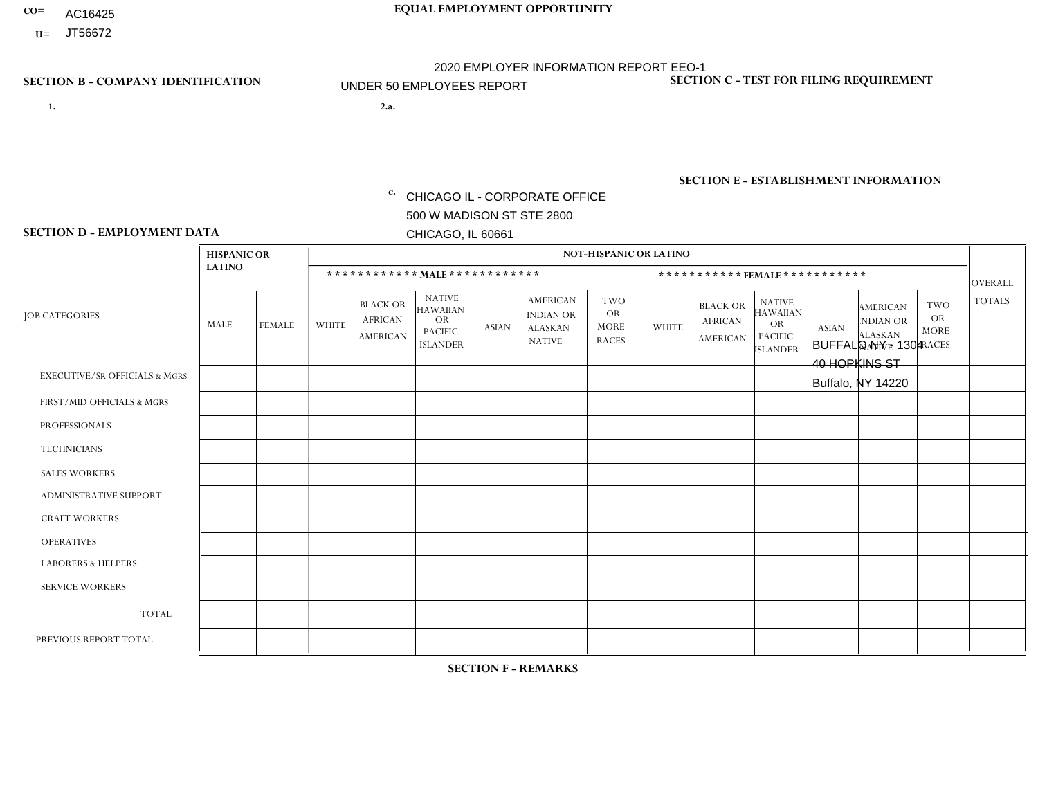- AC16425
- **U=**

**1. 2.a.** CHICAGO IL - CORPORATE OFFICE 500 W MADISON ST STE 2800 CHICAGO, IL 60661

BUFFALO NY - 1304 40 HOPKINS ST Buffalo, NY 14220

EIN= 952920557

## **SECTION B - COMPANY IDENTIFICATION SECTION C - TEST FOR FILING REQUIREMENT**

1- Y 2- Y 3- N DUNS= 000123456

**SECTION E - ESTABLISHMENT INFORMATION c.** NAICS: 423140

### **SECTION D - EMPLOYMENT DATA**

|                                          | <b>HISPANIC OR</b> |               |              |                                                      |                                                                                    |             |                                                                        | <b>NOT-HISPANIC OR LATINO</b>                          |              |                                               |                                                                                    |              |                                                                       |                                                        |                 |
|------------------------------------------|--------------------|---------------|--------------|------------------------------------------------------|------------------------------------------------------------------------------------|-------------|------------------------------------------------------------------------|--------------------------------------------------------|--------------|-----------------------------------------------|------------------------------------------------------------------------------------|--------------|-----------------------------------------------------------------------|--------------------------------------------------------|-----------------|
|                                          | <b>LATINO</b>      |               |              | ************ MALE ************                       |                                                                                    |             |                                                                        |                                                        |              |                                               | ***********FEMALE***********                                                       |              |                                                                       |                                                        | <b>OVERALL</b>  |
| <b>JOB CATEGORIES</b>                    | <b>MALE</b>        | <b>FEMALE</b> | <b>WHITE</b> | <b>BLACK OR</b><br><b>AFRICAN</b><br><b>AMERICAN</b> | <b>NATIVE</b><br><b>HAWAIIAN</b><br><b>OR</b><br><b>PACIFIC</b><br><b>ISLANDER</b> | ASIAN       | <b>AMERICAN</b><br><b>INDIAN OR</b><br><b>ALASKAN</b><br><b>NATIVE</b> | <b>TWO</b><br><b>OR</b><br><b>MORE</b><br><b>RACES</b> | <b>WHITE</b> | <b>BLACK OR</b><br><b>AFRICAN</b><br>AMERICAN | <b>NATIVE</b><br><b>HAWAIIAN</b><br><b>OR</b><br><b>PACIFIC</b><br><b>ISLANDER</b> | <b>ASIAN</b> | <b>AMERICAN</b><br><b>NDIAN OR</b><br><b>ALASKAN</b><br><b>NATIVE</b> | <b>TWO</b><br><b>OR</b><br><b>MORE</b><br><b>RACES</b> | <b>TOTALS</b>   |
| <b>EXECUTIVE/SR OFFICIALS &amp; MGRS</b> | $\Omega$           | $\mathbf 0$   | $\Omega$     | $\mathbf 0$                                          | $\mathbf 0$                                                                        | $\mathbf 0$ | $\Omega$                                                               | $\Omega$                                               | $\Omega$     | $\Omega$                                      | $\Omega$                                                                           | $\Omega$     | $\Omega$                                                              | $\Omega$                                               | $\mathbf 0$     |
| FIRST/MID OFFICIALS & MGRS               | $\Omega$           | 0             | 1            | $\mathbf 0$                                          | $\mathbf{0}$                                                                       | $\mathbf 0$ | $\Omega$                                                               | $\Omega$                                               | $\Omega$     | $\Omega$                                      | $\Omega$                                                                           | $\Omega$     | $\Omega$                                                              | $\Omega$                                               | $\mathbf{1}$    |
| <b>PROFESSIONALS</b>                     | $\Omega$           | $\Omega$      | $\Omega$     | $\mathbf 0$                                          | $\Omega$                                                                           | $\Omega$    | $\Omega$                                                               | $\Omega$                                               | $\mathbf{1}$ | $\Omega$                                      | $\Omega$                                                                           | $\Omega$     | $\Omega$                                                              | $\mathbf{0}$                                           | $\mathbf{1}$    |
| <b>TECHNICIANS</b>                       | $\Omega$           | $\mathbf 0$   | $\Omega$     | $\mathbf 0$                                          | $\mathbf{0}$                                                                       | $\Omega$    | $\overline{0}$                                                         | $\Omega$                                               | $\mathbf{0}$ | $\Omega$                                      | $\Omega$                                                                           | $\Omega$     | $\Omega$                                                              | $\Omega$                                               | $\mathbf 0$     |
| <b>SALES WORKERS</b>                     | $\Omega$           | $\Omega$      | $\Omega$     | $\mathbf 0$                                          | 0                                                                                  | $\Omega$    | $\Omega$                                                               | $\Omega$                                               | $\Omega$     | $\Omega$                                      | $\Omega$                                                                           | $\Omega$     | $\Omega$                                                              | $\mathbf{0}$                                           | $\mathbf 0$     |
| <b>ADMINISTRATIVE SUPPORT</b>            | $\Omega$           | $\mathbf 0$   | 0            | $\mathbf 0$                                          | $\mathbf{0}$                                                                       | $\mathbf 0$ | $\Omega$                                                               | $\Omega$                                               | 0            | $\Omega$                                      | $\Omega$                                                                           | $\Omega$     | $\Omega$                                                              | $\mathbf 0$                                            | $\mathbf 0$     |
| <b>CRAFT WORKERS</b>                     |                    | $\Omega$      | 3            | $\mathbf{1}$                                         | 0                                                                                  | $\Omega$    | $\Omega$                                                               | $\Omega$                                               | $\Omega$     | $\Omega$                                      | $\mathbf{0}$                                                                       | $\Omega$     | $\Omega$                                                              | $\Omega$                                               | 5               |
| <b>OPERATIVES</b>                        | $\Omega$           | $\Omega$      | 1            | $\overline{2}$                                       | $\Omega$                                                                           | $\Omega$    | $\Omega$                                                               | $\Omega$                                               | $\Omega$     | $\Omega$                                      | $\Omega$                                                                           | $\Omega$     | $\Omega$                                                              | $\Omega$                                               | 3               |
| <b>LABORERS &amp; HELPERS</b>            | $\Omega$           | $\Omega$      | $\Omega$     | $\mathbf 0$                                          | 0                                                                                  | $\mathbf 0$ | $\Omega$                                                               | $\Omega$                                               | $\Omega$     | $\Omega$                                      | $\mathbf{0}$                                                                       | $\Omega$     | $\Omega$                                                              | $\mathbf{0}$                                           | 0               |
| <b>SERVICE WORKERS</b>                   | $\Omega$           | $\mathbf 0$   | 0            | $\mathbf 0$                                          | $\mathbf 0$                                                                        | $\mathbf 0$ | $\Omega$                                                               | $\Omega$                                               | $\Omega$     | $\Omega$                                      | $\Omega$                                                                           | $\mathbf 0$  | $\Omega$                                                              | $\mathbf 0$                                            | 0               |
| <b>TOTAL</b>                             | 1                  | $\mathbf 0$   | 5            | 3                                                    | 0                                                                                  | $\mathbf 0$ | $\Omega$                                                               | $\Omega$                                               | $\mathbf{1}$ | $\Omega$                                      | $\Omega$                                                                           | $\mathbf 0$  | $\Omega$                                                              | $\Omega$                                               | 10 <sup>°</sup> |
| PREVIOUS REPORT TOTAL                    | $\Omega$           | $\Omega$      | 12           | $\overline{2}$                                       | $\mathbf 0$                                                                        | $\Omega$    | $\Omega$                                                               | $\Omega$                                               | $\mathbf{1}$ | $\mathbf{0}$                                  | $\mathbf{0}$                                                                       | $\Omega$     | $\Omega$                                                              | $\Omega$                                               | 15              |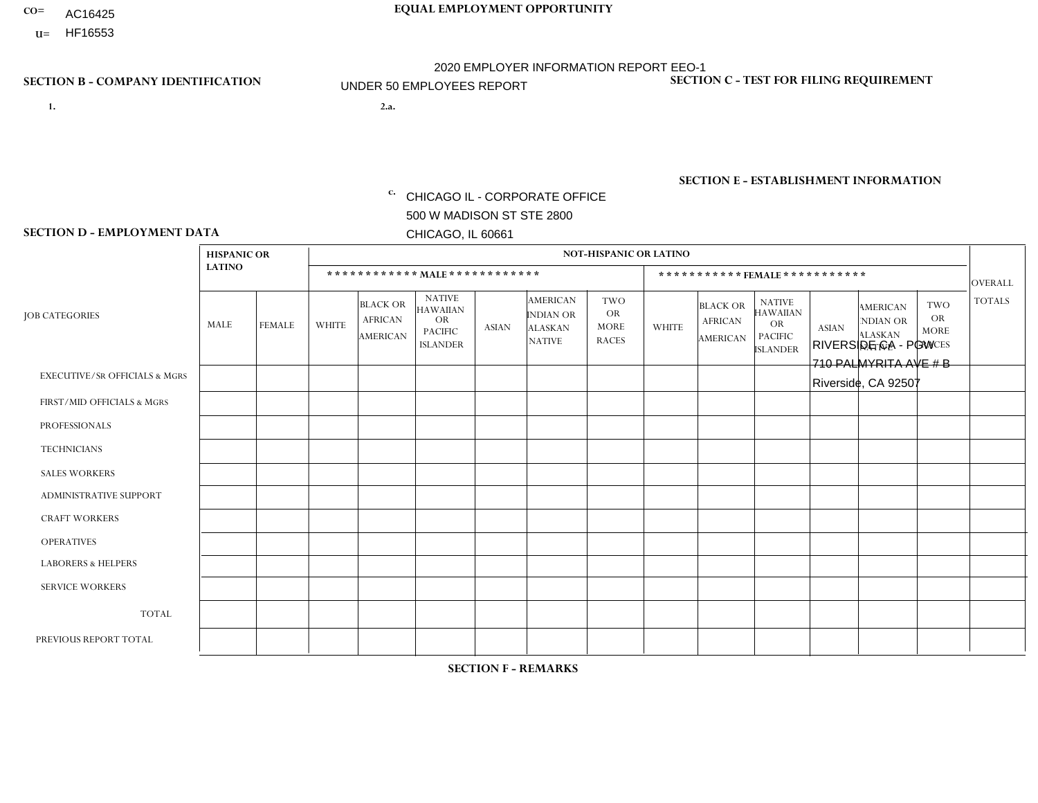- AC16425
- **U=**

**1. 2.a.** CHICAGO IL - CORPORATE OFFICE 500 W MADISON ST STE 2800 CHICAGO, IL 60661

2.a. RIVERSIDE CA - PGW 710 PALMYRITA AVE # B Riverside, CA 92507

EIN= 952920557

## **SECTION B - COMPANY IDENTIFICATION SECTION C - TEST FOR FILING REQUIREMENT**

1- Y 2- Y 3- N DUNS= 000123456

**SECTION E - ESTABLISHMENT INFORMATION c.** NAICS: 811122

### **SECTION D - EMPLOYMENT DATA**

|                                          | <b>HISPANIC OR</b> |               |                |                                                      |                                                                                    |              |                                                                        | <b>NOT-HISPANIC OR LATINO</b>                          |              |                                               |                                                                                    |              |                                                                       |                                                        |                |
|------------------------------------------|--------------------|---------------|----------------|------------------------------------------------------|------------------------------------------------------------------------------------|--------------|------------------------------------------------------------------------|--------------------------------------------------------|--------------|-----------------------------------------------|------------------------------------------------------------------------------------|--------------|-----------------------------------------------------------------------|--------------------------------------------------------|----------------|
|                                          | <b>LATINO</b>      |               |                | ************ MALE ************                       |                                                                                    |              |                                                                        |                                                        |              |                                               | *********** FEMALE ***********                                                     |              |                                                                       |                                                        | <b>OVERALL</b> |
| <b>JOB CATEGORIES</b>                    | <b>MALE</b>        | <b>FEMALE</b> | <b>WHITE</b>   | <b>BLACK OR</b><br><b>AFRICAN</b><br><b>AMERICAN</b> | <b>NATIVE</b><br><b>HAWAIIAN</b><br><b>OR</b><br><b>PACIFIC</b><br><b>ISLANDER</b> | <b>ASIAN</b> | <b>AMERICAN</b><br><b>INDIAN OR</b><br><b>ALASKAN</b><br><b>NATIVE</b> | <b>TWO</b><br><b>OR</b><br><b>MORE</b><br><b>RACES</b> | <b>WHITE</b> | <b>BLACK OR</b><br><b>AFRICAN</b><br>AMERICAN | <b>NATIVE</b><br><b>HAWAIIAN</b><br><b>OR</b><br><b>PACIFIC</b><br><b>ISLANDER</b> | <b>ASIAN</b> | <b>AMERICAN</b><br><b>NDIAN OR</b><br><b>ALASKAN</b><br><b>NATIVE</b> | <b>TWO</b><br><b>OR</b><br><b>MORE</b><br><b>RACES</b> | <b>TOTALS</b>  |
| <b>EXECUTIVE/SR OFFICIALS &amp; MGRS</b> | $\Omega$           | $\Omega$      | $\mathbf{0}$   | $\Omega$                                             | $\Omega$                                                                           | $\Omega$     | $\Omega$                                                               | $\Omega$                                               | 0            | $\Omega$                                      | $\Omega$                                                                           | $\Omega$     | $\Omega$                                                              | $\Omega$                                               | $\Omega$       |
| FIRST/MID OFFICIALS & MGRS               | $\Omega$           | $\Omega$      | $\mathbf{0}$   | $\overline{ }$                                       | $\Omega$                                                                           | $\Omega$     | $\Omega$                                                               | $\Omega$                                               | 0            | $\Omega$                                      | 0                                                                                  | $\Omega$     | $\Omega$                                                              | $\Omega$                                               | $\mathbf{1}$   |
| <b>PROFESSIONALS</b>                     | $\Omega$           | $\Omega$      | $\mathbf 0$    | $\mathbf 0$                                          | $\Omega$                                                                           | $\Omega$     | $\Omega$                                                               | $\Omega$                                               | $\Omega$     | $\Omega$                                      | 0                                                                                  | 0            | $\Omega$                                                              | $\mathbf 0$                                            | $\mathbf{0}$   |
| <b>TECHNICIANS</b>                       | $\Omega$           | $\Omega$      | $\Omega$       | $\Omega$                                             | $\Omega$                                                                           | $\Omega$     | $\Omega$                                                               | $\Omega$                                               | $\Omega$     | $\Omega$                                      | 0                                                                                  | $\mathbf 0$  | $\Omega$                                                              | $\mathbf 0$                                            | $\Omega$       |
| <b>SALES WORKERS</b>                     | $\Omega$           | $\Omega$      | $\Omega$       | $\Omega$                                             | $\Omega$                                                                           | $\Omega$     | $\Omega$                                                               | $\Omega$                                               | $\Omega$     | $\Omega$                                      | $\Omega$                                                                           | $\Omega$     | $\Omega$                                                              | $\Omega$                                               | $\Omega$       |
| <b>ADMINISTRATIVE SUPPORT</b>            | $\Omega$           | $\Omega$      | $\Omega$       | $\mathbf 0$                                          | 0                                                                                  | $\Omega$     | $\Omega$                                                               | $\Omega$                                               | 0            | $\Omega$                                      | 0                                                                                  | $\mathbf 0$  | $\Omega$                                                              | $\mathbf 0$                                            | $\mathbf 0$    |
| <b>CRAFT WORKERS</b>                     | $\Omega$           | $\Omega$      | $\Omega$       | $\mathbf 0$                                          | $\Omega$                                                                           | $\Omega$     | $\Omega$                                                               | $\Omega$                                               | 0            | $\Omega$                                      | 0                                                                                  | $\Omega$     | $\Omega$                                                              | $\Omega$                                               | $\Omega$       |
| <b>OPERATIVES</b>                        |                    | $\Omega$      | $\overline{c}$ | $\overline{1}$                                       | $\Omega$                                                                           | $\Omega$     | $\Omega$                                                               | $\Omega$                                               | 0            | $\Omega$                                      | 0                                                                                  | $\mathbf 0$  | $\Omega$                                                              | $\Omega$                                               | 4              |
| <b>LABORERS &amp; HELPERS</b>            | -1                 | $\Omega$      | $\mathbf{0}$   | $\mathbf 0$                                          | $\Omega$                                                                           | $\Omega$     | $\Omega$                                                               | $\Omega$                                               | $\Omega$     | $\Omega$                                      | $\Omega$                                                                           | $\Omega$     | $\Omega$                                                              | $\Omega$                                               | $\mathbf{1}$   |
| <b>SERVICE WORKERS</b>                   | $\Omega$           | $\Omega$      | 0              | 0                                                    | $\mathbf 0$                                                                        | $\Omega$     | $\Omega$                                                               | $\Omega$                                               | 0            | $\Omega$                                      | $\Omega$                                                                           | $\mathbf 0$  | $\Omega$                                                              | $\Omega$                                               | $\mathbf 0$    |
| <b>TOTAL</b>                             | $\overline{c}$     | 0             | $\overline{c}$ | $\overline{2}$                                       | $\mathbf 0$                                                                        | 0            | $\Omega$                                                               | $\Omega$                                               | 0            | $\mathbf 0$                                   | 0                                                                                  | $\mathbf 0$  | 0                                                                     | $\mathbf 0$                                            | 6              |
| PREVIOUS REPORT TOTAL                    | 3                  | $\mathbf{1}$  |                | $\overline{2}$                                       | 0                                                                                  | $\Omega$     | $\Omega$                                                               |                                                        | 0            | $\Omega$                                      | 0                                                                                  | $\Omega$     | $\Omega$                                                              | $\mathbf 0$                                            | 8              |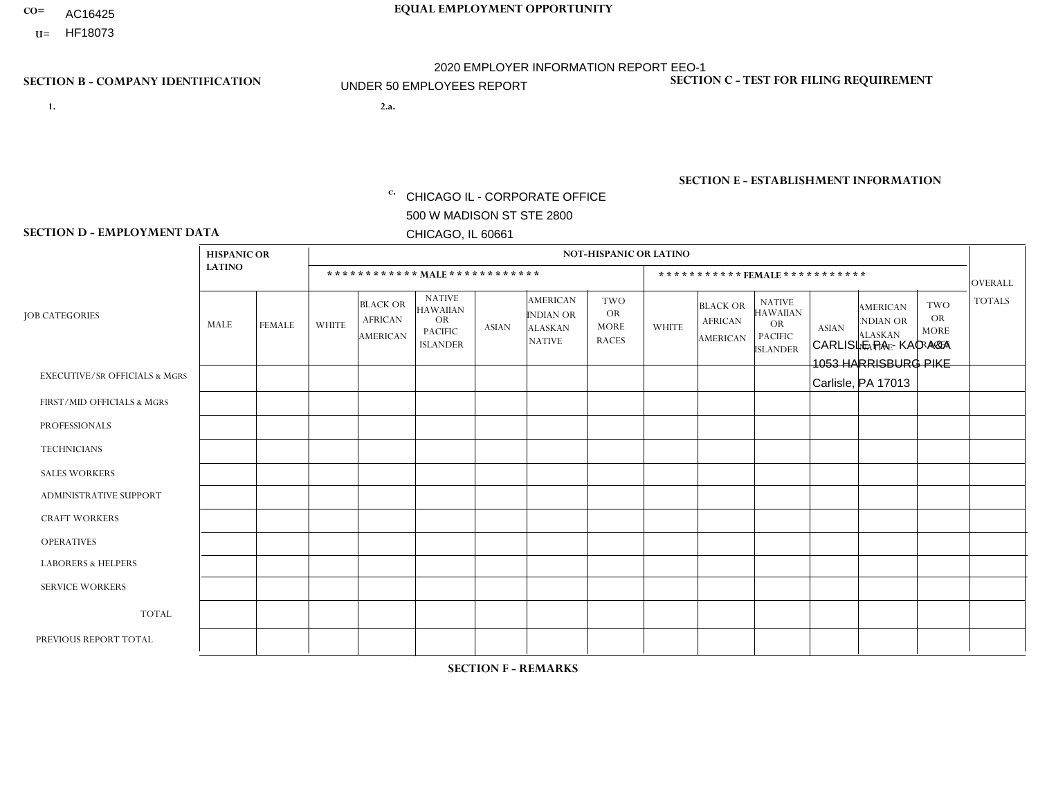- AC16425
- **U=**

**1. 2.a.** CHICAGO IL - CORPORATE OFFICE 500 W MADISON ST STE 2800 CHICAGO, IL 60661

CARLISLE PA - KAO A&A 1053 HARRISBURG PIKE Carlisle, PA 17013

EIN= 952920557

## **SECTION B - COMPANY IDENTIFICATION SECTION C - TEST FOR FILING REQUIREMENT**

1- Y 2- Y 3- N DUNS= 000123456

**SECTION E - ESTABLISHMENT INFORMATION c.** NAICS: 423140

### **SECTION D - EMPLOYMENT DATA**

|                                          | <b>HISPANIC OR</b> |               |                |                                               |                                                                                    |              |                                                                        | <b>NOT-HISPANIC OR LATINO</b>                          |              |                                                      |                                                                                    |              |                                                                       |                                                        |                |
|------------------------------------------|--------------------|---------------|----------------|-----------------------------------------------|------------------------------------------------------------------------------------|--------------|------------------------------------------------------------------------|--------------------------------------------------------|--------------|------------------------------------------------------|------------------------------------------------------------------------------------|--------------|-----------------------------------------------------------------------|--------------------------------------------------------|----------------|
|                                          | <b>LATINO</b>      |               |                |                                               | ************ MALE ************                                                     |              |                                                                        |                                                        |              |                                                      | ***********FEMALE***********                                                       |              |                                                                       |                                                        | <b>OVERALL</b> |
| <b>JOB CATEGORIES</b>                    | <b>MALE</b>        | <b>FEMALE</b> | <b>WHITE</b>   | <b>BLACK OR</b><br><b>AFRICAN</b><br>AMERICAN | <b>NATIVE</b><br><b>HAWAIIAN</b><br><b>OR</b><br><b>PACIFIC</b><br><b>ISLANDER</b> | <b>ASIAN</b> | <b>AMERICAN</b><br><b>INDIAN OR</b><br><b>ALASKAN</b><br><b>NATIVE</b> | <b>TWO</b><br><b>OR</b><br><b>MORE</b><br><b>RACES</b> | <b>WHITE</b> | <b>BLACK OR</b><br><b>AFRICAN</b><br><b>AMERICAN</b> | <b>NATIVE</b><br><b>HAWAIIAN</b><br><b>OR</b><br><b>PACIFIC</b><br><b>ISLANDER</b> | <b>ASIAN</b> | <b>AMERICAN</b><br><b>NDIAN OR</b><br><b>ALASKAN</b><br><b>NATIVE</b> | <b>TWO</b><br><b>OR</b><br><b>MORE</b><br><b>RACES</b> | <b>TOTALS</b>  |
| <b>EXECUTIVE/SR OFFICIALS &amp; MGRS</b> | $\Omega$           | 0             | $\mathbf 0$    | $\mathbf 0$                                   | 0                                                                                  | $\mathbf 0$  | $\Omega$                                                               | $\Omega$                                               | $\Omega$     | $\Omega$                                             | $\Omega$                                                                           | $\mathbf 0$  | 0                                                                     | $\mathbf 0$                                            | $\mathbf{0}$   |
| FIRST/MID OFFICIALS & MGRS               | 0                  | $\Omega$      | $\Omega$       | $\Omega$                                      | $\Omega$                                                                           | $\Omega$     | $\Omega$                                                               | $\Omega$                                               |              | $\Omega$                                             | $\Omega$                                                                           | $\Omega$     | $\Omega$                                                              | $\Omega$                                               | $\mathbf{1}$   |
| <b>PROFESSIONALS</b>                     | 0                  | $\mathbf 0$   | $\mathbf 0$    | $\mathbf 0$                                   | $\mathbf 0$                                                                        | $\Omega$     | $\Omega$                                                               | $\Omega$                                               | $\Omega$     | $\Omega$                                             | $\Omega$                                                                           | $\mathbf{0}$ | $\Omega$                                                              | $\mathbf 0$                                            | $\mathbf{0}$   |
| <b>TECHNICIANS</b>                       | 0                  | $\Omega$      | $\mathbf 0$    | $\mathbf 0$                                   | $\Omega$                                                                           | $\Omega$     | $\Omega$                                                               | $\Omega$                                               | 0            | $\Omega$                                             | $\Omega$                                                                           | $\mathbf 0$  | $\Omega$                                                              | $\Omega$                                               | $\overline{0}$ |
| <b>SALES WORKERS</b>                     | 0                  | $\mathbf 0$   | 2              | $\mathbf 0$                                   | $\mathbf 0$                                                                        | $\Omega$     | $\Omega$                                                               | $\Omega$                                               | $\Omega$     | $\Omega$                                             | $\Omega$                                                                           | $\mathbf 0$  | $\mathbf 0$                                                           | $\mathbf 0$                                            | $\overline{2}$ |
| ADMINISTRATIVE SUPPORT                   | $\Omega$           | $\Omega$      | $\Omega$       | $\Omega$                                      | $\Omega$                                                                           | $\Omega$     | $\Omega$                                                               | $\Omega$                                               | $\Omega$     | $\Omega$                                             | $\Omega$                                                                           | $\Omega$     | $\Omega$                                                              | $\Omega$                                               | $\Omega$       |
| <b>CRAFT WORKERS</b>                     | 0                  | $\mathbf 0$   | $\overline{2}$ | $\mathbf 0$                                   | 0                                                                                  | $\Omega$     | $\Omega$                                                               | $\Omega$                                               | $\Omega$     | $\Omega$                                             | $\Omega$                                                                           | $\Omega$     | $\Omega$                                                              | $\mathbf 0$                                            | 2              |
| <b>OPERATIVES</b>                        | 0                  | $\Omega$      | $\Omega$       | $\mathbf 0$                                   | $\Omega$                                                                           | $\Omega$     | $\Omega$                                                               | $\Omega$                                               | $\Omega$     | $\Omega$                                             | $\Omega$                                                                           | $\Omega$     | $\Omega$                                                              | $\Omega$                                               | $\overline{0}$ |
| <b>LABORERS &amp; HELPERS</b>            | 0                  | $\Omega$      | $\Omega$       | $\mathbf 0$                                   | $\mathbf 0$                                                                        | $\Omega$     | $\Omega$                                                               | $\Omega$                                               | $\Omega$     | $\Omega$                                             | $\Omega$                                                                           | $\Omega$     | $\Omega$                                                              | $\Omega$                                               | $\mathbf{0}$   |
| <b>SERVICE WORKERS</b>                   | 0                  | $\Omega$      | $\mathbf 0$    | $\mathbf 0$                                   | $\mathbf{0}$                                                                       | $\Omega$     | $\Omega$                                                               | $\Omega$                                               | $\Omega$     | $\Omega$                                             | $\Omega$                                                                           | $\Omega$     | $\Omega$                                                              | $\Omega$                                               | $\overline{0}$ |
| <b>TOTAL</b>                             | $\Omega$           | 0             | 4              | $\mathbf 0$                                   | 0                                                                                  | $\mathbf{0}$ | $\Omega$                                                               | $\Omega$                                               |              | $\Omega$                                             | $\Omega$                                                                           | $\mathbf 0$  | 0                                                                     | $\mathbf 0$                                            | 5              |
| PREVIOUS REPORT TOTAL                    | 0                  | $\Omega$      | 6              | $\mathbf 0$                                   | $\Omega$                                                                           | $\Omega$     | $\Omega$                                                               | $\Omega$                                               |              | $\Omega$                                             | $\Omega$                                                                           | $\Omega$     | $\Omega$                                                              | $\mathbf 0$                                            | $\overline{7}$ |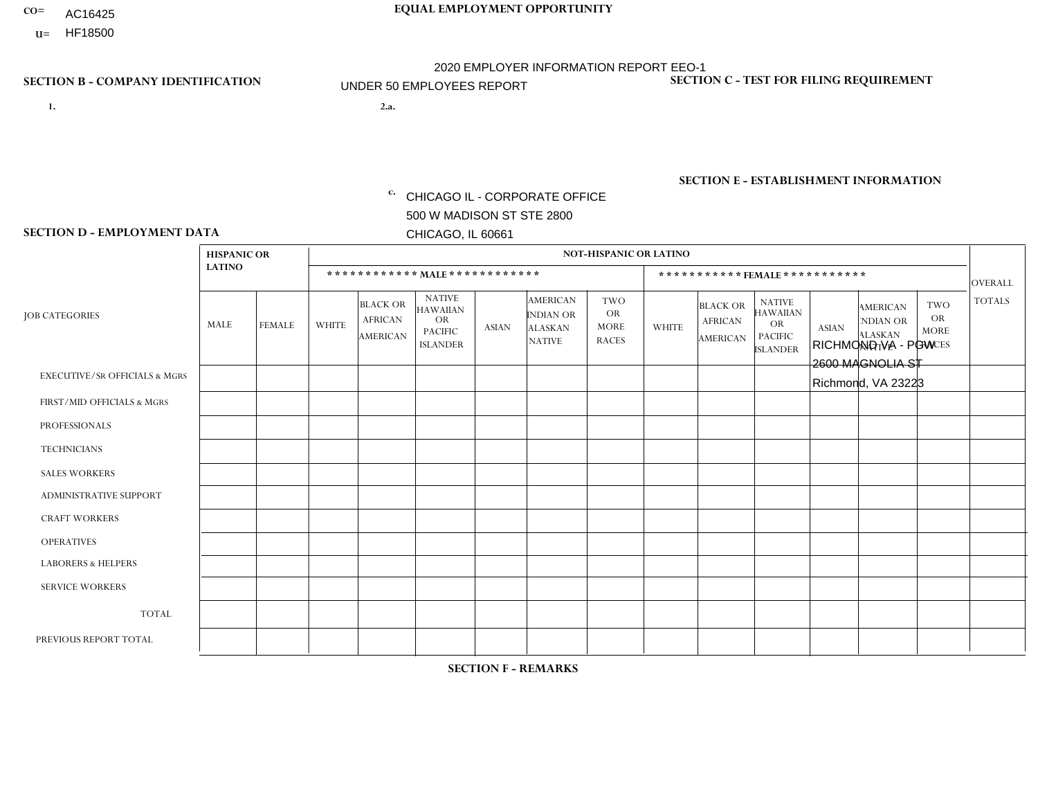- AC16425
- **U=**

**1. 2.a.** CHICAGO IL - CORPORATE OFFICE 500 W MADISON ST STE 2800 CHICAGO, IL 60661

2.a. RICHMOND VA - PGW 2600 MAGNOLIA ST Richmond, VA 23223

EIN= 952920557

## **SECTION B - COMPANY IDENTIFICATION SECTION C - TEST FOR FILING REQUIREMENT**

1- Y 2- Y 3- N DUNS= 000123456

**SECTION E - ESTABLISHMENT INFORMATION c.** NAICS: 811122

### **SECTION D - EMPLOYMENT DATA**

|                                          | <b>HISPANIC OR</b> |               |                |                                                      |                                                                                    |              |                                                                 | <b>NOT-HISPANIC OR LATINO</b>                          |              |                                                      |                                                                                    |              |                                                                       |                                                        |                |
|------------------------------------------|--------------------|---------------|----------------|------------------------------------------------------|------------------------------------------------------------------------------------|--------------|-----------------------------------------------------------------|--------------------------------------------------------|--------------|------------------------------------------------------|------------------------------------------------------------------------------------|--------------|-----------------------------------------------------------------------|--------------------------------------------------------|----------------|
|                                          | <b>LATINO</b>      |               |                | ************ MALE ************                       |                                                                                    |              |                                                                 |                                                        |              |                                                      | ***********FEMALE***********                                                       |              |                                                                       |                                                        | <b>OVERALL</b> |
| <b>JOB CATEGORIES</b>                    | <b>MALE</b>        | <b>FEMALE</b> | <b>WHITE</b>   | <b>BLACK OR</b><br><b>AFRICAN</b><br><b>AMERICAN</b> | <b>NATIVE</b><br><b>HAWAIIAN</b><br><b>OR</b><br><b>PACIFIC</b><br><b>ISLANDER</b> | <b>ASIAN</b> | <b>AMERICAN</b><br>INDIAN OR<br><b>ALASKAN</b><br><b>NATIVE</b> | <b>TWO</b><br><b>OR</b><br><b>MORE</b><br><b>RACES</b> | <b>WHITE</b> | <b>BLACK OR</b><br><b>AFRICAN</b><br><b>AMERICAN</b> | <b>NATIVE</b><br><b>HAWAIIAN</b><br><b>OR</b><br><b>PACIFIC</b><br><b>ISLANDER</b> | <b>ASIAN</b> | <b>AMERICAN</b><br><b>NDIAN OR</b><br><b>ALASKAN</b><br><b>NATIVE</b> | <b>TWO</b><br><b>OR</b><br><b>MORE</b><br><b>RACES</b> | <b>TOTALS</b>  |
| <b>EXECUTIVE/SR OFFICIALS &amp; MGRS</b> | $\Omega$           | $\Omega$      | $\Omega$       | $\mathbf 0$                                          | $\Omega$                                                                           | $\Omega$     | $\Omega$                                                        | $\Omega$                                               | $\Omega$     | $\Omega$                                             | $\mathbf{0}$                                                                       | $\Omega$     | $\Omega$                                                              | $\Omega$                                               | $\mathbf 0$    |
| FIRST/MID OFFICIALS & MGRS               | $\Omega$           | $\Omega$      | $\Omega$       | $\Omega$                                             | $\Omega$                                                                           | $\Omega$     | $\Omega$                                                        | $\Omega$                                               | $\Omega$     | $\Omega$                                             | $\Omega$                                                                           | $\Omega$     | $\Omega$                                                              | $\Omega$                                               | $\mathbf 0$    |
| <b>PROFESSIONALS</b>                     | $\Omega$           | 0             | 1              | $\mathbf 0$                                          | $\Omega$                                                                           | $\Omega$     | $\Omega$                                                        | $\Omega$                                               | $\Omega$     | $\Omega$                                             | $\Omega$                                                                           | $\Omega$     | $\Omega$                                                              | $\Omega$                                               | $\mathbf{1}$   |
| <b>TECHNICIANS</b>                       | $\Omega$           | $\mathbf 0$   | $\Omega$       | $\mathbf 0$                                          | $\mathbf 0$                                                                        | $\Omega$     | $\overline{0}$                                                  | $\Omega$                                               | $\mathbf 0$  | $\mathbf 0$                                          | $\mathbf 0$                                                                        | $\mathbf 0$  | $\Omega$                                                              | $\Omega$                                               | $\mathbf 0$    |
| <b>SALES WORKERS</b>                     | $\Omega$           | $\Omega$      | $\Omega$       | $\Omega$                                             | 0                                                                                  | $\Omega$     | $\Omega$                                                        | $\Omega$                                               | $\Omega$     | $\Omega$                                             | $\Omega$                                                                           | $\Omega$     | $\Omega$                                                              | $\Omega$                                               | $\mathbf 0$    |
| <b>ADMINISTRATIVE SUPPORT</b>            | $\Omega$           | $\mathbf 0$   | $\mathbf 0$    | $\mathbf 0$                                          | $\mathbf 0$                                                                        | $\mathbf 0$  | $\Omega$                                                        | $\Omega$                                               | $\Omega$     | $\Omega$                                             | $\mathbf{0}$                                                                       | $\Omega$     | $\Omega$                                                              | $\Omega$                                               | $\mathbf 0$    |
| <b>CRAFT WORKERS</b>                     | $\Omega$           | $\Omega$      | $\mathbf{0}$   | $\mathbf 0$                                          | 0                                                                                  | $\Omega$     | $\Omega$                                                        | $\Omega$                                               | $\Omega$     | $\Omega$                                             | $\Omega$                                                                           | $\Omega$     | $\Omega$                                                              | $\Omega$                                               | $\Omega$       |
| <b>OPERATIVES</b>                        | $\Omega$           | $\Omega$      | $\overline{2}$ | $\mathbf{1}$                                         | 0                                                                                  | $\Omega$     | $\Omega$                                                        | $\Omega$                                               | $\Omega$     | $\Omega$                                             | $\mathbf{0}$                                                                       | $\Omega$     | $\Omega$                                                              | $\Omega$                                               | 3              |
| <b>LABORERS &amp; HELPERS</b>            | $\Omega$           | $\mathbf 0$   | $\mathbf 0$    | $\mathbf{1}$                                         | 0                                                                                  | $\mathbf 0$  | $\Omega$                                                        | $\Omega$                                               | $\Omega$     | $\Omega$                                             | $\Omega$                                                                           | $\Omega$     | $\Omega$                                                              | $\Omega$                                               | $\mathbf{1}$   |
| <b>SERVICE WORKERS</b>                   | $\Omega$           | $\Omega$      | 0              | 0                                                    | $\Omega$                                                                           | $\Omega$     | $\Omega$                                                        | $\Omega$                                               | $\Omega$     | $\Omega$                                             | $\Omega$                                                                           | $\Omega$     | $\Omega$                                                              | $\Omega$                                               | 0              |
| <b>TOTAL</b>                             | $\mathbf 0$        | $\mathbf 0$   | 3              | $\overline{2}$                                       | 0                                                                                  | $\mathbf 0$  | $\Omega$                                                        | $\Omega$                                               | $\mathbf{0}$ | $\mathbf 0$                                          | $\mathbf 0$                                                                        | $\mathbf 0$  | 0                                                                     | $\mathbf 0$                                            | 5              |
| PREVIOUS REPORT TOTAL                    | 0                  | $\Omega$      |                | $\overline{2}$                                       | $\Omega$                                                                           | $\Omega$     | $\Omega$                                                        | $\Omega$                                               | $\Omega$     | $\Omega$                                             | $\Omega$                                                                           | $\Omega$     | $\Omega$                                                              | $\mathbf{0}$                                           | 3              |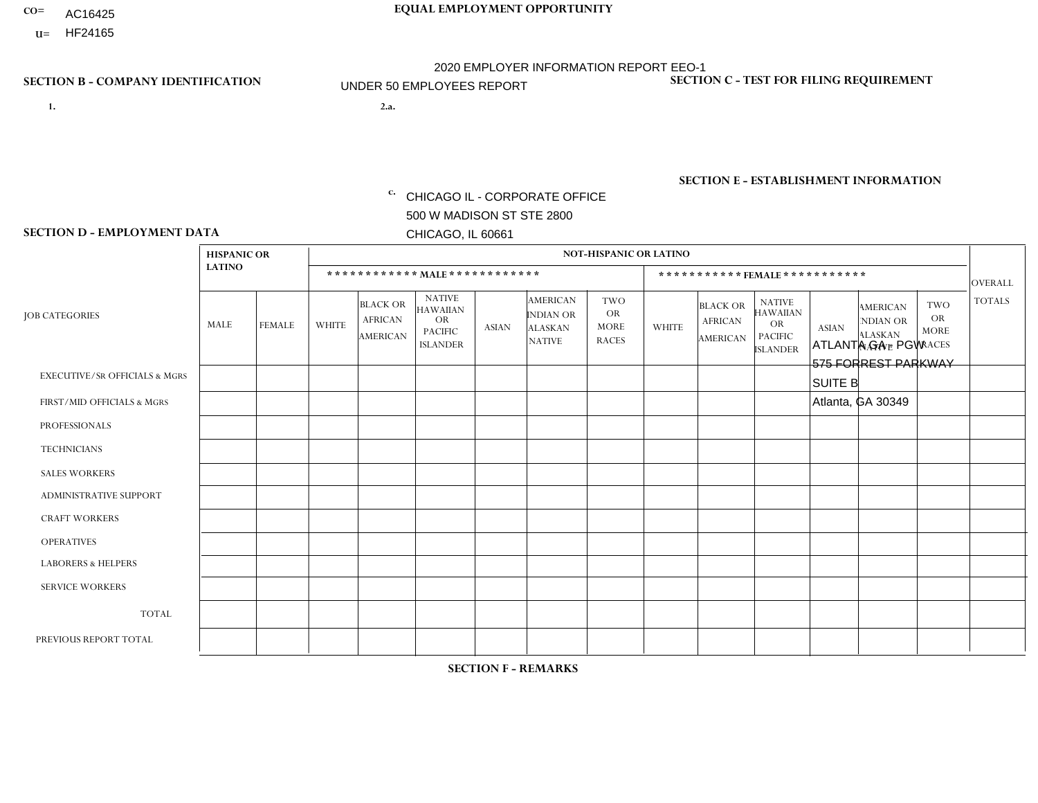- AC16425
- **U=**

- **1. 2.a.** CHICAGO IL CORPORATE OFFICE 500 W MADISON ST STE 2800 CHICAGO, IL 60661
- 2.a. ATLANTA GA PGW 575 FORREST PARKWAY SUITE B Atlanta, GA 30349
	- EIN= 952920557

## **SECTION B - COMPANY IDENTIFICATION SECTION C - TEST FOR FILING REQUIREMENT**

1- Y 2- Y 3- N DUNS= 000123456

**SECTION E - ESTABLISHMENT INFORMATION c.** NAICS: 811122

### **SECTION D - EMPLOYMENT DATA**

|                                          | <b>HISPANIC OR</b> |               |              |                                                      |                                                                      |              |                                                                        | <b>NOT-HISPANIC OR LATINO</b>                   |              |                                               |                                                                                    |              |                                                                       |                                                        |                |
|------------------------------------------|--------------------|---------------|--------------|------------------------------------------------------|----------------------------------------------------------------------|--------------|------------------------------------------------------------------------|-------------------------------------------------|--------------|-----------------------------------------------|------------------------------------------------------------------------------------|--------------|-----------------------------------------------------------------------|--------------------------------------------------------|----------------|
|                                          | <b>LATINO</b>      |               |              |                                                      | ************ MALE ************                                       |              |                                                                        |                                                 |              | ***********FEMALE ***********                 |                                                                                    |              |                                                                       |                                                        | <b>OVERALL</b> |
| <b>JOB CATEGORIES</b>                    | MALE               | <b>FEMALE</b> | <b>WHITE</b> | <b>BLACK OR</b><br><b>AFRICAN</b><br><b>AMERICAN</b> | <b>NATIVE</b><br>HAWAIIAN<br>OR<br><b>PACIFIC</b><br><b>ISLANDER</b> | <b>ASIAN</b> | <b>AMERICAN</b><br><b>INDIAN OR</b><br><b>ALASKAN</b><br><b>NATIVE</b> | TWO<br><b>OR</b><br><b>MORE</b><br><b>RACES</b> | <b>WHITE</b> | <b>BLACK OR</b><br><b>AFRICAN</b><br>AMERICAN | <b>NATIVE</b><br><b>HAWAIIAN</b><br><b>OR</b><br><b>PACIFIC</b><br><b>ISLANDER</b> | <b>ASIAN</b> | <b>AMERICAN</b><br><b>NDIAN OR</b><br><b>ALASKAN</b><br><b>NATIVE</b> | <b>TWO</b><br><b>OR</b><br><b>MORE</b><br><b>RACES</b> | <b>TOTALS</b>  |
| <b>EXECUTIVE/SR OFFICIALS &amp; MGRS</b> | $\mathbf 0$        | $\mathbf 0$   | $\mathbf 0$  | $\mathbf 0$                                          | $\mathbf{0}$                                                         | $\Omega$     | $\Omega$                                                               | 0                                               | $\Omega$     | $\Omega$                                      | 0                                                                                  | $\mathbf 0$  | $\Omega$                                                              | 0                                                      | $\mathbf 0$    |
| FIRST/MID OFFICIALS & MGRS               | 0                  | $\Omega$      | $\mathbf 0$  | $\Omega$                                             | $\mathbf{0}$                                                         | $\Omega$     | 0                                                                      | 0                                               | $\Omega$     | $\Omega$                                      | $\Omega$                                                                           | $\Omega$     | $\Omega$                                                              | $\Omega$                                               | $\mathbf 0$    |
| <b>PROFESSIONALS</b>                     | 0                  | $\mathbf 0$   | $\mathbf 0$  | $\mathbf 0$                                          | $\mathbf{0}$                                                         | $\Omega$     | $\Omega$                                                               | 0                                               | $\Omega$     | $\Omega$                                      | $\Omega$                                                                           | $\mathbf 0$  | $\Omega$                                                              | $\mathbf 0$                                            | $\mathbf 0$    |
| <b>TECHNICIANS</b>                       | 0                  | $\mathbf 0$   | $\mathbf 0$  | $\mathbf 0$                                          | $\Omega$                                                             | $\Omega$     | $\Omega$                                                               | 0                                               | $\Omega$     | $\Omega$                                      | $\mathbf 0$                                                                        | $\mathbf 0$  | $\Omega$                                                              | $\mathbf 0$                                            | $\mathbf 0$    |
| <b>SALES WORKERS</b>                     | 0                  | $\mathbf 0$   | $\mathbf 0$  | $\mathbf 0$                                          | $\Omega$                                                             | $\Omega$     | $\Omega$                                                               | $\Omega$                                        | $\Omega$     | $\Omega$                                      | $\Omega$                                                                           | $\mathbf 0$  | $\Omega$                                                              | $\Omega$                                               | $\mathbf 0$    |
| <b>ADMINISTRATIVE SUPPORT</b>            | $\Omega$           | $\Omega$      | $\Omega$     | $\Omega$                                             | $\mathbf{0}$                                                         | $\mathbf{0}$ | $\Omega$                                                               | 0                                               | $\Omega$     | $\Omega$                                      | $\Omega$                                                                           | $\Omega$     | $\Omega$                                                              | $\Omega$                                               | $\Omega$       |
| <b>CRAFT WORKERS</b>                     | $\Omega$           | $\Omega$      | $\Omega$     | $\Omega$                                             | $\mathbf{0}$                                                         | $\mathbf{0}$ | $\Omega$                                                               | 0                                               | $\Omega$     | $\Omega$                                      | $\Omega$                                                                           | $\Omega$     | $\Omega$                                                              | $\Omega$                                               | $\mathbf 0$    |
| <b>OPERATIVES</b>                        | 0                  | $\Omega$      | $\Omega$     | 4                                                    | $\mathbf{0}$                                                         | $\mathbf{0}$ | 0                                                                      | 0                                               | $\Omega$     | $\Omega$                                      | $\Omega$                                                                           | $\Omega$     | $\Omega$                                                              | $\Omega$                                               | $\overline{4}$ |
| <b>LABORERS &amp; HELPERS</b>            | 0                  | $\Omega$      | $\mathbf 0$  | $\mathbf{1}$                                         | $\mathbf{0}$                                                         | $\mathbf{0}$ | $\Omega$                                                               | 0                                               | $\Omega$     | $\Omega$                                      | $\Omega$                                                                           | $\Omega$     | $\Omega$                                                              | $\Omega$                                               | $\mathbf{1}$   |
| <b>SERVICE WORKERS</b>                   | $\Omega$           | $\Omega$      | $\mathbf 0$  | $\Omega$                                             | $\mathbf{0}$                                                         | $\mathbf{0}$ | $\Omega$                                                               | 0                                               | $\Omega$     | $\Omega$                                      | $\Omega$                                                                           | $\Omega$     | $\Omega$                                                              | $\Omega$                                               | $\Omega$       |
| <b>TOTAL</b>                             | $\Omega$           | $\Omega$      | $\mathbf 0$  | $5\phantom{.0}$                                      | $\mathbf{0}$                                                         | $\Omega$     | $\Omega$                                                               | 0                                               | $\Omega$     | $\Omega$                                      | $\Omega$                                                                           | $\Omega$     | $\Omega$                                                              | $\Omega$                                               | 5              |
| PREVIOUS REPORT TOTAL                    | 0                  | $\mathbf{0}$  | $\mathbf 0$  | $\mathbf{1}$                                         | 0                                                                    | $\Omega$     | 0                                                                      | 1                                               | $\Omega$     | 0                                             | 0                                                                                  | 0            | 0                                                                     | 0                                                      | $\overline{2}$ |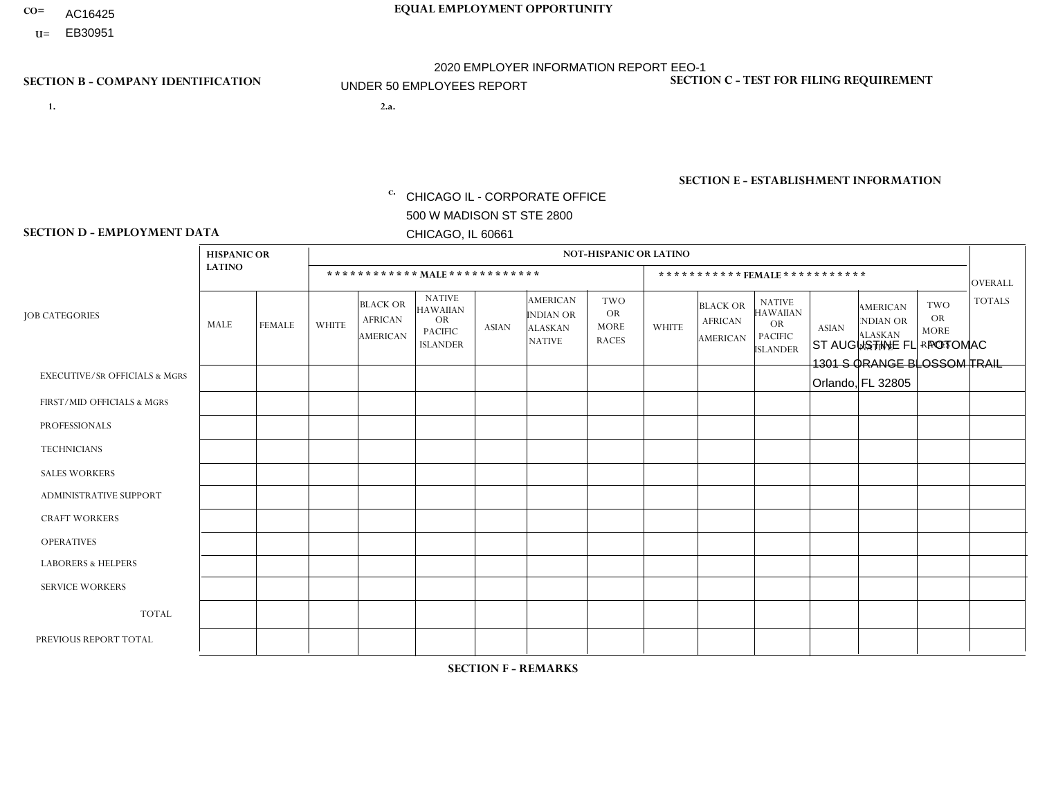- AC16425
- **U=**

- **1. 2.a.** CHICAGO IL CORPORATE OFFICE 500 W MADISON ST STE 2800 CHICAGO, IL 60661
- 2.a. ST AUGUSTINE FL POTOMAC 1301 S ORANGE BLOSSOM TRAIL Orlando, FL 32805

c. EIN= 952920557

## **SECTION B - COMPANY IDENTIFICATION SECTION C - TEST FOR FILING REQUIREMENT**

1- Y 2- Y 3- N DUNS= 000123456

**SECTION E - ESTABLISHMENT INFORMATION c.** NAICS: 423140

### **SECTION D - EMPLOYMENT DATA**

|                                          | <b>HISPANIC OR</b> |               |                |                                                      |                                                                                    |             |                                                                        | <b>NOT-HISPANIC OR LATINO</b>                          |                |                                               |                                                                             |              |                                                                       |                                                        |                |
|------------------------------------------|--------------------|---------------|----------------|------------------------------------------------------|------------------------------------------------------------------------------------|-------------|------------------------------------------------------------------------|--------------------------------------------------------|----------------|-----------------------------------------------|-----------------------------------------------------------------------------|--------------|-----------------------------------------------------------------------|--------------------------------------------------------|----------------|
|                                          | <b>LATINO</b>      |               |                | ************ MALE ************                       |                                                                                    |             |                                                                        |                                                        |                | ***********FEMALE***********                  |                                                                             |              |                                                                       |                                                        | <b>OVERALL</b> |
| <b>JOB CATEGORIES</b>                    | MALE               | <b>FEMALE</b> | <b>WHITE</b>   | <b>BLACK OR</b><br><b>AFRICAN</b><br><b>AMERICAN</b> | <b>NATIVE</b><br><b>HAWAIIAN</b><br><b>OR</b><br><b>PACIFIC</b><br><b>ISLANDER</b> | ASIAN       | <b>AMERICAN</b><br><b>INDIAN OR</b><br><b>ALASKAN</b><br><b>NATIVE</b> | <b>TWO</b><br><b>OR</b><br><b>MORE</b><br><b>RACES</b> | <b>WHITE</b>   | <b>BLACK OR</b><br><b>AFRICAN</b><br>AMERICAN | <b>NATIVE</b><br><b>HAWAIIAN</b><br>OR<br><b>PACIFIC</b><br><b>ISLANDER</b> | <b>ASIAN</b> | <b>AMERICAN</b><br><b>NDIAN OR</b><br><b>ALASKAN</b><br><b>NATIVE</b> | <b>TWO</b><br><b>OR</b><br><b>MORE</b><br><b>RACES</b> | <b>TOTALS</b>  |
| <b>EXECUTIVE/SR OFFICIALS &amp; MGRS</b> | $\Omega$           | $\Omega$      | $\Omega$       | $\mathbf 0$                                          | $\mathbf 0$                                                                        | $\Omega$    | $\Omega$                                                               | $\Omega$                                               | $\Omega$       | $\Omega$                                      | $\Omega$                                                                    | $\mathbf 0$  | $\Omega$                                                              | $\mathbf 0$                                            | $\mathbf{0}$   |
| FIRST/MID OFFICIALS & MGRS               | 0                  | 0             | $\Omega$       | $\mathbf 0$                                          | 0                                                                                  | $\Omega$    | $\Omega$                                                               | $\Omega$                                               |                | $\Omega$                                      | $\Omega$                                                                    | $\mathbf{0}$ | $\Omega$                                                              | $\mathbf 0$                                            | $\mathbf{1}$   |
| <b>PROFESSIONALS</b>                     | $\Omega$           | $\Omega$      | $\Omega$       | $\mathbf 0$                                          | $\Omega$                                                                           | $\Omega$    | $\Omega$                                                               | $\Omega$                                               | $\overline{0}$ | $\Omega$                                      | $\Omega$                                                                    | $\Omega$     | $\Omega$                                                              | $\Omega$                                               | $\mathbf 0$    |
| <b>TECHNICIANS</b>                       | 0                  | $\mathbf 0$   | $\Omega$       | $\mathbf 0$                                          | $\Omega$                                                                           | $\Omega$    | $\Omega$                                                               | $\Omega$                                               | $\Omega$       | $\Omega$                                      | $\Omega$                                                                    | $\Omega$     | $\Omega$                                                              | $\Omega$                                               | $\mathbf{0}$   |
| <b>SALES WORKERS</b>                     | $\Omega$           | $\Omega$      | $\Omega$       | $\mathbf 0$                                          | $\Omega$                                                                           | $\Omega$    | $\Omega$                                                               | $\Omega$                                               | $\overline{0}$ | $\Omega$                                      | $\Omega$                                                                    | $\Omega$     | $\Omega$                                                              | $\mathbf{0}$                                           | $\mathbf{0}$   |
| ADMINISTRATIVE SUPPORT                   | $\mathbf 0$        | $\mathbf 0$   | 1              | $\mathbf 0$                                          | 0                                                                                  | $\Omega$    | $\Omega$                                                               | $\Omega$                                               | $\Omega$       | $\Omega$                                      | $\Omega$                                                                    | $\Omega$     | $\mathbf{0}$                                                          | $\mathbf 0$                                            | $\mathbf{1}$   |
| <b>CRAFT WORKERS</b>                     | 0                  | $\Omega$      | $\Omega$       | $\mathbf 0$                                          | $\Omega$                                                                           | $\Omega$    | $\Omega$                                                               | $\Omega$                                               | 0              | $\Omega$                                      | $\Omega$                                                                    | $\Omega$     | $\Omega$                                                              | $\Omega$                                               | $\Omega$       |
| <b>OPERATIVES</b>                        | 0                  | $\Omega$      | $\Omega$       | $\mathbf 0$                                          | $\Omega$                                                                           | $\Omega$    | $\Omega$                                                               |                                                        | $\Omega$       | $\Omega$                                      | $\Omega$                                                                    | $\Omega$     | $\Omega$                                                              | $\Omega$                                               | $\mathbf{1}$   |
| <b>LABORERS &amp; HELPERS</b>            | 1                  | $\Omega$      | $\overline{1}$ | $\mathbf 0$                                          | $\mathbf 0$                                                                        | $\Omega$    | $\Omega$                                                               | $\Omega$                                               | $\Omega$       | $\Omega$                                      | $\Omega$                                                                    | $\Omega$     | $\Omega$                                                              | $\Omega$                                               | $\overline{2}$ |
| <b>SERVICE WORKERS</b>                   | 0                  | $\mathbf 0$   | $\mathbf 0$    | $\mathbf 0$                                          | $\mathbf{0}$                                                                       | $\mathbf 0$ | $\Omega$                                                               | $\Omega$                                               | $\Omega$       | $\Omega$                                      | $\Omega$                                                                    | $\mathbf 0$  | $\Omega$                                                              | $\mathbf 0$                                            | $\overline{0}$ |
| <b>TOTAL</b>                             |                    | 0             | 2              | 0                                                    | 0                                                                                  | $\Omega$    | $\Omega$                                                               |                                                        | 1              | $\Omega$                                      | $\Omega$                                                                    | $\mathbf 0$  | 0                                                                     | $\mathbf 0$                                            | 5              |
| PREVIOUS REPORT TOTAL                    | 8                  | $\mathbf{1}$  | 3              | $\mathbf 0$                                          | $\Omega$                                                                           | $\Omega$    | $\Omega$                                                               |                                                        | $\overline{2}$ | $\Omega$                                      | $\Omega$                                                                    | $\Omega$     | $\Omega$                                                              | $\mathbf 0$                                            | 15             |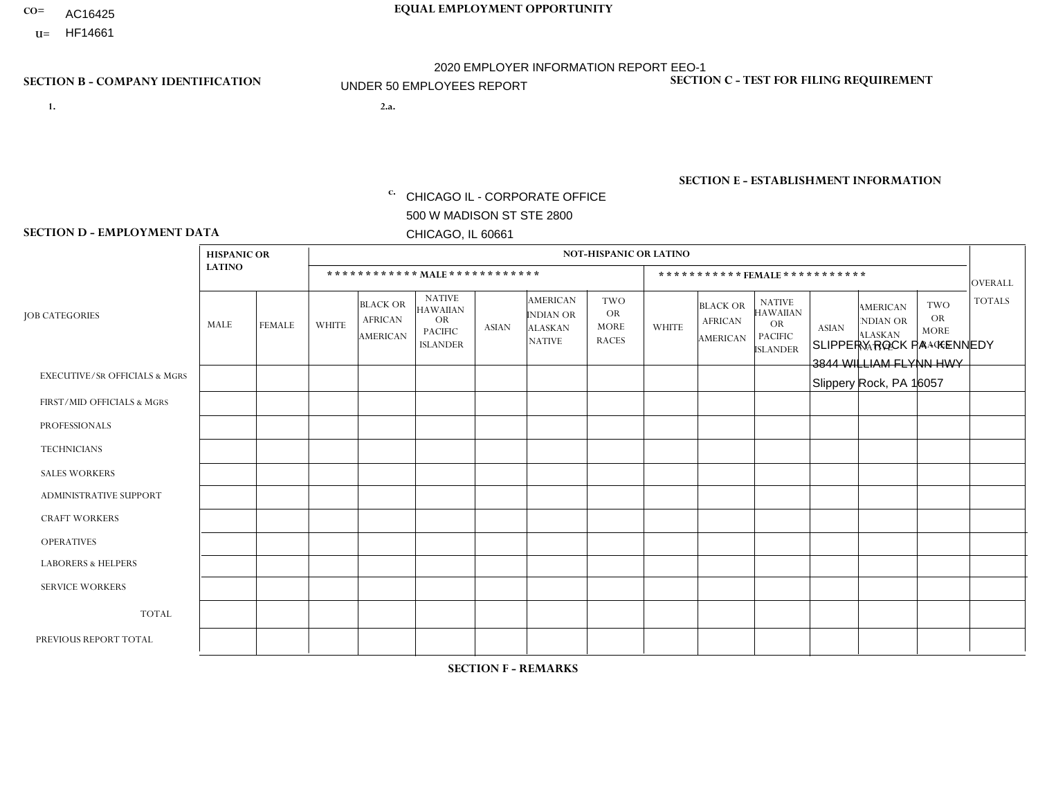- AC16425
- **U=**

- **1. 2.a.** CHICAGO IL CORPORATE OFFICE 500 W MADISON ST STE 2800 CHICAGO, IL 60661
- 2.a. SLIPPERY ROCK PA KENNEDY 3844 WILLIAM FLYNN HWY Slippery Rock, PA 16057

EIN= 952920557

## **SECTION B - COMPANY IDENTIFICATION SECTION C - TEST FOR FILING REQUIREMENT**

1- Y 2- Y 3- N DUNS= 000123456

**SECTION E - ESTABLISHMENT INFORMATION c.** NAICS: 423140

### **SECTION D - EMPLOYMENT DATA**

|                                          | <b>HISPANIC OR</b> |               |              |                                                      |                                                                                    |              |                                                                 | NOT-HISPANIC OR LATINO                                 |                |                                               |                                                                             |              |                                                                       |                                                        |                      |
|------------------------------------------|--------------------|---------------|--------------|------------------------------------------------------|------------------------------------------------------------------------------------|--------------|-----------------------------------------------------------------|--------------------------------------------------------|----------------|-----------------------------------------------|-----------------------------------------------------------------------------|--------------|-----------------------------------------------------------------------|--------------------------------------------------------|----------------------|
|                                          | <b>LATINO</b>      |               |              | ************ MALE ************                       |                                                                                    |              |                                                                 |                                                        |                |                                               | *********** FEMALE ***********                                              |              |                                                                       |                                                        | <b>OVERALL</b>       |
| <b>JOB CATEGORIES</b>                    | <b>MALE</b>        | <b>FEMALE</b> | <b>WHITE</b> | <b>BLACK OR</b><br><b>AFRICAN</b><br><b>AMERICAN</b> | <b>NATIVE</b><br><b>HAWAIIAN</b><br><b>OR</b><br><b>PACIFIC</b><br><b>ISLANDER</b> | <b>ASIAN</b> | <b>AMERICAN</b><br>INDIAN OR<br><b>ALASKAN</b><br><b>NATIVE</b> | <b>TWO</b><br><b>OR</b><br><b>MORE</b><br><b>RACES</b> | <b>WHITE</b>   | <b>BLACK OR</b><br><b>AFRICAN</b><br>AMERICAN | <b>NATIVE</b><br><b>HAWAIIAN</b><br>OR<br><b>PACIFIC</b><br><b>ISLANDER</b> | <b>ASIAN</b> | <b>AMERICAN</b><br><b>NDIAN OR</b><br><b>ALASKAN</b><br><b>NATIVE</b> | <b>TWO</b><br><b>OR</b><br><b>MORE</b><br><b>RACES</b> | <b>TOTALS</b>        |
| <b>EXECUTIVE/SR OFFICIALS &amp; MGRS</b> | $\Omega$           | $\Omega$      | $\Omega$     | $\mathbf 0$                                          | $\Omega$                                                                           | $\Omega$     | $\Omega$                                                        | $\Omega$                                               | $\Omega$       | $\Omega$                                      | $\Omega$                                                                    | $\mathbf 0$  | $\Omega$                                                              | $\Omega$                                               | $\mathbf 0$          |
| FIRST/MID OFFICIALS & MGRS               | $\Omega$           | $\Omega$      | 4            | $\mathbf 0$                                          | $\Omega$                                                                           | $\mathbf{0}$ | $\Omega$                                                        | $\Omega$                                               | 1              | $\Omega$                                      | $\Omega$                                                                    | $\Omega$     | $\Omega$                                                              | $\Omega$                                               | 5                    |
| <b>PROFESSIONALS</b>                     | $\Omega$           | $\Omega$      | $\Omega$     | $\Omega$                                             | $\Omega$                                                                           | $\mathbf{0}$ | $\Omega$                                                        | $\Omega$                                               | 0              | $\Omega$                                      | 0                                                                           | $\Omega$     | $\Omega$                                                              | $\Omega$                                               | $\Omega$             |
| <b>TECHNICIANS</b>                       | $\Omega$           | $\Omega$      | $\Omega$     | $\mathbf 0$                                          | $\Omega$                                                                           | $\Omega$     | $\Omega$                                                        | $\Omega$                                               | 0              | $\Omega$                                      | 0                                                                           | 0            | $\Omega$                                                              | 0                                                      | $\overline{0}$       |
| <b>SALES WORKERS</b>                     | $\Omega$           | $\Omega$      | $\Omega$     | $\Omega$                                             | $\Omega$                                                                           | $\Omega$     | $\Omega$                                                        | $\Omega$                                               | $\overline{0}$ | $\Omega$                                      | $\overline{0}$                                                              | $\Omega$     | $\Omega$                                                              | $\Omega$                                               | $\mathbf 0$          |
| ADMINISTRATIVE SUPPORT                   | $\Omega$           | $\Omega$      | 1            | $\mathbf{0}$                                         | $\Omega$                                                                           | $\Omega$     | $\Omega$                                                        | $\Omega$                                               | 0              | $\Omega$                                      | 0                                                                           | $\Omega$     | $\Omega$                                                              | $\Omega$                                               | $\mathbf{1}$         |
| <b>CRAFT WORKERS</b>                     | $\Omega$           | $\Omega$      | 6            | $\mathbf 0$                                          | $\Omega$                                                                           | $\Omega$     | $\Omega$                                                        | $\Omega$                                               | $\Omega$       | $\Omega$                                      | $\Omega$                                                                    | $\Omega$     | $\Omega$                                                              | $\Omega$                                               | 6                    |
| <b>OPERATIVES</b>                        |                    | $\Omega$      | 10           | $\mathbf 0$                                          | $\Omega$                                                                           | $\Omega$     | $\Omega$                                                        | $\Omega$                                               | $\Omega$       | $\Omega$                                      | $\Omega$                                                                    | $\Omega$     | $\Omega$                                                              | $\Omega$                                               | 11                   |
| <b>LABORERS &amp; HELPERS</b>            | $\Omega$           | $\Omega$      | -1           | $\mathbf 0$                                          | $\Omega$                                                                           | $\Omega$     | $\Omega$                                                        | $\Omega$                                               | $\Omega$       | $\Omega$                                      | 0                                                                           | $\Omega$     | $\Omega$                                                              | $\Omega$                                               | $\blacktriangleleft$ |
| <b>SERVICE WORKERS</b>                   | $\Omega$           | $\mathbf 0$   | 0            | 0                                                    | $\mathbf 0$                                                                        | $\mathbf 0$  | $\Omega$                                                        | $\Omega$                                               | $\Omega$       | $\Omega$                                      | $\mathbf 0$                                                                 | $\mathbf 0$  | $\Omega$                                                              | $\mathbf 0$                                            | $\mathbf 0$          |
| <b>TOTAL</b>                             | -1                 | 0             | 22           | $\mathbf 0$                                          | $\mathbf 0$                                                                        | 0            | $\Omega$                                                        | $\Omega$                                               | $\mathbf{1}$   | $\Omega$                                      | 0                                                                           | $\mathbf 0$  | $\Omega$                                                              | $\mathbf 0$                                            | 24                   |
| PREVIOUS REPORT TOTAL                    |                    | $\Omega$      | 21           | $\mathbf 0$                                          | 0                                                                                  | $\Omega$     | $\Omega$                                                        | 1                                                      | $\overline{2}$ | $\Omega$                                      | $\Omega$                                                                    | $\Omega$     | $\Omega$                                                              | $\mathbf 0$                                            | 25                   |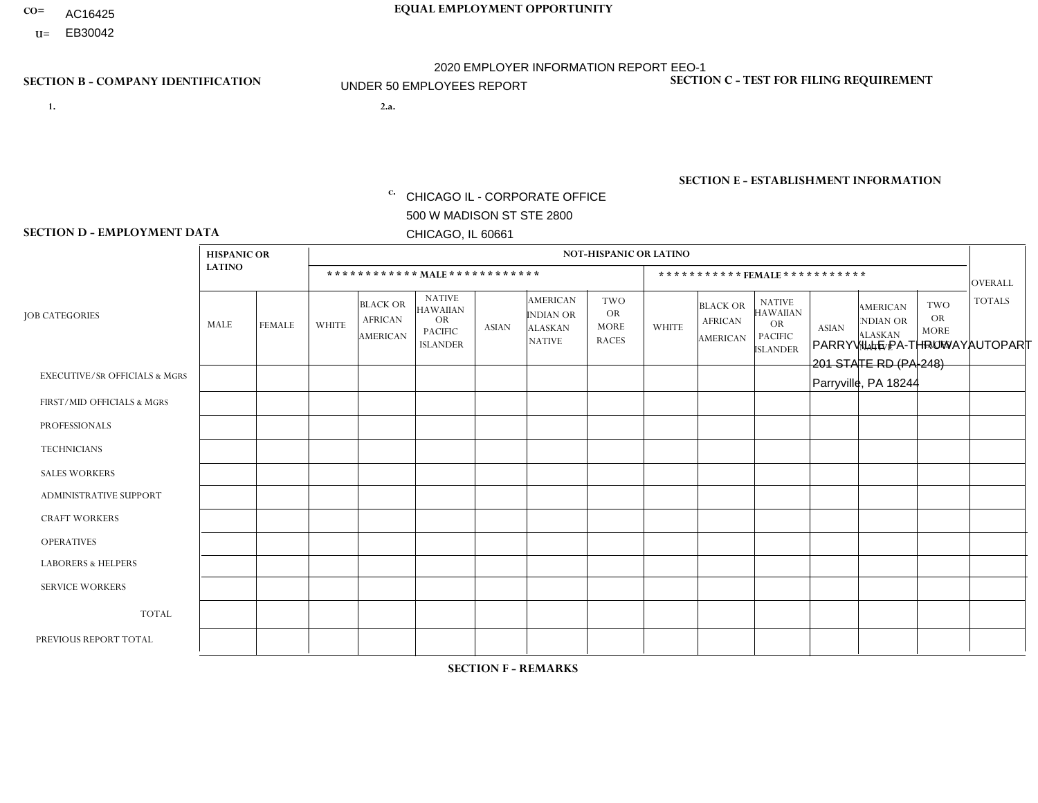- AC16425
- **U=**

**1. 2.a.** CHICAGO IL - CORPORATE OFFICE 500 W MADISON ST STE 2800 CHICAGO, IL 60661

2.a. PARRYVILLE PA-THRUWAYAUTOPART 201 STATE RD (PA-248) Parryville, PA 18244

c. EIN= 952920557

## **SECTION B - COMPANY IDENTIFICATION SECTION C - TEST FOR FILING REQUIREMENT**

1- Y 2- Y 3- N DUNS= 000123456

**SECTION E - ESTABLISHMENT INFORMATION c.** NAICS: 423140

### **SECTION D - EMPLOYMENT DATA**

|                                          | <b>HISPANIC OR</b> |                |                |                                                      |                                                                                    |              |                                                                        | <b>NOT-HISPANIC OR LATINO</b>                          |              |                                               |                                                                                    |              |                                                                       |                                                        |                |
|------------------------------------------|--------------------|----------------|----------------|------------------------------------------------------|------------------------------------------------------------------------------------|--------------|------------------------------------------------------------------------|--------------------------------------------------------|--------------|-----------------------------------------------|------------------------------------------------------------------------------------|--------------|-----------------------------------------------------------------------|--------------------------------------------------------|----------------|
|                                          | <b>LATINO</b>      |                |                |                                                      | ************ MALE ************                                                     |              |                                                                        |                                                        |              |                                               | *********** FEMALE ***********                                                     |              |                                                                       |                                                        | <b>OVERALL</b> |
| <b>JOB CATEGORIES</b>                    | MALE               | <b>FEMALE</b>  | <b>WHITE</b>   | <b>BLACK OR</b><br><b>AFRICAN</b><br><b>AMERICAN</b> | <b>NATIVE</b><br><b>HAWAIIAN</b><br><b>OR</b><br><b>PACIFIC</b><br><b>ISLANDER</b> | <b>ASIAN</b> | <b>AMERICAN</b><br><b>INDIAN OR</b><br><b>ALASKAN</b><br><b>NATIVE</b> | <b>TWO</b><br><b>OR</b><br><b>MORE</b><br><b>RACES</b> | <b>WHITE</b> | <b>BLACK OR</b><br><b>AFRICAN</b><br>AMERICAN | <b>NATIVE</b><br><b>HAWAIIAN</b><br><b>OR</b><br><b>PACIFIC</b><br><b>ISLANDER</b> | <b>ASIAN</b> | <b>AMERICAN</b><br><b>NDIAN OR</b><br><b>ALASKAN</b><br><b>NATIVE</b> | <b>TWO</b><br><b>OR</b><br><b>MORE</b><br><b>RACES</b> | <b>TOTALS</b>  |
| <b>EXECUTIVE/SR OFFICIALS &amp; MGRS</b> | $\Omega$           | $\mathbf 0$    | $\mathbf 0$    | 0                                                    | $\mathbf{0}$                                                                       | $\Omega$     | $\Omega$                                                               | 0                                                      | $\Omega$     | $\mathbf{0}$                                  | $\Omega$                                                                           | $\Omega$     | $\Omega$                                                              | $\mathbf{0}$                                           | $\Omega$       |
| FIRST/MID OFFICIALS & MGRS               | $\mathbf 0$        | $\mathbf 0$    | 3              | 0                                                    | $\Omega$                                                                           | $\Omega$     | $\Omega$                                                               | 0                                                      | $\Omega$     | $\mathbf{0}$                                  | $\Omega$                                                                           | $\mathbf 0$  | $\Omega$                                                              | $\Omega$                                               | 3              |
| <b>PROFESSIONALS</b>                     | $\mathbf{0}$       | $\mathbf 0$    | $\mathbf 0$    | 0                                                    | $\Omega$                                                                           | $\Omega$     | $\Omega$                                                               | $\Omega$                                               | $\Omega$     | $\mathbf{0}$                                  | $\Omega$                                                                           | $\Omega$     | 0                                                                     | $\Omega$                                               | $\mathbf 0$    |
| <b>TECHNICIANS</b>                       | $\mathbf 0$        | $\mathbf 0$    | $\Omega$       | 0                                                    | $\Omega$                                                                           | $\Omega$     | $\Omega$                                                               | 0                                                      | $\Omega$     | $\Omega$                                      | $\Omega$                                                                           | $\mathbf 0$  | $\Omega$                                                              | $\Omega$                                               | $\mathbf 0$    |
| <b>SALES WORKERS</b>                     | $\mathbf 0$        | $\mathbf 0$    | $\overline{2}$ | 0                                                    | $\Omega$                                                                           | $\Omega$     | $\Omega$                                                               | 0                                                      | $\Omega$     | $\Omega$                                      | $\Omega$                                                                           | $\Omega$     | $\Omega$                                                              | $\Omega$                                               | $\overline{2}$ |
| ADMINISTRATIVE SUPPORT                   | $\mathbf{0}$       | $\mathbf 0$    | 1              | 0                                                    | $\Omega$                                                                           | $\mathbf{0}$ | $\Omega$                                                               | $\Omega$                                               | $\mathbf 1$  | $\Omega$                                      | $\Omega$                                                                           | $\Omega$     | $\Omega$                                                              | $\Omega$                                               | 2              |
| <b>CRAFT WORKERS</b>                     |                    | $\mathbf 0$    | $\overline{7}$ | 0                                                    | $\Omega$                                                                           | $\Omega$     | $\Omega$                                                               | 0                                                      | $\Omega$     | $\mathbf{0}$                                  | $\Omega$                                                                           | $\Omega$     | $\Omega$                                                              | $\Omega$                                               | 8              |
| <b>OPERATIVES</b>                        | $\mathbf{0}$       | $\mathbf{0}$   | 12             | 0                                                    | $\Omega$                                                                           | $\Omega$     | $\Omega$                                                               | 0                                                      | $\Omega$     | $\Omega$                                      | $\Omega$                                                                           | $\Omega$     | $\Omega$                                                              | $\Omega$                                               | 12             |
| <b>LABORERS &amp; HELPERS</b>            | $\mathbf{0}$       | $\Omega$       | $\overline{2}$ | 0                                                    | $\mathbf{0}$                                                                       | $\Omega$     | $\Omega$                                                               | 0                                                      | $\Omega$     | $\Omega$                                      | $\Omega$                                                                           | $\Omega$     | $\Omega$                                                              | $\Omega$                                               | $\overline{2}$ |
| <b>SERVICE WORKERS</b>                   | $\Omega$           | $\overline{0}$ | $\mathbf 0$    | 0                                                    | $\mathbf 0$                                                                        | $\Omega$     | $\Omega$                                                               | 0                                                      | $\Omega$     | $\Omega$                                      | $\Omega$                                                                           | $\Omega$     | $\Omega$                                                              | $\mathbf 0$                                            | 0              |
| <b>TOTAL</b>                             | 1                  | $\mathbf 0$    | 27             | 0                                                    | 0                                                                                  | $\mathbf{0}$ | $\Omega$                                                               | 0                                                      | $\mathbf 1$  | $\Omega$                                      | $\mathbf 0$                                                                        | 0            | 0                                                                     | $\mathbf 0$                                            | 29             |
| PREVIOUS REPORT TOTAL                    |                    | $\mathbf 0$    | 29             | 0                                                    | $\Omega$                                                                           | $\Omega$     | $\Omega$                                                               | 0                                                      | 1            | $\Omega$                                      | $\Omega$                                                                           | $\mathbf 0$  | 0                                                                     | $\mathbf 0$                                            | 31             |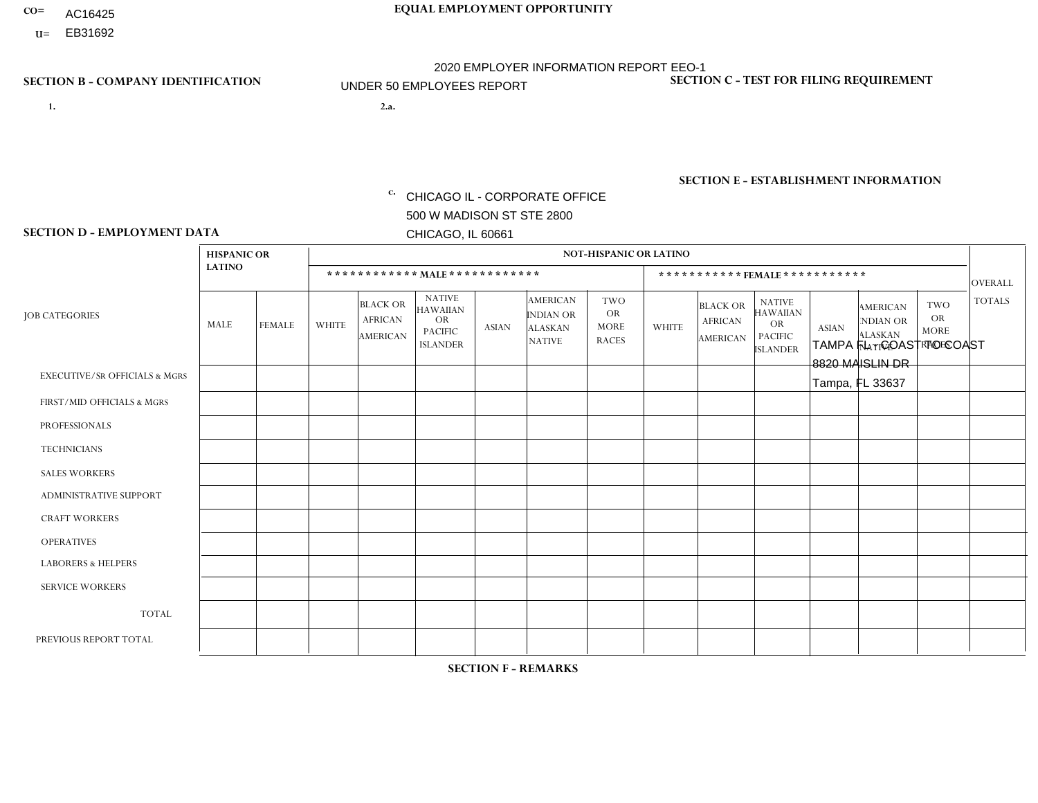- AC16425
- **U=**

**1. 2.a.** CHICAGO IL - CORPORATE OFFICE 500 W MADISON ST STE 2800 CHICAGO, IL 60661

2.a. TAMPA FL - COAST TO COAST 8820 MAISLIN DR Tampa, FL 33637

c. EIN= 952920557

## **SECTION B - COMPANY IDENTIFICATION SECTION C - TEST FOR FILING REQUIREMENT**

1- Y 2- Y 3- N DUNS= 000123456

**SECTION E - ESTABLISHMENT INFORMATION c.** NAICS: 423140

### **SECTION D - EMPLOYMENT DATA**

|                                          | <b>HISPANIC OR</b><br><b>LATINO</b> |               | <b>NOT-HISPANIC OR LATINO</b> |                                                      |                                                                                    |              |                                                                        |                                                        |                              |                                                      |                                                                                    |              |                                                                       |                                                        |                |
|------------------------------------------|-------------------------------------|---------------|-------------------------------|------------------------------------------------------|------------------------------------------------------------------------------------|--------------|------------------------------------------------------------------------|--------------------------------------------------------|------------------------------|------------------------------------------------------|------------------------------------------------------------------------------------|--------------|-----------------------------------------------------------------------|--------------------------------------------------------|----------------|
|                                          |                                     |               | ************ MAIE************ |                                                      |                                                                                    |              |                                                                        |                                                        | ***********FEMALE*********** |                                                      |                                                                                    |              |                                                                       |                                                        | <b>OVERALL</b> |
| <b>JOB CATEGORIES</b>                    | <b>MALE</b>                         | <b>FEMALE</b> | <b>WHITE</b>                  | <b>BLACK OR</b><br><b>AFRICAN</b><br><b>AMERICAN</b> | <b>NATIVE</b><br><b>HAWAIIAN</b><br><b>OR</b><br><b>PACIFIC</b><br><b>ISLANDER</b> | <b>ASIAN</b> | <b>AMERICAN</b><br><b>INDIAN OR</b><br><b>ALASKAN</b><br><b>NATIVE</b> | <b>TWO</b><br><b>OR</b><br><b>MORE</b><br><b>RACES</b> | <b>WHITE</b>                 | <b>BLACK OR</b><br><b>AFRICAN</b><br><b>AMERICAN</b> | <b>NATIVE</b><br><b>HAWAIIAN</b><br><b>OR</b><br><b>PACIFIC</b><br><b>ISLANDER</b> | <b>ASIAN</b> | <b>AMERICAN</b><br><b>NDIAN OR</b><br><b>ALASKAN</b><br><b>NATIVE</b> | <b>TWO</b><br><b>OR</b><br><b>MORE</b><br><b>RACES</b> | <b>TOTALS</b>  |
| <b>EXECUTIVE/SR OFFICIALS &amp; MGRS</b> | $\mathbf{0}$                        | $\Omega$      | $\Omega$                      | $\Omega$                                             | $\Omega$                                                                           | $\Omega$     | $\Omega$                                                               | $\Omega$                                               | $\Omega$                     | $\Omega$                                             | $\Omega$                                                                           | $\Omega$     | $\Omega$                                                              | $\Omega$                                               | $\mathbf 0$    |
| FIRST/MID OFFICIALS & MGRS               | 0                                   | 0             | $\overline{c}$                | $\mathbf 0$                                          | $\mathbf{0}$                                                                       | $\Omega$     | $\Omega$                                                               | 0                                                      | $\Omega$                     | $\Omega$                                             | $\Omega$                                                                           | $\Omega$     | $\Omega$                                                              | $\mathbf 0$                                            | $\overline{2}$ |
| <b>PROFESSIONALS</b>                     | $\mathbf 0$                         | $\mathbf 0$   | $\overline{1}$                | $\mathbf 0$                                          | $\Omega$                                                                           | $\Omega$     | $\Omega$                                                               | 0                                                      | $\Omega$                     | $\Omega$                                             | 0                                                                                  | $\Omega$     | $\Omega$                                                              | $\mathbf 0$                                            | $\mathbf{1}$   |
| <b>TECHNICIANS</b>                       | 0                                   | $\mathbf 0$   | $\Omega$                      | $\mathbf 0$                                          | $\Omega$                                                                           | $\Omega$     | $\Omega$                                                               | 0                                                      | $\Omega$                     | $\Omega$                                             | $\mathbf 0$                                                                        | $\mathbf 0$  | $\Omega$                                                              | $\mathbf 0$                                            | $\mathbf 0$    |
| <b>SALES WORKERS</b>                     | $\mathbf 0$                         | $\Omega$      | $\overline{c}$                | $\Omega$                                             | $\Omega$                                                                           | $\Omega$     | $\Omega$                                                               | 0                                                      | $\overline{2}$               | $\Omega$                                             | $\Omega$                                                                           | $\mathbf{0}$ | $\Omega$                                                              | $\Omega$                                               | $\overline{4}$ |
| ADMINISTRATIVE SUPPORT                   | 0                                   | $\mathbf 0$   | $\mathbf 0$                   | 1                                                    | $\mathbf{0}$                                                                       | $\Omega$     | $\Omega$                                                               | 0                                                      | $\Omega$                     | $\Omega$                                             | $\Omega$                                                                           | $\Omega$     | $\Omega$                                                              | $\mathbf 0$                                            | $\mathbf{1}$   |
| <b>CRAFT WORKERS</b>                     | $\mathbf 0$                         | $\mathbf 0$   | $\mathbf 0$                   | $\mathbf 0$                                          | $\Omega$                                                                           | $\Omega$     | $\Omega$                                                               | 0                                                      | $\Omega$                     | $\Omega$                                             | $\Omega$                                                                           | $\Omega$     | $\Omega$                                                              | $\Omega$                                               | $\mathbf 0$    |
| <b>OPERATIVES</b>                        | 0                                   | $\mathbf 0$   | $\mathbf 0$                   | $\mathbf 0$                                          | $\Omega$                                                                           | $\Omega$     | $\Omega$                                                               | $\Omega$                                               | $\Omega$                     | $\Omega$                                             | $\Omega$                                                                           | $\Omega$     | $\Omega$                                                              | $\Omega$                                               | $\mathbf 0$    |
| <b>LABORERS &amp; HELPERS</b>            | $\Omega$                            | $\Omega$      | $\Omega$                      | $\Omega$                                             | $\Omega$                                                                           | $\Omega$     | $\Omega$                                                               | $\Omega$                                               | $\Omega$                     | $\Omega$                                             | $\Omega$                                                                           | $\Omega$     | $\Omega$                                                              | $\Omega$                                               | 0              |
| <b>SERVICE WORKERS</b>                   | $\overline{1}$                      | $\mathbf 0$   | $\mathbf 0$                   | $\mathbf 0$                                          | $\Omega$                                                                           | $\Omega$     | $\Omega$                                                               | $\Omega$                                               | $\Omega$                     | $\Omega$                                             | $\Omega$                                                                           | $\mathbf 0$  | $\Omega$                                                              | $\mathbf 0$                                            | $\mathbf{1}$   |
| <b>TOTAL</b>                             | 1                                   | $\mathbf 0$   | 5                             | 1                                                    | $\Omega$                                                                           | $\mathbf{0}$ | $\Omega$                                                               | 0                                                      | $\overline{2}$               | $\Omega$                                             | 0                                                                                  | $\mathbf 0$  | $\Omega$                                                              | 0                                                      | 9              |
| PREVIOUS REPORT TOTAL                    | $\Omega$                            | $\Omega$      | $\overline{7}$                | $\overline{1}$                                       | $\Omega$                                                                           | $\Omega$     | $\Omega$                                                               | $\Omega$                                               | 3                            | $\Omega$                                             | $\Omega$                                                                           | $\Omega$     | $\Omega$                                                              | $\mathbf 0$                                            | 11             |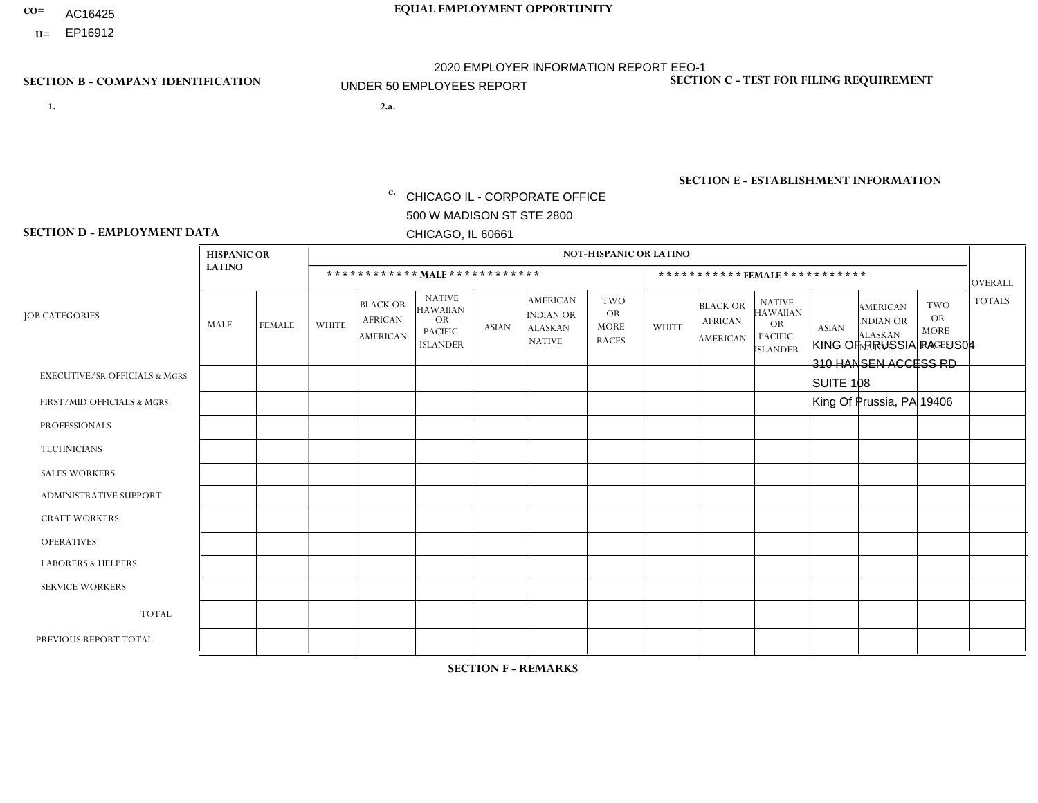- AC16425
- **U=**

**1. 2.a.** CHICAGO IL - CORPORATE OFFICE 500 W MADISON ST STE 2800 CHICAGO, IL 60661

2.a. KING OF PRUSSIA PA - US04 310 HANSEN ACCESS RD SUITE 108 King Of Prussia, PA 19406

c. EIN= 952920557

## **SECTION B - COMPANY IDENTIFICATION SECTION C - TEST FOR FILING REQUIREMENT**

1- Y 2- Y 3- N DUNS= 000123456

**SECTION E - ESTABLISHMENT INFORMATION c.** NAICS: 423140

### **SECTION D - EMPLOYMENT DATA**

|                                          | <b>HISPANIC OR</b> |               |                |                                                      |                                                                                    |          |                                                                        | <b>NOT-HISPANIC OR LATINO</b>                          |              |                                               |                                                                                    |              |                                                                       |                                                        |                |
|------------------------------------------|--------------------|---------------|----------------|------------------------------------------------------|------------------------------------------------------------------------------------|----------|------------------------------------------------------------------------|--------------------------------------------------------|--------------|-----------------------------------------------|------------------------------------------------------------------------------------|--------------|-----------------------------------------------------------------------|--------------------------------------------------------|----------------|
|                                          | <b>LATINO</b>      |               |                | ************ MALE ************                       |                                                                                    |          |                                                                        |                                                        |              | *********** FEMALE ***********                |                                                                                    |              |                                                                       |                                                        | <b>OVERALL</b> |
| <b>JOB CATEGORIES</b>                    | MALE               | <b>FEMALE</b> | <b>WHITE</b>   | <b>BLACK OR</b><br><b>AFRICAN</b><br><b>AMERICAN</b> | <b>NATIVE</b><br><b>HAWAIIAN</b><br><b>OR</b><br><b>PACIFIC</b><br><b>ISLANDER</b> | ASIAN    | <b>AMERICAN</b><br><b>INDIAN OR</b><br><b>ALASKAN</b><br><b>NATIVE</b> | <b>TWO</b><br><b>OR</b><br><b>MORE</b><br><b>RACES</b> | <b>WHITE</b> | <b>BLACK OR</b><br><b>AFRICAN</b><br>AMERICAN | <b>NATIVE</b><br><b>HAWAIIAN</b><br><b>OR</b><br><b>PACIFIC</b><br><b>ISLANDER</b> | <b>ASIAN</b> | <b>AMERICAN</b><br><b>NDIAN OR</b><br><b>ALASKAN</b><br><b>NATIVE</b> | <b>TWO</b><br><b>OR</b><br><b>MORE</b><br><b>RACES</b> | <b>TOTALS</b>  |
| <b>EXECUTIVE/SR OFFICIALS &amp; MGRS</b> | $\Omega$           | $\Omega$      | $\Omega$       | $\mathbf 0$                                          | 0                                                                                  | $\Omega$ | $\Omega$                                                               | $\Omega$                                               | $\Omega$     | $\Omega$                                      | $\Omega$                                                                           | $\mathbf 0$  | $\Omega$                                                              | $\mathbf 0$                                            | $\mathbf{0}$   |
| FIRST/MID OFFICIALS & MGRS               | 0                  | $\Omega$      | 1              | $\mathbf 0$                                          | $\Omega$                                                                           | $\Omega$ | $\Omega$                                                               | $\Omega$                                               | 0            | $\Omega$                                      | $\Omega$                                                                           | $\mathbf{0}$ | $\Omega$                                                              | $\mathbf{0}$                                           | $\mathbf{1}$   |
| <b>PROFESSIONALS</b>                     | 0                  | $\Omega$      | $\Omega$       | $\pmb{0}$                                            | $\Omega$                                                                           | $\Omega$ | $\Omega$                                                               | $\Omega$                                               | $\Omega$     | $\Omega$                                      | $\Omega$                                                                           | $\mathbf{0}$ | $\Omega$                                                              | $\mathbf{0}$                                           | $\mathbf{0}$   |
| <b>TECHNICIANS</b>                       | 0                  | $\Omega$      | $\mathbf 0$    | $\mathbf 0$                                          | $\Omega$                                                                           | $\Omega$ | $\Omega$                                                               | $\Omega$                                               | 0            | $\Omega$                                      | $\Omega$                                                                           | $\mathbf 0$  | $\Omega$                                                              | $\Omega$                                               | $\overline{0}$ |
| <b>SALES WORKERS</b>                     | $\Omega$           | $\mathbf 0$   | 3              | $\mathbf 0$                                          | $\Omega$                                                                           | $\Omega$ | $\Omega$                                                               | $\Omega$                                               | $\Omega$     | $\Omega$                                      | $\Omega$                                                                           | $\mathbf 0$  | $\Omega$                                                              | $\Omega$                                               | $\mathbf{3}$   |
| ADMINISTRATIVE SUPPORT                   | $\Omega$           | $\Omega$      | $\overline{ }$ | $\mathbf 0$                                          | $\Omega$                                                                           | $\Omega$ | $\Omega$                                                               | $\Omega$                                               | $\Omega$     | $\Omega$                                      | $\Omega$                                                                           | $\Omega$     | $\Omega$                                                              | $\Omega$                                               | $\overline{1}$ |
| <b>CRAFT WORKERS</b>                     | 0                  | $\mathbf 0$   | $\mathbf 0$    | $\mathbf 0$                                          | 0                                                                                  | $\Omega$ | $\Omega$                                                               | $\Omega$                                               | $\Omega$     | $\Omega$                                      | $\Omega$                                                                           | $\mathbf{0}$ | $\mathbf{0}$                                                          | $\mathbf 0$                                            | $\mathbf 0$    |
| <b>OPERATIVES</b>                        | 0                  | 0             | -1             | $\mathbf 0$                                          | 0                                                                                  | $\Omega$ | $\Omega$                                                               | $\Omega$                                               | 0            | $\Omega$                                      | $\Omega$                                                                           | $\mathbf{0}$ | $\Omega$                                                              | $\mathbf 0$                                            | $\mathbf{1}$   |
| <b>LABORERS &amp; HELPERS</b>            | 0                  | $\Omega$      | $\Omega$       | $\mathbf 0$                                          | $\Omega$                                                                           | $\Omega$ | $\Omega$                                                               | $\Omega$                                               | $\Omega$     | $\Omega$                                      | $\Omega$                                                                           | $\mathbf{0}$ | $\Omega$                                                              | $\mathbf{0}$                                           | $\mathbf{0}$   |
| <b>SERVICE WORKERS</b>                   | 0                  | $\Omega$      | $\mathbf 0$    | 0                                                    | $\Omega$                                                                           | $\Omega$ | $\Omega$                                                               | $\Omega$                                               | $\Omega$     | $\Omega$                                      | $\Omega$                                                                           | $\Omega$     | $\Omega$                                                              | $\Omega$                                               | 0              |
| <b>TOTAL</b>                             | 0                  | 0             | 6              | 0                                                    | 0                                                                                  | $\Omega$ | $\Omega$                                                               | $\Omega$                                               | $\Omega$     | $\Omega$                                      | $\Omega$                                                                           | $\mathbf 0$  | $\Omega$                                                              | $\Omega$                                               | 6              |
| PREVIOUS REPORT TOTAL                    | 0                  | $\mathbf{0}$  | 8              | $\mathbf 0$                                          | $\mathbf{0}$                                                                       | $\Omega$ | $\Omega$                                                               | $\Omega$                                               | 0            | $\Omega$                                      | $\Omega$                                                                           | $\mathbf{0}$ | 0                                                                     | $\mathbf 0$                                            | 8              |
|                                          |                    |               |                |                                                      |                                                                                    |          |                                                                        |                                                        |              |                                               |                                                                                    |              |                                                                       |                                                        |                |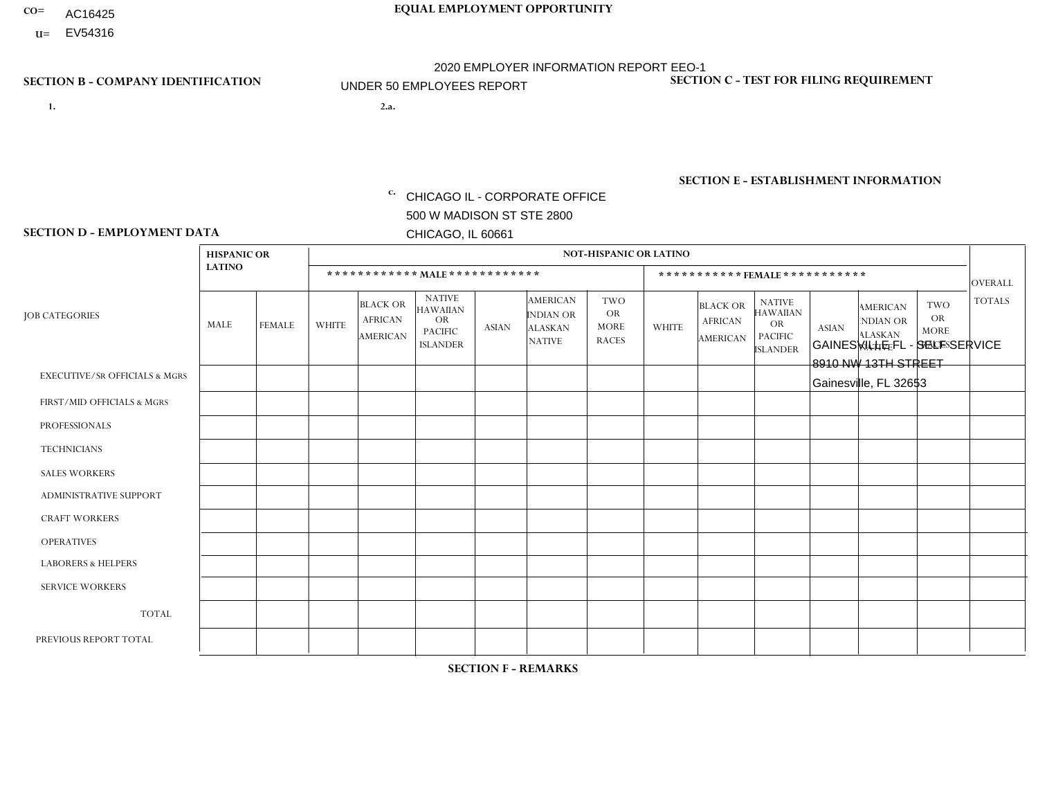- AC16425
- **U=** EV54316

**1. 2.a.** CHICAGO IL - CORPORATE OFFICE 500 W MADISON ST STE 2800 CHICAGO, IL 60661

GAINESVILLE FL - SELF SERVICE 8910 NW 13TH STREET Gainesville, FL 32653

EIN= 952920557

## **SECTION B - COMPANY IDENTIFICATION SECTION C - TEST FOR FILING REQUIREMENT**

1- Y 2- Y 3- N DUNS= 000123456

**SECTION E - ESTABLISHMENT INFORMATION c.** NAICS: 423140

### **SECTION D - EMPLOYMENT DATA**

|                                          | <b>HISPANIC OR</b> |                |                |                                                      |                                                                                    |              |                                                                        | <b>NOT-HISPANIC OR LATINO</b>                          |                |                                                      |                                                                                    |                         |                                                                       |                                                        |                |
|------------------------------------------|--------------------|----------------|----------------|------------------------------------------------------|------------------------------------------------------------------------------------|--------------|------------------------------------------------------------------------|--------------------------------------------------------|----------------|------------------------------------------------------|------------------------------------------------------------------------------------|-------------------------|-----------------------------------------------------------------------|--------------------------------------------------------|----------------|
|                                          | <b>LATINO</b>      |                |                |                                                      | ************ MALE ************                                                     |              |                                                                        |                                                        |                | ***********FEMALE***********                         |                                                                                    |                         |                                                                       |                                                        | <b>OVERALL</b> |
| <b>JOB CATEGORIES</b>                    | MALE               | <b>FEMALE</b>  | <b>WHITE</b>   | <b>BLACK OR</b><br><b>AFRICAN</b><br><b>AMERICAN</b> | <b>NATIVE</b><br><b>HAWAIIAN</b><br><b>OR</b><br><b>PACIFIC</b><br><b>ISLANDER</b> | <b>ASIAN</b> | <b>AMERICAN</b><br><b>INDIAN OR</b><br><b>ALASKAN</b><br><b>NATIVE</b> | <b>TWO</b><br><b>OR</b><br><b>MORE</b><br><b>RACES</b> | <b>WHITE</b>   | <b>BLACK OR</b><br><b>AFRICAN</b><br><b>AMERICAN</b> | <b>NATIVE</b><br><b>HAWAIIAN</b><br><b>OR</b><br><b>PACIFIC</b><br><b>ISLANDER</b> | <b>ASIAN</b>            | <b>AMERICAN</b><br><b>NDIAN OR</b><br><b>ALASKAN</b><br><b>NATIVE</b> | <b>TWO</b><br><b>OR</b><br><b>MORE</b><br><b>RACES</b> | <b>TOTALS</b>  |
| <b>EXECUTIVE/SR OFFICIALS &amp; MGRS</b> | 0                  | 0              | $\Omega$       | $\Omega$                                             | $\Omega$                                                                           | $\Omega$     | $\Omega$                                                               | $\Omega$                                               | 0              | $\Omega$                                             | $\Omega$                                                                           | $\Omega$                | $\Omega$                                                              | $\Omega$                                               | $\Omega$       |
| FIRST/MID OFFICIALS & MGRS               | 0                  | $\Omega$       | $\mathbf 0$    | $\mathbf 0$                                          | $\mathbf 0$                                                                        | $\Omega$     | $\Omega$                                                               | $\Omega$                                               | 0              | $\Omega$                                             | $\Omega$                                                                           | $\overline{\mathbf{A}}$ | $\Omega$                                                              | $\Omega$                                               | $\mathbf 1$    |
| <b>PROFESSIONALS</b>                     |                    | $\overline{0}$ | 1              | $\mathbf 0$                                          | $\mathbf 0$                                                                        | $\Omega$     | $\Omega$                                                               | $\Omega$                                               | $\Omega$       | $\Omega$                                             | $\Omega$                                                                           | $\Omega$                | $\Omega$                                                              | $\Omega$                                               | $\overline{2}$ |
| <b>TECHNICIANS</b>                       | 0                  | $\overline{0}$ | $\mathbf 0$    | $\mathbf 0$                                          | $\mathbf 0$                                                                        | $\Omega$     | $\Omega$                                                               | $\Omega$                                               | $\mathbf 0$    | $\Omega$                                             | $\mathbf 0$                                                                        | $\mathbf 0$             | $\Omega$                                                              | $\Omega$                                               | $\mathbf 0$    |
| <b>SALES WORKERS</b>                     | 0                  | $\Omega$       | $\Omega$       | $\Omega$                                             | $\Omega$                                                                           | $\Omega$     | $\Omega$                                                               | $\Omega$                                               | $\Omega$       | $\Omega$                                             | $\Omega$                                                                           | $\Omega$                | $\Omega$                                                              | $\Omega$                                               | $\Omega$       |
| ADMINISTRATIVE SUPPORT                   | 0                  | $\Omega$       | $\overline{c}$ | $\mathbf{1}$                                         | $\mathbf 0$                                                                        | $\Omega$     | $\Omega$                                                               | $\Omega$                                               | $\overline{2}$ | $\Omega$                                             | $\Omega$                                                                           | $\Omega$                | $\Omega$                                                              | $\Omega$                                               | 5              |
| <b>CRAFT WORKERS</b>                     | 0                  | $\Omega$       | $\mathbf 0$    | $\mathbf 0$                                          | $\mathbf 0$                                                                        | $\Omega$     | $\Omega$                                                               | $\Omega$                                               | $\Omega$       | $\Omega$                                             | $\Omega$                                                                           | $\Omega$                | $\Omega$                                                              | $\Omega$                                               | $\Omega$       |
| <b>OPERATIVES</b>                        |                    | $\Omega$       | 0              | 4                                                    | 0                                                                                  | $\Omega$     | $\Omega$                                                               | $\Omega$                                               | $\Omega$       | $\Omega$                                             | $\Omega$                                                                           | $\Omega$                | $\Omega$                                                              | $\Omega$                                               | 5              |
| <b>LABORERS &amp; HELPERS</b>            | 0                  | $\Omega$       | $\Omega$       | $\Omega$                                             | $\Omega$                                                                           | $\Omega$     | $\Omega$                                                               | $\Omega$                                               | $\Omega$       | $\Omega$                                             | $\Omega$                                                                           | $\Omega$                | 0                                                                     | $\Omega$                                               | $\mathbf 0$    |
| <b>SERVICE WORKERS</b>                   | 0                  | $\Omega$       | $\mathbf 0$    | $\mathbf 0$                                          | 0                                                                                  | 0            | $\Omega$                                                               | $\Omega$                                               | 0              | $\Omega$                                             | $\Omega$                                                                           | $\Omega$                | $\Omega$                                                              | $\Omega$                                               | $\mathbf 0$    |
| <b>TOTAL</b>                             | 2                  | 0              | 3              | 5                                                    | 0                                                                                  | 0            | $\Omega$                                                               | $\Omega$                                               | 2              | $\Omega$                                             | $\Omega$                                                                           |                         | $\Omega$                                                              | 0                                                      | 13             |
| PREVIOUS REPORT TOTAL                    | $\overline{2}$     | 0              | 3              | $\overline{4}$                                       | $\mathbf 0$                                                                        | $\Omega$     | $\Omega$                                                               | $\Omega$                                               |                | $\Omega$                                             | $\Omega$                                                                           |                         | $\Omega$                                                              | $\mathbf 0$                                            | 11             |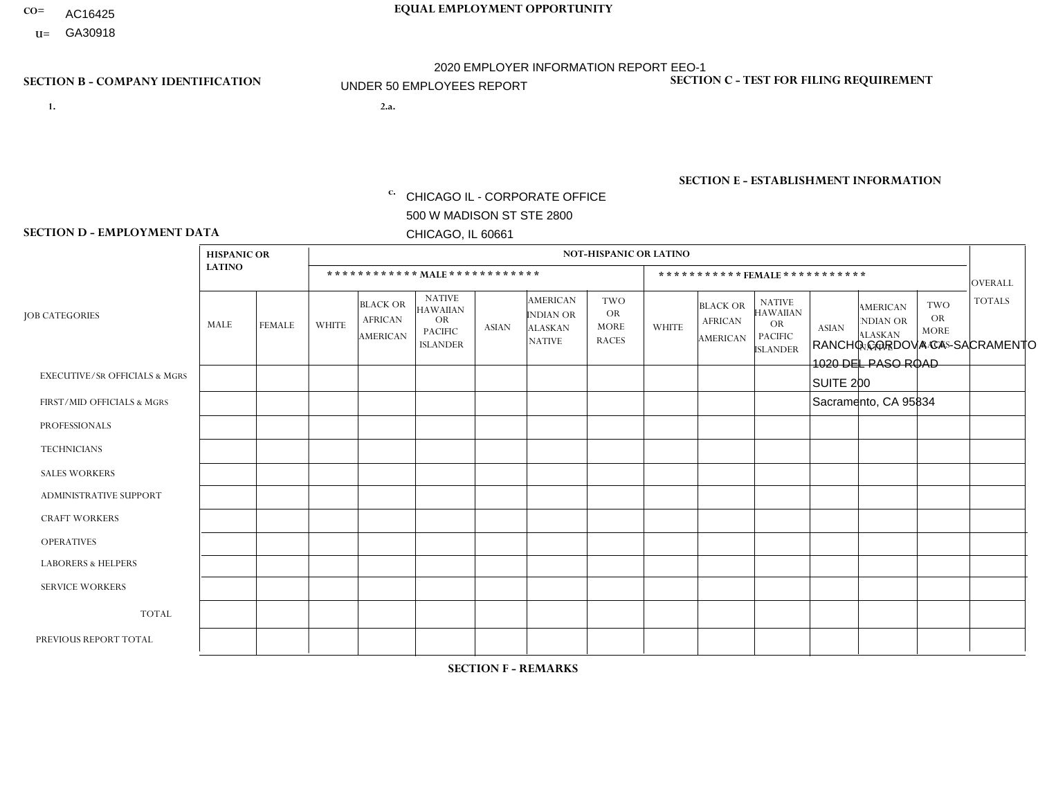- AC16425
- **U=**

- **1. 2.a.** CHICAGO IL CORPORATE OFFICE 500 W MADISON ST STE 2800 CHICAGO, IL 60661
- 2.a. RANCHO CORDOVA CA SACRAMENTO 1020 DEL PASO ROAD SUITE 200 Sacramento, CA 95834
	- c. EIN= 952920557

## **SECTION B - COMPANY IDENTIFICATION SECTION C - TEST FOR FILING REQUIREMENT**

1- Y 2- Y 3- N DUNS= 000123456

**SECTION E - ESTABLISHMENT INFORMATION c.** NAICS: 423140

### **SECTION D - EMPLOYMENT DATA**

|                                          | <b>HISPANIC OR</b> |               |                |                                                      |                                                                                    |                |                                                                        | <b>NOT-HISPANIC OR LATINO</b>                   |              |                                                      |                                                                                    |              |                                                                       |                                                        |                |
|------------------------------------------|--------------------|---------------|----------------|------------------------------------------------------|------------------------------------------------------------------------------------|----------------|------------------------------------------------------------------------|-------------------------------------------------|--------------|------------------------------------------------------|------------------------------------------------------------------------------------|--------------|-----------------------------------------------------------------------|--------------------------------------------------------|----------------|
|                                          | <b>LATINO</b>      |               |                |                                                      |                                                                                    |                |                                                                        |                                                 |              |                                                      | ***********FEMALE ***********                                                      |              |                                                                       |                                                        | <b>OVERALL</b> |
| <b>JOB CATEGORIES</b>                    | MALE               | <b>FEMALE</b> | <b>WHITE</b>   | <b>BLACK OR</b><br><b>AFRICAN</b><br><b>AMERICAN</b> | <b>NATIVE</b><br><b>HAWAIIAN</b><br><b>OR</b><br><b>PACIFIC</b><br><b>ISLANDER</b> | <b>ASIAN</b>   | <b>AMERICAN</b><br><b>INDIAN OR</b><br><b>ALASKAN</b><br><b>NATIVE</b> | TWO<br><b>OR</b><br><b>MORE</b><br><b>RACES</b> | <b>WHITE</b> | <b>BLACK OR</b><br><b>AFRICAN</b><br><b>AMERICAN</b> | <b>NATIVE</b><br><b>HAWAIIAN</b><br><b>OR</b><br><b>PACIFIC</b><br><b>ISLANDER</b> | <b>ASIAN</b> | <b>AMERICAN</b><br><b>NDIAN OR</b><br><b>ALASKAN</b><br><b>NATIVE</b> | <b>TWO</b><br><b>OR</b><br><b>MORE</b><br><b>RACES</b> | <b>TOTALS</b>  |
| <b>EXECUTIVE/SR OFFICIALS &amp; MGRS</b> | $\Omega$           | $\mathbf 0$   | $\mathbf 0$    | $\mathbf 0$                                          | $\Omega$                                                                           | $\Omega$       | $\Omega$                                                               | $\Omega$                                        | $\Omega$     | $\Omega$                                             | $\Omega$                                                                           | $\Omega$     | $\Omega$                                                              | $\Omega$                                               | $\mathbf 0$    |
| FIRST/MID OFFICIALS & MGRS               | $\mathbf 0$        | $\mathbf 0$   | $\mathbf 0$    | $\overline{1}$                                       | $\mathbf{0}$                                                                       | $\Omega$       | $\Omega$                                                               | 0                                               | $\Omega$     | $\Omega$                                             | $\Omega$                                                                           | $\Omega$     | $\Omega$                                                              | $\Omega$                                               | $\mathbf{1}$   |
| <b>PROFESSIONALS</b>                     | $\Omega$           | $\mathbf 0$   | $\mathbf{1}$   | $\Omega$                                             | $\Omega$                                                                           | $\Omega$       | $\Omega$                                                               | $\Omega$                                        | $\Omega$     | $\Omega$                                             | $\Omega$                                                                           | $\Omega$     | $\Omega$                                                              | $\Omega$                                               | $\mathbf{1}$   |
| <b>TECHNICIANS</b>                       | $\mathbf 0$        | 0             | $\Omega$       | 0                                                    | $\mathbf{0}$                                                                       | $\Omega$       | $\Omega$                                                               | 0                                               | $\Omega$     | $\Omega$                                             | $\Omega$                                                                           | $\Omega$     | $\Omega$                                                              | $\Omega$                                               | $\mathbf 0$    |
| <b>SALES WORKERS</b>                     | $\mathbf 0$        | $\mathbf 0$   | $\mathbf 0$    | $\mathbf 0$                                          | $\Omega$                                                                           | $\Omega$       | $\Omega$                                                               | $\Omega$                                        | $\Omega$     | $\Omega$                                             | $\Omega$                                                                           | $\Omega$     | $\Omega$                                                              | $\Omega$                                               | $\mathbf 0$    |
| <b>ADMINISTRATIVE SUPPORT</b>            | $\mathbf 0$        | $\mathbf 0$   | $\mathbf 0$    | $\mathbf 0$                                          | $\mathbf 0$                                                                        | $\mathbf{0}$   | $\Omega$                                                               | 0                                               | $\Omega$     | $\Omega$                                             | $\Omega$                                                                           | $\Omega$     | $\Omega$                                                              | $\Omega$                                               | $\mathbf 0$    |
| <b>CRAFT WORKERS</b>                     | $\Omega$           | $\mathbf 0$   | $\mathbf 0$    | $\Omega$                                             | $\mathbf{0}$                                                                       | $\mathbf{0}$   | $\Omega$                                                               | 0                                               | $\Omega$     | $\Omega$                                             | $\Omega$                                                                           | $\Omega$     | $\Omega$                                                              | $\Omega$                                               | $\Omega$       |
| <b>OPERATIVES</b>                        | $\overline{2}$     | $\mathbf 0$   | $\overline{7}$ | 0                                                    | $\mathbf{0}$                                                                       | $\overline{2}$ | $\Omega$                                                               | $\overline{2}$                                  | $\Omega$     | $\Omega$                                             | $\Omega$                                                                           | $\Omega$     | $\Omega$                                                              | $\Omega$                                               | 13             |
| <b>LABORERS &amp; HELPERS</b>            | $\Omega$           | $\mathbf 0$   | $\mathbf 0$    | $\Omega$                                             | $\Omega$                                                                           | $\Omega$       | $\Omega$                                                               | $\Omega$                                        | $\Omega$     | $\Omega$                                             | $\Omega$                                                                           | $\Omega$     | $\Omega$                                                              | $\Omega$                                               | $\mathbf 0$    |
| <b>SERVICE WORKERS</b>                   | $\mathbf 0$        | $\mathbf 0$   | $\mathbf 0$    | $\mathbf 0$                                          | $\mathbf 0$                                                                        | $\mathbf{0}$   | $\Omega$                                                               | 0                                               | $\Omega$     | $\Omega$                                             | $\Omega$                                                                           | 0            | $\Omega$                                                              | $\mathbf 0$                                            | 0              |
| <b>TOTAL</b>                             | $\overline{2}$     | 0             | 8              | $\mathbf{1}$                                         | $\mathbf{0}$                                                                       | $\overline{2}$ | $\Omega$                                                               | $\overline{2}$                                  | $\Omega$     | $\Omega$                                             | $\mathbf 0$                                                                        | 0            | $\Omega$                                                              | $\Omega$                                               | 15             |
| PREVIOUS REPORT TOTAL                    | $\overline{2}$     | 0             | 8              | $\Omega$                                             | $\mathbf{0}$                                                                       | $\overline{2}$ | $\Omega$                                                               | 3                                               | $\Omega$     | $\Omega$                                             | $\Omega$                                                                           | $\Omega$     | $\Omega$                                                              | $\Omega$                                               | 15             |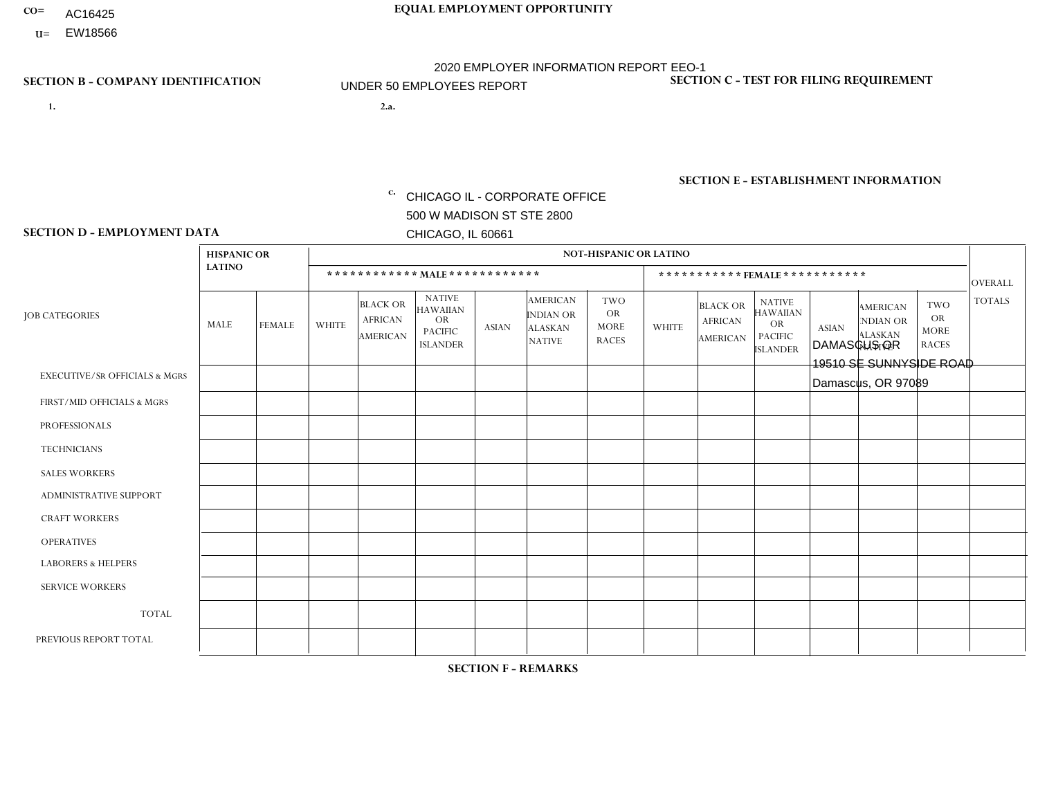- AC16425
- **U=**

- **1. 2.a.** CHICAGO IL CORPORATE OFFICE 500 W MADISON ST STE 2800 CHICAGO, IL 60661
- 2.a. DAMASCUS OR 19510 SE SUNNYSIDE ROAD Damascus, OR 97089

EIN= 952920557

## **SECTION B - COMPANY IDENTIFICATION SECTION C - TEST FOR FILING REQUIREMENT**

1- Y 2- Y 3- N DUNS= 000123456

**SECTION E - ESTABLISHMENT INFORMATION c.** NAICS: 423140

### **SECTION D - EMPLOYMENT DATA**

|                                          | <b>HISPANIC OR</b> |                |                |                                                      |                                                                                    |              |                                                                        | <b>NOT-HISPANIC OR LATINO</b>                          |                |                                               |                                                                                    |              |                                                                       |                                                        |                |
|------------------------------------------|--------------------|----------------|----------------|------------------------------------------------------|------------------------------------------------------------------------------------|--------------|------------------------------------------------------------------------|--------------------------------------------------------|----------------|-----------------------------------------------|------------------------------------------------------------------------------------|--------------|-----------------------------------------------------------------------|--------------------------------------------------------|----------------|
|                                          | <b>LATINO</b>      |                |                |                                                      | ************ MALE************                                                      |              |                                                                        |                                                        |                |                                               | ***********FEMALE***********                                                       |              |                                                                       |                                                        | <b>OVERALL</b> |
| <b>JOB CATEGORIES</b>                    | MALE               | <b>FEMALE</b>  | <b>WHITE</b>   | <b>BLACK OR</b><br><b>AFRICAN</b><br><b>AMERICAN</b> | <b>NATIVE</b><br><b>HAWAIIAN</b><br><b>OR</b><br><b>PACIFIC</b><br><b>ISLANDER</b> | <b>ASIAN</b> | <b>AMERICAN</b><br><b>INDIAN OR</b><br><b>ALASKAN</b><br><b>NATIVE</b> | <b>TWO</b><br><b>OR</b><br><b>MORE</b><br><b>RACES</b> | <b>WHITE</b>   | <b>BLACK OR</b><br><b>AFRICAN</b><br>AMERICAN | <b>NATIVE</b><br><b>HAWAIIAN</b><br><b>OR</b><br><b>PACIFIC</b><br><b>ISLANDER</b> | <b>ASIAN</b> | <b>AMERICAN</b><br><b>NDIAN OR</b><br><b>ALASKAN</b><br><b>NATIVE</b> | <b>TWO</b><br><b>OR</b><br><b>MORE</b><br><b>RACES</b> | <b>TOTALS</b>  |
| <b>EXECUTIVE/SR OFFICIALS &amp; MGRS</b> | $\Omega$           | $\Omega$       | $\Omega$       | $\mathbf 0$                                          | $\Omega$                                                                           | $\mathbf{0}$ | $\mathbf{0}$                                                           | $\Omega$                                               | 0              | $\Omega$                                      | $\Omega$                                                                           | 0            | $\Omega$                                                              | $\mathbf 0$                                            | $\mathbf{0}$   |
| FIRST/MID OFFICIALS & MGRS               | 0                  | $\Omega$       | 1              | $\mathbf 0$                                          | $\Omega$                                                                           | $\Omega$     | $\Omega$                                                               | $\Omega$                                               | 0              | $\Omega$                                      | $\Omega$                                                                           | $\Omega$     | $\Omega$                                                              | $\Omega$                                               | $\mathbf{1}$   |
| <b>PROFESSIONALS</b>                     | 0                  | $\Omega$       | $\Omega$       | $\mathbf 0$                                          | $\Omega$                                                                           | $\Omega$     | $\Omega$                                                               | $\Omega$                                               | 0              | $\Omega$                                      | $\Omega$                                                                           | $\Omega$     | $\Omega$                                                              | $\Omega$                                               | $\mathbf{0}$   |
| <b>TECHNICIANS</b>                       | 0                  | $\overline{0}$ | $\mathbf 0$    | $\mathbf 0$                                          | $\overline{0}$                                                                     | $\Omega$     | $\Omega$                                                               | $\Omega$                                               | $\Omega$       | $\mathbf 0$                                   | $\Omega$                                                                           | $\mathbf 0$  | $\mathbf 0$                                                           | $\mathbf 0$                                            | $\mathbf{0}$   |
| <b>SALES WORKERS</b>                     | 0                  | $\Omega$       | $\Omega$       | $\Omega$                                             | $\Omega$                                                                           | $\Omega$     | $\Omega$                                                               | $\Omega$                                               | $\overline{0}$ | $\Omega$                                      | $\Omega$                                                                           | $\Omega$     | $\Omega$                                                              | $\Omega$                                               | $\mathbf 0$    |
| <b>ADMINISTRATIVE SUPPORT</b>            | $\Omega$           | $\Omega$       | 3              | $\mathbf 0$                                          | $\Omega$                                                                           | $\Omega$     | $\Omega$                                                               | $\Omega$                                               | $\Omega$       | $\Omega$                                      | $\Omega$                                                                           | $\Omega$     | $\mathbf{0}$                                                          | $\Omega$                                               | 3              |
| <b>CRAFT WORKERS</b>                     | 3                  | $\Omega$       | $\Omega$       | $\mathbf 0$                                          | $\Omega$                                                                           | $\Omega$     | $\Omega$                                                               | $\Omega$                                               | 0              | $\Omega$                                      | $\Omega$                                                                           | $\Omega$     | $\Omega$                                                              | $\Omega$                                               | 3              |
| <b>OPERATIVES</b>                        | 0                  | $\Omega$       | 3              | $\mathbf 0$                                          | $\Omega$                                                                           | $\Omega$     | $\Omega$                                                               |                                                        | $\Omega$       | $\Omega$                                      | $\Omega$                                                                           | $\Omega$     | $\Omega$                                                              | $\Omega$                                               | $\overline{4}$ |
| <b>LABORERS &amp; HELPERS</b>            | 0                  | $\Omega$       | $\overline{ }$ | $\mathbf 0$                                          | $\Omega$                                                                           | $\Omega$     | $\Omega$                                                               | $\Omega$                                               | 0              | $\Omega$                                      | $\Omega$                                                                           | $\Omega$     | $\Omega$                                                              | $\Omega$                                               | $\mathbf{1}$   |
| <b>SERVICE WORKERS</b>                   | 0                  | $\mathbf 0$    | $\mathbf 0$    | $\mathbf 0$                                          | $\mathbf 0$                                                                        | $\mathbf 0$  | $\Omega$                                                               | $\Omega$                                               | $\Omega$       | $\Omega$                                      | $\Omega$                                                                           | $\mathbf 0$  | $\Omega$                                                              | $\mathbf 0$                                            | $\mathbf 0$    |
| <b>TOTAL</b>                             | 3                  | 0              | 8              | 0                                                    | 0                                                                                  | $\mathbf 0$  | $\Omega$                                                               |                                                        | $\Omega$       | $\Omega$                                      | $\Omega$                                                                           | $\mathbf 0$  | 0                                                                     | $\mathbf 0$                                            | 12             |
| PREVIOUS REPORT TOTAL                    | 4                  | $\Omega$       | 10             | $\mathbf 0$                                          | $\Omega$                                                                           | $\Omega$     | $\Omega$                                                               | $\Omega$                                               | $\Omega$       | $\Omega$                                      | $\Omega$                                                                           | $\Omega$     | $\Omega$                                                              | $\mathbf 0$                                            | 14             |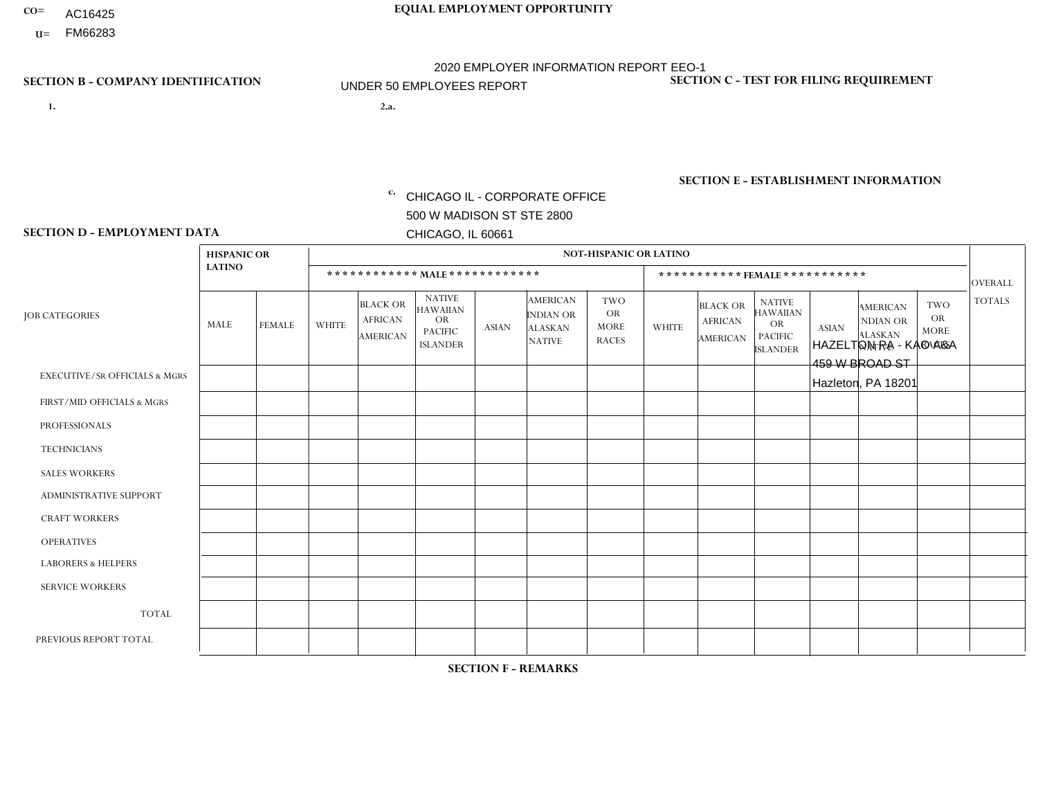- AC16425
- **U=**

**1. 2.a.** CHICAGO IL - CORPORATE OFFICE 500 W MADISON ST STE 2800 CHICAGO, IL 60661

HAZELTON PA - KAO A&A 459 W BROAD ST Hazleton, PA 18201

EIN= 952920557

## **SECTION B - COMPANY IDENTIFICATION SECTION C - TEST FOR FILING REQUIREMENT**

1- Y 2- Y 3- N DUNS= 000123456

**SECTION E - ESTABLISHMENT INFORMATION c.** NAICS: 423140

### **SECTION D - EMPLOYMENT DATA**

|                                          | <b>HISPANIC OR</b> |               |              |                                                      |                                                                                    |              |                                                                        | <b>NOT-HISPANIC OR LATINO</b>                          |              |                                               |                                                                                    |              |                                                                       |                                                        |                |
|------------------------------------------|--------------------|---------------|--------------|------------------------------------------------------|------------------------------------------------------------------------------------|--------------|------------------------------------------------------------------------|--------------------------------------------------------|--------------|-----------------------------------------------|------------------------------------------------------------------------------------|--------------|-----------------------------------------------------------------------|--------------------------------------------------------|----------------|
|                                          | <b>LATINO</b>      |               |              | ************ MALE ************                       |                                                                                    |              |                                                                        |                                                        |              |                                               | *********** FEMALE ***********                                                     |              |                                                                       |                                                        | <b>OVERALL</b> |
| <b>JOB CATEGORIES</b>                    | <b>MALE</b>        | <b>FEMALE</b> | <b>WHITE</b> | <b>BLACK OR</b><br><b>AFRICAN</b><br><b>AMERICAN</b> | <b>NATIVE</b><br><b>HAWAIIAN</b><br><b>OR</b><br><b>PACIFIC</b><br><b>ISLANDER</b> | <b>ASIAN</b> | <b>AMERICAN</b><br><b>INDIAN OR</b><br><b>ALASKAN</b><br><b>NATIVE</b> | <b>TWO</b><br><b>OR</b><br><b>MORE</b><br><b>RACES</b> | <b>WHITE</b> | <b>BLACK OR</b><br><b>AFRICAN</b><br>AMERICAN | <b>NATIVE</b><br><b>HAWAIIAN</b><br><b>OR</b><br><b>PACIFIC</b><br><b>ISLANDER</b> | <b>ASIAN</b> | <b>AMERICAN</b><br><b>NDIAN OR</b><br><b>ALASKAN</b><br><b>NATIVE</b> | <b>TWO</b><br><b>OR</b><br><b>MORE</b><br><b>RACES</b> | <b>TOTALS</b>  |
| <b>EXECUTIVE/SR OFFICIALS &amp; MGRS</b> | $\Omega$           | $\Omega$      | $\mathbf{0}$ | $\Omega$                                             | $\Omega$                                                                           | $\Omega$     | $\Omega$                                                               | $\Omega$                                               | 0            | $\Omega$                                      | $\Omega$                                                                           | $\Omega$     | $\Omega$                                                              | $\Omega$                                               | $\Omega$       |
| FIRST/MID OFFICIALS & MGRS               | $\Omega$           | $\Omega$      | 1            | $\mathbf{0}$                                         | $\Omega$                                                                           | $\Omega$     | $\Omega$                                                               | $\Omega$                                               | 0            | $\Omega$                                      | 0                                                                                  | $\Omega$     | $\Omega$                                                              | $\Omega$                                               | $\mathbf{1}$   |
| <b>PROFESSIONALS</b>                     | $\Omega$           | $\Omega$      | $\Omega$     | $\mathbf 0$                                          | $\Omega$                                                                           | $\Omega$     | $\Omega$                                                               | $\Omega$                                               | $\Omega$     | $\Omega$                                      | 0                                                                                  | 0            | $\Omega$                                                              | $\mathbf 0$                                            | $\mathbf{0}$   |
| <b>TECHNICIANS</b>                       | $\Omega$           | $\Omega$      | $\Omega$     | $\Omega$                                             | $\Omega$                                                                           | $\Omega$     | $\Omega$                                                               | $\Omega$                                               | $\Omega$     | $\Omega$                                      | 0                                                                                  | $\mathbf 0$  | $\Omega$                                                              | $\mathbf 0$                                            | $\Omega$       |
| <b>SALES WORKERS</b>                     | $\Omega$           | $\mathbf{1}$  | $\Omega$     | $\Omega$                                             | $\Omega$                                                                           | $\Omega$     | $\Omega$                                                               | $\mathbf 1$                                            | $\Omega$     | $\Omega$                                      | $\Omega$                                                                           | $\Omega$     | $\Omega$                                                              | $\Omega$                                               | $\overline{2}$ |
| <b>ADMINISTRATIVE SUPPORT</b>            | $\Omega$           | $\Omega$      | $\Omega$     | $\mathbf 0$                                          | 0                                                                                  | $\Omega$     | $\Omega$                                                               | $\Omega$                                               | 0            | $\Omega$                                      | 0                                                                                  | $\mathbf 0$  | $\Omega$                                                              | $\mathbf 0$                                            | $\mathbf{0}$   |
| <b>CRAFT WORKERS</b>                     | $\Omega$           | $\Omega$      | $\Omega$     | $\mathbf 0$                                          | $\Omega$                                                                           | $\Omega$     | $\Omega$                                                               | $\Omega$                                               | $\Omega$     | $\Omega$                                      | 0                                                                                  | $\Omega$     | $\Omega$                                                              | $\Omega$                                               | $\Omega$       |
| <b>OPERATIVES</b>                        |                    | $\Omega$      | $\Omega$     | $\mathbf 0$                                          | $\Omega$                                                                           | $\Omega$     | $\Omega$                                                               | $\Omega$                                               | 0            | $\Omega$                                      | 0                                                                                  | $\mathbf 0$  | $\Omega$                                                              | $\Omega$                                               | $\mathbf{1}$   |
| <b>LABORERS &amp; HELPERS</b>            | $\Omega$           | $\Omega$      | $\mathbf{0}$ | $\mathbf 0$                                          | $\Omega$                                                                           | $\Omega$     | $\Omega$                                                               | $\Omega$                                               | $\Omega$     | $\Omega$                                      | $\Omega$                                                                           | $\Omega$     | $\Omega$                                                              | $\Omega$                                               | $\mathbf 0$    |
| <b>SERVICE WORKERS</b>                   | $\Omega$           | $\Omega$      | $\Omega$     | 0                                                    | $\mathbf 0$                                                                        | $\Omega$     | $\Omega$                                                               | $\Omega$                                               | 0            | $\Omega$                                      | $\Omega$                                                                           | $\mathbf 0$  | $\Omega$                                                              | $\Omega$                                               | $\mathbf 0$    |
| <b>TOTAL</b>                             | -1                 | $\mathbf{1}$  | 1            | 0                                                    | $\mathbf 0$                                                                        | 0            | $\Omega$                                                               | $\mathbf 1$                                            | 0            | $\mathbf 0$                                   | 0                                                                                  | $\mathbf 0$  | 0                                                                     | $\mathbf 0$                                            | 4              |
| PREVIOUS REPORT TOTAL                    | 3                  | $\mathbf{1}$  |              | $\mathbf 0$                                          | 0                                                                                  | $\Omega$     | $\Omega$                                                               | $\Omega$                                               | 0            | $\Omega$                                      | 0                                                                                  | $\Omega$     | $\Omega$                                                              | $\mathbf 0$                                            | 5              |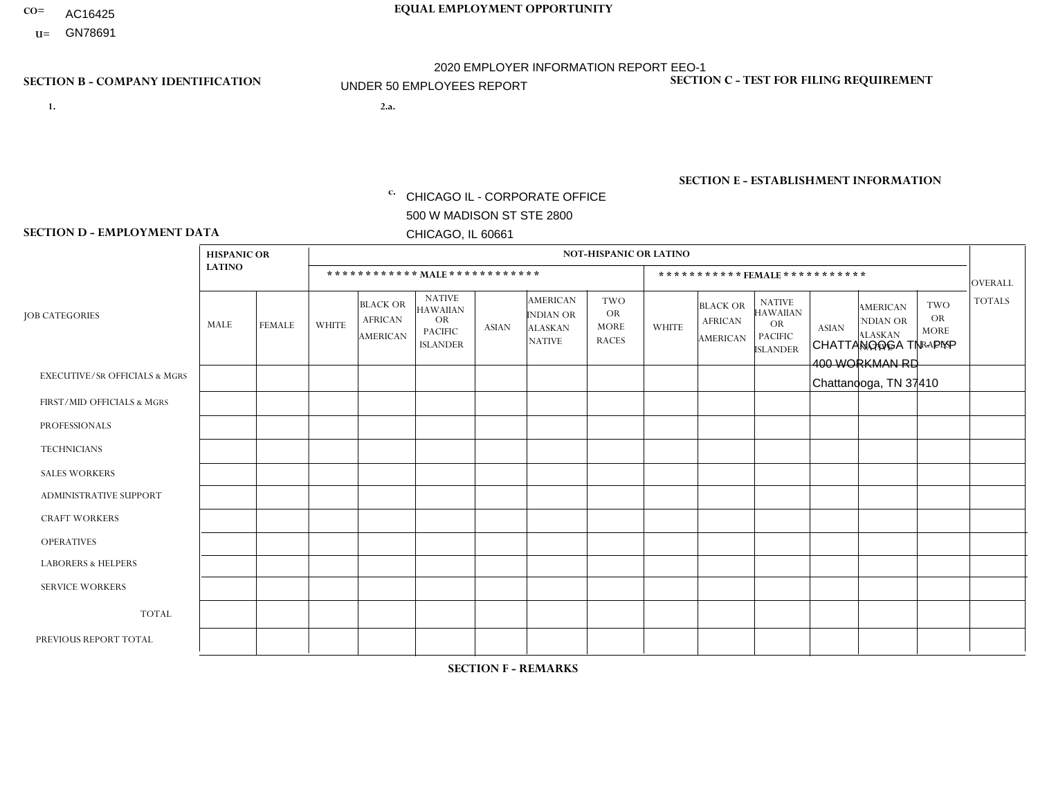- AC16425
- **U=**

**1. 2.a.** CHICAGO IL - CORPORATE OFFICE 500 W MADISON ST STE 2800 CHICAGO, IL 60661

2.a. CHATTANOOGA TN - PYP 400 WORKMAN RD Chattanooga, TN 37410

c. EIN= 952920557

## **SECTION B - COMPANY IDENTIFICATION SECTION C - TEST FOR FILING REQUIREMENT**

1- Y 2- Y 3- N DUNS= 000123456

**SECTION E - ESTABLISHMENT INFORMATION c.** NAICS: 423140

### **SECTION D - EMPLOYMENT DATA**

|                                          | <b>HISPANIC OR</b> |               |              |                                                      |                                                                                    |              |                                                                        | <b>NOT-HISPANIC OR LATINO</b>                          |              |                                               |                                                                                    |              |                                                                       |                                                        |                |
|------------------------------------------|--------------------|---------------|--------------|------------------------------------------------------|------------------------------------------------------------------------------------|--------------|------------------------------------------------------------------------|--------------------------------------------------------|--------------|-----------------------------------------------|------------------------------------------------------------------------------------|--------------|-----------------------------------------------------------------------|--------------------------------------------------------|----------------|
|                                          | <b>LATINO</b>      |               |              | ************ MALE ************                       |                                                                                    |              |                                                                        |                                                        |              |                                               | ***********FEMALE***********                                                       |              |                                                                       |                                                        | <b>OVERALL</b> |
| <b>JOB CATEGORIES</b>                    | <b>MALE</b>        | <b>FEMALE</b> | <b>WHITE</b> | <b>BLACK OR</b><br><b>AFRICAN</b><br><b>AMERICAN</b> | <b>NATIVE</b><br><b>HAWAIIAN</b><br><b>OR</b><br><b>PACIFIC</b><br><b>ISLANDER</b> | <b>ASIAN</b> | <b>AMERICAN</b><br><b>INDIAN OR</b><br><b>ALASKAN</b><br><b>NATIVE</b> | <b>TWO</b><br><b>OR</b><br><b>MORE</b><br><b>RACES</b> | <b>WHITE</b> | <b>BLACK OR</b><br><b>AFRICAN</b><br>AMERICAN | <b>NATIVE</b><br><b>HAWAIIAN</b><br><b>OR</b><br><b>PACIFIC</b><br><b>ISLANDER</b> | <b>ASIAN</b> | <b>AMERICAN</b><br><b>NDIAN OR</b><br><b>ALASKAN</b><br><b>NATIVE</b> | <b>TWO</b><br><b>OR</b><br><b>MORE</b><br><b>RACES</b> | <b>TOTALS</b>  |
| <b>EXECUTIVE/SR OFFICIALS &amp; MGRS</b> | $\Omega$           | $\mathbf 0$   | $\Omega$     | $\mathbf 0$                                          | $\mathbf 0$                                                                        | $\mathbf 0$  | $\Omega$                                                               | $\Omega$                                               | $\Omega$     | $\Omega$                                      | $\Omega$                                                                           | $\Omega$     | $\Omega$                                                              | $\Omega$                                               | $\mathbf 0$    |
| FIRST/MID OFFICIALS & MGRS               | $\Omega$           | 0             | 1            | $\mathbf 0$                                          | $\mathbf{0}$                                                                       | $\mathbf 0$  | $\Omega$                                                               | $\Omega$                                               | $\Omega$     | $\Omega$                                      | $\Omega$                                                                           | $\Omega$     | $\Omega$                                                              | $\Omega$                                               | $\mathbf{1}$   |
| <b>PROFESSIONALS</b>                     |                    | $\Omega$      | 1            | $\mathbf 0$                                          | $\Omega$                                                                           | $\Omega$     | $\Omega$                                                               | $\Omega$                                               | $\Omega$     | $\Omega$                                      | $\Omega$                                                                           | $\Omega$     | $\Omega$                                                              | $\mathbf{0}$                                           | $\overline{2}$ |
| <b>TECHNICIANS</b>                       | $\Omega$           | $\mathbf 0$   | $\Omega$     | $\mathbf 0$                                          | $\mathbf{0}$                                                                       | $\Omega$     | $\overline{0}$                                                         | $\Omega$                                               | $\mathbf{0}$ | $\Omega$                                      | $\Omega$                                                                           | $\Omega$     | $\Omega$                                                              | $\Omega$                                               | $\mathbf 0$    |
| <b>SALES WORKERS</b>                     | $\Omega$           | $\Omega$      | 3            | $\mathbf 0$                                          | 0                                                                                  | $\Omega$     | $\mathbf{1}$                                                           | $\Omega$                                               | $\Omega$     | $\Omega$                                      | $\Omega$                                                                           | $\Omega$     | $\Omega$                                                              | $\mathbf{0}$                                           | $\overline{4}$ |
| <b>ADMINISTRATIVE SUPPORT</b>            | $\Omega$           | $\mathbf 0$   | 0            | $\mathbf 0$                                          | $\mathbf{0}$                                                                       | $\mathbf 0$  | $\Omega$                                                               | $\Omega$                                               | 0            | $\Omega$                                      | $\Omega$                                                                           | $\Omega$     | $\Omega$                                                              | $\mathbf 0$                                            | $\mathbf 0$    |
| <b>CRAFT WORKERS</b>                     | $\Omega$           | $\Omega$      | $\Omega$     | $\mathbf 0$                                          | 0                                                                                  | $\Omega$     | $\Omega$                                                               | $\Omega$                                               | $\Omega$     | $\Omega$                                      | $\mathbf{0}$                                                                       | $\Omega$     | $\Omega$                                                              | $\Omega$                                               | $\Omega$       |
| <b>OPERATIVES</b>                        | $\Omega$           | $\Omega$      | 9            | $\mathbf{1}$                                         | $\Omega$                                                                           | $\Omega$     | $\Omega$                                                               | $\Omega$                                               | $\Omega$     | $\Omega$                                      | $\Omega$                                                                           | $\Omega$     | $\Omega$                                                              | $\Omega$                                               | 10             |
| <b>LABORERS &amp; HELPERS</b>            | $\Omega$           | $\Omega$      | $\mathbf 0$  | $\mathbf 0$                                          | 0                                                                                  | $\Omega$     | $\Omega$                                                               | $\Omega$                                               | $\Omega$     | $\Omega$                                      | $\mathbf{0}$                                                                       | $\Omega$     | $\Omega$                                                              | $\mathbf{0}$                                           | 0              |
| <b>SERVICE WORKERS</b>                   | $\Omega$           | $\mathbf 0$   | 0            | 0                                                    | $\mathbf 0$                                                                        | $\mathbf 0$  | $\Omega$                                                               | $\Omega$                                               | $\Omega$     | $\Omega$                                      | $\Omega$                                                                           | $\mathbf 0$  | $\Omega$                                                              | $\mathbf 0$                                            | 0              |
| <b>TOTAL</b>                             | 1                  | 0             | 14           | $\mathbf{1}$                                         | 0                                                                                  | $\mathbf 0$  | $\mathbf{1}$                                                           | $\Omega$                                               | $\Omega$     | $\Omega$                                      | $\Omega$                                                                           | $\mathbf 0$  | $\Omega$                                                              | $\Omega$                                               | 17             |
| PREVIOUS REPORT TOTAL                    | 2                  | $\Omega$      | 11           | 3                                                    | $\mathbf 0$                                                                        | $\Omega$     | $\Omega$                                                               | $\Omega$                                               | $\Omega$     | $\Omega$                                      | $\mathbf{0}$                                                                       | $\Omega$     | $\Omega$                                                              | $\Omega$                                               | 16             |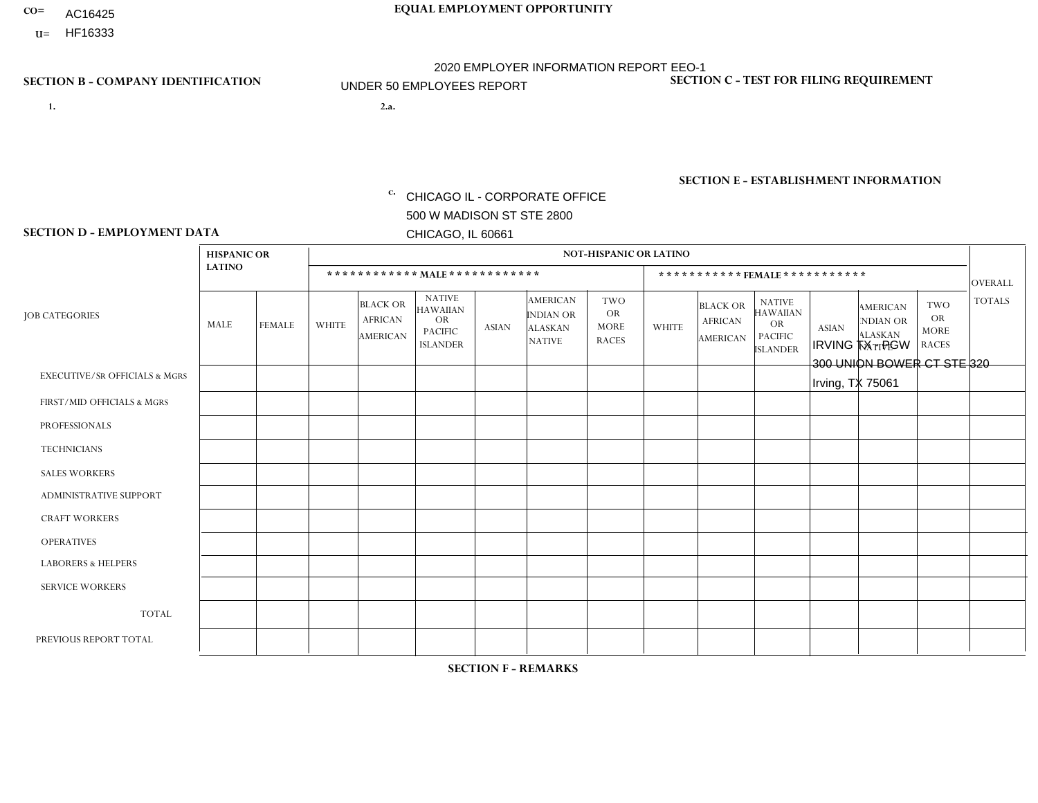- AC16425
- **U=**

- **1. 2.a.** CHICAGO IL CORPORATE OFFICE 500 W MADISON ST STE 2800 CHICAGO, IL 60661
- 2.a. IRVING TX PGW 300 UNION BOWER CT STE 320 Irving, TX 75061

c. EIN= 952920557

## **SECTION B - COMPANY IDENTIFICATION SECTION C - TEST FOR FILING REQUIREMENT**

1- Y 2- Y 3- N DUNS= 000123456

**SECTION E - ESTABLISHMENT INFORMATION c.** NAICS: 811122

### **SECTION D - EMPLOYMENT DATA**

|                                          | <b>HISPANIC OR</b> |               |              |                                                      |                                                                                    |             |                                                                        | <b>NOT-HISPANIC OR LATINO</b>                          |              |                                               |                                                                                    |              |                                                                       |                                                        |                |
|------------------------------------------|--------------------|---------------|--------------|------------------------------------------------------|------------------------------------------------------------------------------------|-------------|------------------------------------------------------------------------|--------------------------------------------------------|--------------|-----------------------------------------------|------------------------------------------------------------------------------------|--------------|-----------------------------------------------------------------------|--------------------------------------------------------|----------------|
|                                          | <b>LATINO</b>      |               |              | ************ MALE ************                       |                                                                                    |             |                                                                        |                                                        |              |                                               | ***********FEMALE***********                                                       |              |                                                                       |                                                        | <b>OVERALL</b> |
| <b>JOB CATEGORIES</b>                    | <b>MALE</b>        | <b>FEMALE</b> | <b>WHITE</b> | <b>BLACK OR</b><br><b>AFRICAN</b><br><b>AMERICAN</b> | <b>NATIVE</b><br><b>HAWAIIAN</b><br><b>OR</b><br><b>PACIFIC</b><br><b>ISLANDER</b> | ASIAN       | <b>AMERICAN</b><br><b>INDIAN OR</b><br><b>ALASKAN</b><br><b>NATIVE</b> | <b>TWO</b><br><b>OR</b><br><b>MORE</b><br><b>RACES</b> | <b>WHITE</b> | <b>BLACK OR</b><br><b>AFRICAN</b><br>AMERICAN | <b>NATIVE</b><br><b>HAWAIIAN</b><br><b>OR</b><br><b>PACIFIC</b><br><b>ISLANDER</b> | <b>ASIAN</b> | <b>AMERICAN</b><br><b>NDIAN OR</b><br><b>ALASKAN</b><br><b>NATIVE</b> | <b>TWO</b><br><b>OR</b><br><b>MORE</b><br><b>RACES</b> | <b>TOTALS</b>  |
| <b>EXECUTIVE/SR OFFICIALS &amp; MGRS</b> | $\Omega$           | $\mathbf 0$   | $\Omega$     | $\mathbf 0$                                          | $\mathbf 0$                                                                        | $\mathbf 0$ | $\Omega$                                                               | $\Omega$                                               | $\Omega$     | $\Omega$                                      | $\Omega$                                                                           | $\Omega$     | $\Omega$                                                              | $\Omega$                                               | $\mathbf 0$    |
| FIRST/MID OFFICIALS & MGRS               | $\Omega$           | 0             | 1            | $\mathbf 0$                                          | $\mathbf 0$                                                                        | $\mathbf 0$ | $\Omega$                                                               | $\Omega$                                               | $\Omega$     | $\Omega$                                      | $\Omega$                                                                           | $\Omega$     | $\Omega$                                                              | $\Omega$                                               | $\mathbf{1}$   |
| <b>PROFESSIONALS</b>                     | $\Omega$           | $\Omega$      | $\Omega$     | $\mathbf 0$                                          | $\Omega$                                                                           | $\Omega$    | $\Omega$                                                               | $\Omega$                                               | $\Omega$     | $\Omega$                                      | $\Omega$                                                                           | $\Omega$     | $\Omega$                                                              | $\mathbf{0}$                                           | $\mathbf 0$    |
| <b>TECHNICIANS</b>                       | $\Omega$           | $\mathbf 0$   | $\Omega$     | $\mathbf 0$                                          | $\mathbf 0$                                                                        | $\Omega$    | $\Omega$                                                               | $\Omega$                                               | $\mathbf{0}$ | $\Omega$                                      | $\Omega$                                                                           | $\Omega$     | $\Omega$                                                              | $\Omega$                                               | $\mathbf{0}$   |
| <b>SALES WORKERS</b>                     | $\Omega$           | $\Omega$      | $\Omega$     | $\mathbf 0$                                          | 0                                                                                  | $\Omega$    | $\Omega$                                                               | $\Omega$                                               | $\Omega$     | $\Omega$                                      | $\Omega$                                                                           | $\Omega$     | $\Omega$                                                              | $\mathbf{0}$                                           | $\mathbf 0$    |
| <b>ADMINISTRATIVE SUPPORT</b>            | $\Omega$           | $\mathbf 0$   | 0            | $\mathbf 0$                                          | $\mathbf{0}$                                                                       | $\mathbf 0$ | $\Omega$                                                               | $\Omega$                                               | 0            | $\Omega$                                      | $\Omega$                                                                           | $\Omega$     | $\Omega$                                                              | $\mathbf 0$                                            | $\mathbf{0}$   |
| <b>CRAFT WORKERS</b>                     | $\Omega$           | $\Omega$      | $\Omega$     | $\mathbf{0}$                                         | 0                                                                                  | $\Omega$    | $\Omega$                                                               | $\Omega$                                               | $\Omega$     | $\Omega$                                      | $\mathbf{0}$                                                                       | $\Omega$     | $\Omega$                                                              | $\Omega$                                               | $\Omega$       |
| <b>OPERATIVES</b>                        | 2                  | $\Omega$      | 1            | $\mathbf{1}$                                         | 0                                                                                  | $\Omega$    | $\Omega$                                                               | $\Omega$                                               | $\Omega$     | $\Omega$                                      | $\Omega$                                                                           | $\Omega$     | $\Omega$                                                              | $\Omega$                                               | 4              |
| <b>LABORERS &amp; HELPERS</b>            | $\Omega$           | $\Omega$      | 1            | $\mathbf{1}$                                         | 0                                                                                  | $\Omega$    | $\Omega$                                                               | $\Omega$                                               | $\Omega$     | $\Omega$                                      | $\mathbf{0}$                                                                       | $\Omega$     | $\Omega$                                                              | $\Omega$                                               | $\overline{2}$ |
| <b>SERVICE WORKERS</b>                   | $\Omega$           | $\mathbf 0$   | 0            | $\mathbf 0$                                          | $\mathbf{0}$                                                                       | $\mathbf 0$ | $\Omega$                                                               | $\Omega$                                               | $\Omega$     | $\Omega$                                      | $\Omega$                                                                           | $\mathbf 0$  | $\Omega$                                                              | $\mathbf 0$                                            | 0              |
| <b>TOTAL</b>                             | $\overline{2}$     | $\mathbf 0$   | 3            | $\overline{2}$                                       | 0                                                                                  | $\mathbf 0$ | $\Omega$                                                               | $\Omega$                                               | $\Omega$     | $\Omega$                                      | $\Omega$                                                                           | $\mathbf 0$  | $\Omega$                                                              | $\Omega$                                               | $\overline{7}$ |
| PREVIOUS REPORT TOTAL                    |                    | 0             | $\Omega$     | 1                                                    | $\mathbf{0}$                                                                       | $\Omega$    | $\Omega$                                                               | $\Omega$                                               | $\Omega$     | $\Omega$                                      | $\mathbf{0}$                                                                       | $\Omega$     | $\Omega$                                                              | $\Omega$                                               | $\overline{2}$ |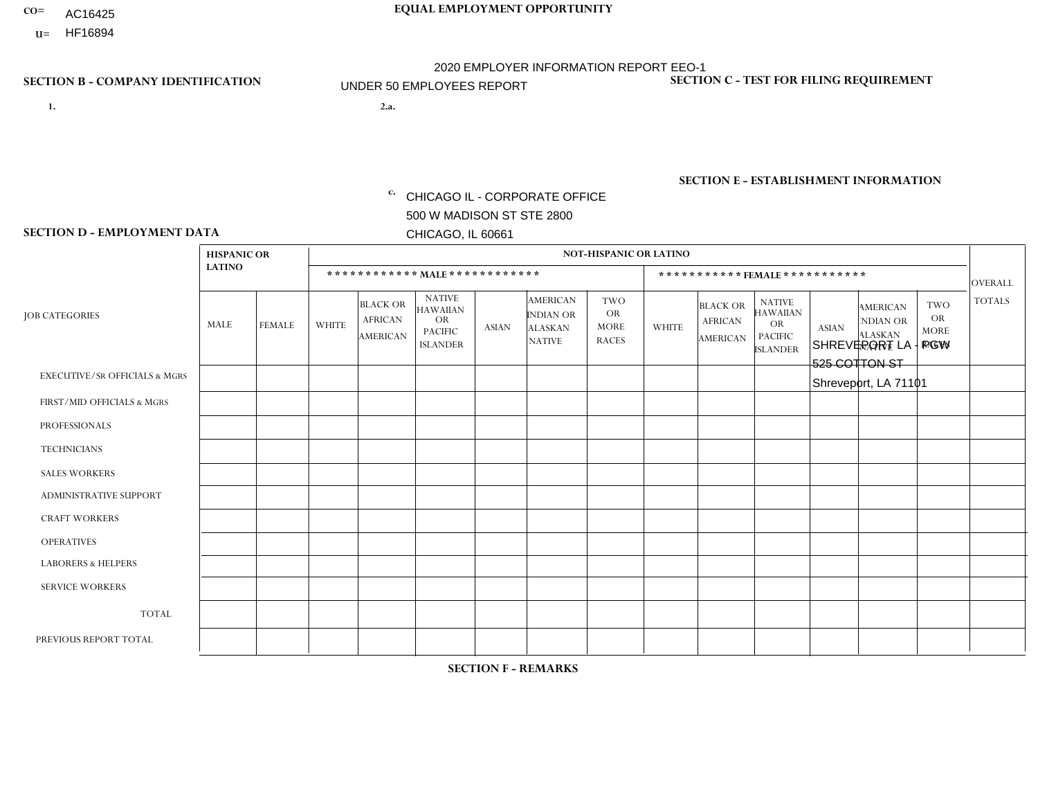- AC16425
- **U=**

**1. 2.a.** CHICAGO IL - CORPORATE OFFICE 500 W MADISON ST STE 2800 CHICAGO, IL 60661

2.a. SHREVEPORT LA - PGW 525 COTTON ST Shreveport, LA 71101

EIN= 952920557

## **SECTION B - COMPANY IDENTIFICATION SECTION C - TEST FOR FILING REQUIREMENT**

1- Y 2- Y 3- N DUNS= 000123456

**SECTION E - ESTABLISHMENT INFORMATION c.** NAICS: 811122

### **SECTION D - EMPLOYMENT DATA**

|                                          | <b>HISPANIC OR</b> |               |                |                                                      |                                                                                    |              |                                                                 | <b>NOT-HISPANIC OR LATINO</b>                          |                |                                               |                                                                             |              |                                                                       |                                                        |                |
|------------------------------------------|--------------------|---------------|----------------|------------------------------------------------------|------------------------------------------------------------------------------------|--------------|-----------------------------------------------------------------|--------------------------------------------------------|----------------|-----------------------------------------------|-----------------------------------------------------------------------------|--------------|-----------------------------------------------------------------------|--------------------------------------------------------|----------------|
|                                          | <b>LATINO</b>      |               |                | ************ MALE ************                       |                                                                                    |              |                                                                 |                                                        |                |                                               | *********** FEMALE ***********                                              |              |                                                                       |                                                        | <b>OVERALL</b> |
| <b>JOB CATEGORIES</b>                    | <b>MALE</b>        | <b>FEMALE</b> | <b>WHITE</b>   | <b>BLACK OR</b><br><b>AFRICAN</b><br><b>AMERICAN</b> | <b>NATIVE</b><br><b>HAWAIIAN</b><br><b>OR</b><br><b>PACIFIC</b><br><b>ISLANDER</b> | <b>ASIAN</b> | <b>AMERICAN</b><br>INDIAN OR<br><b>ALASKAN</b><br><b>NATIVE</b> | <b>TWO</b><br><b>OR</b><br><b>MORE</b><br><b>RACES</b> | <b>WHITE</b>   | <b>BLACK OR</b><br><b>AFRICAN</b><br>AMERICAN | <b>NATIVE</b><br><b>HAWAIIAN</b><br>OR<br><b>PACIFIC</b><br><b>ISLANDER</b> | <b>ASIAN</b> | <b>AMERICAN</b><br><b>NDIAN OR</b><br><b>ALASKAN</b><br><b>NATIVE</b> | <b>TWO</b><br><b>OR</b><br><b>MORE</b><br><b>RACES</b> | <b>TOTALS</b>  |
| <b>EXECUTIVE/SR OFFICIALS &amp; MGRS</b> | $\Omega$           | $\Omega$      | $\Omega$       | $\mathbf 0$                                          | $\Omega$                                                                           | $\Omega$     | $\Omega$                                                        | $\Omega$                                               | $\Omega$       | $\Omega$                                      | $\Omega$                                                                    | $\mathbf 0$  | $\Omega$                                                              | $\Omega$                                               | $\mathbf 0$    |
| FIRST/MID OFFICIALS & MGRS               | $\Omega$           | $\Omega$      | $\overline{1}$ | $\Omega$                                             | $\Omega$                                                                           | $\Omega$     | $\Omega$                                                        | $\Omega$                                               | $\Omega$       | $\Omega$                                      | $\Omega$                                                                    | $\Omega$     | $\Omega$                                                              | $\Omega$                                               | $\mathbf{1}$   |
| <b>PROFESSIONALS</b>                     | $\Omega$           | $\Omega$      | $\Omega$       | $\Omega$                                             | $\Omega$                                                                           | $\Omega$     | $\Omega$                                                        | $\Omega$                                               | 0              | $\Omega$                                      | 0                                                                           | $\Omega$     | $\Omega$                                                              | $\Omega$                                               | $\Omega$       |
| <b>TECHNICIANS</b>                       | $\Omega$           | $\Omega$      | $\Omega$       | $\mathbf 0$                                          | $\Omega$                                                                           | $\Omega$     | $\Omega$                                                        | $\Omega$                                               | 0              | $\Omega$                                      | 0                                                                           | 0            | $\Omega$                                                              | 0                                                      | $\overline{0}$ |
| <b>SALES WORKERS</b>                     | $\Omega$           | $\Omega$      | $\Omega$       | $\Omega$                                             | $\Omega$                                                                           | $\Omega$     | $\Omega$                                                        | $\Omega$                                               | $\overline{0}$ | $\Omega$                                      | $\overline{0}$                                                              | $\Omega$     | $\Omega$                                                              | $\Omega$                                               | $\mathbf 0$    |
| ADMINISTRATIVE SUPPORT                   | $\Omega$           | $\Omega$      | $\mathbf{0}$   | $\Omega$                                             | $\Omega$                                                                           | $\Omega$     | $\Omega$                                                        | $\Omega$                                               | 0              | $\Omega$                                      | 0                                                                           | $\Omega$     | $\Omega$                                                              | $\Omega$                                               | $\Omega$       |
| <b>CRAFT WORKERS</b>                     | $\Omega$           | $\Omega$      | $\Omega$       | $\mathbf 0$                                          | $\Omega$                                                                           | $\Omega$     | $\Omega$                                                        | $\Omega$                                               | $\Omega$       | $\Omega$                                      | $\Omega$                                                                    | $\Omega$     | $\Omega$                                                              | $\Omega$                                               | $\Omega$       |
| <b>OPERATIVES</b>                        | $\Omega$           | $\Omega$      | $\Omega$       | $\mathbf 0$                                          | $\Omega$                                                                           | $\Omega$     | $\Omega$                                                        | $\Omega$                                               | $\Omega$       | $\Omega$                                      | $\Omega$                                                                    | $\Omega$     | $\Omega$                                                              | $\Omega$                                               | $\overline{0}$ |
| <b>LABORERS &amp; HELPERS</b>            | $\Omega$           | $\Omega$      | $\Omega$       | $\mathbf 0$                                          | $\Omega$                                                                           | $\Omega$     | $\Omega$                                                        | $\Omega$                                               | $\Omega$       | $\Omega$                                      | 0                                                                           | $\Omega$     | $\Omega$                                                              | $\Omega$                                               | $\mathbf{0}$   |
| <b>SERVICE WORKERS</b>                   | $\Omega$           | $\mathbf 0$   | $\mathbf 0$    | 0                                                    | $\mathbf 0$                                                                        | $\mathbf 0$  | $\Omega$                                                        | $\Omega$                                               | $\Omega$       | $\Omega$                                      | $\mathbf 0$                                                                 | $\mathbf 0$  | $\Omega$                                                              | $\mathbf 0$                                            | $\mathbf{0}$   |
| <b>TOTAL</b>                             | $\Omega$           | 0             | $\overline{1}$ | 0                                                    | $\mathbf 0$                                                                        | $\Omega$     | $\Omega$                                                        | $\Omega$                                               | 0              | $\Omega$                                      | 0                                                                           | $\mathbf 0$  | $\Omega$                                                              | $\mathbf 0$                                            | $\mathbf{1}$   |
| PREVIOUS REPORT TOTAL                    | $\Omega$           | $\Omega$      | 3              | $\overline{2}$                                       | 0                                                                                  | $\Omega$     | $\Omega$                                                        |                                                        | 1              | $\Omega$                                      | 0                                                                           | $\Omega$     | $\Omega$                                                              | $\mathbf 0$                                            | $\overline{7}$ |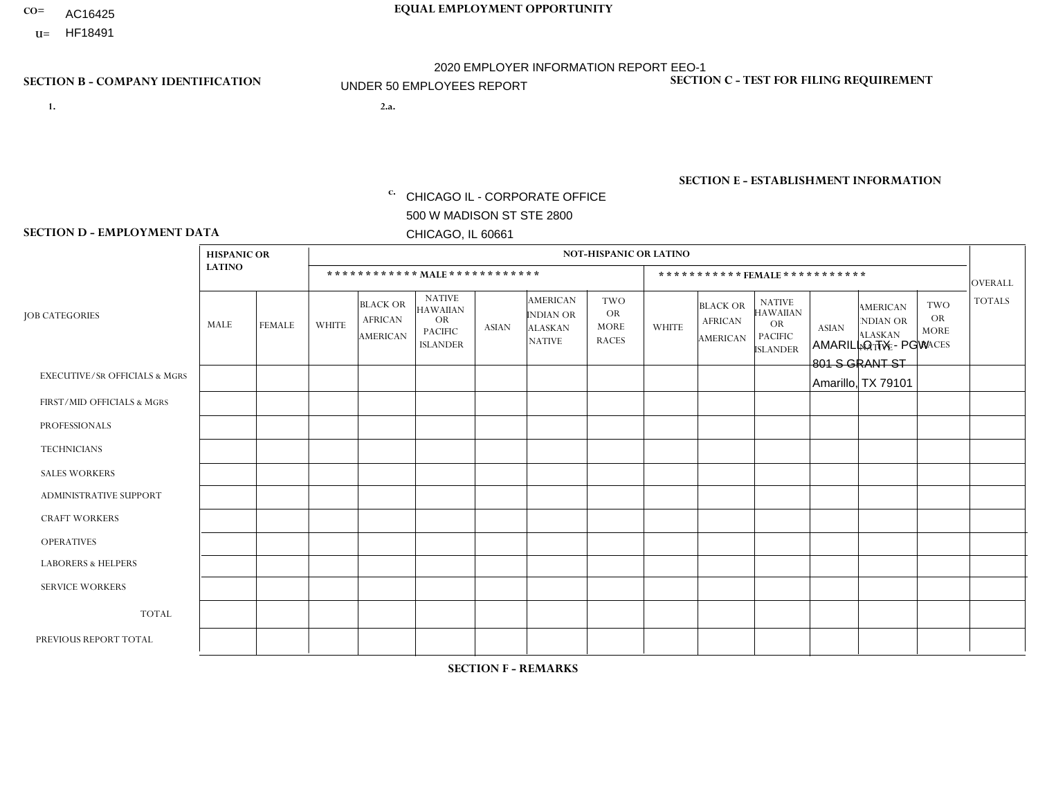- AC16425
- **U=**

**1. 2.a.** CHICAGO IL - CORPORATE OFFICE 500 W MADISON ST STE 2800 CHICAGO, IL 60661

2.a. AMARILLO TX - PGW 801 S GRANT ST Amarillo, TX 79101

EIN= 952920557

## **SECTION B - COMPANY IDENTIFICATION SECTION C - TEST FOR FILING REQUIREMENT**

1- Y 2- Y 3- N DUNS= 000123456

**SECTION E - ESTABLISHMENT INFORMATION c.** NAICS: 811122

### **SECTION D - EMPLOYMENT DATA**

|                                          | <b>HISPANIC OR</b> |               |                |                                                      |                                                                                    |              |                                                                        | <b>NOT-HISPANIC OR LATINO</b>                          |              |                                                      |                                                                                    |              |                                                                       |                                                        |                |
|------------------------------------------|--------------------|---------------|----------------|------------------------------------------------------|------------------------------------------------------------------------------------|--------------|------------------------------------------------------------------------|--------------------------------------------------------|--------------|------------------------------------------------------|------------------------------------------------------------------------------------|--------------|-----------------------------------------------------------------------|--------------------------------------------------------|----------------|
|                                          | <b>LATINO</b>      |               |                | ************ MALE ************                       |                                                                                    |              |                                                                        |                                                        |              |                                                      | ***********FEMALE***********                                                       |              |                                                                       |                                                        | <b>OVERALL</b> |
| <b>JOB CATEGORIES</b>                    | <b>MALE</b>        | <b>FEMALE</b> | <b>WHITE</b>   | <b>BLACK OR</b><br><b>AFRICAN</b><br><b>AMERICAN</b> | <b>NATIVE</b><br><b>HAWAIIAN</b><br><b>OR</b><br><b>PACIFIC</b><br><b>ISLANDER</b> | <b>ASIAN</b> | <b>AMERICAN</b><br><b>INDIAN OR</b><br><b>ALASKAN</b><br><b>NATIVE</b> | <b>TWO</b><br><b>OR</b><br><b>MORE</b><br><b>RACES</b> | <b>WHITE</b> | <b>BLACK OR</b><br><b>AFRICAN</b><br><b>AMERICAN</b> | <b>NATIVE</b><br><b>HAWAIIAN</b><br><b>OR</b><br><b>PACIFIC</b><br><b>ISLANDER</b> | <b>ASIAN</b> | <b>AMERICAN</b><br><b>NDIAN OR</b><br><b>ALASKAN</b><br><b>NATIVE</b> | <b>TWO</b><br><b>OR</b><br><b>MORE</b><br><b>RACES</b> | <b>TOTALS</b>  |
| <b>EXECUTIVE/SR OFFICIALS &amp; MGRS</b> | $\mathbf{0}$       | $\Omega$      | $\Omega$       | $\Omega$                                             | 0                                                                                  | $\Omega$     | $\Omega$                                                               | $\Omega$                                               | $\Omega$     | $\mathbf{0}$                                         | $\Omega$                                                                           | $\Omega$     | $\Omega$                                                              | $\Omega$                                               | $\Omega$       |
| FIRST/MID OFFICIALS & MGRS               | $\Omega$           | $\Omega$      | 1              | $\Omega$                                             | $\mathbf{0}$                                                                       | $\Omega$     | $\Omega$                                                               | $\Omega$                                               | $\Omega$     | $\Omega$                                             | $\Omega$                                                                           | $\Omega$     | $\Omega$                                                              | $\Omega$                                               | $\mathbf{1}$   |
| <b>PROFESSIONALS</b>                     | $\Omega$           | $\Omega$      | $\mathbf 0$    | $\mathbf 0$                                          | $\overline{0}$                                                                     | $\Omega$     | $\Omega$                                                               | $\Omega$                                               | $\Omega$     | $\Omega$                                             | $\Omega$                                                                           | $\Omega$     | $\Omega$                                                              | $\mathbf{0}$                                           | $\mathbf 0$    |
| <b>TECHNICIANS</b>                       | $\Omega$           | $\Omega$      | $\Omega$       | $\Omega$                                             | 0                                                                                  | $\Omega$     | $\overline{0}$                                                         | $\Omega$                                               | $\Omega$     | $\Omega$                                             | $\Omega$                                                                           | $\Omega$     | $\mathbf{0}$                                                          | $\Omega$                                               | $\mathbf 0$    |
| <b>SALES WORKERS</b>                     | $\Omega$           | $\Omega$      | $\Omega$       | $\Omega$                                             | $\Omega$                                                                           | $\Omega$     | $\Omega$                                                               | $\Omega$                                               | $\Omega$     | $\Omega$                                             | $\Omega$                                                                           | $\Omega$     | $\Omega$                                                              | $\mathbf{0}$                                           | $\mathbf 0$    |
| <b>ADMINISTRATIVE SUPPORT</b>            | $\Omega$           | $\mathbf 0$   | $\Omega$       | $\mathbf 0$                                          | $\mathbf 0$                                                                        | $\Omega$     | $\Omega$                                                               | $\Omega$                                               | $\Omega$     | $\Omega$                                             | $\Omega$                                                                           | $\Omega$     | $\Omega$                                                              | $\Omega$                                               | $\mathbf{0}$   |
| <b>CRAFT WORKERS</b>                     | $\Omega$           | $\Omega$      | $\Omega$       | 0                                                    | 0                                                                                  | $\Omega$     | $\Omega$                                                               | $\Omega$                                               | $\Omega$     | $\Omega$                                             | $\Omega$                                                                           | $\Omega$     | $\Omega$                                                              | $\Omega$                                               | $\Omega$       |
| <b>OPERATIVES</b>                        | $\Omega$           | $\Omega$      | $\overline{c}$ | $\mathbf 0$                                          | 0                                                                                  | $\Omega$     | $\Omega$                                                               | $\Omega$                                               | $\Omega$     | $\Omega$                                             | $\Omega$                                                                           | $\Omega$     | $\Omega$                                                              | $\Omega$                                               | $\overline{2}$ |
| <b>LABORERS &amp; HELPERS</b>            | $\Omega$           | $\Omega$      | $\Omega$       | $\mathbf{1}$                                         | 0                                                                                  | $\Omega$     | $\Omega$                                                               | $\Omega$                                               | $\Omega$     | $\Omega$                                             | $\Omega$                                                                           | $\Omega$     | $\Omega$                                                              | $\mathbf{0}$                                           | $\mathbf{1}$   |
| <b>SERVICE WORKERS</b>                   | $\Omega$           | $\Omega$      | $\Omega$       | 0                                                    | $\mathbf 0$                                                                        | $\Omega$     | $\Omega$                                                               | $\Omega$                                               | $\Omega$     | $\Omega$                                             | $\Omega$                                                                           | $\Omega$     | $\Omega$                                                              | $\Omega$                                               | 0              |
| <b>TOTAL</b>                             | 0                  | $\mathbf 0$   | 3              | $\mathbf{1}$                                         | 0                                                                                  | $\mathbf 0$  | $\Omega$                                                               | $\Omega$                                               | 0            | $\Omega$                                             | $\Omega$                                                                           | $\mathbf 0$  | $\Omega$                                                              | $\mathbf 0$                                            | 4              |
| PREVIOUS REPORT TOTAL                    | $\Omega$           | $\mathbf 0$   | 2              | $\mathbf 0$                                          | 0                                                                                  | $\Omega$     | $\overline{0}$                                                         | $\Omega$                                               | $\Omega$     | $\Omega$                                             | $\mathbf{0}$                                                                       | $\Omega$     | $\Omega$                                                              | $\mathbf 0$                                            | $\overline{2}$ |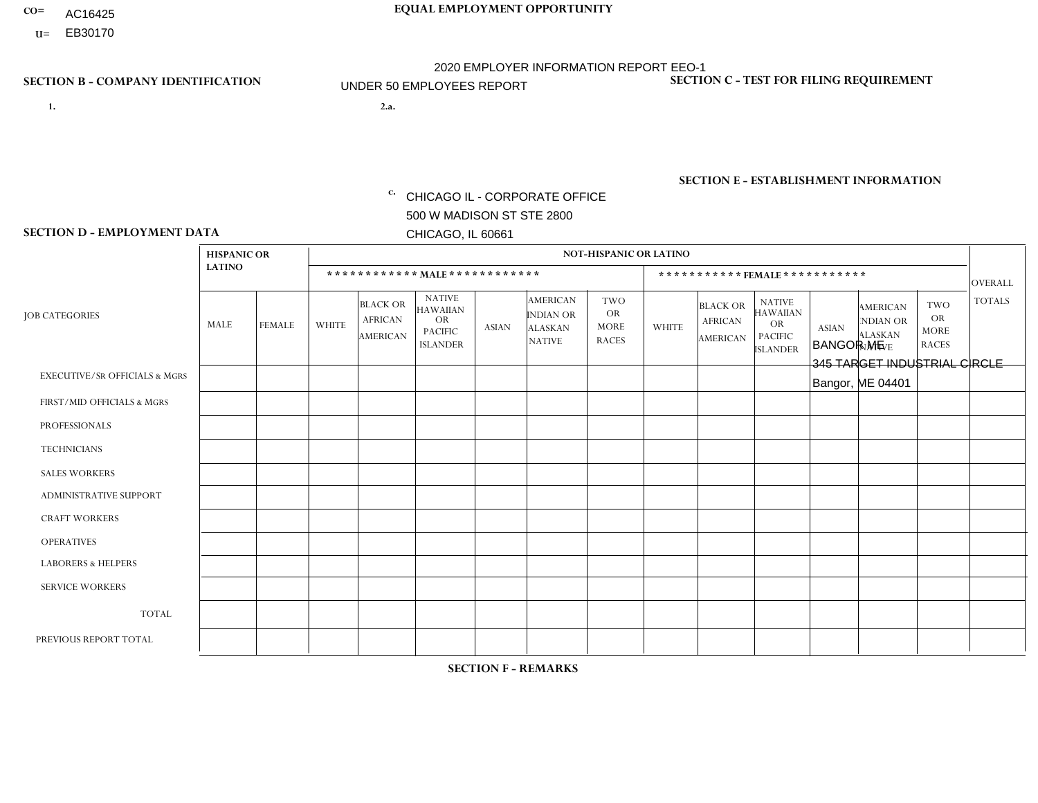- AC16425
- **U=**

- **1. 2.a.** CHICAGO IL CORPORATE OFFICE 500 W MADISON ST STE 2800 CHICAGO, IL 60661
- 2.a. BANGOR ME 345 TARGET INDUSTRIAL CIRCLE Bangor, ME 04401

c. EIN= 952920557

## **SECTION B - COMPANY IDENTIFICATION SECTION C - TEST FOR FILING REQUIREMENT**

1- Y 2- Y 3- N DUNS= 000123456

**SECTION E - ESTABLISHMENT INFORMATION c.** NAICS: 423140

### **SECTION D - EMPLOYMENT DATA**

|                                          | <b>HISPANIC OR</b> |               |                |                                                      |                                                                                    |             |                                                                        | <b>NOT-HISPANIC OR LATINO</b>                          |                |                                               |                                                                             |              |                                                                       |                                                        |                |
|------------------------------------------|--------------------|---------------|----------------|------------------------------------------------------|------------------------------------------------------------------------------------|-------------|------------------------------------------------------------------------|--------------------------------------------------------|----------------|-----------------------------------------------|-----------------------------------------------------------------------------|--------------|-----------------------------------------------------------------------|--------------------------------------------------------|----------------|
|                                          | <b>LATINO</b>      |               |                | ************ MALE ************                       |                                                                                    |             |                                                                        |                                                        |                | ***********FEMALE***********                  |                                                                             |              |                                                                       |                                                        | <b>OVERALL</b> |
| <b>JOB CATEGORIES</b>                    | MALE               | <b>FEMALE</b> | <b>WHITE</b>   | <b>BLACK OR</b><br><b>AFRICAN</b><br><b>AMERICAN</b> | <b>NATIVE</b><br><b>HAWAIIAN</b><br><b>OR</b><br><b>PACIFIC</b><br><b>ISLANDER</b> | ASIAN       | <b>AMERICAN</b><br><b>INDIAN OR</b><br><b>ALASKAN</b><br><b>NATIVE</b> | <b>TWO</b><br><b>OR</b><br><b>MORE</b><br><b>RACES</b> | <b>WHITE</b>   | <b>BLACK OR</b><br><b>AFRICAN</b><br>AMERICAN | <b>NATIVE</b><br><b>HAWAIIAN</b><br>OR<br><b>PACIFIC</b><br><b>ISLANDER</b> | <b>ASIAN</b> | <b>AMERICAN</b><br><b>NDIAN OR</b><br><b>ALASKAN</b><br><b>NATIVE</b> | <b>TWO</b><br><b>OR</b><br><b>MORE</b><br><b>RACES</b> | <b>TOTALS</b>  |
| <b>EXECUTIVE/SR OFFICIALS &amp; MGRS</b> | $\Omega$           | $\Omega$      | $\Omega$       | $\mathbf 0$                                          | $\mathbf 0$                                                                        | $\Omega$    | $\Omega$                                                               | $\Omega$                                               | $\Omega$       | $\Omega$                                      | $\Omega$                                                                    | $\mathbf 0$  | $\Omega$                                                              | $\mathbf 0$                                            | $\mathbf{0}$   |
| FIRST/MID OFFICIALS & MGRS               | 0                  | 0             | $\Omega$       | $\mathbf 0$                                          | 0                                                                                  | $\Omega$    | $\Omega$                                                               | $\Omega$                                               | 0              | $\Omega$                                      | $\Omega$                                                                    | $\mathbf{0}$ | $\Omega$                                                              | $\mathbf 0$                                            | $\overline{0}$ |
| <b>PROFESSIONALS</b>                     | $\Omega$           | $\Omega$      | $\Omega$       | $\mathbf 0$                                          | $\Omega$                                                                           | $\Omega$    | $\Omega$                                                               | $\Omega$                                               | $\overline{0}$ | $\Omega$                                      | $\Omega$                                                                    | $\Omega$     | $\Omega$                                                              | $\Omega$                                               | $\mathbf 0$    |
| <b>TECHNICIANS</b>                       | 0                  | $\mathbf 0$   | $\Omega$       | $\mathbf 0$                                          | $\Omega$                                                                           | $\Omega$    | $\Omega$                                                               | $\Omega$                                               | $\Omega$       | $\Omega$                                      | $\Omega$                                                                    | $\Omega$     | $\Omega$                                                              | $\Omega$                                               | $\mathbf{0}$   |
| <b>SALES WORKERS</b>                     | $\Omega$           | $\Omega$      | $\Omega$       | $\mathbf 0$                                          | $\Omega$                                                                           | $\Omega$    | $\Omega$                                                               | $\Omega$                                               | $\overline{0}$ | $\Omega$                                      | $\Omega$                                                                    | $\Omega$     | $\Omega$                                                              | $\mathbf{0}$                                           | $\mathbf{0}$   |
| ADMINISTRATIVE SUPPORT                   | $\mathbf 0$        | 0             | $\mathbf 0$    | $\mathbf 0$                                          | 0                                                                                  | $\Omega$    | $\Omega$                                                               | $\Omega$                                               | $\Omega$       | $\Omega$                                      | $\Omega$                                                                    | $\mathbf{0}$ | $\mathbf{0}$                                                          | $\mathbf 0$                                            | $\mathbf 0$    |
| <b>CRAFT WORKERS</b>                     | 0                  | $\Omega$      | $\Omega$       | $\mathbf 0$                                          | $\Omega$                                                                           | $\Omega$    | $\Omega$                                                               | $\Omega$                                               | 0              | $\Omega$                                      | $\Omega$                                                                    | $\Omega$     | $\Omega$                                                              | $\Omega$                                               | $\Omega$       |
| <b>OPERATIVES</b>                        | 0                  | $\Omega$      | 3              | $\mathbf 0$                                          | $\Omega$                                                                           | $\Omega$    | $\Omega$                                                               | $\Omega$                                               | $\Omega$       | $\Omega$                                      | $\Omega$                                                                    | $\Omega$     | $\Omega$                                                              | $\Omega$                                               | 3              |
| <b>LABORERS &amp; HELPERS</b>            | 0                  | $\Omega$      | $\overline{ }$ | $\mathbf 0$                                          | $\mathbf 0$                                                                        | $\Omega$    | $\Omega$                                                               | $\Omega$                                               | $\Omega$       | $\Omega$                                      | $\Omega$                                                                    | $\Omega$     | $\Omega$                                                              | $\Omega$                                               | $\mathbf{1}$   |
| <b>SERVICE WORKERS</b>                   | 0                  | $\mathbf 0$   | $\mathbf 0$    | $\mathbf 0$                                          | $\mathbf{0}$                                                                       | $\mathbf 0$ | $\Omega$                                                               | $\Omega$                                               | $\Omega$       | $\Omega$                                      | $\Omega$                                                                    | $\mathbf 0$  | $\Omega$                                                              | $\mathbf 0$                                            | $\overline{0}$ |
| <b>TOTAL</b>                             | $\Omega$           | 0             | 4              | 0                                                    | 0                                                                                  | $\Omega$    | $\Omega$                                                               | $\Omega$                                               | $\Omega$       | $\Omega$                                      | $\Omega$                                                                    | $\mathbf 0$  | 0                                                                     | $\mathbf 0$                                            | $\overline{4}$ |
| PREVIOUS REPORT TOTAL                    | 0                  | $\Omega$      | 4              | $\mathbf 0$                                          | $\Omega$                                                                           | $\Omega$    | $\Omega$                                                               | $\Omega$                                               | 0              | $\Omega$                                      | $\Omega$                                                                    | $\Omega$     | $\Omega$                                                              | $\mathbf 0$                                            | $\overline{4}$ |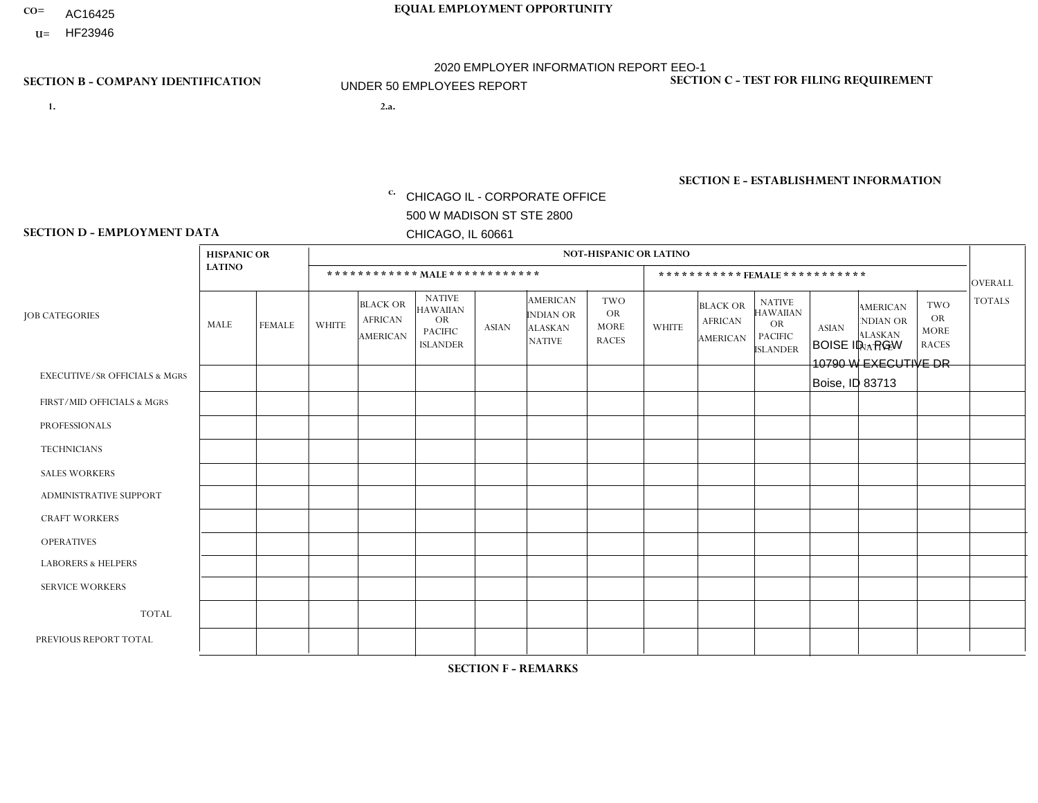- AC16425
- **U=** HF23946

- **1. 2.a.** CHICAGO IL CORPORATE OFFICE 500 W MADISON ST STE 2800 CHICAGO, IL 60661
- BOISE ID PGW 10790 W EXECUTIVE DR Boise, ID 83713

**SECTION B - COMPANY IDENTIFICATION SECTION C - TEST FOR FILING REQUIREMENT** 

1- Y 2- Y 3- N DUNS= 000123456

EIN= 952920557

## **SECTION E - ESTABLISHMENT INFORMATION c.** NAICS: 811122

### **SECTION D - EMPLOYMENT DATA**

|                                          | <b>HISPANIC OR</b> |               |                |                                                      |                                                                                    |              |                                                                        | <b>NOT-HISPANIC OR LATINO</b>                          |              |                                                      |                                                                                    |              |                                                                       |                                                        |                |
|------------------------------------------|--------------------|---------------|----------------|------------------------------------------------------|------------------------------------------------------------------------------------|--------------|------------------------------------------------------------------------|--------------------------------------------------------|--------------|------------------------------------------------------|------------------------------------------------------------------------------------|--------------|-----------------------------------------------------------------------|--------------------------------------------------------|----------------|
|                                          | <b>LATINO</b>      |               |                |                                                      | ************ MALE ************                                                     |              |                                                                        |                                                        |              |                                                      | ***********FEMALE***********                                                       |              |                                                                       |                                                        | <b>OVERALL</b> |
| <b>JOB CATEGORIES</b>                    | MALE               | <b>FEMALE</b> | <b>WHITE</b>   | <b>BLACK OR</b><br><b>AFRICAN</b><br><b>AMERICAN</b> | <b>NATIVE</b><br><b>HAWAIIAN</b><br><b>OR</b><br><b>PACIFIC</b><br><b>ISLANDER</b> | <b>ASIAN</b> | <b>AMERICAN</b><br><b>INDIAN OR</b><br><b>ALASKAN</b><br><b>NATIVE</b> | <b>TWO</b><br><b>OR</b><br><b>MORE</b><br><b>RACES</b> | <b>WHITE</b> | <b>BLACK OR</b><br><b>AFRICAN</b><br><b>AMERICAN</b> | <b>NATIVE</b><br><b>HAWAIIAN</b><br><b>OR</b><br><b>PACIFIC</b><br><b>ISLANDER</b> | <b>ASIAN</b> | <b>AMERICAN</b><br><b>NDIAN OR</b><br><b>ALASKAN</b><br><b>NATIVE</b> | <b>TWO</b><br><b>OR</b><br><b>MORE</b><br><b>RACES</b> | <b>TOTALS</b>  |
| <b>EXECUTIVE/SR OFFICIALS &amp; MGRS</b> | $\mathbf{0}$       | $\Omega$      | $\Omega$       | $\Omega$                                             | $\Omega$                                                                           | $\Omega$     | $\Omega$                                                               | 0                                                      | $\Omega$     | $\mathbf{0}$                                         | 0                                                                                  | $\Omega$     | $\Omega$                                                              | $\Omega$                                               | $\Omega$       |
| FIRST/MID OFFICIALS & MGRS               | $\Omega$           | $\Omega$      | $\mathbf 0$    | $\Omega$                                             | -1                                                                                 | $\Omega$     | $\Omega$                                                               | 0                                                      | $\Omega$     | $\mathbf{0}$                                         | 0                                                                                  | $\Omega$     | $\Omega$                                                              | $\Omega$                                               | $\mathbf{1}$   |
| <b>PROFESSIONALS</b>                     | $\Omega$           | $\mathbf 0$   | $\mathbf 0$    | $\Omega$                                             | $\Omega$                                                                           | $\Omega$     | $\Omega$                                                               | 0                                                      | $\Omega$     | $\mathbf{0}$                                         | 0                                                                                  | $\Omega$     | $\Omega$                                                              | $\Omega$                                               | $\mathbf 0$    |
| <b>TECHNICIANS</b>                       | 0                  | $\mathbf 0$   | $\mathbf 0$    | $\mathbf 0$                                          | $\Omega$                                                                           | $\Omega$     | $\Omega$                                                               | 0                                                      | $\Omega$     | $\mathbf 0$                                          | 0                                                                                  | $\mathbf 0$  | $\Omega$                                                              | $\Omega$                                               | $\mathbf 0$    |
| <b>SALES WORKERS</b>                     | $\Omega$           | $\Omega$      | $\mathbf 0$    | $\Omega$                                             | $\Omega$                                                                           | $\Omega$     | $\Omega$                                                               | 0                                                      | $\Omega$     | $\Omega$                                             | 0                                                                                  | $\Omega$     | $\mathbf{0}$                                                          | $\Omega$                                               | $\mathbf 0$    |
| <b>ADMINISTRATIVE SUPPORT</b>            | $\Omega$           | $\mathbf 0$   | $\mathbf 0$    | $\Omega$                                             | $\Omega$                                                                           | $\Omega$     | $\Omega$                                                               | 0                                                      | $\Omega$     | $\mathbf{0}$                                         | 0                                                                                  | $\Omega$     | $\mathbf{0}$                                                          | $\Omega$                                               | $\mathbf 0$    |
| <b>CRAFT WORKERS</b>                     | $\Omega$           | $\mathbf 0$   | $\mathbf 0$    | $\Omega$                                             | $\Omega$                                                                           | $\Omega$     | $\Omega$                                                               | 0                                                      | $\Omega$     | $\Omega$                                             | 0                                                                                  | $\Omega$     | $\Omega$                                                              | $\Omega$                                               | $\mathbf 0$    |
| <b>OPERATIVES</b>                        | 0                  | $\mathbf 0$   | $\overline{c}$ | $\mathbf 0$                                          | $\Omega$                                                                           | $\Omega$     | $\Omega$                                                               |                                                        | $\Omega$     | $\Omega$                                             | 0                                                                                  | $\mathbf 0$  | $\Omega$                                                              | $\Omega$                                               | 3              |
| <b>LABORERS &amp; HELPERS</b>            | $\Omega$           | $\Omega$      | $\mathbf{1}$   | $\Omega$                                             | $\Omega$                                                                           | $\Omega$     | $\Omega$                                                               | 0                                                      | $\Omega$     | $\mathbf{0}$                                         | 0                                                                                  | $\Omega$     | $\Omega$                                                              | $\Omega$                                               | $\mathbf 1$    |
| <b>SERVICE WORKERS</b>                   | $\Omega$           | 0             | $\mathbf 0$    | $\mathbf 0$                                          | $\Omega$                                                                           | $\mathbf{0}$ | $\Omega$                                                               | 0                                                      | $\Omega$     | $\Omega$                                             | $\Omega$                                                                           | $\Omega$     | $\Omega$                                                              | $\Omega$                                               | $\mathbf 0$    |
| <b>TOTAL</b>                             | $\mathbf{0}$       | 0             | 3              | 0                                                    | $\overline{1}$                                                                     | $\Omega$     | $\Omega$                                                               |                                                        | $\Omega$     | $\Omega$                                             | $\Omega$                                                                           | 0            | $\Omega$                                                              | $\Omega$                                               | 5              |
| PREVIOUS REPORT TOTAL                    | 0                  | $\mathbf 0$   | 3              | $\Omega$                                             | -1                                                                                 | $\Omega$     | $\Omega$                                                               | 0                                                      | $\Omega$     | $\mathbf{0}$                                         | 0                                                                                  | $\Omega$     | $\Omega$                                                              | $\mathbf 0$                                            | $\overline{4}$ |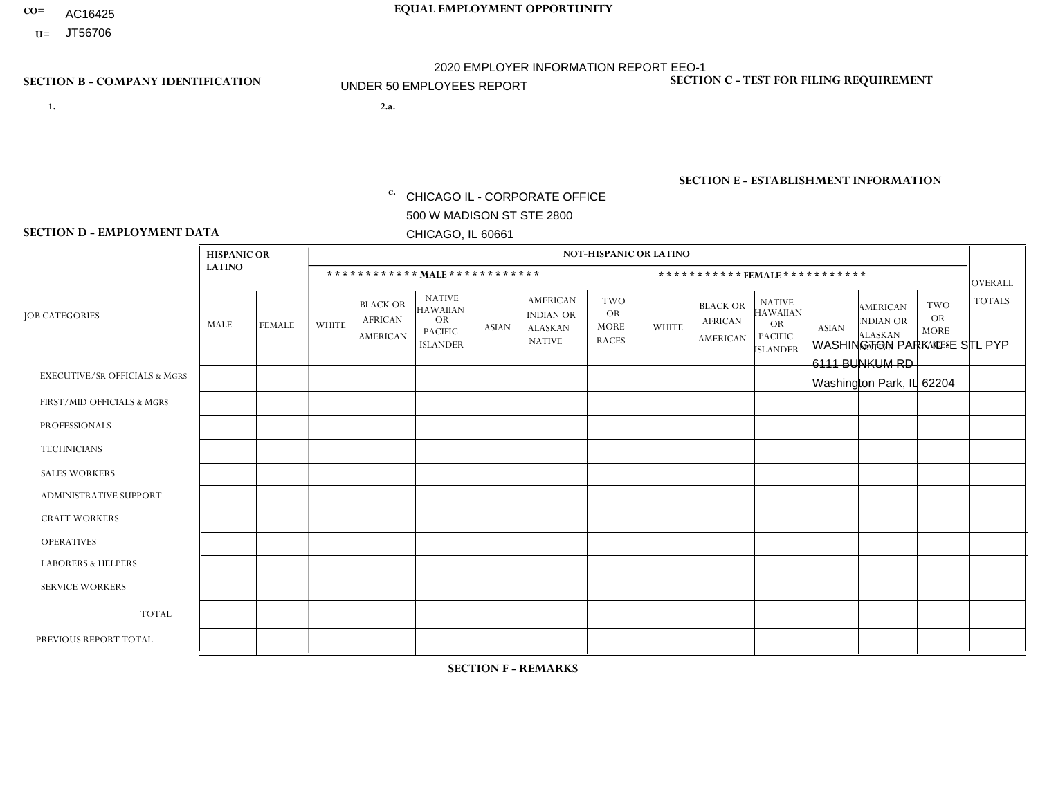- AC16425
- **U=**

**1. 2.a.** CHICAGO IL - CORPORATE OFFICE 500 W MADISON ST STE 2800 CHICAGO, IL 60661

WASHINGTON PARK IL -E STL PYP 6111 BUNKUM RD Washington Park, IL 62204

c. EIN= 952920557

## **SECTION B - COMPANY IDENTIFICATION SECTION C - TEST FOR FILING REQUIREMENT**

1- Y 2- Y 3- N DUNS= 000123456

**SECTION E - ESTABLISHMENT INFORMATION c.** NAICS: 423140

### **SECTION D - EMPLOYMENT DATA**

|                                          | <b>HISPANIC OR</b> |               |              |                                               |                                                                                    |              |                                                                        | <b>NOT-HISPANIC OR LATINO</b>                          |                |                                               |                                                                                    |              |                                                                       |                                                        |                |
|------------------------------------------|--------------------|---------------|--------------|-----------------------------------------------|------------------------------------------------------------------------------------|--------------|------------------------------------------------------------------------|--------------------------------------------------------|----------------|-----------------------------------------------|------------------------------------------------------------------------------------|--------------|-----------------------------------------------------------------------|--------------------------------------------------------|----------------|
|                                          | <b>LATINO</b>      |               |              |                                               | ************ MALE ************                                                     |              |                                                                        |                                                        |                |                                               | ***********FEMALE***********                                                       |              |                                                                       |                                                        | <b>OVERALL</b> |
| <b>JOB CATEGORIES</b>                    | MALE               | <b>FEMALE</b> | <b>WHITE</b> | <b>BLACK OR</b><br><b>AFRICAN</b><br>AMERICAN | <b>NATIVE</b><br><b>HAWAIIAN</b><br><b>OR</b><br><b>PACIFIC</b><br><b>ISLANDER</b> | <b>ASIAN</b> | <b>AMERICAN</b><br><b>INDIAN OR</b><br><b>ALASKAN</b><br><b>NATIVE</b> | <b>TWO</b><br><b>OR</b><br><b>MORE</b><br><b>RACES</b> | <b>WHITE</b>   | <b>BLACK OR</b><br><b>AFRICAN</b><br>AMERICAN | <b>NATIVE</b><br><b>HAWAIIAN</b><br><b>OR</b><br><b>PACIFIC</b><br><b>ISLANDER</b> | <b>ASIAN</b> | <b>AMERICAN</b><br><b>NDIAN OR</b><br><b>ALASKAN</b><br><b>NATIVE</b> | <b>TWO</b><br><b>OR</b><br><b>MORE</b><br><b>RACES</b> | <b>TOTALS</b>  |
| <b>EXECUTIVE/SR OFFICIALS &amp; MGRS</b> | $\mathbf 0$        | $\mathbf 0$   | $\mathbf 0$  | $\mathbf 0$                                   | $\mathbf 0$                                                                        | $\mathbf 0$  | $\Omega$                                                               | $\Omega$                                               | $\Omega$       | $\Omega$                                      | $\Omega$                                                                           | $\mathbf 0$  | $\mathbf 0$                                                           | $\mathbf 0$                                            | $\mathbf 0$    |
| FIRST/MID OFFICIALS & MGRS               | 0                  | $\Omega$      | 1            | $\mathbf 0$                                   | $\Omega$                                                                           | $\Omega$     | $\Omega$                                                               | $\Omega$                                               | 1              | $\Omega$                                      | $\Omega$                                                                           | $\mathbf{0}$ | $\Omega$                                                              | $\Omega$                                               | 2              |
| <b>PROFESSIONALS</b>                     | $\Omega$           | $\mathbf 0$   | $\mathbf 0$  | $\mathbf 0$                                   | $\Omega$                                                                           | $\Omega$     | $\Omega$                                                               | $\Omega$                                               |                | $\Omega$                                      | $\Omega$                                                                           | $\mathbf 0$  | $\mathbf 0$                                                           | $\mathbf 0$                                            | $\mathbf{1}$   |
| <b>TECHNICIANS</b>                       | 0                  | $\Omega$      | $\Omega$     | $\mathbf 0$                                   | $\Omega$                                                                           | $\Omega$     | $\Omega$                                                               | $\Omega$                                               | $\Omega$       | $\Omega$                                      | $\Omega$                                                                           | $\Omega$     | $\Omega$                                                              | $\Omega$                                               | $\mathbf{0}$   |
| <b>SALES WORKERS</b>                     | 0                  | $\Omega$      | $\Omega$     | $\mathbf 0$                                   | $\Omega$                                                                           | $\Omega$     | $\Omega$                                                               | $\Omega$                                               | $\Omega$       | $\Omega$                                      | $\Omega$                                                                           | $\Omega$     | $\Omega$                                                              | $\Omega$                                               | $\mathbf 0$    |
| ADMINISTRATIVE SUPPORT                   | $\Omega$           | $\mathbf 0$   | 5            | $\overline{1}$                                | 0                                                                                  | $\Omega$     | $\Omega$                                                               | $\Omega$                                               | $\overline{2}$ | $\Omega$                                      | $\Omega$                                                                           | $\Omega$     | $\Omega$                                                              | $\mathbf 0$                                            | 8              |
| <b>CRAFT WORKERS</b>                     | 0                  | $\Omega$      | $\Omega$     | $\mathbf 0$                                   | $\Omega$                                                                           | $\Omega$     | $\Omega$                                                               | $\Omega$                                               | 0              | $\Omega$                                      | $\Omega$                                                                           | $\mathbf{0}$ | $\Omega$                                                              | $\mathbf{0}$                                           | $\mathbf 0$    |
| <b>OPERATIVES</b>                        |                    | $\Omega$      | 8            | $\overline{2}$                                | $\Omega$                                                                           | $\Omega$     | $\Omega$                                                               |                                                        | 3              | $\Omega$                                      | $\Omega$                                                                           | $\Omega$     | $\Omega$                                                              | $\Omega$                                               | 15             |
| <b>LABORERS &amp; HELPERS</b>            | 0                  | $\Omega$      | 1            | $\mathbf 0$                                   | $\Omega$                                                                           | $\Omega$     | $\Omega$                                                               | $\Omega$                                               | $\overline{0}$ | $\Omega$                                      | $\Omega$                                                                           | $\Omega$     | $\Omega$                                                              | $\mathbf{0}$                                           | $\mathbf{1}$   |
| <b>SERVICE WORKERS</b>                   | 0                  | $\Omega$      | $\mathbf 0$  | 0                                             | 0                                                                                  | $\mathbf 0$  | $\Omega$                                                               | $\Omega$                                               | $\Omega$       | $\Omega$                                      | $\Omega$                                                                           | $\Omega$     | $\Omega$                                                              | $\mathbf 0$                                            | $\overline{0}$ |
| <b>TOTAL</b>                             |                    | 0             | 15           | 3                                             | 0                                                                                  | $\mathbf{0}$ | $\Omega$                                                               |                                                        | $\overline{7}$ | 0                                             | $\Omega$                                                                           | 0            | 0                                                                     | $\mathbf 0$                                            | 27             |
| PREVIOUS REPORT TOTAL                    | 0                  | $\Omega$      | 14           | $\overline{2}$                                | $\Omega$                                                                           | $\Omega$     | $\Omega$                                                               |                                                        | 6              |                                               | $\Omega$                                                                           | $\Omega$     | $\Omega$                                                              | $\mathbf 0$                                            | 24             |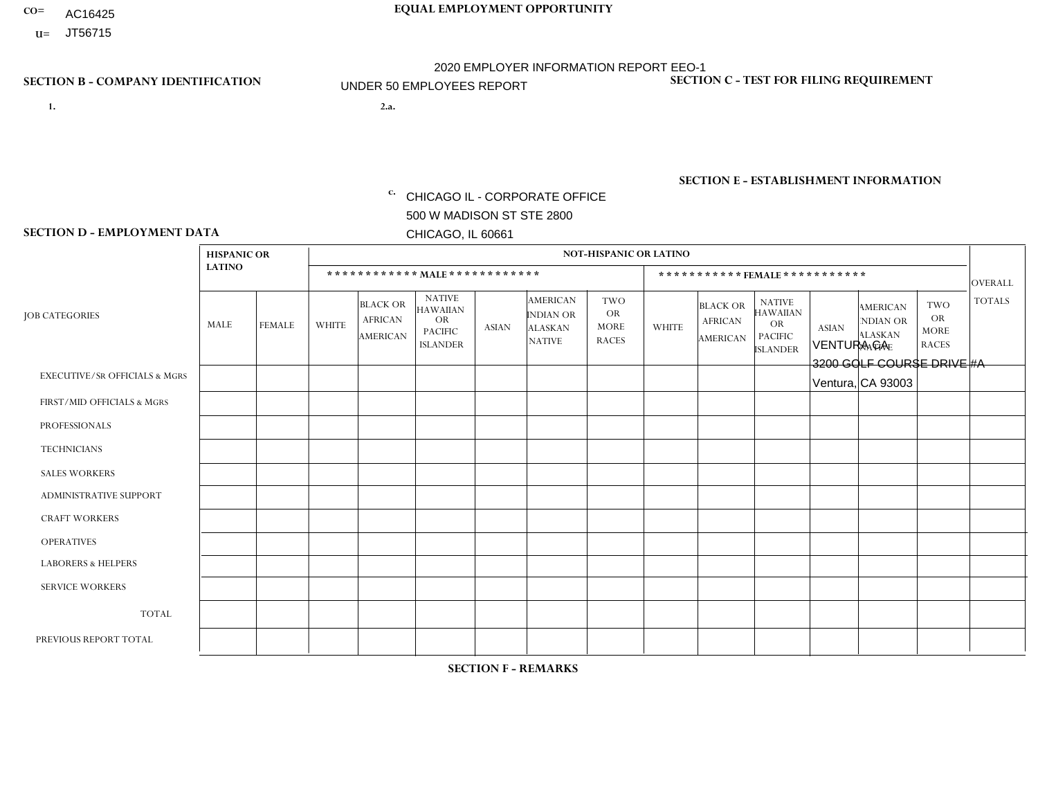- AC16425
- **U=**

- **1. 2.a.** CHICAGO IL CORPORATE OFFICE 500 W MADISON ST STE 2800 CHICAGO, IL 60661
- 2.a. VENTURA CA 3200 GOLF COURSE DRIVE #A Ventura, CA 93003

EIN= 364261867

## **SECTION B - COMPANY IDENTIFICATION SECTION C - TEST FOR FILING REQUIREMENT**

1- Y 2- Y 3- N DUNS= 000123456

**SECTION E - ESTABLISHMENT INFORMATION c.** NAICS: 423140

### **SECTION D - EMPLOYMENT DATA**

|                                          | <b>HISPANIC OR</b> |               |              |                                                      |                                                                                    |             |                                                                        | <b>NOT-HISPANIC OR LATINO</b>                          |              |                                               |                                                                                    |              |                                                                       |                                                        |                |
|------------------------------------------|--------------------|---------------|--------------|------------------------------------------------------|------------------------------------------------------------------------------------|-------------|------------------------------------------------------------------------|--------------------------------------------------------|--------------|-----------------------------------------------|------------------------------------------------------------------------------------|--------------|-----------------------------------------------------------------------|--------------------------------------------------------|----------------|
|                                          | <b>LATINO</b>      |               |              | ************ MALE ************                       |                                                                                    |             |                                                                        |                                                        |              |                                               | ***********FEMALE***********                                                       |              |                                                                       |                                                        | <b>OVERALL</b> |
| <b>JOB CATEGORIES</b>                    | <b>MALE</b>        | <b>FEMALE</b> | <b>WHITE</b> | <b>BLACK OR</b><br><b>AFRICAN</b><br><b>AMERICAN</b> | <b>NATIVE</b><br><b>HAWAIIAN</b><br><b>OR</b><br><b>PACIFIC</b><br><b>ISLANDER</b> | ASIAN       | <b>AMERICAN</b><br><b>INDIAN OR</b><br><b>ALASKAN</b><br><b>NATIVE</b> | <b>TWO</b><br><b>OR</b><br><b>MORE</b><br><b>RACES</b> | <b>WHITE</b> | <b>BLACK OR</b><br><b>AFRICAN</b><br>AMERICAN | <b>NATIVE</b><br><b>HAWAIIAN</b><br><b>OR</b><br><b>PACIFIC</b><br><b>ISLANDER</b> | <b>ASIAN</b> | <b>AMERICAN</b><br><b>NDIAN OR</b><br><b>ALASKAN</b><br><b>NATIVE</b> | <b>TWO</b><br><b>OR</b><br><b>MORE</b><br><b>RACES</b> | <b>TOTALS</b>  |
| <b>EXECUTIVE/SR OFFICIALS &amp; MGRS</b> | $\Omega$           | $\mathbf 0$   | $\Omega$     | $\mathbf 0$                                          | $\mathbf 0$                                                                        | $\mathbf 0$ | $\Omega$                                                               | $\Omega$                                               | $\Omega$     | $\Omega$                                      | $\Omega$                                                                           | $\Omega$     | $\Omega$                                                              | $\Omega$                                               | $\mathbf 0$    |
| FIRST/MID OFFICIALS & MGRS               | $\Omega$           | 0             | $\mathbf 0$  | $\mathbf 0$                                          | $\mathbf 0$                                                                        | $\mathbf 0$ | $\Omega$                                                               | $\Omega$                                               | $\Omega$     | $\Omega$                                      | $\Omega$                                                                           | $\Omega$     | $\Omega$                                                              | $\Omega$                                               | $\mathbf 0$    |
| <b>PROFESSIONALS</b>                     | $\Omega$           | $\Omega$      | $\Omega$     | $\mathbf 0$                                          | $\Omega$                                                                           | $\Omega$    | $\Omega$                                                               | $\Omega$                                               | $\Omega$     | $\Omega$                                      | $\Omega$                                                                           | $\Omega$     | $\Omega$                                                              | $\mathbf{0}$                                           | $\mathbf 0$    |
| <b>TECHNICIANS</b>                       | $\Omega$           | $\mathbf 0$   | $\Omega$     | $\mathbf 0$                                          | $\mathbf 0$                                                                        | $\Omega$    | $\Omega$                                                               | $\Omega$                                               | $\mathbf{0}$ | $\Omega$                                      | $\Omega$                                                                           | $\Omega$     | $\Omega$                                                              | $\Omega$                                               | $\mathbf 0$    |
| <b>SALES WORKERS</b>                     | $\Omega$           | $\Omega$      | $\Omega$     | $\mathbf 0$                                          | 0                                                                                  | $\Omega$    | $\Omega$                                                               | $\Omega$                                               | $\Omega$     | $\Omega$                                      | $\Omega$                                                                           | $\Omega$     | $\Omega$                                                              | $\mathbf{0}$                                           | $\mathbf 0$    |
| <b>ADMINISTRATIVE SUPPORT</b>            | $\Omega$           | $\mathbf 0$   | 0            | $\mathbf 0$                                          | $\mathbf{0}$                                                                       | $\mathbf 0$ | $\Omega$                                                               | $\Omega$                                               | 0            | $\Omega$                                      | $\Omega$                                                                           | $\Omega$     | $\Omega$                                                              | $\mathbf 0$                                            | $\mathbf{0}$   |
| <b>CRAFT WORKERS</b>                     | $\Omega$           | $\Omega$      | $\Omega$     | $\mathbf 0$                                          | 0                                                                                  | $\Omega$    | $\Omega$                                                               | $\Omega$                                               | $\Omega$     | $\Omega$                                      | $\mathbf{0}$                                                                       | $\Omega$     | $\Omega$                                                              | $\Omega$                                               | $\Omega$       |
| <b>OPERATIVES</b>                        | 1                  | $\Omega$      | $\Omega$     | 0                                                    | $\Omega$                                                                           | $\Omega$    | $\Omega$                                                               | $\Omega$                                               | $\Omega$     | $\Omega$                                      | $\Omega$                                                                           | $\Omega$     | $\Omega$                                                              | $\Omega$                                               | $\mathbf{1}$   |
| <b>LABORERS &amp; HELPERS</b>            | 1                  | $\Omega$      | 0            | $\mathbf 0$                                          | 0                                                                                  | $\mathbf 0$ | $\Omega$                                                               | $\Omega$                                               | $\Omega$     | $\Omega$                                      | $\mathbf{0}$                                                                       | $\Omega$     | $\Omega$                                                              | $\mathbf{0}$                                           | $\mathbf{1}$   |
| <b>SERVICE WORKERS</b>                   | $\Omega$           | $\mathbf 0$   | 0            | $\mathbf 0$                                          | $\mathbf{0}$                                                                       | $\mathbf 0$ | $\Omega$                                                               | $\Omega$                                               | $\Omega$     | $\Omega$                                      | $\Omega$                                                                           | $\mathbf 0$  | $\Omega$                                                              | $\mathbf 0$                                            | 0              |
| <b>TOTAL</b>                             | $\overline{2}$     | $\mathbf 0$   | 0            | $\mathbf 0$                                          | 0                                                                                  | $\mathbf 0$ | $\Omega$                                                               | $\Omega$                                               | $\Omega$     | $\Omega$                                      | $\Omega$                                                                           | $\mathbf 0$  | $\Omega$                                                              | $\mathbf 0$                                            | $\overline{2}$ |
| PREVIOUS REPORT TOTAL                    |                    | 0             | $\Omega$     | $\mathbf 0$                                          | $\mathbf{0}$                                                                       | $\Omega$    | $\Omega$                                                               | $\Omega$                                               | $\Omega$     | $\Omega$                                      | $\mathbf{0}$                                                                       | $\Omega$     | $\Omega$                                                              | $\Omega$                                               | $\mathbf{1}$   |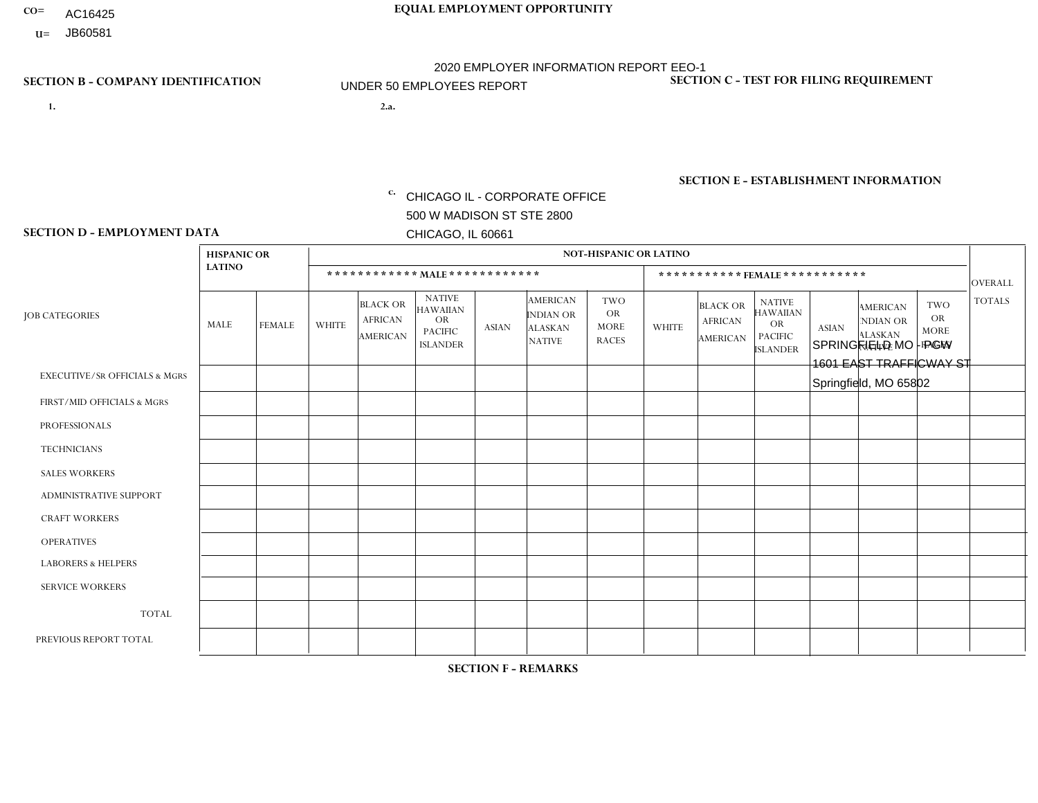- AC16425
- **U=**

- **1. 2.a.** CHICAGO IL CORPORATE OFFICE 500 W MADISON ST STE 2800 CHICAGO, IL 60661
- 2.a. SPRINGFIELD MO PGW 1601 EAST TRAFFICWAY ST Springfield, MO 65802

c. EIN= 952920557

## **SECTION B - COMPANY IDENTIFICATION SECTION C - TEST FOR FILING REQUIREMENT**

1- Y 2- Y 3- N DUNS= 000123456

**SECTION E - ESTABLISHMENT INFORMATION c.** NAICS: 423140

### **SECTION D - EMPLOYMENT DATA**

|                                          | <b>HISPANIC OR</b> |               |              |                                                      |                                                                                    |             |                                                                        | <b>NOT-HISPANIC OR LATINO</b>                          |                |                                               |                                                                             |              |                                                                       |                                                        |                |
|------------------------------------------|--------------------|---------------|--------------|------------------------------------------------------|------------------------------------------------------------------------------------|-------------|------------------------------------------------------------------------|--------------------------------------------------------|----------------|-----------------------------------------------|-----------------------------------------------------------------------------|--------------|-----------------------------------------------------------------------|--------------------------------------------------------|----------------|
|                                          | <b>LATINO</b>      |               |              | ************ MALE ************                       |                                                                                    |             |                                                                        |                                                        |                | ***********FEMALE***********                  |                                                                             |              |                                                                       |                                                        | <b>OVERALL</b> |
| <b>JOB CATEGORIES</b>                    | MALE               | <b>FEMALE</b> | <b>WHITE</b> | <b>BLACK OR</b><br><b>AFRICAN</b><br><b>AMERICAN</b> | <b>NATIVE</b><br><b>HAWAIIAN</b><br><b>OR</b><br><b>PACIFIC</b><br><b>ISLANDER</b> | ASIAN       | <b>AMERICAN</b><br><b>INDIAN OR</b><br><b>ALASKAN</b><br><b>NATIVE</b> | <b>TWO</b><br><b>OR</b><br><b>MORE</b><br><b>RACES</b> | <b>WHITE</b>   | <b>BLACK OR</b><br><b>AFRICAN</b><br>AMERICAN | <b>NATIVE</b><br><b>HAWAIIAN</b><br>OR<br><b>PACIFIC</b><br><b>ISLANDER</b> | <b>ASIAN</b> | <b>AMERICAN</b><br><b>NDIAN OR</b><br><b>ALASKAN</b><br><b>NATIVE</b> | <b>TWO</b><br><b>OR</b><br><b>MORE</b><br><b>RACES</b> | <b>TOTALS</b>  |
| <b>EXECUTIVE/SR OFFICIALS &amp; MGRS</b> | $\Omega$           | $\Omega$      | $\Omega$     | $\mathbf 0$                                          | $\mathbf 0$                                                                        | $\Omega$    | $\Omega$                                                               | $\Omega$                                               | $\Omega$       | $\Omega$                                      | $\Omega$                                                                    | $\mathbf 0$  | $\Omega$                                                              | $\mathbf 0$                                            | $\mathbf{0}$   |
| FIRST/MID OFFICIALS & MGRS               | 0                  | 0             | 1            | $\mathbf 0$                                          | 0                                                                                  | $\Omega$    | $\Omega$                                                               | $\Omega$                                               | 0              | $\Omega$                                      | $\Omega$                                                                    | $\mathbf{0}$ | $\Omega$                                                              | $\mathbf 0$                                            | $\mathbf{1}$   |
| <b>PROFESSIONALS</b>                     | $\Omega$           | $\Omega$      | $\Omega$     | $\mathbf 0$                                          | $\Omega$                                                                           | $\Omega$    | $\Omega$                                                               | $\Omega$                                               | $\overline{0}$ | $\Omega$                                      | $\Omega$                                                                    | $\Omega$     | $\Omega$                                                              | $\Omega$                                               | $\mathbf 0$    |
| <b>TECHNICIANS</b>                       | 0                  | $\mathbf 0$   | $\Omega$     | $\mathbf 0$                                          | $\Omega$                                                                           | $\Omega$    | $\Omega$                                                               | $\Omega$                                               | $\Omega$       | $\Omega$                                      | $\Omega$                                                                    | $\Omega$     | $\Omega$                                                              | $\Omega$                                               | $\mathbf{0}$   |
| <b>SALES WORKERS</b>                     | $\Omega$           | $\Omega$      | $\Omega$     | $\mathbf 0$                                          | $\Omega$                                                                           | $\Omega$    | $\Omega$                                                               | $\Omega$                                               | $\overline{0}$ | $\Omega$                                      | $\Omega$                                                                    | $\Omega$     | $\Omega$                                                              | $\mathbf{0}$                                           | $\mathbf{0}$   |
| ADMINISTRATIVE SUPPORT                   | $\mathbf 0$        | 0             | $\mathbf 0$  | $\mathbf 0$                                          | 0                                                                                  | $\Omega$    | $\Omega$                                                               | $\Omega$                                               | $\Omega$       | $\Omega$                                      | $\Omega$                                                                    | $\Omega$     | $\mathbf{0}$                                                          | $\mathbf 0$                                            | $\mathbf 0$    |
| <b>CRAFT WORKERS</b>                     | 0                  | $\Omega$      | $\Omega$     | $\mathbf 0$                                          | $\Omega$                                                                           | $\Omega$    | $\Omega$                                                               | $\Omega$                                               | 0              | $\Omega$                                      | $\Omega$                                                                    | $\Omega$     | $\Omega$                                                              | $\Omega$                                               | $\Omega$       |
| <b>OPERATIVES</b>                        | 0                  | $\Omega$      | 3            | $\overline{1}$                                       | $\Omega$                                                                           | $\Omega$    | $\Omega$                                                               | $\Omega$                                               | $\Omega$       | $\Omega$                                      | $\Omega$                                                                    | $\Omega$     | $\Omega$                                                              | $\Omega$                                               | $\overline{4}$ |
| <b>LABORERS &amp; HELPERS</b>            | $\Omega$           | $\Omega$      | $\Omega$     | $\mathbf 0$                                          | $\mathbf 0$                                                                        | $\Omega$    | $\Omega$                                                               |                                                        | $\Omega$       | $\Omega$                                      | $\Omega$                                                                    | $\Omega$     | $\Omega$                                                              | $\Omega$                                               | $\mathbf{1}$   |
| <b>SERVICE WORKERS</b>                   | 0                  | $\mathbf 0$   | $\mathbf 0$  | $\mathbf 0$                                          | $\mathbf{0}$                                                                       | $\mathbf 0$ | $\Omega$                                                               | $\Omega$                                               | $\Omega$       | $\Omega$                                      | $\Omega$                                                                    | $\mathbf 0$  | $\Omega$                                                              | $\mathbf 0$                                            | $\overline{0}$ |
| <b>TOTAL</b>                             | $\Omega$           | 0             | 4            | 1                                                    | 0                                                                                  | $\Omega$    | $\Omega$                                                               |                                                        | $\Omega$       | $\Omega$                                      | $\Omega$                                                                    | $\mathbf 0$  | 0                                                                     | $\mathbf 0$                                            | 6              |
| PREVIOUS REPORT TOTAL                    | 0                  | $\Omega$      | 5            | $\overline{2}$                                       | $\Omega$                                                                           | $\Omega$    | $\Omega$                                                               | $\Omega$                                               | 0              | $\Omega$                                      | $\Omega$                                                                    | $\Omega$     | $\Omega$                                                              | $\mathbf 0$                                            | $\overline{7}$ |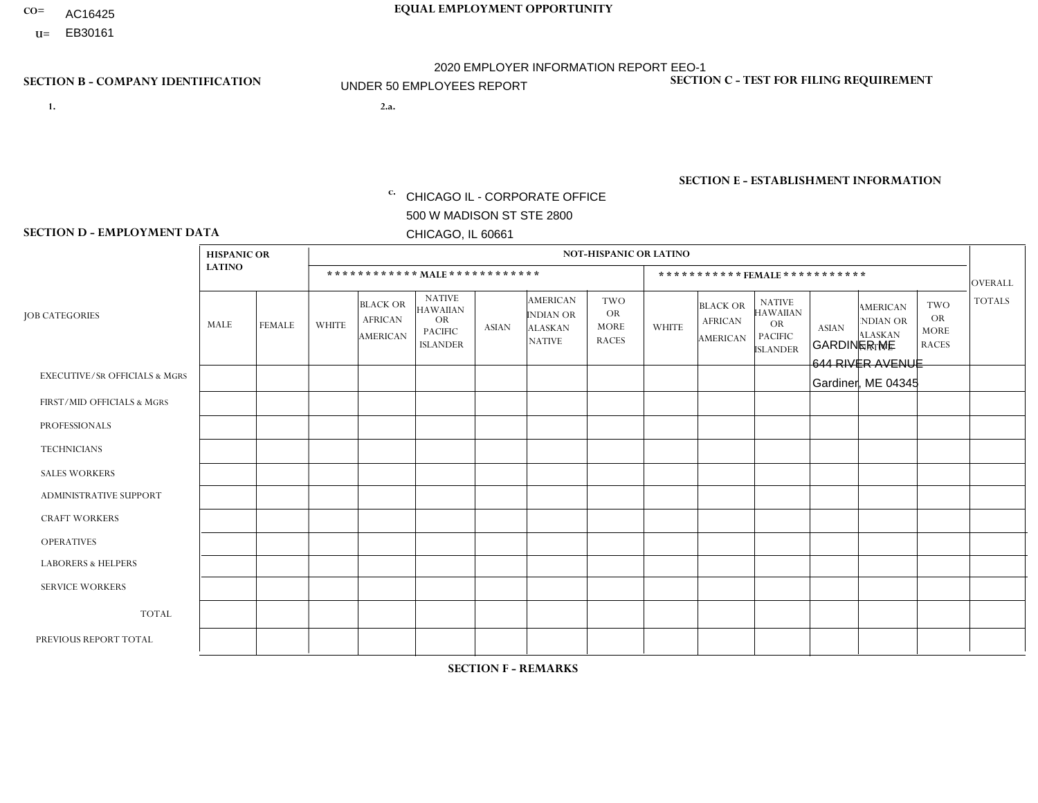- AC16425
- **U=**

- **1. 2.a.** CHICAGO IL CORPORATE OFFICE 500 W MADISON ST STE 2800 CHICAGO, IL 60661
- 2.a. GARDINER ME 644 RIVER AVENUE Gardiner, ME 04345

EIN= 952920557

## **SECTION B - COMPANY IDENTIFICATION SECTION C - TEST FOR FILING REQUIREMENT**

1- Y 2- Y 3- N DUNS= 000123456

**SECTION E - ESTABLISHMENT INFORMATION c.** NAICS: 423140

### **SECTION D - EMPLOYMENT DATA**

|                                          | <b>HISPANIC OR</b> |                |              |                                                      |                                                                                    |              |                                                                        | <b>NOT-HISPANIC OR LATINO</b>                          |              |                                               |                                                                                    |              |                                                                       |                                                        |                 |
|------------------------------------------|--------------------|----------------|--------------|------------------------------------------------------|------------------------------------------------------------------------------------|--------------|------------------------------------------------------------------------|--------------------------------------------------------|--------------|-----------------------------------------------|------------------------------------------------------------------------------------|--------------|-----------------------------------------------------------------------|--------------------------------------------------------|-----------------|
|                                          | <b>LATINO</b>      |                |              |                                                      | ************ MALE ************                                                     |              |                                                                        |                                                        |              | ***********FEMALE***********                  |                                                                                    |              |                                                                       |                                                        | <b>OVERALL</b>  |
| <b>JOB CATEGORIES</b>                    | MALE               | <b>FEMALE</b>  | <b>WHITE</b> | <b>BLACK OR</b><br><b>AFRICAN</b><br><b>AMERICAN</b> | <b>NATIVE</b><br><b>HAWAIIAN</b><br><b>OR</b><br><b>PACIFIC</b><br><b>ISLANDER</b> | ASIAN        | <b>AMERICAN</b><br><b>INDIAN OR</b><br><b>ALASKAN</b><br><b>NATIVE</b> | <b>TWO</b><br><b>OR</b><br><b>MORE</b><br><b>RACES</b> | <b>WHITE</b> | <b>BLACK OR</b><br><b>AFRICAN</b><br>AMERICAN | <b>NATIVE</b><br><b>HAWAIIAN</b><br><b>OR</b><br><b>PACIFIC</b><br><b>ISLANDER</b> | <b>ASIAN</b> | <b>AMERICAN</b><br><b>NDIAN OR</b><br><b>ALASKAN</b><br><b>NATIVE</b> | <b>TWO</b><br><b>OR</b><br><b>MORE</b><br><b>RACES</b> | <b>TOTALS</b>   |
| <b>EXECUTIVE/SR OFFICIALS &amp; MGRS</b> | $\Omega$           | $\Omega$       | $\Omega$     | $\mathbf 0$                                          | $\Omega$                                                                           | $\mathbf{0}$ | $\Omega$                                                               | $\Omega$                                               | 0            | $\Omega$                                      | $\Omega$                                                                           | $\Omega$     | $\Omega$                                                              | $\Omega$                                               | $\mathbf{0}$    |
| FIRST/MID OFFICIALS & MGRS               | 0                  | $\Omega$       |              | $\mathbf 0$                                          | $\Omega$                                                                           | $\Omega$     | $\Omega$                                                               | $\Omega$                                               | 0            | $\Omega$                                      | $\Omega$                                                                           | $\Omega$     | $\Omega$                                                              | $\Omega$                                               | $\mathbf{1}$    |
| <b>PROFESSIONALS</b>                     | 0                  | $\overline{0}$ | $\mathbf 0$  | $\mathbf 0$                                          | $\Omega$                                                                           | $\Omega$     | $\Omega$                                                               | $\Omega$                                               | 0            | $\Omega$                                      | $\Omega$                                                                           | $\Omega$     | $\Omega$                                                              | $\Omega$                                               | $\mathbf{0}$    |
| <b>TECHNICIANS</b>                       | 0                  | $\Omega$       | $\Omega$     | $\mathbf 0$                                          | $\Omega$                                                                           | $\Omega$     | $\Omega$                                                               | $\Omega$                                               | $\Omega$     | $\Omega$                                      | $\Omega$                                                                           | $\Omega$     | $\Omega$                                                              | $\Omega$                                               | $\mathbf{0}$    |
| <b>SALES WORKERS</b>                     | 0                  | $\Omega$       | 3            | $\Omega$                                             | $\Omega$                                                                           | $\Omega$     | $\Omega$                                                               | $\Omega$                                               | 0            | $\Omega$                                      | $\Omega$                                                                           | $\Omega$     | $\Omega$                                                              | $\Omega$                                               | 3               |
| <b>ADMINISTRATIVE SUPPORT</b>            | 0                  | 0              | $\Omega$     | $\mathbf 0$                                          | 0                                                                                  | $\Omega$     | $\Omega$                                                               | $\Omega$                                               | $\Omega$     | $\Omega$                                      | $\Omega$                                                                           | $\mathbf{0}$ | $\mathbf{0}$                                                          | $\mathbf 0$                                            | $\mathbf 0$     |
| <b>CRAFT WORKERS</b>                     | 0                  | $\Omega$       | $\Omega$     | $\mathbf 0$                                          | $\Omega$                                                                           | $\Omega$     | $\Omega$                                                               | $\Omega$                                               | 0            | $\Omega$                                      | $\Omega$                                                                           | $\Omega$     | $\Omega$                                                              | $\Omega$                                               | $\Omega$        |
| <b>OPERATIVES</b>                        | 0                  | $\Omega$       | 5            | $\mathbf 0$                                          | $\Omega$                                                                           | $\Omega$     | $\Omega$                                                               | $\Omega$                                               | $\Omega$     | $\Omega$                                      | $\Omega$                                                                           | $\Omega$     | $\Omega$                                                              | $\Omega$                                               | $5\phantom{.0}$ |
| <b>LABORERS &amp; HELPERS</b>            | 0                  | $\Omega$       | 3            | $\mathbf 0$                                          | $\Omega$                                                                           | $\Omega$     | $\Omega$                                                               | $\Omega$                                               | 1            | $\Omega$                                      | $\Omega$                                                                           | $\mathbf{0}$ | $\Omega$                                                              | $\mathbf{0}$                                           | 4               |
| <b>SERVICE WORKERS</b>                   | 0                  | $\Omega$       | $\Omega$     | 0                                                    | 0                                                                                  | $\Omega$     | $\Omega$                                                               | $\Omega$                                               | $\Omega$     | $\Omega$                                      | $\Omega$                                                                           | $\Omega$     | $\Omega$                                                              | $\mathbf 0$                                            | $\overline{0}$  |
| <b>TOTAL</b>                             | $\mathbf 0$        | 0              | 12           | 0                                                    | 0                                                                                  | $\mathbf 0$  | $\Omega$                                                               | $\Omega$                                               |              | $\Omega$                                      | $\Omega$                                                                           | $\mathbf 0$  | 0                                                                     | $\mathbf 0$                                            | 13              |
| PREVIOUS REPORT TOTAL                    | 0                  | $\Omega$       | 13           | $\mathbf 0$                                          | $\Omega$                                                                           | $\mathbf{0}$ | $\Omega$                                                               | $\Omega$                                               |              | $\Omega$                                      | $\Omega$                                                                           | $\Omega$     | $\Omega$                                                              | $\mathbf 0$                                            | 14              |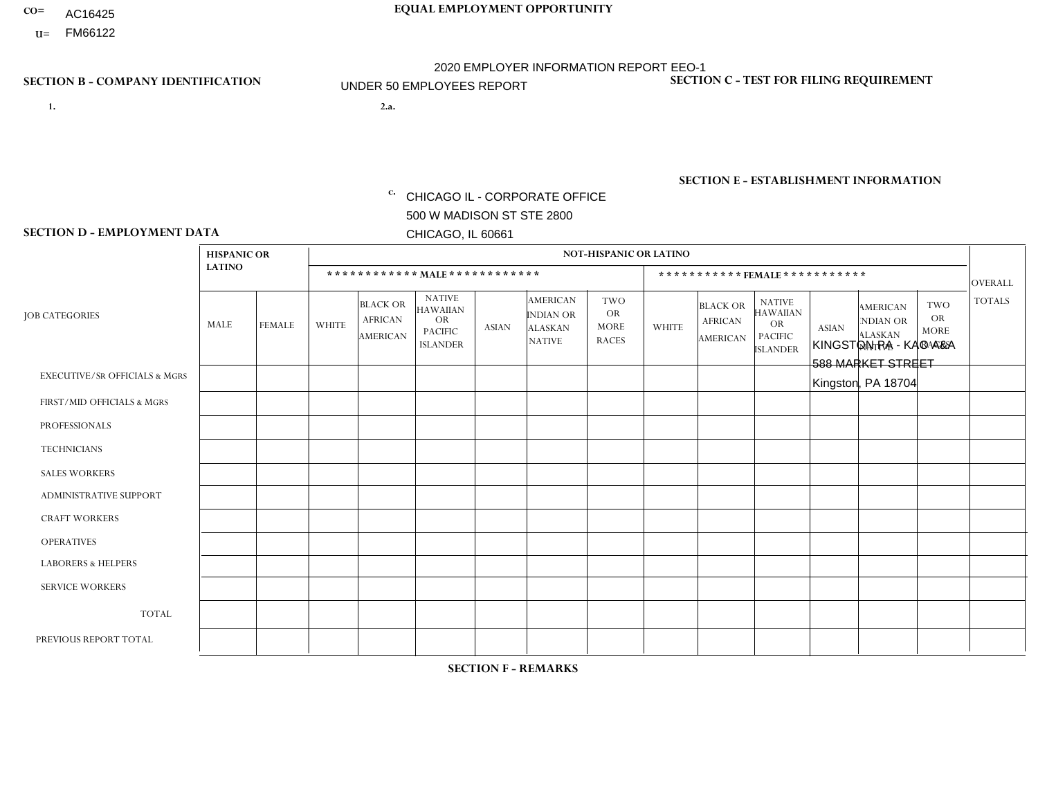- AC16425
- **U=**

**1. 2.a.** CHICAGO IL - CORPORATE OFFICE 500 W MADISON ST STE 2800 CHICAGO, IL 60661

2.a. KINGSTON PA - KAO A&A 588 MARKET STREET Kingston, PA 18704

c. EIN= 952920557

## **SECTION B - COMPANY IDENTIFICATION SECTION C - TEST FOR FILING REQUIREMENT**

1- Y 2- Y 3- N DUNS= 000123456

**SECTION E - ESTABLISHMENT INFORMATION c.** NAICS: 423140

### **SECTION D - EMPLOYMENT DATA**

|                                          | <b>HISPANIC OR</b> |                |                |                                                      |                                                                                    |              |                                                                        | <b>NOT-HISPANIC OR LATINO</b>                          |              |                                               |                                                                                    |              |                                                                       |                                                        |                 |
|------------------------------------------|--------------------|----------------|----------------|------------------------------------------------------|------------------------------------------------------------------------------------|--------------|------------------------------------------------------------------------|--------------------------------------------------------|--------------|-----------------------------------------------|------------------------------------------------------------------------------------|--------------|-----------------------------------------------------------------------|--------------------------------------------------------|-----------------|
|                                          | <b>LATINO</b>      |                |                | ************ MALE ************                       |                                                                                    |              |                                                                        |                                                        |              | ***********FEMALE***********                  |                                                                                    |              |                                                                       |                                                        | <b>OVERALL</b>  |
| <b>JOB CATEGORIES</b>                    | MALE               | <b>FEMALE</b>  | <b>WHITE</b>   | <b>BLACK OR</b><br><b>AFRICAN</b><br><b>AMERICAN</b> | <b>NATIVE</b><br><b>HAWAIIAN</b><br><b>OR</b><br><b>PACIFIC</b><br><b>ISLANDER</b> | ASIAN        | <b>AMERICAN</b><br><b>INDIAN OR</b><br><b>ALASKAN</b><br><b>NATIVE</b> | <b>TWO</b><br><b>OR</b><br><b>MORE</b><br><b>RACES</b> | <b>WHITE</b> | <b>BLACK OR</b><br><b>AFRICAN</b><br>AMERICAN | <b>NATIVE</b><br><b>HAWAIIAN</b><br><b>OR</b><br><b>PACIFIC</b><br><b>ISLANDER</b> | <b>ASIAN</b> | <b>AMERICAN</b><br><b>NDIAN OR</b><br><b>ALASKAN</b><br><b>NATIVE</b> | <b>TWO</b><br><b>OR</b><br><b>MORE</b><br><b>RACES</b> | <b>TOTALS</b>   |
| <b>EXECUTIVE/SR OFFICIALS &amp; MGRS</b> | $\Omega$           | $\Omega$       | $\Omega$       | $\mathbf 0$                                          | $\Omega$                                                                           | $\mathbf{0}$ | $\Omega$                                                               | $\Omega$                                               | 0            | $\Omega$                                      | $\Omega$                                                                           | $\Omega$     | $\Omega$                                                              | $\Omega$                                               | $\mathbf{0}$    |
| FIRST/MID OFFICIALS & MGRS               | 0                  | $\Omega$       |                | $\mathbf 0$                                          | $\Omega$                                                                           | $\Omega$     | $\Omega$                                                               | $\Omega$                                               | 0            | $\Omega$                                      | $\Omega$                                                                           | $\Omega$     | $\Omega$                                                              | $\Omega$                                               | $\mathbf{1}$    |
| <b>PROFESSIONALS</b>                     | 0                  | $\overline{0}$ |                | $\mathbf 0$                                          | $\Omega$                                                                           | $\Omega$     | $\Omega$                                                               | $\Omega$                                               | 0            | $\Omega$                                      | $\Omega$                                                                           | $\Omega$     | $\Omega$                                                              | $\mathbf 0$                                            | $\mathbf{1}$    |
| <b>TECHNICIANS</b>                       | 0                  | $\Omega$       | $\Omega$       | $\mathbf 0$                                          | $\Omega$                                                                           | $\Omega$     | $\Omega$                                                               | $\Omega$                                               | $\Omega$     | $\Omega$                                      | $\Omega$                                                                           | $\Omega$     | $\Omega$                                                              | $\Omega$                                               | $\mathbf{0}$    |
| <b>SALES WORKERS</b>                     | 0                  | $\Omega$       | 3              | $\Omega$                                             | $\Omega$                                                                           | $\Omega$     | $\Omega$                                                               | $\Omega$                                               |              | $\Omega$                                      | $\Omega$                                                                           | $\Omega$     | $\Omega$                                                              | $\Omega$                                               | $\overline{4}$  |
| <b>ADMINISTRATIVE SUPPORT</b>            | 0                  | 0              | $\Omega$       | $\mathbf 0$                                          | 0                                                                                  | $\Omega$     | $\Omega$                                                               | $\Omega$                                               | $\Omega$     | $\Omega$                                      | $\Omega$                                                                           | $\mathbf{0}$ | $\mathbf{0}$                                                          | $\mathbf 0$                                            | $\mathbf 0$     |
| <b>CRAFT WORKERS</b>                     | 0                  | $\Omega$       | $\overline{2}$ | $\overline{1}$                                       | $\Omega$                                                                           | $\Omega$     | $\Omega$                                                               | $\Omega$                                               | 0            | $\Omega$                                      | $\Omega$                                                                           | $\Omega$     | $\Omega$                                                              | $\Omega$                                               | 3               |
| <b>OPERATIVES</b>                        | 0                  | $\Omega$       | 3              | $\mathbf 0$                                          | $\Omega$                                                                           | $\Omega$     | $\Omega$                                                               | $\Omega$                                               | $\Omega$     | $\Omega$                                      | $\Omega$                                                                           | $\Omega$     | $\Omega$                                                              | $\Omega$                                               | 3               |
| <b>LABORERS &amp; HELPERS</b>            | 0                  | $\Omega$       | $\Omega$       | $\mathbf 0$                                          | $\Omega$                                                                           | $\Omega$     | $\Omega$                                                               | $\Omega$                                               | $\Omega$     | $\Omega$                                      | $\Omega$                                                                           | $\Omega$     | $\Omega$                                                              | $\Omega$                                               | $\mathbf 0$     |
| <b>SERVICE WORKERS</b>                   | 0                  | $\Omega$       | $\Omega$       | 0                                                    | 0                                                                                  | $\Omega$     | $\Omega$                                                               | $\Omega$                                               | $\Omega$     | $\Omega$                                      | $\Omega$                                                                           | $\Omega$     | $\Omega$                                                              | $\mathbf 0$                                            | $\overline{0}$  |
| <b>TOTAL</b>                             | $\mathbf 0$        | 0              | 10             | 1                                                    | 0                                                                                  | $\mathbf 0$  | $\Omega$                                                               | $\Omega$                                               |              | $\Omega$                                      | $\Omega$                                                                           | $\mathbf 0$  | 0                                                                     | $\mathbf 0$                                            | 12              |
| PREVIOUS REPORT TOTAL                    | 0                  | $\Omega$       | 9              | $\mathbf 0$                                          | $\Omega$                                                                           | $\mathbf{0}$ | $\Omega$                                                               | $\Omega$                                               |              | $\Omega$                                      | $\Omega$                                                                           | $\Omega$     | $\Omega$                                                              | $\mathbf 0$                                            | 10 <sup>°</sup> |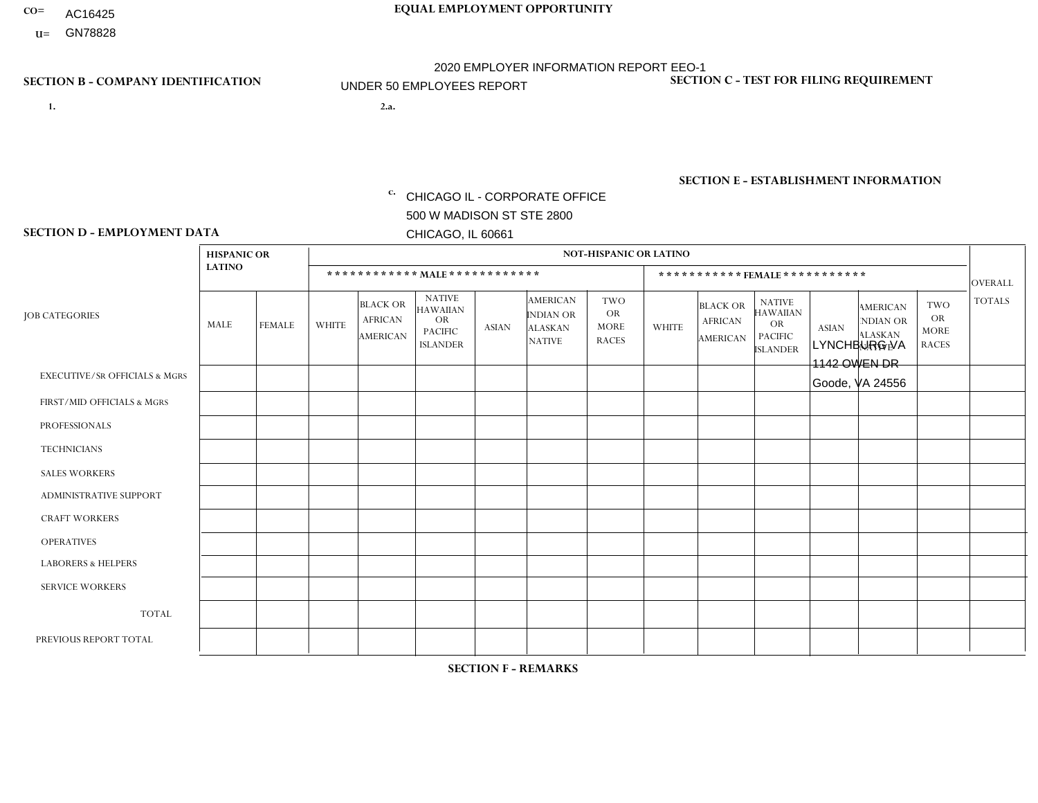- AC16425
- **U=**

**1. 2.a.** CHICAGO IL - CORPORATE OFFICE 500 W MADISON ST STE 2800 CHICAGO, IL 60661

2.a. LYNCHBURG VA 1142 OWEN DR Goode, VA 24556

EIN= 952920557

## **SECTION B - COMPANY IDENTIFICATION SECTION C - TEST FOR FILING REQUIREMENT**

1- Y 2- Y 3- N DUNS= 000123456

**SECTION E - ESTABLISHMENT INFORMATION c.** NAICS: 423140

### **SECTION D - EMPLOYMENT DATA**

|                                          | <b>HISPANIC OR</b> |               |                |                                                      |                                                                                    |              |                                                                 | <b>NOT-HISPANIC OR LATINO</b>                          |              |                                               |                                                                                    |              |                                                                       |                                                        |                |
|------------------------------------------|--------------------|---------------|----------------|------------------------------------------------------|------------------------------------------------------------------------------------|--------------|-----------------------------------------------------------------|--------------------------------------------------------|--------------|-----------------------------------------------|------------------------------------------------------------------------------------|--------------|-----------------------------------------------------------------------|--------------------------------------------------------|----------------|
|                                          | <b>LATINO</b>      |               |                | ************ MALE ************                       |                                                                                    |              |                                                                 |                                                        |              |                                               | ***********FEMALE***********                                                       |              |                                                                       |                                                        | <b>OVERALL</b> |
| <b>JOB CATEGORIES</b>                    | <b>MALE</b>        | <b>FEMALE</b> | <b>WHITE</b>   | <b>BLACK OR</b><br><b>AFRICAN</b><br><b>AMERICAN</b> | <b>NATIVE</b><br><b>HAWAIIAN</b><br><b>OR</b><br><b>PACIFIC</b><br><b>ISLANDER</b> | <b>ASIAN</b> | <b>AMERICAN</b><br>INDIAN OR<br><b>ALASKAN</b><br><b>NATIVE</b> | <b>TWO</b><br><b>OR</b><br><b>MORE</b><br><b>RACES</b> | <b>WHITE</b> | <b>BLACK OR</b><br><b>AFRICAN</b><br>AMERICAN | <b>NATIVE</b><br><b>HAWAIIAN</b><br><b>OR</b><br><b>PACIFIC</b><br><b>ISLANDER</b> | <b>ASIAN</b> | <b>AMERICAN</b><br><b>NDIAN OR</b><br><b>ALASKAN</b><br><b>NATIVE</b> | <b>TWO</b><br><b>OR</b><br><b>MORE</b><br><b>RACES</b> | <b>TOTALS</b>  |
| <b>EXECUTIVE/SR OFFICIALS &amp; MGRS</b> | $\Omega$           | $\Omega$      | $\mathbf{0}$   | $\Omega$                                             | 0                                                                                  | $\Omega$     | $\Omega$                                                        | $\Omega$                                               | $\Omega$     | $\Omega$                                      | $\Omega$                                                                           | $\Omega$     | $\Omega$                                                              | $\Omega$                                               | $\Omega$       |
| FIRST/MID OFFICIALS & MGRS               | $\Omega$           | $\Omega$      | $\overline{c}$ | $\mathbf 0$                                          | $\Omega$                                                                           | $\Omega$     | $\Omega$                                                        | $\Omega$                                               | 0            | $\Omega$                                      | 0                                                                                  | $\Omega$     | $\Omega$                                                              | $\mathbf 0$                                            | $\overline{2}$ |
| <b>PROFESSIONALS</b>                     | $\Omega$           | $\Omega$      | $\Omega$       | $\mathbf 0$                                          | $\Omega$                                                                           | $\Omega$     | $\Omega$                                                        | $\Omega$                                               | $\Omega$     | $\Omega$                                      | 0                                                                                  | 0            | $\Omega$                                                              | $\mathbf 0$                                            | $\overline{0}$ |
| <b>TECHNICIANS</b>                       | $\Omega$           | $\mathbf 0$   | $\Omega$       | $\mathbf 0$                                          | $\mathbf 0$                                                                        | $\Omega$     | $\Omega$                                                        | $\Omega$                                               | 0            | $\mathbf 0$                                   | 0                                                                                  | $\mathbf 0$  | $\Omega$                                                              | $\mathbf 0$                                            | $\mathbf{0}$   |
| <b>SALES WORKERS</b>                     | $\Omega$           | $\Omega$      | $\Omega$       | $\Omega$                                             | $\Omega$                                                                           | $\Omega$     | $\Omega$                                                        | $\Omega$                                               | $\Omega$     | $\Omega$                                      | $\Omega$                                                                           | $\Omega$     | $\Omega$                                                              | $\Omega$                                               | $\Omega$       |
| <b>ADMINISTRATIVE SUPPORT</b>            | $\Omega$           | $\Omega$      | $\mathbf{0}$   | $\mathbf 0$                                          | $\Omega$                                                                           | $\Omega$     | $\Omega$                                                        | $\Omega$                                               | 0            | $\Omega$                                      | 0                                                                                  | $\Omega$     | $\Omega$                                                              | $\Omega$                                               | $\mathbf 0$    |
| <b>CRAFT WORKERS</b>                     | $\Omega$           | $\Omega$      | $\Omega$       | $\mathbf 0$                                          | $\Omega$                                                                           | $\Omega$     | $\Omega$                                                        | $\Omega$                                               | 0            | $\Omega$                                      | $\Omega$                                                                           | $\Omega$     | $\Omega$                                                              | $\Omega$                                               | $\Omega$       |
| <b>OPERATIVES</b>                        | $\Omega$           | $\Omega$      | 1              | $\overline{ }$                                       | $\mathbf 0$                                                                        | $\Omega$     | $\Omega$                                                        | $\Omega$                                               | $\Omega$     | $\Omega$                                      | 0                                                                                  | $\mathbf 0$  | $\Omega$                                                              | $\mathbf 0$                                            | $\overline{2}$ |
| <b>LABORERS &amp; HELPERS</b>            | $\Omega$           | $\Omega$      | $\mathbf{0}$   | $\Omega$                                             | $\Omega$                                                                           | $\Omega$     | $\Omega$                                                        | $\Omega$                                               | 0            | $\Omega$                                      | 0                                                                                  | $\Omega$     | $\Omega$                                                              | $\Omega$                                               | $\mathbf 0$    |
| <b>SERVICE WORKERS</b>                   | $\Omega$           | $\Omega$      | 0              | 0                                                    | $\mathbf 0$                                                                        | $\Omega$     | $\Omega$                                                        | $\Omega$                                               | 0            | $\Omega$                                      | $\Omega$                                                                           | $\mathbf 0$  | $\Omega$                                                              | $\mathbf 0$                                            | $\mathbf 0$    |
| <b>TOTAL</b>                             | $\Omega$           | $\mathbf 0$   | 3              | $\overline{A}$                                       | 0                                                                                  | 0            | $\Omega$                                                        | $\Omega$                                               | 0            | $\Omega$                                      | 0                                                                                  | $\mathbf 0$  | $\mathbf 0$                                                           | $\mathbf 0$                                            | $\overline{4}$ |
| PREVIOUS REPORT TOTAL                    | $\Omega$           | $\Omega$      | 4              | $\overline{A}$                                       | 0                                                                                  | $\Omega$     | $\Omega$                                                        | $\Omega$                                               | 0            | $\Omega$                                      | 0                                                                                  | $\Omega$     | $\Omega$                                                              | $\mathbf 0$                                            | 5              |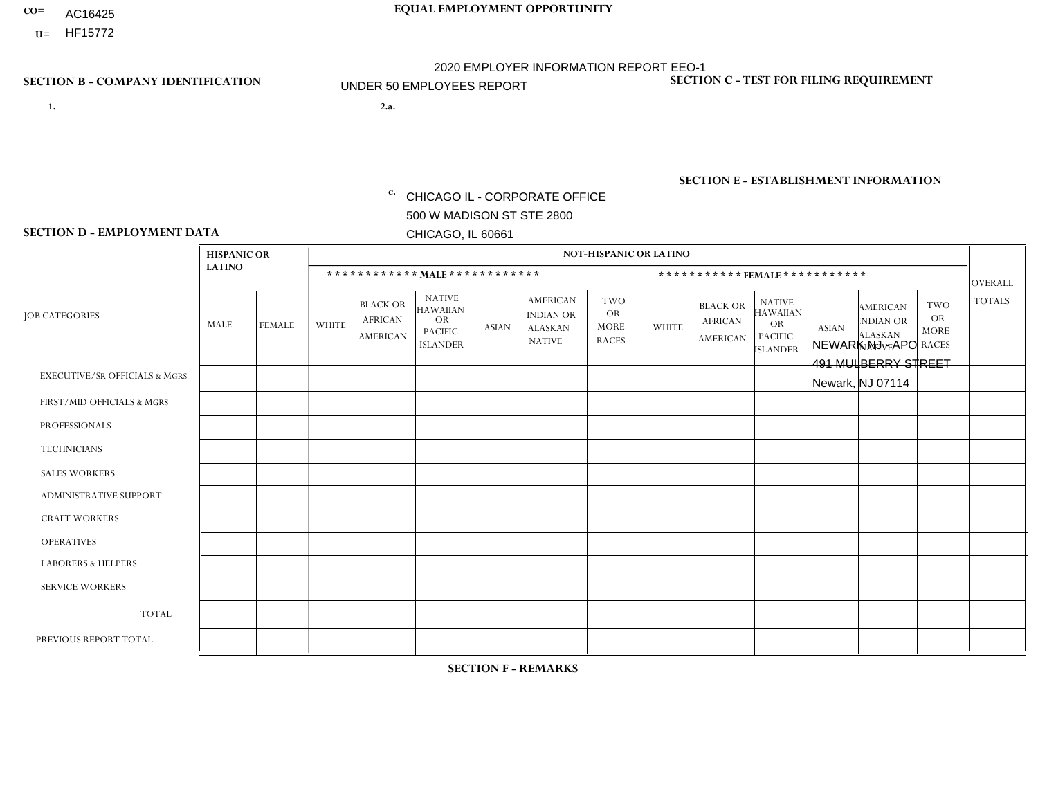- AC16425
- **U=**

**1. 2.a.** CHICAGO IL - CORPORATE OFFICE 500 W MADISON ST STE 2800 CHICAGO, IL 60661

2.a. NEWARK NJ - APO 491 MULBERRY STREET Newark, NJ 07114

EIN= 952920557

## **SECTION B - COMPANY IDENTIFICATION SECTION C - TEST FOR FILING REQUIREMENT**

1- Y 2- Y 3- N DUNS= 000123456

**SECTION E - ESTABLISHMENT INFORMATION c.** NAICS: 423140

### **SECTION D - EMPLOYMENT DATA**

|                                          | <b>HISPANIC OR</b> |               |              |                                                      |                                                                                    |             |                                                                        | <b>NOT-HISPANIC OR LATINO</b>                          |                |                                               |                                                                             |              |                                                                       |                                                        |                |
|------------------------------------------|--------------------|---------------|--------------|------------------------------------------------------|------------------------------------------------------------------------------------|-------------|------------------------------------------------------------------------|--------------------------------------------------------|----------------|-----------------------------------------------|-----------------------------------------------------------------------------|--------------|-----------------------------------------------------------------------|--------------------------------------------------------|----------------|
|                                          | <b>LATINO</b>      |               |              | ************ MALE ************                       |                                                                                    |             |                                                                        |                                                        |                | ***********FEMALE***********                  |                                                                             |              |                                                                       |                                                        | <b>OVERALL</b> |
| <b>JOB CATEGORIES</b>                    | MALE               | <b>FEMALE</b> | <b>WHITE</b> | <b>BLACK OR</b><br><b>AFRICAN</b><br><b>AMERICAN</b> | <b>NATIVE</b><br><b>HAWAIIAN</b><br><b>OR</b><br><b>PACIFIC</b><br><b>ISLANDER</b> | ASIAN       | <b>AMERICAN</b><br><b>INDIAN OR</b><br><b>ALASKAN</b><br><b>NATIVE</b> | <b>TWO</b><br><b>OR</b><br><b>MORE</b><br><b>RACES</b> | <b>WHITE</b>   | <b>BLACK OR</b><br><b>AFRICAN</b><br>AMERICAN | <b>NATIVE</b><br><b>HAWAIIAN</b><br>OR<br><b>PACIFIC</b><br><b>ISLANDER</b> | <b>ASIAN</b> | <b>AMERICAN</b><br><b>NDIAN OR</b><br><b>ALASKAN</b><br><b>NATIVE</b> | <b>TWO</b><br><b>OR</b><br><b>MORE</b><br><b>RACES</b> | <b>TOTALS</b>  |
| <b>EXECUTIVE/SR OFFICIALS &amp; MGRS</b> | $\Omega$           | $\Omega$      | $\Omega$     | $\mathbf 0$                                          | $\mathbf 0$                                                                        | $\Omega$    | $\Omega$                                                               | $\Omega$                                               | $\Omega$       | $\Omega$                                      | $\Omega$                                                                    | $\mathbf 0$  | $\Omega$                                                              | $\mathbf 0$                                            | $\mathbf{0}$   |
| FIRST/MID OFFICIALS & MGRS               |                    | 0             | $\Omega$     | $\mathbf 0$                                          | 0                                                                                  | $\Omega$    | $\Omega$                                                               | $\Omega$                                               | 0              | $\Omega$                                      | $\Omega$                                                                    | $\mathbf{0}$ | $\Omega$                                                              | $\mathbf 0$                                            | $\mathbf{1}$   |
| <b>PROFESSIONALS</b>                     | $\Omega$           | $\Omega$      | $\Omega$     | $\mathbf 0$                                          | $\Omega$                                                                           | $\Omega$    | $\Omega$                                                               | $\Omega$                                               | $\overline{0}$ | $\Omega$                                      | $\Omega$                                                                    | $\Omega$     | $\Omega$                                                              | $\Omega$                                               | $\mathbf 0$    |
| <b>TECHNICIANS</b>                       | $\Omega$           | $\mathbf 0$   | $\Omega$     | $\mathbf 0$                                          | $\Omega$                                                                           | $\Omega$    | $\Omega$                                                               | $\Omega$                                               | $\Omega$       | $\Omega$                                      | $\Omega$                                                                    | $\Omega$     | $\Omega$                                                              | $\Omega$                                               | $\mathbf{0}$   |
| <b>SALES WORKERS</b>                     | 1                  | $\mathbf{1}$  | $\Omega$     | $\mathbf 0$                                          | $\Omega$                                                                           | $\Omega$    | $\Omega$                                                               | $\Omega$                                               | $\overline{0}$ | $\Omega$                                      | $\Omega$                                                                    | $\Omega$     | $\Omega$                                                              | $\mathbf{0}$                                           | $\overline{2}$ |
| ADMINISTRATIVE SUPPORT                   | $\mathbf 0$        | $\mathbf 0$   | $\mathbf 0$  | $\mathbf 0$                                          | 0                                                                                  | $\Omega$    | $\Omega$                                                               | $\Omega$                                               | $\Omega$       | $\Omega$                                      | $\Omega$                                                                    | $\mathbf{0}$ | $\mathbf{0}$                                                          | $\mathbf 0$                                            | $\overline{0}$ |
| <b>CRAFT WORKERS</b>                     | 0                  | $\Omega$      | $\Omega$     | $\mathbf 0$                                          | $\Omega$                                                                           | $\Omega$    | $\Omega$                                                               | $\Omega$                                               | 0              | $\Omega$                                      | $\Omega$                                                                    | $\Omega$     | $\Omega$                                                              | $\Omega$                                               | $\Omega$       |
| <b>OPERATIVES</b>                        | 0                  | $\Omega$      | $\Omega$     | $\mathbf 0$                                          | $\Omega$                                                                           | $\Omega$    | $\Omega$                                                               | $\Omega$                                               | $\Omega$       | $\Omega$                                      | $\Omega$                                                                    | $\Omega$     | $\Omega$                                                              | $\Omega$                                               | $\mathbf 0$    |
| <b>LABORERS &amp; HELPERS</b>            | $\overline{2}$     | $\Omega$      | $\Omega$     | $\mathbf 0$                                          | $\mathbf 0$                                                                        | $\Omega$    | $\Omega$                                                               | $\Omega$                                               | $\Omega$       | $\Omega$                                      | $\Omega$                                                                    | $\Omega$     | $\Omega$                                                              | $\Omega$                                               | $\overline{2}$ |
| <b>SERVICE WORKERS</b>                   | 0                  | $\mathbf 0$   | $\mathbf 0$  | $\mathbf 0$                                          | $\mathbf{0}$                                                                       | $\mathbf 0$ | $\Omega$                                                               | $\Omega$                                               | $\Omega$       | $\Omega$                                      | $\Omega$                                                                    | $\mathbf 0$  | $\Omega$                                                              | $\mathbf 0$                                            | $\overline{0}$ |
| <b>TOTAL</b>                             | 4                  | $\mathbf{1}$  | $\mathbf 0$  | 0                                                    | 0                                                                                  | $\Omega$    | $\Omega$                                                               | $\Omega$                                               | $\Omega$       | $\Omega$                                      | $\Omega$                                                                    | $\mathbf 0$  | 0                                                                     | $\mathbf 0$                                            | 5              |
| PREVIOUS REPORT TOTAL                    | 4                  | $\mathbf{1}$  | $\Omega$     | $\overline{1}$                                       | $\Omega$                                                                           | $\Omega$    | $\Omega$                                                               | $\Omega$                                               | 0              | $\Omega$                                      | $\Omega$                                                                    | $\Omega$     | $\Omega$                                                              | $\mathbf 0$                                            | 6              |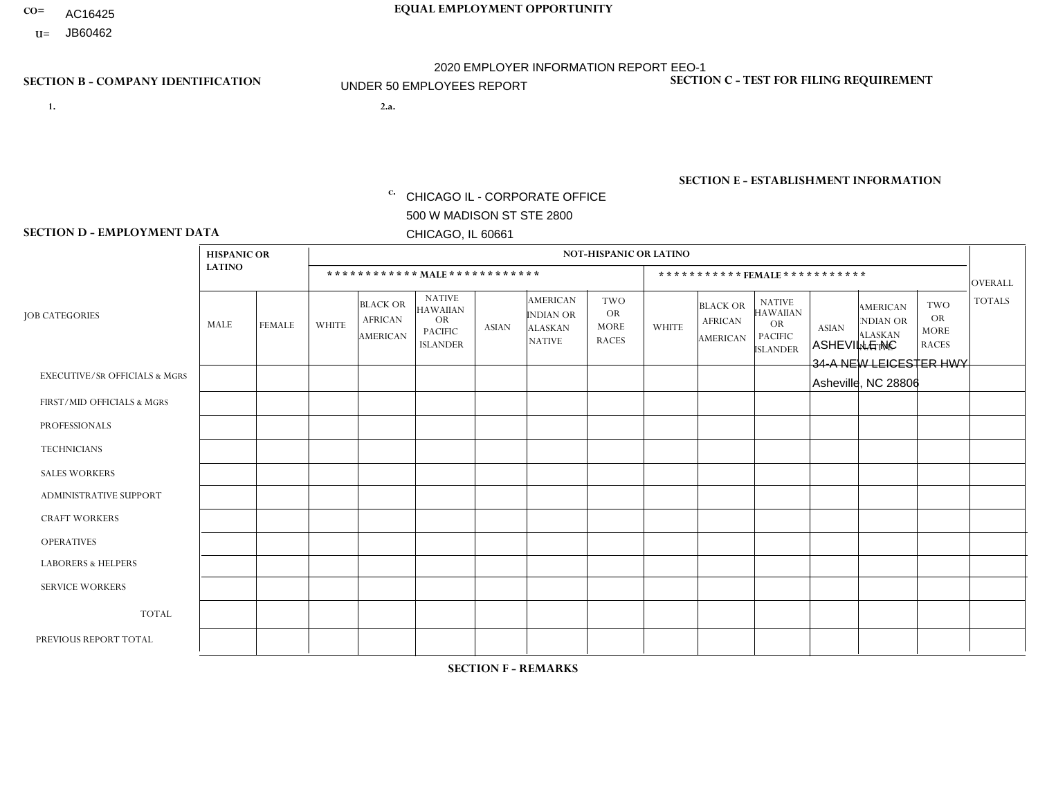- AC16425
- **U=**

- **1. 2.a.** CHICAGO IL CORPORATE OFFICE 500 W MADISON ST STE 2800 CHICAGO, IL 60661
- 2.a. ASHEVILLE NC 34-A NEW LEICESTER HWY Asheville, NC 28806

EIN= 952920557

## **SECTION B - COMPANY IDENTIFICATION SECTION C - TEST FOR FILING REQUIREMENT**

1- Y 2- Y 3- N DUNS= 000123456

**SECTION E - ESTABLISHMENT INFORMATION c.** NAICS: 423140

### **SECTION D - EMPLOYMENT DATA**

|                                          | <b>HISPANIC OR</b> |               |              |                                                      |                                                                                    |             |                                                                        | <b>NOT-HISPANIC OR LATINO</b>                          |                |                                               |                                                                             |              |                                                                       |                                                        |                |
|------------------------------------------|--------------------|---------------|--------------|------------------------------------------------------|------------------------------------------------------------------------------------|-------------|------------------------------------------------------------------------|--------------------------------------------------------|----------------|-----------------------------------------------|-----------------------------------------------------------------------------|--------------|-----------------------------------------------------------------------|--------------------------------------------------------|----------------|
|                                          | <b>LATINO</b>      |               |              | ************ MALE ************                       |                                                                                    |             |                                                                        |                                                        |                | ***********FEMALE***********                  |                                                                             |              |                                                                       |                                                        | <b>OVERALL</b> |
| <b>JOB CATEGORIES</b>                    | MALE               | <b>FEMALE</b> | <b>WHITE</b> | <b>BLACK OR</b><br><b>AFRICAN</b><br><b>AMERICAN</b> | <b>NATIVE</b><br><b>HAWAIIAN</b><br><b>OR</b><br><b>PACIFIC</b><br><b>ISLANDER</b> | ASIAN       | <b>AMERICAN</b><br><b>INDIAN OR</b><br><b>ALASKAN</b><br><b>NATIVE</b> | <b>TWO</b><br><b>OR</b><br><b>MORE</b><br><b>RACES</b> | <b>WHITE</b>   | <b>BLACK OR</b><br><b>AFRICAN</b><br>AMERICAN | <b>NATIVE</b><br><b>HAWAIIAN</b><br>OR<br><b>PACIFIC</b><br><b>ISLANDER</b> | <b>ASIAN</b> | <b>AMERICAN</b><br><b>NDIAN OR</b><br><b>ALASKAN</b><br><b>NATIVE</b> | <b>TWO</b><br><b>OR</b><br><b>MORE</b><br><b>RACES</b> | <b>TOTALS</b>  |
| <b>EXECUTIVE/SR OFFICIALS &amp; MGRS</b> | $\Omega$           | $\Omega$      | $\Omega$     | $\mathbf 0$                                          | $\mathbf 0$                                                                        | $\Omega$    | $\Omega$                                                               | $\Omega$                                               | $\Omega$       | $\Omega$                                      | $\Omega$                                                                    | $\mathbf 0$  | $\Omega$                                                              | $\mathbf 0$                                            | $\mathbf{0}$   |
| FIRST/MID OFFICIALS & MGRS               | 0                  | 0             | 1            | $\mathbf 0$                                          | 0                                                                                  | $\Omega$    | $\Omega$                                                               | $\Omega$                                               | 0              | $\Omega$                                      | $\Omega$                                                                    | $\mathbf{0}$ | $\Omega$                                                              | $\mathbf 0$                                            | $\mathbf{1}$   |
| <b>PROFESSIONALS</b>                     | $\Omega$           | $\Omega$      | $\Omega$     | $\mathbf 0$                                          | $\Omega$                                                                           | $\Omega$    | $\Omega$                                                               | $\Omega$                                               | $\overline{0}$ | $\Omega$                                      | $\Omega$                                                                    | $\Omega$     | $\Omega$                                                              | $\Omega$                                               | $\mathbf 0$    |
| <b>TECHNICIANS</b>                       | 0                  | $\mathbf 0$   | $\Omega$     | $\mathbf 0$                                          | $\Omega$                                                                           | $\Omega$    | $\Omega$                                                               | $\Omega$                                               | $\Omega$       | $\Omega$                                      | $\Omega$                                                                    | $\Omega$     | $\Omega$                                                              | $\Omega$                                               | $\mathbf{0}$   |
| <b>SALES WORKERS</b>                     | $\Omega$           | $\Omega$      | $\Omega$     | $\mathbf 0$                                          | $\Omega$                                                                           | $\Omega$    | $\Omega$                                                               | $\Omega$                                               | $\overline{0}$ | $\Omega$                                      | $\Omega$                                                                    | $\Omega$     | $\Omega$                                                              | $\mathbf{0}$                                           | $\mathbf{0}$   |
| ADMINISTRATIVE SUPPORT                   | $\mathbf 0$        | 0             | $\mathbf 0$  | $\mathbf 0$                                          | 0                                                                                  | $\Omega$    | $\Omega$                                                               | $\Omega$                                               | $\Omega$       | $\Omega$                                      | $\Omega$                                                                    | $\Omega$     | $\mathbf{0}$                                                          | $\mathbf 0$                                            | $\mathbf 0$    |
| <b>CRAFT WORKERS</b>                     | 0                  | $\Omega$      | $\Omega$     | $\mathbf 0$                                          | $\Omega$                                                                           | $\Omega$    | $\Omega$                                                               | $\Omega$                                               | 0              | $\Omega$                                      | $\Omega$                                                                    | $\Omega$     | $\Omega$                                                              | $\Omega$                                               | $\Omega$       |
| <b>OPERATIVES</b>                        | 0                  | $\Omega$      | 1            | $\mathbf 0$                                          | $\Omega$                                                                           | $\Omega$    | $\Omega$                                                               | $\Omega$                                               | $\Omega$       | $\Omega$                                      | $\Omega$                                                                    | $\Omega$     | $\Omega$                                                              | $\Omega$                                               | $\mathbf{1}$   |
| <b>LABORERS &amp; HELPERS</b>            | $\Omega$           | $\Omega$      | $\Omega$     | $\mathbf 0$                                          | $\mathbf 0$                                                                        | $\Omega$    | $\Omega$                                                               | $\Omega$                                               | $\Omega$       | $\Omega$                                      | $\Omega$                                                                    | $\Omega$     | $\Omega$                                                              | $\Omega$                                               | $\mathbf{0}$   |
| <b>SERVICE WORKERS</b>                   | 0                  | $\mathbf 0$   | $\mathbf 0$  | $\mathbf 0$                                          | $\mathbf{0}$                                                                       | $\mathbf 0$ | $\Omega$                                                               | $\Omega$                                               | $\Omega$       | $\Omega$                                      | $\Omega$                                                                    | $\mathbf 0$  | $\Omega$                                                              | $\mathbf 0$                                            | $\overline{0}$ |
| <b>TOTAL</b>                             | $\Omega$           | 0             | 2            | 0                                                    | 0                                                                                  | $\Omega$    | $\Omega$                                                               | $\Omega$                                               | $\Omega$       | $\Omega$                                      | $\Omega$                                                                    | $\mathbf 0$  | 0                                                                     | $\mathbf 0$                                            | $\overline{2}$ |
| PREVIOUS REPORT TOTAL                    | 0                  | $\mathbf{0}$  |              | $\mathbf 0$                                          | $\Omega$                                                                           | $\Omega$    | $\Omega$                                                               | $\Omega$                                               | 0              | $\Omega$                                      | $\Omega$                                                                    | $\Omega$     | $\Omega$                                                              | $\mathbf 0$                                            | $\mathbf{1}$   |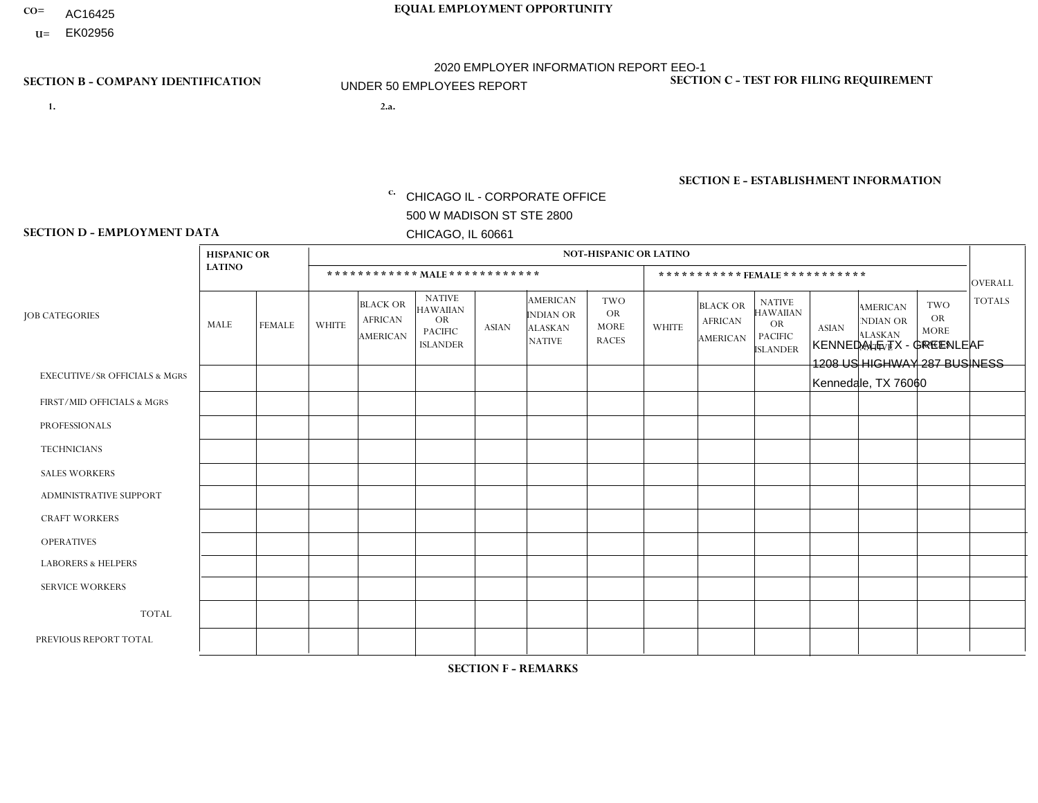- AC16425
- **U=**

- **1. 2.a.** CHICAGO IL CORPORATE OFFICE 500 W MADISON ST STE 2800 CHICAGO, IL 60661
- 2.a. KENNEDALE TX GREENLEAF 1208 US HIGHWAY 287 BUSINESS Kennedale, TX 76060

c. EIN= 952920557

## **SECTION B - COMPANY IDENTIFICATION SECTION C - TEST FOR FILING REQUIREMENT**

1- Y 2- Y 3- N DUNS= 000123456

**SECTION E - ESTABLISHMENT INFORMATION c.** NAICS: 423140

### **SECTION D - EMPLOYMENT DATA**

|                                          | <b>HISPANIC OR</b> |               |                |                                                      |                                                                                    |              |                                                                        | <b>NOT-HISPANIC OR LATINO</b>                          |                |                                               |                                                                             |              |                                                                       |                                                        |                |
|------------------------------------------|--------------------|---------------|----------------|------------------------------------------------------|------------------------------------------------------------------------------------|--------------|------------------------------------------------------------------------|--------------------------------------------------------|----------------|-----------------------------------------------|-----------------------------------------------------------------------------|--------------|-----------------------------------------------------------------------|--------------------------------------------------------|----------------|
|                                          | <b>LATINO</b>      |               |                | ************ MALE ************                       |                                                                                    |              |                                                                        |                                                        |                |                                               | *********** FEMALE ***********                                              |              |                                                                       |                                                        | <b>OVERALL</b> |
| <b>JOB CATEGORIES</b>                    | MALE               | <b>FEMALE</b> | <b>WHITE</b>   | <b>BLACK OR</b><br><b>AFRICAN</b><br><b>AMERICAN</b> | <b>NATIVE</b><br><b>HAWAIIAN</b><br><b>OR</b><br><b>PACIFIC</b><br><b>ISLANDER</b> | <b>ASIAN</b> | <b>AMERICAN</b><br><b>INDIAN OR</b><br><b>ALASKAN</b><br><b>NATIVE</b> | <b>TWO</b><br><b>OR</b><br><b>MORE</b><br><b>RACES</b> | <b>WHITE</b>   | <b>BLACK OR</b><br><b>AFRICAN</b><br>AMERICAN | <b>NATIVE</b><br><b>HAWAIIAN</b><br>OR<br><b>PACIFIC</b><br><b>ISLANDER</b> | <b>ASIAN</b> | <b>AMERICAN</b><br><b>NDIAN OR</b><br><b>ALASKAN</b><br><b>NATIVE</b> | <b>TWO</b><br><b>OR</b><br><b>MORE</b><br><b>RACES</b> | <b>TOTALS</b>  |
| <b>EXECUTIVE/SR OFFICIALS &amp; MGRS</b> | $\Omega$           | $\Omega$      | $\Omega$       | $\mathbf 0$                                          | $\mathbf 0$                                                                        | $\Omega$     | $\Omega$                                                               | $\Omega$                                               | $\Omega$       | $\Omega$                                      | $\mathbf 0$                                                                 | $\mathbf 0$  | $\Omega$                                                              | $\Omega$                                               | $\mathbf 0$    |
| FIRST/MID OFFICIALS & MGRS               | $\Omega$           | 0             | 2              | $\mathbf 0$                                          | $\mathbf{0}$                                                                       | $\Omega$     | $\Omega$                                                               | $\Omega$                                               | 0              | $\Omega$                                      | $\Omega$                                                                    | $\mathbf 0$  | 0                                                                     | $\mathbf 0$                                            | $\overline{2}$ |
| <b>PROFESSIONALS</b>                     | $\Omega$           | $\Omega$      | $\Omega$       | $\mathbf 0$                                          | $\Omega$                                                                           | $\Omega$     | $\Omega$                                                               | $\Omega$                                               | $\Omega$       | $\Omega$                                      | $\Omega$                                                                    | $\Omega$     | $\Omega$                                                              | $\Omega$                                               | $\mathbf{0}$   |
| <b>TECHNICIANS</b>                       | $\Omega$           | $\Omega$      | $\Omega$       | $\mathbf 0$                                          | $\Omega$                                                                           | $\Omega$     | $\Omega$                                                               | $\Omega$                                               | 0              | $\Omega$                                      | 0                                                                           | 0            | $\Omega$                                                              | $\mathbf 0$                                            | $\overline{0}$ |
| <b>SALES WORKERS</b>                     | $\Omega$           | $\Omega$      | $\overline{1}$ | $\mathbf 0$                                          | $\Omega$                                                                           | $\Omega$     | $\Omega$                                                               | $\Omega$                                               | $\overline{0}$ | $\Omega$                                      | $\Omega$                                                                    | $\Omega$     | $\Omega$                                                              | $\Omega$                                               | $\mathbf{1}$   |
| ADMINISTRATIVE SUPPORT                   | $\Omega$           | $\mathbf 0$   | $\Omega$       | $\mathbf 0$                                          | 0                                                                                  | $\mathbf{0}$ | $\Omega$                                                               | $\Omega$                                               | 0              | $\Omega$                                      | 0                                                                           | $\mathbf 0$  | 0                                                                     | $\mathbf 0$                                            | $\mathbf 0$    |
| <b>CRAFT WORKERS</b>                     | $\Omega$           | $\Omega$      | 1              | $\mathbf 0$                                          | $\Omega$                                                                           | $\Omega$     | $\Omega$                                                               | $\Omega$                                               | 0              | $\Omega$                                      | 0                                                                           | $\Omega$     | $\Omega$                                                              | $\Omega$                                               | $\overline{1}$ |
| <b>OPERATIVES</b>                        | 1                  | $\Omega$      | $\overline{c}$ | $\Omega$                                             | $\Omega$                                                                           | $\Omega$     | $\Omega$                                                               | $\Omega$                                               | $\Omega$       | $\Omega$                                      | 0                                                                           | $\Omega$     | $\Omega$                                                              | $\Omega$                                               | 3              |
| <b>LABORERS &amp; HELPERS</b>            | $\Omega$           | $\Omega$      | $\Omega$       | $\mathbf 0$                                          | 0                                                                                  | $\Omega$     | $\Omega$                                                               | $\Omega$                                               | $\Omega$       | $\Omega$                                      | $\Omega$                                                                    | $\Omega$     | $\Omega$                                                              | $\Omega$                                               | $\overline{0}$ |
| <b>SERVICE WORKERS</b>                   | $\Omega$           | $\mathbf 0$   | $\mathbf 0$    | 0                                                    | $\mathbf 0$                                                                        | $\mathbf 0$  | $\Omega$                                                               | $\Omega$                                               | 0              | $\Omega$                                      | 0                                                                           | $\mathbf 0$  | $\Omega$                                                              | $\mathbf 0$                                            | $\mathbf{0}$   |
| <b>TOTAL</b>                             | 1                  | 0             | 6              | $\mathbf 0$                                          | $\mathbf 0$                                                                        | 0            | $\Omega$                                                               | $\Omega$                                               | 0              | $\Omega$                                      | $\Omega$                                                                    | $\mathbf 0$  | $\Omega$                                                              | $\mathbf 0$                                            | $\overline{7}$ |
| PREVIOUS REPORT TOTAL                    | 2                  | $\Omega$      | 11             | $\mathbf 0$                                          | $\mathbf 0$                                                                        | $\Omega$     | $\Omega$                                                               | $\Omega$                                               | 1              | $\Omega$                                      | 0                                                                           | $\mathbf 0$  | $\Omega$                                                              | 0                                                      | 14             |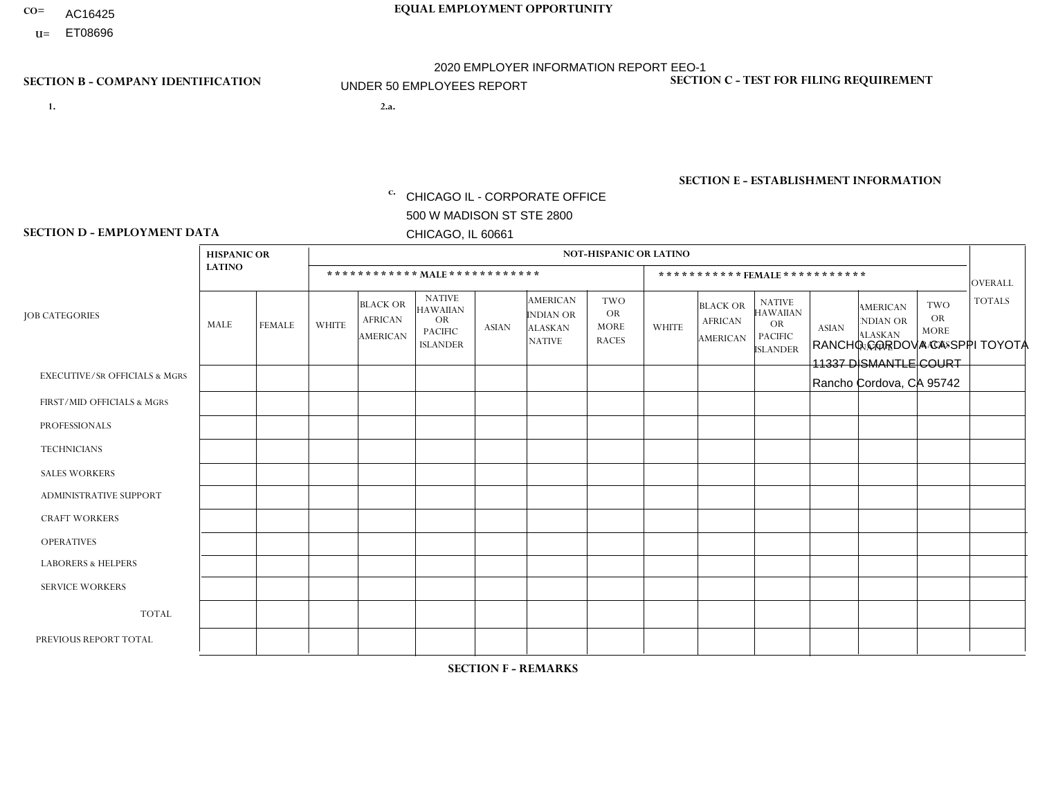- AC16425
- **U=** ET08696

- **1. 2.a.** CHICAGO IL CORPORATE OFFICE 500 W MADISON ST STE 2800 CHICAGO, IL 60661
- 2.a. RANCHO CORDOVA CA-SPPI TOYOTA 11337 DISMANTLE COURT Rancho Cordova, CA 95742

EIN= 364261871

## **SECTION B - COMPANY IDENTIFICATION SECTION C - TEST FOR FILING REQUIREMENT**

1- Y 2- Y 3- N DUNS= 000123456

**SECTION E - ESTABLISHMENT INFORMATION c.** NAICS: 423140

### **SECTION D - EMPLOYMENT DATA**

|                                          | <b>HISPANIC OR</b> |               |                |                                                      |                                                                                    |                |                                                                 | <b>NOT-HISPANIC OR LATINO</b>                          |                |                                                      |                                                                             |              |                                                                |                                                        |                |
|------------------------------------------|--------------------|---------------|----------------|------------------------------------------------------|------------------------------------------------------------------------------------|----------------|-----------------------------------------------------------------|--------------------------------------------------------|----------------|------------------------------------------------------|-----------------------------------------------------------------------------|--------------|----------------------------------------------------------------|--------------------------------------------------------|----------------|
|                                          | <b>LATINO</b>      |               |                | ************ MALE ************                       |                                                                                    |                |                                                                 |                                                        |                |                                                      | ***********FEMALE***********                                                |              |                                                                |                                                        | <b>OVERALL</b> |
| <b>JOB CATEGORIES</b>                    | MALE               | <b>FEMALE</b> | <b>WHITE</b>   | <b>BLACK OR</b><br><b>AFRICAN</b><br><b>AMERICAN</b> | <b>NATIVE</b><br><b>HAWAIIAN</b><br><b>OR</b><br><b>PACIFIC</b><br><b>ISLANDER</b> | <b>ASIAN</b>   | <b>AMERICAN</b><br>INDIAN OR<br><b>ALASKAN</b><br><b>NATIVE</b> | <b>TWO</b><br><b>OR</b><br><b>MORE</b><br><b>RACES</b> | <b>WHITE</b>   | <b>BLACK OR</b><br><b>AFRICAN</b><br><b>AMERICAN</b> | <b>NATIVE</b><br><b>HAWAIIAN</b><br>OR<br><b>PACIFIC</b><br><b>ISLANDER</b> | <b>ASIAN</b> | <b>AMERICAN</b><br>NDIAN OR<br><b>ALASKAN</b><br><b>NATIVE</b> | <b>TWO</b><br><b>OR</b><br><b>MORE</b><br><b>RACES</b> | <b>TOTALS</b>  |
| <b>EXECUTIVE/SR OFFICIALS &amp; MGRS</b> | $\Omega$           | $\Omega$      | $\Omega$       | $\Omega$                                             | $\Omega$                                                                           | $\Omega$       | $\Omega$                                                        | $\Omega$                                               | 0              | $\Omega$                                             | $\Omega$                                                                    | $\Omega$     | $\Omega$                                                       | $\Omega$                                               | $\Omega$       |
| FIRST/MID OFFICIALS & MGRS               | $\Omega$           | $\Omega$      | $\Omega$       | $\mathbf 0$                                          | 0                                                                                  | $\mathbf{0}$   | $\Omega$                                                        | $\Omega$                                               | 0              | $\Omega$                                             | 0                                                                           | $\mathbf 0$  | $\Omega$                                                       | $\mathbf 0$                                            | $\mathbf{0}$   |
| <b>PROFESSIONALS</b>                     | $\Omega$           | $\Omega$      | $\Omega$       | $\mathbf 0$                                          | $\Omega$                                                                           | $\Omega$       | $\Omega$                                                        | $\Omega$                                               | 1              | $\Omega$                                             | 0                                                                           | $\Omega$     | $\Omega$                                                       | $\mathbf 0$                                            | $\mathbf{1}$   |
| <b>TECHNICIANS</b>                       | $\Omega$           | $\mathbf 0$   | $\Omega$       | $\mathbf 0$                                          | $\mathbf 0$                                                                        | $\Omega$       | $\Omega$                                                        | $\Omega$                                               | 0              | $\mathbf 0$                                          | 0                                                                           | $\mathbf 0$  | $\Omega$                                                       | $\mathbf 0$                                            | $\mathbf{0}$   |
| <b>SALES WORKERS</b>                     | $\Omega$           | $\Omega$      | $\Omega$       | $\Omega$                                             | $\Omega$                                                                           | $\Omega$       | $\Omega$                                                        | $\Omega$                                               | $\Omega$       | $\Omega$                                             | $\Omega$                                                                    | $\Omega$     | $\Omega$                                                       | $\Omega$                                               | $\Omega$       |
| <b>ADMINISTRATIVE SUPPORT</b>            |                    | $\Omega$      | 1              | $\mathbf 0$                                          | $\Omega$                                                                           | $\Omega$       | $\Omega$                                                        | 1                                                      | 0              | $\Omega$                                             | 0                                                                           | $\Omega$     | $\Omega$                                                       | $\Omega$                                               | 3              |
| <b>CRAFT WORKERS</b>                     | $\Omega$           | $\mathbf{0}$  | -1             | $\mathbf 0$                                          | $\mathbf 0$                                                                        | $\Omega$       | $\Omega$                                                        | $\Omega$                                               | $\Omega$       | $\Omega$                                             | 0                                                                           | $\mathbf 0$  | $\Omega$                                                       | $\mathbf 0$                                            | $\mathbf 1$    |
| <b>OPERATIVES</b>                        |                    | $\Omega$      | $\Omega$       | $\Omega$                                             | $\Omega$                                                                           | $\overline{2}$ | $\Omega$                                                        | $\Omega$                                               | $\Omega$       | $\Omega$                                             | $\Omega$                                                                    | $\Omega$     | $\Omega$                                                       | $\Omega$                                               | 3              |
| <b>LABORERS &amp; HELPERS</b>            | $\Omega$           | $\Omega$      | $\mathbf{0}$   | $\mathbf 0$                                          | $\mathbf 0$                                                                        | $\Omega$       | $\Omega$                                                        | $\overline{1}$                                         | 0              | $\Omega$                                             | 0                                                                           | $\mathbf 0$  | $\Omega$                                                       | $\mathbf 0$                                            | $\mathbf{1}$   |
| <b>SERVICE WORKERS</b>                   | $\Omega$           | $\Omega$      | 0              | $\mathbf 0$                                          | $\mathbf 0$                                                                        | $\Omega$       | $\Omega$                                                        | $\Omega$                                               | 0              | $\Omega$                                             | $\Omega$                                                                    | 0            | $\Omega$                                                       | $\mathbf 0$                                            | $\mathbf 0$    |
| <b>TOTAL</b>                             | 2                  | $\mathbf 0$   | $\overline{c}$ | $\mathbf 0$                                          | 0                                                                                  | 2              | $\Omega$                                                        | $\overline{2}$                                         | 1              | $\mathbf 0$                                          | 0                                                                           | $\mathbf 0$  | $\Omega$                                                       | $\mathbf 0$                                            | 9              |
| PREVIOUS REPORT TOTAL                    | $\overline{7}$     | $\Omega$      | 8              | $\overline{c}$                                       | 0                                                                                  | 3              | $\Omega$                                                        | 3                                                      | $\overline{2}$ | $\Omega$                                             | 0                                                                           | $\mathbf 0$  | $\Omega$                                                       | $\mathbf 0$                                            | 25             |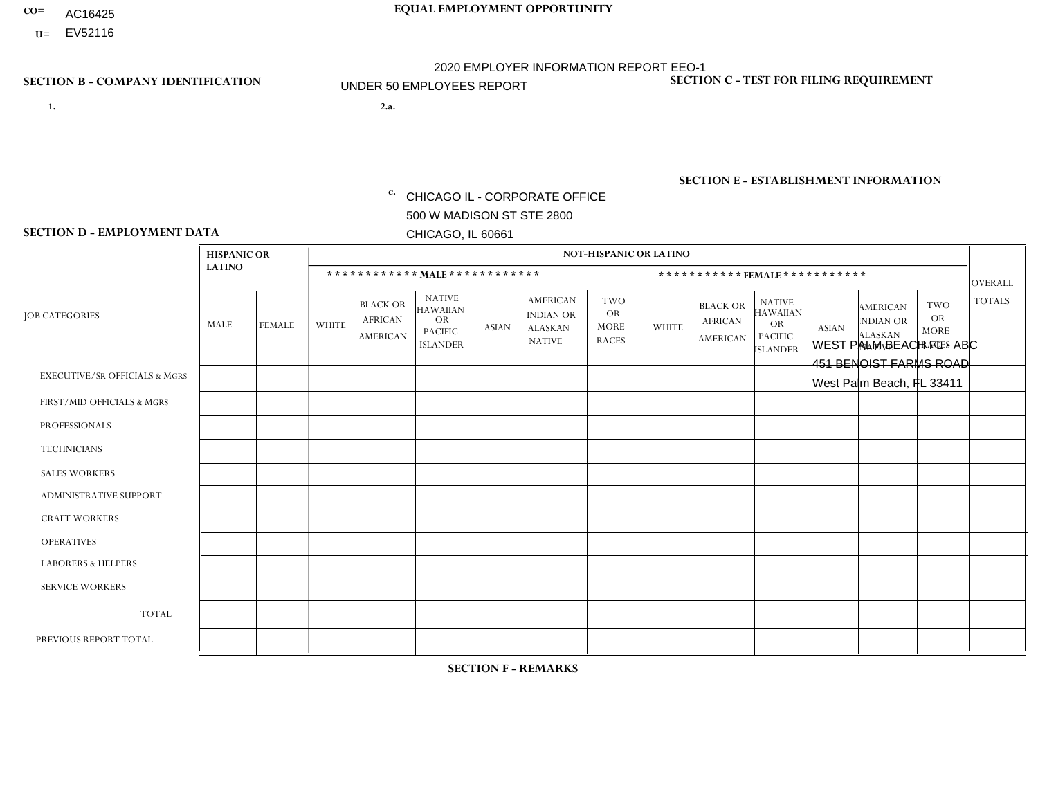- AC16425
- **U=** EV52116

- **1. 2.a.** CHICAGO IL CORPORATE OFFICE 500 W MADISON ST STE 2800 CHICAGO, IL 60661
- 2.a. WEST PALM BEACH FL ABC 451 BENOIST FARMS ROAD West Palm Beach, FL 33411

EIN= 952920557

## **SECTION B - COMPANY IDENTIFICATION SECTION C - TEST FOR FILING REQUIREMENT**

1- Y 2- Y 3- N DUNS= 000123456

**SECTION E - ESTABLISHMENT INFORMATION c.** NAICS: 423140

### **SECTION D - EMPLOYMENT DATA**

|                                          | <b>HISPANIC OR</b> |                |              |                                                      |                                                                                    |              |                                                                        | <b>NOT-HISPANIC OR LATINO</b>                          |              |                                                      |                                                                                    |              |                                                                       |                                                        |                |
|------------------------------------------|--------------------|----------------|--------------|------------------------------------------------------|------------------------------------------------------------------------------------|--------------|------------------------------------------------------------------------|--------------------------------------------------------|--------------|------------------------------------------------------|------------------------------------------------------------------------------------|--------------|-----------------------------------------------------------------------|--------------------------------------------------------|----------------|
|                                          | <b>LATINO</b>      |                |              | ************ MALE ************                       |                                                                                    |              |                                                                        |                                                        |              |                                                      | ***********FEMALE***********                                                       |              |                                                                       |                                                        | <b>OVERALL</b> |
| <b>JOB CATEGORIES</b>                    | MALE               | <b>FEMALE</b>  | <b>WHITE</b> | <b>BLACK OR</b><br><b>AFRICAN</b><br><b>AMERICAN</b> | <b>NATIVE</b><br><b>HAWAIIAN</b><br><b>OR</b><br><b>PACIFIC</b><br><b>ISLANDER</b> | <b>ASIAN</b> | <b>AMERICAN</b><br><b>INDIAN OR</b><br><b>ALASKAN</b><br><b>NATIVE</b> | <b>TWO</b><br><b>OR</b><br><b>MORE</b><br><b>RACES</b> | <b>WHITE</b> | <b>BLACK OR</b><br><b>AFRICAN</b><br><b>AMERICAN</b> | <b>NATIVE</b><br><b>HAWAIIAN</b><br><b>OR</b><br><b>PACIFIC</b><br><b>ISLANDER</b> | <b>ASIAN</b> | <b>AMERICAN</b><br><b>NDIAN OR</b><br><b>ALASKAN</b><br><b>NATIVE</b> | <b>TWO</b><br><b>OR</b><br><b>MORE</b><br><b>RACES</b> | <b>TOTALS</b>  |
| <b>EXECUTIVE/SR OFFICIALS &amp; MGRS</b> | $\mathbf{0}$       | $\Omega$       | $\Omega$     | $\Omega$                                             | 0                                                                                  | $\Omega$     | $\Omega$                                                               | $\Omega$                                               | $\Omega$     | $\mathbf{0}$                                         | $\Omega$                                                                           | $\Omega$     | $\Omega$                                                              | $\Omega$                                               | $\Omega$       |
| FIRST/MID OFFICIALS & MGRS               | $\Omega$           | $\Omega$       | 1            | $\Omega$                                             | $\mathbf 0$                                                                        | $\Omega$     | $\Omega$                                                               | $\Omega$                                               | $\Omega$     | $\Omega$                                             | $\Omega$                                                                           | $\Omega$     | $\Omega$                                                              | $\Omega$                                               | $\mathbf{1}$   |
| <b>PROFESSIONALS</b>                     | $\Omega$           | $\mathbf 0$    | 1            | $\mathbf 0$                                          | $\overline{0}$                                                                     | $\Omega$     | $\Omega$                                                               | $\Omega$                                               | $\Omega$     | $\Omega$                                             | $\Omega$                                                                           | $\Omega$     | $\Omega$                                                              | $\Omega$                                               | $\mathbf{1}$   |
| <b>TECHNICIANS</b>                       | $\Omega$           | $\Omega$       | $\Omega$     | $\Omega$                                             | 0                                                                                  | $\Omega$     | $\overline{0}$                                                         | $\Omega$                                               | $\Omega$     | $\Omega$                                             | $\Omega$                                                                           | $\Omega$     | $\mathbf{0}$                                                          | $\Omega$                                               | $\mathbf 0$    |
| <b>SALES WORKERS</b>                     | $\Omega$           | $\Omega$       | $\Omega$     | $\Omega$                                             | 0                                                                                  | $\Omega$     | $\Omega$                                                               | $\Omega$                                               | $\Omega$     | $\Omega$                                             | $\Omega$                                                                           | $\Omega$     | $\Omega$                                                              | $\Omega$                                               | $\mathbf 0$    |
| <b>ADMINISTRATIVE SUPPORT</b>            | $\Omega$           | $\overline{2}$ | 1            | 1                                                    | $\mathbf 0$                                                                        | $\mathbf 0$  | $\Omega$                                                               | $\Omega$                                               | $\Omega$     | $\Omega$                                             | $\Omega$                                                                           | $\Omega$     | $\Omega$                                                              |                                                        | 5              |
| <b>CRAFT WORKERS</b>                     | $\Omega$           | $\Omega$       | $\Omega$     | $\mathbf 0$                                          | 0                                                                                  | $\Omega$     | $\Omega$                                                               | $\Omega$                                               | $\Omega$     | $\Omega$                                             | $\Omega$                                                                           | $\Omega$     | $\Omega$                                                              | $\Omega$                                               | $\Omega$       |
| <b>OPERATIVES</b>                        | 3                  | 3              | $\Omega$     | 4                                                    | 0                                                                                  | $\Omega$     | $\Omega$                                                               | $\Omega$                                               | $\mathbf{1}$ | $\Omega$                                             | $\Omega$                                                                           | $\Omega$     | $\Omega$                                                              | $\Omega$                                               | 11             |
| <b>LABORERS &amp; HELPERS</b>            | $\Omega$           | $\mathbf{1}$   | -1           | $\mathbf 0$                                          | 0                                                                                  | $\Omega$     | $\Omega$                                                               | $\Omega$                                               | $\Omega$     | $\Omega$                                             | $\Omega$                                                                           | $\Omega$     | $\Omega$                                                              | $\Omega$                                               | $\overline{2}$ |
| <b>SERVICE WORKERS</b>                   | $\Omega$           | $\Omega$       | $\Omega$     | 0                                                    | $\mathbf 0$                                                                        | $\Omega$     | $\Omega$                                                               | $\Omega$                                               | $\Omega$     | $\Omega$                                             | $\Omega$                                                                           | $\Omega$     | $\Omega$                                                              | $\Omega$                                               | 0              |
| <b>TOTAL</b>                             | 3                  | 6              | 4            | 5                                                    | 0                                                                                  | $\mathbf{0}$ | $\mathbf{0}$                                                           | $\Omega$                                               | 1            | $\Omega$                                             | $\Omega$                                                                           | $\mathbf 0$  | $\Omega$                                                              | $\overline{1}$                                         | 20             |
| PREVIOUS REPORT TOTAL                    | 2                  | 6              | 5            | 6                                                    | 0                                                                                  | $\Omega$     | $\Omega$                                                               |                                                        | $\mathbf 1$  | $\Omega$                                             | $\mathbf{0}$                                                                       | $\Omega$     | $\Omega$                                                              | $\mathbf 0$                                            | 21             |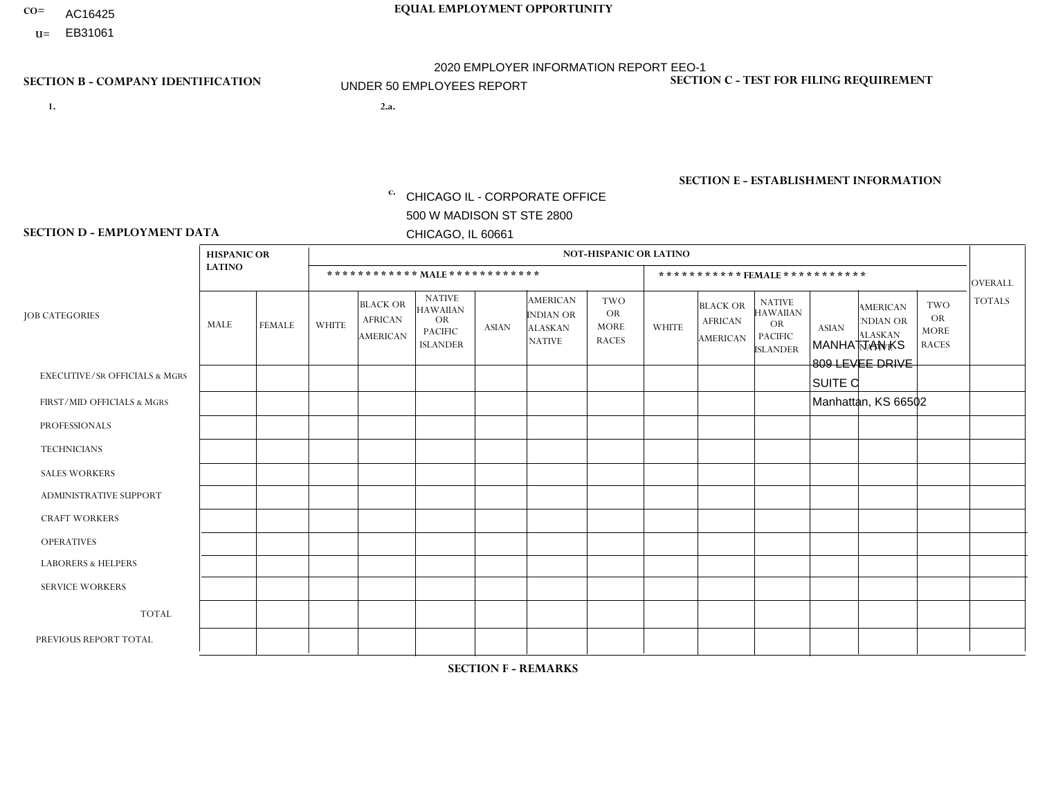- AC16425
- **U=**

- **1. 2.a.** CHICAGO IL CORPORATE OFFICE 500 W MADISON ST STE 2800 CHICAGO, IL 60661
- 2.a. MANHATTAN KS 809 LEVEE DRIVE SUITE C Manhattan, KS 66502
	- EIN= 952920557

## **SECTION B - COMPANY IDENTIFICATION SECTION C - TEST FOR FILING REQUIREMENT**

1- Y 2- Y 3- N DUNS= 000123456

**SECTION E - ESTABLISHMENT INFORMATION c.** NAICS: 423140

### **SECTION D - EMPLOYMENT DATA**

|                                          |               | <b>NOT-HISPANIC OR LATINO</b><br><b>HISPANIC OR</b> |              |                                                      |                                                                                    |             |                                                                        |                                                        |                |                                               |                                                                                    |              |                                                                       |                                                        |                |
|------------------------------------------|---------------|-----------------------------------------------------|--------------|------------------------------------------------------|------------------------------------------------------------------------------------|-------------|------------------------------------------------------------------------|--------------------------------------------------------|----------------|-----------------------------------------------|------------------------------------------------------------------------------------|--------------|-----------------------------------------------------------------------|--------------------------------------------------------|----------------|
|                                          | <b>LATINO</b> |                                                     |              |                                                      |                                                                                    |             |                                                                        |                                                        |                |                                               |                                                                                    |              |                                                                       |                                                        |                |
|                                          |               |                                                     |              |                                                      | ************ MALE ************                                                     |             |                                                                        |                                                        |                |                                               | *********** FEMALE ***********                                                     |              |                                                                       |                                                        | <b>OVERALL</b> |
| <b>JOB CATEGORIES</b>                    | MALE          | <b>FEMALE</b>                                       | <b>WHITE</b> | <b>BLACK OR</b><br><b>AFRICAN</b><br><b>AMERICAN</b> | <b>NATIVE</b><br><b>HAWAIIAN</b><br><b>OR</b><br><b>PACIFIC</b><br><b>ISLANDER</b> | ASIAN       | <b>AMERICAN</b><br><b>INDIAN OR</b><br><b>ALASKAN</b><br><b>NATIVE</b> | <b>TWO</b><br><b>OR</b><br><b>MORE</b><br><b>RACES</b> | <b>WHITE</b>   | <b>BLACK OR</b><br><b>AFRICAN</b><br>AMERICAN | <b>NATIVE</b><br><b>HAWAIIAN</b><br><b>OR</b><br><b>PACIFIC</b><br><b>ISLANDER</b> | <b>ASIAN</b> | <b>AMERICAN</b><br><b>NDIAN OR</b><br><b>ALASKAN</b><br><b>NATIVE</b> | <b>TWO</b><br><b>OR</b><br><b>MORE</b><br><b>RACES</b> | <b>TOTALS</b>  |
| <b>EXECUTIVE/SR OFFICIALS &amp; MGRS</b> | $\Omega$      | 0                                                   | $\mathbf 0$  | $\mathbf 0$                                          | 0                                                                                  | $\mathbf 0$ | $\Omega$                                                               | $\Omega$                                               | $\Omega$       | $\Omega$                                      | $\Omega$                                                                           | $\mathbf 0$  | 0                                                                     | $\mathbf 0$                                            | $\mathbf 0$    |
| FIRST/MID OFFICIALS & MGRS               | 0             | $\Omega$                                            | 1            | $\mathbf 0$                                          | $\Omega$                                                                           | $\Omega$    | $\Omega$                                                               | $\Omega$                                               | $\Omega$       | $\Omega$                                      | $\Omega$                                                                           | $\Omega$     | $\Omega$                                                              | $\mathbf{0}$                                           | $\mathbf{1}$   |
| <b>PROFESSIONALS</b>                     | 0             | $\mathbf 0$                                         | $\mathbf 0$  | $\mathbf 0$                                          | $\Omega$                                                                           | $\Omega$    | $\Omega$                                                               | $\Omega$                                               | 0              | $\Omega$                                      | $\Omega$                                                                           | $\mathbf{0}$ | $\Omega$                                                              | $\mathbf{0}$                                           | $\mathbf{0}$   |
| <b>TECHNICIANS</b>                       | 0             | $\Omega$                                            | $\mathbf 0$  | $\mathbf 0$                                          | $\Omega$                                                                           | $\Omega$    | $\Omega$                                                               | $\Omega$                                               | 0              | $\Omega$                                      | $\Omega$                                                                           | $\Omega$     | $\Omega$                                                              | $\Omega$                                               | $\mathbf{0}$   |
| <b>SALES WORKERS</b>                     | $\mathbf 0$   | $\mathbf 0$                                         | 3            | $\mathbf 0$                                          | $\mathbf 0$                                                                        | $\Omega$    | $\Omega$                                                               | $\Omega$                                               | $\Omega$       | $\Omega$                                      | $\Omega$                                                                           | $\Omega$     | 0                                                                     | $\Omega$                                               | $\mathbf{3}$   |
| <b>ADMINISTRATIVE SUPPORT</b>            | $\Omega$      | $\Omega$                                            | $\Omega$     | $\mathbf 0$                                          | $\mathbf 0$                                                                        | $\Omega$    | $\Omega$                                                               | $\Omega$                                               | $\overline{0}$ | $\Omega$                                      | $\Omega$                                                                           | $\Omega$     | $\Omega$                                                              | $\Omega$                                               | $\mathbf 0$    |
| <b>CRAFT WORKERS</b>                     | 0             | 0                                                   | $\Omega$     | $\mathbf 0$                                          | 0                                                                                  | $\Omega$    | $\Omega$                                                               | $\Omega$                                               | $\Omega$       | $\Omega$                                      | $\Omega$                                                                           | $\Omega$     | $\mathbf{0}$                                                          | $\Omega$                                               | $\mathbf 0$    |
| <b>OPERATIVES</b>                        | 0             | $\Omega$                                            | $\Omega$     | $\mathbf 0$                                          | $\Omega$                                                                           | $\Omega$    | $\Omega$                                                               | $\Omega$                                               | $\Omega$       | $\Omega$                                      | $\Omega$                                                                           | $\Omega$     | $\Omega$                                                              | $\Omega$                                               | $\mathbf 0$    |
| <b>LABORERS &amp; HELPERS</b>            | 0             | 0                                                   | 1            | $\mathbf 0$                                          | 0                                                                                  | $\mathbf 0$ | $\Omega$                                                               | $\Omega$                                               | $\Omega$       | $\Omega$                                      | $\Omega$                                                                           | $\Omega$     | $\Omega$                                                              | $\mathbf 0$                                            | $\mathbf{1}$   |
| <b>SERVICE WORKERS</b>                   | 0             | $\Omega$                                            | $\mathbf 0$  | $\mathbf 0$                                          | 0                                                                                  | $\mathbf 0$ | $\Omega$                                                               | $\Omega$                                               | 0              | $\Omega$                                      | $\Omega$                                                                           | $\Omega$     | $\Omega$                                                              | $\Omega$                                               | $\mathbf 0$    |
| <b>TOTAL</b>                             | 0             | $\mathbf 0$                                         | 5            | $\mathbf 0$                                          | 0                                                                                  | $\mathbf 0$ | $\Omega$                                                               | $\Omega$                                               | $\Omega$       | $\Omega$                                      | $\Omega$                                                                           | $\mathbf{0}$ | 0                                                                     | $\mathbf 0$                                            | 5              |
| PREVIOUS REPORT TOTAL                    | 0             | $\mathbf{0}$                                        | 4            | $\mathbf 0$                                          | 0                                                                                  | $\Omega$    | $\Omega$                                                               | $\Omega$                                               | 0              | $\Omega$                                      | $\Omega$                                                                           | $\mathbf 0$  | 0                                                                     | $\mathbf 0$                                            | $\overline{4}$ |
|                                          |               |                                                     |              |                                                      |                                                                                    |             |                                                                        |                                                        |                |                                               |                                                                                    |              |                                                                       |                                                        |                |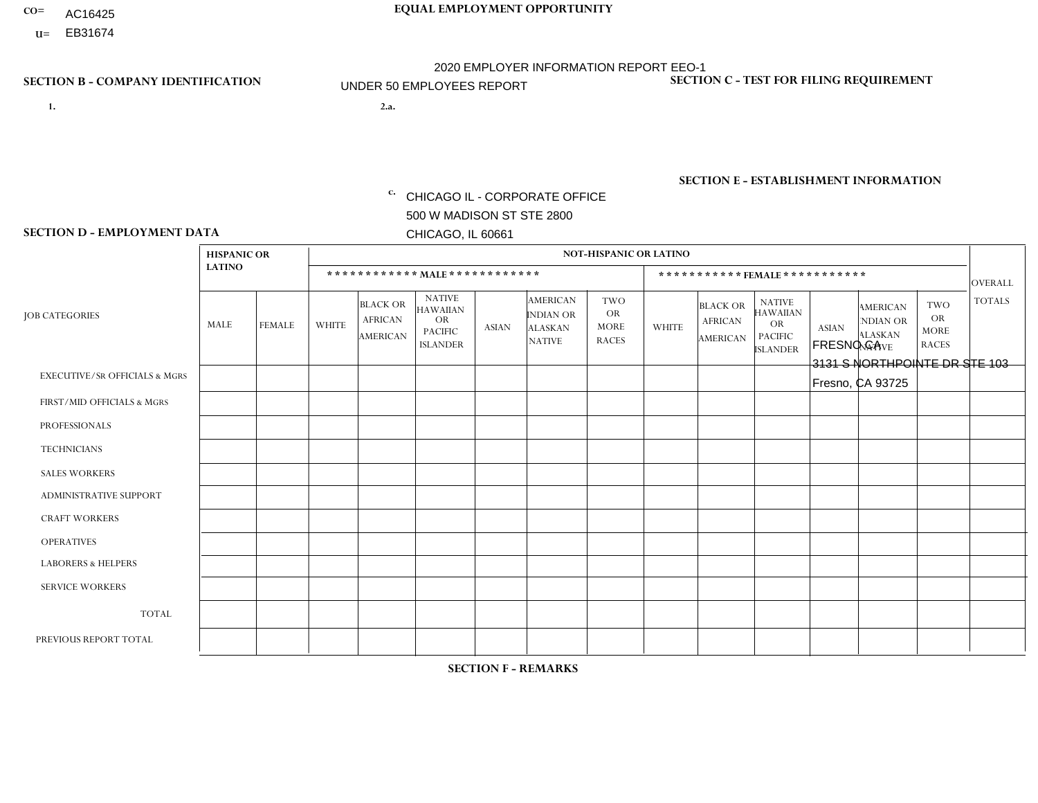- AC16425
- **U=**

- **1. 2.a.** CHICAGO IL CORPORATE OFFICE 500 W MADISON ST STE 2800 CHICAGO, IL 60661
- 2.a. FRESNO CA 3131 S NORTHPOINTE DR STE 103 Fresno, CA 93725

c. EIN= 952920557

## **SECTION B - COMPANY IDENTIFICATION SECTION C - TEST FOR FILING REQUIREMENT**

1- Y 2- Y 3- N DUNS= 000123456

**SECTION E - ESTABLISHMENT INFORMATION c.** NAICS: 423140

### **SECTION D - EMPLOYMENT DATA**

|                                          | <b>HISPANIC OR</b> |                |              |                                               |                                                                                    |              |                                                                        | <b>NOT-HISPANIC OR LATINO</b>                          |                |                                                      |                                                                             |              |                                                                       |                                                        |                |
|------------------------------------------|--------------------|----------------|--------------|-----------------------------------------------|------------------------------------------------------------------------------------|--------------|------------------------------------------------------------------------|--------------------------------------------------------|----------------|------------------------------------------------------|-----------------------------------------------------------------------------|--------------|-----------------------------------------------------------------------|--------------------------------------------------------|----------------|
|                                          | <b>LATINO</b>      |                |              | ************ MALE ************                |                                                                                    |              |                                                                        |                                                        |                | ***********FEMALE***********                         |                                                                             |              |                                                                       |                                                        | <b>OVERALL</b> |
| <b>JOB CATEGORIES</b>                    | MALE               | <b>FEMALE</b>  | <b>WHITE</b> | <b>BLACK OR</b><br><b>AFRICAN</b><br>AMERICAN | <b>NATIVE</b><br><b>HAWAIIAN</b><br><b>OR</b><br><b>PACIFIC</b><br><b>ISLANDER</b> | <b>ASIAN</b> | <b>AMERICAN</b><br><b>INDIAN OR</b><br><b>ALASKAN</b><br><b>NATIVE</b> | <b>TWO</b><br><b>OR</b><br><b>MORE</b><br><b>RACES</b> | <b>WHITE</b>   | <b>BLACK OR</b><br><b>AFRICAN</b><br><b>AMERICAN</b> | <b>NATIVE</b><br><b>HAWAIIAN</b><br>OR<br><b>PACIFIC</b><br><b>ISLANDER</b> | <b>ASIAN</b> | <b>AMERICAN</b><br><b>NDIAN OR</b><br><b>ALASKAN</b><br><b>NATIVE</b> | <b>TWO</b><br><b>OR</b><br><b>MORE</b><br><b>RACES</b> | <b>TOTALS</b>  |
| <b>EXECUTIVE/SR OFFICIALS &amp; MGRS</b> | $\Omega$           | $\Omega$       | $\Omega$     | $\mathbf 0$                                   | $\Omega$                                                                           | $\Omega$     | $\Omega$                                                               | $\Omega$                                               | 0              | $\Omega$                                             | $\Omega$                                                                    | $\Omega$     | $\Omega$                                                              | $\Omega$                                               | $\mathbf 0$    |
| FIRST/MID OFFICIALS & MGRS               |                    | $\Omega$       | $\Omega$     | $\mathbf 0$                                   | $\Omega$                                                                           | $\Omega$     | $\Omega$                                                               |                                                        | 0              | $\Omega$                                             | $\Omega$                                                                    | $\mathbf{0}$ | $\Omega$                                                              | $\Omega$                                               | $\overline{2}$ |
| <b>PROFESSIONALS</b>                     | 0                  | $\Omega$       | $\Omega$     | $\mathbf 0$                                   | $\Omega$                                                                           | $\Omega$     | $\Omega$                                                               | $\Omega$                                               | 0              | $\Omega$                                             | $\Omega$                                                                    | $\Omega$     | $\Omega$                                                              | $\mathbf{0}$                                           | $\mathbf{0}$   |
| <b>TECHNICIANS</b>                       | 0                  | $\mathbf 0$    | $\Omega$     | $\mathbf 0$                                   | $\Omega$                                                                           | $\Omega$     | $\Omega$                                                               | $\Omega$                                               | $\Omega$       | $\Omega$                                             | $\Omega$                                                                    | $\Omega$     | $\Omega$                                                              | $\Omega$                                               | $\mathbf{0}$   |
| <b>SALES WORKERS</b>                     | $\Omega$           | $\mathbf{1}$   | $\Omega$     | $\mathbf 0$                                   | $\Omega$                                                                           | $\Omega$     | $\Omega$                                                               |                                                        | $\Omega$       | $\Omega$                                             | $\Omega$                                                                    | $\Omega$     | $\Omega$                                                              | $\mathbf{1}$                                           | 3              |
| ADMINISTRATIVE SUPPORT                   | $\Omega$           | 1              | $\Omega$     | $\Omega$                                      | $\Omega$                                                                           | $\Omega$     | $\Omega$                                                               | $\Omega$                                               | $\Omega$       | $\Omega$                                             | $\Omega$                                                                    | $\Omega$     | $\mathbf{0}$                                                          | $\Omega$                                               | $\mathbf{1}$   |
| <b>CRAFT WORKERS</b>                     | 0                  | $\Omega$       | $\mathbf 0$  | $\mathbf 0$                                   | $\Omega$                                                                           | $\Omega$     | $\Omega$                                                               | $\Omega$                                               | 0              | $\Omega$                                             | $\Omega$                                                                    | $\Omega$     | $\Omega$                                                              | $\Omega$                                               | $\mathbf 0$    |
| <b>OPERATIVES</b>                        | 5                  | $\Omega$       | $\mathbf 0$  | $\mathbf 0$                                   | $\mathbf{0}$                                                                       | $\Omega$     | $\Omega$                                                               |                                                        | 0              | $\Omega$                                             | $\Omega$                                                                    | $\Omega$     | $\Omega$                                                              | $\mathbf{0}$                                           | 6              |
| <b>LABORERS &amp; HELPERS</b>            | 5                  | $\Omega$       | $\Omega$     | $\mathbf 0$                                   | 0                                                                                  | $\Omega$     | $\Omega$                                                               | $\Omega$                                               | $\overline{0}$ | $\Omega$                                             | $\Omega$                                                                    | $\Omega$     | $\Omega$                                                              | $\Omega$                                               | 5              |
| <b>SERVICE WORKERS</b>                   | 0                  | $\overline{2}$ | $\mathbf 0$  | 0                                             | $\mathbf{0}$                                                                       | $\mathbf 0$  | $\Omega$                                                               | $\Omega$                                               | $\Omega$       | $\Omega$                                             | $\Omega$                                                                    | $\Omega$     | 0                                                                     | $\mathbf{1}$                                           | 3              |
| <b>TOTAL</b>                             | 11                 | $\overline{4}$ | $\mathbf 0$  | 0                                             | $\Omega$                                                                           | $\Omega$     | $\Omega$                                                               | 3                                                      | 0              | $\Omega$                                             | $\Omega$                                                                    | $\Omega$     | $\Omega$                                                              | $\overline{2}$                                         | 20             |
| PREVIOUS REPORT TOTAL                    | 14                 | 4              | $\Omega$     | $\overline{1}$                                | $\Omega$                                                                           | $\Omega$     | $\Omega$                                                               | 3                                                      | 0              | $\Omega$                                             | $\Omega$                                                                    | $\Omega$     | $\Omega$                                                              | $\mathbf{1}$                                           | 23             |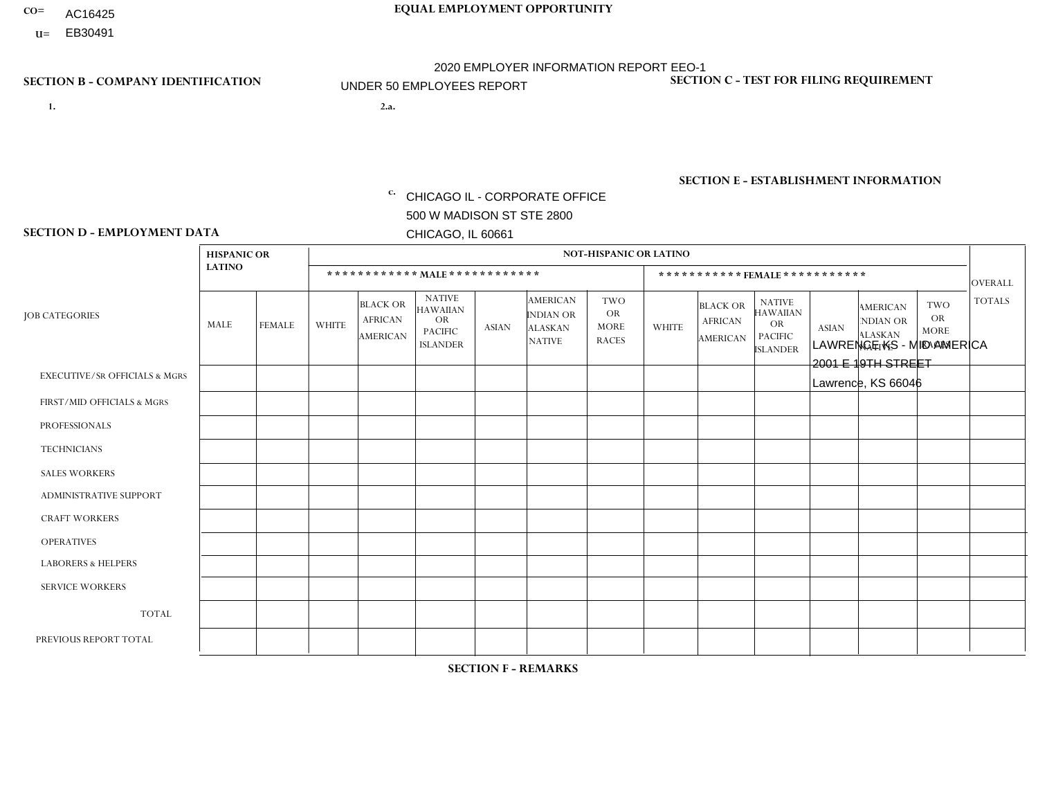- AC16425
- **U=**

**1. 2.a.** CHICAGO IL - CORPORATE OFFICE 500 W MADISON ST STE 2800 CHICAGO, IL 60661

2.a. LAWRENCE KS - MID AMERICA 2001 E 19TH STREET Lawrence, KS 66046

EIN= 952920557

## **SECTION B - COMPANY IDENTIFICATION SECTION C - TEST FOR FILING REQUIREMENT**

1- Y 2- Y 3- N DUNS= 000123456

**SECTION E - ESTABLISHMENT INFORMATION c.** NAICS: 423140

### **SECTION D - EMPLOYMENT DATA**

|                                          | <b>HISPANIC OR</b> |               |                |                                                      |                                                                                    |              |                                                                        | <b>NOT-HISPANIC OR LATINO</b>                          |              |                                                      |                                                                             |              |                                                                       |                                                        |                |
|------------------------------------------|--------------------|---------------|----------------|------------------------------------------------------|------------------------------------------------------------------------------------|--------------|------------------------------------------------------------------------|--------------------------------------------------------|--------------|------------------------------------------------------|-----------------------------------------------------------------------------|--------------|-----------------------------------------------------------------------|--------------------------------------------------------|----------------|
|                                          | <b>LATINO</b>      |               |                | ************ MALE ************                       |                                                                                    |              |                                                                        |                                                        |              | ***********FEMALE***********                         |                                                                             |              |                                                                       |                                                        | <b>OVERALL</b> |
| <b>JOB CATEGORIES</b>                    | MALE               | <b>FEMALE</b> | <b>WHITE</b>   | <b>BLACK OR</b><br><b>AFRICAN</b><br><b>AMERICAN</b> | <b>NATIVE</b><br><b>HAWAIIAN</b><br><b>OR</b><br><b>PACIFIC</b><br><b>ISLANDER</b> | <b>ASIAN</b> | <b>AMERICAN</b><br><b>INDIAN OR</b><br><b>ALASKAN</b><br><b>NATIVE</b> | <b>TWO</b><br><b>OR</b><br><b>MORE</b><br><b>RACES</b> | <b>WHITE</b> | <b>BLACK OR</b><br><b>AFRICAN</b><br><b>AMERICAN</b> | <b>NATIVE</b><br><b>HAWAIIAN</b><br>OR<br><b>PACIFIC</b><br><b>ISLANDER</b> | <b>ASIAN</b> | <b>AMERICAN</b><br><b>NDIAN OR</b><br><b>ALASKAN</b><br><b>NATIVE</b> | <b>TWO</b><br><b>OR</b><br><b>MORE</b><br><b>RACES</b> | <b>TOTALS</b>  |
| <b>EXECUTIVE/SR OFFICIALS &amp; MGRS</b> | $\Omega$           | $\Omega$      | $\Omega$       | $\mathbf 0$                                          | $\Omega$                                                                           | $\Omega$     | $\Omega$                                                               | $\Omega$                                               | $\Omega$     | $\Omega$                                             | $\Omega$                                                                    | $\Omega$     | $\Omega$                                                              | $\mathbf{0}$                                           | $\mathbf{0}$   |
| FIRST/MID OFFICIALS & MGRS               | 0                  | $\mathbf 0$   | 4              | $\mathbf 0$                                          | $\Omega$                                                                           | $\Omega$     | $\Omega$                                                               | $\Omega$                                               | 0            | $\Omega$                                             | $\Omega$                                                                    | $\mathbf{0}$ | $\Omega$                                                              | $\mathbf 0$                                            | $\mathbf{1}$   |
| <b>PROFESSIONALS</b>                     | 0                  | $\Omega$      | 1              | $\mathbf 0$                                          | $\Omega$                                                                           | $\Omega$     | $\Omega$                                                               | $\Omega$                                               | 0            | $\Omega$                                             | $\Omega$                                                                    | $\Omega$     | $\Omega$                                                              | $\Omega$                                               | $\mathbf{1}$   |
| <b>TECHNICIANS</b>                       | 0                  | $\Omega$      | $\Omega$       | $\Omega$                                             | $\Omega$                                                                           | $\Omega$     | $\Omega$                                                               | $\Omega$                                               | $\Omega$     | $\Omega$                                             | $\Omega$                                                                    | $\Omega$     | $\Omega$                                                              | $\Omega$                                               | $\Omega$       |
| <b>SALES WORKERS</b>                     | 0                  | $\Omega$      | $\Omega$       | $\Omega$                                             | $\Omega$                                                                           | $\Omega$     | $\Omega$                                                               | $\Omega$                                               | 0            | $\Omega$                                             | $\Omega$                                                                    | $\Omega$     | $\Omega$                                                              | $\Omega$                                               | $\Omega$       |
| ADMINISTRATIVE SUPPORT                   | 0                  | $\Omega$      | $\Omega$       | $\mathbf 0$                                          | $\Omega$                                                                           | $\Omega$     | $\Omega$                                                               | $\Omega$                                               | $\Omega$     | $\Omega$                                             | $\Omega$                                                                    | $\Omega$     | $\Omega$                                                              | $\Omega$                                               | $\mathbf 0$    |
| <b>CRAFT WORKERS</b>                     | $\overline{2}$     | $\Omega$      | $\Omega$       | $\mathbf 0$                                          | $\Omega$                                                                           | $\Omega$     | $\Omega$                                                               | $\Omega$                                               | 0            | $\Omega$                                             | $\Omega$                                                                    | $\Omega$     | $\Omega$                                                              | $\Omega$                                               | 2              |
| <b>OPERATIVES</b>                        | 0                  | $\Omega$      | $\overline{2}$ | $\mathbf 0$                                          | $\Omega$                                                                           | $\Omega$     | $\Omega$                                                               | $\Omega$                                               | $\Omega$     | $\Omega$                                             | $\Omega$                                                                    | $\Omega$     | $\Omega$                                                              | $\Omega$                                               | 2              |
| <b>LABORERS &amp; HELPERS</b>            | $\Omega$           | $\Omega$      | $\mathbf 0$    | $\mathbf 0$                                          | $\mathbf 0$                                                                        | $\Omega$     | $\Omega$                                                               | $\Omega$                                               | $\Omega$     | $\Omega$                                             | $\Omega$                                                                    | $\Omega$     | $\Omega$                                                              | $\Omega$                                               | 0              |
| <b>SERVICE WORKERS</b>                   | 0                  | $\Omega$      | $\Omega$       | $\mathbf 0$                                          | $\mathbf{0}$                                                                       | $\Omega$     | $\Omega$                                                               | $\Omega$                                               | $\Omega$     | $\Omega$                                             | $\Omega$                                                                    | $\Omega$     | $\Omega$                                                              | $\Omega$                                               | $\overline{0}$ |
| <b>TOTAL</b>                             | $\overline{2}$     | 0             | 4              | 0                                                    | 0                                                                                  | $\Omega$     | $\Omega$                                                               | $\Omega$                                               | $\Omega$     | $\Omega$                                             | $\Omega$                                                                    | $\mathbf 0$  | 0                                                                     | $\mathbf 0$                                            | 6              |
| PREVIOUS REPORT TOTAL                    |                    | $\Omega$      | 9              | $\mathbf 0$                                          | $\Omega$                                                                           | $\Omega$     | $\Omega$                                                               | $\Omega$                                               |              | $\Omega$                                             | $\Omega$                                                                    | $\Omega$     | $\Omega$                                                              | $\mathbf 0$                                            | 11             |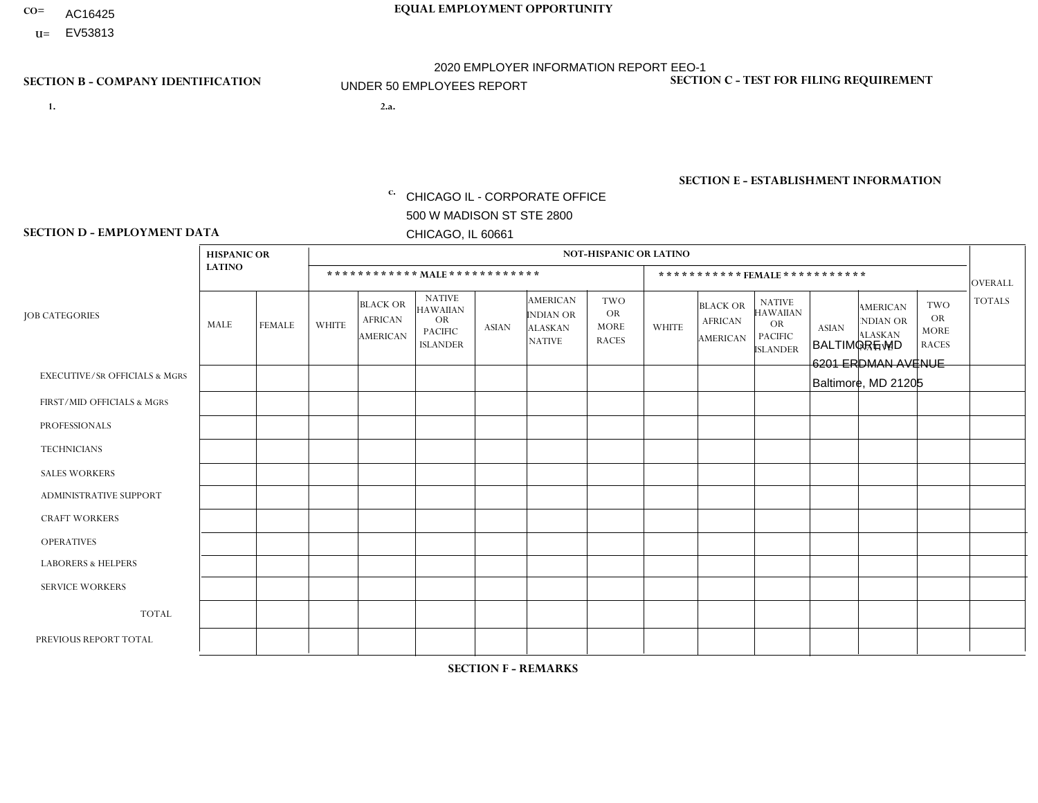- AC16425
- **U=**

- **1. 2.a.** CHICAGO IL CORPORATE OFFICE 500 W MADISON ST STE 2800 CHICAGO, IL 60661
- 2.a. BALTIMORE MD 6201 ERDMAN AVENUE Baltimore, MD 21205

EIN= 952920557

## **SECTION B - COMPANY IDENTIFICATION SECTION C - TEST FOR FILING REQUIREMENT**

1- Y 2- Y 3- N DUNS= 000123456

**SECTION E - ESTABLISHMENT INFORMATION c.** NAICS: 423140

### **SECTION D - EMPLOYMENT DATA**

|                                          | <b>HISPANIC OR</b> |                |              |                                                      |                                                                                    |              |                                                                        | <b>NOT-HISPANIC OR LATINO</b>                          |                |                                                      |                                                                                    |              |                                                                       |                                                        |                |
|------------------------------------------|--------------------|----------------|--------------|------------------------------------------------------|------------------------------------------------------------------------------------|--------------|------------------------------------------------------------------------|--------------------------------------------------------|----------------|------------------------------------------------------|------------------------------------------------------------------------------------|--------------|-----------------------------------------------------------------------|--------------------------------------------------------|----------------|
|                                          | <b>LATINO</b>      |                |              | ************ MALE ************                       |                                                                                    |              |                                                                        |                                                        |                |                                                      | *********** FEMALE ***********                                                     |              |                                                                       |                                                        | <b>OVERALL</b> |
| <b>JOB CATEGORIES</b>                    | MALE               | <b>FEMALE</b>  | <b>WHITE</b> | <b>BLACK OR</b><br><b>AFRICAN</b><br><b>AMERICAN</b> | <b>NATIVE</b><br><b>HAWAIIAN</b><br><b>OR</b><br><b>PACIFIC</b><br><b>ISLANDER</b> | <b>ASIAN</b> | <b>AMERICAN</b><br><b>INDIAN OR</b><br><b>ALASKAN</b><br><b>NATIVE</b> | <b>TWO</b><br><b>OR</b><br><b>MORE</b><br><b>RACES</b> | <b>WHITE</b>   | <b>BLACK OR</b><br><b>AFRICAN</b><br><b>AMERICAN</b> | <b>NATIVE</b><br><b>HAWAIIAN</b><br><b>OR</b><br><b>PACIFIC</b><br><b>ISLANDER</b> | <b>ASIAN</b> | <b>AMERICAN</b><br><b>NDIAN OR</b><br><b>ALASKAN</b><br><b>NATIVE</b> | <b>TWO</b><br><b>OR</b><br><b>MORE</b><br><b>RACES</b> | <b>TOTALS</b>  |
| <b>EXECUTIVE/SR OFFICIALS &amp; MGRS</b> | $\Omega$           | $\Omega$       | $\Omega$     | $\Omega$                                             | $\Omega$                                                                           | $\Omega$     | $\Omega$                                                               | $\Omega$                                               | $\Omega$       | $\mathbf{0}$                                         | $\mathbf{0}$                                                                       | $\Omega$     | $\Omega$                                                              | $\Omega$                                               | $\Omega$       |
| FIRST/MID OFFICIALS & MGRS               | $\Omega$           | $\Omega$       | 1            | $\Omega$                                             | 0                                                                                  | $\Omega$     | $\Omega$                                                               | $\Omega$                                               | $\Omega$       | $\mathbf{0}$                                         | $\mathbf{0}$                                                                       | $\Omega$     | $\Omega$                                                              | $\Omega$                                               | $\mathbf{1}$   |
| <b>PROFESSIONALS</b>                     | $\Omega$           | $\Omega$       | $\mathbf 0$  | $\mathbf 0$                                          | $\overline{0}$                                                                     | $\Omega$     | $\overline{0}$                                                         | $\Omega$                                               | $\Omega$       | $\Omega$                                             | $\mathbf{0}$                                                                       | $\Omega$     | $\Omega$                                                              | $\Omega$                                               | $\mathbf 0$    |
| <b>TECHNICIANS</b>                       | $\mathbf 0$        | $\mathbf 0$    | $\Omega$     | $\mathbf 0$                                          | 0                                                                                  | $\Omega$     | $\overline{0}$                                                         | $\Omega$                                               | $\mathbf 0$    | $\mathbf 0$                                          | $\mathbf 0$                                                                        | $\mathbf 0$  | $\Omega$                                                              | $\mathbf{0}$                                           | $\mathbf 0$    |
| <b>SALES WORKERS</b>                     | $\Omega$           | $\Omega$       | $\Omega$     | $\Omega$                                             | $\Omega$                                                                           | $\Omega$     | $\Omega$                                                               | $\Omega$                                               | $\Omega$       | $\Omega$                                             | $\Omega$                                                                           | $\Omega$     | $\Omega$                                                              | $\mathbf{0}$                                           | $\mathbf 0$    |
| <b>ADMINISTRATIVE SUPPORT</b>            | $\Omega$           | $\overline{1}$ | 1            | 0                                                    | $\mathbf 0$                                                                        | $\Omega$     | $\Omega$                                                               | $\Omega$                                               | $\overline{2}$ | $\overline{1}$                                       | $\mathbf{0}$                                                                       | $\Omega$     | 1                                                                     | $\Omega$                                               | 6              |
| <b>CRAFT WORKERS</b>                     | $\Omega$           | $\Omega$       | $\Omega$     | $\mathbf 0$                                          | 0                                                                                  | $\Omega$     | $\Omega$                                                               | $\Omega$                                               | $\Omega$       | $\Omega$                                             | $\Omega$                                                                           | $\Omega$     | $\Omega$                                                              | $\Omega$                                               | $\mathbf 0$    |
| <b>OPERATIVES</b>                        | 6                  | $\mathbf 0$    | 1            | 9                                                    | 0                                                                                  | $\Omega$     | $\overline{0}$                                                         | $\Omega$                                               | $\Omega$       | $\Omega$                                             | $\Omega$                                                                           | $\Omega$     | $\Omega$                                                              | $\mathbf{0}$                                           | 16             |
| <b>LABORERS &amp; HELPERS</b>            | $\Omega$           | $\Omega$       | 1            | $\Omega$                                             | 0                                                                                  | $\Omega$     | $\Omega$                                                               | $\Omega$                                               | $\Omega$       | $\Omega$                                             | $\mathbf{0}$                                                                       | $\Omega$     | $\Omega$                                                              | $\Omega$                                               | $\mathbf{1}$   |
| <b>SERVICE WORKERS</b>                   | 0                  | 0              | $\Omega$     | 0                                                    | 0                                                                                  | $\Omega$     | $\Omega$                                                               | $\Omega$                                               | $\Omega$       | $\Omega$                                             | $\mathbf{0}$                                                                       | $\Omega$     | $\Omega$                                                              | $\Omega$                                               | 0              |
| <b>TOTAL</b>                             | 6                  | $\mathbf{1}$   | 4            | 9                                                    | 0                                                                                  | $\mathbf 0$  | $\Omega$                                                               | $\Omega$                                               | $\overline{2}$ |                                                      | $\Omega$                                                                           | $\mathbf 0$  | 1                                                                     | $\mathbf 0$                                            | 24             |
| PREVIOUS REPORT TOTAL                    | 4                  | $\Omega$       | 4            | 12                                                   | 0                                                                                  | $\Omega$     | $\Omega$                                                               | $\overline{2}$                                         | 3              | 2                                                    | $\mathbf{0}$                                                                       | $\Omega$     | 1                                                                     | $\mathbf 0$                                            | 28             |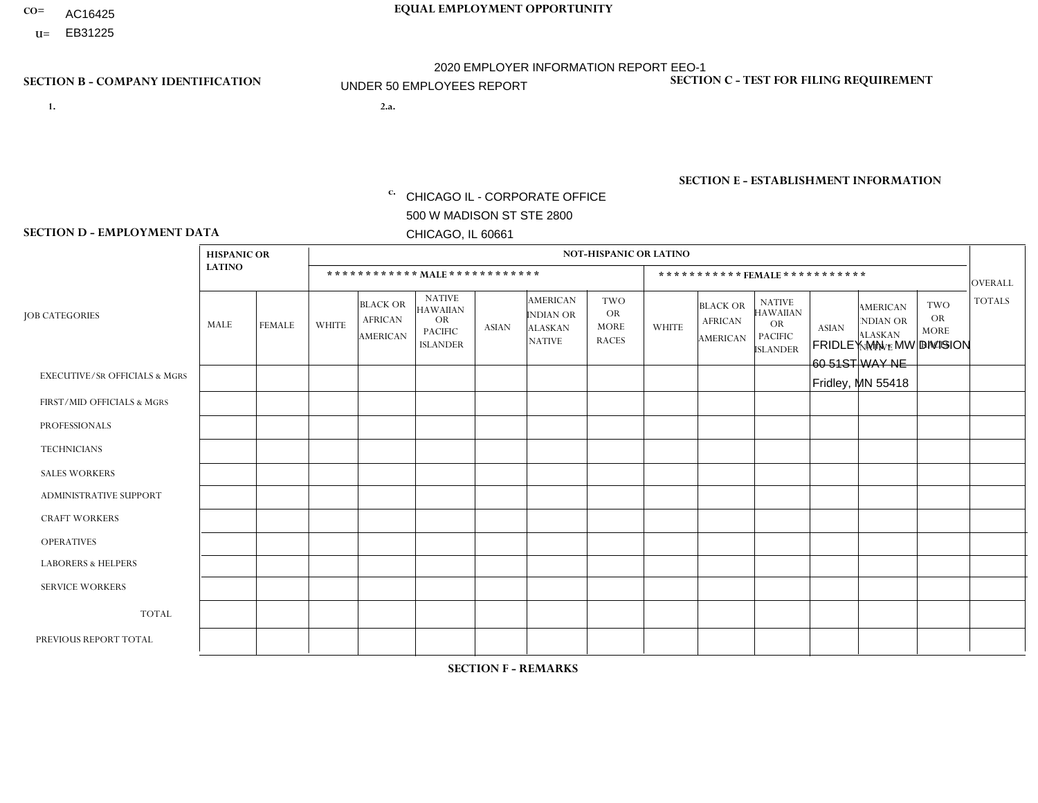- AC16425
- **U=**

**1. 2.a.** CHICAGO IL - CORPORATE OFFICE 500 W MADISON ST STE 2800 CHICAGO, IL 60661

2.a. FRIDLEY MN - MW DIVISION 60 51ST WAY NE Fridley, MN 55418

EIN= 952920557

## **SECTION B - COMPANY IDENTIFICATION SECTION C - TEST FOR FILING REQUIREMENT**

1- Y 2- Y 3- N DUNS= 000123456

**SECTION E - ESTABLISHMENT INFORMATION c.** NAICS: 551114

### **SECTION D - EMPLOYMENT DATA**

|                                          | <b>HISPANIC OR</b> |               |                |                                                      |                                                                                    |             |                                                                        | <b>NOT-HISPANIC OR LATINO</b>                          |                |                                               |                                                                             |              |                                                                       |                                                        |                |
|------------------------------------------|--------------------|---------------|----------------|------------------------------------------------------|------------------------------------------------------------------------------------|-------------|------------------------------------------------------------------------|--------------------------------------------------------|----------------|-----------------------------------------------|-----------------------------------------------------------------------------|--------------|-----------------------------------------------------------------------|--------------------------------------------------------|----------------|
|                                          | <b>LATINO</b>      |               |                | ************ MALE ************                       |                                                                                    |             |                                                                        |                                                        |                | ***********FEMALE***********                  |                                                                             |              |                                                                       |                                                        | <b>OVERALL</b> |
| <b>JOB CATEGORIES</b>                    | MALE               | <b>FEMALE</b> | <b>WHITE</b>   | <b>BLACK OR</b><br><b>AFRICAN</b><br><b>AMERICAN</b> | <b>NATIVE</b><br><b>HAWAIIAN</b><br><b>OR</b><br><b>PACIFIC</b><br><b>ISLANDER</b> | ASIAN       | <b>AMERICAN</b><br><b>INDIAN OR</b><br><b>ALASKAN</b><br><b>NATIVE</b> | <b>TWO</b><br><b>OR</b><br><b>MORE</b><br><b>RACES</b> | <b>WHITE</b>   | <b>BLACK OR</b><br><b>AFRICAN</b><br>AMERICAN | <b>NATIVE</b><br><b>HAWAIIAN</b><br>OR<br><b>PACIFIC</b><br><b>ISLANDER</b> | <b>ASIAN</b> | <b>AMERICAN</b><br><b>NDIAN OR</b><br><b>ALASKAN</b><br><b>NATIVE</b> | <b>TWO</b><br><b>OR</b><br><b>MORE</b><br><b>RACES</b> | <b>TOTALS</b>  |
| <b>EXECUTIVE/SR OFFICIALS &amp; MGRS</b> | $\Omega$           | $\Omega$      | $\Omega$       | $\mathbf 0$                                          | $\mathbf 0$                                                                        | $\Omega$    | $\Omega$                                                               | $\Omega$                                               | $\Omega$       | $\Omega$                                      | $\Omega$                                                                    | $\mathbf 0$  | $\Omega$                                                              | $\mathbf 0$                                            | $\mathbf{0}$   |
| FIRST/MID OFFICIALS & MGRS               | 0                  | 0             | 3              | $\mathbf 0$                                          | 0                                                                                  | $\Omega$    | $\Omega$                                                               | $\Omega$                                               | 0              | $\Omega$                                      | $\Omega$                                                                    | $\mathbf{0}$ | $\Omega$                                                              | $\mathbf 0$                                            | 3              |
| <b>PROFESSIONALS</b>                     | $\Omega$           | $\Omega$      | $\overline{2}$ | $\mathbf 0$                                          | $\Omega$                                                                           | $\Omega$    | $\Omega$                                                               | $\Omega$                                               | $\overline{0}$ | $\Omega$                                      | $\Omega$                                                                    | $\Omega$     | $\Omega$                                                              | $\Omega$                                               | $\overline{2}$ |
| <b>TECHNICIANS</b>                       | 0                  | $\mathbf 0$   | $\Omega$       | $\mathbf 0$                                          | $\Omega$                                                                           | $\Omega$    | $\Omega$                                                               | $\Omega$                                               | $\Omega$       | $\Omega$                                      | $\Omega$                                                                    | $\Omega$     | $\Omega$                                                              | $\Omega$                                               | $\mathbf{0}$   |
| <b>SALES WORKERS</b>                     | $\Omega$           | $\Omega$      | $\Omega$       | $\mathbf 0$                                          | $\Omega$                                                                           | $\Omega$    | $\Omega$                                                               | $\Omega$                                               | $\overline{0}$ | $\Omega$                                      | $\Omega$                                                                    | $\Omega$     | $\Omega$                                                              | $\mathbf{0}$                                           | $\mathbf{0}$   |
| ADMINISTRATIVE SUPPORT                   | $\mathbf 0$        | 0             | $\mathbf 0$    | $\mathbf 0$                                          | 0                                                                                  | $\Omega$    | $\Omega$                                                               | $\Omega$                                               | $\Omega$       | $\Omega$                                      | $\Omega$                                                                    | $\mathbf{0}$ | $\mathbf{0}$                                                          | $\mathbf 0$                                            | $\mathbf 0$    |
| <b>CRAFT WORKERS</b>                     | 0                  | $\Omega$      | $\Omega$       | $\mathbf 0$                                          | $\Omega$                                                                           | $\Omega$    | $\Omega$                                                               | $\Omega$                                               | 0              | $\Omega$                                      | $\Omega$                                                                    | $\Omega$     | $\Omega$                                                              | $\Omega$                                               | $\Omega$       |
| <b>OPERATIVES</b>                        | 0                  | $\Omega$      | $\Omega$       | $\mathbf 0$                                          | $\Omega$                                                                           | $\Omega$    | $\Omega$                                                               | $\Omega$                                               | $\Omega$       | $\Omega$                                      | $\Omega$                                                                    | $\Omega$     | $\Omega$                                                              | $\Omega$                                               | $\mathbf 0$    |
| <b>LABORERS &amp; HELPERS</b>            | 0                  | $\Omega$      | $\Omega$       | $\mathbf 0$                                          | $\mathbf 0$                                                                        | $\Omega$    | $\Omega$                                                               | $\Omega$                                               | $\Omega$       | $\Omega$                                      | $\Omega$                                                                    | $\Omega$     | $\Omega$                                                              | $\Omega$                                               | $\mathbf{0}$   |
| <b>SERVICE WORKERS</b>                   | 0                  | $\mathbf 0$   | $\mathbf 0$    | $\mathbf 0$                                          | $\mathbf{0}$                                                                       | $\mathbf 0$ | $\Omega$                                                               | $\Omega$                                               | $\Omega$       | $\Omega$                                      | $\Omega$                                                                    | $\mathbf 0$  | $\Omega$                                                              | $\mathbf 0$                                            | $\overline{0}$ |
| <b>TOTAL</b>                             | $\Omega$           | 0             | 5              | 0                                                    | 0                                                                                  | $\Omega$    | $\Omega$                                                               | $\Omega$                                               | $\Omega$       | $\Omega$                                      | $\Omega$                                                                    | $\mathbf 0$  | 0                                                                     | $\mathbf 0$                                            | 5              |
| PREVIOUS REPORT TOTAL                    | 0                  | $\Omega$      | 5              | $\mathbf 0$                                          | $\Omega$                                                                           | $\Omega$    | $\Omega$                                                               | $\Omega$                                               | 0              | $\Omega$                                      | $\Omega$                                                                    | $\Omega$     | $\Omega$                                                              | $\mathbf 0$                                            | 5              |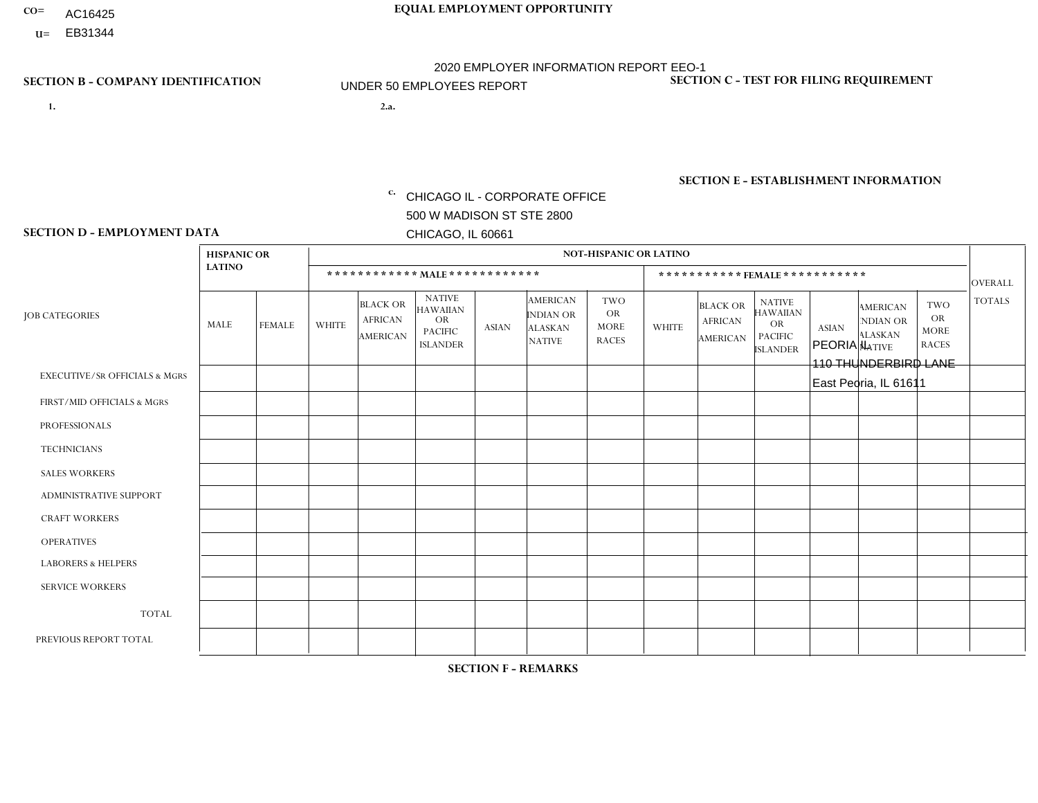- AC16425
- **U=**

- **1. 2.a.** CHICAGO IL CORPORATE OFFICE 500 W MADISON ST STE 2800 CHICAGO, IL 60661
- 2.a. PEORIA IL 110 THUNDERBIRD LANE East Peoria, IL 61611

EIN= 952920557

## **SECTION B - COMPANY IDENTIFICATION SECTION C - TEST FOR FILING REQUIREMENT**

1- Y 2- Y 3- N DUNS= 000123456

**SECTION E - ESTABLISHMENT INFORMATION c.** NAICS: 423140

### **SECTION D - EMPLOYMENT DATA**

|                                          | <b>HISPANIC OR</b> |               |                |                                                      |                                                                                    |              |                                                                        | <b>NOT-HISPANIC OR LATINO</b>                          |              |                                               |                                                                                    |              |                                                                       |                                                        |                |
|------------------------------------------|--------------------|---------------|----------------|------------------------------------------------------|------------------------------------------------------------------------------------|--------------|------------------------------------------------------------------------|--------------------------------------------------------|--------------|-----------------------------------------------|------------------------------------------------------------------------------------|--------------|-----------------------------------------------------------------------|--------------------------------------------------------|----------------|
|                                          | <b>LATINO</b>      |               |                | ************ MAIE************                        |                                                                                    |              |                                                                        |                                                        |              |                                               | ***********FEMALE ***********                                                      |              |                                                                       |                                                        | <b>OVERALL</b> |
| <b>JOB CATEGORIES</b>                    | MALE               | <b>FEMALE</b> | <b>WHITE</b>   | <b>BLACK OR</b><br><b>AFRICAN</b><br><b>AMERICAN</b> | <b>NATIVE</b><br><b>HAWAIIAN</b><br><b>OR</b><br><b>PACIFIC</b><br><b>ISLANDER</b> | <b>ASIAN</b> | <b>AMERICAN</b><br><b>INDIAN OR</b><br><b>ALASKAN</b><br><b>NATIVE</b> | <b>TWO</b><br><b>OR</b><br><b>MORE</b><br><b>RACES</b> | <b>WHITE</b> | <b>BLACK OR</b><br><b>AFRICAN</b><br>AMERICAN | <b>NATIVE</b><br><b>HAWAIIAN</b><br><b>OR</b><br><b>PACIFIC</b><br><b>ISLANDER</b> | <b>ASIAN</b> | <b>AMERICAN</b><br><b>NDIAN OR</b><br><b>ALASKAN</b><br><b>NATIVE</b> | <b>TWO</b><br><b>OR</b><br><b>MORE</b><br><b>RACES</b> | <b>TOTALS</b>  |
| <b>EXECUTIVE/SR OFFICIALS &amp; MGRS</b> | $\Omega$           | $\Omega$      | $\Omega$       | $\mathbf 0$                                          | $\Omega$                                                                           | $\Omega$     | $\Omega$                                                               | $\Omega$                                               | $\Omega$     | $\Omega$                                      | $\mathbf{0}$                                                                       | $\Omega$     | $\Omega$                                                              | $\Omega$                                               | $\mathbf 0$    |
| FIRST/MID OFFICIALS & MGRS               | $\Omega$           | $\Omega$      | $\overline{c}$ | 0                                                    | 0                                                                                  | $\Omega$     | $\Omega$                                                               | $\Omega$                                               | $\Omega$     | $\Omega$                                      | $\Omega$                                                                           | $\Omega$     | $\Omega$                                                              | $\Omega$                                               | $\overline{2}$ |
| <b>PROFESSIONALS</b>                     | $\Omega$           | $\Omega$      | $\Omega$       | $\Omega$                                             | $\Omega$                                                                           | $\Omega$     | $\Omega$                                                               | $\Omega$                                               | $\Omega$     | $\Omega$                                      | $\Omega$                                                                           | $\Omega$     | $\Omega$                                                              | $\Omega$                                               | $\mathbf 0$    |
| <b>TECHNICIANS</b>                       | $\Omega$           | $\mathbf 0$   | $\Omega$       | $\mathbf 0$                                          | 0                                                                                  | $\Omega$     | $\Omega$                                                               | $\Omega$                                               | $\mathbf{0}$ | $\Omega$                                      | $\Omega$                                                                           | $\Omega$     | $\Omega$                                                              | $\Omega$                                               | $\mathbf 0$    |
| <b>SALES WORKERS</b>                     | $\Omega$           | $\Omega$      | $\overline{7}$ | $\Omega$                                             | $\Omega$                                                                           | $\Omega$     | $\Omega$                                                               | $\Omega$                                               | $\Omega$     | $\Omega$                                      | $\Omega$                                                                           | $\Omega$     | $\Omega$                                                              | $\Omega$                                               | $\overline{7}$ |
| <b>ADMINISTRATIVE SUPPORT</b>            | $\Omega$           | $\Omega$      | 1              | $\Omega$                                             | $\Omega$                                                                           | $\Omega$     | $\Omega$                                                               | $\Omega$                                               | $\Omega$     | $\Omega$                                      | $\Omega$                                                                           | $\Omega$     | $\Omega$                                                              | $\Omega$                                               | $\mathbf{1}$   |
| <b>CRAFT WORKERS</b>                     | 0                  | $\Omega$      | $\mathbf 0$    | $\mathbf 0$                                          | $\Omega$                                                                           | $\Omega$     | $\Omega$                                                               | $\Omega$                                               | $\Omega$     | $\Omega$                                      | $\Omega$                                                                           | $\Omega$     | $\Omega$                                                              | $\Omega$                                               | $\Omega$       |
| <b>OPERATIVES</b>                        | $\overline{2}$     | $\Omega$      | 8              | $\mathbf 0$                                          | $\Omega$                                                                           | $\Omega$     | $\overline{0}$                                                         |                                                        | $\Omega$     | $\Omega$                                      | $\mathbf{0}$                                                                       | $\Omega$     | $\Omega$                                                              | $\mathbf{0}$                                           | 11             |
| <b>LABORERS &amp; HELPERS</b>            | $\Omega$           | $\Omega$      | 1              | 0                                                    | 0                                                                                  | $\Omega$     | $\Omega$                                                               | $\Omega$                                               | $\Omega$     | $\Omega$                                      | $\Omega$                                                                           | $\Omega$     | $\Omega$                                                              | $\Omega$                                               | $\mathbf{1}$   |
| <b>SERVICE WORKERS</b>                   | $\Omega$           | $\mathbf 0$   | 0              | $\mathbf 0$                                          | $\mathbf 0$                                                                        | $\mathbf 0$  | $\Omega$                                                               | $\Omega$                                               | $\Omega$     | $\Omega$                                      | $\Omega$                                                                           | $\mathbf 0$  | $\Omega$                                                              | $\mathbf 0$                                            | 0              |
| <b>TOTAL</b>                             | $\overline{2}$     | $\mathbf 0$   | 19             | $\mathbf 0$                                          | 0                                                                                  | $\mathbf 0$  | $\Omega$                                                               |                                                        | $\Omega$     | $\Omega$                                      | $\Omega$                                                                           | $\Omega$     | $\Omega$                                                              | $\Omega$                                               | 22             |
| PREVIOUS REPORT TOTAL                    | 3                  | $\Omega$      | 20             | $\mathbf 0$                                          | 0                                                                                  | $\Omega$     | $\Omega$                                                               | $\overline{2}$                                         | $\Omega$     | $\Omega$                                      | $\mathbf{0}$                                                                       | $\Omega$     | $\Omega$                                                              | $\mathbf 0$                                            | 25             |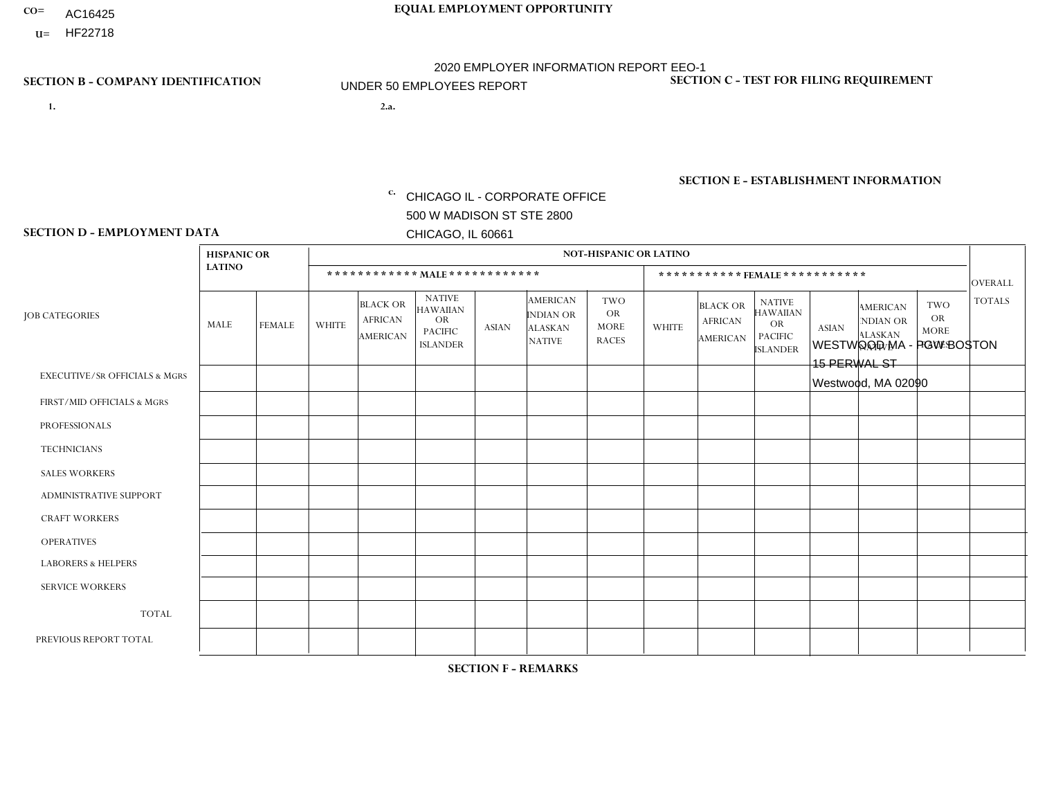- AC16425
- **U=**

**1. 2.a.** CHICAGO IL - CORPORATE OFFICE 500 W MADISON ST STE 2800 CHICAGO, IL 60661

2.a. WESTWOOD MA - PGW BOSTON 15 PERWAL ST Westwood, MA 02090

EIN= 952920557

## **SECTION B - COMPANY IDENTIFICATION SECTION C - TEST FOR FILING REQUIREMENT**

1- Y 2- Y 3- N DUNS= 000123456

**SECTION E - ESTABLISHMENT INFORMATION c.** NAICS: 811122

### **SECTION D - EMPLOYMENT DATA**

|                                          | <b>HISPANIC OR</b> |               |                |                                                      |                                                                                    |              |                                                                        | <b>NOT-HISPANIC OR LATINO</b>                          |              |                                                      |                                                                                    |              |                                                                       |                                                        |                |
|------------------------------------------|--------------------|---------------|----------------|------------------------------------------------------|------------------------------------------------------------------------------------|--------------|------------------------------------------------------------------------|--------------------------------------------------------|--------------|------------------------------------------------------|------------------------------------------------------------------------------------|--------------|-----------------------------------------------------------------------|--------------------------------------------------------|----------------|
|                                          | <b>LATINO</b>      |               |                | ************ MALE ************                       |                                                                                    |              |                                                                        |                                                        |              |                                                      | *********** FEMALE ***********                                                     |              |                                                                       |                                                        | <b>OVERALL</b> |
| <b>JOB CATEGORIES</b>                    | MALE               | <b>FEMALE</b> | <b>WHITE</b>   | <b>BLACK OR</b><br><b>AFRICAN</b><br><b>AMERICAN</b> | <b>NATIVE</b><br><b>HAWAIIAN</b><br><b>OR</b><br><b>PACIFIC</b><br><b>ISLANDER</b> | <b>ASIAN</b> | <b>AMERICAN</b><br><b>INDIAN OR</b><br><b>ALASKAN</b><br><b>NATIVE</b> | <b>TWO</b><br><b>OR</b><br><b>MORE</b><br><b>RACES</b> | <b>WHITE</b> | <b>BLACK OR</b><br><b>AFRICAN</b><br><b>AMERICAN</b> | <b>NATIVE</b><br><b>HAWAIIAN</b><br><b>OR</b><br><b>PACIFIC</b><br><b>ISLANDER</b> | <b>ASIAN</b> | <b>AMERICAN</b><br><b>NDIAN OR</b><br><b>ALASKAN</b><br><b>NATIVE</b> | <b>TWO</b><br><b>OR</b><br><b>MORE</b><br><b>RACES</b> | <b>TOTALS</b>  |
| <b>EXECUTIVE/SR OFFICIALS &amp; MGRS</b> | $\Omega$           | $\Omega$      | $\mathbf{0}$   | $\mathbf 0$                                          | $\Omega$                                                                           | $\Omega$     | $\Omega$                                                               | $\Omega$                                               | $\Omega$     | $\Omega$                                             | $\Omega$                                                                           | $\Omega$     | $\Omega$                                                              | $\Omega$                                               | $\mathbf 0$    |
| FIRST/MID OFFICIALS & MGRS               | $\Omega$           | $\Omega$      | $\mathbf{0}$   | $\Omega$                                             | $\Omega$                                                                           | $\Omega$     | $\Omega$                                                               | $\Omega$                                               | 0            | $\Omega$                                             | 0                                                                                  | $\Omega$     | $\Omega$                                                              | $\Omega$                                               | $\overline{0}$ |
| <b>PROFESSIONALS</b>                     | $\Omega$           | $\Omega$      | $\Omega$       | $\mathbf 0$                                          | $\Omega$                                                                           | $\Omega$     | $\Omega$                                                               | $\Omega$                                               | $\Omega$     | $\Omega$                                             | 0                                                                                  | 0            | $\Omega$                                                              | $\mathbf 0$                                            | $\Omega$       |
| <b>TECHNICIANS</b>                       | $\Omega$           | $\mathbf 0$   | $\Omega$       | $\mathbf 0$                                          | $\mathbf 0$                                                                        | $\Omega$     | $\Omega$                                                               | $\Omega$                                               | 0            | $\mathbf 0$                                          | 0                                                                                  | $\mathbf 0$  | $\Omega$                                                              | $\mathbf 0$                                            | $\mathbf{0}$   |
| <b>SALES WORKERS</b>                     | $\Omega$           | $\Omega$      | $\Omega$       | $\Omega$                                             | $\Omega$                                                                           | $\Omega$     | $\Omega$                                                               | $\Omega$                                               | $\Omega$     | $\Omega$                                             | $\Omega$                                                                           | $\Omega$     | $\Omega$                                                              | $\Omega$                                               | $\Omega$       |
| <b>ADMINISTRATIVE SUPPORT</b>            | $\Omega$           | $\mathbf 0$   | $\Omega$       | $\mathbf 0$                                          | 0                                                                                  | $\Omega$     | $\Omega$                                                               | $\Omega$                                               | $\Omega$     | $\Omega$                                             | $\Omega$                                                                           | $\mathbf 0$  | $\Omega$                                                              | $\mathbf 0$                                            | $\mathbf 0$    |
| <b>CRAFT WORKERS</b>                     | $\Omega$           | $\Omega$      | $\mathbf{0}$   | $\mathbf 0$                                          | $\Omega$                                                                           | $\Omega$     | $\Omega$                                                               | $\Omega$                                               | 0            | $\Omega$                                             | $\Omega$                                                                           | $\Omega$     | $\Omega$                                                              | $\Omega$                                               | $\Omega$       |
| <b>OPERATIVES</b>                        | 3                  | $\Omega$      | $\overline{2}$ | $\overline{2}$                                       | $\Omega$                                                                           | $\Omega$     | $\Omega$                                                               | $\Omega$                                               | $\Omega$     | $\Omega$                                             | 0                                                                                  | $\Omega$     | $\Omega$                                                              | $\Omega$                                               | $\overline{7}$ |
| <b>LABORERS &amp; HELPERS</b>            | $\Omega$           | $\Omega$      | 4              | $\mathbf 0$                                          | $\Omega$                                                                           | $\mathbf{0}$ | $\Omega$                                                               | $\Omega$                                               | $\Omega$     | $\Omega$                                             | $\Omega$                                                                           | $\mathbf 0$  | $\Omega$                                                              | $\mathbf 0$                                            | $\mathbf{1}$   |
| <b>SERVICE WORKERS</b>                   | $\Omega$           | $\Omega$      | $\mathbf 0$    | $\mathbf 0$                                          | $\mathbf 0$                                                                        | $\Omega$     | $\Omega$                                                               | $\Omega$                                               | 0            | $\Omega$                                             | $\Omega$                                                                           | $\Omega$     | $\Omega$                                                              | $\Omega$                                               | $\mathbf 0$    |
| <b>TOTAL</b>                             | 3                  | $\mathbf 0$   | 3              | $\overline{2}$                                       | $\mathbf 0$                                                                        | $\Omega$     | $\Omega$                                                               | $\Omega$                                               | 0            | $\mathbf 0$                                          | 0                                                                                  | $\mathbf 0$  | 0                                                                     | $\mathbf 0$                                            | 8              |
| PREVIOUS REPORT TOTAL                    | $\overline{c}$     | $\mathbf{1}$  | 3              | $\overline{c}$                                       | $\overline{0}$                                                                     | $\Omega$     | $\Omega$                                                               | $\Omega$                                               | 0            | $\Omega$                                             | $\Omega$                                                                           | $\Omega$     | $\Omega$                                                              | $\mathbf 0$                                            | 8              |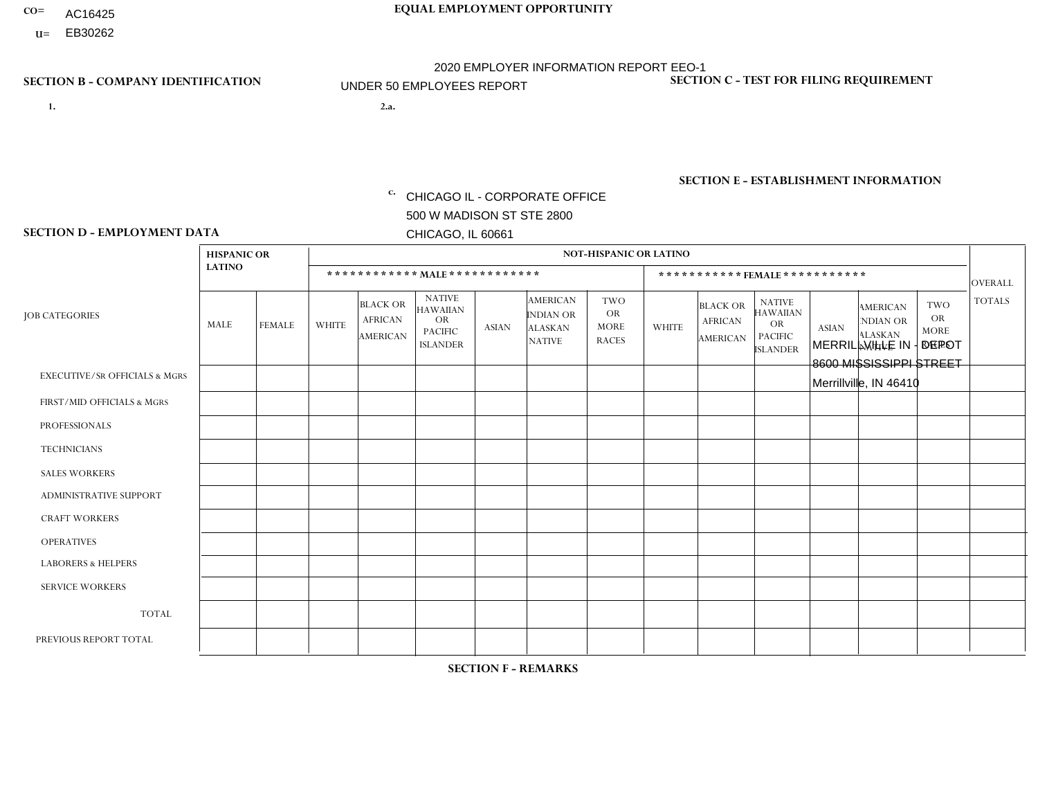- AC16425
- **U=**

**1. 2.a.** CHICAGO IL - CORPORATE OFFICE 500 W MADISON ST STE 2800 CHICAGO, IL 60661

2.a. MERRILLVILLE IN - DEPOT 8600 MISSISSIPPI STREET Merrillville, IN 46410

EIN= 952920557

## **SECTION B - COMPANY IDENTIFICATION SECTION C - TEST FOR FILING REQUIREMENT**

1- Y 2- Y 3- N DUNS= 000123456

**SECTION E - ESTABLISHMENT INFORMATION c.** NAICS: 423140

### **SECTION D - EMPLOYMENT DATA**

|                                          | <b>HISPANIC OR</b> |                |              |                                                      |                                                                                    |              |                                                                        | <b>NOT-HISPANIC OR LATINO</b>                          |              |                                               |                                                                                    |              |                                                                       |                                                        |                |
|------------------------------------------|--------------------|----------------|--------------|------------------------------------------------------|------------------------------------------------------------------------------------|--------------|------------------------------------------------------------------------|--------------------------------------------------------|--------------|-----------------------------------------------|------------------------------------------------------------------------------------|--------------|-----------------------------------------------------------------------|--------------------------------------------------------|----------------|
|                                          | <b>LATINO</b>      |                |              | ************ MALE ************                       |                                                                                    |              |                                                                        |                                                        |              | ***********FEMALE***********                  |                                                                                    |              |                                                                       |                                                        | <b>OVERALL</b> |
| <b>JOB CATEGORIES</b>                    | MALE               | <b>FEMALE</b>  | <b>WHITE</b> | <b>BLACK OR</b><br><b>AFRICAN</b><br><b>AMERICAN</b> | <b>NATIVE</b><br><b>HAWAIIAN</b><br><b>OR</b><br><b>PACIFIC</b><br><b>ISLANDER</b> | ASIAN        | <b>AMERICAN</b><br><b>INDIAN OR</b><br><b>ALASKAN</b><br><b>NATIVE</b> | <b>TWO</b><br><b>OR</b><br><b>MORE</b><br><b>RACES</b> | <b>WHITE</b> | <b>BLACK OR</b><br><b>AFRICAN</b><br>AMERICAN | <b>NATIVE</b><br><b>HAWAIIAN</b><br><b>OR</b><br><b>PACIFIC</b><br><b>ISLANDER</b> | <b>ASIAN</b> | <b>AMERICAN</b><br><b>NDIAN OR</b><br><b>ALASKAN</b><br><b>NATIVE</b> | <b>TWO</b><br><b>OR</b><br><b>MORE</b><br><b>RACES</b> | <b>TOTALS</b>  |
| <b>EXECUTIVE/SR OFFICIALS &amp; MGRS</b> | $\Omega$           | $\Omega$       | $\Omega$     | $\mathbf 0$                                          | $\Omega$                                                                           | $\mathbf{0}$ | $\Omega$                                                               | $\Omega$                                               | 0            | $\Omega$                                      | $\Omega$                                                                           | $\Omega$     | $\Omega$                                                              | $\Omega$                                               | $\mathbf{0}$   |
| FIRST/MID OFFICIALS & MGRS               | 0                  | $\Omega$       | $\Omega$     | $\mathbf 0$                                          | $\Omega$                                                                           | $\Omega$     | $\Omega$                                                               | $\Omega$                                               | 0            | $\Omega$                                      | $\Omega$                                                                           | $\Omega$     | $\Omega$                                                              | $\Omega$                                               | $\overline{0}$ |
| <b>PROFESSIONALS</b>                     | 0                  | $\overline{0}$ | $\mathbf 0$  | $\mathbf 0$                                          | $\Omega$                                                                           | $\Omega$     | $\Omega$                                                               | $\Omega$                                               | 0            | $\Omega$                                      | $\Omega$                                                                           | $\Omega$     | $\Omega$                                                              | $\Omega$                                               | $\mathbf{0}$   |
| <b>TECHNICIANS</b>                       | 0                  | $\Omega$       | $\Omega$     | $\mathbf 0$                                          | $\Omega$                                                                           | $\Omega$     | $\Omega$                                                               | $\Omega$                                               | $\Omega$     | $\Omega$                                      | $\Omega$                                                                           | $\Omega$     | $\Omega$                                                              | $\Omega$                                               | $\mathbf{0}$   |
| <b>SALES WORKERS</b>                     | 0                  | $\Omega$       | $\Omega$     | $\Omega$                                             | $\Omega$                                                                           | $\Omega$     | $\Omega$                                                               | $\Omega$                                               | 0            | $\Omega$                                      | $\Omega$                                                                           | $\Omega$     | $\Omega$                                                              | $\Omega$                                               | $\Omega$       |
| <b>ADMINISTRATIVE SUPPORT</b>            | 0                  | 0              | $\Omega$     | $\mathbf 0$                                          | 0                                                                                  | $\Omega$     | $\Omega$                                                               | $\Omega$                                               | $\Omega$     | $\Omega$                                      | $\Omega$                                                                           | $\Omega$     | $\mathbf{0}$                                                          | $\mathbf 0$                                            | $\mathbf 0$    |
| <b>CRAFT WORKERS</b>                     | 0                  | $\Omega$       | $\Omega$     | $\mathbf 0$                                          | $\Omega$                                                                           | $\Omega$     | $\Omega$                                                               | $\Omega$                                               | 0            | $\Omega$                                      | $\Omega$                                                                           | $\Omega$     | $\Omega$                                                              | $\Omega$                                               | $\Omega$       |
| <b>OPERATIVES</b>                        | 0                  | $\Omega$       | 3            | $\mathbf 0$                                          | $\Omega$                                                                           | $\Omega$     | $\Omega$                                                               | $\Omega$                                               | $\Omega$     | $\Omega$                                      | $\Omega$                                                                           | $\Omega$     | $\Omega$                                                              | $\Omega$                                               | 3              |
| <b>LABORERS &amp; HELPERS</b>            | 0                  | $\Omega$       | $\Omega$     | $\mathbf 0$                                          | $\Omega$                                                                           | $\Omega$     | $\Omega$                                                               | $\Omega$                                               | $\Omega$     | $\Omega$                                      | $\Omega$                                                                           | $\mathbf{0}$ | $\Omega$                                                              | $\mathbf{0}$                                           | $\mathbf 0$    |
| <b>SERVICE WORKERS</b>                   | 0                  | $\Omega$       | $\mathbf 0$  | 0                                                    | 0                                                                                  | $\Omega$     | $\Omega$                                                               | $\Omega$                                               | $\Omega$     | $\Omega$                                      | $\Omega$                                                                           | $\Omega$     | $\Omega$                                                              | $\Omega$                                               | $\overline{0}$ |
| <b>TOTAL</b>                             | $\mathbf 0$        | 0              | 3            | 0                                                    | 0                                                                                  | $\mathbf 0$  | $\Omega$                                                               | $\Omega$                                               | $\Omega$     | $\Omega$                                      | $\Omega$                                                                           | $\mathbf 0$  | 0                                                                     | $\mathbf 0$                                            | 3              |
| PREVIOUS REPORT TOTAL                    | 0                  | $\Omega$       | 3            | $\overline{1}$                                       | 0                                                                                  | $\mathbf{0}$ | $\Omega$                                                               | $\Omega$                                               | 0            | $\Omega$                                      | $\Omega$                                                                           | $\Omega$     | $\Omega$                                                              | $\mathbf 0$                                            | $\overline{4}$ |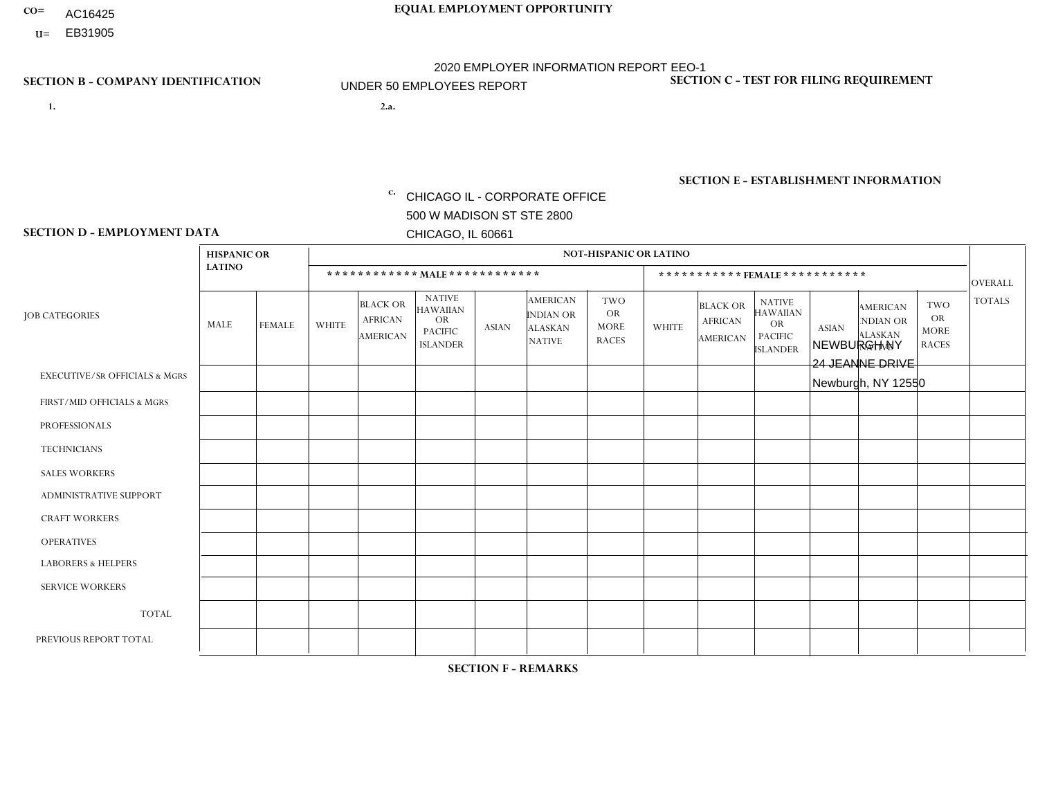- AC16425
- **U=**

**1. 2.a.** CHICAGO IL - CORPORATE OFFICE 500 W MADISON ST STE 2800 CHICAGO, IL 60661

2.a. NEWBURGH NY 24 JEANNE DRIVE Newburgh, NY 12550

c. EIN= 952920557

## **SECTION B - COMPANY IDENTIFICATION SECTION C - TEST FOR FILING REQUIREMENT**

1- Y 2- Y 3- N DUNS= 000123456

**SECTION E - ESTABLISHMENT INFORMATION c.** NAICS: 423140

### **SECTION D - EMPLOYMENT DATA**

|                                          | <b>HISPANIC OR</b> |               |                |                                                      |                                                                                    |              |                                                                        | <b>NOT-HISPANIC OR LATINO</b>                          |                |                                               |                                                                                    |              |                                                                       |                                                        |                |
|------------------------------------------|--------------------|---------------|----------------|------------------------------------------------------|------------------------------------------------------------------------------------|--------------|------------------------------------------------------------------------|--------------------------------------------------------|----------------|-----------------------------------------------|------------------------------------------------------------------------------------|--------------|-----------------------------------------------------------------------|--------------------------------------------------------|----------------|
|                                          | <b>LATINO</b>      |               |                | ************ MALE ************                       |                                                                                    |              |                                                                        |                                                        |                |                                               | ***********FEMALE***********                                                       |              |                                                                       |                                                        | <b>OVERALL</b> |
| <b>JOB CATEGORIES</b>                    | MALE               | <b>FEMALE</b> | <b>WHITE</b>   | <b>BLACK OR</b><br><b>AFRICAN</b><br><b>AMERICAN</b> | <b>NATIVE</b><br><b>HAWAIIAN</b><br><b>OR</b><br><b>PACIFIC</b><br><b>ISLANDER</b> | <b>ASIAN</b> | <b>AMERICAN</b><br><b>INDIAN OR</b><br><b>ALASKAN</b><br><b>NATIVE</b> | <b>TWO</b><br><b>OR</b><br><b>MORE</b><br><b>RACES</b> | <b>WHITE</b>   | <b>BLACK OR</b><br><b>AFRICAN</b><br>AMERICAN | <b>NATIVE</b><br><b>HAWAIIAN</b><br><b>OR</b><br><b>PACIFIC</b><br><b>ISLANDER</b> | <b>ASIAN</b> | <b>AMERICAN</b><br><b>NDIAN OR</b><br><b>ALASKAN</b><br><b>NATIVE</b> | <b>TWO</b><br><b>OR</b><br><b>MORE</b><br><b>RACES</b> | <b>TOTALS</b>  |
| <b>EXECUTIVE/SR OFFICIALS &amp; MGRS</b> | $\Omega$           | $\mathbf 0$   | $\Omega$       | $\mathbf 0$                                          | $\mathbf 0$                                                                        | $\mathbf 0$  | $\Omega$                                                               | $\Omega$                                               | $\Omega$       | $\Omega$                                      | $\Omega$                                                                           | $\Omega$     | $\Omega$                                                              | $\Omega$                                               | $\mathbf 0$    |
| FIRST/MID OFFICIALS & MGRS               | $\Omega$           | 0             | 3              | $\mathbf 0$                                          | $\mathbf 0$                                                                        | $\mathbf 0$  | $\Omega$                                                               | $\Omega$                                               | $\Omega$       | $\Omega$                                      | $\Omega$                                                                           | $\Omega$     | $\Omega$                                                              | $\Omega$                                               | 3              |
| <b>PROFESSIONALS</b>                     | $\Omega$           | $\Omega$      | $\Omega$       | $\mathbf 0$                                          | $\Omega$                                                                           | $\Omega$     | $\Omega$                                                               | $\Omega$                                               | $\Omega$       | $\Omega$                                      | $\Omega$                                                                           | $\Omega$     | $\Omega$                                                              | $\mathbf{0}$                                           | $\mathbf 0$    |
| <b>TECHNICIANS</b>                       | $\Omega$           | $\mathbf 0$   | $\Omega$       | $\mathbf 0$                                          | $\mathbf{0}$                                                                       | $\Omega$     | $\Omega$                                                               | $\Omega$                                               | $\mathbf{0}$   | $\Omega$                                      | $\Omega$                                                                           | $\Omega$     | $\Omega$                                                              | $\Omega$                                               | $\mathbf 0$    |
| <b>SALES WORKERS</b>                     | $\overline{1}$     | $\Omega$      | $\overline{2}$ | $\mathbf 0$                                          | 0                                                                                  | $\Omega$     | $\Omega$                                                               | $\Omega$                                               | $\Omega$       | $\Omega$                                      | $\Omega$                                                                           | $\Omega$     | $\Omega$                                                              | $\mathbf{0}$                                           | 3              |
| <b>ADMINISTRATIVE SUPPORT</b>            | $\Omega$           | $\mathbf 0$   | $\mathbf 0$    | $\mathbf 0$                                          | $\mathbf{0}$                                                                       | $\mathbf 0$  | $\Omega$                                                               | $\Omega$                                               | 0              | $\Omega$                                      | $\Omega$                                                                           | $\Omega$     | $\Omega$                                                              | $\mathbf 0$                                            | $\mathbf{0}$   |
| <b>CRAFT WORKERS</b>                     | $\Omega$           | $\Omega$      | $\Omega$       | $\mathbf 0$                                          | 0                                                                                  | $\Omega$     | $\Omega$                                                               | $\Omega$                                               | $\Omega$       | $\Omega$                                      | $\mathbf{0}$                                                                       | $\Omega$     | $\Omega$                                                              | $\Omega$                                               | $\Omega$       |
| <b>OPERATIVES</b>                        | 3                  | $\Omega$      | $\overline{7}$ | $\mathbf{1}$                                         | 0                                                                                  | $\Omega$     | $\Omega$                                                               | $\Omega$                                               | $\Omega$       | $\Omega$                                      | $\Omega$                                                                           | $\Omega$     | $\Omega$                                                              | $\overline{1}$                                         | 12             |
| <b>LABORERS &amp; HELPERS</b>            | -1                 | $\Omega$      | $\Omega$       | $\overline{c}$                                       | 0                                                                                  | $\Omega$     | $\Omega$                                                               | $\Omega$                                               | $\Omega$       | $\Omega$                                      | $\mathbf{0}$                                                                       | $\Omega$     | $\Omega$                                                              | $\Omega$                                               | 3              |
| <b>SERVICE WORKERS</b>                   | $\Omega$           | $\mathbf 0$   | 0              | $\mathbf 0$                                          | $\mathbf 0$                                                                        | $\mathbf 0$  | $\Omega$                                                               | $\Omega$                                               | $\Omega$       | $\Omega$                                      | $\Omega$                                                                           | $\mathbf 0$  | $\Omega$                                                              | $\mathbf 0$                                            | 0              |
| <b>TOTAL</b>                             | 5                  | $\mathbf 0$   | 12             | 3                                                    | 0                                                                                  | $\mathbf 0$  | $\Omega$                                                               | $\Omega$                                               | $\Omega$       | $\Omega$                                      | $\Omega$                                                                           | $\mathbf 0$  | $\Omega$                                                              | $\mathbf{1}$                                           | 21             |
| PREVIOUS REPORT TOTAL                    | 4                  | $\mathbf{1}$  | 15             | $\overline{7}$                                       | 0                                                                                  | $\Omega$     | $\Omega$                                                               |                                                        | $\overline{2}$ | $\Omega$                                      | $\mathbf{0}$                                                                       | $\Omega$     | $\mathbf{0}$                                                          | $\overline{\mathbf{1}}$                                | 31             |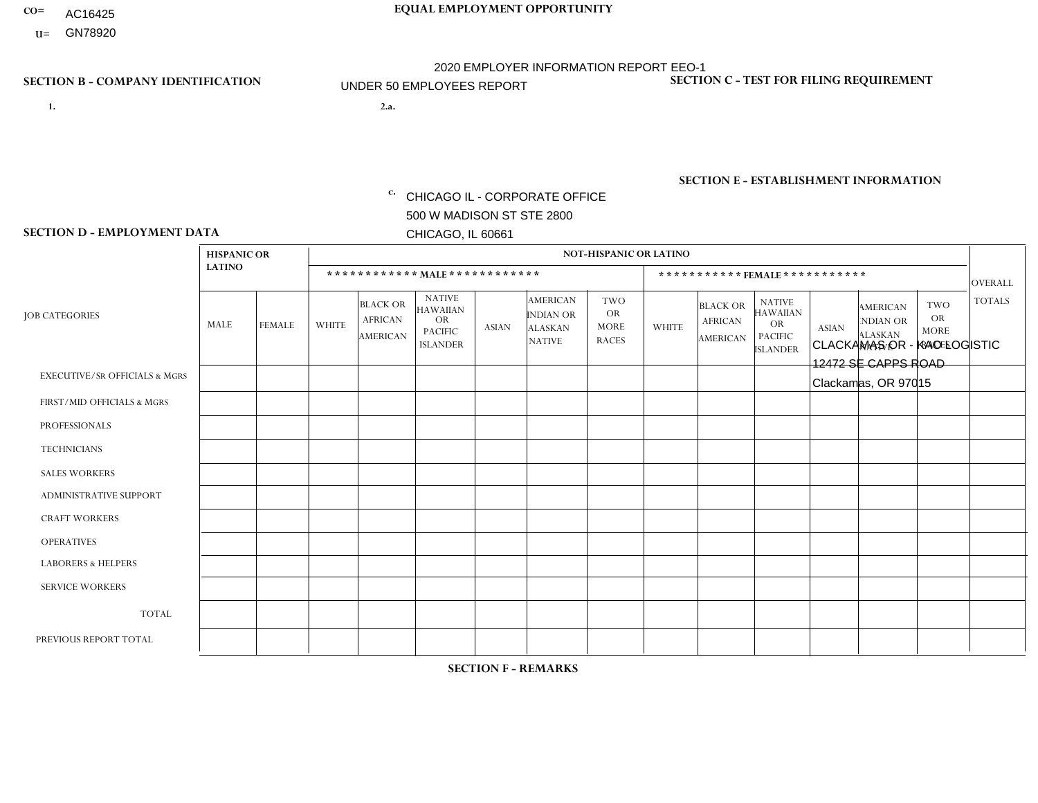- AC16425
- **U=**

**1. 2.a.** CHICAGO IL - CORPORATE OFFICE 500 W MADISON ST STE 2800 CHICAGO, IL 60661

2.a. CLACKAMAS OR - KAO LOGISTIC 12472 SE CAPPS ROAD Clackamas, OR 97015

c. EIN= 952920557

## **SECTION B - COMPANY IDENTIFICATION SECTION C - TEST FOR FILING REQUIREMENT**

1- Y 2- Y 3- N DUNS= 000123456

**SECTION E - ESTABLISHMENT INFORMATION c.** NAICS: 423140

### **SECTION D - EMPLOYMENT DATA**

|                                          | <b>HISPANIC OR</b> |               |              |                                                      |                                                                                    |              |                                                                        | <b>NOT-HISPANIC OR LATINO</b>                          |                |                                               |                                                                                    |              |                                                                |                                                        |                |
|------------------------------------------|--------------------|---------------|--------------|------------------------------------------------------|------------------------------------------------------------------------------------|--------------|------------------------------------------------------------------------|--------------------------------------------------------|----------------|-----------------------------------------------|------------------------------------------------------------------------------------|--------------|----------------------------------------------------------------|--------------------------------------------------------|----------------|
|                                          | <b>LATINO</b>      |               |              | ************ MAIE************                        |                                                                                    |              |                                                                        |                                                        |                |                                               | *********** FEMALE ***********                                                     |              |                                                                |                                                        | <b>OVERALL</b> |
| <b>JOB CATEGORIES</b>                    | MALE               | <b>FEMALE</b> | <b>WHITE</b> | <b>BLACK OR</b><br><b>AFRICAN</b><br><b>AMERICAN</b> | <b>NATIVE</b><br><b>HAWAIIAN</b><br><b>OR</b><br><b>PACIFIC</b><br><b>ISLANDER</b> | <b>ASIAN</b> | <b>AMERICAN</b><br><b>INDIAN OR</b><br><b>ALASKAN</b><br><b>NATIVE</b> | <b>TWO</b><br><b>OR</b><br><b>MORE</b><br><b>RACES</b> | <b>WHITE</b>   | <b>BLACK OR</b><br><b>AFRICAN</b><br>AMERICAN | <b>NATIVE</b><br><b>HAWAIIAN</b><br><b>OR</b><br><b>PACIFIC</b><br><b>ISLANDER</b> | <b>ASIAN</b> | <b>AMERICAN</b><br>NDIAN OR<br><b>ALASKAN</b><br><b>NATIVE</b> | <b>TWO</b><br><b>OR</b><br><b>MORE</b><br><b>RACES</b> | <b>TOTALS</b>  |
| <b>EXECUTIVE/SR OFFICIALS &amp; MGRS</b> | $\Omega$           | $\Omega$      | $\mathbf{0}$ | $\Omega$                                             | 0                                                                                  | $\Omega$     | $\Omega$                                                               | $\Omega$                                               | 0              | $\Omega$                                      | $\Omega$                                                                           | $\Omega$     | $\Omega$                                                       | $\Omega$                                               | $\Omega$       |
| FIRST/MID OFFICIALS & MGRS               | $\Omega$           | $\Omega$      | 1            | $\mathbf 0$                                          | $\Omega$                                                                           | $\Omega$     | $\Omega$                                                               | $\Omega$                                               | 0              | $\Omega$                                      | 0                                                                                  | $\Omega$     | $\Omega$                                                       | $\mathbf 0$                                            | $\mathbf{1}$   |
| <b>PROFESSIONALS</b>                     | $\Omega$           | $\Omega$      | $\Omega$     | $\mathbf 0$                                          | $\Omega$                                                                           | $\Omega$     | $\Omega$                                                               | $\Omega$                                               | $\Omega$       | $\Omega$                                      | $\Omega$                                                                           | 0            | $\Omega$                                                       | $\mathbf 0$                                            | $\overline{0}$ |
| <b>TECHNICIANS</b>                       | $\Omega$           | $\Omega$      | $\Omega$     | $\mathbf 0$                                          | $\Omega$                                                                           | $\Omega$     | $\Omega$                                                               | $\Omega$                                               | $\overline{0}$ | $\Omega$                                      | 0                                                                                  | $\mathbf 0$  | $\Omega$                                                       | $\mathbf 0$                                            | $\mathbf{0}$   |
| <b>SALES WORKERS</b>                     | $\Omega$           | $\Omega$      | $\Omega$     | $\Omega$                                             | $\Omega$                                                                           | $\Omega$     | $\Omega$                                                               | $\Omega$                                               | $\overline{0}$ | $\Omega$                                      | $\Omega$                                                                           | $\Omega$     | $\Omega$                                                       | $\Omega$                                               | $\Omega$       |
| <b>ADMINISTRATIVE SUPPORT</b>            | $\Omega$           | $\Omega$      | $\mathbf{0}$ | $\mathbf 0$                                          | 0                                                                                  | $\Omega$     | $\Omega$                                                               | $\Omega$                                               | 0              | $\Omega$                                      | 0                                                                                  | $\mathbf 0$  | $\Omega$                                                       | $\mathbf 0$                                            | $\mathbf 0$    |
| <b>CRAFT WORKERS</b>                     | $\Omega$           | $\Omega$      | $\mathbf{0}$ | $\mathbf 0$                                          | $\Omega$                                                                           | $\Omega$     | $\Omega$                                                               | $\Omega$                                               | 0              | $\Omega$                                      | 0                                                                                  | $\Omega$     | $\Omega$                                                       | $\Omega$                                               | $\Omega$       |
| <b>OPERATIVES</b>                        | $\overline{2}$     | $\Omega$      | 12           | $\Omega$                                             | $\Omega$                                                                           | $\Omega$     | $\Omega$                                                               | $\overline{2}$                                         | 1              | $\Omega$                                      | $\Omega$                                                                           | $\Omega$     | $\Omega$                                                       | $\Omega$                                               | 17             |
| <b>LABORERS &amp; HELPERS</b>            | $\Omega$           | $\Omega$      | $\mathbf{0}$ | $\mathbf{0}$                                         | $\Omega$                                                                           | $\Omega$     | $\Omega$                                                               | $\Omega$                                               | 0              | $\Omega$                                      | 0                                                                                  | $\Omega$     | $\Omega$                                                       | $\Omega$                                               | $\mathbf 0$    |
| <b>SERVICE WORKERS</b>                   | $\Omega$           | $\Omega$      | $\Omega$     | $\mathbf 0$                                          | $\mathbf 0$                                                                        | $\Omega$     | $\Omega$                                                               | $\Omega$                                               | $\Omega$       | $\Omega$                                      | $\Omega$                                                                           | $\mathbf 0$  | $\Omega$                                                       | $\Omega$                                               | $\mathbf 0$    |
| <b>TOTAL</b>                             | 2                  | $\mathbf 0$   | 13           | $\mathbf 0$                                          | $\mathbf{0}$                                                                       | 0            | $\Omega$                                                               | $\overline{2}$                                         | $\mathbf{1}$   | $\mathbf 0$                                   | 0                                                                                  | $\mathbf 0$  | 0                                                              | $\mathbf 0$                                            | 18             |
| PREVIOUS REPORT TOTAL                    | 2                  | $\Omega$      | 14           | $\mathbf 0$                                          |                                                                                    | $\Omega$     | $\Omega$                                                               | $\overline{2}$                                         | 0              | $\Omega$                                      | 0                                                                                  | $\Omega$     | $\Omega$                                                       | $\mathbf 0$                                            | 19             |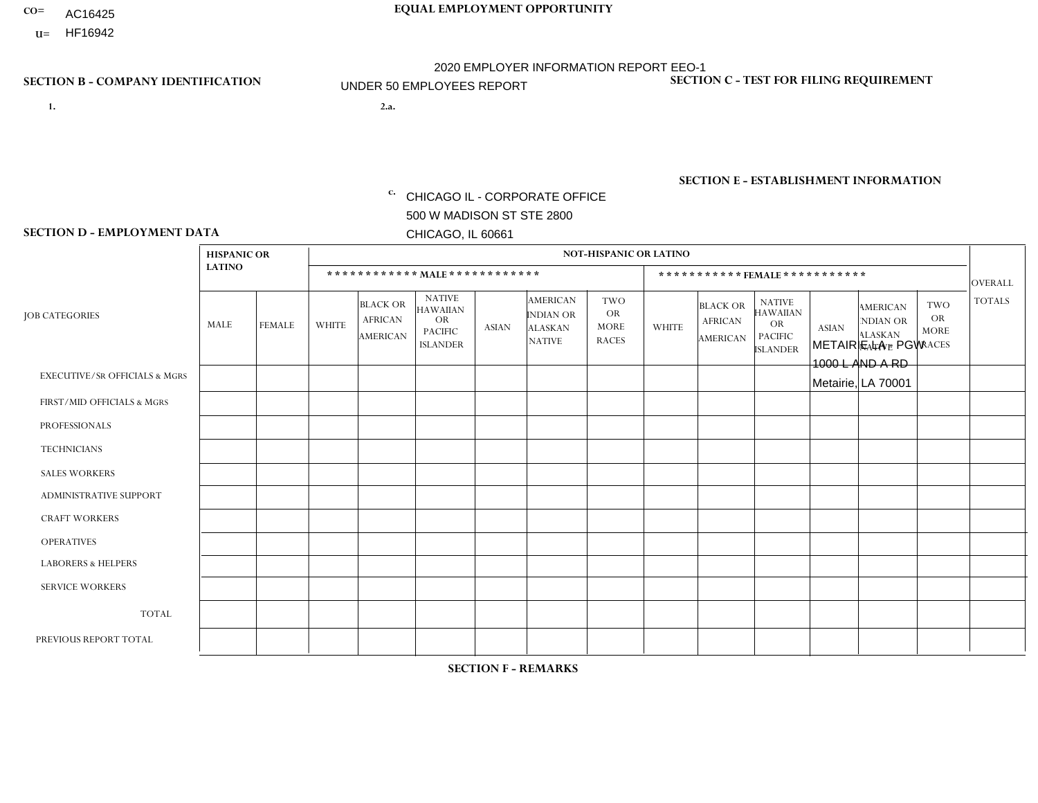- AC16425
- **U=**

**1. 2.a.** CHICAGO IL - CORPORATE OFFICE 500 W MADISON ST STE 2800 CHICAGO, IL 60661

METAIRIE LA - PGW 1000 L AND A RD Metairie, LA 70001

EIN= 952920557

## **SECTION B - COMPANY IDENTIFICATION SECTION C - TEST FOR FILING REQUIREMENT**

1- Y 2- Y 3- N DUNS= 000123456

**SECTION E - ESTABLISHMENT INFORMATION c.** NAICS: 811122

### **SECTION D - EMPLOYMENT DATA**

|                                          | <b>HISPANIC OR</b> |               |              |                                                      |                                                                                    |              |                                                                        | <b>NOT-HISPANIC OR LATINO</b>                          |              |                                                      |                                                                                    |              |                                                                       |                                                        |                |
|------------------------------------------|--------------------|---------------|--------------|------------------------------------------------------|------------------------------------------------------------------------------------|--------------|------------------------------------------------------------------------|--------------------------------------------------------|--------------|------------------------------------------------------|------------------------------------------------------------------------------------|--------------|-----------------------------------------------------------------------|--------------------------------------------------------|----------------|
|                                          | <b>LATINO</b>      |               |              | ************ MALE ************                       |                                                                                    |              |                                                                        |                                                        |              |                                                      | *********** FEMALE ***********                                                     |              |                                                                       |                                                        | <b>OVERALL</b> |
| <b>JOB CATEGORIES</b>                    | MALE               | <b>FEMALE</b> | <b>WHITE</b> | <b>BLACK OR</b><br><b>AFRICAN</b><br><b>AMERICAN</b> | <b>NATIVE</b><br><b>HAWAIIAN</b><br><b>OR</b><br><b>PACIFIC</b><br><b>ISLANDER</b> | <b>ASIAN</b> | <b>AMERICAN</b><br><b>INDIAN OR</b><br><b>ALASKAN</b><br><b>NATIVE</b> | <b>TWO</b><br><b>OR</b><br><b>MORE</b><br><b>RACES</b> | <b>WHITE</b> | <b>BLACK OR</b><br><b>AFRICAN</b><br><b>AMERICAN</b> | <b>NATIVE</b><br><b>HAWAIIAN</b><br><b>OR</b><br><b>PACIFIC</b><br><b>ISLANDER</b> | <b>ASIAN</b> | <b>AMERICAN</b><br><b>NDIAN OR</b><br><b>ALASKAN</b><br><b>NATIVE</b> | <b>TWO</b><br><b>OR</b><br><b>MORE</b><br><b>RACES</b> | <b>TOTALS</b>  |
| <b>EXECUTIVE/SR OFFICIALS &amp; MGRS</b> | $\Omega$           | $\Omega$      | $\Omega$     | $\Omega$                                             | $\Omega$                                                                           | $\Omega$     | $\Omega$                                                               | $\Omega$                                               | $\Omega$     | $\mathbf{0}$                                         | $\Omega$                                                                           | $\Omega$     | $\Omega$                                                              | $\Omega$                                               | $\Omega$       |
| FIRST/MID OFFICIALS & MGRS               | $\Omega$           | $\Omega$      | $\Omega$     | $\mathbf 0$                                          | 0                                                                                  | $\Omega$     | $\Omega$                                                               | $\Omega$                                               | $\Omega$     |                                                      | $\mathbf{0}$                                                                       | $\Omega$     | $\Omega$                                                              | $\Omega$                                               | $\mathbf{1}$   |
| <b>PROFESSIONALS</b>                     | $\Omega$           | $\Omega$      | $\mathbf 0$  | $\mathbf 0$                                          | $\overline{0}$                                                                     | $\Omega$     | $\overline{0}$                                                         | $\Omega$                                               | $\Omega$     | $\Omega$                                             | $\mathbf{0}$                                                                       | $\Omega$     | $\Omega$                                                              | $\Omega$                                               | $\mathbf 0$    |
| <b>TECHNICIANS</b>                       | $\mathbf 0$        | $\mathbf 0$   | $\Omega$     | $\mathbf 0$                                          | 0                                                                                  | $\Omega$     | $\overline{0}$                                                         | $\Omega$                                               | $\mathbf 0$  | $\mathbf 0$                                          | $\mathbf 0$                                                                        | $\mathbf 0$  | $\Omega$                                                              | $\mathbf{0}$                                           | $\mathbf 0$    |
| <b>SALES WORKERS</b>                     | $\Omega$           | $\Omega$      | $\Omega$     | $\Omega$                                             | $\Omega$                                                                           | $\Omega$     | $\Omega$                                                               | $\Omega$                                               | $\Omega$     | $\Omega$                                             | $\Omega$                                                                           | $\Omega$     | $\Omega$                                                              | $\mathbf{0}$                                           | $\mathbf 0$    |
| <b>ADMINISTRATIVE SUPPORT</b>            | $\Omega$           | $\Omega$      | $\Omega$     | 0                                                    | $\mathbf 0$                                                                        | $\Omega$     | $\Omega$                                                               | $\Omega$                                               | $\Omega$     | $\mathbf{0}$                                         | $\mathbf{0}$                                                                       | $\Omega$     | $\Omega$                                                              | $\Omega$                                               | $\mathbf 0$    |
| <b>CRAFT WORKERS</b>                     | 0                  | $\Omega$      | $\mathbf 0$  | $\mathbf 0$                                          | 0                                                                                  | $\Omega$     | $\Omega$                                                               | $\Omega$                                               | $\Omega$     | $\Omega$                                             | $\Omega$                                                                           | $\Omega$     | $\Omega$                                                              | $\Omega$                                               | $\mathbf 0$    |
| <b>OPERATIVES</b>                        | 0                  | $\mathbf 0$   | $\Omega$     | 3                                                    | 0                                                                                  | $\Omega$     | $\overline{0}$                                                         | $\Omega$                                               | $\Omega$     | $\Omega$                                             | $\Omega$                                                                           | $\Omega$     | $\Omega$                                                              | $\Omega$                                               | $\mathbf{3}$   |
| <b>LABORERS &amp; HELPERS</b>            | $\Omega$           | $\Omega$      | $\Omega$     | $\mathbf{1}$                                         | 0                                                                                  | $\Omega$     | $\Omega$                                                               | $\Omega$                                               | $\Omega$     | $\Omega$                                             | $\mathbf{0}$                                                                       | $\Omega$     | $\Omega$                                                              | $\Omega$                                               | $\mathbf{1}$   |
| <b>SERVICE WORKERS</b>                   | 0                  | 0             | 0            | 0                                                    | 0                                                                                  | $\Omega$     | $\Omega$                                                               | $\Omega$                                               | $\Omega$     | $\Omega$                                             | $\mathbf{0}$                                                                       | $\Omega$     | $\Omega$                                                              | $\Omega$                                               | 0              |
| <b>TOTAL</b>                             | 0                  | $\mathbf 0$   | 0            | $\overline{4}$                                       | 0                                                                                  | $\mathbf 0$  | $\Omega$                                                               | $\Omega$                                               | 0            |                                                      | $\Omega$                                                                           | $\mathbf 0$  | $\Omega$                                                              | $\Omega$                                               | 5              |
| PREVIOUS REPORT TOTAL                    | $\Omega$           | $\mathbf 0$   | 1            | $\mathbf 0$                                          | 0                                                                                  | $\Omega$     | $\Omega$                                                               | $\Omega$                                               | $\Omega$     |                                                      | $\mathbf{0}$                                                                       | $\Omega$     | $\Omega$                                                              | $\mathbf 0$                                            | $\overline{2}$ |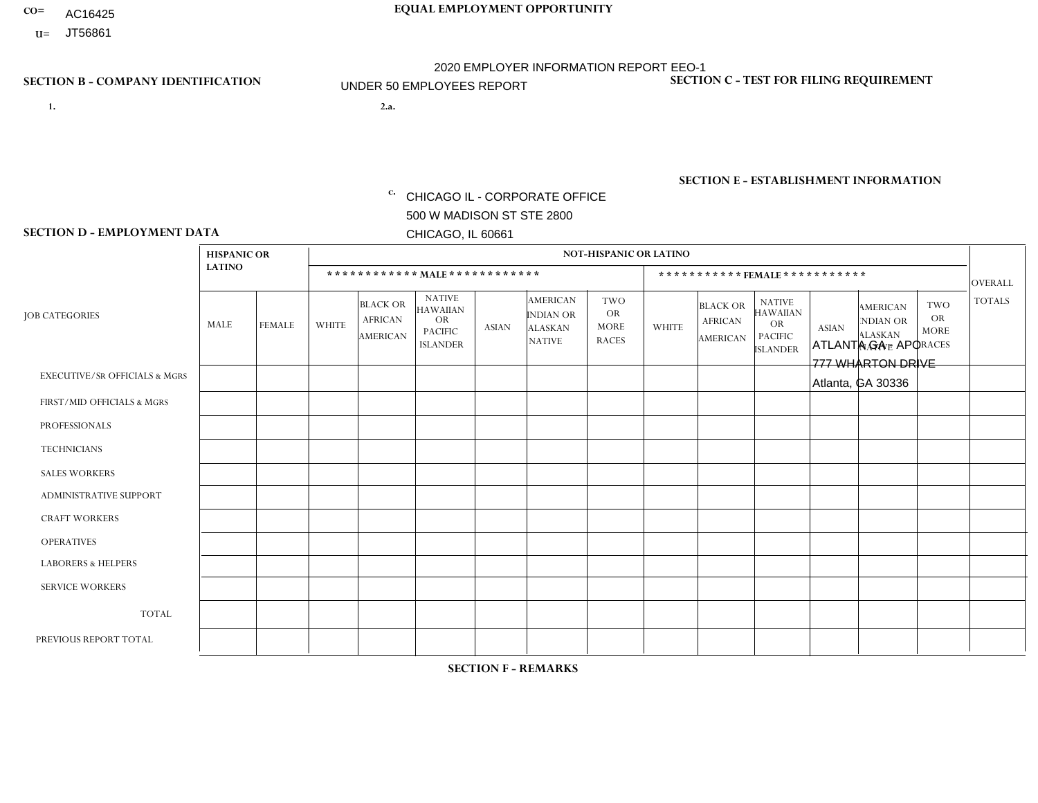- AC16425
- **U=**

**1. 2.a.** CHICAGO IL - CORPORATE OFFICE 500 W MADISON ST STE 2800 CHICAGO, IL 60661

2.a. ATLANTA GA - APO 777 WHARTON DRIVE Atlanta, GA 30336

EIN= 952920557

## **SECTION B - COMPANY IDENTIFICATION SECTION C - TEST FOR FILING REQUIREMENT**

1- Y 2- Y 3- N DUNS= 000123456

**SECTION E - ESTABLISHMENT INFORMATION c.** NAICS: 423140

### **SECTION D - EMPLOYMENT DATA**

|                                          | <b>HISPANIC OR</b> |               |              |                                                      |                                                                                    |             |                                                                        | <b>NOT-HISPANIC OR LATINO</b>                          |                |                                               |                                                                             |              |                                                                       |                                                        |                |
|------------------------------------------|--------------------|---------------|--------------|------------------------------------------------------|------------------------------------------------------------------------------------|-------------|------------------------------------------------------------------------|--------------------------------------------------------|----------------|-----------------------------------------------|-----------------------------------------------------------------------------|--------------|-----------------------------------------------------------------------|--------------------------------------------------------|----------------|
|                                          | <b>LATINO</b>      |               |              | ************ MALE ************                       |                                                                                    |             |                                                                        |                                                        |                | ***********FEMALE***********                  |                                                                             |              |                                                                       |                                                        | <b>OVERALL</b> |
| <b>JOB CATEGORIES</b>                    | MALE               | <b>FEMALE</b> | <b>WHITE</b> | <b>BLACK OR</b><br><b>AFRICAN</b><br><b>AMERICAN</b> | <b>NATIVE</b><br><b>HAWAIIAN</b><br><b>OR</b><br><b>PACIFIC</b><br><b>ISLANDER</b> | ASIAN       | <b>AMERICAN</b><br><b>INDIAN OR</b><br><b>ALASKAN</b><br><b>NATIVE</b> | <b>TWO</b><br><b>OR</b><br><b>MORE</b><br><b>RACES</b> | <b>WHITE</b>   | <b>BLACK OR</b><br><b>AFRICAN</b><br>AMERICAN | <b>NATIVE</b><br><b>HAWAIIAN</b><br>OR<br><b>PACIFIC</b><br><b>ISLANDER</b> | <b>ASIAN</b> | <b>AMERICAN</b><br><b>NDIAN OR</b><br><b>ALASKAN</b><br><b>NATIVE</b> | <b>TWO</b><br><b>OR</b><br><b>MORE</b><br><b>RACES</b> | <b>TOTALS</b>  |
| <b>EXECUTIVE/SR OFFICIALS &amp; MGRS</b> | $\Omega$           | $\Omega$      | $\Omega$     | $\mathbf 0$                                          | $\mathbf 0$                                                                        | $\Omega$    | $\Omega$                                                               | $\Omega$                                               | $\Omega$       | $\Omega$                                      | $\Omega$                                                                    | $\mathbf 0$  | $\Omega$                                                              | $\mathbf 0$                                            | $\mathbf{0}$   |
| FIRST/MID OFFICIALS & MGRS               | 0                  | 0             | 1            | $\mathbf 0$                                          | 0                                                                                  | $\Omega$    | $\Omega$                                                               | $\Omega$                                               | 0              | $\Omega$                                      | $\Omega$                                                                    | $\Omega$     | $\Omega$                                                              | $\mathbf 0$                                            | $\mathbf{1}$   |
| <b>PROFESSIONALS</b>                     | $\Omega$           | $\Omega$      | $\Omega$     | $\mathbf 0$                                          | $\Omega$                                                                           | $\Omega$    | $\Omega$                                                               | $\Omega$                                               | $\overline{0}$ | $\Omega$                                      | $\Omega$                                                                    | $\Omega$     | $\Omega$                                                              | $\Omega$                                               | $\mathbf 0$    |
| <b>TECHNICIANS</b>                       | 0                  | $\mathbf 0$   | $\Omega$     | $\mathbf 0$                                          | $\Omega$                                                                           | $\Omega$    | $\Omega$                                                               | $\Omega$                                               | $\Omega$       | $\Omega$                                      | $\Omega$                                                                    | $\Omega$     | $\Omega$                                                              | $\Omega$                                               | $\mathbf{0}$   |
| <b>SALES WORKERS</b>                     | 1                  | $\mathbf{1}$  | $\Omega$     | $\overline{1}$                                       | $\Omega$                                                                           | $\Omega$    | $\Omega$                                                               | $\Omega$                                               | $\overline{0}$ | $\Omega$                                      | $\Omega$                                                                    | $\Omega$     | $\Omega$                                                              | $\mathbf{0}$                                           | 3              |
| ADMINISTRATIVE SUPPORT                   | $\mathbf 0$        | $\mathbf 0$   | 1            | $\mathbf 0$                                          | 0                                                                                  | $\Omega$    | $\Omega$                                                               | $\Omega$                                               | $\Omega$       | $\Omega$                                      | $\Omega$                                                                    | $\mathbf{0}$ | $\mathbf{0}$                                                          | $\mathbf 0$                                            | $\mathbf{1}$   |
| <b>CRAFT WORKERS</b>                     | 0                  | $\Omega$      | $\Omega$     | $\mathbf 0$                                          | $\Omega$                                                                           | $\Omega$    | $\Omega$                                                               | $\Omega$                                               | 0              | $\Omega$                                      | $\Omega$                                                                    | $\Omega$     | $\Omega$                                                              | $\Omega$                                               | $\Omega$       |
| <b>OPERATIVES</b>                        | 0                  | $\Omega$      | $\Omega$     | $\mathbf 0$                                          | $\Omega$                                                                           | $\Omega$    | $\Omega$                                                               | $\Omega$                                               | $\Omega$       | $\Omega$                                      | $\Omega$                                                                    | $\Omega$     | $\Omega$                                                              | $\Omega$                                               | $\mathbf 0$    |
| <b>LABORERS &amp; HELPERS</b>            | 0                  | $\Omega$      | $\Omega$     | $\mathbf 0$                                          | $\mathbf 0$                                                                        | $\Omega$    | $\Omega$                                                               | $\Omega$                                               | $\Omega$       | $\Omega$                                      | $\Omega$                                                                    | $\Omega$     | $\Omega$                                                              | $\Omega$                                               | $\mathbf{0}$   |
| <b>SERVICE WORKERS</b>                   | 0                  | $\mathbf 0$   | $\mathbf 0$  | $\mathbf 0$                                          | $\mathbf{0}$                                                                       | $\mathbf 0$ | $\Omega$                                                               | $\Omega$                                               | $\Omega$       | $\Omega$                                      | $\Omega$                                                                    | $\mathbf 0$  | $\Omega$                                                              | $\mathbf 0$                                            | $\overline{0}$ |
| <b>TOTAL</b>                             |                    | $\mathbf{1}$  | 2            | 1                                                    | 0                                                                                  | $\Omega$    | $\Omega$                                                               | $\Omega$                                               | $\Omega$       | $\Omega$                                      | $\Omega$                                                                    | $\mathbf 0$  | 0                                                                     | $\mathbf 0$                                            | 5              |
| PREVIOUS REPORT TOTAL                    |                    | $\mathbf{1}$  | 3            | $\mathbf 0$                                          | $\Omega$                                                                           | $\Omega$    | $\Omega$                                                               | $\Omega$                                               | 0              | $\Omega$                                      | $\Omega$                                                                    | $\Omega$     | $\Omega$                                                              | $\mathbf 0$                                            | 5              |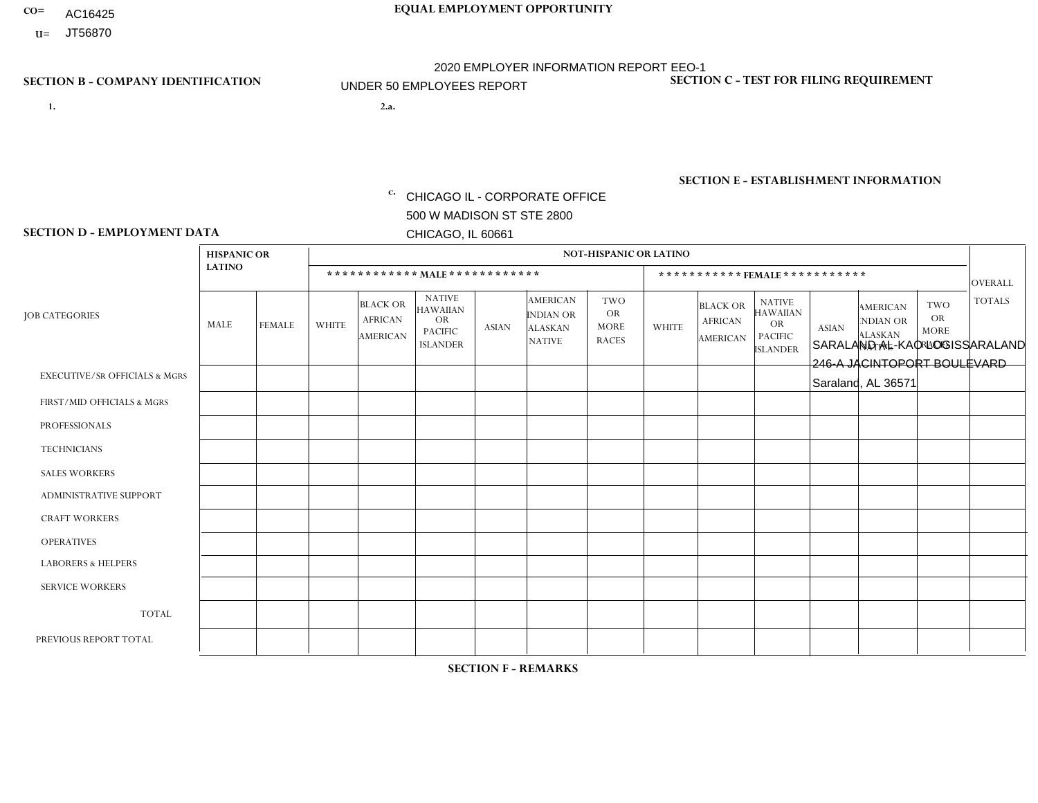- AC16425
- **U=**

- **1. 2.a.** CHICAGO IL CORPORATE OFFICE 500 W MADISON ST STE 2800 CHICAGO, IL 60661
- 2.a. SARALAND AL-KAO LOGISSARALAND 246-A JACINTOPORT BOULEVARD Saraland, AL 36571

c. EIN= 952920557

## **SECTION B - COMPANY IDENTIFICATION SECTION C - TEST FOR FILING REQUIREMENT**

1- Y 2- Y 3- N DUNS= 000123456

**SECTION E - ESTABLISHMENT INFORMATION c.** NAICS: 423140

### **SECTION D - EMPLOYMENT DATA**

|                                          | <b>HISPANIC OR</b> |                |                |                                                      |                                                                                    |              |                                                                        | <b>NOT-HISPANIC OR LATINO</b>                          |              |                                                      |                                                                             |              |                                                                       |                                                        |                |
|------------------------------------------|--------------------|----------------|----------------|------------------------------------------------------|------------------------------------------------------------------------------------|--------------|------------------------------------------------------------------------|--------------------------------------------------------|--------------|------------------------------------------------------|-----------------------------------------------------------------------------|--------------|-----------------------------------------------------------------------|--------------------------------------------------------|----------------|
|                                          | <b>LATINO</b>      |                |                |                                                      | ************ MALE************                                                      |              |                                                                        |                                                        |              | *********** FEMALE ***********                       |                                                                             |              |                                                                       |                                                        | <b>OVERALL</b> |
| <b>JOB CATEGORIES</b>                    | MALE               | <b>FEMALE</b>  | <b>WHITE</b>   | <b>BLACK OR</b><br><b>AFRICAN</b><br><b>AMERICAN</b> | <b>NATIVE</b><br><b>HAWAIIAN</b><br><b>OR</b><br><b>PACIFIC</b><br><b>ISLANDER</b> | <b>ASIAN</b> | <b>AMERICAN</b><br><b>INDIAN OR</b><br><b>ALASKAN</b><br><b>NATIVE</b> | <b>TWO</b><br><b>OR</b><br><b>MORE</b><br><b>RACES</b> | <b>WHITE</b> | <b>BLACK OR</b><br><b>AFRICAN</b><br><b>AMERICAN</b> | <b>NATIVE</b><br><b>HAWAIIAN</b><br>OR<br><b>PACIFIC</b><br><b>ISLANDER</b> | <b>ASIAN</b> | <b>AMERICAN</b><br><b>NDIAN OR</b><br><b>ALASKAN</b><br><b>NATIVE</b> | <b>TWO</b><br><b>OR</b><br><b>MORE</b><br><b>RACES</b> | <b>TOTALS</b>  |
| <b>EXECUTIVE/SR OFFICIALS &amp; MGRS</b> | 0                  | $\Omega$       | $\mathbf 0$    | $\mathbf 0$                                          | $\Omega$                                                                           | $\Omega$     | $\Omega$                                                               | $\Omega$                                               | 0            | $\Omega$                                             | $\Omega$                                                                    | $\Omega$     | $\Omega$                                                              | $\Omega$                                               | $\Omega$       |
| FIRST/MID OFFICIALS & MGRS               | 0                  | $\Omega$       | $\overline{c}$ | $\mathbf 0$                                          | $\Omega$                                                                           | $\Omega$     | $\Omega$                                                               | $\Omega$                                               | 0            | $\Omega$                                             | $\Omega$                                                                    | $\Omega$     | $\Omega$                                                              | $\Omega$                                               | $\overline{2}$ |
| <b>PROFESSIONALS</b>                     | 0                  | $\Omega$       | 1              | $\mathbf 0$                                          | $\Omega$                                                                           | $\Omega$     | $\Omega$                                                               | $\Omega$                                               | 0            | $\Omega$                                             | $\Omega$                                                                    | $\Omega$     | $\Omega$                                                              | $\Omega$                                               | $\mathbf{1}$   |
| <b>TECHNICIANS</b>                       | 0                  | $\mathbf{0}$   | $\mathbf 0$    | $\mathsf{O}\xspace$                                  | 0                                                                                  | $\Omega$     | $\Omega$                                                               | $\Omega$                                               | $\Omega$     | $\Omega$                                             | $\Omega$                                                                    | $\Omega$     | $\Omega$                                                              | $\Omega$                                               | $\mathbf 0$    |
| <b>SALES WORKERS</b>                     | 0                  | $\overline{0}$ | $\mathbf 0$    | $\mathbf 0$                                          | $\Omega$                                                                           | $\Omega$     | $\Omega$                                                               | $\Omega$                                               | $\Omega$     | $\Omega$                                             | $\Omega$                                                                    | $\Omega$     | $\Omega$                                                              | $\Omega$                                               | $\Omega$       |
| ADMINISTRATIVE SUPPORT                   | 0                  | $\Omega$       | $\mathbf 0$    | $\mathbf 0$                                          | $\mathbf 0$                                                                        | $\Omega$     | $\Omega$                                                               | $\Omega$                                               | $\Omega$     | $\Omega$                                             | $\Omega$                                                                    | $\Omega$     | $\Omega$                                                              | $\Omega$                                               | $\Omega$       |
| <b>CRAFT WORKERS</b>                     | 0                  | $\Omega$       | $\mathbf 0$    | $\mathbf 0$                                          | $\mathbf 0$                                                                        | $\Omega$     | $\Omega$                                                               | $\Omega$                                               | 0            | $\Omega$                                             | $\Omega$                                                                    | $\Omega$     | $\Omega$                                                              | $\Omega$                                               | $\Omega$       |
| <b>OPERATIVES</b>                        | 0                  | $\mathbf{0}$   | $\overline{7}$ | 4                                                    | 0                                                                                  | $\Omega$     | $\Omega$                                                               | $\Omega$                                               |              | $\Omega$                                             | $\Omega$                                                                    | $\Omega$     | $\Omega$                                                              | $\Omega$                                               | 12             |
| <b>LABORERS &amp; HELPERS</b>            | 0                  | $\Omega$       | $\mathbf 0$    | $\mathbf 0$                                          | 0                                                                                  | $\Omega$     | $\Omega$                                                               | $\Omega$                                               | $\Omega$     | $\Omega$                                             | $\Omega$                                                                    | $\Omega$     | 0                                                                     | $\Omega$                                               | $\mathbf 0$    |
| <b>SERVICE WORKERS</b>                   | 0                  | $\mathbf{0}$   | $\mathbf 0$    | $\mathbf 0$                                          | 0                                                                                  | 0            | $\Omega$                                                               | $\Omega$                                               | 0            | $\Omega$                                             | $\Omega$                                                                    | $\mathbf 0$  | $\mathbf 0$                                                           | 0                                                      | 0              |
| <b>TOTAL</b>                             | 0                  | $\Omega$       | 10             | 4                                                    | $\mathbf 0$                                                                        | $\Omega$     | $\Omega$                                                               | $\Omega$                                               |              | $\Omega$                                             | $\Omega$                                                                    | $\Omega$     | $\Omega$                                                              | $\Omega$                                               | 15             |
| PREVIOUS REPORT TOTAL                    | 0                  | $\Omega$       | 10             | $\overline{4}$                                       | $\Omega$                                                                           | $\Omega$     | $\Omega$                                                               | $\Omega$                                               |              | $\Omega$                                             | $\Omega$                                                                    | $\Omega$     | $\Omega$                                                              | $\Omega$                                               | 15             |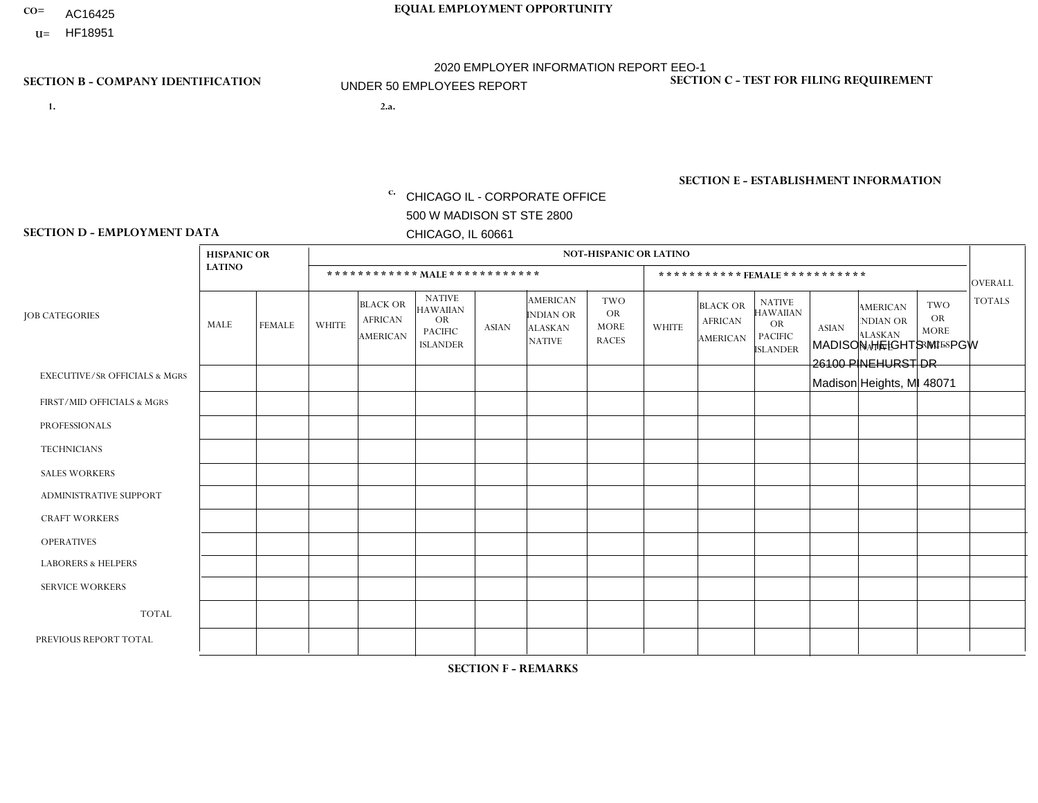- AC16425
- **U=**

**1. 2.a.** CHICAGO IL - CORPORATE OFFICE 500 W MADISON ST STE 2800 CHICAGO, IL 60661

2.a. MADISON HEIGHTS MI - PGW 26100 PINEHURST DR Madison Heights, MI 48071

c. EIN= 952920557

## **SECTION B - COMPANY IDENTIFICATION SECTION C - TEST FOR FILING REQUIREMENT**

1- Y 2- Y 3- N DUNS= 000123456

**SECTION E - ESTABLISHMENT INFORMATION c.** NAICS: 811122

### **SECTION D - EMPLOYMENT DATA**

|                                          | <b>HISPANIC OR</b> |               |                |                                                      |                                                                                    |              |                                                                        | <b>NOT-HISPANIC OR LATINO</b>                          |              |                                               |                                                                                    |              |                                                                |                                                        |                |
|------------------------------------------|--------------------|---------------|----------------|------------------------------------------------------|------------------------------------------------------------------------------------|--------------|------------------------------------------------------------------------|--------------------------------------------------------|--------------|-----------------------------------------------|------------------------------------------------------------------------------------|--------------|----------------------------------------------------------------|--------------------------------------------------------|----------------|
|                                          | <b>LATINO</b>      |               |                | ************ MAIE************                        |                                                                                    |              |                                                                        |                                                        |              |                                               | ***********FEMALE***********                                                       |              |                                                                |                                                        | <b>OVERALL</b> |
| <b>JOB CATEGORIES</b>                    | MALE               | <b>FEMALE</b> | <b>WHITE</b>   | <b>BLACK OR</b><br><b>AFRICAN</b><br><b>AMERICAN</b> | <b>NATIVE</b><br><b>HAWAIIAN</b><br><b>OR</b><br><b>PACIFIC</b><br><b>ISLANDER</b> | <b>ASIAN</b> | <b>AMERICAN</b><br><b>INDIAN OR</b><br><b>ALASKAN</b><br><b>NATIVE</b> | <b>TWO</b><br><b>OR</b><br><b>MORE</b><br><b>RACES</b> | <b>WHITE</b> | <b>BLACK OR</b><br><b>AFRICAN</b><br>AMERICAN | <b>NATIVE</b><br><b>HAWAIIAN</b><br><b>OR</b><br><b>PACIFIC</b><br><b>ISLANDER</b> | <b>ASIAN</b> | <b>AMERICAN</b><br>NDIAN OR<br><b>ALASKAN</b><br><b>NATIVE</b> | <b>TWO</b><br><b>OR</b><br><b>MORE</b><br><b>RACES</b> | <b>TOTALS</b>  |
| <b>EXECUTIVE/SR OFFICIALS &amp; MGRS</b> | $\Omega$           | $\mathbf 0$   | $\mathbf 0$    | $\mathbf 0$                                          | $\mathbf 0$                                                                        | $\mathbf 0$  | $\Omega$                                                               | $\Omega$                                               | $\mathbf 0$  | $\Omega$                                      | $\Omega$                                                                           | $\mathbf 0$  | $\Omega$                                                       | $\Omega$                                               | $\mathbf 0$    |
| FIRST/MID OFFICIALS & MGRS               | $\Omega$           | $\Omega$      | $\Omega$       | $\Omega$                                             | $\Omega$                                                                           | $\Omega$     | $\Omega$                                                               |                                                        | $\Omega$     | $\Omega$                                      | $\Omega$                                                                           | $\Omega$     | $\Omega$                                                       | $\mathbf{0}$                                           | $\mathbf{1}$   |
| <b>PROFESSIONALS</b>                     | $\Omega$           | $\mathbf 0$   | $\Omega$       | $\mathbf 0$                                          | $\Omega$                                                                           | $\Omega$     | $\Omega$                                                               | $\Omega$                                               | $\Omega$     | $\Omega$                                      | $\mathbf{0}$                                                                       | $\Omega$     | $\Omega$                                                       | $\Omega$                                               | $\mathbf 0$    |
| <b>TECHNICIANS</b>                       | $\mathbf 0$        | $\mathbf 0$   | $\mathbf 0$    | $\mathbf 0$                                          | $\mathbf 0$                                                                        | $\mathbf 0$  | $\Omega$                                                               | $\Omega$                                               | $\mathbf 0$  | $\mathbf 0$                                   | $\Omega$                                                                           | $\Omega$     | $\Omega$                                                       | $\mathbf{0}$                                           | $\mathbf 0$    |
| <b>SALES WORKERS</b>                     | $\Omega$           | $\Omega$      | $\Omega$       | $\Omega$                                             | $\Omega$                                                                           | $\Omega$     | $\Omega$                                                               | $\Omega$                                               | $\Omega$     | $\Omega$                                      | $\Omega$                                                                           | $\Omega$     | $\Omega$                                                       | $\mathbf{0}$                                           | $\Omega$       |
| ADMINISTRATIVE SUPPORT                   | $\Omega$           | $\Omega$      | $\Omega$       | $\mathbf 0$                                          | $\mathbf 0$                                                                        | $\Omega$     | $\Omega$                                                               | $\Omega$                                               | $\Omega$     | $\Omega$                                      | $\Omega$                                                                           | $\Omega$     | $\Omega$                                                       | $\Omega$                                               | $\mathbf 0$    |
| <b>CRAFT WORKERS</b>                     | $\Omega$           | $\Omega$      | $\mathbf 0$    | $\mathbf 0$                                          | 0                                                                                  | $\Omega$     | $\overline{0}$                                                         | $\Omega$                                               | $\Omega$     | $\Omega$                                      | $\mathbf{0}$                                                                       | $\Omega$     | $\Omega$                                                       | $\Omega$                                               | $\mathbf 0$    |
| <b>OPERATIVES</b>                        | $\Omega$           | $\Omega$      | 1              | $\overline{2}$                                       | $\Omega$                                                                           | $\Omega$     | $\Omega$                                                               | 1                                                      | $\Omega$     | $\Omega$                                      | $\Omega$                                                                           | $\Omega$     | $\Omega$                                                       | $\Omega$                                               | 4              |
| <b>LABORERS &amp; HELPERS</b>            | 0                  | $\Omega$      | 1              | 0                                                    | 0                                                                                  | $\Omega$     | $\Omega$                                                               | $\Omega$                                               | $\Omega$     | $\Omega$                                      | $\Omega$                                                                           | $\Omega$     | $\Omega$                                                       | $\Omega$                                               | $\mathbf{1}$   |
| <b>SERVICE WORKERS</b>                   | $\Omega$           | $\mathbf 0$   | 0              | $\mathbf 0$                                          | $\mathbf 0$                                                                        | $\mathbf 0$  | $\overline{0}$                                                         | $\Omega$                                               | $\Omega$     | $\Omega$                                      | $\Omega$                                                                           | $\mathbf 0$  | $\Omega$                                                       | $\mathbf 0$                                            | 0              |
| <b>TOTAL</b>                             | $\Omega$           | $\mathbf 0$   | $\overline{c}$ | $\overline{2}$                                       | 0                                                                                  | $\mathbf 0$  | $\Omega$                                                               | $\overline{2}$                                         | $\Omega$     | $\Omega$                                      | $\Omega$                                                                           | $\Omega$     | $\Omega$                                                       | $\Omega$                                               | 6              |
| PREVIOUS REPORT TOTAL                    | $\Omega$           | 0             | $\Omega$       | 1                                                    | 0                                                                                  | $\Omega$     | $\overline{0}$                                                         |                                                        | $\Omega$     | $\Omega$                                      | $\mathbf{0}$                                                                       | $\Omega$     | $\Omega$                                                       | $\Omega$                                               | $\overline{2}$ |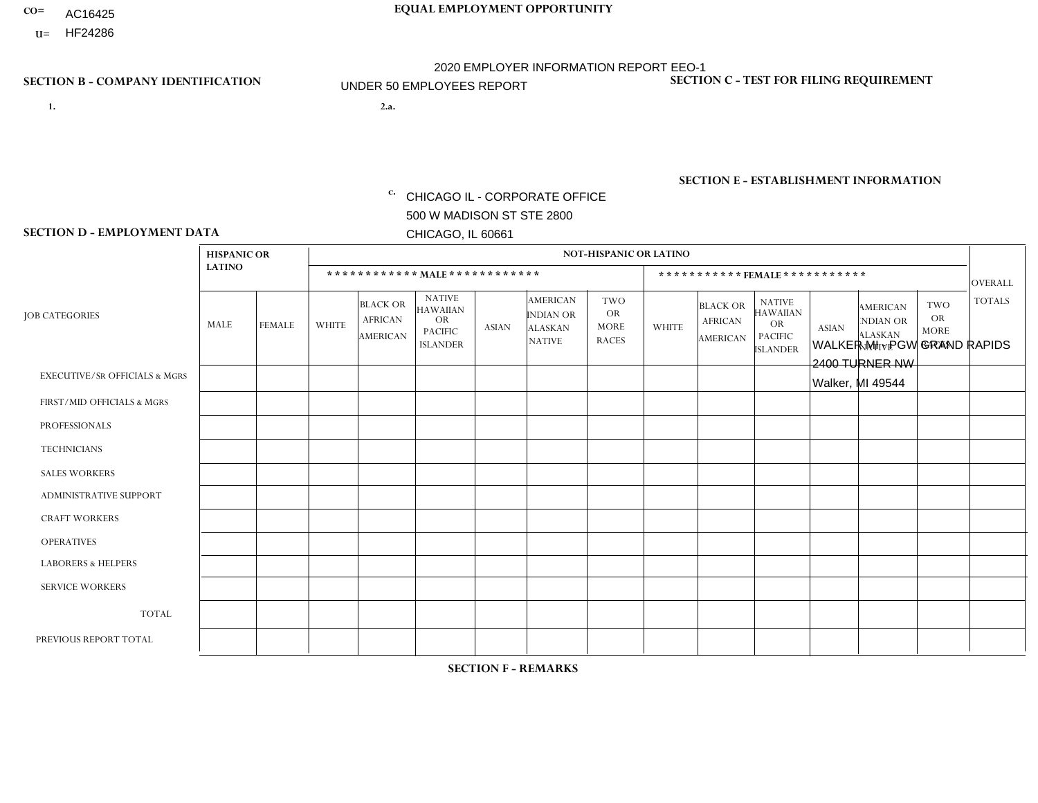- AC16425
- **U=** HF24286

**1. 2.a.** CHICAGO IL - CORPORATE OFFICE 500 W MADISON ST STE 2800 CHICAGO, IL 60661

WALKER MI - PGW GRAND RAPIDS 2400 TURNER NW Walker, MI 49544

EIN= 952920557

# **SECTION B - COMPANY IDENTIFICATION SECTION C - TEST FOR FILING REQUIREMENT**

1- Y 2- Y 3- N DUNS= 000123456

**SECTION E - ESTABLISHMENT INFORMATION c.** NAICS: 811122

### **SECTION D - EMPLOYMENT DATA**

|                                          | <b>HISPANIC OR</b> |                |                |                                                      |                                                                                    |              |                                                                 | <b>NOT-HISPANIC OR LATINO</b>                          |                |                                               |                                                                                    |              |                                                                |                                                        |                |
|------------------------------------------|--------------------|----------------|----------------|------------------------------------------------------|------------------------------------------------------------------------------------|--------------|-----------------------------------------------------------------|--------------------------------------------------------|----------------|-----------------------------------------------|------------------------------------------------------------------------------------|--------------|----------------------------------------------------------------|--------------------------------------------------------|----------------|
|                                          | <b>LATINO</b>      |                |                | ************ MALE ************                       |                                                                                    |              |                                                                 |                                                        |                |                                               | *********** FEMALE ***********                                                     |              |                                                                |                                                        | <b>OVERALL</b> |
| <b>JOB CATEGORIES</b>                    | <b>MALE</b>        | <b>FEMALE</b>  | <b>WHITE</b>   | <b>BLACK OR</b><br><b>AFRICAN</b><br><b>AMERICAN</b> | <b>NATIVE</b><br><b>HAWAIIAN</b><br><b>OR</b><br><b>PACIFIC</b><br><b>ISLANDER</b> | <b>ASIAN</b> | <b>AMERICAN</b><br>INDIAN OR<br><b>ALASKAN</b><br><b>NATIVE</b> | <b>TWO</b><br><b>OR</b><br><b>MORE</b><br><b>RACES</b> | <b>WHITE</b>   | <b>BLACK OR</b><br><b>AFRICAN</b><br>AMERICAN | <b>NATIVE</b><br><b>HAWAIIAN</b><br><b>OR</b><br><b>PACIFIC</b><br><b>ISLANDER</b> | <b>ASIAN</b> | <b>AMERICAN</b><br>NDIAN OR<br><b>ALASKAN</b><br><b>NATIVE</b> | <b>TWO</b><br><b>OR</b><br><b>MORE</b><br><b>RACES</b> | <b>TOTALS</b>  |
| <b>EXECUTIVE/SR OFFICIALS &amp; MGRS</b> | $\Omega$           | $\Omega$       | $\Omega$       | $\mathbf 0$                                          | $\mathbf 0$                                                                        | $\mathbf 0$  | $\Omega$                                                        | $\Omega$                                               | $\Omega$       | $\Omega$                                      | $\mathbf 0$                                                                        | $\mathbf 0$  | $\Omega$                                                       | $\mathbf 0$                                            | $\mathbf 0$    |
| FIRST/MID OFFICIALS & MGRS               | $\Omega$           | $\Omega$       | $\overline{1}$ | $\Omega$                                             | $\Omega$                                                                           | $\Omega$     | $\Omega$                                                        | $\Omega$                                               | 0              | $\Omega$                                      | 0                                                                                  | $\Omega$     | $\Omega$                                                       | $\Omega$                                               | 1              |
| <b>PROFESSIONALS</b>                     | $\Omega$           | $\Omega$       | $\Omega$       | $\mathbf 0$                                          | $\Omega$                                                                           | $\Omega$     | $\Omega$                                                        | $\Omega$                                               | 0              | $\Omega$                                      | 0                                                                                  | $\Omega$     | $\Omega$                                                       | $\mathbf 0$                                            | $\mathbf{0}$   |
| <b>TECHNICIANS</b>                       | $\Omega$           | $\overline{0}$ | $\mathbf 0$    | $\mathbf 0$                                          | $\mathbf 0$                                                                        | $\Omega$     | $\Omega$                                                        | $\Omega$                                               | 0              | $\Omega$                                      | $\mathbf{0}$                                                                       | $\mathbf 0$  | $\Omega$                                                       | $\mathbf 0$                                            | $\overline{0}$ |
| <b>SALES WORKERS</b>                     | $\Omega$           | $\Omega$       | $\Omega$       | $\Omega$                                             | $\Omega$                                                                           | $\Omega$     | $\Omega$                                                        | $\Omega$                                               | $\overline{0}$ | $\Omega$                                      | $\Omega$                                                                           | $\Omega$     | $\Omega$                                                       | $\Omega$                                               | $\Omega$       |
| ADMINISTRATIVE SUPPORT                   | $\Omega$           | $\Omega$       | $\mathbf{0}$   | $\Omega$                                             | $\Omega$                                                                           | $\Omega$     | $\Omega$                                                        | $\Omega$                                               | $\Omega$       | $\Omega$                                      | $\Omega$                                                                           | $\Omega$     | $\Omega$                                                       | $\Omega$                                               | $\mathbf 0$    |
| <b>CRAFT WORKERS</b>                     | $\Omega$           | $\Omega$       | $\mathbf 0$    | $\mathbf 0$                                          | $\Omega$                                                                           | $\Omega$     | $\Omega$                                                        | $\Omega$                                               | 0              | $\Omega$                                      | 0                                                                                  | $\Omega$     | $\Omega$                                                       | $\Omega$                                               | $\mathbf 0$    |
| <b>OPERATIVES</b>                        | $\Omega$           | $\Omega$       | 4              | $\Omega$                                             | $\Omega$                                                                           | $\Omega$     | $\Omega$                                                        | $\Omega$                                               | $\Omega$       | $\Omega$                                      | 0                                                                                  | $\Omega$     | $\Omega$                                                       | $\Omega$                                               | 4              |
| <b>LABORERS &amp; HELPERS</b>            | $\Omega$           | $\Omega$       | -1             | $\mathbf 0$                                          | $\Omega$                                                                           | $\Omega$     | $\Omega$                                                        | $\Omega$                                               | $\Omega$       | $\Omega$                                      | 0                                                                                  | $\Omega$     | $\Omega$                                                       | $\Omega$                                               | $\mathbf 1$    |
| <b>SERVICE WORKERS</b>                   | $\Omega$           | $\Omega$       | $\mathbf 0$    | $\mathbf 0$                                          | $\mathbf 0$                                                                        | $\mathbf 0$  | $\Omega$                                                        | $\Omega$                                               | $\Omega$       | $\Omega$                                      | $\Omega$                                                                           | 0            | $\Omega$                                                       | $\mathbf 0$                                            | $\overline{0}$ |
| <b>TOTAL</b>                             | $\Omega$           | $\Omega$       | 6              | $\mathbf 0$                                          | 0                                                                                  | $\Omega$     | $\Omega$                                                        | $\Omega$                                               | 0              | $\Omega$                                      | $\Omega$                                                                           | 0            | $\Omega$                                                       | $\mathbf 0$                                            | 6              |
| PREVIOUS REPORT TOTAL                    |                    | $\Omega$       | $\overline{2}$ | $\mathbf 0$                                          | $\Omega$                                                                           | $\Omega$     | $\Omega$                                                        | $\Omega$                                               | 0              | $\Omega$                                      | 0                                                                                  | $\mathbf 0$  | $\Omega$                                                       | $\mathbf 0$                                            | 3              |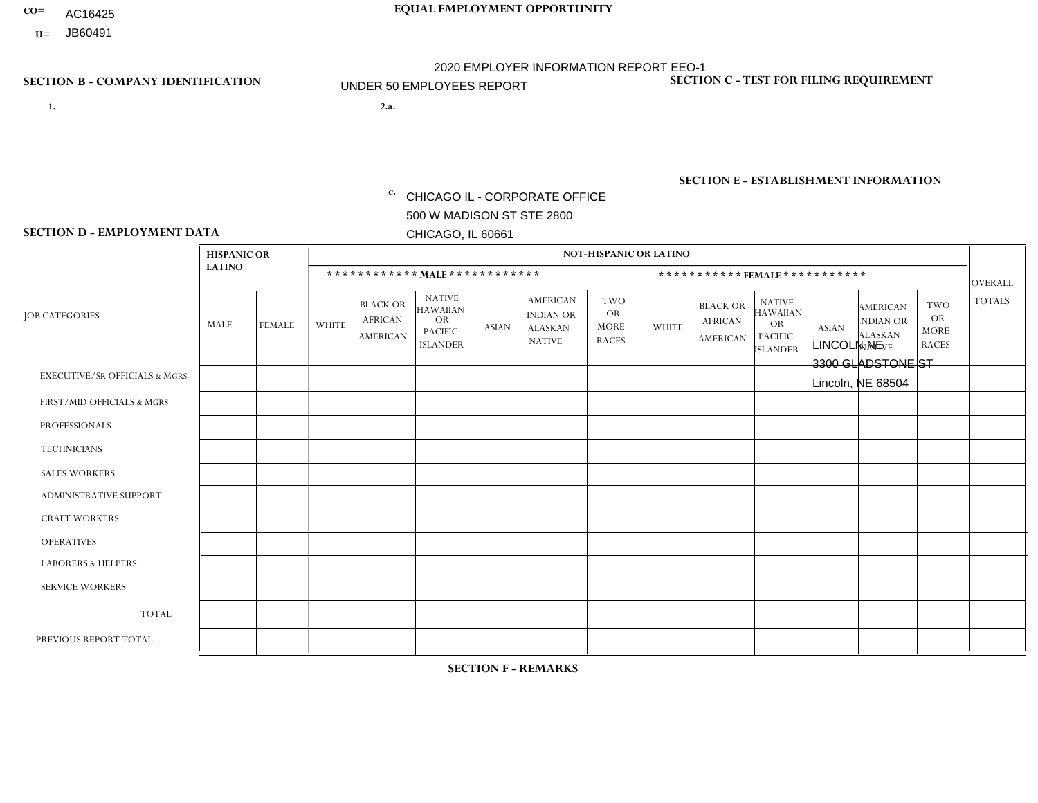- AC16425
- **U=**

**1. 2.a.** CHICAGO IL - CORPORATE OFFICE 500 W MADISON ST STE 2800 CHICAGO, IL 60661

2.a. LINCOLN NE 3300 GLADSTONE ST Lincoln, NE 68504

EIN= 952920557

# **SECTION B - COMPANY IDENTIFICATION SECTION C - TEST FOR FILING REQUIREMENT**

1- Y 2- Y 3- N DUNS= 000123456

**SECTION E - ESTABLISHMENT INFORMATION c.** NAICS: 423140

### **SECTION D - EMPLOYMENT DATA**

|                                          | <b>HISPANIC OR</b> |               |              |                                                      |                                                                                    |              |                                                                        | <b>NOT-HISPANIC OR LATINO</b>                          |              |                                               |                                                                                    |              |                                                                       |                                                        |                |
|------------------------------------------|--------------------|---------------|--------------|------------------------------------------------------|------------------------------------------------------------------------------------|--------------|------------------------------------------------------------------------|--------------------------------------------------------|--------------|-----------------------------------------------|------------------------------------------------------------------------------------|--------------|-----------------------------------------------------------------------|--------------------------------------------------------|----------------|
|                                          | <b>LATINO</b>      |               |              | ************ MALE ************                       |                                                                                    |              |                                                                        |                                                        |              | ***********FEMALE***********                  |                                                                                    |              |                                                                       |                                                        | <b>OVERALL</b> |
| <b>JOB CATEGORIES</b>                    | MALE               | <b>FEMALE</b> | <b>WHITE</b> | <b>BLACK OR</b><br><b>AFRICAN</b><br><b>AMERICAN</b> | <b>NATIVE</b><br><b>HAWAIIAN</b><br><b>OR</b><br><b>PACIFIC</b><br><b>ISLANDER</b> | ASIAN        | <b>AMERICAN</b><br><b>INDIAN OR</b><br><b>ALASKAN</b><br><b>NATIVE</b> | <b>TWO</b><br><b>OR</b><br><b>MORE</b><br><b>RACES</b> | <b>WHITE</b> | <b>BLACK OR</b><br><b>AFRICAN</b><br>AMERICAN | <b>NATIVE</b><br><b>HAWAIIAN</b><br><b>OR</b><br><b>PACIFIC</b><br><b>ISLANDER</b> | <b>ASIAN</b> | <b>AMERICAN</b><br><b>NDIAN OR</b><br><b>ALASKAN</b><br><b>NATIVE</b> | <b>TWO</b><br><b>OR</b><br><b>MORE</b><br><b>RACES</b> | <b>TOTALS</b>  |
| <b>EXECUTIVE/SR OFFICIALS &amp; MGRS</b> | $\Omega$           | $\Omega$      | $\Omega$     | $\mathbf 0$                                          | $\Omega$                                                                           | $\mathbf{0}$ | $\Omega$                                                               | $\Omega$                                               | 0            | $\Omega$                                      | $\Omega$                                                                           | $\Omega$     | $\Omega$                                                              | $\Omega$                                               | $\mathbf{0}$   |
| FIRST/MID OFFICIALS & MGRS               | 0                  | $\Omega$      | $\Omega$     | $\mathbf 0$                                          | $\Omega$                                                                           | $\Omega$     | $\Omega$                                                               | $\Omega$                                               | 0            | $\Omega$                                      | $\Omega$                                                                           | $\Omega$     | $\Omega$                                                              | $\Omega$                                               | $\overline{0}$ |
| <b>PROFESSIONALS</b>                     | 0                  | $\mathbf 0$   | $\mathbf 0$  | $\mathbf 0$                                          | $\Omega$                                                                           | $\Omega$     | $\Omega$                                                               | $\Omega$                                               | 0            | $\Omega$                                      | $\Omega$                                                                           | $\Omega$     | $\Omega$                                                              | $\Omega$                                               | $\mathbf{0}$   |
| <b>TECHNICIANS</b>                       | 0                  | $\Omega$      | $\Omega$     | $\mathbf 0$                                          | $\Omega$                                                                           | $\Omega$     | $\Omega$                                                               | $\Omega$                                               | 0            | $\Omega$                                      | $\Omega$                                                                           | $\Omega$     | $\Omega$                                                              | $\Omega$                                               | $\mathbf{0}$   |
| <b>SALES WORKERS</b>                     |                    | $\Omega$      | $\Omega$     | $\Omega$                                             | $\Omega$                                                                           | $\Omega$     | $\Omega$                                                               | $\Omega$                                               | 0            | $\Omega$                                      | $\Omega$                                                                           | $\Omega$     | $\Omega$                                                              | $\Omega$                                               | $\mathbf{1}$   |
| <b>ADMINISTRATIVE SUPPORT</b>            | 0                  | 0             | $\Omega$     | $\mathbf 0$                                          | 0                                                                                  | $\Omega$     | $\Omega$                                                               | $\Omega$                                               | $\Omega$     | $\Omega$                                      | $\Omega$                                                                           | $\mathbf{0}$ | $\mathbf{0}$                                                          | $\mathbf 0$                                            | $\mathbf 0$    |
| <b>CRAFT WORKERS</b>                     | 0                  | $\Omega$      | $\Omega$     | $\mathbf 0$                                          | $\Omega$                                                                           | $\Omega$     | $\Omega$                                                               | $\Omega$                                               | 0            | $\Omega$                                      | $\Omega$                                                                           | $\Omega$     | $\Omega$                                                              | $\Omega$                                               | $\Omega$       |
| <b>OPERATIVES</b>                        | 0                  | $\Omega$      | $\Omega$     | $\mathbf 0$                                          | $\Omega$                                                                           | $\Omega$     | $\Omega$                                                               | $\Omega$                                               | $\Omega$     | $\Omega$                                      | $\Omega$                                                                           | $\Omega$     | $\Omega$                                                              | $\Omega$                                               | $\mathbf 0$    |
| <b>LABORERS &amp; HELPERS</b>            | 0                  | $\Omega$      | $\Omega$     | $\mathbf 0$                                          | $\Omega$                                                                           | $\Omega$     | $\Omega$                                                               | $\Omega$                                               | $\Omega$     | $\Omega$                                      | $\Omega$                                                                           | $\mathbf{0}$ | $\Omega$                                                              | $\mathbf{0}$                                           | $\mathbf 0$    |
| <b>SERVICE WORKERS</b>                   | 0                  | $\Omega$      | $\mathbf 0$  | 0                                                    | 0                                                                                  | $\Omega$     | $\Omega$                                                               | $\Omega$                                               | $\Omega$     | $\Omega$                                      | $\Omega$                                                                           | $\Omega$     | $\Omega$                                                              | $\mathbf 0$                                            | $\overline{0}$ |
| <b>TOTAL</b>                             | 1                  | 0             | $\mathbf 0$  | 0                                                    | 0                                                                                  | $\mathbf 0$  | $\Omega$                                                               | $\Omega$                                               | $\Omega$     | $\Omega$                                      | $\Omega$                                                                           | $\mathbf 0$  | 0                                                                     | $\mathbf 0$                                            | $\mathbf{1}$   |
| PREVIOUS REPORT TOTAL                    |                    | $\mathbf 0$   | 2            | $\mathbf 0$                                          | $\Omega$                                                                           | $\mathbf{0}$ | $\Omega$                                                               | $\Omega$                                               | 0            | $\Omega$                                      | $\Omega$                                                                           | $\Omega$     | $\Omega$                                                              | $\mathbf 0$                                            | 3              |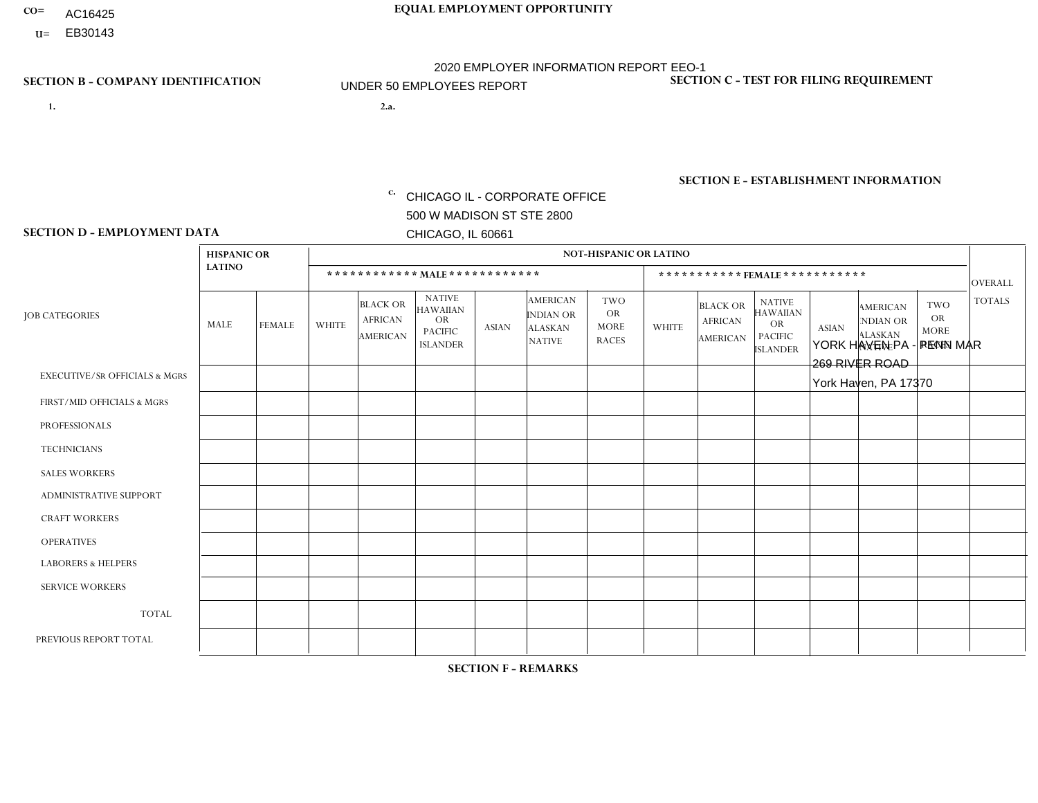- AC16425
- **U=**

**1. 2.a.** CHICAGO IL - CORPORATE OFFICE 500 W MADISON ST STE 2800 CHICAGO, IL 60661

2.a. YORK HAVEN PA - PENN MAR 269 RIVER ROAD York Haven, PA 17370

EIN= 952920557

# **SECTION B - COMPANY IDENTIFICATION SECTION C - TEST FOR FILING REQUIREMENT**

1- Y 2- Y 3- N DUNS= 000123456

**SECTION E - ESTABLISHMENT INFORMATION c.** NAICS: 423140

### **SECTION D - EMPLOYMENT DATA**

|                                          | <b>HISPANIC OR</b> |               |                |                                                      |                                                                                    |              |                                                                        | <b>NOT-HISPANIC OR LATINO</b>                          |              |                                                      |                                                                                    |              |                                                                       |                                                        |                |
|------------------------------------------|--------------------|---------------|----------------|------------------------------------------------------|------------------------------------------------------------------------------------|--------------|------------------------------------------------------------------------|--------------------------------------------------------|--------------|------------------------------------------------------|------------------------------------------------------------------------------------|--------------|-----------------------------------------------------------------------|--------------------------------------------------------|----------------|
|                                          | <b>LATINO</b>      |               |                | ************ MALE ************                       |                                                                                    |              |                                                                        |                                                        |              |                                                      | ***********FEMALE***********                                                       |              |                                                                       |                                                        | <b>OVERALL</b> |
| <b>JOB CATEGORIES</b>                    | <b>MALE</b>        | <b>FEMALE</b> | <b>WHITE</b>   | <b>BLACK OR</b><br><b>AFRICAN</b><br><b>AMERICAN</b> | <b>NATIVE</b><br><b>HAWAIIAN</b><br><b>OR</b><br><b>PACIFIC</b><br><b>ISLANDER</b> | <b>ASIAN</b> | <b>AMERICAN</b><br><b>INDIAN OR</b><br><b>ALASKAN</b><br><b>NATIVE</b> | <b>TWO</b><br><b>OR</b><br><b>MORE</b><br><b>RACES</b> | <b>WHITE</b> | <b>BLACK OR</b><br><b>AFRICAN</b><br><b>AMERICAN</b> | <b>NATIVE</b><br><b>HAWAIIAN</b><br><b>OR</b><br><b>PACIFIC</b><br><b>ISLANDER</b> | <b>ASIAN</b> | <b>AMERICAN</b><br><b>NDIAN OR</b><br><b>ALASKAN</b><br><b>NATIVE</b> | <b>TWO</b><br><b>OR</b><br><b>MORE</b><br><b>RACES</b> | <b>TOTALS</b>  |
| <b>EXECUTIVE/SR OFFICIALS &amp; MGRS</b> | $\mathbf{0}$       | $\Omega$      | $\Omega$       | $\Omega$                                             | 0                                                                                  | $\Omega$     | $\Omega$                                                               | $\Omega$                                               | $\Omega$     | $\mathbf{0}$                                         | $\Omega$                                                                           | $\Omega$     | $\Omega$                                                              | $\Omega$                                               | $\Omega$       |
| FIRST/MID OFFICIALS & MGRS               | $\Omega$           | $\Omega$      | $\overline{c}$ | $\mathbf 0$                                          | $\mathbf{0}$                                                                       | $\Omega$     | $\Omega$                                                               | $\Omega$                                               | $\Omega$     | $\Omega$                                             | $\Omega$                                                                           | $\Omega$     | $\Omega$                                                              | $\Omega$                                               | $\overline{2}$ |
| <b>PROFESSIONALS</b>                     | $\Omega$           | $\Omega$      | $\mathbf 0$    | $\mathbf 0$                                          | $\overline{0}$                                                                     | $\Omega$     | $\Omega$                                                               | $\Omega$                                               | $\Omega$     | $\Omega$                                             | $\Omega$                                                                           | $\Omega$     | $\Omega$                                                              | $\mathbf{0}$                                           | $\mathbf 0$    |
| <b>TECHNICIANS</b>                       | $\Omega$           | $\Omega$      | $\Omega$       | $\Omega$                                             | 0                                                                                  | $\Omega$     | $\overline{0}$                                                         | $\Omega$                                               | $\Omega$     | $\Omega$                                             | $\Omega$                                                                           | $\Omega$     | $\mathbf{0}$                                                          | $\Omega$                                               | $\mathbf 0$    |
| <b>SALES WORKERS</b>                     | $\Omega$           | $\Omega$      | $\Omega$       | $\Omega$                                             | 0                                                                                  | $\Omega$     | $\Omega$                                                               | $\Omega$                                               | $\Omega$     | $\Omega$                                             | $\Omega$                                                                           | $\Omega$     | $\Omega$                                                              | $\mathbf{0}$                                           | $\mathbf 0$    |
| <b>ADMINISTRATIVE SUPPORT</b>            | $\Omega$           | $\mathbf 0$   | 2              | $\mathbf 0$                                          | $\mathbf 0$                                                                        | $\mathbf 0$  | $\Omega$                                                               | $\Omega$                                               | $\Omega$     | $\Omega$                                             | $\Omega$                                                                           | $\Omega$     | $\Omega$                                                              | $\Omega$                                               | $\overline{2}$ |
| <b>CRAFT WORKERS</b>                     | 2                  | $\Omega$      | 6              | $\mathbf 0$                                          | 0                                                                                  | $\Omega$     | $\Omega$                                                               | $\Omega$                                               | $\Omega$     | $\Omega$                                             | $\Omega$                                                                           | $\Omega$     | $\Omega$                                                              | $\Omega$                                               | 8              |
| <b>OPERATIVES</b>                        | $\Omega$           | $\Omega$      | 3              | $\mathbf 0$                                          | 0                                                                                  | $\Omega$     | $\Omega$                                                               | $\Omega$                                               | $\Omega$     | $\Omega$                                             | $\Omega$                                                                           | $\Omega$     | $\Omega$                                                              | $\Omega$                                               | 3              |
| <b>LABORERS &amp; HELPERS</b>            | $\Omega$           | $\Omega$      | 4              | $\mathbf 0$                                          | 0                                                                                  | $\Omega$     | $\Omega$                                                               | $\Omega$                                               | $\Omega$     | $\Omega$                                             | $\Omega$                                                                           | $\Omega$     | $\Omega$                                                              | $\mathbf{0}$                                           | 4              |
| <b>SERVICE WORKERS</b>                   | $\Omega$           | $\Omega$      | $\Omega$       | 0                                                    | $\mathbf 0$                                                                        | $\Omega$     | $\Omega$                                                               | $\Omega$                                               | $\Omega$     | $\Omega$                                             | $\Omega$                                                                           | $\Omega$     | $\Omega$                                                              | $\Omega$                                               | 0              |
| <b>TOTAL</b>                             | $\overline{2}$     | 0             | 17             | 0                                                    | 0                                                                                  | $\mathbf 0$  | $\Omega$                                                               | $\Omega$                                               | 0            | $\Omega$                                             | $\Omega$                                                                           | $\mathbf 0$  | $\Omega$                                                              | $\Omega$                                               | 19             |
| PREVIOUS REPORT TOTAL                    |                    | $\mathbf 0$   | 30             | $\mathbf 0$                                          | 0                                                                                  | $\Omega$     | $\overline{0}$                                                         | $\Omega$                                               | $\Omega$     | $\Omega$                                             | $\mathbf{0}$                                                                       | $\Omega$     | $\Omega$                                                              | $\mathbf 0$                                            | 31             |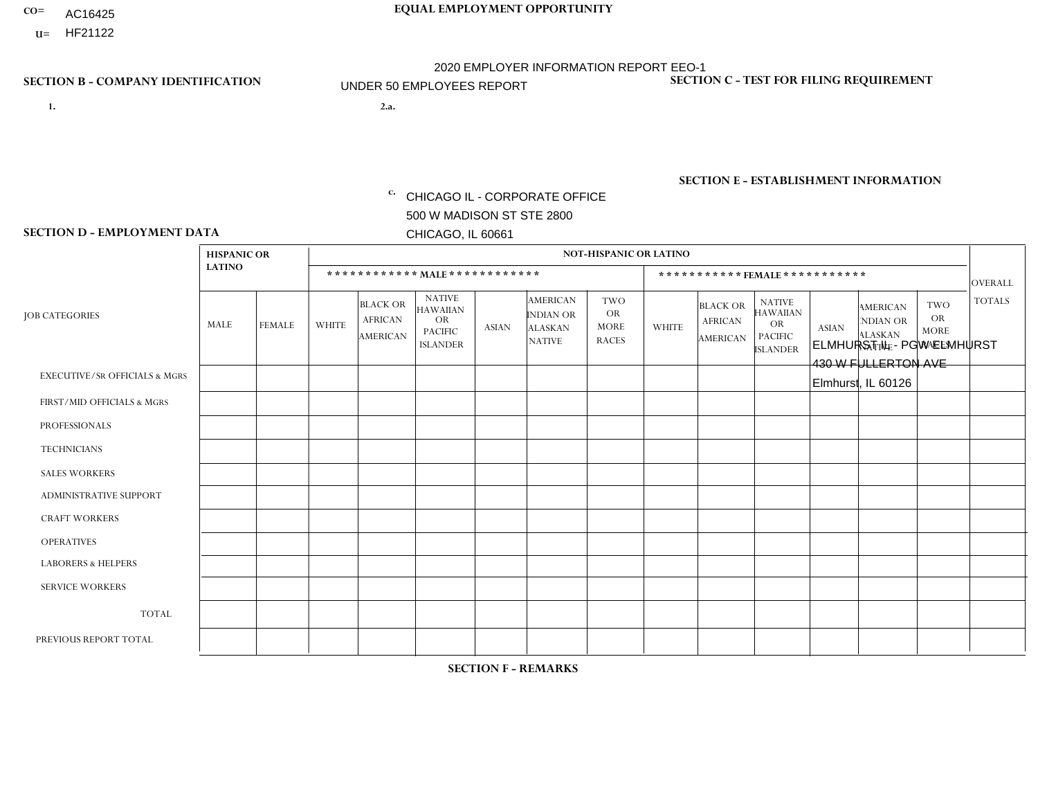- AC16425
- **U=**

**1. 2.a.** CHICAGO IL - CORPORATE OFFICE 500 W MADISON ST STE 2800 CHICAGO, IL 60661

2.a. ELMHURST IL - PGW ELMHURST 430 W FULLERTON AVE Elmhurst, IL 60126

EIN= 952920557

# **SECTION B - COMPANY IDENTIFICATION SECTION C - TEST FOR FILING REQUIREMENT**

1- Y 2- Y 3- N DUNS= 000123456

**SECTION E - ESTABLISHMENT INFORMATION c.** NAICS: 811122

### **SECTION D - EMPLOYMENT DATA**

|                                          | <b>HISPANIC OR</b> |                |                |                                                      |                                                                                    |              |                                                                 | <b>NOT-HISPANIC OR LATINO</b>                          |                |                                               |                                                                                    |              |                                                                |                                                        |                |
|------------------------------------------|--------------------|----------------|----------------|------------------------------------------------------|------------------------------------------------------------------------------------|--------------|-----------------------------------------------------------------|--------------------------------------------------------|----------------|-----------------------------------------------|------------------------------------------------------------------------------------|--------------|----------------------------------------------------------------|--------------------------------------------------------|----------------|
|                                          | <b>LATINO</b>      |                |                | ************ MALE ************                       |                                                                                    |              |                                                                 |                                                        |                |                                               | *********** FEMALE ***********                                                     |              |                                                                |                                                        | <b>OVERALL</b> |
| <b>JOB CATEGORIES</b>                    | <b>MALE</b>        | <b>FEMALE</b>  | <b>WHITE</b>   | <b>BLACK OR</b><br><b>AFRICAN</b><br><b>AMERICAN</b> | <b>NATIVE</b><br><b>HAWAIIAN</b><br><b>OR</b><br><b>PACIFIC</b><br><b>ISLANDER</b> | <b>ASIAN</b> | <b>AMERICAN</b><br>INDIAN OR<br><b>ALASKAN</b><br><b>NATIVE</b> | <b>TWO</b><br><b>OR</b><br><b>MORE</b><br><b>RACES</b> | <b>WHITE</b>   | <b>BLACK OR</b><br><b>AFRICAN</b><br>AMERICAN | <b>NATIVE</b><br><b>HAWAIIAN</b><br><b>OR</b><br><b>PACIFIC</b><br><b>ISLANDER</b> | <b>ASIAN</b> | <b>AMERICAN</b><br>NDIAN OR<br><b>ALASKAN</b><br><b>NATIVE</b> | <b>TWO</b><br><b>OR</b><br><b>MORE</b><br><b>RACES</b> | <b>TOTALS</b>  |
| <b>EXECUTIVE/SR OFFICIALS &amp; MGRS</b> | $\Omega$           | $\Omega$       | $\Omega$       | $\mathbf 0$                                          | $\mathbf 0$                                                                        | $\mathbf 0$  | $\Omega$                                                        | $\Omega$                                               | $\Omega$       | $\Omega$                                      | $\mathbf 0$                                                                        | $\mathbf 0$  | $\Omega$                                                       | $\mathbf 0$                                            | $\mathbf 0$    |
| FIRST/MID OFFICIALS & MGRS               | $\Omega$           | $\Omega$       | $\overline{1}$ | $\Omega$                                             | $\Omega$                                                                           | $\mathbf{0}$ | $\Omega$                                                        | $\Omega$                                               | 0              | $\Omega$                                      | 0                                                                                  | $\Omega$     | $\Omega$                                                       | $\Omega$                                               | 1              |
| <b>PROFESSIONALS</b>                     | $\Omega$           | $\Omega$       | $\Omega$       | $\mathbf 0$                                          | $\Omega$                                                                           | $\mathbf{0}$ | $\Omega$                                                        | $\Omega$                                               | 0              | $\Omega$                                      | $\Omega$                                                                           | $\Omega$     | $\Omega$                                                       | $\mathbf 0$                                            | $\mathbf{0}$   |
| <b>TECHNICIANS</b>                       | $\Omega$           | $\overline{0}$ | $\mathbf 0$    | $\mathbf 0$                                          | $\mathbf 0$                                                                        | $\Omega$     | $\Omega$                                                        | $\Omega$                                               | 0              | $\Omega$                                      | $\mathbf{0}$                                                                       | $\mathbf 0$  | $\Omega$                                                       | $\mathbf 0$                                            | $\overline{0}$ |
| <b>SALES WORKERS</b>                     | $\Omega$           | $\Omega$       | $\Omega$       | $\Omega$                                             | $\Omega$                                                                           | $\Omega$     | $\Omega$                                                        | $\Omega$                                               | $\overline{0}$ | $\Omega$                                      | $\Omega$                                                                           | $\Omega$     | $\Omega$                                                       | $\Omega$                                               | $\Omega$       |
| ADMINISTRATIVE SUPPORT                   | $\Omega$           | $\Omega$       | $\mathbf{0}$   | $\Omega$                                             | $\Omega$                                                                           | $\Omega$     | $\Omega$                                                        | $\Omega$                                               | $\Omega$       | $\Omega$                                      | $\Omega$                                                                           | $\Omega$     | $\Omega$                                                       | $\Omega$                                               | $\mathbf 0$    |
| <b>CRAFT WORKERS</b>                     | $\Omega$           | $\Omega$       | $\mathbf 0$    | $\mathbf 0$                                          | $\Omega$                                                                           | $\Omega$     | $\Omega$                                                        | $\Omega$                                               | 0              | $\Omega$                                      | 0                                                                                  | $\Omega$     | $\Omega$                                                       | $\Omega$                                               | $\mathbf 0$    |
| <b>OPERATIVES</b>                        | 2                  | $\Omega$       | 4              | $\Omega$                                             | $\Omega$                                                                           | $\Omega$     | 1                                                               | $\Omega$                                               | $\Omega$       | $\Omega$                                      | 0                                                                                  | $\Omega$     | $\Omega$                                                       | $\Omega$                                               | $\overline{7}$ |
| <b>LABORERS &amp; HELPERS</b>            | $\Omega$           | $\Omega$       | -1             | $\mathbf 0$                                          | $\Omega$                                                                           | $\Omega$     | $\Omega$                                                        | $\Omega$                                               | $\Omega$       | $\Omega$                                      | 0                                                                                  | $\Omega$     | $\Omega$                                                       | $\Omega$                                               | -1             |
| <b>SERVICE WORKERS</b>                   | $\Omega$           | $\Omega$       | $\mathbf 0$    | $\mathbf 0$                                          | $\mathbf 0$                                                                        | $\mathbf 0$  | $\Omega$                                                        | $\Omega$                                               | $\Omega$       | $\Omega$                                      | $\Omega$                                                                           | 0            | $\Omega$                                                       | $\mathbf 0$                                            | $\overline{0}$ |
| <b>TOTAL</b>                             | 2                  | $\Omega$       | 6              | $\mathbf 0$                                          | $\Omega$                                                                           | $\Omega$     | 1                                                               | $\Omega$                                               | 0              | $\Omega$                                      | $\Omega$                                                                           | 0            | $\Omega$                                                       | $\Omega$                                               | 9              |
| PREVIOUS REPORT TOTAL                    |                    | $\Omega$       |                | $\mathbf 0$                                          | $\Omega$                                                                           | $\Omega$     | $\Omega$                                                        | $\Omega$                                               | 0              | $\Omega$                                      | 0                                                                                  | $\mathbf 0$  | $\Omega$                                                       | $\mathbf 0$                                            | $\overline{2}$ |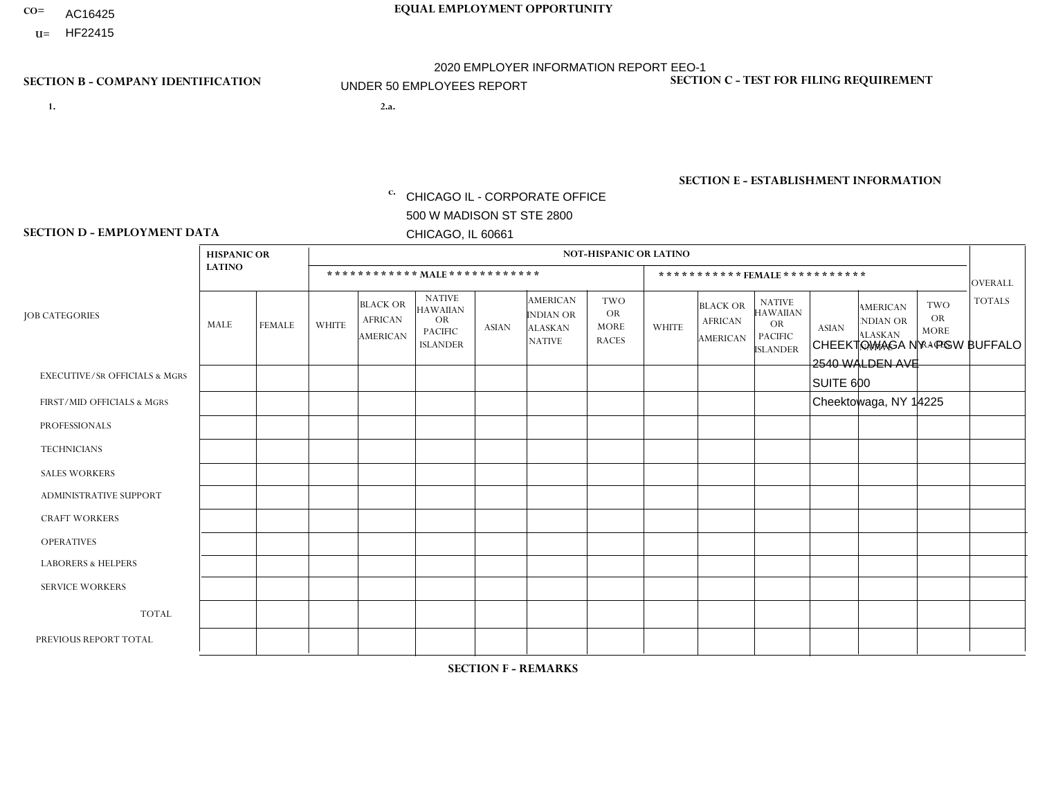- AC16425
- **U=**

- **1. 2.a.** CHICAGO IL CORPORATE OFFICE 500 W MADISON ST STE 2800 CHICAGO, IL 60661
- 2.a. CHEEKTOWAGA NY PGW BUFFALO 2540 WALDEN AVE SUITE 600 Cheektowaga, NY 14225
	- c. EIN= 952920557

# **SECTION B - COMPANY IDENTIFICATION SECTION C - TEST FOR FILING REQUIREMENT**

1- Y 2- Y 3- N DUNS= 000123456

**SECTION E - ESTABLISHMENT INFORMATION c.** NAICS: 811122

### **SECTION D - EMPLOYMENT DATA**

|                                          | <b>HISPANIC OR</b> |               |              |                                                      |                                                                                    |              |                                                                        | <b>NOT-HISPANIC OR LATINO</b>                          |              |                                                      |                                                                             |              |                                                                       |                                                        |                |
|------------------------------------------|--------------------|---------------|--------------|------------------------------------------------------|------------------------------------------------------------------------------------|--------------|------------------------------------------------------------------------|--------------------------------------------------------|--------------|------------------------------------------------------|-----------------------------------------------------------------------------|--------------|-----------------------------------------------------------------------|--------------------------------------------------------|----------------|
|                                          | <b>LATINO</b>      |               |              | ************ MALE ************                       |                                                                                    |              |                                                                        |                                                        |              | ***********FEMALE***********                         |                                                                             |              |                                                                       |                                                        | <b>OVERALL</b> |
| <b>JOB CATEGORIES</b>                    | MALE               | <b>FEMALE</b> | <b>WHITE</b> | <b>BLACK OR</b><br><b>AFRICAN</b><br><b>AMERICAN</b> | <b>NATIVE</b><br><b>HAWAIIAN</b><br><b>OR</b><br><b>PACIFIC</b><br><b>ISLANDER</b> | <b>ASIAN</b> | <b>AMERICAN</b><br><b>INDIAN OR</b><br><b>ALASKAN</b><br><b>NATIVE</b> | <b>TWO</b><br><b>OR</b><br><b>MORE</b><br><b>RACES</b> | <b>WHITE</b> | <b>BLACK OR</b><br><b>AFRICAN</b><br><b>AMERICAN</b> | <b>NATIVE</b><br><b>HAWAIIAN</b><br>OR<br><b>PACIFIC</b><br><b>ISLANDER</b> | <b>ASIAN</b> | <b>AMERICAN</b><br><b>NDIAN OR</b><br><b>ALASKAN</b><br><b>NATIVE</b> | <b>TWO</b><br><b>OR</b><br><b>MORE</b><br><b>RACES</b> | <b>TOTALS</b>  |
| <b>EXECUTIVE/SR OFFICIALS &amp; MGRS</b> | $\Omega$           | $\Omega$      | $\Omega$     | $\mathbf 0$                                          | $\Omega$                                                                           | $\Omega$     | $\Omega$                                                               | $\Omega$                                               | $\Omega$     | $\Omega$                                             | $\Omega$                                                                    | $\Omega$     | $\Omega$                                                              | $\mathbf{0}$                                           | $\mathbf{0}$   |
| FIRST/MID OFFICIALS & MGRS               | 0                  | $\mathbf 0$   | 1            | $\mathbf 0$                                          | $\Omega$                                                                           | $\Omega$     | $\Omega$                                                               | $\Omega$                                               | 0            | $\Omega$                                             | $\Omega$                                                                    | $\mathbf{0}$ | $\Omega$                                                              | $\mathbf{0}$                                           | $\mathbf{1}$   |
| <b>PROFESSIONALS</b>                     | 0                  | $\Omega$      | $\Omega$     | $\mathbf 0$                                          | $\Omega$                                                                           | $\Omega$     | $\Omega$                                                               | $\Omega$                                               | 0            | $\Omega$                                             | $\Omega$                                                                    | $\Omega$     | $\Omega$                                                              | $\Omega$                                               | $\mathbf{0}$   |
| <b>TECHNICIANS</b>                       | 0                  | $\Omega$      | $\Omega$     | $\Omega$                                             | $\Omega$                                                                           | $\Omega$     | $\Omega$                                                               | $\Omega$                                               | $\Omega$     | $\Omega$                                             | $\Omega$                                                                    | $\Omega$     | $\Omega$                                                              | $\Omega$                                               | $\Omega$       |
| <b>SALES WORKERS</b>                     | 0                  | $\Omega$      | $\Omega$     | $\Omega$                                             | $\Omega$                                                                           | $\Omega$     | $\Omega$                                                               | $\Omega$                                               | 0            | $\Omega$                                             | $\Omega$                                                                    | $\Omega$     | $\Omega$                                                              | $\Omega$                                               | $\Omega$       |
| ADMINISTRATIVE SUPPORT                   | 0                  | $\Omega$      | $\Omega$     | $\mathbf 0$                                          | $\Omega$                                                                           | $\Omega$     | $\Omega$                                                               | $\Omega$                                               | $\Omega$     | $\Omega$                                             | $\Omega$                                                                    | $\Omega$     | $\Omega$                                                              | $\Omega$                                               | $\mathbf 0$    |
| <b>CRAFT WORKERS</b>                     | 0                  | $\Omega$      | $\Omega$     | $\mathbf 0$                                          | $\Omega$                                                                           | $\Omega$     | $\Omega$                                                               | $\Omega$                                               | 0            | $\Omega$                                             | $\Omega$                                                                    | $\Omega$     | $\Omega$                                                              | $\Omega$                                               | $\mathbf 0$    |
| <b>OPERATIVES</b>                        | 1                  | $\Omega$      | $\mathbf 0$  | $\overline{1}$                                       | $\Omega$                                                                           | $\Omega$     | $\Omega$                                                               | $\Omega$                                               | $\Omega$     | $\Omega$                                             | $\Omega$                                                                    | $\Omega$     | $\Omega$                                                              | $\Omega$                                               | 2              |
| <b>LABORERS &amp; HELPERS</b>            | $\Omega$           | $\Omega$      | $\mathbf 0$  | $\mathbf 0$                                          | $\mathbf 0$                                                                        | $\Omega$     | $\Omega$                                                               | $\Omega$                                               | $\Omega$     | $\Omega$                                             | $\Omega$                                                                    | $\mathbf{0}$ | $\Omega$                                                              | $\Omega$                                               | 0              |
| <b>SERVICE WORKERS</b>                   | 0                  | $\Omega$      | $\Omega$     | $\mathbf 0$                                          | $\mathbf{0}$                                                                       | $\Omega$     | $\Omega$                                                               | $\Omega$                                               | $\Omega$     | $\Omega$                                             | $\Omega$                                                                    | $\Omega$     | $\Omega$                                                              | $\Omega$                                               | $\overline{0}$ |
| <b>TOTAL</b>                             | 1                  | 0             | -1           | $\overline{1}$                                       | 0                                                                                  | $\Omega$     | $\Omega$                                                               | $\Omega$                                               | 0            | $\Omega$                                             | $\Omega$                                                                    | $\mathbf 0$  | 0                                                                     | $\mathbf 0$                                            | 3              |
| PREVIOUS REPORT TOTAL                    | 0                  | $\Omega$      | $\Omega$     | $\overline{2}$                                       | $\Omega$                                                                           | $\Omega$     | $\Omega$                                                               | $\Omega$                                               | 0            | $\Omega$                                             | $\Omega$                                                                    | $\Omega$     | $\Omega$                                                              | $\mathbf 0$                                            | $\overline{2}$ |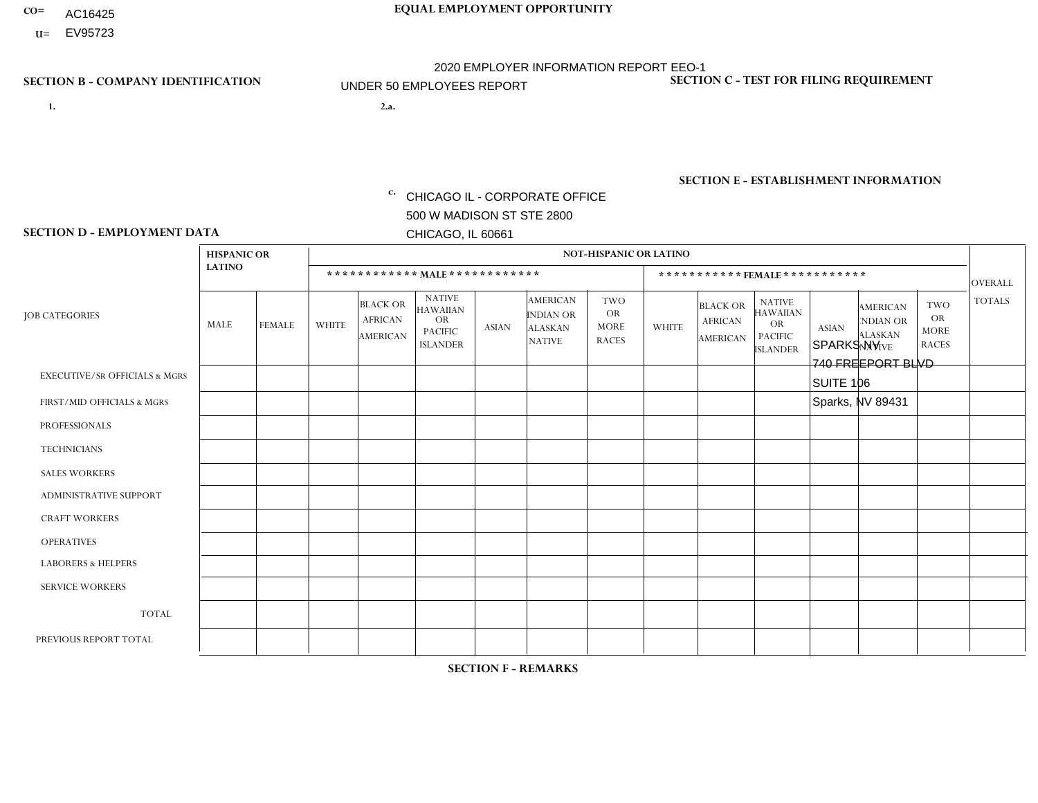- AC16425
- **U=**

- **1. 2.a.** CHICAGO IL CORPORATE OFFICE 500 W MADISON ST STE 2800 CHICAGO, IL 60661
- 2.a. SPARKS NV 740 FREEPORT BLVD SUITE 106 Sparks, NV 89431
	- c. EIN= 952920557

# **SECTION B - COMPANY IDENTIFICATION SECTION C - TEST FOR FILING REQUIREMENT**

1- Y 2- Y 3- N DUNS= 000123456

**SECTION E - ESTABLISHMENT INFORMATION c.** NAICS: 423140

### **SECTION D - EMPLOYMENT DATA**

|                                          | <b>HISPANIC OR</b> |                |                |                                                      |                                                                                    |              |                                                                        | <b>NOT-HISPANIC OR LATINO</b>                          |              |                                               |                                                                                    |              |                                                                       |                                                        |                |
|------------------------------------------|--------------------|----------------|----------------|------------------------------------------------------|------------------------------------------------------------------------------------|--------------|------------------------------------------------------------------------|--------------------------------------------------------|--------------|-----------------------------------------------|------------------------------------------------------------------------------------|--------------|-----------------------------------------------------------------------|--------------------------------------------------------|----------------|
|                                          | <b>LATINO</b>      |                |                |                                                      | ************ MALE ************                                                     |              |                                                                        |                                                        |              | ***********FEMALE***********                  |                                                                                    |              |                                                                       |                                                        | <b>OVERALL</b> |
| <b>JOB CATEGORIES</b>                    | MALE               | <b>FEMALE</b>  | <b>WHITE</b>   | <b>BLACK OR</b><br><b>AFRICAN</b><br><b>AMERICAN</b> | <b>NATIVE</b><br><b>HAWAIIAN</b><br><b>OR</b><br><b>PACIFIC</b><br><b>ISLANDER</b> | <b>ASIAN</b> | <b>AMERICAN</b><br><b>INDIAN OR</b><br><b>ALASKAN</b><br><b>NATIVE</b> | <b>TWO</b><br><b>OR</b><br><b>MORE</b><br><b>RACES</b> | <b>WHITE</b> | <b>BLACK OR</b><br><b>AFRICAN</b><br>AMERICAN | <b>NATIVE</b><br><b>HAWAIIAN</b><br><b>OR</b><br><b>PACIFIC</b><br><b>ISLANDER</b> | <b>ASIAN</b> | <b>AMERICAN</b><br><b>NDIAN OR</b><br><b>ALASKAN</b><br><b>NATIVE</b> | <b>TWO</b><br><b>OR</b><br><b>MORE</b><br><b>RACES</b> | <b>TOTALS</b>  |
| <b>EXECUTIVE/SR OFFICIALS &amp; MGRS</b> | $\mathbf 0$        | $\mathbf 0$    | $\mathbf 0$    | $\mathbf 0$                                          | $\mathbf 0$                                                                        | $\Omega$     | $\Omega$                                                               | 0                                                      | $\Omega$     | $\Omega$                                      | $\mathbf 0$                                                                        | $\mathbf 0$  | $\Omega$                                                              | $\mathbf 0$                                            | $\mathbf 0$    |
| FIRST/MID OFFICIALS & MGRS               | $\mathbf 0$        | $\Omega$       | $\mathbf 0$    | $\mathbf 0$                                          | $\mathbf{0}$                                                                       | $\Omega$     | $\Omega$                                                               | 0                                                      | $\Omega$     | $\Omega$                                      | $\Omega$                                                                           | $\Omega$     | $\Omega$                                                              | $\Omega$                                               | $\mathbf 0$    |
| <b>PROFESSIONALS</b>                     | 0                  | $\mathbf 0$    | $\mathbf 0$    | $\Omega$                                             | $\mathbf{0}$                                                                       | $\Omega$     | $\Omega$                                                               | 0                                                      | $\Omega$     | $\Omega$                                      | $\Omega$                                                                           | $\Omega$     | $\Omega$                                                              | $\Omega$                                               | $\mathbf 0$    |
| <b>TECHNICIANS</b>                       | $\mathbf 0$        | $\mathbf{0}$   | $\mathbf 0$    | $\mathbf 0$                                          | $\Omega$                                                                           | $\Omega$     | $\Omega$                                                               | $\Omega$                                               | $\Omega$     | $\Omega$                                      | $\mathbf 0$                                                                        | $\Omega$     | $\Omega$                                                              | $\mathbf 0$                                            | $\overline{0}$ |
| <b>SALES WORKERS</b>                     | $\mathbf 0$        | $\overline{1}$ | $\mathbf 0$    | $\mathbf 0$                                          | $\Omega$                                                                           | $\Omega$     | $\Omega$                                                               | 0                                                      | $\Omega$     | $\Omega$                                      | $\mathbf 0$                                                                        | $\mathbf 0$  | $\Omega$                                                              | $\mathbf 0$                                            | $\mathbf{1}$   |
| ADMINISTRATIVE SUPPORT                   | $\mathbf 0$        | $\mathbf 0$    | $\mathbf 0$    | $\mathbf 0$                                          | $\Omega$                                                                           | $\Omega$     | $\Omega$                                                               | 0                                                      | $\Omega$     | $\Omega$                                      | $\Omega$                                                                           | $\mathbf{0}$ | $\Omega$                                                              | $\Omega$                                               | $\mathbf 0$    |
| <b>CRAFT WORKERS</b>                     | 0                  | $\mathbf 0$    | $\mathbf 0$    | $\mathbf 0$                                          | $\mathbf 0$                                                                        | $\Omega$     | $\Omega$                                                               | 0                                                      | $\Omega$     | $\Omega$                                      | $\mathbf 0$                                                                        | $\mathbf 0$  | $\Omega$                                                              | $\mathbf 0$                                            | $\mathbf 0$    |
| <b>OPERATIVES</b>                        | $\overline{2}$     | $\mathbf 0$    | 1              | $\mathbf 0$                                          | $\Omega$                                                                           | $\Omega$     | $\Omega$                                                               | 0                                                      | $\Omega$     | $\Omega$                                      | $\Omega$                                                                           | $\Omega$     | $\Omega$                                                              | $\mathbf 0$                                            | 3              |
| <b>LABORERS &amp; HELPERS</b>            | $\Omega$           | $\Omega$       | $\overline{1}$ | $\Omega$                                             | $\Omega$                                                                           | $\Omega$     | $\Omega$                                                               | 0                                                      | $\Omega$     | $\Omega$                                      | $\Omega$                                                                           | $\Omega$     | $\Omega$                                                              | $\Omega$                                               | $\mathbf{1}$   |
| <b>SERVICE WORKERS</b>                   | $\Omega$           | $\mathbf{0}$   | $\mathbf 0$    | $\mathbf 0$                                          | $\Omega$                                                                           | $\mathbf{0}$ | $\Omega$                                                               | 0                                                      | $\Omega$     | $\Omega$                                      | $\Omega$                                                                           | $\Omega$     | $\Omega$                                                              | $\Omega$                                               | $\mathbf 0$    |
| <b>TOTAL</b>                             | $\overline{2}$     | -1             | $\overline{c}$ | $\mathbf 0$                                          | $\mathbf{0}$                                                                       | $\mathbf{0}$ | $\Omega$                                                               | 0                                                      | $\Omega$     | $\Omega$                                      | 0                                                                                  | $\mathbf 0$  | $\Omega$                                                              | 0                                                      | 5              |
| PREVIOUS REPORT TOTAL                    | 3                  |                | 3              | $\mathbf 0$                                          | $\Omega$                                                                           | $\Omega$     | $\Omega$                                                               | 0                                                      | $\Omega$     | $\Omega$                                      | 0                                                                                  | $\Omega$     | $\Omega$                                                              | $\mathbf 0$                                            | $\overline{7}$ |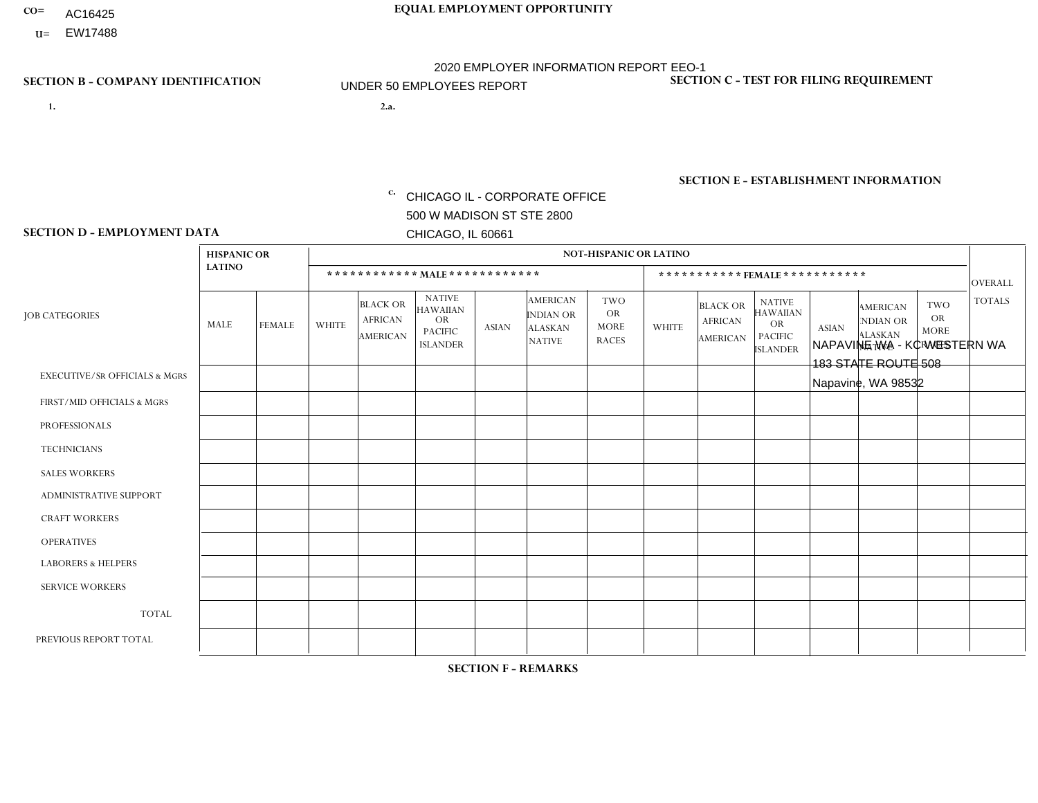- AC16425
- **U=**

**1. 2.a.** CHICAGO IL - CORPORATE OFFICE 500 W MADISON ST STE 2800 CHICAGO, IL 60661

2.a. NAPAVINE WA - KC WESTERN WA 183 STATE ROUTE 508 Napavine, WA 98532

c. EIN= 952920557

# **SECTION B - COMPANY IDENTIFICATION SECTION C - TEST FOR FILING REQUIREMENT**

1- Y 2- Y 3- N DUNS= 000123456

**SECTION E - ESTABLISHMENT INFORMATION c.** NAICS: 423140

### **SECTION D - EMPLOYMENT DATA**

|                                          | <b>HISPANIC OR</b> |               |                |                                                      |                                                                                    |              |                                                                        | <b>NOT-HISPANIC OR LATINO</b>                          |              |                                                      |                                                                             |              |                                                                       |                                                        |                |
|------------------------------------------|--------------------|---------------|----------------|------------------------------------------------------|------------------------------------------------------------------------------------|--------------|------------------------------------------------------------------------|--------------------------------------------------------|--------------|------------------------------------------------------|-----------------------------------------------------------------------------|--------------|-----------------------------------------------------------------------|--------------------------------------------------------|----------------|
|                                          | <b>LATINO</b>      |               |                |                                                      | ************ MALE ************                                                     |              |                                                                        |                                                        |              | ***********FEMALE***********                         |                                                                             |              |                                                                       |                                                        | <b>OVERALL</b> |
| <b>JOB CATEGORIES</b>                    | MALE               | <b>FEMALE</b> | <b>WHITE</b>   | <b>BLACK OR</b><br><b>AFRICAN</b><br><b>AMERICAN</b> | <b>NATIVE</b><br><b>HAWAIIAN</b><br><b>OR</b><br><b>PACIFIC</b><br><b>ISLANDER</b> | <b>ASIAN</b> | <b>AMERICAN</b><br><b>INDIAN OR</b><br><b>ALASKAN</b><br><b>NATIVE</b> | <b>TWO</b><br><b>OR</b><br><b>MORE</b><br><b>RACES</b> | <b>WHITE</b> | <b>BLACK OR</b><br><b>AFRICAN</b><br><b>AMERICAN</b> | <b>NATIVE</b><br><b>HAWAIIAN</b><br>OR<br><b>PACIFIC</b><br><b>ISLANDER</b> | <b>ASIAN</b> | <b>AMERICAN</b><br><b>NDIAN OR</b><br><b>ALASKAN</b><br><b>NATIVE</b> | <b>TWO</b><br><b>OR</b><br><b>MORE</b><br><b>RACES</b> | <b>TOTALS</b>  |
| <b>EXECUTIVE/SR OFFICIALS &amp; MGRS</b> | $\Omega$           | $\Omega$      | $\Omega$       | $\mathbf 0$                                          | $\Omega$                                                                           | $\Omega$     | $\Omega$                                                               | $\Omega$                                               | $\Omega$     | $\Omega$                                             | $\Omega$                                                                    | $\Omega$     | $\Omega$                                                              | $\Omega$                                               | $\mathbf 0$    |
| FIRST/MID OFFICIALS & MGRS               | 0                  | $\mathbf 0$   | $\overline{c}$ | $\mathbf 0$                                          | $\Omega$                                                                           | $\Omega$     | $\Omega$                                                               | $\Omega$                                               | 0            | $\Omega$                                             | $\Omega$                                                                    | $\Omega$     | $\Omega$                                                              | $\Omega$                                               | $\overline{2}$ |
| <b>PROFESSIONALS</b>                     | 0                  | $\Omega$      | $\Omega$       | $\mathbf 0$                                          | $\Omega$                                                                           | $\Omega$     | $\Omega$                                                               | $\Omega$                                               | 0            | $\Omega$                                             | $\Omega$                                                                    | $\Omega$     | $\Omega$                                                              | $\Omega$                                               | $\Omega$       |
| <b>TECHNICIANS</b>                       | 0                  | $\Omega$      | $\Omega$       | $\Omega$                                             | $\Omega$                                                                           | $\Omega$     | $\Omega$                                                               | $\Omega$                                               | $\Omega$     | $\Omega$                                             | $\Omega$                                                                    | $\Omega$     | $\Omega$                                                              | $\Omega$                                               | $\Omega$       |
| <b>SALES WORKERS</b>                     | 0                  | $\Omega$      | $\overline{c}$ | $\Omega$                                             | $\Omega$                                                                           | $\Omega$     | $\Omega$                                                               | $\Omega$                                               | 0            | $\Omega$                                             | $\Omega$                                                                    | $\Omega$     | $\Omega$                                                              | $\Omega$                                               | $\overline{2}$ |
| ADMINISTRATIVE SUPPORT                   | 0                  | $\Omega$      | $\Omega$       | $\mathbf 0$                                          | $\Omega$                                                                           | $\Omega$     | $\Omega$                                                               | $\Omega$                                               | $\Omega$     | $\Omega$                                             | $\Omega$                                                                    | $\Omega$     | $\Omega$                                                              | $\Omega$                                               | $\overline{0}$ |
| <b>CRAFT WORKERS</b>                     |                    | $\Omega$      | 2              | $\mathbf 0$                                          | $\Omega$                                                                           | $\Omega$     | $\Omega$                                                               | $\Omega$                                               | 0            | $\Omega$                                             | $\Omega$                                                                    | $\mathbf{0}$ | $\Omega$                                                              | $\mathbf{0}$                                           | 3              |
| <b>OPERATIVES</b>                        | 0                  | $\Omega$      | $\mathbf 0$    | $\mathbf 0$                                          | $\Omega$                                                                           | $\Omega$     | $\Omega$                                                               | $\Omega$                                               | $\Omega$     | $\Omega$                                             | $\Omega$                                                                    | $\mathbf{0}$ | $\Omega$                                                              | $\mathbf{0}$                                           | $\mathbf 0$    |
| <b>LABORERS &amp; HELPERS</b>            | 0                  | $\Omega$      | $\mathbf 0$    | $\mathbf 0$                                          | $\mathbf 0$                                                                        | $\Omega$     | $\Omega$                                                               | $\Omega$                                               | $\Omega$     | $\Omega$                                             | $\Omega$                                                                    | $\mathbf{0}$ | $\Omega$                                                              | $\Omega$                                               | 0              |
| <b>SERVICE WORKERS</b>                   | 0                  | $\Omega$      | $\Omega$       | $\mathbf 0$                                          | $\mathbf{0}$                                                                       | $\Omega$     | $\Omega$                                                               | $\Omega$                                               | $\Omega$     | $\Omega$                                             | $\Omega$                                                                    | $\Omega$     | $\Omega$                                                              | $\Omega$                                               | $\overline{0}$ |
| <b>TOTAL</b>                             | 1                  | 0             | 6              | 0                                                    | 0                                                                                  | $\Omega$     | $\Omega$                                                               | $\Omega$                                               | $\Omega$     | $\Omega$                                             | $\Omega$                                                                    | $\mathbf 0$  | 0                                                                     | $\mathbf 0$                                            | $\overline{7}$ |
| PREVIOUS REPORT TOTAL                    |                    | $\Omega$      | 6              | $\mathbf 0$                                          | $\Omega$                                                                           | $\Omega$     | $\Omega$                                                               | $\Omega$                                               |              | $\Omega$                                             | $\Omega$                                                                    | $\Omega$     | $\Omega$                                                              | $\mathbf 0$                                            | 8              |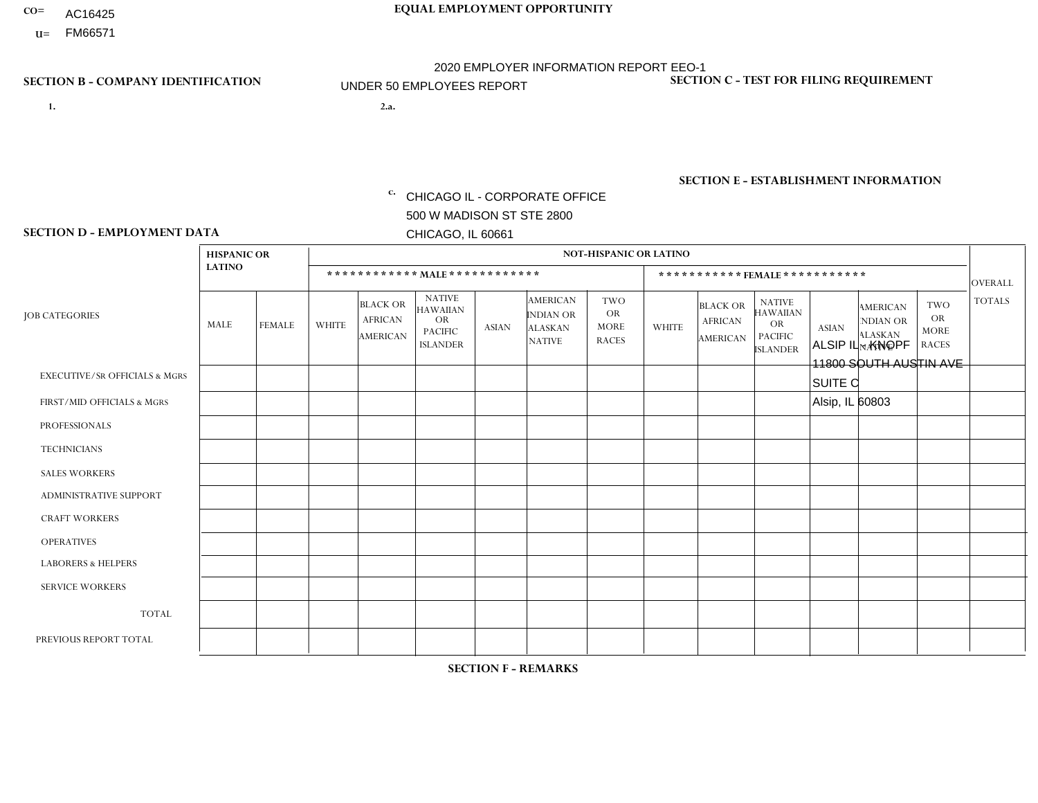- AC16425
- **U=**

**1. 2.a.** CHICAGO IL - CORPORATE OFFICE 500 W MADISON ST STE 2800 CHICAGO, IL 60661

2.a. ALSIP IL - KNOPF 11800 SOUTH AUSTIN AVE SUITE C Alsip, IL 60803

EIN= 952920557

# **SECTION B - COMPANY IDENTIFICATION SECTION C - TEST FOR FILING REQUIREMENT**

1- Y 2- Y 3- N DUNS= 000123456

**SECTION E - ESTABLISHMENT INFORMATION c.** NAICS: 423140

### **SECTION D - EMPLOYMENT DATA**

|                                          | <b>HISPANIC OR</b> |               |                |                                                      |                                                                                    |              |                                                                        | <b>NOT-HISPANIC OR LATINO</b>                          |              |                                                      |                                                                                    |              |                                                                |                                                        |                |
|------------------------------------------|--------------------|---------------|----------------|------------------------------------------------------|------------------------------------------------------------------------------------|--------------|------------------------------------------------------------------------|--------------------------------------------------------|--------------|------------------------------------------------------|------------------------------------------------------------------------------------|--------------|----------------------------------------------------------------|--------------------------------------------------------|----------------|
|                                          | <b>LATINO</b>      |               |                |                                                      | ************ MALE ************                                                     |              |                                                                        |                                                        |              | ***********FEMALE***********                         |                                                                                    |              |                                                                |                                                        | <b>OVERALL</b> |
| <b>JOB CATEGORIES</b>                    | MALE               | <b>FEMALE</b> | <b>WHITE</b>   | <b>BLACK OR</b><br><b>AFRICAN</b><br><b>AMERICAN</b> | <b>NATIVE</b><br><b>HAWAIIAN</b><br><b>OR</b><br><b>PACIFIC</b><br><b>ISLANDER</b> | <b>ASIAN</b> | <b>AMERICAN</b><br><b>INDIAN OR</b><br><b>ALASKAN</b><br><b>NATIVE</b> | <b>TWO</b><br><b>OR</b><br><b>MORE</b><br><b>RACES</b> | <b>WHITE</b> | <b>BLACK OR</b><br><b>AFRICAN</b><br><b>AMERICAN</b> | <b>NATIVE</b><br><b>HAWAIIAN</b><br><b>OR</b><br><b>PACIFIC</b><br><b>ISLANDER</b> | <b>ASIAN</b> | <b>AMERICAN</b><br>NDIAN OR<br><b>ALASKAN</b><br><b>NATIVE</b> | <b>TWO</b><br><b>OR</b><br><b>MORE</b><br><b>RACES</b> | <b>TOTALS</b>  |
| <b>EXECUTIVE/SR OFFICIALS &amp; MGRS</b> | $\mathbf 0$        | $\mathbf 0$   | $\mathbf 0$    | $\mathbf 0$                                          | $\mathbf 0$                                                                        | $\mathbf{0}$ | $\Omega$                                                               | $\Omega$                                               | $\Omega$     | 0                                                    | $\mathbf 0$                                                                        | $\mathbf 0$  | $\Omega$                                                       | $\mathbf 0$                                            | $\mathbf 0$    |
| FIRST/MID OFFICIALS & MGRS               | $\mathbf 0$        | 0             | 1              | $\mathbf 0$                                          | $\Omega$                                                                           | $\Omega$     | $\Omega$                                                               | $\Omega$                                               | $\Omega$     | $\Omega$                                             | $\Omega$                                                                           | $\mathbf{0}$ | $\Omega$                                                       | $\Omega$                                               | $\mathbf{1}$   |
| <b>PROFESSIONALS</b>                     |                    | $\mathbf 0$   | $\mathbf 0$    | $\mathbf 0$                                          | $\Omega$                                                                           | $\Omega$     | $\Omega$                                                               | $\Omega$                                               | $\Omega$     | $\Omega$                                             | $\Omega$                                                                           | $\mathbf 0$  | $\Omega$                                                       | $\mathbf 0$                                            | $\mathbf{1}$   |
| <b>TECHNICIANS</b>                       | $\mathbf 0$        | $\mathbf 0$   | $\mathbf 0$    | $\mathbf 0$                                          | $\Omega$                                                                           | $\Omega$     | $\Omega$                                                               | $\Omega$                                               | $\Omega$     | $\mathbf 0$                                          | $\Omega$                                                                           | $\mathbf 0$  | $\Omega$                                                       | $\mathbf 0$                                            | $\mathbf 0$    |
| <b>SALES WORKERS</b>                     | $\mathbf 0$        | $\mathbf 0$   | $\Omega$       | $\mathbf 0$                                          | $\Omega$                                                                           | $\Omega$     | $\Omega$                                                               | $\Omega$                                               | $\Omega$     | $\Omega$                                             | $\mathbf{0}$                                                                       | $\Omega$     | $\Omega$                                                       | $\mathbf 0$                                            | $\mathbf 0$    |
| <b>ADMINISTRATIVE SUPPORT</b>            | $\mathbf 0$        | $\mathbf 0$   | $\Omega$       | $\Omega$                                             | $\Omega$                                                                           | $\Omega$     | $\Omega$                                                               | $\Omega$                                               | $\Omega$     | $\Omega$                                             | $\Omega$                                                                           | $\Omega$     | $\Omega$                                                       | $\Omega$                                               | $\Omega$       |
| <b>CRAFT WORKERS</b>                     | $\mathbf 0$        | $\mathbf 0$   | $\Omega$       | 0                                                    | $\Omega$                                                                           | $\mathbf{0}$ | $\Omega$                                                               | $\Omega$                                               | $\Omega$     | $\Omega$                                             | $\mathbf{0}$                                                                       | $\mathbf{0}$ | $\Omega$                                                       | $\Omega$                                               | $\mathbf 0$    |
| <b>OPERATIVES</b>                        | $\Omega$           | $\Omega$      | $\Omega$       | $\mathbf{1}$                                         | $\Omega$                                                                           | $\Omega$     | $\Omega$                                                               | $\Omega$                                               | $\Omega$     | $\Omega$                                             | $\mathbf{0}$                                                                       | $\Omega$     | $\Omega$                                                       | $\Omega$                                               | $\mathbf{1}$   |
| <b>LABORERS &amp; HELPERS</b>            | 1                  | $\mathbf 0$   | $\overline{2}$ | $\overline{c}$                                       | $\Omega$                                                                           | $\Omega$     | $\Omega$                                                               | $\Omega$                                               | $\Omega$     | $\Omega$                                             | $\mathbf{0}$                                                                       | $\mathbf{0}$ | $\Omega$                                                       | $\Omega$                                               | 5              |
| <b>SERVICE WORKERS</b>                   | $\Omega$           | $\mathbf 0$   | $\Omega$       | $\Omega$                                             | $\Omega$                                                                           | $\Omega$     | $\Omega$                                                               | $\Omega$                                               | $\Omega$     | $\Omega$                                             | $\mathbf{0}$                                                                       | $\Omega$     | $\Omega$                                                       | $\Omega$                                               | $\mathbf 0$    |
| <b>TOTAL</b>                             | $\overline{2}$     | $\mathbf 0$   | 3              | 3                                                    | $\Omega$                                                                           | $\mathbf{0}$ | $\Omega$                                                               | $\Omega$                                               | $\Omega$     | $\Omega$                                             | $\mathbf{0}$                                                                       | $\mathbf{0}$ | $\Omega$                                                       | $\Omega$                                               | 8              |
| PREVIOUS REPORT TOTAL                    | 2                  | 0             | $\overline{4}$ | 3                                                    | $\mathbf 0$                                                                        | $\Omega$     | $\Omega$                                                               | $\Omega$                                               | $\mathbf{0}$ | 0                                                    | 0                                                                                  | $\mathbf{0}$ | 0                                                              | $\mathbf 0$                                            | 9              |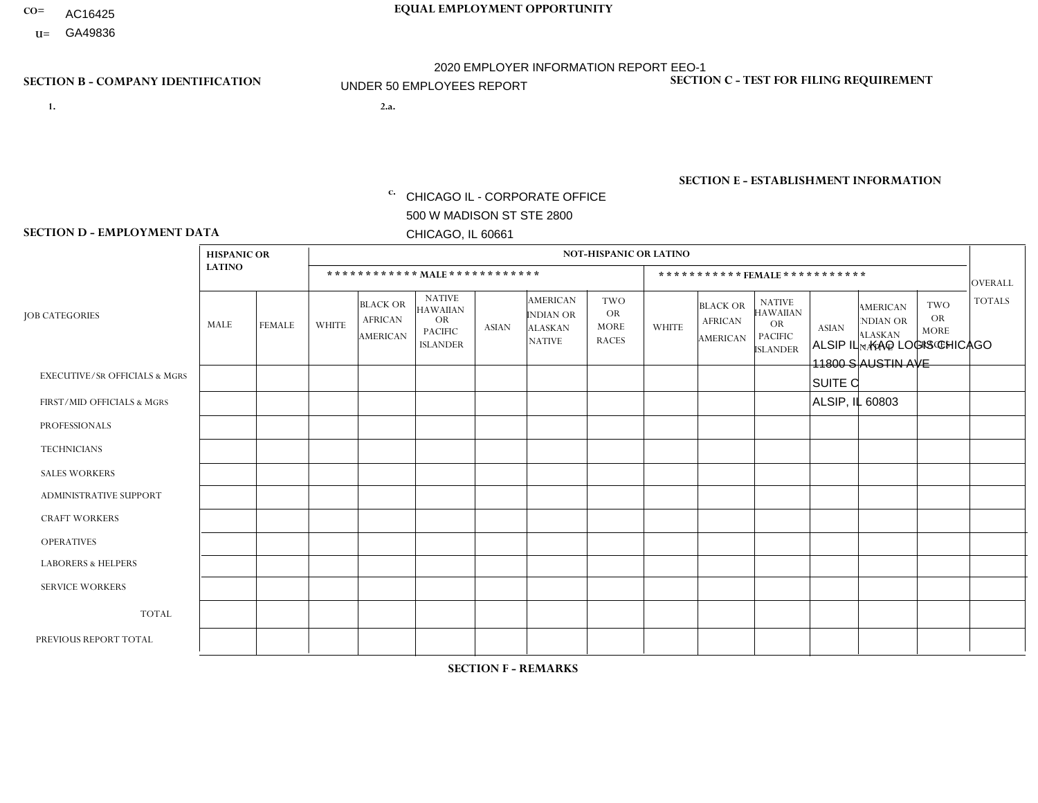- AC16425
- **U=**

**1. 2.a.** CHICAGO IL - CORPORATE OFFICE 500 W MADISON ST STE 2800 CHICAGO, IL 60661

2.a. ALSIP IL - KAO LOGIS CHICAGO 11800 S AUSTIN AVE SUITE C ALSIP, IL 60803

EIN= 952920557

# **SECTION B - COMPANY IDENTIFICATION SECTION C - TEST FOR FILING REQUIREMENT**

1- Y 2- Y 3- N DUNS= 000123456

**SECTION E - ESTABLISHMENT INFORMATION c.** NAICS: 423140

### **SECTION D - EMPLOYMENT DATA**

|                                          | <b>HISPANIC OR</b> |                |                |                                                      |                                                                                    |              |                                                                        | <b>NOT-HISPANIC OR LATINO</b>                          |              |                                                      |                                                                                    |              |                                                                |                                                        |                |
|------------------------------------------|--------------------|----------------|----------------|------------------------------------------------------|------------------------------------------------------------------------------------|--------------|------------------------------------------------------------------------|--------------------------------------------------------|--------------|------------------------------------------------------|------------------------------------------------------------------------------------|--------------|----------------------------------------------------------------|--------------------------------------------------------|----------------|
|                                          | <b>LATINO</b>      |                |                |                                                      | ************ MALE ************                                                     |              |                                                                        |                                                        |              | ***********FEMALE***********                         |                                                                                    |              |                                                                |                                                        | <b>OVERALL</b> |
| <b>JOB CATEGORIES</b>                    | MALE               | <b>FEMALE</b>  | <b>WHITE</b>   | <b>BLACK OR</b><br><b>AFRICAN</b><br><b>AMERICAN</b> | <b>NATIVE</b><br><b>HAWAIIAN</b><br><b>OR</b><br><b>PACIFIC</b><br><b>ISLANDER</b> | <b>ASIAN</b> | <b>AMERICAN</b><br><b>INDIAN OR</b><br><b>ALASKAN</b><br><b>NATIVE</b> | <b>TWO</b><br><b>OR</b><br><b>MORE</b><br><b>RACES</b> | <b>WHITE</b> | <b>BLACK OR</b><br><b>AFRICAN</b><br><b>AMERICAN</b> | <b>NATIVE</b><br><b>HAWAIIAN</b><br><b>OR</b><br><b>PACIFIC</b><br><b>ISLANDER</b> | <b>ASIAN</b> | <b>AMERICAN</b><br>NDIAN OR<br><b>ALASKAN</b><br><b>NATIVE</b> | <b>TWO</b><br><b>OR</b><br><b>MORE</b><br><b>RACES</b> | <b>TOTALS</b>  |
| <b>EXECUTIVE/SR OFFICIALS &amp; MGRS</b> | $\mathbf 0$        | $\mathbf 0$    | $\mathbf 0$    | $\mathbf 0$                                          | $\mathbf 0$                                                                        | $\mathbf{0}$ | $\Omega$                                                               | $\Omega$                                               | $\Omega$     | 0                                                    | $\mathbf 0$                                                                        | $\mathbf 0$  | $\Omega$                                                       | $\mathbf 0$                                            | $\mathbf 0$    |
| FIRST/MID OFFICIALS & MGRS               | $\mathbf 0$        | 0              | 1              | $\mathbf 0$                                          | $\Omega$                                                                           | $\Omega$     | $\Omega$                                                               | $\Omega$                                               | $\Omega$     | $\Omega$                                             | $\Omega$                                                                           | $\mathbf{0}$ | $\Omega$                                                       | $\Omega$                                               | $\mathbf{1}$   |
| <b>PROFESSIONALS</b>                     | $\mathbf 0$        | $\mathbf 0$    | $\mathbf 0$    | $\mathbf 0$                                          | $\Omega$                                                                           | $\Omega$     | $\Omega$                                                               | $\Omega$                                               | $\Omega$     | $\Omega$                                             | $\Omega$                                                                           | $\mathbf 0$  | $\Omega$                                                       | $\mathbf 0$                                            | $\mathbf 0$    |
| <b>TECHNICIANS</b>                       | $\mathbf 0$        | $\mathbf 0$    | $\mathbf 0$    | $\mathbf 0$                                          | $\Omega$                                                                           | $\Omega$     | $\Omega$                                                               | $\Omega$                                               | $\Omega$     | $\mathbf 0$                                          | $\Omega$                                                                           | $\mathbf 0$  | $\Omega$                                                       | $\mathbf 0$                                            | $\mathbf 0$    |
| <b>SALES WORKERS</b>                     | $\mathbf 0$        | $\mathbf 0$    | $\Omega$       | $\mathbf 0$                                          | $\Omega$                                                                           | $\Omega$     | $\Omega$                                                               | $\Omega$                                               | $\Omega$     | $\Omega$                                             | $\Omega$                                                                           | $\mathbf 0$  | $\Omega$                                                       | $\mathbf 0$                                            | $\mathbf 0$    |
| <b>ADMINISTRATIVE SUPPORT</b>            | $\mathbf 0$        | $\mathbf 0$    | $\Omega$       | $\Omega$                                             | $\Omega$                                                                           | $\Omega$     | $\Omega$                                                               | $\Omega$                                               | $\Omega$     | $\Omega$                                             | $\Omega$                                                                           | $\Omega$     | $\Omega$                                                       | $\Omega$                                               | $\Omega$       |
| <b>CRAFT WORKERS</b>                     | $\mathbf 0$        | $\mathbf 0$    | $\Omega$       | 0                                                    | $\Omega$                                                                           | $\mathbf{0}$ | $\Omega$                                                               | $\Omega$                                               | $\Omega$     | $\Omega$                                             | $\mathbf{0}$                                                                       | $\mathbf{0}$ | $\Omega$                                                       | $\Omega$                                               | $\mathbf 0$    |
| <b>OPERATIVES</b>                        | -1                 | $\Omega$       | $\overline{1}$ | 10                                                   | $\Omega$                                                                           | $\Omega$     | $\Omega$                                                               | $\Omega$                                               | $\Omega$     | -1                                                   | $\mathbf{0}$                                                                       | $\Omega$     | $\Omega$                                                       | $\Omega$                                               | 13             |
| <b>LABORERS &amp; HELPERS</b>            | $\mathbf 0$        | $\mathbf 0$    | $\mathbf 0$    | 0                                                    | $\Omega$                                                                           | $\Omega$     | $\Omega$                                                               | $\Omega$                                               | $\Omega$     | $\Omega$                                             | $\Omega$                                                                           | $\mathbf{0}$ | $\Omega$                                                       | $\Omega$                                               | 0              |
| <b>SERVICE WORKERS</b>                   | $\Omega$           | $\overline{0}$ | $\Omega$       | $\Omega$                                             | $\Omega$                                                                           | $\Omega$     | $\Omega$                                                               | $\Omega$                                               | $\Omega$     | $\Omega$                                             | $\Omega$                                                                           | $\Omega$     | $\Omega$                                                       | $\Omega$                                               | $\mathbf 0$    |
| <b>TOTAL</b>                             | 1                  | $\mathbf 0$    | $\overline{2}$ | 10                                                   | $\Omega$                                                                           | $\mathbf{0}$ | $\Omega$                                                               | $\Omega$                                               | $\Omega$     |                                                      | $\Omega$                                                                           | $\mathbf{0}$ | $\Omega$                                                       | $\Omega$                                               | 14             |
| PREVIOUS REPORT TOTAL                    |                    | 0              | $\overline{2}$ | 10                                                   | $\mathbf 0$                                                                        | $\Omega$     | $\Omega$                                                               | 0                                                      | $\mathbf{0}$ | 2                                                    | 0                                                                                  | $\mathbf{0}$ | 0                                                              | $\mathbf 0$                                            | 15             |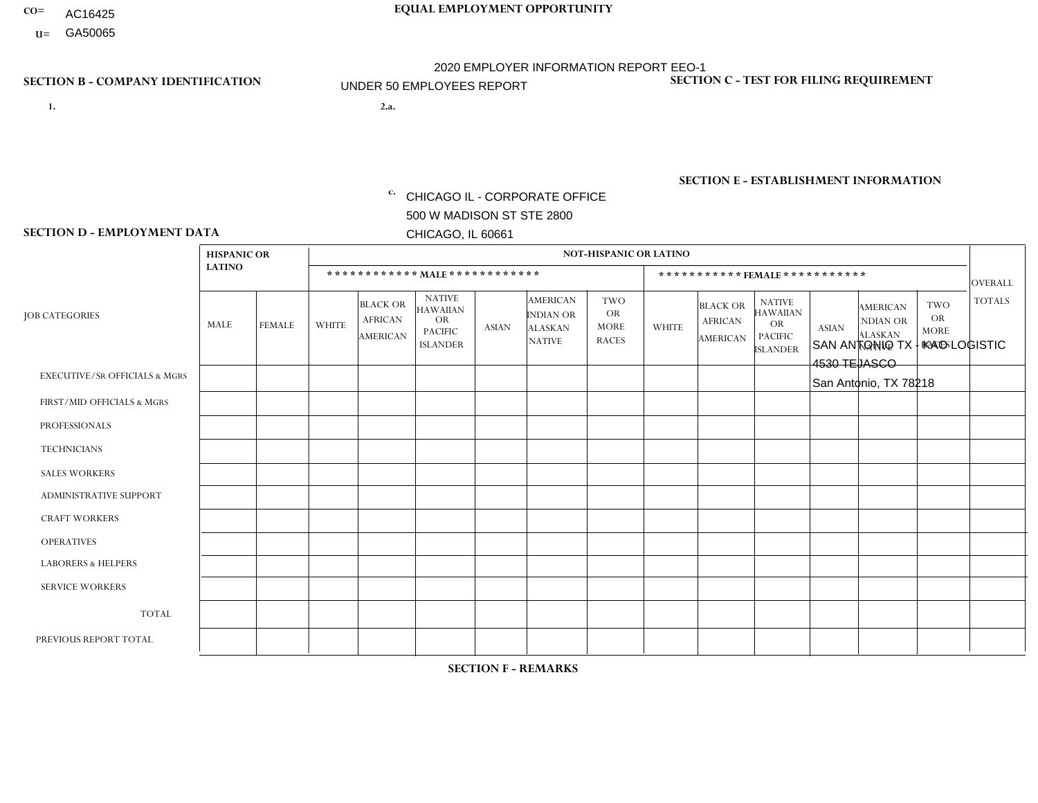- AC16425
- **U=**

**1. 2.a.** CHICAGO IL - CORPORATE OFFICE 500 W MADISON ST STE 2800 CHICAGO, IL 60661

2.a. SAN ANTONIO TX - KAO LOGISTIC 4530 TEJASCO San Antonio, TX 78218

c. EIN= 952920557

# **SECTION B - COMPANY IDENTIFICATION SECTION C - TEST FOR FILING REQUIREMENT**

1- Y 2- Y 3- N DUNS= 000123456

**SECTION E - ESTABLISHMENT INFORMATION c.** NAICS: 423140

### **SECTION D - EMPLOYMENT DATA**

|                                          | <b>HISPANIC OR</b> |               |              |                                                      |                                                                                    |             |                                                                        | <b>NOT-HISPANIC OR LATINO</b>                          |              |                                               |                                                                                    |              |                                                                       |                                                        |                |
|------------------------------------------|--------------------|---------------|--------------|------------------------------------------------------|------------------------------------------------------------------------------------|-------------|------------------------------------------------------------------------|--------------------------------------------------------|--------------|-----------------------------------------------|------------------------------------------------------------------------------------|--------------|-----------------------------------------------------------------------|--------------------------------------------------------|----------------|
|                                          | <b>LATINO</b>      |               |              | ************ MALE ************                       |                                                                                    |             |                                                                        |                                                        |              |                                               | ***********FEMALE***********                                                       |              |                                                                       |                                                        | <b>OVERALL</b> |
| <b>JOB CATEGORIES</b>                    | <b>MALE</b>        | <b>FEMALE</b> | <b>WHITE</b> | <b>BLACK OR</b><br><b>AFRICAN</b><br><b>AMERICAN</b> | <b>NATIVE</b><br><b>HAWAIIAN</b><br><b>OR</b><br><b>PACIFIC</b><br><b>ISLANDER</b> | ASIAN       | <b>AMERICAN</b><br><b>INDIAN OR</b><br><b>ALASKAN</b><br><b>NATIVE</b> | <b>TWO</b><br><b>OR</b><br><b>MORE</b><br><b>RACES</b> | <b>WHITE</b> | <b>BLACK OR</b><br><b>AFRICAN</b><br>AMERICAN | <b>NATIVE</b><br><b>HAWAIIAN</b><br><b>OR</b><br><b>PACIFIC</b><br><b>ISLANDER</b> | <b>ASIAN</b> | <b>AMERICAN</b><br><b>NDIAN OR</b><br><b>ALASKAN</b><br><b>NATIVE</b> | <b>TWO</b><br><b>OR</b><br><b>MORE</b><br><b>RACES</b> | <b>TOTALS</b>  |
| <b>EXECUTIVE/SR OFFICIALS &amp; MGRS</b> | $\Omega$           | $\mathbf 0$   | $\Omega$     | $\mathbf 0$                                          | $\mathbf 0$                                                                        | $\mathbf 0$ | $\Omega$                                                               | $\Omega$                                               | $\Omega$     | $\Omega$                                      | $\Omega$                                                                           | $\Omega$     | $\Omega$                                                              | $\Omega$                                               | $\mathbf 0$    |
| FIRST/MID OFFICIALS & MGRS               | 1                  | 0             | $\mathbf 0$  | $\mathbf 0$                                          | $\mathbf 0$                                                                        | $\mathbf 0$ | $\Omega$                                                               | $\Omega$                                               | $\Omega$     | $\Omega$                                      | $\Omega$                                                                           | $\Omega$     | $\Omega$                                                              | $\Omega$                                               | $\mathbf{1}$   |
| <b>PROFESSIONALS</b>                     |                    | $\Omega$      | $\Omega$     | $\mathbf 0$                                          | $\Omega$                                                                           | $\Omega$    | $\Omega$                                                               | $\Omega$                                               | $\Omega$     | $\Omega$                                      | $\Omega$                                                                           | $\Omega$     | $\Omega$                                                              | $\Omega$                                               | $\mathbf{1}$   |
| <b>TECHNICIANS</b>                       | $\Omega$           | $\mathbf 0$   | $\Omega$     | $\mathbf 0$                                          | $\mathbf 0$                                                                        | $\Omega$    | $\overline{0}$                                                         | $\Omega$                                               | $\mathbf{0}$ | $\Omega$                                      | $\Omega$                                                                           | $\Omega$     | $\Omega$                                                              | $\Omega$                                               | $\mathbf 0$    |
| <b>SALES WORKERS</b>                     | $\Omega$           | $\Omega$      | $\Omega$     | $\mathbf 0$                                          | 0                                                                                  | $\Omega$    | $\Omega$                                                               | $\Omega$                                               | $\Omega$     | $\Omega$                                      | $\Omega$                                                                           | $\Omega$     | $\Omega$                                                              | $\Omega$                                               | $\mathbf 0$    |
| <b>ADMINISTRATIVE SUPPORT</b>            | $\Omega$           | $\mathbf 0$   | 0            | $\mathbf 0$                                          | $\mathbf 0$                                                                        | $\mathbf 0$ | $\Omega$                                                               | $\Omega$                                               | 0            | $\Omega$                                      | $\Omega$                                                                           | $\Omega$     | $\Omega$                                                              | $\mathbf 0$                                            | $\mathbf 0$    |
| <b>CRAFT WORKERS</b>                     | $\Omega$           | $\Omega$      | $\Omega$     | $\Omega$                                             | 0                                                                                  | $\Omega$    | $\Omega$                                                               | $\Omega$                                               | $\Omega$     | $\Omega$                                      | $\mathbf{0}$                                                                       | $\Omega$     | $\Omega$                                                              | $\Omega$                                               | $\Omega$       |
| <b>OPERATIVES</b>                        | $\overline{7}$     | $\Omega$      | 1            | 3                                                    | $\Omega$                                                                           | $\Omega$    | $\Omega$                                                               | $\overline{1}$                                         | $\Omega$     | $\Omega$                                      | $\Omega$                                                                           | $\Omega$     | $\Omega$                                                              | $\Omega$                                               | 12             |
| <b>LABORERS &amp; HELPERS</b>            | $\Omega$           | $\Omega$      | $\Omega$     | $\mathbf 0$                                          | 0                                                                                  | $\Omega$    | $\Omega$                                                               | $\Omega$                                               | $\Omega$     | $\Omega$                                      | $\Omega$                                                                           | $\Omega$     | $\Omega$                                                              | $\mathbf{0}$                                           | 0              |
| <b>SERVICE WORKERS</b>                   | $\Omega$           | $\mathbf 0$   | 0            | $\mathbf 0$                                          | $\mathbf 0$                                                                        | $\mathbf 0$ | $\Omega$                                                               | $\Omega$                                               | $\Omega$     | $\Omega$                                      | $\Omega$                                                                           | $\mathbf 0$  | $\Omega$                                                              | $\mathbf 0$                                            | 0              |
| <b>TOTAL</b>                             | 9                  | $\mathbf 0$   | 1            | 3                                                    | 0                                                                                  | $\mathbf 0$ | $\Omega$                                                               |                                                        | $\Omega$     | $\Omega$                                      | $\Omega$                                                                           | $\mathbf 0$  | $\Omega$                                                              | $\Omega$                                               | 14             |
| PREVIOUS REPORT TOTAL                    | 10                 | 0             |              | $\overline{2}$                                       | $\mathbf 0$                                                                        | $\Omega$    | $\Omega$                                                               |                                                        | $\Omega$     | $\Omega$                                      | $\mathbf{0}$                                                                       | $\Omega$     | $\Omega$                                                              | $\mathbf 0$                                            | 14             |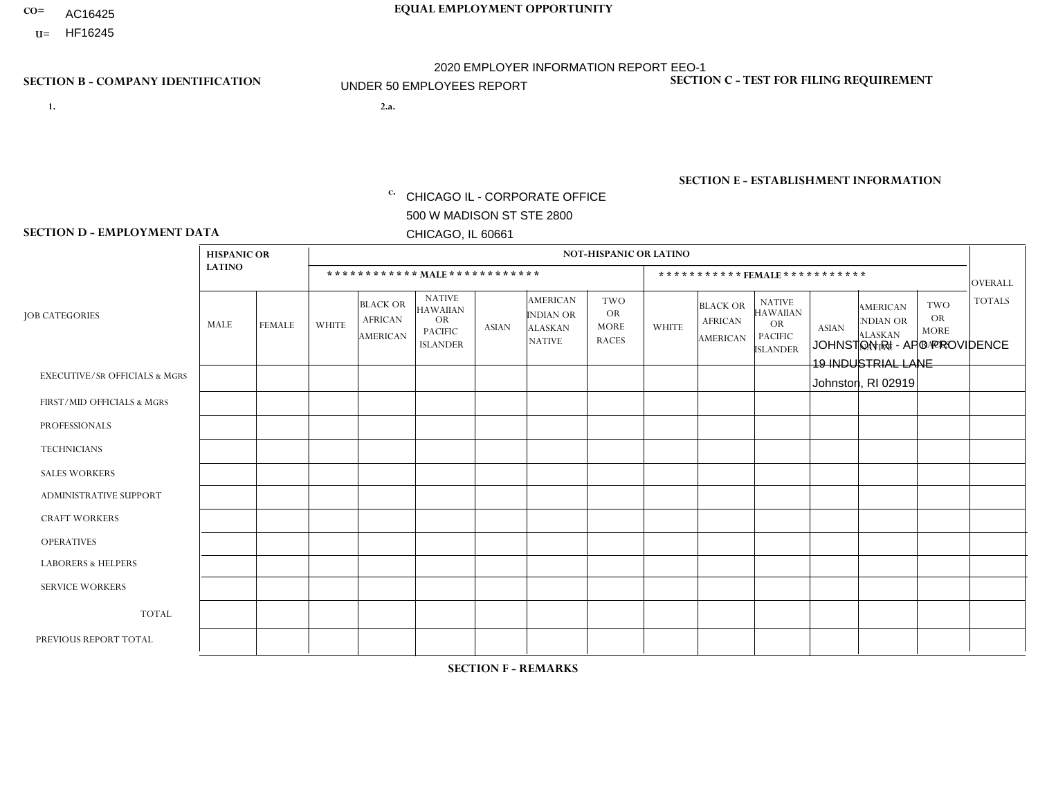- AC16425
- **U=**

- **1. 2.a.** CHICAGO IL CORPORATE OFFICE 500 W MADISON ST STE 2800 CHICAGO, IL 60661
- 2.a. JOHNSTON RI APO PROVIDENCE 19 INDUSTRIAL LANE Johnston, RI 02919

c. EIN= 952920557

# **SECTION B - COMPANY IDENTIFICATION SECTION C - TEST FOR FILING REQUIREMENT**

1- Y 2- Y 3- N DUNS= 000123456

**SECTION E - ESTABLISHMENT INFORMATION c.** NAICS: 423140

### **SECTION D - EMPLOYMENT DATA**

|                                          | <b>HISPANIC OR</b> |               |              |                                                      |                                                                                    |              |                                                                        | <b>NOT-HISPANIC OR LATINO</b>                          |              |                                               |                                                                                    |              |                                                                       |                                                        |                |
|------------------------------------------|--------------------|---------------|--------------|------------------------------------------------------|------------------------------------------------------------------------------------|--------------|------------------------------------------------------------------------|--------------------------------------------------------|--------------|-----------------------------------------------|------------------------------------------------------------------------------------|--------------|-----------------------------------------------------------------------|--------------------------------------------------------|----------------|
|                                          | <b>LATINO</b>      |               |              | ************ MALE ************                       |                                                                                    |              |                                                                        |                                                        |              |                                               | ***********FEMALE***********                                                       |              |                                                                       |                                                        | <b>OVERALL</b> |
| <b>JOB CATEGORIES</b>                    | <b>MALE</b>        | <b>FEMALE</b> | <b>WHITE</b> | <b>BLACK OR</b><br><b>AFRICAN</b><br><b>AMERICAN</b> | <b>NATIVE</b><br><b>HAWAIIAN</b><br><b>OR</b><br><b>PACIFIC</b><br><b>ISLANDER</b> | <b>ASIAN</b> | <b>AMERICAN</b><br><b>INDIAN OR</b><br><b>ALASKAN</b><br><b>NATIVE</b> | <b>TWO</b><br><b>OR</b><br><b>MORE</b><br><b>RACES</b> | <b>WHITE</b> | <b>BLACK OR</b><br><b>AFRICAN</b><br>AMERICAN | <b>NATIVE</b><br><b>HAWAIIAN</b><br><b>OR</b><br><b>PACIFIC</b><br><b>ISLANDER</b> | <b>ASIAN</b> | <b>AMERICAN</b><br><b>NDIAN OR</b><br><b>ALASKAN</b><br><b>NATIVE</b> | <b>TWO</b><br><b>OR</b><br><b>MORE</b><br><b>RACES</b> | <b>TOTALS</b>  |
| <b>EXECUTIVE/SR OFFICIALS &amp; MGRS</b> | $\Omega$           | $\mathbf 0$   | $\Omega$     | $\mathbf 0$                                          | $\mathbf 0$                                                                        | $\mathbf 0$  | $\Omega$                                                               | $\Omega$                                               | $\Omega$     | $\Omega$                                      | $\Omega$                                                                           | $\Omega$     | $\Omega$                                                              | $\Omega$                                               | $\mathbf 0$    |
| FIRST/MID OFFICIALS & MGRS               | $\Omega$           | 0             | $\mathbf 0$  | $\mathbf 0$                                          | $\mathbf 0$                                                                        | $\mathbf 0$  | $\Omega$                                                               | $\Omega$                                               | 1            | $\Omega$                                      | $\Omega$                                                                           | $\Omega$     | $\Omega$                                                              | $\Omega$                                               | $\mathbf{1}$   |
| <b>PROFESSIONALS</b>                     | $\Omega$           | $\Omega$      | $\Omega$     | $\mathbf 0$                                          | $\Omega$                                                                           | $\Omega$     | $\Omega$                                                               | $\Omega$                                               | $\Omega$     | $\Omega$                                      | $\Omega$                                                                           | $\Omega$     | $\Omega$                                                              | $\mathbf{0}$                                           | $\mathbf 0$    |
| <b>TECHNICIANS</b>                       | $\Omega$           | $\mathbf 0$   | $\Omega$     | $\mathbf 0$                                          | $\mathbf 0$                                                                        | $\Omega$     | $\overline{0}$                                                         | $\Omega$                                               | $\mathbf{0}$ | $\Omega$                                      | $\Omega$                                                                           | $\Omega$     | $\Omega$                                                              | $\Omega$                                               | $\mathbf 0$    |
| <b>SALES WORKERS</b>                     | $\overline{1}$     | $\Omega$      | $\Omega$     | $\mathbf 0$                                          | 0                                                                                  | $\Omega$     | $\Omega$                                                               | $\Omega$                                               | $\Omega$     | $\Omega$                                      | $\Omega$                                                                           | $\Omega$     | $\Omega$                                                              | $\mathbf{0}$                                           | $\mathbf{1}$   |
| <b>ADMINISTRATIVE SUPPORT</b>            | $\Omega$           | 1             | $\mathbf 0$  | $\mathbf 0$                                          | $\mathbf 0$                                                                        | $\mathbf 0$  | $\Omega$                                                               | $\Omega$                                               | 0            | $\Omega$                                      | $\Omega$                                                                           | $\Omega$     | $\Omega$                                                              | $\mathbf 0$                                            | $\mathbf{1}$   |
| <b>CRAFT WORKERS</b>                     | $\Omega$           | $\Omega$      | $\Omega$     | $\mathbf 0$                                          | 0                                                                                  | $\Omega$     | $\Omega$                                                               | $\Omega$                                               | $\Omega$     | $\Omega$                                      | $\mathbf{0}$                                                                       | $\Omega$     | $\Omega$                                                              | $\Omega$                                               | $\Omega$       |
| <b>OPERATIVES</b>                        | $\Omega$           | $\Omega$      | $\Omega$     | 0                                                    | $\Omega$                                                                           | $\Omega$     | $\Omega$                                                               | $\Omega$                                               | $\Omega$     | $\Omega$                                      | $\Omega$                                                                           | $\Omega$     | $\Omega$                                                              | $\Omega$                                               | $\mathbf 0$    |
| <b>LABORERS &amp; HELPERS</b>            | $\Omega$           | $\Omega$      | 3            | $\mathbf 0$                                          | 0                                                                                  | $\Omega$     | $\Omega$                                                               | $\Omega$                                               | $\Omega$     | $\Omega$                                      | $\mathbf{0}$                                                                       | $\Omega$     | $\Omega$                                                              | $\mathbf{0}$                                           | 3              |
| <b>SERVICE WORKERS</b>                   | $\Omega$           | $\mathbf 0$   | 0            | $\mathbf 0$                                          | $\mathbf 0$                                                                        | $\mathbf 0$  | $\Omega$                                                               | $\Omega$                                               | $\Omega$     | $\Omega$                                      | $\Omega$                                                                           | $\mathbf 0$  | $\Omega$                                                              | $\mathbf 0$                                            | 0              |
| <b>TOTAL</b>                             | 1                  | $\mathbf{1}$  | 3            | $\mathbf 0$                                          | 0                                                                                  | $\mathbf 0$  | $\Omega$                                                               | $\Omega$                                               | $\mathbf{1}$ | $\Omega$                                      | $\Omega$                                                                           | $\mathbf 0$  | $\Omega$                                                              | $\Omega$                                               | 6              |
| PREVIOUS REPORT TOTAL                    | 3                  | $\mathbf{1}$  | $\Omega$     | $\mathbf 0$                                          | $\mathbf 0$                                                                        | $\Omega$     | $\Omega$                                                               |                                                        | $\mathbf 1$  | $\mathbf{0}$                                  | $\mathbf{0}$                                                                       | $\Omega$     | $\Omega$                                                              | $\Omega$                                               | 6              |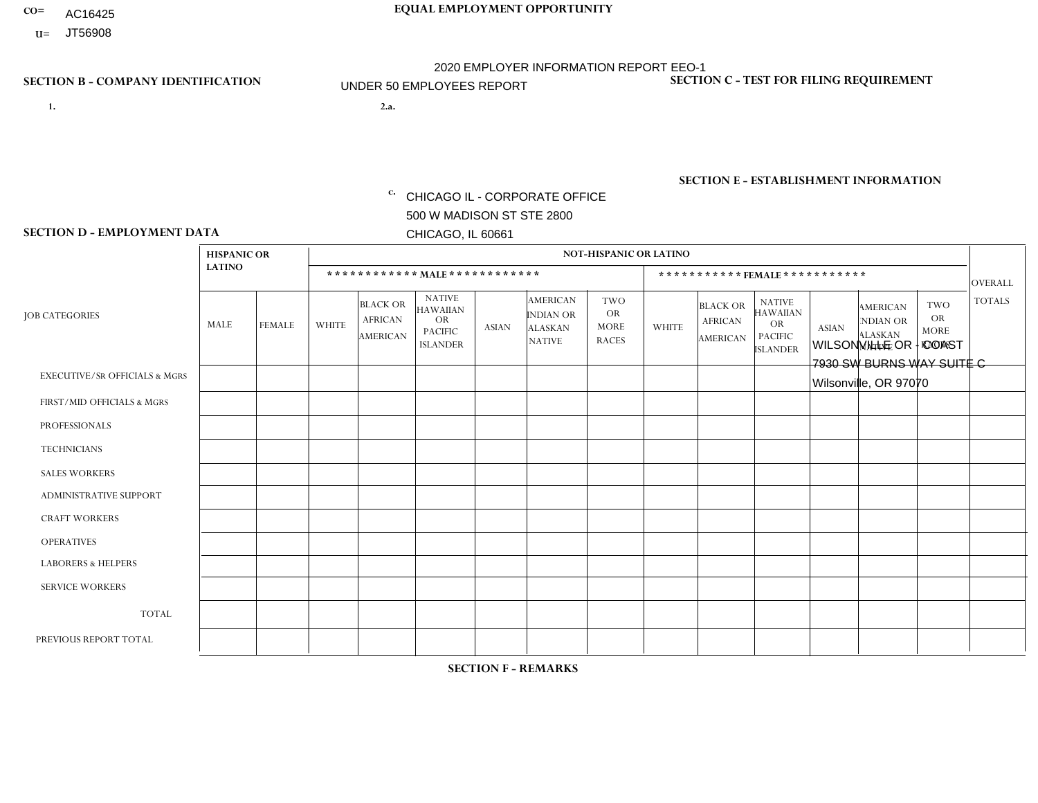- AC16425
- **U=**

- **1. 2.a.** CHICAGO IL CORPORATE OFFICE 500 W MADISON ST STE 2800 CHICAGO, IL 60661
- WILSONVILLE OR COAST 7930 SW BURNS WAY SUITE C Wilsonville, OR 97070

c. EIN= 952920557

# **SECTION B - COMPANY IDENTIFICATION SECTION C - TEST FOR FILING REQUIREMENT**

1- Y 2- Y 3- N DUNS= 000123456

**SECTION E - ESTABLISHMENT INFORMATION c.** NAICS: 423140

### **SECTION D - EMPLOYMENT DATA**

|                                          | <b>HISPANIC OR</b> |               |                |                                                      |                                                                                    |             |                                                                        | <b>NOT-HISPANIC OR LATINO</b>                          |                |                                               |                                                                             |              |                                                                       |                                                        |                |
|------------------------------------------|--------------------|---------------|----------------|------------------------------------------------------|------------------------------------------------------------------------------------|-------------|------------------------------------------------------------------------|--------------------------------------------------------|----------------|-----------------------------------------------|-----------------------------------------------------------------------------|--------------|-----------------------------------------------------------------------|--------------------------------------------------------|----------------|
|                                          | <b>LATINO</b>      |               |                | ************ MALE ************                       |                                                                                    |             |                                                                        |                                                        |                | ***********FEMALE***********                  |                                                                             |              |                                                                       |                                                        | <b>OVERALL</b> |
| <b>JOB CATEGORIES</b>                    | MALE               | <b>FEMALE</b> | <b>WHITE</b>   | <b>BLACK OR</b><br><b>AFRICAN</b><br><b>AMERICAN</b> | <b>NATIVE</b><br><b>HAWAIIAN</b><br><b>OR</b><br><b>PACIFIC</b><br><b>ISLANDER</b> | ASIAN       | <b>AMERICAN</b><br><b>INDIAN OR</b><br><b>ALASKAN</b><br><b>NATIVE</b> | <b>TWO</b><br><b>OR</b><br><b>MORE</b><br><b>RACES</b> | <b>WHITE</b>   | <b>BLACK OR</b><br><b>AFRICAN</b><br>AMERICAN | <b>NATIVE</b><br><b>HAWAIIAN</b><br>OR<br><b>PACIFIC</b><br><b>ISLANDER</b> | <b>ASIAN</b> | <b>AMERICAN</b><br><b>NDIAN OR</b><br><b>ALASKAN</b><br><b>NATIVE</b> | <b>TWO</b><br><b>OR</b><br><b>MORE</b><br><b>RACES</b> | <b>TOTALS</b>  |
| <b>EXECUTIVE/SR OFFICIALS &amp; MGRS</b> | $\Omega$           | $\Omega$      | $\Omega$       | $\mathbf 0$                                          | $\mathbf 0$                                                                        | $\Omega$    | $\Omega$                                                               | $\Omega$                                               | $\Omega$       | $\Omega$                                      | $\Omega$                                                                    | $\mathbf 0$  | $\Omega$                                                              | $\mathbf 0$                                            | $\mathbf{0}$   |
| FIRST/MID OFFICIALS & MGRS               | 0                  | 0             | 1              | $\mathbf 0$                                          | 0                                                                                  | $\Omega$    | $\Omega$                                                               | $\Omega$                                               | 0              | $\Omega$                                      | $\Omega$                                                                    | $\mathbf{0}$ | $\Omega$                                                              | $\mathbf 0$                                            | $\mathbf{1}$   |
| <b>PROFESSIONALS</b>                     | $\Omega$           | $\Omega$      | 1              | $\mathbf 0$                                          | $\Omega$                                                                           | $\Omega$    | $\Omega$                                                               | $\Omega$                                               | $\overline{0}$ | $\Omega$                                      | $\Omega$                                                                    | $\Omega$     | $\Omega$                                                              | $\Omega$                                               | $\mathbf{1}$   |
| <b>TECHNICIANS</b>                       | 0                  | $\mathbf 0$   | $\Omega$       | $\mathbf 0$                                          | $\Omega$                                                                           | $\Omega$    | $\Omega$                                                               | $\Omega$                                               | $\Omega$       | $\Omega$                                      | $\Omega$                                                                    | $\Omega$     | $\Omega$                                                              | $\Omega$                                               | $\mathbf{0}$   |
| <b>SALES WORKERS</b>                     | $\Omega$           | $\Omega$      | $\Omega$       | $\mathbf 0$                                          | $\Omega$                                                                           | $\Omega$    | $\Omega$                                                               | $\Omega$                                               | $\overline{0}$ | $\Omega$                                      | $\Omega$                                                                    | $\Omega$     | $\Omega$                                                              | $\Omega$                                               | $\mathbf{0}$   |
| ADMINISTRATIVE SUPPORT                   | $\mathbf 0$        | 0             | $\mathbf 0$    | $\mathbf 0$                                          | 0                                                                                  | $\Omega$    | $\Omega$                                                               | $\Omega$                                               | $\Omega$       | $\Omega$                                      | $\Omega$                                                                    | $\Omega$     | $\mathbf{0}$                                                          | $\mathbf 0$                                            | $\mathbf 0$    |
| <b>CRAFT WORKERS</b>                     | 0                  | $\Omega$      | $\Omega$       | $\mathbf 0$                                          | $\Omega$                                                                           | $\Omega$    | $\Omega$                                                               | $\Omega$                                               | 0              | $\Omega$                                      | $\Omega$                                                                    | $\Omega$     | $\Omega$                                                              | $\Omega$                                               | $\Omega$       |
| <b>OPERATIVES</b>                        | 0                  | $\Omega$      | $\Omega$       | $\mathbf 0$                                          | $\Omega$                                                                           | $\Omega$    | $\Omega$                                                               | $\Omega$                                               | $\Omega$       | $\Omega$                                      | $\Omega$                                                                    | $\Omega$     | $\Omega$                                                              | $\Omega$                                               | $\overline{0}$ |
| <b>LABORERS &amp; HELPERS</b>            | 0                  | $\Omega$      | $\overline{1}$ | $\mathbf 0$                                          | $\mathbf 0$                                                                        | $\Omega$    | $\Omega$                                                               | $\Omega$                                               | $\Omega$       | $\Omega$                                      | $\Omega$                                                                    | $\Omega$     | $\Omega$                                                              | $\Omega$                                               | $\mathbf{1}$   |
| <b>SERVICE WORKERS</b>                   | 0                  | $\mathbf 0$   | $\mathbf 0$    | $\mathbf 0$                                          | $\mathbf{0}$                                                                       | $\mathbf 0$ | $\Omega$                                                               | $\Omega$                                               | $\Omega$       | $\Omega$                                      | $\Omega$                                                                    | $\mathbf 0$  | $\Omega$                                                              | $\mathbf 0$                                            | $\overline{0}$ |
| <b>TOTAL</b>                             | $\Omega$           | 0             | 3              | 0                                                    | 0                                                                                  | $\Omega$    | $\Omega$                                                               | $\Omega$                                               | $\Omega$       | $\Omega$                                      | $\Omega$                                                                    | $\mathbf 0$  | 0                                                                     | $\mathbf 0$                                            | 3              |
| PREVIOUS REPORT TOTAL                    | 0                  | $\Omega$      | 4              | $\mathbf 0$                                          | $\Omega$                                                                           | $\Omega$    | $\Omega$                                                               | $\Omega$                                               | 0              | $\Omega$                                      | $\Omega$                                                                    | $\Omega$     | $\Omega$                                                              | $\mathbf 0$                                            | $\overline{4}$ |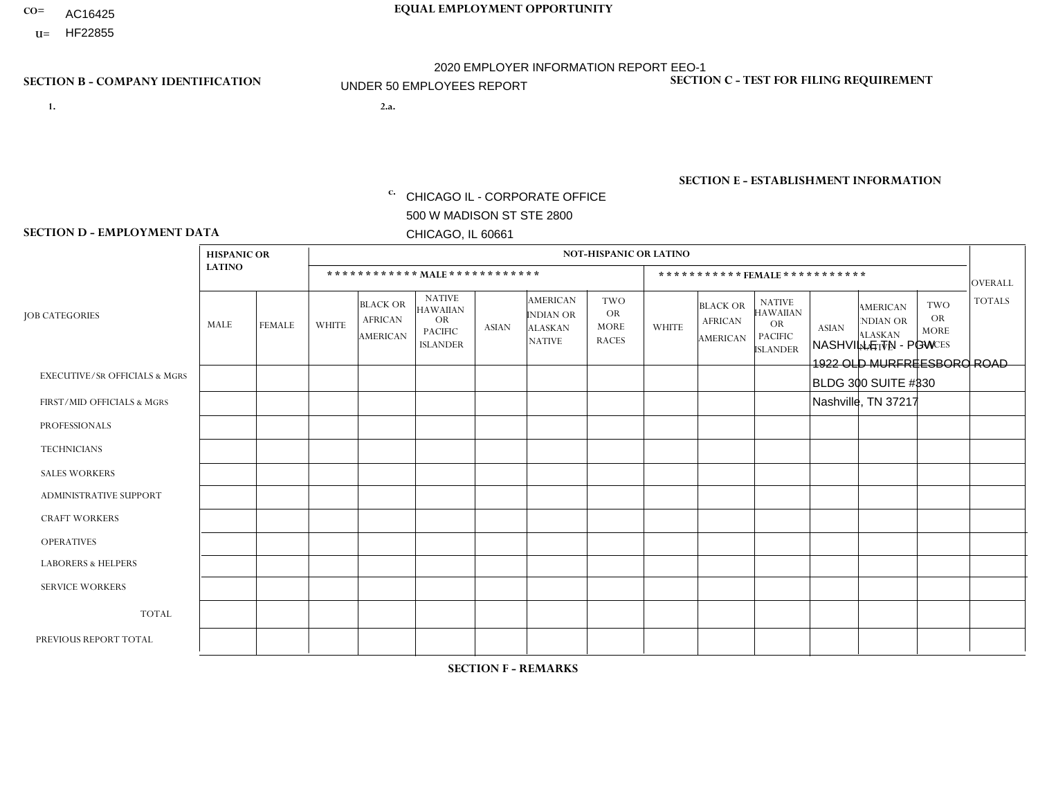- AC16425
- **U=**

- **1. 2.a.** CHICAGO IL CORPORATE OFFICE 500 W MADISON ST STE 2800 CHICAGO, IL 60661
- 2.a. NASHVILLE TN PGW 1922 OLD MURFREESBORO ROAD BLDG 300 SUITE #330 Nashville, TN 37217
	- EIN= 952920557

# **SECTION B - COMPANY IDENTIFICATION SECTION C - TEST FOR FILING REQUIREMENT**

1- Y 2- Y 3- N DUNS= 000123456

**SECTION E - ESTABLISHMENT INFORMATION c.** NAICS: 811122

### **SECTION D - EMPLOYMENT DATA**

|                                          | <b>HISPANIC OR</b> |               |                |                                                      |                                                                                    |              |                                                                        | NOT-HISPANIC OR LATINO                                 |              |                                                      |                                                                                    |              |                                                                |                                                        |                |
|------------------------------------------|--------------------|---------------|----------------|------------------------------------------------------|------------------------------------------------------------------------------------|--------------|------------------------------------------------------------------------|--------------------------------------------------------|--------------|------------------------------------------------------|------------------------------------------------------------------------------------|--------------|----------------------------------------------------------------|--------------------------------------------------------|----------------|
|                                          | <b>LATINO</b>      |               |                | ************ MAIE************                        |                                                                                    |              |                                                                        |                                                        |              |                                                      | ***********FEMALE***********                                                       |              |                                                                |                                                        | <b>OVERALL</b> |
| <b>JOB CATEGORIES</b>                    | <b>MALE</b>        | <b>FEMALE</b> | <b>WHITE</b>   | <b>BLACK OR</b><br><b>AFRICAN</b><br><b>AMERICAN</b> | <b>NATIVE</b><br><b>HAWAIIAN</b><br><b>OR</b><br><b>PACIFIC</b><br><b>ISLANDER</b> | <b>ASIAN</b> | <b>AMERICAN</b><br><b>INDIAN OR</b><br><b>ALASKAN</b><br><b>NATIVE</b> | <b>TWO</b><br><b>OR</b><br><b>MORE</b><br><b>RACES</b> | <b>WHITE</b> | <b>BLACK OR</b><br><b>AFRICAN</b><br><b>AMERICAN</b> | <b>NATIVE</b><br><b>HAWAIIAN</b><br><b>OR</b><br><b>PACIFIC</b><br><b>ISLANDER</b> | <b>ASIAN</b> | <b>AMERICAN</b><br>NDIAN OR<br><b>ALASKAN</b><br><b>NATIVE</b> | <b>TWO</b><br><b>OR</b><br><b>MORE</b><br><b>RACES</b> | <b>TOTALS</b>  |
| <b>EXECUTIVE/SR OFFICIALS &amp; MGRS</b> | $\Omega$           | $\Omega$      | $\Omega$       | $\Omega$                                             | $\Omega$                                                                           | $\Omega$     | $\Omega$                                                               | $\Omega$                                               | $\Omega$     | $\mathbf{0}$                                         | $\Omega$                                                                           | $\Omega$     | $\Omega$                                                       | $\Omega$                                               | $\mathbf{0}$   |
| FIRST/MID OFFICIALS & MGRS               | $\Omega$           | $\mathbf 0$   | $\mathbf 0$    | $\mathbf{1}$                                         | 0                                                                                  | $\mathbf 0$  | $\overline{0}$                                                         | $\Omega$                                               | $\Omega$     | $\mathbf{0}$                                         | $\Omega$                                                                           | $\mathbf 0$  | $\Omega$                                                       | $\mathbf 0$                                            | $\mathbf{1}$   |
| <b>PROFESSIONALS</b>                     | $\Omega$           | $\mathbf 0$   | $\mathbf 0$    | $\mathbf 0$                                          | 0                                                                                  | $\mathbf 0$  | $\Omega$                                                               | $\Omega$                                               | $\Omega$     | $\Omega$                                             | $\Omega$                                                                           | $\mathbf 0$  | $\Omega$                                                       | $\mathbf{0}$                                           | $\mathbf 0$    |
| <b>TECHNICIANS</b>                       | $\Omega$           | $\mathbf 0$   | $\Omega$       | $\mathbf 0$                                          | $\mathbf 0$                                                                        | $\Omega$     | $\overline{0}$                                                         | $\Omega$                                               | $\mathbf 0$  | $\mathbf 0$                                          | $\mathbf 0$                                                                        | $\mathbf 0$  | $\Omega$                                                       | $\mathbf{0}$                                           | $\mathbf 0$    |
| <b>SALES WORKERS</b>                     | $\Omega$           | $\mathbf 0$   | $\Omega$       | $\mathbf 0$                                          | 0                                                                                  | $\Omega$     | $\Omega$                                                               | $\Omega$                                               | $\Omega$     | $\Omega$                                             | $\Omega$                                                                           | $\Omega$     | $\Omega$                                                       | $\mathbf{0}$                                           | $\mathbf 0$    |
| <b>ADMINISTRATIVE SUPPORT</b>            | $\Omega$           | $\Omega$      | $\Omega$       | $\mathbf 0$                                          | $\mathbf 0$                                                                        | $\Omega$     | $\Omega$                                                               | $\Omega$                                               | $\Omega$     | $\Omega$                                             | $\Omega$                                                                           | $\Omega$     | $\Omega$                                                       | $\Omega$                                               | $\mathbf 0$    |
| <b>CRAFT WORKERS</b>                     | $\Omega$           | $\Omega$      | $\mathbf 0$    | $\mathbf 0$                                          | 0                                                                                  | $\Omega$     | $\Omega$                                                               | $\Omega$                                               | $\Omega$     | $\Omega$                                             | $\Omega$                                                                           | $\Omega$     | $\Omega$                                                       | $\Omega$                                               | $\Omega$       |
| <b>OPERATIVES</b>                        | $\Omega$           | $\Omega$      | $\overline{2}$ | $\mathbf{1}$                                         | $\mathbf 0$                                                                        | $\Omega$     | $\Omega$                                                               | $\Omega$                                               | $\Omega$     | $\Omega$                                             | $\Omega$                                                                           | $\Omega$     | $\Omega$                                                       | $\Omega$                                               | 3              |
| <b>LABORERS &amp; HELPERS</b>            | $\Omega$           | $\Omega$      | 0              | $\mathbf{1}$                                         | 0                                                                                  | $\Omega$     | $\Omega$                                                               | $\Omega$                                               | $\Omega$     | $\Omega$                                             | $\mathbf{0}$                                                                       | $\Omega$     | $\Omega$                                                       | $\Omega$                                               | $\mathbf{1}$   |
| <b>SERVICE WORKERS</b>                   | $\Omega$           | $\mathbf 0$   | 0              | 0                                                    | $\mathbf{0}$                                                                       | $\mathbf{0}$ | $\Omega$                                                               | $\Omega$                                               | $\Omega$     | $\Omega$                                             | $\Omega$                                                                           | $\Omega$     | $\Omega$                                                       | $\Omega$                                               | 0              |
| <b>TOTAL</b>                             | 0                  | $\mathbf 0$   | $\overline{c}$ | 3                                                    | 0                                                                                  | $\mathbf 0$  | $\Omega$                                                               | $\Omega$                                               | $\Omega$     | $\Omega$                                             | $\Omega$                                                                           | $\mathbf{0}$ | $\Omega$                                                       | $\Omega$                                               | 5              |
| PREVIOUS REPORT TOTAL                    | $\Omega$           | $\mathbf 0$   | 3              | 5                                                    | 0                                                                                  | $\Omega$     | $\Omega$                                                               | $\Omega$                                               | $\Omega$     | $\Omega$                                             | $\Omega$                                                                           | $\Omega$     | $\Omega$                                                       | $\mathbf{0}$                                           | 8              |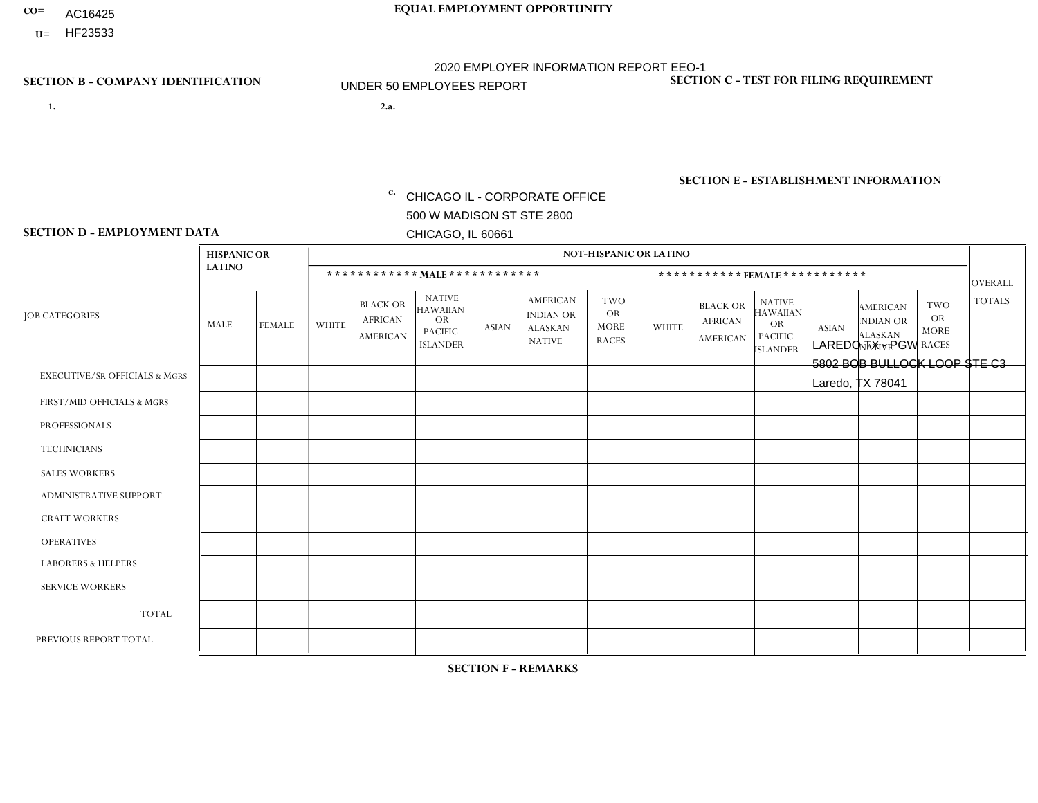- AC16425
- **U=**

- **1. 2.a.** CHICAGO IL CORPORATE OFFICE 500 W MADISON ST STE 2800 CHICAGO, IL 60661
- 2.a. LAREDO TX PGW 5802 BOB BULLOCK LOOP STE C3 Laredo, TX 78041

EIN= 952920557

# **SECTION B - COMPANY IDENTIFICATION SECTION C - TEST FOR FILING REQUIREMENT**

1- Y 2- Y 3- N DUNS= 000123456

**SECTION E - ESTABLISHMENT INFORMATION c.** NAICS: 811122

### **SECTION D - EMPLOYMENT DATA**

|                                          | <b>HISPANIC OR</b> |               |              |                                                      |                                                                                    |              |                                                                 | <b>NOT-HISPANIC OR LATINO</b>                          |              |                                               |                                                                                    |              |                                                                       |                                                        |                |
|------------------------------------------|--------------------|---------------|--------------|------------------------------------------------------|------------------------------------------------------------------------------------|--------------|-----------------------------------------------------------------|--------------------------------------------------------|--------------|-----------------------------------------------|------------------------------------------------------------------------------------|--------------|-----------------------------------------------------------------------|--------------------------------------------------------|----------------|
|                                          | <b>LATINO</b>      |               |              | ************ MALE ************                       |                                                                                    |              |                                                                 |                                                        |              |                                               | ***********FEMALE***********                                                       |              |                                                                       |                                                        | <b>OVERALL</b> |
| <b>JOB CATEGORIES</b>                    | <b>MALE</b>        | <b>FEMALE</b> | <b>WHITE</b> | <b>BLACK OR</b><br><b>AFRICAN</b><br><b>AMERICAN</b> | <b>NATIVE</b><br><b>HAWAIIAN</b><br><b>OR</b><br><b>PACIFIC</b><br><b>ISLANDER</b> | <b>ASIAN</b> | <b>AMERICAN</b><br>INDIAN OR<br><b>ALASKAN</b><br><b>NATIVE</b> | <b>TWO</b><br><b>OR</b><br><b>MORE</b><br><b>RACES</b> | <b>WHITE</b> | <b>BLACK OR</b><br><b>AFRICAN</b><br>AMERICAN | <b>NATIVE</b><br><b>HAWAIIAN</b><br><b>OR</b><br><b>PACIFIC</b><br><b>ISLANDER</b> | <b>ASIAN</b> | <b>AMERICAN</b><br><b>NDIAN OR</b><br><b>ALASKAN</b><br><b>NATIVE</b> | <b>TWO</b><br><b>OR</b><br><b>MORE</b><br><b>RACES</b> | <b>TOTALS</b>  |
| <b>EXECUTIVE/SR OFFICIALS &amp; MGRS</b> | $\Omega$           | $\Omega$      | $\Omega$     | $\Omega$                                             | 0                                                                                  | $\Omega$     | $\Omega$                                                        | $\Omega$                                               | $\Omega$     | $\Omega$                                      | $\Omega$                                                                           | $\Omega$     | $\Omega$                                                              | $\Omega$                                               | $\Omega$       |
| FIRST/MID OFFICIALS & MGRS               |                    | $\Omega$      | $\mathbf{0}$ | $\mathbf 0$                                          | $\Omega$                                                                           | $\Omega$     | $\Omega$                                                        | $\Omega$                                               | 0            | $\Omega$                                      | 0                                                                                  | $\Omega$     | $\Omega$                                                              | 0                                                      | $\mathbf{1}$   |
| <b>PROFESSIONALS</b>                     | $\Omega$           | $\Omega$      | $\Omega$     | $\mathbf 0$                                          | $\Omega$                                                                           | $\Omega$     | $\Omega$                                                        | $\Omega$                                               | $\Omega$     | $\Omega$                                      | 0                                                                                  | 0            | $\Omega$                                                              | $\mathbf 0$                                            | $\mathbf{0}$   |
| <b>TECHNICIANS</b>                       | $\Omega$           | $\mathbf 0$   | $\Omega$     | $\mathbf 0$                                          | $\mathbf 0$                                                                        | $\Omega$     | $\Omega$                                                        | $\Omega$                                               | 0            | $\mathbf 0$                                   | 0                                                                                  | $\mathbf 0$  | $\Omega$                                                              | $\mathbf 0$                                            | $\mathbf{0}$   |
| <b>SALES WORKERS</b>                     | $\Omega$           | $\Omega$      | $\Omega$     | $\Omega$                                             | $\Omega$                                                                           | $\Omega$     | $\Omega$                                                        | $\Omega$                                               | $\Omega$     | $\Omega$                                      | $\Omega$                                                                           | $\Omega$     | $\Omega$                                                              | $\Omega$                                               | $\Omega$       |
| <b>ADMINISTRATIVE SUPPORT</b>            | $\Omega$           | $\Omega$      | $\mathbf{0}$ | $\mathbf 0$                                          | $\Omega$                                                                           | $\Omega$     | $\Omega$                                                        | $\Omega$                                               | 0            | $\Omega$                                      | 0                                                                                  | $\Omega$     | $\Omega$                                                              | $\Omega$                                               | $\mathbf 0$    |
| <b>CRAFT WORKERS</b>                     | $\Omega$           | $\Omega$      | $\Omega$     | $\mathbf 0$                                          | $\Omega$                                                                           | $\Omega$     | $\Omega$                                                        | $\Omega$                                               | 0            | $\Omega$                                      | 0                                                                                  | $\Omega$     | $\Omega$                                                              | $\Omega$                                               | $\Omega$       |
| <b>OPERATIVES</b>                        |                    | $\Omega$      | $\Omega$     | $\mathbf 0$                                          | $\mathbf 0$                                                                        | $\Omega$     | $\Omega$                                                        | $\Omega$                                               | $\Omega$     | $\Omega$                                      | 0                                                                                  | $\mathbf 0$  | $\Omega$                                                              | $\mathbf 0$                                            | $\mathbf{1}$   |
| <b>LABORERS &amp; HELPERS</b>            | $\overline{ }$     | $\Omega$      | $\mathbf{0}$ | $\Omega$                                             | $\Omega$                                                                           | $\Omega$     | $\Omega$                                                        | $\Omega$                                               | 0            | $\Omega$                                      | 0                                                                                  | $\Omega$     | $\Omega$                                                              | $\Omega$                                               | $\mathbf{1}$   |
| <b>SERVICE WORKERS</b>                   | $\Omega$           | $\Omega$      | 0            | $\mathbf 0$                                          | $\mathbf 0$                                                                        | $\Omega$     | $\Omega$                                                        | $\Omega$                                               | 0            | $\Omega$                                      | $\Omega$                                                                           | $\mathbf 0$  | $\Omega$                                                              | $\Omega$                                               | $\mathbf 0$    |
| <b>TOTAL</b>                             | 3                  | $\mathbf 0$   | $\mathbf 0$  | $\mathbf 0$                                          | $\mathbf 0$                                                                        | 0            | $\Omega$                                                        | $\Omega$                                               | 0            | $\Omega$                                      | 0                                                                                  | $\mathbf 0$  | $\mathbf 0$                                                           | $\mathbf 0$                                            | 3              |
| PREVIOUS REPORT TOTAL                    | 3                  | $\Omega$      | $\Omega$     | $\mathbf 0$                                          | 0                                                                                  | $\Omega$     | $\Omega$                                                        |                                                        | 0            | $\Omega$                                      | 0                                                                                  | $\Omega$     | $\Omega$                                                              | $\mathbf 0$                                            | $\overline{4}$ |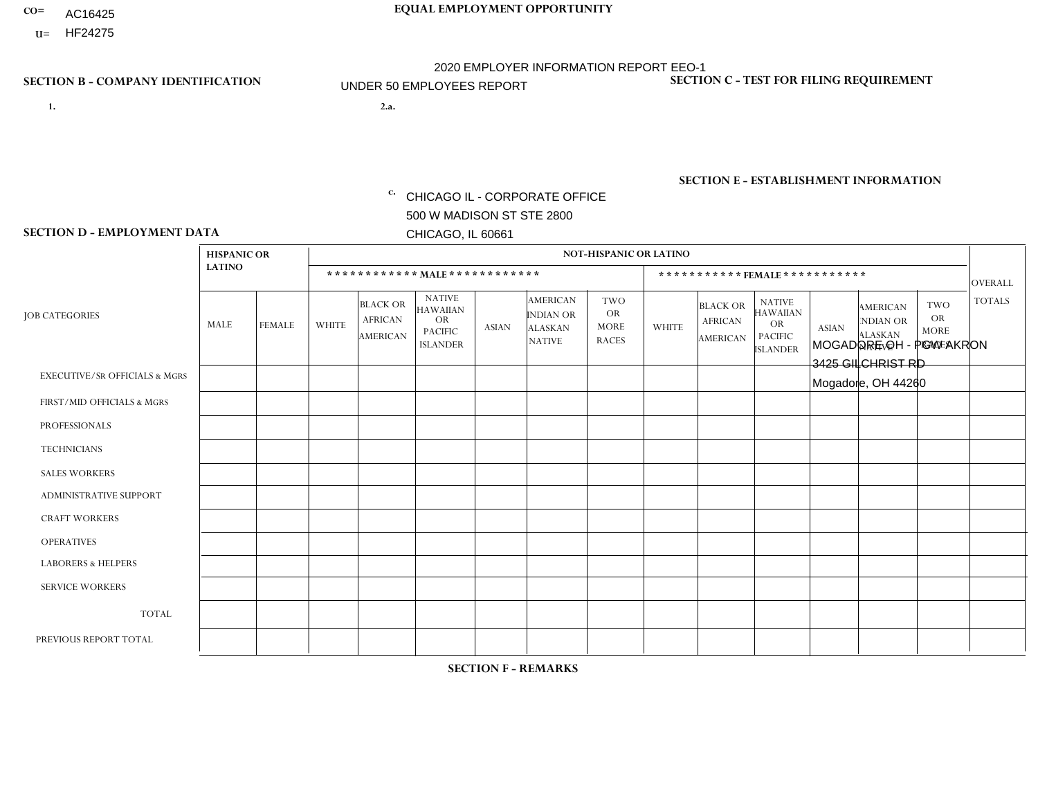- AC16425
- **U=**

**1. 2.a.** CHICAGO IL - CORPORATE OFFICE 500 W MADISON ST STE 2800 CHICAGO, IL 60661

2.a. MOGADORE OH - PGW AKRON 3425 GILCHRIST RD Mogadore, OH 44260

c. EIN= 952920557

# **SECTION B - COMPANY IDENTIFICATION SECTION C - TEST FOR FILING REQUIREMENT**

1- Y 2- Y 3- N DUNS= 000123456

**SECTION E - ESTABLISHMENT INFORMATION c.** NAICS: 811122

### **SECTION D - EMPLOYMENT DATA**

|                                          | <b>HISPANIC OR</b> |               |                |                                                      |                                                                                    |              |                                                                        | <b>NOT-HISPANIC OR LATINO</b>                          |                         |                                                      |                                                                             |              |                                                                       |                                                        |                |
|------------------------------------------|--------------------|---------------|----------------|------------------------------------------------------|------------------------------------------------------------------------------------|--------------|------------------------------------------------------------------------|--------------------------------------------------------|-------------------------|------------------------------------------------------|-----------------------------------------------------------------------------|--------------|-----------------------------------------------------------------------|--------------------------------------------------------|----------------|
|                                          | <b>LATINO</b>      |               |                |                                                      | ************ MALE ************                                                     |              |                                                                        |                                                        |                         | ***********FEMALE***********                         |                                                                             |              |                                                                       |                                                        | <b>OVERALL</b> |
| <b>JOB CATEGORIES</b>                    | MALE               | <b>FEMALE</b> | <b>WHITE</b>   | <b>BLACK OR</b><br><b>AFRICAN</b><br><b>AMERICAN</b> | <b>NATIVE</b><br><b>HAWAIIAN</b><br><b>OR</b><br><b>PACIFIC</b><br><b>ISLANDER</b> | <b>ASIAN</b> | <b>AMERICAN</b><br><b>INDIAN OR</b><br><b>ALASKAN</b><br><b>NATIVE</b> | <b>TWO</b><br><b>OR</b><br><b>MORE</b><br><b>RACES</b> | <b>WHITE</b>            | <b>BLACK OR</b><br><b>AFRICAN</b><br><b>AMERICAN</b> | <b>NATIVE</b><br><b>HAWAIIAN</b><br>OR<br><b>PACIFIC</b><br><b>ISLANDER</b> | <b>ASIAN</b> | <b>AMERICAN</b><br><b>NDIAN OR</b><br><b>ALASKAN</b><br><b>NATIVE</b> | <b>TWO</b><br><b>OR</b><br><b>MORE</b><br><b>RACES</b> | <b>TOTALS</b>  |
| <b>EXECUTIVE/SR OFFICIALS &amp; MGRS</b> | $\Omega$           | $\Omega$      | $\Omega$       | $\mathbf 0$                                          | $\Omega$                                                                           | $\Omega$     | $\Omega$                                                               | $\Omega$                                               | $\Omega$                | $\Omega$                                             | $\Omega$                                                                    | $\Omega$     | $\Omega$                                                              | $\mathbf{0}$                                           | $\mathbf{0}$   |
| FIRST/MID OFFICIALS & MGRS               | 0                  | $\mathbf 0$   | 1              | $\mathbf 0$                                          | $\Omega$                                                                           | $\Omega$     | $\Omega$                                                               | $\Omega$                                               | 0                       | $\Omega$                                             | $\Omega$                                                                    | $\mathbf{0}$ | $\Omega$                                                              | $\mathbf{0}$                                           | $\mathbf{1}$   |
| <b>PROFESSIONALS</b>                     | 0                  | $\Omega$      | $\Omega$       | $\mathbf 0$                                          | $\Omega$                                                                           | $\Omega$     | $\Omega$                                                               | $\Omega$                                               | 0                       | $\Omega$                                             | $\Omega$                                                                    | $\Omega$     | $\Omega$                                                              | $\Omega$                                               | $\mathbf{0}$   |
| <b>TECHNICIANS</b>                       | 0                  | $\Omega$      | $\Omega$       | $\Omega$                                             | $\Omega$                                                                           | $\Omega$     | $\Omega$                                                               | $\Omega$                                               | $\Omega$                | $\Omega$                                             | $\Omega$                                                                    | $\Omega$     | $\Omega$                                                              | $\Omega$                                               | $\Omega$       |
| <b>SALES WORKERS</b>                     | 0                  | $\Omega$      | $\Omega$       | $\Omega$                                             | $\Omega$                                                                           | $\Omega$     | $\Omega$                                                               | $\Omega$                                               | 0                       | $\Omega$                                             | $\Omega$                                                                    | $\Omega$     | $\Omega$                                                              | $\Omega$                                               | $\Omega$       |
| ADMINISTRATIVE SUPPORT                   | 0                  | $\Omega$      | $\Omega$       | $\mathbf 0$                                          | $\Omega$                                                                           | $\Omega$     | $\Omega$                                                               | $\Omega$                                               | $\Omega$                | $\Omega$                                             | $\Omega$                                                                    | $\Omega$     | $\Omega$                                                              | $\Omega$                                               | $\mathbf 0$    |
| <b>CRAFT WORKERS</b>                     | 0                  | $\Omega$      | $\Omega$       | $\mathbf 0$                                          | $\Omega$                                                                           | $\Omega$     | $\Omega$                                                               | $\Omega$                                               | 0                       | $\Omega$                                             | $\Omega$                                                                    | $\mathbf{0}$ | $\Omega$                                                              | $\mathbf{0}$                                           | $\mathbf 0$    |
| <b>OPERATIVES</b>                        | 0                  | $\Omega$      | 3              | 3                                                    | $\Omega$                                                                           | $\Omega$     | $\Omega$                                                               | $\Omega$                                               | $\overline{\mathbf{A}}$ | $\Omega$                                             | $\Omega$                                                                    | $\mathbf{0}$ | $\Omega$                                                              | $\mathbf{0}$                                           | $\overline{7}$ |
| <b>LABORERS &amp; HELPERS</b>            | 0                  | $\Omega$      | $\mathbf 0$    | $\mathbf 0$                                          | $\mathbf 0$                                                                        | $\Omega$     | $\Omega$                                                               | $\Omega$                                               | $\Omega$                | $\Omega$                                             | $\Omega$                                                                    | $\mathbf{0}$ | $\Omega$                                                              | $\Omega$                                               | 0              |
| <b>SERVICE WORKERS</b>                   | 0                  | $\Omega$      | $\Omega$       | $\mathbf 0$                                          | $\mathbf{0}$                                                                       | $\Omega$     | $\Omega$                                                               | $\Omega$                                               | $\Omega$                | $\Omega$                                             | $\Omega$                                                                    | $\Omega$     | $\Omega$                                                              | $\Omega$                                               | $\overline{0}$ |
| <b>TOTAL</b>                             | $\Omega$           | 0             | 4              | 3                                                    | 0                                                                                  | $\Omega$     | $\Omega$                                                               | $\Omega$                                               | -1                      | $\Omega$                                             | $\Omega$                                                                    | $\mathbf 0$  | 0                                                                     | $\mathbf 0$                                            | 8              |
| PREVIOUS REPORT TOTAL                    | 0                  | $\Omega$      | $\overline{2}$ | $\mathbf 0$                                          | $\Omega$                                                                           | $\Omega$     | $\Omega$                                                               | $\Omega$                                               | 0                       | $\Omega$                                             | $\Omega$                                                                    | $\Omega$     | $\Omega$                                                              | $\mathbf 0$                                            | $\overline{2}$ |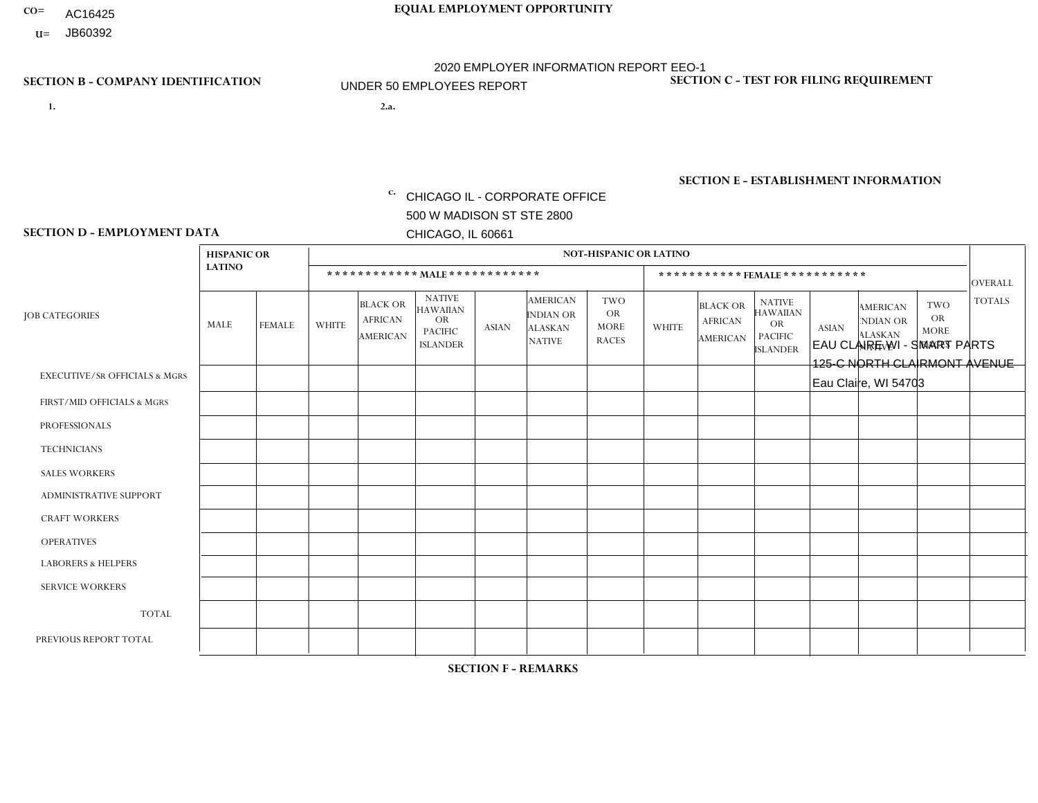- AC16425
- **U=**

- **1. 2.a.** CHICAGO IL CORPORATE OFFICE 500 W MADISON ST STE 2800 CHICAGO, IL 60661
- 2.a. EAU CLAIRE WI SMART PARTS 125-C NORTH CLAIRMONT AVENUE Eau Claire, WI 54703

c. EIN= 952920557

# **SECTION B - COMPANY IDENTIFICATION SECTION C - TEST FOR FILING REQUIREMENT**

1- Y 2- Y 3- N DUNS= 000123456

**SECTION E - ESTABLISHMENT INFORMATION c.** NAICS: 423140

### **SECTION D - EMPLOYMENT DATA**

|                                          | <b>HISPANIC OR</b> |               |              |                                                      |                                                                                    |              |                                                                        | <b>NOT-HISPANIC OR LATINO</b>                          |              |                                                      |                                                                             |              |                                                                       |                                                        |                |
|------------------------------------------|--------------------|---------------|--------------|------------------------------------------------------|------------------------------------------------------------------------------------|--------------|------------------------------------------------------------------------|--------------------------------------------------------|--------------|------------------------------------------------------|-----------------------------------------------------------------------------|--------------|-----------------------------------------------------------------------|--------------------------------------------------------|----------------|
|                                          | <b>LATINO</b>      |               |              | ************ MALE ************                       |                                                                                    |              |                                                                        |                                                        |              | ***********FEMALE***********                         |                                                                             |              |                                                                       |                                                        | <b>OVERALL</b> |
| <b>JOB CATEGORIES</b>                    | MALE               | <b>FEMALE</b> | <b>WHITE</b> | <b>BLACK OR</b><br><b>AFRICAN</b><br><b>AMERICAN</b> | <b>NATIVE</b><br><b>HAWAIIAN</b><br><b>OR</b><br><b>PACIFIC</b><br><b>ISLANDER</b> | <b>ASIAN</b> | <b>AMERICAN</b><br><b>INDIAN OR</b><br><b>ALASKAN</b><br><b>NATIVE</b> | <b>TWO</b><br><b>OR</b><br><b>MORE</b><br><b>RACES</b> | <b>WHITE</b> | <b>BLACK OR</b><br><b>AFRICAN</b><br><b>AMERICAN</b> | <b>NATIVE</b><br><b>HAWAIIAN</b><br>OR<br><b>PACIFIC</b><br><b>ISLANDER</b> | <b>ASIAN</b> | <b>AMERICAN</b><br><b>NDIAN OR</b><br><b>ALASKAN</b><br><b>NATIVE</b> | <b>TWO</b><br><b>OR</b><br><b>MORE</b><br><b>RACES</b> | <b>TOTALS</b>  |
| <b>EXECUTIVE/SR OFFICIALS &amp; MGRS</b> | $\Omega$           | $\Omega$      | $\Omega$     | $\mathbf 0$                                          | $\Omega$                                                                           | $\Omega$     | $\Omega$                                                               | $\Omega$                                               | 0            | $\Omega$                                             | $\Omega$                                                                    | $\Omega$     | $\Omega$                                                              | $\Omega$                                               | $\mathbf 0$    |
| FIRST/MID OFFICIALS & MGRS               | 0                  | $\Omega$      | $\Omega$     | $\mathbf 0$                                          | $\Omega$                                                                           | $\Omega$     | $\Omega$                                                               | $\Omega$                                               | 0            | $\Omega$                                             | $\Omega$                                                                    | $\mathbf{0}$ | $\Omega$                                                              | $\Omega$                                               | $\mathbf{0}$   |
| <b>PROFESSIONALS</b>                     | 0                  | $\Omega$      | $\Omega$     | $\mathbf 0$                                          | $\Omega$                                                                           | $\Omega$     | $\Omega$                                                               | $\Omega$                                               | 0            | $\Omega$                                             | $\Omega$                                                                    | $\Omega$     | $\Omega$                                                              | $\mathbf{0}$                                           | $\mathbf{0}$   |
| <b>TECHNICIANS</b>                       | 0                  | $\mathbf 0$   | $\Omega$     | $\mathbf 0$                                          | $\Omega$                                                                           | $\Omega$     | $\Omega$                                                               | $\Omega$                                               | $\Omega$     | $\Omega$                                             | $\Omega$                                                                    | $\Omega$     | $\Omega$                                                              | $\Omega$                                               | $\mathbf{0}$   |
| <b>SALES WORKERS</b>                     | $\Omega$           | $\Omega$      | $\Omega$     | $\mathbf 0$                                          | $\Omega$                                                                           | $\Omega$     | $\Omega$                                                               | $\Omega$                                               | $\Omega$     | $\Omega$                                             | $\Omega$                                                                    | $\Omega$     | $\Omega$                                                              | $\Omega$                                               | $\mathbf 0$    |
| ADMINISTRATIVE SUPPORT                   | $\Omega$           | $\Omega$      | $\Omega$     | $\Omega$                                             | $\Omega$                                                                           | $\Omega$     | $\Omega$                                                               | $\Omega$                                               | $\Omega$     | $\Omega$                                             | $\Omega$                                                                    | $\Omega$     | $\mathbf{0}$                                                          | $\Omega$                                               | $\mathbf 0$    |
| <b>CRAFT WORKERS</b>                     | 0                  | $\Omega$      | $\mathbf 0$  | $\mathbf 0$                                          | $\Omega$                                                                           | $\Omega$     | $\Omega$                                                               | $\Omega$                                               | 0            | $\Omega$                                             | $\Omega$                                                                    | $\Omega$     | $\Omega$                                                              | $\Omega$                                               | $\mathbf 0$    |
| <b>OPERATIVES</b>                        | 0                  | $\Omega$      | 3            | $\mathbf 0$                                          | $\mathbf{0}$                                                                       | $\Omega$     | $\Omega$                                                               | $\Omega$                                               | 4            | $\Omega$                                             | $\Omega$                                                                    | $\Omega$     | $\Omega$                                                              | $\Omega$                                               | $\overline{4}$ |
| <b>LABORERS &amp; HELPERS</b>            | 0                  | $\Omega$      | $\Omega$     | $\mathbf 0$                                          | 0                                                                                  | $\Omega$     | $\Omega$                                                               | $\Omega$                                               | 0            | $\Omega$                                             | $\Omega$                                                                    | $\Omega$     | $\Omega$                                                              | $\Omega$                                               | $\mathbf 0$    |
| <b>SERVICE WORKERS</b>                   | 0                  | 0             | $\mathbf 0$  | 0                                                    | $\mathbf{0}$                                                                       | $\mathbf 0$  | $\Omega$                                                               | $\Omega$                                               | $\Omega$     | $\Omega$                                             | $\Omega$                                                                    | $\Omega$     | $\Omega$                                                              | $\mathbf 0$                                            | 0              |
| <b>TOTAL</b>                             | 0                  | $\Omega$      | 3            | 0                                                    | $\Omega$                                                                           | $\Omega$     | $\Omega$                                                               | $\Omega$                                               |              | $\Omega$                                             | $\Omega$                                                                    | $\Omega$     | $\Omega$                                                              | $\Omega$                                               | $\overline{4}$ |
| PREVIOUS REPORT TOTAL                    | 0                  | $\Omega$      | 4            | $\Omega$                                             | $\Omega$                                                                           | $\Omega$     | $\Omega$                                                               | $\Omega$                                               |              | $\Omega$                                             | $\Omega$                                                                    | $\Omega$     | $\Omega$                                                              | $\Omega$                                               | 5              |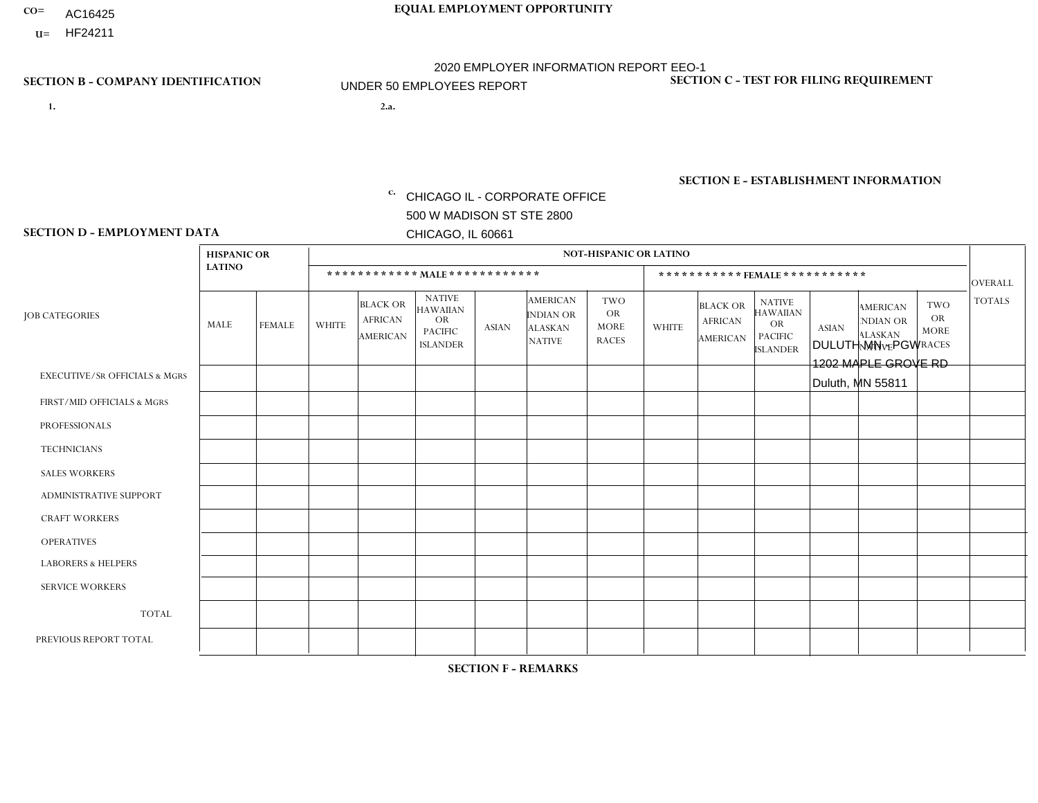- AC16425
- **U=**

**1. 2.a.** CHICAGO IL - CORPORATE OFFICE 500 W MADISON ST STE 2800 CHICAGO, IL 60661

2.a. DULUTH MN - PGW 1202 MAPLE GROVE RD Duluth, MN 55811

EIN= 952920557

# **SECTION B - COMPANY IDENTIFICATION SECTION C - TEST FOR FILING REQUIREMENT**

1- Y 2- Y 3- N DUNS= 000123456

**SECTION E - ESTABLISHMENT INFORMATION c.** NAICS: 811122

### **SECTION D - EMPLOYMENT DATA**

|                                          | <b>HISPANIC OR</b> |               |              |                                                      |                                                                                    |              |                                                                        | <b>NOT-HISPANIC OR LATINO</b>                   |                |                                               |                                                                                    |              |                                                                       |                                                        |                |
|------------------------------------------|--------------------|---------------|--------------|------------------------------------------------------|------------------------------------------------------------------------------------|--------------|------------------------------------------------------------------------|-------------------------------------------------|----------------|-----------------------------------------------|------------------------------------------------------------------------------------|--------------|-----------------------------------------------------------------------|--------------------------------------------------------|----------------|
|                                          | <b>LATINO</b>      |               |              | ************ MALE ************                       |                                                                                    |              |                                                                        |                                                 |                | ***********FEMALE***********                  |                                                                                    |              |                                                                       |                                                        | <b>OVERALL</b> |
| <b>JOB CATEGORIES</b>                    | MALE               | <b>FEMALE</b> | <b>WHITE</b> | <b>BLACK OR</b><br><b>AFRICAN</b><br><b>AMERICAN</b> | <b>NATIVE</b><br><b>HAWAIIAN</b><br><b>OR</b><br><b>PACIFIC</b><br><b>ISLANDER</b> | <b>ASIAN</b> | <b>AMERICAN</b><br><b>INDIAN OR</b><br><b>ALASKAN</b><br><b>NATIVE</b> | TWO<br><b>OR</b><br><b>MORE</b><br><b>RACES</b> | <b>WHITE</b>   | <b>BLACK OR</b><br><b>AFRICAN</b><br>AMERICAN | <b>NATIVE</b><br><b>HAWAIIAN</b><br><b>OR</b><br><b>PACIFIC</b><br><b>ISLANDER</b> | <b>ASIAN</b> | <b>AMERICAN</b><br><b>NDIAN OR</b><br><b>ALASKAN</b><br><b>NATIVE</b> | <b>TWO</b><br><b>OR</b><br><b>MORE</b><br><b>RACES</b> | <b>TOTALS</b>  |
| <b>EXECUTIVE/SR OFFICIALS &amp; MGRS</b> | $\Omega$           | $\mathbf 0$   | $\mathbf 0$  | $\mathbf 0$                                          | $\mathbf 0$                                                                        | $\mathbf 0$  | $\Omega$                                                               | $\Omega$                                        | $\Omega$       | $\Omega$                                      | $\Omega$                                                                           | $\mathbf 0$  | $\mathbf 0$                                                           | $\mathbf 0$                                            | $\mathbf{0}$   |
| FIRST/MID OFFICIALS & MGRS               | 0                  | $\mathbf 0$   | -1           | $\mathbf 0$                                          | $\Omega$                                                                           | $\Omega$     | $\Omega$                                                               | $\Omega$                                        | 0              | $\Omega$                                      | $\Omega$                                                                           | $\mathbf{0}$ | $\Omega$                                                              | $\mathbf 0$                                            | $\mathbf{1}$   |
| <b>PROFESSIONALS</b>                     | 0                  | $\mathbf 0$   | $\mathbf 0$  | $\mathbf 0$                                          | $\mathbf 0$                                                                        | $\mathbf 0$  | $\Omega$                                                               | $\Omega$                                        | $\overline{0}$ | $\Omega$                                      | $\Omega$                                                                           | $\mathbf 0$  | 0                                                                     | $\mathbf 0$                                            | $\mathbf{0}$   |
| <b>TECHNICIANS</b>                       | 0                  | $\Omega$      | $\Omega$     | $\mathbf 0$                                          | $\Omega$                                                                           | $\Omega$     | $\Omega$                                                               | $\Omega$                                        | $\Omega$       | $\Omega$                                      | $\Omega$                                                                           | $\Omega$     | $\Omega$                                                              | $\Omega$                                               | $\mathbf{0}$   |
| <b>SALES WORKERS</b>                     | 0                  | $\Omega$      | $\Omega$     | $\mathbf 0$                                          | $\Omega$                                                                           | $\Omega$     | $\Omega$                                                               | $\Omega$                                        | $\Omega$       | $\Omega$                                      | $\Omega$                                                                           | $\Omega$     | $\Omega$                                                              | $\Omega$                                               | $\Omega$       |
| ADMINISTRATIVE SUPPORT                   | $\Omega$           | $\Omega$      | $\Omega$     | $\Omega$                                             | $\Omega$                                                                           | $\Omega$     | $\Omega$                                                               | $\Omega$                                        | $\Omega$       | $\Omega$                                      | $\Omega$                                                                           | $\Omega$     | $\Omega$                                                              | $\Omega$                                               | $\Omega$       |
| <b>CRAFT WORKERS</b>                     | 0                  | $\Omega$      | $\Omega$     | $\mathbf 0$                                          | $\Omega$                                                                           | $\Omega$     | $\Omega$                                                               | $\Omega$                                        | $\Omega$       | $\Omega$                                      | $\Omega$                                                                           | $\mathbf{0}$ | $\Omega$                                                              | $\mathbf{0}$                                           | $\mathbf 0$    |
| <b>OPERATIVES</b>                        | 0                  | $\Omega$      | 2            | $\mathbf 0$                                          | $\Omega$                                                                           | $\Omega$     | $\Omega$                                                               | $\Omega$                                        | $\Omega$       | $\Omega$                                      | $\Omega$                                                                           | $\Omega$     | $\Omega$                                                              | $\Omega$                                               | 2              |
| <b>LABORERS &amp; HELPERS</b>            | 0                  | $\Omega$      | 1            | $\mathbf 0$                                          | $\Omega$                                                                           | $\Omega$     | $\Omega$                                                               | $\Omega$                                        | $\Omega$       | $\Omega$                                      | $\Omega$                                                                           | $\Omega$     | $\Omega$                                                              | $\Omega$                                               | $\mathbf{1}$   |
| <b>SERVICE WORKERS</b>                   | 0                  | $\Omega$      | $\mathbf 0$  | 0                                                    | $\mathbf{0}$                                                                       | $\Omega$     | $\Omega$                                                               | $\Omega$                                        | $\Omega$       | $\Omega$                                      | $\Omega$                                                                           | $\Omega$     | $\Omega$                                                              | $\mathbf 0$                                            | 0              |
| <b>TOTAL</b>                             | $\mathbf 0$        | $\mathbf 0$   | 4            | $\mathbf 0$                                          | 0                                                                                  | $\mathbf 0$  | $\Omega$                                                               | $\Omega$                                        | $\Omega$       | $\Omega$                                      | $\Omega$                                                                           | $\mathbf 0$  | 0                                                                     | $\mathbf 0$                                            | $\overline{4}$ |
| PREVIOUS REPORT TOTAL                    | 0                  | $\mathbf{0}$  | 3            | $\mathbf 0$                                          | 0                                                                                  | $\Omega$     | $\Omega$                                                               | $\Omega$                                        | 0              | $\Omega$                                      | $\Omega$                                                                           | $\mathbf 0$  | 0                                                                     | $\mathbf 0$                                            | $\mathbf{3}$   |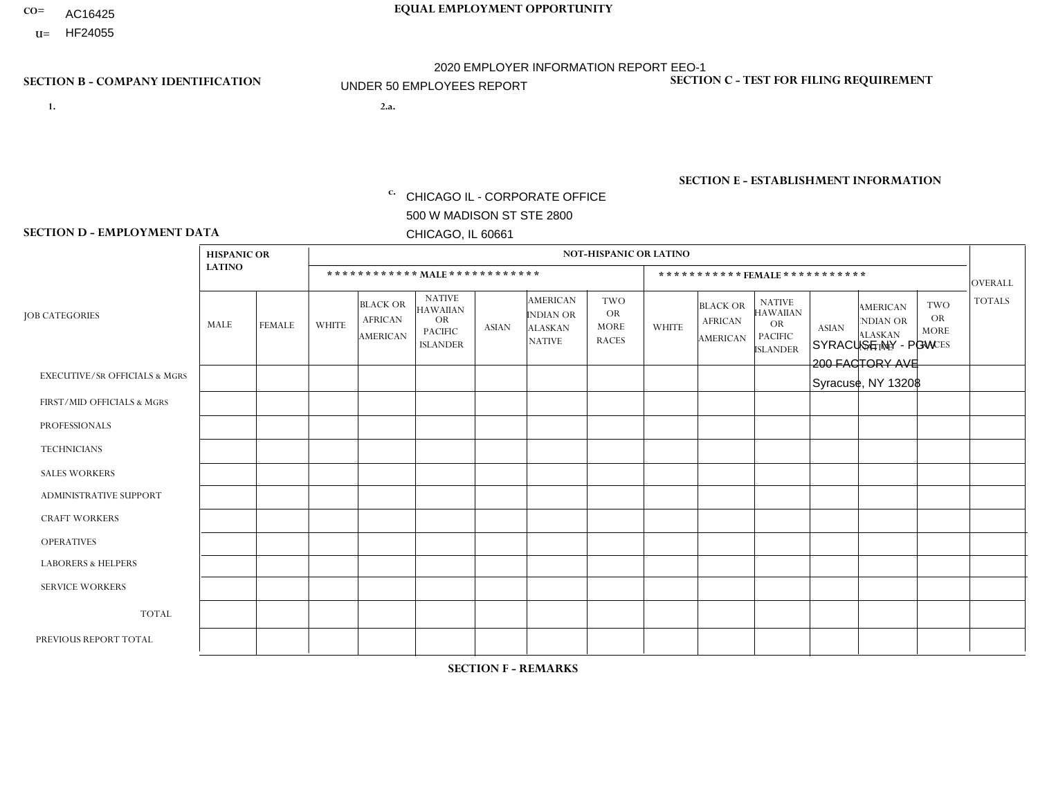- AC16425
- **U=**

**1. 2.a.** CHICAGO IL - CORPORATE OFFICE 500 W MADISON ST STE 2800 CHICAGO, IL 60661

2.a. SYRACUSE NY - PGW 200 FACTORY AVE Syracuse, NY 13208

EIN= 952920557

# **SECTION B - COMPANY IDENTIFICATION SECTION C - TEST FOR FILING REQUIREMENT**

1- Y 2- Y 3- N DUNS= 000123456

**SECTION E - ESTABLISHMENT INFORMATION c.** NAICS: 811122

### **SECTION D - EMPLOYMENT DATA**

|                                          | <b>HISPANIC OR</b> |               |                |                                                      |                                                                                    |              |                                                                        | <b>NOT-HISPANIC OR LATINO</b>                          |              |                                                      |                                                                                    |              |                                                                       |                                                        |                |
|------------------------------------------|--------------------|---------------|----------------|------------------------------------------------------|------------------------------------------------------------------------------------|--------------|------------------------------------------------------------------------|--------------------------------------------------------|--------------|------------------------------------------------------|------------------------------------------------------------------------------------|--------------|-----------------------------------------------------------------------|--------------------------------------------------------|----------------|
|                                          | <b>LATINO</b>      |               |                | ************ MALE ************                       |                                                                                    |              |                                                                        |                                                        |              |                                                      | ***********FEMALE***********                                                       |              |                                                                       |                                                        | <b>OVERALL</b> |
| <b>JOB CATEGORIES</b>                    | <b>MALE</b>        | <b>FEMALE</b> | <b>WHITE</b>   | <b>BLACK OR</b><br><b>AFRICAN</b><br><b>AMERICAN</b> | <b>NATIVE</b><br><b>HAWAIIAN</b><br><b>OR</b><br><b>PACIFIC</b><br><b>ISLANDER</b> | <b>ASIAN</b> | <b>AMERICAN</b><br><b>INDIAN OR</b><br><b>ALASKAN</b><br><b>NATIVE</b> | <b>TWO</b><br><b>OR</b><br><b>MORE</b><br><b>RACES</b> | <b>WHITE</b> | <b>BLACK OR</b><br><b>AFRICAN</b><br><b>AMERICAN</b> | <b>NATIVE</b><br><b>HAWAIIAN</b><br><b>OR</b><br><b>PACIFIC</b><br><b>ISLANDER</b> | <b>ASIAN</b> | <b>AMERICAN</b><br><b>NDIAN OR</b><br><b>ALASKAN</b><br><b>NATIVE</b> | <b>TWO</b><br><b>OR</b><br><b>MORE</b><br><b>RACES</b> | <b>TOTALS</b>  |
| <b>EXECUTIVE/SR OFFICIALS &amp; MGRS</b> | $\mathbf{0}$       | $\Omega$      | $\Omega$       | $\Omega$                                             | 0                                                                                  | $\Omega$     | $\Omega$                                                               | $\Omega$                                               | $\Omega$     | $\mathbf{0}$                                         | $\Omega$                                                                           | $\Omega$     | $\Omega$                                                              | $\Omega$                                               | $\Omega$       |
| FIRST/MID OFFICIALS & MGRS               | $\Omega$           | $\Omega$      | 1              | $\Omega$                                             | $\mathbf{0}$                                                                       | $\Omega$     | $\Omega$                                                               | $\Omega$                                               | $\Omega$     | $\Omega$                                             | $\Omega$                                                                           | $\Omega$     | $\Omega$                                                              | $\Omega$                                               | $\mathbf{1}$   |
| <b>PROFESSIONALS</b>                     | $\Omega$           | $\Omega$      | $\mathbf 0$    | $\mathbf 0$                                          | $\overline{0}$                                                                     | $\Omega$     | $\Omega$                                                               | $\Omega$                                               | $\Omega$     | $\Omega$                                             | $\Omega$                                                                           | $\Omega$     | $\Omega$                                                              | $\mathbf{0}$                                           | $\mathbf 0$    |
| <b>TECHNICIANS</b>                       | $\Omega$           | $\Omega$      | $\Omega$       | $\Omega$                                             | 0                                                                                  | $\Omega$     | $\overline{0}$                                                         | $\Omega$                                               | $\Omega$     | $\Omega$                                             | $\Omega$                                                                           | $\Omega$     | $\mathbf{0}$                                                          | $\Omega$                                               | $\mathbf 0$    |
| <b>SALES WORKERS</b>                     | $\Omega$           | $\Omega$      | $\Omega$       | $\Omega$                                             | 0                                                                                  | $\Omega$     | $\Omega$                                                               | $\Omega$                                               | $\Omega$     | $\Omega$                                             | $\Omega$                                                                           | $\Omega$     | $\Omega$                                                              | $\mathbf{0}$                                           | $\mathbf 0$    |
| <b>ADMINISTRATIVE SUPPORT</b>            | $\Omega$           | $\mathbf 0$   | $\Omega$       | $\mathbf 0$                                          | $\mathbf 0$                                                                        | $\Omega$     | $\Omega$                                                               | $\Omega$                                               | $\Omega$     | $\Omega$                                             | $\Omega$                                                                           | $\Omega$     | $\Omega$                                                              | $\Omega$                                               | $\mathbf{0}$   |
| <b>CRAFT WORKERS</b>                     | $\Omega$           | $\Omega$      | $\Omega$       | 0                                                    | 0                                                                                  | $\Omega$     | $\Omega$                                                               | $\Omega$                                               | $\Omega$     | $\Omega$                                             | $\Omega$                                                                           | $\Omega$     | $\Omega$                                                              | $\Omega$                                               | $\Omega$       |
| <b>OPERATIVES</b>                        | $\Omega$           | $\Omega$      | $\overline{c}$ | $\mathbf 0$                                          | 0                                                                                  | $\Omega$     | $\Omega$                                                               | $\Omega$                                               | $\Omega$     | $\Omega$                                             | $\Omega$                                                                           | $\Omega$     | $\Omega$                                                              | $\Omega$                                               | $\overline{2}$ |
| <b>LABORERS &amp; HELPERS</b>            | $\Omega$           | $\Omega$      | $\Omega$       | $\mathbf 0$                                          | 0                                                                                  | $\Omega$     | $\Omega$                                                               | $\Omega$                                               | $\Omega$     | $\Omega$                                             | $\Omega$                                                                           | $\Omega$     | $\Omega$                                                              | $\Omega$                                               | $\mathbf 0$    |
| <b>SERVICE WORKERS</b>                   | $\Omega$           | $\Omega$      | $\Omega$       | 0                                                    | $\mathbf 0$                                                                        | $\Omega$     | $\Omega$                                                               | $\Omega$                                               | $\Omega$     | $\Omega$                                             | $\Omega$                                                                           | $\Omega$     | $\Omega$                                                              | $\Omega$                                               | 0              |
| <b>TOTAL</b>                             | 0                  | $\mathbf 0$   | 3              | $\mathbf 0$                                          | 0                                                                                  | $\mathbf 0$  | $\Omega$                                                               | $\Omega$                                               | 0            | $\Omega$                                             | $\Omega$                                                                           | $\mathbf 0$  | $\Omega$                                                              | $\Omega$                                               | 3              |
| PREVIOUS REPORT TOTAL                    | $\Omega$           | $\mathbf 0$   | 2              | $\mathbf 0$                                          | 0                                                                                  | $\Omega$     | $\Omega$                                                               | $\Omega$                                               | $\Omega$     | $\Omega$                                             | $\mathbf{0}$                                                                       | $\Omega$     | $\Omega$                                                              | $\mathbf 0$                                            | $\overline{2}$ |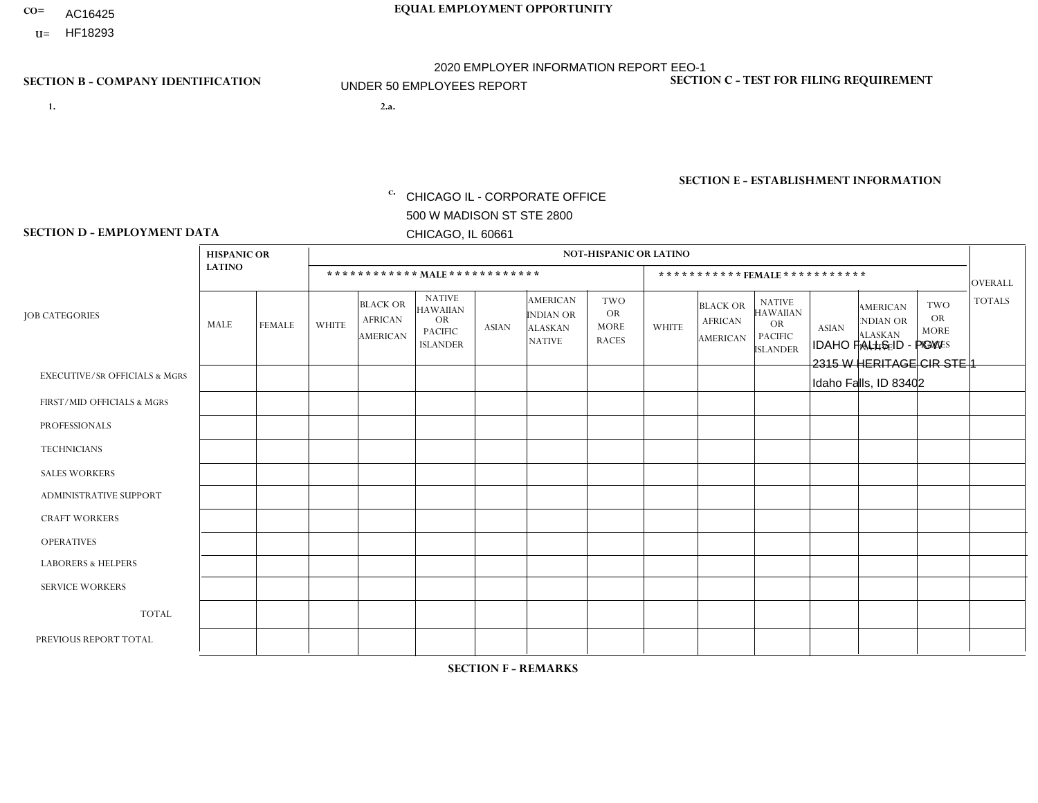- AC16425
- **U=**

- **1. 2.a.** CHICAGO IL CORPORATE OFFICE 500 W MADISON ST STE 2800 CHICAGO, IL 60661
- 2.a. IDAHO FALLS ID PGW 2315 W HERITAGE CIR STE 1 Idaho Falls, ID 83402

EIN= 952920557

# **SECTION B - COMPANY IDENTIFICATION SECTION C - TEST FOR FILING REQUIREMENT**

1- Y 2- Y 3- N DUNS= 000123456

**SECTION E - ESTABLISHMENT INFORMATION c.** NAICS: 811122

### **SECTION D - EMPLOYMENT DATA**

|                                          | <b>HISPANIC OR</b> |               |              |                                                      |                                                                                    |              |                                                                        | <b>NOT-HISPANIC OR LATINO</b>                          |              |                                               |                                                                                    |              |                                                                       |                                                        |                |
|------------------------------------------|--------------------|---------------|--------------|------------------------------------------------------|------------------------------------------------------------------------------------|--------------|------------------------------------------------------------------------|--------------------------------------------------------|--------------|-----------------------------------------------|------------------------------------------------------------------------------------|--------------|-----------------------------------------------------------------------|--------------------------------------------------------|----------------|
|                                          | <b>LATINO</b>      |               |              | ************ MALE ************                       |                                                                                    |              |                                                                        |                                                        |              | *********** FEMALE ***********                |                                                                                    |              |                                                                       |                                                        | <b>OVERALL</b> |
| <b>JOB CATEGORIES</b>                    | <b>MALE</b>        | <b>FEMALE</b> | <b>WHITE</b> | <b>BLACK OR</b><br><b>AFRICAN</b><br><b>AMERICAN</b> | <b>NATIVE</b><br><b>HAWAIIAN</b><br><b>OR</b><br><b>PACIFIC</b><br><b>ISLANDER</b> | <b>ASIAN</b> | <b>AMERICAN</b><br><b>INDIAN OR</b><br><b>ALASKAN</b><br><b>NATIVE</b> | <b>TWO</b><br><b>OR</b><br><b>MORE</b><br><b>RACES</b> | <b>WHITE</b> | <b>BLACK OR</b><br><b>AFRICAN</b><br>AMERICAN | <b>NATIVE</b><br><b>HAWAIIAN</b><br><b>OR</b><br><b>PACIFIC</b><br><b>ISLANDER</b> | <b>ASIAN</b> | <b>AMERICAN</b><br><b>NDIAN OR</b><br><b>ALASKAN</b><br><b>NATIVE</b> | <b>TWO</b><br><b>OR</b><br><b>MORE</b><br><b>RACES</b> | <b>TOTALS</b>  |
| <b>EXECUTIVE/SR OFFICIALS &amp; MGRS</b> | $\Omega$           | $\Omega$      | $\Omega$     | $\mathbf 0$                                          | $\Omega$                                                                           | $\Omega$     | $\Omega$                                                               | $\Omega$                                               | $\Omega$     | $\Omega$                                      | $\Omega$                                                                           | $\Omega$     | $\Omega$                                                              | $\Omega$                                               | $\mathbf 0$    |
| FIRST/MID OFFICIALS & MGRS               | $\Omega$           | $\mathbf 0$   | 1            | $\mathbf 0$                                          | $\mathbf 0$                                                                        | $\mathbf 0$  | $\Omega$                                                               | $\Omega$                                               | $\Omega$     | $\mathbf{0}$                                  | $\Omega$                                                                           | $\mathbf 0$  | $\Omega$                                                              | $\mathbf 0$                                            | $\mathbf{1}$   |
| <b>PROFESSIONALS</b>                     | $\Omega$           | $\Omega$      | $\Omega$     | $\mathbf 0$                                          | $\Omega$                                                                           | $\Omega$     | $\Omega$                                                               | $\Omega$                                               | $\Omega$     | $\Omega$                                      | $\Omega$                                                                           | $\Omega$     | $\Omega$                                                              | $\Omega$                                               | $\mathbf 0$    |
| <b>TECHNICIANS</b>                       | $\Omega$           | $\Omega$      | $\Omega$     | $\mathbf 0$                                          | $\Omega$                                                                           | $\Omega$     | $\overline{0}$                                                         | $\Omega$                                               | $\Omega$     | $\Omega$                                      | $\Omega$                                                                           | $\Omega$     | $\Omega$                                                              | $\mathbf{0}$                                           | $\mathbf 0$    |
| <b>SALES WORKERS</b>                     | $\Omega$           | $\Omega$      | $\Omega$     | $\Omega$                                             | 0                                                                                  | $\Omega$     | $\Omega$                                                               | $\Omega$                                               | $\Omega$     | $\Omega$                                      | $\Omega$                                                                           | $\Omega$     | $\Omega$                                                              | $\Omega$                                               | $\mathbf 0$    |
| ADMINISTRATIVE SUPPORT                   | $\Omega$           | $\Omega$      | $\Omega$     | $\mathbf 0$                                          | $\mathbf{0}$                                                                       | $\Omega$     | $\Omega$                                                               | $\Omega$                                               | $\Omega$     | $\Omega$                                      | $\Omega$                                                                           | $\Omega$     | $\Omega$                                                              | $\Omega$                                               | 0              |
| <b>CRAFT WORKERS</b>                     | $\Omega$           | $\Omega$      | $\mathbf 0$  | $\mathbf 0$                                          | 0                                                                                  | $\Omega$     | $\Omega$                                                               | $\Omega$                                               | $\Omega$     | $\Omega$                                      | $\Omega$                                                                           | $\Omega$     | $\Omega$                                                              | $\mathbf{0}$                                           | $\mathbf 0$    |
| <b>OPERATIVES</b>                        | $\Omega$           | $\mathbf 0$   | 3            | $\mathbf 0$                                          | $\mathbf{0}$                                                                       | $\Omega$     | $\overline{0}$                                                         | $\Omega$                                               | $\Omega$     | $\Omega$                                      | $\mathbf{0}$                                                                       | $\Omega$     | $\Omega$                                                              | $\Omega$                                               | 3              |
| <b>LABORERS &amp; HELPERS</b>            | 1                  | $\Omega$      | 0            | $\mathbf 0$                                          | 0                                                                                  | $\mathbf 0$  | $\Omega$                                                               | $\Omega$                                               | $\Omega$     | $\Omega$                                      | $\mathbf{0}$                                                                       | $\Omega$     | $\Omega$                                                              | $\Omega$                                               | $\mathbf{1}$   |
| <b>SERVICE WORKERS</b>                   | $\Omega$           | $\Omega$      | 0            | 0                                                    | $\mathbf{0}$                                                                       | $\mathbf 0$  | $\Omega$                                                               | $\Omega$                                               | $\Omega$     | $\Omega$                                      | $\Omega$                                                                           | $\Omega$     | $\Omega$                                                              | $\Omega$                                               | 0              |
| <b>TOTAL</b>                             | 1                  | $\mathbf 0$   | 4            | $\mathbf 0$                                          | 0                                                                                  | $\mathbf 0$  | $\Omega$                                                               | $\Omega$                                               | $\Omega$     | $\Omega$                                      | $\Omega$                                                                           | $\mathbf 0$  | $\Omega$                                                              | $\Omega$                                               | 5              |
| PREVIOUS REPORT TOTAL                    | $\Omega$           | 0             | 4            | $\mathbf 0$                                          | $\mathbf{0}$                                                                       | $\Omega$     | $\Omega$                                                               | $\Omega$                                               | $\Omega$     | $\Omega$                                      | $\mathbf{0}$                                                                       | $\Omega$     | $\Omega$                                                              | $\Omega$                                               | $\overline{4}$ |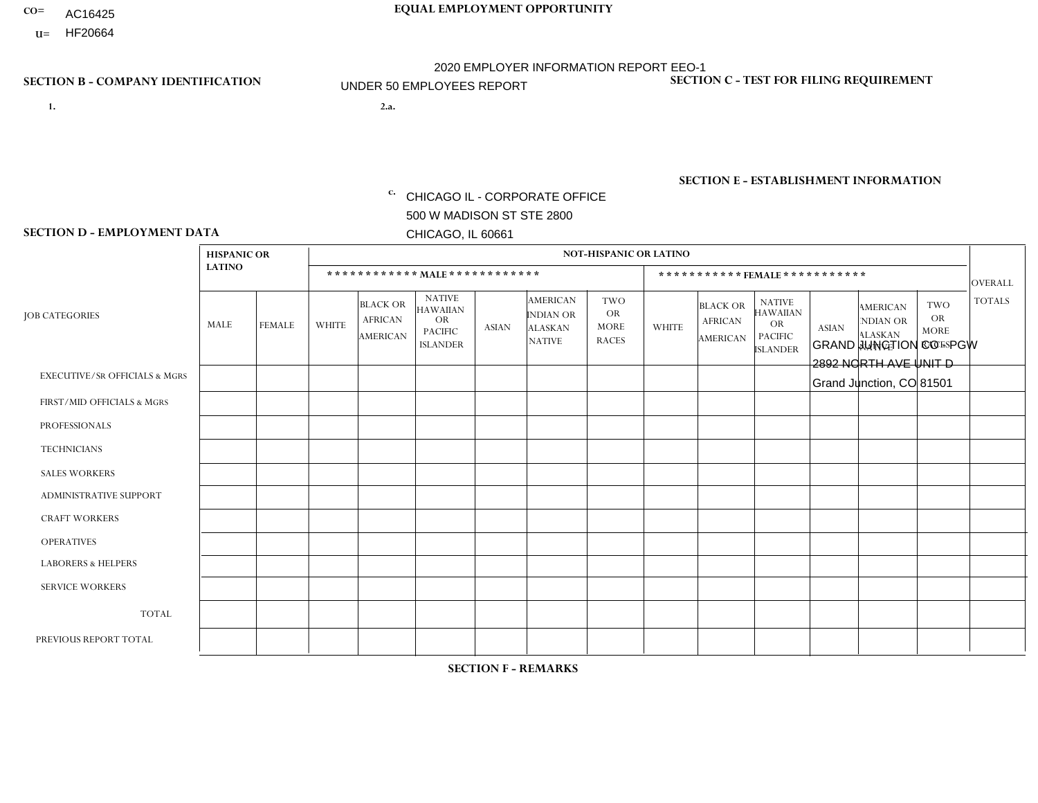- AC16425
- **U=**

- **1. 2.a.** CHICAGO IL CORPORATE OFFICE 500 W MADISON ST STE 2800 CHICAGO, IL 60661
- 2.a. GRAND JUNCTION CO PGW 2892 NORTH AVE UNIT D Grand Junction, CO 81501

c. EIN= 952920557

# **SECTION B - COMPANY IDENTIFICATION SECTION C - TEST FOR FILING REQUIREMENT**

1- Y 2- Y 3- N DUNS= 000123456

**SECTION E - ESTABLISHMENT INFORMATION c.** NAICS: 811122

### **SECTION D - EMPLOYMENT DATA**

|                                          | <b>HISPANIC OR</b> |               |              |                                                      |                                                                                    |          |                                                                        | <b>NOT-HISPANIC OR LATINO</b>                   |              |                                                      |                                                                                    |              |                                                                       |                                                        |                |
|------------------------------------------|--------------------|---------------|--------------|------------------------------------------------------|------------------------------------------------------------------------------------|----------|------------------------------------------------------------------------|-------------------------------------------------|--------------|------------------------------------------------------|------------------------------------------------------------------------------------|--------------|-----------------------------------------------------------------------|--------------------------------------------------------|----------------|
|                                          | <b>LATINO</b>      |               |              | ************ MALE ************                       |                                                                                    |          |                                                                        |                                                 |              | ***********FEMALE***********                         |                                                                                    |              |                                                                       |                                                        | <b>OVERALL</b> |
| <b>JOB CATEGORIES</b>                    | <b>MALE</b>        | <b>FEMALE</b> | <b>WHITE</b> | <b>BLACK OR</b><br><b>AFRICAN</b><br><b>AMERICAN</b> | <b>NATIVE</b><br><b>HAWAIIAN</b><br><b>OR</b><br><b>PACIFIC</b><br><b>ISLANDER</b> | ASIAN    | <b>AMERICAN</b><br><b>INDIAN OR</b><br><b>ALASKAN</b><br><b>NATIVE</b> | TWO<br><b>OR</b><br><b>MORE</b><br><b>RACES</b> | <b>WHITE</b> | <b>BLACK OR</b><br><b>AFRICAN</b><br><b>AMERICAN</b> | <b>NATIVE</b><br><b>HAWAIIAN</b><br><b>OR</b><br><b>PACIFIC</b><br><b>ISLANDER</b> | <b>ASIAN</b> | <b>AMERICAN</b><br><b>NDIAN OR</b><br><b>ALASKAN</b><br><b>NATIVE</b> | <b>TWO</b><br><b>OR</b><br><b>MORE</b><br><b>RACES</b> | <b>TOTALS</b>  |
| <b>EXECUTIVE/SR OFFICIALS &amp; MGRS</b> | $\Omega$           | $\Omega$      | $\Omega$     | $\Omega$                                             | $\Omega$                                                                           | $\Omega$ | $\Omega$                                                               | $\Omega$                                        | $\Omega$     | $\Omega$                                             | $\Omega$                                                                           | 0            | $\Omega$                                                              | $\mathbf{0}$                                           | $\Omega$       |
| FIRST/MID OFFICIALS & MGRS               | 0                  | 0             | $\mathbf{1}$ | $\mathbf 0$                                          | 0                                                                                  | $\Omega$ | $\Omega$                                                               | $\Omega$                                        | $\Omega$     | $\Omega$                                             | $\Omega$                                                                           | $\Omega$     | $\Omega$                                                              | $\Omega$                                               | $\overline{ }$ |
| <b>PROFESSIONALS</b>                     | 0                  | $\mathbf 0$   | $\Omega$     | $\mathbf 0$                                          | $\Omega$                                                                           | $\Omega$ | $\Omega$                                                               | $\Omega$                                        | $\Omega$     | $\Omega$                                             | $\Omega$                                                                           | $\mathbf 0$  | $\Omega$                                                              | $\Omega$                                               | $\mathbf 0$    |
| <b>TECHNICIANS</b>                       | $\Omega$           | $\mathbf 0$   | $\Omega$     | $\mathbf 0$                                          | $\Omega$                                                                           | $\Omega$ | $\Omega$                                                               | $\Omega$                                        | $\Omega$     | $\Omega$                                             | $\Omega$                                                                           | $\Omega$     | $\Omega$                                                              | $\Omega$                                               | $\Omega$       |
| <b>SALES WORKERS</b>                     | 0                  | $\Omega$      | $\Omega$     | $\Omega$                                             | $\Omega$                                                                           | $\Omega$ | $\Omega$                                                               | $\Omega$                                        | $\Omega$     | $\Omega$                                             | $\Omega$                                                                           | $\Omega$     | $\Omega$                                                              | $\Omega$                                               | $\mathbf{0}$   |
| <b>ADMINISTRATIVE SUPPORT</b>            | $\Omega$           | 0             | $\Omega$     | $\mathbf 0$                                          | 0                                                                                  | $\Omega$ | $\Omega$                                                               | $\Omega$                                        | $\Omega$     | $\Omega$                                             | $\Omega$                                                                           | $\Omega$     | $\Omega$                                                              | $\Omega$                                               | $\mathbf 0$    |
| <b>CRAFT WORKERS</b>                     | 0                  | $\Omega$      | $\Omega$     | $\mathbf 0$                                          | 0                                                                                  | $\Omega$ | $\Omega$                                                               | $\Omega$                                        | $\Omega$     | $\Omega$                                             | $\Omega$                                                                           | $\Omega$     | $\Omega$                                                              | $\Omega$                                               | $\Omega$       |
| <b>OPERATIVES</b>                        | 0                  | 0             | 4            | $\mathbf 0$                                          | 0                                                                                  | $\Omega$ | $\Omega$                                                               | $\Omega$                                        | $\Omega$     | $\Omega$                                             | $\Omega$                                                                           | 0            | $\Omega$                                                              | $\Omega$                                               | $\overline{4}$ |
| <b>LABORERS &amp; HELPERS</b>            | 0                  | $\Omega$      | $\Omega$     | $\mathbf 0$                                          | 0                                                                                  | $\Omega$ | $\Omega$                                                               |                                                 | $\Omega$     | $\mathbf{0}$                                         | $\Omega$                                                                           | 0            | $\Omega$                                                              | $\Omega$                                               | $\mathbf 1$    |
| <b>SERVICE WORKERS</b>                   | 0                  | 0             | 0            | $\mathbf 0$                                          | 0                                                                                  | $\Omega$ | $\Omega$                                                               | $\Omega$                                        | $\Omega$     | $\Omega$                                             | $\Omega$                                                                           | 0            | $\Omega$                                                              | $\mathbf{0}$                                           | $\mathbf 0$    |
| <b>TOTAL</b>                             | 0                  | 0             | 5            | $\mathbf 0$                                          | 0                                                                                  | 0        | $\Omega$                                                               |                                                 | $\Omega$     | $\Omega$                                             | $\mathbf 0$                                                                        | 0            | $\Omega$                                                              | $\Omega$                                               | 6              |
| PREVIOUS REPORT TOTAL                    | 0                  | $\mathbf 0$   | 6            | $\mathbf 0$                                          | 0                                                                                  | $\Omega$ | $\Omega$                                                               |                                                 | $\Omega$     | $\Omega$                                             | $\mathbf 0$                                                                        | $\mathbf 0$  | $\Omega$                                                              | $\Omega$                                               | $\overline{7}$ |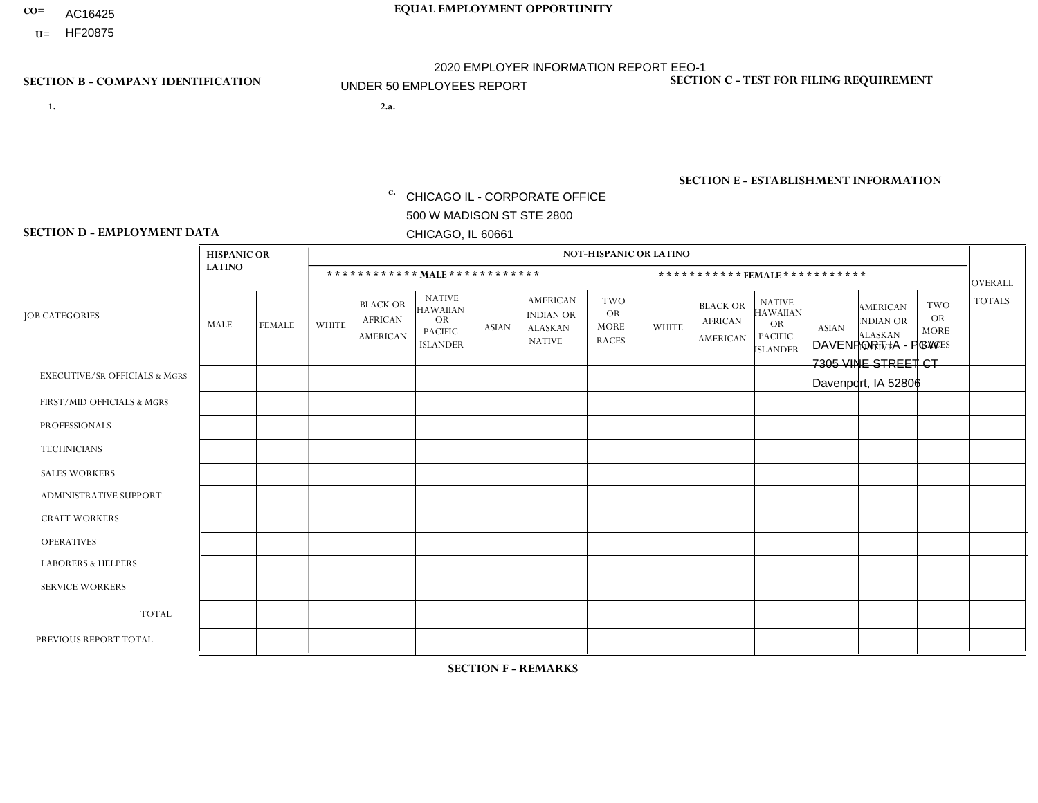- AC16425
- **U=**

**1. 2.a.** CHICAGO IL - CORPORATE OFFICE 500 W MADISON ST STE 2800 CHICAGO, IL 60661

2.a. DAVENPORT IA - PGW 7305 VINE STREET CT Davenport, IA 52806

EIN= 952920557

# **SECTION B - COMPANY IDENTIFICATION SECTION C - TEST FOR FILING REQUIREMENT**

1- Y 2- Y 3- N DUNS= 000123456

**SECTION E - ESTABLISHMENT INFORMATION c.** NAICS: 811122

### **SECTION D - EMPLOYMENT DATA**

|                                          | <b>HISPANIC OR</b> |               |              |                                                      |                                                                                    |              |                                                                 | <b>NOT-HISPANIC OR LATINO</b>                          |              |                                               |                                                                                    |              |                                                                       |                                                        |                |
|------------------------------------------|--------------------|---------------|--------------|------------------------------------------------------|------------------------------------------------------------------------------------|--------------|-----------------------------------------------------------------|--------------------------------------------------------|--------------|-----------------------------------------------|------------------------------------------------------------------------------------|--------------|-----------------------------------------------------------------------|--------------------------------------------------------|----------------|
|                                          | <b>LATINO</b>      |               |              | ************ MALE ************                       |                                                                                    |              |                                                                 |                                                        |              |                                               | ***********FEMALE***********                                                       |              |                                                                       |                                                        | <b>OVERALL</b> |
| <b>JOB CATEGORIES</b>                    | <b>MALE</b>        | <b>FEMALE</b> | <b>WHITE</b> | <b>BLACK OR</b><br><b>AFRICAN</b><br><b>AMERICAN</b> | <b>NATIVE</b><br><b>HAWAIIAN</b><br><b>OR</b><br><b>PACIFIC</b><br><b>ISLANDER</b> | <b>ASIAN</b> | <b>AMERICAN</b><br>INDIAN OR<br><b>ALASKAN</b><br><b>NATIVE</b> | <b>TWO</b><br><b>OR</b><br><b>MORE</b><br><b>RACES</b> | <b>WHITE</b> | <b>BLACK OR</b><br><b>AFRICAN</b><br>AMERICAN | <b>NATIVE</b><br><b>HAWAIIAN</b><br><b>OR</b><br><b>PACIFIC</b><br><b>ISLANDER</b> | <b>ASIAN</b> | <b>AMERICAN</b><br><b>NDIAN OR</b><br><b>ALASKAN</b><br><b>NATIVE</b> | <b>TWO</b><br><b>OR</b><br><b>MORE</b><br><b>RACES</b> | <b>TOTALS</b>  |
| <b>EXECUTIVE/SR OFFICIALS &amp; MGRS</b> | $\Omega$           | $\Omega$      | $\Omega$     | $\Omega$                                             | 0                                                                                  | $\Omega$     | $\Omega$                                                        | $\Omega$                                               | $\Omega$     | $\Omega$                                      | $\Omega$                                                                           | $\Omega$     | $\Omega$                                                              | $\Omega$                                               | $\Omega$       |
| FIRST/MID OFFICIALS & MGRS               | $\Omega$           | $\Omega$      | 1            | $\mathbf 0$                                          | $\Omega$                                                                           | $\Omega$     | $\Omega$                                                        | $\Omega$                                               | 0            | $\Omega$                                      | 0                                                                                  | $\Omega$     | $\Omega$                                                              | $\mathbf 0$                                            | $\mathbf{1}$   |
| <b>PROFESSIONALS</b>                     | $\Omega$           | $\Omega$      | $\Omega$     | $\mathbf 0$                                          | $\Omega$                                                                           | $\Omega$     | $\Omega$                                                        | $\Omega$                                               | $\Omega$     | $\Omega$                                      | 0                                                                                  | 0            | $\Omega$                                                              | $\mathbf 0$                                            | $\overline{0}$ |
| <b>TECHNICIANS</b>                       | $\Omega$           | $\mathbf 0$   | $\Omega$     | $\mathbf 0$                                          | $\mathbf 0$                                                                        | $\Omega$     | $\Omega$                                                        | $\Omega$                                               | 0            | $\mathbf 0$                                   | 0                                                                                  | $\mathbf 0$  | $\Omega$                                                              | $\mathbf 0$                                            | $\mathbf{0}$   |
| <b>SALES WORKERS</b>                     | $\Omega$           | $\Omega$      | $\Omega$     | $\Omega$                                             | $\Omega$                                                                           | $\Omega$     | $\Omega$                                                        | $\Omega$                                               | $\Omega$     | $\Omega$                                      | $\Omega$                                                                           | $\Omega$     | $\Omega$                                                              | $\Omega$                                               | $\Omega$       |
| <b>ADMINISTRATIVE SUPPORT</b>            | $\Omega$           | $\Omega$      | $\mathbf{0}$ | $\mathbf 0$                                          | $\Omega$                                                                           | $\Omega$     | $\Omega$                                                        | $\Omega$                                               | 0            | $\Omega$                                      | 0                                                                                  | $\Omega$     | $\Omega$                                                              | $\Omega$                                               | $\mathbf 0$    |
| <b>CRAFT WORKERS</b>                     | $\Omega$           | $\Omega$      | $\Omega$     | $\mathbf 0$                                          | $\Omega$                                                                           | $\Omega$     | $\Omega$                                                        | $\Omega$                                               | 0            | $\Omega$                                      | $\Omega$                                                                           | $\Omega$     | $\Omega$                                                              | $\Omega$                                               | $\Omega$       |
| <b>OPERATIVES</b>                        |                    | $\Omega$      | 3            | $\mathbf 0$                                          | $\mathbf 0$                                                                        | $\Omega$     | $\Omega$                                                        | $\Omega$                                               | $\Omega$     | $\Omega$                                      | 0                                                                                  | $\mathbf 0$  | $\Omega$                                                              | $\mathbf 0$                                            | 4              |
| <b>LABORERS &amp; HELPERS</b>            | $\Omega$           | $\Omega$      | $\mathbf{0}$ | $\Omega$                                             | $\Omega$                                                                           | $\Omega$     | $\Omega$                                                        | $\Omega$                                               | 0            | $\Omega$                                      | 0                                                                                  | $\Omega$     | $\Omega$                                                              | $\Omega$                                               | $\mathbf 0$    |
| <b>SERVICE WORKERS</b>                   | $\Omega$           | $\Omega$      | 0            | 0                                                    | $\mathbf 0$                                                                        | $\Omega$     | $\Omega$                                                        | $\Omega$                                               | 0            | $\Omega$                                      | $\Omega$                                                                           | $\mathbf 0$  | $\Omega$                                                              | $\Omega$                                               | $\mathbf 0$    |
| <b>TOTAL</b>                             | -1                 | 0             | 4            | $\mathbf 0$                                          | $\mathbf 0$                                                                        | 0            | $\Omega$                                                        | $\Omega$                                               | 0            | $\Omega$                                      | 0                                                                                  | $\mathbf 0$  | $\mathbf 0$                                                           | $\mathbf 0$                                            | 5              |
| PREVIOUS REPORT TOTAL                    |                    | $\Omega$      | 3            | $\mathbf 0$                                          | 0                                                                                  | $\Omega$     | $\Omega$                                                        | $\Omega$                                               | 0            | $\Omega$                                      | 0                                                                                  | $\Omega$     | $\Omega$                                                              | $\mathbf 0$                                            | $\overline{4}$ |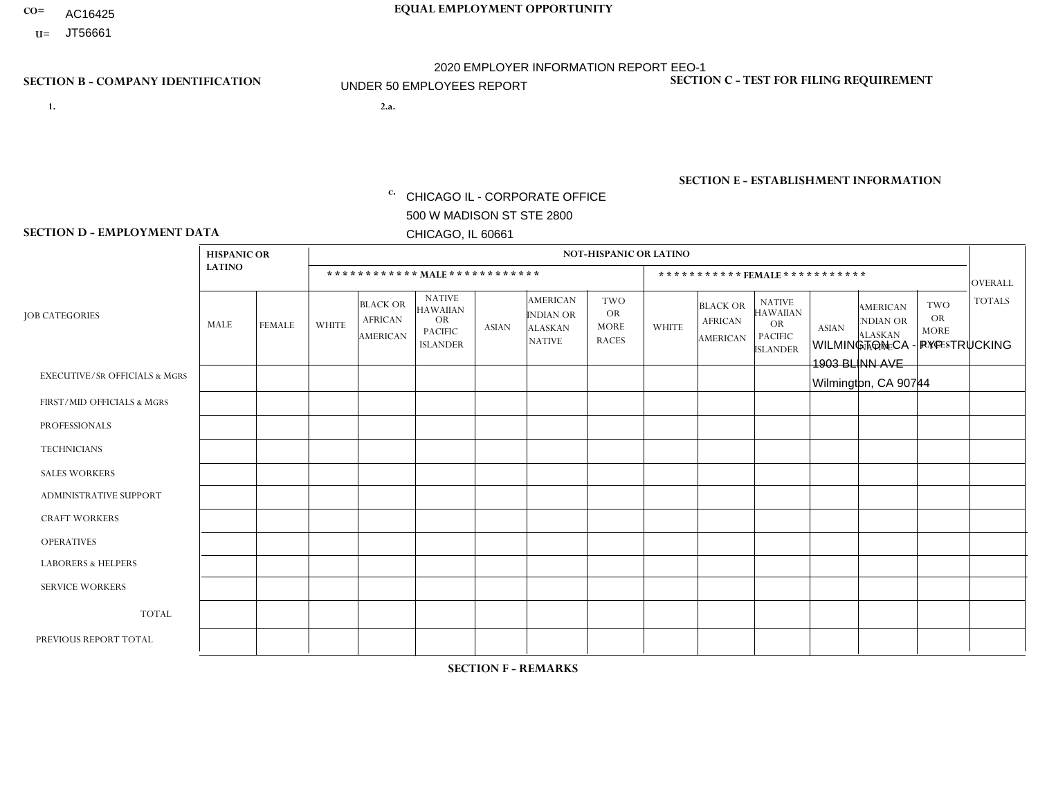- AC16425
- **U=**

**1. 2.a.** CHICAGO IL - CORPORATE OFFICE 500 W MADISON ST STE 2800 CHICAGO, IL 60661

2.a. WILMINGTON CA - PYP -TRUCKING 1903 BLINN AVE Wilmington, CA 90744

EIN= 953406551

# **SECTION B - COMPANY IDENTIFICATION SECTION C - TEST FOR FILING REQUIREMENT**

1- Y 2- Y 3- N DUNS= 000123456

**SECTION E - ESTABLISHMENT INFORMATION c.** NAICS: 423140

### **SECTION D - EMPLOYMENT DATA**

|                                          | <b>HISPANIC OR</b> |                      |              |                                                      |                                                                                    |              |                                                                        | <b>NOT-HISPANIC OR LATINO</b>                          |              |                                                      |                                                                                    |              |                                                                       |                                                        |                |
|------------------------------------------|--------------------|----------------------|--------------|------------------------------------------------------|------------------------------------------------------------------------------------|--------------|------------------------------------------------------------------------|--------------------------------------------------------|--------------|------------------------------------------------------|------------------------------------------------------------------------------------|--------------|-----------------------------------------------------------------------|--------------------------------------------------------|----------------|
|                                          | <b>LATINO</b>      |                      |              | ************ MALE ************                       |                                                                                    |              |                                                                        |                                                        |              |                                                      | *********** FEMALE ***********                                                     |              |                                                                       |                                                        | <b>OVERALL</b> |
| <b>JOB CATEGORIES</b>                    | <b>MALE</b>        | <b>FEMALE</b>        | <b>WHITE</b> | <b>BLACK OR</b><br><b>AFRICAN</b><br><b>AMERICAN</b> | <b>NATIVE</b><br><b>HAWAIIAN</b><br><b>OR</b><br><b>PACIFIC</b><br><b>ISLANDER</b> | <b>ASIAN</b> | <b>AMERICAN</b><br><b>INDIAN OR</b><br><b>ALASKAN</b><br><b>NATIVE</b> | <b>TWO</b><br><b>OR</b><br><b>MORE</b><br><b>RACES</b> | <b>WHITE</b> | <b>BLACK OR</b><br><b>AFRICAN</b><br><b>AMERICAN</b> | <b>NATIVE</b><br><b>HAWAIIAN</b><br><b>OR</b><br><b>PACIFIC</b><br><b>ISLANDER</b> | <b>ASIAN</b> | <b>AMERICAN</b><br><b>NDIAN OR</b><br><b>ALASKAN</b><br><b>NATIVE</b> | <b>TWO</b><br><b>OR</b><br><b>MORE</b><br><b>RACES</b> | <b>TOTALS</b>  |
| <b>EXECUTIVE/SR OFFICIALS &amp; MGRS</b> | $\Omega$           | $\Omega$             | $\mathbf{0}$ | $\mathbf 0$                                          | $\Omega$                                                                           | $\Omega$     | $\Omega$                                                               | $\Omega$                                               | $\Omega$     | $\Omega$                                             | $\Omega$                                                                           | $\Omega$     | $\Omega$                                                              | $\Omega$                                               | $\mathbf 0$    |
| FIRST/MID OFFICIALS & MGRS               | $\Omega$           | $\Omega$             | $\mathbf{0}$ | $\Omega$                                             | $\Omega$                                                                           | $\Omega$     | $\Omega$                                                               | $\Omega$                                               | 0            | $\Omega$                                             | 0                                                                                  | $\Omega$     | $\Omega$                                                              | $\Omega$                                               | $\overline{0}$ |
| <b>PROFESSIONALS</b>                     | $\Omega$           | $\Omega$             | $\Omega$     | $\mathbf 0$                                          | $\Omega$                                                                           | $\Omega$     | $\Omega$                                                               | $\Omega$                                               | $\Omega$     | $\Omega$                                             | 0                                                                                  | 0            | $\Omega$                                                              | $\mathbf 0$                                            | $\Omega$       |
| <b>TECHNICIANS</b>                       | $\Omega$           | $\mathbf 0$          | $\Omega$     | $\mathbf 0$                                          | $\mathbf 0$                                                                        | $\Omega$     | $\Omega$                                                               | $\Omega$                                               | 0            | $\mathbf 0$                                          | 0                                                                                  | $\mathbf 0$  | $\Omega$                                                              | $\mathbf 0$                                            | $\mathbf{0}$   |
| <b>SALES WORKERS</b>                     | $\Omega$           | $\Omega$             | $\Omega$     | $\Omega$                                             | $\Omega$                                                                           | $\Omega$     | $\Omega$                                                               | $\Omega$                                               | $\Omega$     | $\Omega$                                             | $\Omega$                                                                           | $\Omega$     | $\Omega$                                                              | $\Omega$                                               | $\Omega$       |
| <b>ADMINISTRATIVE SUPPORT</b>            | $\Omega$           | $\mathbf 0$          | $\Omega$     | $\mathbf 0$                                          | 0                                                                                  | $\Omega$     | $\Omega$                                                               | $\Omega$                                               | $\Omega$     | $\Omega$                                             | $\Omega$                                                                           | $\mathbf 0$  | $\Omega$                                                              | $\mathbf 0$                                            | $\mathbf 0$    |
| <b>CRAFT WORKERS</b>                     | $\Omega$           | $\Omega$             | $\mathbf{0}$ | $\mathbf 0$                                          | $\Omega$                                                                           | $\Omega$     | $\Omega$                                                               | $\Omega$                                               | 0            | $\Omega$                                             | $\Omega$                                                                           | $\Omega$     | $\Omega$                                                              | $\Omega$                                               | $\Omega$       |
| <b>OPERATIVES</b>                        | $\overline{7}$     | $\blacktriangleleft$ | $\Omega$     | $\mathbf 0$                                          | $\Omega$                                                                           | $\Omega$     | $\Omega$                                                               | $\Omega$                                               | $\Omega$     | $\Omega$                                             | 0                                                                                  | $\Omega$     | $\Omega$                                                              | $\Omega$                                               | 8              |
| <b>LABORERS &amp; HELPERS</b>            | $\Omega$           | $\Omega$             | $\mathbf{0}$ | $\mathbf 0$                                          | $\Omega$                                                                           | $\Omega$     | $\Omega$                                                               | $\Omega$                                               | $\Omega$     | $\Omega$                                             | $\Omega$                                                                           | $\mathbf 0$  | $\Omega$                                                              | $\Omega$                                               | $\mathbf{0}$   |
| <b>SERVICE WORKERS</b>                   | $\Omega$           | $\Omega$             | $\mathbf 0$  | $\mathbf 0$                                          | $\mathbf 0$                                                                        | $\Omega$     | $\Omega$                                                               | $\Omega$                                               | 0            | $\Omega$                                             | $\Omega$                                                                           | $\Omega$     | $\Omega$                                                              | $\Omega$                                               | $\mathbf 0$    |
| <b>TOTAL</b>                             | $\overline{7}$     | $\mathbf{1}$         | $\mathbf 0$  | $\mathbf 0$                                          | $\mathbf 0$                                                                        | $\Omega$     | $\Omega$                                                               | $\Omega$                                               | 0            | $\mathbf{0}$                                         | 0                                                                                  | $\mathbf 0$  | 0                                                                     | $\mathbf 0$                                            | 8              |
| PREVIOUS REPORT TOTAL                    | 8                  | $\mathbf{1}$         | $\Omega$     | $\Omega$                                             | 0                                                                                  | $\Omega$     | $\Omega$                                                               | $\Omega$                                               | 0            | $\Omega$                                             | $\Omega$                                                                           | $\Omega$     | $\Omega$                                                              | $\mathbf 0$                                            | 9              |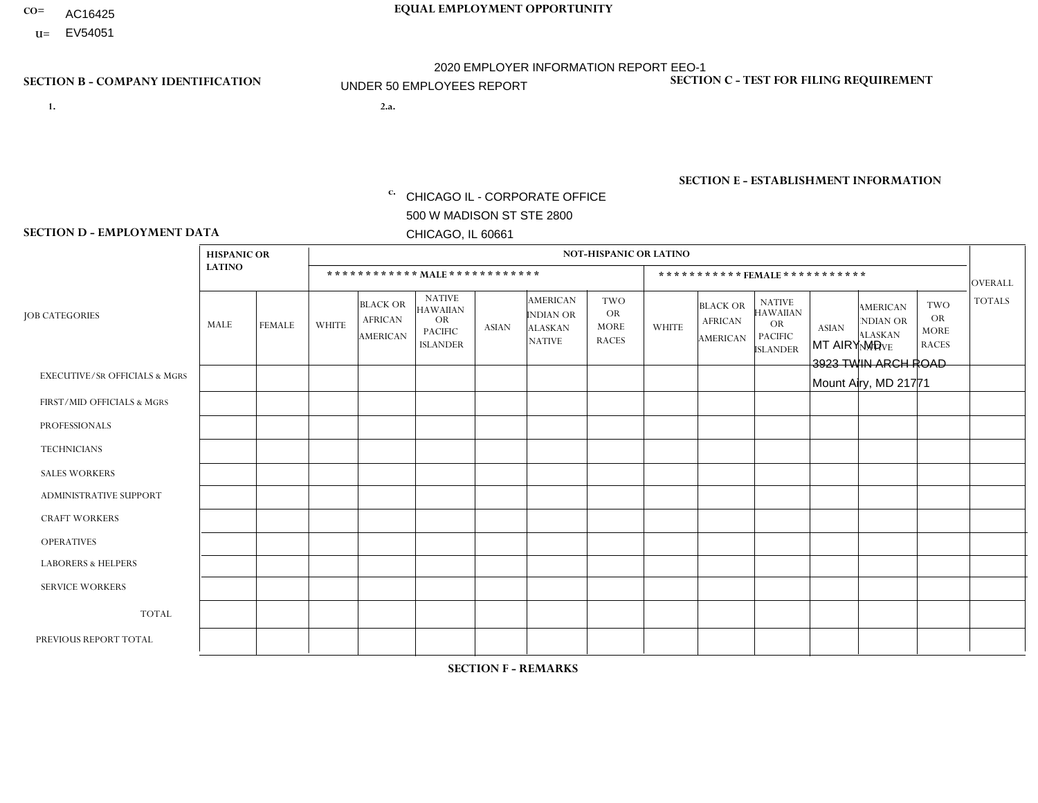- AC16425
- **U=** EV54051

- **1. 2.a.** CHICAGO IL CORPORATE OFFICE 500 W MADISON ST STE 2800 CHICAGO, IL 60661
- 2.a. MT AIRY MD 3923 TWIN ARCH ROAD Mount Airy, MD 21771

c. EIN= 952920557

# **SECTION B - COMPANY IDENTIFICATION SECTION C - TEST FOR FILING REQUIREMENT**

1- Y 2- Y 3- N DUNS= 000123456

**SECTION E - ESTABLISHMENT INFORMATION c.** NAICS: 423140

### **SECTION D - EMPLOYMENT DATA**

|                                          | <b>HISPANIC OR</b> |               |                |                                                      |                                                                                    |              |                                                                        | <b>NOT-HISPANIC OR LATINO</b>                          |              |                                               |                                                                                    |              |                                                                       |                                                        |                |
|------------------------------------------|--------------------|---------------|----------------|------------------------------------------------------|------------------------------------------------------------------------------------|--------------|------------------------------------------------------------------------|--------------------------------------------------------|--------------|-----------------------------------------------|------------------------------------------------------------------------------------|--------------|-----------------------------------------------------------------------|--------------------------------------------------------|----------------|
|                                          | <b>LATINO</b>      |               |                | ************ MAIE************                        |                                                                                    |              |                                                                        |                                                        |              |                                               | ***********FEMALE***********                                                       |              |                                                                       |                                                        | <b>OVERALL</b> |
| <b>JOB CATEGORIES</b>                    | <b>MALE</b>        | <b>FEMALE</b> | <b>WHITE</b>   | <b>BLACK OR</b><br><b>AFRICAN</b><br><b>AMERICAN</b> | <b>NATIVE</b><br><b>HAWAIIAN</b><br><b>OR</b><br><b>PACIFIC</b><br><b>ISLANDER</b> | <b>ASIAN</b> | <b>AMERICAN</b><br><b>INDIAN OR</b><br><b>ALASKAN</b><br><b>NATIVE</b> | <b>TWO</b><br><b>OR</b><br><b>MORE</b><br><b>RACES</b> | <b>WHITE</b> | <b>BLACK OR</b><br><b>AFRICAN</b><br>AMERICAN | <b>NATIVE</b><br><b>HAWAIIAN</b><br><b>OR</b><br><b>PACIFIC</b><br><b>ISLANDER</b> | <b>ASIAN</b> | <b>AMERICAN</b><br><b>NDIAN OR</b><br><b>ALASKAN</b><br><b>NATIVE</b> | <b>TWO</b><br><b>OR</b><br><b>MORE</b><br><b>RACES</b> | <b>TOTALS</b>  |
| <b>EXECUTIVE/SR OFFICIALS &amp; MGRS</b> | $\Omega$           | $\Omega$      | $\Omega$       | $\mathbf 0$                                          | $\Omega$                                                                           | $\Omega$     | $\Omega$                                                               | $\Omega$                                               | $\Omega$     | $\mathbf{0}$                                  | $\mathbf{0}$                                                                       | $\Omega$     | $\Omega$                                                              | $\Omega$                                               | $\mathbf 0$    |
| FIRST/MID OFFICIALS & MGRS               | $\Omega$           | $\Omega$      | $\overline{1}$ | $\Omega$                                             | 0                                                                                  | $\Omega$     | $\Omega$                                                               | $\Omega$                                               | $\Omega$     | $\Omega$                                      | $\Omega$                                                                           | $\Omega$     | $\Omega$                                                              | $\mathbf{0}$                                           | $\mathbf{1}$   |
| <b>PROFESSIONALS</b>                     | $\Omega$           | $\Omega$      | $\Omega$       | $\Omega$                                             | $\Omega$                                                                           | $\Omega$     | $\Omega$                                                               | $\Omega$                                               | $\Omega$     | $\Omega$                                      | $\Omega$                                                                           | $\Omega$     | $\Omega$                                                              | $\Omega$                                               | $\mathbf{0}$   |
| <b>TECHNICIANS</b>                       | $\Omega$           | $\mathbf 0$   | $\Omega$       | $\mathbf 0$                                          | $\mathbf{0}$                                                                       | $\Omega$     | $\Omega$                                                               | $\Omega$                                               | $\mathbf{0}$ | $\Omega$                                      | $\Omega$                                                                           | $\Omega$     | $\Omega$                                                              | $\Omega$                                               | $\mathbf 0$    |
| <b>SALES WORKERS</b>                     | $\Omega$           | $\Omega$      | $\Omega$       | $\Omega$                                             | $\Omega$                                                                           | $\Omega$     | $\Omega$                                                               | $\Omega$                                               | $\mathbf{1}$ | $\Omega$                                      | $\Omega$                                                                           | $\Omega$     | $\Omega$                                                              | $\mathbf{0}$                                           | $\mathbf{1}$   |
| <b>ADMINISTRATIVE SUPPORT</b>            | $\Omega$           | $\Omega$      | $\Omega$       | $\Omega$                                             | $\Omega$                                                                           | $\Omega$     | $\Omega$                                                               | $\Omega$                                               | 1            | $\Omega$                                      | $\Omega$                                                                           | $\Omega$     | $\Omega$                                                              | 2                                                      | 3              |
| <b>CRAFT WORKERS</b>                     | 0                  | $\Omega$      | $\mathbf 0$    | $\mathbf 0$                                          | $\Omega$                                                                           | $\Omega$     | $\Omega$                                                               | $\Omega$                                               | $\Omega$     | $\Omega$                                      | $\Omega$                                                                           | $\Omega$     | $\Omega$                                                              | $\Omega$                                               | $\mathbf 0$    |
| <b>OPERATIVES</b>                        | $\Omega$           | $\Omega$      | 5              | $\overline{2}$                                       | 0                                                                                  | $\Omega$     | $\overline{0}$                                                         | $\Omega$                                               | $\mathbf 1$  | $\Omega$                                      | $\mathbf{0}$                                                                       | $\Omega$     | $\Omega$                                                              | $\Omega$                                               | 8              |
| <b>LABORERS &amp; HELPERS</b>            | $\Omega$           | $\Omega$      | 1              | $\mathbf{1}$                                         | 0                                                                                  | $\Omega$     | $\Omega$                                                               |                                                        | $\Omega$     | $\Omega$                                      | $\Omega$                                                                           | $\Omega$     | $\Omega$                                                              | $\Omega$                                               | 3              |
| <b>SERVICE WORKERS</b>                   | $\Omega$           | $\mathbf 0$   | 0              | $\mathbf 0$                                          | $\mathbf 0$                                                                        | $\mathbf 0$  | $\Omega$                                                               | $\Omega$                                               | $\Omega$     | $\Omega$                                      | $\Omega$                                                                           | $\mathbf 0$  | $\Omega$                                                              | $\mathbf 0$                                            | 0              |
| <b>TOTAL</b>                             | $\Omega$           | $\mathbf 0$   | $\overline{7}$ | 3                                                    | 0                                                                                  | $\mathbf 0$  | $\Omega$                                                               |                                                        | 3            | $\Omega$                                      | $\Omega$                                                                           | $\Omega$     | $\Omega$                                                              | 2                                                      | 16             |
| PREVIOUS REPORT TOTAL                    | $\Omega$           | $\mathbf 0$   | $\overline{7}$ | 2                                                    | 0                                                                                  | $\Omega$     | $\Omega$                                                               | $\overline{2}$                                         | 2            | $\Omega$                                      | $\mathbf{0}$                                                                       | $\Omega$     | $\Omega$                                                              | 2                                                      | 15             |
|                                          |                    |               |                |                                                      |                                                                                    |              |                                                                        |                                                        |              |                                               |                                                                                    |              |                                                                       |                                                        |                |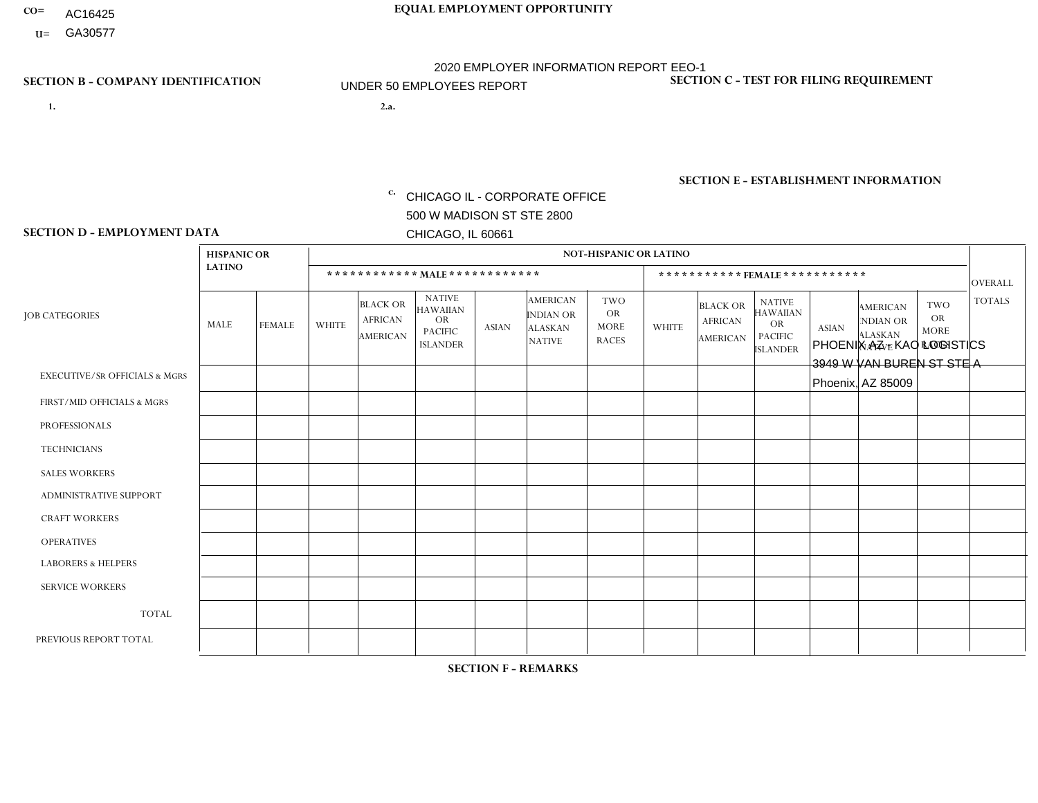- AC16425
- **U=**

- **1. 2.a.** CHICAGO IL CORPORATE OFFICE 500 W MADISON ST STE 2800 CHICAGO, IL 60661
- 2.a. PHOENIX AZ KAO LOGISTICS 3949 W VAN BUREN ST STE A Phoenix, AZ 85009

c. EIN= 952920557

# **SECTION B - COMPANY IDENTIFICATION SECTION C - TEST FOR FILING REQUIREMENT**

1- Y 2- Y 3- N DUNS= 000123456

**SECTION E - ESTABLISHMENT INFORMATION c.** NAICS: 423140

### **SECTION D - EMPLOYMENT DATA**

|                                          | <b>HISPANIC OR</b> |                |                |                                                      |                                                                                    |              |                                                                        | <b>NOT-HISPANIC OR LATINO</b>                          |                         |                                               |                                                                                    |              |                                                                |                                                        |                |
|------------------------------------------|--------------------|----------------|----------------|------------------------------------------------------|------------------------------------------------------------------------------------|--------------|------------------------------------------------------------------------|--------------------------------------------------------|-------------------------|-----------------------------------------------|------------------------------------------------------------------------------------|--------------|----------------------------------------------------------------|--------------------------------------------------------|----------------|
|                                          | <b>LATINO</b>      |                |                |                                                      | ************ MAIE************                                                      |              |                                                                        |                                                        |                         | ***********FEMALE***********                  |                                                                                    |              |                                                                |                                                        | <b>OVERALL</b> |
| <b>JOB CATEGORIES</b>                    | MALE               | FEMALE         | <b>WHITE</b>   | <b>BLACK OR</b><br><b>AFRICAN</b><br><b>AMERICAN</b> | <b>NATIVE</b><br><b>HAWAIIAN</b><br><b>OR</b><br><b>PACIFIC</b><br><b>ISLANDER</b> | <b>ASIAN</b> | <b>AMERICAN</b><br><b>INDIAN OR</b><br><b>ALASKAN</b><br><b>NATIVE</b> | <b>TWO</b><br><b>OR</b><br><b>MORE</b><br><b>RACES</b> | <b>WHITE</b>            | <b>BLACK OR</b><br><b>AFRICAN</b><br>AMERICAN | <b>NATIVE</b><br><b>HAWAIIAN</b><br><b>OR</b><br><b>PACIFIC</b><br><b>ISLANDER</b> | <b>ASIAN</b> | <b>AMERICAN</b><br>NDIAN OR<br><b>ALASKAN</b><br><b>NATIVE</b> | <b>TWO</b><br><b>OR</b><br><b>MORE</b><br><b>RACES</b> | <b>TOTALS</b>  |
| <b>EXECUTIVE/SR OFFICIALS &amp; MGRS</b> | $\Omega$           | $\Omega$       | $\Omega$       | $\mathbf 0$                                          | $\Omega$                                                                           | $\mathbf{0}$ | $\Omega$                                                               | $\Omega$                                               | $\Omega$                | $\Omega$                                      | $\Omega$                                                                           | $\Omega$     | $\Omega$                                                       | $\mathbf{0}$                                           | $\Omega$       |
| FIRST/MID OFFICIALS & MGRS               |                    | 0              | $\overline{2}$ | $\mathbf 0$                                          | $\Omega$                                                                           | $\Omega$     | $\Omega$                                                               | $\Omega$                                               | 0                       | $\Omega$                                      | $\Omega$                                                                           | $\mathbf{0}$ | $\Omega$                                                       | $\mathbf 0$                                            | 3              |
| <b>PROFESSIONALS</b>                     | $\Omega$           | $\mathbf 0$    | $\mathbf 0$    | $\mathbf 0$                                          | $\mathbf 0$                                                                        | $\Omega$     | $\Omega$                                                               | $\Omega$                                               | 0                       | $\Omega$                                      | $\Omega$                                                                           | $\mathbf 0$  | 0                                                              | $\mathbf 0$                                            | $\mathbf{0}$   |
| <b>TECHNICIANS</b>                       | 0                  | $\mathbf 0$    | $\Omega$       | $\mathbf 0$                                          | $\mathbf 0$                                                                        | $\Omega$     | $\Omega$                                                               | $\Omega$                                               | $\Omega$                | $\Omega$                                      | $\Omega$                                                                           | $\mathbf 0$  | 0                                                              | $\mathbf 0$                                            | $\mathbf 0$    |
| <b>SALES WORKERS</b>                     | 1                  | $\mathbf{1}$   | $\Omega$       | $\mathbf 0$                                          | $\Omega$                                                                           | $\Omega$     | $\Omega$                                                               | $\Omega$                                               | 0                       | $\Omega$                                      | $\Omega$                                                                           | $\Omega$     | $\Omega$                                                       | $\Omega$                                               | 2              |
| <b>ADMINISTRATIVE SUPPORT</b>            | $\Omega$           | $\Omega$       | $\Omega$       | $\mathbf 0$                                          | $\Omega$                                                                           | $\Omega$     | $\Omega$                                                               | $\Omega$                                               | $\Omega$                | $\Omega$                                      | $\Omega$                                                                           | $\Omega$     | $\mathbf{0}$                                                   | $\Omega$                                               | $\mathbf 0$    |
| <b>CRAFT WORKERS</b>                     | $\Omega$           | $\Omega$       | $\Omega$       | $\mathbf 0$                                          | $\Omega$                                                                           | $\Omega$     | $\Omega$                                                               | $\Omega$                                               | 0                       | $\Omega$                                      | $\Omega$                                                                           | $\Omega$     | $\Omega$                                                       | $\Omega$                                               | $\Omega$       |
| <b>OPERATIVES</b>                        | 4                  | $\overline{1}$ | 2              | $\mathbf 0$                                          | $\Omega$                                                                           | $\Omega$     | $\Omega$                                                               | $\Omega$                                               | $\overline{\mathbf{A}}$ | $\Omega$                                      | $\Omega$                                                                           | $\Omega$     | $\Omega$                                                       | $\Omega$                                               | 8              |
| <b>LABORERS &amp; HELPERS</b>            | и                  | $\Omega$       | $\Omega$       | $\mathbf 0$                                          | $\Omega$                                                                           | $\Omega$     | $\Omega$                                                               | $\Omega$                                               | 0                       | $\Omega$                                      | $\Omega$                                                                           | $\mathbf{0}$ | $\Omega$                                                       | $\Omega$                                               | $\mathbf{1}$   |
| <b>SERVICE WORKERS</b>                   | 0                  | $\Omega$       | $\mathbf 0$    | 0                                                    | $\mathbf{0}$                                                                       | $\Omega$     | $\Omega$                                                               | $\Omega$                                               | $\Omega$                | $\Omega$                                      | $\Omega$                                                                           | $\Omega$     | $\Omega$                                                       | $\Omega$                                               | $\overline{0}$ |
| <b>TOTAL</b>                             | $\overline{7}$     | $\overline{2}$ | 4              | 0                                                    | $\mathbf{0}$                                                                       | $\mathbf 0$  | $\Omega$                                                               | $\Omega$                                               | -1                      | $\Omega$                                      | $\Omega$                                                                           | $\mathbf 0$  | 0                                                              | $\mathbf 0$                                            | 14             |
| PREVIOUS REPORT TOTAL                    | $\overline{7}$     | $\Omega$       | 5              | $\mathbf 0$                                          | $\Omega$                                                                           | $\Omega$     | $\Omega$                                                               |                                                        |                         | $\Omega$                                      | $\Omega$                                                                           | $\Omega$     | $\Omega$                                                       | $\mathbf 0$                                            | 14             |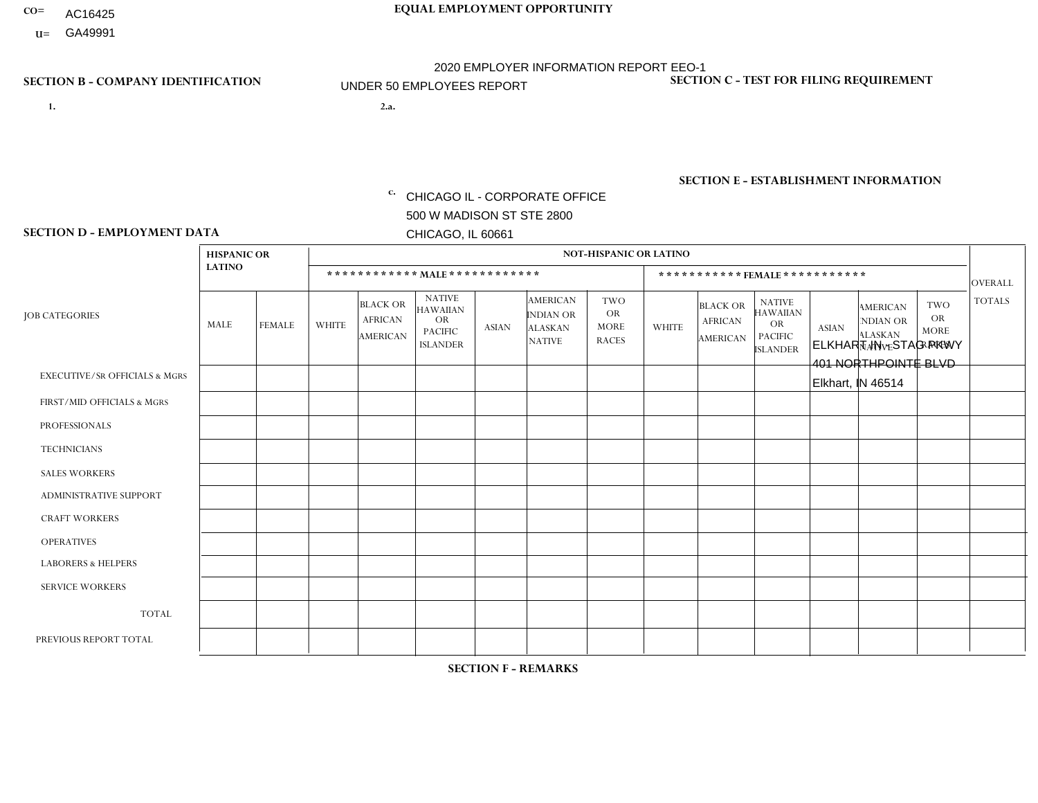- AC16425
- **U=**

**1. 2.a.** CHICAGO IL - CORPORATE OFFICE 500 W MADISON ST STE 2800 CHICAGO, IL 60661

2.a. ELKHART IN - STAG PKWY 401 NORTHPOINTE BLVD Elkhart, IN 46514

c. EIN= 952920557

# **SECTION B - COMPANY IDENTIFICATION SECTION C - TEST FOR FILING REQUIREMENT**

1- Y 2- Y 3- N DUNS= 000123456

**SECTION E - ESTABLISHMENT INFORMATION c.** NAICS: 423140

### **SECTION D - EMPLOYMENT DATA**

|                                          |               | <b>NOT-HISPANIC OR LATINO</b><br><b>HISPANIC OR</b> |              |                                                      |                                                                                    |              |                                                                        |                                                        |              |                                               |                                                                                    |              |                                                                       |                                                        |                                 |
|------------------------------------------|---------------|-----------------------------------------------------|--------------|------------------------------------------------------|------------------------------------------------------------------------------------|--------------|------------------------------------------------------------------------|--------------------------------------------------------|--------------|-----------------------------------------------|------------------------------------------------------------------------------------|--------------|-----------------------------------------------------------------------|--------------------------------------------------------|---------------------------------|
|                                          | <b>LATINO</b> |                                                     |              |                                                      | ************ MALE************                                                      |              |                                                                        |                                                        |              |                                               | ***********FEMALE***********                                                       |              |                                                                       |                                                        |                                 |
| <b>JOB CATEGORIES</b>                    | MALE          | <b>FEMALE</b>                                       | <b>WHITE</b> | <b>BLACK OR</b><br><b>AFRICAN</b><br><b>AMERICAN</b> | <b>NATIVE</b><br><b>HAWAIIAN</b><br><b>OR</b><br><b>PACIFIC</b><br><b>ISLANDER</b> | <b>ASIAN</b> | <b>AMERICAN</b><br><b>INDIAN OR</b><br><b>ALASKAN</b><br><b>NATIVE</b> | <b>TWO</b><br><b>OR</b><br><b>MORE</b><br><b>RACES</b> | <b>WHITE</b> | <b>BLACK OR</b><br><b>AFRICAN</b><br>AMERICAN | <b>NATIVE</b><br><b>HAWAIIAN</b><br><b>OR</b><br><b>PACIFIC</b><br><b>ISLANDER</b> | <b>ASIAN</b> | <b>AMERICAN</b><br><b>NDIAN OR</b><br><b>ALASKAN</b><br><b>NATIVE</b> | <b>TWO</b><br><b>OR</b><br><b>MORE</b><br><b>RACES</b> | <b>OVERALL</b><br><b>TOTALS</b> |
| <b>EXECUTIVE/SR OFFICIALS &amp; MGRS</b> | $\Omega$      | $\Omega$                                            | $\Omega$     | $\mathbf 0$                                          | $\Omega$                                                                           | $\mathbf{0}$ | $\mathbf{0}$                                                           | $\Omega$                                               | 0            | $\Omega$                                      | $\Omega$                                                                           | 0            | $\Omega$                                                              | $\mathbf 0$                                            | $\mathbf{0}$                    |
| FIRST/MID OFFICIALS & MGRS               | 0             | $\Omega$                                            | $\Omega$     | $\mathbf 0$                                          | $\Omega$                                                                           | $\Omega$     | $\Omega$                                                               | $\Omega$                                               | 1            | $\Omega$                                      | $\Omega$                                                                           | $\mathbf{0}$ | $\Omega$                                                              | $\mathbf{0}$                                           | $\mathbf{1}$                    |
| <b>PROFESSIONALS</b>                     | 0             | $\Omega$                                            | $\Omega$     | $\mathbf 0$                                          | $\Omega$                                                                           | $\Omega$     | $\Omega$                                                               | $\Omega$                                               | 3            | $\Omega$                                      | $\Omega$                                                                           | $\Omega$     | $\Omega$                                                              | $\mathbf{0}$                                           | 3                               |
| <b>TECHNICIANS</b>                       | 0             | $\mathbf 0$                                         | $\mathbf 0$  | $\mathbf 0$                                          | $\mathbf 0$                                                                        | $\Omega$     | $\Omega$                                                               | $\Omega$                                               | $\Omega$     | $\mathbf 0$                                   | $\Omega$                                                                           | $\mathbf 0$  | $\mathbf 0$                                                           | $\mathbf 0$                                            | $\mathbf{0}$                    |
| <b>SALES WORKERS</b>                     | 0             | $\Omega$                                            | $\Omega$     | $\Omega$                                             | $\Omega$                                                                           | $\Omega$     | $\Omega$                                                               | $\Omega$                                               |              | $\Omega$                                      | $\Omega$                                                                           | $\Omega$     | $\Omega$                                                              | $\Omega$                                               | $\mathbf{1}$                    |
| <b>ADMINISTRATIVE SUPPORT</b>            | $\Omega$      | $\Omega$                                            | $\Omega$     | $\mathbf 0$                                          | $\Omega$                                                                           | $\Omega$     | $\Omega$                                                               | $\Omega$                                               | $\Omega$     | $\Omega$                                      | $\Omega$                                                                           | $\mathbf{0}$ | $\mathbf{0}$                                                          | $\Omega$                                               | $\mathbf 0$                     |
| <b>CRAFT WORKERS</b>                     | 0             | $\Omega$                                            | $\Omega$     | $\mathbf 0$                                          | $\Omega$                                                                           | $\Omega$     | $\Omega$                                                               | $\Omega$                                               | 0            | $\Omega$                                      | $\Omega$                                                                           | $\mathbf{0}$ | $\Omega$                                                              | $\Omega$                                               | $\Omega$                        |
| <b>OPERATIVES</b>                        | 0             | $\Omega$                                            | $\Omega$     | $\mathbf 0$                                          | $\Omega$                                                                           | $\Omega$     | $\Omega$                                                               | $\Omega$                                               | $\Omega$     | $\Omega$                                      | $\Omega$                                                                           | $\mathbf{0}$ | $\Omega$                                                              | $\Omega$                                               | $\mathbf 0$                     |
| <b>LABORERS &amp; HELPERS</b>            | 0             | $\Omega$                                            | $\Omega$     | $\mathbf 0$                                          | $\Omega$                                                                           | $\Omega$     | $\Omega$                                                               | $\Omega$                                               | 0            | $\Omega$                                      | $\Omega$                                                                           | $\Omega$     | $\Omega$                                                              | $\Omega$                                               | 0                               |
| <b>SERVICE WORKERS</b>                   | 0             | $\mathbf 0$                                         | $\mathbf 0$  | $\mathbf 0$                                          | $\mathbf 0$                                                                        | $\mathbf 0$  | $\Omega$                                                               | $\Omega$                                               | $\Omega$     | $\Omega$                                      | $\Omega$                                                                           | $\mathbf 0$  | $\Omega$                                                              | $\mathbf 0$                                            | $\mathbf 0$                     |
| <b>TOTAL</b>                             | $\Omega$      | 0                                                   | $\mathbf 0$  | 0                                                    | 0                                                                                  | $\Omega$     | $\Omega$                                                               | $\Omega$                                               | 5            | $\Omega$                                      | $\Omega$                                                                           | $\mathbf 0$  | 0                                                                     | $\mathbf 0$                                            | 5                               |
| PREVIOUS REPORT TOTAL                    | 0             | $\mathbf{1}$                                        |              | $\mathbf 0$                                          | $\Omega$                                                                           | $\Omega$     | $\Omega$                                                               | $\Omega$                                               | 5            | $\Omega$                                      | $\Omega$                                                                           | $\Omega$     | $\Omega$                                                              | $\mathbf 0$                                            | $\overline{7}$                  |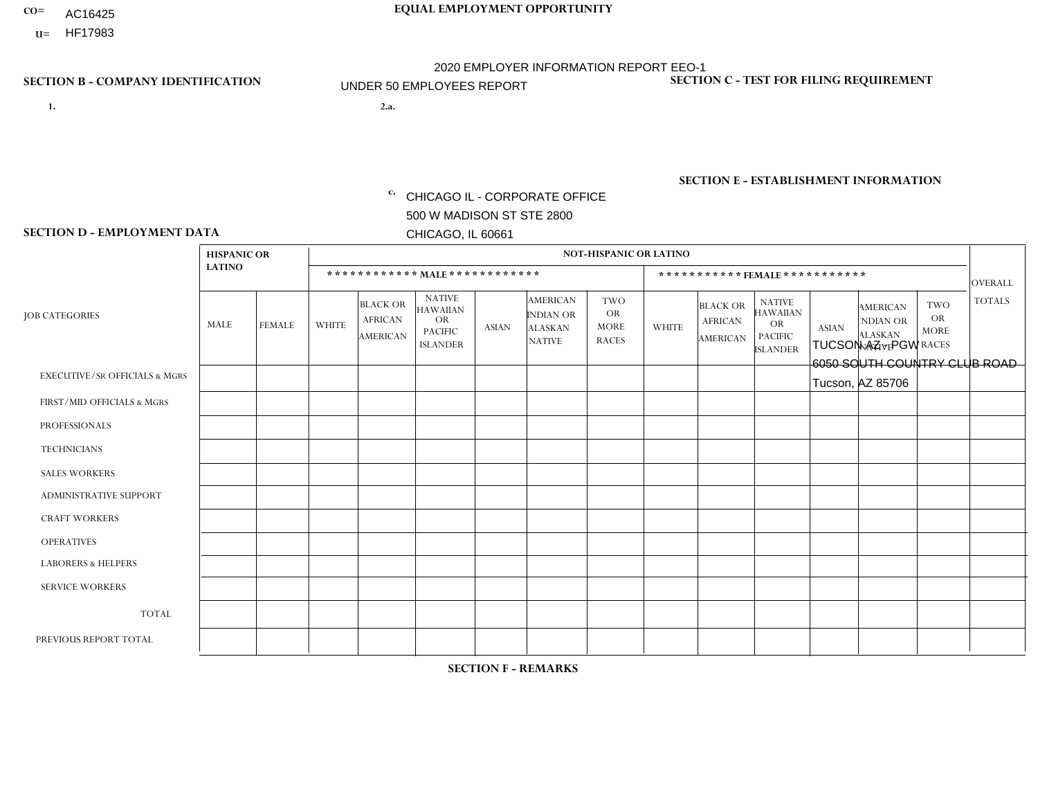- AC16425
- **U=**

- **1. 2.a.** CHICAGO IL CORPORATE OFFICE 500 W MADISON ST STE 2800 CHICAGO, IL 60661
- 2.a. TUCSON AZ PGW 6050 SOUTH COUNTRY CLUB ROAD Tucson, AZ 85706

c. EIN= 952920557

# **SECTION B - COMPANY IDENTIFICATION SECTION C - TEST FOR FILING REQUIREMENT**

1- Y 2- Y 3- N DUNS= 000123456

**SECTION E - ESTABLISHMENT INFORMATION c.** NAICS: 811122

### **SECTION D - EMPLOYMENT DATA**

|                                          | <b>HISPANIC OR</b> |               |              |                                                      |                                                                                    |              |                                                                        | <b>NOT-HISPANIC OR LATINO</b>                   |              |                                                      |                                                                                    |              |                                                                |                                                        |                |
|------------------------------------------|--------------------|---------------|--------------|------------------------------------------------------|------------------------------------------------------------------------------------|--------------|------------------------------------------------------------------------|-------------------------------------------------|--------------|------------------------------------------------------|------------------------------------------------------------------------------------|--------------|----------------------------------------------------------------|--------------------------------------------------------|----------------|
|                                          | <b>LATINO</b>      |               |              |                                                      | ************ MALE ************                                                     |              |                                                                        |                                                 |              | *********** FEMALE ***********                       |                                                                                    |              |                                                                |                                                        | <b>OVERALL</b> |
| <b>JOB CATEGORIES</b>                    | MALE               | <b>FEMALE</b> | <b>WHITE</b> | <b>BLACK OR</b><br><b>AFRICAN</b><br><b>AMERICAN</b> | <b>NATIVE</b><br><b>HAWAIIAN</b><br><b>OR</b><br><b>PACIFIC</b><br><b>ISLANDER</b> | <b>ASIAN</b> | <b>AMERICAN</b><br><b>INDIAN OR</b><br><b>ALASKAN</b><br><b>NATIVE</b> | TWO<br><b>OR</b><br><b>MORE</b><br><b>RACES</b> | <b>WHITE</b> | <b>BLACK OR</b><br><b>AFRICAN</b><br><b>AMERICAN</b> | <b>NATIVE</b><br><b>HAWAIIAN</b><br><b>OR</b><br><b>PACIFIC</b><br><b>ISLANDER</b> | <b>ASIAN</b> | <b>AMERICAN</b><br>NDIAN OR<br><b>ALASKAN</b><br><b>NATIVE</b> | <b>TWO</b><br><b>OR</b><br><b>MORE</b><br><b>RACES</b> | <b>TOTALS</b>  |
| <b>EXECUTIVE/SR OFFICIALS &amp; MGRS</b> | $\Omega$           | $\mathbf 0$   | $\mathbf 0$  | $\mathbf 0$                                          | $\mathbf{0}$                                                                       | $\Omega$     | $\Omega$                                                               | 0                                               | $\Omega$     | $\mathbf{0}$                                         | $\mathbf{0}$                                                                       | $\Omega$     | $\Omega$                                                       | $\Omega$                                               | $\Omega$       |
| FIRST/MID OFFICIALS & MGRS               | 1                  | 0             | $\mathbf 0$  | 0                                                    | $\Omega$                                                                           | $\Omega$     | $\Omega$                                                               | $\Omega$                                        | $\Omega$     | $\Omega$                                             | $\Omega$                                                                           | $\Omega$     | $\Omega$                                                       | $\Omega$                                               | $\overline{1}$ |
| <b>PROFESSIONALS</b>                     | $\Omega$           | 0             | $\mathbf 0$  | $\Omega$                                             | $\mathbf{0}$                                                                       | $\Omega$     | $\Omega$                                                               | 0                                               | $\Omega$     | $\Omega$                                             | $\mathbf{0}$                                                                       | $\Omega$     | $\Omega$                                                       | $\Omega$                                               | $\mathbf 0$    |
| <b>TECHNICIANS</b>                       | 0                  | 0             | $\mathbf 0$  | 0                                                    | $\mathbf{0}$                                                                       | $\Omega$     | $\Omega$                                                               | $\Omega$                                        | $\Omega$     | $\Omega$                                             | $\Omega$                                                                           | 0            | 0                                                              | $\Omega$                                               | $\mathbf 0$    |
| <b>SALES WORKERS</b>                     | $\Omega$           | $\mathbf 0$   | $\mathbf 0$  | $\Omega$                                             | $\Omega$                                                                           | $\Omega$     | $\Omega$                                                               | 0                                               | $\Omega$     | $\Omega$                                             | $\Omega$                                                                           | $\Omega$     | $\Omega$                                                       | $\Omega$                                               | $\Omega$       |
| ADMINISTRATIVE SUPPORT                   | $\Omega$           | $\Omega$      | $\mathbf 0$  | 0                                                    | $\Omega$                                                                           | $\Omega$     | $\Omega$                                                               | $\Omega$                                        | $\Omega$     | $\Omega$                                             | $\Omega$                                                                           | $\Omega$     | $\Omega$                                                       | $\Omega$                                               | $\Omega$       |
| <b>CRAFT WORKERS</b>                     | $\Omega$           | $\Omega$      | $\mathbf 0$  | $\Omega$                                             | $\Omega$                                                                           | 0            | $\Omega$                                                               | 0                                               | $\Omega$     | $\Omega$                                             | $\mathbf{0}$                                                                       | $\Omega$     | $\Omega$                                                       | $\Omega$                                               | $\Omega$       |
| <b>OPERATIVES</b>                        | 1                  | $\Omega$      | $\mathbf{1}$ | $\Omega$                                             | $\mathbf{0}$                                                                       | $\Omega$     | $\Omega$                                                               | $\Omega$                                        | $\Omega$     | $\Omega$                                             | $\mathbf{0}$                                                                       | $\Omega$     | $\Omega$                                                       | $\Omega$                                               | $\overline{2}$ |
| <b>LABORERS &amp; HELPERS</b>            | $\Omega$           | $\Omega$      | $\Omega$     | $\Omega$                                             | $\mathbf{0}$                                                                       | $\Omega$     | $\Omega$                                                               | $\Omega$                                        | $\Omega$     | $\Omega$                                             | $\Omega$                                                                           | $\Omega$     | $\Omega$                                                       | $\Omega$                                               | $\mathbf 0$    |
| <b>SERVICE WORKERS</b>                   | $\Omega$           | 0             | $\mathbf 0$  | 0                                                    | $\Omega$                                                                           | $\Omega$     | $\Omega$                                                               | $\Omega$                                        | $\Omega$     | $\Omega$                                             | $\Omega$                                                                           | $\Omega$     | $\Omega$                                                       | $\mathbf 0$                                            | 0              |
| <b>TOTAL</b>                             | $\overline{2}$     | 0             | 1            | 0                                                    | $\mathbf 0$                                                                        | $\mathbf 0$  | $\Omega$                                                               | $\Omega$                                        | $\Omega$     | 0                                                    | $\Omega$                                                                           | 0            | 0                                                              | $\mathbf 0$                                            | 3              |
| PREVIOUS REPORT TOTAL                    | 1                  | $\mathbf 0$   | $\mathbf 0$  | 0                                                    | $\mathbf{0}$                                                                       | $\Omega$     | $\Omega$                                                               | 0                                               | $\Omega$     | $\Omega$                                             | $\Omega$                                                                           | $\mathbf 0$  | 0                                                              | $\mathbf 0$                                            | $\mathbf{1}$   |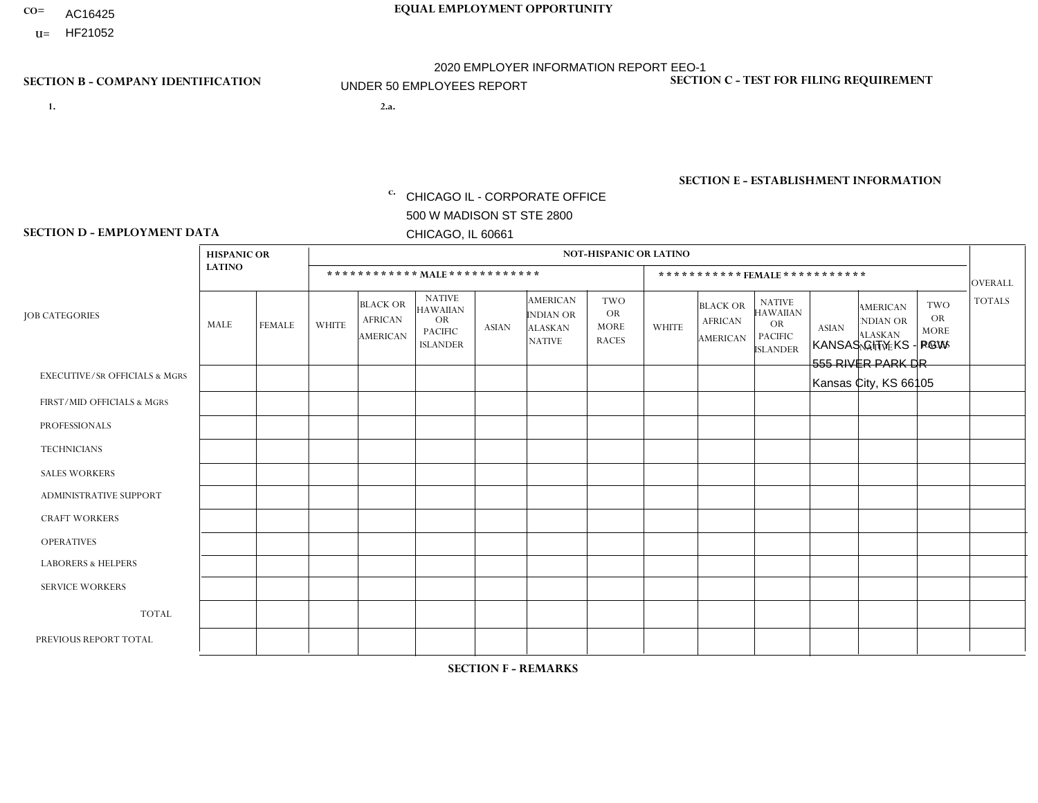- AC16425
- **U=**

**1. 2.a.** CHICAGO IL - CORPORATE OFFICE 500 W MADISON ST STE 2800 CHICAGO, IL 60661

2.a. KANSAS CITY KS - PGW 555 RIVER PARK DR Kansas City, KS 66105

c. EIN= 952920557

# **SECTION B - COMPANY IDENTIFICATION SECTION C - TEST FOR FILING REQUIREMENT**

1- Y 2- Y 3- N DUNS= 000123456

**SECTION E - ESTABLISHMENT INFORMATION c.** NAICS: 811122

### **SECTION D - EMPLOYMENT DATA**

|                                          | <b>HISPANIC OR</b> |               |                |                                                      |                                                                                    |              |                                                                        | <b>NOT-HISPANIC OR LATINO</b>                          |              |                                                      |                                                                                    |              |                                                                       |                                                        |                |
|------------------------------------------|--------------------|---------------|----------------|------------------------------------------------------|------------------------------------------------------------------------------------|--------------|------------------------------------------------------------------------|--------------------------------------------------------|--------------|------------------------------------------------------|------------------------------------------------------------------------------------|--------------|-----------------------------------------------------------------------|--------------------------------------------------------|----------------|
|                                          | <b>LATINO</b>      |               |                | ************ MALE ************                       |                                                                                    |              |                                                                        |                                                        |              |                                                      | ***********FEMALE***********                                                       |              |                                                                       |                                                        | <b>OVERALL</b> |
| <b>JOB CATEGORIES</b>                    | <b>MALE</b>        | <b>FEMALE</b> | <b>WHITE</b>   | <b>BLACK OR</b><br><b>AFRICAN</b><br><b>AMERICAN</b> | <b>NATIVE</b><br><b>HAWAIIAN</b><br><b>OR</b><br><b>PACIFIC</b><br><b>ISLANDER</b> | <b>ASIAN</b> | <b>AMERICAN</b><br><b>INDIAN OR</b><br><b>ALASKAN</b><br><b>NATIVE</b> | <b>TWO</b><br><b>OR</b><br><b>MORE</b><br><b>RACES</b> | <b>WHITE</b> | <b>BLACK OR</b><br><b>AFRICAN</b><br><b>AMERICAN</b> | <b>NATIVE</b><br><b>HAWAIIAN</b><br><b>OR</b><br><b>PACIFIC</b><br><b>ISLANDER</b> | <b>ASIAN</b> | <b>AMERICAN</b><br><b>NDIAN OR</b><br><b>ALASKAN</b><br><b>NATIVE</b> | <b>TWO</b><br><b>OR</b><br><b>MORE</b><br><b>RACES</b> | <b>TOTALS</b>  |
| <b>EXECUTIVE/SR OFFICIALS &amp; MGRS</b> | $\mathbf{0}$       | $\Omega$      | $\Omega$       | $\Omega$                                             | 0                                                                                  | $\Omega$     | $\Omega$                                                               | $\Omega$                                               | $\Omega$     | $\mathbf{0}$                                         | $\Omega$                                                                           | $\Omega$     | $\Omega$                                                              | $\Omega$                                               | $\Omega$       |
| FIRST/MID OFFICIALS & MGRS               | $\Omega$           | $\Omega$      | $\Omega$       | $\mathbf 0$                                          | $\mathbf 0$                                                                        | $\Omega$     | $\Omega$                                                               | $\Omega$                                               | $\Omega$     | $\Omega$                                             | $\Omega$                                                                           | $\Omega$     | $\Omega$                                                              | $\Omega$                                               | $\mathbf 0$    |
| <b>PROFESSIONALS</b>                     | $\Omega$           | $\Omega$      | $\mathbf 0$    | $\mathbf 0$                                          | $\overline{0}$                                                                     | $\Omega$     | $\Omega$                                                               | $\Omega$                                               | $\Omega$     | $\Omega$                                             | $\Omega$                                                                           | $\Omega$     | $\Omega$                                                              | $\mathbf{0}$                                           | $\mathbf 0$    |
| <b>TECHNICIANS</b>                       | $\Omega$           | $\Omega$      | $\Omega$       | $\Omega$                                             | 0                                                                                  | $\Omega$     | $\overline{0}$                                                         | $\Omega$                                               | $\Omega$     | $\Omega$                                             | $\Omega$                                                                           | $\Omega$     | $\mathbf{0}$                                                          | $\Omega$                                               | $\mathbf 0$    |
| <b>SALES WORKERS</b>                     | $\Omega$           | $\Omega$      | $\Omega$       | $\Omega$                                             | $\Omega$                                                                           | $\Omega$     | $\Omega$                                                               | $\Omega$                                               | $\Omega$     | $\Omega$                                             | $\Omega$                                                                           | $\Omega$     | $\Omega$                                                              | $\mathbf{0}$                                           | $\mathbf 0$    |
| <b>ADMINISTRATIVE SUPPORT</b>            | $\Omega$           | $\mathbf 0$   | $\Omega$       | $\mathbf 0$                                          | $\mathbf 0$                                                                        | $\mathbf 0$  | $\Omega$                                                               | $\Omega$                                               | $\Omega$     | $\Omega$                                             | $\Omega$                                                                           | $\Omega$     | $\Omega$                                                              | $\Omega$                                               | $\mathbf 0$    |
| <b>CRAFT WORKERS</b>                     | $\Omega$           | $\Omega$      | $\Omega$       | 0                                                    | 0                                                                                  | $\Omega$     | $\Omega$                                                               | $\Omega$                                               | $\Omega$     | $\Omega$                                             | $\Omega$                                                                           | $\Omega$     | $\Omega$                                                              | $\Omega$                                               | $\Omega$       |
| <b>OPERATIVES</b>                        |                    | 0             | $\overline{c}$ | $\mathbf 0$                                          | 0                                                                                  | $\Omega$     | $\Omega$                                                               | $\Omega$                                               | $\Omega$     | $\Omega$                                             | $\Omega$                                                                           | $\Omega$     | $\Omega$                                                              | $\Omega$                                               | 3              |
| <b>LABORERS &amp; HELPERS</b>            | $\Omega$           | $\Omega$      | 1              | $\mathbf 0$                                          | 0                                                                                  | $\Omega$     | $\Omega$                                                               | $\Omega$                                               | $\Omega$     | $\Omega$                                             | $\Omega$                                                                           | $\Omega$     | $\Omega$                                                              | $\Omega$                                               | $\mathbf{1}$   |
| <b>SERVICE WORKERS</b>                   | $\Omega$           | $\Omega$      | $\Omega$       | 0                                                    | $\mathbf 0$                                                                        | $\Omega$     | $\Omega$                                                               | $\Omega$                                               | $\Omega$     | $\Omega$                                             | $\Omega$                                                                           | $\Omega$     | $\Omega$                                                              | $\Omega$                                               | 0              |
| <b>TOTAL</b>                             | 1                  | $\mathbf 0$   | 3              | $\mathbf 0$                                          | 0                                                                                  | $\mathbf 0$  | $\Omega$                                                               | $\Omega$                                               | 0            | $\Omega$                                             | $\Omega$                                                                           | $\mathbf 0$  | $\Omega$                                                              | $\mathbf 0$                                            | 4              |
| PREVIOUS REPORT TOTAL                    | $\Omega$           | $\mathbf 0$   |                | $\mathbf 0$                                          | 0                                                                                  | $\Omega$     | $\overline{0}$                                                         |                                                        | $\Omega$     | $\Omega$                                             | $\mathbf{0}$                                                                       | $\Omega$     | $\Omega$                                                              | $\mathbf 0$                                            | $\overline{2}$ |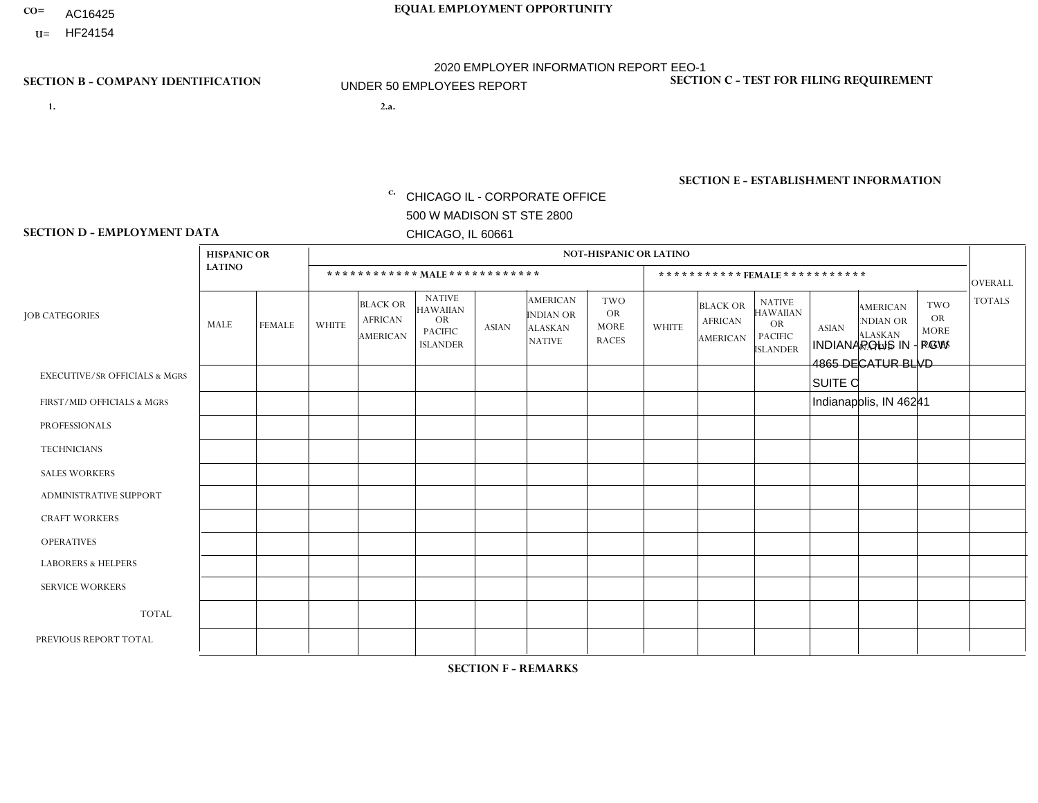- AC16425
- **U=**

**1. 2.a.** CHICAGO IL - CORPORATE OFFICE 500 W MADISON ST STE 2800 CHICAGO, IL 60661

2.a. INDIANAPOLIS IN - PGW 4865 DECATUR BLVD SUITE C Indianapolis, IN 46241

c. EIN= 952920557

# **SECTION B - COMPANY IDENTIFICATION SECTION C - TEST FOR FILING REQUIREMENT**

1- Y 2- Y 3- N DUNS= 000123456

**SECTION E - ESTABLISHMENT INFORMATION c.** NAICS: 811122

### **SECTION D - EMPLOYMENT DATA**

| <b>LATINO</b> |               |                    |                                                      |                                                                                    |              |                                                                        |                                                        |                |                                               |                                                                                    |              |                                                                       |                                                        | <b>OVERALL</b> |
|---------------|---------------|--------------------|------------------------------------------------------|------------------------------------------------------------------------------------|--------------|------------------------------------------------------------------------|--------------------------------------------------------|----------------|-----------------------------------------------|------------------------------------------------------------------------------------|--------------|-----------------------------------------------------------------------|--------------------------------------------------------|----------------|
| MALE          | <b>FEMALE</b> | <b>WHITE</b>       | <b>BLACK OR</b><br><b>AFRICAN</b><br><b>AMERICAN</b> | <b>NATIVE</b><br><b>HAWAIIAN</b><br><b>OR</b><br><b>PACIFIC</b><br><b>ISLANDER</b> | <b>ASIAN</b> | <b>AMERICAN</b><br><b>INDIAN OR</b><br><b>ALASKAN</b><br><b>NATIVE</b> | <b>TWO</b><br><b>OR</b><br><b>MORE</b><br><b>RACES</b> | <b>WHITE</b>   | <b>BLACK OR</b><br><b>AFRICAN</b><br>AMERICAN | <b>NATIVE</b><br><b>HAWAIIAN</b><br><b>OR</b><br><b>PACIFIC</b><br><b>ISLANDER</b> | <b>ASIAN</b> | <b>AMERICAN</b><br><b>NDIAN OR</b><br><b>ALASKAN</b><br><b>NATIVE</b> | <b>TWO</b><br><b>OR</b><br><b>MORE</b><br><b>RACES</b> | <b>TOTALS</b>  |
| $\mathbf 0$   | 0             | $\mathbf 0$        | $\mathbf 0$                                          | 0                                                                                  | $\mathbf 0$  | $\Omega$                                                               | $\Omega$                                               | $\Omega$       | 0                                             | $\Omega$                                                                           | $\mathbf 0$  | 0                                                                     | $\mathbf 0$                                            | $\mathbf 0$    |
| 0             | $\Omega$      | 1                  | $\Omega$                                             | $\Omega$                                                                           | $\Omega$     | $\Omega$                                                               | $\Omega$                                               | $\overline{0}$ | $\Omega$                                      | $\Omega$                                                                           | $\mathbf{0}$ | $\Omega$                                                              | $\mathbf{0}$                                           | $\mathbf{1}$   |
| 0             | $\Omega$      | $\Omega$           | $\mathbf 0$                                          | $\Omega$                                                                           | $\Omega$     | $\Omega$                                                               | $\Omega$                                               | 0              | $\Omega$                                      | $\Omega$                                                                           | $\mathbf{0}$ | $\Omega$                                                              | $\mathbf{0}$                                           | $\mathbf{0}$   |
| $\Omega$      | $\Omega$      | $\Omega$           | $\mathbf 0$                                          | $\Omega$                                                                           | $\Omega$     | $\Omega$                                                               | $\Omega$                                               | $\overline{0}$ | $\Omega$                                      | $\Omega$                                                                           | $\Omega$     | $\Omega$                                                              | $\Omega$                                               | $\mathbf 0$    |
| $\Omega$      | $\mathbf 0$   | $\Omega$           | $\mathbf 0$                                          | $\Omega$                                                                           | $\Omega$     | $\Omega$                                                               | $\Omega$                                               | $\Omega$       | $\Omega$                                      | $\Omega$                                                                           | $\Omega$     | $\Omega$                                                              | $\Omega$                                               | $\mathbf{0}$   |
| $\Omega$      | $\Omega$      | $\Omega$           | $\mathbf 0$                                          | $\Omega$                                                                           | $\Omega$     | $\Omega$                                                               | $\Omega$                                               | $\Omega$       | $\Omega$                                      | $\Omega$                                                                           | $\Omega$     | $\Omega$                                                              | $\mathbf{0}$                                           | $\mathbf 0$    |
| $\Omega$      | $\Omega$      | $\Omega$           | $\mathbf 0$                                          | $\Omega$                                                                           | $\Omega$     | $\Omega$                                                               | $\Omega$                                               | $\Omega$       | $\Omega$                                      | $\Omega$                                                                           | $\Omega$     | $\Omega$                                                              | $\Omega$                                               | $\mathbf{0}$   |
| 0             | $\Omega$      | $\overline{c}$     | $\overline{1}$                                       | $\Omega$                                                                           | $\Omega$     | $\Omega$                                                               | $\Omega$                                               | 1              | $\Omega$                                      | $\Omega$                                                                           | $\Omega$     | $\Omega$                                                              | $\Omega$                                               | $\overline{4}$ |
| 0             | 0             | 1                  | $\overline{\mathbf{1}}$                              | 0                                                                                  | $\Omega$     | $\Omega$                                                               | $\Omega$                                               | $\Omega$       | $\Omega$                                      | $\Omega$                                                                           | $\Omega$     | $\Omega$                                                              | $\Omega$                                               | $\overline{2}$ |
| 0             | $\Omega$      | $\mathbf 0$        | $\mathbf 0$                                          | 0                                                                                  | $\Omega$     | $\Omega$                                                               | $\Omega$                                               | $\Omega$       | $\Omega$                                      | $\Omega$                                                                           | $\Omega$     | $\Omega$                                                              | $\Omega$                                               | $\mathbf{0}$   |
| 0             | $\mathbf 0$   | 4                  | $\overline{c}$                                       | 0                                                                                  | $\mathbf 0$  | $\Omega$                                                               | $\Omega$                                               |                | $\Omega$                                      | $\Omega$                                                                           | $\mathbf{0}$ | $\Omega$                                                              | $\mathbf 0$                                            | $\overline{7}$ |
| 0             | $\mathbf{0}$  | 1                  | $\overline{1}$                                       | 0                                                                                  | $\Omega$     | $\mathbf 0$                                                            |                                                        | 0              | $\Omega$                                      | $\Omega$                                                                           | $\Omega$     | 0                                                                     | $\mathbf 0$                                            | $\mathbf{3}$   |
|               |               | <b>HISPANIC OR</b> |                                                      |                                                                                    |              |                                                                        | ************ MALE************                          |                | <b>NOT-HISPANIC OR LATINO</b>                 |                                                                                    |              |                                                                       | ***********FEMALE***********                           |                |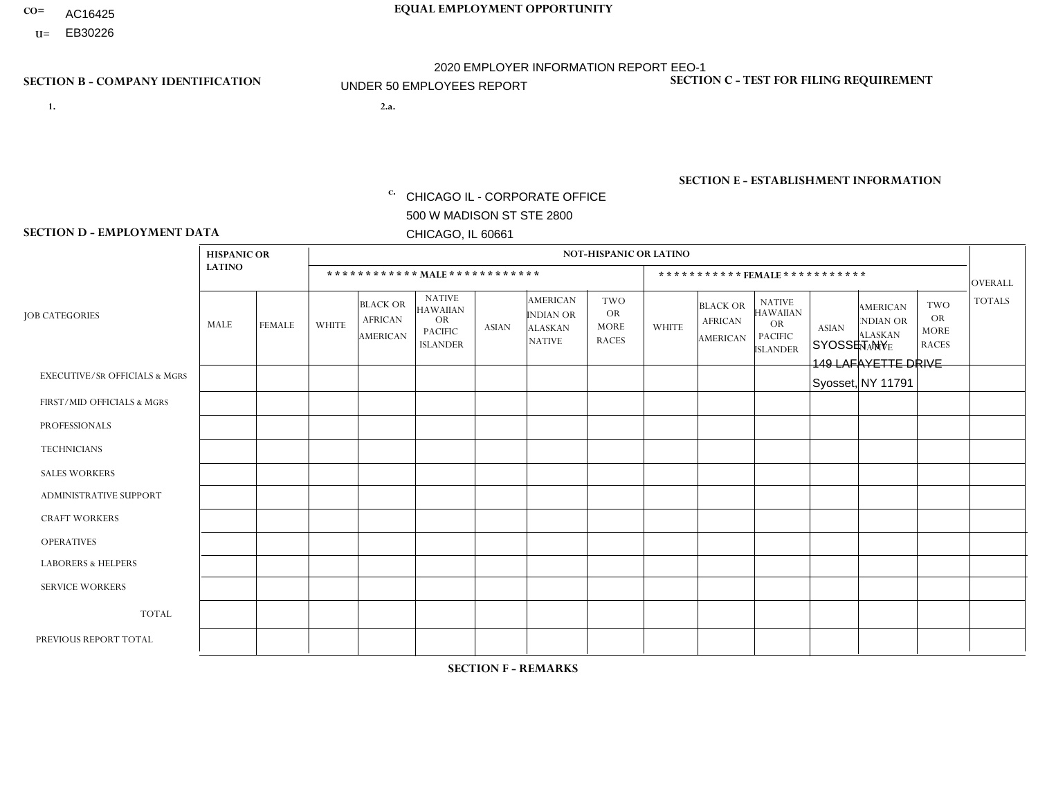- AC16425
- **U=**

- **1. 2.a.** CHICAGO IL CORPORATE OFFICE 500 W MADISON ST STE 2800 CHICAGO, IL 60661
- 2.a. SYOSSET NY 149 LAFAYETTE DRIVE Syosset, NY 11791

EIN= 952920557

# **SECTION B - COMPANY IDENTIFICATION SECTION C - TEST FOR FILING REQUIREMENT**

1- Y 2- Y 3- N DUNS= 000123456

**SECTION E - ESTABLISHMENT INFORMATION c.** NAICS: 423140

### **SECTION D - EMPLOYMENT DATA**

|                                          | <b>HISPANIC OR</b> |               |                |                                                      |                                                                                    |                |                                                                        | <b>NOT-HISPANIC OR LATINO</b>                          |              |                                                      |                                                                                    |              |                                                                       |                                                        |                |
|------------------------------------------|--------------------|---------------|----------------|------------------------------------------------------|------------------------------------------------------------------------------------|----------------|------------------------------------------------------------------------|--------------------------------------------------------|--------------|------------------------------------------------------|------------------------------------------------------------------------------------|--------------|-----------------------------------------------------------------------|--------------------------------------------------------|----------------|
|                                          | <b>LATINO</b>      |               |                | ************ MALE ************                       |                                                                                    |                |                                                                        |                                                        |              |                                                      | ***********FEMALE***********                                                       |              |                                                                       |                                                        | <b>OVERALL</b> |
| <b>JOB CATEGORIES</b>                    | <b>MALE</b>        | <b>FEMALE</b> | <b>WHITE</b>   | <b>BLACK OR</b><br><b>AFRICAN</b><br><b>AMERICAN</b> | <b>NATIVE</b><br><b>HAWAIIAN</b><br><b>OR</b><br><b>PACIFIC</b><br><b>ISLANDER</b> | <b>ASIAN</b>   | <b>AMERICAN</b><br><b>INDIAN OR</b><br><b>ALASKAN</b><br><b>NATIVE</b> | <b>TWO</b><br><b>OR</b><br><b>MORE</b><br><b>RACES</b> | <b>WHITE</b> | <b>BLACK OR</b><br><b>AFRICAN</b><br><b>AMERICAN</b> | <b>NATIVE</b><br><b>HAWAIIAN</b><br><b>OR</b><br><b>PACIFIC</b><br><b>ISLANDER</b> | <b>ASIAN</b> | <b>AMERICAN</b><br><b>NDIAN OR</b><br><b>ALASKAN</b><br><b>NATIVE</b> | <b>TWO</b><br><b>OR</b><br><b>MORE</b><br><b>RACES</b> | <b>TOTALS</b>  |
| <b>EXECUTIVE/SR OFFICIALS &amp; MGRS</b> | $\mathbf{0}$       | $\Omega$      | $\Omega$       | $\Omega$                                             | 0                                                                                  | $\Omega$       | $\Omega$                                                               | $\Omega$                                               | $\Omega$     | $\mathbf{0}$                                         | $\Omega$                                                                           | $\Omega$     | $\Omega$                                                              | $\Omega$                                               | $\Omega$       |
| FIRST/MID OFFICIALS & MGRS               | и                  | $\Omega$      | $\overline{c}$ | $\mathbf 0$                                          | $\mathbf{0}$                                                                       | $\Omega$       | $\Omega$                                                               | $\Omega$                                               | $\Omega$     | $\Omega$                                             | $\Omega$                                                                           | $\Omega$     | $\Omega$                                                              | $\Omega$                                               | 3              |
| <b>PROFESSIONALS</b>                     | $\Omega$           | $\Omega$      | $\mathbf 0$    | $\mathbf 0$                                          | $\overline{0}$                                                                     | $\Omega$       | $\Omega$                                                               | $\Omega$                                               | $\Omega$     | $\Omega$                                             | $\Omega$                                                                           | $\Omega$     | $\Omega$                                                              | $\mathbf{0}$                                           | $\mathbf 0$    |
| <b>TECHNICIANS</b>                       | $\Omega$           | $\Omega$      | $\Omega$       | $\Omega$                                             | 0                                                                                  | $\Omega$       | $\overline{0}$                                                         | $\Omega$                                               | $\Omega$     | $\Omega$                                             | $\Omega$                                                                           | $\Omega$     | $\mathbf{0}$                                                          | $\Omega$                                               | $\mathbf 0$    |
| <b>SALES WORKERS</b>                     | $\Omega$           | $\Omega$      | 4              | $\Omega$                                             | $\Omega$                                                                           | $\Omega$       | $\Omega$                                                               |                                                        | $\Omega$     | $\Omega$                                             | $\Omega$                                                                           | $\Omega$     | $\Omega$                                                              | $\mathbf{0}$                                           | 5              |
| <b>ADMINISTRATIVE SUPPORT</b>            | $\Omega$           | $\mathbf 0$   | $\Omega$       | $\mathbf 0$                                          | $\mathbf 0$                                                                        | $\Omega$       | $\Omega$                                                               | $\Omega$                                               | 1            | $\mathbf{0}$                                         | $\Omega$                                                                           | $\Omega$     | $\Omega$                                                              | $\Omega$                                               | $\mathbf{1}$   |
| <b>CRAFT WORKERS</b>                     | $\Omega$           | $\Omega$      | $\Omega$       | 0                                                    | 0                                                                                  | $\Omega$       | $\Omega$                                                               | $\Omega$                                               | $\Omega$     | $\Omega$                                             | $\Omega$                                                                           | $\Omega$     | $\Omega$                                                              | $\Omega$                                               | $\Omega$       |
| <b>OPERATIVES</b>                        | 5                  | $\Omega$      | 4              | 3                                                    | 0                                                                                  | $\mathbf{1}$   | $\Omega$                                                               |                                                        | $\Omega$     | $\Omega$                                             | $\Omega$                                                                           | $\Omega$     | $\Omega$                                                              | $\Omega$                                               | 14             |
| <b>LABORERS &amp; HELPERS</b>            | -1                 | $\Omega$      | $\Omega$       | $\mathbf{1}$                                         | 0                                                                                  | $\Omega$       | $\Omega$                                                               | $\Omega$                                               | $\Omega$     | $\Omega$                                             | $\Omega$                                                                           | $\Omega$     | $\Omega$                                                              | $\Omega$                                               | $\overline{2}$ |
| <b>SERVICE WORKERS</b>                   | $\Omega$           | $\Omega$      | $\Omega$       | 0                                                    | $\mathbf 0$                                                                        | $\Omega$       | $\Omega$                                                               | $\Omega$                                               | $\Omega$     | $\Omega$                                             | $\Omega$                                                                           | $\Omega$     | $\Omega$                                                              | $\Omega$                                               | 0              |
| <b>TOTAL</b>                             | $\overline{7}$     | 0             | 10             | 4                                                    | 0                                                                                  | $\mathbf 1$    | $\mathbf{0}$                                                           | $\overline{2}$                                         | 1            | $\Omega$                                             | $\Omega$                                                                           | $\mathbf 0$  | $\Omega$                                                              | $\Omega$                                               | 25             |
| PREVIOUS REPORT TOTAL                    | 11                 | $\mathbf 0$   | 12             | 5                                                    | 0                                                                                  | $\overline{1}$ | $\Omega$                                                               | $\overline{2}$                                         | $\mathbf 1$  | $\Omega$                                             | $\mathbf{0}$                                                                       | $\Omega$     | $\Omega$                                                              | $\mathbf 0$                                            | 32             |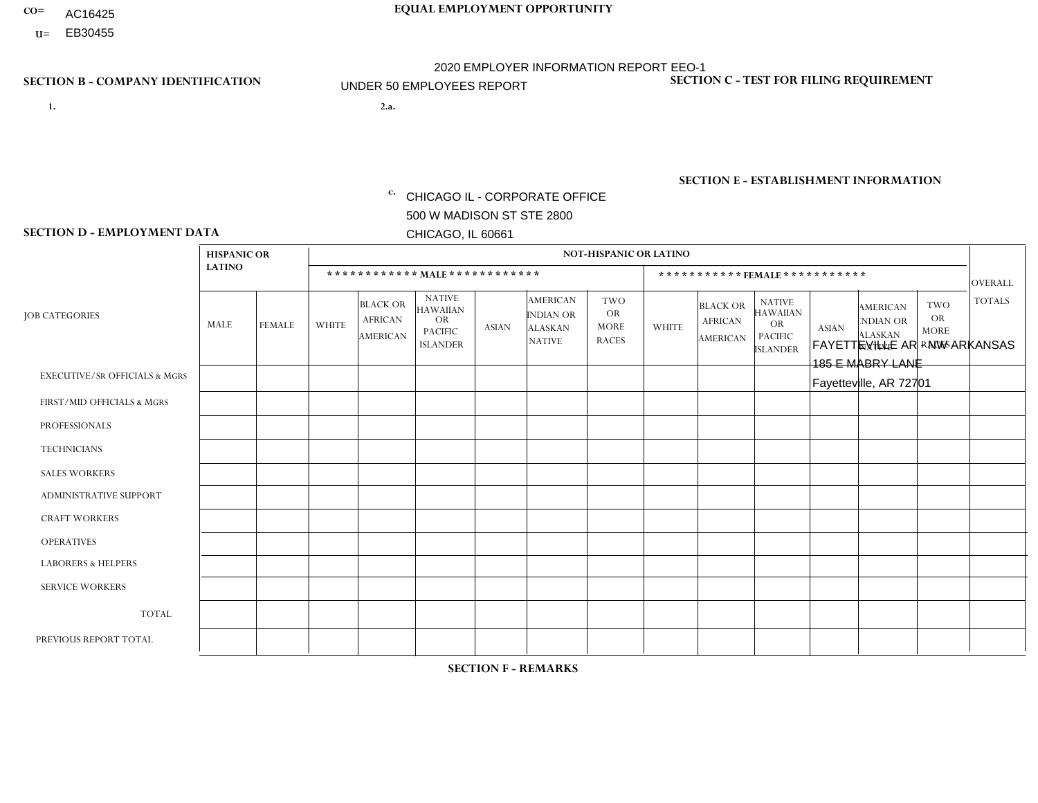- AC16425
- **U=**

**1. 2.a.** CHICAGO IL - CORPORATE OFFICE 500 W MADISON ST STE 2800 CHICAGO, IL 60661

FAYETTEVILLE AR - NW ARKANSAS 185 E MABRY LANE Fayetteville, AR 72701

c. EIN= 952920557

# **SECTION B - COMPANY IDENTIFICATION SECTION C - TEST FOR FILING REQUIREMENT**

1- Y 2- Y 3- N DUNS= 000123456

**SECTION E - ESTABLISHMENT INFORMATION c.** NAICS: 423140

### **SECTION D - EMPLOYMENT DATA**

|                                          | <b>HISPANIC OR</b> |               |              |                                                      |                                                                                    |              |                                                                        | <b>NOT-HISPANIC OR LATINO</b>                          |              |                                               |                                                                                    |              |                                                                       |                                                        |                |
|------------------------------------------|--------------------|---------------|--------------|------------------------------------------------------|------------------------------------------------------------------------------------|--------------|------------------------------------------------------------------------|--------------------------------------------------------|--------------|-----------------------------------------------|------------------------------------------------------------------------------------|--------------|-----------------------------------------------------------------------|--------------------------------------------------------|----------------|
|                                          | <b>LATINO</b>      |               |              | ************ MALE ************                       |                                                                                    |              |                                                                        |                                                        |              |                                               | ***********FEMALE***********                                                       |              |                                                                       |                                                        | <b>OVERALL</b> |
| <b>JOB CATEGORIES</b>                    | <b>MALE</b>        | <b>FEMALE</b> | <b>WHITE</b> | <b>BLACK OR</b><br><b>AFRICAN</b><br><b>AMERICAN</b> | <b>NATIVE</b><br><b>HAWAIIAN</b><br><b>OR</b><br><b>PACIFIC</b><br><b>ISLANDER</b> | <b>ASIAN</b> | <b>AMERICAN</b><br><b>INDIAN OR</b><br><b>ALASKAN</b><br><b>NATIVE</b> | <b>TWO</b><br><b>OR</b><br><b>MORE</b><br><b>RACES</b> | <b>WHITE</b> | <b>BLACK OR</b><br><b>AFRICAN</b><br>AMERICAN | <b>NATIVE</b><br><b>HAWAIIAN</b><br><b>OR</b><br><b>PACIFIC</b><br><b>ISLANDER</b> | <b>ASIAN</b> | <b>AMERICAN</b><br><b>NDIAN OR</b><br><b>ALASKAN</b><br><b>NATIVE</b> | <b>TWO</b><br><b>OR</b><br><b>MORE</b><br><b>RACES</b> | <b>TOTALS</b>  |
| <b>EXECUTIVE/SR OFFICIALS &amp; MGRS</b> | $\mathbf{0}$       | $\Omega$      | $\Omega$     | $\Omega$                                             | 0                                                                                  | $\Omega$     | $\Omega$                                                               | $\Omega$                                               | $\Omega$     | $\mathbf{0}$                                  | $\Omega$                                                                           | $\Omega$     | $\Omega$                                                              | $\Omega$                                               | $\Omega$       |
| FIRST/MID OFFICIALS & MGRS               | $\Omega$           | $\Omega$      | $\Omega$     | $\mathbf 0$                                          | $\mathbf 0$                                                                        | $\Omega$     | $\Omega$                                                               |                                                        | $\Omega$     | $\Omega$                                      | $\Omega$                                                                           | $\Omega$     | $\Omega$                                                              | $\Omega$                                               | $\mathbf{1}$   |
| <b>PROFESSIONALS</b>                     | $\Omega$           | $\Omega$      | $\mathbf 0$  | $\mathbf 0$                                          | $\overline{0}$                                                                     | $\Omega$     | $\Omega$                                                               | $\Omega$                                               | $\Omega$     | $\Omega$                                      | $\Omega$                                                                           | $\Omega$     | $\Omega$                                                              | $\mathbf{0}$                                           | $\mathbf 0$    |
| <b>TECHNICIANS</b>                       | $\Omega$           | $\Omega$      | $\Omega$     | $\Omega$                                             | 0                                                                                  | $\Omega$     | $\overline{0}$                                                         | $\Omega$                                               | $\Omega$     | $\Omega$                                      | $\Omega$                                                                           | $\Omega$     | $\mathbf{0}$                                                          | $\Omega$                                               | $\mathbf 0$    |
| <b>SALES WORKERS</b>                     | $\Omega$           | $\mathbf{1}$  | 1            | $\Omega$                                             | $\Omega$                                                                           | $\Omega$     | $\Omega$                                                               |                                                        | $\Omega$     | $\Omega$                                      | $\Omega$                                                                           | $\Omega$     | $\Omega$                                                              | $\overline{1}$                                         | $\overline{4}$ |
| <b>ADMINISTRATIVE SUPPORT</b>            | $\Omega$           | $\mathbf 0$   | 4            | $\mathbf 0$                                          | $\mathbf 0$                                                                        | $\mathbf 0$  | $\Omega$                                                               | $\Omega$                                               | 1            | $\mathbf{0}$                                  | $\Omega$                                                                           | $\Omega$     | $\Omega$                                                              | $\Omega$                                               | 5              |
| <b>CRAFT WORKERS</b>                     | $\Omega$           | $\Omega$      | 2            | $\mathbf 0$                                          | 0                                                                                  | $\Omega$     | $\Omega$                                                               |                                                        | $\Omega$     | $\Omega$                                      | $\Omega$                                                                           | $\Omega$     | $\Omega$                                                              | $\Omega$                                               | 3              |
| <b>OPERATIVES</b>                        | $\Omega$           | $\Omega$      | 3            | $\mathbf 0$                                          | 0                                                                                  | $\Omega$     | $\overline{0}$                                                         | $\Omega$                                               | $\Omega$     | $\Omega$                                      | $\Omega$                                                                           | $\Omega$     | $\Omega$                                                              | $\Omega$                                               | 3              |
| <b>LABORERS &amp; HELPERS</b>            | $\Omega$           | $\Omega$      | 1            | $\mathbf 0$                                          | 0                                                                                  | $\Omega$     | 1                                                                      | $\Omega$                                               | $\Omega$     | $\Omega$                                      | $\Omega$                                                                           | $\Omega$     | $\Omega$                                                              | $\mathbf{0}$                                           | $\overline{2}$ |
| <b>SERVICE WORKERS</b>                   | $\Omega$           | $\mathbf 0$   | $\Omega$     | 0                                                    | $\mathbf 0$                                                                        | $\Omega$     | $\Omega$                                                               | $\Omega$                                               | $\Omega$     | $\Omega$                                      | $\Omega$                                                                           | $\Omega$     | $\Omega$                                                              | $\Omega$                                               | 0              |
| <b>TOTAL</b>                             | 0                  | $\mathbf{1}$  | 11           | 0                                                    | 0                                                                                  | $\mathbf 0$  | 1                                                                      | 3                                                      | 1            | $\Omega$                                      | $\Omega$                                                                           | $\mathbf 0$  | $\Omega$                                                              | $\overline{1}$                                         | 18             |
| PREVIOUS REPORT TOTAL                    | $\Omega$           | $\mathbf{1}$  | 15           | $\mathbf 0$                                          | 0                                                                                  | $\Omega$     | 1                                                                      | 3                                                      | 2            | $\Omega$                                      | $\mathbf{0}$                                                                       | $\Omega$     | $\mathbf{0}$                                                          | $\overline{1}$                                         | 23             |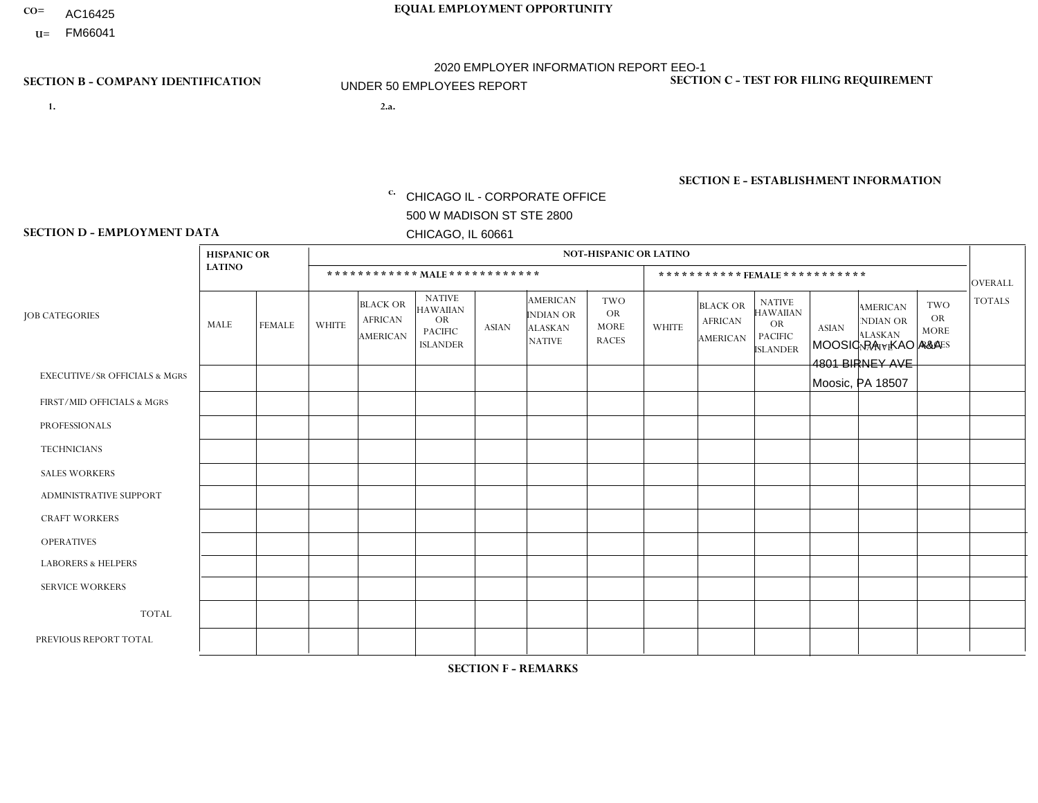- AC16425
- **U=**

**1. 2.a.** CHICAGO IL - CORPORATE OFFICE 500 W MADISON ST STE 2800 CHICAGO, IL 60661

MOOSIC PA - KAO A&A 4801 BIRNEY AVE Moosic, PA 18507

EIN= 952920557

# **SECTION B - COMPANY IDENTIFICATION SECTION C - TEST FOR FILING REQUIREMENT**

1- Y 2- Y 3- N DUNS= 000123456

**SECTION E - ESTABLISHMENT INFORMATION c.** NAICS: 423140

### **SECTION D - EMPLOYMENT DATA**

|                                          | <b>HISPANIC OR</b> |               |                |                                                      |                                                                                    |              |                                                                 | <b>NOT-HISPANIC OR LATINO</b>                          |                |                                               |                                                                                    |              |                                                                |                                                        |                |
|------------------------------------------|--------------------|---------------|----------------|------------------------------------------------------|------------------------------------------------------------------------------------|--------------|-----------------------------------------------------------------|--------------------------------------------------------|----------------|-----------------------------------------------|------------------------------------------------------------------------------------|--------------|----------------------------------------------------------------|--------------------------------------------------------|----------------|
|                                          | <b>LATINO</b>      |               |                |                                                      | ************ MALE ************                                                     |              |                                                                 |                                                        |                | ***********FEMALE***********                  |                                                                                    |              |                                                                |                                                        | <b>OVERALL</b> |
| <b>JOB CATEGORIES</b>                    | MALE               | <b>FEMALE</b> | <b>WHITE</b>   | <b>BLACK OR</b><br><b>AFRICAN</b><br><b>AMERICAN</b> | <b>NATIVE</b><br><b>HAWAIIAN</b><br><b>OR</b><br><b>PACIFIC</b><br><b>ISLANDER</b> | <b>ASIAN</b> | <b>AMERICAN</b><br>INDIAN OR<br><b>ALASKAN</b><br><b>NATIVE</b> | <b>TWO</b><br><b>OR</b><br><b>MORE</b><br><b>RACES</b> | <b>WHITE</b>   | <b>BLACK OR</b><br><b>AFRICAN</b><br>AMERICAN | <b>NATIVE</b><br><b>HAWAIIAN</b><br><b>OR</b><br><b>PACIFIC</b><br><b>ISLANDER</b> | <b>ASIAN</b> | <b>AMERICAN</b><br>NDIAN OR<br><b>ALASKAN</b><br><b>NATIVE</b> | <b>TWO</b><br><b>OR</b><br><b>MORE</b><br><b>RACES</b> | <b>TOTALS</b>  |
| <b>EXECUTIVE/SR OFFICIALS &amp; MGRS</b> | $\Omega$           | $\Omega$      | $\Omega$       | $\Omega$                                             | $\Omega$                                                                           | $\mathbf{0}$ | $\Omega$                                                        | $\Omega$                                               | 0              | $\Omega$                                      | $\Omega$                                                                           | $\Omega$     | $\Omega$                                                       | $\Omega$                                               | $\Omega$       |
| FIRST/MID OFFICIALS & MGRS               | 0                  | $\Omega$      | 1              | $\mathbf 0$                                          | $\Omega$                                                                           | $\mathbf{0}$ | $\mathbf{0}$                                                    | $\Omega$                                               | 0              | $\Omega$                                      | $\Omega$                                                                           | $\Omega$     | $\Omega$                                                       | $\Omega$                                               | $\mathbf{1}$   |
| <b>PROFESSIONALS</b>                     | 0                  | $\Omega$      | $\Omega$       | $\mathbf 0$                                          | $\Omega$                                                                           | $\Omega$     | $\Omega$                                                        | $\Omega$                                               | 0              | $\Omega$                                      | $\Omega$                                                                           | $\Omega$     | $\Omega$                                                       | $\Omega$                                               | $\mathbf{0}$   |
| <b>TECHNICIANS</b>                       | 0                  | $\mathbf 0$   | $\mathbf 0$    | $\mathbf 0$                                          | $\mathbf 0$                                                                        | $\Omega$     | $\Omega$                                                        | $\Omega$                                               | $\Omega$       | $\Omega$                                      | $\Omega$                                                                           | $\mathbf 0$  | $\mathbf 0$                                                    | $\mathbf 0$                                            | $\mathbf 0$    |
| <b>SALES WORKERS</b>                     | $\Omega$           | $\Omega$      | $\Omega$       | $\Omega$                                             | $\Omega$                                                                           | $\Omega$     | $\Omega$                                                        | $\Omega$                                               | $\overline{2}$ | $\Omega$                                      | $\Omega$                                                                           | $\Omega$     | $\Omega$                                                       | $\Omega$                                               | $\overline{2}$ |
| <b>ADMINISTRATIVE SUPPORT</b>            | 0                  | $\Omega$      | $\Omega$       | $\mathbf 0$                                          | $\Omega$                                                                           | $\mathbf{0}$ | $\Omega$                                                        | $\Omega$                                               | $\Omega$       | $\Omega$                                      | $\Omega$                                                                           | $\Omega$     | $\mathbf{0}$                                                   | $\Omega$                                               | $\mathbf 0$    |
| <b>CRAFT WORKERS</b>                     | 0                  | $\Omega$      | $\Omega$       | $\mathbf 0$                                          | $\Omega$                                                                           | $\Omega$     | $\Omega$                                                        | $\Omega$                                               | 0              | $\Omega$                                      | $\Omega$                                                                           | $\Omega$     | $\Omega$                                                       | $\Omega$                                               | $\mathbf 0$    |
| <b>OPERATIVES</b>                        | 0                  | $\mathbf 0$   | 1              | $\mathbf 0$                                          | $\mathbf 0$                                                                        | $\Omega$     | $\Omega$                                                        | $\Omega$                                               | $\overline{0}$ | $\Omega$                                      | $\Omega$                                                                           | $\mathbf 0$  | $\mathbf 0$                                                    | $\mathbf 0$                                            | $\mathbf{1}$   |
| <b>LABORERS &amp; HELPERS</b>            | 0                  | $\Omega$      | $\Omega$       | $\Omega$                                             | $\Omega$                                                                           | $\Omega$     | $\Omega$                                                        | $\Omega$                                               | 0              | $\Omega$                                      | $\Omega$                                                                           | $\Omega$     | $\Omega$                                                       | $\Omega$                                               | $\mathbf 0$    |
| <b>SERVICE WORKERS</b>                   | 0                  | $\Omega$      | $\mathbf 0$    | 0                                                    | 0                                                                                  | $\Omega$     | $\mathbf{0}$                                                    | $\Omega$                                               | $\Omega$       | $\Omega$                                      | $\Omega$                                                                           | 0            | $\Omega$                                                       | $\mathbf 0$                                            | 0              |
| <b>TOTAL</b>                             | $\mathbf 0$        | $\mathbf 0$   | 2              | $\mathbf 0$                                          | 0                                                                                  | $\mathbf 0$  | $\Omega$                                                        | $\Omega$                                               | $\overline{2}$ | $\Omega$                                      | $\Omega$                                                                           | $\mathbf 0$  | 0                                                              | $\mathbf 0$                                            | $\overline{4}$ |
| PREVIOUS REPORT TOTAL                    | 0                  | $\Omega$      | $\overline{2}$ | $\mathbf 0$                                          | $\Omega$                                                                           | $\Omega$     | $\Omega$                                                        | $\Omega$                                               |                | $\Omega$                                      | $\Omega$                                                                           | $\Omega$     | $\Omega$                                                       | $\mathbf 0$                                            | 3              |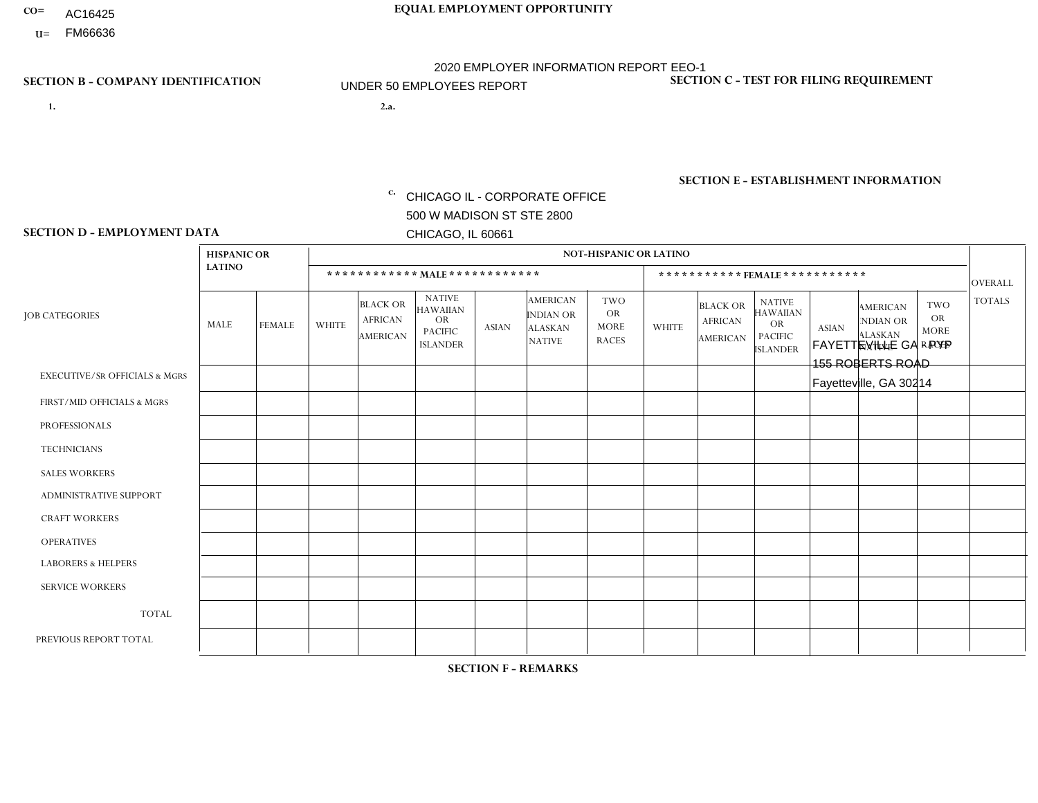- AC16425
- **U=**

**1. 2.a.** CHICAGO IL - CORPORATE OFFICE 500 W MADISON ST STE 2800 CHICAGO, IL 60661

FAYETTEVILLE GA - PYP 155 ROBERTS ROAD Fayetteville, GA 30214

c. EIN= 952920557

# **SECTION B - COMPANY IDENTIFICATION SECTION C - TEST FOR FILING REQUIREMENT**

1- Y 2- Y 3- N DUNS= 000123456

**SECTION E - ESTABLISHMENT INFORMATION c.** NAICS: 423140

### **SECTION D - EMPLOYMENT DATA**

|                                          | <b>HISPANIC OR</b> |               |                |                                                      |                                                                                    |              |                                                                        | <b>NOT-HISPANIC OR LATINO</b>                          |              |                                               |                                                                                    |              |                                                                       |                                                        |                |
|------------------------------------------|--------------------|---------------|----------------|------------------------------------------------------|------------------------------------------------------------------------------------|--------------|------------------------------------------------------------------------|--------------------------------------------------------|--------------|-----------------------------------------------|------------------------------------------------------------------------------------|--------------|-----------------------------------------------------------------------|--------------------------------------------------------|----------------|
|                                          | <b>LATINO</b>      |               |                | ************ MALE ************                       |                                                                                    |              |                                                                        |                                                        |              | ***********FEMALE***********                  |                                                                                    |              |                                                                       |                                                        | <b>OVERALL</b> |
| <b>JOB CATEGORIES</b>                    | MALE               | <b>FEMALE</b> | <b>WHITE</b>   | <b>BLACK OR</b><br><b>AFRICAN</b><br><b>AMERICAN</b> | <b>NATIVE</b><br><b>HAWAIIAN</b><br><b>OR</b><br><b>PACIFIC</b><br><b>ISLANDER</b> | ASIAN        | <b>AMERICAN</b><br><b>INDIAN OR</b><br><b>ALASKAN</b><br><b>NATIVE</b> | <b>TWO</b><br><b>OR</b><br><b>MORE</b><br><b>RACES</b> | <b>WHITE</b> | <b>BLACK OR</b><br><b>AFRICAN</b><br>AMERICAN | <b>NATIVE</b><br><b>HAWAIIAN</b><br><b>OR</b><br><b>PACIFIC</b><br><b>ISLANDER</b> | <b>ASIAN</b> | <b>AMERICAN</b><br><b>NDIAN OR</b><br><b>ALASKAN</b><br><b>NATIVE</b> | <b>TWO</b><br><b>OR</b><br><b>MORE</b><br><b>RACES</b> | <b>TOTALS</b>  |
| <b>EXECUTIVE/SR OFFICIALS &amp; MGRS</b> | $\Omega$           | $\Omega$      | $\Omega$       | $\mathbf 0$                                          | $\Omega$                                                                           | $\mathbf{0}$ | $\Omega$                                                               | $\Omega$                                               | 0            | $\Omega$                                      | $\Omega$                                                                           | $\Omega$     | $\Omega$                                                              | $\Omega$                                               | $\mathbf{0}$   |
| FIRST/MID OFFICIALS & MGRS               | 0                  | $\Omega$      |                | $\mathbf 0$                                          | $\Omega$                                                                           | $\Omega$     | $\Omega$                                                               | $\Omega$                                               |              | $\Omega$                                      | $\Omega$                                                                           | $\Omega$     | $\Omega$                                                              | $\Omega$                                               | $\overline{2}$ |
| <b>PROFESSIONALS</b>                     | 0                  | $\mathbf 0$   | $\mathbf 0$    | $\mathbf 0$                                          | $\Omega$                                                                           | $\Omega$     | $\Omega$                                                               | $\Omega$                                               |              | $\Omega$                                      | $\Omega$                                                                           | $\Omega$     | $\Omega$                                                              | $\Omega$                                               | $\mathbf{1}$   |
| <b>TECHNICIANS</b>                       | 0                  | $\Omega$      | $\Omega$       | $\mathbf 0$                                          | $\Omega$                                                                           | $\Omega$     | $\Omega$                                                               | $\Omega$                                               | $\Omega$     | $\Omega$                                      | $\Omega$                                                                           | $\Omega$     | $\Omega$                                                              | $\Omega$                                               | $\mathbf{0}$   |
| <b>SALES WORKERS</b>                     | 0                  | $\Omega$      | $\Omega$       | $\Omega$                                             | $\Omega$                                                                           | $\Omega$     | $\Omega$                                                               | $\Omega$                                               | 0            | $\Omega$                                      | $\Omega$                                                                           | $\Omega$     | $\Omega$                                                              | $\Omega$                                               | $\Omega$       |
| <b>ADMINISTRATIVE SUPPORT</b>            | 0                  | 0             | $\Omega$       | $\mathbf 0$                                          | 0                                                                                  | $\Omega$     | $\Omega$                                                               | $\Omega$                                               | 3            | $\Omega$                                      | $\Omega$                                                                           | $\Omega$     | $\mathbf{0}$                                                          | $\mathbf 0$                                            | 3              |
| <b>CRAFT WORKERS</b>                     | 0                  | $\Omega$      | $\Omega$       | $\mathbf 0$                                          | $\Omega$                                                                           | $\Omega$     | $\Omega$                                                               | $\Omega$                                               | 0            | $\Omega$                                      | $\Omega$                                                                           | $\Omega$     | $\Omega$                                                              | $\Omega$                                               | $\Omega$       |
| <b>OPERATIVES</b>                        |                    | $\Omega$      | $\overline{c}$ | $\overline{2}$                                       | $\Omega$                                                                           | $\Omega$     | $\Omega$                                                               | $\Omega$                                               |              | $\Omega$                                      | $\Omega$                                                                           | $\Omega$     | $\Omega$                                                              | $\Omega$                                               | 6              |
| <b>LABORERS &amp; HELPERS</b>            | 0                  | $\Omega$      | $\Omega$       | $\overline{2}$                                       | $\Omega$                                                                           | $\Omega$     | $\Omega$                                                               | $\Omega$                                               | $\Omega$     | $\Omega$                                      | $\Omega$                                                                           | $\Omega$     | $\Omega$                                                              | $\Omega$                                               | $\overline{2}$ |
| <b>SERVICE WORKERS</b>                   | 0                  | $\Omega$      | $\mathbf 0$    | 0                                                    | 0                                                                                  | $\Omega$     | $\Omega$                                                               | $\Omega$                                               | $\Omega$     | $\Omega$                                      | $\Omega$                                                                           | $\Omega$     | $\Omega$                                                              | $\mathbf 0$                                            | $\overline{0}$ |
| <b>TOTAL</b>                             |                    | 0             | 3              | 4                                                    | 0                                                                                  | $\mathbf 0$  | $\Omega$                                                               | $\Omega$                                               | 6            | $\Omega$                                      | $\Omega$                                                                           | $\mathbf 0$  | 0                                                                     | $\mathbf 0$                                            | 14             |
| PREVIOUS REPORT TOTAL                    | 0                  | $\Omega$      | 5              | $\overline{2}$                                       | $\Omega$                                                                           | $\mathbf{0}$ | $\Omega$                                                               |                                                        | 6            | $\Omega$                                      | $\Omega$                                                                           | $\Omega$     | $\Omega$                                                              | $\mathbf 0$                                            | 14             |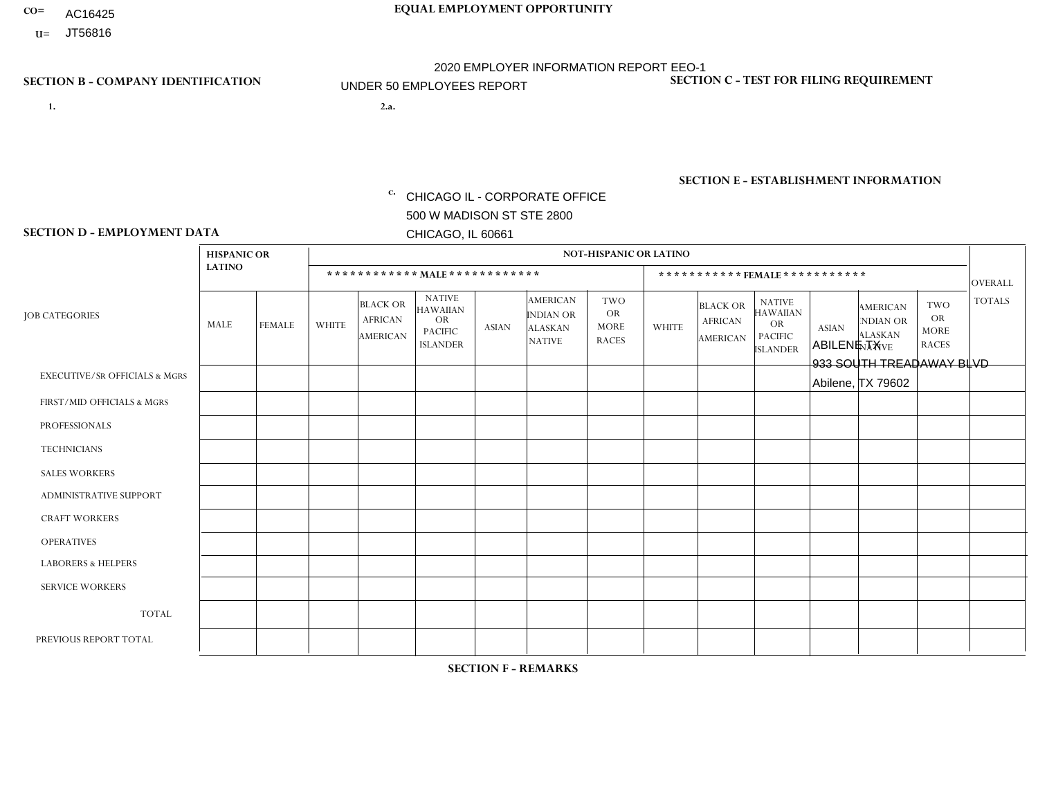- AC16425
- **U=**

- **1. 2.a.** CHICAGO IL CORPORATE OFFICE 500 W MADISON ST STE 2800 CHICAGO, IL 60661
- 2.a. ABILENE TX 933 SOUTH TREADAWAY BLVD Abilene, TX 79602

c. EIN= 952920557

# **SECTION B - COMPANY IDENTIFICATION SECTION C - TEST FOR FILING REQUIREMENT**

1- Y 2- Y 3- N DUNS= 000123456

**SECTION E - ESTABLISHMENT INFORMATION c.** NAICS: 423140

### **SECTION D - EMPLOYMENT DATA**

|                                          | <b>HISPANIC OR</b> |               |              |                                                      |                                                                                    |             |                                                                        | <b>NOT-HISPANIC OR LATINO</b>                          |                |                                               |                                                                             |              |                                                                       |                                                        |                |
|------------------------------------------|--------------------|---------------|--------------|------------------------------------------------------|------------------------------------------------------------------------------------|-------------|------------------------------------------------------------------------|--------------------------------------------------------|----------------|-----------------------------------------------|-----------------------------------------------------------------------------|--------------|-----------------------------------------------------------------------|--------------------------------------------------------|----------------|
|                                          | <b>LATINO</b>      |               |              | ************ MALE ************                       |                                                                                    |             |                                                                        |                                                        |                | ***********FEMALE***********                  |                                                                             |              |                                                                       |                                                        | <b>OVERALL</b> |
| <b>JOB CATEGORIES</b>                    | MALE               | <b>FEMALE</b> | <b>WHITE</b> | <b>BLACK OR</b><br><b>AFRICAN</b><br><b>AMERICAN</b> | <b>NATIVE</b><br><b>HAWAIIAN</b><br><b>OR</b><br><b>PACIFIC</b><br><b>ISLANDER</b> | ASIAN       | <b>AMERICAN</b><br><b>INDIAN OR</b><br><b>ALASKAN</b><br><b>NATIVE</b> | <b>TWO</b><br><b>OR</b><br><b>MORE</b><br><b>RACES</b> | <b>WHITE</b>   | <b>BLACK OR</b><br><b>AFRICAN</b><br>AMERICAN | <b>NATIVE</b><br><b>HAWAIIAN</b><br>OR<br><b>PACIFIC</b><br><b>ISLANDER</b> | <b>ASIAN</b> | <b>AMERICAN</b><br><b>NDIAN OR</b><br><b>ALASKAN</b><br><b>NATIVE</b> | <b>TWO</b><br><b>OR</b><br><b>MORE</b><br><b>RACES</b> | <b>TOTALS</b>  |
| <b>EXECUTIVE/SR OFFICIALS &amp; MGRS</b> | $\Omega$           | $\Omega$      | $\Omega$     | $\mathbf 0$                                          | $\mathbf 0$                                                                        | $\Omega$    | $\Omega$                                                               | $\Omega$                                               | $\Omega$       | $\Omega$                                      | $\Omega$                                                                    | $\mathbf 0$  | $\Omega$                                                              | $\mathbf 0$                                            | $\mathbf{0}$   |
| FIRST/MID OFFICIALS & MGRS               | 0                  | 0             | $\Omega$     | $\mathbf 0$                                          | 0                                                                                  | $\Omega$    | $\Omega$                                                               | $\Omega$                                               | 0              | $\Omega$                                      | $\Omega$                                                                    | $\Omega$     | $\Omega$                                                              | $\mathbf 0$                                            | $\overline{0}$ |
| <b>PROFESSIONALS</b>                     | $\Omega$           | $\Omega$      | $\Omega$     | $\mathbf 0$                                          | $\Omega$                                                                           | $\Omega$    | $\Omega$                                                               | $\Omega$                                               | $\overline{0}$ | $\Omega$                                      | $\Omega$                                                                    | $\Omega$     | $\Omega$                                                              | $\Omega$                                               | $\mathbf 0$    |
| <b>TECHNICIANS</b>                       | $\Omega$           | $\mathbf 0$   | $\Omega$     | $\mathbf 0$                                          | $\Omega$                                                                           | $\Omega$    | $\Omega$                                                               | $\Omega$                                               | $\Omega$       | $\Omega$                                      | $\Omega$                                                                    | $\Omega$     | $\Omega$                                                              | $\Omega$                                               | $\mathbf{0}$   |
| <b>SALES WORKERS</b>                     | 1                  | $\Omega$      | $\Omega$     | $\mathbf 0$                                          | $\Omega$                                                                           | $\Omega$    | $\Omega$                                                               | $\Omega$                                               | $\overline{0}$ | $\Omega$                                      | $\Omega$                                                                    | $\Omega$     | $\Omega$                                                              | $\mathbf{0}$                                           | $\mathbf{1}$   |
| ADMINISTRATIVE SUPPORT                   | $\mathbf 0$        | $\mathbf 0$   | $\mathbf 0$  | $\mathbf 0$                                          | 0                                                                                  | $\Omega$    | $\Omega$                                                               | $\Omega$                                               | $\Omega$       | $\Omega$                                      | $\Omega$                                                                    | $\Omega$     | $\mathbf{0}$                                                          | $\mathbf 0$                                            | $\mathbf 0$    |
| <b>CRAFT WORKERS</b>                     | 0                  | $\Omega$      | $\Omega$     | $\mathbf 0$                                          | $\Omega$                                                                           | $\Omega$    | $\Omega$                                                               | $\Omega$                                               | 0              | $\Omega$                                      | $\Omega$                                                                    | $\Omega$     | $\Omega$                                                              | $\Omega$                                               | $\Omega$       |
| <b>OPERATIVES</b>                        | 0                  | $\Omega$      | $\Omega$     | $\mathbf 0$                                          | $\Omega$                                                                           | $\Omega$    | $\Omega$                                                               | $\Omega$                                               | $\Omega$       | $\Omega$                                      | $\Omega$                                                                    | $\Omega$     | $\Omega$                                                              | $\Omega$                                               | $\mathbf 0$    |
| <b>LABORERS &amp; HELPERS</b>            | $\Omega$           | $\Omega$      | $\mathbf 0$  | $\mathbf 0$                                          | $\mathbf 0$                                                                        | $\Omega$    | $\Omega$                                                               | $\Omega$                                               | $\Omega$       | $\Omega$                                      | $\Omega$                                                                    | $\Omega$     | $\Omega$                                                              | $\Omega$                                               | $\mathbf{0}$   |
| <b>SERVICE WORKERS</b>                   | 0                  | $\mathbf 0$   | $\mathbf 0$  | $\mathbf 0$                                          | $\mathbf{0}$                                                                       | $\mathbf 0$ | $\Omega$                                                               | $\Omega$                                               | $\Omega$       | $\Omega$                                      | $\Omega$                                                                    | $\mathbf 0$  | $\Omega$                                                              | $\mathbf 0$                                            | $\overline{0}$ |
| <b>TOTAL</b>                             |                    | 0             | $\mathbf 0$  | 0                                                    | 0                                                                                  | $\Omega$    | $\Omega$                                                               | $\Omega$                                               | $\Omega$       | $\Omega$                                      | $\Omega$                                                                    | $\mathbf 0$  | 0                                                                     | $\mathbf 0$                                            | $\mathbf{1}$   |
| PREVIOUS REPORT TOTAL                    | 0                  | $\mathbf{0}$  |              | $\mathbf 0$                                          | $\Omega$                                                                           | $\Omega$    | $\Omega$                                                               | $\Omega$                                               | 0              | $\Omega$                                      | $\Omega$                                                                    | $\Omega$     | $\Omega$                                                              | $\mathbf 0$                                            | $\mathbf{1}$   |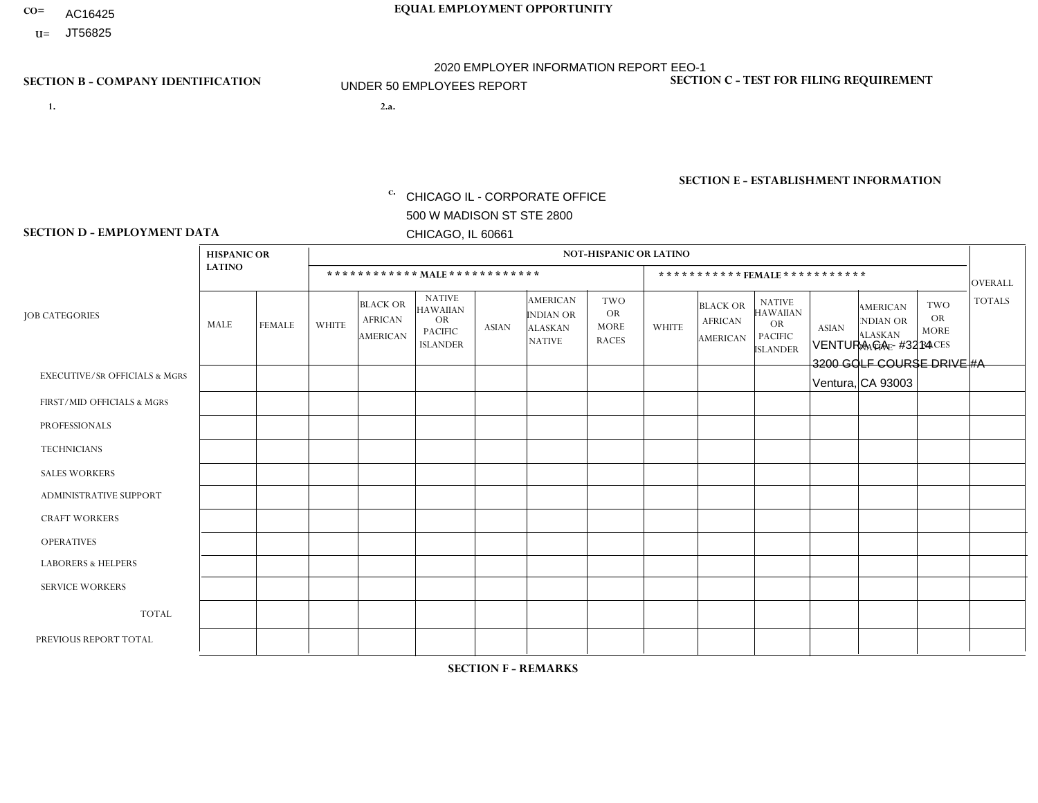- AC16425
- **U=**

- **1. 2.a.** CHICAGO IL CORPORATE OFFICE 500 W MADISON ST STE 2800 CHICAGO, IL 60661
- 2.a. VENTURA CA #3214 3200 GOLF COURSE DRIVE #A Ventura, CA 93003

EIN= 952920557

# **SECTION B - COMPANY IDENTIFICATION SECTION C - TEST FOR FILING REQUIREMENT**

1- Y 2- Y 3- N DUNS= 000123456

**SECTION E - ESTABLISHMENT INFORMATION c.** NAICS: 423140

### **SECTION D - EMPLOYMENT DATA**

|                                          | <b>HISPANIC OR</b> |               |              |                                                      |                                                                                    |              |                                                                        | <b>NOT-HISPANIC OR LATINO</b>                          |                |                                               |                                                                             |              |                                                                       |                                                        |                |
|------------------------------------------|--------------------|---------------|--------------|------------------------------------------------------|------------------------------------------------------------------------------------|--------------|------------------------------------------------------------------------|--------------------------------------------------------|----------------|-----------------------------------------------|-----------------------------------------------------------------------------|--------------|-----------------------------------------------------------------------|--------------------------------------------------------|----------------|
|                                          | <b>LATINO</b>      |               |              | ************ MALE ************                       |                                                                                    |              |                                                                        |                                                        |                |                                               | *********** FEMALE ***********                                              |              |                                                                       |                                                        | <b>OVERALL</b> |
| <b>JOB CATEGORIES</b>                    | <b>MALE</b>        | <b>FEMALE</b> | <b>WHITE</b> | <b>BLACK OR</b><br><b>AFRICAN</b><br><b>AMERICAN</b> | <b>NATIVE</b><br><b>HAWAIIAN</b><br><b>OR</b><br><b>PACIFIC</b><br><b>ISLANDER</b> | <b>ASIAN</b> | <b>AMERICAN</b><br><b>INDIAN OR</b><br><b>ALASKAN</b><br><b>NATIVE</b> | <b>TWO</b><br><b>OR</b><br><b>MORE</b><br><b>RACES</b> | <b>WHITE</b>   | <b>BLACK OR</b><br><b>AFRICAN</b><br>AMERICAN | <b>NATIVE</b><br><b>HAWAIIAN</b><br>OR<br><b>PACIFIC</b><br><b>ISLANDER</b> | <b>ASIAN</b> | <b>AMERICAN</b><br><b>NDIAN OR</b><br><b>ALASKAN</b><br><b>NATIVE</b> | <b>TWO</b><br><b>OR</b><br><b>MORE</b><br><b>RACES</b> | <b>TOTALS</b>  |
| <b>EXECUTIVE/SR OFFICIALS &amp; MGRS</b> | $\Omega$           | $\Omega$      | $\Omega$     | $\mathbf 0$                                          | $\mathbf 0$                                                                        | $\Omega$     | $\Omega$                                                               | $\Omega$                                               | $\Omega$       | $\Omega$                                      | $\mathbf 0$                                                                 | $\mathbf 0$  | $\Omega$                                                              | $\Omega$                                               | $\mathbf 0$    |
| FIRST/MID OFFICIALS & MGRS               | $\Omega$           | 0             | $\Omega$     | $\mathbf 0$                                          | $\mathbf{0}$                                                                       | $\Omega$     | $\Omega$                                                               | 1                                                      | 0              | $\Omega$                                      | $\Omega$                                                                    | $\mathbf 0$  | 0                                                                     | 0                                                      | $\mathbf 1$    |
| <b>PROFESSIONALS</b>                     | $\Omega$           | $\Omega$      | $\Omega$     | $\mathbf 0$                                          | $\Omega$                                                                           | $\Omega$     | $\Omega$                                                               | $\Omega$                                               | $\overline{0}$ | $\Omega$                                      | $\Omega$                                                                    | $\Omega$     | $\Omega$                                                              | $\Omega$                                               | $\mathbf{0}$   |
| <b>TECHNICIANS</b>                       | $\Omega$           | $\Omega$      | $\Omega$     | $\mathbf 0$                                          | $\Omega$                                                                           | $\Omega$     | $\Omega$                                                               | $\Omega$                                               | 0              | $\Omega$                                      | 0                                                                           | 0            | $\Omega$                                                              | $\mathbf 0$                                            | $\mathbf{0}$   |
| <b>SALES WORKERS</b>                     | -1                 | $\Omega$      | 1            | $\mathbf 0$                                          | $\Omega$                                                                           | $\Omega$     | $\Omega$                                                               | $\Omega$                                               | $\overline{0}$ | $\Omega$                                      | $\Omega$                                                                    | $\Omega$     | $\Omega$                                                              | $\Omega$                                               | $\overline{2}$ |
| ADMINISTRATIVE SUPPORT                   | $\Omega$           | $\mathbf 0$   | $\Omega$     | $\mathbf 0$                                          | 0                                                                                  | $\mathbf{0}$ | $\Omega$                                                               | $\Omega$                                               | 0              | $\Omega$                                      | 0                                                                           | $\mathbf 0$  | 0                                                                     | $\mathbf 0$                                            | $\overline{0}$ |
| <b>CRAFT WORKERS</b>                     | $\Omega$           | $\Omega$      | $\mathbf{0}$ | $\Omega$                                             | $\Omega$                                                                           | $\Omega$     | $\Omega$                                                               | $\Omega$                                               | 0              | $\Omega$                                      | 0                                                                           | $\Omega$     | $\Omega$                                                              | $\Omega$                                               | $\Omega$       |
| <b>OPERATIVES</b>                        | 4                  | $\Omega$      | $\mathbf{0}$ | $\overline{1}$                                       | $\Omega$                                                                           | $\Omega$     | $\Omega$                                                               | $\Omega$                                               | $\Omega$       | $\Omega$                                      | 0                                                                           | $\Omega$     | $\Omega$                                                              | $\Omega$                                               | 5              |
| <b>LABORERS &amp; HELPERS</b>            | 1                  | $\mathbf{1}$  | $\Omega$     | $\mathbf 0$                                          | 0                                                                                  | $\Omega$     | $\Omega$                                                               | $\Omega$                                               | $\Omega$       | $\Omega$                                      | $\Omega$                                                                    | $\Omega$     | $\Omega$                                                              | $\Omega$                                               | $\overline{2}$ |
| <b>SERVICE WORKERS</b>                   | $\Omega$           | $\mathbf 0$   | $\mathbf 0$  | 0                                                    | $\mathbf 0$                                                                        | $\mathbf 0$  | $\Omega$                                                               | $\Omega$                                               | 0              | $\Omega$                                      | 0                                                                           | $\mathbf 0$  | $\Omega$                                                              | $\mathbf 0$                                            | $\mathbf{0}$   |
| <b>TOTAL</b>                             | 6                  | $\mathbf{1}$  | -1           | $\overline{ }$                                       | 0                                                                                  | 0            | $\Omega$                                                               | $\mathbf{1}$                                           | 0              | $\Omega$                                      | $\Omega$                                                                    | $\mathbf 0$  | $\Omega$                                                              | $\mathbf 0$                                            | 10             |
| PREVIOUS REPORT TOTAL                    | 9                  | $\mathbf{0}$  |              |                                                      | $\mathbf 0$                                                                        | $\Omega$     | $\Omega$                                                               | 1                                                      | 0              | $\Omega$                                      | 0                                                                           | 1            | $\Omega$                                                              | 0                                                      | 13             |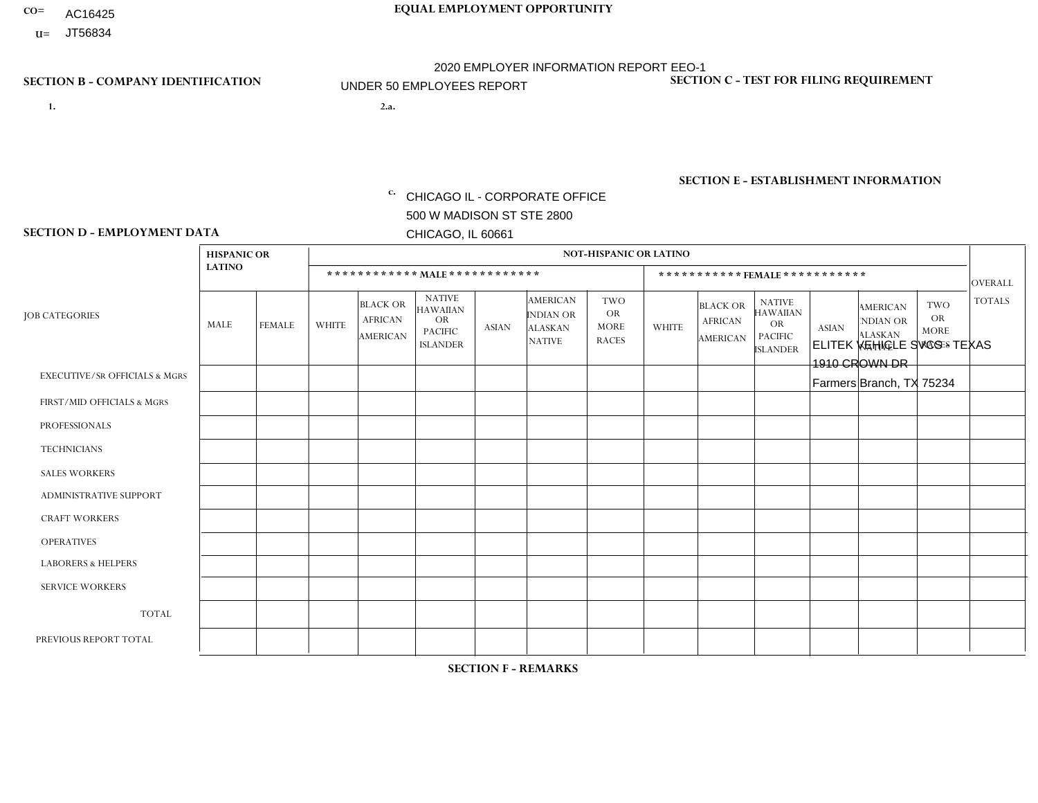- AC16425
- **U=**

- **1. 2.a.** CHICAGO IL CORPORATE OFFICE 500 W MADISON ST STE 2800 CHICAGO, IL 60661
- 2.a. ELITEK VEHICLE SVCS TEXAS 1910 CROWN DR Farmers Branch, TX 75234

c. EIN= 952920557

# **SECTION B - COMPANY IDENTIFICATION SECTION C - TEST FOR FILING REQUIREMENT**

1- Y 2- Y 3- N DUNS= 000123456

**SECTION E - ESTABLISHMENT INFORMATION c.** NAICS: 423140

### **SECTION D - EMPLOYMENT DATA**

|                                          | <b>HISPANIC OR</b> |               |                |                                                      |                                                                                    |              |                                                                        | <b>NOT-HISPANIC OR LATINO</b>                          |                |                                                      |                                                                                    |              |                                                                       |                                                        |                |
|------------------------------------------|--------------------|---------------|----------------|------------------------------------------------------|------------------------------------------------------------------------------------|--------------|------------------------------------------------------------------------|--------------------------------------------------------|----------------|------------------------------------------------------|------------------------------------------------------------------------------------|--------------|-----------------------------------------------------------------------|--------------------------------------------------------|----------------|
|                                          | <b>LATINO</b>      |               |                | ************ MALE ************                       |                                                                                    |              |                                                                        |                                                        |                |                                                      | ***********FEMALE***********                                                       |              |                                                                       |                                                        | <b>OVERALL</b> |
| <b>JOB CATEGORIES</b>                    | <b>MALE</b>        | <b>FEMALE</b> | <b>WHITE</b>   | <b>BLACK OR</b><br><b>AFRICAN</b><br><b>AMERICAN</b> | <b>NATIVE</b><br><b>HAWAIIAN</b><br><b>OR</b><br><b>PACIFIC</b><br><b>ISLANDER</b> | <b>ASIAN</b> | <b>AMERICAN</b><br><b>INDIAN OR</b><br><b>ALASKAN</b><br><b>NATIVE</b> | <b>TWO</b><br><b>OR</b><br><b>MORE</b><br><b>RACES</b> | <b>WHITE</b>   | <b>BLACK OR</b><br><b>AFRICAN</b><br><b>AMERICAN</b> | <b>NATIVE</b><br><b>HAWAIIAN</b><br><b>OR</b><br><b>PACIFIC</b><br><b>ISLANDER</b> | <b>ASIAN</b> | <b>AMERICAN</b><br><b>NDIAN OR</b><br><b>ALASKAN</b><br><b>NATIVE</b> | <b>TWO</b><br><b>OR</b><br><b>MORE</b><br><b>RACES</b> | <b>TOTALS</b>  |
| <b>EXECUTIVE/SR OFFICIALS &amp; MGRS</b> | $\Omega$           | $\Omega$      | $\Omega$       | $\mathbf 0$                                          | $\Omega$                                                                           | $\Omega$     | $\Omega$                                                               | $\Omega$                                               | $\Omega$       | $\Omega$                                             | $\Omega$                                                                           | $\Omega$     | $\Omega$                                                              | $\Omega$                                               | $\mathbf 0$    |
| FIRST/MID OFFICIALS & MGRS               | $\Omega$           | $\Omega$      | 3              | $\Omega$                                             | $\Omega$                                                                           | $\Omega$     | $\Omega$                                                               | $\Omega$                                               | $\overline{2}$ | $\Omega$                                             | $\Omega$                                                                           | $\Omega$     | $\Omega$                                                              | $\Omega$                                               | 5              |
| <b>PROFESSIONALS</b>                     | $\Omega$           | 0             | 1              | $\mathbf 0$                                          | $\Omega$                                                                           | $\Omega$     | $\Omega$                                                               | $\Omega$                                               | 1              | $\Omega$                                             | $\Omega$                                                                           | $\Omega$     | $\Omega$                                                              | $\Omega$                                               | $\overline{2}$ |
| <b>TECHNICIANS</b>                       | $\Omega$           | $\mathbf 0$   | $\Omega$       | $\mathbf 0$                                          | $\mathbf 0$                                                                        | $\Omega$     | $\overline{0}$                                                         | $\Omega$                                               | $\mathbf 0$    | $\mathbf 0$                                          | $\mathbf 0$                                                                        | $\mathbf 0$  | $\Omega$                                                              | $\Omega$                                               | $\mathbf 0$    |
| <b>SALES WORKERS</b>                     | $\Omega$           | $\Omega$      | $\Omega$       | $\Omega$                                             | 0                                                                                  | $\Omega$     | $\Omega$                                                               | $\Omega$                                               | $\Omega$       | $\Omega$                                             | $\Omega$                                                                           | $\Omega$     | $\Omega$                                                              | $\Omega$                                               | $\mathbf 0$    |
| <b>ADMINISTRATIVE SUPPORT</b>            | $\Omega$           | $\mathbf 0$   | $\mathbf 0$    | $\mathbf 0$                                          | $\mathbf 0$                                                                        | $\mathbf 0$  | $\Omega$                                                               | $\Omega$                                               | 1              | $\mathbf{0}$                                         | $\mathbf{0}$                                                                       | $\Omega$     | $\Omega$                                                              | $\Omega$                                               | $\mathbf{1}$   |
| <b>CRAFT WORKERS</b>                     | $\Omega$           | $\Omega$      | $\mathbf{0}$   | $\mathbf 0$                                          | $\Omega$                                                                           | $\Omega$     | $\Omega$                                                               | $\Omega$                                               | $\Omega$       | $\Omega$                                             | $\Omega$                                                                           | $\Omega$     | $\Omega$                                                              | $\Omega$                                               | $\Omega$       |
| <b>OPERATIVES</b>                        | $\Omega$           | $\Omega$      | 3              | $\mathbf 0$                                          | 0                                                                                  | $\Omega$     | $\Omega$                                                               | $\Omega$                                               | $\Omega$       | $\Omega$                                             | $\Omega$                                                                           | $\Omega$     | $\Omega$                                                              | $\Omega$                                               | 3              |
| <b>LABORERS &amp; HELPERS</b>            | $\Omega$           | $\mathbf 0$   | 0              | $\mathbf 0$                                          | 0                                                                                  | $\mathbf 0$  | $\Omega$                                                               | $\Omega$                                               | $\Omega$       | $\Omega$                                             | $\Omega$                                                                           | $\Omega$     | $\Omega$                                                              | $\Omega$                                               | 0              |
| <b>SERVICE WORKERS</b>                   | $\Omega$           | $\Omega$      | 0              | 0                                                    | $\Omega$                                                                           | $\Omega$     | $\Omega$                                                               | $\Omega$                                               | $\Omega$       | $\Omega$                                             | $\Omega$                                                                           | $\Omega$     | $\Omega$                                                              | $\Omega$                                               | 0              |
| <b>TOTAL</b>                             | $\mathbf 0$        | $\mathbf 0$   | $\overline{7}$ | $\mathbf 0$                                          | 0                                                                                  | $\mathbf{0}$ | $\Omega$                                                               | $\Omega$                                               | $\overline{4}$ | $\mathbf 0$                                          | $\mathbf 0$                                                                        | $\mathbf 0$  | 0                                                                     | $\Omega$                                               | 11             |
| PREVIOUS REPORT TOTAL                    | 0                  | $\Omega$      | 6              | $\Omega$                                             | $\Omega$                                                                           | $\Omega$     | $\Omega$                                                               | $\Omega$                                               | 3              | $\overline{2}$                                       | $\Omega$                                                                           | $\Omega$     | $\Omega$                                                              | $\mathbf{0}$                                           | 11             |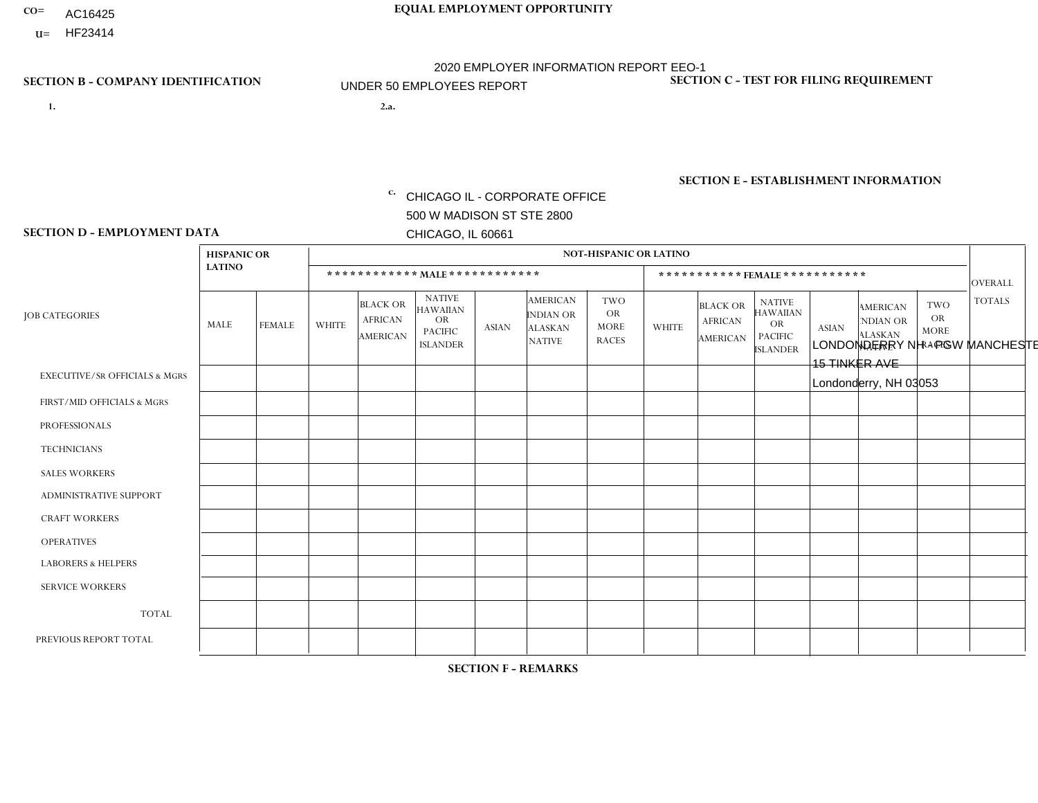- **CO= EQUAL EMPLOYMENT OPPORTUNITY** AC16425
- **U=**

**1. 2.a.** CHICAGO IL - CORPORATE OFFICE 500 W MADISON ST STE 2800 CHICAGO, IL 60661

2.a. LONDONDERRY NH - PGW MANCHESTER 15 TINKER AVE Londonderry, NH 03053

2020 EMPLOYER INFORMATION REPORT EEO-1 UNDER 50 EMPLOYEES REPORT

c. EIN= 952920557

# **SECTION B - COMPANY IDENTIFICATION SECTION C - TEST FOR FILING REQUIREMENT**

1- Y 2- Y 3- N DUNS= 000123456

**SECTION E - ESTABLISHMENT INFORMATION c.** NAICS: 811122

### **SECTION D - EMPLOYMENT DATA**

|                                          | <b>HISPANIC OR</b> |               |                |                                                      |                                                                                    |              |                                                                        | <b>NOT-HISPANIC OR LATINO</b>                          |              |                                                      |                                                                             |              |                                                                |                                                        |                |
|------------------------------------------|--------------------|---------------|----------------|------------------------------------------------------|------------------------------------------------------------------------------------|--------------|------------------------------------------------------------------------|--------------------------------------------------------|--------------|------------------------------------------------------|-----------------------------------------------------------------------------|--------------|----------------------------------------------------------------|--------------------------------------------------------|----------------|
|                                          | <b>LATINO</b>      |               |                |                                                      | ************ MALE ************                                                     |              |                                                                        |                                                        |              | ***********FEMALE***********                         |                                                                             |              |                                                                |                                                        | <b>OVERALL</b> |
| <b>JOB CATEGORIES</b>                    | MALE               | <b>FEMALE</b> | WHITE          | <b>BLACK OR</b><br><b>AFRICAN</b><br><b>AMERICAN</b> | <b>NATIVE</b><br><b>HAWAIIAN</b><br><b>OR</b><br><b>PACIFIC</b><br><b>ISLANDER</b> | <b>ASIAN</b> | <b>AMERICAN</b><br><b>INDIAN OR</b><br><b>ALASKAN</b><br><b>NATIVE</b> | <b>TWO</b><br><b>OR</b><br><b>MORE</b><br><b>RACES</b> | <b>WHITE</b> | <b>BLACK OR</b><br><b>AFRICAN</b><br><b>AMERICAN</b> | <b>NATIVE</b><br><b>HAWAIIAN</b><br>OR<br><b>PACIFIC</b><br><b>ISLANDER</b> | <b>ASIAN</b> | <b>AMERICAN</b><br>NDIAN OR<br><b>ALASKAN</b><br><b>NATIVE</b> | <b>TWO</b><br><b>OR</b><br><b>MORE</b><br><b>RACES</b> | <b>TOTALS</b>  |
| <b>EXECUTIVE/SR OFFICIALS &amp; MGRS</b> | $\mathbf{0}$       | $\Omega$      | $\Omega$       | $\Omega$                                             | $\Omega$                                                                           | $\Omega$     | $\Omega$                                                               | $\Omega$                                               | $\Omega$     | $\Omega$                                             | $\mathbf{0}$                                                                | $\Omega$     | $\Omega$                                                       | $\Omega$                                               | $\Omega$       |
| FIRST/MID OFFICIALS & MGRS               | $\mathbf 0$        | $\mathbf 0$   | $\overline{1}$ | 0                                                    | $\Omega$                                                                           | $\mathbf{0}$ | $\Omega$                                                               | $\Omega$                                               | $\Omega$     | $\Omega$                                             | $\Omega$                                                                    | $\mathbf{0}$ | $\Omega$                                                       | $\Omega$                                               | $\mathbf{1}$   |
| <b>PROFESSIONALS</b>                     | $\mathbf 0$        | $\mathbf 0$   | $\Omega$       | $\Omega$                                             | $\Omega$                                                                           | $\Omega$     | $\Omega$                                                               | $\Omega$                                               | $\Omega$     | $\Omega$                                             | $\mathbf{0}$                                                                | $\Omega$     | $\Omega$                                                       | $\Omega$                                               | $\overline{0}$ |
| <b>TECHNICIANS</b>                       | $\mathbf 0$        | $\mathbf 0$   | $\Omega$       | $\Omega$                                             | $\Omega$                                                                           | $\Omega$     | $\Omega$                                                               | $\Omega$                                               | $\Omega$     | $\Omega$                                             | $\Omega$                                                                    | $\Omega$     | $\Omega$                                                       | $\Omega$                                               | $\Omega$       |
| <b>SALES WORKERS</b>                     | $\mathbf 0$        | $\mathbf 0$   | $\Omega$       | $\Omega$                                             | $\Omega$                                                                           | $\Omega$     | $\Omega$                                                               | $\Omega$                                               | $\Omega$     | $\Omega$                                             | $\Omega$                                                                    | $\Omega$     | $\Omega$                                                       | $\Omega$                                               | $\mathbf 0$    |
| <b>ADMINISTRATIVE SUPPORT</b>            | $\mathbf 0$        | $\mathbf 0$   | $\Omega$       | 0                                                    | $\Omega$                                                                           | $\Omega$     | $\Omega$                                                               | $\Omega$                                               | $\Omega$     | $\Omega$                                             | $\Omega$                                                                    | $\mathbf{0}$ | $\Omega$                                                       | $\Omega$                                               | $\mathbf 0$    |
| <b>CRAFT WORKERS</b>                     | $\mathbf 0$        | 0             | $\Omega$       | $\mathbf 0$                                          | $\Omega$                                                                           | $\Omega$     | $\Omega$                                                               | $\Omega$                                               | $\Omega$     | $\Omega$                                             | 0                                                                           | $\mathbf{0}$ | $\Omega$                                                       | $\Omega$                                               | $\mathbf 0$    |
| <b>OPERATIVES</b>                        | $\mathbf 0$        | $\mathbf 0$   | $\mathbf{3}$   | $\overline{2}$                                       | $\Omega$                                                                           | $\Omega$     | $\Omega$                                                               | $\Omega$                                               | $\Omega$     | $\Omega$                                             | $\Omega$                                                                    | $\mathbf{0}$ | $\Omega$                                                       | $\Omega$                                               | 5              |
| <b>LABORERS &amp; HELPERS</b>            | $\Omega$           | $\Omega$      | $\overline{c}$ | 0                                                    | $\Omega$                                                                           | $\Omega$     | $\Omega$                                                               | $\Omega$                                               | $\Omega$     | $\Omega$                                             | $\Omega$                                                                    | $\Omega$     | $\Omega$                                                       | $\Omega$                                               | $\overline{2}$ |
| <b>SERVICE WORKERS</b>                   | $\Omega$           | $\Omega$      | $\Omega$       | 0                                                    | $\Omega$                                                                           | $\Omega$     | $\Omega$                                                               | $\Omega$                                               | $\Omega$     | $\Omega$                                             | $\mathbf{0}$                                                                | $\mathbf{0}$ | $\Omega$                                                       | $\Omega$                                               | $\mathbf 0$    |
| <b>TOTAL</b>                             | 0                  | 0             | 6              | 2                                                    | $\mathbf 0$                                                                        | $\mathbf 0$  | $\Omega$                                                               | $\Omega$                                               | $\Omega$     | 0                                                    | 0                                                                           | 0            | 0                                                              | $\mathbf 0$                                            | 8              |
| PREVIOUS REPORT TOTAL                    | 0                  | 0             | 5              | $\mathbf{1}$                                         | $\Omega$                                                                           | 1            | $\Omega$                                                               | $\Omega$                                               | $\Omega$     | $\Omega$                                             | 0                                                                           | $\mathbf{0}$ | 0                                                              | $\mathbf 0$                                            | $\overline{7}$ |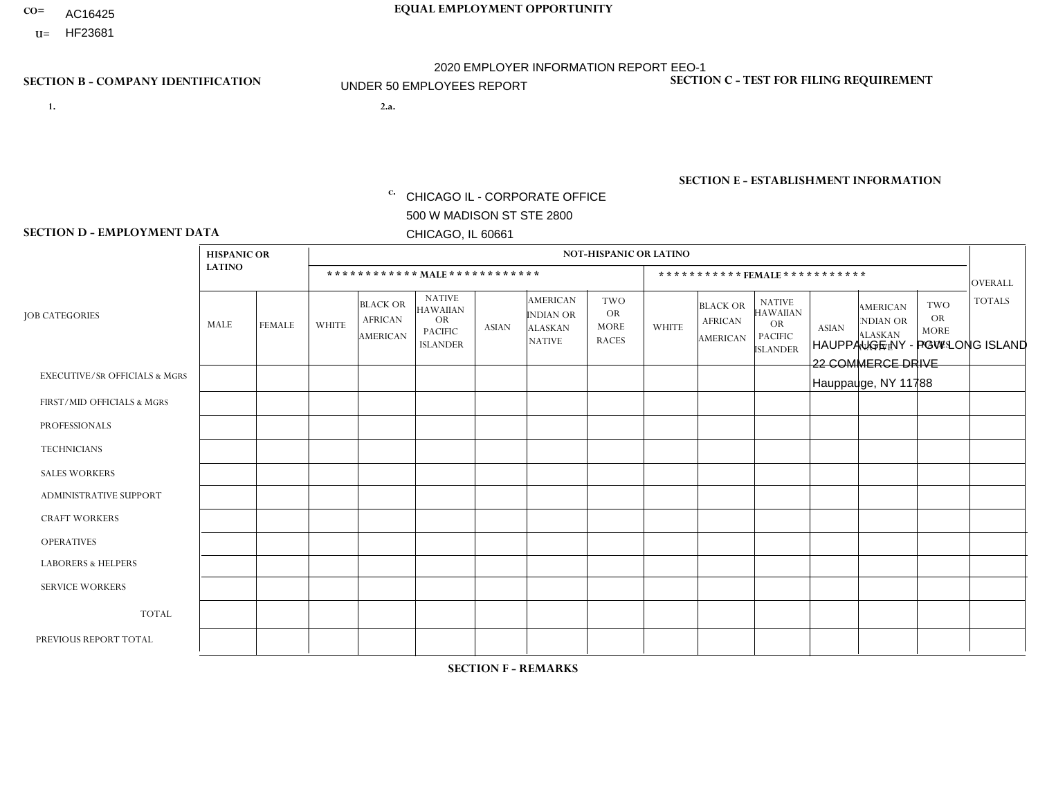- AC16425
- **U=**

**1. 2.a.** CHICAGO IL - CORPORATE OFFICE 500 W MADISON ST STE 2800 CHICAGO, IL 60661

2.a. HAUPPAUGE NY - PGW LONG ISLAND 22 COMMERCE DRIVE Hauppauge, NY 11788

c. EIN= 952920557

## **SECTION B - COMPANY IDENTIFICATION SECTION C - TEST FOR FILING REQUIREMENT**

1- Y 2- Y 3- N DUNS= 000123456

**SECTION E - ESTABLISHMENT INFORMATION c.** NAICS: 811122

### **SECTION D - EMPLOYMENT DATA**

|                                          | <b>HISPANIC OR</b> |               |                |                                                      |                                                                                    |              |                                                                        | <b>NOT-HISPANIC OR LATINO</b>                          |              |                                                      |                                                                                    |              |                                                                |                                                        |                |
|------------------------------------------|--------------------|---------------|----------------|------------------------------------------------------|------------------------------------------------------------------------------------|--------------|------------------------------------------------------------------------|--------------------------------------------------------|--------------|------------------------------------------------------|------------------------------------------------------------------------------------|--------------|----------------------------------------------------------------|--------------------------------------------------------|----------------|
|                                          | <b>LATINO</b>      |               |                | ************ MAIE************                        |                                                                                    |              |                                                                        |                                                        |              |                                                      | ***********FEMALE***********                                                       |              |                                                                |                                                        | <b>OVERALL</b> |
| <b>JOB CATEGORIES</b>                    | <b>MALE</b>        | <b>FEMALE</b> | <b>WHITE</b>   | <b>BLACK OR</b><br><b>AFRICAN</b><br><b>AMERICAN</b> | <b>NATIVE</b><br><b>HAWAIIAN</b><br><b>OR</b><br><b>PACIFIC</b><br><b>ISLANDER</b> | <b>ASIAN</b> | <b>AMERICAN</b><br><b>INDIAN OR</b><br><b>ALASKAN</b><br><b>NATIVE</b> | <b>TWO</b><br><b>OR</b><br><b>MORE</b><br><b>RACES</b> | <b>WHITE</b> | <b>BLACK OR</b><br><b>AFRICAN</b><br><b>AMERICAN</b> | <b>NATIVE</b><br><b>HAWAIIAN</b><br><b>OR</b><br><b>PACIFIC</b><br><b>ISLANDER</b> | <b>ASIAN</b> | <b>AMERICAN</b><br>NDIAN OR<br><b>ALASKAN</b><br><b>NATIVE</b> | <b>TWO</b><br><b>OR</b><br><b>MORE</b><br><b>RACES</b> | <b>TOTALS</b>  |
| <b>EXECUTIVE/SR OFFICIALS &amp; MGRS</b> | $\Omega$           | $\Omega$      | $\Omega$       | $\Omega$                                             | $\Omega$                                                                           | $\Omega$     | $\Omega$                                                               | $\Omega$                                               | $\Omega$     | $\mathbf{0}$                                         | $\Omega$                                                                           | $\Omega$     | $\Omega$                                                       | $\Omega$                                               | $\mathbf{0}$   |
| FIRST/MID OFFICIALS & MGRS               | $\Omega$           | $\mathbf 0$   | $\mathbf 0$    | $\mathbf 0$                                          | $\mathbf{0}$                                                                       | $\mathbf 0$  | $\overline{0}$                                                         | $\Omega$                                               | 1            | $\mathbf{0}$                                         | $\Omega$                                                                           | $\mathbf 0$  | $\Omega$                                                       | $\mathbf 0$                                            | $\mathbf{1}$   |
| <b>PROFESSIONALS</b>                     | $\Omega$           | $\mathbf 0$   | $\mathbf 0$    | $\mathbf 0$                                          | 0                                                                                  | $\mathbf 0$  | $\Omega$                                                               | $\Omega$                                               | $\Omega$     | $\mathbf 0$                                          | $\Omega$                                                                           | $\mathbf 0$  | $\Omega$                                                       | $\mathbf{0}$                                           | $\mathbf 0$    |
| <b>TECHNICIANS</b>                       | $\Omega$           | $\mathbf 0$   | $\Omega$       | $\mathbf 0$                                          | $\mathbf 0$                                                                        | $\Omega$     | $\overline{0}$                                                         | $\Omega$                                               | $\mathbf 0$  | $\mathbf 0$                                          | $\mathbf 0$                                                                        | $\mathbf 0$  | $\Omega$                                                       | $\Omega$                                               | $\mathbf 0$    |
| <b>SALES WORKERS</b>                     | $\Omega$           | $\mathbf 0$   | $\Omega$       | $\mathbf 0$                                          | 0                                                                                  | $\Omega$     | $\Omega$                                                               | $\Omega$                                               | $\Omega$     | $\Omega$                                             | $\Omega$                                                                           | $\Omega$     | $\Omega$                                                       | $\Omega$                                               | $\mathbf 0$    |
| <b>ADMINISTRATIVE SUPPORT</b>            | $\Omega$           | $\Omega$      | $\Omega$       | $\mathbf 0$                                          | $\mathbf 0$                                                                        | $\Omega$     | $\Omega$                                                               | $\Omega$                                               | $\Omega$     | $\Omega$                                             | $\mathbf{0}$                                                                       | $\Omega$     | $\Omega$                                                       | $\Omega$                                               | $\mathbf 0$    |
| <b>CRAFT WORKERS</b>                     | $\Omega$           | $\Omega$      | $\mathbf{0}$   | $\mathbf 0$                                          | 0                                                                                  | $\Omega$     | $\Omega$                                                               | $\Omega$                                               | $\Omega$     | $\Omega$                                             | $\Omega$                                                                           | $\Omega$     | $\Omega$                                                       | $\Omega$                                               | $\Omega$       |
| <b>OPERATIVES</b>                        | $\Omega$           | $\Omega$      | 6              | 0                                                    | $\mathbf 0$                                                                        | $\Omega$     | $\Omega$                                                               | $\Omega$                                               | $\Omega$     | $\Omega$                                             | $\Omega$                                                                           | $\Omega$     | $\Omega$                                                       | $\Omega$                                               | 6              |
| <b>LABORERS &amp; HELPERS</b>            | $\Omega$           | $\Omega$      | 1              | 0                                                    | 0                                                                                  | $\Omega$     | $\Omega$                                                               | $\Omega$                                               | $\Omega$     | $\Omega$                                             | $\mathbf{0}$                                                                       | $\Omega$     | $\Omega$                                                       | $\Omega$                                               | $\mathbf{1}$   |
| <b>SERVICE WORKERS</b>                   | $\Omega$           | $\mathbf 0$   | 0              | 0                                                    | $\mathbf 0$                                                                        | $\mathbf 0$  | $\Omega$                                                               | $\Omega$                                               | $\Omega$     | $\Omega$                                             | $\Omega$                                                                           | $\Omega$     | $\Omega$                                                       | $\Omega$                                               | 0              |
| <b>TOTAL</b>                             | 0                  | $\mathbf 0$   | $\overline{7}$ | 0                                                    | 0                                                                                  | $\mathbf 0$  | $\mathbf{0}$                                                           | $\Omega$                                               | $\mathbf 1$  | $\Omega$                                             | $\Omega$                                                                           | $\mathbf 0$  | $\Omega$                                                       | $\Omega$                                               | 8              |
| PREVIOUS REPORT TOTAL                    | $\Omega$           | $\mathbf 0$   | 1              | $\mathbf 1$                                          | $\mathbf 0$                                                                        | $\Omega$     | $\Omega$                                                               | $\Omega$                                               | 1            | $\Omega$                                             | $\Omega$                                                                           | $\Omega$     | $\Omega$                                                       | $\mathbf{0}$                                           | 3              |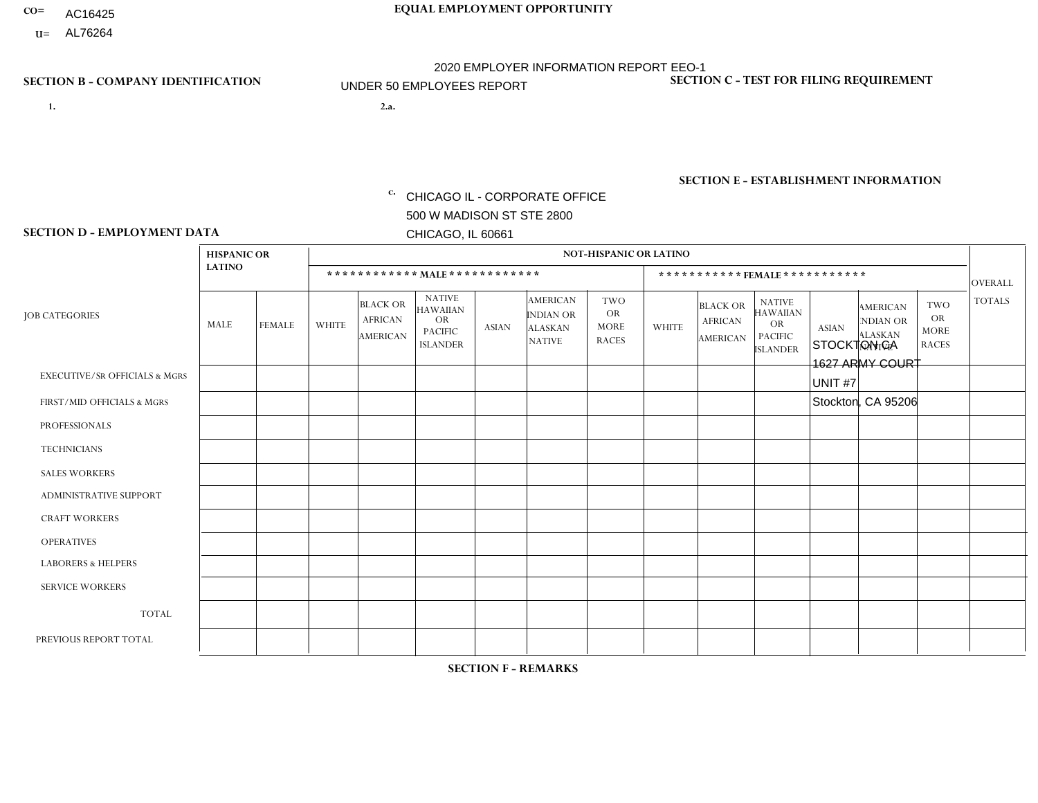- AC16425
- **U=**

- **1. 2.a.** CHICAGO IL CORPORATE OFFICE 500 W MADISON ST STE 2800 CHICAGO, IL 60661
- 2.a. STOCKTON CA 1627 ARMY COURT UNIT #7 Stockton, CA 95206
	- EIN= 952920557

## **SECTION B - COMPANY IDENTIFICATION SECTION C - TEST FOR FILING REQUIREMENT**

1- Y 2- Y 3- N DUNS= 000123456

**SECTION E - ESTABLISHMENT INFORMATION c.** NAICS: 423140

### **SECTION D - EMPLOYMENT DATA**

|                                          | <b>HISPANIC OR</b>      |                |                |                                                      |                                                                             |                |                                                                        | <b>NOT-HISPANIC OR LATINO</b>                          |                |                                                      |                                                                                    |              |                                                                       |                                                        |                |
|------------------------------------------|-------------------------|----------------|----------------|------------------------------------------------------|-----------------------------------------------------------------------------|----------------|------------------------------------------------------------------------|--------------------------------------------------------|----------------|------------------------------------------------------|------------------------------------------------------------------------------------|--------------|-----------------------------------------------------------------------|--------------------------------------------------------|----------------|
|                                          | <b>LATINO</b>           |                |                |                                                      | ************ MAIE************                                               |                |                                                                        |                                                        |                | *********** FEMALE ***********                       |                                                                                    |              |                                                                       |                                                        | <b>OVERALL</b> |
| <b>JOB CATEGORIES</b>                    | MALE                    | <b>FEMALE</b>  | <b>WHITE</b>   | <b>BLACK OR</b><br><b>AFRICAN</b><br><b>AMERICAN</b> | <b>NATIVE</b><br><b>HAWAIIAN</b><br>OR<br><b>PACIFIC</b><br><b>ISLANDER</b> | <b>ASIAN</b>   | <b>AMERICAN</b><br><b>INDIAN OR</b><br><b>ALASKAN</b><br><b>NATIVE</b> | <b>TWO</b><br><b>OR</b><br><b>MORE</b><br><b>RACES</b> | <b>WHITE</b>   | <b>BLACK OR</b><br><b>AFRICAN</b><br><b>AMERICAN</b> | <b>NATIVE</b><br><b>HAWAIIAN</b><br><b>OR</b><br><b>PACIFIC</b><br><b>ISLANDER</b> | <b>ASIAN</b> | <b>AMERICAN</b><br><b>NDIAN OR</b><br><b>ALASKAN</b><br><b>NATIVE</b> | <b>TWO</b><br><b>OR</b><br><b>MORE</b><br><b>RACES</b> | <b>TOTALS</b>  |
| <b>EXECUTIVE/SR OFFICIALS &amp; MGRS</b> | $\mathbf 0$             | 0              | $\Omega$       | $\mathbf 0$                                          | $\Omega$                                                                    | $\mathbf{0}$   | $\Omega$                                                               | $\Omega$                                               | $\Omega$       | $\Omega$                                             | $\Omega$                                                                           | $\mathbf{0}$ | $\Omega$                                                              | $\Omega$                                               | $\mathbf 0$    |
| FIRST/MID OFFICIALS & MGRS               | $\mathbf 0$             | $\mathbf 0$    | 1              | $\mathbf 0$                                          | $\Omega$                                                                    | 1              | $\Omega$                                                               | $\Omega$                                               | -1             | $\Omega$                                             | $\Omega$                                                                           | $\Omega$     | $\Omega$                                                              | $\Omega$                                               | $\mathbf{3}$   |
| <b>PROFESSIONALS</b>                     | $\mathbf 0$             | $\mathbf 0$    | $\mathbf 0$    | $\mathbf 0$                                          | $\mathbf 0$                                                                 | $\mathbf{0}$   | $\Omega$                                                               | $\Omega$                                               | $\Omega$       | $\Omega$                                             | $\Omega$                                                                           | $\Omega$     | $\Omega$                                                              | $\mathbf 0$                                            | 0              |
| <b>TECHNICIANS</b>                       | $\mathbf 0$             | $\mathbf 0$    | $\Omega$       | 0                                                    | $\Omega$                                                                    | $\Omega$       | $\Omega$                                                               | $\Omega$                                               | $\Omega$       | $\Omega$                                             | $\Omega$                                                                           | $\Omega$     | $\Omega$                                                              | $\mathbf 0$                                            | $\mathbf 0$    |
| <b>SALES WORKERS</b>                     | $\mathbf 0$             | $\mathbf 0$    | $\mathbf 0$    | $\mathbf 0$                                          | $\Omega$                                                                    | $\Omega$       | $\Omega$                                                               | $\Omega$                                               | 0              | $\mathbf 0$                                          | $\mathbf 0$                                                                        | $\mathbf 0$  | $\Omega$                                                              | $\mathbf 0$                                            | $\mathbf 0$    |
| ADMINISTRATIVE SUPPORT                   | $\overline{\mathbf{1}}$ | $\mathbf 0$    | $\Omega$       | $\Omega$                                             | $\Omega$                                                                    | $\Omega$       | $\Omega$                                                               | $\Omega$                                               | $\Omega$       | $\Omega$                                             | $\Omega$                                                                           | $\Omega$     | $\Omega$                                                              | $\Omega$                                               | $\mathbf{1}$   |
| <b>CRAFT WORKERS</b>                     | $\mathbf 0$             | $\mathbf 0$    | $\Omega$       | 0                                                    | $\Omega$                                                                    | $\mathbf{0}$   | $\Omega$                                                               | $\Omega$                                               | $\Omega$       | $\Omega$                                             | $\mathbf{0}$                                                                       | $\mathbf{0}$ | $\Omega$                                                              | $\Omega$                                               | $\mathbf 0$    |
| <b>OPERATIVES</b>                        | $\overline{2}$          | 0              | $\overline{1}$ | 1                                                    | $\Omega$                                                                    | $\overline{2}$ | $\Omega$                                                               | $\Omega$                                               | $\Omega$       | $\Omega$                                             | $\Omega$                                                                           | $\Omega$     | $\Omega$                                                              | $\Omega$                                               | 6              |
| <b>LABORERS &amp; HELPERS</b>            | $5\phantom{.0}$         | $\mathbf 0$    | $\overline{2}$ | $\overline{c}$                                       | $\Omega$                                                                    | 3              |                                                                        | $\Omega$                                               | $\Omega$       | $\Omega$                                             | $\mathbf{0}$                                                                       | $\mathbf{0}$ | $\Omega$                                                              | $\Omega$                                               | 13             |
| <b>SERVICE WORKERS</b>                   | $\Omega$                | $\mathbf 0$    | $\mathbf{0}$   | 0                                                    | $\Omega$                                                                    | $\Omega$       | $\Omega$                                                               | $\Omega$                                               | $\Omega$       | $\Omega$                                             | $\mathbf{0}$                                                                       | $\Omega$     | $\Omega$                                                              | $\Omega$                                               | $\mathbf 0$    |
| <b>TOTAL</b>                             | 8                       | 0              | $\overline{4}$ | 3                                                    | $\Omega$                                                                    | 6              |                                                                        | $\Omega$                                               | -1             | $\Omega$                                             | $\Omega$                                                                           | $\mathbf{0}$ | $\Omega$                                                              | $\Omega$                                               | 23             |
| PREVIOUS REPORT TOTAL                    | 6                       | $\overline{2}$ | 10             | 5                                                    | $\overline{1}$                                                              | 17             | $\Omega$                                                               | $\overline{2}$                                         | $\overline{2}$ | 0                                                    | 0                                                                                  | $\mathbf 0$  | $\Omega$                                                              | $\mathbf 0$                                            | 45             |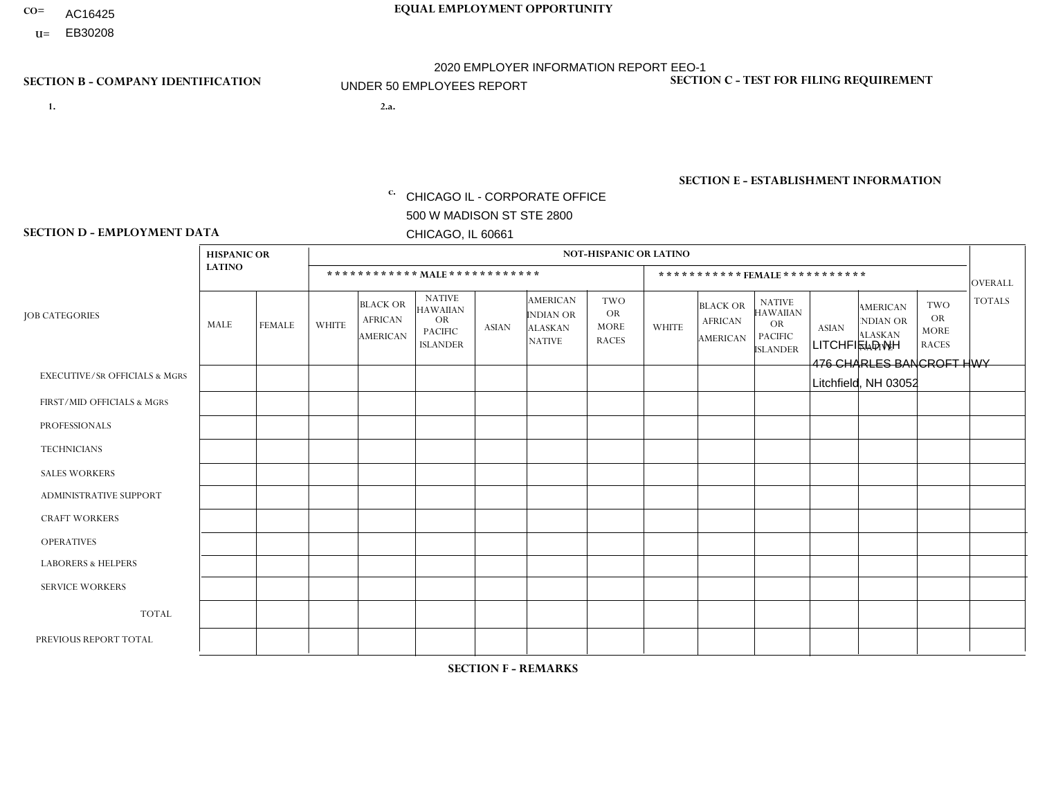- AC16425
- **U=**

- **1. 2.a.** CHICAGO IL CORPORATE OFFICE 500 W MADISON ST STE 2800 CHICAGO, IL 60661
- 2.a. LITCHFIELD NH 476 CHARLES BANCROFT HWY Litchfield, NH 03052

EIN= 952920557

## **SECTION B - COMPANY IDENTIFICATION SECTION C - TEST FOR FILING REQUIREMENT**

1- Y 2- Y 3- N DUNS= 000123456

**SECTION E - ESTABLISHMENT INFORMATION c.** NAICS: 423140

### **SECTION D - EMPLOYMENT DATA**

|                                          | <b>HISPANIC OR</b> |               |              |                                                      |                                                                                    |              |                                                                 | <b>NOT-HISPANIC OR LATINO</b>                          |                |                                               |                                                                             |              |                                                                       |                                                        |                |
|------------------------------------------|--------------------|---------------|--------------|------------------------------------------------------|------------------------------------------------------------------------------------|--------------|-----------------------------------------------------------------|--------------------------------------------------------|----------------|-----------------------------------------------|-----------------------------------------------------------------------------|--------------|-----------------------------------------------------------------------|--------------------------------------------------------|----------------|
|                                          | <b>LATINO</b>      |               |              | ************ MALE ************                       |                                                                                    |              |                                                                 |                                                        |                |                                               | *********** FEMALE ***********                                              |              |                                                                       |                                                        | <b>OVERALL</b> |
| <b>JOB CATEGORIES</b>                    | <b>MALE</b>        | <b>FEMALE</b> | <b>WHITE</b> | <b>BLACK OR</b><br><b>AFRICAN</b><br><b>AMERICAN</b> | <b>NATIVE</b><br><b>HAWAIIAN</b><br><b>OR</b><br><b>PACIFIC</b><br><b>ISLANDER</b> | <b>ASIAN</b> | <b>AMERICAN</b><br>INDIAN OR<br><b>ALASKAN</b><br><b>NATIVE</b> | <b>TWO</b><br><b>OR</b><br><b>MORE</b><br><b>RACES</b> | <b>WHITE</b>   | <b>BLACK OR</b><br><b>AFRICAN</b><br>AMERICAN | <b>NATIVE</b><br><b>HAWAIIAN</b><br>OR<br><b>PACIFIC</b><br><b>ISLANDER</b> | <b>ASIAN</b> | <b>AMERICAN</b><br><b>NDIAN OR</b><br><b>ALASKAN</b><br><b>NATIVE</b> | <b>TWO</b><br><b>OR</b><br><b>MORE</b><br><b>RACES</b> | <b>TOTALS</b>  |
| <b>EXECUTIVE/SR OFFICIALS &amp; MGRS</b> | $\Omega$           | $\Omega$      | $\Omega$     | $\mathbf 0$                                          | $\Omega$                                                                           | $\Omega$     | $\Omega$                                                        | $\Omega$                                               | $\Omega$       | $\Omega$                                      | $\Omega$                                                                    | $\mathbf 0$  | $\Omega$                                                              | $\Omega$                                               | $\mathbf 0$    |
| FIRST/MID OFFICIALS & MGRS               | $\Omega$           | $\Omega$      | 5            | $\mathbf 0$                                          | $\Omega$                                                                           | $\mathbf{0}$ | $\Omega$                                                        | $\Omega$                                               | $\Omega$       | $\Omega$                                      | $\Omega$                                                                    | $\Omega$     | $\Omega$                                                              | $\Omega$                                               | 5              |
| <b>PROFESSIONALS</b>                     | $\Omega$           | $\Omega$      | $\Omega$     | $\Omega$                                             | $\Omega$                                                                           | $\mathbf{0}$ | $\Omega$                                                        | $\Omega$                                               | 0              | $\Omega$                                      | 0                                                                           | $\Omega$     | $\Omega$                                                              | $\Omega$                                               | $\Omega$       |
| <b>TECHNICIANS</b>                       | $\Omega$           | $\Omega$      | $\Omega$     | $\mathbf 0$                                          | $\Omega$                                                                           | $\Omega$     | $\Omega$                                                        | $\Omega$                                               | 0              | $\Omega$                                      | 0                                                                           | $\mathbf 0$  | $\Omega$                                                              | 0                                                      | $\overline{0}$ |
| <b>SALES WORKERS</b>                     | $\Omega$           | $\Omega$      | 3            | $\Omega$                                             | $\Omega$                                                                           | $\Omega$     | $\Omega$                                                        | $\Omega$                                               | $\overline{0}$ | $\Omega$                                      | $\overline{0}$                                                              | $\Omega$     | $\Omega$                                                              | $\Omega$                                               | 3              |
| ADMINISTRATIVE SUPPORT                   | $\Omega$           | $\Omega$      | $\mathbf{0}$ | $\Omega$                                             | $\Omega$                                                                           | $\Omega$     | $\Omega$                                                        | $\Omega$                                               | 0              | $\Omega$                                      | 0                                                                           | $\Omega$     | $\Omega$                                                              | $\Omega$                                               | $\Omega$       |
| <b>CRAFT WORKERS</b>                     | $\Omega$           | $\Omega$      | $\Omega$     | $\mathbf 0$                                          | $\Omega$                                                                           | $\Omega$     | $\Omega$                                                        | $\Omega$                                               | $\Omega$       | $\Omega$                                      | $\Omega$                                                                    | $\Omega$     | $\Omega$                                                              | $\Omega$                                               | $\Omega$       |
| <b>OPERATIVES</b>                        | 6                  | $\Omega$      | 8            | $\overline{A}$                                       | $\Omega$                                                                           | $\Omega$     | $\overline{1}$                                                  | $\Omega$                                               | $\Omega$       | $\Omega$                                      | $\Omega$                                                                    | $\Omega$     | $\Omega$                                                              | $\overline{1}$                                         | 17             |
| <b>LABORERS &amp; HELPERS</b>            | 3                  | $\Omega$      | 3            | $\overline{ }$                                       | $\Omega$                                                                           | $\Omega$     | $\Omega$                                                        | $\Omega$                                               | $\Omega$       | $\Omega$                                      | 0                                                                           | $\Omega$     | $\Omega$                                                              | $\Omega$                                               | $\overline{7}$ |
| <b>SERVICE WORKERS</b>                   | $\Omega$           | $\mathbf 0$   | $\mathbf 0$  | $\mathbf 0$                                          | $\mathbf 0$                                                                        | $\mathbf 0$  | $\Omega$                                                        | $\Omega$                                               | $\Omega$       | $\Omega$                                      | $\mathbf 0$                                                                 | $\mathbf 0$  | $\Omega$                                                              | $\mathbf 0$                                            | $\mathbf{0}$   |
| <b>TOTAL</b>                             | 9                  | 0             | 19           | $\overline{2}$                                       | $\mathbf 0$                                                                        | $\mathbf 0$  | 1                                                               | $\Omega$                                               | 0              | $\Omega$                                      | 0                                                                           | $\mathbf 0$  | $\Omega$                                                              | $\overline{1}$                                         | 32             |
| PREVIOUS REPORT TOTAL                    | 6                  | $\Omega$      | 10           | $\mathbf 0$                                          | 0                                                                                  | $\Omega$     | $\Omega$                                                        | $\Omega$                                               | 1              | $\Omega$                                      | $\Omega$                                                                    | $\Omega$     | $\Omega$                                                              |                                                        | 18             |
|                                          |                    |               |              |                                                      |                                                                                    |              |                                                                 |                                                        |                |                                               |                                                                             |              |                                                                       |                                                        |                |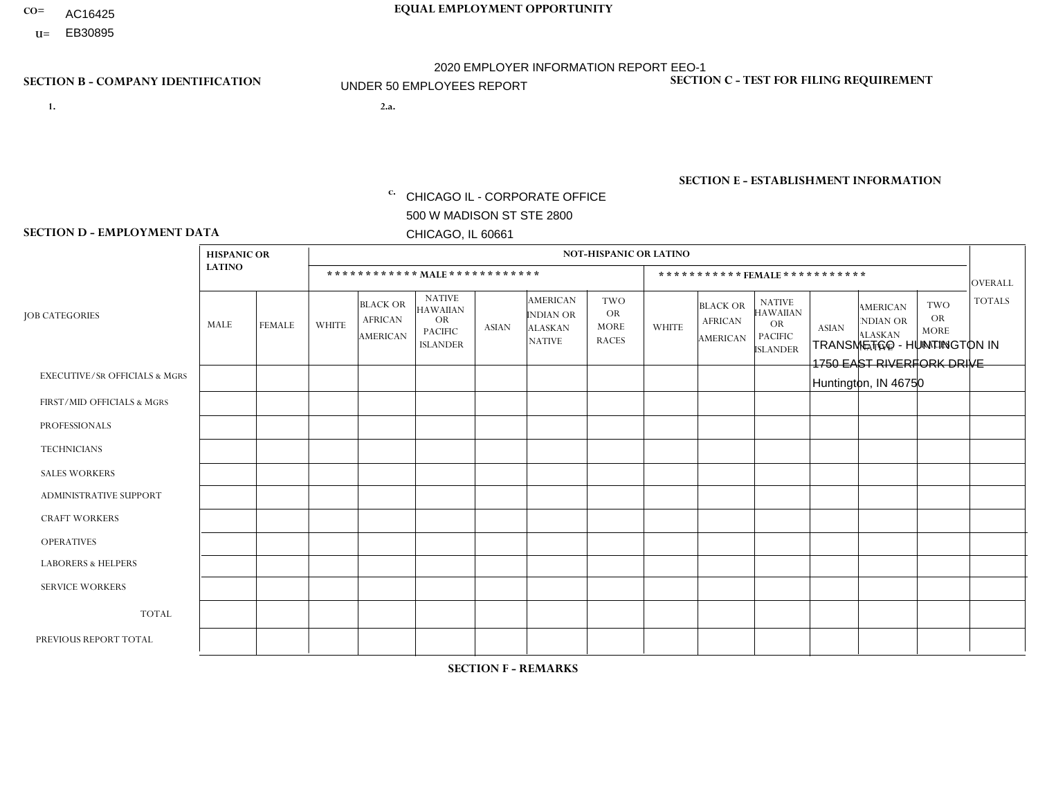- AC16425
- **U=**

- **1. 2.a.** CHICAGO IL CORPORATE OFFICE 500 W MADISON ST STE 2800 CHICAGO, IL 60661
- 2.a. TRANSMETCO HUNTINGTON IN 1750 EAST RIVERFORK DRIVE Huntington, IN 46750

c. EIN= 952920557

## **SECTION B - COMPANY IDENTIFICATION SECTION C - TEST FOR FILING REQUIREMENT**

1- Y 2- Y 3- N DUNS= 000123456

**SECTION E - ESTABLISHMENT INFORMATION c.** NAICS: 339999

### **SECTION D - EMPLOYMENT DATA**

|                                          | <b>HISPANIC OR</b> |               |                |                                                      |                                                                                    |              |                                                                        | <b>NOT-HISPANIC OR LATINO</b>                          |                |                                               |                                                                                    |              |                                                                |                                                        |                |
|------------------------------------------|--------------------|---------------|----------------|------------------------------------------------------|------------------------------------------------------------------------------------|--------------|------------------------------------------------------------------------|--------------------------------------------------------|----------------|-----------------------------------------------|------------------------------------------------------------------------------------|--------------|----------------------------------------------------------------|--------------------------------------------------------|----------------|
|                                          | <b>LATINO</b>      |               |                | ************ MALE ************                       |                                                                                    |              |                                                                        |                                                        |                |                                               | *********** FEMALE ***********                                                     |              |                                                                |                                                        | <b>OVERALL</b> |
| <b>JOB CATEGORIES</b>                    | <b>MALE</b>        | <b>FEMALE</b> | <b>WHITE</b>   | <b>BLACK OR</b><br><b>AFRICAN</b><br><b>AMERICAN</b> | <b>NATIVE</b><br><b>HAWAIIAN</b><br><b>OR</b><br><b>PACIFIC</b><br><b>ISLANDER</b> | <b>ASIAN</b> | <b>AMERICAN</b><br><b>INDIAN OR</b><br><b>ALASKAN</b><br><b>NATIVE</b> | <b>TWO</b><br><b>OR</b><br><b>MORE</b><br><b>RACES</b> | <b>WHITE</b>   | <b>BLACK OR</b><br><b>AFRICAN</b><br>AMERICAN | <b>NATIVE</b><br><b>HAWAIIAN</b><br><b>OR</b><br><b>PACIFIC</b><br><b>ISLANDER</b> | <b>ASIAN</b> | <b>AMERICAN</b><br>NDIAN OR<br><b>ALASKAN</b><br><b>NATIVE</b> | <b>TWO</b><br><b>OR</b><br><b>MORE</b><br><b>RACES</b> | <b>TOTALS</b>  |
| <b>EXECUTIVE/SR OFFICIALS &amp; MGRS</b> | $\Omega$           | $\Omega$      | $\mathbf{0}$   | $\Omega$                                             | $\Omega$                                                                           | $\Omega$     | $\Omega$                                                               | $\Omega$                                               | 0              | $\Omega$                                      | $\Omega$                                                                           | $\Omega$     | $\Omega$                                                       | $\Omega$                                               | $\Omega$       |
| FIRST/MID OFFICIALS & MGRS               | $\Omega$           | $\Omega$      | 4              | $\mathbf 0$                                          | $\Omega$                                                                           | $\Omega$     | $\Omega$                                                               | $\Omega$                                               | 0              | $\Omega$                                      | 0                                                                                  | $\Omega$     | $\Omega$                                                       | $\Omega$                                               | 4              |
| <b>PROFESSIONALS</b>                     | $\Omega$           | $\Omega$      | $\mathbf 0$    | $\mathbf 0$                                          | $\Omega$                                                                           | $\Omega$     | $\Omega$                                                               | $\Omega$                                               | $\Omega$       | $\Omega$                                      | 0                                                                                  | 0            | $\Omega$                                                       | $\mathbf 0$                                            | $\mathbf{0}$   |
| <b>TECHNICIANS</b>                       | $\Omega$           | $\Omega$      | $\Omega$       | $\Omega$                                             | $\Omega$                                                                           | $\Omega$     | $\Omega$                                                               | $\Omega$                                               | $\Omega$       | $\Omega$                                      | 0                                                                                  | $\mathbf 0$  | $\Omega$                                                       | $\mathbf 0$                                            | $\Omega$       |
| <b>SALES WORKERS</b>                     | $\Omega$           | $\Omega$      | $\Omega$       | $\Omega$                                             | $\Omega$                                                                           | $\Omega$     | $\Omega$                                                               | $\Omega$                                               | $\Omega$       | $\Omega$                                      | $\Omega$                                                                           | $\Omega$     | $\Omega$                                                       | $\Omega$                                               | $\Omega$       |
| <b>ADMINISTRATIVE SUPPORT</b>            | $\Omega$           | $\Omega$      | $\Omega$       | $\mathbf 0$                                          | 0                                                                                  | $\Omega$     | $\Omega$                                                               | $\Omega$                                               | 1              | $\Omega$                                      | 0                                                                                  | $\mathbf 0$  | $\Omega$                                                       | $\mathbf 0$                                            | $\mathbf 1$    |
| <b>CRAFT WORKERS</b>                     | $\Omega$           | $\Omega$      | $\Omega$       | $\mathbf 0$                                          | $\Omega$                                                                           | $\Omega$     | $\Omega$                                                               | $\Omega$                                               | 0              | $\Omega$                                      | 0                                                                                  | $\Omega$     | $\Omega$                                                       | $\Omega$                                               | $\Omega$       |
| <b>OPERATIVES</b>                        | $\Omega$           | $\Omega$      | 37             | $\overline{1}$                                       | $\Omega$                                                                           | $\Omega$     | $\Omega$                                                               | $\Omega$                                               | 1              | $\Omega$                                      | 0                                                                                  | $\mathbf 0$  | $\Omega$                                                       | $\Omega$                                               | 39             |
| <b>LABORERS &amp; HELPERS</b>            | $\Omega$           | $\Omega$      | $\overline{c}$ | $\mathbf 0$                                          | $\Omega$                                                                           | $\Omega$     | $\Omega$                                                               | $\Omega$                                               | $\Omega$       | $\Omega$                                      | $\Omega$                                                                           | $\Omega$     | $\Omega$                                                       | $\Omega$                                               | $\overline{2}$ |
| <b>SERVICE WORKERS</b>                   | $\Omega$           | $\Omega$      | $\Omega$       | 0                                                    | $\mathbf 0$                                                                        | $\Omega$     | $\Omega$                                                               | $\Omega$                                               | 0              | $\Omega$                                      | $\Omega$                                                                           | $\mathbf 0$  | $\Omega$                                                       | $\Omega$                                               | $\mathbf{0}$   |
| <b>TOTAL</b>                             | 0                  | 0             | 43             | $\overline{1}$                                       | $\mathbf{0}$                                                                       | 0            | $\Omega$                                                               | $\Omega$                                               | $\overline{2}$ | $\Omega$                                      | 0                                                                                  | $\mathbf 0$  | 0                                                              | $\mathbf 0$                                            | 46             |
| PREVIOUS REPORT TOTAL                    | $\Omega$           | $\Omega$      | 46             | $\overline{1}$                                       | 0                                                                                  | $\Omega$     | $\Omega$                                                               | $\Omega$                                               | 1              | $\Omega$                                      | 0                                                                                  | $\mathbf 0$  | $\Omega$                                                       | $\mathbf 0$                                            | 48             |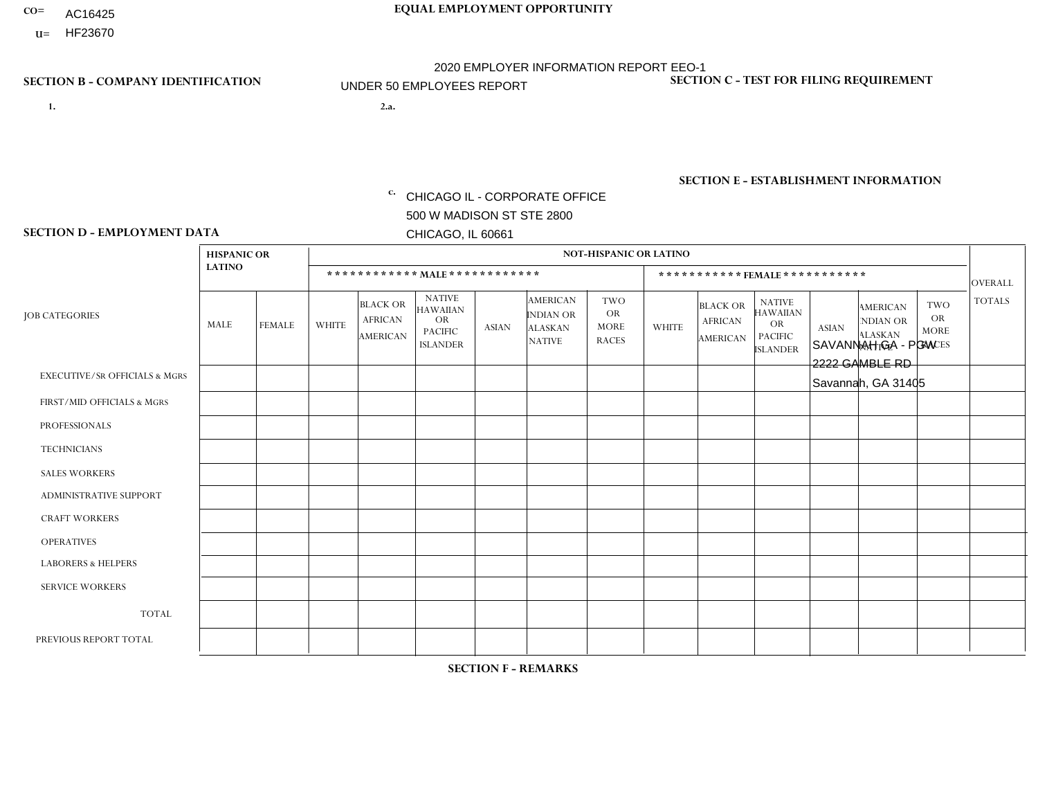- AC16425
- **U=**

**1. 2.a.** CHICAGO IL - CORPORATE OFFICE 500 W MADISON ST STE 2800 CHICAGO, IL 60661

2.a. SAVANNAH GA - PGW 2222 GAMBLE RD Savannah, GA 31405

EIN= 952920557

## **SECTION B - COMPANY IDENTIFICATION SECTION C - TEST FOR FILING REQUIREMENT**

1- Y 2- Y 3- N DUNS= 000123456

**SECTION E - ESTABLISHMENT INFORMATION c.** NAICS: 811122

### **SECTION D - EMPLOYMENT DATA**

|                                          | <b>HISPANIC OR</b> |               |              | <b>NOT-HISPANIC OR LATINO</b>                        |                                                                                    |              |                                                                        |                                                        |              |                                                      |                                                                                    |              |                                                                       |                                                        |                |
|------------------------------------------|--------------------|---------------|--------------|------------------------------------------------------|------------------------------------------------------------------------------------|--------------|------------------------------------------------------------------------|--------------------------------------------------------|--------------|------------------------------------------------------|------------------------------------------------------------------------------------|--------------|-----------------------------------------------------------------------|--------------------------------------------------------|----------------|
|                                          | <b>LATINO</b>      |               |              | ************ MALE ************                       |                                                                                    |              |                                                                        |                                                        |              |                                                      | ***********FEMALE***********                                                       |              |                                                                       |                                                        | <b>OVERALL</b> |
| <b>JOB CATEGORIES</b>                    | <b>MALE</b>        | <b>FEMALE</b> | <b>WHITE</b> | <b>BLACK OR</b><br><b>AFRICAN</b><br><b>AMERICAN</b> | <b>NATIVE</b><br><b>HAWAIIAN</b><br><b>OR</b><br><b>PACIFIC</b><br><b>ISLANDER</b> | <b>ASIAN</b> | <b>AMERICAN</b><br><b>INDIAN OR</b><br><b>ALASKAN</b><br><b>NATIVE</b> | <b>TWO</b><br><b>OR</b><br><b>MORE</b><br><b>RACES</b> | <b>WHITE</b> | <b>BLACK OR</b><br><b>AFRICAN</b><br><b>AMERICAN</b> | <b>NATIVE</b><br><b>HAWAIIAN</b><br><b>OR</b><br><b>PACIFIC</b><br><b>ISLANDER</b> | <b>ASIAN</b> | <b>AMERICAN</b><br><b>NDIAN OR</b><br><b>ALASKAN</b><br><b>NATIVE</b> | <b>TWO</b><br><b>OR</b><br><b>MORE</b><br><b>RACES</b> | <b>TOTALS</b>  |
| <b>EXECUTIVE/SR OFFICIALS &amp; MGRS</b> | $\mathbf{0}$       | $\Omega$      | $\Omega$     | $\Omega$                                             | 0                                                                                  | $\Omega$     | $\Omega$                                                               | $\Omega$                                               | $\Omega$     | $\mathbf{0}$                                         | $\Omega$                                                                           | $\Omega$     | $\Omega$                                                              | $\Omega$                                               | $\Omega$       |
| FIRST/MID OFFICIALS & MGRS               | $\Omega$           | $\Omega$      | $\Omega$     | $\mathbf 0$                                          | $\mathbf 0$                                                                        | $\Omega$     | $\Omega$                                                               | $\Omega$                                               | $\Omega$     | $\Omega$                                             | $\Omega$                                                                           | $\Omega$     | $\Omega$                                                              | $\Omega$                                               | $\mathbf 0$    |
| <b>PROFESSIONALS</b>                     | $\Omega$           | $\Omega$      | $\mathbf 0$  | $\mathbf 0$                                          | $\overline{0}$                                                                     | $\Omega$     | $\Omega$                                                               | $\Omega$                                               | 1            | $\Omega$                                             | $\Omega$                                                                           | $\Omega$     | $\Omega$                                                              | $\mathbf{0}$                                           | $\mathbf{1}$   |
| <b>TECHNICIANS</b>                       | $\Omega$           | $\Omega$      | $\Omega$     | $\Omega$                                             | 0                                                                                  | $\Omega$     | $\overline{0}$                                                         | $\Omega$                                               | $\Omega$     | $\Omega$                                             | $\Omega$                                                                           | $\Omega$     | $\mathbf{0}$                                                          | $\Omega$                                               | $\mathbf 0$    |
| <b>SALES WORKERS</b>                     | $\Omega$           | $\Omega$      | $\Omega$     | $\Omega$                                             | $\Omega$                                                                           | $\Omega$     | $\Omega$                                                               | $\Omega$                                               | $\Omega$     | $\Omega$                                             | $\Omega$                                                                           | $\Omega$     | $\Omega$                                                              | $\mathbf{0}$                                           | $\mathbf 0$    |
| <b>ADMINISTRATIVE SUPPORT</b>            | $\Omega$           | $\mathbf 0$   | $\Omega$     | $\mathbf 0$                                          | $\mathbf 0$                                                                        | $\mathbf 0$  | $\Omega$                                                               | $\Omega$                                               | $\Omega$     | $\Omega$                                             | $\Omega$                                                                           | $\Omega$     | $\Omega$                                                              | $\Omega$                                               | $\mathbf 0$    |
| <b>CRAFT WORKERS</b>                     | $\Omega$           | $\Omega$      | $\Omega$     | 0                                                    | 0                                                                                  | $\Omega$     | $\Omega$                                                               | $\Omega$                                               | $\Omega$     | $\Omega$                                             | $\Omega$                                                                           | $\Omega$     | $\Omega$                                                              | $\Omega$                                               | $\Omega$       |
| <b>OPERATIVES</b>                        | $\Omega$           | 0             | 1            | 0                                                    | 0                                                                                  | $\Omega$     | $\Omega$                                                               | $\Omega$                                               | $\Omega$     | $\Omega$                                             | $\Omega$                                                                           | $\Omega$     | $\Omega$                                                              | $\Omega$                                               | $\mathbf{1}$   |
| <b>LABORERS &amp; HELPERS</b>            | $\Omega$           | $\Omega$      | $\Omega$     | $\mathbf 0$                                          | 0                                                                                  | $\Omega$     | $\Omega$                                                               | $\Omega$                                               | $\Omega$     | $\Omega$                                             | $\Omega$                                                                           | $\Omega$     | $\Omega$                                                              | $\mathbf{0}$                                           | $\mathbf{0}$   |
| <b>SERVICE WORKERS</b>                   | $\Omega$           | $\Omega$      | $\Omega$     | 0                                                    | $\mathbf{0}$                                                                       | $\Omega$     | $\Omega$                                                               | $\Omega$                                               | $\Omega$     | $\Omega$                                             | $\Omega$                                                                           | $\Omega$     | $\Omega$                                                              | $\Omega$                                               | 0              |
| <b>TOTAL</b>                             | 0                  | 0             | 1            | 0                                                    | 0                                                                                  | $\mathbf{0}$ | $\mathbf{0}$                                                           | $\Omega$                                               | $\mathbf 1$  | $\Omega$                                             | $\Omega$                                                                           | $\mathbf 0$  | $\Omega$                                                              | $\mathbf 0$                                            | $\overline{2}$ |
| PREVIOUS REPORT TOTAL                    | $\Omega$           | $\mathbf 0$   | 2            | $\mathbf 1$                                          | 0                                                                                  | $\Omega$     | $\overline{0}$                                                         | $\Omega$                                               | $\mathbf 1$  | $\Omega$                                             | $\mathbf{0}$                                                                       | $\Omega$     | $\Omega$                                                              | $\mathbf 0$                                            | $\overline{4}$ |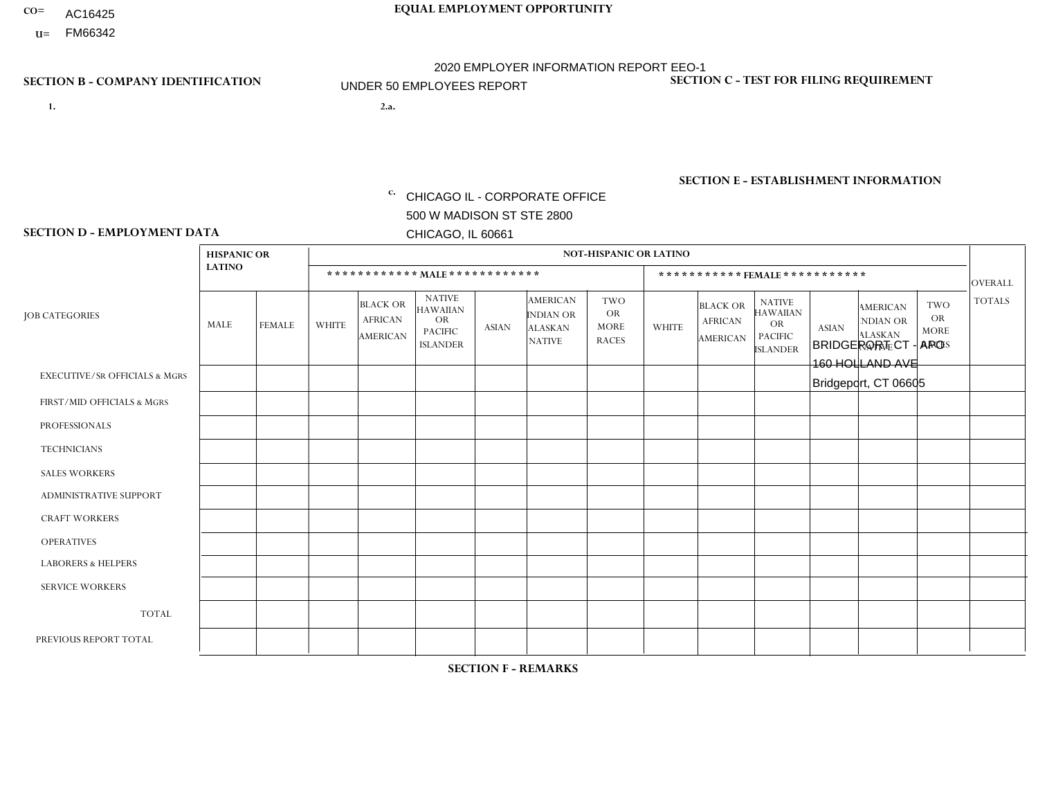- AC16425
- **U=**

**1. 2.a.** CHICAGO IL - CORPORATE OFFICE 500 W MADISON ST STE 2800 CHICAGO, IL 60661

2.a. BRIDGEPORT CT - APO 160 HOLLAND AVE Bridgeport, CT 06605

c. EIN= 952920557

## **SECTION B - COMPANY IDENTIFICATION SECTION C - TEST FOR FILING REQUIREMENT**

1- Y 2- Y 3- N DUNS= 000123456

**SECTION E - ESTABLISHMENT INFORMATION c.** NAICS: 423140

### **SECTION D - EMPLOYMENT DATA**

|                                          | <b>HISPANIC OR</b> |               |              |                                                      |                                                                                    |              |                                                                        | <b>NOT-HISPANIC OR LATINO</b>                          |              |                                               |                                                                                    |              |                                                                |                                                        |                |
|------------------------------------------|--------------------|---------------|--------------|------------------------------------------------------|------------------------------------------------------------------------------------|--------------|------------------------------------------------------------------------|--------------------------------------------------------|--------------|-----------------------------------------------|------------------------------------------------------------------------------------|--------------|----------------------------------------------------------------|--------------------------------------------------------|----------------|
|                                          | <b>LATINO</b>      |               |              | ************ MAIE************                        |                                                                                    |              |                                                                        |                                                        |              |                                               | ***********FEMALE***********                                                       |              |                                                                |                                                        | <b>OVERALL</b> |
| <b>JOB CATEGORIES</b>                    | <b>MALE</b>        | <b>FEMALE</b> | <b>WHITE</b> | <b>BLACK OR</b><br><b>AFRICAN</b><br><b>AMERICAN</b> | <b>NATIVE</b><br><b>HAWAIIAN</b><br><b>OR</b><br><b>PACIFIC</b><br><b>ISLANDER</b> | <b>ASIAN</b> | <b>AMERICAN</b><br><b>INDIAN OR</b><br><b>ALASKAN</b><br><b>NATIVE</b> | <b>TWO</b><br><b>OR</b><br><b>MORE</b><br><b>RACES</b> | <b>WHITE</b> | <b>BLACK OR</b><br><b>AFRICAN</b><br>AMERICAN | <b>NATIVE</b><br><b>HAWAIIAN</b><br><b>OR</b><br><b>PACIFIC</b><br><b>ISLANDER</b> | <b>ASIAN</b> | <b>AMERICAN</b><br>NDIAN OR<br><b>ALASKAN</b><br><b>NATIVE</b> | <b>TWO</b><br><b>OR</b><br><b>MORE</b><br><b>RACES</b> | <b>TOTALS</b>  |
| <b>EXECUTIVE/SR OFFICIALS &amp; MGRS</b> | $\Omega$           | $\mathbf 0$   | $\mathbf 0$  | $\mathbf 0$                                          | $\mathbf 0$                                                                        | $\mathbf 0$  | $\Omega$                                                               | $\Omega$                                               | $\mathbf 0$  | $\Omega$                                      | $\Omega$                                                                           | $\mathbf 0$  | $\Omega$                                                       | $\Omega$                                               | $\mathbf 0$    |
| FIRST/MID OFFICIALS & MGRS               | $\Omega$           | $\Omega$      | $\Omega$     | $\Omega$                                             | $\Omega$                                                                           | $\Omega$     | $\Omega$                                                               |                                                        | $\Omega$     | $\Omega$                                      | $\Omega$                                                                           | $\Omega$     | $\Omega$                                                       | $\mathbf{0}$                                           | $\mathbf{1}$   |
| <b>PROFESSIONALS</b>                     | $\Omega$           | $\mathbf 0$   | $\Omega$     | $\mathbf 0$                                          | $\Omega$                                                                           | $\Omega$     | $\Omega$                                                               | $\Omega$                                               | $\Omega$     | $\Omega$                                      | $\mathbf{0}$                                                                       | $\Omega$     | $\Omega$                                                       | $\Omega$                                               | $\mathbf 0$    |
| <b>TECHNICIANS</b>                       | $\Omega$           | $\mathbf 0$   | $\mathbf 0$  | $\mathbf 0$                                          | $\overline{0}$                                                                     | $\mathbf 0$  | $\Omega$                                                               | $\Omega$                                               | $\mathbf 0$  | $\mathbf 0$                                   | $\Omega$                                                                           | $\Omega$     | $\Omega$                                                       | $\mathbf{0}$                                           | $\mathbf 0$    |
| <b>SALES WORKERS</b>                     | $\overline{2}$     | $\Omega$      | 1            | $\Omega$                                             | $\Omega$                                                                           | $\Omega$     | $\Omega$                                                               | $\Omega$                                               | $\Omega$     | $\Omega$                                      | $\Omega$                                                                           | $\Omega$     | $\Omega$                                                       | $\mathbf{0}$                                           | 3              |
| ADMINISTRATIVE SUPPORT                   | $\Omega$           | $\Omega$      | $\Omega$     | $\mathbf 0$                                          | $\mathbf 0$                                                                        | $\Omega$     | $\Omega$                                                               | $\Omega$                                               | $\Omega$     | $\Omega$                                      | $\Omega$                                                                           | $\Omega$     | $\Omega$                                                       | $\Omega$                                               | $\mathbf 0$    |
| <b>CRAFT WORKERS</b>                     | $\Omega$           | $\Omega$      | $\mathbf 0$  | $\mathbf 0$                                          | 0                                                                                  | $\Omega$     | $\overline{0}$                                                         | $\Omega$                                               | $\Omega$     | $\Omega$                                      | $\mathbf{0}$                                                                       | $\Omega$     | $\Omega$                                                       | $\Omega$                                               | $\mathbf 0$    |
| <b>OPERATIVES</b>                        | $\Omega$           | $\Omega$      | $\Omega$     | $\mathbf{0}$                                         | $\Omega$                                                                           | $\Omega$     | $\Omega$                                                               | $\Omega$                                               | $\Omega$     | $\Omega$                                      | $\Omega$                                                                           | $\Omega$     | $\Omega$                                                       | $\Omega$                                               | $\mathbf 0$    |
| <b>LABORERS &amp; HELPERS</b>            | 0                  | $\Omega$      | $\Omega$     | $\mathbf 0$                                          | 0                                                                                  | $\Omega$     | $\Omega$                                                               | $\Omega$                                               | $\mathbf{1}$ | $\Omega$                                      | $\Omega$                                                                           | $\Omega$     | $\Omega$                                                       | $\Omega$                                               | $\mathbf{1}$   |
| <b>SERVICE WORKERS</b>                   | $\Omega$           | $\mathbf 0$   | 0            | $\mathbf 0$                                          | $\mathbf 0$                                                                        | $\mathbf 0$  | $\overline{0}$                                                         | $\Omega$                                               | $\Omega$     | $\Omega$                                      | $\Omega$                                                                           | $\mathbf 0$  | $\Omega$                                                       | $\mathbf 0$                                            | 0              |
| <b>TOTAL</b>                             | 2                  | $\mathbf 0$   | 1            | $\mathbf 0$                                          | 0                                                                                  | $\mathbf 0$  | $\Omega$                                                               |                                                        | $\mathbf 1$  | $\Omega$                                      | $\Omega$                                                                           | $\Omega$     | $\Omega$                                                       | $\Omega$                                               | 5              |
| PREVIOUS REPORT TOTAL                    | 3                  | $\mathbf 0$   | 1            | $\mathbf 0$                                          | $\mathbf 0$                                                                        | $\Omega$     | $\overline{0}$                                                         | $\mathbf{1}$                                           | $\mathbf{1}$ | $\Omega$                                      | $\mathbf{0}$                                                                       | $\Omega$     | $\Omega$                                                       | $\Omega$                                               | 6              |
|                                          |                    |               |              |                                                      |                                                                                    |              |                                                                        |                                                        |              |                                               |                                                                                    |              |                                                                |                                                        |                |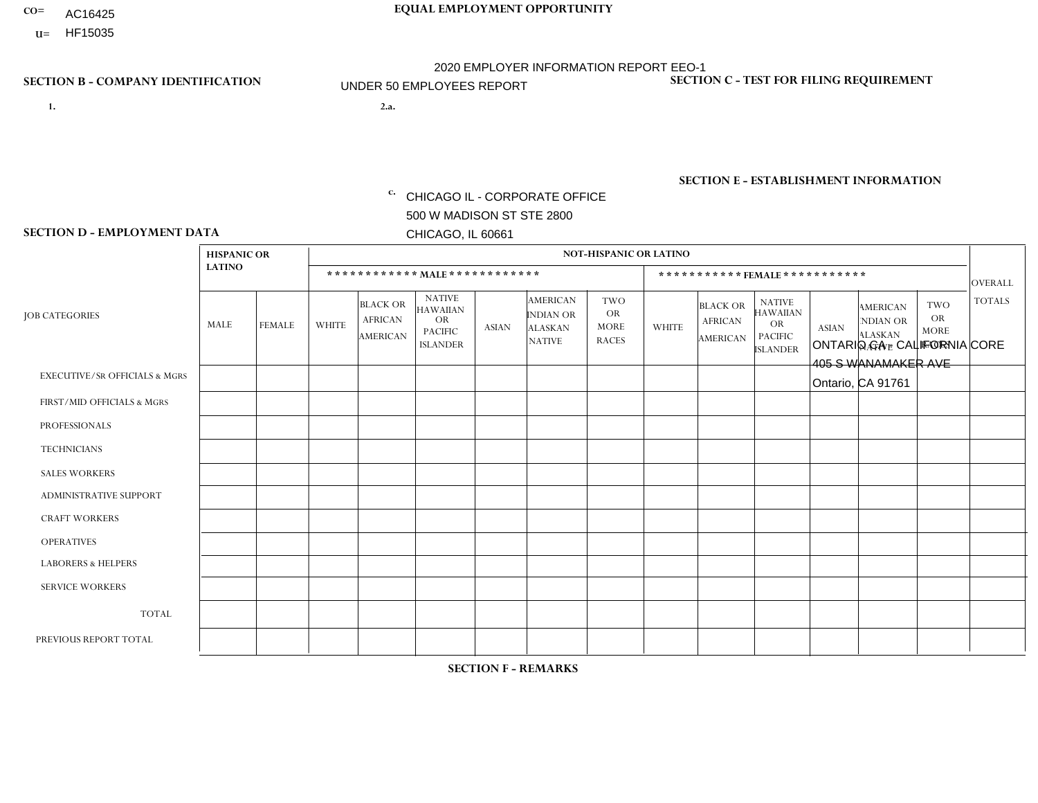- AC16425
- **U=**

- **1. 2.a.** CHICAGO IL CORPORATE OFFICE 500 W MADISON ST STE 2800 CHICAGO, IL 60661
- 2.a. ONTARIO CA CALIFORNIA CORE 405 S WANAMAKER AVE Ontario, CA 91761

c. EIN= 952920557

## **SECTION B - COMPANY IDENTIFICATION SECTION C - TEST FOR FILING REQUIREMENT**

1- Y 2- Y 3- N DUNS= 000123456

**SECTION E - ESTABLISHMENT INFORMATION c.** NAICS: 423140

### **SECTION D - EMPLOYMENT DATA**

|                                          | <b>HISPANIC OR</b> |                |                |                                                      |                                                                      |              |                                                                        | <b>NOT-HISPANIC OR LATINO</b>                   |              |                                               |                                                                                    |              |                                                                       |                                                        |                 |
|------------------------------------------|--------------------|----------------|----------------|------------------------------------------------------|----------------------------------------------------------------------|--------------|------------------------------------------------------------------------|-------------------------------------------------|--------------|-----------------------------------------------|------------------------------------------------------------------------------------|--------------|-----------------------------------------------------------------------|--------------------------------------------------------|-----------------|
|                                          | <b>LATINO</b>      |                |                |                                                      | ************ MAIE************                                        |              |                                                                        |                                                 |              | ***********FEMALE***********                  |                                                                                    |              |                                                                       |                                                        | <b>OVERALL</b>  |
| <b>JOB CATEGORIES</b>                    | <b>MALE</b>        | <b>FEMALE</b>  | <b>WHITE</b>   | <b>BLACK OR</b><br><b>AFRICAN</b><br><b>AMERICAN</b> | <b>NATIVE</b><br>HAWAIIAN<br>OR<br><b>PACIFIC</b><br><b>ISLANDER</b> | <b>ASIAN</b> | <b>AMERICAN</b><br><b>INDIAN OR</b><br><b>ALASKAN</b><br><b>NATIVE</b> | TWO<br><b>OR</b><br><b>MORE</b><br><b>RACES</b> | <b>WHITE</b> | <b>BLACK OR</b><br><b>AFRICAN</b><br>AMERICAN | <b>NATIVE</b><br><b>HAWAIIAN</b><br><b>OR</b><br><b>PACIFIC</b><br><b>ISLANDER</b> | <b>ASIAN</b> | <b>AMERICAN</b><br><b>NDIAN OR</b><br><b>ALASKAN</b><br><b>NATIVE</b> | <b>TWO</b><br><b>OR</b><br><b>MORE</b><br><b>RACES</b> | <b>TOTALS</b>   |
| <b>EXECUTIVE/SR OFFICIALS &amp; MGRS</b> | $\mathbf 0$        | $\mathbf 0$    | $\mathbf 0$    | $\mathbf 0$                                          | $\mathbf 0$                                                          | $\Omega$     | $\Omega$                                                               | 0                                               | $\Omega$     | $\Omega$                                      | $\mathbf 0$                                                                        | $\mathbf 0$  | $\Omega$                                                              | 0                                                      | $\mathbf 0$     |
| FIRST/MID OFFICIALS & MGRS               | 1                  | $\Omega$       | 1              | $\Omega$                                             | $\mathbf{0}$                                                         | $\Omega$     | 0                                                                      | 0                                               |              | $\Omega$                                      | $\Omega$                                                                           | $\Omega$     | $\Omega$                                                              | $\Omega$                                               | 3               |
| <b>PROFESSIONALS</b>                     | 0                  |                | $\Omega$       | $\Omega$                                             | $\mathbf{0}$                                                         |              | $\Omega$                                                               | 0                                               | $\Omega$     | $\Omega$                                      | $\Omega$                                                                           | $\Omega$     | $\Omega$                                                              | $\Omega$                                               | $\overline{2}$  |
| <b>TECHNICIANS</b>                       | 0                  | $\mathbf{0}$   | $\mathbf 0$    | $\mathbf 0$                                          | $\Omega$                                                             | $\Omega$     | $\Omega$                                                               | 0                                               | $\Omega$     | $\Omega$                                      | 0                                                                                  | $\mathbf 0$  | $\Omega$                                                              | $\mathbf 0$                                            | $\mathbf{0}$    |
| <b>SALES WORKERS</b>                     | $\mathbf{0}$       | $\mathbf 0$    | $\mathbf 0$    | $\mathbf 0$                                          | $\Omega$                                                             | $\Omega$     | $\Omega$                                                               | 0                                               | $\Omega$     | $\Omega$                                      | $\mathbf 0$                                                                        | $\mathbf 0$  | $\Omega$                                                              | $\mathbf 0$                                            | $\mathbf 0$     |
| ADMINISTRATIVE SUPPORT                   | $\Omega$           | -1             | $\Omega$       | $\Omega$                                             | $\Omega$                                                             | $\Omega$     | $\Omega$                                                               | 0                                               | $\Omega$     | $\Omega$                                      | $\Omega$                                                                           | $\Omega$     | $\Omega$                                                              | $\Omega$                                               | $\mathbf{1}$    |
| <b>CRAFT WORKERS</b>                     | 0                  | $\mathbf 0$    | $\mathbf 0$    | $\Omega$                                             | $\mathbf{0}$                                                         | $\mathbf{0}$ | $\Omega$                                                               | 0                                               | $\Omega$     | $\Omega$                                      | $\Omega$                                                                           | $\Omega$     | $\Omega$                                                              | $\Omega$                                               | $\mathbf 0$     |
| <b>OPERATIVES</b>                        | $\overline{1}$     | $\mathbf 0$    | $\mathbf 0$    | $\mathbf 0$                                          | $\Omega$                                                             | $\mathbf{0}$ | $\Omega$                                                               | 0                                               | $\Omega$     | $\Omega$                                      | $\Omega$                                                                           | $\Omega$     | $\Omega$                                                              | $\Omega$                                               | $\mathbf{1}$    |
| <b>LABORERS &amp; HELPERS</b>            | 3                  | $\mathbf 0$    | $\mathbf 0$    | $\mathbf 0$                                          | $\Omega$                                                             | $\Omega$     | $\Omega$                                                               | $\Omega$                                        | $\Omega$     | $\Omega$                                      | $\Omega$                                                                           | $\Omega$     | $\Omega$                                                              | $\Omega$                                               | 3               |
| <b>SERVICE WORKERS</b>                   | $\Omega$           | $\Omega$       | $\mathbf 0$    | $\mathbf 0$                                          | $\Omega$                                                             | $\mathbf{0}$ | $\Omega$                                                               | 0                                               | $\Omega$     | $\Omega$                                      | $\Omega$                                                                           | $\Omega$     | $\Omega$                                                              | $\Omega$                                               | $\mathbf 0$     |
| <b>TOTAL</b>                             | 5                  | $\overline{2}$ | $\overline{1}$ | $\mathbf 0$                                          | $\mathbf{0}$                                                         |              | $\Omega$                                                               | 0                                               |              | $\Omega$                                      | $\mathbf 0$                                                                        | 0            | $\Omega$                                                              | $\mathbf 0$                                            | 10 <sup>°</sup> |
| PREVIOUS REPORT TOTAL                    | 4                  | $\overline{2}$ | 1              | $\mathbf 0$                                          | $\Omega$                                                             | 1            | $\Omega$                                                               | $\overline{2}$                                  |              | $\Omega$                                      | $\mathbf 0$                                                                        | $\Omega$     | $\Omega$                                                              | $\mathbf 0$                                            | 11              |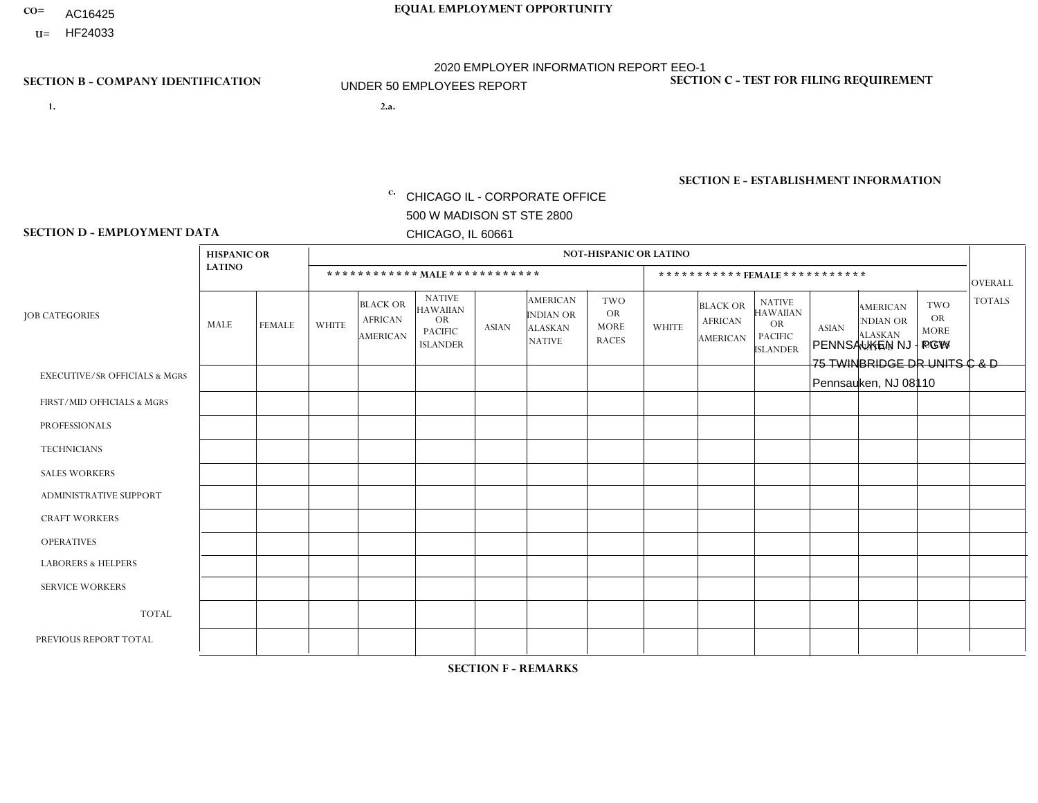- AC16425
- **U=**

- **1. 2.a.** CHICAGO IL CORPORATE OFFICE 500 W MADISON ST STE 2800 CHICAGO, IL 60661
- 2.a. PENNSAUKEN NJ PGW 75 TWINBRIDGE DR UNITS C & D Pennsauken, NJ 08110

c. EIN= 952920557

## **SECTION B - COMPANY IDENTIFICATION SECTION C - TEST FOR FILING REQUIREMENT**

1- Y 2- Y 3- N DUNS= 000123456

**SECTION E - ESTABLISHMENT INFORMATION c.** NAICS: 811122

### **SECTION D - EMPLOYMENT DATA**

|                                          | <b>HISPANIC OR</b> |               |              |                                                      |                                                                                    |             |                                                                        | <b>NOT-HISPANIC OR LATINO</b>                          |                |                                               |                                                                             |              |                                                                       |                                                        |                |
|------------------------------------------|--------------------|---------------|--------------|------------------------------------------------------|------------------------------------------------------------------------------------|-------------|------------------------------------------------------------------------|--------------------------------------------------------|----------------|-----------------------------------------------|-----------------------------------------------------------------------------|--------------|-----------------------------------------------------------------------|--------------------------------------------------------|----------------|
|                                          | <b>LATINO</b>      |               |              | ************ MALE ************                       |                                                                                    |             |                                                                        |                                                        |                | ***********FEMALE***********                  |                                                                             |              |                                                                       |                                                        | <b>OVERALL</b> |
| <b>JOB CATEGORIES</b>                    | MALE               | <b>FEMALE</b> | <b>WHITE</b> | <b>BLACK OR</b><br><b>AFRICAN</b><br><b>AMERICAN</b> | <b>NATIVE</b><br><b>HAWAIIAN</b><br><b>OR</b><br><b>PACIFIC</b><br><b>ISLANDER</b> | ASIAN       | <b>AMERICAN</b><br><b>INDIAN OR</b><br><b>ALASKAN</b><br><b>NATIVE</b> | <b>TWO</b><br><b>OR</b><br><b>MORE</b><br><b>RACES</b> | <b>WHITE</b>   | <b>BLACK OR</b><br><b>AFRICAN</b><br>AMERICAN | <b>NATIVE</b><br><b>HAWAIIAN</b><br>OR<br><b>PACIFIC</b><br><b>ISLANDER</b> | <b>ASIAN</b> | <b>AMERICAN</b><br><b>NDIAN OR</b><br><b>ALASKAN</b><br><b>NATIVE</b> | <b>TWO</b><br><b>OR</b><br><b>MORE</b><br><b>RACES</b> | <b>TOTALS</b>  |
| <b>EXECUTIVE/SR OFFICIALS &amp; MGRS</b> | $\Omega$           | $\Omega$      | $\Omega$     | $\mathbf 0$                                          | $\mathbf 0$                                                                        | $\Omega$    | $\Omega$                                                               | $\Omega$                                               | $\Omega$       | $\Omega$                                      | $\Omega$                                                                    | $\mathbf 0$  | $\Omega$                                                              | $\mathbf 0$                                            | $\mathbf{0}$   |
| FIRST/MID OFFICIALS & MGRS               | 0                  | 0             | 1            | $\mathbf 0$                                          | 0                                                                                  | $\Omega$    | $\Omega$                                                               | $\Omega$                                               | 0              | $\Omega$                                      | $\Omega$                                                                    | $\mathbf{0}$ | $\Omega$                                                              | $\mathbf 0$                                            | $\mathbf{1}$   |
| <b>PROFESSIONALS</b>                     | $\Omega$           | $\Omega$      | $\Omega$     | $\mathbf 0$                                          | $\Omega$                                                                           | $\Omega$    | $\Omega$                                                               | $\Omega$                                               | $\overline{0}$ | $\Omega$                                      | $\Omega$                                                                    | $\Omega$     | $\Omega$                                                              | $\Omega$                                               | $\mathbf 0$    |
| <b>TECHNICIANS</b>                       | 0                  | $\mathbf 0$   | $\Omega$     | $\mathbf 0$                                          | $\Omega$                                                                           | $\Omega$    | $\Omega$                                                               | $\Omega$                                               | $\Omega$       | $\Omega$                                      | $\Omega$                                                                    | $\Omega$     | $\Omega$                                                              | $\Omega$                                               | $\mathbf{0}$   |
| <b>SALES WORKERS</b>                     | $\Omega$           | $\Omega$      | $\Omega$     | $\mathbf 0$                                          | $\Omega$                                                                           | $\Omega$    | $\Omega$                                                               | $\Omega$                                               | $\overline{0}$ | $\Omega$                                      | $\Omega$                                                                    | $\Omega$     | $\Omega$                                                              | $\mathbf{0}$                                           | $\mathbf{0}$   |
| ADMINISTRATIVE SUPPORT                   | $\mathbf 0$        | 0             | $\mathbf 0$  | $\mathbf 0$                                          | 0                                                                                  | $\Omega$    | $\Omega$                                                               | $\Omega$                                               | $\Omega$       | $\Omega$                                      | $\Omega$                                                                    | $\mathbf{0}$ | $\mathbf{0}$                                                          | $\mathbf 0$                                            | $\mathbf 0$    |
| <b>CRAFT WORKERS</b>                     | 0                  | $\Omega$      | $\Omega$     | $\mathbf 0$                                          | $\Omega$                                                                           | $\Omega$    | $\Omega$                                                               | $\Omega$                                               | 0              | $\Omega$                                      | $\Omega$                                                                    | $\Omega$     | $\Omega$                                                              | $\Omega$                                               | $\Omega$       |
| <b>OPERATIVES</b>                        | 0                  | $\Omega$      | 1            | 5                                                    | $\Omega$                                                                           | $\Omega$    | $\Omega$                                                               | $\Omega$                                               | $\Omega$       | $\Omega$                                      | $\Omega$                                                                    | $\Omega$     | $\Omega$                                                              | $\Omega$                                               | 6              |
| <b>LABORERS &amp; HELPERS</b>            | 0                  | $\Omega$      | $\Omega$     | $\overline{1}$                                       | $\mathbf 0$                                                                        | $\Omega$    | $\Omega$                                                               | $\Omega$                                               | $\Omega$       | $\Omega$                                      | $\Omega$                                                                    | $\Omega$     | $\Omega$                                                              | $\Omega$                                               | $\mathbf{1}$   |
| <b>SERVICE WORKERS</b>                   | 0                  | $\mathbf 0$   | $\mathbf 0$  | $\mathbf 0$                                          | $\mathbf{0}$                                                                       | $\mathbf 0$ | $\Omega$                                                               | $\Omega$                                               | $\Omega$       | $\Omega$                                      | $\Omega$                                                                    | $\mathbf 0$  | $\Omega$                                                              | $\mathbf 0$                                            | $\overline{0}$ |
| <b>TOTAL</b>                             | $\Omega$           | 0             | 2            | 6                                                    | 0                                                                                  | $\Omega$    | $\Omega$                                                               | $\Omega$                                               | $\Omega$       | $\Omega$                                      | $\Omega$                                                                    | $\mathbf 0$  | 0                                                                     | $\mathbf 0$                                            | 8              |
| PREVIOUS REPORT TOTAL                    | 0                  | $\mathbf{0}$  |              | $\mathbf 0$                                          | $\Omega$                                                                           | $\Omega$    | $\Omega$                                                               | $\Omega$                                               | 0              | $\Omega$                                      | $\Omega$                                                                    | $\Omega$     | $\Omega$                                                              | $\mathbf 0$                                            | $\mathbf{1}$   |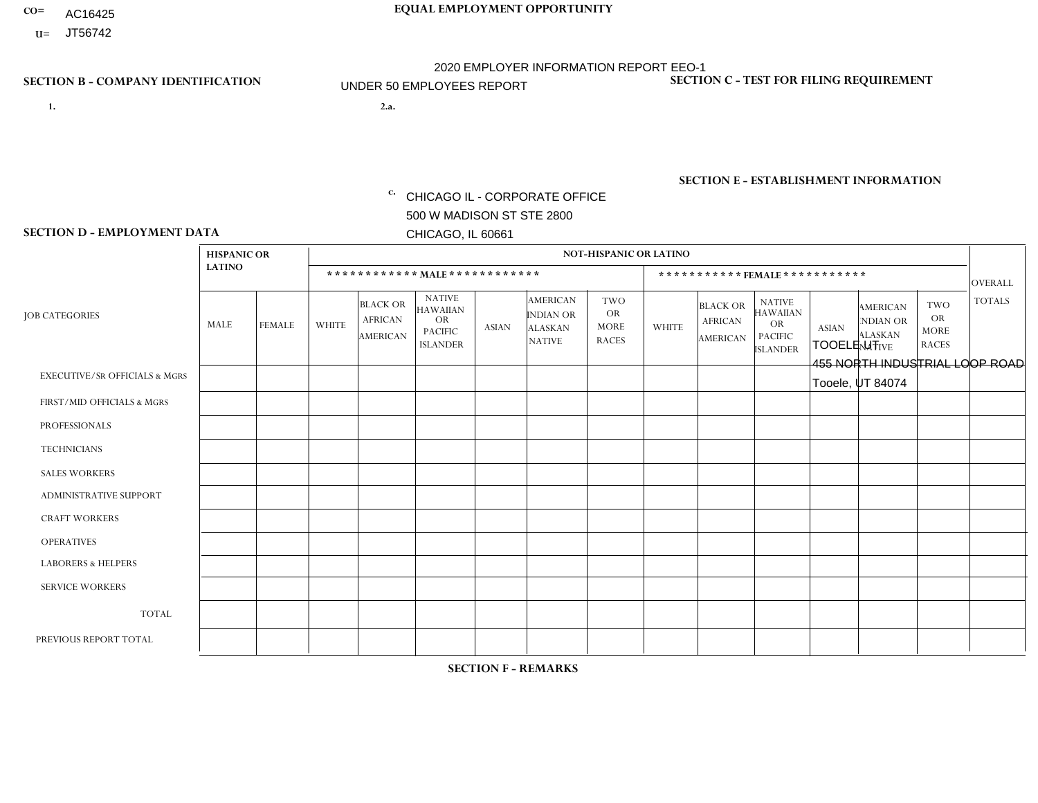- AC16425
- **U=**

- **1. 2.a.** CHICAGO IL CORPORATE OFFICE 500 W MADISON ST STE 2800 CHICAGO, IL 60661
- 2.a. TOOELE UT 455 NORTH INDUSTRIAL LOOP ROAD Tooele, UT 84074

c. EIN= 952920557

## **SECTION B - COMPANY IDENTIFICATION SECTION C - TEST FOR FILING REQUIREMENT**

1- Y 2- Y 3- N DUNS= 000123456

**SECTION E - ESTABLISHMENT INFORMATION c.** NAICS: 423140

### **SECTION D - EMPLOYMENT DATA**

|                                          | <b>HISPANIC OR</b> |               |                |                                                      |                                                                                    |              |                                                                        | <b>NOT-HISPANIC OR LATINO</b>                   |                |                                                      |                                                                                    |              |                                                                |                                                        |                |
|------------------------------------------|--------------------|---------------|----------------|------------------------------------------------------|------------------------------------------------------------------------------------|--------------|------------------------------------------------------------------------|-------------------------------------------------|----------------|------------------------------------------------------|------------------------------------------------------------------------------------|--------------|----------------------------------------------------------------|--------------------------------------------------------|----------------|
|                                          | <b>LATINO</b>      |               |                |                                                      | ************ MALE ************                                                     |              |                                                                        |                                                 |                | *********** FEMALE ***********                       |                                                                                    |              |                                                                |                                                        | <b>OVERALL</b> |
| <b>JOB CATEGORIES</b>                    | MALE               | <b>FEMALE</b> | <b>WHITE</b>   | <b>BLACK OR</b><br><b>AFRICAN</b><br><b>AMERICAN</b> | <b>NATIVE</b><br><b>HAWAIIAN</b><br><b>OR</b><br><b>PACIFIC</b><br><b>ISLANDER</b> | <b>ASIAN</b> | <b>AMERICAN</b><br><b>INDIAN OR</b><br><b>ALASKAN</b><br><b>NATIVE</b> | TWO<br><b>OR</b><br><b>MORE</b><br><b>RACES</b> | <b>WHITE</b>   | <b>BLACK OR</b><br><b>AFRICAN</b><br><b>AMERICAN</b> | <b>NATIVE</b><br><b>HAWAIIAN</b><br><b>OR</b><br><b>PACIFIC</b><br><b>ISLANDER</b> | <b>ASIAN</b> | <b>AMERICAN</b><br>NDIAN OR<br><b>ALASKAN</b><br><b>NATIVE</b> | <b>TWO</b><br><b>OR</b><br><b>MORE</b><br><b>RACES</b> | <b>TOTALS</b>  |
| <b>EXECUTIVE/SR OFFICIALS &amp; MGRS</b> | $\Omega$           | $\mathbf 0$   | $\mathbf 0$    | $\mathbf 0$                                          | $\mathbf{0}$                                                                       | $\Omega$     | $\Omega$                                                               | 0                                               | $\Omega$       | $\mathbf{0}$                                         | $\mathbf{0}$                                                                       | $\Omega$     | $\Omega$                                                       | $\Omega$                                               | $\Omega$       |
| FIRST/MID OFFICIALS & MGRS               | $\Omega$           | $\mathbf 0$   | $\overline{c}$ | $\mathbf 0$                                          | $\Omega$                                                                           | $\Omega$     | $\Omega$                                                               | $\Omega$                                        | $\Omega$       | $\Omega$                                             | $\Omega$                                                                           | $\Omega$     | $\Omega$                                                       | $\Omega$                                               | $\overline{2}$ |
| <b>PROFESSIONALS</b>                     | $\Omega$           | 0             | $\mathbf 0$    | $\Omega$                                             | $\mathbf{0}$                                                                       | $\Omega$     | $\Omega$                                                               | 0                                               | $\Omega$       | $\Omega$                                             | $\mathbf{0}$                                                                       | $\Omega$     | $\Omega$                                                       | $\Omega$                                               | $\mathbf 0$    |
| <b>TECHNICIANS</b>                       | 0                  | $\mathbf 0$   | $\mathbf 0$    | 0                                                    | $\mathbf{0}$                                                                       | $\Omega$     | $\Omega$                                                               | $\Omega$                                        | $\Omega$       | $\Omega$                                             | $\Omega$                                                                           | 0            | 0                                                              | $\Omega$                                               | $\mathbf 0$    |
| <b>SALES WORKERS</b>                     | $\Omega$           | $\mathbf 0$   | $\mathbf 0$    | $\Omega$                                             | $\Omega$                                                                           | $\Omega$     | $\Omega$                                                               | 0                                               | $\Omega$       | $\Omega$                                             | $\Omega$                                                                           | $\Omega$     | $\Omega$                                                       | $\Omega$                                               | $\Omega$       |
| ADMINISTRATIVE SUPPORT                   | 1                  | $\mathbf 0$   | 1              | 0                                                    | $\Omega$                                                                           | $\Omega$     | $\Omega$                                                               | $\Omega$                                        | $\Omega$       | $\Omega$                                             | $\Omega$                                                                           | $\Omega$     | $\Omega$                                                       | $\Omega$                                               | $\overline{2}$ |
| <b>CRAFT WORKERS</b>                     | $\Omega$           | $\mathbf 0$   | 12             | 0                                                    | $\Omega$                                                                           | $\Omega$     | 1.                                                                     | 0                                               | $\Omega$       | $\Omega$                                             | $\mathbf{0}$                                                                       | $\Omega$     | $\Omega$                                                       | $\Omega$                                               | 13             |
| <b>OPERATIVES</b>                        | $\Omega$           | $\Omega$      | 3              | $\Omega$                                             | $\mathbf{0}$                                                                       | $\Omega$     | $\Omega$                                                               | 1                                               | $\Omega$       | $\Omega$                                             | $\mathbf{0}$                                                                       | $\Omega$     | $\Omega$                                                       | $\Omega$                                               | 4              |
| <b>LABORERS &amp; HELPERS</b>            | $\Omega$           | $\Omega$      | $\Omega$       | $\Omega$                                             | $\mathbf{0}$                                                                       | $\Omega$     | $\Omega$                                                               | $\Omega$                                        | $\Omega$       | $\Omega$                                             | $\Omega$                                                                           | $\Omega$     | $\Omega$                                                       | $\Omega$                                               | $\mathbf 0$    |
| <b>SERVICE WORKERS</b>                   | $\Omega$           | 0             | $\mathbf 0$    | 0                                                    | $\Omega$                                                                           | $\Omega$     | $\Omega$                                                               | $\Omega$                                        | $\Omega$       | $\Omega$                                             | $\Omega$                                                                           | $\Omega$     | $\Omega$                                                       | $\mathbf 0$                                            | 0              |
| <b>TOTAL</b>                             | 1                  | 0             | 18             | 0                                                    | $\mathbf 0$                                                                        | $\mathbf 0$  |                                                                        |                                                 | $\Omega$       | 0                                                    | $\Omega$                                                                           | 0            | 0                                                              | $\mathbf 0$                                            | 21             |
| PREVIOUS REPORT TOTAL                    | $\overline{2}$     | $\mathbf 0$   | $\overline{7}$ | 0                                                    | $\mathbf{0}$                                                                       | $\mathbf{1}$ | $\Omega$                                                               | 0                                               | $\overline{2}$ | $\Omega$                                             | $\Omega$                                                                           | $\mathbf 0$  | 0                                                              | $\mathbf 0$                                            | 12             |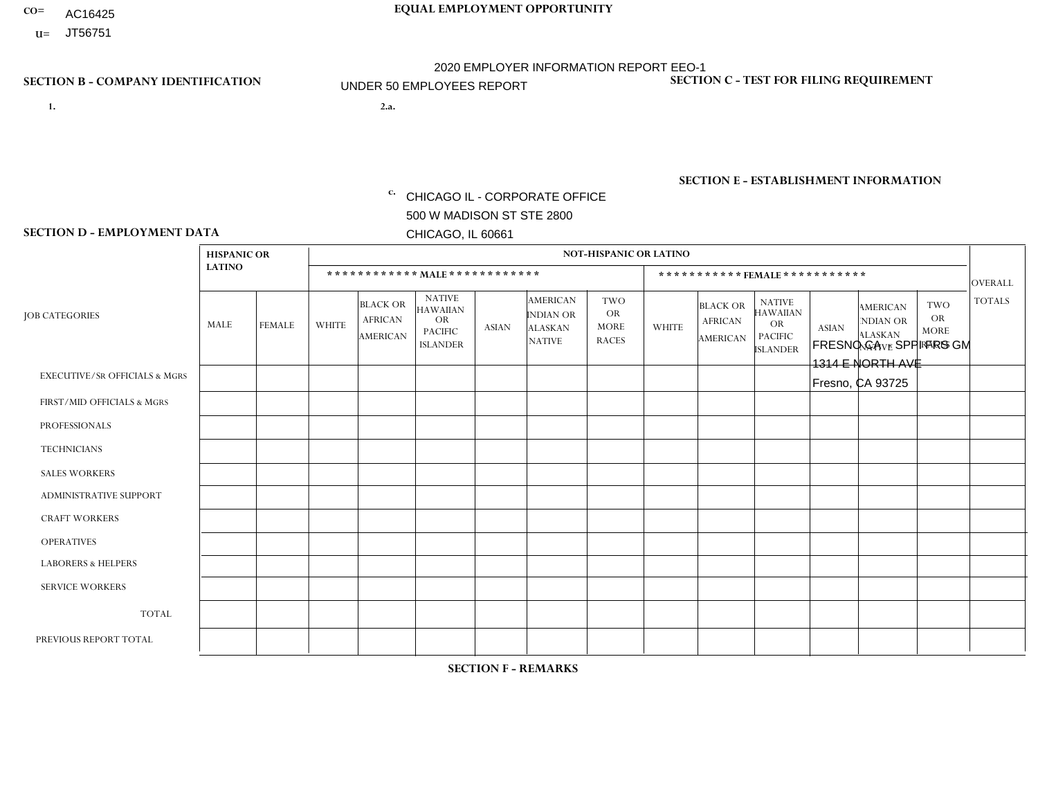- AC16425
- **U=**

**1. 2.a.** CHICAGO IL - CORPORATE OFFICE 500 W MADISON ST STE 2800 CHICAGO, IL 60661

2.a. FRESNO CA - SPPI FRS GM 1314 E NORTH AVE Fresno, CA 93725

**SECTION B - COMPANY IDENTIFICATION SECTION C - TEST FOR FILING REQUIREMENT** 

1- Y 2- Y 3- N DUNS= 000123456

|                   | <b>SECTION E - ESTABLISHMENT INFORMATION</b> |
|-------------------|----------------------------------------------|
| c. EIN= 952920557 | NAICS: 423140                                |

### **SECTION D - EMPLOYMENT DATA**

|                                          | <b>HISPANIC OR</b> |               |              |                                                      |                                                                              |              |                                                                 | <b>NOT-HISPANIC OR LATINO</b>                   |              |                                                      |                                                                                    |              |                                                                       |                                                        |                |
|------------------------------------------|--------------------|---------------|--------------|------------------------------------------------------|------------------------------------------------------------------------------|--------------|-----------------------------------------------------------------|-------------------------------------------------|--------------|------------------------------------------------------|------------------------------------------------------------------------------------|--------------|-----------------------------------------------------------------------|--------------------------------------------------------|----------------|
|                                          | <b>LATINO</b>      |               |              |                                                      | ************ MALE************                                                |              |                                                                 |                                                 |              |                                                      | ***********FEMALE***********                                                       |              |                                                                       |                                                        | <b>OVERALL</b> |
| <b>JOB CATEGORIES</b>                    | MALE               | <b>FEMALE</b> | <b>WHITE</b> | <b>BLACK OR</b><br><b>AFRICAN</b><br><b>AMERICAN</b> | <b>NATIVE</b><br><b>HAWAIIAN</b><br>OR.<br><b>PACIFIC</b><br><b>ISLANDER</b> | <b>ASIAN</b> | <b>AMERICAN</b><br>INDIAN OR<br><b>ALASKAN</b><br><b>NATIVE</b> | TWO<br><b>OR</b><br><b>MORE</b><br><b>RACES</b> | <b>WHITE</b> | <b>BLACK OR</b><br><b>AFRICAN</b><br><b>AMERICAN</b> | <b>NATIVE</b><br><b>HAWAIIAN</b><br><b>OR</b><br><b>PACIFIC</b><br><b>ISLANDER</b> | <b>ASIAN</b> | <b>AMERICAN</b><br><b>NDIAN OR</b><br><b>ALASKAN</b><br><b>NATIVE</b> | <b>TWO</b><br><b>OR</b><br><b>MORE</b><br><b>RACES</b> | <b>TOTALS</b>  |
| <b>EXECUTIVE/SR OFFICIALS &amp; MGRS</b> | $\Omega$           | $\Omega$      | $\Omega$     | $\mathbf{0}$                                         | $\Omega$                                                                     | $\Omega$     | $\Omega$                                                        | $\Omega$                                        | $\Omega$     | 0                                                    | $\Omega$                                                                           | 0            | $\Omega$                                                              | $\Omega$                                               | $\mathbf 0$    |
| FIRST/MID OFFICIALS & MGRS               | 1                  | $\Omega$      | $\mathbf 0$  | $\Omega$                                             | $\Omega$                                                                     | $\Omega$     | $\Omega$                                                        | $\Omega$                                        | $\Omega$     | 0                                                    | $\Omega$                                                                           | $\Omega$     | $\mathbf{0}$                                                          | $\Omega$                                               | $\mathbf{1}$   |
| <b>PROFESSIONALS</b>                     | 0                  | $\mathbf 0$   | $\mathbf 0$  | $\Omega$                                             | $\Omega$                                                                     | $\Omega$     | $\Omega$                                                        | $\Omega$                                        | $\Omega$     | 0                                                    | $\Omega$                                                                           | $\Omega$     | $\Omega$                                                              | $\Omega$                                               | $\mathbf 0$    |
| <b>TECHNICIANS</b>                       | 0                  | $\Omega$      | $\Omega$     | $\Omega$                                             | $\Omega$                                                                     | $\Omega$     | $\Omega$                                                        | $\Omega$                                        | $\Omega$     | 0                                                    | $\Omega$                                                                           | $\Omega$     | $\Omega$                                                              | $\Omega$                                               | $\mathbf 0$    |
| <b>SALES WORKERS</b>                     | 3                  | $\Omega$      | $\Omega$     | $\Omega$                                             | $\Omega$                                                                     | $\Omega$     | $\Omega$                                                        | $\Omega$                                        | $\Omega$     | 0                                                    | $\Omega$                                                                           | 0            | $\Omega$                                                              | $\Omega$                                               | 3              |
| <b>ADMINISTRATIVE SUPPORT</b>            | $\overline{2}$     | $\Omega$      | $\mathbf 0$  | $\mathbf{0}$                                         | $\Omega$                                                                     | $\Omega$     | $\Omega$                                                        | $\Omega$                                        | $\Omega$     | 0                                                    | $\Omega$                                                                           | $\Omega$     | $\Omega$                                                              | $\Omega$                                               | 2              |
| <b>CRAFT WORKERS</b>                     | 0                  | $\mathbf 0$   | 0            | $\Omega$                                             | $\Omega$                                                                     | $\Omega$     | $\Omega$                                                        | $\Omega$                                        | $\Omega$     | 0                                                    | $\Omega$                                                                           | 0            | $\Omega$                                                              | $\Omega$                                               | $\Omega$       |
| <b>OPERATIVES</b>                        | 3                  | $\mathbf 0$   | 0            | -1                                                   | $\Omega$                                                                     | $\Omega$     | $\Omega$                                                        | $\Omega$                                        | $\Omega$     | 0                                                    | $\mathbf 0$                                                                        | 0            | $\Omega$                                                              | $\Omega$                                               | 4              |
| <b>LABORERS &amp; HELPERS</b>            | 1                  | $\Omega$      | $\mathbf 0$  | $\Omega$                                             | $\Omega$                                                                     | $\Omega$     | $\Omega$                                                        | 1                                               | $\Omega$     | $\Omega$                                             | $\Omega$                                                                           | 0            | $\Omega$                                                              | $\Omega$                                               | $\overline{2}$ |
| <b>SERVICE WORKERS</b>                   | 0                  | $\mathbf 0$   | 0            | $\mathbf 0$                                          | $\Omega$                                                                     | $\Omega$     | $\Omega$                                                        | $\Omega$                                        | $\Omega$     | 0                                                    | $\Omega$                                                                           | $\Omega$     | $\mathbf{0}$                                                          | $\Omega$                                               | 0              |
| <b>TOTAL</b>                             | 10                 | $\mathbf 0$   | 0            | -1                                                   | $\Omega$                                                                     | 0            | $\Omega$                                                        | 1                                               | $\mathbf 0$  | 0                                                    | $\mathbf 0$                                                                        | 0            | $\mathbf{0}$                                                          | $\Omega$                                               | 12             |
| PREVIOUS REPORT TOTAL                    | 15                 | 3             | 1            | 2                                                    | $\Omega$                                                                     | $\Omega$     | $\Omega$                                                        | 1                                               |              | 0                                                    | $\Omega$                                                                           | 0            | $\mathbf{0}$                                                          | $\mathbf 0$                                            | 23             |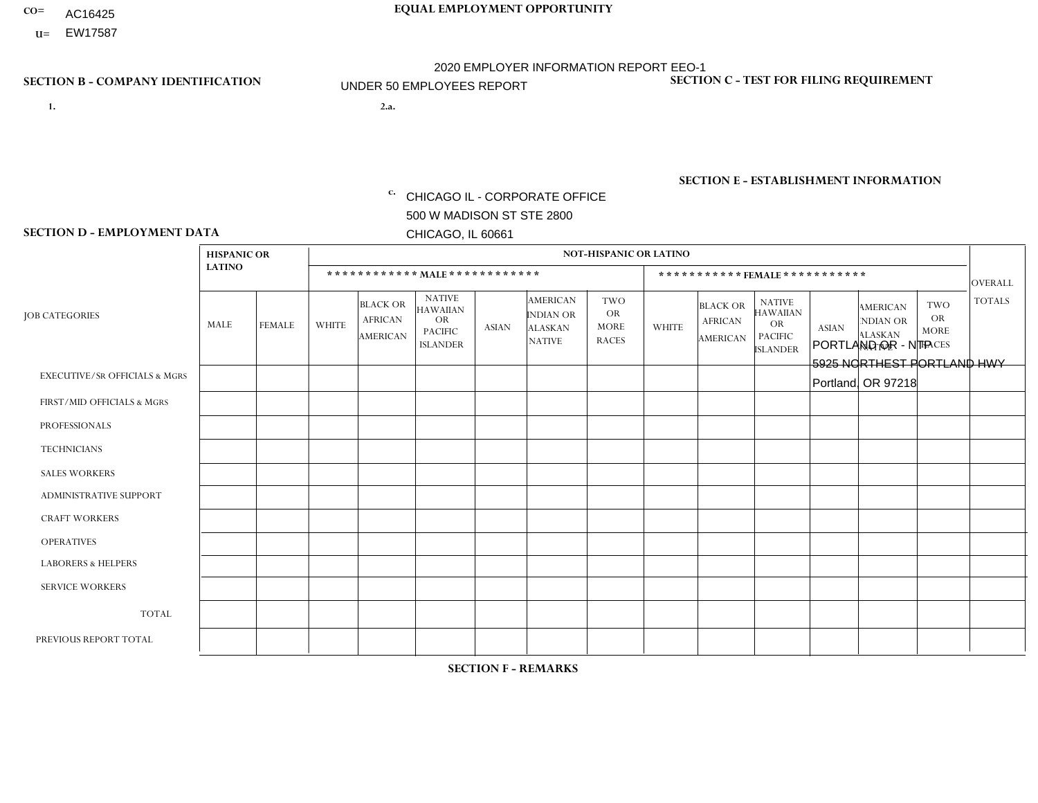- AC16425
- **U=**

- **1. 2.a.** CHICAGO IL CORPORATE OFFICE 500 W MADISON ST STE 2800 CHICAGO, IL 60661
- 2.a. PORTLAND OR NTP 5925 NORTHEST PORTLAND HWY Portland, OR 97218

c. EIN= 952920557

## **SECTION B - COMPANY IDENTIFICATION SECTION C - TEST FOR FILING REQUIREMENT**

1- Y 2- Y 3- N DUNS= 000123456

**SECTION E - ESTABLISHMENT INFORMATION c.** NAICS: 423140

### **SECTION D - EMPLOYMENT DATA**

|                                          | <b>HISPANIC OR</b> |               |              |                                                      |                                                                                    |                |                                                                        | <b>NOT-HISPANIC OR LATINO</b>                          |                |                                               |                                                                             |              |                                                                       |                                                        |                |
|------------------------------------------|--------------------|---------------|--------------|------------------------------------------------------|------------------------------------------------------------------------------------|----------------|------------------------------------------------------------------------|--------------------------------------------------------|----------------|-----------------------------------------------|-----------------------------------------------------------------------------|--------------|-----------------------------------------------------------------------|--------------------------------------------------------|----------------|
|                                          | <b>LATINO</b>      |               |              | ************ MALE ************                       |                                                                                    |                |                                                                        |                                                        |                | ***********FEMALE***********                  |                                                                             |              |                                                                       |                                                        | <b>OVERALL</b> |
| <b>JOB CATEGORIES</b>                    | MALE               | <b>FEMALE</b> | <b>WHITE</b> | <b>BLACK OR</b><br><b>AFRICAN</b><br><b>AMERICAN</b> | <b>NATIVE</b><br><b>HAWAIIAN</b><br><b>OR</b><br><b>PACIFIC</b><br><b>ISLANDER</b> | ASIAN          | <b>AMERICAN</b><br><b>INDIAN OR</b><br><b>ALASKAN</b><br><b>NATIVE</b> | <b>TWO</b><br><b>OR</b><br><b>MORE</b><br><b>RACES</b> | <b>WHITE</b>   | <b>BLACK OR</b><br><b>AFRICAN</b><br>AMERICAN | <b>NATIVE</b><br><b>HAWAIIAN</b><br>OR<br><b>PACIFIC</b><br><b>ISLANDER</b> | <b>ASIAN</b> | <b>AMERICAN</b><br><b>NDIAN OR</b><br><b>ALASKAN</b><br><b>NATIVE</b> | <b>TWO</b><br><b>OR</b><br><b>MORE</b><br><b>RACES</b> | <b>TOTALS</b>  |
| <b>EXECUTIVE/SR OFFICIALS &amp; MGRS</b> | $\Omega$           | $\Omega$      | $\Omega$     | $\mathbf 0$                                          | $\mathbf 0$                                                                        | $\Omega$       | $\Omega$                                                               | $\Omega$                                               | $\Omega$       | $\Omega$                                      | $\Omega$                                                                    | $\mathbf 0$  | $\Omega$                                                              | $\mathbf 0$                                            | $\mathbf{0}$   |
| FIRST/MID OFFICIALS & MGRS               | 0                  | 0             | 4            | $\mathbf 0$                                          | 0                                                                                  | $\Omega$       | $\Omega$                                                               | $\Omega$                                               | 0              | $\Omega$                                      | $\Omega$                                                                    | $\mathbf{0}$ | $\Omega$                                                              | $\mathbf 0$                                            | $\overline{4}$ |
| <b>PROFESSIONALS</b>                     | $\Omega$           | $\Omega$      | $\Omega$     | $\mathbf 0$                                          | $\Omega$                                                                           | $\Omega$       | $\Omega$                                                               | $\Omega$                                               | $\overline{0}$ | $\Omega$                                      | $\Omega$                                                                    | $\Omega$     | $\Omega$                                                              | $\Omega$                                               | $\mathbf 0$    |
| <b>TECHNICIANS</b>                       | 0                  | $\mathbf 0$   | $\Omega$     | $\mathbf 0$                                          | $\Omega$                                                                           | $\Omega$       | $\Omega$                                                               | $\Omega$                                               | $\Omega$       | $\Omega$                                      | $\Omega$                                                                    | $\Omega$     | $\Omega$                                                              | $\Omega$                                               | $\mathbf{0}$   |
| <b>SALES WORKERS</b>                     | $\Omega$           | $\Omega$      |              | $\mathbf 0$                                          | $\Omega$                                                                           | $\Omega$       | $\Omega$                                                               | $\Omega$                                               | $\overline{0}$ | $\Omega$                                      | $\Omega$                                                                    | $\Omega$     | $\Omega$                                                              | $\mathbf{0}$                                           | $\mathbf{1}$   |
| ADMINISTRATIVE SUPPORT                   | $\mathbf 0$        | $\mathbf 0$   |              | $\mathbf 0$                                          | 0                                                                                  | $\Omega$       | $\Omega$                                                               |                                                        | 1              | $\Omega$                                      | $\Omega$                                                                    | $\Omega$     | $\mathbf{0}$                                                          | $\mathbf 0$                                            | 3              |
| <b>CRAFT WORKERS</b>                     | 0                  | $\Omega$      | 5            | $\mathbf{1}$                                         | $\Omega$                                                                           | $\Omega$       | $\Omega$                                                               | $\Omega$                                               | 0              | $\Omega$                                      | $\Omega$                                                                    | $\Omega$     | $\Omega$                                                              | $\Omega$                                               | 6              |
| <b>OPERATIVES</b>                        | 0                  | $\Omega$      | 1            | 0                                                    | $\Omega$                                                                           | $\Omega$       | $\Omega$                                                               | $\Omega$                                               | $\Omega$       | $\Omega$                                      | $\Omega$                                                                    | $\Omega$     | $\Omega$                                                              | $\Omega$                                               | $\mathbf{1}$   |
| <b>LABORERS &amp; HELPERS</b>            | $\Omega$           | $\Omega$      | 3            | $\mathbf 0$                                          | $\mathbf 0$                                                                        | $\Omega$       | $\Omega$                                                               | $\Omega$                                               | $\Omega$       | $\Omega$                                      | $\Omega$                                                                    | $\Omega$     | $\Omega$                                                              | $\Omega$                                               | 3              |
| <b>SERVICE WORKERS</b>                   | 0                  | $\mathbf 0$   | $\mathbf 0$  | $\mathbf 0$                                          | $\mathbf{0}$                                                                       | $\mathbf 0$    | $\Omega$                                                               | $\Omega$                                               | $\Omega$       | $\Omega$                                      | $\Omega$                                                                    | $\mathbf 0$  | $\Omega$                                                              | $\mathbf 0$                                            | $\overline{0}$ |
| <b>TOTAL</b>                             | $\Omega$           | $\mathbf{0}$  | 15           | $\mathbf{1}$                                         | 0                                                                                  | $\mathbf 0$    | $\Omega$                                                               |                                                        | 1              | $\Omega$                                      | $\Omega$                                                                    | $\mathbf 0$  | 0                                                                     | $\mathbf 0$                                            | 18             |
| PREVIOUS REPORT TOTAL                    | 5                  | $\Omega$      | 17           | $\overline{1}$                                       | 0                                                                                  | $\overline{1}$ | $\Omega$                                                               |                                                        |                | $\Omega$                                      | $\Omega$                                                                    | $\Omega$     | $\Omega$                                                              | $\mathbf 0$                                            | 26             |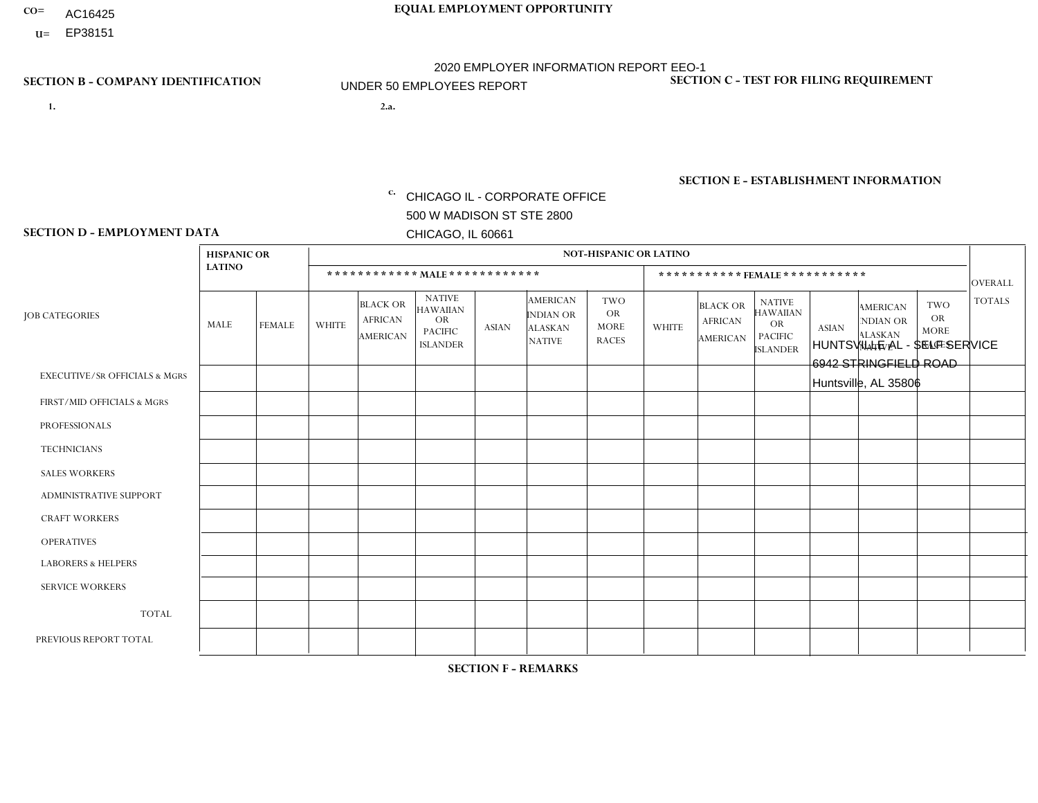- AC16425
- **U=**

**1. 2.a.** CHICAGO IL - CORPORATE OFFICE 500 W MADISON ST STE 2800 CHICAGO, IL 60661

2.a. HUNTSVILLE AL - SELF SERVICE 6942 STRINGFIELD ROAD Huntsville, AL 35806

c. EIN= 952920557

## **SECTION B - COMPANY IDENTIFICATION SECTION C - TEST FOR FILING REQUIREMENT**

1- Y 2- Y 3- N DUNS= 000123456

**SECTION E - ESTABLISHMENT INFORMATION c.** NAICS: 423140

### **SECTION D - EMPLOYMENT DATA**

|                                          | <b>HISPANIC OR</b> |               |              |                                               |                                                                                    |              |                                                                        | <b>NOT-HISPANIC OR LATINO</b>                          |                |                                               |                                                                             |              |                                                                       |                                                        |                |
|------------------------------------------|--------------------|---------------|--------------|-----------------------------------------------|------------------------------------------------------------------------------------|--------------|------------------------------------------------------------------------|--------------------------------------------------------|----------------|-----------------------------------------------|-----------------------------------------------------------------------------|--------------|-----------------------------------------------------------------------|--------------------------------------------------------|----------------|
|                                          | <b>LATINO</b>      |               |              | ************ MALE ************                |                                                                                    |              |                                                                        |                                                        |                | ***********FEMALE***********                  |                                                                             |              |                                                                       |                                                        | <b>OVERALL</b> |
| <b>JOB CATEGORIES</b>                    | MALE               | <b>FEMALE</b> | <b>WHITE</b> | <b>BLACK OR</b><br><b>AFRICAN</b><br>AMERICAN | <b>NATIVE</b><br><b>HAWAIIAN</b><br><b>OR</b><br><b>PACIFIC</b><br><b>ISLANDER</b> | <b>ASIAN</b> | <b>AMERICAN</b><br><b>INDIAN OR</b><br><b>ALASKAN</b><br><b>NATIVE</b> | <b>TWO</b><br><b>OR</b><br><b>MORE</b><br><b>RACES</b> | <b>WHITE</b>   | <b>BLACK OR</b><br><b>AFRICAN</b><br>AMERICAN | <b>NATIVE</b><br><b>HAWAIIAN</b><br>OR<br><b>PACIFIC</b><br><b>ISLANDER</b> | <b>ASIAN</b> | <b>AMERICAN</b><br><b>NDIAN OR</b><br><b>ALASKAN</b><br><b>NATIVE</b> | <b>TWO</b><br><b>OR</b><br><b>MORE</b><br><b>RACES</b> | <b>TOTALS</b>  |
| <b>EXECUTIVE/SR OFFICIALS &amp; MGRS</b> | $\Omega$           | $\Omega$      | $\Omega$     | $\mathbf 0$                                   | $\Omega$                                                                           | $\Omega$     | $\Omega$                                                               | $\Omega$                                               | $\Omega$       | $\Omega$                                      | $\Omega$                                                                    | $\Omega$     | $\Omega$                                                              | $\mathbf{0}$                                           | $\mathbf{0}$   |
| FIRST/MID OFFICIALS & MGRS               | 0                  | $\Omega$      | 1            | $\Omega$                                      | $\Omega$                                                                           | $\Omega$     | $\Omega$                                                               | $\Omega$                                               | 0              | $\Omega$                                      | $\Omega$                                                                    | $\Omega$     | $\Omega$                                                              | $\Omega$                                               | $\mathbf{1}$   |
| <b>PROFESSIONALS</b>                     | 0                  | $\Omega$      | $\Omega$     | $\mathbf 0$                                   | $\Omega$                                                                           | $\Omega$     | $\Omega$                                                               | $\Omega$                                               |                |                                               | $\Omega$                                                                    | $\Omega$     | $\Omega$                                                              | $\Omega$                                               | $\overline{2}$ |
| <b>TECHNICIANS</b>                       | 0                  | $\mathbf 0$   | $\Omega$     | $\mathbf 0$                                   | $\mathbf 0$                                                                        | $\Omega$     | $\Omega$                                                               | $\Omega$                                               | $\Omega$       | $\mathbf 0$                                   | $\Omega$                                                                    | $\mathbf 0$  | $\mathbf 0$                                                           | $\mathbf 0$                                            | $\mathbf{0}$   |
| <b>SALES WORKERS</b>                     | $\Omega$           | $\Omega$      | $\Omega$     | $\overline{1}$                                | $\Omega$                                                                           | $\Omega$     | $\Omega$                                                               | $\Omega$                                               | 0              | $\Omega$                                      | $\Omega$                                                                    | $\Omega$     | $\Omega$                                                              | $\Omega$                                               | $\mathbf{1}$   |
| <b>ADMINISTRATIVE SUPPORT</b>            | $\Omega$           | $\mathbf 0$   | $\mathbf 0$  | $\mathbf 0$                                   | $\mathbf 0$                                                                        | $\Omega$     | $\Omega$                                                               | $\Omega$                                               | 3              |                                               | $\Omega$                                                                    | $\mathbf{0}$ | $\mathbf{0}$                                                          | $\mathbf 0$                                            | $\overline{4}$ |
| <b>CRAFT WORKERS</b>                     | $\Omega$           | $\Omega$      | $\Omega$     | -1                                            | $\Omega$                                                                           | $\Omega$     | $\Omega$                                                               | $\Omega$                                               | $\Omega$       | $\Omega$                                      | $\Omega$                                                                    | $\Omega$     | $\Omega$                                                              | $\Omega$                                               | $\mathbf{1}$   |
| <b>OPERATIVES</b>                        | 0                  | $\Omega$      | 3            | 4                                             | $\Omega$                                                                           | $\Omega$     | $\Omega$                                                               | $\Omega$                                               | 0              | $\Omega$                                      | $\Omega$                                                                    | $\Omega$     | $\Omega$                                                              | $\Omega$                                               | $\overline{7}$ |
| <b>LABORERS &amp; HELPERS</b>            | 0                  | $\Omega$      | $\Omega$     | $\mathbf 0$                                   | $\mathbf{0}$                                                                       | $\Omega$     | $\Omega$                                                               | $\Omega$                                               | $\Omega$       | $\Omega$                                      | $\Omega$                                                                    | $\mathbf{0}$ | $\Omega$                                                              | $\mathbf 0$                                            | $\mathbf{0}$   |
| <b>SERVICE WORKERS</b>                   | 0                  | $\Omega$      | $\mathbf 0$  | 0                                             | $\mathbf{0}$                                                                       | $\Omega$     | $\Omega$                                                               | $\Omega$                                               | $\Omega$       | $\Omega$                                      | $\Omega$                                                                    | $\Omega$     | $\Omega$                                                              | $\Omega$                                               | 0              |
| <b>TOTAL</b>                             | 0                  | 0             | 4            | 6                                             | $\mathbf{0}$                                                                       | $\mathbf 0$  | $\Omega$                                                               | $\Omega$                                               | 4              | $\overline{2}$                                | $\Omega$                                                                    | $\mathbf 0$  | 0                                                                     | $\mathbf 0$                                            | 16             |
| PREVIOUS REPORT TOTAL                    | 0                  | $\Omega$      | 6            | $\overline{4}$                                | $\Omega$                                                                           | $\mathbf{0}$ | $\Omega$                                                               |                                                        | $\overline{2}$ | $\overline{2}$                                | $\Omega$                                                                    | $\Omega$     | $\Omega$                                                              | $\Omega$                                               | 15             |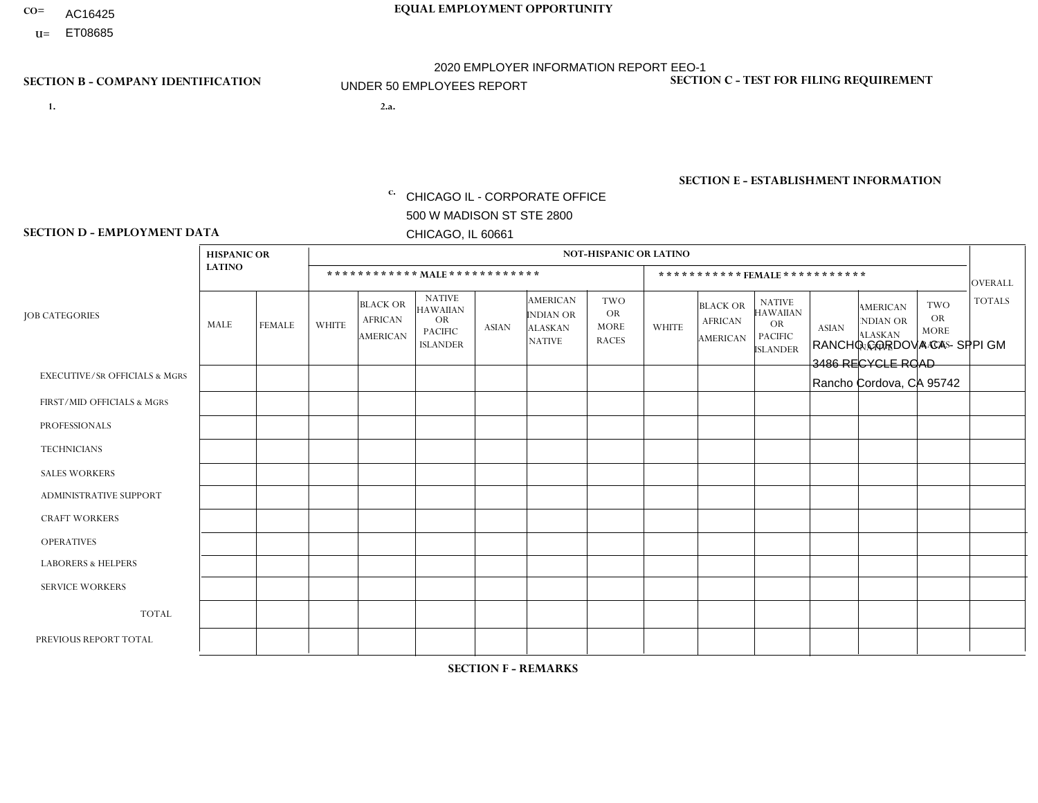- AC16425
- **U=**

**1. 2.a.** CHICAGO IL - CORPORATE OFFICE 500 W MADISON ST STE 2800 CHICAGO, IL 60661

2.a. RANCHO CORDOVA CA - SPPI GM 3486 RECYCLE ROAD Rancho Cordova, CA 95742

EIN= 364261871

## **SECTION B - COMPANY IDENTIFICATION SECTION C - TEST FOR FILING REQUIREMENT**

1- Y 2- Y 3- N DUNS= 000123456

**SECTION E - ESTABLISHMENT INFORMATION c.** NAICS: 423140

### **SECTION D - EMPLOYMENT DATA**

|                                          | <b>HISPANIC OR</b> |               |              |                                                      |                                                                                    |              |                                                                        | <b>NOT-HISPANIC OR LATINO</b>                          |              |                                               |                                                                                    |              |                                                                       |                                                        |                |
|------------------------------------------|--------------------|---------------|--------------|------------------------------------------------------|------------------------------------------------------------------------------------|--------------|------------------------------------------------------------------------|--------------------------------------------------------|--------------|-----------------------------------------------|------------------------------------------------------------------------------------|--------------|-----------------------------------------------------------------------|--------------------------------------------------------|----------------|
|                                          | <b>LATINO</b>      |               |              |                                                      | ************ MALE ************                                                     |              |                                                                        |                                                        |              | ***********FEMALE***********                  |                                                                                    |              |                                                                       |                                                        | <b>OVERALL</b> |
| <b>JOB CATEGORIES</b>                    | MALE               | <b>FEMALE</b> | <b>WHITE</b> | <b>BLACK OR</b><br><b>AFRICAN</b><br><b>AMERICAN</b> | <b>NATIVE</b><br><b>HAWAIIAN</b><br><b>OR</b><br><b>PACIFIC</b><br><b>ISLANDER</b> | ASIAN        | <b>AMERICAN</b><br><b>INDIAN OR</b><br><b>ALASKAN</b><br><b>NATIVE</b> | <b>TWO</b><br><b>OR</b><br><b>MORE</b><br><b>RACES</b> | <b>WHITE</b> | <b>BLACK OR</b><br><b>AFRICAN</b><br>AMERICAN | <b>NATIVE</b><br><b>HAWAIIAN</b><br><b>OR</b><br><b>PACIFIC</b><br><b>ISLANDER</b> | <b>ASIAN</b> | <b>AMERICAN</b><br><b>NDIAN OR</b><br><b>ALASKAN</b><br><b>NATIVE</b> | <b>TWO</b><br><b>OR</b><br><b>MORE</b><br><b>RACES</b> | <b>TOTALS</b>  |
| <b>EXECUTIVE/SR OFFICIALS &amp; MGRS</b> | $\Omega$           | $\Omega$      | $\Omega$     | $\mathbf 0$                                          | $\Omega$                                                                           | $\mathbf{0}$ | $\Omega$                                                               | $\Omega$                                               | 0            | $\Omega$                                      | $\Omega$                                                                           | $\Omega$     | $\Omega$                                                              | $\mathbf{0}$                                           | $\mathbf{0}$   |
| FIRST/MID OFFICIALS & MGRS               | 0                  | $\Omega$      | $\Omega$     | $\mathbf 0$                                          | $\Omega$                                                                           | $\Omega$     | $\Omega$                                                               | $\Omega$                                               | 0            | $\Omega$                                      | $\Omega$                                                                           | $\Omega$     | $\Omega$                                                              | $\mathbf{0}$                                           | $\mathbf{0}$   |
| <b>PROFESSIONALS</b>                     | 0                  | $\Omega$      | $\Omega$     | $\mathbf 0$                                          | $\Omega$                                                                           | $\Omega$     | $\Omega$                                                               | $\Omega$                                               | 0            | $\Omega$                                      | $\Omega$                                                                           | $\mathbf{0}$ | $\Omega$                                                              | $\mathbf{0}$                                           | $\mathbf{0}$   |
| <b>TECHNICIANS</b>                       | 0                  | $\mathbf 0$   | $\Omega$     | $\mathbf 0$                                          | $\Omega$                                                                           | $\Omega$     | $\Omega$                                                               | $\Omega$                                               | $\Omega$     | $\Omega$                                      | $\Omega$                                                                           | $\Omega$     | $\Omega$                                                              | $\Omega$                                               | $\mathbf{0}$   |
| <b>SALES WORKERS</b>                     | $\Omega$           | $\Omega$      | $\Omega$     | $\mathbf 0$                                          | $\Omega$                                                                           | $\Omega$     | $\Omega$                                                               | $\Omega$                                               | $\Omega$     | $\Omega$                                      | $\Omega$                                                                           | $\Omega$     | $\Omega$                                                              | $\Omega$                                               | $\mathbf 0$    |
| <b>ADMINISTRATIVE SUPPORT</b>            | $\Omega$           | $\Omega$      | $\Omega$     | $\Omega$                                             | $\Omega$                                                                           | $\Omega$     | $\Omega$                                                               | $\Omega$                                               | $\Omega$     | $\Omega$                                      | $\Omega$                                                                           | $\Omega$     | $\mathbf{0}$                                                          | $\Omega$                                               | $\Omega$       |
| <b>CRAFT WORKERS</b>                     | 0                  | $\Omega$      | $\Omega$     | $\mathbf 0$                                          | $\Omega$                                                                           | $\Omega$     | $\Omega$                                                               | $\Omega$                                               | 0            | $\Omega$                                      | $\Omega$                                                                           | $\Omega$     | $\Omega$                                                              | $\Omega$                                               | $\mathbf 0$    |
| <b>OPERATIVES</b>                        |                    | $\Omega$      | $\Omega$     | $\Omega$                                             | $\Omega$                                                                           | $\Omega$     | $\Omega$                                                               | $\Omega$                                               | $\Omega$     | $\Omega$                                      | $\Omega$                                                                           | $\Omega$     | $\Omega$                                                              | $\Omega$                                               | $\mathbf{1}$   |
| <b>LABORERS &amp; HELPERS</b>            | $\Omega$           | $\Omega$      | $\Omega$     | $\mathbf 0$                                          | $\Omega$                                                                           | $\Omega$     | $\Omega$                                                               | $\Omega$                                               | 0            | $\Omega$                                      | $\Omega$                                                                           | $\Omega$     | $\Omega$                                                              | $\Omega$                                               | 0              |
| <b>SERVICE WORKERS</b>                   | 0                  | $\mathbf 0$   | $\mathbf 0$  | 0                                                    | 0                                                                                  | $\mathbf 0$  | $\Omega$                                                               | $\Omega$                                               | $\Omega$     | $\Omega$                                      | $\Omega$                                                                           | $\mathbf 0$  | $\Omega$                                                              | $\mathbf 0$                                            | $\mathbf 0$    |
| <b>TOTAL</b>                             | 1                  | 0             | $\mathbf 0$  | 0                                                    | 0                                                                                  | $\Omega$     | $\Omega$                                                               | $\Omega$                                               | $\Omega$     | $\Omega$                                      | $\Omega$                                                                           | $\mathbf 0$  | 0                                                                     | $\mathbf 0$                                            | $\mathbf{1}$   |
| PREVIOUS REPORT TOTAL                    | 5                  | $\Omega$      | $\Omega$     | $\overline{1}$                                       | $\Omega$                                                                           | $\Omega$     | $\Omega$                                                               | $\Omega$                                               | $\Omega$     | $\Omega$                                      | $\Omega$                                                                           | $\Omega$     | $\Omega$                                                              | $\mathbf 0$                                            | 6              |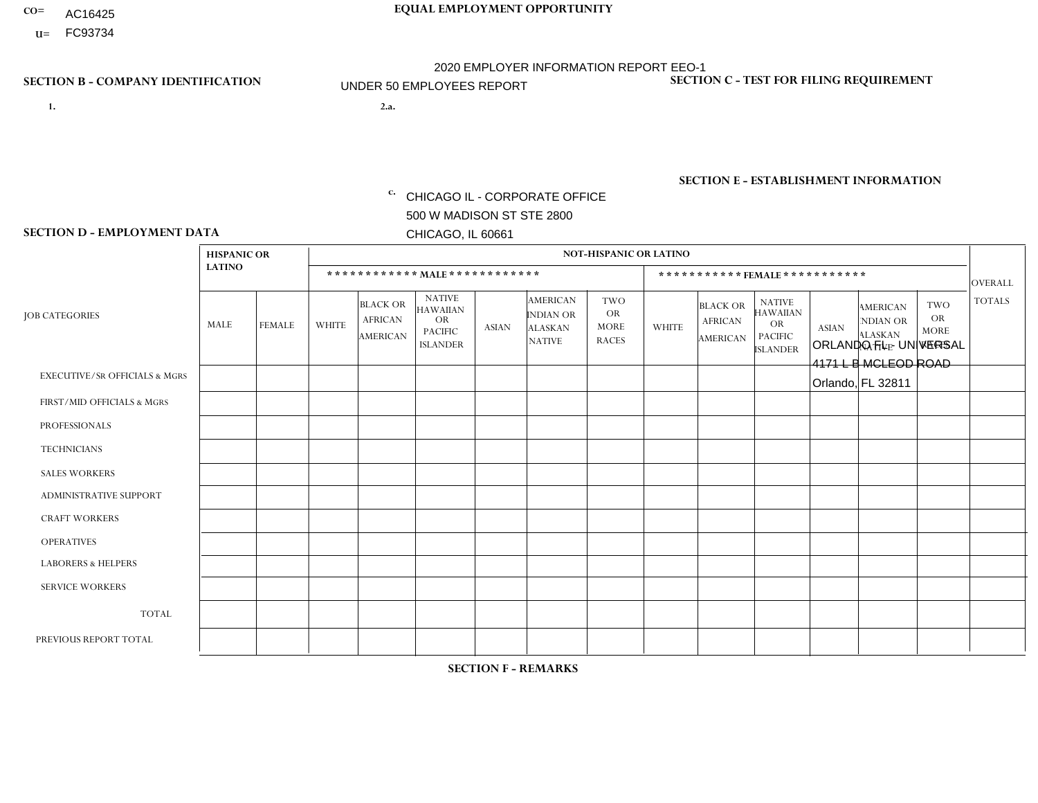- AC16425
- **U=**

**1. 2.a.** CHICAGO IL - CORPORATE OFFICE 500 W MADISON ST STE 2800 CHICAGO, IL 60661

2.a. ORLANDO FL - UNIVERSAL 4171 L B MCLEOD ROAD Orlando, FL 32811

EIN= 952920557

## **SECTION B - COMPANY IDENTIFICATION SECTION C - TEST FOR FILING REQUIREMENT**

1- Y 2- Y 3- N DUNS= 000123456

**SECTION E - ESTABLISHMENT INFORMATION c.** NAICS: 423140

### **SECTION D - EMPLOYMENT DATA**

|                                          | <b>HISPANIC OR</b> |               |                |                                                      |                                                                                    |              |                                                                        | <b>NOT-HISPANIC OR LATINO</b>                   |              |                                               |                                                                                    |              |                                                                       |                                                        |                |
|------------------------------------------|--------------------|---------------|----------------|------------------------------------------------------|------------------------------------------------------------------------------------|--------------|------------------------------------------------------------------------|-------------------------------------------------|--------------|-----------------------------------------------|------------------------------------------------------------------------------------|--------------|-----------------------------------------------------------------------|--------------------------------------------------------|----------------|
|                                          | <b>LATINO</b>      |               |                |                                                      | ************ MALE ************                                                     |              |                                                                        |                                                 |              |                                               | ***********FEMALE***********                                                       |              |                                                                       |                                                        | <b>OVERALL</b> |
| <b>JOB CATEGORIES</b>                    | MALE               | <b>FEMALE</b> | <b>WHITE</b>   | <b>BLACK OR</b><br><b>AFRICAN</b><br><b>AMERICAN</b> | <b>NATIVE</b><br><b>HAWAIIAN</b><br><b>OR</b><br><b>PACIFIC</b><br><b>ISLANDER</b> | <b>ASIAN</b> | <b>AMERICAN</b><br><b>INDIAN OR</b><br><b>ALASKAN</b><br><b>NATIVE</b> | TWO<br><b>OR</b><br><b>MORE</b><br><b>RACES</b> | <b>WHITE</b> | <b>BLACK OR</b><br><b>AFRICAN</b><br>AMERICAN | <b>NATIVE</b><br><b>HAWAIIAN</b><br><b>OR</b><br><b>PACIFIC</b><br><b>ISLANDER</b> | <b>ASIAN</b> | <b>AMERICAN</b><br><b>NDIAN OR</b><br><b>ALASKAN</b><br><b>NATIVE</b> | <b>TWO</b><br><b>OR</b><br><b>MORE</b><br><b>RACES</b> | <b>TOTALS</b>  |
| <b>EXECUTIVE/SR OFFICIALS &amp; MGRS</b> | $\Omega$           | $\Omega$      | $\Omega$       | $\mathbf 0$                                          | 0                                                                                  | $\Omega$     | $\Omega$                                                               | $\Omega$                                        | 0            | $\Omega$                                      | $\Omega$                                                                           | $\Omega$     | $\Omega$                                                              | $\Omega$                                               | $\mathbf 0$    |
| FIRST/MID OFFICIALS & MGRS               | 0                  | $\Omega$      | $\overline{c}$ | $\Omega$                                             | $\Omega$                                                                           | $\Omega$     | $\Omega$                                                               | $\Omega$                                        | 0            | $\Omega$                                      | $\Omega$                                                                           | $\Omega$     | $\Omega$                                                              | $\Omega$                                               | $\overline{2}$ |
| <b>PROFESSIONALS</b>                     | $\Omega$           | $\mathbf 0$   | $\mathbf 0$    | $\mathbf 0$                                          | $\Omega$                                                                           | $\Omega$     | $\Omega$                                                               | $\Omega$                                        | 0            | $\Omega$                                      | $\Omega$                                                                           | $\mathbf{0}$ | $\Omega$                                                              | $\mathbf 0$                                            | $\mathbf{0}$   |
| <b>TECHNICIANS</b>                       | 0                  | $\Omega$      | $\Omega$       | $\mathbf 0$                                          | $\Omega$                                                                           | $\Omega$     | $\Omega$                                                               | $\Omega$                                        | 0            | $\Omega$                                      | $\Omega$                                                                           | $\mathbf 0$  | $\Omega$                                                              | $\Omega$                                               | $\mathbf{0}$   |
| <b>SALES WORKERS</b>                     | $\Omega$           | $\Omega$      |                | $\mathbf 0$                                          | $\Omega$                                                                           | $\Omega$     | $\Omega$                                                               | $\Omega$                                        | $\Omega$     | $\Omega$                                      | $\Omega$                                                                           | $\Omega$     | $\Omega$                                                              | $\Omega$                                               | $\mathbf{1}$   |
| <b>ADMINISTRATIVE SUPPORT</b>            | $\Omega$           | $\mathbf{1}$  | $\Omega$       | $\Omega$                                             | $\Omega$                                                                           | $\Omega$     | $\Omega$                                                               | $\Omega$                                        | $\Omega$     | $\Omega$                                      | $\Omega$                                                                           | $\Omega$     | $\Omega$                                                              | $\mathbf{0}$                                           | $\mathbf{1}$   |
| <b>CRAFT WORKERS</b>                     | 0                  | $\Omega$      | $\Omega$       | $\mathbf 0$                                          | $\Omega$                                                                           | $\Omega$     | $\Omega$                                                               | $\Omega$                                        | 0            | $\Omega$                                      | $\Omega$                                                                           | $\Omega$     | $\Omega$                                                              | $\Omega$                                               | $\mathbf 0$    |
| <b>OPERATIVES</b>                        | 0                  | $\Omega$      | $\Omega$       | $\overline{1}$                                       | $\Omega$                                                                           | $\Omega$     | $\Omega$                                                               | $\Omega$                                        | $\Omega$     | $\Omega$                                      | $\Omega$                                                                           | $\Omega$     | $\Omega$                                                              | $\Omega$                                               | $\mathbf{1}$   |
| <b>LABORERS &amp; HELPERS</b>            |                    | $\Omega$      | $\overline{2}$ | $\mathbf 0$                                          | $\Omega$                                                                           | $\Omega$     | $\Omega$                                                               | $\Omega$                                        | 0            | $\Omega$                                      | $\Omega$                                                                           | $\Omega$     | $\Omega$                                                              | $\Omega$                                               | 3              |
| <b>SERVICE WORKERS</b>                   | 0                  | $\Omega$      | $\mathbf 0$    | 0                                                    | $\mathbf{0}$                                                                       | $\Omega$     | $\Omega$                                                               | $\Omega$                                        | $\Omega$     | $\Omega$                                      | $\Omega$                                                                           | $\Omega$     | $\Omega$                                                              | $\Omega$                                               | $\overline{0}$ |
| <b>TOTAL</b>                             |                    | $\mathbf{1}$  | 5              | $\overline{1}$                                       | $\Omega$                                                                           | $\Omega$     | $\Omega$                                                               | $\Omega$                                        | 0            | $\Omega$                                      | $\Omega$                                                                           | $\mathbf 0$  | $\Omega$                                                              | $\Omega$                                               | 8              |
| PREVIOUS REPORT TOTAL                    |                    |               | 6              | $\overline{1}$                                       | $\Omega$                                                                           | $\Omega$     | $\Omega$                                                               | $\Omega$                                        | 0            | $\Omega$                                      | $\Omega$                                                                           | $\Omega$     | $\Omega$                                                              | $\Omega$                                               | 9              |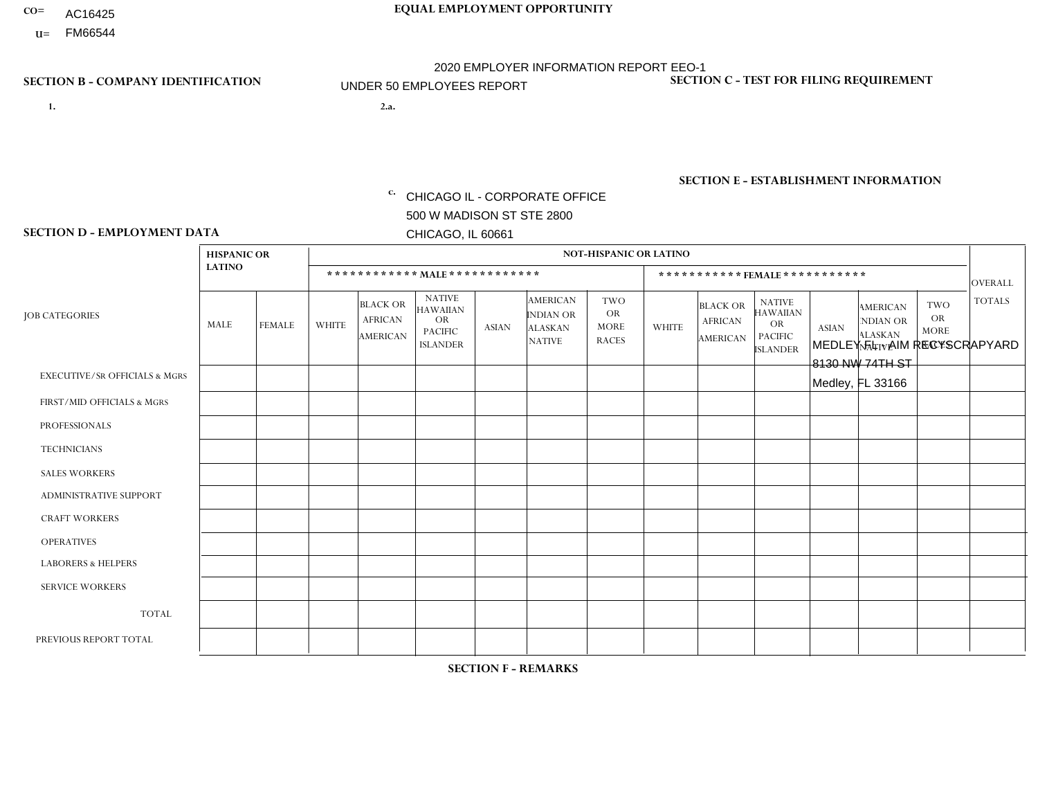- AC16425
- **U=** FM66544

**1. 2.a.** CHICAGO IL - CORPORATE OFFICE 500 W MADISON ST STE 2800 CHICAGO, IL 60661

2.a. MEDLEY FL - AIM RECYSCRAPYARD 8130 NW 74TH ST Medley, FL 33166

**SECTION B - COMPANY IDENTIFICATION SECTION C - TEST FOR FILING REQUIREMENT** 

1- Y 2- Y 3- N DUNS= 000123456

c. EIN= 952920557

## **SECTION E - ESTABLISHMENT INFORMATION c.** NAICS: 423140

### **SECTION D - EMPLOYMENT DATA**

|                                          | <b>HISPANIC OR</b>      |               |              |                                                      |                                                                                    |              |                                                                        | <b>NOT-HISPANIC OR LATINO</b>                          |              |                                               |                                                                             |              |                                                                       |                                                        |                |
|------------------------------------------|-------------------------|---------------|--------------|------------------------------------------------------|------------------------------------------------------------------------------------|--------------|------------------------------------------------------------------------|--------------------------------------------------------|--------------|-----------------------------------------------|-----------------------------------------------------------------------------|--------------|-----------------------------------------------------------------------|--------------------------------------------------------|----------------|
|                                          | <b>LATINO</b>           |               |              |                                                      | ************ MALE ************                                                     |              |                                                                        |                                                        |              |                                               | *********** FEMALE ***********                                              |              |                                                                       |                                                        | <b>OVERALL</b> |
| <b>JOB CATEGORIES</b>                    | MALE                    | <b>FEMALE</b> | <b>WHITE</b> | <b>BLACK OR</b><br><b>AFRICAN</b><br><b>AMERICAN</b> | <b>NATIVE</b><br><b>HAWAIIAN</b><br><b>OR</b><br><b>PACIFIC</b><br><b>ISLANDER</b> | <b>ASIAN</b> | <b>AMERICAN</b><br><b>INDIAN OR</b><br><b>ALASKAN</b><br><b>NATIVE</b> | <b>TWO</b><br><b>OR</b><br><b>MORE</b><br><b>RACES</b> | <b>WHITE</b> | <b>BLACK OR</b><br><b>AFRICAN</b><br>AMERICAN | <b>NATIVE</b><br><b>HAWAIIAN</b><br>OR<br><b>PACIFIC</b><br><b>ISLANDER</b> | <b>ASIAN</b> | <b>AMERICAN</b><br><b>NDIAN OR</b><br><b>ALASKAN</b><br><b>NATIVE</b> | <b>TWO</b><br><b>OR</b><br><b>MORE</b><br><b>RACES</b> | <b>TOTALS</b>  |
| <b>EXECUTIVE/SR OFFICIALS &amp; MGRS</b> | $\Omega$                | $\mathbf 0$   | $\mathbf 0$  | $\mathbf 0$                                          | $\Omega$                                                                           | $\Omega$     | $\Omega$                                                               | $\Omega$                                               | $\Omega$     | $\Omega$                                      | $\mathbf 0$                                                                 | $\mathbf 0$  | $\Omega$                                                              | $\Omega$                                               | $\mathbf 0$    |
| FIRST/MID OFFICIALS & MGRS               | $\mathbf 0$             | $\mathbf 0$   | $\mathbf 0$  | $\mathbf 0$                                          | $\Omega$                                                                           | $\Omega$     | $\Omega$                                                               | $\Omega$                                               | $\Omega$     | $\Omega$                                      | $\Omega$                                                                    | $\Omega$     | $\Omega$                                                              | $\Omega$                                               | $\mathbf 0$    |
| <b>PROFESSIONALS</b>                     | $\mathbf{0}$            | $\mathbf 0$   | $\mathbf 0$  | $\mathbf 0$                                          | $\Omega$                                                                           | $\Omega$     | $\Omega$                                                               | $\Omega$                                               | $\Omega$     | $\Omega$                                      | $\Omega$                                                                    | $\Omega$     | $\Omega$                                                              | $\Omega$                                               | $\mathbf 0$    |
| <b>TECHNICIANS</b>                       | $\mathbf 0$             | 0             | $\mathbf 0$  | $\mathbf 0$                                          | $\Omega$                                                                           | $\Omega$     | $\Omega$                                                               | $\Omega$                                               | $\Omega$     | $\Omega$                                      | $\Omega$                                                                    | $\Omega$     | $\Omega$                                                              | $\Omega$                                               | 0              |
| <b>SALES WORKERS</b>                     | $\mathbf 0$             | $\mathbf 0$   | $\mathbf 0$  | 0                                                    | $\Omega$                                                                           | $\Omega$     | $\Omega$                                                               | $\Omega$                                               | $\Omega$     | $\Omega$                                      | $\Omega$                                                                    | $\Omega$     | $\Omega$                                                              | $\Omega$                                               | $\mathbf 0$    |
| ADMINISTRATIVE SUPPORT                   | $\mathbf 0$             | $\mathbf 0$   | $\mathbf 0$  | $\mathbf 0$                                          | $\Omega$                                                                           | $\Omega$     | $\Omega$                                                               | $\Omega$                                               | $\Omega$     | $\Omega$                                      | $\Omega$                                                                    | $\Omega$     | $\Omega$                                                              | $\Omega$                                               | $\mathbf 0$    |
| <b>CRAFT WORKERS</b>                     | $\mathbf{0}$            | $\Omega$      | $\mathbf 0$  | 0                                                    | $\Omega$                                                                           | $\Omega$     | $\Omega$                                                               | $\Omega$                                               | $\Omega$     | $\Omega$                                      | $\Omega$                                                                    | $\Omega$     | $\Omega$                                                              | $\Omega$                                               | $\mathbf 0$    |
| <b>OPERATIVES</b>                        |                         | $\mathbf{0}$  | $\Omega$     | $\mathbf 0$                                          | $\Omega$                                                                           | $\Omega$     | $\Omega$                                                               | $\Omega$                                               | $\Omega$     | $\Omega$                                      | $\Omega$                                                                    | $\Omega$     | $\Omega$                                                              | $\Omega$                                               | $\mathbf{1}$   |
| <b>LABORERS &amp; HELPERS</b>            | $\mathbf{0}$            | $\Omega$      | $\mathbf 0$  | 0                                                    | $\Omega$                                                                           | $\Omega$     | $\Omega$                                                               | $\Omega$                                               | $\Omega$     | $\Omega$                                      | $\Omega$                                                                    | $\Omega$     | $\Omega$                                                              | $\Omega$                                               | $\mathbf 0$    |
| <b>SERVICE WORKERS</b>                   | $\mathbf 0$             | $\mathbf{0}$  | $\mathbf 0$  | $\mathbf 0$                                          | $\mathbf 0$                                                                        | $\Omega$     | $\Omega$                                                               | $\Omega$                                               | $\Omega$     | $\Omega$                                      | $\Omega$                                                                    | $\mathbf 0$  | $\Omega$                                                              | $\Omega$                                               | 0              |
| <b>TOTAL</b>                             | $\overline{\mathbf{1}}$ | 0             | 0            | 0                                                    | $\mathbf 0$                                                                        | $\Omega$     | $\Omega$                                                               | $\Omega$                                               | $\Omega$     | $\Omega$                                      | $\Omega$                                                                    | $\mathbf 0$  | $\Omega$                                                              | $\Omega$                                               | $\overline{1}$ |
| PREVIOUS REPORT TOTAL                    | $\overline{7}$          | 1             | $\mathbf 0$  | 1                                                    | $\Omega$                                                                           | $\Omega$     | $\Omega$                                                               |                                                        | $\Omega$     | $\Omega$                                      | $\Omega$                                                                    | $\Omega$     | $\Omega$                                                              | $\mathbf 0$                                            | 10             |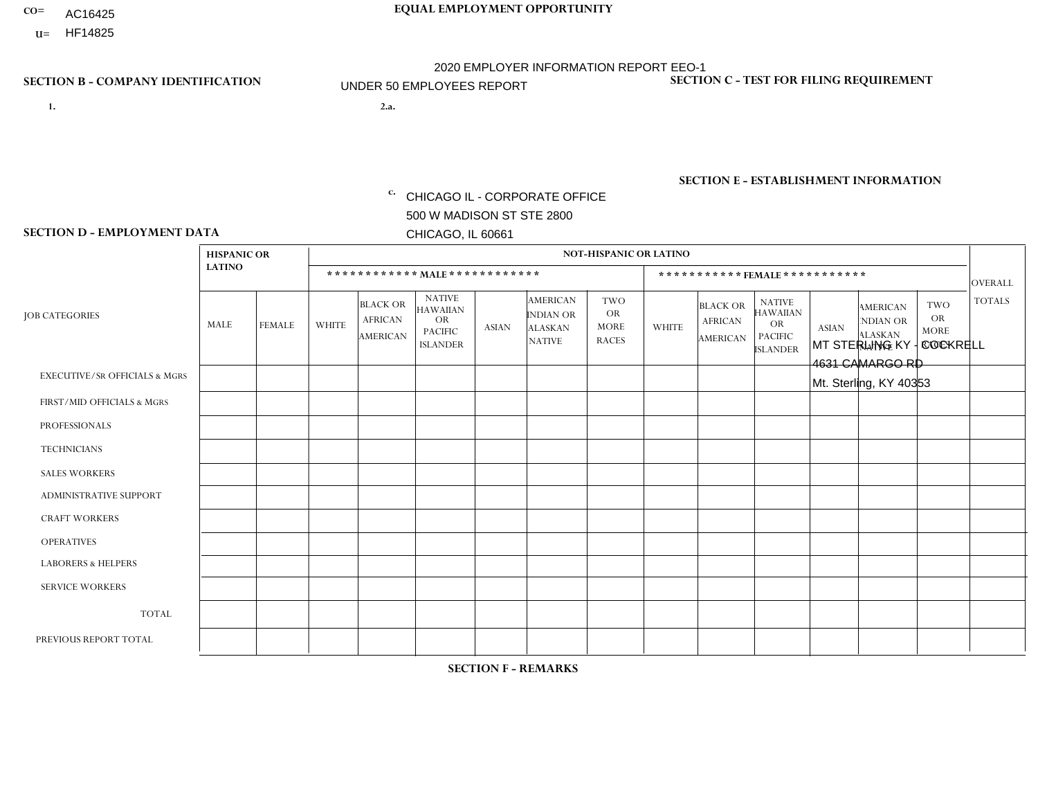- AC16425
- **U=**

**1. 2.a.** CHICAGO IL - CORPORATE OFFICE 500 W MADISON ST STE 2800 CHICAGO, IL 60661

2.a. MT STERLING KY - COCKRELL 4631 CAMARGO RD Mt. Sterling, KY 40353

c. EIN= 952920557

## **SECTION B - COMPANY IDENTIFICATION SECTION C - TEST FOR FILING REQUIREMENT**

1- Y 2- Y 3- N DUNS= 000123456

**SECTION E - ESTABLISHMENT INFORMATION c.** NAICS: 423140

### **SECTION D - EMPLOYMENT DATA**

|                                          | <b>HISPANIC OR</b> |               |              |                                                      |                                                                                    |              |                                                                        | <b>NOT-HISPANIC OR LATINO</b>                          |              |                                                      |                                                                                    |              |                                                                       |                                                        |                |
|------------------------------------------|--------------------|---------------|--------------|------------------------------------------------------|------------------------------------------------------------------------------------|--------------|------------------------------------------------------------------------|--------------------------------------------------------|--------------|------------------------------------------------------|------------------------------------------------------------------------------------|--------------|-----------------------------------------------------------------------|--------------------------------------------------------|----------------|
|                                          | <b>LATINO</b>      |               |              | ************ MALE ************                       |                                                                                    |              |                                                                        |                                                        |              |                                                      | *********** FEMALE ***********                                                     |              |                                                                       |                                                        | <b>OVERALL</b> |
| <b>JOB CATEGORIES</b>                    | <b>MALE</b>        | <b>FEMALE</b> | <b>WHITE</b> | <b>BLACK OR</b><br><b>AFRICAN</b><br><b>AMERICAN</b> | <b>NATIVE</b><br><b>HAWAIIAN</b><br><b>OR</b><br><b>PACIFIC</b><br><b>ISLANDER</b> | <b>ASIAN</b> | <b>AMERICAN</b><br><b>INDIAN OR</b><br><b>ALASKAN</b><br><b>NATIVE</b> | <b>TWO</b><br><b>OR</b><br><b>MORE</b><br><b>RACES</b> | <b>WHITE</b> | <b>BLACK OR</b><br><b>AFRICAN</b><br><b>AMERICAN</b> | <b>NATIVE</b><br><b>HAWAIIAN</b><br><b>OR</b><br><b>PACIFIC</b><br><b>ISLANDER</b> | <b>ASIAN</b> | <b>AMERICAN</b><br><b>NDIAN OR</b><br><b>ALASKAN</b><br><b>NATIVE</b> | <b>TWO</b><br><b>OR</b><br><b>MORE</b><br><b>RACES</b> | <b>TOTALS</b>  |
| <b>EXECUTIVE/SR OFFICIALS &amp; MGRS</b> | $\Omega$           | $\Omega$      | $\Omega$     | $\Omega$                                             | $\Omega$                                                                           | $\Omega$     | $\Omega$                                                               | 0                                                      | $\Omega$     | $\mathbf{0}$                                         | $\mathbf{0}$                                                                       | $\Omega$     | $\Omega$                                                              | $\Omega$                                               | $\Omega$       |
| FIRST/MID OFFICIALS & MGRS               | $\Omega$           | $\mathbf 0$   | 1            | $\mathbf 0$                                          | 0                                                                                  | $\mathbf 0$  | $\overline{0}$                                                         | $\Omega$                                               | $\Omega$     | $\Omega$                                             | $\mathbf{0}$                                                                       | $\mathbf 0$  | $\Omega$                                                              | $\mathbf 0$                                            | $\mathbf{1}$   |
| <b>PROFESSIONALS</b>                     | $\Omega$           | $\Omega$      | 1            | $\mathbf 0$                                          | $\Omega$                                                                           | $\Omega$     | $\Omega$                                                               | $\Omega$                                               | $\Omega$     | $\Omega$                                             | $\Omega$                                                                           | $\Omega$     | $\Omega$                                                              | $\Omega$                                               | $\mathbf{1}$   |
| <b>TECHNICIANS</b>                       | $\mathbf 0$        | $\mathbf 0$   | $\Omega$     | $\mathbf 0$                                          | 0                                                                                  | $\Omega$     | $\overline{0}$                                                         | $\Omega$                                               | $\mathbf 0$  | $\mathbf 0$                                          | $\mathbf 0$                                                                        | $\mathbf 0$  | $\Omega$                                                              | $\mathbf{0}$                                           | $\mathbf 0$    |
| <b>SALES WORKERS</b>                     | $\Omega$           | $\Omega$      | $\Omega$     | $\Omega$                                             | 0                                                                                  | $\Omega$     | $\Omega$                                                               | $\Omega$                                               | $\Omega$     | $\Omega$                                             | $\Omega$                                                                           | $\Omega$     | $\Omega$                                                              | $\mathbf{0}$                                           | $\mathbf 0$    |
| <b>ADMINISTRATIVE SUPPORT</b>            | $\Omega$           | $\Omega$      | $\Omega$     | $\mathbf 0$                                          | $\Omega$                                                                           | $\Omega$     | $\Omega$                                                               | $\Omega$                                               | $\Omega$     | $\mathbf{0}$                                         | $\mathbf{0}$                                                                       | $\Omega$     | $\Omega$                                                              | $\Omega$                                               | $\mathbf 0$    |
| <b>CRAFT WORKERS</b>                     | $\Omega$           | 0             | 3            | $\mathbf 0$                                          | 0                                                                                  | $\mathbf 0$  | $\Omega$                                                               | $\Omega$                                               | $\Omega$     | $\Omega$                                             | $\mathbf{0}$                                                                       | $\Omega$     | $\Omega$                                                              | $\Omega$                                               | 3              |
| <b>OPERATIVES</b>                        | 0                  | $\Omega$      | 10           | $\Omega$                                             | $\Omega$                                                                           | $\Omega$     | $\overline{0}$                                                         | $\Omega$                                               | $\Omega$     | $\Omega$                                             | $\Omega$                                                                           | $\Omega$     | $\Omega$                                                              | $\Omega$                                               | 10             |
| <b>LABORERS &amp; HELPERS</b>            | 0                  | $\Omega$      | $\Omega$     | $\mathbf 0$                                          | $\mathbf{0}$                                                                       | $\Omega$     | $\Omega$                                                               | $\Omega$                                               | $\Omega$     | $\Omega$                                             | $\Omega$                                                                           | $\Omega$     | $\Omega$                                                              | $\Omega$                                               | 0              |
| <b>SERVICE WORKERS</b>                   | 0                  | 0             | 0            | $\mathbf 0$                                          | 0                                                                                  | $\Omega$     | $\Omega$                                                               | $\Omega$                                               | $\Omega$     | $\Omega$                                             | $\Omega$                                                                           | $\Omega$     | $\Omega$                                                              | $\mathbf 0$                                            | $\mathbf 0$    |
| <b>TOTAL</b>                             | 0                  | $\mathbf 0$   | 15           | $\mathbf 0$                                          | 0                                                                                  | $\mathbf 0$  | $\mathbf 0$                                                            | $\mathbf 0$                                            | 0            | $\mathbf 0$                                          | $\mathbf 0$                                                                        | $\mathbf 0$  | $\Omega$                                                              | $\mathbf 0$                                            | 15             |
| PREVIOUS REPORT TOTAL                    | 0                  | $\Omega$      | 15           | 0                                                    | 0                                                                                  | $\Omega$     | 0                                                                      | $\Omega$                                               | $\Omega$     | $\mathbf{0}$                                         | $\mathbf{0}$                                                                       | $\Omega$     | $\Omega$                                                              | $\mathbf 0$                                            | 15             |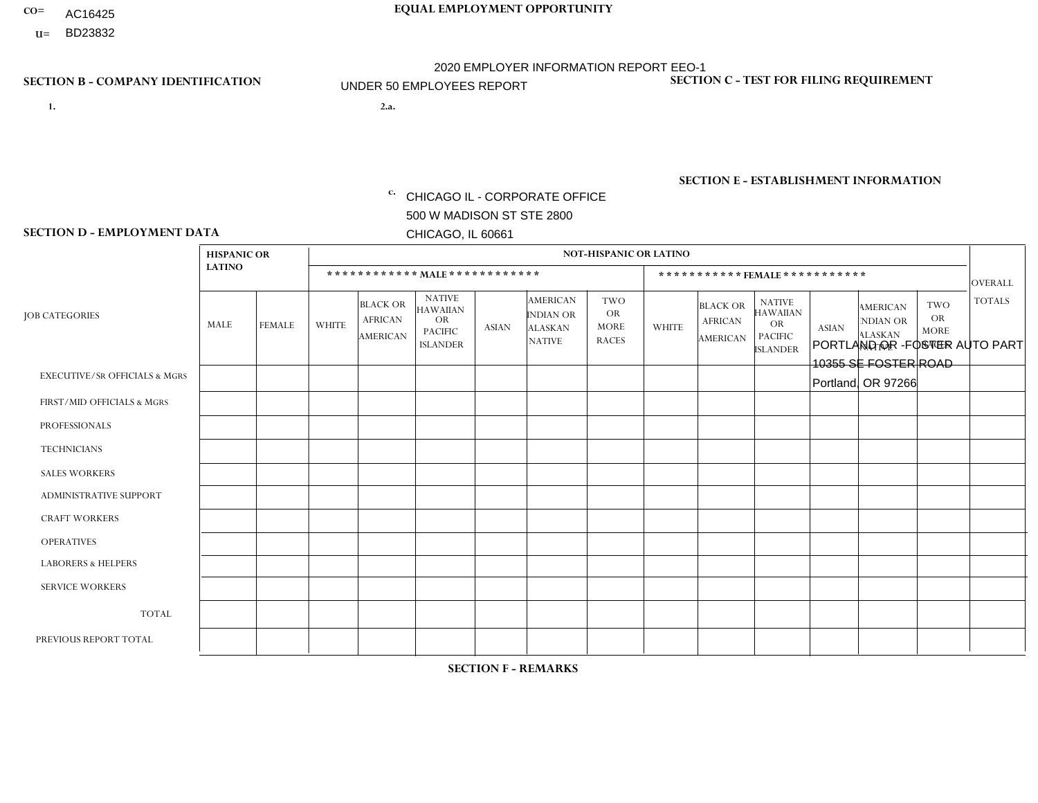- AC16425
- **U=**

- **1. 2.a.** CHICAGO IL CORPORATE OFFICE 500 W MADISON ST STE 2800 CHICAGO, IL 60661
- 2.a. PORTLAND OR -FOSTER AUTO PART 10355 SE FOSTER ROAD Portland, OR 97266

c. EIN= 952920557

## **SECTION B - COMPANY IDENTIFICATION SECTION C - TEST FOR FILING REQUIREMENT**

1- Y 2- Y 3- N DUNS= 000123456

**SECTION E - ESTABLISHMENT INFORMATION c.** NAICS: 423140

### **SECTION D - EMPLOYMENT DATA**

|                                          | <b>HISPANIC OR</b> |               |                |                                                      |                                                                                    |                |                                                                        | <b>NOT-HISPANIC OR LATINO</b>                   |                |                                                      |                                                                                    |              |                                                                |                                                        |                |
|------------------------------------------|--------------------|---------------|----------------|------------------------------------------------------|------------------------------------------------------------------------------------|----------------|------------------------------------------------------------------------|-------------------------------------------------|----------------|------------------------------------------------------|------------------------------------------------------------------------------------|--------------|----------------------------------------------------------------|--------------------------------------------------------|----------------|
|                                          | <b>LATINO</b>      |               |                |                                                      | ************ MALE ************                                                     |                |                                                                        |                                                 |                |                                                      | *********** FEMALE ***********                                                     |              |                                                                |                                                        | <b>OVERALL</b> |
| <b>JOB CATEGORIES</b>                    | MALE               | <b>FEMALE</b> | <b>WHITE</b>   | <b>BLACK OR</b><br><b>AFRICAN</b><br><b>AMERICAN</b> | <b>NATIVE</b><br><b>HAWAIIAN</b><br><b>OR</b><br><b>PACIFIC</b><br><b>ISLANDER</b> | <b>ASIAN</b>   | <b>AMERICAN</b><br><b>INDIAN OR</b><br><b>ALASKAN</b><br><b>NATIVE</b> | TWO<br><b>OR</b><br><b>MORE</b><br><b>RACES</b> | <b>WHITE</b>   | <b>BLACK OR</b><br><b>AFRICAN</b><br><b>AMERICAN</b> | <b>NATIVE</b><br><b>HAWAIIAN</b><br><b>OR</b><br><b>PACIFIC</b><br><b>ISLANDER</b> | <b>ASIAN</b> | <b>AMERICAN</b><br>NDIAN OR<br><b>ALASKAN</b><br><b>NATIVE</b> | <b>TWO</b><br><b>OR</b><br><b>MORE</b><br><b>RACES</b> | <b>TOTALS</b>  |
| <b>EXECUTIVE/SR OFFICIALS &amp; MGRS</b> | $\Omega$           | $\mathbf 0$   | $\mathbf 0$    | $\mathbf 0$                                          | $\mathbf{0}$                                                                       | $\Omega$       | $\Omega$                                                               | $\Omega$                                        | $\Omega$       | $\Omega$                                             | $\Omega$                                                                           | $\Omega$     | $\Omega$                                                       | $\Omega$                                               | $\mathbf 0$    |
| FIRST/MID OFFICIALS & MGRS               | $\Omega$           | $\mathbf 0$   | $\overline{c}$ | $\mathbf 0$                                          | $\Omega$                                                                           | 1              | $\Omega$                                                               | 0                                               | $\Omega$       | $\Omega$                                             | $\Omega$                                                                           | $\mathbf{0}$ | $\Omega$                                                       | $\Omega$                                               | 3              |
| <b>PROFESSIONALS</b>                     | $\Omega$           | $\mathbf{0}$  | $\mathbf 0$    | $\mathbf{0}$                                         | $\mathbf{0}$                                                                       | $\Omega$       | $\Omega$                                                               | 0                                               | $\Omega$       | $\Omega$                                             | $\Omega$                                                                           | $\Omega$     | $\Omega$                                                       | $\Omega$                                               | $\mathbf 0$    |
| <b>TECHNICIANS</b>                       | $\mathbf 0$        | 0             | $\mathbf 0$    | $\mathbf 0$                                          | $\Omega$                                                                           | $\Omega$       | $\Omega$                                                               | $\Omega$                                        | $\Omega$       | $\Omega$                                             | $\Omega$                                                                           | $\Omega$     | $\Omega$                                                       | $\Omega$                                               | $\mathbf 0$    |
| <b>SALES WORKERS</b>                     | 1                  | $\mathbf 0$   | 6              | $\Omega$                                             | $\Omega$                                                                           | $\Omega$       | $\Omega$                                                               | $\Omega$                                        | $\Omega$       | $\Omega$                                             | $\Omega$                                                                           | $\Omega$     | $\Omega$                                                       | $\Omega$                                               | $\overline{7}$ |
| <b>ADMINISTRATIVE SUPPORT</b>            | $\Omega$           | $\mathbf 0$   | 3              | $\Omega$                                             | $\Omega$                                                                           | $\mathbf{0}$   | $\Omega$                                                               | 0                                               | $\Omega$       | $\Omega$                                             | $\Omega$                                                                           | $\Omega$     | $\Omega$                                                       | $\Omega$                                               | 3              |
| <b>CRAFT WORKERS</b>                     | 3                  | $\mathbf 0$   | $\mathbf{1}$   | $\Omega$                                             | $\Omega$                                                                           | $\Omega$       | $\Omega$                                                               | 0                                               | $\Omega$       | $\Omega$                                             | $\Omega$                                                                           | $\Omega$     | $\Omega$                                                       | $\Omega$                                               | $\overline{4}$ |
| <b>OPERATIVES</b>                        | 2                  | $\Omega$      | 5              | $\mathbf{1}$                                         |                                                                                    | 1              | $\Omega$                                                               | 1                                               | $\Omega$       | $\Omega$                                             | $\Omega$                                                                           | $\Omega$     | $\Omega$                                                       | $\Omega$                                               | 11             |
| <b>LABORERS &amp; HELPERS</b>            | $\Omega$           | $\mathbf 0$   | $\overline{1}$ | $\overline{c}$                                       | $\Omega$                                                                           | $\Omega$       | $\Omega$                                                               | $\Omega$                                        | $\Omega$       | $\Omega$                                             | $\Omega$                                                                           | $\Omega$     | $\Omega$                                                       | $\Omega$                                               | 3              |
| <b>SERVICE WORKERS</b>                   | $\mathbf{0}$       | $\mathbf 0$   | $\overline{1}$ | 0                                                    | $\mathbf 0$                                                                        | $\Omega$       | $\Omega$                                                               | 0                                               | $\overline{1}$ | $\Omega$                                             | $\Omega$                                                                           | $\Omega$     | $\Omega$                                                       | $\Omega$                                               | $\overline{2}$ |
| <b>TOTAL</b>                             | 6                  | $\mathbf 0$   | 19             | 3                                                    |                                                                                    | 2              | $\Omega$                                                               | 1                                               | 1              | $\Omega$                                             | $\mathbf 0$                                                                        | 0            | $\Omega$                                                       | $\mathbf{0}$                                           | 33             |
| PREVIOUS REPORT TOTAL                    | 8                  | 1             | 27             | 2                                                    |                                                                                    | $\overline{2}$ | $\Omega$                                                               | 1                                               | $\overline{1}$ | $\Omega$                                             | $\Omega$                                                                           | 0            | $\Omega$                                                       | $\mathbf 0$                                            | 43             |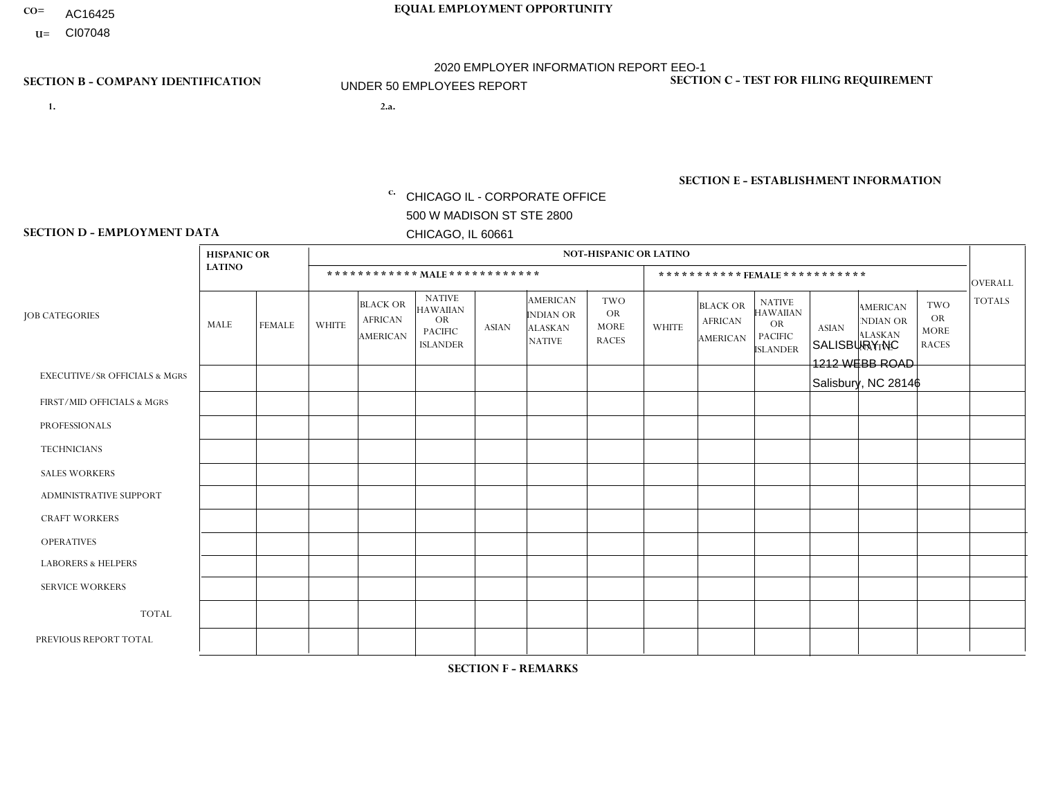- AC16425
- **U=**

**1. 2.a.** CHICAGO IL - CORPORATE OFFICE 500 W MADISON ST STE 2800 CHICAGO, IL 60661

2.a. SALISBURY NC 1212 WEBB ROAD Salisbury, NC 28146

c. EIN= 952920557

## **SECTION B - COMPANY IDENTIFICATION SECTION C - TEST FOR FILING REQUIREMENT**

1- Y 2- Y 3- N DUNS= 000123456

**SECTION E - ESTABLISHMENT INFORMATION c.** NAICS: 423140

### **SECTION D - EMPLOYMENT DATA**

|                                          | <b>HISPANIC OR</b> |               |                |                                                      |                                                                                    |                |                                                                        | <b>NOT-HISPANIC OR LATINO</b>                          |              |                                                      |                                                                                    |              |                                                                       |                                                        |                |
|------------------------------------------|--------------------|---------------|----------------|------------------------------------------------------|------------------------------------------------------------------------------------|----------------|------------------------------------------------------------------------|--------------------------------------------------------|--------------|------------------------------------------------------|------------------------------------------------------------------------------------|--------------|-----------------------------------------------------------------------|--------------------------------------------------------|----------------|
|                                          | <b>LATINO</b>      |               |                | ************ MALE ************                       |                                                                                    |                |                                                                        |                                                        |              |                                                      | *********** FEMALE ***********                                                     |              |                                                                       |                                                        | <b>OVERALL</b> |
| <b>JOB CATEGORIES</b>                    | <b>MALE</b>        | <b>FEMALE</b> | <b>WHITE</b>   | <b>BLACK OR</b><br><b>AFRICAN</b><br><b>AMERICAN</b> | <b>NATIVE</b><br><b>HAWAIIAN</b><br><b>OR</b><br><b>PACIFIC</b><br><b>ISLANDER</b> | <b>ASIAN</b>   | <b>AMERICAN</b><br><b>INDIAN OR</b><br><b>ALASKAN</b><br><b>NATIVE</b> | <b>TWO</b><br><b>OR</b><br><b>MORE</b><br><b>RACES</b> | <b>WHITE</b> | <b>BLACK OR</b><br><b>AFRICAN</b><br><b>AMERICAN</b> | <b>NATIVE</b><br><b>HAWAIIAN</b><br><b>OR</b><br><b>PACIFIC</b><br><b>ISLANDER</b> | <b>ASIAN</b> | <b>AMERICAN</b><br><b>NDIAN OR</b><br><b>ALASKAN</b><br><b>NATIVE</b> | <b>TWO</b><br><b>OR</b><br><b>MORE</b><br><b>RACES</b> | <b>TOTALS</b>  |
| <b>EXECUTIVE/SR OFFICIALS &amp; MGRS</b> | $\Omega$           | $\Omega$      | $\Omega$       | $\Omega$                                             | $\Omega$                                                                           | $\Omega$       | $\Omega$                                                               | $\Omega$                                               | $\Omega$     | $\mathbf{0}$                                         | $\mathbf{0}$                                                                       | $\Omega$     | $\Omega$                                                              | $\Omega$                                               | $\Omega$       |
| FIRST/MID OFFICIALS & MGRS               |                    | $\Omega$      | 1              | $\mathbf 0$                                          | 0                                                                                  | $\Omega$       | $\Omega$                                                               | $\Omega$                                               | $\Omega$     | $\mathbf{0}$                                         | $\mathbf{0}$                                                                       | $\Omega$     | $\Omega$                                                              | $\Omega$                                               | $\overline{2}$ |
| <b>PROFESSIONALS</b>                     | $\Omega$           | $\Omega$      | $\mathbf 0$    | $\mathbf 0$                                          | $\overline{0}$                                                                     | $\Omega$       | $\Omega$                                                               |                                                        | $\Omega$     | $\Omega$                                             | $\mathbf{0}$                                                                       | $\Omega$     | $\Omega$                                                              | $\Omega$                                               | $\mathbf{1}$   |
| <b>TECHNICIANS</b>                       | $\mathbf 0$        | $\mathbf 0$   | $\Omega$       | $\mathbf 0$                                          | 0                                                                                  | $\Omega$       | $\overline{0}$                                                         | $\Omega$                                               | $\mathbf 0$  | $\mathbf 0$                                          | $\mathbf 0$                                                                        | $\mathbf 0$  | $\Omega$                                                              | $\mathbf{0}$                                           | $\mathbf 0$    |
| <b>SALES WORKERS</b>                     | $\Omega$           | $\Omega$      | 4              | $\Omega$                                             | $\Omega$                                                                           | $\Omega$       | $\Omega$                                                               | $\Omega$                                               | $\Omega$     | $\Omega$                                             | $\Omega$                                                                           | $\Omega$     | $\Omega$                                                              | $\mathbf{0}$                                           | $\overline{4}$ |
| <b>ADMINISTRATIVE SUPPORT</b>            | $\Omega$           | $\Omega$      | 3              | $\mathbf 0$                                          | $\mathbf 0$                                                                        | $\Omega$       | $\Omega$                                                               | $\Omega$                                               | $\Omega$     | $\overline{1}$                                       | $\mathbf{0}$                                                                       | $\Omega$     | $\Omega$                                                              | $\Omega$                                               | 4              |
| <b>CRAFT WORKERS</b>                     | 0                  | $\Omega$      | 3              | $\mathbf 0$                                          | 0                                                                                  | $\mathbf{1}$   | $\Omega$                                                               | $\Omega$                                               | $\Omega$     | $\Omega$                                             | $\Omega$                                                                           | $\Omega$     | $\Omega$                                                              | $\Omega$                                               | $\overline{4}$ |
| <b>OPERATIVES</b>                        | 0                  | $\mathbf 0$   | 6              | 3                                                    | 0                                                                                  | $\mathbf 0$    | $\overline{0}$                                                         | $\Omega$                                               | 1            | $\Omega$                                             | $\Omega$                                                                           | $\Omega$     | $\Omega$                                                              | $\mathbf{0}$                                           | 10             |
| <b>LABORERS &amp; HELPERS</b>            | $\Omega$           | $\Omega$      | $\overline{2}$ | $\Omega$                                             | 0                                                                                  | $\Omega$       | $\Omega$                                                               | $\Omega$                                               | $\Omega$     | $\Omega$                                             | $\mathbf{0}$                                                                       | $\Omega$     | $\Omega$                                                              | $\Omega$                                               | $\overline{2}$ |
| <b>SERVICE WORKERS</b>                   | 0                  | 0             | $\Omega$       | 0                                                    | 0                                                                                  | $\mathbf 0$    | $\Omega$                                                               | $\Omega$                                               | $\Omega$     | $\mathbf{0}$                                         | $\mathbf{0}$                                                                       | $\Omega$     | $\Omega$                                                              | $\Omega$                                               | 0              |
| <b>TOTAL</b>                             | 1                  | $\mathbf 0$   | 19             | 3                                                    | 0                                                                                  | $\mathbf 1$    | $\mathbf 0$                                                            |                                                        | 1            |                                                      | $\Omega$                                                                           | $\mathbf 0$  | $\Omega$                                                              | $\mathbf 0$                                            | 27             |
| PREVIOUS REPORT TOTAL                    |                    | $\mathbf 0$   | 30             | $\overline{7}$                                       | 0                                                                                  | $\overline{1}$ | $\overline{0}$                                                         |                                                        | 2            |                                                      | $\mathbf{0}$                                                                       | $\Omega$     | $\Omega$                                                              | $\mathbf 0$                                            | 43             |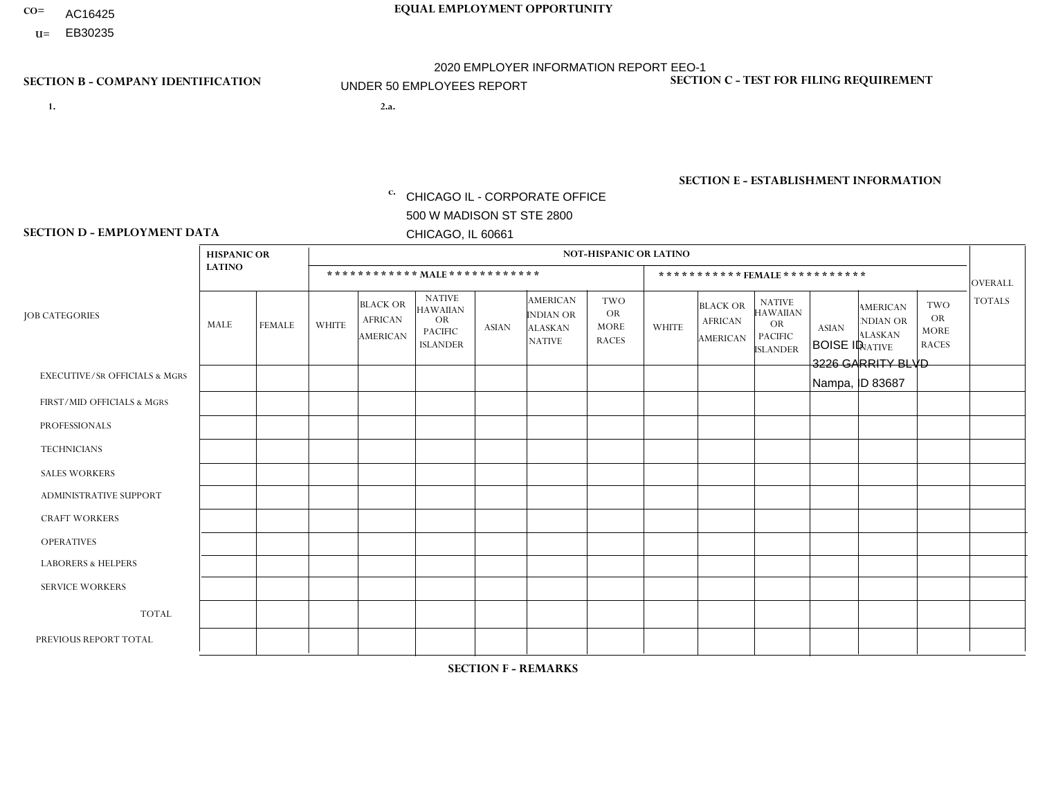- AC16425
- **U=**

- **1. 2.a.** CHICAGO IL CORPORATE OFFICE 500 W MADISON ST STE 2800 CHICAGO, IL 60661
- 2.a. BOISE ID 3226 GARRITY BLVD Nampa, ID 83687

EIN= 952920557

## **SECTION B - COMPANY IDENTIFICATION SECTION C - TEST FOR FILING REQUIREMENT**

1- Y 2- Y 3- N DUNS= 000123456

**SECTION E - ESTABLISHMENT INFORMATION c.** NAICS: 423140

### **SECTION D - EMPLOYMENT DATA**

|                                          | <b>HISPANIC OR</b> |               |                |                                                      |                                                                                    |              |                                                                        | <b>NOT-HISPANIC OR LATINO</b>                          |              |                                               |                                                                                    |              |                                                                       |                                                        |                      |
|------------------------------------------|--------------------|---------------|----------------|------------------------------------------------------|------------------------------------------------------------------------------------|--------------|------------------------------------------------------------------------|--------------------------------------------------------|--------------|-----------------------------------------------|------------------------------------------------------------------------------------|--------------|-----------------------------------------------------------------------|--------------------------------------------------------|----------------------|
|                                          | <b>LATINO</b>      |               |                | ************ MALE ************                       |                                                                                    |              |                                                                        |                                                        |              |                                               | *********** FEMALE ***********                                                     |              |                                                                       |                                                        | <b>OVERALL</b>       |
| <b>JOB CATEGORIES</b>                    | <b>MALE</b>        | <b>FEMALE</b> | <b>WHITE</b>   | <b>BLACK OR</b><br><b>AFRICAN</b><br><b>AMERICAN</b> | <b>NATIVE</b><br><b>HAWAIIAN</b><br><b>OR</b><br><b>PACIFIC</b><br><b>ISLANDER</b> | <b>ASIAN</b> | <b>AMERICAN</b><br><b>INDIAN OR</b><br><b>ALASKAN</b><br><b>NATIVE</b> | <b>TWO</b><br><b>OR</b><br><b>MORE</b><br><b>RACES</b> | <b>WHITE</b> | <b>BLACK OR</b><br><b>AFRICAN</b><br>AMERICAN | <b>NATIVE</b><br><b>HAWAIIAN</b><br><b>OR</b><br><b>PACIFIC</b><br><b>ISLANDER</b> | <b>ASIAN</b> | <b>AMERICAN</b><br><b>NDIAN OR</b><br><b>ALASKAN</b><br><b>NATIVE</b> | <b>TWO</b><br><b>OR</b><br><b>MORE</b><br><b>RACES</b> | <b>TOTALS</b>        |
| <b>EXECUTIVE/SR OFFICIALS &amp; MGRS</b> | $\Omega$           | $\Omega$      | $\mathbf{0}$   | $\Omega$                                             | $\Omega$                                                                           | $\Omega$     | $\Omega$                                                               | $\Omega$                                               | 0            | $\Omega$                                      | $\Omega$                                                                           | $\Omega$     | $\Omega$                                                              | $\Omega$                                               | $\Omega$             |
| FIRST/MID OFFICIALS & MGRS               | $\Omega$           | $\Omega$      | $\mathbf{0}$   | $\Omega$                                             | $\Omega$                                                                           | $\Omega$     | $\Omega$                                                               | $\Omega$                                               | 0            | $\Omega$                                      | 0                                                                                  | $\Omega$     | $\Omega$                                                              | $\Omega$                                               | $\mathbf{0}$         |
| <b>PROFESSIONALS</b>                     | $\Omega$           | $\Omega$      | $\Omega$       | $\mathbf 0$                                          | $\Omega$                                                                           | $\Omega$     | $\Omega$                                                               | $\Omega$                                               | $\Omega$     | $\Omega$                                      | 0                                                                                  | $\mathbf 0$  | $\Omega$                                                              | $\mathbf 0$                                            | $\mathbf{0}$         |
| <b>TECHNICIANS</b>                       | $\Omega$           | $\Omega$      | $\Omega$       | $\Omega$                                             | $\Omega$                                                                           | $\Omega$     | $\Omega$                                                               | $\Omega$                                               | $\Omega$     | $\Omega$                                      | $\Omega$                                                                           | $\mathbf 0$  | $\Omega$                                                              | $\mathbf 0$                                            | $\Omega$             |
| <b>SALES WORKERS</b>                     | $\Omega$           | $\Omega$      | 1              | $\Omega$                                             | $\Omega$                                                                           | $\Omega$     | $\Omega$                                                               | $\Omega$                                               | $\Omega$     | $\Omega$                                      | $\Omega$                                                                           | $\Omega$     | $\Omega$                                                              | $\Omega$                                               | $\blacktriangleleft$ |
| <b>ADMINISTRATIVE SUPPORT</b>            | $\Omega$           | 0             | 1              | $\mathbf 0$                                          | 0                                                                                  | $\Omega$     | $\Omega$                                                               | $\Omega$                                               | 0            | $\Omega$                                      | 0                                                                                  | $\mathbf 0$  | $\Omega$                                                              | $\mathbf 0$                                            | $\mathbf 1$          |
| <b>CRAFT WORKERS</b>                     | $\Omega$           | $\Omega$      | $\mathbf{0}$   | $\mathbf 0$                                          | $\Omega$                                                                           | $\Omega$     | $\Omega$                                                               | $\Omega$                                               | 0            | $\Omega$                                      | 0                                                                                  | $\Omega$     | $\Omega$                                                              | $\Omega$                                               | $\Omega$             |
| <b>OPERATIVES</b>                        | $\Omega$           | $\Omega$      | $\overline{c}$ | $\mathbf 0$                                          | $\Omega$                                                                           | $\Omega$     | $\Omega$                                                               | $\Omega$                                               | 0            | $\Omega$                                      | 0                                                                                  | $\mathbf 0$  | $\Omega$                                                              | $\Omega$                                               | $\overline{2}$       |
| <b>LABORERS &amp; HELPERS</b>            | $\Omega$           | $\Omega$      | -1             | $\mathbf 0$                                          | $\Omega$                                                                           | $\Omega$     | $\Omega$                                                               | $\Omega$                                               | $\Omega$     | $\Omega$                                      | $\Omega$                                                                           | $\Omega$     | $\Omega$                                                              | $\Omega$                                               | $\mathbf{1}$         |
| <b>SERVICE WORKERS</b>                   | $\Omega$           | $\Omega$      | 0              | 0                                                    | $\Omega$                                                                           | $\Omega$     | $\Omega$                                                               | $\Omega$                                               | 0            | $\Omega$                                      | $\Omega$                                                                           | $\mathbf 0$  | $\Omega$                                                              | $\Omega$                                               | $\mathbf 0$          |
| <b>TOTAL</b>                             | 0                  | 0             | 5              | 0                                                    | $\mathbf 0$                                                                        | 0            | $\Omega$                                                               | $\Omega$                                               | 0            | $\Omega$                                      | 0                                                                                  | $\mathbf 0$  | 0                                                                     | $\mathbf 0$                                            | 5                    |
| PREVIOUS REPORT TOTAL                    | $\Omega$           | $\Omega$      | 9              | $\mathbf 0$                                          | 0                                                                                  | $\Omega$     | $\Omega$                                                               | $\Omega$                                               | 0            | $\Omega$                                      | 0                                                                                  | $\Omega$     | $\Omega$                                                              | $\mathbf 0$                                            | 9                    |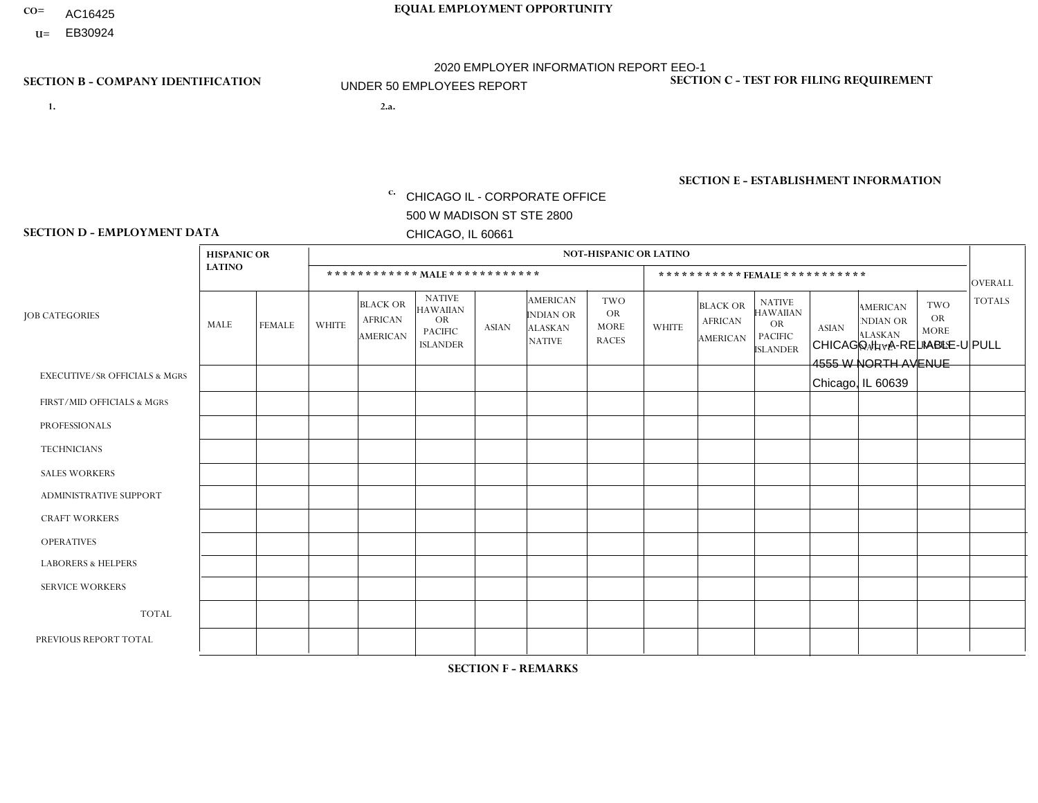- AC16425
- **U=**

**1. 2.a.** CHICAGO IL - CORPORATE OFFICE 500 W MADISON ST STE 2800 CHICAGO, IL 60661

2.a. CHICAGO IL - A-RELIABLE-U PULL 4555 W NORTH AVENUE Chicago, IL 60639

c. EIN= 952920557

## **SECTION B - COMPANY IDENTIFICATION SECTION C - TEST FOR FILING REQUIREMENT**

1- Y 2- Y 3- N DUNS= 000123456

**SECTION E - ESTABLISHMENT INFORMATION c.** NAICS: 423140

### **SECTION D - EMPLOYMENT DATA**

|                                          | <b>HISPANIC OR</b> |                      |                |                                                      |                                                                                    |              |                                                                        | <b>NOT-HISPANIC OR LATINO</b>                          |                |                                                      |                                                                                    |              |                                                                       |                                                        |                |
|------------------------------------------|--------------------|----------------------|----------------|------------------------------------------------------|------------------------------------------------------------------------------------|--------------|------------------------------------------------------------------------|--------------------------------------------------------|----------------|------------------------------------------------------|------------------------------------------------------------------------------------|--------------|-----------------------------------------------------------------------|--------------------------------------------------------|----------------|
|                                          | <b>LATINO</b>      |                      |                | ************ MALE ************                       |                                                                                    |              |                                                                        |                                                        |                |                                                      | ***********FEMALE***********                                                       |              |                                                                       |                                                        | <b>OVERALL</b> |
| <b>JOB CATEGORIES</b>                    | <b>MALE</b>        | <b>FEMALE</b>        | <b>WHITE</b>   | <b>BLACK OR</b><br><b>AFRICAN</b><br><b>AMERICAN</b> | <b>NATIVE</b><br><b>HAWAIIAN</b><br><b>OR</b><br><b>PACIFIC</b><br><b>ISLANDER</b> | <b>ASIAN</b> | <b>AMERICAN</b><br><b>INDIAN OR</b><br><b>ALASKAN</b><br><b>NATIVE</b> | <b>TWO</b><br><b>OR</b><br><b>MORE</b><br><b>RACES</b> | <b>WHITE</b>   | <b>BLACK OR</b><br><b>AFRICAN</b><br><b>AMERICAN</b> | <b>NATIVE</b><br><b>HAWAIIAN</b><br><b>OR</b><br><b>PACIFIC</b><br><b>ISLANDER</b> | <b>ASIAN</b> | <b>AMERICAN</b><br><b>NDIAN OR</b><br><b>ALASKAN</b><br><b>NATIVE</b> | <b>TWO</b><br><b>OR</b><br><b>MORE</b><br><b>RACES</b> | <b>TOTALS</b>  |
| <b>EXECUTIVE/SR OFFICIALS &amp; MGRS</b> | $\Omega$           | $\mathbf 0$          | $\mathbf 0$    | $\mathbf 0$                                          | $\mathbf 0$                                                                        | 0            | $\Omega$                                                               | $\Omega$                                               | 0              | $\mathbf 0$                                          | $\mathbf 0$                                                                        | $\mathbf 0$  | $\Omega$                                                              | 0                                                      | $\mathbf 0$    |
| FIRST/MID OFFICIALS & MGRS               | 1                  | $\Omega$             | $\overline{1}$ | $\Omega$                                             | $\Omega$                                                                           | $\Omega$     | $\Omega$                                                               | $\Omega$                                               | $\Omega$       | $\Omega$                                             | 0                                                                                  | $\Omega$     | $\Omega$                                                              | $\Omega$                                               | $\overline{2}$ |
| <b>PROFESSIONALS</b>                     | $\Omega$           | $\mathbf 0$          | $\mathbf 0$    | $\mathbf 0$                                          | $\mathbf 0$                                                                        | $\mathbf{0}$ | $\Omega$                                                               | $\Omega$                                               | $\Omega$       | $\Omega$                                             | $\Omega$                                                                           | $\mathbf 0$  | $\Omega$                                                              | $\mathbf 0$                                            | $\mathbf{0}$   |
| <b>TECHNICIANS</b>                       | $\Omega$           | $\Omega$             | $\mathbf 0$    | $\mathbf 0$                                          | $\Omega$                                                                           | $\Omega$     | $\Omega$                                                               | $\Omega$                                               | $\Omega$       | $\Omega$                                             | $\mathbf{0}$                                                                       | 0            | $\Omega$                                                              | $\mathbf 0$                                            | $\overline{0}$ |
| <b>SALES WORKERS</b>                     | 4                  | $\mathbf 0$          | $\Omega$       | $\mathbf 0$                                          | $\mathbf 0$                                                                        | $\Omega$     | $\Omega$                                                               | $\Omega$                                               | 0              | $\mathbf 0$                                          | $\overline{0}$                                                                     | $\mathbf 0$  | $\mathbf 0$                                                           | $\overline{1}$                                         | 5              |
| ADMINISTRATIVE SUPPORT                   | -1                 | $\blacktriangleleft$ | $\Omega$       | $\Omega$                                             | $\Omega$                                                                           | $\mathbf{0}$ | $\Omega$                                                               | $\Omega$                                               | $\Omega$       | $\Omega$                                             | $\Omega$                                                                           | $\Omega$     | $\Omega$                                                              | $\Omega$                                               | $\overline{2}$ |
| <b>CRAFT WORKERS</b>                     | $\Omega$           | $\mathbf 0$          | $\mathbf 0$    | $\mathbf 0$                                          | 0                                                                                  | $\Omega$     | $\Omega$                                                               | $\Omega$                                               | 0              | $\Omega$                                             | 0                                                                                  | $\mathbf 0$  | $\Omega$                                                              | $\mathbf 0$                                            | $\mathbf 0$    |
| <b>OPERATIVES</b>                        | 8                  | $\Omega$             | $\mathbf{0}$   | $\overline{2}$                                       | $\Omega$                                                                           | $\Omega$     | $\Omega$                                                               | $\Omega$                                               | $\Omega$       | $\Omega$                                             | 0                                                                                  | $\Omega$     | $\Omega$                                                              | $\Omega$                                               | 10             |
| <b>LABORERS &amp; HELPERS</b>            | $\Omega$           | $\Omega$             | $\Omega$       | $\mathbf 0$                                          | $\mathbf 0$                                                                        | $\Omega$     | $\Omega$                                                               | $\Omega$                                               | $\overline{0}$ | $\Omega$                                             | $\Omega$                                                                           | $\Omega$     | $\Omega$                                                              | $\Omega$                                               | $\mathbf{0}$   |
| <b>SERVICE WORKERS</b>                   | $\Omega$           | $\Omega$             | $\mathbf 0$    | $\mathbf 0$                                          | $\mathbf 0$                                                                        | $\Omega$     | $\Omega$                                                               | $\Omega$                                               | 0              | $\Omega$                                             | $\Omega$                                                                           | $\Omega$     | $\Omega$                                                              | $\Omega$                                               | $\mathbf{0}$   |
| <b>TOTAL</b>                             | 14                 | $\mathbf{1}$         | 1              | $\overline{2}$                                       | 0                                                                                  | 0            | $\Omega$                                                               | $\Omega$                                               | 0              | $\mathbf{0}$                                         | 0                                                                                  | $\mathbf 0$  | $\Omega$                                                              | $\mathbf 1$                                            | 19             |
| PREVIOUS REPORT TOTAL                    | 15                 | $\Omega$             | $\Omega$       | $\overline{2}$                                       | $\Omega$                                                                           | $\Omega$     | $\Omega$                                                               | 1                                                      | 0              | $\Omega$                                             | 0                                                                                  | $\mathbf 0$  | $\Omega$                                                              | $\mathbf 0$                                            | 18             |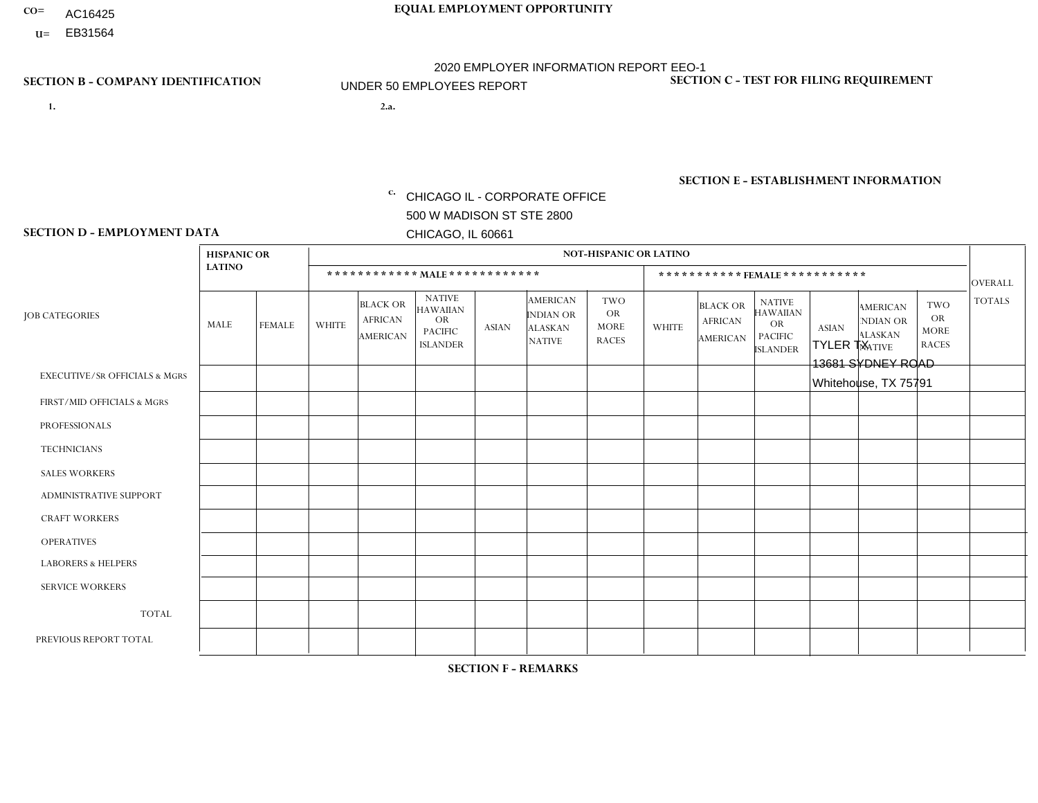- AC16425
- **U=**

- **1. 2.a.** CHICAGO IL CORPORATE OFFICE 500 W MADISON ST STE 2800 CHICAGO, IL 60661
- 2.a. TYLER TX 13681 SYDNEY ROAD Whitehouse, TX 75791

EIN= 952920557

## **SECTION B - COMPANY IDENTIFICATION SECTION C - TEST FOR FILING REQUIREMENT**

1- Y 2- Y 3- N DUNS= 000123456

**SECTION E - ESTABLISHMENT INFORMATION c.** NAICS: 423140

### **SECTION D - EMPLOYMENT DATA**

|                                          | <b>HISPANIC OR</b> |               |                |                                                      |                                                                                    |              |                                                                        | <b>NOT-HISPANIC OR LATINO</b>                          |              |                                                      |                                                                                    |              |                                                                       |                                                        |                |
|------------------------------------------|--------------------|---------------|----------------|------------------------------------------------------|------------------------------------------------------------------------------------|--------------|------------------------------------------------------------------------|--------------------------------------------------------|--------------|------------------------------------------------------|------------------------------------------------------------------------------------|--------------|-----------------------------------------------------------------------|--------------------------------------------------------|----------------|
|                                          | <b>LATINO</b>      |               |                | ************ MALE ************                       |                                                                                    |              |                                                                        |                                                        |              |                                                      | *********** FEMALE ***********                                                     |              |                                                                       |                                                        | <b>OVERALL</b> |
| <b>JOB CATEGORIES</b>                    | <b>MALE</b>        | <b>FEMALE</b> | <b>WHITE</b>   | <b>BLACK OR</b><br><b>AFRICAN</b><br><b>AMERICAN</b> | <b>NATIVE</b><br><b>HAWAIIAN</b><br><b>OR</b><br><b>PACIFIC</b><br><b>ISLANDER</b> | <b>ASIAN</b> | <b>AMERICAN</b><br><b>INDIAN OR</b><br><b>ALASKAN</b><br><b>NATIVE</b> | <b>TWO</b><br><b>OR</b><br><b>MORE</b><br><b>RACES</b> | <b>WHITE</b> | <b>BLACK OR</b><br><b>AFRICAN</b><br><b>AMERICAN</b> | <b>NATIVE</b><br><b>HAWAIIAN</b><br><b>OR</b><br><b>PACIFIC</b><br><b>ISLANDER</b> | <b>ASIAN</b> | <b>AMERICAN</b><br><b>NDIAN OR</b><br><b>ALASKAN</b><br><b>NATIVE</b> | <b>TWO</b><br><b>OR</b><br><b>MORE</b><br><b>RACES</b> | <b>TOTALS</b>  |
| <b>EXECUTIVE/SR OFFICIALS &amp; MGRS</b> | $\Omega$           | $\Omega$      | $\Omega$       | $\Omega$                                             | $\Omega$                                                                           | $\Omega$     | $\Omega$                                                               | $\Omega$                                               | $\Omega$     | $\mathbf{0}$                                         | $\mathbf{0}$                                                                       | $\Omega$     | $\Omega$                                                              | $\Omega$                                               | $\Omega$       |
| FIRST/MID OFFICIALS & MGRS               | $\Omega$           | $\Omega$      | $\overline{c}$ | $\mathbf 0$                                          | 0                                                                                  | $\Omega$     | $\Omega$                                                               | $\Omega$                                               | $\Omega$     | $\mathbf{0}$                                         | $\mathbf{0}$                                                                       | $\Omega$     | $\Omega$                                                              | $\Omega$                                               | $\overline{2}$ |
| <b>PROFESSIONALS</b>                     | $\Omega$           | $\Omega$      | $\mathbf 0$    | $\mathbf 0$                                          | $\overline{0}$                                                                     | $\Omega$     | $\overline{0}$                                                         | $\Omega$                                               | $\Omega$     | $\Omega$                                             | $\mathbf{0}$                                                                       | $\Omega$     | $\Omega$                                                              | $\Omega$                                               | $\mathbf 0$    |
| <b>TECHNICIANS</b>                       | $\Omega$           | $\mathbf 0$   | $\Omega$       | $\mathbf 0$                                          | 0                                                                                  | $\Omega$     | $\overline{0}$                                                         | $\Omega$                                               | $\mathbf 0$  | $\mathbf 0$                                          | $\mathbf 0$                                                                        | $\mathbf 0$  | $\Omega$                                                              | $\mathbf{0}$                                           | $\mathbf 0$    |
| <b>SALES WORKERS</b>                     | $\overline{2}$     | $\Omega$      | 4              | $\overline{2}$                                       | $\Omega$                                                                           | $\Omega$     | $\Omega$                                                               | $\overline{2}$                                         | $\Omega$     | $\Omega$                                             | $\Omega$                                                                           | $\Omega$     | $\Omega$                                                              | $\mathbf{0}$                                           | 10             |
| <b>ADMINISTRATIVE SUPPORT</b>            | $\Omega$           | $\Omega$      | $\Omega$       | 0                                                    | $\mathbf 0$                                                                        | $\Omega$     | $\Omega$                                                               | $\Omega$                                               | 1            | $\mathbf{0}$                                         | $\mathbf{0}$                                                                       | $\Omega$     | $\Omega$                                                              | $\Omega$                                               | $\mathbf{1}$   |
| <b>CRAFT WORKERS</b>                     | 0                  | $\Omega$      | $\mathbf 0$    | $\mathbf 0$                                          | 0                                                                                  | $\Omega$     | $\Omega$                                                               | $\Omega$                                               | $\Omega$     | $\Omega$                                             | $\Omega$                                                                           | $\Omega$     | $\Omega$                                                              | $\mathbf{0}$                                           | $\mathbf 0$    |
| <b>OPERATIVES</b>                        | $\Omega$           | $\mathbf 0$   | 1              | $\mathbf 0$                                          | 0                                                                                  | $\Omega$     | $\overline{0}$                                                         | $\Omega$                                               | $\Omega$     | $\Omega$                                             | $\Omega$                                                                           | $\Omega$     | $\Omega$                                                              | $\mathbf{0}$                                           | $\mathbf{1}$   |
| <b>LABORERS &amp; HELPERS</b>            | -1                 | $\Omega$      | 1              | $\Omega$                                             | 0                                                                                  | $\Omega$     | $\Omega$                                                               | $\Omega$                                               | $\Omega$     | $\Omega$                                             | $\mathbf{0}$                                                                       | $\Omega$     | $\Omega$                                                              | $\Omega$                                               | $\overline{2}$ |
| <b>SERVICE WORKERS</b>                   | 0                  | 0             | 0              | 0                                                    | 0                                                                                  | $\Omega$     | $\Omega$                                                               | $\Omega$                                               | $\Omega$     | $\Omega$                                             | $\mathbf{0}$                                                                       | $\Omega$     | $\Omega$                                                              | $\Omega$                                               | 0              |
| <b>TOTAL</b>                             | 3                  | $\mathbf 0$   | 8              | $\overline{2}$                                       | 0                                                                                  | $\mathbf 0$  | $\Omega$                                                               | 2                                                      | 1            | $\mathbf{0}$                                         | $\Omega$                                                                           | $\mathbf 0$  | $\Omega$                                                              | $\Omega$                                               | 16             |
| PREVIOUS REPORT TOTAL                    | 3                  | $\mathbf 0$   | $\overline{7}$ | 3                                                    | 0                                                                                  | $\Omega$     | $\Omega$                                                               | 2                                                      | $\mathbf 1$  | $\Omega$                                             | $\mathbf{0}$                                                                       | $\Omega$     | $\Omega$                                                              | $\mathbf 0$                                            | 16             |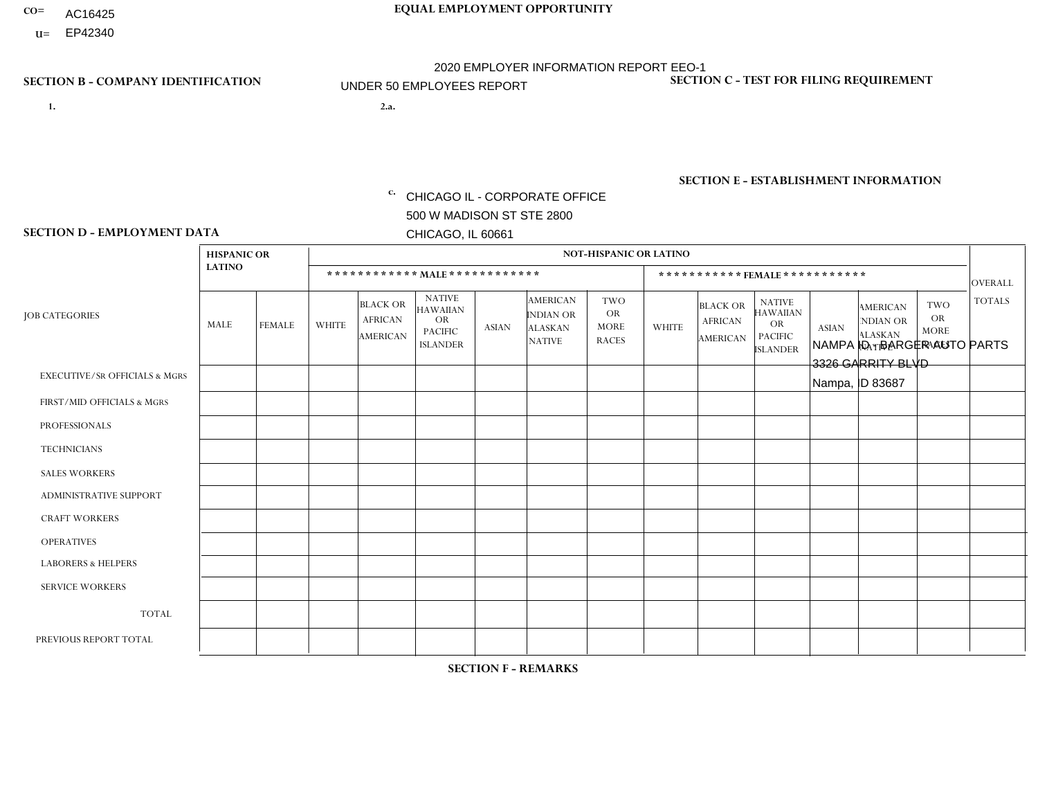- AC16425
- **U=**

**1. 2.a.** CHICAGO IL - CORPORATE OFFICE 500 W MADISON ST STE 2800 CHICAGO, IL 60661

2.a. NAMPA ID - BARGER AUTO PARTS 3326 GARRITY BLVD Nampa, ID 83687

c. EIN= 952920557

## **SECTION B - COMPANY IDENTIFICATION SECTION C - TEST FOR FILING REQUIREMENT**

1- Y 2- Y 3- N DUNS= 000123456

**SECTION E - ESTABLISHMENT INFORMATION c.** NAICS: 423140

### **SECTION D - EMPLOYMENT DATA**

|                                          | <b>HISPANIC OR</b> |                |                |                                               |                                                                                    |              |                                                                        | <b>NOT-HISPANIC OR LATINO</b>                          |              |                                               |                                                                                    |              |                                                                       |                                                        |                |
|------------------------------------------|--------------------|----------------|----------------|-----------------------------------------------|------------------------------------------------------------------------------------|--------------|------------------------------------------------------------------------|--------------------------------------------------------|--------------|-----------------------------------------------|------------------------------------------------------------------------------------|--------------|-----------------------------------------------------------------------|--------------------------------------------------------|----------------|
|                                          | <b>LATINO</b>      |                |                |                                               |                                                                                    |              |                                                                        |                                                        |              |                                               | *********** FEMALE ***********                                                     |              |                                                                       |                                                        | <b>OVERALL</b> |
| <b>JOB CATEGORIES</b>                    | MALE               | <b>FEMALE</b>  | <b>WHITE</b>   | <b>BLACK OR</b><br><b>AFRICAN</b><br>AMERICAN | <b>NATIVE</b><br><b>HAWAIIAN</b><br><b>OR</b><br><b>PACIFIC</b><br><b>ISLANDER</b> | <b>ASIAN</b> | <b>AMERICAN</b><br><b>INDIAN OR</b><br><b>ALASKAN</b><br><b>NATIVE</b> | <b>TWO</b><br><b>OR</b><br><b>MORE</b><br><b>RACES</b> | <b>WHITE</b> | <b>BLACK OR</b><br><b>AFRICAN</b><br>AMERICAN | <b>NATIVE</b><br><b>HAWAIIAN</b><br><b>OR</b><br><b>PACIFIC</b><br><b>ISLANDER</b> | <b>ASIAN</b> | <b>AMERICAN</b><br><b>NDIAN OR</b><br><b>ALASKAN</b><br><b>NATIVE</b> | <b>TWO</b><br><b>OR</b><br><b>MORE</b><br><b>RACES</b> | <b>TOTALS</b>  |
| <b>EXECUTIVE/SR OFFICIALS &amp; MGRS</b> | $\mathbf 0$        | $\mathbf 0$    | $\mathbf 0$    | 0                                             | $\Omega$                                                                           | $\Omega$     | $\Omega$                                                               | $\Omega$                                               | $\Omega$     | $\mathbf 0$                                   | $\Omega$                                                                           | $\Omega$     | $\Omega$                                                              | $\Omega$                                               | $\mathbf 0$    |
| FIRST/MID OFFICIALS & MGRS               | $\mathbf 0$        | $\mathbf 0$    | $\overline{2}$ | $\mathbf 0$                                   | $\Omega$                                                                           | $\Omega$     | $\Omega$                                                               | $\Omega$                                               | 1            | $\Omega$                                      | $\Omega$                                                                           | $\Omega$     | $\Omega$                                                              | $\Omega$                                               | 3              |
| <b>PROFESSIONALS</b>                     | $\mathbf 0$        | $\overline{0}$ | $\mathbf 0$    | 0                                             | $\Omega$                                                                           | $\Omega$     | $\Omega$                                                               | $\Omega$                                               | $\Omega$     | $\Omega$                                      | $\Omega$                                                                           | $\mathbf 0$  | $\Omega$                                                              | $\mathbf 0$                                            | $\mathbf 0$    |
| <b>TECHNICIANS</b>                       | $\mathbf 0$        | 0              | $\mathbf 0$    | $\mathbf 0$                                   | $\Omega$                                                                           | $\Omega$     | $\Omega$                                                               | $\Omega$                                               | $\Omega$     | $\Omega$                                      | $\Omega$                                                                           | $\Omega$     | $\Omega$                                                              | $\Omega$                                               | $\mathbf 0$    |
| <b>SALES WORKERS</b>                     | $\mathbf 0$        | $\overline{0}$ | $\mathbf 0$    | 0                                             | $\Omega$                                                                           | $\Omega$     | $\Omega$                                                               | $\Omega$                                               | $\Omega$     | $\Omega$                                      | $\Omega$                                                                           | $\Omega$     | $\Omega$                                                              | $\Omega$                                               | $\mathbf 0$    |
| <b>ADMINISTRATIVE SUPPORT</b>            | $\mathbf{0}$       | 0              | $\mathbf 0$    | $\mathbf 0$                                   | $\mathbf{0}$                                                                       | $\Omega$     | $\Omega$                                                               | $\mathbf{0}$                                           | $\Omega$     | $\Omega$                                      | $\Omega$                                                                           | $\Omega$     | $\Omega$                                                              | $\Omega$                                               | $\mathbf 0$    |
| <b>CRAFT WORKERS</b>                     | $\Omega$           | $\mathbf{0}$   | $\mathbf{1}$   | 0                                             | $\Omega$                                                                           | $\Omega$     | $\Omega$                                                               | $\Omega$                                               | $\Omega$     | $\Omega$                                      | $\Omega$                                                                           | $\Omega$     | $\Omega$                                                              | $\Omega$                                               | $\overline{1}$ |
| <b>OPERATIVES</b>                        |                    | $\mathbf{0}$   | 5              | $\mathbf 0$                                   | $\Omega$                                                                           | $\Omega$     | $\Omega$                                                               | $\overline{2}$                                         | $\Omega$     | $\Omega$                                      | $\Omega$                                                                           | $\Omega$     | $\Omega$                                                              | $\Omega$                                               | 8              |
| <b>LABORERS &amp; HELPERS</b>            | $\mathbf 0$        | $\overline{0}$ | $\mathbf{1}$   | 0                                             | $\Omega$                                                                           | $\Omega$     | $\Omega$                                                               |                                                        | $\Omega$     | $\Omega$                                      | $\Omega$                                                                           | $\Omega$     | $\Omega$                                                              | $\Omega$                                               | $\overline{2}$ |
| <b>SERVICE WORKERS</b>                   | $\mathbf 0$        | $\mathbf 0$    | $\mathbf 0$    | 0                                             | $\Omega$                                                                           | $\Omega$     | $\Omega$                                                               | $\Omega$                                               | $\Omega$     | $\Omega$                                      | $\Omega$                                                                           | $\Omega$     | $\Omega$                                                              | $\Omega$                                               | 0              |
| <b>TOTAL</b>                             |                    | 0              | 9              | 0                                             | $\Omega$                                                                           | $\Omega$     | $\Omega$                                                               | 3                                                      | 1            | $\Omega$                                      | $\Omega$                                                                           | $\Omega$     | $\Omega$                                                              | $\Omega$                                               | 14             |
| PREVIOUS REPORT TOTAL                    |                    | $\Omega$       | 17             | $\mathbf 0$                                   | $\Omega$                                                                           | $\Omega$     | $\Omega$                                                               | $\overline{2}$                                         | 3            | $\Omega$                                      | 0                                                                                  | $\Omega$     | $\Omega$                                                              | $\Omega$                                               | 23             |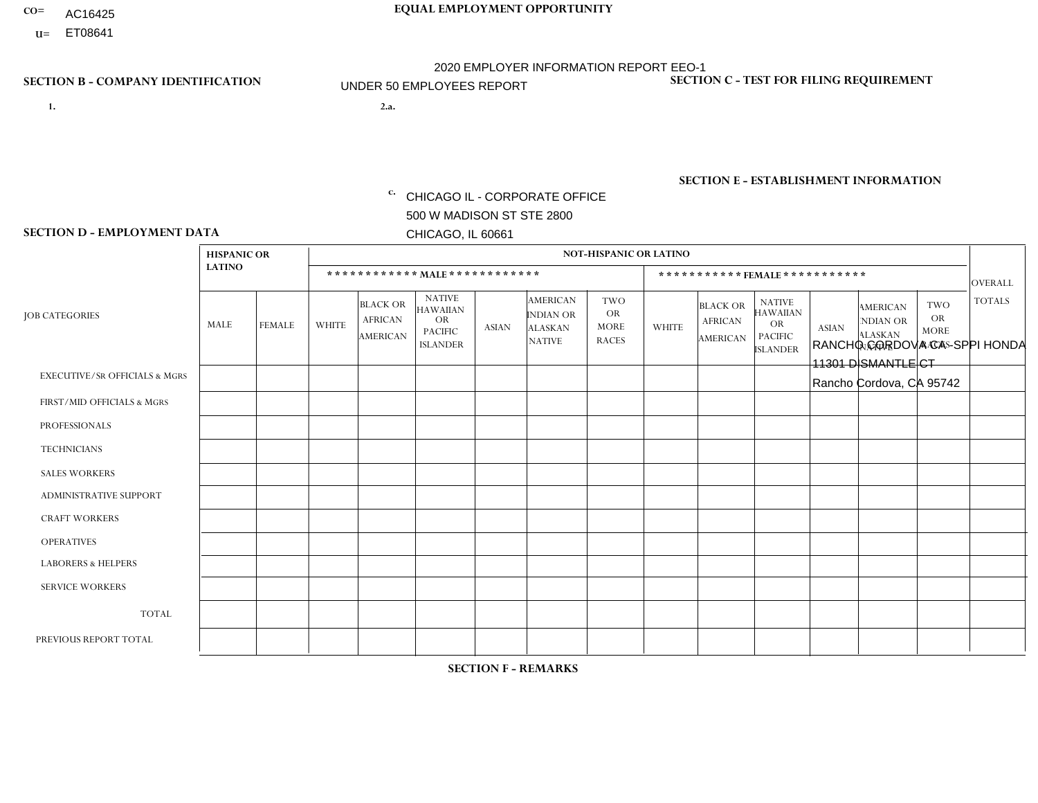- **CO= EQUAL EMPLOYMENT OPPORTUNITY** AC16425
	- **U=**

# 2020 EMPLOYER INFORMATION REPORT EEO-1 UNDER 50 EMPLOYEES REPORT

- **1. 2.a.** CHICAGO IL CORPORATE OFFICE 500 W MADISON ST STE 2800 CHICAGO, IL 60661
- 2.a. RANCHO CORDOVA CA -SPPI HONDA 11301 DISMANTLE CT Rancho Cordova, CA 95742

EIN= 364261871

## **SECTION B - COMPANY IDENTIFICATION SECTION C - TEST FOR FILING REQUIREMENT**

1- Y 2- Y 3- N DUNS= 000123456

**SECTION E - ESTABLISHMENT INFORMATION c.** NAICS: 423140

### **SECTION D - EMPLOYMENT DATA**

|                                          | <b>HISPANIC OR</b> |               |                |                                                      |                                                                                    |                |                                                                        | <b>NOT-HISPANIC OR LATINO</b>                          |              |                                                      |                                                                                    |              |                                                                       |                                                        |                |
|------------------------------------------|--------------------|---------------|----------------|------------------------------------------------------|------------------------------------------------------------------------------------|----------------|------------------------------------------------------------------------|--------------------------------------------------------|--------------|------------------------------------------------------|------------------------------------------------------------------------------------|--------------|-----------------------------------------------------------------------|--------------------------------------------------------|----------------|
|                                          | <b>LATINO</b>      |               |                | ************ MALE ************                       |                                                                                    |                |                                                                        |                                                        |              |                                                      | *********** FEMALE ***********                                                     |              |                                                                       |                                                        | <b>OVERALL</b> |
| <b>JOB CATEGORIES</b>                    | <b>MALE</b>        | <b>FEMALE</b> | <b>WHITE</b>   | <b>BLACK OR</b><br><b>AFRICAN</b><br><b>AMERICAN</b> | <b>NATIVE</b><br><b>HAWAIIAN</b><br><b>OR</b><br><b>PACIFIC</b><br><b>ISLANDER</b> | <b>ASIAN</b>   | <b>AMERICAN</b><br><b>INDIAN OR</b><br><b>ALASKAN</b><br><b>NATIVE</b> | <b>TWO</b><br><b>OR</b><br><b>MORE</b><br><b>RACES</b> | <b>WHITE</b> | <b>BLACK OR</b><br><b>AFRICAN</b><br><b>AMERICAN</b> | <b>NATIVE</b><br><b>HAWAIIAN</b><br><b>OR</b><br><b>PACIFIC</b><br><b>ISLANDER</b> | <b>ASIAN</b> | <b>AMERICAN</b><br><b>NDIAN OR</b><br><b>ALASKAN</b><br><b>NATIVE</b> | <b>TWO</b><br><b>OR</b><br><b>MORE</b><br><b>RACES</b> | <b>TOTALS</b>  |
| <b>EXECUTIVE/SR OFFICIALS &amp; MGRS</b> | $\Omega$           | $\Omega$      | $\Omega$       | $\Omega$                                             | $\Omega$                                                                           | $\Omega$       | $\Omega$                                                               | 0                                                      | $\Omega$     | $\mathbf{0}$                                         | $\mathbf{0}$                                                                       | $\Omega$     | $\Omega$                                                              | $\Omega$                                               | $\Omega$       |
| FIRST/MID OFFICIALS & MGRS               | $\Omega$           | $\mathbf 0$   | $\mathbf 0$    | $\mathbf 0$                                          | $\mathbf 0$                                                                        | $\overline{1}$ | $\overline{0}$                                                         |                                                        | 1            | $\mathbf{0}$                                         | $\mathbf{0}$                                                                       | $\mathbf 0$  | $\Omega$                                                              | $\mathbf{0}$                                           | 3              |
| <b>PROFESSIONALS</b>                     | $\Omega$           | $\mathbf{1}$  | 4              | $\mathbf 0$                                          | $\Omega$                                                                           | $\Omega$       | $\Omega$                                                               | $\Omega$                                               | $\Omega$     | $\Omega$                                             | $\Omega$                                                                           | $\Omega$     | $\Omega$                                                              | $\Omega$                                               | 5              |
| <b>TECHNICIANS</b>                       | $\mathbf 0$        | $\mathbf 0$   | $\Omega$       | $\mathbf 0$                                          | 0                                                                                  | $\Omega$       | $\overline{0}$                                                         | $\Omega$                                               | $\mathbf 0$  | $\mathbf 0$                                          | $\mathbf 0$                                                                        | $\mathbf 0$  | $\Omega$                                                              | $\mathbf 0$                                            | $\mathbf 0$    |
| <b>SALES WORKERS</b>                     | -1                 | $\mathbf 0$   | $\overline{7}$ | $\mathbf{1}$                                         | 0                                                                                  | $\Omega$       | $\Omega$                                                               | $\Omega$                                               | $\mathbf{1}$ | $\Omega$                                             | $\Omega$                                                                           | $\Omega$     | $\Omega$                                                              | $\mathbf{0}$                                           | 10             |
| <b>ADMINISTRATIVE SUPPORT</b>            | $\Omega$           | 4             | 1              | $\mathbf 0$                                          | $\Omega$                                                                           | $\Omega$       | 1                                                                      | $\Omega$                                               | 6            | $\mathbf{0}$                                         | $\mathbf{0}$                                                                       |              | $\Omega$                                                              | $\Omega$                                               | 13             |
| <b>CRAFT WORKERS</b>                     | $\Omega$           | $\mathbf 0$   | 0              | $\mathbf 0$                                          | 0                                                                                  | $\mathbf 0$    | $\Omega$                                                               | $\Omega$                                               | $\Omega$     | $\Omega$                                             | $\mathbf{0}$                                                                       | $\Omega$     | $\Omega$                                                              | $\Omega$                                               | $\mathbf 0$    |
| <b>OPERATIVES</b>                        | 0                  | $\Omega$      | $\Omega$       | $\Omega$                                             | $\Omega$                                                                           | $\Omega$       | $\overline{0}$                                                         | $\Omega$                                               | $\Omega$     | $\Omega$                                             | $\Omega$                                                                           | $\Omega$     | $\Omega$                                                              | $\mathbf{0}$                                           | $\mathbf 0$    |
| <b>LABORERS &amp; HELPERS</b>            | 0                  | $\Omega$      | 0              | $\mathbf 0$                                          | $\mathbf{0}$                                                                       | $\Omega$       | $\Omega$                                                               | $\Omega$                                               | $\Omega$     | $\Omega$                                             | $\Omega$                                                                           | $\Omega$     | $\Omega$                                                              | $\Omega$                                               | 0              |
| <b>SERVICE WORKERS</b>                   | 0                  | 0             | 0              | 0                                                    | 0                                                                                  | $\Omega$       | $\Omega$                                                               | $\Omega$                                               | $\Omega$     | $\Omega$                                             | $\Omega$                                                                           | $\Omega$     | $\Omega$                                                              | $\mathbf 0$                                            | $\mathbf 0$    |
| <b>TOTAL</b>                             |                    | 5             | 12             | $\mathbf{1}$                                         | 0                                                                                  | $\mathbf{1}$   | 1                                                                      |                                                        | 8            | $\mathbf 0$                                          | $\mathbf 0$                                                                        |              | $\Omega$                                                              | $\mathbf 0$                                            | 31             |
| PREVIOUS REPORT TOTAL                    | 4                  | 4             | 16             | $\mathbf 0$                                          | 0                                                                                  | 6              | $\mathbf{1}$                                                           | 3                                                      | 12           | $\mathbf{0}$                                         | $\mathbf{0}$                                                                       | $\Omega$     | $\Omega$                                                              | $\overline{1}$                                         | 47             |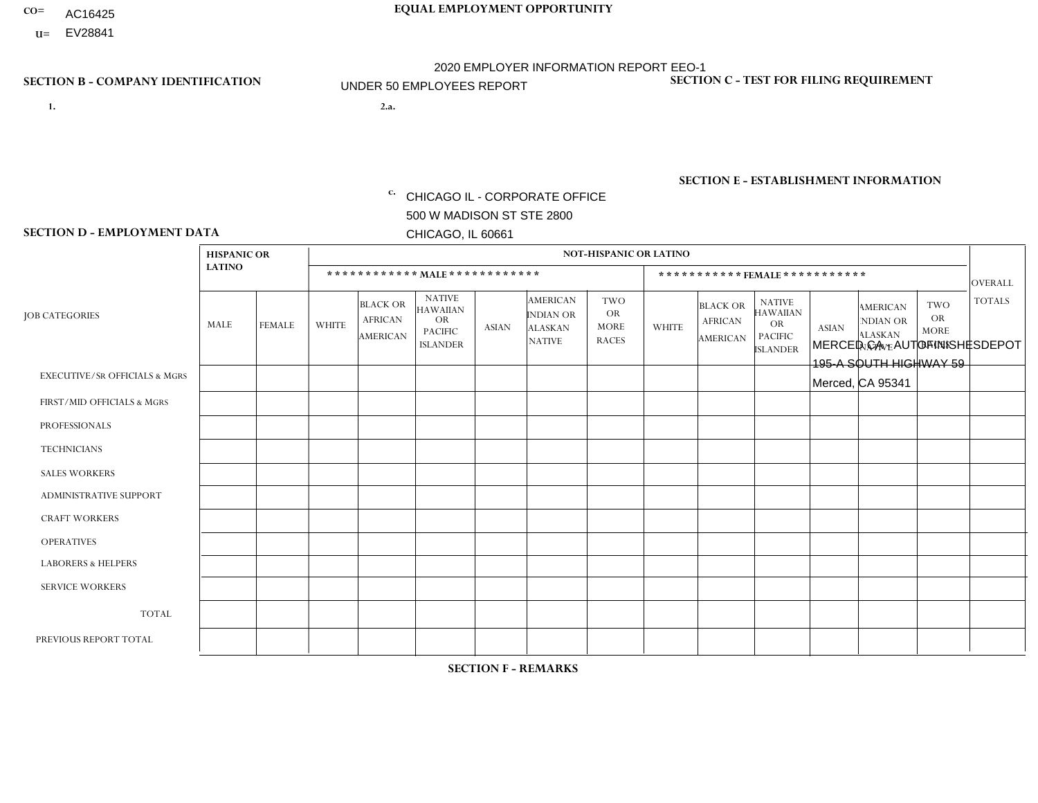- AC16425
- **U=**

- **1. 2.a.** CHICAGO IL CORPORATE OFFICE 500 W MADISON ST STE 2800 CHICAGO, IL 60661
- 2.a. MERCED CA AUTOFINISHESDEPOT 195-A SOUTH HIGHWAY 59 Merced, CA 95341

c. EIN= 952920557

## **SECTION B - COMPANY IDENTIFICATION SECTION C - TEST FOR FILING REQUIREMENT**

1- Y 2- Y 3- N DUNS= 000123456

**SECTION E - ESTABLISHMENT INFORMATION c.** NAICS: 423140

### **SECTION D - EMPLOYMENT DATA**

|                                          | <b>HISPANIC OR</b> |               |              |                                                      |                                                                                    |              |                                                                        | <b>NOT-HISPANIC OR LATINO</b>                          |              |                                               |                                                                                    |              |                                                                       |                                                        |                |
|------------------------------------------|--------------------|---------------|--------------|------------------------------------------------------|------------------------------------------------------------------------------------|--------------|------------------------------------------------------------------------|--------------------------------------------------------|--------------|-----------------------------------------------|------------------------------------------------------------------------------------|--------------|-----------------------------------------------------------------------|--------------------------------------------------------|----------------|
|                                          | <b>LATINO</b>      |               |              |                                                      | ************ MALE ************                                                     |              |                                                                        |                                                        |              |                                               | *********** FEMALE ***********                                                     |              |                                                                       |                                                        | <b>OVERALL</b> |
| <b>JOB CATEGORIES</b>                    | MALE               | <b>FEMALE</b> | <b>WHITE</b> | <b>BLACK OR</b><br><b>AFRICAN</b><br><b>AMERICAN</b> | <b>NATIVE</b><br><b>HAWAIIAN</b><br><b>OR</b><br><b>PACIFIC</b><br><b>ISLANDER</b> | <b>ASIAN</b> | <b>AMERICAN</b><br><b>INDIAN OR</b><br><b>ALASKAN</b><br><b>NATIVE</b> | <b>TWO</b><br><b>OR</b><br><b>MORE</b><br><b>RACES</b> | <b>WHITE</b> | <b>BLACK OR</b><br><b>AFRICAN</b><br>AMERICAN | <b>NATIVE</b><br><b>HAWAIIAN</b><br><b>OR</b><br><b>PACIFIC</b><br><b>ISLANDER</b> | <b>ASIAN</b> | <b>AMERICAN</b><br><b>NDIAN OR</b><br><b>ALASKAN</b><br><b>NATIVE</b> | <b>TWO</b><br><b>OR</b><br><b>MORE</b><br><b>RACES</b> | <b>TOTALS</b>  |
| <b>EXECUTIVE/SR OFFICIALS &amp; MGRS</b> | $\mathbf{0}$       | $\mathbf 0$   | $\mathbf 0$  | 0                                                    | $\Omega$                                                                           | $\mathbf{0}$ | $\Omega$                                                               | 0                                                      | $\Omega$     | $\mathbf{0}$                                  | $\Omega$                                                                           | $\Omega$     | $\Omega$                                                              | $\Omega$                                               | $\mathbf 0$    |
| FIRST/MID OFFICIALS & MGRS               | $\Omega$           | $\mathbf 0$   | $\mathbf 0$  | 0                                                    | $\Omega$                                                                           | $\mathbf{0}$ | $\Omega$                                                               | $\Omega$                                               | $\Omega$     | $\mathbf{0}$                                  | 0                                                                                  | $\mathbf{0}$ | $\Omega$                                                              | $\Omega$                                               | 0              |
| <b>PROFESSIONALS</b>                     | $\Omega$           | 0             | $\mathbf 0$  | $\mathbf{0}$                                         | $\Omega$                                                                           | $\Omega$     | $\Omega$                                                               | 0                                                      | $\Omega$     | $\Omega$                                      | 0                                                                                  | $\Omega$     | $\Omega$                                                              | $\Omega$                                               | 0              |
| <b>TECHNICIANS</b>                       | $\Omega$           | 0             | $\mathbf 0$  | $\mathbf 0$                                          | $\Omega$                                                                           | $\Omega$     | $\Omega$                                                               | $\Omega$                                               | $\Omega$     | $\Omega$                                      | 0                                                                                  | $\mathbf 0$  | $\mathbf{0}$                                                          | $\Omega$                                               | $\mathbf 0$    |
| <b>SALES WORKERS</b>                     | $\Omega$           | 1             | $\mathbf 0$  | $\Omega$                                             | $\Omega$                                                                           | $\Omega$     | $\Omega$                                                               | $\Omega$                                               | $\Omega$     | $\Omega$                                      | $\Omega$                                                                           | $\Omega$     | $\Omega$                                                              | $\Omega$                                               | $\mathbf{1}$   |
| ADMINISTRATIVE SUPPORT                   | $\mathbf{0}$       | $\mathbf 0$   | $\mathbf 0$  | 0                                                    | $\Omega$                                                                           | $\mathbf{0}$ | $\Omega$                                                               | $\Omega$                                               | $\Omega$     | $\Omega$                                      | $\Omega$                                                                           | $\Omega$     | $\mathbf{0}$                                                          | $\Omega$                                               | $\mathbf 0$    |
| <b>CRAFT WORKERS</b>                     | $\Omega$           | $\mathbf 0$   | $\mathbf 0$  | $\Omega$                                             | $\Omega$                                                                           | $\Omega$     | $\Omega$                                                               | 0                                                      | $\Omega$     | $\mathbf{0}$                                  | 0                                                                                  | $\Omega$     | $\mathbf{0}$                                                          | $\Omega$                                               | $\mathbf 0$    |
| <b>OPERATIVES</b>                        | $\Omega$           | $\Omega$      | $\Omega$     | $\mathbf{0}$                                         | $\Omega$                                                                           | $\Omega$     | $\Omega$                                                               | $\Omega$                                               | $\Omega$     | $\Omega$                                      | 0                                                                                  | $\Omega$     | $\Omega$                                                              | $\Omega$                                               | $\mathbf 0$    |
| <b>LABORERS &amp; HELPERS</b>            | $\Omega$           | $\Omega$      | $\Omega$     | $\Omega$                                             | $\Omega$                                                                           | $\Omega$     | $\Omega$                                                               | $\Omega$                                               | $\Omega$     | $\Omega$                                      | 0                                                                                  | $\Omega$     | $\Omega$                                                              | $\Omega$                                               | 0              |
| <b>SERVICE WORKERS</b>                   | $\Omega$           | 0             | $\mathbf 0$  | $\mathbf 0$                                          | $\mathbf 0$                                                                        | $\Omega$     | $\Omega$                                                               | $\Omega$                                               | $\Omega$     | $\Omega$                                      | $\Omega$                                                                           | $\Omega$     | $\Omega$                                                              | $\mathbf 0$                                            | $\mathbf 0$    |
| <b>TOTAL</b>                             | 0                  | -1            | $\mathbf 0$  | 0                                                    | $\mathbf 0$                                                                        | $\Omega$     | $\Omega$                                                               | 0                                                      | $\Omega$     | $\mathbf{0}$                                  | 0                                                                                  | 0            | 0                                                                     | 0                                                      | $\mathbf{1}$   |
| PREVIOUS REPORT TOTAL                    | 0                  | -1            | $\mathbf 0$  | 0                                                    | $\Omega$                                                                           | $\Omega$     | $\Omega$                                                               | 0                                                      | $\Omega$     | $\mathbf{0}$                                  | 0                                                                                  | $\Omega$     | $\Omega$                                                              | $\mathbf 0$                                            | $\mathbf{1}$   |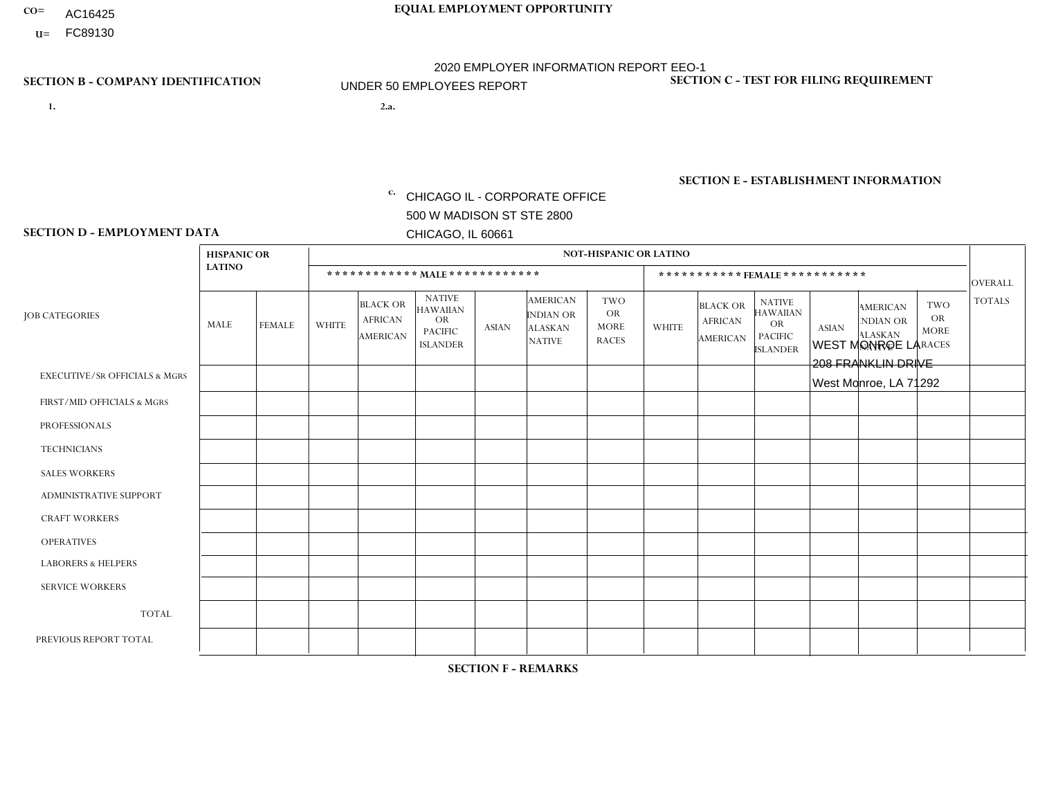- AC16425
- **U=**

- **1. 2.a.** CHICAGO IL CORPORATE OFFICE 500 W MADISON ST STE 2800 CHICAGO, IL 60661
- 2.a. WEST MONROE LA 208 FRANKLIN DRIVE West Monroe, LA 71292

EIN= 952920557

## **SECTION B - COMPANY IDENTIFICATION SECTION C - TEST FOR FILING REQUIREMENT**

1- Y 2- Y 3- N DUNS= 000123456

**SECTION E - ESTABLISHMENT INFORMATION c.** NAICS: 423140

### **SECTION D - EMPLOYMENT DATA**

|                                          | <b>HISPANIC OR</b> |               |                |                                                      |                                                                                    |              |                                                                        | <b>NOT-HISPANIC OR LATINO</b>                          |                |                                                      |                                                                                    |              |                                                                       |                                                        |                |
|------------------------------------------|--------------------|---------------|----------------|------------------------------------------------------|------------------------------------------------------------------------------------|--------------|------------------------------------------------------------------------|--------------------------------------------------------|----------------|------------------------------------------------------|------------------------------------------------------------------------------------|--------------|-----------------------------------------------------------------------|--------------------------------------------------------|----------------|
|                                          | <b>LATINO</b>      |               |                | ************ MALE ************                       |                                                                                    |              |                                                                        |                                                        |                |                                                      | ***********FEMALE***********                                                       |              |                                                                       |                                                        | <b>OVERALL</b> |
| <b>JOB CATEGORIES</b>                    | <b>MALE</b>        | <b>FEMALE</b> | <b>WHITE</b>   | <b>BLACK OR</b><br><b>AFRICAN</b><br><b>AMERICAN</b> | <b>NATIVE</b><br><b>HAWAIIAN</b><br><b>OR</b><br><b>PACIFIC</b><br><b>ISLANDER</b> | <b>ASIAN</b> | <b>AMERICAN</b><br><b>INDIAN OR</b><br><b>ALASKAN</b><br><b>NATIVE</b> | <b>TWO</b><br><b>OR</b><br><b>MORE</b><br><b>RACES</b> | <b>WHITE</b>   | <b>BLACK OR</b><br><b>AFRICAN</b><br><b>AMERICAN</b> | <b>NATIVE</b><br><b>HAWAIIAN</b><br><b>OR</b><br><b>PACIFIC</b><br><b>ISLANDER</b> | <b>ASIAN</b> | <b>AMERICAN</b><br><b>NDIAN OR</b><br><b>ALASKAN</b><br><b>NATIVE</b> | <b>TWO</b><br><b>OR</b><br><b>MORE</b><br><b>RACES</b> | <b>TOTALS</b>  |
| <b>EXECUTIVE/SR OFFICIALS &amp; MGRS</b> | $\mathbf{0}$       | $\Omega$      | $\Omega$       | $\Omega$                                             | 0                                                                                  | $\Omega$     | $\Omega$                                                               | $\Omega$                                               | $\Omega$       | $\mathbf{0}$                                         | $\Omega$                                                                           | $\Omega$     | $\Omega$                                                              | $\Omega$                                               | $\Omega$       |
| FIRST/MID OFFICIALS & MGRS               | $\Omega$           | $\Omega$      | $\overline{c}$ | $\mathbf 0$                                          | $\mathbf 0$                                                                        | $\Omega$     | $\Omega$                                                               | $\Omega$                                               | 1              | $\mathbf{0}$                                         | $\Omega$                                                                           | $\Omega$     | $\Omega$                                                              | $\Omega$                                               | 3              |
| <b>PROFESSIONALS</b>                     | $\Omega$           | $\Omega$      | $\overline{2}$ | $\mathbf 0$                                          | $\overline{0}$                                                                     | $\Omega$     | $\Omega$                                                               | $\Omega$                                               | $\Omega$       | $\Omega$                                             | $\Omega$                                                                           | $\Omega$     | $\Omega$                                                              | $\mathbf{0}$                                           | $\overline{2}$ |
| <b>TECHNICIANS</b>                       | $\Omega$           | $\Omega$      | $\Omega$       | $\Omega$                                             | 0                                                                                  | $\Omega$     | $\overline{0}$                                                         | $\Omega$                                               | $\Omega$       | $\Omega$                                             | $\Omega$                                                                           | $\Omega$     | $\mathbf{0}$                                                          | $\Omega$                                               | $\Omega$       |
| <b>SALES WORKERS</b>                     | $\Omega$           | $\Omega$      | $\Omega$       | $\Omega$                                             | $\Omega$                                                                           | $\Omega$     | $\Omega$                                                               | $\Omega$                                               | $\overline{2}$ | $\Omega$                                             | $\Omega$                                                                           | $\Omega$     | $\Omega$                                                              | $\mathbf{0}$                                           | $\overline{2}$ |
| <b>ADMINISTRATIVE SUPPORT</b>            | $\Omega$           | $\mathbf 0$   |                | $\mathbf 0$                                          | $\mathbf 0$                                                                        | $\Omega$     | $\Omega$                                                               | $\Omega$                                               | $\Omega$       | $\Omega$                                             | $\Omega$                                                                           | $\Omega$     | $\Omega$                                                              | $\Omega$                                               | $\mathbf{1}$   |
| <b>CRAFT WORKERS</b>                     | $\Omega$           | $\Omega$      | 3              | $\mathbf{1}$                                         | 0                                                                                  | $\Omega$     | $\Omega$                                                               | $\Omega$                                               | $\Omega$       | $\Omega$                                             | $\Omega$                                                                           | $\Omega$     | $\Omega$                                                              | $\Omega$                                               | 4              |
| <b>OPERATIVES</b>                        | $\Omega$           | 0             | 1              | 3                                                    | 0                                                                                  | $\Omega$     | $\Omega$                                                               | $\Omega$                                               | $\Omega$       | $\Omega$                                             | $\Omega$                                                                           | $\Omega$     | $\Omega$                                                              | $\Omega$                                               | 4              |
| <b>LABORERS &amp; HELPERS</b>            | $\Omega$           | $\Omega$      | $\overline{2}$ | $\mathbf{1}$                                         | 0                                                                                  | $\Omega$     | $\Omega$                                                               | $\Omega$                                               | $\Omega$       | $\Omega$                                             | $\Omega$                                                                           | $\Omega$     | $\Omega$                                                              | $\Omega$                                               | 3              |
| <b>SERVICE WORKERS</b>                   | $\Omega$           | $\Omega$      | $\Omega$       | $\mathbf 0$                                          | $\mathbf 0$                                                                        | $\Omega$     | $\Omega$                                                               | $\Omega$                                               | $\Omega$       | $\Omega$                                             | $\Omega$                                                                           | $\Omega$     | $\Omega$                                                              | $\Omega$                                               | 0              |
| <b>TOTAL</b>                             | 0                  | 0             | 11             | 5                                                    | 0                                                                                  | $\mathbf 0$  | $\Omega$                                                               | $\Omega$                                               | 3              | $\Omega$                                             | $\Omega$                                                                           | $\mathbf 0$  | $\Omega$                                                              | $\Omega$                                               | 19             |
| PREVIOUS REPORT TOTAL                    | $\Omega$           | $\Omega$      | 14             | $\overline{4}$                                       | 0                                                                                  | $\Omega$     | $\Omega$                                                               | $\Omega$                                               | 3              | $\Omega$                                             | $\mathbf{0}$                                                                       | $\Omega$     | $\Omega$                                                              | $\mathbf 0$                                            | 21             |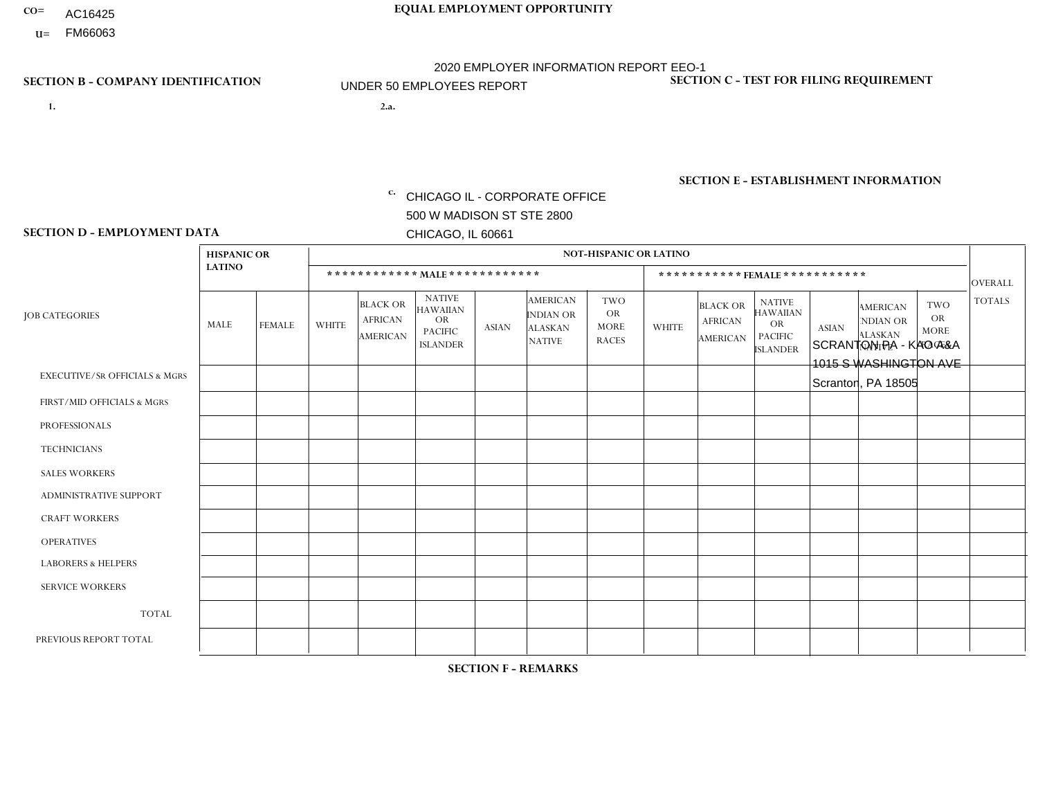- AC16425
- **U=**

**1. 2.a.** CHICAGO IL - CORPORATE OFFICE 500 W MADISON ST STE 2800 CHICAGO, IL 60661

2.a. SCRANTON PA - KAO A&A 1015 S WASHINGTON AVE Scranton, PA 18505

c. EIN= 952920557

## **SECTION B - COMPANY IDENTIFICATION SECTION C - TEST FOR FILING REQUIREMENT**

1- Y 2- Y 3- N DUNS= 000123456

**SECTION E - ESTABLISHMENT INFORMATION c.** NAICS: 423140

### **SECTION D - EMPLOYMENT DATA**

|                                          | <b>HISPANIC OR</b> |               |              |                                                      |                                                                                    |              |                                                                        | <b>NOT-HISPANIC OR LATINO</b>                          |                |                                               |                                                                             |              |                                                                       |                                                        |                |
|------------------------------------------|--------------------|---------------|--------------|------------------------------------------------------|------------------------------------------------------------------------------------|--------------|------------------------------------------------------------------------|--------------------------------------------------------|----------------|-----------------------------------------------|-----------------------------------------------------------------------------|--------------|-----------------------------------------------------------------------|--------------------------------------------------------|----------------|
|                                          | <b>LATINO</b>      |               |              | ************ MALE ************                       |                                                                                    |              |                                                                        |                                                        |                |                                               | *********** FEMALE ***********                                              |              |                                                                       |                                                        | <b>OVERALL</b> |
| <b>JOB CATEGORIES</b>                    | <b>MALE</b>        | <b>FEMALE</b> | <b>WHITE</b> | <b>BLACK OR</b><br><b>AFRICAN</b><br><b>AMERICAN</b> | <b>NATIVE</b><br><b>HAWAIIAN</b><br><b>OR</b><br><b>PACIFIC</b><br><b>ISLANDER</b> | <b>ASIAN</b> | <b>AMERICAN</b><br><b>INDIAN OR</b><br><b>ALASKAN</b><br><b>NATIVE</b> | <b>TWO</b><br><b>OR</b><br><b>MORE</b><br><b>RACES</b> | <b>WHITE</b>   | <b>BLACK OR</b><br><b>AFRICAN</b><br>AMERICAN | <b>NATIVE</b><br><b>HAWAIIAN</b><br>OR<br><b>PACIFIC</b><br><b>ISLANDER</b> | <b>ASIAN</b> | <b>AMERICAN</b><br><b>NDIAN OR</b><br><b>ALASKAN</b><br><b>NATIVE</b> | <b>TWO</b><br><b>OR</b><br><b>MORE</b><br><b>RACES</b> | <b>TOTALS</b>  |
| <b>EXECUTIVE/SR OFFICIALS &amp; MGRS</b> | $\Omega$           | $\Omega$      | $\Omega$     | $\mathbf 0$                                          | $\mathbf 0$                                                                        | $\Omega$     | $\Omega$                                                               | $\Omega$                                               | $\Omega$       | $\Omega$                                      | $\mathbf 0$                                                                 | $\mathbf 0$  | $\Omega$                                                              | $\Omega$                                               | $\mathbf 0$    |
| FIRST/MID OFFICIALS & MGRS               | $\Omega$           | 0             | -1           | $\mathbf 0$                                          | $\mathbf{0}$                                                                       | $\Omega$     | $\Omega$                                                               | $\Omega$                                               | 0              | $\Omega$                                      | $\Omega$                                                                    | $\mathbf 0$  | 0                                                                     | 0                                                      | $\mathbf{1}$   |
| <b>PROFESSIONALS</b>                     | $\Omega$           | $\Omega$      | $\Omega$     | $\mathbf 0$                                          | $\Omega$                                                                           | $\Omega$     | $\Omega$                                                               | $\Omega$                                               | $\Omega$       | $\Omega$                                      | $\Omega$                                                                    | $\Omega$     | $\Omega$                                                              | $\Omega$                                               | $\mathbf{0}$   |
| <b>TECHNICIANS</b>                       | $\Omega$           | $\Omega$      | $\Omega$     | $\mathbf 0$                                          | $\Omega$                                                                           | $\Omega$     | $\Omega$                                                               | $\Omega$                                               | 0              | $\Omega$                                      | 0                                                                           | 0            | $\Omega$                                                              | $\mathbf 0$                                            | $\mathbf{0}$   |
| <b>SALES WORKERS</b>                     | $\Omega$           | $\Omega$      | 3            | $\mathbf 0$                                          | $\Omega$                                                                           | $\Omega$     | $\Omega$                                                               | $\Omega$                                               | $\overline{0}$ | $\Omega$                                      | $\Omega$                                                                    | $\Omega$     | $\Omega$                                                              | $\Omega$                                               | 3              |
| ADMINISTRATIVE SUPPORT                   | $\Omega$           | $\mathbf 0$   | $\Omega$     | $\mathbf 0$                                          | 0                                                                                  | $\Omega$     | $\Omega$                                                               | $\Omega$                                               | 0              | $\Omega$                                      | 0                                                                           | $\mathbf 0$  | 0                                                                     | $\mathbf 0$                                            | $\overline{0}$ |
| <b>CRAFT WORKERS</b>                     | $\Omega$           | $\Omega$      | $\mathbf{0}$ | $\Omega$                                             | $\Omega$                                                                           | $\Omega$     | $\Omega$                                                               | $\Omega$                                               | 0              | $\Omega$                                      | 0                                                                           | $\Omega$     | $\Omega$                                                              | $\Omega$                                               | $\Omega$       |
| <b>OPERATIVES</b>                        | $\Omega$           | $\Omega$      | 1            | $\mathbf 0$                                          | $\Omega$                                                                           | $\Omega$     | $\Omega$                                                               | $\Omega$                                               | $\Omega$       | $\Omega$                                      | 0                                                                           | $\Omega$     | $\Omega$                                                              | $\Omega$                                               | $\mathbf{1}$   |
| <b>LABORERS &amp; HELPERS</b>            | $\Omega$           | $\Omega$      | $\Omega$     | $\mathbf 0$                                          | 0                                                                                  | $\Omega$     | $\Omega$                                                               | $\Omega$                                               | $\Omega$       | $\Omega$                                      | $\Omega$                                                                    | $\Omega$     | $\Omega$                                                              | $\Omega$                                               | $\overline{0}$ |
| <b>SERVICE WORKERS</b>                   | $\Omega$           | $\mathbf 0$   | $\mathbf 0$  | 0                                                    | $\mathbf 0$                                                                        | $\mathbf 0$  | $\Omega$                                                               | $\Omega$                                               | 0              | $\Omega$                                      | 0                                                                           | $\mathbf 0$  | $\Omega$                                                              | $\mathbf 0$                                            | $\mathbf{0}$   |
| <b>TOTAL</b>                             | $\Omega$           | 0             | 5            | $\mathbf 0$                                          | $\mathbf 0$                                                                        | 0            | $\Omega$                                                               | $\Omega$                                               | 0              | $\Omega$                                      | $\Omega$                                                                    | $\mathbf 0$  | $\Omega$                                                              | $\mathbf 0$                                            | 5              |
| PREVIOUS REPORT TOTAL                    | $\Omega$           | $\Omega$      | 5            | $\mathbf 0$                                          | $\mathbf 0$                                                                        | $\Omega$     | $\Omega$                                                               | $\Omega$                                               | 1              | $\Omega$                                      | 0                                                                           | $\mathbf 0$  | $\Omega$                                                              | $\mathbf 0$                                            | 6              |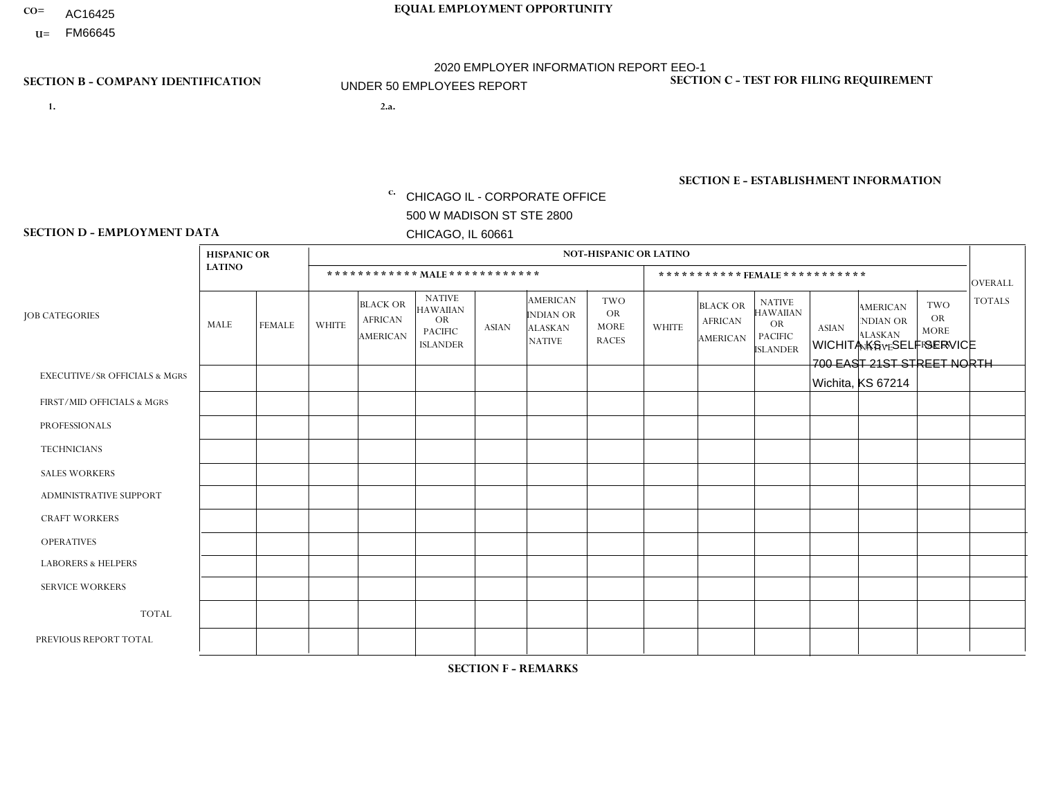- AC16425
- **U=**

- **1. 2.a.** CHICAGO IL CORPORATE OFFICE 500 W MADISON ST STE 2800 CHICAGO, IL 60661
- 2.a. WICHITA KS SELF SERVICE 700 EAST 21ST STREET NORTH Wichita, KS 67214

c. EIN= 952920557

## **SECTION B - COMPANY IDENTIFICATION SECTION C - TEST FOR FILING REQUIREMENT**

1- Y 2- Y 3- N DUNS= 000123456

**SECTION E - ESTABLISHMENT INFORMATION c.** NAICS: 423140

### **SECTION D - EMPLOYMENT DATA**

|                                          | <b>HISPANIC OR</b> |                |                |                                                      |                                                                      |              |                                                                        | <b>NOT-HISPANIC OR LATINO</b>                   |              |                                               |                                                                                    |              |                                                                       |                                                        |                |
|------------------------------------------|--------------------|----------------|----------------|------------------------------------------------------|----------------------------------------------------------------------|--------------|------------------------------------------------------------------------|-------------------------------------------------|--------------|-----------------------------------------------|------------------------------------------------------------------------------------|--------------|-----------------------------------------------------------------------|--------------------------------------------------------|----------------|
|                                          | <b>LATINO</b>      |                |                |                                                      | ************ MALE ************                                       |              |                                                                        |                                                 |              | ***********FEMALE ***********                 |                                                                                    |              |                                                                       |                                                        | <b>OVERALL</b> |
| <b>JOB CATEGORIES</b>                    | MALE               | <b>FEMALE</b>  | <b>WHITE</b>   | <b>BLACK OR</b><br><b>AFRICAN</b><br><b>AMERICAN</b> | <b>NATIVE</b><br>HAWAIIAN<br>OR<br><b>PACIFIC</b><br><b>ISLANDER</b> | <b>ASIAN</b> | <b>AMERICAN</b><br><b>INDIAN OR</b><br><b>ALASKAN</b><br><b>NATIVE</b> | TWO<br><b>OR</b><br><b>MORE</b><br><b>RACES</b> | <b>WHITE</b> | <b>BLACK OR</b><br><b>AFRICAN</b><br>AMERICAN | <b>NATIVE</b><br><b>HAWAIIAN</b><br><b>OR</b><br><b>PACIFIC</b><br><b>ISLANDER</b> | <b>ASIAN</b> | <b>AMERICAN</b><br><b>NDIAN OR</b><br><b>ALASKAN</b><br><b>NATIVE</b> | <b>TWO</b><br><b>OR</b><br><b>MORE</b><br><b>RACES</b> | <b>TOTALS</b>  |
| <b>EXECUTIVE/SR OFFICIALS &amp; MGRS</b> | $\mathbf 0$        | 0              | $\mathbf 0$    | $\mathbf 0$                                          | $\Omega$                                                             | $\Omega$     | $\Omega$                                                               | $\Omega$                                        | $\Omega$     | $\Omega$                                      | $\mathbf 0$                                                                        | $\mathbf 0$  | $\Omega$                                                              | $\mathbf 0$                                            | $\mathbf 0$    |
| FIRST/MID OFFICIALS & MGRS               | 1                  | $\Omega$       | $\Omega$       | $\Omega$                                             | $\Omega$                                                             | $\Omega$     | $\Omega$                                                               | 0                                               | $\Omega$     | $\Omega$                                      | $\Omega$                                                                           | $\Omega$     | $\Omega$                                                              | $\Omega$                                               | $\mathbf{1}$   |
| <b>PROFESSIONALS</b>                     | $\overline{2}$     | $\mathbf 0$    | $\mathbf 0$    | $\mathbf 0$                                          | $\mathbf{0}$                                                         | $\mathbf{0}$ | $\Omega$                                                               | 0                                               | $\Omega$     | $\Omega$                                      | $\Omega$                                                                           | $\Omega$     | $\Omega$                                                              | $\mathbf 0$                                            | $\overline{2}$ |
| <b>TECHNICIANS</b>                       | $\mathbf 0$        | $\mathbf{0}$   | $\mathbf 0$    | $\mathbf 0$                                          | $\Omega$                                                             | $\Omega$     | $\Omega$                                                               | 0                                               | $\Omega$     | $\Omega$                                      | $\mathbf 0$                                                                        | $\Omega$     | $\Omega$                                                              | $\mathbf 0$                                            | $\overline{0}$ |
| <b>SALES WORKERS</b>                     | $\Omega$           | $\Omega$       | $\Omega$       | $\Omega$                                             | $\Omega$                                                             | $\Omega$     | $\Omega$                                                               | 0                                               | $\Omega$     | $\Omega$                                      | $\Omega$                                                                           | $\Omega$     | $\Omega$                                                              | $\Omega$                                               | $\Omega$       |
| ADMINISTRATIVE SUPPORT                   | $\overline{2}$     | $\overline{2}$ | $\Omega$       | $\Omega$                                             | $\mathbf{0}$                                                         | $\Omega$     | $\Omega$                                                               | 0                                               | $\Omega$     | $\Omega$                                      | $\Omega$                                                                           | $\Omega$     | $\Omega$                                                              | $\Omega$                                               | $\overline{4}$ |
| <b>CRAFT WORKERS</b>                     | 0                  | $\mathbf 0$    | $\mathbf 0$    | $\mathbf 0$                                          | $\mathbf{0}$                                                         | $\mathbf{0}$ | 0                                                                      | 0                                               | $\Omega$     | $\Omega$                                      | $\Omega$                                                                           | $\Omega$     | $\Omega$                                                              | $\Omega$                                               | $\mathbf 0$    |
| <b>OPERATIVES</b>                        | 1                  | $\Omega$       | $\overline{1}$ | 1                                                    | $\Omega$                                                             | $\mathbf{0}$ | $\Omega$                                                               | 1                                               | $\Omega$     | $\Omega$                                      | $\Omega$                                                                           | $\Omega$     | $\Omega$                                                              | $\Omega$                                               | 4              |
| <b>LABORERS &amp; HELPERS</b>            | 0                  | $\Omega$       | $\Omega$       | $\Omega$                                             | $\Omega$                                                             | $\Omega$     | $\Omega$                                                               | $\Omega$                                        | $\Omega$     | $\Omega$                                      | $\Omega$                                                                           | $\Omega$     | $\Omega$                                                              | $\Omega$                                               | $\mathbf 0$    |
| <b>SERVICE WORKERS</b>                   | $\Omega$           | $\mathbf 0$    | $\mathbf 0$    | $\mathbf 0$                                          | $\Omega$                                                             | $\mathbf{0}$ | $\Omega$                                                               | 0                                               | $\Omega$     | $\Omega$                                      | $\Omega$                                                                           | $\mathbf 0$  | $\Omega$                                                              | $\Omega$                                               | $\mathbf 0$    |
| <b>TOTAL</b>                             | 6                  | $\overline{2}$ | $\mathbf 1$    | $\mathbf 1$                                          | $\Omega$                                                             | $\Omega$     | $\Omega$                                                               | 1                                               | $\Omega$     | $\Omega$                                      | 0                                                                                  | 0            | $\Omega$                                                              | 0                                                      | 11             |
| PREVIOUS REPORT TOTAL                    | 6                  | 3              | 1              | $\overline{1}$                                       | $\mathbf{0}$                                                         | $\Omega$     | $\Omega$                                                               | 1                                               | $\Omega$     | $\Omega$                                      | $\Omega$                                                                           | $\Omega$     | $\Omega$                                                              | $\mathbf 0$                                            | 12             |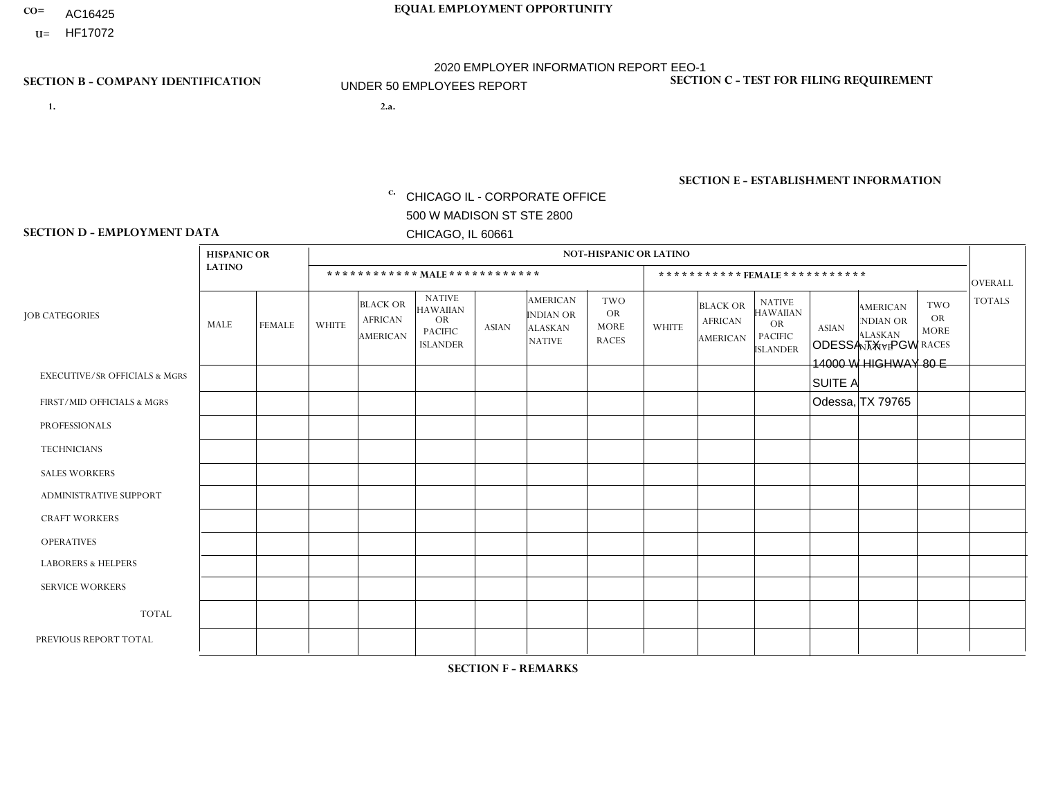- AC16425
- **U=**

- **1. 2.a.** CHICAGO IL CORPORATE OFFICE 500 W MADISON ST STE 2800 CHICAGO, IL 60661
- 2.a. ODESSA TX PGW 14000 W HIGHWAY 80 E SUITE A Odessa, TX 79765
	- EIN= 952920557

## **SECTION B - COMPANY IDENTIFICATION SECTION C - TEST FOR FILING REQUIREMENT**

1- Y 2- Y 3- N DUNS= 000123456

**SECTION E - ESTABLISHMENT INFORMATION c.** NAICS: 811122

### **SECTION D - EMPLOYMENT DATA**

|                                          | <b>HISPANIC OR</b> |               |                |                                                      |                                                                                    |              |                                                                        | <b>NOT-HISPANIC OR LATINO</b>                          |              |                                                      |                                                                                    |              |                                                                |                                                  |                |
|------------------------------------------|--------------------|---------------|----------------|------------------------------------------------------|------------------------------------------------------------------------------------|--------------|------------------------------------------------------------------------|--------------------------------------------------------|--------------|------------------------------------------------------|------------------------------------------------------------------------------------|--------------|----------------------------------------------------------------|--------------------------------------------------|----------------|
|                                          | <b>LATINO</b>      |               |                |                                                      | ************ MALE ************                                                     |              |                                                                        |                                                        |              |                                                      | ***********FEMALE***********                                                       |              |                                                                |                                                  | <b>OVERALL</b> |
| <b>JOB CATEGORIES</b>                    | MALE               | <b>FEMALE</b> | <b>WHITE</b>   | <b>BLACK OR</b><br><b>AFRICAN</b><br><b>AMERICAN</b> | <b>NATIVE</b><br><b>HAWAIIAN</b><br><b>OR</b><br><b>PACIFIC</b><br><b>ISLANDER</b> | <b>ASIAN</b> | <b>AMERICAN</b><br><b>INDIAN OR</b><br><b>ALASKAN</b><br><b>NATIVE</b> | <b>TWO</b><br><b>OR</b><br><b>MORE</b><br><b>RACES</b> | <b>WHITE</b> | <b>BLACK OR</b><br><b>AFRICAN</b><br><b>AMERICAN</b> | <b>NATIVE</b><br><b>HAWAIIAN</b><br><b>OR</b><br><b>PACIFIC</b><br><b>ISLANDER</b> | <b>ASIAN</b> | <b>AMERICAN</b><br>NDIAN OR<br><b>ALASKAN</b><br><b>NATIVE</b> | <b>TWO</b><br>OR.<br><b>MORE</b><br><b>RACES</b> | <b>TOTALS</b>  |
| <b>EXECUTIVE/SR OFFICIALS &amp; MGRS</b> | $\mathbf 0$        | $\mathbf 0$   | $\mathbf 0$    | 0                                                    | $\Omega$                                                                           | $\Omega$     | $\Omega$                                                               | $\Omega$                                               | $\Omega$     | $\Omega$                                             | $\mathbf{0}$                                                                       | $\mathbf 0$  | $\Omega$                                                       | $\mathbf 0$                                      | $\mathbf 0$    |
| FIRST/MID OFFICIALS & MGRS               | $\Omega$           | $\Omega$      | 1              | $\Omega$                                             | $\Omega$                                                                           | $\Omega$     | $\Omega$                                                               | $\Omega$                                               | 0            | $\Omega$                                             | $\Omega$                                                                           | $\Omega$     | $\Omega$                                                       | $\Omega$                                         | $\mathbf{1}$   |
| <b>PROFESSIONALS</b>                     | $\mathbf 0$        | $\mathbf 0$   | $\mathbf 0$    | $\mathbf 0$                                          | $\mathbf 0$                                                                        | $\mathbf{0}$ | $\Omega$                                                               | $\Omega$                                               | $\Omega$     | $\Omega$                                             | $\Omega$                                                                           | $\mathbf 0$  | 0                                                              | $\mathbf 0$                                      | $\mathbf 0$    |
| <b>TECHNICIANS</b>                       | $\mathbf 0$        | $\mathbf 0$   | $\mathbf 0$    | $\mathbf 0$                                          | $\Omega$                                                                           | $\Omega$     | $\Omega$                                                               | $\Omega$                                               | $\Omega$     | $\mathbf 0$                                          | 0                                                                                  | $\Omega$     | $\Omega$                                                       | $\mathbf 0$                                      | $\mathbf{0}$   |
| <b>SALES WORKERS</b>                     | $\mathbf 0$        | $\mathbf 0$   | $\Omega$       | $\mathbf 0$                                          | $\Omega$                                                                           | $\Omega$     | $\Omega$                                                               | $\Omega$                                               | $\Omega$     | $\Omega$                                             | $\mathbf 0$                                                                        | $\mathbf 0$  | $\Omega$                                                       | $\mathbf 0$                                      | $\mathbf 0$    |
| <b>ADMINISTRATIVE SUPPORT</b>            | $\mathbf 0$        | $\mathbf 0$   | $\Omega$       | $\Omega$                                             | $\Omega$                                                                           | $\Omega$     | $\Omega$                                                               | $\Omega$                                               | $\Omega$     | $\Omega$                                             | $\Omega$                                                                           | $\Omega$     | $\Omega$                                                       | $\Omega$                                         | $\mathbf 0$    |
| <b>CRAFT WORKERS</b>                     | $\mathbf 0$        | $\mathbf 0$   | $\Omega$       | 0                                                    | $\Omega$                                                                           | $\mathbf{0}$ | $\Omega$                                                               | $\Omega$                                               | $\Omega$     | $\Omega$                                             | $\mathbf{0}$                                                                       | $\Omega$     | $\Omega$                                                       | $\Omega$                                         | $\mathbf 0$    |
| <b>OPERATIVES</b>                        |                    | $\Omega$      | $\overline{1}$ | $\Omega$                                             | $\Omega$                                                                           | $\Omega$     | $\Omega$                                                               | $\Omega$                                               | $\Omega$     | $\Omega$                                             | $\Omega$                                                                           | $\Omega$     | $\Omega$                                                       | $\Omega$                                         | $\overline{2}$ |
| <b>LABORERS &amp; HELPERS</b>            | $\Omega$           | $\Omega$      | 1              | 0                                                    | $\Omega$                                                                           | $\Omega$     | $\Omega$                                                               | $\Omega$                                               | $\Omega$     | $\Omega$                                             | $\mathbf{0}$                                                                       | $\Omega$     | $\Omega$                                                       | $\Omega$                                         | $\mathbf{1}$   |
| <b>SERVICE WORKERS</b>                   | 0                  | $\mathbf 0$   | $\mathbf 0$    | 0                                                    | $\Omega$                                                                           | $\Omega$     | $\Omega$                                                               | $\Omega$                                               | $\Omega$     | $\Omega$                                             | $\Omega$                                                                           | $\Omega$     | $\Omega$                                                       | $\Omega$                                         | $\mathbf 0$    |
| <b>TOTAL</b>                             | 1                  | $\mathbf 0$   | 3              | $\mathbf 0$                                          | $\Omega$                                                                           | $\Omega$     | $\Omega$                                                               | $\Omega$                                               | $\Omega$     | $\Omega$                                             | $\Omega$                                                                           | $\mathbf{0}$ | 0                                                              | $\mathbf 0$                                      | $\overline{4}$ |
| PREVIOUS REPORT TOTAL                    | $\mathbf 0$        | $\mathbf 0$   |                | $\mathbf 0$                                          | $\mathbf 0$                                                                        | $\Omega$     | $\Omega$                                                               | $\Omega$                                               | $\Omega$     | 0                                                    | 0                                                                                  | $\Omega$     | $\Omega$                                                       | $\mathbf 0$                                      | $\mathbf{1}$   |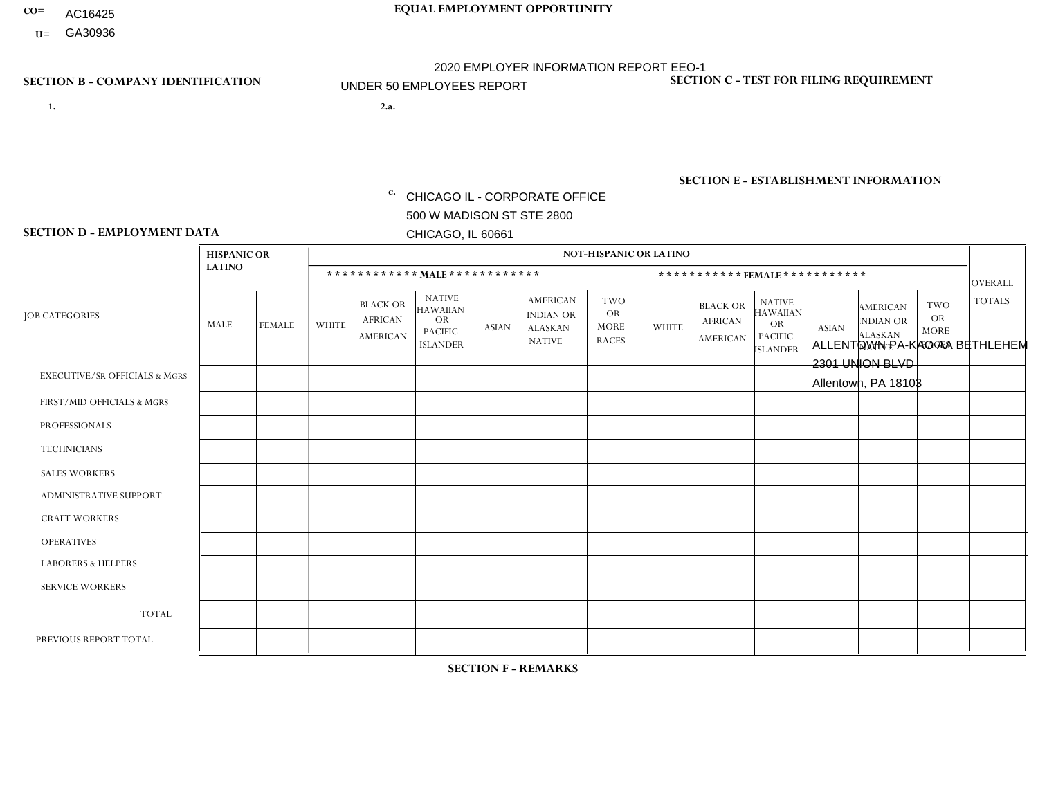- AC16425
- **U=**

**1. 2.a.** CHICAGO IL - CORPORATE OFFICE 500 W MADISON ST STE 2800 CHICAGO, IL 60661

2.a. ALLENTOWN PA-KAO AA BETHLEHEM 2301 UNION BLVD Allentown, PA 18103

c. EIN= 952920557

## **SECTION B - COMPANY IDENTIFICATION SECTION C - TEST FOR FILING REQUIREMENT**

1- Y 2- Y 3- N DUNS= 000123456

**SECTION E - ESTABLISHMENT INFORMATION c.** NAICS: 423140

### **SECTION D - EMPLOYMENT DATA**

|                                          | <b>HISPANIC OR</b> |             |                |                                                      |                                                                                    |              |                                                                        | <b>NOT-HISPANIC OR LATINO</b>                          |              |                                               |                                                                                    |              |                                                                |                                                        |                |
|------------------------------------------|--------------------|-------------|----------------|------------------------------------------------------|------------------------------------------------------------------------------------|--------------|------------------------------------------------------------------------|--------------------------------------------------------|--------------|-----------------------------------------------|------------------------------------------------------------------------------------|--------------|----------------------------------------------------------------|--------------------------------------------------------|----------------|
|                                          | <b>LATINO</b>      |             |                |                                                      | ************ MAIE************                                                      |              |                                                                        |                                                        |              | ***********FEMALE***********                  |                                                                                    |              |                                                                |                                                        | <b>OVERALL</b> |
| <b>JOB CATEGORIES</b>                    | MALE               | FEMALE      | <b>WHITE</b>   | <b>BLACK OR</b><br><b>AFRICAN</b><br><b>AMERICAN</b> | <b>NATIVE</b><br><b>HAWAIIAN</b><br><b>OR</b><br><b>PACIFIC</b><br><b>ISLANDER</b> | <b>ASIAN</b> | <b>AMERICAN</b><br><b>INDIAN OR</b><br><b>ALASKAN</b><br><b>NATIVE</b> | <b>TWO</b><br><b>OR</b><br><b>MORE</b><br><b>RACES</b> | <b>WHITE</b> | <b>BLACK OR</b><br><b>AFRICAN</b><br>AMERICAN | <b>NATIVE</b><br><b>HAWAIIAN</b><br><b>OR</b><br><b>PACIFIC</b><br><b>ISLANDER</b> | <b>ASIAN</b> | <b>AMERICAN</b><br>NDIAN OR<br><b>ALASKAN</b><br><b>NATIVE</b> | <b>TWO</b><br><b>OR</b><br><b>MORE</b><br><b>RACES</b> | <b>TOTALS</b>  |
| <b>EXECUTIVE/SR OFFICIALS &amp; MGRS</b> | $\Omega$           | $\Omega$    | $\Omega$       | $\mathbf 0$                                          | $\Omega$                                                                           | $\mathbf{0}$ | $\Omega$                                                               | $\Omega$                                               | $\Omega$     | $\Omega$                                      | $\Omega$                                                                           | $\Omega$     | $\Omega$                                                       | $\mathbf{0}$                                           | $\mathbf{0}$   |
| FIRST/MID OFFICIALS & MGRS               | 0                  | 0           | 1              | $\mathbf 0$                                          | $\Omega$                                                                           | $\Omega$     | $\Omega$                                                               | $\Omega$                                               | 0            | $\Omega$                                      | $\Omega$                                                                           | $\mathbf{0}$ | $\Omega$                                                       | $\mathbf 0$                                            | $\mathbf{1}$   |
| <b>PROFESSIONALS</b>                     | $\Omega$           | $\mathbf 0$ | $\mathbf 0$    | $\mathbf 0$                                          | $\mathbf 0$                                                                        | $\Omega$     | $\Omega$                                                               | $\Omega$                                               | 0            | $\Omega$                                      | $\Omega$                                                                           | $\mathbf 0$  | 0                                                              | $\mathbf 0$                                            | $\mathbf{0}$   |
| <b>TECHNICIANS</b>                       | 0                  | $\mathbf 0$ | $\Omega$       | $\mathbf 0$                                          | $\mathbf 0$                                                                        | $\Omega$     | $\Omega$                                                               | $\Omega$                                               | $\Omega$     | $\Omega$                                      | $\Omega$                                                                           | $\mathbf 0$  | 0                                                              | $\mathbf 0$                                            | $\mathbf 0$    |
| <b>SALES WORKERS</b>                     | $\overline{2}$     | $\mathbf 0$ | $\overline{1}$ | $\mathbf 0$                                          | $\Omega$                                                                           | $\Omega$     | $\Omega$                                                               | $\Omega$                                               | 0            | $\Omega$                                      | $\Omega$                                                                           | $\Omega$     | $\Omega$                                                       | $\mathbf{0}$                                           | 3              |
| <b>ADMINISTRATIVE SUPPORT</b>            | 0                  | $\Omega$    | $\Omega$       | $\mathbf 0$                                          | $\Omega$                                                                           | $\Omega$     | $\Omega$                                                               | $\Omega$                                               | $\Omega$     | $\Omega$                                      | $\Omega$                                                                           | $\mathbf{0}$ | $\mathbf{0}$                                                   | $\mathbf{0}$                                           | $\mathbf 0$    |
| <b>CRAFT WORKERS</b>                     | $\Omega$           | $\Omega$    | $\Omega$       | $\mathbf 0$                                          | $\Omega$                                                                           | $\Omega$     | $\Omega$                                                               | $\Omega$                                               | 0            | $\Omega$                                      | $\Omega$                                                                           | $\Omega$     | $\Omega$                                                       | $\Omega$                                               | $\Omega$       |
| <b>OPERATIVES</b>                        |                    | $\Omega$    | 1              | $\mathbf 0$                                          | $\Omega$                                                                           | $\Omega$     | $\Omega$                                                               | $\Omega$                                               | $\Omega$     | $\Omega$                                      | $\Omega$                                                                           | $\Omega$     | $\Omega$                                                       | $\Omega$                                               | $\overline{2}$ |
| <b>LABORERS &amp; HELPERS</b>            | 0                  | $\Omega$    | $\Omega$       | $\mathbf 0$                                          | $\Omega$                                                                           | $\Omega$     | $\Omega$                                                               | $\Omega$                                               | 0            | $\Omega$                                      | $\Omega$                                                                           | $\Omega$     | $\Omega$                                                       | $\Omega$                                               | 0              |
| <b>SERVICE WORKERS</b>                   | 0                  | $\Omega$    | $\mathbf 0$    | 0                                                    | $\mathbf{0}$                                                                       | $\Omega$     | $\Omega$                                                               | $\Omega$                                               | $\Omega$     | $\Omega$                                      | $\Omega$                                                                           | $\Omega$     | $\Omega$                                                       | $\Omega$                                               | $\overline{0}$ |
| <b>TOTAL</b>                             | 3                  | 0           | 3              | 0                                                    | $\mathbf{0}$                                                                       | $\mathbf 0$  | $\Omega$                                                               | $\Omega$                                               | $\Omega$     | $\Omega$                                      | $\Omega$                                                                           | $\mathbf 0$  | 0                                                              | $\mathbf 0$                                            | 6              |
| PREVIOUS REPORT TOTAL                    | 3                  | $\Omega$    | $\overline{2}$ | $\mathbf 0$                                          | $\Omega$                                                                           | $\Omega$     | $\Omega$                                                               | $\Omega$                                               | $\Omega$     | $\Omega$                                      | $\Omega$                                                                           | $\Omega$     | $\Omega$                                                       | $\mathbf 0$                                            | 5              |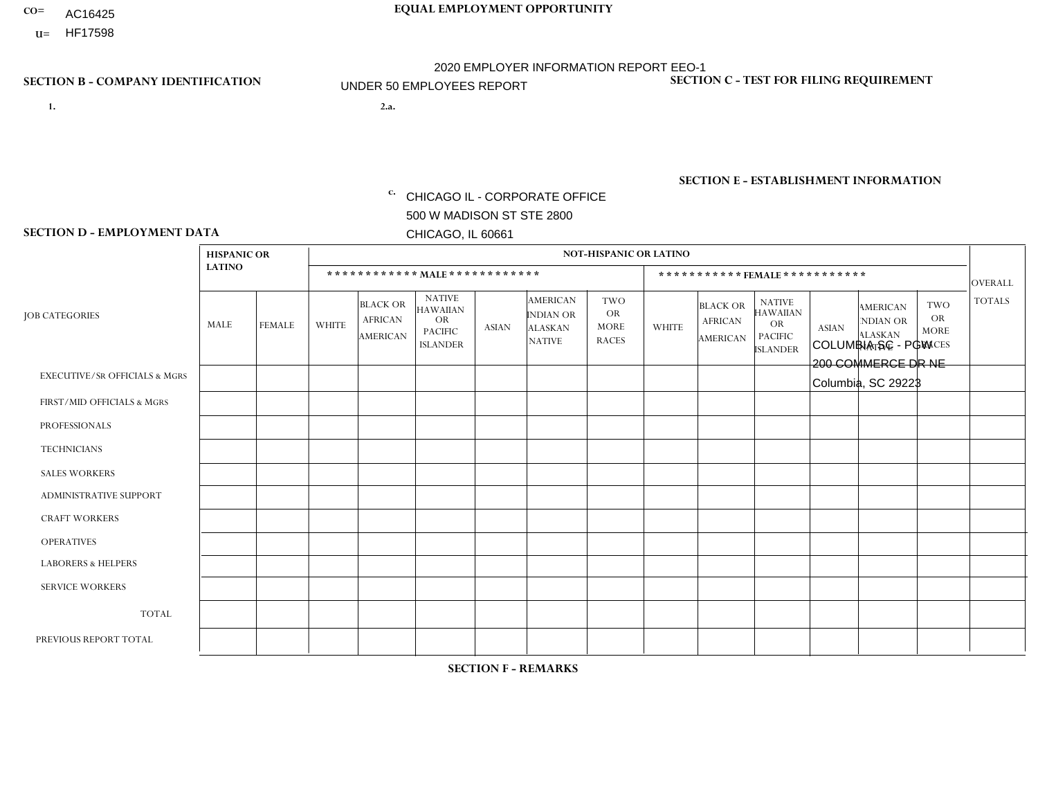- AC16425
- **U=**

**1. 2.a.** CHICAGO IL - CORPORATE OFFICE 500 W MADISON ST STE 2800 CHICAGO, IL 60661

2.a. COLUMBIA SC - PGW 200 COMMERCE DR NE Columbia, SC 29223

EIN= 952920557

## **SECTION B - COMPANY IDENTIFICATION SECTION C - TEST FOR FILING REQUIREMENT**

1- Y 2- Y 3- N DUNS= 000123456

**SECTION E - ESTABLISHMENT INFORMATION c.** NAICS: 811122

### **SECTION D - EMPLOYMENT DATA**

|                                          | <b>HISPANIC OR</b> |               |                          |                                                      |                                                                                    |              |                                                                        | <b>NOT-HISPANIC OR LATINO</b>                          |                |                                               |                                                                             |              |                                                                       |                                                        |                |
|------------------------------------------|--------------------|---------------|--------------------------|------------------------------------------------------|------------------------------------------------------------------------------------|--------------|------------------------------------------------------------------------|--------------------------------------------------------|----------------|-----------------------------------------------|-----------------------------------------------------------------------------|--------------|-----------------------------------------------------------------------|--------------------------------------------------------|----------------|
|                                          | <b>LATINO</b>      |               |                          | ************ MALE ************                       |                                                                                    |              |                                                                        |                                                        |                |                                               | *********** FEMALE ***********                                              |              |                                                                       |                                                        | <b>OVERALL</b> |
| <b>JOB CATEGORIES</b>                    | <b>MALE</b>        | <b>FEMALE</b> | <b>WHITE</b>             | <b>BLACK OR</b><br><b>AFRICAN</b><br><b>AMERICAN</b> | <b>NATIVE</b><br><b>HAWAIIAN</b><br><b>OR</b><br><b>PACIFIC</b><br><b>ISLANDER</b> | <b>ASIAN</b> | <b>AMERICAN</b><br><b>INDIAN OR</b><br><b>ALASKAN</b><br><b>NATIVE</b> | <b>TWO</b><br><b>OR</b><br><b>MORE</b><br><b>RACES</b> | <b>WHITE</b>   | <b>BLACK OR</b><br><b>AFRICAN</b><br>AMERICAN | <b>NATIVE</b><br><b>HAWAIIAN</b><br>OR<br><b>PACIFIC</b><br><b>ISLANDER</b> | <b>ASIAN</b> | <b>AMERICAN</b><br><b>NDIAN OR</b><br><b>ALASKAN</b><br><b>NATIVE</b> | <b>TWO</b><br><b>OR</b><br><b>MORE</b><br><b>RACES</b> | <b>TOTALS</b>  |
| <b>EXECUTIVE/SR OFFICIALS &amp; MGRS</b> | $\Omega$           | $\Omega$      | $\Omega$                 | $\mathbf 0$                                          | $\mathbf 0$                                                                        | $\Omega$     | $\Omega$                                                               | $\Omega$                                               | $\Omega$       | $\Omega$                                      | $\mathbf 0$                                                                 | $\mathbf 0$  | $\Omega$                                                              | $\Omega$                                               | $\mathbf 0$    |
| FIRST/MID OFFICIALS & MGRS               | $\Omega$           | 0             | -1                       | $\mathbf 0$                                          | $\mathbf{0}$                                                                       | $\Omega$     | $\Omega$                                                               | $\Omega$                                               | 0              | $\Omega$                                      | $\Omega$                                                                    | $\mathbf 0$  | 0                                                                     | 0                                                      | $\mathbf{1}$   |
| <b>PROFESSIONALS</b>                     |                    | $\Omega$      | $\Omega$                 | $\mathbf 0$                                          | $\Omega$                                                                           | $\Omega$     | $\Omega$                                                               | $\Omega$                                               | $\Omega$       | $\Omega$                                      | $\Omega$                                                                    | $\Omega$     | $\Omega$                                                              | $\mathbf 0$                                            | $\mathbf{1}$   |
| <b>TECHNICIANS</b>                       | $\Omega$           | $\Omega$      | $\Omega$                 | $\mathbf 0$                                          | $\Omega$                                                                           | $\Omega$     | $\Omega$                                                               | $\Omega$                                               | 0              | $\Omega$                                      | 0                                                                           | 0            | $\Omega$                                                              | $\mathbf 0$                                            | $\overline{0}$ |
| <b>SALES WORKERS</b>                     | $\Omega$           | $\Omega$      | $\Omega$                 | $\mathbf 0$                                          | $\Omega$                                                                           | $\Omega$     | $\Omega$                                                               | $\Omega$                                               | $\overline{0}$ | $\Omega$                                      | $\Omega$                                                                    | $\Omega$     | $\Omega$                                                              | $\Omega$                                               | $\mathbf{0}$   |
| ADMINISTRATIVE SUPPORT                   | $\Omega$           | $\mathbf 0$   | $\Omega$                 | $\mathbf 0$                                          | 0                                                                                  | $\Omega$     | $\Omega$                                                               | $\Omega$                                               | 0              | $\Omega$                                      | 0                                                                           | $\mathbf 0$  | 0                                                                     | $\mathbf 0$                                            | $\overline{0}$ |
| <b>CRAFT WORKERS</b>                     | $\Omega$           | $\Omega$      | $\mathbf{0}$             | $\Omega$                                             | $\Omega$                                                                           | $\Omega$     | $\Omega$                                                               | $\Omega$                                               | 0              | $\Omega$                                      | 0                                                                           | $\Omega$     | $\Omega$                                                              | $\Omega$                                               | $\Omega$       |
| <b>OPERATIVES</b>                        | $\Omega$           | $\Omega$      | $\mathbf{0}$             | $\overline{2}$                                       | $\Omega$                                                                           | $\Omega$     | $\Omega$                                                               | $\Omega$                                               | $\Omega$       | $\Omega$                                      | 0                                                                           | $\Omega$     | $\Omega$                                                              | $\Omega$                                               | $\overline{2}$ |
| <b>LABORERS &amp; HELPERS</b>            | $\Omega$           | $\Omega$      | $\Omega$                 | $\mathbf 0$                                          | 0                                                                                  | $\Omega$     | $\Omega$                                                               | $\Omega$                                               | $\Omega$       | $\Omega$                                      | $\Omega$                                                                    | $\Omega$     | $\Omega$                                                              | $\Omega$                                               | $\overline{0}$ |
| <b>SERVICE WORKERS</b>                   | $\Omega$           | $\mathbf 0$   | $\mathbf 0$              | 0                                                    | $\mathbf 0$                                                                        | $\mathbf 0$  | $\Omega$                                                               | $\Omega$                                               | 0              | $\Omega$                                      | 0                                                                           | $\mathbf 0$  | $\Omega$                                                              | $\mathbf 0$                                            | $\mathbf{0}$   |
| <b>TOTAL</b>                             | 1                  | 0             | $\overline{\phantom{a}}$ | $\overline{2}$                                       | 0                                                                                  | $\Omega$     | $\Omega$                                                               | $\Omega$                                               | 0              | $\Omega$                                      | $\Omega$                                                                    | $\mathbf 0$  | $\Omega$                                                              | $\mathbf 0$                                            | 4              |
| PREVIOUS REPORT TOTAL                    | $\Omega$           | $\Omega$      | $\Omega$                 | $\overline{2}$                                       | $\Omega$                                                                           | $\Omega$     | $\Omega$                                                               | $\Omega$                                               | 1              | $\Omega$                                      | 0                                                                           | $\mathbf 0$  | $\Omega$                                                              | $\mathbf 0$                                            | $\mathbf{3}$   |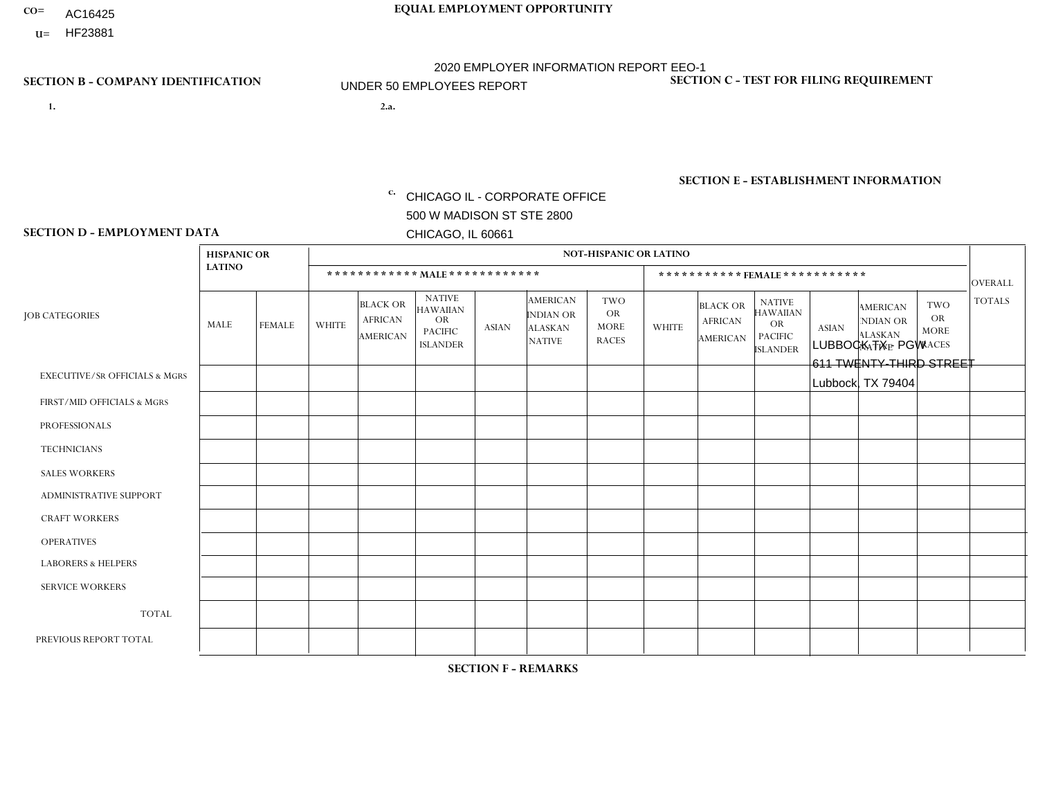- AC16425
- **U=**

- **1. 2.a.** CHICAGO IL CORPORATE OFFICE 500 W MADISON ST STE 2800 CHICAGO, IL 60661
- 2.a. LUBBOCK TX PGW 611 TWENTY-THIRD STREET Lubbock, TX 79404

EIN= 952920557

## **SECTION B - COMPANY IDENTIFICATION SECTION C - TEST FOR FILING REQUIREMENT**

1- Y 2- Y 3- N DUNS= 000123456

**SECTION E - ESTABLISHMENT INFORMATION c.** NAICS: 811122

### **SECTION D - EMPLOYMENT DATA**

|                                          | <b>HISPANIC OR</b> |               |              |                                                      |                                                                                    |             |                                                                        | <b>NOT-HISPANIC OR LATINO</b>                          |                |                                               |                                                                             |              |                                                                       |                                                        |                |
|------------------------------------------|--------------------|---------------|--------------|------------------------------------------------------|------------------------------------------------------------------------------------|-------------|------------------------------------------------------------------------|--------------------------------------------------------|----------------|-----------------------------------------------|-----------------------------------------------------------------------------|--------------|-----------------------------------------------------------------------|--------------------------------------------------------|----------------|
|                                          | <b>LATINO</b>      |               |              | ************ MALE ************                       |                                                                                    |             |                                                                        |                                                        |                | ***********FEMALE***********                  |                                                                             |              |                                                                       |                                                        | <b>OVERALL</b> |
| <b>JOB CATEGORIES</b>                    | MALE               | <b>FEMALE</b> | <b>WHITE</b> | <b>BLACK OR</b><br><b>AFRICAN</b><br><b>AMERICAN</b> | <b>NATIVE</b><br><b>HAWAIIAN</b><br><b>OR</b><br><b>PACIFIC</b><br><b>ISLANDER</b> | ASIAN       | <b>AMERICAN</b><br><b>INDIAN OR</b><br><b>ALASKAN</b><br><b>NATIVE</b> | <b>TWO</b><br><b>OR</b><br><b>MORE</b><br><b>RACES</b> | <b>WHITE</b>   | <b>BLACK OR</b><br><b>AFRICAN</b><br>AMERICAN | <b>NATIVE</b><br><b>HAWAIIAN</b><br>OR<br><b>PACIFIC</b><br><b>ISLANDER</b> | <b>ASIAN</b> | <b>AMERICAN</b><br><b>NDIAN OR</b><br><b>ALASKAN</b><br><b>NATIVE</b> | <b>TWO</b><br><b>OR</b><br><b>MORE</b><br><b>RACES</b> | <b>TOTALS</b>  |
| <b>EXECUTIVE/SR OFFICIALS &amp; MGRS</b> | $\Omega$           | $\Omega$      | $\Omega$     | $\mathbf 0$                                          | $\mathbf 0$                                                                        | $\Omega$    | $\Omega$                                                               | $\Omega$                                               | $\Omega$       | $\Omega$                                      | $\Omega$                                                                    | $\mathbf 0$  | $\Omega$                                                              | $\mathbf 0$                                            | $\mathbf{0}$   |
| FIRST/MID OFFICIALS & MGRS               | 0                  | 0             | $\Omega$     | $\overline{1}$                                       | 0                                                                                  | $\Omega$    | $\Omega$                                                               | $\Omega$                                               | 0              | $\Omega$                                      | $\Omega$                                                                    | $\mathbf{0}$ | $\Omega$                                                              | $\mathbf 0$                                            | $\mathbf{1}$   |
| <b>PROFESSIONALS</b>                     | $\Omega$           | $\Omega$      | $\Omega$     | $\mathbf 0$                                          | $\Omega$                                                                           | $\Omega$    | $\Omega$                                                               | $\Omega$                                               | $\overline{0}$ | $\Omega$                                      | $\Omega$                                                                    | $\Omega$     | $\Omega$                                                              | $\Omega$                                               | $\mathbf 0$    |
| <b>TECHNICIANS</b>                       | 0                  | $\mathbf 0$   | $\Omega$     | $\mathbf 0$                                          | $\Omega$                                                                           | $\Omega$    | $\Omega$                                                               | $\Omega$                                               | $\Omega$       | $\Omega$                                      | $\Omega$                                                                    | $\Omega$     | $\Omega$                                                              | $\Omega$                                               | $\mathbf{0}$   |
| <b>SALES WORKERS</b>                     | $\Omega$           | $\Omega$      | $\Omega$     | $\mathbf 0$                                          | $\Omega$                                                                           | $\Omega$    | $\Omega$                                                               | $\Omega$                                               | $\overline{0}$ | $\Omega$                                      | $\Omega$                                                                    | $\Omega$     | $\Omega$                                                              | $\mathbf{0}$                                           | $\mathbf{0}$   |
| ADMINISTRATIVE SUPPORT                   | $\mathbf 0$        | 0             | $\mathbf 0$  | $\mathbf 0$                                          | 0                                                                                  | $\Omega$    | $\Omega$                                                               | $\Omega$                                               | $\Omega$       | $\Omega$                                      | $\Omega$                                                                    | $\mathbf{0}$ | $\mathbf{0}$                                                          | $\mathbf 0$                                            | $\mathbf 0$    |
| <b>CRAFT WORKERS</b>                     | 0                  | $\Omega$      | $\Omega$     | $\mathbf 0$                                          | $\Omega$                                                                           | $\Omega$    | $\Omega$                                                               | $\Omega$                                               | 0              | $\Omega$                                      | $\Omega$                                                                    | $\Omega$     | $\Omega$                                                              | $\Omega$                                               | $\Omega$       |
| <b>OPERATIVES</b>                        | $\overline{2}$     | $\Omega$      | 1            | $\mathbf 0$                                          | $\Omega$                                                                           | $\Omega$    | $\Omega$                                                               | $\Omega$                                               | $\Omega$       | $\Omega$                                      | $\Omega$                                                                    | $\Omega$     | $\Omega$                                                              | $\Omega$                                               | 3              |
| <b>LABORERS &amp; HELPERS</b>            | $\Omega$           | $\Omega$      | $\Omega$     | $\mathbf 0$                                          | $\mathbf 0$                                                                        | $\Omega$    | $\Omega$                                                               | $\Omega$                                               | $\Omega$       | $\Omega$                                      | $\Omega$                                                                    | $\Omega$     | $\Omega$                                                              | $\Omega$                                               | $\mathbf 0$    |
| <b>SERVICE WORKERS</b>                   | 0                  | $\mathbf 0$   | $\mathbf 0$  | $\mathbf 0$                                          | $\mathbf{0}$                                                                       | $\mathbf 0$ | $\Omega$                                                               | $\Omega$                                               | $\Omega$       | $\Omega$                                      | $\Omega$                                                                    | $\mathbf 0$  | $\Omega$                                                              | $\mathbf 0$                                            | $\overline{0}$ |
| <b>TOTAL</b>                             | $\overline{2}$     | 0             | -1           | 1                                                    | 0                                                                                  | $\Omega$    | $\Omega$                                                               | $\Omega$                                               | $\Omega$       | $\Omega$                                      | $\Omega$                                                                    | $\mathbf 0$  | 0                                                                     | $\mathbf 0$                                            | $\overline{4}$ |
| PREVIOUS REPORT TOTAL                    | 0                  | $\Omega$      | $\Omega$     | $\overline{1}$                                       | $\Omega$                                                                           | $\Omega$    | $\Omega$                                                               | $\Omega$                                               | 0              | $\Omega$                                      | $\Omega$                                                                    | $\Omega$     | $\Omega$                                                              | $\mathbf 0$                                            | $\mathbf{1}$   |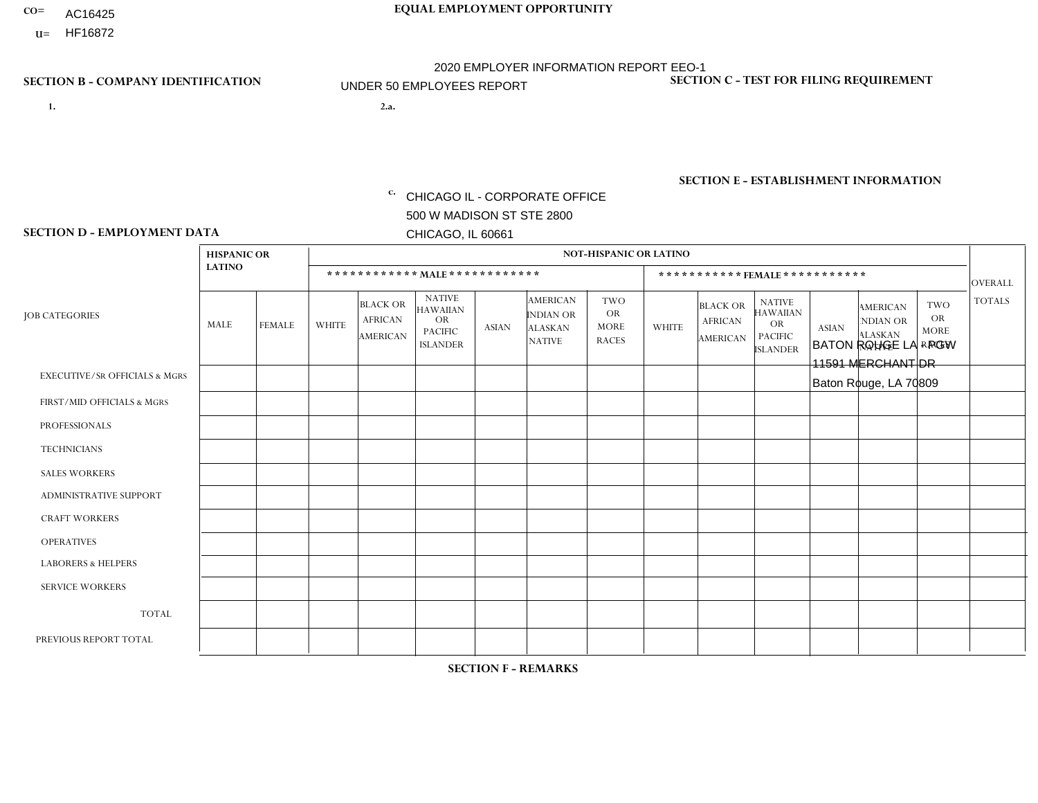- AC16425
- **U=**

**1. 2.a.** CHICAGO IL - CORPORATE OFFICE 500 W MADISON ST STE 2800 CHICAGO, IL 60661

2.a. BATON ROUGE LA - PGW 11591 MERCHANT DR Baton Rouge, LA 70809

EIN= 952920557

## **SECTION B - COMPANY IDENTIFICATION SECTION C - TEST FOR FILING REQUIREMENT**

1- Y 2- Y 3- N DUNS= 000123456

**SECTION E - ESTABLISHMENT INFORMATION c.** NAICS: 811122

### **SECTION D - EMPLOYMENT DATA**

|                                          | <b>HISPANIC OR</b> |               |              |                                                      |                                                                                    |              |                                                                        | <b>NOT-HISPANIC OR LATINO</b>                          |              |                                                      |                                                                                    |              |                                                                       |                                                        |                |
|------------------------------------------|--------------------|---------------|--------------|------------------------------------------------------|------------------------------------------------------------------------------------|--------------|------------------------------------------------------------------------|--------------------------------------------------------|--------------|------------------------------------------------------|------------------------------------------------------------------------------------|--------------|-----------------------------------------------------------------------|--------------------------------------------------------|----------------|
|                                          | <b>LATINO</b>      |               |              | ************ MALE ************                       |                                                                                    |              |                                                                        |                                                        |              |                                                      | *********** FEMALE ***********                                                     |              |                                                                       |                                                        | <b>OVERALL</b> |
| <b>JOB CATEGORIES</b>                    | <b>MALE</b>        | <b>FEMALE</b> | <b>WHITE</b> | <b>BLACK OR</b><br><b>AFRICAN</b><br><b>AMERICAN</b> | <b>NATIVE</b><br><b>HAWAIIAN</b><br><b>OR</b><br><b>PACIFIC</b><br><b>ISLANDER</b> | <b>ASIAN</b> | <b>AMERICAN</b><br><b>INDIAN OR</b><br><b>ALASKAN</b><br><b>NATIVE</b> | <b>TWO</b><br><b>OR</b><br><b>MORE</b><br><b>RACES</b> | <b>WHITE</b> | <b>BLACK OR</b><br><b>AFRICAN</b><br><b>AMERICAN</b> | <b>NATIVE</b><br><b>HAWAIIAN</b><br><b>OR</b><br><b>PACIFIC</b><br><b>ISLANDER</b> | <b>ASIAN</b> | <b>AMERICAN</b><br><b>NDIAN OR</b><br><b>ALASKAN</b><br><b>NATIVE</b> | <b>TWO</b><br><b>OR</b><br><b>MORE</b><br><b>RACES</b> | <b>TOTALS</b>  |
| <b>EXECUTIVE/SR OFFICIALS &amp; MGRS</b> | $\Omega$           | $\Omega$      | $\Omega$     | $\Omega$                                             | $\Omega$                                                                           | $\Omega$     | $\Omega$                                                               | $\Omega$                                               | $\Omega$     | $\mathbf{0}$                                         | $\mathbf{0}$                                                                       | $\Omega$     | $\Omega$                                                              | $\Omega$                                               | $\Omega$       |
| FIRST/MID OFFICIALS & MGRS               | $\Omega$           | $\Omega$      | $\Omega$     | $\mathbf{1}$                                         | 0                                                                                  | $\Omega$     | $\Omega$                                                               | $\Omega$                                               | $\Omega$     | $\mathbf{0}$                                         | $\mathbf{0}$                                                                       | $\Omega$     | $\Omega$                                                              | $\Omega$                                               | $\mathbf{1}$   |
| <b>PROFESSIONALS</b>                     | $\Omega$           | $\Omega$      | $\mathbf 0$  | $\mathbf 0$                                          | $\overline{0}$                                                                     | $\Omega$     | $\overline{0}$                                                         | $\Omega$                                               | $\Omega$     | $\Omega$                                             | $\mathbf{0}$                                                                       | $\Omega$     | $\Omega$                                                              | $\Omega$                                               | $\mathbf 0$    |
| <b>TECHNICIANS</b>                       | $\mathbf 0$        | $\mathbf 0$   | $\Omega$     | $\mathbf 0$                                          | 0                                                                                  | $\Omega$     | $\overline{0}$                                                         | $\Omega$                                               | $\mathbf 0$  | $\mathbf 0$                                          | $\mathbf 0$                                                                        | $\mathbf 0$  | $\Omega$                                                              | $\Omega$                                               | $\mathbf 0$    |
| <b>SALES WORKERS</b>                     | $\Omega$           | $\Omega$      | $\Omega$     | $\Omega$                                             | $\Omega$                                                                           | $\Omega$     | $\Omega$                                                               | $\Omega$                                               | $\Omega$     | $\Omega$                                             | $\Omega$                                                                           | $\Omega$     | $\Omega$                                                              | $\Omega$                                               | $\mathbf 0$    |
| <b>ADMINISTRATIVE SUPPORT</b>            | $\Omega$           | $\Omega$      | $\Omega$     | 0                                                    | $\mathbf 0$                                                                        | $\Omega$     | $\Omega$                                                               | $\Omega$                                               | $\Omega$     | $\mathbf{0}$                                         | $\mathbf{0}$                                                                       | $\Omega$     | $\Omega$                                                              | $\Omega$                                               | $\mathbf 0$    |
| <b>CRAFT WORKERS</b>                     | $\Omega$           | $\Omega$      | $\mathbf 0$  | $\mathbf 0$                                          | 0                                                                                  | $\Omega$     | $\Omega$                                                               | $\Omega$                                               | $\Omega$     | $\Omega$                                             | $\Omega$                                                                           | $\Omega$     | $\Omega$                                                              | $\mathbf{0}$                                           | $\mathbf 0$    |
| <b>OPERATIVES</b>                        | $\Omega$           | $\mathbf 0$   | 1            | $\mathbf 0$                                          | 0                                                                                  | $\Omega$     | $\overline{0}$                                                         | $\Omega$                                               | $\Omega$     |                                                      | $\Omega$                                                                           | $\Omega$     | $\Omega$                                                              | $\mathbf{0}$                                           | $\overline{2}$ |
| <b>LABORERS &amp; HELPERS</b>            | $\Omega$           | $\Omega$      | $\Omega$     | $\overline{2}$                                       | $\Omega$                                                                           | $\Omega$     | $\Omega$                                                               | $\Omega$                                               | $\Omega$     | $\Omega$                                             | $\mathbf{0}$                                                                       | $\Omega$     | $\Omega$                                                              | $\Omega$                                               | $\overline{2}$ |
| <b>SERVICE WORKERS</b>                   | 0                  | 0             | 0            | 0                                                    | 0                                                                                  | $\Omega$     | $\Omega$                                                               | $\Omega$                                               | $\Omega$     | $\Omega$                                             | $\mathbf{0}$                                                                       | $\Omega$     | $\Omega$                                                              | $\Omega$                                               | 0              |
| <b>TOTAL</b>                             | 0                  | $\mathbf 0$   | 1            | 3                                                    | 0                                                                                  | $\mathbf 0$  | $\Omega$                                                               | $\Omega$                                               | 0            |                                                      | $\Omega$                                                                           | $\mathbf 0$  | $\Omega$                                                              | $\Omega$                                               | 5              |
| PREVIOUS REPORT TOTAL                    | $\Omega$           | $\Omega$      | $\Omega$     | 2                                                    | 0                                                                                  | $\Omega$     | $\Omega$                                                               | $\Omega$                                               | $\Omega$     | $\Omega$                                             | $\mathbf{0}$                                                                       | $\Omega$     | $\Omega$                                                              | $\mathbf 0$                                            | $\overline{2}$ |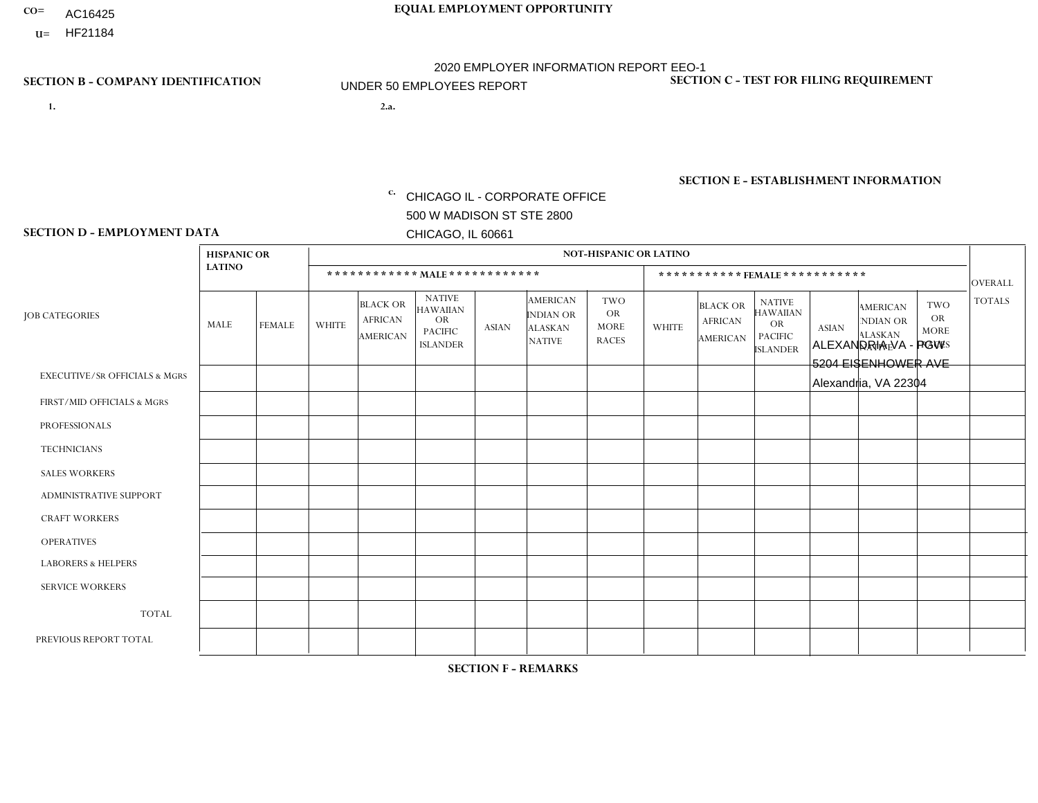- AC16425
- **U=**

**1. 2.a.** CHICAGO IL - CORPORATE OFFICE 500 W MADISON ST STE 2800 CHICAGO, IL 60661

2.a. ALEXANDRIA VA - PGW 5204 EISENHOWER AVE Alexandria, VA 22304

EIN= 952920557

## **SECTION B - COMPANY IDENTIFICATION SECTION C - TEST FOR FILING REQUIREMENT**

1- Y 2- Y 3- N DUNS= 000123456

**SECTION E - ESTABLISHMENT INFORMATION c.** NAICS: 811122

### **SECTION D - EMPLOYMENT DATA**

|                                          |                    |               | <b>NOT-HISPANIC OR LATINO</b> |                                                      |                                                                                    |              |                                                                        |                                                 |              |                                               |                                                                             |              |                                                                |                                                        |                |
|------------------------------------------|--------------------|---------------|-------------------------------|------------------------------------------------------|------------------------------------------------------------------------------------|--------------|------------------------------------------------------------------------|-------------------------------------------------|--------------|-----------------------------------------------|-----------------------------------------------------------------------------|--------------|----------------------------------------------------------------|--------------------------------------------------------|----------------|
|                                          | <b>HISPANIC OR</b> |               |                               |                                                      |                                                                                    |              |                                                                        |                                                 |              |                                               |                                                                             |              |                                                                |                                                        |                |
|                                          | <b>LATINO</b>      |               |                               |                                                      | ************ MALE************                                                      |              |                                                                        |                                                 |              | ***********FEMALE***********                  |                                                                             |              |                                                                |                                                        | <b>OVERALL</b> |
| <b>JOB CATEGORIES</b>                    | MALE               | <b>FEMALE</b> | <b>WHITE</b>                  | <b>BLACK OR</b><br><b>AFRICAN</b><br><b>AMERICAN</b> | <b>NATIVE</b><br><b>HAWAIIAN</b><br><b>OR</b><br><b>PACIFIC</b><br><b>ISLANDER</b> | <b>ASIAN</b> | <b>AMERICAN</b><br><b>INDIAN OR</b><br><b>ALASKAN</b><br><b>NATIVE</b> | TWO<br><b>OR</b><br><b>MORE</b><br><b>RACES</b> | <b>WHITE</b> | <b>BLACK OR</b><br><b>AFRICAN</b><br>AMERICAN | <b>NATIVE</b><br><b>HAWAIIAN</b><br>OR<br><b>PACIFIC</b><br><b>ISLANDER</b> | <b>ASIAN</b> | <b>AMERICAN</b><br>NDIAN OR<br><b>ALASKAN</b><br><b>NATIVE</b> | <b>TWO</b><br><b>OR</b><br><b>MORE</b><br><b>RACES</b> | <b>TOTALS</b>  |
| <b>EXECUTIVE/SR OFFICIALS &amp; MGRS</b> | $\Omega$           | $\Omega$      | $\Omega$                      | $\mathbf 0$                                          | $\Omega$                                                                           | $\Omega$     | $\Omega$                                                               | $\Omega$                                        | $\Omega$     | $\Omega$                                      | $\Omega$                                                                    | $\Omega$     | $\Omega$                                                       | $\mathbf{0}$                                           | $\mathbf{0}$   |
| FIRST/MID OFFICIALS & MGRS               | 0                  | $\Omega$      | 1                             | $\mathbf 0$                                          | $\Omega$                                                                           | $\mathbf{0}$ | $\Omega$                                                               | $\Omega$                                        | $\Omega$     | $\Omega$                                      | $\Omega$                                                                    | $\Omega$     | $\Omega$                                                       | $\Omega$                                               | $\mathbf{1}$   |
| <b>PROFESSIONALS</b>                     | 0                  | $\Omega$      | $\Omega$                      | $\mathbf 0$                                          | $\Omega$                                                                           | $\Omega$     | $\Omega$                                                               | $\Omega$                                        | 0            | $\Omega$                                      | $\Omega$                                                                    | $\Omega$     | $\Omega$                                                       | $\Omega$                                               | $\overline{0}$ |
| <b>TECHNICIANS</b>                       | 0                  | $\Omega$      | $\Omega$                      | $\Omega$                                             | $\Omega$                                                                           | $\Omega$     | $\Omega$                                                               | $\Omega$                                        | $\Omega$     | $\Omega$                                      | $\Omega$                                                                    | $\Omega$     | $\Omega$                                                       | $\Omega$                                               | $\Omega$       |
| <b>SALES WORKERS</b>                     | 0                  | $\Omega$      | $\Omega$                      | $\mathbf 0$                                          | $\Omega$                                                                           | $\Omega$     | $\Omega$                                                               | $\Omega$                                        | 0            | $\Omega$                                      | $\Omega$                                                                    | $\Omega$     | $\Omega$                                                       | $\mathbf{0}$                                           | $\mathbf 0$    |
| <b>ADMINISTRATIVE SUPPORT</b>            | $\Omega$           | 0             | $\Omega$                      | $\mathbf 0$                                          | 0                                                                                  | $\Omega$     | $\Omega$                                                               | $\Omega$                                        | $\Omega$     | $\Omega$                                      | $\Omega$                                                                    | $\mathbf{0}$ | $\mathbf{0}$                                                   | $\Omega$                                               | $\mathbf{0}$   |
| <b>CRAFT WORKERS</b>                     | 0                  | $\mathbf 0$   | $\mathbf 0$                   | $\mathbf 0$                                          | $\Omega$                                                                           | $\Omega$     | $\Omega$                                                               | $\Omega$                                        | 0            | $\Omega$                                      | $\Omega$                                                                    | $\Omega$     | $\Omega$                                                       | $\mathbf{0}$                                           | $\mathbf 0$    |
| <b>OPERATIVES</b>                        | 0                  | $\Omega$      | $\Omega$                      | 5                                                    | $\Omega$                                                                           | $\Omega$     | $\Omega$                                                               |                                                 | $\Omega$     | $\Omega$                                      | $\Omega$                                                                    | $\mathbf{0}$ | $\Omega$                                                       | $\Omega$                                               | 6              |
| <b>LABORERS &amp; HELPERS</b>            | 0                  | $\Omega$      | $\Omega$                      | $\overline{2}$                                       | $\Omega$                                                                           | $\Omega$     | $\Omega$                                                               | $\Omega$                                        | 0            | $\Omega$                                      | $\Omega$                                                                    | $\Omega$     | $\Omega$                                                       | $\Omega$                                               | $\overline{2}$ |
| <b>SERVICE WORKERS</b>                   | 0                  | $\Omega$      | $\mathbf 0$                   | 0                                                    | $\mathbf{0}$                                                                       | $\Omega$     | $\Omega$                                                               | $\Omega$                                        | $\Omega$     | $\Omega$                                      | $\Omega$                                                                    | $\Omega$     | $\Omega$                                                       | $\Omega$                                               | 0              |
| <b>TOTAL</b>                             | 0                  | 0             |                               | $\overline{7}$                                       | $\mathbf{0}$                                                                       | $\mathbf 0$  | $\Omega$                                                               |                                                 | $\Omega$     | $\Omega$                                      | $\Omega$                                                                    | $\mathbf 0$  | 0                                                              | $\mathbf 0$                                            | 9              |
| PREVIOUS REPORT TOTAL                    | 1                  | 0             | 2                             | 4                                                    | 0                                                                                  | $\Omega$     | $\Omega$                                                               | $\overline{2}$                                  | 0            | $\Omega$                                      | $\Omega$                                                                    | $\Omega$     | 0                                                              | $\mathbf 0$                                            | 9              |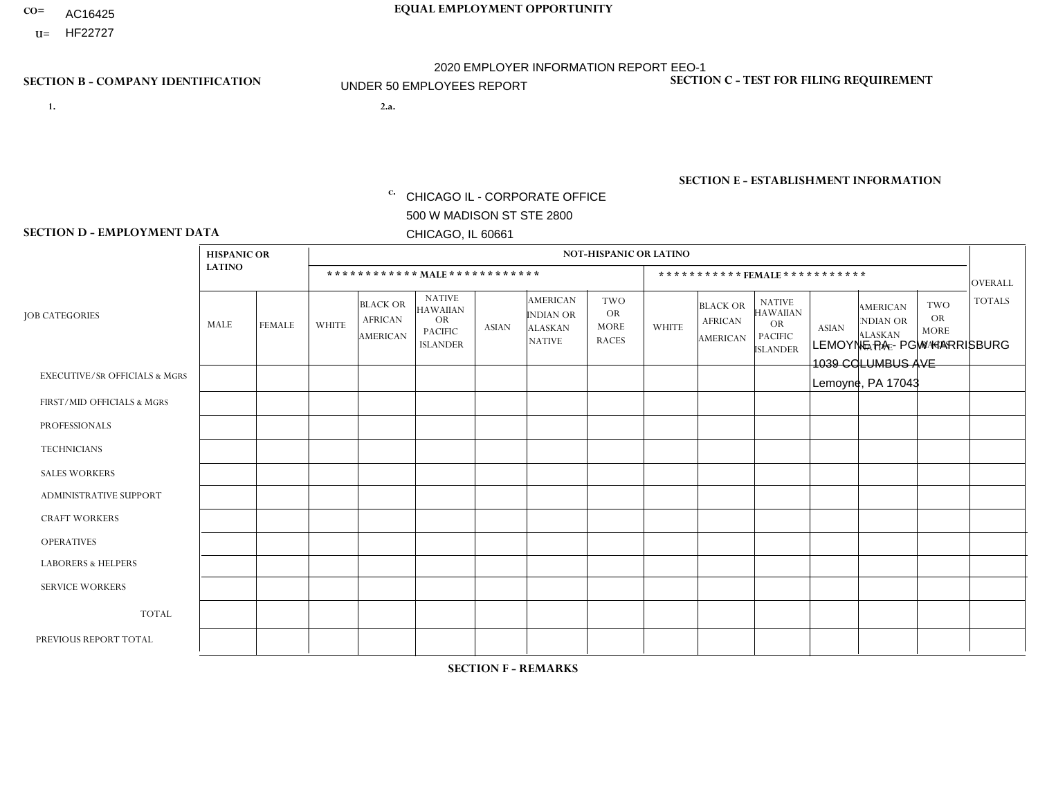- AC16425
- **U=**

**1. 2.a.** CHICAGO IL - CORPORATE OFFICE 500 W MADISON ST STE 2800 CHICAGO, IL 60661

2.a. LEMOYNE PA - PGW HARRISBURG 1039 COLUMBUS AVE Lemoyne, PA 17043

EIN= 952920557

## **SECTION B - COMPANY IDENTIFICATION SECTION C - TEST FOR FILING REQUIREMENT**

1- Y 2- Y 3- N DUNS= 000123456

**SECTION E - ESTABLISHMENT INFORMATION c.** NAICS: 811122

### **SECTION D - EMPLOYMENT DATA**

|                                          | <b>HISPANIC OR</b> |               |                |                                                      |                                                                                    |              |                                                                        | <b>NOT-HISPANIC OR LATINO</b>                          |              |                                               |                                                                                    |              |                                                                       |                                                        |                |
|------------------------------------------|--------------------|---------------|----------------|------------------------------------------------------|------------------------------------------------------------------------------------|--------------|------------------------------------------------------------------------|--------------------------------------------------------|--------------|-----------------------------------------------|------------------------------------------------------------------------------------|--------------|-----------------------------------------------------------------------|--------------------------------------------------------|----------------|
|                                          | <b>LATINO</b>      |               |                | ************ MALE ************                       |                                                                                    |              |                                                                        |                                                        |              | ***********FEMALE***********                  |                                                                                    |              |                                                                       |                                                        | <b>OVERALL</b> |
| <b>JOB CATEGORIES</b>                    | MALE               | <b>FEMALE</b> | <b>WHITE</b>   | <b>BLACK OR</b><br><b>AFRICAN</b><br><b>AMERICAN</b> | <b>NATIVE</b><br><b>HAWAIIAN</b><br><b>OR</b><br><b>PACIFIC</b><br><b>ISLANDER</b> | ASIAN        | <b>AMERICAN</b><br><b>INDIAN OR</b><br><b>ALASKAN</b><br><b>NATIVE</b> | <b>TWO</b><br><b>OR</b><br><b>MORE</b><br><b>RACES</b> | <b>WHITE</b> | <b>BLACK OR</b><br><b>AFRICAN</b><br>AMERICAN | <b>NATIVE</b><br><b>HAWAIIAN</b><br><b>OR</b><br><b>PACIFIC</b><br><b>ISLANDER</b> | <b>ASIAN</b> | <b>AMERICAN</b><br><b>NDIAN OR</b><br><b>ALASKAN</b><br><b>NATIVE</b> | <b>TWO</b><br><b>OR</b><br><b>MORE</b><br><b>RACES</b> | <b>TOTALS</b>  |
| <b>EXECUTIVE/SR OFFICIALS &amp; MGRS</b> | $\Omega$           | $\Omega$      | $\Omega$       | $\mathbf 0$                                          | $\Omega$                                                                           | $\mathbf{0}$ | $\Omega$                                                               | $\Omega$                                               | 0            | $\Omega$                                      | $\Omega$                                                                           | $\Omega$     | $\Omega$                                                              | $\Omega$                                               | $\mathbf{0}$   |
| FIRST/MID OFFICIALS & MGRS               | 0                  | $\Omega$      |                | $\mathbf 0$                                          | $\Omega$                                                                           | $\Omega$     | $\Omega$                                                               | $\Omega$                                               | 0            | $\Omega$                                      | $\Omega$                                                                           | $\Omega$     | $\Omega$                                                              | $\Omega$                                               | $\mathbf{1}$   |
| <b>PROFESSIONALS</b>                     | 0                  | $\mathbf 0$   | $\mathbf 0$    | $\mathbf 0$                                          | $\Omega$                                                                           | $\Omega$     | $\Omega$                                                               | $\Omega$                                               | 0            | $\Omega$                                      | $\Omega$                                                                           | $\Omega$     | $\Omega$                                                              | $\Omega$                                               | $\mathbf{0}$   |
| <b>TECHNICIANS</b>                       | 0                  | $\Omega$      | $\Omega$       | $\mathbf 0$                                          | $\Omega$                                                                           | $\Omega$     | $\Omega$                                                               | $\Omega$                                               | $\Omega$     | $\Omega$                                      | $\Omega$                                                                           | $\Omega$     | $\Omega$                                                              | $\Omega$                                               | $\mathbf{0}$   |
| <b>SALES WORKERS</b>                     | 0                  | $\Omega$      | $\Omega$       | $\Omega$                                             | $\Omega$                                                                           | $\Omega$     | $\Omega$                                                               | $\Omega$                                               | 0            | $\Omega$                                      | $\Omega$                                                                           | $\Omega$     | $\Omega$                                                              | $\Omega$                                               | $\Omega$       |
| <b>ADMINISTRATIVE SUPPORT</b>            | 0                  | 0             | $\Omega$       | $\mathbf 0$                                          | 0                                                                                  | $\Omega$     | $\Omega$                                                               | $\Omega$                                               | $\Omega$     | $\Omega$                                      | $\Omega$                                                                           | $\mathbf{0}$ | $\mathbf{0}$                                                          | $\mathbf 0$                                            | $\mathbf 0$    |
| <b>CRAFT WORKERS</b>                     | 0                  | $\Omega$      | $\Omega$       | $\mathbf 0$                                          | $\Omega$                                                                           | $\Omega$     | $\Omega$                                                               | $\Omega$                                               | 0            | $\Omega$                                      | $\Omega$                                                                           | $\Omega$     | $\Omega$                                                              | $\Omega$                                               | $\Omega$       |
| <b>OPERATIVES</b>                        | 0                  | $\Omega$      | 5              | $\mathbf 0$                                          | $\Omega$                                                                           | $\Omega$     | $\Omega$                                                               | $\Omega$                                               | $\Omega$     | $\Omega$                                      | $\Omega$                                                                           | $\Omega$     | $\Omega$                                                              | $\Omega$                                               | 5              |
| <b>LABORERS &amp; HELPERS</b>            | 0                  | $\Omega$      | -1             | $\mathbf 0$                                          | $\Omega$                                                                           | $\Omega$     | $\Omega$                                                               | $\Omega$                                               | $\Omega$     | $\Omega$                                      | $\Omega$                                                                           | $\mathbf{0}$ | $\Omega$                                                              | $\mathbf 0$                                            | $\mathbf{1}$   |
| <b>SERVICE WORKERS</b>                   | 0                  | $\Omega$      | $\mathbf 0$    | 0                                                    | 0                                                                                  | $\Omega$     | $\Omega$                                                               | $\Omega$                                               | $\Omega$     | $\Omega$                                      | $\Omega$                                                                           | $\Omega$     | $\Omega$                                                              | $\mathbf 0$                                            | $\overline{0}$ |
| <b>TOTAL</b>                             | $\mathbf 0$        | 0             | $\overline{7}$ | 0                                                    | 0                                                                                  | $\mathbf 0$  | $\Omega$                                                               | $\Omega$                                               | $\Omega$     | $\Omega$                                      | $\Omega$                                                                           | $\mathbf 0$  | 0                                                                     | $\mathbf 0$                                            | $\overline{7}$ |
| PREVIOUS REPORT TOTAL                    | 0                  | $\Omega$      | 2              | $\mathbf 0$                                          | $\Omega$                                                                           | $\mathbf{0}$ | $\Omega$                                                               | $\Omega$                                               | 0            | $\Omega$                                      | $\Omega$                                                                           | $\Omega$     | $\Omega$                                                              | $\mathbf 0$                                            | $\overline{2}$ |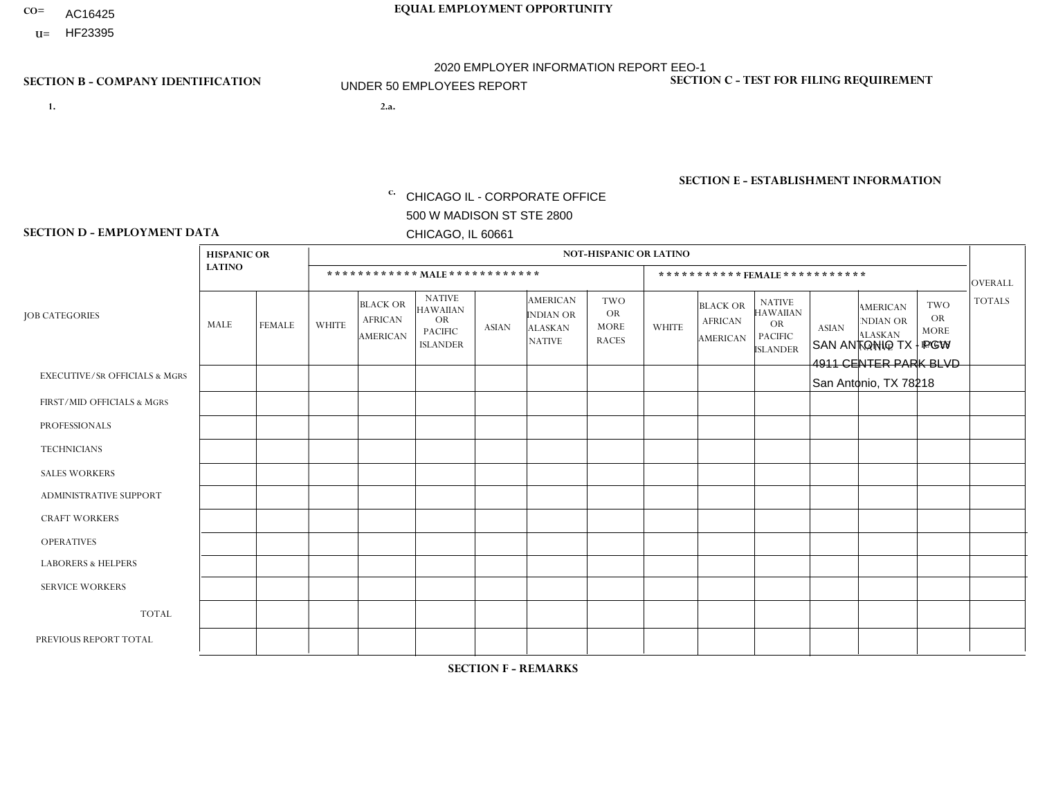- AC16425
- **U=**

- **1. 2.a.** CHICAGO IL CORPORATE OFFICE 500 W MADISON ST STE 2800 CHICAGO, IL 60661
- 2.a. SAN ANTONIO TX PGW 4911 CENTER PARK BLVD San Antonio, TX 78218

EIN= 952920557

## **SECTION B - COMPANY IDENTIFICATION SECTION C - TEST FOR FILING REQUIREMENT**

1- Y 2- Y 3- N DUNS= 000123456

**SECTION E - ESTABLISHMENT INFORMATION c.** NAICS: 811122

### **SECTION D - EMPLOYMENT DATA**

|                                          | <b>HISPANIC OR</b> |               |              |                                                      |                                                                                    |              |                                                                        | <b>NOT-HISPANIC OR LATINO</b>                          |              |                                                      |                                                                                    |              |                                                                       |                                                        |                |
|------------------------------------------|--------------------|---------------|--------------|------------------------------------------------------|------------------------------------------------------------------------------------|--------------|------------------------------------------------------------------------|--------------------------------------------------------|--------------|------------------------------------------------------|------------------------------------------------------------------------------------|--------------|-----------------------------------------------------------------------|--------------------------------------------------------|----------------|
|                                          | <b>LATINO</b>      |               |              | ************ MALE ************                       |                                                                                    |              |                                                                        |                                                        |              |                                                      | ***********FEMALE***********                                                       |              |                                                                       |                                                        | <b>OVERALL</b> |
| <b>JOB CATEGORIES</b>                    | <b>MALE</b>        | <b>FEMALE</b> | <b>WHITE</b> | <b>BLACK OR</b><br><b>AFRICAN</b><br><b>AMERICAN</b> | <b>NATIVE</b><br><b>HAWAIIAN</b><br><b>OR</b><br><b>PACIFIC</b><br><b>ISLANDER</b> | <b>ASIAN</b> | <b>AMERICAN</b><br><b>INDIAN OR</b><br><b>ALASKAN</b><br><b>NATIVE</b> | <b>TWO</b><br><b>OR</b><br><b>MORE</b><br><b>RACES</b> | <b>WHITE</b> | <b>BLACK OR</b><br><b>AFRICAN</b><br><b>AMERICAN</b> | <b>NATIVE</b><br><b>HAWAIIAN</b><br><b>OR</b><br><b>PACIFIC</b><br><b>ISLANDER</b> | <b>ASIAN</b> | <b>AMERICAN</b><br><b>NDIAN OR</b><br><b>ALASKAN</b><br><b>NATIVE</b> | <b>TWO</b><br><b>OR</b><br><b>MORE</b><br><b>RACES</b> | <b>TOTALS</b>  |
| <b>EXECUTIVE/SR OFFICIALS &amp; MGRS</b> | $\mathbf{0}$       | $\Omega$      | $\Omega$     | $\Omega$                                             | 0                                                                                  | $\Omega$     | $\Omega$                                                               | $\Omega$                                               | $\Omega$     | $\mathbf{0}$                                         | $\Omega$                                                                           | $\Omega$     | $\Omega$                                                              | $\Omega$                                               | $\Omega$       |
| FIRST/MID OFFICIALS & MGRS               | и                  | $\Omega$      | $\Omega$     | $\mathbf 0$                                          | $\mathbf 0$                                                                        | $\Omega$     | $\Omega$                                                               | $\Omega$                                               | $\Omega$     | $\Omega$                                             | $\Omega$                                                                           | $\Omega$     | $\Omega$                                                              | $\Omega$                                               | $\mathbf{1}$   |
| <b>PROFESSIONALS</b>                     | $\Omega$           | $\Omega$      | $\mathbf 0$  | $\mathbf 0$                                          | $\overline{0}$                                                                     | $\Omega$     | $\Omega$                                                               | $\Omega$                                               | $\Omega$     | $\Omega$                                             | $\Omega$                                                                           | $\Omega$     | $\Omega$                                                              | $\mathbf{0}$                                           | $\mathbf 0$    |
| <b>TECHNICIANS</b>                       | $\Omega$           | $\Omega$      | $\Omega$     | $\Omega$                                             | 0                                                                                  | $\Omega$     | $\overline{0}$                                                         | $\Omega$                                               | $\Omega$     | $\Omega$                                             | $\Omega$                                                                           | $\Omega$     | $\mathbf{0}$                                                          | $\Omega$                                               | $\mathbf 0$    |
| <b>SALES WORKERS</b>                     | $\Omega$           | $\Omega$      | $\Omega$     | $\Omega$                                             | 0                                                                                  | $\Omega$     | $\Omega$                                                               | $\Omega$                                               | $\Omega$     | $\Omega$                                             | $\Omega$                                                                           | $\Omega$     | $\Omega$                                                              | $\mathbf{0}$                                           | $\mathbf 0$    |
| <b>ADMINISTRATIVE SUPPORT</b>            | $\Omega$           | $\mathbf 0$   | $\Omega$     | $\mathbf 0$                                          | $\mathbf 0$                                                                        | $\mathbf 0$  | $\Omega$                                                               | $\Omega$                                               | $\Omega$     | $\Omega$                                             | $\Omega$                                                                           | $\Omega$     | $\Omega$                                                              | $\Omega$                                               | $\mathbf 0$    |
| <b>CRAFT WORKERS</b>                     | $\Omega$           | $\Omega$      | $\Omega$     | 0                                                    | 0                                                                                  | $\Omega$     | $\Omega$                                                               | $\Omega$                                               | $\Omega$     | $\Omega$                                             | $\Omega$                                                                           | $\Omega$     | $\Omega$                                                              | $\Omega$                                               | $\Omega$       |
| <b>OPERATIVES</b>                        | 3                  | $\Omega$      | $\Omega$     | $\mathbf 0$                                          | 0                                                                                  | $\Omega$     | $\Omega$                                                               | $\Omega$                                               | $\Omega$     | $\Omega$                                             | $\Omega$                                                                           | $\Omega$     | $\Omega$                                                              | $\Omega$                                               | 3              |
| <b>LABORERS &amp; HELPERS</b>            | $\Omega$           | $\Omega$      | $\Omega$     | $\mathbf 0$                                          | 0                                                                                  | $\Omega$     | $\Omega$                                                               | $\Omega$                                               | $\Omega$     | $\Omega$                                             | $\Omega$                                                                           | $\Omega$     | $\Omega$                                                              | $\Omega$                                               | $\mathbf 0$    |
| <b>SERVICE WORKERS</b>                   | $\Omega$           | $\Omega$      | $\Omega$     | 0                                                    | $\mathbf 0$                                                                        | $\Omega$     | $\Omega$                                                               | $\Omega$                                               | $\Omega$     | $\Omega$                                             | $\Omega$                                                                           | $\Omega$     | $\Omega$                                                              | $\Omega$                                               | 0              |
| <b>TOTAL</b>                             | 4                  | 0             | 0            | $\mathbf 0$                                          | 0                                                                                  | $\mathbf{0}$ | $\Omega$                                                               | $\Omega$                                               | 0            | $\Omega$                                             | $\Omega$                                                                           | $\mathbf 0$  | $\Omega$                                                              | $\mathbf 0$                                            | 4              |
| PREVIOUS REPORT TOTAL                    | 3                  | $\mathbf 0$   |              | $\mathbf 0$                                          | 0                                                                                  | $\Omega$     | $\overline{0}$                                                         | $\Omega$                                               | $\Omega$     | $\Omega$                                             | $\mathbf{0}$                                                                       | $\Omega$     | $\Omega$                                                              | $\mathbf 0$                                            | $\overline{4}$ |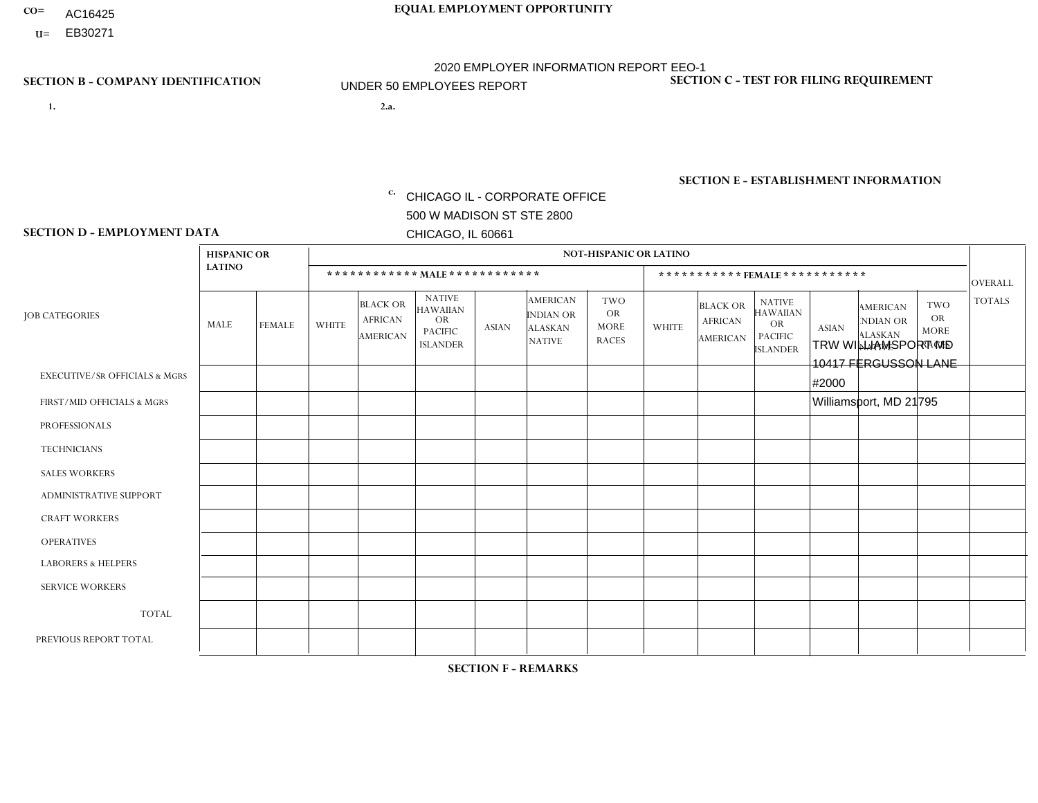- AC16425
- **U=**

- **1. 2.a.** CHICAGO IL CORPORATE OFFICE 500 W MADISON ST STE 2800 CHICAGO, IL 60661
- 2.a. TRW WILLIAMSPORT MD 10417 FERGUSSON LANE #2000 Williamsport, MD 21795
	- c. EIN= 952920557

## **SECTION B - COMPANY IDENTIFICATION SECTION C - TEST FOR FILING REQUIREMENT**

1- Y 2- Y 3- N DUNS= 000123456

**SECTION E - ESTABLISHMENT INFORMATION c.** NAICS: 423140

### **SECTION D - EMPLOYMENT DATA**

|                                          | <b>HISPANIC OR</b><br><b>LATINO</b> |               | <b>NOT-HISPANIC OR LATINO</b>  |                                                      |                                                                                    |              |                                                                        |                                                        |                              |                                                      |                                                                                    |              |                                                                |                                                        |                |
|------------------------------------------|-------------------------------------|---------------|--------------------------------|------------------------------------------------------|------------------------------------------------------------------------------------|--------------|------------------------------------------------------------------------|--------------------------------------------------------|------------------------------|------------------------------------------------------|------------------------------------------------------------------------------------|--------------|----------------------------------------------------------------|--------------------------------------------------------|----------------|
|                                          |                                     |               | ************ MALE ************ |                                                      |                                                                                    |              |                                                                        |                                                        | ***********FEMALE*********** |                                                      |                                                                                    |              |                                                                |                                                        | OVERALL        |
| <b>JOB CATEGORIES</b>                    | MALE                                | <b>FEMALE</b> | <b>WHITE</b>                   | <b>BLACK OR</b><br><b>AFRICAN</b><br><b>AMERICAN</b> | <b>NATIVE</b><br><b>HAWAIIAN</b><br><b>OR</b><br><b>PACIFIC</b><br><b>ISLANDER</b> | <b>ASIAN</b> | <b>AMERICAN</b><br><b>INDIAN OR</b><br><b>ALASKAN</b><br><b>NATIVE</b> | <b>TWO</b><br><b>OR</b><br><b>MORE</b><br><b>RACES</b> | <b>WHITE</b>                 | <b>BLACK OR</b><br><b>AFRICAN</b><br><b>AMERICAN</b> | <b>NATIVE</b><br><b>HAWAIIAN</b><br><b>OR</b><br><b>PACIFIC</b><br><b>ISLANDER</b> | <b>ASIAN</b> | <b>AMERICAN</b><br>NDIAN OR<br><b>ALASKAN</b><br><b>NATIVE</b> | <b>TWO</b><br><b>OR</b><br><b>MORE</b><br><b>RACES</b> | <b>TOTALS</b>  |
| <b>EXECUTIVE/SR OFFICIALS &amp; MGRS</b> | $\Omega$                            | $\mathbf 0$   | $\mathbf 0$                    | $\Omega$                                             | $\mathbf{0}$                                                                       | $\Omega$     | $\Omega$                                                               | $\Omega$                                               | $\Omega$                     | $\Omega$                                             | $\Omega$                                                                           | $\Omega$     | $\Omega$                                                       | $\Omega$                                               | $\mathbf 0$    |
| FIRST/MID OFFICIALS & MGRS               | $\Omega$                            | $\mathbf 0$   | $\overline{c}$                 | 0                                                    | $\mathbf{0}$                                                                       | $\Omega$     | $\Omega$                                                               | 0                                                      | $\Omega$                     | $\Omega$                                             | $\Omega$                                                                           | $\Omega$     | $\Omega$                                                       | $\Omega$                                               | $\overline{2}$ |
| <b>PROFESSIONALS</b>                     | $\Omega$                            | $\mathbf 0$   | $\Omega$                       | $\Omega$                                             | $\Omega$                                                                           | $\Omega$     | $\Omega$                                                               | 0                                                      | $\Omega$                     | $\Omega$                                             | $\Omega$                                                                           | $\Omega$     | $\Omega$                                                       | $\Omega$                                               | $\mathbf 0$    |
| <b>TECHNICIANS</b>                       | $\mathbf 0$                         | $\mathbf 0$   | $\Omega$                       | $\Omega$                                             | $\Omega$                                                                           | $\Omega$     | $\Omega$                                                               | $\Omega$                                               | $\Omega$                     | $\Omega$                                             | $\Omega$                                                                           | $\Omega$     | $\Omega$                                                       | $\Omega$                                               | $\mathbf 0$    |
| <b>SALES WORKERS</b>                     | $\Omega$                            | $\mathbf 0$   | $\Omega$                       | $\Omega$                                             | $\Omega$                                                                           | $\Omega$     | $\Omega$                                                               | 0                                                      | $\Omega$                     | $\Omega$                                             | $\Omega$                                                                           | $\Omega$     | $\Omega$                                                       | $\Omega$                                               | $\mathbf 0$    |
| <b>ADMINISTRATIVE SUPPORT</b>            | $\Omega$                            | $\mathbf 0$   | $\mathbf 0$                    | $\Omega$                                             | $\Omega$                                                                           | $\Omega$     | $\Omega$                                                               | 0                                                      | $\Omega$                     | $\Omega$                                             | $\Omega$                                                                           | $\Omega$     | $\Omega$                                                       | $\Omega$                                               | $\mathbf 0$    |
| <b>CRAFT WORKERS</b>                     | $\Omega$                            | $\mathbf 0$   | $\mathbf 0$                    | $\Omega$                                             | $\mathbf{0}$                                                                       | $\Omega$     | $\Omega$                                                               | $\Omega$                                               | $\Omega$                     | $\Omega$                                             | $\Omega$                                                                           | $\Omega$     | $\Omega$                                                       | $\Omega$                                               | $\Omega$       |
| <b>OPERATIVES</b>                        | $\mathbf 0$                         | $\mathbf 0$   | 24                             | $\mathbf 0$                                          | $\Omega$                                                                           | $\Omega$     | $\Omega$                                                               | 1                                                      | $\overline{1}$               | $\Omega$                                             | $\Omega$                                                                           | $\Omega$     | $\Omega$                                                       | $\Omega$                                               | 26             |
| <b>LABORERS &amp; HELPERS</b>            | $\Omega$                            | $\mathbf 0$   | $\mathbf{1}$                   | 0                                                    | $\Omega$                                                                           | $\Omega$     | $\Omega$                                                               | 0                                                      | $\Omega$                     | $\Omega$                                             | $\Omega$                                                                           | $\Omega$     | $\Omega$                                                       | $\Omega$                                               | $\mathbf{1}$   |
| <b>SERVICE WORKERS</b>                   | $\Omega$                            | $\mathbf 0$   | $\mathbf 0$                    | $\mathbf 0$                                          | $\Omega$                                                                           | $\mathbf{0}$ | $\Omega$                                                               | 0                                                      | $\Omega$                     | $\Omega$                                             | $\Omega$                                                                           | $\Omega$     | $\Omega$                                                       | $\Omega$                                               | 0              |
| <b>TOTAL</b>                             | $\mathbf 0$                         | 0             | 27                             | 0                                                    | $\mathbf{0}$                                                                       | $\mathbf{0}$ | $\Omega$                                                               | $\mathbf{1}$                                           | $\mathbf 1$                  | $\Omega$                                             | $\mathbf 0$                                                                        | $\Omega$     | $\Omega$                                                       | $\Omega$                                               | 29             |
| PREVIOUS REPORT TOTAL                    |                                     | $\mathbf 0$   | 28                             | 5                                                    | $\Omega$                                                                           | $\Omega$     | $\Omega$                                                               | $\overline{2}$                                         | 3                            | 0                                                    | $\Omega$                                                                           | $\Omega$     | $\Omega$                                                       | $\Omega$                                               | 39             |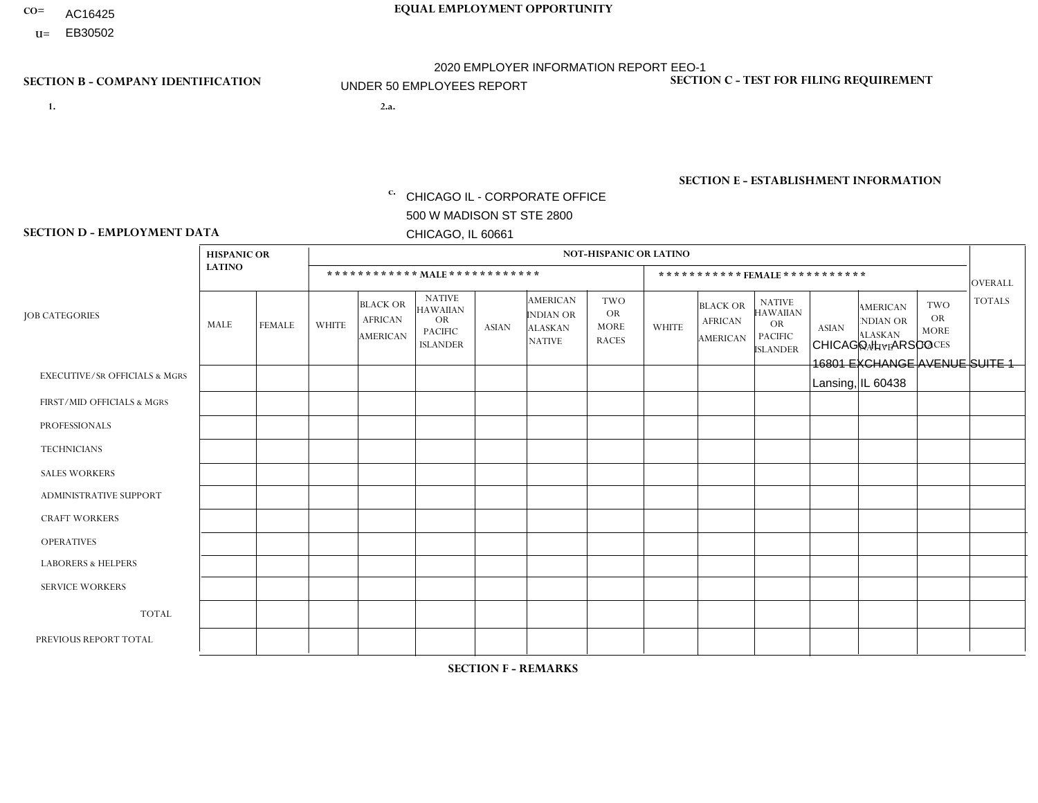- AC16425
- **U=**

- **1. 2.a.** CHICAGO IL CORPORATE OFFICE 500 W MADISON ST STE 2800 CHICAGO, IL 60661
- 2.a. CHICAGO IL ARSCO 16801 EXCHANGE AVENUE SUITE 1 Lansing, IL 60438

c. EIN= 952920557

## **SECTION B - COMPANY IDENTIFICATION SECTION C - TEST FOR FILING REQUIREMENT**

1- Y 2- Y 3- N DUNS= 000123456

**SECTION E - ESTABLISHMENT INFORMATION c.** NAICS: 423140

### **SECTION D - EMPLOYMENT DATA**

|                                          | <b>HISPANIC OR</b> |               |                |                                                      |                                                                                    |             |                                                                        | <b>NOT-HISPANIC OR LATINO</b>                          |                |                                               |                                                                             |              |                                                                       |                                                        |                |
|------------------------------------------|--------------------|---------------|----------------|------------------------------------------------------|------------------------------------------------------------------------------------|-------------|------------------------------------------------------------------------|--------------------------------------------------------|----------------|-----------------------------------------------|-----------------------------------------------------------------------------|--------------|-----------------------------------------------------------------------|--------------------------------------------------------|----------------|
|                                          | <b>LATINO</b>      |               |                | ************ MALE ************                       |                                                                                    |             |                                                                        |                                                        |                | ***********FEMALE***********                  |                                                                             |              |                                                                       |                                                        | <b>OVERALL</b> |
| <b>JOB CATEGORIES</b>                    | MALE               | <b>FEMALE</b> | <b>WHITE</b>   | <b>BLACK OR</b><br><b>AFRICAN</b><br><b>AMERICAN</b> | <b>NATIVE</b><br><b>HAWAIIAN</b><br><b>OR</b><br><b>PACIFIC</b><br><b>ISLANDER</b> | ASIAN       | <b>AMERICAN</b><br><b>INDIAN OR</b><br><b>ALASKAN</b><br><b>NATIVE</b> | <b>TWO</b><br><b>OR</b><br><b>MORE</b><br><b>RACES</b> | <b>WHITE</b>   | <b>BLACK OR</b><br><b>AFRICAN</b><br>AMERICAN | <b>NATIVE</b><br><b>HAWAIIAN</b><br>OR<br><b>PACIFIC</b><br><b>ISLANDER</b> | <b>ASIAN</b> | <b>AMERICAN</b><br><b>NDIAN OR</b><br><b>ALASKAN</b><br><b>NATIVE</b> | <b>TWO</b><br><b>OR</b><br><b>MORE</b><br><b>RACES</b> | <b>TOTALS</b>  |
| <b>EXECUTIVE/SR OFFICIALS &amp; MGRS</b> | $\Omega$           | $\Omega$      | $\Omega$       | $\mathbf 0$                                          | $\mathbf 0$                                                                        | $\Omega$    | $\Omega$                                                               | $\Omega$                                               | $\Omega$       | $\Omega$                                      | $\Omega$                                                                    | $\mathbf 0$  | $\Omega$                                                              | $\mathbf 0$                                            | $\mathbf{0}$   |
| FIRST/MID OFFICIALS & MGRS               | 0                  | 0             | 2              | $\mathbf 0$                                          | 0                                                                                  | $\Omega$    | $\Omega$                                                               | $\Omega$                                               | 0              | $\Omega$                                      | $\Omega$                                                                    | $\mathbf{0}$ | $\Omega$                                                              | $\mathbf 0$                                            | $\overline{2}$ |
| <b>PROFESSIONALS</b>                     | $\Omega$           | $\Omega$      | $\Omega$       | $\mathbf 0$                                          | $\Omega$                                                                           | $\Omega$    | $\Omega$                                                               | $\Omega$                                               | $\overline{0}$ | $\Omega$                                      | $\Omega$                                                                    | $\Omega$     | $\Omega$                                                              | $\Omega$                                               | $\mathbf 0$    |
| <b>TECHNICIANS</b>                       | 0                  | $\mathbf 0$   | $\Omega$       | $\mathbf 0$                                          | $\Omega$                                                                           | $\Omega$    | $\Omega$                                                               | $\Omega$                                               | $\Omega$       | $\Omega$                                      | $\Omega$                                                                    | $\Omega$     | $\Omega$                                                              | $\Omega$                                               | $\mathbf{0}$   |
| <b>SALES WORKERS</b>                     | $\Omega$           | $\Omega$      | $\overline{2}$ | $\mathbf 0$                                          | $\Omega$                                                                           | $\Omega$    | $\Omega$                                                               | $\Omega$                                               | $\overline{0}$ | $\Omega$                                      | $\Omega$                                                                    | $\Omega$     | $\Omega$                                                              | $\mathbf{0}$                                           | $\overline{2}$ |
| ADMINISTRATIVE SUPPORT                   | $\mathbf 0$        | 0             | $\Omega$       | $\mathbf 0$                                          | 0                                                                                  | $\Omega$    | $\Omega$                                                               | $\Omega$                                               |                | $\Omega$                                      | $\Omega$                                                                    | $\mathbf{0}$ | $\mathbf{0}$                                                          | $\mathbf 0$                                            | $\mathbf{1}$   |
| <b>CRAFT WORKERS</b>                     | 0                  | $\Omega$      | 1              | $\overline{1}$                                       | $\Omega$                                                                           | $\Omega$    | $\Omega$                                                               | $\Omega$                                               | 0              | $\Omega$                                      | $\Omega$                                                                    | $\Omega$     | $\Omega$                                                              | $\Omega$                                               | $\overline{2}$ |
| <b>OPERATIVES</b>                        | 0                  | $\Omega$      | $\Omega$       | $\mathbf 0$                                          | $\Omega$                                                                           | $\Omega$    | $\Omega$                                                               | $\Omega$                                               | $\Omega$       | $\Omega$                                      | $\Omega$                                                                    | $\Omega$     | $\Omega$                                                              | $\Omega$                                               | $\overline{0}$ |
| <b>LABORERS &amp; HELPERS</b>            | 0                  | $\Omega$      | 3              | $\mathbf 0$                                          | $\mathbf 0$                                                                        | $\Omega$    | $\Omega$                                                               | $\Omega$                                               | $\Omega$       | $\Omega$                                      | $\Omega$                                                                    | $\Omega$     | $\Omega$                                                              | $\Omega$                                               | 3              |
| <b>SERVICE WORKERS</b>                   | 0                  | $\mathbf 0$   | $\mathbf 0$    | $\mathbf 0$                                          | $\mathbf{0}$                                                                       | $\mathbf 0$ | $\Omega$                                                               | $\Omega$                                               | $\Omega$       | $\Omega$                                      | $\Omega$                                                                    | $\mathbf 0$  | $\Omega$                                                              | $\mathbf 0$                                            | $\overline{0}$ |
| <b>TOTAL</b>                             | $\Omega$           | 0             | 8              | $\mathbf{1}$                                         | 0                                                                                  | $\Omega$    | $\Omega$                                                               | $\Omega$                                               | -1             | $\Omega$                                      | $\Omega$                                                                    | $\mathbf 0$  | 0                                                                     | $\mathbf 0$                                            | 10             |
| PREVIOUS REPORT TOTAL                    | 0                  | $\Omega$      | 13             | $\overline{1}$                                       | $\Omega$                                                                           | $\Omega$    | $\Omega$                                                               | $\Omega$                                               |                | $\Omega$                                      | $\Omega$                                                                    | $\Omega$     | $\Omega$                                                              | $\mathbf 0$                                            | 15             |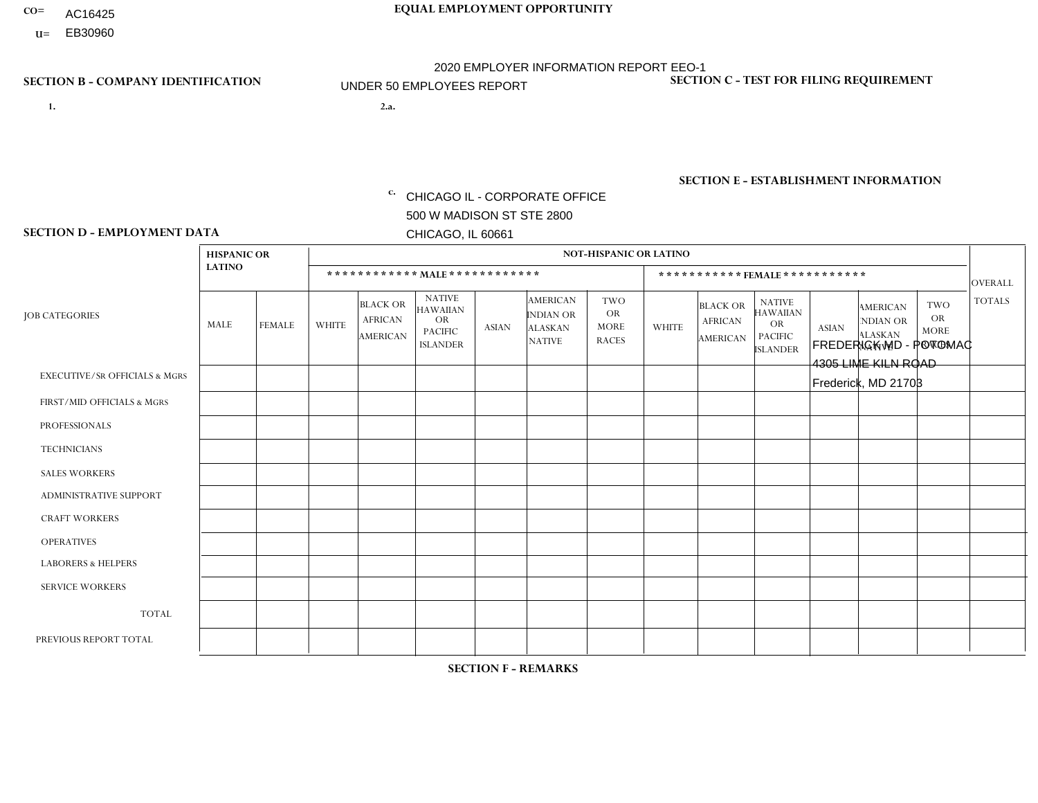- AC16425
- **U=**

**1. 2.a.** CHICAGO IL - CORPORATE OFFICE 500 W MADISON ST STE 2800 CHICAGO, IL 60661

2.a. FREDERICK MD - POTOMAC 4305 LIME KILN ROAD Frederick, MD 21703

c. EIN= 952920557

## **SECTION B - COMPANY IDENTIFICATION SECTION C - TEST FOR FILING REQUIREMENT**

1- Y 2- Y 3- N DUNS= 000123456

**SECTION E - ESTABLISHMENT INFORMATION c.** NAICS: 423140

### **SECTION D - EMPLOYMENT DATA**

|                                          | <b>HISPANIC OR</b> |             |                |                                                      |                                                                                    |              |                                                                        | <b>NOT-HISPANIC OR LATINO</b>                          |              |                                               |                                                                                    |              |                                                                |                                                        |                |
|------------------------------------------|--------------------|-------------|----------------|------------------------------------------------------|------------------------------------------------------------------------------------|--------------|------------------------------------------------------------------------|--------------------------------------------------------|--------------|-----------------------------------------------|------------------------------------------------------------------------------------|--------------|----------------------------------------------------------------|--------------------------------------------------------|----------------|
|                                          | <b>LATINO</b>      |             |                |                                                      | ************ MAIE************                                                      |              |                                                                        |                                                        |              | ***********FEMALE***********                  |                                                                                    |              |                                                                |                                                        | <b>OVERALL</b> |
| <b>JOB CATEGORIES</b>                    | MALE               | FEMALE      | <b>WHITE</b>   | <b>BLACK OR</b><br><b>AFRICAN</b><br><b>AMERICAN</b> | <b>NATIVE</b><br><b>HAWAIIAN</b><br><b>OR</b><br><b>PACIFIC</b><br><b>ISLANDER</b> | <b>ASIAN</b> | <b>AMERICAN</b><br><b>INDIAN OR</b><br><b>ALASKAN</b><br><b>NATIVE</b> | <b>TWO</b><br><b>OR</b><br><b>MORE</b><br><b>RACES</b> | <b>WHITE</b> | <b>BLACK OR</b><br><b>AFRICAN</b><br>AMERICAN | <b>NATIVE</b><br><b>HAWAIIAN</b><br><b>OR</b><br><b>PACIFIC</b><br><b>ISLANDER</b> | <b>ASIAN</b> | <b>AMERICAN</b><br>NDIAN OR<br><b>ALASKAN</b><br><b>NATIVE</b> | <b>TWO</b><br><b>OR</b><br><b>MORE</b><br><b>RACES</b> | <b>TOTALS</b>  |
| <b>EXECUTIVE/SR OFFICIALS &amp; MGRS</b> | $\Omega$           | $\Omega$    | $\Omega$       | $\mathbf 0$                                          | $\Omega$                                                                           | $\mathbf{0}$ | $\Omega$                                                               | $\Omega$                                               | $\Omega$     | $\Omega$                                      | $\Omega$                                                                           | $\Omega$     | $\Omega$                                                       | $\mathbf{0}$                                           | $\mathbf{0}$   |
| FIRST/MID OFFICIALS & MGRS               | 0                  | 0           | 1              | $\mathbf 0$                                          | $\Omega$                                                                           | $\Omega$     | $\Omega$                                                               | $\Omega$                                               | 0            | $\Omega$                                      | $\Omega$                                                                           | $\mathbf{0}$ | $\Omega$                                                       | $\mathbf 0$                                            | $\mathbf{1}$   |
| <b>PROFESSIONALS</b>                     | $\Omega$           | $\mathbf 0$ | $\mathbf 0$    | $\mathbf 0$                                          | $\mathbf 0$                                                                        | $\Omega$     | $\Omega$                                                               | $\Omega$                                               | 0            | $\Omega$                                      | $\Omega$                                                                           | $\mathbf 0$  | 0                                                              | $\mathbf 0$                                            | $\mathbf{0}$   |
| <b>TECHNICIANS</b>                       | 0                  | $\mathbf 0$ | $\mathbf 0$    | $\mathbf 0$                                          | $\mathbf 0$                                                                        | $\Omega$     | $\Omega$                                                               | $\Omega$                                               | $\Omega$     | $\Omega$                                      | $\Omega$                                                                           | $\mathbf 0$  | $\Omega$                                                       | $\mathbf 0$                                            | $\mathbf 0$    |
| <b>SALES WORKERS</b>                     | 1                  | 0           | $\Omega$       | $\mathbf 0$                                          | $\Omega$                                                                           | $\Omega$     | $\Omega$                                                               | $\Omega$                                               | 0            | $\Omega$                                      | $\Omega$                                                                           | $\Omega$     | $\Omega$                                                       | $\mathbf{0}$                                           | $\mathbf{1}$   |
| <b>ADMINISTRATIVE SUPPORT</b>            | $\Omega$           | $\Omega$    | $\Omega$       | $\mathbf 0$                                          | $\Omega$                                                                           | $\Omega$     | $\Omega$                                                               | $\Omega$                                               | $\Omega$     | $\Omega$                                      | $\Omega$                                                                           | $\mathbf{0}$ | $\mathbf{0}$                                                   | $\mathbf{0}$                                           | $\mathbf 0$    |
| <b>CRAFT WORKERS</b>                     | $\Omega$           | $\Omega$    | $\Omega$       | $\mathbf{1}$                                         | $\Omega$                                                                           | $\Omega$     | $\Omega$                                                               | $\Omega$                                               | 0            | $\Omega$                                      | $\Omega$                                                                           | $\Omega$     | $\Omega$                                                       | $\Omega$                                               | $\mathbf{1}$   |
| <b>OPERATIVES</b>                        | 0                  | $\Omega$    | 1              | $\mathbf 0$                                          | $\Omega$                                                                           | $\Omega$     | $\Omega$                                                               | $\Omega$                                               | $\Omega$     | $\Omega$                                      | $\Omega$                                                                           | $\Omega$     | $\Omega$                                                       | $\Omega$                                               | $\mathbf{1}$   |
| <b>LABORERS &amp; HELPERS</b>            | 0                  | $\Omega$    | $\overline{2}$ | $\mathbf 0$                                          | $\Omega$                                                                           | $\Omega$     | $\Omega$                                                               | $\Omega$                                               | 0            | $\Omega$                                      | $\Omega$                                                                           | $\Omega$     | $\Omega$                                                       | $\Omega$                                               | $\overline{2}$ |
| <b>SERVICE WORKERS</b>                   | 0                  | $\Omega$    | $\mathbf 0$    | 0                                                    | $\mathbf{0}$                                                                       | $\Omega$     | $\Omega$                                                               | $\Omega$                                               | $\Omega$     | $\Omega$                                      | $\Omega$                                                                           | $\Omega$     | $\Omega$                                                       | $\Omega$                                               | $\overline{0}$ |
| <b>TOTAL</b>                             |                    | 0           | 4              | 1                                                    | 0                                                                                  | $\mathbf 0$  | $\Omega$                                                               | $\Omega$                                               | $\Omega$     | $\Omega$                                      | $\Omega$                                                                           | $\mathbf 0$  | 0                                                              | $\mathbf 0$                                            | 6              |
| PREVIOUS REPORT TOTAL                    | 3                  | $\Omega$    | 13             | $\overline{1}$                                       | $\Omega$                                                                           | $\Omega$     | $\Omega$                                                               | 3                                                      | $\Omega$     | $\Omega$                                      | $\Omega$                                                                           | $\Omega$     | $\Omega$                                                       | $\mathbf 0$                                            | 20             |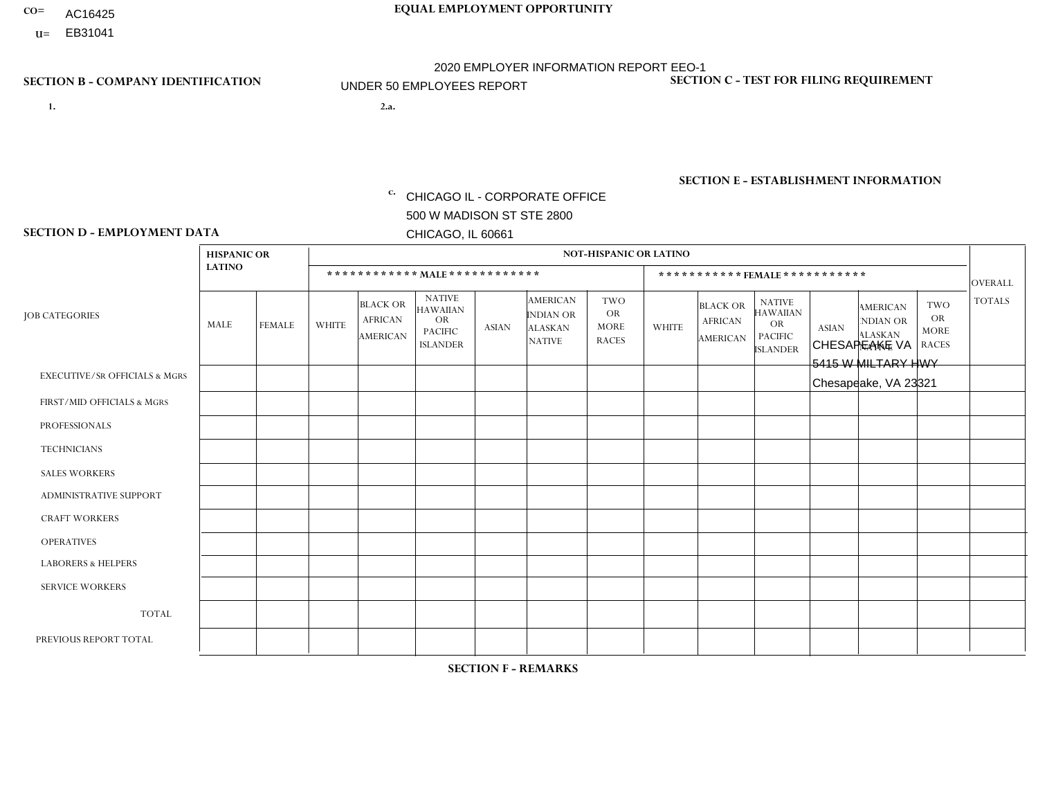- AC16425
- **U=**

- **1. 2.a.** CHICAGO IL CORPORATE OFFICE 500 W MADISON ST STE 2800 CHICAGO, IL 60661
- 2.a. CHESAPEAKE VA 5415 W MILTARY HWY Chesapeake, VA 23321

EIN= 952920557

## **SECTION B - COMPANY IDENTIFICATION SECTION C - TEST FOR FILING REQUIREMENT**

1- Y 2- Y 3- N DUNS= 000123456

**SECTION E - ESTABLISHMENT INFORMATION c.** NAICS: 423140

### **SECTION D - EMPLOYMENT DATA**

|                                          | <b>HISPANIC OR</b> |               |                |                                                      |                                                                                    |              |                                                                 | <b>NOT-HISPANIC OR LATINO</b>                          |                |                                                      |                                                                                    |              |                                                                       |                                                        |                |
|------------------------------------------|--------------------|---------------|----------------|------------------------------------------------------|------------------------------------------------------------------------------------|--------------|-----------------------------------------------------------------|--------------------------------------------------------|----------------|------------------------------------------------------|------------------------------------------------------------------------------------|--------------|-----------------------------------------------------------------------|--------------------------------------------------------|----------------|
|                                          | <b>LATINO</b>      |               |                | ************ MALE ************                       |                                                                                    |              |                                                                 |                                                        |                |                                                      | ***********FEMALE***********                                                       |              |                                                                       |                                                        | <b>OVERALL</b> |
| <b>JOB CATEGORIES</b>                    | <b>MALE</b>        | <b>FEMALE</b> | <b>WHITE</b>   | <b>BLACK OR</b><br><b>AFRICAN</b><br><b>AMERICAN</b> | <b>NATIVE</b><br><b>HAWAIIAN</b><br><b>OR</b><br><b>PACIFIC</b><br><b>ISLANDER</b> | <b>ASIAN</b> | <b>AMERICAN</b><br>INDIAN OR<br><b>ALASKAN</b><br><b>NATIVE</b> | <b>TWO</b><br><b>OR</b><br><b>MORE</b><br><b>RACES</b> | <b>WHITE</b>   | <b>BLACK OR</b><br><b>AFRICAN</b><br><b>AMERICAN</b> | <b>NATIVE</b><br><b>HAWAIIAN</b><br><b>OR</b><br><b>PACIFIC</b><br><b>ISLANDER</b> | <b>ASIAN</b> | <b>AMERICAN</b><br><b>NDIAN OR</b><br><b>ALASKAN</b><br><b>NATIVE</b> | <b>TWO</b><br><b>OR</b><br><b>MORE</b><br><b>RACES</b> | <b>TOTALS</b>  |
| <b>EXECUTIVE/SR OFFICIALS &amp; MGRS</b> | $\mathbf{0}$       | $\Omega$      | $\Omega$       | $\Omega$                                             | 0                                                                                  | $\Omega$     | $\Omega$                                                        | $\Omega$                                               | $\Omega$       | $\mathbf{0}$                                         | $\Omega$                                                                           | $\Omega$     | $\Omega$                                                              | $\Omega$                                               | $\Omega$       |
| FIRST/MID OFFICIALS & MGRS               | $\Omega$           | $\Omega$      | 1              | $\Omega$                                             | $\mathbf 0$                                                                        | $\Omega$     | $\Omega$                                                        | $\Omega$                                               | $\Omega$       | $\Omega$                                             | $\Omega$                                                                           | $\Omega$     | $\Omega$                                                              | $\Omega$                                               | $\mathbf{1}$   |
| <b>PROFESSIONALS</b>                     | $\Omega$           | $\Omega$      | $\mathbf 0$    | $\mathbf 0$                                          | $\overline{0}$                                                                     | $\Omega$     | $\Omega$                                                        | $\Omega$                                               | $\Omega$       | $\Omega$                                             | $\Omega$                                                                           | $\Omega$     | $\Omega$                                                              | $\Omega$                                               | $\mathbf 0$    |
| <b>TECHNICIANS</b>                       | $\Omega$           | $\Omega$      | $\Omega$       | $\Omega$                                             | 0                                                                                  | $\Omega$     | $\overline{0}$                                                  | $\Omega$                                               | $\Omega$       | $\Omega$                                             | $\Omega$                                                                           | $\Omega$     | $\mathbf{0}$                                                          | $\Omega$                                               | $\mathbf 0$    |
| <b>SALES WORKERS</b>                     | $\Omega$           | $\Omega$      | $\Omega$       | $\mathbf{1}$                                         | 0                                                                                  | $\Omega$     | $\Omega$                                                        | $\Omega$                                               | $\Omega$       | $\Omega$                                             | $\Omega$                                                                           | $\Omega$     | $\Omega$                                                              | $\Omega$                                               | $\mathbf{1}$   |
| <b>ADMINISTRATIVE SUPPORT</b>            | $\Omega$           | $\mathbf 0$   | $\Omega$       | $\mathbf 0$                                          | $\mathbf 0$                                                                        | $\mathbf 0$  | $\Omega$                                                        | $\Omega$                                               | $\Omega$       | $\Omega$                                             | $\Omega$                                                                           |              | $\Omega$                                                              | $\Omega$                                               | $\mathbf{1}$   |
| <b>CRAFT WORKERS</b>                     | $\Omega$           | $\Omega$      | $\Omega$       | 0                                                    | 0                                                                                  | $\Omega$     | $\Omega$                                                        | $\Omega$                                               | $\Omega$       | $\Omega$                                             | $\Omega$                                                                           | $\Omega$     | $\Omega$                                                              | $\Omega$                                               | $\Omega$       |
| <b>OPERATIVES</b>                        | $\Omega$           | $\Omega$      | 4              | 3                                                    | 0                                                                                  | $\Omega$     | $\Omega$                                                        |                                                        | $\overline{2}$ | $\Omega$                                             | $\Omega$                                                                           | $\Omega$     | $\Omega$                                                              | $\Omega$                                               | 10             |
| <b>LABORERS &amp; HELPERS</b>            | $\Omega$           | $\Omega$      | $\overline{2}$ | 2                                                    | 0                                                                                  | $\Omega$     | $\Omega$                                                        | $\Omega$                                               | $\Omega$       | $\Omega$                                             | $\Omega$                                                                           | $\Omega$     | $\Omega$                                                              | $\mathbf{0}$                                           | 4              |
| <b>SERVICE WORKERS</b>                   | $\Omega$           | $\Omega$      | $\Omega$       | $\mathbf 0$                                          | $\mathbf{0}$                                                                       | $\Omega$     | $\Omega$                                                        | $\Omega$                                               | $\Omega$       | $\Omega$                                             | $\Omega$                                                                           | $\Omega$     | $\Omega$                                                              | $\Omega$                                               | 0              |
| <b>TOTAL</b>                             | 0                  | 0             | $\overline{7}$ | 6                                                    | 0                                                                                  | $\mathbf{0}$ | $\mathbf{0}$                                                    |                                                        | $\overline{2}$ | $\Omega$                                             | $\Omega$                                                                           |              | $\Omega$                                                              | $\Omega$                                               | 17             |
| PREVIOUS REPORT TOTAL                    | $\Omega$           | $\Omega$      | 8              | 10                                                   | $\mathbf{0}$                                                                       | $\Omega$     | $\overline{0}$                                                  | $\overline{2}$                                         | $\mathbf 1$    | 2                                                    | $\mathbf{0}$                                                                       |              | $\Omega$                                                              | $\mathbf 0$                                            | 24             |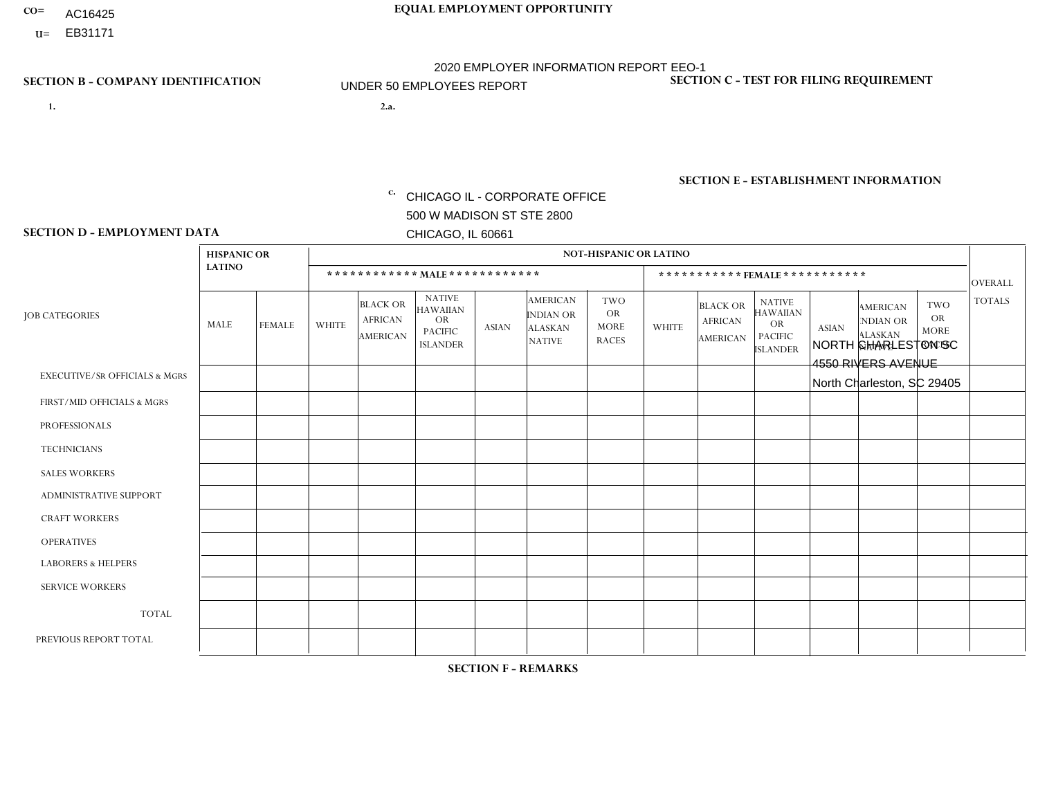- AC16425
- **U=**

- **1. 2.a.** CHICAGO IL CORPORATE OFFICE 500 W MADISON ST STE 2800 CHICAGO, IL 60661
- 2.a. NORTH CHARLESTON SC 4550 RIVERS AVENUE North Charleston, SC 29405

c. EIN= 952920557

## **SECTION B - COMPANY IDENTIFICATION SECTION C - TEST FOR FILING REQUIREMENT**

1- Y 2- Y 3- N DUNS= 000123456

**SECTION E - ESTABLISHMENT INFORMATION c.** NAICS: 423140

### **SECTION D - EMPLOYMENT DATA**

|                                          | <b>HISPANIC OR</b> |               |                |                                                      |                                                                                    |              |                                                                 | <b>NOT-HISPANIC OR LATINO</b>                          |                |                                                      |                                                                                    |              |                                                                       |                                                        |                |
|------------------------------------------|--------------------|---------------|----------------|------------------------------------------------------|------------------------------------------------------------------------------------|--------------|-----------------------------------------------------------------|--------------------------------------------------------|----------------|------------------------------------------------------|------------------------------------------------------------------------------------|--------------|-----------------------------------------------------------------------|--------------------------------------------------------|----------------|
|                                          | <b>LATINO</b>      |               |                | ************ MALE ************                       |                                                                                    |              |                                                                 |                                                        |                |                                                      | ***********FEMALE***********                                                       |              |                                                                       |                                                        | <b>OVERALL</b> |
| <b>JOB CATEGORIES</b>                    | <b>MALE</b>        | <b>FEMALE</b> | <b>WHITE</b>   | <b>BLACK OR</b><br><b>AFRICAN</b><br><b>AMERICAN</b> | <b>NATIVE</b><br><b>HAWAIIAN</b><br><b>OR</b><br><b>PACIFIC</b><br><b>ISLANDER</b> | <b>ASIAN</b> | <b>AMERICAN</b><br>INDIAN OR<br><b>ALASKAN</b><br><b>NATIVE</b> | <b>TWO</b><br><b>OR</b><br><b>MORE</b><br><b>RACES</b> | <b>WHITE</b>   | <b>BLACK OR</b><br><b>AFRICAN</b><br><b>AMERICAN</b> | <b>NATIVE</b><br><b>HAWAIIAN</b><br><b>OR</b><br><b>PACIFIC</b><br><b>ISLANDER</b> | <b>ASIAN</b> | <b>AMERICAN</b><br><b>NDIAN OR</b><br><b>ALASKAN</b><br><b>NATIVE</b> | <b>TWO</b><br><b>OR</b><br><b>MORE</b><br><b>RACES</b> | <b>TOTALS</b>  |
| <b>EXECUTIVE/SR OFFICIALS &amp; MGRS</b> | $\mathbf{0}$       | $\Omega$      | $\Omega$       | $\Omega$                                             | 0                                                                                  | $\Omega$     | $\Omega$                                                        | $\Omega$                                               | $\Omega$       | $\mathbf{0}$                                         | $\Omega$                                                                           | $\Omega$     | $\Omega$                                                              | $\Omega$                                               | $\Omega$       |
| FIRST/MID OFFICIALS & MGRS               | $\Omega$           | $\Omega$      | $\overline{c}$ | $\mathbf 0$                                          | $\mathbf 0$                                                                        | $\Omega$     | $\Omega$                                                        | $\Omega$                                               | $\mathbf 1$    | $\mathbf{0}$                                         | $\Omega$                                                                           | $\Omega$     | $\Omega$                                                              | $\Omega$                                               | 3              |
| <b>PROFESSIONALS</b>                     | $\Omega$           | $\Omega$      | $\mathbf 0$    | $\mathbf 0$                                          | $\overline{0}$                                                                     | $\Omega$     | $\Omega$                                                        | $\Omega$                                               | $\Omega$       | $\Omega$                                             | $\Omega$                                                                           | $\Omega$     | $\Omega$                                                              | $\Omega$                                               | $\mathbf 0$    |
| <b>TECHNICIANS</b>                       | $\Omega$           | $\Omega$      | $\Omega$       | $\Omega$                                             | 0                                                                                  | $\Omega$     | $\overline{0}$                                                  | $\Omega$                                               | $\Omega$       | $\Omega$                                             | $\Omega$                                                                           | $\Omega$     | $\mathbf{0}$                                                          | $\Omega$                                               | $\mathbf 0$    |
| <b>SALES WORKERS</b>                     | $\Omega$           | $\Omega$      | $\Omega$       | $\Omega$                                             | 0                                                                                  | $\Omega$     | $\Omega$                                                        | $\Omega$                                               | $\overline{2}$ | $\Omega$                                             | $\Omega$                                                                           | $\Omega$     | $\Omega$                                                              | $\Omega$                                               | $\overline{2}$ |
| <b>ADMINISTRATIVE SUPPORT</b>            | $\Omega$           | $\mathbf 0$   | $\Omega$       | $\mathbf{1}$                                         | $\mathbf 0$                                                                        | $\mathbf 0$  | $\Omega$                                                        | $\Omega$                                               | $\Omega$       | $\Omega$                                             | $\Omega$                                                                           | $\Omega$     | $\Omega$                                                              | $\Omega$                                               | $\mathbf{1}$   |
| <b>CRAFT WORKERS</b>                     | $\Omega$           | $\Omega$      | $\Omega$       | $\mathbf 0$                                          | 0                                                                                  | $\Omega$     | $\Omega$                                                        |                                                        | $\Omega$       | $\Omega$                                             | $\Omega$                                                                           | $\Omega$     | $\Omega$                                                              | $\Omega$                                               | $\overline{1}$ |
| <b>OPERATIVES</b>                        | $\Omega$           | 0             | 4              | $\overline{2}$                                       | $\mathbf{1}$                                                                       | $\Omega$     | $\Omega$                                                        |                                                        | $\Omega$       | $\Omega$                                             | $\Omega$                                                                           | $\Omega$     | $\Omega$                                                              | $\Omega$                                               | 8              |
| <b>LABORERS &amp; HELPERS</b>            | -1                 | $\Omega$      | 1              | $\mathbf 0$                                          | 0                                                                                  | $\Omega$     | $\Omega$                                                        | $\Omega$                                               | $\mathbf{1}$   | $\Omega$                                             | $\Omega$                                                                           | $\Omega$     | $\Omega$                                                              | $\Omega$                                               | 3              |
| <b>SERVICE WORKERS</b>                   | $\Omega$           | $\Omega$      | 0              | 0                                                    | $\mathbf 0$                                                                        | $\Omega$     | $\Omega$                                                        | $\Omega$                                               | $\Omega$       | $\Omega$                                             | $\Omega$                                                                           | $\Omega$     | $\Omega$                                                              | $\Omega$                                               | 0              |
| <b>TOTAL</b>                             | 1                  | $\mathbf 0$   | $\overline{7}$ | 3                                                    | $\mathbf{1}$                                                                       | $\mathbf 0$  | $\mathbf{0}$                                                    | 2                                                      | $\overline{4}$ | $\Omega$                                             | $\Omega$                                                                           | $\mathbf 0$  | $\Omega$                                                              | $\Omega$                                               | 18             |
| PREVIOUS REPORT TOTAL                    |                    | $\mathbf 0$   | 5              | 3                                                    | 0                                                                                  | $\Omega$     | $\overline{0}$                                                  |                                                        | 4              | $\Omega$                                             | $\mathbf{0}$                                                                       | $\Omega$     | $\Omega$                                                              | $\mathbf 0$                                            | 14             |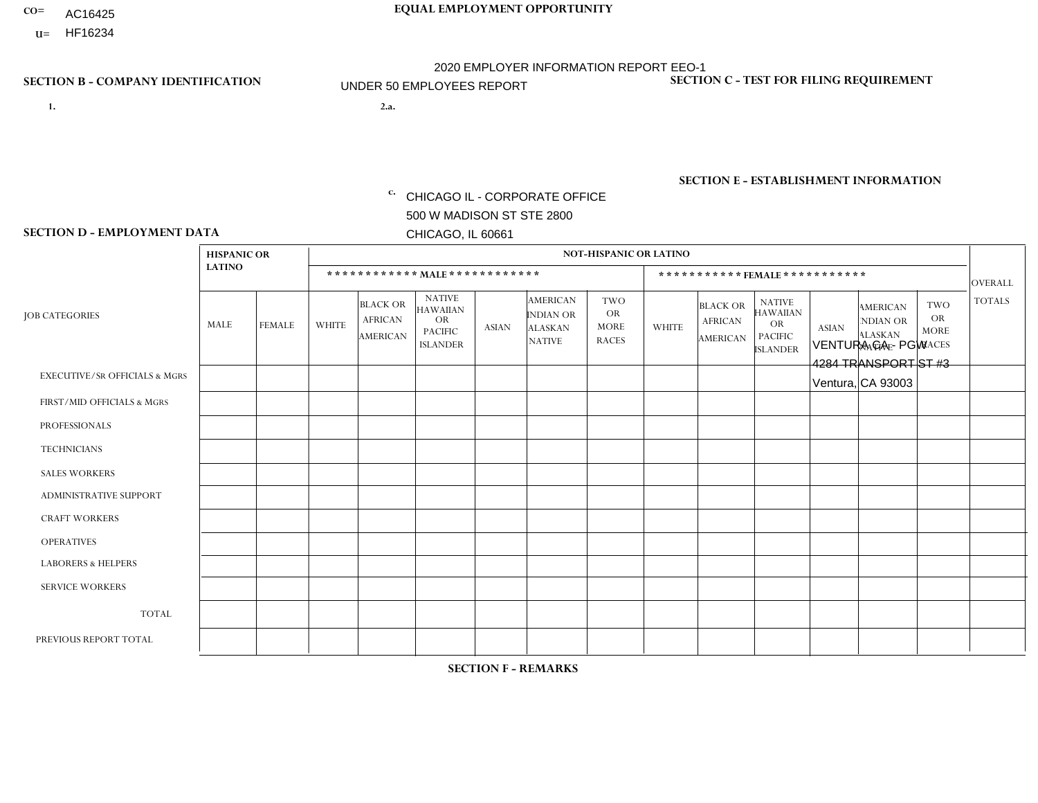- AC16425
- **U=**

**1. 2.a.** CHICAGO IL - CORPORATE OFFICE 500 W MADISON ST STE 2800 CHICAGO, IL 60661

2.a. VENTURA CA - PGW 4284 TRANSPORT ST #3 Ventura, CA 93003

EIN= 952920557

## **SECTION B - COMPANY IDENTIFICATION SECTION C - TEST FOR FILING REQUIREMENT**

1- Y 2- Y 3- N DUNS= 000123456

**SECTION E - ESTABLISHMENT INFORMATION c.** NAICS: 811122

### **SECTION D - EMPLOYMENT DATA**

|                                          | <b>HISPANIC OR</b> |               |              |                                                      |                                                                                    |              |                                                                 | <b>NOT-HISPANIC OR LATINO</b>                          |              |                                                      |                                                                                    |              |                                                                       |                                                        |                |
|------------------------------------------|--------------------|---------------|--------------|------------------------------------------------------|------------------------------------------------------------------------------------|--------------|-----------------------------------------------------------------|--------------------------------------------------------|--------------|------------------------------------------------------|------------------------------------------------------------------------------------|--------------|-----------------------------------------------------------------------|--------------------------------------------------------|----------------|
|                                          | <b>LATINO</b>      |               |              | ************ MALE ************                       |                                                                                    |              |                                                                 |                                                        |              |                                                      | ***********FEMALE***********                                                       |              |                                                                       |                                                        | <b>OVERALL</b> |
| <b>JOB CATEGORIES</b>                    | <b>MALE</b>        | <b>FEMALE</b> | <b>WHITE</b> | <b>BLACK OR</b><br><b>AFRICAN</b><br><b>AMERICAN</b> | <b>NATIVE</b><br><b>HAWAIIAN</b><br><b>OR</b><br><b>PACIFIC</b><br><b>ISLANDER</b> | <b>ASIAN</b> | <b>AMERICAN</b><br>INDIAN OR<br><b>ALASKAN</b><br><b>NATIVE</b> | <b>TWO</b><br><b>OR</b><br><b>MORE</b><br><b>RACES</b> | <b>WHITE</b> | <b>BLACK OR</b><br><b>AFRICAN</b><br><b>AMERICAN</b> | <b>NATIVE</b><br><b>HAWAIIAN</b><br><b>OR</b><br><b>PACIFIC</b><br><b>ISLANDER</b> | <b>ASIAN</b> | <b>AMERICAN</b><br><b>NDIAN OR</b><br><b>ALASKAN</b><br><b>NATIVE</b> | <b>TWO</b><br><b>OR</b><br><b>MORE</b><br><b>RACES</b> | <b>TOTALS</b>  |
| <b>EXECUTIVE/SR OFFICIALS &amp; MGRS</b> | $\mathbf{0}$       | $\Omega$      | $\Omega$     | $\Omega$                                             | 0                                                                                  | $\Omega$     | $\Omega$                                                        | $\Omega$                                               | $\Omega$     | $\mathbf{0}$                                         | $\Omega$                                                                           | $\Omega$     | $\Omega$                                                              | $\Omega$                                               | $\Omega$       |
| FIRST/MID OFFICIALS & MGRS               | и                  | $\Omega$      | $\Omega$     | $\mathbf 0$                                          | $\mathbf 0$                                                                        | $\Omega$     | $\Omega$                                                        | $\Omega$                                               | $\Omega$     | $\Omega$                                             | $\Omega$                                                                           | $\Omega$     | $\Omega$                                                              | $\Omega$                                               | $\mathbf{1}$   |
| <b>PROFESSIONALS</b>                     | $\Omega$           | $\Omega$      | $\mathbf 0$  | $\mathbf 0$                                          | $\overline{0}$                                                                     | $\Omega$     | $\Omega$                                                        | $\Omega$                                               | $\Omega$     | $\Omega$                                             | $\Omega$                                                                           | $\Omega$     | $\Omega$                                                              | $\Omega$                                               | $\mathbf 0$    |
| <b>TECHNICIANS</b>                       | $\Omega$           | $\Omega$      | $\Omega$     | $\Omega$                                             | 0                                                                                  | $\Omega$     | $\overline{0}$                                                  | $\Omega$                                               | $\Omega$     | $\Omega$                                             | $\Omega$                                                                           | $\Omega$     | $\mathbf{0}$                                                          | $\Omega$                                               | $\mathbf 0$    |
| <b>SALES WORKERS</b>                     | $\Omega$           | $\Omega$      | $\Omega$     | $\Omega$                                             | 0                                                                                  | $\Omega$     | $\Omega$                                                        | $\Omega$                                               | $\Omega$     | $\Omega$                                             | $\Omega$                                                                           | $\Omega$     | $\Omega$                                                              | $\mathbf{0}$                                           | $\mathbf 0$    |
| <b>ADMINISTRATIVE SUPPORT</b>            | $\Omega$           | $\mathbf 0$   | $\Omega$     | $\mathbf 0$                                          | $\mathbf 0$                                                                        | $\mathbf 0$  | $\Omega$                                                        | $\Omega$                                               | $\Omega$     | $\Omega$                                             | $\Omega$                                                                           | $\Omega$     | $\Omega$                                                              | $\Omega$                                               | $\mathbf 0$    |
| <b>CRAFT WORKERS</b>                     | $\Omega$           | $\Omega$      | $\Omega$     | 0                                                    | 0                                                                                  | $\Omega$     | $\Omega$                                                        | $\Omega$                                               | $\Omega$     | $\Omega$                                             | $\Omega$                                                                           | $\Omega$     | $\Omega$                                                              | $\Omega$                                               | $\Omega$       |
| <b>OPERATIVES</b>                        | 3                  | $\Omega$      | $\Omega$     | $\mathbf 0$                                          | 0                                                                                  | $\Omega$     | $\Omega$                                                        | $\Omega$                                               | $\Omega$     | $\Omega$                                             | $\Omega$                                                                           | $\Omega$     | $\Omega$                                                              | $\Omega$                                               | 3              |
| <b>LABORERS &amp; HELPERS</b>            | $\Omega$           | $\Omega$      | $\Omega$     | $\mathbf 0$                                          | 0                                                                                  | $\Omega$     | $\Omega$                                                        | $\Omega$                                               | $\Omega$     | $\Omega$                                             | $\Omega$                                                                           | $\Omega$     | $\Omega$                                                              | $\Omega$                                               | $\mathbf 0$    |
| <b>SERVICE WORKERS</b>                   | $\Omega$           | $\Omega$      | $\Omega$     | 0                                                    | $\mathbf 0$                                                                        | $\Omega$     | $\Omega$                                                        | $\Omega$                                               | $\Omega$     | $\Omega$                                             | $\Omega$                                                                           | $\Omega$     | $\Omega$                                                              | $\Omega$                                               | 0              |
| <b>TOTAL</b>                             | 4                  | $\mathbf 0$   | 0            | 0                                                    | 0                                                                                  | $\mathbf 0$  | $\Omega$                                                        | $\Omega$                                               | 0            | $\Omega$                                             | $\Omega$                                                                           | $\mathbf 0$  | $\Omega$                                                              | $\mathbf 0$                                            | 4              |
| PREVIOUS REPORT TOTAL                    |                    | $\mathbf 0$   | $\Omega$     | $\mathbf 0$                                          | 0                                                                                  | $\Omega$     | $\overline{0}$                                                  | $\Omega$                                               | $\Omega$     | $\Omega$                                             | $\mathbf{0}$                                                                       | $\Omega$     | $\Omega$                                                              | $\mathbf 0$                                            | $\mathbf{1}$   |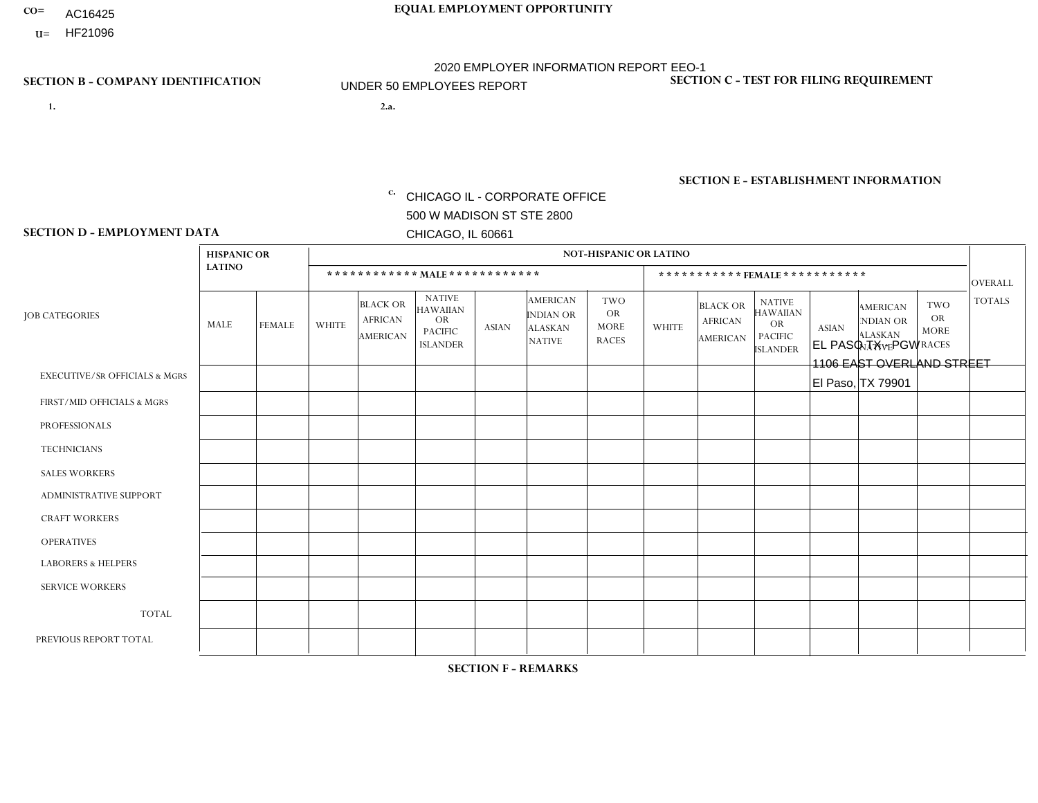- AC16425
- **U=** HF21096

- **1. 2.a.** CHICAGO IL CORPORATE OFFICE 500 W MADISON ST STE 2800 CHICAGO, IL 60661
- EL PASO TX PGW 1106 EAST OVERLAND STREET El Paso, TX 79901

EIN= 952920557

## **SECTION B - COMPANY IDENTIFICATION SECTION C - TEST FOR FILING REQUIREMENT**

1- Y 2- Y 3- N DUNS= 000123456

**SECTION E - ESTABLISHMENT INFORMATION c.** NAICS: 811122

### **SECTION D - EMPLOYMENT DATA**

|                                          | <b>HISPANIC OR</b> |               |              |                                                      |                                                                                    |             |                                                                        | <b>NOT-HISPANIC OR LATINO</b>                          |                |                                               |                                                                             |              |                                                                       |                                                        |                |
|------------------------------------------|--------------------|---------------|--------------|------------------------------------------------------|------------------------------------------------------------------------------------|-------------|------------------------------------------------------------------------|--------------------------------------------------------|----------------|-----------------------------------------------|-----------------------------------------------------------------------------|--------------|-----------------------------------------------------------------------|--------------------------------------------------------|----------------|
|                                          | <b>LATINO</b>      |               |              | ************ MALE ************                       |                                                                                    |             |                                                                        |                                                        |                | ***********FEMALE***********                  |                                                                             |              |                                                                       |                                                        | <b>OVERALL</b> |
| <b>JOB CATEGORIES</b>                    | MALE               | <b>FEMALE</b> | <b>WHITE</b> | <b>BLACK OR</b><br><b>AFRICAN</b><br><b>AMERICAN</b> | <b>NATIVE</b><br><b>HAWAIIAN</b><br><b>OR</b><br><b>PACIFIC</b><br><b>ISLANDER</b> | ASIAN       | <b>AMERICAN</b><br><b>INDIAN OR</b><br><b>ALASKAN</b><br><b>NATIVE</b> | <b>TWO</b><br><b>OR</b><br><b>MORE</b><br><b>RACES</b> | <b>WHITE</b>   | <b>BLACK OR</b><br><b>AFRICAN</b><br>AMERICAN | <b>NATIVE</b><br><b>HAWAIIAN</b><br>OR<br><b>PACIFIC</b><br><b>ISLANDER</b> | <b>ASIAN</b> | <b>AMERICAN</b><br><b>NDIAN OR</b><br><b>ALASKAN</b><br><b>NATIVE</b> | <b>TWO</b><br><b>OR</b><br><b>MORE</b><br><b>RACES</b> | <b>TOTALS</b>  |
| <b>EXECUTIVE/SR OFFICIALS &amp; MGRS</b> | $\Omega$           | $\Omega$      | $\Omega$     | $\mathbf 0$                                          | $\mathbf 0$                                                                        | $\Omega$    | $\Omega$                                                               | $\Omega$                                               | $\Omega$       | $\Omega$                                      | $\Omega$                                                                    | $\mathbf 0$  | $\Omega$                                                              | $\mathbf 0$                                            | $\mathbf{0}$   |
| FIRST/MID OFFICIALS & MGRS               | 0                  | 0             | $\Omega$     | $\mathbf 0$                                          | 0                                                                                  | $\Omega$    | $\Omega$                                                               | $\Omega$                                               | 0              | $\Omega$                                      | $\Omega$                                                                    | $\mathbf{0}$ | $\Omega$                                                              | $\mathbf 0$                                            | $\overline{0}$ |
| <b>PROFESSIONALS</b>                     | $\Omega$           | $\Omega$      | $\Omega$     | $\mathbf 0$                                          | $\Omega$                                                                           | $\Omega$    | $\Omega$                                                               | $\Omega$                                               | $\overline{0}$ | $\Omega$                                      | $\Omega$                                                                    | $\Omega$     | $\Omega$                                                              | $\Omega$                                               | $\mathbf 0$    |
| <b>TECHNICIANS</b>                       | 0                  | $\mathbf 0$   | $\Omega$     | $\mathbf 0$                                          | $\Omega$                                                                           | $\Omega$    | $\Omega$                                                               | $\Omega$                                               | $\Omega$       | $\Omega$                                      | $\Omega$                                                                    | $\Omega$     | $\Omega$                                                              | $\Omega$                                               | $\mathbf{0}$   |
| <b>SALES WORKERS</b>                     | $\Omega$           | $\Omega$      | $\Omega$     | $\mathbf 0$                                          | $\Omega$                                                                           | $\Omega$    | $\Omega$                                                               | $\Omega$                                               | $\overline{0}$ | $\Omega$                                      | $\Omega$                                                                    | $\Omega$     | $\Omega$                                                              | $\Omega$                                               | $\mathbf{0}$   |
| ADMINISTRATIVE SUPPORT                   | $\mathbf 0$        | 0             | $\mathbf 0$  | $\mathbf 0$                                          | 0                                                                                  | $\Omega$    | $\Omega$                                                               | $\Omega$                                               | $\Omega$       | $\Omega$                                      | $\Omega$                                                                    | $\Omega$     | $\mathbf{0}$                                                          | $\mathbf 0$                                            | $\mathbf 0$    |
| <b>CRAFT WORKERS</b>                     | 0                  | $\Omega$      | $\Omega$     | $\mathbf 0$                                          | $\Omega$                                                                           | $\Omega$    | $\Omega$                                                               | $\Omega$                                               | 0              | $\Omega$                                      | $\Omega$                                                                    | $\Omega$     | $\Omega$                                                              | $\Omega$                                               | $\Omega$       |
| <b>OPERATIVES</b>                        | $\overline{2}$     | $\Omega$      | $\Omega$     | $\mathbf 0$                                          | $\Omega$                                                                           | $\Omega$    | $\Omega$                                                               | $\Omega$                                               | $\Omega$       | $\Omega$                                      | $\Omega$                                                                    | $\Omega$     | $\Omega$                                                              | $\Omega$                                               | 2              |
| <b>LABORERS &amp; HELPERS</b>            | $\Omega$           | $\Omega$      | $\Omega$     | $\mathbf 0$                                          | $\mathbf 0$                                                                        | $\Omega$    | $\Omega$                                                               | $\Omega$                                               | $\Omega$       | $\Omega$                                      | $\Omega$                                                                    | $\Omega$     | $\Omega$                                                              | $\Omega$                                               | $\mathbf 0$    |
| <b>SERVICE WORKERS</b>                   | 0                  | $\mathbf 0$   | $\mathbf 0$  | $\mathbf 0$                                          | $\mathbf{0}$                                                                       | $\mathbf 0$ | $\Omega$                                                               | $\Omega$                                               | $\Omega$       | $\Omega$                                      | $\Omega$                                                                    | $\mathbf 0$  | $\Omega$                                                              | $\mathbf 0$                                            | $\overline{0}$ |
| <b>TOTAL</b>                             | $\overline{2}$     | 0             | $\mathbf 0$  | 0                                                    | 0                                                                                  | $\Omega$    | $\Omega$                                                               | $\Omega$                                               | $\Omega$       | $\Omega$                                      | $\Omega$                                                                    | $\mathbf 0$  | 0                                                                     | $\mathbf 0$                                            | $\overline{2}$ |
| PREVIOUS REPORT TOTAL                    |                    | $\Omega$      | $\Omega$     | $\mathbf 0$                                          | $\Omega$                                                                           | $\Omega$    | $\Omega$                                                               | $\Omega$                                               | 0              | $\Omega$                                      | $\Omega$                                                                    | $\Omega$     | $\Omega$                                                              | $\mathbf 0$                                            | $\mathbf{1}$   |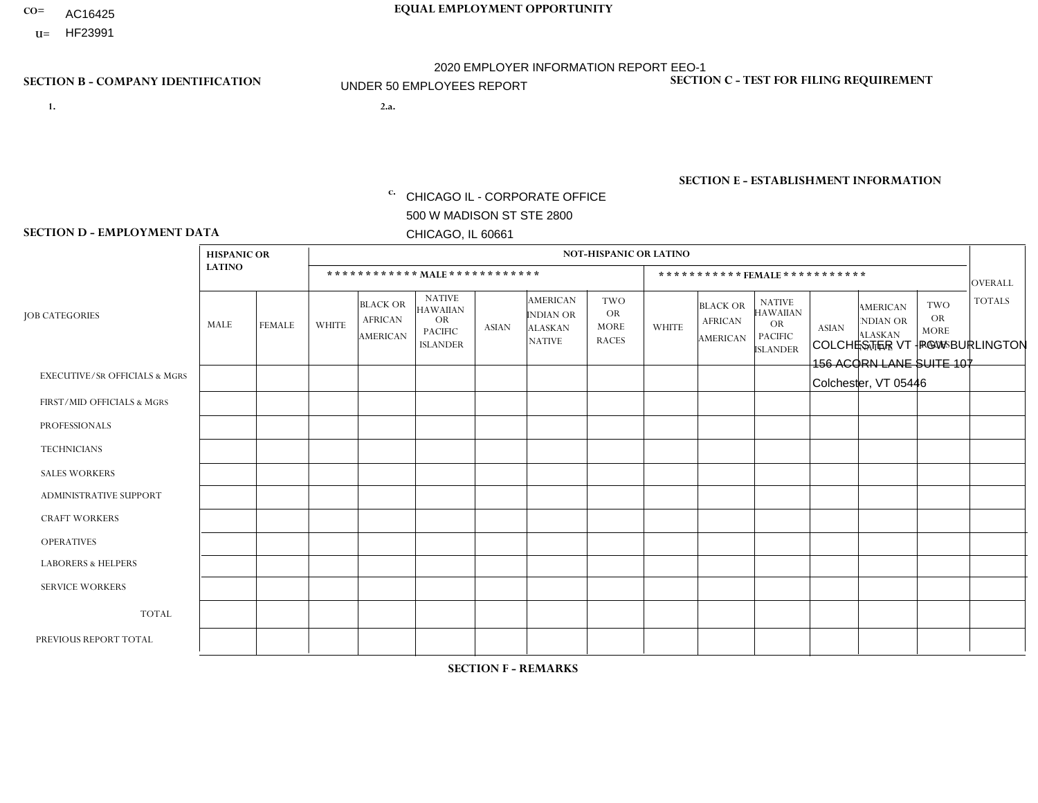- AC16425
- **U=**

- **1. 2.a.** CHICAGO IL CORPORATE OFFICE 500 W MADISON ST STE 2800 CHICAGO, IL 60661
- 2.a. COLCHESTER VT PGW BURLINGTON 156 ACORN LANE SUITE 107 Colchester, VT 05446

c. EIN= 952920557

## **SECTION B - COMPANY IDENTIFICATION SECTION C - TEST FOR FILING REQUIREMENT**

1- Y 2- Y 3- N DUNS= 000123456

**SECTION E - ESTABLISHMENT INFORMATION c.** NAICS: 423140

### **SECTION D - EMPLOYMENT DATA**

|                                          | <b>HISPANIC OR</b> |               |                |                                                      |                                                                                    |              |                                                                        | <b>NOT-HISPANIC OR LATINO</b>                          |              |                                               |                                                                             |              |                                                                       |                                                        |                |
|------------------------------------------|--------------------|---------------|----------------|------------------------------------------------------|------------------------------------------------------------------------------------|--------------|------------------------------------------------------------------------|--------------------------------------------------------|--------------|-----------------------------------------------|-----------------------------------------------------------------------------|--------------|-----------------------------------------------------------------------|--------------------------------------------------------|----------------|
|                                          | <b>LATINO</b>      |               |                |                                                      | ************ MALE *************                                                    |              |                                                                        |                                                        |              | *********** FEMALE ***********                |                                                                             |              |                                                                       |                                                        | <b>OVERALL</b> |
| <b>JOB CATEGORIES</b>                    | MALE               | <b>FEMALE</b> | <b>WHITE</b>   | <b>BLACK OR</b><br><b>AFRICAN</b><br><b>AMERICAN</b> | <b>NATIVE</b><br><b>HAWAIIAN</b><br><b>OR</b><br><b>PACIFIC</b><br><b>ISLANDER</b> | <b>ASIAN</b> | <b>AMERICAN</b><br><b>INDIAN OR</b><br><b>ALASKAN</b><br><b>NATIVE</b> | <b>TWO</b><br><b>OR</b><br><b>MORE</b><br><b>RACES</b> | <b>WHITE</b> | <b>BLACK OR</b><br><b>AFRICAN</b><br>AMERICAN | <b>NATIVE</b><br><b>HAWAIIAN</b><br>OR<br><b>PACIFIC</b><br><b>ISLANDER</b> | <b>ASIAN</b> | <b>AMERICAN</b><br><b>NDIAN OR</b><br><b>ALASKAN</b><br><b>NATIVE</b> | <b>TWO</b><br><b>OR</b><br><b>MORE</b><br><b>RACES</b> | <b>TOTALS</b>  |
| <b>EXECUTIVE/SR OFFICIALS &amp; MGRS</b> | $\Omega$           | $\Omega$      | $\mathbf 0$    | $\mathbf 0$                                          | $\mathbf 0$                                                                        | $\Omega$     | $\Omega$                                                               | $\Omega$                                               | $\Omega$     | $\Omega$                                      | $\Omega$                                                                    | $\Omega$     | $\Omega$                                                              | $\Omega$                                               | $\Omega$       |
| FIRST/MID OFFICIALS & MGRS               | 0                  | $\mathbf{0}$  | $\mathbf 0$    | $\mathbf 0$                                          | $\mathbf 0$                                                                        | $\mathbf 0$  | $\Omega$                                                               | $\Omega$                                               | 0            | $\Omega$                                      | $\Omega$                                                                    | $\Omega$     | $\Omega$                                                              | $\Omega$                                               | $\mathbf 0$    |
| <b>PROFESSIONALS</b>                     | 0                  | $\Omega$      | $\Omega$       | $\mathbf 0$                                          | $\Omega$                                                                           | $\Omega$     | $\Omega$                                                               | $\Omega$                                               | 0            | $\Omega$                                      | $\Omega$                                                                    | $\Omega$     | $\Omega$                                                              | $\Omega$                                               | $\Omega$       |
| <b>TECHNICIANS</b>                       | 0                  | $\Omega$      | $\mathbf 0$    | $\mathbf 0$                                          | 0                                                                                  | $\Omega$     | $\Omega$                                                               | $\Omega$                                               | $\Omega$     | $\Omega$                                      | $\Omega$                                                                    | $\Omega$     | $\Omega$                                                              | $\Omega$                                               | $\mathbf 0$    |
| <b>SALES WORKERS</b>                     | 0                  | $\Omega$      | $\mathbf 0$    | $\mathbf 0$                                          | $\Omega$                                                                           | $\Omega$     | $\Omega$                                                               | $\Omega$                                               | 0            | $\Omega$                                      | $\Omega$                                                                    | $\Omega$     | $\Omega$                                                              | $\Omega$                                               | $\Omega$       |
| ADMINISTRATIVE SUPPORT                   | 0                  | $\Omega$      | $\mathbf 0$    | $\mathbf 0$                                          | $\mathbf 0$                                                                        | $\Omega$     | $\Omega$                                                               | $\Omega$                                               | $\Omega$     | $\Omega$                                      | $\Omega$                                                                    | $\Omega$     | $\Omega$                                                              | $\Omega$                                               | $\mathbf 0$    |
| <b>CRAFT WORKERS</b>                     | 0                  | $\Omega$      | $\mathbf 0$    | $\mathbf 0$                                          | $\Omega$                                                                           | $\Omega$     | $\Omega$                                                               | $\Omega$                                               | 0            | $\Omega$                                      | $\Omega$                                                                    | $\Omega$     | $\Omega$                                                              | $\Omega$                                               | $\Omega$       |
| <b>OPERATIVES</b>                        | 0                  | $\mathbf{0}$  | $\overline{2}$ | $\mathbf 0$                                          | $\mathbf 0$                                                                        | $\Omega$     | $\Omega$                                                               | $\Omega$                                               | $\Omega$     | $\Omega$                                      | $\Omega$                                                                    | $\Omega$     | $\Omega$                                                              | $\Omega$                                               | 2              |
| <b>LABORERS &amp; HELPERS</b>            | 0                  | $\Omega$      | 1              | $\mathbf 0$                                          | $\mathbf 0$                                                                        | $\Omega$     | $\Omega$                                                               | $\Omega$                                               | $\Omega$     | $\Omega$                                      | $\Omega$                                                                    | $\Omega$     | $\Omega$                                                              | $\Omega$                                               | -1             |
| <b>SERVICE WORKERS</b>                   | 0                  | $\Omega$      | $\mathbf 0$    | $\mathbf 0$                                          | 0                                                                                  | $\Omega$     | $\Omega$                                                               | $\Omega$                                               | $\Omega$     | $\Omega$                                      | $\Omega$                                                                    | $\Omega$     | $\Omega$                                                              | $\Omega$                                               | $\mathbf 0$    |
| <b>TOTAL</b>                             | 0                  | 0             | 3              | 0                                                    | 0                                                                                  | 0            | $\Omega$                                                               | $\Omega$                                               | $\Omega$     | $\Omega$                                      | $\Omega$                                                                    | 0            | $\Omega$                                                              | $\Omega$                                               | 3              |
| PREVIOUS REPORT TOTAL                    | 0                  | $\mathbf{0}$  | $\overline{2}$ | 0                                                    | 0                                                                                  | $\Omega$     | $\Omega$                                                               | $\Omega$                                               | 0            | $\Omega$                                      | $\Omega$                                                                    | $\Omega$     | $\Omega$                                                              | $\Omega$                                               | $\overline{2}$ |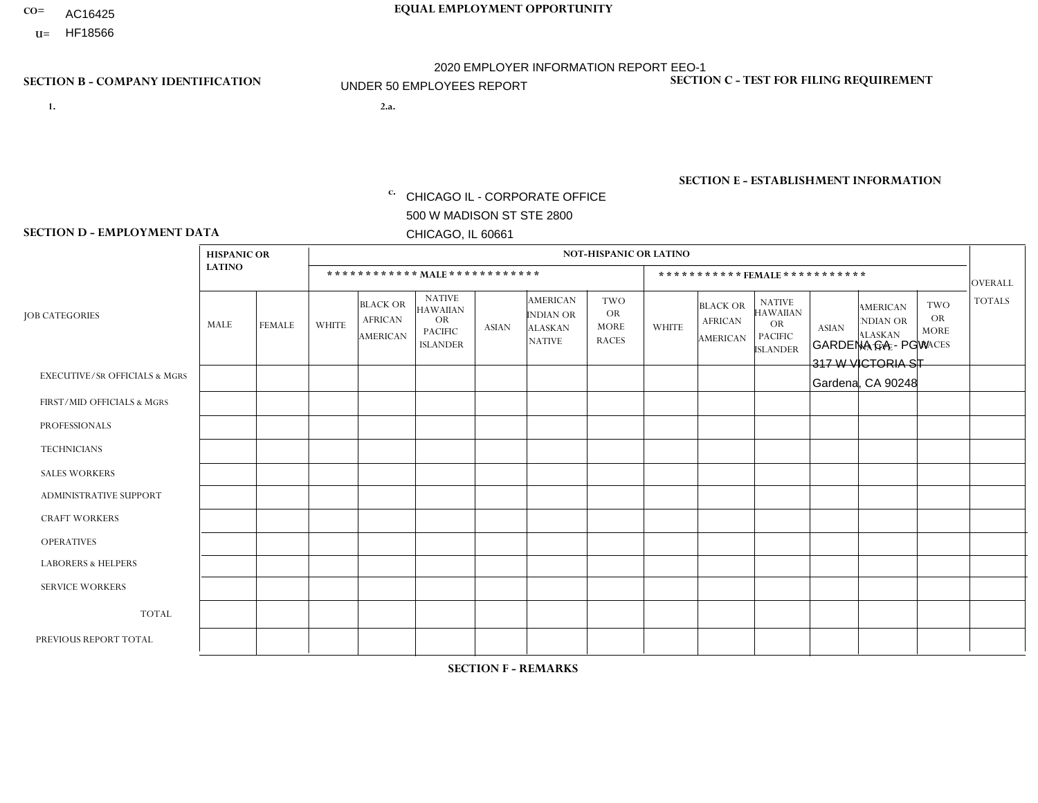- AC16425
- **U=**

**1. 2.a.** CHICAGO IL - CORPORATE OFFICE 500 W MADISON ST STE 2800 CHICAGO, IL 60661

2.a. GARDENA CA - PGW 317 W VICTORIA ST Gardena, CA 90248

EIN= 952920557

## **SECTION B - COMPANY IDENTIFICATION SECTION C - TEST FOR FILING REQUIREMENT**

1- Y 2- Y 3- N DUNS= 000123456

**SECTION E - ESTABLISHMENT INFORMATION c.** NAICS: 811122

### **SECTION D - EMPLOYMENT DATA**

|                                          | <b>HISPANIC OR</b> |               |              |                                                      |                                                                                    |              |                                                                 | <b>NOT-HISPANIC OR LATINO</b>                          |              |                                                      |                                                                                    |              |                                                                       |                                                        |                |
|------------------------------------------|--------------------|---------------|--------------|------------------------------------------------------|------------------------------------------------------------------------------------|--------------|-----------------------------------------------------------------|--------------------------------------------------------|--------------|------------------------------------------------------|------------------------------------------------------------------------------------|--------------|-----------------------------------------------------------------------|--------------------------------------------------------|----------------|
|                                          | <b>LATINO</b>      |               |              | ************ MALE ************                       |                                                                                    |              |                                                                 |                                                        |              |                                                      | ***********FEMALE***********                                                       |              |                                                                       |                                                        | <b>OVERALL</b> |
| <b>JOB CATEGORIES</b>                    | MALE               | <b>FEMALE</b> | <b>WHITE</b> | <b>BLACK OR</b><br><b>AFRICAN</b><br><b>AMERICAN</b> | <b>NATIVE</b><br><b>HAWAIIAN</b><br><b>OR</b><br><b>PACIFIC</b><br><b>ISLANDER</b> | <b>ASIAN</b> | <b>AMERICAN</b><br>INDIAN OR<br><b>ALASKAN</b><br><b>NATIVE</b> | <b>TWO</b><br><b>OR</b><br><b>MORE</b><br><b>RACES</b> | <b>WHITE</b> | <b>BLACK OR</b><br><b>AFRICAN</b><br><b>AMERICAN</b> | <b>NATIVE</b><br><b>HAWAIIAN</b><br><b>OR</b><br><b>PACIFIC</b><br><b>ISLANDER</b> | <b>ASIAN</b> | <b>AMERICAN</b><br><b>NDIAN OR</b><br><b>ALASKAN</b><br><b>NATIVE</b> | <b>TWO</b><br><b>OR</b><br><b>MORE</b><br><b>RACES</b> | <b>TOTALS</b>  |
| <b>EXECUTIVE/SR OFFICIALS &amp; MGRS</b> | $\mathbf{0}$       | $\Omega$      | $\Omega$     | $\Omega$                                             | 0                                                                                  | $\Omega$     | $\Omega$                                                        | $\Omega$                                               | $\Omega$     | $\mathbf{0}$                                         | $\Omega$                                                                           | $\Omega$     | $\Omega$                                                              | $\Omega$                                               | $\Omega$       |
| FIRST/MID OFFICIALS & MGRS               | и                  | $\Omega$      | $\Omega$     | $\mathbf 0$                                          | $\mathbf 0$                                                                        | $\Omega$     | $\Omega$                                                        | $\Omega$                                               | $\Omega$     | $\Omega$                                             | $\Omega$                                                                           | $\Omega$     | $\Omega$                                                              | $\Omega$                                               | $\mathbf{1}$   |
| <b>PROFESSIONALS</b>                     | $\Omega$           | $\Omega$      | $\mathbf 0$  | $\mathbf 0$                                          | $\overline{0}$                                                                     | $\Omega$     | $\Omega$                                                        | $\Omega$                                               | $\Omega$     | $\Omega$                                             | $\Omega$                                                                           | $\Omega$     | $\Omega$                                                              | $\mathbf{0}$                                           | $\mathbf 0$    |
| <b>TECHNICIANS</b>                       | $\Omega$           | $\Omega$      | $\Omega$     | $\Omega$                                             | 0                                                                                  | $\Omega$     | $\overline{0}$                                                  | $\Omega$                                               | $\Omega$     | $\Omega$                                             | $\Omega$                                                                           | $\Omega$     | $\mathbf{0}$                                                          | $\Omega$                                               | $\mathbf 0$    |
| <b>SALES WORKERS</b>                     | $\Omega$           | $\Omega$      | $\Omega$     | $\Omega$                                             | 0                                                                                  | $\Omega$     | $\Omega$                                                        | $\Omega$                                               | $\Omega$     | $\Omega$                                             | $\Omega$                                                                           | $\Omega$     | $\Omega$                                                              | $\mathbf{0}$                                           | $\mathbf 0$    |
| <b>ADMINISTRATIVE SUPPORT</b>            | $\Omega$           | $\mathbf 0$   | $\Omega$     | $\mathbf 0$                                          | $\mathbf 0$                                                                        | $\mathbf 0$  | $\Omega$                                                        | $\Omega$                                               | $\Omega$     | $\Omega$                                             | $\Omega$                                                                           | $\Omega$     | $\Omega$                                                              | $\Omega$                                               | $\mathbf 0$    |
| <b>CRAFT WORKERS</b>                     | $\Omega$           | $\Omega$      | $\Omega$     | 0                                                    | 0                                                                                  | $\Omega$     | $\Omega$                                                        | $\Omega$                                               | $\Omega$     | $\Omega$                                             | $\Omega$                                                                           | $\Omega$     | $\Omega$                                                              | $\Omega$                                               | $\Omega$       |
| <b>OPERATIVES</b>                        | 4                  | $\Omega$      | $\Omega$     | $\mathbf 0$                                          | 0                                                                                  | $\Omega$     | $\Omega$                                                        | $\Omega$                                               | $\Omega$     | $\Omega$                                             | $\Omega$                                                                           | $\Omega$     | $\Omega$                                                              | $\Omega$                                               | 4              |
| <b>LABORERS &amp; HELPERS</b>            | -1                 | $\mathbf 1$   | $\Omega$     | $\mathbf 0$                                          | 0                                                                                  | $\Omega$     | $\Omega$                                                        | $\Omega$                                               | $\Omega$     | $\Omega$                                             | $\Omega$                                                                           | $\Omega$     | $\Omega$                                                              | $\mathbf{0}$                                           | $\overline{2}$ |
| <b>SERVICE WORKERS</b>                   | $\Omega$           | $\Omega$      | $\Omega$     | 0                                                    | $\mathbf 0$                                                                        | $\Omega$     | $\Omega$                                                        | $\Omega$                                               | $\Omega$     | $\Omega$                                             | $\Omega$                                                                           | $\Omega$     | $\Omega$                                                              | $\Omega$                                               | 0              |
| <b>TOTAL</b>                             | 6                  | $\mathbf{1}$  | 0            | $\mathbf 0$                                          | 0                                                                                  | $\mathbf 0$  | $\Omega$                                                        | $\Omega$                                               | 0            | $\Omega$                                             | $\Omega$                                                                           | $\mathbf 0$  | $\Omega$                                                              | $\mathbf 0$                                            | $\overline{7}$ |
| PREVIOUS REPORT TOTAL                    | 5                  | $\Omega$      | $\Omega$     | $\mathbf 0$                                          | 0                                                                                  | $\Omega$     | $\overline{0}$                                                  |                                                        | $\Omega$     | $\Omega$                                             | $\mathbf{0}$                                                                       | $\Omega$     | $\Omega$                                                              | $\mathbf 0$                                            | 6              |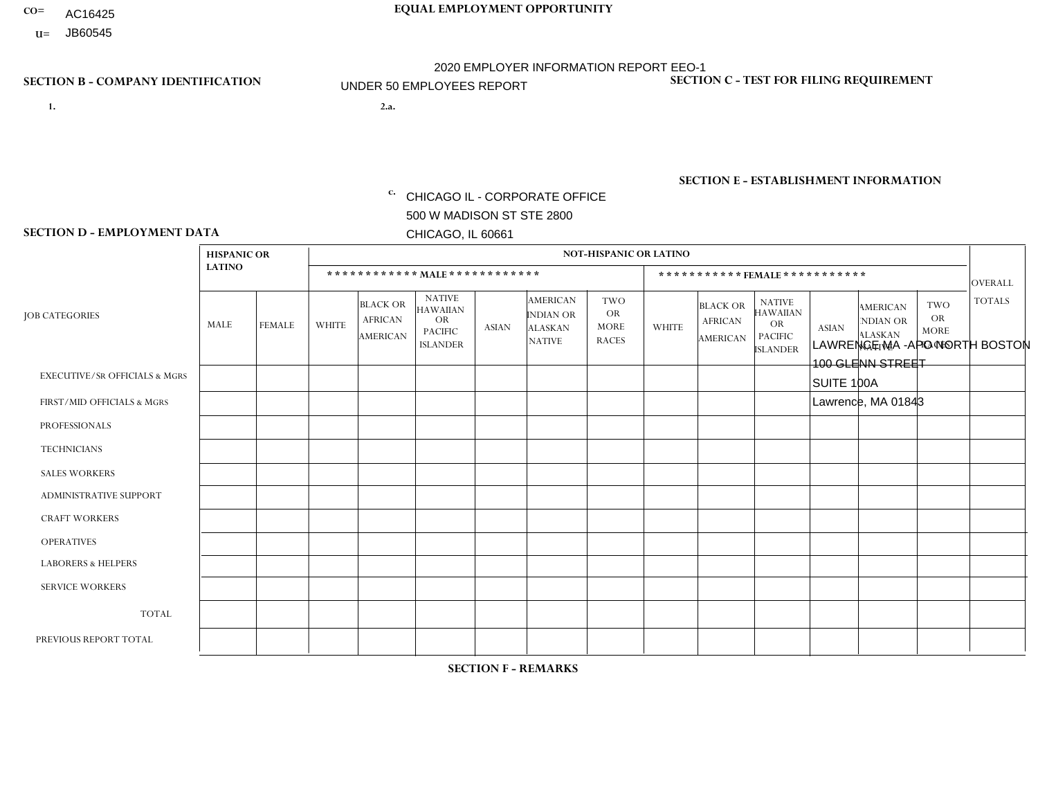- AC16425
- **U=**

- **1. 2.a.** CHICAGO IL CORPORATE OFFICE 500 W MADISON ST STE 2800 CHICAGO, IL 60661
- 2.a. LAWRENCE MA APO NORTH BOSTON 100 GLENN STREET SUITE 100A Lawrence, MA 01843
	- EIN= 952920557

## **SECTION B - COMPANY IDENTIFICATION SECTION C - TEST FOR FILING REQUIREMENT**

1- Y 2- Y 3- N DUNS= 000123456

**SECTION E - ESTABLISHMENT INFORMATION c.** NAICS: 423140

### **SECTION D - EMPLOYMENT DATA**

|                                          | <b>HISPANIC OR</b> |               |              |                                                      |                                                                                    |              |                                                                        | <b>NOT-HISPANIC OR LATINO</b>                          |              |                                                      |                                                                                    |              |                                                                       |                                                  |                 |
|------------------------------------------|--------------------|---------------|--------------|------------------------------------------------------|------------------------------------------------------------------------------------|--------------|------------------------------------------------------------------------|--------------------------------------------------------|--------------|------------------------------------------------------|------------------------------------------------------------------------------------|--------------|-----------------------------------------------------------------------|--------------------------------------------------|-----------------|
|                                          | <b>LATINO</b>      |               |              |                                                      | ************ MALE ************                                                     |              |                                                                        |                                                        |              | ***********FEMALE ***********                        |                                                                                    |              |                                                                       |                                                  | <b>OVERALL</b>  |
| <b>JOB CATEGORIES</b>                    | MALE               | <b>FEMALE</b> | <b>WHITE</b> | <b>BLACK OR</b><br><b>AFRICAN</b><br><b>AMERICAN</b> | <b>NATIVE</b><br><b>HAWAIIAN</b><br><b>OR</b><br><b>PACIFIC</b><br><b>ISLANDER</b> | <b>ASIAN</b> | <b>AMERICAN</b><br><b>INDIAN OR</b><br><b>ALASKAN</b><br><b>NATIVE</b> | <b>TWO</b><br><b>OR</b><br><b>MORE</b><br><b>RACES</b> | <b>WHITE</b> | <b>BLACK OR</b><br><b>AFRICAN</b><br><b>AMERICAN</b> | <b>NATIVE</b><br><b>HAWAIIAN</b><br><b>OR</b><br><b>PACIFIC</b><br><b>ISLANDER</b> | <b>ASIAN</b> | <b>AMERICAN</b><br><b>NDIAN OR</b><br><b>ALASKAN</b><br><b>NATIVE</b> | <b>TWO</b><br>OR.<br><b>MORE</b><br><b>RACES</b> | <b>TOTALS</b>   |
| <b>EXECUTIVE/SR OFFICIALS &amp; MGRS</b> | $\mathbf 0$        | 0             | $\mathbf 0$  | $\mathbf 0$                                          | $\Omega$                                                                           | $\Omega$     | $\Omega$                                                               | $\Omega$                                               | $\Omega$     | $\Omega$                                             | $\Omega$                                                                           | $\mathbf 0$  | $\Omega$                                                              | 0                                                | $\mathbf 0$     |
| FIRST/MID OFFICIALS & MGRS               | $\mathbf 0$        | 0             | $\Omega$     | $\mathbf 0$                                          | $\Omega$                                                                           | $\Omega$     | $\Omega$                                                               |                                                        | $\Omega$     | $\Omega$                                             | $\Omega$                                                                           | $\mathbf{0}$ | $\Omega$                                                              | $\Omega$                                         | $\mathbf{1}$    |
| <b>PROFESSIONALS</b>                     | $\mathbf 0$        | $\mathbf 0$   | $\mathbf 0$  | $\mathbf 0$                                          | $\Omega$                                                                           | $\Omega$     | $\Omega$                                                               | $\Omega$                                               | $\Omega$     | $\Omega$                                             | $\Omega$                                                                           | $\mathbf 0$  | $\Omega$                                                              | $\mathbf 0$                                      | $\mathbf 0$     |
| <b>TECHNICIANS</b>                       | $\mathbf 0$        | $\mathbf 0$   | $\Omega$     | $\Omega$                                             | $\Omega$                                                                           | $\Omega$     | $\Omega$                                                               | $\Omega$                                               | $\Omega$     | $\Omega$                                             | $\Omega$                                                                           | $\Omega$     | $\Omega$                                                              | $\Omega$                                         | $\mathbf{0}$    |
| <b>SALES WORKERS</b>                     | 1                  | 0             | $\Omega$     | 0                                                    | $\Omega$                                                                           | $\Omega$     | $\Omega$                                                               | 1                                                      | $\Omega$     | $\Omega$                                             | $\Omega$                                                                           | $\mathbf 0$  | $\Omega$                                                              | $\Omega$                                         | $\overline{2}$  |
| <b>ADMINISTRATIVE SUPPORT</b>            | $\mathbf{0}$       | $\mathbf 0$   | $\Omega$     | $\Omega$                                             | $\Omega$                                                                           | $\Omega$     | $\Omega$                                                               | $\Omega$                                               | $\Omega$     | $\Omega$                                             | $\Omega$                                                                           | $\Omega$     | $\Omega$                                                              | $\Omega$                                         | $\Omega$        |
| <b>CRAFT WORKERS</b>                     | $\mathbf 0$        | $\mathbf 0$   | $\Omega$     | $\mathbf 0$                                          | $\Omega$                                                                           | $\Omega$     | $\Omega$                                                               | $\Omega$                                               | $\Omega$     | $\Omega$                                             | $\Omega$                                                                           | $\Omega$     | $\Omega$                                                              | $\mathbf 0$                                      | $\mathbf 0$     |
| <b>OPERATIVES</b>                        | $\mathbf 0$        | $\Omega$      | $\Omega$     | $\Omega$                                             | $\Omega$                                                                           | $\Omega$     | $\Omega$                                                               | $\Omega$                                               | $\Omega$     | $\Omega$                                             | $\Omega$                                                                           | $\Omega$     | $\Omega$                                                              | $\Omega$                                         | $\mathbf 0$     |
| <b>LABORERS &amp; HELPERS</b>            | 1                  | $\mathbf 0$   | $\mathbf{0}$ | 0                                                    | $\Omega$                                                                           | $\Omega$     | $\Omega$                                                               | $\Omega$                                               | $\Omega$     | $\Omega$                                             | $\mathbf{0}$                                                                       | $\Omega$     | $\Omega$                                                              | $\Omega$                                         | $\mathbf{1}$    |
| <b>SERVICE WORKERS</b>                   | $\Omega$           | $\Omega$      | $\Omega$     | 0                                                    | $\Omega$                                                                           | $\Omega$     | $\Omega$                                                               | $\Omega$                                               | $\Omega$     | $\Omega$                                             | $\Omega$                                                                           | $\mathbf{0}$ | $\Omega$                                                              | $\Omega$                                         | $\mathbf 0$     |
| <b>TOTAL</b>                             | $\overline{2}$     | $\mathbf 0$   | $\mathbf 0$  | $\mathbf 0$                                          | 0                                                                                  | $\mathbf{0}$ | $\Omega$                                                               | $\overline{2}$                                         | $\Omega$     | $\Omega$                                             | $\Omega$                                                                           | $\mathbf{0}$ | 0                                                                     | 0                                                | 4               |
| PREVIOUS REPORT TOTAL                    | 3                  | $\mathbf 0$   | $\mathbf 0$  | $\mathbf 0$                                          | $\mathbf 0$                                                                        | $\Omega$     | $\Omega$                                                               | $\overline{2}$                                         | $\Omega$     | 0                                                    | 0                                                                                  | $\Omega$     | $\Omega$                                                              | $\mathbf 0$                                      | $5\phantom{.0}$ |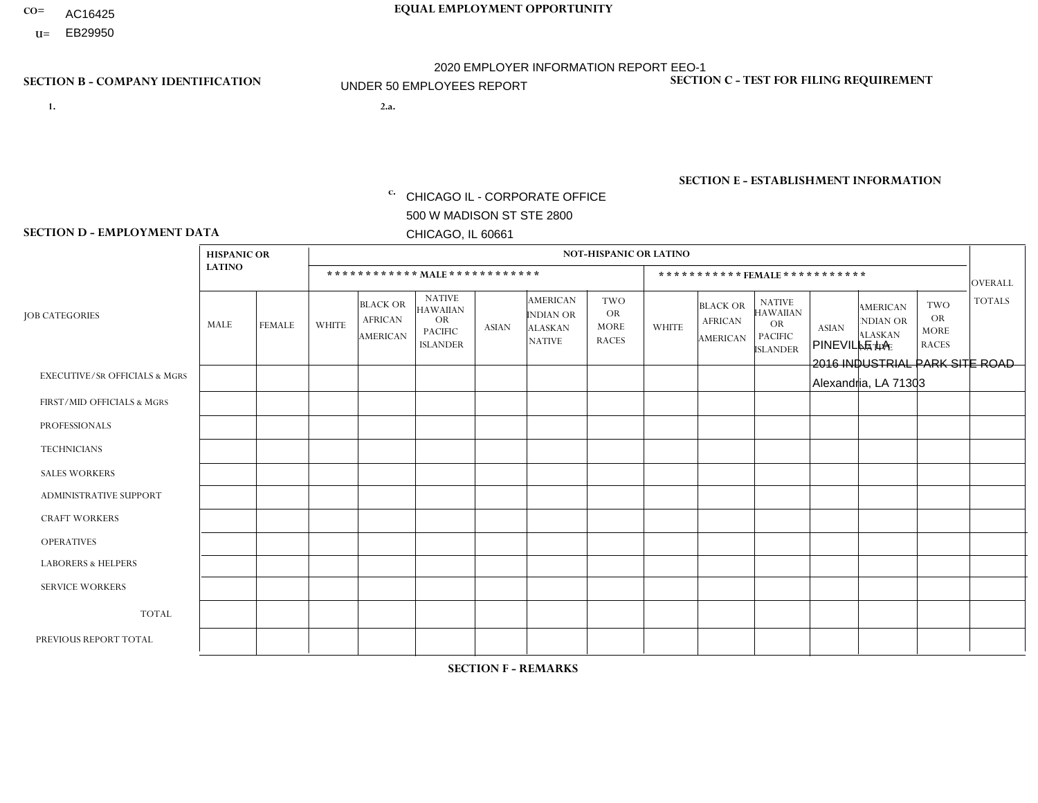- AC16425
- **U=**

- **1. 2.a.** CHICAGO IL CORPORATE OFFICE 500 W MADISON ST STE 2800 CHICAGO, IL 60661
- 2.a. PINEVILLE LA 2016 INDUSTRIAL PARK SITE ROAD Alexandria, LA 71303

EIN= 952920557

## **SECTION B - COMPANY IDENTIFICATION SECTION C - TEST FOR FILING REQUIREMENT**

1- Y 2- Y 3- N DUNS= 000123456

**SECTION E - ESTABLISHMENT INFORMATION c.** NAICS: 423140

### **SECTION D - EMPLOYMENT DATA**

|                                          | <b>HISPANIC OR</b> |               |              |                                               |                                                                                    |              |                                                                        | <b>NOT-HISPANIC OR LATINO</b>                          |                |                                               |                                                                             |              |                                                                       |                                                        |                |
|------------------------------------------|--------------------|---------------|--------------|-----------------------------------------------|------------------------------------------------------------------------------------|--------------|------------------------------------------------------------------------|--------------------------------------------------------|----------------|-----------------------------------------------|-----------------------------------------------------------------------------|--------------|-----------------------------------------------------------------------|--------------------------------------------------------|----------------|
|                                          | <b>LATINO</b>      |               |              | ************ MALE ************                |                                                                                    |              |                                                                        |                                                        |                | ***********FEMALE***********                  |                                                                             |              |                                                                       |                                                        | <b>OVERALL</b> |
| <b>JOB CATEGORIES</b>                    | MALE               | <b>FEMALE</b> | <b>WHITE</b> | <b>BLACK OR</b><br><b>AFRICAN</b><br>AMERICAN | <b>NATIVE</b><br><b>HAWAIIAN</b><br><b>OR</b><br><b>PACIFIC</b><br><b>ISLANDER</b> | <b>ASIAN</b> | <b>AMERICAN</b><br><b>INDIAN OR</b><br><b>ALASKAN</b><br><b>NATIVE</b> | <b>TWO</b><br><b>OR</b><br><b>MORE</b><br><b>RACES</b> | <b>WHITE</b>   | <b>BLACK OR</b><br><b>AFRICAN</b><br>AMERICAN | <b>NATIVE</b><br><b>HAWAIIAN</b><br>OR<br><b>PACIFIC</b><br><b>ISLANDER</b> | <b>ASIAN</b> | <b>AMERICAN</b><br><b>NDIAN OR</b><br><b>ALASKAN</b><br><b>NATIVE</b> | <b>TWO</b><br><b>OR</b><br><b>MORE</b><br><b>RACES</b> | <b>TOTALS</b>  |
| <b>EXECUTIVE/SR OFFICIALS &amp; MGRS</b> | $\Omega$           | $\Omega$      | $\Omega$     | $\mathbf 0$                                   | $\Omega$                                                                           | $\Omega$     | $\Omega$                                                               | $\Omega$                                               | $\Omega$       | $\Omega$                                      | $\Omega$                                                                    | $\Omega$     | $\Omega$                                                              | $\mathbf{0}$                                           | $\mathbf{0}$   |
| FIRST/MID OFFICIALS & MGRS               | 0                  | $\Omega$      | 3            | $\mathbf 0$                                   | $\Omega$                                                                           | $\Omega$     | $\Omega$                                                               | $\Omega$                                               | 0              | $\Omega$                                      | $\Omega$                                                                    | $\mathbf{0}$ | $\Omega$                                                              | $\Omega$                                               | 3              |
| <b>PROFESSIONALS</b>                     | 0                  | $\Omega$      | $\Omega$     | $\mathbf 0$                                   | $\Omega$                                                                           | $\Omega$     | $\Omega$                                                               | $\Omega$                                               | 0              | $\Omega$                                      | $\Omega$                                                                    | $\Omega$     | $\Omega$                                                              | $\Omega$                                               | $\mathbf{0}$   |
| <b>TECHNICIANS</b>                       | 0                  | $\mathbf 0$   | $\Omega$     | $\mathbf 0$                                   | $\mathbf 0$                                                                        | $\Omega$     | $\Omega$                                                               | $\Omega$                                               | $\Omega$       | $\mathbf 0$                                   | $\Omega$                                                                    | $\mathbf 0$  | 0                                                                     | $\mathbf 0$                                            | $\mathbf{0}$   |
| <b>SALES WORKERS</b>                     | $\Omega$           | $\Omega$      | 9            | $\Omega$                                      | $\Omega$                                                                           | $\Omega$     | $\Omega$                                                               | $\Omega$                                               | 1              | $\Omega$                                      | $\Omega$                                                                    | $\Omega$     | $\Omega$                                                              | $\Omega$                                               | 10             |
| <b>ADMINISTRATIVE SUPPORT</b>            | $\Omega$           | $\mathbf 0$   | $\Omega$     | $\mathbf 0$                                   | $\mathbf 0$                                                                        | $\Omega$     | $\Omega$                                                               | $\Omega$                                               |                | $\Omega$                                      | $\Omega$                                                                    | $\mathbf{0}$ | $\mathbf{0}$                                                          | $\mathbf 0$                                            | $\mathbf{1}$   |
| <b>CRAFT WORKERS</b>                     | $\Omega$           | $\Omega$      | $\Omega$     | $\Omega$                                      | $\Omega$                                                                           | $\Omega$     | $\Omega$                                                               | $\Omega$                                               | $\Omega$       | $\Omega$                                      | $\Omega$                                                                    | $\Omega$     | $\Omega$                                                              | $\Omega$                                               | $\Omega$       |
| <b>OPERATIVES</b>                        | 0                  | $\Omega$      | 1            | $\mathbf 0$                                   | $\Omega$                                                                           | $\Omega$     | $\Omega$                                                               | $\Omega$                                               | 0              | $\Omega$                                      | $\Omega$                                                                    | $\Omega$     | $\Omega$                                                              | $\Omega$                                               | $\mathbf{1}$   |
| <b>LABORERS &amp; HELPERS</b>            | 0                  | $\Omega$      | 4            | $\overline{2}$                                | $\mathbf{0}$                                                                       | $\Omega$     | $\Omega$                                                               | $\Omega$                                               | $\Omega$       | $\Omega$                                      | $\Omega$                                                                    | $\mathbf{0}$ | $\Omega$                                                              | $\mathbf{0}$                                           | 6              |
| <b>SERVICE WORKERS</b>                   | 0                  | $\Omega$      | $\Omega$     | 0                                             | $\mathbf{0}$                                                                       | $\Omega$     | $\Omega$                                                               | $\Omega$                                               | $\Omega$       | $\Omega$                                      | $\Omega$                                                                    | $\Omega$     | $\Omega$                                                              | $\Omega$                                               | 0              |
| <b>TOTAL</b>                             | 0                  | $\mathbf 0$   | 17           | $\overline{2}$                                | $\mathbf{0}$                                                                       | $\Omega$     | $\Omega$                                                               | $\Omega$                                               | $\overline{2}$ | $\Omega$                                      | $\Omega$                                                                    | $\mathbf 0$  | 0                                                                     | $\mathbf 0$                                            | 21             |
| PREVIOUS REPORT TOTAL                    | 0                  | $\Omega$      | 18           | $\overline{2}$                                | $\Omega$                                                                           | $\mathbf{0}$ | 2                                                                      | $\Omega$                                               | $\overline{2}$ |                                               | $\Omega$                                                                    | $\Omega$     | $\Omega$                                                              | $\Omega$                                               | 25             |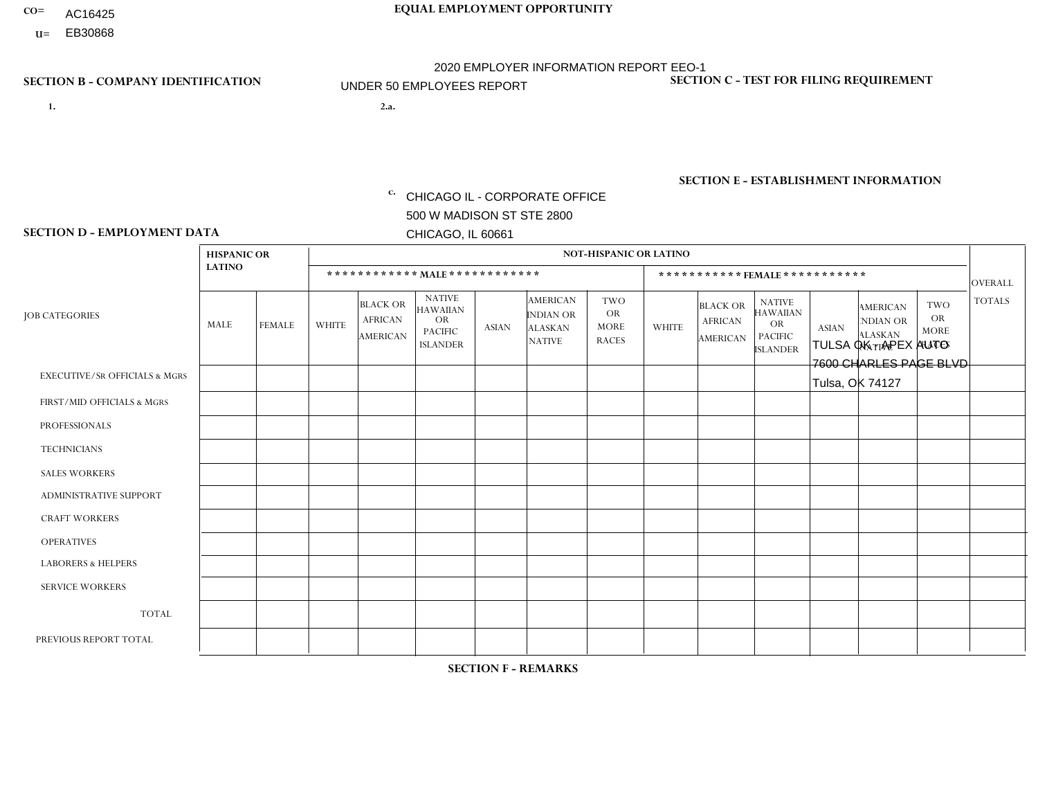- AC16425
- **U=**

**1. 2.a.** CHICAGO IL - CORPORATE OFFICE 500 W MADISON ST STE 2800 CHICAGO, IL 60661

2.a. TULSA OK - APEX AUTO 7600 CHARLES PAGE BLVD Tulsa, OK 74127

**SECTION B - COMPANY IDENTIFICATION SECTION C - TEST FOR FILING REQUIREMENT** 

1- Y 2- Y 3- N DUNS= 000123456

EIN= 952920557

| <b>SECTION D - EMPLOYMENT DATA</b>       |                    |               |                |                                               |                                                                                    |                |                                                                        |                                                        |              |                                                      |                                                                                    |              |                                                                       |                                                        |                |
|------------------------------------------|--------------------|---------------|----------------|-----------------------------------------------|------------------------------------------------------------------------------------|----------------|------------------------------------------------------------------------|--------------------------------------------------------|--------------|------------------------------------------------------|------------------------------------------------------------------------------------|--------------|-----------------------------------------------------------------------|--------------------------------------------------------|----------------|
|                                          | <b>HISPANIC OR</b> |               |                |                                               |                                                                                    |                |                                                                        | <b>NOT-HISPANIC OR LATINO</b>                          |              |                                                      |                                                                                    |              |                                                                       |                                                        |                |
|                                          | <b>LATINO</b>      |               |                |                                               | ************ MALE ************                                                     |                |                                                                        |                                                        |              | ***********FEMALE***********                         |                                                                                    |              |                                                                       |                                                        | OVERALL        |
| <b>JOB CATEGORIES</b>                    | <b>MALE</b>        | <b>FEMALE</b> | <b>WHITE</b>   | <b>BLACK OR</b><br><b>AFRICAN</b><br>AMERICAN | <b>NATIVE</b><br><b>HAWAIIAN</b><br><b>OR</b><br><b>PACIFIC</b><br><b>ISLANDER</b> | <b>ASIAN</b>   | <b>AMERICAN</b><br><b>INDIAN OR</b><br><b>ALASKAN</b><br><b>NATIVE</b> | <b>TWO</b><br><b>OR</b><br><b>MORE</b><br><b>RACES</b> | <b>WHITE</b> | <b>BLACK OR</b><br><b>AFRICAN</b><br><b>AMERICAN</b> | <b>NATIVE</b><br><b>HAWAIIAN</b><br><b>OR</b><br><b>PACIFIC</b><br><b>ISLANDER</b> | <b>ASIAN</b> | <b>AMERICAN</b><br><b>NDIAN OR</b><br><b>ALASKAN</b><br><b>NATIVE</b> | <b>TWO</b><br><b>OR</b><br><b>MORE</b><br><b>RACES</b> | <b>TOTALS</b>  |
| <b>EXECUTIVE/SR OFFICIALS &amp; MGRS</b> | $\Omega$           | $\Omega$      | $\Omega$       | $\Omega$                                      | $\Omega$                                                                           | $\Omega$       | $\Omega$                                                               | $\mathbf{0}$                                           | $\Omega$     | $\Omega$                                             | $\Omega$                                                                           | $\Omega$     | $\Omega$                                                              | $\Omega$                                               | $\mathbf{0}$   |
| FIRST/MID OFFICIALS & MGRS               | $\mathbf{0}$       | $\Omega$      | $\overline{2}$ | $\Omega$                                      | $\Omega$                                                                           |                | $\Omega$                                                               | $\Omega$                                               | $\Omega$     | $\Omega$                                             | $\Omega$                                                                           | $\Omega$     | $\Omega$                                                              | $\Omega$                                               | 3              |
| <b>PROFESSIONALS</b>                     | $\Omega$           | $\Omega$      | $\Omega$       |                                               | $\Omega$                                                                           | $\Omega$       | $\Omega$                                                               | $\Omega$                                               | $\Omega$     | $\Omega$                                             | $\Omega$                                                                           | $\Omega$     | $\Omega$                                                              | $\Omega$                                               | $\mathbf{1}$   |
| <b>TECHNICIANS</b>                       | $\Omega$           | $\Omega$      | $\Omega$       | $\Omega$                                      | $\Omega$                                                                           | $\Omega$       | $\Omega$                                                               | $\Omega$                                               | $\Omega$     | $\Omega$                                             | $\Omega$                                                                           | $\Omega$     | $\Omega$                                                              | $\Omega$                                               | $\mathbf 0$    |
| <b>SALES WORKERS</b>                     | $\overline{2}$     | $\Omega$      | $\overline{2}$ | $\Omega$                                      | $\Omega$                                                                           | $\Omega$       | $\Omega$                                                               | $\Omega$                                               | $\mathbf 1$  | $\Omega$                                             | $\Omega$                                                                           | $\Omega$     | $\Omega$                                                              | $\Omega$                                               | 5              |
| <b>ADMINISTRATIVE SUPPORT</b>            | $\Omega$           | $\Omega$      | $\mathbf{1}$   | $\Omega$                                      | $\Omega$                                                                           | $\Omega$       | $\Omega$                                                               | $\Omega$                                               | -1           | $\Omega$                                             | $\Omega$                                                                           | $\Omega$     | $\Omega$                                                              | $\Omega$                                               | 2              |
| <b>CRAFT WORKERS</b>                     | ٠                  | $\Omega$      | 3              | $\Omega$                                      | $\Omega$                                                                           |                | $\Omega$                                                               | $\mathbf{1}$                                           | $\Omega$     | $\Omega$                                             | $\Omega$                                                                           | $\Omega$     | $\Omega$                                                              | $\Omega$                                               | 6              |
| <b>OPERATIVES</b>                        | ٠                  | $\Omega$      | $\overline{4}$ | $\Omega$                                      | $\Omega$                                                                           | $\Omega$       | $\Omega$                                                               | $\overline{1}$                                         | $\Omega$     | $\Omega$                                             | $\Omega$                                                                           | $\Omega$     | $\Omega$                                                              | $\Omega$                                               | 6              |
| <b>LABORERS &amp; HELPERS</b>            |                    | $\Omega$      | $\overline{1}$ | $\Omega$                                      | $\Omega$                                                                           | $\Omega$       | $\Omega$                                                               | $\Omega$                                               | $\Omega$     | $\Omega$                                             | $\Omega$                                                                           | $\Omega$     | $\Omega$                                                              | $\Omega$                                               | $\overline{2}$ |
| <b>SERVICE WORKERS</b>                   | $\Omega$           | $\Omega$      | $\Omega$       | $\Omega$                                      | $\Omega$                                                                           | $\Omega$       | $\Omega$                                                               | $\Omega$                                               | $\mathbf{1}$ | $\Omega$                                             | $\Omega$                                                                           | $\Omega$     | $\Omega$                                                              | $\Omega$                                               | $\overline{1}$ |
| <b>TOTAL</b>                             | 5                  | $\Omega$      | 13             | 1                                             | $\Omega$                                                                           | $\overline{2}$ | $\Omega$                                                               | $\overline{2}$                                         | 3            | $\Omega$                                             | $\Omega$                                                                           | $\Omega$     | $\Omega$                                                              | $\Omega$                                               | 26             |
| PREVIOUS REPORT TOTAL                    | 5                  | $\Omega$      | 18             | 1                                             | $\Omega$                                                                           | $\overline{2}$ | $\overline{2}$                                                         |                                                        | 3            | $\Omega$                                             | $\Omega$                                                                           | $\Omega$     | $\Omega$                                                              | $\Omega$                                               | 32             |

**SECTION E - ESTABLISHMENT INFORMATION c.** NAICS: 423140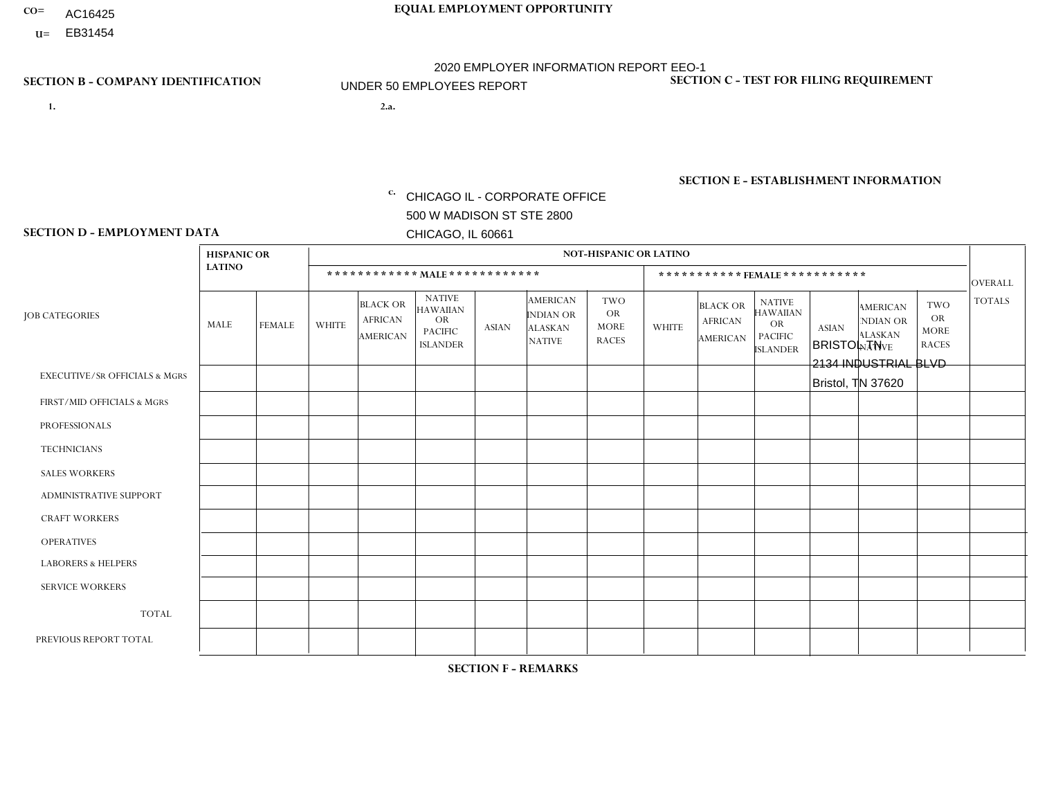- AC16425
- **U=**

- **1. 2.a.** CHICAGO IL CORPORATE OFFICE 500 W MADISON ST STE 2800 CHICAGO, IL 60661
- 2.a. BRISTOL TN 2134 INDUSTRIAL BLVD Bristol, TN 37620

EIN= 952920557

## **SECTION B - COMPANY IDENTIFICATION SECTION C - TEST FOR FILING REQUIREMENT**

1- Y 2- Y 3- N DUNS= 000123456

**SECTION E - ESTABLISHMENT INFORMATION c.** NAICS: 423140

### **SECTION D - EMPLOYMENT DATA**

|                                          | <b>HISPANIC OR</b> |             |                |                                                      |                                                                                    |              |                                                                        | <b>NOT-HISPANIC OR LATINO</b>                   |                |                                               |                                                                             |              |                                                                       |                                                        |                |
|------------------------------------------|--------------------|-------------|----------------|------------------------------------------------------|------------------------------------------------------------------------------------|--------------|------------------------------------------------------------------------|-------------------------------------------------|----------------|-----------------------------------------------|-----------------------------------------------------------------------------|--------------|-----------------------------------------------------------------------|--------------------------------------------------------|----------------|
|                                          | <b>LATINO</b>      |             |                |                                                      | ************ MALE ************                                                     |              |                                                                        |                                                 |                | ***********FEMALE***********                  |                                                                             |              |                                                                       |                                                        | <b>OVERALL</b> |
| <b>JOB CATEGORIES</b>                    | MALE               | FEMALE      | <b>WHITE</b>   | <b>BLACK OR</b><br><b>AFRICAN</b><br><b>AMERICAN</b> | <b>NATIVE</b><br><b>HAWAIIAN</b><br><b>OR</b><br><b>PACIFIC</b><br><b>ISLANDER</b> | <b>ASIAN</b> | <b>AMERICAN</b><br><b>INDIAN OR</b><br><b>ALASKAN</b><br><b>NATIVE</b> | TWO<br><b>OR</b><br><b>MORE</b><br><b>RACES</b> | <b>WHITE</b>   | <b>BLACK OR</b><br><b>AFRICAN</b><br>AMERICAN | <b>NATIVE</b><br><b>HAWAIIAN</b><br>OR<br><b>PACIFIC</b><br><b>ISLANDER</b> | <b>ASIAN</b> | <b>AMERICAN</b><br><b>NDIAN OR</b><br><b>ALASKAN</b><br><b>NATIVE</b> | <b>TWO</b><br><b>OR</b><br><b>MORE</b><br><b>RACES</b> | <b>TOTALS</b>  |
| <b>EXECUTIVE/SR OFFICIALS &amp; MGRS</b> | $\Omega$           | $\Omega$    | $\Omega$       | $\Omega$                                             | $\Omega$                                                                           | $\mathbf{0}$ | $\Omega$                                                               | $\Omega$                                        | 0              | $\Omega$                                      | $\Omega$                                                                    | $\Omega$     | $\Omega$                                                              | $\Omega$                                               | $\Omega$       |
| FIRST/MID OFFICIALS & MGRS               | 0                  | $\Omega$    | $\mathbf 0$    | $\mathbf 0$                                          | $\Omega$                                                                           | $\mathbf{0}$ | $\Omega$                                                               | $\Omega$                                        |                | $\Omega$                                      | $\Omega$                                                                    | $\Omega$     | $\Omega$                                                              | $\mathbf 0$                                            | $\mathbf{1}$   |
| <b>PROFESSIONALS</b>                     | 0                  | $\mathbf 0$ | $\mathbf 0$    | $\mathbf 0$                                          | $\mathbf 0$                                                                        | $\Omega$     | $\Omega$                                                               | $\Omega$                                        | 0              | $\Omega$                                      | $\Omega$                                                                    | $\mathbf 0$  | 0                                                                     | $\mathbf 0$                                            | $\mathbf{0}$   |
| <b>TECHNICIANS</b>                       | $\Omega$           | $\Omega$    | $\Omega$       | $\mathbf 0$                                          | $\Omega$                                                                           | $\Omega$     | $\Omega$                                                               | $\Omega$                                        | $\overline{0}$ | $\Omega$                                      | $\Omega$                                                                    | $\Omega$     | $\Omega$                                                              | $\Omega$                                               | $\mathbf 0$    |
| <b>SALES WORKERS</b>                     | $\Omega$           | $\Omega$    | 1              | $\mathbf 0$                                          | $\Omega$                                                                           | $\Omega$     | $\Omega$                                                               | $\Omega$                                        | $\overline{2}$ | $\Omega$                                      | $\Omega$                                                                    | $\Omega$     | $\Omega$                                                              | $\Omega$                                               | 3              |
| <b>ADMINISTRATIVE SUPPORT</b>            | 0                  | $\Omega$    | $\Omega$       | $\mathbf 0$                                          | $\Omega$                                                                           | $\Omega$     | $\Omega$                                                               | $\Omega$                                        |                | $\Omega$                                      | $\Omega$                                                                    | $\Omega$     | $\Omega$                                                              | $\Omega$                                               | $\mathbf{1}$   |
| <b>CRAFT WORKERS</b>                     | 0                  | $\Omega$    | $\Omega$       | $\mathbf 0$                                          | $\mathbf{0}$                                                                       | $\Omega$     | $\Omega$                                                               | $\Omega$                                        | 0              | $\Omega$                                      | $\Omega$                                                                    | $\Omega$     | $\Omega$                                                              | $\Omega$                                               | $\mathbf 0$    |
| <b>OPERATIVES</b>                        | 0                  | $\Omega$    | $\overline{7}$ | $\Omega$                                             | $\Omega$                                                                           | $\Omega$     | $\Omega$                                                               | $\Omega$                                        | $\Omega$       | $\Omega$                                      | $\Omega$                                                                    | $\Omega$     | $\Omega$                                                              | $\Omega$                                               | $\overline{7}$ |
| <b>LABORERS &amp; HELPERS</b>            | 0                  | $\Omega$    | $\overline{2}$ | $\mathbf 0$                                          | $\Omega$                                                                           | $\Omega$     | $\Omega$                                                               | $\Omega$                                        | $\Omega$       | $\Omega$                                      | $\Omega$                                                                    | $\Omega$     | $\Omega$                                                              | $\Omega$                                               | $\overline{2}$ |
| <b>SERVICE WORKERS</b>                   | 0                  | 0           | $\mathbf 0$    | 0                                                    | 0                                                                                  | $\mathbf 0$  | $\Omega$                                                               | $\Omega$                                        | $\Omega$       | $\Omega$                                      | $\Omega$                                                                    | $\mathbf 0$  | 0                                                                     | $\mathbf 0$                                            | $\mathbf 0$    |
| <b>TOTAL</b>                             | $\Omega$           | $\Omega$    | 10             | $\mathbf 0$                                          | 0                                                                                  | $\Omega$     | $\Omega$                                                               | $\Omega$                                        | 4              | $\Omega$                                      | $\Omega$                                                                    | $\Omega$     | $\Omega$                                                              | $\mathbf 0$                                            | 14             |
| PREVIOUS REPORT TOTAL                    | 0                  | $\Omega$    | 18             | $\mathbf 0$                                          | $\Omega$                                                                           | $\mathbf{0}$ | $\Omega$                                                               |                                                 | 5              | $\Omega$                                      | $\mathbf{0}$                                                                | $\mathbf{0}$ | $\Omega$                                                              | $\mathbf 0$                                            | 24             |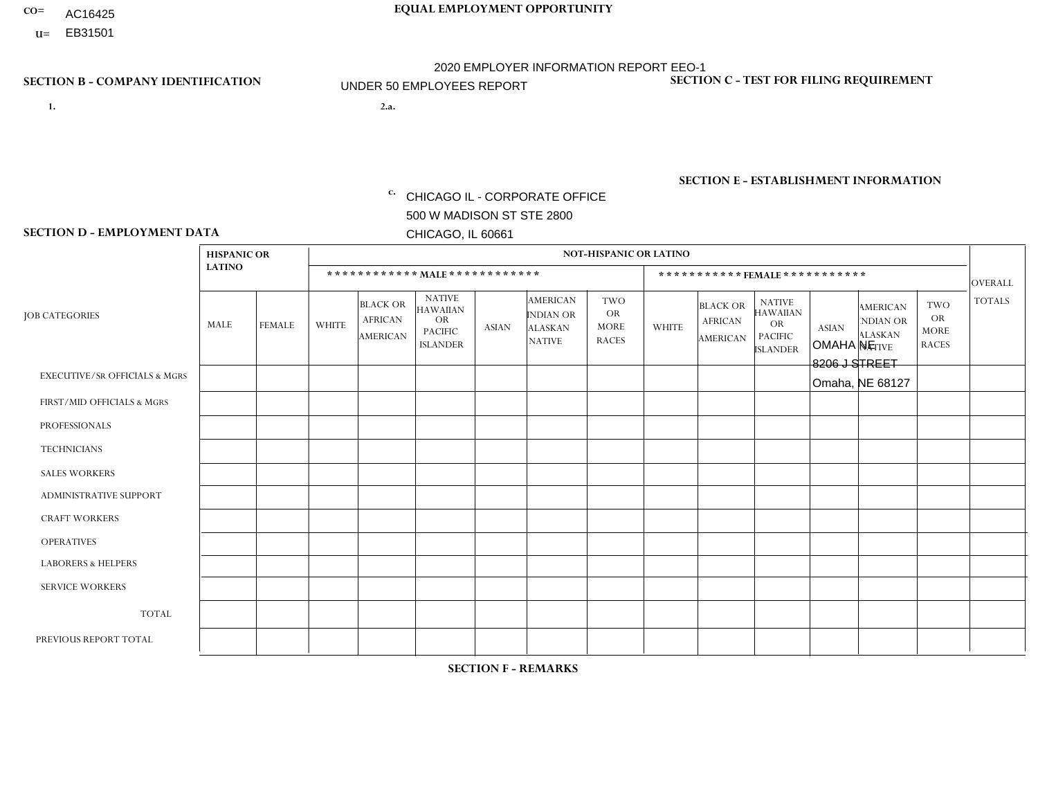- AC16425
- **U=**

**1. 2.a.** CHICAGO IL - CORPORATE OFFICE 500 W MADISON ST STE 2800 CHICAGO, IL 60661

2.a. OMAHA NE 8206 J STREET Omaha, NE 68127

EIN= 952920557

## **SECTION B - COMPANY IDENTIFICATION SECTION C - TEST FOR FILING REQUIREMENT**

1- Y 2- Y 3- N DUNS= 000123456

**SECTION E - ESTABLISHMENT INFORMATION c.** NAICS: 423140

### **SECTION D - EMPLOYMENT DATA**

|                                          | <b>HISPANIC OR</b> |               |              |                                                      |                                                                                    |              |                                                                        | <b>NOT-HISPANIC OR LATINO</b>                          |              |                                               |                                                                                    |              |                                                                |                                                        |                      |
|------------------------------------------|--------------------|---------------|--------------|------------------------------------------------------|------------------------------------------------------------------------------------|--------------|------------------------------------------------------------------------|--------------------------------------------------------|--------------|-----------------------------------------------|------------------------------------------------------------------------------------|--------------|----------------------------------------------------------------|--------------------------------------------------------|----------------------|
|                                          | <b>LATINO</b>      |               |              | ************ MALE ************                       |                                                                                    |              |                                                                        |                                                        |              |                                               | *********** FEMALE ***********                                                     |              |                                                                |                                                        | <b>OVERALL</b>       |
| <b>JOB CATEGORIES</b>                    | MALE               | <b>FEMALE</b> | <b>WHITE</b> | <b>BLACK OR</b><br><b>AFRICAN</b><br><b>AMERICAN</b> | <b>NATIVE</b><br><b>HAWAIIAN</b><br><b>OR</b><br><b>PACIFIC</b><br><b>ISLANDER</b> | <b>ASIAN</b> | <b>AMERICAN</b><br><b>INDIAN OR</b><br><b>ALASKAN</b><br><b>NATIVE</b> | <b>TWO</b><br><b>OR</b><br><b>MORE</b><br><b>RACES</b> | <b>WHITE</b> | <b>BLACK OR</b><br><b>AFRICAN</b><br>AMERICAN | <b>NATIVE</b><br><b>HAWAIIAN</b><br><b>OR</b><br><b>PACIFIC</b><br><b>ISLANDER</b> | <b>ASIAN</b> | <b>AMERICAN</b><br>NDIAN OR<br><b>ALASKAN</b><br><b>NATIVE</b> | <b>TWO</b><br><b>OR</b><br><b>MORE</b><br><b>RACES</b> | <b>TOTALS</b>        |
| <b>EXECUTIVE/SR OFFICIALS &amp; MGRS</b> | $\Omega$           | $\Omega$      | $\mathbf{0}$ | $\Omega$                                             | $\Omega$                                                                           | $\Omega$     | $\Omega$                                                               | $\Omega$                                               | 0            | $\Omega$                                      | $\Omega$                                                                           | $\Omega$     | $\Omega$                                                       | $\Omega$                                               | $\Omega$             |
| FIRST/MID OFFICIALS & MGRS               | $\Omega$           | $\Omega$      | 3            | $\mathbf 0$                                          | $\Omega$                                                                           | $\Omega$     | $\Omega$                                                               | $\Omega$                                               | 1            | $\Omega$                                      | 0                                                                                  | $\Omega$     | $\Omega$                                                       | $\Omega$                                               | 4                    |
| <b>PROFESSIONALS</b>                     | $\Omega$           | $\Omega$      | $\Omega$     | $\mathbf 0$                                          | $\Omega$                                                                           | $\Omega$     | $\Omega$                                                               | $\Omega$                                               | $\Omega$     | $\Omega$                                      | 0                                                                                  | 0            | $\Omega$                                                       | $\mathbf 0$                                            | $\mathbf{0}$         |
| <b>TECHNICIANS</b>                       | $\Omega$           | $\Omega$      | $\Omega$     | $\Omega$                                             | $\Omega$                                                                           | $\Omega$     | $\Omega$                                                               | $\Omega$                                               | $\Omega$     | $\Omega$                                      | 0                                                                                  | $\mathbf 0$  | $\Omega$                                                       | $\mathbf 0$                                            | $\Omega$             |
| <b>SALES WORKERS</b>                     | 3                  | $\Omega$      | 16           | $\Omega$                                             | $\Omega$                                                                           | $\Omega$     | $\Omega$                                                               | $\overline{2}$                                         | 1            | $\Omega$                                      | $\Omega$                                                                           | $\Omega$     | 1                                                              | $\Omega$                                               | 23                   |
| <b>ADMINISTRATIVE SUPPORT</b>            | $\Omega$           | $\Omega$      | $\mathbf{0}$ | $\mathbf 0$                                          | 0                                                                                  | $\Omega$     | $\Omega$                                                               | $\Omega$                                               | 1            | $\Omega$                                      | 0                                                                                  | $\mathbf 0$  | $\Omega$                                                       | $\mathbf 0$                                            | $\blacktriangleleft$ |
| <b>CRAFT WORKERS</b>                     | $\Omega$           | $\Omega$      | $\Omega$     | $\mathbf 0$                                          | $\Omega$                                                                           | $\Omega$     | $\Omega$                                                               | $\Omega$                                               | 0            | $\Omega$                                      | 0                                                                                  | $\Omega$     | $\Omega$                                                       | $\Omega$                                               | $\Omega$             |
| <b>OPERATIVES</b>                        | $\Omega$           | $\Omega$      | 5            | $\mathbf 0$                                          | $\Omega$                                                                           | $\Omega$     | $\Omega$                                                               | $\Omega$                                               | 0            | $\Omega$                                      | 0                                                                                  | $\mathbf 0$  | $\Omega$                                                       | $\Omega$                                               | 5                    |
| <b>LABORERS &amp; HELPERS</b>            | -1                 | $\Omega$      | 6            | $\mathbf 0$                                          | $\Omega$                                                                           | $\Omega$     | $\Omega$                                                               | $\Omega$                                               | $\Omega$     | $\Omega$                                      | $\Omega$                                                                           | $\Omega$     | $\Omega$                                                       | $\Omega$                                               | $\overline{7}$       |
| <b>SERVICE WORKERS</b>                   | $\Omega$           | $\Omega$      | $\Omega$     | 0                                                    | $\Omega$                                                                           | $\Omega$     | $\Omega$                                                               | $\Omega$                                               | 0            | $\Omega$                                      | $\Omega$                                                                           | $\mathbf 0$  | $\Omega$                                                       | $\Omega$                                               | $\mathbf 0$          |
| <b>TOTAL</b>                             | 4                  | 0             | 30           | $\mathbf 0$                                          | $\mathbf 0$                                                                        | 0            | $\Omega$                                                               | $\overline{2}$                                         | 3            | $\Omega$                                      | 0                                                                                  | $\mathbf 0$  | 1                                                              | $\mathbf 0$                                            | 40                   |
| PREVIOUS REPORT TOTAL                    | 3                  | $\Omega$      | 36           | $\mathbf 0$                                          | 0                                                                                  | $\Omega$     | $\Omega$                                                               | $\overline{4}$                                         | 5            | $\Omega$                                      | 0                                                                                  | $\mathbf 0$  | 1                                                              | $\mathbf 0$                                            | 49                   |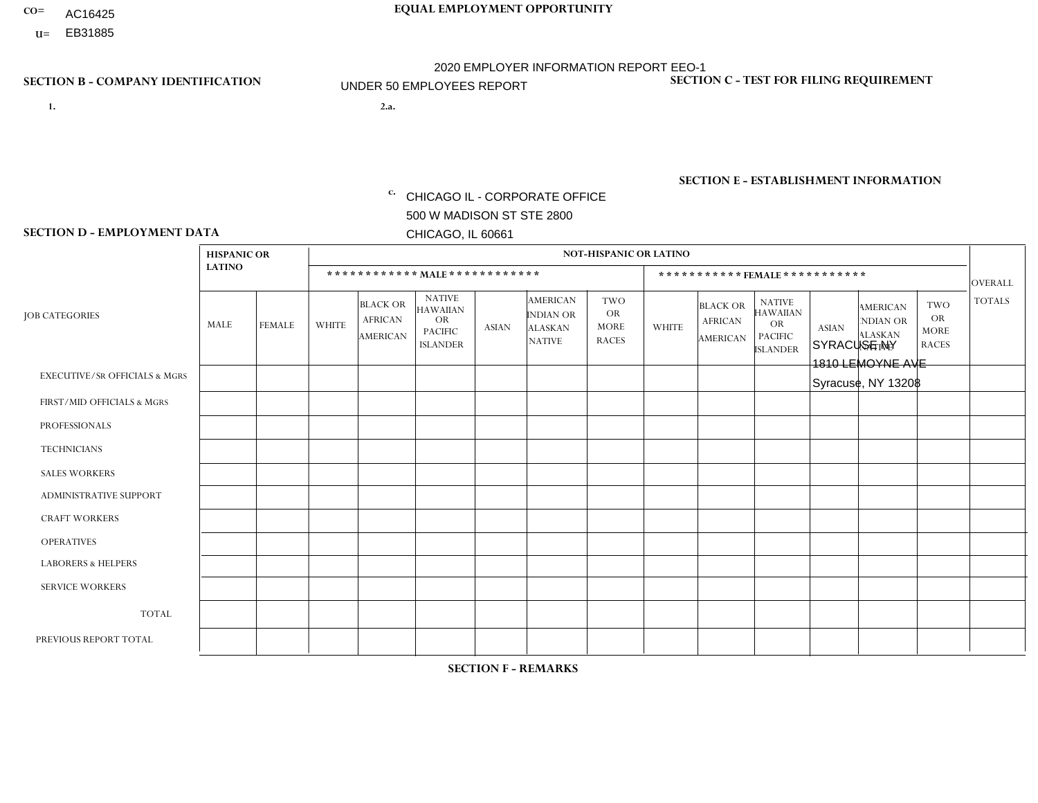- AC16425
- **U=**

**1. 2.a.** CHICAGO IL - CORPORATE OFFICE 500 W MADISON ST STE 2800 CHICAGO, IL 60661

2.a. SYRACUSE NY 1810 LEMOYNE AVE Syracuse, NY 13208

EIN= 952920557

## **SECTION B - COMPANY IDENTIFICATION SECTION C - TEST FOR FILING REQUIREMENT**

1- Y 2- Y 3- N DUNS= 000123456

**SECTION E - ESTABLISHMENT INFORMATION c.** NAICS: 423140

### **SECTION D - EMPLOYMENT DATA**

|                                          | <b>HISPANIC OR</b> |               |                |                                                      |                                                                                    |              |                                                                        | <b>NOT-HISPANIC OR LATINO</b>                          |                |                                                      |                                                                                    |              |                                                                |                                                        |                |
|------------------------------------------|--------------------|---------------|----------------|------------------------------------------------------|------------------------------------------------------------------------------------|--------------|------------------------------------------------------------------------|--------------------------------------------------------|----------------|------------------------------------------------------|------------------------------------------------------------------------------------|--------------|----------------------------------------------------------------|--------------------------------------------------------|----------------|
|                                          | <b>LATINO</b>      |               |                | ************ MALE ************                       |                                                                                    |              |                                                                        |                                                        |                | ***********FEMALE***********                         |                                                                                    |              |                                                                |                                                        | <b>OVERALL</b> |
| <b>JOB CATEGORIES</b>                    | MALE               | <b>FEMALE</b> | <b>WHITE</b>   | <b>BLACK OR</b><br><b>AFRICAN</b><br><b>AMERICAN</b> | <b>NATIVE</b><br><b>HAWAIIAN</b><br><b>OR</b><br><b>PACIFIC</b><br><b>ISLANDER</b> | <b>ASIAN</b> | <b>AMERICAN</b><br><b>INDIAN OR</b><br><b>ALASKAN</b><br><b>NATIVE</b> | <b>TWO</b><br><b>OR</b><br><b>MORE</b><br><b>RACES</b> | <b>WHITE</b>   | <b>BLACK OR</b><br><b>AFRICAN</b><br><b>AMERICAN</b> | <b>NATIVE</b><br><b>HAWAIIAN</b><br><b>OR</b><br><b>PACIFIC</b><br><b>ISLANDER</b> | <b>ASIAN</b> | <b>AMERICAN</b><br>NDIAN OR<br><b>ALASKAN</b><br><b>NATIVE</b> | <b>TWO</b><br><b>OR</b><br><b>MORE</b><br><b>RACES</b> | <b>TOTALS</b>  |
| <b>EXECUTIVE/SR OFFICIALS &amp; MGRS</b> | $\Omega$           | $\Omega$      | $\Omega$       | $\Omega$                                             | $\Omega$                                                                           | $\Omega$     | $\Omega$                                                               | $\Omega$                                               | $\Omega$       | $\Omega$                                             | $\Omega$                                                                           | $\Omega$     | $\Omega$                                                       | $\Omega$                                               | $\mathbf 0$    |
| FIRST/MID OFFICIALS & MGRS               | $\Omega$           | $\mathbf 0$   | 1              | $\mathbf 0$                                          | 0                                                                                  | $\mathbf 0$  | $\Omega$                                                               | $\Omega$                                               | $\Omega$       | $\mathbf{0}$                                         | $\Omega$                                                                           | $\mathbf 0$  | $\Omega$                                                       | $\mathbf 0$                                            | $\mathbf{1}$   |
| <b>PROFESSIONALS</b>                     | $\Omega$           | $\Omega$      | $\Omega$       | $\mathbf 0$                                          | $\Omega$                                                                           | $\Omega$     | $\Omega$                                                               | $\Omega$                                               | $\Omega$       | $\Omega$                                             | $\mathbf{0}$                                                                       | $\Omega$     | $\Omega$                                                       | $\Omega$                                               | $\mathbf 0$    |
| <b>TECHNICIANS</b>                       | $\Omega$           | $\mathbf 0$   | $\Omega$       | $\mathbf 0$                                          | 0                                                                                  | $\Omega$     | $\overline{0}$                                                         | $\Omega$                                               | $\Omega$       | $\Omega$                                             | $\Omega$                                                                           | $\Omega$     | $\Omega$                                                       | $\mathbf{0}$                                           | $\mathbf 0$    |
| <b>SALES WORKERS</b>                     | $\Omega$           | $\mathbf 0$   | 1              | $\mathbf 0$                                          | 0                                                                                  | $\Omega$     | $\Omega$                                                               | $\Omega$                                               | $\Omega$       | $\Omega$                                             | $\Omega$                                                                           | $\Omega$     | $\Omega$                                                       | $\mathbf{0}$                                           | $\mathbf{1}$   |
| <b>ADMINISTRATIVE SUPPORT</b>            | $\Omega$           | $\Omega$      | $\Omega$       | $\mathbf 0$                                          | $\mathbf 0$                                                                        | $\Omega$     | $\Omega$                                                               | $\Omega$                                               | 1              | $\mathbf{0}$                                         | $\mathbf{0}$                                                                       | $\Omega$     | $\Omega$                                                       | $\Omega$                                               | $\mathbf{1}$   |
| <b>CRAFT WORKERS</b>                     | $\Omega$           | $\Omega$      | $\Omega$       | $\mathbf 0$                                          | 0                                                                                  | $\Omega$     | $\Omega$                                                               | $\Omega$                                               | $\Omega$       | $\Omega$                                             | $\Omega$                                                                           | $\Omega$     | $\Omega$                                                       | $\Omega$                                               | $\mathbf 0$    |
| <b>OPERATIVES</b>                        | 0                  | $\Omega$      | $\overline{7}$ | $\mathbf 0$                                          | 0                                                                                  | $\Omega$     | $\overline{0}$                                                         | $\Omega$                                               | $\mathbf 1$    | $\Omega$                                             | $\mathbf{0}$                                                                       | $\Omega$     | $\Omega$                                                       | $\mathbf{0}$                                           | 8              |
| <b>LABORERS &amp; HELPERS</b>            | $\Omega$           | $\Omega$      | 3              | $\mathbf 0$                                          | 0                                                                                  | $\Omega$     | $\Omega$                                                               | $\Omega$                                               | $\Omega$       | $\Omega$                                             | $\Omega$                                                                           | $\Omega$     | $\Omega$                                                       | $\Omega$                                               | 3              |
| <b>SERVICE WORKERS</b>                   | $\Omega$           | $\Omega$      | 0              | $\mathbf 0$                                          | $\mathbf 0$                                                                        | $\Omega$     | $\Omega$                                                               | $\Omega$                                               | $\Omega$       | $\Omega$                                             | $\Omega$                                                                           | $\Omega$     | $\Omega$                                                       | $\Omega$                                               | 0              |
| <b>TOTAL</b>                             | $\mathbf 0$        | $\mathbf 0$   | 12             | $\mathbf 0$                                          | 0                                                                                  | $\mathbf 0$  | $\Omega$                                                               | 0                                                      | $\overline{2}$ | $\mathbf 0$                                          | $\mathbf 0$                                                                        | $\mathbf 0$  | 0                                                              | $\mathbf 0$                                            | 14             |
| PREVIOUS REPORT TOTAL                    | 0                  | $\Omega$      | 13             | 1                                                    | $\Omega$                                                                           | $\Omega$     | $\Omega$                                                               | $\Omega$                                               | $\overline{2}$ | $\Omega$                                             | $\Omega$                                                                           | $\Omega$     | $\Omega$                                                       | $\mathbf 0$                                            | 16             |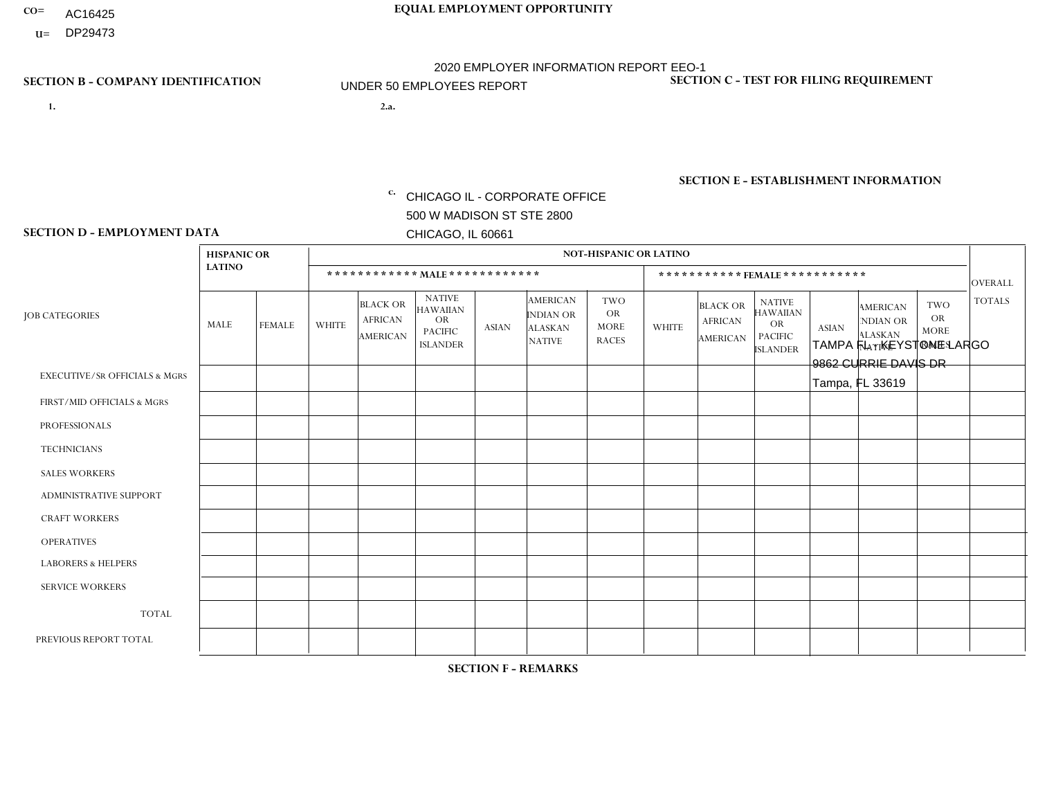- AC16425
- **U=**

**1. 2.a.** CHICAGO IL - CORPORATE OFFICE 500 W MADISON ST STE 2800 CHICAGO, IL 60661

2.a. TAMPA FL - KEYSTONE LARGO 9862 CURRIE DAVIS DR Tampa, FL 33619

c. EIN= 952920557

## **SECTION B - COMPANY IDENTIFICATION SECTION C - TEST FOR FILING REQUIREMENT**

1- Y 2- Y 3- N DUNS= 000123456

**SECTION E - ESTABLISHMENT INFORMATION c.** NAICS: 423140

### **SECTION D - EMPLOYMENT DATA**

|                                          | <b>HISPANIC OR</b> |               |                |                                                      |                                                                                    |              |                                                                        | <b>NOT-HISPANIC OR LATINO</b>                          |                |                                                      |                                                                                    |              |                                                                       |                                                        |                      |
|------------------------------------------|--------------------|---------------|----------------|------------------------------------------------------|------------------------------------------------------------------------------------|--------------|------------------------------------------------------------------------|--------------------------------------------------------|----------------|------------------------------------------------------|------------------------------------------------------------------------------------|--------------|-----------------------------------------------------------------------|--------------------------------------------------------|----------------------|
|                                          | <b>LATINO</b>      |               |                | ************ MALE ************                       |                                                                                    |              |                                                                        |                                                        |                |                                                      | *********** FEMALE ***********                                                     |              |                                                                       |                                                        | <b>OVERALL</b>       |
| <b>JOB CATEGORIES</b>                    | <b>MALE</b>        | <b>FEMALE</b> | <b>WHITE</b>   | <b>BLACK OR</b><br><b>AFRICAN</b><br><b>AMERICAN</b> | <b>NATIVE</b><br><b>HAWAIIAN</b><br><b>OR</b><br><b>PACIFIC</b><br><b>ISLANDER</b> | <b>ASIAN</b> | <b>AMERICAN</b><br><b>INDIAN OR</b><br><b>ALASKAN</b><br><b>NATIVE</b> | <b>TWO</b><br><b>OR</b><br><b>MORE</b><br><b>RACES</b> | <b>WHITE</b>   | <b>BLACK OR</b><br><b>AFRICAN</b><br><b>AMERICAN</b> | <b>NATIVE</b><br><b>HAWAIIAN</b><br><b>OR</b><br><b>PACIFIC</b><br><b>ISLANDER</b> | <b>ASIAN</b> | <b>AMERICAN</b><br><b>NDIAN OR</b><br><b>ALASKAN</b><br><b>NATIVE</b> | <b>TWO</b><br><b>OR</b><br><b>MORE</b><br><b>RACES</b> | <b>TOTALS</b>        |
| <b>EXECUTIVE/SR OFFICIALS &amp; MGRS</b> | $\Omega$           | $\mathbf 0$   | $\mathbf 0$    | $\mathbf 0$                                          | $\mathbf 0$                                                                        | 0            | $\Omega$                                                               | $\Omega$                                               | 0              | $\mathbf 0$                                          | $\mathbf 0$                                                                        | $\mathbf 0$  | $\Omega$                                                              | $\mathbf 0$                                            | $\mathbf 0$          |
| FIRST/MID OFFICIALS & MGRS               | 1                  | $\Omega$      | $\overline{2}$ | $\Omega$                                             | $\Omega$                                                                           | $\Omega$     | $\Omega$                                                               | $\Omega$                                               | 1              | $\Omega$                                             | 0                                                                                  | $\Omega$     | $\Omega$                                                              | $\Omega$                                               | $\overline{4}$       |
| <b>PROFESSIONALS</b>                     | $\Omega$           | $\mathbf 0$   | 1              | $\mathbf 0$                                          | $\mathbf 0$                                                                        | $\mathbf{0}$ | $\Omega$                                                               | $\Omega$                                               | $\Omega$       | $\Omega$                                             | $\Omega$                                                                           | $\mathbf 0$  | $\Omega$                                                              | $\mathbf 0$                                            | $\mathbf{1}$         |
| <b>TECHNICIANS</b>                       | $\Omega$           | $\Omega$      | $\mathbf 0$    | $\mathbf 0$                                          | $\Omega$                                                                           | $\Omega$     | $\Omega$                                                               | $\Omega$                                               | $\Omega$       | $\Omega$                                             | $\mathbf{0}$                                                                       | 0            | $\Omega$                                                              | $\mathbf 0$                                            | $\overline{0}$       |
| <b>SALES WORKERS</b>                     | $\overline{1}$     | $\mathbf 0$   | 5              | $\mathbf 0$                                          | $\mathbf 0$                                                                        | $\Omega$     | $\Omega$                                                               | $\Omega$                                               | $\overline{2}$ | $\mathbf 0$                                          | $\mathbf 0$                                                                        | $\mathbf 0$  | $\Omega$                                                              | $\mathbf 0$                                            | 8                    |
| ADMINISTRATIVE SUPPORT                   | $\Omega$           | $\mathbf{1}$  | $\Omega$       | $\Omega$                                             | $\Omega$                                                                           | $\mathbf{0}$ | $\Omega$                                                               | $\Omega$                                               | $\Omega$       | $\Omega$                                             | $\Omega$                                                                           | $\Omega$     | $\Omega$                                                              | $\Omega$                                               | $\blacktriangleleft$ |
| <b>CRAFT WORKERS</b>                     | $\Omega$           | $\mathbf 0$   | $\mathbf 0$    | $\mathbf 0$                                          | 0                                                                                  | $\Omega$     | $\Omega$                                                               | $\Omega$                                               | 0              | $\Omega$                                             | 0                                                                                  | $\mathbf 0$  | $\Omega$                                                              | $\mathbf 0$                                            | $\mathbf 0$          |
| <b>OPERATIVES</b>                        | 6                  | $\Omega$      | 8              | 5                                                    | $\Omega$                                                                           | $\Omega$     | $\Omega$                                                               | $\mathbf 1$                                            | 1              | $\Omega$                                             | 0                                                                                  | $\Omega$     | $\Omega$                                                              | $\Omega$                                               | 21                   |
| <b>LABORERS &amp; HELPERS</b>            | $\overline{7}$     | $\Omega$      | 1              | 3                                                    | $\mathbf 0$                                                                        | $\Omega$     | $\Omega$                                                               | $\Omega$                                               | $\Omega$       | $\Omega$                                             | $\Omega$                                                                           | $\Omega$     | $\Omega$                                                              | $\Omega$                                               | 11                   |
| <b>SERVICE WORKERS</b>                   | $\Omega$           | $\Omega$      | $\mathbf{0}$   | $\mathbf 0$                                          | $\mathbf 0$                                                                        | $\Omega$     | $\Omega$                                                               | $\Omega$                                               | 0              | $\Omega$                                             | $\Omega$                                                                           | $\Omega$     | $\Omega$                                                              | $\Omega$                                               | $\overline{0}$       |
| <b>TOTAL</b>                             | 15                 | $\mathbf{1}$  | 17             | 8                                                    | $\mathbf 0$                                                                        | 0            | $\Omega$                                                               | $\mathbf 1$                                            | 4              | $\mathbf 0$                                          | 0                                                                                  | $\mathbf 0$  | $\Omega$                                                              | $\mathbf 0$                                            | 46                   |
| PREVIOUS REPORT TOTAL                    | 23                 | $\mathbf{1}$  | 27             | 12                                                   | $\mathbf 0$                                                                        | $\Omega$     | $\Omega$                                                               | 3                                                      | 5              | $\Omega$                                             | 0                                                                                  | $\mathbf 0$  | $\Omega$                                                              | $\mathbf 0$                                            | 71                   |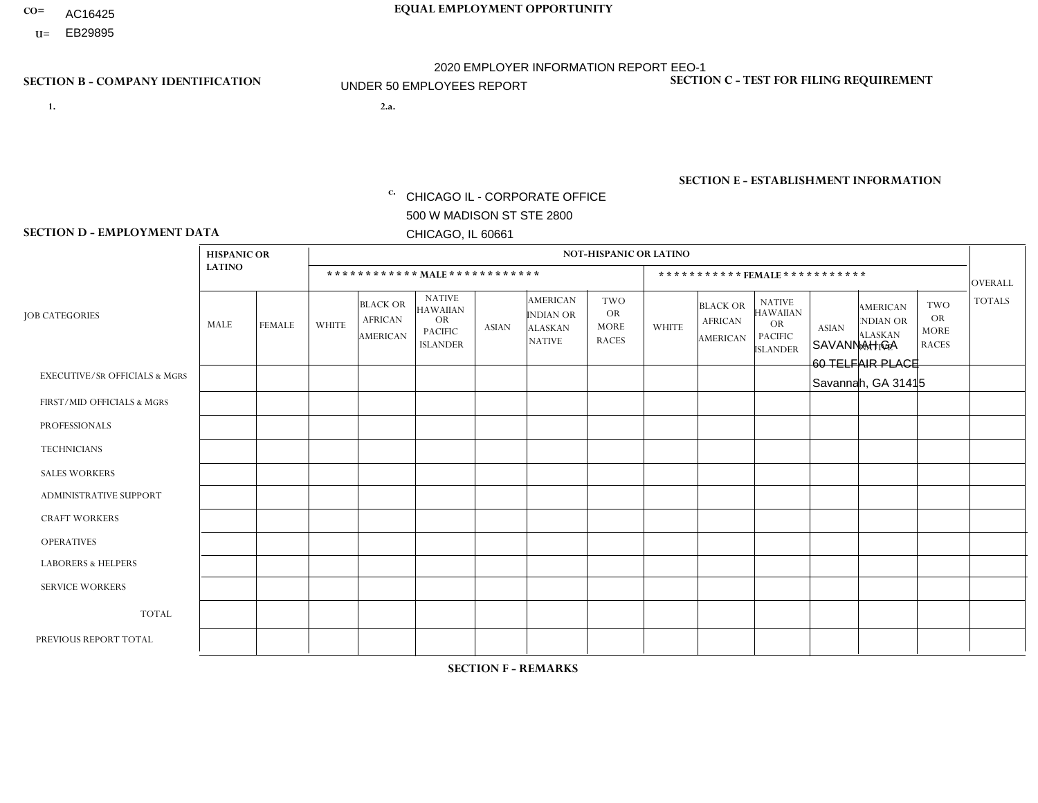- AC16425
- **U=**

- **1. 2.a.** CHICAGO IL CORPORATE OFFICE 500 W MADISON ST STE 2800 CHICAGO, IL 60661
- 2.a. SAVANNAH GA 60 TELFAIR PLACE Savannah, GA 31415

EIN= 952920557

## **SECTION B - COMPANY IDENTIFICATION SECTION C - TEST FOR FILING REQUIREMENT**

1- Y 2- Y 3- N DUNS= 000123456

**SECTION E - ESTABLISHMENT INFORMATION c.** NAICS: 423140

### **SECTION D - EMPLOYMENT DATA**

|                                          | <b>HISPANIC OR</b> |               |              |                                                      |                                                                                    |              |                                                                 | <b>NOT-HISPANIC OR LATINO</b>                          |                |                                                      |                                                                                    |              |                                                                       |                                                        |                |
|------------------------------------------|--------------------|---------------|--------------|------------------------------------------------------|------------------------------------------------------------------------------------|--------------|-----------------------------------------------------------------|--------------------------------------------------------|----------------|------------------------------------------------------|------------------------------------------------------------------------------------|--------------|-----------------------------------------------------------------------|--------------------------------------------------------|----------------|
|                                          | <b>LATINO</b>      |               |              | ************ MALE ************                       |                                                                                    |              |                                                                 |                                                        |                |                                                      | ***********FEMALE***********                                                       |              |                                                                       |                                                        | <b>OVERALL</b> |
| <b>JOB CATEGORIES</b>                    | MALE               | <b>FEMALE</b> | <b>WHITE</b> | <b>BLACK OR</b><br><b>AFRICAN</b><br><b>AMERICAN</b> | <b>NATIVE</b><br><b>HAWAIIAN</b><br><b>OR</b><br><b>PACIFIC</b><br><b>ISLANDER</b> | <b>ASIAN</b> | <b>AMERICAN</b><br>INDIAN OR<br><b>ALASKAN</b><br><b>NATIVE</b> | <b>TWO</b><br><b>OR</b><br><b>MORE</b><br><b>RACES</b> | <b>WHITE</b>   | <b>BLACK OR</b><br><b>AFRICAN</b><br><b>AMERICAN</b> | <b>NATIVE</b><br><b>HAWAIIAN</b><br><b>OR</b><br><b>PACIFIC</b><br><b>ISLANDER</b> | <b>ASIAN</b> | <b>AMERICAN</b><br><b>NDIAN OR</b><br><b>ALASKAN</b><br><b>NATIVE</b> | <b>TWO</b><br><b>OR</b><br><b>MORE</b><br><b>RACES</b> | <b>TOTALS</b>  |
| <b>EXECUTIVE/SR OFFICIALS &amp; MGRS</b> | $\Omega$           | $\Omega$      | $\Omega$     | $\mathbf 0$                                          | $\Omega$                                                                           | $\Omega$     | $\Omega$                                                        | $\Omega$                                               | $\Omega$       | $\Omega$                                             | $\mathbf{0}$                                                                       | $\Omega$     | $\Omega$                                                              | $\Omega$                                               | $\mathbf 0$    |
| FIRST/MID OFFICIALS & MGRS               | $\Omega$           | $\Omega$      | 3            | $\Omega$                                             | $\Omega$                                                                           | $\Omega$     | $\Omega$                                                        |                                                        | 1              | $\Omega$                                             | $\Omega$                                                                           | $\Omega$     | $\Omega$                                                              | $\Omega$                                               | 5              |
| <b>PROFESSIONALS</b>                     | $\Omega$           | 0             | 1            | $\mathbf 0$                                          | $\Omega$                                                                           | $\Omega$     | $\Omega$                                                        | $\Omega$                                               | $\overline{2}$ | $\Omega$                                             | $\Omega$                                                                           | $\Omega$     | $\Omega$                                                              | $\Omega$                                               | 3              |
| <b>TECHNICIANS</b>                       | $\Omega$           | $\mathbf 0$   | $\Omega$     | $\mathbf 0$                                          | $\mathbf 0$                                                                        | $\Omega$     | $\overline{0}$                                                  | $\Omega$                                               | $\mathbf 0$    | $\mathbf 0$                                          | $\mathbf 0$                                                                        | $\mathbf 0$  | $\Omega$                                                              | $\mathbf{0}$                                           | $\mathbf 0$    |
| <b>SALES WORKERS</b>                     | $\Omega$           | $\Omega$      | 4            | $\Omega$                                             | 0                                                                                  | $\Omega$     | $\Omega$                                                        | $\Omega$                                               | $\overline{2}$ | $\Omega$                                             | $\Omega$                                                                           | $\Omega$     | $\Omega$                                                              | $\Omega$                                               | 6              |
| <b>ADMINISTRATIVE SUPPORT</b>            | $\Omega$           | $\mathbf 0$   | 1            | $\mathbf 0$                                          | $\mathbf 0$                                                                        | $\mathbf 0$  | $\Omega$                                                        | $\Omega$                                               | $\overline{2}$ | $\Omega$                                             | $\mathbf{0}$                                                                       | $\Omega$     | $\Omega$                                                              | $\mathbf{0}$                                           | 3              |
| <b>CRAFT WORKERS</b>                     | $\Omega$           | $\Omega$      | -1           | $\overline{2}$                                       | 0                                                                                  | $\Omega$     | $\Omega$                                                        | $\Omega$                                               | $\Omega$       | $\Omega$                                             | $\Omega$                                                                           | $\Omega$     | $\Omega$                                                              | $\Omega$                                               | 3              |
| <b>OPERATIVES</b>                        | $\overline{2}$     | $\Omega$      | 9            | 8                                                    | $\overline{2}$                                                                     | $\mathbf{1}$ | $\Omega$                                                        | $\Omega$                                               | $\mathbf{1}$   | $\Omega$                                             | $\Omega$                                                                           | $\Omega$     | $\Omega$                                                              | $\Omega$                                               | 23             |
| <b>LABORERS &amp; HELPERS</b>            | $\Omega$           | $\Omega$      | $\mathbf 0$  | $\mathbf{1}$                                         | $\mathbf 0$                                                                        | $\mathbf 0$  | $\Omega$                                                        | $\Omega$                                               | $\Omega$       | $\Omega$                                             | $\Omega$                                                                           | $\Omega$     | $\Omega$                                                              | $\Omega$                                               | $\mathbf{1}$   |
| <b>SERVICE WORKERS</b>                   | $\Omega$           | $\Omega$      | 0            | $\mathbf 0$                                          | $\Omega$                                                                           | $\Omega$     | $\Omega$                                                        | $\Omega$                                               | $\Omega$       | $\Omega$                                             | $\Omega$                                                                           | $\Omega$     | $\Omega$                                                              | $\Omega$                                               | $\mathbf 0$    |
| <b>TOTAL</b>                             | $\overline{2}$     | $\mathbf 0$   | 19           | 11                                                   | $\overline{2}$                                                                     | $\mathbf{1}$ | $\Omega$                                                        |                                                        | 8              | $\mathbf 0$                                          | $\mathbf 0$                                                                        | $\mathbf 0$  | 0                                                                     | $\mathbf 0$                                            | 44             |
| PREVIOUS REPORT TOTAL                    | 5                  | $\Omega$      | 26           | 15                                                   | $\mathbf{1}$                                                                       | $\Omega$     | $\Omega$                                                        | $\overline{2}$                                         | 8              | $\Omega$                                             | $\Omega$                                                                           | $\Omega$     | $\Omega$                                                              | $\mathbf{0}$                                           | 57             |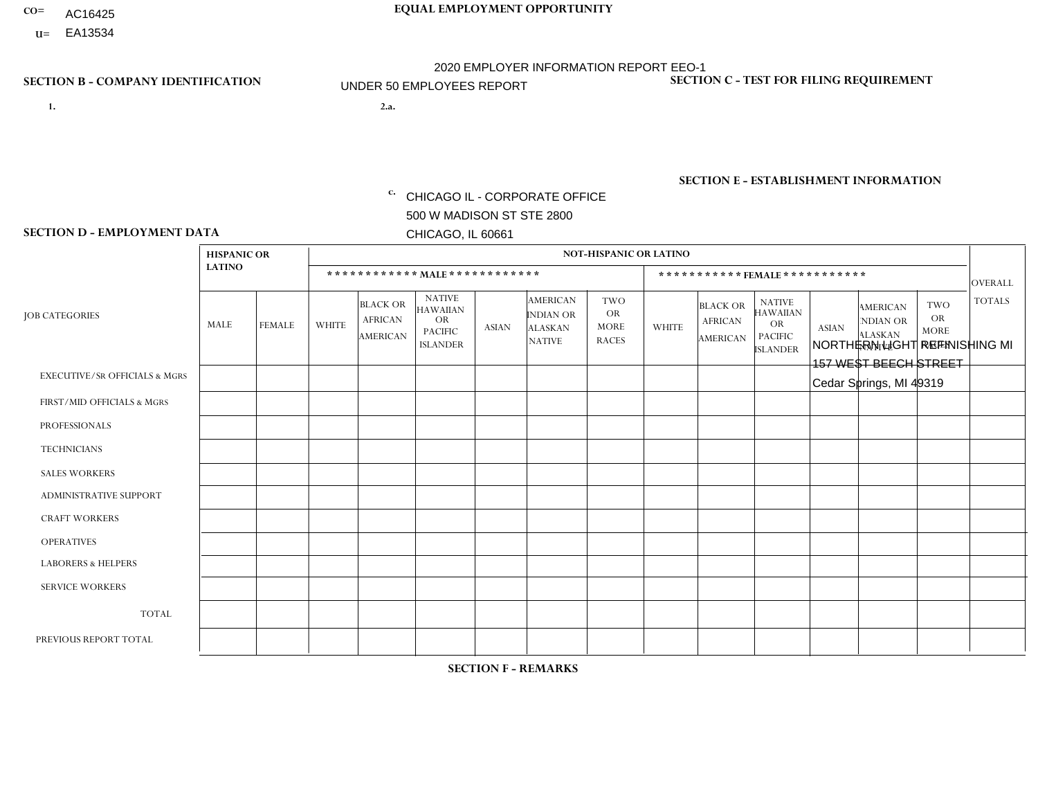- **CO= EQUAL EMPLOYMENT OPPORTUNITY** AC16425
- **U=**

- **1. 2.a.** CHICAGO IL CORPORATE OFFICE 500 W MADISON ST STE 2800 CHICAGO, IL 60661
- 2.a. NORTHERN LIGHT REFINISHING MI 157 WEST BEECH STREET Cedar Springs, MI 49319

2020 EMPLOYER INFORMATION REPORT EEO-1 UNDER 50 EMPLOYEES REPORT

c. EIN= 952920557

## **SECTION B - COMPANY IDENTIFICATION SECTION C - TEST FOR FILING REQUIREMENT**

1- Y 2- Y 3- N DUNS= 000123456

**SECTION E - ESTABLISHMENT INFORMATION c.** NAICS: 339999

### **SECTION D - EMPLOYMENT DATA**

|                                          | <b>HISPANIC OR</b> |                |              |                                                      |                                                                                    |              |                                                                 | <b>NOT-HISPANIC OR LATINO</b>                          |                      |                                               |                                                                                    |              |                                                                       |                                                        |                |
|------------------------------------------|--------------------|----------------|--------------|------------------------------------------------------|------------------------------------------------------------------------------------|--------------|-----------------------------------------------------------------|--------------------------------------------------------|----------------------|-----------------------------------------------|------------------------------------------------------------------------------------|--------------|-----------------------------------------------------------------------|--------------------------------------------------------|----------------|
|                                          | <b>LATINO</b>      |                |              | ************ MALE ************                       |                                                                                    |              |                                                                 |                                                        |                      |                                               | ***********FEMALE***********                                                       |              |                                                                       |                                                        | <b>OVERALL</b> |
| <b>JOB CATEGORIES</b>                    | MALE               | <b>FEMALE</b>  | <b>WHITE</b> | <b>BLACK OR</b><br><b>AFRICAN</b><br><b>AMERICAN</b> | <b>NATIVE</b><br><b>HAWAIIAN</b><br><b>OR</b><br><b>PACIFIC</b><br><b>ISLANDER</b> | <b>ASIAN</b> | <b>AMERICAN</b><br>INDIAN OR<br><b>ALASKAN</b><br><b>NATIVE</b> | <b>TWO</b><br><b>OR</b><br><b>MORE</b><br><b>RACES</b> | <b>WHITE</b>         | <b>BLACK OR</b><br><b>AFRICAN</b><br>AMERICAN | <b>NATIVE</b><br><b>HAWAIIAN</b><br><b>OR</b><br><b>PACIFIC</b><br><b>ISLANDER</b> | <b>ASIAN</b> | <b>AMERICAN</b><br><b>NDIAN OR</b><br><b>ALASKAN</b><br><b>NATIVE</b> | <b>TWO</b><br><b>OR</b><br><b>MORE</b><br><b>RACES</b> | <b>TOTALS</b>  |
| <b>EXECUTIVE/SR OFFICIALS &amp; MGRS</b> | $\Omega$           | $\Omega$       | $\Omega$     | $\Omega$                                             | 0                                                                                  | $\Omega$     | $\Omega$                                                        | $\Omega$                                               | $\Omega$             | $\Omega$                                      | $\Omega$                                                                           | $\Omega$     | $\Omega$                                                              | $\Omega$                                               | $\Omega$       |
| FIRST/MID OFFICIALS & MGRS               | $\Omega$           | $\Omega$       | $\mathbf{0}$ | $\mathbf 0$                                          | $\Omega$                                                                           | $\Omega$     | $\Omega$                                                        | $\Omega$                                               | 0                    | $\Omega$                                      | 0                                                                                  | $\Omega$     | $\Omega$                                                              | $\Omega$                                               | $\overline{0}$ |
| <b>PROFESSIONALS</b>                     | $\Omega$           | $\Omega$       | $\Omega$     | $\mathbf 0$                                          | $\Omega$                                                                           | $\Omega$     | 1                                                               | $\Omega$                                               | $\Omega$             | $\Omega$                                      | 0                                                                                  | 0            | $\Omega$                                                              | $\mathbf 0$                                            | $\mathbf{1}$   |
| <b>TECHNICIANS</b>                       | $\Omega$           | $\mathbf 0$    | $\Omega$     | $\mathbf 0$                                          | $\mathbf 0$                                                                        | $\Omega$     | $\Omega$                                                        | $\Omega$                                               | 0                    | $\mathbf 0$                                   | 0                                                                                  | $\mathbf 0$  | $\Omega$                                                              | $\mathbf 0$                                            | $\mathbf{0}$   |
| <b>SALES WORKERS</b>                     | $\Omega$           | $\Omega$       | $\Omega$     | $\Omega$                                             | $\Omega$                                                                           | $\Omega$     | $\Omega$                                                        | $\Omega$                                               | $\Omega$             | $\Omega$                                      | $\Omega$                                                                           | $\Omega$     | $\Omega$                                                              | $\Omega$                                               | $\Omega$       |
| <b>ADMINISTRATIVE SUPPORT</b>            | $\Omega$           | $\Omega$       | $\mathbf{0}$ | $\mathbf 0$                                          | $\Omega$                                                                           | $\Omega$     | $\Omega$                                                        | $\Omega$                                               | 1                    | $\Omega$                                      | 0                                                                                  | $\Omega$     | $\Omega$                                                              | $\Omega$                                               | $\overline{1}$ |
| <b>CRAFT WORKERS</b>                     | $\Omega$           | $\Omega$       | $\Omega$     | $\mathbf 0$                                          | $\Omega$                                                                           | $\Omega$     | $\Omega$                                                        | $\Omega$                                               | $\Omega$             | $\Omega$                                      | $\Omega$                                                                           | $\mathbf 0$  | $\Omega$                                                              | $\Omega$                                               | $\Omega$       |
| <b>OPERATIVES</b>                        | $\Omega$           | $\Omega$       | 12           | $\mathbf 0$                                          | $\mathbf 0$                                                                        | $\Omega$     | $\Omega$                                                        | $\overline{2}$                                         | 5                    | $\Omega$                                      | 0                                                                                  | 1            | $\Omega$                                                              | $\Omega$                                               | 20             |
| <b>LABORERS &amp; HELPERS</b>            | $\Omega$           | $\Omega$       | -1           | $\mathbf{0}$                                         | $\Omega$                                                                           | $\Omega$     | $\Omega$                                                        | $\Omega$                                               | $\blacktriangleleft$ | $\Omega$                                      | 0                                                                                  | $\Omega$     | $\Omega$                                                              | $\Omega$                                               | $\overline{2}$ |
| <b>SERVICE WORKERS</b>                   | $\Omega$           | $\Omega$       | 1            | $\mathbf 0$                                          | $\mathbf 0$                                                                        | $\Omega$     | $\Omega$                                                        | $\Omega$                                               | 0                    | $\Omega$                                      | $\Omega$                                                                           | $\mathbf 0$  | $\Omega$                                                              | $\mathbf 0$                                            | $\mathbf{1}$   |
| <b>TOTAL</b>                             | $\Omega$           | $\mathbf 0$    | 14           | $\mathbf 0$                                          | $\mathbf 0$                                                                        | 0            | 1                                                               | $\overline{2}$                                         | $\overline{7}$       | $\Omega$                                      | 0                                                                                  | 1            | 0                                                                     | $\mathbf 0$                                            | 25             |
| PREVIOUS REPORT TOTAL                    | $\Omega$           | $\overline{2}$ | 28           | $\mathbf 0$                                          | 0                                                                                  | $\Omega$     | 1                                                               | $\overline{2}$                                         | 10                   | $\Omega$                                      | 0                                                                                  | $\Omega$     | $\Omega$                                                              | $\mathbf 0$                                            | 43             |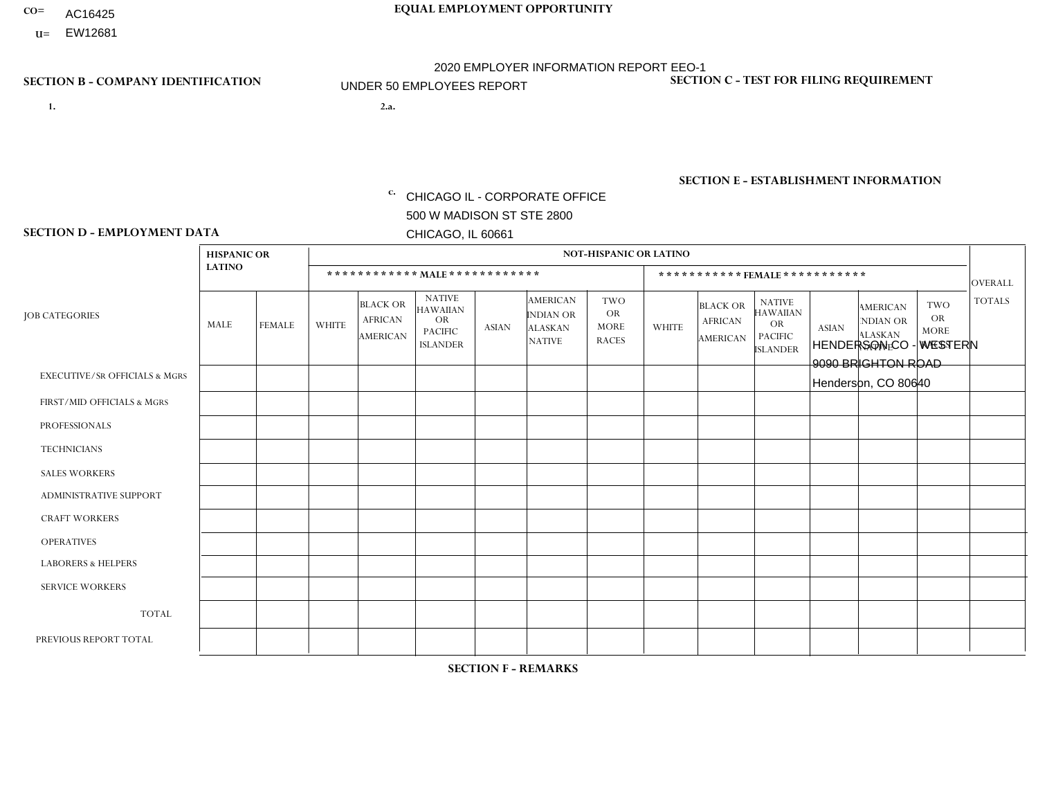- AC16425
- **U=**

- **1. 2.a.** CHICAGO IL CORPORATE OFFICE 500 W MADISON ST STE 2800 CHICAGO, IL 60661
- 2.a. HENDERSON CO WESTERN 9090 BRIGHTON ROAD Henderson, CO 80640

c. EIN= 952920557

## **SECTION B - COMPANY IDENTIFICATION SECTION C - TEST FOR FILING REQUIREMENT**

1- Y 2- Y 3- N DUNS= 000123456

**SECTION E - ESTABLISHMENT INFORMATION c.** NAICS: 423140

### **SECTION D - EMPLOYMENT DATA**

|                                          | <b>HISPANIC OR</b> |                |              |                                                      |                                                                                    |              |                                                                        | <b>NOT-HISPANIC OR LATINO</b>                          |              |                                               |                                                                                    |              |                                                                       |                                                        |                |
|------------------------------------------|--------------------|----------------|--------------|------------------------------------------------------|------------------------------------------------------------------------------------|--------------|------------------------------------------------------------------------|--------------------------------------------------------|--------------|-----------------------------------------------|------------------------------------------------------------------------------------|--------------|-----------------------------------------------------------------------|--------------------------------------------------------|----------------|
|                                          | <b>LATINO</b>      |                |              | ************ MALE ************                       |                                                                                    |              |                                                                        |                                                        |              |                                               | *********** FEMALE ***********                                                     |              |                                                                       |                                                        | <b>OVERALL</b> |
| <b>JOB CATEGORIES</b>                    | MALE               | <b>FEMALE</b>  | <b>WHITE</b> | <b>BLACK OR</b><br><b>AFRICAN</b><br><b>AMERICAN</b> | <b>NATIVE</b><br><b>HAWAIIAN</b><br><b>OR</b><br><b>PACIFIC</b><br><b>ISLANDER</b> | <b>ASIAN</b> | <b>AMERICAN</b><br><b>INDIAN OR</b><br><b>ALASKAN</b><br><b>NATIVE</b> | <b>TWO</b><br><b>OR</b><br><b>MORE</b><br><b>RACES</b> | <b>WHITE</b> | <b>BLACK OR</b><br><b>AFRICAN</b><br>AMERICAN | <b>NATIVE</b><br><b>HAWAIIAN</b><br><b>OR</b><br><b>PACIFIC</b><br><b>ISLANDER</b> | <b>ASIAN</b> | <b>AMERICAN</b><br><b>NDIAN OR</b><br><b>ALASKAN</b><br><b>NATIVE</b> | <b>TWO</b><br><b>OR</b><br><b>MORE</b><br><b>RACES</b> | <b>TOTALS</b>  |
| <b>EXECUTIVE/SR OFFICIALS &amp; MGRS</b> | $\Omega$           | $\Omega$       | $\mathbf{0}$ | $\Omega$                                             | $\Omega$                                                                           | $\Omega$     | $\Omega$                                                               | $\Omega$                                               | 0            | $\Omega$                                      | $\Omega$                                                                           | $\Omega$     | $\Omega$                                                              | $\Omega$                                               | $\Omega$       |
| FIRST/MID OFFICIALS & MGRS               | $\Omega$           | 1              | 6            | $\mathbf 0$                                          | $\Omega$                                                                           | $\Omega$     | $\Omega$                                                               | $\Omega$                                               | 0            | $\Omega$                                      | 0                                                                                  | $\Omega$     | $\Omega$                                                              | $\Omega$                                               | $\overline{7}$ |
| <b>PROFESSIONALS</b>                     | $\Omega$           | $\Omega$       | $\mathbf 0$  | $\mathbf 0$                                          | $\Omega$                                                                           | $\Omega$     | $\Omega$                                                               | $\Omega$                                               | $\Omega$     | $\Omega$                                      | 0                                                                                  | 0            | $\Omega$                                                              | $\mathbf 0$                                            | $\mathbf{0}$   |
| <b>TECHNICIANS</b>                       | $\Omega$           | $\Omega$       | $\Omega$     | $\Omega$                                             | $\Omega$                                                                           | $\Omega$     | $\Omega$                                                               | $\Omega$                                               | $\Omega$     | $\Omega$                                      | 0                                                                                  | $\mathbf 0$  | $\Omega$                                                              | $\mathbf 0$                                            | $\Omega$       |
| <b>SALES WORKERS</b>                     | 1                  | $\Omega$       | 4            | $\Omega$                                             | $\Omega$                                                                           | $\Omega$     | $\Omega$                                                               | $\Omega$                                               | $\Omega$     | $\Omega$                                      | $\Omega$                                                                           | $\Omega$     | $\Omega$                                                              | $\Omega$                                               | 5              |
| <b>ADMINISTRATIVE SUPPORT</b>            | $\Omega$           | 0              | 2            | $\mathbf 0$                                          | 0                                                                                  | $\Omega$     | $\Omega$                                                               | 1                                                      | 1            | $\Omega$                                      | 0                                                                                  | $\mathbf 0$  | $\Omega$                                                              | $\mathbf 0$                                            | 4              |
| <b>CRAFT WORKERS</b>                     | 2                  | $\Omega$       | 5            | $\mathbf 0$                                          | $\Omega$                                                                           | $\Omega$     | $\Omega$                                                               | $\Omega$                                               | 0            | $\Omega$                                      | 0                                                                                  | $\Omega$     | $\Omega$                                                              | $\Omega$                                               | $\overline{7}$ |
| <b>OPERATIVES</b>                        | $\Omega$           | $\Omega$       | 1            | $\mathbf 0$                                          | $\Omega$                                                                           | $\Omega$     | $\Omega$                                                               | $\Omega$                                               | 0            | $\Omega$                                      | 0                                                                                  | $\mathbf 0$  | $\Omega$                                                              | $\mathbf 0$                                            | $\mathbf{1}$   |
| <b>LABORERS &amp; HELPERS</b>            | 2                  | $\Omega$       | 5            | $\mathbf 0$                                          | $\Omega$                                                                           | $\Omega$     | $\Omega$                                                               | $\Omega$                                               | $\Omega$     | $\Omega$                                      | $\Omega$                                                                           | $\Omega$     | $\Omega$                                                              | $\Omega$                                               | $\overline{7}$ |
| <b>SERVICE WORKERS</b>                   | $\Omega$           | $\Omega$       | $\Omega$     | 0                                                    | $\mathbf 0$                                                                        | $\Omega$     | $\Omega$                                                               | $\Omega$                                               | 0            | $\Omega$                                      | $\Omega$                                                                           | $\mathbf 0$  | $\Omega$                                                              | $\Omega$                                               | $\mathbf 0$    |
| <b>TOTAL</b>                             | 5                  | $\mathbf{1}$   | 23           | $\mathbf 0$                                          | $\mathbf 0$                                                                        | 0            | $\Omega$                                                               | $\mathbf 1$                                            | $\mathbf{1}$ | $\mathbf 0$                                   | 0                                                                                  | $\mathbf 0$  | 0                                                                     | $\mathbf 0$                                            | 31             |
| PREVIOUS REPORT TOTAL                    | 8                  | $\overline{2}$ | 29           | $\mathbf 0$                                          | 0                                                                                  | $\Omega$     | $\Omega$                                                               | 1                                                      | 1            | $\Omega$                                      | 0                                                                                  | $\mathbf 0$  | $\Omega$                                                              | $\overline{1}$                                         | 42             |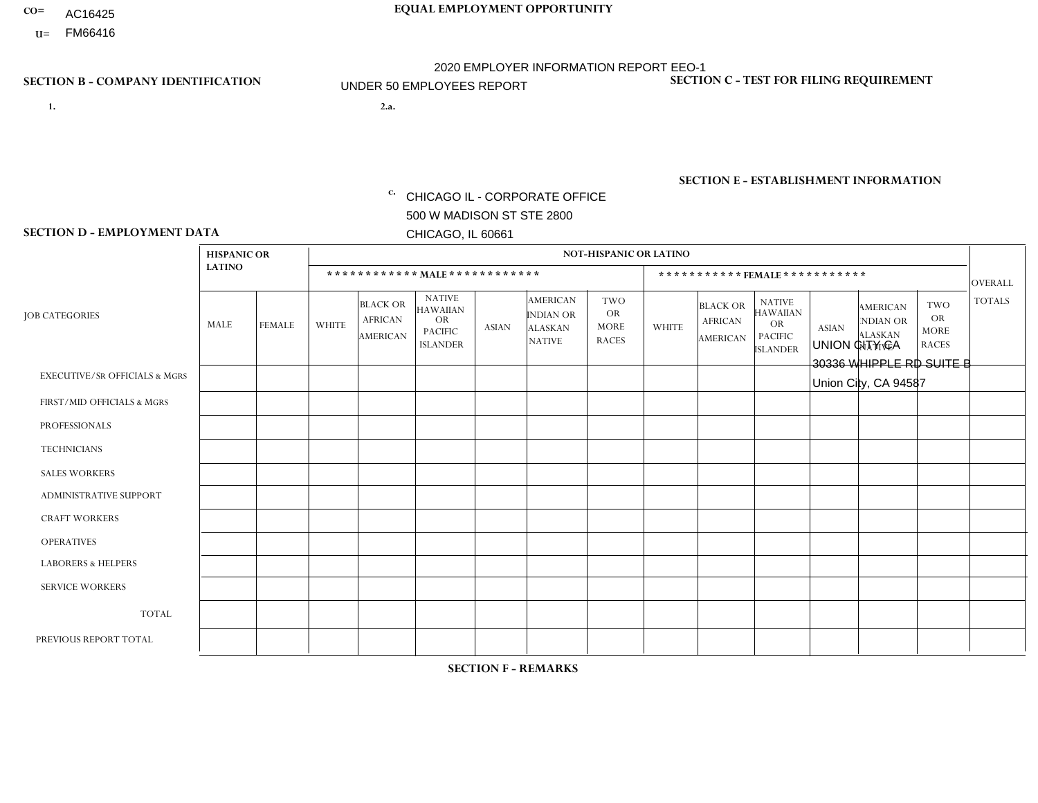- AC16425
- **U=**

- **1. 2.a.** CHICAGO IL CORPORATE OFFICE 500 W MADISON ST STE 2800 CHICAGO, IL 60661
- 2.a. UNION CITY CA 30336 WHIPPLE RD SUITE B Union City, CA 94587

EIN= 364261871

## **SECTION B - COMPANY IDENTIFICATION SECTION C - TEST FOR FILING REQUIREMENT**

1- Y 2- Y 3- N DUNS= 000123456

**SECTION E - ESTABLISHMENT INFORMATION c.** NAICS: 423140

### **SECTION D - EMPLOYMENT DATA**

|                                          | <b>HISPANIC OR</b> |               |              |                                                      |                                                                                    |                |                                                                        | <b>NOT-HISPANIC OR LATINO</b>                          |              |                                               |                                                                                    |              |                                                                       |                                                        |                |
|------------------------------------------|--------------------|---------------|--------------|------------------------------------------------------|------------------------------------------------------------------------------------|----------------|------------------------------------------------------------------------|--------------------------------------------------------|--------------|-----------------------------------------------|------------------------------------------------------------------------------------|--------------|-----------------------------------------------------------------------|--------------------------------------------------------|----------------|
|                                          | <b>LATINO</b>      |               |              | ************ MAIE************                        |                                                                                    |                |                                                                        |                                                        |              |                                               | ***********FEMALE***********                                                       |              |                                                                       |                                                        | <b>OVERALL</b> |
| <b>JOB CATEGORIES</b>                    | MALE               | <b>FEMALE</b> | <b>WHITE</b> | <b>BLACK OR</b><br><b>AFRICAN</b><br><b>AMERICAN</b> | <b>NATIVE</b><br><b>HAWAIIAN</b><br><b>OR</b><br><b>PACIFIC</b><br><b>ISLANDER</b> | <b>ASIAN</b>   | <b>AMERICAN</b><br><b>INDIAN OR</b><br><b>ALASKAN</b><br><b>NATIVE</b> | <b>TWO</b><br><b>OR</b><br><b>MORE</b><br><b>RACES</b> | <b>WHITE</b> | <b>BLACK OR</b><br><b>AFRICAN</b><br>AMERICAN | <b>NATIVE</b><br><b>HAWAIIAN</b><br><b>OR</b><br><b>PACIFIC</b><br><b>ISLANDER</b> | <b>ASIAN</b> | <b>AMERICAN</b><br><b>NDIAN OR</b><br><b>ALASKAN</b><br><b>NATIVE</b> | <b>TWO</b><br><b>OR</b><br><b>MORE</b><br><b>RACES</b> | <b>TOTALS</b>  |
| <b>EXECUTIVE/SR OFFICIALS &amp; MGRS</b> | $\Omega$           | $\Omega$      | $\Omega$     | $\mathbf 0$                                          | $\Omega$                                                                           | $\Omega$       | $\Omega$                                                               | $\Omega$                                               | $\Omega$     | $\Omega$                                      | $\mathbf{0}$                                                                       | $\Omega$     | $\Omega$                                                              | $\Omega$                                               | $\mathbf 0$    |
| FIRST/MID OFFICIALS & MGRS               | $\Omega$           | $\Omega$      | $\Omega$     | $\Omega$                                             | 0                                                                                  | $\Omega$       | $\Omega$                                                               | $\Omega$                                               | $\Omega$     | $\Omega$                                      | $\Omega$                                                                           | $\Omega$     | $\Omega$                                                              | $\Omega$                                               | $\mathbf 0$    |
| <b>PROFESSIONALS</b>                     | $\Omega$           | $\Omega$      | $\Omega$     | $\Omega$                                             | $\Omega$                                                                           | $\Omega$       | $\Omega$                                                               | $\Omega$                                               | $\Omega$     | $\Omega$                                      | $\Omega$                                                                           | $\Omega$     | $\Omega$                                                              | $\Omega$                                               | $\mathbf 0$    |
| <b>TECHNICIANS</b>                       | $\Omega$           | $\mathbf 0$   | $\Omega$     | $\mathbf 0$                                          | $\mathbf{0}$                                                                       | $\Omega$       | $\Omega$                                                               | $\Omega$                                               | $\mathbf{0}$ | $\Omega$                                      | $\Omega$                                                                           | $\Omega$     | $\Omega$                                                              | $\Omega$                                               | $\mathbf 0$    |
| <b>SALES WORKERS</b>                     | $\Omega$           | $\Omega$      | $\Omega$     | $\Omega$                                             | $\Omega$                                                                           | $\Omega$       | $\Omega$                                                               | $\Omega$                                               | $\Omega$     | $\Omega$                                      | $\Omega$                                                                           | $\Omega$     | $\Omega$                                                              | $\Omega$                                               | $\mathbf 0$    |
| <b>ADMINISTRATIVE SUPPORT</b>            | $\Omega$           | $\Omega$      | $\Omega$     | $\Omega$                                             | $\Omega$                                                                           | $\Omega$       | $\Omega$                                                               | $\Omega$                                               | $\Omega$     |                                               | $\Omega$                                                                           | $\Omega$     | $\Omega$                                                              | $\Omega$                                               | $\mathbf{1}$   |
| <b>CRAFT WORKERS</b>                     | 0                  | $\Omega$      | $\mathbf 0$  | $\mathbf 0$                                          | $\Omega$                                                                           | $\Omega$       | $\Omega$                                                               | $\Omega$                                               | $\Omega$     | $\Omega$                                      | $\Omega$                                                                           | $\Omega$     | $\Omega$                                                              | $\Omega$                                               | $\mathbf{0}$   |
| <b>OPERATIVES</b>                        | 3                  | $\Omega$      | $\Omega$     | $\overline{2}$                                       | $\Omega$                                                                           | $\Omega$       | $\overline{0}$                                                         | $\Omega$                                               | $\Omega$     | $\Omega$                                      | $\mathbf{0}$                                                                       | $\Omega$     | $\Omega$                                                              | $\Omega$                                               | 5              |
| <b>LABORERS &amp; HELPERS</b>            | -1                 | $\Omega$      | $\Omega$     | $\mathbf 0$                                          | 0                                                                                  | $\Omega$       | $\Omega$                                                               | $\Omega$                                               | $\Omega$     | $\Omega$                                      | $\Omega$                                                                           | $\Omega$     | $\Omega$                                                              | $\Omega$                                               | $\mathbf{1}$   |
| <b>SERVICE WORKERS</b>                   | $\Omega$           | $\mathbf 0$   | 0            | $\mathbf 0$                                          | $\mathbf 0$                                                                        | $\mathbf 0$    | $\Omega$                                                               | $\Omega$                                               | $\Omega$     | $\Omega$                                      | $\Omega$                                                                           | $\mathbf 0$  | $\Omega$                                                              | $\mathbf 0$                                            | 0              |
| <b>TOTAL</b>                             | 4                  | $\mathbf 0$   | 0            | $\overline{2}$                                       | 0                                                                                  | $\mathbf{0}$   | $\Omega$                                                               | $\Omega$                                               | $\Omega$     | $\overline{1}$                                | $\Omega$                                                                           | $\Omega$     | $\Omega$                                                              | $\Omega$                                               | $\overline{7}$ |
| PREVIOUS REPORT TOTAL                    | 3                  | $\Omega$      | $\Omega$     | 6                                                    | 0                                                                                  | $\overline{1}$ | $\Omega$                                                               | $\Omega$                                               | $\Omega$     |                                               | $\mathbf{0}$                                                                       | $\Omega$     | $\Omega$                                                              | $\mathbf 0$                                            | 11             |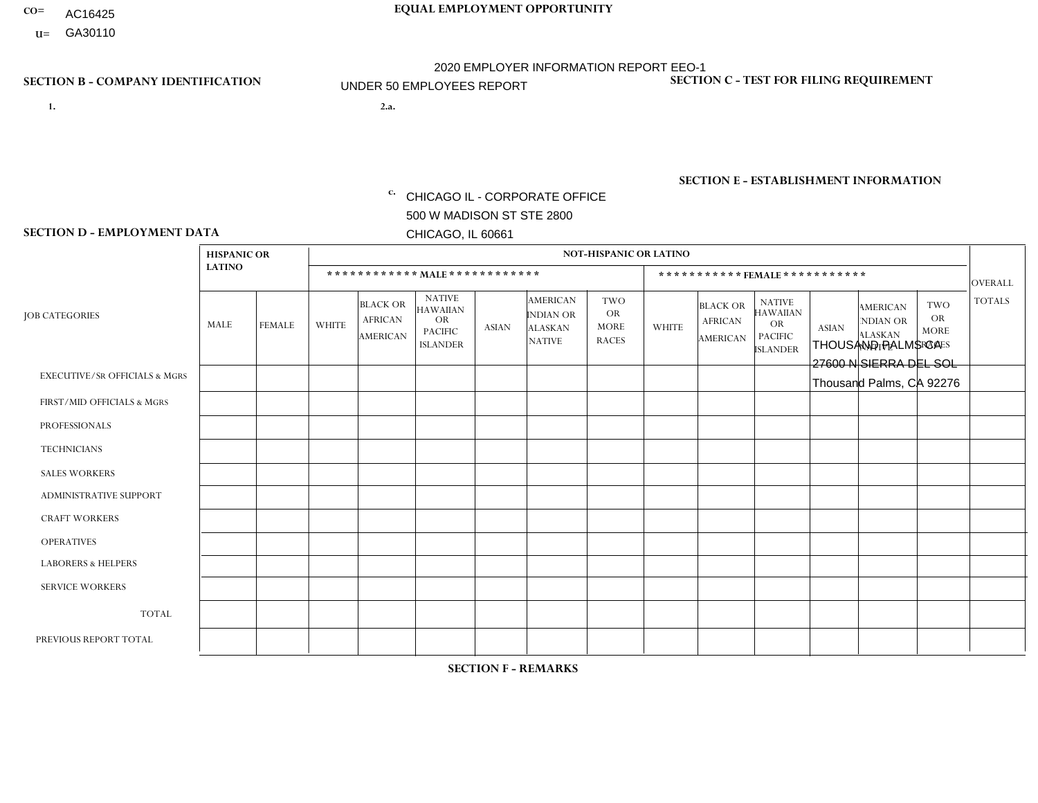- AC16425
- **U=**

- **1. 2.a.** CHICAGO IL CORPORATE OFFICE 500 W MADISON ST STE 2800 CHICAGO, IL 60661
- 2.a. THOUSAND PALMS CA 27600 N SIERRA DEL SOL Thousand Palms, CA 92276

EIN= 953072886

## **SECTION B - COMPANY IDENTIFICATION SECTION C - TEST FOR FILING REQUIREMENT**

1- Y 2- Y 3- N DUNS= 000123456

**SECTION E - ESTABLISHMENT INFORMATION c.** NAICS: 423140

### **SECTION D - EMPLOYMENT DATA**

|                                          | <b>HISPANIC OR</b> |               |                |                                                      |                                                                                    |              |                                                                        | <b>NOT-HISPANIC OR LATINO</b>                   |              |                                                      |                                                                                    |              |                                                                       |                                                        |                |
|------------------------------------------|--------------------|---------------|----------------|------------------------------------------------------|------------------------------------------------------------------------------------|--------------|------------------------------------------------------------------------|-------------------------------------------------|--------------|------------------------------------------------------|------------------------------------------------------------------------------------|--------------|-----------------------------------------------------------------------|--------------------------------------------------------|----------------|
|                                          | <b>LATINO</b>      |               |                | ************ MALE ************                       |                                                                                    |              |                                                                        |                                                 |              | ***********FEMALE***********                         |                                                                                    |              |                                                                       |                                                        | <b>OVERALL</b> |
| <b>JOB CATEGORIES</b>                    | MALE               | <b>FEMALE</b> | <b>WHITE</b>   | <b>BLACK OR</b><br><b>AFRICAN</b><br><b>AMERICAN</b> | <b>NATIVE</b><br><b>HAWAIIAN</b><br><b>OR</b><br><b>PACIFIC</b><br><b>ISLANDER</b> | <b>ASIAN</b> | <b>AMERICAN</b><br><b>INDIAN OR</b><br><b>ALASKAN</b><br><b>NATIVE</b> | TWO<br><b>OR</b><br><b>MORE</b><br><b>RACES</b> | <b>WHITE</b> | <b>BLACK OR</b><br><b>AFRICAN</b><br><b>AMERICAN</b> | <b>NATIVE</b><br><b>HAWAIIAN</b><br><b>OR</b><br><b>PACIFIC</b><br><b>ISLANDER</b> | <b>ASIAN</b> | <b>AMERICAN</b><br><b>NDIAN OR</b><br><b>ALASKAN</b><br><b>NATIVE</b> | <b>TWO</b><br><b>OR</b><br><b>MORE</b><br><b>RACES</b> | <b>TOTALS</b>  |
| <b>EXECUTIVE/SR OFFICIALS &amp; MGRS</b> | $\Omega$           | $\Omega$      | $\Omega$       | $\Omega$                                             | $\Omega$                                                                           | $\Omega$     | $\Omega$                                                               | $\Omega$                                        | $\Omega$     | $\Omega$                                             | $\Omega$                                                                           | 0            | $\Omega$                                                              | $\mathbf{0}$                                           | $\Omega$       |
| FIRST/MID OFFICIALS & MGRS               | 1                  | 0             | $\overline{1}$ | $\mathbf 0$                                          | 0                                                                                  | $\Omega$     | $\Omega$                                                               | $\Omega$                                        | $\Omega$     | $\Omega$                                             | $\Omega$                                                                           | $\Omega$     | $\Omega$                                                              | $\Omega$                                               | $\overline{2}$ |
| <b>PROFESSIONALS</b>                     | 0                  | $\mathbf 0$   | $\Omega$       | $\mathbf 0$                                          | $\Omega$                                                                           | $\Omega$     | $\Omega$                                                               | $\Omega$                                        | $\Omega$     | $\Omega$                                             | $\Omega$                                                                           | $\mathbf 0$  | $\Omega$                                                              | $\Omega$                                               | $\mathbf 0$    |
| <b>TECHNICIANS</b>                       | $\Omega$           | $\mathbf 0$   | $\Omega$       | $\mathbf 0$                                          | $\Omega$                                                                           | $\Omega$     | $\Omega$                                                               | $\Omega$                                        | $\Omega$     | $\Omega$                                             | $\Omega$                                                                           | $\Omega$     | $\Omega$                                                              | $\Omega$                                               | $\Omega$       |
| <b>SALES WORKERS</b>                     | 1                  | $\Omega$      | $\Omega$       | $\Omega$                                             | $\Omega$                                                                           | $\Omega$     | $\Omega$                                                               | $\Omega$                                        | $\Omega$     | $\Omega$                                             | $\Omega$                                                                           | $\Omega$     | $\Omega$                                                              | $\Omega$                                               | $\overline{1}$ |
| <b>ADMINISTRATIVE SUPPORT</b>            |                    | 1             | $\Omega$       | $\mathbf 0$                                          | 0                                                                                  | $\Omega$     | $\Omega$                                                               | $\Omega$                                        | $\Omega$     | $\Omega$                                             | $\Omega$                                                                           | $\Omega$     | $\Omega$                                                              | $\Omega$                                               | $\overline{2}$ |
| <b>CRAFT WORKERS</b>                     | 0                  | $\Omega$      | $\Omega$       | $\mathbf 0$                                          | 0                                                                                  | $\Omega$     | $\Omega$                                                               | $\Omega$                                        | $\Omega$     | $\Omega$                                             | $\Omega$                                                                           | $\Omega$     | $\Omega$                                                              | $\Omega$                                               | $\Omega$       |
| <b>OPERATIVES</b>                        |                    | 0             | $\overline{2}$ | $\mathbf 0$                                          | 0                                                                                  | $\Omega$     | $\Omega$                                                               | $\Omega$                                        | $\Omega$     | $\Omega$                                             | $\Omega$                                                                           | 0            | $\Omega$                                                              | $\Omega$                                               | 3              |
| <b>LABORERS &amp; HELPERS</b>            | 1                  | $\Omega$      | $\Omega$       | $\overline{1}$                                       | 0                                                                                  | $\Omega$     | $\Omega$                                                               | $\Omega$                                        | $\Omega$     | $\Omega$                                             | $\Omega$                                                                           | 0            | $\Omega$                                                              | $\Omega$                                               | $\overline{2}$ |
| <b>SERVICE WORKERS</b>                   | $\Omega$           | 0             | 0              | $\mathbf 0$                                          | 0                                                                                  | $\Omega$     | $\Omega$                                                               | $\Omega$                                        | $\Omega$     | $\Omega$                                             | $\Omega$                                                                           | 0            | $\Omega$                                                              | $\mathbf{0}$                                           | $\mathbf 0$    |
| <b>TOTAL</b>                             | 5                  | $\mathbf{1}$  | 3              | $\mathbf{1}$                                         | 0                                                                                  | $\mathbf 0$  | $\Omega$                                                               | $\Omega$                                        | $\Omega$     | $\Omega$                                             | $\mathbf 0$                                                                        | 0            | $\Omega$                                                              | $\Omega$                                               | 10             |
| PREVIOUS REPORT TOTAL                    | 4                  | $\mathbf{1}$  | 3              | $\mathbf{1}$                                         | 0                                                                                  | $\Omega$     | $\Omega$                                                               | $\Omega$                                        | $\Omega$     | $\Omega$                                             | $\Omega$                                                                           | $\mathbf 0$  | $\Omega$                                                              | $\Omega$                                               | 9              |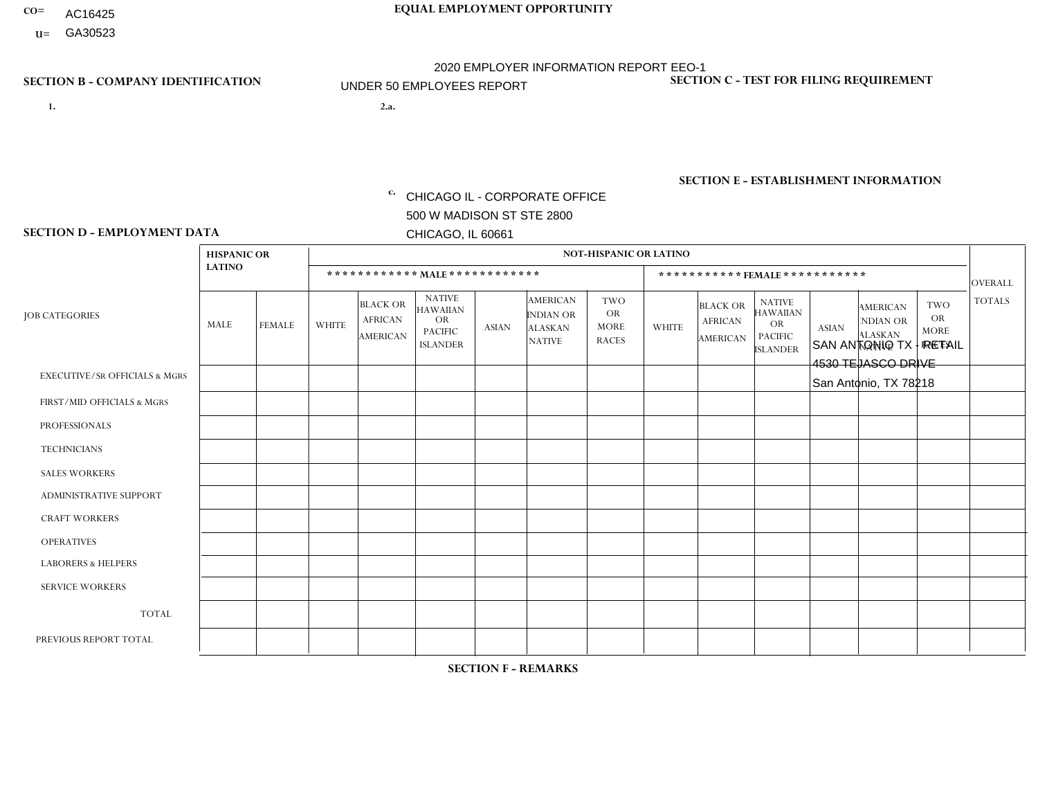- AC16425
- **U=**

**1. 2.a.** CHICAGO IL - CORPORATE OFFICE 500 W MADISON ST STE 2800 CHICAGO, IL 60661

2.a. SAN ANTONIO TX - RETAIL 4530 TEJASCO DRIVE San Antonio, TX 78218

EIN= 952920557

## **SECTION B - COMPANY IDENTIFICATION SECTION C - TEST FOR FILING REQUIREMENT**

1- Y 2- Y 3- N DUNS= 000123456

**SECTION E - ESTABLISHMENT INFORMATION c.** NAICS: 423140

### **SECTION D - EMPLOYMENT DATA**

|                                          | <b>HISPANIC OR</b> |               |              |                                                      |                                                                                    |              |                                                                        | <b>NOT-HISPANIC OR LATINO</b>                          |              |                                               |                                                                                    |              |                                                                |                                                        |                |
|------------------------------------------|--------------------|---------------|--------------|------------------------------------------------------|------------------------------------------------------------------------------------|--------------|------------------------------------------------------------------------|--------------------------------------------------------|--------------|-----------------------------------------------|------------------------------------------------------------------------------------|--------------|----------------------------------------------------------------|--------------------------------------------------------|----------------|
|                                          | <b>LATINO</b>      |               |              | ************ MALE ************                       |                                                                                    |              |                                                                        |                                                        |              |                                               | *********** FEMALE ***********                                                     |              |                                                                |                                                        | <b>OVERALL</b> |
| <b>JOB CATEGORIES</b>                    | MALE               | <b>FEMALE</b> | <b>WHITE</b> | <b>BLACK OR</b><br><b>AFRICAN</b><br><b>AMERICAN</b> | <b>NATIVE</b><br><b>HAWAIIAN</b><br><b>OR</b><br><b>PACIFIC</b><br><b>ISLANDER</b> | <b>ASIAN</b> | <b>AMERICAN</b><br><b>INDIAN OR</b><br><b>ALASKAN</b><br><b>NATIVE</b> | <b>TWO</b><br><b>OR</b><br><b>MORE</b><br><b>RACES</b> | <b>WHITE</b> | <b>BLACK OR</b><br><b>AFRICAN</b><br>AMERICAN | <b>NATIVE</b><br><b>HAWAIIAN</b><br><b>OR</b><br><b>PACIFIC</b><br><b>ISLANDER</b> | <b>ASIAN</b> | <b>AMERICAN</b><br>NDIAN OR<br><b>ALASKAN</b><br><b>NATIVE</b> | <b>TWO</b><br><b>OR</b><br><b>MORE</b><br><b>RACES</b> | <b>TOTALS</b>  |
| <b>EXECUTIVE/SR OFFICIALS &amp; MGRS</b> | $\Omega$           | $\Omega$      | $\mathbf{0}$ | $\Omega$                                             | $\Omega$                                                                           | $\Omega$     | $\Omega$                                                               | $\Omega$                                               | 0            | $\Omega$                                      | $\Omega$                                                                           | $\Omega$     | $\Omega$                                                       | $\Omega$                                               | $\Omega$       |
| FIRST/MID OFFICIALS & MGRS               |                    | $\Omega$      | $\mathbf{0}$ | $\Omega$                                             | $\Omega$                                                                           | $\Omega$     | $\Omega$                                                               | $\Omega$                                               | 0            | $\Omega$                                      | 0                                                                                  | $\Omega$     | $\Omega$                                                       | $\Omega$                                               | $\mathbf{1}$   |
| <b>PROFESSIONALS</b>                     |                    | $\mathbf 0$   | $\Omega$     | $\mathbf 0$                                          | $\Omega$                                                                           | $\Omega$     | $\Omega$                                                               | $\Omega$                                               | $\Omega$     | $\Omega$                                      | 0                                                                                  | 0            | $\Omega$                                                       | $\mathbf 0$                                            | $\mathbf{1}$   |
| <b>TECHNICIANS</b>                       | $\Omega$           | $\Omega$      | $\Omega$     | $\Omega$                                             | $\Omega$                                                                           | $\Omega$     | $\Omega$                                                               | $\Omega$                                               | $\Omega$     | $\Omega$                                      | 0                                                                                  | $\mathbf 0$  | $\Omega$                                                       | $\mathbf 0$                                            | $\Omega$       |
| <b>SALES WORKERS</b>                     | 2                  | $\Omega$      | $\Omega$     | $\Omega$                                             | $\Omega$                                                                           | $\Omega$     | $\Omega$                                                               | $\Omega$                                               | $\Omega$     | $\Omega$                                      | $\Omega$                                                                           | $\Omega$     | $\Omega$                                                       | $\Omega$                                               | $\overline{2}$ |
| <b>ADMINISTRATIVE SUPPORT</b>            | $\Omega$           | $\Omega$      | $\Omega$     | $\mathbf 0$                                          | 0                                                                                  | $\Omega$     | $\Omega$                                                               | $\Omega$                                               | 0            | $\Omega$                                      | 0                                                                                  | $\mathbf 0$  | $\Omega$                                                       | $\Omega$                                               | $\mathbf{0}$   |
| <b>CRAFT WORKERS</b>                     | $\Omega$           | $\Omega$      | $\Omega$     | $\mathbf 0$                                          | $\Omega$                                                                           | $\Omega$     | $\Omega$                                                               | $\Omega$                                               | $\Omega$     | $\Omega$                                      | 0                                                                                  | $\Omega$     | $\Omega$                                                       | $\Omega$                                               | $\Omega$       |
| <b>OPERATIVES</b>                        | $\Omega$           | $\Omega$      | $\Omega$     | $\mathbf 0$                                          | $\Omega$                                                                           | $\Omega$     | $\Omega$                                                               | $\Omega$                                               | 0            | $\Omega$                                      | 0                                                                                  | $\mathbf 0$  | $\Omega$                                                       | $\Omega$                                               | $\mathbf 0$    |
| <b>LABORERS &amp; HELPERS</b>            | 2                  | $\Omega$      | $\mathbf{0}$ | $\mathbf 0$                                          | $\Omega$                                                                           | $\Omega$     | $\Omega$                                                               | $\Omega$                                               | $\Omega$     | $\Omega$                                      | $\Omega$                                                                           | $\Omega$     | $\Omega$                                                       | $\Omega$                                               | $\overline{2}$ |
| <b>SERVICE WORKERS</b>                   | $\Omega$           | $\Omega$      | 0            | $\mathbf 0$                                          | $\mathbf 0$                                                                        | $\Omega$     | $\Omega$                                                               | $\Omega$                                               | 0            | $\Omega$                                      | $\Omega$                                                                           | $\mathbf 0$  | $\Omega$                                                       | $\Omega$                                               | $\mathbf{0}$   |
| <b>TOTAL</b>                             | 6                  | 0             | $\mathbf 0$  | 0                                                    | $\mathbf 0$                                                                        | 0            | $\Omega$                                                               | $\Omega$                                               | 0            | $\Omega$                                      | 0                                                                                  | $\mathbf 0$  | 0                                                              | $\mathbf 0$                                            | 6              |
| PREVIOUS REPORT TOTAL                    | $\overline{7}$     | $\Omega$      | $\Omega$     | $\mathbf 0$                                          | 0                                                                                  | $\Omega$     | $\Omega$                                                               | $\Omega$                                               | 0            | $\Omega$                                      | 0                                                                                  | $\Omega$     | $\Omega$                                                       | $\mathbf 0$                                            | $\overline{7}$ |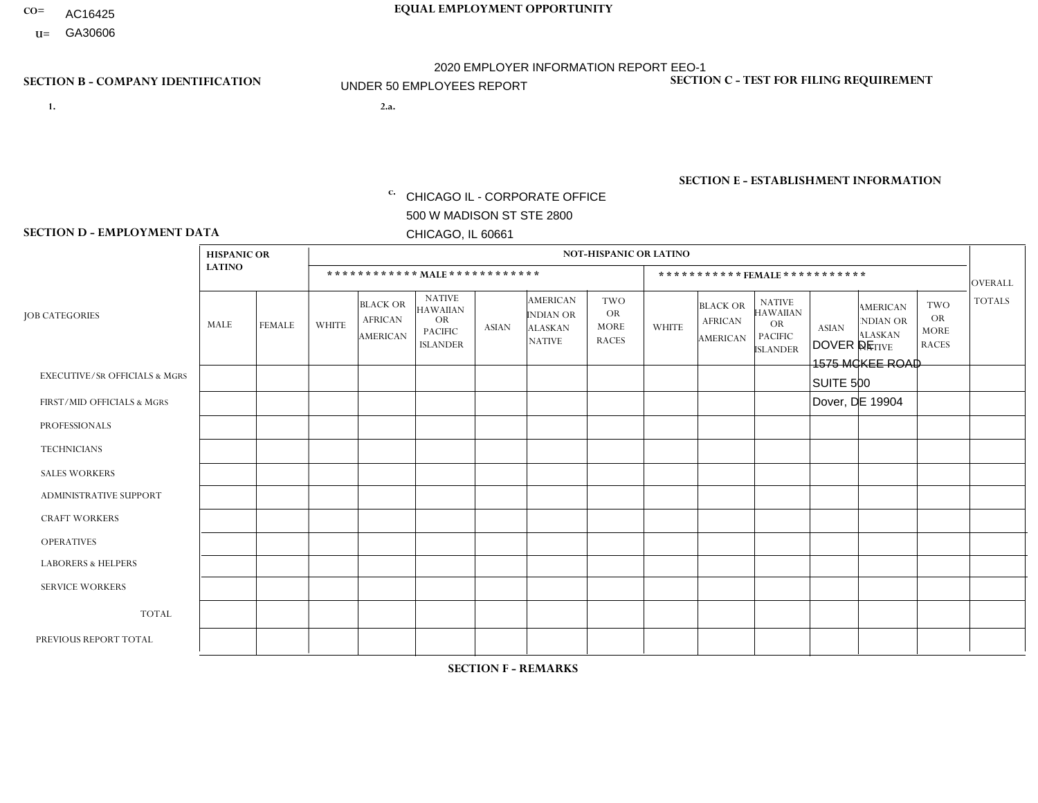- AC16425
- **U=**

**1. 2.a.** CHICAGO IL - CORPORATE OFFICE 500 W MADISON ST STE 2800 CHICAGO, IL 60661

2.a. DOVER DE 1575 MCKEE ROAD SUITE 500 Dover, DE 19904

EIN= 952920557

## **SECTION B - COMPANY IDENTIFICATION SECTION C - TEST FOR FILING REQUIREMENT**

1- Y 2- Y 3- N DUNS= 000123456

**SECTION E - ESTABLISHMENT INFORMATION c.** NAICS: 423140

### **SECTION D - EMPLOYMENT DATA**

|                                          | <b>HISPANIC OR</b> |               |                |                                                      |                                                                                    |              |                                                                        | NOT-HISPANIC OR LATINO                                 |              |                                                      |                                                                             |              |                                                                       |                                                        |                |
|------------------------------------------|--------------------|---------------|----------------|------------------------------------------------------|------------------------------------------------------------------------------------|--------------|------------------------------------------------------------------------|--------------------------------------------------------|--------------|------------------------------------------------------|-----------------------------------------------------------------------------|--------------|-----------------------------------------------------------------------|--------------------------------------------------------|----------------|
|                                          | <b>LATINO</b>      |               |                |                                                      | ************ MALE ************                                                     |              |                                                                        |                                                        |              |                                                      | *********** FEMALE ***********                                              |              |                                                                       |                                                        | <b>OVERALL</b> |
| <b>JOB CATEGORIES</b>                    | MALE               | <b>FEMALE</b> | <b>WHITE</b>   | <b>BLACK OR</b><br><b>AFRICAN</b><br><b>AMERICAN</b> | <b>NATIVE</b><br><b>HAWAIIAN</b><br><b>OR</b><br><b>PACIFIC</b><br><b>ISLANDER</b> | <b>ASIAN</b> | <b>AMERICAN</b><br><b>INDIAN OR</b><br><b>ALASKAN</b><br><b>NATIVE</b> | <b>TWO</b><br><b>OR</b><br><b>MORE</b><br><b>RACES</b> | <b>WHITE</b> | <b>BLACK OR</b><br><b>AFRICAN</b><br><b>AMERICAN</b> | <b>NATIVE</b><br><b>HAWAIIAN</b><br>OR<br><b>PACIFIC</b><br><b>ISLANDER</b> | <b>ASIAN</b> | <b>AMERICAN</b><br><b>NDIAN OR</b><br><b>ALASKAN</b><br><b>NATIVE</b> | <b>TWO</b><br><b>OR</b><br><b>MORE</b><br><b>RACES</b> | <b>TOTALS</b>  |
| <b>EXECUTIVE/SR OFFICIALS &amp; MGRS</b> | $\Omega$           | $\mathbf 0$   | $\mathbf 0$    | 0                                                    | $\Omega$                                                                           | $\Omega$     | $\Omega$                                                               | $\Omega$                                               | $\Omega$     | $\Omega$                                             | $\Omega$                                                                    | $\mathbf 0$  | $\Omega$                                                              | $\Omega$                                               | $\mathbf 0$    |
| FIRST/MID OFFICIALS & MGRS               |                    | $\Omega$      | $\mathbf{1}$   | 0                                                    | $\Omega$                                                                           | $\Omega$     | $\Omega$                                                               | $\Omega$                                               | $\Omega$     | $\Omega$                                             | $\Omega$                                                                    | $\Omega$     | $\Omega$                                                              | $\Omega$                                               | 2              |
| <b>PROFESSIONALS</b>                     | $\mathbf 0$        | $\mathbf 0$   | $\mathbf 0$    | $\mathbf 0$                                          | $\Omega$                                                                           | $\Omega$     | $\Omega$                                                               | $\Omega$                                               | $\Omega$     | $\Omega$                                             | $\Omega$                                                                    | $\mathbf 0$  | $\Omega$                                                              | $\Omega$                                               | $\mathbf 0$    |
| <b>TECHNICIANS</b>                       | $\mathbf 0$        | $\mathbf{0}$  | $\mathbf 0$    | 0                                                    | $\Omega$                                                                           | $\Omega$     | $\Omega$                                                               | $\Omega$                                               | $\Omega$     | $\Omega$                                             | $\Omega$                                                                    | $\Omega$     | $\Omega$                                                              | $\Omega$                                               | $\mathbf 0$    |
| <b>SALES WORKERS</b>                     | $\mathbf 0$        | $\mathbf 0$   | $\mathbf 0$    | $\mathbf 0$                                          | $\Omega$                                                                           | $\Omega$     | $\Omega$                                                               | $\Omega$                                               | $\Omega$     | $\mathbf 0$                                          | $\Omega$                                                                    | $\Omega$     | $\Omega$                                                              | $\Omega$                                               | $\mathbf 0$    |
| ADMINISTRATIVE SUPPORT                   | $\mathbf{0}$       | $\mathbf 0$   | $\Omega$       | $\Omega$                                             | $\Omega$                                                                           | $\Omega$     | $\Omega$                                                               | $\Omega$                                               | $\Omega$     | $\Omega$                                             | $\Omega$                                                                    | $\Omega$     | $\Omega$                                                              | $\Omega$                                               | $\mathbf 0$    |
| <b>CRAFT WORKERS</b>                     | 0                  | 0             | $\mathbf 0$    | $\mathbf 0$                                          | $\Omega$                                                                           | $\Omega$     | $\Omega$                                                               | $\Omega$                                               | $\Omega$     | $\Omega$                                             | $\Omega$                                                                    | $\Omega$     | $\Omega$                                                              | $\Omega$                                               | $\mathbf 0$    |
| <b>OPERATIVES</b>                        |                    | $\Omega$      | $\overline{4}$ | 2                                                    | $\Omega$                                                                           | $\Omega$     | $\Omega$                                                               | $\Omega$                                               | $\Omega$     | $\Omega$                                             | $\Omega$                                                                    | $\Omega$     | $\Omega$                                                              | $\Omega$                                               | $\overline{7}$ |
| <b>LABORERS &amp; HELPERS</b>            | 0                  | 0             | $\overline{2}$ | 1                                                    | $\Omega$                                                                           | $\Omega$     | $\Omega$                                                               | $\Omega$                                               | $\Omega$     | $\Omega$                                             | $\Omega$                                                                    | $\Omega$     | $\Omega$                                                              | $\Omega$                                               | 3              |
| <b>SERVICE WORKERS</b>                   | $\mathbf{0}$       | $\mathbf 0$   | $\mathbf 0$    | 0                                                    | $\Omega$                                                                           | $\Omega$     | $\Omega$                                                               | $\Omega$                                               | $\Omega$     | $\Omega$                                             | $\Omega$                                                                    | $\Omega$     | $\Omega$                                                              | $\Omega$                                               | $\mathbf 0$    |
| <b>TOTAL</b>                             | 2                  | $\mathbf 0$   | $\overline{7}$ | 3                                                    | $\Omega$                                                                           | $\Omega$     | $\Omega$                                                               | $\Omega$                                               | $\Omega$     | $\Omega$                                             | $\Omega$                                                                    | $\Omega$     | $\Omega$                                                              | $\Omega$                                               | 12             |
| PREVIOUS REPORT TOTAL                    | $\overline{c}$     | $\mathbf 0$   | 6              | 5                                                    | $\Omega$                                                                           | $\Omega$     | $\Omega$                                                               |                                                        |              | $\mathbf 0$                                          | $\Omega$                                                                    | $\Omega$     | $\Omega$                                                              | $\mathbf 0$                                            | 15             |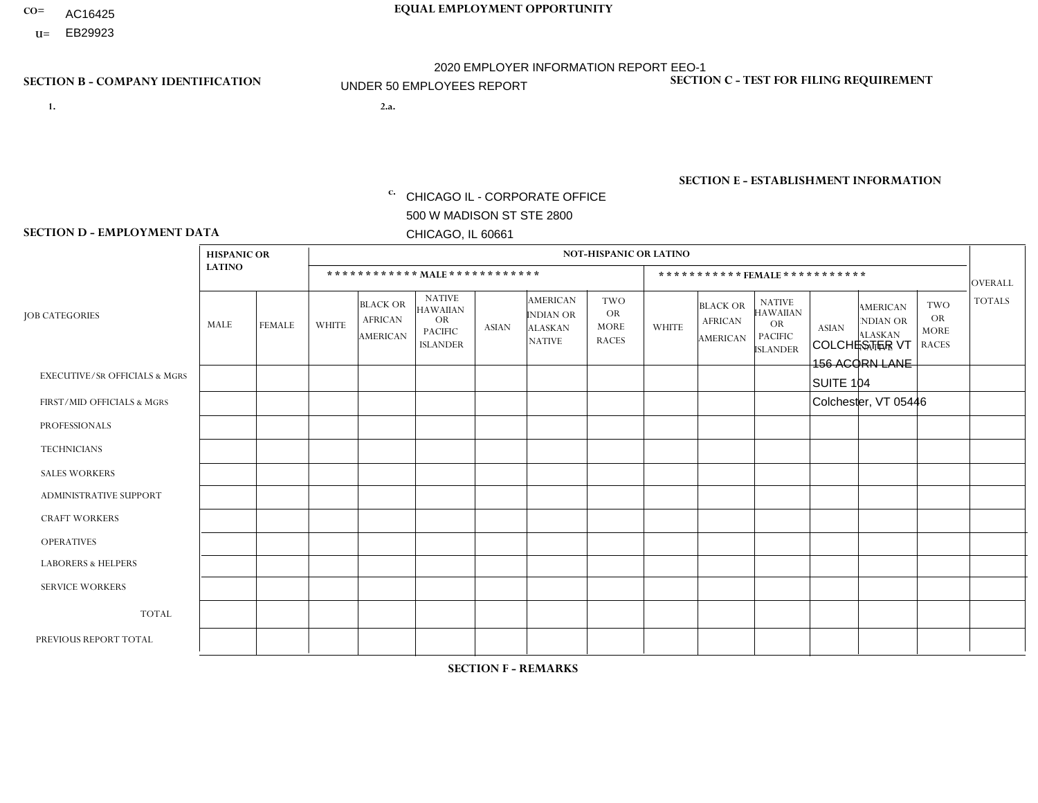- AC16425
- **U=**

- **1. 2.a.** CHICAGO IL CORPORATE OFFICE 500 W MADISON ST STE 2800 CHICAGO, IL 60661
- 2.a. COLCHESTER VT 156 ACORN LANE SUITE 104 Colchester, VT 05446
	- EIN= 952920557

## **SECTION B - COMPANY IDENTIFICATION SECTION C - TEST FOR FILING REQUIREMENT**

1- Y 2- Y 3- N DUNS= 000123456

**SECTION E - ESTABLISHMENT INFORMATION c.** NAICS: 423140

### **SECTION D - EMPLOYMENT DATA**

|                                          | <b>HISPANIC OR</b> |               |              |                                                      |                                                                                    |             |                                                                        | <b>NOT-HISPANIC OR LATINO</b>                          |                |                                               |                                                                                    |              |                                                                       |                                                        |                |
|------------------------------------------|--------------------|---------------|--------------|------------------------------------------------------|------------------------------------------------------------------------------------|-------------|------------------------------------------------------------------------|--------------------------------------------------------|----------------|-----------------------------------------------|------------------------------------------------------------------------------------|--------------|-----------------------------------------------------------------------|--------------------------------------------------------|----------------|
|                                          | <b>LATINO</b>      |               |              |                                                      | ************ MALE ************                                                     |             |                                                                        |                                                        |                |                                               | *********** FEMALE ***********                                                     |              |                                                                       |                                                        | <b>OVERALL</b> |
| <b>JOB CATEGORIES</b>                    | MALE               | <b>FEMALE</b> | <b>WHITE</b> | <b>BLACK OR</b><br><b>AFRICAN</b><br><b>AMERICAN</b> | <b>NATIVE</b><br><b>HAWAIIAN</b><br><b>OR</b><br><b>PACIFIC</b><br><b>ISLANDER</b> | ASIAN       | <b>AMERICAN</b><br><b>INDIAN OR</b><br><b>ALASKAN</b><br><b>NATIVE</b> | <b>TWO</b><br><b>OR</b><br><b>MORE</b><br><b>RACES</b> | <b>WHITE</b>   | <b>BLACK OR</b><br><b>AFRICAN</b><br>AMERICAN | <b>NATIVE</b><br><b>HAWAIIAN</b><br><b>OR</b><br><b>PACIFIC</b><br><b>ISLANDER</b> | <b>ASIAN</b> | <b>AMERICAN</b><br><b>NDIAN OR</b><br><b>ALASKAN</b><br><b>NATIVE</b> | <b>TWO</b><br><b>OR</b><br><b>MORE</b><br><b>RACES</b> | <b>TOTALS</b>  |
| <b>EXECUTIVE/SR OFFICIALS &amp; MGRS</b> | $\Omega$           | 0             | $\mathbf 0$  | $\mathbf 0$                                          | 0                                                                                  | $\mathbf 0$ | $\Omega$                                                               | $\Omega$                                               | $\Omega$       | $\Omega$                                      | $\Omega$                                                                           | $\mathbf 0$  | 0                                                                     | $\mathbf 0$                                            | $\mathbf 0$    |
| FIRST/MID OFFICIALS & MGRS               | 0                  | $\Omega$      | 1            | $\mathbf 0$                                          | $\Omega$                                                                           | $\Omega$    | $\Omega$                                                               | $\Omega$                                               | $\Omega$       | $\Omega$                                      | $\Omega$                                                                           | $\Omega$     | $\Omega$                                                              | $\mathbf{0}$                                           | $\mathbf{1}$   |
| <b>PROFESSIONALS</b>                     | 0                  | $\mathbf 0$   | $\mathbf 0$  | $\mathbf 0$                                          | $\Omega$                                                                           | $\Omega$    | $\Omega$                                                               | $\Omega$                                               | 0              | $\Omega$                                      | $\Omega$                                                                           | $\mathbf{0}$ | $\Omega$                                                              | $\mathbf{0}$                                           | $\mathbf{0}$   |
| <b>TECHNICIANS</b>                       | 0                  | $\Omega$      | $\mathbf 0$  | $\mathbf 0$                                          | $\Omega$                                                                           | $\Omega$    | $\Omega$                                                               | $\Omega$                                               | 0              | $\Omega$                                      | $\Omega$                                                                           | $\Omega$     | $\Omega$                                                              | $\Omega$                                               | $\mathbf{0}$   |
| <b>SALES WORKERS</b>                     | $\mathbf 0$        | $\mathbf 0$   | 1            | $\mathbf 0$                                          | $\mathbf 0$                                                                        | $\Omega$    | $\Omega$                                                               | $\Omega$                                               | $\Omega$       | $\Omega$                                      | $\Omega$                                                                           | $\Omega$     | 0                                                                     | $\mathbf 0$                                            | $\mathbf{1}$   |
| <b>ADMINISTRATIVE SUPPORT</b>            | $\Omega$           | $\Omega$      | $\Omega$     | $\mathbf 0$                                          | $\mathbf 0$                                                                        | $\Omega$    | $\Omega$                                                               | $\Omega$                                               | $\overline{0}$ | $\Omega$                                      | $\Omega$                                                                           | $\Omega$     | $\Omega$                                                              | $\Omega$                                               | $\mathbf 0$    |
| <b>CRAFT WORKERS</b>                     | 0                  | 0             | $\Omega$     | $\mathbf 0$                                          | 0                                                                                  | $\Omega$    | $\Omega$                                                               | $\Omega$                                               | $\Omega$       | $\Omega$                                      | $\Omega$                                                                           | $\Omega$     | $\mathbf{0}$                                                          | $\Omega$                                               | $\mathbf 0$    |
| <b>OPERATIVES</b>                        | 0                  | $\Omega$      | 6            | $\mathbf 0$                                          | $\Omega$                                                                           | $\Omega$    | $\Omega$                                                               | $\Omega$                                               | $\Omega$       | $\Omega$                                      | $\Omega$                                                                           | $\Omega$     | $\Omega$                                                              | $\Omega$                                               | 6              |
| <b>LABORERS &amp; HELPERS</b>            | 0                  | 0             | $\mathbf 0$  | $\mathbf 0$                                          | 0                                                                                  | $\mathbf 0$ | $\Omega$                                                               | $\Omega$                                               | $\Omega$       | $\Omega$                                      | $\Omega$                                                                           | $\Omega$     | $\Omega$                                                              | $\Omega$                                               | $\mathbf 0$    |
| <b>SERVICE WORKERS</b>                   | 0                  | $\Omega$      | $\mathbf 0$  | 0                                                    | 0                                                                                  | $\mathbf 0$ | $\Omega$                                                               | $\Omega$                                               | 0              | $\Omega$                                      | $\Omega$                                                                           | $\Omega$     | $\Omega$                                                              | $\Omega$                                               | $\mathbf 0$    |
| <b>TOTAL</b>                             | 0                  | $\mathbf 0$   | 8            | $\mathbf 0$                                          | 0                                                                                  | $\mathbf 0$ | $\Omega$                                                               | $\Omega$                                               | $\Omega$       | $\Omega$                                      | $\Omega$                                                                           | $\mathbf{0}$ | $\Omega$                                                              | $\mathbf 0$                                            | 8              |
| PREVIOUS REPORT TOTAL                    | 0                  | $\mathbf{0}$  | 14           | $\mathbf 0$                                          | 0                                                                                  | $\Omega$    | $\Omega$                                                               | $\Omega$                                               | 0              | $\Omega$                                      | $\Omega$                                                                           | $\mathbf 0$  | 0                                                                     | $\mathbf 0$                                            | 14             |
|                                          |                    |               |              |                                                      |                                                                                    |             |                                                                        |                                                        |                |                                               |                                                                                    |              |                                                                       |                                                        |                |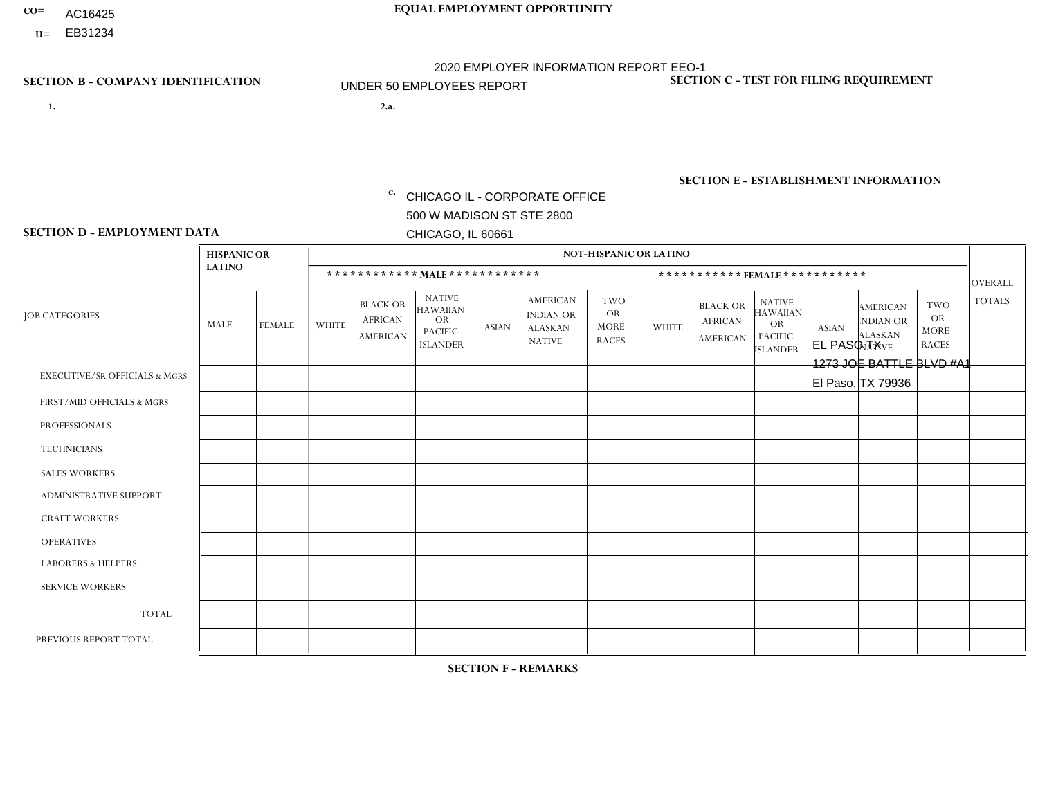- AC16425
- **U=**

- **1. 2.a.** CHICAGO IL CORPORATE OFFICE 500 W MADISON ST STE 2800 CHICAGO, IL 60661
- EL PASO TX 1273 JOE BATTLE BLVD #A1 El Paso, TX 79936

EIN= 952920557

## **SECTION B - COMPANY IDENTIFICATION SECTION C - TEST FOR FILING REQUIREMENT**

1- Y 2- Y 3- N DUNS= 000123456

**SECTION E - ESTABLISHMENT INFORMATION c.** NAICS: 423140

### **SECTION D - EMPLOYMENT DATA**

|                                          | <b>HISPANIC OR</b> |                |                |                                                      |                                                                                    |              |                                                                        | <b>NOT-HISPANIC OR LATINO</b>                          |              |                                               |                                                                                    |              |                                                                |                                                        |                |
|------------------------------------------|--------------------|----------------|----------------|------------------------------------------------------|------------------------------------------------------------------------------------|--------------|------------------------------------------------------------------------|--------------------------------------------------------|--------------|-----------------------------------------------|------------------------------------------------------------------------------------|--------------|----------------------------------------------------------------|--------------------------------------------------------|----------------|
|                                          | <b>LATINO</b>      |                |                | ************ MAIE************                        |                                                                                    |              |                                                                        |                                                        |              |                                               | *********** FEMALE ***********                                                     |              |                                                                |                                                        | <b>OVERALL</b> |
| <b>JOB CATEGORIES</b>                    | MALE               | <b>FEMALE</b>  | <b>WHITE</b>   | <b>BLACK OR</b><br><b>AFRICAN</b><br><b>AMERICAN</b> | <b>NATIVE</b><br><b>HAWAIIAN</b><br><b>OR</b><br><b>PACIFIC</b><br><b>ISLANDER</b> | <b>ASIAN</b> | <b>AMERICAN</b><br><b>INDIAN OR</b><br><b>ALASKAN</b><br><b>NATIVE</b> | <b>TWO</b><br><b>OR</b><br><b>MORE</b><br><b>RACES</b> | <b>WHITE</b> | <b>BLACK OR</b><br><b>AFRICAN</b><br>AMERICAN | <b>NATIVE</b><br><b>HAWAIIAN</b><br><b>OR</b><br><b>PACIFIC</b><br><b>ISLANDER</b> | <b>ASIAN</b> | <b>AMERICAN</b><br>NDIAN OR<br><b>ALASKAN</b><br><b>NATIVE</b> | <b>TWO</b><br><b>OR</b><br><b>MORE</b><br><b>RACES</b> | <b>TOTALS</b>  |
| <b>EXECUTIVE/SR OFFICIALS &amp; MGRS</b> | $\Omega$           | $\Omega$       | $\mathbf{0}$   | $\Omega$                                             | $\Omega$                                                                           | $\Omega$     | $\Omega$                                                               | $\Omega$                                               | $\Omega$     | $\Omega$                                      | $\Omega$                                                                           | $\Omega$     | $\Omega$                                                       | $\Omega$                                               | $\Omega$       |
| FIRST/MID OFFICIALS & MGRS               |                    | $\Omega$       | $\Omega$       | $\mathbf 0$                                          | 0                                                                                  | $\Omega$     | $\Omega$                                                               | $\Omega$                                               | 0            | $\Omega$                                      | 0                                                                                  | $\mathbf 0$  | $\Omega$                                                       | $\mathbf 0$                                            | $\mathbf{1}$   |
| <b>PROFESSIONALS</b>                     | $\Omega$           | $\mathbf 0$    | $\mathbf 0$    | $\mathbf 0$                                          | $\Omega$                                                                           | $\Omega$     | $\Omega$                                                               | $\Omega$                                               | $\Omega$     | $\mathbf{0}$                                  | 0                                                                                  | $\mathbf 0$  | $\Omega$                                                       | $\mathbf 0$                                            | $\overline{0}$ |
| <b>TECHNICIANS</b>                       | $\Omega$           | $\mathbf 0$    | $\Omega$       | $\mathbf 0$                                          | $\mathbf 0$                                                                        | $\Omega$     | $\Omega$                                                               | $\Omega$                                               | 0            | $\mathbf 0$                                   | 0                                                                                  | $\mathbf 0$  | $\Omega$                                                       | $\mathbf 0$                                            | $\overline{0}$ |
| <b>SALES WORKERS</b>                     | 9                  | $\mathbf{1}$   | $\Omega$       | $\mathbf 0$                                          | $\mathbf 0$                                                                        | $\Omega$     | $\Omega$                                                               | 1                                                      | $\Omega$     | $\Omega$                                      | $\Omega$                                                                           | $\mathbf 0$  | $\Omega$                                                       | $\Omega$                                               | 11             |
| <b>ADMINISTRATIVE SUPPORT</b>            |                    | 1              | $\Omega$       | $\mathbf 0$                                          | $\Omega$                                                                           | $\Omega$     | $\Omega$                                                               | $\Omega$                                               | 0            | $\Omega$                                      | 0                                                                                  | $\Omega$     | $\Omega$                                                       | $\Omega$                                               | $\overline{2}$ |
| <b>CRAFT WORKERS</b>                     | $\Omega$           | $\Omega$       | $\mathbf{0}$   | $\mathbf 0$                                          | $\Omega$                                                                           | $\Omega$     | $\Omega$                                                               | $\Omega$                                               | 0            | $\Omega$                                      | 0                                                                                  | $\Omega$     | $\Omega$                                                       | $\Omega$                                               | $\Omega$       |
| <b>OPERATIVES</b>                        | 2                  | $\Omega$       | $\Omega$       | $\overline{1}$                                       | $\Omega$                                                                           | $\Omega$     | $\Omega$                                                               | $\Omega$                                               | 0            | $\Omega$                                      | 0                                                                                  | $\Omega$     | $\Omega$                                                       | $\Omega$                                               | 3              |
| <b>LABORERS &amp; HELPERS</b>            | 6                  | $\Omega$       | -1             | $\mathbf 0$                                          | 0                                                                                  | $\Omega$     | $\Omega$                                                               | $\Omega$                                               | $\Omega$     | $\Omega$                                      | 0                                                                                  | $\Omega$     | $\Omega$                                                       | $\Omega$                                               | $\overline{7}$ |
| <b>SERVICE WORKERS</b>                   | $\Omega$           | $\Omega$       | $\mathbf 0$    | 0                                                    | $\mathbf 0$                                                                        | $\Omega$     | $\Omega$                                                               | $\Omega$                                               | 0            | $\Omega$                                      | $\Omega$                                                                           | $\mathbf 0$  | $\Omega$                                                       | $\Omega$                                               | $\mathbf{0}$   |
| <b>TOTAL</b>                             | 19                 | $\overline{2}$ | -1             | $\overline{1}$                                       | 0                                                                                  | 0            | $\Omega$                                                               | $\mathbf 1$                                            | 0            | $\mathbf 0$                                   | 0                                                                                  | 0            | $\Omega$                                                       | $\mathbf 0$                                            | 24             |
| PREVIOUS REPORT TOTAL                    | 21                 | $\overline{2}$ | $\overline{2}$ | $\mathbf 0$                                          | $\Omega$                                                                           | $\Omega$     | $\Omega$                                                               | $\Omega$                                               | $\Omega$     | $\Omega$                                      | 0                                                                                  | $\mathbf 0$  | $\Omega$                                                       | $\mathbf 0$                                            | 25             |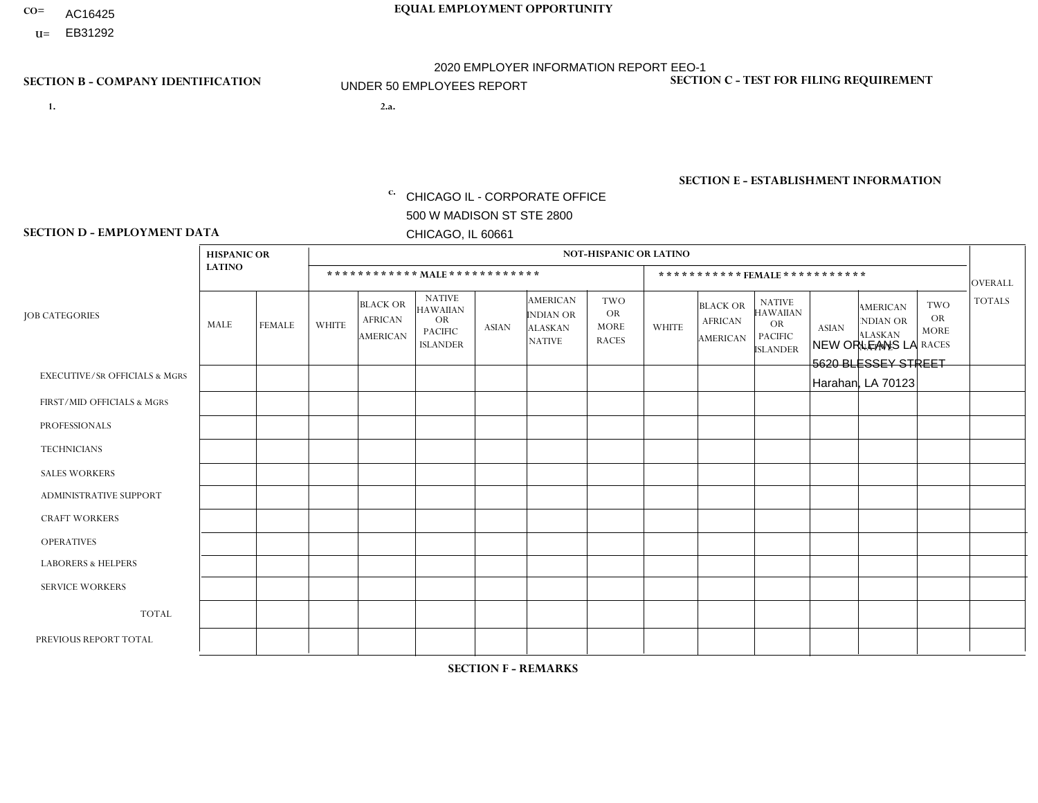- AC16425
- **U=**

**1. 2.a.** CHICAGO IL - CORPORATE OFFICE 500 W MADISON ST STE 2800 CHICAGO, IL 60661

2.a. NEW ORLEANS LA 5620 BLESSEY STREET Harahan, LA 70123

EIN= 952920557

## **SECTION B - COMPANY IDENTIFICATION SECTION C - TEST FOR FILING REQUIREMENT**

1- Y 2- Y 3- N DUNS= 000123456

**SECTION E - ESTABLISHMENT INFORMATION c.** NAICS: 423140

### **SECTION D - EMPLOYMENT DATA**

|                                          | <b>HISPANIC OR</b> |               |                |                                                      |                                                                                    |              |                                                                        | <b>NOT-HISPANIC OR LATINO</b>                          |              |                                               |                                                                                    |              |                                                                       |                                                        |                      |
|------------------------------------------|--------------------|---------------|----------------|------------------------------------------------------|------------------------------------------------------------------------------------|--------------|------------------------------------------------------------------------|--------------------------------------------------------|--------------|-----------------------------------------------|------------------------------------------------------------------------------------|--------------|-----------------------------------------------------------------------|--------------------------------------------------------|----------------------|
|                                          | <b>LATINO</b>      |               |                | ************ MALE ************                       |                                                                                    |              |                                                                        |                                                        |              |                                               | ***********FEMALE ***********                                                      |              |                                                                       |                                                        | <b>OVERALL</b>       |
| <b>JOB CATEGORIES</b>                    | MALE               | <b>FEMALE</b> | <b>WHITE</b>   | <b>BLACK OR</b><br><b>AFRICAN</b><br><b>AMERICAN</b> | <b>NATIVE</b><br><b>HAWAIIAN</b><br><b>OR</b><br><b>PACIFIC</b><br><b>ISLANDER</b> | <b>ASIAN</b> | <b>AMERICAN</b><br><b>INDIAN OR</b><br><b>ALASKAN</b><br><b>NATIVE</b> | <b>TWO</b><br><b>OR</b><br><b>MORE</b><br><b>RACES</b> | <b>WHITE</b> | <b>BLACK OR</b><br><b>AFRICAN</b><br>AMERICAN | <b>NATIVE</b><br><b>HAWAIIAN</b><br><b>OR</b><br><b>PACIFIC</b><br><b>ISLANDER</b> | <b>ASIAN</b> | <b>AMERICAN</b><br><b>NDIAN OR</b><br><b>ALASKAN</b><br><b>NATIVE</b> | <b>TWO</b><br><b>OR</b><br><b>MORE</b><br><b>RACES</b> | <b>TOTALS</b>        |
| <b>EXECUTIVE/SR OFFICIALS &amp; MGRS</b> | $\Omega$           | $\Omega$      | $\mathbf{0}$   | $\Omega$                                             | $\Omega$                                                                           | $\Omega$     | $\Omega$                                                               | $\Omega$                                               | 0            | $\Omega$                                      | $\Omega$                                                                           | $\Omega$     | $\Omega$                                                              | $\Omega$                                               | $\Omega$             |
| FIRST/MID OFFICIALS & MGRS               |                    | $\Omega$      | 1              | $\mathbf{0}$                                         | $\Omega$                                                                           | $\Omega$     | $\Omega$                                                               | $\Omega$                                               | 0            | $\Omega$                                      | 0                                                                                  | $\Omega$     | $\Omega$                                                              | $\Omega$                                               | $\overline{2}$       |
| <b>PROFESSIONALS</b>                     | $\Omega$           | $\Omega$      | $\Omega$       | $\mathbf 0$                                          | $\Omega$                                                                           | $\Omega$     | $\Omega$                                                               | $\Omega$                                               | $\Omega$     | $\Omega$                                      | 0                                                                                  | 0            | $\Omega$                                                              | $\mathbf 0$                                            | $\mathbf{0}$         |
| <b>TECHNICIANS</b>                       | $\Omega$           | $\Omega$      | $\Omega$       | $\Omega$                                             | $\Omega$                                                                           | $\Omega$     | $\Omega$                                                               | $\Omega$                                               | $\Omega$     | $\Omega$                                      | 0                                                                                  | $\mathbf 0$  | $\Omega$                                                              | $\mathbf 0$                                            | $\Omega$             |
| <b>SALES WORKERS</b>                     | $\Omega$           | $\Omega$      | 9              | 5                                                    | 0                                                                                  | $\Omega$     | $\Omega$                                                               | $\Omega$                                               | 1            | $\Omega$                                      | $\Omega$                                                                           | $\Omega$     | $\Omega$                                                              | $\Omega$                                               | 15                   |
| <b>ADMINISTRATIVE SUPPORT</b>            | $\Omega$           | $\Omega$      | $\Omega$       | $\mathbf 0$                                          | 0                                                                                  | $\Omega$     | $\Omega$                                                               | $\Omega$                                               | 1            | $\Omega$                                      | 0                                                                                  | $\mathbf 0$  | $\Omega$                                                              | $\mathbf 0$                                            | $\blacktriangleleft$ |
| <b>CRAFT WORKERS</b>                     | $\Omega$           | $\Omega$      | $\Omega$       | $\mathbf 0$                                          | $\Omega$                                                                           | $\Omega$     | $\Omega$                                                               | $\Omega$                                               | 0            | $\Omega$                                      | 0                                                                                  | $\Omega$     | $\Omega$                                                              | $\Omega$                                               | $\Omega$             |
| <b>OPERATIVES</b>                        | $\Omega$           | $\Omega$      | $\overline{c}$ | $\overline{2}$                                       | $\Omega$                                                                           | $\Omega$     | $\Omega$                                                               | $\Omega$                                               | 1            | $\Omega$                                      | 0                                                                                  | $\mathbf 0$  | $\Omega$                                                              | $\Omega$                                               | 5                    |
| <b>LABORERS &amp; HELPERS</b>            | $\Omega$           | $\Omega$      | $\overline{c}$ | $\mathbf 0$                                          | $\overline{1}$                                                                     | $\Omega$     | $\Omega$                                                               | $\blacktriangleleft$                                   | $\Omega$     | $\Omega$                                      | $\Omega$                                                                           | $\Omega$     | $\Omega$                                                              | $\Omega$                                               | 4                    |
| <b>SERVICE WORKERS</b>                   | $\Omega$           | $\Omega$      | $\Omega$       | 0                                                    | $\mathbf 0$                                                                        | $\Omega$     | $\Omega$                                                               | $\Omega$                                               | 0            | $\Omega$                                      | $\Omega$                                                                           | $\mathbf 0$  | $\Omega$                                                              | $\Omega$                                               | $\mathbf 0$          |
| <b>TOTAL</b>                             | -1                 | 0             | 14             | $\overline{7}$                                       | 1                                                                                  | 0            | $\Omega$                                                               | $\mathbf 1$                                            | 3            | $\Omega$                                      | 0                                                                                  | $\mathbf 0$  | 0                                                                     | $\mathbf 0$                                            | 27                   |
| PREVIOUS REPORT TOTAL                    |                    | $\Omega$      | 14             | 9                                                    |                                                                                    | $\Omega$     | $\Omega$                                                               |                                                        | 3            | $\Omega$                                      | 0                                                                                  | $\mathbf 0$  | $\Omega$                                                              | $\mathbf 0$                                            | 29                   |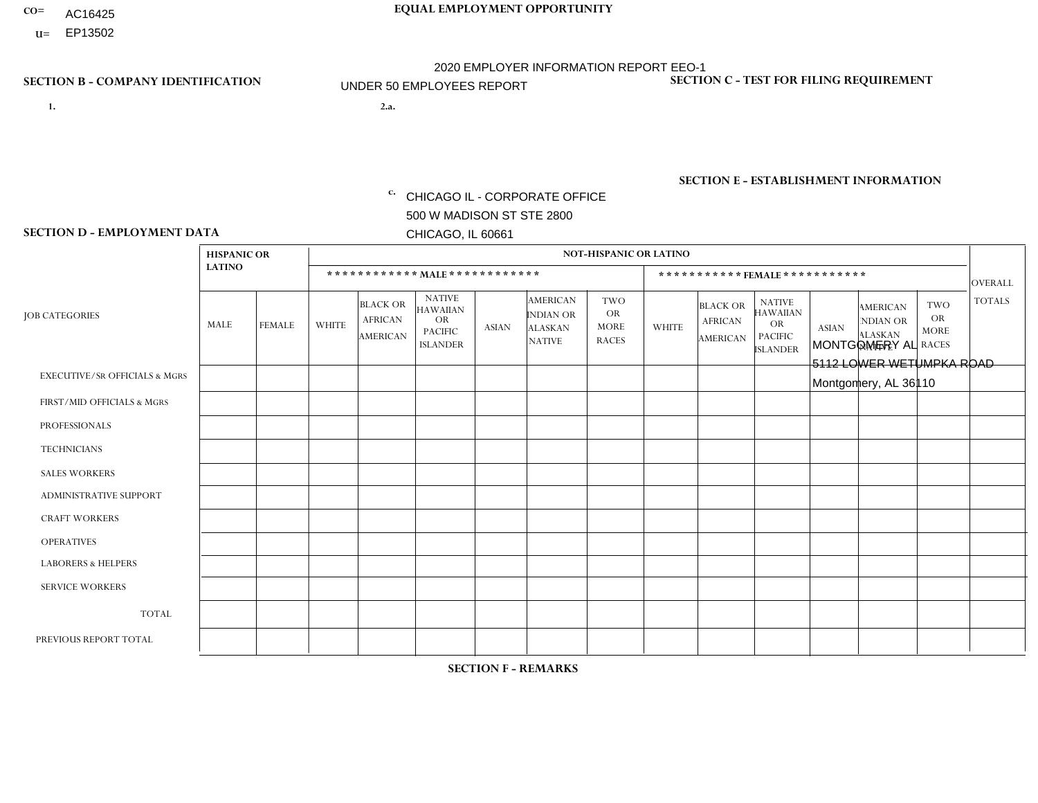- AC16425
- **U=**

- **1. 2.a.** CHICAGO IL CORPORATE OFFICE 500 W MADISON ST STE 2800 CHICAGO, IL 60661
- 2.a. MONTGOMERY AL 5112 LOWER WETUMPKA ROAD Montgomery, AL 36110

c. EIN= 952920557

## **SECTION B - COMPANY IDENTIFICATION SECTION C - TEST FOR FILING REQUIREMENT**

1- Y 2- Y 3- N DUNS= 000123456

**SECTION E - ESTABLISHMENT INFORMATION c.** NAICS: 423140

### **SECTION D - EMPLOYMENT DATA**

|                                          | <b>NOT-HISPANIC OR LATINO</b><br><b>HISPANIC OR</b> |               |                |                                               |                                                                                    |              |                                                                        |                                                        |                |                                               |                                                                                    |              |                                                                       |                                                        |                |
|------------------------------------------|-----------------------------------------------------|---------------|----------------|-----------------------------------------------|------------------------------------------------------------------------------------|--------------|------------------------------------------------------------------------|--------------------------------------------------------|----------------|-----------------------------------------------|------------------------------------------------------------------------------------|--------------|-----------------------------------------------------------------------|--------------------------------------------------------|----------------|
|                                          | <b>LATINO</b>                                       |               |                | ************ MALE ************                |                                                                                    |              |                                                                        |                                                        |                |                                               | ***********FEMALE***********                                                       |              |                                                                       |                                                        | <b>OVERALL</b> |
| <b>JOB CATEGORIES</b>                    | MALE                                                | <b>FEMALE</b> | <b>WHITE</b>   | <b>BLACK OR</b><br><b>AFRICAN</b><br>AMERICAN | <b>NATIVE</b><br><b>HAWAIIAN</b><br><b>OR</b><br><b>PACIFIC</b><br><b>ISLANDER</b> | <b>ASIAN</b> | <b>AMERICAN</b><br><b>INDIAN OR</b><br><b>ALASKAN</b><br><b>NATIVE</b> | <b>TWO</b><br><b>OR</b><br><b>MORE</b><br><b>RACES</b> | <b>WHITE</b>   | <b>BLACK OR</b><br><b>AFRICAN</b><br>AMERICAN | <b>NATIVE</b><br><b>HAWAIIAN</b><br><b>OR</b><br><b>PACIFIC</b><br><b>ISLANDER</b> | <b>ASIAN</b> | <b>AMERICAN</b><br><b>NDIAN OR</b><br><b>ALASKAN</b><br><b>NATIVE</b> | <b>TWO</b><br><b>OR</b><br><b>MORE</b><br><b>RACES</b> | <b>TOTALS</b>  |
| <b>EXECUTIVE/SR OFFICIALS &amp; MGRS</b> | $\mathbf 0$                                         | $\mathbf 0$   | $\mathbf 0$    | $\mathbf 0$                                   | $\mathbf 0$                                                                        | $\mathbf 0$  | $\Omega$                                                               | $\Omega$                                               | $\Omega$       | $\Omega$                                      | $\Omega$                                                                           | $\mathbf 0$  | $\mathbf 0$                                                           | $\mathbf 0$                                            | $\mathbf{0}$   |
| FIRST/MID OFFICIALS & MGRS               | 0                                                   | $\Omega$      | 1              | $\Omega$                                      | $\Omega$                                                                           | $\Omega$     | $\Omega$                                                               | $\Omega$                                               | 0              | $\Omega$                                      | $\Omega$                                                                           | $\Omega$     | $\Omega$                                                              | $\Omega$                                               | $\mathbf{1}$   |
| <b>PROFESSIONALS</b>                     | $\Omega$                                            | $\mathbf 0$   | $\mathbf 0$    | $\mathbf 0$                                   | $\Omega$                                                                           | $\Omega$     | $\Omega$                                                               | $\Omega$                                               | 0              | $\Omega$                                      | $\Omega$                                                                           | $\mathbf 0$  | $\Omega$                                                              | $\mathbf 0$                                            | $\mathbf{0}$   |
| <b>TECHNICIANS</b>                       | 0                                                   | $\Omega$      | $\Omega$       | $\mathbf 0$                                   | $\Omega$                                                                           | $\Omega$     | $\Omega$                                                               | $\Omega$                                               | 0              | $\Omega$                                      | $\Omega$                                                                           | $\Omega$     | $\Omega$                                                              | $\Omega$                                               | $\mathbf{0}$   |
| <b>SALES WORKERS</b>                     | 0                                                   | $\Omega$      | $\Omega$       | $\mathbf 0$                                   | $\Omega$                                                                           | $\Omega$     | $\Omega$                                                               | $\Omega$                                               | $\Omega$       | $\Omega$                                      | $\Omega$                                                                           | $\Omega$     | $\Omega$                                                              | $\Omega$                                               | $\mathbf{0}$   |
| ADMINISTRATIVE SUPPORT                   | $\Omega$                                            | $\mathbf 0$   | $\Omega$       | $\mathbf 0$                                   | $\mathbf 0$                                                                        | $\Omega$     | $\Omega$                                                               | $\Omega$                                               | 1              | $\Omega$                                      | $\Omega$                                                                           | $\Omega$     | $\Omega$                                                              | $\mathbf 0$                                            | $\overline{1}$ |
| <b>CRAFT WORKERS</b>                     | 0                                                   | $\Omega$      | $\Omega$       | $\mathbf 0$                                   | $\Omega$                                                                           | $\Omega$     | $\Omega$                                                               | $\Omega$                                               | 0              | $\Omega$                                      | $\Omega$                                                                           | $\Omega$     | $\Omega$                                                              | $\Omega$                                               | $\mathbf 0$    |
| <b>OPERATIVES</b>                        | 0                                                   | $\mathbf{0}$  | $\overline{1}$ | -1                                            | $\Omega$                                                                           | $\Omega$     | $\Omega$                                                               | $\Omega$                                               | 1              | $\Omega$                                      | $\Omega$                                                                           | $\Omega$     | $\Omega$                                                              | $\Omega$                                               | 3              |
| <b>LABORERS &amp; HELPERS</b>            | 0                                                   | $\Omega$      | 1              | $\mathbf 0$                                   | $\Omega$                                                                           | $\Omega$     | $\Omega$                                                               | $\Omega$                                               | $\overline{0}$ | $\Omega$                                      | $\Omega$                                                                           | $\Omega$     | $\Omega$                                                              | $\Omega$                                               | $\mathbf{1}$   |
| <b>SERVICE WORKERS</b>                   | 0                                                   | $\Omega$      | $\mathbf 0$    | 0                                             | 0                                                                                  | $\mathbf 0$  | $\Omega$                                                               | $\Omega$                                               | $\Omega$       | $\Omega$                                      | $\Omega$                                                                           | $\Omega$     | $\Omega$                                                              | $\mathbf 0$                                            | $\overline{0}$ |
| <b>TOTAL</b>                             | $\mathbf 0$                                         | 0             | 3              | 1                                             | 0                                                                                  | $\mathbf{0}$ | $\Omega$                                                               | $\Omega$                                               | $\overline{2}$ | 0                                             | $\Omega$                                                                           | 0            | 0                                                                     | $\mathbf 0$                                            | 6              |
| PREVIOUS REPORT TOTAL                    | 0                                                   | $\Omega$      | 4              | $\overline{1}$                                | $\Omega$                                                                           | $\Omega$     | $\Omega$                                                               | $\Omega$                                               | $\overline{2}$ | $\Omega$                                      | $\Omega$                                                                           | $\Omega$     | $\Omega$                                                              | $\mathbf 0$                                            | $\overline{7}$ |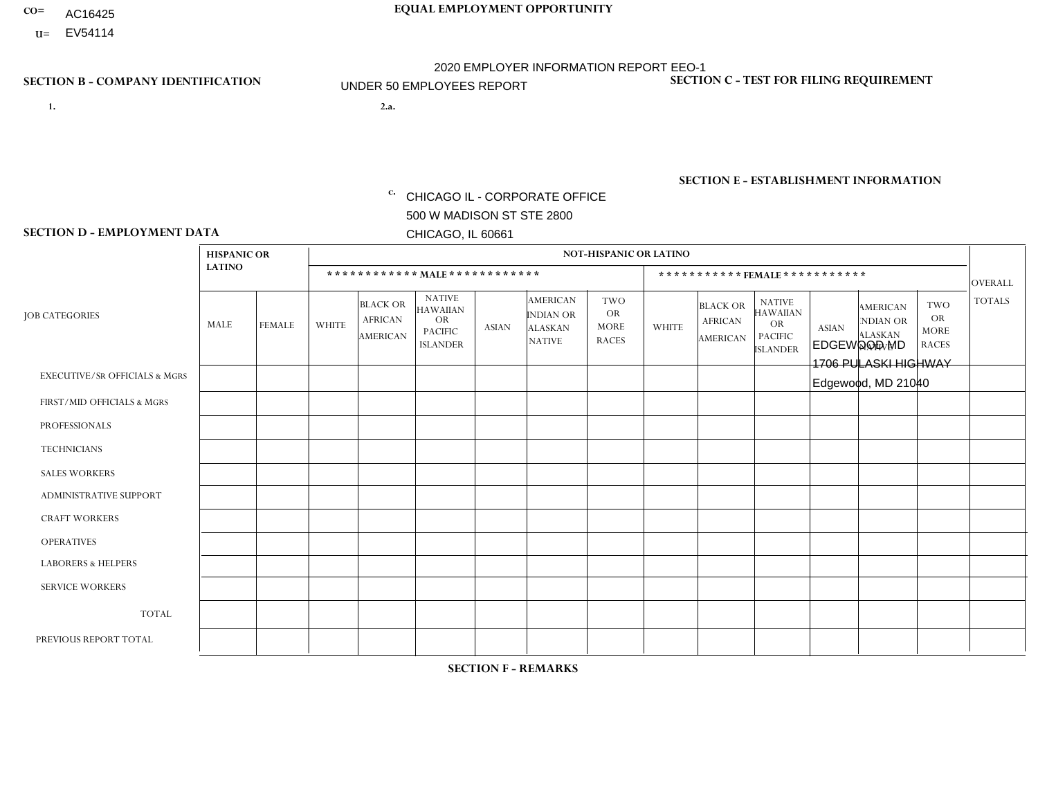- AC16425
- **U=** EV54114

- **1. 2.a.** CHICAGO IL CORPORATE OFFICE 500 W MADISON ST STE 2800 CHICAGO, IL 60661
- 2.a. EDGEWOOD MD 1706 PULASKI HIGHWAY Edgewood, MD 21040

EIN= 952920557

## **SECTION B - COMPANY IDENTIFICATION SECTION C - TEST FOR FILING REQUIREMENT**

1- Y 2- Y 3- N DUNS= 000123456

**SECTION E - ESTABLISHMENT INFORMATION c.** NAICS: 423140

### **SECTION D - EMPLOYMENT DATA**

|                                          | <b>NOT-HISPANIC OR LATINO</b><br><b>HISPANIC OR</b> |               |              |                                                      |                                                                                    |              |                                                                        |                                                        |                |                                               |                                                                                    |              |                                                                |                                                        |                |
|------------------------------------------|-----------------------------------------------------|---------------|--------------|------------------------------------------------------|------------------------------------------------------------------------------------|--------------|------------------------------------------------------------------------|--------------------------------------------------------|----------------|-----------------------------------------------|------------------------------------------------------------------------------------|--------------|----------------------------------------------------------------|--------------------------------------------------------|----------------|
|                                          | <b>LATINO</b>                                       |               |              | ************ MALE ************                       |                                                                                    |              |                                                                        |                                                        |                |                                               | ***********FEMALE***********                                                       |              |                                                                |                                                        | <b>OVERALL</b> |
| <b>JOB CATEGORIES</b>                    | MALE                                                | <b>FEMALE</b> | <b>WHITE</b> | <b>BLACK OR</b><br><b>AFRICAN</b><br><b>AMERICAN</b> | <b>NATIVE</b><br><b>HAWAIIAN</b><br><b>OR</b><br><b>PACIFIC</b><br><b>ISLANDER</b> | <b>ASIAN</b> | <b>AMERICAN</b><br><b>INDIAN OR</b><br><b>ALASKAN</b><br><b>NATIVE</b> | <b>TWO</b><br><b>OR</b><br><b>MORE</b><br><b>RACES</b> | <b>WHITE</b>   | <b>BLACK OR</b><br><b>AFRICAN</b><br>AMERICAN | <b>NATIVE</b><br><b>HAWAIIAN</b><br><b>OR</b><br><b>PACIFIC</b><br><b>ISLANDER</b> | <b>ASIAN</b> | <b>AMERICAN</b><br>NDIAN OR<br><b>ALASKAN</b><br><b>NATIVE</b> | <b>TWO</b><br><b>OR</b><br><b>MORE</b><br><b>RACES</b> | <b>TOTALS</b>  |
| <b>EXECUTIVE/SR OFFICIALS &amp; MGRS</b> | $\Omega$                                            | $\mathbf 0$   | $\Omega$     | $\mathbf 0$                                          | 0                                                                                  | $\mathbf 0$  | $\Omega$                                                               | $\Omega$                                               | 0              | $\mathbf 0$                                   | 0                                                                                  | $\mathbf 0$  | $\Omega$                                                       | $\mathbf 0$                                            | $\mathbf{0}$   |
| FIRST/MID OFFICIALS & MGRS               | $\Omega$                                            | $\Omega$      | -1           | $\mathbf{0}$                                         | $\Omega$                                                                           | $\Omega$     | $\Omega$                                                               | $\Omega$                                               | 0              | $\Omega$                                      | 0                                                                                  | $\Omega$     | $\Omega$                                                       | $\Omega$                                               | $\mathbf 1$    |
| <b>PROFESSIONALS</b>                     | $\Omega$                                            | $\mathbf 0$   | $\mathbf 0$  | $\mathbf 0$                                          | $\mathbf 0$                                                                        | $\mathbf 0$  | $\Omega$                                                               | $\Omega$                                               | $\Omega$       | $\Omega$                                      | 0                                                                                  | $\mathbf 0$  | $\Omega$                                                       | $\mathbf 0$                                            | $\mathbf{0}$   |
| <b>TECHNICIANS</b>                       | $\Omega$                                            | $\Omega$      | $\Omega$     | $\mathbf 0$                                          | $\Omega$                                                                           | $\Omega$     | $\Omega$                                                               | $\Omega$                                               | $\Omega$       | $\Omega$                                      | $\Omega$                                                                           | $\mathbf 0$  | $\Omega$                                                       | $\Omega$                                               | $\overline{0}$ |
| <b>SALES WORKERS</b>                     | $\Omega$                                            | $\Omega$      | $\Omega$     | $\overline{1}$                                       | $\mathbf 0$                                                                        | $\Omega$     | $\Omega$                                                               | $\Omega$                                               | 1              | $\Omega$                                      | 0                                                                                  | $\mathbf 0$  | $\Omega$                                                       | $\Omega$                                               | $\overline{2}$ |
| ADMINISTRATIVE SUPPORT                   | $\Omega$                                            | $\mathbf 0$   | 1            | $\overline{ }$                                       | $\mathbf 0$                                                                        | $\Omega$     | $\Omega$                                                               | $\Omega$                                               | 0              | $\mathbf{1}$                                  | 0                                                                                  | $\mathbf 0$  | $\mathbf 0$                                                    | $\mathbf 0$                                            | 3              |
| <b>CRAFT WORKERS</b>                     | $\Omega$                                            | $\Omega$      | $\mathbf{0}$ | $\mathbf 0$                                          | $\Omega$                                                                           | $\Omega$     | $\Omega$                                                               | $\Omega$                                               | 0              | $\Omega$                                      | 0                                                                                  | $\Omega$     | $\Omega$                                                       | $\Omega$                                               | $\mathbf 0$    |
| <b>OPERATIVES</b>                        | $\Omega$                                            | $\Omega$      | 9            | $\overline{1}$                                       | $\Omega$                                                                           | $\Omega$     | $\blacktriangleleft$                                                   | $\Omega$                                               | $\Omega$       | $\Omega$                                      | 0                                                                                  | $\mathbf 0$  | $\Omega$                                                       | $\Omega$                                               | 11             |
| <b>LABORERS &amp; HELPERS</b>            | $\Omega$                                            | $\Omega$      | -1           | $\mathbf 0$                                          | 0                                                                                  | $\Omega$     | $\Omega$                                                               | $\Omega$                                               | $\overline{0}$ | $\Omega$                                      | $\Omega$                                                                           | $\Omega$     | $\Omega$                                                       | $\Omega$                                               | $\mathbf{1}$   |
| <b>SERVICE WORKERS</b>                   | $\Omega$                                            | $\Omega$      | $\mathbf 0$  | 0                                                    | $\mathbf 0$                                                                        | $\mathbf 0$  | $\Omega$                                                               | $\Omega$                                               | 0              | $\Omega$                                      | $\Omega$                                                                           | $\mathbf 0$  | $\Omega$                                                       | $\mathbf 0$                                            | $\mathbf{0}$   |
| <b>TOTAL</b>                             | 0                                                   | 0             | 12           | 3                                                    | 0                                                                                  | 0            | 1                                                                      | $\mathbf 0$                                            | $\mathbf 1$    | $\mathbf 1$                                   | 0                                                                                  | 0            | 0                                                              | $\mathbf 0$                                            | 18             |
| PREVIOUS REPORT TOTAL                    | $\Omega$                                            | $\Omega$      | 9            | 6                                                    | $\Omega$                                                                           | $\Omega$     | $\blacktriangleleft$                                                   | $\mathbf{1}$                                           | 1              | $\mathbf{1}$                                  | 0                                                                                  | $\mathbf 0$  | $\Omega$                                                       | $\mathbf 0$                                            | 19             |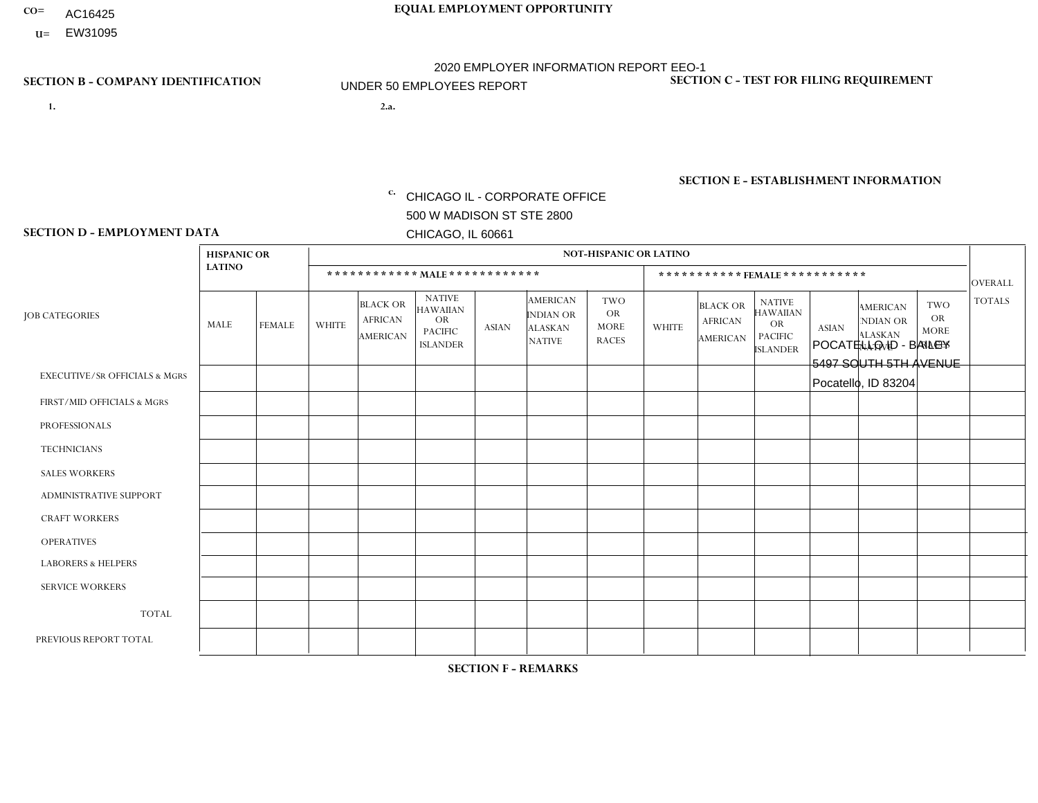- AC16425
- **U=**

- **1. 2.a.** CHICAGO IL CORPORATE OFFICE 500 W MADISON ST STE 2800 CHICAGO, IL 60661
- 2.a. POCATELLO ID BAILEY 5497 SOUTH 5TH AVENUE Pocatello, ID 83204

**SECTION B - COMPANY IDENTIFICATION SECTION C - TEST FOR FILING REQUIREMENT** 

1- Y 2- Y 3- N DUNS= 000123456

EIN= 952920557

## **SECTION E - ESTABLISHMENT INFORMATION c.** NAICS: 423140

### **SECTION D - EMPLOYMENT DATA**

|                                          | <b>HISPANIC OR</b> |                |                |                                                      |                                                                                    |              |                                                                        | <b>NOT-HISPANIC OR LATINO</b>                   |              |                                               |                                                                             |              |                                                                       |                                                        |                |
|------------------------------------------|--------------------|----------------|----------------|------------------------------------------------------|------------------------------------------------------------------------------------|--------------|------------------------------------------------------------------------|-------------------------------------------------|--------------|-----------------------------------------------|-----------------------------------------------------------------------------|--------------|-----------------------------------------------------------------------|--------------------------------------------------------|----------------|
|                                          | <b>LATINO</b>      |                |                |                                                      | ************ MALE************                                                      |              |                                                                        |                                                 |              | ***********FEMALE***********                  |                                                                             |              |                                                                       |                                                        | <b>OVERALL</b> |
| <b>JOB CATEGORIES</b>                    | MALE               | <b>FEMALE</b>  | <b>WHITE</b>   | <b>BLACK OR</b><br><b>AFRICAN</b><br><b>AMERICAN</b> | <b>NATIVE</b><br><b>HAWAIIAN</b><br><b>OR</b><br><b>PACIFIC</b><br><b>ISLANDER</b> | <b>ASIAN</b> | <b>AMERICAN</b><br><b>INDIAN OR</b><br><b>ALASKAN</b><br><b>NATIVE</b> | TWO<br><b>OR</b><br><b>MORE</b><br><b>RACES</b> | <b>WHITE</b> | <b>BLACK OR</b><br><b>AFRICAN</b><br>AMERICAN | <b>NATIVE</b><br><b>HAWAIIAN</b><br>OR<br><b>PACIFIC</b><br><b>ISLANDER</b> | <b>ASIAN</b> | <b>AMERICAN</b><br><b>NDIAN OR</b><br><b>ALASKAN</b><br><b>NATIVE</b> | <b>TWO</b><br><b>OR</b><br><b>MORE</b><br><b>RACES</b> | <b>TOTALS</b>  |
| <b>EXECUTIVE/SR OFFICIALS &amp; MGRS</b> | $\Omega$           | $\Omega$       | $\Omega$       | $\mathbf 0$                                          | $\Omega$                                                                           | $\Omega$     | $\Omega$                                                               | $\Omega$                                        | $\Omega$     | $\Omega$                                      | $\Omega$                                                                    | $\Omega$     | $\Omega$                                                              | $\Omega$                                               | $\mathbf 0$    |
| FIRST/MID OFFICIALS & MGRS               | $\Omega$           | $\mathbf 0$    | $\overline{c}$ | $\mathbf 0$                                          | $\Omega$                                                                           | $\Omega$     | $\Omega$                                                               | $\Omega$                                        | 0            | $\Omega$                                      | $\Omega$                                                                    | $\Omega$     | $\Omega$                                                              | $\mathbf 0$                                            | $\overline{2}$ |
| <b>PROFESSIONALS</b>                     | 0                  | $\overline{0}$ | $\mathbf 0$    | $\mathbf 0$                                          | $\Omega$                                                                           | $\Omega$     | $\Omega$                                                               | $\Omega$                                        | 0            | $\Omega$                                      | $\Omega$                                                                    | $\mathbf 0$  | $\Omega$                                                              | $\Omega$                                               | $\mathbf{0}$   |
| <b>TECHNICIANS</b>                       | $\Omega$           | $\overline{0}$ | $\Omega$       | $\mathbf 0$                                          | $\mathbf 0$                                                                        | $\Omega$     | $\Omega$                                                               | $\Omega$                                        | $\Omega$     | $\Omega$                                      | $\Omega$                                                                    | $\mathbf 0$  | $\Omega$                                                              | $\mathbf 0$                                            | $\mathbf 0$    |
| <b>SALES WORKERS</b>                     | $\Omega$           | $\Omega$       | $\overline{2}$ | $\mathbf 0$                                          | $\Omega$                                                                           | $\Omega$     | $\Omega$                                                               | $\Omega$                                        | $\Omega$     | $\Omega$                                      | $\Omega$                                                                    | $\Omega$     | $\Omega$                                                              | $\mathbf{0}$                                           | $\overline{2}$ |
| <b>ADMINISTRATIVE SUPPORT</b>            | 0                  | $\Omega$       | $\overline{c}$ | $\mathbf 0$                                          | $\Omega$                                                                           | $\mathbf{0}$ | $\Omega$                                                               | $\Omega$                                        | $\Omega$     | $\Omega$                                      | $\Omega$                                                                    | $\mathbf{0}$ | $\mathbf{0}$                                                          | $\mathbf 0$                                            | $\overline{2}$ |
| <b>CRAFT WORKERS</b>                     | 0                  | $\Omega$       | 2              | $\mathbf 0$                                          | $\Omega$                                                                           | $\Omega$     | $\Omega$                                                               | $\Omega$                                        | 0            | $\Omega$                                      | $\Omega$                                                                    | $\mathbf{0}$ | $\Omega$                                                              | $\mathbf{0}$                                           | 2              |
| <b>OPERATIVES</b>                        |                    | $\Omega$       | 8              | $\mathbf 0$                                          | $\Omega$                                                                           | $\Omega$     | $\Omega$                                                               | $\Omega$                                        | $\Omega$     | $\Omega$                                      | $\Omega$                                                                    | $\mathbf{0}$ | $\Omega$                                                              | $\mathbf 0$                                            | 9              |
| <b>LABORERS &amp; HELPERS</b>            | $\Omega$           | $\Omega$       | $\Omega$       | $\mathbf 0$                                          | $\Omega$                                                                           | $\Omega$     | $\Omega$                                                               | $\Omega$                                        | $\Omega$     | $\Omega$                                      | $\Omega$                                                                    | $\Omega$     | $\Omega$                                                              | $\mathbf{0}$                                           | 0              |
| <b>SERVICE WORKERS</b>                   | 0                  | $\Omega$       | $\Omega$       | 0                                                    | 0                                                                                  | $\Omega$     | $\Omega$                                                               | $\Omega$                                        | $\Omega$     | $\Omega$                                      | $\Omega$                                                                    | $\mathbf 0$  | $\Omega$                                                              | $\mathbf 0$                                            | 0              |
| <b>TOTAL</b>                             | 1                  | 0              | 16             | 0                                                    | 0                                                                                  | $\mathbf{0}$ | $\Omega$                                                               | $\Omega$                                        | $\Omega$     | $\Omega$                                      | $\Omega$                                                                    | $\mathbf 0$  | 0                                                                     | $\mathbf 0$                                            | 17             |
| PREVIOUS REPORT TOTAL                    |                    | $\Omega$       | 19             | $\mathbf 0$                                          | $\Omega$                                                                           | $\Omega$     | $\Omega$                                                               |                                                 | $\Omega$     | $\Omega$                                      | $\Omega$                                                                    | $\Omega$     | $\Omega$                                                              | $\mathbf 0$                                            | 21             |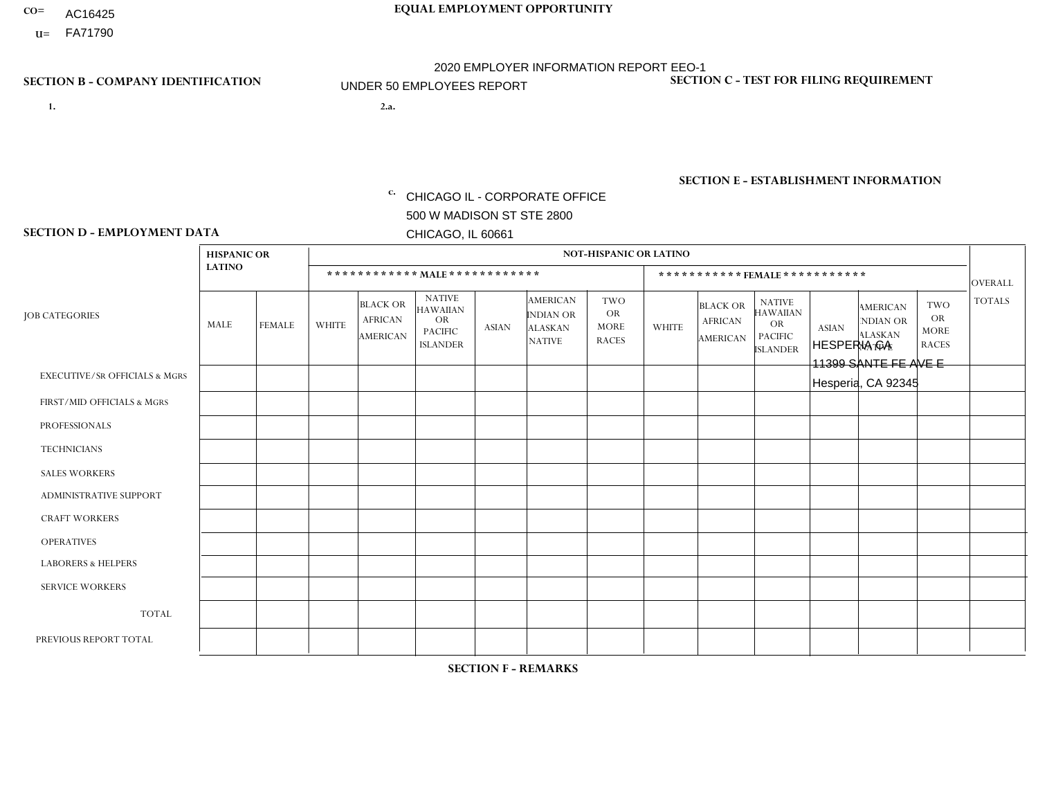- AC16425
- **U=**

- **1. 2.a.** CHICAGO IL CORPORATE OFFICE 500 W MADISON ST STE 2800 CHICAGO, IL 60661
- 2.a. HESPERIA CA 11399 SANTE FE AVE E Hesperia, CA 92345

EIN= 953406551

## **SECTION B - COMPANY IDENTIFICATION SECTION C - TEST FOR FILING REQUIREMENT**

1- Y 2- Y 3- N DUNS= 000123456

**SECTION E - ESTABLISHMENT INFORMATION c.** NAICS: 423140

### **SECTION D - EMPLOYMENT DATA**

|                                          | <b>HISPANIC OR</b> |                |                |                                                      |                                                                                    |              |                                                                        | <b>NOT-HISPANIC OR LATINO</b>                          |              |                                                      |                                                                                    |              |                                                                       |                                                        |                |
|------------------------------------------|--------------------|----------------|----------------|------------------------------------------------------|------------------------------------------------------------------------------------|--------------|------------------------------------------------------------------------|--------------------------------------------------------|--------------|------------------------------------------------------|------------------------------------------------------------------------------------|--------------|-----------------------------------------------------------------------|--------------------------------------------------------|----------------|
|                                          | <b>LATINO</b>      |                |                | ************ MALE ************                       |                                                                                    |              |                                                                        |                                                        |              |                                                      | *********** FEMALE ***********                                                     |              |                                                                       |                                                        | <b>OVERALL</b> |
| <b>JOB CATEGORIES</b>                    | MALE               | <b>FEMALE</b>  | <b>WHITE</b>   | <b>BLACK OR</b><br><b>AFRICAN</b><br><b>AMERICAN</b> | <b>NATIVE</b><br><b>HAWAIIAN</b><br><b>OR</b><br><b>PACIFIC</b><br><b>ISLANDER</b> | <b>ASIAN</b> | <b>AMERICAN</b><br><b>INDIAN OR</b><br><b>ALASKAN</b><br><b>NATIVE</b> | <b>TWO</b><br><b>OR</b><br><b>MORE</b><br><b>RACES</b> | <b>WHITE</b> | <b>BLACK OR</b><br><b>AFRICAN</b><br><b>AMERICAN</b> | <b>NATIVE</b><br><b>HAWAIIAN</b><br><b>OR</b><br><b>PACIFIC</b><br><b>ISLANDER</b> | <b>ASIAN</b> | <b>AMERICAN</b><br><b>NDIAN OR</b><br><b>ALASKAN</b><br><b>NATIVE</b> | <b>TWO</b><br><b>OR</b><br><b>MORE</b><br><b>RACES</b> | <b>TOTALS</b>  |
| <b>EXECUTIVE/SR OFFICIALS &amp; MGRS</b> | $\Omega$           | $\Omega$       | $\Omega$       | $\Omega$                                             | $\Omega$                                                                           | $\Omega$     | $\Omega$                                                               | $\Omega$                                               | $\Omega$     | $\mathbf{0}$                                         | $\mathbf{0}$                                                                       | $\Omega$     | $\Omega$                                                              | $\Omega$                                               | $\Omega$       |
| FIRST/MID OFFICIALS & MGRS               |                    | $\Omega$       | $\Omega$       | $\mathbf 0$                                          | 0                                                                                  | $\Omega$     | $\Omega$                                                               | $\Omega$                                               | $\Omega$     | $\mathbf{0}$                                         | $\mathbf{0}$                                                                       | $\Omega$     | $\Omega$                                                              | $\Omega$                                               | $\mathbf{1}$   |
| <b>PROFESSIONALS</b>                     |                    | $\Omega$       | $\mathbf 0$    | $\mathbf 0$                                          | $\overline{0}$                                                                     | $\Omega$     | $\overline{0}$                                                         | $\Omega$                                               | $\Omega$     | $\Omega$                                             | $\mathbf{0}$                                                                       | $\Omega$     | $\Omega$                                                              | $\Omega$                                               | $\mathbf{1}$   |
| <b>TECHNICIANS</b>                       | $\Omega$           | $\mathbf 0$    | $\Omega$       | $\mathbf 0$                                          | 0                                                                                  | $\Omega$     | $\overline{0}$                                                         | $\Omega$                                               | $\mathbf 0$  | $\mathbf 0$                                          | $\mathbf 0$                                                                        | $\mathbf 0$  | $\Omega$                                                              | $\Omega$                                               | $\mathbf 0$    |
| <b>SALES WORKERS</b>                     | $\overline{2}$     | $\Omega$       | $\Omega$       | $\mathbf{1}$                                         | $\Omega$                                                                           | $\Omega$     | $\Omega$                                                               | $\Omega$                                               | $\Omega$     | $\Omega$                                             | $\Omega$                                                                           | $\Omega$     | $\Omega$                                                              | $\Omega$                                               | 3              |
| <b>ADMINISTRATIVE SUPPORT</b>            | 3                  | $\overline{2}$ | 1              | 0                                                    | $\mathbf 0$                                                                        | $\Omega$     | $\Omega$                                                               | $\Omega$                                               | 1            | $\mathbf{0}$                                         | $\mathbf{0}$                                                                       | $\Omega$     | $\Omega$                                                              | $\Omega$                                               | $\overline{7}$ |
| <b>CRAFT WORKERS</b>                     | 0                  | $\Omega$       | $\mathbf 0$    | $\mathbf 0$                                          | 0                                                                                  | $\Omega$     | $\Omega$                                                               | $\Omega$                                               | $\Omega$     | $\Omega$                                             | $\Omega$                                                                           | $\Omega$     | $\Omega$                                                              | $\Omega$                                               | $\mathbf 0$    |
| <b>OPERATIVES</b>                        | 9                  | $\mathbf 0$    | 1              | $\mathbf 0$                                          | 0                                                                                  | $\Omega$     | $\overline{0}$                                                         | $\Omega$                                               | $\Omega$     | $\Omega$                                             | $\Omega$                                                                           | $\Omega$     | $\Omega$                                                              | $\mathbf{0}$                                           | 10             |
| <b>LABORERS &amp; HELPERS</b>            | $\overline{2}$     | $\mathbf{1}$   | $\Omega$       | $\Omega$                                             | 0                                                                                  | $\Omega$     | $\Omega$                                                               | $\Omega$                                               | $\Omega$     | $\Omega$                                             | $\mathbf{0}$                                                                       | $\Omega$     | $\Omega$                                                              | $\Omega$                                               | 3              |
| <b>SERVICE WORKERS</b>                   | $\Omega$           | 0              | 0              | 0                                                    | 0                                                                                  | $\Omega$     | $\Omega$                                                               | $\Omega$                                               | $\Omega$     | $\Omega$                                             | $\mathbf{0}$                                                                       | $\Omega$     | $\Omega$                                                              | $\Omega$                                               | 0              |
| <b>TOTAL</b>                             | 18                 | 3              | $\overline{c}$ | $\mathbf{1}$                                         | 0                                                                                  | $\mathbf 0$  | $\Omega$                                                               | $\Omega$                                               | 1            | $\mathbf{0}$                                         | $\Omega$                                                                           | $\mathbf 0$  | $\Omega$                                                              | $\Omega$                                               | 25             |
| PREVIOUS REPORT TOTAL                    | 15                 | $\overline{2}$ | 3              | $\mathbf 0$                                          | 0                                                                                  | $\Omega$     | $\Omega$                                                               | $\Omega$                                               | 2            | $\Omega$                                             | $\mathbf{0}$                                                                       | $\Omega$     | $\Omega$                                                              | $\mathbf 0$                                            | 22             |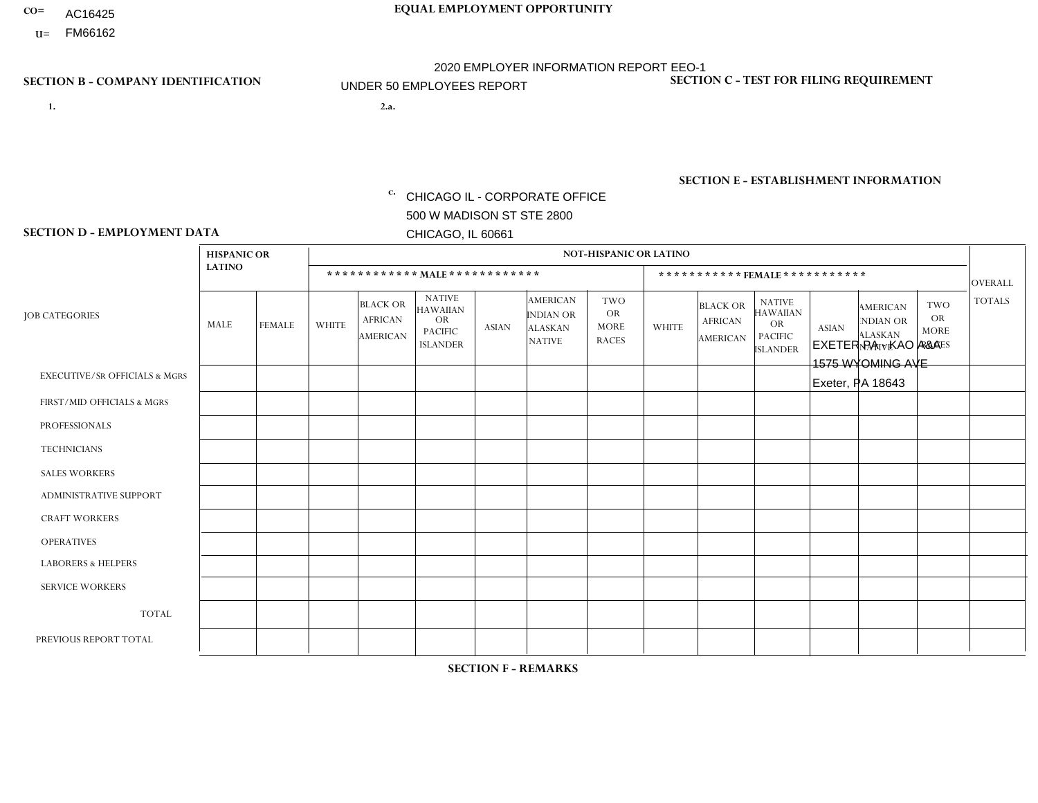- AC16425
- **U=**

**1. 2.a.** CHICAGO IL - CORPORATE OFFICE 500 W MADISON ST STE 2800 CHICAGO, IL 60661

EXETER PA - KAO A&A 1575 WYOMING AVE Exeter, PA 18643

EIN= 952920557

## **SECTION B - COMPANY IDENTIFICATION SECTION C - TEST FOR FILING REQUIREMENT**

1- Y 2- Y 3- N DUNS= 000123456

**SECTION E - ESTABLISHMENT INFORMATION c.** NAICS: 423140

### **SECTION D - EMPLOYMENT DATA**

|                                          | <b>HISPANIC OR</b> |                |                |                                                      |                                                                                    |              |                                                                        | <b>NOT-HISPANIC OR LATINO</b>                          |              |                                               |                                                                             |              |                                                                       |                                                        |                |
|------------------------------------------|--------------------|----------------|----------------|------------------------------------------------------|------------------------------------------------------------------------------------|--------------|------------------------------------------------------------------------|--------------------------------------------------------|--------------|-----------------------------------------------|-----------------------------------------------------------------------------|--------------|-----------------------------------------------------------------------|--------------------------------------------------------|----------------|
|                                          | <b>LATINO</b>      |                |                |                                                      | ************ MALE *************                                                    |              |                                                                        |                                                        |              | *********** FEMALE ***********                |                                                                             |              |                                                                       |                                                        | <b>OVERALL</b> |
| <b>JOB CATEGORIES</b>                    | MALE               | <b>FEMALE</b>  | <b>WHITE</b>   | <b>BLACK OR</b><br><b>AFRICAN</b><br><b>AMERICAN</b> | <b>NATIVE</b><br><b>HAWAIIAN</b><br><b>OR</b><br><b>PACIFIC</b><br><b>ISLANDER</b> | <b>ASIAN</b> | <b>AMERICAN</b><br><b>INDIAN OR</b><br><b>ALASKAN</b><br><b>NATIVE</b> | <b>TWO</b><br><b>OR</b><br><b>MORE</b><br><b>RACES</b> | <b>WHITE</b> | <b>BLACK OR</b><br><b>AFRICAN</b><br>AMERICAN | <b>NATIVE</b><br><b>HAWAIIAN</b><br>OR<br><b>PACIFIC</b><br><b>ISLANDER</b> | <b>ASIAN</b> | <b>AMERICAN</b><br><b>NDIAN OR</b><br><b>ALASKAN</b><br><b>NATIVE</b> | <b>TWO</b><br><b>OR</b><br><b>MORE</b><br><b>RACES</b> | <b>TOTALS</b>  |
| <b>EXECUTIVE/SR OFFICIALS &amp; MGRS</b> | $\Omega$           | $\Omega$       | $\mathbf 0$    | $\mathbf 0$                                          | $\mathbf 0$                                                                        | $\Omega$     | $\Omega$                                                               | $\Omega$                                               | $\Omega$     | $\Omega$                                      | $\Omega$                                                                    | $\Omega$     | $\Omega$                                                              | $\Omega$                                               | $\Omega$       |
| FIRST/MID OFFICIALS & MGRS               | 0                  | $\overline{0}$ | 1              | $\mathbf 0$                                          | $\mathbf 0$                                                                        | $\mathbf 0$  | $\Omega$                                                               | $\Omega$                                               | 0            | $\Omega$                                      | $\Omega$                                                                    | $\Omega$     | $\Omega$                                                              | $\Omega$                                               | $\overline{1}$ |
| <b>PROFESSIONALS</b>                     | 0                  | $\Omega$       | $\Omega$       | $\mathbf 0$                                          | $\Omega$                                                                           | $\Omega$     | $\Omega$                                                               | $\Omega$                                               | 0            | $\Omega$                                      | $\Omega$                                                                    | $\Omega$     | $\Omega$                                                              | $\Omega$                                               | $\Omega$       |
| <b>TECHNICIANS</b>                       | 0                  | $\Omega$       | $\mathbf 0$    | $\mathbf 0$                                          | 0                                                                                  | $\Omega$     | $\Omega$                                                               | $\Omega$                                               | $\Omega$     | $\Omega$                                      | $\Omega$                                                                    | $\Omega$     | $\Omega$                                                              | $\Omega$                                               | $\mathbf 0$    |
| <b>SALES WORKERS</b>                     | 0                  | $\Omega$       | 4              | $\mathbf 0$                                          | $\Omega$                                                                           | $\Omega$     | $\Omega$                                                               | $\Omega$                                               | $\Omega$     | $\Omega$                                      | $\Omega$                                                                    | $\Omega$     | $\Omega$                                                              | $\Omega$                                               | $\overline{4}$ |
| ADMINISTRATIVE SUPPORT                   | 0                  | $\Omega$       | $\mathbf 0$    | $\mathbf 0$                                          | $\mathbf 0$                                                                        | $\Omega$     | $\Omega$                                                               | $\Omega$                                               | $\Omega$     | $\Omega$                                      | $\Omega$                                                                    | $\Omega$     | $\Omega$                                                              | $\Omega$                                               | $\mathbf 0$    |
| <b>CRAFT WORKERS</b>                     | 0                  | $\Omega$       | 4              | $\mathbf 0$                                          | $\Omega$                                                                           | $\Omega$     | $\Omega$                                                               | $\Omega$                                               | 0            | $\Omega$                                      | $\Omega$                                                                    | $\Omega$     | $\Omega$                                                              | $\Omega$                                               | 4              |
| <b>OPERATIVES</b>                        | 0                  | $\mathbf{0}$   | $\overline{2}$ | $\mathbf 0$                                          | $\mathbf 0$                                                                        | $\Omega$     | $\Omega$                                                               | $\Omega$                                               | $\Omega$     | $\Omega$                                      | $\Omega$                                                                    | $\Omega$     | $\Omega$                                                              | $\Omega$                                               | 2              |
| <b>LABORERS &amp; HELPERS</b>            | 0                  | $\Omega$       | $\mathbf 0$    | $\mathbf 0$                                          | $\mathbf 0$                                                                        | $\Omega$     | $\Omega$                                                               | $\Omega$                                               | $\Omega$     | $\Omega$                                      | $\Omega$                                                                    | $\Omega$     | $\Omega$                                                              | $\Omega$                                               | $\mathbf 0$    |
| <b>SERVICE WORKERS</b>                   | 0                  | $\Omega$       | $\mathbf 0$    | $\mathbf 0$                                          | 0                                                                                  | $\Omega$     | $\Omega$                                                               | $\Omega$                                               | $\Omega$     | $\Omega$                                      | $\Omega$                                                                    | $\Omega$     | $\Omega$                                                              | $\Omega$                                               | $\mathbf 0$    |
| <b>TOTAL</b>                             | 0                  | $\mathbf{0}$   | 11             | 0                                                    | 0                                                                                  | 0            | $\Omega$                                                               | $\Omega$                                               | $\Omega$     | $\Omega$                                      | $\Omega$                                                                    | 0            | $\Omega$                                                              | $\Omega$                                               | 11             |
| PREVIOUS REPORT TOTAL                    | 0                  | $\Omega$       | 11             | $\mathbf 0$                                          | 0                                                                                  | $\Omega$     | $\Omega$                                                               | $\Omega$                                               | 0            | $\Omega$                                      | $\Omega$                                                                    | $\Omega$     | $\Omega$                                                              | $\Omega$                                               | 11             |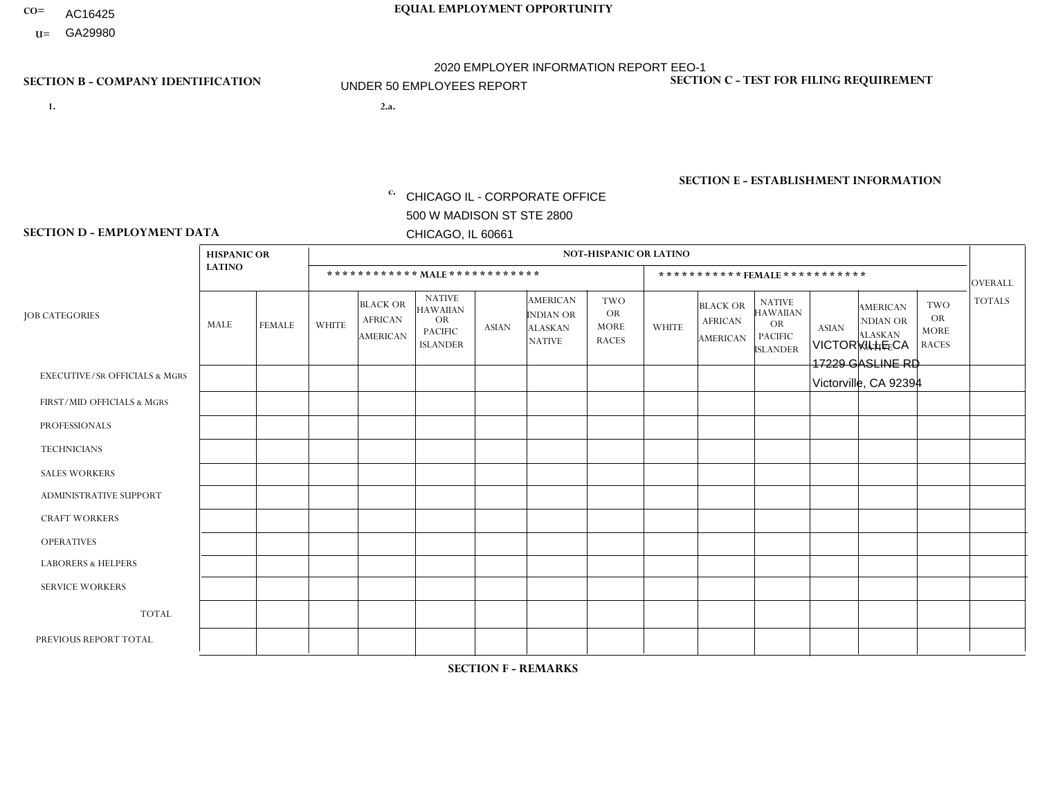- AC16425
- **U=**

**1. 2.a.** CHICAGO IL - CORPORATE OFFICE 500 W MADISON ST STE 2800 CHICAGO, IL 60661

2.a. VICTORVILLE CA 17229 GASLINE RD Victorville, CA 92394

EIN= 953072886

## **SECTION B - COMPANY IDENTIFICATION SECTION C - TEST FOR FILING REQUIREMENT**

1- Y 2- Y 3- N DUNS= 000123456

**SECTION E - ESTABLISHMENT INFORMATION c.** NAICS: 423140

### **SECTION D - EMPLOYMENT DATA**

|                                          | <b>HISPANIC OR</b> |                |              |                                                      |                                                                                    |              |                                                                 | <b>NOT-HISPANIC OR LATINO</b>                   |                      |                                                      |                                                                                    |              |                                                                       |                                                        |                |
|------------------------------------------|--------------------|----------------|--------------|------------------------------------------------------|------------------------------------------------------------------------------------|--------------|-----------------------------------------------------------------|-------------------------------------------------|----------------------|------------------------------------------------------|------------------------------------------------------------------------------------|--------------|-----------------------------------------------------------------------|--------------------------------------------------------|----------------|
|                                          | <b>LATINO</b>      |                |              |                                                      | ************ MALE ************                                                     |              |                                                                 |                                                 |                      | ***********FEMALE***********                         |                                                                                    |              |                                                                       |                                                        | <b>OVERALL</b> |
| <b>JOB CATEGORIES</b>                    | MALE               | <b>FEMALE</b>  | <b>WHITE</b> | <b>BLACK OR</b><br><b>AFRICAN</b><br><b>AMERICAN</b> | <b>NATIVE</b><br><b>HAWAIIAN</b><br><b>OR</b><br><b>PACIFIC</b><br><b>ISLANDER</b> | <b>ASIAN</b> | <b>AMERICAN</b><br>INDIAN OR<br><b>ALASKAN</b><br><b>NATIVE</b> | TWO<br><b>OR</b><br><b>MORE</b><br><b>RACES</b> | <b>WHITE</b>         | <b>BLACK OR</b><br><b>AFRICAN</b><br><b>AMERICAN</b> | <b>NATIVE</b><br><b>HAWAIIAN</b><br><b>OR</b><br><b>PACIFIC</b><br><b>ISLANDER</b> | <b>ASIAN</b> | <b>AMERICAN</b><br><b>NDIAN OR</b><br><b>ALASKAN</b><br><b>NATIVE</b> | <b>TWO</b><br><b>OR</b><br><b>MORE</b><br><b>RACES</b> | <b>TOTALS</b>  |
| <b>EXECUTIVE/SR OFFICIALS &amp; MGRS</b> | $\Omega$           | $\Omega$       | 0            | $\Omega$                                             | $\Omega$                                                                           | $\Omega$     | $\Omega$                                                        | $\Omega$                                        | $\Omega$             | $\Omega$                                             | $\Omega$                                                                           | 0            | $\Omega$                                                              | $\mathbf{0}$                                           | $\Omega$       |
| FIRST/MID OFFICIALS & MGRS               | 0                  | $\mathbf{1}$   | $\Omega$     | $\mathbf 0$                                          | 0                                                                                  | $\Omega$     | $\Omega$                                                        | $\Omega$                                        | $\Omega$             | $\Omega$                                             | $\Omega$                                                                           | $\Omega$     | $\Omega$                                                              | $\mathbf{0}$                                           |                |
| <b>PROFESSIONALS</b>                     | 0                  | $\mathbf 0$    | 0            | $\mathbf 0$                                          | $\Omega$                                                                           | $\Omega$     | $\Omega$                                                        | $\Omega$                                        | $\Omega$             | $\Omega$                                             | $\Omega$                                                                           | 0            | $\Omega$                                                              | $\Omega$                                               | $\mathbf 0$    |
| <b>TECHNICIANS</b>                       | $\mathbf{0}$       | $\mathbf 0$    | $\Omega$     | $\mathbf 0$                                          | 0                                                                                  | $\Omega$     | $\Omega$                                                        | $\Omega$                                        | $\Omega$             | $\mathbf 0$                                          | $\mathbf 0$                                                                        | $\mathbf 0$  | $\Omega$                                                              | $\Omega$                                               | $\mathbf 0$    |
| <b>SALES WORKERS</b>                     | $\overline{2}$     | $\Omega$       | $\mathbf{1}$ | $\Omega$                                             | $\Omega$                                                                           | $\Omega$     | $\Omega$                                                        | $\Omega$                                        | $\mathbf{1}$         | $\Omega$                                             | $\Omega$                                                                           | $\Omega$     | $\Omega$                                                              | $\Omega$                                               | $\overline{4}$ |
| <b>ADMINISTRATIVE SUPPORT</b>            | $\overline{2}$     | $\mathbf{1}$   | $\Omega$     | $\mathbf 0$                                          | 0                                                                                  | $\Omega$     | $\Omega$                                                        | $\Omega$                                        | $\Omega$             | $\Omega$                                             | $\Omega$                                                                           | $\Omega$     | $\Omega$                                                              | $\mathbf{0}$                                           | 3              |
| <b>CRAFT WORKERS</b>                     | 0                  | $\mathbf 0$    | $\mathbf 0$  | $\mathbf 0$                                          | 0                                                                                  | $\Omega$     | $\Omega$                                                        | $\Omega$                                        | $\Omega$             | $\Omega$                                             | $\Omega$                                                                           | $\Omega$     | $\Omega$                                                              | $\Omega$                                               | $\mathbf 0$    |
| <b>OPERATIVES</b>                        | 4                  | $\mathbf 0$    | 0            | $\mathbf 0$                                          | 0                                                                                  | $\Omega$     | $\Omega$                                                        | $\Omega$                                        | $\Omega$             | $\Omega$                                             | $\Omega$                                                                           | 0            | $\Omega$                                                              | $\Omega$                                               | $\overline{4}$ |
| <b>LABORERS &amp; HELPERS</b>            | 3                  | $\Omega$       | $\Omega$     | $\Omega$                                             | $\Omega$                                                                           | $\Omega$     | $\Omega$                                                        | $\Omega$                                        | $\Omega$             | $\Omega$                                             | $\Omega$                                                                           | 0            | $\Omega$                                                              | $\Omega$                                               | 3              |
| <b>SERVICE WORKERS</b>                   | 0                  | 0              | 0            | $\mathbf 0$                                          | 0                                                                                  | $\Omega$     | $\Omega$                                                        | $\Omega$                                        | $\Omega$             | $\Omega$                                             | $\Omega$                                                                           | 0            | $\Omega$                                                              | $\mathbf{0}$                                           | $\mathbf 0$    |
| <b>TOTAL</b>                             | 11                 | $\overline{2}$ | 1            | $\mathbf 0$                                          | 0                                                                                  | $\mathbf 0$  | $\Omega$                                                        | $\Omega$                                        | $\blacktriangleleft$ | $\Omega$                                             | $\mathbf 0$                                                                        | 0            | $\Omega$                                                              | $\Omega$                                               | 15             |
| PREVIOUS REPORT TOTAL                    | 9                  | $\overline{4}$ | $\Omega$     | $\mathbf 0$                                          | 0                                                                                  | $\Omega$     | $\Omega$                                                        | $\Omega$                                        | $\Omega$             | $\Omega$                                             | $\Omega$                                                                           | 0            | $\Omega$                                                              | $\Omega$                                               | 13             |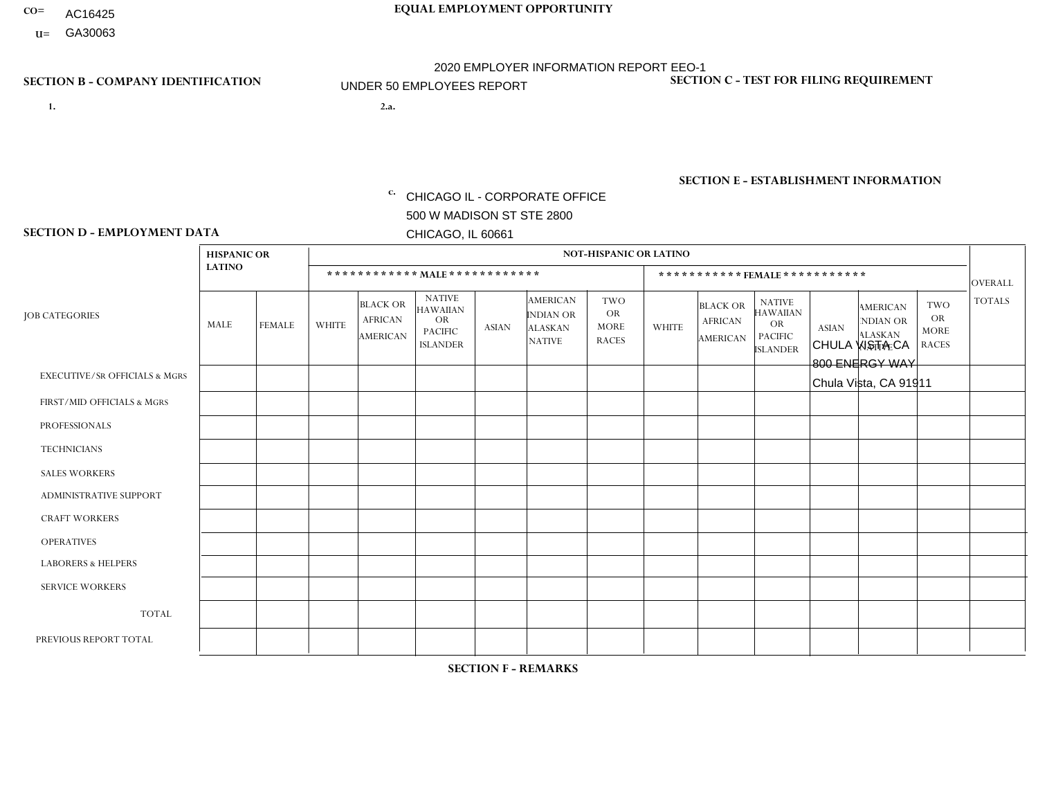- AC16425
- **U=**

**1. 2.a.** CHICAGO IL - CORPORATE OFFICE 500 W MADISON ST STE 2800 CHICAGO, IL 60661

2.a. CHULA VISTA CA 800 ENERGY WAY Chula Vista, CA 91911

EIN= 953072886

## **SECTION B - COMPANY IDENTIFICATION SECTION C - TEST FOR FILING REQUIREMENT**

1- Y 2- Y 3- N DUNS= 000123456

**SECTION E - ESTABLISHMENT INFORMATION c.** NAICS: 423140

### **SECTION D - EMPLOYMENT DATA**

|                                          | <b>HISPANIC OR</b> |               |                |                                                      |                                                                                    |                      |                                                                        | <b>NOT-HISPANIC OR LATINO</b>                          |                |                                               |                                                                             |              |                                                                       |                                                        |                |
|------------------------------------------|--------------------|---------------|----------------|------------------------------------------------------|------------------------------------------------------------------------------------|----------------------|------------------------------------------------------------------------|--------------------------------------------------------|----------------|-----------------------------------------------|-----------------------------------------------------------------------------|--------------|-----------------------------------------------------------------------|--------------------------------------------------------|----------------|
|                                          | <b>LATINO</b>      |               |                | ************ MALE ************                       |                                                                                    |                      |                                                                        |                                                        |                |                                               | *********** FEMALE ***********                                              |              |                                                                       |                                                        | <b>OVERALL</b> |
| <b>JOB CATEGORIES</b>                    | MALE               | <b>FEMALE</b> | <b>WHITE</b>   | <b>BLACK OR</b><br><b>AFRICAN</b><br><b>AMERICAN</b> | <b>NATIVE</b><br><b>HAWAIIAN</b><br><b>OR</b><br><b>PACIFIC</b><br><b>ISLANDER</b> | <b>ASIAN</b>         | <b>AMERICAN</b><br><b>INDIAN OR</b><br><b>ALASKAN</b><br><b>NATIVE</b> | <b>TWO</b><br><b>OR</b><br><b>MORE</b><br><b>RACES</b> | <b>WHITE</b>   | <b>BLACK OR</b><br><b>AFRICAN</b><br>AMERICAN | <b>NATIVE</b><br><b>HAWAIIAN</b><br>OR<br><b>PACIFIC</b><br><b>ISLANDER</b> | <b>ASIAN</b> | <b>AMERICAN</b><br><b>NDIAN OR</b><br><b>ALASKAN</b><br><b>NATIVE</b> | <b>TWO</b><br><b>OR</b><br><b>MORE</b><br><b>RACES</b> | <b>TOTALS</b>  |
| <b>EXECUTIVE/SR OFFICIALS &amp; MGRS</b> | $\Omega$           | $\Omega$      | $\mathbf{0}$   | $\mathbf 0$                                          | $\mathbf 0$                                                                        | $\Omega$             | $\Omega$                                                               | $\Omega$                                               | $\Omega$       | $\Omega$                                      | $\mathbf 0$                                                                 | $\mathbf 0$  | $\Omega$                                                              | $\Omega$                                               | $\mathbf 0$    |
| FIRST/MID OFFICIALS & MGRS               | $\Omega$           | $\mathbf 1$   | $\Omega$       | $\mathbf 0$                                          | $\mathbf{0}$                                                                       | $\Omega$             | $\Omega$                                                               | $\Omega$                                               | 0              | $\Omega$                                      | $\Omega$                                                                    | $\mathbf 0$  | 0                                                                     | $\mathbf 0$                                            | $\mathbf{1}$   |
| <b>PROFESSIONALS</b>                     |                    | $\Omega$      | $\Omega$       | $\mathbf 0$                                          | $\Omega$                                                                           | $\Omega$             | $\Omega$                                                               | $\Omega$                                               | $\overline{0}$ | $\Omega$                                      | $\Omega$                                                                    | $\Omega$     | $\Omega$                                                              | $\mathbf 0$                                            | $\mathbf{1}$   |
| <b>TECHNICIANS</b>                       | $\Omega$           | $\Omega$      | $\Omega$       | $\mathbf 0$                                          | $\Omega$                                                                           | $\Omega$             | $\Omega$                                                               | $\Omega$                                               | 0              | $\Omega$                                      | 0                                                                           | 0            | $\Omega$                                                              | $\mathbf 0$                                            | $\mathbf{0}$   |
| <b>SALES WORKERS</b>                     | 2                  | $\Omega$      | 3              | $\mathbf 0$                                          | $\Omega$                                                                           | $\blacktriangleleft$ | $\Omega$                                                               | $\Omega$                                               | $\overline{0}$ | $\Omega$                                      | $\Omega$                                                                    | $\Omega$     | $\Omega$                                                              | $\Omega$                                               | 6              |
| ADMINISTRATIVE SUPPORT                   | $\Omega$           | 6             | $\Omega$       | $\mathbf 0$                                          | 0                                                                                  | $\Omega$             | $\Omega$                                                               | $\Omega$                                               | 0              | $\Omega$                                      | 0                                                                           | $\mathbf 0$  | 0                                                                     | $\mathbf 0$                                            | 6              |
| <b>CRAFT WORKERS</b>                     | $\Omega$           | $\Omega$      | $\mathbf{0}$   | $\Omega$                                             | $\Omega$                                                                           | $\Omega$             | $\Omega$                                                               | $\Omega$                                               | 0              | $\Omega$                                      | 0                                                                           | $\Omega$     | $\Omega$                                                              | $\Omega$                                               | $\Omega$       |
| <b>OPERATIVES</b>                        | 20                 | $\mathbf{1}$  | $\mathbf{0}$   | $\mathbf 0$                                          | $\Omega$                                                                           | $\Omega$             | $\Omega$                                                               | $\Omega$                                               | $\Omega$       | $\Omega$                                      | 0                                                                           | $\Omega$     | $\Omega$                                                              | $\Omega$                                               | 21             |
| <b>LABORERS &amp; HELPERS</b>            | $\overline{1}$     | $\Omega$      | $\Omega$       | $\mathbf 0$                                          | 0                                                                                  | $\Omega$             | $\Omega$                                                               | $\Omega$                                               | $\Omega$       | $\Omega$                                      | $\Omega$                                                                    | $\Omega$     | $\Omega$                                                              | $\Omega$                                               | -1             |
| <b>SERVICE WORKERS</b>                   | $\Omega$           | $\mathbf 0$   | $\mathbf 0$    | 0                                                    | $\mathbf 0$                                                                        | $\mathbf 0$          | $\Omega$                                                               | $\Omega$                                               | 0              | $\Omega$                                      | 0                                                                           | $\mathbf 0$  | $\Omega$                                                              | $\mathbf 0$                                            | $\mathbf{0}$   |
| <b>TOTAL</b>                             | 24                 | 8             | 3              | $\mathbf 0$                                          | $\mathbf 0$                                                                        | 1                    | $\Omega$                                                               | $\Omega$                                               | 0              | $\Omega$                                      | $\Omega$                                                                    | $\mathbf 0$  | $\Omega$                                                              | $\mathbf 0$                                            | 36             |
| PREVIOUS REPORT TOTAL                    | 25                 | 9             | $\overline{2}$ | $\mathbf 0$                                          | $\mathbf 0$                                                                        | $\overline{1}$       | $\Omega$                                                               | $\Omega$                                               | 0              | $\Omega$                                      | 0                                                                           | $\mathbf 0$  | $\Omega$                                                              | 0                                                      | 37             |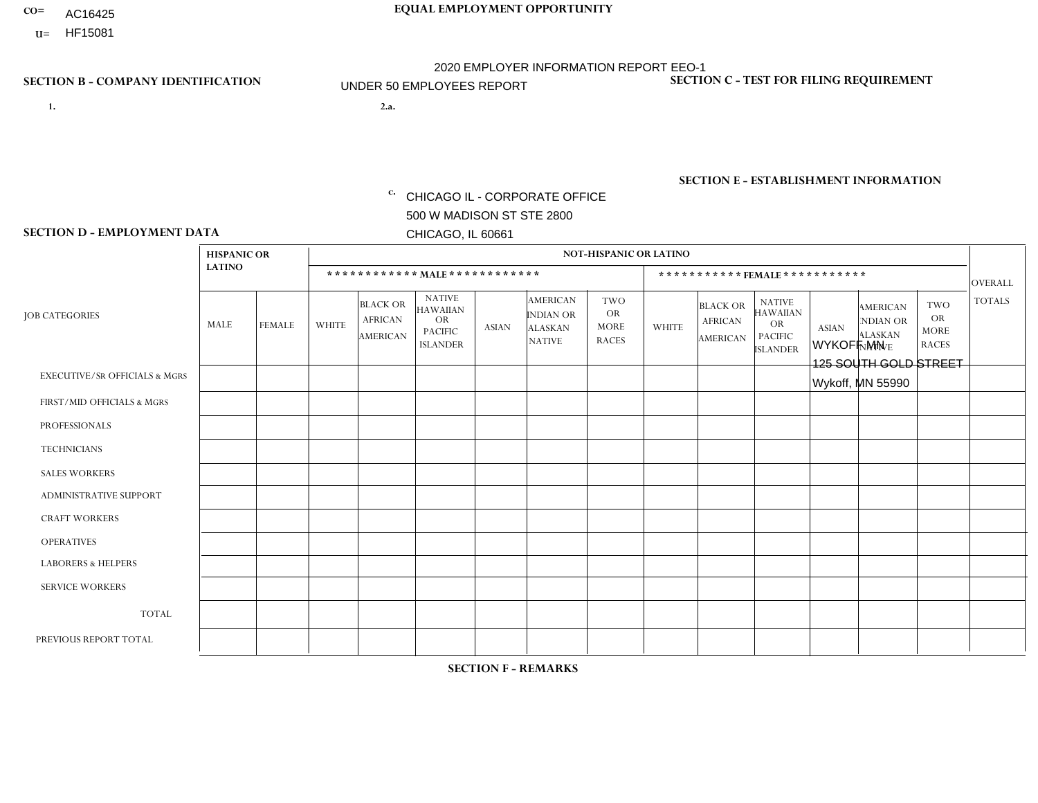- AC16425
- **U=**

- **1. 2.a.** CHICAGO IL CORPORATE OFFICE 500 W MADISON ST STE 2800 CHICAGO, IL 60661
- 2.a. WYKOFF MN 125 SOUTH GOLD STREET Wykoff, MN 55990

EIN= 952920557

**SECTION B - COMPANY IDENTIFICATION SECTION C - TEST FOR FILING REQUIREMENT** 

1- Y 2- Y 3- N DUNS= 000123456

**SECTION E - ESTABLISHMENT INFORMATION c.** NAICS: 423140

### **SECTION D - EMPLOYMENT DATA**

|                                          | <b>HISPANIC OR</b> |             |                |                                                      |                                                                                    |              |                                                                        | <b>NOT-HISPANIC OR LATINO</b>                          |                |                                               |                                                                                    |              |                                                                |                                                        |                |
|------------------------------------------|--------------------|-------------|----------------|------------------------------------------------------|------------------------------------------------------------------------------------|--------------|------------------------------------------------------------------------|--------------------------------------------------------|----------------|-----------------------------------------------|------------------------------------------------------------------------------------|--------------|----------------------------------------------------------------|--------------------------------------------------------|----------------|
|                                          | <b>LATINO</b>      |             |                |                                                      | ************ MAIE************                                                      |              |                                                                        |                                                        |                | *********** FEMALE ***********                |                                                                                    |              |                                                                |                                                        | <b>OVERALL</b> |
| <b>JOB CATEGORIES</b>                    | MALE               | FEMALE      | <b>WHITE</b>   | <b>BLACK OR</b><br><b>AFRICAN</b><br><b>AMERICAN</b> | <b>NATIVE</b><br><b>HAWAIIAN</b><br><b>OR</b><br><b>PACIFIC</b><br><b>ISLANDER</b> | <b>ASIAN</b> | <b>AMERICAN</b><br><b>INDIAN OR</b><br><b>ALASKAN</b><br><b>NATIVE</b> | <b>TWO</b><br><b>OR</b><br><b>MORE</b><br><b>RACES</b> | <b>WHITE</b>   | <b>BLACK OR</b><br><b>AFRICAN</b><br>AMERICAN | <b>NATIVE</b><br><b>HAWAIIAN</b><br><b>OR</b><br><b>PACIFIC</b><br><b>ISLANDER</b> | <b>ASIAN</b> | <b>AMERICAN</b><br>NDIAN OR<br><b>ALASKAN</b><br><b>NATIVE</b> | <b>TWO</b><br><b>OR</b><br><b>MORE</b><br><b>RACES</b> | <b>TOTALS</b>  |
| <b>EXECUTIVE/SR OFFICIALS &amp; MGRS</b> | $\Omega$           | $\Omega$    | $\Omega$       | $\Omega$                                             | $\Omega$                                                                           | $\mathbf{0}$ | $\Omega$                                                               | $\Omega$                                               | 0              | $\Omega$                                      | $\Omega$                                                                           | $\Omega$     | $\Omega$                                                       | $\Omega$                                               | $\Omega$       |
| FIRST/MID OFFICIALS & MGRS               | 0                  | $\Omega$    | 1              | $\mathbf 0$                                          | $\Omega$                                                                           | $\mathbf{0}$ | $\mathbf{0}$                                                           | $\Omega$                                               | 0              | $\Omega$                                      | $\Omega$                                                                           | $\Omega$     | $\Omega$                                                       | $\mathbf 0$                                            | $\mathbf{1}$   |
| <b>PROFESSIONALS</b>                     | 0                  | $\Omega$    | $\Omega$       | $\mathbf 0$                                          | $\Omega$                                                                           | $\Omega$     | $\Omega$                                                               | $\Omega$                                               | 0              | $\Omega$                                      | $\Omega$                                                                           | $\mathbf 0$  | $\Omega$                                                       | $\Omega$                                               | $\overline{0}$ |
| <b>TECHNICIANS</b>                       | $\Omega$           | $\mathbf 0$ | $\Omega$       | $\mathbf 0$                                          | $\Omega$                                                                           | $\Omega$     | $\Omega$                                                               | $\Omega$                                               | $\overline{0}$ | $\Omega$                                      | $\Omega$                                                                           | $\Omega$     | $\Omega$                                                       | $\mathbf 0$                                            | $\mathbf 0$    |
| <b>SALES WORKERS</b>                     | $\Omega$           | $\Omega$    | 4              | $\Omega$                                             | $\Omega$                                                                           | $\Omega$     | $\Omega$                                                               | $\Omega$                                               | -1             | $\Omega$                                      | $\Omega$                                                                           | $\Omega$     | $\Omega$                                                       | $\Omega$                                               | 5              |
| <b>ADMINISTRATIVE SUPPORT</b>            | 0                  | $\mathbf 0$ | $\mathbf 0$    | $\mathbf 0$                                          | 0                                                                                  | $\mathbf{0}$ | $\Omega$                                                               | $\Omega$                                               | $\overline{2}$ | $\Omega$                                      | $\Omega$                                                                           | $\Omega$     | $\Omega$                                                       | $\mathbf 0$                                            | 2              |
| <b>CRAFT WORKERS</b>                     | 0                  | $\Omega$    | 9              | $\Omega$                                             | $\Omega$                                                                           | $\Omega$     | $\Omega$                                                               | $\Omega$                                               | 0              | $\Omega$                                      | $\Omega$                                                                           | $\mathbf{0}$ | $\Omega$                                                       | $\mathbf{0}$                                           | 9              |
| <b>OPERATIVES</b>                        | 0                  | $\Omega$    | $\overline{2}$ | $\Omega$                                             | $\Omega$                                                                           | $\Omega$     | $\Omega$                                                               | $\Omega$                                               | $\Omega$       | $\Omega$                                      | $\Omega$                                                                           | $\Omega$     | $\Omega$                                                       | $\Omega$                                               | $\overline{2}$ |
| <b>LABORERS &amp; HELPERS</b>            | 0                  | $\Omega$    | 2              | $\mathbf 0$                                          | $\Omega$                                                                           | $\Omega$     | $\Omega$                                                               | $\Omega$                                               | $\Omega$       | $\Omega$                                      | $\Omega$                                                                           | $\Omega$     | $\Omega$                                                       | $\Omega$                                               | $\overline{2}$ |
| <b>SERVICE WORKERS</b>                   | $\Omega$           | $\mathbf 0$ | $\mathbf 0$    | $\mathbf 0$                                          | 0                                                                                  | $\mathbf 0$  | $\Omega$                                                               | $\Omega$                                               | $\Omega$       | $\Omega$                                      | $\Omega$                                                                           | 0            | $\Omega$                                                       | $\mathbf 0$                                            | $\mathbf{0}$   |
| <b>TOTAL</b>                             | 0                  | 0           | 18             | $\mathbf 0$                                          | $\mathbf{0}$                                                                       | $\mathbf 0$  | $\Omega$                                                               | $\Omega$                                               | 3              | $\Omega$                                      | $\Omega$                                                                           | $\mathbf 0$  | 0                                                              | $\mathbf 0$                                            | 21             |
| PREVIOUS REPORT TOTAL                    | 0                  | $\Omega$    | 20             | $\mathbf 0$                                          | $\Omega$                                                                           | $\mathbf{0}$ | $\Omega$                                                               | $\Omega$                                               | 3              | $\Omega$                                      | $\Omega$                                                                           | $\Omega$     | $\Omega$                                                       | $\mathbf 0$                                            | 23             |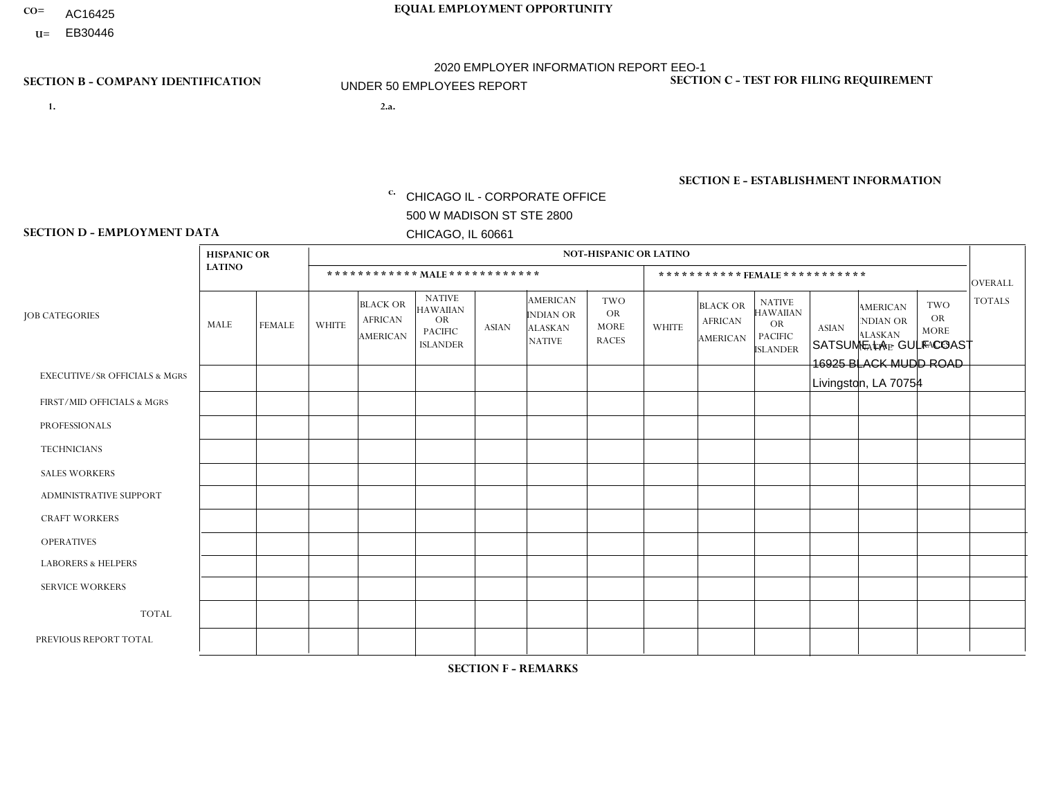- AC16425
- **U=**

- **1. 2.a.** CHICAGO IL CORPORATE OFFICE 500 W MADISON ST STE 2800 CHICAGO, IL 60661
- 2.a. SATSUME LA GULF COAST 16925 BLACK MUDD ROAD Livingston, LA 70754

c. EIN= 952920557

## **SECTION B - COMPANY IDENTIFICATION SECTION C - TEST FOR FILING REQUIREMENT**

1- Y 2- Y 3- N DUNS= 000123456

**SECTION E - ESTABLISHMENT INFORMATION c.** NAICS: 423140

### **SECTION D - EMPLOYMENT DATA**

|                                          | <b>HISPANIC OR</b> |               |                |                                                      |                                                                                    |              |                                                                        | <b>NOT-HISPANIC OR LATINO</b>                          |                |                                                      |                                                                                    |              |                                                                       |                                                        |                |
|------------------------------------------|--------------------|---------------|----------------|------------------------------------------------------|------------------------------------------------------------------------------------|--------------|------------------------------------------------------------------------|--------------------------------------------------------|----------------|------------------------------------------------------|------------------------------------------------------------------------------------|--------------|-----------------------------------------------------------------------|--------------------------------------------------------|----------------|
|                                          | <b>LATINO</b>      |               |                | ************ MALE ************                       |                                                                                    |              |                                                                        |                                                        |                |                                                      | *********** FEMALE ***********                                                     |              |                                                                       |                                                        | <b>OVERALL</b> |
| <b>JOB CATEGORIES</b>                    | MALE               | <b>FEMALE</b> | <b>WHITE</b>   | <b>BLACK OR</b><br><b>AFRICAN</b><br><b>AMERICAN</b> | <b>NATIVE</b><br><b>HAWAIIAN</b><br><b>OR</b><br><b>PACIFIC</b><br><b>ISLANDER</b> | <b>ASIAN</b> | <b>AMERICAN</b><br><b>INDIAN OR</b><br><b>ALASKAN</b><br><b>NATIVE</b> | <b>TWO</b><br><b>OR</b><br><b>MORE</b><br><b>RACES</b> | <b>WHITE</b>   | <b>BLACK OR</b><br><b>AFRICAN</b><br><b>AMERICAN</b> | <b>NATIVE</b><br><b>HAWAIIAN</b><br><b>OR</b><br><b>PACIFIC</b><br><b>ISLANDER</b> | <b>ASIAN</b> | <b>AMERICAN</b><br><b>NDIAN OR</b><br><b>ALASKAN</b><br><b>NATIVE</b> | <b>TWO</b><br><b>OR</b><br><b>MORE</b><br><b>RACES</b> | <b>TOTALS</b>  |
| <b>EXECUTIVE/SR OFFICIALS &amp; MGRS</b> | $\Omega$           | $\Omega$      | $\Omega$       | $\Omega$                                             | $\Omega$                                                                           | $\Omega$     | $\Omega$                                                               | $\Omega$                                               | $\Omega$       | $\mathbf{0}$                                         | $\mathbf{0}$                                                                       | $\Omega$     | $\Omega$                                                              | $\Omega$                                               | $\Omega$       |
| FIRST/MID OFFICIALS & MGRS               | $\Omega$           | $\Omega$      | $\overline{c}$ | $\mathbf 0$                                          | 0                                                                                  | $\Omega$     | $\Omega$                                                               | $\Omega$                                               | 1              | $\mathbf{0}$                                         | $\mathbf{0}$                                                                       | $\Omega$     | $\Omega$                                                              | $\Omega$                                               | 3              |
| <b>PROFESSIONALS</b>                     | $\Omega$           | $\mathbf 0$   | 1              | $\mathbf 0$                                          | $\overline{0}$                                                                     | $\Omega$     | $\overline{0}$                                                         | $\Omega$                                               | $\Omega$       | $\Omega$                                             | $\mathbf{0}$                                                                       | $\Omega$     | $\Omega$                                                              | $\Omega$                                               | $\mathbf{1}$   |
| <b>TECHNICIANS</b>                       | $\mathbf 0$        | $\mathbf 0$   | $\Omega$       | $\mathbf 0$                                          | 0                                                                                  | $\Omega$     | $\overline{0}$                                                         | $\Omega$                                               | $\mathbf 0$    | $\mathbf 0$                                          | $\mathbf 0$                                                                        | $\mathbf 0$  | $\Omega$                                                              | $\Omega$                                               | $\mathbf 0$    |
| <b>SALES WORKERS</b>                     | $\Omega$           | $\Omega$      | 3              | $\Omega$                                             | $\Omega$                                                                           | $\Omega$     | $\Omega$                                                               | $\Omega$                                               | $\overline{2}$ | $\Omega$                                             | $\Omega$                                                                           | $\Omega$     | $\Omega$                                                              | $\Omega$                                               | 5              |
| <b>ADMINISTRATIVE SUPPORT</b>            | $\Omega$           | $\Omega$      | $\overline{2}$ | $\mathbf 0$                                          | $\mathbf 0$                                                                        | $\Omega$     | $\Omega$                                                               | $\Omega$                                               | $\Omega$       | $\mathbf{0}$                                         | $\mathbf{0}$                                                                       | $\Omega$     | $\Omega$                                                              | $\Omega$                                               | $\overline{2}$ |
| <b>CRAFT WORKERS</b>                     | 0                  | $\mathbf 0$   | 4              | $\mathbf 0$                                          | 0                                                                                  | $\Omega$     | $\Omega$                                                               |                                                        | $\Omega$       | $\Omega$                                             | $\Omega$                                                                           | $\Omega$     | $\Omega$                                                              | $\Omega$                                               | 5              |
| <b>OPERATIVES</b>                        | $\Omega$           | $\mathbf 0$   | 5              | 6                                                    | 0                                                                                  | $\Omega$     | $\overline{0}$                                                         |                                                        | $\overline{4}$ | $\Omega$                                             | $\Omega$                                                                           | $\Omega$     | $\Omega$                                                              | $\Omega$                                               | 16             |
| <b>LABORERS &amp; HELPERS</b>            | $\Omega$           | $\Omega$      | $\Omega$       | $\Omega$                                             | 0                                                                                  | $\Omega$     | $\Omega$                                                               | $\Omega$                                               | $\overline{2}$ | $\Omega$                                             | $\mathbf{0}$                                                                       | $\Omega$     | $\Omega$                                                              | $\Omega$                                               | $\overline{2}$ |
| <b>SERVICE WORKERS</b>                   | 0                  | 0             | $\Omega$       | 0                                                    | 0                                                                                  | $\Omega$     | $\Omega$                                                               | $\Omega$                                               | $\Omega$       | $\Omega$                                             | $\mathbf{0}$                                                                       | $\Omega$     | $\Omega$                                                              | $\Omega$                                               | 0              |
| <b>TOTAL</b>                             | 0                  | $\mathbf 0$   | 17             | 6                                                    | 0                                                                                  | $\mathbf 0$  | $\Omega$                                                               | 2                                                      | 9              | $\Omega$                                             | $\Omega$                                                                           | $\mathbf 0$  | $\Omega$                                                              | $\mathbf 0$                                            | 34             |
| PREVIOUS REPORT TOTAL                    | $\Omega$           | $\Omega$      | 29             | 8                                                    | 0                                                                                  | $\Omega$     | $\Omega$                                                               | 2                                                      | 8              | $\Omega$                                             | $\mathbf{0}$                                                                       | $\Omega$     | $\mathbf{0}$                                                          | $\overline{1}$                                         | 48             |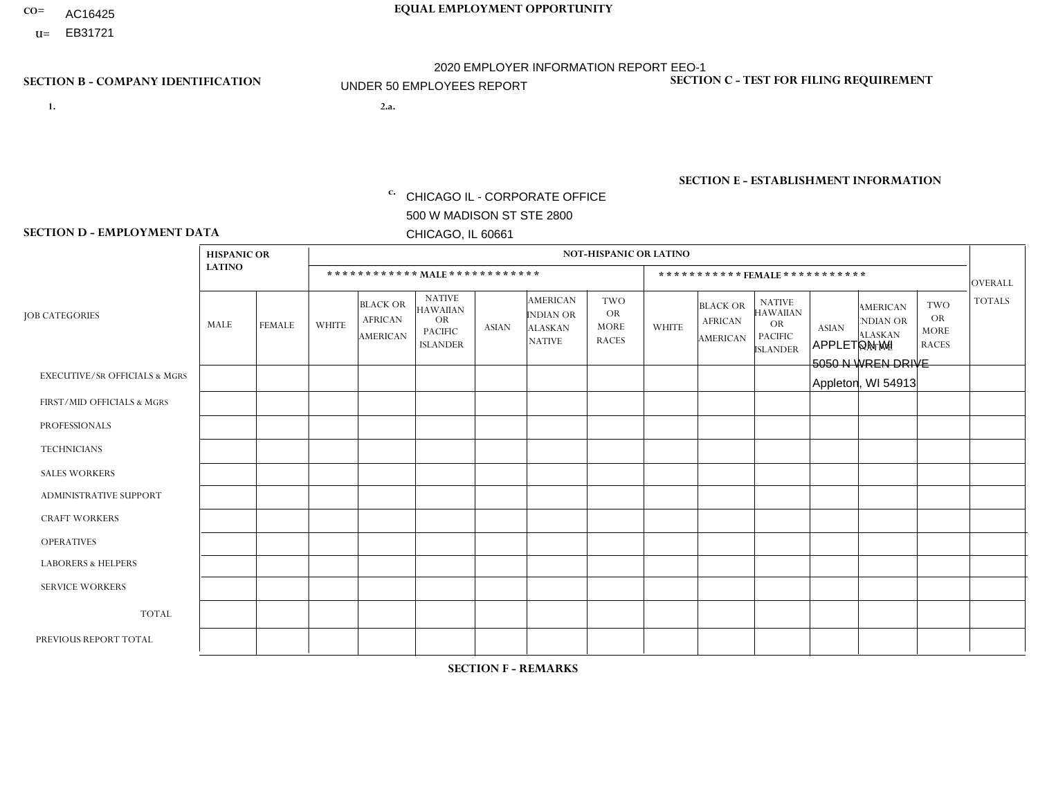- AC16425
- **U=**

**1. 2.a.** CHICAGO IL - CORPORATE OFFICE 500 W MADISON ST STE 2800 CHICAGO, IL 60661

2.a. APPLETON WI 5050 N WREN DRIVE Appleton, WI 54913

EIN= 952920557

## **SECTION B - COMPANY IDENTIFICATION SECTION C - TEST FOR FILING REQUIREMENT**

1- Y 2- Y 3- N DUNS= 000123456

**SECTION E - ESTABLISHMENT INFORMATION c.** NAICS: 423140

### **SECTION D - EMPLOYMENT DATA**

|                                          | <b>HISPANIC OR</b> |               |                |                                                      |                                                                                    |                      |                                                                 | <b>NOT-HISPANIC OR LATINO</b>                          |                |                                               |                                                                                    |              |                                                                       |                                                        |                |
|------------------------------------------|--------------------|---------------|----------------|------------------------------------------------------|------------------------------------------------------------------------------------|----------------------|-----------------------------------------------------------------|--------------------------------------------------------|----------------|-----------------------------------------------|------------------------------------------------------------------------------------|--------------|-----------------------------------------------------------------------|--------------------------------------------------------|----------------|
|                                          | <b>LATINO</b>      |               |                |                                                      | ************ MALE ************                                                     |                      |                                                                 |                                                        |                | ***********FEMALE***********                  |                                                                                    |              |                                                                       |                                                        | <b>OVERALL</b> |
| <b>JOB CATEGORIES</b>                    | MALE               | <b>FEMALE</b> | <b>WHITE</b>   | <b>BLACK OR</b><br><b>AFRICAN</b><br><b>AMERICAN</b> | <b>NATIVE</b><br><b>HAWAIIAN</b><br><b>OR</b><br><b>PACIFIC</b><br><b>ISLANDER</b> | <b>ASIAN</b>         | <b>AMERICAN</b><br>INDIAN OR<br><b>ALASKAN</b><br><b>NATIVE</b> | <b>TWO</b><br><b>OR</b><br><b>MORE</b><br><b>RACES</b> | <b>WHITE</b>   | <b>BLACK OR</b><br><b>AFRICAN</b><br>AMERICAN | <b>NATIVE</b><br><b>HAWAIIAN</b><br><b>OR</b><br><b>PACIFIC</b><br><b>ISLANDER</b> | <b>ASIAN</b> | <b>AMERICAN</b><br><b>NDIAN OR</b><br><b>ALASKAN</b><br><b>NATIVE</b> | <b>TWO</b><br><b>OR</b><br><b>MORE</b><br><b>RACES</b> | <b>TOTALS</b>  |
| <b>EXECUTIVE/SR OFFICIALS &amp; MGRS</b> | $\Omega$           | $\Omega$      | $\Omega$       | $\Omega$                                             | $\Omega$                                                                           | $\mathbf{0}$         | $\Omega$                                                        | $\Omega$                                               | 0              | $\Omega$                                      | $\Omega$                                                                           | $\Omega$     | $\Omega$                                                              | $\Omega$                                               | $\Omega$       |
| FIRST/MID OFFICIALS & MGRS               | 0                  | $\Omega$      | $\overline{c}$ | $\mathbf 0$                                          | $\Omega$                                                                           | $\mathbf{0}$         | $\mathbf{0}$                                                    | $\Omega$                                               | 0              | $\Omega$                                      | $\Omega$                                                                           | $\Omega$     | $\Omega$                                                              | $\Omega$                                               | $\overline{2}$ |
| <b>PROFESSIONALS</b>                     | 0                  | $\Omega$      | $\Omega$       | $\mathbf 0$                                          | $\Omega$                                                                           | $\Omega$             | $\Omega$                                                        | $\Omega$                                               | 0              | $\Omega$                                      | $\Omega$                                                                           | $\Omega$     | $\Omega$                                                              | $\Omega$                                               | $\mathbf{0}$   |
| <b>TECHNICIANS</b>                       | 0                  | $\mathbf 0$   | $\mathbf 0$    | $\mathbf 0$                                          | $\mathbf 0$                                                                        | $\Omega$             | $\Omega$                                                        | $\Omega$                                               | $\Omega$       | $\Omega$                                      | $\Omega$                                                                           | $\mathbf 0$  | $\mathbf 0$                                                           | $\mathbf 0$                                            | $\mathbf 0$    |
| <b>SALES WORKERS</b>                     | $\Omega$           | $\Omega$      | 4              | $\Omega$                                             | $\Omega$                                                                           | $\Omega$             | $\Omega$                                                        | $\Omega$                                               |                | $\Omega$                                      | $\Omega$                                                                           | $\Omega$     | $\Omega$                                                              | $\Omega$                                               | 5              |
| <b>ADMINISTRATIVE SUPPORT</b>            | 0                  | $\Omega$      | $\Omega$       | $\mathbf 0$                                          | $\Omega$                                                                           | $\mathbf{0}$         | $\Omega$                                                        | $\Omega$                                               | $\Omega$       | $\Omega$                                      | $\Omega$                                                                           | $\Omega$     | $\mathbf{0}$                                                          | $\Omega$                                               | $\mathbf 0$    |
| <b>CRAFT WORKERS</b>                     | 0                  | $\Omega$      | $\mathbf 0$    | $\mathbf 0$                                          | $\Omega$                                                                           | $\Omega$             | $\Omega$                                                        | $\Omega$                                               | 0              | $\Omega$                                      | $\Omega$                                                                           | $\Omega$     | $\Omega$                                                              | $\Omega$                                               | $\mathbf 0$    |
| <b>OPERATIVES</b>                        | 0                  | $\Omega$      | 9              | $\overline{2}$                                       | $\mathbf 0$                                                                        | $\Omega$             | $\Omega$                                                        | $\Omega$                                               | $\overline{0}$ | $\Omega$                                      | $\Omega$                                                                           | $\mathbf 0$  | $\mathbf 0$                                                           | $\mathbf 0$                                            | 11             |
| <b>LABORERS &amp; HELPERS</b>            | 0                  | $\Omega$      | 2              | $\Omega$                                             | $\Omega$                                                                           | $\blacktriangleleft$ | $\Omega$                                                        | $\Omega$                                               | 0              | $\Omega$                                      | $\Omega$                                                                           | $\Omega$     | $\Omega$                                                              | $\blacktriangleleft$                                   | 4              |
| <b>SERVICE WORKERS</b>                   | 0                  | $\Omega$      | $\Omega$       | 0                                                    | 0                                                                                  | $\Omega$             | $\mathbf{0}$                                                    | $\Omega$                                               | $\Omega$       | $\Omega$                                      | $\Omega$                                                                           | 0            | $\Omega$                                                              | $\mathbf 0$                                            | 0              |
| <b>TOTAL</b>                             | $\mathbf 0$        | $\mathbf 0$   | 17             | $\overline{c}$                                       | 0                                                                                  | -1                   | $\Omega$                                                        | $\Omega$                                               |                | $\Omega$                                      | $\Omega$                                                                           | $\mathbf 0$  | 0                                                                     | $\mathbf{1}$                                           | 22             |
| PREVIOUS REPORT TOTAL                    |                    | $\Omega$      | 24             | $\overline{2}$                                       | $\mathbf 0$                                                                        |                      | $\Omega$                                                        |                                                        |                | $\Omega$                                      | $\Omega$                                                                           | $\Omega$     | 0                                                                     | $\mathbf{1}$                                           | 31             |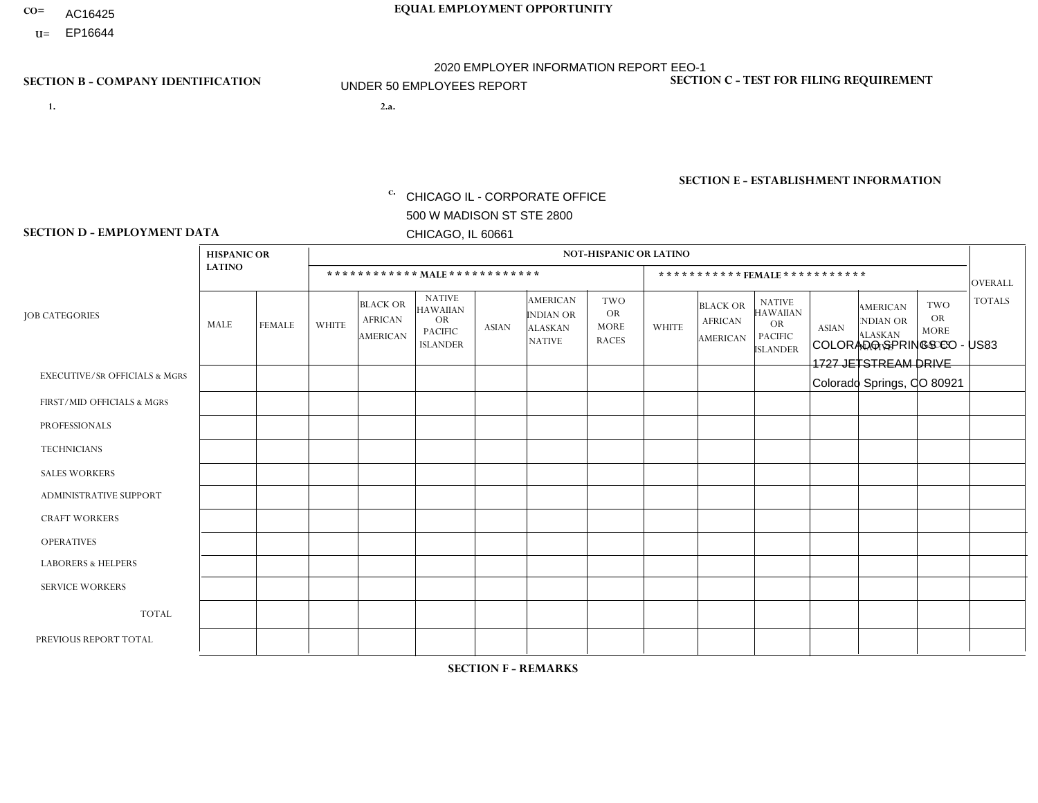- AC16425
- **U=**

- **1. 2.a.** CHICAGO IL CORPORATE OFFICE 500 W MADISON ST STE 2800 CHICAGO, IL 60661
- 2.a. COLORADO SPRINGS CO US83 1727 JETSTREAM DRIVE Colorado Springs, CO 80921

c. EIN= 952920557

## **SECTION B - COMPANY IDENTIFICATION SECTION C - TEST FOR FILING REQUIREMENT**

1- Y 2- Y 3- N DUNS= 000123456

**SECTION E - ESTABLISHMENT INFORMATION c.** NAICS: 423140

### **SECTION D - EMPLOYMENT DATA**

|                                          | <b>HISPANIC OR</b> |               |                |                                                      |                                                                                    |              |                                                                 | NOT-HISPANIC OR LATINO                                 |                |                                               |                                                                             |              |                                                                       |                                                        |                |
|------------------------------------------|--------------------|---------------|----------------|------------------------------------------------------|------------------------------------------------------------------------------------|--------------|-----------------------------------------------------------------|--------------------------------------------------------|----------------|-----------------------------------------------|-----------------------------------------------------------------------------|--------------|-----------------------------------------------------------------------|--------------------------------------------------------|----------------|
|                                          | <b>LATINO</b>      |               |                | ************ MALE ************                       |                                                                                    |              |                                                                 |                                                        |                |                                               | *********** FEMALE ***********                                              |              |                                                                       |                                                        | <b>OVERALL</b> |
| <b>JOB CATEGORIES</b>                    | MALE               | <b>FEMALE</b> | <b>WHITE</b>   | <b>BLACK OR</b><br><b>AFRICAN</b><br><b>AMERICAN</b> | <b>NATIVE</b><br><b>HAWAIIAN</b><br><b>OR</b><br><b>PACIFIC</b><br><b>ISLANDER</b> | <b>ASIAN</b> | <b>AMERICAN</b><br>INDIAN OR<br><b>ALASKAN</b><br><b>NATIVE</b> | <b>TWO</b><br><b>OR</b><br><b>MORE</b><br><b>RACES</b> | <b>WHITE</b>   | <b>BLACK OR</b><br><b>AFRICAN</b><br>AMERICAN | <b>NATIVE</b><br><b>HAWAIIAN</b><br>OR<br><b>PACIFIC</b><br><b>ISLANDER</b> | <b>ASIAN</b> | <b>AMERICAN</b><br><b>NDIAN OR</b><br><b>ALASKAN</b><br><b>NATIVE</b> | <b>TWO</b><br><b>OR</b><br><b>MORE</b><br><b>RACES</b> | <b>TOTALS</b>  |
| <b>EXECUTIVE/SR OFFICIALS &amp; MGRS</b> | $\Omega$           | $\Omega$      | $\Omega$       | $\mathbf 0$                                          | $\Omega$                                                                           | $\Omega$     | $\Omega$                                                        | $\Omega$                                               | $\Omega$       | $\Omega$                                      | $\Omega$                                                                    | $\mathbf 0$  | $\Omega$                                                              | $\Omega$                                               | $\mathbf 0$    |
| FIRST/MID OFFICIALS & MGRS               | $\Omega$           | $\Omega$      | $\overline{2}$ | $\mathbf 0$                                          | $\Omega$                                                                           | $\mathbf{0}$ | $\Omega$                                                        | $\Omega$                                               | $\Omega$       | $\Omega$                                      | $\Omega$                                                                    | $\Omega$     | $\Omega$                                                              | $\Omega$                                               | $\overline{2}$ |
| <b>PROFESSIONALS</b>                     | $\Omega$           | $\Omega$      | $\Omega$       | $\Omega$                                             | $\Omega$                                                                           | $\mathbf{0}$ | $\Omega$                                                        | $\Omega$                                               | 0              | $\Omega$                                      | 0                                                                           | $\Omega$     | $\Omega$                                                              | $\Omega$                                               | $\Omega$       |
| <b>TECHNICIANS</b>                       | $\Omega$           | $\Omega$      | $\Omega$       | $\mathbf 0$                                          | $\Omega$                                                                           | $\Omega$     | $\Omega$                                                        | $\Omega$                                               | 0              | $\Omega$                                      | 0                                                                           | 0            | $\Omega$                                                              | 0                                                      | $\overline{0}$ |
| <b>SALES WORKERS</b>                     | $\overline{2}$     | $\Omega$      | $\overline{c}$ | $\Omega$                                             | $\Omega$                                                                           | $\Omega$     | $\Omega$                                                        | $\Omega$                                               | $\overline{0}$ | $\Omega$                                      | $\overline{0}$                                                              | $\Omega$     | $\Omega$                                                              | $\Omega$                                               | $\overline{4}$ |
| ADMINISTRATIVE SUPPORT                   | $\Omega$           | $\Omega$      | $\mathbf{0}$   | $\Omega$                                             | $\Omega$                                                                           | $\Omega$     | $\Omega$                                                        | $\Omega$                                               | 0              | $\Omega$                                      | 0                                                                           | $\Omega$     | $\Omega$                                                              | $\Omega$                                               | $\Omega$       |
| <b>CRAFT WORKERS</b>                     | $\Omega$           | $\Omega$      | $\Omega$       | $\mathbf 0$                                          | $\Omega$                                                                           | $\Omega$     | $\Omega$                                                        | $\Omega$                                               | $\Omega$       | $\Omega$                                      | $\Omega$                                                                    | $\Omega$     | $\Omega$                                                              | $\Omega$                                               | $\Omega$       |
| <b>OPERATIVES</b>                        | $\Omega$           | $\Omega$      | $\Omega$       | $\mathbf 0$                                          | $\Omega$                                                                           | $\Omega$     | $\Omega$                                                        | $\Omega$                                               | $\Omega$       | $\Omega$                                      | $\Omega$                                                                    | $\Omega$     | $\Omega$                                                              | $\Omega$                                               | $\overline{0}$ |
| <b>LABORERS &amp; HELPERS</b>            | $\Omega$           | $\Omega$      | -1             | $\mathbf 0$                                          | $\Omega$                                                                           | $\Omega$     | $\Omega$                                                        | $\Omega$                                               | $\Omega$       | $\Omega$                                      | 0                                                                           | $\Omega$     | $\Omega$                                                              | $\Omega$                                               | $\mathbf{1}$   |
| <b>SERVICE WORKERS</b>                   | $\Omega$           | $\mathbf 0$   | $\mathbf 0$    | 0                                                    | $\mathbf 0$                                                                        | $\mathbf 0$  | $\Omega$                                                        | $\Omega$                                               | $\Omega$       | $\Omega$                                      | $\mathbf 0$                                                                 | $\mathbf 0$  | $\Omega$                                                              | $\mathbf 0$                                            | $\mathbf{0}$   |
| <b>TOTAL</b>                             | $\overline{c}$     | 0             | 5              | 0                                                    | $\mathbf 0$                                                                        | 0            | $\Omega$                                                        | $\Omega$                                               | 0              | $\Omega$                                      | 0                                                                           | $\mathbf 0$  | $\Omega$                                                              | $\mathbf 0$                                            | $\overline{7}$ |
| PREVIOUS REPORT TOTAL                    | 2                  | $\Omega$      | 9              | $\mathbf 0$                                          | 0                                                                                  |              | $\Omega$                                                        | $\Omega$                                               | $\Omega$       | $\Omega$                                      | $\Omega$                                                                    | $\Omega$     | $\Omega$                                                              | $\mathbf 0$                                            | 12             |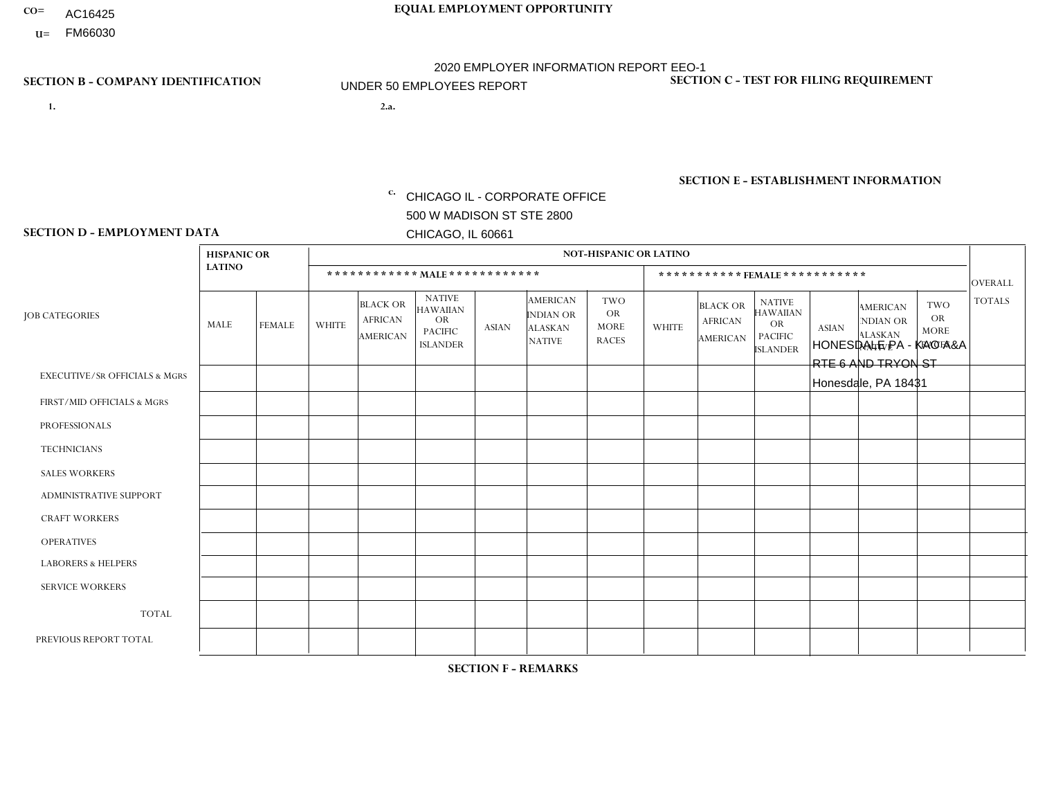- AC16425
- **U=**

**1. 2.a.** CHICAGO IL - CORPORATE OFFICE 500 W MADISON ST STE 2800 CHICAGO, IL 60661

2.a. HONESDALE PA - KAO A&A RTE 6 AND TRYON ST Honesdale, PA 18431

EIN= 952920557

## **SECTION B - COMPANY IDENTIFICATION SECTION C - TEST FOR FILING REQUIREMENT**

1- Y 2- Y 3- N DUNS= 000123456

**SECTION E - ESTABLISHMENT INFORMATION c.** NAICS: 423140

### **SECTION D - EMPLOYMENT DATA**

|                                          | <b>HISPANIC OR</b> |               |              |                                                      |                                                                                    |              |                                                                        | <b>NOT-HISPANIC OR LATINO</b>                          |              |                                               |                                                                                    |              |                                                                |                                                        |                |
|------------------------------------------|--------------------|---------------|--------------|------------------------------------------------------|------------------------------------------------------------------------------------|--------------|------------------------------------------------------------------------|--------------------------------------------------------|--------------|-----------------------------------------------|------------------------------------------------------------------------------------|--------------|----------------------------------------------------------------|--------------------------------------------------------|----------------|
|                                          | <b>LATINO</b>      |               |              | ************ MALE ************                       |                                                                                    |              |                                                                        |                                                        |              |                                               | *********** FEMALE ***********                                                     |              |                                                                |                                                        | <b>OVERALL</b> |
| <b>JOB CATEGORIES</b>                    | <b>MALE</b>        | <b>FEMALE</b> | <b>WHITE</b> | <b>BLACK OR</b><br><b>AFRICAN</b><br><b>AMERICAN</b> | <b>NATIVE</b><br><b>HAWAIIAN</b><br><b>OR</b><br><b>PACIFIC</b><br><b>ISLANDER</b> | <b>ASIAN</b> | <b>AMERICAN</b><br><b>INDIAN OR</b><br><b>ALASKAN</b><br><b>NATIVE</b> | <b>TWO</b><br><b>OR</b><br><b>MORE</b><br><b>RACES</b> | <b>WHITE</b> | <b>BLACK OR</b><br><b>AFRICAN</b><br>AMERICAN | <b>NATIVE</b><br><b>HAWAIIAN</b><br><b>OR</b><br><b>PACIFIC</b><br><b>ISLANDER</b> | <b>ASIAN</b> | <b>AMERICAN</b><br>NDIAN OR<br><b>ALASKAN</b><br><b>NATIVE</b> | <b>TWO</b><br><b>OR</b><br><b>MORE</b><br><b>RACES</b> | <b>TOTALS</b>  |
| <b>EXECUTIVE/SR OFFICIALS &amp; MGRS</b> | $\Omega$           | $\Omega$      | $\mathbf{0}$ | $\Omega$                                             | $\Omega$                                                                           | $\Omega$     | $\Omega$                                                               | $\Omega$                                               | 0            | $\Omega$                                      | $\Omega$                                                                           | $\Omega$     | $\Omega$                                                       | $\Omega$                                               | $\Omega$       |
| FIRST/MID OFFICIALS & MGRS               | $\Omega$           | $\Omega$      | 1            | $\mathbf{0}$                                         | $\Omega$                                                                           | $\Omega$     | $\Omega$                                                               | $\Omega$                                               | 0            | $\Omega$                                      | 0                                                                                  | $\Omega$     | $\Omega$                                                       | $\Omega$                                               | $\mathbf{1}$   |
| <b>PROFESSIONALS</b>                     | $\Omega$           | $\Omega$      | $\Omega$     | $\mathbf 0$                                          | $\Omega$                                                                           | $\Omega$     | $\Omega$                                                               | $\Omega$                                               | $\Omega$     | $\Omega$                                      | 0                                                                                  | 0            | $\Omega$                                                       | $\mathbf 0$                                            | $\mathbf{0}$   |
| <b>TECHNICIANS</b>                       | $\Omega$           | $\Omega$      | $\Omega$     | $\Omega$                                             | $\Omega$                                                                           | $\Omega$     | $\Omega$                                                               | $\Omega$                                               | $\Omega$     | $\Omega$                                      | $\Omega$                                                                           | $\mathbf 0$  | $\Omega$                                                       | $\mathbf 0$                                            | $\Omega$       |
| <b>SALES WORKERS</b>                     | $\Omega$           | $\Omega$      | 3            | $\Omega$                                             | $\Omega$                                                                           | $\Omega$     | $\Omega$                                                               | $\Omega$                                               | $\Omega$     | $\Omega$                                      | $\Omega$                                                                           | $\Omega$     | $\Omega$                                                       | $\Omega$                                               | 3              |
| <b>ADMINISTRATIVE SUPPORT</b>            | $\Omega$           | $\Omega$      | $\Omega$     | $\mathbf 0$                                          | 0                                                                                  | $\Omega$     | $\Omega$                                                               | $\Omega$                                               | 0            | $\Omega$                                      | 0                                                                                  | $\mathbf 0$  | $\Omega$                                                       | $\mathbf 0$                                            | $\mathbf 0$    |
| <b>CRAFT WORKERS</b>                     | $\Omega$           | $\Omega$      | $\Omega$     | $\mathbf 0$                                          | $\Omega$                                                                           | $\Omega$     | $\Omega$                                                               | $\Omega$                                               | 0            | $\Omega$                                      | 0                                                                                  | $\Omega$     | $\Omega$                                                       | $\Omega$                                               | $\Omega$       |
| <b>OPERATIVES</b>                        | $\Omega$           | $\Omega$      | 1            | $\mathbf 0$                                          | $\Omega$                                                                           | $\Omega$     | $\Omega$                                                               | $\Omega$                                               | 0            | $\Omega$                                      | 0                                                                                  | $\mathbf 0$  | $\Omega$                                                       | $\Omega$                                               | $\mathbf{1}$   |
| <b>LABORERS &amp; HELPERS</b>            | $\Omega$           | $\Omega$      | $\mathbf{0}$ | $\mathbf 0$                                          | $\Omega$                                                                           | $\Omega$     | $\Omega$                                                               | $\Omega$                                               | $\Omega$     | $\Omega$                                      | $\Omega$                                                                           | $\Omega$     | $\Omega$                                                       | $\Omega$                                               | $\mathbf 0$    |
| <b>SERVICE WORKERS</b>                   | $\Omega$           | $\Omega$      | 0            | 0                                                    | $\Omega$                                                                           | $\Omega$     | $\Omega$                                                               | $\Omega$                                               | 0            | $\Omega$                                      | $\Omega$                                                                           | $\mathbf 0$  | $\Omega$                                                       | $\Omega$                                               | $\mathbf 0$    |
| <b>TOTAL</b>                             | 0                  | 0             | 5            | 0                                                    | $\mathbf 0$                                                                        | 0            | $\Omega$                                                               | $\Omega$                                               | 0            | $\Omega$                                      | 0                                                                                  | $\mathbf 0$  | 0                                                              | $\mathbf 0$                                            | 5              |
| PREVIOUS REPORT TOTAL                    | $\Omega$           | $\Omega$      | 6            | $\mathbf 0$                                          | 0                                                                                  | $\Omega$     | $\Omega$                                                               | $\Omega$                                               | 0            | $\Omega$                                      | 0                                                                                  | $\Omega$     | $\Omega$                                                       | $\mathbf 0$                                            | 6              |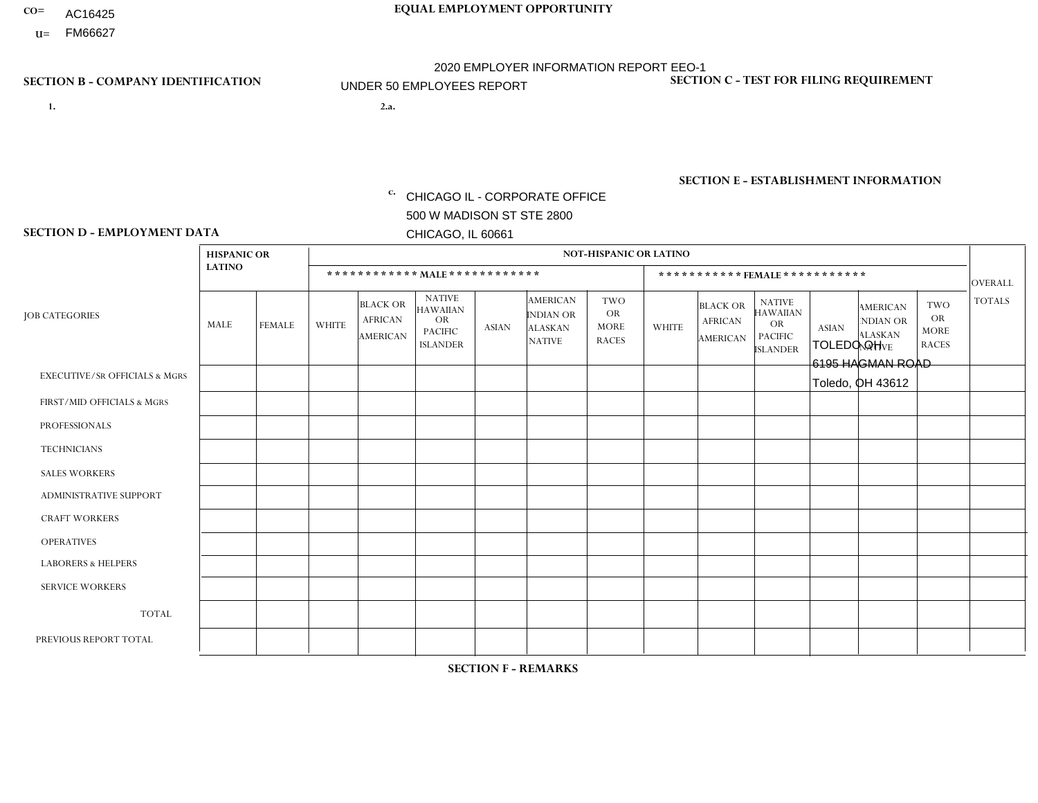- AC16425
- **U=**

- **1. 2.a.** CHICAGO IL CORPORATE OFFICE 500 W MADISON ST STE 2800 CHICAGO, IL 60661
- 2.a. TOLEDO OH 6195 HAGMAN ROAD Toledo, OH 43612

c. EIN= 952920557

## **SECTION B - COMPANY IDENTIFICATION SECTION C - TEST FOR FILING REQUIREMENT**

1- Y 2- Y 3- N DUNS= 000123456

**SECTION E - ESTABLISHMENT INFORMATION c.** NAICS: 423140

### **SECTION D - EMPLOYMENT DATA**

|                                          | <b>HISPANIC OR</b> |               |              |                                                      |                                                                                    |             |                                                                        | <b>NOT-HISPANIC OR LATINO</b>                          |              |                                               |                                                                                    |              |                                                                       |                                                        |                |
|------------------------------------------|--------------------|---------------|--------------|------------------------------------------------------|------------------------------------------------------------------------------------|-------------|------------------------------------------------------------------------|--------------------------------------------------------|--------------|-----------------------------------------------|------------------------------------------------------------------------------------|--------------|-----------------------------------------------------------------------|--------------------------------------------------------|----------------|
|                                          | <b>LATINO</b>      |               |              | ************ MALE ************                       |                                                                                    |             |                                                                        |                                                        |              |                                               | ***********FEMALE***********                                                       |              |                                                                       |                                                        | <b>OVERALL</b> |
| <b>JOB CATEGORIES</b>                    | <b>MALE</b>        | <b>FEMALE</b> | <b>WHITE</b> | <b>BLACK OR</b><br><b>AFRICAN</b><br><b>AMERICAN</b> | <b>NATIVE</b><br><b>HAWAIIAN</b><br><b>OR</b><br><b>PACIFIC</b><br><b>ISLANDER</b> | ASIAN       | <b>AMERICAN</b><br><b>INDIAN OR</b><br><b>ALASKAN</b><br><b>NATIVE</b> | <b>TWO</b><br><b>OR</b><br><b>MORE</b><br><b>RACES</b> | <b>WHITE</b> | <b>BLACK OR</b><br><b>AFRICAN</b><br>AMERICAN | <b>NATIVE</b><br><b>HAWAIIAN</b><br><b>OR</b><br><b>PACIFIC</b><br><b>ISLANDER</b> | <b>ASIAN</b> | <b>AMERICAN</b><br><b>NDIAN OR</b><br><b>ALASKAN</b><br><b>NATIVE</b> | <b>TWO</b><br><b>OR</b><br><b>MORE</b><br><b>RACES</b> | <b>TOTALS</b>  |
| <b>EXECUTIVE/SR OFFICIALS &amp; MGRS</b> | $\Omega$           | $\mathbf 0$   | $\Omega$     | $\mathbf 0$                                          | $\mathbf 0$                                                                        | $\mathbf 0$ | $\Omega$                                                               | $\Omega$                                               | $\Omega$     | $\Omega$                                      | $\Omega$                                                                           | $\Omega$     | $\Omega$                                                              | $\Omega$                                               | $\mathbf 0$    |
| FIRST/MID OFFICIALS & MGRS               | $\Omega$           | 0             | 1            | $\mathbf 0$                                          | $\mathbf{0}$                                                                       | $\mathbf 0$ | $\Omega$                                                               | $\Omega$                                               | $\Omega$     | $\Omega$                                      | $\Omega$                                                                           | $\Omega$     | $\Omega$                                                              | $\Omega$                                               | $\mathbf{1}$   |
| <b>PROFESSIONALS</b>                     | $\Omega$           | $\Omega$      | 1            | $\mathbf 0$                                          | $\Omega$                                                                           | $\Omega$    | $\Omega$                                                               | $\Omega$                                               | $\Omega$     | $\Omega$                                      | $\Omega$                                                                           | $\Omega$     | $\Omega$                                                              | $\mathbf{0}$                                           | $\mathbf{1}$   |
| <b>TECHNICIANS</b>                       | $\Omega$           | $\mathbf 0$   | $\Omega$     | $\mathbf 0$                                          | $\mathbf 0$                                                                        | $\Omega$    | $\overline{0}$                                                         | $\Omega$                                               | $\mathbf{0}$ | $\Omega$                                      | $\Omega$                                                                           | $\Omega$     | $\Omega$                                                              | $\Omega$                                               | $\mathbf 0$    |
| <b>SALES WORKERS</b>                     | $\Omega$           | $\Omega$      | $\Omega$     | $\Omega$                                             | 0                                                                                  | $\Omega$    | $\Omega$                                                               | $\Omega$                                               | $\Omega$     | $\Omega$                                      | $\Omega$                                                                           | $\Omega$     | $\Omega$                                                              | $\mathbf{0}$                                           | $\mathbf 0$    |
| <b>ADMINISTRATIVE SUPPORT</b>            | $\Omega$           | $\mathbf 0$   | 1            | $\mathbf{1}$                                         | $\mathbf 0$                                                                        | $\mathbf 0$ | $\Omega$                                                               | $\Omega$                                               | 3            | $\Omega$                                      | $\Omega$                                                                           | $\Omega$     | $\Omega$                                                              | $\mathbf 0$                                            | 5              |
| <b>CRAFT WORKERS</b>                     | $\Omega$           | $\Omega$      | $\Omega$     | $\mathbf{1}$                                         | 0                                                                                  | $\Omega$    | $\Omega$                                                               | $\Omega$                                               | $\Omega$     | $\Omega$                                      | $\mathbf{0}$                                                                       | $\Omega$     | $\Omega$                                                              | $\Omega$                                               | $\mathbf{1}$   |
| <b>OPERATIVES</b>                        | $\Omega$           | $\Omega$      | 3            | $\mathbf{1}$                                         | $\Omega$                                                                           | $\Omega$    | $\Omega$                                                               | $\Omega$                                               | $\Omega$     | $\Omega$                                      | $\Omega$                                                                           | $\Omega$     | $\Omega$                                                              | $\Omega$                                               | 4              |
| <b>LABORERS &amp; HELPERS</b>            | $\Omega$           | $\Omega$      | $\mathbf 0$  | $\mathbf 0$                                          | 0                                                                                  | $\Omega$    | $\Omega$                                                               | $\Omega$                                               | $\Omega$     | $\Omega$                                      | $\mathbf{0}$                                                                       | $\Omega$     | $\Omega$                                                              | $\mathbf{0}$                                           | 0              |
| <b>SERVICE WORKERS</b>                   | $\Omega$           | $\mathbf 0$   | 0            | $\mathbf 0$                                          | $\mathbf 0$                                                                        | $\mathbf 0$ | $\Omega$                                                               | $\Omega$                                               | $\Omega$     | $\Omega$                                      | $\Omega$                                                                           | $\mathbf 0$  | $\Omega$                                                              | $\mathbf 0$                                            | 0              |
| <b>TOTAL</b>                             | $\Omega$           | $\mathbf 0$   | 6            | 3                                                    | 0                                                                                  | $\mathbf 0$ | $\Omega$                                                               | $\Omega$                                               | 3            | $\Omega$                                      | $\Omega$                                                                           | $\mathbf 0$  | $\Omega$                                                              | $\Omega$                                               | 12             |
| PREVIOUS REPORT TOTAL                    | $\Omega$           | 0             | 6            | 3                                                    | 0                                                                                  | $\Omega$    | $\Omega$                                                               | $\Omega$                                               | 3            | $\Omega$                                      | $\mathbf{0}$                                                                       | $\Omega$     | $\Omega$                                                              | $\Omega$                                               | 12             |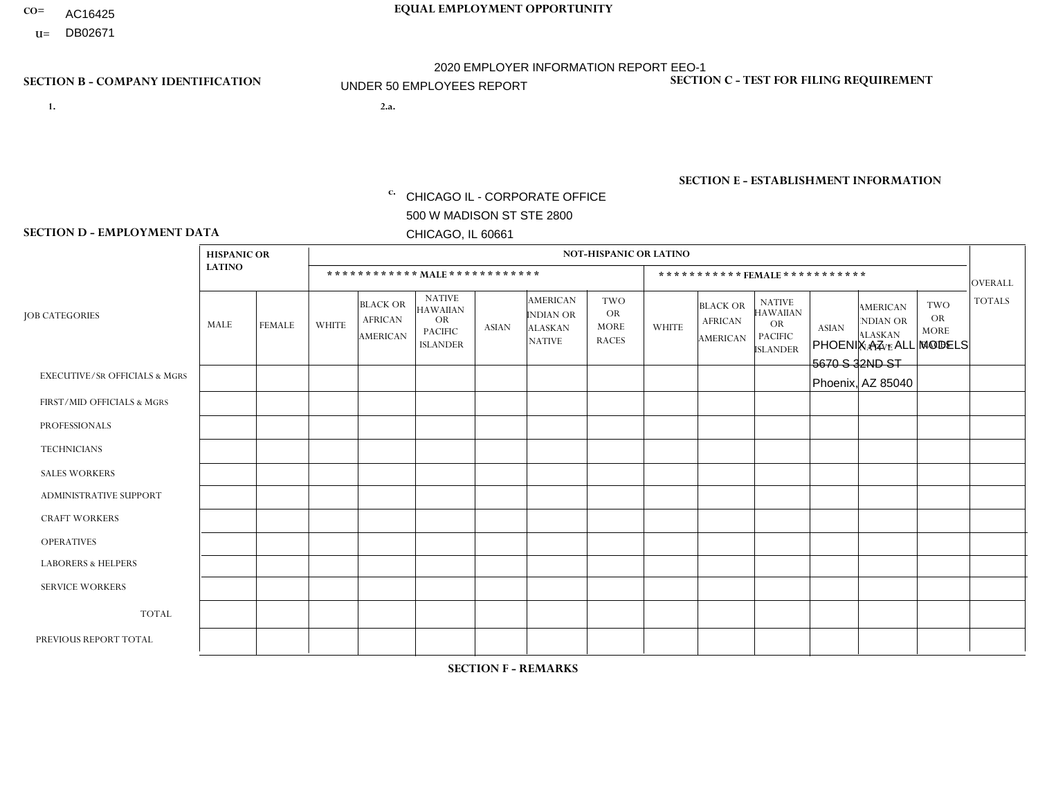- AC16425
- **U=**

## **SECTION B - COMPANY IDENTIFICATION SECTION C - TEST FOR FILING REQUIREMENT**

**1. 2.a.** CHICAGO IL - CORPORATE OFFICE 500 W MADISON ST STE 2800 CHICAGO, IL 60661

2.a. PHOENIX AZ - ALL MODELS 5670 S 32ND ST Phoenix, AZ 85040

1- Y 2- Y 3- N DUNS= 000123456

|                   | <b>SECTION E - ESTABLISHMENT INFORMATION</b> |
|-------------------|----------------------------------------------|
| c. EIN= 952920557 | NAICS: 423140                                |

### **SECTION D - EMPLOYMENT DATA**

|                                          | <b>HISPANIC OR</b> |               |                |                                                      |                                                                                    |             |                                                                        | <b>NOT-HISPANIC OR LATINO</b>                   |              |                                                      |                                                                                    |              |                                                                       |                                                        |                |
|------------------------------------------|--------------------|---------------|----------------|------------------------------------------------------|------------------------------------------------------------------------------------|-------------|------------------------------------------------------------------------|-------------------------------------------------|--------------|------------------------------------------------------|------------------------------------------------------------------------------------|--------------|-----------------------------------------------------------------------|--------------------------------------------------------|----------------|
|                                          | <b>LATINO</b>      |               |                | ************ MALE ************                       |                                                                                    |             |                                                                        |                                                 |              | ***********FEMALE***********                         |                                                                                    |              |                                                                       |                                                        | <b>OVERALL</b> |
| <b>JOB CATEGORIES</b>                    | MALE               | <b>FEMALE</b> | <b>WHITE</b>   | <b>BLACK OR</b><br><b>AFRICAN</b><br><b>AMERICAN</b> | <b>NATIVE</b><br><b>HAWAIIAN</b><br><b>OR</b><br><b>PACIFIC</b><br><b>ISLANDER</b> | ASIAN       | <b>AMERICAN</b><br><b>INDIAN OR</b><br><b>ALASKAN</b><br><b>NATIVE</b> | TWO<br><b>OR</b><br><b>MORE</b><br><b>RACES</b> | <b>WHITE</b> | <b>BLACK OR</b><br><b>AFRICAN</b><br><b>AMERICAN</b> | <b>NATIVE</b><br><b>HAWAIIAN</b><br><b>OR</b><br><b>PACIFIC</b><br><b>ISLANDER</b> | <b>ASIAN</b> | <b>AMERICAN</b><br><b>NDIAN OR</b><br><b>ALASKAN</b><br><b>NATIVE</b> | <b>TWO</b><br><b>OR</b><br><b>MORE</b><br><b>RACES</b> | <b>TOTALS</b>  |
| <b>EXECUTIVE/SR OFFICIALS &amp; MGRS</b> | $\Omega$           | $\Omega$      | $\Omega$       | $\Omega$                                             | $\Omega$                                                                           | $\Omega$    | $\Omega$                                                               | $\Omega$                                        | $\Omega$     | $\Omega$                                             | $\Omega$                                                                           | 0            | $\Omega$                                                              | $\Omega$                                               | $\Omega$       |
| FIRST/MID OFFICIALS & MGRS               | 0                  | $\mathbf 0$   | 1              | $\mathbf 0$                                          | 0                                                                                  | $\mathbf 0$ | $\Omega$                                                               | $\Omega$                                        | $\Omega$     | $\Omega$                                             | $\Omega$                                                                           | $\mathbf 0$  | $\Omega$                                                              | $\Omega$                                               |                |
| <b>PROFESSIONALS</b>                     | 0                  | 0             | $\mathbf 0$    | $\mathbf 0$                                          | $\Omega$                                                                           | $\Omega$    | $\Omega$                                                               | $\Omega$                                        | $\Omega$     | $\Omega$                                             | $\Omega$                                                                           | $\Omega$     | $\Omega$                                                              | $\Omega$                                               | $\mathbf 0$    |
| <b>TECHNICIANS</b>                       | $\Omega$           | $\mathbf 0$   | $\Omega$       | $\mathbf 0$                                          | 0                                                                                  | $\Omega$    | $\Omega$                                                               | $\Omega$                                        | $\Omega$     | $\mathbf{0}$                                         | $\mathbf 0$                                                                        | $\mathbf 0$  | $\Omega$                                                              | $\Omega$                                               | $\mathbf 0$    |
| <b>SALES WORKERS</b>                     | -1                 | $\Omega$      | $\overline{c}$ | $\Omega$                                             | $\Omega$                                                                           | $\Omega$    | $\Omega$                                                               | $\Omega$                                        | $\Omega$     | $\Omega$                                             | $\Omega$                                                                           | $\Omega$     | $\Omega$                                                              | $\Omega$                                               | 3              |
| <b>ADMINISTRATIVE SUPPORT</b>            | $\Omega$           | $\mathbf{1}$  | $\mathbf 0$    | $\mathbf 0$                                          | 0                                                                                  | $\Omega$    | $\Omega$                                                               | $\Omega$                                        | $\Omega$     | $\Omega$                                             | $\Omega$                                                                           | $\Omega$     | $\Omega$                                                              | $\Omega$                                               |                |
| <b>CRAFT WORKERS</b>                     | 0                  | $\Omega$      | $\Omega$       | $\mathbf 0$                                          | 0                                                                                  | $\Omega$    | $\Omega$                                                               | $\Omega$                                        | $\Omega$     | $\Omega$                                             | $\Omega$                                                                           | $\Omega$     | $\Omega$                                                              | $\Omega$                                               | $\Omega$       |
| <b>OPERATIVES</b>                        | 0                  | $\Omega$      | 0              | $\Omega$                                             | $\Omega$                                                                           | $\Omega$    | $\Omega$                                                               | $\Omega$                                        | $\Omega$     | $\Omega$                                             | $\Omega$                                                                           | 0            | $\Omega$                                                              | $\Omega$                                               | $\mathbf 0$    |
| <b>LABORERS &amp; HELPERS</b>            | $\Omega$           | $\Omega$      | $\Omega$       | $\mathbf 0$                                          | 0                                                                                  | $\Omega$    | $\Omega$                                                               | $\Omega$                                        | $\Omega$     | $\Omega$                                             | $\Omega$                                                                           | $\Omega$     | $\Omega$                                                              | $\Omega$                                               | 0              |
| <b>SERVICE WORKERS</b>                   | 0                  | 0             | $\mathbf 0$    | 0                                                    | 0                                                                                  | $\mathbf 0$ | $\Omega$                                                               | $\Omega$                                        | $\Omega$     | $\Omega$                                             | $\Omega$                                                                           | 0            | $\Omega$                                                              | $\Omega$                                               | 0              |
| <b>TOTAL</b>                             |                    | $\mathbf{1}$  | 3              | $\mathbf 0$                                          | 0                                                                                  | $\Omega$    | $\Omega$                                                               | $\Omega$                                        | $\Omega$     | $\Omega$                                             | $\Omega$                                                                           | $\Omega$     | $\Omega$                                                              | $\mathbf{0}$                                           | 5              |
| PREVIOUS REPORT TOTAL                    |                    | 0             | 4              | $\mathbf 0$                                          | 0                                                                                  | $\Omega$    | $\Omega$                                                               | $\Omega$                                        | 2            | $\Omega$                                             | $\Omega$                                                                           | 0            | $\Omega$                                                              | $\Omega$                                               | $\overline{7}$ |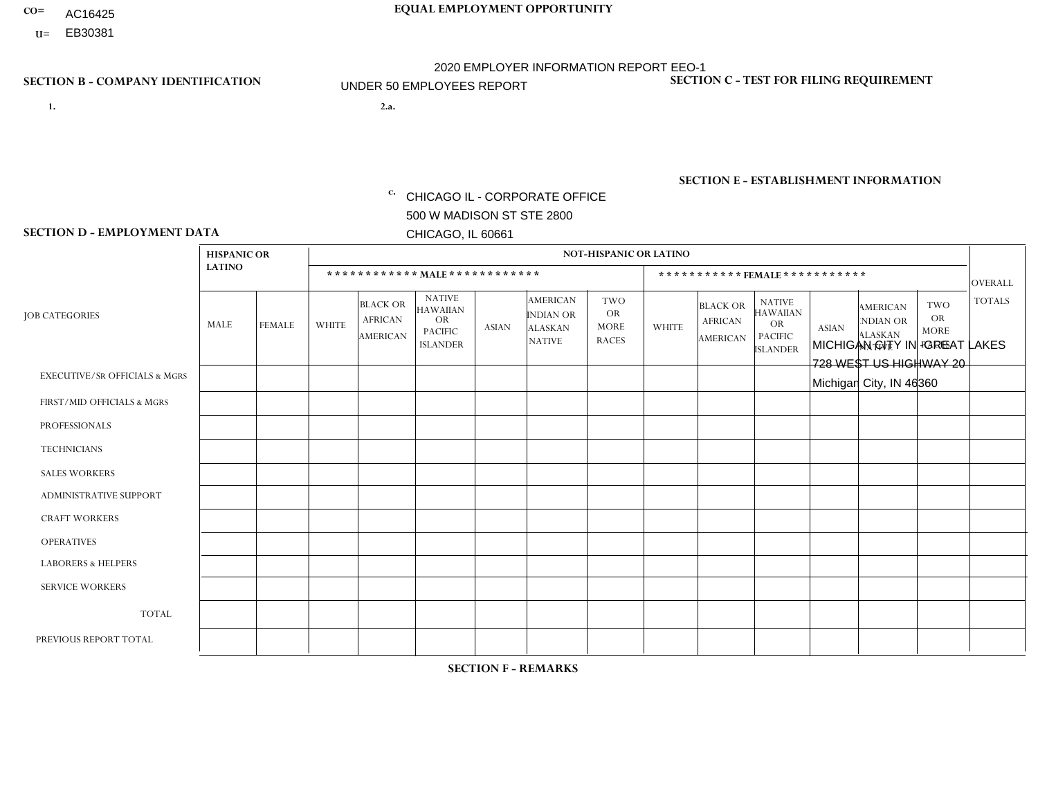- AC16425
- **U=**

- **1. 2.a.** CHICAGO IL CORPORATE OFFICE 500 W MADISON ST STE 2800 CHICAGO, IL 60661
- 2.a. MICHIGAN CITY IN -GREAT LAKES 728 WEST US HIGHWAY 20 Michigan City, IN 46360

c. EIN= 952920557

## **SECTION B - COMPANY IDENTIFICATION SECTION C - TEST FOR FILING REQUIREMENT**

1- Y 2- Y 3- N DUNS= 000123456

**SECTION E - ESTABLISHMENT INFORMATION c.** NAICS: 423140

### **SECTION D - EMPLOYMENT DATA**

|                                          | <b>HISPANIC OR</b> |                |                |                                                      |                                                                                    |              |                                                                        | <b>NOT-HISPANIC OR LATINO</b>                          |              |                                               |                                                                                    |              |                                                                       |                                                        |                 |
|------------------------------------------|--------------------|----------------|----------------|------------------------------------------------------|------------------------------------------------------------------------------------|--------------|------------------------------------------------------------------------|--------------------------------------------------------|--------------|-----------------------------------------------|------------------------------------------------------------------------------------|--------------|-----------------------------------------------------------------------|--------------------------------------------------------|-----------------|
|                                          | <b>LATINO</b>      |                |                | ************ MALE ************                       |                                                                                    |              |                                                                        |                                                        |              | ***********FEMALE***********                  |                                                                                    |              |                                                                       |                                                        | <b>OVERALL</b>  |
| <b>JOB CATEGORIES</b>                    | MALE               | <b>FEMALE</b>  | <b>WHITE</b>   | <b>BLACK OR</b><br><b>AFRICAN</b><br><b>AMERICAN</b> | <b>NATIVE</b><br><b>HAWAIIAN</b><br><b>OR</b><br><b>PACIFIC</b><br><b>ISLANDER</b> | ASIAN        | <b>AMERICAN</b><br><b>INDIAN OR</b><br><b>ALASKAN</b><br><b>NATIVE</b> | <b>TWO</b><br><b>OR</b><br><b>MORE</b><br><b>RACES</b> | <b>WHITE</b> | <b>BLACK OR</b><br><b>AFRICAN</b><br>AMERICAN | <b>NATIVE</b><br><b>HAWAIIAN</b><br><b>OR</b><br><b>PACIFIC</b><br><b>ISLANDER</b> | <b>ASIAN</b> | <b>AMERICAN</b><br><b>NDIAN OR</b><br><b>ALASKAN</b><br><b>NATIVE</b> | <b>TWO</b><br><b>OR</b><br><b>MORE</b><br><b>RACES</b> | <b>TOTALS</b>   |
| <b>EXECUTIVE/SR OFFICIALS &amp; MGRS</b> | $\Omega$           | $\Omega$       | $\Omega$       | $\mathbf 0$                                          | $\Omega$                                                                           | $\mathbf{0}$ | $\Omega$                                                               | $\Omega$                                               | 0            | $\Omega$                                      | $\Omega$                                                                           | $\Omega$     | $\Omega$                                                              | $\mathbf{0}$                                           | $\mathbf{0}$    |
| FIRST/MID OFFICIALS & MGRS               | 0                  | $\Omega$       | 4              | $\mathbf 0$                                          | $\Omega$                                                                           | $\Omega$     | $\Omega$                                                               |                                                        | 0            | $\Omega$                                      | $\Omega$                                                                           | $\Omega$     | $\Omega$                                                              | $\mathbf{0}$                                           | $\overline{2}$  |
| <b>PROFESSIONALS</b>                     | 0                  | $\Omega$       | 3              | $\mathbf 0$                                          | $\Omega$                                                                           | $\Omega$     | $\Omega$                                                               | $\Omega$                                               | 0            | $\Omega$                                      | $\Omega$                                                                           | $\mathbf{0}$ | $\Omega$                                                              | $\mathbf{0}$                                           | 3               |
| <b>TECHNICIANS</b>                       | 0                  | $\overline{0}$ | $\Omega$       | $\mathbf 0$                                          | $\Omega$                                                                           | $\Omega$     | $\Omega$                                                               | $\Omega$                                               | $\Omega$     | $\Omega$                                      | $\Omega$                                                                           | $\Omega$     | $\Omega$                                                              | $\Omega$                                               | $\overline{0}$  |
| <b>SALES WORKERS</b>                     | $\Omega$           | $\Omega$       | $\Omega$       | $\mathbf 0$                                          | $\Omega$                                                                           | $\Omega$     | $\Omega$                                                               | $\Omega$                                               | $\Omega$     | $\Omega$                                      | $\Omega$                                                                           | $\Omega$     | $\Omega$                                                              | $\Omega$                                               | $\mathbf 0$     |
| ADMINISTRATIVE SUPPORT                   | $\Omega$           | $\Omega$       | $\Omega$       | $\Omega$                                             | $\Omega$                                                                           | $\Omega$     | $\Omega$                                                               | $\Omega$                                               | $\Omega$     | $\Omega$                                      | $\Omega$                                                                           | $\Omega$     | $\mathbf{0}$                                                          | $\Omega$                                               | $\Omega$        |
| <b>CRAFT WORKERS</b>                     | 0                  | $\Omega$       | 3              | 1                                                    | $\Omega$                                                                           | $\Omega$     | $\Omega$                                                               | $\Omega$                                               | 0            | $\Omega$                                      | $\Omega$                                                                           | $\mathbf{0}$ | $\Omega$                                                              | $\mathbf{0}$                                           | $\overline{4}$  |
| <b>OPERATIVES</b>                        |                    | $\Omega$       | 4              | $\Omega$                                             | $\Omega$                                                                           | $\Omega$     | $\Omega$                                                               | $\Omega$                                               | $\Omega$     | $\Omega$                                      | $\Omega$                                                                           | $\mathbf{0}$ | $\Omega$                                                              | $\mathbf{0}$                                           | $5\phantom{.0}$ |
| <b>LABORERS &amp; HELPERS</b>            | $\Omega$           | $\Omega$       | $\overline{ }$ | $\mathbf 0$                                          | $\Omega$                                                                           | $\Omega$     | $\Omega$                                                               | $\Omega$                                               | 0            | $\Omega$                                      | $\Omega$                                                                           | $\Omega$     | $\Omega$                                                              | $\Omega$                                               | $\mathbf{1}$    |
| <b>SERVICE WORKERS</b>                   | 0                  | $\mathbf 0$    | $\mathbf 0$    | 0                                                    | 0                                                                                  | $\mathbf 0$  | $\Omega$                                                               | $\Omega$                                               | $\Omega$     | $\Omega$                                      | $\Omega$                                                                           | $\mathbf 0$  | $\Omega$                                                              | $\mathbf 0$                                            | $\mathbf 0$     |
| <b>TOTAL</b>                             | 1                  | 0              | 12             | $\overline{1}$                                       | 0                                                                                  | $\mathbf 0$  | $\Omega$                                                               |                                                        | $\Omega$     | $\Omega$                                      | $\Omega$                                                                           | $\mathbf 0$  | 0                                                                     | $\mathbf 0$                                            | 15              |
| PREVIOUS REPORT TOTAL                    |                    | $\Omega$       | 16             | 3                                                    | $\Omega$                                                                           | $\Omega$     | $\Omega$                                                               |                                                        | 0            | $\Omega$                                      | $\Omega$                                                                           | $\Omega$     | $\Omega$                                                              | $\mathbf 0$                                            | 21              |
|                                          |                    |                |                |                                                      |                                                                                    |              |                                                                        |                                                        |              |                                               |                                                                                    |              |                                                                       |                                                        |                 |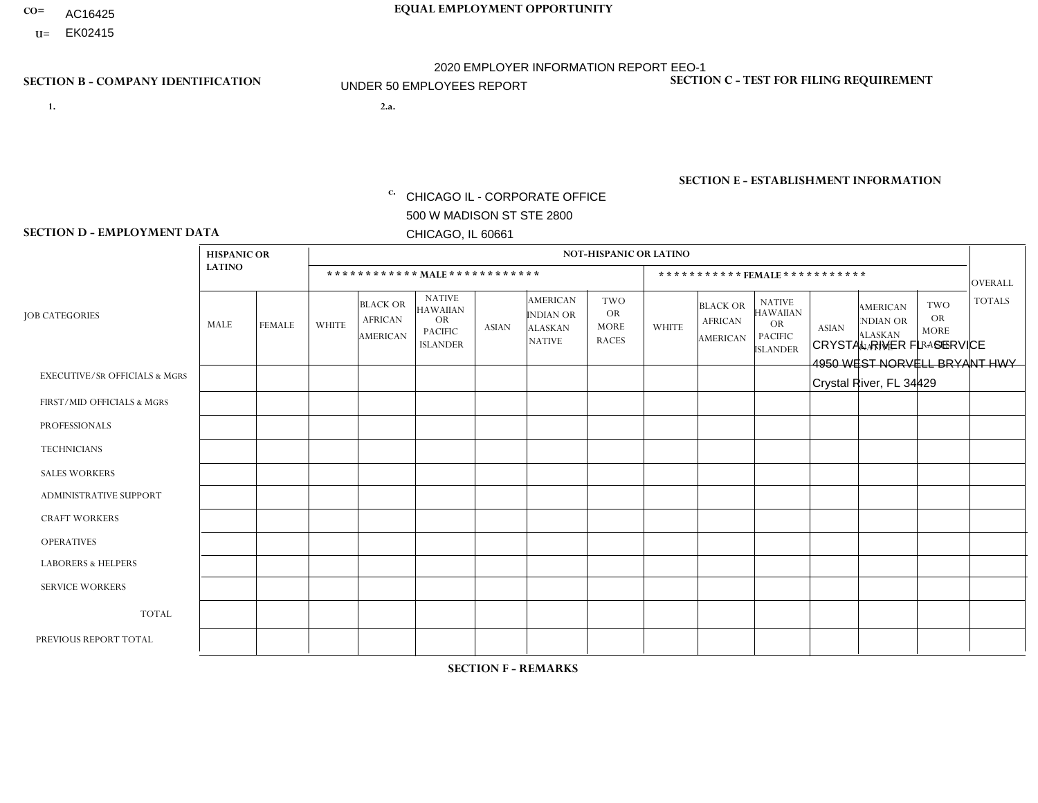- AC16425
- **U=**

- **1. 2.a.** CHICAGO IL CORPORATE OFFICE 500 W MADISON ST STE 2800 CHICAGO, IL 60661
- 2.a. CRYSTAL RIVER FL SERVICE 4950 WEST NORVELL BRYANT HWY Crystal River, FL 34429

c. EIN= 952920557

## **SECTION B - COMPANY IDENTIFICATION SECTION C - TEST FOR FILING REQUIREMENT**

1- Y 2- Y 3- N DUNS= 000123456

**SECTION E - ESTABLISHMENT INFORMATION c.** NAICS: 423140

### **SECTION D - EMPLOYMENT DATA**

|                                          | <b>HISPANIC OR</b> |               |                |                                                      |                                                                                    |              |                                                                 | NOT-HISPANIC OR LATINO                                 |                |                                               |                                                                             |              |                                                                       |                                                        |                |
|------------------------------------------|--------------------|---------------|----------------|------------------------------------------------------|------------------------------------------------------------------------------------|--------------|-----------------------------------------------------------------|--------------------------------------------------------|----------------|-----------------------------------------------|-----------------------------------------------------------------------------|--------------|-----------------------------------------------------------------------|--------------------------------------------------------|----------------|
|                                          | <b>LATINO</b>      |               |                | ************ MALE ************                       |                                                                                    |              |                                                                 |                                                        |                |                                               | *********** FEMALE ***********                                              |              |                                                                       |                                                        | <b>OVERALL</b> |
| <b>JOB CATEGORIES</b>                    | <b>MALE</b>        | <b>FEMALE</b> | <b>WHITE</b>   | <b>BLACK OR</b><br><b>AFRICAN</b><br><b>AMERICAN</b> | <b>NATIVE</b><br><b>HAWAIIAN</b><br><b>OR</b><br><b>PACIFIC</b><br><b>ISLANDER</b> | <b>ASIAN</b> | <b>AMERICAN</b><br>INDIAN OR<br><b>ALASKAN</b><br><b>NATIVE</b> | <b>TWO</b><br><b>OR</b><br><b>MORE</b><br><b>RACES</b> | <b>WHITE</b>   | <b>BLACK OR</b><br><b>AFRICAN</b><br>AMERICAN | <b>NATIVE</b><br><b>HAWAIIAN</b><br>OR<br><b>PACIFIC</b><br><b>ISLANDER</b> | <b>ASIAN</b> | <b>AMERICAN</b><br><b>NDIAN OR</b><br><b>ALASKAN</b><br><b>NATIVE</b> | <b>TWO</b><br><b>OR</b><br><b>MORE</b><br><b>RACES</b> | <b>TOTALS</b>  |
| <b>EXECUTIVE/SR OFFICIALS &amp; MGRS</b> | $\Omega$           | $\Omega$      | $\Omega$       | $\mathbf 0$                                          | $\Omega$                                                                           | $\Omega$     | $\Omega$                                                        | $\Omega$                                               | $\Omega$       | $\Omega$                                      | $\Omega$                                                                    | $\mathbf 0$  | $\Omega$                                                              | $\Omega$                                               | $\mathbf 0$    |
| FIRST/MID OFFICIALS & MGRS               | $\Omega$           | $\Omega$      | $\Omega$       | $\mathbf 0$                                          | $\Omega$                                                                           | $\mathbf{0}$ | $\Omega$                                                        | $\Omega$                                               | $\Omega$       | $\Omega$                                      | $\Omega$                                                                    | $\Omega$     | $\Omega$                                                              | $\Omega$                                               | $\mathbf{0}$   |
| <b>PROFESSIONALS</b>                     | $\Omega$           | $\Omega$      | $\Omega$       | $\Omega$                                             | $\Omega$                                                                           | $\mathbf{0}$ | $\Omega$                                                        | $\Omega$                                               | 0              | $\Omega$                                      | 0                                                                           | $\Omega$     | $\Omega$                                                              | $\Omega$                                               | $\overline{0}$ |
| <b>TECHNICIANS</b>                       | $\Omega$           | $\Omega$      | $\Omega$       | $\mathbf 0$                                          | $\Omega$                                                                           | $\Omega$     | $\Omega$                                                        | $\Omega$                                               | 0              | $\Omega$                                      | 0                                                                           | $\mathbf 0$  | $\Omega$                                                              | 0                                                      | $\mathbf{0}$   |
| <b>SALES WORKERS</b>                     | $\Omega$           | $\Omega$      | $\Omega$       | $\Omega$                                             | $\Omega$                                                                           | $\Omega$     | $\Omega$                                                        | $\Omega$                                               | $\overline{0}$ | $\Omega$                                      | $\overline{0}$                                                              | $\Omega$     | $\Omega$                                                              | $\Omega$                                               | $\mathbf 0$    |
| ADMINISTRATIVE SUPPORT                   | $\Omega$           | $\Omega$      | $\mathbf{0}$   | $\Omega$                                             | $\Omega$                                                                           | $\Omega$     | $\Omega$                                                        | $\Omega$                                               | 0              | $\Omega$                                      | 0                                                                           | $\Omega$     | $\Omega$                                                              | $\Omega$                                               | $\Omega$       |
| <b>CRAFT WORKERS</b>                     | $\Omega$           | $\Omega$      | 4              | $\mathbf 0$                                          | $\Omega$                                                                           | $\Omega$     | $\Omega$                                                        | $\Omega$                                               | $\Omega$       | $\Omega$                                      | $\Omega$                                                                    | $\Omega$     | $\Omega$                                                              | $\Omega$                                               | 4              |
| <b>OPERATIVES</b>                        | $\Omega$           | $\Omega$      | 1              | $\mathbf 0$                                          | $\Omega$                                                                           | $\Omega$     | $\Omega$                                                        | $\Omega$                                               | $\Omega$       | $\Omega$                                      | $\Omega$                                                                    | $\Omega$     | $\Omega$                                                              | $\Omega$                                               | $\mathbf{1}$   |
| <b>LABORERS &amp; HELPERS</b>            | $\Omega$           | $\Omega$      | $\Omega$       | $\Omega$                                             | $\Omega$                                                                           | $\Omega$     | $\Omega$                                                        | $\Omega$                                               | $\Omega$       | $\Omega$                                      | 0                                                                           | $\Omega$     | $\Omega$                                                              | $\Omega$                                               | $\mathbf{0}$   |
| <b>SERVICE WORKERS</b>                   | $\Omega$           | $\mathbf 0$   | $\mathbf 0$    | 0                                                    | $\mathbf 0$                                                                        | $\mathbf 0$  | $\Omega$                                                        | $\Omega$                                               | $\Omega$       | $\Omega$                                      | $\mathbf 0$                                                                 | $\mathbf 0$  | $\Omega$                                                              | $\mathbf 0$                                            | $\mathbf{0}$   |
| <b>TOTAL</b>                             | $\Omega$           | 0             | 5              | 0                                                    | $\mathbf 0$                                                                        | $\Omega$     | $\Omega$                                                        | $\Omega$                                               | 0              | $\Omega$                                      | 0                                                                           | $\mathbf 0$  | $\Omega$                                                              | $\mathbf 0$                                            | 5              |
| PREVIOUS REPORT TOTAL                    | $\Omega$           | $\Omega$      | $\overline{7}$ | $\mathbf 0$                                          | 0                                                                                  | $\Omega$     | $\Omega$                                                        | $\Omega$                                               | 1              | $\Omega$                                      | $\Omega$                                                                    | $\Omega$     | $\Omega$                                                              | $\mathbf 0$                                            | 8              |
|                                          |                    |               |                |                                                      |                                                                                    |              |                                                                 |                                                        |                |                                               |                                                                             |              |                                                                       |                                                        |                |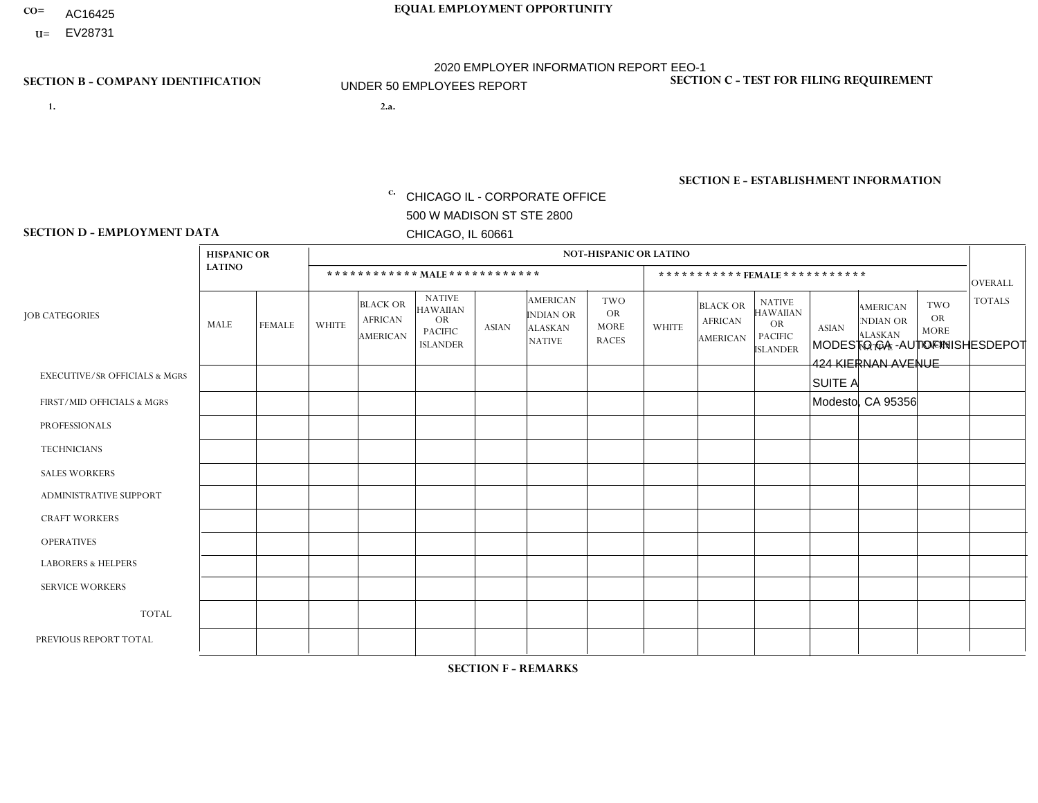- AC16425
- **U=**

- **1. 2.a.** CHICAGO IL CORPORATE OFFICE 500 W MADISON ST STE 2800 CHICAGO, IL 60661
- 2.a. MODESTO CA AUTOFINISHESDEPOT 424 KIERNAN AVENUE SUITE A Modesto, CA 95356
	- EIN= 952920557

## **SECTION B - COMPANY IDENTIFICATION SECTION C - TEST FOR FILING REQUIREMENT**

1- Y 2- Y 3- N DUNS= 000123456

**SECTION E - ESTABLISHMENT INFORMATION c.** NAICS: 423140

### **SECTION D - EMPLOYMENT DATA**

|                                          | <b>HISPANIC OR</b> |               |              |                                                      |                                                                                    |              |                                                                        | <b>NOT-HISPANIC OR LATINO</b>                   |                |                                                      |                                                                                    |              |                                                                       |                                                        |                |
|------------------------------------------|--------------------|---------------|--------------|------------------------------------------------------|------------------------------------------------------------------------------------|--------------|------------------------------------------------------------------------|-------------------------------------------------|----------------|------------------------------------------------------|------------------------------------------------------------------------------------|--------------|-----------------------------------------------------------------------|--------------------------------------------------------|----------------|
|                                          | <b>LATINO</b>      |               |              |                                                      | ************ MAIE************                                                      |              |                                                                        |                                                 |                |                                                      | *********** FEMALE ***********                                                     |              |                                                                       |                                                        | <b>OVERALL</b> |
| <b>JOB CATEGORIES</b>                    | MALE               | <b>FEMALE</b> | <b>WHITE</b> | <b>BLACK OR</b><br><b>AFRICAN</b><br><b>AMERICAN</b> | <b>NATIVE</b><br><b>HAWAIIAN</b><br><b>OR</b><br><b>PACIFIC</b><br><b>ISLANDER</b> | <b>ASIAN</b> | <b>AMERICAN</b><br><b>INDIAN OR</b><br><b>ALASKAN</b><br><b>NATIVE</b> | TWO<br><b>OR</b><br><b>MORE</b><br><b>RACES</b> | <b>WHITE</b>   | <b>BLACK OR</b><br><b>AFRICAN</b><br><b>AMERICAN</b> | <b>NATIVE</b><br><b>HAWAIIAN</b><br><b>OR</b><br><b>PACIFIC</b><br><b>ISLANDER</b> | <b>ASIAN</b> | <b>AMERICAN</b><br><b>NDIAN OR</b><br><b>ALASKAN</b><br><b>NATIVE</b> | <b>TWO</b><br><b>OR</b><br><b>MORE</b><br><b>RACES</b> | <b>TOTALS</b>  |
| <b>EXECUTIVE/SR OFFICIALS &amp; MGRS</b> | $\mathbf 0$        | $\mathbf 0$   | $\mathbf 0$  | $\mathbf 0$                                          | $\Omega$                                                                           | $\Omega$     | $\Omega$                                                               | $\Omega$                                        | $\mathbf 0$    | $\Omega$                                             | $\mathbf 0$                                                                        | $\mathbf 0$  | $\Omega$                                                              | $\Omega$                                               | $\mathbf 0$    |
| FIRST/MID OFFICIALS & MGRS               | $\mathbf 0$        | $\mathbf 0$   | $\mathbf{1}$ | $\mathbf 0$                                          | $\mathbf{0}$                                                                       | $\Omega$     | $\Omega$                                                               | 0                                               | $\Omega$       | $\Omega$                                             | $\Omega$                                                                           | $\Omega$     | $\Omega$                                                              | $\Omega$                                               | $\mathbf{1}$   |
| <b>PROFESSIONALS</b>                     | $\mathbf 0$        | $\mathbf 0$   | $\mathbf 0$  | $\mathbf 0$                                          | $\mathbf 0$                                                                        | $\Omega$     | $\Omega$                                                               | 0                                               | $\Omega$       | $\Omega$                                             | $\Omega$                                                                           | $\Omega$     | $\Omega$                                                              | $\mathbf 0$                                            | $\mathbf 0$    |
| <b>TECHNICIANS</b>                       | $\mathbf 0$        | $\mathbf 0$   | $\Omega$     | $\Omega$                                             | $\Omega$                                                                           | $\Omega$     | $\Omega$                                                               | $\Omega$                                        | $\Omega$       | $\Omega$                                             | $\Omega$                                                                           | $\Omega$     | $\Omega$                                                              | $\Omega$                                               | $\mathbf 0$    |
| <b>SALES WORKERS</b>                     | 1                  | $\mathbf 0$   | $\Omega$     | $\Omega$                                             | $\Omega$                                                                           | $\Omega$     | $\Omega$                                                               | $\Omega$                                        | $\mathbf{1}$   | $\Omega$                                             | $\Omega$                                                                           | $\Omega$     | $\Omega$                                                              | $\Omega$                                               | $\overline{2}$ |
| <b>ADMINISTRATIVE SUPPORT</b>            | $\Omega$           | $\mathbf 0$   | $\Omega$     | $\Omega$                                             | $\mathbf{0}$                                                                       | $\Omega$     | $\Omega$                                                               | 0                                               | $\Omega$       | $\Omega$                                             | $\Omega$                                                                           | $\Omega$     | $\Omega$                                                              | $\Omega$                                               | $\mathbf 0$    |
| <b>CRAFT WORKERS</b>                     | 0                  | $\mathbf 0$   | $\mathbf 0$  | $\mathbf 0$                                          | $\mathbf{0}$                                                                       | $\mathbf{0}$ | $\Omega$                                                               | 0                                               | $\Omega$       | $\Omega$                                             | $\Omega$                                                                           | $\Omega$     | $\Omega$                                                              | $\Omega$                                               | $\mathbf 0$    |
| <b>OPERATIVES</b>                        | $\Omega$           | $\mathbf 0$   | $\mathbf 0$  | 0                                                    | $\mathbf{0}$                                                                       | $\mathbf{0}$ | $\Omega$                                                               | 0                                               | $\Omega$       | $\Omega$                                             | $\Omega$                                                                           | $\Omega$     | $\Omega$                                                              | $\Omega$                                               | $\mathbf 0$    |
| <b>LABORERS &amp; HELPERS</b>            | $\Omega$           | $\mathbf 0$   | $\mathbf{0}$ | $\mathbf 0$                                          | $\Omega$                                                                           | $\Omega$     | $\Omega$                                                               | 0                                               | $\Omega$       | $\Omega$                                             | $\Omega$                                                                           | $\Omega$     | $\Omega$                                                              | $\Omega$                                               | 0              |
| <b>SERVICE WORKERS</b>                   | $\Omega$           | $\mathbf 0$   | $\mathbf 0$  | 0                                                    | $\Omega$                                                                           | $\Omega$     | $\Omega$                                                               | 0                                               | $\Omega$       | $\Omega$                                             | $\Omega$                                                                           | $\Omega$     | $\Omega$                                                              | $\Omega$                                               | 0              |
| <b>TOTAL</b>                             |                    | $\mathbf 0$   | $\mathbf{1}$ | 0                                                    | $\mathbf 0$                                                                        | $\mathbf{0}$ | $\Omega$                                                               | 0                                               | $\overline{1}$ | $\Omega$                                             | $\Omega$                                                                           | 0            | $\Omega$                                                              | $\mathbf 0$                                            | 3              |
| PREVIOUS REPORT TOTAL                    | 2                  | $\mathbf 0$   | $\mathbf{1}$ | 0                                                    | $\Omega$                                                                           | $\Omega$     | $\Omega$                                                               | 0                                               | $\overline{1}$ | $\Omega$                                             | $\Omega$                                                                           | $\Omega$     | $\Omega$                                                              | $\mathbf 0$                                            | $\overline{4}$ |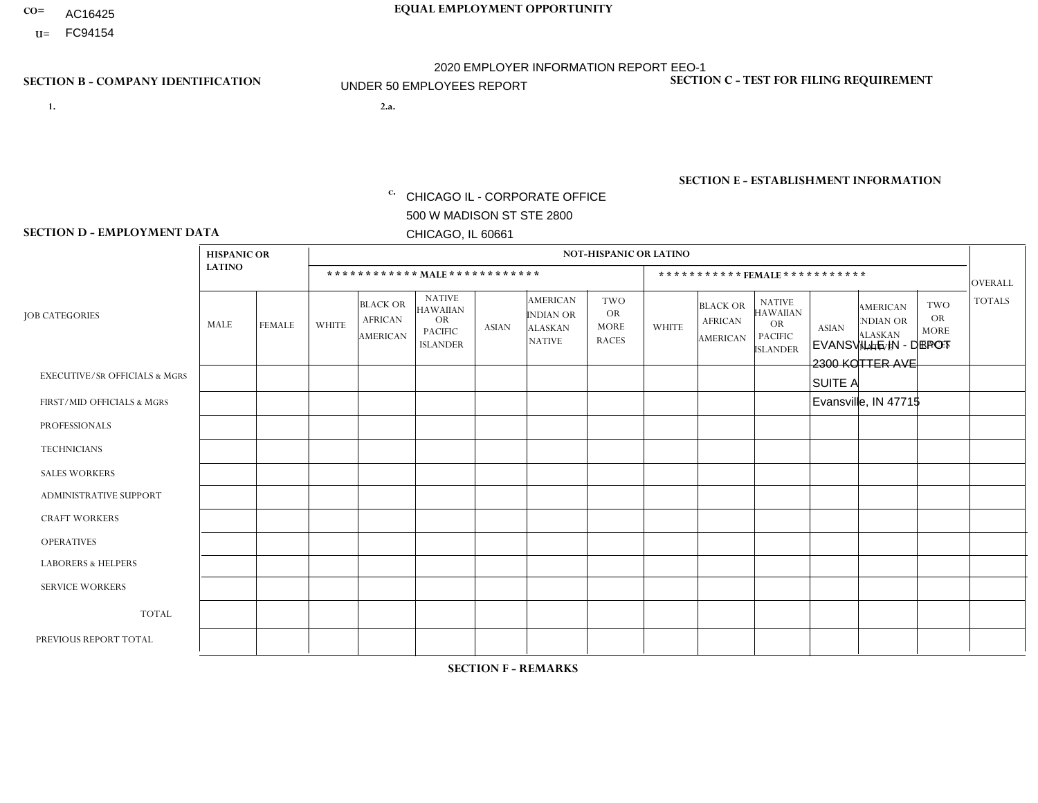- AC16425
- **U=** FC94154

**1. 2.a.** CHICAGO IL - CORPORATE OFFICE 500 W MADISON ST STE 2800 CHICAGO, IL 60661

2.a. EVANSVILLE IN - DEPOT 2300 KOTTER AVE SUITE A Evansville, IN 47715

EIN= 952920557

## **SECTION B - COMPANY IDENTIFICATION SECTION C - TEST FOR FILING REQUIREMENT**

1- Y 2- Y 3- N DUNS= 000123456

**SECTION E - ESTABLISHMENT INFORMATION c.** NAICS: 423140

### **SECTION D - EMPLOYMENT DATA**

|                                          | <b>HISPANIC OR</b> |               |                |                                                      |                                                                                    |          |                                                                        | <b>NOT-HISPANIC OR LATINO</b>                          |                |                                               |                                                                                    |              |                                                                       |                                                        |                |
|------------------------------------------|--------------------|---------------|----------------|------------------------------------------------------|------------------------------------------------------------------------------------|----------|------------------------------------------------------------------------|--------------------------------------------------------|----------------|-----------------------------------------------|------------------------------------------------------------------------------------|--------------|-----------------------------------------------------------------------|--------------------------------------------------------|----------------|
|                                          | <b>LATINO</b>      |               |                |                                                      | ************ MALE ************                                                     |          |                                                                        |                                                        |                | *********** FEMALE ***********                |                                                                                    |              |                                                                       |                                                        | <b>OVERALL</b> |
| <b>JOB CATEGORIES</b>                    | MALE               | <b>FEMALE</b> | <b>WHITE</b>   | <b>BLACK OR</b><br><b>AFRICAN</b><br><b>AMERICAN</b> | <b>NATIVE</b><br><b>HAWAIIAN</b><br><b>OR</b><br><b>PACIFIC</b><br><b>ISLANDER</b> | ASIAN    | <b>AMERICAN</b><br><b>INDIAN OR</b><br><b>ALASKAN</b><br><b>NATIVE</b> | <b>TWO</b><br><b>OR</b><br><b>MORE</b><br><b>RACES</b> | <b>WHITE</b>   | <b>BLACK OR</b><br><b>AFRICAN</b><br>AMERICAN | <b>NATIVE</b><br><b>HAWAIIAN</b><br><b>OR</b><br><b>PACIFIC</b><br><b>ISLANDER</b> | <b>ASIAN</b> | <b>AMERICAN</b><br><b>NDIAN OR</b><br><b>ALASKAN</b><br><b>NATIVE</b> | <b>TWO</b><br><b>OR</b><br><b>MORE</b><br><b>RACES</b> | <b>TOTALS</b>  |
| <b>EXECUTIVE/SR OFFICIALS &amp; MGRS</b> | $\Omega$           | $\Omega$      | $\mathbf 0$    | $\mathbf 0$                                          | 0                                                                                  | $\Omega$ | $\Omega$                                                               | $\Omega$                                               | $\Omega$       | $\Omega$                                      | $\Omega$                                                                           | $\mathbf 0$  | $\Omega$                                                              | $\mathbf 0$                                            | $\mathbf 0$    |
| FIRST/MID OFFICIALS & MGRS               | 0                  | $\Omega$      | $\overline{2}$ | $\mathbf 0$                                          | $\Omega$                                                                           | $\Omega$ | $\Omega$                                                               | $\Omega$                                               | 0              | $\Omega$                                      | $\Omega$                                                                           | $\mathbf{0}$ | $\Omega$                                                              | $\mathbf{0}$                                           | $\overline{2}$ |
| <b>PROFESSIONALS</b>                     | 0                  | $\Omega$      | $\mathbf 0$    | $\pmb{0}$                                            | $\Omega$                                                                           | $\Omega$ | $\Omega$                                                               | $\Omega$                                               | $\Omega$       | $\Omega$                                      | $\Omega$                                                                           | $\mathbf{0}$ | $\Omega$                                                              | $\mathbf{0}$                                           | $\mathbf 0$    |
| <b>TECHNICIANS</b>                       | 0                  | $\Omega$      | $\mathbf 0$    | $\mathbf 0$                                          | $\Omega$                                                                           | $\Omega$ | $\Omega$                                                               | $\Omega$                                               | 0              | $\Omega$                                      | $\Omega$                                                                           | $\mathbf 0$  | $\Omega$                                                              | $\Omega$                                               | $\overline{0}$ |
| <b>SALES WORKERS</b>                     | $\Omega$           | $\mathbf 0$   | $\Omega$       | $\mathbf 0$                                          | $\Omega$                                                                           | $\Omega$ | $\Omega$                                                               | $\Omega$                                               | $\Omega$       | $\Omega$                                      | $\Omega$                                                                           | $\mathbf 0$  | $\Omega$                                                              | $\mathbf 0$                                            | $\mathbf{0}$   |
| ADMINISTRATIVE SUPPORT                   | $\Omega$           | $\Omega$      | $\Omega$       | $\mathbf 0$                                          | $\Omega$                                                                           | $\Omega$ | $\Omega$                                                               | $\Omega$                                               | $\Omega$       | $\Omega$                                      | $\Omega$                                                                           | $\Omega$     | $\Omega$                                                              | $\Omega$                                               | $\mathbf 0$    |
| <b>CRAFT WORKERS</b>                     | 0                  | $\mathbf 0$   | $\mathbf 0$    | $\mathbf 0$                                          | 0                                                                                  | $\Omega$ | $\Omega$                                                               | $\Omega$                                               | $\Omega$       | $\Omega$                                      | $\Omega$                                                                           | $\Omega$     | $\mathbf{0}$                                                          | $\mathbf 0$                                            | $\mathbf 0$    |
| <b>OPERATIVES</b>                        | 0                  | 0             | 3              | $\mathbf 0$                                          | 0                                                                                  | $\Omega$ | $\Omega$                                                               | $\Omega$                                               | 0              | $\Omega$                                      | $\Omega$                                                                           | $\Omega$     | $\Omega$                                                              | $\mathbf 0$                                            | 3              |
| <b>LABORERS &amp; HELPERS</b>            | 0                  | $\Omega$      | $\Omega$       | $\mathbf 0$                                          | $\Omega$                                                                           | $\Omega$ | $\Omega$                                                               | $\Omega$                                               | $\Omega$       | $\Omega$                                      | $\Omega$                                                                           | $\Omega$     | $\Omega$                                                              | $\Omega$                                               | $\mathbf{0}$   |
| <b>SERVICE WORKERS</b>                   | 0                  | $\Omega$      | $\mathbf 0$    | $\mathbf 0$                                          | $\Omega$                                                                           | $\Omega$ | $\Omega$                                                               | $\Omega$                                               | $\Omega$       | $\Omega$                                      | $\Omega$                                                                           | $\Omega$     | $\Omega$                                                              | $\Omega$                                               | 0              |
| <b>TOTAL</b>                             | 0                  | 0             | 5              | 0                                                    | 0                                                                                  | $\Omega$ | $\Omega$                                                               | $\Omega$                                               | $\Omega$       | $\Omega$                                      | $\Omega$                                                                           | $\mathbf 0$  | $\Omega$                                                              | $\mathbf 0$                                            | 5              |
| PREVIOUS REPORT TOTAL                    | 0                  | $\mathbf{0}$  | 5              | $\mathbf{1}$                                         | 0                                                                                  | $\Omega$ | $\Omega$                                                               | $\Omega$                                               | $\overline{2}$ | $\Omega$                                      | $\Omega$                                                                           | $\Omega$     | 0                                                                     | $\mathbf 0$                                            | 8              |
|                                          |                    |               |                |                                                      |                                                                                    |          |                                                                        |                                                        |                |                                               |                                                                                    |              |                                                                       |                                                        |                |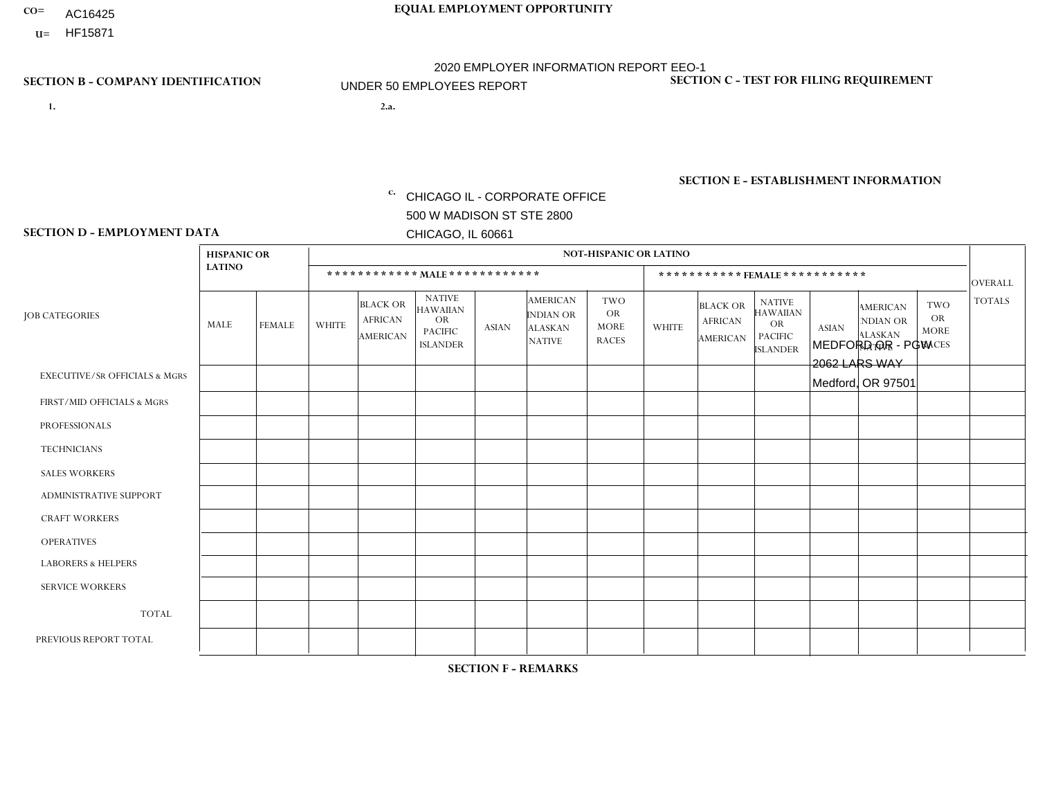- AC16425
- **U=**

**1. 2.a.** CHICAGO IL - CORPORATE OFFICE 500 W MADISON ST STE 2800 CHICAGO, IL 60661

2.a. MEDFORD OR - PGW 2062 LARS WAY Medford, OR 97501

EIN= 952920557

## **SECTION B - COMPANY IDENTIFICATION SECTION C - TEST FOR FILING REQUIREMENT**

1- Y 2- Y 3- N DUNS= 000123456

**SECTION E - ESTABLISHMENT INFORMATION c.** NAICS: 811122

### **SECTION D - EMPLOYMENT DATA**

|                                          | <b>HISPANIC OR</b> |               |              |                                                      |                                                                                    |              |                                                                        | <b>NOT-HISPANIC OR LATINO</b>                          |              |                                               |                                                                                    |              |                                                                       |                                                        |                |
|------------------------------------------|--------------------|---------------|--------------|------------------------------------------------------|------------------------------------------------------------------------------------|--------------|------------------------------------------------------------------------|--------------------------------------------------------|--------------|-----------------------------------------------|------------------------------------------------------------------------------------|--------------|-----------------------------------------------------------------------|--------------------------------------------------------|----------------|
|                                          | <b>LATINO</b>      |               |              | ************ MALE ************                       |                                                                                    |              |                                                                        |                                                        |              |                                               | *********** FEMALE ***********                                                     |              |                                                                       |                                                        | <b>OVERALL</b> |
| <b>JOB CATEGORIES</b>                    | <b>MALE</b>        | <b>FEMALE</b> | <b>WHITE</b> | <b>BLACK OR</b><br><b>AFRICAN</b><br><b>AMERICAN</b> | <b>NATIVE</b><br><b>HAWAIIAN</b><br><b>OR</b><br><b>PACIFIC</b><br><b>ISLANDER</b> | <b>ASIAN</b> | <b>AMERICAN</b><br><b>INDIAN OR</b><br><b>ALASKAN</b><br><b>NATIVE</b> | <b>TWO</b><br><b>OR</b><br><b>MORE</b><br><b>RACES</b> | <b>WHITE</b> | <b>BLACK OR</b><br><b>AFRICAN</b><br>AMERICAN | <b>NATIVE</b><br><b>HAWAIIAN</b><br><b>OR</b><br><b>PACIFIC</b><br><b>ISLANDER</b> | <b>ASIAN</b> | <b>AMERICAN</b><br><b>NDIAN OR</b><br><b>ALASKAN</b><br><b>NATIVE</b> | <b>TWO</b><br><b>OR</b><br><b>MORE</b><br><b>RACES</b> | <b>TOTALS</b>  |
| <b>EXECUTIVE/SR OFFICIALS &amp; MGRS</b> | $\Omega$           | $\Omega$      | $\mathbf{0}$ | $\Omega$                                             | $\Omega$                                                                           | $\Omega$     | $\Omega$                                                               | $\Omega$                                               | 0            | $\Omega$                                      | $\Omega$                                                                           | $\Omega$     | $\Omega$                                                              | $\Omega$                                               | $\Omega$       |
| FIRST/MID OFFICIALS & MGRS               | $\Omega$           | $\Omega$      | 1            | $\mathbf{0}$                                         | $\Omega$                                                                           | $\Omega$     | $\Omega$                                                               | $\Omega$                                               | 0            | $\Omega$                                      | 0                                                                                  | $\Omega$     | $\Omega$                                                              | $\Omega$                                               | $\mathbf{1}$   |
| <b>PROFESSIONALS</b>                     | $\Omega$           | $\Omega$      | $\Omega$     | $\mathbf 0$                                          | $\Omega$                                                                           | $\Omega$     | $\Omega$                                                               | $\Omega$                                               | $\Omega$     | $\Omega$                                      | 0                                                                                  | 0            | $\Omega$                                                              | $\mathbf 0$                                            | $\mathbf{0}$   |
| <b>TECHNICIANS</b>                       | $\Omega$           | $\Omega$      | $\Omega$     | $\Omega$                                             | $\Omega$                                                                           | $\Omega$     | $\Omega$                                                               | $\Omega$                                               | $\Omega$     | $\Omega$                                      | 0                                                                                  | $\mathbf 0$  | $\Omega$                                                              | $\mathbf 0$                                            | $\Omega$       |
| <b>SALES WORKERS</b>                     | $\Omega$           | $\Omega$      | $\Omega$     | $\Omega$                                             | $\Omega$                                                                           | $\Omega$     | $\Omega$                                                               | $\Omega$                                               | $\Omega$     | $\Omega$                                      | $\Omega$                                                                           | $\Omega$     | $\Omega$                                                              | $\Omega$                                               | $\Omega$       |
| <b>ADMINISTRATIVE SUPPORT</b>            | $\Omega$           | $\Omega$      | $\Omega$     | $\mathbf 0$                                          | 0                                                                                  | $\Omega$     | $\Omega$                                                               | $\Omega$                                               | 0            | $\Omega$                                      | 0                                                                                  | $\mathbf 0$  | $\Omega$                                                              | $\mathbf 0$                                            | $\mathbf 0$    |
| <b>CRAFT WORKERS</b>                     | $\Omega$           | $\Omega$      | $\Omega$     | $\mathbf 0$                                          | $\Omega$                                                                           | $\Omega$     | $\Omega$                                                               | $\Omega$                                               | 0            | $\Omega$                                      | 0                                                                                  | $\Omega$     | $\Omega$                                                              | $\Omega$                                               | $\Omega$       |
| <b>OPERATIVES</b>                        | $\Omega$           | $\Omega$      | 3            | $\mathbf 0$                                          | $\Omega$                                                                           | $\Omega$     | $\Omega$                                                               | $\Omega$                                               | 0            | $\Omega$                                      | 0                                                                                  | $\mathbf 0$  | $\Omega$                                                              | $\Omega$                                               | 3              |
| <b>LABORERS &amp; HELPERS</b>            | -1                 | $\Omega$      | $\mathbf{0}$ | $\mathbf 0$                                          | $\Omega$                                                                           | $\Omega$     | $\Omega$                                                               | $\Omega$                                               | $\Omega$     | $\Omega$                                      | $\Omega$                                                                           | $\Omega$     | $\Omega$                                                              | $\Omega$                                               | $\mathbf{1}$   |
| <b>SERVICE WORKERS</b>                   | $\Omega$           | $\Omega$      | $\Omega$     | $\mathbf 0$                                          | $\mathbf 0$                                                                        | $\Omega$     | $\Omega$                                                               | $\Omega$                                               | 0            | $\Omega$                                      | $\Omega$                                                                           | $\mathbf 0$  | $\Omega$                                                              | $\Omega$                                               | $\mathbf 0$    |
| <b>TOTAL</b>                             | -1                 | 0             | 4            | 0                                                    | $\mathbf 0$                                                                        | 0            | $\Omega$                                                               | $\Omega$                                               | 0            | $\mathbf 0$                                   | 0                                                                                  | $\mathbf 0$  | 0                                                                     | $\mathbf 0$                                            | 5              |
| PREVIOUS REPORT TOTAL                    | $\Omega$           | $\Omega$      | 4            | $\mathbf 0$                                          | 0                                                                                  | $\Omega$     | $\Omega$                                                               | $\Omega$                                               | 0            | $\Omega$                                      | 0                                                                                  | $\Omega$     | $\Omega$                                                              | $\mathbf 0$                                            | $\overline{4}$ |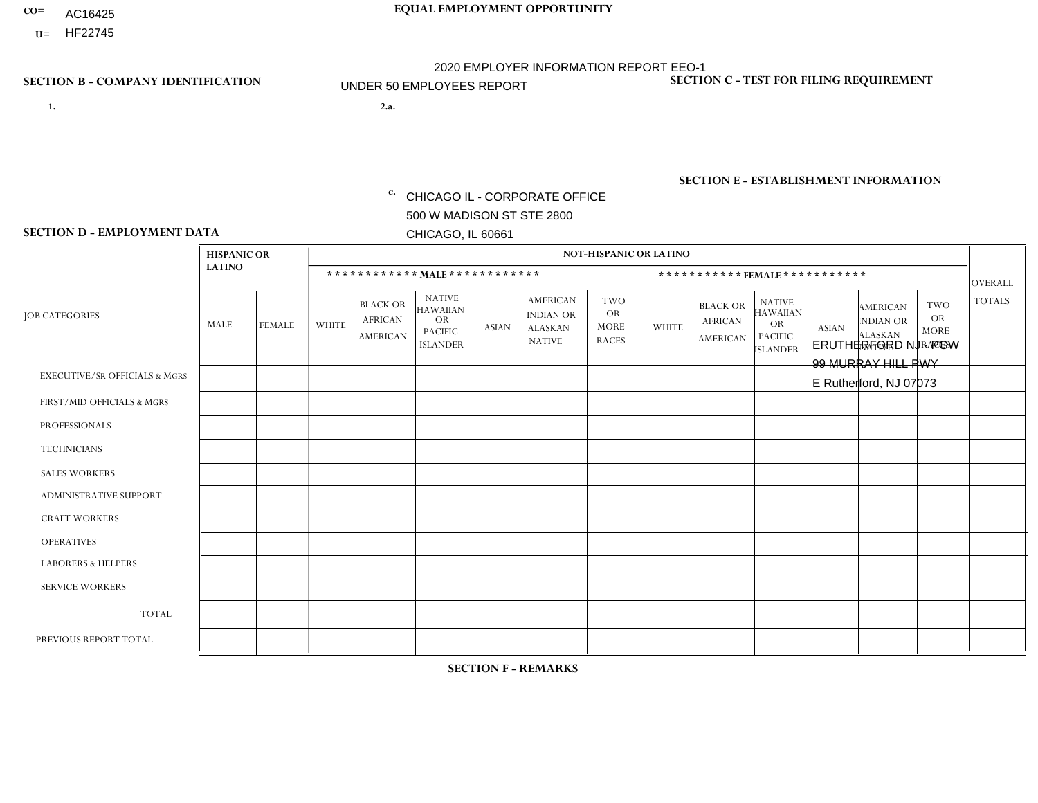- AC16425
- **U=**

- **1. 2.a.** CHICAGO IL CORPORATE OFFICE 500 W MADISON ST STE 2800 CHICAGO, IL 60661
- 2.a. ERUTHERFORD NJ PGW 99 MURRAY HILL PWY E Rutherford, NJ 07073

EIN= 952920557

## **SECTION B - COMPANY IDENTIFICATION SECTION C - TEST FOR FILING REQUIREMENT**

1- Y 2- Y 3- N DUNS= 000123456

**SECTION E - ESTABLISHMENT INFORMATION c.** NAICS: 811122

### **SECTION D - EMPLOYMENT DATA**

|                                          | <b>HISPANIC OR</b> |               |                |                                                      |                                                                                    |              |                                                                 | <b>NOT-HISPANIC OR LATINO</b>                          |                |                                                      |                                                                                    |              |                                                                       |                                                        |                |
|------------------------------------------|--------------------|---------------|----------------|------------------------------------------------------|------------------------------------------------------------------------------------|--------------|-----------------------------------------------------------------|--------------------------------------------------------|----------------|------------------------------------------------------|------------------------------------------------------------------------------------|--------------|-----------------------------------------------------------------------|--------------------------------------------------------|----------------|
|                                          | <b>LATINO</b>      |               |                | ************ MALE ************                       |                                                                                    |              |                                                                 |                                                        |                |                                                      | ***********FEMALE***********                                                       |              |                                                                       |                                                        | <b>OVERALL</b> |
| <b>JOB CATEGORIES</b>                    | <b>MALE</b>        | <b>FEMALE</b> | <b>WHITE</b>   | <b>BLACK OR</b><br><b>AFRICAN</b><br><b>AMERICAN</b> | <b>NATIVE</b><br><b>HAWAIIAN</b><br><b>OR</b><br><b>PACIFIC</b><br><b>ISLANDER</b> | <b>ASIAN</b> | <b>AMERICAN</b><br>INDIAN OR<br><b>ALASKAN</b><br><b>NATIVE</b> | <b>TWO</b><br><b>OR</b><br><b>MORE</b><br><b>RACES</b> | <b>WHITE</b>   | <b>BLACK OR</b><br><b>AFRICAN</b><br><b>AMERICAN</b> | <b>NATIVE</b><br><b>HAWAIIAN</b><br><b>OR</b><br><b>PACIFIC</b><br><b>ISLANDER</b> | <b>ASIAN</b> | <b>AMERICAN</b><br><b>NDIAN OR</b><br><b>ALASKAN</b><br><b>NATIVE</b> | <b>TWO</b><br><b>OR</b><br><b>MORE</b><br><b>RACES</b> | <b>TOTALS</b>  |
| <b>EXECUTIVE/SR OFFICIALS &amp; MGRS</b> | $\mathbf{0}$       | $\Omega$      | $\Omega$       | $\Omega$                                             | 0                                                                                  | $\Omega$     | $\Omega$                                                        | $\Omega$                                               | $\Omega$       | $\mathbf{0}$                                         | $\Omega$                                                                           | $\Omega$     | $\Omega$                                                              | $\Omega$                                               | $\Omega$       |
| FIRST/MID OFFICIALS & MGRS               | $\Omega$           | $\Omega$      | $\Omega$       | $\mathbf 0$                                          | $\mathbf 0$                                                                        | $\Omega$     | $\Omega$                                                        | $\Omega$                                               | 1              | $\mathbf{0}$                                         | $\Omega$                                                                           | $\Omega$     | $\Omega$                                                              | $\Omega$                                               | $\mathbf{1}$   |
| <b>PROFESSIONALS</b>                     | $\Omega$           | $\Omega$      | $\mathbf 0$    | $\mathbf 0$                                          | $\overline{0}$                                                                     | $\Omega$     | $\Omega$                                                        | $\Omega$                                               | $\Omega$       | $\Omega$                                             | $\Omega$                                                                           | $\Omega$     | $\Omega$                                                              | $\Omega$                                               | $\mathbf 0$    |
| <b>TECHNICIANS</b>                       | $\Omega$           | $\Omega$      | $\Omega$       | $\Omega$                                             | 0                                                                                  | $\Omega$     | $\overline{0}$                                                  | $\Omega$                                               | $\Omega$       | $\Omega$                                             | $\Omega$                                                                           | $\Omega$     | $\mathbf{0}$                                                          | $\Omega$                                               | $\mathbf 0$    |
| <b>SALES WORKERS</b>                     | $\Omega$           | $\Omega$      | $\Omega$       | $\Omega$                                             | $\Omega$                                                                           | $\Omega$     | $\Omega$                                                        | $\Omega$                                               | $\mathbf{1}$   | $\Omega$                                             | $\Omega$                                                                           | $\Omega$     | $\Omega$                                                              | $\Omega$                                               | $\mathbf{1}$   |
| <b>ADMINISTRATIVE SUPPORT</b>            | $\Omega$           | $\mathbf 0$   | $\Omega$       | $\mathbf 0$                                          | $\mathbf 0$                                                                        | $\mathbf 0$  | $\Omega$                                                        | $\Omega$                                               | $\Omega$       | $\Omega$                                             | $\Omega$                                                                           | $\Omega$     | $\Omega$                                                              | $\Omega$                                               | $\mathbf 0$    |
| <b>CRAFT WORKERS</b>                     | $\Omega$           | $\Omega$      | $\Omega$       | 0                                                    | 0                                                                                  | $\Omega$     | $\Omega$                                                        | $\Omega$                                               | $\Omega$       | $\Omega$                                             | $\Omega$                                                                           | $\Omega$     | $\Omega$                                                              | $\Omega$                                               | $\Omega$       |
| <b>OPERATIVES</b>                        | 4                  | $\Omega$      | $\overline{c}$ | $\mathbf 0$                                          | 0                                                                                  | $\Omega$     | $\Omega$                                                        | $\Omega$                                               | $\Omega$       | $\Omega$                                             | $\Omega$                                                                           | $\Omega$     | $\Omega$                                                              | $\Omega$                                               | 6              |
| <b>LABORERS &amp; HELPERS</b>            | $\Omega$           | $\Omega$      | 1              | $\mathbf 0$                                          | 0                                                                                  | $\Omega$     | $\Omega$                                                        | $\Omega$                                               | $\Omega$       | $\Omega$                                             | $\Omega$                                                                           | $\Omega$     | $\Omega$                                                              | $\Omega$                                               | $\mathbf{1}$   |
| <b>SERVICE WORKERS</b>                   | $\Omega$           | $\Omega$      | $\Omega$       | 0                                                    | $\mathbf 0$                                                                        | $\Omega$     | $\Omega$                                                        | $\Omega$                                               | $\Omega$       | $\Omega$                                             | $\Omega$                                                                           | $\Omega$     | $\Omega$                                                              | $\Omega$                                               | 0              |
| <b>TOTAL</b>                             | 4                  | 0             | 3              | $\mathbf 0$                                          | 0                                                                                  | $\mathbf 0$  | $\mathbf{0}$                                                    | $\Omega$                                               | $\overline{2}$ | $\Omega$                                             | $\Omega$                                                                           | $\mathbf 0$  | $\Omega$                                                              | $\Omega$                                               | 9              |
| PREVIOUS REPORT TOTAL                    | 2                  | $\Omega$      | $\Omega$       | $\mathbf 0$                                          | 0                                                                                  | $\Omega$     | $\overline{0}$                                                  | $\Omega$                                               | $\mathbf 1$    | $\Omega$                                             | $\mathbf{0}$                                                                       | $\Omega$     | $\Omega$                                                              | $\Omega$                                               | 3              |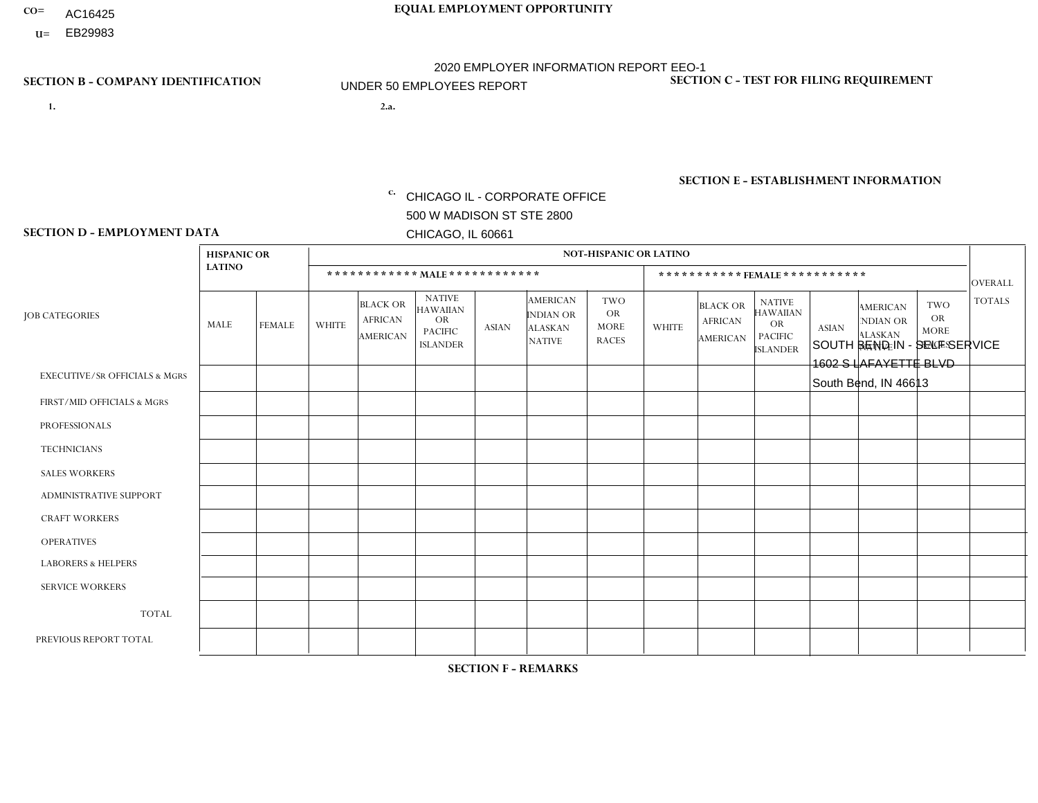- AC16425
- **U=**

**1. 2.a.** CHICAGO IL - CORPORATE OFFICE 500 W MADISON ST STE 2800 CHICAGO, IL 60661

2.a. SOUTH BEND IN - SELF SERVICE 1602 S LAFAYETTE BLVD South Bend, IN 46613

EIN= 952920557

## **SECTION B - COMPANY IDENTIFICATION SECTION C - TEST FOR FILING REQUIREMENT**

1- Y 2- Y 3- N DUNS= 000123456

**SECTION E - ESTABLISHMENT INFORMATION c.** NAICS: 423140

### **SECTION D - EMPLOYMENT DATA**

|                                          | <b>HISPANIC OR</b> |                      |              |                                                      |                                                                                    |              |                                                                        | <b>NOT-HISPANIC OR LATINO</b>                          |              |                                                      |                                                                                    |              |                                                                       |                                                        |                      |
|------------------------------------------|--------------------|----------------------|--------------|------------------------------------------------------|------------------------------------------------------------------------------------|--------------|------------------------------------------------------------------------|--------------------------------------------------------|--------------|------------------------------------------------------|------------------------------------------------------------------------------------|--------------|-----------------------------------------------------------------------|--------------------------------------------------------|----------------------|
|                                          | <b>LATINO</b>      |                      |              | ************ MALE ************                       |                                                                                    |              |                                                                        |                                                        |              |                                                      | *********** FEMALE ***********                                                     |              |                                                                       |                                                        | <b>OVERALL</b>       |
| <b>JOB CATEGORIES</b>                    | <b>MALE</b>        | <b>FEMALE</b>        | <b>WHITE</b> | <b>BLACK OR</b><br><b>AFRICAN</b><br><b>AMERICAN</b> | <b>NATIVE</b><br><b>HAWAIIAN</b><br><b>OR</b><br><b>PACIFIC</b><br><b>ISLANDER</b> | <b>ASIAN</b> | <b>AMERICAN</b><br><b>INDIAN OR</b><br><b>ALASKAN</b><br><b>NATIVE</b> | <b>TWO</b><br><b>OR</b><br><b>MORE</b><br><b>RACES</b> | <b>WHITE</b> | <b>BLACK OR</b><br><b>AFRICAN</b><br><b>AMERICAN</b> | <b>NATIVE</b><br><b>HAWAIIAN</b><br><b>OR</b><br><b>PACIFIC</b><br><b>ISLANDER</b> | <b>ASIAN</b> | <b>AMERICAN</b><br><b>NDIAN OR</b><br><b>ALASKAN</b><br><b>NATIVE</b> | <b>TWO</b><br><b>OR</b><br><b>MORE</b><br><b>RACES</b> | <b>TOTALS</b>        |
| <b>EXECUTIVE/SR OFFICIALS &amp; MGRS</b> | $\Omega$           | $\Omega$             | $\mathbf{0}$ | $\mathbf 0$                                          | $\Omega$                                                                           | $\Omega$     | $\Omega$                                                               | $\Omega$                                               | $\Omega$     | $\Omega$                                             | $\Omega$                                                                           | $\Omega$     | $\Omega$                                                              | $\Omega$                                               | $\mathbf{0}$         |
| FIRST/MID OFFICIALS & MGRS               | $\Omega$           | $\Omega$             | 1            | $\Omega$                                             | $\Omega$                                                                           | $\Omega$     | $\Omega$                                                               | $\Omega$                                               | 0            | $\Omega$                                             | 0                                                                                  | $\Omega$     | $\Omega$                                                              | $\Omega$                                               | $\mathbf{1}$         |
| <b>PROFESSIONALS</b>                     | $\Omega$           | $\Omega$             | 1            | $\mathbf 0$                                          | $\Omega$                                                                           | $\Omega$     | $\Omega$                                                               | $\Omega$                                               | $\Omega$     | $\Omega$                                             | 0                                                                                  | 0            | $\Omega$                                                              | $\mathbf 0$                                            | $\mathbf{1}$         |
| <b>TECHNICIANS</b>                       | $\Omega$           | $\mathbf 0$          | $\Omega$     | $\mathbf 0$                                          | $\mathbf 0$                                                                        | $\Omega$     | $\Omega$                                                               | $\Omega$                                               | 0            | $\mathbf 0$                                          | 0                                                                                  | $\mathbf 0$  | $\Omega$                                                              | $\mathbf 0$                                            | $\mathbf{0}$         |
| <b>SALES WORKERS</b>                     | $\Omega$           | $\mathbf{1}$         | $\Omega$     | $\Omega$                                             | $\Omega$                                                                           | $\Omega$     | $\Omega$                                                               | $\Omega$                                               | $\Omega$     | $\Omega$                                             | $\Omega$                                                                           | $\Omega$     | $\Omega$                                                              | $\Omega$                                               | $\blacktriangleleft$ |
| <b>ADMINISTRATIVE SUPPORT</b>            | $\Omega$           | $\mathbf 0$          | $\Omega$     | $\mathbf 0$                                          | 0                                                                                  | $\Omega$     | $\Omega$                                                               | $\Omega$                                               | 1            | $\Omega$                                             | $\Omega$                                                                           | $\mathbf 0$  | $\Omega$                                                              | $\mathbf 0$                                            | $\overline{1}$       |
| <b>CRAFT WORKERS</b>                     | $\Omega$           | $\Omega$             | $\Omega$     | $\mathbf 0$                                          | $\Omega$                                                                           | $\Omega$     | $\Omega$                                                               | $\Omega$                                               | 0            | $\Omega$                                             | $\Omega$                                                                           | $\Omega$     | $\Omega$                                                              | $\Omega$                                               | $\Omega$             |
| <b>OPERATIVES</b>                        | $\Omega$           | $\Omega$             | 4            | $\overline{1}$                                       | $\Omega$                                                                           | $\Omega$     | $\Omega$                                                               | $\Omega$                                               | $\Omega$     | $\Omega$                                             | 0                                                                                  | $\Omega$     | $\Omega$                                                              | $\Omega$                                               | 5                    |
| <b>LABORERS &amp; HELPERS</b>            | $\Omega$           | $\Omega$             | $\mathbf 0$  | $\mathbf 0$                                          | $\Omega$                                                                           | $\mathbf{0}$ | $\Omega$                                                               | $\Omega$                                               | $\Omega$     | $\Omega$                                             | $\Omega$                                                                           | $\mathbf 0$  | $\Omega$                                                              | $\Omega$                                               | $\mathbf{0}$         |
| <b>SERVICE WORKERS</b>                   | $\Omega$           | $\Omega$             | $\mathbf 0$  | $\mathbf 0$                                          | $\mathbf 0$                                                                        | $\Omega$     | $\Omega$                                                               | $\Omega$                                               | 0            | $\Omega$                                             | $\Omega$                                                                           | $\Omega$     | $\Omega$                                                              | $\Omega$                                               | $\mathbf 0$          |
| <b>TOTAL</b>                             | 0                  | $\mathbf{1}$         | 6            | $\overline{ }$                                       | $\mathbf 0$                                                                        | $\Omega$     | $\Omega$                                                               | $\Omega$                                               | $\mathbf{1}$ | $\mathbf 0$                                          | 0                                                                                  | $\mathbf 0$  | 0                                                                     | $\mathbf 0$                                            | 9                    |
| PREVIOUS REPORT TOTAL                    | $\Omega$           | $\blacktriangleleft$ | 6            | $\Omega$                                             | 0                                                                                  | $\Omega$     | $\Omega$                                                               | $\Omega$                                               | 1            | $\Omega$                                             | $\Omega$                                                                           | $\Omega$     | $\Omega$                                                              | $\mathbf 0$                                            | 8                    |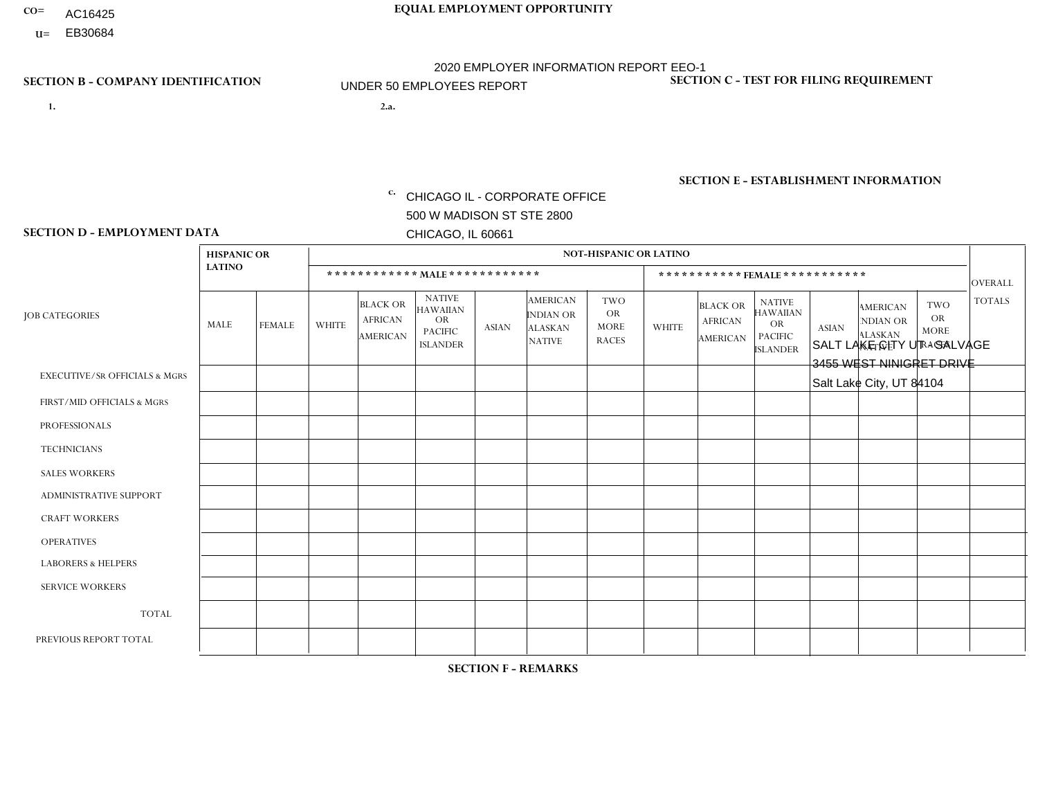- AC16425
- **U=**

- **1. 2.a.** CHICAGO IL CORPORATE OFFICE 500 W MADISON ST STE 2800 CHICAGO, IL 60661
- 2.a. SALT LAKE CITY UT SALVAGE 3455 WEST NINIGRET DRIVE Salt Lake City, UT 84104

EIN= 952920557

## **SECTION B - COMPANY IDENTIFICATION SECTION C - TEST FOR FILING REQUIREMENT**

1- Y 2- Y 3- N DUNS= 000123456

**SECTION E - ESTABLISHMENT INFORMATION c.** NAICS: 423140

### **SECTION D - EMPLOYMENT DATA**

|                                          | <b>HISPANIC OR</b> |               |              |                                                      |                                                                                    |              |                                                                        | <b>NOT-HISPANIC OR LATINO</b>                          |              |                                                      |                                                                                    |              |                                                                       |                                                        |                |
|------------------------------------------|--------------------|---------------|--------------|------------------------------------------------------|------------------------------------------------------------------------------------|--------------|------------------------------------------------------------------------|--------------------------------------------------------|--------------|------------------------------------------------------|------------------------------------------------------------------------------------|--------------|-----------------------------------------------------------------------|--------------------------------------------------------|----------------|
|                                          | <b>LATINO</b>      |               |              | ************ MALE ************                       |                                                                                    |              |                                                                        |                                                        |              |                                                      | *********** FEMALE ***********                                                     |              |                                                                       |                                                        | <b>OVERALL</b> |
| <b>JOB CATEGORIES</b>                    | MALE               | <b>FEMALE</b> | <b>WHITE</b> | <b>BLACK OR</b><br><b>AFRICAN</b><br><b>AMERICAN</b> | <b>NATIVE</b><br><b>HAWAIIAN</b><br><b>OR</b><br><b>PACIFIC</b><br><b>ISLANDER</b> | <b>ASIAN</b> | <b>AMERICAN</b><br><b>INDIAN OR</b><br><b>ALASKAN</b><br><b>NATIVE</b> | <b>TWO</b><br><b>OR</b><br><b>MORE</b><br><b>RACES</b> | <b>WHITE</b> | <b>BLACK OR</b><br><b>AFRICAN</b><br><b>AMERICAN</b> | <b>NATIVE</b><br><b>HAWAIIAN</b><br><b>OR</b><br><b>PACIFIC</b><br><b>ISLANDER</b> | <b>ASIAN</b> | <b>AMERICAN</b><br><b>NDIAN OR</b><br><b>ALASKAN</b><br><b>NATIVE</b> | <b>TWO</b><br><b>OR</b><br><b>MORE</b><br><b>RACES</b> | <b>TOTALS</b>  |
| <b>EXECUTIVE/SR OFFICIALS &amp; MGRS</b> | $\Omega$           | $\Omega$      | $\Omega$     | $\Omega$                                             | $\Omega$                                                                           | $\Omega$     | $\Omega$                                                               | $\Omega$                                               | $\Omega$     | $\mathbf{0}$                                         | $\mathbf{0}$                                                                       | $\Omega$     | $\Omega$                                                              | $\Omega$                                               | $\Omega$       |
| FIRST/MID OFFICIALS & MGRS               | $\Omega$           | $\Omega$      | 1            | $\Omega$                                             | 0                                                                                  | $\Omega$     | $\Omega$                                                               | $\Omega$                                               | $\Omega$     | $\mathbf{0}$                                         | $\mathbf{0}$                                                                       | $\Omega$     | $\Omega$                                                              | $\Omega$                                               | $\mathbf{1}$   |
| <b>PROFESSIONALS</b>                     | $\Omega$           | $\Omega$      | $\mathbf 0$  | $\mathbf 0$                                          | $\overline{0}$                                                                     | $\Omega$     | $\overline{0}$                                                         | $\Omega$                                               | $\Omega$     | $\Omega$                                             | $\mathbf{0}$                                                                       | $\Omega$     | $\Omega$                                                              | $\Omega$                                               | $\mathbf 0$    |
| <b>TECHNICIANS</b>                       | $\mathbf 0$        | $\mathbf 0$   | $\Omega$     | $\mathbf 0$                                          | 0                                                                                  | $\Omega$     | $\overline{0}$                                                         | $\Omega$                                               | $\mathbf 0$  | $\mathbf 0$                                          | $\mathbf 0$                                                                        | $\mathbf 0$  | $\Omega$                                                              | $\Omega$                                               | $\mathbf 0$    |
| <b>SALES WORKERS</b>                     | $\Omega$           | $\Omega$      | $\Omega$     | $\Omega$                                             | $\Omega$                                                                           | $\Omega$     | $\Omega$                                                               | $\Omega$                                               | $\Omega$     | $\Omega$                                             | $\Omega$                                                                           | $\Omega$     | $\Omega$                                                              | $\Omega$                                               | $\mathbf 0$    |
| <b>ADMINISTRATIVE SUPPORT</b>            | $\Omega$           | $\Omega$      | $\Omega$     | 0                                                    | $\mathbf 0$                                                                        | $\Omega$     | $\Omega$                                                               | $\Omega$                                               | $\Omega$     | $\mathbf{0}$                                         | $\mathbf{0}$                                                                       | $\Omega$     | $\Omega$                                                              | $\Omega$                                               | $\mathbf 0$    |
| <b>CRAFT WORKERS</b>                     | 0                  | $\Omega$      | $\mathbf 0$  | $\mathbf 0$                                          | 0                                                                                  | $\Omega$     | $\Omega$                                                               | $\Omega$                                               | $\Omega$     | $\Omega$                                             | $\Omega$                                                                           | $\Omega$     | $\Omega$                                                              | $\Omega$                                               | $\mathbf 0$    |
| <b>OPERATIVES</b>                        | 0                  | $\mathbf 0$   | $\Omega$     | $\mathbf 0$                                          | 0                                                                                  | $\mathbf 0$  | $\overline{0}$                                                         | $\Omega$                                               | $\Omega$     | $\Omega$                                             | $\Omega$                                                                           | $\Omega$     | $\Omega$                                                              | $\mathbf{0}$                                           | $\mathbf 0$    |
| <b>LABORERS &amp; HELPERS</b>            | $\Omega$           | $\Omega$      | $\Omega$     | $\Omega$                                             | 0                                                                                  | $\Omega$     | $\Omega$                                                               | $\Omega$                                               | $\Omega$     | $\Omega$                                             | $\mathbf{0}$                                                                       | $\Omega$     | $\Omega$                                                              | $\Omega$                                               | 0              |
| <b>SERVICE WORKERS</b>                   | 0                  | 0             | 0            | 0                                                    | 0                                                                                  | $\Omega$     | $\Omega$                                                               | $\Omega$                                               | $\Omega$     | $\Omega$                                             | $\mathbf{0}$                                                                       | $\Omega$     | $\Omega$                                                              | $\Omega$                                               | 0              |
| <b>TOTAL</b>                             | 0                  | $\mathbf 0$   | 1            | $\mathbf 0$                                          | 0                                                                                  | $\mathbf 0$  | $\Omega$                                                               | $\Omega$                                               | 0            | $\Omega$                                             | $\Omega$                                                                           | $\mathbf 0$  | $\Omega$                                                              | $\mathbf 0$                                            | $\mathbf{1}$   |
| PREVIOUS REPORT TOTAL                    |                    | $\mathbf 0$   | 6            | $\mathbf 0$                                          | 0                                                                                  | $\Omega$     | $\Omega$                                                               | $\Omega$                                               | $\mathbf 1$  | $\Omega$                                             | $\mathbf{0}$                                                                       | $\Omega$     | $\Omega$                                                              | $\mathbf 0$                                            | 8              |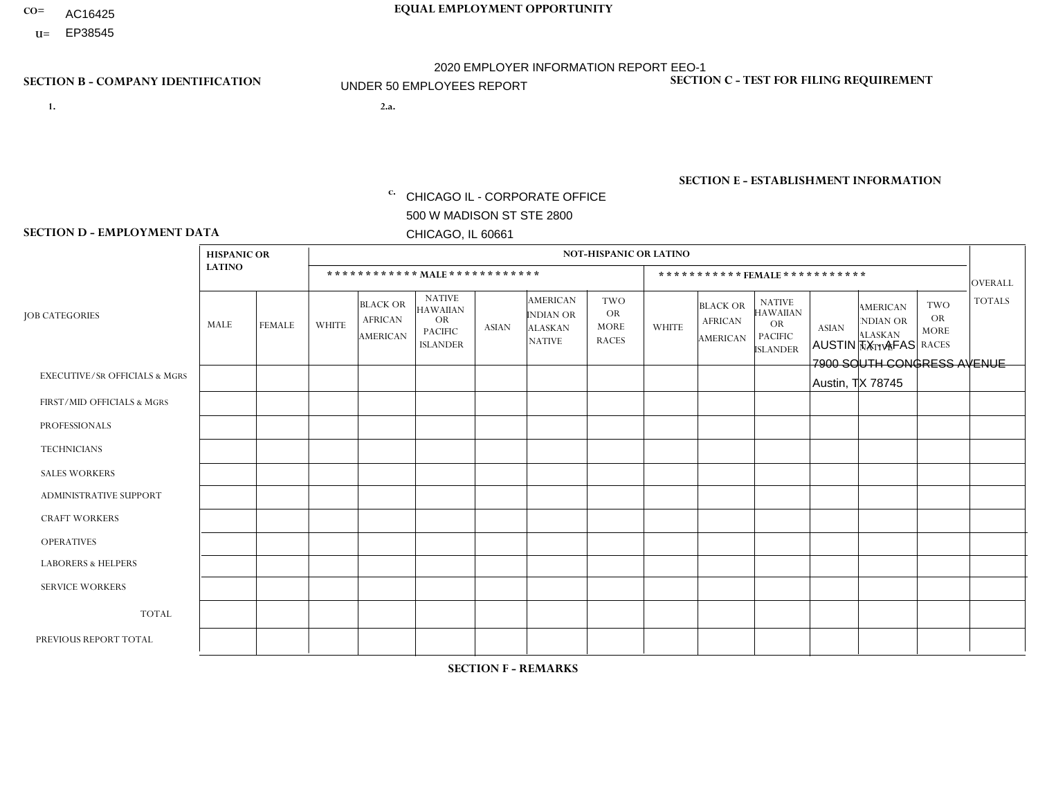- AC16425
- **U=**

- **1. 2.a.** CHICAGO IL CORPORATE OFFICE 500 W MADISON ST STE 2800 CHICAGO, IL 60661
- 2.a. AUSTIN TX AFAS 7900 SOUTH CONGRESS AVENUE Austin, TX 78745

c. EIN= 952920557

## **SECTION B - COMPANY IDENTIFICATION SECTION C - TEST FOR FILING REQUIREMENT**

1- Y 2- Y 3- N DUNS= 000123456

**SECTION E - ESTABLISHMENT INFORMATION c.** NAICS: 423140

### **SECTION D - EMPLOYMENT DATA**

|                                          | <b>HISPANIC OR</b> |                |                |                                                      |                                                                                    |             |                                                                        | <b>NOT-HISPANIC OR LATINO</b>                          |                         |                                               |                                                                             |              |                                                                       |                                                        |                |
|------------------------------------------|--------------------|----------------|----------------|------------------------------------------------------|------------------------------------------------------------------------------------|-------------|------------------------------------------------------------------------|--------------------------------------------------------|-------------------------|-----------------------------------------------|-----------------------------------------------------------------------------|--------------|-----------------------------------------------------------------------|--------------------------------------------------------|----------------|
|                                          | <b>LATINO</b>      |                |                | ************ MALE ************                       |                                                                                    |             |                                                                        |                                                        |                         | ***********FEMALE***********                  |                                                                             |              |                                                                       |                                                        | <b>OVERALL</b> |
| <b>JOB CATEGORIES</b>                    | MALE               | <b>FEMALE</b>  | <b>WHITE</b>   | <b>BLACK OR</b><br><b>AFRICAN</b><br><b>AMERICAN</b> | <b>NATIVE</b><br><b>HAWAIIAN</b><br><b>OR</b><br><b>PACIFIC</b><br><b>ISLANDER</b> | ASIAN       | <b>AMERICAN</b><br><b>INDIAN OR</b><br><b>ALASKAN</b><br><b>NATIVE</b> | <b>TWO</b><br><b>OR</b><br><b>MORE</b><br><b>RACES</b> | <b>WHITE</b>            | <b>BLACK OR</b><br><b>AFRICAN</b><br>AMERICAN | <b>NATIVE</b><br><b>HAWAIIAN</b><br>OR<br><b>PACIFIC</b><br><b>ISLANDER</b> | <b>ASIAN</b> | <b>AMERICAN</b><br><b>NDIAN OR</b><br><b>ALASKAN</b><br><b>NATIVE</b> | <b>TWO</b><br><b>OR</b><br><b>MORE</b><br><b>RACES</b> | <b>TOTALS</b>  |
| <b>EXECUTIVE/SR OFFICIALS &amp; MGRS</b> | $\Omega$           | $\Omega$       | $\Omega$       | $\mathbf 0$                                          | $\mathbf 0$                                                                        | $\Omega$    | $\Omega$                                                               | $\Omega$                                               | $\Omega$                | $\Omega$                                      | $\Omega$                                                                    | $\mathbf 0$  | $\Omega$                                                              | $\mathbf 0$                                            | $\mathbf{0}$   |
| FIRST/MID OFFICIALS & MGRS               |                    | 0              | $\Omega$       | $\mathbf 0$                                          | 0                                                                                  | $\Omega$    | $\Omega$                                                               | $\Omega$                                               | 0                       | $\Omega$                                      | $\Omega$                                                                    | $\mathbf{0}$ | $\Omega$                                                              | $\mathbf 0$                                            | $\mathbf{1}$   |
| <b>PROFESSIONALS</b>                     | $\Omega$           | $\Omega$       | $\Omega$       | $\mathbf 0$                                          | $\Omega$                                                                           | $\Omega$    | $\Omega$                                                               | $\Omega$                                               | $\overline{0}$          | $\Omega$                                      | $\Omega$                                                                    | $\Omega$     | $\Omega$                                                              | $\Omega$                                               | $\mathbf 0$    |
| <b>TECHNICIANS</b>                       | 0                  | $\mathbf 0$    | $\Omega$       | $\mathbf 0$                                          | $\Omega$                                                                           | $\Omega$    | $\Omega$                                                               | $\Omega$                                               | $\Omega$                | $\Omega$                                      | $\Omega$                                                                    | $\Omega$     | $\Omega$                                                              | $\Omega$                                               | $\mathbf{0}$   |
| <b>SALES WORKERS</b>                     | $\Omega$           | $\Omega$       | $\Omega$       | $\mathbf 0$                                          | $\Omega$                                                                           | $\Omega$    | $\Omega$                                                               | $\Omega$                                               | $\overline{0}$          | $\Omega$                                      | $\Omega$                                                                    | $\Omega$     | $\Omega$                                                              | $\mathbf{0}$                                           | $\mathbf{0}$   |
| ADMINISTRATIVE SUPPORT                   |                    | $\overline{2}$ | 1              | $\mathbf 0$                                          | 0                                                                                  | $\Omega$    | $\Omega$                                                               | $\Omega$                                               | $\Omega$                | $\Omega$                                      | $\Omega$                                                                    | $\Omega$     | $\mathbf{0}$                                                          | $\mathbf 0$                                            | $\overline{4}$ |
| <b>CRAFT WORKERS</b>                     | 0                  | $\Omega$       | $\Omega$       | $\mathbf 0$                                          | $\Omega$                                                                           | $\Omega$    | $\Omega$                                                               | $\Omega$                                               | 0                       | $\Omega$                                      | $\Omega$                                                                    | $\Omega$     | $\Omega$                                                              | $\Omega$                                               | $\Omega$       |
| <b>OPERATIVES</b>                        | $\overline{7}$     | $\Omega$       | $\overline{c}$ | $\overline{1}$                                       | $\Omega$                                                                           | $\Omega$    | $\Omega$                                                               | $\overline{\mathbf{A}}$                                | $\overline{\mathbf{A}}$ | $\Omega$                                      | $\Omega$                                                                    | $\Omega$     | $\Omega$                                                              | $\Omega$                                               | 12             |
| <b>LABORERS &amp; HELPERS</b>            | $\Omega$           | $\Omega$       | $\mathbf 0$    | $\mathbf 0$                                          | $\mathbf 0$                                                                        | $\Omega$    | $\Omega$                                                               | $\Omega$                                               | $\Omega$                | $\Omega$                                      | $\Omega$                                                                    | $\Omega$     | $\Omega$                                                              | $\Omega$                                               | $\mathbf{0}$   |
| <b>SERVICE WORKERS</b>                   | 0                  | $\mathbf 0$    | $\mathbf 0$    | 0                                                    | $\mathbf{0}$                                                                       | $\mathbf 0$ | $\Omega$                                                               | $\Omega$                                               | $\Omega$                | $\Omega$                                      | $\Omega$                                                                    | $\mathbf 0$  | $\Omega$                                                              | $\mathbf 0$                                            | $\overline{0}$ |
| <b>TOTAL</b>                             | 9                  | $\overline{2}$ | 3              | $\mathbf{1}$                                         | 0                                                                                  | $\Omega$    | $\Omega$                                                               |                                                        | 1                       | $\Omega$                                      | $\Omega$                                                                    | $\mathbf 0$  | 0                                                                     | $\mathbf 0$                                            | 17             |
| PREVIOUS REPORT TOTAL                    | 6                  | 3              | $\overline{2}$ | $\mathbf 0$                                          | $\Omega$                                                                           | $\Omega$    | $\Omega$                                                               |                                                        |                         | $\Omega$                                      | $\Omega$                                                                    | $\Omega$     | $\Omega$                                                              | $\mathbf 0$                                            | 13             |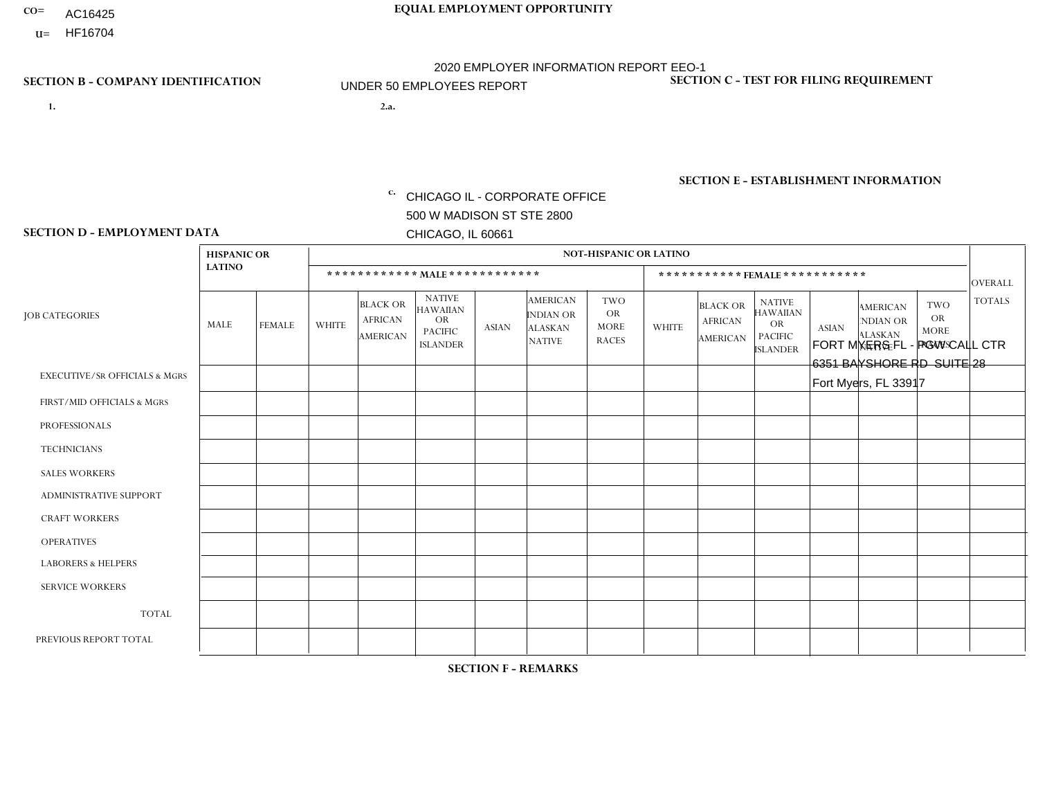- AC16425
- **U=**

- **1. 2.a.** CHICAGO IL CORPORATE OFFICE 500 W MADISON ST STE 2800 CHICAGO, IL 60661
- 2.a. FORT MYERS FL PGW CALL CTR 6351 BAYSHORE RD SUITE 28 Fort Myers, FL 33917

c. EIN= 952920557

## **SECTION B - COMPANY IDENTIFICATION SECTION C - TEST FOR FILING REQUIREMENT**

1- Y 2- Y 3- N DUNS= 000123456

**SECTION E - ESTABLISHMENT INFORMATION c.** NAICS: 811122

### **SECTION D - EMPLOYMENT DATA**

|                                          | <b>HISPANIC OR</b> |                |              |                                                      |                                                                                    |              |                                                                        | <b>NOT-HISPANIC OR LATINO</b>                          |              |                                               |                                                                                    |              |                                                                |                                                        |                |
|------------------------------------------|--------------------|----------------|--------------|------------------------------------------------------|------------------------------------------------------------------------------------|--------------|------------------------------------------------------------------------|--------------------------------------------------------|--------------|-----------------------------------------------|------------------------------------------------------------------------------------|--------------|----------------------------------------------------------------|--------------------------------------------------------|----------------|
|                                          | <b>LATINO</b>      |                |              |                                                      | ************ MAIE************                                                      |              |                                                                        |                                                        |              | ***********FEMALE***********                  |                                                                                    |              |                                                                |                                                        | <b>OVERALL</b> |
| <b>JOB CATEGORIES</b>                    | MALE               | FEMALE         | <b>WHITE</b> | <b>BLACK OR</b><br><b>AFRICAN</b><br><b>AMERICAN</b> | <b>NATIVE</b><br><b>HAWAIIAN</b><br><b>OR</b><br><b>PACIFIC</b><br><b>ISLANDER</b> | <b>ASIAN</b> | <b>AMERICAN</b><br><b>INDIAN OR</b><br><b>ALASKAN</b><br><b>NATIVE</b> | <b>TWO</b><br><b>OR</b><br><b>MORE</b><br><b>RACES</b> | <b>WHITE</b> | <b>BLACK OR</b><br><b>AFRICAN</b><br>AMERICAN | <b>NATIVE</b><br><b>HAWAIIAN</b><br><b>OR</b><br><b>PACIFIC</b><br><b>ISLANDER</b> | <b>ASIAN</b> | <b>AMERICAN</b><br>NDIAN OR<br><b>ALASKAN</b><br><b>NATIVE</b> | <b>TWO</b><br><b>OR</b><br><b>MORE</b><br><b>RACES</b> | <b>TOTALS</b>  |
| <b>EXECUTIVE/SR OFFICIALS &amp; MGRS</b> | $\Omega$           | $\Omega$       |              | $\mathbf 0$                                          | $\Omega$                                                                           | $\mathbf{0}$ | $\Omega$                                                               | $\Omega$                                               | $\Omega$     | $\Omega$                                      | $\Omega$                                                                           | $\Omega$     | $\Omega$                                                       | $\Omega$                                               | $\mathbf{1}$   |
| FIRST/MID OFFICIALS & MGRS               | 0                  | 0              | $\Omega$     | $\mathbf 0$                                          | $\Omega$                                                                           | $\Omega$     | $\Omega$                                                               | $\Omega$                                               |              |                                               | $\Omega$                                                                           | $\Omega$     | $\Omega$                                                       | $\mathbf 0$                                            | $\overline{2}$ |
| <b>PROFESSIONALS</b>                     | $\Omega$           | $\overline{0}$ | $\mathbf 0$  | $\mathbf 0$                                          | $\overline{0}$                                                                     | $\Omega$     | $\Omega$                                                               | $\Omega$                                               | 0            | $\Omega$                                      | $\Omega$                                                                           | $\mathbf 0$  | 0                                                              | $\mathbf 0$                                            | $\mathbf{0}$   |
| <b>TECHNICIANS</b>                       | 0                  | $\mathbf 0$    | $\mathbf 0$  | $\mathbf 0$                                          | $\mathbf 0$                                                                        | $\Omega$     | $\Omega$                                                               | $\Omega$                                               | $\Omega$     | $\Omega$                                      | $\Omega$                                                                           | $\mathbf 0$  | $\Omega$                                                       | $\mathbf 0$                                            | $\mathbf{0}$   |
| <b>SALES WORKERS</b>                     | $\Omega$           | $\mathbf 0$    | $\Omega$     | $\mathbf 0$                                          | $\Omega$                                                                           | $\Omega$     | $\Omega$                                                               | $\Omega$                                               | 0            | $\Omega$                                      | $\Omega$                                                                           | $\Omega$     | $\Omega$                                                       | $\mathbf{0}$                                           | $\mathbf 0$    |
| <b>ADMINISTRATIVE SUPPORT</b>            | 0                  | 4              | 4            | $\mathbf 0$                                          | $\Omega$                                                                           | $\Omega$     | $\Omega$                                                               |                                                        | 18           |                                               | $\Omega$                                                                           | $\mathbf{0}$ | $\mathbf{0}$                                                   | $\mathbf{0}$                                           | 28             |
| <b>CRAFT WORKERS</b>                     | 0                  | $\Omega$       | $\Omega$     | $\mathbf 0$                                          | $\Omega$                                                                           | $\Omega$     | $\Omega$                                                               | $\Omega$                                               | $\Omega$     | $\Omega$                                      | $\Omega$                                                                           | $\Omega$     | $\Omega$                                                       | $\Omega$                                               | $\Omega$       |
| <b>OPERATIVES</b>                        | 0                  | $\Omega$       | $\Omega$     | $\mathbf 0$                                          | $\Omega$                                                                           | $\Omega$     | $\Omega$                                                               | $\Omega$                                               | $\Omega$     | $\Omega$                                      | $\Omega$                                                                           | $\Omega$     | $\Omega$                                                       | $\Omega$                                               | $\mathbf 0$    |
| <b>LABORERS &amp; HELPERS</b>            | 0                  | $\Omega$       | $\Omega$     | $\mathbf 0$                                          | $\Omega$                                                                           | $\Omega$     | $\Omega$                                                               | $\Omega$                                               | 0            | $\Omega$                                      | $\Omega$                                                                           | $\mathbf{0}$ | $\Omega$                                                       | $\Omega$                                               | 0              |
| <b>SERVICE WORKERS</b>                   | 0                  | $\Omega$       | $\mathbf 0$  | 0                                                    | $\mathbf{0}$                                                                       | $\Omega$     | $\Omega$                                                               | $\Omega$                                               | $\Omega$     | $\Omega$                                      | $\Omega$                                                                           | $\Omega$     | $\Omega$                                                       | $\Omega$                                               | 0              |
| <b>TOTAL</b>                             | $\Omega$           | $\overline{4}$ | 5            | 0                                                    | $\mathbf{0}$                                                                       | $\mathbf 0$  | $\Omega$                                                               | -1                                                     | 19           | $\overline{2}$                                | $\Omega$                                                                           | $\mathbf 0$  | 0                                                              | $\mathbf 0$                                            | 31             |
| PREVIOUS REPORT TOTAL                    | $\Omega$           | 5              | 5            | $\mathbf 0$                                          | $\Omega$                                                                           | $\Omega$     | $\Omega$                                                               |                                                        | 21           | $\overline{2}$                                | $\Omega$                                                                           | $\Omega$     | $\Omega$                                                       | 3                                                      | 37             |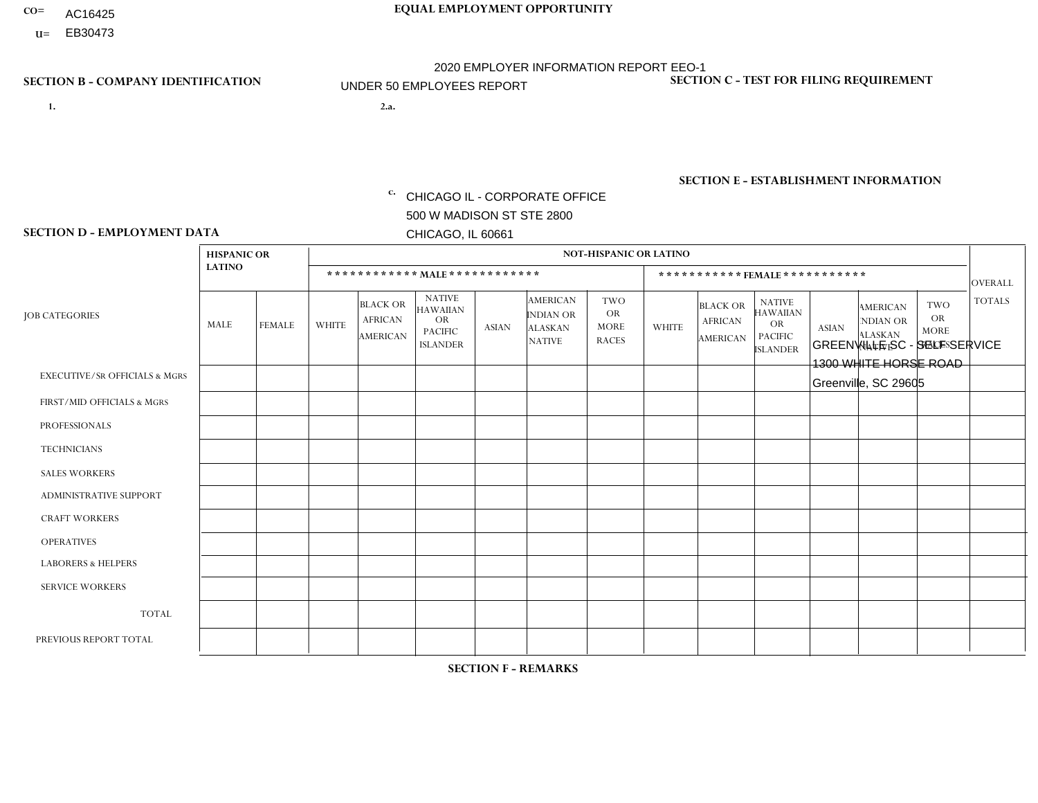- AC16425
- **U=**

**1. 2.a.** CHICAGO IL - CORPORATE OFFICE 500 W MADISON ST STE 2800 CHICAGO, IL 60661

2.a. GREENVILLE SC - SELF SERVICE 1300 WHITE HORSE ROAD Greenville, SC 29605

EIN= 952920557

## **SECTION B - COMPANY IDENTIFICATION SECTION C - TEST FOR FILING REQUIREMENT**

1- Y 2- Y 3- N DUNS= 000123456

**SECTION E - ESTABLISHMENT INFORMATION c.** NAICS: 423140

### **SECTION D - EMPLOYMENT DATA**

|                                          | <b>HISPANIC OR</b> |               |                |                                                      |                                                                                    |              |                                                                 | <b>NOT-HISPANIC OR LATINO</b>                          |                |                                               |                                                                                    |              |                                                                |                                                        |                |
|------------------------------------------|--------------------|---------------|----------------|------------------------------------------------------|------------------------------------------------------------------------------------|--------------|-----------------------------------------------------------------|--------------------------------------------------------|----------------|-----------------------------------------------|------------------------------------------------------------------------------------|--------------|----------------------------------------------------------------|--------------------------------------------------------|----------------|
|                                          | <b>LATINO</b>      |               |                |                                                      | ************ MALE ************                                                     |              |                                                                 |                                                        |                | ***********FEMALE***********                  |                                                                                    |              |                                                                |                                                        | <b>OVERALL</b> |
| <b>JOB CATEGORIES</b>                    | MALE               | <b>FEMALE</b> | <b>WHITE</b>   | <b>BLACK OR</b><br><b>AFRICAN</b><br><b>AMERICAN</b> | <b>NATIVE</b><br><b>HAWAIIAN</b><br><b>OR</b><br><b>PACIFIC</b><br><b>ISLANDER</b> | <b>ASIAN</b> | <b>AMERICAN</b><br>INDIAN OR<br><b>ALASKAN</b><br><b>NATIVE</b> | <b>TWO</b><br><b>OR</b><br><b>MORE</b><br><b>RACES</b> | <b>WHITE</b>   | <b>BLACK OR</b><br><b>AFRICAN</b><br>AMERICAN | <b>NATIVE</b><br><b>HAWAIIAN</b><br><b>OR</b><br><b>PACIFIC</b><br><b>ISLANDER</b> | <b>ASIAN</b> | <b>AMERICAN</b><br>NDIAN OR<br><b>ALASKAN</b><br><b>NATIVE</b> | <b>TWO</b><br><b>OR</b><br><b>MORE</b><br><b>RACES</b> | <b>TOTALS</b>  |
| <b>EXECUTIVE/SR OFFICIALS &amp; MGRS</b> | $\Omega$           | $\Omega$      | $\Omega$       | $\Omega$                                             | $\Omega$                                                                           | $\mathbf{0}$ | $\Omega$                                                        | $\Omega$                                               | 0              | $\Omega$                                      | $\Omega$                                                                           | $\Omega$     | $\Omega$                                                       | $\Omega$                                               | $\Omega$       |
| FIRST/MID OFFICIALS & MGRS               | 0                  | $\Omega$      | $\Omega$       | $\overline{1}$                                       | $\Omega$                                                                           | $\mathbf{0}$ | $\mathbf{0}$                                                    | $\Omega$                                               | 0              | $\Omega$                                      | $\Omega$                                                                           | $\Omega$     | $\Omega$                                                       | $\Omega$                                               | $\mathbf{1}$   |
| <b>PROFESSIONALS</b>                     | 0                  | $\Omega$      | 1              | $\mathbf 0$                                          | $\Omega$                                                                           | $\Omega$     | $\Omega$                                                        | $\Omega$                                               |                | $\Omega$                                      | $\Omega$                                                                           | $\Omega$     | $\Omega$                                                       | $\Omega$                                               | $\overline{2}$ |
| <b>TECHNICIANS</b>                       | 0                  | $\mathbf 0$   | $\Omega$       | $\mathbf 0$                                          | $\mathbf 0$                                                                        | $\Omega$     | $\Omega$                                                        | $\Omega$                                               | $\Omega$       | $\Omega$                                      | $\Omega$                                                                           | $\mathbf 0$  | $\mathbf 0$                                                    | $\mathbf 0$                                            | $\mathbf 0$    |
| <b>SALES WORKERS</b>                     | $\Omega$           | $\Omega$      | $\Omega$       | $\Omega$                                             | $\Omega$                                                                           | $\Omega$     | $\Omega$                                                        | $\Omega$                                               | $\overline{0}$ | $\Omega$                                      | $\Omega$                                                                           | $\Omega$     | $\Omega$                                                       | $\mathbf{0}$                                           | $\Omega$       |
| <b>ADMINISTRATIVE SUPPORT</b>            |                    | $\Omega$      | $\Omega$       | $\mathbf 0$                                          | $\Omega$                                                                           | $\mathbf{0}$ | $\mathbf{0}$                                                    | $\Omega$                                               | 4              |                                               | $\Omega$                                                                           | $\Omega$     | $\mathbf{0}$                                                   | $\Omega$                                               | 6              |
| <b>CRAFT WORKERS</b>                     | 0                  | $\Omega$      | $\mathbf 0$    | $\mathbf 0$                                          | $\Omega$                                                                           | $\Omega$     | $\Omega$                                                        | $\overline{2}$                                         | 0              | $\Omega$                                      | $\Omega$                                                                           | $\mathbf{0}$ | $\Omega$                                                       | $\Omega$                                               | 2              |
| <b>OPERATIVES</b>                        | 0                  | $\Omega$      | $\overline{2}$ | $\overline{4}$                                       | $\mathbf 0$                                                                        | $\Omega$     | $\Omega$                                                        |                                                        | 0              | $\Omega$                                      | $\Omega$                                                                           | $\mathbf 0$  | $\mathbf 0$                                                    | $\mathbf 0$                                            | $\overline{7}$ |
| <b>LABORERS &amp; HELPERS</b>            | 0                  | $\Omega$      | $\Omega$       | $\Omega$                                             | $\Omega$                                                                           | $\Omega$     | $\Omega$                                                        | $\Omega$                                               | 0              | $\Omega$                                      | $\Omega$                                                                           | $\mathbf{0}$ | $\Omega$                                                       | $\mathbf{0}$                                           | $\mathbf 0$    |
| <b>SERVICE WORKERS</b>                   | 0                  | $\Omega$      | $\mathbf 0$    | 0                                                    | 0                                                                                  | $\Omega$     | $\mathbf{0}$                                                    | $\Omega$                                               | $\Omega$       | $\Omega$                                      | $\Omega$                                                                           | 0            | $\Omega$                                                       | $\mathbf 0$                                            | 0              |
| <b>TOTAL</b>                             |                    | $\mathbf 0$   | 3              | 5                                                    | 0                                                                                  | $\mathbf 0$  | $\Omega$                                                        | 3                                                      | 5              | $\overline{\mathbf{A}}$                       | $\Omega$                                                                           | $\mathbf 0$  | 0                                                              | $\mathbf 0$                                            | 18             |
| PREVIOUS REPORT TOTAL                    |                    | $\Omega$      | 6              | 3                                                    | $\Omega$                                                                           | $\Omega$     | $\Omega$                                                        | $\overline{2}$                                         | 6              |                                               | $\Omega$                                                                           | $\Omega$     | $\Omega$                                                       | $\mathbf 0$                                            | 19             |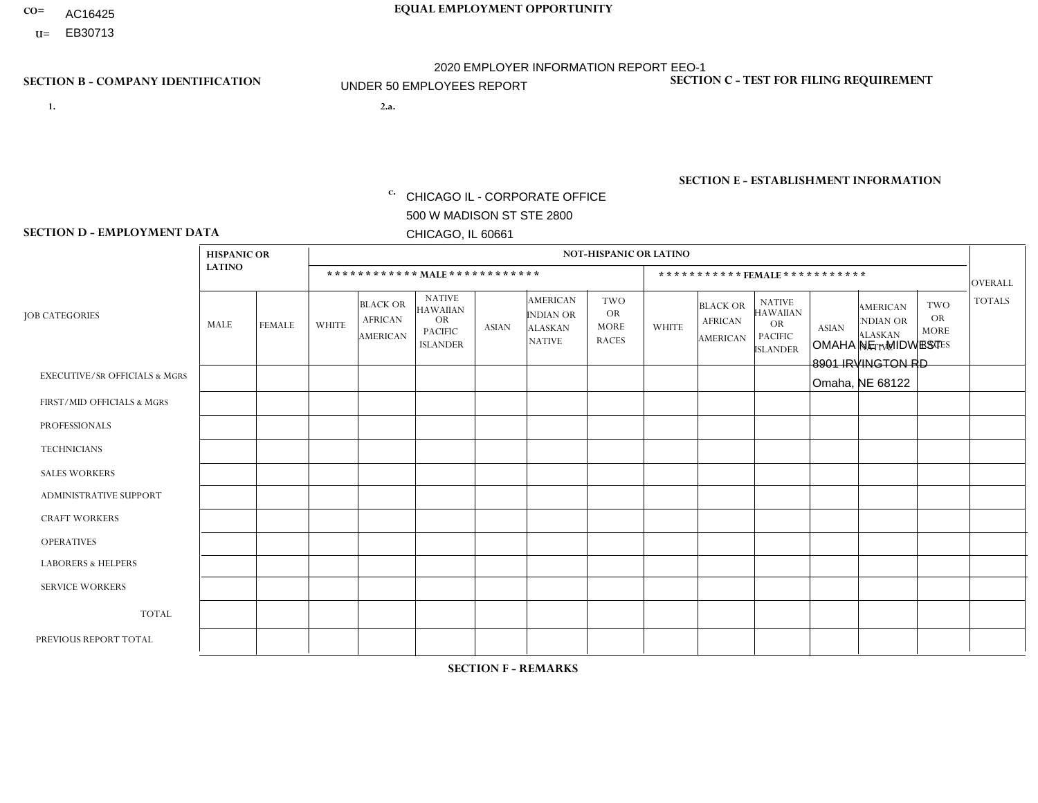- AC16425
- **U=**

**1. 2.a.** CHICAGO IL - CORPORATE OFFICE 500 W MADISON ST STE 2800 CHICAGO, IL 60661

2.a. OMAHA NE - MIDWEST 8901 IRVINGTON RD Omaha, NE 68122

c. EIN= 952920557

## **SECTION B - COMPANY IDENTIFICATION SECTION C - TEST FOR FILING REQUIREMENT**

1- Y 2- Y 3- N DUNS= 000123456

**SECTION E - ESTABLISHMENT INFORMATION c.** NAICS: 423140

### **SECTION D - EMPLOYMENT DATA**

|                                          | <b>HISPANIC OR</b> |             |                |                                                      |                                                                                    |              |                                                                        | <b>NOT-HISPANIC OR LATINO</b>                          |              |                                               |                                                                                    |              |                                                                |                                                        |                |
|------------------------------------------|--------------------|-------------|----------------|------------------------------------------------------|------------------------------------------------------------------------------------|--------------|------------------------------------------------------------------------|--------------------------------------------------------|--------------|-----------------------------------------------|------------------------------------------------------------------------------------|--------------|----------------------------------------------------------------|--------------------------------------------------------|----------------|
|                                          | <b>LATINO</b>      |             |                | ************ MAIE************                        |                                                                                    |              |                                                                        |                                                        |              | ***********FEMALE***********                  |                                                                                    |              |                                                                |                                                        | <b>OVERALL</b> |
| <b>JOB CATEGORIES</b>                    | MALE               | FEMALE      | <b>WHITE</b>   | <b>BLACK OR</b><br><b>AFRICAN</b><br><b>AMERICAN</b> | <b>NATIVE</b><br><b>HAWAIIAN</b><br><b>OR</b><br><b>PACIFIC</b><br><b>ISLANDER</b> | <b>ASIAN</b> | <b>AMERICAN</b><br><b>INDIAN OR</b><br><b>ALASKAN</b><br><b>NATIVE</b> | <b>TWO</b><br><b>OR</b><br><b>MORE</b><br><b>RACES</b> | <b>WHITE</b> | <b>BLACK OR</b><br><b>AFRICAN</b><br>AMERICAN | <b>NATIVE</b><br><b>HAWAIIAN</b><br><b>OR</b><br><b>PACIFIC</b><br><b>ISLANDER</b> | <b>ASIAN</b> | <b>AMERICAN</b><br>NDIAN OR<br><b>ALASKAN</b><br><b>NATIVE</b> | <b>TWO</b><br><b>OR</b><br><b>MORE</b><br><b>RACES</b> | <b>TOTALS</b>  |
| <b>EXECUTIVE/SR OFFICIALS &amp; MGRS</b> | $\Omega$           | $\Omega$    | $\Omega$       | $\mathbf 0$                                          | $\Omega$                                                                           | $\mathbf{0}$ | $\Omega$                                                               | $\Omega$                                               | $\Omega$     | $\Omega$                                      | $\Omega$                                                                           | $\Omega$     | $\Omega$                                                       | $\Omega$                                               | $\Omega$       |
| FIRST/MID OFFICIALS & MGRS               | 0                  | $\mathbf 0$ | $\overline{2}$ | $\mathbf 0$                                          | $\Omega$                                                                           | $\Omega$     | $\Omega$                                                               | $\Omega$                                               | 0            | $\Omega$                                      | $\Omega$                                                                           | $\Omega$     | $\Omega$                                                       | $\mathbf 0$                                            | $\overline{2}$ |
| <b>PROFESSIONALS</b>                     | $\Omega$           | $\mathbf 0$ | 3              | $\mathbf 0$                                          | $\mathbf 0$                                                                        | $\Omega$     | $\Omega$                                                               | $\Omega$                                               | 0            | $\Omega$                                      | $\Omega$                                                                           | $\mathbf 0$  | 0                                                              | $\mathbf 0$                                            | 3              |
| <b>TECHNICIANS</b>                       | 0                  | $\mathbf 0$ | $\Omega$       | $\mathbf 0$                                          | $\mathbf 0$                                                                        | $\Omega$     | $\Omega$                                                               | $\Omega$                                               | $\Omega$     | $\Omega$                                      | $\Omega$                                                                           | $\mathbf 0$  | 0                                                              | $\mathbf 0$                                            | $\mathbf{0}$   |
| <b>SALES WORKERS</b>                     | $\Omega$           | $\mathbf 0$ | $\overline{1}$ | $\mathbf 0$                                          | $\Omega$                                                                           | $\Omega$     | $\Omega$                                                               | $\Omega$                                               | -1           | $\Omega$                                      | $\Omega$                                                                           | $\Omega$     | $\Omega$                                                       | $\Omega$                                               | 2              |
| <b>ADMINISTRATIVE SUPPORT</b>            | 0                  | $\Omega$    | $\overline{2}$ | $\mathbf 0$                                          | $\Omega$                                                                           | $\Omega$     | $\Omega$                                                               | $\Omega$                                               | $\Omega$     | $\Omega$                                      | $\Omega$                                                                           | $\Omega$     | $\mathbf{0}$                                                   | $\Omega$                                               | $\overline{2}$ |
| <b>CRAFT WORKERS</b>                     | $\Omega$           | $\Omega$    | 5              | $\mathbf 0$                                          | $\Omega$                                                                           | $\Omega$     | $\Omega$                                                               | $\Omega$                                               | 0            | $\Omega$                                      | $\Omega$                                                                           | $\Omega$     | $\Omega$                                                       | $\Omega$                                               | 5              |
| <b>OPERATIVES</b>                        | 0                  | $\Omega$    | 3              | $\mathbf 0$                                          | $\Omega$                                                                           | $\Omega$     | $\Omega$                                                               | $\Omega$                                               | $\Omega$     | $\Omega$                                      | $\Omega$                                                                           | $\Omega$     | $\Omega$                                                       | $\Omega$                                               | $\mathbf{3}$   |
| <b>LABORERS &amp; HELPERS</b>            | 0                  | $\Omega$    | 3              | $\mathbf 0$                                          | $\Omega$                                                                           | $\Omega$     | $\Omega$                                                               | $\Omega$                                               | 0            | $\Omega$                                      | $\Omega$                                                                           | $\Omega$     | $\Omega$                                                       | $\Omega$                                               | $\mathbf{3}$   |
| <b>SERVICE WORKERS</b>                   | 0                  | $\Omega$    | $\Omega$       | 0                                                    | $\mathbf{0}$                                                                       | $\Omega$     | $\Omega$                                                               | $\Omega$                                               | $\Omega$     | $\Omega$                                      | $\Omega$                                                                           | $\Omega$     | $\Omega$                                                       | $\Omega$                                               | $\overline{0}$ |
| <b>TOTAL</b>                             | $\Omega$           | 0           | 19             | 0                                                    | $\mathbf{0}$                                                                       | $\mathbf{0}$ | $\Omega$                                                               | $\Omega$                                               | -1           | $\Omega$                                      | $\Omega$                                                                           | $\mathbf 0$  | 0                                                              | $\mathbf 0$                                            | 20             |
| PREVIOUS REPORT TOTAL                    | $\Omega$           | $\Omega$    | 22             | 3                                                    | $\Omega$                                                                           | $\Omega$     | $\Omega$                                                               | $\Omega$                                               | $\Omega$     | $\Omega$                                      | $\Omega$                                                                           | $\Omega$     | $\Omega$                                                       | $\mathbf 0$                                            | 25             |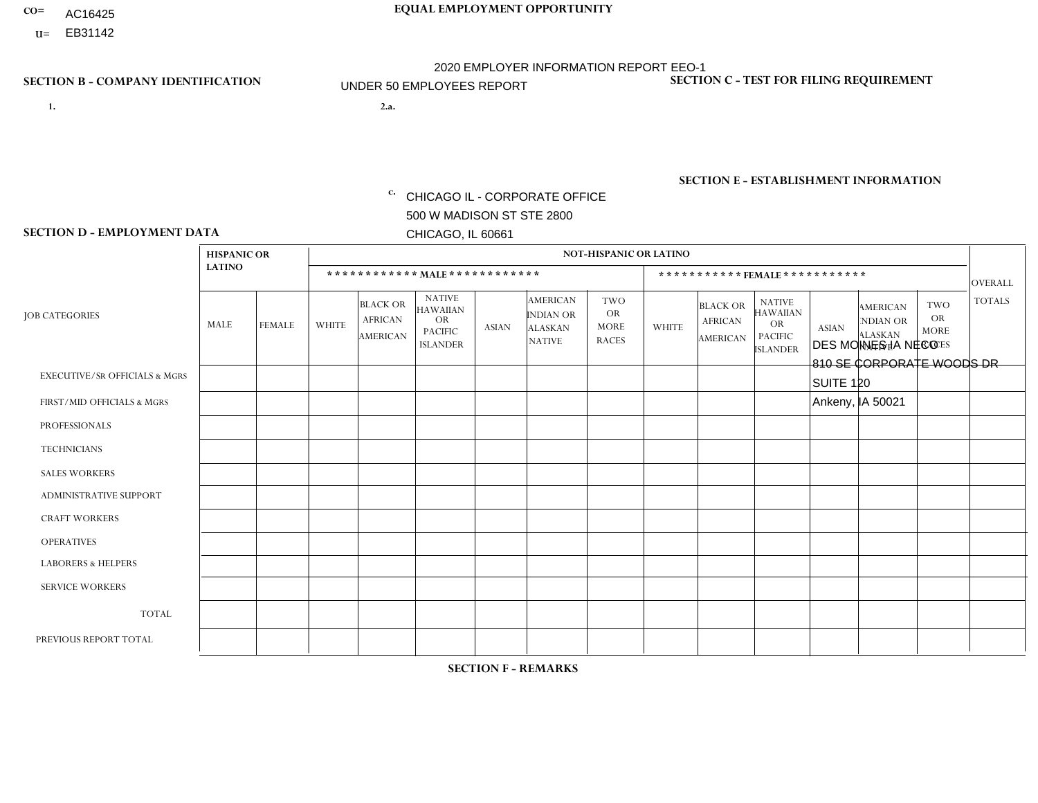- AC16425
- **U=**

- **1. 2.a.** CHICAGO IL CORPORATE OFFICE 500 W MADISON ST STE 2800 CHICAGO, IL 60661
- 2.a. DES MOINES IA NECO 810 SE CORPORATE WOODS DR SUITE 120 Ankeny, IA 50021
	- c. EIN= 952920557

## **SECTION B - COMPANY IDENTIFICATION SECTION C - TEST FOR FILING REQUIREMENT**

1- Y 2- Y 3- N DUNS= 000123456

**SECTION E - ESTABLISHMENT INFORMATION c.** NAICS: 423140

### **SECTION D - EMPLOYMENT DATA**

|                                          | <b>HISPANIC OR</b> |               |                |                                                      |                                                                                    |              |                                                                        | <b>NOT-HISPANIC OR LATINO</b>                   |                |                                                      |                                                                             |              |                                                                       |                                                        |                |
|------------------------------------------|--------------------|---------------|----------------|------------------------------------------------------|------------------------------------------------------------------------------------|--------------|------------------------------------------------------------------------|-------------------------------------------------|----------------|------------------------------------------------------|-----------------------------------------------------------------------------|--------------|-----------------------------------------------------------------------|--------------------------------------------------------|----------------|
|                                          | <b>LATINO</b>      |               |                |                                                      | ************ MALE ************                                                     |              |                                                                        |                                                 |                | ***********FEMALE ***********                        |                                                                             |              |                                                                       |                                                        | <b>OVERALL</b> |
| <b>JOB CATEGORIES</b>                    | MALE               | <b>FEMALE</b> | <b>WHITE</b>   | <b>BLACK OR</b><br><b>AFRICAN</b><br><b>AMERICAN</b> | <b>NATIVE</b><br><b>HAWAIIAN</b><br><b>OR</b><br><b>PACIFIC</b><br><b>ISLANDER</b> | <b>ASIAN</b> | <b>AMERICAN</b><br><b>INDIAN OR</b><br><b>ALASKAN</b><br><b>NATIVE</b> | TWO<br><b>OR</b><br><b>MORE</b><br><b>RACES</b> | <b>WHITE</b>   | <b>BLACK OR</b><br><b>AFRICAN</b><br><b>AMERICAN</b> | <b>NATIVE</b><br><b>HAWAIIAN</b><br>OR<br><b>PACIFIC</b><br><b>ISLANDER</b> | <b>ASIAN</b> | <b>AMERICAN</b><br><b>NDIAN OR</b><br><b>ALASKAN</b><br><b>NATIVE</b> | <b>TWO</b><br><b>OR</b><br><b>MORE</b><br><b>RACES</b> | <b>TOTALS</b>  |
| <b>EXECUTIVE/SR OFFICIALS &amp; MGRS</b> | $\mathbf 0$        | $\mathbf 0$   | $\mathbf 0$    | 0                                                    | $\Omega$                                                                           | $\Omega$     | $\Omega$                                                               | 0                                               | $\Omega$       | $\Omega$                                             | $\Omega$                                                                    | 0            | $\Omega$                                                              | $\Omega$                                               | $\mathbf 0$    |
| FIRST/MID OFFICIALS & MGRS               | $\mathbf 0$        | $\mathbf 0$   | $\overline{4}$ | 0                                                    | 0                                                                                  | $\Omega$     | $\Omega$                                                               | 0                                               | $\Omega$       | $\Omega$                                             | $\Omega$                                                                    | 0            | $\Omega$                                                              | $\mathbf 0$                                            | $\overline{4}$ |
| <b>PROFESSIONALS</b>                     | $\mathbf 0$        | $\mathbf 0$   | $\Omega$       | $\Omega$                                             | $\Omega$                                                                           | $\Omega$     | $\Omega$                                                               | 0                                               | $\Omega$       | $\Omega$                                             | $\Omega$                                                                    | 0            | $\Omega$                                                              | $\Omega$                                               | $\mathbf 0$    |
| <b>TECHNICIANS</b>                       | $\mathbf 0$        | 0             | $\Omega$       | 0                                                    | $\Omega$                                                                           | $\Omega$     | $\Omega$                                                               | 0                                               | $\Omega$       | $\Omega$                                             | $\Omega$                                                                    | $\mathbf 0$  | $\Omega$                                                              | $\mathbf 0$                                            | $\mathbf 0$    |
| <b>SALES WORKERS</b>                     | $\mathbf 0$        | $\mathbf 0$   | 5              | $\Omega$                                             | $\Omega$                                                                           | $\Omega$     | $\Omega$                                                               | $\Omega$                                        | $\Omega$       | $\Omega$                                             | $\Omega$                                                                    | $\mathbf 0$  | $\Omega$                                                              | $\Omega$                                               | 5              |
| <b>ADMINISTRATIVE SUPPORT</b>            | $\mathbf 0$        | $\mathbf 0$   | $\mathbf 0$    | 0                                                    | $\Omega$                                                                           | $\Omega$     | $\Omega$                                                               | 0                                               | $\Omega$       | $\Omega$                                             | $\Omega$                                                                    | $\mathbf 0$  | $\Omega$                                                              | $\mathbf 0$                                            | $\mathbf 0$    |
| <b>CRAFT WORKERS</b>                     | $\Omega$           | $\mathbf 0$   | $\mathbf 0$    | $\Omega$                                             | $\Omega$                                                                           | 0            | $\Omega$                                                               | 0                                               | $\Omega$       | $\Omega$                                             | $\Omega$                                                                    | 0            | $\Omega$                                                              | $\mathbf{0}$                                           | $\Omega$       |
| <b>OPERATIVES</b>                        | $\mathbf 0$        | $\Omega$      | 6              | $\mathbf 0$                                          | $\Omega$                                                                           | $\Omega$     | $\Omega$                                                               | $\Omega$                                        | $\Omega$       | $\Omega$                                             | $\Omega$                                                                    | 0            | $\Omega$                                                              | $\mathbf{0}$                                           | 6              |
| <b>LABORERS &amp; HELPERS</b>            | -1                 | $\mathbf 0$   | $\overline{1}$ | 0                                                    | $\Omega$                                                                           | $\Omega$     | $\Omega$                                                               | $\Omega$                                        | $\Omega$       | $\Omega$                                             | $\Omega$                                                                    | 0            | $\Omega$                                                              | $\mathbf{0}$                                           | $\overline{2}$ |
| <b>SERVICE WORKERS</b>                   | $\mathbf 0$        | $\mathbf 0$   | $\mathbf 0$    | $\mathbf 0$                                          | 0                                                                                  | $\Omega$     | $\Omega$                                                               | 0                                               | $\Omega$       | $\Omega$                                             | $\Omega$                                                                    | 0            | $\Omega$                                                              | $\mathbf 0$                                            | $\mathbf{0}$   |
| <b>TOTAL</b>                             | -1                 | 0             | 16             | 0                                                    | $\mathbf 0$                                                                        | $\Omega$     | $\Omega$                                                               | 0                                               | $\Omega$       | $\Omega$                                             | $\mathbf 0$                                                                 | 0            | $\Omega$                                                              | $\mathbf 0$                                            | 17             |
| PREVIOUS REPORT TOTAL                    | 2                  | $\mathbf 0$   | 17             | $\mathbf 0$                                          | $\Omega$                                                                           | 1            |                                                                        | $\Omega$                                        | $\overline{2}$ | $\Omega$                                             | $\Omega$                                                                    | 0            | $\Omega$                                                              | $\Omega$                                               | 23             |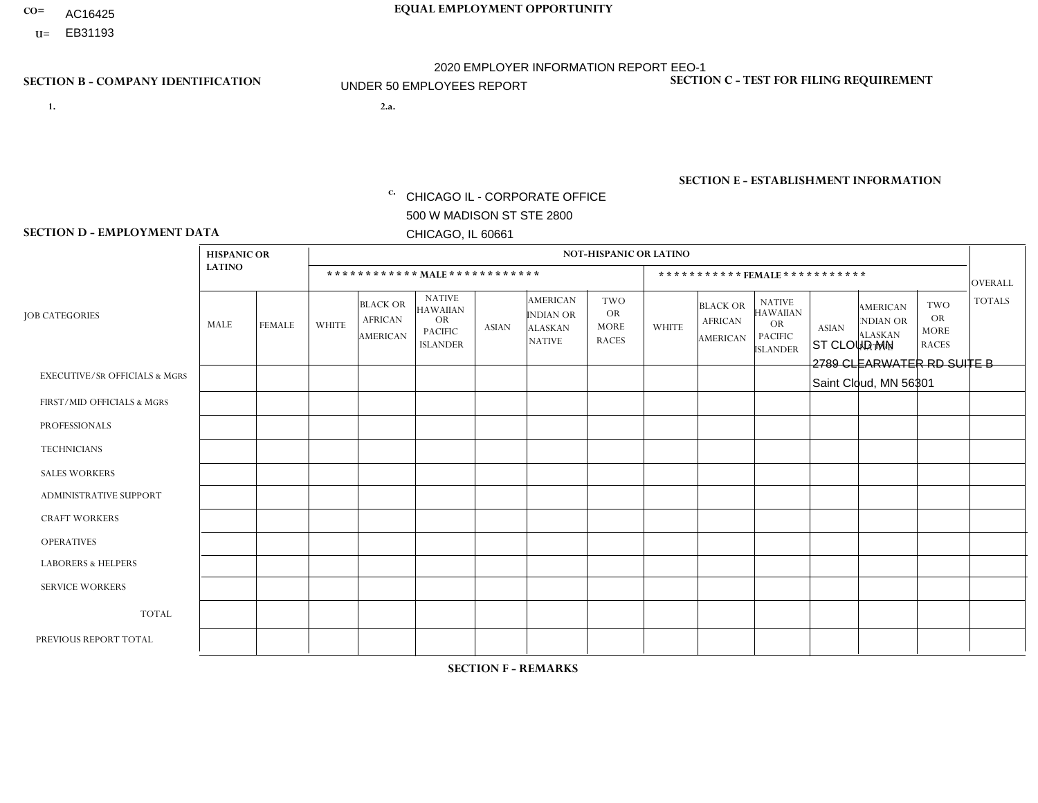- AC16425
- **U=**

- **1. 2.a.** CHICAGO IL CORPORATE OFFICE 500 W MADISON ST STE 2800 CHICAGO, IL 60661
- 2.a. ST CLOUD MN 2789 CLEARWATER RD SUITE B Saint Cloud, MN 56301

EIN= 952920557

## **SECTION B - COMPANY IDENTIFICATION SECTION C - TEST FOR FILING REQUIREMENT**

1- Y 2- Y 3- N DUNS= 000123456

**SECTION E - ESTABLISHMENT INFORMATION c.** NAICS: 423140

### **SECTION D - EMPLOYMENT DATA**

|                                          | <b>HISPANIC OR</b> |                |              |                                                      |                                                                                    |              |                                                                        | <b>NOT-HISPANIC OR LATINO</b>                          |              |                                               |                                                                                    |              |                                                                       |                                                        |                |
|------------------------------------------|--------------------|----------------|--------------|------------------------------------------------------|------------------------------------------------------------------------------------|--------------|------------------------------------------------------------------------|--------------------------------------------------------|--------------|-----------------------------------------------|------------------------------------------------------------------------------------|--------------|-----------------------------------------------------------------------|--------------------------------------------------------|----------------|
|                                          | <b>LATINO</b>      |                |              |                                                      | ************ MALE************                                                      |              |                                                                        |                                                        |              |                                               | ***********FEMALE***********                                                       |              |                                                                       |                                                        | <b>OVERALL</b> |
| <b>JOB CATEGORIES</b>                    | MALE               | <b>FEMALE</b>  | <b>WHITE</b> | <b>BLACK OR</b><br><b>AFRICAN</b><br><b>AMERICAN</b> | <b>NATIVE</b><br><b>HAWAIIAN</b><br><b>OR</b><br><b>PACIFIC</b><br><b>ISLANDER</b> | <b>ASIAN</b> | <b>AMERICAN</b><br><b>INDIAN OR</b><br><b>ALASKAN</b><br><b>NATIVE</b> | <b>TWO</b><br><b>OR</b><br><b>MORE</b><br><b>RACES</b> | <b>WHITE</b> | <b>BLACK OR</b><br><b>AFRICAN</b><br>AMERICAN | <b>NATIVE</b><br><b>HAWAIIAN</b><br><b>OR</b><br><b>PACIFIC</b><br><b>ISLANDER</b> | <b>ASIAN</b> | <b>AMERICAN</b><br><b>NDIAN OR</b><br><b>ALASKAN</b><br><b>NATIVE</b> | <b>TWO</b><br><b>OR</b><br><b>MORE</b><br><b>RACES</b> | <b>TOTALS</b>  |
| <b>EXECUTIVE/SR OFFICIALS &amp; MGRS</b> | $\Omega$           | $\Omega$       | $\Omega$     | $\mathbf 0$                                          | $\Omega$                                                                           | $\mathbf{0}$ | $\mathbf{0}$                                                           | $\Omega$                                               | 0            | $\Omega$                                      | $\Omega$                                                                           | 0            | $\Omega$                                                              | $\mathbf 0$                                            | $\mathbf{0}$   |
| FIRST/MID OFFICIALS & MGRS               | 0                  | $\Omega$       | $\Omega$     | $\mathbf 0$                                          | $\Omega$                                                                           | $\Omega$     | $\Omega$                                                               | $\Omega$                                               | 1            | $\Omega$                                      | $\Omega$                                                                           | $\mathbf{0}$ | $\Omega$                                                              | $\mathbf{0}$                                           | $\mathbf{1}$   |
| <b>PROFESSIONALS</b>                     | 0                  | $\Omega$       | $\Omega$     | $\mathbf 0$                                          | $\Omega$                                                                           | $\Omega$     | $\Omega$                                                               | $\Omega$                                               | 0            | $\Omega$                                      | $\Omega$                                                                           | $\Omega$     | $\Omega$                                                              | $\mathbf{0}$                                           | $\mathbf{0}$   |
| <b>TECHNICIANS</b>                       | $\Omega$           | $\overline{0}$ | $\mathbf 0$  | $\mathbf 0$                                          | $\overline{0}$                                                                     | $\Omega$     | $\Omega$                                                               | $\Omega$                                               | $\Omega$     | $\mathbf 0$                                   | $\Omega$                                                                           | $\mathbf 0$  | $\mathbf 0$                                                           | $\mathbf 0$                                            | $\mathbf{0}$   |
| <b>SALES WORKERS</b>                     | 0                  | $\Omega$       | 6            | $\Omega$                                             | $\Omega$                                                                           | $\Omega$     | $\Omega$                                                               | $\Omega$                                               |              | $\Omega$                                      | $\Omega$                                                                           | $\Omega$     | $\Omega$                                                              | $\Omega$                                               | $\overline{7}$ |
| <b>ADMINISTRATIVE SUPPORT</b>            | $\Omega$           | $\Omega$       | $\Omega$     | $\mathbf 0$                                          | $\Omega$                                                                           | $\Omega$     | $\Omega$                                                               | $\Omega$                                               | $\Omega$     | $\Omega$                                      | $\Omega$                                                                           | $\mathbf{0}$ | $\mathbf{0}$                                                          | $\Omega$                                               | $\mathbf 0$    |
| <b>CRAFT WORKERS</b>                     | 0                  | $\Omega$       | $\Omega$     | $\mathbf 0$                                          | $\Omega$                                                                           | $\Omega$     | $\Omega$                                                               | $\Omega$                                               | 0            | $\Omega$                                      | $\Omega$                                                                           | $\mathbf{0}$ | $\Omega$                                                              | $\Omega$                                               | $\Omega$       |
| <b>OPERATIVES</b>                        | 0                  | $\Omega$       | 3            | $\mathbf 0$                                          | $\Omega$                                                                           | $\Omega$     | $\Omega$                                                               | $\Omega$                                               |              | $\Omega$                                      | $\Omega$                                                                           | $\mathbf{0}$ | $\Omega$                                                              | $\Omega$                                               | $\overline{4}$ |
| <b>LABORERS &amp; HELPERS</b>            | 0                  | $\Omega$       | 3            | $\mathbf 0$                                          | $\Omega$                                                                           | $\Omega$     | $\Omega$                                                               | $\Omega$                                               | 0            | $\Omega$                                      | $\Omega$                                                                           | $\Omega$     | $\Omega$                                                              | $\Omega$                                               | 3              |
| <b>SERVICE WORKERS</b>                   | 0                  | $\mathbf 0$    | $\mathbf 0$  | $\mathbf 0$                                          | $\mathbf 0$                                                                        | $\mathbf 0$  | $\Omega$                                                               | $\Omega$                                               | $\Omega$     | $\Omega$                                      | $\Omega$                                                                           | $\mathbf 0$  | $\Omega$                                                              | $\mathbf 0$                                            | $\mathbf 0$    |
| <b>TOTAL</b>                             | $\Omega$           | 0              | 12           | 0                                                    | 0                                                                                  | $\Omega$     | $\Omega$                                                               | $\Omega$                                               | 3            | $\Omega$                                      | $\Omega$                                                                           | $\mathbf 0$  | 0                                                                     | $\mathbf 0$                                            | 15             |
| PREVIOUS REPORT TOTAL                    | 0                  | $\Omega$       | 13           | $\mathbf 0$                                          | $\Omega$                                                                           | $\Omega$     | $\Omega$                                                               | $\Omega$                                               | 3            | $\Omega$                                      | $\Omega$                                                                           | $\Omega$     | $\Omega$                                                              | $\mathbf 0$                                            | 16             |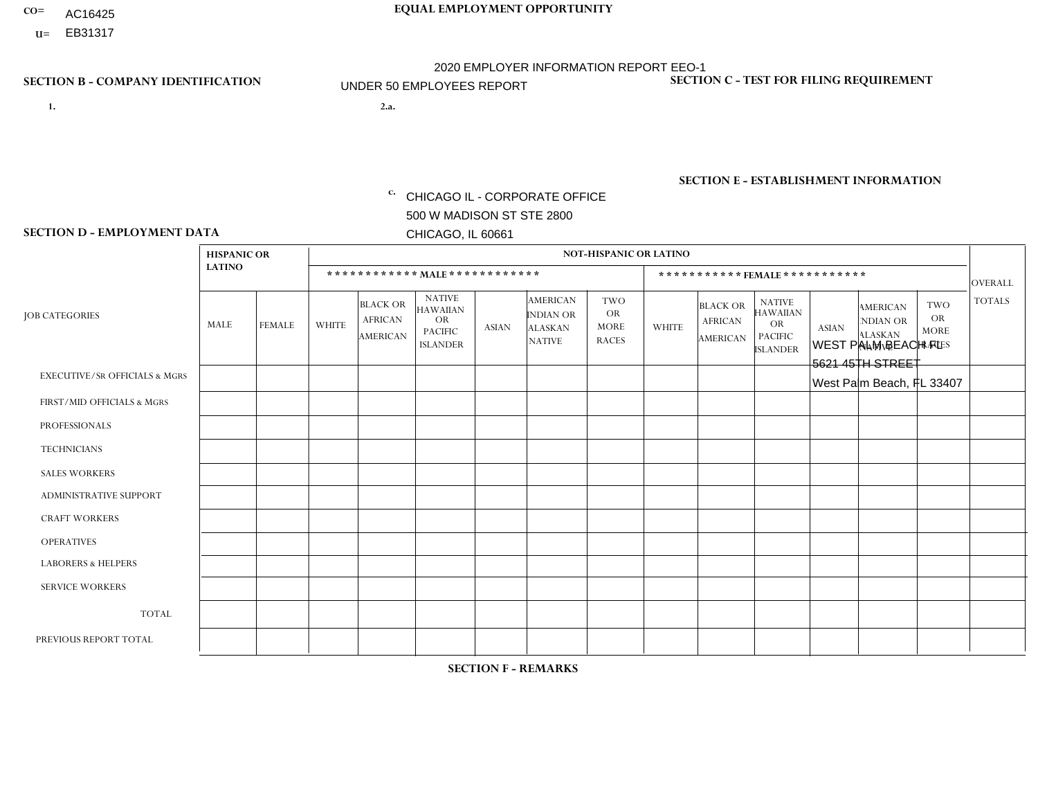- AC16425
- **U=**

**1. 2.a.** CHICAGO IL - CORPORATE OFFICE 500 W MADISON ST STE 2800 CHICAGO, IL 60661

2.a. WEST PALM BEACH FL 5621 45TH STREET West Palm Beach, FL 33407

EIN= 952920557

## **SECTION B - COMPANY IDENTIFICATION SECTION C - TEST FOR FILING REQUIREMENT**

1- Y 2- Y 3- N DUNS= 000123456

**SECTION E - ESTABLISHMENT INFORMATION c.** NAICS: 423140

### **SECTION D - EMPLOYMENT DATA**

|                                          | <b>HISPANIC OR</b> |               |                |                                                      |                                                                                    |              |                                                                        | <b>NOT-HISPANIC OR LATINO</b>                          |                |                                               |                                                                                    |              |                                                                       |                                                        |                 |
|------------------------------------------|--------------------|---------------|----------------|------------------------------------------------------|------------------------------------------------------------------------------------|--------------|------------------------------------------------------------------------|--------------------------------------------------------|----------------|-----------------------------------------------|------------------------------------------------------------------------------------|--------------|-----------------------------------------------------------------------|--------------------------------------------------------|-----------------|
|                                          | <b>LATINO</b>      |               |                | ************ MALE ************                       |                                                                                    |              |                                                                        |                                                        |                | ***********FEMALE***********                  |                                                                                    |              |                                                                       |                                                        | <b>OVERALL</b>  |
| <b>JOB CATEGORIES</b>                    | MALE               | <b>FEMALE</b> | <b>WHITE</b>   | <b>BLACK OR</b><br><b>AFRICAN</b><br><b>AMERICAN</b> | <b>NATIVE</b><br><b>HAWAIIAN</b><br><b>OR</b><br><b>PACIFIC</b><br><b>ISLANDER</b> | ASIAN        | <b>AMERICAN</b><br><b>INDIAN OR</b><br><b>ALASKAN</b><br><b>NATIVE</b> | <b>TWO</b><br><b>OR</b><br><b>MORE</b><br><b>RACES</b> | <b>WHITE</b>   | <b>BLACK OR</b><br><b>AFRICAN</b><br>AMERICAN | <b>NATIVE</b><br><b>HAWAIIAN</b><br><b>OR</b><br><b>PACIFIC</b><br><b>ISLANDER</b> | <b>ASIAN</b> | <b>AMERICAN</b><br><b>NDIAN OR</b><br><b>ALASKAN</b><br><b>NATIVE</b> | <b>TWO</b><br><b>OR</b><br><b>MORE</b><br><b>RACES</b> | <b>TOTALS</b>   |
| <b>EXECUTIVE/SR OFFICIALS &amp; MGRS</b> | $\Omega$           | $\Omega$      | $\Omega$       | $\mathbf 0$                                          | $\Omega$                                                                           | $\mathbf{0}$ | $\Omega$                                                               | $\Omega$                                               | 0              | $\Omega$                                      | $\Omega$                                                                           | $\Omega$     | $\Omega$                                                              | $\mathbf{0}$                                           | $\mathbf{0}$    |
| FIRST/MID OFFICIALS & MGRS               | 0                  | $\Omega$      | 3              | $\mathbf 0$                                          | $\Omega$                                                                           | $\Omega$     | $\Omega$                                                               |                                                        | 0              | $\Omega$                                      | $\Omega$                                                                           | $\Omega$     | $\Omega$                                                              | $\mathbf{0}$                                           | $\overline{4}$  |
| <b>PROFESSIONALS</b>                     | 0                  | $\Omega$      | $\Omega$       | $\mathbf 0$                                          | $\Omega$                                                                           | $\Omega$     | $\Omega$                                                               | $\Omega$                                               | 0              | $\Omega$                                      | $\Omega$                                                                           | $\mathbf{0}$ | $\Omega$                                                              | $\mathbf{0}$                                           | $\mathbf{0}$    |
| <b>TECHNICIANS</b>                       | 0                  | $\mathbf 0$   | $\Omega$       | $\mathbf 0$                                          | $\Omega$                                                                           | $\Omega$     | $\Omega$                                                               | $\Omega$                                               | $\Omega$       | $\Omega$                                      | $\Omega$                                                                           | $\Omega$     | $\Omega$                                                              | $\Omega$                                               | $\mathbf{0}$    |
| <b>SALES WORKERS</b>                     | $\Omega$           | $\Omega$      | $\Omega$       | $\overline{1}$                                       | $\Omega$                                                                           | $\Omega$     | $\Omega$                                                               | $\Omega$                                               | $\Omega$       | $\Omega$                                      | $\Omega$                                                                           | $\Omega$     | $\Omega$                                                              | $\Omega$                                               | $\mathbf{1}$    |
| ADMINISTRATIVE SUPPORT                   | $\Omega$           | $\Omega$      | $\Omega$       | $\Omega$                                             | $\Omega$                                                                           | $\Omega$     | $\Omega$                                                               | $\Omega$                                               |                | $\Omega$                                      | $\Omega$                                                                           | $\Omega$     | $\mathbf{0}$                                                          | $\Omega$                                               | $\mathbf{1}$    |
| <b>CRAFT WORKERS</b>                     | 0                  | $\Omega$      | $\Omega$       | $\mathbf 0$                                          | $\Omega$                                                                           | $\Omega$     | $\Omega$                                                               | $\Omega$                                               | 0              | $\Omega$                                      | $\Omega$                                                                           | $\mathbf{0}$ | $\Omega$                                                              | $\Omega$                                               | $\Omega$        |
| <b>OPERATIVES</b>                        | 0                  | $\Omega$      | $\overline{c}$ | $\overline{2}$                                       | $\Omega$                                                                           | $\Omega$     | $\Omega$                                                               | $\Omega$                                               |                | $\Omega$                                      | $\Omega$                                                                           | $\mathbf{0}$ | $\Omega$                                                              | $\mathbf{0}$                                           | $5\phantom{.0}$ |
| <b>LABORERS &amp; HELPERS</b>            | 0                  | $\Omega$      | $\overline{2}$ | $\overline{1}$                                       | $\Omega$                                                                           | $\Omega$     | $\Omega$                                                               | $\Omega$                                               | 0              | $\Omega$                                      | $\Omega$                                                                           | $\Omega$     | $\Omega$                                                              | $\Omega$                                               | 3               |
| <b>SERVICE WORKERS</b>                   | 0                  | $\mathbf 0$   | $\mathbf 0$    | 0                                                    | 0                                                                                  | $\mathbf 0$  | $\Omega$                                                               | $\Omega$                                               | $\Omega$       | $\Omega$                                      | $\Omega$                                                                           | $\mathbf 0$  | $\Omega$                                                              | $\mathbf 0$                                            | $\mathbf 0$     |
| <b>TOTAL</b>                             | $\Omega$           | 0             | $\overline{7}$ | 4                                                    | 0                                                                                  | $\mathbf 0$  | $\Omega$                                                               |                                                        | $\overline{2}$ | $\Omega$                                      | $\Omega$                                                                           | $\mathbf 0$  | 0                                                                     | $\mathbf 0$                                            | 14              |
| PREVIOUS REPORT TOTAL                    | 0                  | $\Omega$      | 12             | 8                                                    | $\Omega$                                                                           | $\Omega$     | $\Omega$                                                               |                                                        | $\overline{2}$ | $\Omega$                                      | $\Omega$                                                                           | $\Omega$     | $\Omega$                                                              | $\mathbf 0$                                            | 23              |
|                                          |                    |               |                |                                                      |                                                                                    |              |                                                                        |                                                        |                |                                               |                                                                                    |              |                                                                       |                                                        |                 |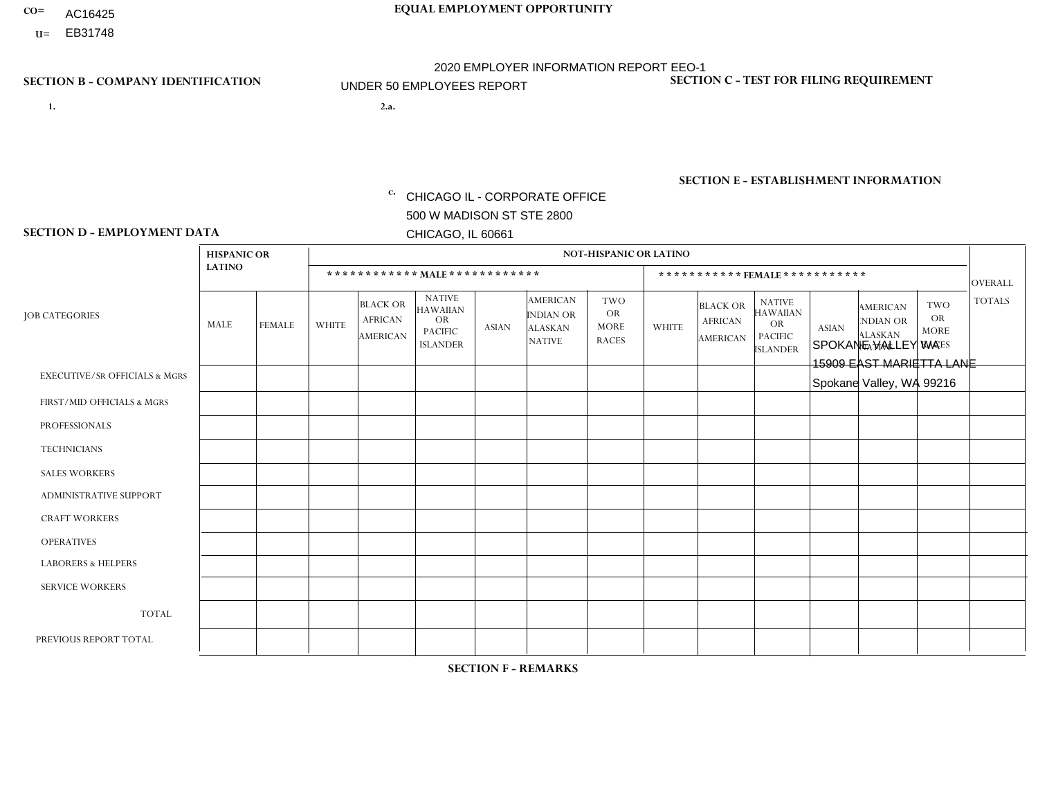- AC16425
- **U=**

- **1. 2.a.** CHICAGO IL CORPORATE OFFICE 500 W MADISON ST STE 2800 CHICAGO, IL 60661
- 2.a. SPOKANE VALLEY WA 15909 EAST MARIETTA LANE Spokane Valley, WA 99216

c. EIN= 952920557

## **SECTION B - COMPANY IDENTIFICATION SECTION C - TEST FOR FILING REQUIREMENT**

1- Y 2- Y 3- N DUNS= 000123456

**SECTION E - ESTABLISHMENT INFORMATION c.** NAICS: 423140

### **SECTION D - EMPLOYMENT DATA**

|                                          | <b>HISPANIC OR</b><br><b>LATINO</b> |               |                |                                                      |                                                                                    |              |                                                                        | <b>NOT-HISPANIC OR LATINO</b>                          |                |                                                      |                                                                                    |              |                                                                       |                                                        |                |
|------------------------------------------|-------------------------------------|---------------|----------------|------------------------------------------------------|------------------------------------------------------------------------------------|--------------|------------------------------------------------------------------------|--------------------------------------------------------|----------------|------------------------------------------------------|------------------------------------------------------------------------------------|--------------|-----------------------------------------------------------------------|--------------------------------------------------------|----------------|
|                                          |                                     |               |                | ************ MALE ************                       |                                                                                    |              |                                                                        |                                                        |                |                                                      | ***********FEMALE***********                                                       |              |                                                                       |                                                        | <b>OVERALL</b> |
| <b>JOB CATEGORIES</b>                    | MALE                                | <b>FEMALE</b> | <b>WHITE</b>   | <b>BLACK OR</b><br><b>AFRICAN</b><br><b>AMERICAN</b> | <b>NATIVE</b><br><b>HAWAIIAN</b><br><b>OR</b><br><b>PACIFIC</b><br><b>ISLANDER</b> | <b>ASIAN</b> | <b>AMERICAN</b><br><b>INDIAN OR</b><br><b>ALASKAN</b><br><b>NATIVE</b> | <b>TWO</b><br><b>OR</b><br><b>MORE</b><br><b>RACES</b> | <b>WHITE</b>   | <b>BLACK OR</b><br><b>AFRICAN</b><br><b>AMERICAN</b> | <b>NATIVE</b><br><b>HAWAIIAN</b><br><b>OR</b><br><b>PACIFIC</b><br><b>ISLANDER</b> | <b>ASIAN</b> | <b>AMERICAN</b><br><b>NDIAN OR</b><br><b>ALASKAN</b><br><b>NATIVE</b> | <b>TWO</b><br><b>OR</b><br><b>MORE</b><br><b>RACES</b> | <b>TOTALS</b>  |
| <b>EXECUTIVE/SR OFFICIALS &amp; MGRS</b> | $\mathbf{0}$                        | $\Omega$      | $\Omega$       | $\Omega$                                             | 0                                                                                  | $\Omega$     | $\Omega$                                                               | $\Omega$                                               | $\Omega$       | $\mathbf{0}$                                         | $\Omega$                                                                           | $\Omega$     | $\Omega$                                                              | $\Omega$                                               | $\Omega$       |
| FIRST/MID OFFICIALS & MGRS               | $\Omega$                            | $\Omega$      | 1              | $\Omega$                                             | $\mathbf 0$                                                                        | $\Omega$     | $\Omega$                                                               |                                                        | $\Omega$       | $\Omega$                                             | $\Omega$                                                                           | $\Omega$     | $\Omega$                                                              | $\Omega$                                               | $\overline{2}$ |
| <b>PROFESSIONALS</b>                     | $\Omega$                            | $\Omega$      | $\mathbf 0$    | $\mathbf 0$                                          | $\overline{0}$                                                                     | $\Omega$     | $\Omega$                                                               | $\Omega$                                               | $\Omega$       | $\Omega$                                             | $\Omega$                                                                           | $\Omega$     | $\Omega$                                                              | $\mathbf{0}$                                           | $\mathbf 0$    |
| <b>TECHNICIANS</b>                       | $\Omega$                            | $\Omega$      | $\Omega$       | $\Omega$                                             | 0                                                                                  | $\Omega$     | $\overline{0}$                                                         | $\Omega$                                               | $\Omega$       | $\Omega$                                             | $\Omega$                                                                           | $\Omega$     | $\mathbf{0}$                                                          | $\Omega$                                               | $\mathbf 0$    |
| <b>SALES WORKERS</b>                     | $\Omega$                            | $\Omega$      | $\Omega$       | $\Omega$                                             | $\Omega$                                                                           | $\Omega$     | $\Omega$                                                               | $\Omega$                                               | 3              | $\Omega$                                             | $\Omega$                                                                           | $\Omega$     | $\Omega$                                                              | $\mathbf{0}$                                           | 3              |
| <b>ADMINISTRATIVE SUPPORT</b>            | $\Omega$                            | $\mathbf 0$   | $\Omega$       | $\mathbf 0$                                          | $\mathbf 0$                                                                        | $\Omega$     | $\Omega$                                                               | $\Omega$                                               | $\Omega$       | $\Omega$                                             | $\Omega$                                                                           | $\Omega$     | $\Omega$                                                              | $\Omega$                                               | $\mathbf 0$    |
| <b>CRAFT WORKERS</b>                     | $\Omega$                            | $\Omega$      | $\Omega$       | 0                                                    | 0                                                                                  | $\Omega$     | $\Omega$                                                               | $\Omega$                                               | $\Omega$       | $\Omega$                                             | $\Omega$                                                                           | $\Omega$     | $\Omega$                                                              | $\Omega$                                               | $\Omega$       |
| <b>OPERATIVES</b>                        | $\Omega$                            | $\Omega$      | 5              | $\mathbf 0$                                          | 0                                                                                  | $\Omega$     | $\Omega$                                                               | $\Omega$                                               | $\mathbf{1}$   | $\Omega$                                             | $\Omega$                                                                           | $\Omega$     | $\Omega$                                                              | $\Omega$                                               | 6              |
| <b>LABORERS &amp; HELPERS</b>            | $\Omega$                            | $\Omega$      | 1              | $\mathbf 0$                                          | 0                                                                                  | $\Omega$     | $\Omega$                                                               |                                                        | $\Omega$       | $\Omega$                                             | $\Omega$                                                                           | $\Omega$     | $\Omega$                                                              | $\Omega$                                               | $\overline{2}$ |
| <b>SERVICE WORKERS</b>                   | $\Omega$                            | $\Omega$      | 0              | 0                                                    | $\mathbf 0$                                                                        | $\Omega$     | $\Omega$                                                               | $\Omega$                                               | $\Omega$       | $\Omega$                                             | $\Omega$                                                                           | $\Omega$     | $\Omega$                                                              | $\Omega$                                               | 0              |
| <b>TOTAL</b>                             | 0                                   | 0             | $\overline{7}$ | 0                                                    | 0                                                                                  | $\mathbf 0$  | $\mathbf{0}$                                                           | 2                                                      | $\overline{4}$ | $\Omega$                                             | $\Omega$                                                                           | $\mathbf 0$  | $\Omega$                                                              | $\Omega$                                               | 13             |
| PREVIOUS REPORT TOTAL                    | $\Omega$                            | $\Omega$      | 6              | $\mathbf 0$                                          | 0                                                                                  | $\Omega$     | $\Omega$                                                               | 3                                                      | 4              | $\Omega$                                             | $\mathbf{0}$                                                                       | $\Omega$     | $\Omega$                                                              | $\mathbf 0$                                            | 13             |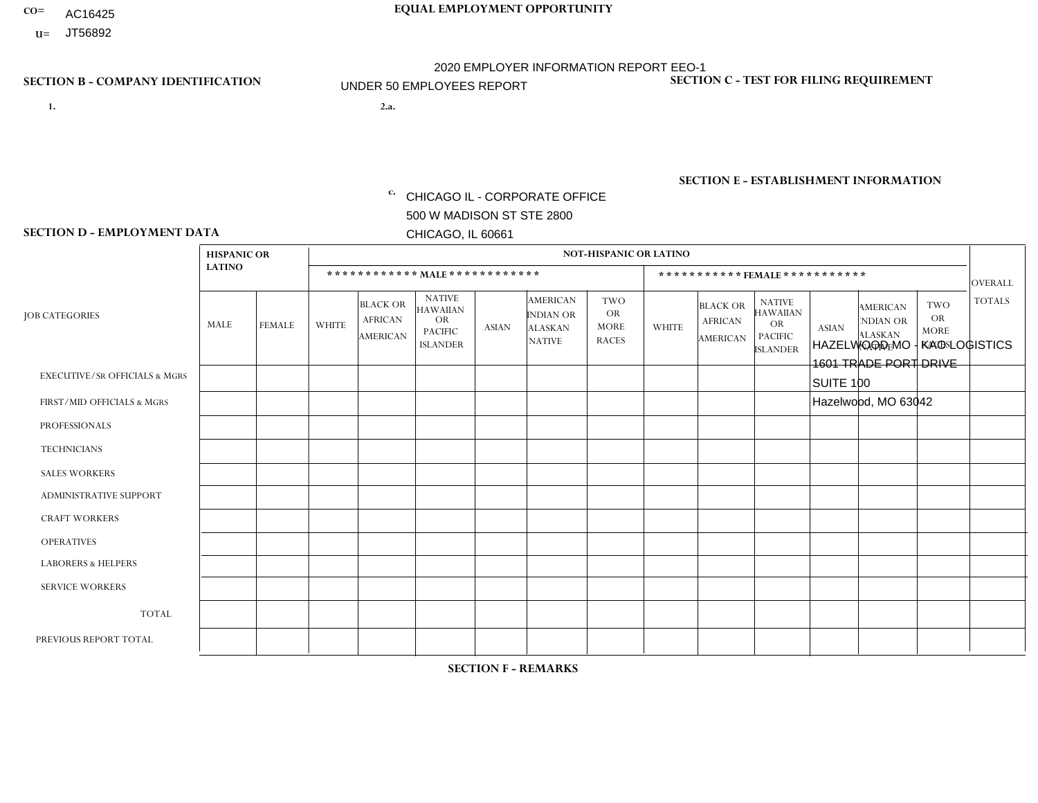- AC16425
- **U=**

**1. 2.a.** CHICAGO IL - CORPORATE OFFICE 500 W MADISON ST STE 2800 CHICAGO, IL 60661

2.a. HAZELWOOD MO - KAO LOGISTICS 1601 TRADE PORT DRIVE SUITE 100 Hazelwood, MO 63042

c. EIN= 952920557

## **SECTION B - COMPANY IDENTIFICATION SECTION C - TEST FOR FILING REQUIREMENT**

1- Y 2- Y 3- N DUNS= 000123456

**SECTION E - ESTABLISHMENT INFORMATION c.** NAICS: 423140

### **SECTION D - EMPLOYMENT DATA**

|                                          | <b>HISPANIC OR</b> |               |              |                                               |                                                                                    |              |                                                                        | <b>NOT-HISPANIC OR LATINO</b>                          |              |                                                      |                                                                             |              |                                                                       |                                                        |                |
|------------------------------------------|--------------------|---------------|--------------|-----------------------------------------------|------------------------------------------------------------------------------------|--------------|------------------------------------------------------------------------|--------------------------------------------------------|--------------|------------------------------------------------------|-----------------------------------------------------------------------------|--------------|-----------------------------------------------------------------------|--------------------------------------------------------|----------------|
|                                          | <b>LATINO</b>      |               |              |                                               | ************ MALE************                                                      |              |                                                                        |                                                        |              | ***********FEMALE***********                         |                                                                             |              |                                                                       |                                                        | <b>OVERALL</b> |
| <b>JOB CATEGORIES</b>                    | MALE               | <b>FEMALE</b> | <b>WHITE</b> | <b>BLACK OR</b><br><b>AFRICAN</b><br>AMERICAN | <b>NATIVE</b><br><b>HAWAIIAN</b><br><b>OR</b><br><b>PACIFIC</b><br><b>ISLANDER</b> | <b>ASIAN</b> | <b>AMERICAN</b><br><b>INDIAN OR</b><br><b>ALASKAN</b><br><b>NATIVE</b> | <b>TWO</b><br><b>OR</b><br><b>MORE</b><br><b>RACES</b> | <b>WHITE</b> | <b>BLACK OR</b><br><b>AFRICAN</b><br><b>AMERICAN</b> | <b>NATIVE</b><br><b>HAWAIIAN</b><br>OR<br><b>PACIFIC</b><br><b>ISLANDER</b> | <b>ASIAN</b> | <b>AMERICAN</b><br><b>NDIAN OR</b><br><b>ALASKAN</b><br><b>NATIVE</b> | <b>TWO</b><br><b>OR</b><br><b>MORE</b><br><b>RACES</b> | <b>TOTALS</b>  |
| <b>EXECUTIVE/SR OFFICIALS &amp; MGRS</b> | $\Omega$           | $\Omega$      | $\mathbf 0$  | $\mathbf 0$                                   | $\mathbf 0$                                                                        | $\Omega$     | $\Omega$                                                               | $\Omega$                                               | $\Omega$     | $\Omega$                                             | $\Omega$                                                                    | $\Omega$     | $\Omega$                                                              | $\Omega$                                               | $\Omega$       |
| FIRST/MID OFFICIALS & MGRS               | 0                  | $\Omega$      | 1            | $\mathbf 0$                                   | $\Omega$                                                                           | $\Omega$     | $\Omega$                                                               | $\Omega$                                               | 0            | $\Omega$                                             | $\Omega$                                                                    | $\Omega$     | $\Omega$                                                              | $\Omega$                                               | $\overline{1}$ |
| <b>PROFESSIONALS</b>                     | 0                  | $\mathbf 0$   | $\mathbf 0$  | $\mathbf 0$                                   | $\mathbf 0$                                                                        | $\Omega$     | $\Omega$                                                               | $\Omega$                                               | 0            | $\Omega$                                             | $\Omega$                                                                    | $\Omega$     | $\Omega$                                                              | $\Omega$                                               | $\mathbf 0$    |
| <b>TECHNICIANS</b>                       | 0                  | $\mathbf 0$   | $\mathbf 0$  | $\mathbf 0$                                   | $\mathbf 0$                                                                        | $\mathbf 0$  | $\Omega$                                                               | $\Omega$                                               | $\Omega$     | 0                                                    | $\Omega$                                                                    | $\mathbf 0$  | $\Omega$                                                              | $\mathbf 0$                                            | $\mathbf 0$    |
| <b>SALES WORKERS</b>                     | 0                  | $\mathbf 0$   | $\mathbf 0$  | $\mathbf 0$                                   | $\mathbf 0$                                                                        | $\mathbf 0$  | $\Omega$                                                               | $\Omega$                                               | $\Omega$     | $\Omega$                                             | $\Omega$                                                                    | $\mathbf 0$  | $\Omega$                                                              | $\Omega$                                               | $\mathbf 0$    |
| <b>ADMINISTRATIVE SUPPORT</b>            | 0                  | $\Omega$      | $\Omega$     | $\Omega$                                      | $\Omega$                                                                           | $\Omega$     | $\Omega$                                                               | $\Omega$                                               | $\Omega$     | $\Omega$                                             | $\Omega$                                                                    | $\Omega$     | $\Omega$                                                              | $\Omega$                                               | $\Omega$       |
| <b>CRAFT WORKERS</b>                     | 0                  | $\Omega$      | $\mathbf 0$  | $\mathbf 0$                                   | $\Omega$                                                                           | $\Omega$     | $\Omega$                                                               | $\Omega$                                               | 0            | $\Omega$                                             | $\Omega$                                                                    | $\Omega$     | $\Omega$                                                              | $\Omega$                                               | $\Omega$       |
| <b>OPERATIVES</b>                        | 0                  | $\Omega$      | 3            | 1                                             | $\Omega$                                                                           | $\Omega$     | $\Omega$                                                               | $\Omega$                                               | $\Omega$     | $\Omega$                                             | $\Omega$                                                                    | $\Omega$     | $\Omega$                                                              | $\Omega$                                               | $\overline{4}$ |
| <b>LABORERS &amp; HELPERS</b>            | 0                  | $\Omega$      | $\mathbf 0$  | 0                                             | 0                                                                                  | $\Omega$     | $\Omega$                                                               | $\Omega$                                               | $\Omega$     | $\Omega$                                             | $\Omega$                                                                    | $\Omega$     | $\Omega$                                                              | $\Omega$                                               | $\mathbf 0$    |
| <b>SERVICE WORKERS</b>                   | 0                  | 0             | $\mathbf 0$  | $\mathbf 0$                                   | 0                                                                                  | 0            | $\Omega$                                                               | $\Omega$                                               | $\Omega$     | $\Omega$                                             | $\Omega$                                                                    | $\mathbf 0$  | $\mathbf 0$                                                           | 0                                                      | $\mathbf 0$    |
| <b>TOTAL</b>                             | 0                  | 0             | 4            | 1                                             | 0                                                                                  | 0            | $\Omega$                                                               | $\Omega$                                               | 0            | $\Omega$                                             | $\mathbf 0$                                                                 | 0            | $\mathbf 0$                                                           | $\mathbf 0$                                            | 5              |
| PREVIOUS REPORT TOTAL                    | 0                  | $\Omega$      | 6            | $\Omega$                                      | $\Omega$                                                                           | $\Omega$     | $\Omega$                                                               | $\Omega$                                               | 0            | $\Omega$                                             | $\Omega$                                                                    | $\Omega$     | $\Omega$                                                              | $\Omega$                                               | 6              |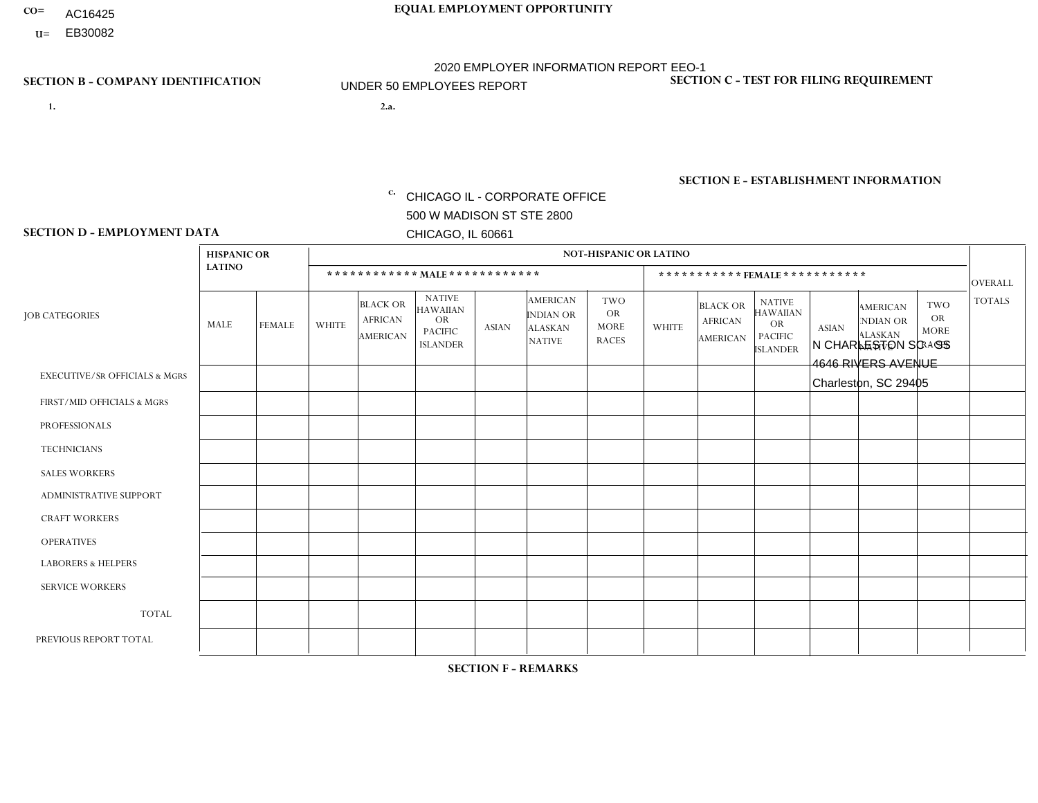- AC16425
- **U=**

**1. 2.a.** CHICAGO IL - CORPORATE OFFICE 500 W MADISON ST STE 2800 CHICAGO, IL 60661

2.a. N CHARLESTON SC - SS 4646 RIVERS AVENUE Charleston, SC 29405

c. EIN= 952920557

## **SECTION B - COMPANY IDENTIFICATION SECTION C - TEST FOR FILING REQUIREMENT**

1- Y 2- Y 3- N DUNS= 000123456

**SECTION E - ESTABLISHMENT INFORMATION c.** NAICS: 423140

### **SECTION D - EMPLOYMENT DATA**

|                                          | <b>HISPANIC OR</b> |               |                |                                                      |                                                                                    |             |                                                                        | <b>NOT-HISPANIC OR LATINO</b>                          |                |                                               |                                                                                    |              |                                                                       |                                                        |                |
|------------------------------------------|--------------------|---------------|----------------|------------------------------------------------------|------------------------------------------------------------------------------------|-------------|------------------------------------------------------------------------|--------------------------------------------------------|----------------|-----------------------------------------------|------------------------------------------------------------------------------------|--------------|-----------------------------------------------------------------------|--------------------------------------------------------|----------------|
|                                          | <b>LATINO</b>      |               |                | ************ MALE ************                       |                                                                                    |             |                                                                        |                                                        |                |                                               | ***********FEMALE***********                                                       |              |                                                                       |                                                        | <b>OVERALL</b> |
| <b>JOB CATEGORIES</b>                    | MALE               | <b>FEMALE</b> | <b>WHITE</b>   | <b>BLACK OR</b><br><b>AFRICAN</b><br><b>AMERICAN</b> | <b>NATIVE</b><br><b>HAWAIIAN</b><br><b>OR</b><br><b>PACIFIC</b><br><b>ISLANDER</b> | ASIAN       | <b>AMERICAN</b><br><b>INDIAN OR</b><br><b>ALASKAN</b><br><b>NATIVE</b> | <b>TWO</b><br><b>OR</b><br><b>MORE</b><br><b>RACES</b> | <b>WHITE</b>   | <b>BLACK OR</b><br><b>AFRICAN</b><br>AMERICAN | <b>NATIVE</b><br><b>HAWAIIAN</b><br><b>OR</b><br><b>PACIFIC</b><br><b>ISLANDER</b> | <b>ASIAN</b> | <b>AMERICAN</b><br><b>NDIAN OR</b><br><b>ALASKAN</b><br><b>NATIVE</b> | <b>TWO</b><br><b>OR</b><br><b>MORE</b><br><b>RACES</b> | <b>TOTALS</b>  |
| <b>EXECUTIVE/SR OFFICIALS &amp; MGRS</b> | $\Omega$           | $\mathbf 0$   | $\Omega$       | $\mathbf 0$                                          | $\mathbf 0$                                                                        | $\mathbf 0$ | $\Omega$                                                               | $\Omega$                                               | $\Omega$       | $\Omega$                                      | $\Omega$                                                                           | $\Omega$     | $\Omega$                                                              | $\Omega$                                               | $\mathbf 0$    |
| FIRST/MID OFFICIALS & MGRS               | $\Omega$           | 0             | $\overline{c}$ | $\mathbf 0$                                          | $\mathbf{0}$                                                                       | $\mathbf 0$ | $\Omega$                                                               | $\Omega$                                               | $\Omega$       | $\Omega$                                      | $\Omega$                                                                           | $\Omega$     | $\Omega$                                                              | $\Omega$                                               | $\overline{2}$ |
| <b>PROFESSIONALS</b>                     | $\Omega$           | $\Omega$      | $\Omega$       | $\mathbf{1}$                                         | $\Omega$                                                                           | $\Omega$    | $\Omega$                                                               | $\Omega$                                               | $\Omega$       | $\Omega$                                      | $\Omega$                                                                           | $\Omega$     | $\Omega$                                                              | $\mathbf{0}$                                           | $\mathbf{1}$   |
| <b>TECHNICIANS</b>                       | $\Omega$           | $\mathbf 0$   | $\Omega$       | $\mathbf 0$                                          | $\mathbf{0}$                                                                       | $\Omega$    | $\overline{0}$                                                         | $\Omega$                                               | $\mathbf{0}$   | $\Omega$                                      | $\Omega$                                                                           | $\Omega$     | $\Omega$                                                              | $\Omega$                                               | $\mathbf 0$    |
| <b>SALES WORKERS</b>                     | $\Omega$           | $\Omega$      | $\Omega$       | $\mathbf 0$                                          | 0                                                                                  | $\Omega$    | $\Omega$                                                               | $\Omega$                                               | $\Omega$       | $\Omega$                                      | $\Omega$                                                                           | $\Omega$     | $\Omega$                                                              | $\mathbf{0}$                                           | $\mathbf 0$    |
| <b>ADMINISTRATIVE SUPPORT</b>            | $\Omega$           | $\mathbf 0$   | 1              | $\mathbf{1}$                                         | $\mathbf{0}$                                                                       | $\mathbf 0$ | $\Omega$                                                               | $\Omega$                                               | $\overline{2}$ | $\Omega$                                      | $\Omega$                                                                           | $\Omega$     | $\Omega$                                                              | $\mathbf 0$                                            | $\overline{4}$ |
| <b>CRAFT WORKERS</b>                     | $\Omega$           | $\Omega$      | $\Omega$       | $\mathbf 0$                                          | 0                                                                                  | $\Omega$    | $\Omega$                                                               | $\Omega$                                               | $\Omega$       | $\Omega$                                      | $\mathbf{0}$                                                                       | $\Omega$     | $\Omega$                                                              | $\Omega$                                               | $\Omega$       |
| <b>OPERATIVES</b>                        | $\Omega$           | $\Omega$      | $\Omega$       | 4                                                    | $\Omega$                                                                           | $\Omega$    | $\Omega$                                                               | $\Omega$                                               | $\Omega$       | $\Omega$                                      | $\Omega$                                                                           | $\Omega$     | $\Omega$                                                              | $\Omega$                                               | 4              |
| <b>LABORERS &amp; HELPERS</b>            | $\Omega$           | $\Omega$      | 1              | $\mathbf 0$                                          | 0                                                                                  | $\mathbf 0$ | $\Omega$                                                               |                                                        | $\Omega$       | $\Omega$                                      | $\mathbf{0}$                                                                       | $\Omega$     | $\Omega$                                                              | $\mathbf{0}$                                           | $\overline{2}$ |
| <b>SERVICE WORKERS</b>                   | $\Omega$           | $\mathbf 0$   | 0              | $\mathbf 0$                                          | $\mathbf 0$                                                                        | $\mathbf 0$ | $\Omega$                                                               | $\Omega$                                               | $\Omega$       | $\Omega$                                      | $\Omega$                                                                           | $\mathbf 0$  | $\Omega$                                                              | $\mathbf 0$                                            | 0              |
| <b>TOTAL</b>                             | $\Omega$           | $\mathbf 0$   | 4              | 6                                                    | 0                                                                                  | $\mathbf 0$ | $\Omega$                                                               |                                                        | $\overline{2}$ | $\Omega$                                      | $\Omega$                                                                           | $\mathbf 0$  | $\Omega$                                                              | $\Omega$                                               | 13             |
| PREVIOUS REPORT TOTAL                    |                    | 0             | 5              | 5                                                    | $\mathbf 0$                                                                        | $\Omega$    | $\Omega$                                                               | $\overline{2}$                                         | 3              | $\Omega$                                      | $\mathbf{0}$                                                                       | $\Omega$     | $\Omega$                                                              | $\Omega$                                               | 16             |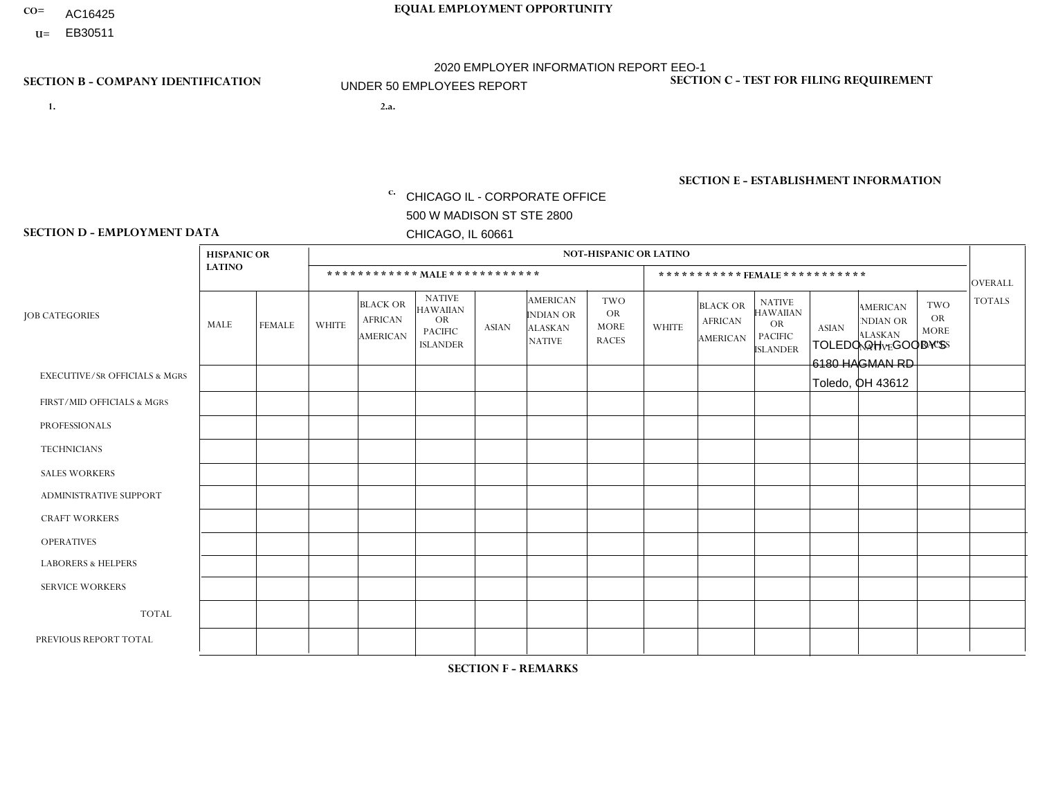- AC16425
- **U=**

**1. 2.a.** CHICAGO IL - CORPORATE OFFICE 500 W MADISON ST STE 2800 CHICAGO, IL 60661

2.a. TOLEDO OH - GOODY'S 6180 HAGMAN RD Toledo, OH 43612

c. EIN= 952920557

## **SECTION B - COMPANY IDENTIFICATION SECTION C - TEST FOR FILING REQUIREMENT**

1- Y 2- Y 3- N DUNS= 000123456

**SECTION E - ESTABLISHMENT INFORMATION c.** NAICS: 423140

### **SECTION D - EMPLOYMENT DATA**

|                                          | <b>HISPANIC OR</b> |                |                |                                                      |                                                                                    |          |                                                                        | <b>NOT-HISPANIC OR LATINO</b>                          |                |                                               |                                                                                    |              |                                                                       |                                                        |                |
|------------------------------------------|--------------------|----------------|----------------|------------------------------------------------------|------------------------------------------------------------------------------------|----------|------------------------------------------------------------------------|--------------------------------------------------------|----------------|-----------------------------------------------|------------------------------------------------------------------------------------|--------------|-----------------------------------------------------------------------|--------------------------------------------------------|----------------|
|                                          | <b>LATINO</b>      |                |                |                                                      | ************ MALE ************                                                     |          |                                                                        |                                                        |                | *********** FEMALE ***********                |                                                                                    |              |                                                                       |                                                        | <b>OVERALL</b> |
| <b>JOB CATEGORIES</b>                    | MALE               | <b>FEMALE</b>  | <b>WHITE</b>   | <b>BLACK OR</b><br><b>AFRICAN</b><br><b>AMERICAN</b> | <b>NATIVE</b><br><b>HAWAIIAN</b><br><b>OR</b><br><b>PACIFIC</b><br><b>ISLANDER</b> | ASIAN    | <b>AMERICAN</b><br><b>INDIAN OR</b><br><b>ALASKAN</b><br><b>NATIVE</b> | <b>TWO</b><br><b>OR</b><br><b>MORE</b><br><b>RACES</b> | <b>WHITE</b>   | <b>BLACK OR</b><br><b>AFRICAN</b><br>AMERICAN | <b>NATIVE</b><br><b>HAWAIIAN</b><br><b>OR</b><br><b>PACIFIC</b><br><b>ISLANDER</b> | <b>ASIAN</b> | <b>AMERICAN</b><br><b>NDIAN OR</b><br><b>ALASKAN</b><br><b>NATIVE</b> | <b>TWO</b><br><b>OR</b><br><b>MORE</b><br><b>RACES</b> | <b>TOTALS</b>  |
| <b>EXECUTIVE/SR OFFICIALS &amp; MGRS</b> | $\Omega$           | $\Omega$       | $\mathbf 0$    | $\mathbf 0$                                          | 0                                                                                  | $\Omega$ | $\Omega$                                                               | $\Omega$                                               | $\Omega$       | $\Omega$                                      | $\Omega$                                                                           | $\mathbf 0$  | $\Omega$                                                              | $\mathbf 0$                                            | $\mathbf 0$    |
| FIRST/MID OFFICIALS & MGRS               | 0                  | $\Omega$       | $\overline{7}$ | $\mathbf 0$                                          | $\Omega$                                                                           | $\Omega$ | $\Omega$                                                               | $\Omega$                                               | 1              | $\Omega$                                      | $\Omega$                                                                           | $\mathbf{0}$ | $\Omega$                                                              | $\mathbf{0}$                                           | 8              |
| <b>PROFESSIONALS</b>                     |                    | $\mathbf 0$    | 1              | $\mathbf 0$                                          | $\Omega$                                                                           | $\Omega$ | $\Omega$                                                               | $\Omega$                                               | $\Omega$       | $\Omega$                                      | $\Omega$                                                                           | $\Omega$     | $\Omega$                                                              | $\Omega$                                               | $\overline{2}$ |
| <b>TECHNICIANS</b>                       | 0                  | $\mathbf{0}$   | $\Omega$       | $\mathbf 0$                                          | $\Omega$                                                                           | $\Omega$ | $\Omega$                                                               | $\Omega$                                               | 0              | $\Omega$                                      | $\Omega$                                                                           | $\mathbf 0$  | $\Omega$                                                              | $\Omega$                                               | $\overline{0}$ |
| <b>SALES WORKERS</b>                     | $\Omega$           | $\overline{0}$ | 3              | $\mathbf 0$                                          | $\Omega$                                                                           | $\Omega$ | $\Omega$                                                               | $\Omega$                                               | $\overline{1}$ | $\Omega$                                      | $\Omega$                                                                           | $\mathbf 0$  | $\Omega$                                                              | $\Omega$                                               | $\overline{4}$ |
| ADMINISTRATIVE SUPPORT                   | $\Omega$           | $\Omega$       | $\Omega$       | $\mathbf 0$                                          | $\Omega$                                                                           | $\Omega$ | $\Omega$                                                               | $\Omega$                                               | $\overline{1}$ | $\Omega$                                      | $\Omega$                                                                           | $\Omega$     | $\Omega$                                                              | $\Omega$                                               | $\mathbf{1}$   |
| <b>CRAFT WORKERS</b>                     |                    | $\mathbf 0$    | 13             | $\mathbf 0$                                          | 0                                                                                  | $\Omega$ | $\Omega$                                                               | $\Omega$                                               | $\Omega$       | $\Omega$                                      | $\Omega$                                                                           | $\Omega$     | $\mathbf{0}$                                                          | $\mathbf 0$                                            | 14             |
| <b>OPERATIVES</b>                        | 0                  | 0              | -1             | $\mathbf 0$                                          | 0                                                                                  | $\Omega$ | $\Omega$                                                               | $\Omega$                                               | 0              | $\Omega$                                      | $\Omega$                                                                           | $\Omega$     | $\Omega$                                                              | $\mathbf 0$                                            | $\mathbf{1}$   |
| <b>LABORERS &amp; HELPERS</b>            | 0                  | $\Omega$       | $\overline{2}$ | $\mathbf 0$                                          | $\Omega$                                                                           | $\Omega$ | $\Omega$                                                               |                                                        | $\Omega$       | $\Omega$                                      | $\Omega$                                                                           | $\Omega$     | $\Omega$                                                              | $\Omega$                                               | 3              |
| <b>SERVICE WORKERS</b>                   | 0                  | $\Omega$       | $\Omega$       | $\mathbf 0$                                          | $\Omega$                                                                           | $\Omega$ | $\Omega$                                                               | $\Omega$                                               | 0              | $\Omega$                                      | $\Omega$                                                                           | $\Omega$     | $\Omega$                                                              | $\Omega$                                               | $\mathbf 0$    |
| <b>TOTAL</b>                             | $\overline{2}$     | $\mathbf 0$    | 27             | 0                                                    | 0                                                                                  | $\Omega$ | $\Omega$                                                               |                                                        | 3              | $\Omega$                                      | $\Omega$                                                                           | $\mathbf 0$  | $\Omega$                                                              | $\Omega$                                               | 33             |
| PREVIOUS REPORT TOTAL                    | 2                  | $\overline{0}$ | 30             | $\mathbf 0$                                          | $\mathbf{0}$                                                                       | $\Omega$ | $\Omega$                                                               | 2                                                      | 4              | $\Omega$                                      | $\Omega$                                                                           | $\mathbf{0}$ | 0                                                                     | $\mathbf 0$                                            | 38             |
|                                          |                    |                |                |                                                      |                                                                                    |          |                                                                        |                                                        |                |                                               |                                                                                    |              |                                                                       |                                                        |                |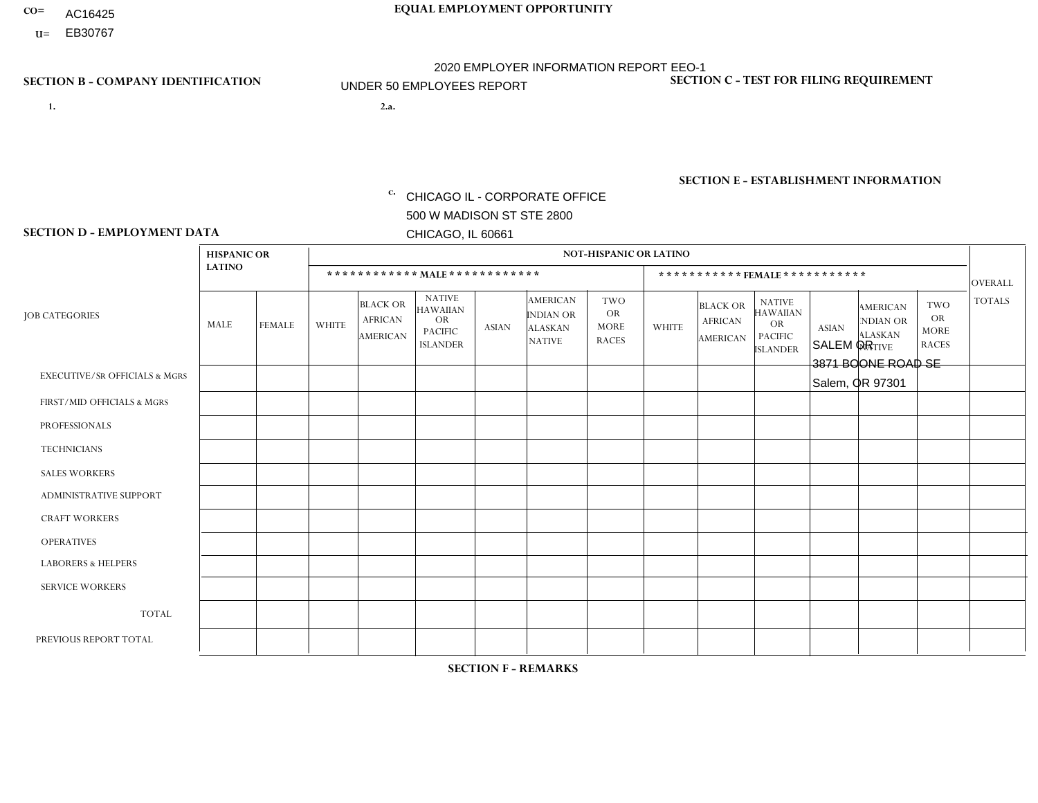- AC16425
- **U=**

- **1. 2.a.** CHICAGO IL CORPORATE OFFICE 500 W MADISON ST STE 2800 CHICAGO, IL 60661
- 2.a. SALEM OR 3871 BOONE ROAD SE Salem, OR 97301

c. EIN= 952920557

## **SECTION B - COMPANY IDENTIFICATION SECTION C - TEST FOR FILING REQUIREMENT**

1- Y 2- Y 3- N DUNS= 000123456

**SECTION E - ESTABLISHMENT INFORMATION c.** NAICS: 423140

### **SECTION D - EMPLOYMENT DATA**

|                                          | <b>HISPANIC OR</b> |               |                |                                                      |                                                                                    |              |                                                                        | <b>NOT-HISPANIC OR LATINO</b>                          |                |                                               |                                                                                    |              |                                                                       |                                                        |                |
|------------------------------------------|--------------------|---------------|----------------|------------------------------------------------------|------------------------------------------------------------------------------------|--------------|------------------------------------------------------------------------|--------------------------------------------------------|----------------|-----------------------------------------------|------------------------------------------------------------------------------------|--------------|-----------------------------------------------------------------------|--------------------------------------------------------|----------------|
|                                          | <b>LATINO</b>      |               |                | ************ MALE ************                       |                                                                                    |              |                                                                        |                                                        |                |                                               | ***********FEMALE***********                                                       |              |                                                                       |                                                        | <b>OVERALL</b> |
| <b>JOB CATEGORIES</b>                    | MALE               | <b>FEMALE</b> | <b>WHITE</b>   | <b>BLACK OR</b><br><b>AFRICAN</b><br><b>AMERICAN</b> | <b>NATIVE</b><br><b>HAWAIIAN</b><br><b>OR</b><br><b>PACIFIC</b><br><b>ISLANDER</b> | ASIAN        | <b>AMERICAN</b><br><b>INDIAN OR</b><br><b>ALASKAN</b><br><b>NATIVE</b> | <b>TWO</b><br><b>OR</b><br><b>MORE</b><br><b>RACES</b> | <b>WHITE</b>   | <b>BLACK OR</b><br><b>AFRICAN</b><br>AMERICAN | <b>NATIVE</b><br><b>HAWAIIAN</b><br><b>OR</b><br><b>PACIFIC</b><br><b>ISLANDER</b> | <b>ASIAN</b> | <b>AMERICAN</b><br><b>NDIAN OR</b><br><b>ALASKAN</b><br><b>NATIVE</b> | <b>TWO</b><br><b>OR</b><br><b>MORE</b><br><b>RACES</b> | <b>TOTALS</b>  |
| <b>EXECUTIVE/SR OFFICIALS &amp; MGRS</b> | $\Omega$           | $\mathbf 0$   | $\Omega$       | $\mathbf 0$                                          | $\mathbf 0$                                                                        | $\mathbf 0$  | $\Omega$                                                               | $\Omega$                                               | $\Omega$       | $\Omega$                                      | $\Omega$                                                                           | $\Omega$     | $\Omega$                                                              | $\Omega$                                               | $\mathbf 0$    |
| FIRST/MID OFFICIALS & MGRS               | $\Omega$           | 0             | $\mathbf 0$    | $\mathbf 0$                                          | $\mathbf{0}$                                                                       | $\mathbf 0$  | $\Omega$                                                               |                                                        | $\Omega$       | $\Omega$                                      | $\Omega$                                                                           | $\Omega$     | $\Omega$                                                              | $\Omega$                                               | $\mathbf{1}$   |
| <b>PROFESSIONALS</b>                     | $\Omega$           | $\Omega$      | $\Omega$       | $\mathbf 0$                                          | $\Omega$                                                                           | $\Omega$     | $\Omega$                                                               | $\Omega$                                               | $\Omega$       | $\Omega$                                      | $\Omega$                                                                           | $\Omega$     | $\Omega$                                                              | $\mathbf{0}$                                           | $\mathbf 0$    |
| <b>TECHNICIANS</b>                       | $\Omega$           | $\mathbf 0$   | $\Omega$       | $\mathbf 0$                                          | $\mathbf 0$                                                                        | $\Omega$     | $\overline{0}$                                                         | $\Omega$                                               | $\mathbf{0}$   | $\Omega$                                      | $\Omega$                                                                           | $\Omega$     | $\Omega$                                                              | $\Omega$                                               | $\mathbf 0$    |
| <b>SALES WORKERS</b>                     | $\overline{1}$     | $\Omega$      | $\overline{2}$ | $\mathbf 0$                                          | 0                                                                                  | $\Omega$     | $\Omega$                                                               | $\Omega$                                               | $\Omega$       | $\Omega$                                      | $\Omega$                                                                           | $\Omega$     | $\Omega$                                                              | $\mathbf{0}$                                           | 3              |
| <b>ADMINISTRATIVE SUPPORT</b>            | $\Omega$           | $\mathbf 0$   | $\mathbf 0$    | $\mathbf 0$                                          | $\mathbf 0$                                                                        | $\mathbf 0$  | $\Omega$                                                               | $\Omega$                                               | 0              | $\Omega$                                      | $\Omega$                                                                           | $\Omega$     | $\Omega$                                                              | $\mathbf 0$                                            | $\mathbf 0$    |
| <b>CRAFT WORKERS</b>                     |                    | $\Omega$      | $\Omega$       | $\mathbf 0$                                          | 0                                                                                  | $\Omega$     | $\Omega$                                                               | $\Omega$                                               | $\Omega$       | $\Omega$                                      | $\mathbf{0}$                                                                       | $\Omega$     | $\Omega$                                                              | $\Omega$                                               | $\mathbf{1}$   |
| <b>OPERATIVES</b>                        | 3                  | $\Omega$      | 3              | 0                                                    | $\Omega$                                                                           | $\Omega$     | $\Omega$                                                               | $\Omega$                                               | $\Omega$       | $\Omega$                                      | $\Omega$                                                                           | $\Omega$     | $\Omega$                                                              | $\Omega$                                               | 6              |
| <b>LABORERS &amp; HELPERS</b>            | $\Omega$           | $\Omega$      | $\mathbf 0$    | $\mathbf 0$                                          | 0                                                                                  | $\Omega$     | $\Omega$                                                               | $\Omega$                                               | $\Omega$       | $\Omega$                                      | $\mathbf{0}$                                                                       | $\Omega$     | $\Omega$                                                              | $\mathbf{0}$                                           | 0              |
| <b>SERVICE WORKERS</b>                   | $\Omega$           | $\mathbf 0$   | 0              | $\mathbf 0$                                          | $\mathbf 0$                                                                        | $\mathbf 0$  | $\Omega$                                                               | $\Omega$                                               | $\Omega$       | $\Omega$                                      | $\Omega$                                                                           | $\mathbf 0$  | $\Omega$                                                              | $\mathbf 0$                                            | 0              |
| <b>TOTAL</b>                             | 5                  | $\mathbf 0$   | 5              | 0                                                    | 0                                                                                  | $\mathbf 0$  | $\Omega$                                                               |                                                        | $\Omega$       | $\Omega$                                      | $\Omega$                                                                           | $\mathbf 0$  | $\Omega$                                                              | $\Omega$                                               | 11             |
| PREVIOUS REPORT TOTAL                    | 5                  | $\Omega$      | 15             | $\mathbf 0$                                          | $\mathbf{0}$                                                                       | $\mathbf{1}$ | $\mathbf{1}$                                                           |                                                        | $\overline{2}$ | $\Omega$                                      | $\mathbf{0}$                                                                       | $\Omega$     | $\Omega$                                                              | $\Omega$                                               | 25             |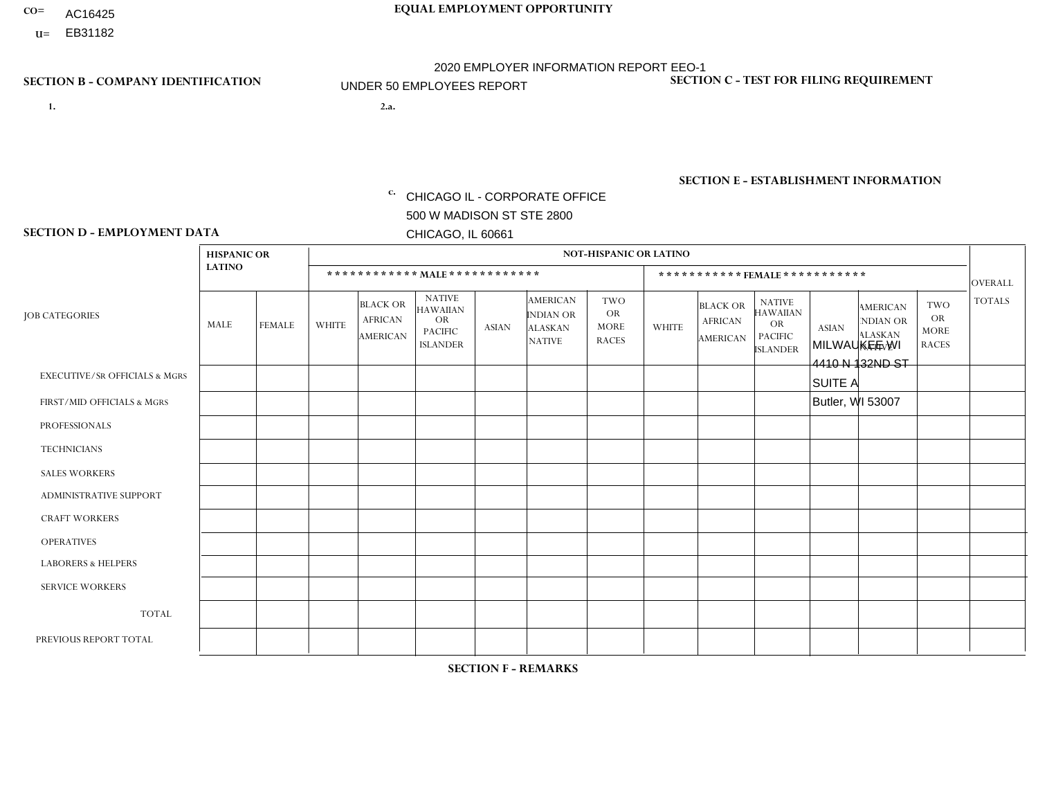- AC16425
- **U=**

**1. 2.a.** CHICAGO IL - CORPORATE OFFICE 500 W MADISON ST STE 2800 CHICAGO, IL 60661

2.a. MILWAUKEE WI 4410 N 132ND ST SUITE A Butler, WI 53007

EIN= 952920557

## **SECTION B - COMPANY IDENTIFICATION SECTION C - TEST FOR FILING REQUIREMENT**

1- Y 2- Y 3- N DUNS= 000123456

**SECTION E - ESTABLISHMENT INFORMATION c.** NAICS: 423140

### **SECTION D - EMPLOYMENT DATA**

|                                          | <b>HISPANIC OR</b> |                |                |                                                      |                                                                                    |              |                                                                        | <b>NOT-HISPANIC OR LATINO</b>                          |              |                                                      |                                                                                    |              |                                                                       |                                                        |                |
|------------------------------------------|--------------------|----------------|----------------|------------------------------------------------------|------------------------------------------------------------------------------------|--------------|------------------------------------------------------------------------|--------------------------------------------------------|--------------|------------------------------------------------------|------------------------------------------------------------------------------------|--------------|-----------------------------------------------------------------------|--------------------------------------------------------|----------------|
|                                          | <b>LATINO</b>      |                |                |                                                      | ************ MAIE************                                                      |              |                                                                        |                                                        |              |                                                      | ***********FEMALE***********                                                       |              |                                                                       |                                                        | <b>OVERALL</b> |
| <b>JOB CATEGORIES</b>                    | MALE               | <b>FEMALE</b>  | <b>WHITE</b>   | <b>BLACK OR</b><br><b>AFRICAN</b><br><b>AMERICAN</b> | <b>NATIVE</b><br><b>HAWAIIAN</b><br><b>OR</b><br><b>PACIFIC</b><br><b>ISLANDER</b> | <b>ASIAN</b> | <b>AMERICAN</b><br><b>INDIAN OR</b><br><b>ALASKAN</b><br><b>NATIVE</b> | <b>TWO</b><br><b>OR</b><br><b>MORE</b><br><b>RACES</b> | <b>WHITE</b> | <b>BLACK OR</b><br><b>AFRICAN</b><br><b>AMERICAN</b> | <b>NATIVE</b><br><b>HAWAIIAN</b><br><b>OR</b><br><b>PACIFIC</b><br><b>ISLANDER</b> | <b>ASIAN</b> | <b>AMERICAN</b><br><b>NDIAN OR</b><br><b>ALASKAN</b><br><b>NATIVE</b> | <b>TWO</b><br><b>OR</b><br><b>MORE</b><br><b>RACES</b> | <b>TOTALS</b>  |
| <b>EXECUTIVE/SR OFFICIALS &amp; MGRS</b> | $\mathbf{0}$       | 0              | $\mathbf 0$    | 0                                                    | $\mathbf{0}$                                                                       | $\Omega$     | $\Omega$                                                               | $\mathbf{0}$                                           | $\Omega$     | $\Omega$                                             | $\Omega$                                                                           | $\mathbf 0$  | $\Omega$                                                              | $\Omega$                                               | $\mathbf 0$    |
| FIRST/MID OFFICIALS & MGRS               | $\mathbf 0$        | $\mathbf 0$    | $\overline{1}$ | 0                                                    | $\Omega$                                                                           | $\Omega$     | $\Omega$                                                               | $\Omega$                                               | $\Omega$     | $\Omega$                                             | $\Omega$                                                                           | $\Omega$     | $\Omega$                                                              | $\Omega$                                               | $\mathbf{1}$   |
| <b>PROFESSIONALS</b>                     | $\mathbf{0}$       | $\mathbf 0$    | $\mathbf 0$    | $\mathbf 0$                                          | $\Omega$                                                                           | $\Omega$     | 0                                                                      | $\Omega$                                               | $\Omega$     | $\Omega$                                             | $\Omega$                                                                           | $\Omega$     | $\Omega$                                                              | $\Omega$                                               | $\mathbf 0$    |
| <b>TECHNICIANS</b>                       | 0                  | $\mathbf 0$    | $\mathbf 0$    | 0                                                    | $\Omega$                                                                           | $\Omega$     | $\Omega$                                                               | $\Omega$                                               | $\Omega$     | $\Omega$                                             | $\Omega$                                                                           | $\Omega$     | $\Omega$                                                              | $\Omega$                                               | $\mathbf 0$    |
| <b>SALES WORKERS</b>                     | $\mathbf 0$        | $\mathbf{0}$   | $\overline{c}$ | $\mathbf 0$                                          | $\Omega$                                                                           | $\Omega$     | $\Omega$                                                               | $\Omega$                                               | $\Omega$     | $\Omega$                                             | $\Omega$                                                                           | $\Omega$     | $\Omega$                                                              | $\Omega$                                               | $\overline{2}$ |
| <b>ADMINISTRATIVE SUPPORT</b>            | $\mathbf 0$        | $\mathbf 0$    | $\mathbf 0$    | 0                                                    | $\Omega$                                                                           | $\Omega$     | $\Omega$                                                               | $\mathbf{1}$                                           | $\Omega$     | $\mathbf 0$                                          | $\mathbf{0}$                                                                       | $\Omega$     | $\Omega$                                                              | $\mathbf 0$                                            | $\mathbf{1}$   |
| <b>CRAFT WORKERS</b>                     | $\Omega$           | $\mathbf 0$    | $\mathbf 0$    | 0                                                    | $\Omega$                                                                           | $\Omega$     | $\Omega$                                                               | $\Omega$                                               | $\Omega$     | $\Omega$                                             | $\Omega$                                                                           | $\Omega$     | $\Omega$                                                              | $\Omega$                                               | $\mathbf 0$    |
| <b>OPERATIVES</b>                        | 0                  | $\mathbf 0$    | 6              | 4                                                    | $\Omega$                                                                           | $\Omega$     | $\Omega$                                                               | $\Omega$                                               | 1            | $\Omega$                                             | $\Omega$                                                                           | $\Omega$     | $\Omega$                                                              | $\Omega$                                               | 11             |
| <b>LABORERS &amp; HELPERS</b>            | $\mathbf{0}$       | $\mathbf 0$    | 3              | 2                                                    | $\Omega$                                                                           | $\Omega$     | $\Omega$                                                               | $\Omega$                                               | $\Omega$     | $\Omega$                                             | $\Omega$                                                                           | $\Omega$     | $\Omega$                                                              | $\Omega$                                               | 5              |
| <b>SERVICE WORKERS</b>                   | $\mathbf 0$        | $\mathbf{0}$   | $\mathbf 0$    | $\mathbf 0$                                          | $\Omega$                                                                           | $\Omega$     | $\Omega$                                                               | $\Omega$                                               | $\Omega$     | $\Omega$                                             | $\Omega$                                                                           | $\Omega$     | $\Omega$                                                              | $\Omega$                                               | $\mathbf 0$    |
| <b>TOTAL</b>                             | $\mathbf 0$        | $\overline{0}$ | 12             | 6                                                    | $\Omega$                                                                           | $\Omega$     | $\Omega$                                                               |                                                        | 1            | $\Omega$                                             | $\Omega$                                                                           | $\Omega$     | $\Omega$                                                              | $\Omega$                                               | 20             |
| PREVIOUS REPORT TOTAL                    |                    | $\mathbf 0$    | 10             | 5                                                    | $\mathbf 0$                                                                        | $\mathbf 0$  | $\mathbf 0$                                                            |                                                        | 0            | $\mathbf 0$                                          | 0                                                                                  | $\Omega$     | 0                                                                     | $\mathbf 0$                                            | 17             |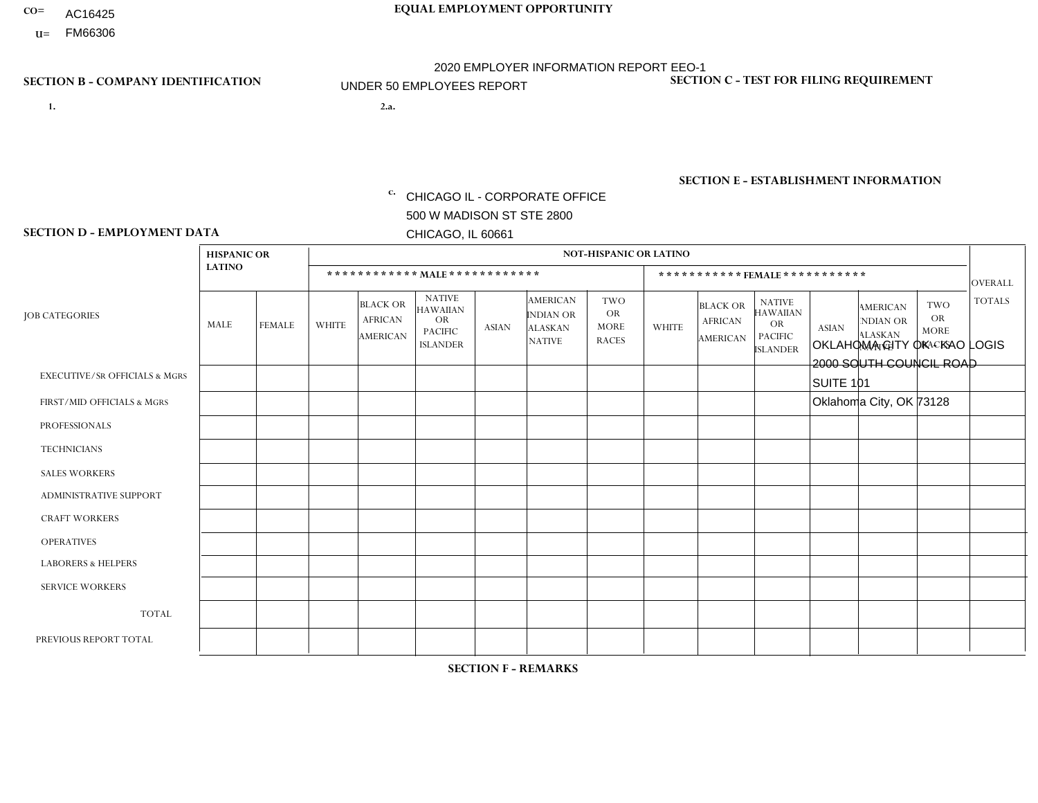- AC16425
- **U=** FM66306

- **1. 2.a.** CHICAGO IL CORPORATE OFFICE 500 W MADISON ST STE 2800 CHICAGO, IL 60661
- 2.a. OKLAHOMA CITY OK KAO LOGIS 2000 SOUTH COUNCIL ROAD SUITE 101 Oklahoma City, OK 73128
	- c. EIN= 952920557

## **SECTION B - COMPANY IDENTIFICATION SECTION C - TEST FOR FILING REQUIREMENT**

1- Y 2- Y 3- N DUNS= 000123456

**SECTION E - ESTABLISHMENT INFORMATION c.** NAICS: 423140

### **SECTION D - EMPLOYMENT DATA**

|                                          | <b>HISPANIC OR</b> |               |                |                                                      |                                                                                    |             |                                                                        | <b>NOT-HISPANIC OR LATINO</b>                          |                         |                                               |                                                                             |              |                                                                       |                                                        |                |
|------------------------------------------|--------------------|---------------|----------------|------------------------------------------------------|------------------------------------------------------------------------------------|-------------|------------------------------------------------------------------------|--------------------------------------------------------|-------------------------|-----------------------------------------------|-----------------------------------------------------------------------------|--------------|-----------------------------------------------------------------------|--------------------------------------------------------|----------------|
|                                          | <b>LATINO</b>      |               |                | ************ MALE ************                       |                                                                                    |             |                                                                        |                                                        |                         | ***********FEMALE***********                  |                                                                             |              |                                                                       |                                                        | <b>OVERALL</b> |
| <b>JOB CATEGORIES</b>                    | MALE               | <b>FEMALE</b> | <b>WHITE</b>   | <b>BLACK OR</b><br><b>AFRICAN</b><br><b>AMERICAN</b> | <b>NATIVE</b><br><b>HAWAIIAN</b><br><b>OR</b><br><b>PACIFIC</b><br><b>ISLANDER</b> | ASIAN       | <b>AMERICAN</b><br><b>INDIAN OR</b><br><b>ALASKAN</b><br><b>NATIVE</b> | <b>TWO</b><br><b>OR</b><br><b>MORE</b><br><b>RACES</b> | <b>WHITE</b>            | <b>BLACK OR</b><br><b>AFRICAN</b><br>AMERICAN | <b>NATIVE</b><br><b>HAWAIIAN</b><br>OR<br><b>PACIFIC</b><br><b>ISLANDER</b> | <b>ASIAN</b> | <b>AMERICAN</b><br><b>NDIAN OR</b><br><b>ALASKAN</b><br><b>NATIVE</b> | <b>TWO</b><br><b>OR</b><br><b>MORE</b><br><b>RACES</b> | <b>TOTALS</b>  |
| <b>EXECUTIVE/SR OFFICIALS &amp; MGRS</b> | $\Omega$           | $\Omega$      | $\Omega$       | $\mathbf 0$                                          | $\mathbf 0$                                                                        | $\Omega$    | $\Omega$                                                               | $\Omega$                                               | $\Omega$                | $\Omega$                                      | $\Omega$                                                                    | $\mathbf 0$  | $\Omega$                                                              | $\mathbf 0$                                            | $\mathbf{0}$   |
| FIRST/MID OFFICIALS & MGRS               | 0                  | 0             | 1              | $\mathbf 0$                                          | 0                                                                                  | $\Omega$    | $\Omega$                                                               | $\Omega$                                               | 0                       | $\Omega$                                      | $\Omega$                                                                    | $\mathbf{0}$ | $\Omega$                                                              | $\mathbf 0$                                            | $\mathbf{1}$   |
| <b>PROFESSIONALS</b>                     | $\Omega$           | $\Omega$      | $\Omega$       | $\mathbf 0$                                          | $\Omega$                                                                           | $\Omega$    | $\Omega$                                                               | $\Omega$                                               | $\overline{0}$          | $\Omega$                                      | $\Omega$                                                                    | $\Omega$     | $\Omega$                                                              | $\Omega$                                               | $\mathbf 0$    |
| <b>TECHNICIANS</b>                       | 0                  | $\mathbf 0$   | $\Omega$       | $\mathbf 0$                                          | $\Omega$                                                                           | $\Omega$    | $\Omega$                                                               | $\Omega$                                               | $\Omega$                | $\Omega$                                      | $\Omega$                                                                    | $\Omega$     | $\Omega$                                                              | $\Omega$                                               | $\mathbf{0}$   |
| <b>SALES WORKERS</b>                     | $\Omega$           | $\Omega$      | $\Omega$       | $\mathbf 0$                                          | $\Omega$                                                                           | $\Omega$    | $\Omega$                                                               | $\Omega$                                               | $\overline{0}$          | $\Omega$                                      | $\Omega$                                                                    | $\Omega$     | $\Omega$                                                              | $\mathbf{0}$                                           | $\mathbf{0}$   |
| ADMINISTRATIVE SUPPORT                   | $\mathbf 0$        | 0             | $\mathbf 0$    | $\mathbf 0$                                          | 0                                                                                  | $\Omega$    | $\Omega$                                                               | $\Omega$                                               | $\Omega$                | $\Omega$                                      | $\Omega$                                                                    | $\Omega$     | $\mathbf{0}$                                                          | $\mathbf 0$                                            | $\mathbf 0$    |
| <b>CRAFT WORKERS</b>                     | 0                  | $\Omega$      | $\Omega$       | $\mathbf 0$                                          | $\Omega$                                                                           | $\Omega$    | $\Omega$                                                               | $\Omega$                                               | 0                       | $\Omega$                                      | $\Omega$                                                                    | $\Omega$     | $\Omega$                                                              | $\Omega$                                               | $\Omega$       |
| <b>OPERATIVES</b>                        | $\overline{2}$     | $\Omega$      | $\overline{c}$ | $\mathbf 0$                                          | $\Omega$                                                                           | $\Omega$    | $\Omega$                                                               | $\Omega$                                               | $\overline{\mathbf{A}}$ | $\Omega$                                      | $\Omega$                                                                    | $\Omega$     | 1                                                                     | $\Omega$                                               | 6              |
| <b>LABORERS &amp; HELPERS</b>            | $\Omega$           | $\Omega$      | $\Omega$       | $\mathbf 0$                                          | $\mathbf 0$                                                                        | $\Omega$    | $\Omega$                                                               | $\Omega$                                               | $\Omega$                | $\Omega$                                      | $\Omega$                                                                    | $\Omega$     | $\Omega$                                                              | $\Omega$                                               | $\mathbf{0}$   |
| <b>SERVICE WORKERS</b>                   | 0                  | $\mathbf 0$   | $\mathbf 0$    | $\mathbf 0$                                          | $\mathbf{0}$                                                                       | $\mathbf 0$ | $\Omega$                                                               | $\Omega$                                               | $\Omega$                | $\Omega$                                      | $\Omega$                                                                    | $\mathbf 0$  | 0                                                                     | $\mathbf 0$                                            | $\overline{0}$ |
| <b>TOTAL</b>                             | $\overline{2}$     | 0             | 3              | 0                                                    | 0                                                                                  | $\Omega$    | $\Omega$                                                               | $\Omega$                                               | -1                      | $\Omega$                                      | $\Omega$                                                                    | $\mathbf 0$  | 1                                                                     | $\mathbf 0$                                            | $\overline{7}$ |
| PREVIOUS REPORT TOTAL                    | $\overline{2}$     | $\Omega$      | 3              | $\overline{1}$                                       | $\Omega$                                                                           | $\Omega$    | 1                                                                      | $\Omega$                                               |                         | $\Omega$                                      | $\Omega$                                                                    | 0            | 1                                                                     | $\mathbf 0$                                            | 9              |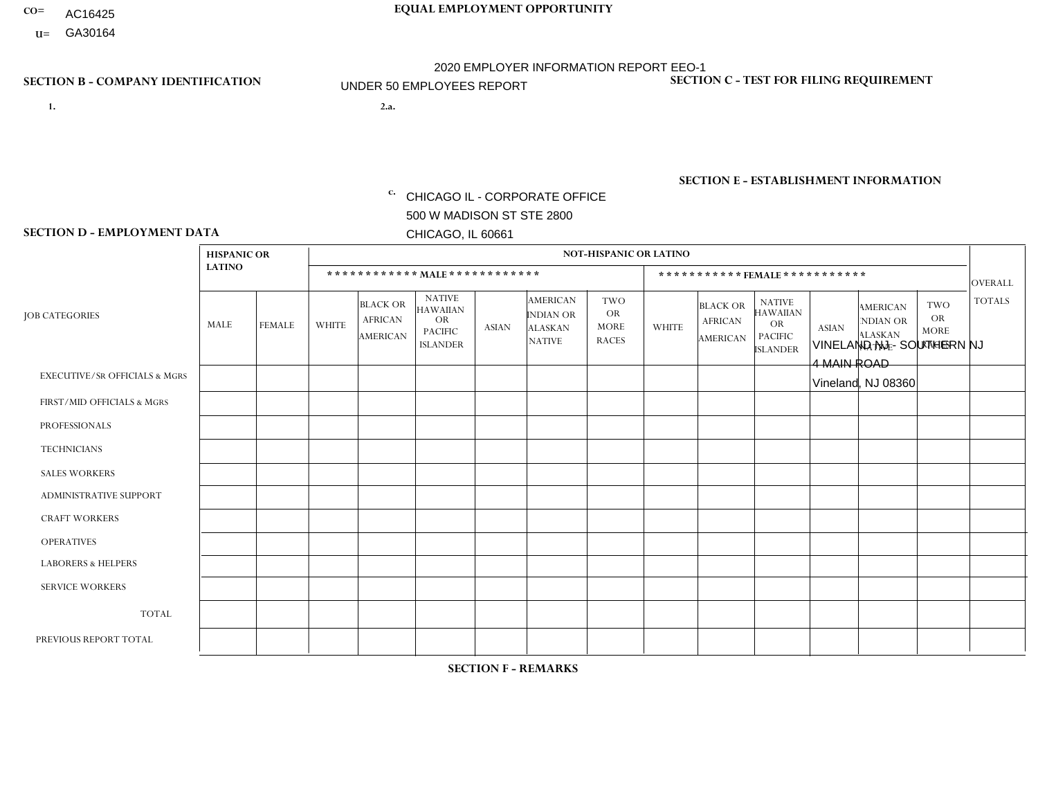- AC16425
- **U=**

**1. 2.a.** CHICAGO IL - CORPORATE OFFICE 500 W MADISON ST STE 2800 CHICAGO, IL 60661

2.a. VINELAND NJ - SOUTHERN NJ 4 MAIN ROAD Vineland, NJ 08360

c. EIN= 952920557

## **SECTION B - COMPANY IDENTIFICATION SECTION C - TEST FOR FILING REQUIREMENT**

1- Y 2- Y 3- N DUNS= 000123456

**SECTION E - ESTABLISHMENT INFORMATION c.** NAICS: 423140

### **SECTION D - EMPLOYMENT DATA**

|                                          | <b>HISPANIC OR</b> |               |                |                                                      |                                                                                    |              |                                                                        | <b>NOT-HISPANIC OR LATINO</b>                          |              |                                               |                                                                                    |              |                                                                |                                                        |                      |
|------------------------------------------|--------------------|---------------|----------------|------------------------------------------------------|------------------------------------------------------------------------------------|--------------|------------------------------------------------------------------------|--------------------------------------------------------|--------------|-----------------------------------------------|------------------------------------------------------------------------------------|--------------|----------------------------------------------------------------|--------------------------------------------------------|----------------------|
|                                          | <b>LATINO</b>      |               |                | ************ MALE ************                       |                                                                                    |              |                                                                        |                                                        |              |                                               | *********** FEMALE ***********                                                     |              |                                                                |                                                        | <b>OVERALL</b>       |
| <b>JOB CATEGORIES</b>                    | MALE               | <b>FEMALE</b> | <b>WHITE</b>   | <b>BLACK OR</b><br><b>AFRICAN</b><br><b>AMERICAN</b> | <b>NATIVE</b><br><b>HAWAIIAN</b><br><b>OR</b><br><b>PACIFIC</b><br><b>ISLANDER</b> | <b>ASIAN</b> | <b>AMERICAN</b><br><b>INDIAN OR</b><br><b>ALASKAN</b><br><b>NATIVE</b> | <b>TWO</b><br><b>OR</b><br><b>MORE</b><br><b>RACES</b> | <b>WHITE</b> | <b>BLACK OR</b><br><b>AFRICAN</b><br>AMERICAN | <b>NATIVE</b><br><b>HAWAIIAN</b><br><b>OR</b><br><b>PACIFIC</b><br><b>ISLANDER</b> | <b>ASIAN</b> | <b>AMERICAN</b><br>NDIAN OR<br><b>ALASKAN</b><br><b>NATIVE</b> | <b>TWO</b><br><b>OR</b><br><b>MORE</b><br><b>RACES</b> | <b>TOTALS</b>        |
| <b>EXECUTIVE/SR OFFICIALS &amp; MGRS</b> | $\Omega$           | $\Omega$      | $\mathbf{0}$   | $\Omega$                                             | $\Omega$                                                                           | $\Omega$     | $\Omega$                                                               | $\Omega$                                               | 0            | $\Omega$                                      | $\Omega$                                                                           | $\Omega$     | $\Omega$                                                       | $\Omega$                                               | $\Omega$             |
| FIRST/MID OFFICIALS & MGRS               |                    | $\Omega$      | $\overline{c}$ | $\mathbf 0$                                          | $\Omega$                                                                           | $\Omega$     | $\Omega$                                                               | $\Omega$                                               | 0            | $\Omega$                                      | 0                                                                                  | $\Omega$     | $\Omega$                                                       | $\Omega$                                               | 3                    |
| <b>PROFESSIONALS</b>                     | $\Omega$           | $\Omega$      | $\Omega$       | $\mathbf 0$                                          | $\Omega$                                                                           | $\Omega$     | $\Omega$                                                               | $\Omega$                                               | $\Omega$     | $\Omega$                                      | 0                                                                                  | 0            | $\Omega$                                                       | $\mathbf 0$                                            | $\mathbf{0}$         |
| <b>TECHNICIANS</b>                       | $\Omega$           | $\Omega$      | $\Omega$       | $\Omega$                                             | $\Omega$                                                                           | $\Omega$     | $\Omega$                                                               | $\Omega$                                               | $\Omega$     | $\Omega$                                      | 0                                                                                  | $\mathbf 0$  | $\Omega$                                                       | $\mathbf 0$                                            | $\Omega$             |
| <b>SALES WORKERS</b>                     | 2                  | $\Omega$      | $\Omega$       | $\Omega$                                             | $\Omega$                                                                           | $\Omega$     | $\Omega$                                                               | $\Omega$                                               | $\Omega$     | $\Omega$                                      | $\Omega$                                                                           | $\Omega$     | $\Omega$                                                       | $\Omega$                                               | $\overline{2}$       |
| <b>ADMINISTRATIVE SUPPORT</b>            | $\Omega$           | 0             | 1              | $\mathbf 0$                                          | 0                                                                                  | $\Omega$     | $\Omega$                                                               | $\Omega$                                               | 0            | $\Omega$                                      | 0                                                                                  | $\mathbf 0$  | $\Omega$                                                       | $\mathbf 0$                                            | $\blacktriangleleft$ |
| <b>CRAFT WORKERS</b>                     | 6                  | $\Omega$      | $\Omega$       | $\mathbf 0$                                          | $\Omega$                                                                           | $\Omega$     | $\Omega$                                                               | $\Omega$                                               | 0            | $\Omega$                                      | 0                                                                                  | $\Omega$     | $\Omega$                                                       | $\Omega$                                               | 6                    |
| <b>OPERATIVES</b>                        | $\overline{7}$     | $\Omega$      | $\overline{c}$ | $\mathbf 0$                                          | $\Omega$                                                                           | $\Omega$     | $\Omega$                                                               | 1                                                      | 0            | $\Omega$                                      | 0                                                                                  | $\mathbf 0$  | $\Omega$                                                       | $\Omega$                                               | 10                   |
| <b>LABORERS &amp; HELPERS</b>            | $\overline{7}$     | $\Omega$      | -1             | $\mathbf 0$                                          | $\Omega$                                                                           | $\Omega$     | $\Omega$                                                               | $\Omega$                                               | $\Omega$     | $\Omega$                                      | $\Omega$                                                                           | $\Omega$     | $\Omega$                                                       | $\Omega$                                               | 8                    |
| <b>SERVICE WORKERS</b>                   | $\Omega$           | $\Omega$      | 0              | $\mathbf 0$                                          | $\Omega$                                                                           | $\Omega$     | $\Omega$                                                               | $\Omega$                                               | 0            | $\Omega$                                      | $\Omega$                                                                           | $\mathbf 0$  | $\Omega$                                                       | $\Omega$                                               | $\mathbf 0$          |
| <b>TOTAL</b>                             | 23                 | 0             | 6              | 0                                                    | $\mathbf 0$                                                                        | 0            | $\Omega$                                                               | $\mathbf 1$                                            | 0            | $\mathbf 0$                                   | 0                                                                                  | $\mathbf 0$  | 0                                                              | $\mathbf 0$                                            | 30                   |
| PREVIOUS REPORT TOTAL                    | 27                 | $\mathbf 0$   | $\overline{7}$ | $\overline{ }$                                       | 0                                                                                  | $\Omega$     | $\Omega$                                                               |                                                        | 0            | $\Omega$                                      | 0                                                                                  | $\Omega$     | $\Omega$                                                       | $\mathbf 0$                                            | 36                   |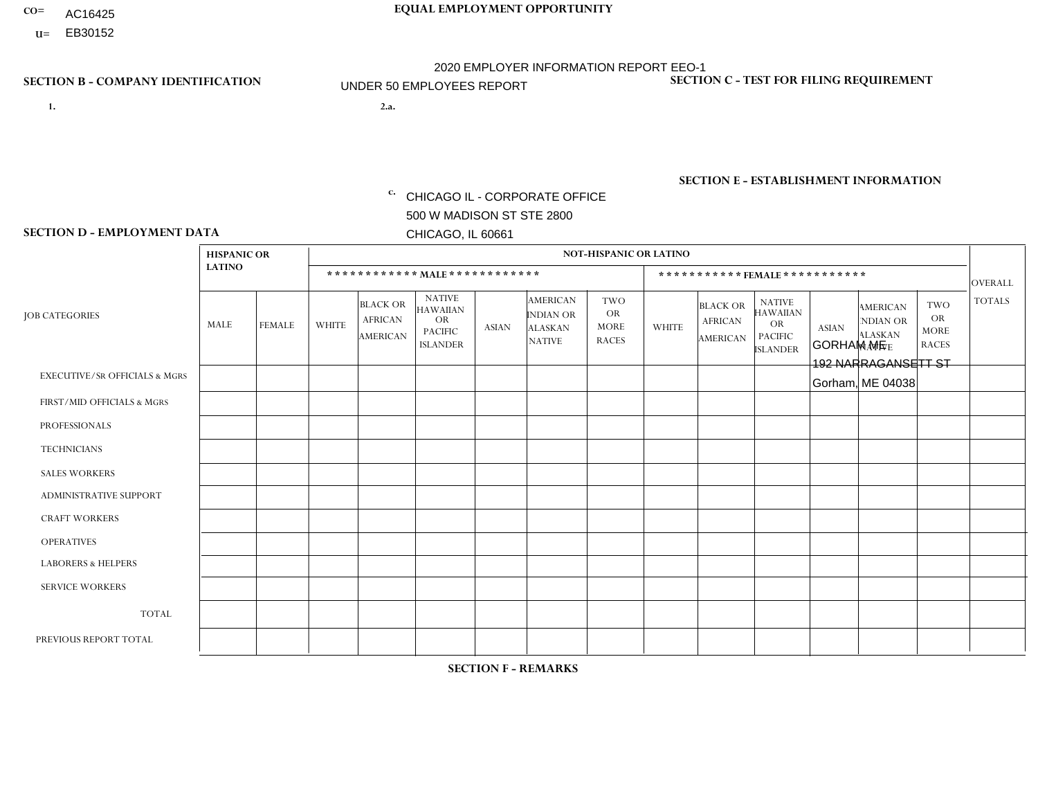- AC16425
- **U=**

- **1. 2.a.** CHICAGO IL CORPORATE OFFICE 500 W MADISON ST STE 2800 CHICAGO, IL 60661
- 2.a. GORHAM ME 192 NARRAGANSETT ST Gorham, ME 04038

c. EIN= 952920557

## **SECTION B - COMPANY IDENTIFICATION SECTION C - TEST FOR FILING REQUIREMENT**

1- Y 2- Y 3- N DUNS= 000123456

**SECTION E - ESTABLISHMENT INFORMATION c.** NAICS: 423140

### **SECTION D - EMPLOYMENT DATA**

|                                          | <b>HISPANIC OR</b> |               |                |                                                      |                                                                                    |              |                                                                        | <b>NOT-HISPANIC OR LATINO</b>                          |              |                                                      |                                                                                    |              |                                                                       |                                                        |                |
|------------------------------------------|--------------------|---------------|----------------|------------------------------------------------------|------------------------------------------------------------------------------------|--------------|------------------------------------------------------------------------|--------------------------------------------------------|--------------|------------------------------------------------------|------------------------------------------------------------------------------------|--------------|-----------------------------------------------------------------------|--------------------------------------------------------|----------------|
|                                          | <b>LATINO</b>      |               |                | ************ MALE ************                       |                                                                                    |              |                                                                        |                                                        |              |                                                      | ***********FEMALE***********                                                       |              |                                                                       |                                                        | <b>OVERALL</b> |
| <b>JOB CATEGORIES</b>                    | MALE               | <b>FEMALE</b> | <b>WHITE</b>   | <b>BLACK OR</b><br><b>AFRICAN</b><br><b>AMERICAN</b> | <b>NATIVE</b><br><b>HAWAIIAN</b><br><b>OR</b><br><b>PACIFIC</b><br><b>ISLANDER</b> | <b>ASIAN</b> | <b>AMERICAN</b><br><b>INDIAN OR</b><br><b>ALASKAN</b><br><b>NATIVE</b> | <b>TWO</b><br><b>OR</b><br><b>MORE</b><br><b>RACES</b> | <b>WHITE</b> | <b>BLACK OR</b><br><b>AFRICAN</b><br><b>AMERICAN</b> | <b>NATIVE</b><br><b>HAWAIIAN</b><br><b>OR</b><br><b>PACIFIC</b><br><b>ISLANDER</b> | <b>ASIAN</b> | <b>AMERICAN</b><br><b>NDIAN OR</b><br><b>ALASKAN</b><br><b>NATIVE</b> | <b>TWO</b><br><b>OR</b><br><b>MORE</b><br><b>RACES</b> | <b>TOTALS</b>  |
| <b>EXECUTIVE/SR OFFICIALS &amp; MGRS</b> | $\mathbf{0}$       | $\Omega$      | $\Omega$       | $\Omega$                                             | 0                                                                                  | $\Omega$     | $\Omega$                                                               | $\Omega$                                               | $\Omega$     | $\mathbf{0}$                                         | $\Omega$                                                                           | $\Omega$     | $\Omega$                                                              | $\Omega$                                               | $\Omega$       |
| FIRST/MID OFFICIALS & MGRS               | $\Omega$           | $\Omega$      | $\overline{c}$ | $\mathbf 0$                                          | $\mathbf 0$                                                                        | $\Omega$     | $\Omega$                                                               | $\Omega$                                               | $\Omega$     | $\Omega$                                             | $\Omega$                                                                           | $\Omega$     | $\Omega$                                                              | $\Omega$                                               | $\overline{2}$ |
| <b>PROFESSIONALS</b>                     | $\Omega$           | $\mathbf 0$   | 1              | $\mathbf 0$                                          | $\overline{0}$                                                                     | $\Omega$     | $\Omega$                                                               | $\Omega$                                               | $\Omega$     | $\Omega$                                             | $\Omega$                                                                           | $\Omega$     | $\Omega$                                                              | $\mathbf{0}$                                           | $\mathbf{1}$   |
| <b>TECHNICIANS</b>                       | $\Omega$           | $\Omega$      | $\Omega$       | $\Omega$                                             | 0                                                                                  | $\Omega$     | $\overline{0}$                                                         | $\Omega$                                               | $\Omega$     | $\Omega$                                             | $\Omega$                                                                           | $\Omega$     | $\mathbf{0}$                                                          | $\Omega$                                               | $\mathbf 0$    |
| <b>SALES WORKERS</b>                     | $\Omega$           | $\Omega$      | 1              | $\Omega$                                             | $\Omega$                                                                           | $\Omega$     | $\Omega$                                                               | $\Omega$                                               | $\Omega$     | $\Omega$                                             | $\Omega$                                                                           | $\Omega$     | $\Omega$                                                              | $\mathbf{0}$                                           | $\mathbf{1}$   |
| <b>ADMINISTRATIVE SUPPORT</b>            | $\Omega$           | $\mathbf 0$   |                | $\mathbf 0$                                          | $\mathbf 0$                                                                        | $\mathbf 0$  | $\Omega$                                                               | $\Omega$                                               | $\Omega$     | $\Omega$                                             | $\Omega$                                                                           | $\Omega$     | $\Omega$                                                              | $\Omega$                                               | $\mathbf{1}$   |
| <b>CRAFT WORKERS</b>                     | $\Omega$           | $\Omega$      | $\overline{7}$ | $\mathbf 0$                                          | 0                                                                                  | $\Omega$     | $\Omega$                                                               |                                                        | $\Omega$     | $\Omega$                                             | $\Omega$                                                                           | $\Omega$     | $\Omega$                                                              | $\Omega$                                               | 8              |
| <b>OPERATIVES</b>                        | $\Omega$           | $\Omega$      | 10             | 0                                                    | 0                                                                                  | $\Omega$     | $\overline{0}$                                                         | $\Omega$                                               | $\Omega$     | $\Omega$                                             | $\Omega$                                                                           | $\Omega$     | $\Omega$                                                              | $\Omega$                                               | 10             |
| <b>LABORERS &amp; HELPERS</b>            | $\Omega$           | $\Omega$      | 5              | $\mathbf 0$                                          | 0                                                                                  | $\Omega$     | 1                                                                      | $\Omega$                                               | $\Omega$     | $\Omega$                                             | $\Omega$                                                                           | $\Omega$     | $\Omega$                                                              | $\Omega$                                               | 6              |
| <b>SERVICE WORKERS</b>                   | $\Omega$           | $\Omega$      | $\Omega$       | 0                                                    | $\mathbf 0$                                                                        | $\Omega$     | $\Omega$                                                               | $\Omega$                                               | $\Omega$     | $\Omega$                                             | $\Omega$                                                                           | $\Omega$     | $\Omega$                                                              | $\Omega$                                               | 0              |
| <b>TOTAL</b>                             | 0                  | $\mathbf 0$   | 27             | $\mathbf 0$                                          | 0                                                                                  | $\mathbf 0$  | 1                                                                      |                                                        | 0            | $\Omega$                                             | $\Omega$                                                                           | $\mathbf 0$  | $\Omega$                                                              | $\Omega$                                               | 29             |
| PREVIOUS REPORT TOTAL                    | $\Omega$           | $\Omega$      | 33             | $\mathbf 0$                                          | 0                                                                                  | $\Omega$     | $\mathbf{1}$                                                           | 2                                                      | $\mathbf 1$  | $\Omega$                                             | $\mathbf{0}$                                                                       | $\Omega$     | $\Omega$                                                              | $\mathbf 0$                                            | 37             |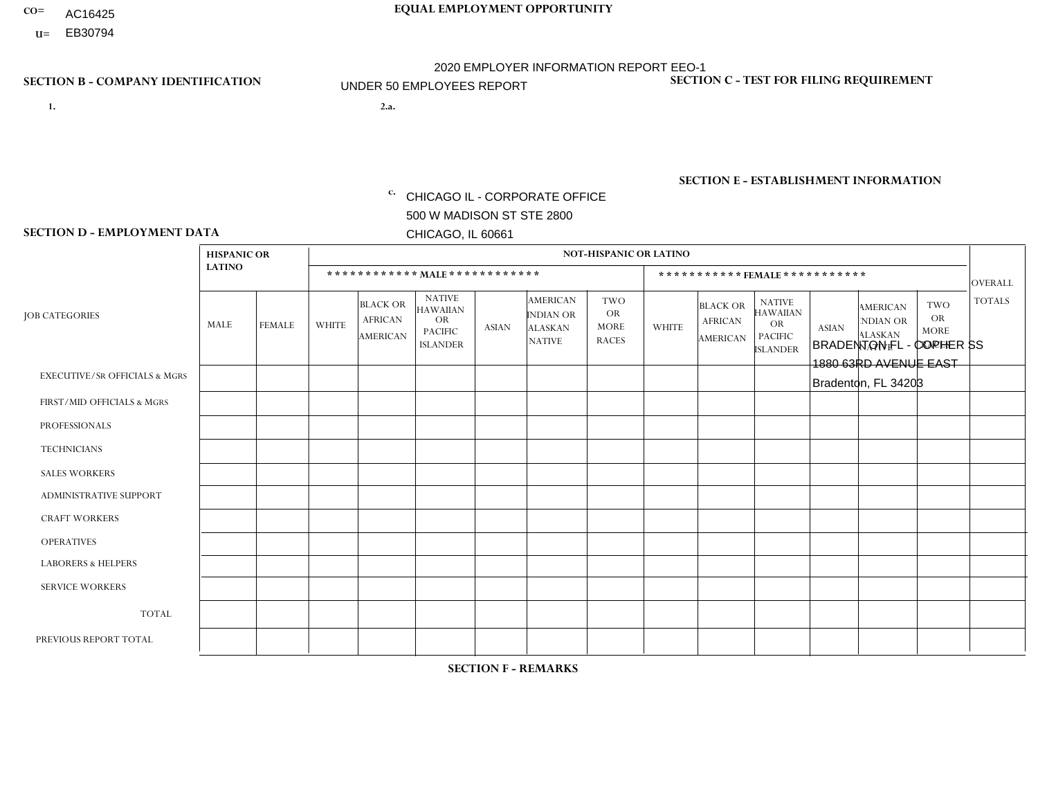- AC16425
- **U=**

- **1. 2.a.** CHICAGO IL CORPORATE OFFICE 500 W MADISON ST STE 2800 CHICAGO, IL 60661
- 2.a. BRADENTON FL COPHER SS 1880 63RD AVENUE EAST Bradenton, FL 34203

c. EIN= 952920557

## **SECTION B - COMPANY IDENTIFICATION SECTION C - TEST FOR FILING REQUIREMENT**

1- Y 2- Y 3- N DUNS= 000123456

**SECTION E - ESTABLISHMENT INFORMATION c.** NAICS: 423140

### **SECTION D - EMPLOYMENT DATA**

|                                          | <b>HISPANIC OR</b> |                |              |                                                      |                                                                                    |              |                                                                        | <b>NOT-HISPANIC OR LATINO</b>                          |              |                                                      |                                                                                    |              |                                                                       |                                                        |                |
|------------------------------------------|--------------------|----------------|--------------|------------------------------------------------------|------------------------------------------------------------------------------------|--------------|------------------------------------------------------------------------|--------------------------------------------------------|--------------|------------------------------------------------------|------------------------------------------------------------------------------------|--------------|-----------------------------------------------------------------------|--------------------------------------------------------|----------------|
|                                          | <b>LATINO</b>      |                |              |                                                      | ************ MAIE************                                                      |              |                                                                        |                                                        |              | ***********FEMALE***********                         |                                                                                    |              |                                                                       |                                                        | <b>OVERALL</b> |
| <b>JOB CATEGORIES</b>                    | <b>MALE</b>        | <b>FEMALE</b>  | <b>WHITE</b> | <b>BLACK OR</b><br><b>AFRICAN</b><br><b>AMERICAN</b> | <b>NATIVE</b><br><b>HAWAIIAN</b><br><b>OR</b><br><b>PACIFIC</b><br><b>ISLANDER</b> | <b>ASIAN</b> | <b>AMERICAN</b><br><b>INDIAN OR</b><br><b>ALASKAN</b><br><b>NATIVE</b> | <b>TWO</b><br><b>OR</b><br><b>MORE</b><br><b>RACES</b> | <b>WHITE</b> | <b>BLACK OR</b><br><b>AFRICAN</b><br><b>AMERICAN</b> | <b>NATIVE</b><br><b>HAWAIIAN</b><br><b>OR</b><br><b>PACIFIC</b><br><b>ISLANDER</b> | <b>ASIAN</b> | <b>AMERICAN</b><br><b>NDIAN OR</b><br><b>ALASKAN</b><br><b>NATIVE</b> | <b>TWO</b><br><b>OR</b><br><b>MORE</b><br><b>RACES</b> | <b>TOTALS</b>  |
| <b>EXECUTIVE/SR OFFICIALS &amp; MGRS</b> | $\mathbf{0}$       | $\Omega$       | $\Omega$     | $\Omega$                                             | $\Omega$                                                                           | $\Omega$     | $\Omega$                                                               | $\Omega$                                               | $\Omega$     | $\Omega$                                             | $\Omega$                                                                           | $\Omega$     | $\Omega$                                                              | $\Omega$                                               | $\mathbf 0$    |
| FIRST/MID OFFICIALS & MGRS               | 0                  |                | $\mathbf 0$  | $\mathbf 0$                                          | $\mathbf{0}$                                                                       | $\mathbf{0}$ | $\Omega$                                                               | 0                                                      | $\Omega$     | $\Omega$                                             | $\Omega$                                                                           | $\Omega$     | $\Omega$                                                              | 0                                                      | $\mathbf{1}$   |
| <b>PROFESSIONALS</b>                     | $\mathbf 0$        |                | $\mathbf 0$  | $\mathbf 0$                                          | $\Omega$                                                                           | $\Omega$     | $\Omega$                                                               | 0                                                      | $\Omega$     | $\Omega$                                             | 0                                                                                  | $\Omega$     | $\Omega$                                                              | $\mathbf 0$                                            | $\mathbf{1}$   |
| <b>TECHNICIANS</b>                       | 0                  | $\mathbf 0$    | $\Omega$     | $\mathbf 0$                                          | $\Omega$                                                                           | $\Omega$     | $\Omega$                                                               | 0                                                      | $\Omega$     | $\Omega$                                             | $\mathbf 0$                                                                        | $\mathbf 0$  | $\Omega$                                                              | $\mathbf 0$                                            | $\mathbf 0$    |
| <b>SALES WORKERS</b>                     | $\mathbf 0$        | $\Omega$       | $\Omega$     | $\Omega$                                             | $\Omega$                                                                           | $\Omega$     | $\Omega$                                                               | 0                                                      | $\Omega$     | $\Omega$                                             | $\Omega$                                                                           | $\mathbf{0}$ | $\Omega$                                                              | $\Omega$                                               | $\mathbf 0$    |
| ADMINISTRATIVE SUPPORT                   | 0                  | $\overline{2}$ | $\mathbf 0$  | $\Omega$                                             | $\mathbf{0}$                                                                       | $\Omega$     | $\Omega$                                                               | 0                                                      | $\Omega$     | $\Omega$                                             | $\Omega$                                                                           | $\Omega$     | $\Omega$                                                              | $\mathbf 0$                                            | $\overline{2}$ |
| <b>CRAFT WORKERS</b>                     | $\mathbf 0$        | $\mathbf 0$    | $\mathbf 0$  | $\mathbf 0$                                          | $\Omega$                                                                           | $\Omega$     | $\Omega$                                                               | 0                                                      | $\Omega$     | $\Omega$                                             | $\Omega$                                                                           | $\Omega$     | $\Omega$                                                              | $\Omega$                                               | $\mathbf 0$    |
| <b>OPERATIVES</b>                        | 5                  | $\Omega$       | $\mathbf 0$  | $\mathbf 0$                                          | $\Omega$                                                                           | $\Omega$     | $\Omega$                                                               | $\Omega$                                               | $\Omega$     | $\Omega$                                             | $\Omega$                                                                           | $\Omega$     | $\Omega$                                                              | $\Omega$                                               | 5              |
| <b>LABORERS &amp; HELPERS</b>            | $\Omega$           | $\Omega$       | $\Omega$     | $\Omega$                                             | $\Omega$                                                                           | $\Omega$     | $\Omega$                                                               | $\Omega$                                               | $\Omega$     | $\Omega$                                             | $\Omega$                                                                           | $\Omega$     | $\Omega$                                                              | $\Omega$                                               | 0              |
| <b>SERVICE WORKERS</b>                   | $\mathbf 0$        | $\mathbf 0$    | $\mathbf 0$  | $\mathbf 0$                                          | $\Omega$                                                                           | $\Omega$     | $\Omega$                                                               | $\Omega$                                               | $\Omega$     | $\Omega$                                             | $\Omega$                                                                           | $\mathbf 0$  | $\Omega$                                                              | $\Omega$                                               | 0              |
| <b>TOTAL</b>                             | 5                  | 4              | 0            | $\mathbf 0$                                          | $\Omega$                                                                           | $\mathbf{0}$ | $\Omega$                                                               | 0                                                      | $\Omega$     | $\Omega$                                             | $\mathbf 0$                                                                        | $\mathbf 0$  | $\Omega$                                                              | $\mathbf 0$                                            | 9              |
| PREVIOUS REPORT TOTAL                    | 5                  | 3              | 1            | $\Omega$                                             | $\Omega$                                                                           | $\Omega$     | $\Omega$                                                               | $\Omega$                                               | $\Omega$     | $\Omega$                                             | $\Omega$                                                                           | $\Omega$     | $\Omega$                                                              | $\mathbf 0$                                            | 9              |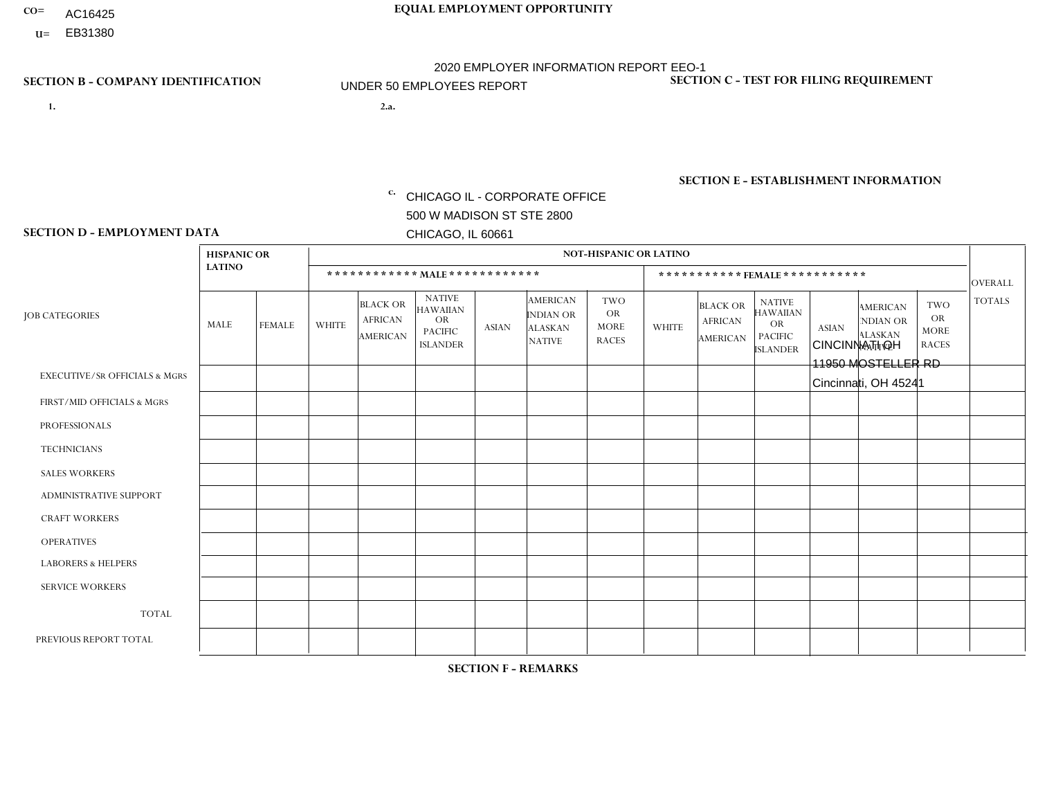- AC16425
- **U=**

- **1. 2.a.** CHICAGO IL CORPORATE OFFICE 500 W MADISON ST STE 2800 CHICAGO, IL 60661
- 2.a. CINCINNATI OH 11950 MOSTELLER RD Cincinnati, OH 45241

EIN= 952920557

## **SECTION B - COMPANY IDENTIFICATION SECTION C - TEST FOR FILING REQUIREMENT**

1- Y 2- Y 3- N DUNS= 000123456

**SECTION E - ESTABLISHMENT INFORMATION c.** NAICS: 423140

### **SECTION D - EMPLOYMENT DATA**

|                                          | <b>HISPANIC OR</b> |               |                |                                                      |                                                                                    |                |                                                                        | <b>NOT-HISPANIC OR LATINO</b>                          |                |                                                      |                                                                                    |              |                                                                       |                                                        |                |
|------------------------------------------|--------------------|---------------|----------------|------------------------------------------------------|------------------------------------------------------------------------------------|----------------|------------------------------------------------------------------------|--------------------------------------------------------|----------------|------------------------------------------------------|------------------------------------------------------------------------------------|--------------|-----------------------------------------------------------------------|--------------------------------------------------------|----------------|
|                                          | <b>LATINO</b>      |               |                | ************ MALE ************                       |                                                                                    |                |                                                                        |                                                        |                |                                                      | ***********FEMALE***********                                                       |              |                                                                       |                                                        | <b>OVERALL</b> |
| <b>JOB CATEGORIES</b>                    | MALE               | <b>FEMALE</b> | <b>WHITE</b>   | <b>BLACK OR</b><br><b>AFRICAN</b><br><b>AMERICAN</b> | <b>NATIVE</b><br><b>HAWAIIAN</b><br><b>OR</b><br><b>PACIFIC</b><br><b>ISLANDER</b> | <b>ASIAN</b>   | <b>AMERICAN</b><br><b>INDIAN OR</b><br><b>ALASKAN</b><br><b>NATIVE</b> | <b>TWO</b><br><b>OR</b><br><b>MORE</b><br><b>RACES</b> | <b>WHITE</b>   | <b>BLACK OR</b><br><b>AFRICAN</b><br><b>AMERICAN</b> | <b>NATIVE</b><br><b>HAWAIIAN</b><br><b>OR</b><br><b>PACIFIC</b><br><b>ISLANDER</b> | <b>ASIAN</b> | <b>AMERICAN</b><br><b>NDIAN OR</b><br><b>ALASKAN</b><br><b>NATIVE</b> | <b>TWO</b><br><b>OR</b><br><b>MORE</b><br><b>RACES</b> | <b>TOTALS</b>  |
| <b>EXECUTIVE/SR OFFICIALS &amp; MGRS</b> | $\mathbf{0}$       | $\Omega$      | $\Omega$       | $\Omega$                                             | 0                                                                                  | $\Omega$       | $\Omega$                                                               | $\Omega$                                               | $\Omega$       | $\mathbf{0}$                                         | $\Omega$                                                                           | $\Omega$     | $\Omega$                                                              | $\Omega$                                               | $\Omega$       |
| FIRST/MID OFFICIALS & MGRS               | $\Omega$           | $\Omega$      | 3              | $\mathbf 0$                                          | $\mathbf 0$                                                                        | $\Omega$       | $\Omega$                                                               | $\Omega$                                               | 1              | $\mathbf{0}$                                         | $\Omega$                                                                           | $\Omega$     | $\Omega$                                                              | $\Omega$                                               | 4              |
| <b>PROFESSIONALS</b>                     | $\Omega$           | $\Omega$      | $\mathbf 0$    | $\mathbf 0$                                          | $\overline{0}$                                                                     | $\Omega$       | $\Omega$                                                               | $\Omega$                                               | $\Omega$       | $\Omega$                                             | $\Omega$                                                                           | $\Omega$     | $\Omega$                                                              | $\Omega$                                               | $\mathbf 0$    |
| <b>TECHNICIANS</b>                       | $\Omega$           | $\Omega$      | $\Omega$       | $\Omega$                                             | 0                                                                                  | $\Omega$       | $\overline{0}$                                                         | $\Omega$                                               | $\Omega$       | $\Omega$                                             | $\Omega$                                                                           | $\Omega$     | $\mathbf{0}$                                                          | $\Omega$                                               | $\mathbf 0$    |
| <b>SALES WORKERS</b>                     | $\Omega$           | $\Omega$      | $\overline{c}$ | $\Omega$                                             | $\Omega$                                                                           | $\Omega$       | $\Omega$                                                               | $\Omega$                                               | $\mathbf{1}$   | $\Omega$                                             | $\Omega$                                                                           | $\Omega$     | $\Omega$                                                              | $\Omega$                                               | 3              |
| <b>ADMINISTRATIVE SUPPORT</b>            | $\Omega$           | $\mathbf 0$   | 2              | $\mathbf 0$                                          | $\mathbf 0$                                                                        | $\mathbf 0$    | $\Omega$                                                               | $\Omega$                                               | $\Omega$       | $\Omega$                                             | $\Omega$                                                                           | $\Omega$     | $\Omega$                                                              | $\Omega$                                               | $\overline{2}$ |
| <b>CRAFT WORKERS</b>                     | $\Omega$           | $\Omega$      | $\Omega$       | $\mathbf 0$                                          | 0                                                                                  | $\Omega$       | $\Omega$                                                               | $\Omega$                                               | $\Omega$       | $\Omega$                                             | $\Omega$                                                                           | $\Omega$     | $\Omega$                                                              | $\Omega$                                               | $\Omega$       |
| <b>OPERATIVES</b>                        | $\Omega$           | $\Omega$      | 9              | $\mathbf{1}$                                         | 0                                                                                  | $\mathbf{1}$   | $\Omega$                                                               |                                                        | $\Omega$       | $\Omega$                                             | $\Omega$                                                                           | $\Omega$     | $\Omega$                                                              | $\Omega$                                               | 12             |
| <b>LABORERS &amp; HELPERS</b>            | $\Omega$           | $\Omega$      | $\overline{2}$ | $\overline{4}$                                       | 0                                                                                  | $\Omega$       | $\Omega$                                                               | $\Omega$                                               | $\Omega$       | $\Omega$                                             | $\Omega$                                                                           | $\Omega$     | $\Omega$                                                              | -1                                                     | $\overline{7}$ |
| <b>SERVICE WORKERS</b>                   | $\Omega$           | $\Omega$      | $\Omega$       | 0                                                    | $\mathbf 0$                                                                        | $\Omega$       | $\Omega$                                                               | $\Omega$                                               | $\Omega$       | $\Omega$                                             | $\Omega$                                                                           | $\Omega$     | $\Omega$                                                              | $\Omega$                                               | 0              |
| <b>TOTAL</b>                             | 0                  | 0             | 18             | 5                                                    | 0                                                                                  | $\mathbf 1$    | $\mathbf{0}$                                                           |                                                        | $\overline{2}$ | $\Omega$                                             | $\Omega$                                                                           | $\mathbf 0$  | $\Omega$                                                              | $\overline{1}$                                         | 28             |
| PREVIOUS REPORT TOTAL                    | $\Omega$           | $\Omega$      | 24             | 8                                                    | $\mathbf 0$                                                                        | $\overline{1}$ | $\Omega$                                                               |                                                        | 3              |                                                      | $\mathbf{0}$                                                                       | $\Omega$     | $\Omega$                                                              | $\mathbf 0$                                            | 38             |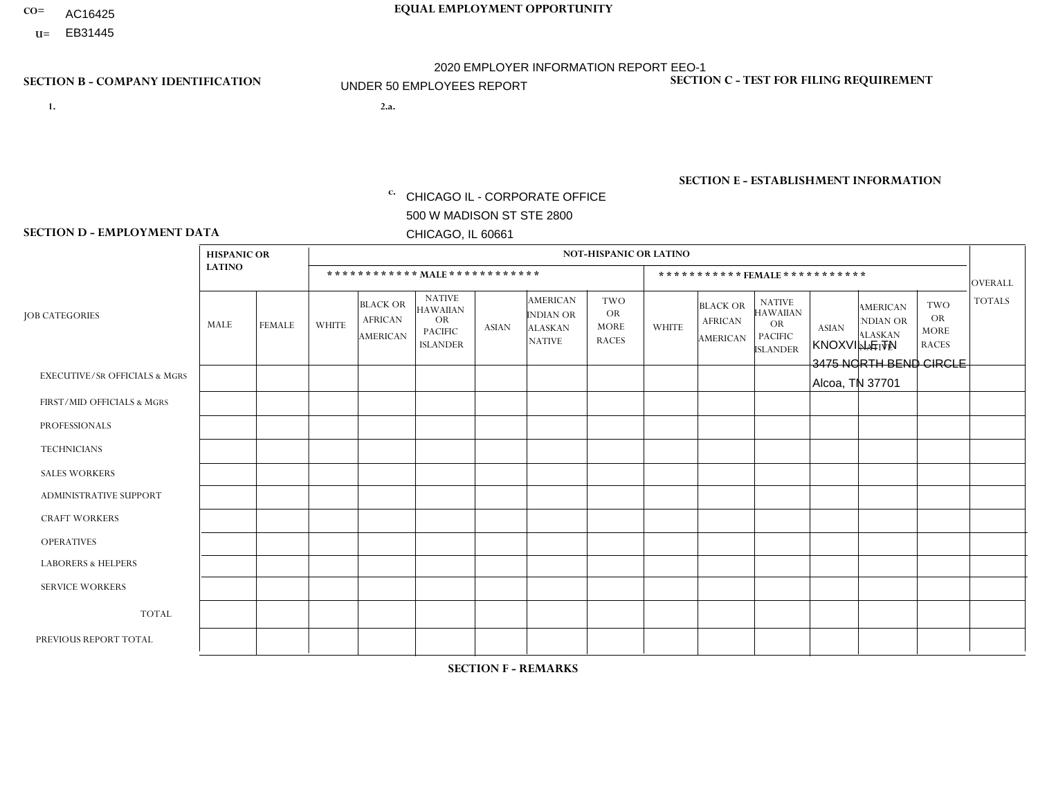- AC16425
- **U=**

- **1. 2.a.** CHICAGO IL CORPORATE OFFICE 500 W MADISON ST STE 2800 CHICAGO, IL 60661
- 2.a. KNOXVILLE TN 3475 NORTH BEND CIRCLE Alcoa, TN 37701

**SECTION B - COMPANY IDENTIFICATION SECTION C - TEST FOR FILING REQUIREMENT** 

1- Y 2- Y 3- N DUNS= 000123456

|                   | <b>SECTION E - ESTABLISHMENT INFORMATION</b> |  |
|-------------------|----------------------------------------------|--|
| c. EIN= 952920557 | NAICS: 423140                                |  |

### **SECTION D - EMPLOYMENT DATA**

|                                          | <b>HISPANIC OR</b> |               |                |                                                      |                                                                                    |              |                                                                        | <b>NOT-HISPANIC OR LATINO</b>                          |              |                                               |                                                                                    |              |                                                                |                                                        |                |
|------------------------------------------|--------------------|---------------|----------------|------------------------------------------------------|------------------------------------------------------------------------------------|--------------|------------------------------------------------------------------------|--------------------------------------------------------|--------------|-----------------------------------------------|------------------------------------------------------------------------------------|--------------|----------------------------------------------------------------|--------------------------------------------------------|----------------|
|                                          | <b>LATINO</b>      |               |                | ************ MALE ************                       |                                                                                    |              |                                                                        |                                                        |              |                                               | *********** FEMALE ***********                                                     |              |                                                                |                                                        | <b>OVERALL</b> |
| <b>JOB CATEGORIES</b>                    | MALE               | <b>FEMALE</b> | <b>WHITE</b>   | <b>BLACK OR</b><br><b>AFRICAN</b><br><b>AMERICAN</b> | <b>NATIVE</b><br><b>HAWAIIAN</b><br><b>OR</b><br><b>PACIFIC</b><br><b>ISLANDER</b> | <b>ASIAN</b> | <b>AMERICAN</b><br><b>INDIAN OR</b><br><b>ALASKAN</b><br><b>NATIVE</b> | <b>TWO</b><br><b>OR</b><br><b>MORE</b><br><b>RACES</b> | <b>WHITE</b> | <b>BLACK OR</b><br><b>AFRICAN</b><br>AMERICAN | <b>NATIVE</b><br><b>HAWAIIAN</b><br><b>OR</b><br><b>PACIFIC</b><br><b>ISLANDER</b> | <b>ASIAN</b> | <b>AMERICAN</b><br>NDIAN OR<br><b>ALASKAN</b><br><b>NATIVE</b> | <b>TWO</b><br><b>OR</b><br><b>MORE</b><br><b>RACES</b> | <b>TOTALS</b>  |
| <b>EXECUTIVE/SR OFFICIALS &amp; MGRS</b> | $\Omega$           | $\Omega$      | $\Omega$       | $\Omega$                                             | $\Omega$                                                                           | $\Omega$     | $\Omega$                                                               | $\Omega$                                               | $\Omega$     | $\mathbf{0}$                                  | $\mathbf{0}$                                                                       | $\Omega$     | $\Omega$                                                       | $\Omega$                                               | $\mathbf 0$    |
| FIRST/MID OFFICIALS & MGRS               | $\Omega$           | 0             | $\overline{c}$ | 0                                                    | $\mathbf{0}$                                                                       | $\Omega$     | $\Omega$                                                               | $\Omega$                                               | $\Omega$     | $\mathbf{0}$                                  | $\mathbf{0}$                                                                       | $\Omega$     | $\Omega$                                                       | $\Omega$                                               | $\overline{2}$ |
| <b>PROFESSIONALS</b>                     | $\Omega$           | $\mathbf 0$   | $\mathbf 0$    | $\mathbf 0$                                          | 0                                                                                  | $\mathbf 0$  | $\Omega$                                                               | $\Omega$                                               | $\mathbf{0}$ | $\Omega$                                      | $\Omega$                                                                           | $\Omega$     | $\Omega$                                                       | $\Omega$                                               | $\mathbf 0$    |
| <b>TECHNICIANS</b>                       | $\Omega$           | $\Omega$      | $\Omega$       | $\mathbf 0$                                          | $\Omega$                                                                           | $\Omega$     | $\overline{0}$                                                         | $\Omega$                                               | $\Omega$     | $\Omega$                                      | $\Omega$                                                                           | $\Omega$     | $\Omega$                                                       | $\mathbf{0}$                                           | $\mathbf 0$    |
| <b>SALES WORKERS</b>                     | $\Omega$           | $\mathbf 0$   | $\overline{2}$ | $\mathbf 0$                                          | $\mathbf 0$                                                                        | $\Omega$     | $\Omega$                                                               | $\Omega$                                               | 1            | $\Omega$                                      | $\Omega$                                                                           | $\Omega$     | $\Omega$                                                       | $\mathbf{0}$                                           | 3              |
| <b>ADMINISTRATIVE SUPPORT</b>            | $\Omega$           | $\Omega$      | $\overline{c}$ | $\Omega$                                             | 0                                                                                  | $\Omega$     | $\Omega$                                                               | $\Omega$                                               | $\Omega$     | $\mathbf{0}$                                  | $\Omega$                                                                           | $\Omega$     | $\Omega$                                                       | $\Omega$                                               | $\overline{2}$ |
| <b>CRAFT WORKERS</b>                     | $\Omega$           | $\Omega$      | $\Omega$       | $\mathbf 0$                                          | 0                                                                                  | $\Omega$     | $\Omega$                                                               | $\Omega$                                               | $\Omega$     | $\Omega$                                      | $\mathbf{0}$                                                                       | $\Omega$     | $\Omega$                                                       | $\Omega$                                               | $\mathbf{0}$   |
| <b>OPERATIVES</b>                        | 0                  | $\Omega$      | 9              | $\mathbf{1}$                                         | $\Omega$                                                                           | $\Omega$     | $\Omega$                                                               | $\Omega$                                               | $\Omega$     | $\Omega$                                      | $\mathbf{0}$                                                                       | $\Omega$     | $\Omega$                                                       | $\Omega$                                               | 10             |
| <b>LABORERS &amp; HELPERS</b>            | $\Omega$           | $\Omega$      | $\Omega$       | 0                                                    | $\Omega$                                                                           | $\Omega$     | $\Omega$                                                               | $\Omega$                                               | $\Omega$     | $\Omega$                                      | $\Omega$                                                                           | $\Omega$     | $\Omega$                                                       | $\Omega$                                               | 0              |
| <b>SERVICE WORKERS</b>                   | $\Omega$           | 0             | 0              | $\boldsymbol{0}$                                     | 0                                                                                  | $\mathbf 0$  | $\Omega$                                                               | $\Omega$                                               | $\Omega$     | $\Omega$                                      | $\Omega$                                                                           | $\mathbf 0$  | $\Omega$                                                       | $\mathbf 0$                                            | 0              |
| <b>TOTAL</b>                             | $\Omega$           | $\mathbf 0$   | 15             | $\mathbf{1}$                                         | 0                                                                                  | $\mathbf 0$  | $\Omega$                                                               | $\Omega$                                               | 1            | $\mathbf{0}$                                  | $\Omega$                                                                           | $\Omega$     | $\Omega$                                                       | $\Omega$                                               | 17             |
| PREVIOUS REPORT TOTAL                    | $\overline{2}$     | $\Omega$      | 21             | 1                                                    | 0                                                                                  | $\Omega$     | 0                                                                      | $\Omega$                                               | 3            | $\mathbf{0}$                                  | $\mathbf{0}$                                                                       | $\Omega$     | $\Omega$                                                       | $\mathbf 0$                                            | 27             |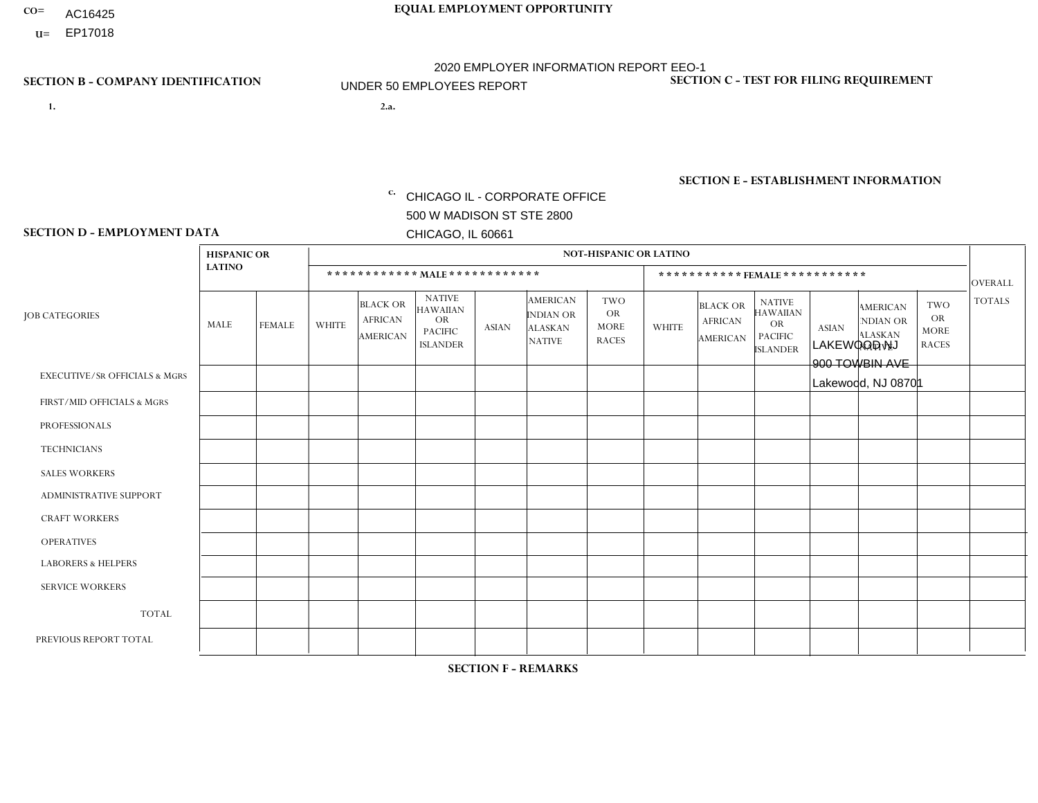- AC16425
- **U=**

**1. 2.a.** CHICAGO IL - CORPORATE OFFICE 500 W MADISON ST STE 2800 CHICAGO, IL 60661

2.a. LAKEWOOD NJ 900 TOWBIN AVE Lakewood, NJ 08701

EIN= 952920557

## **SECTION B - COMPANY IDENTIFICATION SECTION C - TEST FOR FILING REQUIREMENT**

1- Y 2- Y 3- N DUNS= 000123456

**SECTION E - ESTABLISHMENT INFORMATION c.** NAICS: 423140

### **SECTION D - EMPLOYMENT DATA**

|                                          | <b>HISPANIC OR</b> |               |                |                                                      |                                                                                    |              |                                                                        | <b>NOT-HISPANIC OR LATINO</b>                          |                |                                               |                                                                             |              |                                                                       |                                                        |                |
|------------------------------------------|--------------------|---------------|----------------|------------------------------------------------------|------------------------------------------------------------------------------------|--------------|------------------------------------------------------------------------|--------------------------------------------------------|----------------|-----------------------------------------------|-----------------------------------------------------------------------------|--------------|-----------------------------------------------------------------------|--------------------------------------------------------|----------------|
|                                          | <b>LATINO</b>      |               |                | ************ MALE ************                       |                                                                                    |              |                                                                        |                                                        |                |                                               | ***********FEMALE ***********                                               |              |                                                                       |                                                        | <b>OVERALL</b> |
| <b>JOB CATEGORIES</b>                    | MALE               | <b>FEMALE</b> | <b>WHITE</b>   | <b>BLACK OR</b><br><b>AFRICAN</b><br><b>AMERICAN</b> | <b>NATIVE</b><br><b>HAWAIIAN</b><br><b>OR</b><br><b>PACIFIC</b><br><b>ISLANDER</b> | <b>ASIAN</b> | <b>AMERICAN</b><br><b>INDIAN OR</b><br><b>ALASKAN</b><br><b>NATIVE</b> | <b>TWO</b><br><b>OR</b><br><b>MORE</b><br><b>RACES</b> | <b>WHITE</b>   | <b>BLACK OR</b><br><b>AFRICAN</b><br>AMERICAN | <b>NATIVE</b><br><b>HAWAIIAN</b><br>OR<br><b>PACIFIC</b><br><b>ISLANDER</b> | <b>ASIAN</b> | <b>AMERICAN</b><br><b>NDIAN OR</b><br><b>ALASKAN</b><br><b>NATIVE</b> | <b>TWO</b><br><b>OR</b><br><b>MORE</b><br><b>RACES</b> | <b>TOTALS</b>  |
| <b>EXECUTIVE/SR OFFICIALS &amp; MGRS</b> | $\Omega$           | $\Omega$      | $\Omega$       | $\mathbf 0$                                          | $\mathbf 0$                                                                        | $\Omega$     | $\Omega$                                                               | $\Omega$                                               | $\Omega$       | $\Omega$                                      | $\mathbf 0$                                                                 | $\mathbf 0$  | $\Omega$                                                              | $\Omega$                                               | $\mathbf 0$    |
| FIRST/MID OFFICIALS & MGRS               | $\Omega$           | 0             | 2              | $\mathbf 0$                                          | $\mathbf{0}$                                                                       | $\Omega$     | $\Omega$                                                               | $\Omega$                                               | 0              | $\Omega$                                      | $\Omega$                                                                    | $\mathbf 0$  | 0                                                                     | 0                                                      | $\overline{2}$ |
| <b>PROFESSIONALS</b>                     | $\Omega$           | $\Omega$      | $\Omega$       | $\mathbf 0$                                          | $\Omega$                                                                           | $\Omega$     | $\Omega$                                                               | $\Omega$                                               | $\Omega$       | $\Omega$                                      | $\Omega$                                                                    | $\Omega$     | $\Omega$                                                              | $\Omega$                                               | $\overline{0}$ |
| <b>TECHNICIANS</b>                       | $\Omega$           | $\Omega$      | $\Omega$       | $\mathbf 0$                                          | $\Omega$                                                                           | $\Omega$     | $\Omega$                                                               | $\Omega$                                               | 0              | $\Omega$                                      | 0                                                                           | 0            | $\Omega$                                                              | $\mathbf 0$                                            | $\mathbf{0}$   |
| <b>SALES WORKERS</b>                     | $\Omega$           | $\Omega$      | $\overline{2}$ | $\mathbf 0$                                          | $\Omega$                                                                           | $\Omega$     | $\Omega$                                                               | $\Omega$                                               | $\overline{0}$ | $\Omega$                                      | $\Omega$                                                                    | $\Omega$     | $\Omega$                                                              | $\Omega$                                               | $\overline{2}$ |
| ADMINISTRATIVE SUPPORT                   | $\Omega$           | $\mathbf 0$   | $\Omega$       | $\mathbf 0$                                          | 0                                                                                  | $\mathbf{0}$ | $\Omega$                                                               | $\Omega$                                               | 0              | $\Omega$                                      | 0                                                                           | $\mathbf 0$  | 0                                                                     | $\mathbf 0$                                            | $\overline{0}$ |
| <b>CRAFT WORKERS</b>                     | $\Omega$           | $\Omega$      | $\mathbf{0}$   | $\Omega$                                             | $\Omega$                                                                           | $\Omega$     | $\Omega$                                                               | $\Omega$                                               | 0              | $\Omega$                                      | 0                                                                           | $\Omega$     | $\Omega$                                                              | $\Omega$                                               | $\Omega$       |
| <b>OPERATIVES</b>                        | $\Omega$           | $\Omega$      | 5              | $\mathbf 0$                                          | $\Omega$                                                                           | $\Omega$     | $\Omega$                                                               | $\Omega$                                               | $\Omega$       | $\Omega$                                      | 0                                                                           | $\Omega$     | $\Omega$                                                              | $\Omega$                                               | 5              |
| <b>LABORERS &amp; HELPERS</b>            | 1                  | $\Omega$      | -1             | $\mathbf 0$                                          | 0                                                                                  | $\Omega$     | $\Omega$                                                               | $\Omega$                                               | $\Omega$       | $\Omega$                                      | $\Omega$                                                                    | $\Omega$     | $\Omega$                                                              | $\Omega$                                               | $\overline{2}$ |
| <b>SERVICE WORKERS</b>                   | $\Omega$           | $\mathbf 0$   | $\mathbf 0$    | 0                                                    | $\mathbf 0$                                                                        | $\mathbf 0$  | $\Omega$                                                               | $\Omega$                                               | 0              | $\Omega$                                      | 0                                                                           | $\mathbf 0$  | $\Omega$                                                              | $\mathbf 0$                                            | $\mathbf{0}$   |
| <b>TOTAL</b>                             | 1                  | 0             | 10             | $\mathbf 0$                                          | $\mathbf 0$                                                                        | 0            | $\Omega$                                                               | $\Omega$                                               | 0              | $\Omega$                                      | $\Omega$                                                                    | $\mathbf 0$  | $\Omega$                                                              | $\mathbf 0$                                            | 11             |
| PREVIOUS REPORT TOTAL                    | 2                  | $\Omega$      | 11             | $\overline{ }$                                       | $\mathbf 0$                                                                        | $\Omega$     | $\Omega$                                                               | $\Omega$                                               | 0              | $\Omega$                                      | 0                                                                           | $\mathbf 0$  | $\Omega$                                                              | 0                                                      | 14             |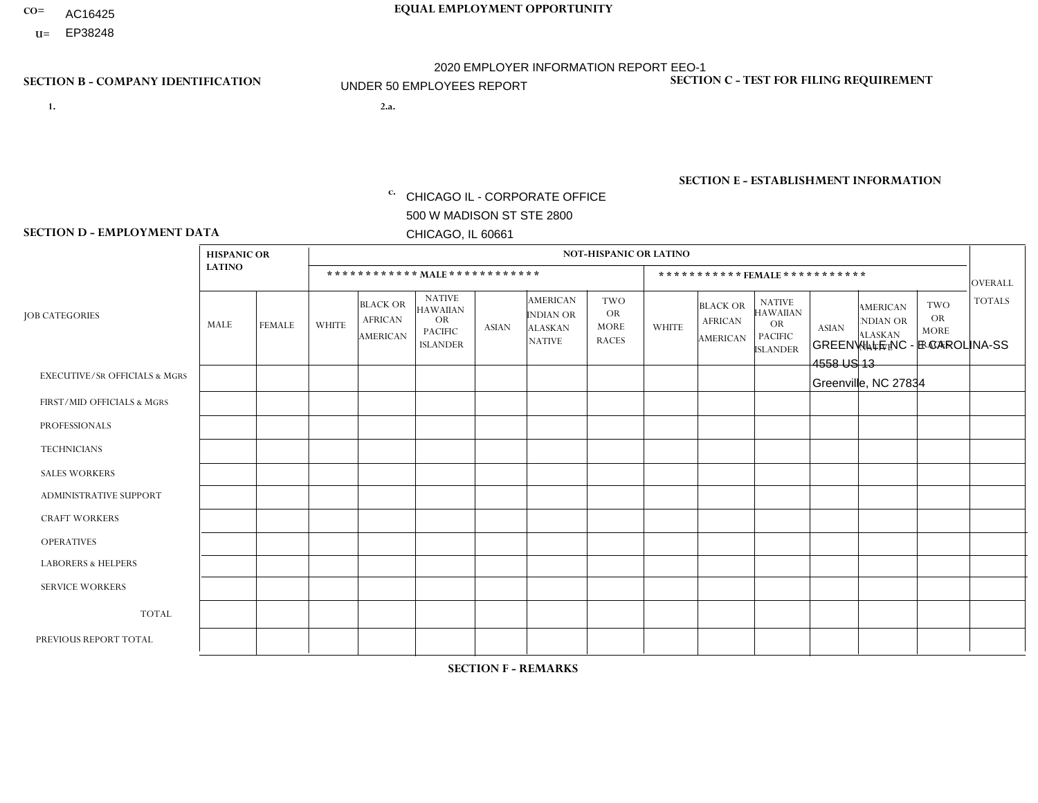- AC16425
- **U=**

**1. 2.a.** CHICAGO IL - CORPORATE OFFICE 500 W MADISON ST STE 2800 CHICAGO, IL 60661

2.a. GREENVILLE NC - E CAROLINA-SS 4558 US 13 Greenville, NC 27834

EIN= 952920557

## **SECTION B - COMPANY IDENTIFICATION SECTION C - TEST FOR FILING REQUIREMENT**

1- Y 2- Y 3- N DUNS= 000123456

**SECTION E - ESTABLISHMENT INFORMATION c.** NAICS: 423140

### **SECTION D - EMPLOYMENT DATA**

|                                          | <b>HISPANIC OR</b> |                      |                         |                                                      |                                                                                    |              |                                                                        | <b>NOT-HISPANIC OR LATINO</b>                          |                |                                               |                                                                                    |              |                                                                       |                                                        |                |
|------------------------------------------|--------------------|----------------------|-------------------------|------------------------------------------------------|------------------------------------------------------------------------------------|--------------|------------------------------------------------------------------------|--------------------------------------------------------|----------------|-----------------------------------------------|------------------------------------------------------------------------------------|--------------|-----------------------------------------------------------------------|--------------------------------------------------------|----------------|
|                                          | <b>LATINO</b>      |                      |                         | ************ MALE ************                       |                                                                                    |              |                                                                        |                                                        |                |                                               | ***********FEMALE***********                                                       |              |                                                                       |                                                        | <b>OVERALL</b> |
| <b>JOB CATEGORIES</b>                    | MALE               | <b>FEMALE</b>        | <b>WHITE</b>            | <b>BLACK OR</b><br><b>AFRICAN</b><br><b>AMERICAN</b> | <b>NATIVE</b><br><b>HAWAIIAN</b><br><b>OR</b><br><b>PACIFIC</b><br><b>ISLANDER</b> | <b>ASIAN</b> | <b>AMERICAN</b><br><b>INDIAN OR</b><br><b>ALASKAN</b><br><b>NATIVE</b> | <b>TWO</b><br><b>OR</b><br><b>MORE</b><br><b>RACES</b> | <b>WHITE</b>   | <b>BLACK OR</b><br><b>AFRICAN</b><br>AMERICAN | <b>NATIVE</b><br><b>HAWAIIAN</b><br><b>OR</b><br><b>PACIFIC</b><br><b>ISLANDER</b> | <b>ASIAN</b> | <b>AMERICAN</b><br><b>NDIAN OR</b><br><b>ALASKAN</b><br><b>NATIVE</b> | <b>TWO</b><br><b>OR</b><br><b>MORE</b><br><b>RACES</b> | <b>TOTALS</b>  |
| <b>EXECUTIVE/SR OFFICIALS &amp; MGRS</b> | $\Omega$           | $\Omega$             | $\Omega$                | $\mathbf 0$                                          | 0                                                                                  | $\Omega$     | $\Omega$                                                               | $\Omega$                                               | $\Omega$       | $\Omega$                                      | 0                                                                                  | $\mathbf 0$  | $\Omega$                                                              | 0                                                      | $\mathbf 0$    |
| FIRST/MID OFFICIALS & MGRS               | $\Omega$           | $\Omega$             | $\overline{\mathbf{A}}$ | $\mathbf 0$                                          | $\Omega$                                                                           | $\mathbf{0}$ | $\Omega$                                                               | $\Omega$                                               | 0              | $\Omega$                                      | 0                                                                                  | $\Omega$     | $\Omega$                                                              | $\Omega$                                               | -1             |
| <b>PROFESSIONALS</b>                     | $\Omega$           | $\Omega$             | 1                       | $\mathbf 0$                                          | $\Omega$                                                                           | $\Omega$     | $\Omega$                                                               | $\Omega$                                               | 0              | $\Omega$                                      | $\Omega$                                                                           | $\Omega$     | $\Omega$                                                              | $\mathbf 0$                                            | $\mathbf{1}$   |
| <b>TECHNICIANS</b>                       | $\Omega$           | $\mathbf 0$          | $\Omega$                | $\mathbf 0$                                          | $\mathbf 0$                                                                        | $\Omega$     | $\Omega$                                                               | $\Omega$                                               | 0              | $\mathbf 0$                                   | 0                                                                                  | $\mathbf 0$  | $\mathbf 0$                                                           | $\mathbf 0$                                            | $\mathbf{0}$   |
| <b>SALES WORKERS</b>                     |                    | $\blacktriangleleft$ | $\Omega$                | $\Omega$                                             | $\Omega$                                                                           | $\Omega$     | $\Omega$                                                               | $\Omega$                                               | $\overline{0}$ | $\mathbf{1}$                                  | $\overline{0}$                                                                     | $\Omega$     | $\Omega$                                                              | $\Omega$                                               | 3              |
| <b>ADMINISTRATIVE SUPPORT</b>            | -1                 | 1                    | $\mathbf{0}$            | $\Omega$                                             | 0                                                                                  | $\Omega$     | $\Omega$                                                               | $\Omega$                                               | 0              | $\Omega$                                      | $\Omega$                                                                           | $\mathbf 0$  | $\Omega$                                                              | $\Omega$                                               | $\overline{2}$ |
| <b>CRAFT WORKERS</b>                     | $\Omega$           | $\Omega$             | $\Omega$                | $\mathbf 0$                                          | $\Omega$                                                                           | $\Omega$     | $\Omega$                                                               | $\Omega$                                               | 0              | $\Omega$                                      | 0                                                                                  | $\Omega$     | $\Omega$                                                              | $\Omega$                                               | $\Omega$       |
| <b>OPERATIVES</b>                        |                    | $\Omega$             | 1                       | 5                                                    | $\Omega$                                                                           | $\Omega$     | $\Omega$                                                               | 1                                                      | 0              | $\Omega$                                      | $\Omega$                                                                           | $\mathbf 0$  | $\Omega$                                                              | $\Omega$                                               | 8              |
| <b>LABORERS &amp; HELPERS</b>            | $\Omega$           | $\Omega$             | $\mathbf{0}$            | $\mathbf 0$                                          | 0                                                                                  | $\Omega$     | $\Omega$                                                               | $\Omega$                                               | $\Omega$       | $\Omega$                                      | 0                                                                                  | $\Omega$     | $\Omega$                                                              | $\Omega$                                               | $\mathbf{0}$   |
| <b>SERVICE WORKERS</b>                   | $\Omega$           | $\mathbf 0$          | $\mathbf 0$             | 0                                                    | $\mathbf 0$                                                                        | $\mathbf 0$  | $\Omega$                                                               | $\Omega$                                               | $\Omega$       | $\Omega$                                      | $\mathbf 0$                                                                        | $\mathbf 0$  | $\Omega$                                                              | $\mathbf 0$                                            | $\mathbf 0$    |
| <b>TOTAL</b>                             | 3                  | $\overline{2}$       | 3                       | 5                                                    | $\mathbf 0$                                                                        | 0            | $\Omega$                                                               | 1                                                      | 0              | $\mathbf{1}$                                  | $\Omega$                                                                           | $\mathbf 0$  | $\Omega$                                                              | $\mathbf 0$                                            | 15             |
| PREVIOUS REPORT TOTAL                    | 2                  | $\overline{2}$       | 3                       | 3                                                    | $\Omega$                                                                           | $\Omega$     | $\Omega$                                                               |                                                        | 0              | $\overline{1}$                                | 0                                                                                  | $\Omega$     | $\Omega$                                                              | $\mathbf 0$                                            | 12             |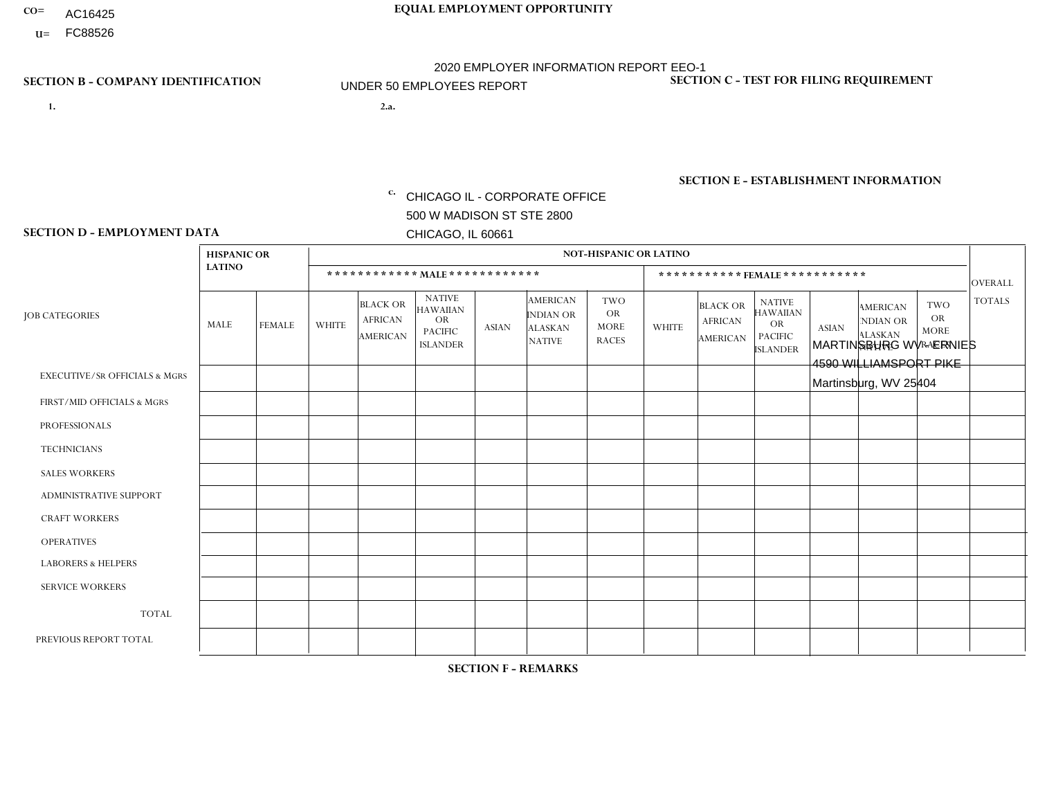- AC16425
- **U=**

- **1. 2.a.** CHICAGO IL CORPORATE OFFICE 500 W MADISON ST STE 2800 CHICAGO, IL 60661
- 2.a. MARTINSBURG WV ERNIES 4590 WILLIAMSPORT PIKE Martinsburg, WV 25404

c. EIN= 952920557

## **SECTION B - COMPANY IDENTIFICATION SECTION C - TEST FOR FILING REQUIREMENT**

1- Y 2- Y 3- N DUNS= 000123456

**SECTION E - ESTABLISHMENT INFORMATION c.** NAICS: 423140

### **SECTION D - EMPLOYMENT DATA**

|                                          | <b>HISPANIC OR</b> |               |                |                                                      |                                                                                    |              |                                                                        | <b>NOT-HISPANIC OR LATINO</b>                          |              |                                                      |                                                                                    |              |                                                                       |                                                        |                |
|------------------------------------------|--------------------|---------------|----------------|------------------------------------------------------|------------------------------------------------------------------------------------|--------------|------------------------------------------------------------------------|--------------------------------------------------------|--------------|------------------------------------------------------|------------------------------------------------------------------------------------|--------------|-----------------------------------------------------------------------|--------------------------------------------------------|----------------|
|                                          | <b>LATINO</b>      |               |                | ************ MALE ************                       |                                                                                    |              |                                                                        |                                                        |              |                                                      | *********** FEMALE ***********                                                     |              |                                                                       |                                                        | <b>OVERALL</b> |
| <b>JOB CATEGORIES</b>                    | MALE               | <b>FEMALE</b> | <b>WHITE</b>   | <b>BLACK OR</b><br><b>AFRICAN</b><br><b>AMERICAN</b> | <b>NATIVE</b><br><b>HAWAIIAN</b><br><b>OR</b><br><b>PACIFIC</b><br><b>ISLANDER</b> | <b>ASIAN</b> | <b>AMERICAN</b><br><b>INDIAN OR</b><br><b>ALASKAN</b><br><b>NATIVE</b> | <b>TWO</b><br><b>OR</b><br><b>MORE</b><br><b>RACES</b> | <b>WHITE</b> | <b>BLACK OR</b><br><b>AFRICAN</b><br><b>AMERICAN</b> | <b>NATIVE</b><br><b>HAWAIIAN</b><br><b>OR</b><br><b>PACIFIC</b><br><b>ISLANDER</b> | <b>ASIAN</b> | <b>AMERICAN</b><br><b>NDIAN OR</b><br><b>ALASKAN</b><br><b>NATIVE</b> | <b>TWO</b><br><b>OR</b><br><b>MORE</b><br><b>RACES</b> | <b>TOTALS</b>  |
| <b>EXECUTIVE/SR OFFICIALS &amp; MGRS</b> | $\Omega$           | $\Omega$      | $\Omega$       | $\Omega$                                             | $\Omega$                                                                           | $\Omega$     | $\Omega$                                                               | $\Omega$                                               | $\Omega$     | $\mathbf{0}$                                         | $\mathbf{0}$                                                                       | $\Omega$     | $\Omega$                                                              | $\Omega$                                               | $\Omega$       |
| FIRST/MID OFFICIALS & MGRS               | $\Omega$           | $\Omega$      | $\overline{c}$ | $\mathbf 0$                                          | 0                                                                                  | $\Omega$     | $\Omega$                                                               | $\Omega$                                               | $\Omega$     | $\mathbf{0}$                                         | $\mathbf{0}$                                                                       | $\Omega$     | $\Omega$                                                              | $\Omega$                                               | $\overline{2}$ |
| <b>PROFESSIONALS</b>                     | $\Omega$           | $\Omega$      | $\mathbf 0$    | $\mathbf 0$                                          | $\Omega$                                                                           | $\Omega$     | $\overline{0}$                                                         | $\Omega$                                               | $\Omega$     | $\Omega$                                             | $\mathbf{0}$                                                                       | $\Omega$     | $\Omega$                                                              | $\Omega$                                               | $\mathbf 0$    |
| <b>TECHNICIANS</b>                       | $\mathbf 0$        | $\mathbf 0$   | $\Omega$       | $\mathbf 0$                                          | 0                                                                                  | $\Omega$     | $\overline{0}$                                                         | $\Omega$                                               | $\mathbf 0$  | $\mathbf 0$                                          | $\mathbf 0$                                                                        | $\mathbf 0$  | $\Omega$                                                              | $\Omega$                                               | $\mathbf 0$    |
| <b>SALES WORKERS</b>                     | $\Omega$           | $\Omega$      | 1              | $\Omega$                                             | $\Omega$                                                                           | $\Omega$     | $\Omega$                                                               | $\Omega$                                               | $\mathbf 1$  | $\Omega$                                             | $\Omega$                                                                           | $\Omega$     | $\Omega$                                                              | $\Omega$                                               | $\overline{2}$ |
| <b>ADMINISTRATIVE SUPPORT</b>            | $\Omega$           | $\Omega$      | 3              | $\mathbf 0$                                          | $\mathbf 0$                                                                        | $\Omega$     | $\Omega$                                                               | $\Omega$                                               | 1            | $\mathbf{0}$                                         | $\mathbf{0}$                                                                       | $\Omega$     | $\Omega$                                                              | $\Omega$                                               | 4              |
| <b>CRAFT WORKERS</b>                     | 1                  | 0             | 6              | $\mathbf 0$                                          | 0                                                                                  | $\Omega$     | $\Omega$                                                               | $\Omega$                                               | $\Omega$     | $\Omega$                                             | $\Omega$                                                                           | $\Omega$     | $\Omega$                                                              | $\mathbf{0}$                                           | $\overline{7}$ |
| <b>OPERATIVES</b>                        |                    | $\mathbf 0$   | $\overline{7}$ | $\mathbf{1}$                                         | 0                                                                                  | $\Omega$     | $\overline{0}$                                                         | $\Omega$                                               | $\Omega$     | $\Omega$                                             | $\Omega$                                                                           | $\Omega$     | $\Omega$                                                              | $\mathbf{0}$                                           | 9              |
| <b>LABORERS &amp; HELPERS</b>            | $\Omega$           | $\Omega$      | 5              | $\Omega$                                             | 0                                                                                  | $\Omega$     | $\Omega$                                                               | $\Omega$                                               | $\mathbf 1$  | $\Omega$                                             | $\mathbf{0}$                                                                       | $\Omega$     | $\Omega$                                                              | $\Omega$                                               | 6              |
| <b>SERVICE WORKERS</b>                   | 0                  | 0             | $\Omega$       | 0                                                    | 0                                                                                  | $\Omega$     | $\Omega$                                                               | $\Omega$                                               | $\Omega$     | $\Omega$                                             | $\mathbf{0}$                                                                       | $\Omega$     | $\Omega$                                                              | $\Omega$                                               | 0              |
| <b>TOTAL</b>                             | 2                  | $\mathbf 0$   | 24             | $\mathbf{1}$                                         | 0                                                                                  | $\mathbf 0$  | $\Omega$                                                               | $\Omega$                                               | 3            | $\Omega$                                             | $\Omega$                                                                           | $\mathbf 0$  | $\Omega$                                                              | $\Omega$                                               | 30             |
| PREVIOUS REPORT TOTAL                    | 2                  | $\Omega$      | 32             | 1                                                    | 0                                                                                  | $\Omega$     | $\overline{0}$                                                         |                                                        | 4            | $\Omega$                                             | $\mathbf{0}$                                                                       | $\Omega$     | $\Omega$                                                              | $\mathbf 0$                                            | 40             |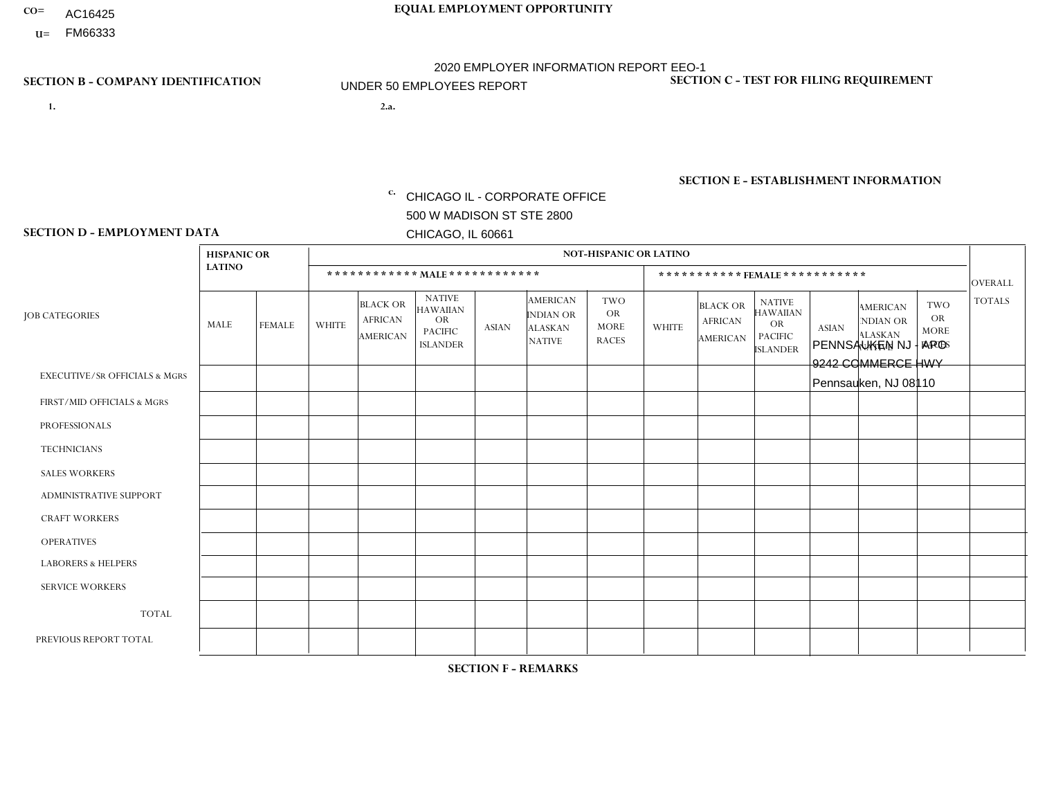- AC16425
- **U=**

**1. 2.a.** CHICAGO IL - CORPORATE OFFICE 500 W MADISON ST STE 2800 CHICAGO, IL 60661

2.a. PENNSAUKEN NJ - APO 9242 COMMERCE HWY Pennsauken, NJ 08110

c. EIN= 952920557

## **SECTION B - COMPANY IDENTIFICATION SECTION C - TEST FOR FILING REQUIREMENT**

1- Y 2- Y 3- N DUNS= 000123456

**SECTION E - ESTABLISHMENT INFORMATION c.** NAICS: 423140

### **SECTION D - EMPLOYMENT DATA**

|                                          | <b>HISPANIC OR</b> |               |              |                                                      |                                                                                    |              |                                                                 | <b>NOT-HISPANIC OR LATINO</b>                          |              |                                                      |                                                                                    |              |                                                                       |                                                        |                |
|------------------------------------------|--------------------|---------------|--------------|------------------------------------------------------|------------------------------------------------------------------------------------|--------------|-----------------------------------------------------------------|--------------------------------------------------------|--------------|------------------------------------------------------|------------------------------------------------------------------------------------|--------------|-----------------------------------------------------------------------|--------------------------------------------------------|----------------|
|                                          | <b>LATINO</b>      |               |              | ************ MALE ************                       |                                                                                    |              |                                                                 |                                                        |              |                                                      | ***********FEMALE***********                                                       |              |                                                                       |                                                        | <b>OVERALL</b> |
| <b>JOB CATEGORIES</b>                    | MALE               | <b>FEMALE</b> | <b>WHITE</b> | <b>BLACK OR</b><br><b>AFRICAN</b><br><b>AMERICAN</b> | <b>NATIVE</b><br><b>HAWAIIAN</b><br><b>OR</b><br><b>PACIFIC</b><br><b>ISLANDER</b> | <b>ASIAN</b> | <b>AMERICAN</b><br>INDIAN OR<br><b>ALASKAN</b><br><b>NATIVE</b> | <b>TWO</b><br><b>OR</b><br><b>MORE</b><br><b>RACES</b> | <b>WHITE</b> | <b>BLACK OR</b><br><b>AFRICAN</b><br><b>AMERICAN</b> | <b>NATIVE</b><br><b>HAWAIIAN</b><br><b>OR</b><br><b>PACIFIC</b><br><b>ISLANDER</b> | <b>ASIAN</b> | <b>AMERICAN</b><br><b>NDIAN OR</b><br><b>ALASKAN</b><br><b>NATIVE</b> | <b>TWO</b><br><b>OR</b><br><b>MORE</b><br><b>RACES</b> | <b>TOTALS</b>  |
| <b>EXECUTIVE/SR OFFICIALS &amp; MGRS</b> | $\mathbf{0}$       | $\Omega$      | $\Omega$     | $\Omega$                                             | 0                                                                                  | $\Omega$     | $\Omega$                                                        | $\Omega$                                               | $\Omega$     | $\mathbf{0}$                                         | $\Omega$                                                                           | $\Omega$     | $\Omega$                                                              | $\Omega$                                               | $\Omega$       |
| FIRST/MID OFFICIALS & MGRS               | и                  | $\Omega$      | $\Omega$     | $\mathbf 0$                                          | $\mathbf 0$                                                                        | $\Omega$     | $\Omega$                                                        | $\Omega$                                               | $\Omega$     | $\Omega$                                             | $\Omega$                                                                           | $\Omega$     | $\Omega$                                                              | $\Omega$                                               | $\mathbf{1}$   |
| <b>PROFESSIONALS</b>                     | $\Omega$           | $\Omega$      | $\mathbf 0$  | $\mathbf 0$                                          | $\overline{0}$                                                                     | $\Omega$     | $\Omega$                                                        | $\Omega$                                               | $\Omega$     | $\Omega$                                             | $\Omega$                                                                           | $\Omega$     | $\Omega$                                                              | $\mathbf{0}$                                           | $\mathbf 0$    |
| <b>TECHNICIANS</b>                       | $\Omega$           | $\Omega$      | $\Omega$     | $\Omega$                                             | 0                                                                                  | $\Omega$     | $\overline{0}$                                                  | $\Omega$                                               | $\Omega$     | $\Omega$                                             | $\Omega$                                                                           | $\Omega$     | $\mathbf{0}$                                                          | $\Omega$                                               | $\mathbf{0}$   |
| <b>SALES WORKERS</b>                     | $\overline{1}$     | $\Omega$      | $\Omega$     | $\Omega$                                             | $\Omega$                                                                           | $\Omega$     | $\Omega$                                                        | $\Omega$                                               | $\Omega$     | $\Omega$                                             | $\Omega$                                                                           | $\Omega$     | $\Omega$                                                              | $\Omega$                                               | $\mathbf{1}$   |
| <b>ADMINISTRATIVE SUPPORT</b>            | $\Omega$           | $\mathbf 0$   | $\Omega$     | $\mathbf 0$                                          | $\mathbf 0$                                                                        | $\mathbf 0$  | $\Omega$                                                        | $\Omega$                                               | $\Omega$     | $\Omega$                                             | $\Omega$                                                                           | $\Omega$     | $\Omega$                                                              | $\Omega$                                               | $\mathbf{0}$   |
| <b>CRAFT WORKERS</b>                     | $\Omega$           | $\Omega$      | $\Omega$     | 0                                                    | 0                                                                                  | $\Omega$     | $\Omega$                                                        | $\Omega$                                               | $\Omega$     | $\Omega$                                             | $\Omega$                                                                           | $\Omega$     | $\Omega$                                                              | $\Omega$                                               | $\Omega$       |
| <b>OPERATIVES</b>                        | $\Omega$           | $\Omega$      | $\Omega$     | $\mathbf 0$                                          | 0                                                                                  | $\Omega$     | $\Omega$                                                        | $\Omega$                                               | $\Omega$     | $\Omega$                                             | $\Omega$                                                                           | $\Omega$     | $\Omega$                                                              | $\Omega$                                               | 0              |
| <b>LABORERS &amp; HELPERS</b>            | -1                 | $\Omega$      | $\Omega$     | $\mathbf 0$                                          | 0                                                                                  | $\Omega$     | $\Omega$                                                        | $\Omega$                                               | $\Omega$     | $\Omega$                                             | $\Omega$                                                                           | $\Omega$     | $\Omega$                                                              | $\Omega$                                               | $\mathbf{1}$   |
| <b>SERVICE WORKERS</b>                   | $\Omega$           | $\Omega$      | $\Omega$     | 0                                                    | $\mathbf{0}$                                                                       | $\Omega$     | $\Omega$                                                        | $\Omega$                                               | $\Omega$     | $\Omega$                                             | $\Omega$                                                                           | $\Omega$     | $\Omega$                                                              | $\Omega$                                               | 0              |
| <b>TOTAL</b>                             | 3                  | $\mathbf 0$   | 0            | $\mathbf 0$                                          | 0                                                                                  | $\mathbf{0}$ | $\Omega$                                                        | $\Omega$                                               | 0            | $\Omega$                                             | $\Omega$                                                                           | $\mathbf 0$  | $\Omega$                                                              | $\Omega$                                               | 3              |
| PREVIOUS REPORT TOTAL                    | 2                  | $\Omega$      | $\Omega$     | $\mathbf 0$                                          | 0                                                                                  | $\Omega$     | $\overline{0}$                                                  |                                                        | $\Omega$     | $\Omega$                                             | $\mathbf{0}$                                                                       | $\Omega$     | $\Omega$                                                              | $\Omega$                                               | 3              |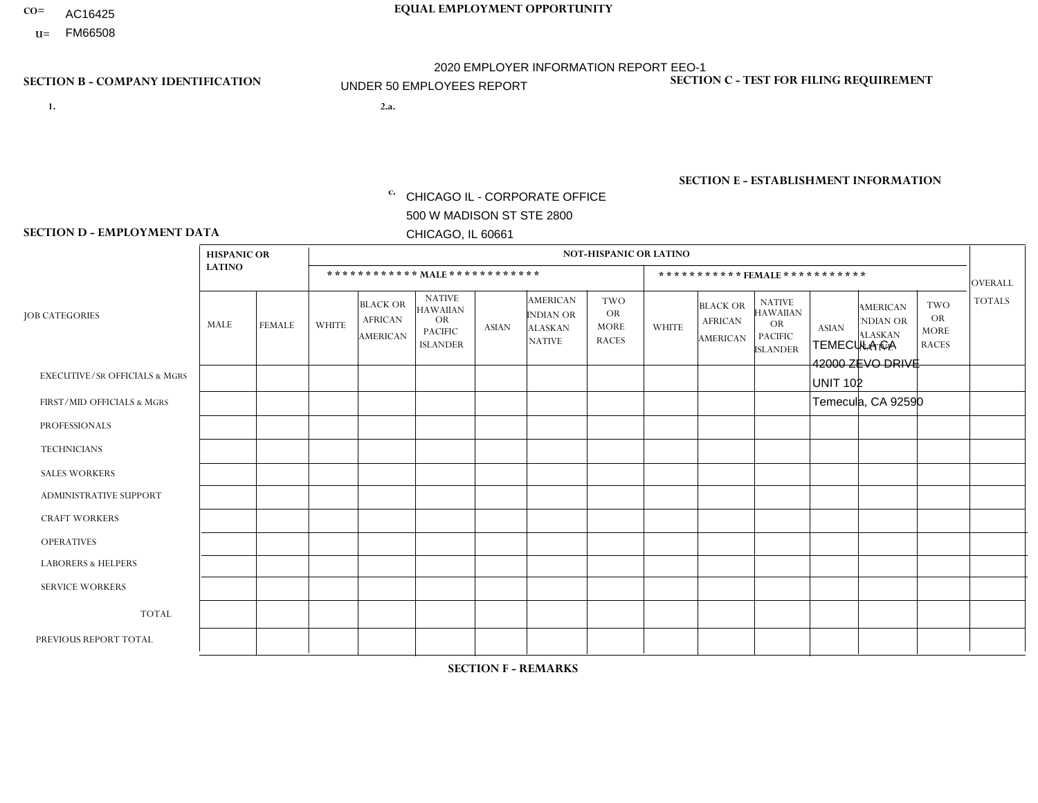- AC16425
- **U=**

- **1. 2.a.** CHICAGO IL CORPORATE OFFICE 500 W MADISON ST STE 2800 CHICAGO, IL 60661
- 2.a. TEMECULA CA 42000 ZEVO DRIVE UNIT 102 Temecula, CA 92590
	- EIN= 952920557

## **SECTION B - COMPANY IDENTIFICATION SECTION C - TEST FOR FILING REQUIREMENT**

1- Y 2- Y 3- N DUNS= 000123456

**SECTION E - ESTABLISHMENT INFORMATION c.** NAICS: 423140

### **SECTION D - EMPLOYMENT DATA**

|                                          | <b>HISPANIC OR</b><br><b>LATINO</b> |               | <b>NOT-HISPANIC OR LATINO</b>  |                                                      |                                                                                    |              |                                                                        |                                                        |              |                                                      |                                                                                    |              |                                                                       |                                                        |                |
|------------------------------------------|-------------------------------------|---------------|--------------------------------|------------------------------------------------------|------------------------------------------------------------------------------------|--------------|------------------------------------------------------------------------|--------------------------------------------------------|--------------|------------------------------------------------------|------------------------------------------------------------------------------------|--------------|-----------------------------------------------------------------------|--------------------------------------------------------|----------------|
|                                          |                                     |               | ************ MALE ************ |                                                      |                                                                                    |              |                                                                        |                                                        |              | ***********FEMALE ***********                        |                                                                                    |              |                                                                       |                                                        |                |
| <b>JOB CATEGORIES</b>                    | MALE                                | <b>FEMALE</b> | WHITE                          | <b>BLACK OR</b><br><b>AFRICAN</b><br><b>AMERICAN</b> | <b>NATIVE</b><br><b>HAWAIIAN</b><br><b>OR</b><br><b>PACIFIC</b><br><b>ISLANDER</b> | <b>ASIAN</b> | <b>AMERICAN</b><br><b>INDIAN OR</b><br><b>ALASKAN</b><br><b>NATIVE</b> | <b>TWO</b><br><b>OR</b><br><b>MORE</b><br><b>RACES</b> | <b>WHITE</b> | <b>BLACK OR</b><br><b>AFRICAN</b><br><b>AMERICAN</b> | <b>NATIVE</b><br><b>HAWAIIAN</b><br><b>OR</b><br><b>PACIFIC</b><br><b>ISLANDER</b> | <b>ASIAN</b> | <b>AMERICAN</b><br><b>NDIAN OR</b><br><b>ALASKAN</b><br><b>NATIVE</b> | <b>TWO</b><br><b>OR</b><br><b>MORE</b><br><b>RACES</b> | <b>TOTALS</b>  |
| <b>EXECUTIVE/SR OFFICIALS &amp; MGRS</b> | $\mathbf{0}$                        | $\mathbf 0$   | $\mathbf 0$                    | 0                                                    | $\Omega$                                                                           | $\mathbf{0}$ | $\Omega$                                                               | 0                                                      | $\Omega$     | $\mathbf{0}$                                         | $\Omega$                                                                           | $\mathbf 0$  | $\Omega$                                                              | $\Omega$                                               | $\Omega$       |
| FIRST/MID OFFICIALS & MGRS               | $\mathbf{0}$                        | $\Omega$      | $\Omega$                       | $\Omega$                                             | $\Omega$                                                                           | $\Omega$     | $\Omega$                                                               | 0                                                      | $\Omega$     | $\mathbf{0}$                                         | $\Omega$                                                                           | $\Omega$     | $\Omega$                                                              | $\Omega$                                               | $\Omega$       |
| <b>PROFESSIONALS</b>                     | $\mathbf 0$                         | $\mathbf 0$   | $\mathbf 0$                    | 0                                                    | $\mathbf{0}$                                                                       | $\mathbf{0}$ | $\Omega$                                                               | 0                                                      | $\Omega$     | $\mathbf{0}$                                         | $\Omega$                                                                           | $\mathbf 0$  | $\Omega$                                                              | $\mathbf 0$                                            | $\mathbf 0$    |
| <b>TECHNICIANS</b>                       | $\mathbf 0$                         | $\mathbf 0$   | $\mathbf 0$                    | 0                                                    | $\Omega$                                                                           | $\Omega$     | $\Omega$                                                               | 0                                                      | $\Omega$     | $\Omega$                                             | $\Omega$                                                                           | $\mathbf 0$  | 0                                                                     | $\Omega$                                               | $\mathbf 0$    |
| <b>SALES WORKERS</b>                     | $\mathbf 0$                         | $\mathbf 0$   | $\mathbf 0$                    | 0                                                    | $\Omega$                                                                           | $\Omega$     | $\Omega$                                                               | 0                                                      | $\Omega$     | $\Omega$                                             | $\Omega$                                                                           | $\mathbf 0$  | $\mathbf 0$                                                           | $\mathbf 0$                                            | $\mathbf 0$    |
| ADMINISTRATIVE SUPPORT                   | $\mathbf 0$                         | $\mathbf 0$   | $\mathbf 0$                    | 0                                                    | $\Omega$                                                                           | $\Omega$     | $\Omega$                                                               | $\Omega$                                               | $\Omega$     | $\Omega$                                             | $\Omega$                                                                           | $\Omega$     | $\Omega$                                                              | $\Omega$                                               | $\mathbf 0$    |
| <b>CRAFT WORKERS</b>                     | $\mathbf{0}$                        | $\mathbf 0$   | $\Omega$                       | 0                                                    | $\Omega$                                                                           | $\mathbf{0}$ | $\Omega$                                                               | 0                                                      | $\Omega$     | $\Omega$                                             | $\Omega$                                                                           | $\Omega$     | $\Omega$                                                              | $\Omega$                                               | $\Omega$       |
| <b>OPERATIVES</b>                        | 3                                   | $\Omega$      | $\Omega$                       | $\Omega$                                             | $\Omega$                                                                           | $\mathbf{0}$ | $\Omega$                                                               | 0                                                      | $\Omega$     | $\mathbf{0}$                                         | $\Omega$                                                                           | $\Omega$     | $\Omega$                                                              | $\Omega$                                               | 3              |
| <b>LABORERS &amp; HELPERS</b>            | $\mathbf{0}$                        | $\Omega$      | $\mathbf 0$                    | 0                                                    | $\Omega$                                                                           | $\Omega$     | $\Omega$                                                               | 1                                                      | $\Omega$     | $\Omega$                                             | $\Omega$                                                                           | $\Omega$     | $\Omega$                                                              | $\Omega$                                               | $\overline{1}$ |
| <b>SERVICE WORKERS</b>                   | $\mathbf 0$                         | $\mathbf 0$   | $\mathbf 0$                    | 0                                                    | 0                                                                                  | $\Omega$     | $\Omega$                                                               | 0                                                      | $\Omega$     | $\mathbf{0}$                                         | $\Omega$                                                                           | $\mathbf 0$  | $\Omega$                                                              | $\Omega$                                               | $\mathbf 0$    |
| <b>TOTAL</b>                             | 3                                   | $\mathbf 0$   | $\mathbf 0$                    | 0                                                    | $\Omega$                                                                           | $\Omega$     | $\Omega$                                                               |                                                        | $\Omega$     | $\mathbf{0}$                                         | $\Omega$                                                                           | $\mathbf 0$  | $\Omega$                                                              | $\mathbf 0$                                            | $\overline{4}$ |
| PREVIOUS REPORT TOTAL                    | 3                                   | $\mathbf 0$   | $\mathbf 0$                    | 0                                                    | $\mathbf 0$                                                                        | $\Omega$     | $\Omega$                                                               | $\overline{2}$                                         | 0            | $\mathbf 0$                                          | 0                                                                                  | 0            | 0                                                                     | $\mathbf 0$                                            | 5              |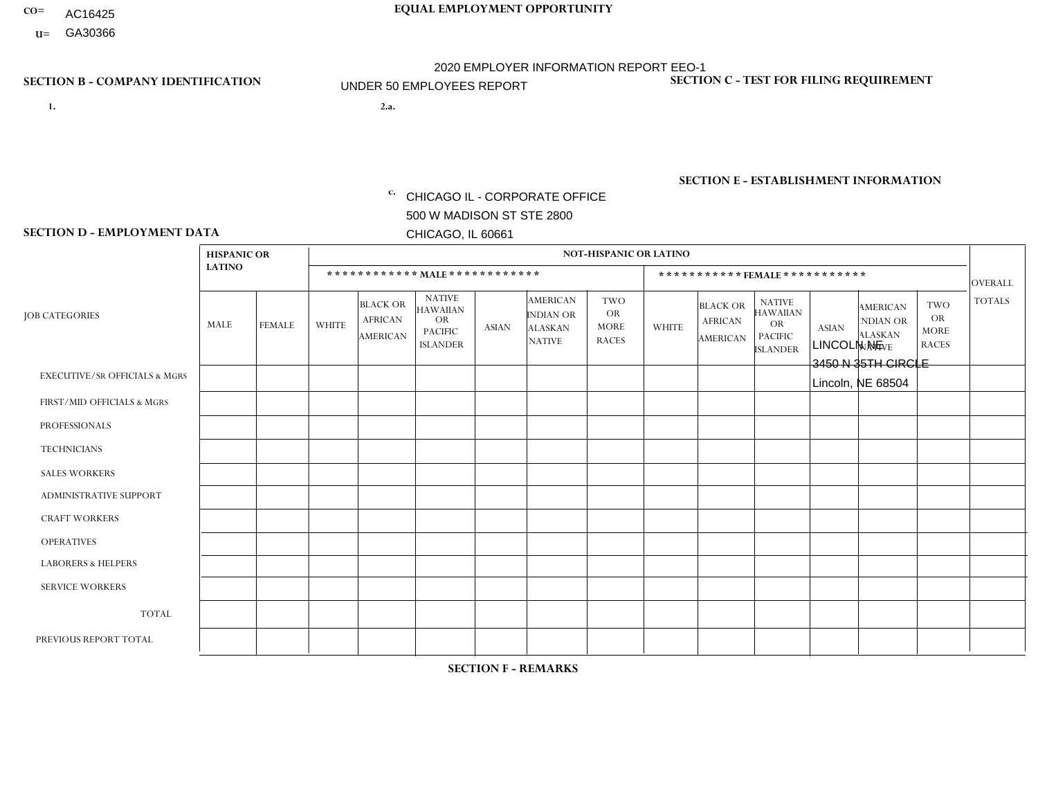- AC16425
- **U=**

**1. 2.a.** CHICAGO IL - CORPORATE OFFICE 500 W MADISON ST STE 2800 CHICAGO, IL 60661

2.a. LINCOLN NE 3450 N 35TH CIRCLE Lincoln, NE 68504

EIN= 952920557

## **SECTION B - COMPANY IDENTIFICATION SECTION C - TEST FOR FILING REQUIREMENT**

1- Y 2- Y 3- N DUNS= 000123456

**SECTION E - ESTABLISHMENT INFORMATION c.** NAICS: 423140

### **SECTION D - EMPLOYMENT DATA**

|                                          | <b>HISPANIC OR</b> |               | <b>NOT-HISPANIC OR LATINO</b>  |                                                      |                                                                                    |              |                                                                        |                                                        |                |                                                 |                                                                                    |              |                                                                |                                                        |                |  |
|------------------------------------------|--------------------|---------------|--------------------------------|------------------------------------------------------|------------------------------------------------------------------------------------|--------------|------------------------------------------------------------------------|--------------------------------------------------------|----------------|-------------------------------------------------|------------------------------------------------------------------------------------|--------------|----------------------------------------------------------------|--------------------------------------------------------|----------------|--|
|                                          | <b>LATINO</b>      |               | ************ MALE ************ |                                                      |                                                                                    |              |                                                                        |                                                        |                | ***********FEMALE ***********<br><b>OVERALL</b> |                                                                                    |              |                                                                |                                                        |                |  |
| <b>JOB CATEGORIES</b>                    | MALE               | <b>FEMALE</b> | <b>WHITE</b>                   | <b>BLACK OR</b><br><b>AFRICAN</b><br><b>AMERICAN</b> | <b>NATIVE</b><br><b>HAWAIIAN</b><br><b>OR</b><br><b>PACIFIC</b><br><b>ISLANDER</b> | <b>ASIAN</b> | <b>AMERICAN</b><br><b>INDIAN OR</b><br><b>ALASKAN</b><br><b>NATIVE</b> | <b>TWO</b><br><b>OR</b><br><b>MORE</b><br><b>RACES</b> | <b>WHITE</b>   | <b>BLACK OR</b><br><b>AFRICAN</b><br>AMERICAN   | <b>NATIVE</b><br><b>HAWAIIAN</b><br><b>OR</b><br><b>PACIFIC</b><br><b>ISLANDER</b> | <b>ASIAN</b> | <b>AMERICAN</b><br>NDIAN OR<br><b>ALASKAN</b><br><b>NATIVE</b> | <b>TWO</b><br><b>OR</b><br><b>MORE</b><br><b>RACES</b> | <b>TOTALS</b>  |  |
| <b>EXECUTIVE/SR OFFICIALS &amp; MGRS</b> | $\Omega$           | $\Omega$      | $\mathbf{0}$                   | $\Omega$                                             | $\Omega$                                                                           | $\Omega$     | $\Omega$                                                               | $\Omega$                                               | 0              | $\Omega$                                        | $\Omega$                                                                           | $\Omega$     | $\Omega$                                                       | $\Omega$                                               | $\Omega$       |  |
| FIRST/MID OFFICIALS & MGRS               | $\Omega$           | $\Omega$      | $\overline{c}$                 | $\mathbf 0$                                          | $\Omega$                                                                           | $\Omega$     | $\Omega$                                                               | $\Omega$                                               | 0              | $\Omega$                                        | 0                                                                                  | $\Omega$     | $\Omega$                                                       | $\Omega$                                               | $\overline{2}$ |  |
| <b>PROFESSIONALS</b>                     | $\Omega$           | $\Omega$      | $\Omega$                       | $\mathbf 0$                                          | $\Omega$                                                                           | $\Omega$     | $\Omega$                                                               | $\Omega$                                               | $\Omega$       | $\Omega$                                        | 0                                                                                  | 0            | $\Omega$                                                       | $\mathbf 0$                                            | $\mathbf{0}$   |  |
| <b>TECHNICIANS</b>                       | $\Omega$           | $\Omega$      | $\Omega$                       | $\Omega$                                             | $\Omega$                                                                           | $\Omega$     | $\Omega$                                                               | $\Omega$                                               | $\Omega$       | $\Omega$                                        | 0                                                                                  | $\mathbf 0$  | $\Omega$                                                       | $\mathbf 0$                                            | $\Omega$       |  |
| <b>SALES WORKERS</b>                     | 1                  | $\Omega$      | 5                              | $\Omega$                                             | $\Omega$                                                                           | $\Omega$     | $\Omega$                                                               | $\Omega$                                               | $\Omega$       | $\Omega$                                        | $\Omega$                                                                           | $\Omega$     | $\Omega$                                                       | $\Omega$                                               | 6              |  |
| <b>ADMINISTRATIVE SUPPORT</b>            | $\Omega$           | $\Omega$      | 2                              | $\mathbf 0$                                          | 0                                                                                  | $\Omega$     | $\Omega$                                                               | $\Omega$                                               | $\overline{2}$ | $\Omega$                                        | 0                                                                                  | $\mathbf 0$  | $\Omega$                                                       | $\mathbf 0$                                            | 4              |  |
| <b>CRAFT WORKERS</b>                     | $\Omega$           | $\Omega$      | 3                              | $\mathbf 0$                                          | $\Omega$                                                                           | $\Omega$     | $\Omega$                                                               | $\Omega$                                               | 0              | $\Omega$                                        | 0                                                                                  | $\Omega$     | $\Omega$                                                       | $\Omega$                                               | 3              |  |
| <b>OPERATIVES</b>                        | $\Omega$           | $\Omega$      | $\overline{7}$                 | $\mathbf 0$                                          | $\Omega$                                                                           | $\Omega$     | $\Omega$                                                               | $\Omega$                                               | 0              | $\Omega$                                        | 0                                                                                  | $\mathbf 0$  | $\Omega$                                                       | $\Omega$                                               | $\overline{7}$ |  |
| <b>LABORERS &amp; HELPERS</b>            | $\Omega$           | $\Omega$      | -1                             | $\mathbf 0$                                          | $\Omega$                                                                           | $\Omega$     | $\Omega$                                                               | $\Omega$                                               | $\Omega$       | $\Omega$                                        | $\Omega$                                                                           | $\Omega$     | $\Omega$                                                       | $\Omega$                                               | $\mathbf 1$    |  |
| <b>SERVICE WORKERS</b>                   | $\Omega$           | $\Omega$      | $\Omega$                       | $\mathbf 0$                                          | $\mathbf 0$                                                                        | $\Omega$     | $\Omega$                                                               | $\Omega$                                               | 0              | $\Omega$                                        | $\Omega$                                                                           | $\mathbf 0$  | $\Omega$                                                       | $\Omega$                                               | $\mathbf 0$    |  |
| <b>TOTAL</b>                             | -1                 | 0             | 20                             | $\mathbf 0$                                          | $\mathbf{0}$                                                                       | 0            | $\Omega$                                                               | $\Omega$                                               | $\overline{2}$ | $\Omega$                                        | 0                                                                                  | $\mathbf 0$  | 0                                                              | $\mathbf 0$                                            | 23             |  |
| PREVIOUS REPORT TOTAL                    |                    | $\Omega$      | 20                             | $\overline{ }$                                       | 0                                                                                  | $\Omega$     | $\Omega$                                                               | $\Omega$                                               | 4              | $\Omega$                                        | 0                                                                                  | $\mathbf 0$  | $\Omega$                                                       | $\mathbf 0$                                            | 26             |  |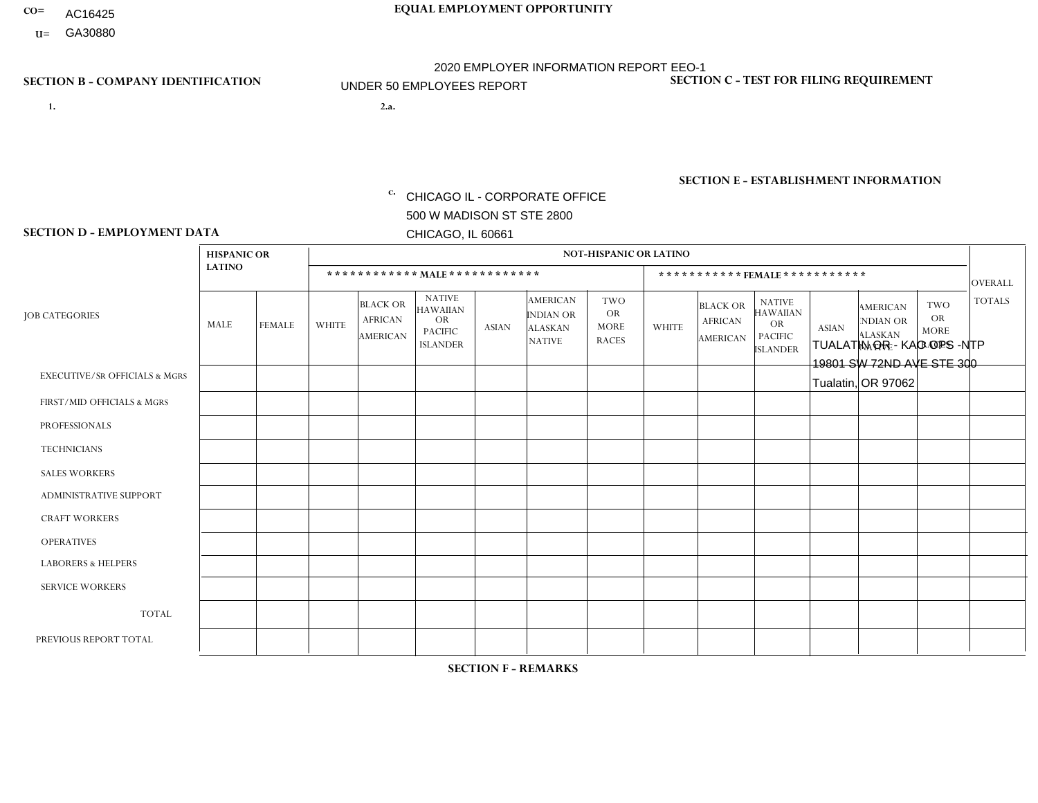- AC16425
- **U=**

- **1. 2.a.** CHICAGO IL CORPORATE OFFICE 500 W MADISON ST STE 2800 CHICAGO, IL 60661
- 2.a. TUALATIN OR KAO OPS -NTP 19801 SW 72ND AVE STE 300 Tualatin, OR 97062

c. EIN= 952920557

## **SECTION B - COMPANY IDENTIFICATION SECTION C - TEST FOR FILING REQUIREMENT**

1- Y 2- Y 3- N DUNS= 000123456

**SECTION E - ESTABLISHMENT INFORMATION c.** NAICS: 423140

### **SECTION D - EMPLOYMENT DATA**

|                                          | <b>HISPANIC OR</b> |                |                |                                                      |                                                                                    |              |                                                                        | <b>NOT-HISPANIC OR LATINO</b>                          |                |                                               |                                                                                    |              |                                                                |                                                        |                |
|------------------------------------------|--------------------|----------------|----------------|------------------------------------------------------|------------------------------------------------------------------------------------|--------------|------------------------------------------------------------------------|--------------------------------------------------------|----------------|-----------------------------------------------|------------------------------------------------------------------------------------|--------------|----------------------------------------------------------------|--------------------------------------------------------|----------------|
|                                          | <b>LATINO</b>      |                |                | ************ MALE ************                       |                                                                                    |              |                                                                        |                                                        |                |                                               | ***********FEMALE***********                                                       |              |                                                                |                                                        | <b>OVERALL</b> |
| <b>JOB CATEGORIES</b>                    | MALE               | <b>FEMALE</b>  | <b>WHITE</b>   | <b>BLACK OR</b><br><b>AFRICAN</b><br><b>AMERICAN</b> | <b>NATIVE</b><br><b>HAWAIIAN</b><br><b>OR</b><br><b>PACIFIC</b><br><b>ISLANDER</b> | <b>ASIAN</b> | <b>AMERICAN</b><br><b>INDIAN OR</b><br><b>ALASKAN</b><br><b>NATIVE</b> | <b>TWO</b><br><b>OR</b><br><b>MORE</b><br><b>RACES</b> | <b>WHITE</b>   | <b>BLACK OR</b><br><b>AFRICAN</b><br>AMERICAN | <b>NATIVE</b><br><b>HAWAIIAN</b><br><b>OR</b><br><b>PACIFIC</b><br><b>ISLANDER</b> | <b>ASIAN</b> | <b>AMERICAN</b><br>NDIAN OR<br><b>ALASKAN</b><br><b>NATIVE</b> | <b>TWO</b><br><b>OR</b><br><b>MORE</b><br><b>RACES</b> | <b>TOTALS</b>  |
| <b>EXECUTIVE/SR OFFICIALS &amp; MGRS</b> | $\Omega$           | $\mathbf 0$    |                | $\mathbf 0$                                          | 0                                                                                  | $\mathbf 0$  | $\Omega$                                                               | $\Omega$                                               | 1              | $\mathbf 0$                                   | 0                                                                                  | $\mathbf 0$  | $\Omega$                                                       | $\mathbf 0$                                            | $\overline{2}$ |
| FIRST/MID OFFICIALS & MGRS               | $\Omega$           | $\Omega$       | 2              | $\Omega$                                             | $\Omega$                                                                           | $\Omega$     | $\Omega$                                                               | $\Omega$                                               | 0              | $\Omega$                                      | 0                                                                                  | $\Omega$     | $\Omega$                                                       | $\Omega$                                               | $\overline{2}$ |
| <b>PROFESSIONALS</b>                     | $\Omega$           | $\mathbf 0$    | 3              | $\overline{1}$                                       | $\mathbf 0$                                                                        | $\Omega$     | $\Omega$                                                               | $\Omega$                                               | $\overline{4}$ | $\Omega$                                      | 0                                                                                  | $\mathbf 0$  | $\Omega$                                                       |                                                        | 9              |
| <b>TECHNICIANS</b>                       | $\Omega$           | $\Omega$       | $\Omega$       | $\mathbf 0$                                          | $\Omega$                                                                           | $\Omega$     | $\Omega$                                                               | $\Omega$                                               | $\Omega$       | $\Omega$                                      | $\Omega$                                                                           | $\mathbf 0$  | $\Omega$                                                       | $\Omega$                                               | $\overline{0}$ |
| <b>SALES WORKERS</b>                     | $\Omega$           | $\mathbf{1}$   | 1              | $\mathbf 0$                                          | $\Omega$                                                                           | $\Omega$     | $\Omega$                                                               | $\Omega$                                               | $\Omega$       | $\Omega$                                      | 0                                                                                  | $\mathbf 0$  | $\Omega$                                                       | $\Omega$                                               | $\overline{2}$ |
| ADMINISTRATIVE SUPPORT                   | $\Omega$           | $\mathbf 0$    | $\Omega$       | $\mathbf 0$                                          | $\mathbf 0$                                                                        | $\Omega$     | $\Omega$                                                               | $\Omega$                                               | $\overline{7}$ | $\mathbf{1}$                                  | $\overline{2}$                                                                     | $\mathbf 0$  | 1                                                              | $\mathbf 0$                                            | 11             |
| <b>CRAFT WORKERS</b>                     | $\Omega$           | $\Omega$       | $\mathbf{0}$   | $\mathbf 0$                                          | $\Omega$                                                                           | $\Omega$     | $\Omega$                                                               | $\Omega$                                               | 0              | $\Omega$                                      | 0                                                                                  | $\Omega$     | $\Omega$                                                       | $\Omega$                                               | $\overline{0}$ |
| <b>OPERATIVES</b>                        | $\Omega$           | $\Omega$       | $\Omega$       | $\mathbf 0$                                          | $\Omega$                                                                           | $\Omega$     | $\Omega$                                                               | $\Omega$                                               | $\Omega$       | $\Omega$                                      | 0                                                                                  | $\Omega$     | $\Omega$                                                       | $\Omega$                                               | $\mathbf{0}$   |
| <b>LABORERS &amp; HELPERS</b>            | $\Omega$           | $\Omega$       | $\mathbf{0}$   | $\mathbf 0$                                          | $\Omega$                                                                           | $\Omega$     | $\Omega$                                                               | $\Omega$                                               | $\Omega$       | $\Omega$                                      | $\Omega$                                                                           | $\Omega$     | $\Omega$                                                       | $\Omega$                                               | $\mathbf{0}$   |
| <b>SERVICE WORKERS</b>                   | $\Omega$           | $\overline{1}$ | $\overline{c}$ | 0                                                    | $\mathbf 0$                                                                        | $\mathbf 0$  | $\Omega$                                                               | $\Omega$                                               | 6              | $\Omega$                                      | $\Omega$                                                                           | $\mathbf 0$  | $\Omega$                                                       | 0                                                      | 9              |
| <b>TOTAL</b>                             | $\mathbf 0$        | $\overline{2}$ | 9              | $\overline{1}$                                       | 0                                                                                  | 0            | $\Omega$                                                               | $\mathbf{0}$                                           | 18             | $\mathbf{1}$                                  | $\overline{2}$                                                                     | 0            | $\mathbf 1$                                                    | $\mathbf 1$                                            | 35             |
| PREVIOUS REPORT TOTAL                    | $\Omega$           | $\overline{2}$ | 13             | $\overline{A}$                                       | $\mathbf 0$                                                                        | $\Omega$     | $\Omega$                                                               |                                                        | 22             | $\mathbf{1}$                                  | $\overline{2}$                                                                     | $\mathbf 0$  | 1                                                              | 2                                                      | 45             |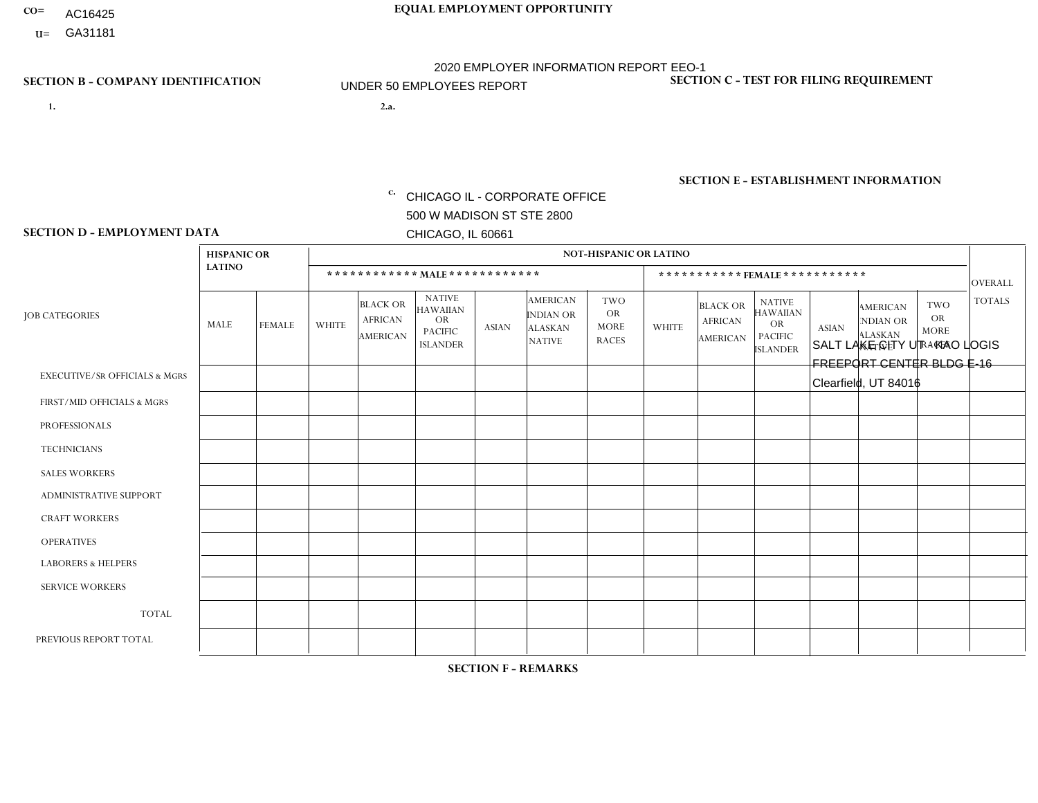- AC16425
- **U=**

- **1. 2.a.** CHICAGO IL CORPORATE OFFICE 500 W MADISON ST STE 2800 CHICAGO, IL 60661
- 2.a. SALT LAKE CITY UT KAO LOGIS FREEPORT CENTER BLDG E-16 Clearfield, UT 84016

c. EIN= 952920557

## **SECTION B - COMPANY IDENTIFICATION SECTION C - TEST FOR FILING REQUIREMENT**

1- Y 2- Y 3- N DUNS= 000123456

**SECTION E - ESTABLISHMENT INFORMATION c.** NAICS: 423140

### **SECTION D - EMPLOYMENT DATA**

|                                          | <b>HISPANIC OR</b> |               |                |                                                      |                                                                             |              |                                                                        | <b>NOT-HISPANIC OR LATINO</b>                          |                |                                               |                                                                                    |              |                                                                       |                                                        |                 |
|------------------------------------------|--------------------|---------------|----------------|------------------------------------------------------|-----------------------------------------------------------------------------|--------------|------------------------------------------------------------------------|--------------------------------------------------------|----------------|-----------------------------------------------|------------------------------------------------------------------------------------|--------------|-----------------------------------------------------------------------|--------------------------------------------------------|-----------------|
|                                          | <b>LATINO</b>      |               |                |                                                      | ************ MALE ************                                              |              |                                                                        |                                                        |                | ***********FEMALE***********                  |                                                                                    |              |                                                                       |                                                        | <b>OVERALL</b>  |
| <b>JOB CATEGORIES</b>                    | <b>MALE</b>        | <b>FEMALE</b> | <b>WHITE</b>   | <b>BLACK OR</b><br><b>AFRICAN</b><br><b>AMERICAN</b> | <b>NATIVE</b><br>HAWAIIAN<br><b>OR</b><br><b>PACIFIC</b><br><b>ISLANDER</b> | <b>ASIAN</b> | <b>AMERICAN</b><br><b>INDIAN OR</b><br><b>ALASKAN</b><br><b>NATIVE</b> | <b>TWO</b><br><b>OR</b><br><b>MORE</b><br><b>RACES</b> | <b>WHITE</b>   | <b>BLACK OR</b><br><b>AFRICAN</b><br>AMERICAN | <b>NATIVE</b><br><b>HAWAIIAN</b><br><b>OR</b><br><b>PACIFIC</b><br><b>ISLANDER</b> | <b>ASIAN</b> | <b>AMERICAN</b><br><b>NDIAN OR</b><br><b>ALASKAN</b><br><b>NATIVE</b> | <b>TWO</b><br><b>OR</b><br><b>MORE</b><br><b>RACES</b> | <b>TOTALS</b>   |
| <b>EXECUTIVE/SR OFFICIALS &amp; MGRS</b> | $\Omega$           | $\Omega$      | $\Omega$       | $\Omega$                                             | $\Omega$                                                                    | $\Omega$     | $\Omega$                                                               | $\Omega$                                               | $\Omega$       | $\Omega$                                      | $\Omega$                                                                           | $\Omega$     | $\Omega$                                                              | $\Omega$                                               | $\Omega$        |
| FIRST/MID OFFICIALS & MGRS               | 0                  | $\Omega$      | 1              | 0                                                    | $\mathbf{0}$                                                                | $\Omega$     | $\Omega$                                                               | 0                                                      | $\Omega$       | $\Omega$                                      | $\Omega$                                                                           | $\Omega$     | $\Omega$                                                              | $\Omega$                                               | $\mathbf{1}$    |
| <b>PROFESSIONALS</b>                     | 0                  | $\mathbf{0}$  | $\overline{1}$ | $\Omega$                                             | $\Omega$                                                                    | $\Omega$     | $\Omega$                                                               | 0                                                      | $\Omega$       | $\Omega$                                      | $\Omega$                                                                           | $\Omega$     | $\Omega$                                                              | $\Omega$                                               | $\mathbf{1}$    |
| <b>TECHNICIANS</b>                       | 0                  | $\Omega$      | $\Omega$       | $\Omega$                                             | $\Omega$                                                                    | $\Omega$     | $\Omega$                                                               | 0                                                      | $\Omega$       | $\Omega$                                      | $\Omega$                                                                           | $\Omega$     | $\Omega$                                                              | $\Omega$                                               | $\Omega$        |
| <b>SALES WORKERS</b>                     | $\mathbf 0$        | $\mathbf 0$   | $\mathbf 0$    | $\mathbf 0$                                          | $\Omega$                                                                    | $\Omega$     | $\Omega$                                                               | 0                                                      | $\Omega$       | $\Omega$                                      | $\Omega$                                                                           | $\Omega$     | $\Omega$                                                              | $\Omega$                                               | $\mathbf{0}$    |
| <b>ADMINISTRATIVE SUPPORT</b>            | $\Omega$           | $\Omega$      | $\mathbf 0$    | $\mathbf 0$                                          | $\mathbf{0}$                                                                | $\Omega$     | $\Omega$                                                               | 0                                                      | $\Omega$       | $\Omega$                                      | $\Omega$                                                                           | $\Omega$     | $\Omega$                                                              | $\mathbf 0$                                            | $\mathbf 0$     |
| <b>CRAFT WORKERS</b>                     | 0                  | $\Omega$      | $\mathbf 0$    | $\mathbf 0$                                          | $\mathbf{0}$                                                                | $\mathbf{0}$ | $\Omega$                                                               | 0                                                      | $\Omega$       | $\Omega$                                      | $\Omega$                                                                           | $\Omega$     | $\Omega$                                                              | $\Omega$                                               | $\mathbf 0$     |
| <b>OPERATIVES</b>                        | 1                  | $\Omega$      | 6              | $\mathbf 0$                                          | $\Omega$                                                                    | $\Omega$     | $\Omega$                                                               | 0                                                      | $\overline{2}$ | $\Omega$                                      | $\Omega$                                                                           | $\Omega$     | $\Omega$                                                              | $\Omega$                                               | 9               |
| <b>LABORERS &amp; HELPERS</b>            | 0                  | $\Omega$      | $\Omega$       | $\Omega$                                             | $\Omega$                                                                    | $\mathbf{0}$ | $\Omega$                                                               | 0                                                      | $\Omega$       | $\Omega$                                      | $\Omega$                                                                           | $\Omega$     | $\Omega$                                                              | $\Omega$                                               | $\mathbf 0$     |
| <b>SERVICE WORKERS</b>                   | $\Omega$           | $\Omega$      | $\mathbf 0$    | $\mathbf 0$                                          | $\Omega$                                                                    | $\mathbf{0}$ | $\Omega$                                                               | 0                                                      | $\Omega$       | $\Omega$                                      | $\Omega$                                                                           | $\Omega$     | $\Omega$                                                              | $\Omega$                                               | $\mathbf 0$     |
| <b>TOTAL</b>                             | 1                  | $\mathbf{0}$  | 8              | $\mathbf 0$                                          | 0                                                                           | $\mathbf{0}$ | 0                                                                      | 0                                                      | $\overline{2}$ | $\Omega$                                      | 0                                                                                  | 0            | $\Omega$                                                              | 0                                                      | 11              |
| PREVIOUS REPORT TOTAL                    | 0                  | $\Omega$      | 8              | $\mathbf 0$                                          | $\Omega$                                                                    | $\Omega$     | $\Omega$                                                               | 0                                                      | 4              | $\Omega$                                      | $\mathbf 0$                                                                        | $\Omega$     | $\Omega$                                                              | $\mathbf 0$                                            | 12 <sup>2</sup> |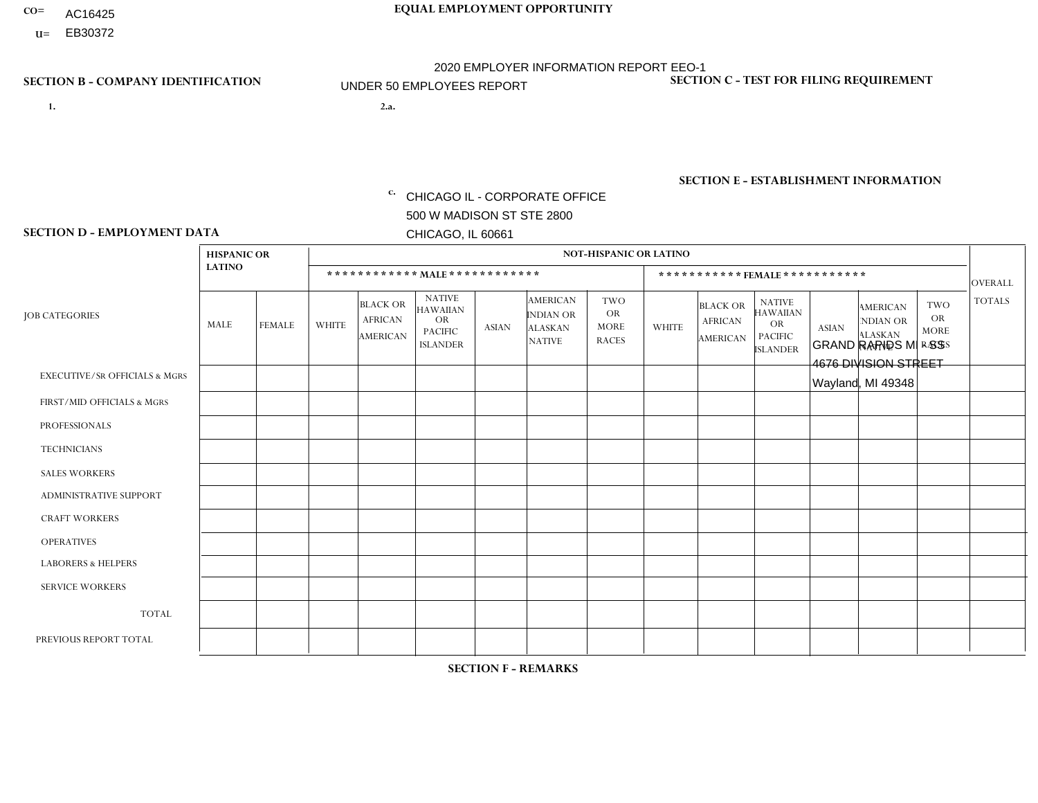- AC16425
- **U=**

**1. 2.a.** CHICAGO IL - CORPORATE OFFICE 500 W MADISON ST STE 2800 CHICAGO, IL 60661

GRAND RAPIDS MI - SS 4676 DIVISION STREET Wayland, MI 49348

c. EIN= 952920557

## **SECTION B - COMPANY IDENTIFICATION SECTION C - TEST FOR FILING REQUIREMENT**

1- Y 2- Y 3- N DUNS= 000123456

**SECTION E - ESTABLISHMENT INFORMATION c.** NAICS: 423140

### **SECTION D - EMPLOYMENT DATA**

|                                          | <b>HISPANIC OR</b> |               |                |                                                      |                                                                                    |              |                                                                        | <b>NOT-HISPANIC OR LATINO</b>                          |                |                                               |                                                                             |              |                                                                       |                                                        |                |
|------------------------------------------|--------------------|---------------|----------------|------------------------------------------------------|------------------------------------------------------------------------------------|--------------|------------------------------------------------------------------------|--------------------------------------------------------|----------------|-----------------------------------------------|-----------------------------------------------------------------------------|--------------|-----------------------------------------------------------------------|--------------------------------------------------------|----------------|
|                                          | <b>LATINO</b>      |               |                | ************ MALE ************                       |                                                                                    |              |                                                                        |                                                        |                |                                               | *********** FEMALE ***********                                              |              |                                                                       |                                                        | <b>OVERALL</b> |
| <b>JOB CATEGORIES</b>                    | MALE               | <b>FEMALE</b> | <b>WHITE</b>   | <b>BLACK OR</b><br><b>AFRICAN</b><br><b>AMERICAN</b> | <b>NATIVE</b><br><b>HAWAIIAN</b><br><b>OR</b><br><b>PACIFIC</b><br><b>ISLANDER</b> | <b>ASIAN</b> | <b>AMERICAN</b><br><b>INDIAN OR</b><br><b>ALASKAN</b><br><b>NATIVE</b> | <b>TWO</b><br><b>OR</b><br><b>MORE</b><br><b>RACES</b> | <b>WHITE</b>   | <b>BLACK OR</b><br><b>AFRICAN</b><br>AMERICAN | <b>NATIVE</b><br><b>HAWAIIAN</b><br>OR<br><b>PACIFIC</b><br><b>ISLANDER</b> | <b>ASIAN</b> | <b>AMERICAN</b><br><b>NDIAN OR</b><br><b>ALASKAN</b><br><b>NATIVE</b> | <b>TWO</b><br><b>OR</b><br><b>MORE</b><br><b>RACES</b> | <b>TOTALS</b>  |
| <b>EXECUTIVE/SR OFFICIALS &amp; MGRS</b> | $\Omega$           | $\Omega$      | $\Omega$       | $\mathbf 0$                                          | $\mathbf 0$                                                                        | $\Omega$     | $\Omega$                                                               | $\Omega$                                               | $\Omega$       | $\Omega$                                      | $\mathbf 0$                                                                 | $\mathbf 0$  | $\Omega$                                                              | $\Omega$                                               | $\mathbf 0$    |
| FIRST/MID OFFICIALS & MGRS               | $\Omega$           | 0             | -1             | $\mathbf 0$                                          | $\mathbf{0}$                                                                       | $\Omega$     | $\Omega$                                                               | $\Omega$                                               | 0              | $\Omega$                                      | $\Omega$                                                                    | $\mathbf 0$  | 0                                                                     | $\mathbf 0$                                            | $\mathbf{1}$   |
| <b>PROFESSIONALS</b>                     |                    | $\Omega$      | $\Omega$       | $\mathbf 0$                                          | $\Omega$                                                                           | $\Omega$     | $\Omega$                                                               | $\Omega$                                               | $\overline{0}$ | $\Omega$                                      | $\Omega$                                                                    | $\Omega$     | $\Omega$                                                              | $\mathbf 0$                                            | $\mathbf{1}$   |
| <b>TECHNICIANS</b>                       | $\Omega$           | $\Omega$      | $\Omega$       | $\mathbf 0$                                          | $\Omega$                                                                           | $\Omega$     | $\Omega$                                                               | $\Omega$                                               | 0              | $\Omega$                                      | 0                                                                           | 0            | $\Omega$                                                              | $\mathbf 0$                                            | $\mathbf{0}$   |
| <b>SALES WORKERS</b>                     | 2                  | $\Omega$      | 3              | $\mathbf 0$                                          | $\Omega$                                                                           | $\Omega$     | $\Omega$                                                               | $\Omega$                                               | $\overline{0}$ | $\Omega$                                      | $\Omega$                                                                    | $\Omega$     | $\Omega$                                                              | $\Omega$                                               | 5              |
| ADMINISTRATIVE SUPPORT                   | $\Omega$           | $\mathbf 0$   | $\Omega$       | $\mathbf 0$                                          | 0                                                                                  | $\mathbf{0}$ | $\Omega$                                                               | $\Omega$                                               | 1              | $\Omega$                                      | 0                                                                           | $\mathbf 0$  | 0                                                                     | $\mathbf 0$                                            | $\mathbf 1$    |
| <b>CRAFT WORKERS</b>                     | $\Omega$           | $\Omega$      | 1              | $\mathbf 0$                                          | $\Omega$                                                                           | $\Omega$     | $\Omega$                                                               | $\Omega$                                               | 0              | $\Omega$                                      | 0                                                                           | $\Omega$     | $\Omega$                                                              | $\Omega$                                               | $\mathbf 1$    |
| <b>OPERATIVES</b>                        | 1                  | $\Omega$      | $\overline{c}$ | $\Omega$                                             | $\Omega$                                                                           | $\Omega$     | $\Omega$                                                               | $\mathbf{1}$                                           | $\overline{2}$ | $\Omega$                                      | 0                                                                           | $\Omega$     | $\Omega$                                                              | $\Omega$                                               | 6              |
| <b>LABORERS &amp; HELPERS</b>            | $\Omega$           | $\Omega$      | $\Omega$       | $\mathbf 0$                                          | 0                                                                                  | $\Omega$     | $\Omega$                                                               | $\Omega$                                               | $\Omega$       | $\Omega$                                      | $\Omega$                                                                    | $\Omega$     | $\Omega$                                                              | $\Omega$                                               | $\mathbf{0}$   |
| <b>SERVICE WORKERS</b>                   | $\Omega$           | $\mathbf 0$   | $\mathbf 0$    | 0                                                    | $\mathbf 0$                                                                        | $\mathbf 0$  | $\Omega$                                                               | $\Omega$                                               | 0              | $\Omega$                                      | 0                                                                           | $\mathbf 0$  | $\Omega$                                                              | $\mathbf 0$                                            | $\mathbf{0}$   |
| <b>TOTAL</b>                             | 4                  | 0             | $\overline{7}$ | 0                                                    | $\mathbf 0$                                                                        | 0            | $\Omega$                                                               | $\mathbf{1}$                                           | 3              | $\Omega$                                      | $\Omega$                                                                    | $\mathbf 0$  | $\Omega$                                                              | $\mathbf 0$                                            | 15             |
| PREVIOUS REPORT TOTAL                    |                    | $\Omega$      | 12             | $\mathbf 0$                                          | $\mathbf 0$                                                                        | $\Omega$     | $\Omega$                                                               | $\mathbf{1}$                                           | 1              | $\Omega$                                      | 0                                                                           | $\mathbf 0$  | $\Omega$                                                              | 0                                                      | 15             |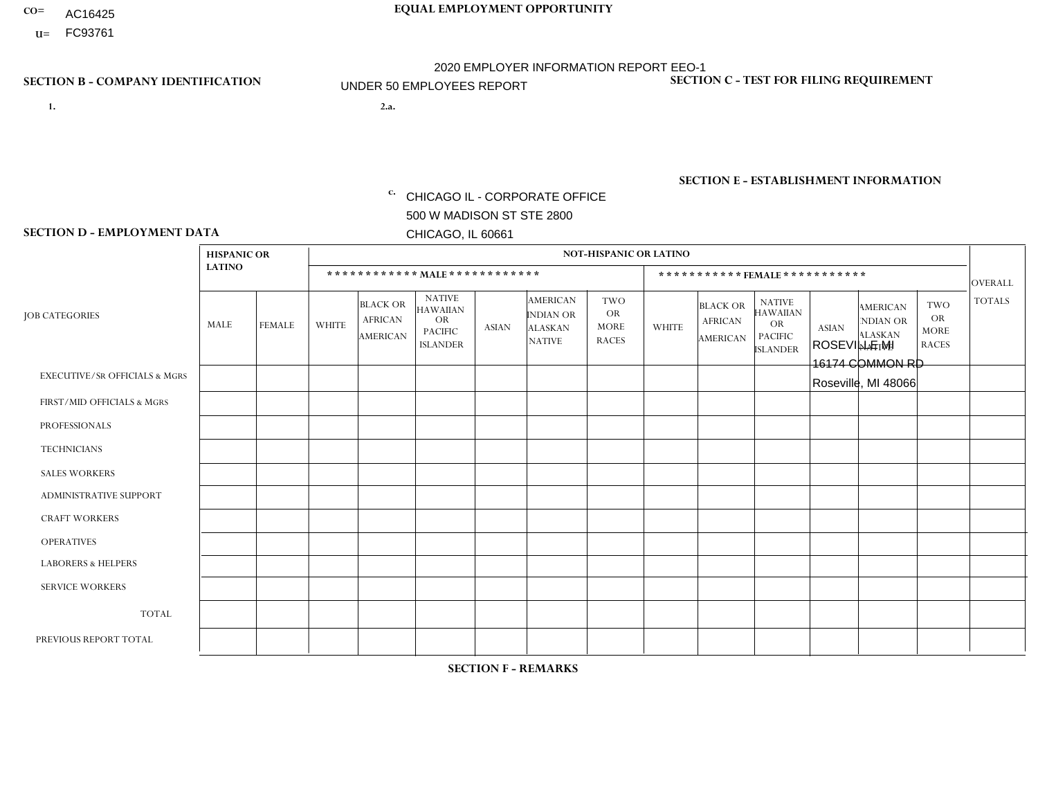- AC16425
- **U=**

**1. 2.a.** CHICAGO IL - CORPORATE OFFICE 500 W MADISON ST STE 2800 CHICAGO, IL 60661

2.a. ROSEVILLE MI 16174 COMMON RD Roseville, MI 48066

EIN= 952920557

## **SECTION B - COMPANY IDENTIFICATION SECTION C - TEST FOR FILING REQUIREMENT**

1- Y 2- Y 3- N DUNS= 000123456

**SECTION E - ESTABLISHMENT INFORMATION c.** NAICS: 423140

### **SECTION D - EMPLOYMENT DATA**

|                                          | <b>HISPANIC OR</b> |               |                |                                                      |                                                                                    |              |                                                                        | <b>NOT-HISPANIC OR LATINO</b>                          |                |                                               |                                                                                    |              |                                                                |                                                        |                |
|------------------------------------------|--------------------|---------------|----------------|------------------------------------------------------|------------------------------------------------------------------------------------|--------------|------------------------------------------------------------------------|--------------------------------------------------------|----------------|-----------------------------------------------|------------------------------------------------------------------------------------|--------------|----------------------------------------------------------------|--------------------------------------------------------|----------------|
|                                          | <b>LATINO</b>      |               |                | ************ MALE ************                       |                                                                                    |              |                                                                        |                                                        |                |                                               | *********** FEMALE ***********                                                     |              |                                                                |                                                        | <b>OVERALL</b> |
| <b>JOB CATEGORIES</b>                    | MALE               | <b>FEMALE</b> | <b>WHITE</b>   | <b>BLACK OR</b><br><b>AFRICAN</b><br><b>AMERICAN</b> | <b>NATIVE</b><br><b>HAWAIIAN</b><br><b>OR</b><br><b>PACIFIC</b><br><b>ISLANDER</b> | <b>ASIAN</b> | <b>AMERICAN</b><br><b>INDIAN OR</b><br><b>ALASKAN</b><br><b>NATIVE</b> | <b>TWO</b><br><b>OR</b><br><b>MORE</b><br><b>RACES</b> | <b>WHITE</b>   | <b>BLACK OR</b><br><b>AFRICAN</b><br>AMERICAN | <b>NATIVE</b><br><b>HAWAIIAN</b><br><b>OR</b><br><b>PACIFIC</b><br><b>ISLANDER</b> | <b>ASIAN</b> | <b>AMERICAN</b><br>NDIAN OR<br><b>ALASKAN</b><br><b>NATIVE</b> | <b>TWO</b><br><b>OR</b><br><b>MORE</b><br><b>RACES</b> | <b>TOTALS</b>  |
| <b>EXECUTIVE/SR OFFICIALS &amp; MGRS</b> | $\Omega$           | $\Omega$      | $\Omega$       | $\Omega$                                             | $\Omega$                                                                           | $\Omega$     | $\Omega$                                                               | $\Omega$                                               | $\Omega$       | $\mathbf{0}$                                  | $\mathbf{0}$                                                                       | $\Omega$     | $\Omega$                                                       | $\Omega$                                               | $\mathbf 0$    |
| FIRST/MID OFFICIALS & MGRS               | $\Omega$           | 0             | 4              | 0                                                    | $\mathbf 0$                                                                        | $\Omega$     | $\Omega$                                                               | $\Omega$                                               | 1              | $\mathbf{0}$                                  | $\mathbf{0}$                                                                       | $\Omega$     | $\Omega$                                                       | $\Omega$                                               | 5              |
| <b>PROFESSIONALS</b>                     | $\Omega$           | $\mathbf 0$   | $\mathbf 0$    | $\mathbf 0$                                          | 0                                                                                  | $\mathbf 0$  | $\Omega$                                                               | $\Omega$                                               | $\mathbf{0}$   | $\Omega$                                      | $\Omega$                                                                           | $\Omega$     | $\Omega$                                                       | $\Omega$                                               | $\mathbf 0$    |
| <b>TECHNICIANS</b>                       | $\Omega$           | $\Omega$      | $\Omega$       | $\mathbf 0$                                          | $\Omega$                                                                           | $\Omega$     | $\overline{0}$                                                         | $\Omega$                                               | $\Omega$       | $\Omega$                                      | $\Omega$                                                                           | $\Omega$     | $\Omega$                                                       | $\mathbf{0}$                                           | $\mathbf 0$    |
| <b>SALES WORKERS</b>                     | $\Omega$           | $\mathbf 0$   | $\overline{2}$ | $\mathbf 0$                                          | $\mathbf 0$                                                                        | $\Omega$     | $\Omega$                                                               | $\Omega$                                               | 1              | $\mathbf{0}$                                  | $\Omega$                                                                           | $\Omega$     | $\Omega$                                                       | $\mathbf{0}$                                           | 3              |
| <b>ADMINISTRATIVE SUPPORT</b>            | $\Omega$           | $\Omega$      | $\Omega$       | $\Omega$                                             | 0                                                                                  | $\Omega$     | $\Omega$                                                               | $\Omega$                                               | 1              | $\Omega$                                      | $\Omega$                                                                           | $\Omega$     | 0                                                              | $\Omega$                                               | $\mathbf{1}$   |
| <b>CRAFT WORKERS</b>                     | $\Omega$           | $\Omega$      | $\Omega$       | 0                                                    | 0                                                                                  | $\Omega$     | $\Omega$                                                               | $\Omega$                                               | $\Omega$       | $\Omega$                                      | $\mathbf{0}$                                                                       | $\Omega$     | $\Omega$                                                       | $\Omega$                                               | $\mathbf 0$    |
| <b>OPERATIVES</b>                        | 13                 | 5             | 5              | $\mathbf{1}$                                         | $\Omega$                                                                           | $\Omega$     | $\Omega$                                                               | $\Omega$                                               | $\overline{4}$ | $\Omega$                                      | $\mathbf{0}$                                                                       | $\Omega$     | $\Omega$                                                       | $\Omega$                                               | 28             |
| <b>LABORERS &amp; HELPERS</b>            | $\Omega$           | $\Omega$      | $\overline{c}$ | 0                                                    | $\Omega$                                                                           | $\Omega$     | $\Omega$                                                               | $\Omega$                                               | $\Omega$       | $\Omega$                                      | $\Omega$                                                                           | $\Omega$     | $\Omega$                                                       | $\Omega$                                               | $\overline{2}$ |
| <b>SERVICE WORKERS</b>                   | $\Omega$           | 0             | 0              | $\mathbf 0$                                          | 0                                                                                  | $\mathbf 0$  | $\Omega$                                                               | $\Omega$                                               | $\Omega$       | $\Omega$                                      | $\Omega$                                                                           | $\mathbf 0$  | $\Omega$                                                       | $\mathbf 0$                                            | 0              |
| <b>TOTAL</b>                             | 13                 | 5             | 13             | $\mathbf{1}$                                         | 0                                                                                  | $\mathbf{0}$ | $\Omega$                                                               | $\Omega$                                               | $\overline{7}$ | $\mathbf{0}$                                  | $\Omega$                                                                           | $\Omega$     | $\Omega$                                                       | $\Omega$                                               | 39             |
| PREVIOUS REPORT TOTAL                    | 13                 | 4             | 21             | 2                                                    | 0                                                                                  | $\Omega$     | 0                                                                      | $\Omega$                                               | 8              | $\mathbf{0}$                                  | $\mathbf{0}$                                                                       | $\Omega$     | $\Omega$                                                       | $\mathbf 0$                                            | 48             |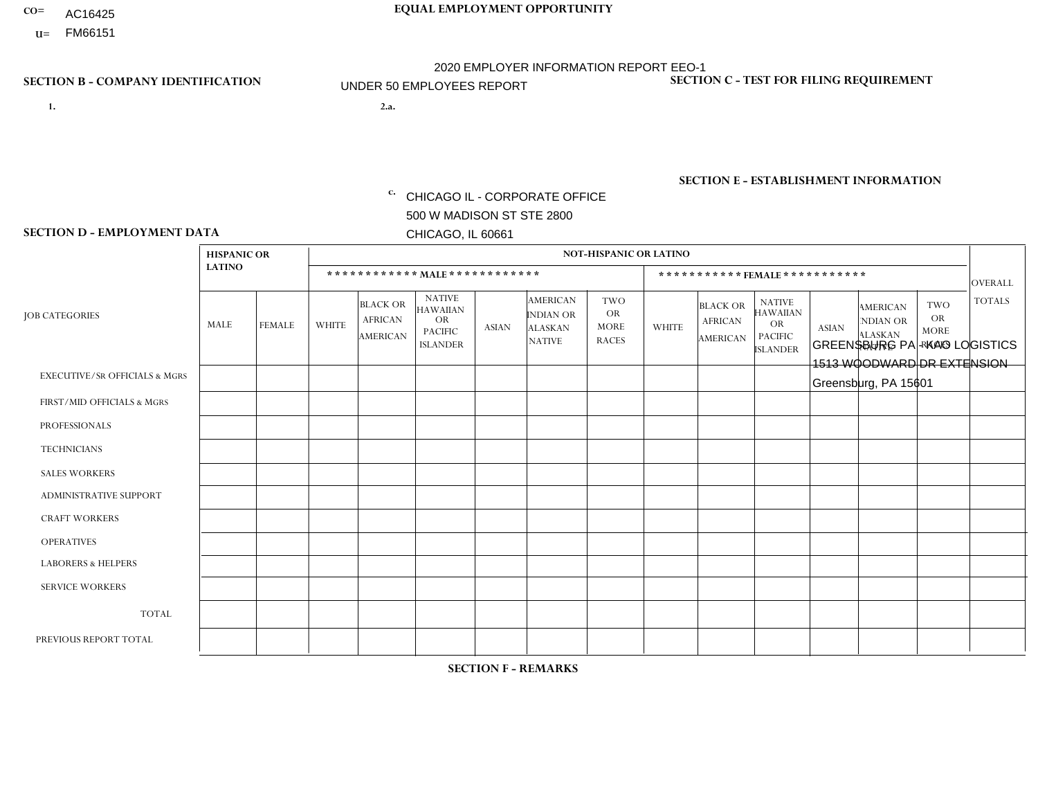- AC16425
- **U=**

- **1. 2.a.** CHICAGO IL CORPORATE OFFICE 500 W MADISON ST STE 2800 CHICAGO, IL 60661
- 2.a. GREENSBURG PA KAO LOGISTICS 1513 WOODWARD DR EXTENSION Greensburg, PA 15601

c. EIN= 952920557

## **SECTION B - COMPANY IDENTIFICATION SECTION C - TEST FOR FILING REQUIREMENT**

1- Y 2- Y 3- N DUNS= 000123456

**SECTION E - ESTABLISHMENT INFORMATION c.** NAICS: 423140

### **SECTION D - EMPLOYMENT DATA**

|                                          | <b>HISPANIC OR</b> |                |              |                                                      |                                                                                    |              |                                                                        | <b>NOT-HISPANIC OR LATINO</b>                          |              |                                               |                                                                                    |              |                                                                       |                                                        |                |
|------------------------------------------|--------------------|----------------|--------------|------------------------------------------------------|------------------------------------------------------------------------------------|--------------|------------------------------------------------------------------------|--------------------------------------------------------|--------------|-----------------------------------------------|------------------------------------------------------------------------------------|--------------|-----------------------------------------------------------------------|--------------------------------------------------------|----------------|
|                                          | <b>LATINO</b>      |                |              | ************ MALE ************                       |                                                                                    |              |                                                                        |                                                        |              | ***********FEMALE***********                  |                                                                                    |              |                                                                       |                                                        | <b>OVERALL</b> |
| <b>JOB CATEGORIES</b>                    | MALE               | <b>FEMALE</b>  | <b>WHITE</b> | <b>BLACK OR</b><br><b>AFRICAN</b><br><b>AMERICAN</b> | <b>NATIVE</b><br><b>HAWAIIAN</b><br><b>OR</b><br><b>PACIFIC</b><br><b>ISLANDER</b> | ASIAN        | <b>AMERICAN</b><br><b>INDIAN OR</b><br><b>ALASKAN</b><br><b>NATIVE</b> | <b>TWO</b><br><b>OR</b><br><b>MORE</b><br><b>RACES</b> | <b>WHITE</b> | <b>BLACK OR</b><br><b>AFRICAN</b><br>AMERICAN | <b>NATIVE</b><br><b>HAWAIIAN</b><br><b>OR</b><br><b>PACIFIC</b><br><b>ISLANDER</b> | <b>ASIAN</b> | <b>AMERICAN</b><br><b>NDIAN OR</b><br><b>ALASKAN</b><br><b>NATIVE</b> | <b>TWO</b><br><b>OR</b><br><b>MORE</b><br><b>RACES</b> | <b>TOTALS</b>  |
| <b>EXECUTIVE/SR OFFICIALS &amp; MGRS</b> | $\Omega$           | $\Omega$       | $\Omega$     | $\mathbf 0$                                          | $\Omega$                                                                           | $\mathbf{0}$ | $\Omega$                                                               | $\Omega$                                               | 0            | $\Omega$                                      | $\Omega$                                                                           | $\Omega$     | $\Omega$                                                              | $\mathbf{0}$                                           | $\mathbf{0}$   |
| FIRST/MID OFFICIALS & MGRS               | 0                  | $\Omega$       | $\Omega$     | $\mathbf 0$                                          | $\Omega$                                                                           | $\Omega$     | $\Omega$                                                               | $\Omega$                                               | 0            | $\Omega$                                      | $\Omega$                                                                           | $\Omega$     | $\Omega$                                                              | $\mathbf{0}$                                           | $\mathbf{0}$   |
| <b>PROFESSIONALS</b>                     | 0                  | $\Omega$       | 1            | $\mathbf 0$                                          | $\Omega$                                                                           | $\Omega$     | $\Omega$                                                               | $\Omega$                                               | 0            | $\Omega$                                      | $\Omega$                                                                           | $\mathbf{0}$ | $\Omega$                                                              | $\mathbf{0}$                                           | $\mathbf{1}$   |
| <b>TECHNICIANS</b>                       | 0                  | $\overline{0}$ | $\Omega$     | $\mathbf 0$                                          | $\Omega$                                                                           | $\Omega$     | $\Omega$                                                               | $\Omega$                                               | $\Omega$     | $\Omega$                                      | $\Omega$                                                                           | $\Omega$     | $\Omega$                                                              | $\Omega$                                               | $\mathbf{0}$   |
| <b>SALES WORKERS</b>                     | $\Omega$           | $\Omega$       | $\Omega$     | $\mathbf 0$                                          | $\Omega$                                                                           | $\Omega$     | $\Omega$                                                               | $\Omega$                                               | $\Omega$     | $\Omega$                                      | $\Omega$                                                                           | $\Omega$     | $\Omega$                                                              | $\Omega$                                               | $\mathbf 0$    |
| <b>ADMINISTRATIVE SUPPORT</b>            | $\Omega$           | $\Omega$       | $\Omega$     | $\Omega$                                             | $\Omega$                                                                           | $\Omega$     | $\Omega$                                                               | $\Omega$                                               | $\Omega$     | $\Omega$                                      | $\Omega$                                                                           | $\Omega$     | $\mathbf{0}$                                                          | $\Omega$                                               | $\Omega$       |
| <b>CRAFT WORKERS</b>                     | 0                  | $\Omega$       | $\Omega$     | $\mathbf 0$                                          | $\Omega$                                                                           | $\Omega$     | $\Omega$                                                               | $\Omega$                                               | 0            | $\Omega$                                      | $\Omega$                                                                           | $\mathbf{0}$ | $\Omega$                                                              | $\Omega$                                               | $\Omega$       |
| <b>OPERATIVES</b>                        | 0                  | $\Omega$       | 15           | $\mathbf 0$                                          | $\Omega$                                                                           | $\Omega$     | $\Omega$                                                               |                                                        | 4            | $\Omega$                                      | $\Omega$                                                                           | $\mathbf{0}$ | $\Omega$                                                              | $\Omega$                                               | 20             |
| <b>LABORERS &amp; HELPERS</b>            | 0                  | $\Omega$       | $\Omega$     | $\mathbf 0$                                          | $\Omega$                                                                           | $\Omega$     | $\Omega$                                                               | $\Omega$                                               | 0            | $\Omega$                                      | $\Omega$                                                                           | $\Omega$     | $\Omega$                                                              | $\Omega$                                               | 0              |
| <b>SERVICE WORKERS</b>                   | 0                  | $\mathbf 0$    | $\mathbf 0$  | 0                                                    | 0                                                                                  | $\mathbf 0$  | $\Omega$                                                               | $\Omega$                                               | $\Omega$     | $\Omega$                                      | $\Omega$                                                                           | $\mathbf 0$  | $\Omega$                                                              | $\mathbf 0$                                            | 0              |
| <b>TOTAL</b>                             | $\Omega$           | 0              | 16           | 0                                                    | 0                                                                                  | $\mathbf 0$  | $\Omega$                                                               |                                                        | 4            | $\Omega$                                      | $\Omega$                                                                           | $\mathbf 0$  | 0                                                                     | $\mathbf 0$                                            | 21             |
| PREVIOUS REPORT TOTAL                    | 0                  | $\Omega$       | 16           | $\mathbf 0$                                          | $\Omega$                                                                           | $\Omega$     | $\Omega$                                                               |                                                        | 4            | $\Omega$                                      | $\Omega$                                                                           | $\Omega$     | $\Omega$                                                              | $\mathbf 0$                                            | 21             |
|                                          |                    |                |              |                                                      |                                                                                    |              |                                                                        |                                                        |              |                                               |                                                                                    |              |                                                                       |                                                        |                |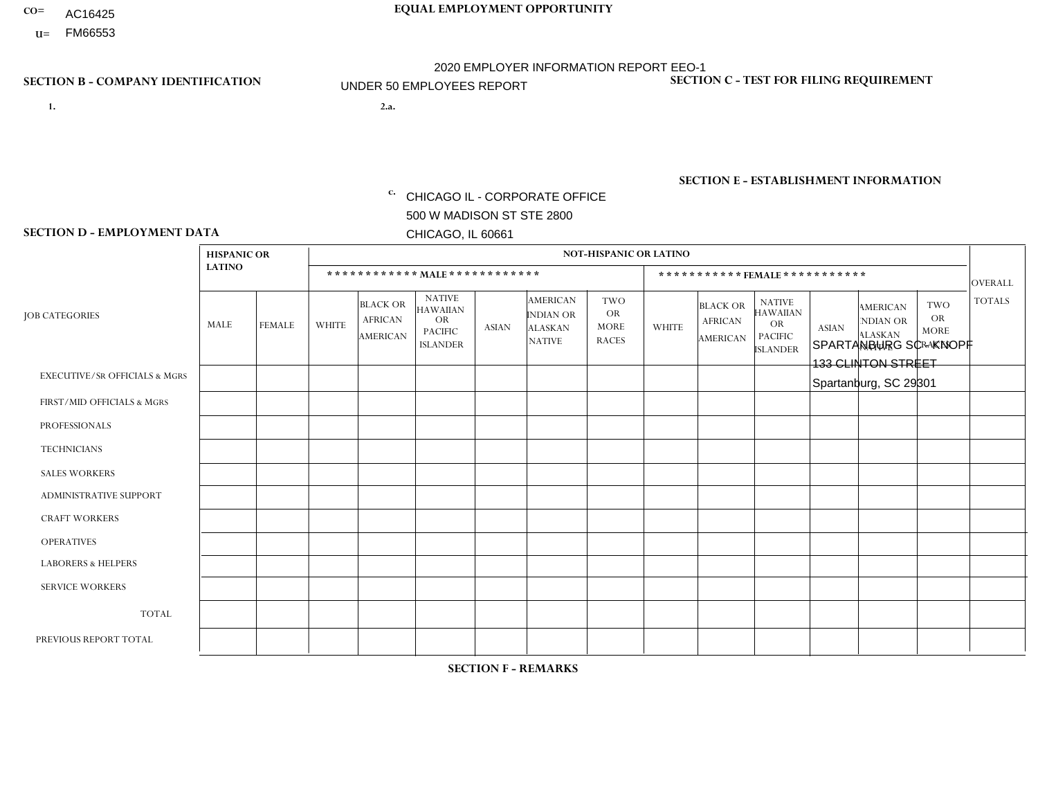- AC16425
- **U=**

**1. 2.a.** CHICAGO IL - CORPORATE OFFICE 500 W MADISON ST STE 2800 CHICAGO, IL 60661

2.a. SPARTANBURG SC - KNOPF 133 CLINTON STREET Spartanburg, SC 29301

c. EIN= 952920557

## **SECTION B - COMPANY IDENTIFICATION SECTION C - TEST FOR FILING REQUIREMENT**

1- Y 2- Y 3- N DUNS= 000123456

**SECTION E - ESTABLISHMENT INFORMATION c.** NAICS: 423140

### **SECTION D - EMPLOYMENT DATA**

|                                          | <b>HISPANIC OR</b> |                |              |                                                      |                                                                                    |              |                                                                        | <b>NOT-HISPANIC OR LATINO</b>                          |                         |                                               |                                                                                    |              |                                                                       |                                                        |                |
|------------------------------------------|--------------------|----------------|--------------|------------------------------------------------------|------------------------------------------------------------------------------------|--------------|------------------------------------------------------------------------|--------------------------------------------------------|-------------------------|-----------------------------------------------|------------------------------------------------------------------------------------|--------------|-----------------------------------------------------------------------|--------------------------------------------------------|----------------|
|                                          | <b>LATINO</b>      |                |              | ************ MALE ************                       |                                                                                    |              |                                                                        |                                                        |                         | ***********FEMALE***********                  |                                                                                    |              |                                                                       |                                                        | <b>OVERALL</b> |
| <b>JOB CATEGORIES</b>                    | MALE               | <b>FEMALE</b>  | <b>WHITE</b> | <b>BLACK OR</b><br><b>AFRICAN</b><br><b>AMERICAN</b> | <b>NATIVE</b><br><b>HAWAIIAN</b><br><b>OR</b><br><b>PACIFIC</b><br><b>ISLANDER</b> | ASIAN        | <b>AMERICAN</b><br><b>INDIAN OR</b><br><b>ALASKAN</b><br><b>NATIVE</b> | <b>TWO</b><br><b>OR</b><br><b>MORE</b><br><b>RACES</b> | <b>WHITE</b>            | <b>BLACK OR</b><br><b>AFRICAN</b><br>AMERICAN | <b>NATIVE</b><br><b>HAWAIIAN</b><br><b>OR</b><br><b>PACIFIC</b><br><b>ISLANDER</b> | <b>ASIAN</b> | <b>AMERICAN</b><br><b>NDIAN OR</b><br><b>ALASKAN</b><br><b>NATIVE</b> | <b>TWO</b><br><b>OR</b><br><b>MORE</b><br><b>RACES</b> | <b>TOTALS</b>  |
| <b>EXECUTIVE/SR OFFICIALS &amp; MGRS</b> | $\Omega$           | $\Omega$       | $\Omega$     | $\mathbf 0$                                          | $\Omega$                                                                           | $\mathbf{0}$ | $\Omega$                                                               | $\Omega$                                               | 0                       | $\Omega$                                      | $\Omega$                                                                           | $\Omega$     | $\Omega$                                                              | $\mathbf{0}$                                           | $\mathbf{0}$   |
| FIRST/MID OFFICIALS & MGRS               | 0                  | $\Omega$       | 4            | $\Omega$                                             | $\Omega$                                                                           | $\Omega$     | $\Omega$                                                               | $\Omega$                                               | 0                       | $\Omega$                                      | $\Omega$                                                                           | $\Omega$     | $\Omega$                                                              | $\mathbf{0}$                                           | $\mathbf{1}$   |
| <b>PROFESSIONALS</b>                     | 0                  | $\Omega$       | $\Omega$     | $\mathbf 0$                                          | $\Omega$                                                                           | $\Omega$     | $\Omega$                                                               | $\Omega$                                               | 0                       | $\Omega$                                      | $\Omega$                                                                           | $\mathbf{0}$ | $\Omega$                                                              | $\mathbf{0}$                                           | $\mathbf{0}$   |
| <b>TECHNICIANS</b>                       | 0                  | $\overline{0}$ | $\Omega$     | $\mathbf 0$                                          | $\Omega$                                                                           | $\Omega$     | $\Omega$                                                               | $\Omega$                                               | $\Omega$                | $\Omega$                                      | $\Omega$                                                                           | $\Omega$     | $\Omega$                                                              | $\Omega$                                               | $\mathbf{0}$   |
| <b>SALES WORKERS</b>                     | $\Omega$           | $\Omega$       | $\Omega$     | $\mathbf 0$                                          | $\Omega$                                                                           | $\Omega$     | $\Omega$                                                               | $\Omega$                                               | $\Omega$                | $\Omega$                                      | $\Omega$                                                                           | $\Omega$     | $\Omega$                                                              | $\Omega$                                               | $\mathbf 0$    |
| ADMINISTRATIVE SUPPORT                   | $\Omega$           | $\Omega$       | $\Omega$     | $\Omega$                                             | $\Omega$                                                                           | $\Omega$     | $\Omega$                                                               | $\Omega$                                               | $\Omega$                | $\Omega$                                      | $\Omega$                                                                           | $\Omega$     | $\mathbf{0}$                                                          | $\Omega$                                               | $\Omega$       |
| <b>CRAFT WORKERS</b>                     | 0                  | $\Omega$       | $\Omega$     | $\mathbf 0$                                          | $\Omega$                                                                           | $\Omega$     | $\Omega$                                                               | $\Omega$                                               | 0                       | $\Omega$                                      | $\Omega$                                                                           | $\mathbf{0}$ | $\Omega$                                                              | $\Omega$                                               | $\mathbf 0$    |
| <b>OPERATIVES</b>                        | 0                  | $\Omega$       | $\Omega$     | $\Omega$                                             | $\Omega$                                                                           | $\Omega$     | $\Omega$                                                               | $\Omega$                                               | $\Omega$                | $\Omega$                                      | $\Omega$                                                                           | $\mathbf{0}$ | $\Omega$                                                              | $\Omega$                                               | $\mathbf 0$    |
| <b>LABORERS &amp; HELPERS</b>            | 0                  | $\Omega$       | $\Omega$     | $\mathbf 0$                                          | $\Omega$                                                                           | $\Omega$     | $\Omega$                                                               | $\Omega$                                               | $\overline{\mathbf{A}}$ | $\Omega$                                      | $\Omega$                                                                           | $\Omega$     | $\Omega$                                                              | $\Omega$                                               | $\mathbf{1}$   |
| <b>SERVICE WORKERS</b>                   | 0                  | $\mathbf 0$    | $\mathbf 0$  | 0                                                    | 0                                                                                  | $\mathbf 0$  | $\Omega$                                                               | $\Omega$                                               | $\Omega$                | $\Omega$                                      | $\Omega$                                                                           | $\mathbf 0$  | $\Omega$                                                              | $\mathbf 0$                                            | $\mathbf 0$    |
| <b>TOTAL</b>                             | $\Omega$           | 0              | -1           | $\mathbf 0$                                          | 0                                                                                  | $\Omega$     | $\Omega$                                                               | $\Omega$                                               |                         | $\Omega$                                      | $\Omega$                                                                           | $\mathbf 0$  | 0                                                                     | $\mathbf 0$                                            | $\overline{2}$ |
| PREVIOUS REPORT TOTAL                    | 0                  | $\mathbf 0$    |              | $\mathbf 0$                                          | $\Omega$                                                                           | $\Omega$     | $\Omega$                                                               | $\Omega$                                               |                         | $\Omega$                                      | $\Omega$                                                                           | $\Omega$     | $\Omega$                                                              | $\mathbf 0$                                            | $\overline{2}$ |
|                                          |                    |                |              |                                                      |                                                                                    |              |                                                                        |                                                        |                         |                                               |                                                                                    |              |                                                                       |                                                        |                |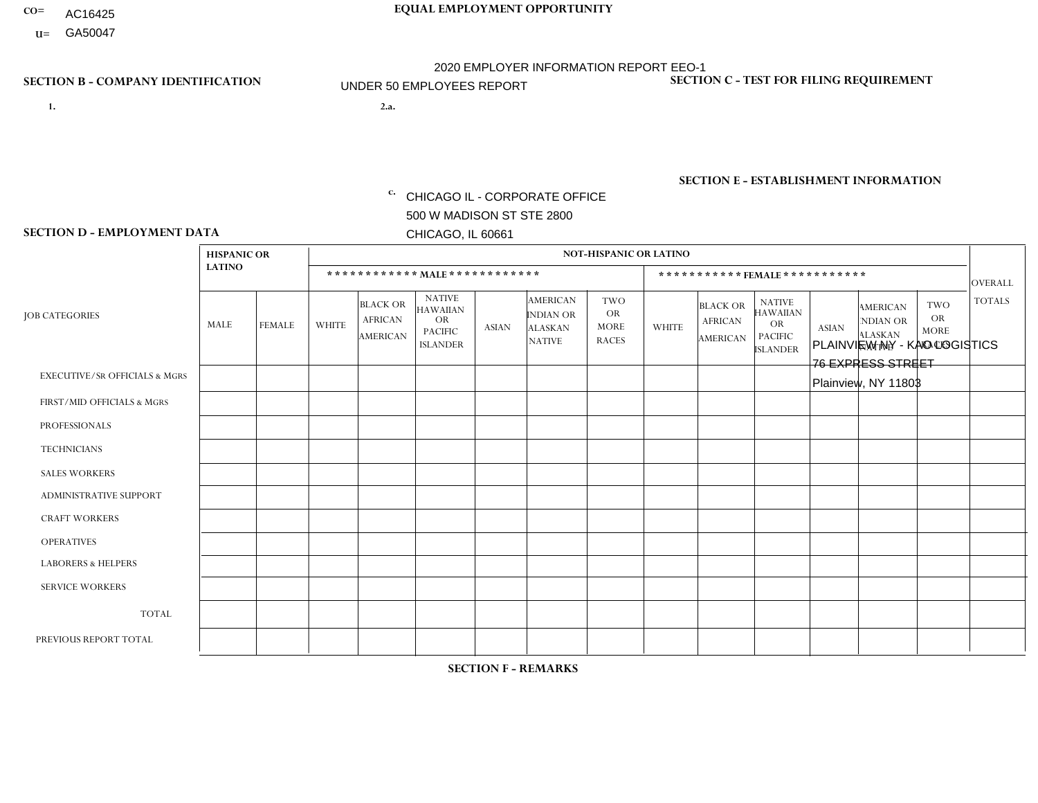- AC16425
- **U=**

**1. 2.a.** CHICAGO IL - CORPORATE OFFICE 500 W MADISON ST STE 2800 CHICAGO, IL 60661

2.a. PLAINVIEW NY - KAO LOGISTICS 76 EXPRESS STREET Plainview, NY 11803

c. EIN= 952920557

## **SECTION B - COMPANY IDENTIFICATION SECTION C - TEST FOR FILING REQUIREMENT**

1- Y 2- Y 3- N DUNS= 000123456

**SECTION E - ESTABLISHMENT INFORMATION c.** NAICS: 423140

### **SECTION D - EMPLOYMENT DATA**

|                                          | <b>HISPANIC OR</b> |                |                |                                                      |                                                                                    |              |                                                                        | <b>NOT-HISPANIC OR LATINO</b>                          |              |                                               |                                                                                    |              |                                                                |                                                        |                |
|------------------------------------------|--------------------|----------------|----------------|------------------------------------------------------|------------------------------------------------------------------------------------|--------------|------------------------------------------------------------------------|--------------------------------------------------------|--------------|-----------------------------------------------|------------------------------------------------------------------------------------|--------------|----------------------------------------------------------------|--------------------------------------------------------|----------------|
|                                          | <b>LATINO</b>      |                |                |                                                      | ************ MAIE************                                                      |              |                                                                        |                                                        |              | ***********FEMALE***********                  |                                                                                    |              |                                                                |                                                        | <b>OVERALL</b> |
| <b>JOB CATEGORIES</b>                    | MALE               | FEMALE         | <b>WHITE</b>   | <b>BLACK OR</b><br><b>AFRICAN</b><br><b>AMERICAN</b> | <b>NATIVE</b><br><b>HAWAIIAN</b><br><b>OR</b><br><b>PACIFIC</b><br><b>ISLANDER</b> | <b>ASIAN</b> | <b>AMERICAN</b><br><b>INDIAN OR</b><br><b>ALASKAN</b><br><b>NATIVE</b> | <b>TWO</b><br><b>OR</b><br><b>MORE</b><br><b>RACES</b> | <b>WHITE</b> | <b>BLACK OR</b><br><b>AFRICAN</b><br>AMERICAN | <b>NATIVE</b><br><b>HAWAIIAN</b><br><b>OR</b><br><b>PACIFIC</b><br><b>ISLANDER</b> | <b>ASIAN</b> | <b>AMERICAN</b><br>NDIAN OR<br><b>ALASKAN</b><br><b>NATIVE</b> | <b>TWO</b><br><b>OR</b><br><b>MORE</b><br><b>RACES</b> | <b>TOTALS</b>  |
| <b>EXECUTIVE/SR OFFICIALS &amp; MGRS</b> | $\Omega$           | $\Omega$       | $\Omega$       | $\mathbf 0$                                          | $\Omega$                                                                           | $\mathbf{0}$ | $\Omega$                                                               | $\Omega$                                               | $\Omega$     | $\Omega$                                      | $\Omega$                                                                           | $\Omega$     | $\Omega$                                                       | $\mathbf{0}$                                           | $\mathbf{0}$   |
| FIRST/MID OFFICIALS & MGRS               | 0                  | 0              | $\mathbf 0$    | $\overline{1}$                                       | $\Omega$                                                                           | $\Omega$     | $\Omega$                                                               | $\Omega$                                               | 0            | $\Omega$                                      | $\Omega$                                                                           | $\mathbf{0}$ | $\Omega$                                                       | $\mathbf 0$                                            | $\mathbf{1}$   |
| <b>PROFESSIONALS</b>                     | 0                  | $\overline{0}$ | 1              | $\mathbf 0$                                          | $\mathbf 0$                                                                        | $\Omega$     | $\Omega$                                                               | $\Omega$                                               | 0            | $\Omega$                                      | $\Omega$                                                                           | $\mathbf 0$  | 0                                                              | $\mathbf 0$                                            | $\mathbf{1}$   |
| <b>TECHNICIANS</b>                       | 0                  | $\mathbf 0$    | $\Omega$       | $\mathbf 0$                                          | $\mathbf 0$                                                                        | $\Omega$     | $\Omega$                                                               | $\Omega$                                               | $\Omega$     | $\Omega$                                      | $\Omega$                                                                           | $\mathbf 0$  | 0                                                              | $\mathbf 0$                                            | $\mathbf{0}$   |
| <b>SALES WORKERS</b>                     | $\Omega$           | $\mathbf 0$    | $\Omega$       | $\mathbf 0$                                          | $\Omega$                                                                           | $\Omega$     | $\Omega$                                                               | $\Omega$                                               | 0            | $\Omega$                                      | $\Omega$                                                                           | $\Omega$     | $\Omega$                                                       | $\Omega$                                               | $\mathbf 0$    |
| <b>ADMINISTRATIVE SUPPORT</b>            | 0                  | $\Omega$       | $\Omega$       | $\mathbf 0$                                          | $\Omega$                                                                           | $\Omega$     | $\Omega$                                                               | $\Omega$                                               | $\Omega$     | $\Omega$                                      | $\Omega$                                                                           | $\Omega$     | $\mathbf{0}$                                                   | $\Omega$                                               | $\mathbf 0$    |
| <b>CRAFT WORKERS</b>                     | $\Omega$           | $\Omega$       | $\Omega$       | $\mathbf 0$                                          | $\Omega$                                                                           | $\Omega$     | $\Omega$                                                               | $\Omega$                                               | 0            | $\Omega$                                      | $\Omega$                                                                           | $\Omega$     | $\Omega$                                                       | $\Omega$                                               | $\Omega$       |
| <b>OPERATIVES</b>                        |                    | $\Omega$       | $\overline{7}$ | 1                                                    | $\Omega$                                                                           | $\Omega$     | $\Omega$                                                               |                                                        | $\Omega$     | $\Omega$                                      | $\Omega$                                                                           | $\Omega$     | $\Omega$                                                       | $\Omega$                                               | 10             |
| <b>LABORERS &amp; HELPERS</b>            | 0                  | $\Omega$       | $\Omega$       | $\mathbf 0$                                          | $\Omega$                                                                           | $\Omega$     | $\Omega$                                                               | $\Omega$                                               | 0            | $\Omega$                                      | $\Omega$                                                                           | $\mathbf{0}$ | $\Omega$                                                       | $\Omega$                                               | 0              |
| <b>SERVICE WORKERS</b>                   | 0                  | $\Omega$       | $\mathbf 0$    | 0                                                    | $\mathbf{0}$                                                                       | $\Omega$     | $\Omega$                                                               | $\Omega$                                               | $\Omega$     | $\Omega$                                      | $\Omega$                                                                           | $\Omega$     | $\Omega$                                                       | $\Omega$                                               | $\overline{0}$ |
| <b>TOTAL</b>                             |                    | 0              | 8              | $\overline{2}$                                       | 0                                                                                  | $\mathbf 0$  | $\Omega$                                                               |                                                        | $\Omega$     | $\Omega$                                      | $\Omega$                                                                           | $\mathbf 0$  | 0                                                              | $\mathbf 0$                                            | 12             |
| PREVIOUS REPORT TOTAL                    |                    | $\Omega$       | 6              | 5                                                    | $\Omega$                                                                           | $\Omega$     | $\Omega$                                                               |                                                        | $\Omega$     | $\Omega$                                      | $\Omega$                                                                           | $\Omega$     | $\Omega$                                                       | $\mathbf 0$                                            | 13             |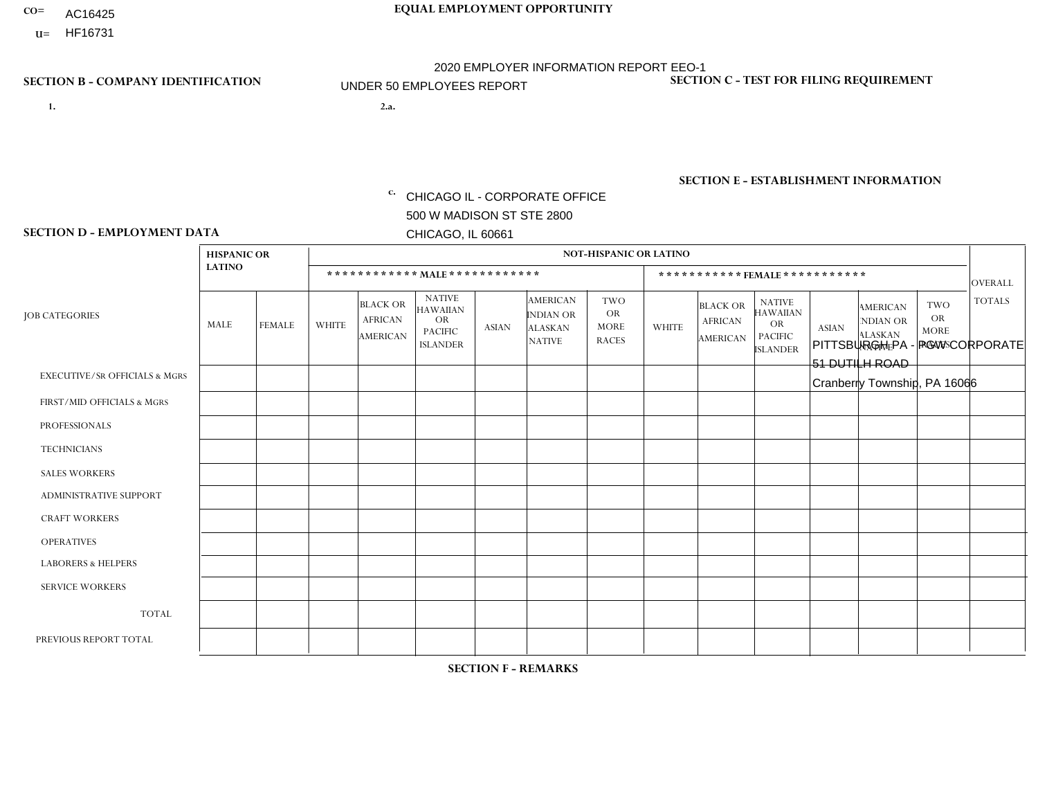- AC16425
- **U=**

**1. 2.a.** CHICAGO IL - CORPORATE OFFICE 500 W MADISON ST STE 2800 CHICAGO, IL 60661

2.a. PITTSBURGH PA - PGW CORPORATE 51 DUTILH ROAD Cranberry Township, PA 16066

c. EIN= 952920557

## **SECTION B - COMPANY IDENTIFICATION SECTION C - TEST FOR FILING REQUIREMENT**

1- Y 2- Y 3- N DUNS= 000123456

**SECTION E - ESTABLISHMENT INFORMATION c.** NAICS: 811122

### **SECTION D - EMPLOYMENT DATA**

|                                          | <b>HISPANIC OR</b> |                      |                |                                               |                                                                                    |                |                                                                        | NOT-HISPANIC OR LATINO                                 |                |                                               |                                                                             |              |                                                                       |                                                        |                |
|------------------------------------------|--------------------|----------------------|----------------|-----------------------------------------------|------------------------------------------------------------------------------------|----------------|------------------------------------------------------------------------|--------------------------------------------------------|----------------|-----------------------------------------------|-----------------------------------------------------------------------------|--------------|-----------------------------------------------------------------------|--------------------------------------------------------|----------------|
|                                          | <b>LATINO</b>      |                      |                | ************ MALE ************                |                                                                                    |                |                                                                        |                                                        |                | ***********FEMALE***********                  |                                                                             |              |                                                                       |                                                        | <b>OVERALL</b> |
| <b>JOB CATEGORIES</b>                    | MALE               | <b>FEMALE</b>        | <b>WHITE</b>   | <b>BLACK OR</b><br><b>AFRICAN</b><br>AMERICAN | <b>NATIVE</b><br><b>HAWAIIAN</b><br><b>OR</b><br><b>PACIFIC</b><br><b>ISLANDER</b> | ASIAN          | <b>AMERICAN</b><br><b>INDIAN OR</b><br><b>ALASKAN</b><br><b>NATIVE</b> | <b>TWO</b><br><b>OR</b><br><b>MORE</b><br><b>RACES</b> | <b>WHITE</b>   | <b>BLACK OR</b><br><b>AFRICAN</b><br>AMERICAN | <b>NATIVE</b><br><b>HAWAIIAN</b><br>OR<br><b>PACIFIC</b><br><b>ISLANDER</b> | <b>ASIAN</b> | <b>AMERICAN</b><br><b>NDIAN OR</b><br><b>ALASKAN</b><br><b>NATIVE</b> | <b>TWO</b><br><b>OR</b><br><b>MORE</b><br><b>RACES</b> | <b>TOTALS</b>  |
| <b>EXECUTIVE/SR OFFICIALS &amp; MGRS</b> | $\Omega$           | $\Omega$             | $\overline{2}$ | $\Omega$                                      | $\Omega$                                                                           | $\mathbf{0}$   | $\Omega$                                                               |                                                        |                | $\Omega$                                      | $\Omega$                                                                    | $\Omega$     | $\Omega$                                                              | $\Omega$                                               | 4              |
| FIRST/MID OFFICIALS & MGRS               | 0                  | $\mathbf 0$          | $\overline{4}$ | $\mathbf 0$                                   | $\Omega$                                                                           | $\Omega$       | $\Omega$                                                               | $\Omega$                                               | 3              | $\Omega$                                      | $\Omega$                                                                    | $\mathbf{0}$ | $\Omega$                                                              | $\mathbf{0}$                                           | $\overline{7}$ |
| <b>PROFESSIONALS</b>                     | 0                  | $\Omega$             | $\overline{c}$ | $\mathbf 0$                                   | $\Omega$                                                                           | $\overline{2}$ | $\Omega$                                                               |                                                        |                |                                               | $\Omega$                                                                    | $\Omega$     | $\Omega$                                                              | $\Omega$                                               | $\overline{7}$ |
| <b>TECHNICIANS</b>                       | 0                  | $\overline{0}$       | $\Omega$       | $\mathbf 0$                                   | $\mathbf 0$                                                                        | $\Omega$       | $\Omega$                                                               | $\Omega$                                               | $\Omega$       | $\Omega$                                      | $\Omega$                                                                    | $\mathbf 0$  | $\mathbf 0$                                                           | $\mathbf 0$                                            | $\mathbf{0}$   |
| <b>SALES WORKERS</b>                     | $\Omega$           | $\Omega$             | $\Omega$       | $\mathbf 0$                                   | $\Omega$                                                                           | $\Omega$       | $\Omega$                                                               | $\Omega$                                               | 0              | $\Omega$                                      | $\Omega$                                                                    | $\Omega$     | $\Omega$                                                              | $\Omega$                                               | $\Omega$       |
| <b>ADMINISTRATIVE SUPPORT</b>            | 0                  | $\mathbf{1}$         | 4              | $\mathbf 0$                                   | $\Omega$                                                                           | $\Omega$       | $\Omega$                                                               | $\Omega$                                               | $\overline{7}$ | $\Omega$                                      | $\Omega$                                                                    | $\Omega$     | $\Omega$                                                              | $\Omega$                                               | 12             |
| <b>CRAFT WORKERS</b>                     | 0                  | $\Omega$             | $\Omega$       | $\mathbf 0$                                   | $\Omega$                                                                           | $\Omega$       | $\Omega$                                                               | $\Omega$                                               | 0              | $\Omega$                                      | $\Omega$                                                                    | $\Omega$     | $\Omega$                                                              | $\Omega$                                               | $\overline{0}$ |
| <b>OPERATIVES</b>                        | 0                  | $\Omega$             | $\Omega$       | $\Omega$                                      | $\Omega$                                                                           | $\Omega$       | $\Omega$                                                               | $\Omega$                                               | $\overline{0}$ | $\Omega$                                      | $\Omega$                                                                    | $\Omega$     | $\Omega$                                                              | $\Omega$                                               | $\mathbf{0}$   |
| <b>LABORERS &amp; HELPERS</b>            | 0                  | $\Omega$             | $\mathbf 0$    | $\mathbf 0$                                   | $\mathbf{0}$                                                                       | $\Omega$       | $\Omega$                                                               | $\Omega$                                               | $\Omega$       | $\Omega$                                      | $\Omega$                                                                    | $\Omega$     | $\Omega$                                                              | $\mathbf 0$                                            | $\overline{0}$ |
| <b>SERVICE WORKERS</b>                   | 0                  | $\Omega$             | $\mathbf 0$    | 0                                             | 0                                                                                  | $\Omega$       | $\Omega$                                                               | $\Omega$                                               | $\Omega$       | $\Omega$                                      | $\Omega$                                                                    | $\Omega$     | $\Omega$                                                              | $\Omega$                                               | $\overline{0}$ |
| <b>TOTAL</b>                             | $\mathbf 0$        | $\mathbf{1}$         | 12             | $\mathbf 0$                                   | 0                                                                                  | 2              | $\Omega$                                                               | $\overline{2}$                                         | 12             |                                               | $\Omega$                                                                    | $\mathbf 0$  | 0                                                                     | $\mathbf 0$                                            | 30             |
| PREVIOUS REPORT TOTAL                    | 0                  | $\blacktriangleleft$ | 13             | $\mathbf 0$                                   | $\Omega$                                                                           | 2              | $\Omega$                                                               | $\overline{2}$                                         | 14             | $\overline{2}$                                | $\Omega$                                                                    | $\Omega$     | $\Omega$                                                              | $\mathbf{1}$                                           | 35             |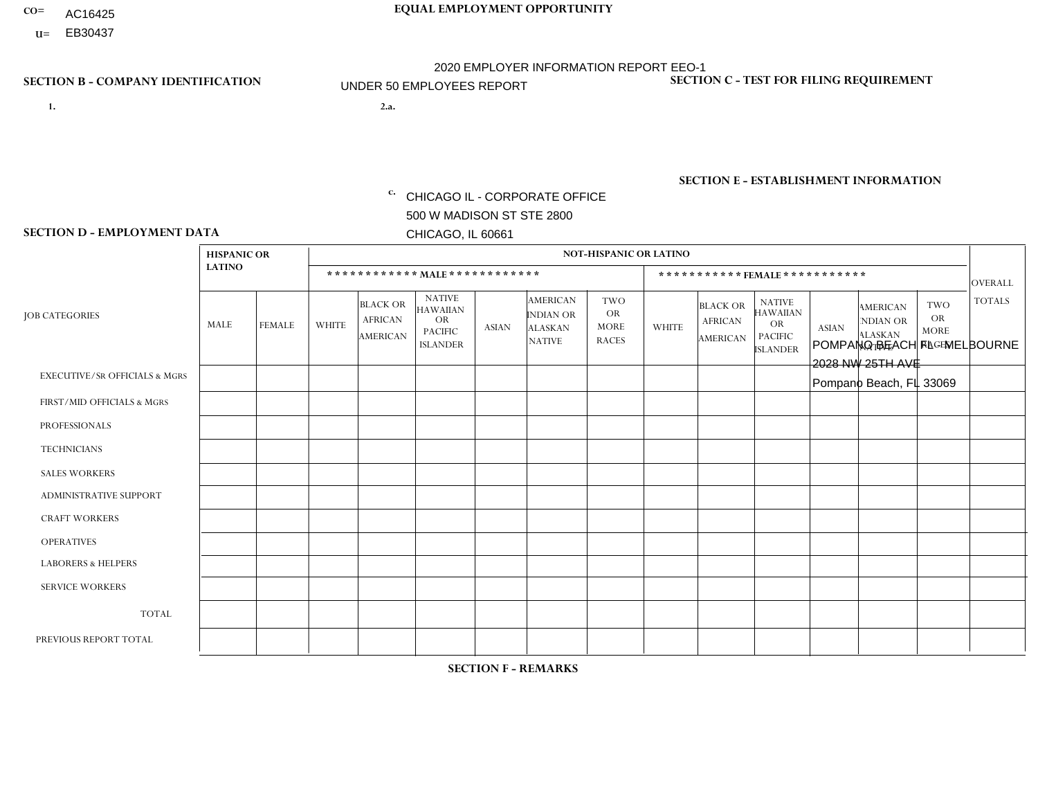- AC16425
- **U=**

- **1. 2.a.** CHICAGO IL CORPORATE OFFICE 500 W MADISON ST STE 2800 CHICAGO, IL 60661
- 2.a. POMPANO BEACH FL MELBOURNE 2028 NW 25TH AVE Pompano Beach, FL 33069

c. EIN= 952920557

## **SECTION B - COMPANY IDENTIFICATION SECTION C - TEST FOR FILING REQUIREMENT**

1- Y 2- Y 3- N DUNS= 000123456

**SECTION E - ESTABLISHMENT INFORMATION c.** NAICS: 423140

### **SECTION D - EMPLOYMENT DATA**

|                                          | <b>HISPANIC OR</b> |               |              |                                                      |                                                                                    |              |                                                                        | <b>NOT-HISPANIC OR LATINO</b>                          |              |                                                      |                                                                                    |              |                                                                       |                                                        |                |
|------------------------------------------|--------------------|---------------|--------------|------------------------------------------------------|------------------------------------------------------------------------------------|--------------|------------------------------------------------------------------------|--------------------------------------------------------|--------------|------------------------------------------------------|------------------------------------------------------------------------------------|--------------|-----------------------------------------------------------------------|--------------------------------------------------------|----------------|
|                                          | <b>LATINO</b>      |               |              | ************ MALE ************                       |                                                                                    |              |                                                                        |                                                        |              |                                                      | ***********FEMALE***********                                                       |              |                                                                       |                                                        | <b>OVERALL</b> |
| <b>JOB CATEGORIES</b>                    | MALE               | <b>FEMALE</b> | <b>WHITE</b> | <b>BLACK OR</b><br><b>AFRICAN</b><br><b>AMERICAN</b> | <b>NATIVE</b><br><b>HAWAIIAN</b><br><b>OR</b><br><b>PACIFIC</b><br><b>ISLANDER</b> | <b>ASIAN</b> | <b>AMERICAN</b><br><b>INDIAN OR</b><br><b>ALASKAN</b><br><b>NATIVE</b> | <b>TWO</b><br><b>OR</b><br><b>MORE</b><br><b>RACES</b> | <b>WHITE</b> | <b>BLACK OR</b><br><b>AFRICAN</b><br><b>AMERICAN</b> | <b>NATIVE</b><br><b>HAWAIIAN</b><br><b>OR</b><br><b>PACIFIC</b><br><b>ISLANDER</b> | <b>ASIAN</b> | <b>AMERICAN</b><br><b>NDIAN OR</b><br><b>ALASKAN</b><br><b>NATIVE</b> | <b>TWO</b><br><b>OR</b><br><b>MORE</b><br><b>RACES</b> | <b>TOTALS</b>  |
| <b>EXECUTIVE/SR OFFICIALS &amp; MGRS</b> | $\mathbf{0}$       | $\Omega$      | -1           | $\Omega$                                             | 0                                                                                  | $\Omega$     | $\Omega$                                                               | $\Omega$                                               | $\Omega$     | $\mathbf{0}$                                         | $\Omega$                                                                           | $\Omega$     | $\Omega$                                                              | $\Omega$                                               |                |
| FIRST/MID OFFICIALS & MGRS               | 3                  | $\Omega$      | $\Omega$     | $\mathbf 0$                                          | $\mathbf 0$                                                                        | $\Omega$     | $\Omega$                                                               | $\Omega$                                               | 1            | $\mathbf{0}$                                         | $\Omega$                                                                           | $\Omega$     | $\Omega$                                                              | $\Omega$                                               | 4              |
| <b>PROFESSIONALS</b>                     | $\Omega$           | $\Omega$      | $\mathbf 0$  | $\mathbf 0$                                          | $\overline{0}$                                                                     | $\Omega$     | $\Omega$                                                               | $\Omega$                                               | $\Omega$     | $\Omega$                                             | $\Omega$                                                                           | $\Omega$     | $\Omega$                                                              | $\mathbf{0}$                                           | $\mathbf 0$    |
| <b>TECHNICIANS</b>                       | $\Omega$           | $\Omega$      | $\Omega$     | $\Omega$                                             | 0                                                                                  | $\Omega$     | $\overline{0}$                                                         | $\Omega$                                               | $\Omega$     | $\Omega$                                             | $\Omega$                                                                           | $\Omega$     | $\mathbf{0}$                                                          | $\Omega$                                               | $\mathbf 0$    |
| <b>SALES WORKERS</b>                     | $\Omega$           | $\Omega$      | $\Omega$     | $\Omega$                                             | 0                                                                                  | $\Omega$     | $\Omega$                                                               | $\Omega$                                               | $\Omega$     | $\Omega$                                             | $\Omega$                                                                           | $\Omega$     | $\Omega$                                                              | $\mathbf{0}$                                           | $\mathbf 0$    |
| <b>ADMINISTRATIVE SUPPORT</b>            |                    | $\mathbf 0$   | $\Omega$     | $\mathbf 0$                                          | $\mathbf 0$                                                                        | $\mathbf 0$  | $\Omega$                                                               | $\Omega$                                               | $\Omega$     | $\mathbf{0}$                                         | $\Omega$                                                                           | $\Omega$     | $\Omega$                                                              | $\Omega$                                               | $\mathbf{1}$   |
| <b>CRAFT WORKERS</b>                     | $\Omega$           | $\Omega$      | $\Omega$     | 0                                                    | 0                                                                                  | $\Omega$     | $\Omega$                                                               | $\Omega$                                               | $\Omega$     | $\Omega$                                             | $\Omega$                                                                           | $\Omega$     | $\Omega$                                                              | $\Omega$                                               | $\Omega$       |
| <b>OPERATIVES</b>                        | 24                 | $\Omega$      | $\Omega$     | $\overline{2}$                                       | $\mathbf{1}$                                                                       | $\Omega$     | $\Omega$                                                               | $\Omega$                                               | $\Omega$     | $\Omega$                                             | $\Omega$                                                                           | $\Omega$     | $\Omega$                                                              | $\Omega$                                               | 27             |
| <b>LABORERS &amp; HELPERS</b>            | $\overline{2}$     | $\Omega$      | $\Omega$     | $\mathbf{1}$                                         | 0                                                                                  | $\Omega$     | $\Omega$                                                               | $\Omega$                                               | $\Omega$     | $\Omega$                                             | $\Omega$                                                                           | $\Omega$     | $\Omega$                                                              | $\Omega$                                               | 3              |
| <b>SERVICE WORKERS</b>                   | $\Omega$           | $\Omega$      | $\Omega$     | $\mathbf 0$                                          | $\mathbf 0$                                                                        | $\Omega$     | $\Omega$                                                               | $\Omega$                                               | $\Omega$     | $\Omega$                                             | $\Omega$                                                                           | $\Omega$     | $\Omega$                                                              | $\Omega$                                               | 0              |
| <b>TOTAL</b>                             | 30                 | 0             | 1            | 3                                                    | $\mathbf{1}$                                                                       | $\mathbf 0$  | $\mathbf{0}$                                                           | $\Omega$                                               | 1            | $\Omega$                                             | $\Omega$                                                                           | $\mathbf 0$  | $\Omega$                                                              | $\Omega$                                               | 36             |
| PREVIOUS REPORT TOTAL                    | 29                 | $\mathbf 0$   |              | 3                                                    | $\mathbf{1}$                                                                       | $\Omega$     | $\Omega$                                                               | 3                                                      | $\mathbf 1$  | $\Omega$                                             | $\mathbf{0}$                                                                       | $\Omega$     | $\Omega$                                                              | $\mathbf 0$                                            | 38             |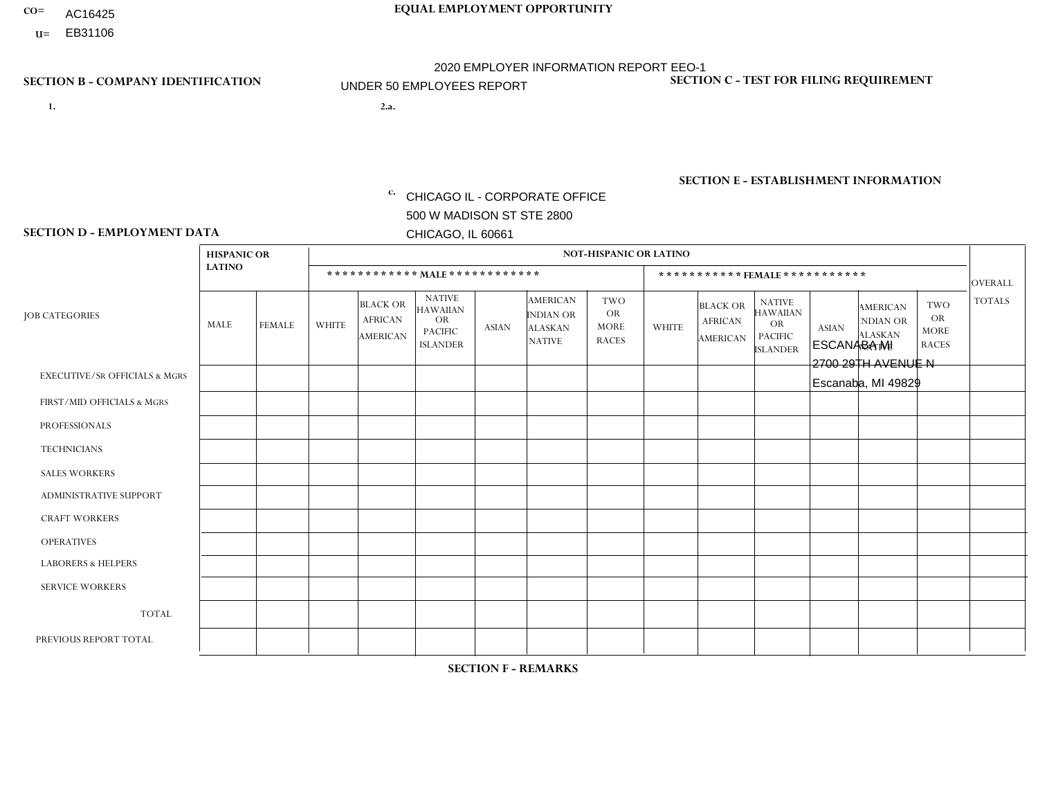- AC16425
- **U=** EB31106

- **1. 2.a.** CHICAGO IL CORPORATE OFFICE 500 W MADISON ST STE 2800 CHICAGO, IL 60661
- 2.a. ESCANABA MI 2700 29TH AVENUE N Escanaba, MI 49829

EIN= 952920557

## **SECTION B - COMPANY IDENTIFICATION SECTION C - TEST FOR FILING REQUIREMENT**

1- Y 2- Y 3- N DUNS= 000123456

**SECTION E - ESTABLISHMENT INFORMATION c.** NAICS: 423140

### **SECTION D - EMPLOYMENT DATA**

|                                          | <b>HISPANIC OR</b> |               |                |                                                      |                                                                                    |              |                                                                        | <b>NOT-HISPANIC OR LATINO</b>                          |                |                                                      |                                                                                    |              |                                                                       |                                                        |                |
|------------------------------------------|--------------------|---------------|----------------|------------------------------------------------------|------------------------------------------------------------------------------------|--------------|------------------------------------------------------------------------|--------------------------------------------------------|----------------|------------------------------------------------------|------------------------------------------------------------------------------------|--------------|-----------------------------------------------------------------------|--------------------------------------------------------|----------------|
|                                          | <b>LATINO</b>      |               |                | ************ MALE ************                       |                                                                                    |              |                                                                        |                                                        |                |                                                      | ***********FEMALE***********                                                       |              |                                                                       |                                                        | <b>OVERALL</b> |
| <b>JOB CATEGORIES</b>                    | MALE               | <b>FEMALE</b> | <b>WHITE</b>   | <b>BLACK OR</b><br><b>AFRICAN</b><br><b>AMERICAN</b> | <b>NATIVE</b><br><b>HAWAIIAN</b><br><b>OR</b><br><b>PACIFIC</b><br><b>ISLANDER</b> | <b>ASIAN</b> | <b>AMERICAN</b><br><b>INDIAN OR</b><br><b>ALASKAN</b><br><b>NATIVE</b> | <b>TWO</b><br><b>OR</b><br><b>MORE</b><br><b>RACES</b> | <b>WHITE</b>   | <b>BLACK OR</b><br><b>AFRICAN</b><br><b>AMERICAN</b> | <b>NATIVE</b><br><b>HAWAIIAN</b><br><b>OR</b><br><b>PACIFIC</b><br><b>ISLANDER</b> | <b>ASIAN</b> | <b>AMERICAN</b><br><b>NDIAN OR</b><br><b>ALASKAN</b><br><b>NATIVE</b> | <b>TWO</b><br><b>OR</b><br><b>MORE</b><br><b>RACES</b> | <b>TOTALS</b>  |
| <b>EXECUTIVE/SR OFFICIALS &amp; MGRS</b> | $\mathbf{0}$       | $\Omega$      | $\Omega$       | $\Omega$                                             | 0                                                                                  | $\Omega$     | $\Omega$                                                               | $\Omega$                                               | $\Omega$       | $\mathbf{0}$                                         | $\Omega$                                                                           | $\Omega$     | $\Omega$                                                              | $\Omega$                                               | $\Omega$       |
| FIRST/MID OFFICIALS & MGRS               | $\Omega$           | $\Omega$      | $\Omega$       | $\mathbf 0$                                          | $\mathbf 0$                                                                        | $\Omega$     | $\Omega$                                                               | $\Omega$                                               | 1              | $\mathbf{0}$                                         | $\Omega$                                                                           | $\Omega$     | $\Omega$                                                              | $\Omega$                                               | $\mathbf{1}$   |
| <b>PROFESSIONALS</b>                     | $\Omega$           | $\Omega$      | $\mathbf 0$    | $\mathbf 0$                                          | $\overline{0}$                                                                     | $\Omega$     | $\Omega$                                                               | $\Omega$                                               | $\Omega$       | $\Omega$                                             | $\Omega$                                                                           | $\Omega$     | $\Omega$                                                              | $\Omega$                                               | $\mathbf 0$    |
| <b>TECHNICIANS</b>                       | $\Omega$           | $\Omega$      | $\Omega$       | $\Omega$                                             | 0                                                                                  | $\Omega$     | $\overline{0}$                                                         | $\Omega$                                               | $\Omega$       | $\Omega$                                             | $\Omega$                                                                           | $\Omega$     | $\mathbf{0}$                                                          | $\Omega$                                               | $\mathbf 0$    |
| <b>SALES WORKERS</b>                     | $\Omega$           | $\Omega$      | 1              | $\Omega$                                             | $\Omega$                                                                           | $\Omega$     | $\Omega$                                                               | $\Omega$                                               | $\mathbf{1}$   | $\Omega$                                             | $\Omega$                                                                           | $\Omega$     | $\Omega$                                                              | $\Omega$                                               | $\overline{2}$ |
| <b>ADMINISTRATIVE SUPPORT</b>            | $\Omega$           | $\mathbf 0$   | $\Omega$       | $\mathbf 0$                                          | $\mathbf 0$                                                                        | $\mathbf 0$  | $\Omega$                                                               | $\Omega$                                               | $\Omega$       | $\Omega$                                             | $\Omega$                                                                           | $\Omega$     | $\Omega$                                                              | $\Omega$                                               | $\mathbf 0$    |
| <b>CRAFT WORKERS</b>                     | $\Omega$           | $\Omega$      | $\Omega$       | 0                                                    | 0                                                                                  | $\Omega$     | $\Omega$                                                               | $\Omega$                                               | $\Omega$       | $\Omega$                                             | $\Omega$                                                                           | $\Omega$     | $\Omega$                                                              | $\Omega$                                               | $\Omega$       |
| <b>OPERATIVES</b>                        | $\Omega$           | $\Omega$      | 3              | $\mathbf 0$                                          | 0                                                                                  | $\Omega$     | $\Omega$                                                               | $\Omega$                                               | $\Omega$       | $\Omega$                                             | $\Omega$                                                                           | $\Omega$     | $\Omega$                                                              | $\Omega$                                               | 3              |
| <b>LABORERS &amp; HELPERS</b>            | $\Omega$           | $\Omega$      | $\overline{2}$ | $\mathbf 0$                                          | 0                                                                                  | $\Omega$     | $\Omega$                                                               | $\Omega$                                               | $\Omega$       | $\Omega$                                             | $\Omega$                                                                           | $\Omega$     | $\Omega$                                                              | $\Omega$                                               | $\overline{2}$ |
| <b>SERVICE WORKERS</b>                   | $\Omega$           | $\Omega$      | $\Omega$       | 0                                                    | $\mathbf 0$                                                                        | $\Omega$     | $\Omega$                                                               | $\Omega$                                               | $\Omega$       | $\Omega$                                             | $\Omega$                                                                           | $\Omega$     | $\Omega$                                                              | $\Omega$                                               | 0              |
| <b>TOTAL</b>                             | 0                  | $\mathbf 0$   | 6              | $\mathbf 0$                                          | 0                                                                                  | $\mathbf 0$  | $\Omega$                                                               | $\Omega$                                               | $\overline{2}$ | $\Omega$                                             | $\Omega$                                                                           | $\mathbf 0$  | $\Omega$                                                              | $\mathbf 0$                                            | 8              |
| PREVIOUS REPORT TOTAL                    | $\Omega$           | $\Omega$      | 9              | $\mathbf 0$                                          | 0                                                                                  | $\Omega$     | $\overline{0}$                                                         | $\Omega$                                               | $\overline{2}$ | $\Omega$                                             | $\mathbf{0}$                                                                       | $\Omega$     | $\Omega$                                                              | $\mathbf 0$                                            | 11             |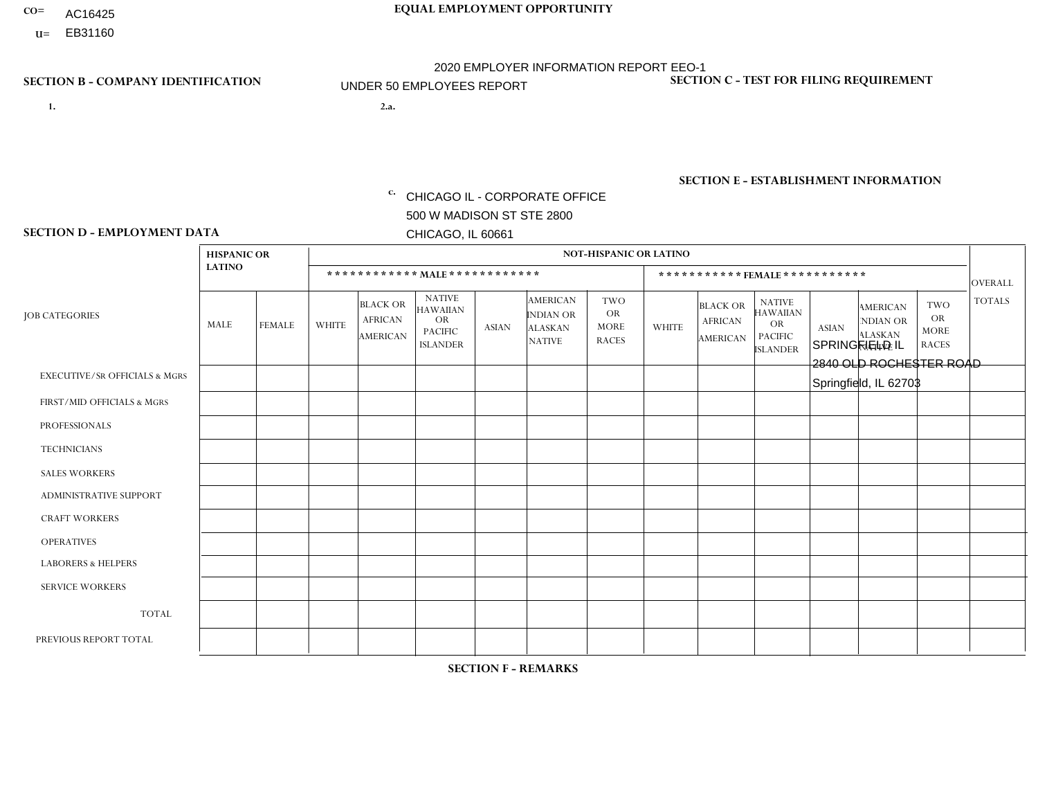- AC16425
- **U=**

- **1. 2.a.** CHICAGO IL CORPORATE OFFICE 500 W MADISON ST STE 2800 CHICAGO, IL 60661
- 2.a. SPRINGFIELD IL 2840 OLD ROCHESTER ROAD Springfield, IL 62703

EIN= 952920557

## **SECTION B - COMPANY IDENTIFICATION SECTION C - TEST FOR FILING REQUIREMENT**

1- Y 2- Y 3- N DUNS= 000123456

**SECTION E - ESTABLISHMENT INFORMATION c.** NAICS: 423140

### **SECTION D - EMPLOYMENT DATA**

|                                          | <b>NOT-HISPANIC OR LATINO</b><br><b>HISPANIC OR</b> |               |                |                                                      |                                                                                    |              |                                                                        |                                                        |                |                                               |                                                                                    |              |                                                                       |                                                        |                |
|------------------------------------------|-----------------------------------------------------|---------------|----------------|------------------------------------------------------|------------------------------------------------------------------------------------|--------------|------------------------------------------------------------------------|--------------------------------------------------------|----------------|-----------------------------------------------|------------------------------------------------------------------------------------|--------------|-----------------------------------------------------------------------|--------------------------------------------------------|----------------|
|                                          | <b>LATINO</b>                                       |               |                | ************ MALE************                        |                                                                                    |              |                                                                        |                                                        |                | ***********FEMALE***********                  |                                                                                    |              |                                                                       |                                                        | <b>OVERALL</b> |
| <b>JOB CATEGORIES</b>                    | MALE                                                | <b>FEMALE</b> | <b>WHITE</b>   | <b>BLACK OR</b><br><b>AFRICAN</b><br><b>AMERICAN</b> | <b>NATIVE</b><br><b>HAWAIIAN</b><br><b>OR</b><br><b>PACIFIC</b><br><b>ISLANDER</b> | <b>ASIAN</b> | <b>AMERICAN</b><br><b>INDIAN OR</b><br><b>ALASKAN</b><br><b>NATIVE</b> | <b>TWO</b><br><b>OR</b><br><b>MORE</b><br><b>RACES</b> | <b>WHITE</b>   | <b>BLACK OR</b><br><b>AFRICAN</b><br>AMERICAN | <b>NATIVE</b><br><b>HAWAIIAN</b><br><b>OR</b><br><b>PACIFIC</b><br><b>ISLANDER</b> | <b>ASIAN</b> | <b>AMERICAN</b><br><b>NDIAN OR</b><br><b>ALASKAN</b><br><b>NATIVE</b> | <b>TWO</b><br><b>OR</b><br><b>MORE</b><br><b>RACES</b> | <b>TOTALS</b>  |
| <b>EXECUTIVE/SR OFFICIALS &amp; MGRS</b> | $\Omega$                                            | $\Omega$      | $\Omega$       | $\mathbf 0$                                          | $\Omega$                                                                           | $\mathbf{0}$ | $\mathbf{0}$                                                           | $\Omega$                                               | 0              | $\Omega$                                      | $\Omega$                                                                           | 0            | $\Omega$                                                              | $\mathbf 0$                                            | $\mathbf 0$    |
| FIRST/MID OFFICIALS & MGRS               | 0                                                   | $\Omega$      | 2              | $\mathbf 0$                                          | $\Omega$                                                                           | $\Omega$     | $\Omega$                                                               | $\Omega$                                               | 0              | $\Omega$                                      | $\Omega$                                                                           | $\mathbf{0}$ | $\Omega$                                                              | $\mathbf{0}$                                           | $\overline{2}$ |
| <b>PROFESSIONALS</b>                     | 0                                                   | $\Omega$      | $\Omega$       | $\mathbf 0$                                          | $\Omega$                                                                           | $\Omega$     | $\Omega$                                                               | $\Omega$                                               | 0              | $\Omega$                                      | $\Omega$                                                                           | $\Omega$     | $\Omega$                                                              | $\mathbf{0}$                                           | $\mathbf{0}$   |
| <b>TECHNICIANS</b>                       | 0                                                   | $\mathbf 0$   | $\mathbf 0$    | $\mathbf 0$                                          | $\mathbf 0$                                                                        | $\Omega$     | $\Omega$                                                               | $\Omega$                                               | $\Omega$       | $\mathbf 0$                                   | $\Omega$                                                                           | $\mathbf 0$  | $\mathbf 0$                                                           | $\mathbf 0$                                            | $\mathbf{0}$   |
| <b>SALES WORKERS</b>                     | 0                                                   | $\Omega$      |                | $\Omega$                                             | $\Omega$                                                                           | $\Omega$     | $\Omega$                                                               | $\Omega$                                               | $\overline{0}$ | $\Omega$                                      | $\Omega$                                                                           | $\Omega$     | $\Omega$                                                              | $\Omega$                                               | $\mathbf{1}$   |
| <b>ADMINISTRATIVE SUPPORT</b>            | $\Omega$                                            | $\Omega$      | $\Omega$       | $\mathbf 0$                                          | $\Omega$                                                                           | $\Omega$     | $\Omega$                                                               | $\Omega$                                               | $\Omega$       | $\Omega$                                      | $\Omega$                                                                           | $\mathbf{0}$ | $\mathbf{0}$                                                          | $\Omega$                                               | $\mathbf 0$    |
| <b>CRAFT WORKERS</b>                     | 0                                                   | $\Omega$      | $\Omega$       | $\mathbf 0$                                          | $\Omega$                                                                           | $\Omega$     | $\Omega$                                                               | $\Omega$                                               | 0              | $\Omega$                                      | $\Omega$                                                                           | $\mathbf{0}$ | $\Omega$                                                              | $\Omega$                                               | $\Omega$       |
| <b>OPERATIVES</b>                        | 0                                                   | $\Omega$      | 3              | $\mathbf 0$                                          | $\Omega$                                                                           | $\Omega$     | $\Omega$                                                               | $\Omega$                                               | $\Omega$       | $\Omega$                                      | $\Omega$                                                                           | $\mathbf{0}$ | $\Omega$                                                              | $\mathbf{0}$                                           | 3              |
| <b>LABORERS &amp; HELPERS</b>            | 0                                                   | $\Omega$      | $\overline{ }$ | $\mathbf 0$                                          | $\Omega$                                                                           | $\Omega$     | $\Omega$                                                               | $\Omega$                                               | 0              | $\Omega$                                      | $\Omega$                                                                           | $\Omega$     | $\Omega$                                                              | $\Omega$                                               | $\mathbf{1}$   |
| <b>SERVICE WORKERS</b>                   | 0                                                   | $\mathbf 0$   | $\mathbf 0$    | $\mathbf 0$                                          | $\mathbf 0$                                                                        | $\mathbf 0$  | $\Omega$                                                               | $\Omega$                                               | $\Omega$       | $\Omega$                                      | $\Omega$                                                                           | $\mathbf 0$  | $\Omega$                                                              | $\mathbf 0$                                            | $\mathbf 0$    |
| <b>TOTAL</b>                             | $\Omega$                                            | 0             | $\overline{7}$ | $\mathbf 0$                                          | 0                                                                                  | $\mathbf 0$  | $\Omega$                                                               | $\Omega$                                               | $\Omega$       | $\Omega$                                      | $\Omega$                                                                           | $\mathbf 0$  | 0                                                                     | $\mathbf 0$                                            | $\overline{7}$ |
| PREVIOUS REPORT TOTAL                    | 0                                                   | $\Omega$      | 9              | $\overline{1}$                                       | $\Omega$                                                                           | $\Omega$     | $\Omega$                                                               | $\Omega$                                               |                | $\Omega$                                      | $\Omega$                                                                           | $\Omega$     | $\Omega$                                                              | $\mathbf 0$                                            | 11             |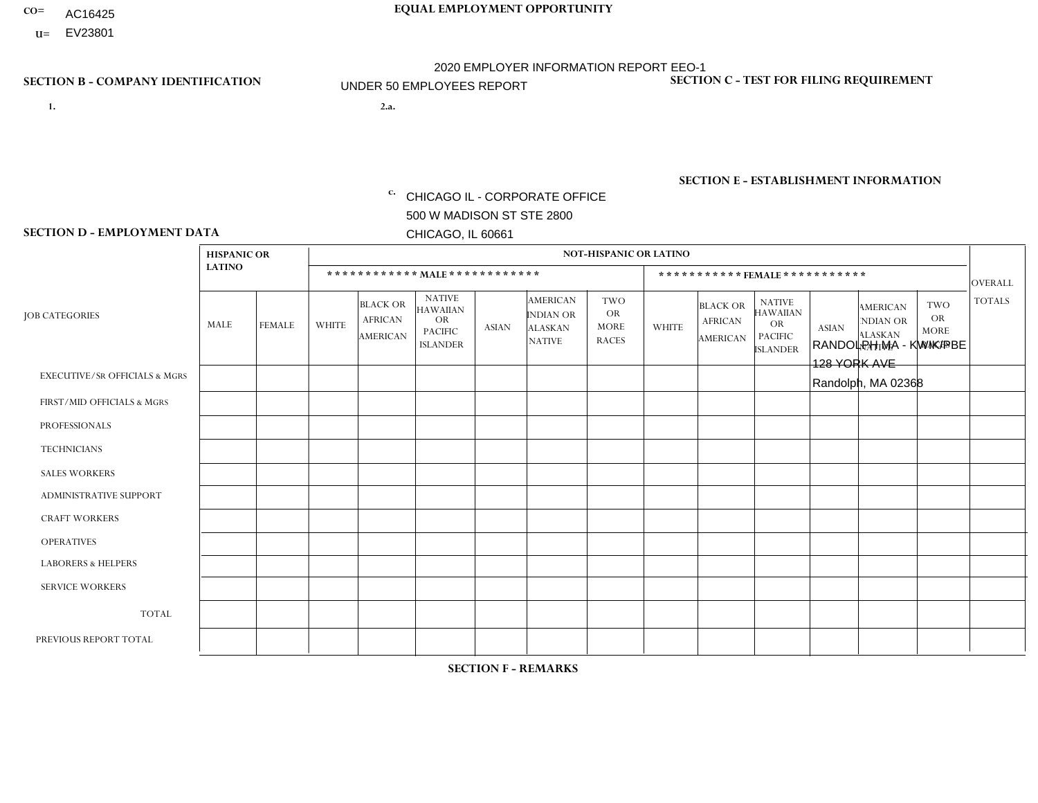- AC16425
- **U=** EV23801

**1. 2.a.** CHICAGO IL - CORPORATE OFFICE 500 W MADISON ST STE 2800 CHICAGO, IL 60661

2.a. RANDOLPH MA - KWIK/PBE 128 YORK AVE Randolph, MA 02368

EIN= 952920557

## **SECTION B - COMPANY IDENTIFICATION SECTION C - TEST FOR FILING REQUIREMENT**

1- Y 2- Y 3- N DUNS= 000123456

**SECTION E - ESTABLISHMENT INFORMATION c.** NAICS: 423140

### **SECTION D - EMPLOYMENT DATA**

|                                          | <b>HISPANIC OR</b> |                |                |                                                      |                                                                                    |              |                                                                        | <b>NOT-HISPANIC OR LATINO</b>                          |              |                                               |                                                                                    |              |                                                                |                                                        |                |
|------------------------------------------|--------------------|----------------|----------------|------------------------------------------------------|------------------------------------------------------------------------------------|--------------|------------------------------------------------------------------------|--------------------------------------------------------|--------------|-----------------------------------------------|------------------------------------------------------------------------------------|--------------|----------------------------------------------------------------|--------------------------------------------------------|----------------|
|                                          | <b>LATINO</b>      |                |                | ************ MALE ************                       |                                                                                    |              |                                                                        |                                                        |              |                                               | *********** FEMALE ***********                                                     |              |                                                                |                                                        | <b>OVERALL</b> |
| <b>JOB CATEGORIES</b>                    | MALE               | <b>FEMALE</b>  | <b>WHITE</b>   | <b>BLACK OR</b><br><b>AFRICAN</b><br><b>AMERICAN</b> | <b>NATIVE</b><br><b>HAWAIIAN</b><br><b>OR</b><br><b>PACIFIC</b><br><b>ISLANDER</b> | <b>ASIAN</b> | <b>AMERICAN</b><br><b>INDIAN OR</b><br><b>ALASKAN</b><br><b>NATIVE</b> | <b>TWO</b><br><b>OR</b><br><b>MORE</b><br><b>RACES</b> | <b>WHITE</b> | <b>BLACK OR</b><br><b>AFRICAN</b><br>AMERICAN | <b>NATIVE</b><br><b>HAWAIIAN</b><br><b>OR</b><br><b>PACIFIC</b><br><b>ISLANDER</b> | <b>ASIAN</b> | <b>AMERICAN</b><br>NDIAN OR<br><b>ALASKAN</b><br><b>NATIVE</b> | <b>TWO</b><br><b>OR</b><br><b>MORE</b><br><b>RACES</b> | <b>TOTALS</b>  |
| <b>EXECUTIVE/SR OFFICIALS &amp; MGRS</b> | $\Omega$           | $\Omega$       | $\mathbf{0}$   | $\Omega$                                             | $\Omega$                                                                           | $\Omega$     | $\Omega$                                                               | $\Omega$                                               | 0            | $\Omega$                                      | $\Omega$                                                                           | $\Omega$     | $\Omega$                                                       | $\Omega$                                               | $\Omega$       |
| FIRST/MID OFFICIALS & MGRS               | $\Omega$           | $\Omega$       | $\overline{c}$ | $\mathbf 0$                                          | $\Omega$                                                                           | $\Omega$     | $\Omega$                                                               | $\Omega$                                               | 1            | $\Omega$                                      | 0                                                                                  | $\Omega$     | $\Omega$                                                       | $\Omega$                                               | 3              |
| <b>PROFESSIONALS</b>                     | $\Omega$           | $\Omega$       | $\Omega$       | $\mathbf 0$                                          | $\Omega$                                                                           | $\Omega$     | $\Omega$                                                               | $\Omega$                                               | $\Omega$     | $\Omega$                                      | 0                                                                                  | 0            | $\Omega$                                                       | $\mathbf 0$                                            | $\mathbf{0}$   |
| <b>TECHNICIANS</b>                       | $\Omega$           | $\Omega$       | $\Omega$       | $\Omega$                                             | $\Omega$                                                                           | $\Omega$     | $\Omega$                                                               | $\Omega$                                               | $\Omega$     | $\Omega$                                      | 0                                                                                  | $\mathbf 0$  | $\Omega$                                                       | $\mathbf 0$                                            | $\Omega$       |
| <b>SALES WORKERS</b>                     | 2                  | $\Omega$       | 3              | $\Omega$                                             | $\Omega$                                                                           | $\Omega$     | $\Omega$                                                               | $\Omega$                                               | $\Omega$     | $\Omega$                                      | $\Omega$                                                                           | $\Omega$     | $\Omega$                                                       | $\Omega$                                               | 5              |
| <b>ADMINISTRATIVE SUPPORT</b>            | $\Omega$           | 0              | 1              | $\mathbf 0$                                          | 0                                                                                  | $\Omega$     | $\Omega$                                                               | $\Omega$                                               | 0            | $\Omega$                                      | 0                                                                                  | $\mathbf 0$  | $\Omega$                                                       | $\Omega$                                               | $\mathbf 1$    |
| <b>CRAFT WORKERS</b>                     | $\Omega$           | $\Omega$       | $\Omega$       | $\mathbf 0$                                          | $\Omega$                                                                           | $\Omega$     | $\Omega$                                                               | $\Omega$                                               | 0            | $\Omega$                                      | 0                                                                                  | $\Omega$     | $\Omega$                                                       | $\Omega$                                               | $\Omega$       |
| <b>OPERATIVES</b>                        | $\Omega$           | $\Omega$       | 3              | $\overline{ }$                                       | $\Omega$                                                                           | $\Omega$     | $\Omega$                                                               | $\Omega$                                               | 0            | $\Omega$                                      | 0                                                                                  | $\mathbf 0$  | $\Omega$                                                       | $\Omega$                                               | 4              |
| <b>LABORERS &amp; HELPERS</b>            | -1                 | $\Omega$       | -1             | $\mathbf 0$                                          | $\Omega$                                                                           | $\Omega$     | $\Omega$                                                               | $\overline{2}$                                         | $\Omega$     | $\Omega$                                      | $\Omega$                                                                           | $\Omega$     | $\Omega$                                                       | $\Omega$                                               | 4              |
| <b>SERVICE WORKERS</b>                   | $\Omega$           | $\Omega$       | $\Omega$       | 0                                                    | $\Omega$                                                                           | $\Omega$     | $\Omega$                                                               | $\Omega$                                               | 0            | $\Omega$                                      | $\Omega$                                                                           | $\mathbf 0$  | $\Omega$                                                       | $\Omega$                                               | $\mathbf{0}$   |
| <b>TOTAL</b>                             | 3                  | 0              | 10             | $\overline{1}$                                       | $\mathbf{0}$                                                                       | 0            | $\Omega$                                                               | $\overline{2}$                                         | $\mathbf{1}$ | $\mathbf 0$                                   | 0                                                                                  | $\mathbf 0$  | 0                                                              | $\mathbf 0$                                            | 17             |
| PREVIOUS REPORT TOTAL                    | 2                  | $\overline{2}$ | 12             | $\overline{2}$                                       | 0                                                                                  | $\Omega$     | $\Omega$                                                               | 3                                                      | 1            | $\Omega$                                      | 0                                                                                  | $\Omega$     | $\Omega$                                                       | $\mathbf 0$                                            | 22             |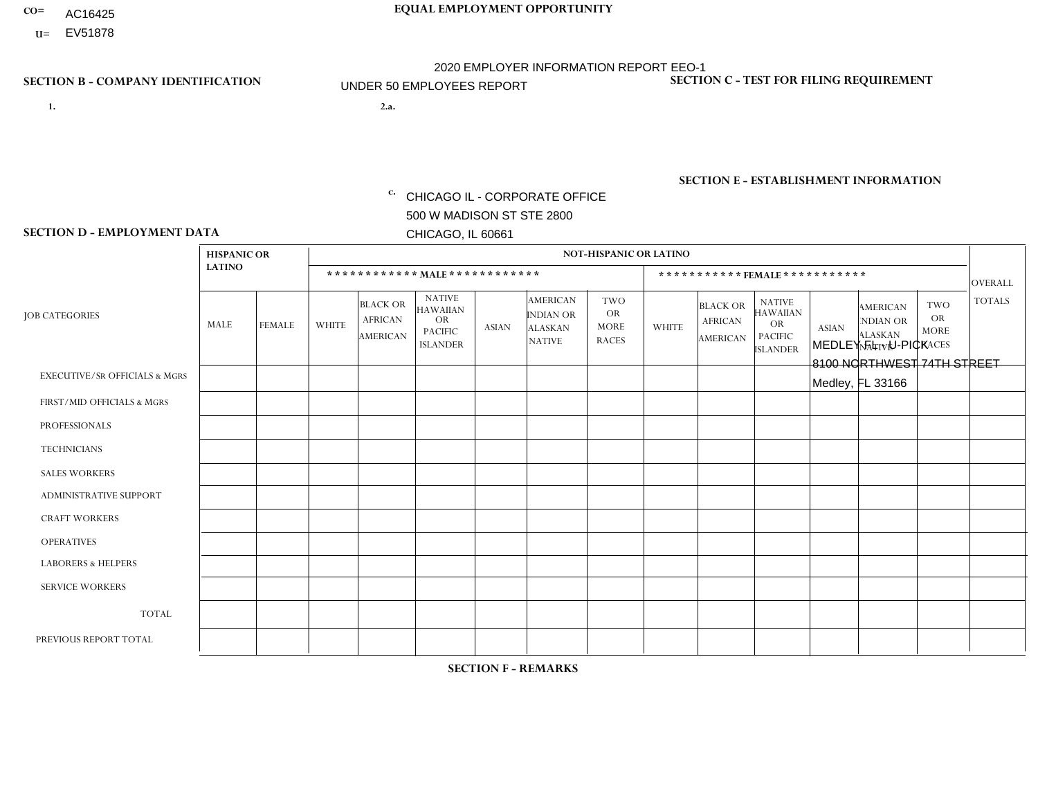- AC16425
- **U=** EV51878

- **1. 2.a.** CHICAGO IL CORPORATE OFFICE 500 W MADISON ST STE 2800 CHICAGO, IL 60661
- 2.a. MEDLEY FL U-PICK 8100 NORTHWEST 74TH STREET Medley, FL 33166

c. EIN= 952920557

## **SECTION B - COMPANY IDENTIFICATION SECTION C - TEST FOR FILING REQUIREMENT**

1- Y 2- Y 3- N DUNS= 000123456

**SECTION E - ESTABLISHMENT INFORMATION c.** NAICS: 423140

### **SECTION D - EMPLOYMENT DATA**

|                                          | <b>HISPANIC OR</b> |                |              |                                                      |                                                                                    |              |                                                                        | <b>NOT-HISPANIC OR LATINO</b>                          |                |                                                      |                                                                             |              |                                                                       |                                                        |                |
|------------------------------------------|--------------------|----------------|--------------|------------------------------------------------------|------------------------------------------------------------------------------------|--------------|------------------------------------------------------------------------|--------------------------------------------------------|----------------|------------------------------------------------------|-----------------------------------------------------------------------------|--------------|-----------------------------------------------------------------------|--------------------------------------------------------|----------------|
|                                          | <b>LATINO</b>      |                |              | ************ MALE ************                       |                                                                                    |              |                                                                        |                                                        |                |                                                      | ***********FEMALE***********                                                |              |                                                                       |                                                        | <b>OVERALL</b> |
| <b>JOB CATEGORIES</b>                    | MALE               | <b>FEMALE</b>  | <b>WHITE</b> | <b>BLACK OR</b><br><b>AFRICAN</b><br><b>AMERICAN</b> | <b>NATIVE</b><br><b>HAWAIIAN</b><br><b>OR</b><br><b>PACIFIC</b><br><b>ISLANDER</b> | <b>ASIAN</b> | <b>AMERICAN</b><br><b>INDIAN OR</b><br><b>ALASKAN</b><br><b>NATIVE</b> | <b>TWO</b><br><b>OR</b><br><b>MORE</b><br><b>RACES</b> | <b>WHITE</b>   | <b>BLACK OR</b><br><b>AFRICAN</b><br><b>AMERICAN</b> | <b>NATIVE</b><br><b>HAWAIIAN</b><br>OR<br><b>PACIFIC</b><br><b>ISLANDER</b> | <b>ASIAN</b> | <b>AMERICAN</b><br><b>NDIAN OR</b><br><b>ALASKAN</b><br><b>NATIVE</b> | <b>TWO</b><br><b>OR</b><br><b>MORE</b><br><b>RACES</b> | <b>TOTALS</b>  |
| <b>EXECUTIVE/SR OFFICIALS &amp; MGRS</b> | $\Omega$           | $\Omega$       | $\Omega$     | $\mathbf 0$                                          | $\Omega$                                                                           | $\Omega$     | $\Omega$                                                               | $\Omega$                                               | $\Omega$       | $\Omega$                                             | $\Omega$                                                                    | $\Omega$     | $\Omega$                                                              | $\Omega$                                               | $\mathbf 0$    |
| FIRST/MID OFFICIALS & MGRS               |                    | $\Omega$       | $\mathbf 0$  | $\mathbf 0$                                          | 0                                                                                  | $\Omega$     | $\Omega$                                                               | $\Omega$                                               | 0              | $\Omega$                                             | 0                                                                           | $\mathbf 0$  | $\Omega$                                                              | 0                                                      | $\mathbf{1}$   |
| <b>PROFESSIONALS</b>                     | $\Omega$           | $\overline{2}$ | $\Omega$     | $\mathbf 0$                                          | $\Omega$                                                                           | $\Omega$     | $\Omega$                                                               | $\Omega$                                               | $\Omega$       | $\Omega$                                             | 0                                                                           | $\Omega$     | $\Omega$                                                              | $\Omega$                                               | $\overline{2}$ |
| <b>TECHNICIANS</b>                       | $\Omega$           | $\Omega$       | $\Omega$     | $\Omega$                                             | $\Omega$                                                                           | $\Omega$     | $\Omega$                                                               | $\Omega$                                               | $\overline{0}$ | $\Omega$                                             | $\Omega$                                                                    | $\mathbf 0$  | $\Omega$                                                              | $\mathbf 0$                                            | $\Omega$       |
| <b>SALES WORKERS</b>                     | 1                  | $\mathbf{1}$   | $\mathbf{0}$ | $\Omega$                                             | $\Omega$                                                                           | $\Omega$     | $\Omega$                                                               | $\Omega$                                               | $\Omega$       | $\Omega$                                             | $\Omega$                                                                    | $\Omega$     | $\Omega$                                                              | $\Omega$                                               | $\overline{2}$ |
| ADMINISTRATIVE SUPPORT                   | 4                  | $\overline{2}$ | $\mathbf{0}$ | $\mathbf 0$                                          | 0                                                                                  | $\Omega$     | $\Omega$                                                               | $\Omega$                                               | 0              | $\Omega$                                             | 0                                                                           | $\Omega$     | $\Omega$                                                              | $\Omega$                                               | 6              |
| <b>CRAFT WORKERS</b>                     | $\Omega$           | $\Omega$       | $\mathbf 0$  | $\mathbf 0$                                          | $\Omega$                                                                           | $\Omega$     | $\Omega$                                                               | $\Omega$                                               | $\Omega$       | $\Omega$                                             | 0                                                                           | $\Omega$     | $\Omega$                                                              | $\Omega$                                               | $\Omega$       |
| <b>OPERATIVES</b>                        | 8                  | $\overline{2}$ | $\Omega$     | $\mathbf 0$                                          | 0                                                                                  | $\Omega$     | $\Omega$                                                               | $\Omega$                                               | 0              | $\Omega$                                             | 0                                                                           | $\mathbf 0$  | $\Omega$                                                              | $\Omega$                                               | 10             |
| <b>LABORERS &amp; HELPERS</b>            | 1                  | $\Omega$       | $\mathbf{0}$ | $\mathbf 0$                                          | 0                                                                                  | $\Omega$     | $\Omega$                                                               | $\Omega$                                               | $\Omega$       | $\Omega$                                             | 0                                                                           | $\Omega$     | $\Omega$                                                              | 0                                                      | $\mathbf 1$    |
| <b>SERVICE WORKERS</b>                   | $\Omega$           | $\Omega$       | 0            | 0                                                    | $\mathbf 0$                                                                        | $\Omega$     | $\Omega$                                                               | $\Omega$                                               | 0              | $\Omega$                                             | $\Omega$                                                                    | $\mathbf 0$  | $\Omega$                                                              | $\Omega$                                               | $\mathbf{0}$   |
| <b>TOTAL</b>                             | 15                 | $\overline{7}$ | $\mathbf 0$  | 0                                                    | $\mathbf 0$                                                                        | 0            | $\Omega$                                                               | $\Omega$                                               | 0              | $\Omega$                                             | $\Omega$                                                                    | $\mathbf 0$  | $\Omega$                                                              | $\mathbf 0$                                            | 22             |
| PREVIOUS REPORT TOTAL                    | 16                 | $\overline{4}$ | $\Omega$     | $\mathbf 0$                                          | $\mathbf 0$                                                                        | $\Omega$     | $\Omega$                                                               | $\Omega$                                               | 0              | $\Omega$                                             | 0                                                                           | $\mathbf 0$  | $\Omega$                                                              | $\mathbf 0$                                            | 20             |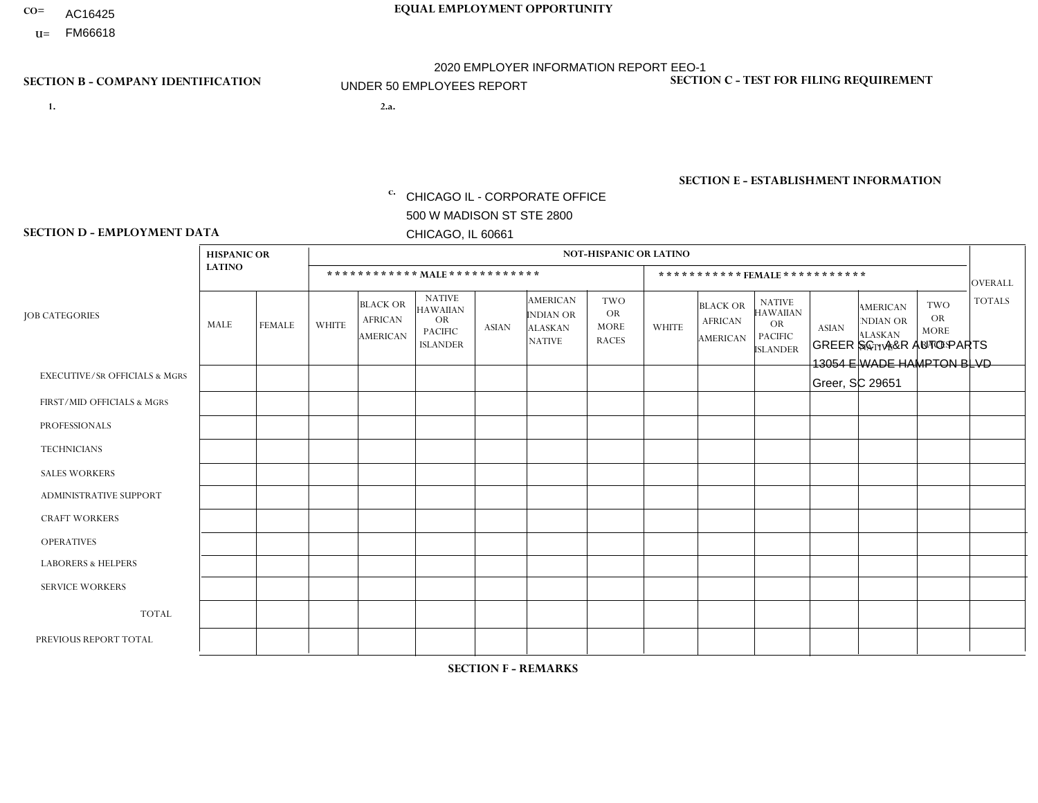- AC16425
- **U=**

- **1. 2.a.** CHICAGO IL CORPORATE OFFICE 500 W MADISON ST STE 2800 CHICAGO, IL 60661
- 2.a. GREER SC A&R AUTO PARTS 13054 E WADE HAMPTON BLVD Greer, SC 29651

c. EIN= 952920557

## **SECTION B - COMPANY IDENTIFICATION SECTION C - TEST FOR FILING REQUIREMENT**

1- Y 2- Y 3- N DUNS= 000123456

**SECTION E - ESTABLISHMENT INFORMATION c.** NAICS: 423140

### **SECTION D - EMPLOYMENT DATA**

|                                          | <b>HISPANIC OR</b> |               |                |                                                      |                                                                             |              |                                                                        | <b>NOT-HISPANIC OR LATINO</b>                          |              |                                               |                                                                                    |              |                                                                       |                                                        |                |
|------------------------------------------|--------------------|---------------|----------------|------------------------------------------------------|-----------------------------------------------------------------------------|--------------|------------------------------------------------------------------------|--------------------------------------------------------|--------------|-----------------------------------------------|------------------------------------------------------------------------------------|--------------|-----------------------------------------------------------------------|--------------------------------------------------------|----------------|
|                                          | <b>LATINO</b>      |               |                |                                                      | ************ MALE ************                                              |              |                                                                        |                                                        |              | ***********FEMALE***********                  |                                                                                    |              |                                                                       |                                                        | <b>OVERALL</b> |
| <b>JOB CATEGORIES</b>                    | <b>MALE</b>        | <b>FEMALE</b> | <b>WHITE</b>   | <b>BLACK OR</b><br><b>AFRICAN</b><br><b>AMERICAN</b> | <b>NATIVE</b><br>HAWAIIAN<br><b>OR</b><br><b>PACIFIC</b><br><b>ISLANDER</b> | <b>ASIAN</b> | <b>AMERICAN</b><br><b>INDIAN OR</b><br><b>ALASKAN</b><br><b>NATIVE</b> | <b>TWO</b><br><b>OR</b><br><b>MORE</b><br><b>RACES</b> | <b>WHITE</b> | <b>BLACK OR</b><br><b>AFRICAN</b><br>AMERICAN | <b>NATIVE</b><br><b>HAWAIIAN</b><br><b>OR</b><br><b>PACIFIC</b><br><b>ISLANDER</b> | <b>ASIAN</b> | <b>AMERICAN</b><br><b>NDIAN OR</b><br><b>ALASKAN</b><br><b>NATIVE</b> | <b>TWO</b><br><b>OR</b><br><b>MORE</b><br><b>RACES</b> | <b>TOTALS</b>  |
| <b>EXECUTIVE/SR OFFICIALS &amp; MGRS</b> | $\Omega$           | $\Omega$      | $\Omega$       | $\Omega$                                             | $\Omega$                                                                    | $\Omega$     | $\Omega$                                                               | $\Omega$                                               | $\Omega$     | $\Omega$                                      | $\Omega$                                                                           | $\Omega$     | $\Omega$                                                              | $\Omega$                                               | $\Omega$       |
| FIRST/MID OFFICIALS & MGRS               | 0                  | $\Omega$      | 1              | $\Omega$                                             | $\mathbf{0}$                                                                | $\Omega$     | $\Omega$                                                               | 0                                                      |              | $\Omega$                                      | $\Omega$                                                                           | $\Omega$     | $\Omega$                                                              | $\Omega$                                               | $\overline{2}$ |
| <b>PROFESSIONALS</b>                     | 0                  | $\Omega$      | $\overline{c}$ | $\Omega$                                             | $\Omega$                                                                    | $\Omega$     | $\Omega$                                                               | 0                                                      | $\Omega$     | $\Omega$                                      | $\Omega$                                                                           | $\Omega$     | $\Omega$                                                              | $\Omega$                                               | 2              |
| <b>TECHNICIANS</b>                       | 0                  | $\Omega$      | $\Omega$       | $\Omega$                                             | $\Omega$                                                                    | $\Omega$     | $\Omega$                                                               | 0                                                      | $\Omega$     | $\Omega$                                      | $\Omega$                                                                           | $\Omega$     | $\Omega$                                                              | $\Omega$                                               | $\Omega$       |
| <b>SALES WORKERS</b>                     | $\mathbf 0$        | $\mathbf 0$   | $\mathbf 0$    | $\mathbf 0$                                          | $\mathbf{0}$                                                                | $\Omega$     | $\Omega$                                                               | 0                                                      | $\Omega$     | $\Omega$                                      | $\Omega$                                                                           | $\Omega$     | $\Omega$                                                              | $\Omega$                                               | $\mathbf 0$    |
| <b>ADMINISTRATIVE SUPPORT</b>            | $\Omega$           | $\Omega$      | 6              | $\mathbf 0$                                          | $\mathbf{0}$                                                                | $\Omega$     | $\Omega$                                                               | 0                                                      | $\Omega$     | $\Omega$                                      | $\Omega$                                                                           | $\Omega$     | $\Omega$                                                              | 0                                                      | 6              |
| <b>CRAFT WORKERS</b>                     | 0                  | $\mathbf 0$   | $\mathbf 0$    | $\mathbf 0$                                          | $\mathbf{0}$                                                                | $\mathbf{0}$ | $\Omega$                                                               | 0                                                      | $\Omega$     | $\Omega$                                      | $\Omega$                                                                           | $\Omega$     | $\Omega$                                                              | $\Omega$                                               | $\mathbf 0$    |
| <b>OPERATIVES</b>                        | 6                  | $\Omega$      | 3              | $\mathbf 0$                                          | $\Omega$                                                                    | $\Omega$     | $\Omega$                                                               | 0                                                      | $\Omega$     | $\Omega$                                      | $\Omega$                                                                           | $\Omega$     | $\Omega$                                                              | $\Omega$                                               | 9              |
| <b>LABORERS &amp; HELPERS</b>            | 0                  | $\Omega$      | $\Omega$       | $\Omega$                                             | $\Omega$                                                                    | $\mathbf{0}$ | $\Omega$                                                               | 0                                                      | $\Omega$     | $\Omega$                                      | $\Omega$                                                                           | $\Omega$     | $\Omega$                                                              | $\Omega$                                               | $\mathbf 0$    |
| <b>SERVICE WORKERS</b>                   | $\Omega$           | $\Omega$      | $\Omega$       | $\mathbf 0$                                          | $\Omega$                                                                    | $\mathbf{0}$ | $\Omega$                                                               | 0                                                      | $\Omega$     | $\Omega$                                      | $\Omega$                                                                           | $\Omega$     | $\Omega$                                                              | $\Omega$                                               | $\mathbf 0$    |
| <b>TOTAL</b>                             | 6                  | $\mathbf 0$   | 12             | $\mathbf 0$                                          | 0                                                                           | $\Omega$     | 0                                                                      | 0                                                      |              | $\Omega$                                      | 0                                                                                  | 0            | $\Omega$                                                              | 0                                                      | 19             |
| PREVIOUS REPORT TOTAL                    | 5                  | $\mathbf 0$   | 10             | $\mathbf{1}$                                         | $\mathbf{0}$                                                                | $\Omega$     | $\Omega$                                                               | 1                                                      |              | $\Omega$                                      | 0                                                                                  | $\Omega$     | $\Omega$                                                              | $\mathbf 0$                                            | 18             |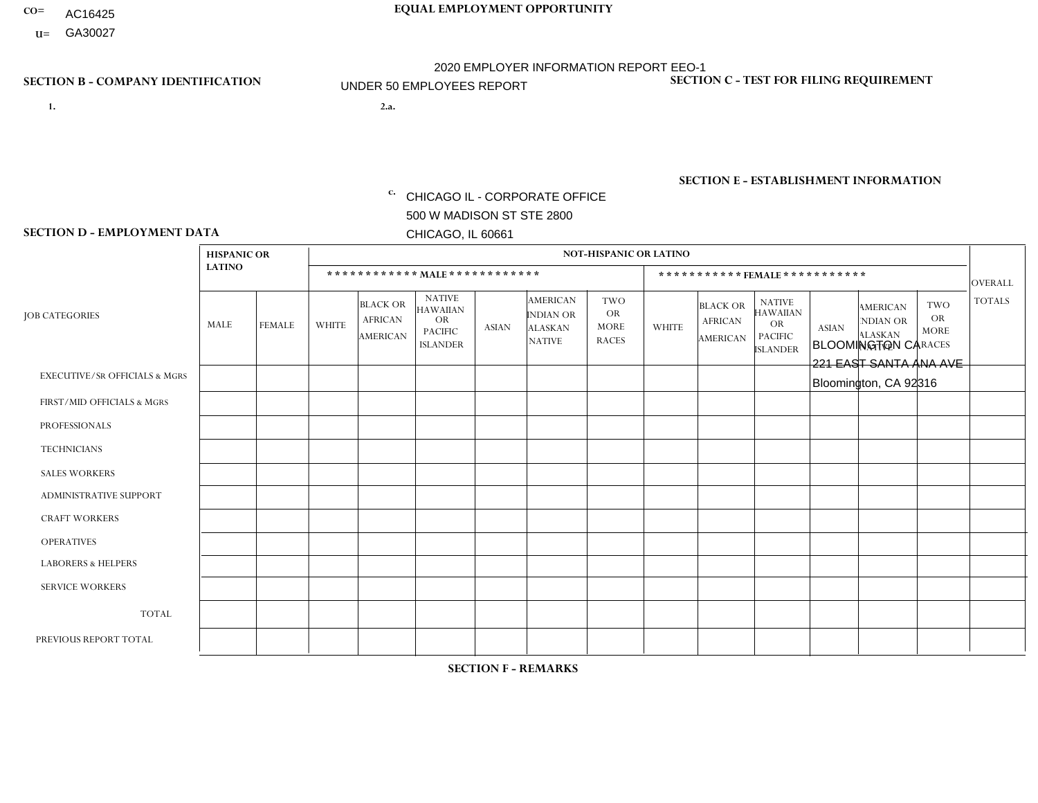- AC16425
- **U=**

- **1. 2.a.** CHICAGO IL CORPORATE OFFICE 500 W MADISON ST STE 2800 CHICAGO, IL 60661
- 2.a. BLOOMINGTON CA 221 EAST SANTA ANA AVE Bloomington, CA 92316

EIN= 953072886

## **SECTION B - COMPANY IDENTIFICATION SECTION C - TEST FOR FILING REQUIREMENT**

1- Y 2- Y 3- N DUNS= 000123456

**SECTION E - ESTABLISHMENT INFORMATION c.** NAICS: 423140

### **SECTION D - EMPLOYMENT DATA**

|                                          | <b>HISPANIC OR</b> |               |                |                                                      |                                                                                    |              |                                                                        | <b>NOT-HISPANIC OR LATINO</b>                          |              |                                               |                                                                                    |              |                                                                       |                                                        |                |
|------------------------------------------|--------------------|---------------|----------------|------------------------------------------------------|------------------------------------------------------------------------------------|--------------|------------------------------------------------------------------------|--------------------------------------------------------|--------------|-----------------------------------------------|------------------------------------------------------------------------------------|--------------|-----------------------------------------------------------------------|--------------------------------------------------------|----------------|
|                                          | <b>LATINO</b>      |               |                | ************ MAIE************                        |                                                                                    |              |                                                                        |                                                        |              |                                               | ***********FEMALE ***********                                                      |              |                                                                       |                                                        | <b>OVERALL</b> |
| <b>JOB CATEGORIES</b>                    | MALE               | <b>FEMALE</b> | <b>WHITE</b>   | <b>BLACK OR</b><br><b>AFRICAN</b><br><b>AMERICAN</b> | <b>NATIVE</b><br><b>HAWAIIAN</b><br><b>OR</b><br><b>PACIFIC</b><br><b>ISLANDER</b> | <b>ASIAN</b> | <b>AMERICAN</b><br><b>INDIAN OR</b><br><b>ALASKAN</b><br><b>NATIVE</b> | <b>TWO</b><br><b>OR</b><br><b>MORE</b><br><b>RACES</b> | <b>WHITE</b> | <b>BLACK OR</b><br><b>AFRICAN</b><br>AMERICAN | <b>NATIVE</b><br><b>HAWAIIAN</b><br><b>OR</b><br><b>PACIFIC</b><br><b>ISLANDER</b> | <b>ASIAN</b> | <b>AMERICAN</b><br><b>NDIAN OR</b><br><b>ALASKAN</b><br><b>NATIVE</b> | <b>TWO</b><br><b>OR</b><br><b>MORE</b><br><b>RACES</b> | <b>TOTALS</b>  |
| <b>EXECUTIVE/SR OFFICIALS &amp; MGRS</b> | $\Omega$           | $\Omega$      | $\Omega$       | $\mathbf 0$                                          | $\Omega$                                                                           | $\Omega$     | $\Omega$                                                               | $\Omega$                                               | $\Omega$     | $\mathbf{0}$                                  | $\mathbf{0}$                                                                       | $\Omega$     | $\Omega$                                                              | $\Omega$                                               | $\mathbf 0$    |
| FIRST/MID OFFICIALS & MGRS               | $\Omega$           | $\Omega$      | $\Omega$       | $\Omega$                                             | 0                                                                                  | $\Omega$     | $\Omega$                                                               | $\Omega$                                               | 1            | $\Omega$                                      | $\Omega$                                                                           | $\Omega$     | $\Omega$                                                              | $\mathbf{0}$                                           | $\mathbf{1}$   |
| <b>PROFESSIONALS</b>                     | $\Omega$           | $\Omega$      | $\Omega$       | $\Omega$                                             | $\Omega$                                                                           | $\Omega$     | $\Omega$                                                               | $\Omega$                                               | $\Omega$     | $\Omega$                                      | $\Omega$                                                                           | $\Omega$     | $\Omega$                                                              | $\Omega$                                               | $\mathbf 0$    |
| <b>TECHNICIANS</b>                       | $\Omega$           | $\mathbf 0$   | $\Omega$       | $\mathbf 0$                                          | 0                                                                                  | $\Omega$     | $\Omega$                                                               | $\Omega$                                               | $\mathbf{0}$ | $\Omega$                                      | $\Omega$                                                                           | $\Omega$     | $\Omega$                                                              | $\Omega$                                               | $\mathbf 0$    |
| <b>SALES WORKERS</b>                     | 3                  | $\Omega$      | 1              | $\mathbf 0$                                          | $\Omega$                                                                           | $\Omega$     | $\Omega$                                                               | $\Omega$                                               | $\Omega$     | $\Omega$                                      | $\Omega$                                                                           | $\Omega$     | $\Omega$                                                              | $\mathbf{0}$                                           | $\overline{4}$ |
| <b>ADMINISTRATIVE SUPPORT</b>            | $\Omega$           | 6             | 1              | $\Omega$                                             | $\Omega$                                                                           | $\Omega$     | $\Omega$                                                               | $\Omega$                                               | $\Omega$     | $\Omega$                                      | $\Omega$                                                                           | $\Omega$     | $\Omega$                                                              | $\Omega$                                               | $\overline{7}$ |
| <b>CRAFT WORKERS</b>                     | 0                  | $\Omega$      | $\mathbf 0$    | $\mathbf 0$                                          | $\Omega$                                                                           | $\Omega$     | $\Omega$                                                               | $\Omega$                                               | $\Omega$     | $\Omega$                                      | $\Omega$                                                                           | $\Omega$     | $\Omega$                                                              | $\Omega$                                               | $\Omega$       |
| <b>OPERATIVES</b>                        | 9                  | $\Omega$      | $\Omega$       | $\mathbf{1}$                                         | 0                                                                                  | $\Omega$     | $\overline{0}$                                                         | $\Omega$                                               | $\Omega$     | $\Omega$                                      | $\mathbf{0}$                                                                       | $\Omega$     | $\Omega$                                                              | $\mathbf{0}$                                           | 10             |
| <b>LABORERS &amp; HELPERS</b>            | -1                 | $\Omega$      | $\Omega$       | $\mathbf{1}$                                         | 0                                                                                  | $\Omega$     | $\Omega$                                                               | $\Omega$                                               | $\Omega$     | $\Omega$                                      | $\Omega$                                                                           | $\Omega$     | $\Omega$                                                              | $\Omega$                                               | $\overline{2}$ |
| <b>SERVICE WORKERS</b>                   | $\Omega$           | $\mathbf 0$   | 0              | $\mathbf 0$                                          | $\mathbf 0$                                                                        | $\mathbf 0$  | $\Omega$                                                               | $\Omega$                                               | $\Omega$     | $\Omega$                                      | $\mathbf{0}$                                                                       | $\mathbf 0$  | $\Omega$                                                              | $\mathbf 0$                                            | 0              |
| <b>TOTAL</b>                             | 13                 | 6             | $\overline{c}$ | $\overline{2}$                                       | 0                                                                                  | $\mathbf{0}$ | $\Omega$                                                               | $\Omega$                                               | 1            | $\Omega$                                      | $\Omega$                                                                           | $\Omega$     | $\Omega$                                                              | $\Omega$                                               | 24             |
| PREVIOUS REPORT TOTAL                    | 19                 | 6             |                | 2                                                    | 0                                                                                  | $\Omega$     | $\Omega$                                                               | $\Omega$                                               | $\mathbf 1$  | $\Omega$                                      | $\mathbf{0}$                                                                       | $\Omega$     | $\Omega$                                                              | $\mathbf 0$                                            | 29             |
|                                          |                    |               |                |                                                      |                                                                                    |              |                                                                        |                                                        |              |                                               |                                                                                    |              |                                                                       |                                                        |                |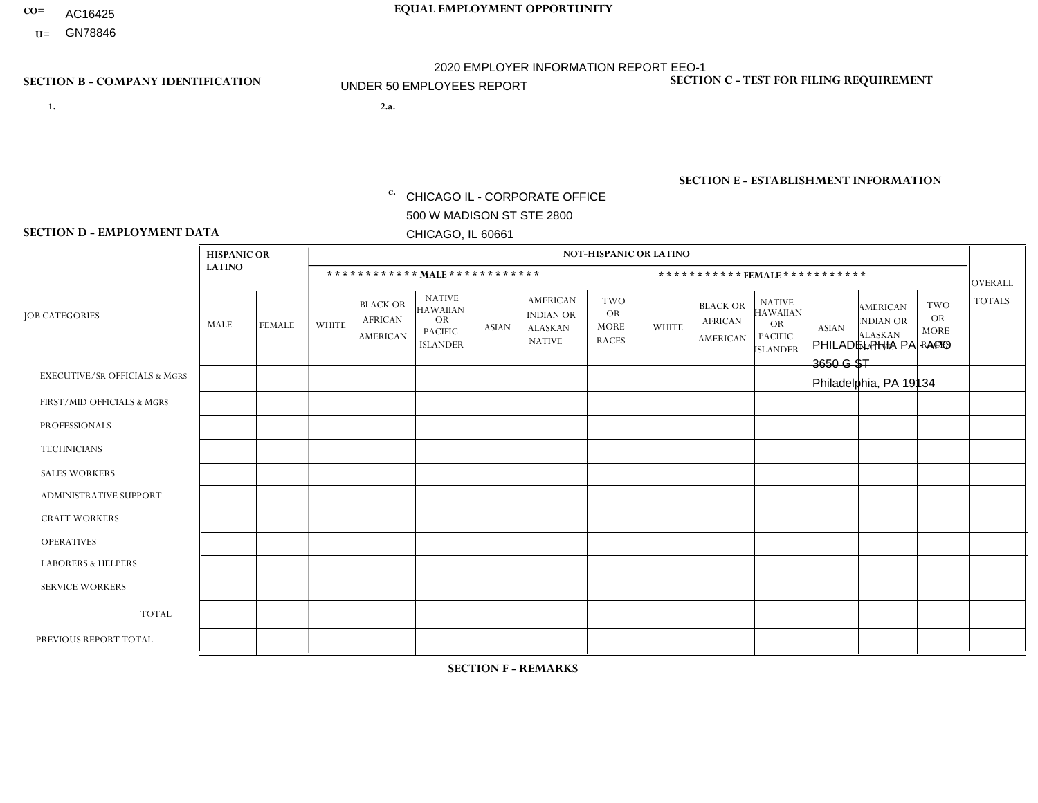- AC16425
- **U=**

**1. 2.a.** CHICAGO IL - CORPORATE OFFICE 500 W MADISON ST STE 2800 CHICAGO, IL 60661

2.a. PHILADELPHIA PA - APO 3650 G ST Philadelphia, PA 19134

c. EIN= 952920557

## **SECTION B - COMPANY IDENTIFICATION SECTION C - TEST FOR FILING REQUIREMENT**

1- Y 2- Y 3- N DUNS= 000123456

**SECTION E - ESTABLISHMENT INFORMATION c.** NAICS: 423140

### **SECTION D - EMPLOYMENT DATA**

|                                          | <b>HISPANIC OR</b> |                |              |                                                      |                                                                                    |              |                                                                        | <b>NOT-HISPANIC OR LATINO</b>                          |              |                                                      |                                                                                    |              |                                                                       |                                                        |                |
|------------------------------------------|--------------------|----------------|--------------|------------------------------------------------------|------------------------------------------------------------------------------------|--------------|------------------------------------------------------------------------|--------------------------------------------------------|--------------|------------------------------------------------------|------------------------------------------------------------------------------------|--------------|-----------------------------------------------------------------------|--------------------------------------------------------|----------------|
|                                          | <b>LATINO</b>      |                |              | ************ MALE ************                       |                                                                                    |              |                                                                        |                                                        |              |                                                      | *********** FEMALE ***********                                                     |              |                                                                       |                                                        | <b>OVERALL</b> |
| <b>JOB CATEGORIES</b>                    | MALE               | <b>FEMALE</b>  | <b>WHITE</b> | <b>BLACK OR</b><br><b>AFRICAN</b><br><b>AMERICAN</b> | <b>NATIVE</b><br><b>HAWAIIAN</b><br><b>OR</b><br><b>PACIFIC</b><br><b>ISLANDER</b> | <b>ASIAN</b> | <b>AMERICAN</b><br><b>INDIAN OR</b><br><b>ALASKAN</b><br><b>NATIVE</b> | <b>TWO</b><br><b>OR</b><br><b>MORE</b><br><b>RACES</b> | <b>WHITE</b> | <b>BLACK OR</b><br><b>AFRICAN</b><br><b>AMERICAN</b> | <b>NATIVE</b><br><b>HAWAIIAN</b><br><b>OR</b><br><b>PACIFIC</b><br><b>ISLANDER</b> | <b>ASIAN</b> | <b>AMERICAN</b><br><b>NDIAN OR</b><br><b>ALASKAN</b><br><b>NATIVE</b> | <b>TWO</b><br><b>OR</b><br><b>MORE</b><br><b>RACES</b> | <b>TOTALS</b>  |
| <b>EXECUTIVE/SR OFFICIALS &amp; MGRS</b> | $\Omega$           | $\Omega$       | $\Omega$     | $\Omega$                                             | $\Omega$                                                                           | $\Omega$     | $\Omega$                                                               | $\Omega$                                               | $\Omega$     | $\mathbf{0}$                                         | $\Omega$                                                                           | $\Omega$     | $\Omega$                                                              | $\Omega$                                               | $\Omega$       |
| FIRST/MID OFFICIALS & MGRS               | $\Omega$           | $\Omega$       | 1            | $\Omega$                                             | 0                                                                                  | $\Omega$     | $\Omega$                                                               | $\Omega$                                               | $\Omega$     | $\mathbf{0}$                                         | $\mathbf{0}$                                                                       | $\Omega$     | $\Omega$                                                              | $\Omega$                                               | $\mathbf{1}$   |
| <b>PROFESSIONALS</b>                     | $\Omega$           | $\Omega$       | $\mathbf 0$  | $\mathbf 0$                                          | $\overline{0}$                                                                     | $\Omega$     | $\overline{0}$                                                         | $\Omega$                                               | $\Omega$     | $\Omega$                                             | $\mathbf{0}$                                                                       | $\Omega$     | $\Omega$                                                              | $\Omega$                                               | $\mathbf 0$    |
| <b>TECHNICIANS</b>                       | $\Omega$           | $\mathbf 0$    | $\Omega$     | $\mathbf 0$                                          | 0                                                                                  | $\Omega$     | $\overline{0}$                                                         | $\Omega$                                               | $\mathbf 0$  | $\mathbf 0$                                          | $\mathbf 0$                                                                        | $\mathbf 0$  | $\Omega$                                                              | $\mathbf{0}$                                           | $\mathbf 0$    |
| <b>SALES WORKERS</b>                     | $\Omega$           | 3              | $\Omega$     | $\mathbf{1}$                                         | $\Omega$                                                                           | $\Omega$     | $\Omega$                                                               | $\Omega$                                               | $\Omega$     | $\Omega$                                             | $\Omega$                                                                           | $\Omega$     | $\Omega$                                                              | $\mathbf{0}$                                           | $\overline{4}$ |
| <b>ADMINISTRATIVE SUPPORT</b>            | $\Omega$           | $\Omega$       | $\Omega$     | 0                                                    | $\mathbf 0$                                                                        | $\Omega$     | $\Omega$                                                               | $\Omega$                                               | $\Omega$     | $\mathbf{0}$                                         | $\mathbf{0}$                                                                       | $\Omega$     | $\Omega$                                                              | $\Omega$                                               | $\mathbf 0$    |
| <b>CRAFT WORKERS</b>                     | 0                  | $\Omega$       | $\mathbf 0$  | $\mathbf 0$                                          | 0                                                                                  | $\Omega$     | $\Omega$                                                               | $\Omega$                                               | $\Omega$     | $\Omega$                                             | $\Omega$                                                                           | $\Omega$     | $\Omega$                                                              | $\mathbf{0}$                                           | $\mathbf 0$    |
| <b>OPERATIVES</b>                        | 0                  | $\mathbf 0$    | $\Omega$     | $\mathbf 0$                                          | 0                                                                                  | $\Omega$     | $\overline{0}$                                                         | $\Omega$                                               | $\Omega$     | $\Omega$                                             | $\Omega$                                                                           | $\Omega$     | $\Omega$                                                              | $\mathbf{0}$                                           | $\mathbf 0$    |
| <b>LABORERS &amp; HELPERS</b>            | 3                  | $\Omega$       | $\Omega$     | $\mathbf{1}$                                         | 0                                                                                  | $\Omega$     | $\Omega$                                                               | $\Omega$                                               | $\Omega$     | $\Omega$                                             | $\mathbf{0}$                                                                       | $\Omega$     | $\Omega$                                                              | $\Omega$                                               | 4              |
| <b>SERVICE WORKERS</b>                   | 0                  | 0              | 0            | 0                                                    | 0                                                                                  | $\Omega$     | $\Omega$                                                               | $\Omega$                                               | $\Omega$     | $\Omega$                                             | $\mathbf{0}$                                                                       | $\Omega$     | $\Omega$                                                              | $\Omega$                                               | 0              |
| <b>TOTAL</b>                             | 3                  | 3              | 1            | $\overline{2}$                                       | 0                                                                                  | $\mathbf 0$  | $\Omega$                                                               | $\Omega$                                               | $\Omega$     | $\Omega$                                             | $\Omega$                                                                           | $\mathbf 0$  | $\Omega$                                                              | $\Omega$                                               | 9              |
| PREVIOUS REPORT TOTAL                    | 6                  | $\overline{2}$ | $\Omega$     | 1                                                    | 0                                                                                  | $\Omega$     | $\Omega$                                                               | $\Omega$                                               | $\Omega$     | $\Omega$                                             | $\mathbf{0}$                                                                       | $\Omega$     | $\Omega$                                                              | $\mathbf 0$                                            | 9              |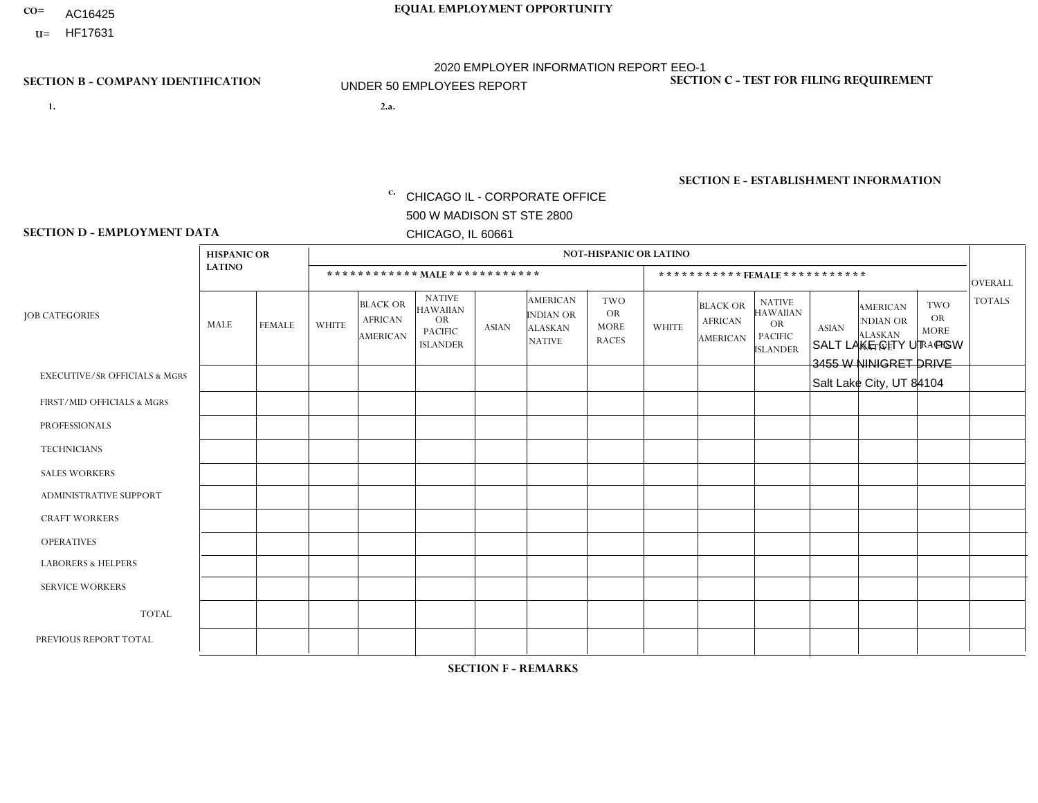- AC16425
- **U=**

**1. 2.a.** CHICAGO IL - CORPORATE OFFICE 500 W MADISON ST STE 2800 CHICAGO, IL 60661

2.a. SALT LAKE CITY UT - PGW 3455 W NINIGRET DRIVE Salt Lake City, UT 84104

EIN= 952920557

## **SECTION B - COMPANY IDENTIFICATION SECTION C - TEST FOR FILING REQUIREMENT**

1- Y 2- Y 3- N DUNS= 000123456

**SECTION E - ESTABLISHMENT INFORMATION c.** NAICS: 811122

### **SECTION D - EMPLOYMENT DATA**

|                                          | <b>HISPANIC OR</b> |               |                |                                                      |                                                                                    |              |                                                                        | <b>NOT-HISPANIC OR LATINO</b>                          |              |                                                      |                                                                                    |              |                                                                       |                                                        |                |
|------------------------------------------|--------------------|---------------|----------------|------------------------------------------------------|------------------------------------------------------------------------------------|--------------|------------------------------------------------------------------------|--------------------------------------------------------|--------------|------------------------------------------------------|------------------------------------------------------------------------------------|--------------|-----------------------------------------------------------------------|--------------------------------------------------------|----------------|
|                                          | <b>LATINO</b>      |               |                | ************ MALE ************                       |                                                                                    |              |                                                                        |                                                        |              |                                                      | ***********FEMALE***********                                                       |              |                                                                       |                                                        | <b>OVERALL</b> |
| <b>JOB CATEGORIES</b>                    | MALE               | <b>FEMALE</b> | <b>WHITE</b>   | <b>BLACK OR</b><br><b>AFRICAN</b><br><b>AMERICAN</b> | <b>NATIVE</b><br><b>HAWAIIAN</b><br><b>OR</b><br><b>PACIFIC</b><br><b>ISLANDER</b> | <b>ASIAN</b> | <b>AMERICAN</b><br><b>INDIAN OR</b><br><b>ALASKAN</b><br><b>NATIVE</b> | <b>TWO</b><br><b>OR</b><br><b>MORE</b><br><b>RACES</b> | <b>WHITE</b> | <b>BLACK OR</b><br><b>AFRICAN</b><br><b>AMERICAN</b> | <b>NATIVE</b><br><b>HAWAIIAN</b><br><b>OR</b><br><b>PACIFIC</b><br><b>ISLANDER</b> | <b>ASIAN</b> | <b>AMERICAN</b><br><b>NDIAN OR</b><br><b>ALASKAN</b><br><b>NATIVE</b> | <b>TWO</b><br><b>OR</b><br><b>MORE</b><br><b>RACES</b> | <b>TOTALS</b>  |
| <b>EXECUTIVE/SR OFFICIALS &amp; MGRS</b> | $\mathbf{0}$       | $\Omega$      | $\Omega$       | $\Omega$                                             | 0                                                                                  | $\Omega$     | $\Omega$                                                               | $\Omega$                                               | $\Omega$     | $\mathbf{0}$                                         | $\Omega$                                                                           | $\Omega$     | $\Omega$                                                              | $\Omega$                                               | $\Omega$       |
| FIRST/MID OFFICIALS & MGRS               | $\Omega$           | $\Omega$      | 1              | $\Omega$                                             | $\mathbf{0}$                                                                       | $\Omega$     | $\Omega$                                                               | $\Omega$                                               | $\Omega$     | $\Omega$                                             | $\Omega$                                                                           | $\Omega$     | $\Omega$                                                              | $\Omega$                                               | $\mathbf{1}$   |
| <b>PROFESSIONALS</b>                     | $\Omega$           | $\Omega$      | $\mathbf 0$    | $\mathbf 0$                                          | $\overline{0}$                                                                     | $\Omega$     | $\Omega$                                                               | $\Omega$                                               | $\Omega$     | $\Omega$                                             | $\Omega$                                                                           | $\Omega$     | $\Omega$                                                              | $\Omega$                                               | $\mathbf 0$    |
| <b>TECHNICIANS</b>                       | $\Omega$           | $\Omega$      | $\Omega$       | $\Omega$                                             | 0                                                                                  | $\Omega$     | $\overline{0}$                                                         | $\Omega$                                               | $\Omega$     | $\Omega$                                             | $\Omega$                                                                           | $\Omega$     | $\mathbf{0}$                                                          | $\Omega$                                               | $\mathbf 0$    |
| <b>SALES WORKERS</b>                     | $\Omega$           | $\Omega$      | $\Omega$       | $\Omega$                                             | $\Omega$                                                                           | $\Omega$     | $\Omega$                                                               | $\Omega$                                               | $\Omega$     | $\Omega$                                             | $\Omega$                                                                           | $\Omega$     | $\Omega$                                                              | $\Omega$                                               | $\mathbf 0$    |
| <b>ADMINISTRATIVE SUPPORT</b>            | $\Omega$           | $\mathbf 0$   | $\Omega$       | $\mathbf 0$                                          | $\mathbf 0$                                                                        | $\mathbf 0$  | $\Omega$                                                               | $\Omega$                                               | $\Omega$     | $\Omega$                                             | $\Omega$                                                                           | $\Omega$     | $\Omega$                                                              | $\Omega$                                               | $\mathbf 0$    |
| <b>CRAFT WORKERS</b>                     | $\Omega$           | $\Omega$      | $\Omega$       | 0                                                    | 0                                                                                  | $\Omega$     | $\Omega$                                                               | $\Omega$                                               | $\Omega$     | $\Omega$                                             | $\Omega$                                                                           | $\Omega$     | $\Omega$                                                              | $\Omega$                                               | $\Omega$       |
| <b>OPERATIVES</b>                        |                    | $\Omega$      | 5              | $\mathbf 0$                                          | 0                                                                                  | $\Omega$     | $\Omega$                                                               | $\Omega$                                               | $\Omega$     | $\Omega$                                             | $\Omega$                                                                           | $\Omega$     | $\Omega$                                                              | $\Omega$                                               | 6              |
| <b>LABORERS &amp; HELPERS</b>            | $\Omega$           | $\Omega$      | 1              | $\mathbf 0$                                          | 0                                                                                  | $\Omega$     | $\Omega$                                                               | $\Omega$                                               | $\Omega$     | $\Omega$                                             | $\Omega$                                                                           | $\Omega$     | $\Omega$                                                              | $\mathbf{0}$                                           | $\mathbf{1}$   |
| <b>SERVICE WORKERS</b>                   | $\Omega$           | $\Omega$      | 0              | 0                                                    | $\mathbf 0$                                                                        | $\Omega$     | $\Omega$                                                               | $\Omega$                                               | $\Omega$     | $\Omega$                                             | $\Omega$                                                                           | $\Omega$     | $\Omega$                                                              | $\Omega$                                               | 0              |
| <b>TOTAL</b>                             | 1                  | $\mathbf 0$   | $\overline{7}$ | 0                                                    | 0                                                                                  | $\mathbf 0$  | $\Omega$                                                               | $\Omega$                                               | 0            | $\Omega$                                             | $\Omega$                                                                           | $\mathbf 0$  | $\Omega$                                                              | $\mathbf 0$                                            | 8              |
| PREVIOUS REPORT TOTAL                    | $\Omega$           | $\mathbf 0$   |                | $\mathbf 0$                                          | 0                                                                                  | $\Omega$     | $\overline{0}$                                                         | $\Omega$                                               | $\Omega$     | $\Omega$                                             | $\mathbf{0}$                                                                       | $\Omega$     | $\Omega$                                                              | $\mathbf 0$                                            | $\mathbf{1}$   |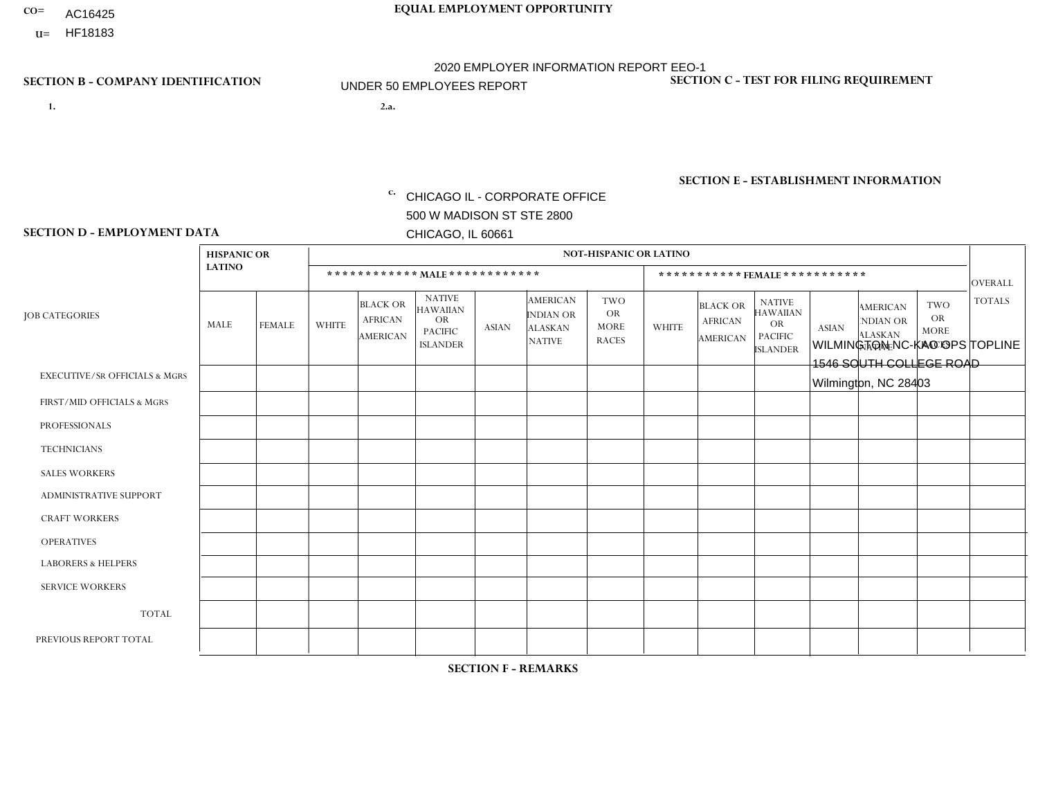- AC16425
- **U=**

- **1. 2.a.** CHICAGO IL CORPORATE OFFICE 500 W MADISON ST STE 2800 CHICAGO, IL 60661
- 2.a. WILMINGTON NC-KAO OPS TOPLINE 1546 SOUTH COLLEGE ROAD Wilmington, NC 28403

c. EIN= 952920557

## **SECTION B - COMPANY IDENTIFICATION SECTION C - TEST FOR FILING REQUIREMENT**

1- Y 2- Y 3- N DUNS= 000123456

**SECTION E - ESTABLISHMENT INFORMATION c.** NAICS: 423140

### **SECTION D - EMPLOYMENT DATA**

|                                          | <b>HISPANIC OR</b> |               |              |                                                      |                                                                                    |             |                                                                        | <b>NOT-HISPANIC OR LATINO</b>                          |                |                                               |                                                                             |              |                                                                       |                                                        |                |
|------------------------------------------|--------------------|---------------|--------------|------------------------------------------------------|------------------------------------------------------------------------------------|-------------|------------------------------------------------------------------------|--------------------------------------------------------|----------------|-----------------------------------------------|-----------------------------------------------------------------------------|--------------|-----------------------------------------------------------------------|--------------------------------------------------------|----------------|
|                                          | <b>LATINO</b>      |               |              | ************ MALE ************                       |                                                                                    |             |                                                                        |                                                        |                | ***********FEMALE***********                  |                                                                             |              |                                                                       |                                                        | <b>OVERALL</b> |
| <b>JOB CATEGORIES</b>                    | MALE               | <b>FEMALE</b> | <b>WHITE</b> | <b>BLACK OR</b><br><b>AFRICAN</b><br><b>AMERICAN</b> | <b>NATIVE</b><br><b>HAWAIIAN</b><br><b>OR</b><br><b>PACIFIC</b><br><b>ISLANDER</b> | ASIAN       | <b>AMERICAN</b><br><b>INDIAN OR</b><br><b>ALASKAN</b><br><b>NATIVE</b> | <b>TWO</b><br><b>OR</b><br><b>MORE</b><br><b>RACES</b> | <b>WHITE</b>   | <b>BLACK OR</b><br><b>AFRICAN</b><br>AMERICAN | <b>NATIVE</b><br><b>HAWAIIAN</b><br>OR<br><b>PACIFIC</b><br><b>ISLANDER</b> | <b>ASIAN</b> | <b>AMERICAN</b><br><b>NDIAN OR</b><br><b>ALASKAN</b><br><b>NATIVE</b> | <b>TWO</b><br><b>OR</b><br><b>MORE</b><br><b>RACES</b> | <b>TOTALS</b>  |
| <b>EXECUTIVE/SR OFFICIALS &amp; MGRS</b> | $\Omega$           | $\Omega$      | $\Omega$     | $\mathbf 0$                                          | $\mathbf 0$                                                                        | $\Omega$    | $\Omega$                                                               | $\Omega$                                               | $\Omega$       | $\Omega$                                      | $\Omega$                                                                    | $\mathbf 0$  | $\Omega$                                                              | $\mathbf 0$                                            | $\mathbf{0}$   |
| FIRST/MID OFFICIALS & MGRS               | 0                  | 0             | 1            | $\mathbf 0$                                          | 0                                                                                  | $\Omega$    | $\Omega$                                                               | $\Omega$                                               | 0              | $\Omega$                                      | $\Omega$                                                                    | $\mathbf{0}$ | $\Omega$                                                              | $\mathbf 0$                                            | $\mathbf{1}$   |
| <b>PROFESSIONALS</b>                     | $\Omega$           | $\Omega$      | 2            | $\mathbf 0$                                          | $\Omega$                                                                           | $\Omega$    | $\Omega$                                                               | $\Omega$                                               | $\overline{0}$ | $\Omega$                                      | $\Omega$                                                                    | $\Omega$     | $\Omega$                                                              | $\Omega$                                               | $\overline{2}$ |
| <b>TECHNICIANS</b>                       | 0                  | $\mathbf 0$   | $\Omega$     | $\mathbf 0$                                          | $\Omega$                                                                           | $\Omega$    | $\Omega$                                                               | $\Omega$                                               | $\Omega$       | $\Omega$                                      | $\Omega$                                                                    | $\Omega$     | $\Omega$                                                              | $\Omega$                                               | $\mathbf{0}$   |
| <b>SALES WORKERS</b>                     | $\Omega$           | $\Omega$      | $\Omega$     | $\mathbf 0$                                          | $\Omega$                                                                           | $\Omega$    | $\Omega$                                                               | $\Omega$                                               | $\overline{0}$ | $\Omega$                                      | $\Omega$                                                                    | $\Omega$     | $\Omega$                                                              | $\Omega$                                               | $\mathbf{0}$   |
| ADMINISTRATIVE SUPPORT                   | $\mathbf 0$        | 0             | $\mathbf 0$  | $\mathbf 0$                                          | 0                                                                                  | $\Omega$    | $\Omega$                                                               | $\Omega$                                               | $\Omega$       | $\Omega$                                      | $\Omega$                                                                    | $\Omega$     | $\mathbf{0}$                                                          | $\mathbf 0$                                            | $\mathbf 0$    |
| <b>CRAFT WORKERS</b>                     | 0                  | $\Omega$      | $\Omega$     | $\mathbf 0$                                          | $\Omega$                                                                           | $\Omega$    | $\Omega$                                                               | $\Omega$                                               | 0              | $\Omega$                                      | $\Omega$                                                                    | $\Omega$     | $\Omega$                                                              | $\Omega$                                               | $\Omega$       |
| <b>OPERATIVES</b>                        | 0                  | $\Omega$      | $\Omega$     | $\mathbf 0$                                          | $\Omega$                                                                           | $\Omega$    | $\Omega$                                                               | $\Omega$                                               | $\Omega$       | $\Omega$                                      | $\Omega$                                                                    | $\Omega$     | $\Omega$                                                              | $\Omega$                                               | $\mathbf 0$    |
| <b>LABORERS &amp; HELPERS</b>            | 0                  | $\Omega$      | $\Omega$     | $\mathbf 0$                                          | $\mathbf 0$                                                                        | $\Omega$    | $\Omega$                                                               | $\Omega$                                               | $\Omega$       | $\Omega$                                      | $\Omega$                                                                    | $\Omega$     | $\Omega$                                                              | $\Omega$                                               | $\mathbf{0}$   |
| <b>SERVICE WORKERS</b>                   | 0                  | $\mathbf 0$   | $\mathbf 0$  | $\mathbf 0$                                          | $\mathbf{0}$                                                                       | $\mathbf 0$ | $\Omega$                                                               | $\Omega$                                               | $\Omega$       | $\Omega$                                      | $\Omega$                                                                    | $\mathbf 0$  | $\Omega$                                                              | $\mathbf 0$                                            | $\overline{0}$ |
| <b>TOTAL</b>                             | $\Omega$           | 0             | 3            | 0                                                    | 0                                                                                  | $\Omega$    | $\Omega$                                                               | $\Omega$                                               | $\Omega$       | $\Omega$                                      | $\Omega$                                                                    | $\mathbf 0$  | 0                                                                     | $\mathbf 0$                                            | 3              |
| PREVIOUS REPORT TOTAL                    | 0                  | $\Omega$      | 4            | $\mathbf 0$                                          | $\Omega$                                                                           | $\Omega$    | $\Omega$                                                               | $\Omega$                                               | 0              | $\Omega$                                      | $\Omega$                                                                    | $\Omega$     | $\Omega$                                                              | $\mathbf 0$                                            | $\overline{4}$ |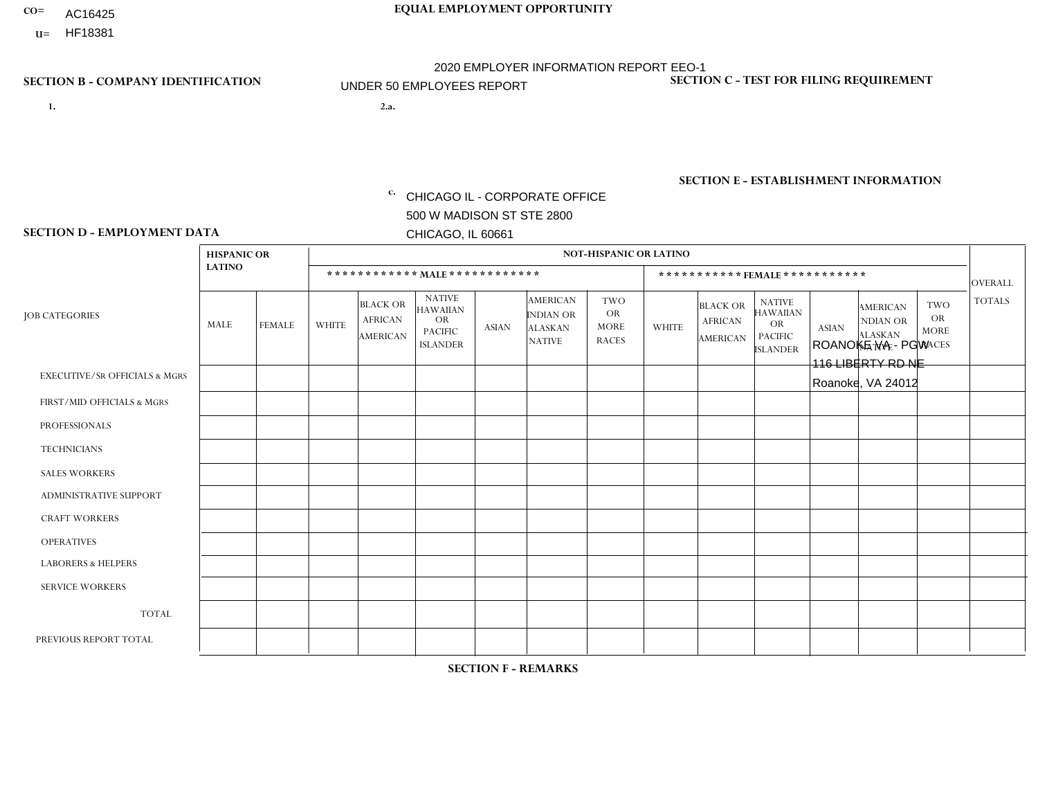- AC16425
- **U=**

**1. 2.a.** CHICAGO IL - CORPORATE OFFICE 500 W MADISON ST STE 2800 CHICAGO, IL 60661

2.a. ROANOKE VA - PGW 116 LIBERTY RD NE Roanoke, VA 24012

EIN= 952920557

## **SECTION B - COMPANY IDENTIFICATION SECTION C - TEST FOR FILING REQUIREMENT**

1- Y 2- Y 3- N DUNS= 000123456

**SECTION E - ESTABLISHMENT INFORMATION c.** NAICS: 811122

### **SECTION D - EMPLOYMENT DATA**

|                                          | <b>HISPANIC OR</b> |               |                |                                                      |                                                                                    |              |                                                                        | <b>NOT-HISPANIC OR LATINO</b>                          |                |                                                      |                                                                             |              |                                                                       |                                                        |                |
|------------------------------------------|--------------------|---------------|----------------|------------------------------------------------------|------------------------------------------------------------------------------------|--------------|------------------------------------------------------------------------|--------------------------------------------------------|----------------|------------------------------------------------------|-----------------------------------------------------------------------------|--------------|-----------------------------------------------------------------------|--------------------------------------------------------|----------------|
|                                          | <b>LATINO</b>      |               |                | ************ MALE ************                       |                                                                                    |              |                                                                        |                                                        |                |                                                      | ***********FEMALE***********                                                |              |                                                                       |                                                        | <b>OVERALL</b> |
| <b>JOB CATEGORIES</b>                    | MALE               | <b>FEMALE</b> | <b>WHITE</b>   | <b>BLACK OR</b><br><b>AFRICAN</b><br><b>AMERICAN</b> | <b>NATIVE</b><br><b>HAWAIIAN</b><br><b>OR</b><br><b>PACIFIC</b><br><b>ISLANDER</b> | <b>ASIAN</b> | <b>AMERICAN</b><br><b>INDIAN OR</b><br><b>ALASKAN</b><br><b>NATIVE</b> | <b>TWO</b><br><b>OR</b><br><b>MORE</b><br><b>RACES</b> | <b>WHITE</b>   | <b>BLACK OR</b><br><b>AFRICAN</b><br><b>AMERICAN</b> | <b>NATIVE</b><br><b>HAWAIIAN</b><br>OR<br><b>PACIFIC</b><br><b>ISLANDER</b> | <b>ASIAN</b> | <b>AMERICAN</b><br><b>NDIAN OR</b><br><b>ALASKAN</b><br><b>NATIVE</b> | <b>TWO</b><br><b>OR</b><br><b>MORE</b><br><b>RACES</b> | <b>TOTALS</b>  |
| <b>EXECUTIVE/SR OFFICIALS &amp; MGRS</b> | $\Omega$           | $\Omega$      | $\Omega$       | $\mathbf 0$                                          | $\Omega$                                                                           | $\Omega$     | $\Omega$                                                               | $\Omega$                                               | $\Omega$       | $\Omega$                                             | $\Omega$                                                                    | $\Omega$     | $\Omega$                                                              | $\Omega$                                               | $\mathbf 0$    |
| FIRST/MID OFFICIALS & MGRS               | $\Omega$           | $\Omega$      | $\mathbf 0$    | $\overline{ }$                                       | 0                                                                                  | $\Omega$     | $\Omega$                                                               | $\Omega$                                               | 0              | $\Omega$                                             | 0                                                                           | $\mathbf 0$  | $\Omega$                                                              | 0                                                      | $\mathbf{1}$   |
| <b>PROFESSIONALS</b>                     | $\Omega$           | $\Omega$      | $\Omega$       | $\Omega$                                             | $\Omega$                                                                           | $\Omega$     | $\Omega$                                                               | $\Omega$                                               | $\Omega$       | $\Omega$                                             | 0                                                                           | $\Omega$     | $\Omega$                                                              | $\Omega$                                               | $\Omega$       |
| <b>TECHNICIANS</b>                       | $\Omega$           | $\Omega$      | $\Omega$       | $\Omega$                                             | $\Omega$                                                                           | $\Omega$     | $\Omega$                                                               | $\Omega$                                               | $\overline{0}$ | $\Omega$                                             | $\Omega$                                                                    | $\mathbf 0$  | $\Omega$                                                              | $\mathbf 0$                                            | $\Omega$       |
| <b>SALES WORKERS</b>                     | $\Omega$           | $\Omega$      | $\mathbf{0}$   | $\Omega$                                             | $\Omega$                                                                           | $\Omega$     | $\Omega$                                                               | $\Omega$                                               | $\Omega$       | $\Omega$                                             | $\Omega$                                                                    | $\Omega$     | $\Omega$                                                              | $\Omega$                                               | $\Omega$       |
| ADMINISTRATIVE SUPPORT                   | $\Omega$           | $\Omega$      | $\mathbf{0}$   | $\mathbf 0$                                          | 0                                                                                  | $\Omega$     | $\Omega$                                                               | $\Omega$                                               | 0              | $\Omega$                                             | 0                                                                           | $\Omega$     | $\Omega$                                                              | $\Omega$                                               | $\mathbf 0$    |
| <b>CRAFT WORKERS</b>                     | $\Omega$           | $\Omega$      | $\mathbf 0$    | $\mathbf 0$                                          | $\Omega$                                                                           | $\Omega$     | $\Omega$                                                               | $\Omega$                                               | $\Omega$       | $\Omega$                                             | 0                                                                           | $\Omega$     | $\Omega$                                                              | $\Omega$                                               | $\Omega$       |
| <b>OPERATIVES</b>                        | $\Omega$           | $\Omega$      | 2              | 2                                                    | $\Omega$                                                                           | $\Omega$     | $\Omega$                                                               | $\Omega$                                               | 0              | $\Omega$                                             | 0                                                                           | $\mathbf 0$  | $\Omega$                                                              | $\mathbf 0$                                            | $\overline{4}$ |
| <b>LABORERS &amp; HELPERS</b>            | $\Omega$           | $\Omega$      | $\mathbf{0}$   | $\mathbf 0$                                          | 0                                                                                  | $\Omega$     | $\Omega$                                                               | $\mathbf 1$                                            | $\Omega$       | $\Omega$                                             | 0                                                                           | $\Omega$     | $\Omega$                                                              | 0                                                      | $\mathbf 1$    |
| <b>SERVICE WORKERS</b>                   | $\Omega$           | $\Omega$      | $\mathbf 0$    | 0                                                    | $\mathbf 0$                                                                        | $\Omega$     | $\Omega$                                                               | $\Omega$                                               | 0              | $\Omega$                                             | $\Omega$                                                                    | $\mathbf 0$  | $\Omega$                                                              | $\Omega$                                               | $\mathbf{0}$   |
| <b>TOTAL</b>                             | $\Omega$           | 0             | $\overline{c}$ | 3                                                    | 0                                                                                  | 0            | $\Omega$                                                               | $\mathbf{1}$                                           | 0              | $\Omega$                                             | $\Omega$                                                                    | $\mathbf 0$  | $\Omega$                                                              | $\mathbf 0$                                            | 6              |
| PREVIOUS REPORT TOTAL                    | $\Omega$           | $\Omega$      | $\Omega$       | $\overline{A}$                                       | 0                                                                                  | $\Omega$     | $\Omega$                                                               | $\overline{1}$                                         | 0              | $\Omega$                                             | 0                                                                           | $\mathbf 0$  | $\Omega$                                                              | $\mathbf 0$                                            | $\overline{2}$ |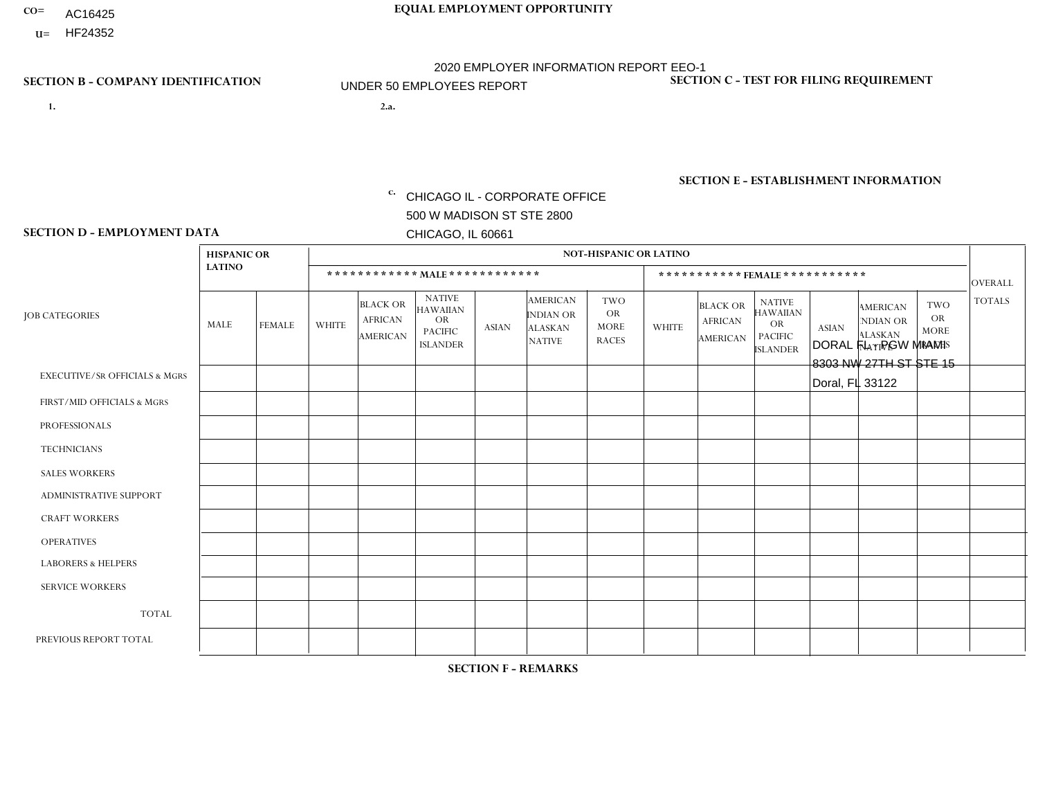- AC16425
- **U=**

**1. 2.a.** CHICAGO IL - CORPORATE OFFICE 500 W MADISON ST STE 2800 CHICAGO, IL 60661

2.a. DORAL FL - PGW MIAMI 8303 NW 27TH ST STE 15 Doral, FL 33122

**SECTION B - COMPANY IDENTIFICATION SECTION C - TEST FOR FILING REQUIREMENT** 

1- Y 2- Y 3- N DUNS= 000123456

|                   | <b>SECTION E - ESTABLISHMENT INFORMATION</b> |
|-------------------|----------------------------------------------|
| c. EIN= 952920557 | NAICS: 811122                                |

### **SECTION D - EMPLOYMENT DATA**

|                                          | <b>HISPANIC OR</b> |               |              |                                                      |                                                                              |              |                                                                 | <b>NOT-HISPANIC OR LATINO</b>                          |              |                                                      |                                                                                    |              |                                                                       |                                                        |                |
|------------------------------------------|--------------------|---------------|--------------|------------------------------------------------------|------------------------------------------------------------------------------|--------------|-----------------------------------------------------------------|--------------------------------------------------------|--------------|------------------------------------------------------|------------------------------------------------------------------------------------|--------------|-----------------------------------------------------------------------|--------------------------------------------------------|----------------|
|                                          | <b>LATINO</b>      |               |              |                                                      | ************ MALE************                                                |              |                                                                 |                                                        |              |                                                      | *********** FEMALE ***********                                                     |              |                                                                       |                                                        | <b>OVERALL</b> |
| <b>JOB CATEGORIES</b>                    | MALE               | <b>FEMALE</b> | <b>WHITE</b> | <b>BLACK OR</b><br><b>AFRICAN</b><br><b>AMERICAN</b> | <b>NATIVE</b><br><b>HAWAIIAN</b><br>OR.<br><b>PACIFIC</b><br><b>ISLANDER</b> | <b>ASIAN</b> | <b>AMERICAN</b><br>INDIAN OR<br><b>ALASKAN</b><br><b>NATIVE</b> | <b>TWO</b><br><b>OR</b><br><b>MORE</b><br><b>RACES</b> | <b>WHITE</b> | <b>BLACK OR</b><br><b>AFRICAN</b><br><b>AMERICAN</b> | <b>NATIVE</b><br><b>HAWAIIAN</b><br><b>OR</b><br><b>PACIFIC</b><br><b>ISLANDER</b> | <b>ASIAN</b> | <b>AMERICAN</b><br><b>NDIAN OR</b><br><b>ALASKAN</b><br><b>NATIVE</b> | <b>TWO</b><br><b>OR</b><br><b>MORE</b><br><b>RACES</b> | <b>TOTALS</b>  |
| <b>EXECUTIVE/SR OFFICIALS &amp; MGRS</b> | $\mathbf 0$        | $\mathbf 0$   | $\mathbf 0$  | $\mathbf{0}$                                         | $\Omega$                                                                     | $\Omega$     | $\Omega$                                                        | $\Omega$                                               | $\Omega$     | 0                                                    | $\mathbf 0$                                                                        | 0            | $\Omega$                                                              | $\Omega$                                               | $\mathbf 0$    |
| FIRST/MID OFFICIALS & MGRS               | 1                  | $\mathbf 0$   | $\mathbf 0$  | $\mathbf 0$                                          | $\Omega$                                                                     | $\Omega$     | $\Omega$                                                        | $\Omega$                                               | $\Omega$     | 0                                                    | $\mathbf 0$                                                                        | 0            | $\mathbf{0}$                                                          | $\Omega$                                               | $\mathbf{1}$   |
| <b>PROFESSIONALS</b>                     | 0                  | $\Omega$      | $\Omega$     | $\Omega$                                             | $\Omega$                                                                     | $\Omega$     | $\Omega$                                                        | $\Omega$                                               | $\Omega$     | 0                                                    | $\Omega$                                                                           | $\Omega$     | $\Omega$                                                              | $\Omega$                                               | $\mathbf 0$    |
| <b>TECHNICIANS</b>                       | 0                  | $\mathbf 0$   | $\mathbf 0$  | $\Omega$                                             | $\Omega$                                                                     | $\Omega$     | $\Omega$                                                        | $\Omega$                                               | 0            | 0                                                    | $\Omega$                                                                           | 0            | $\Omega$                                                              | $\Omega$                                               | $\mathbf 0$    |
| <b>SALES WORKERS</b>                     | 0                  | $\mathbf 0$   | $\mathbf 0$  | $\Omega$                                             | $\Omega$                                                                     | $\Omega$     | $\Omega$                                                        | $\Omega$                                               | $\Omega$     | 0                                                    | $\Omega$                                                                           | $\Omega$     | $\Omega$                                                              | $\Omega$                                               | $\mathbf 0$    |
| <b>ADMINISTRATIVE SUPPORT</b>            | 0                  | $\mathbf 0$   | 0            | $\mathbf{0}$                                         | $\Omega$                                                                     | $\Omega$     | $\Omega$                                                        | $\Omega$                                               | $\Omega$     | 0                                                    | $\Omega$                                                                           | 0            | $\mathbf{0}$                                                          | $\Omega$                                               | $\mathbf 0$    |
| <b>CRAFT WORKERS</b>                     | 0                  | $\Omega$      | $\mathbf 0$  | $\Omega$                                             | $\Omega$                                                                     | $\Omega$     | $\Omega$                                                        | $\Omega$                                               | $\Omega$     | 0                                                    | $\Omega$                                                                           | 0            | $\mathbf{0}$                                                          | $\Omega$                                               | $\Omega$       |
| <b>OPERATIVES</b>                        | 3                  | $\Omega$      | 0            | $\Omega$                                             | $\Omega$                                                                     | $\Omega$     | $\Omega$                                                        | $\Omega$                                               | $\Omega$     | 0                                                    | $\Omega$                                                                           | $\Omega$     | $\Omega$                                                              | $\Omega$                                               | 3              |
| <b>LABORERS &amp; HELPERS</b>            | 1                  | $\Omega$      | 0            | $\Omega$                                             | $\Omega$                                                                     | $\Omega$     | $\Omega$                                                        | $\Omega$                                               | $\Omega$     | 0                                                    | $\Omega$                                                                           | 0            | $\Omega$                                                              | $\Omega$                                               | 1              |
| <b>SERVICE WORKERS</b>                   | 0                  | $\mathbf{0}$  | 0            | $\mathbf 0$                                          | $\Omega$                                                                     | $\Omega$     | $\Omega$                                                        | $\Omega$                                               | $\Omega$     | 0                                                    | $\mathbf 0$                                                                        | 0            | $\mathbf{0}$                                                          | $\mathbf 0$                                            | 0              |
| <b>TOTAL</b>                             | 5                  | 0             | 0            | $\mathbf 0$                                          | $\Omega$                                                                     | $\Omega$     | $\Omega$                                                        | $\Omega$                                               | $\Omega$     | 0                                                    | $\mathbf 0$                                                                        | 0            | $\mathbf{0}$                                                          | $\Omega$                                               | 5              |
| PREVIOUS REPORT TOTAL                    | $\overline{2}$     | $\mathbf 0$   | $\Omega$     | $\Omega$                                             | $\Omega$                                                                     | $\Omega$     | $\Omega$                                                        |                                                        | $\Omega$     | 0                                                    | $\Omega$                                                                           | $\Omega$     | $\Omega$                                                              | $\Omega$                                               | 3              |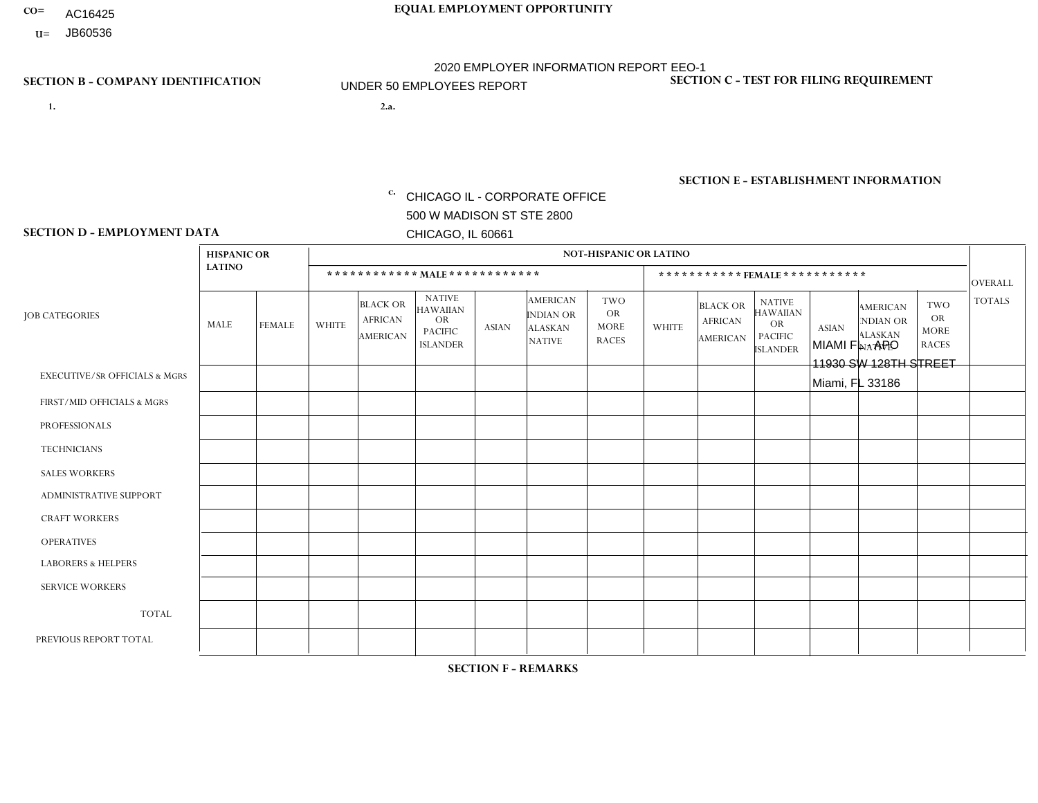- AC16425
- **U=**

**1. 2.a.** CHICAGO IL - CORPORATE OFFICE 500 W MADISON ST STE 2800 CHICAGO, IL 60661

2.a. MIAMI FL - APO 11930 SW 128TH STREET Miami, FL 33186

EIN= 952920557

## **SECTION B - COMPANY IDENTIFICATION SECTION C - TEST FOR FILING REQUIREMENT**

1- Y 2- Y 3- N DUNS= 000123456

**SECTION E - ESTABLISHMENT INFORMATION c.** NAICS: 423140

### **SECTION D - EMPLOYMENT DATA**

| <b>LATINO</b>  |                |                    |                                                      |                                                                                    |              |                                     |                                                                   |                |                                               |                                                                                    |              |                                                                       |                                                        | <b>OVERALL</b> |
|----------------|----------------|--------------------|------------------------------------------------------|------------------------------------------------------------------------------------|--------------|-------------------------------------|-------------------------------------------------------------------|----------------|-----------------------------------------------|------------------------------------------------------------------------------------|--------------|-----------------------------------------------------------------------|--------------------------------------------------------|----------------|
| MALE           | FEMALE         | <b>WHITE</b>       | <b>BLACK OR</b><br><b>AFRICAN</b><br><b>AMERICAN</b> | <b>NATIVE</b><br><b>HAWAIIAN</b><br><b>OR</b><br><b>PACIFIC</b><br><b>ISLANDER</b> | <b>ASIAN</b> | <b>AMERICAN</b><br><b>INDIAN OR</b> | <b>TWO</b><br><b>OR</b><br><b>MORE</b><br><b>RACES</b>            | <b>WHITE</b>   | <b>BLACK OR</b><br><b>AFRICAN</b><br>AMERICAN | <b>NATIVE</b><br><b>HAWAIIAN</b><br><b>OR</b><br><b>PACIFIC</b><br><b>ISLANDER</b> | <b>ASIAN</b> | <b>AMERICAN</b><br><b>NDIAN OR</b><br><b>ALASKAN</b><br><b>NATIVE</b> | <b>TWO</b><br><b>OR</b><br><b>MORE</b><br><b>RACES</b> | <b>TOTALS</b>  |
| $\mathbf 0$    | 0              | $\mathbf 0$        | $\mathbf 0$                                          | 0                                                                                  | $\mathbf 0$  | $\Omega$                            | $\Omega$                                                          | $\Omega$       | $\Omega$                                      | $\Omega$                                                                           | $\mathbf 0$  | 0                                                                     | $\mathbf 0$                                            | $\mathbf 0$    |
| 0              | $\Omega$       | 1                  | $\Omega$                                             | $\Omega$                                                                           | $\mathbf{0}$ | $\Omega$                            | $\Omega$                                                          | 0              | $\Omega$                                      | $\Omega$                                                                           | $\mathbf{0}$ | $\Omega$                                                              | $\mathbf{0}$                                           | $\mathbf{1}$   |
| 0              | 0              | $\Omega$           | $\pmb{0}$                                            | $\Omega$                                                                           | $\Omega$     | $\Omega$                            | $\Omega$                                                          | 0              | $\Omega$                                      | $\Omega$                                                                           | $\mathbf{0}$ | $\Omega$                                                              | $\mathbf{0}$                                           | $\mathbf 0$    |
| 0              | $\overline{0}$ | $\mathbf 0$        | $\mathbf 0$                                          | $\Omega$                                                                           | $\Omega$     | $\Omega$                            | $\Omega$                                                          | $\overline{0}$ | $\Omega$                                      | $\Omega$                                                                           | $\mathbf 0$  | $\Omega$                                                              | $\Omega$                                               | $\mathbf{0}$   |
| 1              | $\overline{0}$ | $\mathbf 0$        | $\mathbf 0$                                          | $\overline{0}$                                                                     | $\Omega$     | $\Omega$                            | $\Omega$                                                          | $\Omega$       | $\Omega$                                      | $\Omega$                                                                           | $\mathbf 0$  | $\mathbf 0$                                                           | $\mathbf 0$                                            | $\mathbf{1}$   |
| $\Omega$       | $\Omega$       | $\Omega$           | $\Omega$                                             | $\Omega$                                                                           | $\Omega$     | $\Omega$                            | $\Omega$                                                          | 0              | $\Omega$                                      | $\Omega$                                                                           | $\Omega$     | $\Omega$                                                              | $\mathbf{0}$                                           | $\Omega$       |
| 0              | $\Omega$       | $\Omega$           | $\mathbf 0$                                          | $\Omega$                                                                           | $\Omega$     | $\Omega$                            | $\Omega$                                                          | $\Omega$       | $\Omega$                                      | $\Omega$                                                                           | $\mathbf{0}$ | $\mathbf{0}$                                                          | $\mathbf 0$                                            | $\mathbf{0}$   |
| 0              | $\Omega$       | $\mathbf 0$        | $\mathbf 0$                                          | $\Omega$                                                                           | $\Omega$     | $\Omega$                            | $\Omega$                                                          | $\Omega$       | $\Omega$                                      | $\Omega$                                                                           | $\mathbf{0}$ | $\Omega$                                                              | $\mathbf{0}$                                           | $\mathbf 0$    |
|                | $\Omega$       | $\Omega$           | $\mathbf 0$                                          | $\mathbf 0$                                                                        | $\Omega$     | $\Omega$                            | $\Omega$                                                          | $\Omega$       | $\Omega$                                      | $\Omega$                                                                           | $\mathbf{0}$ | $\Omega$                                                              | $\mathbf 0$                                            | $\mathbf{1}$   |
| 0              | $\Omega$       | $\Omega$           | 0                                                    | $\Omega$                                                                           | $\Omega$     | $\Omega$                            | $\Omega$                                                          | $\Omega$       | $\Omega$                                      | $\Omega$                                                                           | $\mathbf{0}$ | $\Omega$                                                              | $\mathbf{0}$                                           | 0              |
| $\overline{2}$ | 0              |                    | $\mathbf 0$                                          | 0                                                                                  | $\Omega$     | $\Omega$                            | $\Omega$                                                          | $\Omega$       | $\Omega$                                      | $\Omega$                                                                           | $\mathbf 0$  | 0                                                                     | $\mathbf 0$                                            | 3              |
| 2              | $\mathbf 0$    | 2                  | $\mathbf 0$                                          | 0                                                                                  | $\Omega$     | $\Omega$                            | $\Omega$                                                          | 0              | $\Omega$                                      | $\Omega$                                                                           | $\mathbf{0}$ | 0                                                                     | $\mathbf 0$                                            | $\overline{4}$ |
|                |                | <b>HISPANIC OR</b> |                                                      |                                                                                    |              |                                     | ************ MALE ************<br><b>ALASKAN</b><br><b>NATIVE</b> |                | <b>NOT-HISPANIC OR LATINO</b>                 |                                                                                    |              |                                                                       | ***********FEMALE***********                           |                |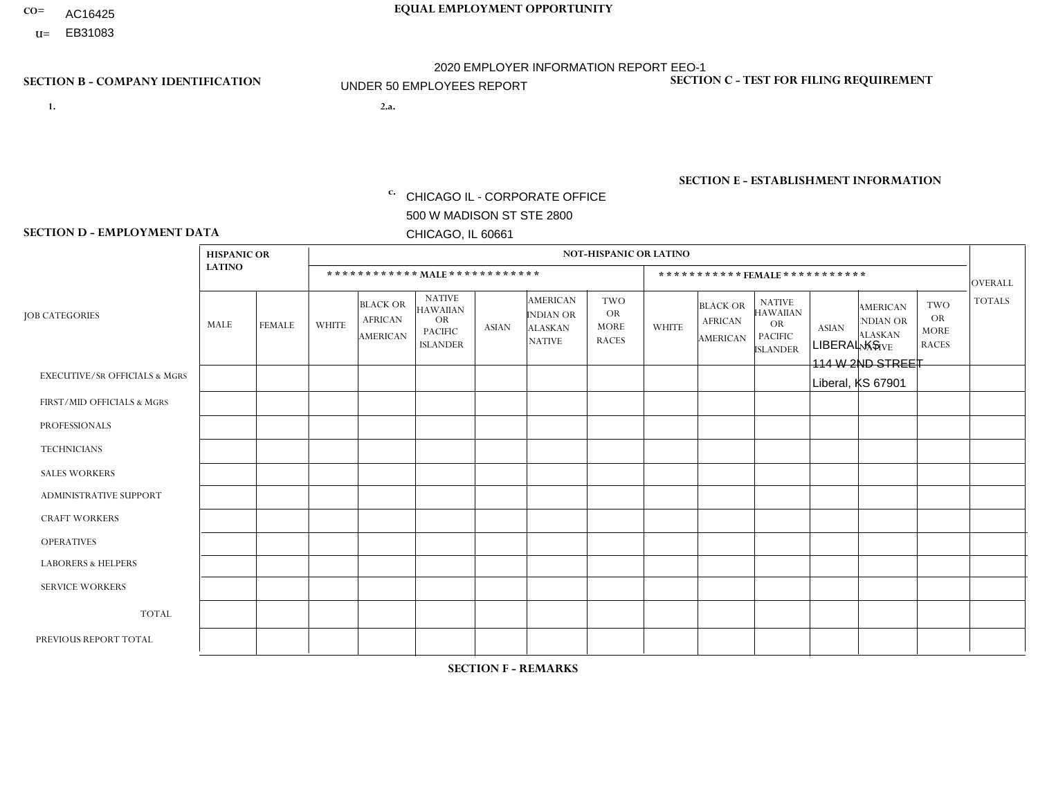- AC16425
- **U=**

**1. 2.a.** CHICAGO IL - CORPORATE OFFICE 500 W MADISON ST STE 2800 CHICAGO, IL 60661

2.a. LIBERAL KS 114 W 2ND STREET Liberal, KS 67901

EIN= 952920557

## **SECTION B - COMPANY IDENTIFICATION SECTION C - TEST FOR FILING REQUIREMENT**

1- Y 2- Y 3- N DUNS= 000123456

**SECTION E - ESTABLISHMENT INFORMATION c.** NAICS: 423140

### **SECTION D - EMPLOYMENT DATA**

|                                          | <b>HISPANIC OR</b> |               |              |                                                      |                                                                                    |              |                                                                        | <b>NOT-HISPANIC OR LATINO</b>                          |                |                                                      |                                                                                    |              |                                                                       |                                                        |                |
|------------------------------------------|--------------------|---------------|--------------|------------------------------------------------------|------------------------------------------------------------------------------------|--------------|------------------------------------------------------------------------|--------------------------------------------------------|----------------|------------------------------------------------------|------------------------------------------------------------------------------------|--------------|-----------------------------------------------------------------------|--------------------------------------------------------|----------------|
|                                          | <b>LATINO</b>      |               |              | ************ MALE ************                       |                                                                                    |              |                                                                        |                                                        |                |                                                      | ***********FEMALE***********                                                       |              |                                                                       |                                                        | <b>OVERALL</b> |
| <b>JOB CATEGORIES</b>                    | MALE               | <b>FEMALE</b> | <b>WHITE</b> | <b>BLACK OR</b><br><b>AFRICAN</b><br><b>AMERICAN</b> | <b>NATIVE</b><br><b>HAWAIIAN</b><br><b>OR</b><br><b>PACIFIC</b><br><b>ISLANDER</b> | <b>ASIAN</b> | <b>AMERICAN</b><br><b>INDIAN OR</b><br><b>ALASKAN</b><br><b>NATIVE</b> | <b>TWO</b><br><b>OR</b><br><b>MORE</b><br><b>RACES</b> | <b>WHITE</b>   | <b>BLACK OR</b><br><b>AFRICAN</b><br><b>AMERICAN</b> | <b>NATIVE</b><br><b>HAWAIIAN</b><br><b>OR</b><br><b>PACIFIC</b><br><b>ISLANDER</b> | <b>ASIAN</b> | <b>AMERICAN</b><br><b>NDIAN OR</b><br><b>ALASKAN</b><br><b>NATIVE</b> | <b>TWO</b><br><b>OR</b><br><b>MORE</b><br><b>RACES</b> | <b>TOTALS</b>  |
| <b>EXECUTIVE/SR OFFICIALS &amp; MGRS</b> | $\mathbf{0}$       | $\Omega$      | $\Omega$     | $\Omega$                                             | 0                                                                                  | $\Omega$     | $\Omega$                                                               | $\Omega$                                               | $\Omega$       | $\mathbf{0}$                                         | $\Omega$                                                                           | $\Omega$     | $\Omega$                                                              | $\Omega$                                               | $\Omega$       |
| FIRST/MID OFFICIALS & MGRS               | и                  | $\Omega$      | $\Omega$     | $\mathbf 0$                                          | $\mathbf{0}$                                                                       | $\Omega$     | $\Omega$                                                               | $\Omega$                                               | $\Omega$       | $\Omega$                                             | $\Omega$                                                                           | $\Omega$     | $\Omega$                                                              | $\Omega$                                               | $\mathbf{1}$   |
| <b>PROFESSIONALS</b>                     | $\Omega$           | $\Omega$      | $\mathbf 0$  | $\mathbf 0$                                          | $\overline{0}$                                                                     | $\Omega$     | $\Omega$                                                               | $\Omega$                                               | $\Omega$       | $\Omega$                                             | $\Omega$                                                                           | $\Omega$     | $\Omega$                                                              | $\mathbf{0}$                                           | $\mathbf 0$    |
| <b>TECHNICIANS</b>                       | $\Omega$           | $\Omega$      | $\Omega$     | $\Omega$                                             | 0                                                                                  | $\Omega$     | $\overline{0}$                                                         | $\Omega$                                               | $\Omega$       | $\Omega$                                             | $\Omega$                                                                           | $\Omega$     | $\mathbf{0}$                                                          | $\Omega$                                               | $\mathbf 0$    |
| <b>SALES WORKERS</b>                     | $\overline{2}$     | $\Omega$      | 1            | $\Omega$                                             | 0                                                                                  | $\Omega$     | $\Omega$                                                               | $\Omega$                                               | $\overline{2}$ | $\Omega$                                             | $\Omega$                                                                           | $\Omega$     | $\Omega$                                                              | $\mathbf{0}$                                           | 5              |
| <b>ADMINISTRATIVE SUPPORT</b>            | $\Omega$           | $\mathbf 0$   | $\Omega$     | $\mathbf 0$                                          | $\mathbf 0$                                                                        | $\mathbf 0$  | $\Omega$                                                               | $\Omega$                                               | $\Omega$       | $\Omega$                                             | $\Omega$                                                                           | $\Omega$     | $\Omega$                                                              | $\Omega$                                               | $\mathbf{0}$   |
| <b>CRAFT WORKERS</b>                     | $\Omega$           | $\Omega$      | $\Omega$     | 0                                                    | 0                                                                                  | $\Omega$     | $\Omega$                                                               | $\Omega$                                               | $\Omega$       | $\Omega$                                             | $\Omega$                                                                           | $\Omega$     | $\Omega$                                                              | $\Omega$                                               | $\Omega$       |
| <b>OPERATIVES</b>                        |                    | $\Omega$      | $\Omega$     | $\mathbf 0$                                          | 0                                                                                  | $\Omega$     | $\Omega$                                                               | $\Omega$                                               | $\Omega$       | $\Omega$                                             | $\Omega$                                                                           | $\Omega$     | $\Omega$                                                              | $\Omega$                                               | $\mathbf{1}$   |
| <b>LABORERS &amp; HELPERS</b>            | $\Omega$           | $\Omega$      | $\Omega$     | $\mathbf 0$                                          | 0                                                                                  | $\Omega$     | $\Omega$                                                               | $\Omega$                                               | $\Omega$       | $\Omega$                                             | $\Omega$                                                                           | $\Omega$     | $\Omega$                                                              | $\Omega$                                               | $\mathbf 0$    |
| <b>SERVICE WORKERS</b>                   | $\Omega$           | $\Omega$      | $\Omega$     | 0                                                    | $\mathbf 0$                                                                        | $\Omega$     | $\Omega$                                                               | $\Omega$                                               | $\Omega$       | $\Omega$                                             | $\Omega$                                                                           | $\Omega$     | $\Omega$                                                              | $\Omega$                                               | 0              |
| <b>TOTAL</b>                             | 4                  | 0             | 1            | 0                                                    | 0                                                                                  | $\mathbf 0$  | $\Omega$                                                               | $\Omega$                                               | $\overline{2}$ | $\Omega$                                             | $\Omega$                                                                           | $\mathbf 0$  | $\Omega$                                                              | $\mathbf 0$                                            | $\overline{7}$ |
| PREVIOUS REPORT TOTAL                    | 2                  | $\mathbf 0$   |              | $\mathbf 0$                                          | 0                                                                                  | $\Omega$     | $\Omega$                                                               | $\Omega$                                               | $\overline{2}$ | $\Omega$                                             | $\mathbf{0}$                                                                       | $\Omega$     | $\Omega$                                                              | $\mathbf 0$                                            | 5              |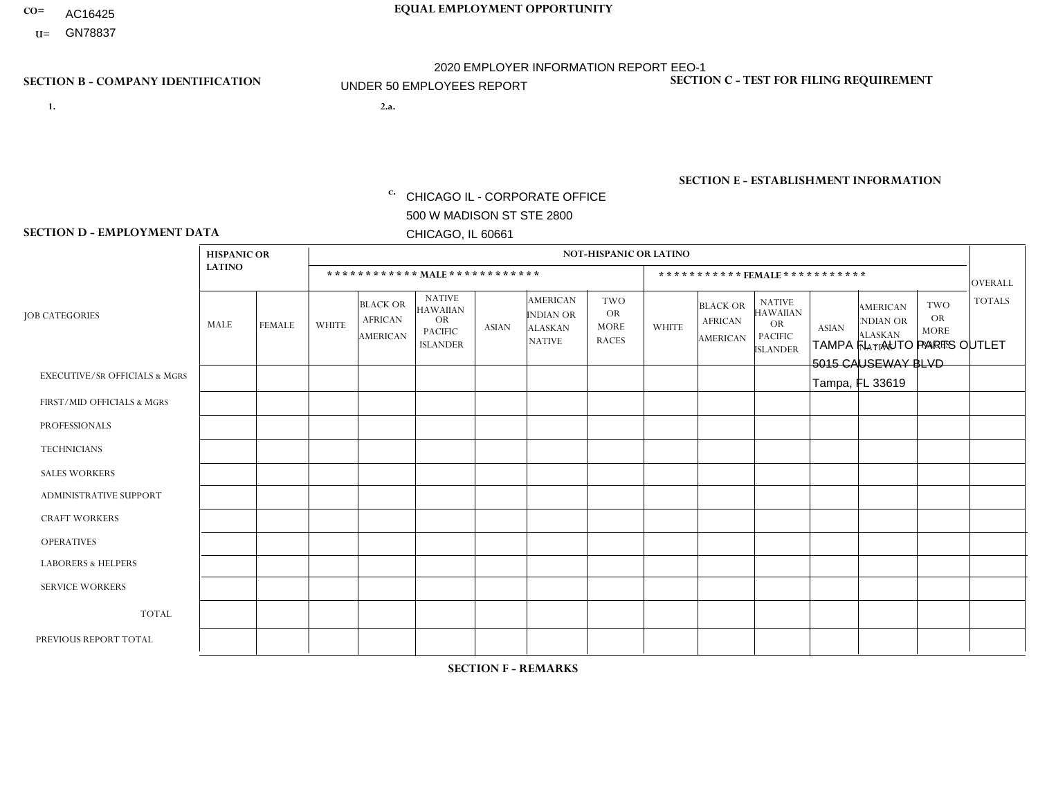- AC16425
- **U=**

**1. 2.a.** CHICAGO IL - CORPORATE OFFICE 500 W MADISON ST STE 2800 CHICAGO, IL 60661

2.a. TAMPA FL - AUTO PARTS OUTLET 5015 CAUSEWAY BLVD Tampa, FL 33619

c. EIN= 952920557

## **SECTION B - COMPANY IDENTIFICATION SECTION C - TEST FOR FILING REQUIREMENT**

1- Y 2- Y 3- N DUNS= 000123456

**SECTION E - ESTABLISHMENT INFORMATION c.** NAICS: 423140

### **SECTION D - EMPLOYMENT DATA**

|                                          | <b>HISPANIC OR</b> |                |                |                                                      |                                                                                    |              |                                                                        | <b>NOT-HISPANIC OR LATINO</b>                          |                |                                                      |                                                                                    |              |                                                                       |                                                        |                |
|------------------------------------------|--------------------|----------------|----------------|------------------------------------------------------|------------------------------------------------------------------------------------|--------------|------------------------------------------------------------------------|--------------------------------------------------------|----------------|------------------------------------------------------|------------------------------------------------------------------------------------|--------------|-----------------------------------------------------------------------|--------------------------------------------------------|----------------|
|                                          | <b>LATINO</b>      |                |                | ************ MALE ************                       |                                                                                    |              |                                                                        |                                                        |                |                                                      | ***********FEMALE***********                                                       |              |                                                                       |                                                        | <b>OVERALL</b> |
| <b>JOB CATEGORIES</b>                    | <b>MALE</b>        | <b>FEMALE</b>  | <b>WHITE</b>   | <b>BLACK OR</b><br><b>AFRICAN</b><br><b>AMERICAN</b> | <b>NATIVE</b><br><b>HAWAIIAN</b><br><b>OR</b><br><b>PACIFIC</b><br><b>ISLANDER</b> | <b>ASIAN</b> | <b>AMERICAN</b><br><b>INDIAN OR</b><br><b>ALASKAN</b><br><b>NATIVE</b> | <b>TWO</b><br><b>OR</b><br><b>MORE</b><br><b>RACES</b> | <b>WHITE</b>   | <b>BLACK OR</b><br><b>AFRICAN</b><br><b>AMERICAN</b> | <b>NATIVE</b><br><b>HAWAIIAN</b><br><b>OR</b><br><b>PACIFIC</b><br><b>ISLANDER</b> | <b>ASIAN</b> | <b>AMERICAN</b><br><b>NDIAN OR</b><br><b>ALASKAN</b><br><b>NATIVE</b> | <b>TWO</b><br><b>OR</b><br><b>MORE</b><br><b>RACES</b> | <b>TOTALS</b>  |
| <b>EXECUTIVE/SR OFFICIALS &amp; MGRS</b> | $\Omega$           | $\mathbf 0$    | $\mathbf 0$    | $\mathbf 0$                                          | $\mathbf 0$                                                                        | 0            | $\Omega$                                                               | $\Omega$                                               | 0              | $\mathbf 0$                                          | $\mathbf 0$                                                                        | $\mathbf 0$  | $\Omega$                                                              | $\mathbf 0$                                            | $\mathbf 0$    |
| FIRST/MID OFFICIALS & MGRS               | 1                  | $\Omega$       | $\overline{1}$ | $\Omega$                                             | $\Omega$                                                                           | $\Omega$     | $\Omega$                                                               | $\Omega$                                               | $\Omega$       | $\Omega$                                             | 0                                                                                  | $\Omega$     | $\Omega$                                                              | $\Omega$                                               | $\overline{2}$ |
| <b>PROFESSIONALS</b>                     | $\Omega$           | $\mathbf 0$    | $\mathbf 0$    | $\mathbf 0$                                          | $\mathbf 0$                                                                        | $\Omega$     | $\Omega$                                                               | $\Omega$                                               | $\Omega$       | $\Omega$                                             | $\Omega$                                                                           | $\mathbf 0$  | $\Omega$                                                              | $\mathbf 0$                                            | $\mathbf{0}$   |
| <b>TECHNICIANS</b>                       | $\Omega$           | $\Omega$       | $\mathbf 0$    | $\mathbf 0$                                          | $\Omega$                                                                           | $\Omega$     | $\Omega$                                                               | $\Omega$                                               | $\Omega$       | $\Omega$                                             | $\mathbf{0}$                                                                       | 0            | $\Omega$                                                              | $\Omega$                                               | $\overline{0}$ |
| <b>SALES WORKERS</b>                     | $\overline{1}$     | $\overline{2}$ | $\overline{2}$ | $\mathbf 0$                                          | $\mathbf 0$                                                                        | $\Omega$     | $\Omega$                                                               | $\Omega$                                               | $\overline{2}$ | $\mathbf 0$                                          | $\overline{0}$                                                                     | $\mathbf 0$  | $\Omega$                                                              | $\mathbf 0$                                            | $\overline{7}$ |
| ADMINISTRATIVE SUPPORT                   | $\overline{2}$     | 4              | $\Omega$       | $\Omega$                                             | $\Omega$                                                                           | $\Omega$     | $\Omega$                                                               | 1                                                      | 1              | $\Omega$                                             | $\Omega$                                                                           | $\Omega$     | $\Omega$                                                              | $\Omega$                                               | 8              |
| <b>CRAFT WORKERS</b>                     | $\Omega$           | $\mathbf 0$    | $\mathbf 0$    | $\mathbf 0$                                          | 0                                                                                  | $\Omega$     | $\Omega$                                                               | $\Omega$                                               | 0              | $\Omega$                                             | 0                                                                                  | $\mathbf 0$  | $\Omega$                                                              | $\mathbf 0$                                            | $\mathbf 0$    |
| <b>OPERATIVES</b>                        | $\Omega$           | $\Omega$       | $\mathbf{0}$   | $\Omega$                                             | $\Omega$                                                                           | $\Omega$     | $\Omega$                                                               | $\Omega$                                               | $\Omega$       | $\Omega$                                             | 0                                                                                  | $\Omega$     | $\Omega$                                                              | $\Omega$                                               | $\mathbf{0}$   |
| <b>LABORERS &amp; HELPERS</b>            | 2                  | $\Omega$       | $\overline{c}$ | $\mathbf 0$                                          | $\mathbf 0$                                                                        | $\Omega$     | $\Omega$                                                               | $\Omega$                                               | $\overline{0}$ | $\Omega$                                             | $\Omega$                                                                           | $\Omega$     | $\Omega$                                                              | $\Omega$                                               | 4              |
| <b>SERVICE WORKERS</b>                   | $\Omega$           | $\Omega$       | $\mathbf 0$    | $\mathbf 0$                                          | $\mathbf 0$                                                                        | $\Omega$     | $\Omega$                                                               | $\Omega$                                               | 0              | $\Omega$                                             | $\Omega$                                                                           | $\Omega$     | $\Omega$                                                              | $\Omega$                                               | $\mathbf{0}$   |
| <b>TOTAL</b>                             | 6                  | 6              | 5              | $\mathbf 0$                                          | 0                                                                                  | 0            | $\Omega$                                                               | $\mathbf{1}$                                           | 3              | $\mathbf 0$                                          | 0                                                                                  | $\mathbf 0$  | $\Omega$                                                              | $\mathbf 0$                                            | 21             |
| PREVIOUS REPORT TOTAL                    | 12                 | 3              | $\Omega$       |                                                      | $\Omega$                                                                           | $\Omega$     | $\Omega$                                                               | $\overline{2}$                                         | 1              | $\Omega$                                             | 0                                                                                  | $\mathbf 0$  | $\Omega$                                                              | $\mathbf 0$                                            | 19             |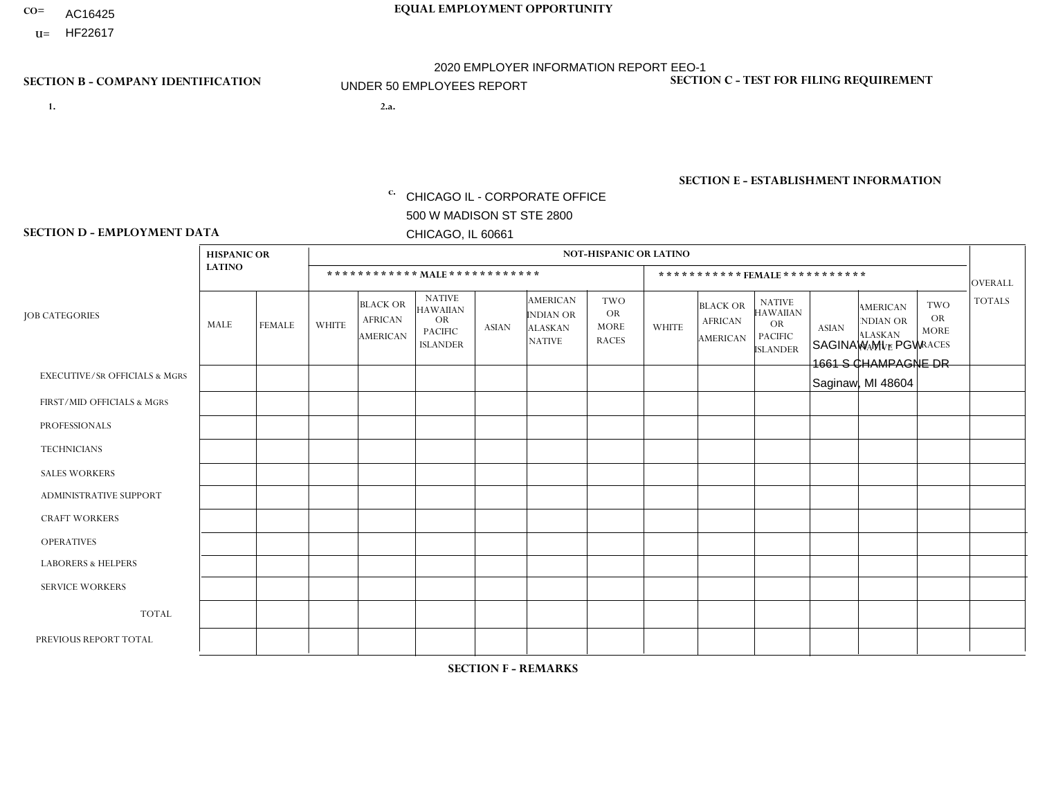- AC16425
- **U=**

- **1. 2.a.** CHICAGO IL CORPORATE OFFICE 500 W MADISON ST STE 2800 CHICAGO, IL 60661
- 2.a. SAGINAW MI PGW 1661 S CHAMPAGNE DR Saginaw, MI 48604

c. EIN= 952920557

## **SECTION B - COMPANY IDENTIFICATION SECTION C - TEST FOR FILING REQUIREMENT**

1- Y 2- Y 3- N DUNS= 000123456

**SECTION E - ESTABLISHMENT INFORMATION c.** NAICS: 811122

### **SECTION D - EMPLOYMENT DATA**

|                                          | <b>HISPANIC OR</b> |                |                |                                                      |                                                                                    |              |                                                                 | <b>NOT-HISPANIC OR LATINO</b>                          |                |                                               |                                                                                    |              |                                                                       |                                                        |                |
|------------------------------------------|--------------------|----------------|----------------|------------------------------------------------------|------------------------------------------------------------------------------------|--------------|-----------------------------------------------------------------|--------------------------------------------------------|----------------|-----------------------------------------------|------------------------------------------------------------------------------------|--------------|-----------------------------------------------------------------------|--------------------------------------------------------|----------------|
|                                          | <b>LATINO</b>      |                |                |                                                      | ************ MALE ************                                                     |              |                                                                 |                                                        |                | ***********FEMALE***********                  |                                                                                    |              |                                                                       |                                                        | <b>OVERALL</b> |
| <b>JOB CATEGORIES</b>                    | MALE               | <b>FEMALE</b>  | <b>WHITE</b>   | <b>BLACK OR</b><br><b>AFRICAN</b><br><b>AMERICAN</b> | <b>NATIVE</b><br><b>HAWAIIAN</b><br><b>OR</b><br><b>PACIFIC</b><br><b>ISLANDER</b> | <b>ASIAN</b> | <b>AMERICAN</b><br>INDIAN OR<br><b>ALASKAN</b><br><b>NATIVE</b> | <b>TWO</b><br><b>OR</b><br><b>MORE</b><br><b>RACES</b> | <b>WHITE</b>   | <b>BLACK OR</b><br><b>AFRICAN</b><br>AMERICAN | <b>NATIVE</b><br><b>HAWAIIAN</b><br><b>OR</b><br><b>PACIFIC</b><br><b>ISLANDER</b> | <b>ASIAN</b> | <b>AMERICAN</b><br><b>NDIAN OR</b><br><b>ALASKAN</b><br><b>NATIVE</b> | <b>TWO</b><br><b>OR</b><br><b>MORE</b><br><b>RACES</b> | <b>TOTALS</b>  |
| <b>EXECUTIVE/SR OFFICIALS &amp; MGRS</b> | $\Omega$           | $\Omega$       | $\Omega$       | $\Omega$                                             | $\Omega$                                                                           | $\mathbf{0}$ | $\Omega$                                                        | $\Omega$                                               | 0              | $\Omega$                                      | $\Omega$                                                                           | $\Omega$     | $\Omega$                                                              | $\Omega$                                               | $\Omega$       |
| FIRST/MID OFFICIALS & MGRS               | 0                  | $\Omega$       | 1              | $\mathbf 0$                                          | $\Omega$                                                                           | $\mathbf{0}$ | $\mathbf{0}$                                                    | $\Omega$                                               | 0              | $\Omega$                                      | $\Omega$                                                                           | $\Omega$     | $\Omega$                                                              | $\Omega$                                               | $\mathbf{1}$   |
| <b>PROFESSIONALS</b>                     | 0                  | $\Omega$       | $\Omega$       | $\mathbf 0$                                          | $\Omega$                                                                           | $\Omega$     | $\Omega$                                                        | $\Omega$                                               | 0              | $\Omega$                                      | $\Omega$                                                                           | $\Omega$     | $\Omega$                                                              | $\Omega$                                               | $\mathbf{0}$   |
| <b>TECHNICIANS</b>                       | 0                  | $\overline{0}$ | $\mathbf 0$    | $\mathbf 0$                                          | $\mathbf 0$                                                                        | $\Omega$     | $\Omega$                                                        | $\Omega$                                               | $\Omega$       | $\Omega$                                      | $\Omega$                                                                           | $\mathbf 0$  | $\mathbf 0$                                                           | $\mathbf 0$                                            | $\mathbf 0$    |
| <b>SALES WORKERS</b>                     | $\Omega$           | $\Omega$       | $\Omega$       | $\Omega$                                             | $\Omega$                                                                           | $\Omega$     | $\Omega$                                                        | $\Omega$                                               | $\overline{0}$ | $\Omega$                                      | $\Omega$                                                                           | $\Omega$     | $\Omega$                                                              | $\mathbf{0}$                                           | $\Omega$       |
| <b>ADMINISTRATIVE SUPPORT</b>            | 0                  | $\Omega$       | $\Omega$       | $\mathbf 0$                                          | $\Omega$                                                                           | $\mathbf{0}$ | $\Omega$                                                        | $\Omega$                                               | $\Omega$       | $\Omega$                                      | $\Omega$                                                                           | $\Omega$     | $\mathbf{0}$                                                          | $\Omega$                                               | $\mathbf 0$    |
| <b>CRAFT WORKERS</b>                     | 0                  | $\Omega$       | $\mathbf 0$    | $\mathbf 0$                                          | $\Omega$                                                                           | $\Omega$     | $\Omega$                                                        | $\Omega$                                               | 0              | $\Omega$                                      | $\Omega$                                                                           | $\mathbf{0}$ | $\Omega$                                                              | $\mathbf{0}$                                           | $\mathbf 0$    |
| <b>OPERATIVES</b>                        | 0                  | $\Omega$       | $\overline{2}$ | $\mathbf 0$                                          | $\mathbf 0$                                                                        | $\Omega$     | $\Omega$                                                        |                                                        | 0              | $\Omega$                                      | $\Omega$                                                                           | $\mathbf 0$  | $\mathbf 0$                                                           | $\mathbf 0$                                            | 3              |
| <b>LABORERS &amp; HELPERS</b>            | 0                  | $\Omega$       | -1             | $\Omega$                                             | $\Omega$                                                                           | $\Omega$     | $\Omega$                                                        | $\Omega$                                               | 0              | $\Omega$                                      | $\Omega$                                                                           | $\mathbf{0}$ | $\Omega$                                                              | $\Omega$                                               | $\mathbf{1}$   |
| <b>SERVICE WORKERS</b>                   | 0                  | $\Omega$       | $\mathbf 0$    | 0                                                    | 0                                                                                  | $\Omega$     | $\mathbf{0}$                                                    | $\Omega$                                               | $\Omega$       | $\Omega$                                      | $\Omega$                                                                           | 0            | $\Omega$                                                              | $\mathbf 0$                                            | 0              |
| <b>TOTAL</b>                             | $\mathbf 0$        | $\mathbf 0$    | 4              | $\mathbf 0$                                          | 0                                                                                  | $\mathbf 0$  | $\Omega$                                                        |                                                        | $\Omega$       | $\Omega$                                      | $\Omega$                                                                           | $\mathbf 0$  | 0                                                                     | $\mathbf 0$                                            | 5              |
| PREVIOUS REPORT TOTAL                    | 0                  | $\Omega$       | 4              | $\mathbf 0$                                          | $\Omega$                                                                           | $\Omega$     | $\Omega$                                                        | $\Omega$                                               | 0              | $\Omega$                                      | $\Omega$                                                                           | $\Omega$     | $\Omega$                                                              | $\mathbf 0$                                            | $\overline{4}$ |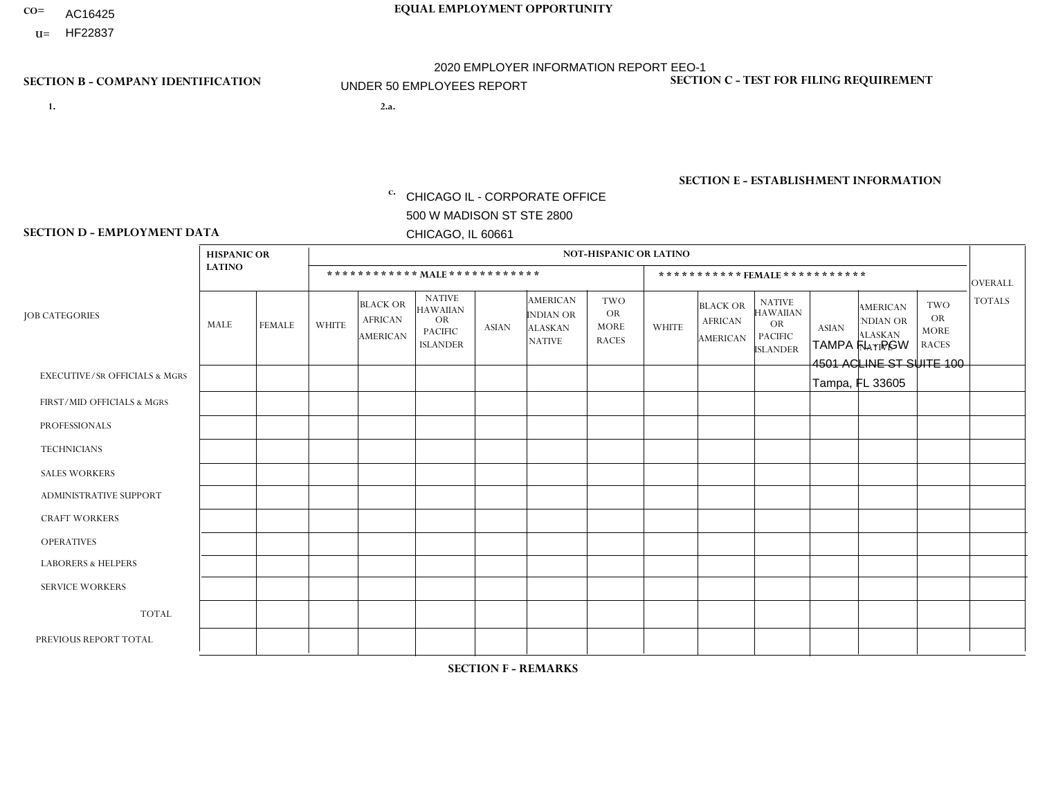- AC16425
- **U=**

**1. 2.a.** CHICAGO IL - CORPORATE OFFICE 500 W MADISON ST STE 2800 CHICAGO, IL 60661

2.a. TAMPA FL - PGW 4501 ACLINE ST SUITE 100 Tampa, FL 33605

EIN= 952920557

## **SECTION B - COMPANY IDENTIFICATION SECTION C - TEST FOR FILING REQUIREMENT**

1- Y 2- Y 3- N DUNS= 000123456

**SECTION E - ESTABLISHMENT INFORMATION c.** NAICS: 811122

### **SECTION D - EMPLOYMENT DATA**

|                                          | <b>HISPANIC OR</b> |               |              |                                                      |                                                                                    |              |                                                                        | <b>NOT-HISPANIC OR LATINO</b>                          |                |                                               |                                                                                    |              |                                                                       |                                                        |                 |
|------------------------------------------|--------------------|---------------|--------------|------------------------------------------------------|------------------------------------------------------------------------------------|--------------|------------------------------------------------------------------------|--------------------------------------------------------|----------------|-----------------------------------------------|------------------------------------------------------------------------------------|--------------|-----------------------------------------------------------------------|--------------------------------------------------------|-----------------|
|                                          | <b>LATINO</b>      |               |              | ************ MALE ************                       |                                                                                    |              |                                                                        |                                                        |                |                                               | *********** FEMALE ***********                                                     |              |                                                                       |                                                        | <b>OVERALL</b>  |
| <b>JOB CATEGORIES</b>                    | MALE               | <b>FEMALE</b> | <b>WHITE</b> | <b>BLACK OR</b><br><b>AFRICAN</b><br><b>AMERICAN</b> | <b>NATIVE</b><br><b>HAWAIIAN</b><br><b>OR</b><br><b>PACIFIC</b><br><b>ISLANDER</b> | <b>ASIAN</b> | <b>AMERICAN</b><br><b>INDIAN OR</b><br><b>ALASKAN</b><br><b>NATIVE</b> | <b>TWO</b><br><b>OR</b><br><b>MORE</b><br><b>RACES</b> | <b>WHITE</b>   | <b>BLACK OR</b><br><b>AFRICAN</b><br>AMERICAN | <b>NATIVE</b><br><b>HAWAIIAN</b><br><b>OR</b><br><b>PACIFIC</b><br><b>ISLANDER</b> | <b>ASIAN</b> | <b>AMERICAN</b><br><b>NDIAN OR</b><br><b>ALASKAN</b><br><b>NATIVE</b> | <b>TWO</b><br><b>OR</b><br><b>MORE</b><br><b>RACES</b> | <b>TOTALS</b>   |
| <b>EXECUTIVE/SR OFFICIALS &amp; MGRS</b> | $\mathbf 0$        | 0             | $\mathbf 0$  | $\mathbf 0$                                          | $\mathbf 0$                                                                        | 0            | $\Omega$                                                               | $\Omega$                                               | 0              | $\mathbf 0$                                   | $\mathbf 0$                                                                        | $\mathbf 0$  | 0                                                                     | 0                                                      | $\mathbf 0$     |
| FIRST/MID OFFICIALS & MGRS               | $\Omega$           | $\Omega$      | 1            | $\Omega$                                             | $\Omega$                                                                           | $\Omega$     | $\Omega$                                                               | $\Omega$                                               | $\Omega$       | $\Omega$                                      | 0                                                                                  | $\Omega$     | $\Omega$                                                              | $\Omega$                                               | $\mathbf{1}$    |
| <b>PROFESSIONALS</b>                     | $\Omega$           | $\Omega$      | $\Omega$     | $\mathbf 0$                                          | $\Omega$                                                                           | $\mathbf{0}$ | $\Omega$                                                               | $\Omega$                                               | 0              | $\Omega$                                      | 0                                                                                  | $\Omega$     | $\Omega$                                                              | $\Omega$                                               | $\mathbf{0}$    |
| <b>TECHNICIANS</b>                       | $\Omega$           | $\mathbf 0$   | $\mathbf 0$  | $\mathbf 0$                                          | $\Omega$                                                                           | $\Omega$     | $\Omega$                                                               | $\Omega$                                               | $\Omega$       | $\Omega$                                      | 0                                                                                  | $\mathbf 0$  | $\Omega$                                                              | $\mathbf 0$                                            | $\mathbf 0$     |
| <b>SALES WORKERS</b>                     | $\Omega$           | $\Omega$      | $\Omega$     | $\mathbf 0$                                          | $\Omega$                                                                           | $\Omega$     | $\Omega$                                                               | $\Omega$                                               | $\overline{0}$ | $\Omega$                                      | $\Omega$                                                                           | $\mathbf 0$  | $\Omega$                                                              | $\Omega$                                               | $\mathbf{0}$    |
| <b>ADMINISTRATIVE SUPPORT</b>            | $\Omega$           | $\Omega$      | $\Omega$     | $\mathbf 0$                                          | $\mathbf 0$                                                                        | $\Omega$     | $\Omega$                                                               | $\Omega$                                               | $\overline{0}$ | $\Omega$                                      | $\Omega$                                                                           | $\mathbf 0$  | $\Omega$                                                              | $\Omega$                                               | $\mathbf 0$     |
| <b>CRAFT WORKERS</b>                     | $\Omega$           | $\Omega$      | $\Omega$     | $\mathbf 0$                                          | 0                                                                                  | $\Omega$     | $\Omega$                                                               | $\Omega$                                               | 0              | $\Omega$                                      | 0                                                                                  | $\Omega$     | $\Omega$                                                              | $\Omega$                                               | $\mathbf 0$     |
| <b>OPERATIVES</b>                        | $\Omega$           | 0             | 3            | 3                                                    | $\mathbf 0$                                                                        | $\Omega$     | $\Omega$                                                               | $\Omega$                                               | $\Omega$       | $\Omega$                                      | 0                                                                                  | $\mathbf 0$  | $\Omega$                                                              | $\Omega$                                               | 6               |
| <b>LABORERS &amp; HELPERS</b>            | $\Omega$           | $\Omega$      | 1            | $\mathbf 0$                                          | $\Omega$                                                                           | $\Omega$     | $\Omega$                                                               | $\Omega$                                               | $\Omega$       | $\Omega$                                      | 0                                                                                  | $\Omega$     | $\Omega$                                                              | $\Omega$                                               | $\mathbf 1$     |
| <b>SERVICE WORKERS</b>                   | $\Omega$           | $\Omega$      | $\mathbf 0$  | 0                                                    | $\mathbf 0$                                                                        | $\mathbf{0}$ | $\Omega$                                                               | $\Omega$                                               | 0              | $\Omega$                                      | $\Omega$                                                                           | $\Omega$     | $\Omega$                                                              | $\Omega$                                               | $\mathbf{0}$    |
| <b>TOTAL</b>                             | $\Omega$           | 0             | 5            | 3                                                    | 0                                                                                  | 0            | $\Omega$                                                               | $\Omega$                                               | 0              | $\mathbf{0}$                                  | 0                                                                                  | $\mathbf 0$  | $\Omega$                                                              | $\mathbf 0$                                            | 8               |
| PREVIOUS REPORT TOTAL                    | $\Omega$           | $\Omega$      | 3            | $\overline{2}$                                       | $\Omega$                                                                           | $\Omega$     | $\Omega$                                                               | $\Omega$                                               | 0              | $\Omega$                                      | 0                                                                                  | $\mathbf 0$  | $\Omega$                                                              | $\mathbf 0$                                            | $5\overline{)}$ |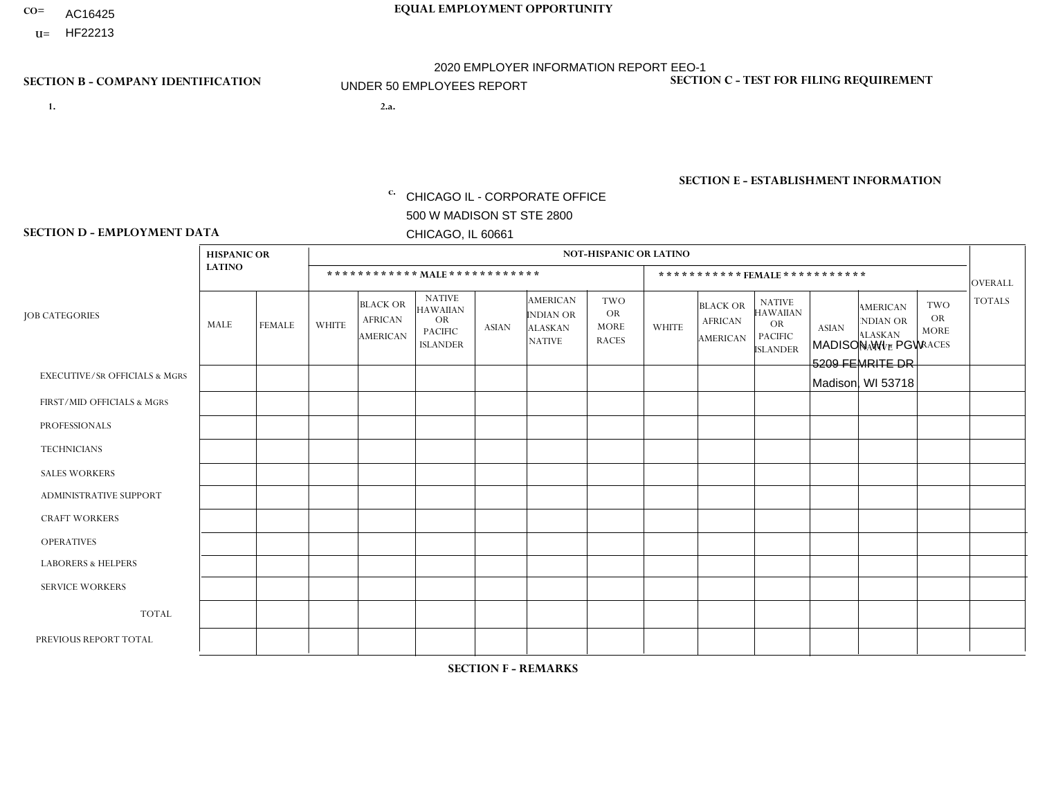- AC16425
- **U=**

**1. 2.a.** CHICAGO IL - CORPORATE OFFICE 500 W MADISON ST STE 2800 CHICAGO, IL 60661

2.a. MADISON WI - PGW 5209 FEMRITE DR Madison, WI 53718

EIN= 952920557

## **SECTION B - COMPANY IDENTIFICATION SECTION C - TEST FOR FILING REQUIREMENT**

1- Y 2- Y 3- N DUNS= 000123456

**SECTION E - ESTABLISHMENT INFORMATION c.** NAICS: 811122

### **SECTION D - EMPLOYMENT DATA**

|                                          | <b>HISPANIC OR</b> |               |                |                                                      |                                                                                    |              |                                                                        | <b>NOT-HISPANIC OR LATINO</b>                          |              |                                                      |                                                                             |              |                                                                       |                                                        |                |
|------------------------------------------|--------------------|---------------|----------------|------------------------------------------------------|------------------------------------------------------------------------------------|--------------|------------------------------------------------------------------------|--------------------------------------------------------|--------------|------------------------------------------------------|-----------------------------------------------------------------------------|--------------|-----------------------------------------------------------------------|--------------------------------------------------------|----------------|
|                                          | <b>LATINO</b>      |               |                |                                                      | ************ MALE ************                                                     |              |                                                                        |                                                        |              | ***********FEMALE***********                         |                                                                             |              |                                                                       |                                                        | <b>OVERALL</b> |
| <b>JOB CATEGORIES</b>                    | MALE               | <b>FEMALE</b> | <b>WHITE</b>   | <b>BLACK OR</b><br><b>AFRICAN</b><br><b>AMERICAN</b> | <b>NATIVE</b><br><b>HAWAIIAN</b><br><b>OR</b><br><b>PACIFIC</b><br><b>ISLANDER</b> | <b>ASIAN</b> | <b>AMERICAN</b><br><b>INDIAN OR</b><br><b>ALASKAN</b><br><b>NATIVE</b> | <b>TWO</b><br><b>OR</b><br><b>MORE</b><br><b>RACES</b> | <b>WHITE</b> | <b>BLACK OR</b><br><b>AFRICAN</b><br><b>AMERICAN</b> | <b>NATIVE</b><br><b>HAWAIIAN</b><br>OR<br><b>PACIFIC</b><br><b>ISLANDER</b> | <b>ASIAN</b> | <b>AMERICAN</b><br><b>NDIAN OR</b><br><b>ALASKAN</b><br><b>NATIVE</b> | <b>TWO</b><br><b>OR</b><br><b>MORE</b><br><b>RACES</b> | <b>TOTALS</b>  |
| <b>EXECUTIVE/SR OFFICIALS &amp; MGRS</b> | $\Omega$           | $\Omega$      | $\Omega$       | $\mathbf 0$                                          | $\Omega$                                                                           | $\Omega$     | $\Omega$                                                               | $\Omega$                                               | $\Omega$     | $\Omega$                                             | $\Omega$                                                                    | $\Omega$     | $\Omega$                                                              | $\mathbf{0}$                                           | $\mathbf{0}$   |
| FIRST/MID OFFICIALS & MGRS               | 0                  | $\mathbf 0$   | 1              | $\mathbf 0$                                          | $\Omega$                                                                           | $\Omega$     | $\Omega$                                                               | $\Omega$                                               | 0            | $\Omega$                                             | $\Omega$                                                                    | $\mathbf{0}$ | $\Omega$                                                              | $\mathbf{0}$                                           | $\mathbf{1}$   |
| <b>PROFESSIONALS</b>                     | 0                  | $\Omega$      | $\Omega$       | $\mathbf 0$                                          | $\Omega$                                                                           | $\Omega$     | $\Omega$                                                               | $\Omega$                                               | 0            | $\Omega$                                             | $\Omega$                                                                    | $\Omega$     | $\Omega$                                                              | $\Omega$                                               | $\mathbf{0}$   |
| <b>TECHNICIANS</b>                       | 0                  | $\Omega$      | $\Omega$       | $\Omega$                                             | $\Omega$                                                                           | $\Omega$     | $\Omega$                                                               | $\Omega$                                               | $\Omega$     | $\Omega$                                             | $\Omega$                                                                    | $\Omega$     | $\Omega$                                                              | $\Omega$                                               | $\Omega$       |
| <b>SALES WORKERS</b>                     | 0                  | $\Omega$      | $\Omega$       | $\Omega$                                             | $\Omega$                                                                           | $\Omega$     | $\Omega$                                                               | $\Omega$                                               | 0            | $\Omega$                                             | $\Omega$                                                                    | $\Omega$     | $\Omega$                                                              | $\Omega$                                               | $\Omega$       |
| ADMINISTRATIVE SUPPORT                   | 0                  | $\Omega$      | $\Omega$       | $\mathbf 0$                                          | $\Omega$                                                                           | $\Omega$     | $\Omega$                                                               | $\Omega$                                               | $\Omega$     | $\Omega$                                             | $\Omega$                                                                    | $\Omega$     | $\Omega$                                                              | $\Omega$                                               | $\mathbf 0$    |
| <b>CRAFT WORKERS</b>                     | 0                  | $\Omega$      | $\Omega$       | $\mathbf 0$                                          | $\Omega$                                                                           | $\Omega$     | $\Omega$                                                               | $\Omega$                                               | 0            | $\Omega$                                             | $\Omega$                                                                    | $\mathbf{0}$ | $\Omega$                                                              | $\mathbf{0}$                                           | $\mathbf 0$    |
| <b>OPERATIVES</b>                        | 0                  | $\Omega$      | 4              | $\overline{1}$                                       | 1                                                                                  | $\Omega$     | $\Omega$                                                               | $\Omega$                                               | $\Omega$     | $\Omega$                                             | $\Omega$                                                                    | $\Omega$     | $\Omega$                                                              | $\Omega$                                               | 6              |
| <b>LABORERS &amp; HELPERS</b>            | 0                  | $\Omega$      | $\mathbf 0$    | $\mathbf 0$                                          | $\mathbf 0$                                                                        | $\Omega$     | $\Omega$                                                               | $\Omega$                                               | $\Omega$     | $\Omega$                                             | $\Omega$                                                                    | $\Omega$     | $\Omega$                                                              | $\Omega$                                               | 0              |
| <b>SERVICE WORKERS</b>                   | 0                  | $\Omega$      | $\Omega$       | $\mathbf 0$                                          | 0                                                                                  | $\Omega$     | $\Omega$                                                               | $\Omega$                                               | $\Omega$     | $\Omega$                                             | $\Omega$                                                                    | $\Omega$     | $\Omega$                                                              | $\Omega$                                               | $\overline{0}$ |
| <b>TOTAL</b>                             | $\Omega$           | 0             | 5              | $\mathbf{1}$                                         |                                                                                    | $\Omega$     | $\Omega$                                                               | $\Omega$                                               | 0            | $\Omega$                                             | $\Omega$                                                                    | $\mathbf 0$  | 0                                                                     | $\mathbf 0$                                            | $\overline{7}$ |
| PREVIOUS REPORT TOTAL                    | 0                  | $\Omega$      | $\overline{7}$ | $\overline{1}$                                       | $\Omega$                                                                           | $\Omega$     | $\Omega$                                                               | $\Omega$                                               | 0            | $\Omega$                                             | $\Omega$                                                                    | $\Omega$     | $\Omega$                                                              | $\mathbf 0$                                            | 8              |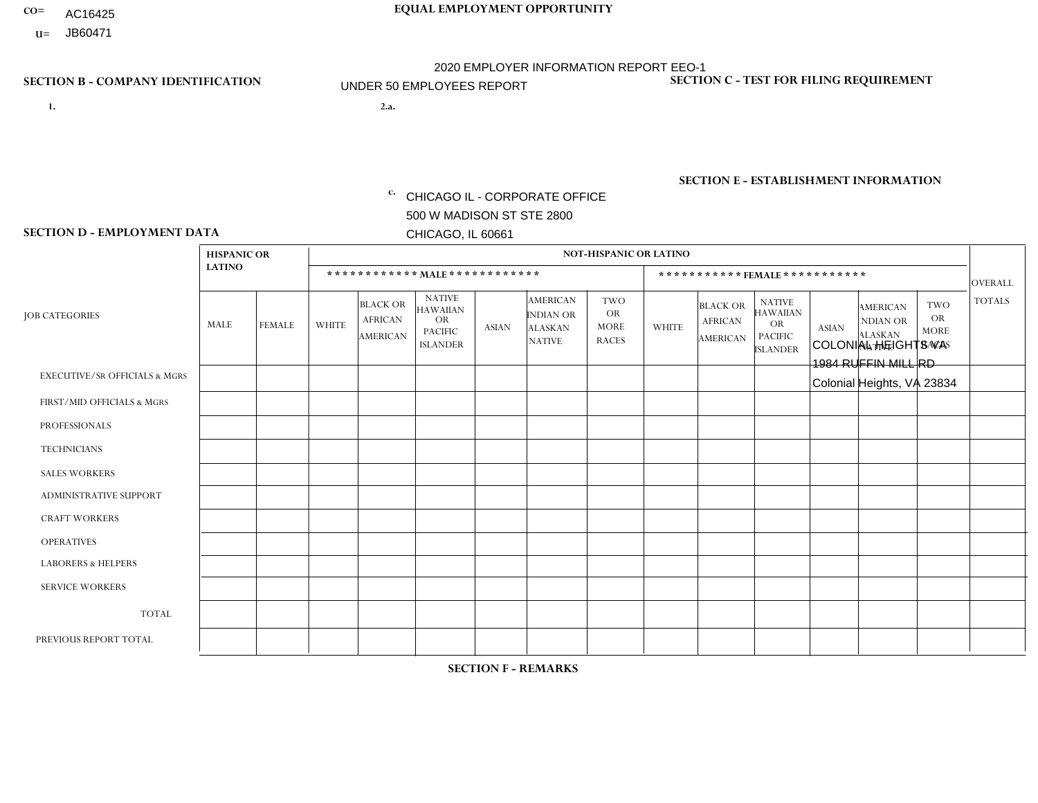- AC16425
- **U=**

- **1. 2.a.** CHICAGO IL CORPORATE OFFICE 500 W MADISON ST STE 2800 CHICAGO, IL 60661
- 2.a. COLONIAL HEIGHTS VA 1984 RUFFIN MILL RD Colonial Heights, VA 23834

c. EIN= 952920557

## **SECTION B - COMPANY IDENTIFICATION SECTION C - TEST FOR FILING REQUIREMENT**

1- Y 2- Y 3- N DUNS= 000123456

**SECTION E - ESTABLISHMENT INFORMATION c.** NAICS: 423140

### **SECTION D - EMPLOYMENT DATA**

|                                          | <b>HISPANIC OR</b> |               |              |                                                      |                                                                                    |              |                                                                        | <b>NOT-HISPANIC OR LATINO</b>                          |              |                                                      |                                                                                    |              |                                                                       |                                                        |                |
|------------------------------------------|--------------------|---------------|--------------|------------------------------------------------------|------------------------------------------------------------------------------------|--------------|------------------------------------------------------------------------|--------------------------------------------------------|--------------|------------------------------------------------------|------------------------------------------------------------------------------------|--------------|-----------------------------------------------------------------------|--------------------------------------------------------|----------------|
|                                          | <b>LATINO</b>      |               |              | ************ MALE ************                       |                                                                                    |              |                                                                        |                                                        |              |                                                      | ***********FEMALE***********                                                       |              |                                                                       |                                                        | <b>OVERALL</b> |
| <b>JOB CATEGORIES</b>                    | MALE               | <b>FEMALE</b> | <b>WHITE</b> | <b>BLACK OR</b><br><b>AFRICAN</b><br><b>AMERICAN</b> | <b>NATIVE</b><br><b>HAWAIIAN</b><br><b>OR</b><br><b>PACIFIC</b><br><b>ISLANDER</b> | <b>ASIAN</b> | <b>AMERICAN</b><br><b>INDIAN OR</b><br><b>ALASKAN</b><br><b>NATIVE</b> | <b>TWO</b><br><b>OR</b><br><b>MORE</b><br><b>RACES</b> | <b>WHITE</b> | <b>BLACK OR</b><br><b>AFRICAN</b><br><b>AMERICAN</b> | <b>NATIVE</b><br><b>HAWAIIAN</b><br><b>OR</b><br><b>PACIFIC</b><br><b>ISLANDER</b> | <b>ASIAN</b> | <b>AMERICAN</b><br><b>NDIAN OR</b><br><b>ALASKAN</b><br><b>NATIVE</b> | <b>TWO</b><br><b>OR</b><br><b>MORE</b><br><b>RACES</b> | <b>TOTALS</b>  |
| <b>EXECUTIVE/SR OFFICIALS &amp; MGRS</b> | $\mathbf{0}$       | $\Omega$      | $\Omega$     | $\Omega$                                             | 0                                                                                  | $\Omega$     | $\Omega$                                                               | $\Omega$                                               | $\Omega$     | $\mathbf{0}$                                         | $\Omega$                                                                           | $\Omega$     | $\Omega$                                                              | $\Omega$                                               | $\Omega$       |
| FIRST/MID OFFICIALS & MGRS               | $\Omega$           | $\Omega$      | 1            | $\Omega$                                             | $\mathbf{0}$                                                                       | $\Omega$     | $\Omega$                                                               | $\Omega$                                               | $\Omega$     | $\Omega$                                             | $\Omega$                                                                           | $\Omega$     | $\Omega$                                                              | $\Omega$                                               | $\mathbf{1}$   |
| <b>PROFESSIONALS</b>                     | $\Omega$           | $\Omega$      | $\mathbf 0$  | $\mathbf 0$                                          | $\overline{0}$                                                                     | $\Omega$     | $\Omega$                                                               | $\Omega$                                               | $\Omega$     | $\Omega$                                             | $\Omega$                                                                           | $\Omega$     | $\Omega$                                                              | $\mathbf{0}$                                           | $\mathbf 0$    |
| <b>TECHNICIANS</b>                       | $\Omega$           | $\Omega$      | $\Omega$     | $\Omega$                                             | 0                                                                                  | $\Omega$     | $\overline{0}$                                                         | $\Omega$                                               | $\Omega$     | $\Omega$                                             | $\Omega$                                                                           | $\Omega$     | $\mathbf{0}$                                                          | $\Omega$                                               | $\mathbf 0$    |
| <b>SALES WORKERS</b>                     | $\Omega$           | $\Omega$      | $\Omega$     | $\Omega$                                             | 0                                                                                  | $\Omega$     | $\Omega$                                                               | $\Omega$                                               | $\Omega$     | $\Omega$                                             | $\Omega$                                                                           | $\Omega$     | $\Omega$                                                              | $\mathbf{0}$                                           | $\mathbf 0$    |
| <b>ADMINISTRATIVE SUPPORT</b>            | $\Omega$           | $\mathbf 0$   | $\Omega$     | $\mathbf 0$                                          | $\mathbf 0$                                                                        | $\mathbf 0$  | $\Omega$                                                               | $\Omega$                                               | $\Omega$     | $\Omega$                                             | $\Omega$                                                                           | $\Omega$     | $\Omega$                                                              | $\Omega$                                               | $\mathbf 0$    |
| <b>CRAFT WORKERS</b>                     | $\Omega$           | $\Omega$      | $\Omega$     | 0                                                    | 0                                                                                  | $\Omega$     | $\Omega$                                                               | $\Omega$                                               | $\Omega$     | $\Omega$                                             | $\Omega$                                                                           | $\Omega$     | $\Omega$                                                              | $\Omega$                                               | $\Omega$       |
| <b>OPERATIVES</b>                        | $\Omega$           | 0             | 1            | 3                                                    | 0                                                                                  | $\Omega$     | $\Omega$                                                               | $\Omega$                                               | $\mathbf{1}$ | $\Omega$                                             | $\Omega$                                                                           | $\Omega$     | $\Omega$                                                              | $\Omega$                                               | 5              |
| <b>LABORERS &amp; HELPERS</b>            | $\Omega$           | $\Omega$      | 1            | $\mathbf{1}$                                         | 0                                                                                  | $\Omega$     | $\Omega$                                                               | $\Omega$                                               | $\Omega$     | $\Omega$                                             | $\Omega$                                                                           | $\Omega$     | $\Omega$                                                              | $\Omega$                                               | $\overline{2}$ |
| <b>SERVICE WORKERS</b>                   | $\Omega$           | $\Omega$      | 0            | 0                                                    | $\mathbf{0}$                                                                       | $\Omega$     | $\Omega$                                                               | $\Omega$                                               | $\Omega$     | $\Omega$                                             | $\Omega$                                                                           | $\Omega$     | $\Omega$                                                              | $\Omega$                                               | 0              |
| <b>TOTAL</b>                             | 0                  | $\mathbf 0$   | 3            | 4                                                    | 0                                                                                  | $\mathbf{0}$ | $\mathbf{0}$                                                           | $\Omega$                                               | 1            | $\Omega$                                             | $\Omega$                                                                           | $\mathbf 0$  | $\Omega$                                                              | $\Omega$                                               | 8              |
| PREVIOUS REPORT TOTAL                    | $\Omega$           | $\mathbf 0$   | 3            | $\overline{4}$                                       | 0                                                                                  | $\Omega$     | $\overline{0}$                                                         | $\Omega$                                               | 2            | $\Omega$                                             | $\mathbf{0}$                                                                       | $\Omega$     | $\Omega$                                                              | $\Omega$                                               | 9              |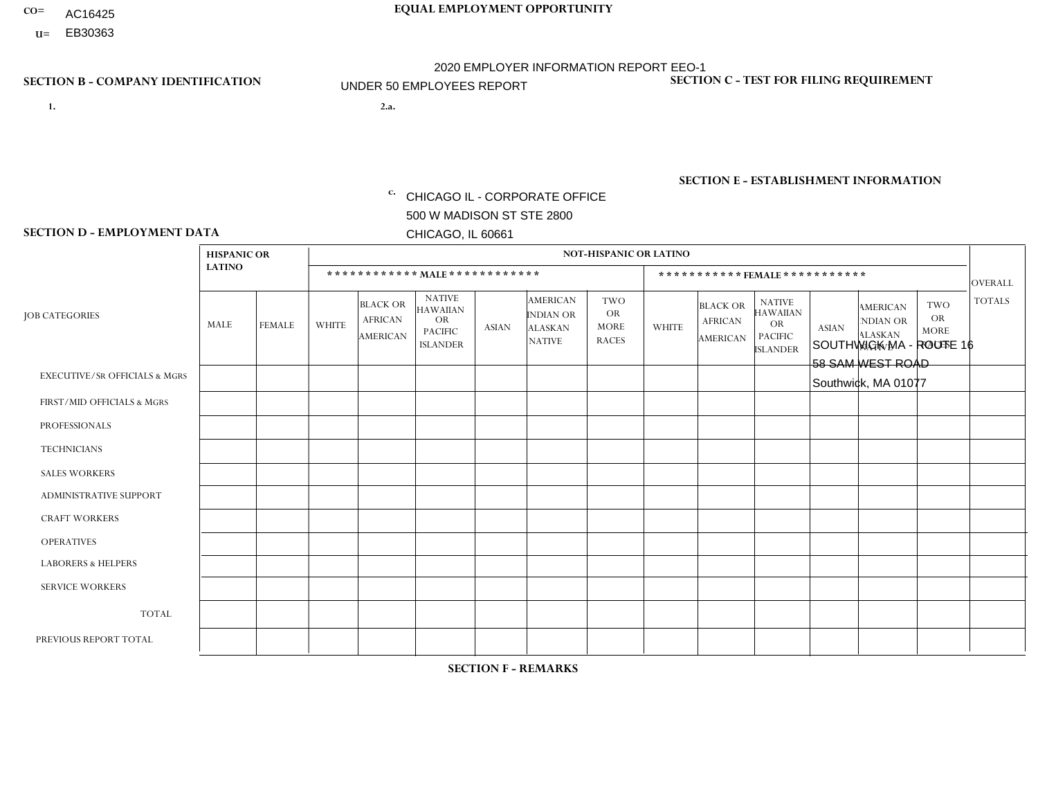- AC16425
- **U=**

**1. 2.a.** CHICAGO IL - CORPORATE OFFICE 500 W MADISON ST STE 2800 CHICAGO, IL 60661

2.a. SOUTHWICK MA - ROUTE 16 58 SAM WEST ROAD Southwick, MA 01077

EIN= 952920557

## **SECTION B - COMPANY IDENTIFICATION SECTION C - TEST FOR FILING REQUIREMENT**

1- Y 2- Y 3- N DUNS= 000123456

**SECTION E - ESTABLISHMENT INFORMATION c.** NAICS: 423140

### **SECTION D - EMPLOYMENT DATA**

|                                          | <b>HISPANIC OR</b> |                |                |                                                      |                                                                                    |              |                                                                        | <b>NOT-HISPANIC OR LATINO</b>                          |              |                                               |                                                                                    |              |                                                                       |                                                        |                 |
|------------------------------------------|--------------------|----------------|----------------|------------------------------------------------------|------------------------------------------------------------------------------------|--------------|------------------------------------------------------------------------|--------------------------------------------------------|--------------|-----------------------------------------------|------------------------------------------------------------------------------------|--------------|-----------------------------------------------------------------------|--------------------------------------------------------|-----------------|
|                                          | <b>LATINO</b>      |                |                | ************ MALE ************                       |                                                                                    |              |                                                                        |                                                        |              | ***********FEMALE***********                  |                                                                                    |              |                                                                       |                                                        | <b>OVERALL</b>  |
| <b>JOB CATEGORIES</b>                    | MALE               | <b>FEMALE</b>  | <b>WHITE</b>   | <b>BLACK OR</b><br><b>AFRICAN</b><br><b>AMERICAN</b> | <b>NATIVE</b><br><b>HAWAIIAN</b><br><b>OR</b><br><b>PACIFIC</b><br><b>ISLANDER</b> | ASIAN        | <b>AMERICAN</b><br><b>INDIAN OR</b><br><b>ALASKAN</b><br><b>NATIVE</b> | <b>TWO</b><br><b>OR</b><br><b>MORE</b><br><b>RACES</b> | <b>WHITE</b> | <b>BLACK OR</b><br><b>AFRICAN</b><br>AMERICAN | <b>NATIVE</b><br><b>HAWAIIAN</b><br><b>OR</b><br><b>PACIFIC</b><br><b>ISLANDER</b> | <b>ASIAN</b> | <b>AMERICAN</b><br><b>NDIAN OR</b><br><b>ALASKAN</b><br><b>NATIVE</b> | <b>TWO</b><br><b>OR</b><br><b>MORE</b><br><b>RACES</b> | <b>TOTALS</b>   |
| <b>EXECUTIVE/SR OFFICIALS &amp; MGRS</b> | $\Omega$           | $\Omega$       | $\Omega$       | $\mathbf 0$                                          | $\Omega$                                                                           | $\mathbf{0}$ | $\Omega$                                                               | $\Omega$                                               | 0            | $\Omega$                                      | $\Omega$                                                                           | $\Omega$     | $\Omega$                                                              | $\mathbf{0}$                                           | $\mathbf{0}$    |
| FIRST/MID OFFICIALS & MGRS               | 0                  | $\Omega$       | $\Omega$       | $\mathbf 0$                                          | $\Omega$                                                                           | -1           | $\Omega$                                                               | $\Omega$                                               | 0            | $\Omega$                                      | $\Omega$                                                                           | $\Omega$     | $\Omega$                                                              | $\mathbf{0}$                                           | $\mathbf{1}$    |
| <b>PROFESSIONALS</b>                     | 0                  | $\Omega$       | 1              | $\mathbf 0$                                          | $\Omega$                                                                           | $\Omega$     | $\Omega$                                                               | $\Omega$                                               | 0            | $\Omega$                                      | $\Omega$                                                                           | $\Omega$     | $\Omega$                                                              | $\Omega$                                               | $\mathbf{1}$    |
| <b>TECHNICIANS</b>                       | 0                  | $\overline{0}$ | $\Omega$       | $\mathbf 0$                                          | $\Omega$                                                                           | $\Omega$     | $\Omega$                                                               | $\Omega$                                               | $\Omega$     | $\Omega$                                      | $\Omega$                                                                           | $\Omega$     | $\Omega$                                                              | $\Omega$                                               | $\overline{0}$  |
| <b>SALES WORKERS</b>                     | $\Omega$           | $\Omega$       | $\Omega$       | $\mathbf 0$                                          | $\Omega$                                                                           | $\Omega$     | $\Omega$                                                               | $\Omega$                                               | $\Omega$     | $\Omega$                                      | $\Omega$                                                                           | $\Omega$     | $\Omega$                                                              | $\Omega$                                               | $\mathbf{0}$    |
| ADMINISTRATIVE SUPPORT                   | $\Omega$           | $\Omega$       |                | $\Omega$                                             | $\Omega$                                                                           | $\Omega$     | $\Omega$                                                               | $\Omega$                                               | $\Omega$     | $\Omega$                                      | $\Omega$                                                                           | $\Omega$     | $\mathbf{0}$                                                          | $\Omega$                                               | $\mathbf{1}$    |
| <b>CRAFT WORKERS</b>                     |                    | $\Omega$       | -1             | $\mathbf 0$                                          | $\Omega$                                                                           | $\Omega$     | $\Omega$                                                               | $\Omega$                                               | 0            | $\Omega$                                      | $\Omega$                                                                           | $\Omega$     | $\Omega$                                                              | $\Omega$                                               | 2               |
| <b>OPERATIVES</b>                        | $\overline{2}$     | $\Omega$       | 3              | $\Omega$                                             | $\Omega$                                                                           | $\Omega$     | $\Omega$                                                               | $\Omega$                                               | $\Omega$     | $\Omega$                                      | $\Omega$                                                                           | $\Omega$     | $\Omega$                                                              | $\Omega$                                               | $5\phantom{.0}$ |
| <b>LABORERS &amp; HELPERS</b>            |                    | $\Omega$       | $\overline{ }$ | $\mathbf 0$                                          | $\Omega$                                                                           | $\Omega$     | $\Omega$                                                               | $\Omega$                                               | 0            | $\Omega$                                      | $\Omega$                                                                           | $\Omega$     | $\Omega$                                                              | $\Omega$                                               | $\overline{2}$  |
| <b>SERVICE WORKERS</b>                   | 0                  | $\mathbf 0$    | $\mathbf 0$    | 0                                                    | 0                                                                                  | $\mathbf 0$  | $\Omega$                                                               | $\Omega$                                               | $\Omega$     | $\Omega$                                      | $\Omega$                                                                           | $\mathbf 0$  | $\Omega$                                                              | $\mathbf 0$                                            | $\mathbf 0$     |
| <b>TOTAL</b>                             | 4                  | 0              | $\overline{7}$ | 0                                                    | 0                                                                                  | 1            | $\Omega$                                                               | $\Omega$                                               | $\Omega$     | $\Omega$                                      | $\Omega$                                                                           | $\mathbf 0$  | 0                                                                     | $\mathbf 0$                                            | 12              |
| PREVIOUS REPORT TOTAL                    | 8                  | $\Omega$       | 13             | $\mathbf{1}$                                         | $\mathbf 0$                                                                        |              | $\Omega$                                                               | $\Omega$                                               |              | $\Omega$                                      | $\Omega$                                                                           | $\Omega$     | $\Omega$                                                              | $\mathbf 0$                                            | 24              |
|                                          |                    |                |                |                                                      |                                                                                    |              |                                                                        |                                                        |              |                                               |                                                                                    |              |                                                                       |                                                        |                 |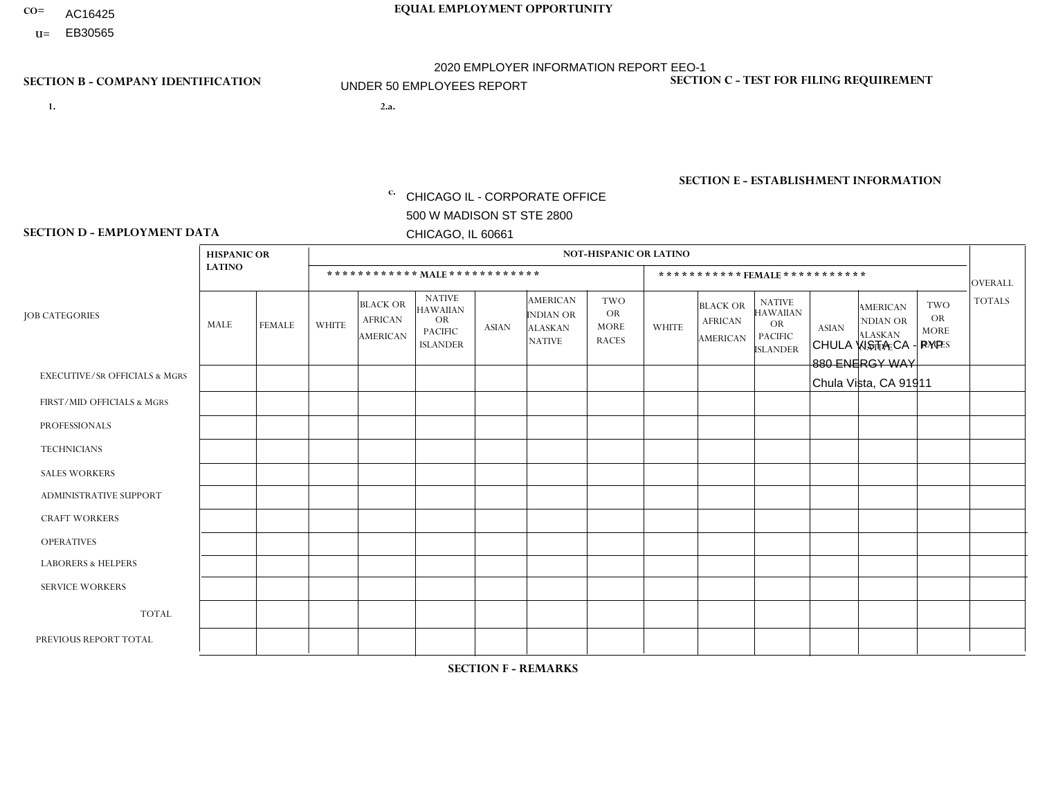- AC16425
- **U=**

**1. 2.a.** CHICAGO IL - CORPORATE OFFICE 500 W MADISON ST STE 2800 CHICAGO, IL 60661

2.a. CHULA VISTA CA - PYP 880 ENERGY WAY Chula Vista, CA 91911

EIN= 953406551

## **SECTION B - COMPANY IDENTIFICATION SECTION C - TEST FOR FILING REQUIREMENT**

1- Y 2- Y 3- N DUNS= 000123456

**SECTION E - ESTABLISHMENT INFORMATION c.** NAICS: 423140

### **SECTION D - EMPLOYMENT DATA**

|                                          | <b>HISPANIC OR</b> |                |                |                                                      |                                                                                    |              |                                                                        | <b>NOT-HISPANIC OR LATINO</b>                          |              |                                               |                                                                                    |              |                                                                |                                                        |                |
|------------------------------------------|--------------------|----------------|----------------|------------------------------------------------------|------------------------------------------------------------------------------------|--------------|------------------------------------------------------------------------|--------------------------------------------------------|--------------|-----------------------------------------------|------------------------------------------------------------------------------------|--------------|----------------------------------------------------------------|--------------------------------------------------------|----------------|
|                                          | <b>LATINO</b>      |                |                | ************ MALE ************                       |                                                                                    |              |                                                                        |                                                        |              |                                               | *********** FEMALE ***********                                                     |              |                                                                |                                                        | <b>OVERALL</b> |
| <b>JOB CATEGORIES</b>                    | MALE               | <b>FEMALE</b>  | <b>WHITE</b>   | <b>BLACK OR</b><br><b>AFRICAN</b><br><b>AMERICAN</b> | <b>NATIVE</b><br><b>HAWAIIAN</b><br><b>OR</b><br><b>PACIFIC</b><br><b>ISLANDER</b> | <b>ASIAN</b> | <b>AMERICAN</b><br><b>INDIAN OR</b><br><b>ALASKAN</b><br><b>NATIVE</b> | <b>TWO</b><br><b>OR</b><br><b>MORE</b><br><b>RACES</b> | <b>WHITE</b> | <b>BLACK OR</b><br><b>AFRICAN</b><br>AMERICAN | <b>NATIVE</b><br><b>HAWAIIAN</b><br><b>OR</b><br><b>PACIFIC</b><br><b>ISLANDER</b> | <b>ASIAN</b> | <b>AMERICAN</b><br>NDIAN OR<br><b>ALASKAN</b><br><b>NATIVE</b> | <b>TWO</b><br><b>OR</b><br><b>MORE</b><br><b>RACES</b> | <b>TOTALS</b>  |
| <b>EXECUTIVE/SR OFFICIALS &amp; MGRS</b> | $\Omega$           | $\Omega$       | $\mathbf{0}$   | $\Omega$                                             | $\Omega$                                                                           | $\Omega$     | $\Omega$                                                               | $\Omega$                                               | 0            | $\Omega$                                      | $\Omega$                                                                           | $\Omega$     | $\Omega$                                                       | $\Omega$                                               | $\Omega$       |
| FIRST/MID OFFICIALS & MGRS               |                    | 1              | $\mathbf{0}$   | $\Omega$                                             | $\Omega$                                                                           | $\Omega$     | $\Omega$                                                               | $\Omega$                                               | 0            | $\Omega$                                      | 0                                                                                  | $\Omega$     | $\Omega$                                                       | $\Omega$                                               | $\overline{2}$ |
| <b>PROFESSIONALS</b>                     | $\Omega$           | $\mathbf{1}$   | $\mathbf 0$    | $\mathbf 0$                                          | $\Omega$                                                                           | $\Omega$     | $\Omega$                                                               | $\Omega$                                               | $\Omega$     | $\Omega$                                      | 0                                                                                  | 0            | $\Omega$                                                       | $\mathbf 0$                                            | $\mathbf{1}$   |
| <b>TECHNICIANS</b>                       | $\Omega$           | $\Omega$       | $\Omega$       | $\Omega$                                             | $\Omega$                                                                           | $\Omega$     | $\Omega$                                                               | $\Omega$                                               | $\Omega$     | $\Omega$                                      | 0                                                                                  | $\mathbf 0$  | $\Omega$                                                       | $\mathbf 0$                                            | $\mathbf{0}$   |
| <b>SALES WORKERS</b>                     | 1                  | $\Omega$       | $\overline{c}$ | $\Omega$                                             | 1                                                                                  | $\Omega$     | $\Omega$                                                               | $\Omega$                                               | $\Omega$     | $\Omega$                                      | $\Omega$                                                                           | $\Omega$     | $\Omega$                                                       | $\Omega$                                               | 4              |
| <b>ADMINISTRATIVE SUPPORT</b>            | 2                  | 6              | $\Omega$       | $\mathbf 0$                                          | 0                                                                                  | $\Omega$     | $\Omega$                                                               | $\Omega$                                               | 0            | $\Omega$                                      | 0                                                                                  | $\mathbf 0$  | $\Omega$                                                       | $\mathbf 0$                                            | 8              |
| <b>CRAFT WORKERS</b>                     | $\Omega$           | $\Omega$       | $\Omega$       | $\mathbf 0$                                          | $\Omega$                                                                           | $\Omega$     | $\Omega$                                                               | $\Omega$                                               | 0            | $\Omega$                                      | 0                                                                                  | $\Omega$     | $\Omega$                                                       | $\Omega$                                               | $\Omega$       |
| <b>OPERATIVES</b>                        | 15                 | $\Omega$       | $\Omega$       | $\mathbf 0$                                          | $\Omega$                                                                           | $\Omega$     | $\Omega$                                                               | $\Omega$                                               | 0            | $\Omega$                                      | 0                                                                                  | $\mathbf 0$  | $\Omega$                                                       | $\Omega$                                               | 15             |
| <b>LABORERS &amp; HELPERS</b>            | 2                  | $\Omega$       | $\mathbf{0}$   | $\mathbf 0$                                          | $\Omega$                                                                           | $\Omega$     | $\Omega$                                                               | $\Omega$                                               | $\Omega$     | $\Omega$                                      | $\Omega$                                                                           | $\Omega$     | $\Omega$                                                       | $\Omega$                                               | $\overline{2}$ |
| <b>SERVICE WORKERS</b>                   | $\Omega$           | $\Omega$       | 0              | 0                                                    | $\mathbf 0$                                                                        | $\Omega$     | $\Omega$                                                               | $\Omega$                                               | 0            | $\Omega$                                      | $\Omega$                                                                           | $\mathbf 0$  | $\Omega$                                                       | $\Omega$                                               | $\mathbf{0}$   |
| <b>TOTAL</b>                             | 21                 | 8              | $\overline{c}$ | 0                                                    | 1                                                                                  | 0            | $\Omega$                                                               | $\Omega$                                               | 0            | $\Omega$                                      | 0                                                                                  | $\mathbf 0$  | 0                                                              | $\mathbf 0$                                            | 32             |
| PREVIOUS REPORT TOTAL                    | 20                 | $\overline{7}$ | $\Omega$       | $\overline{ }$                                       |                                                                                    | $\Omega$     | $\Omega$                                                               | $\Omega$                                               | 0            | $\Omega$                                      | 0                                                                                  | $\Omega$     | $\Omega$                                                       | $\mathbf 0$                                            | 29             |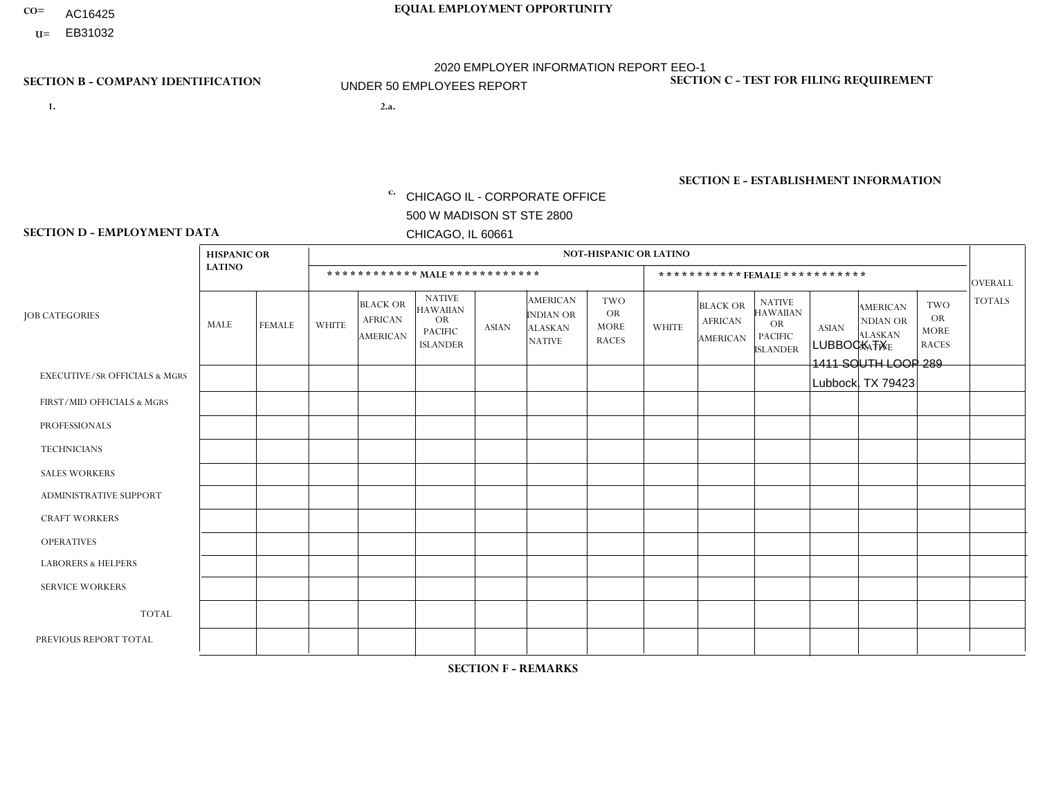- AC16425
- **U=**

**1. 2.a.** CHICAGO IL - CORPORATE OFFICE 500 W MADISON ST STE 2800 CHICAGO, IL 60661

2.a. LUBBOCK TX 1411 SOUTH LOOP 289 Lubbock, TX 79423

EIN= 952920557

## **SECTION B - COMPANY IDENTIFICATION SECTION C - TEST FOR FILING REQUIREMENT**

1- Y 2- Y 3- N DUNS= 000123456

**SECTION E - ESTABLISHMENT INFORMATION c.** NAICS: 423140

### **SECTION D - EMPLOYMENT DATA**

|                                          | <b>HISPANIC OR</b> |                      |                |                                                      |                                                                                    |              |                                                                        | <b>NOT-HISPANIC OR LATINO</b>                          |              |                                                      |                                                                                    |              |                                                                       |                                                        |                      |
|------------------------------------------|--------------------|----------------------|----------------|------------------------------------------------------|------------------------------------------------------------------------------------|--------------|------------------------------------------------------------------------|--------------------------------------------------------|--------------|------------------------------------------------------|------------------------------------------------------------------------------------|--------------|-----------------------------------------------------------------------|--------------------------------------------------------|----------------------|
|                                          | <b>LATINO</b>      |                      |                | ************ MALE ************                       |                                                                                    |              |                                                                        |                                                        |              |                                                      | *********** FEMALE ***********                                                     |              |                                                                       |                                                        | <b>OVERALL</b>       |
| <b>JOB CATEGORIES</b>                    | MALE               | <b>FEMALE</b>        | <b>WHITE</b>   | <b>BLACK OR</b><br><b>AFRICAN</b><br><b>AMERICAN</b> | <b>NATIVE</b><br><b>HAWAIIAN</b><br><b>OR</b><br><b>PACIFIC</b><br><b>ISLANDER</b> | <b>ASIAN</b> | <b>AMERICAN</b><br><b>INDIAN OR</b><br><b>ALASKAN</b><br><b>NATIVE</b> | <b>TWO</b><br><b>OR</b><br><b>MORE</b><br><b>RACES</b> | <b>WHITE</b> | <b>BLACK OR</b><br><b>AFRICAN</b><br><b>AMERICAN</b> | <b>NATIVE</b><br><b>HAWAIIAN</b><br><b>OR</b><br><b>PACIFIC</b><br><b>ISLANDER</b> | <b>ASIAN</b> | <b>AMERICAN</b><br><b>NDIAN OR</b><br><b>ALASKAN</b><br><b>NATIVE</b> | <b>TWO</b><br><b>OR</b><br><b>MORE</b><br><b>RACES</b> | <b>TOTALS</b>        |
| <b>EXECUTIVE/SR OFFICIALS &amp; MGRS</b> | $\Omega$           | $\Omega$             | $\mathbf{0}$   | $\mathbf 0$                                          | $\Omega$                                                                           | $\Omega$     | $\Omega$                                                               | $\Omega$                                               | $\Omega$     | $\Omega$                                             | $\Omega$                                                                           | $\Omega$     | $\Omega$                                                              | $\Omega$                                               | $\mathbf 0$          |
| FIRST/MID OFFICIALS & MGRS               | $\Omega$           | $\Omega$             | 4              | $\Omega$                                             | $\Omega$                                                                           | $\Omega$     | 1                                                                      | $\Omega$                                               | 0            | $\Omega$                                             | 0                                                                                  | $\Omega$     | $\Omega$                                                              | $\Omega$                                               | 5                    |
| <b>PROFESSIONALS</b>                     | $\Omega$           | $\Omega$             | 1              | $\mathbf 0$                                          | $\Omega$                                                                           | $\Omega$     | $\Omega$                                                               | $\Omega$                                               | $\Omega$     | $\Omega$                                             | 0                                                                                  | 0            | $\Omega$                                                              | $\mathbf 0$                                            | $\blacktriangleleft$ |
| <b>TECHNICIANS</b>                       | $\Omega$           | $\mathbf 0$          | $\Omega$       | $\mathbf 0$                                          | $\mathbf 0$                                                                        | $\Omega$     | $\Omega$                                                               | $\Omega$                                               | 0            | $\mathbf 0$                                          | 0                                                                                  | $\mathbf 0$  | $\Omega$                                                              | $\mathbf 0$                                            | $\overline{0}$       |
| <b>SALES WORKERS</b>                     | 5                  | $\Omega$             | $\overline{1}$ | $\overline{2}$                                       | $\Omega$                                                                           | $\Omega$     | $\Omega$                                                               | $\mathbf{1}$                                           | $\mathbf{1}$ | $\Omega$                                             | $\Omega$                                                                           | $\Omega$     | $\mathbf{1}$                                                          | $\Omega$                                               | 11                   |
| <b>ADMINISTRATIVE SUPPORT</b>            | $\Omega$           | $\mathbf 0$          | $\Omega$       | $\mathbf 0$                                          | 0                                                                                  | $\Omega$     | $\Omega$                                                               | $\Omega$                                               | 1            | $\Omega$                                             | $\Omega$                                                                           | $\mathbf 0$  | $\Omega$                                                              | $\mathbf 0$                                            | $\blacktriangleleft$ |
| <b>CRAFT WORKERS</b>                     | $\Omega$           | $\Omega$             | $\Omega$       | $\mathbf 0$                                          | $\Omega$                                                                           | $\Omega$     | $\Omega$                                                               | $\Omega$                                               | 0            | $\Omega$                                             | $\Omega$                                                                           | $\Omega$     | $\Omega$                                                              | $\Omega$                                               | $\Omega$             |
| <b>OPERATIVES</b>                        | 4                  | $\blacktriangleleft$ | 5              | $\mathbf 0$                                          | $\Omega$                                                                           | $\Omega$     | $\Omega$                                                               | 1                                                      | 1            | $\Omega$                                             | 0                                                                                  | $\Omega$     | $\Omega$                                                              | $\Omega$                                               | 12                   |
| <b>LABORERS &amp; HELPERS</b>            | и                  | $\Omega$             | и              | $\overline{2}$                                       | $\Omega$                                                                           | $\mathbf{0}$ | $\Omega$                                                               | $\Omega$                                               | 0            | $\Omega$                                             | $\Omega$                                                                           | $\mathbf 0$  | $\Omega$                                                              | $\Omega$                                               | 4                    |
| <b>SERVICE WORKERS</b>                   | $\Omega$           | $\Omega$             | $\mathbf{0}$   | $\mathbf 0$                                          | $\mathbf 0$                                                                        | $\Omega$     | $\Omega$                                                               | $\Omega$                                               | 0            | $\Omega$                                             | $\Omega$                                                                           | $\Omega$     | $\Omega$                                                              | $\Omega$                                               | $\mathbf 0$          |
| <b>TOTAL</b>                             | 10                 | $\mathbf{1}$         | 12             | 4                                                    | $\mathbf 0$                                                                        | 0            | 1                                                                      | $\overline{2}$                                         | 3            | $\mathbf 0$                                          | 0                                                                                  | $\mathbf 0$  | 1                                                                     | $\mathbf 0$                                            | 34                   |
| PREVIOUS REPORT TOTAL                    | 11                 | $\overline{2}$       | 12             | 3                                                    | $\overline{0}$                                                                     | $\Omega$     | -1                                                                     | $\overline{2}$                                         | 4            | $\Omega$                                             | $\Omega$                                                                           | $\Omega$     | 1                                                                     | $\mathbf 0$                                            | 36                   |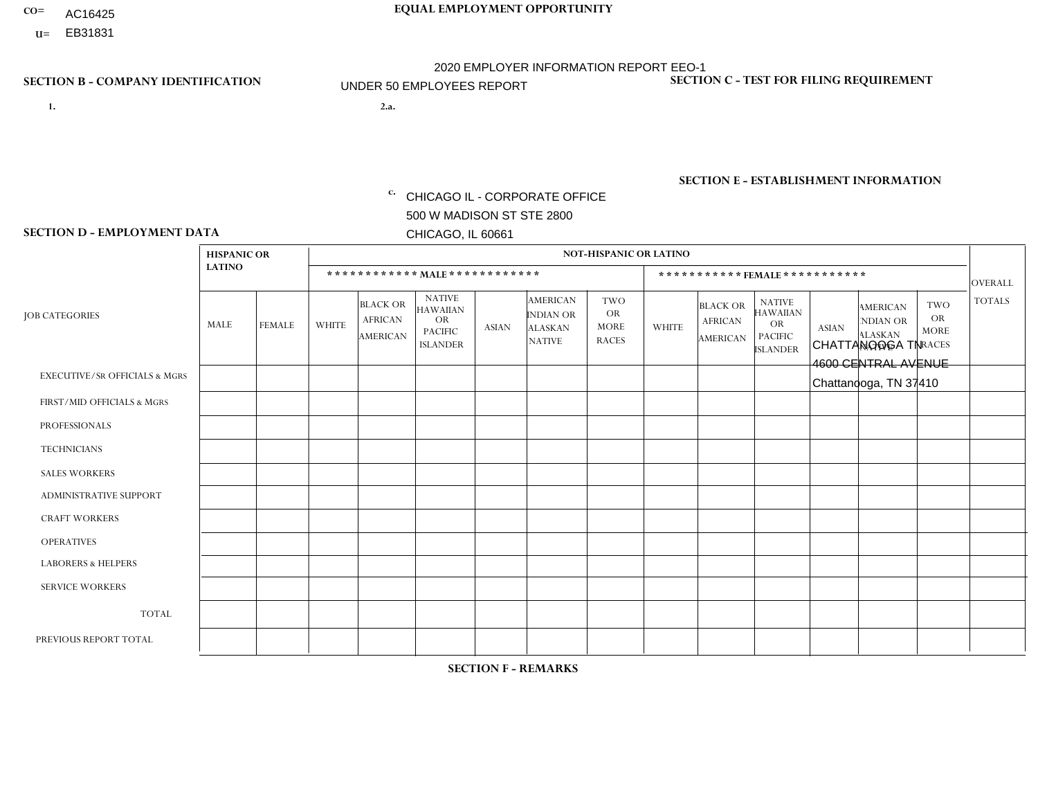- AC16425
- **U=**

- **1. 2.a.** CHICAGO IL CORPORATE OFFICE 500 W MADISON ST STE 2800 CHICAGO, IL 60661
- 2.a. CHATTANOOGA TN 4600 CENTRAL AVENUE Chattanooga, TN 37410

c. EIN= 952920557

## **SECTION B - COMPANY IDENTIFICATION SECTION C - TEST FOR FILING REQUIREMENT**

1- Y 2- Y 3- N DUNS= 000123456

**SECTION E - ESTABLISHMENT INFORMATION c.** NAICS: 423140

### **SECTION D - EMPLOYMENT DATA**

|                                          | <b>HISPANIC OR</b> |               |                |                                                      |                                                                                    |              |                                                                        | <b>NOT-HISPANIC OR LATINO</b>                          |                |                                               |                                                                                    |              |                                                                       |                                                        |                |
|------------------------------------------|--------------------|---------------|----------------|------------------------------------------------------|------------------------------------------------------------------------------------|--------------|------------------------------------------------------------------------|--------------------------------------------------------|----------------|-----------------------------------------------|------------------------------------------------------------------------------------|--------------|-----------------------------------------------------------------------|--------------------------------------------------------|----------------|
|                                          | <b>LATINO</b>      |               |                | ************ MALE ************                       |                                                                                    |              |                                                                        |                                                        |                | ***********FEMALE***********                  |                                                                                    |              |                                                                       |                                                        | <b>OVERALL</b> |
| <b>JOB CATEGORIES</b>                    | MALE               | <b>FEMALE</b> | <b>WHITE</b>   | <b>BLACK OR</b><br><b>AFRICAN</b><br><b>AMERICAN</b> | <b>NATIVE</b><br><b>HAWAIIAN</b><br><b>OR</b><br><b>PACIFIC</b><br><b>ISLANDER</b> | ASIAN        | <b>AMERICAN</b><br><b>INDIAN OR</b><br><b>ALASKAN</b><br><b>NATIVE</b> | <b>TWO</b><br><b>OR</b><br><b>MORE</b><br><b>RACES</b> | <b>WHITE</b>   | <b>BLACK OR</b><br><b>AFRICAN</b><br>AMERICAN | <b>NATIVE</b><br><b>HAWAIIAN</b><br><b>OR</b><br><b>PACIFIC</b><br><b>ISLANDER</b> | <b>ASIAN</b> | <b>AMERICAN</b><br><b>NDIAN OR</b><br><b>ALASKAN</b><br><b>NATIVE</b> | <b>TWO</b><br><b>OR</b><br><b>MORE</b><br><b>RACES</b> | <b>TOTALS</b>  |
| <b>EXECUTIVE/SR OFFICIALS &amp; MGRS</b> | $\Omega$           | $\Omega$      | $\Omega$       | $\mathbf 0$                                          | $\Omega$                                                                           | $\mathbf{0}$ | $\Omega$                                                               | $\Omega$                                               | 0              | $\Omega$                                      | $\Omega$                                                                           | $\Omega$     | $\Omega$                                                              | $\Omega$                                               | $\mathbf{0}$   |
| FIRST/MID OFFICIALS & MGRS               | 0                  | $\Omega$      |                | $\mathbf 0$                                          | $\Omega$                                                                           | $\Omega$     | $\Omega$                                                               | $\Omega$                                               |                | $\Omega$                                      | $\Omega$                                                                           | $\Omega$     | $\Omega$                                                              | $\Omega$                                               | $\overline{2}$ |
| <b>PROFESSIONALS</b>                     | 0                  | $\mathbf 0$   | $\mathbf 0$    | $\mathbf 0$                                          | $\Omega$                                                                           | $\Omega$     | $\Omega$                                                               | $\Omega$                                               | 0              | $\Omega$                                      | $\Omega$                                                                           | $\Omega$     | $\Omega$                                                              | $\Omega$                                               | $\mathbf{0}$   |
| <b>TECHNICIANS</b>                       | 0                  | $\Omega$      | $\Omega$       | $\mathbf 0$                                          | $\Omega$                                                                           | $\Omega$     | $\Omega$                                                               | $\Omega$                                               | $\Omega$       | $\Omega$                                      | $\Omega$                                                                           | $\Omega$     | $\Omega$                                                              | $\Omega$                                               | $\mathbf{0}$   |
| <b>SALES WORKERS</b>                     | 0                  | $\Omega$      | $\overline{c}$ | $\Omega$                                             | $\Omega$                                                                           | $\Omega$     | $\Omega$                                                               | $\Omega$                                               |                | $\Omega$                                      | $\Omega$                                                                           | $\Omega$     | $\Omega$                                                              | $\Omega$                                               | 3              |
| <b>ADMINISTRATIVE SUPPORT</b>            | 0                  | 0             | $\Omega$       | $\mathbf 0$                                          | 0                                                                                  | $\Omega$     | $\Omega$                                                               | $\Omega$                                               | $\Omega$       | $\Omega$                                      | $\Omega$                                                                           | $\Omega$     | $\mathbf{0}$                                                          | $\mathbf 0$                                            | $\mathbf 0$    |
| <b>CRAFT WORKERS</b>                     | 0                  | $\Omega$      | $\Omega$       | $\mathbf 0$                                          | $\Omega$                                                                           | $\Omega$     | $\Omega$                                                               | $\Omega$                                               | 0              | $\Omega$                                      | $\Omega$                                                                           | $\Omega$     | $\Omega$                                                              | $\Omega$                                               | $\Omega$       |
| <b>OPERATIVES</b>                        | 0                  | $\Omega$      | 6              | $\mathbf 0$                                          | $\Omega$                                                                           | $\Omega$     | $\Omega$                                                               |                                                        | $\overline{2}$ | $\Omega$                                      | $\Omega$                                                                           | $\Omega$     | $\Omega$                                                              | $\Omega$                                               | 9              |
| <b>LABORERS &amp; HELPERS</b>            | 0                  | $\Omega$      | -1             | $\mathbf 0$                                          | $\Omega$                                                                           | $\Omega$     | $\Omega$                                                               | $\Omega$                                               | $\Omega$       | $\Omega$                                      | $\Omega$                                                                           | $\mathbf{0}$ | $\Omega$                                                              | $\mathbf 0$                                            | $\mathbf{1}$   |
| <b>SERVICE WORKERS</b>                   | 0                  | $\Omega$      | $\Omega$       | 0                                                    | 0                                                                                  | $\Omega$     | $\Omega$                                                               | $\Omega$                                               | $\Omega$       | $\Omega$                                      | $\Omega$                                                                           | $\Omega$     | $\Omega$                                                              | $\mathbf 0$                                            | $\overline{0}$ |
| <b>TOTAL</b>                             | $\mathbf 0$        | 0             | 10             | 0                                                    | 0                                                                                  | $\mathbf 0$  | $\Omega$                                                               |                                                        | 4              | $\Omega$                                      | $\Omega$                                                                           | $\mathbf 0$  | 0                                                                     | $\mathbf 0$                                            | 15             |
| PREVIOUS REPORT TOTAL                    | 0                  | $\Omega$      | 14             | $\mathbf{1}$                                         | 0                                                                                  | $\Omega$     | $\Omega$                                                               |                                                        | 4              | $\Omega$                                      | $\Omega$                                                                           | $\Omega$     | $\Omega$                                                              | $\mathbf 0$                                            | 20             |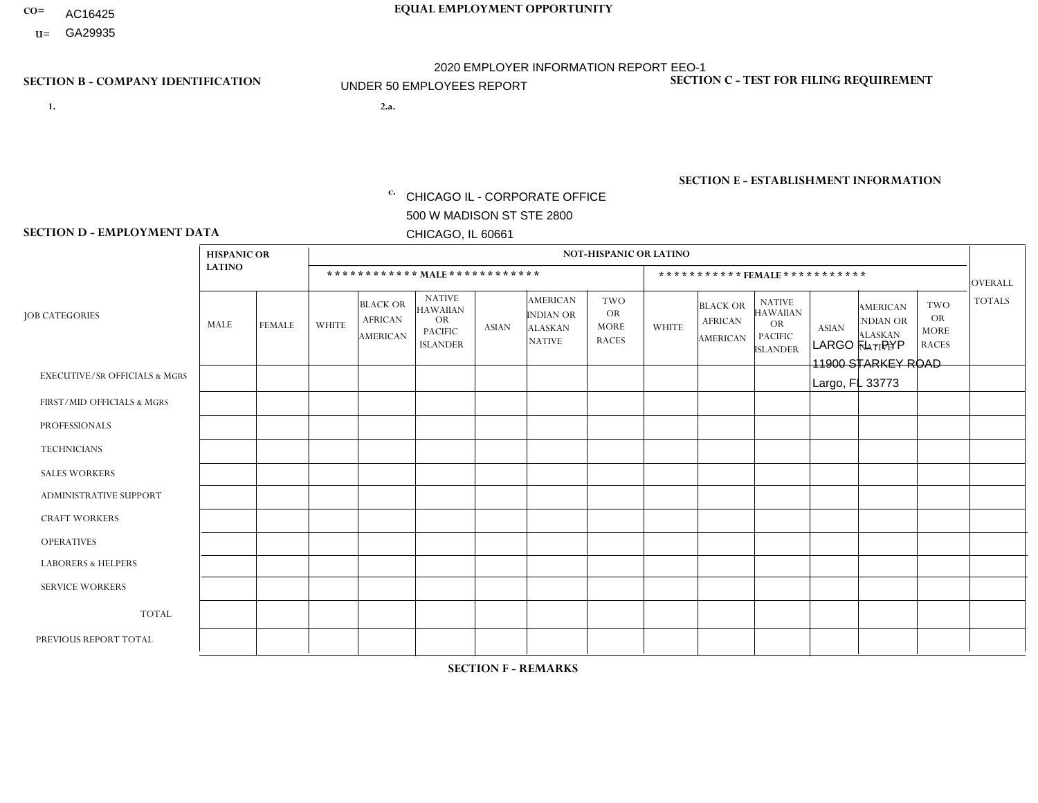- AC16425
- **U=**

**1. 2.a.** CHICAGO IL - CORPORATE OFFICE 500 W MADISON ST STE 2800 CHICAGO, IL 60661

2.a. LARGO FL - PYP 11900 STARKEY ROAD Largo, FL 33773

EIN= 952920557

## **SECTION B - COMPANY IDENTIFICATION SECTION C - TEST FOR FILING REQUIREMENT**

1- Y 2- Y 3- N DUNS= 000123456

**SECTION E - ESTABLISHMENT INFORMATION c.** NAICS: 423140

### **SECTION D - EMPLOYMENT DATA**

|                                          | <b>HISPANIC OR</b> |                |                |                                                      |                                                                                    |              |                                                                        | <b>NOT-HISPANIC OR LATINO</b>                          |              |                                               |                                                                                    |              |                                                                       |                                                        |                |
|------------------------------------------|--------------------|----------------|----------------|------------------------------------------------------|------------------------------------------------------------------------------------|--------------|------------------------------------------------------------------------|--------------------------------------------------------|--------------|-----------------------------------------------|------------------------------------------------------------------------------------|--------------|-----------------------------------------------------------------------|--------------------------------------------------------|----------------|
|                                          | <b>LATINO</b>      |                |                |                                                      | ************ MALE ************                                                     |              |                                                                        |                                                        |              | *********** FEMALE ***********                |                                                                                    |              |                                                                       |                                                        | <b>OVERALL</b> |
| <b>JOB CATEGORIES</b>                    | <b>MALE</b>        | <b>FEMALE</b>  | <b>WHITE</b>   | <b>BLACK OR</b><br><b>AFRICAN</b><br><b>AMERICAN</b> | <b>NATIVE</b><br><b>HAWAIIAN</b><br><b>OR</b><br><b>PACIFIC</b><br><b>ISLANDER</b> | <b>ASIAN</b> | <b>AMERICAN</b><br><b>INDIAN OR</b><br><b>ALASKAN</b><br><b>NATIVE</b> | <b>TWO</b><br><b>OR</b><br><b>MORE</b><br><b>RACES</b> | <b>WHITE</b> | <b>BLACK OR</b><br><b>AFRICAN</b><br>AMERICAN | <b>NATIVE</b><br><b>HAWAIIAN</b><br><b>OR</b><br><b>PACIFIC</b><br><b>ISLANDER</b> | <b>ASIAN</b> | <b>AMERICAN</b><br><b>NDIAN OR</b><br><b>ALASKAN</b><br><b>NATIVE</b> | <b>TWO</b><br><b>OR</b><br><b>MORE</b><br><b>RACES</b> | <b>TOTALS</b>  |
| <b>EXECUTIVE/SR OFFICIALS &amp; MGRS</b> | $\Omega$           | $\Omega$       | $\mathbf 0$    | $\Omega$                                             | $\mathbf{0}$                                                                       | $\Omega$     | $\Omega$                                                               | $\Omega$                                               | $\Omega$     | $\Omega$                                      | $\Omega$                                                                           | $\Omega$     | $\Omega$                                                              | $\Omega$                                               | $\mathbf 0$    |
| FIRST/MID OFFICIALS & MGRS               | $\Omega$           | $\Omega$       | 1              | $\mathbf 0$                                          | $\mathbf{0}$                                                                       | $\Omega$     | $\Omega$                                                               | 0                                                      | $\Omega$     | $\Omega$                                      | $\Omega$                                                                           | $\Omega$     | $\Omega$                                                              | $\mathbf 0$                                            | $\mathbf{1}$   |
| <b>PROFESSIONALS</b>                     | 1                  | $\Omega$       | $\Omega$       | $\Omega$                                             | $\Omega$                                                                           | $\Omega$     | $\Omega$                                                               | 0                                                      | $\Omega$     | $\Omega$                                      | $\Omega$                                                                           | $\Omega$     | $\Omega$                                                              | $\mathbf 0$                                            | $\mathbf{1}$   |
| <b>TECHNICIANS</b>                       | 0                  | $\Omega$       | $\Omega$       | $\mathbf 0$                                          | $\Omega$                                                                           | $\mathbf{0}$ | $\Omega$                                                               | 0                                                      | $\Omega$     | $\Omega$                                      | $\Omega$                                                                           | $\Omega$     | $\Omega$                                                              | $\mathbf 0$                                            | $\mathbf 0$    |
| <b>SALES WORKERS</b>                     | $\Omega$           | $\Omega$       | $\Omega$       | $\Omega$                                             | $\mathbf{0}$                                                                       | $\Omega$     | $\Omega$                                                               | 0                                                      | $\Omega$     | $\Omega$                                      | $\Omega$                                                                           | $\Omega$     | $\Omega$                                                              | $\Omega$                                               | $\Omega$       |
| ADMINISTRATIVE SUPPORT                   | 1                  | $\Omega$       | 3              | $\Omega$                                             | $\mathbf{0}$                                                                       | $\Omega$     | $\Omega$                                                               | 1                                                      | $\Omega$     | $\Omega$                                      | $\Omega$                                                                           | $\Omega$     | $\Omega$                                                              | $\Omega$                                               | 5              |
| <b>CRAFT WORKERS</b>                     | 0                  | $\Omega$       | $\Omega$       | $\Omega$                                             | $\mathbf{0}$                                                                       | $\mathbf{0}$ | 0                                                                      | 0                                                      | $\Omega$     | $\Omega$                                      | $\Omega$                                                                           | $\Omega$     | $\Omega$                                                              | $\Omega$                                               | $\mathbf 0$    |
| <b>OPERATIVES</b>                        | $\overline{2}$     | $\Omega$       | $\overline{2}$ | $\mathbf 1$                                          | $\Omega$                                                                           | $\mathbf{0}$ | $\Omega$                                                               | 0                                                      | $\Omega$     | $\Omega$                                      | $\Omega$                                                                           |              | $\Omega$                                                              | $\Omega$                                               | 6              |
| <b>LABORERS &amp; HELPERS</b>            | $\Omega$           | $\Omega$       | $\Omega$       | $\Omega$                                             | $\mathbf{0}$                                                                       | $\Omega$     | $\Omega$                                                               | 0                                                      | $\Omega$     | $\Omega$                                      | $\Omega$                                                                           | $\Omega$     | $\Omega$                                                              | $\Omega$                                               | $\overline{0}$ |
| <b>SERVICE WORKERS</b>                   | $\Omega$           | $\overline{0}$ | $\mathbf 0$    | $\mathbf 0$                                          | $\Omega$                                                                           | $\mathbf{0}$ | $\Omega$                                                               | 0                                                      | $\Omega$     | $\Omega$                                      | $\Omega$                                                                           | $\Omega$     | $\Omega$                                                              | $\mathbf 0$                                            | $\mathbf 0$    |
| <b>TOTAL</b>                             | 4                  | $\mathbf{0}$   | 6              | $\mathbf 1$                                          | 0                                                                                  | $\mathbf{0}$ | $\Omega$                                                               | 1                                                      | $\Omega$     | $\Omega$                                      | 0                                                                                  |              | $\Omega$                                                              | $\mathbf 0$                                            | 13             |
| PREVIOUS REPORT TOTAL                    | 3                  | $\mathbf 0$    | 6              | $\mathbf 1$                                          | $\mathbf{0}$                                                                       | $\mathbf{0}$ | $\Omega$                                                               | $\blacktriangleleft$                                   | $\Omega$     | $\Omega$                                      | $\mathbf 0$                                                                        | $\Omega$     | $\Omega$                                                              | $\mathbf 1$                                            | 12             |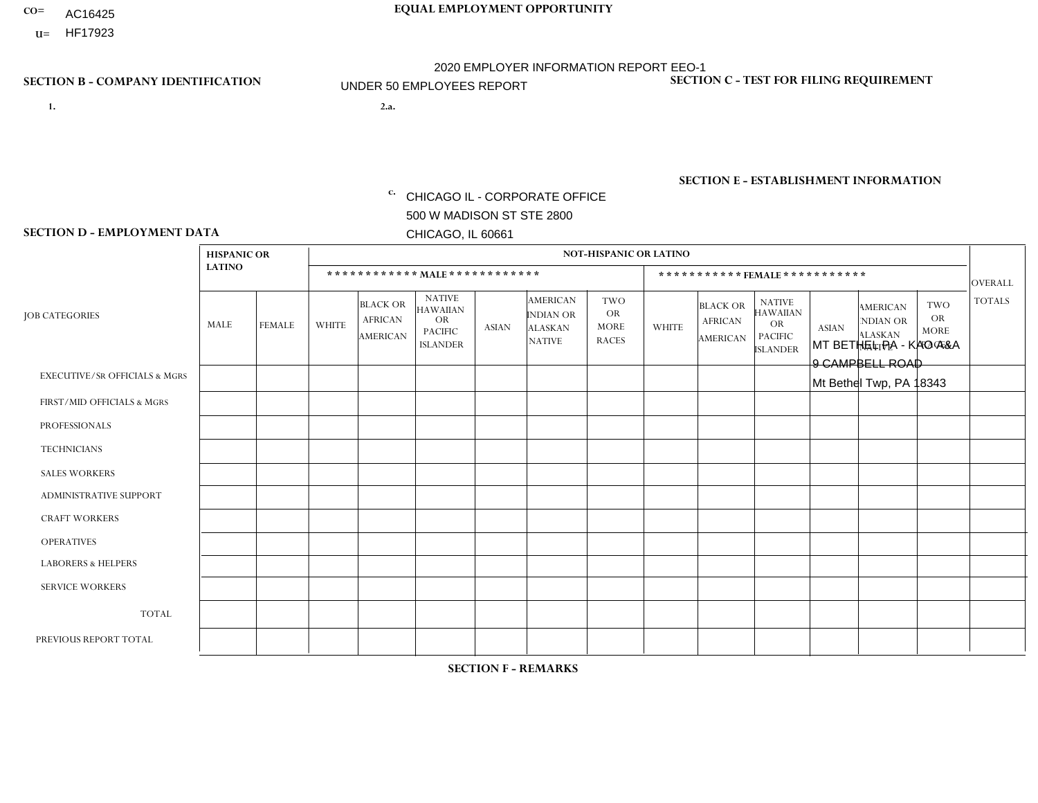- AC16425
- **U=**

**1. 2.a.** CHICAGO IL - CORPORATE OFFICE 500 W MADISON ST STE 2800 CHICAGO, IL 60661

MT BETHEL PA - KAO A&A 9 CAMPBELL ROAD Mt Bethel Twp, PA 18343

EIN= 952920557

## **SECTION B - COMPANY IDENTIFICATION SECTION C - TEST FOR FILING REQUIREMENT**

1- Y 2- Y 3- N DUNS= 000123456

**SECTION E - ESTABLISHMENT INFORMATION c.** NAICS: 423140

### **SECTION D - EMPLOYMENT DATA**

|                                          | <b>HISPANIC OR</b> |               |                |                                                      |                                                                                    |              |                                                                        | <b>NOT-HISPANIC OR LATINO</b>                          |              |                                               |                                                                                    |              |                                                                       |                                                        |                      |
|------------------------------------------|--------------------|---------------|----------------|------------------------------------------------------|------------------------------------------------------------------------------------|--------------|------------------------------------------------------------------------|--------------------------------------------------------|--------------|-----------------------------------------------|------------------------------------------------------------------------------------|--------------|-----------------------------------------------------------------------|--------------------------------------------------------|----------------------|
|                                          | <b>LATINO</b>      |               |                | ************ MALE ************                       |                                                                                    |              |                                                                        |                                                        |              |                                               | *********** FEMALE ***********                                                     |              |                                                                       |                                                        | <b>OVERALL</b>       |
| <b>JOB CATEGORIES</b>                    | MALE               | <b>FEMALE</b> | <b>WHITE</b>   | <b>BLACK OR</b><br><b>AFRICAN</b><br><b>AMERICAN</b> | <b>NATIVE</b><br><b>HAWAIIAN</b><br><b>OR</b><br><b>PACIFIC</b><br><b>ISLANDER</b> | <b>ASIAN</b> | <b>AMERICAN</b><br><b>INDIAN OR</b><br><b>ALASKAN</b><br><b>NATIVE</b> | <b>TWO</b><br><b>OR</b><br><b>MORE</b><br><b>RACES</b> | <b>WHITE</b> | <b>BLACK OR</b><br><b>AFRICAN</b><br>AMERICAN | <b>NATIVE</b><br><b>HAWAIIAN</b><br><b>OR</b><br><b>PACIFIC</b><br><b>ISLANDER</b> | <b>ASIAN</b> | <b>AMERICAN</b><br><b>NDIAN OR</b><br><b>ALASKAN</b><br><b>NATIVE</b> | <b>TWO</b><br><b>OR</b><br><b>MORE</b><br><b>RACES</b> | <b>TOTALS</b>        |
| <b>EXECUTIVE/SR OFFICIALS &amp; MGRS</b> | $\Omega$           | $\Omega$      | $\mathbf{0}$   | $\Omega$                                             | $\Omega$                                                                           | $\Omega$     | $\Omega$                                                               | $\Omega$                                               | 0            | $\Omega$                                      | $\Omega$                                                                           | $\Omega$     | $\Omega$                                                              | $\Omega$                                               | $\Omega$             |
| FIRST/MID OFFICIALS & MGRS               | $\Omega$           | $\Omega$      | 1              | $\mathbf{0}$                                         | $\Omega$                                                                           | $\Omega$     | $\Omega$                                                               | $\Omega$                                               | 0            | $\Omega$                                      | 0                                                                                  | $\Omega$     | $\Omega$                                                              | $\Omega$                                               | $\mathbf{1}$         |
| <b>PROFESSIONALS</b>                     | $\Omega$           | $\Omega$      | $\Omega$       | $\mathbf 0$                                          | $\Omega$                                                                           | $\Omega$     | $\Omega$                                                               | $\Omega$                                               | $\Omega$     | $\Omega$                                      | 0                                                                                  | $\mathbf 0$  | $\Omega$                                                              | $\mathbf 0$                                            | $\mathbf{0}$         |
| <b>TECHNICIANS</b>                       | $\Omega$           | $\Omega$      | $\Omega$       | $\Omega$                                             | $\Omega$                                                                           | $\Omega$     | $\Omega$                                                               | $\Omega$                                               | $\Omega$     | $\Omega$                                      | $\Omega$                                                                           | $\mathbf 0$  | $\Omega$                                                              | $\mathbf 0$                                            | $\Omega$             |
| <b>SALES WORKERS</b>                     | $\Omega$           | $\Omega$      | 1              | $\Omega$                                             | $\Omega$                                                                           | $\Omega$     | $\Omega$                                                               | $\Omega$                                               | $\Omega$     | $\Omega$                                      | $\Omega$                                                                           | $\Omega$     | $\Omega$                                                              | $\Omega$                                               | $\blacktriangleleft$ |
| <b>ADMINISTRATIVE SUPPORT</b>            | $\Omega$           | $\Omega$      | $\mathbf{0}$   | $\mathbf 0$                                          | 0                                                                                  | $\Omega$     | $\Omega$                                                               | $\Omega$                                               | 0            | $\Omega$                                      | 0                                                                                  | $\mathbf 0$  | $\Omega$                                                              | $\mathbf 0$                                            | $\mathbf 0$          |
| <b>CRAFT WORKERS</b>                     | $\Omega$           | $\Omega$      | $\overline{2}$ | $\mathbf 0$                                          | $\Omega$                                                                           | $\Omega$     | $\Omega$                                                               | $\Omega$                                               | 0            | $\Omega$                                      | 0                                                                                  | $\Omega$     | $\Omega$                                                              | $\Omega$                                               | $\overline{2}$       |
| <b>OPERATIVES</b>                        | $\Omega$           | $\Omega$      | 1              | $\mathbf 0$                                          | $\Omega$                                                                           | $\Omega$     | $\Omega$                                                               | $\Omega$                                               | 0            | $\Omega$                                      | 0                                                                                  | $\mathbf 0$  | $\Omega$                                                              | $\mathbf 0$                                            | $\mathbf{1}$         |
| <b>LABORERS &amp; HELPERS</b>            | $\Omega$           | $\Omega$      | $\mathbf{0}$   | $\mathbf 0$                                          | $\Omega$                                                                           | $\Omega$     | $\Omega$                                                               | $\Omega$                                               | $\Omega$     | $\Omega$                                      | $\Omega$                                                                           | $\Omega$     | $\Omega$                                                              | $\Omega$                                               | $\mathbf 0$          |
| <b>SERVICE WORKERS</b>                   | $\Omega$           | $\Omega$      | 0              | $\mathbf 0$                                          | $\Omega$                                                                           | $\Omega$     | $\Omega$                                                               | $\Omega$                                               | 0            | $\Omega$                                      | $\Omega$                                                                           | $\mathbf 0$  | $\Omega$                                                              | $\Omega$                                               | $\mathbf 0$          |
| <b>TOTAL</b>                             | 0                  | 0             | 5              | 0                                                    | $\mathbf 0$                                                                        | 0            | $\Omega$                                                               | $\Omega$                                               | 0            | $\mathbf 0$                                   | 0                                                                                  | $\mathbf 0$  | 0                                                                     | $\mathbf 0$                                            | 5                    |
| PREVIOUS REPORT TOTAL                    | $\Omega$           | $\Omega$      | 4              | $\mathbf 0$                                          | 0                                                                                  | $\Omega$     | $\Omega$                                                               | $\Omega$                                               | 0            | $\Omega$                                      | 0                                                                                  | $\Omega$     | $\Omega$                                                              | $\mathbf 0$                                            | $\overline{4}$       |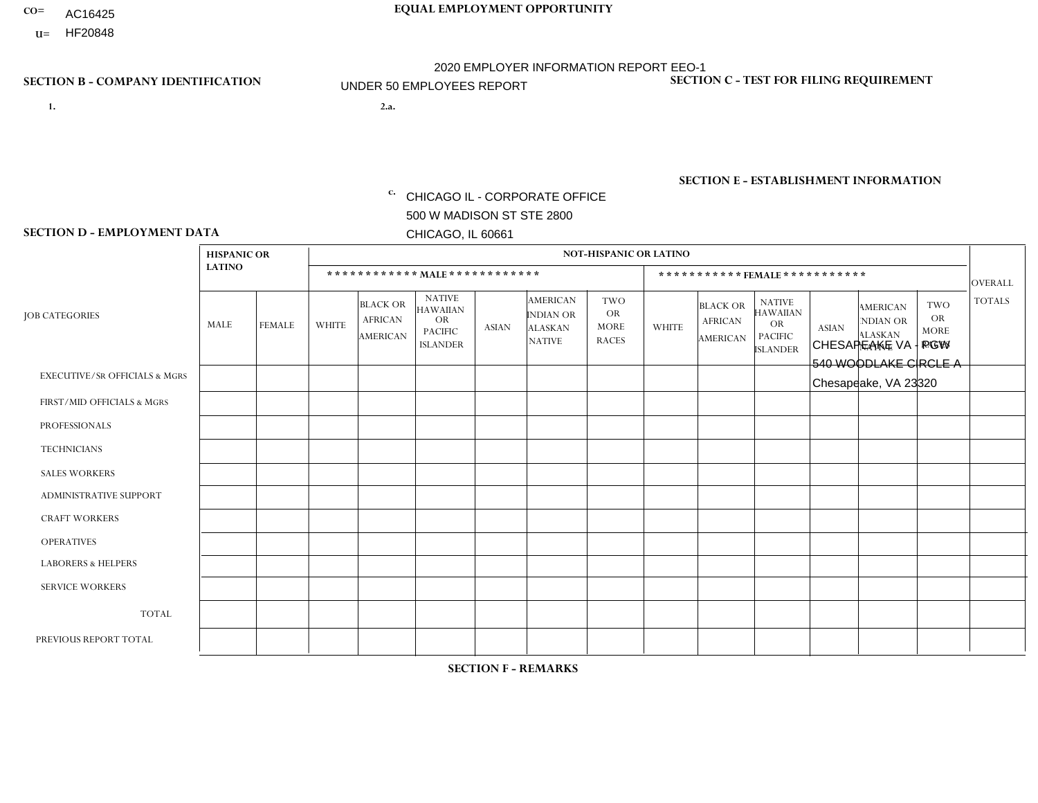- AC16425
- **U=**

- **1. 2.a.** CHICAGO IL CORPORATE OFFICE 500 W MADISON ST STE 2800 CHICAGO, IL 60661
- 2.a. CHESAPEAKE VA PGW 540 WOODLAKE CIRCLE A Chesapeake, VA 23320

c. EIN= 952920557

## **SECTION B - COMPANY IDENTIFICATION SECTION C - TEST FOR FILING REQUIREMENT**

1- Y 2- Y 3- N DUNS= 000123456

**SECTION E - ESTABLISHMENT INFORMATION c.** NAICS: 811122

### **SECTION D - EMPLOYMENT DATA**

|                                          | <b>HISPANIC OR</b> |               |              |                                                      |                                                                                    |              |                                                                        | <b>NOT-HISPANIC OR LATINO</b>                          |              |                                                      |                                                                                    |              |                                                                       |                                                        |                |
|------------------------------------------|--------------------|---------------|--------------|------------------------------------------------------|------------------------------------------------------------------------------------|--------------|------------------------------------------------------------------------|--------------------------------------------------------|--------------|------------------------------------------------------|------------------------------------------------------------------------------------|--------------|-----------------------------------------------------------------------|--------------------------------------------------------|----------------|
|                                          | <b>LATINO</b>      |               |              | ************ MALE ************                       |                                                                                    |              |                                                                        |                                                        |              |                                                      | ***********FEMALE***********                                                       |              |                                                                       |                                                        | <b>OVERALL</b> |
| <b>JOB CATEGORIES</b>                    | MALE               | <b>FEMALE</b> | <b>WHITE</b> | <b>BLACK OR</b><br><b>AFRICAN</b><br><b>AMERICAN</b> | <b>NATIVE</b><br><b>HAWAIIAN</b><br><b>OR</b><br><b>PACIFIC</b><br><b>ISLANDER</b> | <b>ASIAN</b> | <b>AMERICAN</b><br><b>INDIAN OR</b><br><b>ALASKAN</b><br><b>NATIVE</b> | <b>TWO</b><br><b>OR</b><br><b>MORE</b><br><b>RACES</b> | <b>WHITE</b> | <b>BLACK OR</b><br><b>AFRICAN</b><br><b>AMERICAN</b> | <b>NATIVE</b><br><b>HAWAIIAN</b><br><b>OR</b><br><b>PACIFIC</b><br><b>ISLANDER</b> | <b>ASIAN</b> | <b>AMERICAN</b><br><b>NDIAN OR</b><br><b>ALASKAN</b><br><b>NATIVE</b> | <b>TWO</b><br><b>OR</b><br><b>MORE</b><br><b>RACES</b> | <b>TOTALS</b>  |
| <b>EXECUTIVE/SR OFFICIALS &amp; MGRS</b> | $\mathbf{0}$       | $\Omega$      | $\Omega$     | $\Omega$                                             | 0                                                                                  | $\Omega$     | $\Omega$                                                               | $\Omega$                                               | $\Omega$     | $\mathbf{0}$                                         | $\Omega$                                                                           | $\Omega$     | $\Omega$                                                              | $\Omega$                                               | $\Omega$       |
| FIRST/MID OFFICIALS & MGRS               | $\Omega$           | $\Omega$      | 1            | $\Omega$                                             | $\mathbf 0$                                                                        | $\Omega$     | $\Omega$                                                               | $\Omega$                                               | $\Omega$     | $\Omega$                                             | $\Omega$                                                                           | $\Omega$     | $\Omega$                                                              | $\Omega$                                               | $\mathbf{1}$   |
| <b>PROFESSIONALS</b>                     | $\Omega$           | $\Omega$      | $\mathbf 0$  | $\mathbf 0$                                          | $\overline{0}$                                                                     | $\Omega$     | $\Omega$                                                               | $\Omega$                                               | $\Omega$     | $\Omega$                                             | $\Omega$                                                                           | $\Omega$     | $\Omega$                                                              | $\mathbf{0}$                                           | $\mathbf 0$    |
| <b>TECHNICIANS</b>                       | $\Omega$           | $\Omega$      | $\Omega$     | $\Omega$                                             | 0                                                                                  | $\Omega$     | $\overline{0}$                                                         | $\Omega$                                               | $\Omega$     | $\Omega$                                             | $\Omega$                                                                           | $\Omega$     | $\mathbf{0}$                                                          | $\Omega$                                               | $\mathbf 0$    |
| <b>SALES WORKERS</b>                     | $\Omega$           | $\Omega$      | $\Omega$     | $\Omega$                                             | 0                                                                                  | $\Omega$     | $\Omega$                                                               | $\Omega$                                               | $\Omega$     | $\Omega$                                             | $\Omega$                                                                           | $\Omega$     | $\Omega$                                                              | $\mathbf{0}$                                           | $\mathbf 0$    |
| <b>ADMINISTRATIVE SUPPORT</b>            | $\Omega$           | $\mathbf 0$   | $\Omega$     | $\mathbf 0$                                          | $\mathbf 0$                                                                        | $\mathbf 0$  | $\Omega$                                                               | $\Omega$                                               | $\Omega$     | $\Omega$                                             | $\Omega$                                                                           | $\Omega$     | $\Omega$                                                              | $\Omega$                                               | $\mathbf{0}$   |
| <b>CRAFT WORKERS</b>                     | $\Omega$           | $\Omega$      | $\Omega$     | 0                                                    | 0                                                                                  | $\Omega$     | $\Omega$                                                               | $\Omega$                                               | $\Omega$     | $\Omega$                                             | $\Omega$                                                                           | $\Omega$     | $\Omega$                                                              | $\Omega$                                               | $\Omega$       |
| <b>OPERATIVES</b>                        | $\Omega$           | $\Omega$      | 3            | $\overline{2}$                                       | 0                                                                                  | $\Omega$     | $\Omega$                                                               | $\Omega$                                               | $\Omega$     | $\Omega$                                             | $\Omega$                                                                           | $\Omega$     | $\Omega$                                                              | $\Omega$                                               | 5              |
| <b>LABORERS &amp; HELPERS</b>            | $\Omega$           | $\Omega$      | $\Omega$     | $\mathbf{1}$                                         | 0                                                                                  | $\Omega$     | $\Omega$                                                               | $\Omega$                                               | $\Omega$     | $\Omega$                                             | $\Omega$                                                                           | $\Omega$     | $\Omega$                                                              | $\mathbf{0}$                                           | $\mathbf{1}$   |
| <b>SERVICE WORKERS</b>                   | $\Omega$           | $\Omega$      | $\Omega$     | $\mathbf 0$                                          | $\mathbf{0}$                                                                       | $\Omega$     | $\Omega$                                                               | $\Omega$                                               | $\Omega$     | $\Omega$                                             | $\Omega$                                                                           | $\Omega$     | $\Omega$                                                              | $\Omega$                                               | 0              |
| <b>TOTAL</b>                             | 0                  | $\mathbf 0$   | 4            | 3                                                    | 0                                                                                  | $\mathbf{0}$ | $\Omega$                                                               | $\Omega$                                               | 0            | $\Omega$                                             | $\Omega$                                                                           | $\mathbf 0$  | $\Omega$                                                              | $\mathbf 0$                                            | $\overline{7}$ |
| PREVIOUS REPORT TOTAL                    | $\Omega$           | $\mathbf 0$   | 2            | $\mathbf 1$                                          | 0                                                                                  | $\Omega$     | $\overline{0}$                                                         | $\Omega$                                               | $\Omega$     | $\Omega$                                             | $\mathbf{0}$                                                                       | $\Omega$     | $\Omega$                                                              | $\mathbf 0$                                            | 3              |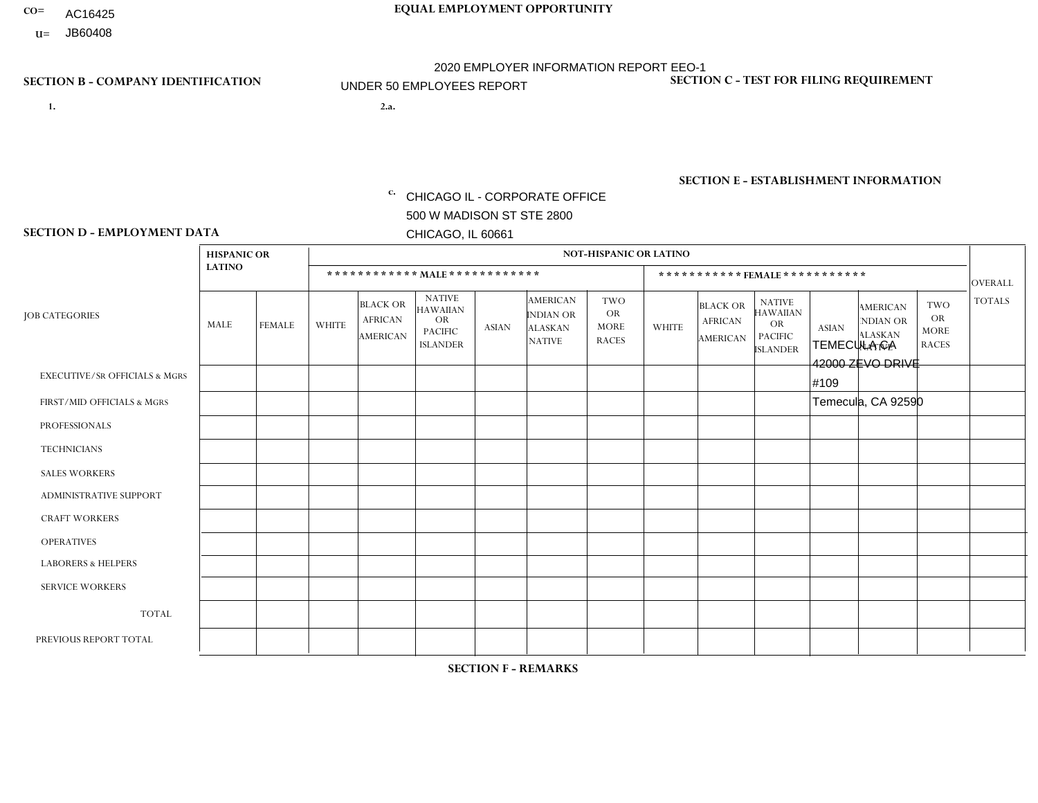- AC16425
- **U=**

- **1. 2.a.** CHICAGO IL CORPORATE OFFICE 500 W MADISON ST STE 2800 CHICAGO, IL 60661
- 2.a. TEMECULA CA 42000 ZEVO DRIVE #109 Temecula, CA 92590
	- EIN= 364261867

## **SECTION B - COMPANY IDENTIFICATION SECTION C - TEST FOR FILING REQUIREMENT**

1- Y 2- Y 3- N DUNS= 000123456

**SECTION E - ESTABLISHMENT INFORMATION c.** NAICS: 423140

### **SECTION D - EMPLOYMENT DATA**

|                                          | <b>HISPANIC OR</b> |               |                |                                                      |                                                                                    |              |                                                                        | <b>NOT-HISPANIC OR LATINO</b>                   |                |                                               |                                                                                    |              |                                                                       |                                                        |                |
|------------------------------------------|--------------------|---------------|----------------|------------------------------------------------------|------------------------------------------------------------------------------------|--------------|------------------------------------------------------------------------|-------------------------------------------------|----------------|-----------------------------------------------|------------------------------------------------------------------------------------|--------------|-----------------------------------------------------------------------|--------------------------------------------------------|----------------|
|                                          | <b>LATINO</b>      |               |                | ************ MALE ************                       |                                                                                    |              |                                                                        |                                                 |                | ***********FEMALE***********                  |                                                                                    |              |                                                                       |                                                        | <b>OVERALL</b> |
| <b>JOB CATEGORIES</b>                    | MALE               | <b>FEMALE</b> | <b>WHITE</b>   | <b>BLACK OR</b><br><b>AFRICAN</b><br><b>AMERICAN</b> | <b>NATIVE</b><br><b>HAWAIIAN</b><br><b>OR</b><br><b>PACIFIC</b><br><b>ISLANDER</b> | <b>ASIAN</b> | <b>AMERICAN</b><br><b>INDIAN OR</b><br><b>ALASKAN</b><br><b>NATIVE</b> | TWO<br><b>OR</b><br><b>MORE</b><br><b>RACES</b> | <b>WHITE</b>   | <b>BLACK OR</b><br><b>AFRICAN</b><br>AMERICAN | <b>NATIVE</b><br><b>HAWAIIAN</b><br><b>OR</b><br><b>PACIFIC</b><br><b>ISLANDER</b> | <b>ASIAN</b> | <b>AMERICAN</b><br><b>NDIAN OR</b><br><b>ALASKAN</b><br><b>NATIVE</b> | <b>TWO</b><br><b>OR</b><br><b>MORE</b><br><b>RACES</b> | <b>TOTALS</b>  |
| <b>EXECUTIVE/SR OFFICIALS &amp; MGRS</b> | $\Omega$           | $\mathbf 0$   | $\Omega$       | $\mathbf 0$                                          | $\mathbf 0$                                                                        | $\mathbf 0$  | $\Omega$                                                               | $\Omega$                                        | $\Omega$       | $\Omega$                                      | $\Omega$                                                                           | $\mathbf 0$  | $\mathbf 0$                                                           | $\mathbf 0$                                            | $\mathbf{0}$   |
| FIRST/MID OFFICIALS & MGRS               | 0                  | $\mathbf 0$   | -1             | $\mathbf 0$                                          | $\Omega$                                                                           | $\Omega$     | $\Omega$                                                               | $\Omega$                                        | 0              | $\Omega$                                      | $\Omega$                                                                           | $\Omega$     | $\Omega$                                                              | $\mathbf 0$                                            | $\mathbf{1}$   |
| <b>PROFESSIONALS</b>                     | 0                  | $\mathbf 0$   | $\mathbf 0$    | $\mathbf 0$                                          | $\mathbf 0$                                                                        | $\Omega$     | $\Omega$                                                               | $\Omega$                                        | $\overline{0}$ | $\Omega$                                      | $\Omega$                                                                           | $\mathbf 0$  | 0                                                                     | $\mathbf 0$                                            | $\mathbf{0}$   |
| <b>TECHNICIANS</b>                       | 0                  | $\Omega$      | $\Omega$       | $\mathbf 0$                                          | $\Omega$                                                                           | $\Omega$     | $\Omega$                                                               | $\Omega$                                        | $\Omega$       | $\Omega$                                      | $\Omega$                                                                           | $\Omega$     | $\Omega$                                                              | $\Omega$                                               | $\mathbf{0}$   |
| <b>SALES WORKERS</b>                     | 0                  | $\Omega$      | $\Omega$       | $\mathbf 0$                                          | $\Omega$                                                                           | $\Omega$     | $\Omega$                                                               | $\Omega$                                        | $\Omega$       | $\Omega$                                      | $\Omega$                                                                           | $\Omega$     | $\Omega$                                                              | $\Omega$                                               | $\Omega$       |
| ADMINISTRATIVE SUPPORT                   | $\Omega$           | $\Omega$      | $\Omega$       | $\Omega$                                             | $\Omega$                                                                           | $\Omega$     | $\Omega$                                                               | $\Omega$                                        | $\Omega$       | $\Omega$                                      | $\Omega$                                                                           | $\Omega$     | $\Omega$                                                              | $\Omega$                                               | $\Omega$       |
| <b>CRAFT WORKERS</b>                     | 0                  | $\Omega$      | $\Omega$       | $\mathbf 0$                                          | $\Omega$                                                                           | $\Omega$     | $\Omega$                                                               | $\Omega$                                        | $\Omega$       | $\Omega$                                      | $\Omega$                                                                           | $\Omega$     | $\Omega$                                                              | $\Omega$                                               | $\mathbf 0$    |
| <b>OPERATIVES</b>                        | 0                  | $\Omega$      | $\Omega$       | $\mathbf 0$                                          | $\Omega$                                                                           | $\Omega$     | $\Omega$                                                               | $\Omega$                                        | $\Omega$       | $\Omega$                                      | $\Omega$                                                                           | $\Omega$     | $\Omega$                                                              | $\Omega$                                               | $\mathbf 0$    |
| <b>LABORERS &amp; HELPERS</b>            |                    | $\Omega$      | $\Omega$       | $\mathbf 0$                                          | $\Omega$                                                                           | $\Omega$     | $\Omega$                                                               | $\Omega$                                        | $\Omega$       | $\Omega$                                      | $\Omega$                                                                           | $\Omega$     | $\Omega$                                                              | $\Omega$                                               | $\mathbf{1}$   |
| <b>SERVICE WORKERS</b>                   | 0                  | $\Omega$      | $\mathbf 0$    | 0                                                    | $\mathbf{0}$                                                                       | $\Omega$     | $\Omega$                                                               | $\Omega$                                        | $\Omega$       | $\Omega$                                      | $\Omega$                                                                           | $\Omega$     | $\Omega$                                                              | $\mathbf 0$                                            | 0              |
| <b>TOTAL</b>                             |                    | $\mathbf 0$   |                | $\mathbf 0$                                          | 0                                                                                  | $\mathbf 0$  | $\Omega$                                                               | $\Omega$                                        | $\Omega$       | $\Omega$                                      | $\Omega$                                                                           | $\mathbf 0$  | 0                                                                     | $\mathbf 0$                                            | 2              |
| PREVIOUS REPORT TOTAL                    | 3                  | $\mathbf{0}$  | $\overline{1}$ | $\mathbf 0$                                          | 0                                                                                  | $\Omega$     | $\Omega$                                                               | $\overline{2}$                                  | 0              | $\Omega$                                      | $\Omega$                                                                           | $\mathbf 0$  | 0                                                                     | $\mathbf 0$                                            | 6              |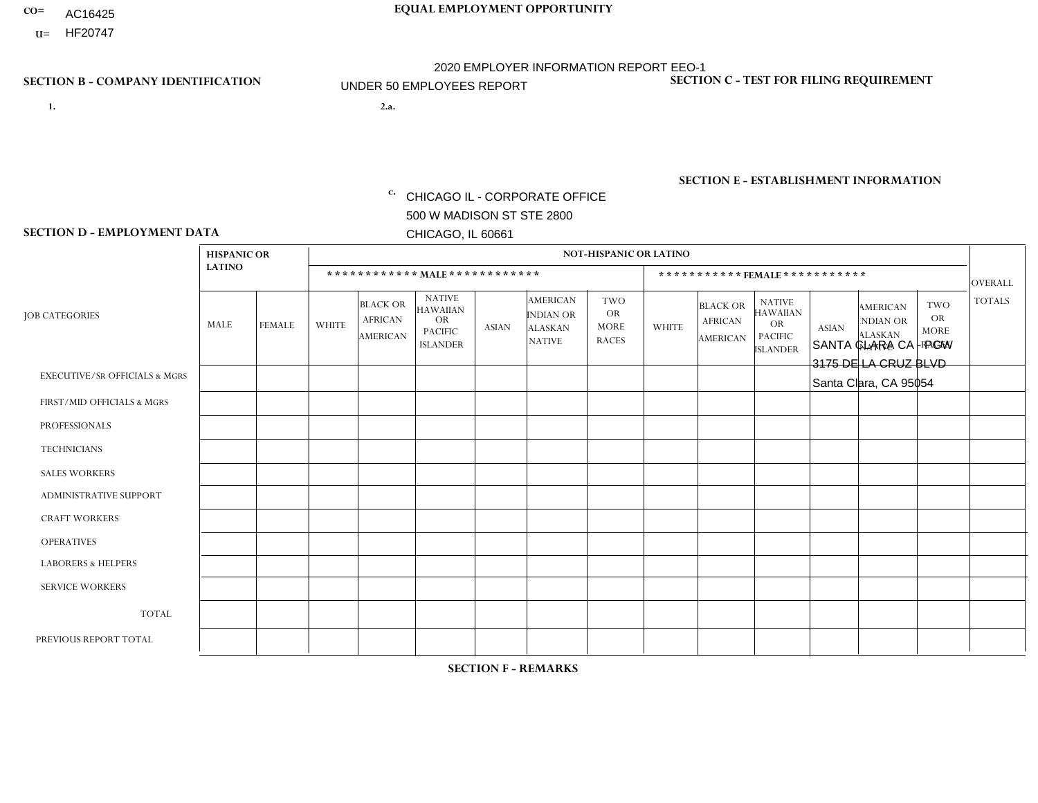- AC16425
- **U=**

**1. 2.a.** CHICAGO IL - CORPORATE OFFICE 500 W MADISON ST STE 2800 CHICAGO, IL 60661

2.a. SANTA CLARA CA - PGW 3175 DE LA CRUZ BLVD Santa Clara, CA 95054

EIN= 952920557

## **SECTION B - COMPANY IDENTIFICATION SECTION C - TEST FOR FILING REQUIREMENT**

1- Y 2- Y 3- N DUNS= 000123456

**SECTION E - ESTABLISHMENT INFORMATION c.** NAICS: 811122

### **SECTION D - EMPLOYMENT DATA**

|                                          | <b>HISPANIC OR</b><br><b>LATINO</b> |               | <b>NOT-HISPANIC OR LATINO</b>  |                                                      |                                                                                    |              |                                                                        |                                                        |                              |                                                      |                                                                                    |              |                                                                       |                                                        |                |
|------------------------------------------|-------------------------------------|---------------|--------------------------------|------------------------------------------------------|------------------------------------------------------------------------------------|--------------|------------------------------------------------------------------------|--------------------------------------------------------|------------------------------|------------------------------------------------------|------------------------------------------------------------------------------------|--------------|-----------------------------------------------------------------------|--------------------------------------------------------|----------------|
|                                          |                                     |               | ************ MALE ************ |                                                      |                                                                                    |              |                                                                        |                                                        | ***********FEMALE*********** |                                                      |                                                                                    |              |                                                                       |                                                        | <b>OVERALL</b> |
| <b>JOB CATEGORIES</b>                    | MALE                                | <b>FEMALE</b> | <b>WHITE</b>                   | <b>BLACK OR</b><br><b>AFRICAN</b><br><b>AMERICAN</b> | <b>NATIVE</b><br><b>HAWAIIAN</b><br><b>OR</b><br><b>PACIFIC</b><br><b>ISLANDER</b> | <b>ASIAN</b> | <b>AMERICAN</b><br><b>INDIAN OR</b><br><b>ALASKAN</b><br><b>NATIVE</b> | <b>TWO</b><br><b>OR</b><br><b>MORE</b><br><b>RACES</b> | <b>WHITE</b>                 | <b>BLACK OR</b><br><b>AFRICAN</b><br><b>AMERICAN</b> | <b>NATIVE</b><br><b>HAWAIIAN</b><br><b>OR</b><br><b>PACIFIC</b><br><b>ISLANDER</b> | <b>ASIAN</b> | <b>AMERICAN</b><br><b>NDIAN OR</b><br><b>ALASKAN</b><br><b>NATIVE</b> | <b>TWO</b><br><b>OR</b><br><b>MORE</b><br><b>RACES</b> | <b>TOTALS</b>  |
| <b>EXECUTIVE/SR OFFICIALS &amp; MGRS</b> | $\mathbf{0}$                        | $\Omega$      | $\Omega$                       | $\Omega$                                             | 0                                                                                  | $\Omega$     | $\Omega$                                                               | $\Omega$                                               | $\Omega$                     | $\mathbf{0}$                                         | $\Omega$                                                                           | $\Omega$     | $\Omega$                                                              | $\Omega$                                               | $\Omega$       |
| FIRST/MID OFFICIALS & MGRS               | $\Omega$                            | $\Omega$      | 1                              | $\Omega$                                             | $\mathbf 0$                                                                        | $\Omega$     | $\Omega$                                                               | $\Omega$                                               | $\Omega$                     | $\Omega$                                             | $\Omega$                                                                           | $\Omega$     | $\Omega$                                                              | $\Omega$                                               | $\mathbf{1}$   |
| <b>PROFESSIONALS</b>                     | $\Omega$                            | $\Omega$      | $\mathbf 0$                    | $\mathbf 0$                                          | $\overline{0}$                                                                     | $\Omega$     | $\Omega$                                                               | $\Omega$                                               | $\Omega$                     | $\Omega$                                             | $\Omega$                                                                           | $\Omega$     | $\Omega$                                                              | $\mathbf{0}$                                           | $\mathbf 0$    |
| <b>TECHNICIANS</b>                       | $\Omega$                            | $\Omega$      | $\Omega$                       | $\Omega$                                             | 0                                                                                  | $\Omega$     | $\overline{0}$                                                         | $\Omega$                                               | $\Omega$                     | $\Omega$                                             | $\Omega$                                                                           | $\Omega$     | $\mathbf{0}$                                                          | $\Omega$                                               | $\mathbf 0$    |
| <b>SALES WORKERS</b>                     | $\Omega$                            | $\Omega$      | $\Omega$                       | $\Omega$                                             | $\Omega$                                                                           | $\Omega$     | $\Omega$                                                               | $\Omega$                                               | $\Omega$                     | $\Omega$                                             | $\Omega$                                                                           | $\Omega$     | $\Omega$                                                              | $\mathbf{0}$                                           | $\mathbf 0$    |
| <b>ADMINISTRATIVE SUPPORT</b>            | $\Omega$                            | $\mathbf 0$   | $\Omega$                       | $\mathbf 0$                                          | $\mathbf 0$                                                                        | $\mathbf 0$  | $\Omega$                                                               | $\Omega$                                               | $\Omega$                     | $\Omega$                                             | $\Omega$                                                                           | $\Omega$     | $\Omega$                                                              | $\Omega$                                               | $\mathbf 0$    |
| <b>CRAFT WORKERS</b>                     | $\Omega$                            | $\Omega$      | $\Omega$                       | $\mathbf 0$                                          | 0                                                                                  | $\Omega$     | $\Omega$                                                               | $\Omega$                                               | $\Omega$                     | $\Omega$                                             | $\Omega$                                                                           | $\Omega$     | $\Omega$                                                              | $\Omega$                                               | $\Omega$       |
| <b>OPERATIVES</b>                        |                                     | $\Omega$      | $\Omega$                       | $\mathbf{1}$                                         | 0                                                                                  | $\Omega$     | $\Omega$                                                               | $\Omega$                                               | $\Omega$                     | $\Omega$                                             | $\Omega$                                                                           | $\Omega$     | $\Omega$                                                              | $\Omega$                                               | $\overline{2}$ |
| <b>LABORERS &amp; HELPERS</b>            | -1                                  | $\Omega$      | $\Omega$                       | $\mathbf 0$                                          | 0                                                                                  | $\Omega$     | $\Omega$                                                               | $\Omega$                                               | $\Omega$                     | $\Omega$                                             | $\Omega$                                                                           | $\Omega$     | $\Omega$                                                              | $\mathbf{0}$                                           | $\mathbf{1}$   |
| <b>SERVICE WORKERS</b>                   | $\Omega$                            | $\Omega$      | $\Omega$                       | 0                                                    | $\mathbf 0$                                                                        | $\Omega$     | $\Omega$                                                               | $\Omega$                                               | $\Omega$                     | $\Omega$                                             | $\Omega$                                                                           | $\Omega$     | $\Omega$                                                              | $\Omega$                                               | 0              |
| <b>TOTAL</b>                             | $\overline{2}$                      | 0             | 1                              | $\mathbf{1}$                                         | 0                                                                                  | $\mathbf 0$  | $\Omega$                                                               | $\Omega$                                               | 0                            | $\Omega$                                             | $\Omega$                                                                           | $\mathbf 0$  | $\Omega$                                                              | $\mathbf 0$                                            | 4              |
| PREVIOUS REPORT TOTAL                    | 2                                   | $\Omega$      | $\Omega$                       | 3                                                    | 0                                                                                  | $\Omega$     | $\overline{0}$                                                         | $\Omega$                                               | $\Omega$                     | $\Omega$                                             | $\mathbf{0}$                                                                       | $\Omega$     | $\Omega$                                                              | $\mathbf 0$                                            | 5              |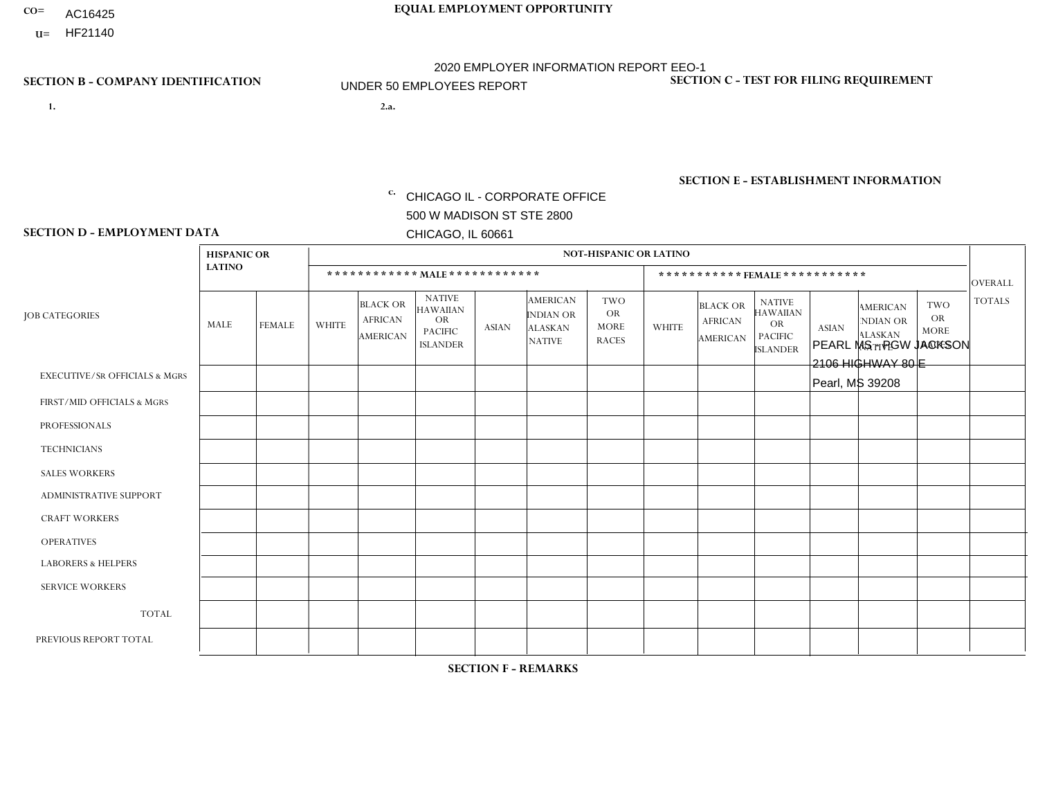- AC16425
- **U=**

**1. 2.a.** CHICAGO IL - CORPORATE OFFICE 500 W MADISON ST STE 2800 CHICAGO, IL 60661

2.a. PEARL MS - PGW JACKSON 2106 HIGHWAY 80 E Pearl, MS 39208

**SECTION B - COMPANY IDENTIFICATION SECTION C - TEST FOR FILING REQUIREMENT** 

1- Y 2- Y 3- N DUNS= 000123456

|                   | <b>SECTION E - ESTABLISHMENT INFORMATION</b> |
|-------------------|----------------------------------------------|
| c. EIN= 952920557 | NAICS: 811122                                |

### **SECTION D - EMPLOYMENT DATA**

|                                          | <b>HISPANIC OR</b> |               |              |                                                      |                                                                                    |              |                                                                 | <b>NOT-HISPANIC OR LATINO</b>                          |              |                                               |                                                                                    |              |                                                                       |                                                        |                |
|------------------------------------------|--------------------|---------------|--------------|------------------------------------------------------|------------------------------------------------------------------------------------|--------------|-----------------------------------------------------------------|--------------------------------------------------------|--------------|-----------------------------------------------|------------------------------------------------------------------------------------|--------------|-----------------------------------------------------------------------|--------------------------------------------------------|----------------|
|                                          | <b>LATINO</b>      |               |              |                                                      |                                                                                    |              |                                                                 |                                                        |              |                                               |                                                                                    |              |                                                                       |                                                        |                |
|                                          |                    |               |              | ************ MAIE************                        |                                                                                    |              |                                                                 |                                                        |              |                                               | ***********FEMALE***********                                                       |              |                                                                       |                                                        | <b>OVERALL</b> |
| <b>JOB CATEGORIES</b>                    | MALE               | <b>FEMALE</b> | <b>WHITE</b> | <b>BLACK OR</b><br><b>AFRICAN</b><br><b>AMERICAN</b> | <b>NATIVE</b><br><b>HAWAIIAN</b><br><b>OR</b><br><b>PACIFIC</b><br><b>ISLANDER</b> | <b>ASIAN</b> | <b>AMERICAN</b><br>INDIAN OR<br><b>ALASKAN</b><br><b>NATIVE</b> | <b>TWO</b><br><b>OR</b><br><b>MORE</b><br><b>RACES</b> | <b>WHITE</b> | <b>BLACK OR</b><br><b>AFRICAN</b><br>AMERICAN | <b>NATIVE</b><br><b>HAWAIIAN</b><br><b>OR</b><br><b>PACIFIC</b><br><b>ISLANDER</b> | <b>ASIAN</b> | <b>AMERICAN</b><br><b>NDIAN OR</b><br><b>ALASKAN</b><br><b>NATIVE</b> | <b>TWO</b><br><b>OR</b><br><b>MORE</b><br><b>RACES</b> | <b>TOTALS</b>  |
| <b>EXECUTIVE/SR OFFICIALS &amp; MGRS</b> | $\Omega$           | $\Omega$      | 0            | $\mathbf 0$                                          | 0                                                                                  | $\Omega$     | $\Omega$                                                        | $\Omega$                                               | $\Omega$     | $\Omega$                                      | $\Omega$                                                                           | $\Omega$     | $\Omega$                                                              | $\Omega$                                               | 0              |
| FIRST/MID OFFICIALS & MGRS               | $\Omega$           | $\mathbf 0$   | $\mathbf 0$  | 0                                                    | $\mathbf{0}$                                                                       | $\mathbf 0$  | $\Omega$                                                        | $\Omega$                                               | $\Omega$     | $\mathbf{0}$                                  | $\mathbf{0}$                                                                       | $\mathbf 0$  | $\Omega$                                                              | $\Omega$                                               | 0              |
| <b>PROFESSIONALS</b>                     | $\Omega$           | $\mathbf 0$   | $\mathbf 0$  | $\mathbf 0$                                          | 0                                                                                  | $\mathbf 0$  | $\overline{0}$                                                  | $\Omega$                                               | $\mathbf{0}$ | $\Omega$                                      | $\Omega$                                                                           | $\Omega$     | $\Omega$                                                              | $\Omega$                                               | 0              |
| <b>TECHNICIANS</b>                       | $\Omega$           | $\mathbf 0$   | $\Omega$     | $\mathbf 0$                                          | 0                                                                                  | $\Omega$     | $\overline{0}$                                                  | $\Omega$                                               | $\Omega$     | $\mathbf 0$                                   | $\Omega$                                                                           | $\mathbf 0$  | $\Omega$                                                              | $\Omega$                                               | $\mathbf 0$    |
| <b>SALES WORKERS</b>                     | $\Omega$           | $\mathbf 0$   | $\Omega$     | $\mathbf 0$                                          | 0                                                                                  | $\Omega$     | $\Omega$                                                        | $\Omega$                                               | $\Omega$     | $\Omega$                                      | $\Omega$                                                                           | $\Omega$     | $\Omega$                                                              | $\Omega$                                               | $\mathbf 0$    |
| <b>ADMINISTRATIVE SUPPORT</b>            | $\Omega$           | $\mathbf 0$   | $\mathbf 0$  | 0                                                    | $\mathbf 0$                                                                        | $\mathbf 0$  | $\Omega$                                                        | $\Omega$                                               | $\Omega$     | $\Omega$                                      | $\mathbf{0}$                                                                       | $\Omega$     | $\Omega$                                                              | $\Omega$                                               | 0              |
| <b>CRAFT WORKERS</b>                     | $\Omega$           | $\mathbf 0$   | $\mathbf 0$  | 0                                                    | 0                                                                                  | $\mathbf 0$  | $\Omega$                                                        | $\Omega$                                               | $\Omega$     | $\Omega$                                      | $\Omega$                                                                           | $\Omega$     | $\Omega$                                                              | $\Omega$                                               | $\mathbf 0$    |
| <b>OPERATIVES</b>                        | $\Omega$           | $\mathbf 0$   | 1            | $\overline{4}$                                       | 0                                                                                  | $\Omega$     | $\overline{0}$                                                  | $\Omega$                                               | $\Omega$     | $\Omega$                                      | $\Omega$                                                                           | $\Omega$     | $\Omega$                                                              | $\Omega$                                               | 5              |
| <b>LABORERS &amp; HELPERS</b>            | 0                  | $\Omega$      | 0            | $\mathbf{1}$                                         | 0                                                                                  | $\mathbf 0$  | $\Omega$                                                        | $\Omega$                                               | $\Omega$     | $\Omega$                                      | $\Omega$                                                                           | $\Omega$     | $\Omega$                                                              | $\Omega$                                               | $\mathbf{1}$   |
| <b>SERVICE WORKERS</b>                   | $\Omega$           | $\mathbf 0$   | $\mathbf 0$  | 0                                                    | $\mathbf 0$                                                                        | $\mathbf 0$  | $\Omega$                                                        | $\Omega$                                               | $\Omega$     | $\Omega$                                      | $\Omega$                                                                           | $\mathbf 0$  | $\Omega$                                                              | $\Omega$                                               | 0              |
| <b>TOTAL</b>                             | 0                  | $\mathbf 0$   | 1            | 5                                                    | 0                                                                                  | $\mathbf 0$  | $\mathbf{0}$                                                    | $\Omega$                                               | 0            | $\Omega$                                      | $\Omega$                                                                           | $\mathbf{0}$ | $\Omega$                                                              | $\mathbf 0$                                            | 6              |
| PREVIOUS REPORT TOTAL                    |                    | $\mathbf 0$   | 1            | 3                                                    | 0                                                                                  | $\Omega$     | $\Omega$                                                        | $\Omega$                                               | $\Omega$     | $\Omega$                                      | $\Omega$                                                                           | $\Omega$     | $\Omega$                                                              | $\Omega$                                               | 5              |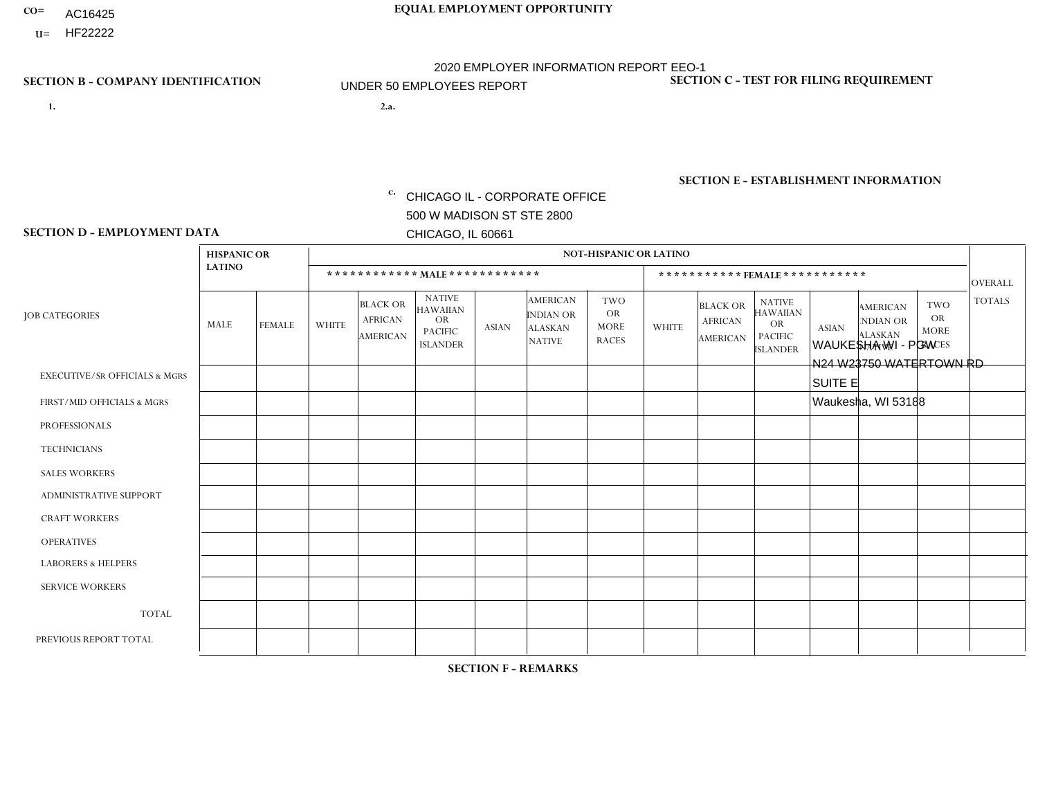- AC16425
- **U=**

- **1. 2.a.** CHICAGO IL CORPORATE OFFICE 500 W MADISON ST STE 2800 CHICAGO, IL 60661
- 2.a. WAUKESHA WI PGW N24 W23750 WATERTOWN RD SUITE E Waukesha, WI 53188
	- EIN= 952920557

## **SECTION B - COMPANY IDENTIFICATION SECTION C - TEST FOR FILING REQUIREMENT**

1- Y 2- Y 3- N DUNS= 000123456

**SECTION E - ESTABLISHMENT INFORMATION c.** NAICS: 811122

### **SECTION D - EMPLOYMENT DATA**

|                                          | <b>HISPANIC OR</b> |                |              |                                                      |                                                                                    |              |                                                                        | <b>NOT-HISPANIC OR LATINO</b>                   |                |                                               |                                                                                    |              |                                                                       |                                                        |                |
|------------------------------------------|--------------------|----------------|--------------|------------------------------------------------------|------------------------------------------------------------------------------------|--------------|------------------------------------------------------------------------|-------------------------------------------------|----------------|-----------------------------------------------|------------------------------------------------------------------------------------|--------------|-----------------------------------------------------------------------|--------------------------------------------------------|----------------|
|                                          | <b>LATINO</b>      |                |              | ************ MALE ************                       |                                                                                    |              |                                                                        |                                                 |                | ***********FEMALE***********                  |                                                                                    |              |                                                                       |                                                        | <b>OVERALL</b> |
| <b>JOB CATEGORIES</b>                    | MALE               | <b>FEMALE</b>  | <b>WHITE</b> | <b>BLACK OR</b><br><b>AFRICAN</b><br><b>AMERICAN</b> | <b>NATIVE</b><br><b>HAWAIIAN</b><br><b>OR</b><br><b>PACIFIC</b><br><b>ISLANDER</b> | <b>ASIAN</b> | <b>AMERICAN</b><br><b>INDIAN OR</b><br><b>ALASKAN</b><br><b>NATIVE</b> | TWO<br><b>OR</b><br><b>MORE</b><br><b>RACES</b> | <b>WHITE</b>   | <b>BLACK OR</b><br><b>AFRICAN</b><br>AMERICAN | <b>NATIVE</b><br><b>HAWAIIAN</b><br><b>OR</b><br><b>PACIFIC</b><br><b>ISLANDER</b> | <b>ASIAN</b> | <b>AMERICAN</b><br><b>NDIAN OR</b><br><b>ALASKAN</b><br><b>NATIVE</b> | <b>TWO</b><br><b>OR</b><br><b>MORE</b><br><b>RACES</b> | <b>TOTALS</b>  |
| <b>EXECUTIVE/SR OFFICIALS &amp; MGRS</b> | $\Omega$           | $\mathbf 0$    | $\Omega$     | $\mathbf 0$                                          | $\mathbf 0$                                                                        | $\mathbf 0$  | $\Omega$                                                               | $\Omega$                                        | $\Omega$       | $\Omega$                                      | $\Omega$                                                                           | $\mathbf 0$  | $\mathbf 0$                                                           | $\mathbf 0$                                            | $\mathbf{0}$   |
| FIRST/MID OFFICIALS & MGRS               | 0                  | $\mathbf 0$    | -1           | $\mathbf 0$                                          | $\Omega$                                                                           | $\Omega$     | $\Omega$                                                               | $\Omega$                                        | 0              | $\Omega$                                      | $\Omega$                                                                           | $\Omega$     | $\Omega$                                                              | $\mathbf 0$                                            | $\mathbf{1}$   |
| <b>PROFESSIONALS</b>                     | 0                  | $\overline{0}$ | 1            | $\mathbf 0$                                          | $\mathbf 0$                                                                        | $\Omega$     | $\Omega$                                                               | $\Omega$                                        | $\overline{0}$ | $\Omega$                                      | $\Omega$                                                                           | $\mathbf 0$  | 0                                                                     | $\mathbf 0$                                            | $\mathbf{1}$   |
| <b>TECHNICIANS</b>                       | 0                  | $\Omega$       | $\Omega$     | $\mathbf 0$                                          | $\Omega$                                                                           | $\Omega$     | $\Omega$                                                               | $\Omega$                                        | $\Omega$       | $\Omega$                                      | $\Omega$                                                                           | $\Omega$     | $\Omega$                                                              | $\Omega$                                               | $\mathbf{0}$   |
| <b>SALES WORKERS</b>                     | 0                  | $\Omega$       | $\Omega$     | $\mathbf 0$                                          | $\Omega$                                                                           | $\Omega$     | $\Omega$                                                               | $\Omega$                                        | $\Omega$       | $\Omega$                                      | $\Omega$                                                                           | $\Omega$     | $\Omega$                                                              | $\Omega$                                               | $\Omega$       |
| ADMINISTRATIVE SUPPORT                   | $\Omega$           | $\Omega$       | $\Omega$     | $\Omega$                                             | $\Omega$                                                                           | $\Omega$     | $\Omega$                                                               | $\Omega$                                        | $\Omega$       | $\Omega$                                      | $\Omega$                                                                           | $\Omega$     | $\Omega$                                                              | $\Omega$                                               | $\Omega$       |
| <b>CRAFT WORKERS</b>                     | 0                  | $\Omega$       | $\Omega$     | $\mathbf 0$                                          | $\Omega$                                                                           | $\Omega$     | $\Omega$                                                               | $\Omega$                                        | $\Omega$       | $\Omega$                                      | $\Omega$                                                                           | $\Omega$     | $\Omega$                                                              | $\mathbf{0}$                                           | $\mathbf 0$    |
| <b>OPERATIVES</b>                        | 0                  | $\Omega$       | 2            | $\mathbf 0$                                          | $\Omega$                                                                           | $\Omega$     | $\Omega$                                                               |                                                 | $\Omega$       | $\Omega$                                      | $\Omega$                                                                           | $\Omega$     | $\Omega$                                                              | $\Omega$                                               | 3              |
| <b>LABORERS &amp; HELPERS</b>            | 0                  | $\Omega$       | $\Omega$     | $\mathbf 0$                                          | $\Omega$                                                                           | $\Omega$     | $\Omega$                                                               | $\Omega$                                        | $\Omega$       | $\Omega$                                      | $\Omega$                                                                           | $\Omega$     | $\Omega$                                                              | $\Omega$                                               | $\overline{0}$ |
| <b>SERVICE WORKERS</b>                   | 0                  | $\Omega$       | $\mathbf 0$  | 0                                                    | $\mathbf{0}$                                                                       | $\Omega$     | $\Omega$                                                               | $\Omega$                                        | $\Omega$       | $\Omega$                                      | $\Omega$                                                                           | $\Omega$     | $\Omega$                                                              | $\Omega$                                               | 0              |
| <b>TOTAL</b>                             | $\mathbf 0$        | $\mathbf 0$    | 4            | $\mathbf 0$                                          | 0                                                                                  | $\mathbf 0$  | $\Omega$                                                               |                                                 | $\Omega$       | $\Omega$                                      | $\Omega$                                                                           | $\mathbf 0$  | 0                                                                     | $\mathbf 0$                                            | 5              |
| PREVIOUS REPORT TOTAL                    | 0                  | $\mathbf{0}$   | 5            | $\overline{2}$                                       | 0                                                                                  | $\Omega$     | $\Omega$                                                               |                                                 | 0              | $\Omega$                                      | $\Omega$                                                                           | $\mathbf 0$  | 0                                                                     | $\mathbf 0$                                            | 8              |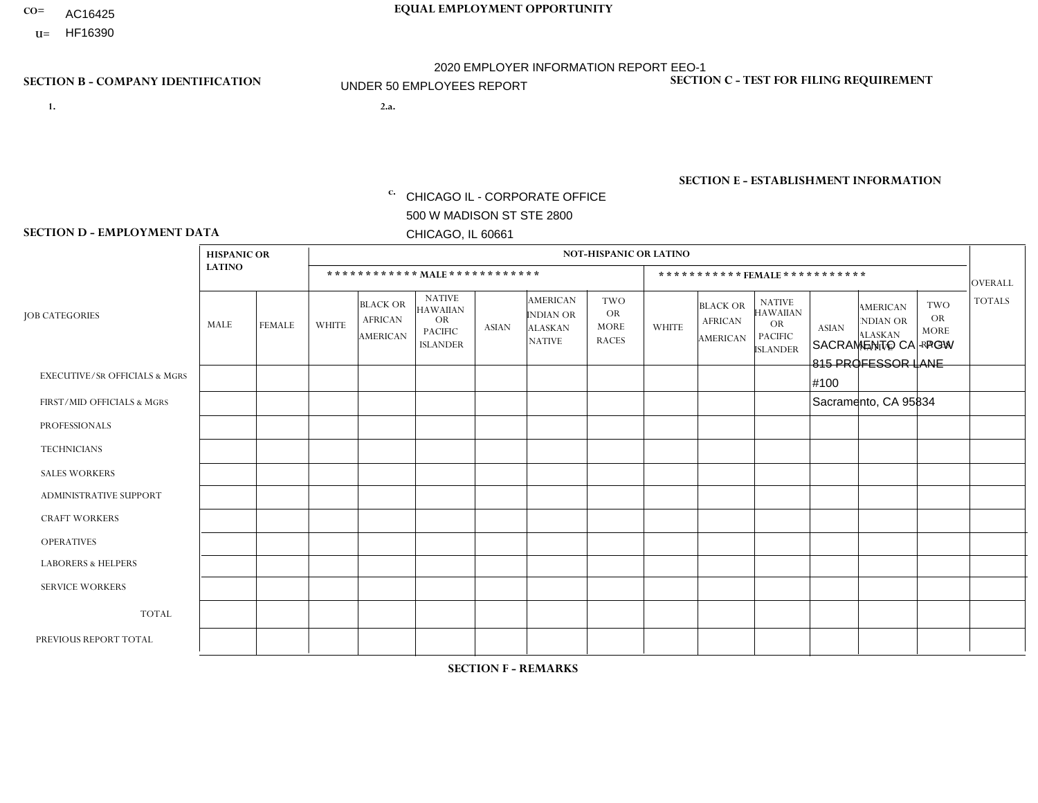- AC16425
- **U=**

- **1. 2.a.** CHICAGO IL CORPORATE OFFICE 500 W MADISON ST STE 2800 CHICAGO, IL 60661
- 2.a. SACRAMENTO CA PGW 815 PROFESSOR LANE #100 Sacramento, CA 95834
	- c. EIN= 952920557

## **SECTION B - COMPANY IDENTIFICATION SECTION C - TEST FOR FILING REQUIREMENT**

1- Y 2- Y 3- N DUNS= 000123456

**SECTION E - ESTABLISHMENT INFORMATION c.** NAICS: 811122

### **SECTION D - EMPLOYMENT DATA**

|                                          | <b>HISPANIC OR</b> |                |              |                                                      |                                                                                    |              |                                                                        | <b>NOT-HISPANIC OR LATINO</b>                          |                |                                               |                                                                                    |              |                                                                       |                                                        |                |
|------------------------------------------|--------------------|----------------|--------------|------------------------------------------------------|------------------------------------------------------------------------------------|--------------|------------------------------------------------------------------------|--------------------------------------------------------|----------------|-----------------------------------------------|------------------------------------------------------------------------------------|--------------|-----------------------------------------------------------------------|--------------------------------------------------------|----------------|
|                                          | <b>LATINO</b>      |                |              |                                                      | ************ MALE************                                                      |              |                                                                        |                                                        |                |                                               | ***********FEMALE***********                                                       |              |                                                                       |                                                        | <b>OVERALL</b> |
| <b>JOB CATEGORIES</b>                    | MALE               | <b>FEMALE</b>  | <b>WHITE</b> | <b>BLACK OR</b><br><b>AFRICAN</b><br><b>AMERICAN</b> | <b>NATIVE</b><br><b>HAWAIIAN</b><br><b>OR</b><br><b>PACIFIC</b><br><b>ISLANDER</b> | <b>ASIAN</b> | <b>AMERICAN</b><br><b>INDIAN OR</b><br><b>ALASKAN</b><br><b>NATIVE</b> | <b>TWO</b><br><b>OR</b><br><b>MORE</b><br><b>RACES</b> | <b>WHITE</b>   | <b>BLACK OR</b><br><b>AFRICAN</b><br>AMERICAN | <b>NATIVE</b><br><b>HAWAIIAN</b><br><b>OR</b><br><b>PACIFIC</b><br><b>ISLANDER</b> | <b>ASIAN</b> | <b>AMERICAN</b><br><b>NDIAN OR</b><br><b>ALASKAN</b><br><b>NATIVE</b> | <b>TWO</b><br><b>OR</b><br><b>MORE</b><br><b>RACES</b> | <b>TOTALS</b>  |
| <b>EXECUTIVE/SR OFFICIALS &amp; MGRS</b> | $\Omega$           | 0              | $\mathbf 0$  | $\mathbf 0$                                          | 0                                                                                  | $\mathbf 0$  | $\Omega$                                                               | $\Omega$                                               | $\Omega$       | $\Omega$                                      | $\Omega$                                                                           | $\mathbf 0$  | 0                                                                     | $\mathbf 0$                                            | $\overline{0}$ |
| FIRST/MID OFFICIALS & MGRS               | 0                  | $\Omega$       | 1            | $\Omega$                                             | $\Omega$                                                                           | $\Omega$     | $\Omega$                                                               | $\Omega$                                               | $\overline{0}$ | $\Omega$                                      | $\Omega$                                                                           | $\Omega$     | $\Omega$                                                              | $\Omega$                                               | $\mathbf{1}$   |
| <b>PROFESSIONALS</b>                     | 0                  | $\Omega$       | $\Omega$     | $\mathbf 0$                                          | $\Omega$                                                                           | $\Omega$     | $\Omega$                                                               | $\Omega$                                               | 0              | $\Omega$                                      | $\Omega$                                                                           | $\Omega$     | $\Omega$                                                              | $\mathbf{0}$                                           | $\mathbf{0}$   |
| <b>TECHNICIANS</b>                       | 0                  | $\overline{0}$ | $\mathbf 0$  | $\mathbf 0$                                          | $\Omega$                                                                           | $\Omega$     | $\Omega$                                                               | $\Omega$                                               | 0              | $\Omega$                                      | $\Omega$                                                                           | $\Omega$     | $\Omega$                                                              | $\Omega$                                               | $\mathbf{0}$   |
| <b>SALES WORKERS</b>                     | $\Omega$           | $\Omega$       | $\Omega$     | $\mathbf 0$                                          | $\Omega$                                                                           | $\Omega$     | $\Omega$                                                               | $\Omega$                                               | $\Omega$       | $\Omega$                                      | $\Omega$                                                                           | $\Omega$     | $\Omega$                                                              | $\Omega$                                               | $\mathbf{0}$   |
| ADMINISTRATIVE SUPPORT                   | $\Omega$           | $\Omega$       | $\Omega$     | $\mathbf 0$                                          | $\Omega$                                                                           | $\Omega$     | $\Omega$                                                               | $\Omega$                                               | 0              | $\Omega$                                      | $\Omega$                                                                           | $\Omega$     | $\Omega$                                                              | $\Omega$                                               | $\mathbf 0$    |
| <b>CRAFT WORKERS</b>                     | 0                  | 0              | $\Omega$     | $\mathbf 0$                                          | 0                                                                                  | $\Omega$     | $\Omega$                                                               | $\Omega$                                               | $\Omega$       | $\Omega$                                      | $\Omega$                                                                           | $\mathbf{0}$ | $\mathbf{0}$                                                          | $\mathbf 0$                                            | $\mathbf 0$    |
| <b>OPERATIVES</b>                        | 3                  | $\Omega$       | $\Omega$     | $\mathbf 0$                                          | $\Omega$                                                                           | $\Omega$     | $\Omega$                                                               | $\Omega$                                               | $\Omega$       | $\Omega$                                      | $\Omega$                                                                           | $\Omega$     | $\Omega$                                                              | $\Omega$                                               | 3              |
| <b>LABORERS &amp; HELPERS</b>            | 0                  | $\Omega$       | $\Omega$     | $\mathbf 0$                                          | 0                                                                                  | $\mathbf{1}$ | $\Omega$                                                               | $\Omega$                                               | $\Omega$       | $\Omega$                                      | $\Omega$                                                                           | $\Omega$     | $\Omega$                                                              | $\Omega$                                               | $\mathbf{1}$   |
| <b>SERVICE WORKERS</b>                   | 0                  | $\Omega$       | $\mathbf 0$  | $\mathbf 0$                                          | $\mathbf{0}$                                                                       | $\mathbf 0$  | $\Omega$                                                               | $\Omega$                                               | $\Omega$       | $\Omega$                                      | $\Omega$                                                                           | $\Omega$     | $\Omega$                                                              | $\mathbf 0$                                            | $\mathbf{0}$   |
| <b>TOTAL</b>                             | 3                  | $\mathbf 0$    |              | 0                                                    | 0                                                                                  | -1           | $\Omega$                                                               | $\Omega$                                               | $\Omega$       | $\Omega$                                      | $\Omega$                                                                           | $\mathbf 0$  | $\Omega$                                                              | $\Omega$                                               | 5              |
| PREVIOUS REPORT TOTAL                    | 0                  | $\mathbf{0}$   | 2            | $\mathbf 0$                                          | $\mathbf{0}$                                                                       | $\Omega$     | $\Omega$                                                               | $\Omega$                                               | 0              | $\Omega$                                      | $\Omega$                                                                           | $\Omega$     | 0                                                                     | $\mathbf 0$                                            | $\overline{2}$ |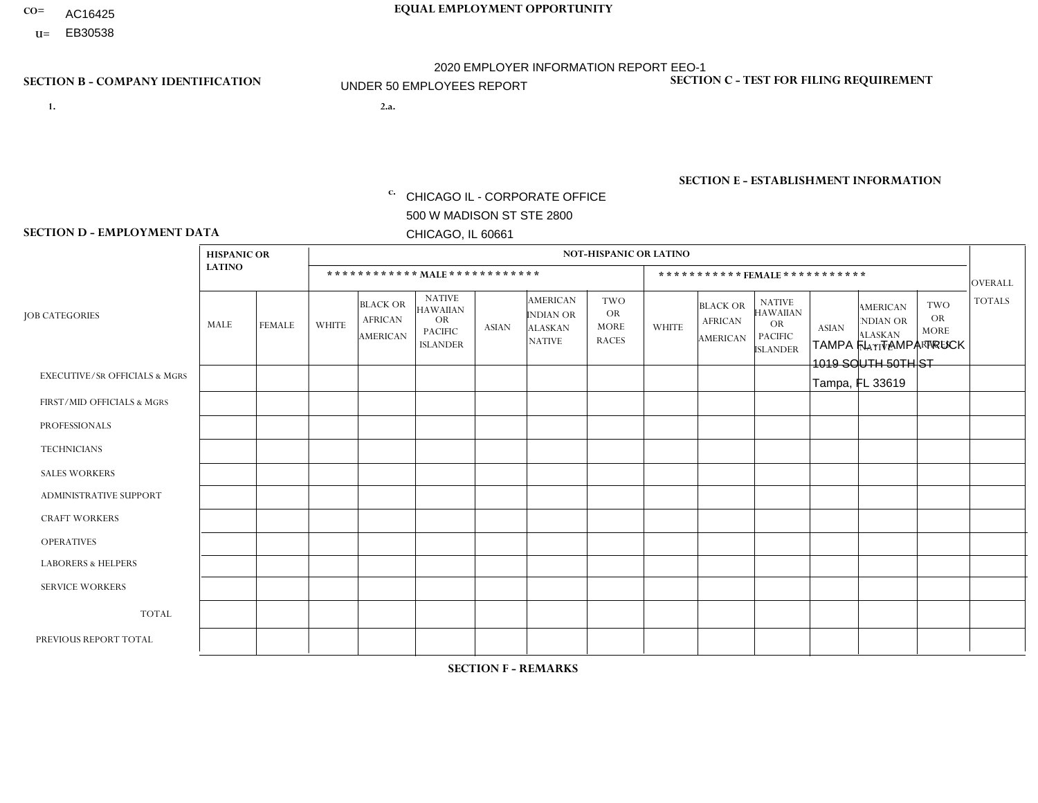- AC16425
- **U=**

**1. 2.a.** CHICAGO IL - CORPORATE OFFICE 500 W MADISON ST STE 2800 CHICAGO, IL 60661

2.a. TAMPA FL - TAMPA TRUCK 1019 SOUTH 50TH ST Tampa, FL 33619

**SECTION B - COMPANY IDENTIFICATION SECTION C - TEST FOR FILING REQUIREMENT** 

1- Y 2- Y 3- N DUNS= 000123456

|                   | <b>SECTION E - ESTABLISHMENT INFORMATION</b> |
|-------------------|----------------------------------------------|
| c. EIN= 952920557 | NAICS: 423140                                |

### **SECTION D - EMPLOYMENT DATA**

|                                          | <b>HISPANIC OR</b> |               |                |                                                      |                                                                                    |                      |                                                                        | <b>NOT-HISPANIC OR LATINO</b>                          |                |                                               |                                                                                    |              |                                                                       |                                                        |                |
|------------------------------------------|--------------------|---------------|----------------|------------------------------------------------------|------------------------------------------------------------------------------------|----------------------|------------------------------------------------------------------------|--------------------------------------------------------|----------------|-----------------------------------------------|------------------------------------------------------------------------------------|--------------|-----------------------------------------------------------------------|--------------------------------------------------------|----------------|
|                                          | <b>LATINO</b>      |               |                | ************ MALE ************                       |                                                                                    |                      |                                                                        |                                                        |                |                                               | ***********FEMALE***********                                                       |              |                                                                       |                                                        | <b>OVERALL</b> |
| <b>JOB CATEGORIES</b>                    | MALE               | <b>FEMALE</b> | <b>WHITE</b>   | <b>BLACK OR</b><br><b>AFRICAN</b><br><b>AMERICAN</b> | <b>NATIVE</b><br><b>HAWAIIAN</b><br><b>OR</b><br><b>PACIFIC</b><br><b>ISLANDER</b> | ASIAN                | <b>AMERICAN</b><br><b>INDIAN OR</b><br><b>ALASKAN</b><br><b>NATIVE</b> | <b>TWO</b><br><b>OR</b><br><b>MORE</b><br><b>RACES</b> | <b>WHITE</b>   | <b>BLACK OR</b><br><b>AFRICAN</b><br>AMERICAN | <b>NATIVE</b><br><b>HAWAIIAN</b><br><b>OR</b><br><b>PACIFIC</b><br><b>ISLANDER</b> | <b>ASIAN</b> | <b>AMERICAN</b><br><b>NDIAN OR</b><br><b>ALASKAN</b><br><b>NATIVE</b> | <b>TWO</b><br><b>OR</b><br><b>MORE</b><br><b>RACES</b> | <b>TOTALS</b>  |
| <b>EXECUTIVE/SR OFFICIALS &amp; MGRS</b> | $\Omega$           | $\mathbf 0$   | $\Omega$       | $\mathbf 0$                                          | $\mathbf 0$                                                                        | $\mathbf 0$          | $\Omega$                                                               | $\Omega$                                               | $\Omega$       | $\Omega$                                      | $\Omega$                                                                           | $\Omega$     | $\Omega$                                                              | $\Omega$                                               | $\mathbf 0$    |
| FIRST/MID OFFICIALS & MGRS               | $\Omega$           | 0             | 4              | $\mathbf 0$                                          | $\mathbf 0$                                                                        | $\mathbf 0$          | $\Omega$                                                               | $\Omega$                                               | 1              | $\Omega$                                      | $\Omega$                                                                           | $\Omega$     | $\Omega$                                                              | $\Omega$                                               | 5              |
| <b>PROFESSIONALS</b>                     | $\Omega$           | $\Omega$      | 1              | $\mathbf 0$                                          | $\Omega$                                                                           | $\Omega$             | $\Omega$                                                               | $\Omega$                                               | $\Omega$       | $\Omega$                                      | $\Omega$                                                                           | $\Omega$     | $\Omega$                                                              | $\mathbf{0}$                                           | $\mathbf{1}$   |
| <b>TECHNICIANS</b>                       | $\Omega$           | $\mathbf 0$   | $\Omega$       | $\mathbf 0$                                          | $\mathbf 0$                                                                        | $\Omega$             | $\overline{0}$                                                         | $\Omega$                                               | $\mathbf{0}$   | $\Omega$                                      | $\Omega$                                                                           | $\Omega$     | $\Omega$                                                              | $\Omega$                                               | $\mathbf 0$    |
| <b>SALES WORKERS</b>                     | $\Omega$           | $\Omega$      | $\overline{2}$ | $\mathbf{1}$                                         | 0                                                                                  | $\Omega$             | $\Omega$                                                               | $\Omega$                                               | $\Omega$       | $\Omega$                                      | $\Omega$                                                                           | $\Omega$     | $\Omega$                                                              | $\mathbf{0}$                                           | 3              |
| <b>ADMINISTRATIVE SUPPORT</b>            | $\Omega$           | $\mathbf 0$   | 3              | $\mathbf 0$                                          | $\mathbf 0$                                                                        | $\mathbf 0$          | $\Omega$                                                               | $\Omega$                                               | 0              | $\Omega$                                      | $\Omega$                                                                           | $\Omega$     | $\Omega$                                                              | $\mathbf 0$                                            | 3              |
| <b>CRAFT WORKERS</b>                     | $\overline{2}$     | $\Omega$      | 4              | $\mathbf{1}$                                         | 0                                                                                  | $\mathbf{1}$         | $\Omega$                                                               | $\Omega$                                               | $\Omega$       | $\Omega$                                      | $\mathbf{0}$                                                                       | $\Omega$     | $\Omega$                                                              | $\Omega$                                               | 8              |
| <b>OPERATIVES</b>                        | $\Omega$           | $\Omega$      | $\Omega$       | 0                                                    | $\Omega$                                                                           | $\Omega$             | $\Omega$                                                               | $\Omega$                                               | $\Omega$       | $\Omega$                                      | $\Omega$                                                                           | $\Omega$     | $\Omega$                                                              | $\Omega$                                               | $\mathbf{0}$   |
| <b>LABORERS &amp; HELPERS</b>            | $\Omega$           | $\Omega$      | 0              | $\mathbf 0$                                          | 0                                                                                  | $\Omega$             | $\Omega$                                                               |                                                        | $\Omega$       | $\Omega$                                      | $\mathbf{0}$                                                                       | $\Omega$     | $\Omega$                                                              | $\mathbf{0}$                                           | $\mathbf{1}$   |
| <b>SERVICE WORKERS</b>                   | $\Omega$           | $\mathbf 0$   | 0              | $\mathbf 0$                                          | $\mathbf{0}$                                                                       | $\mathbf 0$          | $\Omega$                                                               | $\Omega$                                               | $\Omega$       | $\Omega$                                      | $\Omega$                                                                           | $\mathbf 0$  | $\Omega$                                                              | $\mathbf 0$                                            | 0              |
| <b>TOTAL</b>                             | 2                  | $\mathbf 0$   | 14             | $\overline{2}$                                       | 0                                                                                  | $\mathbf{1}$         | $\Omega$                                                               |                                                        | $\mathbf{1}$   | $\Omega$                                      | $\Omega$                                                                           | $\mathbf 0$  | $\Omega$                                                              | $\Omega$                                               | 21             |
| PREVIOUS REPORT TOTAL                    | 3                  | $\Omega$      | 19             | 3                                                    | $\mathbf{0}$                                                                       | $\blacktriangleleft$ | $\Omega$                                                               |                                                        | $\overline{2}$ | $\Omega$                                      | $\mathbf{0}$                                                                       | $\Omega$     | $\Omega$                                                              | $\Omega$                                               | 29             |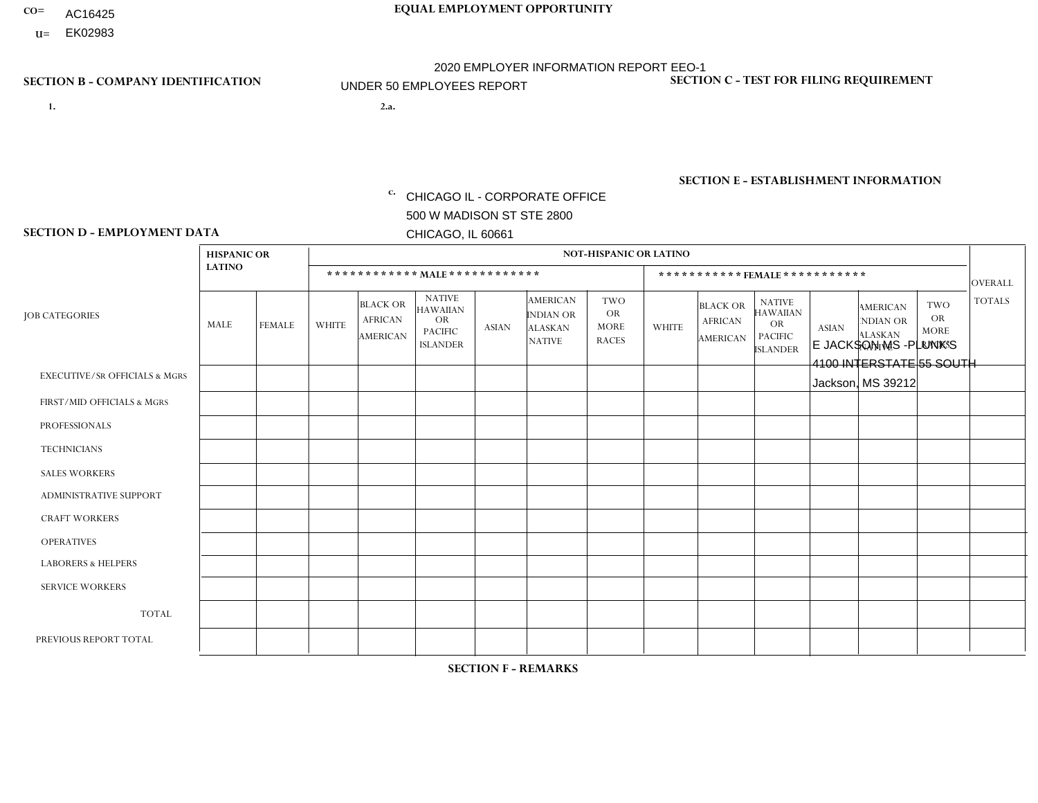- AC16425
- **U=**

- **1. 2.a.** CHICAGO IL CORPORATE OFFICE 500 W MADISON ST STE 2800 CHICAGO, IL 60661
- 2.a. E JACKSON MS -PLUNK'S 4100 INTERSTATE 55 SOUTH Jackson, MS 39212

EIN= 952920557

## **SECTION B - COMPANY IDENTIFICATION SECTION C - TEST FOR FILING REQUIREMENT**

1- Y 2- Y 3- N DUNS= 000123456

**SECTION E - ESTABLISHMENT INFORMATION c.** NAICS: 423140

### **SECTION D - EMPLOYMENT DATA**

|                                          | <b>HISPANIC OR</b> |                |                |                                                      |                                                                                    |              |                                                                 | <b>NOT-HISPANIC OR LATINO</b>                          |                |                                               |                                                                                    |              |                                                                |                                                        |                |
|------------------------------------------|--------------------|----------------|----------------|------------------------------------------------------|------------------------------------------------------------------------------------|--------------|-----------------------------------------------------------------|--------------------------------------------------------|----------------|-----------------------------------------------|------------------------------------------------------------------------------------|--------------|----------------------------------------------------------------|--------------------------------------------------------|----------------|
|                                          | <b>LATINO</b>      |                |                |                                                      | ************ MALE ************                                                     |              |                                                                 |                                                        |                | ***********FEMALE***********                  |                                                                                    |              |                                                                |                                                        | <b>OVERALL</b> |
| <b>JOB CATEGORIES</b>                    | MALE               | <b>FEMALE</b>  | <b>WHITE</b>   | <b>BLACK OR</b><br><b>AFRICAN</b><br><b>AMERICAN</b> | <b>NATIVE</b><br><b>HAWAIIAN</b><br><b>OR</b><br><b>PACIFIC</b><br><b>ISLANDER</b> | <b>ASIAN</b> | <b>AMERICAN</b><br>INDIAN OR<br><b>ALASKAN</b><br><b>NATIVE</b> | <b>TWO</b><br><b>OR</b><br><b>MORE</b><br><b>RACES</b> | <b>WHITE</b>   | <b>BLACK OR</b><br><b>AFRICAN</b><br>AMERICAN | <b>NATIVE</b><br><b>HAWAIIAN</b><br><b>OR</b><br><b>PACIFIC</b><br><b>ISLANDER</b> | <b>ASIAN</b> | <b>AMERICAN</b><br>NDIAN OR<br><b>ALASKAN</b><br><b>NATIVE</b> | <b>TWO</b><br><b>OR</b><br><b>MORE</b><br><b>RACES</b> | <b>TOTALS</b>  |
| <b>EXECUTIVE/SR OFFICIALS &amp; MGRS</b> | $\Omega$           | $\Omega$       | $\Omega$       | $\Omega$                                             | $\Omega$                                                                           | $\mathbf{0}$ | $\Omega$                                                        | $\Omega$                                               | 0              | $\Omega$                                      | $\Omega$                                                                           | $\mathbf{0}$ | $\Omega$                                                       | $\Omega$                                               | $\Omega$       |
| FIRST/MID OFFICIALS & MGRS               | 0                  | $\Omega$       | $\overline{c}$ | $\mathbf 0$                                          | $\Omega$                                                                           | $\mathbf{0}$ | $\mathbf{0}$                                                    | $\Omega$                                               |                | $\Omega$                                      | $\Omega$                                                                           | $\Omega$     | $\Omega$                                                       | $\Omega$                                               | 3              |
| <b>PROFESSIONALS</b>                     | 0                  | $\Omega$       | $\Omega$       | $\mathbf 0$                                          | $\Omega$                                                                           | $\Omega$     | $\Omega$                                                        | $\Omega$                                               | 0              | $\Omega$                                      | $\Omega$                                                                           | $\Omega$     | $\Omega$                                                       | $\Omega$                                               | $\mathbf{0}$   |
| <b>TECHNICIANS</b>                       | 0                  | $\overline{0}$ | $\mathbf 0$    | $\mathbf 0$                                          | $\overline{0}$                                                                     | $\Omega$     | $\Omega$                                                        | $\Omega$                                               | $\overline{0}$ | $\Omega$                                      | $\Omega$                                                                           | $\mathbf 0$  | $\mathbf 0$                                                    | $\mathbf 0$                                            | $\mathbf 0$    |
| <b>SALES WORKERS</b>                     | $\Omega$           | $\Omega$       | 3              | $\overline{1}$                                       | $\Omega$                                                                           | $\Omega$     | $\Omega$                                                        | $\Omega$                                               | 0              | $\Omega$                                      | $\Omega$                                                                           | $\Omega$     | $\Omega$                                                       | $\mathbf{0}$                                           | $\overline{4}$ |
| <b>ADMINISTRATIVE SUPPORT</b>            | 0                  | $\Omega$       | $\Omega$       | $\mathbf 0$                                          | $\Omega$                                                                           | $\mathbf{0}$ | $\mathbf{0}$                                                    | $\Omega$                                               |                | $\Omega$                                      | $\Omega$                                                                           | $\Omega$     | $\mathbf{0}$                                                   | $\Omega$                                               | $\mathbf{1}$   |
| <b>CRAFT WORKERS</b>                     | 0                  | $\Omega$       | $\overline{2}$ | 2                                                    | $\Omega$                                                                           | $\Omega$     | $\Omega$                                                        | $\Omega$                                               | 0              | $\Omega$                                      | $\Omega$                                                                           | $\mathbf{0}$ | $\Omega$                                                       | $\mathbf{0}$                                           | 4              |
| <b>OPERATIVES</b>                        | 0                  | $\Omega$       | $\mathbf 0$    | $\overline{1}$                                       | $\mathbf 0$                                                                        | $\Omega$     | $\Omega$                                                        | $\Omega$                                               | $\overline{0}$ | $\Omega$                                      | $\Omega$                                                                           | $\mathbf 0$  | $\mathbf 0$                                                    | $\mathbf 0$                                            | $\mathbf{1}$   |
| <b>LABORERS &amp; HELPERS</b>            | 0                  | $\Omega$       | $\overline{2}$ | $\overline{1}$                                       | $\Omega$                                                                           | $\Omega$     | $\Omega$                                                        | $\Omega$                                               | 0              | $\Omega$                                      | $\Omega$                                                                           | $\mathbf{0}$ | $\Omega$                                                       | $\mathbf{0}$                                           | 3              |
| <b>SERVICE WORKERS</b>                   | 0                  | $\Omega$       | $\mathbf 0$    | 0                                                    | 0                                                                                  | $\Omega$     | $\mathbf{0}$                                                    | $\Omega$                                               | $\Omega$       | $\Omega$                                      | $\Omega$                                                                           | 0            | $\Omega$                                                       | $\mathbf 0$                                            | 0              |
| <b>TOTAL</b>                             | $\mathbf 0$        | $\mathbf 0$    | 9              | 5                                                    | 0                                                                                  | $\mathbf 0$  | $\Omega$                                                        | $\Omega$                                               | $\overline{2}$ | $\Omega$                                      | $\Omega$                                                                           | $\mathbf 0$  | 0                                                              | $\mathbf 0$                                            | 16             |
| PREVIOUS REPORT TOTAL                    | 0                  | $\Omega$       | 16             | 5                                                    | $\Omega$                                                                           | $\Omega$     | $\Omega$                                                        | $\Omega$                                               | 3              | $\Omega$                                      | $\Omega$                                                                           | $\Omega$     | $\Omega$                                                       | $\mathbf 0$                                            | 24             |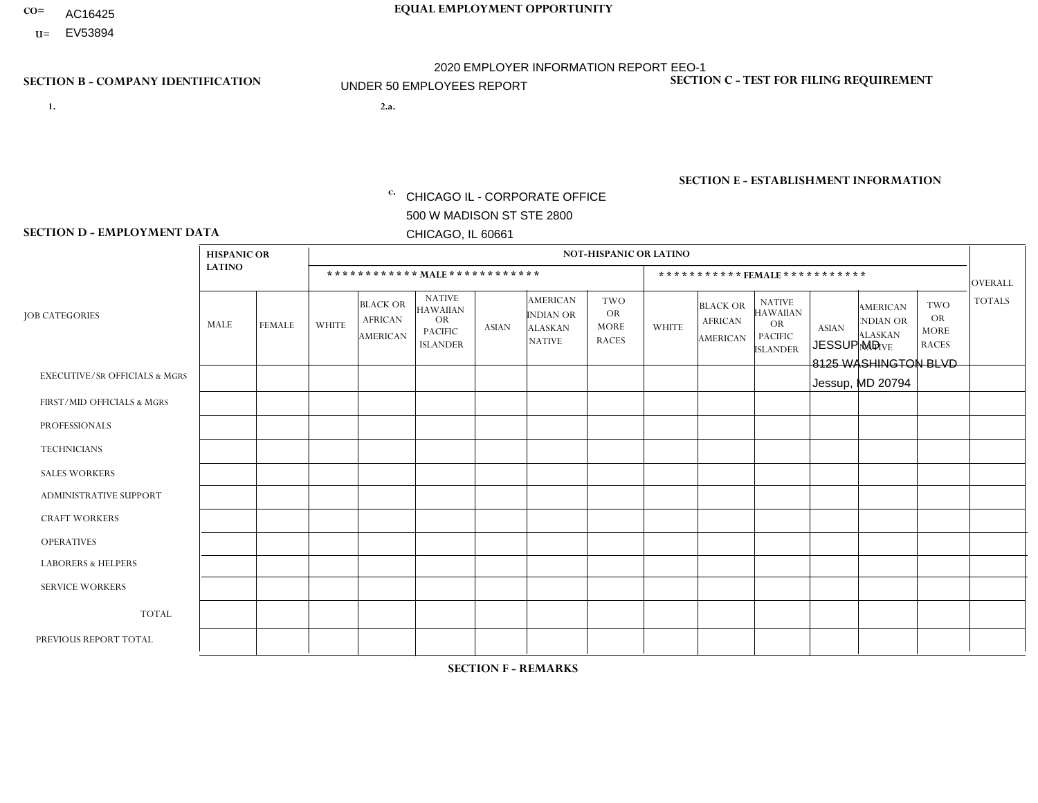- AC16425
- **U=** EV53894

- **1. 2.a.** CHICAGO IL CORPORATE OFFICE 500 W MADISON ST STE 2800 CHICAGO, IL 60661
- 2.a. JESSUP MD 8125 WASHINGTON BLVD Jessup, MD 20794

EIN= 952920557

## **SECTION B - COMPANY IDENTIFICATION SECTION C - TEST FOR FILING REQUIREMENT**

1- Y 2- Y 3- N DUNS= 000123456

**SECTION E - ESTABLISHMENT INFORMATION c.** NAICS: 423140

### **SECTION D - EMPLOYMENT DATA**

|                                          | <b>HISPANIC OR</b> |                      |                |                                                      |                                                                                    |              |                                                                 | <b>NOT-HISPANIC OR LATINO</b>                          |              |                                                      |                                                                             |              |                                                                |                                                        |                |
|------------------------------------------|--------------------|----------------------|----------------|------------------------------------------------------|------------------------------------------------------------------------------------|--------------|-----------------------------------------------------------------|--------------------------------------------------------|--------------|------------------------------------------------------|-----------------------------------------------------------------------------|--------------|----------------------------------------------------------------|--------------------------------------------------------|----------------|
|                                          | <b>LATINO</b>      |                      |                | ************ MALE ************                       |                                                                                    |              |                                                                 |                                                        |              |                                                      | ***********FEMALE***********                                                |              |                                                                |                                                        | <b>OVERALL</b> |
| <b>JOB CATEGORIES</b>                    | MALE               | <b>FEMALE</b>        | <b>WHITE</b>   | <b>BLACK OR</b><br><b>AFRICAN</b><br><b>AMERICAN</b> | <b>NATIVE</b><br><b>HAWAIIAN</b><br><b>OR</b><br><b>PACIFIC</b><br><b>ISLANDER</b> | <b>ASIAN</b> | <b>AMERICAN</b><br>INDIAN OR<br><b>ALASKAN</b><br><b>NATIVE</b> | <b>TWO</b><br><b>OR</b><br><b>MORE</b><br><b>RACES</b> | <b>WHITE</b> | <b>BLACK OR</b><br><b>AFRICAN</b><br><b>AMERICAN</b> | <b>NATIVE</b><br><b>HAWAIIAN</b><br>OR<br><b>PACIFIC</b><br><b>ISLANDER</b> | <b>ASIAN</b> | <b>AMERICAN</b><br>NDIAN OR<br><b>ALASKAN</b><br><b>NATIVE</b> | <b>TWO</b><br><b>OR</b><br><b>MORE</b><br><b>RACES</b> | <b>TOTALS</b>  |
| <b>EXECUTIVE/SR OFFICIALS &amp; MGRS</b> | $\Omega$           | $\Omega$             | $\Omega$       | $\Omega$                                             | $\Omega$                                                                           | $\Omega$     | $\Omega$                                                        | $\Omega$                                               | 0            | $\Omega$                                             | $\Omega$                                                                    | $\Omega$     | $\Omega$                                                       | $\Omega$                                               | $\Omega$       |
| FIRST/MID OFFICIALS & MGRS               |                    | $\Omega$             | $\Omega$       | $\mathbf 0$                                          | 0                                                                                  | $\mathbf{0}$ | $\Omega$                                                        | $\Omega$                                               | 0            | $\Omega$                                             | 0                                                                           | $\mathbf 0$  | $\Omega$                                                       | $\mathbf 0$                                            | $\mathbf{1}$   |
| <b>PROFESSIONALS</b>                     | $\Omega$           | $\Omega$             | $\Omega$       | $\mathbf 0$                                          | $\Omega$                                                                           | $\Omega$     | $\Omega$                                                        | $\Omega$                                               | 1            | $\Omega$                                             | 0                                                                           | $\Omega$     | $\Omega$                                                       | $\mathbf 0$                                            | $\mathbf{1}$   |
| <b>TECHNICIANS</b>                       | $\mathbf 0$        | $\mathbf 0$          | $\Omega$       | $\mathbf 0$                                          | $\mathbf 0$                                                                        | $\Omega$     | $\Omega$                                                        | $\Omega$                                               | 0            | $\mathbf 0$                                          | 0                                                                           | $\mathbf 0$  | $\Omega$                                                       | $\mathbf 0$                                            | $\mathbf{0}$   |
| <b>SALES WORKERS</b>                     | $\Omega$           | $\Omega$             | $\Omega$       | $\Omega$                                             | $\Omega$                                                                           | $\Omega$     | $\Omega$                                                        | $\Omega$                                               | $\Omega$     | $\Omega$                                             | $\Omega$                                                                    | $\Omega$     | $\Omega$                                                       | $\Omega$                                               | $\Omega$       |
| <b>ADMINISTRATIVE SUPPORT</b>            | $\Omega$           | $\mathbf 1$          | 1              | $\overline{1}$                                       | $\Omega$                                                                           | $\Omega$     | $\Omega$                                                        | $\Omega$                                               | 1            | 2                                                    | 0                                                                           | $\Omega$     | $\Omega$                                                       | $\Omega$                                               | 6              |
| <b>CRAFT WORKERS</b>                     | $\Omega$           | $\Omega$             | $\mathbf{0}$   | $\mathbf 0$                                          | $\mathbf 0$                                                                        | $\Omega$     | $\Omega$                                                        | $\Omega$                                               | 0            | $\Omega$                                             | 0                                                                           | $\mathbf 0$  | $\Omega$                                                       | $\mathbf 0$                                            | $\mathbf 0$    |
| <b>OPERATIVES</b>                        | 5                  | $\mathbf{1}$         | $\overline{c}$ | 10                                                   | $\Omega$                                                                           | $\Omega$     | $\Omega$                                                        | $\Omega$                                               | 1            | $\Omega$                                             | $\Omega$                                                                    | $\Omega$     | $\Omega$                                                       | $\Omega$                                               | 19             |
| <b>LABORERS &amp; HELPERS</b>            | $\Omega$           | $\Omega$             | $\mathbf{0}$   | $\mathbf 0$                                          | $\mathbf 0$                                                                        | $\Omega$     | $\Omega$                                                        | $\Omega$                                               | 0            | $\Omega$                                             | 0                                                                           | $\mathbf 0$  | $\Omega$                                                       | $\mathbf 0$                                            | $\mathbf{0}$   |
| <b>SERVICE WORKERS</b>                   | $\Omega$           | $\Omega$             | 0              | $\mathbf 0$                                          | $\mathbf 0$                                                                        | $\Omega$     | $\Omega$                                                        | $\Omega$                                               | 0            | $\Omega$                                             | $\Omega$                                                                    | 0            | $\Omega$                                                       | $\mathbf 0$                                            | $\mathbf 0$    |
| <b>TOTAL</b>                             | 6                  | $\overline{2}$       | 3              | 11                                                   | $\mathbf 0$                                                                        | 0            | $\Omega$                                                        | $\Omega$                                               | 3            | $\overline{2}$                                       | 0                                                                           | $\mathbf 0$  | $\Omega$                                                       | $\mathbf 0$                                            | 27             |
| PREVIOUS REPORT TOTAL                    | 3                  | $\blacktriangleleft$ | 8              | 13                                                   | $\Omega$                                                                           | $\Omega$     | $\Omega$                                                        |                                                        | 3            | $\overline{1}$                                       | 0                                                                           | $\mathbf 0$  | $\Omega$                                                       | $\mathbf 0$                                            | 30             |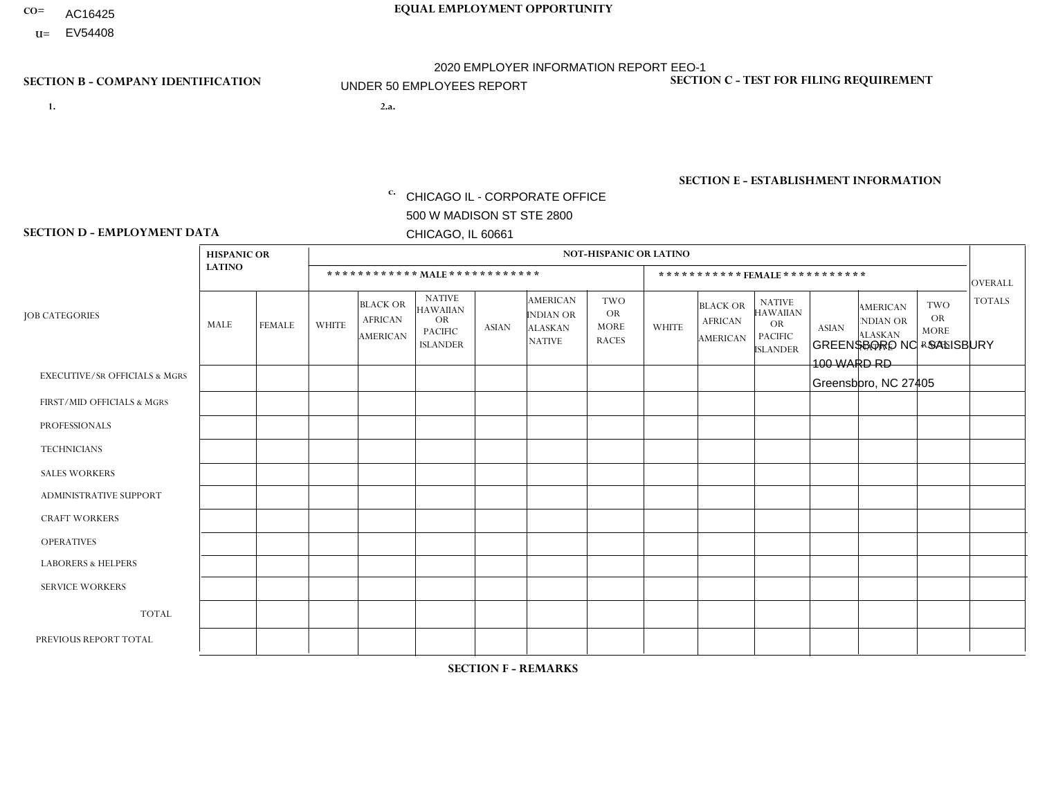- AC16425
- **U=** EV54408

**1. 2.a.** CHICAGO IL - CORPORATE OFFICE 500 W MADISON ST STE 2800 CHICAGO, IL 60661

2.a. GREENSBORO NC - SALISBURY 100 WARD RD Greensboro, NC 27405

c. EIN= 952920557

## **SECTION B - COMPANY IDENTIFICATION SECTION C - TEST FOR FILING REQUIREMENT**

1- Y 2- Y 3- N DUNS= 000123456

**SECTION E - ESTABLISHMENT INFORMATION c.** NAICS: 423140

### **SECTION D - EMPLOYMENT DATA**

|                                          | <b>HISPANIC OR</b> |                |              |                                                      |                                                                                    |              |                                                                 | <b>NOT-HISPANIC OR LATINO</b>                          |                |                                                      |                                                                                    |              |                                                                       |                                                        |                |
|------------------------------------------|--------------------|----------------|--------------|------------------------------------------------------|------------------------------------------------------------------------------------|--------------|-----------------------------------------------------------------|--------------------------------------------------------|----------------|------------------------------------------------------|------------------------------------------------------------------------------------|--------------|-----------------------------------------------------------------------|--------------------------------------------------------|----------------|
|                                          | <b>LATINO</b>      |                |              | ************ MALE ************                       |                                                                                    |              |                                                                 |                                                        |                |                                                      | ***********FEMALE***********                                                       |              |                                                                       |                                                        | <b>OVERALL</b> |
| <b>JOB CATEGORIES</b>                    | MALE               | <b>FEMALE</b>  | <b>WHITE</b> | <b>BLACK OR</b><br><b>AFRICAN</b><br><b>AMERICAN</b> | <b>NATIVE</b><br><b>HAWAIIAN</b><br><b>OR</b><br><b>PACIFIC</b><br><b>ISLANDER</b> | <b>ASIAN</b> | <b>AMERICAN</b><br>INDIAN OR<br><b>ALASKAN</b><br><b>NATIVE</b> | <b>TWO</b><br><b>OR</b><br><b>MORE</b><br><b>RACES</b> | <b>WHITE</b>   | <b>BLACK OR</b><br><b>AFRICAN</b><br><b>AMERICAN</b> | <b>NATIVE</b><br><b>HAWAIIAN</b><br><b>OR</b><br><b>PACIFIC</b><br><b>ISLANDER</b> | <b>ASIAN</b> | <b>AMERICAN</b><br><b>NDIAN OR</b><br><b>ALASKAN</b><br><b>NATIVE</b> | <b>TWO</b><br><b>OR</b><br><b>MORE</b><br><b>RACES</b> | <b>TOTALS</b>  |
| <b>EXECUTIVE/SR OFFICIALS &amp; MGRS</b> | $\mathbf{0}$       | $\Omega$       | $\Omega$     | $\Omega$                                             | 0                                                                                  | $\Omega$     | $\Omega$                                                        | $\Omega$                                               | $\Omega$       | $\mathbf{0}$                                         | $\Omega$                                                                           | $\Omega$     | $\Omega$                                                              | $\Omega$                                               | $\Omega$       |
| FIRST/MID OFFICIALS & MGRS               | и                  | $\Omega$       | $\Omega$     | $\mathbf 0$                                          | $\mathbf{0}$                                                                       | $\Omega$     | $\Omega$                                                        | $\Omega$                                               | $\Omega$       | $\Omega$                                             | $\Omega$                                                                           | $\Omega$     | $\Omega$                                                              | $\Omega$                                               | $\mathbf{1}$   |
| <b>PROFESSIONALS</b>                     |                    | $\mathbf 0$    | $\mathbf 0$  | $\mathbf 0$                                          | $\overline{0}$                                                                     | $\Omega$     | $\Omega$                                                        | $\Omega$                                               | 1              | $\Omega$                                             | $\Omega$                                                                           | $\Omega$     | $\Omega$                                                              | $\mathbf{0}$                                           | $\overline{2}$ |
| <b>TECHNICIANS</b>                       | $\Omega$           | $\Omega$       | $\Omega$     | $\Omega$                                             | 0                                                                                  | $\Omega$     | $\overline{0}$                                                  | $\Omega$                                               | $\Omega$       | $\Omega$                                             | $\Omega$                                                                           | $\Omega$     | $\mathbf{0}$                                                          | $\Omega$                                               | $\mathbf{0}$   |
| <b>SALES WORKERS</b>                     | $\Omega$           | $\Omega$       | $\Omega$     | $\Omega$                                             | $\Omega$                                                                           | $\Omega$     | $\Omega$                                                        | $\Omega$                                               | $\Omega$       | $\Omega$                                             | $\Omega$                                                                           | $\Omega$     | $\Omega$                                                              | $\mathbf{0}$                                           | $\mathbf 0$    |
| <b>ADMINISTRATIVE SUPPORT</b>            | $\overline{2}$     | $\overline{1}$ | $\mathbf{0}$ | 1                                                    | $\mathbf 0$                                                                        | $\mathbf 0$  | $\Omega$                                                        | $\Omega$                                               | 1              |                                                      | $\Omega$                                                                           | $\Omega$     | $\Omega$                                                              | $\Omega$                                               | 6              |
| <b>CRAFT WORKERS</b>                     | $\Omega$           | $\Omega$       | $\Omega$     | $\mathbf 0$                                          | 0                                                                                  | $\Omega$     | $\Omega$                                                        | $\Omega$                                               | $\Omega$       | $\Omega$                                             | $\Omega$                                                                           | $\Omega$     | $\Omega$                                                              | $\Omega$                                               | $\Omega$       |
| <b>OPERATIVES</b>                        | $\overline{2}$     | $\Omega$       | $\Omega$     | 6                                                    | 0                                                                                  | $\Omega$     | $\Omega$                                                        |                                                        | $\Omega$       | $\Omega$                                             | $\Omega$                                                                           | $\Omega$     | $\Omega$                                                              | $\Omega$                                               | 9              |
| <b>LABORERS &amp; HELPERS</b>            | $\Omega$           | $\Omega$       | $\Omega$     | $\mathbf{1}$                                         | 0                                                                                  | $\Omega$     | $\Omega$                                                        | $\Omega$                                               | $\Omega$       | $\Omega$                                             | $\Omega$                                                                           | $\Omega$     | $\Omega$                                                              | $\mathbf{0}$                                           | $\mathbf{1}$   |
| <b>SERVICE WORKERS</b>                   | $\Omega$<br>0      |                |              | $\mathbf 0$                                          | $\mathbf 0$                                                                        | $\Omega$     | $\Omega$                                                        | $\Omega$                                               | $\Omega$       | $\Omega$                                             | $\Omega$                                                                           | $\Omega$     | $\Omega$                                                              | $\Omega$                                               | 0              |
| <b>TOTAL</b>                             | 6                  | $\mathbf{1}$   | 0            | 8                                                    | 0                                                                                  | $\mathbf 0$  | $\mathbf{0}$                                                    |                                                        | $\overline{2}$ |                                                      | $\Omega$                                                                           | $\mathbf 0$  | $\Omega$                                                              | $\Omega$                                               | 19             |
| PREVIOUS REPORT TOTAL                    | 6                  | $\overline{2}$ | 2            | $\overline{4}$                                       | 0                                                                                  | $\Omega$     | $\overline{0}$                                                  |                                                        | $\mathbf 1$    | 2                                                    | $\mathbf{0}$                                                                       | $\Omega$     | $\Omega$                                                              | $\mathbf 0$                                            | 18             |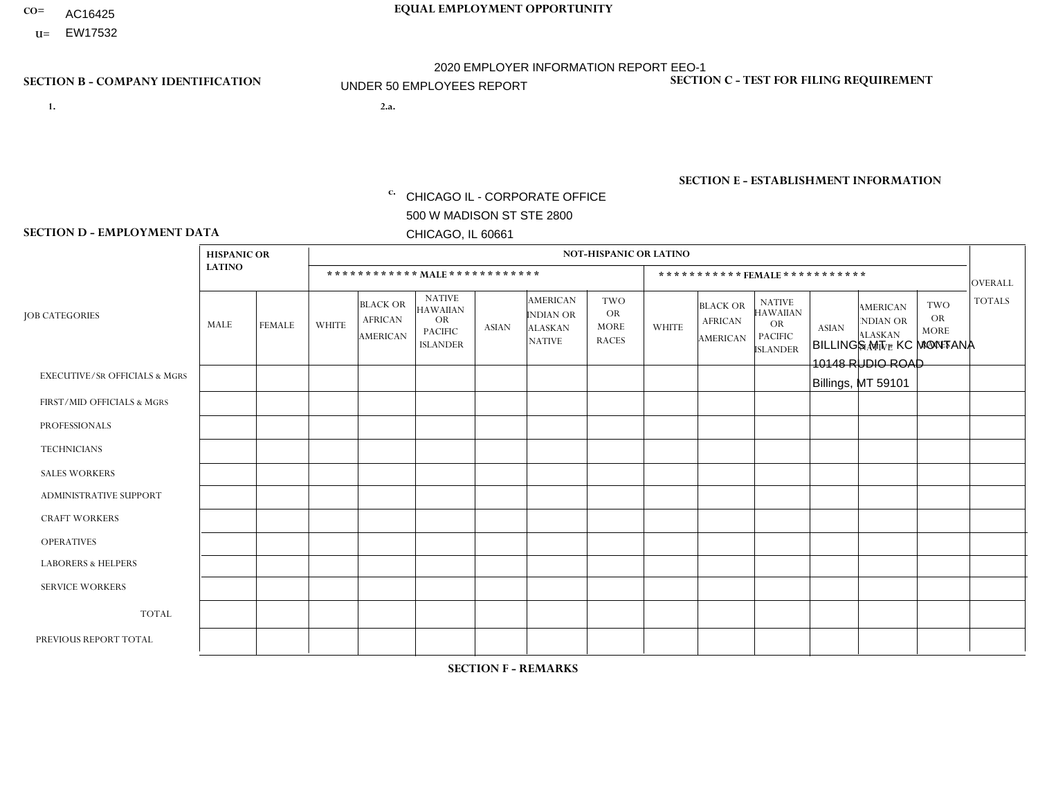- AC16425
- **U=**

**1. 2.a.** CHICAGO IL - CORPORATE OFFICE 500 W MADISON ST STE 2800 CHICAGO, IL 60661

2.a. BILLINGS MT - KC MONTANA 10148 RUDIO ROAD Billings, MT 59101

c. EIN= 952920557

## **SECTION B - COMPANY IDENTIFICATION SECTION C - TEST FOR FILING REQUIREMENT**

1- Y 2- Y 3- N DUNS= 000123456

**SECTION E - ESTABLISHMENT INFORMATION c.** NAICS: 423140

### **SECTION D - EMPLOYMENT DATA**

|                                          | <b>HISPANIC OR</b> |               |                |                                                      |                                                                                    |             |                                                                        | <b>NOT-HISPANIC OR LATINO</b>                          |                |                                               |                                                                             |              |                                                                       |                                                        |                |
|------------------------------------------|--------------------|---------------|----------------|------------------------------------------------------|------------------------------------------------------------------------------------|-------------|------------------------------------------------------------------------|--------------------------------------------------------|----------------|-----------------------------------------------|-----------------------------------------------------------------------------|--------------|-----------------------------------------------------------------------|--------------------------------------------------------|----------------|
|                                          | <b>LATINO</b>      |               |                | ************ MALE ************                       |                                                                                    |             |                                                                        |                                                        |                | ***********FEMALE***********                  |                                                                             |              |                                                                       |                                                        | <b>OVERALL</b> |
| <b>JOB CATEGORIES</b>                    | MALE               | <b>FEMALE</b> | <b>WHITE</b>   | <b>BLACK OR</b><br><b>AFRICAN</b><br><b>AMERICAN</b> | <b>NATIVE</b><br><b>HAWAIIAN</b><br><b>OR</b><br><b>PACIFIC</b><br><b>ISLANDER</b> | ASIAN       | <b>AMERICAN</b><br><b>INDIAN OR</b><br><b>ALASKAN</b><br><b>NATIVE</b> | <b>TWO</b><br><b>OR</b><br><b>MORE</b><br><b>RACES</b> | <b>WHITE</b>   | <b>BLACK OR</b><br><b>AFRICAN</b><br>AMERICAN | <b>NATIVE</b><br><b>HAWAIIAN</b><br>OR<br><b>PACIFIC</b><br><b>ISLANDER</b> | <b>ASIAN</b> | <b>AMERICAN</b><br><b>NDIAN OR</b><br><b>ALASKAN</b><br><b>NATIVE</b> | <b>TWO</b><br><b>OR</b><br><b>MORE</b><br><b>RACES</b> | <b>TOTALS</b>  |
| <b>EXECUTIVE/SR OFFICIALS &amp; MGRS</b> | $\Omega$           | $\Omega$      | $\Omega$       | $\mathbf 0$                                          | $\mathbf 0$                                                                        | $\Omega$    | $\Omega$                                                               | $\Omega$                                               | $\Omega$       | $\Omega$                                      | $\Omega$                                                                    | $\mathbf 0$  | $\Omega$                                                              | $\mathbf 0$                                            | $\mathbf{0}$   |
| FIRST/MID OFFICIALS & MGRS               | 0                  | 0             | 1              | $\mathbf 0$                                          | 0                                                                                  | $\Omega$    | $\Omega$                                                               | $\Omega$                                               | 0              | $\Omega$                                      | $\Omega$                                                                    | $\mathbf{0}$ | $\Omega$                                                              | $\mathbf 0$                                            | $\mathbf{1}$   |
| <b>PROFESSIONALS</b>                     | $\Omega$           | $\Omega$      | $\Omega$       | $\mathbf 0$                                          | $\Omega$                                                                           | $\Omega$    | $\Omega$                                                               | $\Omega$                                               | $\overline{0}$ | $\Omega$                                      | $\Omega$                                                                    | $\Omega$     | $\Omega$                                                              | $\Omega$                                               | $\mathbf 0$    |
| <b>TECHNICIANS</b>                       | 0                  | $\mathbf 0$   | $\Omega$       | $\mathbf 0$                                          | $\Omega$                                                                           | $\Omega$    | $\Omega$                                                               | $\Omega$                                               | $\Omega$       | $\Omega$                                      | $\Omega$                                                                    | $\Omega$     | $\Omega$                                                              | $\Omega$                                               | $\mathbf{0}$   |
| <b>SALES WORKERS</b>                     | $\Omega$           | $\Omega$      | 1              | $\mathbf 0$                                          | $\Omega$                                                                           | $\Omega$    | $\Omega$                                                               | $\Omega$                                               | $\overline{0}$ | $\Omega$                                      | $\Omega$                                                                    | $\Omega$     | $\Omega$                                                              | $\mathbf{0}$                                           | $\mathbf{1}$   |
| ADMINISTRATIVE SUPPORT                   | $\mathbf 0$        | 0             | $\Omega$       | $\mathbf 0$                                          | 0                                                                                  | $\Omega$    | $\Omega$                                                               | $\Omega$                                               | $\Omega$       | $\Omega$                                      | $\Omega$                                                                    | $\Omega$     | $\mathbf{0}$                                                          | $\mathbf 0$                                            | $\mathbf 0$    |
| <b>CRAFT WORKERS</b>                     | 0                  | $\Omega$      | $\overline{c}$ | $\mathbf 0$                                          | $\Omega$                                                                           | $\Omega$    | $\Omega$                                                               | $\Omega$                                               | 0              | $\Omega$                                      | $\Omega$                                                                    | $\Omega$     | $\Omega$                                                              | $\Omega$                                               | 2              |
| <b>OPERATIVES</b>                        | 0                  | $\Omega$      | $\Omega$       | $\mathbf 0$                                          | $\Omega$                                                                           | $\Omega$    | $\Omega$                                                               | $\Omega$                                               | $\Omega$       | $\Omega$                                      | $\Omega$                                                                    | $\Omega$     | $\Omega$                                                              | $\Omega$                                               | $\overline{0}$ |
| <b>LABORERS &amp; HELPERS</b>            | 0                  | $\Omega$      | $\Omega$       | $\mathbf 0$                                          | $\mathbf 0$                                                                        | $\Omega$    | $\Omega$                                                               | $\Omega$                                               | $\Omega$       | $\Omega$                                      | $\Omega$                                                                    | $\Omega$     | $\Omega$                                                              | $\Omega$                                               | $\mathbf{0}$   |
| <b>SERVICE WORKERS</b>                   | 0                  | $\mathbf 0$   | $\mathbf 0$    | $\mathbf 0$                                          | $\mathbf{0}$                                                                       | $\mathbf 0$ | $\Omega$                                                               | $\Omega$                                               | $\Omega$       | $\Omega$                                      | $\Omega$                                                                    | $\mathbf 0$  | $\Omega$                                                              | $\mathbf 0$                                            | $\overline{0}$ |
| <b>TOTAL</b>                             | $\Omega$           | 0             | 4              | 0                                                    | 0                                                                                  | $\Omega$    | $\Omega$                                                               | $\Omega$                                               | $\Omega$       | $\Omega$                                      | $\Omega$                                                                    | $\mathbf 0$  | 0                                                                     | $\mathbf 0$                                            | $\overline{4}$ |
| PREVIOUS REPORT TOTAL                    | 0                  | $\Omega$      | 5              | $\mathbf 0$                                          | $\Omega$                                                                           | $\Omega$    | $\Omega$                                                               | $\Omega$                                               | 0              | $\Omega$                                      | $\Omega$                                                                    | $\Omega$     | $\Omega$                                                              | $\mathbf 0$                                            | 5              |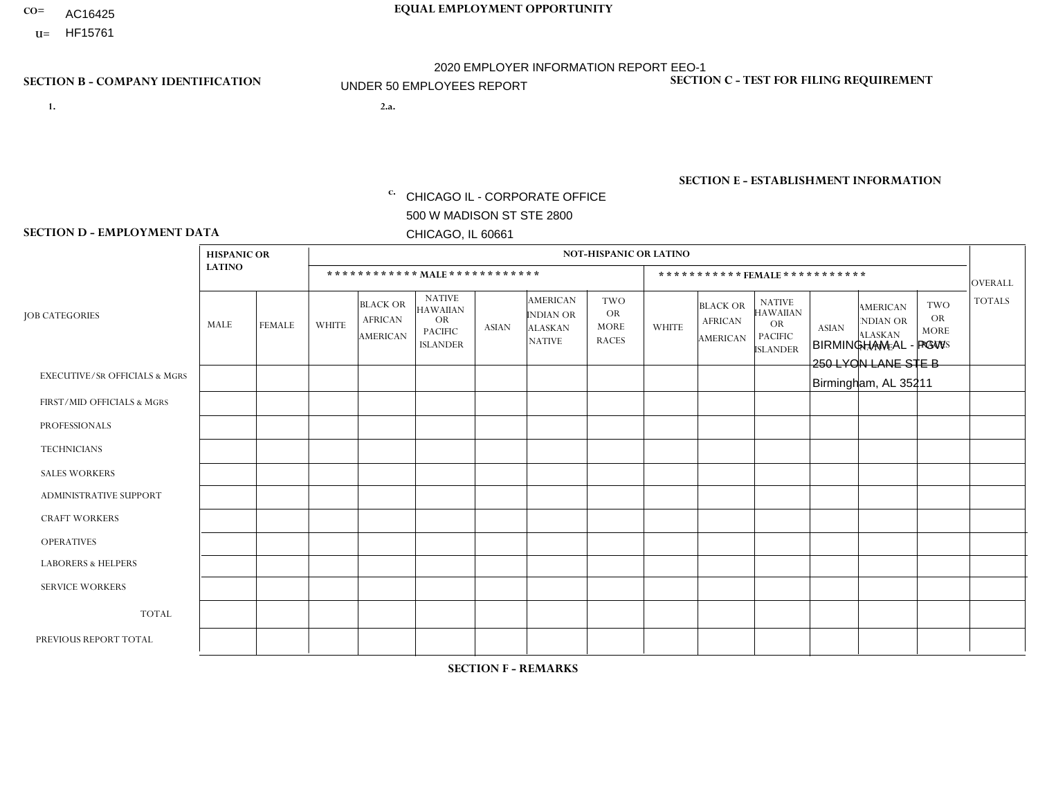- AC16425
- **U=**

**1. 2.a.** CHICAGO IL - CORPORATE OFFICE 500 W MADISON ST STE 2800 CHICAGO, IL 60661

2.a. BIRMINGHAM AL - PGW 250 LYON LANE STE B Birmingham, AL 35211

c. EIN= 952920557

## **SECTION B - COMPANY IDENTIFICATION SECTION C - TEST FOR FILING REQUIREMENT**

1- Y 2- Y 3- N DUNS= 000123456

**SECTION E - ESTABLISHMENT INFORMATION c.** NAICS: 811122

### **SECTION D - EMPLOYMENT DATA**

|                                          | <b>HISPANIC OR</b> |               |              |                                                      |                                                                                    |              |                                                                        | <b>NOT-HISPANIC OR LATINO</b>                          |              |                                               |                                                                                    |              |                                                                |                                                        |                |
|------------------------------------------|--------------------|---------------|--------------|------------------------------------------------------|------------------------------------------------------------------------------------|--------------|------------------------------------------------------------------------|--------------------------------------------------------|--------------|-----------------------------------------------|------------------------------------------------------------------------------------|--------------|----------------------------------------------------------------|--------------------------------------------------------|----------------|
|                                          | <b>LATINO</b>      |               |              | ************ MAIE************                        |                                                                                    |              |                                                                        |                                                        |              |                                               | ***********FEMALE***********                                                       |              |                                                                |                                                        | <b>OVERALL</b> |
| <b>JOB CATEGORIES</b>                    | MALE               | <b>FEMALE</b> | <b>WHITE</b> | <b>BLACK OR</b><br><b>AFRICAN</b><br><b>AMERICAN</b> | <b>NATIVE</b><br><b>HAWAIIAN</b><br><b>OR</b><br><b>PACIFIC</b><br><b>ISLANDER</b> | <b>ASIAN</b> | <b>AMERICAN</b><br><b>INDIAN OR</b><br><b>ALASKAN</b><br><b>NATIVE</b> | <b>TWO</b><br><b>OR</b><br><b>MORE</b><br><b>RACES</b> | <b>WHITE</b> | <b>BLACK OR</b><br><b>AFRICAN</b><br>AMERICAN | <b>NATIVE</b><br><b>HAWAIIAN</b><br><b>OR</b><br><b>PACIFIC</b><br><b>ISLANDER</b> | <b>ASIAN</b> | <b>AMERICAN</b><br>NDIAN OR<br><b>ALASKAN</b><br><b>NATIVE</b> | <b>TWO</b><br><b>OR</b><br><b>MORE</b><br><b>RACES</b> | <b>TOTALS</b>  |
| <b>EXECUTIVE/SR OFFICIALS &amp; MGRS</b> | $\Omega$           | $\mathbf 0$   | $\Omega$     | $\mathbf 0$                                          | $\mathbf 0$                                                                        | $\mathbf 0$  | $\Omega$                                                               | $\Omega$                                               | $\mathbf 0$  | $\Omega$                                      | $\Omega$                                                                           | $\mathbf 0$  | $\Omega$                                                       | $\Omega$                                               | $\mathbf 0$    |
| FIRST/MID OFFICIALS & MGRS               | $\Omega$           | $\Omega$      | 1            | $\Omega$                                             | $\Omega$                                                                           | $\Omega$     | $\Omega$                                                               | $\Omega$                                               | $\Omega$     | $\Omega$                                      | $\Omega$                                                                           | $\Omega$     | $\Omega$                                                       | $\mathbf{0}$                                           | $\mathbf{1}$   |
| <b>PROFESSIONALS</b>                     | $\Omega$           | $\mathbf 0$   | $\Omega$     | $\mathbf 0$                                          | $\Omega$                                                                           | $\Omega$     | $\Omega$                                                               | $\Omega$                                               | $\Omega$     | $\Omega$                                      | $\mathbf{0}$                                                                       | $\Omega$     | $\Omega$                                                       | $\Omega$                                               | $\mathbf 0$    |
| <b>TECHNICIANS</b>                       | $\mathbf 0$        | $\mathbf 0$   | $\mathbf 0$  | $\mathbf 0$                                          | $\mathbf 0$                                                                        | $\mathbf 0$  | $\Omega$                                                               | $\Omega$                                               | $\mathbf 0$  | $\Omega$                                      | $\Omega$                                                                           | $\Omega$     | $\Omega$                                                       | $\mathbf{0}$                                           | $\mathbf 0$    |
| <b>SALES WORKERS</b>                     | $\Omega$           | $\Omega$      | $\Omega$     | $\Omega$                                             | $\Omega$                                                                           | $\Omega$     | $\Omega$                                                               | $\Omega$                                               | $\Omega$     | $\Omega$                                      | $\Omega$                                                                           | $\Omega$     | $\Omega$                                                       | $\mathbf{0}$                                           | $\Omega$       |
| ADMINISTRATIVE SUPPORT                   | $\Omega$           | $\Omega$      | $\Omega$     | $\mathbf 0$                                          | $\mathbf{0}$                                                                       | $\Omega$     | $\Omega$                                                               | $\Omega$                                               | $\Omega$     | $\Omega$                                      | $\Omega$                                                                           | $\Omega$     | $\Omega$                                                       | $\Omega$                                               | $\mathbf 0$    |
| <b>CRAFT WORKERS</b>                     | $\Omega$           | $\Omega$      | $\mathbf 0$  | $\mathbf 0$                                          | 0                                                                                  | $\Omega$     | $\overline{0}$                                                         | $\Omega$                                               | $\Omega$     | $\Omega$                                      | $\mathbf{0}$                                                                       | $\Omega$     | $\Omega$                                                       | $\Omega$                                               | $\mathbf 0$    |
| <b>OPERATIVES</b>                        | $\Omega$           | $\Omega$      | 1            | 3                                                    | $\Omega$                                                                           | $\mathbf{1}$ | $\Omega$                                                               | $\Omega$                                               | $\Omega$     | $\Omega$                                      | $\Omega$                                                                           | $\Omega$     | $\Omega$                                                       | $\Omega$                                               | 5              |
| <b>LABORERS &amp; HELPERS</b>            | 0                  | $\Omega$      | $\Omega$     | $\mathbf 0$                                          | 0                                                                                  | $\Omega$     | $\Omega$                                                               | $\Omega$                                               | $\Omega$     | $\Omega$                                      | $\Omega$                                                                           | $\Omega$     | $\Omega$                                                       | $\Omega$                                               | 0              |
| <b>SERVICE WORKERS</b>                   | $\Omega$           | $\mathbf 0$   | 0            | $\mathbf 0$                                          | $\mathbf 0$                                                                        | $\mathbf 0$  | $\overline{0}$                                                         | $\Omega$                                               | $\Omega$     | $\Omega$                                      | $\Omega$                                                                           | $\mathbf 0$  | $\Omega$                                                       | $\mathbf 0$                                            | 0              |
| <b>TOTAL</b>                             | $\Omega$           | $\mathbf 0$   | 2            | 3                                                    | 0                                                                                  | $\mathbf 1$  | $\Omega$                                                               | $\Omega$                                               | $\Omega$     | $\Omega$                                      | $\Omega$                                                                           | $\Omega$     | 0                                                              | $\Omega$                                               | 6              |
| PREVIOUS REPORT TOTAL                    | $\Omega$           | $\mathbf 0$   | 1            | $\overline{2}$                                       | 0                                                                                  | $\Omega$     | $\overline{0}$                                                         | $\Omega$                                               | $\Omega$     | $\Omega$                                      | $\mathbf{0}$                                                                       | $\Omega$     | $\Omega$                                                       | $\Omega$                                               | 3              |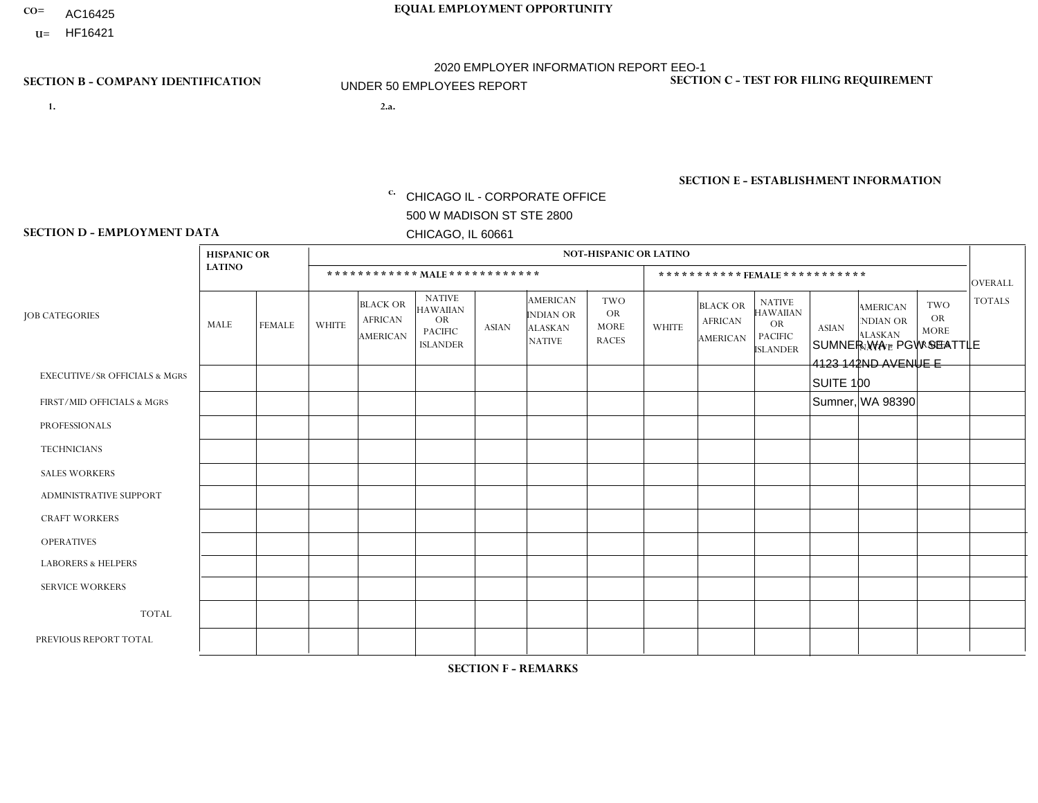- AC16425
- **U=**

- **1. 2.a.** CHICAGO IL CORPORATE OFFICE 500 W MADISON ST STE 2800 CHICAGO, IL 60661
- 2.a. SUMNER WA PGW SEATTLE 4123 142ND AVENUE E SUITE 100 Sumner, WA 98390
	- EIN= 952920557

## **SECTION B - COMPANY IDENTIFICATION SECTION C - TEST FOR FILING REQUIREMENT**

1- Y 2- Y 3- N DUNS= 000123456

**SECTION E - ESTABLISHMENT INFORMATION c.** NAICS: 811122

### **SECTION D - EMPLOYMENT DATA**

|                                          | <b>HISPANIC OR</b> |               |              |                                                      |                                                                                    |              |                                                                        | <b>NOT-HISPANIC OR LATINO</b>                          |                |                                                      |                                                                                    |              |                                                                       |                                                        |                 |
|------------------------------------------|--------------------|---------------|--------------|------------------------------------------------------|------------------------------------------------------------------------------------|--------------|------------------------------------------------------------------------|--------------------------------------------------------|----------------|------------------------------------------------------|------------------------------------------------------------------------------------|--------------|-----------------------------------------------------------------------|--------------------------------------------------------|-----------------|
|                                          | <b>LATINO</b>      |               |              |                                                      | ************ MAIE************                                                      |              |                                                                        |                                                        |                |                                                      | ***********FEMALE ***********                                                      |              |                                                                       |                                                        | <b>OVERALL</b>  |
| <b>JOB CATEGORIES</b>                    | MALE               | <b>FEMALE</b> | <b>WHITE</b> | <b>BLACK OR</b><br><b>AFRICAN</b><br><b>AMERICAN</b> | <b>NATIVE</b><br><b>HAWAIIAN</b><br><b>OR</b><br><b>PACIFIC</b><br><b>ISLANDER</b> | <b>ASIAN</b> | <b>AMERICAN</b><br><b>INDIAN OR</b><br><b>ALASKAN</b><br><b>NATIVE</b> | <b>TWO</b><br><b>OR</b><br><b>MORE</b><br><b>RACES</b> | <b>WHITE</b>   | <b>BLACK OR</b><br><b>AFRICAN</b><br><b>AMERICAN</b> | <b>NATIVE</b><br><b>HAWAIIAN</b><br><b>OR</b><br><b>PACIFIC</b><br><b>ISLANDER</b> | <b>ASIAN</b> | <b>AMERICAN</b><br><b>NDIAN OR</b><br><b>ALASKAN</b><br><b>NATIVE</b> | <b>TWO</b><br><b>OR</b><br><b>MORE</b><br><b>RACES</b> | <b>TOTALS</b>   |
| <b>EXECUTIVE/SR OFFICIALS &amp; MGRS</b> | $\mathbf 0$        | $\mathbf 0$   | $\mathbf 0$  | 0                                                    | $\mathbf{0}$                                                                       | $\mathbf{0}$ | $\Omega$                                                               | $\Omega$                                               | $\Omega$       | $\Omega$                                             | $\Omega$                                                                           | $\Omega$     | $\Omega$                                                              | $\Omega$                                               | $\mathbf 0$     |
| FIRST/MID OFFICIALS & MGRS               | $\Omega$           | $\mathbf 0$   | $\mathbf{1}$ | $\Omega$                                             | $\mathbf{0}$                                                                       | $\Omega$     | $\Omega$                                                               | 0                                                      | $\Omega$       | $\Omega$                                             | $\Omega$                                                                           | $\Omega$     | $\Omega$                                                              | $\Omega$                                               | $\mathbf{1}$    |
| <b>PROFESSIONALS</b>                     | $\mathbf 0$        | $\mathbf 0$   | $\mathbf 0$  | $\mathbf 0$                                          | $\mathbf{0}$                                                                       | $\mathbf{0}$ | $\Omega$                                                               | 0                                                      | $\Omega$       | $\Omega$                                             | $\Omega$                                                                           | $\mathbf{0}$ | $\Omega$                                                              | $\Omega$                                               | 0               |
| <b>TECHNICIANS</b>                       | $\mathbf 0$        | 0             | $\mathbf 0$  | $\Omega$                                             | $\Omega$                                                                           | $\Omega$     | $\Omega$                                                               | 0                                                      | $\mathbf 0$    | $\Omega$                                             | $\Omega$                                                                           | $\Omega$     | $\Omega$                                                              | $\Omega$                                               | $\mathbf{0}$    |
| <b>SALES WORKERS</b>                     | $\mathbf 0$        | $\mathbf 0$   | $\mathbf 0$  | $\mathbf{0}$                                         | $\Omega$                                                                           | $\Omega$     | $\Omega$                                                               | 0                                                      | $\mathbf 0$    | $\Omega$                                             | $\Omega$                                                                           | $\Omega$     | $\Omega$                                                              | $\Omega$                                               | $\mathbf 0$     |
| <b>ADMINISTRATIVE SUPPORT</b>            | $\mathbf 0$        | $\mathbf 0$   | $\mathbf 0$  | $\Omega$                                             | $\mathbf{0}$                                                                       | $\mathbf{0}$ | $\Omega$                                                               | 0                                                      | $\Omega$       | $\Omega$                                             | $\Omega$                                                                           | $\Omega$     | $\Omega$                                                              | $\Omega$                                               | $\mathbf 0$     |
| <b>CRAFT WORKERS</b>                     | $\mathbf 0$        | $\mathbf 0$   | $\mathbf 0$  | $\mathbf 0$                                          | $\mathbf{0}$                                                                       | $\mathbf{0}$ | $\Omega$                                                               | 0                                                      | $\Omega$       | $\Omega$                                             | $\Omega$                                                                           | $\Omega$     | $\Omega$                                                              | $\Omega$                                               | 0               |
| <b>OPERATIVES</b>                        | $\Omega$           | $\mathbf 0$   | 5            | $\Omega$                                             | $\mathbf{0}$                                                                       | $\mathbf{0}$ | $\Omega$                                                               | 0                                                      | $\Omega$       | $\Omega$                                             | $\Omega$                                                                           | $\Omega$     | $\Omega$                                                              | $\Omega$                                               | 5               |
| <b>LABORERS &amp; HELPERS</b>            | $\Omega$           | $\mathbf 0$   | $\Omega$     | $\mathbf{0}$                                         | $\mathbf{0}$                                                                       | $\Omega$     | $\Omega$                                                               | 0                                                      | $\overline{ }$ | $\Omega$                                             | $\Omega$                                                                           | $\Omega$     | $\Omega$                                                              | $\Omega$                                               | $\mathbf{1}$    |
| <b>SERVICE WORKERS</b>                   | $\mathbf 0$        | $\mathbf 0$   | $\mathbf 0$  | 0                                                    | $\mathbf{0}$                                                                       | $\mathbf{0}$ | $\Omega$                                                               | 0                                                      | $\Omega$       | $\Omega$                                             | $\Omega$                                                                           | $\Omega$     | $\Omega$                                                              | $\Omega$                                               | 0               |
| <b>TOTAL</b>                             | $\mathbf 0$        | 0             | 6            | 0                                                    | $\mathbf 0$                                                                        | $\mathbf{0}$ | $\Omega$                                                               | 0                                                      | $\overline{ }$ | $\Omega$                                             | $\Omega$                                                                           | $\Omega$     | $\Omega$                                                              | $\mathbf 0$                                            | $\overline{7}$  |
| PREVIOUS REPORT TOTAL                    | $\mathbf 0$        | $\mathbf 0$   | 8            | $\mathbf{1}$                                         | $\mathbf{0}$                                                                       | $\mathbf{0}$ | $\Omega$                                                               | 1                                                      | $\Omega$       | $\Omega$                                             | $\Omega$                                                                           | $\Omega$     | $\Omega$                                                              | $\mathbf 0$                                            | 10 <sup>°</sup> |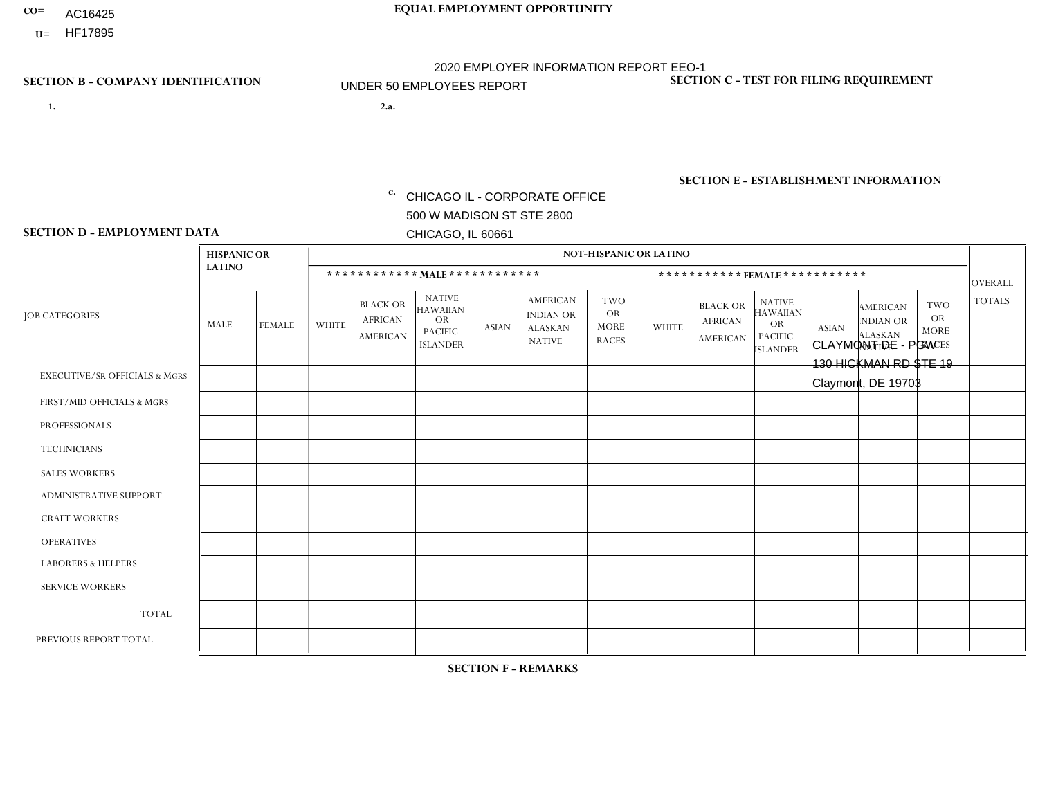- AC16425
- **U=**

**1. 2.a.** CHICAGO IL - CORPORATE OFFICE 500 W MADISON ST STE 2800 CHICAGO, IL 60661

2.a. CLAYMONT DE - PGW 130 HICKMAN RD STE 19 Claymont, DE 19703

c. EIN= 952920557

## **SECTION B - COMPANY IDENTIFICATION SECTION C - TEST FOR FILING REQUIREMENT**

1- Y 2- Y 3- N DUNS= 000123456

**SECTION E - ESTABLISHMENT INFORMATION c.** NAICS: 811122

### **SECTION D - EMPLOYMENT DATA**

|                                          | <b>HISPANIC OR</b> |               |                |                                                      |                                                                                    |              |                                                                        | <b>NOT-HISPANIC OR LATINO</b>                          |              |                                               |                                                                                    |              |                                                                       |                                                        |                |
|------------------------------------------|--------------------|---------------|----------------|------------------------------------------------------|------------------------------------------------------------------------------------|--------------|------------------------------------------------------------------------|--------------------------------------------------------|--------------|-----------------------------------------------|------------------------------------------------------------------------------------|--------------|-----------------------------------------------------------------------|--------------------------------------------------------|----------------|
|                                          | <b>LATINO</b>      |               |                | ************ MALE ************                       |                                                                                    |              |                                                                        |                                                        |              |                                               | *********** FEMALE ***********                                                     |              |                                                                       |                                                        | <b>OVERALL</b> |
| <b>JOB CATEGORIES</b>                    | MALE               | <b>FEMALE</b> | <b>WHITE</b>   | <b>BLACK OR</b><br><b>AFRICAN</b><br><b>AMERICAN</b> | <b>NATIVE</b><br><b>HAWAIIAN</b><br><b>OR</b><br><b>PACIFIC</b><br><b>ISLANDER</b> | <b>ASIAN</b> | <b>AMERICAN</b><br><b>INDIAN OR</b><br><b>ALASKAN</b><br><b>NATIVE</b> | <b>TWO</b><br><b>OR</b><br><b>MORE</b><br><b>RACES</b> | <b>WHITE</b> | <b>BLACK OR</b><br><b>AFRICAN</b><br>AMERICAN | <b>NATIVE</b><br><b>HAWAIIAN</b><br><b>OR</b><br><b>PACIFIC</b><br><b>ISLANDER</b> | <b>ASIAN</b> | <b>AMERICAN</b><br><b>NDIAN OR</b><br><b>ALASKAN</b><br><b>NATIVE</b> | <b>TWO</b><br><b>OR</b><br><b>MORE</b><br><b>RACES</b> | <b>TOTALS</b>  |
| <b>EXECUTIVE/SR OFFICIALS &amp; MGRS</b> | $\Omega$           | $\Omega$      | $\mathbf{0}$   | $\Omega$                                             | $\Omega$                                                                           | $\Omega$     | $\Omega$                                                               | $\Omega$                                               | 0            | $\Omega$                                      | $\Omega$                                                                           | $\Omega$     | $\Omega$                                                              | $\Omega$                                               | $\Omega$       |
| FIRST/MID OFFICIALS & MGRS               |                    | $\Omega$      | $\mathbf{0}$   | $\Omega$                                             | $\Omega$                                                                           | $\Omega$     | $\Omega$                                                               | $\Omega$                                               | 0            | $\Omega$                                      | 0                                                                                  | $\Omega$     | $\Omega$                                                              | $\Omega$                                               | $\mathbf{1}$   |
| <b>PROFESSIONALS</b>                     | $\Omega$           | $\Omega$      | $\mathbf 0$    | $\mathbf 0$                                          | $\Omega$                                                                           | $\Omega$     | $\Omega$                                                               | $\Omega$                                               | $\Omega$     | $\Omega$                                      | 0                                                                                  | 0            | $\Omega$                                                              | $\mathbf 0$                                            | $\mathbf{0}$   |
| <b>TECHNICIANS</b>                       | $\Omega$           | $\Omega$      | $\Omega$       | $\Omega$                                             | $\Omega$                                                                           | $\Omega$     | $\Omega$                                                               | $\Omega$                                               | $\Omega$     | $\Omega$                                      | 0                                                                                  | $\mathbf 0$  | $\Omega$                                                              | $\mathbf 0$                                            | $\Omega$       |
| <b>SALES WORKERS</b>                     | $\Omega$           | $\Omega$      | $\Omega$       | $\Omega$                                             | $\Omega$                                                                           | $\Omega$     | $\Omega$                                                               | $\Omega$                                               | $\Omega$     | $\Omega$                                      | $\Omega$                                                                           | $\Omega$     | $\Omega$                                                              | $\Omega$                                               | $\Omega$       |
| <b>ADMINISTRATIVE SUPPORT</b>            | $\Omega$           | $\Omega$      | $\Omega$       | $\mathbf 0$                                          | 0                                                                                  | $\Omega$     | $\Omega$                                                               | $\Omega$                                               | 0            | $\Omega$                                      | 0                                                                                  | $\mathbf 0$  | $\Omega$                                                              | $\Omega$                                               | $\mathbf 0$    |
| <b>CRAFT WORKERS</b>                     | $\Omega$           | $\Omega$      | $\Omega$       | $\mathbf 0$                                          | $\Omega$                                                                           | $\Omega$     | $\Omega$                                                               | $\Omega$                                               | 0            | $\Omega$                                      | 0                                                                                  | $\Omega$     | $\Omega$                                                              | $\Omega$                                               | $\Omega$       |
| <b>OPERATIVES</b>                        |                    | $\Omega$      | $\overline{c}$ | $\overline{2}$                                       | $\Omega$                                                                           | $\Omega$     | $\Omega$                                                               | $\Omega$                                               | 0            | $\Omega$                                      | 0                                                                                  | $\mathbf 0$  | $\Omega$                                                              | $\Omega$                                               | 5              |
| <b>LABORERS &amp; HELPERS</b>            | $\Omega$           | $\Omega$      | $\mathbf{0}$   | $\overline{1}$                                       | $\Omega$                                                                           | $\Omega$     | $\Omega$                                                               | $\Omega$                                               | $\Omega$     | $\Omega$                                      | $\Omega$                                                                           | $\Omega$     | $\Omega$                                                              | $\Omega$                                               | $\mathbf{1}$   |
| <b>SERVICE WORKERS</b>                   | $\Omega$           | $\Omega$      | 0              | 0                                                    | $\mathbf 0$                                                                        | $\Omega$     | $\Omega$                                                               | $\Omega$                                               | 0            | $\Omega$                                      | $\Omega$                                                                           | $\mathbf 0$  | $\Omega$                                                              | $\Omega$                                               | $\mathbf 0$    |
| <b>TOTAL</b>                             | $\overline{c}$     | 0             | $\overline{c}$ | 3                                                    | $\mathbf 0$                                                                        | 0            | $\Omega$                                                               | $\Omega$                                               | 0            | $\mathbf 0$                                   | 0                                                                                  | $\mathbf 0$  | 0                                                                     | $\mathbf 0$                                            | $\overline{7}$ |
| PREVIOUS REPORT TOTAL                    | 3                  | $\Omega$      | $\Omega$       | $\mathbf 0$                                          | 0                                                                                  | $\Omega$     | $\Omega$                                                               | $\Omega$                                               | 0            | $\Omega$                                      | 0                                                                                  | $\Omega$     | $\Omega$                                                              | $\mathbf 0$                                            | 3              |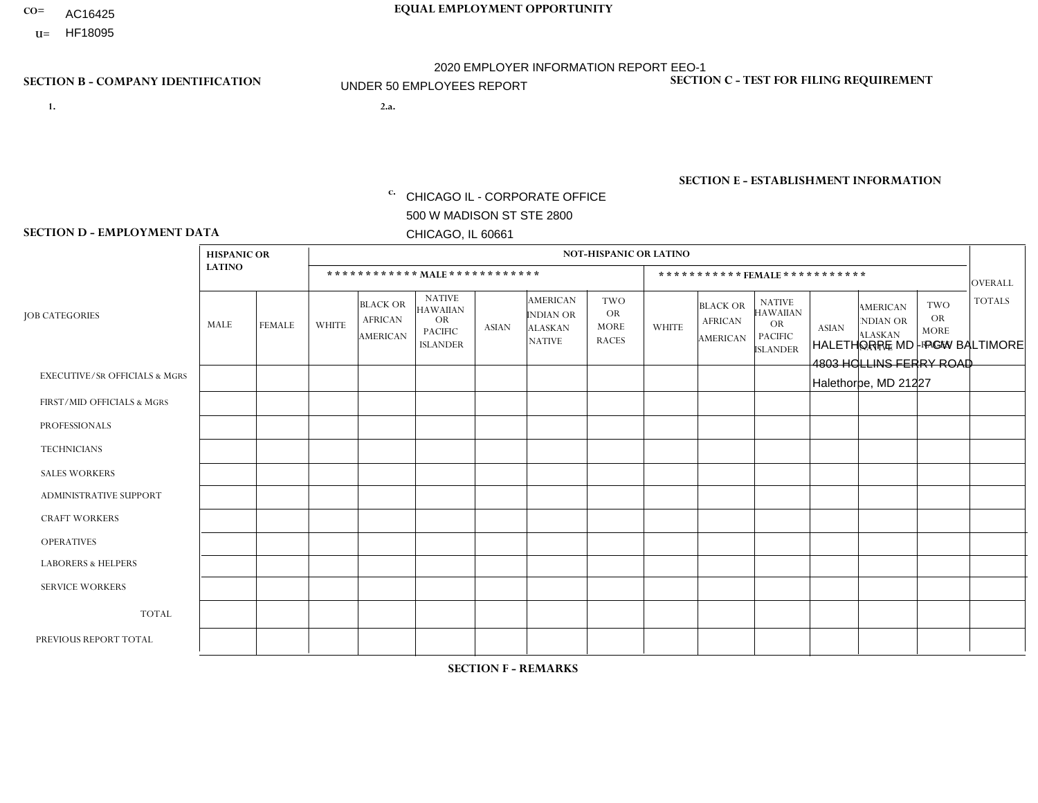- AC16425
- **U=**

- **1. 2.a.** CHICAGO IL CORPORATE OFFICE 500 W MADISON ST STE 2800 CHICAGO, IL 60661
- 2.a. HALETHORPE MD PGW BALTIMORE 4803 HOLLINS FERRY ROAD Halethorpe, MD 21227

c. EIN= 952920557

## **SECTION B - COMPANY IDENTIFICATION SECTION C - TEST FOR FILING REQUIREMENT**

1- Y 2- Y 3- N DUNS= 000123456

**SECTION E - ESTABLISHMENT INFORMATION c.** NAICS: 811122

### **SECTION D - EMPLOYMENT DATA**

|                                          | <b>HISPANIC OR</b> |               |                          |                                                      |                                                                                    |             |                                                                        | <b>NOT-HISPANIC OR LATINO</b>                          |                |                                               |                                                                             |              |                                                                       |                                                        |                |
|------------------------------------------|--------------------|---------------|--------------------------|------------------------------------------------------|------------------------------------------------------------------------------------|-------------|------------------------------------------------------------------------|--------------------------------------------------------|----------------|-----------------------------------------------|-----------------------------------------------------------------------------|--------------|-----------------------------------------------------------------------|--------------------------------------------------------|----------------|
|                                          | <b>LATINO</b>      |               |                          | ************ MALE ************                       |                                                                                    |             |                                                                        |                                                        |                | ***********FEMALE***********                  |                                                                             |              |                                                                       |                                                        | <b>OVERALL</b> |
| <b>JOB CATEGORIES</b>                    | MALE               | <b>FEMALE</b> | <b>WHITE</b>             | <b>BLACK OR</b><br><b>AFRICAN</b><br><b>AMERICAN</b> | <b>NATIVE</b><br><b>HAWAIIAN</b><br><b>OR</b><br><b>PACIFIC</b><br><b>ISLANDER</b> | ASIAN       | <b>AMERICAN</b><br><b>INDIAN OR</b><br><b>ALASKAN</b><br><b>NATIVE</b> | <b>TWO</b><br><b>OR</b><br><b>MORE</b><br><b>RACES</b> | <b>WHITE</b>   | <b>BLACK OR</b><br><b>AFRICAN</b><br>AMERICAN | <b>NATIVE</b><br><b>HAWAIIAN</b><br>OR<br><b>PACIFIC</b><br><b>ISLANDER</b> | <b>ASIAN</b> | <b>AMERICAN</b><br><b>NDIAN OR</b><br><b>ALASKAN</b><br><b>NATIVE</b> | <b>TWO</b><br><b>OR</b><br><b>MORE</b><br><b>RACES</b> | <b>TOTALS</b>  |
| <b>EXECUTIVE/SR OFFICIALS &amp; MGRS</b> | $\Omega$           | $\Omega$      | $\Omega$                 | $\mathbf 0$                                          | $\mathbf 0$                                                                        | $\Omega$    | $\Omega$                                                               | $\Omega$                                               | $\Omega$       | $\Omega$                                      | $\Omega$                                                                    | $\mathbf 0$  | $\Omega$                                                              | $\mathbf 0$                                            | $\mathbf{0}$   |
| FIRST/MID OFFICIALS & MGRS               | 0                  | 0             | 1                        | $\mathbf 0$                                          | 0                                                                                  | $\Omega$    | $\Omega$                                                               | $\Omega$                                               | 0              | $\Omega$                                      | $\Omega$                                                                    | $\mathbf{0}$ | $\Omega$                                                              | $\mathbf 0$                                            | $\mathbf{1}$   |
| <b>PROFESSIONALS</b>                     | $\Omega$           | $\Omega$      | $\Omega$                 | $\mathbf 0$                                          | $\Omega$                                                                           | $\Omega$    | $\Omega$                                                               | $\Omega$                                               | $\overline{0}$ | $\Omega$                                      | $\Omega$                                                                    | $\Omega$     | $\Omega$                                                              | $\Omega$                                               | $\mathbf 0$    |
| <b>TECHNICIANS</b>                       | 0                  | $\mathbf 0$   | $\Omega$                 | $\mathbf 0$                                          | $\Omega$                                                                           | $\Omega$    | $\Omega$                                                               | $\Omega$                                               | $\Omega$       | $\Omega$                                      | $\Omega$                                                                    | $\Omega$     | $\Omega$                                                              | $\Omega$                                               | $\mathbf{0}$   |
| <b>SALES WORKERS</b>                     | $\Omega$           | $\Omega$      | $\Omega$                 | $\mathbf 0$                                          | $\Omega$                                                                           | $\Omega$    | $\Omega$                                                               | $\Omega$                                               | $\overline{0}$ | $\Omega$                                      | $\Omega$                                                                    | $\Omega$     | $\Omega$                                                              | $\mathbf{0}$                                           | $\mathbf{0}$   |
| ADMINISTRATIVE SUPPORT                   | $\mathbf 0$        | 0             | $\mathbf 0$              | $\mathbf 0$                                          | 0                                                                                  | $\Omega$    | $\Omega$                                                               | $\Omega$                                               | $\Omega$       | $\Omega$                                      | $\Omega$                                                                    | $\Omega$     | $\mathbf{0}$                                                          | $\mathbf 0$                                            | $\mathbf 0$    |
| <b>CRAFT WORKERS</b>                     | 0                  | $\Omega$      | $\Omega$                 | $\mathbf 0$                                          | $\Omega$                                                                           | $\Omega$    | $\Omega$                                                               | $\Omega$                                               | 0              | $\Omega$                                      | $\Omega$                                                                    | $\Omega$     | $\Omega$                                                              | $\Omega$                                               | $\Omega$       |
| <b>OPERATIVES</b>                        | 0                  | $\Omega$      | $\Omega$                 | $\overline{c}$                                       | $\Omega$                                                                           | $\Omega$    | $\Omega$                                                               |                                                        | $\Omega$       | $\Omega$                                      | $\Omega$                                                                    | $\Omega$     | $\Omega$                                                              | $\Omega$                                               | 3              |
| <b>LABORERS &amp; HELPERS</b>            | 0                  | $\Omega$      | $\mathbf 0$              | $\overline{1}$                                       | $\mathbf 0$                                                                        | $\Omega$    | $\Omega$                                                               | $\Omega$                                               | $\Omega$       | $\Omega$                                      | $\Omega$                                                                    | $\Omega$     | $\Omega$                                                              | $\Omega$                                               | $\mathbf{1}$   |
| <b>SERVICE WORKERS</b>                   | 0                  | $\mathbf 0$   | $\mathbf 0$              | $\mathbf 0$                                          | $\mathbf{0}$                                                                       | $\mathbf 0$ | $\Omega$                                                               | $\Omega$                                               | $\Omega$       | $\Omega$                                      | $\Omega$                                                                    | $\mathbf 0$  | $\Omega$                                                              | $\mathbf 0$                                            | $\overline{0}$ |
| <b>TOTAL</b>                             | $\Omega$           | 0             | $\overline{\phantom{a}}$ | 3                                                    | 0                                                                                  | $\Omega$    | $\Omega$                                                               |                                                        | $\Omega$       | $\Omega$                                      | $\Omega$                                                                    | $\mathbf 0$  | 0                                                                     | $\mathbf 0$                                            | 5              |
| PREVIOUS REPORT TOTAL                    | 0                  | $\mathbf{0}$  | $\overline{2}$           | $\overline{1}$                                       | $\Omega$                                                                           | $\Omega$    | $\Omega$                                                               |                                                        | 0              | $\Omega$                                      | $\Omega$                                                                    | $\Omega$     | $\Omega$                                                              | $\mathbf 0$                                            | $\overline{4}$ |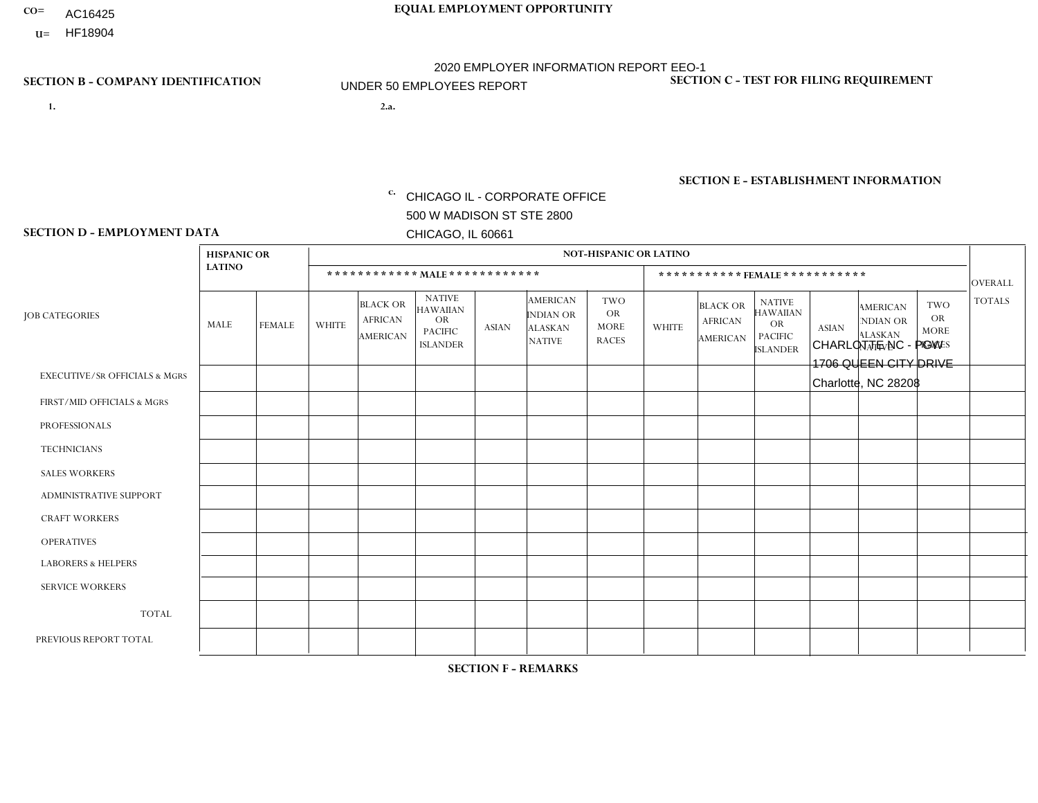- AC16425
- **U=**

**1. 2.a.** CHICAGO IL - CORPORATE OFFICE 500 W MADISON ST STE 2800 CHICAGO, IL 60661

2.a. CHARLOTTE NC - PGW 1706 QUEEN CITY DRIVE Charlotte, NC 28208

EIN= 952920557

## **SECTION B - COMPANY IDENTIFICATION SECTION C - TEST FOR FILING REQUIREMENT**

1- Y 2- Y 3- N DUNS= 000123456

**SECTION E - ESTABLISHMENT INFORMATION c.** NAICS: 811122

### **SECTION D - EMPLOYMENT DATA**

|                                          | <b>HISPANIC OR</b> |               |              |                                                      |                                                                                    |              |                                                                        | <b>NOT-HISPANIC OR LATINO</b>                          |              |                                                      |                                                                             |              |                                                                       |                                                        |                |
|------------------------------------------|--------------------|---------------|--------------|------------------------------------------------------|------------------------------------------------------------------------------------|--------------|------------------------------------------------------------------------|--------------------------------------------------------|--------------|------------------------------------------------------|-----------------------------------------------------------------------------|--------------|-----------------------------------------------------------------------|--------------------------------------------------------|----------------|
|                                          | <b>LATINO</b>      |               |              |                                                      | ************ MALE ************                                                     |              |                                                                        |                                                        |              | ***********FEMALE***********                         |                                                                             |              |                                                                       |                                                        | <b>OVERALL</b> |
| <b>JOB CATEGORIES</b>                    | MALE               | <b>FEMALE</b> | <b>WHITE</b> | <b>BLACK OR</b><br><b>AFRICAN</b><br><b>AMERICAN</b> | <b>NATIVE</b><br><b>HAWAIIAN</b><br><b>OR</b><br><b>PACIFIC</b><br><b>ISLANDER</b> | <b>ASIAN</b> | <b>AMERICAN</b><br><b>INDIAN OR</b><br><b>ALASKAN</b><br><b>NATIVE</b> | <b>TWO</b><br><b>OR</b><br><b>MORE</b><br><b>RACES</b> | <b>WHITE</b> | <b>BLACK OR</b><br><b>AFRICAN</b><br><b>AMERICAN</b> | <b>NATIVE</b><br><b>HAWAIIAN</b><br>OR<br><b>PACIFIC</b><br><b>ISLANDER</b> | <b>ASIAN</b> | <b>AMERICAN</b><br><b>NDIAN OR</b><br><b>ALASKAN</b><br><b>NATIVE</b> | <b>TWO</b><br><b>OR</b><br><b>MORE</b><br><b>RACES</b> | <b>TOTALS</b>  |
| <b>EXECUTIVE/SR OFFICIALS &amp; MGRS</b> | $\Omega$           | $\Omega$      | $\Omega$     | $\mathbf 0$                                          | $\Omega$                                                                           | $\Omega$     | $\Omega$                                                               | $\Omega$                                               | $\Omega$     | $\Omega$                                             | $\Omega$                                                                    | $\Omega$     | $\Omega$                                                              | $\mathbf{0}$                                           | $\mathbf 0$    |
| FIRST/MID OFFICIALS & MGRS               | 0                  | $\mathbf 0$   | 1            | $\mathbf 0$                                          | $\Omega$                                                                           | $\Omega$     | $\Omega$                                                               | $\Omega$                                               | 0            | $\Omega$                                             | $\Omega$                                                                    | $\mathbf{0}$ | $\Omega$                                                              | $\mathbf{0}$                                           | $\mathbf{1}$   |
| <b>PROFESSIONALS</b>                     | 0                  | $\Omega$      | $\Omega$     | $\mathbf 0$                                          | $\Omega$                                                                           | $\Omega$     | $\Omega$                                                               | $\Omega$                                               | 0            | $\Omega$                                             | $\Omega$                                                                    | $\Omega$     | $\Omega$                                                              | $\Omega$                                               | $\mathbf{0}$   |
| <b>TECHNICIANS</b>                       | 0                  | $\Omega$      | $\Omega$     | $\Omega$                                             | $\Omega$                                                                           | $\Omega$     | $\Omega$                                                               | $\Omega$                                               | $\Omega$     | $\Omega$                                             | $\Omega$                                                                    | $\Omega$     | $\Omega$                                                              | $\Omega$                                               | $\Omega$       |
| <b>SALES WORKERS</b>                     | 0                  | $\Omega$      | $\Omega$     | $\Omega$                                             | $\Omega$                                                                           | $\Omega$     | $\Omega$                                                               | $\Omega$                                               | 0            | $\Omega$                                             | $\Omega$                                                                    | $\Omega$     | $\Omega$                                                              | $\mathbf{0}$                                           | $\Omega$       |
| ADMINISTRATIVE SUPPORT                   | 0                  | $\Omega$      | $\Omega$     | $\mathbf 0$                                          | $\Omega$                                                                           | $\Omega$     | $\Omega$                                                               | $\Omega$                                               | $\Omega$     | $\Omega$                                             | $\Omega$                                                                    | $\Omega$     | $\Omega$                                                              | $\Omega$                                               | $\mathbf 0$    |
| <b>CRAFT WORKERS</b>                     | 0                  | $\Omega$      | $\Omega$     | $\mathbf 0$                                          | $\Omega$                                                                           | $\Omega$     | $\Omega$                                                               | $\Omega$                                               | 0            | $\Omega$                                             | $\Omega$                                                                    | $\mathbf{0}$ | $\Omega$                                                              | $\mathbf{0}$                                           | $\mathbf 0$    |
| <b>OPERATIVES</b>                        | 1                  | $\mathbf 0$   | 3            | 3                                                    | $\Omega$                                                                           | $\Omega$     | $\Omega$                                                               | $\Omega$                                               | $\Omega$     | $\Omega$                                             | $\Omega$                                                                    | $\mathbf{0}$ | $\Omega$                                                              | $\Omega$                                               | $\overline{7}$ |
| <b>LABORERS &amp; HELPERS</b>            | и                  | $\Omega$      | $\mathbf 0$  | $\overline{2}$                                       | $\mathbf 0$                                                                        | $\Omega$     | $\Omega$                                                               | $\Omega$                                               | $\Omega$     | $\Omega$                                             | $\Omega$                                                                    | $\Omega$     | $\Omega$                                                              | $\Omega$                                               | 3              |
| <b>SERVICE WORKERS</b>                   | 0                  | $\Omega$      | $\mathbf 0$  | 0                                                    | $\mathbf{0}$                                                                       | $\Omega$     | $\Omega$                                                               | $\Omega$                                               | $\Omega$     | $\Omega$                                             | $\Omega$                                                                    | $\Omega$     | $\Omega$                                                              | $\Omega$                                               | $\overline{0}$ |
| <b>TOTAL</b>                             | $\overline{2}$     | 0             | 4            | 5                                                    | 0                                                                                  | $\Omega$     | $\Omega$                                                               | $\Omega$                                               | 0            | $\Omega$                                             | $\Omega$                                                                    | $\mathbf 0$  | 0                                                                     | $\mathbf 0$                                            | 11             |
| PREVIOUS REPORT TOTAL                    |                    | $\mathbf{0}$  |              | $\overline{7}$                                       | $\Omega$                                                                           | $\Omega$     | $\Omega$                                                               | $\Omega$                                               | 0            | $\Omega$                                             | $\Omega$                                                                    | $\Omega$     | $\Omega$                                                              | $\mathbf 0$                                            | 9              |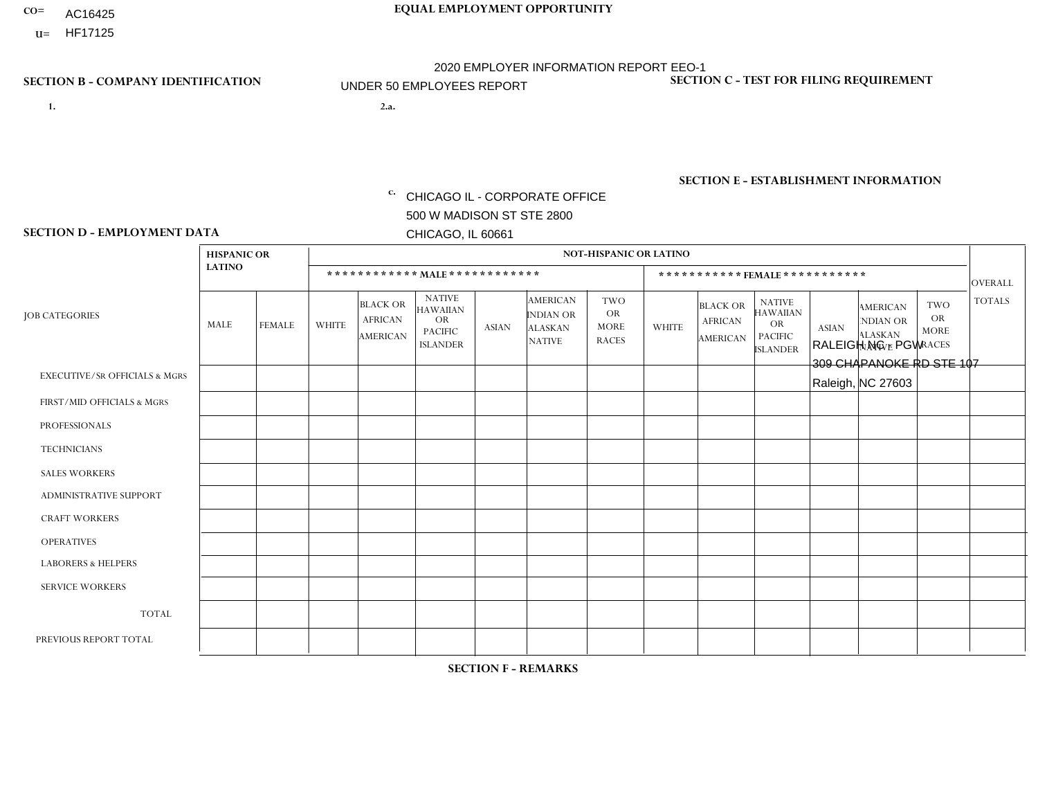- AC16425
- **U=**

- **1. 2.a.** CHICAGO IL CORPORATE OFFICE 500 W MADISON ST STE 2800 CHICAGO, IL 60661
- 2.a. RALEIGH NC PGW 309 CHAPANOKE RD STE 107 Raleigh, NC 27603

c. EIN= 952920557

## **SECTION B - COMPANY IDENTIFICATION SECTION C - TEST FOR FILING REQUIREMENT**

1- Y 2- Y 3- N DUNS= 000123456

**SECTION E - ESTABLISHMENT INFORMATION c.** NAICS: 811122

### **SECTION D - EMPLOYMENT DATA**

|                                          | <b>HISPANIC OR</b> |                |                |                                                      |                                                                                    |              |                                                                        | <b>NOT-HISPANIC OR LATINO</b>                          |              |                                               |                                                                                    |              |                                                                       |                                                        |                |
|------------------------------------------|--------------------|----------------|----------------|------------------------------------------------------|------------------------------------------------------------------------------------|--------------|------------------------------------------------------------------------|--------------------------------------------------------|--------------|-----------------------------------------------|------------------------------------------------------------------------------------|--------------|-----------------------------------------------------------------------|--------------------------------------------------------|----------------|
|                                          | <b>LATINO</b>      |                |                | ************ MALE ************                       |                                                                                    |              |                                                                        |                                                        |              | ***********FEMALE***********                  |                                                                                    |              |                                                                       |                                                        | <b>OVERALL</b> |
| <b>JOB CATEGORIES</b>                    | MALE               | <b>FEMALE</b>  | <b>WHITE</b>   | <b>BLACK OR</b><br><b>AFRICAN</b><br><b>AMERICAN</b> | <b>NATIVE</b><br><b>HAWAIIAN</b><br><b>OR</b><br><b>PACIFIC</b><br><b>ISLANDER</b> | ASIAN        | <b>AMERICAN</b><br><b>INDIAN OR</b><br><b>ALASKAN</b><br><b>NATIVE</b> | <b>TWO</b><br><b>OR</b><br><b>MORE</b><br><b>RACES</b> | <b>WHITE</b> | <b>BLACK OR</b><br><b>AFRICAN</b><br>AMERICAN | <b>NATIVE</b><br><b>HAWAIIAN</b><br><b>OR</b><br><b>PACIFIC</b><br><b>ISLANDER</b> | <b>ASIAN</b> | <b>AMERICAN</b><br><b>NDIAN OR</b><br><b>ALASKAN</b><br><b>NATIVE</b> | <b>TWO</b><br><b>OR</b><br><b>MORE</b><br><b>RACES</b> | <b>TOTALS</b>  |
| <b>EXECUTIVE/SR OFFICIALS &amp; MGRS</b> | $\Omega$           | $\Omega$       | $\Omega$       | $\mathbf 0$                                          | $\Omega$                                                                           | $\mathbf{0}$ | $\Omega$                                                               | $\Omega$                                               | 0            | $\Omega$                                      | $\Omega$                                                                           | $\Omega$     | $\Omega$                                                              | $\Omega$                                               | $\mathbf{0}$   |
| FIRST/MID OFFICIALS & MGRS               | 0                  | $\Omega$       |                | $\mathbf 0$                                          | $\Omega$                                                                           | $\Omega$     | $\Omega$                                                               | $\Omega$                                               | 0            | $\Omega$                                      | $\Omega$                                                                           | $\Omega$     | $\Omega$                                                              | $\Omega$                                               | $\mathbf{1}$   |
| <b>PROFESSIONALS</b>                     | 0                  | $\overline{0}$ | $\mathbf 0$    | $\mathbf 0$                                          | $\Omega$                                                                           | $\Omega$     | $\Omega$                                                               | $\Omega$                                               | 0            | $\Omega$                                      | $\Omega$                                                                           | $\Omega$     | $\Omega$                                                              | $\Omega$                                               | $\mathbf{0}$   |
| <b>TECHNICIANS</b>                       | 0                  | $\Omega$       | $\Omega$       | $\Omega$                                             | $\Omega$                                                                           | $\Omega$     | $\Omega$                                                               | $\Omega$                                               | $\Omega$     | $\Omega$                                      | $\Omega$                                                                           | $\Omega$     | $\Omega$                                                              | $\Omega$                                               | $\mathbf{0}$   |
| <b>SALES WORKERS</b>                     | 0                  | $\Omega$       | $\Omega$       | $\Omega$                                             | $\Omega$                                                                           | $\Omega$     | $\Omega$                                                               | $\Omega$                                               | 0            | $\Omega$                                      | $\Omega$                                                                           | $\Omega$     | $\Omega$                                                              | $\Omega$                                               | $\Omega$       |
| <b>ADMINISTRATIVE SUPPORT</b>            | 0                  | 0              | $\Omega$       | $\mathbf 0$                                          | 0                                                                                  | $\Omega$     | $\Omega$                                                               | $\Omega$                                               | $\Omega$     | $\Omega$                                      | $\Omega$                                                                           | $\mathbf{0}$ | $\mathbf{0}$                                                          | $\mathbf 0$                                            | $\mathbf 0$    |
| <b>CRAFT WORKERS</b>                     | 0                  | $\Omega$       | $\Omega$       | $\mathbf 0$                                          | $\Omega$                                                                           | $\Omega$     | $\Omega$                                                               | $\Omega$                                               | 0            | $\Omega$                                      | $\Omega$                                                                           | $\Omega$     | $\Omega$                                                              | $\Omega$                                               | $\Omega$       |
| <b>OPERATIVES</b>                        | 0                  | $\Omega$       | $\overline{c}$ | 4                                                    | $\Omega$                                                                           | $\Omega$     | $\Omega$                                                               | $\Omega$                                               | $\Omega$     | $\Omega$                                      | $\Omega$                                                                           | $\Omega$     | $\Omega$                                                              | $\Omega$                                               | 6              |
| <b>LABORERS &amp; HELPERS</b>            | 0                  | $\Omega$       | 2              | $\mathbf 0$                                          | $\Omega$                                                                           | $\Omega$     | $\Omega$                                                               | $\Omega$                                               | $\Omega$     | $\Omega$                                      | $\Omega$                                                                           | $\mathbf{0}$ | $\Omega$                                                              | $\mathbf{0}$                                           | $\overline{2}$ |
| <b>SERVICE WORKERS</b>                   | 0                  | $\Omega$       | $\mathbf 0$    | 0                                                    | 0                                                                                  | $\Omega$     | $\Omega$                                                               | $\Omega$                                               | $\Omega$     | $\Omega$                                      | $\Omega$                                                                           | $\Omega$     | $\Omega$                                                              | $\Omega$                                               | $\overline{0}$ |
| <b>TOTAL</b>                             | $\mathbf 0$        | 0              | 5              | 4                                                    | 0                                                                                  | $\mathbf 0$  | $\Omega$                                                               | $\Omega$                                               | $\Omega$     | $\Omega$                                      | $\Omega$                                                                           | $\mathbf 0$  | 0                                                                     | $\mathbf 0$                                            | 9              |
| PREVIOUS REPORT TOTAL                    | 0                  | $\Omega$       | $\overline{2}$ | $\overline{2}$                                       | $\Omega$                                                                           | $\mathbf{0}$ | $\Omega$                                                               |                                                        | 0            | $\Omega$                                      | $\Omega$                                                                           | $\Omega$     | $\Omega$                                                              | $\mathbf 0$                                            | 5              |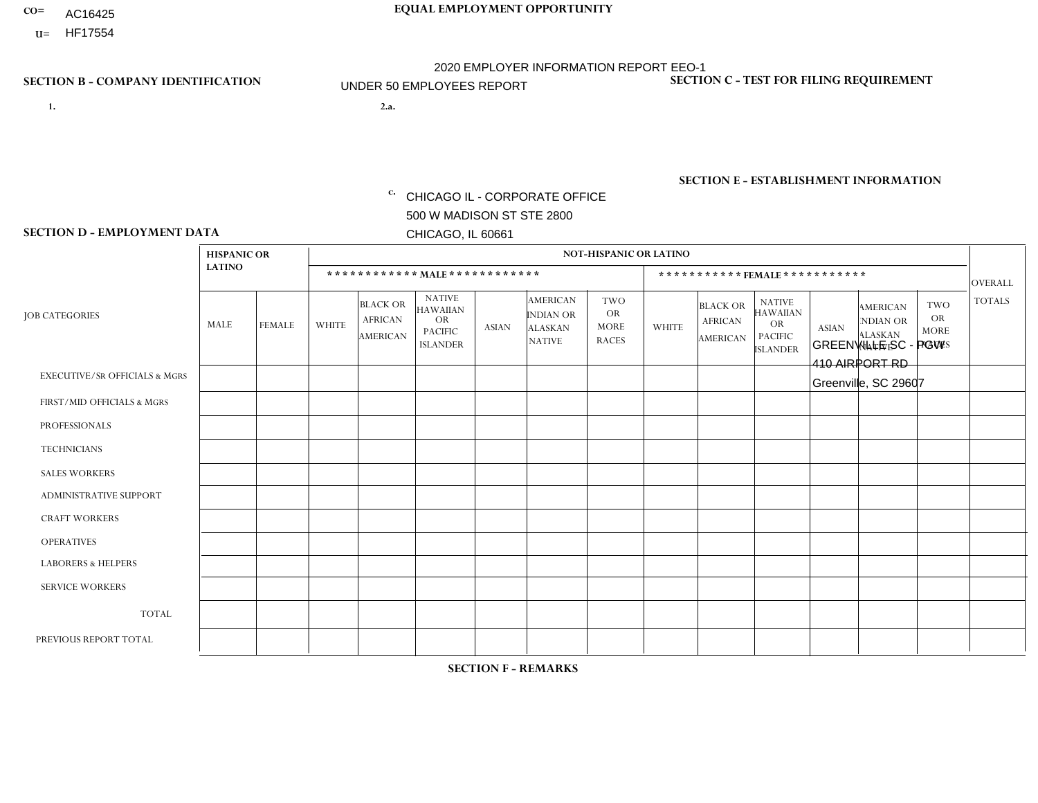- AC16425
- **U=**

**1. 2.a.** CHICAGO IL - CORPORATE OFFICE 500 W MADISON ST STE 2800 CHICAGO, IL 60661

2.a. GREENVILLE SC - PGW 410 AIRPORT RD Greenville, SC 29607

EIN= 952920557

## **SECTION B - COMPANY IDENTIFICATION SECTION C - TEST FOR FILING REQUIREMENT**

1- Y 2- Y 3- N DUNS= 000123456

**SECTION E - ESTABLISHMENT INFORMATION c.** NAICS: 811122

### **SECTION D - EMPLOYMENT DATA**

|                                          | <b>HISPANIC OR</b> |               |              |                                                      |                                                                                    |             |                                                                        | <b>NOT-HISPANIC OR LATINO</b>                          |              |                                               |                                                                                    |              |                                                                       |                                                        |                |
|------------------------------------------|--------------------|---------------|--------------|------------------------------------------------------|------------------------------------------------------------------------------------|-------------|------------------------------------------------------------------------|--------------------------------------------------------|--------------|-----------------------------------------------|------------------------------------------------------------------------------------|--------------|-----------------------------------------------------------------------|--------------------------------------------------------|----------------|
|                                          | <b>LATINO</b>      |               |              | ************ MALE ************                       |                                                                                    |             |                                                                        |                                                        |              |                                               | ***********FEMALE***********                                                       |              |                                                                       |                                                        | <b>OVERALL</b> |
| <b>JOB CATEGORIES</b>                    | MALE               | <b>FEMALE</b> | <b>WHITE</b> | <b>BLACK OR</b><br><b>AFRICAN</b><br><b>AMERICAN</b> | <b>NATIVE</b><br><b>HAWAIIAN</b><br><b>OR</b><br><b>PACIFIC</b><br><b>ISLANDER</b> | ASIAN       | <b>AMERICAN</b><br><b>INDIAN OR</b><br><b>ALASKAN</b><br><b>NATIVE</b> | <b>TWO</b><br><b>OR</b><br><b>MORE</b><br><b>RACES</b> | <b>WHITE</b> | <b>BLACK OR</b><br><b>AFRICAN</b><br>AMERICAN | <b>NATIVE</b><br><b>HAWAIIAN</b><br><b>OR</b><br><b>PACIFIC</b><br><b>ISLANDER</b> | <b>ASIAN</b> | <b>AMERICAN</b><br><b>NDIAN OR</b><br><b>ALASKAN</b><br><b>NATIVE</b> | <b>TWO</b><br><b>OR</b><br><b>MORE</b><br><b>RACES</b> | <b>TOTALS</b>  |
| <b>EXECUTIVE/SR OFFICIALS &amp; MGRS</b> | $\Omega$           | $\mathbf 0$   | $\Omega$     | $\mathbf 0$                                          | $\mathbf 0$                                                                        | $\mathbf 0$ | $\Omega$                                                               | $\Omega$                                               | $\Omega$     | $\Omega$                                      | $\Omega$                                                                           | $\Omega$     | $\Omega$                                                              | $\Omega$                                               | $\mathbf 0$    |
| FIRST/MID OFFICIALS & MGRS               | $\Omega$           | 0             | $\mathbf 0$  | $\mathbf{1}$                                         | $\mathbf 0$                                                                        | $\mathbf 0$ | $\Omega$                                                               | $\Omega$                                               | $\Omega$     | $\Omega$                                      | $\Omega$                                                                           | $\Omega$     | $\Omega$                                                              | $\Omega$                                               | $\mathbf{1}$   |
| <b>PROFESSIONALS</b>                     | $\Omega$           | $\Omega$      | $\Omega$     | $\mathbf 0$                                          | $\Omega$                                                                           | $\Omega$    | $\Omega$                                                               | $\Omega$                                               | $\Omega$     | $\Omega$                                      | $\Omega$                                                                           | $\Omega$     | $\Omega$                                                              | $\mathbf{0}$                                           | $\mathbf 0$    |
| <b>TECHNICIANS</b>                       | $\Omega$           | $\mathbf 0$   | $\Omega$     | $\mathbf 0$                                          | $\mathbf 0$                                                                        | $\Omega$    | $\Omega$                                                               | $\Omega$                                               | $\mathbf{0}$ | $\Omega$                                      | $\Omega$                                                                           | $\Omega$     | $\Omega$                                                              | $\Omega$                                               | $\mathbf 0$    |
| <b>SALES WORKERS</b>                     | $\Omega$           | $\Omega$      | $\Omega$     | $\mathbf 0$                                          | 0                                                                                  | $\Omega$    | $\Omega$                                                               | $\Omega$                                               | $\Omega$     | $\Omega$                                      | $\Omega$                                                                           | $\Omega$     | $\Omega$                                                              | $\mathbf{0}$                                           | $\mathbf 0$    |
| <b>ADMINISTRATIVE SUPPORT</b>            | $\Omega$           | $\mathbf 0$   | 0            | $\mathbf 0$                                          | $\mathbf 0$                                                                        | $\mathbf 0$ | $\Omega$                                                               | $\Omega$                                               | 0            | $\Omega$                                      | $\Omega$                                                                           | $\Omega$     | $\Omega$                                                              | $\mathbf 0$                                            | $\mathbf 0$    |
| <b>CRAFT WORKERS</b>                     | $\Omega$           | $\Omega$      | $\Omega$     | $\mathbf 0$                                          | 0                                                                                  | $\Omega$    | $\Omega$                                                               | $\Omega$                                               | $\Omega$     | $\Omega$                                      | $\mathbf{0}$                                                                       | $\Omega$     | $\Omega$                                                              | $\Omega$                                               | $\Omega$       |
| <b>OPERATIVES</b>                        | $\Omega$           | $\Omega$      | 3            | $\mathbf{1}$                                         | $\Omega$                                                                           | $\Omega$    | $\Omega$                                                               | $\Omega$                                               | $\Omega$     | $\Omega$                                      | $\Omega$                                                                           | $\Omega$     | $\Omega$                                                              | $\Omega$                                               | 4              |
| <b>LABORERS &amp; HELPERS</b>            | $\Omega$           | $\Omega$      | 1            | $\mathbf 0$                                          | 0                                                                                  | $\Omega$    | $\Omega$                                                               | $\Omega$                                               | $\Omega$     | $\Omega$                                      | $\mathbf{0}$                                                                       | $\Omega$     | $\Omega$                                                              | $\mathbf{0}$                                           | $\mathbf{1}$   |
| <b>SERVICE WORKERS</b>                   | $\Omega$           | $\mathbf 0$   | 0            | $\mathbf 0$                                          | $\mathbf 0$                                                                        | $\mathbf 0$ | $\Omega$                                                               | $\Omega$                                               | $\Omega$     | $\Omega$                                      | $\Omega$                                                                           | $\mathbf 0$  | $\Omega$                                                              | $\mathbf 0$                                            | 0              |
| <b>TOTAL</b>                             | $\Omega$           | $\mathbf 0$   | 4            | $\overline{2}$                                       | 0                                                                                  | $\mathbf 0$ | $\Omega$                                                               | $\Omega$                                               | $\Omega$     | $\Omega$                                      | $\Omega$                                                                           | $\mathbf 0$  | $\Omega$                                                              | $\Omega$                                               | 6              |
| PREVIOUS REPORT TOTAL                    | $\Omega$           | 0             | 3            | $\overline{2}$                                       | $\mathbf 0$                                                                        | $\Omega$    | $\Omega$                                                               | $\Omega$                                               | $\Omega$     | $\Omega$                                      | $\mathbf{0}$                                                                       | $\Omega$     | $\Omega$                                                              | $\Omega$                                               | 5              |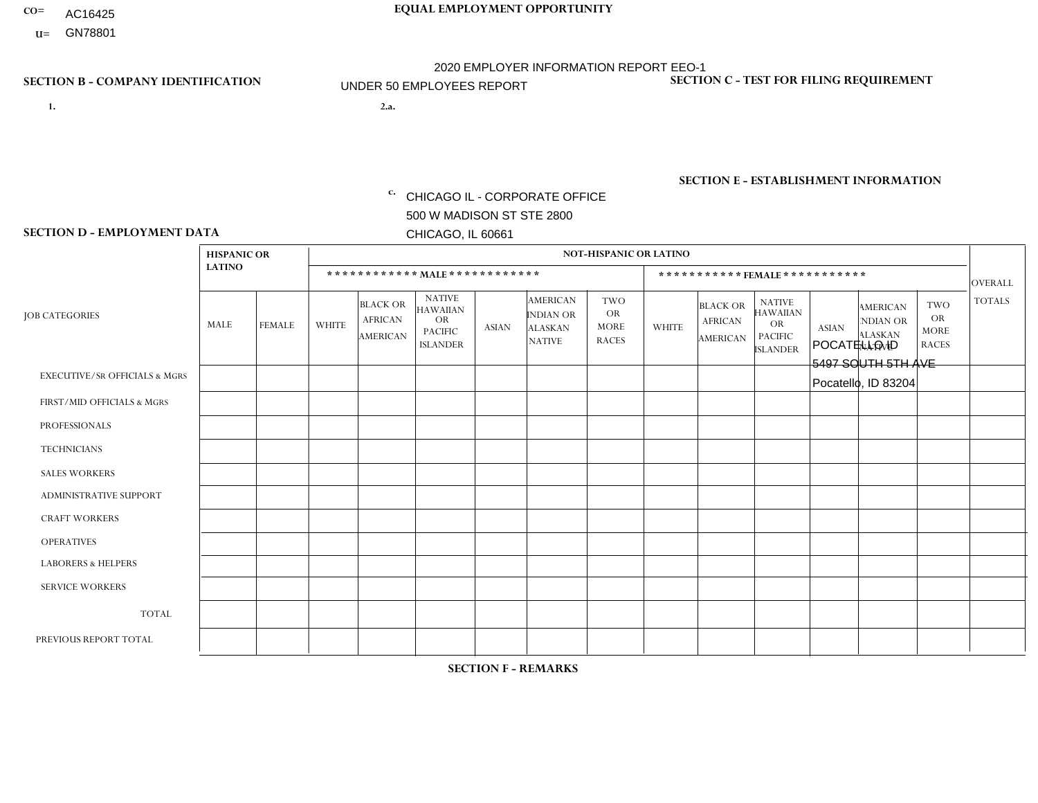- AC16425
- **U=**

**1. 2.a.** CHICAGO IL - CORPORATE OFFICE 500 W MADISON ST STE 2800 CHICAGO, IL 60661

2.a. POCATELLO ID 5497 SOUTH 5TH AVE Pocatello, ID 83204

EIN= 952920557

## **SECTION B - COMPANY IDENTIFICATION SECTION C - TEST FOR FILING REQUIREMENT**

1- Y 2- Y 3- N DUNS= 000123456

**SECTION E - ESTABLISHMENT INFORMATION c.** NAICS: 423140

### **SECTION D - EMPLOYMENT DATA**

|                                          | <b>HISPANIC OR</b> |               |              |                                                      |                                                                                    |              |                                                                 | <b>NOT-HISPANIC OR LATINO</b>                          |              |                                               |                                                                                    |              |                                                                       |                                                        |                |
|------------------------------------------|--------------------|---------------|--------------|------------------------------------------------------|------------------------------------------------------------------------------------|--------------|-----------------------------------------------------------------|--------------------------------------------------------|--------------|-----------------------------------------------|------------------------------------------------------------------------------------|--------------|-----------------------------------------------------------------------|--------------------------------------------------------|----------------|
|                                          | <b>LATINO</b>      |               |              | ************ MALE ************                       |                                                                                    |              |                                                                 |                                                        |              |                                               | ***********FEMALE***********                                                       |              |                                                                       |                                                        | <b>OVERALL</b> |
| <b>JOB CATEGORIES</b>                    | MALE               | <b>FEMALE</b> | <b>WHITE</b> | <b>BLACK OR</b><br><b>AFRICAN</b><br><b>AMERICAN</b> | <b>NATIVE</b><br><b>HAWAIIAN</b><br><b>OR</b><br><b>PACIFIC</b><br><b>ISLANDER</b> | <b>ASIAN</b> | <b>AMERICAN</b><br>INDIAN OR<br><b>ALASKAN</b><br><b>NATIVE</b> | <b>TWO</b><br><b>OR</b><br><b>MORE</b><br><b>RACES</b> | <b>WHITE</b> | <b>BLACK OR</b><br><b>AFRICAN</b><br>AMERICAN | <b>NATIVE</b><br><b>HAWAIIAN</b><br><b>OR</b><br><b>PACIFIC</b><br><b>ISLANDER</b> | <b>ASIAN</b> | <b>AMERICAN</b><br><b>NDIAN OR</b><br><b>ALASKAN</b><br><b>NATIVE</b> | <b>TWO</b><br><b>OR</b><br><b>MORE</b><br><b>RACES</b> | <b>TOTALS</b>  |
| <b>EXECUTIVE/SR OFFICIALS &amp; MGRS</b> | $\Omega$           | $\Omega$      | $\Omega$     | $\Omega$                                             | 0                                                                                  | $\Omega$     | $\Omega$                                                        | $\Omega$                                               | $\Omega$     | $\Omega$                                      | $\Omega$                                                                           | $\Omega$     | $\Omega$                                                              | $\Omega$                                               | $\Omega$       |
| FIRST/MID OFFICIALS & MGRS               | $\Omega$           | $\Omega$      | $\mathbf{0}$ | $\mathbf 0$                                          | $\Omega$                                                                           | $\Omega$     | $\Omega$                                                        | $\Omega$                                               | 0            | $\Omega$                                      | 0                                                                                  | $\Omega$     | $\Omega$                                                              | $\Omega$                                               | $\mathbf{0}$   |
| <b>PROFESSIONALS</b>                     | $\Omega$           | $\Omega$      | $\Omega$     | $\mathbf 0$                                          | $\Omega$                                                                           | $\Omega$     | $\Omega$                                                        | $\Omega$                                               | $\Omega$     | $\Omega$                                      | 0                                                                                  | 0            | $\Omega$                                                              | $\mathbf 0$                                            | $\mathbf{0}$   |
| <b>TECHNICIANS</b>                       | $\Omega$           | $\mathbf 0$   | $\Omega$     | $\mathbf 0$                                          | $\mathbf 0$                                                                        | $\Omega$     | $\Omega$                                                        | $\Omega$                                               | 0            | $\mathbf 0$                                   | 0                                                                                  | $\mathbf 0$  | $\Omega$                                                              | $\mathbf 0$                                            | $\mathbf{0}$   |
| <b>SALES WORKERS</b>                     | $\Omega$           | $\Omega$      | $\Omega$     | $\Omega$                                             | $\Omega$                                                                           | $\Omega$     | $\Omega$                                                        | $\Omega$                                               | $\Omega$     | $\Omega$                                      | $\Omega$                                                                           | $\Omega$     | $\Omega$                                                              | $\Omega$                                               | $\Omega$       |
| <b>ADMINISTRATIVE SUPPORT</b>            | $\Omega$           | $\Omega$      | $\mathbf{0}$ | $\mathbf 0$                                          | $\Omega$                                                                           | $\Omega$     | $\Omega$                                                        | $\Omega$                                               | 0            | $\Omega$                                      | 0                                                                                  | $\Omega$     | $\Omega$                                                              | $\Omega$                                               | $\mathbf 0$    |
| <b>CRAFT WORKERS</b>                     | $\Omega$           | $\Omega$      | $\Omega$     | $\mathbf 0$                                          | $\Omega$                                                                           | $\Omega$     | $\Omega$                                                        | $\Omega$                                               | 0            | $\Omega$                                      | $\Omega$                                                                           | $\Omega$     | $\Omega$                                                              | $\Omega$                                               | $\Omega$       |
| <b>OPERATIVES</b>                        | $\Omega$           | $\Omega$      | 1            | $\mathbf 0$                                          | $\mathbf 0$                                                                        | $\Omega$     | $\Omega$                                                        | $\Omega$                                               | $\Omega$     | $\Omega$                                      | 0                                                                                  | $\mathbf 0$  | $\Omega$                                                              | $\mathbf 0$                                            | $\mathbf{1}$   |
| <b>LABORERS &amp; HELPERS</b>            | $\Omega$           | $\Omega$      | $\mathbf{0}$ | $\Omega$                                             | $\Omega$                                                                           | $\Omega$     | $\Omega$                                                        | $\Omega$                                               | 0            | $\Omega$                                      | 0                                                                                  | $\Omega$     | $\Omega$                                                              | $\Omega$                                               | $\mathbf 0$    |
| <b>SERVICE WORKERS</b>                   | $\Omega$           | $\Omega$      | 0            | 0                                                    | $\mathbf 0$                                                                        | $\Omega$     | $\Omega$                                                        | $\Omega$                                               | 0            | $\Omega$                                      | $\Omega$                                                                           | $\mathbf 0$  | $\Omega$                                                              | 0                                                      | $\mathbf 0$    |
| <b>TOTAL</b>                             | $\Omega$           | $\mathbf 0$   | -1           | $\mathbf 0$                                          | $\mathbf 0$                                                                        | 0            | $\Omega$                                                        | $\Omega$                                               | 0            | $\Omega$                                      | 0                                                                                  | $\mathbf 0$  | $\mathbf 0$                                                           | $\mathbf 0$                                            | $\mathbf{1}$   |
| PREVIOUS REPORT TOTAL                    | $\Omega$           | $\Omega$      |              | $\mathbf 0$                                          | 0                                                                                  | $\Omega$     | $\Omega$                                                        | $\Omega$                                               | 0            | $\Omega$                                      | 0                                                                                  | $\Omega$     | $\Omega$                                                              | $\mathbf 0$                                            | $\overline{1}$ |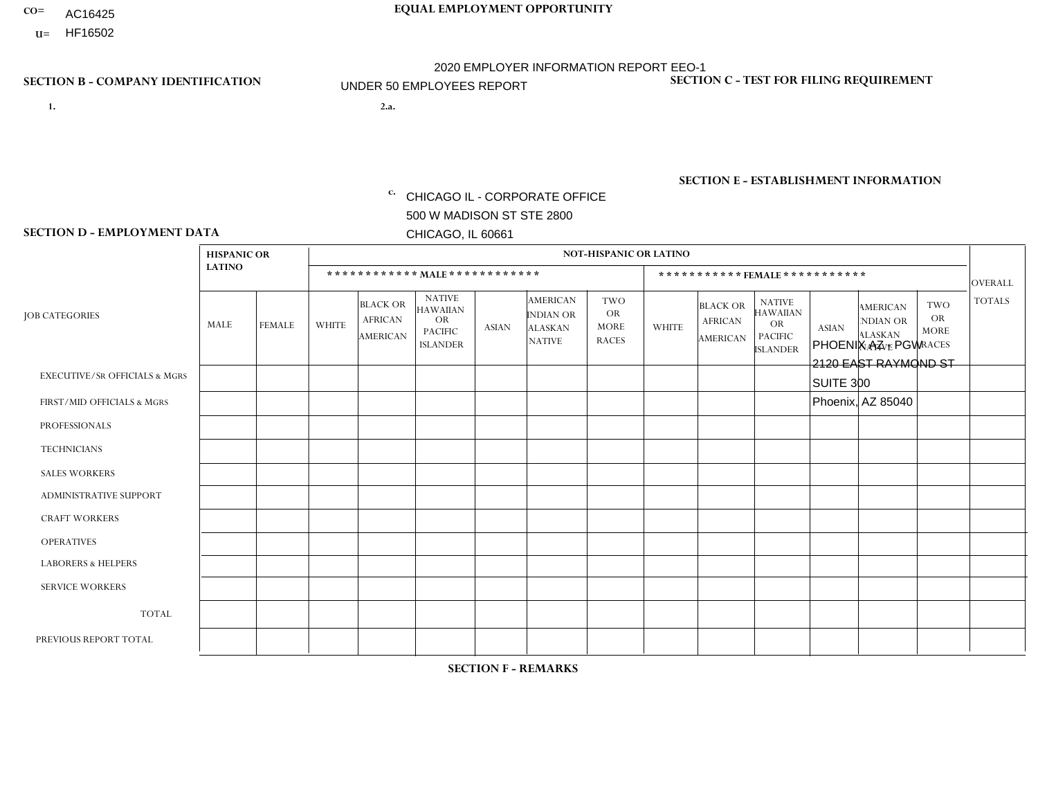- AC16425
- **U=**

- **1. 2.a.** CHICAGO IL CORPORATE OFFICE 500 W MADISON ST STE 2800 CHICAGO, IL 60661
- 2.a. PHOENIX AZ PGW 2120 EAST RAYMOND ST SUITE 300 Phoenix, AZ 85040
	- EIN= 952920557

## **SECTION B - COMPANY IDENTIFICATION SECTION C - TEST FOR FILING REQUIREMENT**

1- Y 2- Y 3- N DUNS= 000123456

**SECTION E - ESTABLISHMENT INFORMATION c.** NAICS: 811122

### **SECTION D - EMPLOYMENT DATA**

|                                          | <b>HISPANIC OR</b> |                |                |                                                      |                                                                      |              |                                                                        | <b>NOT-HISPANIC OR LATINO</b>                          |              |                                               |                                                                                    |              |                                                                       |                                                        |                |
|------------------------------------------|--------------------|----------------|----------------|------------------------------------------------------|----------------------------------------------------------------------|--------------|------------------------------------------------------------------------|--------------------------------------------------------|--------------|-----------------------------------------------|------------------------------------------------------------------------------------|--------------|-----------------------------------------------------------------------|--------------------------------------------------------|----------------|
|                                          | <b>LATINO</b>      |                |                |                                                      | ************ MAIE************                                        |              |                                                                        |                                                        |              | ***********FEMALE***********                  |                                                                                    |              |                                                                       |                                                        | <b>OVERALL</b> |
| <b>JOB CATEGORIES</b>                    | MALE               | <b>FEMALE</b>  | <b>WHITE</b>   | <b>BLACK OR</b><br><b>AFRICAN</b><br><b>AMERICAN</b> | <b>NATIVE</b><br>HAWAIIAN<br>OR<br><b>PACIFIC</b><br><b>ISLANDER</b> | <b>ASIAN</b> | <b>AMERICAN</b><br><b>INDIAN OR</b><br><b>ALASKAN</b><br><b>NATIVE</b> | <b>TWO</b><br><b>OR</b><br><b>MORE</b><br><b>RACES</b> | <b>WHITE</b> | <b>BLACK OR</b><br><b>AFRICAN</b><br>AMERICAN | <b>NATIVE</b><br><b>HAWAIIAN</b><br><b>OR</b><br><b>PACIFIC</b><br><b>ISLANDER</b> | <b>ASIAN</b> | <b>AMERICAN</b><br><b>NDIAN OR</b><br><b>ALASKAN</b><br><b>NATIVE</b> | <b>TWO</b><br><b>OR</b><br><b>MORE</b><br><b>RACES</b> | <b>TOTALS</b>  |
| <b>EXECUTIVE/SR OFFICIALS &amp; MGRS</b> | $\Omega$           | $\mathbf 0$    | $\Omega$       | $\mathbf 0$                                          | $\mathbf{0}$                                                         | $\mathbf{0}$ | $\Omega$                                                               | $\Omega$                                               | $\Omega$     | $\Omega$                                      | $\Omega$                                                                           | $\mathbf 0$  | $\Omega$                                                              | 0                                                      | $\mathbf 0$    |
| FIRST/MID OFFICIALS & MGRS               | $\Omega$           | $\Omega$       | $\Omega$       | $\mathbf 1$                                          | $\mathbf{0}$                                                         | $\Omega$     | $\Omega$                                                               | 0                                                      | $\Omega$     | $\Omega$                                      | $\Omega$                                                                           | $\Omega$     | $\Omega$                                                              | $\Omega$                                               | $\mathbf{1}$   |
| <b>PROFESSIONALS</b>                     | 0                  | 0              | $\mathbf 0$    | $\mathbf 0$                                          | $\mathbf{0}$                                                         | $\mathbf{0}$ | $\Omega$                                                               | 0                                                      | $\Omega$     | $\Omega$                                      | $\Omega$                                                                           | $\mathbf 0$  | $\Omega$                                                              | $\mathbf 0$                                            | $\mathbf 0$    |
| <b>TECHNICIANS</b>                       | 0                  | $\overline{0}$ | $\mathbf 0$    | $\mathbf 0$                                          | $\Omega$                                                             | $\Omega$     | $\Omega$                                                               | 0                                                      | $\Omega$     | $\Omega$                                      | $\mathbf 0$                                                                        | $\mathbf 0$  | $\Omega$                                                              | $\mathbf 0$                                            | $\mathbf 0$    |
| <b>SALES WORKERS</b>                     | 0                  | $\mathbf 0$    | $\mathbf 0$    | $\mathbf 0$                                          | $\Omega$                                                             | $\Omega$     | $\Omega$                                                               | 0                                                      | $\Omega$     | $\Omega$                                      | $\mathbf 0$                                                                        | $\mathbf 0$  | $\Omega$                                                              | $\mathbf 0$                                            | $\mathbf 0$    |
| ADMINISTRATIVE SUPPORT                   | $\Omega$           | $\Omega$       | $\Omega$       | $\Omega$                                             | $\mathbf{0}$                                                         | $\Omega$     | $\Omega$                                                               | 0                                                      | $\Omega$     | $\Omega$                                      | $\Omega$                                                                           | $\Omega$     | $\Omega$                                                              | $\Omega$                                               | $\Omega$       |
| <b>CRAFT WORKERS</b>                     | $\Omega$           | $\Omega$       | $\Omega$       | $\Omega$                                             | $\mathbf{0}$                                                         | $\mathbf{0}$ | $\Omega$                                                               | 0                                                      | $\Omega$     | $\Omega$                                      | $\Omega$                                                                           | $\Omega$     | $\Omega$                                                              | $\Omega$                                               | $\mathbf 0$    |
| <b>OPERATIVES</b>                        | $\overline{2}$     | $\Omega$       | $\mathbf 1$    | $\Omega$                                             | $\mathbf{0}$                                                         | $\mathbf{0}$ | $\Omega$                                                               | 0                                                      | $\Omega$     | $\Omega$                                      | $\Omega$                                                                           | $\Omega$     | $\Omega$                                                              | $\Omega$                                               | 3              |
| <b>LABORERS &amp; HELPERS</b>            | 1                  | $\Omega$       | 1              | $\mathbf{1}$                                         | $\mathbf{0}$                                                         | $\Omega$     | $\Omega$                                                               | 0                                                      | $\Omega$     | $\Omega$                                      | $\Omega$                                                                           | $\Omega$     | $\Omega$                                                              | $\Omega$                                               | 3              |
| <b>SERVICE WORKERS</b>                   | $\Omega$           | $\mathbf 0$    | 0              | $\mathbf 0$                                          | $\Omega$                                                             | $\mathbf{0}$ | $\Omega$                                                               | 0                                                      | $\Omega$     | $\Omega$                                      | $\Omega$                                                                           | $\Omega$     | $\Omega$                                                              | $\Omega$                                               | 0              |
| <b>TOTAL</b>                             | 3                  | 0              | $\overline{c}$ | $\overline{2}$                                       | $\mathbf 0$                                                          | $\mathbf{0}$ | $\Omega$                                                               | 0                                                      | $\Omega$     | $\Omega$                                      | $\mathbf 0$                                                                        | $\mathbf 0$  | $\Omega$                                                              | $\mathbf 0$                                            | $\overline{7}$ |
| PREVIOUS REPORT TOTAL                    | 1                  | $\mathbf 0$    | 1              | $\overline{2}$                                       | $\mathbf{0}$                                                         | $\mathbf{0}$ | $\Omega$                                                               | 0                                                      | $\Omega$     | $\Omega$                                      | $\mathbf 0$                                                                        | $\Omega$     | $\Omega$                                                              | 0                                                      | $\overline{4}$ |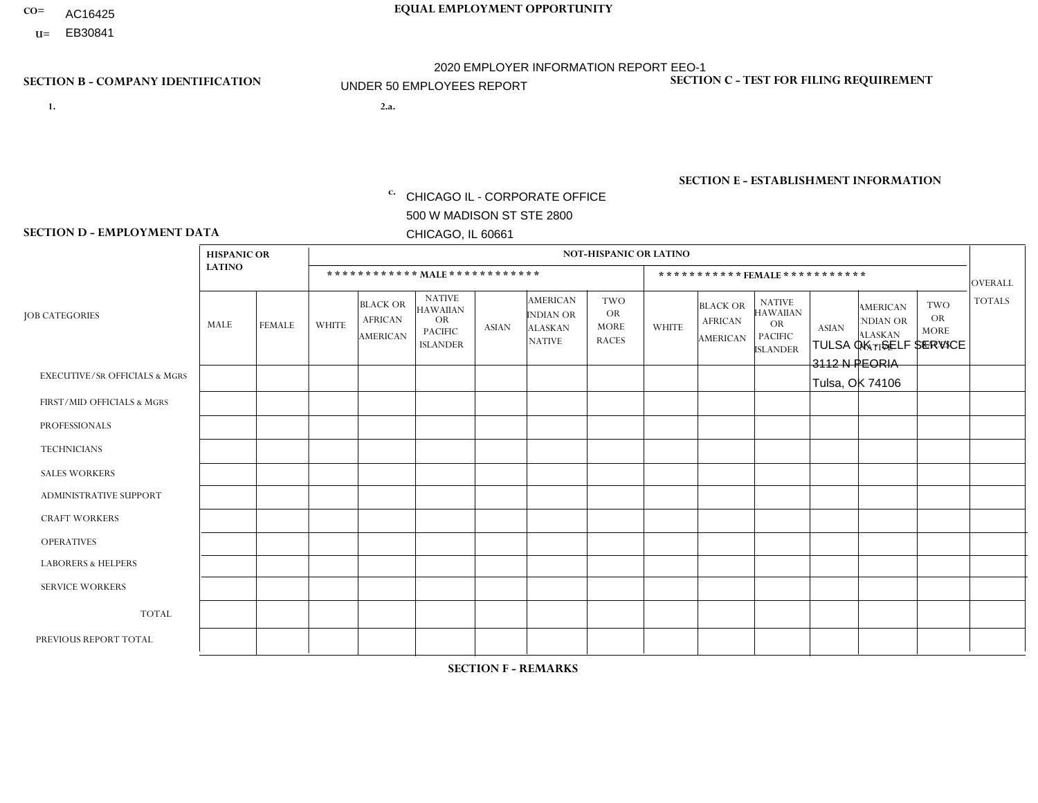- AC16425
- **U=**

**1. 2.a.** CHICAGO IL - CORPORATE OFFICE 500 W MADISON ST STE 2800 CHICAGO, IL 60661

2.a. TULSA OK - SELF SERVICE 3112 N PEORIA Tulsa, OK 74106

EIN= 952920557

## **SECTION B - COMPANY IDENTIFICATION SECTION C - TEST FOR FILING REQUIREMENT**

1- Y 2- Y 3- N DUNS= 000123456

**SECTION E - ESTABLISHMENT INFORMATION c.** NAICS: 423140

### **SECTION D - EMPLOYMENT DATA**

|                                          | <b>HISPANIC OR</b> |               |              |                                                      |                                                                                    |             |                                                                        | <b>NOT-HISPANIC OR LATINO</b>                          |                |                                               |                                                                                    |              |                                                                       |                                                        |                |
|------------------------------------------|--------------------|---------------|--------------|------------------------------------------------------|------------------------------------------------------------------------------------|-------------|------------------------------------------------------------------------|--------------------------------------------------------|----------------|-----------------------------------------------|------------------------------------------------------------------------------------|--------------|-----------------------------------------------------------------------|--------------------------------------------------------|----------------|
|                                          | <b>LATINO</b>      |               |              | ************ MALE ************                       |                                                                                    |             |                                                                        |                                                        |                |                                               | ***********FEMALE***********                                                       |              |                                                                       |                                                        | <b>OVERALL</b> |
| <b>JOB CATEGORIES</b>                    | MALE               | <b>FEMALE</b> | <b>WHITE</b> | <b>BLACK OR</b><br><b>AFRICAN</b><br><b>AMERICAN</b> | <b>NATIVE</b><br><b>HAWAIIAN</b><br><b>OR</b><br><b>PACIFIC</b><br><b>ISLANDER</b> | ASIAN       | <b>AMERICAN</b><br><b>INDIAN OR</b><br><b>ALASKAN</b><br><b>NATIVE</b> | <b>TWO</b><br><b>OR</b><br><b>MORE</b><br><b>RACES</b> | <b>WHITE</b>   | <b>BLACK OR</b><br><b>AFRICAN</b><br>AMERICAN | <b>NATIVE</b><br><b>HAWAIIAN</b><br><b>OR</b><br><b>PACIFIC</b><br><b>ISLANDER</b> | <b>ASIAN</b> | <b>AMERICAN</b><br><b>NDIAN OR</b><br><b>ALASKAN</b><br><b>NATIVE</b> | <b>TWO</b><br><b>OR</b><br><b>MORE</b><br><b>RACES</b> | <b>TOTALS</b>  |
| <b>EXECUTIVE/SR OFFICIALS &amp; MGRS</b> | $\Omega$           | $\mathbf 0$   | $\Omega$     | $\mathbf 0$                                          | $\mathbf 0$                                                                        | $\mathbf 0$ | $\Omega$                                                               | $\Omega$                                               | $\Omega$       | $\Omega$                                      | $\Omega$                                                                           | $\Omega$     | $\Omega$                                                              | $\Omega$                                               | $\mathbf 0$    |
| FIRST/MID OFFICIALS & MGRS               | $\Omega$           | 0             | 1            | $\mathbf 0$                                          | $\mathbf{0}$                                                                       | $\mathbf 0$ | $\Omega$                                                               | $\Omega$                                               | $\Omega$       | $\Omega$                                      | $\Omega$                                                                           | $\Omega$     | $\Omega$                                                              | $\Omega$                                               | $\mathbf{1}$   |
| <b>PROFESSIONALS</b>                     | $\Omega$           | $\Omega$      | $\Omega$     | $\mathbf 0$                                          | $\Omega$                                                                           | $\Omega$    | $\Omega$                                                               | $\Omega$                                               | $\Omega$       | $\Omega$                                      | $\Omega$                                                                           | $\Omega$     | $\Omega$                                                              | $\mathbf{0}$                                           | $\mathbf 0$    |
| <b>TECHNICIANS</b>                       | $\Omega$           | $\mathbf 0$   | $\Omega$     | $\mathbf 0$                                          | $\mathbf{0}$                                                                       | $\Omega$    | $\overline{0}$                                                         | $\Omega$                                               | $\mathbf{0}$   | $\Omega$                                      | $\Omega$                                                                           | $\Omega$     | $\Omega$                                                              | $\Omega$                                               | $\mathbf 0$    |
| <b>SALES WORKERS</b>                     | $\Omega$           | $\Omega$      | $\Omega$     | $\mathbf 0$                                          | 0                                                                                  | $\Omega$    | $\Omega$                                                               | $\Omega$                                               | $\Omega$       | $\Omega$                                      | $\Omega$                                                                           | $\Omega$     | $\Omega$                                                              | $\mathbf{0}$                                           | $\mathbf 0$    |
| <b>ADMINISTRATIVE SUPPORT</b>            | -1                 | 1             | -1           | $\mathbf 0$                                          | $\mathbf 0$                                                                        | $\mathbf 0$ | $\Omega$                                                               | $\Omega$                                               | $\overline{2}$ | $\Omega$                                      | $\Omega$                                                                           | $\mathbf 0$  | 1                                                                     | $\mathbf 0$                                            | 6              |
| <b>CRAFT WORKERS</b>                     | $\overline{2}$     | $\Omega$      | $\Omega$     | $\mathbf{1}$                                         | 0                                                                                  | $\Omega$    | $\Omega$                                                               |                                                        | $\Omega$       | $\Omega$                                      | $\mathbf{0}$                                                                       | $\Omega$     | $\Omega$                                                              | $\Omega$                                               | $\overline{4}$ |
| <b>OPERATIVES</b>                        | 4                  | $\Omega$      | $\Omega$     | 0                                                    | $\Omega$                                                                           | $\Omega$    | $\Omega$                                                               | $\Omega$                                               | $\Omega$       | $\Omega$                                      | $\Omega$                                                                           | $\Omega$     | $\Omega$                                                              | $\Omega$                                               | 4              |
| <b>LABORERS &amp; HELPERS</b>            | 0                  | $\Omega$      | 1            | $\mathbf 0$                                          | 0                                                                                  | $\Omega$    | $\Omega$                                                               | $\Omega$                                               | $\Omega$       | $\Omega$                                      | $\mathbf{0}$                                                                       | $\Omega$     | $\Omega$                                                              | $\mathbf{0}$                                           | $\mathbf{1}$   |
| <b>SERVICE WORKERS</b>                   | $\Omega$           | $\mathbf 0$   | 0            | 0                                                    | $\mathbf 0$                                                                        | $\mathbf 0$ | $\Omega$                                                               | $\Omega$                                               | $\Omega$       | $\mathbf 0$                                   | $\Omega$                                                                           | $\mathbf 0$  | $\Omega$                                                              | $\mathbf 0$                                            | 0              |
| <b>TOTAL</b>                             | $\overline{7}$     | $\mathbf{1}$  | 3            | $\mathbf 1$                                          | 0                                                                                  | $\mathbf 0$ | $\Omega$                                                               |                                                        | $\overline{2}$ | $\Omega$                                      | $\Omega$                                                                           | $\mathbf 0$  | 1                                                                     | $\Omega$                                               | 16             |
| PREVIOUS REPORT TOTAL                    | 4                  | $\mathbf{1}$  | 3            | $\mathbf 0$                                          | $\mathbf{0}$                                                                       | $\Omega$    | $\Omega$                                                               |                                                        | $\Omega$       | $\Omega$                                      | $\mathbf{0}$                                                                       | $\Omega$     | $\Omega$                                                              | $\Omega$                                               | 9              |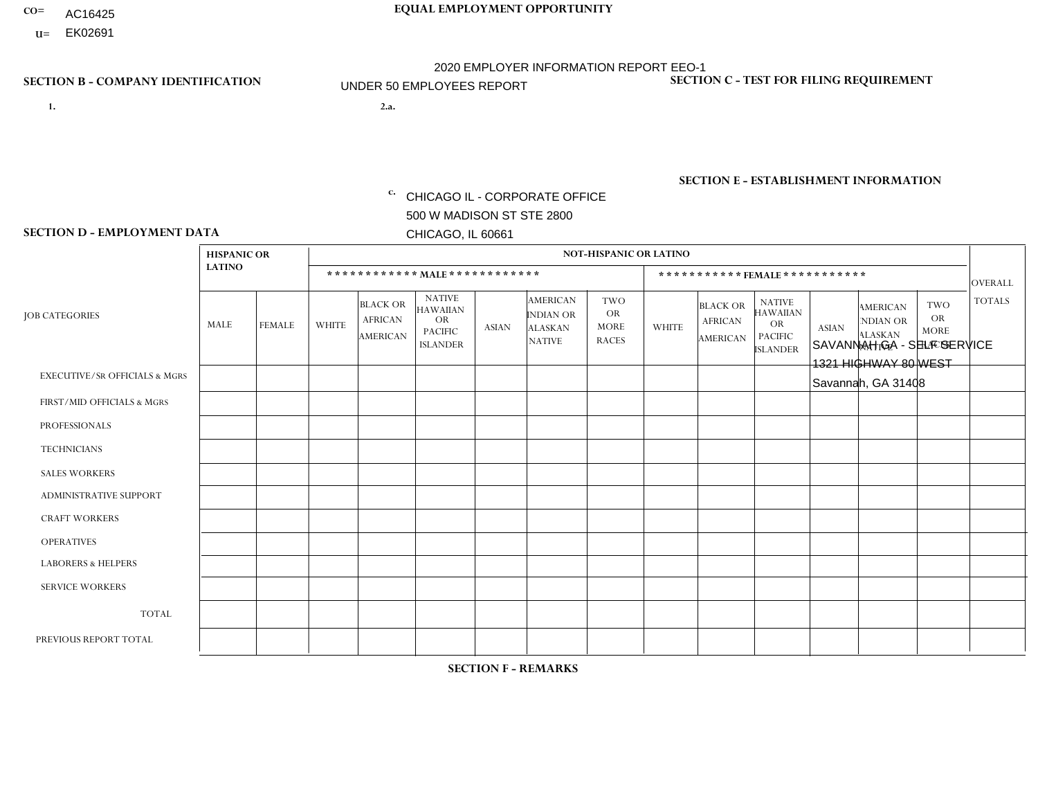- AC16425
- **U=**

**1. 2.a.** CHICAGO IL - CORPORATE OFFICE 500 W MADISON ST STE 2800 CHICAGO, IL 60661

2.a. SAVANNAH GA - SELF SERVICE 1321 HIGHWAY 80 WEST Savannah, GA 31408

c. EIN= 952920557

## **SECTION B - COMPANY IDENTIFICATION SECTION C - TEST FOR FILING REQUIREMENT**

1- Y 2- Y 3- N DUNS= 000123456

**SECTION E - ESTABLISHMENT INFORMATION c.** NAICS: 423140

### **SECTION D - EMPLOYMENT DATA**

|                                          | <b>HISPANIC OR</b> |                |              |                                                      |                                                                                    |              |                                                                        | <b>NOT-HISPANIC OR LATINO</b>                          |              |                                               |                                                                                    |              |                                                                       |                                                        |                |
|------------------------------------------|--------------------|----------------|--------------|------------------------------------------------------|------------------------------------------------------------------------------------|--------------|------------------------------------------------------------------------|--------------------------------------------------------|--------------|-----------------------------------------------|------------------------------------------------------------------------------------|--------------|-----------------------------------------------------------------------|--------------------------------------------------------|----------------|
|                                          | <b>LATINO</b>      |                |              | ************ MALE ************                       |                                                                                    |              |                                                                        |                                                        |              | ***********FEMALE***********                  |                                                                                    |              |                                                                       |                                                        | <b>OVERALL</b> |
| <b>JOB CATEGORIES</b>                    | MALE               | <b>FEMALE</b>  | <b>WHITE</b> | <b>BLACK OR</b><br><b>AFRICAN</b><br><b>AMERICAN</b> | <b>NATIVE</b><br><b>HAWAIIAN</b><br><b>OR</b><br><b>PACIFIC</b><br><b>ISLANDER</b> | ASIAN        | <b>AMERICAN</b><br><b>INDIAN OR</b><br><b>ALASKAN</b><br><b>NATIVE</b> | <b>TWO</b><br><b>OR</b><br><b>MORE</b><br><b>RACES</b> | <b>WHITE</b> | <b>BLACK OR</b><br><b>AFRICAN</b><br>AMERICAN | <b>NATIVE</b><br><b>HAWAIIAN</b><br><b>OR</b><br><b>PACIFIC</b><br><b>ISLANDER</b> | <b>ASIAN</b> | <b>AMERICAN</b><br><b>NDIAN OR</b><br><b>ALASKAN</b><br><b>NATIVE</b> | <b>TWO</b><br><b>OR</b><br><b>MORE</b><br><b>RACES</b> | <b>TOTALS</b>  |
| <b>EXECUTIVE/SR OFFICIALS &amp; MGRS</b> | $\Omega$           | $\Omega$       | $\Omega$     | $\mathbf 0$                                          | $\Omega$                                                                           | $\mathbf{0}$ | $\Omega$                                                               | $\Omega$                                               | 0            | $\Omega$                                      | $\Omega$                                                                           | $\Omega$     | $\Omega$                                                              | $\Omega$                                               | $\mathbf{0}$   |
| FIRST/MID OFFICIALS & MGRS               | 0                  | $\Omega$       |              | $\mathbf 0$                                          | $\Omega$                                                                           | $\Omega$     | $\Omega$                                                               | $\Omega$                                               | 0            | $\Omega$                                      | $\Omega$                                                                           | $\Omega$     | $\Omega$                                                              | $\Omega$                                               | $\mathbf{1}$   |
| <b>PROFESSIONALS</b>                     | 0                  | $\overline{0}$ |              | $\mathbf 0$                                          | $\Omega$                                                                           | $\Omega$     | $\Omega$                                                               | $\Omega$                                               | 0            | $\Omega$                                      | $\Omega$                                                                           | $\Omega$     | $\Omega$                                                              | $\mathbf 0$                                            | $\mathbf{1}$   |
| <b>TECHNICIANS</b>                       | 0                  | $\Omega$       | $\Omega$     | $\mathbf 0$                                          | $\Omega$                                                                           | $\Omega$     | $\Omega$                                                               | $\Omega$                                               | $\Omega$     | $\Omega$                                      | $\Omega$                                                                           | $\Omega$     | $\Omega$                                                              | $\Omega$                                               | $\mathbf{0}$   |
| <b>SALES WORKERS</b>                     | 0                  | $\Omega$       | $\Omega$     | $\Omega$                                             | $\Omega$                                                                           | $\Omega$     | $\Omega$                                                               | $\Omega$                                               |              | $\overline{1}$                                | $\Omega$                                                                           | $\Omega$     | $\Omega$                                                              | $\Omega$                                               | $\overline{2}$ |
| <b>ADMINISTRATIVE SUPPORT</b>            | $\Omega$           | $\overline{1}$ | 2            | $\mathbf 0$                                          | 0                                                                                  | $\Omega$     | $\Omega$                                                               | $\Omega$                                               | $\Omega$     | $\Omega$                                      | $\Omega$                                                                           | $\Omega$     | $\mathbf{0}$                                                          | $\mathbf 0$                                            | 3              |
| <b>CRAFT WORKERS</b>                     | 0                  | $\Omega$       | $\Omega$     | $\mathbf 0$                                          | $\Omega$                                                                           | $\Omega$     | $\Omega$                                                               | $\Omega$                                               | 0            | $\Omega$                                      | $\Omega$                                                                           | $\Omega$     | $\Omega$                                                              | $\Omega$                                               | $\Omega$       |
| <b>OPERATIVES</b>                        | 0                  | $\Omega$       | 5            | 4                                                    | $\Omega$                                                                           | $\Omega$     | $\Omega$                                                               | $\Omega$                                               | $\Omega$     | $\Omega$                                      | $\Omega$                                                                           | $\Omega$     | $\Omega$                                                              | $\Omega$                                               | 9              |
| <b>LABORERS &amp; HELPERS</b>            | 0                  | $\Omega$       | $\Omega$     | $\mathbf 0$                                          | $\Omega$                                                                           | $\Omega$     | $\Omega$                                                               | $\Omega$                                               | $\Omega$     | $\Omega$                                      | $\Omega$                                                                           | $\Omega$     | $\Omega$                                                              | $\Omega$                                               | $\mathbf 0$    |
| <b>SERVICE WORKERS</b>                   | 0                  | $\Omega$       | $\mathbf 0$  | 0                                                    | 0                                                                                  | $\Omega$     | $\Omega$                                                               | $\Omega$                                               | $\Omega$     | $\Omega$                                      | $\Omega$                                                                           | $\Omega$     | $\Omega$                                                              | $\Omega$                                               | $\overline{0}$ |
| <b>TOTAL</b>                             | $\mathbf 0$        | $\mathbf{1}$   | 9            | 4                                                    | 0                                                                                  | $\mathbf 0$  | $\Omega$                                                               | $\Omega$                                               |              | -1                                            | $\Omega$                                                                           | $\mathbf 0$  | 0                                                                     | $\mathbf 0$                                            | 16             |
| PREVIOUS REPORT TOTAL                    |                    | $\mathbf{1}$   | 5            | 3                                                    | $\Omega$                                                                           | $\mathbf{0}$ | $\Omega$                                                               | $\Omega$                                               | 4            |                                               | $\Omega$                                                                           | $\Omega$     | $\Omega$                                                              | $\mathbf 0$                                            | 15             |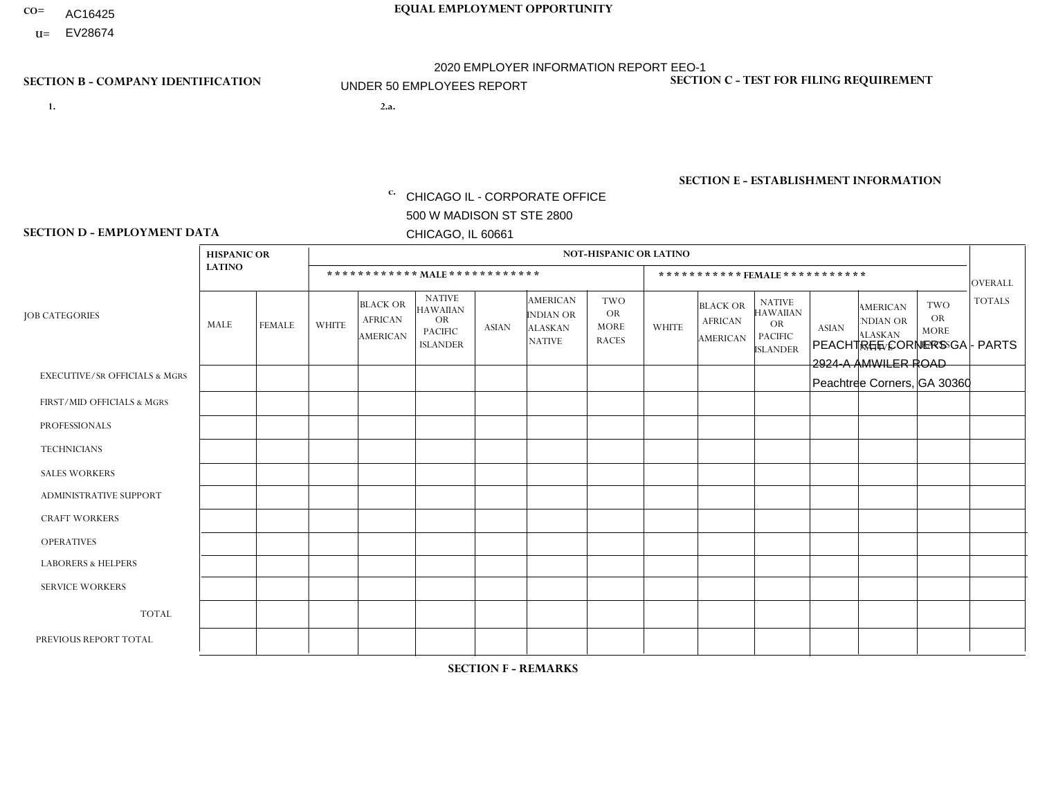- AC16425
- **U=** EV28674

- **1. 2.a.** CHICAGO IL CORPORATE OFFICE 500 W MADISON ST STE 2800 CHICAGO, IL 60661
- 2.a. PEACHTREE CORNERS GA PARTS 2924-A AMWILER ROAD Peachtree Corners, GA 30360

c. EIN= 952920557

## **SECTION B - COMPANY IDENTIFICATION SECTION C - TEST FOR FILING REQUIREMENT**

1- Y 2- Y 3- N DUNS= 000123456

**SECTION E - ESTABLISHMENT INFORMATION c.** NAICS: 423140

### **SECTION D - EMPLOYMENT DATA**

|                                          | <b>HISPANIC OR</b> |                |                |                                                      |                                                                                    |              |                                                                 | <b>NOT-HISPANIC OR LATINO</b>                          |              |                                                      |                                                                                    |              |                                                                       |                                                        |                |
|------------------------------------------|--------------------|----------------|----------------|------------------------------------------------------|------------------------------------------------------------------------------------|--------------|-----------------------------------------------------------------|--------------------------------------------------------|--------------|------------------------------------------------------|------------------------------------------------------------------------------------|--------------|-----------------------------------------------------------------------|--------------------------------------------------------|----------------|
|                                          | <b>LATINO</b>      |                |                |                                                      | ************ MALE ************                                                     |              |                                                                 |                                                        |              |                                                      | ***********FEMALE***********                                                       |              |                                                                       |                                                        | <b>OVERALL</b> |
| <b>JOB CATEGORIES</b>                    | MALE               | <b>FEMALE</b>  | <b>WHITE</b>   | <b>BLACK OR</b><br><b>AFRICAN</b><br><b>AMERICAN</b> | <b>NATIVE</b><br><b>HAWAIIAN</b><br><b>OR</b><br><b>PACIFIC</b><br><b>ISLANDER</b> | <b>ASIAN</b> | <b>AMERICAN</b><br>INDIAN OR<br><b>ALASKAN</b><br><b>NATIVE</b> | <b>TWO</b><br><b>OR</b><br><b>MORE</b><br><b>RACES</b> | <b>WHITE</b> | <b>BLACK OR</b><br><b>AFRICAN</b><br><b>AMERICAN</b> | <b>NATIVE</b><br><b>HAWAIIAN</b><br><b>OR</b><br><b>PACIFIC</b><br><b>ISLANDER</b> | <b>ASIAN</b> | <b>AMERICAN</b><br><b>NDIAN OR</b><br><b>ALASKAN</b><br><b>NATIVE</b> | <b>TWO</b><br><b>OR</b><br><b>MORE</b><br><b>RACES</b> | <b>TOTALS</b>  |
| <b>EXECUTIVE/SR OFFICIALS &amp; MGRS</b> | $\Omega$           | $\Omega$       | $\mathbf 0$    | $\mathbf 0$                                          | $\mathbf 0$                                                                        | $\Omega$     | $\Omega$                                                        | $\Omega$                                               | $\Omega$     | $\Omega$                                             | $\Omega$                                                                           | $\Omega$     | $\Omega$                                                              | $\Omega$                                               | $\Omega$       |
| FIRST/MID OFFICIALS & MGRS               | 0                  | $\Omega$       | 1              | $\mathbf 0$                                          | $\mathbf 0$                                                                        | $\Omega$     | $\Omega$                                                        | $\Omega$                                               | $\Omega$     | $\Omega$                                             | $\Omega$                                                                           | $\Omega$     | $\Omega$                                                              | $\Omega$                                               | -1             |
| <b>PROFESSIONALS</b>                     | 0                  | $\Omega$       | $\mathbf 0$    | $\mathbf 0$                                          | $\Omega$                                                                           | $\Omega$     | $\Omega$                                                        | $\Omega$                                               | 0            | $\Omega$                                             | $\Omega$                                                                           | $\Omega$     | $\Omega$                                                              | $\Omega$                                               | $\mathbf 0$    |
| <b>TECHNICIANS</b>                       | 0                  | $\overline{0}$ | $\mathbf 0$    | $\mathbf 0$                                          | $\mathbf 0$                                                                        | $\mathbf 0$  | $\Omega$                                                        | $\Omega$                                               | $\Omega$     | 0                                                    | $\Omega$                                                                           | $\mathbf 0$  | $\Omega$                                                              | $\mathbf 0$                                            | $\mathbf 0$    |
| <b>SALES WORKERS</b>                     |                    | $\Omega$       | $\overline{c}$ | $\mathbf 0$                                          | $\Omega$                                                                           | $\Omega$     | $\Omega$                                                        | $\Omega$                                               | $\Omega$     | $\Omega$                                             | $\Omega$                                                                           | $\Omega$     | $\Omega$                                                              | $\Omega$                                               | 3              |
| <b>ADMINISTRATIVE SUPPORT</b>            | 0                  | $\Omega$       | $\mathbf 0$    | $\mathbf 0$                                          | $\mathbf 0$                                                                        | $\Omega$     | $\Omega$                                                        | $\Omega$                                               | $\Omega$     | $\Omega$                                             | $\Omega$                                                                           | $\Omega$     | $\Omega$                                                              | $\Omega$                                               | $\mathbf 0$    |
| <b>CRAFT WORKERS</b>                     | 0                  | $\Omega$       | $\mathbf 0$    | $\mathbf 0$                                          | $\Omega$                                                                           | $\Omega$     | $\Omega$                                                        | $\Omega$                                               | 0            | $\Omega$                                             | $\Omega$                                                                           | $\Omega$     | $\Omega$                                                              | $\Omega$                                               | $\Omega$       |
| <b>OPERATIVES</b>                        | 0                  | $\Omega$       | $\mathbf 0$    | $\mathbf 0$                                          | 0                                                                                  | $\Omega$     | $\Omega$                                                        | $\Omega$                                               | $\Omega$     | $\Omega$                                             | $\Omega$                                                                           | $\Omega$     | $\Omega$                                                              | $\Omega$                                               | $\mathbf 0$    |
| <b>LABORERS &amp; HELPERS</b>            |                    | $\Omega$       | $\mathbf 0$    | $\mathbf 0$                                          | $\Omega$                                                                           | $\Omega$     | $\Omega$                                                        | $\Omega$                                               | 0            | $\Omega$                                             | $\Omega$                                                                           | $\Omega$     | 0                                                                     | $\Omega$                                               | $\mathbf 1$    |
| <b>SERVICE WORKERS</b>                   | 0                  | $\mathbf 0$    | $\mathbf 0$    | $\mathbf 0$                                          | $\mathbf 0$                                                                        | $\mathbf 0$  | $\Omega$                                                        | $\Omega$                                               | $\Omega$     | $\Omega$                                             | $\Omega$                                                                           | $\mathbf 0$  | $\Omega$                                                              | $\Omega$                                               | $\mathbf 0$    |
| <b>TOTAL</b>                             | $\overline{2}$     | 0              | 3              | $\mathbf 0$                                          | 0                                                                                  | 0            | $\Omega$                                                        | $\Omega$                                               | $\Omega$     | $\Omega$                                             | $\Omega$                                                                           | $\mathbf 0$  | $\Omega$                                                              | $\Omega$                                               | 5              |
| PREVIOUS REPORT TOTAL                    | $\overline{2}$     | 0              | $\overline{2}$ | $\mathbf 0$                                          | $\mathbf 0$                                                                        | $\Omega$     | $\Omega$                                                        | $\Omega$                                               | $\Omega$     | $\Omega$                                             | $\Omega$                                                                           | $\Omega$     | $\Omega$                                                              | $\mathbf 0$                                            | $\overline{4}$ |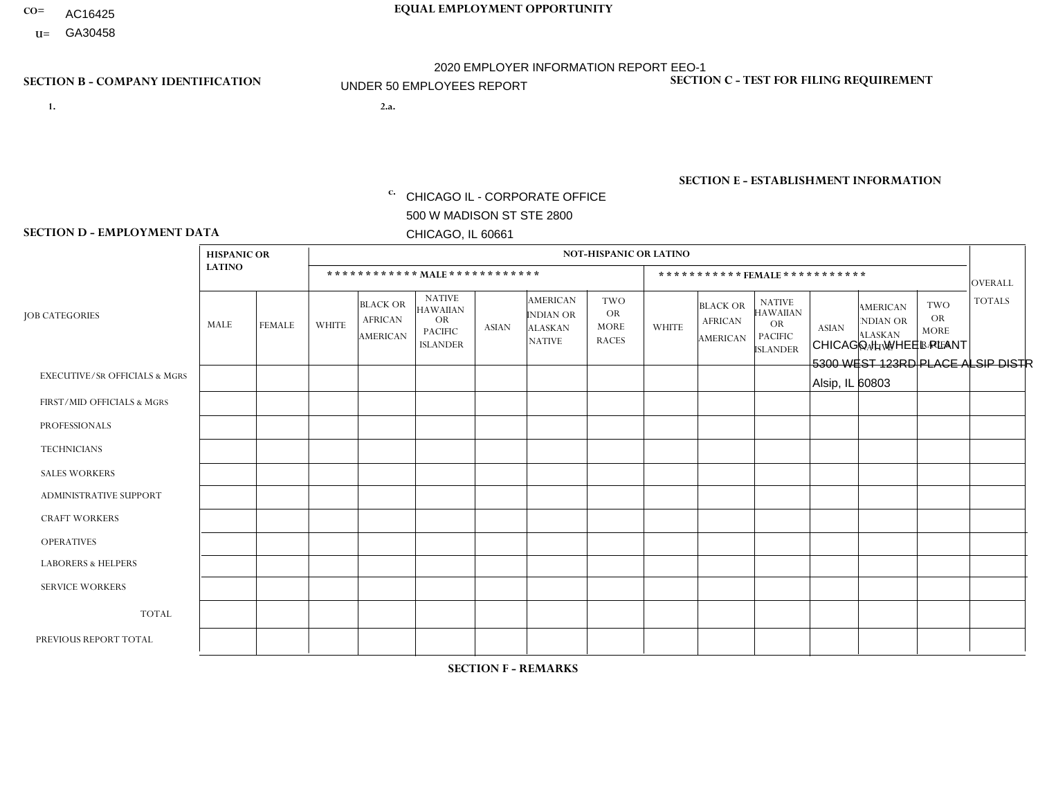- AC16425
- **U=**

- **1. 2.a.** CHICAGO IL CORPORATE OFFICE 500 W MADISON ST STE 2800 CHICAGO, IL 60661
- 2.a. CHICAGO IL WHEEL PLANT 5300 WEST 123RD PLACE ALSIP DISTR Alsip, IL 60803

c. EIN= 952920557

## **SECTION B - COMPANY IDENTIFICATION SECTION C - TEST FOR FILING REQUIREMENT**

1- Y 2- Y 3- N DUNS= 000123456

**SECTION E - ESTABLISHMENT INFORMATION c.** NAICS: 423140

### **SECTION D - EMPLOYMENT DATA**

|                                          | <b>HISPANIC OR</b> |                |              |                                                      |                                                                                    |              |                                                                        | <b>NOT-HISPANIC OR LATINO</b>                          |                |                                                      |                                                                             |              |                                                                       |                                                        |                |
|------------------------------------------|--------------------|----------------|--------------|------------------------------------------------------|------------------------------------------------------------------------------------|--------------|------------------------------------------------------------------------|--------------------------------------------------------|----------------|------------------------------------------------------|-----------------------------------------------------------------------------|--------------|-----------------------------------------------------------------------|--------------------------------------------------------|----------------|
|                                          | <b>LATINO</b>      |                |              | ************ MALE ************                       |                                                                                    |              |                                                                        |                                                        |                | ***********FEMALE***********                         |                                                                             |              |                                                                       |                                                        | <b>OVERALL</b> |
| <b>JOB CATEGORIES</b>                    | MALE               | <b>FEMALE</b>  | <b>WHITE</b> | <b>BLACK OR</b><br><b>AFRICAN</b><br><b>AMERICAN</b> | <b>NATIVE</b><br><b>HAWAIIAN</b><br><b>OR</b><br><b>PACIFIC</b><br><b>ISLANDER</b> | <b>ASIAN</b> | <b>AMERICAN</b><br><b>INDIAN OR</b><br><b>ALASKAN</b><br><b>NATIVE</b> | <b>TWO</b><br><b>OR</b><br><b>MORE</b><br><b>RACES</b> | <b>WHITE</b>   | <b>BLACK OR</b><br><b>AFRICAN</b><br><b>AMERICAN</b> | <b>NATIVE</b><br><b>HAWAIIAN</b><br>OR<br><b>PACIFIC</b><br><b>ISLANDER</b> | <b>ASIAN</b> | <b>AMERICAN</b><br><b>NDIAN OR</b><br><b>ALASKAN</b><br><b>NATIVE</b> | <b>TWO</b><br><b>OR</b><br><b>MORE</b><br><b>RACES</b> | <b>TOTALS</b>  |
| <b>EXECUTIVE/SR OFFICIALS &amp; MGRS</b> | $\Omega$           | $\Omega$       | $\Omega$     | $\mathbf 0$                                          | $\Omega$                                                                           | $\Omega$     | $\Omega$                                                               | $\Omega$                                               | 0              | $\Omega$                                             | $\Omega$                                                                    | $\Omega$     | $\Omega$                                                              | $\Omega$                                               | $\mathbf{0}$   |
| FIRST/MID OFFICIALS & MGRS               |                    | $\Omega$       | $\Omega$     | $\mathbf 0$                                          | $\Omega$                                                                           | $\Omega$     | $\Omega$                                                               | $\Omega$                                               | 0              | $\Omega$                                             | $\Omega$                                                                    | $\Omega$     | $\Omega$                                                              | $\Omega$                                               | $\mathbf{1}$   |
| <b>PROFESSIONALS</b>                     | 0                  | $\Omega$       | $\Omega$     | $\mathbf 0$                                          | $\Omega$                                                                           | $\Omega$     | $\Omega$                                                               | $\Omega$                                               | 0              | $\Omega$                                             | $\Omega$                                                                    | $\Omega$     | $\Omega$                                                              | $\mathbf{0}$                                           | $\mathbf{0}$   |
| <b>TECHNICIANS</b>                       | 0                  | $\overline{0}$ | $\Omega$     | $\mathbf 0$                                          | $\Omega$                                                                           | $\Omega$     | $\Omega$                                                               | $\Omega$                                               | $\Omega$       | $\Omega$                                             | $\Omega$                                                                    | $\Omega$     | $\Omega$                                                              | $\Omega$                                               | $\overline{0}$ |
| <b>SALES WORKERS</b>                     | $\Omega$           | $\Omega$       | $\Omega$     | $\mathbf 0$                                          | $\Omega$                                                                           | $\Omega$     | $\Omega$                                                               | $\Omega$                                               | $\Omega$       | $\Omega$                                             | $\Omega$                                                                    | $\Omega$     | $\Omega$                                                              | $\Omega$                                               | $\mathbf 0$    |
| ADMINISTRATIVE SUPPORT                   | $\Omega$           | $\Omega$       | $\Omega$     | $\Omega$                                             | $\Omega$                                                                           | $\Omega$     | $\Omega$                                                               | $\Omega$                                               | $\Omega$       | $\Omega$                                             | $\Omega$                                                                    | $\Omega$     | $\mathbf{0}$                                                          | $\Omega$                                               | $\mathbf 0$    |
| <b>CRAFT WORKERS</b>                     | 0                  | $\Omega$       | $\mathbf 0$  | $\mathbf 0$                                          | $\Omega$                                                                           | $\Omega$     | $\Omega$                                                               | $\Omega$                                               | 0              | $\Omega$                                             | $\Omega$                                                                    | $\Omega$     | $\Omega$                                                              | $\Omega$                                               | $\mathbf 0$    |
| <b>OPERATIVES</b>                        | 11                 | $\Omega$       | 6            | $\overline{1}$                                       | $\mathbf{0}$                                                                       | $\Omega$     | $\Omega$                                                               | $\Omega$                                               | 0              | $\Omega$                                             | $\Omega$                                                                    | $\Omega$     | $\Omega$                                                              | $\Omega$                                               | 18             |
| <b>LABORERS &amp; HELPERS</b>            | 0                  | $\Omega$       | $\Omega$     | $\mathbf 0$                                          | 0                                                                                  | $\Omega$     | $\Omega$                                                               | $\Omega$                                               | $\overline{0}$ | $\Omega$                                             | $\Omega$                                                                    | $\Omega$     | $\Omega$                                                              | $\Omega$                                               | $\mathbf 0$    |
| <b>SERVICE WORKERS</b>                   | 0                  | 0              | $\mathbf 0$  | 0                                                    | $\mathbf{0}$                                                                       | $\mathbf 0$  | $\Omega$                                                               | $\Omega$                                               | $\Omega$       | $\Omega$                                             | $\Omega$                                                                    | $\Omega$     | $\Omega$                                                              | $\mathbf 0$                                            | 0              |
| <b>TOTAL</b>                             | 12                 | $\Omega$       | 6            | 1                                                    | $\Omega$                                                                           | $\Omega$     | $\Omega$                                                               | $\Omega$                                               | 0              | $\Omega$                                             | $\Omega$                                                                    | $\Omega$     | $\Omega$                                                              | $\Omega$                                               | 19             |
| PREVIOUS REPORT TOTAL                    | 12                 | $\Omega$       | 8            | $\overline{4}$                                       | $\Omega$                                                                           | $\Omega$     | $\Omega$                                                               | $\Omega$                                               | 0              | $\Omega$                                             | $\Omega$                                                                    | $\Omega$     | $\Omega$                                                              | $\Omega$                                               | 24             |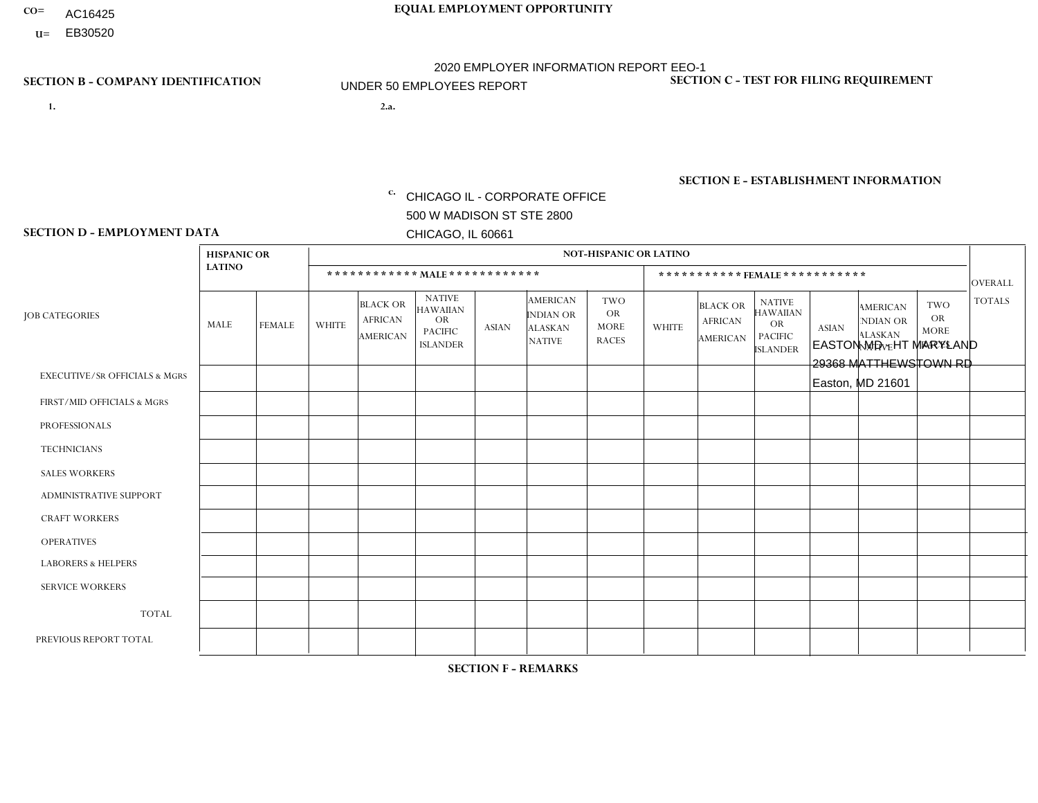- AC16425
- **U=**

- **1. 2.a.** CHICAGO IL CORPORATE OFFICE 500 W MADISON ST STE 2800 CHICAGO, IL 60661
- 2.a. EASTON MD HT MARYLAND 29368 MATTHEWSTOWN RD Easton, MD 21601

c. EIN= 952920557

## **SECTION B - COMPANY IDENTIFICATION SECTION C - TEST FOR FILING REQUIREMENT**

1- Y 2- Y 3- N DUNS= 000123456

**SECTION E - ESTABLISHMENT INFORMATION c.** NAICS: 423140

### **SECTION D - EMPLOYMENT DATA**

|                                          | <b>HISPANIC OR</b> |               |                |                                                      |                                                                                    |              |                                                                        | <b>NOT-HISPANIC OR LATINO</b>                          |                |                                               |                                                                                    |              |                                                                       |                                                        |                |
|------------------------------------------|--------------------|---------------|----------------|------------------------------------------------------|------------------------------------------------------------------------------------|--------------|------------------------------------------------------------------------|--------------------------------------------------------|----------------|-----------------------------------------------|------------------------------------------------------------------------------------|--------------|-----------------------------------------------------------------------|--------------------------------------------------------|----------------|
|                                          | <b>LATINO</b>      |               |                |                                                      | ************ MAIE************                                                      |              |                                                                        |                                                        |                | ***********FEMALE***********                  |                                                                                    |              |                                                                       |                                                        | <b>OVERALL</b> |
| <b>JOB CATEGORIES</b>                    | <b>MALE</b>        | <b>FEMALE</b> | <b>WHITE</b>   | <b>BLACK OR</b><br><b>AFRICAN</b><br><b>AMERICAN</b> | <b>NATIVE</b><br><b>HAWAIIAN</b><br><b>OR</b><br><b>PACIFIC</b><br><b>ISLANDER</b> | <b>ASIAN</b> | <b>AMERICAN</b><br><b>INDIAN OR</b><br><b>ALASKAN</b><br><b>NATIVE</b> | <b>TWO</b><br><b>OR</b><br><b>MORE</b><br><b>RACES</b> | <b>WHITE</b>   | <b>BLACK OR</b><br><b>AFRICAN</b><br>AMERICAN | <b>NATIVE</b><br><b>HAWAIIAN</b><br><b>OR</b><br><b>PACIFIC</b><br><b>ISLANDER</b> | <b>ASIAN</b> | <b>AMERICAN</b><br><b>NDIAN OR</b><br><b>ALASKAN</b><br><b>NATIVE</b> | <b>TWO</b><br><b>OR</b><br><b>MORE</b><br><b>RACES</b> | <b>TOTALS</b>  |
| <b>EXECUTIVE/SR OFFICIALS &amp; MGRS</b> | $\Omega$           | $\Omega$      | $\Omega$       | $\Omega$                                             | $\mathbf{0}$                                                                       | $\Omega$     | $\Omega$                                                               | $\Omega$                                               | $\Omega$       | $\Omega$                                      | $\Omega$                                                                           | $\Omega$     | $\Omega$                                                              | $\Omega$                                               | $\Omega$       |
| FIRST/MID OFFICIALS & MGRS               | 0                  | $\mathbf 0$   | $\overline{1}$ | $\mathbf 0$                                          | $\mathbf{0}$                                                                       | $\mathbf{0}$ | $\Omega$                                                               | 0                                                      | $\overline{2}$ | $\Omega$                                      | $\Omega$                                                                           | $\mathbf 0$  | $\Omega$                                                              | 0                                                      | 3              |
| <b>PROFESSIONALS</b>                     | 0                  | $\mathbf 0$   | $\overline{1}$ | $\mathbf 0$                                          | $\Omega$                                                                           | $\Omega$     | $\Omega$                                                               | 0                                                      | $\Omega$       | $\Omega$                                      | 0                                                                                  | $\mathbf 0$  | $\Omega$                                                              | $\mathbf 0$                                            | $\mathbf{1}$   |
| <b>TECHNICIANS</b>                       | 0                  | $\mathbf 0$   | $\mathbf 0$    | $\mathbf 0$                                          | $\Omega$                                                                           | $\Omega$     | $\Omega$                                                               | 0                                                      | $\Omega$       | $\Omega$                                      | $\mathbf 0$                                                                        | $\mathbf 0$  | $\Omega$                                                              | $\mathbf 0$                                            | $\mathbf 0$    |
| <b>SALES WORKERS</b>                     | $\mathbf 0$        | $\mathbf 0$   | 1              | $\mathbf 0$                                          | $\Omega$                                                                           | $\Omega$     | $\Omega$                                                               | 1                                                      | $\Omega$       | $\Omega$                                      | $\Omega$                                                                           | $\mathbf{0}$ | $\Omega$                                                              | $\mathbf 0$                                            | $\overline{2}$ |
| <b>ADMINISTRATIVE SUPPORT</b>            | $\Omega$           | $\Omega$      | 1              | $\Omega$                                             | $\mathbf{0}$                                                                       | $\Omega$     | $\Omega$                                                               | 0                                                      | $\Omega$       | $\Omega$                                      | $\Omega$                                                                           | $\Omega$     | $\Omega$                                                              | $\Omega$                                               | $\mathbf{1}$   |
| <b>CRAFT WORKERS</b>                     | 4                  | $\Omega$      | $\mathbf 0$    | $\Omega$                                             | $\Omega$                                                                           | $\Omega$     |                                                                        | 0                                                      | $\Omega$       | $\Omega$                                      | $\Omega$                                                                           | $\Omega$     | $\Omega$                                                              | $\Omega$                                               | 5              |
| <b>OPERATIVES</b>                        | 0                  | $\Omega$      | $\overline{c}$ | $\Omega$                                             | $\mathbf{0}$                                                                       | $\Omega$     | $\Omega$                                                               | 0                                                      | $\Omega$       | $\Omega$                                      | $\Omega$                                                                           | $\Omega$     | $\Omega$                                                              | $\Omega$                                               | $\overline{2}$ |
| <b>LABORERS &amp; HELPERS</b>            | 0                  | $\Omega$      | $\overline{c}$ | $\mathbf{1}$                                         | $\mathbf{0}$                                                                       | $\Omega$     | $\Omega$                                                               | 0                                                      | $\Omega$       | $\Omega$                                      | $\Omega$                                                                           | $\Omega$     | $\Omega$                                                              | $\Omega$                                               | $\mathbf{3}$   |
| <b>SERVICE WORKERS</b>                   | $\Omega$           | $\mathbf 0$   | $\mathbf 0$    | $\mathbf 0$                                          | $\mathbf{0}$                                                                       | $\mathbf{0}$ | $\Omega$                                                               | 0                                                      | $\Omega$       | $\Omega$                                      | $\Omega$                                                                           | $\mathbf 0$  | $\Omega$                                                              | $\Omega$                                               | 0              |
| <b>TOTAL</b>                             | 4                  | $\mathbf 0$   | 8              | 1                                                    | $\mathbf 0$                                                                        | $\mathbf{0}$ |                                                                        | 1                                                      | $\overline{2}$ | $\Omega$                                      | 0                                                                                  | $\mathbf 0$  | $\Omega$                                                              | 0                                                      | 17             |
| PREVIOUS REPORT TOTAL                    | 4                  | $\Omega$      | 10             | $\Omega$                                             | $\Omega$                                                                           | $\Omega$     |                                                                        | $\overline{2}$                                         | $\overline{2}$ | $\Omega$                                      | $\Omega$                                                                           | $\mathbf{0}$ | $\Omega$                                                              | $\mathbf 0$                                            | 19             |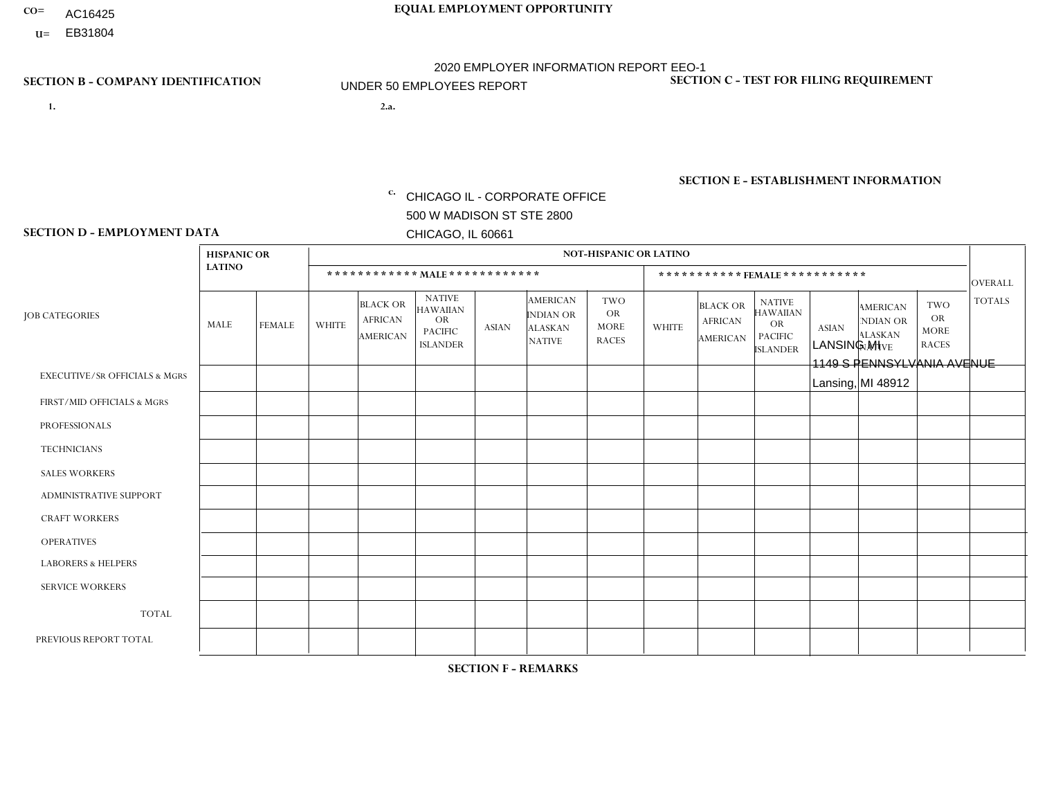- AC16425
- **U=**

- **1. 2.a.** CHICAGO IL CORPORATE OFFICE 500 W MADISON ST STE 2800 CHICAGO, IL 60661
- 2.a. LANSING MI 1149 S PENNSYLVANIA AVENUE Lansing, MI 48912

c. EIN= 952920557

## **SECTION B - COMPANY IDENTIFICATION SECTION C - TEST FOR FILING REQUIREMENT**

1- Y 2- Y 3- N DUNS= 000123456

**SECTION E - ESTABLISHMENT INFORMATION c.** NAICS: 423140

### **SECTION D - EMPLOYMENT DATA**

|                                          | <b>HISPANIC OR</b> |               |              |                                                      |                                                                                    |              |                                                                        | <b>NOT-HISPANIC OR LATINO</b>                          |                |                                               |                                                                                    |              |                                                                       |                                                        |                |
|------------------------------------------|--------------------|---------------|--------------|------------------------------------------------------|------------------------------------------------------------------------------------|--------------|------------------------------------------------------------------------|--------------------------------------------------------|----------------|-----------------------------------------------|------------------------------------------------------------------------------------|--------------|-----------------------------------------------------------------------|--------------------------------------------------------|----------------|
|                                          | <b>LATINO</b>      |               |              |                                                      | ************ MALE************                                                      |              |                                                                        |                                                        |                | ***********FEMALE***********                  |                                                                                    |              |                                                                       |                                                        | <b>OVERALL</b> |
| <b>JOB CATEGORIES</b>                    | MALE               | <b>FEMALE</b> | <b>WHITE</b> | <b>BLACK OR</b><br><b>AFRICAN</b><br><b>AMERICAN</b> | <b>NATIVE</b><br><b>HAWAIIAN</b><br><b>OR</b><br><b>PACIFIC</b><br><b>ISLANDER</b> | <b>ASIAN</b> | <b>AMERICAN</b><br><b>INDIAN OR</b><br><b>ALASKAN</b><br><b>NATIVE</b> | <b>TWO</b><br><b>OR</b><br><b>MORE</b><br><b>RACES</b> | <b>WHITE</b>   | <b>BLACK OR</b><br><b>AFRICAN</b><br>AMERICAN | <b>NATIVE</b><br><b>HAWAIIAN</b><br><b>OR</b><br><b>PACIFIC</b><br><b>ISLANDER</b> | <b>ASIAN</b> | <b>AMERICAN</b><br><b>NDIAN OR</b><br><b>ALASKAN</b><br><b>NATIVE</b> | <b>TWO</b><br><b>OR</b><br><b>MORE</b><br><b>RACES</b> | <b>TOTALS</b>  |
| <b>EXECUTIVE/SR OFFICIALS &amp; MGRS</b> | $\Omega$           | $\Omega$      | $\Omega$     | $\mathbf 0$                                          | $\Omega$                                                                           | $\mathbf{0}$ | $\mathbf{0}$                                                           | $\Omega$                                               | 0              | $\Omega$                                      | $\Omega$                                                                           | 0            | $\Omega$                                                              | $\mathbf 0$                                            | $\mathbf{0}$   |
| FIRST/MID OFFICIALS & MGRS               | 0                  | $\Omega$      | 1            | $\mathbf 0$                                          | $\Omega$                                                                           | $\Omega$     | $\Omega$                                                               | $\Omega$                                               | 0              | $\Omega$                                      | $\Omega$                                                                           | $\mathbf{0}$ | $\Omega$                                                              | $\mathbf{0}$                                           | $\mathbf{1}$   |
| <b>PROFESSIONALS</b>                     | 0                  | $\Omega$      | $\Omega$     | $\mathbf 0$                                          | $\Omega$                                                                           | $\Omega$     | $\Omega$                                                               | $\Omega$                                               | 0              | $\Omega$                                      | $\Omega$                                                                           | $\Omega$     | $\Omega$                                                              | $\mathbf{0}$                                           | $\mathbf{0}$   |
| <b>TECHNICIANS</b>                       | $\Omega$           | $\mathbf 0$   | $\Omega$     | $\mathbf 0$                                          | $\mathbf 0$                                                                        | $\Omega$     | $\Omega$                                                               | $\Omega$                                               | $\Omega$       | $\mathbf 0$                                   | $\Omega$                                                                           | $\mathbf 0$  | $\mathbf 0$                                                           | $\mathbf 0$                                            | $\mathbf{0}$   |
| <b>SALES WORKERS</b>                     | 0                  | $\Omega$      |              | $\Omega$                                             | $\Omega$                                                                           | $\Omega$     | $\Omega$                                                               |                                                        | $\overline{0}$ | $\Omega$                                      | $\Omega$                                                                           | $\Omega$     | $\Omega$                                                              | $\Omega$                                               | $\overline{2}$ |
| <b>ADMINISTRATIVE SUPPORT</b>            | $\Omega$           | $\Omega$      | $\Omega$     | $\mathbf 0$                                          | $\Omega$                                                                           | $\Omega$     | $\Omega$                                                               | $\Omega$                                               |                | $\Omega$                                      | $\Omega$                                                                           | $\mathbf{0}$ | $\mathbf{0}$                                                          | $\Omega$                                               | $\mathbf{1}$   |
| <b>CRAFT WORKERS</b>                     | 0                  | $\Omega$      | $\Omega$     | $\mathbf 0$                                          | $\Omega$                                                                           | $\Omega$     | $\Omega$                                                               | $\Omega$                                               | 0              | $\Omega$                                      | $\Omega$                                                                           | $\Omega$     | $\Omega$                                                              | $\Omega$                                               | $\Omega$       |
| <b>OPERATIVES</b>                        | 3                  | $\Omega$      | 5            | $\mathbf 0$                                          | $\Omega$                                                                           | $\Omega$     | $\Omega$                                                               | $\Omega$                                               | $\Omega$       | $\Omega$                                      | $\Omega$                                                                           | $\Omega$     | $\Omega$                                                              | $\Omega$                                               | 8              |
| <b>LABORERS &amp; HELPERS</b>            | 0                  | $\Omega$      | 3            | $\overline{2}$                                       | $\Omega$                                                                           | $\Omega$     | $\Omega$                                                               | $\Omega$                                               | 0              | $\Omega$                                      | $\Omega$                                                                           | $\Omega$     | $\Omega$                                                              | $\Omega$                                               | 5              |
| <b>SERVICE WORKERS</b>                   | 0                  | $\mathbf 0$   | $\mathbf 0$  | $\mathbf 0$                                          | $\mathbf 0$                                                                        | $\mathbf 0$  | $\Omega$                                                               | $\Omega$                                               | $\Omega$       | $\Omega$                                      | $\Omega$                                                                           | $\mathbf 0$  | $\Omega$                                                              | $\mathbf 0$                                            | $\mathbf 0$    |
| <b>TOTAL</b>                             | 3                  | 0             | 10           | $\overline{c}$                                       | 0                                                                                  | $\mathbf 0$  | $\Omega$                                                               |                                                        |                | $\Omega$                                      | $\Omega$                                                                           | $\mathbf 0$  | 0                                                                     | $\mathbf 0$                                            | 17             |
| PREVIOUS REPORT TOTAL                    | 3                  | $\Omega$      | 13           | $\overline{2}$                                       | $\Omega$                                                                           | $\Omega$     | $\Omega$                                                               | $\overline{2}$                                         | $\overline{2}$ | $\Omega$                                      | $\Omega$                                                                           | $\Omega$     | $\Omega$                                                              | $\mathbf 0$                                            | 22             |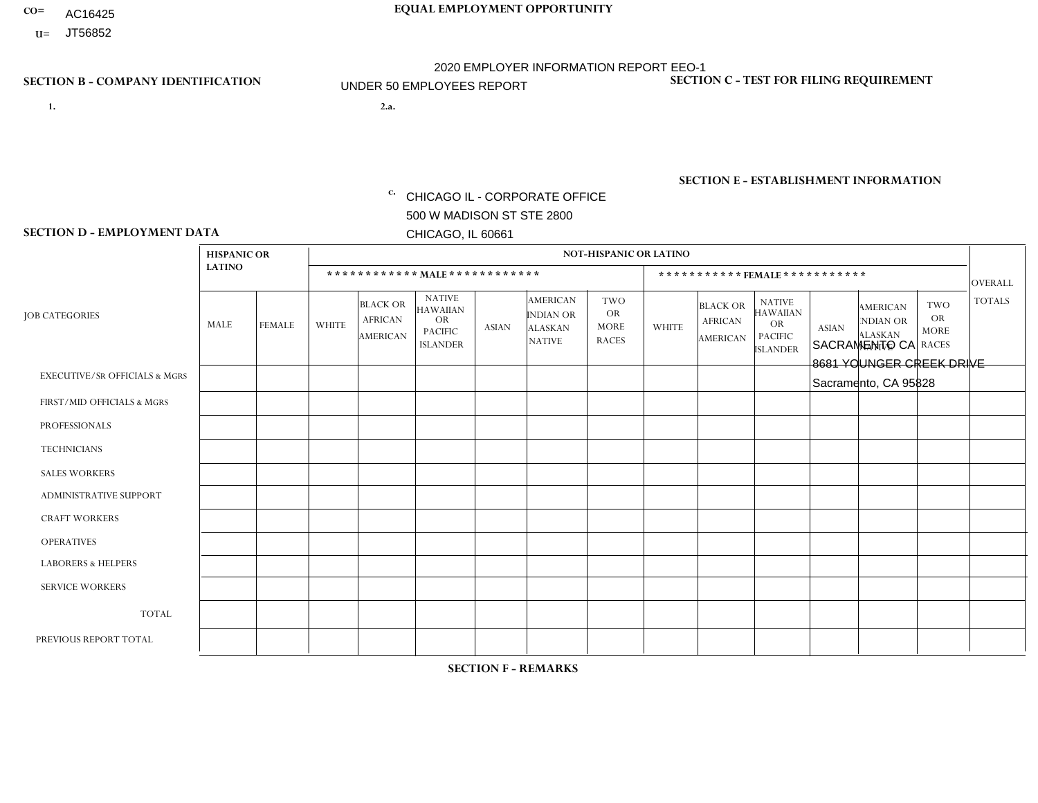- AC16425
- **U=**

- **1. 2.a.** CHICAGO IL CORPORATE OFFICE 500 W MADISON ST STE 2800 CHICAGO, IL 60661
- 2.a. SACRAMENTO CA 8681 YOUNGER CREEK DRIVE Sacramento, CA 95828

c. EIN= 952920557

## **SECTION B - COMPANY IDENTIFICATION SECTION C - TEST FOR FILING REQUIREMENT**

1- Y 2- Y 3- N DUNS= 000123456

**SECTION E - ESTABLISHMENT INFORMATION c.** NAICS: 423140

### **SECTION D - EMPLOYMENT DATA**

|                                          | <b>NOT-HISPANIC OR LATINO</b><br><b>HISPANIC OR</b> |                |                |                                                      |                                                                                    |                |                                                                        |                                                        |                |                                               |                                                                                    |              |                                                                       |                                                        |                |
|------------------------------------------|-----------------------------------------------------|----------------|----------------|------------------------------------------------------|------------------------------------------------------------------------------------|----------------|------------------------------------------------------------------------|--------------------------------------------------------|----------------|-----------------------------------------------|------------------------------------------------------------------------------------|--------------|-----------------------------------------------------------------------|--------------------------------------------------------|----------------|
|                                          | <b>LATINO</b>                                       |                |                |                                                      | ************ MALE************                                                      |                |                                                                        |                                                        |                |                                               | ***********FEMALE***********                                                       |              |                                                                       |                                                        | <b>OVERALL</b> |
| <b>JOB CATEGORIES</b>                    | MALE                                                | <b>FEMALE</b>  | <b>WHITE</b>   | <b>BLACK OR</b><br><b>AFRICAN</b><br><b>AMERICAN</b> | <b>NATIVE</b><br><b>HAWAIIAN</b><br><b>OR</b><br><b>PACIFIC</b><br><b>ISLANDER</b> | <b>ASIAN</b>   | <b>AMERICAN</b><br><b>INDIAN OR</b><br><b>ALASKAN</b><br><b>NATIVE</b> | <b>TWO</b><br><b>OR</b><br><b>MORE</b><br><b>RACES</b> | <b>WHITE</b>   | <b>BLACK OR</b><br><b>AFRICAN</b><br>AMERICAN | <b>NATIVE</b><br><b>HAWAIIAN</b><br><b>OR</b><br><b>PACIFIC</b><br><b>ISLANDER</b> | <b>ASIAN</b> | <b>AMERICAN</b><br><b>NDIAN OR</b><br><b>ALASKAN</b><br><b>NATIVE</b> | <b>TWO</b><br><b>OR</b><br><b>MORE</b><br><b>RACES</b> | <b>TOTALS</b>  |
| <b>EXECUTIVE/SR OFFICIALS &amp; MGRS</b> | $\Omega$                                            | $\Omega$       | $\Omega$       | $\mathbf 0$                                          | $\Omega$                                                                           | $\mathbf{0}$   | $\mathbf{0}$                                                           | $\Omega$                                               | 0              | $\Omega$                                      | $\Omega$                                                                           | 0            | $\Omega$                                                              | $\mathbf 0$                                            | $\mathbf 0$    |
| FIRST/MID OFFICIALS & MGRS               | 0                                                   | $\Omega$       | $\Omega$       | $\mathbf 0$                                          | $\Omega$                                                                           | $\Omega$       | $\Omega$                                                               | $\Omega$                                               | 0              | $\Omega$                                      | $\Omega$                                                                           | $\mathbf{0}$ | $\Omega$                                                              | $\mathbf{0}$                                           | $\mathbf{0}$   |
| <b>PROFESSIONALS</b>                     | 0                                                   | $\Omega$       | $\Omega$       | $\mathbf 0$                                          | $\Omega$                                                                           | $\Omega$       | $\Omega$                                                               | $\Omega$                                               | 0              | $\Omega$                                      | $\Omega$                                                                           | $\Omega$     | $\Omega$                                                              | $\mathbf{0}$                                           | $\mathbf{0}$   |
| <b>TECHNICIANS</b>                       | 0                                                   | $\overline{0}$ | $\mathbf 0$    | $\mathbf 0$                                          | $\overline{0}$                                                                     | $\Omega$       | $\Omega$                                                               | $\Omega$                                               | $\Omega$       | $\mathbf 0$                                   | $\Omega$                                                                           | $\mathbf 0$  | $\mathbf 0$                                                           | $\mathbf 0$                                            | $\mathbf{0}$   |
| <b>SALES WORKERS</b>                     | 0                                                   | $\Omega$       | $\Omega$       | $\Omega$                                             | $\Omega$                                                                           | $\Omega$       | $\Omega$                                                               | $\Omega$                                               | $\overline{0}$ | $\Omega$                                      | $\Omega$                                                                           | $\Omega$     | $\Omega$                                                              | $\Omega$                                               | $\mathbf 0$    |
| <b>ADMINISTRATIVE SUPPORT</b>            | $\Omega$                                            | $\Omega$       | $\Omega$       | $\mathbf 0$                                          | $\Omega$                                                                           | $\Omega$       | $\Omega$                                                               | $\Omega$                                               | $\Omega$       | $\Omega$                                      | $\Omega$                                                                           | $\mathbf{0}$ | $\mathbf{0}$                                                          | $\Omega$                                               | $\mathbf 0$    |
| <b>CRAFT WORKERS</b>                     | 0                                                   | $\Omega$       | $\Omega$       | $\mathbf 0$                                          | $\Omega$                                                                           | $\Omega$       | $\Omega$                                                               | $\Omega$                                               | 0              | $\Omega$                                      | $\Omega$                                                                           | $\mathbf{0}$ | $\Omega$                                                              | $\Omega$                                               | $\Omega$       |
| <b>OPERATIVES</b>                        | 0                                                   | $\Omega$       | 1              | $\mathbf 0$                                          | $\Omega$                                                                           | $\Omega$       | $\Omega$                                                               | $\Omega$                                               | $\Omega$       | $\Omega$                                      | $\Omega$                                                                           | $\mathbf{0}$ | $\Omega$                                                              | $\mathbf{0}$                                           | $\mathbf{1}$   |
| <b>LABORERS &amp; HELPERS</b>            | 0                                                   | $\Omega$       | $\Omega$       | $\mathbf 0$                                          | $\Omega$                                                                           | $\Omega$       | $\Omega$                                                               |                                                        | 0              | $\Omega$                                      | $\Omega$                                                                           | $\Omega$     | $\Omega$                                                              | $\Omega$                                               | $\mathbf{1}$   |
| <b>SERVICE WORKERS</b>                   | 0                                                   | $\mathbf 0$    | $\mathbf 0$    | $\mathbf 0$                                          | $\mathbf 0$                                                                        | $\mathbf 0$    | $\Omega$                                                               | $\Omega$                                               | $\Omega$       | $\Omega$                                      | $\Omega$                                                                           | $\mathbf 0$  | $\Omega$                                                              | $\mathbf 0$                                            | $\mathbf 0$    |
| <b>TOTAL</b>                             | $\Omega$                                            | 0              | $\overline{ }$ | $\mathbf 0$                                          | 0                                                                                  | $\mathbf 0$    | $\Omega$                                                               |                                                        | $\Omega$       | $\Omega$                                      | $\Omega$                                                                           | $\mathbf 0$  | 0                                                                     | $\mathbf 0$                                            | $\overline{2}$ |
| PREVIOUS REPORT TOTAL                    |                                                     | $\mathbf 0$    |                | $\mathbf 0$                                          | $\mathbf 0$                                                                        | $\overline{1}$ | $\Omega$                                                               | $\overline{2}$                                         | $\Omega$       | $\Omega$                                      | $\Omega$                                                                           | $\Omega$     | $\Omega$                                                              | $\mathbf{1}$                                           | 6              |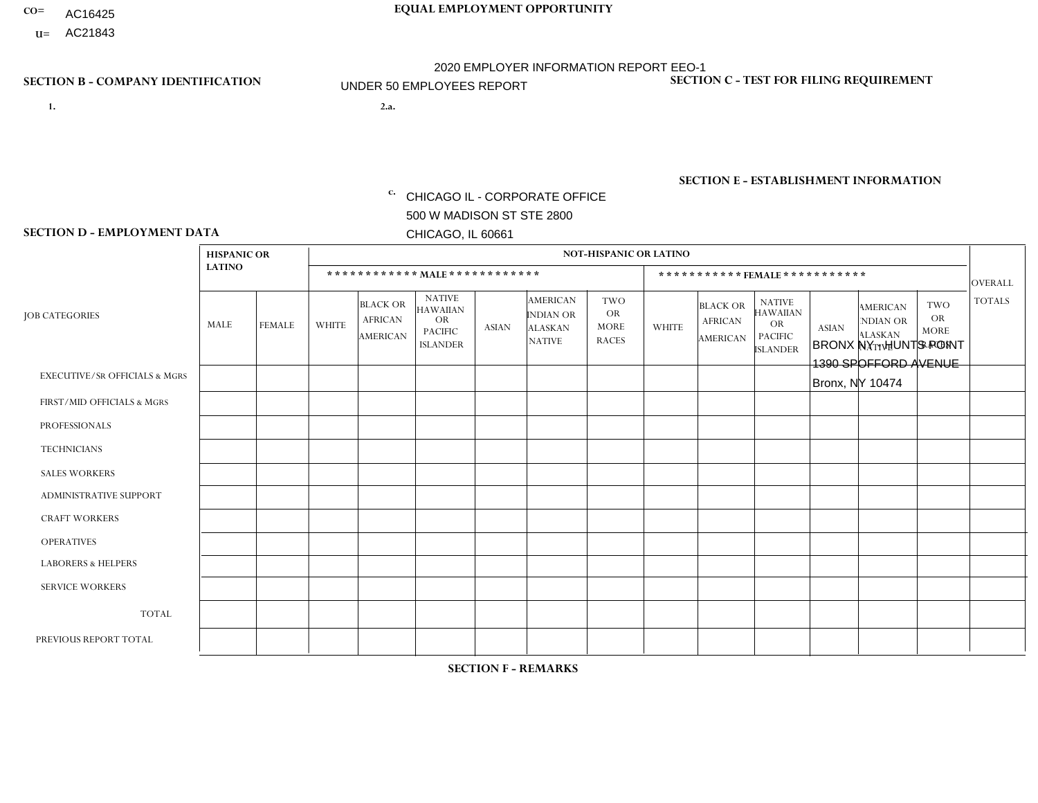- AC16425
- **U=**

**1. 2.a.** CHICAGO IL - CORPORATE OFFICE 500 W MADISON ST STE 2800 CHICAGO, IL 60661

2.a. BRONX NY - HUNTS POINT 1390 SPOFFORD AVENUE Bronx, NY 10474

c. EIN= 952920557

## **SECTION B - COMPANY IDENTIFICATION SECTION C - TEST FOR FILING REQUIREMENT**

1- Y 2- Y 3- N DUNS= 000123456

**SECTION E - ESTABLISHMENT INFORMATION c.** NAICS: 423140

### **SECTION D - EMPLOYMENT DATA**

|                                          | <b>HISPANIC OR</b> |                |                |                                                      |                                                                                    |              |                                                                        | <b>NOT-HISPANIC OR LATINO</b>                          |          |                                               |                                                                                    |              |                                                                       |                                                        |                |
|------------------------------------------|--------------------|----------------|----------------|------------------------------------------------------|------------------------------------------------------------------------------------|--------------|------------------------------------------------------------------------|--------------------------------------------------------|----------|-----------------------------------------------|------------------------------------------------------------------------------------|--------------|-----------------------------------------------------------------------|--------------------------------------------------------|----------------|
|                                          | <b>LATINO</b>      |                |                |                                                      | ************ MAIE************                                                      |              |                                                                        |                                                        |          | ***********FEMALE ***********                 |                                                                                    |              |                                                                       |                                                        | <b>OVERALL</b> |
| <b>JOB CATEGORIES</b>                    | <b>MALE</b>        | <b>FEMALE</b>  | <b>WHITE</b>   | <b>BLACK OR</b><br><b>AFRICAN</b><br><b>AMERICAN</b> | <b>NATIVE</b><br><b>HAWAIIAN</b><br><b>OR</b><br><b>PACIFIC</b><br><b>ISLANDER</b> | <b>ASIAN</b> | <b>AMERICAN</b><br><b>INDIAN OR</b><br><b>ALASKAN</b><br><b>NATIVE</b> | <b>TWO</b><br><b>OR</b><br><b>MORE</b><br><b>RACES</b> | WHITE    | <b>BLACK OR</b><br><b>AFRICAN</b><br>AMERICAN | <b>NATIVE</b><br><b>HAWAIIAN</b><br><b>OR</b><br><b>PACIFIC</b><br><b>ISLANDER</b> | <b>ASIAN</b> | <b>AMERICAN</b><br><b>NDIAN OR</b><br><b>ALASKAN</b><br><b>NATIVE</b> | <b>TWO</b><br><b>OR</b><br><b>MORE</b><br><b>RACES</b> | <b>TOTALS</b>  |
| <b>EXECUTIVE/SR OFFICIALS &amp; MGRS</b> | $\mathbf{0}$       | $\Omega$       | $\Omega$       | $\Omega$                                             | $\mathbf{0}$                                                                       | $\Omega$     | $\Omega$                                                               | $\Omega$                                               | $\Omega$ | $\Omega$                                      | $\Omega$                                                                           | $\Omega$     | $\Omega$                                                              | $\Omega$                                               | $\Omega$       |
| FIRST/MID OFFICIALS & MGRS               | 3                  | $\mathbf 0$    | $\mathbf 0$    | $\mathbf 0$                                          | $\mathbf{0}$                                                                       | $\mathbf{0}$ | $\Omega$                                                               | 0                                                      | $\Omega$ | $\Omega$                                      | $\Omega$                                                                           | $\mathbf 0$  | $\Omega$                                                              | 0                                                      | 3              |
| <b>PROFESSIONALS</b>                     | 0                  | $\mathbf 0$    | $\mathbf 0$    | $\mathbf 0$                                          | $\Omega$                                                                           | $\Omega$     | $\Omega$                                                               | 0                                                      | $\Omega$ | $\Omega$                                      | 0                                                                                  | $\mathbf 0$  | $\Omega$                                                              | $\mathbf 0$                                            | $\mathbf 0$    |
| <b>TECHNICIANS</b>                       | 0                  | $\mathbf 0$    | $\mathbf 0$    | $\mathbf 0$                                          | $\Omega$                                                                           | $\Omega$     | $\Omega$                                                               | 0                                                      | $\Omega$ | $\Omega$                                      | $\mathbf 0$                                                                        | $\mathbf 0$  | $\Omega$                                                              | $\mathbf 0$                                            | $\mathbf 0$    |
| <b>SALES WORKERS</b>                     | 4                  | $\overline{2}$ | $\overline{c}$ | $\mathbf 0$                                          | $\Omega$                                                                           | $\Omega$     | $\Omega$                                                               | 0                                                      | $\Omega$ | $\Omega$                                      | $\Omega$                                                                           | $\mathbf{0}$ | $\Omega$                                                              | $\Omega$                                               | 8              |
| <b>ADMINISTRATIVE SUPPORT</b>            | $\overline{2}$     | $\overline{2}$ | $\Omega$       | $\Omega$                                             | $\mathbf{0}$                                                                       | $\Omega$     | $\Omega$                                                               | 0                                                      | $\Omega$ |                                               | $\Omega$                                                                           |              | $\Omega$                                                              | $\Omega$                                               | 6              |
| <b>CRAFT WORKERS</b>                     | $\Omega$           | $\Omega$       | $\mathbf 0$    | $\Omega$                                             | $\Omega$                                                                           | $\Omega$     | $\Omega$                                                               | 0                                                      | $\Omega$ | $\Omega$                                      | $\Omega$                                                                           | $\Omega$     | $\Omega$                                                              | $\Omega$                                               | $\Omega$       |
| <b>OPERATIVES</b>                        | 16                 | $\Omega$       | $\Omega$       | 6                                                    | $\mathbf{0}$                                                                       | $\Omega$     | $\Omega$                                                               | 0                                                      | $\Omega$ | $\Omega$                                      | $\Omega$                                                                           | $\Omega$     | $\Omega$                                                              | $\Omega$                                               | 22             |
| <b>LABORERS &amp; HELPERS</b>            | 8                  | $\Omega$       | $\Omega$       | $\Omega$                                             | $\mathbf{0}$                                                                       | $\Omega$     | $\Omega$                                                               | 0                                                      | $\Omega$ | $\Omega$                                      | $\Omega$                                                                           | $\Omega$     | $\Omega$                                                              | $\Omega$                                               | 8              |
| <b>SERVICE WORKERS</b>                   | $\Omega$           | $\mathbf 0$    | $\mathbf 0$    | $\mathbf 0$                                          | $\mathbf{0}$                                                                       | $\mathbf{0}$ | $\Omega$                                                               | 0                                                      | $\Omega$ | $\Omega$                                      | $\Omega$                                                                           | $\mathbf 0$  | $\Omega$                                                              | $\Omega$                                               | 0              |
| <b>TOTAL</b>                             | 33                 | 4              | $\overline{c}$ | 6                                                    | $\mathbf{0}$                                                                       | $\mathbf{0}$ | $\Omega$                                                               | 0                                                      | 0        | 1                                             | 0                                                                                  |              | $\Omega$                                                              | 0                                                      | 47             |
| PREVIOUS REPORT TOTAL                    | 55                 | 8              | 5              | 8                                                    | $\Omega$                                                                           |              | $\Omega$                                                               | $\Omega$                                               | $\Omega$ | 2                                             | $\Omega$                                                                           | 2            | $\Omega$                                                              | $\mathbf 0$                                            | 81             |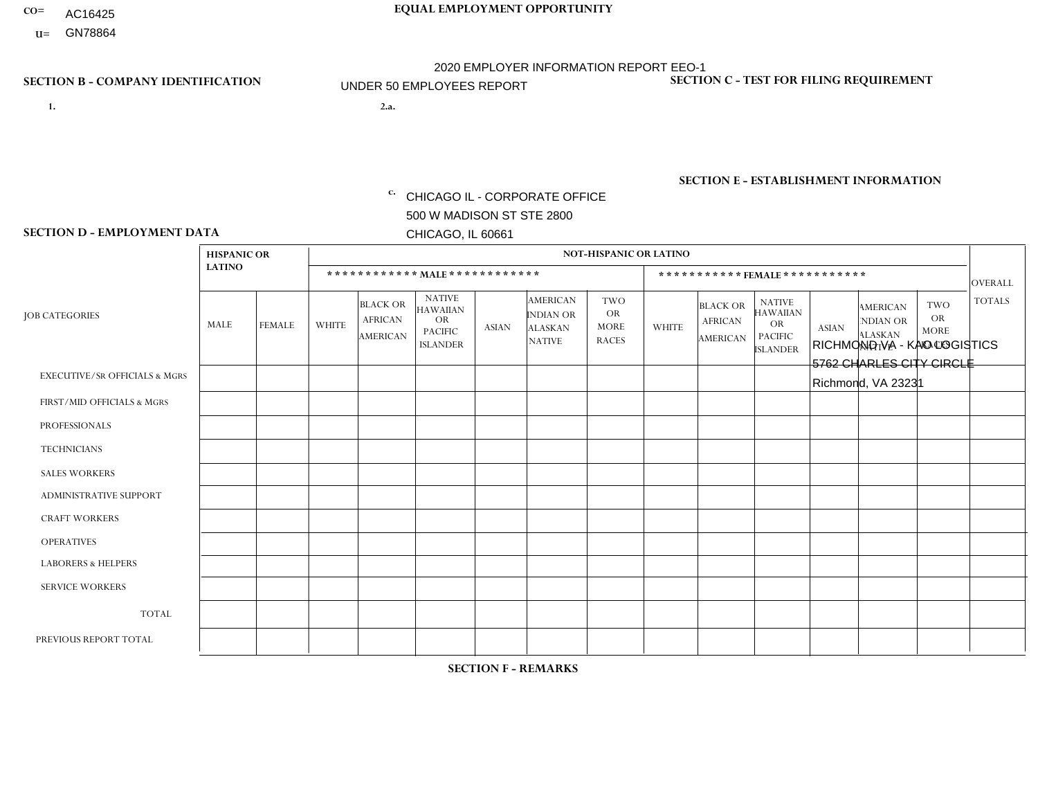- AC16425
- **U=**

- **1. 2.a.** CHICAGO IL CORPORATE OFFICE 500 W MADISON ST STE 2800 CHICAGO, IL 60661
- 2.a. RICHMOND VA KAO LOGISTICS 5762 CHARLES CITY CIRCLE Richmond, VA 23231

c. EIN= 952920557

## **SECTION B - COMPANY IDENTIFICATION SECTION C - TEST FOR FILING REQUIREMENT**

1- Y 2- Y 3- N DUNS= 000123456

**SECTION E - ESTABLISHMENT INFORMATION c.** NAICS: 423140

### **SECTION D - EMPLOYMENT DATA**

|                                          | <b>HISPANIC OR</b> |                |                |                                                      |                                                                                    |              |                                                                        | <b>NOT-HISPANIC OR LATINO</b>                          |              |                                                      |                                                                             |              |                                                                       |                                                        |                |
|------------------------------------------|--------------------|----------------|----------------|------------------------------------------------------|------------------------------------------------------------------------------------|--------------|------------------------------------------------------------------------|--------------------------------------------------------|--------------|------------------------------------------------------|-----------------------------------------------------------------------------|--------------|-----------------------------------------------------------------------|--------------------------------------------------------|----------------|
|                                          | <b>LATINO</b>      |                |                |                                                      | ************ MALE************                                                      |              |                                                                        |                                                        |              | ***********FEMALE***********                         |                                                                             |              |                                                                       |                                                        | <b>OVERALL</b> |
| <b>JOB CATEGORIES</b>                    | MALE               | <b>FEMALE</b>  | <b>WHITE</b>   | <b>BLACK OR</b><br><b>AFRICAN</b><br><b>AMERICAN</b> | <b>NATIVE</b><br><b>HAWAIIAN</b><br><b>OR</b><br><b>PACIFIC</b><br><b>ISLANDER</b> | <b>ASIAN</b> | <b>AMERICAN</b><br><b>INDIAN OR</b><br><b>ALASKAN</b><br><b>NATIVE</b> | <b>TWO</b><br><b>OR</b><br><b>MORE</b><br><b>RACES</b> | <b>WHITE</b> | <b>BLACK OR</b><br><b>AFRICAN</b><br><b>AMERICAN</b> | <b>NATIVE</b><br><b>HAWAIIAN</b><br>OR<br><b>PACIFIC</b><br><b>ISLANDER</b> | <b>ASIAN</b> | <b>AMERICAN</b><br><b>NDIAN OR</b><br><b>ALASKAN</b><br><b>NATIVE</b> | <b>TWO</b><br><b>OR</b><br><b>MORE</b><br><b>RACES</b> | <b>TOTALS</b>  |
| <b>EXECUTIVE/SR OFFICIALS &amp; MGRS</b> | $\Omega$           | $\mathbf 0$    | $\mathbf 0$    | $\mathbf 0$                                          | $\mathbf 0$                                                                        | $\mathbf 0$  | $\Omega$                                                               | $\Omega$                                               | $\Omega$     | $\Omega$                                             | $\Omega$                                                                    | $\mathbf 0$  | $\Omega$                                                              | $\Omega$                                               | $\mathbf 0$    |
| FIRST/MID OFFICIALS & MGRS               | 0                  | 0              | $\mathbf 0$    | 1                                                    | 0                                                                                  | 0            | $\Omega$                                                               | $\Omega$                                               | 0            | $\Omega$                                             | $\Omega$                                                                    | $\Omega$     | $\Omega$                                                              | $\Omega$                                               | -1             |
| <b>PROFESSIONALS</b>                     | 0                  | $\Omega$       | $\mathbf 0$    | $\mathbf 0$                                          | $\Omega$                                                                           | $\Omega$     | $\Omega$                                                               | $\Omega$                                               | $\Omega$     | $\Omega$                                             | $\Omega$                                                                    | $\Omega$     | $\Omega$                                                              | $\Omega$                                               | $\mathbf 0$    |
| <b>TECHNICIANS</b>                       | 0                  | $\mathbf{0}$   | $\mathbf 0$    | $\mathsf{O}\xspace$                                  | 0                                                                                  | $\Omega$     | $\Omega$                                                               | $\Omega$                                               | $\Omega$     | $\Omega$                                             | $\Omega$                                                                    | $\Omega$     | $\Omega$                                                              | $\Omega$                                               | $\mathbf 0$    |
| <b>SALES WORKERS</b>                     | $\Omega$           | $\overline{0}$ | $\mathbf 0$    | $\mathbf 0$                                          | $\mathbf 0$                                                                        | $\Omega$     | $\Omega$                                                               | $\Omega$                                               | $\Omega$     | $\Omega$                                             | $\Omega$                                                                    | $\Omega$     | $\Omega$                                                              | $\Omega$                                               | $\mathbf 0$    |
| ADMINISTRATIVE SUPPORT                   | 0                  | 0              | $\mathbf 0$    | $\mathbf 0$                                          | 0                                                                                  | 0            | $\Omega$                                                               | $\Omega$                                               | $\Omega$     | $\Omega$                                             | $\Omega$                                                                    | $\Omega$     | $\Omega$                                                              | $\Omega$                                               | $\mathbf 0$    |
| <b>CRAFT WORKERS</b>                     | 0                  | $\Omega$       | $\mathbf 0$    | $\mathbf 0$                                          | $\Omega$                                                                           | $\Omega$     | $\Omega$                                                               | $\Omega$                                               | $\Omega$     | $\Omega$                                             | $\Omega$                                                                    | $\Omega$     | $\Omega$                                                              | $\Omega$                                               | $\Omega$       |
| <b>OPERATIVES</b>                        | 0                  | $\Omega$       | $\overline{2}$ | $\overline{4}$                                       | 0                                                                                  | $\Omega$     | $\Omega$                                                               | $\Omega$                                               | $\Omega$     | $\Omega$                                             | $\Omega$                                                                    | $\Omega$     | $\Omega$                                                              | $\Omega$                                               | 6              |
| <b>LABORERS &amp; HELPERS</b>            | 0                  | $\Omega$       | $\mathbf 0$    | $\mathbf 0$                                          | $\mathbf 0$                                                                        | $\Omega$     | $\Omega$                                                               | $\Omega$                                               | $\Omega$     | $\Omega$                                             | $\Omega$                                                                    | $\Omega$     | $\Omega$                                                              | $\Omega$                                               | $\mathbf 0$    |
| <b>SERVICE WORKERS</b>                   | 0                  | $\mathbf{0}$   | $\mathbf 0$    | $\mathbf 0$                                          | 0                                                                                  | 0            | $\Omega$                                                               | $\Omega$                                               | $\Omega$     | $\Omega$                                             | $\Omega$                                                                    | $\mathbf 0$  | $\Omega$                                                              | $\Omega$                                               | $\mathbf 0$    |
| <b>TOTAL</b>                             | 0                  | 0              | $\overline{2}$ | 5                                                    | 0                                                                                  | 0            | $\Omega$                                                               | $\Omega$                                               | $\Omega$     | $\Omega$                                             | $\Omega$                                                                    | 0            | $\Omega$                                                              | $\Omega$                                               | $\overline{7}$ |
| PREVIOUS REPORT TOTAL                    | 0                  | $\mathbf{0}$   | 1              | $\overline{7}$                                       | 0                                                                                  | $\Omega$     | $\Omega$                                                               | $\Omega$                                               | 0            | $\Omega$                                             | $\Omega$                                                                    | $\Omega$     | $\Omega$                                                              | $\Omega$                                               | 8              |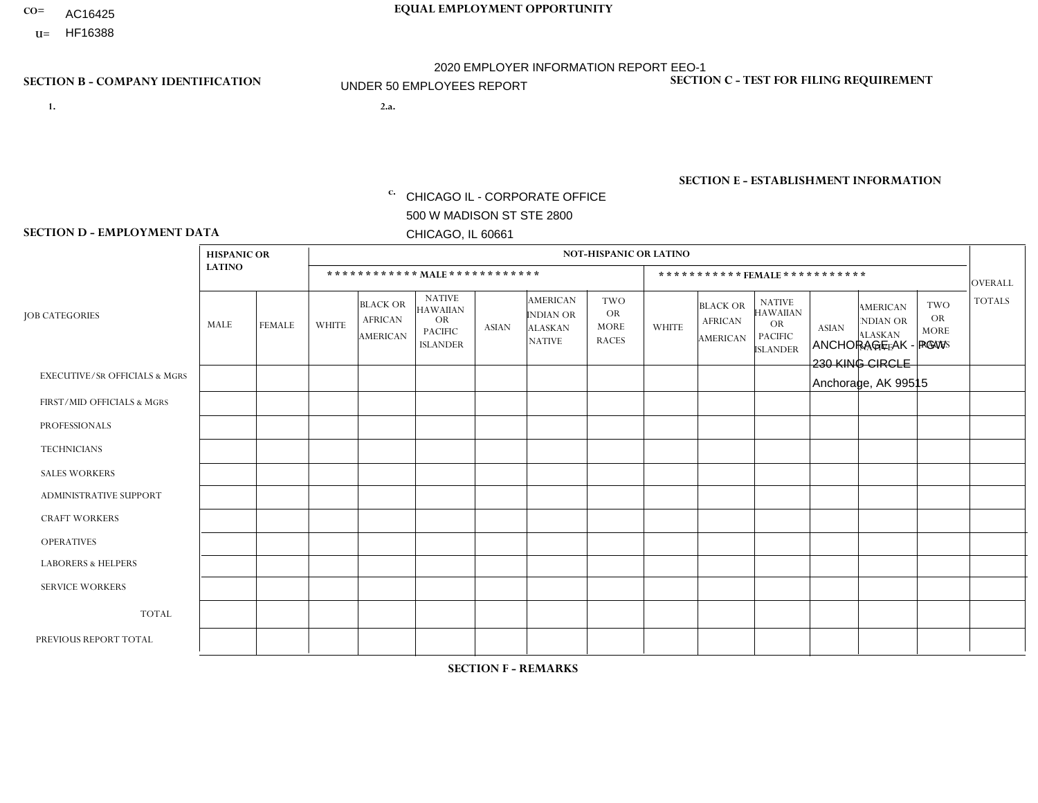- AC16425
- **U=**

**1. 2.a.** CHICAGO IL - CORPORATE OFFICE 500 W MADISON ST STE 2800 CHICAGO, IL 60661

2.a. ANCHORAGE AK - PGW 230 KING CIRCLE Anchorage, AK 99515

c. EIN= 952920557

## **SECTION B - COMPANY IDENTIFICATION SECTION C - TEST FOR FILING REQUIREMENT**

1- Y 2- Y 3- N DUNS= 000123456

**SECTION E - ESTABLISHMENT INFORMATION c.** NAICS: 423140

### **SECTION D - EMPLOYMENT DATA**

|                                          | <b>HISPANIC OR</b> |               |                |                                                      |                                                                                    |              |                                                                        | <b>NOT-HISPANIC OR LATINO</b>                          |              |                                               |                                                                                    |              |                                                                       |                                                        |                |
|------------------------------------------|--------------------|---------------|----------------|------------------------------------------------------|------------------------------------------------------------------------------------|--------------|------------------------------------------------------------------------|--------------------------------------------------------|--------------|-----------------------------------------------|------------------------------------------------------------------------------------|--------------|-----------------------------------------------------------------------|--------------------------------------------------------|----------------|
|                                          | <b>LATINO</b>      |               |                | ************ MALE ************                       |                                                                                    |              |                                                                        |                                                        |              |                                               | *********** FEMALE ***********                                                     |              |                                                                       |                                                        | <b>OVERALL</b> |
| <b>JOB CATEGORIES</b>                    | <b>MALE</b>        | <b>FEMALE</b> | <b>WHITE</b>   | <b>BLACK OR</b><br><b>AFRICAN</b><br><b>AMERICAN</b> | <b>NATIVE</b><br><b>HAWAIIAN</b><br><b>OR</b><br><b>PACIFIC</b><br><b>ISLANDER</b> | <b>ASIAN</b> | <b>AMERICAN</b><br><b>INDIAN OR</b><br><b>ALASKAN</b><br><b>NATIVE</b> | <b>TWO</b><br><b>OR</b><br><b>MORE</b><br><b>RACES</b> | <b>WHITE</b> | <b>BLACK OR</b><br><b>AFRICAN</b><br>AMERICAN | <b>NATIVE</b><br><b>HAWAIIAN</b><br><b>OR</b><br><b>PACIFIC</b><br><b>ISLANDER</b> | <b>ASIAN</b> | <b>AMERICAN</b><br><b>NDIAN OR</b><br><b>ALASKAN</b><br><b>NATIVE</b> | <b>TWO</b><br><b>OR</b><br><b>MORE</b><br><b>RACES</b> | <b>TOTALS</b>  |
| <b>EXECUTIVE/SR OFFICIALS &amp; MGRS</b> | $\Omega$           | $\Omega$      | $\mathbf{0}$   | $\Omega$                                             | $\Omega$                                                                           | $\Omega$     | $\Omega$                                                               | $\Omega$                                               | 0            | $\Omega$                                      | $\Omega$                                                                           | $\Omega$     | $\Omega$                                                              | $\Omega$                                               | $\Omega$       |
| FIRST/MID OFFICIALS & MGRS               | $\Omega$           | $\Omega$      | 1              | $\mathbf{0}$                                         | $\Omega$                                                                           | $\Omega$     | $\Omega$                                                               | $\Omega$                                               | 0            | $\Omega$                                      | 0                                                                                  | $\Omega$     | $\Omega$                                                              | $\Omega$                                               | $\mathbf{1}$   |
| <b>PROFESSIONALS</b>                     | $\Omega$           | $\Omega$      | $\Omega$       | $\mathbf 0$                                          | $\Omega$                                                                           | $\Omega$     | $\Omega$                                                               | $\Omega$                                               | $\Omega$     | $\Omega$                                      | 0                                                                                  | 0            | $\Omega$                                                              | $\mathbf 0$                                            | $\mathbf{0}$   |
| <b>TECHNICIANS</b>                       | $\Omega$           | $\Omega$      | $\Omega$       | $\Omega$                                             | $\Omega$                                                                           | $\Omega$     | $\Omega$                                                               | $\Omega$                                               | $\Omega$     | $\Omega$                                      | 0                                                                                  | $\mathbf 0$  | $\Omega$                                                              | $\mathbf 0$                                            | $\Omega$       |
| <b>SALES WORKERS</b>                     | $\Omega$           | $\Omega$      | $\Omega$       | $\Omega$                                             | $\Omega$                                                                           | $\Omega$     | $\Omega$                                                               | $\Omega$                                               | $\Omega$     | $\Omega$                                      | $\Omega$                                                                           | $\Omega$     | $\Omega$                                                              | $\Omega$                                               | $\Omega$       |
| <b>ADMINISTRATIVE SUPPORT</b>            | $\Omega$           | $\Omega$      | $\Omega$       | $\mathbf 0$                                          | 0                                                                                  | $\Omega$     | $\Omega$                                                               | $\Omega$                                               | 0            | $\Omega$                                      | 0                                                                                  | $\mathbf 0$  | $\Omega$                                                              | $\mathbf 0$                                            | $\mathbf 0$    |
| <b>CRAFT WORKERS</b>                     | $\Omega$           | $\Omega$      | $\Omega$       | $\mathbf 0$                                          | $\Omega$                                                                           | $\Omega$     | $\Omega$                                                               | $\Omega$                                               | 0            | $\Omega$                                      | 0                                                                                  | $\Omega$     | $\Omega$                                                              | $\Omega$                                               | $\Omega$       |
| <b>OPERATIVES</b>                        | $\Omega$           | $\Omega$      | 1              | $\mathbf 0$                                          | $\Omega$                                                                           | $\Omega$     | $\Omega$                                                               | $\Omega$                                               | 0            | $\Omega$                                      | 0                                                                                  | $\mathbf 0$  | $\Omega$                                                              | $\Omega$                                               | $\mathbf{1}$   |
| <b>LABORERS &amp; HELPERS</b>            | $\Omega$           | $\Omega$      | -1             | $\mathbf 0$                                          | $\Omega$                                                                           | $\Omega$     | $\Omega$                                                               | $\Omega$                                               | $\Omega$     | $\Omega$                                      | $\Omega$                                                                           | $\Omega$     | $\Omega$                                                              | $\Omega$                                               | $\mathbf{1}$   |
| <b>SERVICE WORKERS</b>                   | $\Omega$           | $\Omega$      | 0              | $\mathbf 0$                                          | $\mathbf 0$                                                                        | $\Omega$     | $\Omega$                                                               | $\Omega$                                               | 0            | $\Omega$                                      | $\Omega$                                                                           | $\mathbf 0$  | $\Omega$                                                              | $\Omega$                                               | $\mathbf 0$    |
| <b>TOTAL</b>                             | 0                  | 0             | 3              | 0                                                    | $\mathbf 0$                                                                        | 0            | $\Omega$                                                               | $\Omega$                                               | 0            | $\mathbf 0$                                   | 0                                                                                  | $\mathbf 0$  | 0                                                                     | $\mathbf 0$                                            | 3              |
| PREVIOUS REPORT TOTAL                    | $\Omega$           | $\Omega$      | $\overline{2}$ | $\mathbf 0$                                          | 0                                                                                  | $\Omega$     | $\Omega$                                                               |                                                        | 0            | $\Omega$                                      | 0                                                                                  | $\Omega$     | $\Omega$                                                              | $\mathbf 0$                                            | 3              |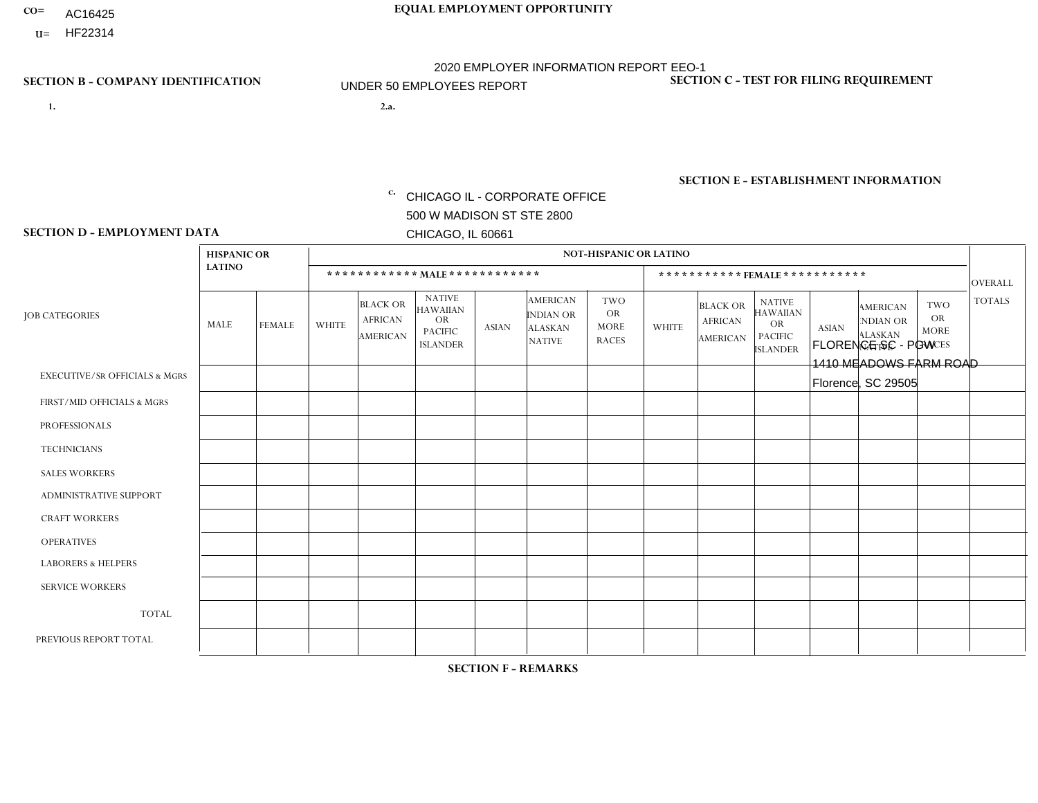- AC16425
- **U=**

- **1. 2.a.** CHICAGO IL CORPORATE OFFICE 500 W MADISON ST STE 2800 CHICAGO, IL 60661
- 2.a. FLORENCE SC PGW 1410 MEADOWS FARM ROAD Florence, SC 29505

EIN= 952920557

## **SECTION B - COMPANY IDENTIFICATION SECTION C - TEST FOR FILING REQUIREMENT**

1- Y 2- Y 3- N DUNS= 000123456

**SECTION E - ESTABLISHMENT INFORMATION c.** NAICS: 811122

### **SECTION D - EMPLOYMENT DATA**

|                                          | <b>HISPANIC OR</b> |               |              |                                                      |                                                                                    |             |                                                                        | <b>NOT-HISPANIC OR LATINO</b>                          |                |                                               |                                                                             |              |                                                                       |                                                        |                |
|------------------------------------------|--------------------|---------------|--------------|------------------------------------------------------|------------------------------------------------------------------------------------|-------------|------------------------------------------------------------------------|--------------------------------------------------------|----------------|-----------------------------------------------|-----------------------------------------------------------------------------|--------------|-----------------------------------------------------------------------|--------------------------------------------------------|----------------|
|                                          | <b>LATINO</b>      |               |              | ************ MALE ************                       |                                                                                    |             |                                                                        |                                                        |                | ***********FEMALE***********                  |                                                                             |              |                                                                       |                                                        | <b>OVERALL</b> |
| <b>JOB CATEGORIES</b>                    | MALE               | <b>FEMALE</b> | <b>WHITE</b> | <b>BLACK OR</b><br><b>AFRICAN</b><br><b>AMERICAN</b> | <b>NATIVE</b><br><b>HAWAIIAN</b><br><b>OR</b><br><b>PACIFIC</b><br><b>ISLANDER</b> | ASIAN       | <b>AMERICAN</b><br><b>INDIAN OR</b><br><b>ALASKAN</b><br><b>NATIVE</b> | <b>TWO</b><br><b>OR</b><br><b>MORE</b><br><b>RACES</b> | <b>WHITE</b>   | <b>BLACK OR</b><br><b>AFRICAN</b><br>AMERICAN | <b>NATIVE</b><br><b>HAWAIIAN</b><br>OR<br><b>PACIFIC</b><br><b>ISLANDER</b> | <b>ASIAN</b> | <b>AMERICAN</b><br><b>NDIAN OR</b><br><b>ALASKAN</b><br><b>NATIVE</b> | <b>TWO</b><br><b>OR</b><br><b>MORE</b><br><b>RACES</b> | <b>TOTALS</b>  |
| <b>EXECUTIVE/SR OFFICIALS &amp; MGRS</b> | $\Omega$           | $\Omega$      | $\Omega$     | $\mathbf 0$                                          | $\mathbf 0$                                                                        | $\Omega$    | $\Omega$                                                               | $\Omega$                                               | $\Omega$       | $\Omega$                                      | $\Omega$                                                                    | $\mathbf 0$  | $\Omega$                                                              | $\mathbf 0$                                            | $\mathbf{0}$   |
| FIRST/MID OFFICIALS & MGRS               | 0                  | 0             | $\Omega$     | $\mathbf 0$                                          | 0                                                                                  | $\Omega$    | $\Omega$                                                               | $\Omega$                                               | 0              | $\Omega$                                      | $\Omega$                                                                    | $\mathbf{0}$ | $\Omega$                                                              | $\mathbf 0$                                            | $\overline{0}$ |
| <b>PROFESSIONALS</b>                     | $\Omega$           | $\Omega$      | $\Omega$     | $\overline{1}$                                       | $\Omega$                                                                           | $\Omega$    | $\Omega$                                                               | $\Omega$                                               | $\overline{0}$ | $\Omega$                                      | $\Omega$                                                                    | $\Omega$     | $\Omega$                                                              | $\Omega$                                               | $\mathbf{1}$   |
| <b>TECHNICIANS</b>                       | 0                  | $\mathbf 0$   | $\Omega$     | $\mathbf 0$                                          | $\Omega$                                                                           | $\Omega$    | $\Omega$                                                               | $\Omega$                                               | $\Omega$       | $\Omega$                                      | $\Omega$                                                                    | $\Omega$     | $\Omega$                                                              | $\Omega$                                               | $\mathbf{0}$   |
| <b>SALES WORKERS</b>                     | $\Omega$           | $\Omega$      | $\Omega$     | $\mathbf 0$                                          | $\Omega$                                                                           | $\Omega$    | $\Omega$                                                               | $\Omega$                                               | $\overline{0}$ | $\Omega$                                      | $\Omega$                                                                    | $\Omega$     | $\Omega$                                                              | $\mathbf{0}$                                           | $\mathbf{0}$   |
| ADMINISTRATIVE SUPPORT                   | $\mathbf 0$        | 0             | $\mathbf 0$  | $\mathbf 0$                                          | 0                                                                                  | $\Omega$    | $\Omega$                                                               | $\Omega$                                               | $\Omega$       | $\Omega$                                      | $\Omega$                                                                    | $\mathbf{0}$ | $\mathbf{0}$                                                          | $\mathbf 0$                                            | $\mathbf 0$    |
| <b>CRAFT WORKERS</b>                     | 0                  | $\Omega$      | $\Omega$     | $\mathbf 0$                                          | $\Omega$                                                                           | $\Omega$    | $\Omega$                                                               | $\Omega$                                               | 0              | $\Omega$                                      | $\Omega$                                                                    | $\Omega$     | $\Omega$                                                              | $\Omega$                                               | $\Omega$       |
| <b>OPERATIVES</b>                        | 0                  | $\Omega$      | $\Omega$     | $\overline{1}$                                       | $\Omega$                                                                           | $\Omega$    | $\Omega$                                                               | $\Omega$                                               | $\Omega$       | $\Omega$                                      | $\Omega$                                                                    | $\Omega$     | $\Omega$                                                              | $\Omega$                                               | $\mathbf{1}$   |
| <b>LABORERS &amp; HELPERS</b>            | 0                  | $\Omega$      | $\mathbf 0$  | $\mathbf 0$                                          | $\mathbf 0$                                                                        | $\Omega$    | $\Omega$                                                               | $\Omega$                                               | $\Omega$       | $\Omega$                                      | $\Omega$                                                                    | $\Omega$     | $\Omega$                                                              | $\Omega$                                               | $\mathbf{0}$   |
| <b>SERVICE WORKERS</b>                   | 0                  | $\mathbf 0$   | $\mathbf 0$  | $\mathbf 0$                                          | $\mathbf{0}$                                                                       | $\mathbf 0$ | $\Omega$                                                               | $\Omega$                                               | $\Omega$       | $\Omega$                                      | $\Omega$                                                                    | $\mathbf 0$  | $\Omega$                                                              | $\mathbf 0$                                            | $\overline{0}$ |
| <b>TOTAL</b>                             | $\Omega$           | 0             | $\mathbf 0$  | $\overline{2}$                                       | 0                                                                                  | $\Omega$    | $\Omega$                                                               | $\Omega$                                               | $\Omega$       | $\Omega$                                      | $\Omega$                                                                    | $\mathbf 0$  | 0                                                                     | $\mathbf 0$                                            | $\overline{2}$ |
| PREVIOUS REPORT TOTAL                    | 0                  | $\mathbf{0}$  |              | 3                                                    | $\Omega$                                                                           | $\Omega$    | $\Omega$                                                               | $\Omega$                                               | 0              | $\Omega$                                      | $\Omega$                                                                    | $\Omega$     | $\Omega$                                                              | $\mathbf 0$                                            | $\overline{4}$ |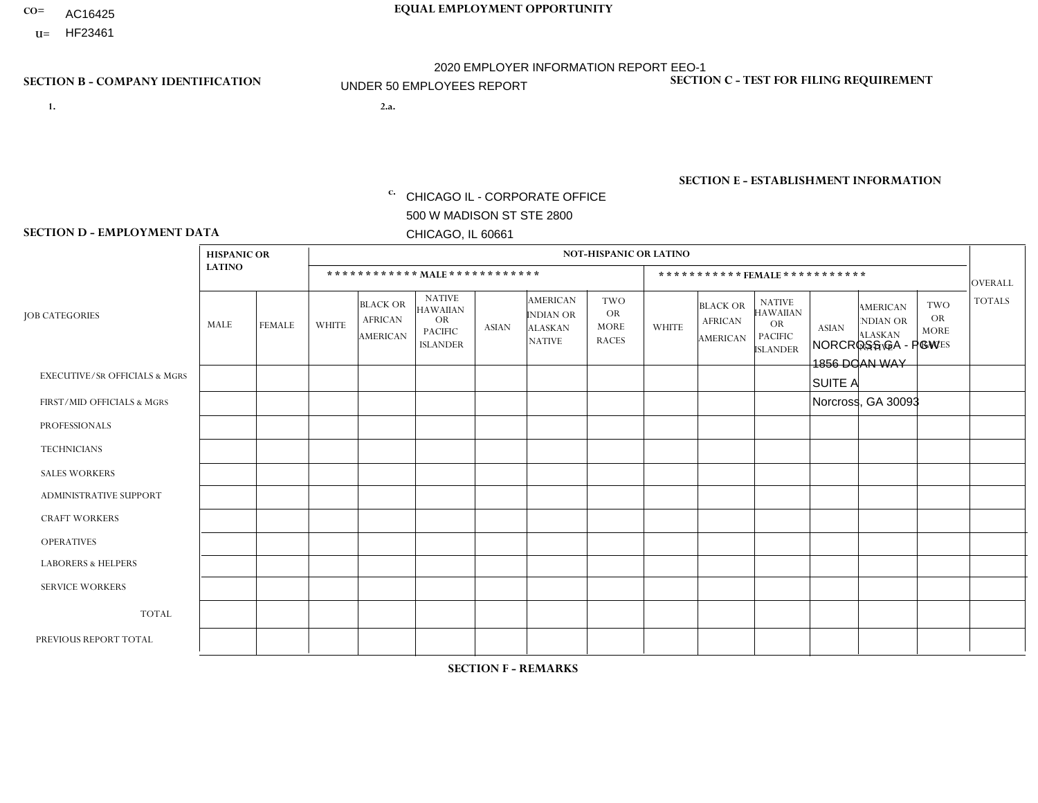- AC16425
- **U=**

**1. 2.a.** CHICAGO IL - CORPORATE OFFICE 500 W MADISON ST STE 2800 CHICAGO, IL 60661

2.a. NORCROSS GA - PGW 1856 DOAN WAY SUITE A Norcross, GA 30093

EIN= 952920557

## **SECTION B - COMPANY IDENTIFICATION SECTION C - TEST FOR FILING REQUIREMENT**

1- Y 2- Y 3- N DUNS= 000123456

**SECTION E - ESTABLISHMENT INFORMATION c.** NAICS: 811122

### **SECTION D - EMPLOYMENT DATA**

|                                          | <b>HISPANIC OR</b> |               |                |                                                      |                                                                                    |              |                                                                        | <b>NOT-HISPANIC OR LATINO</b>                          |              |                                                      |                                                                                    |              |                                                                       |                                                  |                |
|------------------------------------------|--------------------|---------------|----------------|------------------------------------------------------|------------------------------------------------------------------------------------|--------------|------------------------------------------------------------------------|--------------------------------------------------------|--------------|------------------------------------------------------|------------------------------------------------------------------------------------|--------------|-----------------------------------------------------------------------|--------------------------------------------------|----------------|
|                                          | <b>LATINO</b>      |               |                |                                                      | ************ MALE ************                                                     |              |                                                                        |                                                        |              | ***********FEMALE***********                         |                                                                                    |              |                                                                       |                                                  | <b>OVERALL</b> |
| <b>JOB CATEGORIES</b>                    | MALE               | <b>FEMALE</b> | <b>WHITE</b>   | <b>BLACK OR</b><br><b>AFRICAN</b><br><b>AMERICAN</b> | <b>NATIVE</b><br><b>HAWAIIAN</b><br><b>OR</b><br><b>PACIFIC</b><br><b>ISLANDER</b> | <b>ASIAN</b> | <b>AMERICAN</b><br><b>INDIAN OR</b><br><b>ALASKAN</b><br><b>NATIVE</b> | <b>TWO</b><br><b>OR</b><br><b>MORE</b><br><b>RACES</b> | <b>WHITE</b> | <b>BLACK OR</b><br><b>AFRICAN</b><br><b>AMERICAN</b> | <b>NATIVE</b><br><b>HAWAIIAN</b><br><b>OR</b><br><b>PACIFIC</b><br><b>ISLANDER</b> | <b>ASIAN</b> | <b>AMERICAN</b><br><b>NDIAN OR</b><br><b>ALASKAN</b><br><b>NATIVE</b> | <b>TWO</b><br>OR.<br><b>MORE</b><br><b>RACES</b> | <b>TOTALS</b>  |
| <b>EXECUTIVE/SR OFFICIALS &amp; MGRS</b> | $\mathbf 0$        | $\mathbf 0$   | $\mathbf 0$    | $\mathbf 0$                                          | $\mathbf 0$                                                                        | $\mathbf{0}$ | $\Omega$                                                               | $\Omega$                                               | $\Omega$     | $\Omega$                                             | $\mathbf 0$                                                                        | $\mathbf 0$  | $\Omega$                                                              | $\mathbf 0$                                      | $\mathbf 0$    |
| FIRST/MID OFFICIALS & MGRS               | $\mathbf 0$        | $\mathbf 0$   | 1              | $\mathbf 0$                                          | $\Omega$                                                                           | $\Omega$     | $\Omega$                                                               | $\Omega$                                               | $\Omega$     | $\Omega$                                             | $\Omega$                                                                           | $\Omega$     | $\Omega$                                                              | $\Omega$                                         | $\mathbf{1}$   |
| <b>PROFESSIONALS</b>                     | $\mathbf 0$        | 0             | $\mathbf 0$    | $\mathbf 0$                                          | $\Omega$                                                                           | $\Omega$     | $\Omega$                                                               | $\Omega$                                               | $\Omega$     | $\Omega$                                             | $\Omega$                                                                           | $\mathbf 0$  | $\Omega$                                                              | $\mathbf 0$                                      | 0              |
| <b>TECHNICIANS</b>                       | $\mathbf 0$        | 0             | $\Omega$       | $\mathbf 0$                                          | $\Omega$                                                                           | $\Omega$     | $\Omega$                                                               | $\Omega$                                               | $\Omega$     | $\Omega$                                             | $\Omega$                                                                           | $\Omega$     | $\Omega$                                                              | $\mathbf 0$                                      | $\mathbf 0$    |
| <b>SALES WORKERS</b>                     | $\mathbf 0$        | $\mathbf 0$   | $\Omega$       | $\mathbf 0$                                          | $\Omega$                                                                           | $\Omega$     | $\Omega$                                                               | $\Omega$                                               | $\Omega$     | $\Omega$                                             | $\Omega$                                                                           | $\Omega$     | $\Omega$                                                              | $\Omega$                                         | $\mathbf 0$    |
| <b>ADMINISTRATIVE SUPPORT</b>            | $\mathbf 0$        | $\mathbf 0$   | $\Omega$       | $\mathbf 0$                                          | $\Omega$                                                                           | $\Omega$     | $\Omega$                                                               | $\Omega$                                               | $\Omega$     | $\Omega$                                             | $\Omega$                                                                           | $\Omega$     | $\Omega$                                                              | $\Omega$                                         | $\mathbf 0$    |
| <b>CRAFT WORKERS</b>                     | $\mathbf 0$        | $\mathbf 0$   | $\Omega$       | 0                                                    | $\Omega$                                                                           | $\Omega$     | $\Omega$                                                               | $\Omega$                                               | $\Omega$     | $\Omega$                                             | $\Omega$                                                                           | $\Omega$     | $\Omega$                                                              | $\Omega$                                         | $\mathbf 0$    |
| <b>OPERATIVES</b>                        | $\mathbf 0$        | $\mathbf 0$   | $\overline{1}$ | 3                                                    | $\Omega$                                                                           | $\Omega$     | $\Omega$                                                               | $\Omega$                                               | $\Omega$     | $\Omega$                                             | $\Omega$                                                                           | $\Omega$     | $\Omega$                                                              | $\Omega$                                         | 4              |
| <b>LABORERS &amp; HELPERS</b>            | $\mathbf 0$        | $\mathbf 0$   | 1              | $\mathbf{1}$                                         | $\Omega$                                                                           | $\Omega$     | $\Omega$                                                               | $\Omega$                                               | $\Omega$     | $\Omega$                                             | $\Omega$                                                                           | $\mathbf{0}$ | $\Omega$                                                              | $\Omega$                                         | $\overline{2}$ |
| <b>SERVICE WORKERS</b>                   | $\mathbf 0$        | $\mathbf 0$   | $\mathbf 0$    | 0                                                    | $\Omega$                                                                           | $\Omega$     | $\Omega$                                                               | $\Omega$                                               | $\Omega$     | $\Omega$                                             | $\Omega$                                                                           | $\mathbf{0}$ | $\Omega$                                                              | $\Omega$                                         | $\mathbf 0$    |
| <b>TOTAL</b>                             | $\mathbf 0$        | $\mathbf 0$   | 3              | 4                                                    | $\Omega$                                                                           | $\mathbf{0}$ | $\Omega$                                                               | $\Omega$                                               | $\Omega$     | $\Omega$                                             | $\Omega$                                                                           | $\mathbf{0}$ | $\Omega$                                                              | 0                                                | $\overline{7}$ |
| PREVIOUS REPORT TOTAL                    | 0                  | 0             | $\Omega$       | 2                                                    | $\Omega$                                                                           | $\Omega$     | $\Omega$                                                               |                                                        | $\Omega$     | $\Omega$                                             | $\Omega$                                                                           | $\Omega$     | $\Omega$                                                              | $\mathbf 0$                                      | 3              |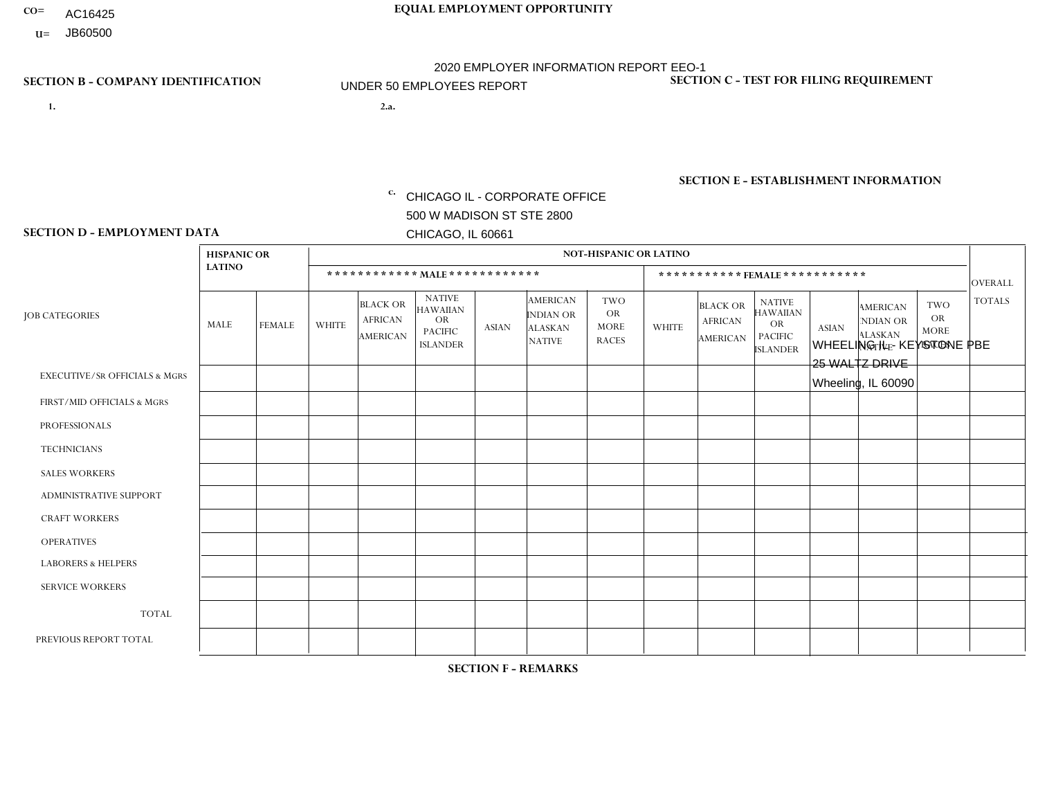- AC16425
- **U=**

**1. 2.a.** CHICAGO IL - CORPORATE OFFICE 500 W MADISON ST STE 2800 CHICAGO, IL 60661

WHEELING IL - KEYSTONE PBE 25 WALTZ DRIVE Wheeling, IL 60090

c. EIN= 952920557

## **SECTION B - COMPANY IDENTIFICATION SECTION C - TEST FOR FILING REQUIREMENT**

1- Y 2- Y 3- N DUNS= 000123456

**SECTION E - ESTABLISHMENT INFORMATION c.** NAICS: 423140

### **SECTION D - EMPLOYMENT DATA**

|                                          | <b>HISPANIC OR</b> |                |                |                                                      |                                                                                    |              |                                                                        | <b>NOT-HISPANIC OR LATINO</b>                   |              |                                               |                                                                                    |              |                                                                       |                                                        |                |
|------------------------------------------|--------------------|----------------|----------------|------------------------------------------------------|------------------------------------------------------------------------------------|--------------|------------------------------------------------------------------------|-------------------------------------------------|--------------|-----------------------------------------------|------------------------------------------------------------------------------------|--------------|-----------------------------------------------------------------------|--------------------------------------------------------|----------------|
|                                          | <b>LATINO</b>      |                |                |                                                      | ************ MALE************                                                      |              |                                                                        |                                                 |              | ***********FEMALE***********                  |                                                                                    |              |                                                                       |                                                        | <b>OVERALL</b> |
| <b>JOB CATEGORIES</b>                    | MALE               | <b>FEMALE</b>  | <b>WHITE</b>   | <b>BLACK OR</b><br><b>AFRICAN</b><br><b>AMERICAN</b> | <b>NATIVE</b><br><b>HAWAIIAN</b><br><b>OR</b><br><b>PACIFIC</b><br><b>ISLANDER</b> | <b>ASIAN</b> | <b>AMERICAN</b><br><b>INDIAN OR</b><br><b>ALASKAN</b><br><b>NATIVE</b> | TWO<br><b>OR</b><br><b>MORE</b><br><b>RACES</b> | <b>WHITE</b> | <b>BLACK OR</b><br><b>AFRICAN</b><br>AMERICAN | <b>NATIVE</b><br><b>HAWAIIAN</b><br><b>OR</b><br><b>PACIFIC</b><br><b>ISLANDER</b> | <b>ASIAN</b> | <b>AMERICAN</b><br><b>NDIAN OR</b><br><b>ALASKAN</b><br><b>NATIVE</b> | <b>TWO</b><br><b>OR</b><br><b>MORE</b><br><b>RACES</b> | <b>TOTALS</b>  |
| <b>EXECUTIVE/SR OFFICIALS &amp; MGRS</b> | $\Omega$           | $\Omega$       | $\Omega$       | $\mathbf 0$                                          | $\Omega$                                                                           | $\Omega$     | $\Omega$                                                               | $\Omega$                                        | $\Omega$     | $\Omega$                                      | $\Omega$                                                                           | $\mathbf{0}$ | $\Omega$                                                              | $\mathbf{0}$                                           | $\mathbf 0$    |
| FIRST/MID OFFICIALS & MGRS               | $\Omega$           | $\mathbf 0$    | 1              | $\mathbf 0$                                          | $\Omega$                                                                           | $\Omega$     | $\Omega$                                                               | $\Omega$                                        |              | $\Omega$                                      | $\Omega$                                                                           | $\Omega$     | $\Omega$                                                              | $\mathbf 0$                                            | $\overline{2}$ |
| <b>PROFESSIONALS</b>                     | $\Omega$           | $\overline{0}$ | $\mathbf 0$    | $\mathbf 0$                                          | $\Omega$                                                                           | $\Omega$     | $\Omega$                                                               | $\Omega$                                        | 0            | $\Omega$                                      | $\Omega$                                                                           | $\mathbf 0$  | $\Omega$                                                              | $\mathbf 0$                                            | $\mathbf{0}$   |
| <b>TECHNICIANS</b>                       | $\Omega$           | $\overline{0}$ | $\Omega$       | $\mathbf 0$                                          | $\Omega$                                                                           | $\Omega$     | $\Omega$                                                               | $\Omega$                                        | $\Omega$     | $\Omega$                                      | $\Omega$                                                                           | $\mathbf 0$  | $\Omega$                                                              | $\mathbf 0$                                            | $\mathbf 0$    |
| <b>SALES WORKERS</b>                     | $\Omega$           | $\Omega$       | $\Omega$       | $\mathbf 0$                                          | $\Omega$                                                                           | -1           | $\Omega$                                                               | $\Omega$                                        | $\Omega$     | $\Omega$                                      | $\Omega$                                                                           | $\Omega$     | $\Omega$                                                              | $\mathbf{0}$                                           | $\mathbf{1}$   |
| <b>ADMINISTRATIVE SUPPORT</b>            | 0                  | $\Omega$       | $\Omega$       | $\mathbf 0$                                          | $\Omega$                                                                           | $\Omega$     | $\Omega$                                                               | $\Omega$                                        | $\Omega$     | $\Omega$                                      | $\Omega$                                                                           | $\mathbf{0}$ | $\mathbf{0}$                                                          | $\mathbf 0$                                            | $\mathbf 0$    |
| <b>CRAFT WORKERS</b>                     | 0                  | $\Omega$       | $\mathbf 0$    | $\mathbf 0$                                          | $\Omega$                                                                           | $\Omega$     | $\Omega$                                                               | $\Omega$                                        | 0            | $\Omega$                                      | $\Omega$                                                                           | $\mathbf{0}$ | $\Omega$                                                              | $\mathbf{0}$                                           | $\mathbf 0$    |
| <b>OPERATIVES</b>                        | $\Omega$           | $\Omega$       | $\overline{c}$ | $\mathbf 0$                                          | $\mathbf 0$                                                                        | $\Omega$     | $\Omega$                                                               | $\Omega$                                        | $\Omega$     | $\Omega$                                      | $\Omega$                                                                           | $\mathbf{0}$ | $\Omega$                                                              | $\mathbf 0$                                            | $\overline{2}$ |
| <b>LABORERS &amp; HELPERS</b>            | $\Omega$           | $\Omega$       | $\mathbf 0$    | $\overline{1}$                                       | $\Omega$                                                                           | $\Omega$     | $\Omega$                                                               | $\Omega$                                        | $\Omega$     | $\Omega$                                      | $\Omega$                                                                           | $\mathbf{0}$ | $\Omega$                                                              | $\mathbf 0$                                            | $\mathbf{1}$   |
| <b>SERVICE WORKERS</b>                   | 0                  | $\Omega$       | $\mathbf 0$    | 0                                                    | 0                                                                                  | $\mathbf 0$  | $\Omega$                                                               | $\Omega$                                        | $\Omega$     | $\Omega$                                      | $\Omega$                                                                           | $\mathbf 0$  | $\Omega$                                                              | $\mathbf 0$                                            | 0              |
| <b>TOTAL</b>                             | $\mathbf 0$        | 0              | 3              | 1                                                    | 0                                                                                  | 1            | $\Omega$                                                               | $\Omega$                                        | -1           | 0                                             | $\Omega$                                                                           | $\mathbf 0$  | 0                                                                     | $\mathbf 0$                                            | 6              |
| PREVIOUS REPORT TOTAL                    | $\Omega$           | $\Omega$       | 3              | $\overline{c}$                                       | $\Omega$                                                                           | $\Omega$     | $\Omega$                                                               |                                                 | $\Omega$     | $\Omega$                                      | $\Omega$                                                                           | $\Omega$     | $\Omega$                                                              | $\mathbf 0$                                            | 6              |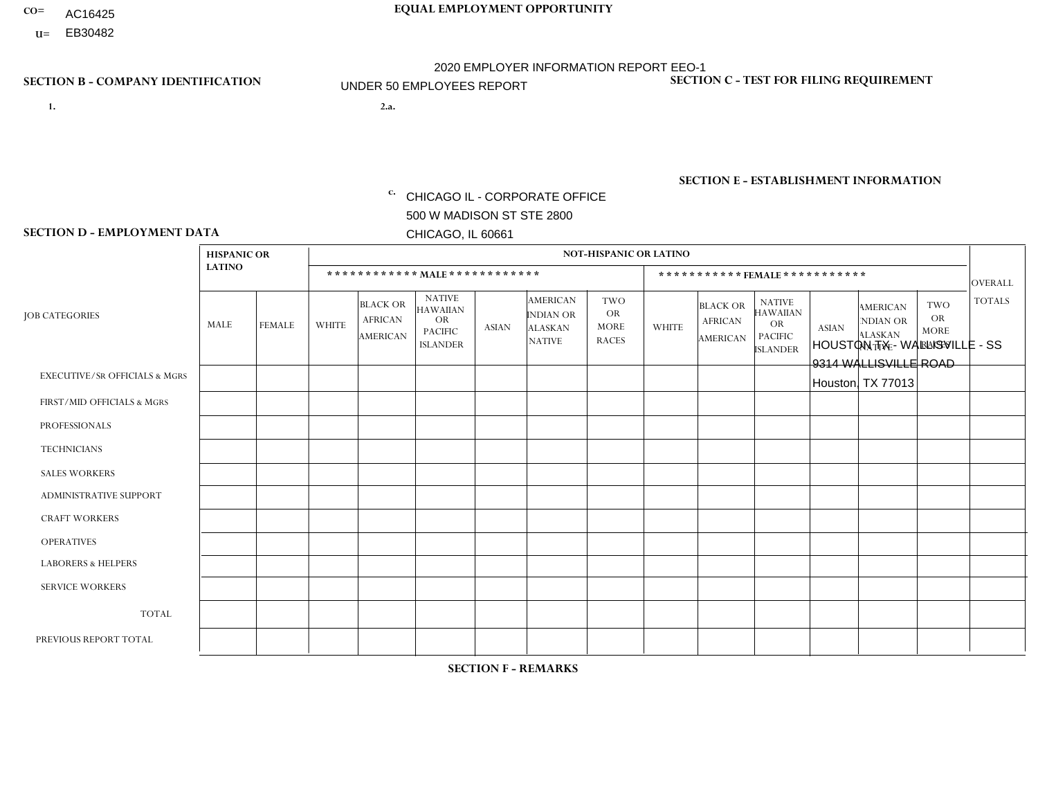- AC16425
- **U=**

**1. 2.a.** CHICAGO IL - CORPORATE OFFICE 500 W MADISON ST STE 2800 CHICAGO, IL 60661

2.a. HOUSTON TX - WALLISVILLE - SS 9314 WALLISVILLE ROAD Houston, TX 77013

EIN= 952920557

## **SECTION B - COMPANY IDENTIFICATION SECTION C - TEST FOR FILING REQUIREMENT**

1- Y 2- Y 3- N DUNS= 000123456

**SECTION E - ESTABLISHMENT INFORMATION c.** NAICS: 423140

### **SECTION D - EMPLOYMENT DATA**

|                                          | <b>HISPANIC OR</b> |                      |                |                                                      |                                                                                    |              |                                                                        | <b>NOT-HISPANIC OR LATINO</b>                          |              |                                               |                                                                                    |              |                                                                       |                                                        |                |
|------------------------------------------|--------------------|----------------------|----------------|------------------------------------------------------|------------------------------------------------------------------------------------|--------------|------------------------------------------------------------------------|--------------------------------------------------------|--------------|-----------------------------------------------|------------------------------------------------------------------------------------|--------------|-----------------------------------------------------------------------|--------------------------------------------------------|----------------|
|                                          | <b>LATINO</b>      |                      |                | ************ MAIE************                        |                                                                                    |              |                                                                        |                                                        |              |                                               | ***********FEMALE***********                                                       |              |                                                                       |                                                        | <b>OVERALL</b> |
| <b>JOB CATEGORIES</b>                    | <b>MALE</b>        | <b>FEMALE</b>        | <b>WHITE</b>   | <b>BLACK OR</b><br><b>AFRICAN</b><br><b>AMERICAN</b> | <b>NATIVE</b><br><b>HAWAIIAN</b><br><b>OR</b><br><b>PACIFIC</b><br><b>ISLANDER</b> | <b>ASIAN</b> | <b>AMERICAN</b><br><b>INDIAN OR</b><br><b>ALASKAN</b><br><b>NATIVE</b> | <b>TWO</b><br><b>OR</b><br><b>MORE</b><br><b>RACES</b> | <b>WHITE</b> | <b>BLACK OR</b><br><b>AFRICAN</b><br>AMERICAN | <b>NATIVE</b><br><b>HAWAIIAN</b><br><b>OR</b><br><b>PACIFIC</b><br><b>ISLANDER</b> | <b>ASIAN</b> | <b>AMERICAN</b><br><b>NDIAN OR</b><br><b>ALASKAN</b><br><b>NATIVE</b> | <b>TWO</b><br><b>OR</b><br><b>MORE</b><br><b>RACES</b> | <b>TOTALS</b>  |
| <b>EXECUTIVE/SR OFFICIALS &amp; MGRS</b> | $\Omega$           | $\Omega$             | $\Omega$       | $\mathbf 0$                                          | $\Omega$                                                                           | $\Omega$     | $\Omega$                                                               | $\Omega$                                               | $\Omega$     | $\mathbf{0}$                                  | $\mathbf{0}$                                                                       | $\Omega$     | $\Omega$                                                              | $\Omega$                                               | $\mathbf 0$    |
| FIRST/MID OFFICIALS & MGRS               | 1                  | $\Omega$             | $\overline{c}$ | 0                                                    | 0                                                                                  | $\Omega$     | $\Omega$                                                               | $\Omega$                                               | $\Omega$     | $\Omega$                                      | $\Omega$                                                                           | $\Omega$     | $\Omega$                                                              | $\mathbf{0}$                                           | 3              |
| <b>PROFESSIONALS</b>                     | $\Omega$           | $\Omega$             | $\Omega$       | $\Omega$                                             | $\Omega$                                                                           | $\Omega$     | $\Omega$                                                               | $\Omega$                                               | $\Omega$     | $\Omega$                                      | $\Omega$                                                                           | $\Omega$     | $\Omega$                                                              | $\Omega$                                               | $\mathbf{0}$   |
| <b>TECHNICIANS</b>                       | $\Omega$           | $\mathbf 0$          | $\Omega$       | $\mathbf 0$                                          | $\mathbf{0}$                                                                       | $\Omega$     | $\Omega$                                                               | $\Omega$                                               | $\Omega$     | $\Omega$                                      | $\Omega$                                                                           | $\Omega$     | $\Omega$                                                              | $\Omega$                                               | $\mathbf 0$    |
| <b>SALES WORKERS</b>                     | 4                  | $\mathbf{1}$         | $\Omega$       | $\Omega$                                             | $\Omega$                                                                           | $\Omega$     | $\Omega$                                                               | $\Omega$                                               | $\Omega$     | $\Omega$                                      | $\Omega$                                                                           | $\Omega$     | $\Omega$                                                              | $\mathbf{0}$                                           | 5              |
| <b>ADMINISTRATIVE SUPPORT</b>            | $\overline{2}$     | 4                    | $\Omega$       | $\Omega$                                             | $\Omega$                                                                           | $\Omega$     | $\Omega$                                                               | $\Omega$                                               | $\Omega$     |                                               | $\Omega$                                                                           | $\Omega$     | $\Omega$                                                              | $\Omega$                                               | $\overline{7}$ |
| <b>CRAFT WORKERS</b>                     | 0                  | $\Omega$             | $\mathbf 0$    | $\overline{2}$                                       | $\Omega$                                                                           | $\Omega$     | $\Omega$                                                               | $\Omega$                                               | $\Omega$     | $\Omega$                                      | $\Omega$                                                                           | $\Omega$     | $\Omega$                                                              | $\Omega$                                               | $\overline{2}$ |
| <b>OPERATIVES</b>                        | 4                  | $\blacktriangleleft$ | 1              | 5                                                    | 0                                                                                  | $\Omega$     | $\overline{0}$                                                         | $\Omega$                                               | $\Omega$     | $\Omega$                                      | $\mathbf{0}$                                                                       | $\Omega$     | $\Omega$                                                              | $\mathbf{0}$                                           | 11             |
| <b>LABORERS &amp; HELPERS</b>            | -1                 | $\Omega$             | $\Omega$       | $\overline{2}$                                       | 0                                                                                  | $\Omega$     | $\Omega$                                                               | $\Omega$                                               | $\Omega$     | $\Omega$                                      | $\Omega$                                                                           | $\Omega$     | $\Omega$                                                              | $\Omega$                                               | 3              |
| <b>SERVICE WORKERS</b>                   | $\Omega$           | $\mathbf 0$          | 0              | $\mathbf 0$                                          | $\mathbf 0$                                                                        | $\mathbf 0$  | $\Omega$                                                               | $\Omega$                                               | $\Omega$     | $\Omega$                                      | $\mathbf{0}$                                                                       | $\mathbf 0$  | $\Omega$                                                              | $\mathbf 0$                                            | 0              |
| <b>TOTAL</b>                             | 12                 | 6                    | 3              | 9                                                    | 0                                                                                  | $\mathbf 0$  | $\Omega$                                                               | $\Omega$                                               | $\Omega$     | $\overline{1}$                                | $\Omega$                                                                           | $\Omega$     | $\Omega$                                                              | $\Omega$                                               | 31             |
| PREVIOUS REPORT TOTAL                    | 13                 | 5                    | 3              | 6                                                    | 0                                                                                  | $\Omega$     | $\Omega$                                                               | $\Omega$                                               | $\Omega$     |                                               | $\mathbf{0}$                                                                       | $\Omega$     | $\Omega$                                                              | $\mathbf 0$                                            | 28             |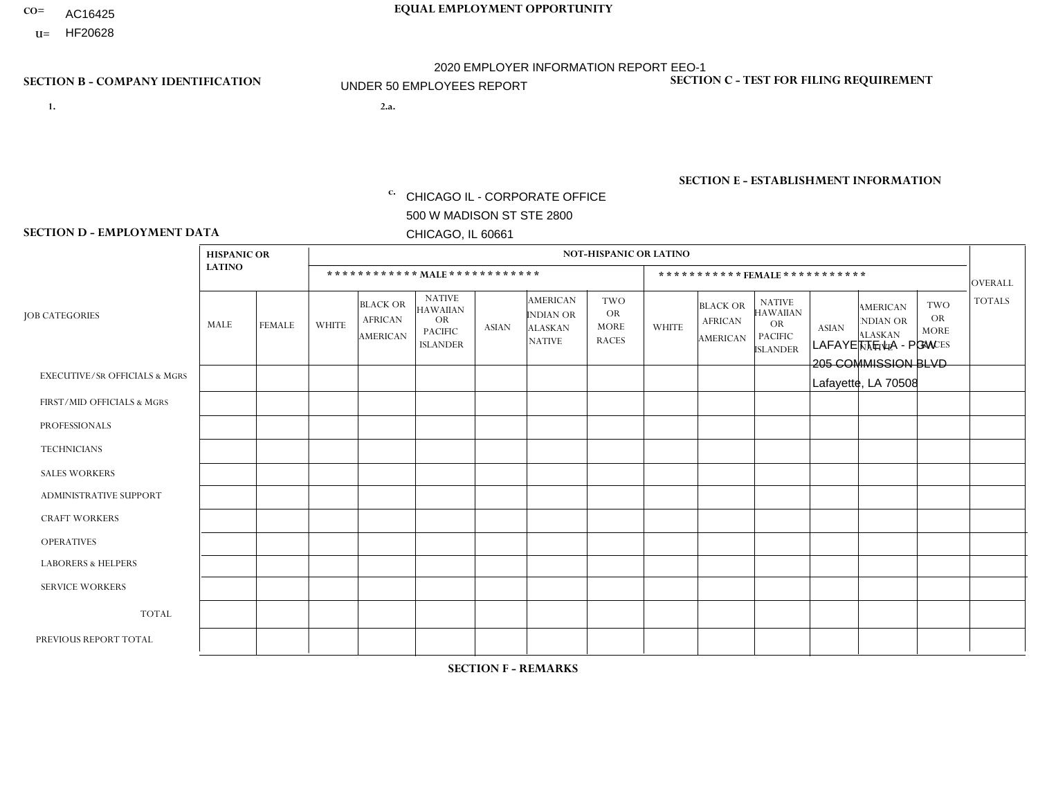- AC16425
- **U=**

**1. 2.a.** CHICAGO IL - CORPORATE OFFICE 500 W MADISON ST STE 2800 CHICAGO, IL 60661

2.a. LAFAYETTE LA - PGW 205 COMMISSION BLVD Lafayette, LA 70508

EIN= 952920557

## **SECTION B - COMPANY IDENTIFICATION SECTION C - TEST FOR FILING REQUIREMENT**

1- Y 2- Y 3- N DUNS= 000123456

**SECTION E - ESTABLISHMENT INFORMATION c.** NAICS: 811122

### **SECTION D - EMPLOYMENT DATA**

|                                          | <b>HISPANIC OR</b> |               |              |                                                      |                                                                                    |              |                                                                        | <b>NOT-HISPANIC OR LATINO</b>                          |              |                                               |                                                                                    |              |                                                                       |                                                        |                 |
|------------------------------------------|--------------------|---------------|--------------|------------------------------------------------------|------------------------------------------------------------------------------------|--------------|------------------------------------------------------------------------|--------------------------------------------------------|--------------|-----------------------------------------------|------------------------------------------------------------------------------------|--------------|-----------------------------------------------------------------------|--------------------------------------------------------|-----------------|
|                                          | <b>LATINO</b>      |               |              | ************ MALE ************                       |                                                                                    |              |                                                                        |                                                        |              |                                               | *********** FEMALE ***********                                                     |              |                                                                       |                                                        | <b>OVERALL</b>  |
| <b>JOB CATEGORIES</b>                    | <b>MALE</b>        | <b>FEMALE</b> | <b>WHITE</b> | <b>BLACK OR</b><br><b>AFRICAN</b><br><b>AMERICAN</b> | <b>NATIVE</b><br><b>HAWAIIAN</b><br><b>OR</b><br><b>PACIFIC</b><br><b>ISLANDER</b> | <b>ASIAN</b> | <b>AMERICAN</b><br><b>INDIAN OR</b><br><b>ALASKAN</b><br><b>NATIVE</b> | <b>TWO</b><br><b>OR</b><br><b>MORE</b><br><b>RACES</b> | <b>WHITE</b> | <b>BLACK OR</b><br><b>AFRICAN</b><br>AMERICAN | <b>NATIVE</b><br><b>HAWAIIAN</b><br><b>OR</b><br><b>PACIFIC</b><br><b>ISLANDER</b> | <b>ASIAN</b> | <b>AMERICAN</b><br><b>NDIAN OR</b><br><b>ALASKAN</b><br><b>NATIVE</b> | <b>TWO</b><br><b>OR</b><br><b>MORE</b><br><b>RACES</b> | <b>TOTALS</b>   |
| <b>EXECUTIVE/SR OFFICIALS &amp; MGRS</b> | $\Omega$           | $\Omega$      | $\Omega$     | $\mathbf 0$                                          | $\Omega$                                                                           | $\Omega$     | $\Omega$                                                               | $\Omega$                                               | $\Omega$     | $\Omega$                                      | $\Omega$                                                                           | $\Omega$     | $\Omega$                                                              | $\Omega$                                               | $\mathbf 0$     |
| FIRST/MID OFFICIALS & MGRS               | $\Omega$           | $\mathbf 0$   | 0            | $\mathbf 0$                                          | $\mathbf 0$                                                                        | $\mathbf 0$  | $\Omega$                                                               | $\Omega$                                               | $\Omega$     | $\mathbf{0}$                                  | $\Omega$                                                                           | $\mathbf 0$  | $\Omega$                                                              | $\Omega$                                               | $\mathbf 0$     |
| <b>PROFESSIONALS</b>                     | $\Omega$           | $\Omega$      | $\Omega$     | $\mathbf 0$                                          | $\Omega$                                                                           | $\Omega$     | $\Omega$                                                               | $\Omega$                                               | $\Omega$     | $\Omega$                                      | $\Omega$                                                                           | $\Omega$     | $\Omega$                                                              | $\Omega$                                               | $\mathbf 0$     |
| <b>TECHNICIANS</b>                       | $\Omega$           | $\Omega$      | $\Omega$     | $\mathbf 0$                                          | $\Omega$                                                                           | $\Omega$     | $\overline{0}$                                                         | $\Omega$                                               | $\Omega$     | $\Omega$                                      | $\Omega$                                                                           | $\Omega$     | $\Omega$                                                              | $\mathbf{0}$                                           | $\mathbf 0$     |
| <b>SALES WORKERS</b>                     | $\Omega$           | $\Omega$      | $\Omega$     | $\Omega$                                             | 0                                                                                  | $\Omega$     | $\Omega$                                                               | $\Omega$                                               | $\Omega$     | $\Omega$                                      | $\Omega$                                                                           | $\Omega$     | $\Omega$                                                              | $\Omega$                                               | $\mathbf 0$     |
| ADMINISTRATIVE SUPPORT                   | $\Omega$           | $\Omega$      | $\Omega$     | $\mathbf 0$                                          | $\mathbf 0$                                                                        | $\Omega$     | $\Omega$                                                               | $\Omega$                                               | $\Omega$     | $\Omega$                                      | $\Omega$                                                                           | $\Omega$     | $\Omega$                                                              | $\Omega$                                               | 0               |
| <b>CRAFT WORKERS</b>                     | $\Omega$           | $\Omega$      | $\mathbf 0$  | $\mathbf 0$                                          | $\Omega$                                                                           | $\Omega$     | $\Omega$                                                               | $\Omega$                                               | $\Omega$     | $\Omega$                                      | $\Omega$                                                                           | $\Omega$     | $\Omega$                                                              | $\mathbf{0}$                                           | $\mathbf 0$     |
| <b>OPERATIVES</b>                        | $\Omega$           | $\Omega$      | $\Omega$     | 5                                                    | $\mathbf 0$                                                                        | $\Omega$     | $\overline{0}$                                                         | $\Omega$                                               | $\Omega$     | $\Omega$                                      | $\Omega$                                                                           | $\Omega$     | $\Omega$                                                              | $\Omega$                                               | $5\phantom{.0}$ |
| <b>LABORERS &amp; HELPERS</b>            | 0                  | $\Omega$      | 0            | $\mathbf 0$                                          | 0                                                                                  | $\mathbf 0$  | $\Omega$                                                               | $\Omega$                                               | $\Omega$     | $\Omega$                                      | $\mathbf{0}$                                                                       | $\Omega$     | $\Omega$                                                              | $\Omega$                                               | 0               |
| <b>SERVICE WORKERS</b>                   | $\Omega$           | $\Omega$      | 0            | 0                                                    | $\mathbf{0}$                                                                       | $\mathbf 0$  | $\Omega$                                                               | $\Omega$                                               | $\Omega$     | $\Omega$                                      | $\Omega$                                                                           | $\Omega$     | $\Omega$                                                              | $\Omega$                                               | 0               |
| <b>TOTAL</b>                             | $\Omega$           | $\mathbf 0$   | 0            | 5                                                    | 0                                                                                  | $\mathbf 0$  | $\Omega$                                                               | $\Omega$                                               | $\Omega$     | $\Omega$                                      | $\Omega$                                                                           | $\mathbf 0$  | $\Omega$                                                              | $\Omega$                                               | 5               |
| PREVIOUS REPORT TOTAL                    | $\Omega$           | 0             | $\Omega$     | 1                                                    | 0                                                                                  | $\Omega$     | $\Omega$                                                               | $\Omega$                                               | $\Omega$     | $\Omega$                                      | $\mathbf{0}$                                                                       | $\Omega$     | $\Omega$                                                              | $\Omega$                                               | $\mathbf{1}$    |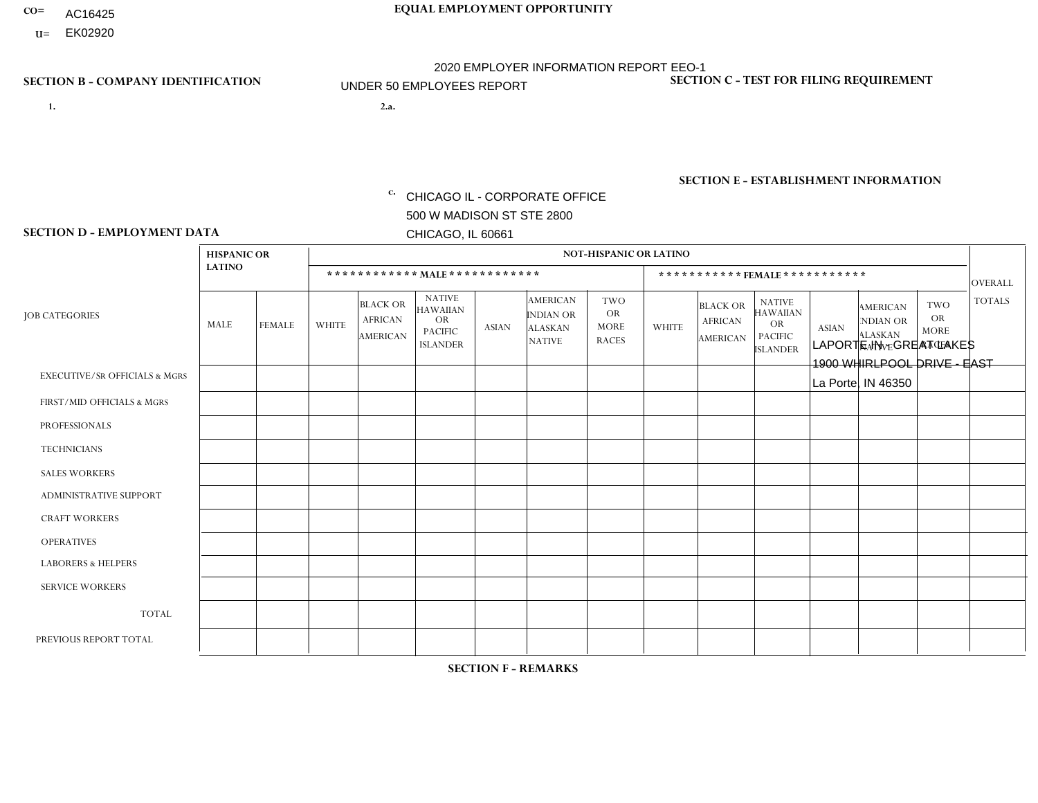- AC16425
- **U=**

- **1. 2.a.** CHICAGO IL CORPORATE OFFICE 500 W MADISON ST STE 2800 CHICAGO, IL 60661
- 2.a. LAPORTE IN GREAT LAKES 1900 WHIRLPOOL DRIVE - EAST La Porte, IN 46350

EIN= 952920557

## **SECTION B - COMPANY IDENTIFICATION SECTION C - TEST FOR FILING REQUIREMENT**

1- Y 2- Y 3- N DUNS= 000123456

**SECTION E - ESTABLISHMENT INFORMATION c.** NAICS: 423140

### **SECTION D - EMPLOYMENT DATA**

|                                          | <b>HISPANIC OR</b> |               |              |                                                      |                                                                                    |              |                                                                 | <b>NOT-HISPANIC OR LATINO</b>                          |              |                                                      |                                                                                    |              |                                                                       |                                                        |                |
|------------------------------------------|--------------------|---------------|--------------|------------------------------------------------------|------------------------------------------------------------------------------------|--------------|-----------------------------------------------------------------|--------------------------------------------------------|--------------|------------------------------------------------------|------------------------------------------------------------------------------------|--------------|-----------------------------------------------------------------------|--------------------------------------------------------|----------------|
|                                          | <b>LATINO</b>      |               |              |                                                      | ************ MALE ************                                                     |              |                                                                 |                                                        |              |                                                      | ***********FEMALE***********                                                       |              |                                                                       |                                                        | <b>OVERALL</b> |
| <b>JOB CATEGORIES</b>                    | <b>MALE</b>        | <b>FEMALE</b> | <b>WHITE</b> | <b>BLACK OR</b><br><b>AFRICAN</b><br><b>AMERICAN</b> | <b>NATIVE</b><br><b>HAWAIIAN</b><br><b>OR</b><br><b>PACIFIC</b><br><b>ISLANDER</b> | <b>ASIAN</b> | AMERICAN<br><b>INDIAN OR</b><br><b>ALASKAN</b><br><b>NATIVE</b> | <b>TWO</b><br><b>OR</b><br><b>MORE</b><br><b>RACES</b> | <b>WHITE</b> | <b>BLACK OR</b><br><b>AFRICAN</b><br><b>AMERICAN</b> | <b>NATIVE</b><br><b>HAWAIIAN</b><br><b>OR</b><br><b>PACIFIC</b><br><b>ISLANDER</b> | <b>ASIAN</b> | <b>AMERICAN</b><br><b>NDIAN OR</b><br><b>ALASKAN</b><br><b>NATIVE</b> | <b>TWO</b><br><b>OR</b><br><b>MORE</b><br><b>RACES</b> | <b>TOTALS</b>  |
| <b>EXECUTIVE/SR OFFICIALS &amp; MGRS</b> | $\Omega$           | $\Omega$      | $\Omega$     | $\Omega$                                             | $\Omega$                                                                           | $\Omega$     | $\Omega$                                                        | $\Omega$                                               | $\Omega$     | $\Omega$                                             | $\Omega$                                                                           | $\Omega$     | $\Omega$                                                              | $\mathbf{0}$                                           | $\Omega$       |
| FIRST/MID OFFICIALS & MGRS               | 0                  | 0             | $\mathbf 0$  | $\mathbf 0$                                          | $\Omega$                                                                           | $\Omega$     | $\Omega$                                                        | $\Omega$                                               | $\Omega$     | $\Omega$                                             | $\Omega$                                                                           | 0            | $\Omega$                                                              | $\mathbf 0$                                            | $\overline{0}$ |
| <b>PROFESSIONALS</b>                     | 0                  | $\mathbf 0$   | $\mathbf 0$  | 0                                                    | $\Omega$                                                                           | $\Omega$     | $\Omega$                                                        | $\Omega$                                               | $\mathbf{0}$ | $\Omega$                                             | $\Omega$                                                                           | 0            | $\Omega$                                                              | $\mathbf 0$                                            | $\overline{0}$ |
| <b>TECHNICIANS</b>                       | 0                  | $\mathbf 0$   | $\mathbf 0$  | $\mathbf 0$                                          | $\Omega$                                                                           | $\Omega$     | $\Omega$                                                        | $\mathbf 0$                                            | $\mathbf 0$  | $\Omega$                                             | $\Omega$                                                                           | $\mathbf 0$  | $\Omega$                                                              | $\mathbf 0$                                            | $\mathbf 0$    |
| <b>SALES WORKERS</b>                     | 0                  | $\Omega$      | $\mathbf 0$  | $\Omega$                                             | $\Omega$                                                                           | $\Omega$     | $\Omega$                                                        | $\Omega$                                               | $\Omega$     | $\Omega$                                             | $\Omega$                                                                           | $\Omega$     | $\Omega$                                                              | $\Omega$                                               | $\Omega$       |
| ADMINISTRATIVE SUPPORT                   | 0                  | $\Omega$      | $\Omega$     | $\Omega$                                             | $\Omega$                                                                           | $\Omega$     | $\Omega$                                                        | $\Omega$                                               | $\Omega$     | $\Omega$                                             | $\Omega$                                                                           | $\Omega$     | $\Omega$                                                              | $\mathbf{0}$                                           | $\mathbf 0$    |
| <b>CRAFT WORKERS</b>                     | 0                  | $\Omega$      | $\mathbf 0$  | $\Omega$                                             | $\Omega$                                                                           | $\Omega$     | $\Omega$                                                        | $\Omega$                                               | $\Omega$     | $\Omega$                                             | $\Omega$                                                                           | $\Omega$     | $\Omega$                                                              | $\mathbf{0}$                                           | $\Omega$       |
| <b>OPERATIVES</b>                        | 0                  | $\Omega$      | 1            | $\Omega$                                             | $\Omega$                                                                           | $\Omega$     | $\Omega$                                                        | $\Omega$                                               | $\Omega$     | $\Omega$                                             | $\Omega$                                                                           | $\Omega$     | $\Omega$                                                              | $\mathbf{0}$                                           | $\mathbf{1}$   |
| <b>LABORERS &amp; HELPERS</b>            | $\Omega$           | $\Omega$      | 5            | $\Omega$                                             | $\Omega$                                                                           | $\Omega$     | $\Omega$                                                        | $\Omega$                                               | $\Omega$     | $\Omega$                                             | $\Omega$                                                                           | $\Omega$     | $\Omega$                                                              | $\mathbf{0}$                                           | 5              |
| <b>SERVICE WORKERS</b>                   | 0                  | $\mathbf 0$   | 0            | 0                                                    | $\Omega$                                                                           | $\Omega$     | $\Omega$                                                        | $\Omega$                                               | $\Omega$     | $\Omega$                                             | $\mathbf{0}$                                                                       | 0            | $\Omega$                                                              | $\mathbf 0$                                            | $\mathbf 0$    |
| <b>TOTAL</b>                             | 0                  | 0             | 6            | 0                                                    | $\Omega$                                                                           | $\mathbf{0}$ | $\Omega$                                                        | $\Omega$                                               | $\Omega$     | $\Omega$                                             | $\mathbf{0}$                                                                       | $\mathbf 0$  | $\Omega$                                                              | $\mathbf 0$                                            | 6              |
| PREVIOUS REPORT TOTAL                    | 0                  | $\Omega$      | 8            | $\blacktriangleleft$                                 | $\Omega$                                                                           | $\mathbf{0}$ | $\Omega$                                                        | 2                                                      | $\Omega$     | $\Omega$                                             | $\mathbf{0}$                                                                       | $\Omega$     | $\Omega$                                                              | $\Omega$                                               | 11             |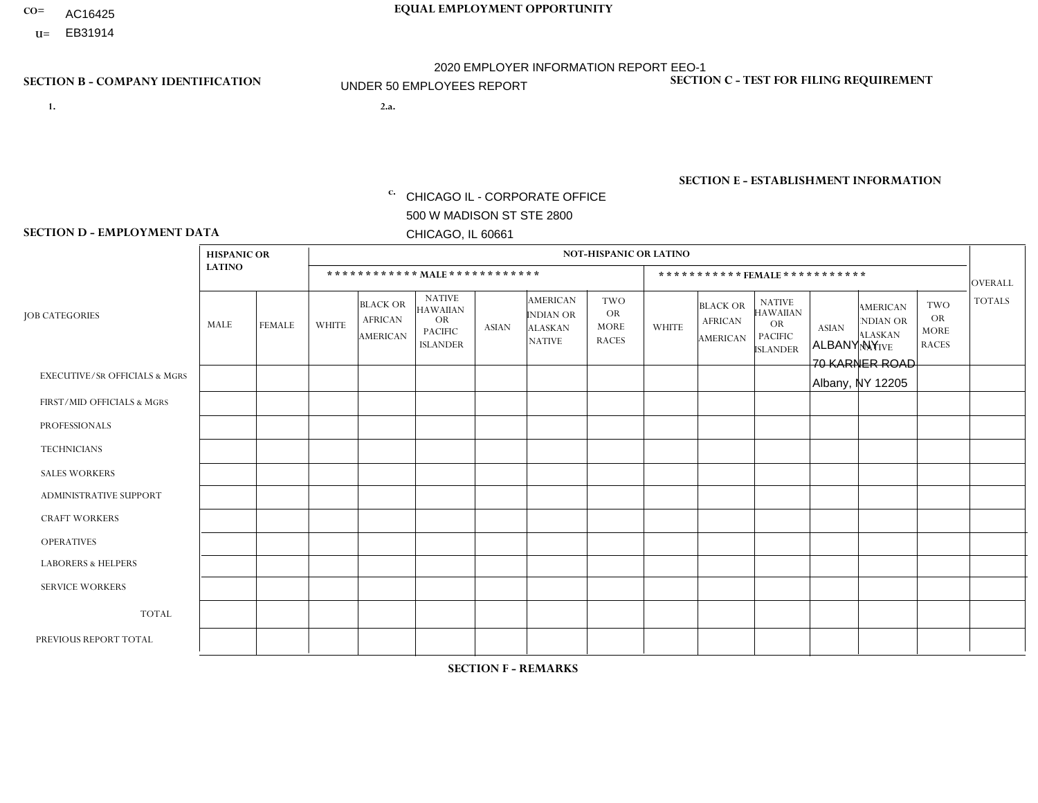- AC16425
- **U=**

**1. 2.a.** CHICAGO IL - CORPORATE OFFICE 500 W MADISON ST STE 2800 CHICAGO, IL 60661

2.a. ALBANY NY 70 KARNER ROAD Albany, NY 12205

c. EIN= 952920557

## **SECTION B - COMPANY IDENTIFICATION SECTION C - TEST FOR FILING REQUIREMENT**

1- Y 2- Y 3- N DUNS= 000123456

**SECTION E - ESTABLISHMENT INFORMATION c.** NAICS: 423140

### **SECTION D - EMPLOYMENT DATA**

|                                          | <b>HISPANIC OR</b> |                |              |                                                      |                                                                                    |              |                                                                        | <b>NOT-HISPANIC OR LATINO</b>                          |                |                                               |                                                                                    |              |                                                                       |                                                        |                |
|------------------------------------------|--------------------|----------------|--------------|------------------------------------------------------|------------------------------------------------------------------------------------|--------------|------------------------------------------------------------------------|--------------------------------------------------------|----------------|-----------------------------------------------|------------------------------------------------------------------------------------|--------------|-----------------------------------------------------------------------|--------------------------------------------------------|----------------|
|                                          | <b>LATINO</b>      |                |              | ************ MALE ************                       |                                                                                    |              |                                                                        |                                                        |                | ***********FEMALE***********                  |                                                                                    |              |                                                                       |                                                        | <b>OVERALL</b> |
| <b>JOB CATEGORIES</b>                    | MALE               | <b>FEMALE</b>  | <b>WHITE</b> | <b>BLACK OR</b><br><b>AFRICAN</b><br><b>AMERICAN</b> | <b>NATIVE</b><br><b>HAWAIIAN</b><br><b>OR</b><br><b>PACIFIC</b><br><b>ISLANDER</b> | ASIAN        | <b>AMERICAN</b><br><b>INDIAN OR</b><br><b>ALASKAN</b><br><b>NATIVE</b> | <b>TWO</b><br><b>OR</b><br><b>MORE</b><br><b>RACES</b> | <b>WHITE</b>   | <b>BLACK OR</b><br><b>AFRICAN</b><br>AMERICAN | <b>NATIVE</b><br><b>HAWAIIAN</b><br><b>OR</b><br><b>PACIFIC</b><br><b>ISLANDER</b> | <b>ASIAN</b> | <b>AMERICAN</b><br><b>NDIAN OR</b><br><b>ALASKAN</b><br><b>NATIVE</b> | <b>TWO</b><br><b>OR</b><br><b>MORE</b><br><b>RACES</b> | <b>TOTALS</b>  |
| <b>EXECUTIVE/SR OFFICIALS &amp; MGRS</b> | $\Omega$           | $\Omega$       | $\Omega$     | $\mathbf 0$                                          | $\Omega$                                                                           | $\mathbf{0}$ | $\Omega$                                                               | $\Omega$                                               | 0              | $\Omega$                                      | $\Omega$                                                                           | $\Omega$     | $\Omega$                                                              | $\Omega$                                               | $\mathbf{0}$   |
| FIRST/MID OFFICIALS & MGRS               | 0                  | $\Omega$       | 3            | $\mathbf 0$                                          | $\Omega$                                                                           | $\Omega$     | $\Omega$                                                               | $\Omega$                                               | 0              | $\Omega$                                      | $\Omega$                                                                           | $\Omega$     | $\Omega$                                                              | $\Omega$                                               | 3              |
| <b>PROFESSIONALS</b>                     | 0                  | $\overline{0}$ | $\mathbf 0$  | $\mathbf 0$                                          | $\Omega$                                                                           | $\Omega$     | $\Omega$                                                               | $\Omega$                                               | 0              | $\Omega$                                      | $\Omega$                                                                           | $\Omega$     | $\Omega$                                                              | $\Omega$                                               | $\mathbf{0}$   |
| <b>TECHNICIANS</b>                       | 0                  | $\Omega$       | $\Omega$     | $\mathbf 0$                                          | $\Omega$                                                                           | $\Omega$     | $\Omega$                                                               | $\Omega$                                               | $\Omega$       | $\Omega$                                      | $\Omega$                                                                           | $\Omega$     | $\Omega$                                                              | $\Omega$                                               | $\mathbf{0}$   |
| <b>SALES WORKERS</b>                     | 0                  | $\Omega$       | 3            | $\Omega$                                             | $\Omega$                                                                           | $\Omega$     | $\Omega$                                                               | $\Omega$                                               |                | $\Omega$                                      | $\Omega$                                                                           | $\Omega$     | $\Omega$                                                              | $\mathbf{1}$                                           | 5              |
| <b>ADMINISTRATIVE SUPPORT</b>            | 0                  | 0              | $\Omega$     | $\mathbf 0$                                          | 0                                                                                  | $\Omega$     | $\Omega$                                                               | $\Omega$                                               | $\Omega$       | $\Omega$                                      | $\Omega$                                                                           | $\mathbf{0}$ | $\mathbf{0}$                                                          | $\mathbf 0$                                            | $\mathbf{0}$   |
| <b>CRAFT WORKERS</b>                     | 0                  | $\Omega$       | $\Omega$     | $\mathbf 0$                                          | $\Omega$                                                                           | $\Omega$     | $\Omega$                                                               | $\Omega$                                               | 0              | $\Omega$                                      | $\Omega$                                                                           | $\Omega$     | $\Omega$                                                              | $\Omega$                                               | $\Omega$       |
| <b>OPERATIVES</b>                        | 0                  | $\Omega$       | 9            | $\mathbf 0$                                          | $\Omega$                                                                           | $\Omega$     | $\Omega$                                                               | $\Omega$                                               | $\Omega$       | $\Omega$                                      | $\Omega$                                                                           | $\Omega$     | $\Omega$                                                              | $\Omega$                                               | 9              |
| <b>LABORERS &amp; HELPERS</b>            | 0                  | $\Omega$       | 4            | $\mathbf 0$                                          | $\Omega$                                                                           | $\Omega$     | $\Omega$                                                               | $\Omega$                                               | $\Omega$       | $\Omega$                                      | $\Omega$                                                                           | $\mathbf{0}$ | $\Omega$                                                              | $\mathbf{0}$                                           | 4              |
| <b>SERVICE WORKERS</b>                   | 0                  | $\Omega$       | $\Omega$     | 0                                                    | 0                                                                                  | $\Omega$     | $\Omega$                                                               | $\Omega$                                               | $\Omega$       | $\Omega$                                      | $\Omega$                                                                           | $\Omega$     | $\Omega$                                                              | $\mathbf 0$                                            | 0              |
| <b>TOTAL</b>                             | $\mathbf 0$        | 0              | 19           | 0                                                    | 0                                                                                  | $\mathbf 0$  | $\Omega$                                                               | $\Omega$                                               |                | $\Omega$                                      | $\Omega$                                                                           | $\mathbf 0$  | 0                                                                     | $\mathbf{1}$                                           | 21             |
| PREVIOUS REPORT TOTAL                    | 3                  | $\Omega$       | 24           | $\mathbf 0$                                          | $\Omega$                                                                           | $\mathbf{0}$ | $\Omega$                                                               | $\Omega$                                               | $\overline{2}$ | $\Omega$                                      | $\Omega$                                                                           | $\Omega$     | 0                                                                     | $\mathbf{1}$                                           | 30             |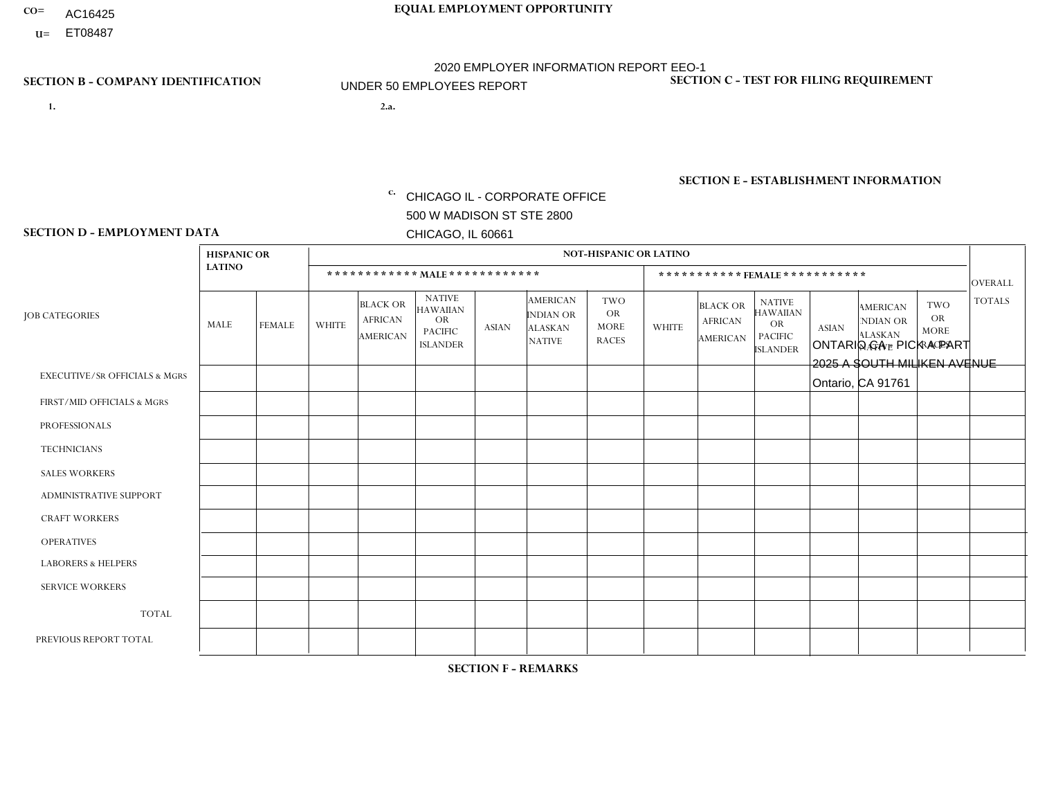- AC16425
- **U=**

- **1. 2.a.** CHICAGO IL CORPORATE OFFICE 500 W MADISON ST STE 2800 CHICAGO, IL 60661
- 2.a. ONTARIO CA PICK A PART 2025 A SOUTH MILIKEN AVENUE Ontario, CA 91761

EIN= 953072886

## **SECTION B - COMPANY IDENTIFICATION SECTION C - TEST FOR FILING REQUIREMENT**

1- Y 2- Y 3- N DUNS= 000123456

**SECTION E - ESTABLISHMENT INFORMATION c.** NAICS: 423140

### **SECTION D - EMPLOYMENT DATA**

|                                          | <b>HISPANIC OR</b><br><b>LATINO</b> |               | <b>NOT-HISPANIC OR LATINO</b>  |                                                      |                                                                                    |                |                                                                        |                                                        |                |                                                |                                                                             |                      |                                                                       |                                                        |                |
|------------------------------------------|-------------------------------------|---------------|--------------------------------|------------------------------------------------------|------------------------------------------------------------------------------------|----------------|------------------------------------------------------------------------|--------------------------------------------------------|----------------|------------------------------------------------|-----------------------------------------------------------------------------|----------------------|-----------------------------------------------------------------------|--------------------------------------------------------|----------------|
|                                          |                                     |               | ************ MALE ************ |                                                      |                                                                                    |                |                                                                        |                                                        |                | ***********FEMALE***********<br><b>OVERALL</b> |                                                                             |                      |                                                                       |                                                        |                |
| <b>JOB CATEGORIES</b>                    | MALE                                | <b>FEMALE</b> | <b>WHITE</b>                   | <b>BLACK OR</b><br><b>AFRICAN</b><br><b>AMERICAN</b> | <b>NATIVE</b><br><b>HAWAIIAN</b><br><b>OR</b><br><b>PACIFIC</b><br><b>ISLANDER</b> | ASIAN          | <b>AMERICAN</b><br><b>INDIAN OR</b><br><b>ALASKAN</b><br><b>NATIVE</b> | <b>TWO</b><br><b>OR</b><br><b>MORE</b><br><b>RACES</b> | <b>WHITE</b>   | <b>BLACK OR</b><br><b>AFRICAN</b><br>AMERICAN  | <b>NATIVE</b><br><b>HAWAIIAN</b><br>OR<br><b>PACIFIC</b><br><b>ISLANDER</b> | <b>ASIAN</b>         | <b>AMERICAN</b><br><b>NDIAN OR</b><br><b>ALASKAN</b><br><b>NATIVE</b> | <b>TWO</b><br><b>OR</b><br><b>MORE</b><br><b>RACES</b> | <b>TOTALS</b>  |
| <b>EXECUTIVE/SR OFFICIALS &amp; MGRS</b> | $\Omega$                            | $\Omega$      | $\Omega$                       | $\mathbf 0$                                          | $\mathbf 0$                                                                        | $\Omega$       | $\Omega$                                                               | $\Omega$                                               | $\Omega$       | $\Omega$                                       | $\Omega$                                                                    | $\mathbf 0$          | $\Omega$                                                              | $\mathbf 0$                                            | $\mathbf{0}$   |
| FIRST/MID OFFICIALS & MGRS               | 0                                   | 0             | 1                              | $\mathbf 0$                                          | 0                                                                                  | $\Omega$       | $\Omega$                                                               | $\Omega$                                               |                | $\Omega$                                       | $\Omega$                                                                    | $\mathbf{0}$         | $\Omega$                                                              | $\mathbf 0$                                            | $\overline{2}$ |
| <b>PROFESSIONALS</b>                     |                                     | $\Omega$      |                                | $\mathbf 0$                                          | $\Omega$                                                                           | $\Omega$       | $\Omega$                                                               | $\Omega$                                               | $\overline{0}$ | $\Omega$                                       | $\Omega$                                                                    | $\Omega$             | $\Omega$                                                              | $\Omega$                                               | $\overline{2}$ |
| <b>TECHNICIANS</b>                       | 0                                   | $\mathbf 0$   | $\Omega$                       | $\mathbf 0$                                          | $\Omega$                                                                           | $\Omega$       | $\Omega$                                                               | $\Omega$                                               | $\Omega$       | $\Omega$                                       | $\Omega$                                                                    | $\Omega$             | $\Omega$                                                              | $\Omega$                                               | $\mathbf{0}$   |
| <b>SALES WORKERS</b>                     | 2                                   | $\Omega$      |                                | $\mathbf 0$                                          | $\Omega$                                                                           | $\Omega$       | $\Omega$                                                               | $\Omega$                                               | $\overline{0}$ | $\Omega$                                       | $\Omega$                                                                    | $\Omega$             | $\Omega$                                                              | $\mathbf{0}$                                           | 3              |
| ADMINISTRATIVE SUPPORT                   | $\overline{2}$                      | 3             |                                | $\mathbf 0$                                          | 0                                                                                  | -1             | $\Omega$                                                               | $\Omega$                                               | $\Omega$       | $\Omega$                                       | $\Omega$                                                                    | $\mathbf{1}$         | $\mathbf{0}$                                                          | $\mathbf 0$                                            | 8              |
| <b>CRAFT WORKERS</b>                     | 0                                   | $\Omega$      | $\Omega$                       | $\mathbf 0$                                          | $\Omega$                                                                           | $\Omega$       | $\Omega$                                                               | $\Omega$                                               | 0              | $\Omega$                                       | $\Omega$                                                                    | $\mathbf{0}$         | $\Omega$                                                              | $\Omega$                                               | $\Omega$       |
| <b>OPERATIVES</b>                        | 20                                  | $\Omega$      | $\Omega$                       | $\overline{2}$                                       | $\Omega$                                                                           | $\Omega$       | $\Omega$                                                               | $\Omega$                                               | $\Omega$       | $\Omega$                                       | $\Omega$                                                                    | $\Omega$             | $\Omega$                                                              | $\Omega$                                               | 22             |
| <b>LABORERS &amp; HELPERS</b>            | 1                                   | $\Omega$      | $\Omega$                       | $\mathbf 0$                                          | $\mathbf 0$                                                                        | $\Omega$       | $\Omega$                                                               | $\Omega$                                               | $\Omega$       | $\Omega$                                       | $\Omega$                                                                    | $\Omega$             | $\Omega$                                                              | $\mathbf{0}$                                           | $\mathbf{1}$   |
| <b>SERVICE WORKERS</b>                   | 0                                   | $\mathbf 0$   | $\mathbf 0$                    | $\mathbf 0$                                          | $\mathbf{0}$                                                                       | $\mathbf 0$    | $\Omega$                                                               | $\Omega$                                               | $\Omega$       | $\Omega$                                       | $\Omega$                                                                    | $\mathbf 0$          | $\Omega$                                                              | $\mathbf 0$                                            | $\overline{0}$ |
| <b>TOTAL</b>                             | 26                                  | 3             | 4                              | $\overline{2}$                                       | 0                                                                                  | 1              | $\Omega$                                                               | $\Omega$                                               | -1             | $\Omega$                                       | $\Omega$                                                                    | $\mathbf{1}$         | 0                                                                     | $\mathbf 0$                                            | 38             |
| PREVIOUS REPORT TOTAL                    | 31                                  | 3             | 4                              | $\overline{1}$                                       | 0                                                                                  | $\overline{1}$ | $\Omega$                                                               | $\Omega$                                               | $\overline{2}$ | $\Omega$                                       | $\Omega$                                                                    | $\blacktriangleleft$ | $\Omega$                                                              | $\mathbf 0$                                            | 43             |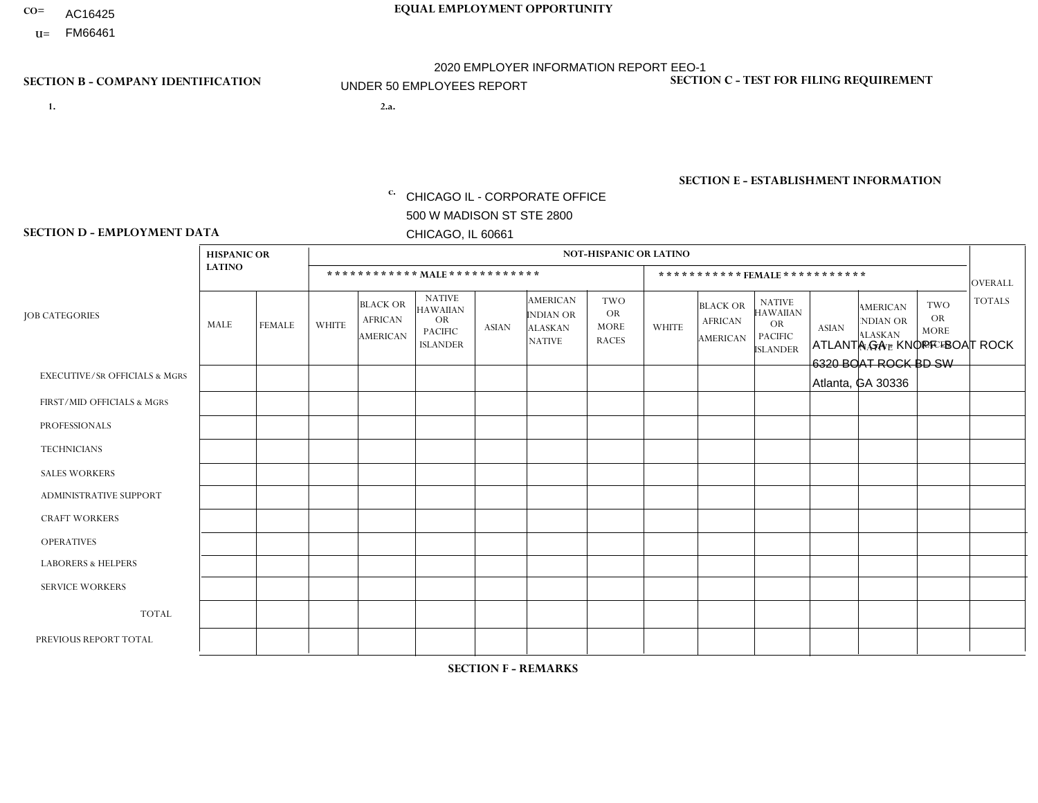- AC16425
- **U=**

**1. 2.a.** CHICAGO IL - CORPORATE OFFICE 500 W MADISON ST STE 2800 CHICAGO, IL 60661

2.a. ATLANTA GA - KNOPF - BOAT ROCK 6320 BOAT ROCK BD SW Atlanta, GA 30336

c. EIN= 952920557

## **SECTION B - COMPANY IDENTIFICATION SECTION C - TEST FOR FILING REQUIREMENT**

1- Y 2- Y 3- N DUNS= 000123456

**SECTION E - ESTABLISHMENT INFORMATION c.** NAICS: 423140

### **SECTION D - EMPLOYMENT DATA**

|                                          | <b>HISPANIC OR</b><br><b>LATINO</b> |                | <b>NOT-HISPANIC OR LATINO</b>  |                                                      |                                                                                    |              |                                                                        |                                                        |                |                                                      |                                                                                    |              |                                                                       |                                                        |                |
|------------------------------------------|-------------------------------------|----------------|--------------------------------|------------------------------------------------------|------------------------------------------------------------------------------------|--------------|------------------------------------------------------------------------|--------------------------------------------------------|----------------|------------------------------------------------------|------------------------------------------------------------------------------------|--------------|-----------------------------------------------------------------------|--------------------------------------------------------|----------------|
|                                          |                                     |                | ************ MALE ************ |                                                      |                                                                                    |              |                                                                        |                                                        |                | *********** FEMALE ***********                       |                                                                                    |              |                                                                       |                                                        |                |
| <b>JOB CATEGORIES</b>                    | MALE                                | <b>FEMALE</b>  | WHITE                          | <b>BLACK OR</b><br><b>AFRICAN</b><br><b>AMERICAN</b> | <b>NATIVE</b><br><b>HAWAIIAN</b><br><b>OR</b><br><b>PACIFIC</b><br><b>ISLANDER</b> | <b>ASIAN</b> | <b>AMERICAN</b><br><b>INDIAN OR</b><br><b>ALASKAN</b><br><b>NATIVE</b> | <b>TWO</b><br><b>OR</b><br><b>MORE</b><br><b>RACES</b> | <b>WHITE</b>   | <b>BLACK OR</b><br><b>AFRICAN</b><br><b>AMERICAN</b> | <b>NATIVE</b><br><b>HAWAIIAN</b><br><b>OR</b><br><b>PACIFIC</b><br><b>ISLANDER</b> | <b>ASIAN</b> | <b>AMERICAN</b><br><b>NDIAN OR</b><br><b>ALASKAN</b><br><b>NATIVE</b> | <b>TWO</b><br><b>OR</b><br><b>MORE</b><br><b>RACES</b> | <b>TOTALS</b>  |
| <b>EXECUTIVE/SR OFFICIALS &amp; MGRS</b> | $\mathbf{0}$                        | $\mathbf 0$    | $\mathbf 0$                    | 0                                                    | $\Omega$                                                                           | $\mathbf{0}$ | $\Omega$                                                               | 0                                                      | $\Omega$       | $\mathbf{0}$                                         | $\Omega$                                                                           | $\mathbf 0$  | $\Omega$                                                              | $\Omega$                                               | $\Omega$       |
| FIRST/MID OFFICIALS & MGRS               | $\mathbf{0}$                        | $\Omega$       | 3                              | $\Omega$                                             | $\Omega$                                                                           | $\Omega$     | $\Omega$                                                               | 1                                                      | $\overline{1}$ | $\mathbf{0}$                                         | $\Omega$                                                                           | $\Omega$     | $\Omega$                                                              | $\Omega$                                               | 5              |
| <b>PROFESSIONALS</b>                     | $\mathbf 0$                         | $\mathbf 0$    | $\mathbf{1}$                   | 0                                                    | $\mathbf{0}$                                                                       | $\mathbf{0}$ | $\Omega$                                                               | 0                                                      | $\Omega$       | $\mathbf{0}$                                         | $\Omega$                                                                           | $\mathbf 0$  | $\mathbf 0$                                                           | $\mathbf 0$                                            | $\overline{1}$ |
| <b>TECHNICIANS</b>                       | $\mathbf 0$                         | $\mathbf 0$    | $\mathbf 0$                    | 0                                                    | $\Omega$                                                                           | $\Omega$     | $\Omega$                                                               | 0                                                      | $\Omega$       | $\Omega$                                             | $\Omega$                                                                           | $\mathbf 0$  | 0                                                                     | $\Omega$                                               | $\mathbf 0$    |
| <b>SALES WORKERS</b>                     | $\mathbf 0$                         | $\mathbf 0$    | $\mathbf 0$                    | 0                                                    | $\Omega$                                                                           | $\Omega$     | $\Omega$                                                               | 0                                                      | $\Omega$       | $\Omega$                                             | $\Omega$                                                                           | $\mathbf 0$  | $\mathbf 0$                                                           | $\mathbf 0$                                            | $\mathbf 0$    |
| ADMINISTRATIVE SUPPORT                   | $\mathbf 0$                         | $\overline{2}$ | $\Omega$                       | 0                                                    | $\Omega$                                                                           | $\Omega$     | $\Omega$                                                               | $\Omega$                                               | $\Omega$       | $\Omega$                                             | $\Omega$                                                                           | $\Omega$     | $\Omega$                                                              | $\Omega$                                               | $\overline{c}$ |
| <b>CRAFT WORKERS</b>                     |                                     | $\Omega$       | $\Omega$                       | $\overline{c}$                                       | $\Omega$                                                                           | $\mathbf{0}$ | $\Omega$                                                               | 0                                                      | $\Omega$       | $\Omega$                                             | $\Omega$                                                                           | $\Omega$     | $\Omega$                                                              | $\Omega$                                               | 3              |
| <b>OPERATIVES</b>                        | $\mathbf{0}$                        | $\Omega$       | $\mathbf{1}$                   | $\Omega$                                             | $\Omega$                                                                           | $\mathbf{0}$ | $\Omega$                                                               | 0                                                      | $\Omega$       | $\mathbf{0}$                                         | $\Omega$                                                                           | $\Omega$     | $\Omega$                                                              | $\Omega$                                               | $\overline{1}$ |
| <b>LABORERS &amp; HELPERS</b>            | 11                                  | 3              | $\Omega$                       | 5                                                    | $\Omega$                                                                           | $\Omega$     | $\Omega$                                                               | 1                                                      | $\Omega$       | $\Omega$                                             | $\Omega$                                                                           | $\Omega$     | $\Omega$                                                              | $\Omega$                                               | 20             |
| <b>SERVICE WORKERS</b>                   | $\mathbf 0$                         | $\mathbf 0$    | $\mathbf 0$                    | 0                                                    | 0                                                                                  | $\Omega$     | $\Omega$                                                               | 0                                                      | $\Omega$       | $\mathbf{0}$                                         | $\Omega$                                                                           | $\mathbf 0$  | $\Omega$                                                              | $\Omega$                                               | $\mathbf 0$    |
| <b>TOTAL</b>                             | 12                                  | 5              | 5                              | $\overline{7}$                                       | $\mathbf{0}$                                                                       | $\Omega$     | $\Omega$                                                               | $\overline{2}$                                         | $\overline{ }$ | $\mathbf{0}$                                         | $\Omega$                                                                           | $\mathbf 0$  | $\Omega$                                                              | $\Omega$                                               | 32             |
| PREVIOUS REPORT TOTAL                    | 13                                  | $\overline{4}$ | $\overline{4}$                 | 6                                                    | $\mathbf 0$                                                                        | $\Omega$     | $\Omega$                                                               | 3                                                      | -1             | $\mathbf 0$                                          | 0                                                                                  | 0            | 0                                                                     | $\mathbf 0$                                            | 31             |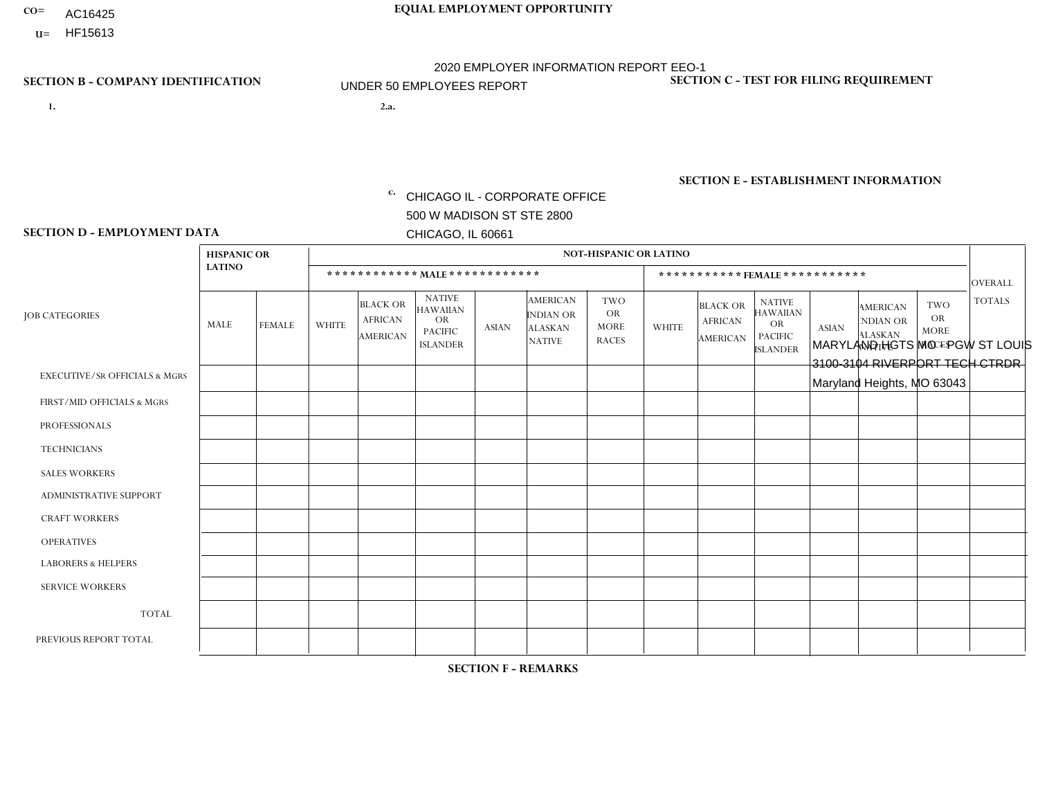- **CO= EQUAL EMPLOYMENT OPPORTUNITY** AC16425
- **U=**

- **1. 2.a.** CHICAGO IL CORPORATE OFFICE 500 W MADISON ST STE 2800 CHICAGO, IL 60661
- 2.a. MARYLAND HGTS MO PGW ST LOUIS 3100-3104 RIVERPORT TECH CTRDR Maryland Heights, MO 63043

2020 EMPLOYER INFORMATION REPORT EEO-1 UNDER 50 EMPLOYEES REPORT

c. EIN= 952920557

# **SECTION B - COMPANY IDENTIFICATION SECTION C - TEST FOR FILING REQUIREMENT**

1- Y 2- Y 3- N DUNS= 000123456

**SECTION E - ESTABLISHMENT INFORMATION c.** NAICS: 811122

### **SECTION D - EMPLOYMENT DATA**

|                                          | <b>HISPANIC OR</b> |               |                |                                                      |                                                                                    |             |                                                                        | <b>NOT-HISPANIC OR LATINO</b>                          |                |                                               |                                                                             |              |                                                                       |                                                        |                |
|------------------------------------------|--------------------|---------------|----------------|------------------------------------------------------|------------------------------------------------------------------------------------|-------------|------------------------------------------------------------------------|--------------------------------------------------------|----------------|-----------------------------------------------|-----------------------------------------------------------------------------|--------------|-----------------------------------------------------------------------|--------------------------------------------------------|----------------|
|                                          | <b>LATINO</b>      |               |                | ************ MALE ************                       |                                                                                    |             |                                                                        |                                                        |                | ***********FEMALE***********                  |                                                                             |              |                                                                       |                                                        | <b>OVERALL</b> |
| <b>JOB CATEGORIES</b>                    | MALE               | <b>FEMALE</b> | <b>WHITE</b>   | <b>BLACK OR</b><br><b>AFRICAN</b><br><b>AMERICAN</b> | <b>NATIVE</b><br><b>HAWAIIAN</b><br><b>OR</b><br><b>PACIFIC</b><br><b>ISLANDER</b> | ASIAN       | <b>AMERICAN</b><br><b>INDIAN OR</b><br><b>ALASKAN</b><br><b>NATIVE</b> | <b>TWO</b><br><b>OR</b><br><b>MORE</b><br><b>RACES</b> | <b>WHITE</b>   | <b>BLACK OR</b><br><b>AFRICAN</b><br>AMERICAN | <b>NATIVE</b><br><b>HAWAIIAN</b><br>OR<br><b>PACIFIC</b><br><b>ISLANDER</b> | <b>ASIAN</b> | <b>AMERICAN</b><br><b>NDIAN OR</b><br><b>ALASKAN</b><br><b>NATIVE</b> | <b>TWO</b><br><b>OR</b><br><b>MORE</b><br><b>RACES</b> | <b>TOTALS</b>  |
| <b>EXECUTIVE/SR OFFICIALS &amp; MGRS</b> | $\Omega$           | $\Omega$      | $\Omega$       | $\mathbf 0$                                          | $\mathbf 0$                                                                        | $\Omega$    | $\Omega$                                                               | $\Omega$                                               | $\Omega$       | $\Omega$                                      | $\Omega$                                                                    | $\mathbf 0$  | $\Omega$                                                              | $\mathbf 0$                                            | $\mathbf{0}$   |
| FIRST/MID OFFICIALS & MGRS               | 0                  | 0             | 1              | $\mathbf 0$                                          | 0                                                                                  | $\Omega$    | $\Omega$                                                               | $\Omega$                                               | 0              | $\Omega$                                      | $\Omega$                                                                    | $\mathbf{0}$ | $\Omega$                                                              | $\mathbf 0$                                            | $\mathbf{1}$   |
| <b>PROFESSIONALS</b>                     | $\Omega$           | $\Omega$      | $\Omega$       | $\mathbf 0$                                          | $\Omega$                                                                           | $\Omega$    | $\Omega$                                                               | $\Omega$                                               | $\overline{0}$ | $\Omega$                                      | $\Omega$                                                                    | $\Omega$     | $\Omega$                                                              | $\Omega$                                               | $\mathbf 0$    |
| <b>TECHNICIANS</b>                       | 0                  | $\mathbf 0$   | $\Omega$       | $\mathbf 0$                                          | $\Omega$                                                                           | $\Omega$    | $\Omega$                                                               | $\Omega$                                               | $\Omega$       | $\Omega$                                      | $\Omega$                                                                    | $\Omega$     | $\Omega$                                                              | $\Omega$                                               | $\mathbf{0}$   |
| <b>SALES WORKERS</b>                     | $\Omega$           | $\Omega$      | $\Omega$       | $\mathbf 0$                                          | $\Omega$                                                                           | $\Omega$    | $\Omega$                                                               | $\Omega$                                               | $\overline{0}$ | $\Omega$                                      | $\Omega$                                                                    | $\Omega$     | $\Omega$                                                              | $\mathbf{0}$                                           | $\mathbf{0}$   |
| ADMINISTRATIVE SUPPORT                   | $\mathbf 0$        | 0             | $\mathbf 0$    | $\mathbf 0$                                          | 0                                                                                  | $\Omega$    | $\Omega$                                                               | $\Omega$                                               | $\Omega$       | $\Omega$                                      | $\Omega$                                                                    | $\mathbf{0}$ | $\mathbf{0}$                                                          | $\mathbf 0$                                            | $\mathbf 0$    |
| <b>CRAFT WORKERS</b>                     | 0                  | $\Omega$      | $\Omega$       | $\mathbf 0$                                          | $\Omega$                                                                           | $\Omega$    | $\Omega$                                                               | $\Omega$                                               | 0              | $\Omega$                                      | $\Omega$                                                                    | $\Omega$     | $\Omega$                                                              | $\Omega$                                               | $\Omega$       |
| <b>OPERATIVES</b>                        | 0                  | $\Omega$      | 5              | 4                                                    | $\Omega$                                                                           | $\Omega$    | $\Omega$                                                               | $\Omega$                                               | $\Omega$       | $\Omega$                                      | $\Omega$                                                                    | $\Omega$     | $\Omega$                                                              | $\Omega$                                               | 9              |
| <b>LABORERS &amp; HELPERS</b>            | 0                  | $\Omega$      | $\overline{1}$ | $\overline{1}$                                       | $\mathbf 0$                                                                        | $\Omega$    | $\Omega$                                                               | $\Omega$                                               | $\Omega$       | $\Omega$                                      | $\Omega$                                                                    | $\Omega$     | $\Omega$                                                              | $\Omega$                                               | $\overline{2}$ |
| <b>SERVICE WORKERS</b>                   | 0                  | $\mathbf 0$   | $\mathbf 0$    | $\mathbf 0$                                          | $\mathbf{0}$                                                                       | $\mathbf 0$ | $\Omega$                                                               | $\Omega$                                               | $\Omega$       | $\Omega$                                      | $\Omega$                                                                    | $\mathbf 0$  | $\Omega$                                                              | $\mathbf 0$                                            | $\overline{0}$ |
| <b>TOTAL</b>                             | $\Omega$           | 0             | $\overline{7}$ | 5                                                    | 0                                                                                  | $\Omega$    | $\Omega$                                                               | $\Omega$                                               | $\Omega$       | $\Omega$                                      | $\Omega$                                                                    | $\mathbf 0$  | 0                                                                     | $\mathbf 0$                                            | 12             |
| PREVIOUS REPORT TOTAL                    | 0                  | $\Omega$      | 3              | $\overline{1}$                                       | $\Omega$                                                                           | $\Omega$    | $\Omega$                                                               | $\Omega$                                               | 0              | $\Omega$                                      | $\Omega$                                                                    | $\Omega$     | $\Omega$                                                              | $\mathbf 0$                                            | $\overline{4}$ |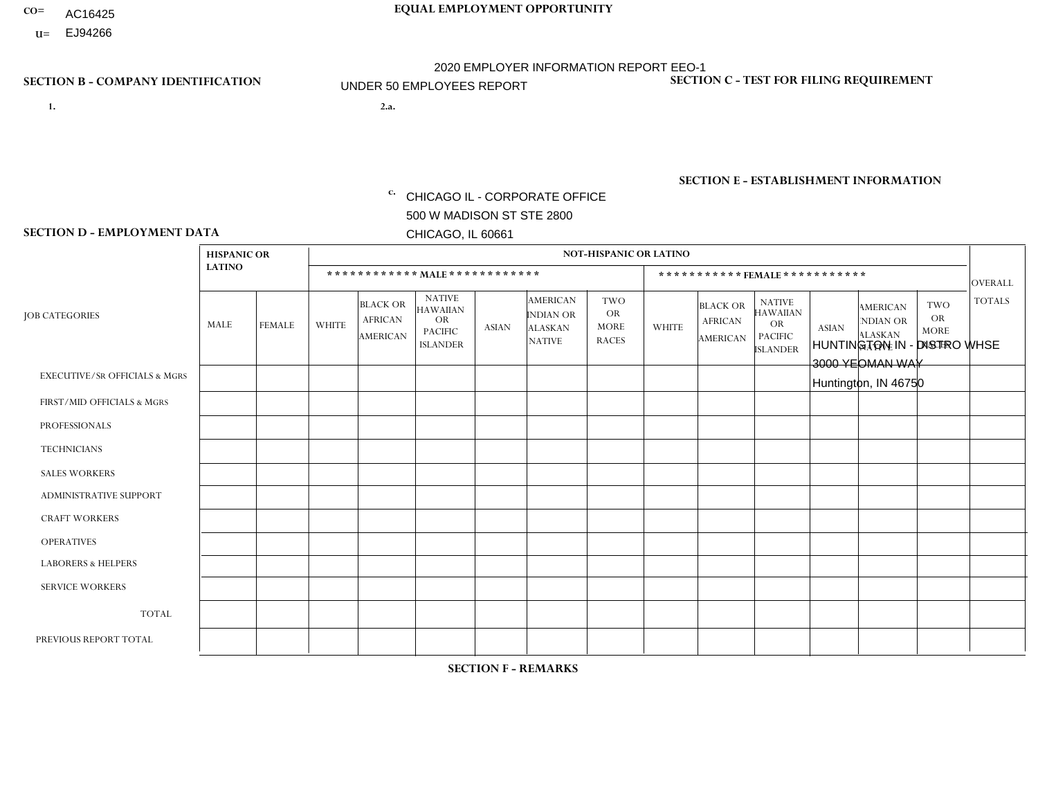- AC16425
- **U=**

- **1. 2.a.** CHICAGO IL CORPORATE OFFICE 500 W MADISON ST STE 2800 CHICAGO, IL 60661
- 2.a. HUNTINGTON IN DISTRO WHSE 3000 YEOMAN WAY Huntington, IN 46750

c. EIN= 952920557

# **SECTION B - COMPANY IDENTIFICATION SECTION C - TEST FOR FILING REQUIREMENT**

1- Y 2- Y 3- N DUNS= 000123456

**SECTION E - ESTABLISHMENT INFORMATION c.** NAICS: 423140

### **SECTION D - EMPLOYMENT DATA**

|                                          | <b>HISPANIC OR</b> |               |              |                                                      |                                                                                    |              |                                                                        | <b>NOT-HISPANIC OR LATINO</b>                          |                |                                               |                                                                                    |              |                                                                       |                                                        |                |
|------------------------------------------|--------------------|---------------|--------------|------------------------------------------------------|------------------------------------------------------------------------------------|--------------|------------------------------------------------------------------------|--------------------------------------------------------|----------------|-----------------------------------------------|------------------------------------------------------------------------------------|--------------|-----------------------------------------------------------------------|--------------------------------------------------------|----------------|
|                                          | <b>LATINO</b>      |               |              | ************ MAIE************                        |                                                                                    |              |                                                                        |                                                        |                |                                               | ***********FEMALE ***********                                                      |              |                                                                       |                                                        | <b>OVERALL</b> |
| <b>JOB CATEGORIES</b>                    | <b>MALE</b>        | <b>FEMALE</b> | <b>WHITE</b> | <b>BLACK OR</b><br><b>AFRICAN</b><br><b>AMERICAN</b> | <b>NATIVE</b><br><b>HAWAIIAN</b><br><b>OR</b><br><b>PACIFIC</b><br><b>ISLANDER</b> | <b>ASIAN</b> | <b>AMERICAN</b><br><b>INDIAN OR</b><br><b>ALASKAN</b><br><b>NATIVE</b> | <b>TWO</b><br><b>OR</b><br><b>MORE</b><br><b>RACES</b> | <b>WHITE</b>   | <b>BLACK OR</b><br><b>AFRICAN</b><br>AMERICAN | <b>NATIVE</b><br><b>HAWAIIAN</b><br><b>OR</b><br><b>PACIFIC</b><br><b>ISLANDER</b> | <b>ASIAN</b> | <b>AMERICAN</b><br><b>NDIAN OR</b><br><b>ALASKAN</b><br><b>NATIVE</b> | <b>TWO</b><br><b>OR</b><br><b>MORE</b><br><b>RACES</b> | <b>TOTALS</b>  |
| <b>EXECUTIVE/SR OFFICIALS &amp; MGRS</b> | $\Omega$           | $\Omega$      | $\Omega$     | $\mathbf 0$                                          | $\Omega$                                                                           | $\Omega$     | $\Omega$                                                               | $\Omega$                                               | $\Omega$       | $\Omega$                                      | $\mathbf{0}$                                                                       | $\Omega$     | $\Omega$                                                              | $\Omega$                                               | $\mathbf 0$    |
| FIRST/MID OFFICIALS & MGRS               | $\Omega$           | $\Omega$      | $\Omega$     | 0                                                    | 0                                                                                  | $\Omega$     | $\Omega$                                                               | $\Omega$                                               | 1              | $\Omega$                                      | $\Omega$                                                                           | $\Omega$     | $\Omega$                                                              | $\mathbf{0}$                                           | $\mathbf{1}$   |
| <b>PROFESSIONALS</b>                     | $\Omega$           | $\Omega$      | $\Omega$     | $\Omega$                                             | $\Omega$                                                                           | $\Omega$     | $\Omega$                                                               | $\Omega$                                               | $\overline{2}$ | $\Omega$                                      | $\Omega$                                                                           | $\Omega$     | $\Omega$                                                              | $\Omega$                                               | $\overline{2}$ |
| <b>TECHNICIANS</b>                       | $\Omega$           | $\mathbf 0$   | $\Omega$     | $\mathbf 0$                                          | $\mathbf{0}$                                                                       | $\Omega$     | $\Omega$                                                               | $\Omega$                                               | $\Omega$       | $\Omega$                                      | $\Omega$                                                                           | $\Omega$     | $\Omega$                                                              | $\Omega$                                               | $\mathbf 0$    |
| <b>SALES WORKERS</b>                     | $\Omega$           | $\Omega$      | $\Omega$     | $\Omega$                                             | $\Omega$                                                                           | $\Omega$     | $\Omega$                                                               | $\Omega$                                               | 3              | $\Omega$                                      | $\Omega$                                                                           | $\Omega$     | $\Omega$                                                              | $\mathbf{0}$                                           | 3              |
| ADMINISTRATIVE SUPPORT                   | $\Omega$           | $\Omega$      | $\Omega$     | $\Omega$                                             | $\Omega$                                                                           | $\Omega$     | $\Omega$                                                               | $\Omega$                                               | 1              | $\Omega$                                      | $\Omega$                                                                           | $\Omega$     | $\Omega$                                                              | $\Omega$                                               | $\mathbf{1}$   |
| <b>CRAFT WORKERS</b>                     | 0                  | $\Omega$      | $\mathbf 0$  | $\mathbf 0$                                          | $\Omega$                                                                           | $\Omega$     | $\Omega$                                                               | $\Omega$                                               | $\Omega$       | $\Omega$                                      | $\Omega$                                                                           | $\Omega$     | $\Omega$                                                              | $\Omega$                                               | $\mathbf 0$    |
| <b>OPERATIVES</b>                        | $\Omega$           | $\Omega$      | $\Omega$     | $\mathbf 0$                                          | $\Omega$                                                                           | $\Omega$     | $\overline{0}$                                                         | $\Omega$                                               | $\Omega$       | $\Omega$                                      | $\mathbf{0}$                                                                       | $\Omega$     | $\Omega$                                                              | $\Omega$                                               | $\mathbf 0$    |
| <b>LABORERS &amp; HELPERS</b>            | $\Omega$           | $\Omega$      | $\Omega$     | $\mathbf 0$                                          | 0                                                                                  | $\Omega$     | $\Omega$                                                               | $\Omega$                                               | $\Omega$       | $\Omega$                                      | $\Omega$                                                                           | $\Omega$     | $\Omega$                                                              | $\Omega$                                               | 0              |
| <b>SERVICE WORKERS</b>                   | $\Omega$           | $\mathbf 0$   | 0            | $\mathbf 0$                                          | $\mathbf 0$                                                                        | $\mathbf 0$  | $\Omega$                                                               | $\Omega$                                               | $\Omega$       | $\Omega$                                      | $\Omega$                                                                           | $\mathbf 0$  | $\Omega$                                                              | $\mathbf 0$                                            | 0              |
| <b>TOTAL</b>                             | $\Omega$           | $\mathbf 0$   | 0            | $\mathbf 0$                                          | 0                                                                                  | $\mathbf{0}$ | $\Omega$                                                               | $\Omega$                                               | $\overline{7}$ | $\Omega$                                      | $\Omega$                                                                           | $\Omega$     | $\Omega$                                                              | $\Omega$                                               | $\overline{7}$ |
| PREVIOUS REPORT TOTAL                    | $\Omega$           |               | 2            | $\mathbf 0$                                          | 0                                                                                  | $\Omega$     | $\Omega$                                                               | $\Omega$                                               | 15             | $\Omega$                                      | $\mathbf{0}$                                                                       | $\Omega$     | $\Omega$                                                              | $\mathbf 0$                                            | 18             |
|                                          |                    |               |              |                                                      |                                                                                    |              |                                                                        |                                                        |                |                                               |                                                                                    |              |                                                                       |                                                        |                |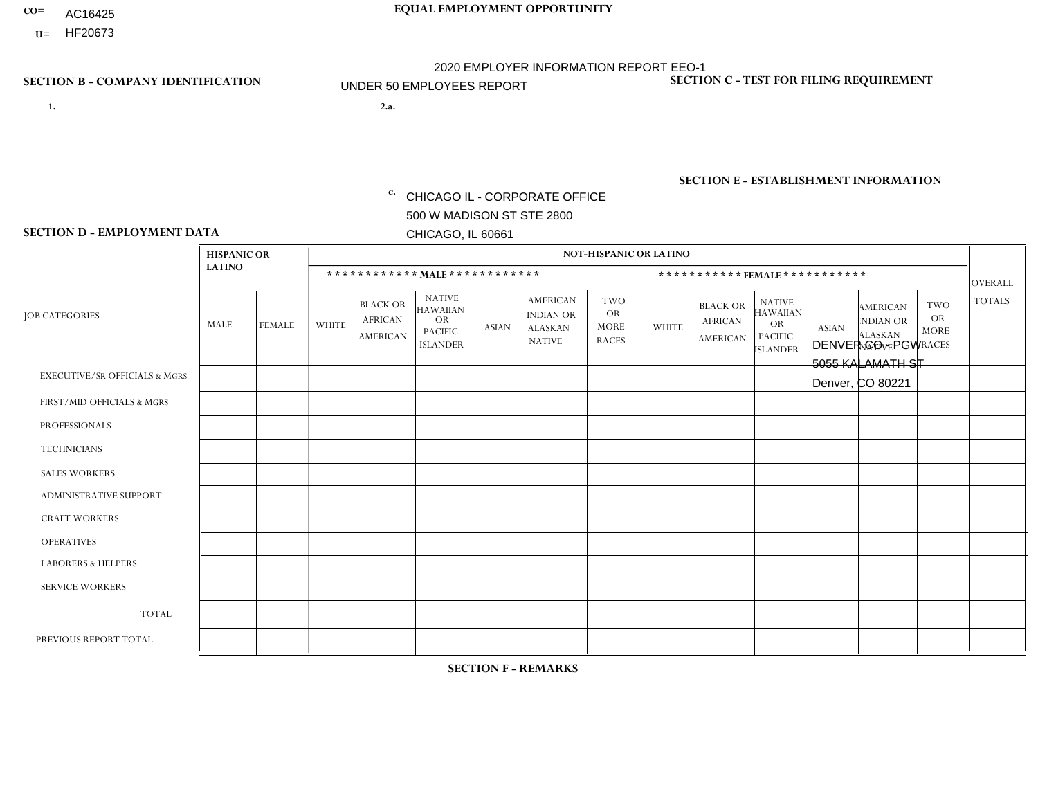- AC16425
- **U=**

**1. 2.a.** CHICAGO IL - CORPORATE OFFICE 500 W MADISON ST STE 2800 CHICAGO, IL 60661

DENVER CO - PGW 5055 KALAMATH ST Denver, CO 80221

EIN= 952920557

# **SECTION B - COMPANY IDENTIFICATION SECTION C - TEST FOR FILING REQUIREMENT**

1- Y 2- Y 3- N DUNS= 000123456

**SECTION E - ESTABLISHMENT INFORMATION c.** NAICS: 811122

### **SECTION D - EMPLOYMENT DATA**

|                                          | <b>HISPANIC OR</b> |               |              |                                                      |                                                                                    |              |                                                                 | <b>NOT-HISPANIC OR LATINO</b>                          |                |                                               |                                                                                    |              |                                                                       |                                                        |                |
|------------------------------------------|--------------------|---------------|--------------|------------------------------------------------------|------------------------------------------------------------------------------------|--------------|-----------------------------------------------------------------|--------------------------------------------------------|----------------|-----------------------------------------------|------------------------------------------------------------------------------------|--------------|-----------------------------------------------------------------------|--------------------------------------------------------|----------------|
|                                          | <b>LATINO</b>      |               |              |                                                      | ************ MALE ************                                                     |              |                                                                 |                                                        |                | ***********FEMALE***********                  |                                                                                    |              |                                                                       |                                                        | <b>OVERALL</b> |
| <b>JOB CATEGORIES</b>                    | MALE               | <b>FEMALE</b> | <b>WHITE</b> | <b>BLACK OR</b><br><b>AFRICAN</b><br><b>AMERICAN</b> | <b>NATIVE</b><br><b>HAWAIIAN</b><br><b>OR</b><br><b>PACIFIC</b><br><b>ISLANDER</b> | <b>ASIAN</b> | <b>AMERICAN</b><br>INDIAN OR<br><b>ALASKAN</b><br><b>NATIVE</b> | <b>TWO</b><br><b>OR</b><br><b>MORE</b><br><b>RACES</b> | <b>WHITE</b>   | <b>BLACK OR</b><br><b>AFRICAN</b><br>AMERICAN | <b>NATIVE</b><br><b>HAWAIIAN</b><br><b>OR</b><br><b>PACIFIC</b><br><b>ISLANDER</b> | <b>ASIAN</b> | <b>AMERICAN</b><br><b>NDIAN OR</b><br><b>ALASKAN</b><br><b>NATIVE</b> | <b>TWO</b><br><b>OR</b><br><b>MORE</b><br><b>RACES</b> | <b>TOTALS</b>  |
| <b>EXECUTIVE/SR OFFICIALS &amp; MGRS</b> | $\Omega$           | $\Omega$      | $\Omega$     | $\Omega$                                             | $\Omega$                                                                           | $\mathbf{0}$ | $\Omega$                                                        | $\Omega$                                               | 0              | $\Omega$                                      | $\Omega$                                                                           | $\Omega$     | $\Omega$                                                              | $\Omega$                                               | $\Omega$       |
| FIRST/MID OFFICIALS & MGRS               | 0                  | $\Omega$      | 1            | $\mathbf 0$                                          | $\Omega$                                                                           | $\mathbf{0}$ | $\mathbf{0}$                                                    | $\Omega$                                               | 0              | $\Omega$                                      | $\Omega$                                                                           | $\Omega$     | $\Omega$                                                              | $\Omega$                                               | $\mathbf{1}$   |
| <b>PROFESSIONALS</b>                     | 0                  | $\Omega$      | $\Omega$     | $\mathbf 0$                                          | $\Omega$                                                                           | $\Omega$     | $\Omega$                                                        | $\Omega$                                               | 0              | $\Omega$                                      | $\Omega$                                                                           | $\Omega$     | $\Omega$                                                              | $\Omega$                                               | $\mathbf{0}$   |
| <b>TECHNICIANS</b>                       | 0                  | $\mathbf 0$   | $\mathbf 0$  | $\mathbf 0$                                          | $\mathbf 0$                                                                        | $\Omega$     | $\Omega$                                                        | $\Omega$                                               | $\Omega$       | $\Omega$                                      | $\Omega$                                                                           | $\mathbf 0$  | $\mathbf 0$                                                           | $\mathbf 0$                                            | $\mathbf 0$    |
| <b>SALES WORKERS</b>                     | $\Omega$           | $\Omega$      | $\Omega$     | $\Omega$                                             | $\Omega$                                                                           | $\Omega$     | $\Omega$                                                        | $\Omega$                                               | $\overline{0}$ | $\Omega$                                      | $\Omega$                                                                           | $\Omega$     | $\Omega$                                                              | $\mathbf{0}$                                           | $\Omega$       |
| <b>ADMINISTRATIVE SUPPORT</b>            | 0                  | $\Omega$      | $\Omega$     | $\mathbf 0$                                          | $\Omega$                                                                           | $\mathbf{0}$ | $\Omega$                                                        | $\Omega$                                               | $\Omega$       | $\Omega$                                      | $\Omega$                                                                           | $\Omega$     | $\mathbf{0}$                                                          | $\Omega$                                               | $\mathbf 0$    |
| <b>CRAFT WORKERS</b>                     | 0                  | $\Omega$      | $\mathbf 0$  | $\mathbf 0$                                          | $\Omega$                                                                           | $\Omega$     | $\Omega$                                                        | $\Omega$                                               | 0              | $\Omega$                                      | $\Omega$                                                                           | $\mathbf{0}$ | $\Omega$                                                              | $\mathbf{0}$                                           | $\mathbf 0$    |
| <b>OPERATIVES</b>                        | 0                  | $\Omega$      | 3            | $\overline{1}$                                       | $\mathbf 0$                                                                        | $\Omega$     | $\Omega$                                                        |                                                        | 0              |                                               | $\Omega$                                                                           | $\mathbf 0$  | $\mathbf 0$                                                           | $\mathbf 0$                                            | 6              |
| <b>LABORERS &amp; HELPERS</b>            | и                  | $\Omega$      | $\Omega$     | $\Omega$                                             | $\Omega$                                                                           | $\Omega$     | $\Omega$                                                        | $\Omega$                                               | 0              | $\Omega$                                      | $\Omega$                                                                           | $\mathbf{0}$ | $\Omega$                                                              | $\Omega$                                               | $\mathbf{1}$   |
| <b>SERVICE WORKERS</b>                   | 0                  | $\Omega$      | $\mathbf 0$  | 0                                                    | 0                                                                                  | $\Omega$     | $\mathbf{0}$                                                    | $\Omega$                                               | $\Omega$       | $\Omega$                                      | $\Omega$                                                                           | 0            | $\Omega$                                                              | $\mathbf 0$                                            | 0              |
| <b>TOTAL</b>                             |                    | $\mathbf 0$   | 4            | $\overline{ }$                                       | 0                                                                                  | $\mathbf 0$  | $\Omega$                                                        |                                                        | $\Omega$       | $\overline{\mathbf{A}}$                       | $\Omega$                                                                           | $\mathbf 0$  | 0                                                                     | $\mathbf 0$                                            | 8              |
| PREVIOUS REPORT TOTAL                    | 6                  | $\Omega$      | 5            | $\overline{1}$                                       | 0                                                                                  | $\Omega$     | $\Omega$                                                        | $\Omega$                                               |                | $\Omega$                                      | $\Omega$                                                                           | $\Omega$     | $\Omega$                                                              | $\mathbf 0$                                            | 13             |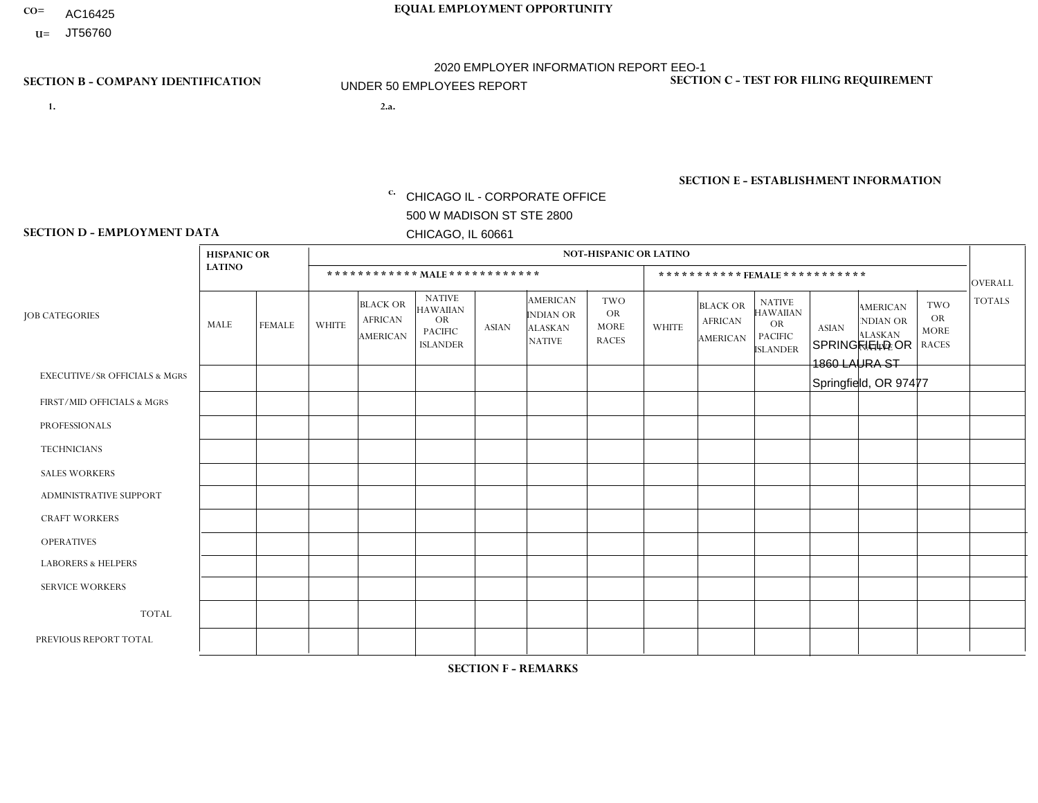- AC16425
- **U=**

**1. 2.a.** CHICAGO IL - CORPORATE OFFICE 500 W MADISON ST STE 2800 CHICAGO, IL 60661

2.a. SPRINGFIELD OR 1860 LAURA ST Springfield, OR 97477

c. EIN= 952920557

# **SECTION B - COMPANY IDENTIFICATION SECTION C - TEST FOR FILING REQUIREMENT**

1- Y 2- Y 3- N DUNS= 000123456

**SECTION E - ESTABLISHMENT INFORMATION c.** NAICS: 423140

### **SECTION D - EMPLOYMENT DATA**

|                                          | <b>HISPANIC OR</b> |               |                |                                                      |                                                                                    |              |                                                                        | <b>NOT-HISPANIC OR LATINO</b>                          |              |                                                      |                                                                                    |              |                                                                       |                                                        |                |
|------------------------------------------|--------------------|---------------|----------------|------------------------------------------------------|------------------------------------------------------------------------------------|--------------|------------------------------------------------------------------------|--------------------------------------------------------|--------------|------------------------------------------------------|------------------------------------------------------------------------------------|--------------|-----------------------------------------------------------------------|--------------------------------------------------------|----------------|
|                                          | <b>LATINO</b>      |               |                | ************ MALE ************                       |                                                                                    |              |                                                                        |                                                        |              |                                                      | *********** FEMALE ***********                                                     |              |                                                                       |                                                        | <b>OVERALL</b> |
| <b>JOB CATEGORIES</b>                    | <b>MALE</b>        | <b>FEMALE</b> | <b>WHITE</b>   | <b>BLACK OR</b><br><b>AFRICAN</b><br><b>AMERICAN</b> | <b>NATIVE</b><br><b>HAWAIIAN</b><br><b>OR</b><br><b>PACIFIC</b><br><b>ISLANDER</b> | <b>ASIAN</b> | <b>AMERICAN</b><br><b>INDIAN OR</b><br><b>ALASKAN</b><br><b>NATIVE</b> | <b>TWO</b><br><b>OR</b><br><b>MORE</b><br><b>RACES</b> | <b>WHITE</b> | <b>BLACK OR</b><br><b>AFRICAN</b><br><b>AMERICAN</b> | <b>NATIVE</b><br><b>HAWAIIAN</b><br><b>OR</b><br><b>PACIFIC</b><br><b>ISLANDER</b> | <b>ASIAN</b> | <b>AMERICAN</b><br><b>NDIAN OR</b><br><b>ALASKAN</b><br><b>NATIVE</b> | <b>TWO</b><br><b>OR</b><br><b>MORE</b><br><b>RACES</b> | <b>TOTALS</b>  |
| <b>EXECUTIVE/SR OFFICIALS &amp; MGRS</b> | $\Omega$           | $\Omega$      | $\Omega$       | $\Omega$                                             | $\Omega$                                                                           | $\Omega$     | $\Omega$                                                               | $\Omega$                                               | $\Omega$     | $\mathbf{0}$                                         | $\mathbf{0}$                                                                       | $\Omega$     | $\Omega$                                                              | $\Omega$                                               | $\Omega$       |
| FIRST/MID OFFICIALS & MGRS               | $\Omega$           | $\Omega$      | 1              | $\Omega$                                             | 0                                                                                  | $\Omega$     | $\Omega$                                                               | $\Omega$                                               | $\Omega$     | $\mathbf{0}$                                         | $\mathbf{0}$                                                                       | $\Omega$     | $\Omega$                                                              | $\Omega$                                               | $\mathbf{1}$   |
| <b>PROFESSIONALS</b>                     | $\Omega$           | $\Omega$      | $\mathbf 0$    | $\mathbf 0$                                          | $\overline{0}$                                                                     | $\Omega$     | $\overline{0}$                                                         | $\Omega$                                               | $\Omega$     | $\Omega$                                             | $\mathbf{0}$                                                                       | $\Omega$     | $\Omega$                                                              | $\Omega$                                               | $\mathbf 0$    |
| <b>TECHNICIANS</b>                       | $\mathbf 0$        | $\mathbf 0$   | $\Omega$       | $\mathbf 0$                                          | 0                                                                                  | $\Omega$     | $\overline{0}$                                                         | $\Omega$                                               | $\mathbf 0$  | $\mathbf 0$                                          | $\mathbf 0$                                                                        | $\mathbf 0$  | $\Omega$                                                              | $\mathbf{0}$                                           | $\mathbf 0$    |
| <b>SALES WORKERS</b>                     | $\Omega$           | $\Omega$      | $\Omega$       | $\Omega$                                             | $\Omega$                                                                           | $\Omega$     | $\Omega$                                                               | $\Omega$                                               | $\Omega$     | $\Omega$                                             | $\Omega$                                                                           | $\Omega$     | $\Omega$                                                              | $\mathbf{0}$                                           | $\mathbf 0$    |
| <b>ADMINISTRATIVE SUPPORT</b>            | $\Omega$           | $\Omega$      | $\Omega$       | 0                                                    | $\mathbf 0$                                                                        | $\Omega$     | $\Omega$                                                               | $\Omega$                                               | $\Omega$     | $\mathbf{0}$                                         | $\mathbf{0}$                                                                       | $\Omega$     | $\Omega$                                                              | $\Omega$                                               | $\mathbf 0$    |
| <b>CRAFT WORKERS</b>                     | 0                  | $\Omega$      | $\mathbf 0$    | $\mathbf 0$                                          | 0                                                                                  | $\Omega$     | $\Omega$                                                               | $\Omega$                                               | $\Omega$     | $\Omega$                                             | $\Omega$                                                                           | $\Omega$     | $\Omega$                                                              | $\mathbf{0}$                                           | $\mathbf 0$    |
| <b>OPERATIVES</b>                        | $\Omega$           | $\mathbf 0$   | 1              | $\mathbf 0$                                          | 0                                                                                  | $\mathbf 0$  | $\overline{0}$                                                         |                                                        | $\Omega$     | $\Omega$                                             | $\Omega$                                                                           | $\Omega$     | $\Omega$                                                              | $\mathbf{0}$                                           | $\overline{2}$ |
| <b>LABORERS &amp; HELPERS</b>            | $\Omega$           | $\Omega$      | $\Omega$       | $\Omega$                                             | 0                                                                                  | $\Omega$     | $\Omega$                                                               | $\Omega$                                               | $\Omega$     | $\Omega$                                             | $\mathbf{0}$                                                                       | $\Omega$     | $\Omega$                                                              | $\Omega$                                               | 0              |
| <b>SERVICE WORKERS</b>                   | 0                  | 0             | 0              | 0                                                    | 0                                                                                  | $\Omega$     | $\Omega$                                                               | $\Omega$                                               | $\Omega$     | $\Omega$                                             | $\mathbf{0}$                                                                       | $\Omega$     | $\Omega$                                                              | $\Omega$                                               | 0              |
| <b>TOTAL</b>                             | 0                  | $\mathbf 0$   | $\overline{c}$ | $\mathbf 0$                                          | 0                                                                                  | $\mathbf 0$  | $\Omega$                                                               |                                                        | 0            | $\Omega$                                             | $\Omega$                                                                           | $\mathbf 0$  | $\Omega$                                                              | $\Omega$                                               | 3              |
| PREVIOUS REPORT TOTAL                    |                    | $\mathbf 0$   | 3              | $\mathbf 0$                                          | 0                                                                                  | $\Omega$     | $\overline{0}$                                                         |                                                        | $\Omega$     | $\Omega$                                             | $\mathbf{0}$                                                                       | $\Omega$     | $\Omega$                                                              | $\mathbf 0$                                            | 5              |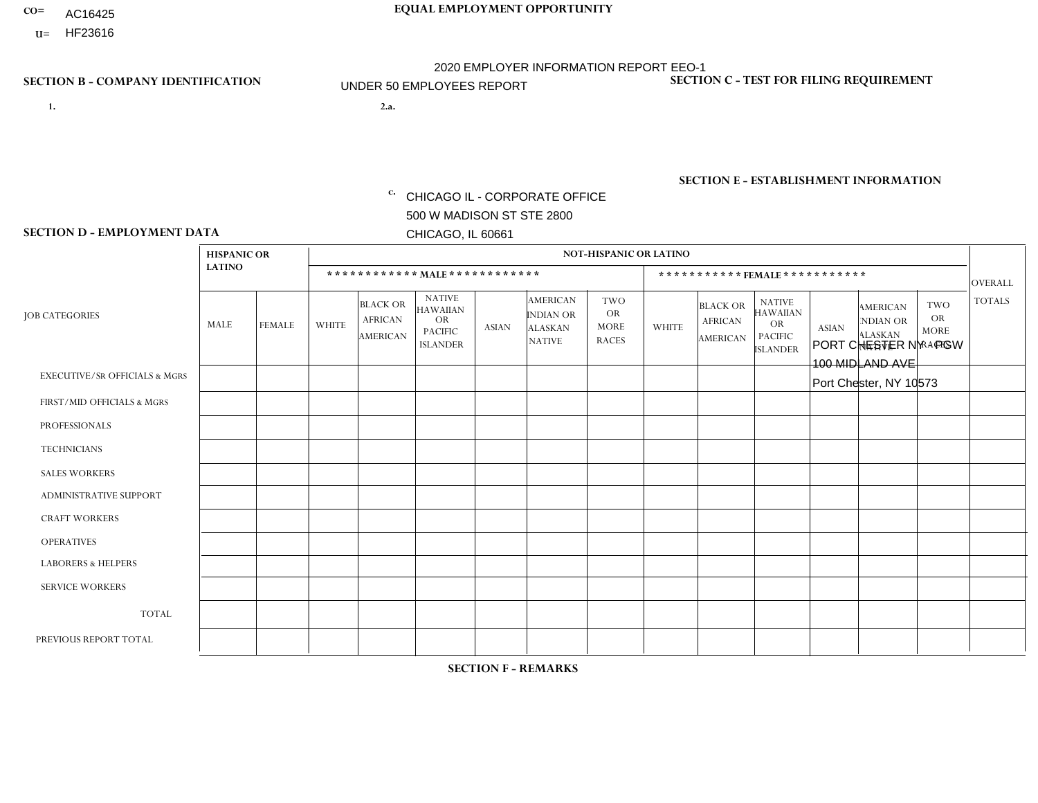- AC16425
- **U=**

**1. 2.a.** CHICAGO IL - CORPORATE OFFICE 500 W MADISON ST STE 2800 CHICAGO, IL 60661

2.a. PORT CHESTER NY - PGW 100 MIDLAND AVE Port Chester, NY 10573

EIN= 952920557

# **SECTION B - COMPANY IDENTIFICATION SECTION C - TEST FOR FILING REQUIREMENT**

1- Y 2- Y 3- N DUNS= 000123456

**SECTION E - ESTABLISHMENT INFORMATION c.** NAICS: 811122

### **SECTION D - EMPLOYMENT DATA**

|                                          | <b>HISPANIC OR</b> |                      |              |                                                      |                                                                                    |              |                                                                        | <b>NOT-HISPANIC OR LATINO</b>                          |              |                                               |                                                                                    |              |                                                                       |                                                        |                |
|------------------------------------------|--------------------|----------------------|--------------|------------------------------------------------------|------------------------------------------------------------------------------------|--------------|------------------------------------------------------------------------|--------------------------------------------------------|--------------|-----------------------------------------------|------------------------------------------------------------------------------------|--------------|-----------------------------------------------------------------------|--------------------------------------------------------|----------------|
|                                          | <b>LATINO</b>      |                      |              | ************ MALE ************                       |                                                                                    |              |                                                                        |                                                        |              |                                               | *********** FEMALE ***********                                                     |              |                                                                       |                                                        | <b>OVERALL</b> |
| <b>JOB CATEGORIES</b>                    | <b>MALE</b>        | <b>FEMALE</b>        | <b>WHITE</b> | <b>BLACK OR</b><br><b>AFRICAN</b><br><b>AMERICAN</b> | <b>NATIVE</b><br><b>HAWAIIAN</b><br><b>OR</b><br><b>PACIFIC</b><br><b>ISLANDER</b> | <b>ASIAN</b> | <b>AMERICAN</b><br><b>INDIAN OR</b><br><b>ALASKAN</b><br><b>NATIVE</b> | <b>TWO</b><br><b>OR</b><br><b>MORE</b><br><b>RACES</b> | <b>WHITE</b> | <b>BLACK OR</b><br><b>AFRICAN</b><br>AMERICAN | <b>NATIVE</b><br><b>HAWAIIAN</b><br><b>OR</b><br><b>PACIFIC</b><br><b>ISLANDER</b> | <b>ASIAN</b> | <b>AMERICAN</b><br><b>NDIAN OR</b><br><b>ALASKAN</b><br><b>NATIVE</b> | <b>TWO</b><br><b>OR</b><br><b>MORE</b><br><b>RACES</b> | <b>TOTALS</b>  |
| <b>EXECUTIVE/SR OFFICIALS &amp; MGRS</b> | $\Omega$           | $\Omega$             | $\mathbf{0}$ | $\Omega$                                             | $\Omega$                                                                           | $\Omega$     | $\Omega$                                                               | $\Omega$                                               | 0            | $\Omega$                                      | $\Omega$                                                                           | $\Omega$     | $\Omega$                                                              | $\Omega$                                               | $\Omega$       |
| FIRST/MID OFFICIALS & MGRS               | $\Omega$           | $\Omega$             | $\mathbf{0}$ | $\overline{ }$                                       | $\Omega$                                                                           | $\Omega$     | $\Omega$                                                               | $\Omega$                                               | 0            | $\Omega$                                      | 0                                                                                  | $\Omega$     | $\Omega$                                                              | $\Omega$                                               | $\mathbf{1}$   |
| <b>PROFESSIONALS</b>                     | $\Omega$           | $\Omega$             | $\mathbf 0$  | $\mathbf 0$                                          | $\Omega$                                                                           | $\Omega$     | $\Omega$                                                               | $\Omega$                                               | $\Omega$     | $\Omega$                                      | 0                                                                                  | 0            | $\Omega$                                                              | $\mathbf 0$                                            | $\mathbf{0}$   |
| <b>TECHNICIANS</b>                       | $\Omega$           | $\Omega$             | $\Omega$     | $\Omega$                                             | $\Omega$                                                                           | $\Omega$     | $\Omega$                                                               | $\Omega$                                               | $\Omega$     | $\Omega$                                      | 0                                                                                  | $\mathbf 0$  | $\Omega$                                                              | $\mathbf 0$                                            | $\Omega$       |
| <b>SALES WORKERS</b>                     | $\Omega$           | $\Omega$             | $\Omega$     | $\Omega$                                             | $\Omega$                                                                           | $\Omega$     | $\Omega$                                                               | $\Omega$                                               | $\Omega$     | $\Omega$                                      | $\Omega$                                                                           | $\Omega$     | $\Omega$                                                              | $\Omega$                                               | $\Omega$       |
| <b>ADMINISTRATIVE SUPPORT</b>            | $\Omega$           | $\Omega$             | $\Omega$     | $\mathbf 0$                                          | 0                                                                                  | $\Omega$     | $\Omega$                                                               | $\Omega$                                               | 0            | $\Omega$                                      | 0                                                                                  | $\mathbf 0$  | $\Omega$                                                              | $\mathbf 0$                                            | $\mathbf 0$    |
| <b>CRAFT WORKERS</b>                     | $\Omega$           | $\Omega$             | $\Omega$     | $\mathbf 0$                                          | $\Omega$                                                                           | $\Omega$     | $\Omega$                                                               | $\Omega$                                               | 0            | $\Omega$                                      | 0                                                                                  | $\Omega$     | $\Omega$                                                              | $\Omega$                                               | $\Omega$       |
| <b>OPERATIVES</b>                        | 5                  | $\blacktriangleleft$ | $\Omega$     | 3                                                    | $\Omega$                                                                           | $\Omega$     | $\Omega$                                                               | $\Omega$                                               | 0            | $\Omega$                                      | 0                                                                                  | $\mathbf 0$  | $\Omega$                                                              | $\Omega$                                               | 9              |
| <b>LABORERS &amp; HELPERS</b>            | $\Omega$           | $\Omega$             | $\mathbf{0}$ | $\overline{1}$                                       | $\Omega$                                                                           | $\Omega$     | $\Omega$                                                               | $\Omega$                                               | $\Omega$     | $\Omega$                                      | $\Omega$                                                                           | $\Omega$     | $\Omega$                                                              | $\Omega$                                               | $\mathbf{1}$   |
| <b>SERVICE WORKERS</b>                   | $\Omega$           | $\Omega$             | $\Omega$     | 0                                                    | $\mathbf 0$                                                                        | $\Omega$     | $\Omega$                                                               | $\Omega$                                               | 0            | $\Omega$                                      | $\Omega$                                                                           | $\mathbf 0$  | $\Omega$                                                              | $\Omega$                                               | $\mathbf 0$    |
| <b>TOTAL</b>                             | 5                  | $\overline{1}$       | $\mathbf 0$  | 5                                                    | $\mathbf 0$                                                                        | 0            | $\Omega$                                                               | $\Omega$                                               | 0            | $\mathbf 0$                                   | 0                                                                                  | $\mathbf 0$  | 0                                                                     | $\mathbf 0$                                            | 11             |
| PREVIOUS REPORT TOTAL                    |                    | $\Omega$             | $\Omega$     | 3                                                    | 0                                                                                  |              | $\Omega$                                                               |                                                        | 0            | $\Omega$                                      | 0                                                                                  | $\Omega$     | $\Omega$                                                              | $\mathbf 0$                                            | 6              |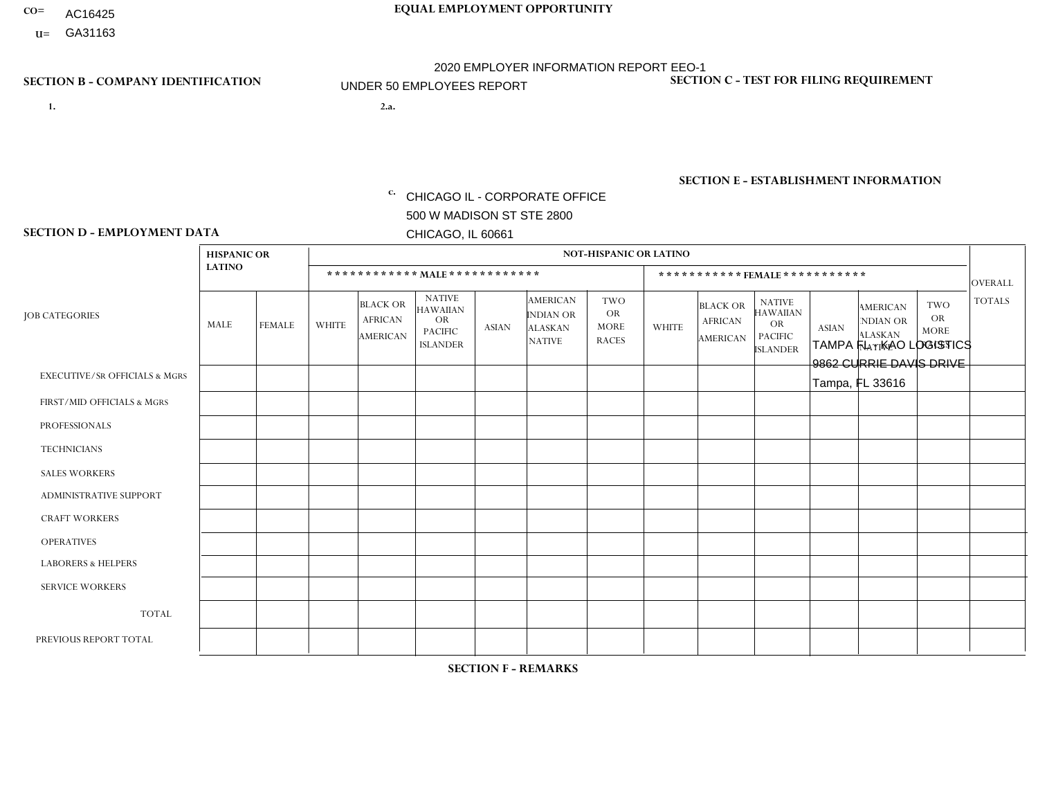- AC16425
- **U=**

**1. 2.a.** CHICAGO IL - CORPORATE OFFICE 500 W MADISON ST STE 2800 CHICAGO, IL 60661

2.a. TAMPA FL - KAO LOGISTICS 9862 CURRIE DAVIS DRIVE Tampa, FL 33616

c. EIN= 952920557

# **SECTION B - COMPANY IDENTIFICATION SECTION C - TEST FOR FILING REQUIREMENT**

1- Y 2- Y 3- N DUNS= 000123456

**SECTION E - ESTABLISHMENT INFORMATION c.** NAICS: 423140

### **SECTION D - EMPLOYMENT DATA**

|                                          | <b>HISPANIC OR</b> | <b>NOT-HISPANIC OR LATINO</b> |                |                                                      |                                                                                    |              |                                                                        |                                                        |                |                                               |                                                                                    |              |                                                                |                                                        |                   |
|------------------------------------------|--------------------|-------------------------------|----------------|------------------------------------------------------|------------------------------------------------------------------------------------|--------------|------------------------------------------------------------------------|--------------------------------------------------------|----------------|-----------------------------------------------|------------------------------------------------------------------------------------|--------------|----------------------------------------------------------------|--------------------------------------------------------|-------------------|
|                                          | <b>LATINO</b>      |                               |                | ************ MALE ************                       |                                                                                    |              |                                                                        |                                                        |                |                                               | ***********FEMALE***********                                                       |              |                                                                |                                                        | <b>OVERALL</b>    |
| <b>JOB CATEGORIES</b>                    | <b>MALE</b>        | <b>FEMALE</b>                 | <b>WHITE</b>   | <b>BLACK OR</b><br><b>AFRICAN</b><br><b>AMERICAN</b> | <b>NATIVE</b><br><b>HAWAIIAN</b><br><b>OR</b><br><b>PACIFIC</b><br><b>ISLANDER</b> | <b>ASIAN</b> | <b>AMERICAN</b><br><b>INDIAN OR</b><br><b>ALASKAN</b><br><b>NATIVE</b> | <b>TWO</b><br><b>OR</b><br><b>MORE</b><br><b>RACES</b> | <b>WHITE</b>   | <b>BLACK OR</b><br><b>AFRICAN</b><br>AMERICAN | <b>NATIVE</b><br><b>HAWAIIAN</b><br><b>OR</b><br><b>PACIFIC</b><br><b>ISLANDER</b> | <b>ASIAN</b> | <b>AMERICAN</b><br>NDIAN OR<br><b>ALASKAN</b><br><b>NATIVE</b> | <b>TWO</b><br><b>OR</b><br><b>MORE</b><br><b>RACES</b> | <b>TOTALS</b>     |
| <b>EXECUTIVE/SR OFFICIALS &amp; MGRS</b> | $\Omega$           | $\mathbf 0$                   | $\Omega$       | $\mathbf 0$                                          | 0                                                                                  | $\mathbf 0$  | $\Omega$                                                               | $\Omega$                                               | 0              | $\mathbf 0$                                   | 0                                                                                  | $\mathbf 0$  | $\Omega$                                                       | $\mathbf 0$                                            | $\mathbf 0$       |
| FIRST/MID OFFICIALS & MGRS               | 1                  | $\Omega$                      | $\mathbf{0}$   | $\Omega$                                             | $\Omega$                                                                           | $\Omega$     | $\Omega$                                                               | $\Omega$                                               | 0              | $\Omega$                                      | 0                                                                                  | $\Omega$     | $\Omega$                                                       | $\Omega$                                               | $\mathbf 1$       |
| <b>PROFESSIONALS</b>                     |                    | $\mathbf 0$                   | $\mathbf 0$    | $\mathbf 0$                                          | $\mathbf 0$                                                                        | $\mathbf 0$  | $\Omega$                                                               | $\Omega$                                               | $\Omega$       | $\Omega$                                      | 0                                                                                  | $\mathbf 0$  | $\Omega$                                                       | $\mathbf 0$                                            | $\mathbf{1}$      |
| <b>TECHNICIANS</b>                       | $\Omega$           | $\Omega$                      | $\Omega$       | $\mathbf 0$                                          | $\Omega$                                                                           | $\Omega$     | $\Omega$                                                               | $\Omega$                                               | $\Omega$       | $\Omega$                                      | $\Omega$                                                                           | $\mathbf 0$  | $\Omega$                                                       | $\Omega$                                               | $\overline{0}$    |
| <b>SALES WORKERS</b>                     | $\Omega$           | $\Omega$                      | $\Omega$       | $\mathbf 0$                                          | $\Omega$                                                                           | $\Omega$     | $\Omega$                                                               | $\Omega$                                               | $\Omega$       | $\Omega$                                      | 0                                                                                  | $\mathbf 0$  | $\Omega$                                                       | $\Omega$                                               | $\mathbf 0$       |
| ADMINISTRATIVE SUPPORT                   | $\Omega$           | $\mathbf 0$                   | $\Omega$       | $\mathbf 0$                                          | $\mathbf 0$                                                                        | $\Omega$     | $\Omega$                                                               | $\Omega$                                               | $\Omega$       | $\Omega$                                      | 0                                                                                  | $\mathbf 0$  | 0                                                              | $\mathbf 0$                                            | $\mathbf 0$       |
| <b>CRAFT WORKERS</b>                     | $\Omega$           | $\Omega$                      | $\mathbf{0}$   | $\mathbf 0$                                          | $\Omega$                                                                           | $\Omega$     | $\Omega$                                                               | $\Omega$                                               | 0              | $\Omega$                                      | 0                                                                                  | $\Omega$     | $\Omega$                                                       | $\Omega$                                               | $\Omega$          |
| <b>OPERATIVES</b>                        | 6                  | $\Omega$                      | $\Omega$       | 6                                                    | $\Omega$                                                                           | $\Omega$     | $\Omega$                                                               | $\Omega$                                               | $\Omega$       | $\Omega$                                      | 0                                                                                  | $\Omega$     | $\Omega$                                                       | $\Omega$                                               | $12 \overline{ }$ |
| <b>LABORERS &amp; HELPERS</b>            | $\Omega$           | $\Omega$                      | $\Omega$       | $\mathbf 0$                                          | $\Omega$                                                                           | $\Omega$     | $\Omega$                                                               | $\Omega$                                               | $\overline{0}$ | $\Omega$                                      | $\Omega$                                                                           | $\Omega$     | $\Omega$                                                       | $\Omega$                                               | $\mathbf{0}$      |
| <b>SERVICE WORKERS</b>                   | $\Omega$           | $\Omega$                      | $\mathbf 0$    | 0                                                    | $\mathbf 0$                                                                        | $\mathbf 0$  | $\Omega$                                                               | $\Omega$                                               | 0              | $\Omega$                                      | $\Omega$                                                                           | $\mathbf 0$  | $\Omega$                                                       | $\mathbf 0$                                            | $\mathbf{0}$      |
| <b>TOTAL</b>                             | 8                  | 0                             | $\mathbf 0$    | 6                                                    | 0                                                                                  | 0            | $\Omega$                                                               | $\mathbf{0}$                                           | 0              | $\mathbf{0}$                                  | 0                                                                                  | 0            | 0                                                              | $\mathbf 0$                                            | 14                |
| PREVIOUS REPORT TOTAL                    | 6                  | $\Omega$                      | $\overline{2}$ | $\overline{7}$                                       | $\Omega$                                                                           | $\Omega$     | $\Omega$                                                               | $\Omega$                                               | 0              | $\Omega$                                      | 0                                                                                  | $\mathbf 0$  | $\Omega$                                                       | $\mathbf 0$                                            | 15                |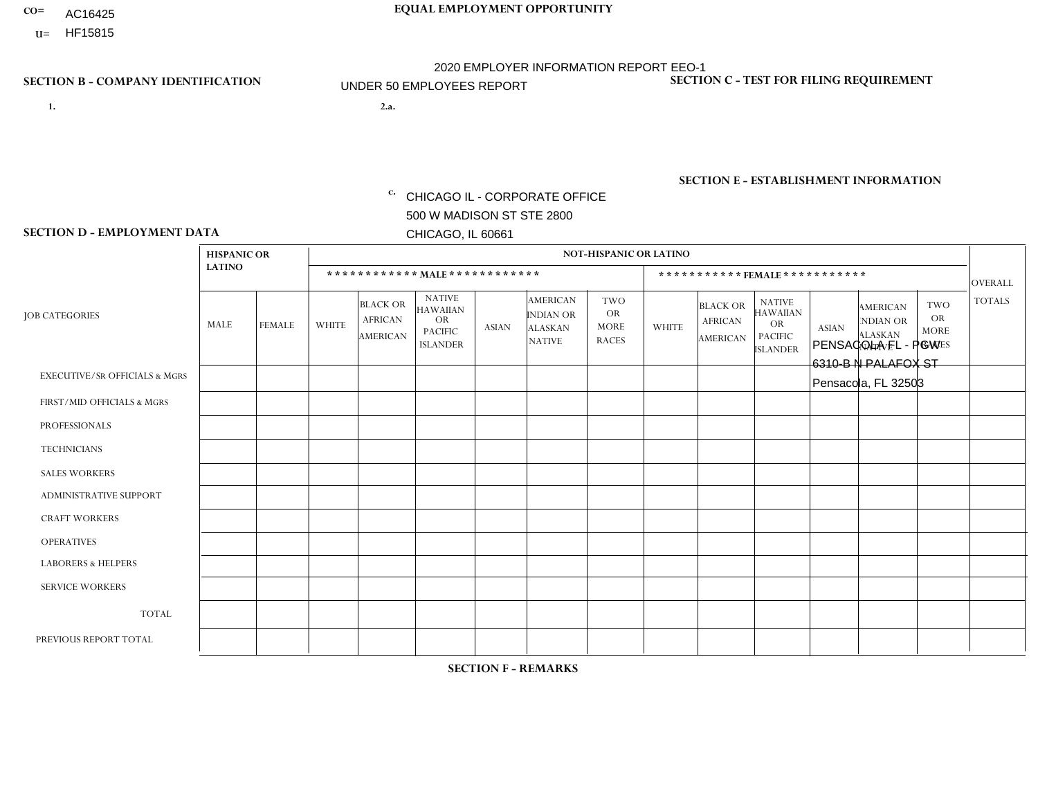- AC16425
- **U=**

**1. 2.a.** CHICAGO IL - CORPORATE OFFICE 500 W MADISON ST STE 2800 CHICAGO, IL 60661

2.a. PENSACOLA FL - PGW 6310-B N PALAFOX ST Pensacola, FL 32503

EIN= 952920557

# **SECTION B - COMPANY IDENTIFICATION SECTION C - TEST FOR FILING REQUIREMENT**

1- Y 2- Y 3- N DUNS= 000123456

**SECTION E - ESTABLISHMENT INFORMATION c.** NAICS: 811122

### **SECTION D - EMPLOYMENT DATA**

|                                          | <b>HISPANIC OR</b> |               |                          |                                                      |                                                                                    |              |                                                                        | <b>NOT-HISPANIC OR LATINO</b>                          |                |                                                      |                                                                             |              |                                                                       |                                                        |                |
|------------------------------------------|--------------------|---------------|--------------------------|------------------------------------------------------|------------------------------------------------------------------------------------|--------------|------------------------------------------------------------------------|--------------------------------------------------------|----------------|------------------------------------------------------|-----------------------------------------------------------------------------|--------------|-----------------------------------------------------------------------|--------------------------------------------------------|----------------|
|                                          | <b>LATINO</b>      |               |                          | ************ MALE ************                       |                                                                                    |              |                                                                        |                                                        |                |                                                      | ***********FEMALE***********                                                |              |                                                                       |                                                        | <b>OVERALL</b> |
| <b>JOB CATEGORIES</b>                    | <b>MALE</b>        | <b>FEMALE</b> | <b>WHITE</b>             | <b>BLACK OR</b><br><b>AFRICAN</b><br><b>AMERICAN</b> | <b>NATIVE</b><br><b>HAWAIIAN</b><br><b>OR</b><br><b>PACIFIC</b><br><b>ISLANDER</b> | <b>ASIAN</b> | <b>AMERICAN</b><br><b>INDIAN OR</b><br><b>ALASKAN</b><br><b>NATIVE</b> | <b>TWO</b><br><b>OR</b><br><b>MORE</b><br><b>RACES</b> | <b>WHITE</b>   | <b>BLACK OR</b><br><b>AFRICAN</b><br><b>AMERICAN</b> | <b>NATIVE</b><br><b>HAWAIIAN</b><br>OR<br><b>PACIFIC</b><br><b>ISLANDER</b> | <b>ASIAN</b> | <b>AMERICAN</b><br><b>NDIAN OR</b><br><b>ALASKAN</b><br><b>NATIVE</b> | <b>TWO</b><br><b>OR</b><br><b>MORE</b><br><b>RACES</b> | <b>TOTALS</b>  |
| <b>EXECUTIVE/SR OFFICIALS &amp; MGRS</b> | $\Omega$           | $\Omega$      | $\Omega$                 | $\mathbf 0$                                          | $\Omega$                                                                           | $\Omega$     | $\Omega$                                                               | $\Omega$                                               | $\Omega$       | $\Omega$                                             | $\Omega$                                                                    | $\Omega$     | $\Omega$                                                              | $\Omega$                                               | $\mathbf 0$    |
| FIRST/MID OFFICIALS & MGRS               | $\Omega$           | 0             | 1                        | $\mathbf 0$                                          | 0                                                                                  | $\Omega$     | $\Omega$                                                               | $\Omega$                                               | 0              | $\Omega$                                             | 0                                                                           | $\mathbf 0$  | $\Omega$                                                              | 0                                                      | $\mathbf{1}$   |
| <b>PROFESSIONALS</b>                     | $\Omega$           | $\Omega$      | $\Omega$                 | $\mathbf 0$                                          | $\Omega$                                                                           | $\Omega$     | $\Omega$                                                               | $\Omega$                                               | $\Omega$       | $\Omega$                                             | 0                                                                           | $\Omega$     | $\Omega$                                                              | $\Omega$                                               | $\Omega$       |
| <b>TECHNICIANS</b>                       | $\Omega$           | $\Omega$      | $\Omega$                 | $\Omega$                                             | $\Omega$                                                                           | $\Omega$     | $\Omega$                                                               | $\Omega$                                               | $\overline{0}$ | $\Omega$                                             | $\Omega$                                                                    | $\mathbf 0$  | $\Omega$                                                              | $\mathbf 0$                                            | $\Omega$       |
| <b>SALES WORKERS</b>                     | $\Omega$           | $\Omega$      | $\mathbf{0}$             | $\Omega$                                             | $\Omega$                                                                           | $\Omega$     | $\Omega$                                                               | $\Omega$                                               | $\Omega$       | $\Omega$                                             | $\Omega$                                                                    | $\Omega$     | $\Omega$                                                              | $\Omega$                                               | $\Omega$       |
| ADMINISTRATIVE SUPPORT                   | $\Omega$           | $\Omega$      | $\mathbf{0}$             | $\mathbf 0$                                          | 0                                                                                  | $\Omega$     | $\Omega$                                                               | $\Omega$                                               | 0              | $\Omega$                                             | 0                                                                           | $\Omega$     | $\Omega$                                                              | $\Omega$                                               | $\mathbf 0$    |
| <b>CRAFT WORKERS</b>                     | $\Omega$           | $\Omega$      | $\Omega$                 | $\mathbf 0$                                          | $\Omega$                                                                           | $\Omega$     | $\Omega$                                                               | $\Omega$                                               | $\Omega$       | $\Omega$                                             | 0                                                                           | $\Omega$     | $\Omega$                                                              | $\Omega$                                               | $\Omega$       |
| <b>OPERATIVES</b>                        | $\Omega$           | $\Omega$      | $\Omega$                 | 3                                                    | $\Omega$                                                                           | $\Omega$     | $\Omega$                                                               | $\Omega$                                               | 0              | $\Omega$                                             | 0                                                                           | $\mathbf 0$  | $\Omega$                                                              | $\Omega$                                               | 3              |
| <b>LABORERS &amp; HELPERS</b>            | $\Omega$           | $\Omega$      | $\mathbf{0}$             | $\mathbf 0$                                          | 0                                                                                  | $\Omega$     | $\Omega$                                                               | $\Omega$                                               | $\Omega$       | $\Omega$                                             | 0                                                                           | $\Omega$     | $\Omega$                                                              | $\Omega$                                               | $\mathbf 0$    |
| <b>SERVICE WORKERS</b>                   | $\Omega$           | $\Omega$      | $\mathbf{0}$             | 0                                                    | $\mathbf 0$                                                                        | $\Omega$     | $\Omega$                                                               | $\Omega$                                               | 0              | $\Omega$                                             | $\Omega$                                                                    | $\mathbf 0$  | $\Omega$                                                              | $\Omega$                                               | $\mathbf{0}$   |
| <b>TOTAL</b>                             | $\Omega$           | 0             | $\overline{\phantom{a}}$ | 3                                                    | 0                                                                                  | 0            | $\Omega$                                                               | $\Omega$                                               | 0              | $\Omega$                                             | $\Omega$                                                                    | $\mathbf 0$  | $\Omega$                                                              | $\mathbf 0$                                            | 4              |
| PREVIOUS REPORT TOTAL                    | $\Omega$           | $\mathbf{0}$  |                          | 3                                                    | $\Omega$                                                                           | $\Omega$     | $\Omega$                                                               | $\Omega$                                               | 0              | $\Omega$                                             | 0                                                                           | $\mathbf 0$  | $\Omega$                                                              | $\mathbf 0$                                            | $\overline{4}$ |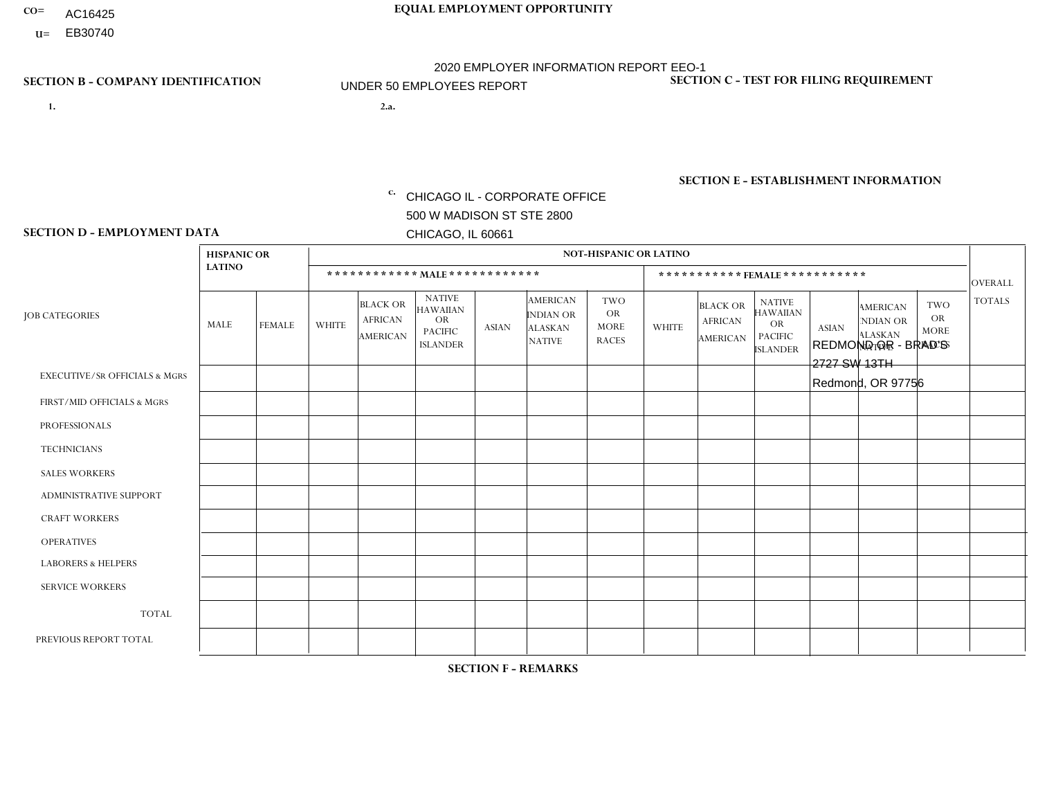- AC16425
- **U=**

**1. 2.a.** CHICAGO IL - CORPORATE OFFICE 500 W MADISON ST STE 2800 CHICAGO, IL 60661

2.a. REDMOND OR - BRAD'S 2727 SW 13TH Redmond, OR 97756

EIN= 952920557

# **SECTION B - COMPANY IDENTIFICATION SECTION C - TEST FOR FILING REQUIREMENT**

1- Y 2- Y 3- N DUNS= 000123456

**SECTION E - ESTABLISHMENT INFORMATION c.** NAICS: 423140

### **SECTION D - EMPLOYMENT DATA**

|                                          | <b>HISPANIC OR</b> |               |                |                                                      |                                                                                    |              |                                                                 | <b>NOT-HISPANIC OR LATINO</b>                          |              |                                                      |                                                                                    |              |                                                                       |                                                        |                |
|------------------------------------------|--------------------|---------------|----------------|------------------------------------------------------|------------------------------------------------------------------------------------|--------------|-----------------------------------------------------------------|--------------------------------------------------------|--------------|------------------------------------------------------|------------------------------------------------------------------------------------|--------------|-----------------------------------------------------------------------|--------------------------------------------------------|----------------|
|                                          | <b>LATINO</b>      |               |                | ************ MALE ************                       |                                                                                    |              |                                                                 |                                                        |              |                                                      | ***********FEMALE***********                                                       |              |                                                                       |                                                        | <b>OVERALL</b> |
| <b>JOB CATEGORIES</b>                    | <b>MALE</b>        | <b>FEMALE</b> | <b>WHITE</b>   | <b>BLACK OR</b><br><b>AFRICAN</b><br><b>AMERICAN</b> | <b>NATIVE</b><br><b>HAWAIIAN</b><br><b>OR</b><br><b>PACIFIC</b><br><b>ISLANDER</b> | <b>ASIAN</b> | <b>AMERICAN</b><br>INDIAN OR<br><b>ALASKAN</b><br><b>NATIVE</b> | <b>TWO</b><br><b>OR</b><br><b>MORE</b><br><b>RACES</b> | <b>WHITE</b> | <b>BLACK OR</b><br><b>AFRICAN</b><br><b>AMERICAN</b> | <b>NATIVE</b><br><b>HAWAIIAN</b><br><b>OR</b><br><b>PACIFIC</b><br><b>ISLANDER</b> | <b>ASIAN</b> | <b>AMERICAN</b><br><b>NDIAN OR</b><br><b>ALASKAN</b><br><b>NATIVE</b> | <b>TWO</b><br><b>OR</b><br><b>MORE</b><br><b>RACES</b> | <b>TOTALS</b>  |
| <b>EXECUTIVE/SR OFFICIALS &amp; MGRS</b> | $\mathbf{0}$       | $\Omega$      | $\Omega$       | $\Omega$                                             | 0                                                                                  | $\Omega$     | $\Omega$                                                        | $\Omega$                                               | $\Omega$     | $\mathbf{0}$                                         | $\Omega$                                                                           | $\Omega$     | $\Omega$                                                              | $\Omega$                                               | $\Omega$       |
| FIRST/MID OFFICIALS & MGRS               | $\Omega$           | $\Omega$      | 1              | $\Omega$                                             | $\mathbf{0}$                                                                       | $\Omega$     | $\Omega$                                                        | $\Omega$                                               | $\Omega$     | $\Omega$                                             | $\Omega$                                                                           | $\Omega$     | $\Omega$                                                              | $\Omega$                                               | $\mathbf{1}$   |
| <b>PROFESSIONALS</b>                     | $\Omega$           | $\Omega$      | $\mathbf 0$    | $\mathbf 0$                                          | $\overline{0}$                                                                     | $\Omega$     | $\Omega$                                                        | $\Omega$                                               | $\Omega$     | $\Omega$                                             | $\Omega$                                                                           | $\Omega$     | $\Omega$                                                              | $\mathbf{0}$                                           | $\mathbf 0$    |
| <b>TECHNICIANS</b>                       | $\Omega$           | $\Omega$      | $\Omega$       | $\Omega$                                             | 0                                                                                  | $\Omega$     | $\overline{0}$                                                  | $\Omega$                                               | $\Omega$     | $\Omega$                                             | $\Omega$                                                                           | $\Omega$     | $\mathbf{0}$                                                          | $\Omega$                                               | $\mathbf 0$    |
| <b>SALES WORKERS</b>                     | $\overline{1}$     | $\Omega$      | 3              | $\Omega$                                             | $\Omega$                                                                           | $\Omega$     | $\Omega$                                                        | $\Omega$                                               | $\mathbf{1}$ | $\Omega$                                             | $\Omega$                                                                           | $\Omega$     | $\Omega$                                                              | $\mathbf{0}$                                           | 5              |
| <b>ADMINISTRATIVE SUPPORT</b>            | $\Omega$           | $\mathbf 0$   | 3              | $\mathbf 0$                                          | $\mathbf 0$                                                                        | $\mathbf 0$  | $\Omega$                                                        | $\Omega$                                               | $\Omega$     | $\Omega$                                             | $\Omega$                                                                           | $\Omega$     | $\Omega$                                                              | $\Omega$                                               | 3              |
| <b>CRAFT WORKERS</b>                     | 2                  | $\Omega$      | 1              | 0                                                    | 0                                                                                  | $\Omega$     | $\Omega$                                                        | $\Omega$                                               | $\Omega$     | $\Omega$                                             | $\Omega$                                                                           | $\Omega$     | $\Omega$                                                              | $\Omega$                                               | 3              |
| <b>OPERATIVES</b>                        |                    | 0             | $\overline{7}$ | 0                                                    | 0                                                                                  | $\Omega$     | $\Omega$                                                        | $\Omega$                                               | $\Omega$     | $\Omega$                                             | $\Omega$                                                                           | $\Omega$     | $\Omega$                                                              | $\Omega$                                               | 8              |
| <b>LABORERS &amp; HELPERS</b>            | $\Omega$           | $\Omega$      | $\Omega$       | $\mathbf 0$                                          | 0                                                                                  | $\Omega$     | $\Omega$                                                        | $\Omega$                                               | $\Omega$     | $\Omega$                                             | $\Omega$                                                                           | $\Omega$     | $\Omega$                                                              | $\Omega$                                               | $\mathbf{0}$   |
| <b>SERVICE WORKERS</b>                   | $\Omega$           | $\Omega$      | $\Omega$       | 0                                                    | $\mathbf{0}$                                                                       | $\Omega$     | $\Omega$                                                        | $\Omega$                                               | $\Omega$     | $\Omega$                                             | $\Omega$                                                                           | $\Omega$     | $\Omega$                                                              | $\Omega$                                               | 0              |
| <b>TOTAL</b>                             | 4                  | 0             | 15             | $\mathbf 0$                                          | 0                                                                                  | $\mathbf{0}$ | $\mathbf{0}$                                                    | $\Omega$                                               | 1            | $\Omega$                                             | $\Omega$                                                                           | $\mathbf 0$  | $\Omega$                                                              | $\Omega$                                               | 20             |
| PREVIOUS REPORT TOTAL                    | 4                  | $\Omega$      | 23             | $\mathbf 0$                                          | 0                                                                                  | $\Omega$     | $\overline{0}$                                                  | $\Omega$                                               | $\mathbf 1$  | $\Omega$                                             | $\mathbf{0}$                                                                       | $\Omega$     | $\Omega$                                                              | $\mathbf 0$                                            | 28             |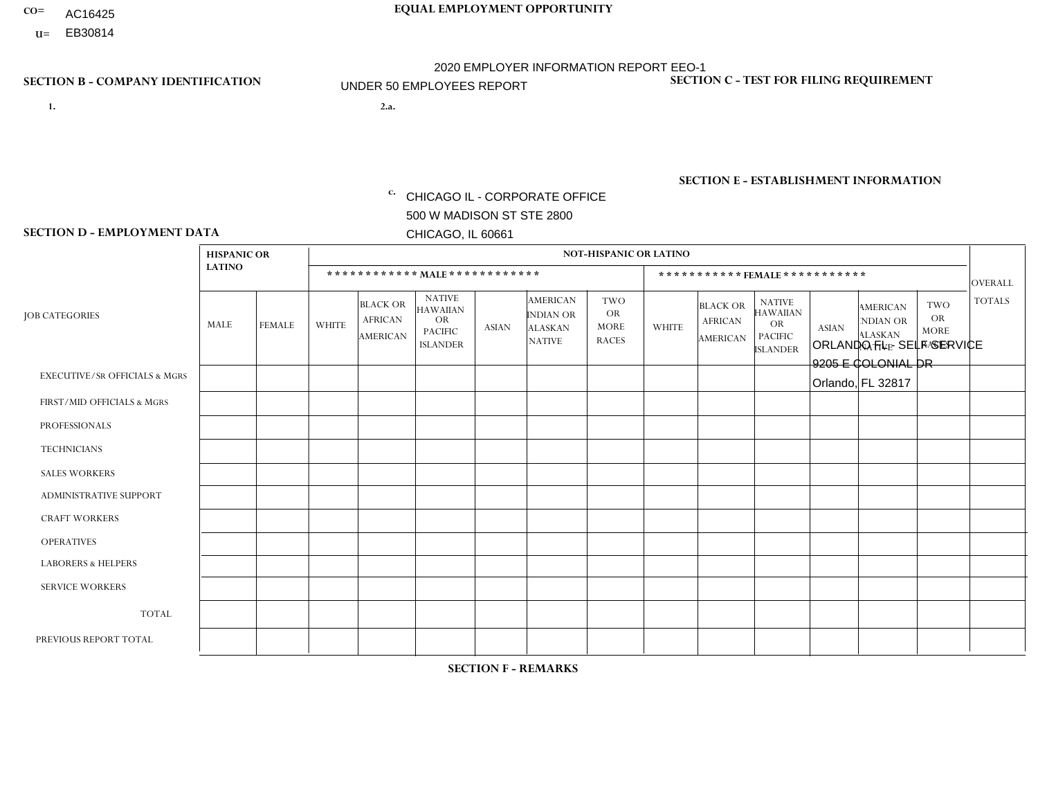- AC16425
- **U=**

**1. 2.a.** CHICAGO IL - CORPORATE OFFICE 500 W MADISON ST STE 2800 CHICAGO, IL 60661

2.a. ORLANDO FL - SELF SERVICE 9205 E COLONIAL DR Orlando, FL 32817

EIN= 952920557

# **SECTION B - COMPANY IDENTIFICATION SECTION C - TEST FOR FILING REQUIREMENT**

1- Y 2- Y 3- N DUNS= 000123456

**SECTION E - ESTABLISHMENT INFORMATION c.** NAICS: 423140

### **SECTION D - EMPLOYMENT DATA**

|                                          | <b>HISPANIC OR</b> |                |                |                                                      |                                                                                    |              |                                                                        | <b>NOT-HISPANIC OR LATINO</b>                          |              |                                                      |                                                                                    |              |                                                                       |                                                  |                |
|------------------------------------------|--------------------|----------------|----------------|------------------------------------------------------|------------------------------------------------------------------------------------|--------------|------------------------------------------------------------------------|--------------------------------------------------------|--------------|------------------------------------------------------|------------------------------------------------------------------------------------|--------------|-----------------------------------------------------------------------|--------------------------------------------------|----------------|
|                                          | <b>LATINO</b>      |                |                |                                                      | ************ MALE ************                                                     |              |                                                                        |                                                        |              | ***********FEMALE***********                         |                                                                                    |              |                                                                       |                                                  | <b>OVERALL</b> |
| <b>JOB CATEGORIES</b>                    | MALE               | <b>FEMALE</b>  | <b>WHITE</b>   | <b>BLACK OR</b><br><b>AFRICAN</b><br><b>AMERICAN</b> | <b>NATIVE</b><br><b>HAWAIIAN</b><br><b>OR</b><br><b>PACIFIC</b><br><b>ISLANDER</b> | <b>ASIAN</b> | <b>AMERICAN</b><br><b>INDIAN OR</b><br><b>ALASKAN</b><br><b>NATIVE</b> | <b>TWO</b><br><b>OR</b><br><b>MORE</b><br><b>RACES</b> | <b>WHITE</b> | <b>BLACK OR</b><br><b>AFRICAN</b><br><b>AMERICAN</b> | <b>NATIVE</b><br><b>HAWAIIAN</b><br><b>OR</b><br><b>PACIFIC</b><br><b>ISLANDER</b> | <b>ASIAN</b> | <b>AMERICAN</b><br><b>NDIAN OR</b><br><b>ALASKAN</b><br><b>NATIVE</b> | <b>TWO</b><br>OR.<br><b>MORE</b><br><b>RACES</b> | <b>TOTALS</b>  |
| <b>EXECUTIVE/SR OFFICIALS &amp; MGRS</b> | $\Omega$           | $\Omega$       | $\Omega$       | $\Omega$                                             | $\Omega$                                                                           | $\mathbf{0}$ | $\Omega$                                                               | $\Omega$                                               | $\Omega$     | $\Omega$                                             | $\Omega$                                                                           | $\Omega$     | $\Omega$                                                              | $\Omega$                                         | $\mathbf 0$    |
| FIRST/MID OFFICIALS & MGRS               | 1                  | $\Omega$       | $\Omega$       | 0                                                    | $\Omega$                                                                           | $\mathbf{0}$ | $\Omega$                                                               | $\Omega$                                               | $\Omega$     | $\Omega$                                             | $\Omega$                                                                           | $\mathbf{0}$ | $\Omega$                                                              | $\Omega$                                         | $\mathbf{1}$   |
| <b>PROFESSIONALS</b>                     | $\Omega$           | $\overline{2}$ | $\Omega$       | $\Omega$                                             | $\Omega$                                                                           | $\Omega$     | $\Omega$                                                               | $\Omega$                                               | $\Omega$     | $\Omega$                                             | $\Omega$                                                                           | $\Omega$     | $\Omega$                                                              | $\Omega$                                         | 2              |
| <b>TECHNICIANS</b>                       | $\mathbf 0$        | 0              | $\mathbf 0$    | 0                                                    | $\Omega$                                                                           | $\Omega$     | $\Omega$                                                               | $\Omega$                                               | $\Omega$     | $\Omega$                                             | $\Omega$                                                                           | $\mathbf 0$  | $\Omega$                                                              | $\mathbf 0$                                      | $\overline{0}$ |
| <b>SALES WORKERS</b>                     | $\mathbf 0$        | $\mathbf 0$    | $\mathbf 0$    | $\Omega$                                             | $\Omega$                                                                           | $\Omega$     | $\Omega$                                                               | $\Omega$                                               | $\Omega$     | $\Omega$                                             | $\Omega$                                                                           | $\Omega$     | $\Omega$                                                              | $\Omega$                                         | $\mathbf 0$    |
| ADMINISTRATIVE SUPPORT                   | 5                  | 1              |                | $\mathbf 0$                                          | $\Omega$                                                                           | $\Omega$     | $\Omega$                                                               | $\Omega$                                               |              | $\Omega$                                             | $\Omega$                                                                           | $\Omega$     | $\Omega$                                                              | $\Omega$                                         | 8              |
| <b>CRAFT WORKERS</b>                     | 1                  | 0              | $\Omega$       | 0                                                    | $\Omega$                                                                           | $\Omega$     | $\Omega$                                                               | $\Omega$                                               | $\Omega$     | $\Omega$                                             | $\Omega$                                                                           | $\mathbf{0}$ | $\Omega$                                                              | $\Omega$                                         | $\mathbf{1}$   |
| <b>OPERATIVES</b>                        | 4                  | $\mathbf 0$    | $\mathbf 0$    | 0                                                    | $\Omega$                                                                           | $\Omega$     | $\Omega$                                                               | $\Omega$                                               | $\Omega$     | $\Omega$                                             | $\Omega$                                                                           | $\Omega$     | $\Omega$                                                              | $\Omega$                                         | 4              |
| <b>LABORERS &amp; HELPERS</b>            | $\mathbf 0$        | $\mathbf 0$    | $\overline{1}$ | 0                                                    | $\Omega$                                                                           | $\Omega$     | $\Omega$                                                               | $\Omega$                                               | $\Omega$     | $\Omega$                                             | $\Omega$                                                                           | $\Omega$     | $\Omega$                                                              | $\Omega$                                         | $\mathbf{1}$   |
| <b>SERVICE WORKERS</b>                   | $\mathbf 0$        | $\mathbf 0$    | $\mathbf 0$    | 0                                                    | $\mathbf 0$                                                                        | $\Omega$     | $\Omega$                                                               | $\Omega$                                               | $\Omega$     | $\Omega$                                             | $\mathbf{0}$                                                                       | $\mathbf 0$  | $\Omega$                                                              | $\mathbf 0$                                      | 0              |
| <b>TOTAL</b>                             | 11                 | 3              | $\sqrt{2}$     | 0                                                    | $\Omega$                                                                           | $\Omega$     | $\Omega$                                                               | $\Omega$                                               | 1            | $\Omega$                                             | $\Omega$                                                                           | $\Omega$     | $\Omega$                                                              | $\Omega$                                         | 17             |
| PREVIOUS REPORT TOTAL                    | 8                  | $\overline{4}$ | $\overline{2}$ | $\Omega$                                             | $\Omega$                                                                           | $\Omega$     | $\Omega$                                                               | $\Omega$                                               |              | $\Omega$                                             | $\Omega$                                                                           | $\mathbf{0}$ | $\Omega$                                                              | $\mathbf 0$                                      | 15             |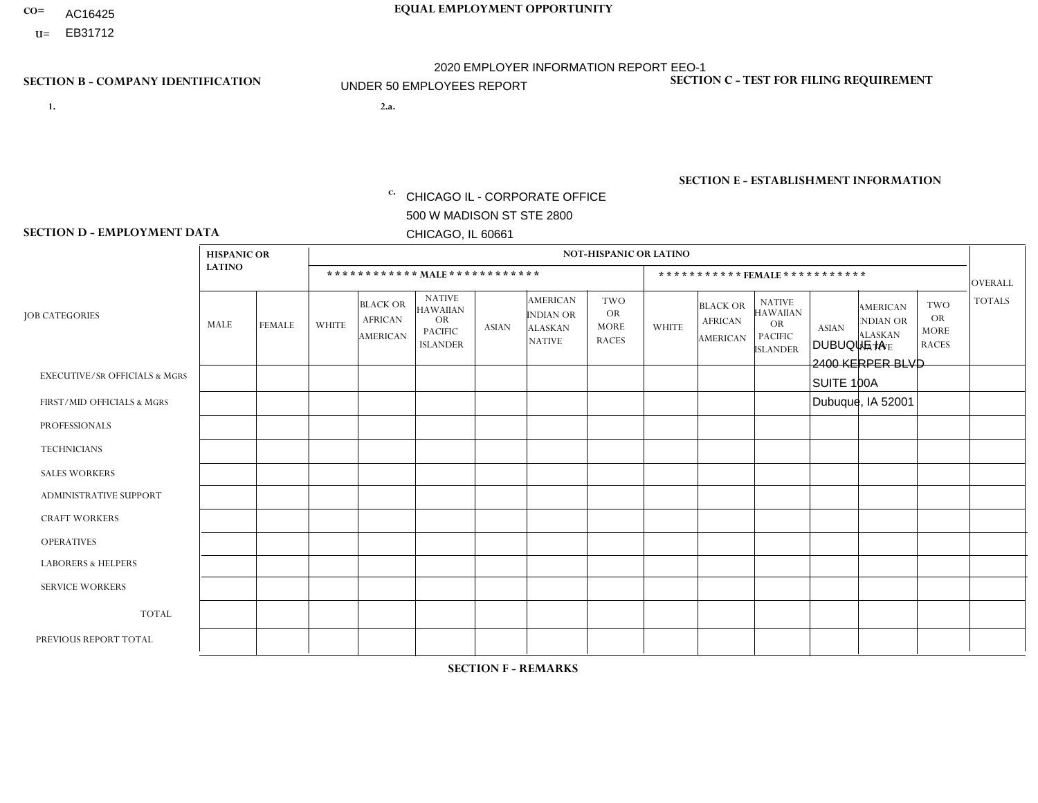- AC16425
- **U=**

- **1. 2.a.** CHICAGO IL CORPORATE OFFICE 500 W MADISON ST STE 2800 CHICAGO, IL 60661
- 2.a. DUBUQUE IA 2400 KERPER BLVD SUITE 100A Dubuque, IA 52001
	- c. EIN= 952920557

# **SECTION B - COMPANY IDENTIFICATION SECTION C - TEST FOR FILING REQUIREMENT**

1- Y 2- Y 3- N DUNS= 000123456

**SECTION E - ESTABLISHMENT INFORMATION c.** NAICS: 423140

### **SECTION D - EMPLOYMENT DATA**

|                                          | <b>HISPANIC OR</b> |               |                |                                                      |                                                                             |              |                                                                        | <b>NOT-HISPANIC OR LATINO</b>                          |              |                                                      |                                                                                    |              |                                                                       |                                                        |                |
|------------------------------------------|--------------------|---------------|----------------|------------------------------------------------------|-----------------------------------------------------------------------------|--------------|------------------------------------------------------------------------|--------------------------------------------------------|--------------|------------------------------------------------------|------------------------------------------------------------------------------------|--------------|-----------------------------------------------------------------------|--------------------------------------------------------|----------------|
|                                          | <b>LATINO</b>      |               |                |                                                      | ************ MAIE************                                               |              |                                                                        |                                                        |              | *********** FEMALE ***********                       |                                                                                    |              |                                                                       |                                                        | <b>OVERALL</b> |
| <b>JOB CATEGORIES</b>                    | MALE               | <b>FEMALE</b> | <b>WHITE</b>   | <b>BLACK OR</b><br><b>AFRICAN</b><br><b>AMERICAN</b> | <b>NATIVE</b><br><b>HAWAIIAN</b><br>OR<br><b>PACIFIC</b><br><b>ISLANDER</b> | <b>ASIAN</b> | <b>AMERICAN</b><br><b>INDIAN OR</b><br><b>ALASKAN</b><br><b>NATIVE</b> | <b>TWO</b><br><b>OR</b><br><b>MORE</b><br><b>RACES</b> | <b>WHITE</b> | <b>BLACK OR</b><br><b>AFRICAN</b><br><b>AMERICAN</b> | <b>NATIVE</b><br><b>HAWAIIAN</b><br><b>OR</b><br><b>PACIFIC</b><br><b>ISLANDER</b> | <b>ASIAN</b> | <b>AMERICAN</b><br><b>NDIAN OR</b><br><b>ALASKAN</b><br><b>NATIVE</b> | <b>TWO</b><br><b>OR</b><br><b>MORE</b><br><b>RACES</b> | <b>TOTALS</b>  |
| <b>EXECUTIVE/SR OFFICIALS &amp; MGRS</b> | $\mathbf 0$        | 0             | $\Omega$       | $\mathbf 0$                                          | $\Omega$                                                                    | $\mathbf{0}$ | $\Omega$                                                               | $\Omega$                                               | $\Omega$     | $\Omega$                                             | $\Omega$                                                                           | $\mathbf{0}$ | $\Omega$                                                              | $\Omega$                                               | $\mathbf 0$    |
| FIRST/MID OFFICIALS & MGRS               | $\mathbf 0$        | $\mathbf 0$   | $\overline{2}$ | $\mathbf 0$                                          | $\Omega$                                                                    | $\Omega$     | $\Omega$                                                               | $\Omega$                                               | $\Omega$     | $\Omega$                                             | $\Omega$                                                                           | $\Omega$     | $\Omega$                                                              | $\mathbf 0$                                            | $\overline{2}$ |
| <b>PROFESSIONALS</b>                     | $\mathbf 0$        | $\mathbf 0$   | $\mathbf 0$    | $\mathbf 0$                                          | $\mathbf 0$                                                                 | $\Omega$     | $\Omega$                                                               | $\Omega$                                               | $\Omega$     | $\Omega$                                             | $\Omega$                                                                           | $\Omega$     | $\Omega$                                                              | $\mathbf 0$                                            | 0              |
| <b>TECHNICIANS</b>                       | $\mathbf 0$        | $\mathbf 0$   | $\Omega$       | 0                                                    | $\Omega$                                                                    | $\Omega$     | $\Omega$                                                               | $\Omega$                                               | $\Omega$     | $\Omega$                                             | $\Omega$                                                                           | $\Omega$     | $\Omega$                                                              | $\mathbf 0$                                            | $\mathbf 0$    |
| <b>SALES WORKERS</b>                     | $\mathbf 0$        | $\mathbf 0$   | 5              | $\mathbf 0$                                          | $\Omega$                                                                    | $\Omega$     | $\Omega$                                                               | 1                                                      | 0            | $\mathbf 0$                                          | $\mathbf 0$                                                                        | $\mathbf 0$  | $\Omega$                                                              | $\mathbf 0$                                            | 6              |
| ADMINISTRATIVE SUPPORT                   | $\mathbf 0$        | $\mathbf 0$   | $\Omega$       | $\Omega$                                             | $\Omega$                                                                    | $\Omega$     | $\Omega$                                                               | $\Omega$                                               | 1            | $\Omega$                                             | $\Omega$                                                                           | $\Omega$     | $\Omega$                                                              | $\Omega$                                               | $\mathbf{1}$   |
| <b>CRAFT WORKERS</b>                     | $\mathbf 0$        | $\mathbf 0$   | $\Omega$       | 0                                                    | $\Omega$                                                                    | $\mathbf{0}$ | $\Omega$                                                               | $\Omega$                                               | $\Omega$     | $\Omega$                                             | $\mathbf{0}$                                                                       | $\mathbf{0}$ | $\Omega$                                                              | $\Omega$                                               | $\mathbf 0$    |
| <b>OPERATIVES</b>                        | 0                  | 0             | 6              | 0                                                    | $\Omega$                                                                    | $\Omega$     | $\Omega$                                                               | $\Omega$                                               | $\Omega$     | $\Omega$                                             | $\Omega$                                                                           | $\Omega$     | $\Omega$                                                              | $\Omega$                                               | 6              |
| <b>LABORERS &amp; HELPERS</b>            | $\mathbf 0$        | $\mathbf 0$   | $\overline{4}$ | 0                                                    | $\Omega$                                                                    | $\Omega$     | $\Omega$                                                               | $\Omega$                                               | $\Omega$     | $\Omega$                                             | $\mathbf{0}$                                                                       | $\mathbf{0}$ | $\Omega$                                                              | $\mathbf 0$                                            | 4              |
| <b>SERVICE WORKERS</b>                   | $\mathbf 0$        | $\mathbf 0$   | $\mathbf{0}$   | 0                                                    | $\Omega$                                                                    | $\Omega$     | $\Omega$                                                               | $\Omega$                                               | $\Omega$     | $\Omega$                                             | $\mathbf{0}$                                                                       | $\Omega$     | $\Omega$                                                              | $\Omega$                                               | $\mathbf 0$    |
| <b>TOTAL</b>                             | $\mathbf 0$        | $\mathbf 0$   | 17             | 0                                                    | $\Omega$                                                                    | $\mathbf{0}$ | $\Omega$                                                               |                                                        | -1           | $\Omega$                                             | $\Omega$                                                                           | $\mathbf{0}$ | $\Omega$                                                              | $\Omega$                                               | 19             |
| PREVIOUS REPORT TOTAL                    | $\mathbf 0$        | $\mathbf 0$   | 22             | $\mathbf 0$                                          | $\mathbf 0$                                                                 | $\Omega$     | $\Omega$                                                               |                                                        |              | 0                                                    | 0                                                                                  | $\mathbf 0$  | 0                                                                     | $\mathbf 0$                                            | 24             |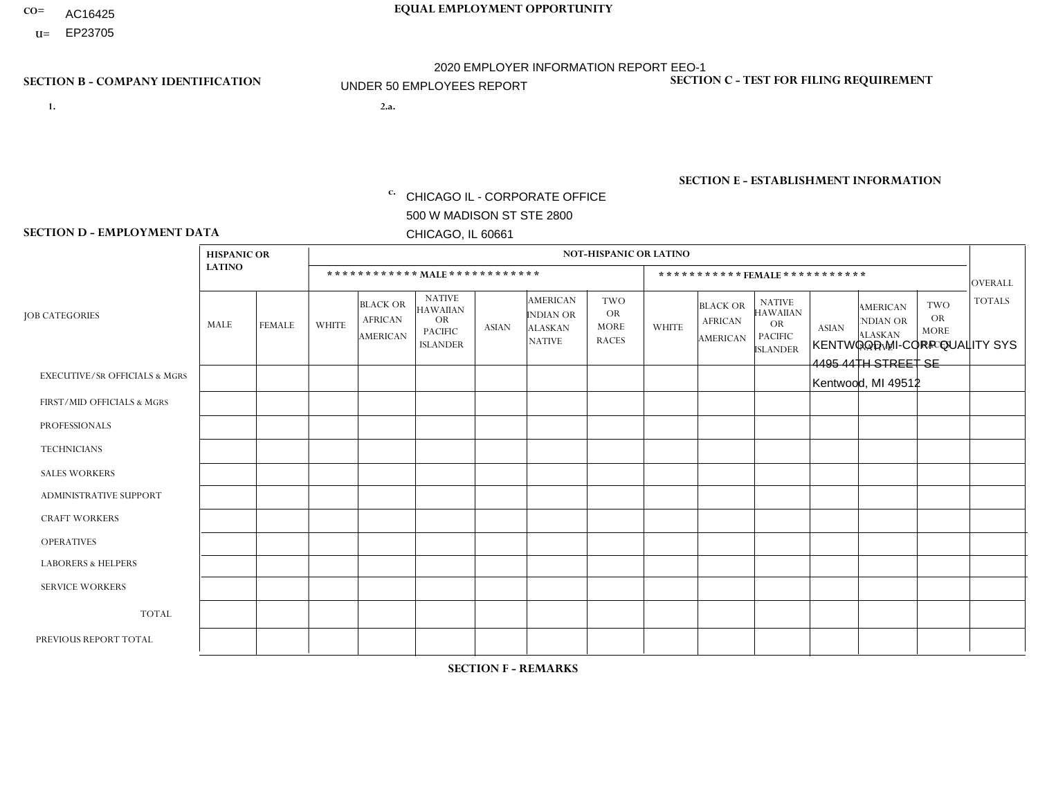- AC16425
- **U=**

- **1. 2.a.** CHICAGO IL CORPORATE OFFICE 500 W MADISON ST STE 2800 CHICAGO, IL 60661
- 2.a. KENTWOOD MI-CORP QUALITY SYS 4495 44TH STREET SE Kentwood, MI 49512

EIN= 952920557

# **SECTION B - COMPANY IDENTIFICATION SECTION C - TEST FOR FILING REQUIREMENT**

1- Y 2- Y 3- N DUNS= 000123456

**SECTION E - ESTABLISHMENT INFORMATION c.** NAICS: 551114

### **SECTION D - EMPLOYMENT DATA**

|                                          | <b>HISPANIC OR</b> |               |                          |                                                      |                                                                                    |              |                                                                        | <b>NOT-HISPANIC OR LATINO</b>                          |              |                                                      |                                                                             |              |                                                                       |                                                        |                |
|------------------------------------------|--------------------|---------------|--------------------------|------------------------------------------------------|------------------------------------------------------------------------------------|--------------|------------------------------------------------------------------------|--------------------------------------------------------|--------------|------------------------------------------------------|-----------------------------------------------------------------------------|--------------|-----------------------------------------------------------------------|--------------------------------------------------------|----------------|
|                                          | <b>LATINO</b>      |               |                          |                                                      | ************ MALE ************                                                     |              |                                                                        |                                                        |              | ***********FEMALE***********                         |                                                                             |              |                                                                       |                                                        | <b>OVERALL</b> |
| <b>JOB CATEGORIES</b>                    | MALE               | <b>FEMALE</b> | <b>WHITE</b>             | <b>BLACK OR</b><br><b>AFRICAN</b><br><b>AMERICAN</b> | <b>NATIVE</b><br><b>HAWAIIAN</b><br><b>OR</b><br><b>PACIFIC</b><br><b>ISLANDER</b> | <b>ASIAN</b> | <b>AMERICAN</b><br><b>INDIAN OR</b><br><b>ALASKAN</b><br><b>NATIVE</b> | <b>TWO</b><br><b>OR</b><br><b>MORE</b><br><b>RACES</b> | <b>WHITE</b> | <b>BLACK OR</b><br><b>AFRICAN</b><br><b>AMERICAN</b> | <b>NATIVE</b><br><b>HAWAIIAN</b><br>OR<br><b>PACIFIC</b><br><b>ISLANDER</b> | <b>ASIAN</b> | <b>AMERICAN</b><br><b>NDIAN OR</b><br><b>ALASKAN</b><br><b>NATIVE</b> | <b>TWO</b><br><b>OR</b><br><b>MORE</b><br><b>RACES</b> | <b>TOTALS</b>  |
| <b>EXECUTIVE/SR OFFICIALS &amp; MGRS</b> | $\Omega$           | $\Omega$      | $\Omega$                 | $\mathbf 0$                                          | $\Omega$                                                                           | $\Omega$     | $\Omega$                                                               | $\Omega$                                               | $\Omega$     | $\Omega$                                             | $\Omega$                                                                    | $\Omega$     | $\Omega$                                                              | $\Omega$                                               | $\mathbf 0$    |
| FIRST/MID OFFICIALS & MGRS               | 0                  | $\mathbf 0$   | $\Omega$                 | $\mathbf 0$                                          | $\Omega$                                                                           | $\Omega$     | $\Omega$                                                               | $\Omega$                                               | 0            | $\Omega$                                             | $\Omega$                                                                    | $\Omega$     | $\Omega$                                                              | $\Omega$                                               | $\mathbf{0}$   |
| <b>PROFESSIONALS</b>                     | 0                  | $\Omega$      | 1                        | $\mathbf 0$                                          | $\Omega$                                                                           | $\Omega$     | $\Omega$                                                               | $\Omega$                                               | 0            | $\Omega$                                             | $\Omega$                                                                    | $\Omega$     | $\Omega$                                                              | $\Omega$                                               | $\mathbf{1}$   |
| <b>TECHNICIANS</b>                       | 0                  | $\Omega$      | $\Omega$                 | $\Omega$                                             | $\Omega$                                                                           | $\Omega$     | $\Omega$                                                               | $\Omega$                                               | $\Omega$     | $\Omega$                                             | $\Omega$                                                                    | $\Omega$     | $\Omega$                                                              | $\Omega$                                               | $\Omega$       |
| <b>SALES WORKERS</b>                     | 0                  | $\Omega$      | $\Omega$                 | $\Omega$                                             | $\Omega$                                                                           | $\Omega$     | $\Omega$                                                               | $\Omega$                                               | 0            | $\Omega$                                             | $\Omega$                                                                    | $\Omega$     | $\Omega$                                                              | $\Omega$                                               | $\Omega$       |
| ADMINISTRATIVE SUPPORT                   | 0                  | $\Omega$      | $\Omega$                 | $\mathbf 0$                                          | $\Omega$                                                                           | $\Omega$     | $\Omega$                                                               | $\Omega$                                               | $\Omega$     | $\Omega$                                             | $\Omega$                                                                    | $\Omega$     | $\Omega$                                                              | $\Omega$                                               | $\mathbf 0$    |
| <b>CRAFT WORKERS</b>                     | 0                  | $\Omega$      | $\Omega$                 | $\mathbf 0$                                          | $\Omega$                                                                           | $\Omega$     | $\Omega$                                                               | $\Omega$                                               | 0            | $\Omega$                                             | $\Omega$                                                                    | $\mathbf{0}$ | $\Omega$                                                              | $\mathbf{0}$                                           | $\mathbf 0$    |
| <b>OPERATIVES</b>                        | 0                  | $\Omega$      | $\mathbf 0$              | $\mathbf 0$                                          | $\Omega$                                                                           | $\Omega$     | $\Omega$                                                               | $\Omega$                                               | $\Omega$     | $\Omega$                                             | $\Omega$                                                                    | $\mathbf{0}$ | $\Omega$                                                              | $\mathbf{0}$                                           | $\mathbf 0$    |
| <b>LABORERS &amp; HELPERS</b>            | 0                  | $\Omega$      | $\mathbf 0$              | $\mathbf 0$                                          | $\mathbf 0$                                                                        | $\Omega$     | $\Omega$                                                               | $\Omega$                                               | $\Omega$     | $\Omega$                                             | $\Omega$                                                                    | $\mathbf{0}$ | $\Omega$                                                              | $\Omega$                                               | 0              |
| <b>SERVICE WORKERS</b>                   | 0                  | $\Omega$      | $\Omega$                 | $\mathbf 0$                                          | $\mathbf{0}$                                                                       | $\Omega$     | $\Omega$                                                               | $\Omega$                                               | $\Omega$     | $\Omega$                                             | $\Omega$                                                                    | $\Omega$     | $\Omega$                                                              | $\Omega$                                               | $\overline{0}$ |
| <b>TOTAL</b>                             | $\Omega$           | 0             | $\overline{\phantom{a}}$ | 0                                                    | 0                                                                                  | $\Omega$     | $\Omega$                                                               | $\Omega$                                               | $\Omega$     | $\Omega$                                             | $\Omega$                                                                    | $\mathbf 0$  | 0                                                                     | $\mathbf 0$                                            | $\mathbf{1}$   |
| PREVIOUS REPORT TOTAL                    | 0                  | $\Omega$      | 3                        | $\mathbf 0$                                          | $\Omega$                                                                           | $\Omega$     | $\Omega$                                                               | $\Omega$                                               |              | $\Omega$                                             | $\Omega$                                                                    | $\Omega$     | $\Omega$                                                              | $\mathbf 0$                                            | $\overline{4}$ |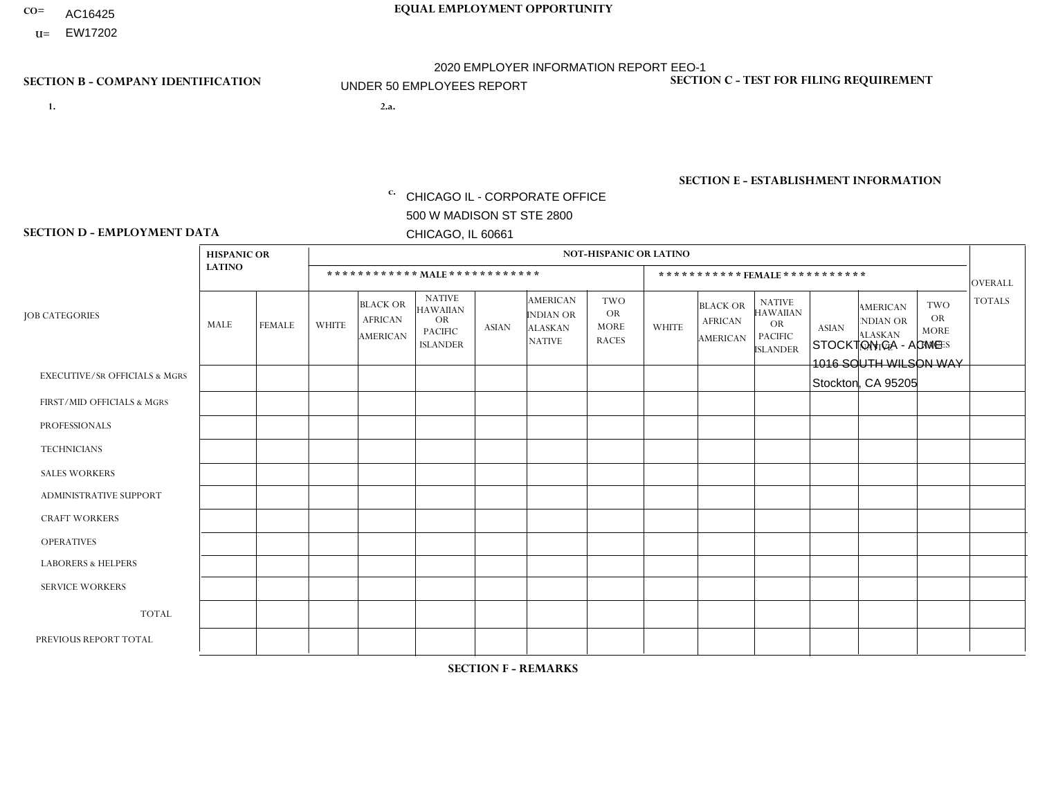- AC16425
- **U=**

- **1. 2.a.** CHICAGO IL CORPORATE OFFICE 500 W MADISON ST STE 2800 CHICAGO, IL 60661
- 2.a. STOCKTON CA ACME 1016 SOUTH WILSON WAY Stockton, CA 95205

EIN= 952907390

# **SECTION B - COMPANY IDENTIFICATION SECTION C - TEST FOR FILING REQUIREMENT**

1- Y 2- Y 3- N DUNS= 000123456

**SECTION E - ESTABLISHMENT INFORMATION c.** NAICS: 423140

### **SECTION D - EMPLOYMENT DATA**

|                                          | <b>HISPANIC OR</b> |              |                |                                                      |                                                                                    |              |                                                                        | <b>NOT-HISPANIC OR LATINO</b>                          |              |                                               |                                                                                    |              |                                                                |                                                        |                |
|------------------------------------------|--------------------|--------------|----------------|------------------------------------------------------|------------------------------------------------------------------------------------|--------------|------------------------------------------------------------------------|--------------------------------------------------------|--------------|-----------------------------------------------|------------------------------------------------------------------------------------|--------------|----------------------------------------------------------------|--------------------------------------------------------|----------------|
|                                          | <b>LATINO</b>      |              |                | ************ MAIE************                        |                                                                                    |              |                                                                        |                                                        |              | ***********FEMALE***********                  |                                                                                    |              |                                                                |                                                        | <b>OVERALL</b> |
| <b>JOB CATEGORIES</b>                    | MALE               | FEMALE       | <b>WHITE</b>   | <b>BLACK OR</b><br><b>AFRICAN</b><br><b>AMERICAN</b> | <b>NATIVE</b><br><b>HAWAIIAN</b><br><b>OR</b><br><b>PACIFIC</b><br><b>ISLANDER</b> | <b>ASIAN</b> | <b>AMERICAN</b><br><b>INDIAN OR</b><br><b>ALASKAN</b><br><b>NATIVE</b> | <b>TWO</b><br><b>OR</b><br><b>MORE</b><br><b>RACES</b> | <b>WHITE</b> | <b>BLACK OR</b><br><b>AFRICAN</b><br>AMERICAN | <b>NATIVE</b><br><b>HAWAIIAN</b><br><b>OR</b><br><b>PACIFIC</b><br><b>ISLANDER</b> | <b>ASIAN</b> | <b>AMERICAN</b><br>NDIAN OR<br><b>ALASKAN</b><br><b>NATIVE</b> | <b>TWO</b><br><b>OR</b><br><b>MORE</b><br><b>RACES</b> | <b>TOTALS</b>  |
| <b>EXECUTIVE/SR OFFICIALS &amp; MGRS</b> | $\Omega$           | $\Omega$     | $\Omega$       | $\mathbf 0$                                          | $\Omega$                                                                           | $\mathbf{0}$ | $\Omega$                                                               | $\Omega$                                               | $\Omega$     | $\Omega$                                      | $\Omega$                                                                           | $\Omega$     | $\Omega$                                                       | $\Omega$                                               | $\Omega$       |
| FIRST/MID OFFICIALS & MGRS               |                    | $\mathbf{1}$ | 3              | $\mathbf 0$                                          | $\Omega$                                                                           | $\Omega$     | $\Omega$                                                               | $\Omega$                                               | 0            | $\Omega$                                      | $\Omega$                                                                           | $\Omega$     | $\Omega$                                                       | $\mathbf 0$                                            | 5              |
| <b>PROFESSIONALS</b>                     | $\Omega$           | $\mathbf 0$  | $\overline{2}$ | $\mathbf 0$                                          | $\mathbf 0$                                                                        | 1            | $\Omega$                                                               | $\Omega$                                               | 0            | $\Omega$                                      | $\Omega$                                                                           | $\mathbf 0$  | 0                                                              | $\mathbf 0$                                            | 3              |
| <b>TECHNICIANS</b>                       | 0                  | $\mathbf 0$  | $\Omega$       | $\mathbf 0$                                          | $\mathbf 0$                                                                        | $\Omega$     | $\Omega$                                                               | $\Omega$                                               | $\Omega$     | $\Omega$                                      | $\Omega$                                                                           | $\mathbf 0$  | $\Omega$                                                       | $\mathbf 0$                                            | $\mathbf 0$    |
| <b>SALES WORKERS</b>                     | $\overline{2}$     | $\Omega$     | 2              | $\mathbf 0$                                          | $\Omega$                                                                           | $\mathbf{1}$ | $\Omega$                                                               | $\Omega$                                               | 0            | $\Omega$                                      | $\Omega$                                                                           | $\Omega$     | $\Omega$                                                       | $\Omega$                                               | 5              |
| <b>ADMINISTRATIVE SUPPORT</b>            | $\overline{2}$     | $\Omega$     | $\overline{2}$ | $\mathbf 0$                                          | $\Omega$                                                                           | -1           | $\Omega$                                                               | $\Omega$                                               | $\Omega$     | $\Omega$                                      | $\Omega$                                                                           | $\Omega$     | $\mathbf{0}$                                                   | $\Omega$                                               | 5              |
| <b>CRAFT WORKERS</b>                     | 4                  | $\Omega$     | 2              | $\mathbf 0$                                          | $\Omega$                                                                           | 1            | $\Omega$                                                               | $\Omega$                                               | 0            | $\Omega$                                      | $\Omega$                                                                           | $\Omega$     | $\Omega$                                                       | $\Omega$                                               | $\overline{7}$ |
| <b>OPERATIVES</b>                        | 3                  | $\Omega$     | 3              | $\mathbf 0$                                          | $\Omega$                                                                           | $\Omega$     | $\Omega$                                                               |                                                        | $\Omega$     | $\Omega$                                      | $\Omega$                                                                           | $\Omega$     | $\Omega$                                                       | $\Omega$                                               | $\overline{7}$ |
| <b>LABORERS &amp; HELPERS</b>            | 0                  | $\Omega$     | $\overline{ }$ | $\mathbf 0$                                          | $\Omega$                                                                           | $\Omega$     | $\overline{\mathbf{1}}$                                                | $\Omega$                                               | 0            | $\Omega$                                      | $\Omega$                                                                           | $\Omega$     | $\Omega$                                                       | $\Omega$                                               | $\overline{2}$ |
| <b>SERVICE WORKERS</b>                   | 0                  | $\Omega$     | $\Omega$       | 0                                                    | $\mathbf{0}$                                                                       | $\Omega$     | $\Omega$                                                               | $\Omega$                                               | $\Omega$     | $\Omega$                                      | $\Omega$                                                                           | $\Omega$     | $\Omega$                                                       | $\Omega$                                               | $\overline{0}$ |
| <b>TOTAL</b>                             | 12                 | $\mathbf{1}$ | 15             | 0                                                    | 0                                                                                  | 4            | -1                                                                     |                                                        | $\Omega$     | $\Omega$                                      | $\Omega$                                                                           | $\mathbf 0$  | 0                                                              | $\mathbf 0$                                            | 34             |
| PREVIOUS REPORT TOTAL                    | 12                 | $\mathbf{1}$ | 19             | $\mathbf 0$                                          |                                                                                    | 5            | $\Omega$                                                               |                                                        |              | $\Omega$                                      | $\Omega$                                                                           | $\Omega$     | $\Omega$                                                       | $\mathbf 0$                                            | 40             |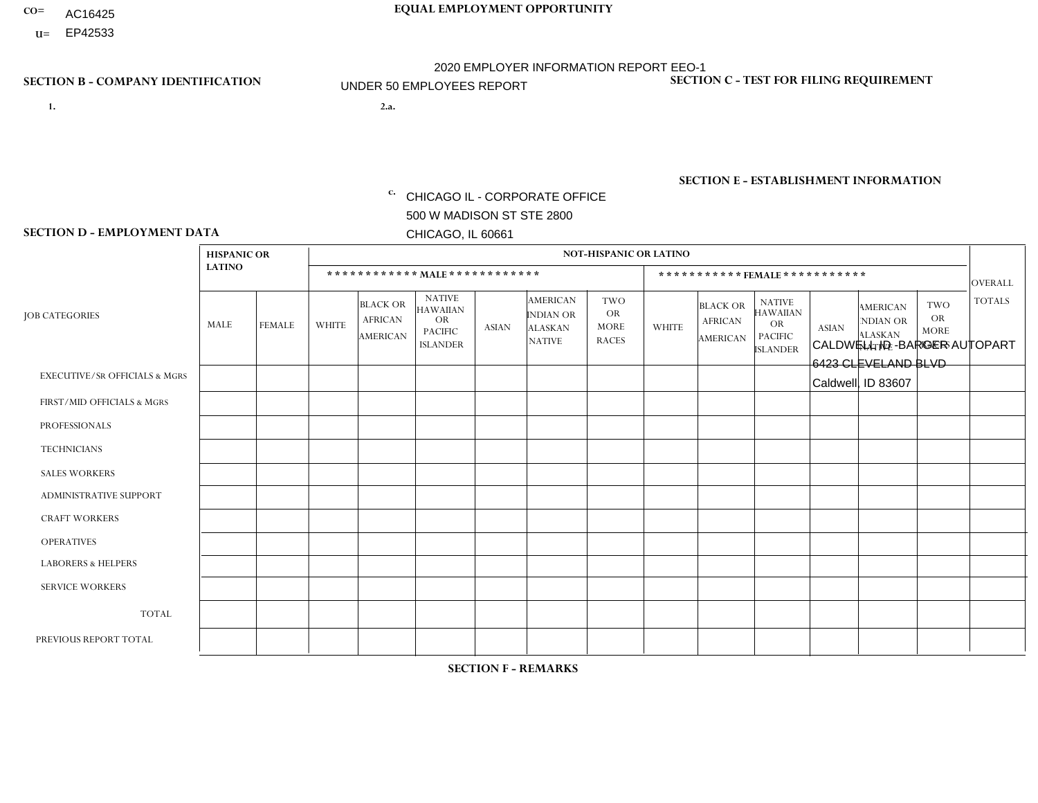- AC16425
- **U=**

- **1. 2.a.** CHICAGO IL CORPORATE OFFICE 500 W MADISON ST STE 2800 CHICAGO, IL 60661
- 2.a. CALDWELL ID BARGER AUTOPART 6423 CLEVELAND BLVD Caldwell, ID 83607

c. EIN= 952920557

# **SECTION B - COMPANY IDENTIFICATION SECTION C - TEST FOR FILING REQUIREMENT**

1- Y 2- Y 3- N DUNS= 000123456

**SECTION E - ESTABLISHMENT INFORMATION c.** NAICS: 423140

### **SECTION D - EMPLOYMENT DATA**

|                                          | <b>HISPANIC OR</b> |               |                |                                                      |                                                                                    |              |                                                                        | <b>NOT-HISPANIC OR LATINO</b>                          |                         |                                               |                                                                             |              |                                                                |                                                 |                |
|------------------------------------------|--------------------|---------------|----------------|------------------------------------------------------|------------------------------------------------------------------------------------|--------------|------------------------------------------------------------------------|--------------------------------------------------------|-------------------------|-----------------------------------------------|-----------------------------------------------------------------------------|--------------|----------------------------------------------------------------|-------------------------------------------------|----------------|
|                                          | <b>LATINO</b>      |               |                |                                                      | ************ MALE ************                                                     |              |                                                                        |                                                        |                         | *********** FEMALE ***********                |                                                                             |              |                                                                |                                                 | <b>OVERALL</b> |
| <b>JOB CATEGORIES</b>                    | MALE               | <b>FEMALE</b> | <b>WHITE</b>   | <b>BLACK OR</b><br><b>AFRICAN</b><br><b>AMERICAN</b> | <b>NATIVE</b><br><b>HAWAIIAN</b><br><b>OR</b><br><b>PACIFIC</b><br><b>ISLANDER</b> | <b>ASIAN</b> | <b>AMERICAN</b><br><b>INDIAN OR</b><br><b>ALASKAN</b><br><b>NATIVE</b> | <b>TWO</b><br><b>OR</b><br><b>MORE</b><br><b>RACES</b> | <b>WHITE</b>            | <b>BLACK OR</b><br><b>AFRICAN</b><br>AMERICAN | <b>NATIVE</b><br><b>HAWAIIAN</b><br>OR<br><b>PACIFIC</b><br><b>ISLANDER</b> | <b>ASIAN</b> | <b>AMERICAN</b><br>NDIAN OR<br><b>ALASKAN</b><br><b>NATIVE</b> | TWO<br><b>OR</b><br><b>MORE</b><br><b>RACES</b> | <b>TOTALS</b>  |
| <b>EXECUTIVE/SR OFFICIALS &amp; MGRS</b> | $\mathbf 0$        | $\mathbf 0$   | $\mathbf 0$    | $\Omega$                                             | $\Omega$                                                                           | $\Omega$     | $\Omega$                                                               | 0                                                      | $\Omega$                | $\Omega$                                      | $\Omega$                                                                    | 0            | $\Omega$                                                       | $\Omega$                                        | $\mathbf 0$    |
| FIRST/MID OFFICIALS & MGRS               | $\mathbf 0$        | $\mathbf 0$   | $\overline{c}$ | $\mathbf 0$                                          | $\Omega$                                                                           | $\Omega$     | $\Omega$                                                               | 0                                                      | $\Omega$                | $\Omega$                                      | $\Omega$                                                                    | $\mathbf 0$  | $\Omega$                                                       | $\mathbf 0$                                     | $\overline{2}$ |
| <b>PROFESSIONALS</b>                     | $\mathbf 0$        | $\mathbf 0$   | $\mathbf 0$    | $\Omega$                                             | $\Omega$                                                                           | $\Omega$     | $\Omega$                                                               | 0                                                      | $\Omega$                | $\Omega$                                      | $\Omega$                                                                    | 0            | $\Omega$                                                       | $\mathbf{0}$                                    | $\mathbf{0}$   |
| <b>TECHNICIANS</b>                       | $\mathbf 0$        | $\mathbf 0$   | $\Omega$       | $\mathbf 0$                                          | $\Omega$                                                                           | $\Omega$     | $\Omega$                                                               | 0                                                      | $\Omega$                | $\Omega$                                      | $\Omega$                                                                    | $\mathbf 0$  | $\Omega$                                                       | $\mathbf{0}$                                    | $\mathbf 0$    |
| <b>SALES WORKERS</b>                     | 1                  | $\mathbf 0$   | $\overline{c}$ | $\Omega$                                             | $\Omega$                                                                           | $\Omega$     | $\Omega$                                                               | 0                                                      | $\Omega$                | $\Omega$                                      | $\Omega$                                                                    | 0            | $\Omega$                                                       | $\mathbf{0}$                                    | 3              |
| <b>ADMINISTRATIVE SUPPORT</b>            | $\Omega$           | $\mathbf 0$   | $\overline{1}$ | $\Omega$                                             | $\Omega$                                                                           | $\Omega$     | $\Omega$                                                               | 0                                                      | $\Omega$                | $\Omega$                                      | $\Omega$                                                                    | $\Omega$     | $\Omega$                                                       | $\Omega$                                        | $\mathbf{1}$   |
| <b>CRAFT WORKERS</b>                     | $\mathbf 0$        | $\mathbf 0$   | 1              | $\Omega$                                             | $\Omega$                                                                           | 0            | $\Omega$                                                               | 0                                                      | $\overline{2}$          | $\Omega$                                      | $\Omega$                                                                    | 0            | $\Omega$                                                       | $\mathbf{0}$                                    | 3              |
| <b>OPERATIVES</b>                        | $\Omega$           | $\mathbf 0$   | $\mathbf{3}$   | $\mathbf 0$                                          | $\Omega$                                                                           | 0            | $\Omega$                                                               | $\Omega$                                               | $\Omega$                | $\Omega$                                      | $\Omega$                                                                    | 0            | $\Omega$                                                       | $\mathbf{0}$                                    | 3              |
| <b>LABORERS &amp; HELPERS</b>            | $\Omega$           | $\Omega$      | $\Omega$       | $\mathbf{0}$                                         | $\Omega$                                                                           | $\Omega$     | $\Omega$                                                               | 0                                                      | $\Omega$                | $\Omega$                                      | $\Omega$                                                                    | 0            | $\Omega$                                                       | $\mathbf{0}$                                    | $\mathbf 0$    |
| <b>SERVICE WORKERS</b>                   | $\mathbf{0}$       | $\mathbf 0$   | $\mathbf 0$    | $\mathbf 0$                                          | $\Omega$                                                                           | $\Omega$     | $\Omega$                                                               | 0                                                      | $\Omega$                | $\Omega$                                      | $\Omega$                                                                    | 0            | $\Omega$                                                       | $\Omega$                                        | $\mathbf 0$    |
| <b>TOTAL</b>                             | 1                  | 0             | 9              | $\mathbf 0$                                          | 0                                                                                  | $\mathbf 0$  | $\Omega$                                                               | 0                                                      | $\overline{2}$          | $\Omega$                                      | 0                                                                           | 0            | $\Omega$                                                       | 0                                               | 12             |
| PREVIOUS REPORT TOTAL                    | 2                  | $\mathbf 0$   | 14             | $\mathbf 0$                                          | $\Omega$                                                                           | $\Omega$     | $\overline{1}$                                                         | 1                                                      | $\overline{\mathbf{A}}$ | $\Omega$                                      | $\Omega$                                                                    | 0            | $\Omega$                                                       | $\mathbf 0$                                     | 19             |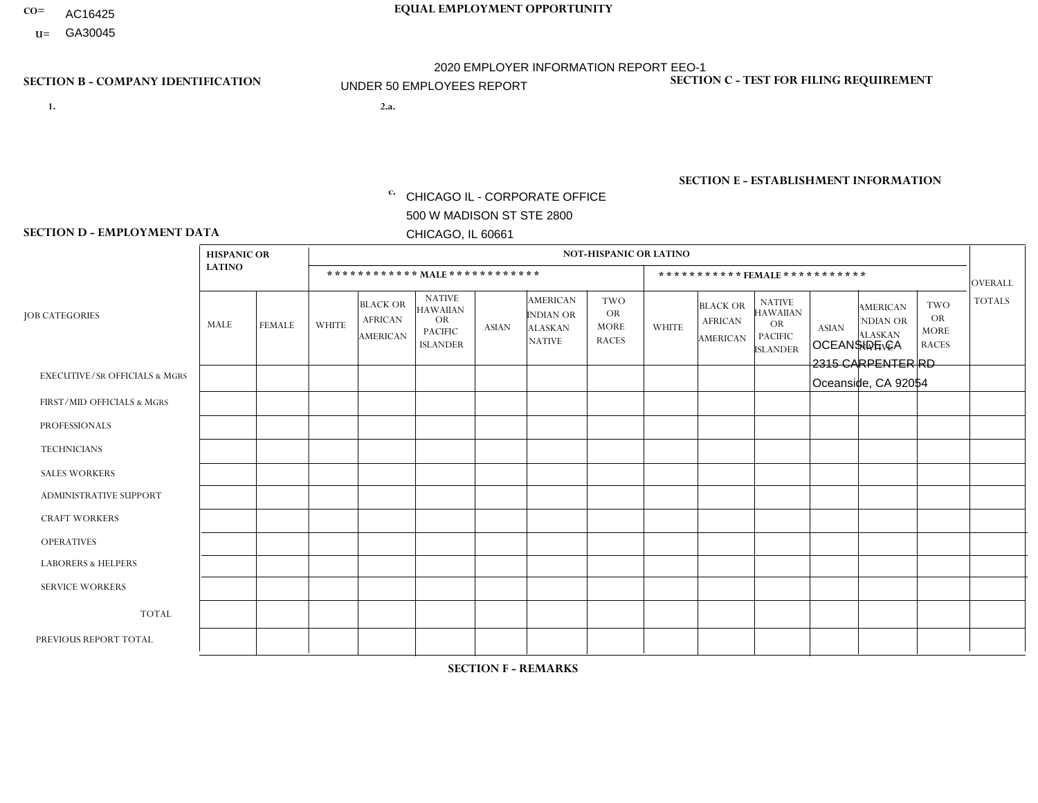- AC16425
- **U=**

- **1. 2.a.** CHICAGO IL CORPORATE OFFICE 500 W MADISON ST STE 2800 CHICAGO, IL 60661
- 2.a. OCEANSIDE CA 2315 CARPENTER RD Oceanside, CA 92054

EIN= 953072886

# **SECTION B - COMPANY IDENTIFICATION SECTION C - TEST FOR FILING REQUIREMENT**

1- Y 2- Y 3- N DUNS= 000123456

**SECTION E - ESTABLISHMENT INFORMATION c.** NAICS: 423140

### **SECTION D - EMPLOYMENT DATA**

|                                          | <b>HISPANIC OR</b> |                |              |                                                      |                                                                                    |              |                                                                        | <b>NOT-HISPANIC OR LATINO</b>                          |              |                                               |                                                                                    |              |                                                                       |                                                        |                |
|------------------------------------------|--------------------|----------------|--------------|------------------------------------------------------|------------------------------------------------------------------------------------|--------------|------------------------------------------------------------------------|--------------------------------------------------------|--------------|-----------------------------------------------|------------------------------------------------------------------------------------|--------------|-----------------------------------------------------------------------|--------------------------------------------------------|----------------|
|                                          | <b>LATINO</b>      |                |              | ************ MALE ************                       |                                                                                    |              |                                                                        |                                                        |              | ***********FEMALE***********                  |                                                                                    |              |                                                                       |                                                        | <b>OVERALL</b> |
| <b>JOB CATEGORIES</b>                    | MALE               | <b>FEMALE</b>  | <b>WHITE</b> | <b>BLACK OR</b><br><b>AFRICAN</b><br><b>AMERICAN</b> | <b>NATIVE</b><br><b>HAWAIIAN</b><br><b>OR</b><br><b>PACIFIC</b><br><b>ISLANDER</b> | ASIAN        | <b>AMERICAN</b><br><b>INDIAN OR</b><br><b>ALASKAN</b><br><b>NATIVE</b> | <b>TWO</b><br><b>OR</b><br><b>MORE</b><br><b>RACES</b> | <b>WHITE</b> | <b>BLACK OR</b><br><b>AFRICAN</b><br>AMERICAN | <b>NATIVE</b><br><b>HAWAIIAN</b><br><b>OR</b><br><b>PACIFIC</b><br><b>ISLANDER</b> | <b>ASIAN</b> | <b>AMERICAN</b><br><b>NDIAN OR</b><br><b>ALASKAN</b><br><b>NATIVE</b> | <b>TWO</b><br><b>OR</b><br><b>MORE</b><br><b>RACES</b> | <b>TOTALS</b>  |
| <b>EXECUTIVE/SR OFFICIALS &amp; MGRS</b> | $\Omega$           | $\Omega$       | $\Omega$     | $\mathbf 0$                                          | $\Omega$                                                                           | $\mathbf{0}$ | $\Omega$                                                               | $\Omega$                                               | 0            | $\Omega$                                      | $\Omega$                                                                           | $\Omega$     | $\Omega$                                                              | $\Omega$                                               | $\mathbf{0}$   |
| FIRST/MID OFFICIALS & MGRS               | 0                  | $\mathbf 1$    | $\Omega$     | $\mathbf 0$                                          | $\Omega$                                                                           | $\Omega$     | $\Omega$                                                               | $\Omega$                                               | 0            | $\Omega$                                      | $\Omega$                                                                           | $\Omega$     | $\Omega$                                                              | $\Omega$                                               | $\mathbf{1}$   |
| <b>PROFESSIONALS</b>                     | 0                  | $\Omega$       | $\mathbf 0$  | $\mathbf 0$                                          | $\Omega$                                                                           | $\Omega$     | $\Omega$                                                               | $\Omega$                                               | 0            | $\Omega$                                      | $\Omega$                                                                           | $\Omega$     | $\Omega$                                                              | $\Omega$                                               | $\mathbf{0}$   |
| <b>TECHNICIANS</b>                       | 0                  | $\Omega$       | $\Omega$     | $\mathbf 0$                                          | $\Omega$                                                                           | $\Omega$     | $\Omega$                                                               | $\Omega$                                               | $\Omega$     | $\Omega$                                      | $\Omega$                                                                           | $\Omega$     | $\Omega$                                                              | $\Omega$                                               | $\mathbf{0}$   |
| <b>SALES WORKERS</b>                     | 3                  | $\Omega$       | $\Omega$     | $\Omega$                                             | $\Omega$                                                                           | $\Omega$     | $\Omega$                                                               | $\Omega$                                               | 0            | $\Omega$                                      | $\Omega$                                                                           | $\Omega$     | $\Omega$                                                              | $\Omega$                                               | 3              |
| <b>ADMINISTRATIVE SUPPORT</b>            | 0                  | 5              | $\Omega$     | $\mathbf 0$                                          | 0                                                                                  | $\Omega$     | $\Omega$                                                               | $\Omega$                                               | $\Omega$     | $\Omega$                                      | $\Omega$                                                                           | $\mathbf{0}$ | $\mathbf{0}$                                                          | $\mathbf 0$                                            | 5              |
| <b>CRAFT WORKERS</b>                     | 0                  | $\Omega$       | $\Omega$     | $\mathbf 0$                                          | $\Omega$                                                                           | $\Omega$     | $\Omega$                                                               | $\Omega$                                               | 0            | $\Omega$                                      | $\Omega$                                                                           | $\Omega$     | $\Omega$                                                              | $\Omega$                                               | $\Omega$       |
| <b>OPERATIVES</b>                        | 11                 | $\mathbf{1}$   | $\Omega$     | $\mathbf 0$                                          | $\Omega$                                                                           | $\Omega$     | $\Omega$                                                               | $\Omega$                                               | $\Omega$     | $\Omega$                                      | $\Omega$                                                                           | $\Omega$     | $\Omega$                                                              | $\Omega$                                               | 12             |
| <b>LABORERS &amp; HELPERS</b>            | 0                  | $\Omega$       | $\Omega$     | $\mathbf 0$                                          | $\Omega$                                                                           | $\Omega$     | $\Omega$                                                               | $\Omega$                                               | $\Omega$     | $\Omega$                                      | $\Omega$                                                                           | $\Omega$     | $\Omega$                                                              | $\mathbf{0}$                                           | $\mathbf 0$    |
| <b>SERVICE WORKERS</b>                   | 0                  | $\Omega$       | $\mathbf 0$  | 0                                                    | 0                                                                                  | $\Omega$     | $\Omega$                                                               | $\Omega$                                               | $\Omega$     | $\Omega$                                      | $\Omega$                                                                           | $\Omega$     | $\Omega$                                                              | $\Omega$                                               | 0              |
| <b>TOTAL</b>                             | 14                 | $\overline{7}$ | $\mathbf 0$  | 0                                                    | 0                                                                                  | $\mathbf 0$  | $\Omega$                                                               | $\Omega$                                               | $\Omega$     | $\Omega$                                      | $\Omega$                                                                           | $\mathbf 0$  | 0                                                                     | $\mathbf 0$                                            | 21             |
| PREVIOUS REPORT TOTAL                    | 14                 | 5              | $\Omega$     | $\mathbf 0$                                          | $\Omega$                                                                           | $\mathbf{0}$ | $\Omega$                                                               | $\Omega$                                               | 0            | $\Omega$                                      | $\Omega$                                                                           | $\Omega$     | $\Omega$                                                              | $\mathbf 0$                                            | 19             |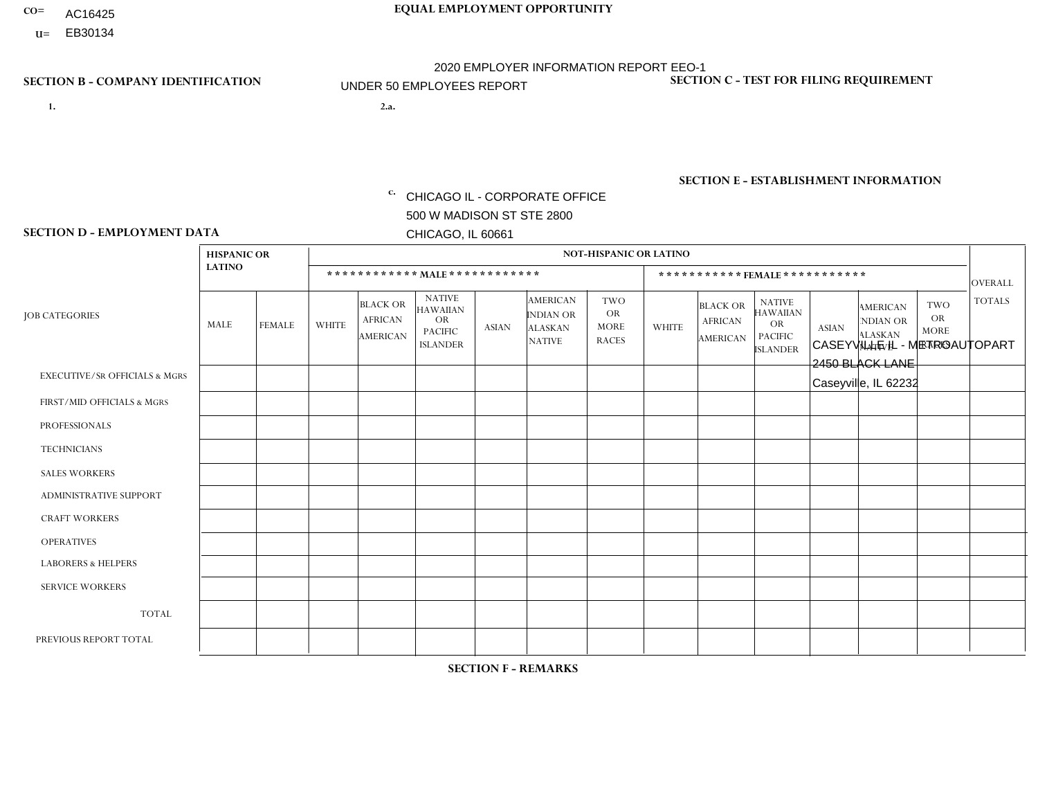- AC16425
- **U=**

**1. 2.a.** CHICAGO IL - CORPORATE OFFICE 500 W MADISON ST STE 2800 CHICAGO, IL 60661

2.a. CASEYVILLE IL - METROAUTOPART 2450 BLACK LANE Caseyville, IL 62232

EIN= 952920557

# **SECTION B - COMPANY IDENTIFICATION SECTION C - TEST FOR FILING REQUIREMENT**

1- Y 2- Y 3- N DUNS= 000123456

**SECTION E - ESTABLISHMENT INFORMATION c.** NAICS: 423140

### **SECTION D - EMPLOYMENT DATA**

|                                          | <b>HISPANIC OR</b> |             |                |                                                      |                                                                                    |              |                                                                        | <b>NOT-HISPANIC OR LATINO</b>                          |                |                                               |                                                                                    |              |                                                                |                                                        |                |
|------------------------------------------|--------------------|-------------|----------------|------------------------------------------------------|------------------------------------------------------------------------------------|--------------|------------------------------------------------------------------------|--------------------------------------------------------|----------------|-----------------------------------------------|------------------------------------------------------------------------------------|--------------|----------------------------------------------------------------|--------------------------------------------------------|----------------|
|                                          | <b>LATINO</b>      |             |                |                                                      | ************ MAIE************                                                      |              |                                                                        |                                                        |                | *********** FEMALE ***********                |                                                                                    |              |                                                                |                                                        | <b>OVERALL</b> |
| <b>JOB CATEGORIES</b>                    | MALE               | FEMALE      | <b>WHITE</b>   | <b>BLACK OR</b><br><b>AFRICAN</b><br><b>AMERICAN</b> | <b>NATIVE</b><br><b>HAWAIIAN</b><br><b>OR</b><br><b>PACIFIC</b><br><b>ISLANDER</b> | <b>ASIAN</b> | <b>AMERICAN</b><br><b>INDIAN OR</b><br><b>ALASKAN</b><br><b>NATIVE</b> | <b>TWO</b><br><b>OR</b><br><b>MORE</b><br><b>RACES</b> | <b>WHITE</b>   | <b>BLACK OR</b><br><b>AFRICAN</b><br>AMERICAN | <b>NATIVE</b><br><b>HAWAIIAN</b><br><b>OR</b><br><b>PACIFIC</b><br><b>ISLANDER</b> | <b>ASIAN</b> | <b>AMERICAN</b><br>NDIAN OR<br><b>ALASKAN</b><br><b>NATIVE</b> | <b>TWO</b><br><b>OR</b><br><b>MORE</b><br><b>RACES</b> | <b>TOTALS</b>  |
| <b>EXECUTIVE/SR OFFICIALS &amp; MGRS</b> | $\Omega$           | $\Omega$    | $\Omega$       | $\Omega$                                             | $\Omega$                                                                           | $\mathbf{0}$ | $\Omega$                                                               | $\Omega$                                               | 0              | $\Omega$                                      | $\Omega$                                                                           | $\Omega$     | $\Omega$                                                       | $\Omega$                                               | $\Omega$       |
| FIRST/MID OFFICIALS & MGRS               | 0                  | $\Omega$    | $\overline{2}$ | $\mathbf 0$                                          | $\Omega$                                                                           | $\mathbf{0}$ | $\mathbf{0}$                                                           | $\Omega$                                               |                | $\Omega$                                      | $\Omega$                                                                           | $\Omega$     | $\Omega$                                                       | $\mathbf 0$                                            | 3              |
| <b>PROFESSIONALS</b>                     | 0                  | $\Omega$    | $\Omega$       | $\mathbf 0$                                          | $\Omega$                                                                           | $\Omega$     | $\Omega$                                                               | $\Omega$                                               | 0              | $\Omega$                                      | $\Omega$                                                                           | $\mathbf 0$  | $\Omega$                                                       | $\Omega$                                               | $\overline{0}$ |
| <b>TECHNICIANS</b>                       | $\Omega$           | $\mathbf 0$ | $\Omega$       | $\mathbf 0$                                          | $\Omega$                                                                           | $\Omega$     | $\Omega$                                                               | $\Omega$                                               | $\overline{0}$ | $\Omega$                                      | $\Omega$                                                                           | $\mathbf{0}$ | $\Omega$                                                       | $\mathbf 0$                                            | $\mathbf 0$    |
| <b>SALES WORKERS</b>                     | $\Omega$           | $\Omega$    | $\Omega$       | $\mathbf 0$                                          | $\Omega$                                                                           | $\Omega$     | $\Omega$                                                               | $\Omega$                                               | $\Omega$       | $\Omega$                                      | $\Omega$                                                                           | $\Omega$     | $\Omega$                                                       | $\mathbf{0}$                                           | $\mathbf 0$    |
| <b>ADMINISTRATIVE SUPPORT</b>            | 0                  | $\mathbf 0$ | 3              | $\mathbf 0$                                          | $\mathbf 0$                                                                        | $\mathbf{0}$ | $\Omega$                                                               | $\Omega$                                               | $\overline{2}$ | $\Omega$                                      | $\Omega$                                                                           | $\mathbf 0$  | $\Omega$                                                       | $\mathbf 0$                                            | 5              |
| <b>CRAFT WORKERS</b>                     | 0                  | $\Omega$    | 3              | 1                                                    | $\Omega$                                                                           | $\Omega$     | $\Omega$                                                               | $\Omega$                                               | 0              | $\Omega$                                      | $\Omega$                                                                           | $\mathbf{0}$ | $\Omega$                                                       | $\Omega$                                               | $\overline{4}$ |
| <b>OPERATIVES</b>                        |                    | $\Omega$    | 4              | $\overline{1}$                                       | $\Omega$                                                                           | $\Omega$     | $\Omega$                                                               | $\Omega$                                               | $\Omega$       | $\Omega$                                      | $\Omega$                                                                           | $\Omega$     | $\Omega$                                                       | $\Omega$                                               | 6              |
| <b>LABORERS &amp; HELPERS</b>            | 0                  | $\Omega$    | $\overline{ }$ | $\Omega$                                             | $\Omega$                                                                           | $\Omega$     | $\Omega$                                                               | $\Omega$                                               | $\Omega$       | $\Omega$                                      | $\Omega$                                                                           | $\Omega$     | $\Omega$                                                       | $\Omega$                                               | $\mathbf{1}$   |
| <b>SERVICE WORKERS</b>                   | 0                  | $\mathbf 0$ | $\mathbf 0$    | $\mathbf 0$                                          | 0                                                                                  | $\mathbf 0$  | $\Omega$                                                               | $\Omega$                                               | $\Omega$       | $\Omega$                                      | $\Omega$                                                                           | 0            | $\Omega$                                                       | $\mathbf 0$                                            | $\mathbf 0$    |
| <b>TOTAL</b>                             |                    | 0           | 13             | $\overline{c}$                                       | $\mathbf{0}$                                                                       | $\mathbf 0$  | $\Omega$                                                               | $\Omega$                                               | 3              | $\Omega$                                      | $\Omega$                                                                           | $\mathbf 0$  | 0                                                              | $\mathbf 0$                                            | 19             |
| PREVIOUS REPORT TOTAL                    |                    | $\Omega$    | 24             | 3                                                    | $\Omega$                                                                           | $\mathbf{0}$ | $\Omega$                                                               |                                                        | 3              |                                               | $\Omega$                                                                           | $\Omega$     | $\Omega$                                                       | $\mathbf 0$                                            | 33             |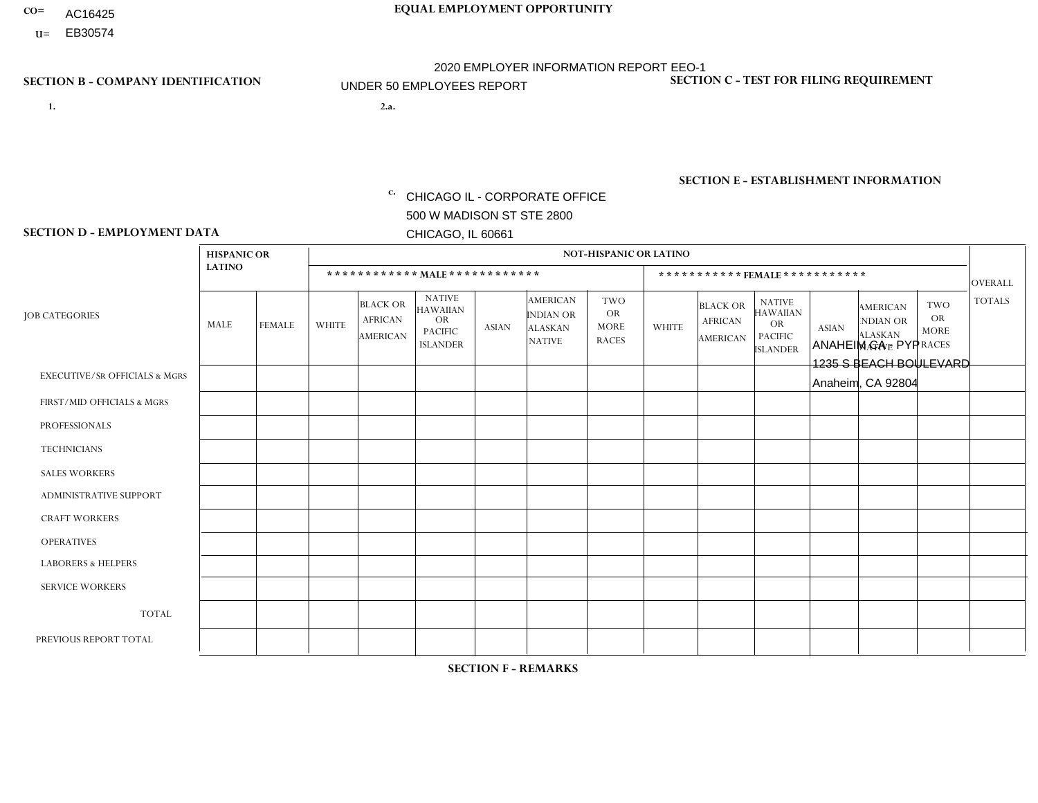- AC16425
- **U=**

**1. 2.a.** CHICAGO IL - CORPORATE OFFICE 500 W MADISON ST STE 2800 CHICAGO, IL 60661

2.a. ANAHEIM CA - PYP 1235 S BEACH BOULEVARD Anaheim, CA 92804

EIN= 953406551

# **SECTION B - COMPANY IDENTIFICATION SECTION C - TEST FOR FILING REQUIREMENT**

1- Y 2- Y 3- N DUNS= 000123456

**SECTION E - ESTABLISHMENT INFORMATION c.** NAICS: 423140

### **SECTION D - EMPLOYMENT DATA**

|                                          | <b>HISPANIC OR</b> |               |              |                                                      |                                                                                    |                      |                                                                        | <b>NOT-HISPANIC OR LATINO</b>                          |                |                                                      |                                                                             |              |                                                                       |                                                        |                |
|------------------------------------------|--------------------|---------------|--------------|------------------------------------------------------|------------------------------------------------------------------------------------|----------------------|------------------------------------------------------------------------|--------------------------------------------------------|----------------|------------------------------------------------------|-----------------------------------------------------------------------------|--------------|-----------------------------------------------------------------------|--------------------------------------------------------|----------------|
|                                          | <b>LATINO</b>      |               |              | ************ MALE ************                       |                                                                                    |                      |                                                                        |                                                        |                |                                                      | ***********FEMALE***********                                                |              |                                                                       |                                                        | <b>OVERALL</b> |
| <b>JOB CATEGORIES</b>                    | <b>MALE</b>        | <b>FEMALE</b> | <b>WHITE</b> | <b>BLACK OR</b><br><b>AFRICAN</b><br><b>AMERICAN</b> | <b>NATIVE</b><br><b>HAWAIIAN</b><br><b>OR</b><br><b>PACIFIC</b><br><b>ISLANDER</b> | <b>ASIAN</b>         | <b>AMERICAN</b><br><b>INDIAN OR</b><br><b>ALASKAN</b><br><b>NATIVE</b> | <b>TWO</b><br><b>OR</b><br><b>MORE</b><br><b>RACES</b> | <b>WHITE</b>   | <b>BLACK OR</b><br><b>AFRICAN</b><br><b>AMERICAN</b> | <b>NATIVE</b><br><b>HAWAIIAN</b><br>OR<br><b>PACIFIC</b><br><b>ISLANDER</b> | <b>ASIAN</b> | <b>AMERICAN</b><br><b>NDIAN OR</b><br><b>ALASKAN</b><br><b>NATIVE</b> | <b>TWO</b><br><b>OR</b><br><b>MORE</b><br><b>RACES</b> | <b>TOTALS</b>  |
| <b>EXECUTIVE/SR OFFICIALS &amp; MGRS</b> | $\Omega$           | $\Omega$      | $\Omega$     | $\mathbf 0$                                          | $\Omega$                                                                           | $\Omega$             | $\Omega$                                                               | $\Omega$                                               | $\Omega$       | $\Omega$                                             | $\Omega$                                                                    | $\Omega$     | $\Omega$                                                              | $\Omega$                                               | $\mathbf 0$    |
| FIRST/MID OFFICIALS & MGRS               |                    | $\Omega$      | $\mathbf 0$  | $\mathbf 0$                                          | 0                                                                                  | $\Omega$             | $\Omega$                                                               | $\Omega$                                               | 0              | $\Omega$                                             | 0                                                                           | $\mathbf 0$  | $\Omega$                                                              | 0                                                      | $\mathbf{1}$   |
| <b>PROFESSIONALS</b>                     |                    | $\Omega$      | $\Omega$     | $\Omega$                                             | $\Omega$                                                                           | $\Omega$             | $\Omega$                                                               | $\Omega$                                               | $\Omega$       | $\Omega$                                             | 0                                                                           | $\Omega$     | $\Omega$                                                              | $\Omega$                                               | $\mathbf{1}$   |
| <b>TECHNICIANS</b>                       | $\Omega$           | $\Omega$      | $\Omega$     | $\Omega$                                             | $\Omega$                                                                           | $\Omega$             | $\Omega$                                                               | $\Omega$                                               | $\overline{0}$ | $\Omega$                                             | $\Omega$                                                                    | $\mathbf 0$  | $\Omega$                                                              | $\mathbf 0$                                            | $\Omega$       |
| <b>SALES WORKERS</b>                     | 8                  | $\Omega$      | $\mathbf{0}$ | $\Omega$                                             | $\Omega$                                                                           | $\Omega$             | $\Omega$                                                               | $\Omega$                                               | $\Omega$       | $\Omega$                                             | $\Omega$                                                                    | $\Omega$     | $\Omega$                                                              | $\Omega$                                               | 8              |
| ADMINISTRATIVE SUPPORT                   | 5                  | 3             | $\mathbf{0}$ | $\mathbf 0$                                          | 0                                                                                  | $\Omega$             | $\Omega$                                                               | $\Omega$                                               | 0              | $\Omega$                                             | 0                                                                           | $\Omega$     | $\Omega$                                                              | -1                                                     | 9              |
| <b>CRAFT WORKERS</b>                     | $\Omega$           | $\Omega$      | $\Omega$     | $\mathbf 0$                                          | $\Omega$                                                                           | $\Omega$             | $\Omega$                                                               | $\Omega$                                               | $\Omega$       | $\Omega$                                             | 0                                                                           | $\Omega$     | $\Omega$                                                              | $\Omega$                                               | $\Omega$       |
| <b>OPERATIVES</b>                        | 10                 | $\Omega$      | 1            | $\mathbf 0$                                          | 0                                                                                  | $\mathbf{1}$         | $\Omega$                                                               | $\Omega$                                               | 0              | $\Omega$                                             | 0                                                                           | $\mathbf 0$  | $\Omega$                                                              | $\Omega$                                               | 12             |
| <b>LABORERS &amp; HELPERS</b>            | $\Omega$           | $\Omega$      | $\mathbf{0}$ | $\mathbf 0$                                          | 0                                                                                  | $\Omega$             | $\Omega$                                                               | $\Omega$                                               | $\Omega$       | $\Omega$                                             | 0                                                                           | $\Omega$     | $\Omega$                                                              | $\Omega$                                               | $\mathbf 0$    |
| <b>SERVICE WORKERS</b>                   | $\Omega$           | $\Omega$      | $\mathbf 0$  | 0                                                    | $\mathbf 0$                                                                        | $\Omega$             | $\Omega$                                                               | $\Omega$                                               | 0              | $\Omega$                                             | $\Omega$                                                                    | $\mathbf 0$  | $\Omega$                                                              | $\Omega$                                               | $\mathbf{0}$   |
| <b>TOTAL</b>                             | 25                 | 3             | -1           | 0                                                    | 0                                                                                  | 1                    | $\Omega$                                                               | $\Omega$                                               | 0              | $\Omega$                                             | $\Omega$                                                                    | $\mathbf 0$  | $\Omega$                                                              | $\mathbf{1}$                                           | 31             |
| PREVIOUS REPORT TOTAL                    | 25                 | 3             |              | $\mathbf 0$                                          | $\mathbf 0$                                                                        | $\blacktriangleleft$ | $\Omega$                                                               | $\Omega$                                               | 0              | $\Omega$                                             | 0                                                                           | $\mathbf 0$  | $\Omega$                                                              | $\overline{1}$                                         | 31             |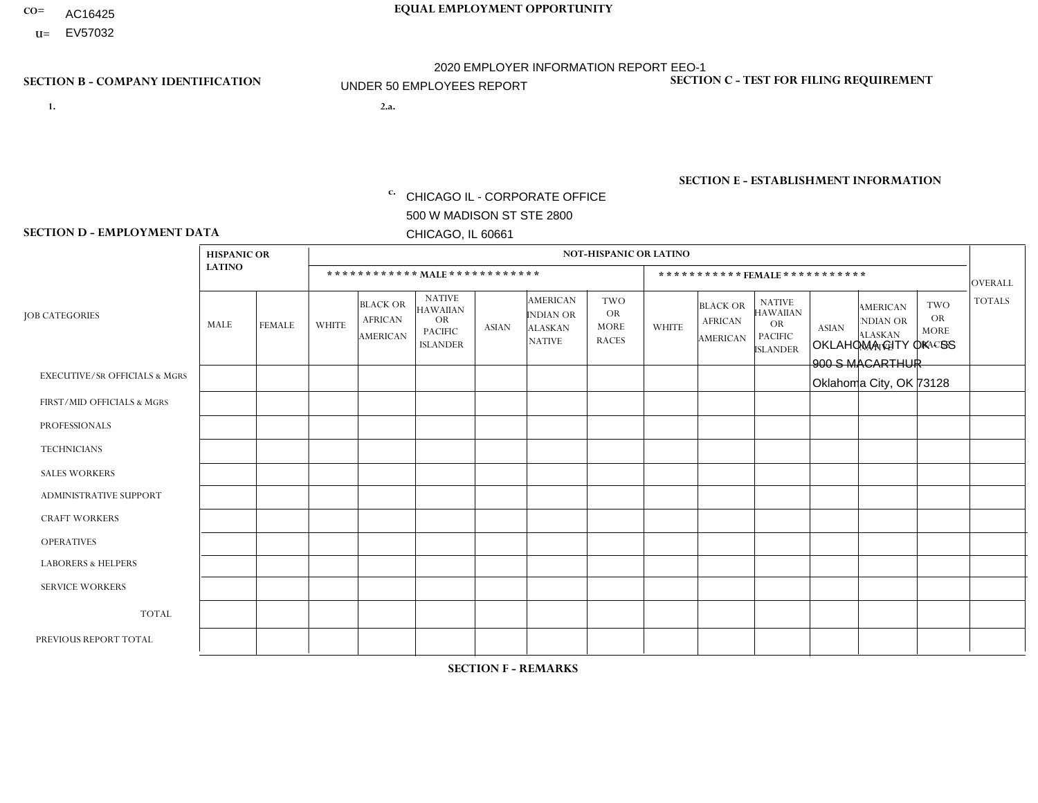- AC16425
- **U=**

**1. 2.a.** CHICAGO IL - CORPORATE OFFICE 500 W MADISON ST STE 2800 CHICAGO, IL 60661

2.a. OKLAHOMA CITY OK - SS 900 S MACARTHUR Oklahoma City, OK 73128

c. EIN= 952920557

# **SECTION B - COMPANY IDENTIFICATION SECTION C - TEST FOR FILING REQUIREMENT**

1- Y 2- Y 3- N DUNS= 000123456

**SECTION E - ESTABLISHMENT INFORMATION c.** NAICS: 423140

### **SECTION D - EMPLOYMENT DATA**

|                                          | <b>HISPANIC OR</b> |                |              |                                                      |                                                                                    |              |                                                                        | <b>NOT-HISPANIC OR LATINO</b>                          |                |                                               |                                                                                    |              |                                                                       |                                                        |                      |
|------------------------------------------|--------------------|----------------|--------------|------------------------------------------------------|------------------------------------------------------------------------------------|--------------|------------------------------------------------------------------------|--------------------------------------------------------|----------------|-----------------------------------------------|------------------------------------------------------------------------------------|--------------|-----------------------------------------------------------------------|--------------------------------------------------------|----------------------|
|                                          | <b>LATINO</b>      |                |              | ************ MALE ************                       |                                                                                    |              |                                                                        |                                                        |                |                                               | *********** FEMALE ***********                                                     |              |                                                                       |                                                        | <b>OVERALL</b>       |
| <b>JOB CATEGORIES</b>                    | <b>MALE</b>        | <b>FEMALE</b>  | <b>WHITE</b> | <b>BLACK OR</b><br><b>AFRICAN</b><br><b>AMERICAN</b> | <b>NATIVE</b><br><b>HAWAIIAN</b><br><b>OR</b><br><b>PACIFIC</b><br><b>ISLANDER</b> | <b>ASIAN</b> | <b>AMERICAN</b><br><b>INDIAN OR</b><br><b>ALASKAN</b><br><b>NATIVE</b> | <b>TWO</b><br><b>OR</b><br><b>MORE</b><br><b>RACES</b> | <b>WHITE</b>   | <b>BLACK OR</b><br><b>AFRICAN</b><br>AMERICAN | <b>NATIVE</b><br><b>HAWAIIAN</b><br><b>OR</b><br><b>PACIFIC</b><br><b>ISLANDER</b> | <b>ASIAN</b> | <b>AMERICAN</b><br><b>NDIAN OR</b><br><b>ALASKAN</b><br><b>NATIVE</b> | <b>TWO</b><br><b>OR</b><br><b>MORE</b><br><b>RACES</b> | <b>TOTALS</b>        |
| <b>EXECUTIVE/SR OFFICIALS &amp; MGRS</b> | $\Omega$           | $\Omega$       | $\mathbf{0}$ | $\Omega$                                             | $\Omega$                                                                           | $\Omega$     | $\Omega$                                                               | $\Omega$                                               | 0              | $\Omega$                                      | $\Omega$                                                                           | $\Omega$     | $\Omega$                                                              | $\Omega$                                               | $\Omega$             |
| FIRST/MID OFFICIALS & MGRS               | $\Omega$           | $\Omega$       | 1            | $\overline{\mathbf{A}}$                              | $\Omega$                                                                           | $\Omega$     | $\Omega$                                                               | $\Omega$                                               | 0              | $\Omega$                                      | 0                                                                                  | $\Omega$     | $\Omega$                                                              | $\Omega$                                               | $\overline{2}$       |
| <b>PROFESSIONALS</b>                     |                    | $\mathbf 0$    | $\mathbf 0$  | 1                                                    | $\Omega$                                                                           | $\Omega$     | $\Omega$                                                               | $\Omega$                                               | 1              | $\Omega$                                      | 0                                                                                  | 0            | $\Omega$                                                              | $\mathbf 0$                                            | 3                    |
| <b>TECHNICIANS</b>                       | $\Omega$           | $\Omega$       | $\Omega$     | $\Omega$                                             | $\Omega$                                                                           | $\Omega$     | $\Omega$                                                               | $\Omega$                                               | $\overline{0}$ | $\Omega$                                      | 0                                                                                  | $\mathbf 0$  | $\Omega$                                                              | $\mathbf 0$                                            | $\Omega$             |
| <b>SALES WORKERS</b>                     | $\Omega$           | $\Omega$       | $\Omega$     | $\Omega$                                             | $\Omega$                                                                           | $\Omega$     | $\Omega$                                                               | $\Omega$                                               | $\Omega$       | $\Omega$                                      | $\Omega$                                                                           | $\Omega$     | $\Omega$                                                              | $\Omega$                                               | $\Omega$             |
| <b>ADMINISTRATIVE SUPPORT</b>            | $\Omega$           | 3              | 1            | 2                                                    | 0                                                                                  | $\Omega$     | 1                                                                      | $\Omega$                                               | 1              | $\Omega$                                      | 0                                                                                  | $\mathbf 0$  | $\Omega$                                                              | $\mathbf 0$                                            | 8                    |
| <b>CRAFT WORKERS</b>                     | $\Omega$           | $\Omega$       | -1           | $\mathbf 0$                                          | $\Omega$                                                                           | $\Omega$     | $\Omega$                                                               | $\Omega$                                               | 0              | $\Omega$                                      | 0                                                                                  | $\Omega$     | $\Omega$                                                              | $\Omega$                                               | $\blacktriangleleft$ |
| <b>OPERATIVES</b>                        |                    | $\Omega$       | 2            | $\overline{2}$                                       | $\Omega$                                                                           | $\Omega$     | $\Omega$                                                               | 1                                                      | 0              | $\Omega$                                      | 0                                                                                  | $\mathbf 0$  | $\Omega$                                                              | $\Omega$                                               | 6                    |
| <b>LABORERS &amp; HELPERS</b>            | $\Omega$           | $\Omega$       | $\mathbf{0}$ | $\mathbf 0$                                          | $\Omega$                                                                           | $\Omega$     | $\Omega$                                                               | $\Omega$                                               | $\Omega$       | $\Omega$                                      | $\Omega$                                                                           | $\Omega$     | $\Omega$                                                              | $\Omega$                                               | $\mathbf 0$          |
| <b>SERVICE WORKERS</b>                   | $\Omega$           | $\Omega$       | $\Omega$     | 0                                                    | $\Omega$                                                                           | $\Omega$     | $\Omega$                                                               | $\Omega$                                               | 0              | $\Omega$                                      | $\Omega$                                                                           | $\mathbf 0$  | $\Omega$                                                              | $\Omega$                                               | $\mathbf 0$          |
| <b>TOTAL</b>                             | $\overline{c}$     | 3              | 5            | 6                                                    | $\mathbf 0$                                                                        | 0            | 1                                                                      | $\overline{1}$                                         | $\overline{2}$ | $\mathbf 0$                                   | 0                                                                                  | $\mathbf 0$  | 0                                                                     | $\mathbf 0$                                            | 20                   |
| PREVIOUS REPORT TOTAL                    | 2                  | $\overline{2}$ | 5            | $\overline{2}$                                       | 0                                                                                  | $\Omega$     | $\Omega$                                                               | $\overline{2}$                                         | $\overline{2}$ | $\Omega$                                      | 0                                                                                  | $\mathbf 0$  | 1                                                                     | $\mathbf 0$                                            | 16                   |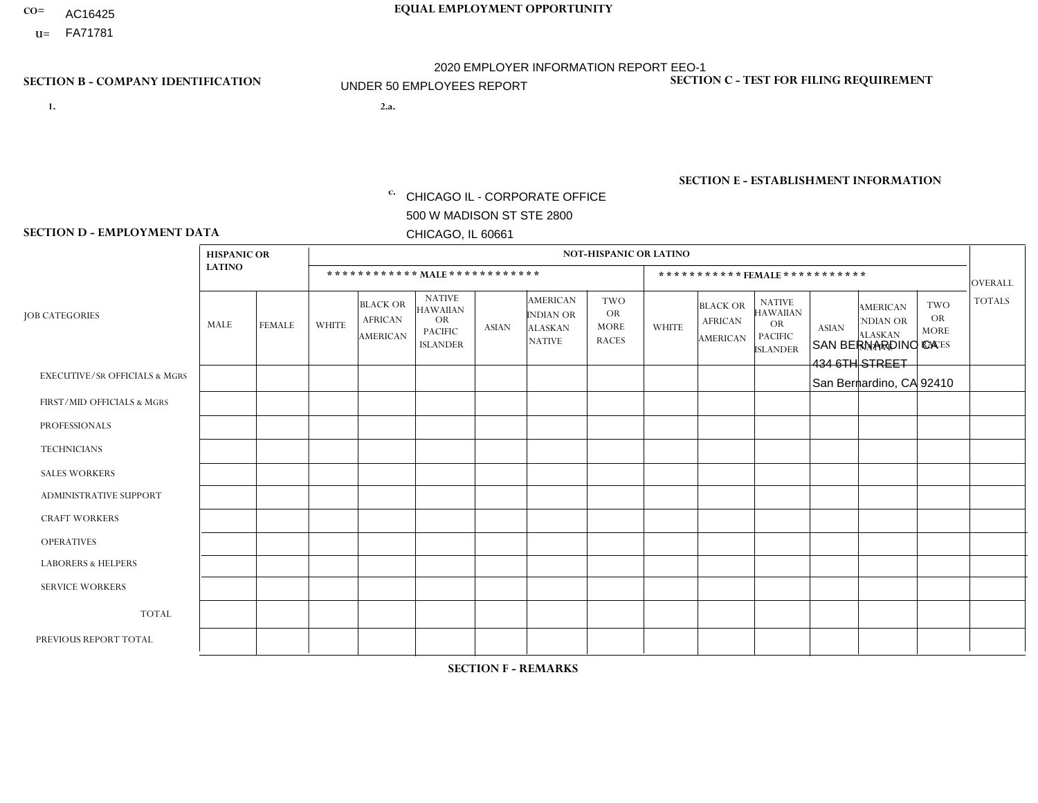- AC16425
- **U=**

- **1. 2.a.** CHICAGO IL CORPORATE OFFICE 500 W MADISON ST STE 2800 CHICAGO, IL 60661
- 2.a. SAN BERNARDINO CA 434 6TH STREET San Bernardino, CA 92410

EIN= 953406551

# **SECTION B - COMPANY IDENTIFICATION SECTION C - TEST FOR FILING REQUIREMENT**

1- Y 2- Y 3- N DUNS= 000123456

**SECTION E - ESTABLISHMENT INFORMATION c.** NAICS: 423140

### **SECTION D - EMPLOYMENT DATA**

|                                          | <b>HISPANIC OR</b>      |                |                |                                                      |                                                                                    |              |                                                                        | <b>NOT-HISPANIC OR LATINO</b>                          |              |                                               |                                                                                    |              |                                                                       |                                                        |                |
|------------------------------------------|-------------------------|----------------|----------------|------------------------------------------------------|------------------------------------------------------------------------------------|--------------|------------------------------------------------------------------------|--------------------------------------------------------|--------------|-----------------------------------------------|------------------------------------------------------------------------------------|--------------|-----------------------------------------------------------------------|--------------------------------------------------------|----------------|
|                                          | <b>LATINO</b>           |                |                | ************ MAIE************                        |                                                                                    |              |                                                                        |                                                        |              |                                               | ***********FEMALE ***********                                                      |              |                                                                       |                                                        | <b>OVERALL</b> |
| <b>JOB CATEGORIES</b>                    | <b>MALE</b>             | <b>FEMALE</b>  | <b>WHITE</b>   | <b>BLACK OR</b><br><b>AFRICAN</b><br><b>AMERICAN</b> | <b>NATIVE</b><br><b>HAWAIIAN</b><br><b>OR</b><br><b>PACIFIC</b><br><b>ISLANDER</b> | <b>ASIAN</b> | <b>AMERICAN</b><br><b>INDIAN OR</b><br><b>ALASKAN</b><br><b>NATIVE</b> | <b>TWO</b><br><b>OR</b><br><b>MORE</b><br><b>RACES</b> | <b>WHITE</b> | <b>BLACK OR</b><br><b>AFRICAN</b><br>AMERICAN | <b>NATIVE</b><br><b>HAWAIIAN</b><br><b>OR</b><br><b>PACIFIC</b><br><b>ISLANDER</b> | <b>ASIAN</b> | <b>AMERICAN</b><br><b>NDIAN OR</b><br><b>ALASKAN</b><br><b>NATIVE</b> | <b>TWO</b><br><b>OR</b><br><b>MORE</b><br><b>RACES</b> | <b>TOTALS</b>  |
| <b>EXECUTIVE/SR OFFICIALS &amp; MGRS</b> | $\Omega$                | $\Omega$       | $\Omega$       | $\mathbf 0$                                          | $\Omega$                                                                           | $\Omega$     | $\Omega$                                                               | $\Omega$                                               | $\Omega$     | $\mathbf{0}$                                  | $\mathbf{0}$                                                                       | $\Omega$     | $\Omega$                                                              | $\Omega$                                               | $\mathbf 0$    |
| FIRST/MID OFFICIALS & MGRS               | и                       | $\Omega$       | $\Omega$       | 0                                                    | 0                                                                                  | $\Omega$     | $\Omega$                                                               | $\Omega$                                               | $\Omega$     | $\Omega$                                      | $\Omega$                                                                           | $\Omega$     | $\Omega$                                                              | $\mathbf{0}$                                           | $\mathbf{1}$   |
| <b>PROFESSIONALS</b>                     | $\Omega$                | $\Omega$       | 1              | $\Omega$                                             | $\Omega$                                                                           | $\Omega$     | $\Omega$                                                               | $\Omega$                                               | $\Omega$     | $\Omega$                                      | $\Omega$                                                                           | $\Omega$     | $\Omega$                                                              | $\Omega$                                               | $\mathbf{1}$   |
| <b>TECHNICIANS</b>                       | $\Omega$                | $\mathbf 0$    | $\Omega$       | $\mathbf 0$                                          | 0                                                                                  | $\Omega$     | $\Omega$                                                               | $\Omega$                                               | $\mathbf{0}$ | $\Omega$                                      | $\Omega$                                                                           | $\Omega$     | $\Omega$                                                              | $\Omega$                                               | $\mathbf 0$    |
| <b>SALES WORKERS</b>                     | 1                       | $\Omega$       | 1              | $\mathbf{1}$                                         | $\Omega$                                                                           | $\Omega$     | $\Omega$                                                               | $\Omega$                                               | $\Omega$     | $\Omega$                                      | $\Omega$                                                                           | $\Omega$     | $\Omega$                                                              | $\mathbf{0}$                                           | 3              |
| <b>ADMINISTRATIVE SUPPORT</b>            | 1                       | 3              | $\Omega$       | $\Omega$                                             | $\Omega$                                                                           | $\Omega$     | $\Omega$                                                               | $\Omega$                                               | $\mathbf 1$  | $\Omega$                                      | $\Omega$                                                                           | $\Omega$     | $\Omega$                                                              | $\Omega$                                               | 5              |
| <b>CRAFT WORKERS</b>                     | 0                       | $\Omega$       | $\mathbf 0$    | $\mathbf 0$                                          | $\Omega$                                                                           | $\Omega$     | $\Omega$                                                               | $\Omega$                                               | $\Omega$     | $\Omega$                                      | $\Omega$                                                                           | $\Omega$     | $\Omega$                                                              | $\Omega$                                               | $\Omega$       |
| <b>OPERATIVES</b>                        | 17                      | $\Omega$       | $\overline{c}$ | $\overline{2}$                                       | 0                                                                                  | $\Omega$     | $\overline{0}$                                                         | $\Omega$                                               | $\Omega$     | $\Omega$                                      | $\mathbf{0}$                                                                       | $\Omega$     | $\Omega$                                                              | $\Omega$                                               | 21             |
| <b>LABORERS &amp; HELPERS</b>            | $\overline{\mathbf{A}}$ | $\Omega$       | $\Omega$       | $\mathbf 0$                                          | 0                                                                                  | $\Omega$     | $\Omega$                                                               | $\Omega$                                               | $\Omega$     | $\Omega$                                      | $\Omega$                                                                           | $\Omega$     | $\Omega$                                                              | $\Omega$                                               | $\mathbf{1}$   |
| <b>SERVICE WORKERS</b>                   | $\Omega$                | $\mathbf 0$    | 0              | $\mathbf 0$                                          | $\mathbf 0$                                                                        | $\mathbf 0$  | $\Omega$                                                               | $\Omega$                                               | $\Omega$     | $\Omega$                                      | $\Omega$                                                                           | $\mathbf 0$  | $\Omega$                                                              | $\mathbf 0$                                            | 0              |
| <b>TOTAL</b>                             | 21                      | 3              | 4              | 3                                                    | 0                                                                                  | $\mathbf 0$  | $\Omega$                                                               | $\Omega$                                               | $\mathbf 1$  | $\Omega$                                      | $\Omega$                                                                           | $\Omega$     | $\Omega$                                                              | $\Omega$                                               | 32             |
| PREVIOUS REPORT TOTAL                    | 20                      | $\overline{4}$ | 6              | $\mathbf{1}$                                         | 0                                                                                  | $\Omega$     | $\Omega$                                                               | $\Omega$                                               | $\mathbf 1$  | $\Omega$                                      | $\mathbf{0}$                                                                       | $\Omega$     | $\Omega$                                                              | $\mathbf 0$                                            | 32             |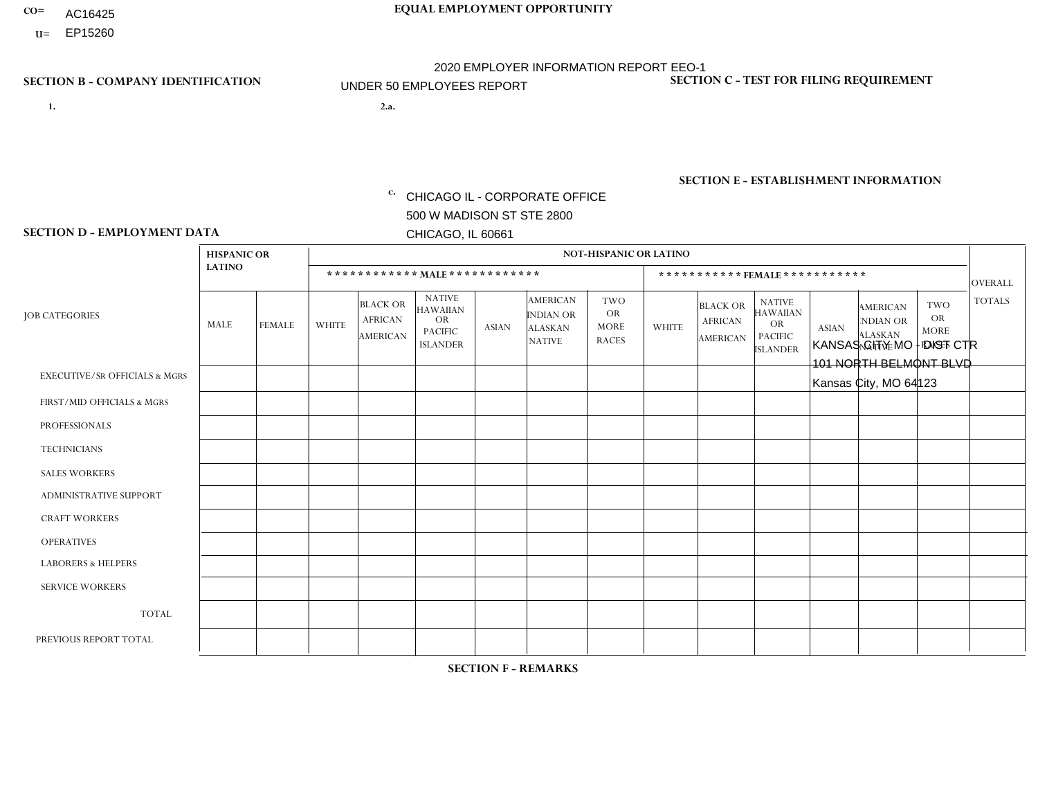- AC16425
- **U=**

**1. 2.a.** CHICAGO IL - CORPORATE OFFICE 500 W MADISON ST STE 2800 CHICAGO, IL 60661

2.a. KANSAS CITY MO - DIST CTR 101 NORTH BELMONT BLVD Kansas City, MO 64123

c. EIN= 952920557

# **SECTION B - COMPANY IDENTIFICATION SECTION C - TEST FOR FILING REQUIREMENT**

1- Y 2- Y 3- N DUNS= 000123456

**SECTION E - ESTABLISHMENT INFORMATION c.** NAICS: 339999

### **SECTION D - EMPLOYMENT DATA**

|                                          | <b>HISPANIC OR</b> |                |              |                                                      |                                                                                    |                      |                                                                        | <b>NOT-HISPANIC OR LATINO</b>                          |                |                                                      |                                                                                    |              |                                                                       |                                                        |                |
|------------------------------------------|--------------------|----------------|--------------|------------------------------------------------------|------------------------------------------------------------------------------------|----------------------|------------------------------------------------------------------------|--------------------------------------------------------|----------------|------------------------------------------------------|------------------------------------------------------------------------------------|--------------|-----------------------------------------------------------------------|--------------------------------------------------------|----------------|
|                                          | <b>LATINO</b>      |                |              | ************ MALE ************                       |                                                                                    |                      |                                                                        |                                                        |                |                                                      | *********** FEMALE ***********                                                     |              |                                                                       |                                                        | <b>OVERALL</b> |
| <b>JOB CATEGORIES</b>                    | <b>MALE</b>        | <b>FEMALE</b>  | <b>WHITE</b> | <b>BLACK OR</b><br><b>AFRICAN</b><br><b>AMERICAN</b> | <b>NATIVE</b><br><b>HAWAIIAN</b><br><b>OR</b><br><b>PACIFIC</b><br><b>ISLANDER</b> | <b>ASIAN</b>         | <b>AMERICAN</b><br><b>INDIAN OR</b><br><b>ALASKAN</b><br><b>NATIVE</b> | <b>TWO</b><br><b>OR</b><br><b>MORE</b><br><b>RACES</b> | <b>WHITE</b>   | <b>BLACK OR</b><br><b>AFRICAN</b><br><b>AMERICAN</b> | <b>NATIVE</b><br><b>HAWAIIAN</b><br><b>OR</b><br><b>PACIFIC</b><br><b>ISLANDER</b> | <b>ASIAN</b> | <b>AMERICAN</b><br><b>NDIAN OR</b><br><b>ALASKAN</b><br><b>NATIVE</b> | <b>TWO</b><br><b>OR</b><br><b>MORE</b><br><b>RACES</b> | <b>TOTALS</b>  |
| <b>EXECUTIVE/SR OFFICIALS &amp; MGRS</b> | $\Omega$           | $\Omega$       | $\mathbf{0}$ | $\mathbf 0$                                          | $\Omega$                                                                           | $\Omega$             | $\Omega$                                                               | $\Omega$                                               | $\Omega$       | $\Omega$                                             | $\Omega$                                                                           | $\Omega$     | $\Omega$                                                              | $\Omega$                                               | $\mathbf 0$    |
| FIRST/MID OFFICIALS & MGRS               | $\Omega$           | $\Omega$       | 3            | $\Omega$                                             | $\Omega$                                                                           | $\Omega$             | $\Omega$                                                               | $\Omega$                                               | 0              | $\Omega$                                             | 0                                                                                  | $\Omega$     | $\Omega$                                                              | $\Omega$                                               | 3              |
| <b>PROFESSIONALS</b>                     | $\Omega$           | $\Omega$       | $\Omega$     | $\mathbf 0$                                          | $\Omega$                                                                           | $\Omega$             | $\Omega$                                                               | $\Omega$                                               | $\Omega$       | $\Omega$                                             | 0                                                                                  | 0            | $\Omega$                                                              | $\mathbf 0$                                            | $\Omega$       |
| <b>TECHNICIANS</b>                       | $\Omega$           | $\mathbf 0$    | $\Omega$     | $\mathbf 0$                                          | $\mathbf 0$                                                                        | $\Omega$             | $\Omega$                                                               | $\Omega$                                               | 0              | $\mathbf 0$                                          | 0                                                                                  | $\mathbf 0$  | $\Omega$                                                              | $\mathbf 0$                                            | $\mathbf{0}$   |
| <b>SALES WORKERS</b>                     | $\Omega$           | $\Omega$       | $\Omega$     | $\Omega$                                             | $\Omega$                                                                           | $\Omega$             | $\Omega$                                                               | $\Omega$                                               | $\Omega$       | $\Omega$                                             | $\Omega$                                                                           | $\Omega$     | $\Omega$                                                              | $\Omega$                                               | $\Omega$       |
| <b>ADMINISTRATIVE SUPPORT</b>            | $\Omega$           | $\mathbf 0$    |              |                                                      | 0                                                                                  | $\Omega$             | $\Omega$                                                               | 1                                                      | 1              | $\mathbf{1}$                                         | $\Omega$                                                                           | $\mathbf 0$  | $\Omega$                                                              | $\mathbf 0$                                            | 5              |
| <b>CRAFT WORKERS</b>                     | $\Omega$           | $\Omega$       | $\mathbf{0}$ | $\mathbf 0$                                          | $\Omega$                                                                           | $\Omega$             | $\Omega$                                                               | $\Omega$                                               | 0              | $\Omega$                                             | $\Omega$                                                                           | $\Omega$     | $\Omega$                                                              | $\Omega$                                               | $\Omega$       |
| <b>OPERATIVES</b>                        | $\Omega$           | $\Omega$       | 4            | $\overline{1}$                                       | $\Omega$                                                                           | $\Omega$             | $\Omega$                                                               | $\Omega$                                               | $\Omega$       | $\Omega$                                             | 0                                                                                  | $\Omega$     | $\Omega$                                                              | $\Omega$                                               | 5              |
| <b>LABORERS &amp; HELPERS</b>            | 3                  | $\Omega$       | 8            | 8                                                    | 3                                                                                  | 3                    | $\Omega$                                                               | 5                                                      | $\overline{2}$ | 2                                                    | $\Omega$                                                                           | $\mathbf 0$  | $\Omega$                                                              | $\Omega$                                               | 34             |
| <b>SERVICE WORKERS</b>                   | $\Omega$           | $\Omega$       | $\mathbf{0}$ | $\mathbf 0$                                          | $\Omega$                                                                           | $\Omega$             | $\Omega$                                                               | $\Omega$                                               | 0              | $\Omega$                                             | $\Omega$                                                                           | $\Omega$     | $\Omega$                                                              | $\Omega$                                               | $\mathbf 0$    |
| <b>TOTAL</b>                             | 3                  | $\overline{0}$ | 16           | 10                                                   | 3                                                                                  | 3                    | $\Omega$                                                               | 6                                                      | 3              | 3                                                    | 0                                                                                  | $\mathbf 0$  | 0                                                                     | $\mathbf 0$                                            | 47             |
| PREVIOUS REPORT TOTAL                    | 5                  | $\Omega$       | 16           | 16                                                   | 4                                                                                  | $\blacktriangleleft$ | $\Omega$                                                               | 11                                                     | 3              | 2                                                    | $\Omega$                                                                           | $\Omega$     | $\Omega$                                                              | $\mathbf 0$                                            | 58             |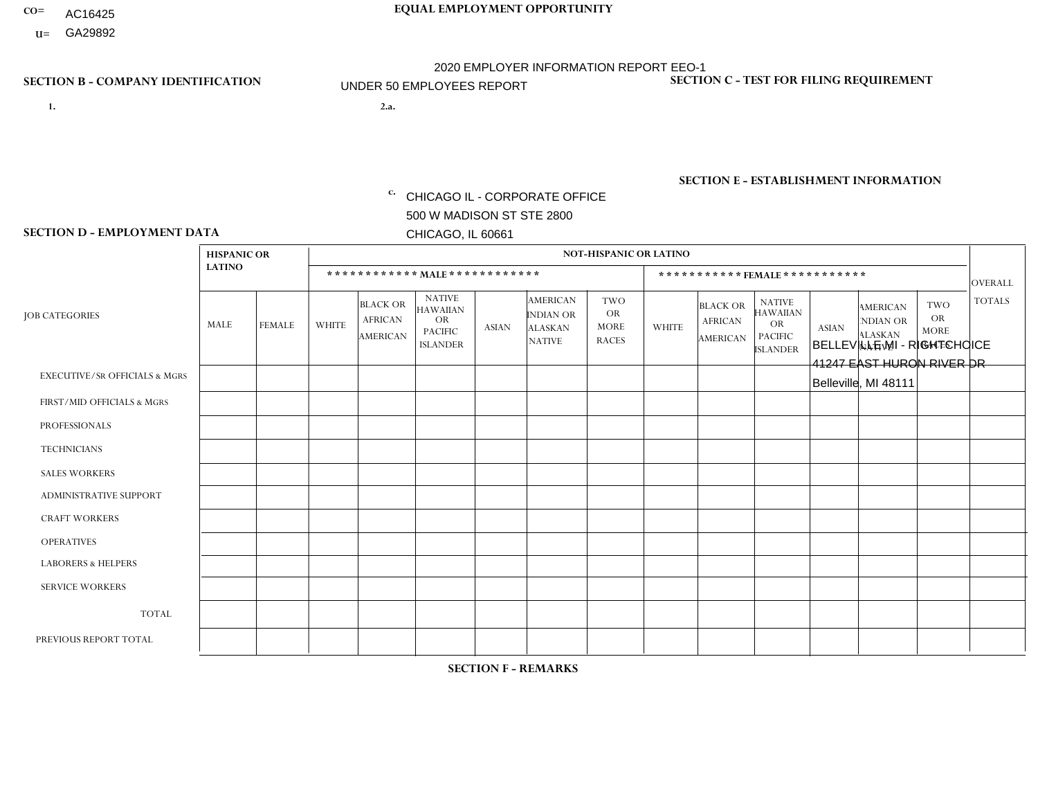- AC16425
- **U=**

- **1. 2.a.** CHICAGO IL CORPORATE OFFICE 500 W MADISON ST STE 2800 CHICAGO, IL 60661
- 2.a. BELLEVILLE MI RIGHTCHOICE 41247 EAST HURON RIVER DR Belleville, MI 48111

EIN= 952920557

# **SECTION B - COMPANY IDENTIFICATION SECTION C - TEST FOR FILING REQUIREMENT**

1- Y 2- Y 3- N DUNS= 000123456

**SECTION E - ESTABLISHMENT INFORMATION c.** NAICS: 423140

### **SECTION D - EMPLOYMENT DATA**

|                                          | <b>NOT-HISPANIC OR LATINO</b><br><b>HISPANIC OR</b> |                |                |                                                      |                                                                                    |          |                                                                        |                                                        |              |                                               |                                                                                    |              |                                                                       |                                                        |                |
|------------------------------------------|-----------------------------------------------------|----------------|----------------|------------------------------------------------------|------------------------------------------------------------------------------------|----------|------------------------------------------------------------------------|--------------------------------------------------------|--------------|-----------------------------------------------|------------------------------------------------------------------------------------|--------------|-----------------------------------------------------------------------|--------------------------------------------------------|----------------|
|                                          | <b>LATINO</b>                                       |                |                |                                                      | ************ MALE ************                                                     |          |                                                                        |                                                        |              | ***********FEMALE***********                  |                                                                                    |              |                                                                       |                                                        | <b>OVERALL</b> |
| <b>JOB CATEGORIES</b>                    | MALE                                                | <b>FEMALE</b>  | <b>WHITE</b>   | <b>BLACK OR</b><br><b>AFRICAN</b><br><b>AMERICAN</b> | <b>NATIVE</b><br><b>HAWAIIAN</b><br><b>OR</b><br><b>PACIFIC</b><br><b>ISLANDER</b> | ASIAN    | <b>AMERICAN</b><br><b>INDIAN OR</b><br><b>ALASKAN</b><br><b>NATIVE</b> | <b>TWO</b><br><b>OR</b><br><b>MORE</b><br><b>RACES</b> | <b>WHITE</b> | <b>BLACK OR</b><br><b>AFRICAN</b><br>AMERICAN | <b>NATIVE</b><br><b>HAWAIIAN</b><br><b>OR</b><br><b>PACIFIC</b><br><b>ISLANDER</b> | <b>ASIAN</b> | <b>AMERICAN</b><br><b>NDIAN OR</b><br><b>ALASKAN</b><br><b>NATIVE</b> | <b>TWO</b><br><b>OR</b><br><b>MORE</b><br><b>RACES</b> | <b>TOTALS</b>  |
| <b>EXECUTIVE/SR OFFICIALS &amp; MGRS</b> | $\Omega$                                            | $\Omega$       | $\mathbf 0$    | $\mathbf 0$                                          | $\mathbf 0$                                                                        | $\Omega$ | $\Omega$                                                               | $\Omega$                                               | $\Omega$     | $\Omega$                                      | $\Omega$                                                                           | $\mathbf 0$  | $\mathbf 0$                                                           | $\mathbf 0$                                            | $\mathbf 0$    |
| FIRST/MID OFFICIALS & MGRS               | 0                                                   | $\Omega$       | 3              | $\Omega$                                             | $\Omega$                                                                           | $\Omega$ | $\Omega$                                                               | $\Omega$                                               | 0            | $\Omega$                                      | $\Omega$                                                                           | $\mathbf{0}$ | $\Omega$                                                              | $\mathbf{0}$                                           | 3              |
| <b>PROFESSIONALS</b>                     | 0                                                   | $\Omega$       | $\mathbf 0$    | $\mathbf 0$                                          | $\Omega$                                                                           | $\Omega$ | $\Omega$                                                               | $\Omega$                                               | 0            | $\Omega$                                      | $\Omega$                                                                           | $\Omega$     | $\Omega$                                                              | $\mathbf{0}$                                           | $\mathbf{0}$   |
| <b>TECHNICIANS</b>                       | $\Omega$                                            | $\overline{0}$ | $\mathbf 0$    | $\mathbf 0$                                          | $\overline{0}$                                                                     | $\Omega$ | $\Omega$                                                               | $\Omega$                                               | $\Omega$     | $\Omega$                                      | $\Omega$                                                                           | $\Omega$     | $\Omega$                                                              | $\mathbf 0$                                            | $\overline{0}$ |
| <b>SALES WORKERS</b>                     | $\Omega$                                            | $\mathbf{1}$   | 4              | $\overline{2}$                                       | $\Omega$                                                                           | $\Omega$ | $\Omega$                                                               | $\overline{2}$                                         | 12           | 3                                             | $\Omega$                                                                           | $\Omega$     | $\Omega$                                                              | $\mathbf{1}$                                           | 25             |
| ADMINISTRATIVE SUPPORT                   | $\Omega$                                            | $\Omega$       | $\Omega$       | $\mathbf 0$                                          | $\Omega$                                                                           | $\Omega$ | $\Omega$                                                               | $\Omega$                                               | 1            | $\Omega$                                      | $\Omega$                                                                           | $\Omega$     | $\Omega$                                                              | $\Omega$                                               | $\mathbf{1}$   |
| <b>CRAFT WORKERS</b>                     | 0                                                   | $\Omega$       | $\mathbf 0$    | $\mathbf 0$                                          | $\Omega$                                                                           | $\Omega$ | $\Omega$                                                               | $\Omega$                                               | 0            | $\Omega$                                      | $\Omega$                                                                           | $\mathbf{0}$ | $\Omega$                                                              | $\Omega$                                               | $\mathbf 0$    |
| <b>OPERATIVES</b>                        | 0                                                   | $\Omega$       | $\Omega$       | $\Omega$                                             | $\Omega$                                                                           | $\Omega$ | $\Omega$                                                               | $\Omega$                                               | $\Omega$     | $\Omega$                                      | $\Omega$                                                                           | $\Omega$     | $\Omega$                                                              | $\Omega$                                               | $\overline{0}$ |
| <b>LABORERS &amp; HELPERS</b>            | 0                                                   | $\Omega$       | $\Omega$       | $\mathbf 0$                                          | $\Omega$                                                                           | $\Omega$ | $\Omega$                                                               | $\Omega$                                               | $\Omega$     | $\Omega$                                      | $\Omega$                                                                           | $\Omega$     | $\Omega$                                                              | $\Omega$                                               | $\overline{0}$ |
| <b>SERVICE WORKERS</b>                   | 0                                                   | $\Omega$       | $\overline{c}$ | $\mathbf{1}$                                         | $\mathbf{0}$                                                                       | $\Omega$ | $\Omega$                                                               | $\Omega$                                               | 8            | $\Omega$                                      | $\Omega$                                                                           | $\Omega$     | $\Omega$                                                              | $\mathbf{1}$                                           | 12             |
| <b>TOTAL</b>                             | $\Omega$                                            | $\mathbf{1}$   | 9              | 3                                                    | $\Omega$                                                                           | $\Omega$ | $\Omega$                                                               | $\overline{2}$                                         | 21           | 3                                             | $\Omega$                                                                           | $\mathbf{0}$ | $\Omega$                                                              | 2                                                      | 41             |
| PREVIOUS REPORT TOTAL                    | 0                                                   | $\mathbf{1}$   | 13             | $\overline{7}$                                       | $\Omega$                                                                           | $\Omega$ | $\Omega$                                                               | 3                                                      | 25           | 4                                             | $\Omega$                                                                           | $\Omega$     | $\Omega$                                                              | $\overline{2}$                                         | 55             |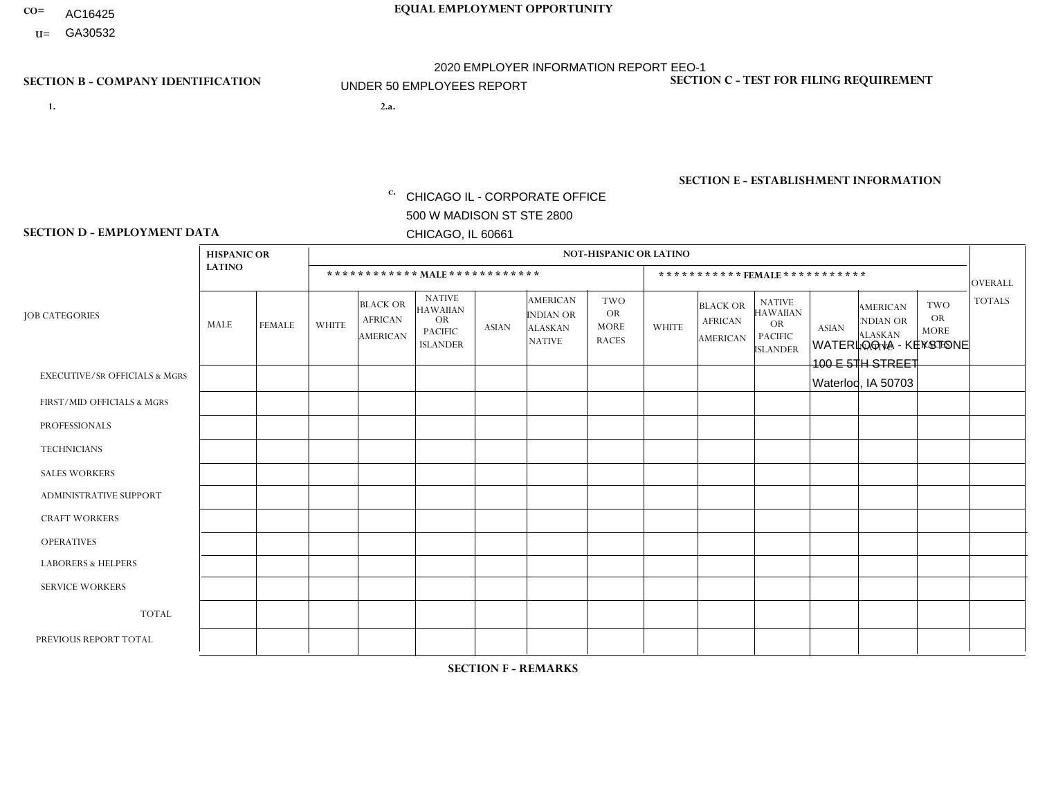- AC16425
- **U=**

**1. 2.a.** CHICAGO IL - CORPORATE OFFICE 500 W MADISON ST STE 2800 CHICAGO, IL 60661

WATERLOO IA - KEYSTONE 100 E 5TH STREET Waterloo, IA 50703

EIN= 952920557

# **SECTION B - COMPANY IDENTIFICATION SECTION C - TEST FOR FILING REQUIREMENT**

1- Y 2- Y 3- N DUNS= 000123456

**SECTION E - ESTABLISHMENT INFORMATION c.** NAICS: 339999

### **SECTION D - EMPLOYMENT DATA**

|                                          | <b>HISPANIC OR</b> |               |                |                                                      |                                                                                    |              |                                                                        | <b>NOT-HISPANIC OR LATINO</b>                          |              |                                               |                                                                                    |              |                                                                       |                                                        |                |
|------------------------------------------|--------------------|---------------|----------------|------------------------------------------------------|------------------------------------------------------------------------------------|--------------|------------------------------------------------------------------------|--------------------------------------------------------|--------------|-----------------------------------------------|------------------------------------------------------------------------------------|--------------|-----------------------------------------------------------------------|--------------------------------------------------------|----------------|
|                                          | <b>LATINO</b>      |               |                | ************ MALE ************                       |                                                                                    |              |                                                                        |                                                        |              |                                               | *********** FEMALE ***********                                                     |              |                                                                       |                                                        | <b>OVERALL</b> |
| <b>JOB CATEGORIES</b>                    | <b>MALE</b>        | <b>FEMALE</b> | <b>WHITE</b>   | <b>BLACK OR</b><br><b>AFRICAN</b><br><b>AMERICAN</b> | <b>NATIVE</b><br><b>HAWAIIAN</b><br><b>OR</b><br><b>PACIFIC</b><br><b>ISLANDER</b> | <b>ASIAN</b> | <b>AMERICAN</b><br><b>INDIAN OR</b><br><b>ALASKAN</b><br><b>NATIVE</b> | <b>TWO</b><br><b>OR</b><br><b>MORE</b><br><b>RACES</b> | <b>WHITE</b> | <b>BLACK OR</b><br><b>AFRICAN</b><br>AMERICAN | <b>NATIVE</b><br><b>HAWAIIAN</b><br><b>OR</b><br><b>PACIFIC</b><br><b>ISLANDER</b> | <b>ASIAN</b> | <b>AMERICAN</b><br><b>NDIAN OR</b><br><b>ALASKAN</b><br><b>NATIVE</b> | <b>TWO</b><br><b>OR</b><br><b>MORE</b><br><b>RACES</b> | <b>TOTALS</b>  |
| <b>EXECUTIVE/SR OFFICIALS &amp; MGRS</b> | $\Omega$           | $\Omega$      | $\Omega$       | $\mathbf 0$                                          | $\Omega$                                                                           | $\Omega$     | $\Omega$                                                               | $\Omega$                                               | $\Omega$     | $\Omega$                                      | $\Omega$                                                                           | $\Omega$     | $\Omega$                                                              | $\Omega$                                               | $\mathbf 0$    |
| FIRST/MID OFFICIALS & MGRS               | $\Omega$           | $\mathbf 0$   | $\overline{c}$ | $\mathbf 0$                                          | $\mathbf 0$                                                                        | $\mathbf 0$  | $\Omega$                                                               | $\Omega$                                               | 1            | $\mathbf{0}$                                  | $\Omega$                                                                           | $\mathbf 0$  | $\Omega$                                                              | $\Omega$                                               | 3              |
| <b>PROFESSIONALS</b>                     | $\Omega$           | $\Omega$      | $\Omega$       | $\mathbf 0$                                          | $\Omega$                                                                           | $\Omega$     | $\Omega$                                                               | $\Omega$                                               | $\Omega$     | $\Omega$                                      | $\Omega$                                                                           | $\Omega$     | $\Omega$                                                              | $\Omega$                                               | $\mathbf 0$    |
| <b>TECHNICIANS</b>                       | $\Omega$           | $\Omega$      | $\Omega$       | $\mathbf 0$                                          | $\Omega$                                                                           | $\Omega$     | $\overline{0}$                                                         | $\Omega$                                               | $\Omega$     | $\Omega$                                      | $\Omega$                                                                           | $\Omega$     | $\Omega$                                                              | $\mathbf{0}$                                           | $\mathbf 0$    |
| <b>SALES WORKERS</b>                     | $\Omega$           | $\Omega$      | 4              | $\Omega$                                             | 0                                                                                  | $\Omega$     | $\Omega$                                                               | $\Omega$                                               | $\mathbf{1}$ | $\Omega$                                      | $\Omega$                                                                           | $\Omega$     | $\Omega$                                                              | $\Omega$                                               | 5              |
| ADMINISTRATIVE SUPPORT                   | $\Omega$           | $\Omega$      | $\Omega$       | $\mathbf 0$                                          | $\mathbf{0}$                                                                       | $\Omega$     | $\Omega$                                                               | $\Omega$                                               | 1            | $\Omega$                                      | $\Omega$                                                                           | $\Omega$     | $\Omega$                                                              | $\Omega$                                               | $\mathbf{1}$   |
| <b>CRAFT WORKERS</b>                     | $\Omega$           | $\Omega$      | $\mathbf 0$    | $\mathbf 0$                                          | $\Omega$                                                                           | $\Omega$     | $\Omega$                                                               | $\Omega$                                               | $\Omega$     | $\Omega$                                      | $\Omega$                                                                           | $\Omega$     | $\Omega$                                                              | $\Omega$                                               | $\mathbf 0$    |
| <b>OPERATIVES</b>                        | $\Omega$           | $\mathbf 0$   | 2              | $\mathbf 0$                                          | $\mathbf{0}$                                                                       | $\Omega$     | $\overline{0}$                                                         | $\Omega$                                               | 1            | $\Omega$                                      | $\Omega$                                                                           | $\Omega$     | $\Omega$                                                              | $\Omega$                                               | 3              |
| <b>LABORERS &amp; HELPERS</b>            | 0                  | $\Omega$      | $\overline{c}$ | $\mathbf 0$                                          | 0                                                                                  | $\mathbf 0$  | $\Omega$                                                               | $\Omega$                                               | 1            | $\mathbf{0}$                                  | $\mathbf{0}$                                                                       | $\Omega$     | $\Omega$                                                              | $\Omega$                                               | 3              |
| <b>SERVICE WORKERS</b>                   | $\Omega$           | $\Omega$      | $\Omega$       | 0                                                    | $\mathbf{0}$                                                                       | $\mathbf 0$  | $\Omega$                                                               | $\Omega$                                               | $\Omega$     | $\Omega$                                      | $\Omega$                                                                           | $\Omega$     | $\Omega$                                                              | $\Omega$                                               | 0              |
| <b>TOTAL</b>                             | $\Omega$           | $\mathbf 0$   | 10             | $\mathbf 0$                                          | 0                                                                                  | $\mathbf 0$  | $\Omega$                                                               | $\Omega$                                               | 5            | $\Omega$                                      | $\Omega$                                                                           | $\mathbf 0$  | $\Omega$                                                              | $\Omega$                                               | 15             |
| PREVIOUS REPORT TOTAL                    | $\Omega$           | $\Omega$      | 14             | $\mathbf 0$                                          | $\mathbf{0}$                                                                       | $\Omega$     | $\Omega$                                                               | $\Omega$                                               | 5            | $\mathbf{0}$                                  | $\mathbf{0}$                                                                       | $\Omega$     | $\Omega$                                                              | $\Omega$                                               | 19             |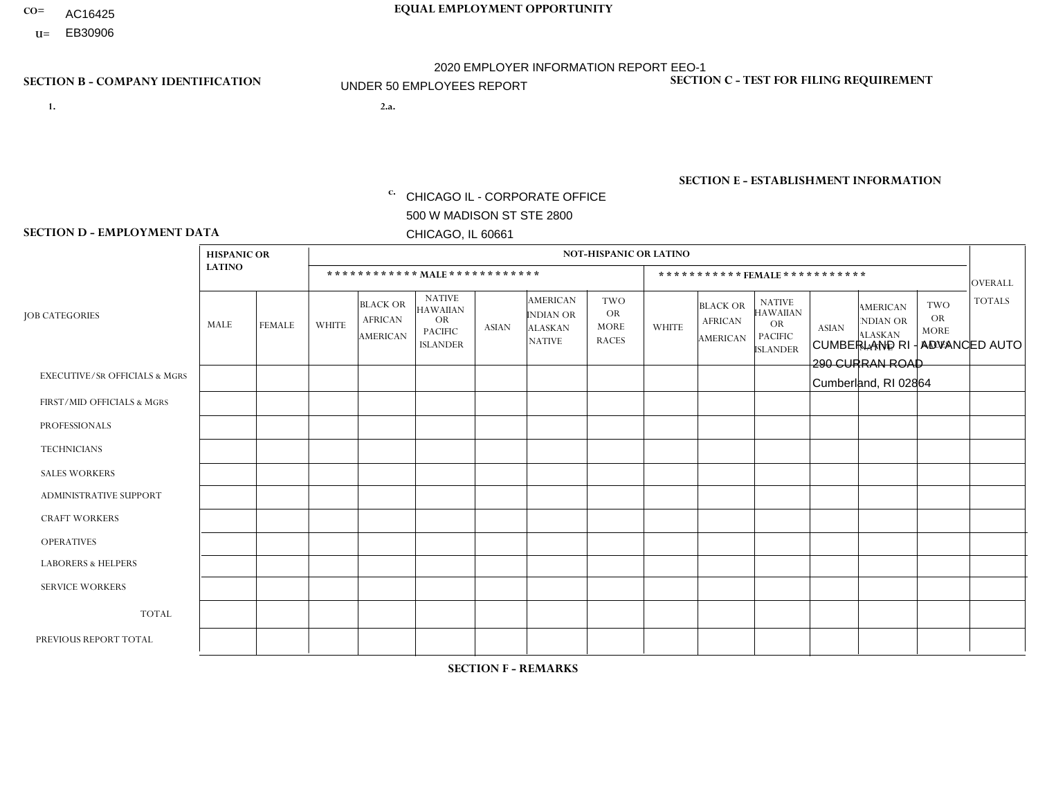- **CO= EQUAL EMPLOYMENT OPPORTUNITY** AC16425
	- **U=**

# **SECTION B - COMPANY IDENTIFICATION SECTION C - TEST FOR FILING REQUIREMENT**

**1. 2.a.** CHICAGO IL - CORPORATE OFFICE 500 W MADISON ST STE 2800 CHICAGO, IL 60661

2.a. CUMBERLAND RI - ADVANCED AUTO 290 CURRAN ROAD Cumberland, RI 02864

2020 EMPLOYER INFORMATION REPORT EEO-1 UNDER 50 EMPLOYEES REPORT

c. EIN= 952920557

1- Y 2- Y 3- N DUNS= 000123456

**SECTION E - ESTABLISHMENT INFORMATION c.** NAICS: 423140

### **SECTION D - EMPLOYMENT DATA**

|                                          | <b>HISPANIC OR</b> |               |                |                                                      |                                                                                    |              |                                                                        | <b>NOT-HISPANIC OR LATINO</b>                          |                |                                                      |                                                                             |                |                                                                       |                                                        |                |
|------------------------------------------|--------------------|---------------|----------------|------------------------------------------------------|------------------------------------------------------------------------------------|--------------|------------------------------------------------------------------------|--------------------------------------------------------|----------------|------------------------------------------------------|-----------------------------------------------------------------------------|----------------|-----------------------------------------------------------------------|--------------------------------------------------------|----------------|
|                                          | <b>LATINO</b>      |               |                | ************ MALE ************                       |                                                                                    |              |                                                                        |                                                        |                | ***********FEMALE***********                         |                                                                             |                |                                                                       |                                                        | <b>OVERALL</b> |
| <b>JOB CATEGORIES</b>                    | MALE               | <b>FEMALE</b> | <b>WHITE</b>   | <b>BLACK OR</b><br><b>AFRICAN</b><br><b>AMERICAN</b> | <b>NATIVE</b><br><b>HAWAIIAN</b><br><b>OR</b><br><b>PACIFIC</b><br><b>ISLANDER</b> | <b>ASIAN</b> | <b>AMERICAN</b><br><b>INDIAN OR</b><br><b>ALASKAN</b><br><b>NATIVE</b> | <b>TWO</b><br><b>OR</b><br><b>MORE</b><br><b>RACES</b> | <b>WHITE</b>   | <b>BLACK OR</b><br><b>AFRICAN</b><br><b>AMERICAN</b> | <b>NATIVE</b><br><b>HAWAIIAN</b><br>OR<br><b>PACIFIC</b><br><b>ISLANDER</b> | <b>ASIAN</b>   | <b>AMERICAN</b><br><b>NDIAN OR</b><br><b>ALASKAN</b><br><b>NATIVE</b> | <b>TWO</b><br><b>OR</b><br><b>MORE</b><br><b>RACES</b> | <b>TOTALS</b>  |
| <b>EXECUTIVE/SR OFFICIALS &amp; MGRS</b> | $\Omega$           | $\Omega$      | $\Omega$       | $\mathbf 0$                                          | $\Omega$                                                                           | $\Omega$     | $\Omega$                                                               | $\Omega$                                               | $\Omega$       | $\Omega$                                             | $\Omega$                                                                    | $\Omega$       | $\Omega$                                                              | $\Omega$                                               | $\mathbf 0$    |
| FIRST/MID OFFICIALS & MGRS               |                    | $\mathbf 0$   | $\overline{c}$ | $\mathbf 0$                                          | $\Omega$                                                                           | $\Omega$     | $\Omega$                                                               | $\Omega$                                               | 0              | $\Omega$                                             | $\Omega$                                                                    | $\Omega$       | $\Omega$                                                              | $\Omega$                                               | 3              |
| <b>PROFESSIONALS</b>                     | 0                  | $\Omega$      | $\Omega$       | $\mathbf 0$                                          | $\Omega$                                                                           | $\Omega$     | $\Omega$                                                               | $\Omega$                                               | 0              | $\Omega$                                             | $\Omega$                                                                    | $\Omega$       | $\Omega$                                                              | $\Omega$                                               | $\mathbf{0}$   |
| <b>TECHNICIANS</b>                       | 0                  | $\Omega$      | $\Omega$       | $\Omega$                                             | $\Omega$                                                                           | $\Omega$     | $\Omega$                                                               | $\Omega$                                               | $\Omega$       | $\Omega$                                             | $\Omega$                                                                    | $\Omega$       | $\Omega$                                                              | $\Omega$                                               | $\Omega$       |
| <b>SALES WORKERS</b>                     | 0                  | $\Omega$      | $\Omega$       | $\Omega$                                             | $\Omega$                                                                           | $\Omega$     | $\Omega$                                                               | $\Omega$                                               |                | $\Omega$                                             | $\Omega$                                                                    | $\Omega$       | $\Omega$                                                              | $\Omega$                                               | $\mathbf{1}$   |
| ADMINISTRATIVE SUPPORT                   | 0                  | $\Omega$      | 4              | $\mathbf 0$                                          | $\Omega$                                                                           | $\Omega$     | $\Omega$                                                               | $\Omega$                                               |                | $\Omega$                                             | $\Omega$                                                                    | $\Omega$       | $\Omega$                                                              | $\Omega$                                               | 5              |
| <b>CRAFT WORKERS</b>                     | 5                  | $\Omega$      | 9              | $\mathbf 0$                                          | $\Omega$                                                                           | $\Omega$     | $\Omega$                                                               | $\Omega$                                               | 0              | $\Omega$                                             | $\Omega$                                                                    | $\mathbf{0}$   | $\Omega$                                                              | $\mathbf{0}$                                           | 14             |
| <b>OPERATIVES</b>                        | 5                  | $\Omega$      | 4              | $\mathbf 0$                                          | $\Omega$                                                                           | $\Omega$     | $\Omega$                                                               | $\Omega$                                               | $\Omega$       | $\Omega$                                             | $\Omega$                                                                    | $\mathbf{0}$   | $\Omega$                                                              | $\mathbf{0}$                                           | 9              |
| <b>LABORERS &amp; HELPERS</b>            | 1                  | $\Omega$      | $\overline{1}$ | $\mathbf 0$                                          | $\mathbf 0$                                                                        | $\Omega$     | $\Omega$                                                               | $\Omega$                                               | $\Omega$       | $\Omega$                                             | $\Omega$                                                                    | $\mathbf{0}$   | $\Omega$                                                              | $\Omega$                                               | $\overline{2}$ |
| <b>SERVICE WORKERS</b>                   | 0                  | $\Omega$      | $\Omega$       | $\mathbf 0$                                          | $\mathbf{0}$                                                                       | $\Omega$     | $\Omega$                                                               | $\Omega$                                               | $\Omega$       | $\Omega$                                             | $\Omega$                                                                    | $\Omega$       | $\Omega$                                                              | $\Omega$                                               | $\overline{0}$ |
| <b>TOTAL</b>                             | 12                 | $\mathbf{0}$  | 20             | 0                                                    | 0                                                                                  | $\Omega$     | $\Omega$                                                               | $\Omega$                                               | $\overline{2}$ | $\Omega$                                             | $\Omega$                                                                    | $\mathbf 0$    | 0                                                                     | $\mathbf 0$                                            | 34             |
| PREVIOUS REPORT TOTAL                    | 13                 | $\Omega$      | 26             | $\mathbf{1}$                                         | $\Omega$                                                                           | $\Omega$     | 2                                                                      | 3                                                      |                | $\Omega$                                             | $\Omega$                                                                    | $\overline{1}$ | $\Omega$                                                              | $\Omega$                                               | 47             |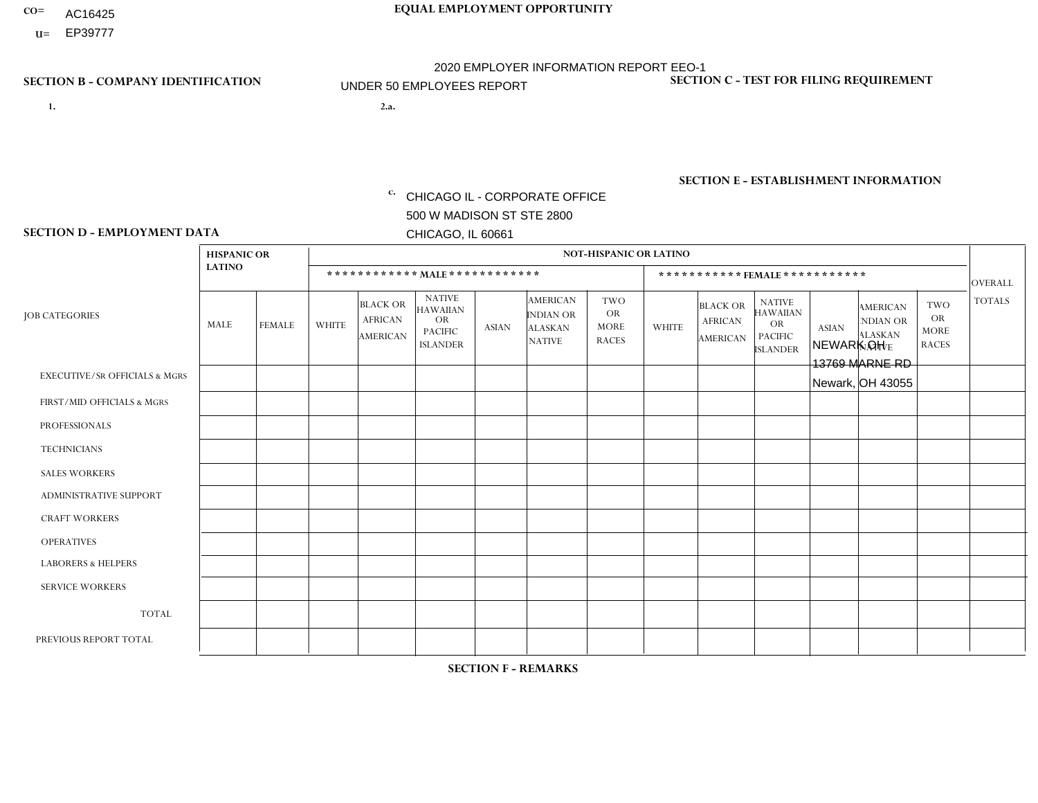- AC16425
- **U=**

**1. 2.a.** CHICAGO IL - CORPORATE OFFICE 500 W MADISON ST STE 2800 CHICAGO, IL 60661

2.a. NEWARK OH 13769 MARNE RD Newark, OH 43055

EIN= 952920557

# **SECTION B - COMPANY IDENTIFICATION SECTION C - TEST FOR FILING REQUIREMENT**

1- Y 2- Y 3- N DUNS= 000123456

**SECTION E - ESTABLISHMENT INFORMATION c.** NAICS: 423140

### **SECTION D - EMPLOYMENT DATA**

|                                          | <b>HISPANIC OR</b> |               |              |                                                      |                                                                                    |              |                                                                 | <b>NOT-HISPANIC OR LATINO</b>                          |                |                                                      |                                                                                    |              |                                                                       |                                                        |                |
|------------------------------------------|--------------------|---------------|--------------|------------------------------------------------------|------------------------------------------------------------------------------------|--------------|-----------------------------------------------------------------|--------------------------------------------------------|----------------|------------------------------------------------------|------------------------------------------------------------------------------------|--------------|-----------------------------------------------------------------------|--------------------------------------------------------|----------------|
|                                          | <b>LATINO</b>      |               |              | ************ MALE ************                       |                                                                                    |              |                                                                 |                                                        |                |                                                      | ***********FEMALE***********                                                       |              |                                                                       |                                                        | <b>OVERALL</b> |
| <b>JOB CATEGORIES</b>                    | <b>MALE</b>        | <b>FEMALE</b> | <b>WHITE</b> | <b>BLACK OR</b><br><b>AFRICAN</b><br><b>AMERICAN</b> | <b>NATIVE</b><br><b>HAWAIIAN</b><br><b>OR</b><br><b>PACIFIC</b><br><b>ISLANDER</b> | <b>ASIAN</b> | <b>AMERICAN</b><br>INDIAN OR<br><b>ALASKAN</b><br><b>NATIVE</b> | <b>TWO</b><br><b>OR</b><br><b>MORE</b><br><b>RACES</b> | <b>WHITE</b>   | <b>BLACK OR</b><br><b>AFRICAN</b><br><b>AMERICAN</b> | <b>NATIVE</b><br><b>HAWAIIAN</b><br><b>OR</b><br><b>PACIFIC</b><br><b>ISLANDER</b> | <b>ASIAN</b> | <b>AMERICAN</b><br><b>NDIAN OR</b><br><b>ALASKAN</b><br><b>NATIVE</b> | <b>TWO</b><br><b>OR</b><br><b>MORE</b><br><b>RACES</b> | <b>TOTALS</b>  |
| <b>EXECUTIVE/SR OFFICIALS &amp; MGRS</b> | $\mathbf{0}$       | $\Omega$      | $\Omega$     | $\Omega$                                             | 0                                                                                  | $\Omega$     | $\Omega$                                                        | $\Omega$                                               | $\Omega$       | $\mathbf{0}$                                         | $\Omega$                                                                           | $\Omega$     | $\Omega$                                                              | $\Omega$                                               | $\Omega$       |
| FIRST/MID OFFICIALS & MGRS               | $\Omega$           | $\Omega$      | 1            | $\Omega$                                             | $\mathbf 0$                                                                        | $\Omega$     | $\Omega$                                                        | $\Omega$                                               | $\mathbf 1$    | $\mathbf{0}$                                         | $\Omega$                                                                           | $\Omega$     | $\Omega$                                                              | $\Omega$                                               | $\overline{2}$ |
| <b>PROFESSIONALS</b>                     | $\Omega$           | $\Omega$      | $\mathbf 0$  | $\mathbf 0$                                          | $\overline{0}$                                                                     | $\Omega$     | $\Omega$                                                        | $\Omega$                                               | $\Omega$       | $\Omega$                                             | $\Omega$                                                                           | $\Omega$     | $\Omega$                                                              | $\Omega$                                               | $\mathbf 0$    |
| <b>TECHNICIANS</b>                       | $\Omega$           | $\Omega$      | $\Omega$     | $\Omega$                                             | 0                                                                                  | $\Omega$     | $\overline{0}$                                                  | $\Omega$                                               | $\Omega$       | $\Omega$                                             | $\Omega$                                                                           | $\Omega$     | $\mathbf{0}$                                                          | $\Omega$                                               | $\mathbf 0$    |
| <b>SALES WORKERS</b>                     | $\Omega$           | $\Omega$      | $\Omega$     | $\Omega$                                             | $\Omega$                                                                           | $\Omega$     | $\Omega$                                                        | $\Omega$                                               | $\Omega$       | $\Omega$                                             | $\Omega$                                                                           | $\Omega$     | $\Omega$                                                              | $\Omega$                                               | $\mathbf 0$    |
| <b>ADMINISTRATIVE SUPPORT</b>            | $\Omega$           | $\mathbf 0$   | $\Omega$     | $\mathbf 0$                                          | $\mathbf 0$                                                                        | $\mathbf 0$  | $\Omega$                                                        | $\Omega$                                               | 1              | $\mathbf{0}$                                         | $\Omega$                                                                           | $\Omega$     | $\Omega$                                                              | $\Omega$                                               | $\mathbf{1}$   |
| <b>CRAFT WORKERS</b>                     | $\Omega$           | $\Omega$      | 2            | $\mathbf 0$                                          | 0                                                                                  | $\Omega$     | $\Omega$                                                        | $\Omega$                                               | $\Omega$       | $\Omega$                                             | $\Omega$                                                                           | $\Omega$     | $\Omega$                                                              | $\Omega$                                               | $\overline{2}$ |
| <b>OPERATIVES</b>                        | $\Omega$           | $\Omega$      | 8            | $\mathbf 0$                                          | 0                                                                                  | $\Omega$     | $\Omega$                                                        | $\Omega$                                               | $\Omega$       | $\Omega$                                             | $\Omega$                                                                           | $\Omega$     | $\Omega$                                                              | $\Omega$                                               | 8              |
| <b>LABORERS &amp; HELPERS</b>            | $\Omega$           | $\Omega$      | 3            | $\mathbf 0$                                          | 0                                                                                  | $\Omega$     | $\Omega$                                                        | $\Omega$                                               | $\Omega$       | $\Omega$                                             | $\Omega$                                                                           | $\Omega$     | $\Omega$                                                              | $\Omega$                                               | 3              |
| <b>SERVICE WORKERS</b>                   | $\Omega$           | $\Omega$      | $\Omega$     | 0                                                    | $\mathbf{0}$                                                                       | $\Omega$     | $\Omega$                                                        | $\Omega$                                               | $\Omega$       | $\Omega$                                             | $\Omega$                                                                           | $\Omega$     | $\Omega$                                                              | $\Omega$                                               | 0              |
| <b>TOTAL</b>                             | $\mathbf{0}$       | 0             | 14           | $\mathbf 0$                                          | 0                                                                                  | $\mathbf{0}$ | $\mathbf{0}$                                                    | $\Omega$                                               | $\overline{2}$ | $\Omega$                                             | $\Omega$                                                                           | $\mathbf 0$  | $\Omega$                                                              | $\Omega$                                               | 16             |
| PREVIOUS REPORT TOTAL                    | $\Omega$           | $\Omega$      | 20           | $\mathbf 0$                                          | 0                                                                                  | $\Omega$     | $\overline{0}$                                                  | $\Omega$                                               | $\mathbf 1$    | $\Omega$                                             | $\mathbf{0}$                                                                       | $\Omega$     | $\Omega$                                                              | $\mathbf 0$                                            | 21             |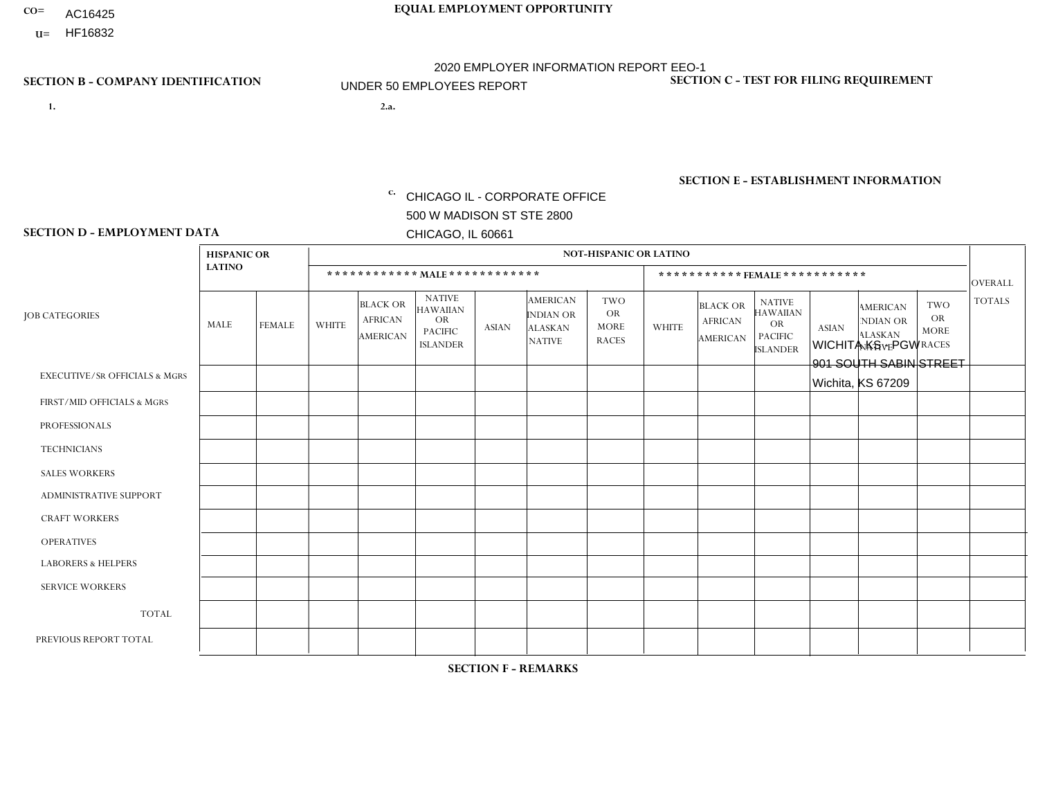- AC16425
- **U=**

- **1. 2.a.** CHICAGO IL CORPORATE OFFICE 500 W MADISON ST STE 2800 CHICAGO, IL 60661
- WICHITA KS PGW 901 SOUTH SABIN STREET Wichita, KS 67209

**SECTION B - COMPANY IDENTIFICATION SECTION C - TEST FOR FILING REQUIREMENT** 

1- Y 2- Y 3- N DUNS= 000123456

EIN= 952920557

## **SECTION E - ESTABLISHMENT INFORMATION c.** NAICS: 423140

### **SECTION D - EMPLOYMENT DATA**

|                                          | <b>HISPANIC OR</b> |               |                |                                                      |                                                                                    |              |                                                                 | <b>NOT-HISPANIC OR LATINO</b>                          |              |                                                      |                                                                                    |              |                                                                       |                                                        |               |
|------------------------------------------|--------------------|---------------|----------------|------------------------------------------------------|------------------------------------------------------------------------------------|--------------|-----------------------------------------------------------------|--------------------------------------------------------|--------------|------------------------------------------------------|------------------------------------------------------------------------------------|--------------|-----------------------------------------------------------------------|--------------------------------------------------------|---------------|
|                                          | <b>LATINO</b>      |               |                |                                                      | ************ MALE ************                                                     |              |                                                                 |                                                        |              |                                                      | ***********FEMALE***********                                                       |              |                                                                       |                                                        | OVERALL       |
| <b>JOB CATEGORIES</b>                    | MALE               | <b>FEMALE</b> | <b>WHITE</b>   | <b>BLACK OR</b><br><b>AFRICAN</b><br><b>AMERICAN</b> | <b>NATIVE</b><br><b>HAWAIIAN</b><br><b>OR</b><br><b>PACIFIC</b><br><b>ISLANDER</b> | <b>ASIAN</b> | <b>AMERICAN</b><br>INDIAN OR<br><b>ALASKAN</b><br><b>NATIVE</b> | <b>TWO</b><br><b>OR</b><br><b>MORE</b><br><b>RACES</b> | <b>WHITE</b> | <b>BLACK OR</b><br><b>AFRICAN</b><br><b>AMERICAN</b> | <b>NATIVE</b><br><b>HAWAIIAN</b><br><b>OR</b><br><b>PACIFIC</b><br><b>ISLANDER</b> | <b>ASIAN</b> | <b>AMERICAN</b><br><b>NDIAN OR</b><br><b>ALASKAN</b><br><b>NATIVE</b> | <b>TWO</b><br><b>OR</b><br><b>MORE</b><br><b>RACES</b> | <b>TOTALS</b> |
| <b>EXECUTIVE/SR OFFICIALS &amp; MGRS</b> | $\Omega$           | $\Omega$      | $\Omega$       | $\Omega$                                             | $\Omega$                                                                           | $\Omega$     | $\Omega$                                                        | $\Omega$                                               | $\Omega$     | $\Omega$                                             | $\mathbf{0}$                                                                       | $\Omega$     | $\Omega$                                                              | $\Omega$                                               | $\Omega$      |
| FIRST/MID OFFICIALS & MGRS               | 0                  | $\Omega$      | $\mathbf{1}$   | $\mathbf 0$                                          | $\mathbf 0$                                                                        | $\Omega$     | $\Omega$                                                        | $\Omega$                                               | $\Omega$     | $\Omega$                                             | $\mathbf{0}$                                                                       | $\Omega$     | $\mathbf{0}$                                                          | $\Omega$                                               | $\mathbf{1}$  |
| <b>PROFESSIONALS</b>                     | $\Omega$           | $\Omega$      | $\mathbf 0$    | $\mathbf 0$                                          | $\mathbf 0$                                                                        | $\Omega$     | $\Omega$                                                        | $\Omega$                                               | $\Omega$     | $\Omega$                                             | $\Omega$                                                                           | $\mathbf{0}$ | $\Omega$                                                              | $\Omega$                                               | $\mathbf 0$   |
| <b>TECHNICIANS</b>                       | 0                  | $\mathbf 0$   | $\mathbf 0$    | $\mathbf 0$                                          | $\mathbf 0$                                                                        | $\Omega$     | $\Omega$                                                        | $\Omega$                                               | $\Omega$     | $\Omega$                                             | $\mathbf 0$                                                                        | $\mathbf 0$  | $\Omega$                                                              | $\Omega$                                               | $\mathbf 0$   |
| <b>SALES WORKERS</b>                     | 0                  | $\Omega$      | $\mathbf{0}$   | $\Omega$                                             | $\Omega$                                                                           | $\Omega$     | $\mathbf{0}$                                                    | $\Omega$                                               | $\Omega$     | $\Omega$                                             | $\Omega$                                                                           | $\mathbf{0}$ | $\Omega$                                                              | $\mathbf{0}$                                           | $\Omega$      |
| <b>ADMINISTRATIVE SUPPORT</b>            | 0                  | $\Omega$      | $\mathbf 0$    | $\mathbf 0$                                          | $\mathbf 0$                                                                        | $\Omega$     | $\Omega$                                                        | $\Omega$                                               | $\Omega$     | $\Omega$                                             | $\Omega$                                                                           | $\Omega$     | $\mathbf{0}$                                                          | $\mathbf{0}$                                           | $\mathbf 0$   |
| <b>CRAFT WORKERS</b>                     | 0                  | $\Omega$      | $\mathbf 0$    | $\mathbf 0$                                          | $\Omega$                                                                           | $\Omega$     | $\Omega$                                                        | $\Omega$                                               | $\Omega$     | $\Omega$                                             | $\Omega$                                                                           | $\Omega$     | $\Omega$                                                              | $\Omega$                                               | $\mathbf 0$   |
| <b>OPERATIVES</b>                        | 0                  | $\mathbf 0$   | 5              | $\mathbf 0$                                          | $\mathbf 0$                                                                        | $\mathbf 0$  | $\Omega$                                                        | 1                                                      | $\Omega$     | $\Omega$                                             | $\mathbf{0}$                                                                       | $\Omega$     | $\mathbf{0}$                                                          | $\Omega$                                               | 6             |
| <b>LABORERS &amp; HELPERS</b>            | 0                  | $\Omega$      | $\overline{1}$ | $\Omega$                                             | $\Omega$                                                                           | $\Omega$     | $\Omega$                                                        | $\Omega$                                               | $\Omega$     | $\Omega$                                             | $\Omega$                                                                           | $\mathbf{0}$ | $\Omega$                                                              | $\Omega$                                               | $\mathbf{1}$  |
| <b>SERVICE WORKERS</b>                   | 0                  | $\mathbf 0$   | 0              | $\mathbf 0$                                          | $\mathbf 0$                                                                        | $\mathbf 0$  | $\mathbf{0}$                                                    | $\Omega$                                               | $\Omega$     | $\Omega$                                             | $\Omega$                                                                           | $\Omega$     | $\mathbf{0}$                                                          | $\Omega$                                               | $\mathbf 0$   |
| <b>TOTAL</b>                             | $\mathbf 0$        | $\mathbf 0$   | $\overline{7}$ | $\mathbf 0$                                          | $\mathbf 0$                                                                        | $\mathbf 0$  | $\mathbf{0}$                                                    | 1                                                      | $\Omega$     | $\Omega$                                             | $\Omega$                                                                           | $\mathbf 0$  | $\Omega$                                                              | $\Omega$                                               | 8             |
| PREVIOUS REPORT TOTAL                    | 0                  | $\mathbf 0$   | 6              | $\mathbf{1}$                                         | $\mathbf 0$                                                                        | $\Omega$     | $\Omega$                                                        | $\overline{2}$                                         | $\Omega$     | $\Omega$                                             | $\mathbf{0}$                                                                       | $\Omega$     | $\mathbf{0}$                                                          | $\Omega$                                               | 9             |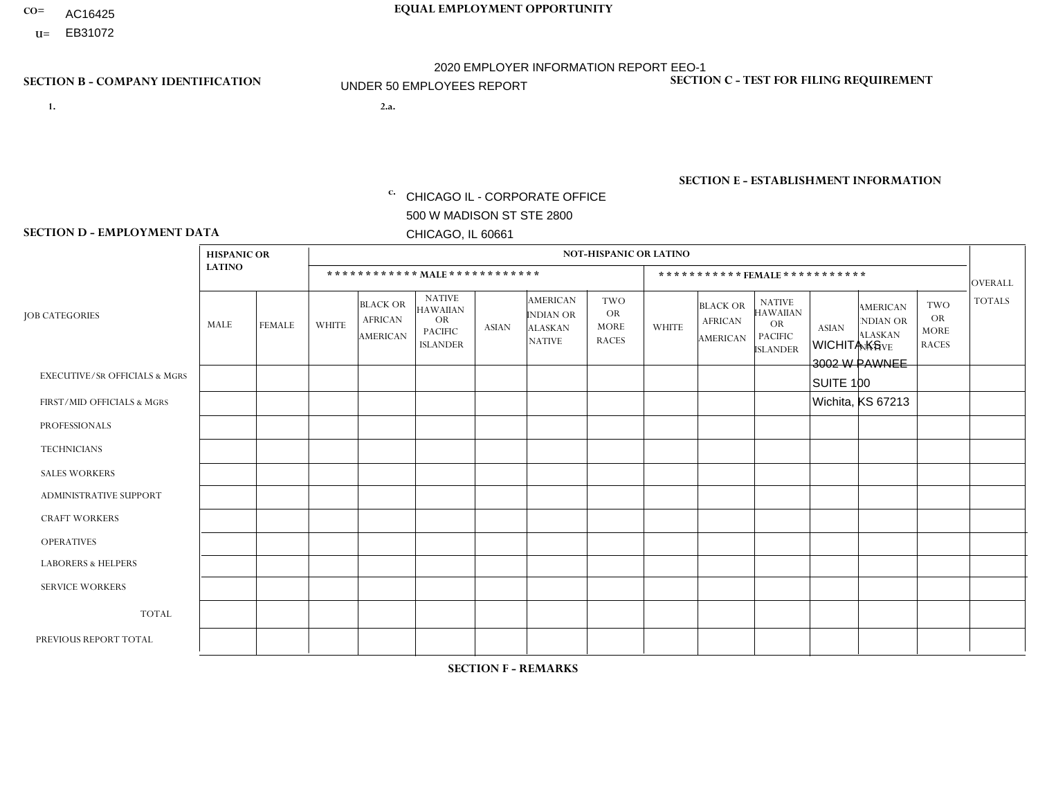- AC16425
- **U=**

**1. 2.a.** CHICAGO IL - CORPORATE OFFICE 500 W MADISON ST STE 2800 CHICAGO, IL 60661

2.a. WICHITA KS 3002 W PAWNEE SUITE 100 Wichita, KS 67213

EIN= 952920557

# **SECTION B - COMPANY IDENTIFICATION SECTION C - TEST FOR FILING REQUIREMENT**

1- Y 2- Y 3- N DUNS= 000123456

**SECTION E - ESTABLISHMENT INFORMATION c.** NAICS: 423140

### **SECTION D - EMPLOYMENT DATA**

|                                          | <b>HISPANIC OR</b> |                |                |                                                      |                                                                                    |              |                                                                        | <b>NOT-HISPANIC OR LATINO</b>                          |                |                                               |                                                                                    |              |                                                                       |                                                        |                |
|------------------------------------------|--------------------|----------------|----------------|------------------------------------------------------|------------------------------------------------------------------------------------|--------------|------------------------------------------------------------------------|--------------------------------------------------------|----------------|-----------------------------------------------|------------------------------------------------------------------------------------|--------------|-----------------------------------------------------------------------|--------------------------------------------------------|----------------|
|                                          | <b>LATINO</b>      |                |                |                                                      | ************ MAIE************                                                      |              |                                                                        |                                                        |                |                                               | *********** FEMALE ***********                                                     |              |                                                                       |                                                        | <b>OVERALL</b> |
| <b>JOB CATEGORIES</b>                    | MALE               | <b>FEMALE</b>  | <b>WHITE</b>   | <b>BLACK OR</b><br><b>AFRICAN</b><br><b>AMERICAN</b> | <b>NATIVE</b><br><b>HAWAIIAN</b><br><b>OR</b><br><b>PACIFIC</b><br><b>ISLANDER</b> | <b>ASIAN</b> | <b>AMERICAN</b><br><b>INDIAN OR</b><br><b>ALASKAN</b><br><b>NATIVE</b> | <b>TWO</b><br><b>OR</b><br><b>MORE</b><br><b>RACES</b> | <b>WHITE</b>   | <b>BLACK OR</b><br><b>AFRICAN</b><br>AMERICAN | <b>NATIVE</b><br><b>HAWAIIAN</b><br><b>OR</b><br><b>PACIFIC</b><br><b>ISLANDER</b> | <b>ASIAN</b> | <b>AMERICAN</b><br><b>NDIAN OR</b><br><b>ALASKAN</b><br><b>NATIVE</b> | <b>TWO</b><br><b>OR</b><br><b>MORE</b><br><b>RACES</b> | <b>TOTALS</b>  |
| <b>EXECUTIVE/SR OFFICIALS &amp; MGRS</b> | $\mathbf{0}$       | $\mathbf 0$    | $\mathbf 0$    | 0                                                    | $\Omega$                                                                           | $\Omega$     | $\Omega$                                                               | 0                                                      | $\Omega$       | $\mathbf{0}$                                  | $\Omega$                                                                           | $\mathbf 0$  | $\Omega$                                                              | $\Omega$                                               | $\Omega$       |
| FIRST/MID OFFICIALS & MGRS               | $\mathbf 0$        | $\mathbf 0$    | $\overline{2}$ | 0                                                    | $\mathbf{0}$                                                                       | $\Omega$     | $\Omega$                                                               | 0                                                      | $\Omega$       | $\mathbf{0}$                                  | $\Omega$                                                                           | $\mathbf 0$  | $\Omega$                                                              | $\Omega$                                               | $\overline{2}$ |
| <b>PROFESSIONALS</b>                     | $\mathbf 0$        | $\mathbf 0$    | $\mathbf 0$    | 0                                                    | $\mathbf{0}$                                                                       | $\Omega$     | $\Omega$                                                               | $\Omega$                                               | $\Omega$       | $\Omega$                                      | $\Omega$                                                                           | $\mathbf 0$  | $\Omega$                                                              | $\mathbf 0$                                            | $\mathbf 0$    |
| <b>TECHNICIANS</b>                       | $\mathbf 0$        | $\mathbf 0$    | $\mathbf 0$    | 0                                                    | $\Omega$                                                                           | $\Omega$     | $\Omega$                                                               | $\Omega$                                               | $\Omega$       | $\Omega$                                      | $\Omega$                                                                           | $\mathbf 0$  | 0                                                                     | $\Omega$                                               | $\mathbf 0$    |
| <b>SALES WORKERS</b>                     | $\overline{1}$     | $\mathbf 0$    | 11             | 0                                                    | $\Omega$                                                                           | $\Omega$     | $\Omega$                                                               | $\overline{1}$                                         | $\mathbf{1}$   | $\mathbf 0$                                   | 0                                                                                  | $\mathbf 0$  | $\mathbf 0$                                                           | $\Omega$                                               | 14             |
| ADMINISTRATIVE SUPPORT                   | $\mathbf 0$        | 1              | $\mathbf 0$    | 0                                                    | $\Omega$                                                                           | $\Omega$     | $\Omega$                                                               | $\Omega$                                               | $\Omega$       | $\Omega$                                      | $\Omega$                                                                           | $\Omega$     | $\Omega$                                                              | $\Omega$                                               | $\overline{1}$ |
| <b>CRAFT WORKERS</b>                     | $\mathbf{0}$       | $\mathbf 0$    | $\Omega$       | 0                                                    | $\Omega$                                                                           | $\mathbf{0}$ | $\Omega$                                                               | 0                                                      | $\Omega$       | $\mathbf{0}$                                  | $\Omega$                                                                           | $\Omega$     | $\Omega$                                                              | $\Omega$                                               | $\mathbf 0$    |
| <b>OPERATIVES</b>                        | 0                  | $\mathbf 0$    | $\overline{1}$ | 0                                                    | $\Omega$                                                                           | $\Omega$     | $\Omega$                                                               | 0                                                      | $\Omega$       | $\Omega$                                      | $\Omega$                                                                           | $\Omega$     | $\Omega$                                                              | $\Omega$                                               | -1             |
| <b>LABORERS &amp; HELPERS</b>            | $\mathbf 0$        | $\mathbf 0$    | $\overline{2}$ | 0                                                    | $\Omega$                                                                           | $\Omega$     | $\Omega$                                                               | 1                                                      | $\Omega$       | $\Omega$                                      | $\Omega$                                                                           | $\Omega$     | $\Omega$                                                              | $\Omega$                                               | 3              |
| <b>SERVICE WORKERS</b>                   | $\mathbf{0}$       | $\overline{0}$ | $\Omega$       | 0                                                    | $\Omega$                                                                           | $\Omega$     | $\Omega$                                                               | 0                                                      | $\Omega$       | $\mathbf{0}$                                  | $\Omega$                                                                           | $\Omega$     | $\Omega$                                                              | $\Omega$                                               | $\mathbf 0$    |
| <b>TOTAL</b>                             | $\overline{1}$     | $\overline{1}$ | 16             | 0                                                    | $\Omega$                                                                           | $\mathbf{0}$ | $\Omega$                                                               | 2                                                      | $\overline{1}$ | $\mathbf{0}$                                  | $\Omega$                                                                           | $\Omega$     | $\Omega$                                                              | $\Omega$                                               | 21             |
| PREVIOUS REPORT TOTAL                    |                    | 1              | 16             | 0                                                    | $\mathbf 0$                                                                        | $\Omega$     | $\Omega$                                                               | $\overline{2}$                                         | 0              | $\mathbf 0$                                   | 0                                                                                  | 0            | 0                                                                     | $\mathbf 0$                                            | 20             |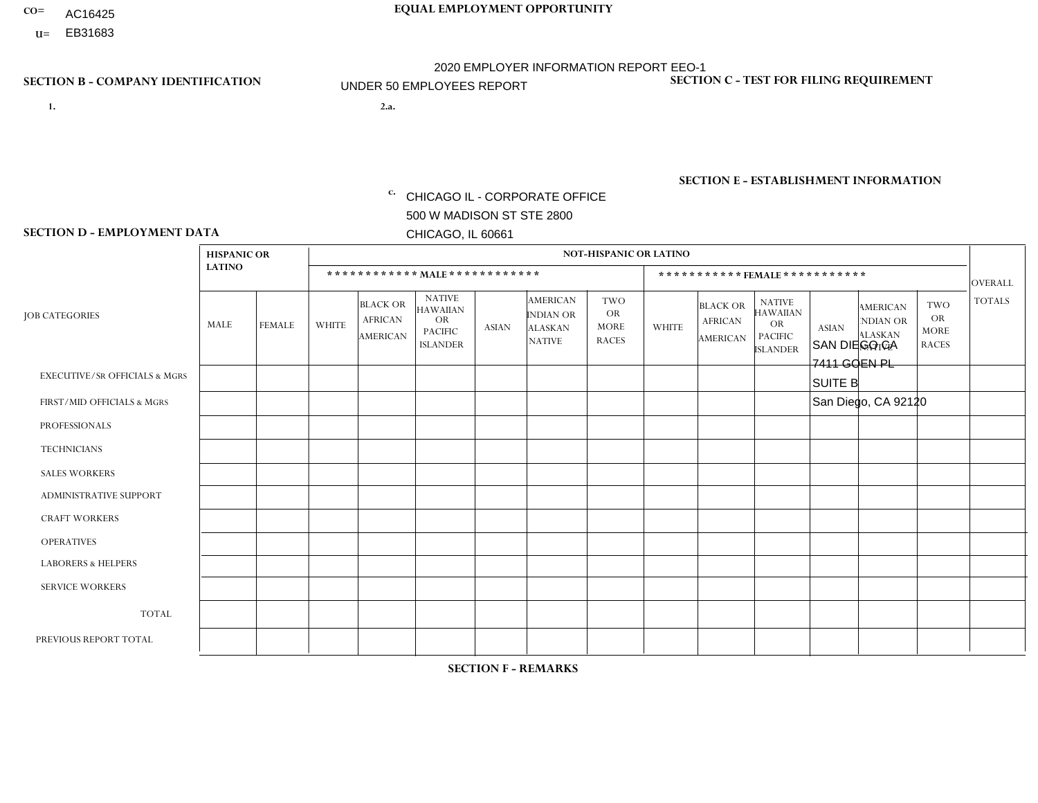- AC16425
- **U=**

**1. 2.a.** CHICAGO IL - CORPORATE OFFICE 500 W MADISON ST STE 2800 CHICAGO, IL 60661

2.a. SAN DIEGO CA 7411 GOEN PL SUITE B San Diego, CA 92120

EIN= 952920557

# **SECTION B - COMPANY IDENTIFICATION SECTION C - TEST FOR FILING REQUIREMENT**

1- Y 2- Y 3- N DUNS= 000123456

**SECTION E - ESTABLISHMENT INFORMATION c.** NAICS: 423140

### **SECTION D - EMPLOYMENT DATA**

|                                          | <b>HISPANIC OR</b> |                |                |                                                      |                                                                                    |                |                                                                        | <b>NOT-HISPANIC OR LATINO</b>                          |                |                                               |                                                                                    |              |                                                                       |                                                        |                |
|------------------------------------------|--------------------|----------------|----------------|------------------------------------------------------|------------------------------------------------------------------------------------|----------------|------------------------------------------------------------------------|--------------------------------------------------------|----------------|-----------------------------------------------|------------------------------------------------------------------------------------|--------------|-----------------------------------------------------------------------|--------------------------------------------------------|----------------|
|                                          | <b>LATINO</b>      |                |                |                                                      | ************ MALE ************                                                     |                |                                                                        |                                                        |                |                                               | *********** FEMALE ***********                                                     |              |                                                                       |                                                        | <b>OVERALL</b> |
| <b>JOB CATEGORIES</b>                    | MALE               | <b>FEMALE</b>  | <b>WHITE</b>   | <b>BLACK OR</b><br><b>AFRICAN</b><br><b>AMERICAN</b> | <b>NATIVE</b><br><b>HAWAIIAN</b><br><b>OR</b><br><b>PACIFIC</b><br><b>ISLANDER</b> | ASIAN          | <b>AMERICAN</b><br><b>INDIAN OR</b><br><b>ALASKAN</b><br><b>NATIVE</b> | <b>TWO</b><br><b>OR</b><br><b>MORE</b><br><b>RACES</b> | <b>WHITE</b>   | <b>BLACK OR</b><br><b>AFRICAN</b><br>AMERICAN | <b>NATIVE</b><br><b>HAWAIIAN</b><br><b>OR</b><br><b>PACIFIC</b><br><b>ISLANDER</b> | <b>ASIAN</b> | <b>AMERICAN</b><br><b>NDIAN OR</b><br><b>ALASKAN</b><br><b>NATIVE</b> | <b>TWO</b><br><b>OR</b><br><b>MORE</b><br><b>RACES</b> | <b>TOTALS</b>  |
| <b>EXECUTIVE/SR OFFICIALS &amp; MGRS</b> | $\mathbf 0$        | 0              | $\mathbf 0$    | $\mathbf 0$                                          | 0                                                                                  | $\mathbf 0$    | $\Omega$                                                               | $\Omega$                                               | $\Omega$       | $\Omega$                                      | $\Omega$                                                                           | $\mathbf 0$  | 0                                                                     | $\mathbf 0$                                            | $\mathbf 0$    |
| FIRST/MID OFFICIALS & MGRS               | 1                  | $\Omega$       | 1              | $\mathbf 0$                                          | $\Omega$                                                                           | $\Omega$       | $\Omega$                                                               | $\Omega$                                               | 1              | $\Omega$                                      | $\Omega$                                                                           | $\Omega$     | $\Omega$                                                              | $\Omega$                                               | 3              |
| <b>PROFESSIONALS</b>                     | 0                  | $\mathbf 0$    | $\mathbf 0$    | $\mathbf 0$                                          | $\Omega$                                                                           | $\Omega$       | $\Omega$                                                               | $\Omega$                                               | 0              | $\Omega$                                      | $\Omega$                                                                           | $\mathbf{0}$ | $\Omega$                                                              | $\mathbf{0}$                                           | $\mathbf{0}$   |
| <b>TECHNICIANS</b>                       | 0                  | $\Omega$       | $\mathbf 0$    | $\mathbf 0$                                          | $\Omega$                                                                           | $\Omega$       | $\Omega$                                                               | $\Omega$                                               | 0              | $\Omega$                                      | $\Omega$                                                                           | $\Omega$     | $\Omega$                                                              | $\Omega$                                               | $\mathbf{0}$   |
| <b>SALES WORKERS</b>                     | 4                  | $\overline{0}$ | 2              | $\mathbf 0$                                          | $\overline{0}$                                                                     | $\mathbf{1}$   | $\Omega$                                                               | $\Omega$                                               | $\Omega$       | $\Omega$                                      | $\Omega$                                                                           | $\Omega$     | 0                                                                     | $\mathbf 0$                                            | $\overline{7}$ |
| <b>ADMINISTRATIVE SUPPORT</b>            | $\Omega$           | $\Omega$       | $\Omega$       | $\mathbf 0$                                          | $\mathbf 0$                                                                        | $\overline{1}$ | $\Omega$                                                               | $\Omega$                                               | $\overline{0}$ | $\Omega$                                      | $\Omega$                                                                           | $\Omega$     | $\Omega$                                                              | $\Omega$                                               | $\mathbf{1}$   |
| <b>CRAFT WORKERS</b>                     | 0                  | 0              | $\Omega$       | $\mathbf 0$                                          | 0                                                                                  | $\Omega$       | $\Omega$                                                               | $\Omega$                                               | $\Omega$       | $\Omega$                                      | $\Omega$                                                                           | $\Omega$     | $\mathbf{0}$                                                          | $\Omega$                                               | $\mathbf 0$    |
| <b>OPERATIVES</b>                        | 6                  | $\Omega$       | -1             | $\mathbf 0$                                          |                                                                                    | 2              | $\Omega$                                                               | $\Omega$                                               | $\Omega$       | $\Omega$                                      | $\Omega$                                                                           | $\Omega$     | $\Omega$                                                              | $\mathbf{0}$                                           | 10             |
| <b>LABORERS &amp; HELPERS</b>            | 3                  | 0              | 3              | $\mathbf 0$                                          | 0                                                                                  | $\mathbf 0$    | $\Omega$                                                               | $\overline{2}$                                         | $\Omega$       | $\Omega$                                      | $\Omega$                                                                           | $\Omega$     | $\Omega$                                                              | $\Omega$                                               | 8              |
| <b>SERVICE WORKERS</b>                   | 0                  | $\Omega$       | $\mathbf 0$    | $\mathbf 0$                                          | 0                                                                                  | $\mathbf 0$    | $\Omega$                                                               | $\Omega$                                               | 0              | $\Omega$                                      | $\Omega$                                                                           | $\Omega$     | $\Omega$                                                              | $\Omega$                                               | $\mathbf 0$    |
| <b>TOTAL</b>                             | 14                 | $\mathbf 0$    | $\overline{7}$ | $\mathbf 0$                                          |                                                                                    | $\overline{4}$ | $\mathbf{0}$                                                           | $\overline{2}$                                         |                | $\Omega$                                      | $\Omega$                                                                           | $\mathbf{0}$ | $\Omega$                                                              | $\mathbf 0$                                            | 29             |
| PREVIOUS REPORT TOTAL                    | 20                 | $\mathbf{0}$   | 9              | $\overline{2}$                                       |                                                                                    | 3              | $\Omega$                                                               | 3                                                      |                | $\Omega$                                      | $\Omega$                                                                           | $\mathbf 0$  | 0                                                                     | $\mathbf 0$                                            | 39             |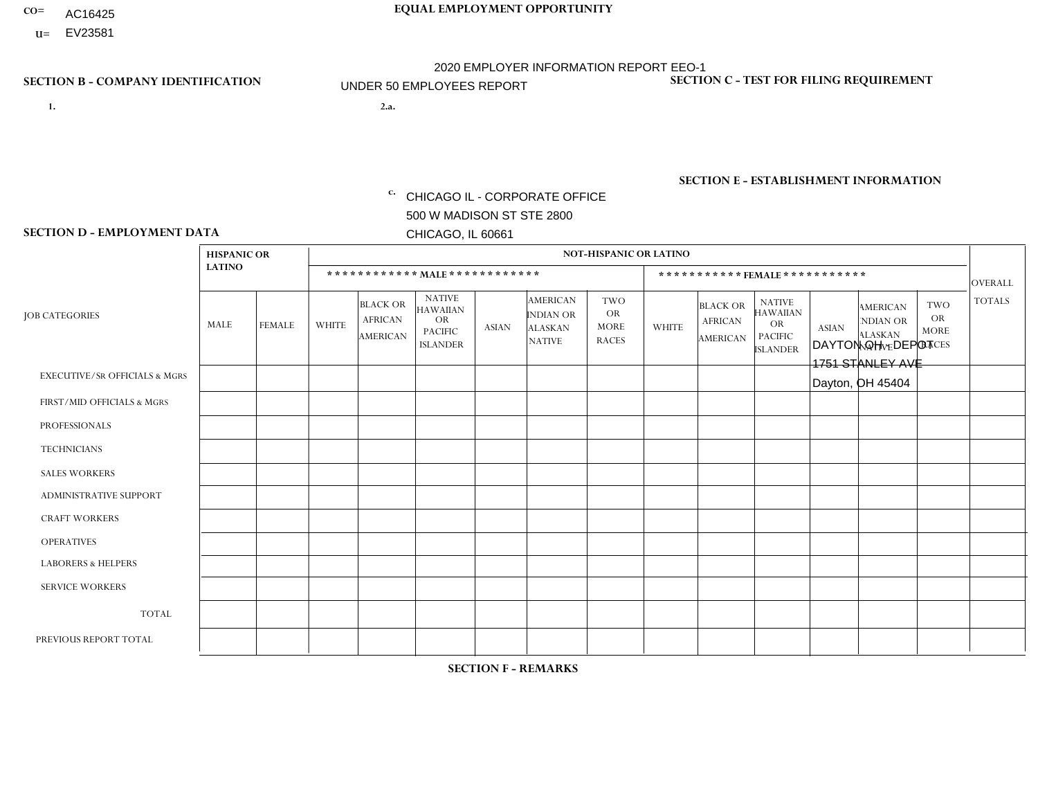- AC16425
- **U=**

**1. 2.a.** CHICAGO IL - CORPORATE OFFICE 500 W MADISON ST STE 2800 CHICAGO, IL 60661

2.a. DAYTON OH - DEPOT 1751 STANLEY AVE Dayton, OH 45404

EIN= 952920557

# **SECTION B - COMPANY IDENTIFICATION SECTION C - TEST FOR FILING REQUIREMENT**

1- Y 2- Y 3- N DUNS= 000123456

**SECTION E - ESTABLISHMENT INFORMATION c.** NAICS: 423140

### **SECTION D - EMPLOYMENT DATA**

|                                          | <b>HISPANIC OR</b> |               |                |                                                      |                                                                                    |              |                                                                 | <b>NOT-HISPANIC OR LATINO</b>                          |                |                                               |                                                                             |              |                                                                       |                                                        |                |
|------------------------------------------|--------------------|---------------|----------------|------------------------------------------------------|------------------------------------------------------------------------------------|--------------|-----------------------------------------------------------------|--------------------------------------------------------|----------------|-----------------------------------------------|-----------------------------------------------------------------------------|--------------|-----------------------------------------------------------------------|--------------------------------------------------------|----------------|
|                                          | <b>LATINO</b>      |               |                | ************ MALE ************                       |                                                                                    |              |                                                                 |                                                        |                |                                               | *********** FEMALE ***********                                              |              |                                                                       |                                                        | <b>OVERALL</b> |
| <b>JOB CATEGORIES</b>                    | <b>MALE</b>        | <b>FEMALE</b> | <b>WHITE</b>   | <b>BLACK OR</b><br><b>AFRICAN</b><br><b>AMERICAN</b> | <b>NATIVE</b><br><b>HAWAIIAN</b><br><b>OR</b><br><b>PACIFIC</b><br><b>ISLANDER</b> | <b>ASIAN</b> | <b>AMERICAN</b><br>INDIAN OR<br><b>ALASKAN</b><br><b>NATIVE</b> | <b>TWO</b><br><b>OR</b><br><b>MORE</b><br><b>RACES</b> | <b>WHITE</b>   | <b>BLACK OR</b><br><b>AFRICAN</b><br>AMERICAN | <b>NATIVE</b><br><b>HAWAIIAN</b><br>OR<br><b>PACIFIC</b><br><b>ISLANDER</b> | <b>ASIAN</b> | <b>AMERICAN</b><br><b>NDIAN OR</b><br><b>ALASKAN</b><br><b>NATIVE</b> | <b>TWO</b><br><b>OR</b><br><b>MORE</b><br><b>RACES</b> | <b>TOTALS</b>  |
| <b>EXECUTIVE/SR OFFICIALS &amp; MGRS</b> | $\Omega$           | $\Omega$      | $\Omega$       | $\mathbf 0$                                          | $\Omega$                                                                           | $\Omega$     | $\Omega$                                                        | $\Omega$                                               | $\Omega$       | $\Omega$                                      | $\Omega$                                                                    | $\mathbf 0$  | $\Omega$                                                              | $\Omega$                                               | $\mathbf 0$    |
| FIRST/MID OFFICIALS & MGRS               | $\Omega$           | $\Omega$      | $\overline{1}$ | $\Omega$                                             | $\Omega$                                                                           | $\mathbf{0}$ | $\Omega$                                                        | $\Omega$                                               | $\Omega$       | $\Omega$                                      | $\Omega$                                                                    | $\Omega$     | $\Omega$                                                              | $\Omega$                                               | $\mathbf{1}$   |
| <b>PROFESSIONALS</b>                     | $\Omega$           | $\Omega$      | $\Omega$       | $\Omega$                                             | $\Omega$                                                                           | $\mathbf{0}$ | $\Omega$                                                        | $\Omega$                                               | 0              | $\Omega$                                      | 0                                                                           | $\Omega$     | $\Omega$                                                              | $\Omega$                                               | $\mathbf{0}$   |
| <b>TECHNICIANS</b>                       | $\Omega$           | $\Omega$      | $\Omega$       | $\mathbf 0$                                          | $\Omega$                                                                           | $\Omega$     | $\Omega$                                                        | $\Omega$                                               | 0              | $\Omega$                                      | 0                                                                           | $\mathbf 0$  | $\Omega$                                                              | 0                                                      | $\overline{0}$ |
| <b>SALES WORKERS</b>                     | $\Omega$           | $\Omega$      | $\Omega$       | $\Omega$                                             | $\Omega$                                                                           | $\Omega$     | $\Omega$                                                        | $\Omega$                                               | $\overline{0}$ | $\Omega$                                      | $\overline{0}$                                                              | $\Omega$     | $\Omega$                                                              | $\Omega$                                               | $\mathbf 0$    |
| ADMINISTRATIVE SUPPORT                   | $\Omega$           | $\Omega$      | $\mathbf{0}$   | $\Omega$                                             | $\Omega$                                                                           | $\Omega$     | $\Omega$                                                        | $\Omega$                                               | 0              | $\Omega$                                      | 0                                                                           | $\Omega$     | $\Omega$                                                              | $\Omega$                                               | $\Omega$       |
| <b>CRAFT WORKERS</b>                     | $\Omega$           | $\Omega$      | $\Omega$       | $\mathbf 0$                                          | $\Omega$                                                                           | $\Omega$     | $\Omega$                                                        | $\Omega$                                               | $\Omega$       | $\Omega$                                      | $\Omega$                                                                    | $\Omega$     | $\Omega$                                                              | $\Omega$                                               | $\Omega$       |
| <b>OPERATIVES</b>                        | $\Omega$           | $\Omega$      | 3              | $\overline{A}$                                       | $\Omega$                                                                           | $\Omega$     | $\Omega$                                                        | $\Omega$                                               | 0              | $\mathbf{1}$                                  | 0                                                                           | $\Omega$     | $\Omega$                                                              | $\Omega$                                               | 5              |
| <b>LABORERS &amp; HELPERS</b>            | $\Omega$           | $\Omega$      | $\Omega$       | $\Omega$                                             | $\Omega$                                                                           | $\Omega$     | $\Omega$                                                        | $\Omega$                                               | $\Omega$       | $\Omega$                                      | 0                                                                           | $\Omega$     | $\Omega$                                                              | $\Omega$                                               | $\mathbf{0}$   |
| <b>SERVICE WORKERS</b>                   | $\Omega$           | $\mathbf 0$   | $\mathbf 0$    | 0                                                    | $\mathbf 0$                                                                        | $\mathbf 0$  | $\Omega$                                                        | $\Omega$                                               | $\Omega$       | $\Omega$                                      | $\mathbf 0$                                                                 | $\mathbf 0$  | $\Omega$                                                              | $\mathbf 0$                                            | $\mathbf{0}$   |
| <b>TOTAL</b>                             | $\Omega$           | 0             | 4              | $\overline{A}$                                       | $\mathbf 0$                                                                        | $\mathbf 0$  | $\Omega$                                                        | $\Omega$                                               | 0              | $\blacktriangleleft$                          | 0                                                                           | $\mathbf 0$  | $\Omega$                                                              | $\mathbf 0$                                            | 6              |
| PREVIOUS REPORT TOTAL                    |                    | $\Omega$      | 3              | $\overline{A}$                                       | 0                                                                                  | $\Omega$     | $\Omega$                                                        | $\Omega$                                               | $\Omega$       | $\Omega$                                      | 0                                                                           | $\Omega$     | $\Omega$                                                              | $\mathbf 0$                                            | 5              |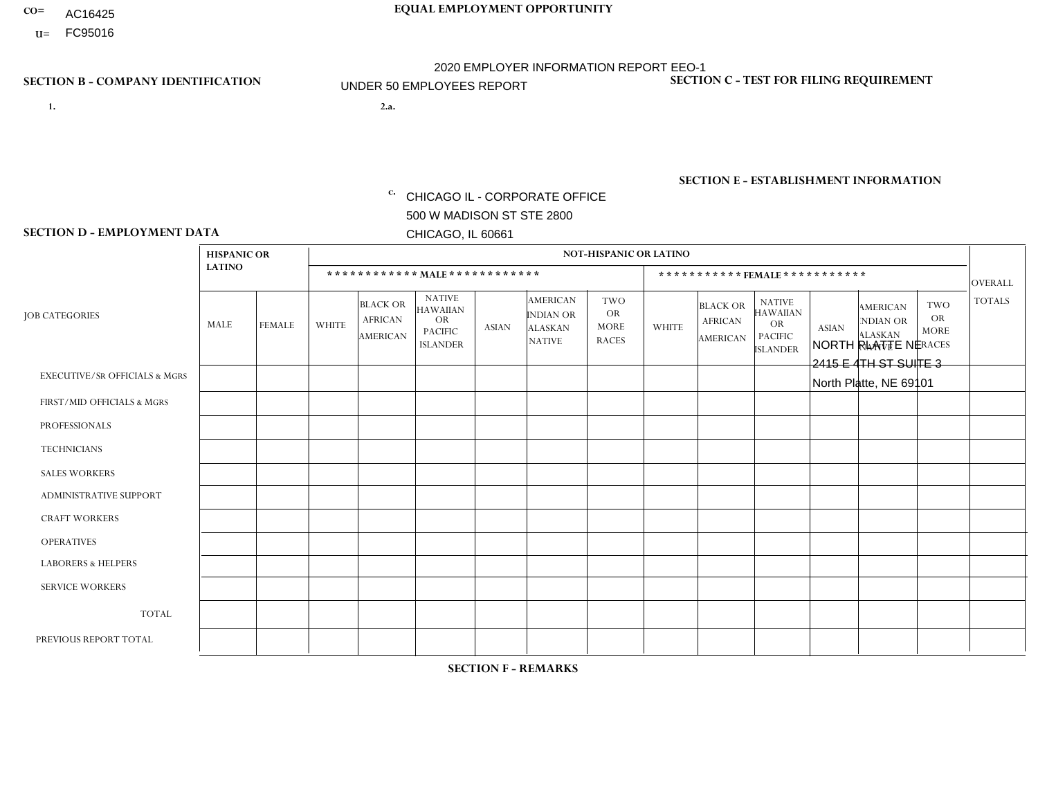- AC16425
- **U=** FC95016

**1. 2.a.** CHICAGO IL - CORPORATE OFFICE 500 W MADISON ST STE 2800 CHICAGO, IL 60661

2.a. NORTH PLATTE NE 2415 E 4TH ST SUITE 3 North Platte, NE 69101

EIN= 952920557

# **SECTION B - COMPANY IDENTIFICATION SECTION C - TEST FOR FILING REQUIREMENT**

1- Y 2- Y 3- N DUNS= 000123456

**SECTION E - ESTABLISHMENT INFORMATION c.** NAICS: 423140

### **SECTION D - EMPLOYMENT DATA**

|                                          | <b>HISPANIC OR</b> |               |                |                                                      |                                                                                    |              |                                                                 | <b>NOT-HISPANIC OR LATINO</b>                          |                |                                                      |                                                                                    |              |                                                                       |                                                        |                |
|------------------------------------------|--------------------|---------------|----------------|------------------------------------------------------|------------------------------------------------------------------------------------|--------------|-----------------------------------------------------------------|--------------------------------------------------------|----------------|------------------------------------------------------|------------------------------------------------------------------------------------|--------------|-----------------------------------------------------------------------|--------------------------------------------------------|----------------|
|                                          | <b>LATINO</b>      |               |                | ************ MALE ************                       |                                                                                    |              |                                                                 |                                                        |                |                                                      | ***********FEMALE***********                                                       |              |                                                                       |                                                        | <b>OVERALL</b> |
| <b>JOB CATEGORIES</b>                    | <b>MALE</b>        | <b>FEMALE</b> | <b>WHITE</b>   | <b>BLACK OR</b><br><b>AFRICAN</b><br><b>AMERICAN</b> | <b>NATIVE</b><br><b>HAWAIIAN</b><br><b>OR</b><br><b>PACIFIC</b><br><b>ISLANDER</b> | <b>ASIAN</b> | <b>AMERICAN</b><br>INDIAN OR<br><b>ALASKAN</b><br><b>NATIVE</b> | <b>TWO</b><br><b>OR</b><br><b>MORE</b><br><b>RACES</b> | <b>WHITE</b>   | <b>BLACK OR</b><br><b>AFRICAN</b><br><b>AMERICAN</b> | <b>NATIVE</b><br><b>HAWAIIAN</b><br><b>OR</b><br><b>PACIFIC</b><br><b>ISLANDER</b> | <b>ASIAN</b> | <b>AMERICAN</b><br><b>NDIAN OR</b><br><b>ALASKAN</b><br><b>NATIVE</b> | <b>TWO</b><br><b>OR</b><br><b>MORE</b><br><b>RACES</b> | <b>TOTALS</b>  |
| <b>EXECUTIVE/SR OFFICIALS &amp; MGRS</b> | $\mathbf{0}$       | $\Omega$      | $\Omega$       | $\Omega$                                             | 0                                                                                  | $\Omega$     | $\Omega$                                                        | $\Omega$                                               | $\Omega$       | $\mathbf{0}$                                         | $\Omega$                                                                           | $\Omega$     | $\Omega$                                                              | $\Omega$                                               | $\Omega$       |
| FIRST/MID OFFICIALS & MGRS               | $\Omega$           | $\Omega$      | $\Omega$       | $\mathbf 0$                                          | $\mathbf 0$                                                                        | $\Omega$     | $\Omega$                                                        | $\Omega$                                               | 1              | $\mathbf{0}$                                         | $\Omega$                                                                           | $\Omega$     | $\Omega$                                                              | $\Omega$                                               | $\mathbf{1}$   |
| <b>PROFESSIONALS</b>                     | $\Omega$           | $\Omega$      | $\mathbf 0$    | $\mathbf 0$                                          | $\overline{0}$                                                                     | $\Omega$     | $\Omega$                                                        | $\Omega$                                               | $\Omega$       | $\Omega$                                             | $\Omega$                                                                           | $\Omega$     | $\Omega$                                                              | $\mathbf{0}$                                           | $\mathbf 0$    |
| <b>TECHNICIANS</b>                       | $\Omega$           | $\Omega$      | $\Omega$       | $\Omega$                                             | 0                                                                                  | $\Omega$     | $\overline{0}$                                                  | $\Omega$                                               | $\Omega$       | $\Omega$                                             | $\Omega$                                                                           | $\Omega$     | $\mathbf{0}$                                                          | $\Omega$                                               | $\mathbf 0$    |
| <b>SALES WORKERS</b>                     | $\Omega$           | $\Omega$      | $\overline{c}$ | $\mathbf{0}$                                         | $\Omega$                                                                           | $\Omega$     | $\mathbf{1}$                                                    | $\Omega$                                               | $\mathbf{1}$   | $\Omega$                                             | $\Omega$                                                                           | $\Omega$     | $\Omega$                                                              | $\mathbf{0}$                                           | $\overline{4}$ |
| <b>ADMINISTRATIVE SUPPORT</b>            | $\Omega$           | $\mathbf 0$   | $\Omega$       | $\mathbf 0$                                          | $\mathbf 0$                                                                        | $\mathbf 0$  | $\Omega$                                                        | $\Omega$                                               | $\Omega$       | $\Omega$                                             | $\Omega$                                                                           | $\Omega$     | $\Omega$                                                              | $\Omega$                                               | $\mathbf 0$    |
| <b>CRAFT WORKERS</b>                     | $\Omega$           | $\Omega$      | $\Omega$       | 0                                                    | 0                                                                                  | $\Omega$     | $\Omega$                                                        | $\Omega$                                               | $\Omega$       | $\Omega$                                             | $\Omega$                                                                           | $\Omega$     | $\Omega$                                                              | $\Omega$                                               | $\Omega$       |
| <b>OPERATIVES</b>                        | $\Omega$           | $\Omega$      | $\Omega$       | $\mathbf 0$                                          | 0                                                                                  | $\Omega$     | $\Omega$                                                        | $\Omega$                                               | $\Omega$       | $\Omega$                                             | $\Omega$                                                                           | $\Omega$     | $\Omega$                                                              | $\Omega$                                               | 0              |
| <b>LABORERS &amp; HELPERS</b>            | $\Omega$           | $\Omega$      | 1              | $\mathbf 0$                                          | 0                                                                                  | $\Omega$     | $\Omega$                                                        | $\Omega$                                               | $\Omega$       | $\Omega$                                             | $\Omega$                                                                           | $\Omega$     | $\Omega$                                                              | $\mathbf{0}$                                           | $\mathbf{1}$   |
| <b>SERVICE WORKERS</b>                   | $\Omega$           | $\Omega$      | $\Omega$       | 0                                                    | $\mathbf 0$                                                                        | $\Omega$     | $\Omega$                                                        | $\Omega$                                               | $\Omega$       | $\Omega$                                             | $\Omega$                                                                           | $\Omega$     | $\Omega$                                                              | $\Omega$                                               | 0              |
| <b>TOTAL</b>                             | 0                  | $\mathbf 0$   | 3              | $\mathbf 0$                                          | 0                                                                                  | $\mathbf 0$  | 1                                                               | $\Omega$                                               | $\overline{2}$ | $\Omega$                                             | $\Omega$                                                                           | $\mathbf 0$  | $\Omega$                                                              | $\mathbf 0$                                            | 6              |
| PREVIOUS REPORT TOTAL                    | $\Omega$           | $\mathbf 0$   | 4              | $\mathbf 0$                                          | 0                                                                                  | $\Omega$     | 1                                                               | $\Omega$                                               | 2              | $\Omega$                                             | $\mathbf{0}$                                                                       | $\Omega$     | $\Omega$                                                              | $\mathbf 0$                                            | $\overline{7}$ |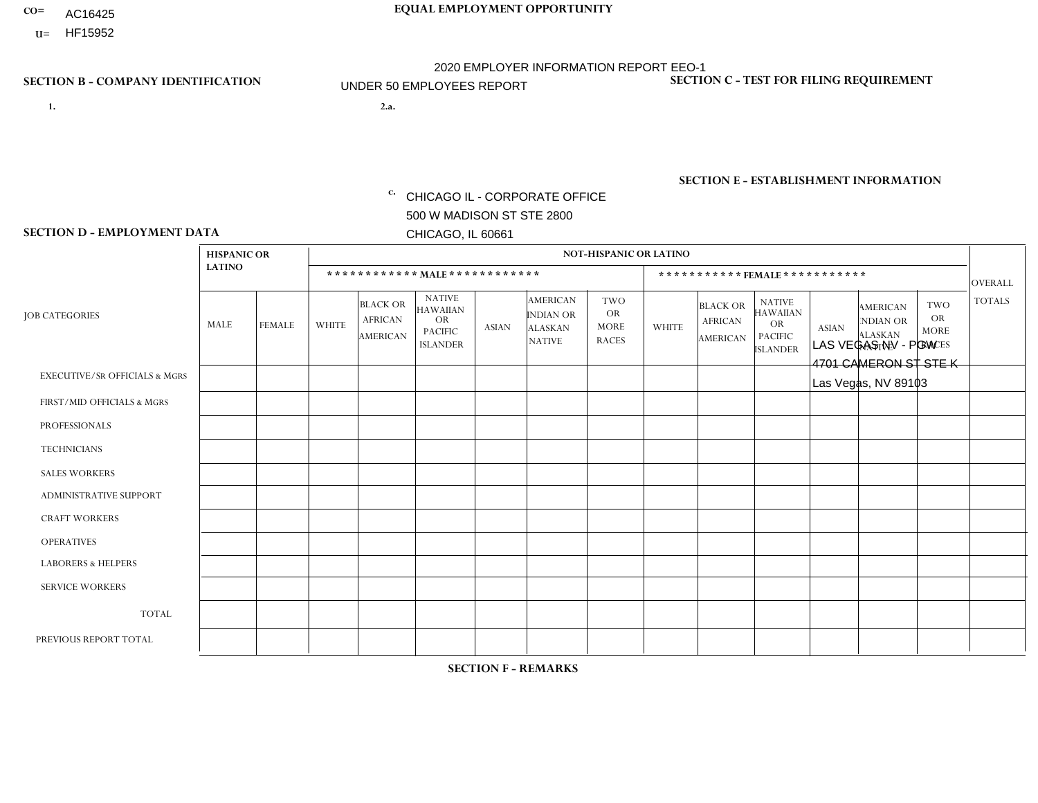- AC16425
- **U=**

**1. 2.a.** CHICAGO IL - CORPORATE OFFICE 500 W MADISON ST STE 2800 CHICAGO, IL 60661

2.a. LAS VEGAS NV - PGW 4701 CAMERON ST STE K Las Vegas, NV 89103

EIN= 952920557

# **SECTION B - COMPANY IDENTIFICATION SECTION C - TEST FOR FILING REQUIREMENT**

1- Y 2- Y 3- N DUNS= 000123456

**SECTION E - ESTABLISHMENT INFORMATION c.** NAICS: 811122

### **SECTION D - EMPLOYMENT DATA**

|                                          | <b>HISPANIC OR</b>      |               |              |                                                      |                                                                                    |              |                                                                        | <b>NOT-HISPANIC OR LATINO</b>                          |              |                                                      |                                                                                    |              |                                                                       |                                                        |                |
|------------------------------------------|-------------------------|---------------|--------------|------------------------------------------------------|------------------------------------------------------------------------------------|--------------|------------------------------------------------------------------------|--------------------------------------------------------|--------------|------------------------------------------------------|------------------------------------------------------------------------------------|--------------|-----------------------------------------------------------------------|--------------------------------------------------------|----------------|
|                                          | <b>LATINO</b>           |               |              | ************ MALE ************                       |                                                                                    |              |                                                                        |                                                        |              |                                                      | *********** FEMALE ***********                                                     |              |                                                                       |                                                        | <b>OVERALL</b> |
| <b>JOB CATEGORIES</b>                    | <b>MALE</b>             | <b>FEMALE</b> | <b>WHITE</b> | <b>BLACK OR</b><br><b>AFRICAN</b><br><b>AMERICAN</b> | <b>NATIVE</b><br><b>HAWAIIAN</b><br><b>OR</b><br><b>PACIFIC</b><br><b>ISLANDER</b> | <b>ASIAN</b> | <b>AMERICAN</b><br><b>INDIAN OR</b><br><b>ALASKAN</b><br><b>NATIVE</b> | <b>TWO</b><br><b>OR</b><br><b>MORE</b><br><b>RACES</b> | <b>WHITE</b> | <b>BLACK OR</b><br><b>AFRICAN</b><br><b>AMERICAN</b> | <b>NATIVE</b><br><b>HAWAIIAN</b><br><b>OR</b><br><b>PACIFIC</b><br><b>ISLANDER</b> | <b>ASIAN</b> | <b>AMERICAN</b><br><b>NDIAN OR</b><br><b>ALASKAN</b><br><b>NATIVE</b> | <b>TWO</b><br><b>OR</b><br><b>MORE</b><br><b>RACES</b> | <b>TOTALS</b>  |
| <b>EXECUTIVE/SR OFFICIALS &amp; MGRS</b> | $\Omega$                | $\Omega$      | $\Omega$     | $\Omega$                                             | $\Omega$                                                                           | $\Omega$     | $\Omega$                                                               | $\Omega$                                               | $\Omega$     | $\mathbf{0}$                                         | $\mathbf{0}$                                                                       | $\Omega$     | $\Omega$                                                              | $\Omega$                                               | $\Omega$       |
| FIRST/MID OFFICIALS & MGRS               | $\Omega$                | $\Omega$      | 1            | $\Omega$                                             | 0                                                                                  | $\Omega$     | $\Omega$                                                               | $\Omega$                                               | $\Omega$     | $\mathbf{0}$                                         | $\mathbf{0}$                                                                       | $\Omega$     | $\Omega$                                                              | $\Omega$                                               | $\mathbf{1}$   |
| <b>PROFESSIONALS</b>                     | $\Omega$                | $\Omega$      | $\mathbf 0$  | $\mathbf 0$                                          | $\overline{0}$                                                                     | $\Omega$     | $\overline{0}$                                                         | $\Omega$                                               | $\Omega$     | $\Omega$                                             | $\mathbf{0}$                                                                       | $\Omega$     | $\Omega$                                                              | $\Omega$                                               | $\mathbf 0$    |
| <b>TECHNICIANS</b>                       | $\mathbf 0$             | $\mathbf 0$   | $\Omega$     | $\mathbf 0$                                          | 0                                                                                  | $\Omega$     | $\overline{0}$                                                         | $\Omega$                                               | $\mathbf 0$  | $\mathbf 0$                                          | $\mathbf 0$                                                                        | $\mathbf 0$  | $\Omega$                                                              | $\mathbf{0}$                                           | $\mathbf 0$    |
| <b>SALES WORKERS</b>                     | $\Omega$                | $\Omega$      | $\Omega$     | $\Omega$                                             | $\Omega$                                                                           | $\Omega$     | $\Omega$                                                               | $\Omega$                                               | $\Omega$     | $\Omega$                                             | $\Omega$                                                                           | $\Omega$     | $\Omega$                                                              | $\mathbf{0}$                                           | $\mathbf 0$    |
| <b>ADMINISTRATIVE SUPPORT</b>            | $\Omega$                | $\Omega$      | $\Omega$     | 0                                                    | $\mathbf 0$                                                                        | $\Omega$     | $\Omega$                                                               | $\Omega$                                               | $\Omega$     | $\mathbf{0}$                                         | $\mathbf{0}$                                                                       | $\Omega$     | $\Omega$                                                              | $\Omega$                                               | $\mathbf 0$    |
| <b>CRAFT WORKERS</b>                     | $\Omega$                | $\Omega$      | $\mathbf 0$  | $\mathbf 0$                                          | 0                                                                                  | $\Omega$     | $\Omega$                                                               | $\Omega$                                               | $\Omega$     | $\Omega$                                             | $\Omega$                                                                           | $\Omega$     | $\Omega$                                                              | $\mathbf{0}$                                           | $\mathbf 0$    |
| <b>OPERATIVES</b>                        |                         | $\mathbf 0$   | $\Omega$     | $\mathbf 0$                                          | 0                                                                                  | $\mathbf 0$  | $\overline{0}$                                                         |                                                        | $\Omega$     | $\Omega$                                             | $\Omega$                                                                           | $\Omega$     | $\Omega$                                                              | $\Omega$                                               | $\overline{2}$ |
| <b>LABORERS &amp; HELPERS</b>            | $\overline{\mathbf{A}}$ | $\Omega$      | $\Omega$     | $\Omega$                                             | 0                                                                                  | $\Omega$     | $\Omega$                                                               | $\Omega$                                               | $\Omega$     | $\Omega$                                             | $\mathbf{0}$                                                                       | $\Omega$     | $\Omega$                                                              | $\Omega$                                               | $\mathbf{1}$   |
| <b>SERVICE WORKERS</b>                   | $\Omega$                | 0             | 0            | 0                                                    | 0                                                                                  | $\Omega$     | $\Omega$                                                               | $\Omega$                                               | $\Omega$     | $\Omega$                                             | $\mathbf{0}$                                                                       | $\Omega$     | $\Omega$                                                              | $\Omega$                                               | 0              |
| <b>TOTAL</b>                             | 2                       | $\mathbf 0$   | 1            | $\mathbf 0$                                          | 0                                                                                  | $\mathbf 0$  | $\Omega$                                                               |                                                        | 0            | $\Omega$                                             | $\Omega$                                                                           | $\mathbf 0$  | $\Omega$                                                              | $\mathbf 0$                                            | 4              |
| PREVIOUS REPORT TOTAL                    | 3                       | $\mathbf 0$   |              | $\mathbf 0$                                          | 0                                                                                  | $\Omega$     | $\Omega$                                                               | $\Omega$                                               | $\Omega$     | $\Omega$                                             | $\mathbf{0}$                                                                       | $\Omega$     | $\Omega$                                                              | $\mathbf 0$                                            | $\overline{4}$ |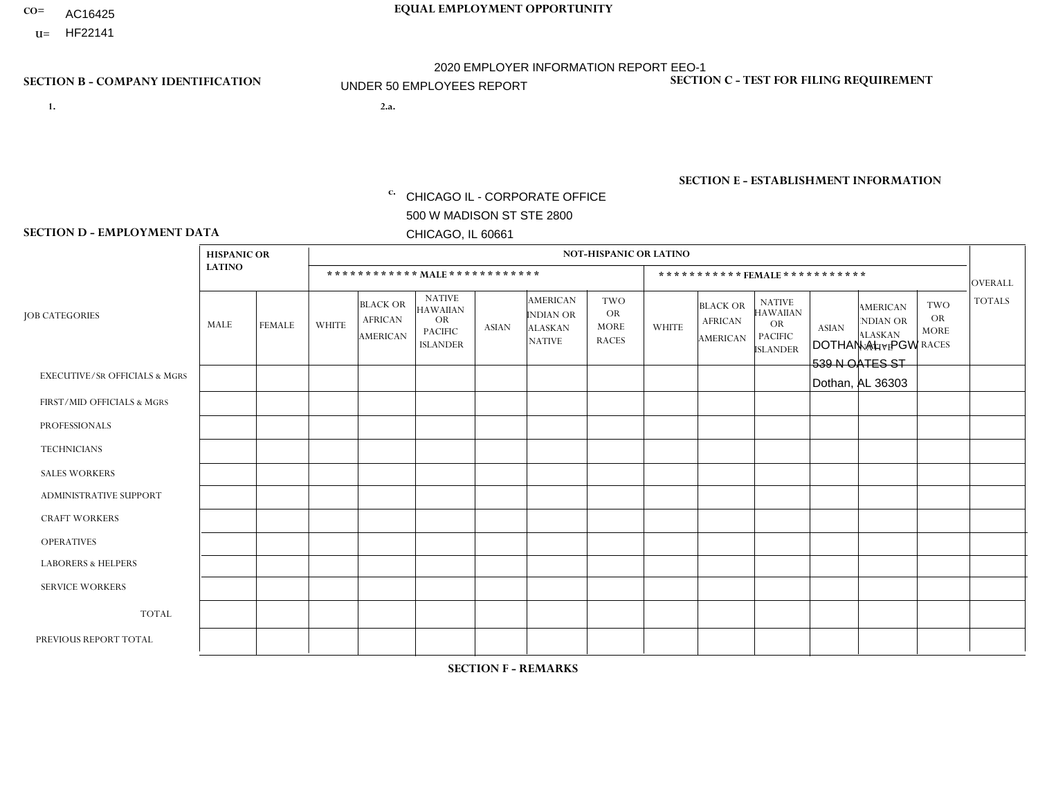AC16425

**U=**

# **CO= EQUAL EMPLOYMENT OPPORTUNITY** 2020 EMPLOYER INFORMATION REPORT EEO-1 UNDER 50 EMPLOYEES REPORT

**1. 2.a.** CHICAGO IL - CORPORATE OFFICE 500 W MADISON ST STE 2800 CHICAGO, IL 60661

2.a. DOTHAN AL - PGW 539 N OATES ST Dothan, AL 36303

EIN= 952920557

# **SECTION B - COMPANY IDENTIFICATION SECTION C - TEST FOR FILING REQUIREMENT**

1- Y 2- Y 3- N DUNS= 000123456

**SECTION E - ESTABLISHMENT INFORMATION c.** NAICS: 811122

### **SECTION D - EMPLOYMENT DATA**

|                                          | <b>HISPANIC OR</b> |               |                |                                                      |                                                                                    |              |                                                                        | <b>NOT-HISPANIC OR LATINO</b>                          |              |                                                      |                                                                             |              |                                                                       |                                                        |                |
|------------------------------------------|--------------------|---------------|----------------|------------------------------------------------------|------------------------------------------------------------------------------------|--------------|------------------------------------------------------------------------|--------------------------------------------------------|--------------|------------------------------------------------------|-----------------------------------------------------------------------------|--------------|-----------------------------------------------------------------------|--------------------------------------------------------|----------------|
|                                          | <b>LATINO</b>      |               |                | ************ MALE ************                       |                                                                                    |              |                                                                        |                                                        |              | ***********FEMALE***********                         |                                                                             |              |                                                                       |                                                        | <b>OVERALL</b> |
| <b>JOB CATEGORIES</b>                    | MALE               | <b>FEMALE</b> | <b>WHITE</b>   | <b>BLACK OR</b><br><b>AFRICAN</b><br><b>AMERICAN</b> | <b>NATIVE</b><br><b>HAWAIIAN</b><br><b>OR</b><br><b>PACIFIC</b><br><b>ISLANDER</b> | <b>ASIAN</b> | <b>AMERICAN</b><br><b>INDIAN OR</b><br><b>ALASKAN</b><br><b>NATIVE</b> | <b>TWO</b><br><b>OR</b><br><b>MORE</b><br><b>RACES</b> | <b>WHITE</b> | <b>BLACK OR</b><br><b>AFRICAN</b><br><b>AMERICAN</b> | <b>NATIVE</b><br><b>HAWAIIAN</b><br>OR<br><b>PACIFIC</b><br><b>ISLANDER</b> | <b>ASIAN</b> | <b>AMERICAN</b><br><b>NDIAN OR</b><br><b>ALASKAN</b><br><b>NATIVE</b> | <b>TWO</b><br><b>OR</b><br><b>MORE</b><br><b>RACES</b> | <b>TOTALS</b>  |
| <b>EXECUTIVE/SR OFFICIALS &amp; MGRS</b> | $\Omega$           | $\Omega$      | $\Omega$       | $\mathbf 0$                                          | $\Omega$                                                                           | $\Omega$     | $\Omega$                                                               | $\Omega$                                               | $\Omega$     | $\Omega$                                             | $\Omega$                                                                    | $\Omega$     | $\Omega$                                                              | $\Omega$                                               | $\mathbf 0$    |
| FIRST/MID OFFICIALS & MGRS               | 0                  | $\mathbf 0$   | 1              | $\mathbf 0$                                          | $\Omega$                                                                           | $\Omega$     | $\Omega$                                                               | $\Omega$                                               | 0            | $\Omega$                                             | $\Omega$                                                                    | $\Omega$     | $\Omega$                                                              | $\mathbf 0$                                            | $\mathbf{1}$   |
| <b>PROFESSIONALS</b>                     | 0                  | $\Omega$      | $\Omega$       | $\mathbf 0$                                          | $\Omega$                                                                           | $\Omega$     | $\Omega$                                                               | $\Omega$                                               | 0            | $\Omega$                                             | $\Omega$                                                                    | $\Omega$     | $\Omega$                                                              | $\Omega$                                               | $\mathbf{0}$   |
| <b>TECHNICIANS</b>                       | 0                  | $\Omega$      | $\Omega$       | $\Omega$                                             | $\Omega$                                                                           | $\Omega$     | $\Omega$                                                               | $\Omega$                                               | $\Omega$     | $\Omega$                                             | $\Omega$                                                                    | $\Omega$     | $\Omega$                                                              | $\Omega$                                               | $\Omega$       |
| <b>SALES WORKERS</b>                     | 0                  | $\Omega$      | $\Omega$       | $\Omega$                                             | $\Omega$                                                                           | $\Omega$     | $\Omega$                                                               | $\Omega$                                               | 0            | $\Omega$                                             | $\Omega$                                                                    | $\Omega$     | $\Omega$                                                              | $\Omega$                                               | $\Omega$       |
| ADMINISTRATIVE SUPPORT                   | 0                  | $\Omega$      | $\Omega$       | $\mathbf 0$                                          | $\Omega$                                                                           | $\Omega$     | $\Omega$                                                               | $\Omega$                                               | $\Omega$     | $\Omega$                                             | $\Omega$                                                                    | $\Omega$     | $\Omega$                                                              | $\Omega$                                               | $\mathbf 0$    |
| <b>CRAFT WORKERS</b>                     | 0                  | $\Omega$      | $\Omega$       | $\mathbf 0$                                          | $\Omega$                                                                           | $\Omega$     | $\Omega$                                                               | $\Omega$                                               | 0            | $\Omega$                                             | $\Omega$                                                                    | $\mathbf{0}$ | $\Omega$                                                              | $\mathbf{0}$                                           | $\mathbf 0$    |
| <b>OPERATIVES</b>                        | 0                  | $\Omega$      | 3              | $\overline{1}$                                       | 0                                                                                  | $\Omega$     | $\Omega$                                                               | $\Omega$                                               | $\Omega$     | $\Omega$                                             | $\Omega$                                                                    | $\mathbf{0}$ | $\Omega$                                                              | $\mathbf{0}$                                           | $\overline{4}$ |
| <b>LABORERS &amp; HELPERS</b>            | 0                  | $\Omega$      | $\mathbf 0$    | $\overline{1}$                                       | $\mathbf 0$                                                                        | $\Omega$     | $\Omega$                                                               | $\Omega$                                               | $\Omega$     | $\Omega$                                             | $\Omega$                                                                    | $\mathbf{0}$ | $\Omega$                                                              | $\mathbf 0$                                            | $\mathbf{1}$   |
| <b>SERVICE WORKERS</b>                   | 0                  | $\Omega$      | $\mathbf 0$    | $\mathbf 0$                                          | $\Omega$                                                                           | $\Omega$     | $\Omega$                                                               | $\Omega$                                               | $\Omega$     | $\Omega$                                             | $\Omega$                                                                    | $\Omega$     | $\Omega$                                                              | $\Omega$                                               | 0              |
| <b>TOTAL</b>                             | $\Omega$           | 0             | 4              | $\overline{2}$                                       | 0                                                                                  | $\Omega$     | $\Omega$                                                               | $\Omega$                                               | 0            | $\Omega$                                             | $\Omega$                                                                    | $\mathbf 0$  | 0                                                                     | $\mathbf 0$                                            | 6              |
| PREVIOUS REPORT TOTAL                    | 0                  | $\Omega$      | $\overline{2}$ | $\overline{1}$                                       | $\Omega$                                                                           | $\Omega$     | $\Omega$                                                               |                                                        | 0            | $\Omega$                                             | $\Omega$                                                                    | $\Omega$     | $\Omega$                                                              | $\mathbf 0$                                            | $\overline{4}$ |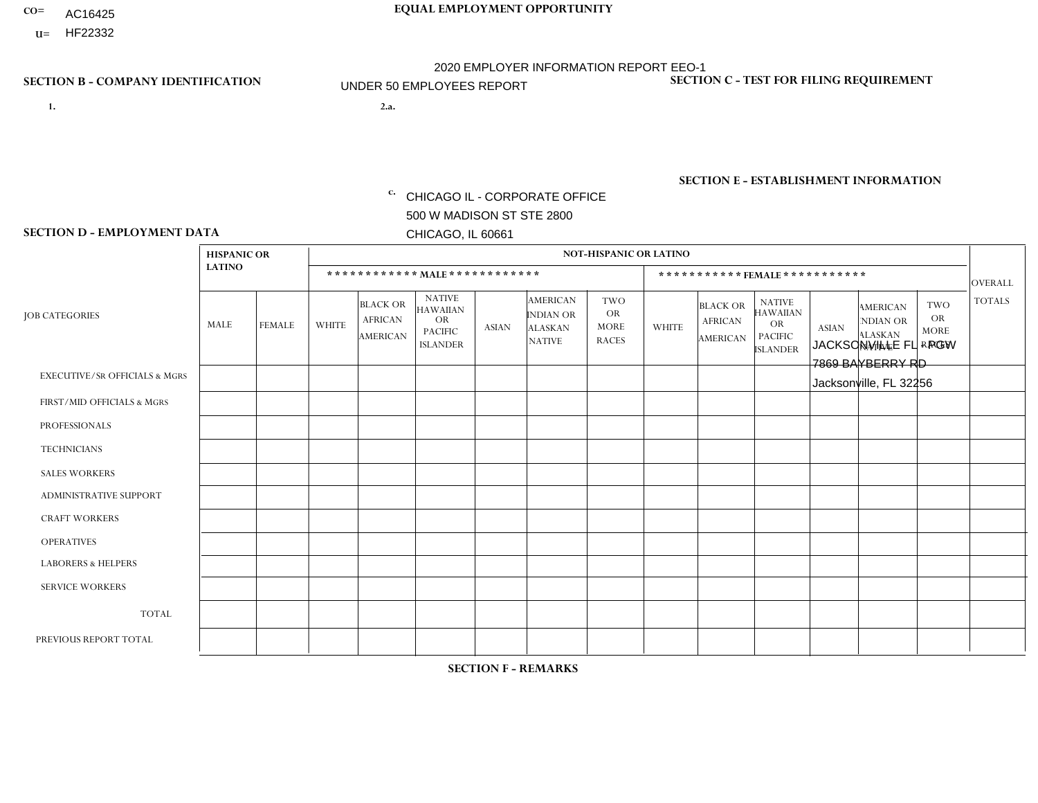- AC16425
- **U=**

**1. 2.a.** CHICAGO IL - CORPORATE OFFICE 500 W MADISON ST STE 2800 CHICAGO, IL 60661

2.a. JACKSONVILLE FL - PGW 7869 BAYBERRY RD Jacksonville, FL 32256

EIN= 952920557

# **SECTION B - COMPANY IDENTIFICATION SECTION C - TEST FOR FILING REQUIREMENT**

1- Y 2- Y 3- N DUNS= 000123456

**SECTION E - ESTABLISHMENT INFORMATION c.** NAICS: 811122

### **SECTION D - EMPLOYMENT DATA**

|                                          | <b>HISPANIC OR</b> |               |                |                                                      |                                                                                    |              |                                                                        | <b>NOT-HISPANIC OR LATINO</b>                          |              |                                               |                                                                                    |              |                                                                       |                                                        |                |
|------------------------------------------|--------------------|---------------|----------------|------------------------------------------------------|------------------------------------------------------------------------------------|--------------|------------------------------------------------------------------------|--------------------------------------------------------|--------------|-----------------------------------------------|------------------------------------------------------------------------------------|--------------|-----------------------------------------------------------------------|--------------------------------------------------------|----------------|
|                                          | <b>LATINO</b>      |               |                | ************ MAIE************                        |                                                                                    |              |                                                                        |                                                        |              |                                               | ***********FEMALE***********                                                       |              |                                                                       |                                                        | <b>OVERALL</b> |
| <b>JOB CATEGORIES</b>                    | <b>MALE</b>        | <b>FEMALE</b> | <b>WHITE</b>   | <b>BLACK OR</b><br><b>AFRICAN</b><br><b>AMERICAN</b> | <b>NATIVE</b><br><b>HAWAIIAN</b><br><b>OR</b><br><b>PACIFIC</b><br><b>ISLANDER</b> | <b>ASIAN</b> | <b>AMERICAN</b><br><b>INDIAN OR</b><br><b>ALASKAN</b><br><b>NATIVE</b> | <b>TWO</b><br><b>OR</b><br><b>MORE</b><br><b>RACES</b> | <b>WHITE</b> | <b>BLACK OR</b><br><b>AFRICAN</b><br>AMERICAN | <b>NATIVE</b><br><b>HAWAIIAN</b><br><b>OR</b><br><b>PACIFIC</b><br><b>ISLANDER</b> | <b>ASIAN</b> | <b>AMERICAN</b><br><b>NDIAN OR</b><br><b>ALASKAN</b><br><b>NATIVE</b> | <b>TWO</b><br><b>OR</b><br><b>MORE</b><br><b>RACES</b> | <b>TOTALS</b>  |
| <b>EXECUTIVE/SR OFFICIALS &amp; MGRS</b> | $\Omega$           | $\Omega$      | $\Omega$       | $\mathbf 0$                                          | $\Omega$                                                                           | $\Omega$     | $\Omega$                                                               | $\Omega$                                               | $\Omega$     | $\mathbf{0}$                                  | $\mathbf{0}$                                                                       | $\Omega$     | $\Omega$                                                              | $\Omega$                                               | $\mathbf 0$    |
| FIRST/MID OFFICIALS & MGRS               | $\Omega$           | $\Omega$      | $\overline{1}$ | $\Omega$                                             | 0                                                                                  | $\Omega$     | $\Omega$                                                               | $\Omega$                                               | $\Omega$     | $\Omega$                                      | $\Omega$                                                                           | $\Omega$     | $\Omega$                                                              | $\Omega$                                               | $\mathbf{1}$   |
| <b>PROFESSIONALS</b>                     | $\Omega$           | $\Omega$      | $\Omega$       | $\Omega$                                             | $\Omega$                                                                           | $\Omega$     | $\Omega$                                                               | $\Omega$                                               | $\Omega$     | $\Omega$                                      | $\Omega$                                                                           | $\Omega$     | $\Omega$                                                              | $\Omega$                                               | $\mathbf 0$    |
| <b>TECHNICIANS</b>                       | $\Omega$           | $\mathbf 0$   | $\Omega$       | $\mathbf 0$                                          | 0                                                                                  | $\Omega$     | $\Omega$                                                               | $\Omega$                                               | $\mathbf{0}$ | $\Omega$                                      | $\Omega$                                                                           | $\Omega$     | $\Omega$                                                              | $\Omega$                                               | $\mathbf 0$    |
| <b>SALES WORKERS</b>                     | $\Omega$           | $\Omega$      | $\Omega$       | $\Omega$                                             | $\Omega$                                                                           | $\Omega$     | $\Omega$                                                               | $\Omega$                                               | $\Omega$     | $\Omega$                                      | $\Omega$                                                                           | $\Omega$     | $\Omega$                                                              | $\Omega$                                               | $\mathbf 0$    |
| ADMINISTRATIVE SUPPORT                   | $\Omega$           | $\Omega$      | $\Omega$       | $\Omega$                                             | $\Omega$                                                                           | $\Omega$     | $\Omega$                                                               | $\Omega$                                               | $\Omega$     | $\Omega$                                      | $\Omega$                                                                           | $\Omega$     | $\Omega$                                                              | $\Omega$                                               | $\mathbf 0$    |
| <b>CRAFT WORKERS</b>                     | 0                  | $\Omega$      | $\mathbf 0$    | $\mathbf 0$                                          | $\Omega$                                                                           | $\Omega$     | $\Omega$                                                               | $\Omega$                                               | $\Omega$     | $\Omega$                                      | $\Omega$                                                                           | $\Omega$     | $\Omega$                                                              | $\Omega$                                               | $\mathbf 0$    |
| <b>OPERATIVES</b>                        |                    | $\Omega$      | $\overline{c}$ | $\mathbf 0$                                          | $\Omega$                                                                           | $\Omega$     | $\overline{0}$                                                         | $\Omega$                                               | $\Omega$     | $\Omega$                                      | $\mathbf{0}$                                                                       | $\Omega$     | $\Omega$                                                              | $\Omega$                                               | 3              |
| <b>LABORERS &amp; HELPERS</b>            | -1                 | $\Omega$      | $\Omega$       | 0                                                    | 0                                                                                  | $\Omega$     | $\Omega$                                                               | $\Omega$                                               | $\Omega$     | $\Omega$                                      | $\Omega$                                                                           | $\Omega$     | $\Omega$                                                              | $\Omega$                                               | $\mathbf{1}$   |
| <b>SERVICE WORKERS</b>                   | $\Omega$           | $\mathbf 0$   | 0              | $\mathbf 0$                                          | $\mathbf 0$                                                                        | $\mathbf 0$  | $\Omega$                                                               | $\Omega$                                               | $\Omega$     | $\Omega$                                      | $\Omega$                                                                           | $\mathbf 0$  | $\Omega$                                                              | $\mathbf 0$                                            | 0              |
| <b>TOTAL</b>                             | $\overline{2}$     | $\mathbf 0$   | 3              | $\mathbf 0$                                          | 0                                                                                  | $\mathbf 0$  | $\Omega$                                                               | $\Omega$                                               | $\Omega$     | $\Omega$                                      | $\Omega$                                                                           | $\Omega$     | $\Omega$                                                              | $\Omega$                                               | 5              |
| PREVIOUS REPORT TOTAL                    |                    | $\mathbf 0$   | $\overline{2}$ | $\mathbf 0$                                          | 0                                                                                  | $\Omega$     | $\Omega$                                                               | $\Omega$                                               | $\Omega$     | $\Omega$                                      | $\mathbf{0}$                                                                       | $\Omega$     | $\Omega$                                                              | $\Omega$                                               | 3              |
|                                          |                    |               |                |                                                      |                                                                                    |              |                                                                        |                                                        |              |                                               |                                                                                    |              |                                                                       |                                                        |                |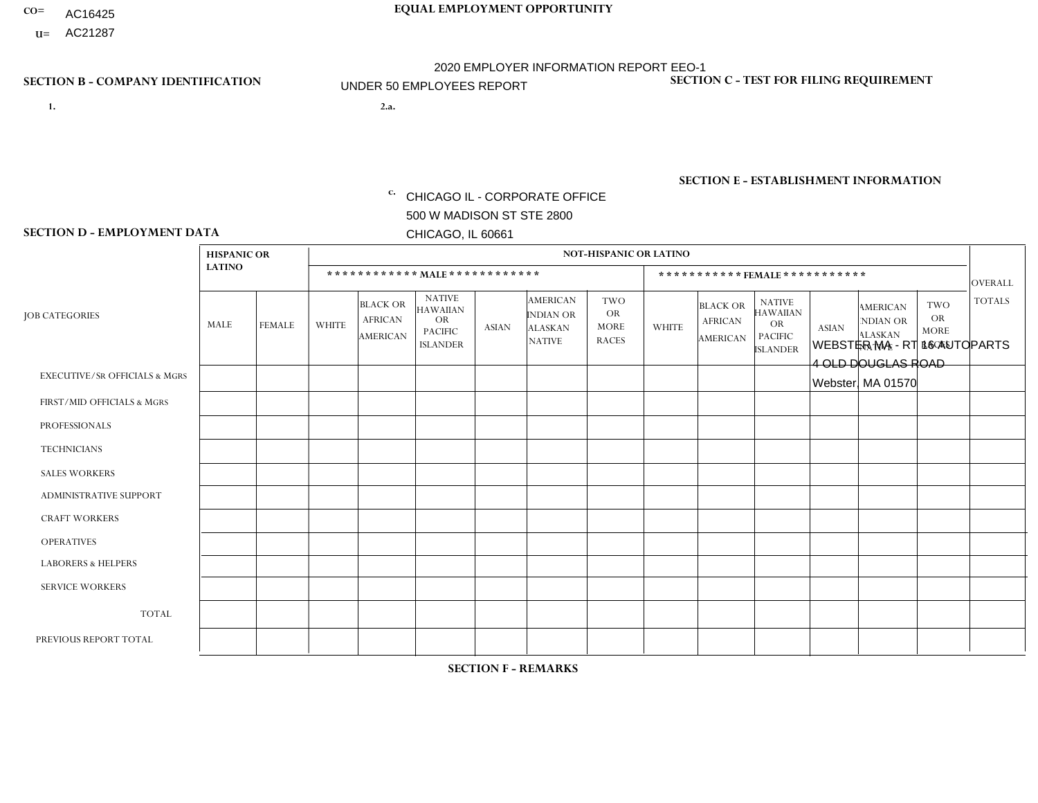- AC16425
- **U=**

**1. 2.a.** CHICAGO IL - CORPORATE OFFICE 500 W MADISON ST STE 2800 CHICAGO, IL 60661

WEBSTER MA - RT 16 AUTOPARTS 4 OLD DOUGLAS ROAD Webster, MA 01570

EIN= 952920557

# **SECTION B - COMPANY IDENTIFICATION SECTION C - TEST FOR FILING REQUIREMENT**

1- Y 2- Y 3- N DUNS= 000123456

**SECTION E - ESTABLISHMENT INFORMATION c.** NAICS: 423140

### **SECTION D - EMPLOYMENT DATA**

|                                          | <b>HISPANIC OR</b> |               |                |                                                      |                                                                                    |              |                                                                 | <b>NOT-HISPANIC OR LATINO</b>                          |              |                                                      |                                                                                    |              |                                                                       |                                                        |                 |
|------------------------------------------|--------------------|---------------|----------------|------------------------------------------------------|------------------------------------------------------------------------------------|--------------|-----------------------------------------------------------------|--------------------------------------------------------|--------------|------------------------------------------------------|------------------------------------------------------------------------------------|--------------|-----------------------------------------------------------------------|--------------------------------------------------------|-----------------|
|                                          | <b>LATINO</b>      |               |                |                                                      | ************ MAIE************                                                      |              |                                                                 |                                                        |              |                                                      | *********** FEMALE ***********                                                     |              |                                                                       |                                                        | <b>OVERALL</b>  |
| <b>JOB CATEGORIES</b>                    | MALE               | <b>FEMALE</b> | <b>WHITE</b>   | <b>BLACK OR</b><br><b>AFRICAN</b><br><b>AMERICAN</b> | <b>NATIVE</b><br><b>HAWAIIAN</b><br><b>OR</b><br><b>PACIFIC</b><br><b>ISLANDER</b> | <b>ASIAN</b> | <b>AMERICAN</b><br>INDIAN OR<br><b>ALASKAN</b><br><b>NATIVE</b> | <b>TWO</b><br><b>OR</b><br><b>MORE</b><br><b>RACES</b> | <b>WHITE</b> | <b>BLACK OR</b><br><b>AFRICAN</b><br><b>AMERICAN</b> | <b>NATIVE</b><br><b>HAWAIIAN</b><br><b>OR</b><br><b>PACIFIC</b><br><b>ISLANDER</b> | <b>ASIAN</b> | <b>AMERICAN</b><br><b>NDIAN OR</b><br><b>ALASKAN</b><br><b>NATIVE</b> | <b>TWO</b><br><b>OR</b><br><b>MORE</b><br><b>RACES</b> | <b>TOTALS</b>   |
| <b>EXECUTIVE/SR OFFICIALS &amp; MGRS</b> | $\Omega$           | $\Omega$      | $\mathbf 0$    | $\Omega$                                             | $\Omega$                                                                           | $\Omega$     | $\Omega$                                                        | $\Omega$                                               | $\Omega$     | $\Omega$                                             | $\mathbf{0}$                                                                       | $\Omega$     | $\Omega$                                                              | 0                                                      | $\Omega$        |
| FIRST/MID OFFICIALS & MGRS               | 0                  | $\Omega$      | $\overline{4}$ | $\mathbf 0$                                          | $\mathbf 0$                                                                        | $\Omega$     | $\Omega$                                                        | $\Omega$                                               |              | $\Omega$                                             | $\Omega$                                                                           | $\mathbf{0}$ | $\mathbf{0}$                                                          | $\Omega$                                               | $5\phantom{.0}$ |
| <b>PROFESSIONALS</b>                     | 0                  | $\mathbf 0$   | $\overline{c}$ | $\mathbf 0$                                          | $\mathbf 0$                                                                        | $\Omega$     | $\Omega$                                                        | $\Omega$                                               | $\Omega$     | $\Omega$                                             | $\Omega$                                                                           | $\Omega$     | $\Omega$                                                              | $\Omega$                                               | $\overline{2}$  |
| <b>TECHNICIANS</b>                       | 0                  | $\mathbf 0$   | $\mathbf 0$    | $\mathbf 0$                                          | $\mathbf 0$                                                                        | $\Omega$     | $\Omega$                                                        | $\Omega$                                               | $\Omega$     | $\Omega$                                             | $\mathbf{0}$                                                                       | $\Omega$     | $\mathbf{0}$                                                          | $\Omega$                                               | $\mathbf 0$     |
| <b>SALES WORKERS</b>                     | 0                  | $\mathbf 0$   | $\overline{1}$ | $\mathbf 0$                                          | $\mathbf 0$                                                                        | $\Omega$     | $\mathbf{0}$                                                    | $\Omega$                                               | $\Omega$     | $\Omega$                                             | $\Omega$                                                                           | $\mathbf{0}$ | $\Omega$                                                              | $\mathbf{0}$                                           | $\mathbf{1}$    |
| <b>ADMINISTRATIVE SUPPORT</b>            | 0                  | $\mathbf 0$   | $\overline{2}$ | $\mathbf 0$                                          | $\mathbf 0$                                                                        | $\mathbf 0$  | $\mathbf{0}$                                                    | $\Omega$                                               | $\Omega$     | $\Omega$                                             | $\Omega$                                                                           | $\Omega$     | $\mathbf{0}$                                                          | $\Omega$                                               | 2               |
| <b>CRAFT WORKERS</b>                     | 0                  | $\Omega$      | 9              | $\mathbf 0$                                          | $\Omega$                                                                           | $\Omega$     | -1                                                              | $\Omega$                                               | $\Omega$     | $\Omega$                                             | $\Omega$                                                                           | $\mathbf{0}$ | $\Omega$                                                              | $\Omega$                                               | 10              |
| <b>OPERATIVES</b>                        | 0                  | $\Omega$      | 6              | $\Omega$                                             | $\Omega$                                                                           | $\Omega$     | $\Omega$                                                        | $\Omega$                                               | $\Omega$     | $\Omega$                                             | $\Omega$                                                                           | $\Omega$     | $\mathbf{0}$                                                          | 1                                                      | $\overline{7}$  |
| <b>LABORERS &amp; HELPERS</b>            | 3                  | $\Omega$      | $\Omega$       | 0                                                    | $\Omega$                                                                           | $\Omega$     | $\Omega$                                                        | $\Omega$                                               | $\Omega$     | $\Omega$                                             | $\Omega$                                                                           | $\Omega$     | $\Omega$                                                              | $\Omega$                                               | 3               |
| <b>SERVICE WORKERS</b>                   | 0                  | $\mathbf 0$   | $\mathbf 0$    | $\mathbf 0$                                          | $\mathbf 0$                                                                        | $\mathbf 0$  | $\mathbf{0}$                                                    | $\Omega$                                               | $\Omega$     | $\Omega$                                             | $\mathbf{0}$                                                                       | $\mathbf{0}$ | $\mathbf{0}$                                                          | $\Omega$                                               | $\mathbf{0}$    |
| <b>TOTAL</b>                             | 3                  | $\mathbf 0$   | 24             | $\mathbf 0$                                          | $\mathbf 0$                                                                        | $\mathbf 0$  |                                                                 | $\Omega$                                               |              | 0                                                    | $\mathbf 0$                                                                        | $\mathbf 0$  | $\mathbf 0$                                                           | 1                                                      | 30              |
| PREVIOUS REPORT TOTAL                    | 3                  | $\mathbf 0$   | 47             | $\mathbf 0$                                          | $\mathbf 0$                                                                        | $\mathbf 0$  | $\overline{1}$                                                  | 1                                                      | 10           | $\Omega$                                             | $\mathbf{0}$                                                                       | $\Omega$     | $\mathbf{0}$                                                          | $\overline{2}$                                         | 64              |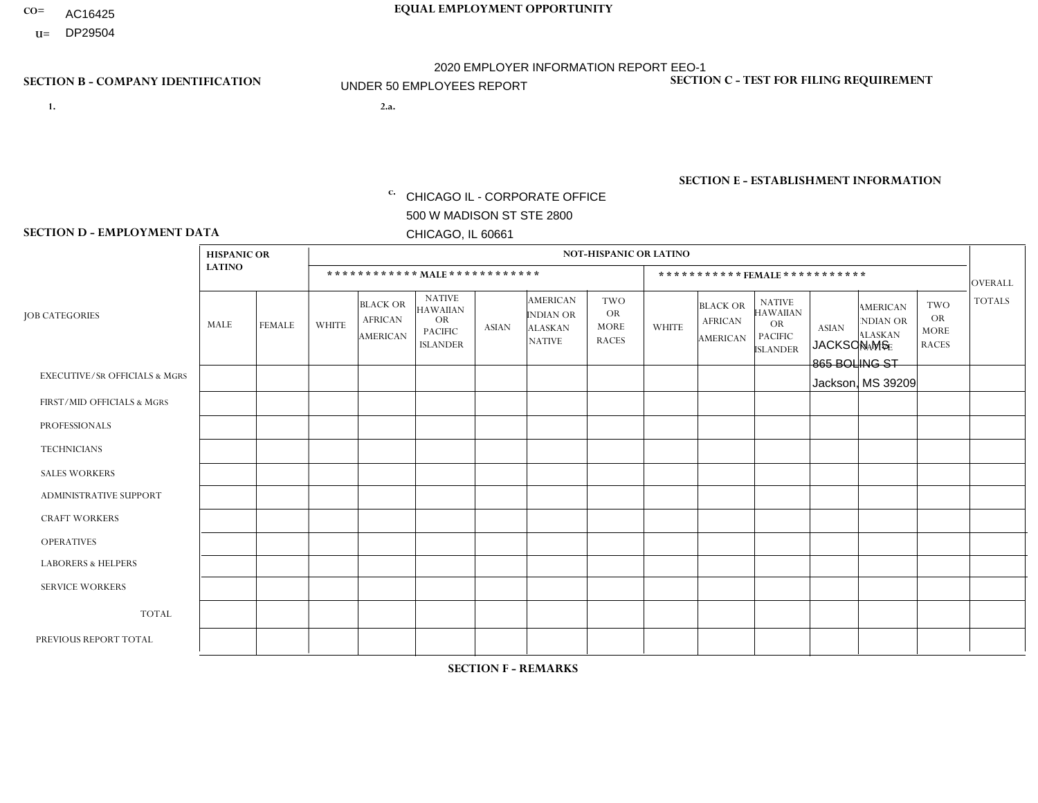- AC16425
- $\mathbf{U} = \mathbf{DP29504}$

**1. 2.a.** CHICAGO IL - CORPORATE OFFICE 500 W MADISON ST STE 2800 CHICAGO, IL 60661

2.a. JACKSON MS 865 BOLING ST Jackson, MS 39209

EIN= 952920557

# **SECTION B - COMPANY IDENTIFICATION SECTION C - TEST FOR FILING REQUIREMENT**

1- Y 2- Y 3- N DUNS= 000123456

**SECTION E - ESTABLISHMENT INFORMATION c.** NAICS: 423140

### **SECTION D - EMPLOYMENT DATA**

|                                          | <b>HISPANIC OR</b> |               |              |                                                      |                                                                                    |              |                                                                        | <b>NOT-HISPANIC OR LATINO</b>                          |                |                                                      |                                                                                    |              |                                                                |                                                        |                |
|------------------------------------------|--------------------|---------------|--------------|------------------------------------------------------|------------------------------------------------------------------------------------|--------------|------------------------------------------------------------------------|--------------------------------------------------------|----------------|------------------------------------------------------|------------------------------------------------------------------------------------|--------------|----------------------------------------------------------------|--------------------------------------------------------|----------------|
|                                          | <b>LATINO</b>      |               |              | ************ MALE ************                       |                                                                                    |              |                                                                        |                                                        |                | ***********FEMALE***********                         |                                                                                    |              |                                                                |                                                        | <b>OVERALL</b> |
| <b>JOB CATEGORIES</b>                    | <b>MALE</b>        | <b>FEMALE</b> | <b>WHITE</b> | <b>BLACK OR</b><br><b>AFRICAN</b><br><b>AMERICAN</b> | <b>NATIVE</b><br><b>HAWAIIAN</b><br><b>OR</b><br><b>PACIFIC</b><br><b>ISLANDER</b> | <b>ASIAN</b> | <b>AMERICAN</b><br><b>INDIAN OR</b><br><b>ALASKAN</b><br><b>NATIVE</b> | <b>TWO</b><br><b>OR</b><br><b>MORE</b><br><b>RACES</b> | <b>WHITE</b>   | <b>BLACK OR</b><br><b>AFRICAN</b><br><b>AMERICAN</b> | <b>NATIVE</b><br><b>HAWAIIAN</b><br><b>OR</b><br><b>PACIFIC</b><br><b>ISLANDER</b> | <b>ASIAN</b> | <b>AMERICAN</b><br>NDIAN OR<br><b>ALASKAN</b><br><b>NATIVE</b> | <b>TWO</b><br><b>OR</b><br><b>MORE</b><br><b>RACES</b> | <b>TOTALS</b>  |
| <b>EXECUTIVE/SR OFFICIALS &amp; MGRS</b> | $\Omega$           | $\Omega$      | $\Omega$     | $\Omega$                                             | $\Omega$                                                                           | $\Omega$     | $\Omega$                                                               | $\Omega$                                               | $\Omega$       | $\Omega$                                             | $\Omega$                                                                           | $\Omega$     | $\Omega$                                                       | $\Omega$                                               | $\mathbf 0$    |
| FIRST/MID OFFICIALS & MGRS               | $\Omega$           | 0             | 3            | $\mathbf 0$                                          | 0                                                                                  | $\mathbf 0$  | $\Omega$                                                               | $\Omega$                                               | $\Omega$       | $\mathbf{0}$                                         | $\Omega$                                                                           | $\mathbf 0$  | $\Omega$                                                       | $\mathbf 0$                                            | 3              |
| <b>PROFESSIONALS</b>                     | $\Omega$           | $\mathbf 0$   | 1            | $\mathbf 0$                                          | $\Omega$                                                                           | $\Omega$     | $\Omega$                                                               | $\Omega$                                               | $\mathbf{1}$   | $\Omega$                                             | $\mathbf{0}$                                                                       | $\Omega$     | $\Omega$                                                       | $\Omega$                                               | $\overline{2}$ |
| <b>TECHNICIANS</b>                       | $\Omega$           | $\mathbf 0$   | $\Omega$     | $\mathbf 0$                                          | 0                                                                                  | $\Omega$     | $\overline{0}$                                                         | $\Omega$                                               | $\Omega$       | $\Omega$                                             | $\Omega$                                                                           | $\Omega$     | $\Omega$                                                       | $\mathbf{0}$                                           | $\mathbf 0$    |
| <b>SALES WORKERS</b>                     | $\Omega$           | $\mathbf 0$   | 3            | $\overline{2}$                                       | 0                                                                                  | $\Omega$     | $\Omega$                                                               |                                                        | $\Omega$       | $\Omega$                                             | $\Omega$                                                                           | $\Omega$     | $\Omega$                                                       | $\mathbf{0}$                                           | 6              |
| <b>ADMINISTRATIVE SUPPORT</b>            | $\Omega$           | $\Omega$      | $\Omega$     | $\mathbf 0$                                          | 0                                                                                  | $\Omega$     | $\Omega$                                                               | $\Omega$                                               | 3              | $\Omega$                                             | $\mathbf{0}$                                                                       | $\Omega$     | $\Omega$                                                       | $\Omega$                                               | 3              |
| <b>CRAFT WORKERS</b>                     | $\Omega$           | $\Omega$      | $\Omega$     | $\mathbf 0$                                          | 0                                                                                  | $\Omega$     | $\Omega$                                                               | $\Omega$                                               | $\Omega$       | $\Omega$                                             | $\Omega$                                                                           | $\Omega$     | $\Omega$                                                       | $\Omega$                                               | $\mathbf 0$    |
| <b>OPERATIVES</b>                        | 0                  | $\Omega$      | 8            | $\overline{7}$                                       | 0                                                                                  | $\Omega$     | $\overline{0}$                                                         |                                                        | $\Omega$       |                                                      | $\mathbf{0}$                                                                       | $\Omega$     | $\Omega$                                                       | $\mathbf{0}$                                           | 17             |
| <b>LABORERS &amp; HELPERS</b>            | $\Omega$           | $\Omega$      | 3            | 8                                                    | 0                                                                                  | $\Omega$     | $\Omega$                                                               | $\Omega$                                               | $\Omega$       | $\Omega$                                             | $\Omega$                                                                           | $\Omega$     | $\Omega$                                                       | $\Omega$                                               | 11             |
| <b>SERVICE WORKERS</b>                   | $\Omega$           | $\Omega$      | 0            | 0                                                    | $\mathbf{0}$                                                                       | $\Omega$     | $\Omega$                                                               | $\Omega$                                               | $\Omega$       | $\Omega$                                             | $\Omega$                                                                           | $\Omega$     | $\Omega$                                                       | $\Omega$                                               | $\mathbf 0$    |
| <b>TOTAL</b>                             | $\mathbf 0$        | $\mathbf 0$   | 18           | 17                                                   | 0                                                                                  | $\mathbf{0}$ | $\Omega$                                                               | 2                                                      | 4              | $\overline{1}$                                       | $\mathbf 0$                                                                        | $\mathbf 0$  | 0                                                              | $\mathbf 0$                                            | 42             |
| PREVIOUS REPORT TOTAL                    | 0                  | $\Omega$      | 18           | 22                                                   | $\Omega$                                                                           | $\Omega$     | $\Omega$                                                               | $\overline{2}$                                         | $\overline{7}$ | $\overline{2}$                                       | $\Omega$                                                                           | $\Omega$     | $\Omega$                                                       | $\mathbf{0}$                                           | 51             |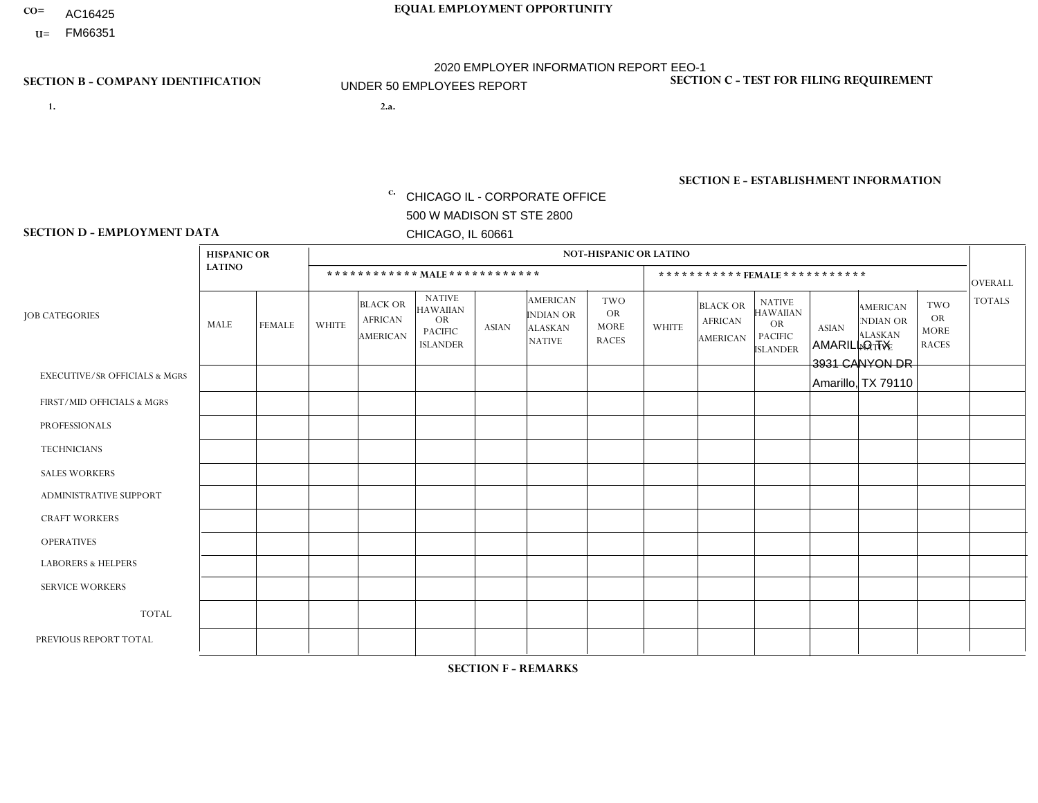- AC16425
- **U=**

**1. 2.a.** CHICAGO IL - CORPORATE OFFICE 500 W MADISON ST STE 2800 CHICAGO, IL 60661

2.a. AMARILLO TX 3931 CANYON DR Amarillo, TX 79110

c. EIN= 952920557

# **SECTION B - COMPANY IDENTIFICATION SECTION C - TEST FOR FILING REQUIREMENT**

1- Y 2- Y 3- N DUNS= 000123456

**SECTION E - ESTABLISHMENT INFORMATION c.** NAICS: 423140

### **SECTION D - EMPLOYMENT DATA**

|                                          | <b>HISPANIC OR</b> |               |                |                                                      |                                                                                    |              |                                                                        | <b>NOT-HISPANIC OR LATINO</b>                          |              |                                               |                                                                                    |              |                                                                       |                                                        |                |
|------------------------------------------|--------------------|---------------|----------------|------------------------------------------------------|------------------------------------------------------------------------------------|--------------|------------------------------------------------------------------------|--------------------------------------------------------|--------------|-----------------------------------------------|------------------------------------------------------------------------------------|--------------|-----------------------------------------------------------------------|--------------------------------------------------------|----------------|
|                                          | <b>LATINO</b>      |               |                | ************ MALE ************                       |                                                                                    |              |                                                                        |                                                        |              |                                               | ***********FEMALE ***********                                                      |              |                                                                       |                                                        | <b>OVERALL</b> |
| <b>JOB CATEGORIES</b>                    | <b>MALE</b>        | <b>FEMALE</b> | <b>WHITE</b>   | <b>BLACK OR</b><br><b>AFRICAN</b><br><b>AMERICAN</b> | <b>NATIVE</b><br><b>HAWAIIAN</b><br><b>OR</b><br><b>PACIFIC</b><br><b>ISLANDER</b> | <b>ASIAN</b> | <b>AMERICAN</b><br><b>INDIAN OR</b><br><b>ALASKAN</b><br><b>NATIVE</b> | <b>TWO</b><br><b>OR</b><br><b>MORE</b><br><b>RACES</b> | <b>WHITE</b> | <b>BLACK OR</b><br><b>AFRICAN</b><br>AMERICAN | <b>NATIVE</b><br><b>HAWAIIAN</b><br><b>OR</b><br><b>PACIFIC</b><br><b>ISLANDER</b> | <b>ASIAN</b> | <b>AMERICAN</b><br><b>NDIAN OR</b><br><b>ALASKAN</b><br><b>NATIVE</b> | <b>TWO</b><br><b>OR</b><br><b>MORE</b><br><b>RACES</b> | <b>TOTALS</b>  |
| <b>EXECUTIVE/SR OFFICIALS &amp; MGRS</b> | $\Omega$           | $\Omega$      | $\mathbf{0}$   | $\Omega$                                             | $\Omega$                                                                           | $\Omega$     | $\Omega$                                                               | $\Omega$                                               | 0            | $\Omega$                                      | $\Omega$                                                                           | $\Omega$     | $\Omega$                                                              | $\Omega$                                               | $\Omega$       |
| FIRST/MID OFFICIALS & MGRS               | $\Omega$           | $\Omega$      | $\mathbf{0}$   | $\Omega$                                             | $\Omega$                                                                           | $\Omega$     | $\Omega$                                                               | $\Omega$                                               | 0            | $\Omega$                                      | 0                                                                                  | $\Omega$     | $\Omega$                                                              | $\Omega$                                               | $\overline{0}$ |
| <b>PROFESSIONALS</b>                     | $\Omega$           | $\Omega$      | $\mathbf 0$    | $\mathbf 0$                                          | $\Omega$                                                                           | $\Omega$     | $\Omega$                                                               | $\Omega$                                               | $\Omega$     | $\Omega$                                      | 0                                                                                  | $\mathbf 0$  | $\Omega$                                                              | $\mathbf 0$                                            | $\mathbf{0}$   |
| <b>TECHNICIANS</b>                       | $\Omega$           | $\Omega$      | $\Omega$       | $\Omega$                                             | $\Omega$                                                                           | $\Omega$     | $\Omega$                                                               | $\Omega$                                               | $\Omega$     | $\Omega$                                      | 0                                                                                  | $\mathbf 0$  | $\Omega$                                                              | $\mathbf 0$                                            | $\Omega$       |
| <b>SALES WORKERS</b>                     | $\Omega$           | $\Omega$      | 1              | $\Omega$                                             | $\Omega$                                                                           | $\Omega$     | $\Omega$                                                               | $\Omega$                                               | 1            | $\Omega$                                      | $\Omega$                                                                           | $\Omega$     | $\Omega$                                                              | $\Omega$                                               | $\overline{2}$ |
| <b>ADMINISTRATIVE SUPPORT</b>            | $\Omega$           | $\Omega$      | $\mathbf{0}$   | $\mathbf 0$                                          | 0                                                                                  | $\Omega$     | $\Omega$                                                               | $\Omega$                                               | 0            | $\Omega$                                      | 0                                                                                  | $\mathbf 0$  | $\Omega$                                                              | $\mathbf 0$                                            | $\overline{0}$ |
| <b>CRAFT WORKERS</b>                     | $\Omega$           | $\Omega$      | $\Omega$       | $\mathbf 0$                                          | $\Omega$                                                                           | $\Omega$     | $\Omega$                                                               | $\Omega$                                               | $\Omega$     | $\Omega$                                      | 0                                                                                  | $\Omega$     | $\Omega$                                                              | $\Omega$                                               | $\Omega$       |
| <b>OPERATIVES</b>                        | $\Omega$           | $\Omega$      | 1              | $\mathbf 0$                                          | $\Omega$                                                                           | $\Omega$     | $\Omega$                                                               | $\Omega$                                               | 0            | $\Omega$                                      | 0                                                                                  | $\mathbf 0$  | $\Omega$                                                              | $\Omega$                                               | $\mathbf{1}$   |
| <b>LABORERS &amp; HELPERS</b>            | $\Omega$           | $\Omega$      | $\mathbf{0}$   | $\mathbf 0$                                          | $\Omega$                                                                           | $\Omega$     | $\Omega$                                                               | $\Omega$                                               | $\Omega$     | $\Omega$                                      | $\Omega$                                                                           | $\Omega$     | $\Omega$                                                              | $\Omega$                                               | $\mathbf 0$    |
| <b>SERVICE WORKERS</b>                   | $\Omega$           | $\Omega$      | 0              | 0                                                    | $\mathbf 0$                                                                        | $\Omega$     | $\Omega$                                                               | $\Omega$                                               | 0            | $\Omega$                                      | $\Omega$                                                                           | $\mathbf 0$  | $\Omega$                                                              | $\Omega$                                               | $\mathbf 0$    |
| <b>TOTAL</b>                             | 0                  | 0             | $\overline{c}$ | 0                                                    | $\mathbf 0$                                                                        | 0            | $\Omega$                                                               | $\Omega$                                               | $\mathbf{1}$ | $\mathbf 0$                                   | 0                                                                                  | $\mathbf 0$  | 0                                                                     | $\mathbf 0$                                            | 3              |
| PREVIOUS REPORT TOTAL                    | $\Omega$           | $\Omega$      |                | $\mathbf 0$                                          | 0                                                                                  | $\Omega$     | $\Omega$                                                               | $\Omega$                                               | 1            | $\Omega$                                      | 0                                                                                  | $\Omega$     | $\Omega$                                                              | $\mathbf 0$                                            | $\overline{2}$ |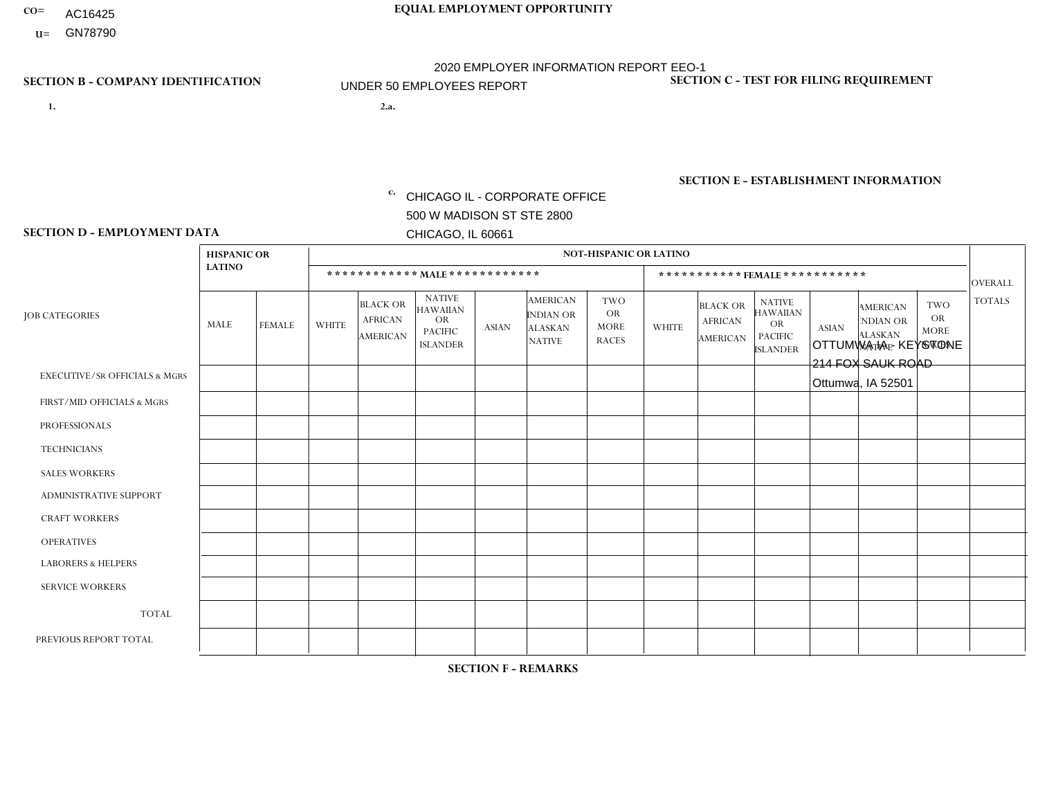- AC16425
- **U=**

**1. 2.a.** CHICAGO IL - CORPORATE OFFICE 500 W MADISON ST STE 2800 CHICAGO, IL 60661

2.a. OTTUMWA IA - KEYSTONE 214 FOX SAUK ROAD Ottumwa, IA 52501

EIN= 952920557

# **SECTION B - COMPANY IDENTIFICATION SECTION C - TEST FOR FILING REQUIREMENT**

1- Y 2- Y 3- N DUNS= 000123456

**SECTION E - ESTABLISHMENT INFORMATION c.** NAICS: 423140

### **SECTION D - EMPLOYMENT DATA**

|                                          | <b>HISPANIC OR</b> |               |                          |                                                      |                                                                                    |             |                                                                        | <b>NOT-HISPANIC OR LATINO</b>                          |                |                                               |                                                                             |              |                                                                       |                                                        |                |
|------------------------------------------|--------------------|---------------|--------------------------|------------------------------------------------------|------------------------------------------------------------------------------------|-------------|------------------------------------------------------------------------|--------------------------------------------------------|----------------|-----------------------------------------------|-----------------------------------------------------------------------------|--------------|-----------------------------------------------------------------------|--------------------------------------------------------|----------------|
|                                          | <b>LATINO</b>      |               |                          | ************ MALE ************                       |                                                                                    |             |                                                                        |                                                        |                | ***********FEMALE***********                  |                                                                             |              |                                                                       |                                                        | <b>OVERALL</b> |
| <b>JOB CATEGORIES</b>                    | MALE               | <b>FEMALE</b> | <b>WHITE</b>             | <b>BLACK OR</b><br><b>AFRICAN</b><br><b>AMERICAN</b> | <b>NATIVE</b><br><b>HAWAIIAN</b><br><b>OR</b><br><b>PACIFIC</b><br><b>ISLANDER</b> | ASIAN       | <b>AMERICAN</b><br><b>INDIAN OR</b><br><b>ALASKAN</b><br><b>NATIVE</b> | <b>TWO</b><br><b>OR</b><br><b>MORE</b><br><b>RACES</b> | <b>WHITE</b>   | <b>BLACK OR</b><br><b>AFRICAN</b><br>AMERICAN | <b>NATIVE</b><br><b>HAWAIIAN</b><br>OR<br><b>PACIFIC</b><br><b>ISLANDER</b> | <b>ASIAN</b> | <b>AMERICAN</b><br><b>NDIAN OR</b><br><b>ALASKAN</b><br><b>NATIVE</b> | <b>TWO</b><br><b>OR</b><br><b>MORE</b><br><b>RACES</b> | <b>TOTALS</b>  |
| <b>EXECUTIVE/SR OFFICIALS &amp; MGRS</b> | $\Omega$           | $\Omega$      | $\Omega$                 | $\mathbf 0$                                          | $\mathbf 0$                                                                        | $\Omega$    | $\Omega$                                                               | $\Omega$                                               | $\Omega$       | $\Omega$                                      | $\Omega$                                                                    | $\mathbf 0$  | $\Omega$                                                              | $\mathbf 0$                                            | $\mathbf{0}$   |
| FIRST/MID OFFICIALS & MGRS               | 0                  | 0             | $\Omega$                 | $\mathbf 0$                                          | 0                                                                                  | $\Omega$    | $\Omega$                                                               | $\Omega$                                               | 0              | $\Omega$                                      | $\Omega$                                                                    | $\mathbf{0}$ | $\Omega$                                                              | $\mathbf 0$                                            | $\overline{0}$ |
| <b>PROFESSIONALS</b>                     | $\Omega$           | $\Omega$      | $\Omega$                 | $\mathbf 0$                                          | $\Omega$                                                                           | $\Omega$    | $\Omega$                                                               | $\Omega$                                               | $\overline{0}$ | $\Omega$                                      | $\Omega$                                                                    | $\Omega$     | $\Omega$                                                              | $\Omega$                                               | $\mathbf 0$    |
| <b>TECHNICIANS</b>                       | 0                  | $\mathbf 0$   | $\Omega$                 | $\mathbf 0$                                          | $\Omega$                                                                           | $\Omega$    | $\Omega$                                                               | $\Omega$                                               | $\Omega$       | $\Omega$                                      | $\Omega$                                                                    | $\Omega$     | $\Omega$                                                              | $\Omega$                                               | $\mathbf{0}$   |
| <b>SALES WORKERS</b>                     | $\Omega$           | $\Omega$      | $\Omega$                 | $\mathbf 0$                                          | $\Omega$                                                                           | $\Omega$    | $\Omega$                                                               | $\Omega$                                               | $\overline{0}$ | $\Omega$                                      | $\Omega$                                                                    | $\Omega$     | $\Omega$                                                              | $\mathbf{0}$                                           | $\mathbf{0}$   |
| ADMINISTRATIVE SUPPORT                   | $\mathbf 0$        | 0             | $\mathbf 0$              | $\mathbf 0$                                          | 0                                                                                  | $\Omega$    | $\Omega$                                                               | $\Omega$                                               | $\Omega$       | $\Omega$                                      | $\Omega$                                                                    | $\Omega$     | $\mathbf{0}$                                                          | $\mathbf 0$                                            | $\mathbf 0$    |
| <b>CRAFT WORKERS</b>                     | 0                  | $\Omega$      | $\Omega$                 | $\mathbf 0$                                          | $\Omega$                                                                           | $\Omega$    | $\Omega$                                                               | $\Omega$                                               | 0              | $\Omega$                                      | $\Omega$                                                                    | $\Omega$     | $\Omega$                                                              | $\Omega$                                               | $\Omega$       |
| <b>OPERATIVES</b>                        | 0                  | $\Omega$      | 1                        | $\mathbf 0$                                          | $\Omega$                                                                           | $\Omega$    | $\Omega$                                                               | $\Omega$                                               | $\Omega$       | $\Omega$                                      | $\Omega$                                                                    | $\Omega$     | $\Omega$                                                              | $\Omega$                                               | $\mathbf{1}$   |
| <b>LABORERS &amp; HELPERS</b>            | $\Omega$           | $\Omega$      | $\Omega$                 | $\mathbf 0$                                          | $\mathbf 0$                                                                        | $\Omega$    | $\Omega$                                                               | $\Omega$                                               | $\Omega$       | $\Omega$                                      | $\Omega$                                                                    | $\Omega$     | $\Omega$                                                              | $\Omega$                                               | $\mathbf{0}$   |
| <b>SERVICE WORKERS</b>                   | 0                  | $\mathbf 0$   | $\mathbf 0$              | $\mathbf 0$                                          | $\mathbf{0}$                                                                       | $\mathbf 0$ | $\Omega$                                                               | $\Omega$                                               | $\Omega$       | $\Omega$                                      | $\Omega$                                                                    | $\mathbf 0$  | $\Omega$                                                              | $\mathbf 0$                                            | $\overline{0}$ |
| <b>TOTAL</b>                             | $\Omega$           | 0             | $\overline{\phantom{a}}$ | 0                                                    | 0                                                                                  | $\Omega$    | $\Omega$                                                               | $\Omega$                                               | $\Omega$       | $\Omega$                                      | $\Omega$                                                                    | $\mathbf 0$  | 0                                                                     | $\mathbf 0$                                            | $\mathbf{1}$   |
| PREVIOUS REPORT TOTAL                    | 0                  | $\mathbf{0}$  |                          | $\mathbf 0$                                          | $\Omega$                                                                           | $\Omega$    | $\Omega$                                                               | $\Omega$                                               | 0              | $\Omega$                                      | $\Omega$                                                                    | $\Omega$     | $\Omega$                                                              | $\mathbf 0$                                            | $\mathbf{1}$   |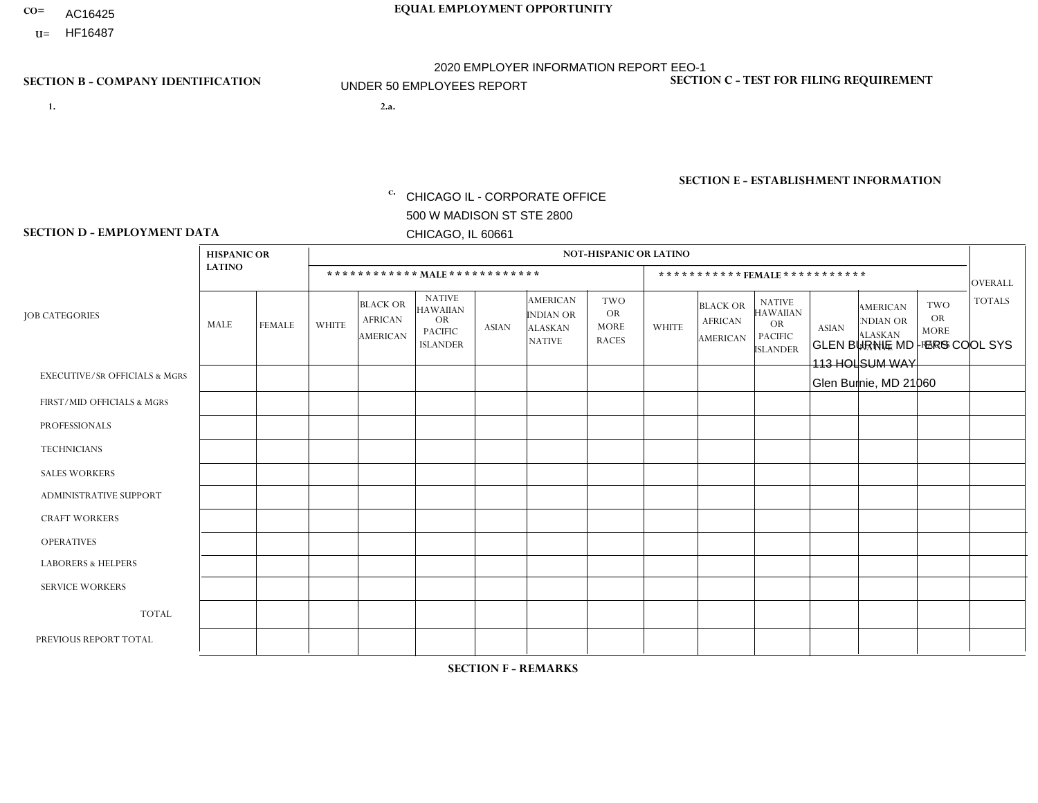- AC16425
- **U=**

**1. 2.a.** CHICAGO IL - CORPORATE OFFICE 500 W MADISON ST STE 2800 CHICAGO, IL 60661

2.a. GLEN BURNIE MD - ERS COOL SYS 113 HOLSUM WAY Glen Burnie, MD 21060

EIN= 952920557

# **SECTION B - COMPANY IDENTIFICATION SECTION C - TEST FOR FILING REQUIREMENT**

1- Y 2- Y 3- N DUNS= 000123456

**SECTION E - ESTABLISHMENT INFORMATION c.** NAICS: 423140

### **SECTION D - EMPLOYMENT DATA**

|                                          | <b>HISPANIC OR</b> |               |                |                                                      |                                                                                    |                      |                                                                 | <b>NOT-HISPANIC OR LATINO</b>                          |              |                                                      |                                                                                    |              |                                                                       |                                                        |                |
|------------------------------------------|--------------------|---------------|----------------|------------------------------------------------------|------------------------------------------------------------------------------------|----------------------|-----------------------------------------------------------------|--------------------------------------------------------|--------------|------------------------------------------------------|------------------------------------------------------------------------------------|--------------|-----------------------------------------------------------------------|--------------------------------------------------------|----------------|
|                                          | <b>LATINO</b>      |               |                | ************ MALE ************                       |                                                                                    |                      |                                                                 |                                                        |              |                                                      | ***********FEMALE***********                                                       |              |                                                                       |                                                        | <b>OVERALL</b> |
| <b>JOB CATEGORIES</b>                    | <b>MALE</b>        | <b>FEMALE</b> | <b>WHITE</b>   | <b>BLACK OR</b><br><b>AFRICAN</b><br><b>AMERICAN</b> | <b>NATIVE</b><br><b>HAWAIIAN</b><br><b>OR</b><br><b>PACIFIC</b><br><b>ISLANDER</b> | <b>ASIAN</b>         | <b>AMERICAN</b><br>INDIAN OR<br><b>ALASKAN</b><br><b>NATIVE</b> | <b>TWO</b><br><b>OR</b><br><b>MORE</b><br><b>RACES</b> | <b>WHITE</b> | <b>BLACK OR</b><br><b>AFRICAN</b><br><b>AMERICAN</b> | <b>NATIVE</b><br><b>HAWAIIAN</b><br><b>OR</b><br><b>PACIFIC</b><br><b>ISLANDER</b> | <b>ASIAN</b> | <b>AMERICAN</b><br><b>NDIAN OR</b><br><b>ALASKAN</b><br><b>NATIVE</b> | <b>TWO</b><br><b>OR</b><br><b>MORE</b><br><b>RACES</b> | <b>TOTALS</b>  |
| <b>EXECUTIVE/SR OFFICIALS &amp; MGRS</b> | $\mathbf{0}$       | $\Omega$      | $\Omega$       | $\Omega$                                             | 0                                                                                  | $\Omega$             | $\Omega$                                                        | $\Omega$                                               | $\Omega$     | $\mathbf{0}$                                         | $\Omega$                                                                           | $\Omega$     | $\Omega$                                                              | $\Omega$                                               | $\Omega$       |
| FIRST/MID OFFICIALS & MGRS               | $\Omega$           | $\Omega$      | $\overline{c}$ | $\mathbf 0$                                          | $\mathbf 0$                                                                        | $\Omega$             | $\Omega$                                                        | $\Omega$                                               | $\Omega$     | $\Omega$                                             | $\Omega$                                                                           | $\Omega$     | $\Omega$                                                              | $\Omega$                                               | $\overline{2}$ |
| <b>PROFESSIONALS</b>                     | $\Omega$           | $\Omega$      | $\mathbf 0$    | $\mathbf 0$                                          | $\overline{0}$                                                                     | $\Omega$             | $\Omega$                                                        | $\Omega$                                               | $\Omega$     | $\Omega$                                             | $\Omega$                                                                           | $\Omega$     | $\Omega$                                                              | $\mathbf{0}$                                           | $\mathbf 0$    |
| <b>TECHNICIANS</b>                       | $\Omega$           | $\Omega$      | $\Omega$       | $\Omega$                                             | 0                                                                                  | $\Omega$             | $\overline{0}$                                                  | $\Omega$                                               | $\Omega$     | $\Omega$                                             | $\Omega$                                                                           | $\Omega$     | $\mathbf{0}$                                                          | $\Omega$                                               | $\mathbf 0$    |
| <b>SALES WORKERS</b>                     | $\Omega$           | $\Omega$      | $\Omega$       | $\Omega$                                             | $\Omega$                                                                           | $\Omega$             | $\Omega$                                                        |                                                        | $\Omega$     | $\Omega$                                             | $\Omega$                                                                           | $\Omega$     | $\Omega$                                                              | $\mathbf{0}$                                           | $\mathbf{1}$   |
| <b>ADMINISTRATIVE SUPPORT</b>            | $\Omega$           | $\mathbf 0$   | $\Omega$       | $\mathbf 0$                                          | $\mathbf 0$                                                                        | $\mathbf 0$          | $\Omega$                                                        | $\Omega$                                               | 1            | $\mathbf{0}$                                         | $\Omega$                                                                           | $\Omega$     | $\Omega$                                                              | $\Omega$                                               | $\mathbf{1}$   |
| <b>CRAFT WORKERS</b>                     | $\Omega$           | $\Omega$      | $\Omega$       | 0                                                    | 0                                                                                  | $\Omega$             | $\Omega$                                                        | $\Omega$                                               | $\Omega$     | $\Omega$                                             | $\Omega$                                                                           | $\Omega$     | $\Omega$                                                              | $\Omega$                                               | $\Omega$       |
| <b>OPERATIVES</b>                        | $\overline{2}$     | $\Omega$      | $\Omega$       | $\mathbf 0$                                          | 0                                                                                  | $\mathbf 0$          | $\Omega$                                                        |                                                        | $\Omega$     | $\Omega$                                             | $\Omega$                                                                           | $\Omega$     | $\Omega$                                                              | $\Omega$                                               | 3              |
| <b>LABORERS &amp; HELPERS</b>            | $\Omega$           | $\Omega$      | 5              | $\mathbf 0$                                          | 0                                                                                  | $\blacktriangleleft$ | $\Omega$                                                        | $\Omega$                                               | $\Omega$     | $\Omega$                                             | $\Omega$                                                                           | $\Omega$     | $\Omega$                                                              | $\Omega$                                               | 6              |
| <b>SERVICE WORKERS</b>                   | $\Omega$           | $\Omega$      | 0              | 0                                                    | $\mathbf 0$                                                                        | $\Omega$             | $\Omega$                                                        | $\Omega$                                               | $\Omega$     | $\Omega$                                             | $\Omega$                                                                           | $\Omega$     | $\Omega$                                                              | $\Omega$                                               | 0              |
| <b>TOTAL</b>                             | $\overline{2}$     | 0             | $\overline{7}$ | 0                                                    | 0                                                                                  | $\mathbf 1$          | $\mathbf{0}$                                                    | 2                                                      | 1            | $\Omega$                                             | $\Omega$                                                                           | $\mathbf 0$  | $\Omega$                                                              | $\Omega$                                               | 13             |
| PREVIOUS REPORT TOTAL                    | 2                  | $\Omega$      | 9              | 2                                                    | 0                                                                                  | 3                    | $\Omega$                                                        |                                                        | $\mathbf 1$  | $\Omega$                                             | $\mathbf{0}$                                                                       | $\Omega$     | $\Omega$                                                              | $\mathbf 0$                                            | 18             |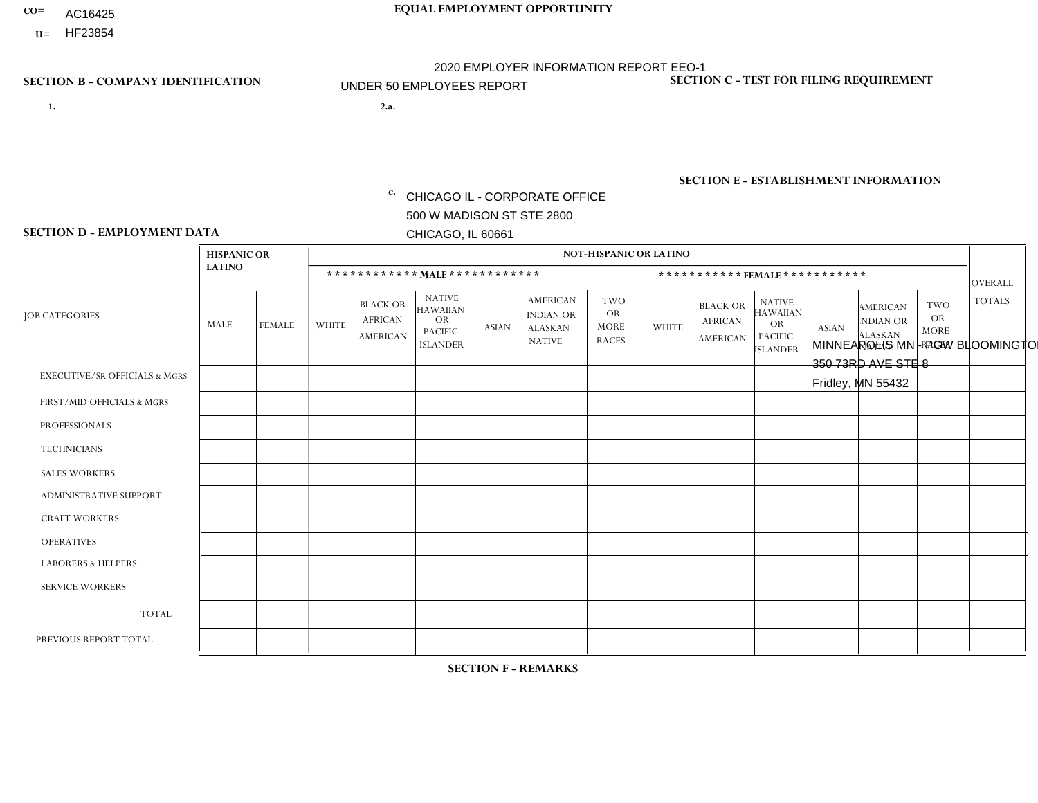- AC16425
- **U=**

- **1. 2.a.** CHICAGO IL CORPORATE OFFICE 500 W MADISON ST STE 2800 CHICAGO, IL 60661
- 2.a. MINNEAPOLIS MN PGW BLOOMINGTON 350 73RD AVE STE 8 Fridley, MN 55432

c. EIN= 952920557

## **SECTION B - COMPANY IDENTIFICATION SECTION C - TEST FOR FILING REQUIREMENT**

1- Y 2- Y 3- N DUNS= 000123456

**SECTION E - ESTABLISHMENT INFORMATION c.** NAICS: 811122

### **SECTION D - EMPLOYMENT DATA**

|                                          | <b>HISPANIC OR</b> |               |                |                                                      |                                                                                    |              |                                                                        | <b>NOT-HISPANIC OR LATINO</b>                          |              |                                               |                                                                                    |              |                                                                       |                                                        |                |
|------------------------------------------|--------------------|---------------|----------------|------------------------------------------------------|------------------------------------------------------------------------------------|--------------|------------------------------------------------------------------------|--------------------------------------------------------|--------------|-----------------------------------------------|------------------------------------------------------------------------------------|--------------|-----------------------------------------------------------------------|--------------------------------------------------------|----------------|
|                                          | <b>LATINO</b>      |               |                |                                                      | ************ MALE ************                                                     |              |                                                                        |                                                        |              |                                               | *********** FEMALE ***********                                                     |              |                                                                       |                                                        | <b>OVERALL</b> |
| <b>JOB CATEGORIES</b>                    | MALE               | <b>FEMALE</b> | <b>WHITE</b>   | <b>BLACK OR</b><br><b>AFRICAN</b><br><b>AMERICAN</b> | <b>NATIVE</b><br><b>HAWAIIAN</b><br><b>OR</b><br><b>PACIFIC</b><br><b>ISLANDER</b> | <b>ASIAN</b> | <b>AMERICAN</b><br><b>INDIAN OR</b><br><b>ALASKAN</b><br><b>NATIVE</b> | <b>TWO</b><br><b>OR</b><br><b>MORE</b><br><b>RACES</b> | <b>WHITE</b> | <b>BLACK OR</b><br><b>AFRICAN</b><br>AMERICAN | <b>NATIVE</b><br><b>HAWAIIAN</b><br><b>OR</b><br><b>PACIFIC</b><br><b>ISLANDER</b> | <b>ASIAN</b> | <b>AMERICAN</b><br><b>NDIAN OR</b><br><b>ALASKAN</b><br><b>NATIVE</b> | <b>TWO</b><br><b>OR</b><br><b>MORE</b><br><b>RACES</b> | <b>TOTALS</b>  |
| <b>EXECUTIVE/SR OFFICIALS &amp; MGRS</b> | $\Omega$           | $\mathbf 0$   | $\mathbf 0$    | 0                                                    | $\Omega$                                                                           | $\Omega$     | $\Omega$                                                               | $\Omega$                                               | $\Omega$     | $\Omega$                                      | $\Omega$                                                                           | $\Omega$     | $\Omega$                                                              | $\Omega$                                               | $\mathbf 0$    |
| FIRST/MID OFFICIALS & MGRS               | $\mathbf{0}$       | $\mathbf 0$   | $\mathbf 0$    | $\mathbf 0$                                          | $\Omega$                                                                           | $\Omega$     | $\Omega$                                                               | $\Omega$                                               | $\Omega$     | $\Omega$                                      | $\Omega$                                                                           | $\Omega$     | $\Omega$                                                              | $\Omega$                                               | $\mathbf 0$    |
| <b>PROFESSIONALS</b>                     | $\mathbf 0$        | $\mathbf 0$   | $\mathbf 0$    | $\mathbf 0$                                          | $\Omega$                                                                           | $\Omega$     | $\Omega$                                                               | $\Omega$                                               | $\Omega$     | $\Omega$                                      | $\Omega$                                                                           | $\Omega$     | $\Omega$                                                              | $\mathbf 0$                                            | $\mathbf 0$    |
| <b>TECHNICIANS</b>                       | $\mathbf 0$        | $\mathbf 0$   | $\mathbf 0$    | $\mathbf 0$                                          | $\Omega$                                                                           | $\Omega$     | $\Omega$                                                               | $\Omega$                                               | $\Omega$     | $\Omega$                                      | $\Omega$                                                                           | $\Omega$     | $\Omega$                                                              | $\Omega$                                               | $\mathbf 0$    |
| <b>SALES WORKERS</b>                     | $\mathbf 0$        | $\mathbf 0$   | $\mathbf 0$    | 0                                                    | $\Omega$                                                                           | $\Omega$     | $\Omega$                                                               | $\Omega$                                               | $\Omega$     | $\Omega$                                      | $\Omega$                                                                           | $\Omega$     | $\Omega$                                                              | $\Omega$                                               | $\mathbf 0$    |
| <b>ADMINISTRATIVE SUPPORT</b>            | $\mathbf 0$        | $\mathbf 0$   | $\mathbf 0$    | 0                                                    | $\Omega$                                                                           | $\Omega$     | $\Omega$                                                               | $\Omega$                                               | $\Omega$     | $\mathbf 0$                                   | $\Omega$                                                                           | $\Omega$     | $\Omega$                                                              | $\Omega$                                               | $\mathbf 0$    |
| <b>CRAFT WORKERS</b>                     | $\mathbf 0$        | $\mathbf 0$   | $\mathbf 0$    | $\mathbf 0$                                          | $\Omega$                                                                           | $\Omega$     | $\Omega$                                                               | $\Omega$                                               | $\Omega$     | $\Omega$                                      | $\Omega$                                                                           | $\Omega$     | $\Omega$                                                              | $\Omega$                                               | $\mathbf 0$    |
| <b>OPERATIVES</b>                        | $\mathbf 0$        | 0             | 5              | 0                                                    | $\Omega$                                                                           | $\Omega$     | $\Omega$                                                               |                                                        | $\Omega$     | $\Omega$                                      | $\Omega$                                                                           | $\Omega$     | $\Omega$                                                              | $\Omega$                                               | 6              |
| <b>LABORERS &amp; HELPERS</b>            | $\mathbf{0}$       | $\mathbf{0}$  | $\overline{2}$ | $\mathbf 0$                                          | $\Omega$                                                                           | $\Omega$     | $\Omega$                                                               | $\Omega$                                               | $\Omega$     | $\Omega$                                      | $\Omega$                                                                           | $\Omega$     | $\Omega$                                                              | $\Omega$                                               | $\overline{2}$ |
| <b>SERVICE WORKERS</b>                   | $\mathbf{0}$       | $\mathbf{0}$  | $\mathbf 0$    | 0                                                    | $\Omega$                                                                           | $\Omega$     | $\Omega$                                                               | $\Omega$                                               | $\Omega$     | $\Omega$                                      | $\Omega$                                                                           | $\Omega$     | $\Omega$                                                              | $\Omega$                                               | $\mathbf 0$    |
| <b>TOTAL</b>                             | $\mathbf 0$        | $\mathbf 0$   | $\overline{7}$ | 0                                                    | $\Omega$                                                                           | $\Omega$     | $\Omega$                                                               |                                                        | $\Omega$     | $\Omega$                                      | $\Omega$                                                                           | $\Omega$     | $\Omega$                                                              | $\Omega$                                               | 8              |
| PREVIOUS REPORT TOTAL                    | 0                  | $\mathbf{0}$  | 8              | $\Omega$                                             | $\Omega$                                                                           | -1           | $\Omega$                                                               | $\Omega$                                               | $\Omega$     | $\Omega$                                      | 0                                                                                  | $\Omega$     | $\Omega$                                                              | $\Omega$                                               | 9              |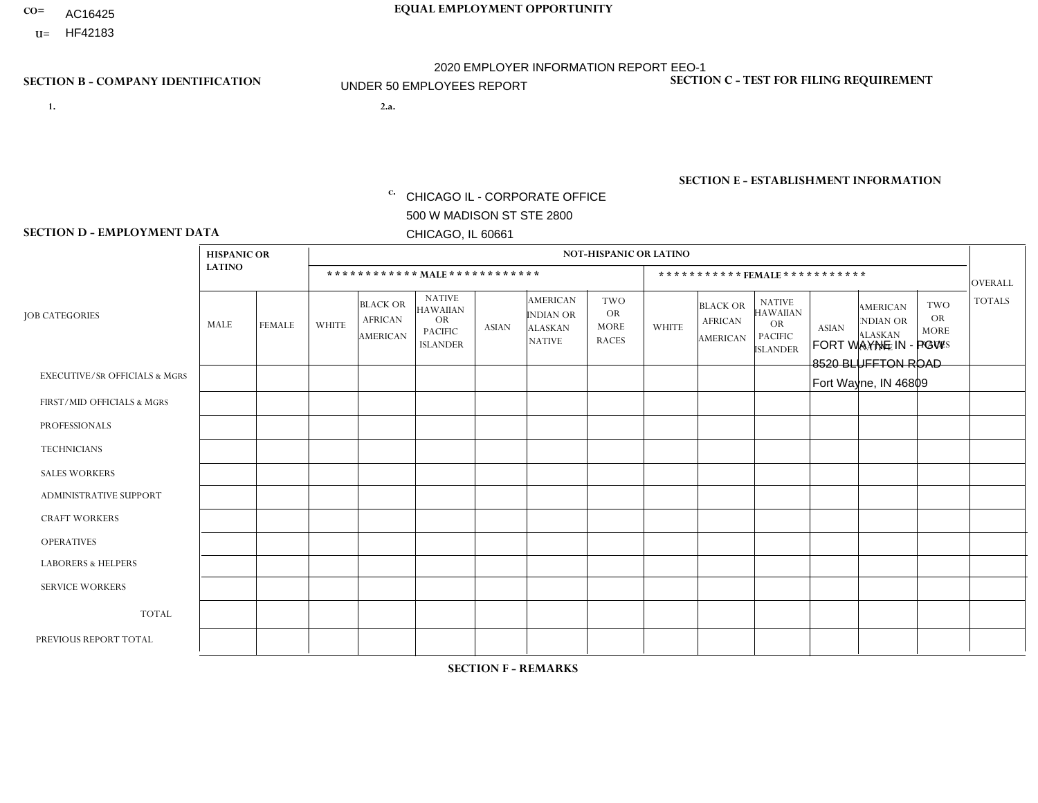- AC16425
- **U=**

**1. 2.a.** CHICAGO IL - CORPORATE OFFICE 500 W MADISON ST STE 2800 CHICAGO, IL 60661

FORT WAYNE IN - PGW 8520 BLUFFTON ROAD Fort Wayne, IN 46809

c. EIN= 952920557

## **SECTION B - COMPANY IDENTIFICATION SECTION C - TEST FOR FILING REQUIREMENT**

1- Y 2- Y 3- N DUNS= 000123456

**SECTION E - ESTABLISHMENT INFORMATION c.** NAICS: 811122

### **SECTION D - EMPLOYMENT DATA**

|                                          | <b>HISPANIC OR</b> |               |                |                                                      |                                                                                    |              |                                                                        | <b>NOT-HISPANIC OR LATINO</b>                          |              |                                                      |                                                                                    |              |                                                                       |                                                        |                |
|------------------------------------------|--------------------|---------------|----------------|------------------------------------------------------|------------------------------------------------------------------------------------|--------------|------------------------------------------------------------------------|--------------------------------------------------------|--------------|------------------------------------------------------|------------------------------------------------------------------------------------|--------------|-----------------------------------------------------------------------|--------------------------------------------------------|----------------|
|                                          | <b>LATINO</b>      |               |                | ************ MALE ************                       |                                                                                    |              |                                                                        |                                                        |              |                                                      | ***********FEMALE***********                                                       |              |                                                                       |                                                        | <b>OVERALL</b> |
| <b>JOB CATEGORIES</b>                    | <b>MALE</b>        | <b>FEMALE</b> | <b>WHITE</b>   | <b>BLACK OR</b><br><b>AFRICAN</b><br><b>AMERICAN</b> | <b>NATIVE</b><br><b>HAWAIIAN</b><br><b>OR</b><br><b>PACIFIC</b><br><b>ISLANDER</b> | <b>ASIAN</b> | <b>AMERICAN</b><br><b>INDIAN OR</b><br><b>ALASKAN</b><br><b>NATIVE</b> | <b>TWO</b><br><b>OR</b><br><b>MORE</b><br><b>RACES</b> | <b>WHITE</b> | <b>BLACK OR</b><br><b>AFRICAN</b><br><b>AMERICAN</b> | <b>NATIVE</b><br><b>HAWAIIAN</b><br><b>OR</b><br><b>PACIFIC</b><br><b>ISLANDER</b> | <b>ASIAN</b> | <b>AMERICAN</b><br><b>NDIAN OR</b><br><b>ALASKAN</b><br><b>NATIVE</b> | <b>TWO</b><br><b>OR</b><br><b>MORE</b><br><b>RACES</b> | <b>TOTALS</b>  |
| <b>EXECUTIVE/SR OFFICIALS &amp; MGRS</b> | $\mathbf{0}$       | $\Omega$      | $\Omega$       | $\Omega$                                             | 0                                                                                  | $\Omega$     | $\Omega$                                                               | $\Omega$                                               | $\Omega$     | $\mathbf{0}$                                         | $\Omega$                                                                           | $\Omega$     | $\Omega$                                                              | $\Omega$                                               | $\Omega$       |
| FIRST/MID OFFICIALS & MGRS               | $\Omega$           | $\Omega$      | 1              | $\Omega$                                             | $\mathbf 0$                                                                        | $\Omega$     | $\Omega$                                                               | $\Omega$                                               | $\Omega$     | $\Omega$                                             | $\Omega$                                                                           | $\Omega$     | $\Omega$                                                              | $\Omega$                                               | $\mathbf{1}$   |
| <b>PROFESSIONALS</b>                     | $\Omega$           | $\Omega$      | $\mathbf 0$    | $\mathbf 0$                                          | $\overline{0}$                                                                     | $\Omega$     | $\Omega$                                                               | $\Omega$                                               | $\Omega$     | $\Omega$                                             | $\Omega$                                                                           | $\Omega$     | $\Omega$                                                              | $\Omega$                                               | $\mathbf 0$    |
| <b>TECHNICIANS</b>                       | $\Omega$           | $\Omega$      | $\Omega$       | $\Omega$                                             | 0                                                                                  | $\Omega$     | $\overline{0}$                                                         | $\Omega$                                               | $\Omega$     | $\Omega$                                             | $\Omega$                                                                           | $\Omega$     | $\mathbf{0}$                                                          | $\Omega$                                               | $\mathbf 0$    |
| <b>SALES WORKERS</b>                     | $\Omega$           | $\Omega$      | $\Omega$       | $\Omega$                                             | $\Omega$                                                                           | $\Omega$     | $\Omega$                                                               | $\Omega$                                               | $\Omega$     | $\Omega$                                             | $\Omega$                                                                           | $\Omega$     | $\Omega$                                                              | $\Omega$                                               | $\mathbf 0$    |
| <b>ADMINISTRATIVE SUPPORT</b>            | $\Omega$           | $\mathbf 0$   | $\Omega$       | $\mathbf 0$                                          | $\mathbf 0$                                                                        | $\mathbf 0$  | $\Omega$                                                               | $\Omega$                                               | $\Omega$     | $\Omega$                                             | $\Omega$                                                                           | $\Omega$     | $\Omega$                                                              | $\Omega$                                               | $\mathbf 0$    |
| <b>CRAFT WORKERS</b>                     | $\Omega$           | $\Omega$      | $\Omega$       | 0                                                    | 0                                                                                  | $\Omega$     | $\Omega$                                                               | $\Omega$                                               | $\Omega$     | $\Omega$                                             | $\Omega$                                                                           | $\Omega$     | $\Omega$                                                              | $\Omega$                                               | $\Omega$       |
| <b>OPERATIVES</b>                        | $\Omega$           | $\Omega$      | 5              | $\mathbf 0$                                          | 0                                                                                  | $\Omega$     | $\Omega$                                                               | $\Omega$                                               | $\Omega$     | $\Omega$                                             | $\Omega$                                                                           | $\Omega$     | $\Omega$                                                              | $\Omega$                                               | 5              |
| <b>LABORERS &amp; HELPERS</b>            | $\Omega$           | $\Omega$      | 1              | $\mathbf 0$                                          | 0                                                                                  | $\Omega$     | $\Omega$                                                               | $\Omega$                                               | $\Omega$     | $\Omega$                                             | $\Omega$                                                                           | $\Omega$     | $\Omega$                                                              | $\mathbf{0}$                                           | $\mathbf{1}$   |
| <b>SERVICE WORKERS</b>                   | $\Omega$           | $\Omega$      | 0              | 0                                                    | $\mathbf{0}$                                                                       | $\Omega$     | $\Omega$                                                               | $\Omega$                                               | $\Omega$     | $\Omega$                                             | $\Omega$                                                                           | $\Omega$     | $\Omega$                                                              | $\Omega$                                               | 0              |
| <b>TOTAL</b>                             | $\mathbf 0$        | 0             | $\overline{7}$ | 0                                                    | 0                                                                                  | $\mathbf{0}$ | $\Omega$                                                               | $\Omega$                                               | 0            | $\Omega$                                             | $\Omega$                                                                           | $\mathbf 0$  | $\Omega$                                                              | $\mathbf 0$                                            | $\overline{7}$ |
| PREVIOUS REPORT TOTAL                    |                    | $\mathbf 0$   | 2              | $\mathbf 0$                                          | 0                                                                                  | $\Omega$     | $\overline{0}$                                                         | $\Omega$                                               | $\Omega$     | $\Omega$                                             | $\mathbf{0}$                                                                       | $\Omega$     | $\Omega$                                                              | $\mathbf 0$                                            | 3              |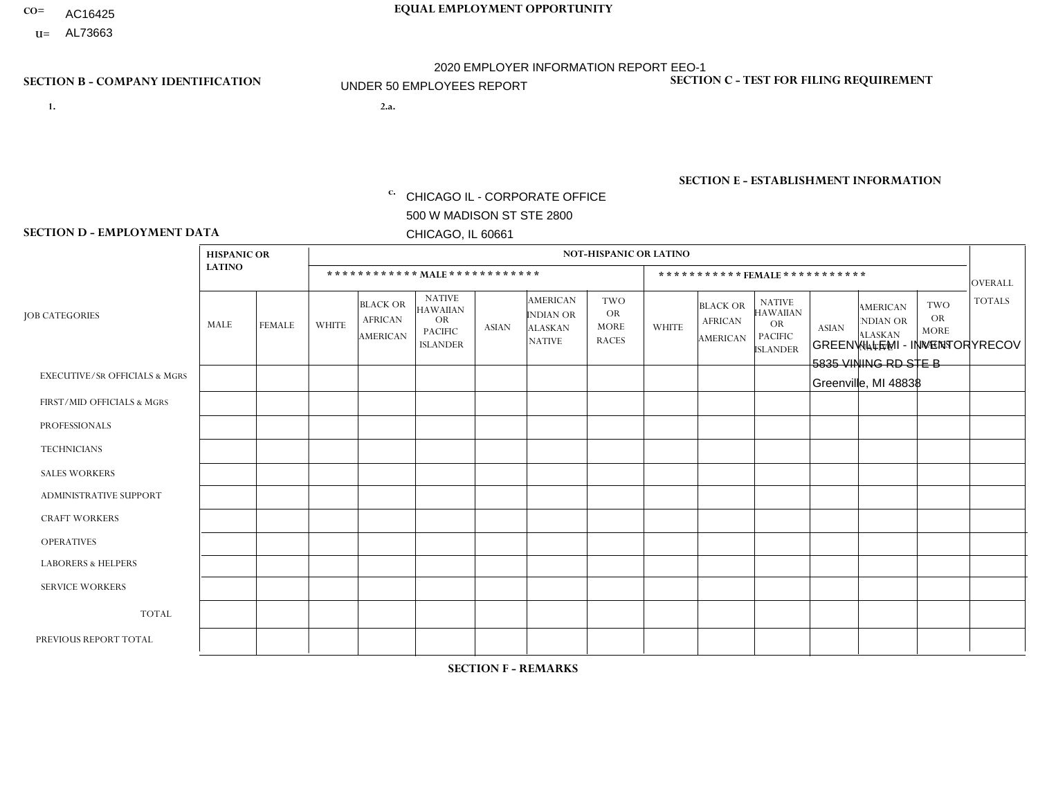- AC16425
- **U=**

**1. 2.a.** CHICAGO IL - CORPORATE OFFICE 500 W MADISON ST STE 2800 CHICAGO, IL 60661

2.a. GREENVILLEMI - INVENTORYRECOV 5835 VINING RD STE B Greenville, MI 48838

c. EIN= 952920557

## **SECTION B - COMPANY IDENTIFICATION SECTION C - TEST FOR FILING REQUIREMENT**

1- Y 2- Y 3- N DUNS= 000123456

**SECTION E - ESTABLISHMENT INFORMATION c.** NAICS: 339999

### **SECTION D - EMPLOYMENT DATA**

|                                          | <b>HISPANIC OR</b> |                |                |                                                      |                                                                                    |              |                                                                        | <b>NOT-HISPANIC OR LATINO</b>                          |                |                                                      |                                                                                    |              |                                                                       |                                           |                |
|------------------------------------------|--------------------|----------------|----------------|------------------------------------------------------|------------------------------------------------------------------------------------|--------------|------------------------------------------------------------------------|--------------------------------------------------------|----------------|------------------------------------------------------|------------------------------------------------------------------------------------|--------------|-----------------------------------------------------------------------|-------------------------------------------|----------------|
|                                          | <b>LATINO</b>      |                |                |                                                      | ************ MALE *************                                                    |              |                                                                        |                                                        |                |                                                      | ***********FEMALE ***********                                                      |              |                                                                       |                                           | OVERALL        |
| <b>JOB CATEGORIES</b>                    | MALE               | <b>FEMALE</b>  | <b>WHITE</b>   | <b>BLACK OR</b><br><b>AFRICAN</b><br><b>AMERICAN</b> | <b>NATIVE</b><br><b>HAWAIIAN</b><br><b>OR</b><br><b>PACIFIC</b><br><b>ISLANDER</b> | <b>ASIAN</b> | <b>AMERICAN</b><br><b>INDIAN OR</b><br><b>ALASKAN</b><br><b>NATIVE</b> | <b>TWO</b><br><b>OR</b><br><b>MORE</b><br><b>RACES</b> | <b>WHITE</b>   | <b>BLACK OR</b><br><b>AFRICAN</b><br><b>AMERICAN</b> | <b>NATIVE</b><br><b>HAWAIIAN</b><br><b>OR</b><br><b>PACIFIC</b><br><b>ISLANDER</b> | <b>ASIAN</b> | <b>AMERICAN</b><br><b>NDIAN OR</b><br><b>ALASKAN</b><br><b>NATIVE</b> | TWO<br>OR.<br><b>MORE</b><br><b>RACES</b> | <b>TOTALS</b>  |
| <b>EXECUTIVE/SR OFFICIALS &amp; MGRS</b> | $\Omega$           | 0              | $\mathbf 0$    | $\Omega$                                             | 0                                                                                  | $\Omega$     | $\Omega$                                                               | $\Omega$                                               | $\Omega$       | $\Omega$                                             | $\Omega$                                                                           | $\Omega$     | $\Omega$                                                              | $\Omega$                                  | $\mathbf 0$    |
| FIRST/MID OFFICIALS & MGRS               | $\Omega$           | 0              | $\overline{4}$ | $\mathbf 0$                                          | 0                                                                                  | $\mathbf 0$  | $\mathbf 0$                                                            | $\Omega$                                               | $\Omega$       | $\Omega$                                             | $\Omega$                                                                           | 0            | $\Omega$                                                              | $\Omega$                                  | $\overline{4}$ |
| <b>PROFESSIONALS</b>                     | $\Omega$           | $\overline{0}$ | $\Omega$       | $\Omega$                                             | $\mathbf 0$                                                                        | $\Omega$     | $\Omega$                                                               | $\Omega$                                               | $\Omega$       | $\Omega$                                             | $\Omega$                                                                           | $\Omega$     | $\Omega$                                                              | $\Omega$                                  | $\mathbf 0$    |
| <b>TECHNICIANS</b>                       | $\Omega$           | $\overline{0}$ | $\Omega$       | $\mathbf 0$                                          | 0                                                                                  | $\Omega$     | $\Omega$                                                               | $\Omega$                                               | $\Omega$       | $\overline{0}$                                       | $\Omega$                                                                           | $\Omega$     | $\Omega$                                                              | $\Omega$                                  | $\mathbf 0$    |
| <b>SALES WORKERS</b>                     | $\Omega$           | $\Omega$       | $\Omega$       | $\Omega$                                             | $\mathbf 0$                                                                        | $\Omega$     | $\Omega$                                                               | $\Omega$                                               | $\Omega$       | $\Omega$                                             | $\Omega$                                                                           | 0            | $\Omega$                                                              | $\Omega$                                  | $\mathbf 0$    |
| <b>ADMINISTRATIVE SUPPORT</b>            | $\Omega$           | 0              | $\mathbf 0$    | $\mathbf 0$                                          | 0                                                                                  | $\Omega$     | $\Omega$                                                               | $\Omega$                                               |                | $\Omega$                                             | $\Omega$                                                                           | $\Omega$     | $\Omega$                                                              | $\Omega$                                  | $\mathbf{1}$   |
| <b>CRAFT WORKERS</b>                     | $\Omega$           | $\Omega$       | $\mathbf 0$    | $\mathbf 0$                                          | 0                                                                                  | $\mathbf 0$  | $\Omega$                                                               | $\Omega$                                               | $\Omega$       | $\Omega$                                             | $\Omega$                                                                           | $\Omega$     | $\Omega$                                                              | $\Omega$                                  | $\overline{0}$ |
| <b>OPERATIVES</b>                        | 6                  | $\overline{2}$ | 15             | $\mathbf 0$                                          | 0                                                                                  | $\mathbf 0$  | $\Omega$                                                               | $\mathbf{1}$                                           | 2              | $\Omega$                                             | $\Omega$                                                                           | $\Omega$     | $\Omega$                                                              | $\mathbf{1}$                              | 27             |
| <b>LABORERS &amp; HELPERS</b>            | $\Omega$           | $\Omega$       | $\mathbf 0$    | $\mathbf 0$                                          | 0                                                                                  | $\mathbf 0$  | $\Omega$                                                               | $\Omega$                                               | $\Omega$       | $\Omega$                                             | $\Omega$                                                                           | 0            | $\Omega$                                                              | $\Omega$                                  | $\mathbf{0}$   |
| <b>SERVICE WORKERS</b>                   | $\Omega$           | 0              | $\mathbf 0$    | $\mathbf 0$                                          | 0                                                                                  | $\mathbf 0$  | $\mathbf 0$                                                            | $\Omega$                                               | $\mathbf{0}$   | $\Omega$                                             | $\Omega$                                                                           | 0            | $\Omega$                                                              | $\Omega$                                  | $\mathbf 0$    |
| <b>TOTAL</b>                             | 6                  | $\overline{2}$ | 19             | $\mathbf 0$                                          | 0                                                                                  | $\mathbf 0$  | $\mathbf 0$                                                            | 1                                                      | 3              | $\Omega$                                             | $\Omega$                                                                           | $\Omega$     | $\mathbf{0}$                                                          | $\mathbf{1}$                              | 32             |
| PREVIOUS REPORT TOTAL                    | 6                  | $\overline{2}$ | 24             |                                                      | 0                                                                                  | $\Omega$     | $\mathbf 0$                                                            | $\overline{1}$                                         | $\overline{7}$ | $\Omega$                                             | $\Omega$                                                                           | 0            | $\Omega$                                                              | $\overline{2}$                            | 43             |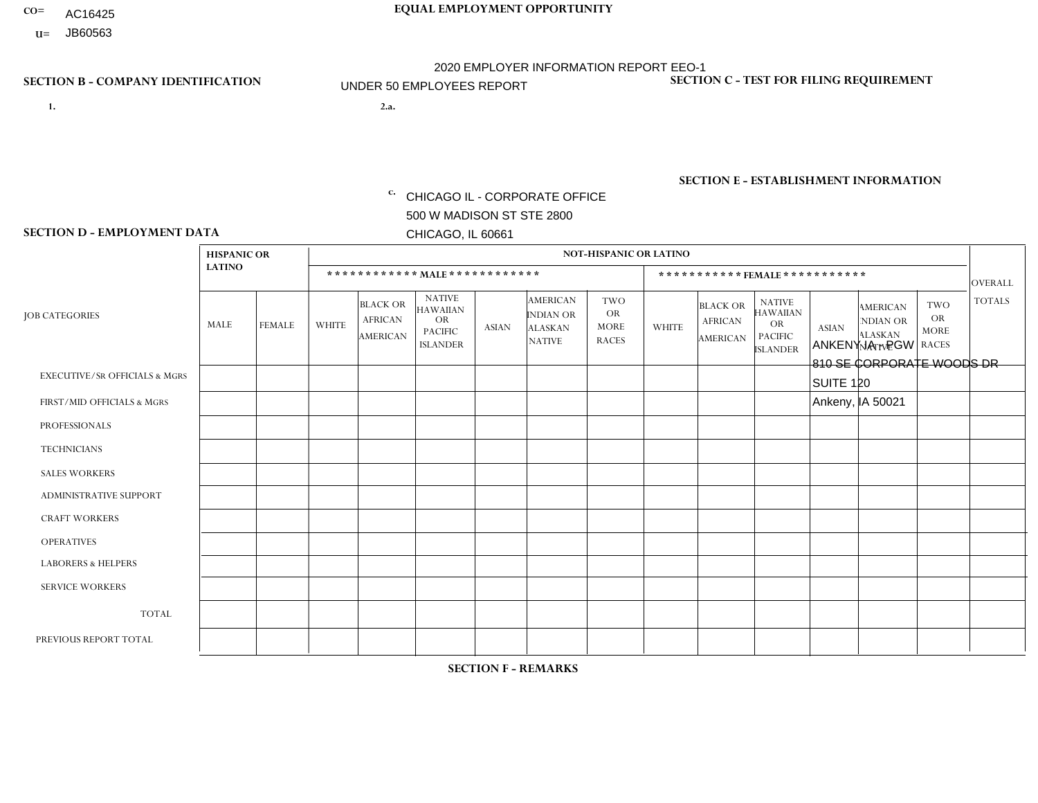- AC16425
- **U=**

- **1. 2.a.** CHICAGO IL CORPORATE OFFICE 500 W MADISON ST STE 2800 CHICAGO, IL 60661
- 2.a. ANKENY IA PGW 810 SE CORPORATE WOODS DR SUITE 120 Ankeny, IA 50021
	- c. EIN= 952920557

## **SECTION B - COMPANY IDENTIFICATION SECTION C - TEST FOR FILING REQUIREMENT**

1- Y 2- Y 3- N DUNS= 000123456

**SECTION E - ESTABLISHMENT INFORMATION c.** NAICS: 423140

### **SECTION D - EMPLOYMENT DATA**

|                                          | <b>HISPANIC OR</b> |               |                |                                                      |                                                                                    |              |                                                                        | <b>NOT-HISPANIC OR LATINO</b>                          |              |                                                      |                                                                                    |              |                                                                       |                                                  |                |
|------------------------------------------|--------------------|---------------|----------------|------------------------------------------------------|------------------------------------------------------------------------------------|--------------|------------------------------------------------------------------------|--------------------------------------------------------|--------------|------------------------------------------------------|------------------------------------------------------------------------------------|--------------|-----------------------------------------------------------------------|--------------------------------------------------|----------------|
|                                          | <b>LATINO</b>      |               |                |                                                      | ************ MAIE************                                                      |              |                                                                        |                                                        |              | *********** FEMALE ***********                       |                                                                                    |              |                                                                       |                                                  | <b>OVERALL</b> |
| <b>JOB CATEGORIES</b>                    | MALE               | <b>FEMALE</b> | <b>WHITE</b>   | <b>BLACK OR</b><br><b>AFRICAN</b><br><b>AMERICAN</b> | <b>NATIVE</b><br><b>HAWAIIAN</b><br><b>OR</b><br><b>PACIFIC</b><br><b>ISLANDER</b> | <b>ASIAN</b> | <b>AMERICAN</b><br><b>INDIAN OR</b><br><b>ALASKAN</b><br><b>NATIVE</b> | <b>TWO</b><br><b>OR</b><br><b>MORE</b><br><b>RACES</b> | <b>WHITE</b> | <b>BLACK OR</b><br><b>AFRICAN</b><br><b>AMERICAN</b> | <b>NATIVE</b><br><b>HAWAIIAN</b><br><b>OR</b><br><b>PACIFIC</b><br><b>ISLANDER</b> | <b>ASIAN</b> | <b>AMERICAN</b><br><b>NDIAN OR</b><br><b>ALASKAN</b><br><b>NATIVE</b> | <b>TWO</b><br>OR.<br><b>MORE</b><br><b>RACES</b> | <b>TOTALS</b>  |
| <b>EXECUTIVE/SR OFFICIALS &amp; MGRS</b> | $\mathbf 0$        | $\mathbf 0$   | $\mathbf 0$    | $\mathbf 0$                                          | $\mathbf 0$                                                                        | $\mathbf{0}$ | $\Omega$                                                               | $\Omega$                                               | $\Omega$     | $\mathbf 0$                                          | $\mathbf 0$                                                                        | $\mathbf 0$  | $\Omega$                                                              | $\mathbf 0$                                      | $\mathbf 0$    |
| FIRST/MID OFFICIALS & MGRS               | $\mathbf 0$        | $\mathbf 0$   | $\overline{1}$ | $\mathbf 0$                                          | $\Omega$                                                                           | $\Omega$     | $\Omega$                                                               | $\Omega$                                               | $\Omega$     | $\Omega$                                             | $\Omega$                                                                           | $\mathbf{0}$ | $\Omega$                                                              | $\mathbf 0$                                      | $\mathbf{1}$   |
| <b>PROFESSIONALS</b>                     | $\mathbf 0$        | $\mathbf 0$   | $\mathbf 0$    | $\mathbf 0$                                          | $\mathbf 0$                                                                        | $\Omega$     | $\Omega$                                                               | $\Omega$                                               | $\Omega$     | $\mathbf 0$                                          | 0                                                                                  | $\mathbf 0$  | $\Omega$                                                              | $\mathbf 0$                                      | $\mathbf 0$    |
| <b>TECHNICIANS</b>                       | $\mathbf 0$        | $\mathbf 0$   | $\Omega$       | $\mathbf 0$                                          | $\Omega$                                                                           | $\Omega$     | $\Omega$                                                               | $\Omega$                                               | $\Omega$     | $\Omega$                                             | $\mathbf{0}$                                                                       | $\Omega$     | $\Omega$                                                              | $\Omega$                                         | $\mathbf 0$    |
| <b>SALES WORKERS</b>                     | $\mathbf 0$        | $\mathbf 0$   | $\Omega$       | $\Omega$                                             | $\Omega$                                                                           | $\Omega$     | $\Omega$                                                               | $\Omega$                                               | $\Omega$     | $\Omega$                                             | $\Omega$                                                                           | $\Omega$     | $\Omega$                                                              | $\Omega$                                         | $\Omega$       |
| <b>ADMINISTRATIVE SUPPORT</b>            | $\Omega$           | $\mathbf 0$   | $\Omega$       | $\mathbf 0$                                          | $\Omega$                                                                           | $\mathbf{0}$ | $\Omega$                                                               | $\Omega$                                               | $\Omega$     | $\Omega$                                             | $\mathbf{0}$                                                                       | $\Omega$     | $\Omega$                                                              | $\Omega$                                         | $\Omega$       |
| <b>CRAFT WORKERS</b>                     | $\mathbf 0$        | 0             | $\Omega$       | $\mathbf 0$                                          | $\Omega$                                                                           | $\Omega$     | $\Omega$                                                               | $\Omega$                                               | $\Omega$     | $\Omega$                                             | $\Omega$                                                                           | $\mathbf{0}$ | $\Omega$                                                              | $\Omega$                                         | $\mathbf 0$    |
| <b>OPERATIVES</b>                        | $\mathbf 0$        | $\mathbf 0$   | $\Omega$       | 0                                                    | $\Omega$                                                                           | $\Omega$     | $\Omega$                                                               | $\Omega$                                               | -1           | $\Omega$                                             | $\Omega$                                                                           | $\Omega$     | $\Omega$                                                              | $\Omega$                                         | $\mathbf{1}$   |
| <b>LABORERS &amp; HELPERS</b>            | $\mathbf 0$        | $\mathbf 0$   | $\Omega$       | 0                                                    | $\Omega$                                                                           | $\Omega$     | $\Omega$                                                               | $\Omega$                                               | $\Omega$     | $\Omega$                                             | $\Omega$                                                                           | $\Omega$     | $\Omega$                                                              | $\Omega$                                         | $\overline{0}$ |
| <b>SERVICE WORKERS</b>                   | $\mathbf 0$        | $\mathbf 0$   | $\mathbf 0$    | 0                                                    | $\Omega$                                                                           | $\Omega$     | $\Omega$                                                               | $\Omega$                                               | $\Omega$     | $\Omega$                                             | $\mathbf{0}$                                                                       | $\Omega$     | $\Omega$                                                              | $\Omega$                                         | $\mathbf 0$    |
| <b>TOTAL</b>                             | $\mathbf 0$        | 0             | $\overline{1}$ | 0                                                    | $\mathbf 0$                                                                        | $\Omega$     | $\Omega$                                                               | $\Omega$                                               | 1            | $\Omega$                                             | $\mathbf 0$                                                                        | $\mathbf 0$  | $\Omega$                                                              | $\mathbf 0$                                      | 2              |
| PREVIOUS REPORT TOTAL                    | $\mathbf 0$        | $\mathbf 0$   | $\mathbf{3}$   | 0                                                    | $\Omega$                                                                           | $\Omega$     | $\Omega$                                                               | $\Omega$                                               | -1           | 0                                                    | 0                                                                                  | $\Omega$     | 0                                                                     | $\mathbf 0$                                      | $\overline{4}$ |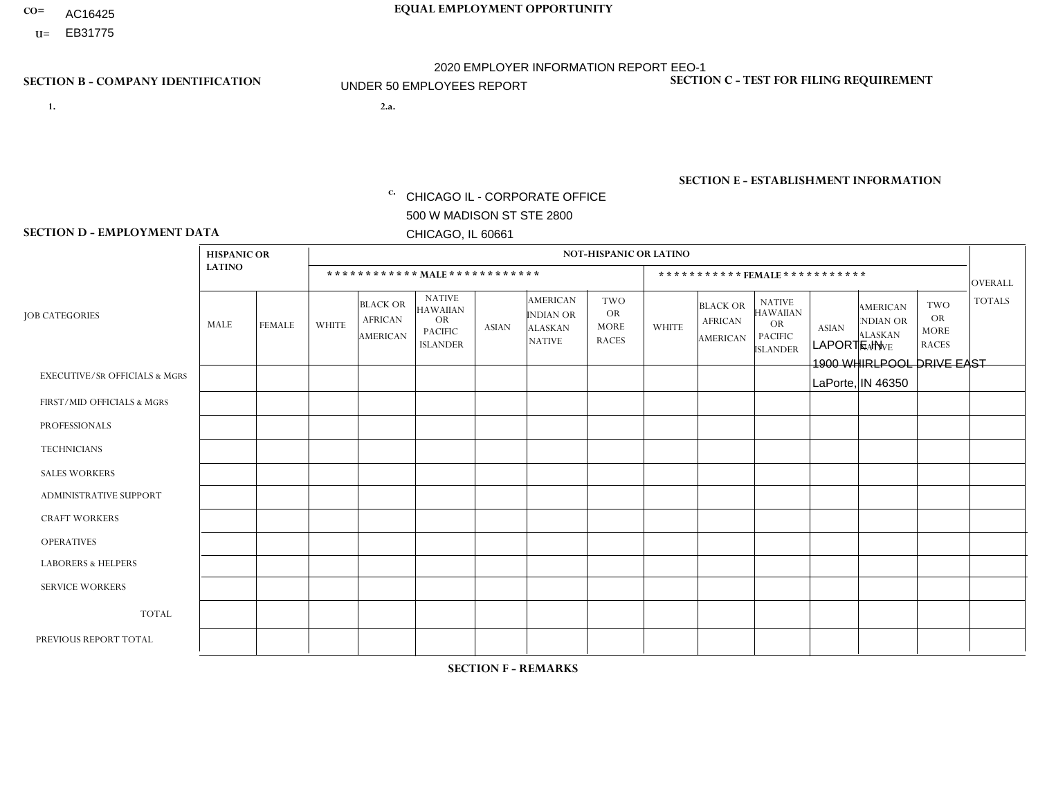- AC16425
- **U=**

- **1. 2.a.** CHICAGO IL CORPORATE OFFICE 500 W MADISON ST STE 2800 CHICAGO, IL 60661
- 2.a. LAPORTE IN 1900 WHIRLPOOL DRIVE EAST LaPorte, IN 46350

EIN= 952920557

## **SECTION B - COMPANY IDENTIFICATION SECTION C - TEST FOR FILING REQUIREMENT**

1- Y 2- Y 3- N DUNS= 000123456

**SECTION E - ESTABLISHMENT INFORMATION c.** NAICS: 423140

### **SECTION D - EMPLOYMENT DATA**

|                                          | <b>HISPANIC OR</b> |                |                |                                                      |                                                                                    |              |                                                                        | <b>NOT-HISPANIC OR LATINO</b>                          |              |                                               |                                                                                    |              |                                                                       |                                                        |                |
|------------------------------------------|--------------------|----------------|----------------|------------------------------------------------------|------------------------------------------------------------------------------------|--------------|------------------------------------------------------------------------|--------------------------------------------------------|--------------|-----------------------------------------------|------------------------------------------------------------------------------------|--------------|-----------------------------------------------------------------------|--------------------------------------------------------|----------------|
|                                          | <b>LATINO</b>      |                |                | ************ MAIE************                        |                                                                                    |              |                                                                        |                                                        |              |                                               | ***********FEMALE ***********                                                      |              |                                                                       |                                                        | <b>OVERALL</b> |
| <b>JOB CATEGORIES</b>                    | <b>MALE</b>        | <b>FEMALE</b>  | <b>WHITE</b>   | <b>BLACK OR</b><br><b>AFRICAN</b><br><b>AMERICAN</b> | <b>NATIVE</b><br><b>HAWAIIAN</b><br><b>OR</b><br><b>PACIFIC</b><br><b>ISLANDER</b> | <b>ASIAN</b> | <b>AMERICAN</b><br><b>INDIAN OR</b><br><b>ALASKAN</b><br><b>NATIVE</b> | <b>TWO</b><br><b>OR</b><br><b>MORE</b><br><b>RACES</b> | <b>WHITE</b> | <b>BLACK OR</b><br><b>AFRICAN</b><br>AMERICAN | <b>NATIVE</b><br><b>HAWAIIAN</b><br><b>OR</b><br><b>PACIFIC</b><br><b>ISLANDER</b> | <b>ASIAN</b> | <b>AMERICAN</b><br><b>NDIAN OR</b><br><b>ALASKAN</b><br><b>NATIVE</b> | <b>TWO</b><br><b>OR</b><br><b>MORE</b><br><b>RACES</b> | <b>TOTALS</b>  |
| <b>EXECUTIVE/SR OFFICIALS &amp; MGRS</b> | $\Omega$           | $\Omega$       | $\Omega$       | $\mathbf 0$                                          | $\Omega$                                                                           | $\Omega$     | $\Omega$                                                               | $\Omega$                                               | $\Omega$     | $\Omega$                                      | $\mathbf{0}$                                                                       | $\Omega$     | $\Omega$                                                              | $\Omega$                                               | $\mathbf 0$    |
| FIRST/MID OFFICIALS & MGRS               | $\Omega$           | $\Omega$       | $\overline{c}$ | 0                                                    | 0                                                                                  | $\Omega$     | $\Omega$                                                               | $\Omega$                                               | $\Omega$     | $\Omega$                                      | $\Omega$                                                                           | $\Omega$     | $\Omega$                                                              | $\mathbf{0}$                                           | $\overline{2}$ |
| <b>PROFESSIONALS</b>                     | $\Omega$           | $\Omega$       | $\Omega$       | $\Omega$                                             | $\Omega$                                                                           | $\Omega$     | $\Omega$                                                               | $\Omega$                                               | $\Omega$     | $\Omega$                                      | $\Omega$                                                                           | $\Omega$     | $\Omega$                                                              | $\Omega$                                               | $\mathbf 0$    |
| <b>TECHNICIANS</b>                       | $\Omega$           | $\mathbf 0$    | $\Omega$       | $\mathbf 0$                                          | 0                                                                                  | $\Omega$     | $\Omega$                                                               | $\Omega$                                               | $\Omega$     | $\Omega$                                      | $\Omega$                                                                           | $\Omega$     | $\Omega$                                                              | $\Omega$                                               | $\mathbf 0$    |
| <b>SALES WORKERS</b>                     | $\Omega$           | $\Omega$       | $\Omega$       | $\Omega$                                             | $\Omega$                                                                           | $\Omega$     | $\Omega$                                                               | $\Omega$                                               | $\Omega$     | $\Omega$                                      | $\Omega$                                                                           | $\Omega$     | $\Omega$                                                              | $\mathbf{0}$                                           | $\mathbf 0$    |
| <b>ADMINISTRATIVE SUPPORT</b>            | $\Omega$           | $\overline{1}$ | $\Omega$       | $\Omega$                                             | $\Omega$                                                                           | $\Omega$     | $\Omega$                                                               | $\Omega$                                               | $\Omega$     | $\Omega$                                      | $\Omega$                                                                           | $\Omega$     | $\Omega$                                                              | $\Omega$                                               | $\mathbf{1}$   |
| <b>CRAFT WORKERS</b>                     | 0                  | $\Omega$       | $\mathbf 0$    | $\mathbf 0$                                          | $\Omega$                                                                           | $\Omega$     | $\Omega$                                                               | $\Omega$                                               | $\Omega$     | $\Omega$                                      | $\Omega$                                                                           | $\Omega$     | $\Omega$                                                              | $\Omega$                                               | $\mathbf 0$    |
| <b>OPERATIVES</b>                        | $\Omega$           | $\Omega$       | 6              | $\mathbf 0$                                          | $\Omega$                                                                           | $\Omega$     | $\overline{0}$                                                         | $\Omega$                                               | $\Omega$     | $\Omega$                                      | $\mathbf{0}$                                                                       | $\Omega$     | $\Omega$                                                              | $\Omega$                                               | 6              |
| <b>LABORERS &amp; HELPERS</b>            | $\Omega$           | $\Omega$       | 3              | $\mathbf 0$                                          | 0                                                                                  | $\Omega$     | $\Omega$                                                               | $\Omega$                                               | $\Omega$     | $\Omega$                                      | $\Omega$                                                                           | $\Omega$     | $\Omega$                                                              | $\Omega$                                               | 3              |
| <b>SERVICE WORKERS</b>                   | $\Omega$           | $\mathbf 0$    | 0              | $\mathbf 0$                                          | $\mathbf 0$                                                                        | $\mathbf 0$  | $\Omega$                                                               | $\Omega$                                               | $\Omega$     | $\Omega$                                      | $\Omega$                                                                           | $\mathbf 0$  | $\Omega$                                                              | $\mathbf 0$                                            | 0              |
| <b>TOTAL</b>                             | $\Omega$           | $\mathbf{1}$   | 11             | $\mathbf 0$                                          | 0                                                                                  | $\mathbf{0}$ | $\Omega$                                                               | $\Omega$                                               | $\Omega$     | $\Omega$                                      | $\Omega$                                                                           | $\Omega$     | $\Omega$                                                              | $\Omega$                                               | 12             |
| PREVIOUS REPORT TOTAL                    | $\Omega$           |                | 13             | $\mathbf 0$                                          | 0                                                                                  | $\Omega$     | $\Omega$                                                               | $\Omega$                                               | $\Omega$     | $\Omega$                                      | $\mathbf{0}$                                                                       | $\Omega$     | $\Omega$                                                              | $\mathbf 0$                                            | 14             |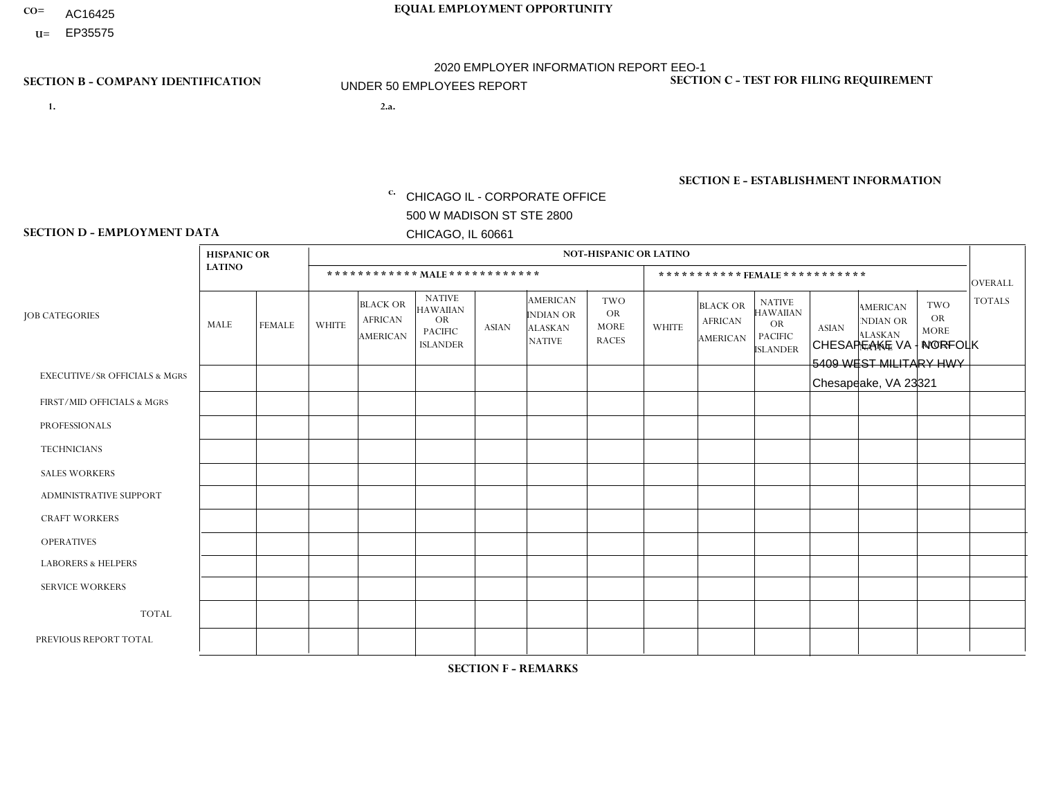- AC16425
- **U=**

- **1. 2.a.** CHICAGO IL CORPORATE OFFICE 500 W MADISON ST STE 2800 CHICAGO, IL 60661
- 2.a. CHESAPEAKE VA NORFOLK 5409 WEST MILITARY HWY Chesapeake, VA 23321

c. EIN= 952920557

## **SECTION B - COMPANY IDENTIFICATION SECTION C - TEST FOR FILING REQUIREMENT**

1- Y 2- Y 3- N DUNS= 000123456

**SECTION E - ESTABLISHMENT INFORMATION c.** NAICS: 423140

### **SECTION D - EMPLOYMENT DATA**

|                                          | <b>HISPANIC OR</b> |               |                |                                                      |                                                                                    |              |                                                                        | <b>NOT-HISPANIC OR LATINO</b>                          |              |                                                      |                                                                                    |              |                                                                       |                                                        |                |
|------------------------------------------|--------------------|---------------|----------------|------------------------------------------------------|------------------------------------------------------------------------------------|--------------|------------------------------------------------------------------------|--------------------------------------------------------|--------------|------------------------------------------------------|------------------------------------------------------------------------------------|--------------|-----------------------------------------------------------------------|--------------------------------------------------------|----------------|
|                                          | <b>LATINO</b>      |               |                | ************ MALE ************                       |                                                                                    |              |                                                                        |                                                        |              |                                                      | ***********FEMALE***********                                                       |              |                                                                       |                                                        | <b>OVERALL</b> |
| <b>JOB CATEGORIES</b>                    | <b>MALE</b>        | <b>FEMALE</b> | <b>WHITE</b>   | <b>BLACK OR</b><br><b>AFRICAN</b><br><b>AMERICAN</b> | <b>NATIVE</b><br><b>HAWAIIAN</b><br><b>OR</b><br><b>PACIFIC</b><br><b>ISLANDER</b> | <b>ASIAN</b> | <b>AMERICAN</b><br><b>INDIAN OR</b><br><b>ALASKAN</b><br><b>NATIVE</b> | <b>TWO</b><br><b>OR</b><br><b>MORE</b><br><b>RACES</b> | <b>WHITE</b> | <b>BLACK OR</b><br><b>AFRICAN</b><br><b>AMERICAN</b> | <b>NATIVE</b><br><b>HAWAIIAN</b><br><b>OR</b><br><b>PACIFIC</b><br><b>ISLANDER</b> | <b>ASIAN</b> | <b>AMERICAN</b><br><b>NDIAN OR</b><br><b>ALASKAN</b><br><b>NATIVE</b> | <b>TWO</b><br><b>OR</b><br><b>MORE</b><br><b>RACES</b> | <b>TOTALS</b>  |
| <b>EXECUTIVE/SR OFFICIALS &amp; MGRS</b> | $\mathbf{0}$       | $\Omega$      | $\Omega$       | $\Omega$                                             | 0                                                                                  | $\Omega$     | $\Omega$                                                               | $\Omega$                                               | $\Omega$     | $\mathbf{0}$                                         | $\Omega$                                                                           | $\Omega$     | $\Omega$                                                              | $\Omega$                                               | $\Omega$       |
| FIRST/MID OFFICIALS & MGRS               | $\Omega$           | $\Omega$      | $\overline{c}$ | $\mathbf 0$                                          | $\mathbf{0}$                                                                       | $\Omega$     | $\Omega$                                                               | $\Omega$                                               | 1            | $\mathbf{0}$                                         | $\Omega$                                                                           | $\Omega$     | $\Omega$                                                              | $\Omega$                                               | 3              |
| <b>PROFESSIONALS</b>                     | $\Omega$           | $\Omega$      | $\mathbf 0$    | $\mathbf 0$                                          | $\overline{0}$                                                                     | $\Omega$     | $\Omega$                                                               | $\Omega$                                               | $\Omega$     | $\Omega$                                             | $\Omega$                                                                           | $\Omega$     | $\Omega$                                                              | $\mathbf{0}$                                           | $\mathbf 0$    |
| <b>TECHNICIANS</b>                       | $\Omega$           | $\Omega$      | $\Omega$       | $\Omega$                                             | 0                                                                                  | $\Omega$     | $\overline{0}$                                                         | $\Omega$                                               | $\Omega$     | $\Omega$                                             | $\Omega$                                                                           | $\Omega$     | $\mathbf{0}$                                                          | $\Omega$                                               | $\Omega$       |
| <b>SALES WORKERS</b>                     | $\Omega$           | $\Omega$      | $\overline{c}$ | $\mathbf{0}$                                         | $\Omega$                                                                           | $\Omega$     | $\Omega$                                                               | $\Omega$                                               | $\mathbf{1}$ | $\Omega$                                             | $\Omega$                                                                           | $\Omega$     | $\Omega$                                                              | $\mathbf{0}$                                           | 3              |
| <b>ADMINISTRATIVE SUPPORT</b>            | $\Omega$           | $\mathbf 0$   | 2              | $\mathbf 0$                                          | $\mathbf 0$                                                                        | $\mathbf 0$  | $\Omega$                                                               | $\Omega$                                               | 1            | $\mathbf{0}$                                         | $\Omega$                                                                           | $\Omega$     | $\Omega$                                                              | $\Omega$                                               | 3              |
| <b>CRAFT WORKERS</b>                     | $\Omega$           | $\Omega$      | 4              | 0                                                    | 0                                                                                  | $\Omega$     | $\Omega$                                                               |                                                        | $\Omega$     | $\Omega$                                             | $\Omega$                                                                           | $\Omega$     | $\Omega$                                                              | $\Omega$                                               | 5              |
| <b>OPERATIVES</b>                        | $\Omega$           | $\Omega$      | 3              | 3                                                    | 0                                                                                  | $\Omega$     | $\Omega$                                                               |                                                        | $\Omega$     | $\Omega$                                             | $\Omega$                                                                           | $\Omega$     | $\Omega$                                                              | $\Omega$                                               | $\overline{7}$ |
| <b>LABORERS &amp; HELPERS</b>            | $\Omega$           | $\Omega$      | 1              | $\mathbf 0$                                          | 0                                                                                  | $\Omega$     | $\Omega$                                                               | $\Omega$                                               | $\Omega$     | $\Omega$                                             | $\Omega$                                                                           | $\Omega$     | $\Omega$                                                              | $\mathbf{0}$                                           | $\mathbf{1}$   |
| <b>SERVICE WORKERS</b>                   | $\Omega$           | $\Omega$      | $\Omega$       | 0                                                    | $\mathbf 0$                                                                        | $\Omega$     | $\Omega$                                                               | $\Omega$                                               | $\Omega$     | $\Omega$                                             | $\Omega$                                                                           | $\Omega$     | $\Omega$                                                              | $\Omega$                                               | 0              |
| <b>TOTAL</b>                             | $\mathbf 0$        | $\mathbf 0$   | 14             | 3                                                    | 0                                                                                  | $\mathbf 0$  | $\Omega$                                                               | 2                                                      | 3            | $\Omega$                                             | $\Omega$                                                                           | $\mathbf 0$  | $\Omega$                                                              | $\mathbf 0$                                            | 22             |
| PREVIOUS REPORT TOTAL                    |                    | $\mathbf 0$   | 15             | $\overline{7}$                                       | 0                                                                                  | $\Omega$     | $\overline{0}$                                                         | 4                                                      | 3            | $\Omega$                                             | $\mathbf{0}$                                                                       | $\Omega$     | $\mathbf{0}$                                                          | $\overline{1}$                                         | 31             |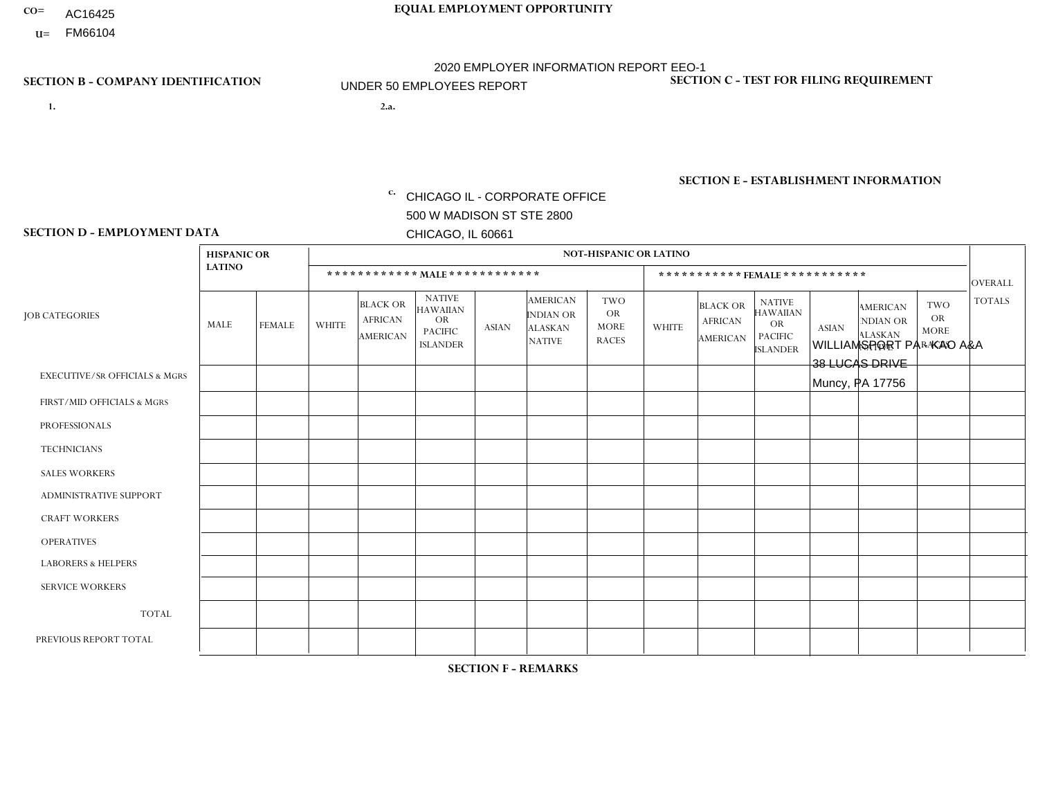- AC16425
- **U=** FM66104

**1. 2.a.** CHICAGO IL - CORPORATE OFFICE 500 W MADISON ST STE 2800 CHICAGO, IL 60661

WILLIAMSPORT PA - KAO A&A 38 LUCAS DRIVE Muncy, PA 17756

c. EIN= 952920557

## **SECTION B - COMPANY IDENTIFICATION SECTION C - TEST FOR FILING REQUIREMENT**

1- Y 2- Y 3- N DUNS= 000123456

**SECTION E - ESTABLISHMENT INFORMATION c.** NAICS: 423140

### **SECTION D - EMPLOYMENT DATA**

|                                          | <b>HISPANIC OR</b> |                |                |                                                      |                                                                                    |              |                                                                 | <b>NOT-HISPANIC OR LATINO</b>                          |                |                                               |                                                                                    |              |                                                                       |                                                        |                |
|------------------------------------------|--------------------|----------------|----------------|------------------------------------------------------|------------------------------------------------------------------------------------|--------------|-----------------------------------------------------------------|--------------------------------------------------------|----------------|-----------------------------------------------|------------------------------------------------------------------------------------|--------------|-----------------------------------------------------------------------|--------------------------------------------------------|----------------|
|                                          | <b>LATINO</b>      |                |                |                                                      | ************ MALE ************                                                     |              |                                                                 |                                                        |                | ***********FEMALE***********                  |                                                                                    |              |                                                                       |                                                        | <b>OVERALL</b> |
| <b>JOB CATEGORIES</b>                    | MALE               | <b>FEMALE</b>  | <b>WHITE</b>   | <b>BLACK OR</b><br><b>AFRICAN</b><br><b>AMERICAN</b> | <b>NATIVE</b><br><b>HAWAIIAN</b><br><b>OR</b><br><b>PACIFIC</b><br><b>ISLANDER</b> | <b>ASIAN</b> | <b>AMERICAN</b><br>INDIAN OR<br><b>ALASKAN</b><br><b>NATIVE</b> | <b>TWO</b><br><b>OR</b><br><b>MORE</b><br><b>RACES</b> | <b>WHITE</b>   | <b>BLACK OR</b><br><b>AFRICAN</b><br>AMERICAN | <b>NATIVE</b><br><b>HAWAIIAN</b><br><b>OR</b><br><b>PACIFIC</b><br><b>ISLANDER</b> | <b>ASIAN</b> | <b>AMERICAN</b><br><b>NDIAN OR</b><br><b>ALASKAN</b><br><b>NATIVE</b> | <b>TWO</b><br><b>OR</b><br><b>MORE</b><br><b>RACES</b> | <b>TOTALS</b>  |
| <b>EXECUTIVE/SR OFFICIALS &amp; MGRS</b> | $\Omega$           | $\Omega$       | $\Omega$       | $\Omega$                                             | $\Omega$                                                                           | $\mathbf{0}$ | $\Omega$                                                        | $\Omega$                                               | 0              | $\Omega$                                      | $\Omega$                                                                           | $\Omega$     | $\Omega$                                                              | $\Omega$                                               | $\Omega$       |
| FIRST/MID OFFICIALS & MGRS               | 0                  | $\Omega$       | 3              | $\mathbf 0$                                          | $\Omega$                                                                           | $\mathbf{0}$ | $\mathbf{0}$                                                    | $\Omega$                                               | 0              | $\Omega$                                      | $\Omega$                                                                           | $\Omega$     | $\Omega$                                                              | $\Omega$                                               | 3              |
| <b>PROFESSIONALS</b>                     | 0                  | $\Omega$       | $\overline{1}$ | $\mathbf 0$                                          | $\Omega$                                                                           | $\Omega$     | $\Omega$                                                        | $\Omega$                                               | 0              | $\Omega$                                      | $\Omega$                                                                           | $\Omega$     | $\Omega$                                                              | $\mathbf{0}$                                           | $\mathbf{1}$   |
| <b>TECHNICIANS</b>                       | 0                  | $\overline{0}$ | $\Omega$       | $\mathbf 0$                                          | $\overline{0}$                                                                     | $\Omega$     | $\Omega$                                                        | $\Omega$                                               | $\Omega$       | $\Omega$                                      | $\Omega$                                                                           | $\mathbf 0$  | $\mathbf 0$                                                           | $\mathbf 0$                                            | $\mathbf 0$    |
| <b>SALES WORKERS</b>                     | $\Omega$           | $\Omega$       | 1              | $\Omega$                                             | $\Omega$                                                                           | $\Omega$     | $\Omega$                                                        |                                                        | $\overline{0}$ | $\Omega$                                      | $\Omega$                                                                           | $\Omega$     | $\Omega$                                                              | $\Omega$                                               | $\overline{2}$ |
| <b>ADMINISTRATIVE SUPPORT</b>            | 0                  | $\Omega$       | $\Omega$       | $\mathbf 0$                                          | $\Omega$                                                                           | $\mathbf{0}$ | $\Omega$                                                        | $\Omega$                                               | $\Omega$       | $\Omega$                                      | $\Omega$                                                                           | $\Omega$     | $\mathbf{0}$                                                          | $\Omega$                                               | $\mathbf 0$    |
| <b>CRAFT WORKERS</b>                     | 0                  | $\Omega$       | 3              | $\mathbf 0$                                          | $\Omega$                                                                           | $\Omega$     | $\Omega$                                                        | $\Omega$                                               | 0              | $\Omega$                                      | $\Omega$                                                                           | $\Omega$     | $\Omega$                                                              | $\Omega$                                               | 3              |
| <b>OPERATIVES</b>                        | 0                  | $\Omega$       | $\Omega$       | $\mathbf 0$                                          | $\mathbf 0$                                                                        | $\Omega$     | $\Omega$                                                        | $\Omega$                                               | $\overline{0}$ | $\Omega$                                      | $\Omega$                                                                           | $\mathbf 0$  | $\mathbf 0$                                                           | $\mathbf 0$                                            | $\mathbf 0$    |
| <b>LABORERS &amp; HELPERS</b>            | 0                  | $\Omega$       | $\Omega$       | $\Omega$                                             | $\Omega$                                                                           | $\Omega$     | $\Omega$                                                        | $\Omega$                                               | 0              | $\Omega$                                      | $\Omega$                                                                           | $\Omega$     | $\Omega$                                                              | $\Omega$                                               | $\mathbf 0$    |
| <b>SERVICE WORKERS</b>                   | 0                  | $\Omega$       | $\mathbf 0$    | 0                                                    | 0                                                                                  | $\Omega$     | $\mathbf{0}$                                                    | $\Omega$                                               | $\Omega$       | $\Omega$                                      | $\Omega$                                                                           | 0            | $\Omega$                                                              | $\Omega$                                               | 0              |
| <b>TOTAL</b>                             | $\mathbf 0$        | $\mathbf 0$    | 8              | $\mathbf 0$                                          | 0                                                                                  | $\mathbf 0$  | $\Omega$                                                        |                                                        | $\Omega$       | $\Omega$                                      | $\Omega$                                                                           | $\mathbf 0$  | 0                                                                     | $\mathbf 0$                                            | 9              |
| PREVIOUS REPORT TOTAL                    | 0                  | $\Omega$       | 8              | $\mathbf 0$                                          | $\Omega$                                                                           | $\Omega$     | $\Omega$                                                        |                                                        | 0              | $\Omega$                                      | $\Omega$                                                                           | $\Omega$     | $\Omega$                                                              | $\mathbf 0$                                            | 9              |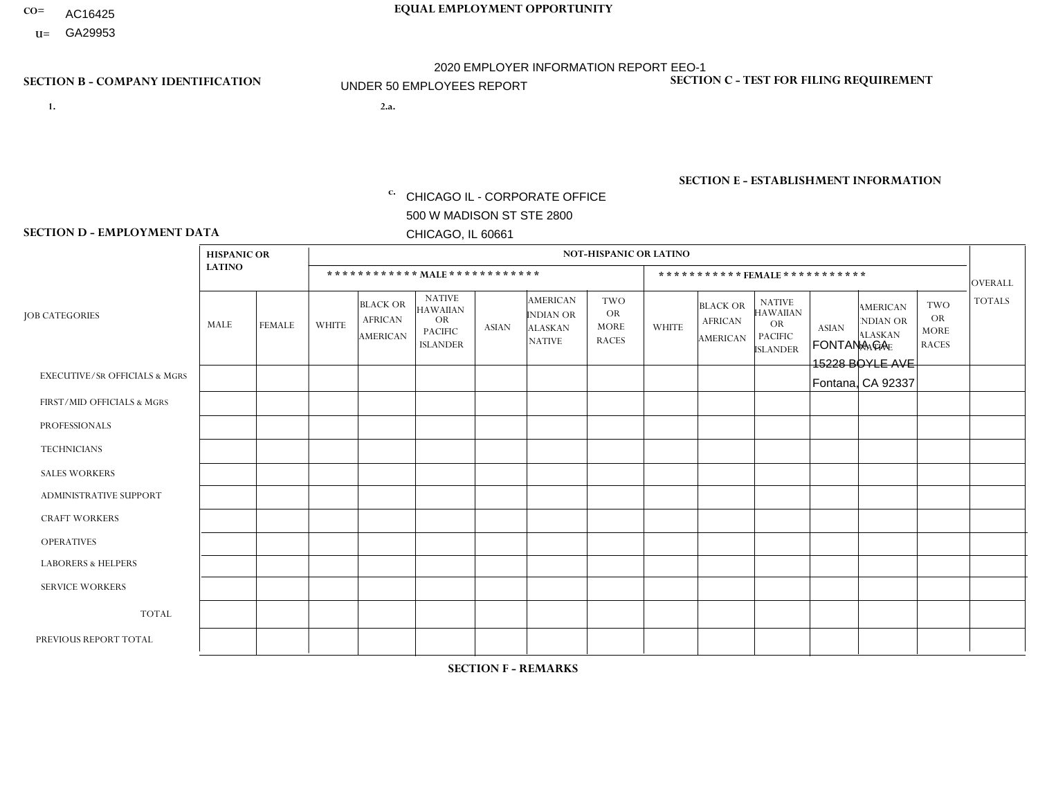- AC16425
- **U=**

**1. 2.a.** CHICAGO IL - CORPORATE OFFICE 500 W MADISON ST STE 2800 CHICAGO, IL 60661

2.a. FONTANA CA 15228 BOYLE AVE Fontana, CA 92337

EIN= 953072886

## **SECTION B - COMPANY IDENTIFICATION SECTION C - TEST FOR FILING REQUIREMENT**

1- Y 2- Y 3- N DUNS= 000123456

**SECTION E - ESTABLISHMENT INFORMATION c.** NAICS: 423140

### **SECTION D - EMPLOYMENT DATA**

|                                          | <b>HISPANIC OR</b> |                |              |                                                      |                                                                                    |              |                                                                        | <b>NOT-HISPANIC OR LATINO</b>                          |              |                                                      |                                                                                    |              |                                                                       |                                                        |                |
|------------------------------------------|--------------------|----------------|--------------|------------------------------------------------------|------------------------------------------------------------------------------------|--------------|------------------------------------------------------------------------|--------------------------------------------------------|--------------|------------------------------------------------------|------------------------------------------------------------------------------------|--------------|-----------------------------------------------------------------------|--------------------------------------------------------|----------------|
|                                          | <b>LATINO</b>      |                |              | ************ MALE ************                       |                                                                                    |              |                                                                        |                                                        |              |                                                      | *********** FEMALE ***********                                                     |              |                                                                       |                                                        | <b>OVERALL</b> |
| <b>JOB CATEGORIES</b>                    | <b>MALE</b>        | <b>FEMALE</b>  | <b>WHITE</b> | <b>BLACK OR</b><br><b>AFRICAN</b><br><b>AMERICAN</b> | <b>NATIVE</b><br><b>HAWAIIAN</b><br><b>OR</b><br><b>PACIFIC</b><br><b>ISLANDER</b> | <b>ASIAN</b> | <b>AMERICAN</b><br><b>INDIAN OR</b><br><b>ALASKAN</b><br><b>NATIVE</b> | <b>TWO</b><br><b>OR</b><br><b>MORE</b><br><b>RACES</b> | <b>WHITE</b> | <b>BLACK OR</b><br><b>AFRICAN</b><br><b>AMERICAN</b> | <b>NATIVE</b><br><b>HAWAIIAN</b><br><b>OR</b><br><b>PACIFIC</b><br><b>ISLANDER</b> | <b>ASIAN</b> | <b>AMERICAN</b><br><b>NDIAN OR</b><br><b>ALASKAN</b><br><b>NATIVE</b> | <b>TWO</b><br><b>OR</b><br><b>MORE</b><br><b>RACES</b> | <b>TOTALS</b>  |
| <b>EXECUTIVE/SR OFFICIALS &amp; MGRS</b> | $\Omega$           | $\Omega$       | $\Omega$     | $\Omega$                                             | $\Omega$                                                                           | $\Omega$     | $\Omega$                                                               | $\Omega$                                               | $\Omega$     | $\mathbf{0}$                                         | $\mathbf{0}$                                                                       | $\Omega$     | $\Omega$                                                              | $\Omega$                                               | $\Omega$       |
| FIRST/MID OFFICIALS & MGRS               | $\Omega$           | $\Omega$       | 1            | $\Omega$                                             | 0                                                                                  | $\Omega$     | $\Omega$                                                               | $\Omega$                                               | $\Omega$     | $\mathbf{0}$                                         | $\mathbf{0}$                                                                       | $\Omega$     | $\Omega$                                                              | $\Omega$                                               | $\mathbf{1}$   |
| <b>PROFESSIONALS</b>                     | $\Omega$           | $\Omega$       | $\mathbf 0$  | $\mathbf 0$                                          | $\overline{0}$                                                                     | $\Omega$     | $\overline{0}$                                                         | $\Omega$                                               | $\Omega$     | $\Omega$                                             | $\mathbf{0}$                                                                       | $\Omega$     | $\Omega$                                                              | $\Omega$                                               | $\mathbf 0$    |
| <b>TECHNICIANS</b>                       | $\Omega$           | $\mathbf 0$    | $\Omega$     | $\mathbf 0$                                          | 0                                                                                  | $\Omega$     | $\overline{0}$                                                         | $\Omega$                                               | $\mathbf 0$  | $\mathbf 0$                                          | $\mathbf 0$                                                                        | $\mathbf 0$  | $\Omega$                                                              | $\mathbf{0}$                                           | $\mathbf 0$    |
| <b>SALES WORKERS</b>                     | 3                  | $\Omega$       | $\Omega$     | $\Omega$                                             | $\Omega$                                                                           | $\Omega$     | $\Omega$                                                               | $\Omega$                                               | $\Omega$     | $\Omega$                                             | $\Omega$                                                                           | $\Omega$     | $\Omega$                                                              | $\mathbf{0}$                                           | 3              |
| <b>ADMINISTRATIVE SUPPORT</b>            | $\Omega$           | $\overline{2}$ | $\Omega$     | 0                                                    | $\mathbf 0$                                                                        | $\Omega$     | $\Omega$                                                               | $\Omega$                                               | $\Omega$     | $\mathbf{0}$                                         | $\mathbf{0}$                                                                       | $\Omega$     | $\Omega$                                                              | $\Omega$                                               | $\overline{2}$ |
| <b>CRAFT WORKERS</b>                     | $\Omega$           | $\Omega$       | $\mathbf 0$  | $\mathbf 0$                                          | 0                                                                                  | $\Omega$     | $\Omega$                                                               | $\Omega$                                               | $\Omega$     | $\Omega$                                             | $\Omega$                                                                           | $\Omega$     | $\Omega$                                                              | $\Omega$                                               | $\mathbf 0$    |
| <b>OPERATIVES</b>                        | 10                 | $\mathbf 0$    | $\Omega$     | $\mathbf 0$                                          | 0                                                                                  | $\Omega$     | $\overline{0}$                                                         | $\Omega$                                               | $\Omega$     | $\Omega$                                             | $\Omega$                                                                           | $\Omega$     | $\Omega$                                                              | $\mathbf{0}$                                           | 10             |
| <b>LABORERS &amp; HELPERS</b>            | $\Omega$           | $\Omega$       | $\Omega$     | $\Omega$                                             | 0                                                                                  | $\Omega$     | $\Omega$                                                               | $\Omega$                                               | $\Omega$     | $\Omega$                                             | $\mathbf{0}$                                                                       | $\Omega$     | $\Omega$                                                              | $\Omega$                                               | 0              |
| <b>SERVICE WORKERS</b>                   | 0                  | 0              | 0            | 0                                                    | 0                                                                                  | $\Omega$     | $\Omega$                                                               | $\Omega$                                               | $\Omega$     | $\Omega$                                             | $\mathbf{0}$                                                                       | $\Omega$     | $\Omega$                                                              | $\Omega$                                               | 0              |
| <b>TOTAL</b>                             | 13                 | $\overline{2}$ | 1            | $\mathbf 0$                                          | 0                                                                                  | $\mathbf 0$  | $\Omega$                                                               | $\Omega$                                               | $\Omega$     | $\Omega$                                             | $\Omega$                                                                           | $\mathbf 0$  | $\Omega$                                                              | $\Omega$                                               | 16             |
| PREVIOUS REPORT TOTAL                    | 14                 | $\overline{2}$ |              | $\mathbf 0$                                          | 0                                                                                  | $\Omega$     | $\Omega$                                                               | $\Omega$                                               | $\Omega$     | $\Omega$                                             | $\mathbf{0}$                                                                       | $\Omega$     | $\Omega$                                                              | $\mathbf 0$                                            | 17             |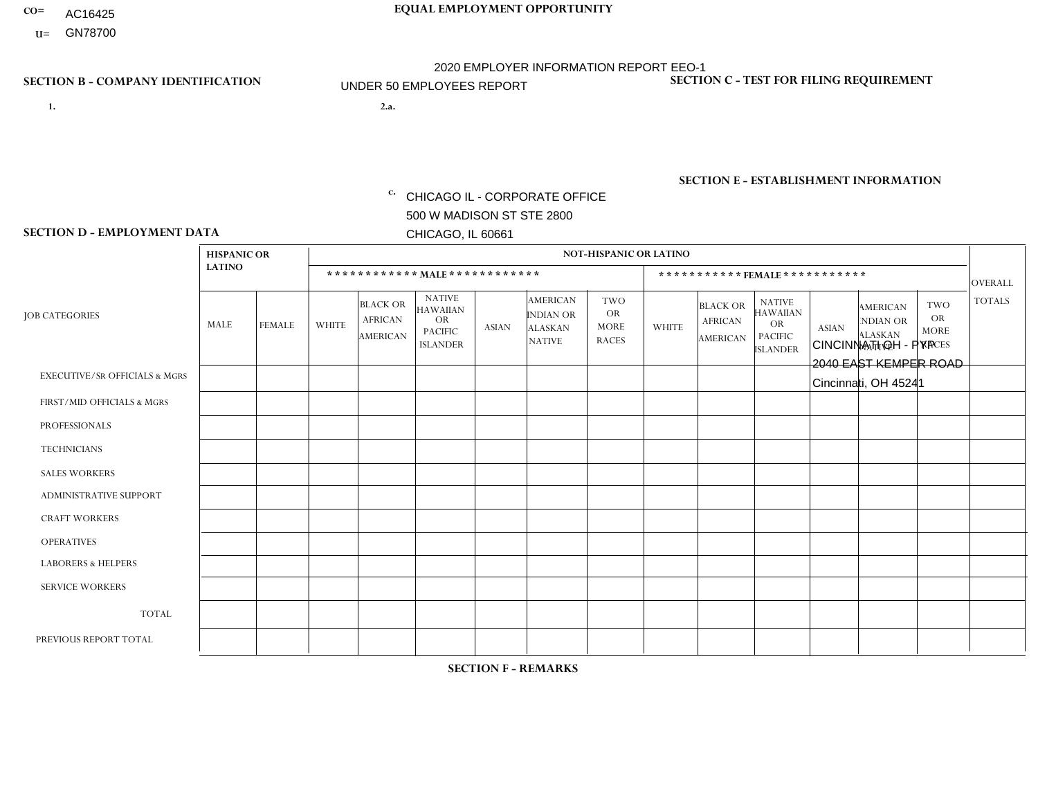- AC16425
- **U=**

- **1. 2.a.** CHICAGO IL CORPORATE OFFICE 500 W MADISON ST STE 2800 CHICAGO, IL 60661
- 2.a. CINCINNATI OH PYP 2040 EAST KEMPER ROAD Cincinnati, OH 45241

c. EIN= 952920557

## **SECTION B - COMPANY IDENTIFICATION SECTION C - TEST FOR FILING REQUIREMENT**

1- Y 2- Y 3- N DUNS= 000123456

**SECTION E - ESTABLISHMENT INFORMATION c.** NAICS: 423140

### **SECTION D - EMPLOYMENT DATA**

|                                          | <b>HISPANIC OR</b> |               |                |                                                      |                                                                                    |              |                                                                        | <b>NOT-HISPANIC OR LATINO</b>                          |                |                                               |                                                                                    |              |                                                                |                                                        |                |
|------------------------------------------|--------------------|---------------|----------------|------------------------------------------------------|------------------------------------------------------------------------------------|--------------|------------------------------------------------------------------------|--------------------------------------------------------|----------------|-----------------------------------------------|------------------------------------------------------------------------------------|--------------|----------------------------------------------------------------|--------------------------------------------------------|----------------|
|                                          | <b>LATINO</b>      |               |                | ************ MALE ************                       |                                                                                    |              |                                                                        |                                                        |                |                                               | ***********FEMALE***********                                                       |              |                                                                |                                                        | <b>OVERALL</b> |
| <b>JOB CATEGORIES</b>                    | MALE               | <b>FEMALE</b> | <b>WHITE</b>   | <b>BLACK OR</b><br><b>AFRICAN</b><br><b>AMERICAN</b> | <b>NATIVE</b><br><b>HAWAIIAN</b><br><b>OR</b><br><b>PACIFIC</b><br><b>ISLANDER</b> | <b>ASIAN</b> | <b>AMERICAN</b><br><b>INDIAN OR</b><br><b>ALASKAN</b><br><b>NATIVE</b> | <b>TWO</b><br><b>OR</b><br><b>MORE</b><br><b>RACES</b> | <b>WHITE</b>   | <b>BLACK OR</b><br><b>AFRICAN</b><br>AMERICAN | <b>NATIVE</b><br><b>HAWAIIAN</b><br><b>OR</b><br><b>PACIFIC</b><br><b>ISLANDER</b> | <b>ASIAN</b> | <b>AMERICAN</b><br>NDIAN OR<br><b>ALASKAN</b><br><b>NATIVE</b> | <b>TWO</b><br><b>OR</b><br><b>MORE</b><br><b>RACES</b> | <b>TOTALS</b>  |
| <b>EXECUTIVE/SR OFFICIALS &amp; MGRS</b> | $\Omega$           | $\mathbf 0$   | $\Omega$       | $\mathbf 0$                                          | 0                                                                                  | $\mathbf 0$  | $\Omega$                                                               | $\Omega$                                               | 0              | $\mathbf 0$                                   | 0                                                                                  | $\mathbf 0$  | $\Omega$                                                       | $\mathbf 0$                                            | $\mathbf{0}$   |
| FIRST/MID OFFICIALS & MGRS               | $\Omega$           | $\Omega$      | -1             | $\mathbf{0}$                                         | $\Omega$                                                                           | $\Omega$     | $\Omega$                                                               | $\Omega$                                               | 0              | $\Omega$                                      | 0                                                                                  | $\Omega$     | $\Omega$                                                       | $\Omega$                                               | $\mathbf 1$    |
| <b>PROFESSIONALS</b>                     | $\Omega$           | $\mathbf 0$   | 1              | $\overline{1}$                                       | $\mathbf 0$                                                                        | $\mathbf 0$  | $\Omega$                                                               | $\Omega$                                               | $\Omega$       | $\Omega$                                      | 0                                                                                  | $\mathbf 0$  | $\Omega$                                                       | $\mathbf 0$                                            | $\overline{2}$ |
| <b>TECHNICIANS</b>                       | $\Omega$           | $\Omega$      | $\Omega$       | $\mathbf 0$                                          | $\Omega$                                                                           | $\Omega$     | $\Omega$                                                               | $\Omega$                                               | $\Omega$       | $\Omega$                                      | $\Omega$                                                                           | $\mathbf 0$  | $\Omega$                                                       | $\Omega$                                               | $\overline{0}$ |
| <b>SALES WORKERS</b>                     | $\Omega$           | $\Omega$      | $\Omega$       | $\mathbf 0$                                          | $\Omega$                                                                           | $\Omega$     | $\Omega$                                                               | $\Omega$                                               | $\Omega$       | $\Omega$                                      | 0                                                                                  | $\mathbf 0$  | $\Omega$                                                       | $\Omega$                                               | $\mathbf 0$    |
| ADMINISTRATIVE SUPPORT                   | $\Omega$           | $\mathbf 0$   | 1              | $\overline{ }$                                       | $\mathbf 0$                                                                        | $\Omega$     | $\Omega$                                                               | $\Omega$                                               | 0              | $\mathbf{1}$                                  | 0                                                                                  | $\mathbf 0$  | 0                                                              | $\mathbf 0$                                            | 3              |
| <b>CRAFT WORKERS</b>                     | 4                  | $\Omega$      | $\mathbf{0}$   | $\mathbf 0$                                          | $\Omega$                                                                           | $\Omega$     | $\Omega$                                                               | $\Omega$                                               | 0              | $\Omega$                                      | 0                                                                                  | $\Omega$     | $\Omega$                                                       | $\Omega$                                               | 4              |
| <b>OPERATIVES</b>                        | 2                  | $\Omega$      | $\overline{1}$ | $\overline{2}$                                       | $\Omega$                                                                           | $\Omega$     | $\Omega$                                                               | $\mathbf{1}$                                           | $\Omega$       | $\Omega$                                      | 0                                                                                  | $\Omega$     | $\Omega$                                                       | $\Omega$                                               | 6              |
| <b>LABORERS &amp; HELPERS</b>            | 1                  | $\Omega$      | $\mathbf{0}$   | $\mathbf 0$                                          | $\Omega$                                                                           | $\Omega$     | $\Omega$                                                               | $\Omega$                                               | $\overline{0}$ | $\Omega$                                      | $\Omega$                                                                           | $\Omega$     | $\Omega$                                                       | $\Omega$                                               | $\mathbf 1$    |
| <b>SERVICE WORKERS</b>                   | $\Omega$           | $\Omega$      | $\mathbf 0$    | 0                                                    | $\mathbf 0$                                                                        | $\mathbf 0$  | $\Omega$                                                               | $\Omega$                                               | 0              | $\Omega$                                      | $\Omega$                                                                           | $\mathbf 0$  | $\Omega$                                                       | $\mathbf 0$                                            | $\mathbf{0}$   |
| <b>TOTAL</b>                             | $\overline{7}$     | 0             | 4              | 4                                                    | 0                                                                                  | 0            | $\Omega$                                                               | $\mathbf 1$                                            | 0              | $\mathbf{1}$                                  | 0                                                                                  | 0            | 0                                                              | $\mathbf 0$                                            | 17             |
| PREVIOUS REPORT TOTAL                    |                    | $\mathbf 0$   |                | 8                                                    | $\Omega$                                                                           | $\Omega$     | $\Omega$                                                               | $\mathbf{1}$                                           | 1              | $\overline{2}$                                | 0                                                                                  | $\mathbf 0$  | $\Omega$                                                       | $\mathbf 0$                                            | 14             |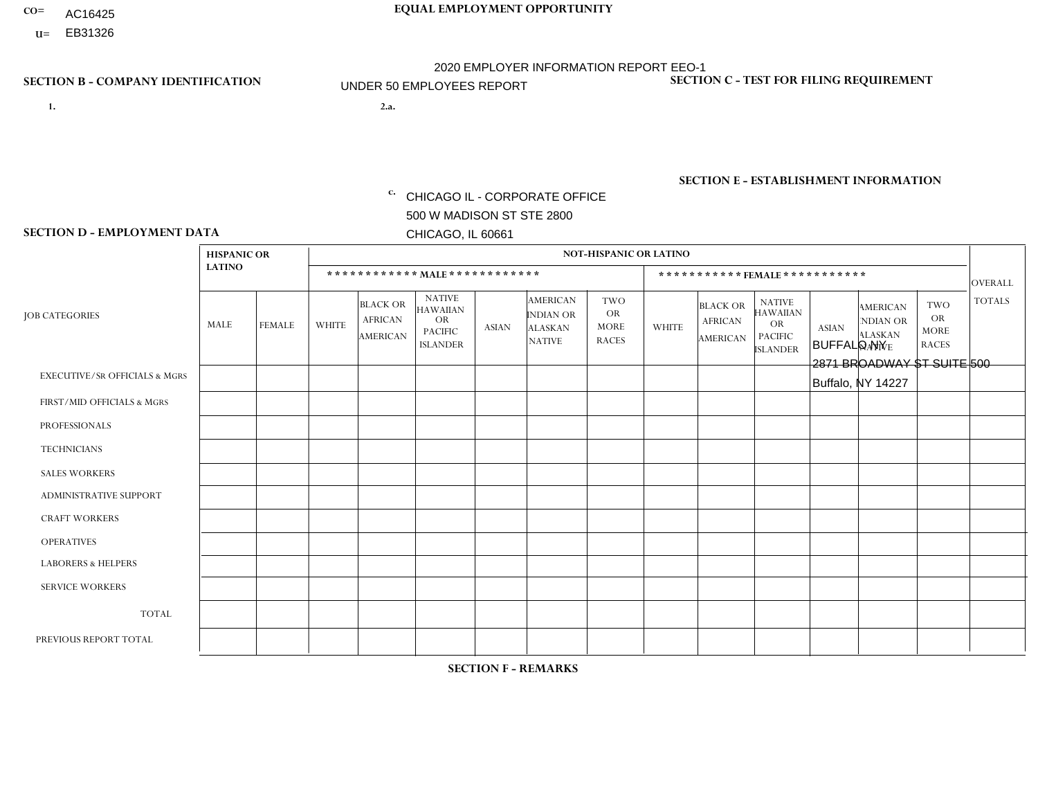- AC16425
- **U=**

- **1. 2.a.** CHICAGO IL CORPORATE OFFICE 500 W MADISON ST STE 2800 CHICAGO, IL 60661
- 2.a. BUFFALO NY 2871 BROADWAY ST SUITE 500 Buffalo, NY 14227

EIN= 952920557

## **SECTION B - COMPANY IDENTIFICATION SECTION C - TEST FOR FILING REQUIREMENT**

1- Y 2- Y 3- N DUNS= 000123456

**SECTION E - ESTABLISHMENT INFORMATION c.** NAICS: 423140

### **SECTION D - EMPLOYMENT DATA**

|                                          | <b>HISPANIC OR</b> |               |              |                                                      |                                                                                    |              |                                                                 | <b>NOT-HISPANIC OR LATINO</b>                          |                      |                                               |                                                                             |              |                                                                       |                                                        |                |
|------------------------------------------|--------------------|---------------|--------------|------------------------------------------------------|------------------------------------------------------------------------------------|--------------|-----------------------------------------------------------------|--------------------------------------------------------|----------------------|-----------------------------------------------|-----------------------------------------------------------------------------|--------------|-----------------------------------------------------------------------|--------------------------------------------------------|----------------|
|                                          | <b>LATINO</b>      |               |              | ************ MALE ************                       |                                                                                    |              |                                                                 |                                                        |                      |                                               | *********** FEMALE ***********                                              |              |                                                                       |                                                        | <b>OVERALL</b> |
| <b>JOB CATEGORIES</b>                    | MALE               | <b>FEMALE</b> | <b>WHITE</b> | <b>BLACK OR</b><br><b>AFRICAN</b><br><b>AMERICAN</b> | <b>NATIVE</b><br><b>HAWAIIAN</b><br><b>OR</b><br><b>PACIFIC</b><br><b>ISLANDER</b> | <b>ASIAN</b> | <b>AMERICAN</b><br>INDIAN OR<br><b>ALASKAN</b><br><b>NATIVE</b> | <b>TWO</b><br><b>OR</b><br><b>MORE</b><br><b>RACES</b> | <b>WHITE</b>         | <b>BLACK OR</b><br><b>AFRICAN</b><br>AMERICAN | <b>NATIVE</b><br><b>HAWAIIAN</b><br>OR<br><b>PACIFIC</b><br><b>ISLANDER</b> | <b>ASIAN</b> | <b>AMERICAN</b><br><b>NDIAN OR</b><br><b>ALASKAN</b><br><b>NATIVE</b> | <b>TWO</b><br><b>OR</b><br><b>MORE</b><br><b>RACES</b> | <b>TOTALS</b>  |
| <b>EXECUTIVE/SR OFFICIALS &amp; MGRS</b> | $\Omega$           | $\Omega$      | $\Omega$     | $\mathbf 0$                                          | $\Omega$                                                                           | $\Omega$     | $\Omega$                                                        | $\Omega$                                               | $\Omega$             | $\Omega$                                      | $\Omega$                                                                    | $\mathbf 0$  | $\Omega$                                                              | $\Omega$                                               | $\mathbf 0$    |
| FIRST/MID OFFICIALS & MGRS               | $\Omega$           | $\Omega$      | 4            | $\mathbf 0$                                          | $\Omega$                                                                           | $\mathbf{0}$ | $\Omega$                                                        | $\Omega$                                               | $\Omega$             | $\Omega$                                      | $\Omega$                                                                    | $\Omega$     | $\Omega$                                                              | $\Omega$                                               | $\overline{4}$ |
| <b>PROFESSIONALS</b>                     | $\Omega$           | $\Omega$      | $\Omega$     | $\Omega$                                             | $\Omega$                                                                           | $\mathbf{0}$ | $\Omega$                                                        | $\Omega$                                               | 0                    | $\Omega$                                      | 0                                                                           | $\Omega$     | $\Omega$                                                              | $\Omega$                                               | $\Omega$       |
| <b>TECHNICIANS</b>                       | $\Omega$           | $\Omega$      | $\Omega$     | $\mathbf 0$                                          | $\Omega$                                                                           | $\Omega$     | $\Omega$                                                        | $\Omega$                                               | 0                    | $\Omega$                                      | 0                                                                           | $\mathbf 0$  | $\Omega$                                                              | 0                                                      | $\overline{0}$ |
| <b>SALES WORKERS</b>                     | $\Omega$           | $\mathbf{1}$  | 5            | $\Omega$                                             | $\Omega$                                                                           | $\Omega$     | $\Omega$                                                        | $\Omega$                                               | 5                    | $\Omega$                                      | $\overline{0}$                                                              | $\Omega$     | $\Omega$                                                              | $\Omega$                                               | 11             |
| ADMINISTRATIVE SUPPORT                   | $\Omega$           | $\Omega$      | $\mathbf{0}$ | $\Omega$                                             | $\Omega$                                                                           | $\Omega$     | $\Omega$                                                        | $\Omega$                                               | 1                    | $\Omega$                                      | 0                                                                           | $\Omega$     | $\Omega$                                                              | $\Omega$                                               | $\mathbf{1}$   |
| <b>CRAFT WORKERS</b>                     | $\Omega$           | $\Omega$      | $\Omega$     | $\mathbf 0$                                          | $\Omega$                                                                           | $\Omega$     | $\Omega$                                                        | $\Omega$                                               | $\Omega$             | $\Omega$                                      | $\Omega$                                                                    | $\Omega$     | $\Omega$                                                              | $\Omega$                                               | $\Omega$       |
| <b>OPERATIVES</b>                        | $\Omega$           | $\Omega$      | 8            | $\Omega$                                             | $\Omega$                                                                           | $\Omega$     | $\Omega$                                                        | 1                                                      | 0                    | $\Omega$                                      | $\Omega$                                                                    | $\Omega$     | $\Omega$                                                              | $\Omega$                                               | 9              |
| <b>LABORERS &amp; HELPERS</b>            | $\Omega$           | $\Omega$      | 9            | 3                                                    | $\Omega$                                                                           | $\Omega$     | $\Omega$                                                        | $\mathbf{1}$                                           | $\blacktriangleleft$ | $\Omega$                                      | 0                                                                           | $\Omega$     | $\Omega$                                                              | $\Omega$                                               | 14             |
| <b>SERVICE WORKERS</b>                   | $\Omega$           | $\mathbf 0$   | $\Omega$     | 0                                                    | $\mathbf 0$                                                                        | $\mathbf 0$  | $\Omega$                                                        | $\Omega$                                               | $\Omega$             | $\Omega$                                      | $\mathbf 0$                                                                 | $\mathbf 0$  | $\Omega$                                                              | $\mathbf 0$                                            | $\overline{0}$ |
| <b>TOTAL</b>                             | $\Omega$           | $\mathbf{1}$  | 26           | 3                                                    | $\mathbf 0$                                                                        | 0            | $\Omega$                                                        | $\overline{2}$                                         | $\overline{7}$       | $\Omega$                                      | 0                                                                           | $\mathbf 0$  | $\Omega$                                                              | $\mathbf 0$                                            | 39             |
| PREVIOUS REPORT TOTAL                    |                    | $\Omega$      | 34           | $\overline{7}$                                       | 0                                                                                  |              | $\Omega$                                                        |                                                        | 6                    | $\Omega$                                      | 0                                                                           | $\Omega$     | $\Omega$                                                              |                                                        | 51             |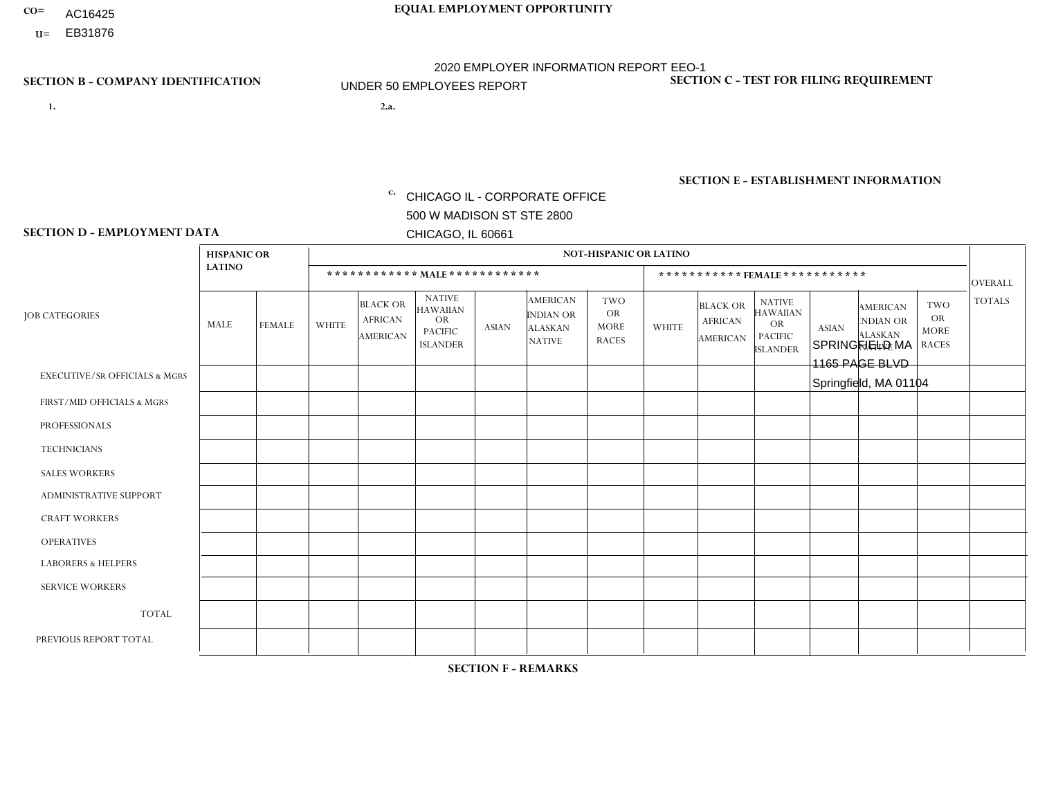- AC16425
- **U=**

**1. 2.a.** CHICAGO IL - CORPORATE OFFICE 500 W MADISON ST STE 2800 CHICAGO, IL 60661

2.a. SPRINGFIELD MA 1165 PAGE BLVD Springfield, MA 01104

EIN= 952920557

## **SECTION B - COMPANY IDENTIFICATION SECTION C - TEST FOR FILING REQUIREMENT**

1- Y 2- Y 3- N DUNS= 000123456

**SECTION E - ESTABLISHMENT INFORMATION c.** NAICS: 423140

### **SECTION D - EMPLOYMENT DATA**

|                                          | <b>HISPANIC OR</b> |                |                |                                                      |                                                                                    |              |                                                                 | <b>NOT-HISPANIC OR LATINO</b>                          |                |                                               |                                                                                    |              |                                                                |                                                        |                |
|------------------------------------------|--------------------|----------------|----------------|------------------------------------------------------|------------------------------------------------------------------------------------|--------------|-----------------------------------------------------------------|--------------------------------------------------------|----------------|-----------------------------------------------|------------------------------------------------------------------------------------|--------------|----------------------------------------------------------------|--------------------------------------------------------|----------------|
|                                          | <b>LATINO</b>      |                |                |                                                      | ************ MALE ************                                                     |              |                                                                 |                                                        |                | ***********FEMALE***********                  |                                                                                    |              |                                                                |                                                        | <b>OVERALL</b> |
| <b>JOB CATEGORIES</b>                    | MALE               | <b>FEMALE</b>  | <b>WHITE</b>   | <b>BLACK OR</b><br><b>AFRICAN</b><br><b>AMERICAN</b> | <b>NATIVE</b><br><b>HAWAIIAN</b><br><b>OR</b><br><b>PACIFIC</b><br><b>ISLANDER</b> | <b>ASIAN</b> | <b>AMERICAN</b><br>INDIAN OR<br><b>ALASKAN</b><br><b>NATIVE</b> | <b>TWO</b><br><b>OR</b><br><b>MORE</b><br><b>RACES</b> | <b>WHITE</b>   | <b>BLACK OR</b><br><b>AFRICAN</b><br>AMERICAN | <b>NATIVE</b><br><b>HAWAIIAN</b><br><b>OR</b><br><b>PACIFIC</b><br><b>ISLANDER</b> | <b>ASIAN</b> | <b>AMERICAN</b><br>NDIAN OR<br><b>ALASKAN</b><br><b>NATIVE</b> | <b>TWO</b><br><b>OR</b><br><b>MORE</b><br><b>RACES</b> | <b>TOTALS</b>  |
| <b>EXECUTIVE/SR OFFICIALS &amp; MGRS</b> | $\Omega$           | $\Omega$       | $\Omega$       | $\Omega$                                             | $\Omega$                                                                           | $\mathbf{0}$ | $\Omega$                                                        | $\Omega$                                               | 0              | $\Omega$                                      | $\Omega$                                                                           | $\Omega$     | $\Omega$                                                       | $\Omega$                                               | $\Omega$       |
| FIRST/MID OFFICIALS & MGRS               | 0                  | $\Omega$       | 1              | $\mathbf 0$                                          | $\Omega$                                                                           | $\mathbf{0}$ | $\mathbf{0}$                                                    | $\Omega$                                               | 0              | $\Omega$                                      | $\Omega$                                                                           | $\Omega$     | $\Omega$                                                       | $\Omega$                                               | $\mathbf{1}$   |
| <b>PROFESSIONALS</b>                     | 0                  | $\Omega$       | $\Omega$       | $\mathbf 0$                                          | $\Omega$                                                                           | $\Omega$     | $\Omega$                                                        | $\Omega$                                               | 0              | $\Omega$                                      | $\Omega$                                                                           | $\Omega$     | $\Omega$                                                       | $\Omega$                                               | $\mathbf{0}$   |
| <b>TECHNICIANS</b>                       | 0                  | $\mathbf 0$    | $\Omega$       | $\mathbf 0$                                          | $\mathbf 0$                                                                        | $\Omega$     | $\Omega$                                                        | $\Omega$                                               | $\overline{0}$ | $\Omega$                                      | $\Omega$                                                                           | $\mathbf 0$  | $\mathbf 0$                                                    | $\mathbf 0$                                            | $\mathbf 0$    |
| <b>SALES WORKERS</b>                     | $\Omega$           | $\Omega$       | 1              | $\Omega$                                             | $\Omega$                                                                           | $\Omega$     | $\Omega$                                                        | $\Omega$                                               | $\overline{0}$ | $\Omega$                                      | $\Omega$                                                                           | $\Omega$     | $\Omega$                                                       | $\mathbf{0}$                                           | $\mathbf{1}$   |
| <b>ADMINISTRATIVE SUPPORT</b>            | 0                  | $\Omega$       | $\Omega$       | $\mathbf 0$                                          | $\Omega$                                                                           | $\mathbf{0}$ | $\Omega$                                                        | $\Omega$                                               | $\Omega$       | $\Omega$                                      | $\Omega$                                                                           | $\Omega$     | $\mathbf{0}$                                                   | $\Omega$                                               | $\mathbf 0$    |
| <b>CRAFT WORKERS</b>                     | 0                  | $\Omega$       | $\mathbf 0$    | $\mathbf 0$                                          | $\Omega$                                                                           | $\Omega$     | $\Omega$                                                        | $\Omega$                                               | 0              | $\Omega$                                      | $\Omega$                                                                           | $\mathbf{0}$ | $\Omega$                                                       | $\mathbf{0}$                                           | $\mathbf 0$    |
| <b>OPERATIVES</b>                        | 0                  | $\overline{1}$ | 4              | $\mathbf 0$                                          | $\mathbf 0$                                                                        | $\Omega$     | $\Omega$                                                        | $\Omega$                                               | $\overline{0}$ | $\Omega$                                      | $\Omega$                                                                           | $\mathbf 0$  | $\mathbf 0$                                                    | $\mathbf 0$                                            | 5              |
| <b>LABORERS &amp; HELPERS</b>            | и                  | $\Omega$       | -1             | $\Omega$                                             | $\Omega$                                                                           | $\Omega$     | $\Omega$                                                        | $\Omega$                                               | 0              | $\Omega$                                      | $\Omega$                                                                           | $\mathbf{0}$ | $\Omega$                                                       | $\mathbf{0}$                                           | $\overline{2}$ |
| <b>SERVICE WORKERS</b>                   | 0                  | $\Omega$       | $\mathbf 0$    | 0                                                    | 0                                                                                  | $\Omega$     | $\mathbf{0}$                                                    | $\Omega$                                               | $\Omega$       | $\Omega$                                      | $\Omega$                                                                           | 0            | $\Omega$                                                       | $\Omega$                                               | $\overline{0}$ |
| <b>TOTAL</b>                             |                    | $\mathbf{1}$   | $\overline{7}$ | $\mathbf 0$                                          | 0                                                                                  | $\mathbf 0$  | $\Omega$                                                        | $\Omega$                                               | $\Omega$       | $\Omega$                                      | $\Omega$                                                                           | $\mathbf 0$  | 0                                                              | $\mathbf 0$                                            | 9              |
| PREVIOUS REPORT TOTAL                    |                    | $\overline{2}$ | 12             | $\mathbf 0$                                          | $\Omega$                                                                           | $\Omega$     | $\Omega$                                                        | $\Omega$                                               | 0              | $\Omega$                                      | $\Omega$                                                                           | $\Omega$     | $\Omega$                                                       | $\mathbf 0$                                            | 15             |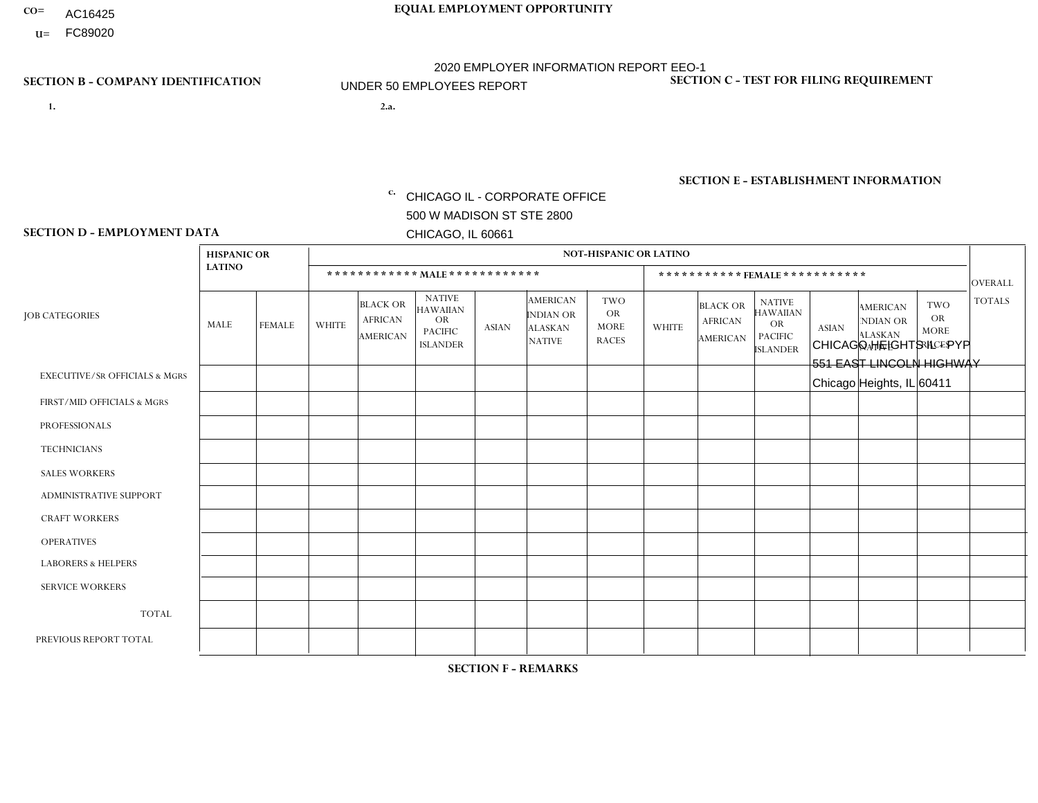- AC16425
- **U=**

- **1. 2.a.** CHICAGO IL CORPORATE OFFICE 500 W MADISON ST STE 2800 CHICAGO, IL 60661
- 2.a. CHICAGO HEIGHTS IL PYP 551 EAST LINCOLN HIGHWAY Chicago Heights, IL 60411

c. EIN= 952920557

## **SECTION B - COMPANY IDENTIFICATION SECTION C - TEST FOR FILING REQUIREMENT**

1- Y 2- Y 3- N DUNS= 000123456

**SECTION E - ESTABLISHMENT INFORMATION c.** NAICS: 423140

### **SECTION D - EMPLOYMENT DATA**

|                                          | <b>HISPANIC OR</b> |               |                |                                                      |                                                                                    |              |                                                                 | <b>NOT-HISPANIC OR LATINO</b>                          |                |                                               |                                                                             |              |                                                                       |                                                        |                |
|------------------------------------------|--------------------|---------------|----------------|------------------------------------------------------|------------------------------------------------------------------------------------|--------------|-----------------------------------------------------------------|--------------------------------------------------------|----------------|-----------------------------------------------|-----------------------------------------------------------------------------|--------------|-----------------------------------------------------------------------|--------------------------------------------------------|----------------|
|                                          | <b>LATINO</b>      |               |                | ************ MALE ************                       |                                                                                    |              |                                                                 |                                                        |                |                                               | *********** FEMALE ***********                                              |              |                                                                       |                                                        | <b>OVERALL</b> |
| <b>JOB CATEGORIES</b>                    | MALE               | <b>FEMALE</b> | <b>WHITE</b>   | <b>BLACK OR</b><br><b>AFRICAN</b><br><b>AMERICAN</b> | <b>NATIVE</b><br><b>HAWAIIAN</b><br><b>OR</b><br><b>PACIFIC</b><br><b>ISLANDER</b> | <b>ASIAN</b> | <b>AMERICAN</b><br>INDIAN OR<br><b>ALASKAN</b><br><b>NATIVE</b> | <b>TWO</b><br><b>OR</b><br><b>MORE</b><br><b>RACES</b> | <b>WHITE</b>   | <b>BLACK OR</b><br><b>AFRICAN</b><br>AMERICAN | <b>NATIVE</b><br><b>HAWAIIAN</b><br>OR<br><b>PACIFIC</b><br><b>ISLANDER</b> | <b>ASIAN</b> | <b>AMERICAN</b><br><b>NDIAN OR</b><br><b>ALASKAN</b><br><b>NATIVE</b> | <b>TWO</b><br><b>OR</b><br><b>MORE</b><br><b>RACES</b> | <b>TOTALS</b>  |
| <b>EXECUTIVE/SR OFFICIALS &amp; MGRS</b> | $\Omega$           | $\Omega$      | $\Omega$       | $\mathbf 0$                                          | $\Omega$                                                                           | $\Omega$     | $\Omega$                                                        | $\Omega$                                               | $\Omega$       | $\Omega$                                      | $\Omega$                                                                    | $\mathbf 0$  | $\Omega$                                                              | $\Omega$                                               | $\mathbf 0$    |
| FIRST/MID OFFICIALS & MGRS               | и                  | $\Omega$      | $\Omega$       | $\mathbf 0$                                          | $\Omega$                                                                           | $\mathbf{0}$ | $\Omega$                                                        | $\Omega$                                               | $\Omega$       | $\Omega$                                      | $\Omega$                                                                    | $\Omega$     | $\Omega$                                                              | $\Omega$                                               | $\mathbf{1}$   |
| <b>PROFESSIONALS</b>                     | $\Omega$           | $\Omega$      | $\Omega$       | $\Omega$                                             | $\Omega$                                                                           | $\mathbf{0}$ | $\Omega$                                                        | $\Omega$                                               | 0              | $\Omega$                                      | 0                                                                           | $\Omega$     | $\Omega$                                                              | $\Omega$                                               | $\mathbf{0}$   |
| <b>TECHNICIANS</b>                       | $\Omega$           | $\Omega$      | $\Omega$       | $\mathbf 0$                                          | $\Omega$                                                                           | $\Omega$     | $\Omega$                                                        | $\Omega$                                               | 0              | $\Omega$                                      | 0                                                                           | 0            | $\Omega$                                                              | $\mathbf 0$                                            | $\overline{0}$ |
| <b>SALES WORKERS</b>                     |                    | $\Omega$      | $\Omega$       | $\Omega$                                             | $\Omega$                                                                           | $\Omega$     | $\Omega$                                                        | $\Omega$                                               | $\overline{0}$ | $\Omega$                                      | $\overline{0}$                                                              | $\Omega$     | $\Omega$                                                              | $\Omega$                                               | $\mathbf{1}$   |
| ADMINISTRATIVE SUPPORT                   | $\Omega$           | $\Omega$      | $\mathbf{0}$   | $\Omega$                                             | $\Omega$                                                                           | $\Omega$     | $\Omega$                                                        | $\Omega$                                               | 1              | $\Omega$                                      | 0                                                                           | $\Omega$     | $\Omega$                                                              | $\Omega$                                               | $\overline{1}$ |
| <b>CRAFT WORKERS</b>                     | $\Omega$           | $\Omega$      | $\Omega$       | $\mathbf 0$                                          | $\Omega$                                                                           | $\Omega$     | $\Omega$                                                        | $\Omega$                                               | $\Omega$       | $\Omega$                                      | $\Omega$                                                                    | $\Omega$     | $\Omega$                                                              | $\Omega$                                               | $\Omega$       |
| <b>OPERATIVES</b>                        | 3                  | $\Omega$      | 1              | $\mathbf 0$                                          | $\Omega$                                                                           | $\Omega$     | $\Omega$                                                        | $\Omega$                                               | $\Omega$       | $\Omega$                                      | $\Omega$                                                                    | $\Omega$     | $\Omega$                                                              | $\Omega$                                               | 4              |
| <b>LABORERS &amp; HELPERS</b>            | $\Omega$           | $\Omega$      | $\Omega$       | $\mathbf 0$                                          | $\Omega$                                                                           | $\Omega$     | $\Omega$                                                        | $\Omega$                                               | $\Omega$       | $\Omega$                                      | 0                                                                           | $\Omega$     | $\Omega$                                                              | $\Omega$                                               | $\mathbf{0}$   |
| <b>SERVICE WORKERS</b>                   | $\Omega$           | $\mathbf 0$   | $\mathbf 0$    | 0                                                    | $\mathbf 0$                                                                        | $\mathbf 0$  | $\Omega$                                                        | $\Omega$                                               | $\Omega$       | $\Omega$                                      | $\mathbf 0$                                                                 | $\mathbf 0$  | $\Omega$                                                              | $\mathbf 0$                                            | $\mathbf{0}$   |
| <b>TOTAL</b>                             | 5                  | 0             | $\overline{1}$ | 0                                                    | $\mathbf 0$                                                                        | $\Omega$     | $\Omega$                                                        | $\Omega$                                               | $\mathbf{1}$   | $\Omega$                                      | 0                                                                           | $\mathbf 0$  | $\Omega$                                                              | $\mathbf 0$                                            | $\overline{7}$ |
| PREVIOUS REPORT TOTAL                    | 5                  | $\Omega$      | 3              | $\mathbf 0$                                          | 0                                                                                  | $\Omega$     | $\Omega$                                                        | $\Omega$                                               | 1              | $\Omega$                                      | $\Omega$                                                                    | $\Omega$     | $\Omega$                                                              | $\mathbf 0$                                            | 9              |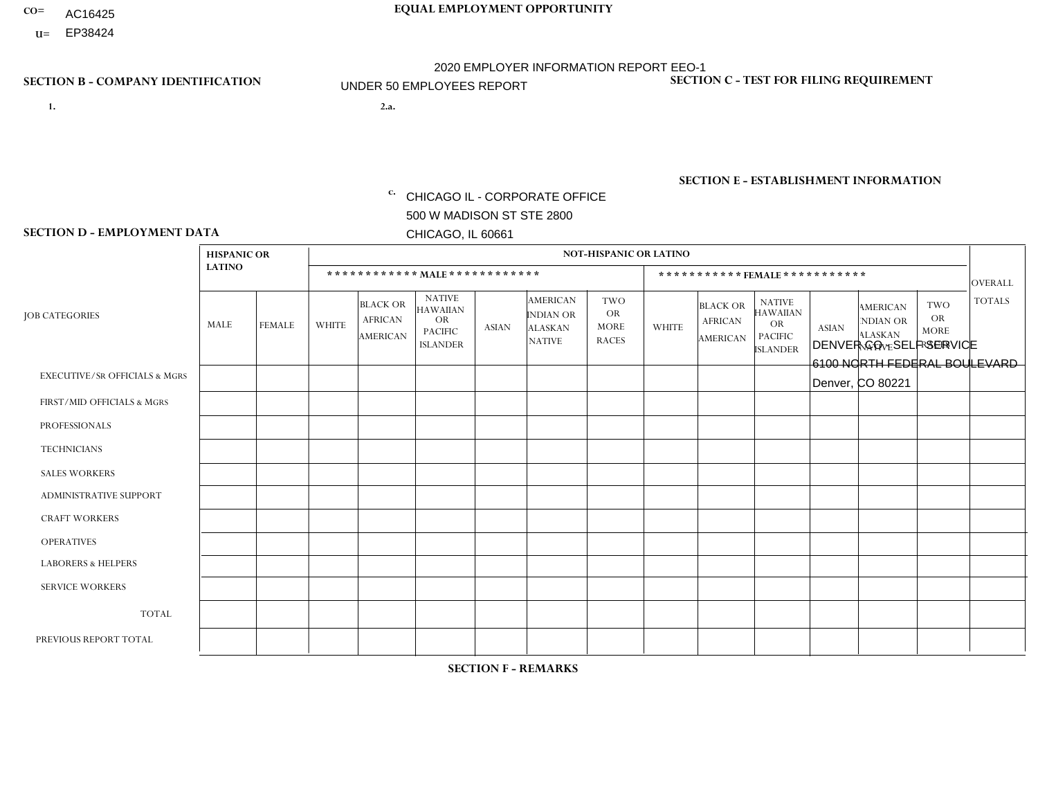- AC16425
- **U=**

- **1. 2.a.** CHICAGO IL CORPORATE OFFICE 500 W MADISON ST STE 2800 CHICAGO, IL 60661
- 2.a. DENVER CO SELF SERVICE 6100 NORTH FEDERAL BOULEVARD Denver, CO 80221

c. EIN= 952920557

## **SECTION B - COMPANY IDENTIFICATION SECTION C - TEST FOR FILING REQUIREMENT**

1- Y 2- Y 3- N DUNS= 000123456

**SECTION E - ESTABLISHMENT INFORMATION c.** NAICS: 423140

### **SECTION D - EMPLOYMENT DATA**

|                                          | <b>HISPANIC OR</b> |               |                |                                                      |                                                                                    |              |                                                                        | <b>NOT-HISPANIC OR LATINO</b>                          |              |                                               |                                                                                    |              |                                                                       |                                                        |                |
|------------------------------------------|--------------------|---------------|----------------|------------------------------------------------------|------------------------------------------------------------------------------------|--------------|------------------------------------------------------------------------|--------------------------------------------------------|--------------|-----------------------------------------------|------------------------------------------------------------------------------------|--------------|-----------------------------------------------------------------------|--------------------------------------------------------|----------------|
|                                          | <b>LATINO</b>      |               |                |                                                      | ************ MAIE************                                                      |              |                                                                        |                                                        |              | ***********FEMALE***********                  |                                                                                    |              |                                                                       |                                                        | <b>OVERALL</b> |
| <b>JOB CATEGORIES</b>                    | <b>MALE</b>        | <b>FEMALE</b> | <b>WHITE</b>   | <b>BLACK OR</b><br><b>AFRICAN</b><br><b>AMERICAN</b> | <b>NATIVE</b><br><b>HAWAIIAN</b><br><b>OR</b><br><b>PACIFIC</b><br><b>ISLANDER</b> | <b>ASIAN</b> | <b>AMERICAN</b><br><b>INDIAN OR</b><br><b>ALASKAN</b><br><b>NATIVE</b> | <b>TWO</b><br><b>OR</b><br><b>MORE</b><br><b>RACES</b> | <b>WHITE</b> | <b>BLACK OR</b><br><b>AFRICAN</b><br>AMERICAN | <b>NATIVE</b><br><b>HAWAIIAN</b><br><b>OR</b><br><b>PACIFIC</b><br><b>ISLANDER</b> | <b>ASIAN</b> | <b>AMERICAN</b><br><b>NDIAN OR</b><br><b>ALASKAN</b><br><b>NATIVE</b> | <b>TWO</b><br><b>OR</b><br><b>MORE</b><br><b>RACES</b> | <b>TOTALS</b>  |
| <b>EXECUTIVE/SR OFFICIALS &amp; MGRS</b> | $\Omega$           | $\Omega$      | $\Omega$       | $\Omega$                                             | $\mathbf{0}$                                                                       | $\Omega$     | $\Omega$                                                               | $\Omega$                                               | $\Omega$     | $\Omega$                                      | $\Omega$                                                                           | $\Omega$     | $\Omega$                                                              | $\Omega$                                               | $\mathbf 0$    |
| FIRST/MID OFFICIALS & MGRS               | 0                  | $\mathbf 0$   | $\overline{1}$ | $\mathbf 0$                                          | $\mathbf{0}$                                                                       | $\mathbf{0}$ | $\Omega$                                                               | 0                                                      | $\Omega$     | $\Omega$                                      | $\Omega$                                                                           | $\mathbf 0$  | $\Omega$                                                              | 0                                                      | $\mathbf{1}$   |
| <b>PROFESSIONALS</b>                     | 1                  | $\mathbf 0$   | $\overline{1}$ | $\mathbf 0$                                          | $\Omega$                                                                           | $\Omega$     | $\Omega$                                                               | 0                                                      | $\Omega$     | $\Omega$                                      | 0                                                                                  | $\mathbf 0$  | $\Omega$                                                              | $\mathbf 0$                                            | 2              |
| <b>TECHNICIANS</b>                       | 0                  | $\mathbf 0$   | $\mathbf 0$    | $\mathbf 0$                                          | $\Omega$                                                                           | $\Omega$     | $\Omega$                                                               | 0                                                      | $\Omega$     | $\Omega$                                      | $\mathbf 0$                                                                        | $\mathbf 0$  | $\Omega$                                                              | $\mathbf 0$                                            | $\mathbf 0$    |
| <b>SALES WORKERS</b>                     | $\mathbf 0$        | $\Omega$      | $\mathbf 0$    | $\mathbf 0$                                          | $\Omega$                                                                           | $\Omega$     | $\Omega$                                                               | 0                                                      | $\Omega$     | $\Omega$                                      | $\Omega$                                                                           | $\Omega$     | $\Omega$                                                              | $\Omega$                                               | $\mathbf 0$    |
| <b>ADMINISTRATIVE SUPPORT</b>            | $\mathbf 1$        | $\Omega$      | 1              | $\Omega$                                             | $\mathbf{0}$                                                                       | $\Omega$     | $\Omega$                                                               | 0                                                      | $\Omega$     | $\Omega$                                      | $\Omega$                                                                           | $\Omega$     | $\Omega$                                                              | $\Omega$                                               | 2              |
| <b>CRAFT WORKERS</b>                     | $\Omega$           | $\Omega$      | $\mathbf 0$    | $\Omega$                                             | $\Omega$                                                                           | $\Omega$     | $\Omega$                                                               | 0                                                      | $\Omega$     | $\Omega$                                      | $\Omega$                                                                           | $\Omega$     | $\Omega$                                                              | $\Omega$                                               | $\mathbf 0$    |
| <b>OPERATIVES</b>                        | 3                  | $\Omega$      | 1              | $\Omega$                                             | $\mathbf{0}$                                                                       | $\Omega$     | $\Omega$                                                               | 0                                                      | $\Omega$     | $\Omega$                                      | $\Omega$                                                                           | $\Omega$     | $\Omega$                                                              | $\Omega$                                               | $\overline{4}$ |
| <b>LABORERS &amp; HELPERS</b>            | 0                  | $\Omega$      | $\Omega$       | $\Omega$                                             | $\mathbf{0}$                                                                       | $\Omega$     | $\Omega$                                                               | 0                                                      | $\Omega$     | $\Omega$                                      | $\Omega$                                                                           | $\Omega$     | $\Omega$                                                              | $\Omega$                                               | 0              |
| <b>SERVICE WORKERS</b>                   | $\mathbf 0$        | $\mathbf 0$   | $\mathbf 0$    | $\mathbf 0$                                          | $\mathbf{0}$                                                                       | $\mathbf{0}$ | $\Omega$                                                               | 0                                                      | $\Omega$     | $\Omega$                                      | $\Omega$                                                                           | $\mathbf 0$  | $\Omega$                                                              | $\Omega$                                               | 0              |
| <b>TOTAL</b>                             | 5                  | $\mathbf 0$   | 4              | 0                                                    | $\mathbf 0$                                                                        | $\mathbf{0}$ | $\Omega$                                                               | 0                                                      | $\Omega$     | $\Omega$                                      | $\mathbf 0$                                                                        | $\mathbf 0$  | $\Omega$                                                              | $\mathbf 0$                                            | 9              |
| PREVIOUS REPORT TOTAL                    | 3                  | $\Omega$      | 5              | $\Omega$                                             | $\Omega$                                                                           | $\Omega$     | $\Omega$                                                               | $\Omega$                                               | $\Omega$     | $\Omega$                                      | $\Omega$                                                                           | $\mathbf{0}$ | $\Omega$                                                              | $\mathbf 0$                                            | 8              |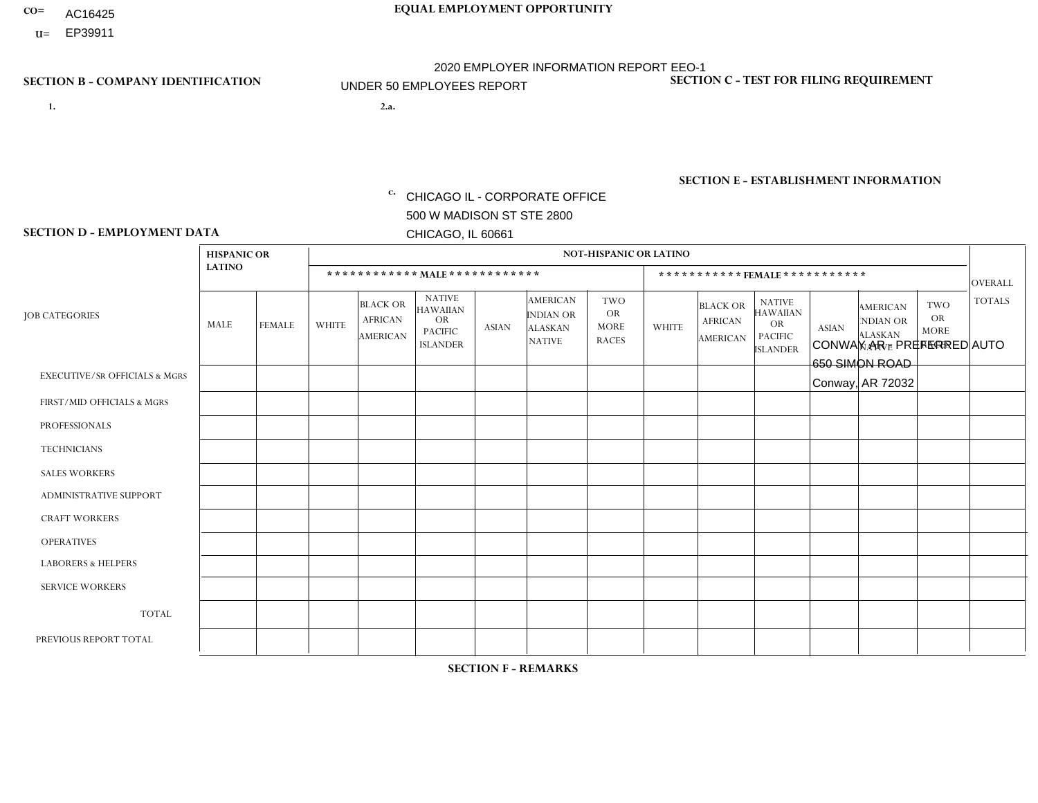- AC16425
- **U=**

**1. 2.a.** CHICAGO IL - CORPORATE OFFICE 500 W MADISON ST STE 2800 CHICAGO, IL 60661

2.a. CONWAY AR - PREFERRED AUTO 650 SIMON ROAD Conway, AR 72032

**SECTION B - COMPANY IDENTIFICATION SECTION C - TEST FOR FILING REQUIREMENT** 

1- Y 2- Y 3- N DUNS= 000123456

|                   | <b>SECTION E - ESTABLISHMENT INFORMATION</b> |
|-------------------|----------------------------------------------|
| c. EIN= 952920557 | NAICS: 423140                                |

### **SECTION D - EMPLOYMENT DATA**

|                                          | <b>HISPANIC OR</b>      |               |                |                                                      |                                                                                    |              |                                                                        | <b>NOT-HISPANIC OR LATINO</b>                          |                |                                                      |                                                                                    |              |                                                                       |                                                        |                |
|------------------------------------------|-------------------------|---------------|----------------|------------------------------------------------------|------------------------------------------------------------------------------------|--------------|------------------------------------------------------------------------|--------------------------------------------------------|----------------|------------------------------------------------------|------------------------------------------------------------------------------------|--------------|-----------------------------------------------------------------------|--------------------------------------------------------|----------------|
|                                          | <b>LATINO</b>           |               |                |                                                      | ************ MAIE************                                                      |              |                                                                        |                                                        |                | ***********FEMALE***********                         |                                                                                    |              |                                                                       |                                                        | <b>OVERALL</b> |
| <b>JOB CATEGORIES</b>                    | MALE                    | <b>FEMALE</b> | <b>WHITE</b>   | <b>BLACK OR</b><br><b>AFRICAN</b><br><b>AMERICAN</b> | <b>NATIVE</b><br><b>HAWAIIAN</b><br><b>OR</b><br><b>PACIFIC</b><br><b>ISLANDER</b> | <b>ASIAN</b> | <b>AMERICAN</b><br><b>INDIAN OR</b><br><b>ALASKAN</b><br><b>NATIVE</b> | <b>TWO</b><br><b>OR</b><br><b>MORE</b><br><b>RACES</b> | <b>WHITE</b>   | <b>BLACK OR</b><br><b>AFRICAN</b><br><b>AMERICAN</b> | <b>NATIVE</b><br><b>HAWAIIAN</b><br><b>OR</b><br><b>PACIFIC</b><br><b>ISLANDER</b> | <b>ASIAN</b> | <b>AMERICAN</b><br><b>NDIAN OR</b><br><b>ALASKAN</b><br><b>NATIVE</b> | <b>TWO</b><br><b>OR</b><br><b>MORE</b><br><b>RACES</b> | <b>TOTALS</b>  |
| <b>EXECUTIVE/SR OFFICIALS &amp; MGRS</b> | $\Omega$                | $\Omega$      | $\Omega$       | $\Omega$                                             | $\Omega$                                                                           | $\Omega$     | $\Omega$                                                               | $\Omega$                                               | $\Omega$       | $\Omega$                                             | $\Omega$                                                                           | 0            | $\Omega$                                                              | $\Omega$                                               | $\Omega$       |
| FIRST/MID OFFICIALS & MGRS               | 0                       | 0             | 3              | $\mathbf 0$                                          | 0                                                                                  | $\Omega$     | $\Omega$                                                               | $\Omega$                                               | $\Omega$       | $\Omega$                                             | $\Omega$                                                                           | $\Omega$     | $\Omega$                                                              | $\mathbf{0}$                                           | 3              |
| <b>PROFESSIONALS</b>                     | 0                       | 0             | $\overline{1}$ | $\mathbf 0$                                          | 0                                                                                  | $\Omega$     | $\Omega$                                                               | $\Omega$                                               | $\Omega$       | $\Omega$                                             | $\Omega$                                                                           | 0            | $\Omega$                                                              | $\Omega$                                               | $\mathbf{1}$   |
| <b>TECHNICIANS</b>                       | 0                       | $\mathbf 0$   | $\Omega$       | $\mathbf 0$                                          | 0                                                                                  | $\Omega$     | $\Omega$                                                               | $\Omega$                                               | $\Omega$       | $\mathbf{0}$                                         | $\mathbf 0$                                                                        | $\mathbf 0$  | $\Omega$                                                              | $\Omega$                                               | $\mathbf 0$    |
| <b>SALES WORKERS</b>                     | 0                       | $\mathbf 0$   | 9              | $\mathbf 0$                                          | 0                                                                                  | $\Omega$     | $\Omega$                                                               | $\Omega$                                               | $\Omega$       | $\mathbf{0}$                                         | $\Omega$                                                                           | $\Omega$     | $\Omega$                                                              | $\Omega$                                               | 9              |
| <b>ADMINISTRATIVE SUPPORT</b>            | $\Omega$                | 0             | $\overline{1}$ | $\mathbf 0$                                          | 0                                                                                  | $\mathbf 0$  | $\Omega$                                                               | $\Omega$                                               | 2              | $\Omega$                                             | $\Omega$                                                                           | $\mathbf 0$  | $\Omega$                                                              | $\mathbf{0}$                                           | 3              |
| <b>CRAFT WORKERS</b>                     | 0                       | $\Omega$      | 6              | $\mathbf 0$                                          | 0                                                                                  | $\Omega$     | $\Omega$                                                               | $\Omega$                                               | $\Omega$       | $\Omega$                                             | $\Omega$                                                                           | $\Omega$     | $\Omega$                                                              | $\Omega$                                               | 6              |
| <b>OPERATIVES</b>                        |                         | $\Omega$      | 8              | $\mathbf 0$                                          | $\Omega$                                                                           | $\Omega$     | $\Omega$                                                               | $\Omega$                                               | $\Omega$       | $\Omega$                                             | $\Omega$                                                                           | 0            | $\Omega$                                                              | $\Omega$                                               | 9              |
| <b>LABORERS &amp; HELPERS</b>            | $\overline{\mathbf{A}}$ | $\Omega$      | 3              | 2                                                    | 0                                                                                  | $\Omega$     | $\Omega$                                                               | $\Omega$                                               | $\Omega$       | $\Omega$                                             | $\Omega$                                                                           | $\Omega$     | $\Omega$                                                              | $\mathbf{0}$                                           | 6              |
| <b>SERVICE WORKERS</b>                   | 0                       | $\mathbf 0$   | $\Omega$       | $\mathbf 0$                                          | 0                                                                                  | $\Omega$     | $\Omega$                                                               | $\Omega$                                               | $\Omega$       | $\Omega$                                             | $\Omega$                                                                           | 0            | $\Omega$                                                              | $\mathbf{0}$                                           | $\mathbf 0$    |
| <b>TOTAL</b>                             | $\overline{2}$          | $\mathbf 0$   | 31             | $\overline{2}$                                       | 0                                                                                  | $\mathbf 0$  | $\Omega$                                                               | $\Omega$                                               | $\overline{2}$ | $\Omega$                                             | $\mathbf 0$                                                                        | 0            | $\Omega$                                                              | $\Omega$                                               | 37             |
| PREVIOUS REPORT TOTAL                    |                         | $\mathbf 0$   | 34             | $\overline{4}$                                       | 0                                                                                  | $\Omega$     | $\Omega$                                                               |                                                        | 3              | $\Omega$                                             | $\Omega$                                                                           | 0            | $\Omega$                                                              | $\Omega$                                               | 43             |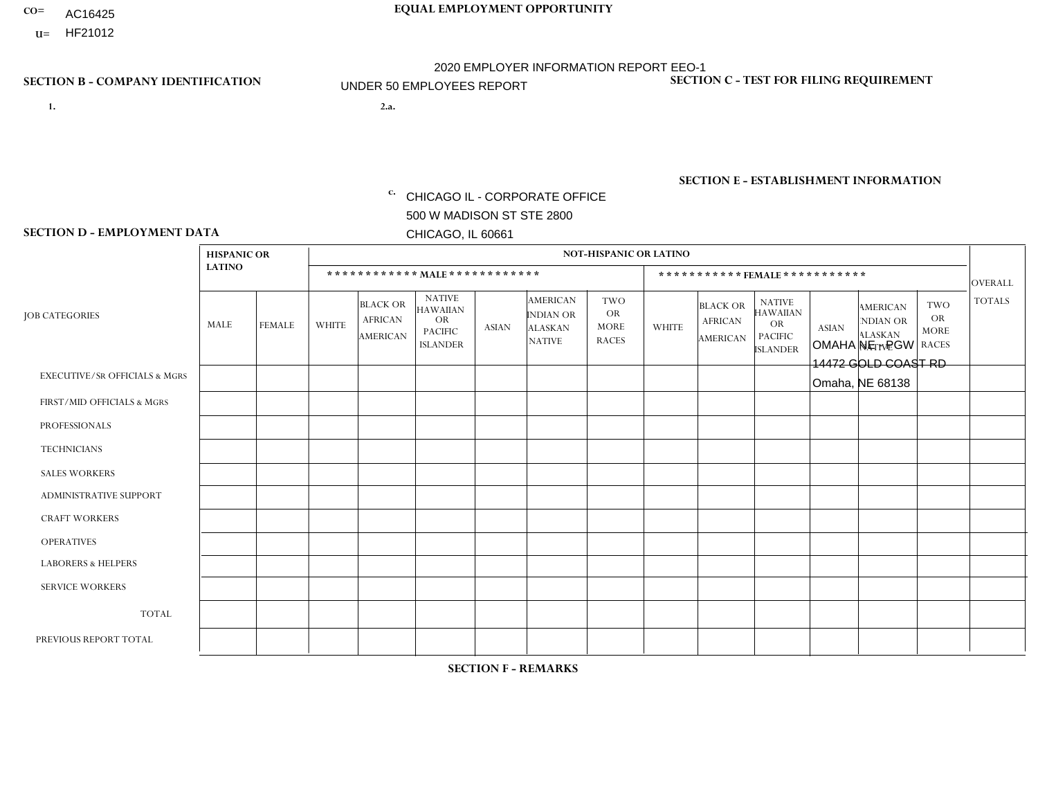- AC16425
- **U=**

**1. 2.a.** CHICAGO IL - CORPORATE OFFICE 500 W MADISON ST STE 2800 CHICAGO, IL 60661

2.a. OMAHA NE - PGW 14472 GOLD COAST RD Omaha, NE 68138

EIN= 952920557

## **SECTION B - COMPANY IDENTIFICATION SECTION C - TEST FOR FILING REQUIREMENT**

1- Y 2- Y 3- N DUNS= 000123456

**SECTION E - ESTABLISHMENT INFORMATION c.** NAICS: 811122

### **SECTION D - EMPLOYMENT DATA**

|                                          | <b>HISPANIC OR</b> |               |                |                                                      |                                                                                    |             |                                                                        | <b>NOT-HISPANIC OR LATINO</b>                          |                |                                               |                                                                             |              |                                                                       |                                                        |                |
|------------------------------------------|--------------------|---------------|----------------|------------------------------------------------------|------------------------------------------------------------------------------------|-------------|------------------------------------------------------------------------|--------------------------------------------------------|----------------|-----------------------------------------------|-----------------------------------------------------------------------------|--------------|-----------------------------------------------------------------------|--------------------------------------------------------|----------------|
|                                          | <b>LATINO</b>      |               |                | ************ MALE ************                       |                                                                                    |             |                                                                        |                                                        |                | ***********FEMALE***********                  |                                                                             |              |                                                                       |                                                        | <b>OVERALL</b> |
| <b>JOB CATEGORIES</b>                    | MALE               | <b>FEMALE</b> | <b>WHITE</b>   | <b>BLACK OR</b><br><b>AFRICAN</b><br><b>AMERICAN</b> | <b>NATIVE</b><br><b>HAWAIIAN</b><br><b>OR</b><br><b>PACIFIC</b><br><b>ISLANDER</b> | ASIAN       | <b>AMERICAN</b><br><b>INDIAN OR</b><br><b>ALASKAN</b><br><b>NATIVE</b> | <b>TWO</b><br><b>OR</b><br><b>MORE</b><br><b>RACES</b> | <b>WHITE</b>   | <b>BLACK OR</b><br><b>AFRICAN</b><br>AMERICAN | <b>NATIVE</b><br><b>HAWAIIAN</b><br>OR<br><b>PACIFIC</b><br><b>ISLANDER</b> | <b>ASIAN</b> | <b>AMERICAN</b><br><b>NDIAN OR</b><br><b>ALASKAN</b><br><b>NATIVE</b> | <b>TWO</b><br><b>OR</b><br><b>MORE</b><br><b>RACES</b> | <b>TOTALS</b>  |
| <b>EXECUTIVE/SR OFFICIALS &amp; MGRS</b> | $\Omega$           | $\Omega$      | $\Omega$       | $\mathbf 0$                                          | $\mathbf 0$                                                                        | $\Omega$    | $\Omega$                                                               | $\Omega$                                               | $\Omega$       | $\Omega$                                      | $\Omega$                                                                    | $\mathbf 0$  | $\Omega$                                                              | $\mathbf 0$                                            | $\mathbf{0}$   |
| FIRST/MID OFFICIALS & MGRS               | 0                  | 0             | $\Omega$       | $\mathbf 0$                                          | 0                                                                                  | $\Omega$    | $\Omega$                                                               | $\Omega$                                               |                | $\Omega$                                      | $\Omega$                                                                    | $\Omega$     | $\Omega$                                                              | $\mathbf 0$                                            | $\mathbf{1}$   |
| <b>PROFESSIONALS</b>                     | $\Omega$           | $\Omega$      | $\Omega$       | $\mathbf 0$                                          | $\Omega$                                                                           | $\Omega$    | $\Omega$                                                               | $\Omega$                                               | $\overline{0}$ | $\Omega$                                      | $\Omega$                                                                    | $\Omega$     | $\Omega$                                                              | $\Omega$                                               | $\mathbf 0$    |
| <b>TECHNICIANS</b>                       | 0                  | $\mathbf 0$   | $\Omega$       | $\mathbf 0$                                          | $\Omega$                                                                           | $\Omega$    | $\Omega$                                                               | $\Omega$                                               | $\Omega$       | $\Omega$                                      | $\Omega$                                                                    | $\Omega$     | $\Omega$                                                              | $\Omega$                                               | $\mathbf{0}$   |
| <b>SALES WORKERS</b>                     | $\Omega$           | $\Omega$      | $\Omega$       | $\mathbf 0$                                          | $\Omega$                                                                           | $\Omega$    | $\Omega$                                                               | $\Omega$                                               | $\overline{0}$ | $\Omega$                                      | $\Omega$                                                                    | $\Omega$     | $\Omega$                                                              | $\Omega$                                               | $\mathbf{0}$   |
| ADMINISTRATIVE SUPPORT                   | $\mathbf 0$        | 0             | $\mathbf 0$    | $\mathbf 0$                                          | 0                                                                                  | $\Omega$    | $\Omega$                                                               | $\Omega$                                               | $\Omega$       | $\Omega$                                      | $\Omega$                                                                    | $\Omega$     | $\mathbf{0}$                                                          | $\mathbf 0$                                            | $\mathbf 0$    |
| <b>CRAFT WORKERS</b>                     | 0                  | $\Omega$      | $\Omega$       | $\mathbf 0$                                          | $\Omega$                                                                           | $\Omega$    | $\Omega$                                                               | $\Omega$                                               | 0              | $\Omega$                                      | $\Omega$                                                                    | $\Omega$     | $\Omega$                                                              | $\Omega$                                               | $\Omega$       |
| <b>OPERATIVES</b>                        | 0                  | $\Omega$      | $\overline{c}$ | $\overline{1}$                                       | $\Omega$                                                                           | $\Omega$    | $\Omega$                                                               | $\Omega$                                               | $\Omega$       | $\Omega$                                      | $\Omega$                                                                    | $\Omega$     | $\Omega$                                                              | $\Omega$                                               | 3              |
| <b>LABORERS &amp; HELPERS</b>            | 0                  | $\Omega$      | $\overline{1}$ | $\mathbf 0$                                          | $\mathbf 0$                                                                        | $\Omega$    | $\Omega$                                                               | $\Omega$                                               | $\Omega$       | $\Omega$                                      | $\Omega$                                                                    | $\Omega$     | $\Omega$                                                              | $\Omega$                                               | $\mathbf{1}$   |
| <b>SERVICE WORKERS</b>                   | 0                  | $\mathbf 0$   | $\mathbf 0$    | $\mathbf 0$                                          | $\mathbf{0}$                                                                       | $\mathbf 0$ | $\Omega$                                                               | $\Omega$                                               | $\Omega$       | $\Omega$                                      | $\Omega$                                                                    | $\mathbf 0$  | $\Omega$                                                              | $\mathbf 0$                                            | $\overline{0}$ |
| <b>TOTAL</b>                             | $\Omega$           | 0             | 3              | $\mathbf{1}$                                         | 0                                                                                  | $\Omega$    | $\Omega$                                                               | $\Omega$                                               | -1             | $\Omega$                                      | $\Omega$                                                                    | $\mathbf 0$  | 0                                                                     | $\mathbf 0$                                            | 5              |
| PREVIOUS REPORT TOTAL                    | 0                  | $\mathbf{0}$  |                | $\overline{c}$                                       | $\Omega$                                                                           | $\Omega$    | $\Omega$                                                               | $\Omega$                                               |                | $\Omega$                                      | $\Omega$                                                                    | $\Omega$     | $\Omega$                                                              | $\mathbf 0$                                            | $\overline{4}$ |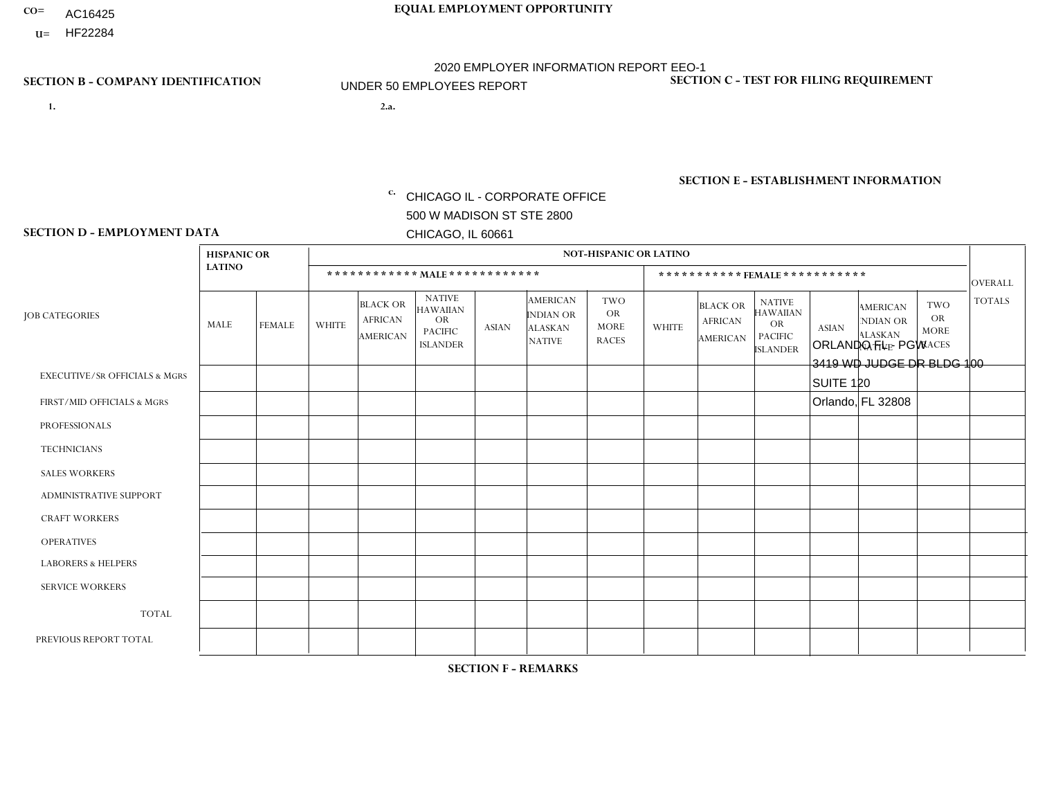- AC16425
- **U=**

- **1. 2.a.** CHICAGO IL CORPORATE OFFICE 500 W MADISON ST STE 2800 CHICAGO, IL 60661
- 2.a. ORLANDO FL PGW 3419 WD JUDGE DR BLDG 100 SUITE 120 Orlando, FL 32808
	- EIN= 952920557

## **SECTION B - COMPANY IDENTIFICATION SECTION C - TEST FOR FILING REQUIREMENT**

1- Y 2- Y 3- N DUNS= 000123456

**SECTION E - ESTABLISHMENT INFORMATION c.** NAICS: 811122

### **SECTION D - EMPLOYMENT DATA**

|                                          | <b>HISPANIC OR</b> |                |                |                                                      |                                                                                    |             |                                                                        | <b>NOT-HISPANIC OR LATINO</b>                          |                |                                               |                                                                                    |              |                                                                       |                                                        |                |
|------------------------------------------|--------------------|----------------|----------------|------------------------------------------------------|------------------------------------------------------------------------------------|-------------|------------------------------------------------------------------------|--------------------------------------------------------|----------------|-----------------------------------------------|------------------------------------------------------------------------------------|--------------|-----------------------------------------------------------------------|--------------------------------------------------------|----------------|
|                                          | <b>LATINO</b>      |                |                | ************ MALE ************                       |                                                                                    |             |                                                                        |                                                        |                | *********** FEMALE ***********                |                                                                                    |              |                                                                       |                                                        | <b>OVERALL</b> |
| <b>JOB CATEGORIES</b>                    | MALE               | <b>FEMALE</b>  | <b>WHITE</b>   | <b>BLACK OR</b><br><b>AFRICAN</b><br><b>AMERICAN</b> | <b>NATIVE</b><br><b>HAWAIIAN</b><br><b>OR</b><br><b>PACIFIC</b><br><b>ISLANDER</b> | ASIAN       | <b>AMERICAN</b><br><b>INDIAN OR</b><br><b>ALASKAN</b><br><b>NATIVE</b> | <b>TWO</b><br><b>OR</b><br><b>MORE</b><br><b>RACES</b> | <b>WHITE</b>   | <b>BLACK OR</b><br><b>AFRICAN</b><br>AMERICAN | <b>NATIVE</b><br><b>HAWAIIAN</b><br><b>OR</b><br><b>PACIFIC</b><br><b>ISLANDER</b> | <b>ASIAN</b> | <b>AMERICAN</b><br><b>NDIAN OR</b><br><b>ALASKAN</b><br><b>NATIVE</b> | <b>TWO</b><br><b>OR</b><br><b>MORE</b><br><b>RACES</b> | <b>TOTALS</b>  |
| <b>EXECUTIVE/SR OFFICIALS &amp; MGRS</b> | $\Omega$           | $\Omega$       | $\Omega$       | $\mathbf 0$                                          | 0                                                                                  | $\Omega$    | $\Omega$                                                               | $\Omega$                                               | $\Omega$       | $\Omega$                                      | $\Omega$                                                                           | $\mathbf 0$  | $\Omega$                                                              | $\mathbf 0$                                            | $\mathbf{0}$   |
| FIRST/MID OFFICIALS & MGRS               | 0                  | $\Omega$       | 1              | $\mathbf 0$                                          | $\Omega$                                                                           | $\Omega$    | $\Omega$                                                               | $\Omega$                                               | 0              | $\Omega$                                      | $\Omega$                                                                           | $\mathbf{0}$ | $\Omega$                                                              | $\mathbf{0}$                                           | $\mathbf{1}$   |
| <b>PROFESSIONALS</b>                     | 0                  | $\Omega$       | $\Omega$       | $\pmb{0}$                                            | $\Omega$                                                                           | $\Omega$    | $\Omega$                                                               | $\Omega$                                               | $\Omega$       | $\Omega$                                      | $\Omega$                                                                           | $\mathbf{0}$ | $\Omega$                                                              | $\mathbf{0}$                                           | $\mathbf{0}$   |
| <b>TECHNICIANS</b>                       | 0                  | $\Omega$       | $\mathbf 0$    | $\mathbf 0$                                          | $\Omega$                                                                           | $\Omega$    | $\Omega$                                                               | $\Omega$                                               | 0              | $\Omega$                                      | $\Omega$                                                                           | $\mathbf 0$  | $\Omega$                                                              | $\Omega$                                               | $\overline{0}$ |
| <b>SALES WORKERS</b>                     | $\Omega$           | $\overline{0}$ | $\Omega$       | $\mathbf 0$                                          | $\Omega$                                                                           | $\Omega$    | $\Omega$                                                               | $\Omega$                                               | $\Omega$       | $\Omega$                                      | $\Omega$                                                                           | $\mathbf 0$  | $\Omega$                                                              | $\mathbf 0$                                            | $\mathbf{0}$   |
| ADMINISTRATIVE SUPPORT                   | $\Omega$           | $\Omega$       | $\Omega$       | $\mathbf 0$                                          | $\Omega$                                                                           | $\Omega$    | $\Omega$                                                               | $\Omega$                                               | $\Omega$       | $\Omega$                                      | $\Omega$                                                                           | $\Omega$     | $\Omega$                                                              | $\Omega$                                               | $\mathbf 0$    |
| <b>CRAFT WORKERS</b>                     | 0                  | $\mathbf 0$    | $\mathbf 0$    | $\mathbf 0$                                          | 0                                                                                  | $\Omega$    | $\Omega$                                                               | $\Omega$                                               | $\Omega$       | $\Omega$                                      | $\Omega$                                                                           | $\mathbf{0}$ | $\mathbf{0}$                                                          | $\mathbf 0$                                            | $\mathbf 0$    |
| <b>OPERATIVES</b>                        | 1                  | 0              | -1             | 3                                                    | 0                                                                                  | $\mathbf 0$ | -1                                                                     | $\Omega$                                               | 0              | $\Omega$                                      | $\Omega$                                                                           | $\mathbf{0}$ | $\Omega$                                                              | $\mathbf 0$                                            | 6              |
| <b>LABORERS &amp; HELPERS</b>            | 0                  | $\Omega$       | $\overline{1}$ | $\mathbf 0$                                          | $\Omega$                                                                           | $\Omega$    | $\Omega$                                                               | $\Omega$                                               | $\overline{0}$ | $\Omega$                                      | $\Omega$                                                                           | $\mathbf{0}$ | $\Omega$                                                              | $\mathbf{0}$                                           | $\mathbf{1}$   |
| <b>SERVICE WORKERS</b>                   | 0                  | $\Omega$       | $\Omega$       | $\mathbf 0$                                          | $\Omega$                                                                           | $\Omega$    | $\Omega$                                                               | $\Omega$                                               | $\Omega$       | $\Omega$                                      | $\Omega$                                                                           | $\Omega$     | $\Omega$                                                              | $\Omega$                                               | 0              |
| <b>TOTAL</b>                             |                    | 0              | 3              | 3                                                    | 0                                                                                  | $\mathbf 0$ | $\overline{\phantom{a}}$                                               | $\Omega$                                               | $\Omega$       | $\Omega$                                      | $\Omega$                                                                           | $\mathbf 0$  | $\Omega$                                                              | $\Omega$                                               | 8              |
| PREVIOUS REPORT TOTAL                    | 0                  | $\mathbf 0$    | $\overline{1}$ | $\overline{2}$                                       | 0                                                                                  | $\Omega$    | $\Omega$                                                               | $\Omega$                                               | 0              | $\Omega$                                      | $\Omega$                                                                           | $\mathbf{0}$ | 0                                                                     | $\mathbf 0$                                            | $\mathbf{3}$   |
|                                          |                    |                |                |                                                      |                                                                                    |             |                                                                        |                                                        |                |                                               |                                                                                    |              |                                                                       |                                                        |                |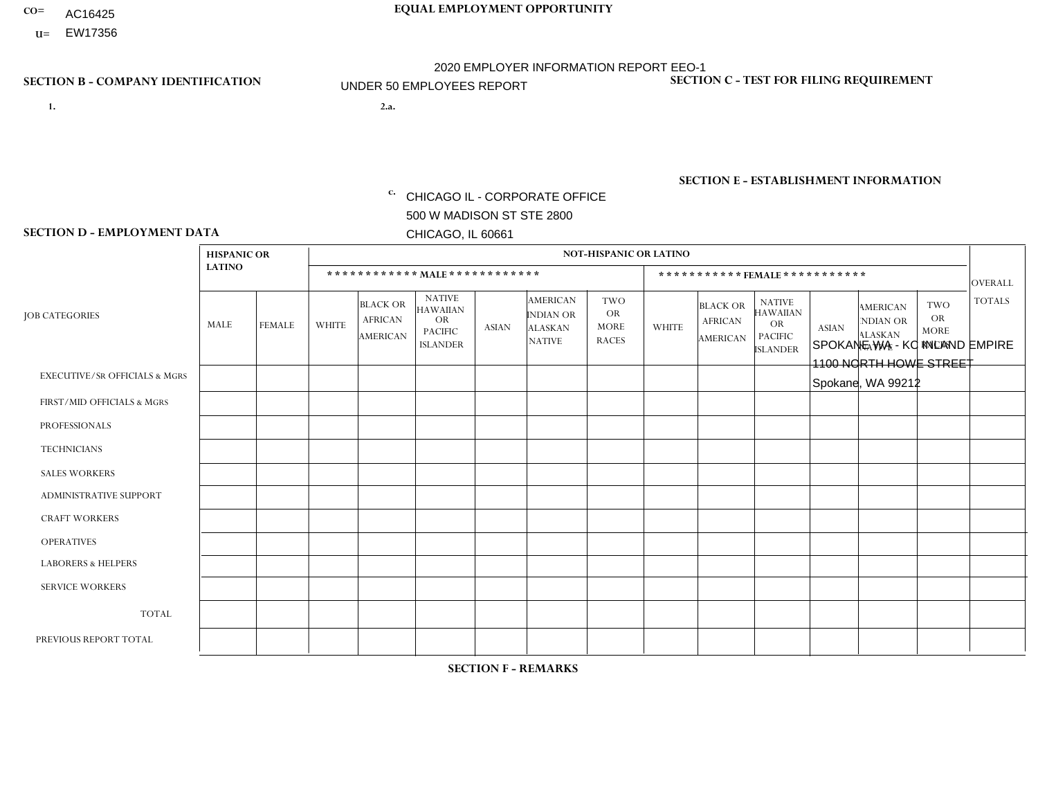- AC16425
- **U=**

- **1. 2.a.** CHICAGO IL CORPORATE OFFICE 500 W MADISON ST STE 2800 CHICAGO, IL 60661
- 2.a. SPOKANE WA KC INLAND EMPIRE 1100 NORTH HOWE STREET Spokane, WA 99212

c. EIN= 952920557

## **SECTION B - COMPANY IDENTIFICATION SECTION C - TEST FOR FILING REQUIREMENT**

1- Y 2- Y 3- N DUNS= 000123456

**SECTION E - ESTABLISHMENT INFORMATION c.** NAICS: 423140

### **SECTION D - EMPLOYMENT DATA**

|                                          | <b>HISPANIC OR</b> |             |                |                                                      |                                                                                    |              |                                                                        | <b>NOT-HISPANIC OR LATINO</b>                          |                |                                                      |                                                                                    |              |                                                                       |                                                        |                |
|------------------------------------------|--------------------|-------------|----------------|------------------------------------------------------|------------------------------------------------------------------------------------|--------------|------------------------------------------------------------------------|--------------------------------------------------------|----------------|------------------------------------------------------|------------------------------------------------------------------------------------|--------------|-----------------------------------------------------------------------|--------------------------------------------------------|----------------|
|                                          | <b>LATINO</b>      |             |                |                                                      | ************ MALE ************                                                     |              |                                                                        |                                                        |                |                                                      | *********** FEMALE ***********                                                     |              |                                                                       |                                                        | <b>OVERALL</b> |
| <b>JOB CATEGORIES</b>                    | MALE               | FEMALE      | <b>WHITE</b>   | <b>BLACK OR</b><br><b>AFRICAN</b><br><b>AMERICAN</b> | <b>NATIVE</b><br><b>HAWAIIAN</b><br><b>OR</b><br><b>PACIFIC</b><br><b>ISLANDER</b> | <b>ASIAN</b> | <b>AMERICAN</b><br><b>INDIAN OR</b><br><b>ALASKAN</b><br><b>NATIVE</b> | <b>TWO</b><br><b>OR</b><br><b>MORE</b><br><b>RACES</b> | <b>WHITE</b>   | <b>BLACK OR</b><br><b>AFRICAN</b><br><b>AMERICAN</b> | <b>NATIVE</b><br><b>HAWAIIAN</b><br><b>OR</b><br><b>PACIFIC</b><br><b>ISLANDER</b> | <b>ASIAN</b> | <b>AMERICAN</b><br><b>NDIAN OR</b><br><b>ALASKAN</b><br><b>NATIVE</b> | <b>TWO</b><br><b>OR</b><br><b>MORE</b><br><b>RACES</b> | <b>TOTALS</b>  |
| <b>EXECUTIVE/SR OFFICIALS &amp; MGRS</b> | $\Omega$           | $\Omega$    | $\mathbf 0$    | $\mathbf 0$                                          | $\mathbf{0}$                                                                       | $\Omega$     | $\Omega$                                                               | $\Omega$                                               | $\Omega$       | $\Omega$                                             | $\mathbf{0}$                                                                       | $\Omega$     | $\mathbf{0}$                                                          | $\Omega$                                               | $\Omega$       |
| FIRST/MID OFFICIALS & MGRS               | 0                  | $\mathbf 0$ | $\overline{c}$ | $\mathbf 0$                                          | $\mathbf 0$                                                                        | $\mathbf 0$  | $\Omega$                                                               | $\Omega$                                               |                | $\Omega$                                             | $\mathbf{0}$                                                                       | $\mathbf{0}$ | $\Omega$                                                              | $\Omega$                                               | 3              |
| <b>PROFESSIONALS</b>                     | 0                  | $\mathbf 0$ | $\mathbf 0$    | $\mathbf 0$                                          | $\mathbf 0$                                                                        | $\mathbf 0$  | $\Omega$                                                               | $\Omega$                                               | $\Omega$       | $\Omega$                                             | 0                                                                                  | $\mathbf 0$  | $\Omega$                                                              | $\Omega$                                               | $\overline{0}$ |
| <b>TECHNICIANS</b>                       | 0                  | $\mathbf 0$ | $\mathbf 0$    | $\mathbf 0$                                          | $\mathbf 0$                                                                        | $\mathbf 0$  | $\mathbf{0}$                                                           | $\Omega$                                               | $\mathbf 0$    | $\mathbf 0$                                          | $\mathbf 0$                                                                        | $\mathbf 0$  | $\mathbf 0$                                                           | $\mathbf 0$                                            | $\mathbf 0$    |
| <b>SALES WORKERS</b>                     | 0                  | $\mathbf 0$ | $\overline{c}$ | $\mathbf 0$                                          | $\mathbf 0$                                                                        | $\Omega$     | -1                                                                     | $\Omega$                                               | $\Omega$       | $\Omega$                                             | $\mathbf{0}$                                                                       | $\mathbf{0}$ | $\mathbf{0}$                                                          | $\Omega$                                               | 3              |
| <b>ADMINISTRATIVE SUPPORT</b>            | $\Omega$           | $\Omega$    | $\overline{1}$ | $\mathbf 0$                                          | $\mathbf 0$                                                                        | $\mathbf 0$  | $\mathbf{0}$                                                           | $\Omega$                                               | $\Omega$       | $\Omega$                                             | $\Omega$                                                                           | $\mathbf{0}$ | $\Omega$                                                              | $\Omega$                                               | $\mathbf{1}$   |
| <b>CRAFT WORKERS</b>                     | 0                  | $\Omega$    | 3              | $\mathbf 0$                                          | $\mathbf 0$                                                                        | $\Omega$     | $\mathbf{0}$                                                           | $\Omega$                                               | $\Omega$       | $\Omega$                                             | $\Omega$                                                                           | $\Omega$     | $\Omega$                                                              | $\Omega$                                               | 3              |
| <b>OPERATIVES</b>                        |                    | $\Omega$    | $\overline{1}$ | $\mathbf 0$                                          | $\mathbf 0$                                                                        | $\Omega$     | $\Omega$                                                               | $\Omega$                                               | $\Omega$       | $\Omega$                                             | $\mathbf{0}$                                                                       | $\mathbf{0}$ | $\Omega$                                                              | $\Omega$                                               | $\overline{2}$ |
| <b>LABORERS &amp; HELPERS</b>            | 0                  | $\Omega$    | $\mathbf 0$    | 0                                                    | $\Omega$                                                                           | $\Omega$     | $\Omega$                                                               | $\Omega$                                               | $\Omega$       | $\Omega$                                             | $\Omega$                                                                           | $\Omega$     | $\Omega$                                                              | $\Omega$                                               | $\mathbf 0$    |
| <b>SERVICE WORKERS</b>                   | 0                  | $\mathbf 0$ | $\mathbf 0$    | 0                                                    | 0                                                                                  | $\mathbf 0$  | $\Omega$                                                               | $\Omega$                                               | $\Omega$       | $\Omega$                                             | $\Omega$                                                                           | $\Omega$     | $\Omega$                                                              | 0                                                      | $\mathbf 0$    |
| <b>TOTAL</b>                             | 1                  | $\mathbf 0$ | 9              | 0                                                    | $\mathbf 0$                                                                        | $\mathbf 0$  |                                                                        | $\mathbf{0}$                                           |                | $\Omega$                                             | $\Omega$                                                                           | $\Omega$     | $\Omega$                                                              | $\Omega$                                               | 12             |
| PREVIOUS REPORT TOTAL                    |                    | $\Omega$    | 11             | $\Omega$                                             | $\mathbf 0$                                                                        | $\Omega$     | -1                                                                     | $\Omega$                                               | $\overline{2}$ | $\Omega$                                             | $\mathbf{0}$                                                                       | $\Omega$     | $\mathbf{0}$                                                          | $\mathbf{0}$                                           | 15             |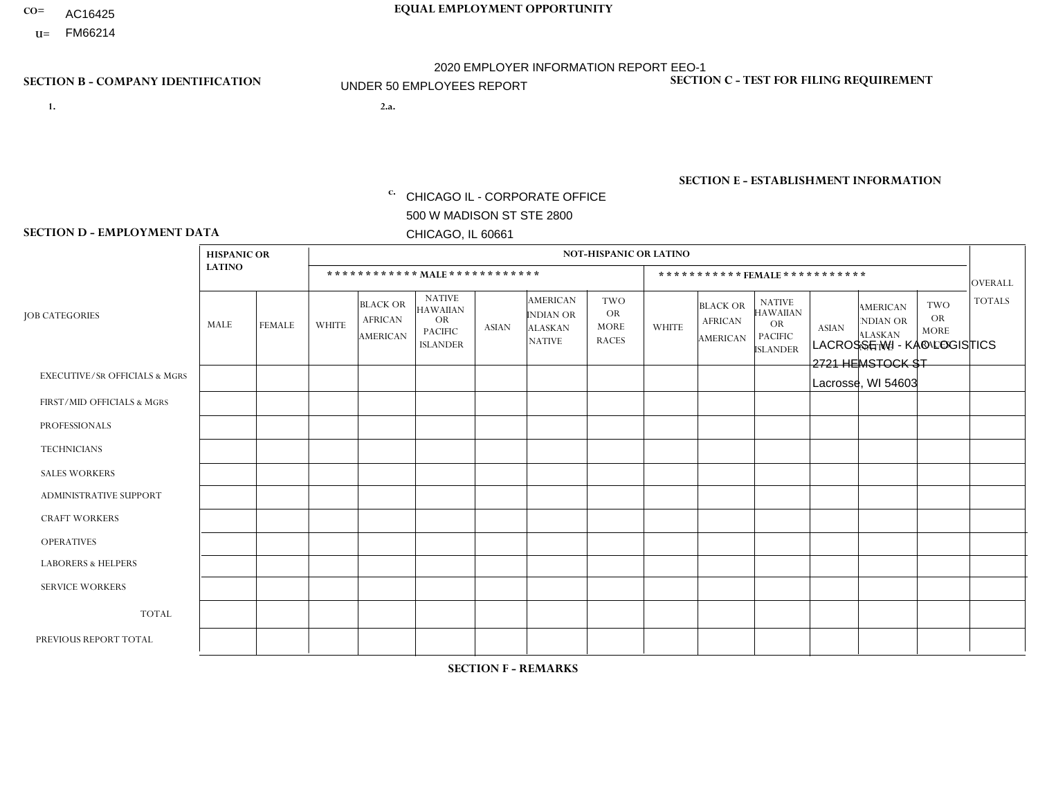- AC16425
- **U=**

**1. 2.a.** CHICAGO IL - CORPORATE OFFICE 500 W MADISON ST STE 2800 CHICAGO, IL 60661

2.a. LACROSSE WI - KAO LOGISTICS 2721 HEMSTOCK ST Lacrosse, WI 54603

EIN= 952920557

## **SECTION B - COMPANY IDENTIFICATION SECTION C - TEST FOR FILING REQUIREMENT**

1- Y 2- Y 3- N DUNS= 000123456

**SECTION E - ESTABLISHMENT INFORMATION c.** NAICS: 423140

### **SECTION D - EMPLOYMENT DATA**

|                                          | <b>HISPANIC OR</b> |               |              |                                                      |                                                                                    |              |                                                                        | <b>NOT-HISPANIC OR LATINO</b>                          |              |                                               |                                                                                    |              |                                                                |                                                        |                |
|------------------------------------------|--------------------|---------------|--------------|------------------------------------------------------|------------------------------------------------------------------------------------|--------------|------------------------------------------------------------------------|--------------------------------------------------------|--------------|-----------------------------------------------|------------------------------------------------------------------------------------|--------------|----------------------------------------------------------------|--------------------------------------------------------|----------------|
|                                          | <b>LATINO</b>      |               |              | ************ MAIE************                        |                                                                                    |              |                                                                        |                                                        |              |                                               | *********** FEMALE ***********                                                     |              |                                                                |                                                        | <b>OVERALL</b> |
| <b>JOB CATEGORIES</b>                    | MALE               | <b>FEMALE</b> | <b>WHITE</b> | <b>BLACK OR</b><br><b>AFRICAN</b><br><b>AMERICAN</b> | <b>NATIVE</b><br><b>HAWAIIAN</b><br><b>OR</b><br><b>PACIFIC</b><br><b>ISLANDER</b> | <b>ASIAN</b> | <b>AMERICAN</b><br><b>INDIAN OR</b><br><b>ALASKAN</b><br><b>NATIVE</b> | <b>TWO</b><br><b>OR</b><br><b>MORE</b><br><b>RACES</b> | <b>WHITE</b> | <b>BLACK OR</b><br><b>AFRICAN</b><br>AMERICAN | <b>NATIVE</b><br><b>HAWAIIAN</b><br><b>OR</b><br><b>PACIFIC</b><br><b>ISLANDER</b> | <b>ASIAN</b> | <b>AMERICAN</b><br>NDIAN OR<br><b>ALASKAN</b><br><b>NATIVE</b> | <b>TWO</b><br><b>OR</b><br><b>MORE</b><br><b>RACES</b> | <b>TOTALS</b>  |
| <b>EXECUTIVE/SR OFFICIALS &amp; MGRS</b> | $\Omega$           | $\Omega$      | $\Omega$     | $\Omega$                                             | $\Omega$                                                                           | $\Omega$     | $\Omega$                                                               | $\Omega$                                               | $\Omega$     | $\Omega$                                      | $\Omega$                                                                           | $\Omega$     | $\Omega$                                                       | $\Omega$                                               | $\Omega$       |
| FIRST/MID OFFICIALS & MGRS               | $\Omega$           | $\mathbf 0$   | 1            | $\mathbf 0$                                          | 0                                                                                  | $\Omega$     | $\Omega$                                                               | $\Omega$                                               | 0            | $\Omega$                                      | 0                                                                                  | $\mathbf 0$  | $\Omega$                                                       | $\mathbf 0$                                            | $\mathbf{1}$   |
| <b>PROFESSIONALS</b>                     | $\Omega$           | $\mathbf 0$   | $\mathbf 0$  | $\mathbf 0$                                          | $\Omega$                                                                           | $\Omega$     | $\Omega$                                                               | $\Omega$                                               | $\Omega$     | $\mathbf 0$                                   | 0                                                                                  | $\mathbf 0$  | $\Omega$                                                       | $\mathbf 0$                                            | $\overline{0}$ |
| <b>TECHNICIANS</b>                       | $\Omega$           | $\mathbf 0$   | $\Omega$     | $\mathbf 0$                                          | $\mathbf 0$                                                                        | $\Omega$     | $\Omega$                                                               | $\Omega$                                               | 0            | $\mathbf 0$                                   | 0                                                                                  | $\mathbf 0$  | $\Omega$                                                       | $\mathbf 0$                                            | $\mathbf{0}$   |
| <b>SALES WORKERS</b>                     | $\Omega$           | $\Omega$      | $\Omega$     | $\mathbf 0$                                          | $\mathbf 0$                                                                        | $\Omega$     | $\Omega$                                                               | $\Omega$                                               | $\Omega$     | $\Omega$                                      | $\Omega$                                                                           | $\Omega$     | $\Omega$                                                       | $\Omega$                                               | $\mathbf 0$    |
| <b>ADMINISTRATIVE SUPPORT</b>            | $\Omega$           | $\Omega$      | $\Omega$     | $\mathbf 0$                                          | $\Omega$                                                                           | $\Omega$     | $\Omega$                                                               | $\Omega$                                               | 0            | $\Omega$                                      | 0                                                                                  | $\Omega$     | $\Omega$                                                       | $\Omega$                                               | $\mathbf 0$    |
| <b>CRAFT WORKERS</b>                     | $\Omega$           | $\Omega$      | $\mathbf{0}$ | $\mathbf 0$                                          | $\Omega$                                                                           | $\Omega$     | $\Omega$                                                               | $\Omega$                                               | 0            | $\Omega$                                      | 0                                                                                  | $\Omega$     | $\Omega$                                                       | $\Omega$                                               | $\Omega$       |
| <b>OPERATIVES</b>                        | $\Omega$           | $\Omega$      | 12           | $\mathbf 0$                                          | $\Omega$                                                                           | $\Omega$     | $\Omega$                                                               | $\Omega$                                               | 0            | $\Omega$                                      | 0                                                                                  | $\Omega$     | $\Omega$                                                       | $\Omega$                                               | 12             |
| <b>LABORERS &amp; HELPERS</b>            | $\Omega$           | $\Omega$      | $\mathbf{0}$ | $\mathbf 0$                                          | 0                                                                                  | $\Omega$     | $\Omega$                                                               | $\Omega$                                               | $\Omega$     | $\Omega$                                      | 0                                                                                  | $\Omega$     | $\Omega$                                                       | $\Omega$                                               | $\mathbf{0}$   |
| <b>SERVICE WORKERS</b>                   | $\Omega$           | $\Omega$      | $\mathbf{0}$ | 0                                                    | $\mathbf 0$                                                                        | $\Omega$     | $\Omega$                                                               | $\Omega$                                               | 0            | $\Omega$                                      | $\Omega$                                                                           | $\mathbf 0$  | $\Omega$                                                       | $\Omega$                                               | $\mathbf{0}$   |
| <b>TOTAL</b>                             | $\Omega$           | 0             | 13           | $\mathbf 0$                                          | $\mathbf 0$                                                                        | 0            | $\Omega$                                                               | $\Omega$                                               | 0            | $\mathbf{0}$                                  | 0                                                                                  | 0            | $\Omega$                                                       | $\mathbf 0$                                            | 13             |
| PREVIOUS REPORT TOTAL                    | $\Omega$           | $\Omega$      | 11           | $\mathbf 0$                                          | $\Omega$                                                                           | $\Omega$     | $\Omega$                                                               | $\Omega$                                               | 1            | $\Omega$                                      | 0                                                                                  | $\mathbf 0$  | $\Omega$                                                       | $\mathbf 0$                                            | 12             |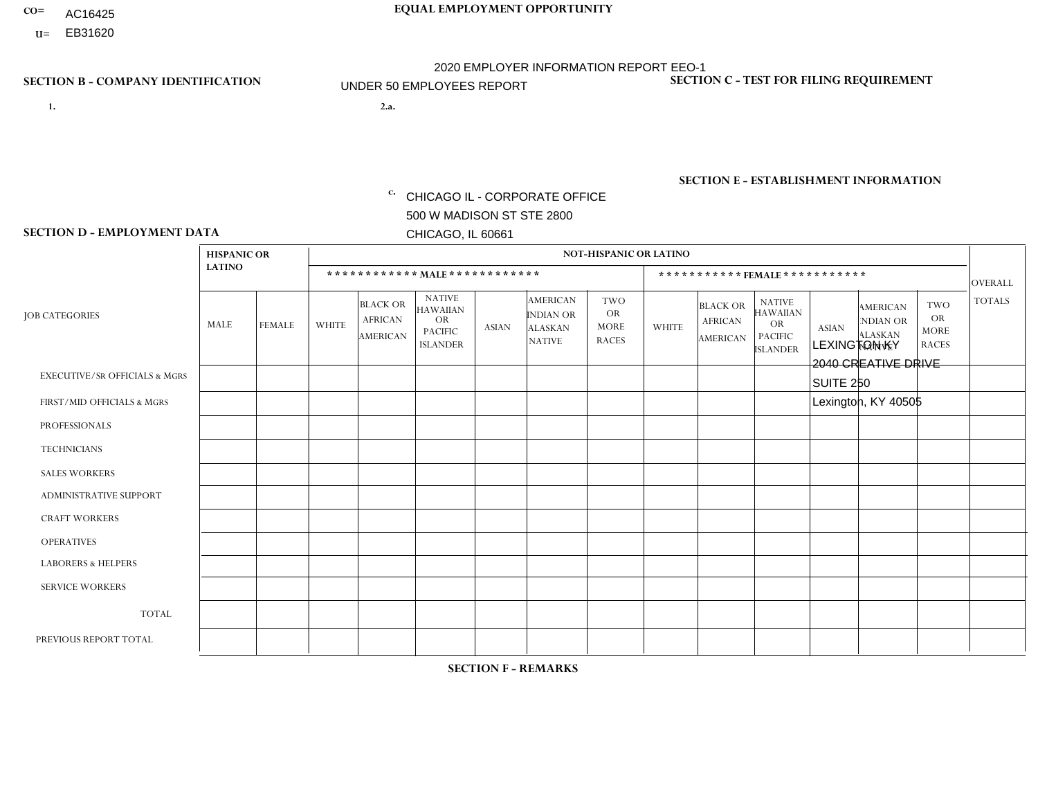- AC16425
- **U=**

- **1. 2.a.** CHICAGO IL CORPORATE OFFICE 500 W MADISON ST STE 2800 CHICAGO, IL 60661
- 2.a. LEXINGTON KY 2040 CREATIVE DRIVE SUITE 250 Lexington, KY 40505
	- c. EIN= 952920557

## **SECTION B - COMPANY IDENTIFICATION SECTION C - TEST FOR FILING REQUIREMENT**

1- Y 2- Y 3- N DUNS= 000123456

**SECTION E - ESTABLISHMENT INFORMATION c.** NAICS: 423140

### **SECTION D - EMPLOYMENT DATA**

|                                          | <b>HISPANIC OR</b> |               |                |                                               |                                                                                    |              |                                                                        | <b>NOT-HISPANIC OR LATINO</b>                   |                         |                                                      |                                                                                    |              |                                                                       |                                                        |                 |
|------------------------------------------|--------------------|---------------|----------------|-----------------------------------------------|------------------------------------------------------------------------------------|--------------|------------------------------------------------------------------------|-------------------------------------------------|-------------------------|------------------------------------------------------|------------------------------------------------------------------------------------|--------------|-----------------------------------------------------------------------|--------------------------------------------------------|-----------------|
|                                          | <b>LATINO</b>      |               |                |                                               | ************ MALE ************                                                     |              |                                                                        |                                                 |                         |                                                      | ***********FEMALE***********                                                       |              |                                                                       |                                                        | <b>OVERALL</b>  |
| <b>JOB CATEGORIES</b>                    | MALE               | <b>FEMALE</b> | <b>WHITE</b>   | <b>BLACK OR</b><br><b>AFRICAN</b><br>AMERICAN | <b>NATIVE</b><br><b>HAWAIIAN</b><br><b>OR</b><br><b>PACIFIC</b><br><b>ISLANDER</b> | <b>ASIAN</b> | <b>AMERICAN</b><br><b>INDIAN OR</b><br><b>ALASKAN</b><br><b>NATIVE</b> | TWO<br><b>OR</b><br><b>MORE</b><br><b>RACES</b> | <b>WHITE</b>            | <b>BLACK OR</b><br><b>AFRICAN</b><br><b>AMERICAN</b> | <b>NATIVE</b><br><b>HAWAIIAN</b><br><b>OR</b><br><b>PACIFIC</b><br><b>ISLANDER</b> | <b>ASIAN</b> | <b>AMERICAN</b><br><b>NDIAN OR</b><br><b>ALASKAN</b><br><b>NATIVE</b> | <b>TWO</b><br><b>OR</b><br><b>MORE</b><br><b>RACES</b> | <b>TOTALS</b>   |
| <b>EXECUTIVE/SR OFFICIALS &amp; MGRS</b> | $\Omega$           | $\Omega$      | $\mathbf 0$    | $\mathbf 0$                                   | $\Omega$                                                                           | $\Omega$     | $\Omega$                                                               | $\Omega$                                        | 0                       | $\Omega$                                             | $\Omega$                                                                           | $\mathbf 0$  | $\Omega$                                                              | $\mathbf 0$                                            | $\overline{0}$  |
| FIRST/MID OFFICIALS & MGRS               | 0                  | $\mathbf 0$   | $\overline{2}$ | $\mathbf 0$                                   | $\mathbf 0$                                                                        | $\Omega$     | $\Omega$                                                               | $\Omega$                                        | $\overline{2}$          | $\Omega$                                             | $\Omega$                                                                           | $\mathbf 0$  | $\mathbf 0$                                                           | $\mathbf 0$                                            | $\overline{4}$  |
| <b>PROFESSIONALS</b>                     | 0                  | $\Omega$      | $\Omega$       | $\Omega$                                      | $\Omega$                                                                           | $\Omega$     | $\Omega$                                                               | $\Omega$                                        | 0                       | $\Omega$                                             | $\Omega$                                                                           | $\mathbf{0}$ | $\Omega$                                                              | $\mathbf{0}$                                           | $\mathbf{0}$    |
| <b>TECHNICIANS</b>                       | 0                  | $\Omega$      | $\mathbf 0$    | 0                                             | $\Omega$                                                                           | $\Omega$     | $\Omega$                                                               | $\Omega$                                        | $\Omega$                | $\Omega$                                             | $\Omega$                                                                           | $\Omega$     | $\Omega$                                                              | $\Omega$                                               | $\mathbf 0$     |
| <b>SALES WORKERS</b>                     | 0                  | $\mathbf 0$   | $\overline{2}$ | $\mathbf 0$                                   | $\mathbf 0$                                                                        | $\Omega$     | $\Omega$                                                               | $\Omega$                                        |                         | $\mathbf 0$                                          | $\Omega$                                                                           | $\mathbf 0$  | 0                                                                     | $\mathbf 0$                                            | 3               |
| <b>ADMINISTRATIVE SUPPORT</b>            | $\Omega$           | $\Omega$      | $\Omega$       | $\mathbf 0$                                   | $\Omega$                                                                           | $\Omega$     | $\Omega$                                                               | $\Omega$                                        |                         | $\Omega$                                             | $\Omega$                                                                           | $\Omega$     | $\Omega$                                                              | $\Omega$                                               | $\mathbf{1}$    |
| <b>CRAFT WORKERS</b>                     | $\Omega$           | $\Omega$      | $\Omega$       | $\mathbf 0$                                   | $\Omega$                                                                           | $\Omega$     | $\Omega$                                                               | $\Omega$                                        | $\Omega$                | $\Omega$                                             | $\Omega$                                                                           | $\Omega$     | $\Omega$                                                              | $\Omega$                                               | $\Omega$        |
| <b>OPERATIVES</b>                        | 0                  | $\Omega$      | 10             | $\overline{2}$                                | $\Omega$                                                                           | $\Omega$     | $\Omega$                                                               | $\Omega$                                        | $\Omega$                | $\Omega$                                             | $\Omega$                                                                           | $\Omega$     | $\Omega$                                                              | $\Omega$                                               | 12 <sup>°</sup> |
| <b>LABORERS &amp; HELPERS</b>            | 0                  | $\Omega$      | 5              | $\overline{c}$                                | 0                                                                                  | $\Omega$     | $\Omega$                                                               | $\overline{\mathbf{A}}$                         | $\overline{\mathbf{A}}$ | $\Omega$                                             | $\Omega$                                                                           | $\Omega$     | $\Omega$                                                              | $\Omega$                                               | 9               |
| <b>SERVICE WORKERS</b>                   | 0                  | $\Omega$      | $\Omega$       | 0                                             | 0                                                                                  | $\Omega$     | $\Omega$                                                               | $\Omega$                                        | 0                       | $\Omega$                                             | $\Omega$                                                                           | $\Omega$     | $\Omega$                                                              | $\Omega$                                               | 0               |
| <b>TOTAL</b>                             | 0                  | $\mathbf 0$   | 19             | 4                                             | 0                                                                                  | $\mathbf 0$  | $\Omega$                                                               |                                                 | 5                       | $\Omega$                                             | $\Omega$                                                                           | $\mathbf 0$  | 0                                                                     | $\mathbf 0$                                            | 29              |
| PREVIOUS REPORT TOTAL                    |                    | $\mathbf{0}$  | 20             | $\overline{4}$                                | 0                                                                                  | $\Omega$     | $\Omega$                                                               | 3                                               | 5                       | $\Omega$                                             | $\Omega$                                                                           | $\Omega$     | $\Omega$                                                              | $\mathbf 0$                                            | 33              |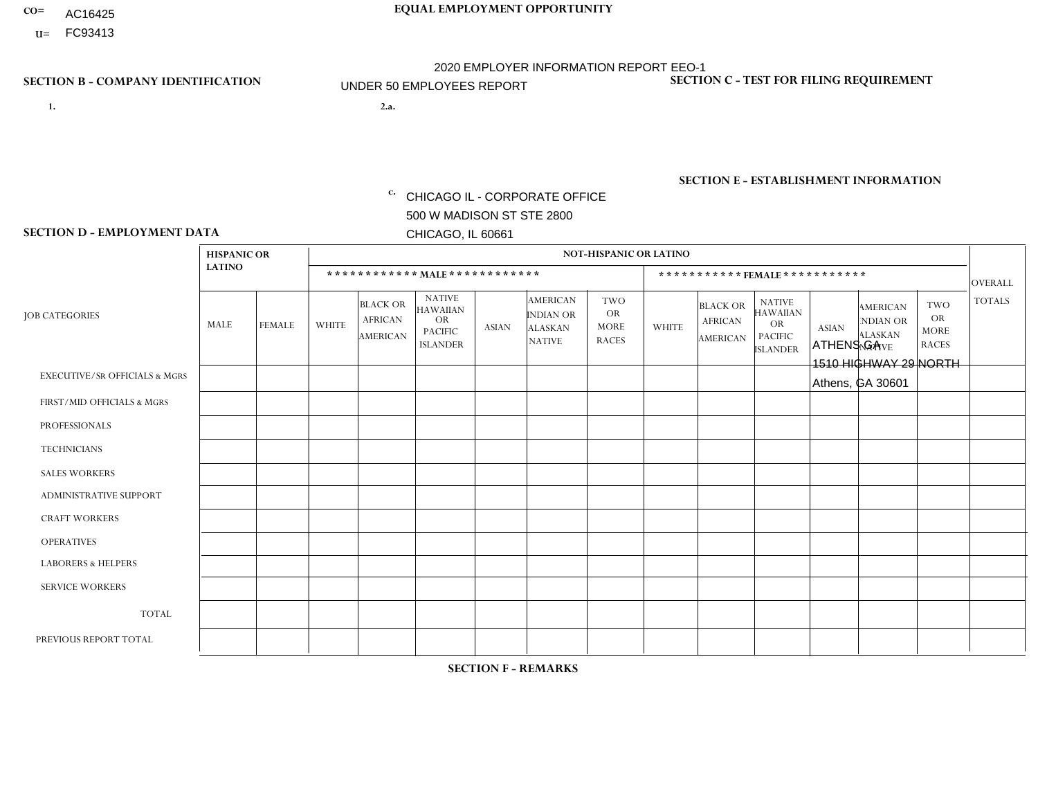- AC16425
- **U=**

- **1. 2.a.** CHICAGO IL CORPORATE OFFICE 500 W MADISON ST STE 2800 CHICAGO, IL 60661
- 2.a. ATHENS GA 1510 HIGHWAY 29 NORTH Athens, GA 30601

c. EIN= 952920557

## **SECTION B - COMPANY IDENTIFICATION SECTION C - TEST FOR FILING REQUIREMENT**

1- Y 2- Y 3- N DUNS= 000123456

**SECTION E - ESTABLISHMENT INFORMATION c.** NAICS: 423140

### **SECTION D - EMPLOYMENT DATA**

|                                          | <b>HISPANIC OR</b> |               |              |                                                      |                                                                                    |                      |                                                                        | <b>NOT-HISPANIC OR LATINO</b>                          |                |                                               |                                                                             |              |                                                                       |                                                        |                |
|------------------------------------------|--------------------|---------------|--------------|------------------------------------------------------|------------------------------------------------------------------------------------|----------------------|------------------------------------------------------------------------|--------------------------------------------------------|----------------|-----------------------------------------------|-----------------------------------------------------------------------------|--------------|-----------------------------------------------------------------------|--------------------------------------------------------|----------------|
|                                          | <b>LATINO</b>      |               |              | ************ MALE ************                       |                                                                                    |                      |                                                                        |                                                        |                |                                               | *********** FEMALE ***********                                              |              |                                                                       |                                                        | <b>OVERALL</b> |
| <b>JOB CATEGORIES</b>                    | MALE               | <b>FEMALE</b> | <b>WHITE</b> | <b>BLACK OR</b><br><b>AFRICAN</b><br><b>AMERICAN</b> | <b>NATIVE</b><br><b>HAWAIIAN</b><br><b>OR</b><br><b>PACIFIC</b><br><b>ISLANDER</b> | <b>ASIAN</b>         | <b>AMERICAN</b><br><b>INDIAN OR</b><br><b>ALASKAN</b><br><b>NATIVE</b> | <b>TWO</b><br><b>OR</b><br><b>MORE</b><br><b>RACES</b> | <b>WHITE</b>   | <b>BLACK OR</b><br><b>AFRICAN</b><br>AMERICAN | <b>NATIVE</b><br><b>HAWAIIAN</b><br>OR<br><b>PACIFIC</b><br><b>ISLANDER</b> | <b>ASIAN</b> | <b>AMERICAN</b><br><b>NDIAN OR</b><br><b>ALASKAN</b><br><b>NATIVE</b> | <b>TWO</b><br><b>OR</b><br><b>MORE</b><br><b>RACES</b> | <b>TOTALS</b>  |
| <b>EXECUTIVE/SR OFFICIALS &amp; MGRS</b> | $\Omega$           | $\Omega$      | $\Omega$     | $\mathbf 0$                                          | $\mathbf 0$                                                                        | $\Omega$             | $\Omega$                                                               | $\Omega$                                               | $\Omega$       | $\Omega$                                      | $\mathbf 0$                                                                 | $\mathbf 0$  | $\Omega$                                                              | $\Omega$                                               | $\mathbf 0$    |
| FIRST/MID OFFICIALS & MGRS               | $\Omega$           | 0             | 5            | $\mathbf 0$                                          | $\mathbf{0}$                                                                       | $\Omega$             | $\Omega$                                                               | $\Omega$                                               | 1              | $\Omega$                                      | $\Omega$                                                                    | $\mathbf 0$  | 0                                                                     | 0                                                      | 6              |
| <b>PROFESSIONALS</b>                     | $\Omega$           | $\Omega$      | 1            | $\mathbf 0$                                          | $\Omega$                                                                           | $\Omega$             | $\Omega$                                                               | $\Omega$                                               | $\Omega$       | $\Omega$                                      | $\Omega$                                                                    | $\Omega$     | $\Omega$                                                              | $\mathbf 0$                                            | $\mathbf{1}$   |
| <b>TECHNICIANS</b>                       | $\Omega$           | $\mathbf 0$   | $\Omega$     | $\mathbf 0$                                          | $\mathbf 0$                                                                        | $\Omega$             | $\Omega$                                                               | $\Omega$                                               | 0              | $\Omega$                                      | 0                                                                           | 0            | $\Omega$                                                              | $\mathbf 0$                                            | $\overline{0}$ |
| <b>SALES WORKERS</b>                     | $\Omega$           | $\Omega$      | 10           | $\mathbf 0$                                          | $\Omega$                                                                           | $\Omega$             | $\Omega$                                                               | $\Omega$                                               | $\overline{0}$ | $\Omega$                                      | $\Omega$                                                                    | $\Omega$     | $\Omega$                                                              | $\Omega$                                               | 10             |
| ADMINISTRATIVE SUPPORT                   | $\Omega$           | $\mathbf 0$   | 1            | $\mathbf 0$                                          | 0                                                                                  | $\Omega$             | $\Omega$                                                               | $\Omega$                                               | 0              | $\Omega$                                      | 0                                                                           | $\mathbf 0$  | 0                                                                     | $\mathbf 0$                                            | $\mathbf{1}$   |
| <b>CRAFT WORKERS</b>                     |                    | $\Omega$      | 3            | $\Omega$                                             | $\Omega$                                                                           | $\Omega$             | $\Omega$                                                               | $\Omega$                                               | 0              | $\Omega$                                      | 0                                                                           | $\Omega$     | $\Omega$                                                              | $\Omega$                                               | 4              |
| <b>OPERATIVES</b>                        | $\Omega$           | $\Omega$      | 1            | $\overline{1}$                                       | $\Omega$                                                                           | $\Omega$             | $\Omega$                                                               | $\Omega$                                               | $\Omega$       | $\Omega$                                      | 0                                                                           | $\Omega$     | $\Omega$                                                              | $\Omega$                                               | $\overline{2}$ |
| <b>LABORERS &amp; HELPERS</b>            | 1                  | $\Omega$      | $\Omega$     | $\mathbf 0$                                          | 0                                                                                  | $\Omega$             | $\Omega$                                                               | $\Omega$                                               | $\Omega$       | $\Omega$                                      | $\Omega$                                                                    | $\Omega$     | $\Omega$                                                              | $\Omega$                                               | $\mathbf{1}$   |
| <b>SERVICE WORKERS</b>                   | $\Omega$           | $\mathbf 0$   | $\mathbf 0$  | 0                                                    | $\mathbf 0$                                                                        | $\mathbf 0$          | $\Omega$                                                               | $\Omega$                                               | 0              | $\Omega$                                      | 0                                                                           | $\mathbf 0$  | $\Omega$                                                              | $\mathbf 0$                                            | $\mathbf{0}$   |
| <b>TOTAL</b>                             | 2                  | 0             | 21           | $\mathbf{1}$                                         | 0                                                                                  | 0                    | $\Omega$                                                               | $\Omega$                                               | $\mathbf 1$    | $\Omega$                                      | $\Omega$                                                                    | $\mathbf 0$  | $\Omega$                                                              | $\mathbf 0$                                            | 25             |
| PREVIOUS REPORT TOTAL                    | 2                  | $\Omega$      | 27           | 3                                                    | $\mathbf 0$                                                                        | $\blacktriangleleft$ | $\Omega$                                                               | $\Omega$                                               | $\overline{2}$ | $\Omega$                                      | 0                                                                           | $\mathbf 0$  | $\Omega$                                                              | 0                                                      | 35             |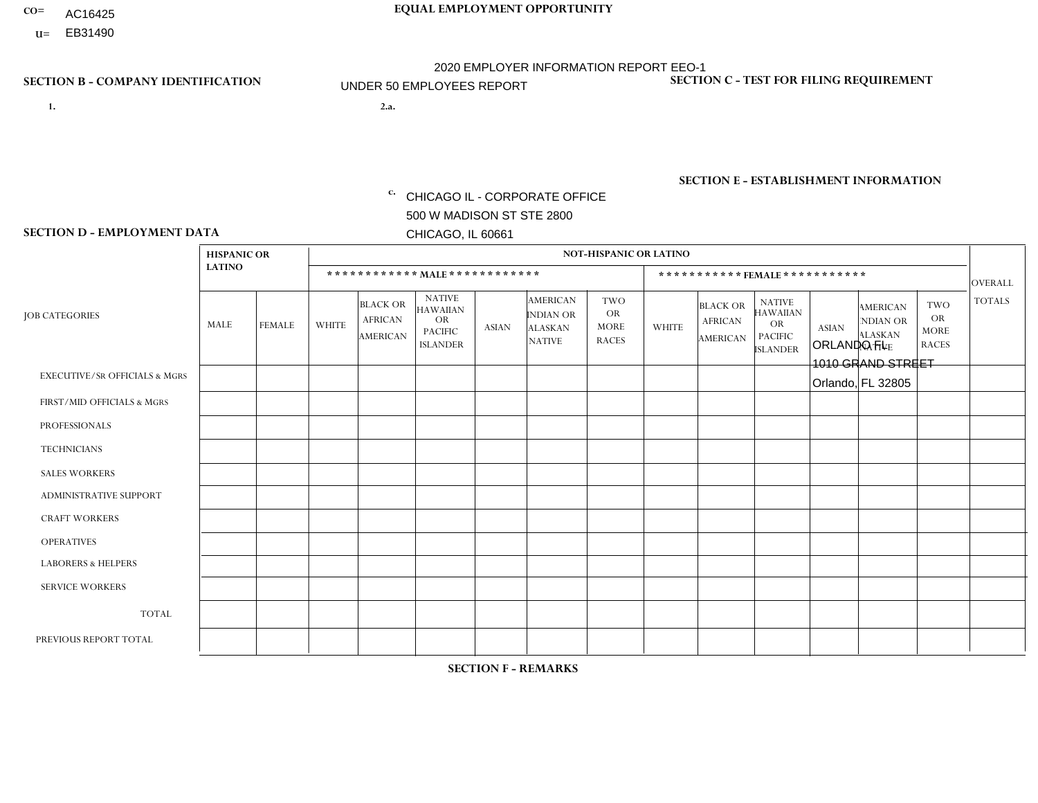- AC16425
- **U=**

- **1. 2.a.** CHICAGO IL CORPORATE OFFICE 500 W MADISON ST STE 2800 CHICAGO, IL 60661
- 2.a. ORLANDO FL 1010 GRAND STREET Orlando, FL 32805

EIN= 952920557

## **SECTION B - COMPANY IDENTIFICATION SECTION C - TEST FOR FILING REQUIREMENT**

1- Y 2- Y 3- N DUNS= 000123456

**SECTION E - ESTABLISHMENT INFORMATION c.** NAICS: 423140

### **SECTION D - EMPLOYMENT DATA**

|                                          | <b>HISPANIC OR</b> |                      |                |                                                      |                                                                                    |                |                                                                 | <b>NOT-HISPANIC OR LATINO</b>                          |              |                                                      |                                                                                    |              |                                                                       |                                                        |                |
|------------------------------------------|--------------------|----------------------|----------------|------------------------------------------------------|------------------------------------------------------------------------------------|----------------|-----------------------------------------------------------------|--------------------------------------------------------|--------------|------------------------------------------------------|------------------------------------------------------------------------------------|--------------|-----------------------------------------------------------------------|--------------------------------------------------------|----------------|
|                                          | <b>LATINO</b>      |                      |                | ************ MALE ************                       |                                                                                    |                |                                                                 |                                                        |              |                                                      | ***********FEMALE***********                                                       |              |                                                                       |                                                        | <b>OVERALL</b> |
| <b>JOB CATEGORIES</b>                    | MALE               | <b>FEMALE</b>        | <b>WHITE</b>   | <b>BLACK OR</b><br><b>AFRICAN</b><br><b>AMERICAN</b> | <b>NATIVE</b><br><b>HAWAIIAN</b><br><b>OR</b><br><b>PACIFIC</b><br><b>ISLANDER</b> | <b>ASIAN</b>   | <b>AMERICAN</b><br>INDIAN OR<br><b>ALASKAN</b><br><b>NATIVE</b> | <b>TWO</b><br><b>OR</b><br><b>MORE</b><br><b>RACES</b> | <b>WHITE</b> | <b>BLACK OR</b><br><b>AFRICAN</b><br><b>AMERICAN</b> | <b>NATIVE</b><br><b>HAWAIIAN</b><br><b>OR</b><br><b>PACIFIC</b><br><b>ISLANDER</b> | <b>ASIAN</b> | <b>AMERICAN</b><br><b>NDIAN OR</b><br><b>ALASKAN</b><br><b>NATIVE</b> | <b>TWO</b><br><b>OR</b><br><b>MORE</b><br><b>RACES</b> | <b>TOTALS</b>  |
| <b>EXECUTIVE/SR OFFICIALS &amp; MGRS</b> | $\mathbf{0}$       | $\Omega$             | $\Omega$       | $\Omega$                                             | 0                                                                                  | $\Omega$       | $\Omega$                                                        | $\Omega$                                               | $\Omega$     | $\mathbf{0}$                                         | $\Omega$                                                                           | $\Omega$     | $\Omega$                                                              | $\Omega$                                               | $\Omega$       |
| FIRST/MID OFFICIALS & MGRS               | и                  | $\Omega$             | 3              | $\mathbf 0$                                          | $\mathbf 0$                                                                        | $\Omega$       | $\Omega$                                                        | $\Omega$                                               | 1            | $\mathbf{0}$                                         | $\Omega$                                                                           | $\Omega$     | $\Omega$                                                              | $\Omega$                                               | 5              |
| <b>PROFESSIONALS</b>                     |                    | $\mathbf 0$          | $\mathbf 0$    | $\mathbf 0$                                          | $\overline{0}$                                                                     | $\Omega$       | $\Omega$                                                        | $\Omega$                                               | $\Omega$     | $\Omega$                                             | $\Omega$                                                                           | $\Omega$     | $\Omega$                                                              | $\mathbf{0}$                                           | $\mathbf{1}$   |
| <b>TECHNICIANS</b>                       | $\Omega$           | $\Omega$             | $\Omega$       | $\Omega$                                             | 0                                                                                  | $\Omega$       | $\overline{0}$                                                  | $\Omega$                                               | $\Omega$     | $\Omega$                                             | $\Omega$                                                                           | $\Omega$     | $\mathbf{0}$                                                          | $\Omega$                                               | $\mathbf 0$    |
| <b>SALES WORKERS</b>                     | 4                  | $\Omega$             | 1              | $\Omega$                                             | $\Omega$                                                                           | $\Omega$       | $\Omega$                                                        | $\Omega$                                               | $\Omega$     | $\Omega$                                             | $\Omega$                                                                           | $\Omega$     | $\Omega$                                                              | $\mathbf{0}$                                           | 5              |
| <b>ADMINISTRATIVE SUPPORT</b>            | $\Omega$           | $\blacktriangleleft$ | $\Omega$       | $\mathbf 0$                                          | $\mathbf 0$                                                                        | $\mathbf 0$    | $\Omega$                                                        | $\Omega$                                               | $\Omega$     | $\mathbf{0}$                                         | $\Omega$                                                                           | $\Omega$     | $\Omega$                                                              | $\Omega$                                               | $\mathbf{1}$   |
| <b>CRAFT WORKERS</b>                     | $\Omega$           | $\Omega$             | $\Omega$       | 0                                                    | 0                                                                                  | $\Omega$       | $\Omega$                                                        | $\Omega$                                               | $\Omega$     | $\Omega$                                             | $\Omega$                                                                           | $\Omega$     | $\Omega$                                                              | $\Omega$                                               | $\Omega$       |
| <b>OPERATIVES</b>                        | 12                 | $\mathbf 0$          | $\overline{7}$ | 5                                                    | 0                                                                                  | $\mathbf{1}$   | $\Omega$                                                        | $\Omega$                                               | $\Omega$     | $\Omega$                                             | $\Omega$                                                                           | $\Omega$     | $\Omega$                                                              | $\Omega$                                               | 25             |
| <b>LABORERS &amp; HELPERS</b>            | $\overline{2}$     | $\Omega$             | 1              | $\mathbf{1}$                                         | 0                                                                                  | $\Omega$       | $\Omega$                                                        | $\Omega$                                               | $\Omega$     | $\Omega$                                             | $\Omega$                                                                           | $\Omega$     | $\Omega$                                                              | $\mathbf{0}$                                           | 4              |
| <b>SERVICE WORKERS</b>                   | $\Omega$           | $\mathbf 0$          | $\Omega$       | $\mathbf 0$                                          | $\mathbf 0$                                                                        | $\Omega$       | $\Omega$                                                        | $\Omega$                                               | $\Omega$     | $\Omega$                                             | $\Omega$                                                                           | $\Omega$     | $\Omega$                                                              | $\Omega$                                               | 0              |
| <b>TOTAL</b>                             | 20                 | $\mathbf{1}$         | 12             | 6                                                    | 0                                                                                  | $\mathbf 1$    | $\mathbf{0}$                                                    | $\Omega$                                               | 1            | $\Omega$                                             | $\Omega$                                                                           | $\mathbf 0$  | $\Omega$                                                              | $\Omega$                                               | 41             |
| PREVIOUS REPORT TOTAL                    | 32                 | $\mathbf{1}$         | 15             | 9                                                    | $\mathbf{0}$                                                                       | $\overline{1}$ | $\Omega$                                                        | $\Omega$                                               | 2            |                                                      | $\mathbf{0}$                                                                       | $\Omega$     | $\Omega$                                                              | $\mathbf 0$                                            | 61             |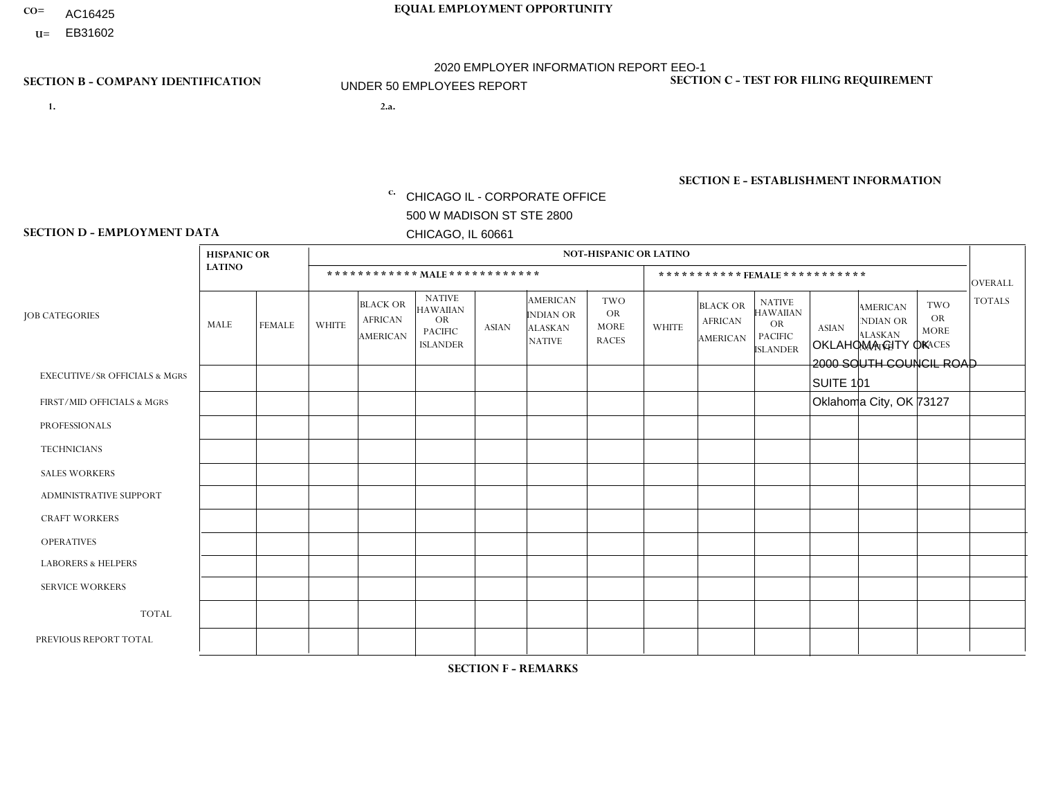- AC16425
- **U=**

- **1. 2.a.** CHICAGO IL CORPORATE OFFICE 500 W MADISON ST STE 2800 CHICAGO, IL 60661
- 2.a. OKLAHOMA CITY OK 2000 SOUTH COUNCIL ROAD SUITE 101 Oklahoma City, OK 73127
	- c. EIN= 952920557

## **SECTION B - COMPANY IDENTIFICATION SECTION C - TEST FOR FILING REQUIREMENT**

1- Y 2- Y 3- N DUNS= 000123456

**SECTION E - ESTABLISHMENT INFORMATION c.** NAICS: 423140

### **SECTION D - EMPLOYMENT DATA**

|                                          | <b>HISPANIC OR</b> |                |                         |                                                      |                                                                                    |              |                                                                 | <b>NOT-HISPANIC OR LATINO</b>                          |                |                                               |                                                                             |              |                                                                       |                                                        |                |
|------------------------------------------|--------------------|----------------|-------------------------|------------------------------------------------------|------------------------------------------------------------------------------------|--------------|-----------------------------------------------------------------|--------------------------------------------------------|----------------|-----------------------------------------------|-----------------------------------------------------------------------------|--------------|-----------------------------------------------------------------------|--------------------------------------------------------|----------------|
|                                          | <b>LATINO</b>      |                |                         | ************ MALE ************                       |                                                                                    |              |                                                                 |                                                        |                |                                               | *********** FEMALE ***********                                              |              |                                                                       |                                                        | <b>OVERALL</b> |
| <b>JOB CATEGORIES</b>                    | MALE               | <b>FEMALE</b>  | <b>WHITE</b>            | <b>BLACK OR</b><br><b>AFRICAN</b><br><b>AMERICAN</b> | <b>NATIVE</b><br><b>HAWAIIAN</b><br><b>OR</b><br><b>PACIFIC</b><br><b>ISLANDER</b> | <b>ASIAN</b> | <b>AMERICAN</b><br>INDIAN OR<br><b>ALASKAN</b><br><b>NATIVE</b> | <b>TWO</b><br><b>OR</b><br><b>MORE</b><br><b>RACES</b> | <b>WHITE</b>   | <b>BLACK OR</b><br><b>AFRICAN</b><br>AMERICAN | <b>NATIVE</b><br><b>HAWAIIAN</b><br>OR<br><b>PACIFIC</b><br><b>ISLANDER</b> | <b>ASIAN</b> | <b>AMERICAN</b><br><b>NDIAN OR</b><br><b>ALASKAN</b><br><b>NATIVE</b> | <b>TWO</b><br><b>OR</b><br><b>MORE</b><br><b>RACES</b> | <b>TOTALS</b>  |
| <b>EXECUTIVE/SR OFFICIALS &amp; MGRS</b> | $\Omega$           | $\Omega$       | $\Omega$                | $\mathbf 0$                                          | $\Omega$                                                                           | $\Omega$     | $\Omega$                                                        | $\Omega$                                               | $\Omega$       | $\Omega$                                      | $\Omega$                                                                    | $\mathbf 0$  | $\Omega$                                                              | $\Omega$                                               | $\mathbf 0$    |
| FIRST/MID OFFICIALS & MGRS               | $\overline{2}$     | $\mathbf{1}$   | $\overline{2}$          | $\mathbf 0$                                          | $\Omega$                                                                           | $\mathbf{0}$ | $\Omega$                                                        | $\Omega$                                               | 1              | $\Omega$                                      | $\Omega$                                                                    | $\Omega$     | $\Omega$                                                              | $\Omega$                                               | 6              |
| <b>PROFESSIONALS</b>                     | $\Omega$           | $\Omega$       | $\Omega$                | $\Omega$                                             | $\Omega$                                                                           | $\mathbf{0}$ | $\Omega$                                                        | $\Omega$                                               | 0              | $\Omega$                                      | 0                                                                           | $\Omega$     | $\Omega$                                                              | $\Omega$                                               | $\overline{0}$ |
| <b>TECHNICIANS</b>                       | $\Omega$           | $\Omega$       | $\Omega$                | $\mathbf 0$                                          | $\Omega$                                                                           | $\Omega$     | $\Omega$                                                        | $\Omega$                                               | $\Omega$       | $\Omega$                                      | 0                                                                           | $\mathbf 0$  | $\Omega$                                                              | $\mathbf 0$                                            | $\mathbf{0}$   |
| <b>SALES WORKERS</b>                     | 5                  | $\mathbf{1}$   | $\overline{7}$          | $\mathbf 0$                                          | $\Omega$                                                                           | $\Omega$     | $\Omega$                                                        | 3                                                      | $\overline{2}$ | $\Omega$                                      | $\overline{0}$                                                              | $\Omega$     | $\Omega$                                                              | $\overline{1}$                                         | 19             |
| ADMINISTRATIVE SUPPORT                   | $\Omega$           | $\Omega$       | $\mathbf{0}$            | $\Omega$                                             | $\Omega$                                                                           | $\Omega$     | $\Omega$                                                        | $\Omega$                                               | $\overline{2}$ | $\Omega$                                      | 0                                                                           | $\Omega$     | $\Omega$                                                              | $\Omega$                                               | $\overline{2}$ |
| <b>CRAFT WORKERS</b>                     | $\Omega$           | $\Omega$       | $\Omega$                | $\mathbf 0$                                          | $\Omega$                                                                           | $\Omega$     | $\Omega$                                                        | $\Omega$                                               | $\Omega$       | $\Omega$                                      | $\Omega$                                                                    | $\Omega$     | $\Omega$                                                              | $\Omega$                                               | $\Omega$       |
| <b>OPERATIVES</b>                        |                    | $\Omega$       | 5                       | $\Omega$                                             | $\Omega$                                                                           | $\Omega$     | $\Omega$                                                        | $\overline{2}$                                         | $\Omega$       | $\Omega$                                      | $\Omega$                                                                    | $\Omega$     | $\Omega$                                                              | $\Omega$                                               | 8              |
| <b>LABORERS &amp; HELPERS</b>            | 3                  | $\Omega$       | $\overline{\mathbf{A}}$ | 3                                                    | $\Omega$                                                                           | $\Omega$     | $\Omega$                                                        | $\mathbf{1}$                                           | $\Omega$       | $\Omega$                                      | 0                                                                           | $\Omega$     | $\Omega$                                                              | $\Omega$                                               | 8              |
| <b>SERVICE WORKERS</b>                   | $\Omega$           | $\mathbf 0$    | 0                       | $\mathbf 0$                                          | $\mathbf 0$                                                                        | $\mathbf 0$  | $\Omega$                                                        | $\Omega$                                               | $\Omega$       | $\Omega$                                      | $\mathbf 0$                                                                 | $\mathbf 0$  | $\Omega$                                                              | $\mathbf 0$                                            | $\mathbf{0}$   |
| <b>TOTAL</b>                             | 11                 | $\overline{2}$ | 15                      | 3                                                    | $\mathbf 0$                                                                        | $\Omega$     | $\Omega$                                                        | 6                                                      | 5              | $\Omega$                                      | 0                                                                           | $\mathbf 0$  | $\Omega$                                                              | $\mathbf 1$                                            | 43             |
| PREVIOUS REPORT TOTAL                    | 8                  | 3              | 20                      | 6                                                    | $\Omega$                                                                           | $\Omega$     | $\overline{2}$                                                  | $\overline{7}$                                         | 5              | $\Omega$                                      | $\Omega$                                                                    | $\Omega$     | $\Omega$                                                              |                                                        | 52             |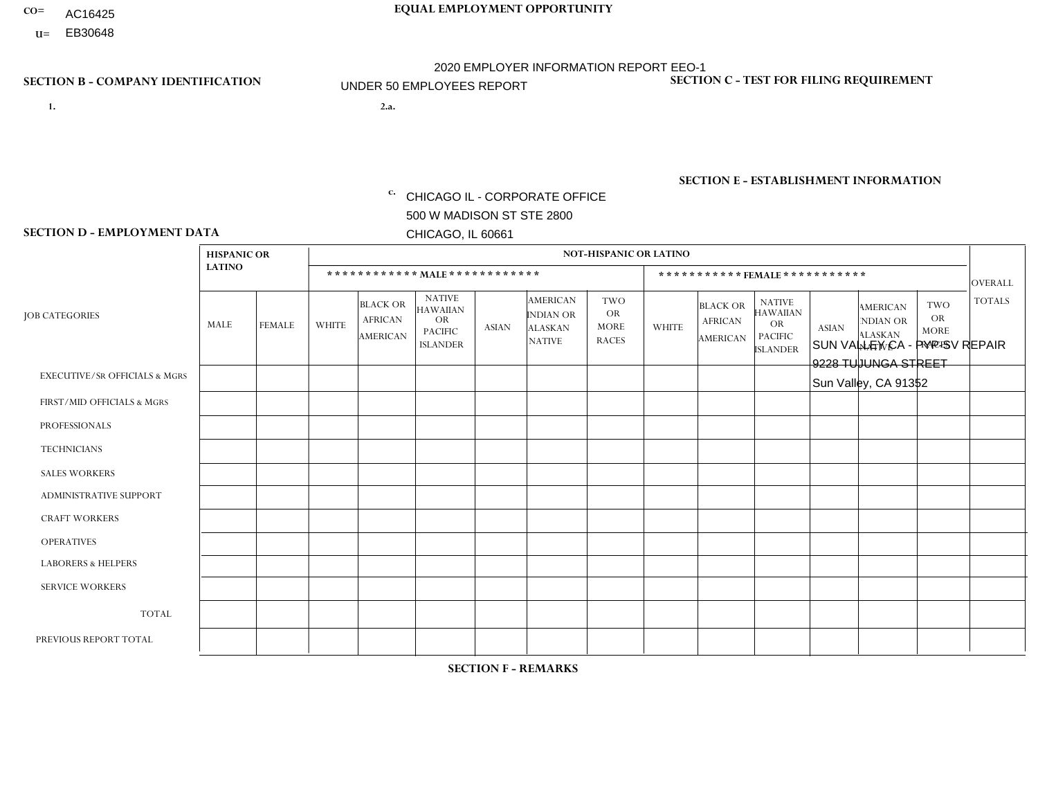- AC16425
- **U=**

**1. 2.a.** CHICAGO IL - CORPORATE OFFICE 500 W MADISON ST STE 2800 CHICAGO, IL 60661

2.a. SUN VALLEY CA - PYP-SV REPAIR 9228 TUJUNGA STREET Sun Valley, CA 91352

EIN= 953406551

## **SECTION B - COMPANY IDENTIFICATION SECTION C - TEST FOR FILING REQUIREMENT**

1- Y 2- Y 3- N DUNS= 000123456

**SECTION E - ESTABLISHMENT INFORMATION c.** NAICS: 423140

### **SECTION D - EMPLOYMENT DATA**

|                                          | <b>HISPANIC OR</b> |               |                |                                                      |                                                                                    |                      |                                                                 | <b>NOT-HISPANIC OR LATINO</b>                          |              |                                               |                                                                                    |              |                                                                       |                                                        |                |
|------------------------------------------|--------------------|---------------|----------------|------------------------------------------------------|------------------------------------------------------------------------------------|----------------------|-----------------------------------------------------------------|--------------------------------------------------------|--------------|-----------------------------------------------|------------------------------------------------------------------------------------|--------------|-----------------------------------------------------------------------|--------------------------------------------------------|----------------|
|                                          | <b>LATINO</b>      |               |                | ************ MALE ************                       |                                                                                    |                      |                                                                 |                                                        |              |                                               | ***********FEMALE***********                                                       |              |                                                                       |                                                        | <b>OVERALL</b> |
| <b>JOB CATEGORIES</b>                    | MALE               | <b>FEMALE</b> | <b>WHITE</b>   | <b>BLACK OR</b><br><b>AFRICAN</b><br><b>AMERICAN</b> | <b>NATIVE</b><br><b>HAWAIIAN</b><br><b>OR</b><br><b>PACIFIC</b><br><b>ISLANDER</b> | <b>ASIAN</b>         | <b>AMERICAN</b><br>INDIAN OR<br><b>ALASKAN</b><br><b>NATIVE</b> | <b>TWO</b><br><b>OR</b><br><b>MORE</b><br><b>RACES</b> | <b>WHITE</b> | <b>BLACK OR</b><br><b>AFRICAN</b><br>AMERICAN | <b>NATIVE</b><br><b>HAWAIIAN</b><br><b>OR</b><br><b>PACIFIC</b><br><b>ISLANDER</b> | <b>ASIAN</b> | <b>AMERICAN</b><br><b>NDIAN OR</b><br><b>ALASKAN</b><br><b>NATIVE</b> | <b>TWO</b><br><b>OR</b><br><b>MORE</b><br><b>RACES</b> | <b>TOTALS</b>  |
| <b>EXECUTIVE/SR OFFICIALS &amp; MGRS</b> | $\Omega$           | $\Omega$      | $\mathbf{0}$   | $\Omega$                                             | 0                                                                                  | $\Omega$             | $\Omega$                                                        | $\Omega$                                               | $\Omega$     | $\Omega$                                      | $\Omega$                                                                           | $\Omega$     | $\Omega$                                                              | $\Omega$                                               | $\Omega$       |
| FIRST/MID OFFICIALS & MGRS               | $\Omega$           | $\Omega$      | $\mathbf{0}$   | $\mathbf 0$                                          | $\Omega$                                                                           | $\Omega$             | $\Omega$                                                        | $\Omega$                                               | 0            | $\Omega$                                      | 0                                                                                  | $\Omega$     | $\Omega$                                                              | $\Omega$                                               | $\mathbf{0}$   |
| <b>PROFESSIONALS</b>                     | $\Omega$           | $\Omega$      | $\Omega$       | $\mathbf 0$                                          | $\Omega$                                                                           | $\Omega$             | $\Omega$                                                        | $\Omega$                                               | $\Omega$     | $\Omega$                                      | 0                                                                                  | 0            | $\Omega$                                                              | $\mathbf 0$                                            | $\mathbf{0}$   |
| <b>TECHNICIANS</b>                       | $\Omega$           | $\mathbf 0$   | $\Omega$       | $\mathbf 0$                                          | $\mathbf 0$                                                                        | $\Omega$             | $\Omega$                                                        | $\Omega$                                               | 0            | $\mathbf 0$                                   | 0                                                                                  | $\mathbf 0$  | $\Omega$                                                              | $\mathbf 0$                                            | $\mathbf{0}$   |
| <b>SALES WORKERS</b>                     | $\Omega$           | $\Omega$      | $\Omega$       | $\Omega$                                             | $\Omega$                                                                           | $\Omega$             | $\Omega$                                                        | $\Omega$                                               | $\Omega$     | $\Omega$                                      | $\Omega$                                                                           | $\Omega$     | $\Omega$                                                              | $\Omega$                                               | $\Omega$       |
| <b>ADMINISTRATIVE SUPPORT</b>            | $\Omega$           | $\Omega$      | $\mathbf{0}$   | 0                                                    | $\Omega$                                                                           | $\Omega$             | $\Omega$                                                        | $\Omega$                                               | 0            | $\overline{1}$                                | 0                                                                                  | $\Omega$     | $\Omega$                                                              | $\Omega$                                               | $\overline{1}$ |
| <b>CRAFT WORKERS</b>                     | 2                  | $\Omega$      | 1              | $\mathbf 0$                                          | -1                                                                                 | $\mathbf{1}$         | $\Omega$                                                        | $\Omega$                                               | 0            | $\Omega$                                      | $\Omega$                                                                           | $\Omega$     | $\Omega$                                                              | $\Omega$                                               | 5              |
| <b>OPERATIVES</b>                        |                    | $\Omega$      | $\Omega$       | $\mathbf 0$                                          | $\mathbf 0$                                                                        | $\Omega$             | $\Omega$                                                        | $\Omega$                                               | $\Omega$     | $\Omega$                                      | 0                                                                                  | $\mathbf 0$  | $\Omega$                                                              | $\mathbf 0$                                            | $\mathbf{1}$   |
| <b>LABORERS &amp; HELPERS</b>            | $\Omega$           | $\Omega$      | $\overline{c}$ | $\Omega$                                             | $\Omega$                                                                           | $\Omega$             | $\Omega$                                                        | $\Omega$                                               | 0            | $\Omega$                                      | 0                                                                                  | $\Omega$     | $\Omega$                                                              | $\Omega$                                               | $\overline{2}$ |
| <b>SERVICE WORKERS</b>                   | $\Omega$           | $\Omega$      | 0              | 0                                                    | $\mathbf 0$                                                                        | $\Omega$             | $\Omega$                                                        | $\Omega$                                               | 0            | $\Omega$                                      | $\Omega$                                                                           | $\mathbf 0$  | $\Omega$                                                              | $\Omega$                                               | $\mathbf 0$    |
| <b>TOTAL</b>                             | 3                  | $\mathbf 0$   | 3              | $\mathbf 0$                                          | 1                                                                                  | $\blacktriangleleft$ | $\Omega$                                                        | $\Omega$                                               | 0            | $\mathbf{1}$                                  | 0                                                                                  | $\mathbf 0$  | $\mathbf 0$                                                           | $\mathbf 0$                                            | 9              |
| PREVIOUS REPORT TOTAL                    | 3                  | $\Omega$      | 3              | $\mathbf 0$                                          |                                                                                    | -1                   | $\Omega$                                                        | $\Omega$                                               | 0            | $\mathbf{1}$                                  | 0                                                                                  | $\Omega$     | $\Omega$                                                              | $\mathbf 0$                                            | 9              |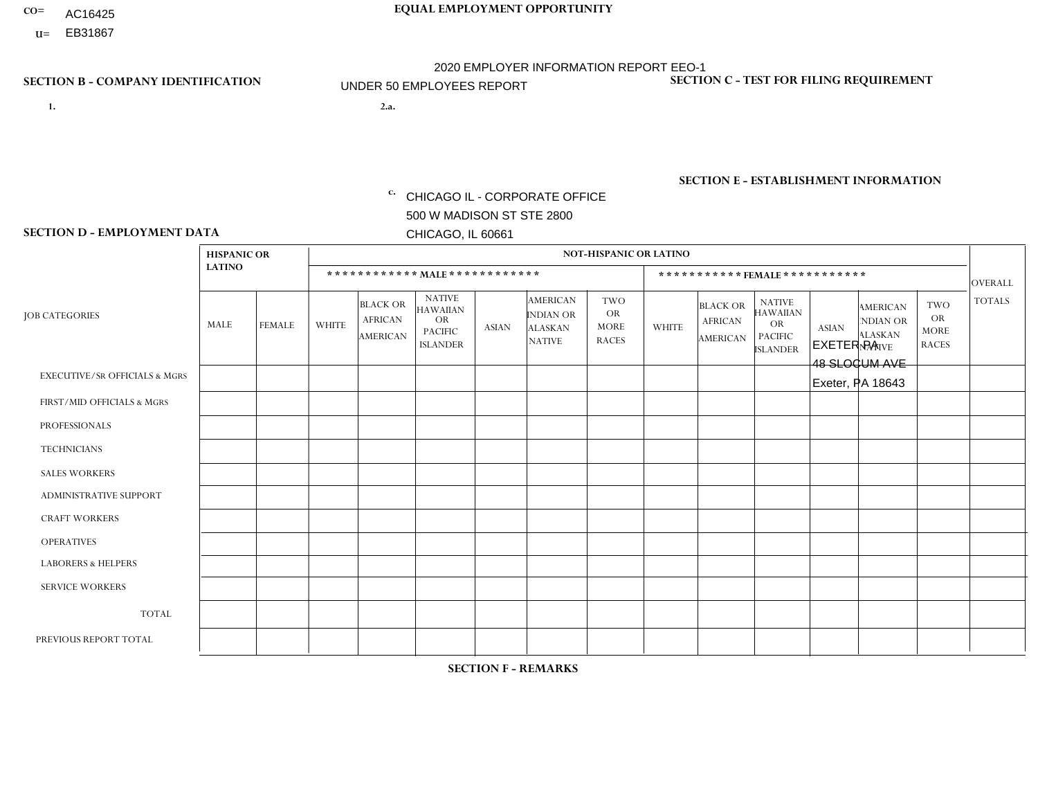- AC16425
- **U=**

**1. 2.a.** CHICAGO IL - CORPORATE OFFICE 500 W MADISON ST STE 2800 CHICAGO, IL 60661

2.a. EXETER PA 48 SLOCUM AVE Exeter, PA 18643

EIN= 952920557

## **SECTION B - COMPANY IDENTIFICATION SECTION C - TEST FOR FILING REQUIREMENT**

1- Y 2- Y 3- N DUNS= 000123456

**SECTION E - ESTABLISHMENT INFORMATION c.** NAICS: 423140

### **SECTION D - EMPLOYMENT DATA**

|                                          | <b>HISPANIC OR</b> |                |                |                                                      |                                                                                    |              |                                                                        | <b>NOT-HISPANIC OR LATINO</b>                   |                |                                                      |                                                                             |              |                                                                |                                                        |                |
|------------------------------------------|--------------------|----------------|----------------|------------------------------------------------------|------------------------------------------------------------------------------------|--------------|------------------------------------------------------------------------|-------------------------------------------------|----------------|------------------------------------------------------|-----------------------------------------------------------------------------|--------------|----------------------------------------------------------------|--------------------------------------------------------|----------------|
|                                          | <b>LATINO</b>      |                |                |                                                      | ************ MALE ************                                                     |              |                                                                        |                                                 |                | ***********FEMALE***********                         |                                                                             |              |                                                                |                                                        | <b>OVERALL</b> |
| <b>JOB CATEGORIES</b>                    | MALE               | <b>FEMALE</b>  | <b>WHITE</b>   | <b>BLACK OR</b><br><b>AFRICAN</b><br><b>AMERICAN</b> | <b>NATIVE</b><br><b>HAWAIIAN</b><br><b>OR</b><br><b>PACIFIC</b><br><b>ISLANDER</b> | <b>ASIAN</b> | <b>AMERICAN</b><br><b>INDIAN OR</b><br><b>ALASKAN</b><br><b>NATIVE</b> | TWO<br><b>OR</b><br><b>MORE</b><br><b>RACES</b> | <b>WHITE</b>   | <b>BLACK OR</b><br><b>AFRICAN</b><br><b>AMERICAN</b> | <b>NATIVE</b><br><b>HAWAIIAN</b><br>OR<br><b>PACIFIC</b><br><b>ISLANDER</b> | <b>ASIAN</b> | <b>AMERICAN</b><br>NDIAN OR<br><b>ALASKAN</b><br><b>NATIVE</b> | <b>TWO</b><br><b>OR</b><br><b>MORE</b><br><b>RACES</b> | <b>TOTALS</b>  |
| <b>EXECUTIVE/SR OFFICIALS &amp; MGRS</b> | $\Omega$           | $\Omega$       | $\Omega$       | $\mathbf 0$                                          | $\Omega$                                                                           | $\Omega$     | $\Omega$                                                               | $\Omega$                                        | $\Omega$       | $\Omega$                                             | $\Omega$                                                                    | $\mathbf{0}$ | $\Omega$                                                       | $\mathbf{0}$                                           | $\mathbf 0$    |
| FIRST/MID OFFICIALS & MGRS               |                    | $\mathbf 0$    | $\overline{1}$ | $\mathbf 0$                                          | $\Omega$                                                                           | $\Omega$     | $\Omega$                                                               | $\Omega$                                        |                | $\Omega$                                             | $\Omega$                                                                    | $\mathbf{0}$ | $\Omega$                                                       | $\mathbf 0$                                            | 3              |
| <b>PROFESSIONALS</b>                     | 0                  | $\Omega$       | $\Omega$       | $\mathbf 0$                                          | $\Omega$                                                                           | $\Omega$     | $\Omega$                                                               | $\Omega$                                        | 0              | $\Omega$                                             | $\Omega$                                                                    | $\Omega$     | $\Omega$                                                       | $\Omega$                                               | $\overline{0}$ |
| <b>TECHNICIANS</b>                       | $\Omega$           | $\Omega$       | $\Omega$       | $\mathbf 0$                                          | $\Omega$                                                                           | $\Omega$     | $\Omega$                                                               | $\Omega$                                        | $\Omega$       | $\Omega$                                             | $\Omega$                                                                    | $\mathbf{0}$ | $\Omega$                                                       | $\mathbf 0$                                            | $\mathbf 0$    |
| <b>SALES WORKERS</b>                     | $\Omega$           | $\mathbf 0$    | 3              | $\mathbf 0$                                          | $\Omega$                                                                           | $\Omega$     | $\Omega$                                                               | $\Omega$                                        | $\Omega$       | $\Omega$                                             | $\Omega$                                                                    | $\Omega$     | $\Omega$                                                       | $\mathbf{0}$                                           | 3              |
| <b>ADMINISTRATIVE SUPPORT</b>            | 0                  | $\Omega$       | $\Omega$       | $\mathbf 0$                                          | $\Omega$                                                                           | $\mathbf{0}$ | $\Omega$                                                               | $\Omega$                                        | $\overline{2}$ | $\Omega$                                             | $\Omega$                                                                    | $\Omega$     | $\Omega$                                                       | $\Omega$                                               | $\overline{2}$ |
| <b>CRAFT WORKERS</b>                     | 0                  | $\Omega$       | $\Omega$       | $\mathbf 0$                                          | $\Omega$                                                                           | $\Omega$     | $\Omega$                                                               | $\Omega$                                        | 0              | $\Omega$                                             | $\Omega$                                                                    | $\Omega$     | $\Omega$                                                       | $\Omega$                                               | $\mathbf 0$    |
| <b>OPERATIVES</b>                        |                    | $\Omega$       | $\overline{7}$ | $\mathbf{1}$                                         | $\Omega$                                                                           | $\Omega$     | $\Omega$                                                               |                                                 | $\overline{0}$ | $\Omega$                                             | $\Omega$                                                                    | $\Omega$     | $\Omega$                                                       | $\Omega$                                               | 10             |
| <b>LABORERS &amp; HELPERS</b>            | 0                  | $\Omega$       | 3              | $\Omega$                                             | $\Omega$                                                                           | $\Omega$     | $\Omega$                                                               | $\Omega$                                        | $\Omega$       | $\Omega$                                             | $\Omega$                                                                    | $\Omega$     | $\Omega$                                                       | $\Omega$                                               | 3              |
| <b>SERVICE WORKERS</b>                   | $\Omega$           | $\Omega$       | $\Omega$       | $\mathbf 0$                                          | 0                                                                                  | $\Omega$     | $\Omega$                                                               | $\Omega$                                        | $\Omega$       | $\Omega$                                             | $\Omega$                                                                    | $\Omega$     | $\Omega$                                                       | $\Omega$                                               | $\mathbf 0$    |
| <b>TOTAL</b>                             | 2                  | $\overline{0}$ | 14             | $\overline{1}$                                       | 0                                                                                  | $\mathbf 0$  | $\Omega$                                                               |                                                 | 3              | $\Omega$                                             | $\Omega$                                                                    | $\mathbf 0$  | 0                                                              | $\mathbf 0$                                            | 21             |
| PREVIOUS REPORT TOTAL                    | 3                  | $\Omega$       | 15             | $\overline{A}$                                       | $\Omega$                                                                           | $\Omega$     | $\Omega$                                                               | 3                                               | $\overline{2}$ | $\Omega$                                             | $\Omega$                                                                    | $\Omega$     | $\Omega$                                                       | $\Omega$                                               | 24             |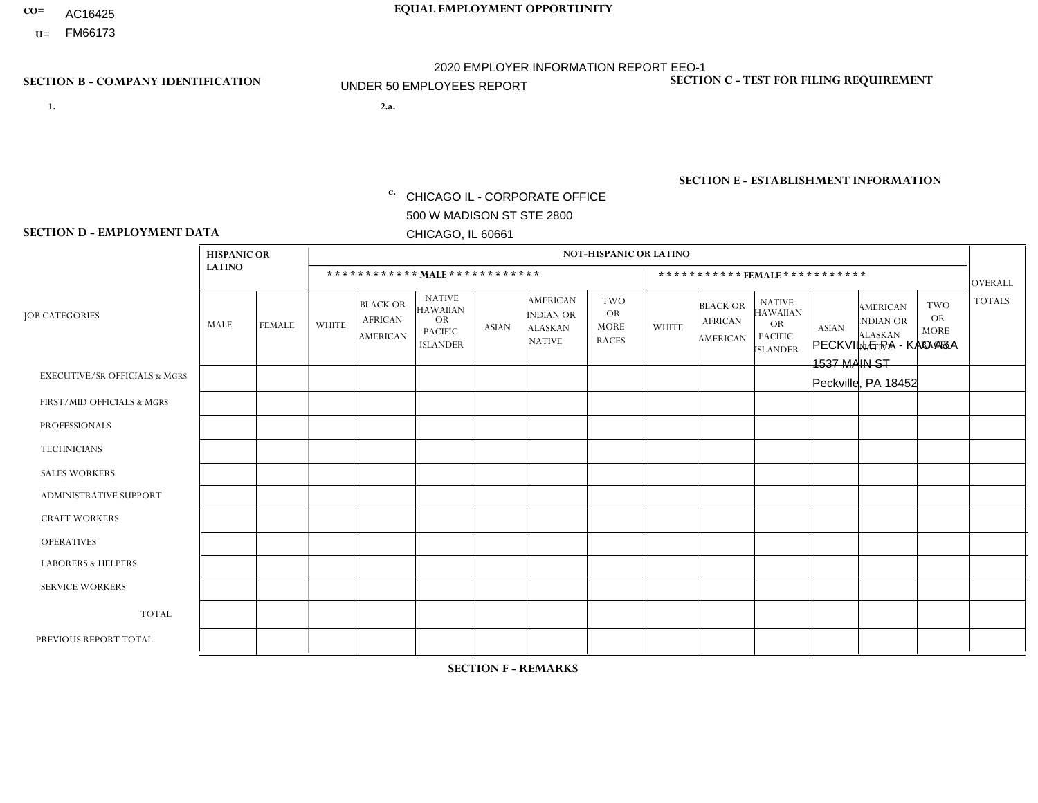- AC16425
- **U=**

**1. 2.a.** CHICAGO IL - CORPORATE OFFICE 500 W MADISON ST STE 2800 CHICAGO, IL 60661

2.a. PECKVILLE PA - KAO A&A 1537 MAIN ST Peckville, PA 18452

EIN= 952920557

## **SECTION B - COMPANY IDENTIFICATION SECTION C - TEST FOR FILING REQUIREMENT**

1- Y 2- Y 3- N DUNS= 000123456

**SECTION E - ESTABLISHMENT INFORMATION c.** NAICS: 423140

### **SECTION D - EMPLOYMENT DATA**

|                                          | <b>HISPANIC OR</b> |               |              |                                                      |                                                                                    |              |                                                                        | <b>NOT-HISPANIC OR LATINO</b>                          |              |                                               |                                                                                    |              |                                                                       |                                                        |                |
|------------------------------------------|--------------------|---------------|--------------|------------------------------------------------------|------------------------------------------------------------------------------------|--------------|------------------------------------------------------------------------|--------------------------------------------------------|--------------|-----------------------------------------------|------------------------------------------------------------------------------------|--------------|-----------------------------------------------------------------------|--------------------------------------------------------|----------------|
|                                          | <b>LATINO</b>      |               |              | ************ MALE ************                       |                                                                                    |              |                                                                        |                                                        |              |                                               | *********** FEMALE ***********                                                     |              |                                                                       |                                                        | <b>OVERALL</b> |
| <b>JOB CATEGORIES</b>                    | MALE               | <b>FEMALE</b> | <b>WHITE</b> | <b>BLACK OR</b><br><b>AFRICAN</b><br><b>AMERICAN</b> | <b>NATIVE</b><br><b>HAWAIIAN</b><br><b>OR</b><br><b>PACIFIC</b><br><b>ISLANDER</b> | <b>ASIAN</b> | <b>AMERICAN</b><br><b>INDIAN OR</b><br><b>ALASKAN</b><br><b>NATIVE</b> | <b>TWO</b><br><b>OR</b><br><b>MORE</b><br><b>RACES</b> | <b>WHITE</b> | <b>BLACK OR</b><br><b>AFRICAN</b><br>AMERICAN | <b>NATIVE</b><br><b>HAWAIIAN</b><br><b>OR</b><br><b>PACIFIC</b><br><b>ISLANDER</b> | <b>ASIAN</b> | <b>AMERICAN</b><br><b>NDIAN OR</b><br><b>ALASKAN</b><br><b>NATIVE</b> | <b>TWO</b><br><b>OR</b><br><b>MORE</b><br><b>RACES</b> | <b>TOTALS</b>  |
| <b>EXECUTIVE/SR OFFICIALS &amp; MGRS</b> | $\Omega$           | $\Omega$      | $\mathbf{0}$ | $\Omega$                                             | $\Omega$                                                                           | $\Omega$     | $\Omega$                                                               | $\Omega$                                               | 0            | $\Omega$                                      | $\Omega$                                                                           | $\Omega$     | $\Omega$                                                              | $\Omega$                                               | $\Omega$       |
| FIRST/MID OFFICIALS & MGRS               | $\Omega$           | $\Omega$      | 1            | $\mathbf{0}$                                         | $\Omega$                                                                           | $\Omega$     | $\Omega$                                                               | $\Omega$                                               | 0            | $\Omega$                                      | 0                                                                                  | $\Omega$     | $\Omega$                                                              | $\Omega$                                               | $\mathbf{1}$   |
| <b>PROFESSIONALS</b>                     | $\Omega$           | $\Omega$      | $\Omega$     | $\mathbf 0$                                          | $\Omega$                                                                           | $\Omega$     | $\Omega$                                                               | $\Omega$                                               | $\Omega$     | $\Omega$                                      | 0                                                                                  | 0            | $\Omega$                                                              | $\mathbf 0$                                            | $\mathbf{0}$   |
| <b>TECHNICIANS</b>                       | $\Omega$           | $\Omega$      | $\Omega$     | $\Omega$                                             | $\Omega$                                                                           | $\Omega$     | $\Omega$                                                               | $\Omega$                                               | $\Omega$     | $\Omega$                                      | 0                                                                                  | $\mathbf 0$  | $\Omega$                                                              | $\mathbf 0$                                            | $\Omega$       |
| <b>SALES WORKERS</b>                     | $\Omega$           | $\Omega$      | 3            | $\Omega$                                             | $\Omega$                                                                           | $\Omega$     | $\Omega$                                                               | $\Omega$                                               | $\Omega$     | $\Omega$                                      | $\Omega$                                                                           | $\Omega$     | $\Omega$                                                              | $\Omega$                                               | 3              |
| <b>ADMINISTRATIVE SUPPORT</b>            | $\Omega$           | $\Omega$      | $\Omega$     | $\mathbf 0$                                          | 0                                                                                  | $\Omega$     | $\Omega$                                                               | $\Omega$                                               | 0            | $\Omega$                                      | 0                                                                                  | $\mathbf 0$  | $\Omega$                                                              | $\mathbf 0$                                            | $\mathbf 0$    |
| <b>CRAFT WORKERS</b>                     | $\Omega$           | $\Omega$      | $\Omega$     | $\mathbf 0$                                          | $\Omega$                                                                           | $\Omega$     | $\Omega$                                                               | $\Omega$                                               | 0            | $\Omega$                                      | 0                                                                                  | $\Omega$     | $\Omega$                                                              | $\Omega$                                               | $\Omega$       |
| <b>OPERATIVES</b>                        | $\Omega$           | $\Omega$      | 1            | $\mathbf 0$                                          | $\Omega$                                                                           | $\Omega$     | $\Omega$                                                               | $\Omega$                                               | 0            | $\Omega$                                      | 0                                                                                  | $\mathbf 0$  | $\Omega$                                                              | $\Omega$                                               | $\mathbf{1}$   |
| <b>LABORERS &amp; HELPERS</b>            | $\Omega$           | $\Omega$      | $\mathbf{0}$ | $\mathbf 0$                                          | $\Omega$                                                                           | $\Omega$     | $\Omega$                                                               | $\Omega$                                               | $\Omega$     | $\Omega$                                      | $\Omega$                                                                           | $\Omega$     | $\Omega$                                                              | $\Omega$                                               | $\mathbf 0$    |
| <b>SERVICE WORKERS</b>                   | $\Omega$           | $\Omega$      | 0            | 0                                                    | $\mathbf 0$                                                                        | $\Omega$     | $\Omega$                                                               | $\Omega$                                               | 0            | $\Omega$                                      | $\Omega$                                                                           | $\mathbf 0$  | $\Omega$                                                              | $\Omega$                                               | $\mathbf 0$    |
| <b>TOTAL</b>                             | 0                  | 0             | 5            | 0                                                    | $\mathbf 0$                                                                        | 0            | $\Omega$                                                               | $\Omega$                                               | 0            | $\Omega$                                      | 0                                                                                  | $\mathbf 0$  | 0                                                                     | $\mathbf 0$                                            | 5              |
| PREVIOUS REPORT TOTAL                    | $\Omega$           | $\Omega$      | 4            | $\mathbf 0$                                          | 0                                                                                  | $\Omega$     | $\Omega$                                                               | $\Omega$                                               | 1            | $\Omega$                                      | 0                                                                                  | $\Omega$     | $\Omega$                                                              | $\mathbf 0$                                            | 5              |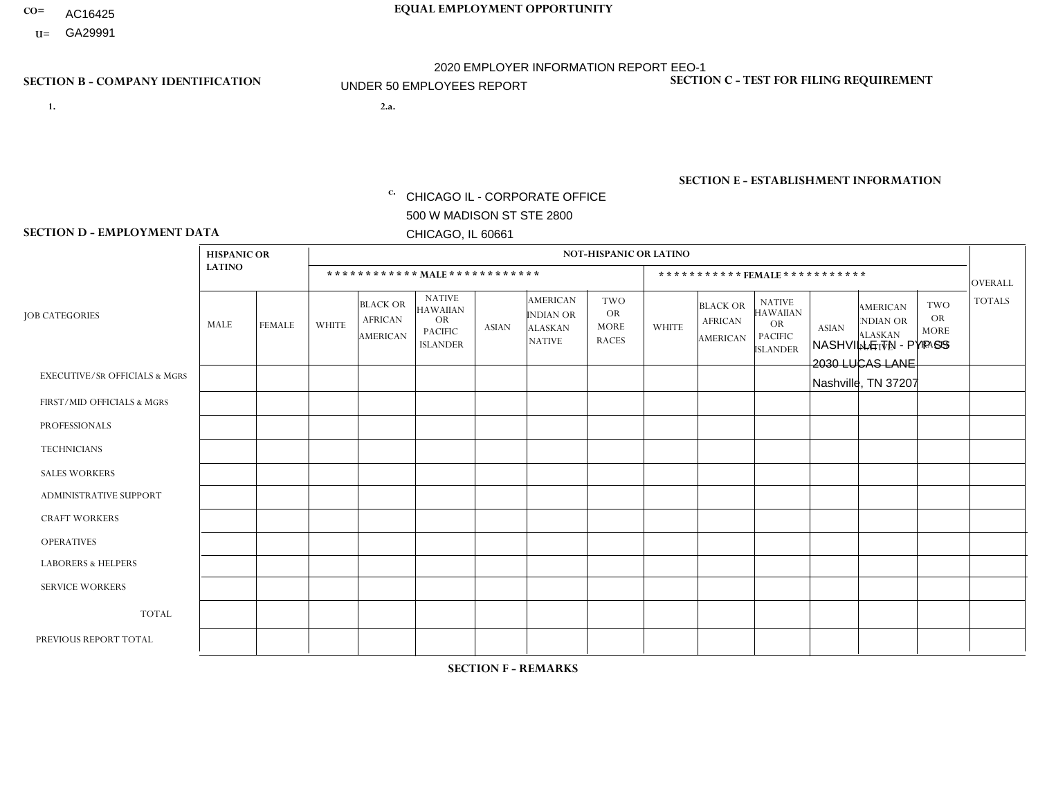- AC16425
- **U=**

**1. 2.a.** CHICAGO IL - CORPORATE OFFICE 500 W MADISON ST STE 2800 CHICAGO, IL 60661

2.a. NASHVILLE TN - PYP SS 2030 LUCAS LANE Nashville, TN 37207

EIN= 952920557

## **SECTION B - COMPANY IDENTIFICATION SECTION C - TEST FOR FILING REQUIREMENT**

1- Y 2- Y 3- N DUNS= 000123456

**SECTION E - ESTABLISHMENT INFORMATION c.** NAICS: 423140

### **SECTION D - EMPLOYMENT DATA**

|                                          | <b>HISPANIC OR</b> |               |                |                                                      |                                                                                    |              |                                                                        | <b>NOT-HISPANIC OR LATINO</b>                          |                |                                                      |                                                                             |              |                                                                       |                                                        |                 |
|------------------------------------------|--------------------|---------------|----------------|------------------------------------------------------|------------------------------------------------------------------------------------|--------------|------------------------------------------------------------------------|--------------------------------------------------------|----------------|------------------------------------------------------|-----------------------------------------------------------------------------|--------------|-----------------------------------------------------------------------|--------------------------------------------------------|-----------------|
|                                          | <b>LATINO</b>      |               |                |                                                      | ************ MALE ************                                                     |              |                                                                        |                                                        |                | ***********FEMALE***********                         |                                                                             |              |                                                                       |                                                        | <b>OVERALL</b>  |
| <b>JOB CATEGORIES</b>                    | MALE               | <b>FEMALE</b> | <b>WHITE</b>   | <b>BLACK OR</b><br><b>AFRICAN</b><br><b>AMERICAN</b> | <b>NATIVE</b><br><b>HAWAIIAN</b><br><b>OR</b><br><b>PACIFIC</b><br><b>ISLANDER</b> | <b>ASIAN</b> | <b>AMERICAN</b><br><b>INDIAN OR</b><br><b>ALASKAN</b><br><b>NATIVE</b> | <b>TWO</b><br><b>OR</b><br><b>MORE</b><br><b>RACES</b> | <b>WHITE</b>   | <b>BLACK OR</b><br><b>AFRICAN</b><br><b>AMERICAN</b> | <b>NATIVE</b><br><b>HAWAIIAN</b><br>OR<br><b>PACIFIC</b><br><b>ISLANDER</b> | <b>ASIAN</b> | <b>AMERICAN</b><br><b>NDIAN OR</b><br><b>ALASKAN</b><br><b>NATIVE</b> | <b>TWO</b><br><b>OR</b><br><b>MORE</b><br><b>RACES</b> | <b>TOTALS</b>   |
| <b>EXECUTIVE/SR OFFICIALS &amp; MGRS</b> | $\Omega$           | $\Omega$      | $\Omega$       | $\mathbf 0$                                          | $\Omega$                                                                           | $\Omega$     | $\Omega$                                                               | $\Omega$                                               | $\Omega$       | $\Omega$                                             | $\Omega$                                                                    | $\Omega$     | $\Omega$                                                              | $\mathbf{0}$                                           | $\mathbf 0$     |
| FIRST/MID OFFICIALS & MGRS               |                    | $\mathbf 0$   | $\overline{c}$ | $\mathbf 0$                                          | $\Omega$                                                                           | $\Omega$     | $\Omega$                                                               | $\Omega$                                               | 0              | $\Omega$                                             | $\Omega$                                                                    | $\mathbf{0}$ | $\Omega$                                                              | $\mathbf{0}$                                           | 3               |
| <b>PROFESSIONALS</b>                     |                    | $\Omega$      | $\Omega$       | $\mathbf 0$                                          | $\Omega$                                                                           | $\Omega$     | $\Omega$                                                               |                                                        |                | $\Omega$                                             | $\Omega$                                                                    | $\Omega$     | $\Omega$                                                              | $\Omega$                                               | 3               |
| <b>TECHNICIANS</b>                       | 0                  | $\Omega$      | $\Omega$       | $\Omega$                                             | $\Omega$                                                                           | $\Omega$     | $\Omega$                                                               | $\Omega$                                               | $\Omega$       | $\Omega$                                             | $\Omega$                                                                    | $\Omega$     | $\Omega$                                                              | $\Omega$                                               | $\Omega$        |
| <b>SALES WORKERS</b>                     | 0                  | $\Omega$      | $\Omega$       | $\overline{1}$                                       | $\Omega$                                                                           | $\Omega$     | $\Omega$                                                               | $\Omega$                                               | 0              | $\Omega$                                             | $\Omega$                                                                    | $\Omega$     | $\Omega$                                                              | $\mathbf{0}$                                           | $\mathbf{1}$    |
| ADMINISTRATIVE SUPPORT                   | 0                  | $\Omega$      | $\Omega$       | $\overline{1}$                                       | $\Omega$                                                                           | $\Omega$     | $\Omega$                                                               | $\Omega$                                               |                | 3                                                    | $\Omega$                                                                    | $\Omega$     | $\Omega$                                                              | $\Omega$                                               | $5\phantom{.0}$ |
| <b>CRAFT WORKERS</b>                     | 0                  | $\Omega$      | $\Omega$       | $\mathbf 0$                                          | $\Omega$                                                                           | $\Omega$     | $\Omega$                                                               | $\Omega$                                               | 0              | $\Omega$                                             | $\Omega$                                                                    | $\mathbf{0}$ | $\Omega$                                                              | $\mathbf{0}$                                           | $\mathbf 0$     |
| <b>OPERATIVES</b>                        | 0                  | $\Omega$      | $\overline{7}$ | $\overline{2}$                                       | $\Omega$                                                                           | $\Omega$     | $\Omega$                                                               | $\Omega$                                               | $\Omega$       | $\Omega$                                             | $\Omega$                                                                    | $\mathbf{0}$ | $\Omega$                                                              | $\mathbf{0}$                                           | 9               |
| <b>LABORERS &amp; HELPERS</b>            | 0                  | $\Omega$      | $\mathbf 0$    | $\mathbf 0$                                          | $\mathbf 0$                                                                        | $\Omega$     | $\Omega$                                                               | $\Omega$                                               | $\Omega$       | $\Omega$                                             | $\Omega$                                                                    | $\mathbf{0}$ | $\Omega$                                                              | $\Omega$                                               | $\mathbf 0$     |
| <b>SERVICE WORKERS</b>                   | 0                  | $\Omega$      | $\Omega$       | 0                                                    | $\Omega$                                                                           | $\Omega$     | $\Omega$                                                               | $\Omega$                                               | $\Omega$       | $\Omega$                                             | $\Omega$                                                                    | $\Omega$     | $\Omega$                                                              | $\Omega$                                               | 0               |
| <b>TOTAL</b>                             | $\overline{2}$     | 0             | 9              | 4                                                    | 0                                                                                  | $\Omega$     | $\Omega$                                                               |                                                        | $\overline{2}$ | 3                                                    | $\Omega$                                                                    | $\mathbf 0$  | 0                                                                     | $\Omega$                                               | 21              |
| PREVIOUS REPORT TOTAL                    |                    | $\Omega$      | 6              | 3                                                    | $\Omega$                                                                           | $\Omega$     | $\Omega$                                                               |                                                        | $\overline{2}$ | $\Omega$                                             | 1                                                                           | $\Omega$     | $\Omega$                                                              | $\mathbf 0$                                            | 14              |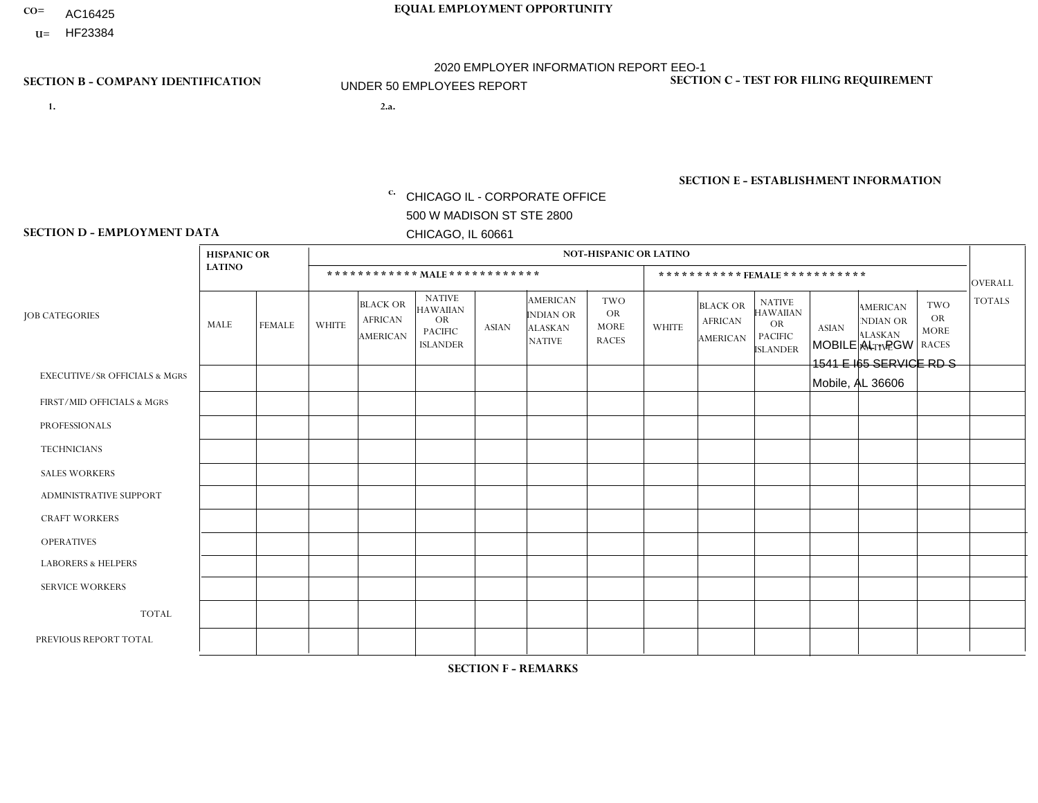- AC16425
- **U=**

**1. 2.a.** CHICAGO IL - CORPORATE OFFICE 500 W MADISON ST STE 2800 CHICAGO, IL 60661

2.a. MOBILE AL - PGW 1541 E I65 SERVICE RD S Mobile, AL 36606

EIN= 952920557

## **SECTION B - COMPANY IDENTIFICATION SECTION C - TEST FOR FILING REQUIREMENT**

1- Y 2- Y 3- N DUNS= 000123456

**SECTION E - ESTABLISHMENT INFORMATION c.** NAICS: 811122

### **SECTION D - EMPLOYMENT DATA**

|                                          | <b>HISPANIC OR</b> |                |                |                                                      |                                                                                    |              |                                                                        | <b>NOT-HISPANIC OR LATINO</b>                          |              |                                               |                                                                                    |              |                                                                |                                                        |                |
|------------------------------------------|--------------------|----------------|----------------|------------------------------------------------------|------------------------------------------------------------------------------------|--------------|------------------------------------------------------------------------|--------------------------------------------------------|--------------|-----------------------------------------------|------------------------------------------------------------------------------------|--------------|----------------------------------------------------------------|--------------------------------------------------------|----------------|
|                                          | <b>LATINO</b>      |                |                |                                                      | ************ MAIE************                                                      |              |                                                                        |                                                        |              | ***********FEMALE***********                  |                                                                                    |              |                                                                |                                                        | <b>OVERALL</b> |
| <b>JOB CATEGORIES</b>                    | MALE               | FEMALE         | <b>WHITE</b>   | <b>BLACK OR</b><br><b>AFRICAN</b><br><b>AMERICAN</b> | <b>NATIVE</b><br><b>HAWAIIAN</b><br><b>OR</b><br><b>PACIFIC</b><br><b>ISLANDER</b> | <b>ASIAN</b> | <b>AMERICAN</b><br><b>INDIAN OR</b><br><b>ALASKAN</b><br><b>NATIVE</b> | <b>TWO</b><br><b>OR</b><br><b>MORE</b><br><b>RACES</b> | <b>WHITE</b> | <b>BLACK OR</b><br><b>AFRICAN</b><br>AMERICAN | <b>NATIVE</b><br><b>HAWAIIAN</b><br><b>OR</b><br><b>PACIFIC</b><br><b>ISLANDER</b> | <b>ASIAN</b> | <b>AMERICAN</b><br>NDIAN OR<br><b>ALASKAN</b><br><b>NATIVE</b> | <b>TWO</b><br><b>OR</b><br><b>MORE</b><br><b>RACES</b> | <b>TOTALS</b>  |
| <b>EXECUTIVE/SR OFFICIALS &amp; MGRS</b> | $\Omega$           | $\Omega$       | $\Omega$       | $\mathbf 0$                                          | $\Omega$                                                                           | $\mathbf{0}$ | $\Omega$                                                               | $\Omega$                                               | $\Omega$     | $\Omega$                                      | $\Omega$                                                                           | $\Omega$     | $\Omega$                                                       | $\mathbf{0}$                                           | $\mathbf{0}$   |
| FIRST/MID OFFICIALS & MGRS               | 0                  | 0              | $\mathbf 0$    | $\overline{1}$                                       | $\Omega$                                                                           | $\Omega$     | $\Omega$                                                               | $\Omega$                                               | 0            | $\Omega$                                      | $\Omega$                                                                           | $\mathbf{0}$ | $\Omega$                                                       | $\mathbf 0$                                            | $\mathbf{1}$   |
| <b>PROFESSIONALS</b>                     | $\Omega$           | $\overline{0}$ | $\mathbf 0$    | $\mathbf 0$                                          | $\Omega$                                                                           | $\Omega$     | $\Omega$                                                               | $\Omega$                                               | 0            | $\Omega$                                      | $\Omega$                                                                           | $\mathbf 0$  | 0                                                              | $\mathbf 0$                                            | $\mathbf{0}$   |
| <b>TECHNICIANS</b>                       | 0                  | $\mathbf 0$    | $\mathbf 0$    | $\mathbf 0$                                          | $\mathbf 0$                                                                        | $\Omega$     | $\Omega$                                                               | $\Omega$                                               | $\Omega$     | $\Omega$                                      | $\Omega$                                                                           | $\mathbf 0$  | $\Omega$                                                       | $\mathbf 0$                                            | $\mathbf 0$    |
| <b>SALES WORKERS</b>                     | $\Omega$           | $\mathbf 0$    | $\Omega$       | $\mathbf 0$                                          | $\Omega$                                                                           | $\Omega$     | $\Omega$                                                               | $\Omega$                                               | 0            | $\Omega$                                      | $\Omega$                                                                           | $\Omega$     | $\Omega$                                                       | $\mathbf{0}$                                           | $\mathbf 0$    |
| <b>ADMINISTRATIVE SUPPORT</b>            | 0                  | $\Omega$       | $\Omega$       | $\mathbf 0$                                          | $\Omega$                                                                           | $\Omega$     | $\Omega$                                                               | $\Omega$                                               | $\Omega$     | $\Omega$                                      | $\Omega$                                                                           | $\mathbf{0}$ | $\mathbf{0}$                                                   | $\mathbf{0}$                                           | $\mathbf 0$    |
| <b>CRAFT WORKERS</b>                     | 0                  | $\Omega$       | $\Omega$       | $\mathbf 0$                                          | $\Omega$                                                                           | $\Omega$     | $\Omega$                                                               | $\Omega$                                               | 0            | $\Omega$                                      | $\Omega$                                                                           | $\Omega$     | $\Omega$                                                       | $\Omega$                                               | $\Omega$       |
| <b>OPERATIVES</b>                        | 0                  | $\Omega$       | $\overline{2}$ | 2                                                    | $\Omega$                                                                           | $\Omega$     | $\Omega$                                                               | $\Omega$                                               | $\Omega$     | $\Omega$                                      | $\Omega$                                                                           | $\Omega$     | $\Omega$                                                       | $\Omega$                                               | $\overline{4}$ |
| <b>LABORERS &amp; HELPERS</b>            | 0                  | $\Omega$       | $\overline{ }$ | $\mathbf 0$                                          | $\Omega$                                                                           | $\Omega$     | $\Omega$                                                               | $\Omega$                                               | 0            | $\Omega$                                      | $\Omega$                                                                           | $\Omega$     | $\Omega$                                                       | $\Omega$                                               | $\mathbf{1}$   |
| <b>SERVICE WORKERS</b>                   | 0                  | $\Omega$       | $\mathbf 0$    | 0                                                    | $\mathbf{0}$                                                                       | $\Omega$     | $\Omega$                                                               | $\Omega$                                               | $\Omega$     | $\Omega$                                      | $\Omega$                                                                           | $\Omega$     | $\Omega$                                                       | $\Omega$                                               | 0              |
| <b>TOTAL</b>                             | $\Omega$           | 0              | 3              | 3                                                    | $\mathbf{0}$                                                                       | $\mathbf{0}$ | $\Omega$                                                               | $\Omega$                                               | $\Omega$     | $\Omega$                                      | $\Omega$                                                                           | $\mathbf 0$  | 0                                                              | $\mathbf 0$                                            | 6              |
| PREVIOUS REPORT TOTAL                    | $\Omega$           | $\Omega$       | $\Omega$       | $\overline{2}$                                       | $\Omega$                                                                           | $\Omega$     | $\Omega$                                                               | $\Omega$                                               | $\Omega$     | $\Omega$                                      | $\Omega$                                                                           | $\Omega$     | $\Omega$                                                       | $\mathbf 0$                                            | $\overline{2}$ |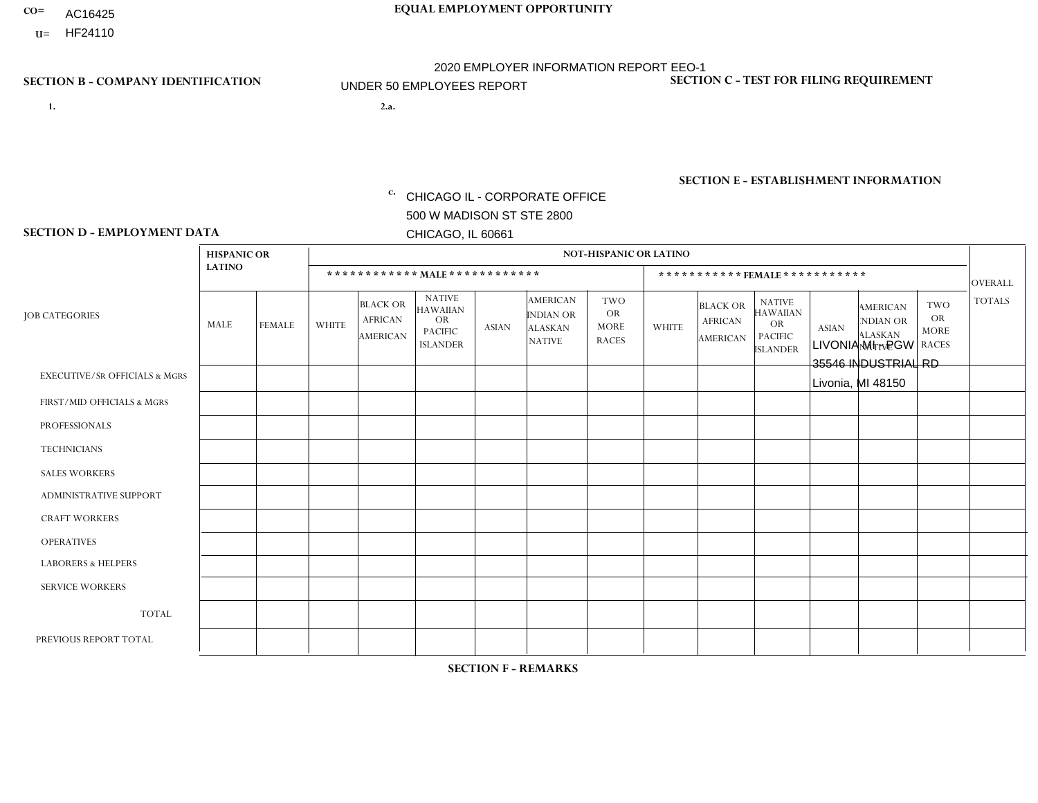- AC16425
- **U=**

**1. 2.a.** CHICAGO IL - CORPORATE OFFICE 500 W MADISON ST STE 2800 CHICAGO, IL 60661

2.a. LIVONIA MI - PGW 35546 INDUSTRIAL RD Livonia, MI 48150

EIN= 952920557

## **SECTION B - COMPANY IDENTIFICATION SECTION C - TEST FOR FILING REQUIREMENT**

1- Y 2- Y 3- N DUNS= 000123456

**SECTION E - ESTABLISHMENT INFORMATION c.** NAICS: 811122

### **SECTION D - EMPLOYMENT DATA**

|                                          | <b>HISPANIC OR</b> |                |              |                                                      |                                                                                    |              |                                                                        | <b>NOT-HISPANIC OR LATINO</b>                          |              |                                               |                                                                                    |              |                                                                       |                                                        |                |
|------------------------------------------|--------------------|----------------|--------------|------------------------------------------------------|------------------------------------------------------------------------------------|--------------|------------------------------------------------------------------------|--------------------------------------------------------|--------------|-----------------------------------------------|------------------------------------------------------------------------------------|--------------|-----------------------------------------------------------------------|--------------------------------------------------------|----------------|
|                                          | <b>LATINO</b>      |                |              | ************ MALE ************                       |                                                                                    |              |                                                                        |                                                        |              | ***********FEMALE***********                  |                                                                                    |              |                                                                       |                                                        | <b>OVERALL</b> |
| <b>JOB CATEGORIES</b>                    | MALE               | <b>FEMALE</b>  | <b>WHITE</b> | <b>BLACK OR</b><br><b>AFRICAN</b><br><b>AMERICAN</b> | <b>NATIVE</b><br><b>HAWAIIAN</b><br><b>OR</b><br><b>PACIFIC</b><br><b>ISLANDER</b> | ASIAN        | <b>AMERICAN</b><br><b>INDIAN OR</b><br><b>ALASKAN</b><br><b>NATIVE</b> | <b>TWO</b><br><b>OR</b><br><b>MORE</b><br><b>RACES</b> | <b>WHITE</b> | <b>BLACK OR</b><br><b>AFRICAN</b><br>AMERICAN | <b>NATIVE</b><br><b>HAWAIIAN</b><br><b>OR</b><br><b>PACIFIC</b><br><b>ISLANDER</b> | <b>ASIAN</b> | <b>AMERICAN</b><br><b>NDIAN OR</b><br><b>ALASKAN</b><br><b>NATIVE</b> | <b>TWO</b><br><b>OR</b><br><b>MORE</b><br><b>RACES</b> | <b>TOTALS</b>  |
| <b>EXECUTIVE/SR OFFICIALS &amp; MGRS</b> | $\Omega$           | $\Omega$       | $\Omega$     | $\mathbf 0$                                          | $\Omega$                                                                           | $\mathbf{0}$ | $\Omega$                                                               | $\Omega$                                               | 0            | $\Omega$                                      | $\Omega$                                                                           | $\Omega$     | $\Omega$                                                              | $\Omega$                                               | $\mathbf{0}$   |
| FIRST/MID OFFICIALS & MGRS               | 0                  | $\Omega$       |              | $\mathbf 0$                                          | $\Omega$                                                                           | $\Omega$     | $\Omega$                                                               | $\Omega$                                               | 0            | $\Omega$                                      | $\Omega$                                                                           | $\Omega$     | $\Omega$                                                              | $\Omega$                                               | $\mathbf{1}$   |
| <b>PROFESSIONALS</b>                     | 0                  | $\overline{0}$ | $\mathbf 0$  | $\mathbf 0$                                          | $\Omega$                                                                           | $\Omega$     | $\Omega$                                                               | $\Omega$                                               | 0            | $\Omega$                                      | $\Omega$                                                                           | $\Omega$     | $\Omega$                                                              | $\Omega$                                               | $\mathbf{0}$   |
| <b>TECHNICIANS</b>                       | 0                  | $\Omega$       | $\Omega$     | $\mathbf 0$                                          | $\Omega$                                                                           | $\Omega$     | $\Omega$                                                               | $\Omega$                                               | $\Omega$     | $\Omega$                                      | $\Omega$                                                                           | $\Omega$     | $\Omega$                                                              | $\Omega$                                               | $\mathbf{0}$   |
| <b>SALES WORKERS</b>                     | 0                  | $\Omega$       | $\Omega$     | $\Omega$                                             | $\Omega$                                                                           | $\Omega$     | $\Omega$                                                               | $\Omega$                                               | 0            | $\Omega$                                      | $\Omega$                                                                           | $\Omega$     | $\Omega$                                                              | $\Omega$                                               | $\Omega$       |
| <b>ADMINISTRATIVE SUPPORT</b>            | 0                  | 0              | $\Omega$     | $\mathbf 0$                                          | 0                                                                                  | $\Omega$     | $\Omega$                                                               | $\Omega$                                               | $\Omega$     | $\Omega$                                      | $\Omega$                                                                           | $\mathbf{0}$ | $\mathbf{0}$                                                          | $\mathbf 0$                                            | $\mathbf 0$    |
| <b>CRAFT WORKERS</b>                     | 0                  | $\Omega$       | $\Omega$     | $\mathbf 0$                                          | $\Omega$                                                                           | $\Omega$     | $\Omega$                                                               | $\Omega$                                               | 0            | $\Omega$                                      | $\Omega$                                                                           | $\Omega$     | $\Omega$                                                              | $\Omega$                                               | $\mathbf 0$    |
| <b>OPERATIVES</b>                        | 0                  | $\Omega$       | 6            | $\overline{1}$                                       | $\Omega$                                                                           | $\Omega$     | $\Omega$                                                               | $\Omega$                                               | $\Omega$     | $\Omega$                                      | $\Omega$                                                                           | $\Omega$     | $\Omega$                                                              | $\Omega$                                               | $\overline{7}$ |
| <b>LABORERS &amp; HELPERS</b>            | 0                  | $\Omega$       | -1           | $\mathbf 0$                                          | $\Omega$                                                                           | $\Omega$     | $\Omega$                                                               | $\Omega$                                               | $\Omega$     | $\Omega$                                      | $\Omega$                                                                           | $\mathbf{0}$ | $\Omega$                                                              | $\mathbf 0$                                            | $\mathbf{1}$   |
| <b>SERVICE WORKERS</b>                   | 0                  | $\Omega$       | $\mathbf 0$  | 0                                                    | 0                                                                                  | $\Omega$     | $\Omega$                                                               | $\Omega$                                               | $\Omega$     | $\Omega$                                      | $\Omega$                                                                           | $\Omega$     | $\Omega$                                                              | $\Omega$                                               | $\overline{0}$ |
| <b>TOTAL</b>                             | $\mathbf 0$        | 0              | 8            | $\overline{1}$                                       | 0                                                                                  | $\mathbf 0$  | $\Omega$                                                               | $\Omega$                                               | $\Omega$     | $\Omega$                                      | $\Omega$                                                                           | $\mathbf 0$  | 0                                                                     | $\mathbf 0$                                            | 9              |
| PREVIOUS REPORT TOTAL                    | 0                  | $\Omega$       | 3            | $\overline{1}$                                       | 0                                                                                  | $\mathbf{0}$ | $\Omega$                                                               | $\Omega$                                               | 0            | $\Omega$                                      | $\Omega$                                                                           | $\Omega$     | $\Omega$                                                              | $\mathbf 0$                                            | $\overline{4}$ |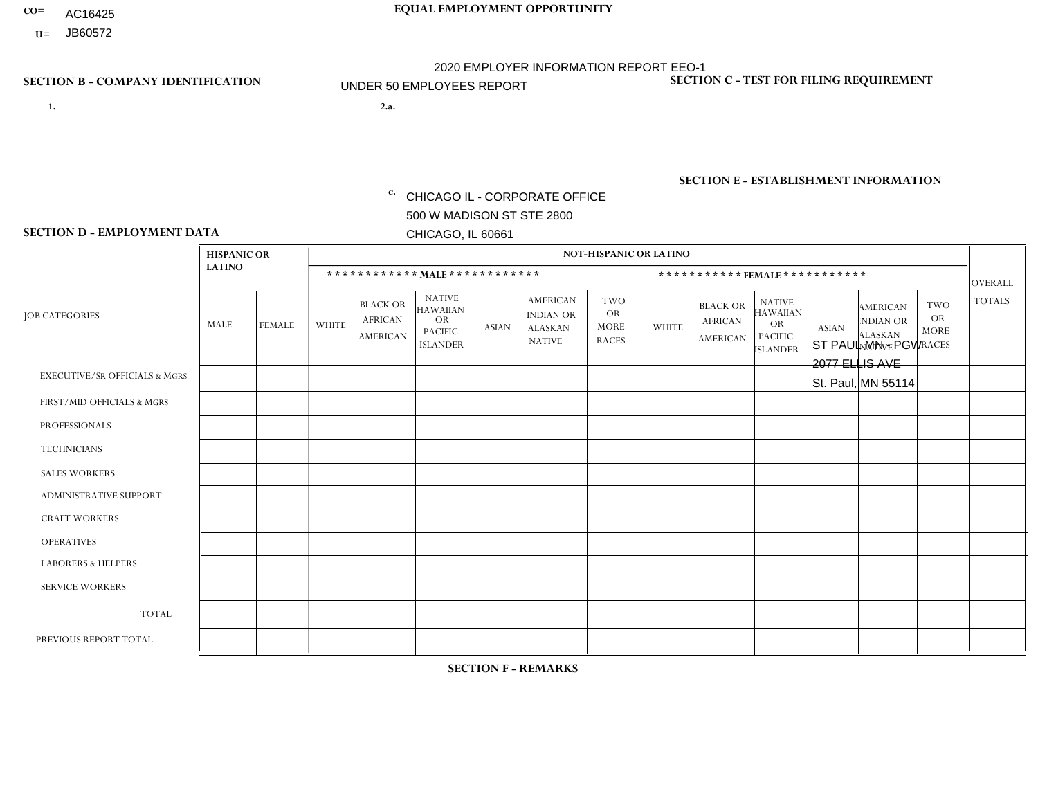- AC16425
- **U=**

**1. 2.a.** CHICAGO IL - CORPORATE OFFICE 500 W MADISON ST STE 2800 CHICAGO, IL 60661

2.a. ST PAUL MN - PGW 2077 ELLIS AVE St. Paul, MN 55114

EIN= 952920557

## **SECTION B - COMPANY IDENTIFICATION SECTION C - TEST FOR FILING REQUIREMENT**

1- Y 2- Y 3- N DUNS= 000123456

**SECTION E - ESTABLISHMENT INFORMATION c.** NAICS: 423140

### **SECTION D - EMPLOYMENT DATA**

|                                          | <b>HISPANIC OR</b> |               |                |                                                      |                                                                                    |              |                                                                        | <b>NOT-HISPANIC OR LATINO</b>                          |              |                                               |                                                                                    |              |                                                                       |                                                        |                |
|------------------------------------------|--------------------|---------------|----------------|------------------------------------------------------|------------------------------------------------------------------------------------|--------------|------------------------------------------------------------------------|--------------------------------------------------------|--------------|-----------------------------------------------|------------------------------------------------------------------------------------|--------------|-----------------------------------------------------------------------|--------------------------------------------------------|----------------|
|                                          | <b>LATINO</b>      |               |                | ************ MALE ************                       |                                                                                    |              |                                                                        |                                                        |              |                                               | ***********FEMALE ***********                                                      |              |                                                                       |                                                        | <b>OVERALL</b> |
| <b>JOB CATEGORIES</b>                    | MALE               | <b>FEMALE</b> | <b>WHITE</b>   | <b>BLACK OR</b><br><b>AFRICAN</b><br><b>AMERICAN</b> | <b>NATIVE</b><br><b>HAWAIIAN</b><br><b>OR</b><br><b>PACIFIC</b><br><b>ISLANDER</b> | <b>ASIAN</b> | <b>AMERICAN</b><br><b>INDIAN OR</b><br><b>ALASKAN</b><br><b>NATIVE</b> | <b>TWO</b><br><b>OR</b><br><b>MORE</b><br><b>RACES</b> | <b>WHITE</b> | <b>BLACK OR</b><br><b>AFRICAN</b><br>AMERICAN | <b>NATIVE</b><br><b>HAWAIIAN</b><br><b>OR</b><br><b>PACIFIC</b><br><b>ISLANDER</b> | <b>ASIAN</b> | <b>AMERICAN</b><br><b>NDIAN OR</b><br><b>ALASKAN</b><br><b>NATIVE</b> | <b>TWO</b><br><b>OR</b><br><b>MORE</b><br><b>RACES</b> | <b>TOTALS</b>  |
| <b>EXECUTIVE/SR OFFICIALS &amp; MGRS</b> | $\Omega$           | $\Omega$      | $\mathbf{0}$   | $\Omega$                                             | $\Omega$                                                                           | $\Omega$     | $\Omega$                                                               | $\Omega$                                               | 0            | $\Omega$                                      | $\Omega$                                                                           | $\Omega$     | $\Omega$                                                              | $\Omega$                                               | $\Omega$       |
| FIRST/MID OFFICIALS & MGRS               | $\Omega$           | $\Omega$      | 1              | $\mathbf{0}$                                         | $\Omega$                                                                           | $\Omega$     | $\Omega$                                                               | $\Omega$                                               | 0            | $\Omega$                                      | 0                                                                                  | $\Omega$     | $\Omega$                                                              | $\Omega$                                               | $\mathbf{1}$   |
| <b>PROFESSIONALS</b>                     | $\Omega$           | $\Omega$      | $\Omega$       | $\mathbf 0$                                          | $\Omega$                                                                           | $\Omega$     | $\Omega$                                                               | $\Omega$                                               | $\Omega$     | $\Omega$                                      | 0                                                                                  | 0            | $\Omega$                                                              | $\mathbf 0$                                            | $\mathbf{0}$   |
| <b>TECHNICIANS</b>                       | $\Omega$           | $\Omega$      | $\Omega$       | $\Omega$                                             | $\Omega$                                                                           | $\Omega$     | $\Omega$                                                               | $\Omega$                                               | $\Omega$     | $\Omega$                                      | $\Omega$                                                                           | $\mathbf 0$  | $\Omega$                                                              | $\mathbf 0$                                            | $\Omega$       |
| <b>SALES WORKERS</b>                     | $\Omega$           | $\Omega$      | $\Omega$       | $\Omega$                                             | $\Omega$                                                                           | $\Omega$     | $\Omega$                                                               | $\Omega$                                               | $\Omega$     | $\Omega$                                      | $\Omega$                                                                           | $\Omega$     | $\Omega$                                                              | $\Omega$                                               | $\Omega$       |
| <b>ADMINISTRATIVE SUPPORT</b>            | $\Omega$           | $\Omega$      | $\Omega$       | $\mathbf 0$                                          | 0                                                                                  | $\Omega$     | $\Omega$                                                               | $\Omega$                                               | 0            | $\Omega$                                      | 0                                                                                  | $\mathbf 0$  | $\Omega$                                                              | $\Omega$                                               | $\mathbf 0$    |
| <b>CRAFT WORKERS</b>                     | $\Omega$           | $\Omega$      | $\Omega$       | $\mathbf 0$                                          | $\Omega$                                                                           | $\Omega$     | $\Omega$                                                               | $\Omega$                                               | $\Omega$     | $\Omega$                                      | 0                                                                                  | $\Omega$     | $\Omega$                                                              | $\Omega$                                               | $\Omega$       |
| <b>OPERATIVES</b>                        | $\Omega$           | $\Omega$      | 5              | $\mathbf 0$                                          | $\Omega$                                                                           | $\Omega$     | $\Omega$                                                               | $\Omega$                                               | 0            | $\Omega$                                      | 0                                                                                  | $\mathbf 0$  | $\Omega$                                                              | $\Omega$                                               | 5              |
| <b>LABORERS &amp; HELPERS</b>            | $\Omega$           | $\Omega$      | -1             | $\mathbf 0$                                          | $\Omega$                                                                           | $\Omega$     | $\Omega$                                                               | $\Omega$                                               | $\Omega$     | $\Omega$                                      | $\Omega$                                                                           | $\Omega$     | $\Omega$                                                              | $\Omega$                                               | $\mathbf{1}$   |
| <b>SERVICE WORKERS</b>                   | $\Omega$           | $\Omega$      | 0              | $\mathbf 0$                                          | $\mathbf 0$                                                                        | $\Omega$     | $\Omega$                                                               | $\Omega$                                               | 0            | $\Omega$                                      | $\Omega$                                                                           | $\mathbf 0$  | $\Omega$                                                              | $\Omega$                                               | $\mathbf 0$    |
| <b>TOTAL</b>                             | 0                  | 0             | $\overline{7}$ | 0                                                    | $\mathbf 0$                                                                        | 0            | $\Omega$                                                               | $\Omega$                                               | 0            | $\mathbf 0$                                   | 0                                                                                  | $\mathbf 0$  | 0                                                                     | $\mathbf 0$                                            | $\overline{7}$ |
| PREVIOUS REPORT TOTAL                    | $\Omega$           | $\Omega$      | 6              | $\mathbf 0$                                          | 0                                                                                  | $\Omega$     | $\Omega$                                                               | $\Omega$                                               | 0            | $\Omega$                                      | 0                                                                                  | $\Omega$     | $\Omega$                                                              | $\mathbf 0$                                            | 6              |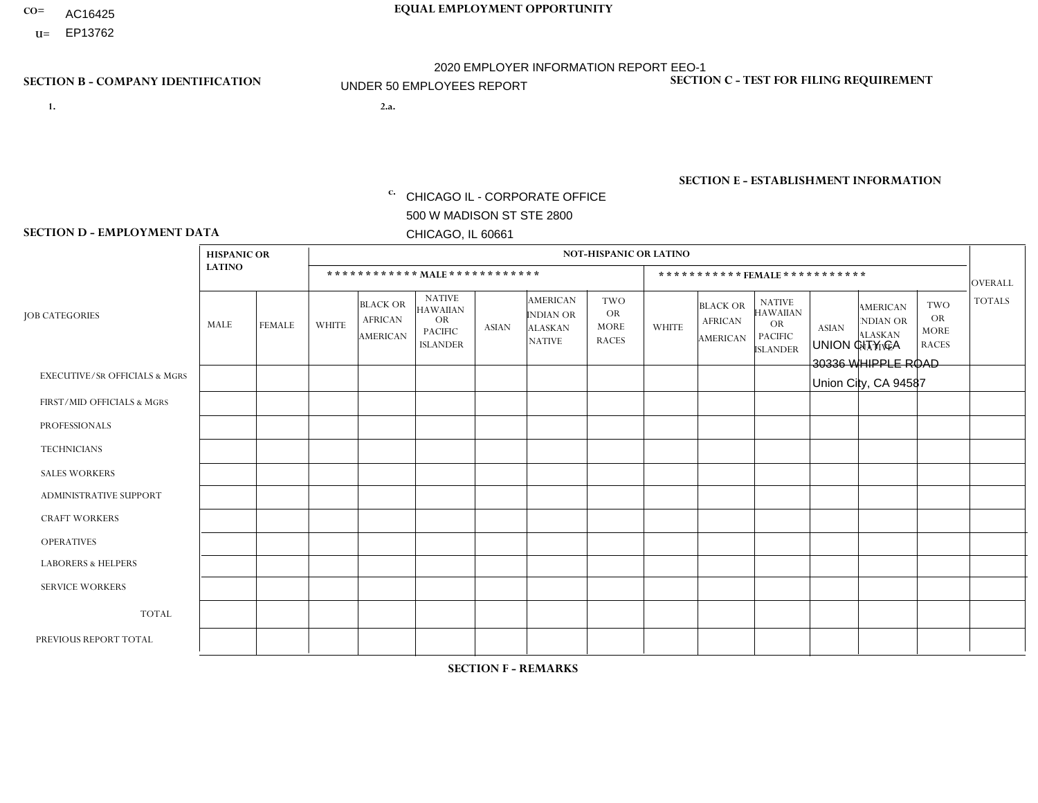- AC16425
- **U=**

- **1. 2.a.** CHICAGO IL CORPORATE OFFICE 500 W MADISON ST STE 2800 CHICAGO, IL 60661
- 2.a. UNION CITY CA 30336 WHIPPLE ROAD Union City, CA 94587

EIN= 952920557

## **SECTION B - COMPANY IDENTIFICATION SECTION C - TEST FOR FILING REQUIREMENT**

1- Y 2- Y 3- N DUNS= 000123456

**SECTION E - ESTABLISHMENT INFORMATION c.** NAICS: 423140

### **SECTION D - EMPLOYMENT DATA**

|                                          | <b>HISPANIC OR</b> |                      |                |                                                      |                                                                                    |              |                                                                 | <b>NOT-HISPANIC OR LATINO</b>                          |              |                                                      |                                                                                    |              |                                                                       |                                                        |                |
|------------------------------------------|--------------------|----------------------|----------------|------------------------------------------------------|------------------------------------------------------------------------------------|--------------|-----------------------------------------------------------------|--------------------------------------------------------|--------------|------------------------------------------------------|------------------------------------------------------------------------------------|--------------|-----------------------------------------------------------------------|--------------------------------------------------------|----------------|
|                                          | <b>LATINO</b>      |                      |                | ************ MALE ************                       |                                                                                    |              |                                                                 |                                                        |              |                                                      | ***********FEMALE***********                                                       |              |                                                                       |                                                        | <b>OVERALL</b> |
| <b>JOB CATEGORIES</b>                    | MALE               | <b>FEMALE</b>        | <b>WHITE</b>   | <b>BLACK OR</b><br><b>AFRICAN</b><br><b>AMERICAN</b> | <b>NATIVE</b><br><b>HAWAIIAN</b><br><b>OR</b><br><b>PACIFIC</b><br><b>ISLANDER</b> | <b>ASIAN</b> | <b>AMERICAN</b><br>INDIAN OR<br><b>ALASKAN</b><br><b>NATIVE</b> | <b>TWO</b><br><b>OR</b><br><b>MORE</b><br><b>RACES</b> | <b>WHITE</b> | <b>BLACK OR</b><br><b>AFRICAN</b><br><b>AMERICAN</b> | <b>NATIVE</b><br><b>HAWAIIAN</b><br><b>OR</b><br><b>PACIFIC</b><br><b>ISLANDER</b> | <b>ASIAN</b> | <b>AMERICAN</b><br><b>NDIAN OR</b><br><b>ALASKAN</b><br><b>NATIVE</b> | <b>TWO</b><br><b>OR</b><br><b>MORE</b><br><b>RACES</b> | <b>TOTALS</b>  |
| <b>EXECUTIVE/SR OFFICIALS &amp; MGRS</b> | $\Omega$           | $\Omega$             | $\Omega$       | $\mathbf 0$                                          | $\Omega$                                                                           | $\Omega$     | $\Omega$                                                        | $\Omega$                                               | $\Omega$     | $\Omega$                                             | $\mathbf{0}$                                                                       | $\Omega$     | $\Omega$                                                              | $\Omega$                                               | $\mathbf{0}$   |
| FIRST/MID OFFICIALS & MGRS               |                    | $\Omega$             | $\Omega$       | $\Omega$                                             | $\Omega$                                                                           | $\Omega$     | $\Omega$                                                        | $\Omega$                                               | $\Omega$     | $\Omega$                                             | $\Omega$                                                                           | $\Omega$     | $\Omega$                                                              | $\Omega$                                               | $\mathbf{1}$   |
| <b>PROFESSIONALS</b>                     | $\Omega$           | $\Omega$             | $\mathbf 0$    | $\mathbf 0$                                          | $\Omega$                                                                           | $\Omega$     | $\Omega$                                                        | $\Omega$                                               | $\Omega$     | $\Omega$                                             | $\Omega$                                                                           | $\Omega$     | $\Omega$                                                              | $\Omega$                                               | $\mathbf 0$    |
| <b>TECHNICIANS</b>                       | $\Omega$           | $\mathbf 0$          | $\Omega$       | $\mathbf 0$                                          | 0                                                                                  | $\Omega$     | $\overline{0}$                                                  | $\Omega$                                               | $\mathbf 0$  | $\mathbf 0$                                          | $\mathbf 0$                                                                        | $\mathbf 0$  | $\Omega$                                                              | $\Omega$                                               | $\mathbf 0$    |
| <b>SALES WORKERS</b>                     | -1                 | $\Omega$             | $\Omega$       | $\Omega$                                             | 0                                                                                  | $\Omega$     | $\Omega$                                                        | $\Omega$                                               | $\Omega$     | $\Omega$                                             | $\Omega$                                                                           | $\Omega$     | $\Omega$                                                              | $\Omega$                                               | $\mathbf{1}$   |
| <b>ADMINISTRATIVE SUPPORT</b>            | $\Omega$           | $\mathbf 0$          | $\mathbf 0$    | $\mathbf 0$                                          | $\mathbf 0$                                                                        | $\mathbf 0$  | $\Omega$                                                        | $\Omega$                                               | $\Omega$     | $\Omega$                                             | $\mathbf{0}$                                                                       |              | $\Omega$                                                              | $\Omega$                                               | $\mathbf{1}$   |
| <b>CRAFT WORKERS</b>                     | $\Omega$           | $\Omega$             | $\mathbf{0}$   | $\mathbf 0$                                          | $\Omega$                                                                           | $\Omega$     | $\Omega$                                                        | $\Omega$                                               | $\Omega$     | $\Omega$                                             | $\Omega$                                                                           | $\Omega$     | $\Omega$                                                              | $\Omega$                                               | $\Omega$       |
| <b>OPERATIVES</b>                        | 3                  | $\overline{2}$       | 1              | $\overline{2}$                                       | 0                                                                                  | $\Omega$     | $\Omega$                                                        | $\Omega$                                               | $\Omega$     | $\Omega$                                             | $\mathbf{0}$                                                                       | $\Omega$     | $\Omega$                                                              | $\Omega$                                               | 8              |
| <b>LABORERS &amp; HELPERS</b>            | $\overline{2}$     | $\blacktriangleleft$ | $\overline{c}$ | $\mathbf 0$                                          | $\overline{2}$                                                                     | $\mathbf 0$  | $\Omega$                                                        | $\Omega$                                               | $\Omega$     |                                                      | $\Omega$                                                                           | $\Omega$     | $\Omega$                                                              | $\Omega$                                               | 8              |
| <b>SERVICE WORKERS</b>                   | $\Omega$           | $\Omega$             | 0              | 0                                                    | $\Omega$                                                                           | $\Omega$     | $\Omega$                                                        | $\Omega$                                               | $\Omega$     | $\Omega$                                             | $\Omega$                                                                           | $\Omega$     | $\Omega$                                                              | $\Omega$                                               | 0              |
| <b>TOTAL</b>                             | $\overline{7}$     | 3                    | 3              | $\overline{2}$                                       | $\overline{2}$                                                                     | $\mathbf 0$  | $\Omega$                                                        | $\Omega$                                               | $\mathbf{0}$ | $\overline{1}$                                       | $\mathbf 0$                                                                        |              | 0                                                                     | $\mathbf 0$                                            | 19             |
| PREVIOUS REPORT TOTAL                    | 14                 | $\overline{2}$       | 8              | 5                                                    | $\overline{a}$                                                                     | $\mathbf{1}$ | $\Omega$                                                        |                                                        | 1            | $\overline{2}$                                       | $\Omega$                                                                           |              | 1                                                                     |                                                        | 39             |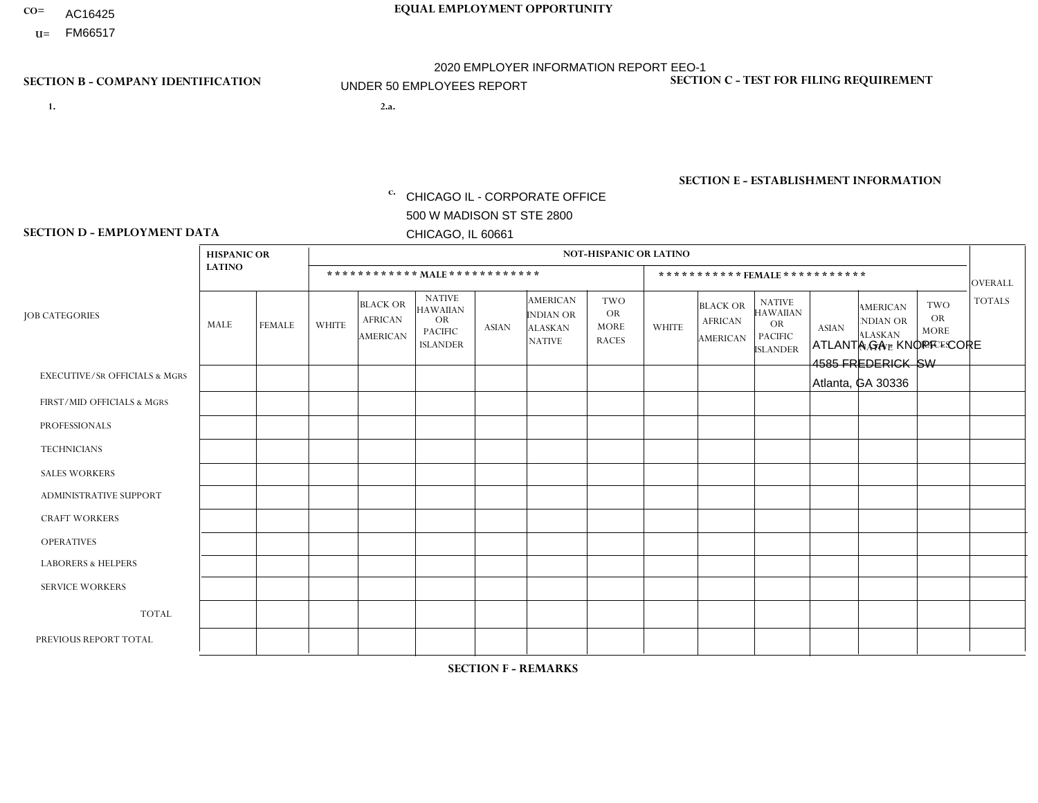- AC16425
- **U=**

**1. 2.a.** CHICAGO IL - CORPORATE OFFICE 500 W MADISON ST STE 2800 CHICAGO, IL 60661

2.a. ATLANTA GA - KNOPF - CORE 4585 FREDERICK SW Atlanta, GA 30336

c. EIN= 952920557

## **SECTION B - COMPANY IDENTIFICATION SECTION C - TEST FOR FILING REQUIREMENT**

1- Y 2- Y 3- N DUNS= 000123456

**SECTION E - ESTABLISHMENT INFORMATION c.** NAICS: 423140

### **SECTION D - EMPLOYMENT DATA**

|                                          | <b>HISPANIC OR</b> |               |                |                                                      |                                                                                    |             |                                                                        | <b>NOT-HISPANIC OR LATINO</b>                   |                |                                               |                                                                                    |              |                                                                       |                                                        |                |
|------------------------------------------|--------------------|---------------|----------------|------------------------------------------------------|------------------------------------------------------------------------------------|-------------|------------------------------------------------------------------------|-------------------------------------------------|----------------|-----------------------------------------------|------------------------------------------------------------------------------------|--------------|-----------------------------------------------------------------------|--------------------------------------------------------|----------------|
|                                          | <b>LATINO</b>      |               |                | ************ MALE ************                       |                                                                                    |             |                                                                        |                                                 |                | ***********FEMALE***********                  |                                                                                    |              |                                                                       |                                                        | <b>OVERALL</b> |
| <b>JOB CATEGORIES</b>                    | MALE               | <b>FEMALE</b> | <b>WHITE</b>   | <b>BLACK OR</b><br><b>AFRICAN</b><br><b>AMERICAN</b> | <b>NATIVE</b><br><b>HAWAIIAN</b><br><b>OR</b><br><b>PACIFIC</b><br><b>ISLANDER</b> | ASIAN       | <b>AMERICAN</b><br><b>INDIAN OR</b><br><b>ALASKAN</b><br><b>NATIVE</b> | TWO<br><b>OR</b><br><b>MORE</b><br><b>RACES</b> | <b>WHITE</b>   | <b>BLACK OR</b><br><b>AFRICAN</b><br>AMERICAN | <b>NATIVE</b><br><b>HAWAIIAN</b><br><b>OR</b><br><b>PACIFIC</b><br><b>ISLANDER</b> | <b>ASIAN</b> | <b>AMERICAN</b><br><b>NDIAN OR</b><br><b>ALASKAN</b><br><b>NATIVE</b> | <b>TWO</b><br><b>OR</b><br><b>MORE</b><br><b>RACES</b> | <b>TOTALS</b>  |
| <b>EXECUTIVE/SR OFFICIALS &amp; MGRS</b> |                    | $\mathbf 0$   | $\Omega$       | $\mathbf 0$                                          | $\mathbf 0$                                                                        | $\mathbf 0$ | $\Omega$                                                               | $\Omega$                                        | $\Omega$       | $\Omega$                                      | $\Omega$                                                                           | $\mathbf 0$  | $\mathbf 0$                                                           | $\mathbf 0$                                            | $\mathbf{1}$   |
| FIRST/MID OFFICIALS & MGRS               | 0                  | $\mathbf 0$   | -1             | $\mathbf 0$                                          | $\Omega$                                                                           | $\Omega$    | $\Omega$                                                               | $\Omega$                                        | 0              | $\Omega$                                      | $\Omega$                                                                           | $\mathbf{0}$ | $\Omega$                                                              | $\mathbf 0$                                            | $\mathbf{1}$   |
| <b>PROFESSIONALS</b>                     | 0                  | $\mathbf 0$   | $\mathbf 0$    | $\mathbf 0$                                          | $\mathbf 0$                                                                        | $\mathbf 0$ | $\Omega$                                                               | $\Omega$                                        | $\overline{0}$ | $\Omega$                                      | $\Omega$                                                                           | $\mathbf 0$  | 0                                                                     | $\mathbf 0$                                            | $\mathbf{0}$   |
| <b>TECHNICIANS</b>                       | 0                  | $\Omega$      | $\Omega$       | $\mathbf 0$                                          | $\Omega$                                                                           | $\Omega$    | $\Omega$                                                               | $\Omega$                                        | $\Omega$       | $\Omega$                                      | $\Omega$                                                                           | $\Omega$     | $\Omega$                                                              | $\Omega$                                               | $\mathbf{0}$   |
| <b>SALES WORKERS</b>                     | 0                  | $\Omega$      | $\Omega$       | $\mathbf 0$                                          | $\Omega$                                                                           | $\Omega$    | $\Omega$                                                               | $\Omega$                                        | $\Omega$       | $\Omega$                                      | $\Omega$                                                                           | $\Omega$     | $\Omega$                                                              | $\Omega$                                               | $\Omega$       |
| ADMINISTRATIVE SUPPORT                   | $\Omega$           | 3             | $\Omega$       | $\Omega$                                             | $\Omega$                                                                           | $\Omega$    | $\Omega$                                                               | $\Omega$                                        | $\Omega$       | $\Omega$                                      | $\Omega$                                                                           | $\mathbf{0}$ | $\Omega$                                                              | $\Omega$                                               | 3              |
| <b>CRAFT WORKERS</b>                     | 0                  | $\Omega$      | $\Omega$       | $\mathbf 0$                                          | $\Omega$                                                                           | $\Omega$    | $\Omega$                                                               | $\Omega$                                        | $\Omega$       | $\Omega$                                      | $\Omega$                                                                           | $\Omega$     | $\Omega$                                                              | $\mathbf{0}$                                           | $\mathbf 0$    |
| <b>OPERATIVES</b>                        | 0                  | $\Omega$      | $\Omega$       | $\mathbf 0$                                          | $\Omega$                                                                           | $\Omega$    | $\Omega$                                                               | $\Omega$                                        | $\Omega$       | $\Omega$                                      | $\Omega$                                                                           | $\Omega$     | $\Omega$                                                              | $\Omega$                                               | $\Omega$       |
| <b>LABORERS &amp; HELPERS</b>            | $\overline{7}$     | $\Omega$      | $\overline{2}$ | $\mathbf{1}$                                         | $\Omega$                                                                           | $\Omega$    | $\Omega$                                                               | $\Omega$                                        | $\Omega$       | $\Omega$                                      | $\Omega$                                                                           | $\Omega$     | $\Omega$                                                              | $\mathbf{0}$                                           | 10             |
| <b>SERVICE WORKERS</b>                   | 0                  | $\Omega$      | $\mathbf 0$    | $\overline{ }$                                       | 0                                                                                  | $\Omega$    | $\Omega$                                                               | $\Omega$                                        | $\Omega$       | $\Omega$                                      | $\Omega$                                                                           | $\Omega$     | $\Omega$                                                              | $\mathbf 0$                                            | $\mathbf{1}$   |
| <b>TOTAL</b>                             | 8                  | 3             | 3              | $\overline{2}$                                       | 0                                                                                  | $\mathbf 0$ | $\Omega$                                                               | $\Omega$                                        | $\Omega$       | $\Omega$                                      | $\Omega$                                                                           | $\mathbf 0$  | 0                                                                     | $\mathbf 0$                                            | 16             |
| PREVIOUS REPORT TOTAL                    | 9                  | 5             | 3              | $\overline{2}$                                       | 0                                                                                  | $\Omega$    | $\Omega$                                                               | $\Omega$                                        | 0              | $\Omega$                                      | $\Omega$                                                                           | $\mathbf 0$  | 0                                                                     | $\mathbf 0$                                            | 19             |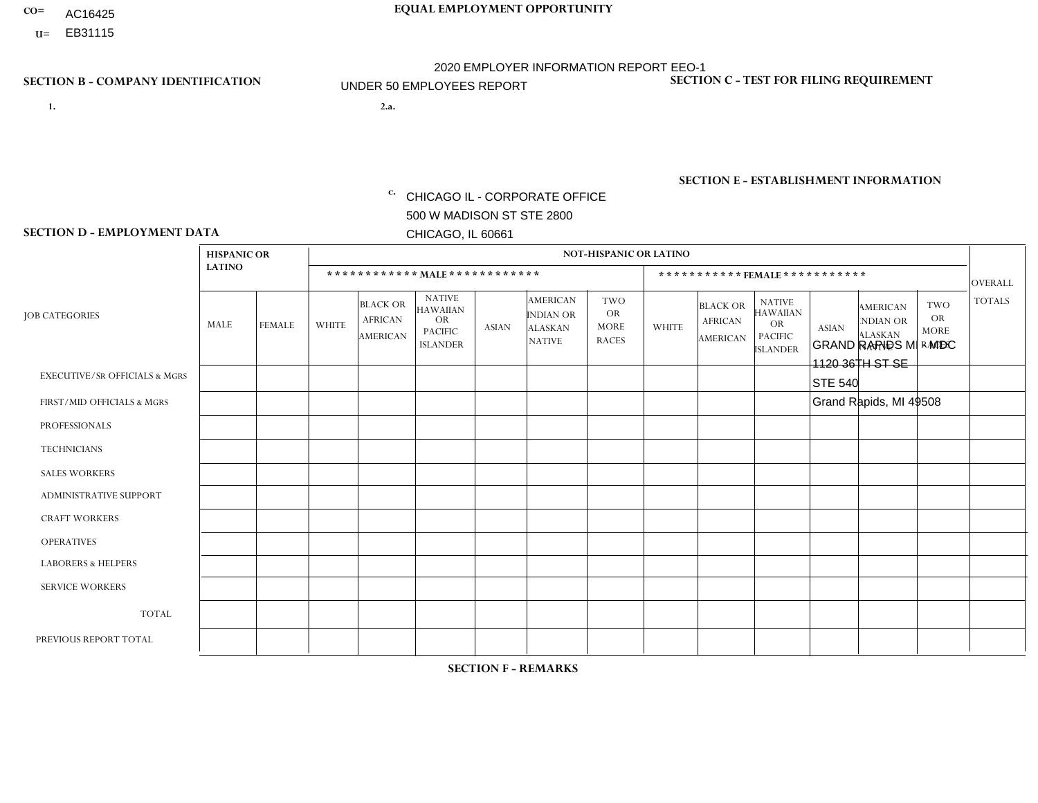- AC16425
- **U=**

**1. 2.a.** CHICAGO IL - CORPORATE OFFICE 500 W MADISON ST STE 2800 CHICAGO, IL 60661

GRAND RAPIDS MI - MDC 1120 36TH ST SE STE 540 Grand Rapids, MI 49508

EIN= 952920557

## **SECTION B - COMPANY IDENTIFICATION SECTION C - TEST FOR FILING REQUIREMENT**

1- Y 2- Y 3- N DUNS= 000123456

**SECTION E - ESTABLISHMENT INFORMATION c.** NAICS: 423140

### **SECTION D - EMPLOYMENT DATA**

|                                          | <b>HISPANIC OR</b> |               |              |                                                      |                                                                                    |             |                                                                        | <b>NOT-HISPANIC OR LATINO</b>                          |                |                                               |                                                                                    |              |                                                                       |                                                        |                |
|------------------------------------------|--------------------|---------------|--------------|------------------------------------------------------|------------------------------------------------------------------------------------|-------------|------------------------------------------------------------------------|--------------------------------------------------------|----------------|-----------------------------------------------|------------------------------------------------------------------------------------|--------------|-----------------------------------------------------------------------|--------------------------------------------------------|----------------|
|                                          | <b>LATINO</b>      |               |              | ************ MALE ************                       |                                                                                    |             |                                                                        |                                                        |                |                                               | *********** FEMALE ***********                                                     |              |                                                                       |                                                        | <b>OVERALL</b> |
| <b>JOB CATEGORIES</b>                    | MALE               | <b>FEMALE</b> | <b>WHITE</b> | <b>BLACK OR</b><br><b>AFRICAN</b><br><b>AMERICAN</b> | <b>NATIVE</b><br><b>HAWAIIAN</b><br><b>OR</b><br><b>PACIFIC</b><br><b>ISLANDER</b> | ASIAN       | <b>AMERICAN</b><br><b>INDIAN OR</b><br><b>ALASKAN</b><br><b>NATIVE</b> | <b>TWO</b><br><b>OR</b><br><b>MORE</b><br><b>RACES</b> | <b>WHITE</b>   | <b>BLACK OR</b><br><b>AFRICAN</b><br>AMERICAN | <b>NATIVE</b><br><b>HAWAIIAN</b><br><b>OR</b><br><b>PACIFIC</b><br><b>ISLANDER</b> | <b>ASIAN</b> | <b>AMERICAN</b><br><b>NDIAN OR</b><br><b>ALASKAN</b><br><b>NATIVE</b> | <b>TWO</b><br><b>OR</b><br><b>MORE</b><br><b>RACES</b> | <b>TOTALS</b>  |
| <b>EXECUTIVE/SR OFFICIALS &amp; MGRS</b> | $\Omega$           | $\Omega$      | $\Omega$     | $\mathbf 0$                                          | 0                                                                                  | $\mathbf 0$ | $\Omega$                                                               | $\Omega$                                               | $\Omega$       | $\Omega$                                      | $\Omega$                                                                           | $\mathbf 0$  | $\Omega$                                                              | $\mathbf 0$                                            | $\mathbf 0$    |
| FIRST/MID OFFICIALS & MGRS               | 0                  | $\Omega$      | 1            | $\mathbf 0$                                          | $\Omega$                                                                           | $\Omega$    | $\Omega$                                                               | $\Omega$                                               | $\overline{2}$ | $\Omega$                                      | $\Omega$                                                                           | $\Omega$     | $\Omega$                                                              | $\Omega$                                               | 3              |
| <b>PROFESSIONALS</b>                     | 0                  | $\Omega$      | $\mathbf 0$  | $\pmb{0}$                                            | $\Omega$                                                                           | $\Omega$    | $\Omega$                                                               | $\Omega$                                               | $\Omega$       | $\Omega$                                      | $\Omega$                                                                           | $\Omega$     | $\Omega$                                                              | $\Omega$                                               | $\mathbf{0}$   |
| <b>TECHNICIANS</b>                       | 0                  | $\mathbf{0}$  | $\mathbf 0$  | $\mathbf 0$                                          | $\Omega$                                                                           | $\Omega$    | $\Omega$                                                               | $\Omega$                                               | 0              | $\Omega$                                      | $\Omega$                                                                           | $\mathbf 0$  | $\Omega$                                                              | $\Omega$                                               | $\overline{0}$ |
| <b>SALES WORKERS</b>                     | $\Omega$           | $\mathbf 0$   | $\Omega$     | $\mathbf 0$                                          | $\Omega$                                                                           | $\Omega$    | $\Omega$                                                               | $\Omega$                                               | $\Omega$       | $\Omega$                                      | $\Omega$                                                                           | $\mathbf 0$  | $\Omega$                                                              | $\mathbf 0$                                            | $\mathbf{0}$   |
| ADMINISTRATIVE SUPPORT                   | $\Omega$           | $\Omega$      | $\Omega$     | $\mathbf 0$                                          | $\Omega$                                                                           | $\Omega$    | $\Omega$                                                               | $\Omega$                                               | $\Omega$       | $\Omega$                                      | $\Omega$                                                                           | $\Omega$     | $\Omega$                                                              | $\Omega$                                               | $\mathbf 0$    |
| <b>CRAFT WORKERS</b>                     | 0                  | $\mathbf 0$   | $\mathbf 0$  | $\mathbf 0$                                          | 0                                                                                  | $\Omega$    | $\Omega$                                                               | $\Omega$                                               | $\Omega$       | $\Omega$                                      | $\Omega$                                                                           | $\mathbf{0}$ | $\mathbf{0}$                                                          | $\mathbf 0$                                            | $\mathbf 0$    |
| <b>OPERATIVES</b>                        | 0                  | 0             | $\mathbf 0$  | $\mathbf 0$                                          | 0                                                                                  | $\Omega$    | $\Omega$                                                               | $\Omega$                                               | 0              | $\Omega$                                      | $\Omega$                                                                           | $\mathbf{0}$ | $\Omega$                                                              | $\mathbf 0$                                            | $\mathbf 0$    |
| <b>LABORERS &amp; HELPERS</b>            |                    | $\Omega$      | 9            | $\mathbf 0$                                          | $\Omega$                                                                           | $\Omega$    | $\Omega$                                                               | $\Omega$                                               | 6              | $\Omega$                                      | $\Omega$                                                                           | $\mathbf{0}$ | $\Omega$                                                              | $\mathbf{1}$                                           | 17             |
| <b>SERVICE WORKERS</b>                   | 0                  | $\Omega$      | $\Omega$     | 0                                                    | $\Omega$                                                                           | $\Omega$    | $\Omega$                                                               | $\Omega$                                               | $\Omega$       | $\Omega$                                      | $\Omega$                                                                           | $\Omega$     | $\Omega$                                                              | $\Omega$                                               | $\mathbf 0$    |
| <b>TOTAL</b>                             |                    | 0             | 10           | 0                                                    | 0                                                                                  | $\Omega$    | $\Omega$                                                               | $\Omega$                                               | 8              | $\Omega$                                      | $\Omega$                                                                           | $\mathbf 0$  | 0                                                                     | $\mathbf{1}$                                           | 20             |
| PREVIOUS REPORT TOTAL                    | 2                  | $\mathbf{1}$  | 33           | $\mathbf 0$                                          | $\mathbf{0}$                                                                       | $\Omega$    | $\Omega$                                                               | 2                                                      | 23             | $\Omega$                                      | $\Omega$                                                                           | $\mathbf{0}$ | 0                                                                     | 3                                                      | 64             |
|                                          |                    |               |              |                                                      |                                                                                    |             |                                                                        |                                                        |                |                                               |                                                                                    |              |                                                                       |                                                        |                |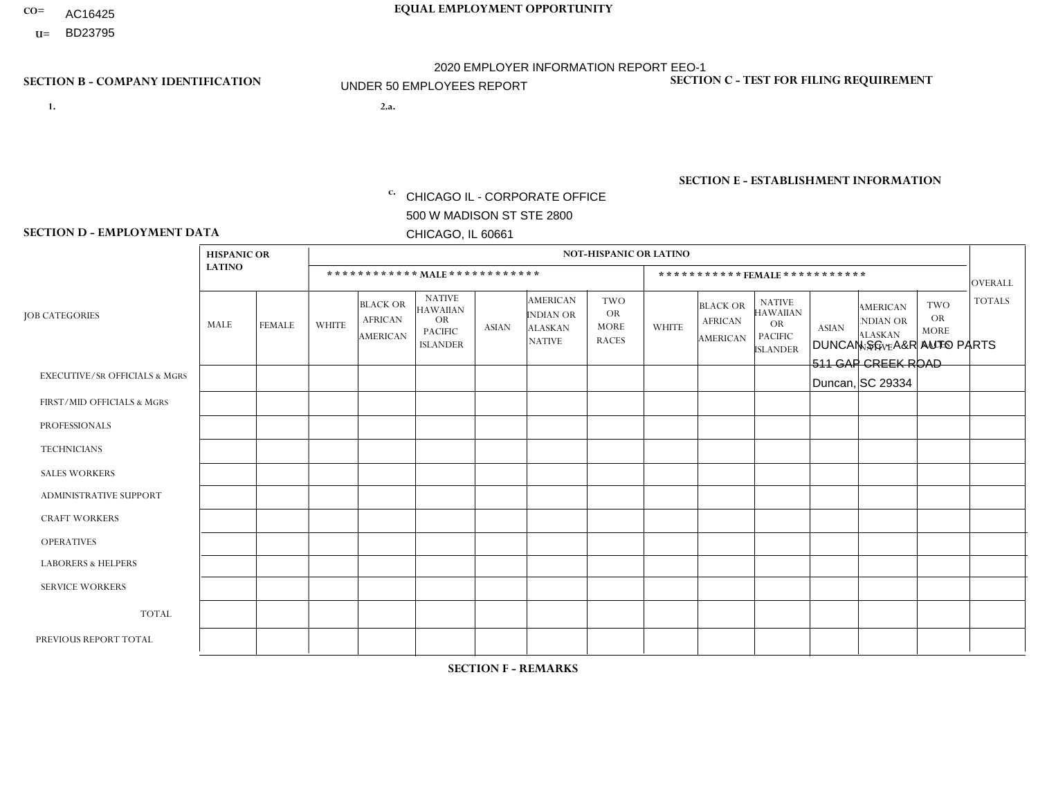- AC16425
- **U=**

**1. 2.a.** CHICAGO IL - CORPORATE OFFICE 500 W MADISON ST STE 2800 CHICAGO, IL 60661

2.a. DUNCAN SC - A&R AUTO PARTS 511 GAP CREEK ROAD Duncan, SC 29334

EIN= 952920557

## **SECTION B - COMPANY IDENTIFICATION SECTION C - TEST FOR FILING REQUIREMENT**

1- Y 2- Y 3- N DUNS= 000123456

**SECTION E - ESTABLISHMENT INFORMATION c.** NAICS: 423140

### **SECTION D - EMPLOYMENT DATA**

|                                          | <b>HISPANIC OR</b> |               |                |                                                      |                                                                                    |              |                                                                        | <b>NOT-HISPANIC OR LATINO</b>                          |                      |                                                      |                                                                                    |              |                                                                       |                                                        |                |
|------------------------------------------|--------------------|---------------|----------------|------------------------------------------------------|------------------------------------------------------------------------------------|--------------|------------------------------------------------------------------------|--------------------------------------------------------|----------------------|------------------------------------------------------|------------------------------------------------------------------------------------|--------------|-----------------------------------------------------------------------|--------------------------------------------------------|----------------|
|                                          | <b>LATINO</b>      |               |                |                                                      |                                                                                    |              |                                                                        |                                                        |                      |                                                      | *********** FEMALE ***********                                                     |              |                                                                       |                                                        | <b>OVERALL</b> |
| <b>JOB CATEGORIES</b>                    | MALE               | <b>FEMALE</b> | <b>WHITE</b>   | <b>BLACK OR</b><br><b>AFRICAN</b><br><b>AMERICAN</b> | <b>NATIVE</b><br><b>HAWAIIAN</b><br><b>OR</b><br><b>PACIFIC</b><br><b>ISLANDER</b> | <b>ASIAN</b> | <b>AMERICAN</b><br><b>INDIAN OR</b><br><b>ALASKAN</b><br><b>NATIVE</b> | <b>TWO</b><br><b>OR</b><br><b>MORE</b><br><b>RACES</b> | <b>WHITE</b>         | <b>BLACK OR</b><br><b>AFRICAN</b><br><b>AMERICAN</b> | <b>NATIVE</b><br><b>HAWAIIAN</b><br><b>OR</b><br><b>PACIFIC</b><br><b>ISLANDER</b> | <b>ASIAN</b> | <b>AMERICAN</b><br><b>NDIAN OR</b><br><b>ALASKAN</b><br><b>NATIVE</b> | <b>TWO</b><br><b>OR</b><br><b>MORE</b><br><b>RACES</b> | <b>TOTALS</b>  |
| <b>EXECUTIVE/SR OFFICIALS &amp; MGRS</b> | $\mathbf{0}$       | $\mathbf 0$   | $\Omega$       | 0                                                    | $\Omega$                                                                           | $\Omega$     | $\Omega$                                                               | 0                                                      | $\Omega$             | $\Omega$                                             | $\Omega$                                                                           | $\Omega$     | $\Omega$                                                              | $\Omega$                                               | $\Omega$       |
| FIRST/MID OFFICIALS & MGRS               | $\mathbf{0}$       | $\mathbf 0$   | 6              | 0                                                    | $\Omega$                                                                           | $\mathbf{0}$ | $\Omega$                                                               | 0                                                      | 1                    | $\mathbf{0}$                                         | $\Omega$                                                                           | $\mathbf 0$  | $\Omega$                                                              | $\Omega$                                               | $\overline{7}$ |
| <b>PROFESSIONALS</b>                     | $\mathbf 0$        | $\mathbf 0$   | $\Omega$       | 0                                                    | $\Omega$                                                                           | $\Omega$     | $\Omega$                                                               | 0                                                      | $\Omega$             | $\Omega$                                             | $\Omega$                                                                           | $\mathbf 0$  | 0                                                                     | $\Omega$                                               | $\mathbf 0$    |
| <b>TECHNICIANS</b>                       | $\mathbf{0}$       | $\mathbf{0}$  | $\Omega$       | 0                                                    | $\Omega$                                                                           | $\Omega$     | $\Omega$                                                               | 0                                                      | $\Omega$             | $\Omega$                                             | $\Omega$                                                                           | $\Omega$     | $\Omega$                                                              | $\Omega$                                               | $\Omega$       |
| <b>SALES WORKERS</b>                     | $\mathbf{0}$       | $\mathbf 0$   | $\overline{4}$ | 0                                                    | $\Omega$                                                                           | $\Omega$     | $\Omega$                                                               | 0                                                      | $\Omega$             | $\Omega$                                             | $\Omega$                                                                           | $\Omega$     | $\Omega$                                                              | $\Omega$                                               | 4              |
| <b>ADMINISTRATIVE SUPPORT</b>            | $\mathbf{0}$       | $\mathbf 0$   | $\overline{4}$ | 0                                                    | $\Omega$                                                                           | $\mathbf{0}$ | $\Omega$                                                               | 0                                                      | $\blacktriangleleft$ | $\mathbf{0}$                                         | $\Omega$                                                                           | $\Omega$     | $\Omega$                                                              | $\Omega$                                               | 5              |
| <b>CRAFT WORKERS</b>                     | 3                  | $\mathbf 0$   | 3              | 0                                                    | $\mathbf 0$                                                                        | $\Omega$     | $\Omega$                                                               | 0                                                      | $\Omega$             | $\mathbf{0}$                                         | $\Omega$                                                                           | $\mathbf 0$  | 0                                                                     | $\mathbf 0$                                            | 6              |
| <b>OPERATIVES</b>                        | 2                  | $\mathbf{0}$  | 16             | 3                                                    | $\Omega$                                                                           | $\Omega$     | $\Omega$                                                               |                                                        | $\Omega$             | $\mathbf{0}$                                         | $\Omega$                                                                           | $\mathbf 0$  | 0                                                                     | $\Omega$                                               | 22             |
| <b>LABORERS &amp; HELPERS</b>            | $\mathbf 0$        | $\mathbf{0}$  | 3              | 0                                                    | $\Omega$                                                                           | $\Omega$     | $\Omega$                                                               | $\Omega$                                               | $\Omega$             | $\Omega$                                             | $\Omega$                                                                           | $\Omega$     | $\Omega$                                                              | $\Omega$                                               | 3              |
| <b>SERVICE WORKERS</b>                   | $\mathbf 0$        | $\mathbf{0}$  | $\mathbf 0$    | 0                                                    | $\mathbf 0$                                                                        | $\Omega$     | $\Omega$                                                               | 0                                                      | $\Omega$             | $\Omega$                                             | $\Omega$                                                                           | $\mathbf 0$  | $\Omega$                                                              | $\mathbf 0$                                            | $\mathbf 0$    |
| <b>TOTAL</b>                             | 5                  | $\mathbf 0$   | 36             | 3                                                    | 0                                                                                  | $\Omega$     | $\Omega$                                                               |                                                        | $\overline{2}$       | $\Omega$                                             | $\Omega$                                                                           | 0            | 0                                                                     | $\mathbf{0}$                                           | 47             |
| PREVIOUS REPORT TOTAL                    | 6                  | $\Omega$      | 44             | 4                                                    | $\Omega$                                                                           | $\Omega$     | $\Omega$                                                               | $\overline{2}$                                         | 5                    | $\Omega$                                             | $\Omega$                                                                           | $\mathbf 0$  | $\Omega$                                                              | $\Omega$                                               | 61             |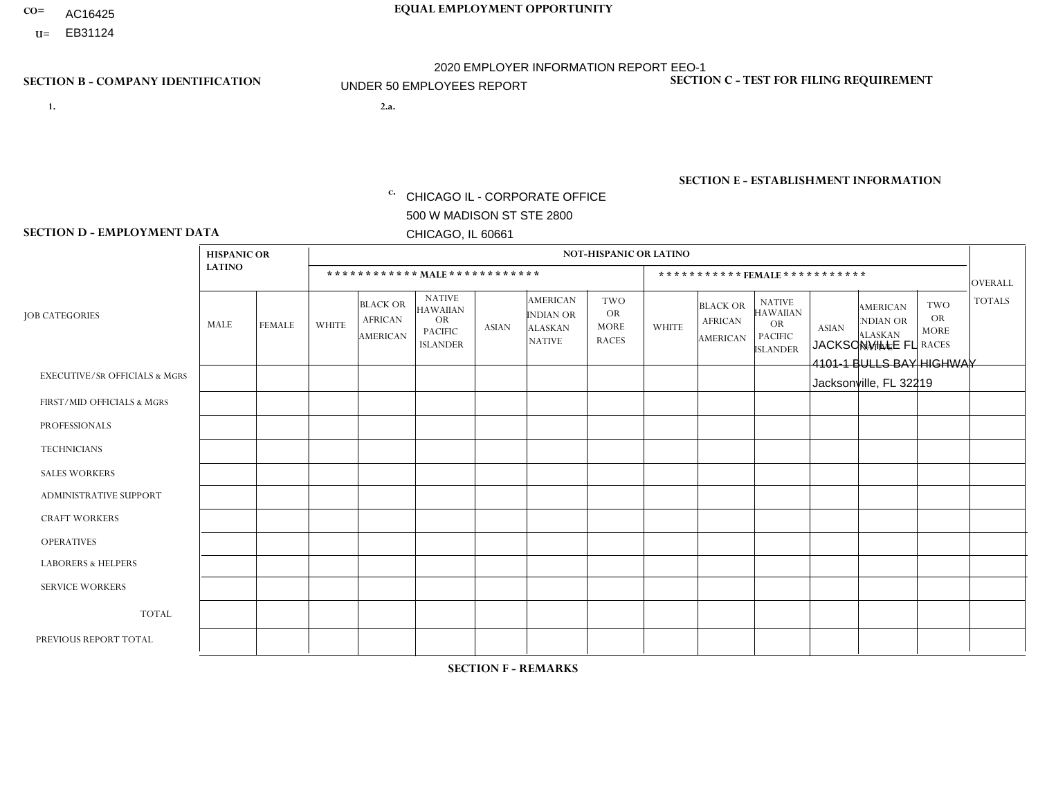- AC16425
- **U=**

- **1. 2.a.** CHICAGO IL CORPORATE OFFICE 500 W MADISON ST STE 2800 CHICAGO, IL 60661
- 2.a. JACKSONVILLE FL 4101-1 BULLS BAY HIGHWAY Jacksonville, FL 32219

EIN= 952920557

## **SECTION B - COMPANY IDENTIFICATION SECTION C - TEST FOR FILING REQUIREMENT**

1- Y 2- Y 3- N DUNS= 000123456

**SECTION E - ESTABLISHMENT INFORMATION c.** NAICS: 423140

### **SECTION D - EMPLOYMENT DATA**

|                                          | <b>HISPANIC OR</b> |               |                |                                                      |                                                                                    |              |                                                                 | <b>NOT-HISPANIC OR LATINO</b>                          |              |                                               |                                                                             |              |                                                                       |                                                        |                |
|------------------------------------------|--------------------|---------------|----------------|------------------------------------------------------|------------------------------------------------------------------------------------|--------------|-----------------------------------------------------------------|--------------------------------------------------------|--------------|-----------------------------------------------|-----------------------------------------------------------------------------|--------------|-----------------------------------------------------------------------|--------------------------------------------------------|----------------|
|                                          | <b>LATINO</b>      |               |                | ************ MALE ************                       |                                                                                    |              |                                                                 |                                                        |              |                                               | *********** FEMALE ***********                                              |              |                                                                       |                                                        | <b>OVERALL</b> |
| <b>JOB CATEGORIES</b>                    | MALE               | <b>FEMALE</b> | <b>WHITE</b>   | <b>BLACK OR</b><br><b>AFRICAN</b><br><b>AMERICAN</b> | <b>NATIVE</b><br><b>HAWAIIAN</b><br><b>OR</b><br><b>PACIFIC</b><br><b>ISLANDER</b> | <b>ASIAN</b> | <b>AMERICAN</b><br>INDIAN OR<br><b>ALASKAN</b><br><b>NATIVE</b> | <b>TWO</b><br><b>OR</b><br><b>MORE</b><br><b>RACES</b> | <b>WHITE</b> | <b>BLACK OR</b><br><b>AFRICAN</b><br>AMERICAN | <b>NATIVE</b><br><b>HAWAIIAN</b><br>OR<br><b>PACIFIC</b><br><b>ISLANDER</b> | <b>ASIAN</b> | <b>AMERICAN</b><br><b>NDIAN OR</b><br><b>ALASKAN</b><br><b>NATIVE</b> | <b>TWO</b><br><b>OR</b><br><b>MORE</b><br><b>RACES</b> | <b>TOTALS</b>  |
| <b>EXECUTIVE/SR OFFICIALS &amp; MGRS</b> | $\Omega$           | $\Omega$      | $\Omega$       | $\mathbf 0$                                          | $\Omega$                                                                           | $\Omega$     | $\Omega$                                                        | $\Omega$                                               | $\Omega$     | $\Omega$                                      | $\Omega$                                                                    | $\mathbf 0$  | $\Omega$                                                              | $\Omega$                                               | $\mathbf 0$    |
| FIRST/MID OFFICIALS & MGRS               | $\Omega$           | $\Omega$      | $\overline{c}$ | $\mathbf 0$                                          | $\Omega$                                                                           | $\Omega$     | $\Omega$                                                        | $\Omega$                                               | $\Omega$     | $\overline{1}$                                | $\Omega$                                                                    | $\Omega$     | $\Omega$                                                              | $\Omega$                                               | 3              |
| <b>PROFESSIONALS</b>                     | $\Omega$           | $\Omega$      | $\Omega$       | $\Omega$                                             | $\Omega$                                                                           | $\Omega$     | $\Omega$                                                        | $\Omega$                                               | 1            | $\Omega$                                      | 0                                                                           | $\Omega$     | $\Omega$                                                              | $\Omega$                                               | $\mathbf{1}$   |
| <b>TECHNICIANS</b>                       | $\Omega$           | $\Omega$      | $\Omega$       | $\mathbf 0$                                          | $\Omega$                                                                           | $\Omega$     | $\Omega$                                                        | $\Omega$                                               | $\Omega$     | $\Omega$                                      | 0                                                                           | 0            | $\Omega$                                                              | 0                                                      | $\mathbf{0}$   |
| <b>SALES WORKERS</b>                     | $\Omega$           | $\Omega$      | 5              | $\overline{1}$                                       | $\Omega$                                                                           | $\Omega$     | $\Omega$                                                        | $\Omega$                                               | 3            | $\Omega$                                      | $\overline{0}$                                                              | $\Omega$     | $\Omega$                                                              | $\Omega$                                               | 9              |
| ADMINISTRATIVE SUPPORT                   | $\Omega$           | $\Omega$      | $\mathbf{0}$   | $\Omega$                                             | $\Omega$                                                                           | $\Omega$     | $\Omega$                                                        | $\Omega$                                               | 1            | $\Omega$                                      | 0                                                                           | $\Omega$     | $\Omega$                                                              | $\Omega$                                               | $\mathbf{1}$   |
| <b>CRAFT WORKERS</b>                     | $\Omega$           | $\Omega$      | $\Omega$       | $\mathbf 0$                                          | $\Omega$                                                                           | $\Omega$     | $\Omega$                                                        | $\Omega$                                               | $\Omega$     | $\Omega$                                      | $\Omega$                                                                    | $\Omega$     | $\Omega$                                                              | $\Omega$                                               | $\Omega$       |
| <b>OPERATIVES</b>                        | 2                  | $\Omega$      | 12             | 5                                                    | $\Omega$                                                                           | $\Omega$     | $\Omega$                                                        | $\Omega$                                               | $\Omega$     | $\Omega$                                      | $\Omega$                                                                    | $\Omega$     | $\Omega$                                                              | $\Omega$                                               | 19             |
| <b>LABORERS &amp; HELPERS</b>            | $\Omega$           | $\Omega$      | 4              | 3                                                    | $\Omega$                                                                           | $\Omega$     | $\Omega$                                                        | $\Omega$                                               | $\Omega$     | $\Omega$                                      | 0                                                                           | $\Omega$     | $\Omega$                                                              | $\Omega$                                               | $\overline{7}$ |
| <b>SERVICE WORKERS</b>                   | $\Omega$           | $\mathbf 0$   | 0              | $\mathbf 0$                                          | $\mathbf 0$                                                                        | $\mathbf 0$  | $\Omega$                                                        | $\Omega$                                               | $\Omega$     | $\Omega$                                      | $\mathbf 0$                                                                 | $\mathbf 0$  | $\Omega$                                                              | $\mathbf 0$                                            | $\mathbf 0$    |
| <b>TOTAL</b>                             | $\overline{c}$     | 0             | 23             | 9                                                    | $\mathbf 0$                                                                        | 0            | $\Omega$                                                        | $\Omega$                                               | 5            | $\mathbf{1}$                                  | 0                                                                           | $\mathbf 0$  | $\Omega$                                                              | $\mathbf 0$                                            | 40             |
| PREVIOUS REPORT TOTAL                    | 2                  | $\Omega$      | 31             | 12                                                   | $\mathbf 0$                                                                        | $\Omega$     | $\Omega$                                                        |                                                        | 8            | $\mathbf{1}$                                  | 0                                                                           | $\Omega$     | $\Omega$                                                              | $\mathbf 0$                                            | 55             |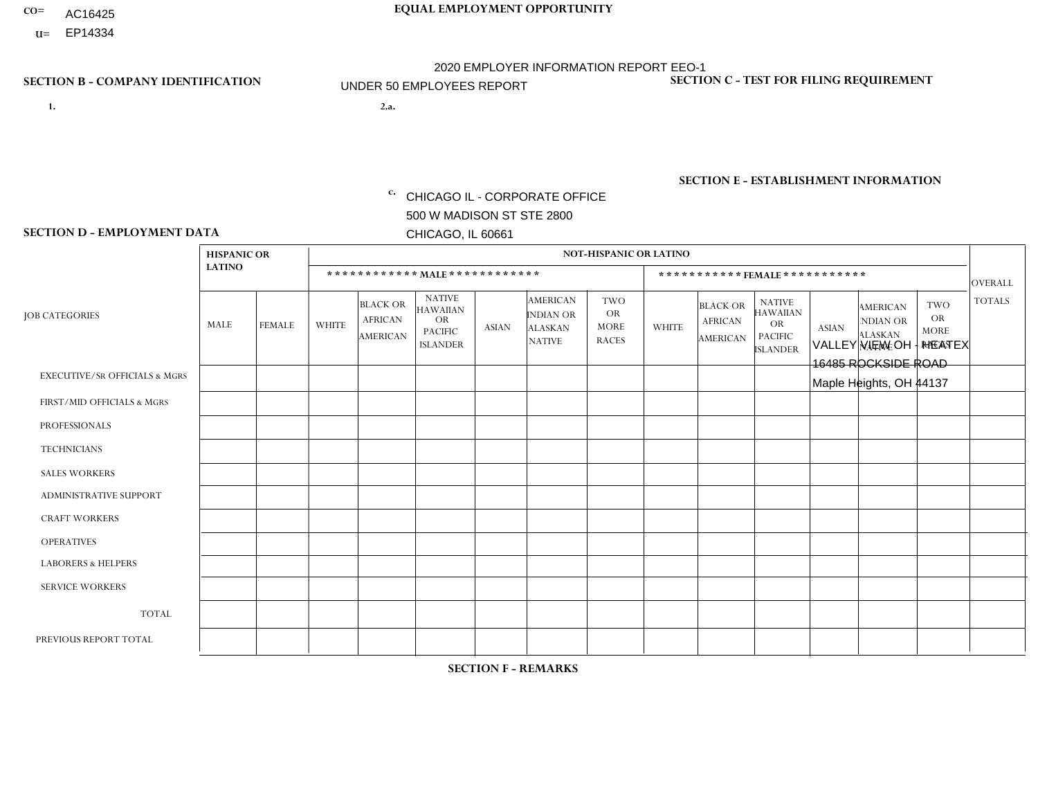- AC16425
- **U=**

**1. 2.a.** CHICAGO IL - CORPORATE OFFICE 500 W MADISON ST STE 2800 CHICAGO, IL 60661

2.a. VALLEY VIEW OH - HEATEX 16485 ROCKSIDE ROAD Maple Heights, OH 44137

EIN= 952920557

## **SECTION B - COMPANY IDENTIFICATION SECTION C - TEST FOR FILING REQUIREMENT**

1- Y 2- Y 3- N DUNS= 000123456

**SECTION E - ESTABLISHMENT INFORMATION c.** NAICS: 423140

### **SECTION D - EMPLOYMENT DATA**

|                                          | <b>HISPANIC OR</b> |                      |                |                                                      |                                                                                    |              |                                                                        | <b>NOT-HISPANIC OR LATINO</b>                          |                |                                                      |                                                                                    |              |                                                                       |                                                        |                |
|------------------------------------------|--------------------|----------------------|----------------|------------------------------------------------------|------------------------------------------------------------------------------------|--------------|------------------------------------------------------------------------|--------------------------------------------------------|----------------|------------------------------------------------------|------------------------------------------------------------------------------------|--------------|-----------------------------------------------------------------------|--------------------------------------------------------|----------------|
|                                          | <b>LATINO</b>      |                      |                | ************ MALE ************                       |                                                                                    |              |                                                                        |                                                        |                |                                                      | *********** FEMALE ***********                                                     |              |                                                                       |                                                        | <b>OVERALL</b> |
| <b>JOB CATEGORIES</b>                    | MALE               | <b>FEMALE</b>        | <b>WHITE</b>   | <b>BLACK OR</b><br><b>AFRICAN</b><br><b>AMERICAN</b> | <b>NATIVE</b><br><b>HAWAIIAN</b><br><b>OR</b><br><b>PACIFIC</b><br><b>ISLANDER</b> | <b>ASIAN</b> | <b>AMERICAN</b><br><b>INDIAN OR</b><br><b>ALASKAN</b><br><b>NATIVE</b> | <b>TWO</b><br><b>OR</b><br><b>MORE</b><br><b>RACES</b> | <b>WHITE</b>   | <b>BLACK OR</b><br><b>AFRICAN</b><br><b>AMERICAN</b> | <b>NATIVE</b><br><b>HAWAIIAN</b><br><b>OR</b><br><b>PACIFIC</b><br><b>ISLANDER</b> | <b>ASIAN</b> | <b>AMERICAN</b><br><b>NDIAN OR</b><br><b>ALASKAN</b><br><b>NATIVE</b> | <b>TWO</b><br><b>OR</b><br><b>MORE</b><br><b>RACES</b> | <b>TOTALS</b>  |
| <b>EXECUTIVE/SR OFFICIALS &amp; MGRS</b> | $\Omega$           | $\Omega$             | $\Omega$       | $\Omega$                                             | $\Omega$                                                                           | $\Omega$     | $\Omega$                                                               | 0                                                      | $\Omega$       | $\mathbf{0}$                                         | $\mathbf{0}$                                                                       | $\Omega$     | $\Omega$                                                              | $\Omega$                                               | $\Omega$       |
| FIRST/MID OFFICIALS & MGRS               | $\Omega$           | $\mathbf 0$          | 5              | $\mathbf 0$                                          | 0                                                                                  | $\mathbf 0$  | $\overline{0}$                                                         | $\Omega$                                               | $\Omega$       | $\Omega$                                             | $\mathbf{0}$                                                                       | $\mathbf 0$  | $\Omega$                                                              | $\Omega$                                               | 5              |
| <b>PROFESSIONALS</b>                     | $\Omega$           | $\Omega$             | $\Omega$       | $\mathbf 0$                                          | $\Omega$                                                                           | $\Omega$     | $\Omega$                                                               | $\Omega$                                               | $\Omega$       | $\Omega$                                             | $\Omega$                                                                           | $\Omega$     | $\Omega$                                                              | $\Omega$                                               | $\mathbf 0$    |
| <b>TECHNICIANS</b>                       | $\mathbf 0$        | $\mathbf 0$          | $\Omega$       | $\mathbf 0$                                          | 0                                                                                  | $\Omega$     | $\overline{0}$                                                         | $\Omega$                                               | $\mathbf 0$    | $\mathbf 0$                                          | $\mathbf 0$                                                                        | $\mathbf 0$  | $\Omega$                                                              | $\mathbf{0}$                                           | $\mathbf 0$    |
| <b>SALES WORKERS</b>                     | -1                 | $\mathbf 0$          | 4              | $\Omega$                                             | 0                                                                                  | $\Omega$     | $\Omega$                                                               |                                                        | $\Omega$       | $\Omega$                                             | $\Omega$                                                                           | $\Omega$     | $\Omega$                                                              | $\mathbf{0}$                                           | 6              |
| <b>ADMINISTRATIVE SUPPORT</b>            | $\Omega$           | $\Omega$             | $\Omega$       | $\mathbf 0$                                          | $\Omega$                                                                           | $\Omega$     | $\Omega$                                                               | $\Omega$                                               | 1              | $\mathbf{0}$                                         | $\mathbf{0}$                                                                       | $\Omega$     | $\Omega$                                                              | $\Omega$                                               | $\mathbf{1}$   |
| <b>CRAFT WORKERS</b>                     | $\Omega$           | 0                    | 0              | $\mathbf 0$                                          | 0                                                                                  | $\mathbf 0$  | $\Omega$                                                               | $\Omega$                                               | $\Omega$       | $\Omega$                                             | $\mathbf{0}$                                                                       | $\Omega$     | $\Omega$                                                              | $\Omega$                                               | $\mathbf 0$    |
| <b>OPERATIVES</b>                        |                    | $\Omega$             | 8              | $\overline{2}$                                       | $\Omega$                                                                           | $\Omega$     | $\overline{0}$                                                         | $\Omega$                                               | $\Omega$       | $\Omega$                                             | $\Omega$                                                                           | $\Omega$     | $\Omega$                                                              | $\Omega$                                               | 11             |
| <b>LABORERS &amp; HELPERS</b>            | $\overline{2}$     | $\blacktriangleleft$ | $\overline{7}$ | 2                                                    | $\mathbf 0$                                                                        | $\Omega$     | $\Omega$                                                               |                                                        | $\Omega$       | $\Omega$                                             | $\Omega$                                                                           | $\Omega$     | $\Omega$                                                              | $\Omega$                                               | 13             |
| <b>SERVICE WORKERS</b>                   | 0                  | $\mathbf 0$          | 0              | 0                                                    | 0                                                                                  | $\Omega$     | $\Omega$                                                               | $\Omega$                                               | $\Omega$       | $\Omega$                                             | $\Omega$                                                                           | $\Omega$     | $\Omega$                                                              | $\mathbf 0$                                            | $\mathbf 0$    |
| <b>TOTAL</b>                             | 4                  | $\overline{1}$       | 24             | $\overline{4}$                                       | 0                                                                                  | $\mathbf 0$  | 0                                                                      | 2                                                      | 1              | $\mathbf 0$                                          | $\mathbf 0$                                                                        | $\mathbf 0$  | $\Omega$                                                              | $\mathbf 0$                                            | 36             |
| PREVIOUS REPORT TOTAL                    | 9                  | $\blacktriangleleft$ | 31             | 8                                                    | 0                                                                                  | $\Omega$     | 0                                                                      | 2                                                      | $\overline{2}$ | $\mathbf{0}$                                         | $\mathbf{0}$                                                                       | $\Omega$     | $\Omega$                                                              | $\overline{2}$                                         | 55             |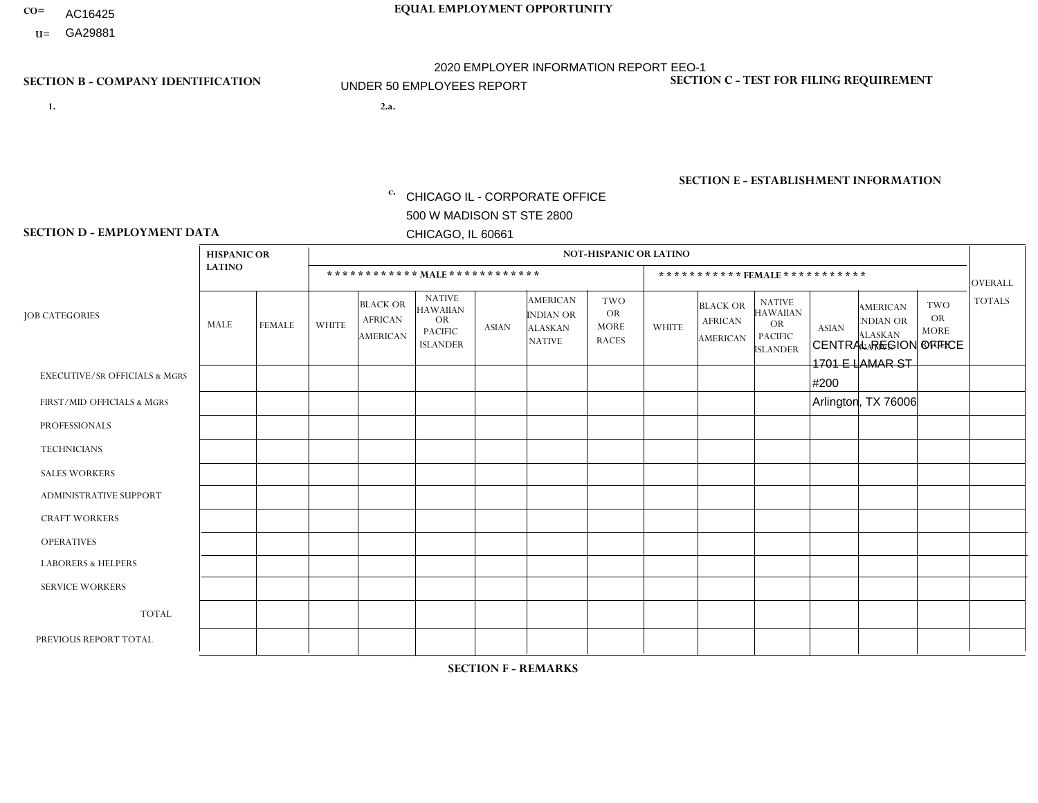- AC16425
- **U=**

- **1. 2.a.** CHICAGO IL CORPORATE OFFICE 500 W MADISON ST STE 2800 CHICAGO, IL 60661
- 2.a. CENTRAL REGION OFFICE 1701 E LAMAR ST #200 Arlington, TX 76006
	- c. EIN= 952920557

## **SECTION B - COMPANY IDENTIFICATION SECTION C - TEST FOR FILING REQUIREMENT**

1- Y 2- Y 3- N DUNS= 000123456

**SECTION E - ESTABLISHMENT INFORMATION c.** NAICS: 423140

### **SECTION D - EMPLOYMENT DATA**

|                                          | <b>HISPANIC OR</b><br><b>LATINO</b> |                | <b>NOT-HISPANIC OR LATINO</b> |                                                      |                                                                                    |              |                                                                        |                                                        |                              |                                               |                                                                                    |              |                                                                       |                                                        |                |
|------------------------------------------|-------------------------------------|----------------|-------------------------------|------------------------------------------------------|------------------------------------------------------------------------------------|--------------|------------------------------------------------------------------------|--------------------------------------------------------|------------------------------|-----------------------------------------------|------------------------------------------------------------------------------------|--------------|-----------------------------------------------------------------------|--------------------------------------------------------|----------------|
|                                          |                                     |                | ************ MAIE************ |                                                      |                                                                                    |              |                                                                        |                                                        | ***********FEMALE*********** |                                               |                                                                                    |              |                                                                       |                                                        | <b>OVERALL</b> |
| <b>JOB CATEGORIES</b>                    | MALE                                | <b>FEMALE</b>  | <b>WHITE</b>                  | <b>BLACK OR</b><br><b>AFRICAN</b><br><b>AMERICAN</b> | <b>NATIVE</b><br><b>HAWAIIAN</b><br><b>OR</b><br><b>PACIFIC</b><br><b>ISLANDER</b> | <b>ASIAN</b> | <b>AMERICAN</b><br><b>INDIAN OR</b><br><b>ALASKAN</b><br><b>NATIVE</b> | <b>TWO</b><br><b>OR</b><br><b>MORE</b><br><b>RACES</b> | <b>WHITE</b>                 | <b>BLACK OR</b><br><b>AFRICAN</b><br>AMERICAN | <b>NATIVE</b><br><b>HAWAIIAN</b><br><b>OR</b><br><b>PACIFIC</b><br><b>ISLANDER</b> | <b>ASIAN</b> | <b>AMERICAN</b><br><b>NDIAN OR</b><br><b>ALASKAN</b><br><b>NATIVE</b> | <b>TWO</b><br><b>OR</b><br><b>MORE</b><br><b>RACES</b> | <b>TOTALS</b>  |
| <b>EXECUTIVE/SR OFFICIALS &amp; MGRS</b> | $\Omega$                            | $\mathbf 0$    | 0                             | 0                                                    | 0                                                                                  | $\mathbf 0$  | $\Omega$                                                               | $\Omega$                                               | $\Omega$                     | $\mathbf{0}$                                  | $\Omega$                                                                           | $\Omega$     | $\Omega$                                                              | $\Omega$                                               | $\mathbf 0$    |
| FIRST/MID OFFICIALS & MGRS               | 0                                   | $\mathbf 0$    | $\Omega$                      | 0                                                    | 0                                                                                  | $\mathbf{0}$ | $\Omega$                                                               | $\Omega$                                               | 0                            | $\Omega$                                      | $\mathbf{0}$                                                                       | $\mathbf 0$  | $\Omega$                                                              | $\Omega$                                               | 0              |
| <b>PROFESSIONALS</b>                     | $\Omega$                            | $\Omega$       | $\Omega$                      | $\mathbf{0}$                                         | 0                                                                                  | $\Omega$     | $\Omega$                                                               | $\Omega$                                               | $\mathbf{1}$                 | $\Omega$                                      | $\mathbf{0}$                                                                       | $\Omega$     | $\Omega$                                                              | $\Omega$                                               | $\mathbf{1}$   |
| <b>TECHNICIANS</b>                       | 0                                   | $\Omega$       | $\Omega$                      | $\mathbf 0$                                          | $\mathbf{0}$                                                                       | $\Omega$     | $\overline{0}$                                                         | $\Omega$                                               | $\Omega$                     | $\Omega$                                      | $\mathbf{0}$                                                                       | $\Omega$     | $\mathbf{0}$                                                          | $\Omega$                                               | 0              |
| <b>SALES WORKERS</b>                     | $\Omega$                            | $\Omega$       | $\Omega$                      | $\mathbf 0$                                          | $\overline{0}$                                                                     | $\Omega$     | $\Omega$                                                               | $\Omega$                                               | $\Omega$                     | $\Omega$                                      | $\Omega$                                                                           | $\Omega$     | $\Omega$                                                              | $\Omega$                                               | $\mathbf 0$    |
| <b>ADMINISTRATIVE SUPPORT</b>            | $\Omega$                            | $\overline{4}$ | 1                             | $\mathbf 0$                                          | $\mathbf 0$                                                                        | $\Omega$     | $\Omega$                                                               | $\Omega$                                               | 12                           | $\Omega$                                      | $\Omega$                                                                           | $\mathbf 0$  | $\mathbf{0}$                                                          | $\Omega$                                               | 17             |
| <b>CRAFT WORKERS</b>                     | $\Omega$                            | $\Omega$       | $\Omega$                      | $\Omega$                                             | $\overline{0}$                                                                     | $\Omega$     | $\Omega$                                                               | $\Omega$                                               | $\Omega$                     | $\Omega$                                      | $\Omega$                                                                           | $\Omega$     | $\Omega$                                                              | $\mathbf{0}$                                           | $\mathbf 0$    |
| <b>OPERATIVES</b>                        | $\Omega$                            | $\Omega$       | $\mathbf{0}$                  | $\Omega$                                             | $\Omega$                                                                           | $\Omega$     | $\Omega$                                                               | $\Omega$                                               | $\Omega$                     | $\Omega$                                      | $\Omega$                                                                           | $\Omega$     | $\mathbf{0}$                                                          | $\Omega$                                               | $\mathbf 0$    |
| <b>LABORERS &amp; HELPERS</b>            | $\Omega$                            | $\Omega$       | 0                             | 0                                                    | 0                                                                                  | $\mathbf 0$  | $\Omega$                                                               | $\Omega$                                               | $\Omega$                     | $\Omega$                                      | $\Omega$                                                                           | $\Omega$     | $\Omega$                                                              | $\Omega$                                               | 0              |
| <b>SERVICE WORKERS</b>                   | 0                                   | $\mathbf 0$    | 0                             | $\mathbf 0$                                          | $\mathbf 0$                                                                        | $\mathbf 0$  | $\Omega$                                                               | $\Omega$                                               | $\Omega$                     | $\Omega$                                      | $\Omega$                                                                           | $\mathbf 0$  | $\Omega$                                                              | $\mathbf 0$                                            | 0              |
| <b>TOTAL</b>                             | $\Omega$                            | $\overline{4}$ | -1                            | $\mathbf 0$                                          | 0                                                                                  | $\Omega$     | $\Omega$                                                               | $\Omega$                                               | 13                           | $\Omega$                                      | $\Omega$                                                                           | $\Omega$     | $\Omega$                                                              | $\Omega$                                               | 18             |
| PREVIOUS REPORT TOTAL                    |                                     |                |                               |                                                      |                                                                                    |              |                                                                        |                                                        |                              |                                               |                                                                                    |              |                                                                       |                                                        |                |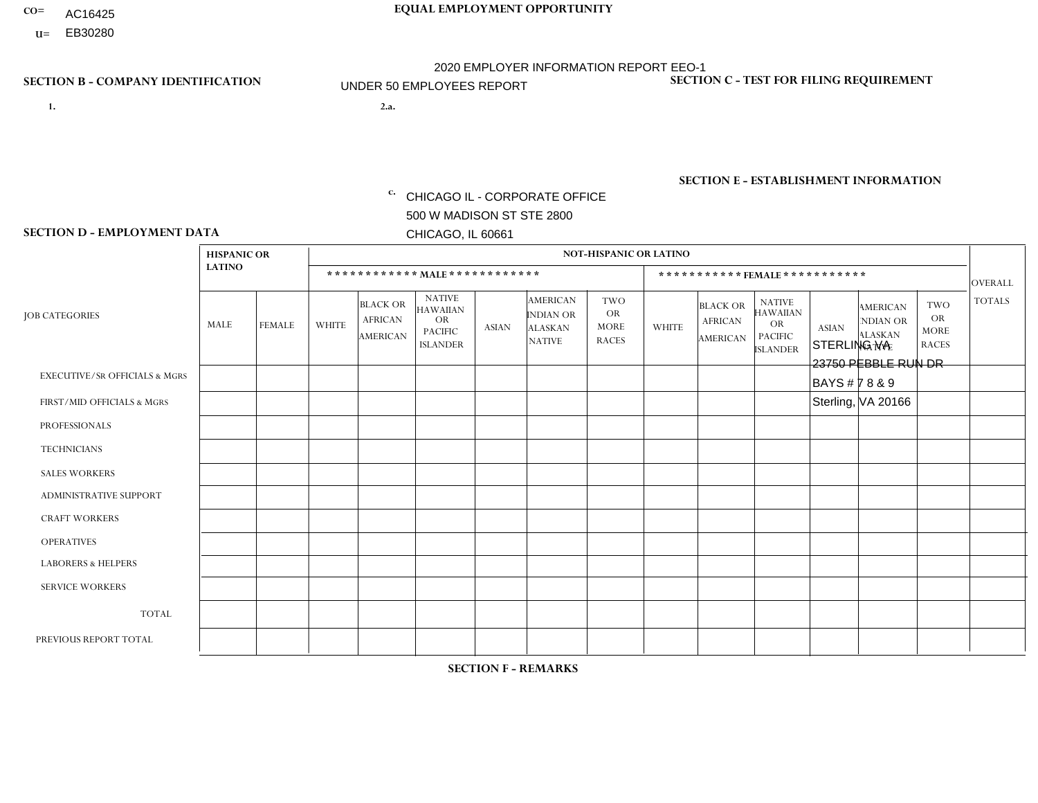- AC16425
- **U=**

- **1. 2.a.** CHICAGO IL CORPORATE OFFICE 500 W MADISON ST STE 2800 CHICAGO, IL 60661
- 2.a. STERLING VA 23750 PEBBLE RUN DR BAYS # 7 8 & 9 Sterling, VA 20166
	- EIN= 952920557

## **SECTION B - COMPANY IDENTIFICATION SECTION C - TEST FOR FILING REQUIREMENT**

1- Y 2- Y 3- N DUNS= 000123456

**SECTION E - ESTABLISHMENT INFORMATION c.** NAICS: 423140

### **SECTION D - EMPLOYMENT DATA**

|                                          | <b>HISPANIC OR</b> |               |                |                                                      |                                                                                    |                |                                                                        | <b>NOT-HISPANIC OR LATINO</b>                          |                |                                                      |                                                                             |              |                                                                       |                                                        |                |
|------------------------------------------|--------------------|---------------|----------------|------------------------------------------------------|------------------------------------------------------------------------------------|----------------|------------------------------------------------------------------------|--------------------------------------------------------|----------------|------------------------------------------------------|-----------------------------------------------------------------------------|--------------|-----------------------------------------------------------------------|--------------------------------------------------------|----------------|
|                                          | <b>LATINO</b>      |               |                |                                                      | ************ MALE ************                                                     |                |                                                                        |                                                        |                | ***********FEMALE ***********                        |                                                                             |              |                                                                       |                                                        | <b>OVERALL</b> |
| <b>JOB CATEGORIES</b>                    | MALE               | <b>FEMALE</b> | <b>WHITE</b>   | <b>BLACK OR</b><br><b>AFRICAN</b><br><b>AMERICAN</b> | <b>NATIVE</b><br><b>HAWAIIAN</b><br><b>OR</b><br><b>PACIFIC</b><br><b>ISLANDER</b> | <b>ASIAN</b>   | <b>AMERICAN</b><br><b>INDIAN OR</b><br><b>ALASKAN</b><br><b>NATIVE</b> | <b>TWO</b><br><b>OR</b><br><b>MORE</b><br><b>RACES</b> | <b>WHITE</b>   | <b>BLACK OR</b><br><b>AFRICAN</b><br><b>AMERICAN</b> | <b>NATIVE</b><br><b>HAWAIIAN</b><br>OR<br><b>PACIFIC</b><br><b>ISLANDER</b> | <b>ASIAN</b> | <b>AMERICAN</b><br><b>NDIAN OR</b><br><b>ALASKAN</b><br><b>NATIVE</b> | <b>TWO</b><br><b>OR</b><br><b>MORE</b><br><b>RACES</b> | <b>TOTALS</b>  |
| <b>EXECUTIVE/SR OFFICIALS &amp; MGRS</b> | $\mathbf 0$        | 0             | $\Omega$       | $\mathbf 0$                                          | $\Omega$                                                                           | $\mathbf{0}$   | $\Omega$                                                               | $\Omega$                                               | $\Omega$       | $\Omega$                                             | $\Omega$                                                                    | $\mathbf{0}$ | $\Omega$                                                              | $\mathbf 0$                                            | $\mathbf 0$    |
| FIRST/MID OFFICIALS & MGRS               | $\Omega$           | $\Omega$      | 1              | 0                                                    | $\Omega$                                                                           | $\mathbf{0}$   | $\Omega$                                                               | $\Omega$                                               | $\Omega$       | $\Omega$                                             | $\Omega$                                                                    | $\mathbf{0}$ | $\Omega$                                                              | $\Omega$                                               | $\mathbf{1}$   |
| <b>PROFESSIONALS</b>                     | $\mathbf 0$        | $\mathbf 0$   | $\mathbf 0$    | $\mathbf 0$                                          | $\mathbf 0$                                                                        | $\Omega$       | $\Omega$                                                               | $\Omega$                                               | $\Omega$       | $\Omega$                                             | 0                                                                           | $\mathbf 0$  | $\Omega$                                                              | $\mathbf 0$                                            | $\mathbf 0$    |
| <b>TECHNICIANS</b>                       | $\mathbf 0$        | 0             | $\mathbf 0$    | 0                                                    | $\Omega$                                                                           | $\Omega$       | $\Omega$                                                               | $\Omega$                                               | $\Omega$       | $\Omega$                                             | $\Omega$                                                                    | $\Omega$     | $\Omega$                                                              | $\mathbf 0$                                            | $\mathbf 0$    |
| <b>SALES WORKERS</b>                     | $\mathbf 0$        | $\mathbf 0$   | $\overline{c}$ | $\mathbf 0$                                          | $\Omega$                                                                           | $\Omega$       | $\Omega$                                                               | $\Omega$                                               | $\Omega$       | $\mathbf 0$                                          | $\Omega$                                                                    | $\mathbf 0$  | $\Omega$                                                              | $\mathbf 0$                                            | $\overline{2}$ |
| ADMINISTRATIVE SUPPORT                   | $\mathbf 0$        | 0             | $\Omega$       | $\Omega$                                             | $\Omega$                                                                           | $\Omega$       | $\Omega$                                                               | $\Omega$                                               | $\overline{2}$ | $\Omega$                                             | $\Omega$                                                                    | $\Omega$     | $\Omega$                                                              | $\Omega$                                               | $\overline{2}$ |
| <b>CRAFT WORKERS</b>                     | 0                  | $\mathbf 0$   | $\Omega$       | 0                                                    | $\Omega$                                                                           | $\mathbf{0}$   | $\Omega$                                                               | $\Omega$                                               | $\Omega$       | $\Omega$                                             | $\Omega$                                                                    | $\Omega$     | $\Omega$                                                              | $\Omega$                                               | $\mathbf 0$    |
| <b>OPERATIVES</b>                        | 6                  | $\Omega$      | $\overline{2}$ | 3                                                    | $\Omega$                                                                           | $\mathbf{1}$   | $\Omega$                                                               | $\Omega$                                               | $\Omega$       | $\Omega$                                             | $\Omega$                                                                    | $\mathbf{0}$ | $\Omega$                                                              | $\Omega$                                               | 12             |
| <b>LABORERS &amp; HELPERS</b>            | 0                  | 0             | $\mathbf 0$    | 3                                                    | $\Omega$                                                                           | $\overline{2}$ | $\Omega$                                                               | $\Omega$                                               | $\Omega$       | $\Omega$                                             | $\Omega$                                                                    | $\Omega$     | $\Omega$                                                              | $\Omega$                                               | 5              |
| <b>SERVICE WORKERS</b>                   | $\mathbf 0$        | $\Omega$      | $\Omega$       | $\mathbf 0$                                          | $\Omega$                                                                           | $\Omega$       | $\Omega$                                                               | $\Omega$                                               | $\Omega$       | $\Omega$                                             | $\Omega$                                                                    | $\Omega$     | $\Omega$                                                              | $\Omega$                                               | $\mathbf 0$    |
| <b>TOTAL</b>                             | 6                  | 0             | 5              | 6                                                    | $\Omega$                                                                           | 3              | $\Omega$                                                               | $\Omega$                                               | $\overline{2}$ | $\Omega$                                             | $\Omega$                                                                    | $\mathbf{0}$ | $\Omega$                                                              | $\mathbf 0$                                            | 22             |
| PREVIOUS REPORT TOTAL                    | 6                  | 0             | 10             | 9                                                    | $\mathbf 0$                                                                        | 3              | $\Omega$                                                               | $\overline{2}$                                         | 3              | $\mathbf 0$                                          | 0                                                                           | $\mathbf{0}$ | $\Omega$                                                              | 0                                                      | 33             |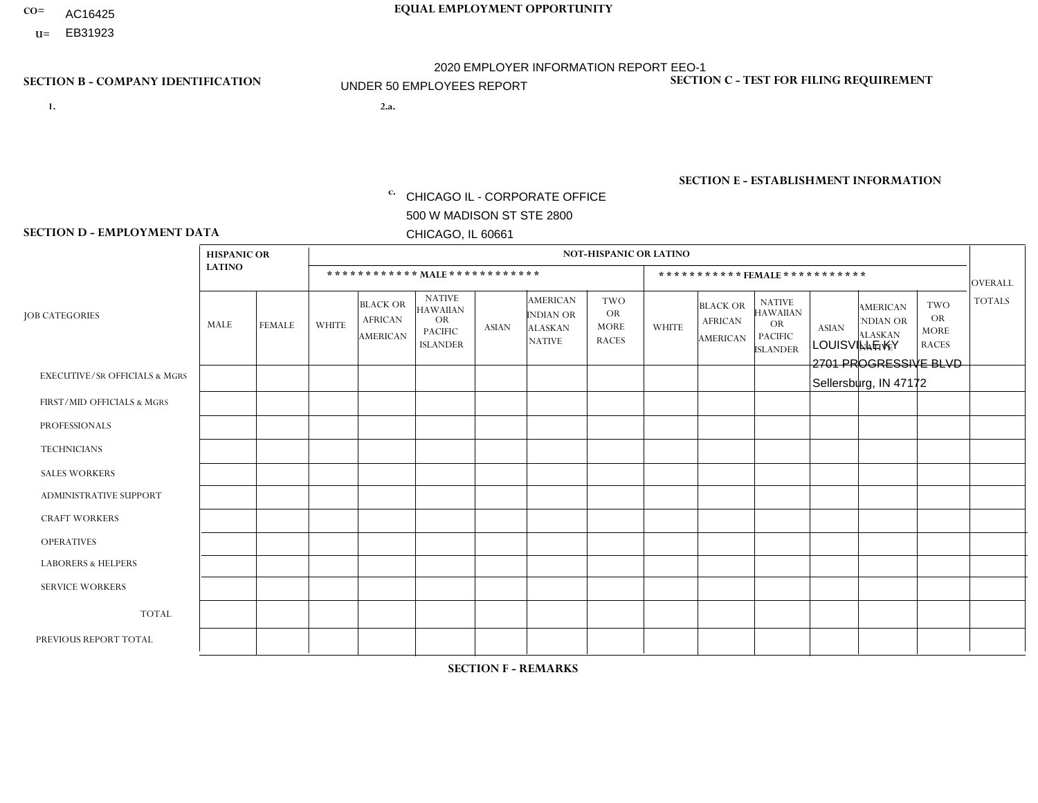- AC16425
- **U=**

- **1. 2.a.** CHICAGO IL CORPORATE OFFICE 500 W MADISON ST STE 2800 CHICAGO, IL 60661
- 2.a. LOUISVILLE KY 2701 PROGRESSIVE BLVD Sellersburg, IN 47172

EIN= 952920557

## **SECTION B - COMPANY IDENTIFICATION SECTION C - TEST FOR FILING REQUIREMENT**

1- Y 2- Y 3- N DUNS= 000123456

**SECTION E - ESTABLISHMENT INFORMATION c.** NAICS: 423140

### **SECTION D - EMPLOYMENT DATA**

|                                          | <b>HISPANIC OR</b> |                |              |                                                      |                                                                                    |              |                                                                        | <b>NOT-HISPANIC OR LATINO</b>                          |                |                                               |                                                                                    |              |                                                                       |                                                        |                |
|------------------------------------------|--------------------|----------------|--------------|------------------------------------------------------|------------------------------------------------------------------------------------|--------------|------------------------------------------------------------------------|--------------------------------------------------------|----------------|-----------------------------------------------|------------------------------------------------------------------------------------|--------------|-----------------------------------------------------------------------|--------------------------------------------------------|----------------|
|                                          | <b>LATINO</b>      |                |              |                                                      | ************ MALE ************                                                     |              |                                                                        |                                                        |                | ***********FEMALE***********                  |                                                                                    |              |                                                                       |                                                        | <b>OVERALL</b> |
| <b>JOB CATEGORIES</b>                    | MALE               | <b>FEMALE</b>  | <b>WHITE</b> | <b>BLACK OR</b><br><b>AFRICAN</b><br><b>AMERICAN</b> | <b>NATIVE</b><br><b>HAWAIIAN</b><br><b>OR</b><br><b>PACIFIC</b><br><b>ISLANDER</b> | ASIAN        | <b>AMERICAN</b><br><b>INDIAN OR</b><br><b>ALASKAN</b><br><b>NATIVE</b> | <b>TWO</b><br><b>OR</b><br><b>MORE</b><br><b>RACES</b> | <b>WHITE</b>   | <b>BLACK OR</b><br><b>AFRICAN</b><br>AMERICAN | <b>NATIVE</b><br><b>HAWAIIAN</b><br><b>OR</b><br><b>PACIFIC</b><br><b>ISLANDER</b> | <b>ASIAN</b> | <b>AMERICAN</b><br><b>NDIAN OR</b><br><b>ALASKAN</b><br><b>NATIVE</b> | <b>TWO</b><br><b>OR</b><br><b>MORE</b><br><b>RACES</b> | <b>TOTALS</b>  |
| <b>EXECUTIVE/SR OFFICIALS &amp; MGRS</b> | $\Omega$           | $\Omega$       | $\Omega$     | $\mathbf 0$                                          | $\Omega$                                                                           | $\mathbf{0}$ | $\Omega$                                                               | $\Omega$                                               | 0              | $\Omega$                                      | $\Omega$                                                                           | $\Omega$     | $\Omega$                                                              | $\Omega$                                               | $\mathbf{0}$   |
| FIRST/MID OFFICIALS & MGRS               | 0                  | $\Omega$       | 4            | $\mathbf 0$                                          | $\Omega$                                                                           | $\Omega$     | $\Omega$                                                               | $\Omega$                                               | 0              | $\Omega$                                      | $\Omega$                                                                           | $\Omega$     | $\Omega$                                                              | $\Omega$                                               | $\overline{4}$ |
| <b>PROFESSIONALS</b>                     | 0                  | $\overline{0}$ | $\mathbf 0$  | $\mathbf 0$                                          | $\Omega$                                                                           | $\Omega$     | $\Omega$                                                               | $\Omega$                                               | 0              | $\Omega$                                      | $\Omega$                                                                           | $\Omega$     | $\Omega$                                                              | $\Omega$                                               | $\mathbf{0}$   |
| <b>TECHNICIANS</b>                       | 0                  | $\Omega$       | $\Omega$     | $\Omega$                                             | $\Omega$                                                                           | $\Omega$     | $\Omega$                                                               | $\Omega$                                               | $\Omega$       | $\Omega$                                      | $\Omega$                                                                           | $\Omega$     | $\Omega$                                                              | $\Omega$                                               | $\mathbf{0}$   |
| <b>SALES WORKERS</b>                     | 0                  | $\Omega$       | 3            | $\Omega$                                             | $\Omega$                                                                           | $\Omega$     | $\Omega$                                                               | $\Omega$                                               | 0              | $\Omega$                                      | $\Omega$                                                                           | $\Omega$     | $\Omega$                                                              | $\Omega$                                               | 3              |
| <b>ADMINISTRATIVE SUPPORT</b>            | 0                  | 0              |              | $\mathbf 0$                                          | 0                                                                                  | $\Omega$     | $\Omega$                                                               | $\Omega$                                               |                | $\Omega$                                      | $\Omega$                                                                           | $\mathbf{0}$ | $\mathbf{0}$                                                          | $\mathbf 0$                                            | 2              |
| <b>CRAFT WORKERS</b>                     | 0                  | $\Omega$       | 3            | $\mathbf 0$                                          | $\Omega$                                                                           | $\Omega$     | $\Omega$                                                               | $\Omega$                                               | 0              | $\Omega$                                      | $\Omega$                                                                           | $\Omega$     | $\Omega$                                                              | $\Omega$                                               | 3              |
| <b>OPERATIVES</b>                        | 0                  | $\Omega$       | 13           | $\overline{2}$                                       | $\Omega$                                                                           | $\Omega$     | $\Omega$                                                               | $\overline{2}$                                         | $\Omega$       | $\Omega$                                      | $\Omega$                                                                           | $\Omega$     | $\Omega$                                                              | $\Omega$                                               | 17             |
| <b>LABORERS &amp; HELPERS</b>            | 0                  | $\Omega$       | 4            | $\mathbf 0$                                          | $\Omega$                                                                           | $\Omega$     | $\Omega$                                                               | $\Omega$                                               | $\Omega$       | $\Omega$                                      | $\Omega$                                                                           | $\Omega$     | $\Omega$                                                              | $\mathbf{0}$                                           | 4              |
| <b>SERVICE WORKERS</b>                   | 0                  | $\Omega$       | $\Omega$     | 0                                                    | 0                                                                                  | $\Omega$     | $\Omega$                                                               | $\Omega$                                               | $\Omega$       | $\Omega$                                      | $\Omega$                                                                           | $\Omega$     | $\Omega$                                                              | $\Omega$                                               | $\overline{0}$ |
| <b>TOTAL</b>                             | $\mathbf 0$        | 0              | 28           | $\overline{c}$                                       | 0                                                                                  | $\mathbf 0$  | $\Omega$                                                               | $\overline{2}$                                         |                | $\Omega$                                      | $\Omega$                                                                           | $\mathbf 0$  | 0                                                                     | $\mathbf 0$                                            | 33             |
| PREVIOUS REPORT TOTAL                    | 0                  | $\Omega$       | 38           | $\overline{2}$                                       | $\Omega$                                                                           | $\mathbf{0}$ | $\Omega$                                                               | $\overline{2}$                                         | $\overline{2}$ | $\Omega$                                      | $\Omega$                                                                           | $\Omega$     | $\Omega$                                                              | $\mathbf 0$                                            | 44             |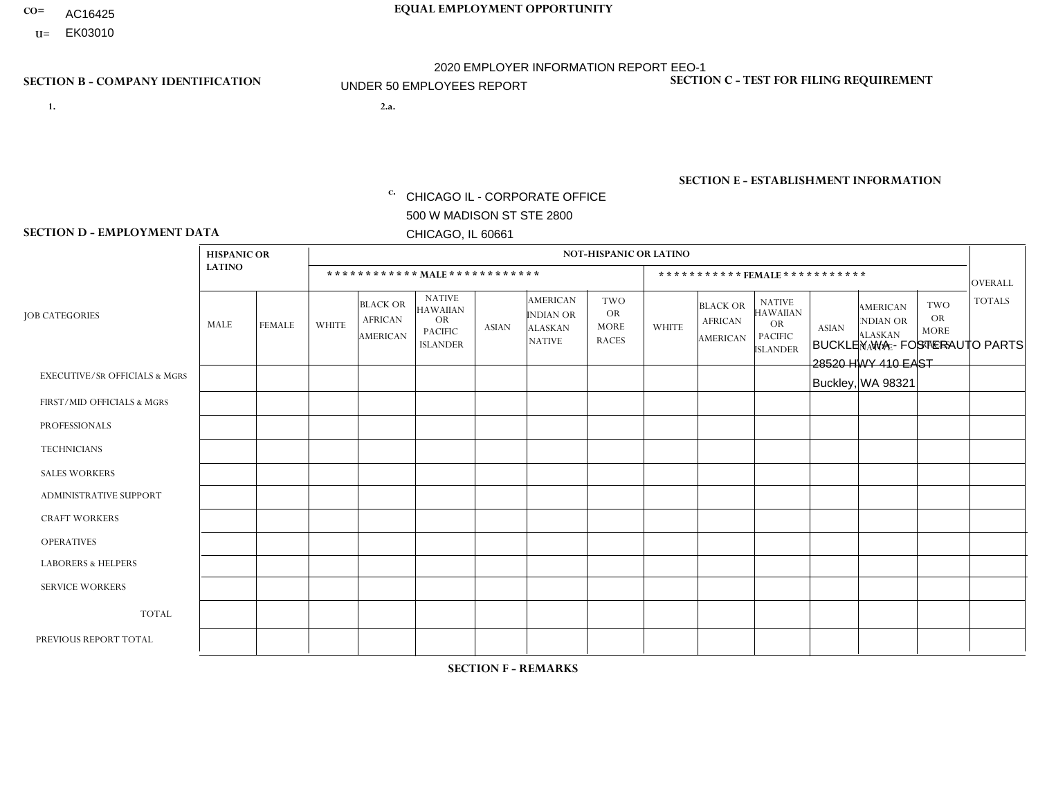- AC16425
- **U=**

**1. 2.a.** CHICAGO IL - CORPORATE OFFICE 500 W MADISON ST STE 2800 CHICAGO, IL 60661

2.a. BUCKLEY WA - FOSTERAUTO PARTS 28520 HWY 410 EAST Buckley, WA 98321

c. EIN= 952920557

## **SECTION B - COMPANY IDENTIFICATION SECTION C - TEST FOR FILING REQUIREMENT**

1- Y 2- Y 3- N DUNS= 000123456

**SECTION E - ESTABLISHMENT INFORMATION c.** NAICS: 423140

### **SECTION D - EMPLOYMENT DATA**

|                                          | <b>HISPANIC OR</b> |               |                |                                                      |                                                                                    |              |                                                                 | <b>NOT-HISPANIC OR LATINO</b>                          |                |                                               |                                                                                    |              |                                                                |                                                        |                |
|------------------------------------------|--------------------|---------------|----------------|------------------------------------------------------|------------------------------------------------------------------------------------|--------------|-----------------------------------------------------------------|--------------------------------------------------------|----------------|-----------------------------------------------|------------------------------------------------------------------------------------|--------------|----------------------------------------------------------------|--------------------------------------------------------|----------------|
|                                          | <b>LATINO</b>      |               |                | ************ MAIE************                        |                                                                                    |              |                                                                 |                                                        |                |                                               | ***********FEMALE***********                                                       |              |                                                                |                                                        | <b>OVERALL</b> |
| <b>JOB CATEGORIES</b>                    | <b>MALE</b>        | <b>FEMALE</b> | <b>WHITE</b>   | <b>BLACK OR</b><br><b>AFRICAN</b><br><b>AMERICAN</b> | <b>NATIVE</b><br><b>HAWAIIAN</b><br><b>OR</b><br><b>PACIFIC</b><br><b>ISLANDER</b> | <b>ASIAN</b> | <b>AMERICAN</b><br>INDIAN OR<br><b>ALASKAN</b><br><b>NATIVE</b> | <b>TWO</b><br><b>OR</b><br><b>MORE</b><br><b>RACES</b> | <b>WHITE</b>   | <b>BLACK OR</b><br><b>AFRICAN</b><br>AMERICAN | <b>NATIVE</b><br><b>HAWAIIAN</b><br><b>OR</b><br><b>PACIFIC</b><br><b>ISLANDER</b> | <b>ASIAN</b> | <b>AMERICAN</b><br>NDIAN OR<br><b>ALASKAN</b><br><b>NATIVE</b> | <b>TWO</b><br><b>OR</b><br><b>MORE</b><br><b>RACES</b> | <b>TOTALS</b>  |
| <b>EXECUTIVE/SR OFFICIALS &amp; MGRS</b> | $\Omega$           | $\mathbf 0$   | $\mathbf 0$    | $\mathbf 0$                                          | $\mathbf 0$                                                                        | $\mathbf 0$  | $\Omega$                                                        | $\Omega$                                               | $\mathbf 0$    | $\mathbf 0$                                   | $\mathbf 0$                                                                        | $\mathbf 0$  | $\Omega$                                                       | $\Omega$                                               | $\mathbf 0$    |
| FIRST/MID OFFICIALS & MGRS               | $\Omega$           | $\mathbf 0$   | $\mathbf 0$    | $\mathbf 0$                                          | 0                                                                                  | $\mathbf 0$  | $\Omega$                                                        | $\Omega$                                               | $\mathbf 1$    | $\Omega$                                      | $\Omega$                                                                           | $\Omega$     | $\Omega$                                                       | $\Omega$                                               | $\mathbf{1}$   |
| <b>PROFESSIONALS</b>                     | $\mathbf 0$        | $\mathbf 0$   | 1              | $\mathbf 0$                                          | $\mathbf 0$                                                                        | $\mathbf 0$  | $\overline{0}$                                                  | $\Omega$                                               | $\mathbf 0$    | $\Omega$                                      | $\mathbf{0}$                                                                       | $\mathbf 0$  | $\Omega$                                                       | $\mathbf 0$                                            | $\mathbf{1}$   |
| <b>TECHNICIANS</b>                       | $\Omega$           | $\mathbf 0$   | $\Omega$       | $\mathbf 0$                                          | $\Omega$                                                                           | $\Omega$     | $\Omega$                                                        | $\Omega$                                               | $\Omega$       | $\Omega$                                      | $\Omega$                                                                           | $\Omega$     | $\Omega$                                                       | $\mathbf{0}$                                           | $\mathbf 0$    |
| <b>SALES WORKERS</b>                     | $\Omega$           | $\Omega$      | $\Omega$       | $\mathbf 0$                                          | $\Omega$                                                                           | $\Omega$     | $\Omega$                                                        | $\Omega$                                               | $\Omega$       | $\Omega$                                      | $\Omega$                                                                           | $\Omega$     | $\Omega$                                                       | $\mathbf{0}$                                           | $\mathbf 0$    |
| ADMINISTRATIVE SUPPORT                   | $\Omega$           | $\Omega$      | $\Omega$       | $\Omega$                                             | 0                                                                                  | $\Omega$     | $\Omega$                                                        | $\Omega$                                               | $\mathbf{1}$   | $\Omega$                                      | $\Omega$                                                                           | $\Omega$     | $\Omega$                                                       | $\Omega$                                               | $\mathbf{1}$   |
| <b>CRAFT WORKERS</b>                     | $\Omega$           | $\Omega$      | $\overline{c}$ | $\mathbf{1}$                                         | $\mathbf 0$                                                                        | $\Omega$     | $\Omega$                                                        | $\Omega$                                               | $\Omega$       | $\Omega$                                      | $\mathbf{0}$                                                                       | $\Omega$     | $\Omega$                                                       | $\Omega$                                               | 3              |
| <b>OPERATIVES</b>                        | $\Omega$           | $\Omega$      | 8              | $\mathbf 0$                                          | $\mathbf{0}$                                                                       | $\Omega$     | $\Omega$                                                        | $\Omega$                                               | $\Omega$       | $\Omega$                                      | $\Omega$                                                                           | $\Omega$     | $\Omega$                                                       | $\Omega$                                               | 8              |
| <b>LABORERS &amp; HELPERS</b>            | $\Omega$           | $\Omega$      | 1              | $\mathbf 0$                                          | 0                                                                                  | $\Omega$     | $\overline{0}$                                                  | $\Omega$                                               | $\Omega$       | $\Omega$                                      | $\Omega$                                                                           | $\Omega$     | $\Omega$                                                       | $\Omega$                                               | $\mathbf{1}$   |
| <b>SERVICE WORKERS</b>                   | $\Omega$           | $\mathbf 0$   | 0              | $\mathbf 0$                                          | 0                                                                                  | $\mathbf 0$  | $\Omega$                                                        | $\Omega$                                               | $\Omega$       | $\Omega$                                      | $\Omega$                                                                           | $\Omega$     | $\Omega$                                                       | $\Omega$                                               | 0              |
| <b>TOTAL</b>                             | $\Omega$           | $\mathbf 0$   | 12             | $\mathbf{1}$                                         | 0                                                                                  | $\mathbf 0$  | $\Omega$                                                        | $\Omega$                                               | $\overline{2}$ | $\Omega$                                      | $\Omega$                                                                           | $\mathbf 0$  | $\Omega$                                                       | $\Omega$                                               | 15             |
| PREVIOUS REPORT TOTAL                    | 1                  | $\mathbf 0$   | 16             | $\mathbf{1}$                                         | $\mathbf{0}$                                                                       | $\Omega$     | $\Omega$                                                        | $\Omega$                                               | 5              | $\mathbf 0$                                   | $\mathbf{0}$                                                                       | $\Omega$     | $\Omega$                                                       | 2                                                      | 25             |
|                                          |                    |               |                |                                                      |                                                                                    |              |                                                                 |                                                        |                |                                               |                                                                                    |              |                                                                |                                                        |                |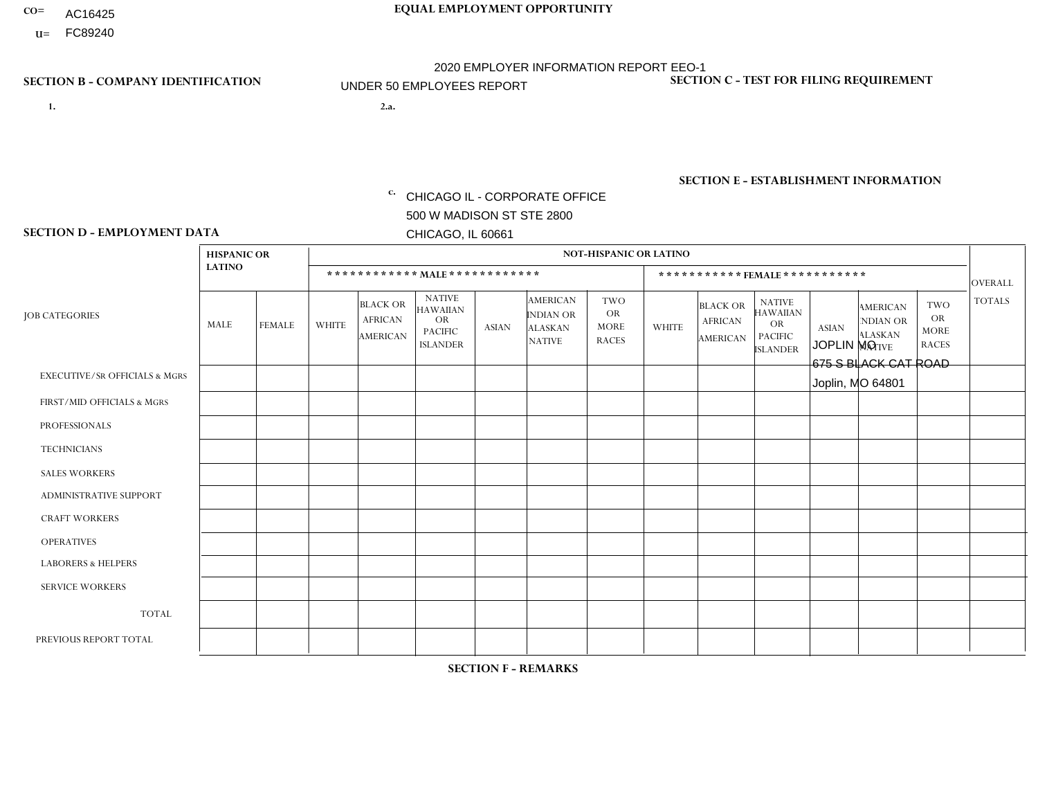- AC16425
- **U=**

- **1. 2.a.** CHICAGO IL CORPORATE OFFICE 500 W MADISON ST STE 2800 CHICAGO, IL 60661
- 2.a. JOPLIN MO 675 S BLACK CAT ROAD Joplin, MO 64801

EIN= 952920557

## **SECTION B - COMPANY IDENTIFICATION SECTION C - TEST FOR FILING REQUIREMENT**

1- Y 2- Y 3- N DUNS= 000123456

**SECTION E - ESTABLISHMENT INFORMATION c.** NAICS: 423140

### **SECTION D - EMPLOYMENT DATA**

|                                          | <b>HISPANIC OR</b> |                |                |                                               |                                                                                    |              |                                                                        | <b>NOT-HISPANIC OR LATINO</b>                          |                |                                               |                                                                             |              |                                                                       |                                                        |                |
|------------------------------------------|--------------------|----------------|----------------|-----------------------------------------------|------------------------------------------------------------------------------------|--------------|------------------------------------------------------------------------|--------------------------------------------------------|----------------|-----------------------------------------------|-----------------------------------------------------------------------------|--------------|-----------------------------------------------------------------------|--------------------------------------------------------|----------------|
|                                          | <b>LATINO</b>      |                |                | ************ MALE ************                |                                                                                    |              |                                                                        |                                                        |                | ***********FEMALE***********                  |                                                                             |              |                                                                       |                                                        | <b>OVERALL</b> |
| <b>JOB CATEGORIES</b>                    | MALE               | <b>FEMALE</b>  | <b>WHITE</b>   | <b>BLACK OR</b><br><b>AFRICAN</b><br>AMERICAN | <b>NATIVE</b><br><b>HAWAIIAN</b><br><b>OR</b><br><b>PACIFIC</b><br><b>ISLANDER</b> | <b>ASIAN</b> | <b>AMERICAN</b><br><b>INDIAN OR</b><br><b>ALASKAN</b><br><b>NATIVE</b> | <b>TWO</b><br><b>OR</b><br><b>MORE</b><br><b>RACES</b> | <b>WHITE</b>   | <b>BLACK OR</b><br><b>AFRICAN</b><br>AMERICAN | <b>NATIVE</b><br><b>HAWAIIAN</b><br>OR<br><b>PACIFIC</b><br><b>ISLANDER</b> | <b>ASIAN</b> | <b>AMERICAN</b><br><b>NDIAN OR</b><br><b>ALASKAN</b><br><b>NATIVE</b> | <b>TWO</b><br><b>OR</b><br><b>MORE</b><br><b>RACES</b> | <b>TOTALS</b>  |
| <b>EXECUTIVE/SR OFFICIALS &amp; MGRS</b> | $\Omega$           | $\Omega$       | $\Omega$       | $\mathbf 0$                                   | $\Omega$                                                                           | $\Omega$     | $\Omega$                                                               | $\Omega$                                               | $\Omega$       | $\Omega$                                      | $\Omega$                                                                    | $\Omega$     | $\Omega$                                                              | $\mathbf{0}$                                           | $\mathbf{0}$   |
| FIRST/MID OFFICIALS & MGRS               | 0                  | $\Omega$       | 3              | $\mathbf 0$                                   | $\Omega$                                                                           | $\Omega$     | $\Omega$                                                               | $\Omega$                                               | 0              | $\Omega$                                      | $\Omega$                                                                    | $\Omega$     | $\Omega$                                                              | $\Omega$                                               | 3              |
| <b>PROFESSIONALS</b>                     | 0                  | $\Omega$       | $\Omega$       | $\mathbf 0$                                   | $\Omega$                                                                           | $\Omega$     | $\Omega$                                                               | $\Omega$                                               | 0              | $\Omega$                                      | $\Omega$                                                                    | $\Omega$     | $\Omega$                                                              | $\Omega$                                               | $\mathbf{0}$   |
| <b>TECHNICIANS</b>                       | 0                  | $\mathbf 0$    | $\Omega$       | $\mathbf 0$                                   | $\mathbf 0$                                                                        | $\Omega$     | $\Omega$                                                               | $\Omega$                                               | $\Omega$       | $\Omega$                                      | $\Omega$                                                                    | $\mathbf 0$  | 0                                                                     | $\mathbf 0$                                            | $\mathbf 0$    |
| <b>SALES WORKERS</b>                     | $\Omega$           | $\Omega$       | 4              | $\Omega$                                      | $\Omega$                                                                           | $\Omega$     | $\Omega$                                                               | $\Omega$                                               | 1              | $\Omega$                                      | $\Omega$                                                                    | $\Omega$     | $\Omega$                                                              | $\Omega$                                               | 5              |
| <b>ADMINISTRATIVE SUPPORT</b>            | $\Omega$           | $\mathbf 0$    | $\overline{2}$ | $\mathbf 0$                                   | $\mathbf 0$                                                                        | $\Omega$     | $\Omega$                                                               | $\Omega$                                               |                | $\Omega$                                      | $\Omega$                                                                    | $\mathbf{0}$ | $\mathbf{0}$                                                          | $\mathbf 0$                                            | 3              |
| <b>CRAFT WORKERS</b>                     | $\Omega$           | $\Omega$       | 3              | $\Omega$                                      | $\Omega$                                                                           | $\Omega$     | $\Omega$                                                               | $\Omega$                                               | $\Omega$       | $\Omega$                                      | $\Omega$                                                                    | $\Omega$     | $\Omega$                                                              | $\Omega$                                               | 3              |
| <b>OPERATIVES</b>                        | 0                  | $\Omega$       | 8              | $\mathbf 0$                                   | $\Omega$                                                                           | $\Omega$     | $\overline{1}$                                                         | $\Omega$                                               | 0              | $\Omega$                                      | $\Omega$                                                                    | $\Omega$     | $\Omega$                                                              | $\Omega$                                               | 9              |
| <b>LABORERS &amp; HELPERS</b>            | 0                  | $\Omega$       | 3              | $\mathbf 0$                                   | $\mathbf{0}$                                                                       | $\Omega$     | $\Omega$                                                               | $\Omega$                                               | $\Omega$       | $\Omega$                                      | $\Omega$                                                                    | $\mathbf{0}$ | $\Omega$                                                              | $\mathbf{0}$                                           | 3              |
| <b>SERVICE WORKERS</b>                   | 0                  | $\Omega$       | $\Omega$       | 0                                             | $\mathbf{0}$                                                                       | $\Omega$     | $\Omega$                                                               | $\Omega$                                               | $\Omega$       | $\Omega$                                      | $\Omega$                                                                    | $\Omega$     | $\Omega$                                                              | $\Omega$                                               | 0              |
| <b>TOTAL</b>                             | 0                  | $\overline{0}$ | 23             | $\mathbf 0$                                   | $\mathbf{0}$                                                                       | $\mathbf 0$  | -1                                                                     | $\Omega$                                               | $\overline{2}$ | $\Omega$                                      | $\Omega$                                                                    | $\mathbf 0$  | 0                                                                     | $\mathbf 0$                                            | 26             |
| PREVIOUS REPORT TOTAL                    | 0                  | $\Omega$       | 28             | $\Omega$                                      | $\Omega$                                                                           | $\mathbf{0}$ | 2                                                                      | $\Omega$                                               | $\overline{2}$ | $\Omega$                                      | $\Omega$                                                                    | $\Omega$     | $\Omega$                                                              | $\Omega$                                               | 32             |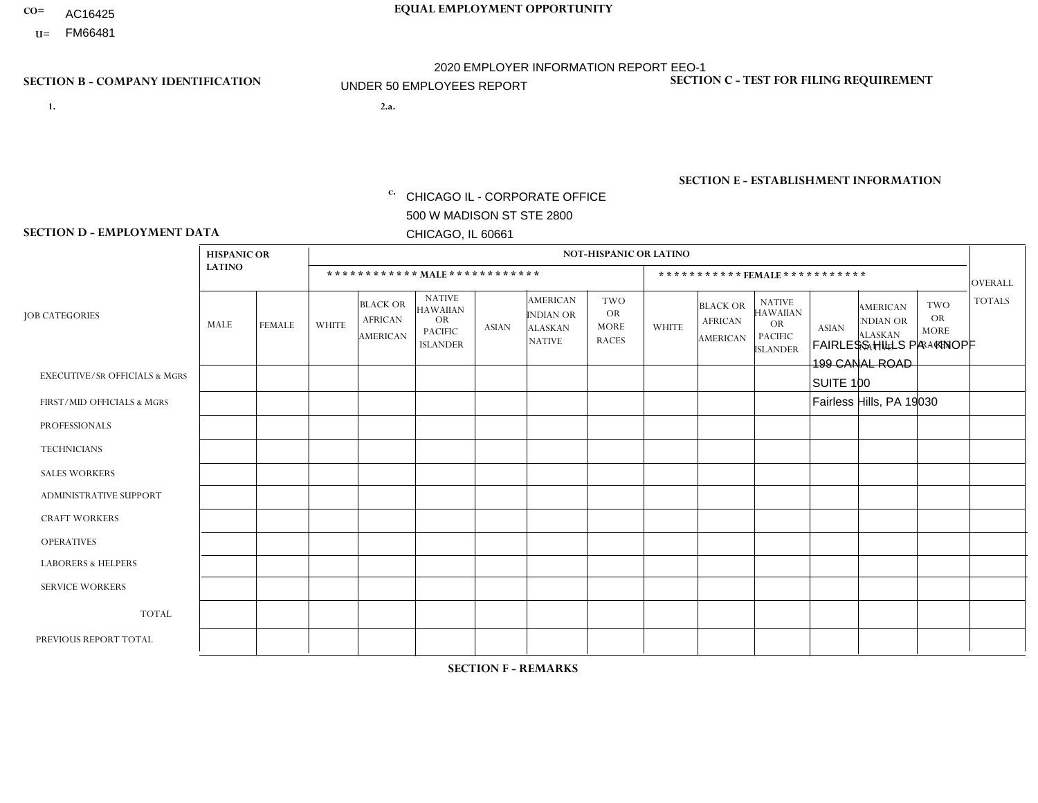- AC16425
- **U=**

**1. 2.a.** CHICAGO IL - CORPORATE OFFICE 500 W MADISON ST STE 2800 CHICAGO, IL 60661

2.a. FAIRLESS HILLS PA - KNOPF 199 CANAL ROAD SUITE 100 Fairless Hills, PA 19030

EIN= 952920557

## **SECTION B - COMPANY IDENTIFICATION SECTION C - TEST FOR FILING REQUIREMENT**

1- Y 2- Y 3- N DUNS= 000123456

**SECTION E - ESTABLISHMENT INFORMATION c.** NAICS: 423140

### **SECTION D - EMPLOYMENT DATA**

|                                          | <b>HISPANIC OR</b> |               |                |                                                      |                                                                                    |              |                                                                 | <b>NOT-HISPANIC OR LATINO</b>                          |                |                                               |                                                                                    |              |                                                                |                                                        |                      |
|------------------------------------------|--------------------|---------------|----------------|------------------------------------------------------|------------------------------------------------------------------------------------|--------------|-----------------------------------------------------------------|--------------------------------------------------------|----------------|-----------------------------------------------|------------------------------------------------------------------------------------|--------------|----------------------------------------------------------------|--------------------------------------------------------|----------------------|
|                                          | <b>LATINO</b>      |               |                | ************ MALE ************                       |                                                                                    |              |                                                                 |                                                        |                |                                               | ***********FEMALE***********                                                       |              |                                                                |                                                        | <b>OVERALL</b>       |
| <b>JOB CATEGORIES</b>                    | <b>MALE</b>        | <b>FEMALE</b> | <b>WHITE</b>   | <b>BLACK OR</b><br><b>AFRICAN</b><br><b>AMERICAN</b> | <b>NATIVE</b><br><b>HAWAIIAN</b><br><b>OR</b><br><b>PACIFIC</b><br><b>ISLANDER</b> | <b>ASIAN</b> | <b>AMERICAN</b><br>INDIAN OR<br><b>ALASKAN</b><br><b>NATIVE</b> | <b>TWO</b><br><b>OR</b><br><b>MORE</b><br><b>RACES</b> | <b>WHITE</b>   | <b>BLACK OR</b><br><b>AFRICAN</b><br>AMERICAN | <b>NATIVE</b><br><b>HAWAIIAN</b><br><b>OR</b><br><b>PACIFIC</b><br><b>ISLANDER</b> | <b>ASIAN</b> | <b>AMERICAN</b><br>NDIAN OR<br><b>ALASKAN</b><br><b>NATIVE</b> | <b>TWO</b><br><b>OR</b><br><b>MORE</b><br><b>RACES</b> | <b>TOTALS</b>        |
| <b>EXECUTIVE/SR OFFICIALS &amp; MGRS</b> | $\Omega$           | $\mathbf 0$   | $\Omega$       | $\mathbf 0$                                          | 0                                                                                  | $\mathbf 0$  | $\Omega$                                                        | $\Omega$                                               | $\Omega$       | $\Omega$                                      | 0                                                                                  | $\mathbf 0$  | $\Omega$                                                       | $\mathbf 0$                                            | $\mathbf 0$          |
| FIRST/MID OFFICIALS & MGRS               | $\Omega$           | $\Omega$      | $\overline{2}$ | $\mathbf 0$                                          | $\mathbf 0$                                                                        | $\mathbf{0}$ | $\Omega$                                                        | 1                                                      | 0              | $\Omega$                                      | 0                                                                                  | $\Omega$     | $\Omega$                                                       | $\Omega$                                               | 3                    |
| <b>PROFESSIONALS</b>                     | $\Omega$           | $\Omega$      | $\Omega$       | $\mathbf 0$                                          | $\Omega$                                                                           | $\mathbf{0}$ | $\Omega$                                                        | $\Omega$                                               | 0              | $\Omega$                                      | 0                                                                                  | $\Omega$     | $\Omega$                                                       | $\Omega$                                               | $\mathbf{0}$         |
| <b>TECHNICIANS</b>                       | $\Omega$           | $\Omega$      | $\Omega$       | $\mathbf 0$                                          | $\Omega$                                                                           | $\Omega$     | $\Omega$                                                        | $\Omega$                                               | $\Omega$       | $\Omega$                                      | 0                                                                                  | 0            | $\Omega$                                                       | $\mathbf 0$                                            | $\mathbf{0}$         |
| <b>SALES WORKERS</b>                     | $\Omega$           | $\mathbf 0$   | $\Omega$       | $\mathbf 0$                                          | $\mathbf 0$                                                                        | $\Omega$     | $\Omega$                                                        | $\Omega$                                               | $\overline{0}$ | $\Omega$                                      | 0                                                                                  | $\mathbf 0$  | $\Omega$                                                       | $\mathbf 0$                                            | $\mathbf{0}$         |
| ADMINISTRATIVE SUPPORT                   | $\Omega$           | $\Omega$      | $\Omega$       | $\mathbf 0$                                          | $\Omega$                                                                           | $\Omega$     | $\Omega$                                                        | $\Omega$                                               | $\mathbf{1}$   | $\Omega$                                      | $\Omega$                                                                           | $\Omega$     | $\Omega$                                                       | $\Omega$                                               | $\mathbf{1}$         |
| <b>CRAFT WORKERS</b>                     | $\Omega$           | $\mathbf 0$   | $\mathbf 0$    | $\mathbf 0$                                          | $\mathbf 0$                                                                        | $\mathbf 0$  | $\Omega$                                                        | $\Omega$                                               | $\Omega$       | $\Omega$                                      | $\Omega$                                                                           | $\mathbf 0$  | $\Omega$                                                       | $\mathbf 0$                                            | $\mathbf 0$          |
| <b>OPERATIVES</b>                        | -1                 | 0             | $\mathbf 0$    | $\mathbf 0$                                          | $\mathbf 0$                                                                        | $\mathbf 0$  | $\Omega$                                                        | $\Omega$                                               | $\Omega$       | $\Omega$                                      | 0                                                                                  | $\mathbf 0$  | $\Omega$                                                       | $\mathbf 0$                                            | $\blacktriangleleft$ |
| <b>LABORERS &amp; HELPERS</b>            | 2                  | $\Omega$      | $\Omega$       | $\mathbf 0$                                          | $\Omega$                                                                           | $\Omega$     | $\Omega$                                                        | $\Omega$                                               | $\Omega$       | $\Omega$                                      | $\Omega$                                                                           | $\Omega$     | $\Omega$                                                       | $\Omega$                                               | $\overline{2}$       |
| <b>SERVICE WORKERS</b>                   | $\Omega$           | $\Omega$      | $\mathbf 0$    | 0                                                    | $\Omega$                                                                           | $\Omega$     | $\Omega$                                                        | $\Omega$                                               | 0              | $\Omega$                                      | $\Omega$                                                                           | $\Omega$     | $\Omega$                                                       | $\Omega$                                               | $\mathbf 0$          |
| <b>TOTAL</b>                             | 3                  | 0             | $\overline{c}$ | 0                                                    | $\mathbf 0$                                                                        | 0            | $\Omega$                                                        | 1                                                      | 1              | $\Omega$                                      | 0                                                                                  | $\mathbf 0$  | $\Omega$                                                       | $\mathbf 0$                                            | $\overline{7}$       |
| PREVIOUS REPORT TOTAL                    | 2                  | $\mathbf 0$   | 3              | $\overline{2}$                                       | $\mathbf 0$                                                                        | $\Omega$     | $\Omega$                                                        | $\overline{2}$                                         | 1              | $\Omega$                                      | 0                                                                                  | $\mathbf 0$  | 0                                                              | $\mathbf 0$                                            | 10                   |
|                                          |                    |               |                |                                                      |                                                                                    |              |                                                                 |                                                        |                |                                               |                                                                                    |              |                                                                |                                                        |                      |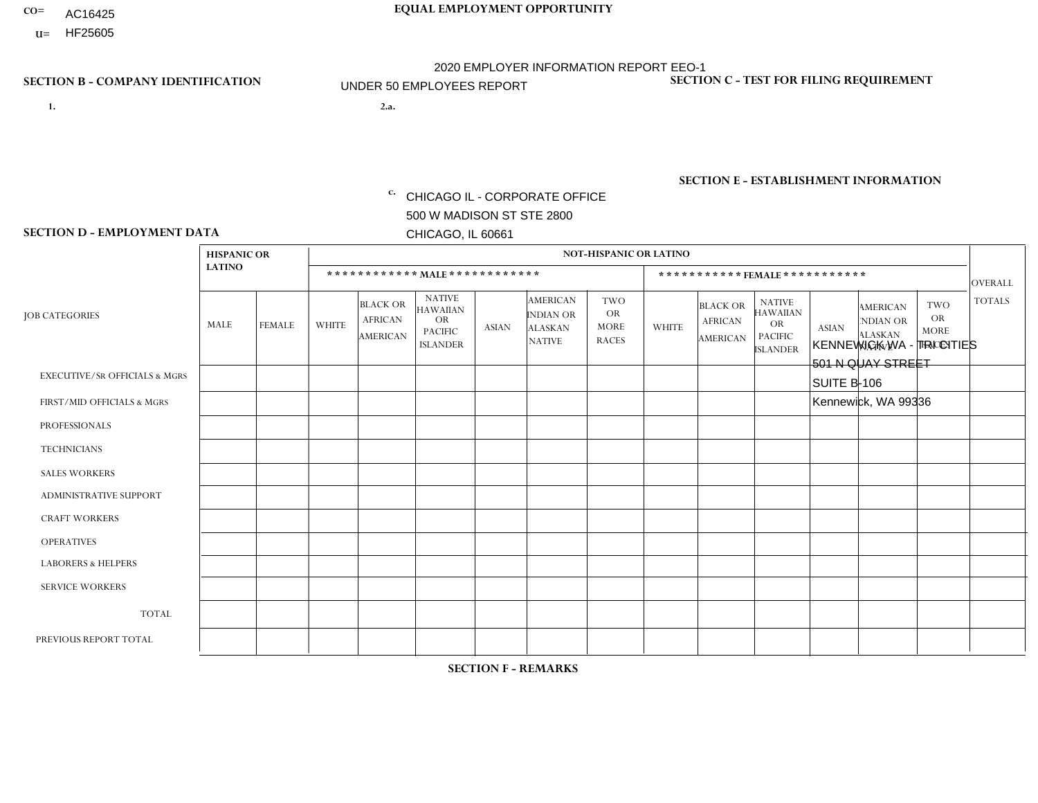- AC16425
- **U=**

**1. 2.a.** CHICAGO IL - CORPORATE OFFICE 500 W MADISON ST STE 2800 CHICAGO, IL 60661

2.a. KENNEWICK WA - TRI CITIES 501 N QUAY STREET SUITE B-106 Kennewick, WA 99336

EIN= 952920557

## **SECTION B - COMPANY IDENTIFICATION SECTION C - TEST FOR FILING REQUIREMENT**

1- Y 2- Y 3- N DUNS= 000123456

**SECTION E - ESTABLISHMENT INFORMATION c.** NAICS: 423140

### **SECTION D - EMPLOYMENT DATA**

|                                          |                                     |               | <b>NOT-HISPANIC OR LATINO</b> |                                                      |                                                                                    |             |                                                                        |                                                        |                |                                               |                                                                                    |              |                                                                       |                                                        |                |
|------------------------------------------|-------------------------------------|---------------|-------------------------------|------------------------------------------------------|------------------------------------------------------------------------------------|-------------|------------------------------------------------------------------------|--------------------------------------------------------|----------------|-----------------------------------------------|------------------------------------------------------------------------------------|--------------|-----------------------------------------------------------------------|--------------------------------------------------------|----------------|
|                                          | <b>HISPANIC OR</b><br><b>LATINO</b> |               |                               |                                                      |                                                                                    |             |                                                                        |                                                        |                |                                               |                                                                                    |              |                                                                       |                                                        |                |
|                                          |                                     |               |                               |                                                      | ************ MALE ************                                                     |             |                                                                        |                                                        |                |                                               | *********** FEMALE ***********                                                     |              |                                                                       |                                                        | <b>OVERALL</b> |
| <b>JOB CATEGORIES</b>                    | MALE                                | <b>FEMALE</b> | <b>WHITE</b>                  | <b>BLACK OR</b><br><b>AFRICAN</b><br><b>AMERICAN</b> | <b>NATIVE</b><br><b>HAWAIIAN</b><br><b>OR</b><br><b>PACIFIC</b><br><b>ISLANDER</b> | ASIAN       | <b>AMERICAN</b><br><b>INDIAN OR</b><br><b>ALASKAN</b><br><b>NATIVE</b> | <b>TWO</b><br><b>OR</b><br><b>MORE</b><br><b>RACES</b> | <b>WHITE</b>   | <b>BLACK OR</b><br><b>AFRICAN</b><br>AMERICAN | <b>NATIVE</b><br><b>HAWAIIAN</b><br><b>OR</b><br><b>PACIFIC</b><br><b>ISLANDER</b> | <b>ASIAN</b> | <b>AMERICAN</b><br><b>NDIAN OR</b><br><b>ALASKAN</b><br><b>NATIVE</b> | <b>TWO</b><br><b>OR</b><br><b>MORE</b><br><b>RACES</b> | <b>TOTALS</b>  |
| <b>EXECUTIVE/SR OFFICIALS &amp; MGRS</b> | $\Omega$                            | 0             | $\mathbf 0$                   | $\mathbf 0$                                          | 0                                                                                  | $\mathbf 0$ | $\Omega$                                                               | $\Omega$                                               | $\Omega$       | $\Omega$                                      | $\Omega$                                                                           | $\mathbf 0$  | 0                                                                     | $\mathbf 0$                                            | $\mathbf 0$    |
| FIRST/MID OFFICIALS & MGRS               | 0                                   | $\Omega$      | 1                             | $\mathbf 0$                                          | $\Omega$                                                                           | $\Omega$    | $\Omega$                                                               | $\Omega$                                               | $\Omega$       | $\Omega$                                      | $\Omega$                                                                           | $\Omega$     | $\Omega$                                                              | $\mathbf{0}$                                           | $\mathbf{1}$   |
| <b>PROFESSIONALS</b>                     | 0                                   | $\mathbf 0$   | $\mathbf 0$                   | $\mathbf 0$                                          | $\Omega$                                                                           | $\Omega$    | $\Omega$                                                               | $\Omega$                                               | 0              | $\Omega$                                      | $\Omega$                                                                           | $\mathbf{0}$ | $\Omega$                                                              | $\mathbf{0}$                                           | $\mathbf{0}$   |
| <b>TECHNICIANS</b>                       | 0                                   | $\Omega$      | $\mathbf 0$                   | $\mathbf 0$                                          | $\Omega$                                                                           | $\Omega$    | $\Omega$                                                               | $\Omega$                                               | 0              | $\Omega$                                      | $\Omega$                                                                           | $\Omega$     | $\Omega$                                                              | $\Omega$                                               | $\mathbf{0}$   |
| <b>SALES WORKERS</b>                     | $\mathbf 0$                         | $\mathbf 0$   | $\mathbf 0$                   | $\mathbf 0$                                          | $\mathbf 0$                                                                        | $\Omega$    | $\Omega$                                                               | $\Omega$                                               | $\Omega$       | $\Omega$                                      | $\Omega$                                                                           | $\Omega$     | 0                                                                     | $\Omega$                                               | $\mathbf{0}$   |
| <b>ADMINISTRATIVE SUPPORT</b>            | $\Omega$                            | $\Omega$      | $\Omega$                      | $\mathbf 0$                                          | $\mathbf 0$                                                                        | $\Omega$    | $\Omega$                                                               | $\Omega$                                               | $\overline{0}$ | $\Omega$                                      | $\Omega$                                                                           | $\Omega$     | $\Omega$                                                              | $\Omega$                                               | $\mathbf 0$    |
| <b>CRAFT WORKERS</b>                     | 0                                   | 0             | $\Omega$                      | $\mathbf 0$                                          | 0                                                                                  | $\Omega$    | $\Omega$                                                               | $\Omega$                                               | $\Omega$       | $\Omega$                                      | $\Omega$                                                                           | $\Omega$     | $\mathbf{0}$                                                          | $\Omega$                                               | $\mathbf 0$    |
| <b>OPERATIVES</b>                        | 3                                   | $\Omega$      | $\overline{2}$                | $\mathbf 0$                                          | $\Omega$                                                                           | $\Omega$    | $\Omega$                                                               | $\Omega$                                               | $\Omega$       | $\Omega$                                      | $\Omega$                                                                           | $\Omega$     | $\Omega$                                                              | $\Omega$                                               | 5              |
| <b>LABORERS &amp; HELPERS</b>            | 0                                   | 0             | $\mathbf 0$                   | $\mathbf 0$                                          | 0                                                                                  | $\mathbf 0$ | $\Omega$                                                               | $\Omega$                                               | $\Omega$       | $\Omega$                                      | $\Omega$                                                                           | $\Omega$     | $\Omega$                                                              | $\Omega$                                               | $\mathbf 0$    |
| <b>SERVICE WORKERS</b>                   | 0                                   | $\Omega$      | $\mathbf 0$                   | 0                                                    | 0                                                                                  | $\mathbf 0$ | $\Omega$                                                               | $\Omega$                                               | 0              | $\Omega$                                      | $\Omega$                                                                           | $\Omega$     | $\Omega$                                                              | $\Omega$                                               | $\mathbf 0$    |
| <b>TOTAL</b>                             | 3                                   | $\mathbf 0$   | 3                             | $\mathbf 0$                                          | 0                                                                                  | $\mathbf 0$ | $\Omega$                                                               | $\Omega$                                               | $\Omega$       | $\Omega$                                      | $\Omega$                                                                           | $\mathbf{0}$ | $\Omega$                                                              | $\mathbf 0$                                            | 6              |
| PREVIOUS REPORT TOTAL                    | 3                                   | $\mathbf{0}$  | 3                             | $\mathbf 0$                                          | 0                                                                                  | $\Omega$    | $\Omega$                                                               | $\Omega$                                               | 0              | $\Omega$                                      | $\Omega$                                                                           | $\mathbf 0$  | 0                                                                     | $\mathbf 0$                                            | 6              |
|                                          |                                     |               |                               |                                                      |                                                                                    |             |                                                                        |                                                        |                |                                               |                                                                                    |              |                                                                       |                                                        |                |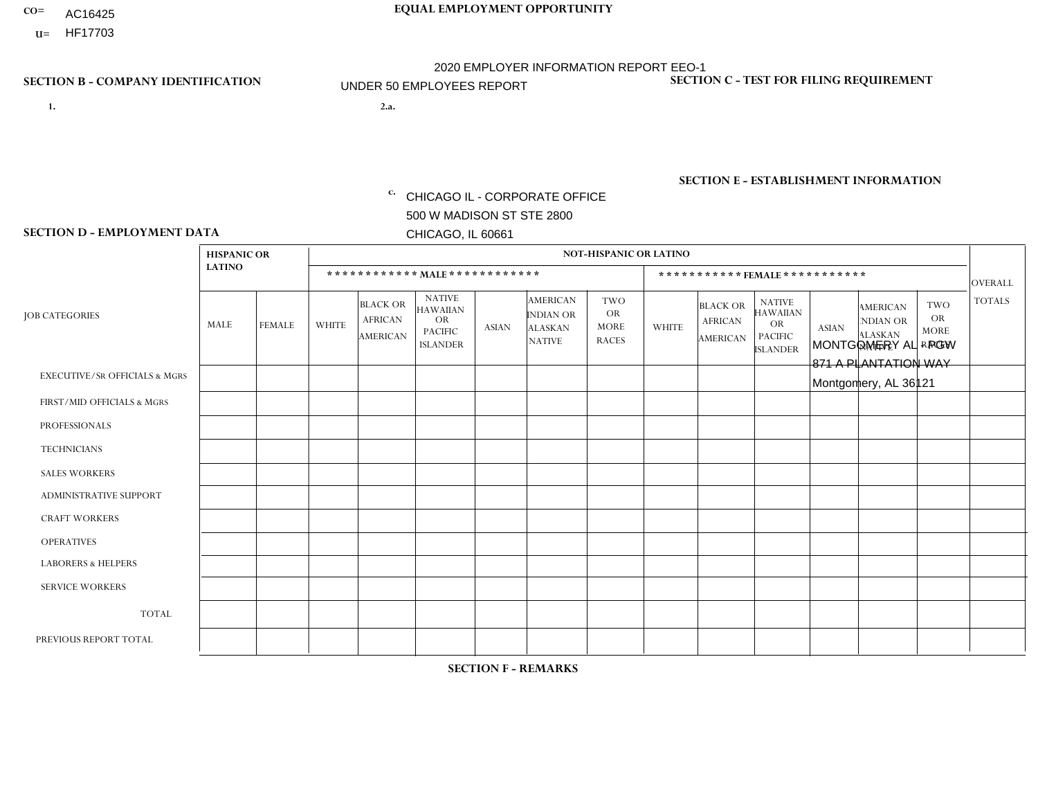- AC16425
- **U=**

**1. 2.a.** CHICAGO IL - CORPORATE OFFICE 500 W MADISON ST STE 2800 CHICAGO, IL 60661

2.a. MONTGOMERY AL - PGW 871 A PLANTATION WAY Montgomery, AL 36121

c. EIN= 952920557

## **SECTION B - COMPANY IDENTIFICATION SECTION C - TEST FOR FILING REQUIREMENT**

1- Y 2- Y 3- N DUNS= 000123456

**SECTION E - ESTABLISHMENT INFORMATION c.** NAICS: 811122

### **SECTION D - EMPLOYMENT DATA**

|                                          | <b>HISPANIC OR</b> |                |                |                                                      |                                                                                    |              |                                                                 | <b>NOT-HISPANIC OR LATINO</b>                          |                |                                               |                                                                                    |              |                                                                |                                                        |                |
|------------------------------------------|--------------------|----------------|----------------|------------------------------------------------------|------------------------------------------------------------------------------------|--------------|-----------------------------------------------------------------|--------------------------------------------------------|----------------|-----------------------------------------------|------------------------------------------------------------------------------------|--------------|----------------------------------------------------------------|--------------------------------------------------------|----------------|
|                                          | <b>LATINO</b>      |                |                | ************ MALE ************                       |                                                                                    |              |                                                                 |                                                        |                |                                               | *********** FEMALE ***********                                                     |              |                                                                |                                                        | <b>OVERALL</b> |
| <b>JOB CATEGORIES</b>                    | <b>MALE</b>        | <b>FEMALE</b>  | <b>WHITE</b>   | <b>BLACK OR</b><br><b>AFRICAN</b><br><b>AMERICAN</b> | <b>NATIVE</b><br><b>HAWAIIAN</b><br><b>OR</b><br><b>PACIFIC</b><br><b>ISLANDER</b> | <b>ASIAN</b> | <b>AMERICAN</b><br>INDIAN OR<br><b>ALASKAN</b><br><b>NATIVE</b> | <b>TWO</b><br><b>OR</b><br><b>MORE</b><br><b>RACES</b> | <b>WHITE</b>   | <b>BLACK OR</b><br><b>AFRICAN</b><br>AMERICAN | <b>NATIVE</b><br><b>HAWAIIAN</b><br><b>OR</b><br><b>PACIFIC</b><br><b>ISLANDER</b> | <b>ASIAN</b> | <b>AMERICAN</b><br>NDIAN OR<br><b>ALASKAN</b><br><b>NATIVE</b> | <b>TWO</b><br><b>OR</b><br><b>MORE</b><br><b>RACES</b> | <b>TOTALS</b>  |
| <b>EXECUTIVE/SR OFFICIALS &amp; MGRS</b> | $\Omega$           | $\Omega$       | $\Omega$       | $\mathbf 0$                                          | $\mathbf 0$                                                                        | $\mathbf 0$  | $\Omega$                                                        | $\Omega$                                               | $\Omega$       | $\Omega$                                      | $\mathbf 0$                                                                        | $\mathbf 0$  | $\Omega$                                                       | $\mathbf 0$                                            | $\mathbf 0$    |
| FIRST/MID OFFICIALS & MGRS               | $\Omega$           | $\Omega$       | $\overline{1}$ | $\Omega$                                             | $\Omega$                                                                           | $\Omega$     | $\Omega$                                                        | $\Omega$                                               | 0              | $\Omega$                                      | 0                                                                                  | $\Omega$     | $\Omega$                                                       | $\Omega$                                               | 1              |
| <b>PROFESSIONALS</b>                     | $\Omega$           | $\Omega$       | $\Omega$       | $\mathbf 0$                                          | $\Omega$                                                                           | $\Omega$     | $\Omega$                                                        | $\Omega$                                               | 0              | $\Omega$                                      | 0                                                                                  | $\Omega$     | $\Omega$                                                       | $\mathbf 0$                                            | $\mathbf{0}$   |
| <b>TECHNICIANS</b>                       | $\Omega$           | $\overline{0}$ | $\mathbf 0$    | $\mathbf 0$                                          | $\Omega$                                                                           | $\Omega$     | $\Omega$                                                        | $\Omega$                                               | 0              | $\Omega$                                      | $\mathbf{0}$                                                                       | $\mathbf 0$  | $\Omega$                                                       | $\mathbf 0$                                            | $\overline{0}$ |
| <b>SALES WORKERS</b>                     | $\Omega$           | $\Omega$       | $\Omega$       | $\Omega$                                             | $\Omega$                                                                           | $\Omega$     | $\Omega$                                                        | $\Omega$                                               | $\overline{0}$ | $\Omega$                                      | $\Omega$                                                                           | $\Omega$     | $\Omega$                                                       | $\Omega$                                               | $\Omega$       |
| ADMINISTRATIVE SUPPORT                   | $\Omega$           | $\Omega$       | $\mathbf{0}$   | $\Omega$                                             | $\Omega$                                                                           | $\Omega$     | $\Omega$                                                        | $\Omega$                                               | $\Omega$       | $\Omega$                                      | $\Omega$                                                                           | $\Omega$     | $\Omega$                                                       | $\Omega$                                               | $\mathbf 0$    |
| <b>CRAFT WORKERS</b>                     | $\Omega$           | $\Omega$       | $\mathbf 0$    | $\mathbf 0$                                          | $\Omega$                                                                           | $\Omega$     | $\Omega$                                                        | $\Omega$                                               | 0              | $\Omega$                                      | 0                                                                                  | $\Omega$     | $\Omega$                                                       | $\Omega$                                               | $\mathbf 0$    |
| <b>OPERATIVES</b>                        | $\Omega$           | $\Omega$       | $\mathbf{0}$   | 3                                                    | $\Omega$                                                                           | $\Omega$     | $\Omega$                                                        | $\Omega$                                               | $\Omega$       | $\Omega$                                      | 0                                                                                  | $\Omega$     | $\Omega$                                                       | $\Omega$                                               | 3              |
| <b>LABORERS &amp; HELPERS</b>            | $\Omega$           | $\Omega$       | -1             | $\mathbf 0$                                          | $\Omega$                                                                           | $\Omega$     | $\Omega$                                                        | $\Omega$                                               | $\Omega$       | $\Omega$                                      | 0                                                                                  | $\Omega$     | $\Omega$                                                       | $\Omega$                                               | $\mathbf 1$    |
| <b>SERVICE WORKERS</b>                   | $\Omega$           | $\Omega$       | $\mathbf 0$    | $\mathbf 0$                                          | $\mathbf 0$                                                                        | $\mathbf 0$  | $\Omega$                                                        | $\Omega$                                               | $\Omega$       | $\Omega$                                      | $\Omega$                                                                           | 0            | $\Omega$                                                       | $\mathbf 0$                                            | $\mathbf{0}$   |
| <b>TOTAL</b>                             | $\Omega$           | $\Omega$       | 2              | 3                                                    | 0                                                                                  | $\Omega$     | $\Omega$                                                        | $\Omega$                                               | 0              | $\Omega$                                      | $\Omega$                                                                           | 0            | $\Omega$                                                       | $\Omega$                                               | 5              |
| PREVIOUS REPORT TOTAL                    | $\Omega$           | $\Omega$       |                |                                                      | $\Omega$                                                                           | $\Omega$     | $\Omega$                                                        | $\Omega$                                               | 0              | $\Omega$                                      | 0                                                                                  | $\mathbf 0$  | $\Omega$                                                       | $\mathbf 0$                                            | $\overline{2}$ |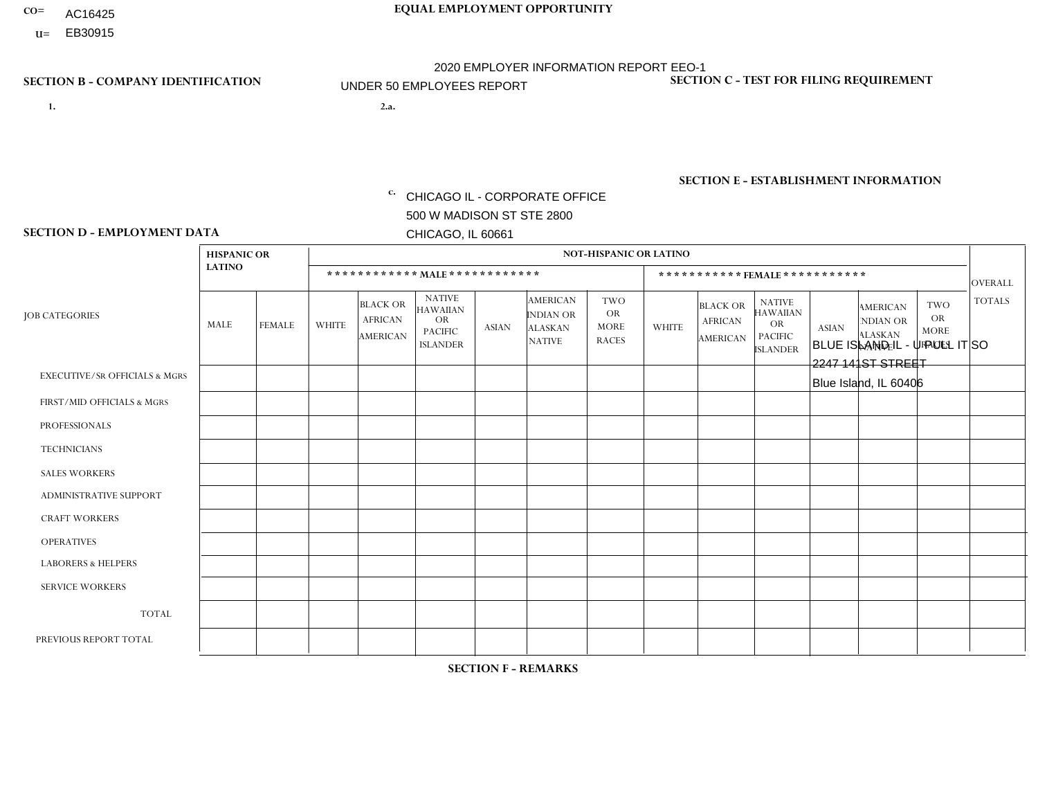- AC16425
- **U=**

**1. 2.a.** CHICAGO IL - CORPORATE OFFICE 500 W MADISON ST STE 2800 CHICAGO, IL 60661

BLUE ISLAND IL - U PULL IT SO 2247 141ST STREET Blue Island, IL 60406

EIN= 952920557

## **SECTION B - COMPANY IDENTIFICATION SECTION C - TEST FOR FILING REQUIREMENT**

1- Y 2- Y 3- N DUNS= 000123456

**SECTION E - ESTABLISHMENT INFORMATION c.** NAICS: 423140

### **SECTION D - EMPLOYMENT DATA**

|                                          | <b>HISPANIC OR</b> |               |                |                                                      |                                                                                    |              |                                                                        | <b>NOT-HISPANIC OR LATINO</b>                          |              |                                               |                                                                                    |              |                                                                       |                                                        |                |
|------------------------------------------|--------------------|---------------|----------------|------------------------------------------------------|------------------------------------------------------------------------------------|--------------|------------------------------------------------------------------------|--------------------------------------------------------|--------------|-----------------------------------------------|------------------------------------------------------------------------------------|--------------|-----------------------------------------------------------------------|--------------------------------------------------------|----------------|
|                                          | <b>LATINO</b>      |               |                | ************ MALE ************                       |                                                                                    |              |                                                                        |                                                        |              |                                               | *********** FEMALE ***********                                                     |              |                                                                       |                                                        | <b>OVERALL</b> |
| <b>JOB CATEGORIES</b>                    | <b>MALE</b>        | <b>FEMALE</b> | <b>WHITE</b>   | <b>BLACK OR</b><br><b>AFRICAN</b><br><b>AMERICAN</b> | <b>NATIVE</b><br><b>HAWAIIAN</b><br><b>OR</b><br><b>PACIFIC</b><br><b>ISLANDER</b> | <b>ASIAN</b> | <b>AMERICAN</b><br><b>INDIAN OR</b><br><b>ALASKAN</b><br><b>NATIVE</b> | <b>TWO</b><br><b>OR</b><br><b>MORE</b><br><b>RACES</b> | <b>WHITE</b> | <b>BLACK OR</b><br><b>AFRICAN</b><br>AMERICAN | <b>NATIVE</b><br><b>HAWAIIAN</b><br><b>OR</b><br><b>PACIFIC</b><br><b>ISLANDER</b> | <b>ASIAN</b> | <b>AMERICAN</b><br><b>NDIAN OR</b><br><b>ALASKAN</b><br><b>NATIVE</b> | <b>TWO</b><br><b>OR</b><br><b>MORE</b><br><b>RACES</b> | <b>TOTALS</b>  |
| <b>EXECUTIVE/SR OFFICIALS &amp; MGRS</b> | $\Omega$           | $\Omega$      | $\Omega$       | $\mathbf 0$                                          | $\Omega$                                                                           | $\Omega$     | $\Omega$                                                               | $\Omega$                                               | $\Omega$     | $\Omega$                                      | $\Omega$                                                                           | $\Omega$     | $\Omega$                                                              | $\Omega$                                               | $\mathbf 0$    |
| FIRST/MID OFFICIALS & MGRS               | $\Omega$           | $\mathbf 0$   | 1              | $\mathbf 0$                                          | $\mathbf 0$                                                                        | $\mathbf 0$  | $\Omega$                                                               | $\Omega$                                               | $\Omega$     | $\mathbf{0}$                                  | $\Omega$                                                                           | $\mathbf 0$  | $\Omega$                                                              | $\mathbf 0$                                            | $\mathbf{1}$   |
| <b>PROFESSIONALS</b>                     | $\Omega$           | $\Omega$      | $\overline{2}$ | $\mathbf 0$                                          | $\Omega$                                                                           | $\Omega$     | $\Omega$                                                               | $\Omega$                                               | $\Omega$     | $\Omega$                                      | $\Omega$                                                                           | $\Omega$     | $\Omega$                                                              | $\Omega$                                               | $\overline{2}$ |
| <b>TECHNICIANS</b>                       | $\Omega$           | $\Omega$      | $\Omega$       | $\mathbf 0$                                          | $\Omega$                                                                           | $\Omega$     | $\overline{0}$                                                         | $\Omega$                                               | $\Omega$     | $\Omega$                                      | $\Omega$                                                                           | $\Omega$     | $\Omega$                                                              | $\mathbf{0}$                                           | $\mathbf 0$    |
| <b>SALES WORKERS</b>                     | 4                  | $\mathbf{1}$  | $\Omega$       | $\mathbf{1}$                                         | 0                                                                                  | $\Omega$     | $\Omega$                                                               | $\Omega$                                               | $\Omega$     | $\Omega$                                      | $\Omega$                                                                           | $\Omega$     | $\Omega$                                                              | $\Omega$                                               | 6              |
| ADMINISTRATIVE SUPPORT                   | 1                  | $\Omega$      | 1              | $\mathbf 0$                                          | $\mathbf 0$                                                                        | $\Omega$     | $\Omega$                                                               | $\Omega$                                               | $\mathbf 1$  | $\Omega$                                      | $\Omega$                                                                           | $\Omega$     | $\Omega$                                                              | $\Omega$                                               | 3              |
| <b>CRAFT WORKERS</b>                     | $\Omega$           | $\Omega$      | $\mathbf 0$    | $\mathbf 0$                                          | $\Omega$                                                                           | $\Omega$     | $\Omega$                                                               | $\Omega$                                               | $\Omega$     | $\Omega$                                      | $\Omega$                                                                           | $\Omega$     | $\Omega$                                                              | $\mathbf{0}$                                           | $\mathbf 0$    |
| <b>OPERATIVES</b>                        | 3                  | $\Omega$      | 5              | $\mathbf 0$                                          | $\mathbf 0$                                                                        | $\Omega$     | $\overline{0}$                                                         | $\Omega$                                               | $\Omega$     | $\Omega$                                      | $\Omega$                                                                           | $\Omega$     | $\Omega$                                                              | $\Omega$                                               | 8              |
| <b>LABORERS &amp; HELPERS</b>            | 0                  | $\Omega$      | 0              | $\mathbf 0$                                          | 0                                                                                  | $\mathbf 0$  | $\Omega$                                                               | $\Omega$                                               | $\Omega$     | $\Omega$                                      | $\mathbf{0}$                                                                       | $\Omega$     | $\Omega$                                                              | $\Omega$                                               | 0              |
| <b>SERVICE WORKERS</b>                   | $\Omega$           | $\mathbf 0$   | 0              | 0                                                    | $\mathbf 0$                                                                        | $\mathbf 0$  | $\Omega$                                                               | $\Omega$                                               | $\Omega$     | $\Omega$                                      | $\Omega$                                                                           | $\Omega$     | $\Omega$                                                              | $\Omega$                                               | 0              |
| <b>TOTAL</b>                             | 8                  | $\mathbf{1}$  | 9              | 1                                                    | 0                                                                                  | $\mathbf 0$  | $\Omega$                                                               | $\Omega$                                               | $\mathbf{1}$ | $\Omega$                                      | $\Omega$                                                                           | $\mathbf 0$  | $\Omega$                                                              | $\Omega$                                               | 20             |
| PREVIOUS REPORT TOTAL                    | 6                  | $\mathbf{1}$  | 9              | 4                                                    | 0                                                                                  | $\Omega$     | $\Omega$                                                               |                                                        | $\mathbf 1$  | $\mathbf{0}$                                  | $\mathbf{0}$                                                                       | $\Omega$     | $\Omega$                                                              | $\mathbf 0$                                            | 22             |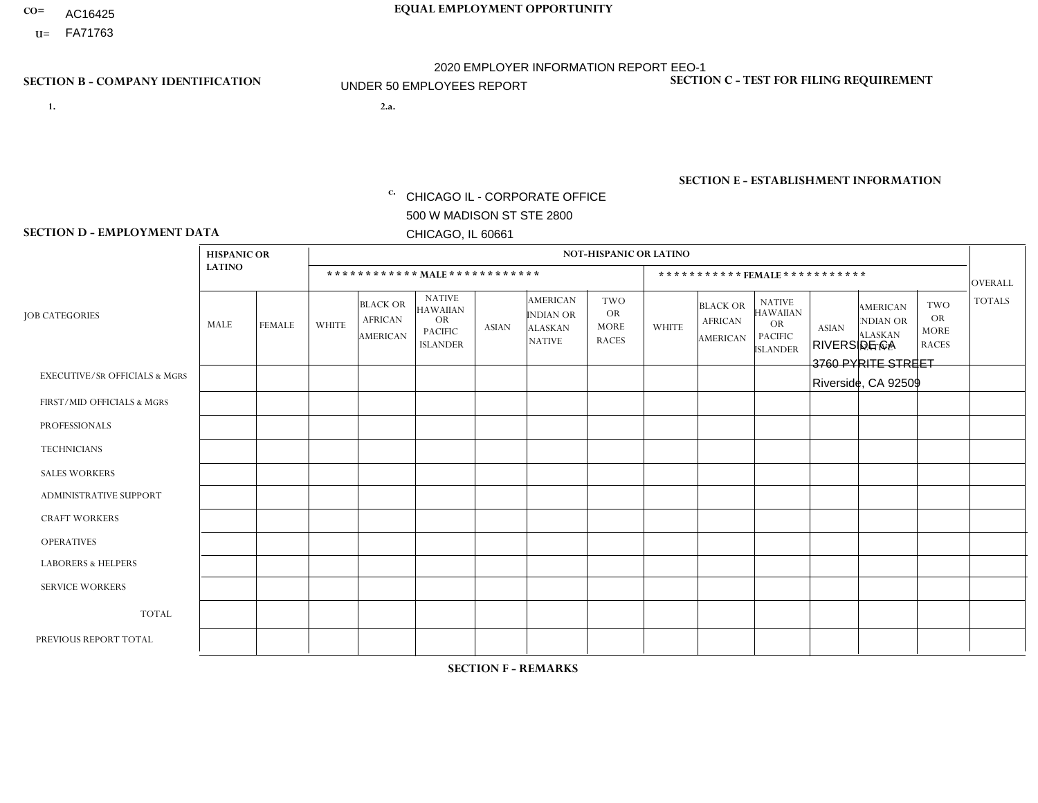- AC16425
- **U=**

- **1. 2.a.** CHICAGO IL CORPORATE OFFICE 500 W MADISON ST STE 2800 CHICAGO, IL 60661
- 2.a. RIVERSIDE CA 3760 PYRITE STREET Riverside, CA 92509

EIN= 953406551

## **SECTION B - COMPANY IDENTIFICATION SECTION C - TEST FOR FILING REQUIREMENT**

1- Y 2- Y 3- N DUNS= 000123456

**SECTION E - ESTABLISHMENT INFORMATION c.** NAICS: 423140

### **SECTION D - EMPLOYMENT DATA**

|                                          | <b>HISPANIC OR</b> |               |                |                                                      |                                                                                    |              |                                                                        | <b>NOT-HISPANIC OR LATINO</b>                          |                |                                               |                                                                                    |              |                                                                       |                                                        |                |
|------------------------------------------|--------------------|---------------|----------------|------------------------------------------------------|------------------------------------------------------------------------------------|--------------|------------------------------------------------------------------------|--------------------------------------------------------|----------------|-----------------------------------------------|------------------------------------------------------------------------------------|--------------|-----------------------------------------------------------------------|--------------------------------------------------------|----------------|
|                                          | <b>LATINO</b>      |               |                | ************ MAIE************                        |                                                                                    |              |                                                                        |                                                        |                |                                               | ***********FEMALE ***********                                                      |              |                                                                       |                                                        | <b>OVERALL</b> |
| <b>JOB CATEGORIES</b>                    | <b>MALE</b>        | <b>FEMALE</b> | <b>WHITE</b>   | <b>BLACK OR</b><br><b>AFRICAN</b><br><b>AMERICAN</b> | <b>NATIVE</b><br><b>HAWAIIAN</b><br><b>OR</b><br><b>PACIFIC</b><br><b>ISLANDER</b> | <b>ASIAN</b> | <b>AMERICAN</b><br><b>INDIAN OR</b><br><b>ALASKAN</b><br><b>NATIVE</b> | <b>TWO</b><br><b>OR</b><br><b>MORE</b><br><b>RACES</b> | <b>WHITE</b>   | <b>BLACK OR</b><br><b>AFRICAN</b><br>AMERICAN | <b>NATIVE</b><br><b>HAWAIIAN</b><br><b>OR</b><br><b>PACIFIC</b><br><b>ISLANDER</b> | <b>ASIAN</b> | <b>AMERICAN</b><br><b>NDIAN OR</b><br><b>ALASKAN</b><br><b>NATIVE</b> | <b>TWO</b><br><b>OR</b><br><b>MORE</b><br><b>RACES</b> | <b>TOTALS</b>  |
| <b>EXECUTIVE/SR OFFICIALS &amp; MGRS</b> | $\Omega$           | $\Omega$      | $\Omega$       | $\mathbf 0$                                          | $\Omega$                                                                           | $\Omega$     | $\Omega$                                                               | $\Omega$                                               | $\Omega$       | $\mathbf{0}$                                  | $\mathbf{0}$                                                                       | $\Omega$     | $\Omega$                                                              | $\Omega$                                               | $\mathbf 0$    |
| FIRST/MID OFFICIALS & MGRS               | $\Omega$           | $\Omega$      | $\overline{1}$ | $\Omega$                                             | 0                                                                                  | $\Omega$     | $\Omega$                                                               | $\Omega$                                               | 1              | $\Omega$                                      | $\Omega$                                                                           | $\Omega$     | $\Omega$                                                              | $\Omega$                                               | $\overline{2}$ |
| <b>PROFESSIONALS</b>                     |                    | $\Omega$      | $\Omega$       | $\Omega$                                             | $\Omega$                                                                           | $\Omega$     | $\Omega$                                                               | $\Omega$                                               | $\Omega$       | $\Omega$                                      | $\Omega$                                                                           | $\Omega$     | $\Omega$                                                              | $\Omega$                                               | $\mathbf{1}$   |
| <b>TECHNICIANS</b>                       | $\Omega$           | $\mathbf 0$   | $\Omega$       | $\mathbf 0$                                          | 0                                                                                  | $\Omega$     | $\Omega$                                                               | $\Omega$                                               | $\mathbf{0}$   | $\Omega$                                      | $\Omega$                                                                           | $\Omega$     | $\Omega$                                                              | $\Omega$                                               | $\mathbf 0$    |
| <b>SALES WORKERS</b>                     | 4                  | $\Omega$      | $\Omega$       | $\Omega$                                             | $\Omega$                                                                           | $\Omega$     | $\Omega$                                                               | $\Omega$                                               | $\Omega$       | $\Omega$                                      | $\Omega$                                                                           | $\Omega$     | $\Omega$                                                              | $\mathbf{0}$                                           | $\overline{4}$ |
| <b>ADMINISTRATIVE SUPPORT</b>            | 1                  | 3             | $\overline{2}$ | $\Omega$                                             | $\Omega$                                                                           | $\Omega$     | $\Omega$                                                               | $\Omega$                                               | $\overline{2}$ | $\Omega$                                      | $\Omega$                                                                           | $\Omega$     | $\Omega$                                                              | $\Omega$                                               | 8              |
| <b>CRAFT WORKERS</b>                     | 0                  | $\Omega$      | $\mathbf 0$    | $\mathbf 0$                                          | $\Omega$                                                                           | $\Omega$     | $\Omega$                                                               | $\Omega$                                               | $\Omega$       | $\Omega$                                      | $\Omega$                                                                           | $\Omega$     | $\Omega$                                                              | $\Omega$                                               | $\Omega$       |
| <b>OPERATIVES</b>                        | 14                 | $\Omega$      | 6              | $\overline{2}$                                       | 0                                                                                  | $\Omega$     | $\overline{0}$                                                         | $\Omega$                                               | $\Omega$       | $\Omega$                                      | $\mathbf{0}$                                                                       | $\Omega$     | $\Omega$                                                              | $\Omega$                                               | 22             |
| <b>LABORERS &amp; HELPERS</b>            | -1                 | $\Omega$      | $\Omega$       | $\mathbf 0$                                          | 0                                                                                  | $\Omega$     | $\Omega$                                                               | $\Omega$                                               | $\Omega$       | $\Omega$                                      | $\Omega$                                                                           | $\Omega$     | $\Omega$                                                              | $\Omega$                                               | $\mathbf{1}$   |
| <b>SERVICE WORKERS</b>                   |                    | $\mathbf 0$   | 0              | $\mathbf 0$                                          | $\mathbf 0$                                                                        | $\mathbf 0$  | $\Omega$                                                               | $\Omega$                                               | $\Omega$       | $\Omega$                                      | $\mathbf{0}$                                                                       | $\mathbf 0$  | $\Omega$                                                              | $\mathbf 0$                                            | $\mathbf{1}$   |
| <b>TOTAL</b>                             | 22                 | 3             | 9              | $\overline{2}$                                       | 0                                                                                  | $\mathbf 0$  | $\Omega$                                                               | $\Omega$                                               | 3              | $\Omega$                                      | $\Omega$                                                                           | $\Omega$     | $\Omega$                                                              | $\Omega$                                               | 39             |
| PREVIOUS REPORT TOTAL                    | 22                 | 3             | $\overline{7}$ | 5                                                    | 0                                                                                  | $\Omega$     | $\Omega$                                                               | $\Omega$                                               | 2              | $\Omega$                                      | $\mathbf{0}$                                                                       | $\Omega$     | $\mathbf{0}$                                                          | $\overline{1}$                                         | 40             |
|                                          |                    |               |                |                                                      |                                                                                    |              |                                                                        |                                                        |                |                                               |                                                                                    |              |                                                                       |                                                        |                |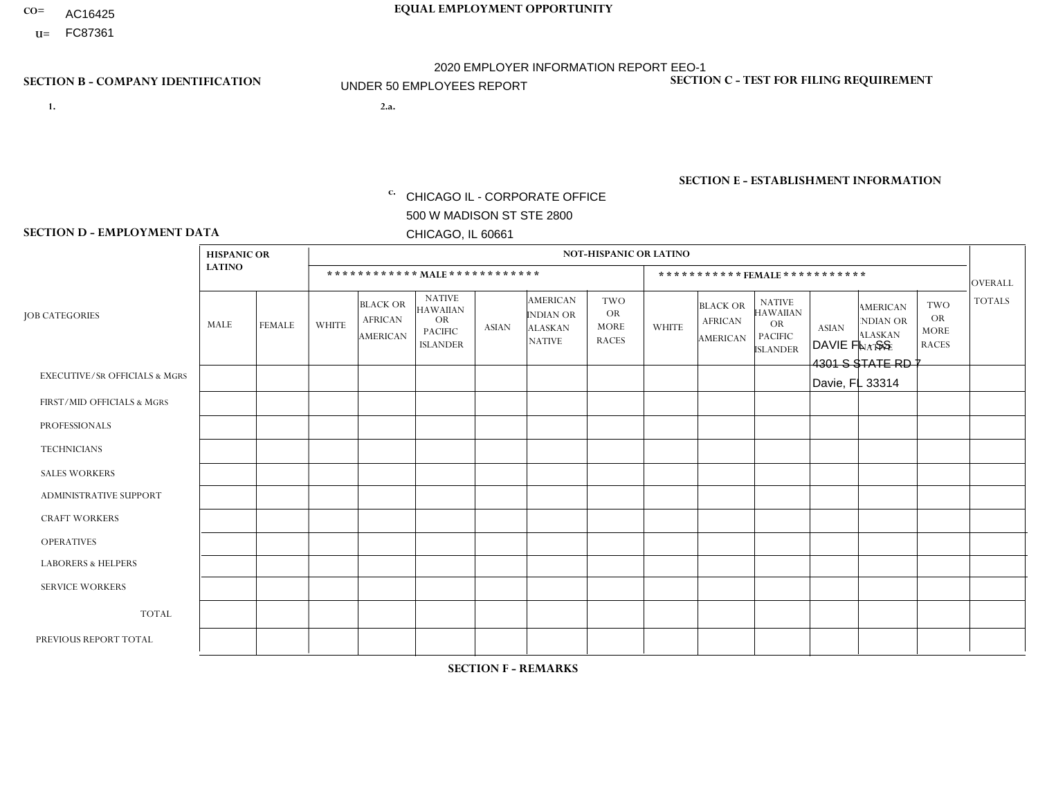- AC16425
- **U=**

**1. 2.a.** CHICAGO IL - CORPORATE OFFICE 500 W MADISON ST STE 2800 CHICAGO, IL 60661

2.a. DAVIE FL - SS 4301 S STATE RD 7 Davie, FL 33314

EIN= 952920557

## **SECTION B - COMPANY IDENTIFICATION SECTION C - TEST FOR FILING REQUIREMENT**

1- Y 2- Y 3- N DUNS= 000123456

**SECTION E - ESTABLISHMENT INFORMATION c.** NAICS: 423140

### **SECTION D - EMPLOYMENT DATA**

|                                          | <b>HISPANIC OR</b> |                |                |                                                      |                                                                                    |              |                                                                        | <b>NOT-HISPANIC OR LATINO</b>                          |                         |                                               |                                                                                    |              |                                                                |                                                        |                |
|------------------------------------------|--------------------|----------------|----------------|------------------------------------------------------|------------------------------------------------------------------------------------|--------------|------------------------------------------------------------------------|--------------------------------------------------------|-------------------------|-----------------------------------------------|------------------------------------------------------------------------------------|--------------|----------------------------------------------------------------|--------------------------------------------------------|----------------|
|                                          | <b>LATINO</b>      |                |                |                                                      | ************ MAIE************                                                      |              |                                                                        |                                                        |                         | *********** FEMALE ***********                |                                                                                    |              |                                                                |                                                        | <b>OVERALL</b> |
| <b>JOB CATEGORIES</b>                    | <b>MALE</b>        | <b>FEMALE</b>  | <b>WHITE</b>   | <b>BLACK OR</b><br><b>AFRICAN</b><br><b>AMERICAN</b> | <b>NATIVE</b><br><b>HAWAIIAN</b><br><b>OR</b><br><b>PACIFIC</b><br><b>ISLANDER</b> | <b>ASIAN</b> | <b>AMERICAN</b><br><b>INDIAN OR</b><br><b>ALASKAN</b><br><b>NATIVE</b> | <b>TWO</b><br><b>OR</b><br><b>MORE</b><br><b>RACES</b> | <b>WHITE</b>            | <b>BLACK OR</b><br><b>AFRICAN</b><br>AMERICAN | <b>NATIVE</b><br><b>HAWAIIAN</b><br><b>OR</b><br><b>PACIFIC</b><br><b>ISLANDER</b> | <b>ASIAN</b> | <b>AMERICAN</b><br>NDIAN OR<br><b>ALASKAN</b><br><b>NATIVE</b> | <b>TWO</b><br><b>OR</b><br><b>MORE</b><br><b>RACES</b> | <b>TOTALS</b>  |
| <b>EXECUTIVE/SR OFFICIALS &amp; MGRS</b> | $\Omega$           | $\Omega$       | $\Omega$       | $\Omega$                                             | $\mathbf{0}$                                                                       | $\Omega$     | $\Omega$                                                               | $\Omega$                                               | $\Omega$                | $\Omega$                                      | $\Omega$                                                                           | $\Omega$     | $\Omega$                                                       | $\Omega$                                               | $\Omega$       |
| FIRST/MID OFFICIALS & MGRS               | 1                  | $\Omega$       | $\overline{2}$ | $\Omega$                                             | $\mathbf{0}$                                                                       | $\mathbf{0}$ | $\Omega$                                                               | 0                                                      | $\Omega$                | $\Omega$                                      | $\Omega$                                                                           | $\Omega$     | $\Omega$                                                       | 0                                                      | 3              |
| <b>PROFESSIONALS</b>                     | 3                  | $\mathbf 0$    | $\mathbf 0$    | 1                                                    | $\Omega$                                                                           | $\Omega$     | $\Omega$                                                               | 0                                                      | $\Omega$                | $\Omega$                                      | $\mathbf 0$                                                                        | $\Omega$     | $\Omega$                                                       | $\mathbf 0$                                            | $\overline{4}$ |
| <b>TECHNICIANS</b>                       | 0                  | $\mathbf 0$    | $\Omega$       | $\Omega$                                             | $\Omega$                                                                           | $\Omega$     | $\Omega$                                                               | $\Omega$                                               | $\Omega$                | $\Omega$                                      | 0                                                                                  | $\mathbf 0$  | $\Omega$                                                       | $\mathbf 0$                                            | $\mathbf 0$    |
| <b>SALES WORKERS</b>                     | $\mathbf 0$        | $\Omega$       | $\mathbf 0$    | $\Omega$                                             | $\Omega$                                                                           | $\Omega$     | $\Omega$                                                               | 0                                                      | $\overline{\mathbf{A}}$ | $\Omega$                                      | $\Omega$                                                                           | $\mathbf{0}$ | $\Omega$                                                       | $\mathbf 0$                                            | $\mathbf{1}$   |
| <b>ADMINISTRATIVE SUPPORT</b>            | $\overline{7}$     | $\overline{2}$ | $\mathbf 0$    | $\overline{2}$                                       | $\mathbf{0}$                                                                       | $\Omega$     | $\Omega$                                                               | 0                                                      | 3                       | $\Omega$                                      | $\Omega$                                                                           | $\Omega$     | $\Omega$                                                       | $\mathbf 0$                                            | 14             |
| <b>CRAFT WORKERS</b>                     | 1                  | $\Omega$       | $\mathbf 0$    | $\mathbf{1}$                                         | $\Omega$                                                                           | $\mathbf{0}$ | $\Omega$                                                               | 0                                                      | $\Omega$                | $\Omega$                                      | $\Omega$                                                                           | $\Omega$     | $\Omega$                                                       | $\Omega$                                               | 2              |
| <b>OPERATIVES</b>                        | 5                  | $\Omega$       | $\Omega$       | 12                                                   | $\Omega$                                                                           | $\Omega$     | $\Omega$                                                               | 1                                                      | $\Omega$                | $\Omega$                                      | $\Omega$                                                                           | $\Omega$     | $\Omega$                                                       | $\Omega$                                               | 18             |
| <b>LABORERS &amp; HELPERS</b>            | $\Omega$           | $\Omega$       | $\Omega$       | $\Omega$                                             | $\mathbf{0}$                                                                       | $\Omega$     | $\Omega$                                                               | 0                                                      | $\Omega$                | $\Omega$                                      | $\Omega$                                                                           | $\Omega$     | $\Omega$                                                       | $\Omega$                                               | 0              |
| <b>SERVICE WORKERS</b>                   | $\Omega$           | $\mathbf 0$    | $\mathbf 0$    | $\mathbf 0$                                          | $\Omega$                                                                           | $\Omega$     | $\Omega$                                                               | 0                                                      | $\Omega$                | $\Omega$                                      | $\Omega$                                                                           | $\Omega$     | $\Omega$                                                       | $\Omega$                                               | $\mathbf 0$    |
| <b>TOTAL</b>                             | 17                 | $\overline{2}$ | 2              | 16                                                   | $\mathbf 0$                                                                        | $\mathbf{0}$ | $\Omega$                                                               | 1                                                      | 4                       | $\Omega$                                      | 0                                                                                  | 0            | $\Omega$                                                       | $\mathbf 0$                                            | 42             |
| PREVIOUS REPORT TOTAL                    | 10                 | $\overline{2}$ | 3              | 19                                                   | $\mathbf{0}$                                                                       | $\Omega$     | 0                                                                      | 1                                                      | 3                       | $\Omega$                                      | 0                                                                                  | $\Omega$     | $\Omega$                                                       | $\mathbf 0$                                            | 38             |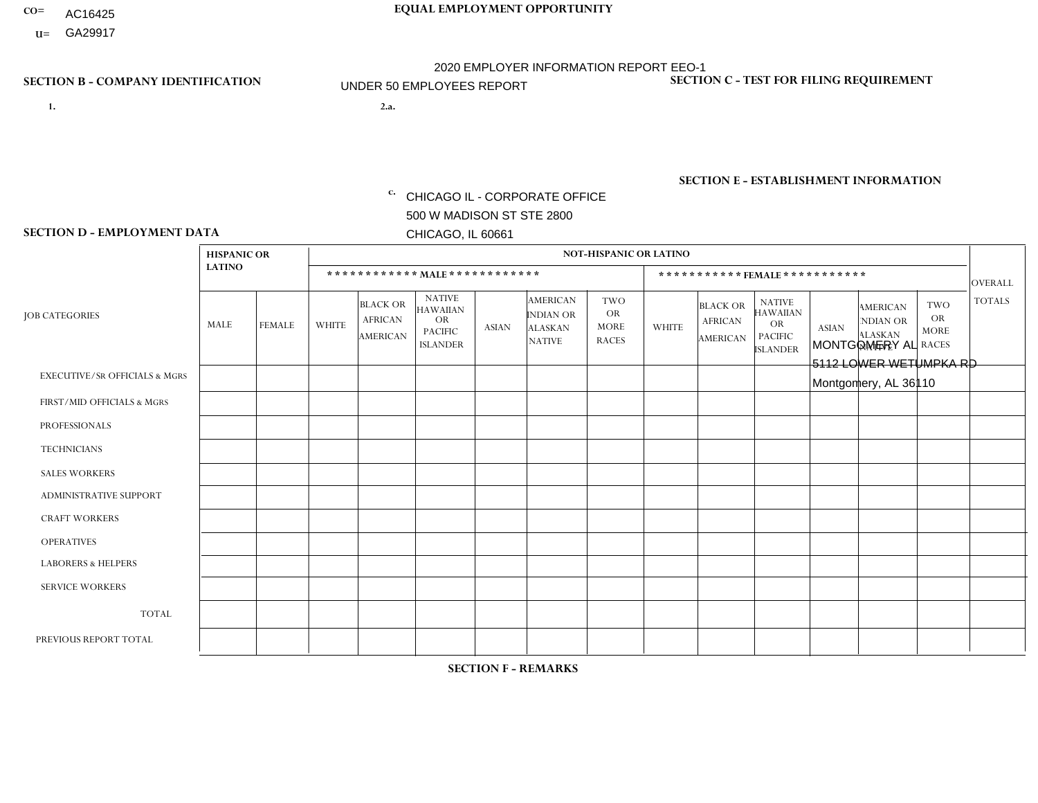- AC16425
- **U=**

- **1. 2.a.** CHICAGO IL CORPORATE OFFICE 500 W MADISON ST STE 2800 CHICAGO, IL 60661
- 2.a. MONTGOMERY AL 5112 LOWER WETUMPKA RD Montgomery, AL 36110

c. EIN= 952920557

## **SECTION B - COMPANY IDENTIFICATION SECTION C - TEST FOR FILING REQUIREMENT**

1- Y 2- Y 3- N DUNS= 000123456

**SECTION E - ESTABLISHMENT INFORMATION c.** NAICS: 423140

### **SECTION D - EMPLOYMENT DATA**

|                                          | <b>NOT-HISPANIC OR LATINO</b><br><b>HISPANIC OR</b> |                |                |                                                      |                                                                                    |              |                                                                        |                                                        |              |                                               |                                                                                    |              |                                                                       |                                                        |                |
|------------------------------------------|-----------------------------------------------------|----------------|----------------|------------------------------------------------------|------------------------------------------------------------------------------------|--------------|------------------------------------------------------------------------|--------------------------------------------------------|--------------|-----------------------------------------------|------------------------------------------------------------------------------------|--------------|-----------------------------------------------------------------------|--------------------------------------------------------|----------------|
|                                          | <b>LATINO</b>                                       |                |                |                                                      | ************ MALE************                                                      |              |                                                                        |                                                        |              |                                               | ***********FEMALE***********                                                       |              |                                                                       |                                                        | <b>OVERALL</b> |
| <b>JOB CATEGORIES</b>                    | MALE                                                | <b>FEMALE</b>  | <b>WHITE</b>   | <b>BLACK OR</b><br><b>AFRICAN</b><br><b>AMERICAN</b> | <b>NATIVE</b><br><b>HAWAIIAN</b><br><b>OR</b><br><b>PACIFIC</b><br><b>ISLANDER</b> | <b>ASIAN</b> | <b>AMERICAN</b><br><b>INDIAN OR</b><br><b>ALASKAN</b><br><b>NATIVE</b> | <b>TWO</b><br><b>OR</b><br><b>MORE</b><br><b>RACES</b> | <b>WHITE</b> | <b>BLACK OR</b><br><b>AFRICAN</b><br>AMERICAN | <b>NATIVE</b><br><b>HAWAIIAN</b><br><b>OR</b><br><b>PACIFIC</b><br><b>ISLANDER</b> | <b>ASIAN</b> | <b>AMERICAN</b><br><b>NDIAN OR</b><br><b>ALASKAN</b><br><b>NATIVE</b> | <b>TWO</b><br><b>OR</b><br><b>MORE</b><br><b>RACES</b> | <b>TOTALS</b>  |
| <b>EXECUTIVE/SR OFFICIALS &amp; MGRS</b> | $\Omega$                                            | $\Omega$       | $\Omega$       | $\mathbf 0$                                          | $\Omega$                                                                           | $\mathbf{0}$ | $\mathbf{0}$                                                           | $\Omega$                                               | 0            | $\Omega$                                      | $\Omega$                                                                           | 0            | $\Omega$                                                              | $\mathbf 0$                                            | $\mathbf 0$    |
| FIRST/MID OFFICIALS & MGRS               | 0                                                   | $\Omega$       | 1              | $\overline{1}$                                       | $\Omega$                                                                           | $\Omega$     | $\Omega$                                                               | $\Omega$                                               | 1            | $\Omega$                                      | $\Omega$                                                                           | $\Omega$     | $\Omega$                                                              | $\Omega$                                               | 3              |
| <b>PROFESSIONALS</b>                     | 0                                                   | $\Omega$       | $\Omega$       | $\mathbf 0$                                          | $\Omega$                                                                           | $\Omega$     | $\Omega$                                                               | $\Omega$                                               | 0            | $\Omega$                                      | $\Omega$                                                                           | $\Omega$     | $\Omega$                                                              | $\Omega$                                               | $\mathbf{0}$   |
| <b>TECHNICIANS</b>                       | $\Omega$                                            | $\overline{0}$ | $\mathbf 0$    | $\mathbf 0$                                          | $\overline{0}$                                                                     | $\Omega$     | $\Omega$                                                               | $\Omega$                                               | $\Omega$     | $\mathbf 0$                                   | $\Omega$                                                                           | $\mathbf 0$  | $\mathbf 0$                                                           | $\mathbf 0$                                            | $\mathbf{0}$   |
| <b>SALES WORKERS</b>                     | 0                                                   | $\Omega$       | $\overline{c}$ | $\Omega$                                             | $\Omega$                                                                           | $\Omega$     | $\Omega$                                                               | $\Omega$                                               |              | $\Omega$                                      | $\Omega$                                                                           | $\Omega$     | $\Omega$                                                              | $\Omega$                                               | 3              |
| <b>ADMINISTRATIVE SUPPORT</b>            | $\Omega$                                            | $\Omega$       | 3              | $\mathbf 0$                                          | $\Omega$                                                                           | $\Omega$     | $\Omega$                                                               | $\Omega$                                               | $\Omega$     | $\Omega$                                      | $\Omega$                                                                           | $\Omega$     | $\mathbf{0}$                                                          | $\Omega$                                               | 3              |
| <b>CRAFT WORKERS</b>                     | 0                                                   | $\Omega$       | 4              | $\mathbf 0$                                          | $\Omega$                                                                           | $\Omega$     | $\Omega$                                                               | $\Omega$                                               | 0            | $\Omega$                                      | $\Omega$                                                                           | $\Omega$     | $\Omega$                                                              | $\Omega$                                               | $\overline{4}$ |
| <b>OPERATIVES</b>                        | 0                                                   | $\Omega$       | 8              | 9                                                    | $\Omega$                                                                           | $\Omega$     | $\Omega$                                                               | $\Omega$                                               |              | $\Omega$                                      | $\Omega$                                                                           | $\Omega$     | $\Omega$                                                              | $\Omega$                                               | 18             |
| <b>LABORERS &amp; HELPERS</b>            | 0                                                   | $\Omega$       | $\Omega$       | $\mathbf 0$                                          | $\Omega$                                                                           | $\Omega$     | $\Omega$                                                               | $\Omega$                                               | 0            | $\Omega$                                      | $\Omega$                                                                           | $\Omega$     | $\Omega$                                                              | $\Omega$                                               | 0              |
| <b>SERVICE WORKERS</b>                   | 0                                                   | $\mathbf 0$    | $\mathbf 0$    | $\mathbf 0$                                          | $\mathbf 0$                                                                        | $\mathbf 0$  | $\Omega$                                                               | $\Omega$                                               | $\Omega$     | $\Omega$                                      | $\Omega$                                                                           | $\mathbf 0$  | $\Omega$                                                              | $\mathbf 0$                                            | $\mathbf 0$    |
| <b>TOTAL</b>                             | $\Omega$                                            | 0              | 18             | 10                                                   | $\mathbf{0}$                                                                       | $\mathbf 0$  | $\Omega$                                                               | $\Omega$                                               | 3            | $\Omega$                                      | $\Omega$                                                                           | $\mathbf 0$  | 0                                                                     | $\mathbf 0$                                            | 31             |
| PREVIOUS REPORT TOTAL                    | 0                                                   | $\Omega$       | 20             | 10                                                   | $\mathbf 0$                                                                        | $\Omega$     | $\Omega$                                                               | $\Omega$                                               | 4            | $\Omega$                                      | $\Omega$                                                                           | $\Omega$     | $\Omega$                                                              | $\mathbf 0$                                            | 34             |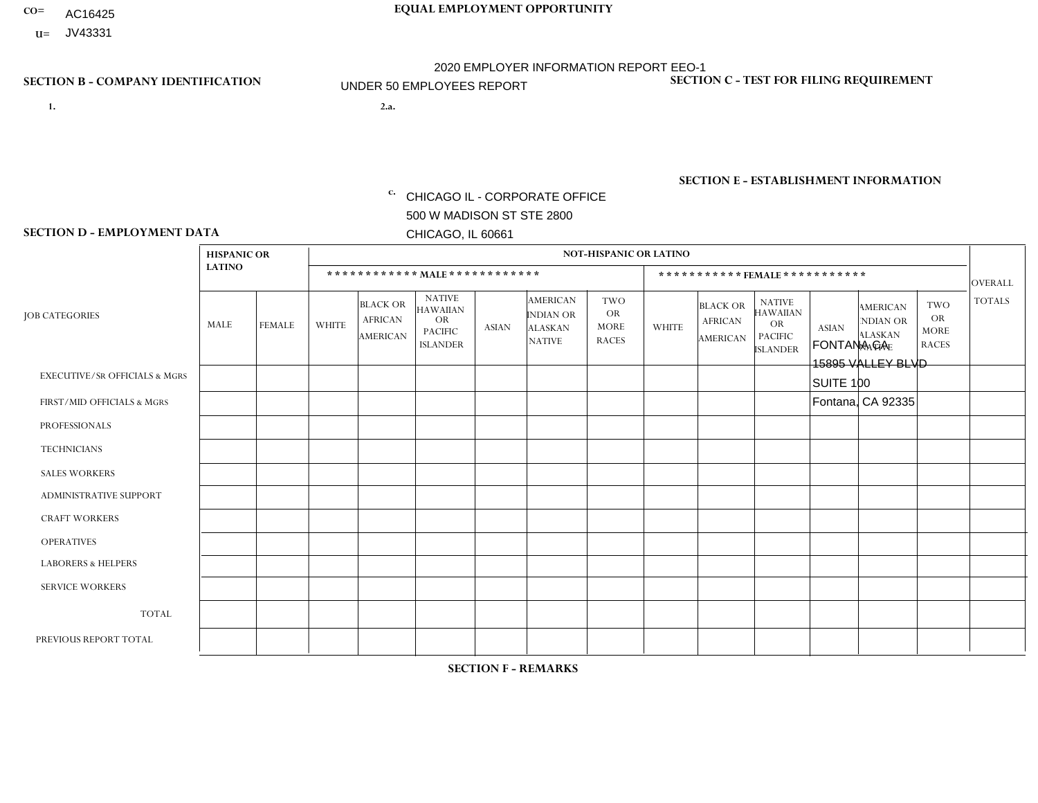- AC16425
- **U=**

- **1. 2.a.** CHICAGO IL CORPORATE OFFICE 500 W MADISON ST STE 2800 CHICAGO, IL 60661
- 2.a. FONTANA CA 15895 VALLEY BLVD SUITE 100 Fontana, CA 92335
	- EIN= 364261867

## **SECTION B - COMPANY IDENTIFICATION SECTION C - TEST FOR FILING REQUIREMENT**

1- Y 2- Y 3- N DUNS= 000123456

**SECTION E - ESTABLISHMENT INFORMATION c.** NAICS: 423140

### **SECTION D - EMPLOYMENT DATA**

|                                          | <b>HISPANIC OR</b> |               |              |                                                      |                                                                                    |              |                                                                        | <b>NOT-HISPANIC OR LATINO</b>                          |              |                                               |                                                                                    |              |                                                                       |                                                        |                |
|------------------------------------------|--------------------|---------------|--------------|------------------------------------------------------|------------------------------------------------------------------------------------|--------------|------------------------------------------------------------------------|--------------------------------------------------------|--------------|-----------------------------------------------|------------------------------------------------------------------------------------|--------------|-----------------------------------------------------------------------|--------------------------------------------------------|----------------|
|                                          | <b>LATINO</b>      |               |              |                                                      | ************ MALE ************                                                     |              |                                                                        |                                                        |              |                                               | ***********FEMALE***********                                                       |              |                                                                       |                                                        | <b>OVERALL</b> |
| <b>JOB CATEGORIES</b>                    | MALE               | <b>FEMALE</b> | <b>WHITE</b> | <b>BLACK OR</b><br><b>AFRICAN</b><br><b>AMERICAN</b> | <b>NATIVE</b><br><b>HAWAIIAN</b><br><b>OR</b><br><b>PACIFIC</b><br><b>ISLANDER</b> | <b>ASIAN</b> | <b>AMERICAN</b><br><b>INDIAN OR</b><br><b>ALASKAN</b><br><b>NATIVE</b> | <b>TWO</b><br><b>OR</b><br><b>MORE</b><br><b>RACES</b> | <b>WHITE</b> | <b>BLACK OR</b><br><b>AFRICAN</b><br>AMERICAN | <b>NATIVE</b><br><b>HAWAIIAN</b><br><b>OR</b><br><b>PACIFIC</b><br><b>ISLANDER</b> | <b>ASIAN</b> | <b>AMERICAN</b><br><b>NDIAN OR</b><br><b>ALASKAN</b><br><b>NATIVE</b> | <b>TWO</b><br><b>OR</b><br><b>MORE</b><br><b>RACES</b> | <b>TOTALS</b>  |
| <b>EXECUTIVE/SR OFFICIALS &amp; MGRS</b> | $\Omega$           | 0             | $\mathbf 0$  | $\mathbf 0$                                          | 0                                                                                  | $\mathbf{0}$ | $\Omega$                                                               | $\Omega$                                               | 0            | $\Omega$                                      | $\Omega$                                                                           | $\mathbf 0$  | 0                                                                     | $\mathbf 0$                                            | $\mathbf 0$    |
| FIRST/MID OFFICIALS & MGRS               | 0                  | $\mathbf 0$   | $\mathbf 0$  | $\mathbf 0$                                          | 0                                                                                  | $\Omega$     | $\Omega$                                                               |                                                        | $\Omega$     | 0                                             | $\Omega$                                                                           | $\mathbf 0$  | 0                                                                     | $\mathbf 0$                                            | $\mathbf{1}$   |
| <b>PROFESSIONALS</b>                     | 0                  | $\Omega$      | $\Omega$     | $\mathbf 0$                                          | $\Omega$                                                                           | $\Omega$     | $\Omega$                                                               | $\Omega$                                               | $\Omega$     | $\Omega$                                      | $\Omega$                                                                           | $\Omega$     | $\Omega$                                                              | $\mathbf{0}$                                           | $\mathbf{0}$   |
| <b>TECHNICIANS</b>                       | 0                  | $\Omega$      | $\Omega$     | $\mathbf 0$                                          | $\Omega$                                                                           | $\Omega$     | $\Omega$                                                               | $\Omega$                                               | $\Omega$     | $\Omega$                                      | $\Omega$                                                                           | $\mathbf{0}$ | $\Omega$                                                              | $\mathbf{0}$                                           | $\mathbf 0$    |
| <b>SALES WORKERS</b>                     | 0                  | $\Omega$      | $\Omega$     | $\mathbf 0$                                          | $\Omega$                                                                           | $\Omega$     | $\Omega$                                                               | $\Omega$                                               | 0            | $\Omega$                                      | $\Omega$                                                                           | $\Omega$     | $\Omega$                                                              | $\Omega$                                               | $\mathbf 0$    |
| <b>ADMINISTRATIVE SUPPORT</b>            | 0                  | $\mathbf{0}$  | $\mathbf 0$  | $\mathbf 0$                                          | $\mathbf{0}$                                                                       | $\Omega$     | $\Omega$                                                               | $\Omega$                                               | $\mathbf 0$  | $\mathbf 0$                                   | $\Omega$                                                                           | $\mathbf 0$  | $\mathbf 0$                                                           | $\mathbf 0$                                            | $\overline{0}$ |
| <b>CRAFT WORKERS</b>                     | $\Omega$           | $\Omega$      | $\Omega$     | $\mathbf 0$                                          | $\Omega$                                                                           | $\Omega$     | $\Omega$                                                               | $\Omega$                                               | $\Omega$     | $\Omega$                                      | $\Omega$                                                                           | $\Omega$     | $\Omega$                                                              | $\Omega$                                               | $\mathbf 0$    |
| <b>OPERATIVES</b>                        | $\Omega$           | $\Omega$      | $\Omega$     | $\mathbf 0$                                          | $\Omega$                                                                           | $\Omega$     | $\Omega$                                                               | $\Omega$                                               | $\Omega$     | $\Omega$                                      | $\Omega$                                                                           | $\Omega$     | $\Omega$                                                              | $\Omega$                                               | $\overline{0}$ |
| <b>LABORERS &amp; HELPERS</b>            | $\Omega$           | $\Omega$      | $\Omega$     | $\mathbf 0$                                          | $\Omega$                                                                           | $\Omega$     | $\Omega$                                                               | $\Omega$                                               | $\Omega$     | $\Omega$                                      | $\Omega$                                                                           | $\Omega$     | $\Omega$                                                              | $\Omega$                                               | $\mathbf 0$    |
| <b>SERVICE WORKERS</b>                   | $\Omega$           | 0             | $\mathbf 0$  | $\mathbf 0$                                          | $\mathbf{0}$                                                                       | $\mathbf 0$  | $\Omega$                                                               | $\Omega$                                               | $\Omega$     | $\Omega$                                      | $\Omega$                                                                           | $\Omega$     | $\Omega$                                                              | $\mathbf 0$                                            | $\mathbf 0$    |
| <b>TOTAL</b>                             | $\Omega$           | $\mathbf 0$   | $\Omega$     | $\mathbf 0$                                          | 0                                                                                  | $\Omega$     | $\Omega$                                                               |                                                        | $\Omega$     | $\Omega$                                      | $\Omega$                                                                           | $\mathbf 0$  | $\mathbf 0$                                                           | $\mathbf 0$                                            | $\mathbf{1}$   |
| PREVIOUS REPORT TOTAL                    |                    |               |              |                                                      |                                                                                    |              |                                                                        |                                                        |              |                                               |                                                                                    |              |                                                                       |                                                        |                |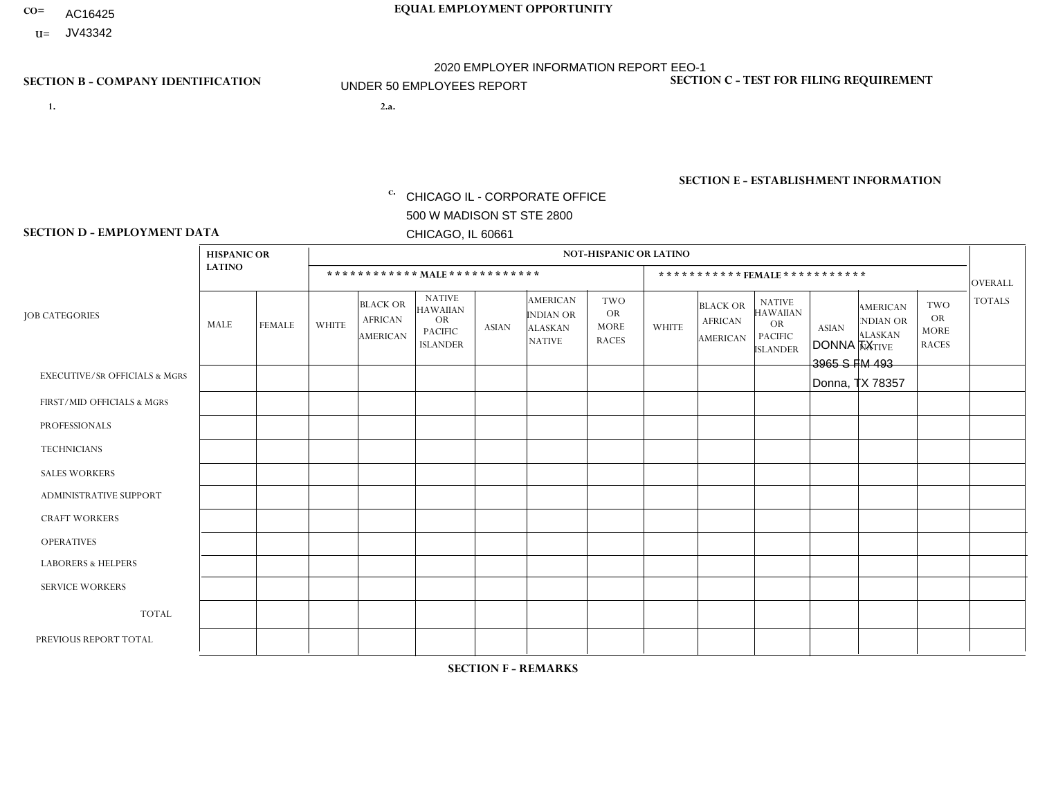- AC16425
- **U=**

**1. 2.a.** CHICAGO IL - CORPORATE OFFICE 500 W MADISON ST STE 2800 CHICAGO, IL 60661

2.a. DONNA TX 3965 S FM 493 Donna, TX 78357

EIN= 952920557

## **SECTION B - COMPANY IDENTIFICATION SECTION C - TEST FOR FILING REQUIREMENT**

1- Y 2- Y 3- N DUNS= 000123456

**SECTION E - ESTABLISHMENT INFORMATION c.** NAICS: 423140

### **SECTION D - EMPLOYMENT DATA**

|                                          | <b>HISPANIC OR</b> |               |              |                                                      |                                                                                    |              |                                                                        | <b>NOT-HISPANIC OR LATINO</b>                          |              |                                               |                                                                                    |              |                                                                       |                                                        |                |
|------------------------------------------|--------------------|---------------|--------------|------------------------------------------------------|------------------------------------------------------------------------------------|--------------|------------------------------------------------------------------------|--------------------------------------------------------|--------------|-----------------------------------------------|------------------------------------------------------------------------------------|--------------|-----------------------------------------------------------------------|--------------------------------------------------------|----------------|
|                                          | <b>LATINO</b>      |               |              | ************ MALE ************                       |                                                                                    |              |                                                                        |                                                        |              |                                               | ***********FEMALE***********                                                       |              |                                                                       |                                                        | <b>OVERALL</b> |
| <b>JOB CATEGORIES</b>                    | <b>MALE</b>        | <b>FEMALE</b> | <b>WHITE</b> | <b>BLACK OR</b><br><b>AFRICAN</b><br><b>AMERICAN</b> | <b>NATIVE</b><br><b>HAWAIIAN</b><br><b>OR</b><br><b>PACIFIC</b><br><b>ISLANDER</b> | <b>ASIAN</b> | <b>AMERICAN</b><br><b>INDIAN OR</b><br><b>ALASKAN</b><br><b>NATIVE</b> | <b>TWO</b><br><b>OR</b><br><b>MORE</b><br><b>RACES</b> | <b>WHITE</b> | <b>BLACK OR</b><br><b>AFRICAN</b><br>AMERICAN | <b>NATIVE</b><br><b>HAWAIIAN</b><br><b>OR</b><br><b>PACIFIC</b><br><b>ISLANDER</b> | <b>ASIAN</b> | <b>AMERICAN</b><br><b>NDIAN OR</b><br><b>ALASKAN</b><br><b>NATIVE</b> | <b>TWO</b><br><b>OR</b><br><b>MORE</b><br><b>RACES</b> | <b>TOTALS</b>  |
| <b>EXECUTIVE/SR OFFICIALS &amp; MGRS</b> | $\Omega$           | $\mathbf 0$   | $\mathbf 0$  | $\mathbf 0$                                          | $\mathbf 0$                                                                        | $\mathbf 0$  | $\Omega$                                                               | $\Omega$                                               | $\mathbf 0$  | $\mathbf 0$                                   | $\mathbf 0$                                                                        | $\mathbf 0$  | $\Omega$                                                              | $\mathbf 0$                                            | $\mathbf 0$    |
| FIRST/MID OFFICIALS & MGRS               | $\Omega$           | $\Omega$      | $\mathbf 0$  | $\mathbf 0$                                          | 0                                                                                  | $\Omega$     | $\Omega$                                                               | $\Omega$                                               | $\Omega$     | $\Omega$                                      | $\Omega$                                                                           | $\Omega$     | $\Omega$                                                              | $\Omega$                                               | $\mathbf 0$    |
| <b>PROFESSIONALS</b>                     | $\Omega$           | $\mathbf 0$   | $\mathbf 0$  | $\mathbf 0$                                          | $\mathbf 0$                                                                        | $\mathbf 0$  | $\Omega$                                                               | $\Omega$                                               | $\Omega$     | $\Omega$                                      | $\mathbf{0}$                                                                       | $\mathbf 0$  | $\Omega$                                                              | $\Omega$                                               | 0              |
| <b>TECHNICIANS</b>                       | $\Omega$           | $\mathbf 0$   | $\mathbf 0$  | $\mathbf 0$                                          | 0                                                                                  | $\Omega$     | $\Omega$                                                               | $\Omega$                                               | $\mathbf{0}$ | $\Omega$                                      | $\Omega$                                                                           | $\Omega$     | $\Omega$                                                              | $\Omega$                                               | $\mathbf 0$    |
| <b>SALES WORKERS</b>                     | 1                  | $\mathbf 0$   | $\Omega$     | $\mathbf 0$                                          | $\mathbf 0$                                                                        | $\Omega$     | $\overline{0}$                                                         | $\Omega$                                               | $\Omega$     | $\Omega$                                      | $\Omega$                                                                           | $\Omega$     | $\Omega$                                                              | $\mathbf{0}$                                           | $\mathbf{1}$   |
| <b>ADMINISTRATIVE SUPPORT</b>            | $\Omega$           | $\mathbf 0$   | $\mathbf 0$  | $\mathbf 0$                                          | 0                                                                                  | $\Omega$     | $\Omega$                                                               | $\Omega$                                               | $\Omega$     | $\Omega$                                      | $\Omega$                                                                           | $\Omega$     | $\Omega$                                                              | $\Omega$                                               | $\mathbf 0$    |
| <b>CRAFT WORKERS</b>                     | $\Omega$           | $\mathbf 0$   | $\mathbf 0$  | $\mathbf 0$                                          | $\mathbf 0$                                                                        | $\mathbf 0$  | $\Omega$                                                               | $\Omega$                                               | $\Omega$     | $\Omega$                                      | $\Omega$                                                                           | $\Omega$     | $\Omega$                                                              | $\Omega$                                               | $\mathbf 0$    |
| <b>OPERATIVES</b>                        | $\Omega$           | $\Omega$      | $\mathbf 0$  | $\mathbf 0$                                          | 0                                                                                  | $\Omega$     | $\Omega$                                                               | $\Omega$                                               | $\Omega$     | $\Omega$                                      | $\Omega$                                                                           | $\Omega$     | $\Omega$                                                              | $\Omega$                                               | $\mathbf 0$    |
| <b>LABORERS &amp; HELPERS</b>            | $\Omega$           | $\Omega$      | $\mathbf 0$  | $\mathbf 0$                                          | $\mathbf 0$                                                                        | $\mathbf 0$  | $\Omega$                                                               | $\Omega$                                               | $\Omega$     | $\Omega$                                      | $\Omega$                                                                           | $\Omega$     | $\Omega$                                                              | $\Omega$                                               | 0              |
| <b>SERVICE WORKERS</b>                   | 0                  | $\Omega$      | 0            | $\mathbf 0$                                          | 0                                                                                  | $\Omega$     | $\Omega$                                                               | $\Omega$                                               | $\Omega$     | $\mathbf{0}$                                  | $\mathbf{0}$                                                                       | $\Omega$     | $\Omega$                                                              | $\Omega$                                               | 0              |
| <b>TOTAL</b>                             | 1                  | $\mathbf 0$   | $\Omega$     | $\mathbf 0$                                          | $\mathbf{0}$                                                                       | $\mathbf 0$  | $\Omega$                                                               | $\Omega$                                               | $\Omega$     | $\mathbf 0$                                   | $\mathbf{0}$                                                                       | $\mathbf 0$  | $\Omega$                                                              | $\mathbf 0$                                            | $\mathbf{1}$   |
| PREVIOUS REPORT TOTAL                    |                    |               |              |                                                      |                                                                                    |              |                                                                        |                                                        |              |                                               |                                                                                    |              |                                                                       |                                                        |                |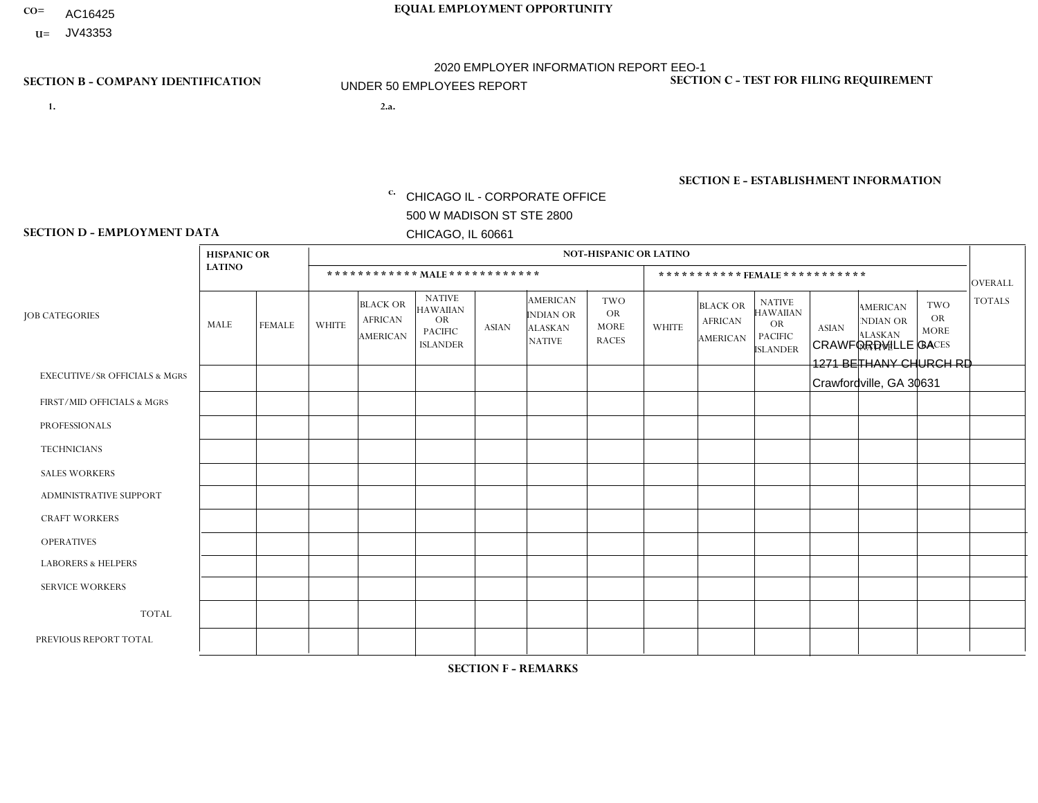- AC16425
- **U=** JV43353

- **1. 2.a.** CHICAGO IL CORPORATE OFFICE 500 W MADISON ST STE 2800 CHICAGO, IL 60661
- 2.a. CRAWFORDVILLE GA 1271 BETHANY CHURCH RD Crawfordville, GA 30631

c. EIN= 952920557

## **SECTION B - COMPANY IDENTIFICATION SECTION C - TEST FOR FILING REQUIREMENT**

1- Y 2- Y 3- N DUNS= 000123456

**SECTION E - ESTABLISHMENT INFORMATION c.** NAICS: 423140

### **SECTION D - EMPLOYMENT DATA**

|                                          | <b>HISPANIC OR</b> |               |              |                                                      |                                                                                    |                |                                                                        | <b>NOT-HISPANIC OR LATINO</b>                          |              |                                               |                                                                                    |              |                                                                       |                                                        |                |
|------------------------------------------|--------------------|---------------|--------------|------------------------------------------------------|------------------------------------------------------------------------------------|----------------|------------------------------------------------------------------------|--------------------------------------------------------|--------------|-----------------------------------------------|------------------------------------------------------------------------------------|--------------|-----------------------------------------------------------------------|--------------------------------------------------------|----------------|
|                                          | <b>LATINO</b>      |               |              | ************ MALE ************                       |                                                                                    |                |                                                                        |                                                        |              |                                               | ***********FEMALE***********                                                       |              |                                                                       |                                                        | <b>OVERALL</b> |
| <b>JOB CATEGORIES</b>                    | <b>MALE</b>        | <b>FEMALE</b> | <b>WHITE</b> | <b>BLACK OR</b><br><b>AFRICAN</b><br><b>AMERICAN</b> | <b>NATIVE</b><br><b>HAWAIIAN</b><br><b>OR</b><br><b>PACIFIC</b><br><b>ISLANDER</b> | <b>ASIAN</b>   | <b>AMERICAN</b><br><b>INDIAN OR</b><br><b>ALASKAN</b><br><b>NATIVE</b> | <b>TWO</b><br><b>OR</b><br><b>MORE</b><br><b>RACES</b> | <b>WHITE</b> | <b>BLACK OR</b><br><b>AFRICAN</b><br>AMERICAN | <b>NATIVE</b><br><b>HAWAIIAN</b><br><b>OR</b><br><b>PACIFIC</b><br><b>ISLANDER</b> | <b>ASIAN</b> | <b>AMERICAN</b><br><b>NDIAN OR</b><br><b>ALASKAN</b><br><b>NATIVE</b> | <b>TWO</b><br><b>OR</b><br><b>MORE</b><br><b>RACES</b> | <b>TOTALS</b>  |
| <b>EXECUTIVE/SR OFFICIALS &amp; MGRS</b> | $\Omega$           | $\mathbf 0$   | $\Omega$     | $\mathbf 0$                                          | $\mathbf 0$                                                                        | $\mathbf 0$    | $\Omega$                                                               | $\Omega$                                               | 0            | $\mathbf 0$                                   | $\mathbf 0$                                                                        | $\mathbf 0$  | $\Omega$                                                              | $\mathbf 0$                                            | $\mathbf 0$    |
| FIRST/MID OFFICIALS & MGRS               | $\Omega$           | $\Omega$      | 1            | $\mathbf 0$                                          | 0                                                                                  | $\Omega$       | $\Omega$                                                               | $\Omega$                                               | $\Omega$     | $\Omega$                                      | $\Omega$                                                                           | $\Omega$     | $\Omega$                                                              | $\Omega$                                               | $\mathbf{1}$   |
| <b>PROFESSIONALS</b>                     | $\Omega$           | $\mathbf 0$   | $\mathbf 0$  | $\mathbf 0$                                          | $\mathbf 0$                                                                        | $\mathbf 0$    | $\overline{0}$                                                         | $\Omega$                                               | $\Omega$     | $\Omega$                                      | $\mathbf{0}$                                                                       | $\mathbf 0$  | $\Omega$                                                              | $\mathbf 0$                                            | $\mathbf 0$    |
| <b>TECHNICIANS</b>                       | $\Omega$           | $\mathbf 0$   | $\mathbf 0$  | $\mathbf 0$                                          | $\overline{0}$                                                                     | $\mathbf 0$    | $\Omega$                                                               | $\Omega$                                               | $\Omega$     | $\Omega$                                      | $\Omega$                                                                           | $\mathbf 0$  | $\Omega$                                                              | $\Omega$                                               | $\mathbf 0$    |
| <b>SALES WORKERS</b>                     | $\Omega$           | $\mathbf 0$   | $\Omega$     | $\mathbf 0$                                          | 0                                                                                  | $\Omega$       | $\overline{0}$                                                         | $\Omega$                                               | $\mathbf 0$  | $\mathbf 0$                                   | $\Omega$                                                                           | $\mathbf 0$  | $\Omega$                                                              | $\mathbf{0}$                                           | 0              |
| ADMINISTRATIVE SUPPORT                   | $\Omega$           | $\Omega$      | $\Omega$     | $\Omega$                                             | 0                                                                                  | $\Omega$       | $\Omega$                                                               | $\Omega$                                               | $\Omega$     | $\Omega$                                      | $\Omega$                                                                           | $\Omega$     | $\Omega$                                                              | $\Omega$                                               | $\mathbf 0$    |
| <b>CRAFT WORKERS</b>                     | $\Omega$           | $\Omega$      | $\mathbf{0}$ | $\mathbf{1}$                                         | $\mathbf{0}$                                                                       | $\overline{1}$ | $\Omega$                                                               | $\Omega$                                               | $\Omega$     | $\Omega$                                      | $\Omega$                                                                           | $\Omega$     | $\Omega$                                                              | $\Omega$                                               | $\overline{2}$ |
| <b>OPERATIVES</b>                        | 0                  | $\Omega$      | $\Omega$     | $\mathbf 0$                                          | 0                                                                                  | $\Omega$       | $\Omega$                                                               | $\Omega$                                               | $\Omega$     | $\Omega$                                      | $\mathbf{0}$                                                                       | $\Omega$     | $\Omega$                                                              | $\Omega$                                               | $\mathbf{0}$   |
| <b>LABORERS &amp; HELPERS</b>            | $\Omega$           | $\Omega$      | 0            | $\mathbf 0$                                          | $\mathbf{0}$                                                                       | $\mathbf 0$    | $\Omega$                                                               | $\Omega$                                               | $\Omega$     | $\Omega$                                      | $\Omega$                                                                           | $\Omega$     | $\Omega$                                                              | $\Omega$                                               | 0              |
| <b>SERVICE WORKERS</b>                   | $\Omega$           | $\Omega$      | $\Omega$     | $\mathbf 0$                                          | 0                                                                                  | $\Omega$       | $\Omega$                                                               | $\Omega$                                               | $\Omega$     | $\Omega$                                      | $\mathbf{0}$                                                                       | $\Omega$     | $\Omega$                                                              | $\Omega$                                               | 0              |
| <b>TOTAL</b>                             | $\Omega$           | $\mathbf 0$   | -1           | $\mathbf{1}$                                         | 0                                                                                  | $\overline{1}$ | $\Omega$                                                               | $\Omega$                                               | $\Omega$     | $\mathbf 0$                                   | $\mathbf{0}$                                                                       | $\Omega$     | $\Omega$                                                              | $\mathbf 0$                                            | 3              |
| PREVIOUS REPORT TOTAL                    |                    |               |              |                                                      |                                                                                    |                |                                                                        |                                                        |              |                                               |                                                                                    |              |                                                                       |                                                        |                |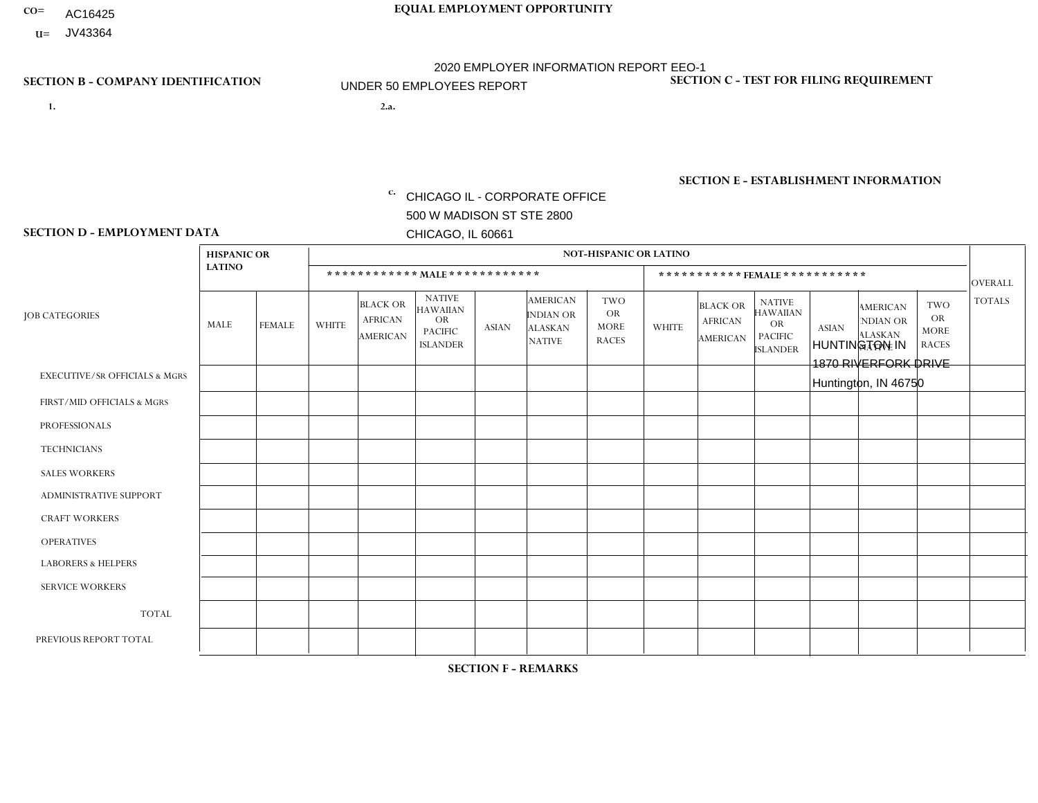- AC16425
- **U=** JV43364

- **1. 2.a.** CHICAGO IL CORPORATE OFFICE 500 W MADISON ST STE 2800 CHICAGO, IL 60661
- 2.a. HUNTINGTON IN 1870 RIVERFORK DRIVE Huntington, IN 46750

c. EIN= 952920557

## **SECTION B - COMPANY IDENTIFICATION SECTION C - TEST FOR FILING REQUIREMENT**

1- Y 2- Y 3- N DUNS= 000123456

**SECTION E - ESTABLISHMENT INFORMATION c.** NAICS: 551114

### **SECTION D - EMPLOYMENT DATA**

|                                          | <b>HISPANIC OR</b> |               |              |                                                      |                                                                                    |              |                                                                 | NOT-HISPANIC OR LATINO                                 |              |                                               |                                                                                    |              |                                                                       |                                                        |                |
|------------------------------------------|--------------------|---------------|--------------|------------------------------------------------------|------------------------------------------------------------------------------------|--------------|-----------------------------------------------------------------|--------------------------------------------------------|--------------|-----------------------------------------------|------------------------------------------------------------------------------------|--------------|-----------------------------------------------------------------------|--------------------------------------------------------|----------------|
|                                          | <b>LATINO</b>      |               |              | ************ MALE ************                       |                                                                                    |              |                                                                 |                                                        |              |                                               | ***********FEMALE***********                                                       |              |                                                                       |                                                        | <b>OVERALL</b> |
| <b>JOB CATEGORIES</b>                    | <b>MALE</b>        | <b>FEMALE</b> | <b>WHITE</b> | <b>BLACK OR</b><br><b>AFRICAN</b><br><b>AMERICAN</b> | <b>NATIVE</b><br><b>HAWAIIAN</b><br><b>OR</b><br><b>PACIFIC</b><br><b>ISLANDER</b> | <b>ASIAN</b> | <b>AMERICAN</b><br>INDIAN OR<br><b>ALASKAN</b><br><b>NATIVE</b> | <b>TWO</b><br><b>OR</b><br><b>MORE</b><br><b>RACES</b> | <b>WHITE</b> | <b>BLACK OR</b><br><b>AFRICAN</b><br>AMERICAN | <b>NATIVE</b><br><b>HAWAIIAN</b><br><b>OR</b><br><b>PACIFIC</b><br><b>ISLANDER</b> | <b>ASIAN</b> | <b>AMERICAN</b><br><b>NDIAN OR</b><br><b>ALASKAN</b><br><b>NATIVE</b> | <b>TWO</b><br><b>OR</b><br><b>MORE</b><br><b>RACES</b> | <b>TOTALS</b>  |
| <b>EXECUTIVE/SR OFFICIALS &amp; MGRS</b> | $\Omega$           | $\mathbf 0$   | $\mathbf 0$  | $\mathbf 0$                                          | $\mathbf 0$                                                                        | $\mathbf 0$  | $\Omega$                                                        | $\Omega$                                               | 0            | $\mathbf 0$                                   | $\mathbf 0$                                                                        | $\mathbf 0$  | $\Omega$                                                              | $\mathbf 0$                                            | $\mathbf 0$    |
| FIRST/MID OFFICIALS & MGRS               | $\Omega$           | $\Omega$      | 1            | $\Omega$                                             | $\Omega$                                                                           | $\Omega$     | $\Omega$                                                        | $\Omega$                                               | $\Omega$     | $\Omega$                                      | $\Omega$                                                                           | $\Omega$     | $\Omega$                                                              | $\mathbf{0}$                                           | $\mathbf{1}$   |
| <b>PROFESSIONALS</b>                     | 0                  | $\Omega$      | $\Omega$     | $\mathbf 0$                                          | $\mathbf 0$                                                                        | $\Omega$     | $\Omega$                                                        | $\Omega$                                               | $\mathbf 1$  | $\mathbf{0}$                                  | $\mathbf{0}$                                                                       | $\Omega$     | $\Omega$                                                              | $\Omega$                                               | $\mathbf{1}$   |
| <b>TECHNICIANS</b>                       | $\Omega$           | $\Omega$      | $\Omega$     | $\mathbf 0$                                          | $\Omega$                                                                           | $\Omega$     | $\Omega$                                                        | $\Omega$                                               | $\Omega$     | $\Omega$                                      | $\Omega$                                                                           | $\Omega$     | $\mathbf{0}$                                                          | $\Omega$                                               | $\mathbf 0$    |
| <b>SALES WORKERS</b>                     | $\mathbf{0}$       | $\mathbf 0$   | $\mathbf 0$  | $\mathbf 0$                                          | 0                                                                                  | $\mathbf 0$  | 0                                                               | $\mathbf 0$                                            | $\mathbf{0}$ | $\mathbf 0$                                   | $\mathbf 0$                                                                        | $\mathbf 0$  | 0                                                                     | $\Omega$                                               | $\mathbf 0$    |
| <b>ADMINISTRATIVE SUPPORT</b>            | $\Omega$           | $\mathbf 0$   | $\Omega$     | $\mathbf 0$                                          | 0                                                                                  | $\Omega$     | $\Omega$                                                        | $\Omega$                                               | $\Omega$     | $\Omega$                                      | $\Omega$                                                                           | $\mathbf 0$  | $\Omega$                                                              | $\mathbf{0}$                                           | $\mathbf 0$    |
| <b>CRAFT WORKERS</b>                     | $\Omega$           | $\Omega$      | $\Omega$     | $\Omega$                                             | $\mathbf{0}$                                                                       | $\Omega$     | $\Omega$                                                        | $\Omega$                                               | $\Omega$     | $\Omega$                                      | $\Omega$                                                                           | $\Omega$     | $\mathbf{0}$                                                          | $\Omega$                                               | $\mathbf{0}$   |
| <b>OPERATIVES</b>                        | $\Omega$           | $\mathbf 0$   | $\mathbf 0$  | $\mathbf 0$                                          | $\mathbf{0}$                                                                       | $\mathbf 0$  | $\Omega$                                                        | $\Omega$                                               | $\Omega$     | $\Omega$                                      | $\Omega$                                                                           | $\Omega$     | $\Omega$                                                              | $\Omega$                                               | $\mathbf 0$    |
| <b>LABORERS &amp; HELPERS</b>            | $\Omega$           | $\mathbf 0$   | $\mathbf 0$  | $\mathbf 0$                                          | 0                                                                                  | $\mathbf 0$  | $\Omega$                                                        | $\Omega$                                               | $\Omega$     | $\Omega$                                      | $\Omega$                                                                           | $\Omega$     | 0                                                                     | $\Omega$                                               | $\mathbf{0}$   |
| <b>SERVICE WORKERS</b>                   | $\Omega$           | $\mathbf 0$   | $\mathbf 0$  | $\mathbf 0$                                          | 0                                                                                  | $\mathbf 0$  | $\Omega$                                                        | $\Omega$                                               | $\Omega$     | $\Omega$                                      | $\Omega$                                                                           | $\Omega$     | $\Omega$                                                              | $\Omega$                                               | $\mathbf{0}$   |
| <b>TOTAL</b>                             | $\Omega$           | $\mathbf 0$   | -1           | $\mathbf 0$                                          | 0                                                                                  | $\mathbf 0$  | $\Omega$                                                        | $\Omega$                                               | $\mathbf{1}$ | $\Omega$                                      | $\Omega$                                                                           | $\Omega$     | $\Omega$                                                              | $\mathbf 0$                                            | $\overline{2}$ |
| PREVIOUS REPORT TOTAL                    |                    |               |              |                                                      |                                                                                    |              |                                                                 |                                                        |              |                                               |                                                                                    |              |                                                                       |                                                        |                |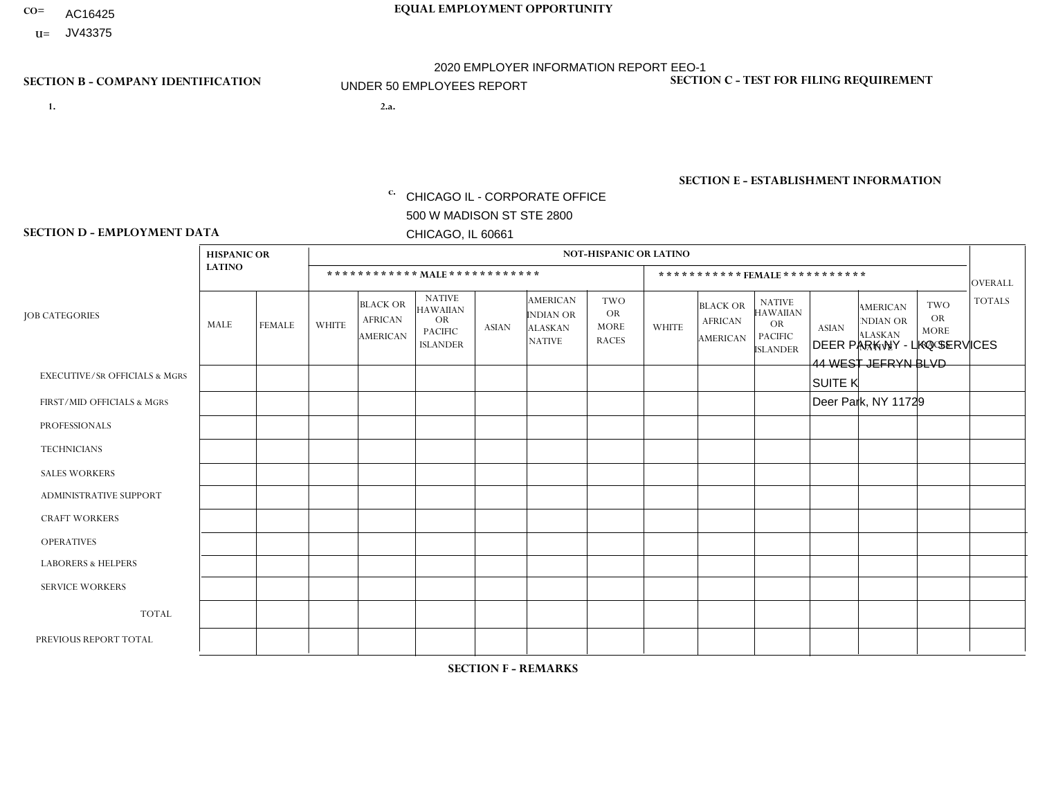- AC16425
- **U=** JV43375

- **1. 2.a.** CHICAGO IL CORPORATE OFFICE 500 W MADISON ST STE 2800 CHICAGO, IL 60661
- 2.a. DEER PARK NY LKQ SERVICES 44 WEST JEFRYN BLVD SUITE K Deer Park, NY 11729
	- EIN= 952920557

## **SECTION B - COMPANY IDENTIFICATION SECTION C - TEST FOR FILING REQUIREMENT**

1- Y 2- Y 3- N DUNS= 000123456

**SECTION E - ESTABLISHMENT INFORMATION c.** NAICS: 423140

### **SECTION D - EMPLOYMENT DATA**

|                                          | <b>HISPANIC OR</b> |                |                |                                                      |                                                                                    |              |                                                                        | <b>NOT-HISPANIC OR LATINO</b>                          |              |                                               |                                                                                    |                |                                                                       |                                                 |                |
|------------------------------------------|--------------------|----------------|----------------|------------------------------------------------------|------------------------------------------------------------------------------------|--------------|------------------------------------------------------------------------|--------------------------------------------------------|--------------|-----------------------------------------------|------------------------------------------------------------------------------------|----------------|-----------------------------------------------------------------------|-------------------------------------------------|----------------|
|                                          | <b>LATINO</b>      |                |                | ************ MAIE************                        |                                                                                    |              |                                                                        |                                                        |              |                                               | ***********FEMALE***********                                                       |                |                                                                       |                                                 | <b>OVERALL</b> |
| <b>JOB CATEGORIES</b>                    | <b>MALE</b>        | <b>FEMALE</b>  | <b>WHITE</b>   | <b>BLACK OR</b><br><b>AFRICAN</b><br><b>AMERICAN</b> | <b>NATIVE</b><br><b>HAWAIIAN</b><br><b>OR</b><br><b>PACIFIC</b><br><b>ISLANDER</b> | <b>ASIAN</b> | <b>AMERICAN</b><br><b>INDIAN OR</b><br><b>ALASKAN</b><br><b>NATIVE</b> | <b>TWO</b><br><b>OR</b><br><b>MORE</b><br><b>RACES</b> | <b>WHITE</b> | <b>BLACK OR</b><br><b>AFRICAN</b><br>AMERICAN | <b>NATIVE</b><br><b>HAWAIIAN</b><br><b>OR</b><br><b>PACIFIC</b><br><b>ISLANDER</b> | <b>ASIAN</b>   | <b>AMERICAN</b><br><b>NDIAN OR</b><br><b>ALASKAN</b><br><b>NATIVE</b> | TWO<br><b>OR</b><br><b>MORE</b><br><b>RACES</b> | <b>TOTALS</b>  |
| <b>EXECUTIVE/SR OFFICIALS &amp; MGRS</b> | $\Omega$           | $\mathbf 0$    | $\mathbf 0$    | 0                                                    | $\mathbf 0$                                                                        | $\mathbf 0$  | $\Omega$                                                               | $\Omega$                                               | $\Omega$     | $\mathbf{0}$                                  | $\Omega$                                                                           | $\Omega$       | $\Omega$                                                              | $\mathbf 0$                                     | $\mathbf 0$    |
| FIRST/MID OFFICIALS & MGRS               | $\Omega$           | $\mathbf{1}$   | 1              | 0                                                    | $\mathbf 0$                                                                        | $\mathbf 0$  | $\Omega$                                                               | $\Omega$                                               | $\Omega$     | $\Omega$                                      | $\mathbf{0}$                                                                       | $\Omega$       | $\Omega$                                                              | $\Omega$                                        | $\overline{2}$ |
| <b>PROFESSIONALS</b>                     | $\Omega$           | $\Omega$       | $\Omega$       | $\Omega$                                             | 0                                                                                  | $\Omega$     | $\Omega$                                                               | $\Omega$                                               | $\Omega$     | $\Omega$                                      | $\Omega$                                                                           | $\Omega$       | $\Omega$                                                              | $\Omega$                                        | $\mathbf 0$    |
| <b>TECHNICIANS</b>                       | 0                  | $\mathbf 0$    | $\Omega$       | $\mathbf 0$                                          | $\mathbf 0$                                                                        | $\Omega$     | $\Omega$                                                               | $\Omega$                                               | $\Omega$     | $\mathbf{0}$                                  | $\mathbf{0}$                                                                       | $\Omega$       | $\Omega$                                                              | $\Omega$                                        | $\mathbf 0$    |
| <b>SALES WORKERS</b>                     | $\Omega$           | $\mathbf 0$    | $\overline{1}$ | $\mathbf 0$                                          | 0                                                                                  | $\mathbf 0$  | $\Omega$                                                               | $\Omega$                                               | $\mathbf{0}$ | $\mathbf 0$                                   | $\Omega$                                                                           | $\Omega$       | $\mathbf{0}$                                                          | $\mathbf 0$                                     | $\mathbf{1}$   |
| <b>ADMINISTRATIVE SUPPORT</b>            | $\overline{2}$     | $\overline{2}$ | 6              | $\mathbf 0$                                          | 0                                                                                  | $\mathbf 0$  | $\overline{0}$                                                         | $\mathbf 0$                                            | 5            | $\mathbf 0$                                   | $\mathbf 0$                                                                        | $\overline{2}$ | $\mathbf{0}$                                                          | $\Omega$                                        | 17             |
| <b>CRAFT WORKERS</b>                     | $\Omega$           | $\Omega$       | $\Omega$       | $\Omega$                                             | 0                                                                                  | $\Omega$     | $\Omega$                                                               | $\Omega$                                               | $\Omega$     | $\Omega$                                      | $\Omega$                                                                           | $\Omega$       | $\Omega$                                                              | $\mathbf{0}$                                    | $\mathbf 0$    |
| <b>OPERATIVES</b>                        | $\Omega$           | $\Omega$       | $\Omega$       | $\mathbf{0}$                                         | $\mathbf 0$                                                                        | $\Omega$     | $\Omega$                                                               | $\Omega$                                               | $\Omega$     | $\Omega$                                      | $\Omega$                                                                           | $\Omega$       | $\Omega$                                                              | $\Omega$                                        | $\mathbf 0$    |
| <b>LABORERS &amp; HELPERS</b>            | $\Omega$           | $\Omega$       | 0              | 0                                                    | 0                                                                                  | $\Omega$     | $\Omega$                                                               | $\Omega$                                               | $\Omega$     | $\Omega$                                      | $\Omega$                                                                           | $\Omega$       | $\Omega$                                                              | $\Omega$                                        | 0              |
| <b>SERVICE WORKERS</b>                   | $\Omega$           | $\Omega$       | $\mathbf 0$    | $\mathbf 0$                                          | $\mathbf 0$                                                                        | $\mathbf 0$  | $\Omega$                                                               | $\Omega$                                               | $\Omega$     | $\Omega$                                      | $\Omega$                                                                           | $\Omega$       | $\Omega$                                                              | $\Omega$                                        | 0              |
| <b>TOTAL</b>                             | $\overline{2}$     | 3              | 8              | $\mathbf 0$                                          | 0                                                                                  | $\Omega$     | $\Omega$                                                               | $\Omega$                                               | 5            | $\mathbf 0$                                   | $\mathbf 0$                                                                        | $\overline{2}$ | $\Omega$                                                              | $\Omega$                                        | 20             |
| PREVIOUS REPORT TOTAL                    |                    |                |                |                                                      |                                                                                    |              |                                                                        |                                                        |              |                                               |                                                                                    |                |                                                                       |                                                 |                |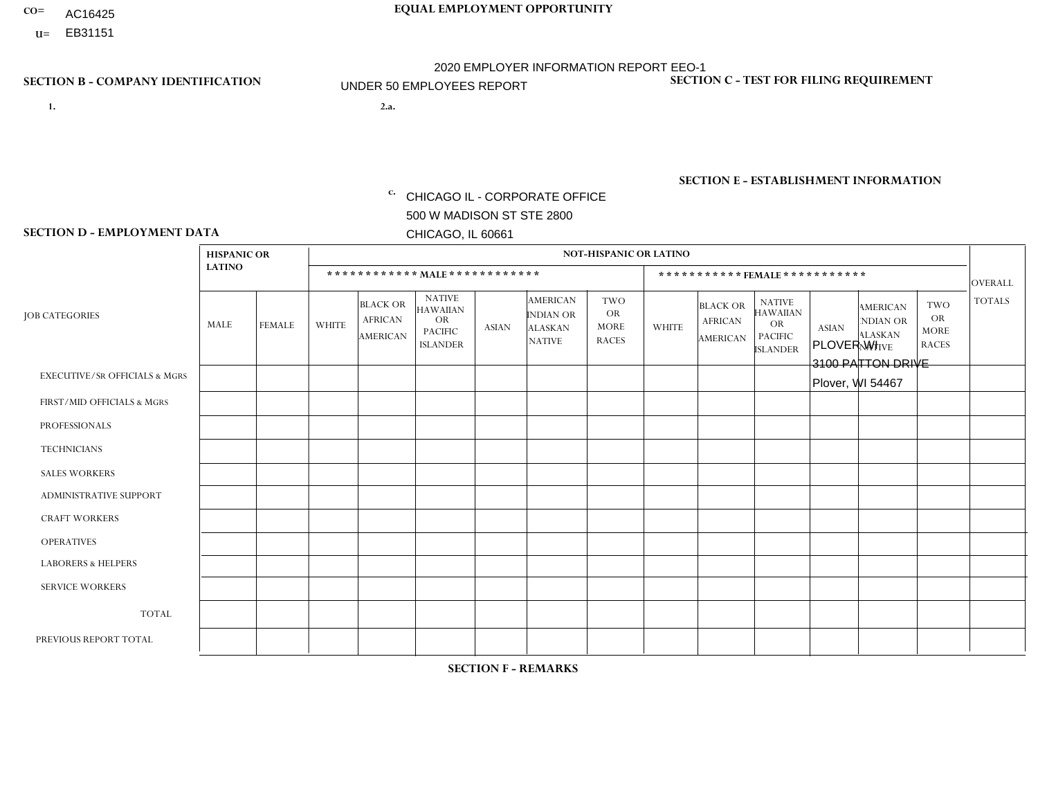- AC16425
- **U=**

- **1. 2.a.** CHICAGO IL CORPORATE OFFICE 500 W MADISON ST STE 2800 CHICAGO, IL 60661
- 2.a. PLOVER WI 3100 PATTON DRIVE Plover, WI 54467

EIN= 952920557

## **SECTION B - COMPANY IDENTIFICATION SECTION C - TEST FOR FILING REQUIREMENT**

1- Y 2- Y 3- N DUNS= 000123456

**SECTION E - ESTABLISHMENT INFORMATION c.** NAICS: 423140

### **SECTION D - EMPLOYMENT DATA**

|                                          | <b>HISPANIC OR</b> |               |              |                                                      |                                                                                    |             |                                                                        | <b>NOT-HISPANIC OR LATINO</b>                          |                |                                               |                                                                             |              |                                                                       |                                                        |                |
|------------------------------------------|--------------------|---------------|--------------|------------------------------------------------------|------------------------------------------------------------------------------------|-------------|------------------------------------------------------------------------|--------------------------------------------------------|----------------|-----------------------------------------------|-----------------------------------------------------------------------------|--------------|-----------------------------------------------------------------------|--------------------------------------------------------|----------------|
|                                          | <b>LATINO</b>      |               |              | ************ MALE ************                       |                                                                                    |             |                                                                        |                                                        |                | ***********FEMALE***********                  |                                                                             |              |                                                                       |                                                        | <b>OVERALL</b> |
| <b>JOB CATEGORIES</b>                    | MALE               | <b>FEMALE</b> | <b>WHITE</b> | <b>BLACK OR</b><br><b>AFRICAN</b><br><b>AMERICAN</b> | <b>NATIVE</b><br><b>HAWAIIAN</b><br><b>OR</b><br><b>PACIFIC</b><br><b>ISLANDER</b> | ASIAN       | <b>AMERICAN</b><br><b>INDIAN OR</b><br><b>ALASKAN</b><br><b>NATIVE</b> | <b>TWO</b><br><b>OR</b><br><b>MORE</b><br><b>RACES</b> | <b>WHITE</b>   | <b>BLACK OR</b><br><b>AFRICAN</b><br>AMERICAN | <b>NATIVE</b><br><b>HAWAIIAN</b><br>OR<br><b>PACIFIC</b><br><b>ISLANDER</b> | <b>ASIAN</b> | <b>AMERICAN</b><br><b>NDIAN OR</b><br><b>ALASKAN</b><br><b>NATIVE</b> | <b>TWO</b><br><b>OR</b><br><b>MORE</b><br><b>RACES</b> | <b>TOTALS</b>  |
| <b>EXECUTIVE/SR OFFICIALS &amp; MGRS</b> | $\Omega$           | $\Omega$      | $\Omega$     | $\mathbf 0$                                          | $\mathbf 0$                                                                        | $\Omega$    | $\Omega$                                                               | $\Omega$                                               | $\Omega$       | $\Omega$                                      | $\Omega$                                                                    | $\mathbf 0$  | $\Omega$                                                              | $\mathbf 0$                                            | $\mathbf{0}$   |
| FIRST/MID OFFICIALS & MGRS               | 0                  | 0             | $\Omega$     | $\mathbf 0$                                          | 0                                                                                  | $\Omega$    | $\Omega$                                                               | $\Omega$                                               | 0              | $\Omega$                                      | $\Omega$                                                                    | $\mathbf{0}$ | $\Omega$                                                              | $\mathbf 0$                                            | $\overline{0}$ |
| <b>PROFESSIONALS</b>                     | $\Omega$           | $\Omega$      | $\Omega$     | $\mathbf 0$                                          | $\Omega$                                                                           | $\Omega$    | $\Omega$                                                               | $\Omega$                                               | $\overline{0}$ | $\Omega$                                      | $\Omega$                                                                    | $\Omega$     | $\Omega$                                                              | $\Omega$                                               | $\mathbf 0$    |
| <b>TECHNICIANS</b>                       | 0                  | $\mathbf 0$   | $\Omega$     | $\mathbf 0$                                          | $\Omega$                                                                           | $\Omega$    | $\Omega$                                                               | $\Omega$                                               | $\Omega$       | $\Omega$                                      | $\Omega$                                                                    | $\Omega$     | $\Omega$                                                              | $\Omega$                                               | $\mathbf{0}$   |
| <b>SALES WORKERS</b>                     | $\Omega$           | $\Omega$      | $\Omega$     | $\mathbf 0$                                          | $\Omega$                                                                           | $\Omega$    | $\Omega$                                                               | $\Omega$                                               | $\overline{0}$ | $\Omega$                                      | $\Omega$                                                                    | $\Omega$     | $\Omega$                                                              | $\Omega$                                               | $\mathbf{0}$   |
| ADMINISTRATIVE SUPPORT                   | $\mathbf 0$        | 0             | $\mathbf 0$  | $\mathbf 0$                                          | 0                                                                                  | $\Omega$    | $\Omega$                                                               | $\Omega$                                               | $\Omega$       | $\Omega$                                      | $\Omega$                                                                    | $\Omega$     | $\mathbf{0}$                                                          | $\mathbf 0$                                            | $\mathbf 0$    |
| <b>CRAFT WORKERS</b>                     | 0                  | $\Omega$      | $\Omega$     | $\mathbf 0$                                          | $\Omega$                                                                           | $\Omega$    | $\Omega$                                                               | $\Omega$                                               | 0              | $\Omega$                                      | $\Omega$                                                                    | $\Omega$     | $\Omega$                                                              | $\Omega$                                               | $\Omega$       |
| <b>OPERATIVES</b>                        | 0                  | $\Omega$      | 3            | $\mathbf 0$                                          | $\Omega$                                                                           | $\Omega$    | $\Omega$                                                               | $\Omega$                                               | $\Omega$       | $\Omega$                                      | $\Omega$                                                                    | $\Omega$     | $\Omega$                                                              | $\Omega$                                               | 3              |
| <b>LABORERS &amp; HELPERS</b>            | 0                  | $\Omega$      | $\Omega$     | $\mathbf 0$                                          | $\mathbf 0$                                                                        | $\Omega$    | $\Omega$                                                               | $\Omega$                                               | $\Omega$       | $\Omega$                                      | $\Omega$                                                                    | $\Omega$     | $\Omega$                                                              | $\Omega$                                               | $\mathbf 0$    |
| <b>SERVICE WORKERS</b>                   | 0                  | $\mathbf 0$   | $\mathbf 0$  | $\mathbf 0$                                          | $\mathbf{0}$                                                                       | $\mathbf 0$ | $\Omega$                                                               | $\Omega$                                               | $\Omega$       | $\Omega$                                      | $\Omega$                                                                    | $\mathbf 0$  | $\Omega$                                                              | $\mathbf 0$                                            | $\overline{0}$ |
| <b>TOTAL</b>                             | $\Omega$           | 0             | 3            | 0                                                    | 0                                                                                  | $\Omega$    | $\Omega$                                                               | $\Omega$                                               | $\Omega$       | $\Omega$                                      | $\Omega$                                                                    | $\mathbf 0$  | 0                                                                     | $\mathbf 0$                                            | 3              |
| PREVIOUS REPORT TOTAL                    | 0                  | $\Omega$      | 6            | $\mathbf 0$                                          | $\Omega$                                                                           | $\Omega$    | $\Omega$                                                               | $\Omega$                                               | 0              | $\Omega$                                      | $\Omega$                                                                    | $\Omega$     | $\Omega$                                                              | $\mathbf 0$                                            | 6              |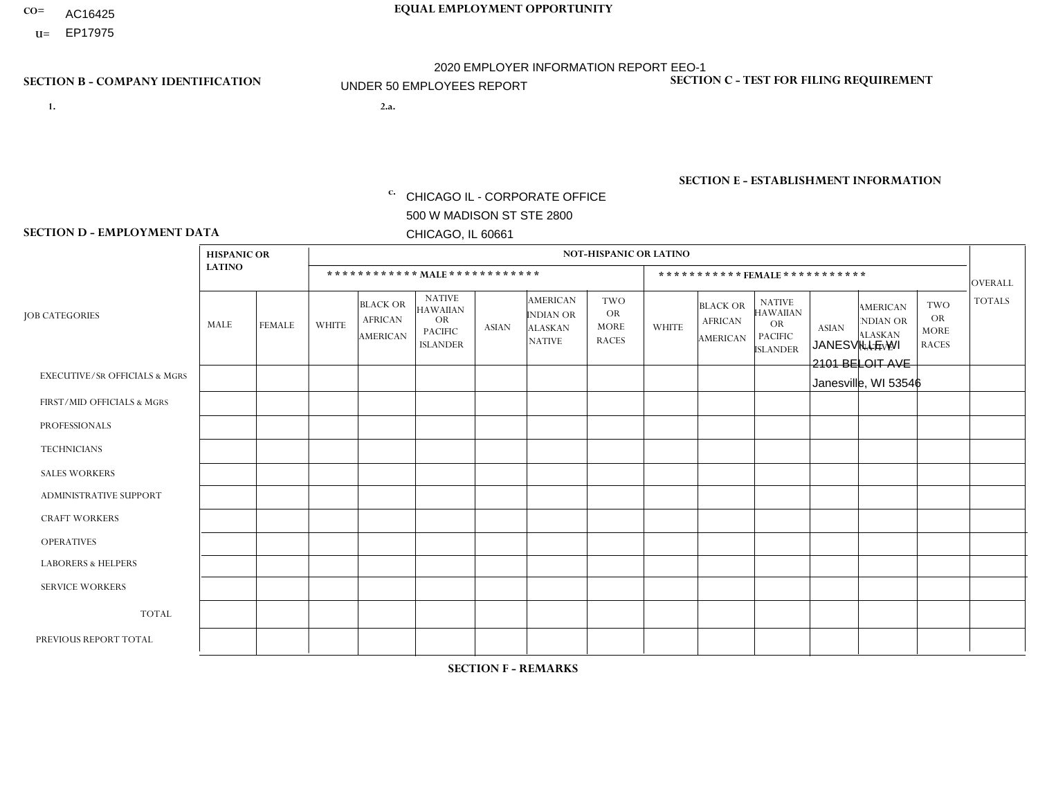- AC16425
- **U=**

**1. 2.a.** CHICAGO IL - CORPORATE OFFICE 500 W MADISON ST STE 2800 CHICAGO, IL 60661

2.a. JANESVILLE WI 2101 BELOIT AVE Janesville, WI 53546

EIN= 952920557

## **SECTION B - COMPANY IDENTIFICATION SECTION C - TEST FOR FILING REQUIREMENT**

1- Y 2- Y 3- N DUNS= 000123456

**SECTION E - ESTABLISHMENT INFORMATION c.** NAICS: 423140

### **SECTION D - EMPLOYMENT DATA**

|                                          | <b>HISPANIC OR</b> |               |                |                                                      |                                                                                    |              | <b>NOT-HISPANIC OR LATINO</b>                                   |                                                        |              |                                                      |                                                                                    |              |                                                                       |                                                        |                |
|------------------------------------------|--------------------|---------------|----------------|------------------------------------------------------|------------------------------------------------------------------------------------|--------------|-----------------------------------------------------------------|--------------------------------------------------------|--------------|------------------------------------------------------|------------------------------------------------------------------------------------|--------------|-----------------------------------------------------------------------|--------------------------------------------------------|----------------|
|                                          | <b>LATINO</b>      |               |                | ************ MALE ************                       |                                                                                    |              |                                                                 |                                                        |              |                                                      | ***********FEMALE***********                                                       |              |                                                                       |                                                        | <b>OVERALL</b> |
| <b>JOB CATEGORIES</b>                    | <b>MALE</b>        | <b>FEMALE</b> | <b>WHITE</b>   | <b>BLACK OR</b><br><b>AFRICAN</b><br><b>AMERICAN</b> | <b>NATIVE</b><br><b>HAWAIIAN</b><br><b>OR</b><br><b>PACIFIC</b><br><b>ISLANDER</b> | <b>ASIAN</b> | <b>AMERICAN</b><br>INDIAN OR<br><b>ALASKAN</b><br><b>NATIVE</b> | <b>TWO</b><br><b>OR</b><br><b>MORE</b><br><b>RACES</b> | <b>WHITE</b> | <b>BLACK OR</b><br><b>AFRICAN</b><br><b>AMERICAN</b> | <b>NATIVE</b><br><b>HAWAIIAN</b><br><b>OR</b><br><b>PACIFIC</b><br><b>ISLANDER</b> | <b>ASIAN</b> | <b>AMERICAN</b><br><b>NDIAN OR</b><br><b>ALASKAN</b><br><b>NATIVE</b> | <b>TWO</b><br><b>OR</b><br><b>MORE</b><br><b>RACES</b> | <b>TOTALS</b>  |
| <b>EXECUTIVE/SR OFFICIALS &amp; MGRS</b> | $\mathbf{0}$       | $\Omega$      | $\Omega$       | $\Omega$                                             | 0                                                                                  | $\Omega$     | $\Omega$                                                        | $\Omega$                                               | $\Omega$     | $\mathbf{0}$                                         | $\Omega$                                                                           | $\Omega$     | $\Omega$                                                              | $\Omega$                                               | $\Omega$       |
| FIRST/MID OFFICIALS & MGRS               | $\Omega$           | $\Omega$      | $\Omega$       | $\mathbf 0$                                          | $\mathbf 0$                                                                        | $\Omega$     | $\Omega$                                                        | $\Omega$                                               | $\Omega$     | $\Omega$                                             | $\Omega$                                                                           | $\Omega$     | $\Omega$                                                              | $\Omega$                                               | $\mathbf 0$    |
| <b>PROFESSIONALS</b>                     | $\Omega$           | $\Omega$      | $\mathbf 0$    | $\mathbf 0$                                          | $\overline{0}$                                                                     | $\Omega$     | $\Omega$                                                        | $\Omega$                                               | $\Omega$     | $\Omega$                                             | $\Omega$                                                                           | $\Omega$     | $\Omega$                                                              | $\mathbf{0}$                                           | $\mathbf 0$    |
| <b>TECHNICIANS</b>                       | $\Omega$           | $\Omega$      | $\Omega$       | $\Omega$                                             | 0                                                                                  | $\Omega$     | $\overline{0}$                                                  | $\Omega$                                               | $\Omega$     | $\Omega$                                             | $\Omega$                                                                           | $\Omega$     | $\mathbf{0}$                                                          | $\Omega$                                               | $\Omega$       |
| <b>SALES WORKERS</b>                     | $\Omega$           | $\Omega$      | $\overline{c}$ | $\mathbf{0}$                                         | 0                                                                                  | $\Omega$     | $\Omega$                                                        | $\Omega$                                               | $\Omega$     | $\Omega$                                             | $\Omega$                                                                           | $\Omega$     | $\Omega$                                                              | $\mathbf{0}$                                           | $\overline{2}$ |
| <b>ADMINISTRATIVE SUPPORT</b>            | $\Omega$           | $\mathbf 0$   | $\Omega$       | $\mathbf 0$                                          | $\mathbf 0$                                                                        | $\mathbf 0$  | $\Omega$                                                        | $\Omega$                                               | $\Omega$     | $\Omega$                                             | $\Omega$                                                                           | $\Omega$     | $\Omega$                                                              | $\Omega$                                               | $\mathbf 0$    |
| <b>CRAFT WORKERS</b>                     | $\Omega$           | $\Omega$      | $\Omega$       | 0                                                    | 0                                                                                  | $\Omega$     | $\Omega$                                                        | $\Omega$                                               | $\Omega$     | $\Omega$                                             | $\Omega$                                                                           | $\Omega$     | $\Omega$                                                              | $\Omega$                                               | $\Omega$       |
| <b>OPERATIVES</b>                        | $\Omega$           | $\Omega$      | $\Omega$       | $\mathbf 0$                                          | 0                                                                                  | $\Omega$     | $\Omega$                                                        | $\Omega$                                               | $\Omega$     | $\Omega$                                             | $\Omega$                                                                           | $\Omega$     | $\Omega$                                                              | $\Omega$                                               | 0              |
| <b>LABORERS &amp; HELPERS</b>            | $\Omega$           | $\Omega$      | $\Omega$       | $\mathbf 0$                                          | 0                                                                                  | $\Omega$     | $\Omega$                                                        | $\Omega$                                               | $\Omega$     | $\Omega$                                             | $\Omega$                                                                           | $\Omega$     | $\Omega$                                                              | $\Omega$                                               | $\mathbf 0$    |
| <b>SERVICE WORKERS</b>                   | $\Omega$           | $\Omega$      | $\Omega$       | 0                                                    | $\mathbf 0$                                                                        | $\Omega$     | $\Omega$                                                        | $\Omega$                                               | $\Omega$     | $\Omega$                                             | $\Omega$                                                                           | $\Omega$     | $\Omega$                                                              | $\Omega$                                               | 0              |
| <b>TOTAL</b>                             | 0                  | $\mathbf 0$   | $\overline{c}$ | 0                                                    | 0                                                                                  | $\mathbf 0$  | $\Omega$                                                        | $\Omega$                                               | 0            | $\Omega$                                             | $\Omega$                                                                           | $\mathbf 0$  | $\Omega$                                                              | $\mathbf 0$                                            | $\overline{2}$ |
| PREVIOUS REPORT TOTAL                    | $\Omega$           | $\mathbf 0$   | 3              | $\mathbf 0$                                          | 0                                                                                  | $\Omega$     | $\overline{0}$                                                  | $\Omega$                                               | $\mathbf 1$  | $\Omega$                                             | $\mathbf{0}$                                                                       | $\Omega$     | $\Omega$                                                              | $\mathbf 0$                                            | $\overline{4}$ |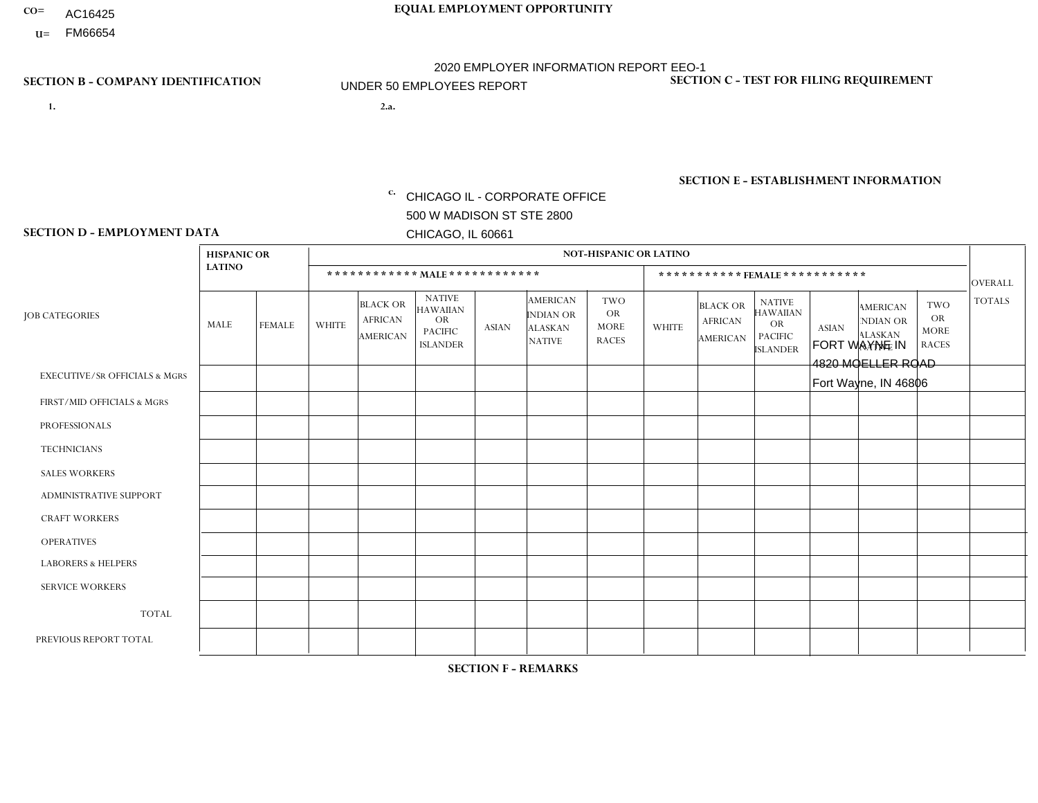- AC16425
- **U=**

- **1. 2.a.** CHICAGO IL CORPORATE OFFICE 500 W MADISON ST STE 2800 CHICAGO, IL 60661
- 2.a. FORT WAYNE IN 4820 MOELLER ROAD Fort Wayne, IN 46806

c. EIN= 952920557

## **SECTION B - COMPANY IDENTIFICATION SECTION C - TEST FOR FILING REQUIREMENT**

1- Y 2- Y 3- N DUNS= 000123456

**SECTION E - ESTABLISHMENT INFORMATION c.** NAICS: 423140

### **SECTION D - EMPLOYMENT DATA**

|                                          | <b>HISPANIC OR</b> |               |                |                                                      |                                                                                    |              |                                                                 | <b>NOT-HISPANIC OR LATINO</b>                          |                |                                                      |                                                                                    |              |                                                                       |                                                        |                |
|------------------------------------------|--------------------|---------------|----------------|------------------------------------------------------|------------------------------------------------------------------------------------|--------------|-----------------------------------------------------------------|--------------------------------------------------------|----------------|------------------------------------------------------|------------------------------------------------------------------------------------|--------------|-----------------------------------------------------------------------|--------------------------------------------------------|----------------|
|                                          | <b>LATINO</b>      |               |                | ************ MALE ************                       |                                                                                    |              |                                                                 |                                                        |                |                                                      | ***********FEMALE***********                                                       |              |                                                                       |                                                        | <b>OVERALL</b> |
| <b>JOB CATEGORIES</b>                    | <b>MALE</b>        | <b>FEMALE</b> | <b>WHITE</b>   | <b>BLACK OR</b><br><b>AFRICAN</b><br><b>AMERICAN</b> | <b>NATIVE</b><br><b>HAWAIIAN</b><br><b>OR</b><br><b>PACIFIC</b><br><b>ISLANDER</b> | <b>ASIAN</b> | <b>AMERICAN</b><br>INDIAN OR<br><b>ALASKAN</b><br><b>NATIVE</b> | <b>TWO</b><br><b>OR</b><br><b>MORE</b><br><b>RACES</b> | <b>WHITE</b>   | <b>BLACK OR</b><br><b>AFRICAN</b><br><b>AMERICAN</b> | <b>NATIVE</b><br><b>HAWAIIAN</b><br><b>OR</b><br><b>PACIFIC</b><br><b>ISLANDER</b> | <b>ASIAN</b> | <b>AMERICAN</b><br><b>NDIAN OR</b><br><b>ALASKAN</b><br><b>NATIVE</b> | <b>TWO</b><br><b>OR</b><br><b>MORE</b><br><b>RACES</b> | <b>TOTALS</b>  |
| <b>EXECUTIVE/SR OFFICIALS &amp; MGRS</b> | $\Omega$           | $\Omega$      | $\Omega$       | $\mathbf 0$                                          | $\Omega$                                                                           | $\Omega$     | $\Omega$                                                        | $\Omega$                                               | $\Omega$       | $\Omega$                                             | $\mathbf{0}$                                                                       | $\Omega$     | $\Omega$                                                              | $\Omega$                                               | $\mathbf 0$    |
| FIRST/MID OFFICIALS & MGRS               | $\Omega$           | $\Omega$      | 1              | $\Omega$                                             | $\Omega$                                                                           | $\Omega$     | $\Omega$                                                        | $\Omega$                                               | $\Omega$       | $\Omega$                                             | $\Omega$                                                                           | $\Omega$     | $\Omega$                                                              | $\Omega$                                               | $\mathbf{1}$   |
| <b>PROFESSIONALS</b>                     | $\Omega$           | $\Omega$      | $\Omega$       | $\mathbf 0$                                          | $\Omega$                                                                           | $\Omega$     | $\Omega$                                                        | $\Omega$                                               | $\Omega$       | $\Omega$                                             | $\Omega$                                                                           | $\Omega$     | $\Omega$                                                              | $\Omega$                                               | $\mathbf 0$    |
| <b>TECHNICIANS</b>                       | $\Omega$           | $\mathbf 0$   | $\Omega$       | $\mathbf 0$                                          | $\mathbf 0$                                                                        | $\Omega$     | $\overline{0}$                                                  | $\Omega$                                               | $\mathbf 0$    | $\mathbf 0$                                          | $\mathbf 0$                                                                        | $\mathbf 0$  | $\Omega$                                                              | $\mathbf{0}$                                           | $\mathbf 0$    |
| <b>SALES WORKERS</b>                     | $\Omega$           | $\Omega$      | $\Omega$       | $\mathbf{0}$                                         | 0                                                                                  | $\Omega$     | $\Omega$                                                        | $\Omega$                                               | $\mathbf{1}$   | $\Omega$                                             | $\Omega$                                                                           | $\Omega$     | $\Omega$                                                              | $\Omega$                                               | $\mathbf{1}$   |
| <b>ADMINISTRATIVE SUPPORT</b>            | $\Omega$           | $\mathbf 0$   | 1              | $\mathbf 0$                                          | $\mathbf 0$                                                                        | $\mathbf 0$  | $\Omega$                                                        | $\Omega$                                               | $\Omega$       | $\Omega$                                             | $\mathbf{0}$                                                                       | $\Omega$     | $\Omega$                                                              | $\mathbf{0}$                                           | $\mathbf{1}$   |
| <b>CRAFT WORKERS</b>                     | $\Omega$           | $\Omega$      | $\mathbf{0}$   | $\mathbf 0$                                          | $\Omega$                                                                           | $\Omega$     | $\Omega$                                                        | $\Omega$                                               | $\Omega$       | $\Omega$                                             | $\Omega$                                                                           | $\Omega$     | $\Omega$                                                              | $\Omega$                                               | $\Omega$       |
| <b>OPERATIVES</b>                        | $\overline{2}$     | $\Omega$      | 3              | $\mathbf 0$                                          | 0                                                                                  | $\Omega$     | $\overline{0}$                                                  | $\Omega$                                               | $\Omega$       | $\Omega$                                             | $\Omega$                                                                           | $\Omega$     | $\Omega$                                                              | $\Omega$                                               | 5              |
| <b>LABORERS &amp; HELPERS</b>            | $\Omega$           | $\Omega$      | 0              | $\mathbf 0$                                          | 0                                                                                  | $\mathbf 0$  | $\Omega$                                                        | $\Omega$                                               | $\Omega$       | $\Omega$                                             | $\Omega$                                                                           | $\Omega$     | $\Omega$                                                              | $\Omega$                                               | 0              |
| <b>SERVICE WORKERS</b>                   | $\Omega$           | $\Omega$      | 0              | 0                                                    | $\Omega$                                                                           | $\Omega$     | $\Omega$                                                        | $\Omega$                                               | $\Omega$       | $\Omega$                                             | $\Omega$                                                                           | $\Omega$     | $\Omega$                                                              | $\Omega$                                               | 0              |
| <b>TOTAL</b>                             | $\overline{2}$     | $\mathbf 0$   | 5              | $\mathbf 0$                                          | 0                                                                                  | $\mathbf 0$  | $\Omega$                                                        | $\Omega$                                               | $\mathbf 1$    | $\mathbf 0$                                          | $\mathbf 0$                                                                        | $\mathbf 0$  | 0                                                                     | $\mathbf 0$                                            | 8              |
| PREVIOUS REPORT TOTAL                    | $\overline{2}$     | $\mathbf{1}$  | $\overline{7}$ | $\Omega$                                             | $\Omega$                                                                           | $\Omega$     | $\Omega$                                                        | $\overline{2}$                                         | $\overline{2}$ | $\Omega$                                             | $\Omega$                                                                           | $\Omega$     | $\Omega$                                                              |                                                        | 15             |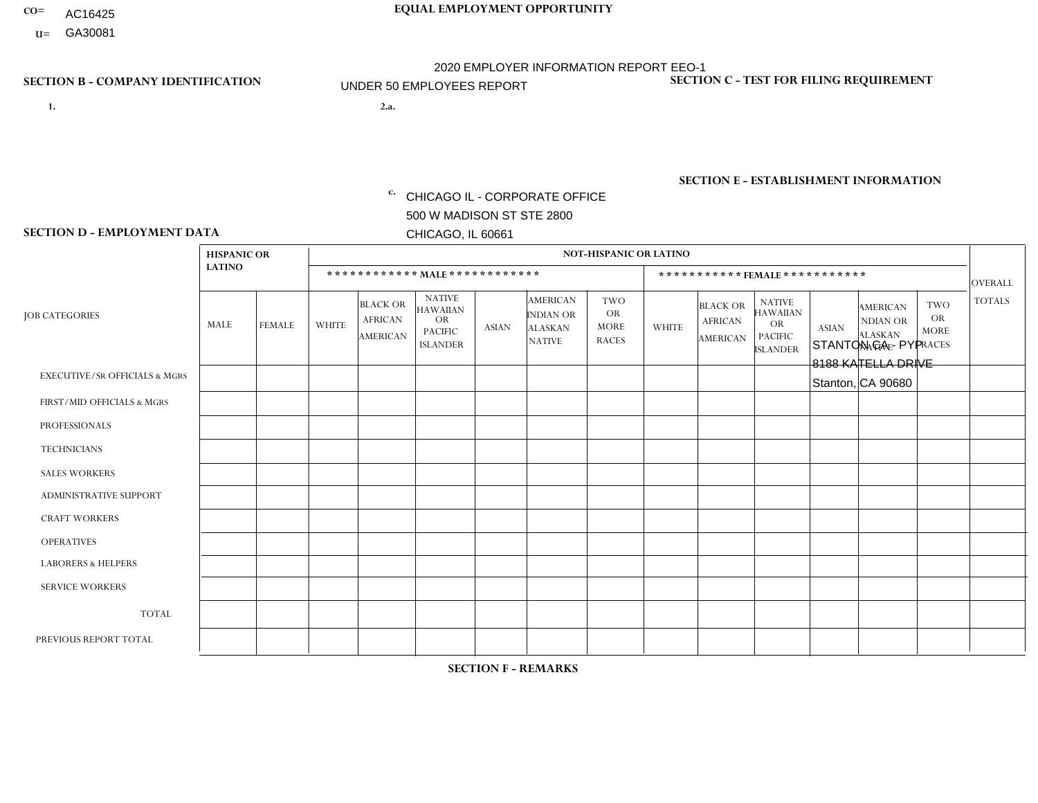- AC16425
- **U=**

**1. 2.a.** CHICAGO IL - CORPORATE OFFICE 500 W MADISON ST STE 2800 CHICAGO, IL 60661

2.a. STANTON CA - PYP 8188 KATELLA DRIVE Stanton, CA 90680

EIN= 953406551

## **SECTION B - COMPANY IDENTIFICATION SECTION C - TEST FOR FILING REQUIREMENT**

1- Y 2- Y 3- N DUNS= 000123456

**SECTION E - ESTABLISHMENT INFORMATION c.** NAICS: 423140

### **SECTION D - EMPLOYMENT DATA**

|                                          | <b>HISPANIC OR</b> |                |              |                                                      |                                                                                    |              |                                                                        | <b>NOT-HISPANIC OR LATINO</b>                          |              |                                               |                                                                                    |              |                                                                       |                                                        |                 |
|------------------------------------------|--------------------|----------------|--------------|------------------------------------------------------|------------------------------------------------------------------------------------|--------------|------------------------------------------------------------------------|--------------------------------------------------------|--------------|-----------------------------------------------|------------------------------------------------------------------------------------|--------------|-----------------------------------------------------------------------|--------------------------------------------------------|-----------------|
|                                          | <b>LATINO</b>      |                |              | ************ MALE ************                       |                                                                                    |              |                                                                        |                                                        |              |                                               | *********** FEMALE ***********                                                     |              |                                                                       |                                                        | <b>OVERALL</b>  |
| <b>JOB CATEGORIES</b>                    | <b>MALE</b>        | <b>FEMALE</b>  | <b>WHITE</b> | <b>BLACK OR</b><br><b>AFRICAN</b><br><b>AMERICAN</b> | <b>NATIVE</b><br><b>HAWAIIAN</b><br><b>OR</b><br><b>PACIFIC</b><br><b>ISLANDER</b> | <b>ASIAN</b> | <b>AMERICAN</b><br><b>INDIAN OR</b><br><b>ALASKAN</b><br><b>NATIVE</b> | <b>TWO</b><br><b>OR</b><br><b>MORE</b><br><b>RACES</b> | <b>WHITE</b> | <b>BLACK OR</b><br><b>AFRICAN</b><br>AMERICAN | <b>NATIVE</b><br><b>HAWAIIAN</b><br><b>OR</b><br><b>PACIFIC</b><br><b>ISLANDER</b> | <b>ASIAN</b> | <b>AMERICAN</b><br><b>NDIAN OR</b><br><b>ALASKAN</b><br><b>NATIVE</b> | <b>TWO</b><br><b>OR</b><br><b>MORE</b><br><b>RACES</b> | <b>TOTALS</b>   |
| <b>EXECUTIVE/SR OFFICIALS &amp; MGRS</b> | $\Omega$           | $\Omega$       | $\mathbf{0}$ | $\Omega$                                             | $\Omega$                                                                           | $\Omega$     | $\Omega$                                                               | $\Omega$                                               | 0            | $\Omega$                                      | $\Omega$                                                                           | $\Omega$     | $\Omega$                                                              | $\Omega$                                               | $\Omega$        |
| FIRST/MID OFFICIALS & MGRS               |                    | $\Omega$       | $\mathbf{0}$ | $\mathbf 0$                                          | $\Omega$                                                                           | $\Omega$     | $\Omega$                                                               | $\Omega$                                               | 1            | $\Omega$                                      | 0                                                                                  | $\Omega$     | $\Omega$                                                              | $\Omega$                                               | $\overline{2}$  |
| <b>PROFESSIONALS</b>                     | $\Omega$           | $\Omega$       | $\mathbf 0$  | $\mathbf 0$                                          | $\Omega$                                                                           | $\Omega$     | $\Omega$                                                               | $\Omega$                                               | $\Omega$     | $\Omega$                                      | 0                                                                                  | 0            | $\Omega$                                                              | $\mathbf 0$                                            | $\mathbf{0}$    |
| <b>TECHNICIANS</b>                       | $\Omega$           | $\Omega$       | $\Omega$     | $\Omega$                                             | $\Omega$                                                                           | $\Omega$     | $\Omega$                                                               | $\Omega$                                               | $\Omega$     | $\Omega$                                      | 0                                                                                  | $\mathbf 0$  | $\Omega$                                                              | $\mathbf 0$                                            | $\Omega$        |
| <b>SALES WORKERS</b>                     | 2                  | $\overline{2}$ | $\Omega$     | $\Omega$                                             | $\Omega$                                                                           | $\Omega$     | $\Omega$                                                               | $\Omega$                                               | $\Omega$     | $\Omega$                                      | $\Omega$                                                                           | $\Omega$     | $\Omega$                                                              | $\Omega$                                               | 4               |
| <b>ADMINISTRATIVE SUPPORT</b>            | 2                  | 3              | $\Omega$     | $\mathbf 0$                                          | 0                                                                                  | $\Omega$     | $\Omega$                                                               | $\Omega$                                               | 0            | $\Omega$                                      | $\Omega$                                                                           | 1            | $\Omega$                                                              | $\mathbf 0$                                            | 6               |
| <b>CRAFT WORKERS</b>                     | $\Omega$           | $\Omega$       | $\Omega$     | $\mathbf 0$                                          | $\Omega$                                                                           | $\Omega$     | $\Omega$                                                               | $\Omega$                                               | 0            | $\Omega$                                      | 0                                                                                  | $\Omega$     | $\Omega$                                                              | $\Omega$                                               | $\Omega$        |
| <b>OPERATIVES</b>                        | 10                 | $\Omega$       | $\Omega$     | $\mathbf 0$                                          | $\Omega$                                                                           | $\Omega$     | $\Omega$                                                               | $\Omega$                                               | 0            | $\Omega$                                      | 0                                                                                  | $\mathbf 0$  | $\Omega$                                                              | $\Omega$                                               | 10 <sup>°</sup> |
| <b>LABORERS &amp; HELPERS</b>            | -1                 | $\Omega$       | $\mathbf{0}$ | $\mathbf 0$                                          | $\Omega$                                                                           | $\Omega$     | $\Omega$                                                               | $\Omega$                                               | $\Omega$     | $\Omega$                                      | $\Omega$                                                                           | $\Omega$     | $\Omega$                                                              | $\Omega$                                               | $\mathbf 1$     |
| <b>SERVICE WORKERS</b>                   | $\Omega$           | $\Omega$       | 0            | 0                                                    | $\mathbf 0$                                                                        | $\Omega$     | $\Omega$                                                               | $\Omega$                                               | 0            | $\Omega$                                      | $\Omega$                                                                           | $\mathbf 0$  | $\Omega$                                                              | $\Omega$                                               | $\mathbf 0$     |
| <b>TOTAL</b>                             | 16                 | 5              | $\mathbf 0$  | 0                                                    | $\mathbf 0$                                                                        | 0            | $\Omega$                                                               | $\Omega$                                               | $\mathbf{1}$ | $\mathbf 0$                                   | 0                                                                                  | 1            | 0                                                                     | $\mathbf 0$                                            | 23              |
| PREVIOUS REPORT TOTAL                    | 19                 | $\overline{4}$ | $\Omega$     | $\mathbf 0$                                          | 0                                                                                  | $\Omega$     | $\Omega$                                                               | $\Omega$                                               | 1            | $\Omega$                                      | 0                                                                                  | 1            | $\Omega$                                                              | $\mathbf 0$                                            | 25              |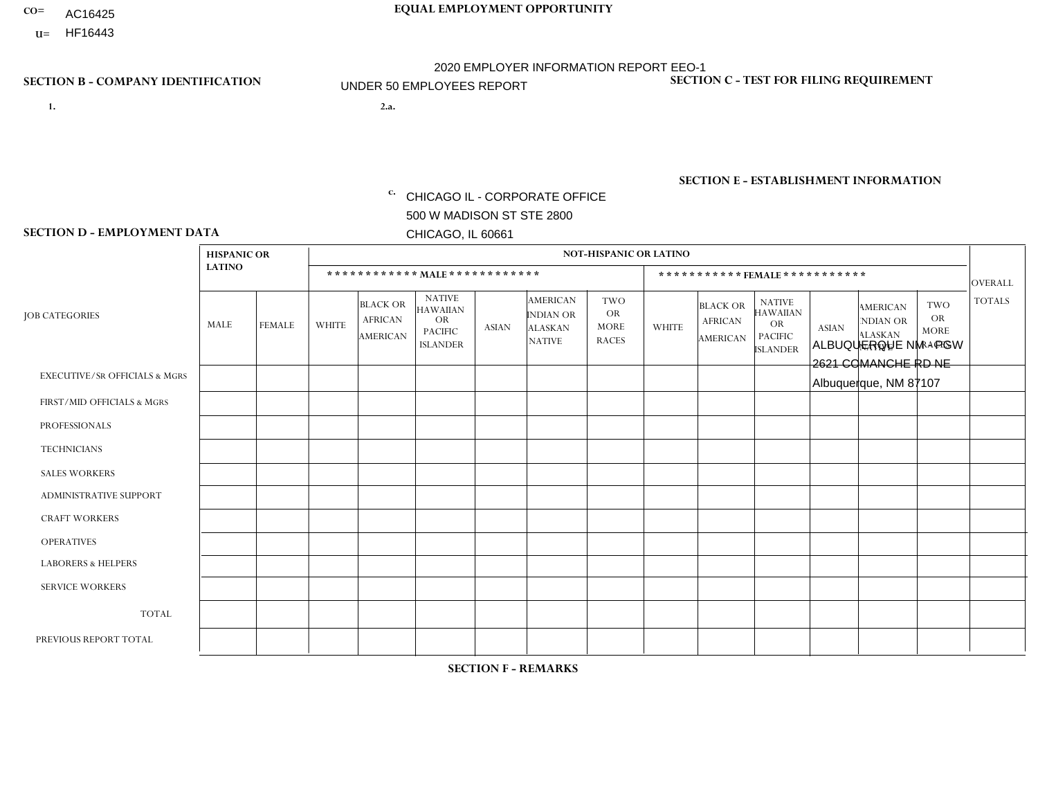- AC16425
- **U=**

- **1. 2.a.** CHICAGO IL CORPORATE OFFICE 500 W MADISON ST STE 2800 CHICAGO, IL 60661
- 2.a. ALBUQUERQUE NM PGW 2621 COMANCHE RD NE Albuquerque, NM 87107

c. EIN= 952920557

## **SECTION B - COMPANY IDENTIFICATION SECTION C - TEST FOR FILING REQUIREMENT**

1- Y 2- Y 3- N DUNS= 000123456

**SECTION E - ESTABLISHMENT INFORMATION c.** NAICS: 811122

### **SECTION D - EMPLOYMENT DATA**

|                                          | <b>HISPANIC OR</b> |               |              |                                                      |                                                                                    |             |                                                                        | <b>NOT-HISPANIC OR LATINO</b>                          |              |                                               |                                                                                    |              |                                                                       |                                                        |                |
|------------------------------------------|--------------------|---------------|--------------|------------------------------------------------------|------------------------------------------------------------------------------------|-------------|------------------------------------------------------------------------|--------------------------------------------------------|--------------|-----------------------------------------------|------------------------------------------------------------------------------------|--------------|-----------------------------------------------------------------------|--------------------------------------------------------|----------------|
|                                          | <b>LATINO</b>      |               |              | ************ MALE ************                       |                                                                                    |             |                                                                        |                                                        |              |                                               | ***********FEMALE***********                                                       |              |                                                                       |                                                        | <b>OVERALL</b> |
| <b>JOB CATEGORIES</b>                    | <b>MALE</b>        | <b>FEMALE</b> | <b>WHITE</b> | <b>BLACK OR</b><br><b>AFRICAN</b><br><b>AMERICAN</b> | <b>NATIVE</b><br><b>HAWAIIAN</b><br><b>OR</b><br><b>PACIFIC</b><br><b>ISLANDER</b> | ASIAN       | <b>AMERICAN</b><br><b>INDIAN OR</b><br><b>ALASKAN</b><br><b>NATIVE</b> | <b>TWO</b><br><b>OR</b><br><b>MORE</b><br><b>RACES</b> | <b>WHITE</b> | <b>BLACK OR</b><br><b>AFRICAN</b><br>AMERICAN | <b>NATIVE</b><br><b>HAWAIIAN</b><br><b>OR</b><br><b>PACIFIC</b><br><b>ISLANDER</b> | <b>ASIAN</b> | <b>AMERICAN</b><br><b>NDIAN OR</b><br><b>ALASKAN</b><br><b>NATIVE</b> | <b>TWO</b><br><b>OR</b><br><b>MORE</b><br><b>RACES</b> | <b>TOTALS</b>  |
| <b>EXECUTIVE/SR OFFICIALS &amp; MGRS</b> | $\Omega$           | $\mathbf 0$   | $\Omega$     | $\mathbf 0$                                          | $\mathbf 0$                                                                        | $\mathbf 0$ | $\Omega$                                                               | $\Omega$                                               | $\Omega$     | $\Omega$                                      | $\Omega$                                                                           | $\Omega$     | $\Omega$                                                              | $\Omega$                                               | $\mathbf 0$    |
| FIRST/MID OFFICIALS & MGRS               | $\Omega$           | 0             | 1            | $\mathbf 0$                                          | $\mathbf{0}$                                                                       | $\mathbf 0$ | $\Omega$                                                               | $\Omega$                                               | $\Omega$     | $\Omega$                                      | $\Omega$                                                                           | $\Omega$     | $\Omega$                                                              | $\Omega$                                               | $\mathbf{1}$   |
| <b>PROFESSIONALS</b>                     | $\Omega$           | $\Omega$      | $\Omega$     | $\mathbf 0$                                          | $\Omega$                                                                           | $\Omega$    | $\Omega$                                                               | $\Omega$                                               | $\Omega$     | $\Omega$                                      | $\Omega$                                                                           | $\Omega$     | $\Omega$                                                              | $\Omega$                                               | $\mathbf 0$    |
| <b>TECHNICIANS</b>                       | $\Omega$           | $\mathbf 0$   | $\Omega$     | $\mathbf 0$                                          | $\mathbf{0}$                                                                       | $\Omega$    | $\overline{0}$                                                         | $\Omega$                                               | $\mathbf{0}$ | $\Omega$                                      | $\Omega$                                                                           | $\Omega$     | $\Omega$                                                              | $\Omega$                                               | $\mathbf 0$    |
| <b>SALES WORKERS</b>                     | $\Omega$           | $\Omega$      | $\Omega$     | $\mathbf 0$                                          | 0                                                                                  | $\Omega$    | $\Omega$                                                               | $\Omega$                                               | $\Omega$     | $\Omega$                                      | $\Omega$                                                                           | $\Omega$     | $\Omega$                                                              | $\Omega$                                               | $\mathbf 0$    |
| <b>ADMINISTRATIVE SUPPORT</b>            | $\Omega$           | $\mathbf 0$   | 0            | $\mathbf 0$                                          | $\mathbf 0$                                                                        | $\mathbf 0$ | $\Omega$                                                               | $\Omega$                                               | 0            | $\Omega$                                      | $\Omega$                                                                           | $\Omega$     | $\Omega$                                                              | $\mathbf 0$                                            | $\mathbf 0$    |
| <b>CRAFT WORKERS</b>                     | $\Omega$           | $\Omega$      | $\Omega$     | $\mathbf 0$                                          | 0                                                                                  | $\Omega$    | $\Omega$                                                               | $\Omega$                                               | $\Omega$     | $\Omega$                                      | $\mathbf{0}$                                                                       | $\Omega$     | $\Omega$                                                              | $\Omega$                                               | $\Omega$       |
| <b>OPERATIVES</b>                        | 2                  | $\mathbf{1}$  | $\Omega$     | $\mathbf 0$                                          | $\Omega$                                                                           | $\Omega$    | $\Omega$                                                               | $\overline{1}$                                         | $\Omega$     | $\Omega$                                      | $\Omega$                                                                           | $\Omega$     | $\Omega$                                                              | $\Omega$                                               | 4              |
| <b>LABORERS &amp; HELPERS</b>            | -1                 | $\Omega$      | $\Omega$     | $\mathbf 0$                                          | 0                                                                                  | $\Omega$    | $\Omega$                                                               | $\Omega$                                               | $\Omega$     | $\Omega$                                      | $\mathbf{0}$                                                                       | $\Omega$     | $\Omega$                                                              | $\Omega$                                               | $\mathbf{1}$   |
| <b>SERVICE WORKERS</b>                   | $\Omega$           | $\mathbf 0$   | 0            | $\mathbf 0$                                          | $\mathbf 0$                                                                        | $\mathbf 0$ | $\Omega$                                                               | $\Omega$                                               | $\Omega$     | $\Omega$                                      | $\Omega$                                                                           | $\mathbf 0$  | $\Omega$                                                              | $\mathbf 0$                                            | 0              |
| <b>TOTAL</b>                             | 3                  | $\mathbf{1}$  | 1            | 0                                                    | 0                                                                                  | $\mathbf 0$ | $\Omega$                                                               |                                                        | $\Omega$     | $\Omega$                                      | $\Omega$                                                                           | $\mathbf 0$  | $\Omega$                                                              | $\Omega$                                               | 6              |
| PREVIOUS REPORT TOTAL                    | 3                  | 0             | 1            | $\mathbf 0$                                          | $\mathbf 0$                                                                        | $\Omega$    | $\Omega$                                                               |                                                        | $\Omega$     | $\Omega$                                      | $\mathbf{0}$                                                                       | $\Omega$     | $\Omega$                                                              | $\Omega$                                               | 5              |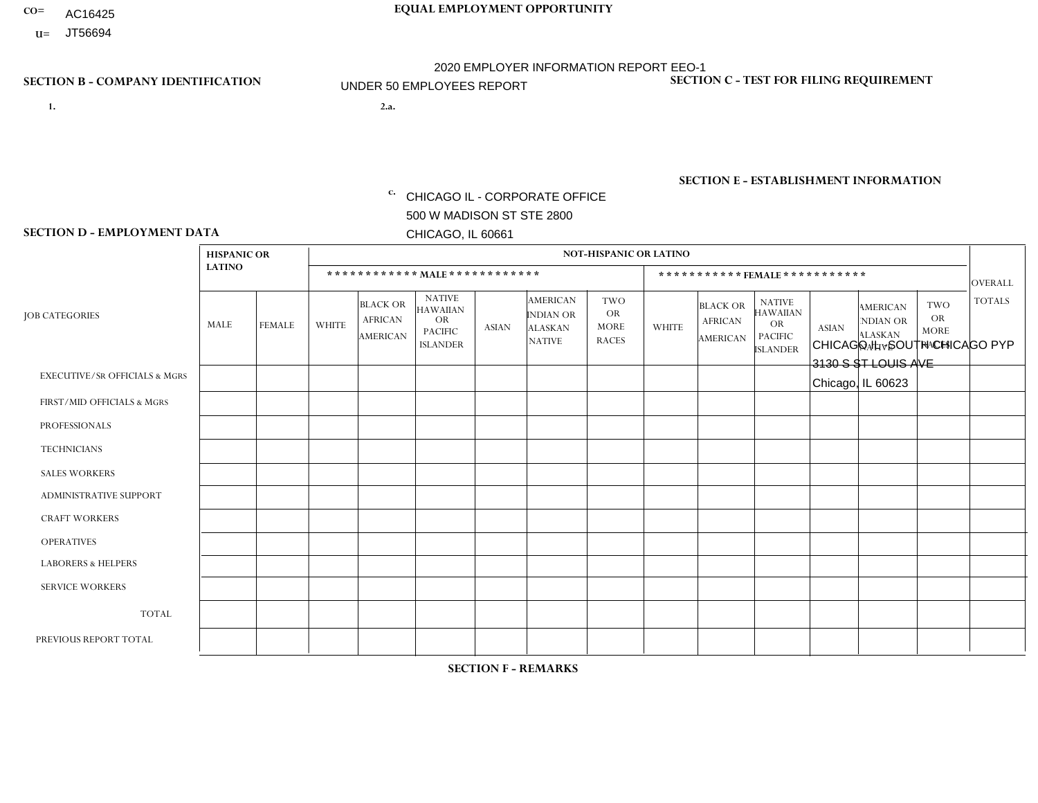- AC16425
- **U=**

- **1. 2.a.** CHICAGO IL CORPORATE OFFICE 500 W MADISON ST STE 2800 CHICAGO, IL 60661
- 2.a. CHICAGO IL SOUTH CHICAGO PYP 3130 S ST LOUIS AVE Chicago, IL 60623

c. EIN= 952920557

## **SECTION B - COMPANY IDENTIFICATION SECTION C - TEST FOR FILING REQUIREMENT**

1- Y 2- Y 3- N DUNS= 000123456

**SECTION E - ESTABLISHMENT INFORMATION c.** NAICS: 423140

### **SECTION D - EMPLOYMENT DATA**

|                                          | <b>HISPANIC OR</b> |                |                |                                                      |                                                                                    |              |                                                                        | <b>NOT-HISPANIC OR LATINO</b>                          |              |                                                      |                                                                                    |              |                                                                       |                                                  |                |
|------------------------------------------|--------------------|----------------|----------------|------------------------------------------------------|------------------------------------------------------------------------------------|--------------|------------------------------------------------------------------------|--------------------------------------------------------|--------------|------------------------------------------------------|------------------------------------------------------------------------------------|--------------|-----------------------------------------------------------------------|--------------------------------------------------|----------------|
|                                          | <b>LATINO</b>      |                |                |                                                      | ************ MAIE************                                                      |              |                                                                        |                                                        |              | ***********FEMALE***********                         |                                                                                    |              |                                                                       |                                                  | <b>OVERALL</b> |
| <b>JOB CATEGORIES</b>                    | MALE               | <b>FEMALE</b>  | <b>WHITE</b>   | <b>BLACK OR</b><br><b>AFRICAN</b><br><b>AMERICAN</b> | <b>NATIVE</b><br><b>HAWAIIAN</b><br><b>OR</b><br><b>PACIFIC</b><br><b>ISLANDER</b> | <b>ASIAN</b> | <b>AMERICAN</b><br><b>INDIAN OR</b><br><b>ALASKAN</b><br><b>NATIVE</b> | <b>TWO</b><br><b>OR</b><br><b>MORE</b><br><b>RACES</b> | <b>WHITE</b> | <b>BLACK OR</b><br><b>AFRICAN</b><br><b>AMERICAN</b> | <b>NATIVE</b><br><b>HAWAIIAN</b><br><b>OR</b><br><b>PACIFIC</b><br><b>ISLANDER</b> | <b>ASIAN</b> | <b>AMERICAN</b><br><b>NDIAN OR</b><br><b>ALASKAN</b><br><b>NATIVE</b> | <b>TWO</b><br>OR.<br><b>MORE</b><br><b>RACES</b> | <b>TOTALS</b>  |
| <b>EXECUTIVE/SR OFFICIALS &amp; MGRS</b> | $\mathbf 0$        | 0              | $\mathbf 0$    | 0                                                    | $\Omega$                                                                           | $\mathbf{0}$ | $\Omega$                                                               | $\Omega$                                               | $\Omega$     | $\Omega$                                             | $\Omega$                                                                           | $\mathbf 0$  | $\Omega$                                                              | $\mathbf 0$                                      | $\mathbf 0$    |
| FIRST/MID OFFICIALS & MGRS               | $\mathbf 0$        | 0              | $\overline{2}$ | $\mathbf 0$                                          | $\Omega$                                                                           | $\mathbf{0}$ | $\Omega$                                                               | $\Omega$                                               | 1            | $\Omega$                                             | $\Omega$                                                                           | $\mathbf{0}$ | $\Omega$                                                              | $\Omega$                                         | 3              |
| <b>PROFESSIONALS</b>                     | $\mathbf 0$        | $\mathbf 0$    | $\overline{1}$ | $\mathbf 0$                                          | $\Omega$                                                                           | $\mathbf{0}$ | $\Omega$                                                               | $\Omega$                                               | $\Omega$     | $\Omega$                                             | $\Omega$                                                                           | $\Omega$     | $\Omega$                                                              | $\mathbf 0$                                      | $\mathbf{1}$   |
| <b>TECHNICIANS</b>                       | $\mathbf 0$        | $\mathbf 0$    | $\mathbf 0$    | 0                                                    | $\Omega$                                                                           | $\Omega$     | $\Omega$                                                               | $\Omega$                                               | $\Omega$     | $\mathbf 0$                                          | $\Omega$                                                                           | $\Omega$     | $\Omega$                                                              | $\mathbf 0$                                      | $\overline{0}$ |
| <b>SALES WORKERS</b>                     | $\mathbf 0$        | $\mathbf 0$    | $\Omega$       | $\mathbf 0$                                          | $\Omega$                                                                           | $\Omega$     | $\Omega$                                                               | $\Omega$                                               | $\Omega$     | $\Omega$                                             | $\Omega$                                                                           | $\Omega$     | $\Omega$                                                              | $\Omega$                                         | $\mathbf 0$    |
| ADMINISTRATIVE SUPPORT                   | 2                  | $\overline{2}$ | $\overline{c}$ | $\mathbf 0$                                          | $\Omega$                                                                           | $\Omega$     | $\Omega$                                                               | $\Omega$                                               | $\Omega$     | 2                                                    | $\Omega$                                                                           | $\Omega$     | $\Omega$                                                              | $\Omega$                                         | 8              |
| <b>CRAFT WORKERS</b>                     | $\mathbf 0$        | 0              | $\mathbf 0$    | 0                                                    | $\Omega$                                                                           | $\mathbf{0}$ | $\Omega$                                                               | $\Omega$                                               | $\Omega$     | $\Omega$                                             | $\Omega$                                                                           | $\mathbf{0}$ | $\Omega$                                                              | $\Omega$                                         | $\mathbf 0$    |
| <b>OPERATIVES</b>                        | 12                 | $\overline{2}$ | $\Omega$       | 0                                                    | $\Omega$                                                                           | $\Omega$     | $\Omega$                                                               | $\Omega$                                               | $\Omega$     | $\Omega$                                             | $\Omega$                                                                           | $\Omega$     | $\Omega$                                                              | $\Omega$                                         | 14             |
| <b>LABORERS &amp; HELPERS</b>            | $\mathbf 0$        | $\mathbf 0$    | $\Omega$       | 0                                                    | $\Omega$                                                                           | $\Omega$     | $\Omega$                                                               | $\Omega$                                               | $\Omega$     | $\Omega$                                             | $\Omega$                                                                           | $\Omega$     | $\Omega$                                                              | $\Omega$                                         | $\mathbf 0$    |
| <b>SERVICE WORKERS</b>                   | $\mathbf 0$        | $\mathbf 0$    | $\mathbf 0$    | 0                                                    | $\Omega$                                                                           | $\Omega$     | $\Omega$                                                               | $\Omega$                                               | $\Omega$     | $\Omega$                                             | $\mathbf{0}$                                                                       | $\Omega$     | $\Omega$                                                              | $\Omega$                                         | 0              |
| <b>TOTAL</b>                             | 14                 | 4              | $\sqrt{5}$     | 0                                                    | $\mathbf 0$                                                                        | $\mathbf{0}$ | $\Omega$                                                               | $\Omega$                                               |              | 2                                                    | 0                                                                                  | $\mathbf 0$  | $\Omega$                                                              | $\mathbf 0$                                      | 26             |
| PREVIOUS REPORT TOTAL                    | 10                 | $\overline{4}$ | $\sqrt{5}$     | 0                                                    | $\Omega$                                                                           | $\Omega$     | $\Omega$                                                               | $\Omega$                                               | -1           | 2                                                    | 0                                                                                  | $\Omega$     | $\Omega$                                                              | 0                                                | 22             |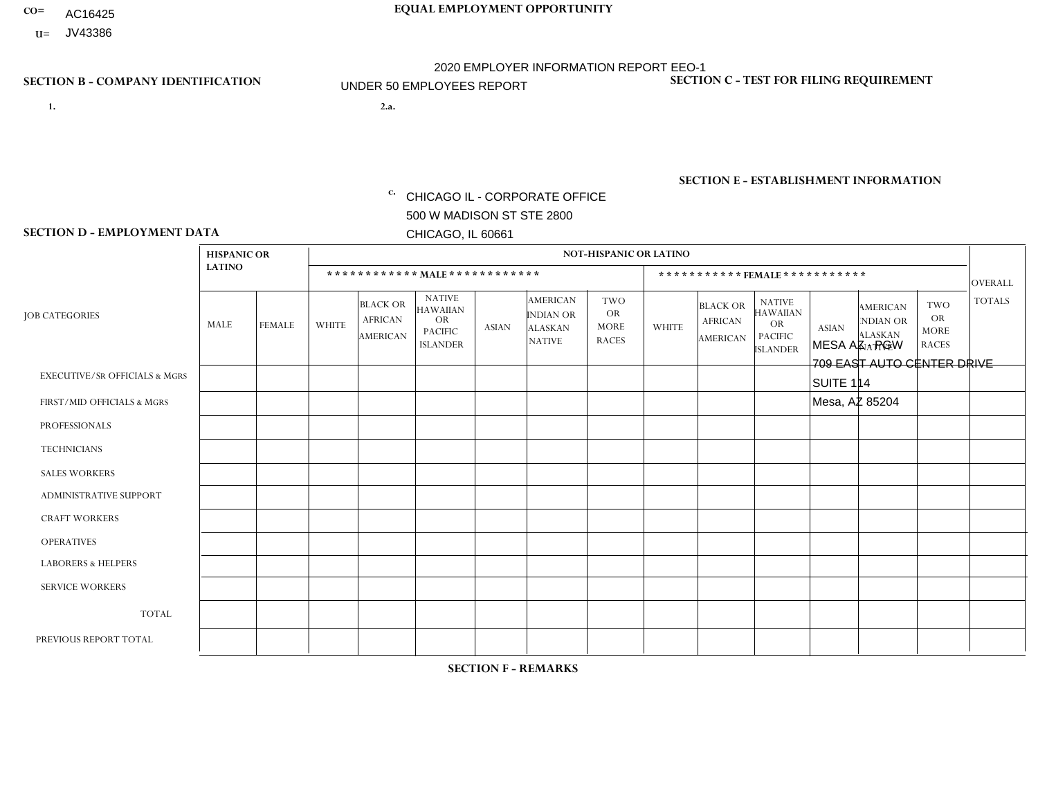- AC16425
- **U=** JV43386

- **1. 2.a.** CHICAGO IL CORPORATE OFFICE 500 W MADISON ST STE 2800 CHICAGO, IL 60661
- MESA AZ PGW 709 EAST AUTO CENTER DRIVE SUITE 114 Mesa, AZ 85204
	- EIN= 952920557

## **SECTION B - COMPANY IDENTIFICATION SECTION C - TEST FOR FILING REQUIREMENT**

1- Y 2- Y 3- N DUNS= 000123456

**SECTION E - ESTABLISHMENT INFORMATION c.** NAICS: 423140

### **SECTION D - EMPLOYMENT DATA**

|                                          | <b>HISPANIC OR</b> |               |                |                                                      |                                                                             |                |                                                                 | <b>NOT-HISPANIC OR LATINO</b>                          |              |                                                      |                                                                                    |              |                                                                       |                                                        |                |
|------------------------------------------|--------------------|---------------|----------------|------------------------------------------------------|-----------------------------------------------------------------------------|----------------|-----------------------------------------------------------------|--------------------------------------------------------|--------------|------------------------------------------------------|------------------------------------------------------------------------------------|--------------|-----------------------------------------------------------------------|--------------------------------------------------------|----------------|
|                                          | <b>LATINO</b>      |               |                |                                                      | ************ MALE ************                                              |                |                                                                 |                                                        |              |                                                      | ***********FEMALE***********                                                       |              |                                                                       |                                                        | <b>OVERALL</b> |
| <b>JOB CATEGORIES</b>                    | MALE               | <b>FEMALE</b> | <b>WHITE</b>   | <b>BLACK OR</b><br><b>AFRICAN</b><br><b>AMERICAN</b> | <b>NATIVE</b><br>HAWAIIAN<br><b>OR</b><br><b>PACIFIC</b><br><b>ISLANDER</b> | <b>ASIAN</b>   | <b>AMERICAN</b><br>INDIAN OR<br><b>ALASKAN</b><br><b>NATIVE</b> | <b>TWO</b><br><b>OR</b><br><b>MORE</b><br><b>RACES</b> | <b>WHITE</b> | <b>BLACK OR</b><br><b>AFRICAN</b><br><b>AMERICAN</b> | <b>NATIVE</b><br><b>HAWAIIAN</b><br><b>OR</b><br><b>PACIFIC</b><br><b>ISLANDER</b> | <b>ASIAN</b> | <b>AMERICAN</b><br><b>NDIAN OR</b><br><b>ALASKAN</b><br><b>NATIVE</b> | <b>TWO</b><br><b>OR</b><br><b>MORE</b><br><b>RACES</b> | <b>TOTALS</b>  |
| <b>EXECUTIVE/SR OFFICIALS &amp; MGRS</b> | $\Omega$           | 0             | $\mathbf 0$    | 0                                                    | $\mathbf{0}$                                                                | $\Omega$       | $\Omega$                                                        | $\Omega$                                               | $\Omega$     | $\Omega$                                             | $\mathbf{0}$                                                                       | $\mathbf 0$  | $\Omega$                                                              | $\mathbf 0$                                            | $\mathbf 0$    |
| FIRST/MID OFFICIALS & MGRS               | 0                  | $\mathbf 0$   | $\overline{1}$ | $\Omega$                                             | $\Omega$                                                                    | $\Omega$       | $\Omega$                                                        | 0                                                      | $\Omega$     | $\Omega$                                             | $\mathbf{0}$                                                                       | $\Omega$     | $\Omega$                                                              | $\Omega$                                               | 1              |
| <b>PROFESSIONALS</b>                     | 0                  | $\mathbf 0$   | $\mathbf 0$    | $\mathbf 0$                                          | $\Omega$                                                                    | $\Omega$       | $\Omega$                                                        | $\Omega$                                               | $\Omega$     | $\Omega$                                             | $\mathbf{0}$                                                                       | $\Omega$     | 0                                                                     | $\mathbf 0$                                            | $\mathbf 0$    |
| <b>TECHNICIANS</b>                       | $\mathbf 0$        | $\mathbf 0$   | $\mathbf 0$    | $\mathbf 0$                                          | $\mathbf 0$                                                                 | $\Omega$       | $\Omega$                                                        | $\Omega$                                               | $\Omega$     | $\Omega$                                             | $\mathbf{0}$                                                                       | $\mathbf 0$  | $\mathbf 0$                                                           | $\mathbf 0$                                            | $\mathbf 0$    |
| <b>SALES WORKERS</b>                     | 0                  | $\mathbf 0$   | $\mathbf 0$    | $\Omega$                                             | $\Omega$                                                                    | $\Omega$       | $\Omega$                                                        | $\Omega$                                               | $\Omega$     | $\Omega$                                             | $\Omega$                                                                           | 0            | 0                                                                     | $\Omega$                                               | $\mathbf 0$    |
| <b>ADMINISTRATIVE SUPPORT</b>            | 0                  | $\mathbf 0$   | $\mathbf 0$    | $\mathbf 0$                                          | $\mathbf{0}$                                                                | $\overline{0}$ | $\Omega$                                                        | $\Omega$                                               | $\Omega$     | $\Omega$                                             | $\Omega$                                                                           | 0            | $\Omega$                                                              | $\Omega$                                               | $\mathbf 0$    |
| <b>CRAFT WORKERS</b>                     | 0                  | $\mathbf 0$   | $\mathbf 0$    | $\mathbf 0$                                          | $\Omega$                                                                    | $\Omega$       | $\Omega$                                                        | $\Omega$                                               | $\Omega$     | $\Omega$                                             | $\Omega$                                                                           | $\mathbf 0$  | 0                                                                     | $\Omega$                                               | $\mathbf 0$    |
| <b>OPERATIVES</b>                        | $\Omega$           | $\mathbf 0$   | 1              | $\mathbf 0$                                          | $\Omega$                                                                    | $\Omega$       | $\Omega$                                                        | $\Omega$                                               | $\Omega$     | $\Omega$                                             | $\mathbf{0}$                                                                       | $\Omega$     | $\Omega$                                                              | $\Omega$                                               | $\overline{1}$ |
| <b>LABORERS &amp; HELPERS</b>            | $\Omega$           | 0             | 0              | 0                                                    | $\mathbf{0}$                                                                | $\Omega$       | $\Omega$                                                        | 1                                                      | $\Omega$     | $\Omega$                                             | $\Omega$                                                                           | $\Omega$     | $\Omega$                                                              | $\Omega$                                               | -1             |
| <b>SERVICE WORKERS</b>                   | $\Omega$           | 0             | $\mathbf 0$    | 0                                                    | $\mathbf{0}$                                                                | 0              | $\Omega$                                                        | $\Omega$                                               | $\Omega$     | $\Omega$                                             | $\Omega$                                                                           | $\Omega$     | $\Omega$                                                              | $\Omega$                                               | $\mathbf 0$    |
| <b>TOTAL</b>                             | $\Omega$           | $\Omega$      | $\overline{2}$ | $\Omega$                                             | $\mathbf{0}$                                                                | $\Omega$       | $\Omega$                                                        |                                                        | $\Omega$     | $\Omega$                                             | $\mathbf{0}$                                                                       | $\Omega$     | $\Omega$                                                              | $\Omega$                                               | 3              |
| PREVIOUS REPORT TOTAL                    |                    |               |                |                                                      |                                                                             |                |                                                                 |                                                        |              |                                                      |                                                                                    |              |                                                                       |                                                        |                |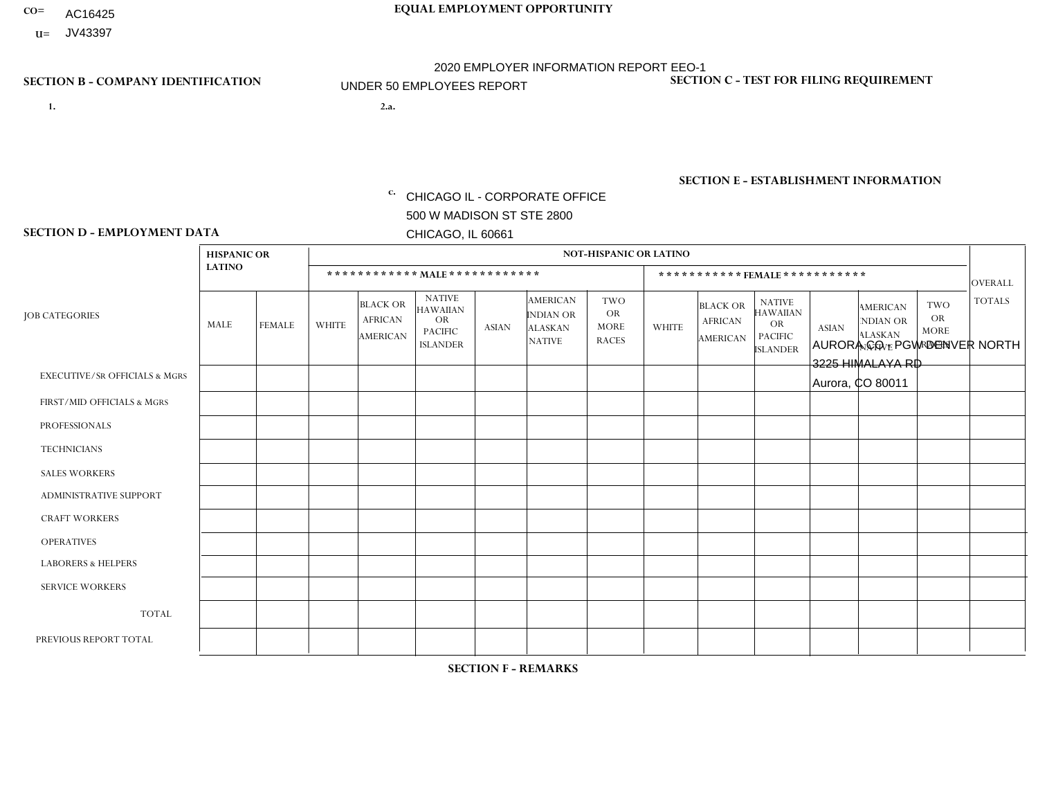- AC16425
- **U=** JV43397

**1. 2.a.** CHICAGO IL - CORPORATE OFFICE 500 W MADISON ST STE 2800 CHICAGO, IL 60661

2.a. AURORA CO - PGW DENVER NORTH 3225 HIMALAYA RD Aurora, CO 80011

c. EIN= 952920557

## **SECTION B - COMPANY IDENTIFICATION SECTION C - TEST FOR FILING REQUIREMENT**

1- Y 2- Y 3- N DUNS= 000123456

**SECTION E - ESTABLISHMENT INFORMATION c.** NAICS: 811122

### **SECTION D - EMPLOYMENT DATA**

|                                          | <b>HISPANIC OR</b> |               |              |                                                      |                                                                                    |              |                                                                        | <b>NOT-HISPANIC OR LATINO</b>                          |              |                                                      |                                                                                    |              |                                                                       |                                                 |                |
|------------------------------------------|--------------------|---------------|--------------|------------------------------------------------------|------------------------------------------------------------------------------------|--------------|------------------------------------------------------------------------|--------------------------------------------------------|--------------|------------------------------------------------------|------------------------------------------------------------------------------------|--------------|-----------------------------------------------------------------------|-------------------------------------------------|----------------|
|                                          | <b>LATINO</b>      |               |              |                                                      | ************ MALE ************                                                     |              |                                                                        |                                                        |              |                                                      | ***********FEMALE***********                                                       |              |                                                                       |                                                 | <b>OVERALL</b> |
| <b>JOB CATEGORIES</b>                    | <b>MALE</b>        | <b>FEMALE</b> | <b>WHITE</b> | <b>BLACK OR</b><br><b>AFRICAN</b><br><b>AMERICAN</b> | <b>NATIVE</b><br><b>HAWAIIAN</b><br><b>OR</b><br><b>PACIFIC</b><br><b>ISLANDER</b> | <b>ASIAN</b> | <b>AMERICAN</b><br><b>INDIAN OR</b><br><b>ALASKAN</b><br><b>NATIVE</b> | <b>TWO</b><br><b>OR</b><br><b>MORE</b><br><b>RACES</b> | <b>WHITE</b> | <b>BLACK OR</b><br><b>AFRICAN</b><br><b>AMERICAN</b> | <b>NATIVE</b><br><b>HAWAIIAN</b><br><b>OR</b><br><b>PACIFIC</b><br><b>ISLANDER</b> | <b>ASIAN</b> | <b>AMERICAN</b><br><b>NDIAN OR</b><br><b>ALASKAN</b><br><b>NATIVE</b> | TWO<br><b>OR</b><br><b>MORE</b><br><b>RACES</b> | <b>TOTALS</b>  |
| <b>EXECUTIVE/SR OFFICIALS &amp; MGRS</b> | $\mathbf 0$        | $\mathbf 0$   | $\mathbf 0$  | 0                                                    | $\Omega$                                                                           | $\Omega$     | $\Omega$                                                               | 0                                                      | $\mathbf 0$  | $\Omega$                                             | $\mathbf{0}$                                                                       | $\mathbf 0$  | $\Omega$                                                              | $\mathbf 0$                                     | $\overline{0}$ |
| FIRST/MID OFFICIALS & MGRS               | 0                  | $\Omega$      | $\Omega$     | $\Omega$                                             | $\Omega$                                                                           | $\Omega$     | $\Omega$                                                               | $\Omega$                                               | $\Omega$     | $\Omega$                                             | $\Omega$                                                                           | $\Omega$     | $\Omega$                                                              | $\Omega$                                        | $\mathbf 0$    |
| <b>PROFESSIONALS</b>                     | 0                  | $\Omega$      | $\Omega$     | $\Omega$                                             | $\Omega$                                                                           | $\Omega$     | $\Omega$                                                               | $\Omega$                                               | $\Omega$     | $\Omega$                                             | $\mathbf{0}$                                                                       | $\Omega$     | $\Omega$                                                              | $\mathbf{0}$                                    | $\mathbf 0$    |
| <b>TECHNICIANS</b>                       | $\Omega$           | $\Omega$      | $\Omega$     | $\Omega$                                             | $\mathbf{0}$                                                                       | $\Omega$     | $\Omega$                                                               | $\Omega$                                               | $\Omega$     | $\Omega$                                             | $\Omega$                                                                           | $\Omega$     | $\Omega$                                                              | $\mathbf{0}$                                    | $\mathbf 0$    |
| <b>SALES WORKERS</b>                     | 0                  | $\mathbf 0$   | $\mathbf 0$  | $\mathbf 0$                                          | $\mathbf{0}$                                                                       | $\Omega$     | $\Omega$                                                               | $\mathbf 0$                                            | $\mathbf 0$  | $\Omega$                                             | $\Omega$                                                                           | 0            | 0                                                                     | $\mathbf 0$                                     | $\mathbf 0$    |
| ADMINISTRATIVE SUPPORT                   | $\mathbf 0$        | $\mathbf 0$   | $\mathbf 0$  | $\mathbf 0$                                          | $\mathbf{0}$                                                                       | $\Omega$     | $\Omega$                                                               | $\Omega$                                               | $\mathbf 0$  | $\Omega$                                             | $\Omega$                                                                           | $\Omega$     | $\Omega$                                                              | $\Omega$                                        | $\mathbf 0$    |
| <b>CRAFT WORKERS</b>                     | $\Omega$           | $\Omega$      | $\Omega$     | $\Omega$                                             | $\Omega$                                                                           | $\mathbf{0}$ | $\Omega$                                                               | $\Omega$                                               | $\Omega$     | $\Omega$                                             | $\Omega$                                                                           | $\Omega$     | $\Omega$                                                              | $\Omega$                                        | $\Omega$       |
| <b>OPERATIVES</b>                        | $\mathbf 1$        | $\Omega$      | $\Omega$     | 1                                                    | $\Omega$                                                                           | $\Omega$     | $\mathbf{0}$                                                           | $\Omega$                                               | $\Omega$     | $\Omega$                                             | $\mathbf{0}$                                                                       | $\Omega$     | $\Omega$                                                              | $\mathbf{0}$                                    | $\overline{2}$ |
| <b>LABORERS &amp; HELPERS</b>            | 0                  | 0             | $\mathbf 0$  | 1                                                    | $\Omega$                                                                           | $\mathbf{0}$ | $\Omega$                                                               | $\Omega$                                               | $\Omega$     | $\Omega$                                             | $\mathbf{0}$                                                                       | 0            | $\Omega$                                                              | $\mathbf 0$                                     | $\mathbf 1$    |
| <b>SERVICE WORKERS</b>                   | 0                  | $\mathbf 0$   | $\mathbf 0$  | $\mathbf 0$                                          | $\mathbf{0}$                                                                       | $\Omega$     | $\Omega$                                                               | $\Omega$                                               | $\Omega$     | $\Omega$                                             | $\Omega$                                                                           | $\Omega$     | $\Omega$                                                              | $\Omega$                                        | $\mathbf 0$    |
| <b>TOTAL</b>                             | 1                  | $\mathbf 0$   | $\mathbf 0$  | $\overline{2}$                                       | $\mathbf{0}$                                                                       | $\Omega$     | $\Omega$                                                               | $\Omega$                                               | $\mathbf 0$  | $\Omega$                                             | $\Omega$                                                                           | 0            | $\Omega$                                                              | $\mathbf 0$                                     | 3              |
| PREVIOUS REPORT TOTAL                    |                    |               |              |                                                      |                                                                                    |              |                                                                        |                                                        |              |                                                      |                                                                                    |              |                                                                       |                                                 |                |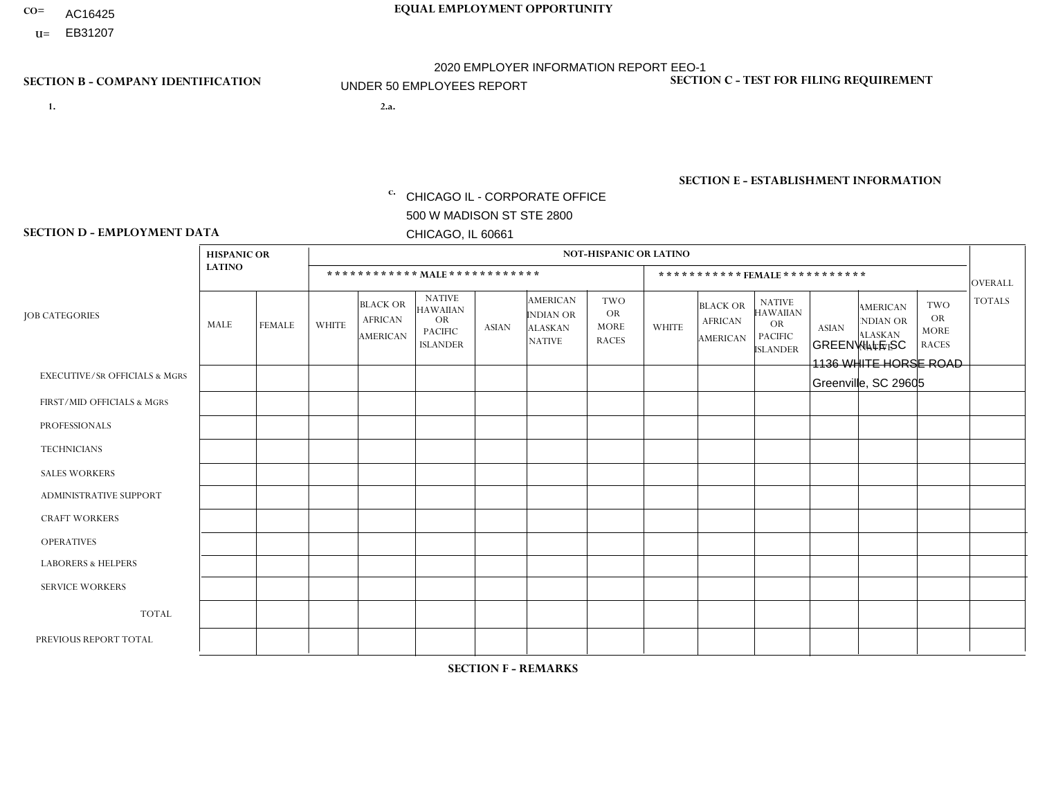- AC16425
- **U=**

- **1. 2.a.** CHICAGO IL CORPORATE OFFICE 500 W MADISON ST STE 2800 CHICAGO, IL 60661
- 2.a. GREENVILLE SC 1136 WHITE HORSE ROAD Greenville, SC 29605

c. EIN= 952920557

## **SECTION B - COMPANY IDENTIFICATION SECTION C - TEST FOR FILING REQUIREMENT**

1- Y 2- Y 3- N DUNS= 000123456

**SECTION E - ESTABLISHMENT INFORMATION c.** NAICS: 423140

### **SECTION D - EMPLOYMENT DATA**

|                                          | <b>HISPANIC OR</b> |               |                |                                                      |                                                                                    |              |                                                                        | <b>NOT-HISPANIC OR LATINO</b>                          |                |                                               |                                                                                    |              |                                                                |                                                        |                |
|------------------------------------------|--------------------|---------------|----------------|------------------------------------------------------|------------------------------------------------------------------------------------|--------------|------------------------------------------------------------------------|--------------------------------------------------------|----------------|-----------------------------------------------|------------------------------------------------------------------------------------|--------------|----------------------------------------------------------------|--------------------------------------------------------|----------------|
|                                          | <b>LATINO</b>      |               |                | ************ MAIE************                        |                                                                                    |              |                                                                        |                                                        |                |                                               | ***********FEMALE***********                                                       |              |                                                                |                                                        | <b>OVERALL</b> |
| <b>JOB CATEGORIES</b>                    | <b>MALE</b>        | <b>FEMALE</b> | <b>WHITE</b>   | <b>BLACK OR</b><br><b>AFRICAN</b><br><b>AMERICAN</b> | <b>NATIVE</b><br><b>HAWAIIAN</b><br><b>OR</b><br><b>PACIFIC</b><br><b>ISLANDER</b> | <b>ASIAN</b> | <b>AMERICAN</b><br><b>INDIAN OR</b><br><b>ALASKAN</b><br><b>NATIVE</b> | <b>TWO</b><br><b>OR</b><br><b>MORE</b><br><b>RACES</b> | <b>WHITE</b>   | <b>BLACK OR</b><br><b>AFRICAN</b><br>AMERICAN | <b>NATIVE</b><br><b>HAWAIIAN</b><br><b>OR</b><br><b>PACIFIC</b><br><b>ISLANDER</b> | <b>ASIAN</b> | <b>AMERICAN</b><br>NDIAN OR<br><b>ALASKAN</b><br><b>NATIVE</b> | <b>TWO</b><br><b>OR</b><br><b>MORE</b><br><b>RACES</b> | <b>TOTALS</b>  |
| <b>EXECUTIVE/SR OFFICIALS &amp; MGRS</b> | $\Omega$           | $\mathbf 0$   | $\mathbf 0$    | $\mathbf 0$                                          | $\mathbf 0$                                                                        | $\mathbf 0$  | $\Omega$                                                               | $\Omega$                                               | $\mathbf 0$    | $\Omega$                                      | $\Omega$                                                                           | $\mathbf 0$  | $\Omega$                                                       | $\Omega$                                               | $\mathbf 0$    |
| FIRST/MID OFFICIALS & MGRS               | $\Omega$           | $\Omega$      | 3              | $\Omega$                                             | $\Omega$                                                                           | $\Omega$     | $\Omega$                                                               | $\Omega$                                               | $\Omega$       | $\Omega$                                      | $\Omega$                                                                           | $\Omega$     | $\Omega$                                                       | $\mathbf{0}$                                           | 3              |
| <b>PROFESSIONALS</b>                     | $\Omega$           | $\mathbf 0$   | $\Omega$       | $\mathbf 0$                                          | $\Omega$                                                                           | $\Omega$     | $\Omega$                                                               | $\Omega$                                               | $\Omega$       | $\Omega$                                      | $\mathbf{0}$                                                                       | $\Omega$     | $\Omega$                                                       | $\Omega$                                               | $\mathbf{0}$   |
| <b>TECHNICIANS</b>                       | $\mathbf 0$        | $\mathbf 0$   | $\mathbf 0$    | $\mathbf 0$                                          | $\mathbf 0$                                                                        | $\mathbf 0$  | $\Omega$                                                               | $\Omega$                                               | $\mathbf 0$    | $\Omega$                                      | $\Omega$                                                                           | $\Omega$     | $\Omega$                                                       | $\mathbf{0}$                                           | $\mathbf 0$    |
| <b>SALES WORKERS</b>                     | $\Omega$           | $\Omega$      | 5              | $\Omega$                                             | $\Omega$                                                                           | $\Omega$     | $\Omega$                                                               | $\Omega$                                               | $\mathbf{1}$   | $\Omega$                                      | $\Omega$                                                                           | $\Omega$     | $\Omega$                                                       | $\mathbf{0}$                                           | 6              |
| ADMINISTRATIVE SUPPORT                   | $\Omega$           | $\Omega$      | $\Omega$       | $\mathbf 0$                                          | $\mathbf{0}$                                                                       | $\Omega$     | $\Omega$                                                               | $\Omega$                                               | $\overline{2}$ | $\Omega$                                      | $\Omega$                                                                           | $\Omega$     | $\Omega$                                                       | $\Omega$                                               | $\overline{2}$ |
| <b>CRAFT WORKERS</b>                     | $\Omega$           | $\Omega$      | $\mathbf 0$    | $\mathbf 0$                                          | 0                                                                                  | $\Omega$     | $\overline{0}$                                                         | $\Omega$                                               | $\Omega$       | $\Omega$                                      | $\mathbf{0}$                                                                       | $\Omega$     | $\Omega$                                                       | $\Omega$                                               | $\mathbf 0$    |
| <b>OPERATIVES</b>                        | $\Omega$           | $\Omega$      | $\overline{7}$ | $\mathbf{1}$                                         | $\Omega$                                                                           | $\Omega$     | $\Omega$                                                               | $\Omega$                                               | $\Omega$       | -1                                            | $\Omega$                                                                           | $\Omega$     | $\Omega$                                                       | $\Omega$                                               | 9              |
| <b>LABORERS &amp; HELPERS</b>            | 1                  | $\Omega$      | $\overline{c}$ | $\mathbf{1}$                                         | 0                                                                                  | $\Omega$     | $\Omega$                                                               | $\Omega$                                               | $\Omega$       | $\Omega$                                      | $\Omega$                                                                           | $\Omega$     | $\Omega$                                                       | $\Omega$                                               | 4              |
| <b>SERVICE WORKERS</b>                   | $\Omega$           | $\mathbf 0$   | $\mathbf 0$    | $\mathbf 0$                                          | $\mathbf 0$                                                                        | $\mathbf 0$  | $\overline{0}$                                                         | $\Omega$                                               | $\Omega$       | $\Omega$                                      | $\Omega$                                                                           | $\mathbf 0$  | $\Omega$                                                       | $\mathbf 0$                                            | 0              |
| <b>TOTAL</b>                             | 1                  | $\mathbf 0$   | 17             | $\overline{2}$                                       | 0                                                                                  | $\mathbf 0$  | $\Omega$                                                               | $\Omega$                                               | 3              | -1                                            | $\Omega$                                                                           | $\Omega$     | $\Omega$                                                       | $\Omega$                                               | 24             |
| PREVIOUS REPORT TOTAL                    | 1                  | $\mathbf 0$   | 20             | $\overline{7}$                                       | 0                                                                                  | $\Omega$     | $\overline{0}$                                                         |                                                        | 3              | $\Omega$                                      | $\mathbf{0}$                                                                       | $\Omega$     | $\Omega$                                                       | $\Omega$                                               | 32             |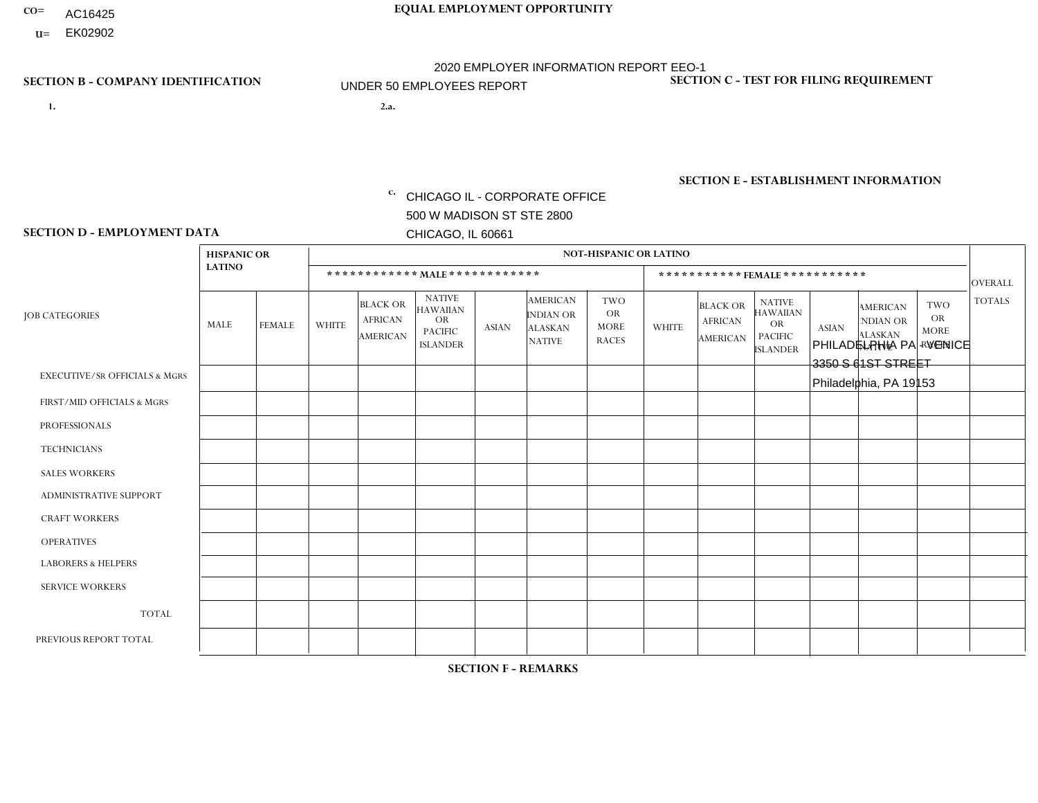- AC16425
- **U=**

**1. 2.a.** CHICAGO IL - CORPORATE OFFICE 500 W MADISON ST STE 2800 CHICAGO, IL 60661

2.a. PHILADELPHIA PA - VENICE 3350 S 61ST STREET Philadelphia, PA 19153

c. EIN= 952920557

## **SECTION B - COMPANY IDENTIFICATION SECTION C - TEST FOR FILING REQUIREMENT**

1- Y 2- Y 3- N DUNS= 000123456

**SECTION E - ESTABLISHMENT INFORMATION c.** NAICS: 423140

### **SECTION D - EMPLOYMENT DATA**

|                                          | <b>HISPANIC OR</b> |                |                |                                                      |                                                                                    |              |                                                                        | <b>NOT-HISPANIC OR LATINO</b>                          |              |                                               |                                                                                    |              |                                                                |                                                        |                                 |
|------------------------------------------|--------------------|----------------|----------------|------------------------------------------------------|------------------------------------------------------------------------------------|--------------|------------------------------------------------------------------------|--------------------------------------------------------|--------------|-----------------------------------------------|------------------------------------------------------------------------------------|--------------|----------------------------------------------------------------|--------------------------------------------------------|---------------------------------|
|                                          | <b>LATINO</b>      |                |                | ************ MALE ************                       |                                                                                    |              |                                                                        |                                                        |              |                                               | *********** FEMALE ***********                                                     |              |                                                                |                                                        |                                 |
| <b>JOB CATEGORIES</b>                    | MALE               | <b>FEMALE</b>  | <b>WHITE</b>   | <b>BLACK OR</b><br><b>AFRICAN</b><br><b>AMERICAN</b> | <b>NATIVE</b><br><b>HAWAIIAN</b><br><b>OR</b><br><b>PACIFIC</b><br><b>ISLANDER</b> | <b>ASIAN</b> | <b>AMERICAN</b><br><b>INDIAN OR</b><br><b>ALASKAN</b><br><b>NATIVE</b> | <b>TWO</b><br><b>OR</b><br><b>MORE</b><br><b>RACES</b> | <b>WHITE</b> | <b>BLACK OR</b><br><b>AFRICAN</b><br>AMERICAN | <b>NATIVE</b><br><b>HAWAIIAN</b><br><b>OR</b><br><b>PACIFIC</b><br><b>ISLANDER</b> | <b>ASIAN</b> | <b>AMERICAN</b><br>NDIAN OR<br><b>ALASKAN</b><br><b>NATIVE</b> | <b>TWO</b><br><b>OR</b><br><b>MORE</b><br><b>RACES</b> | <b>OVERALL</b><br><b>TOTALS</b> |
| <b>EXECUTIVE/SR OFFICIALS &amp; MGRS</b> | $\Omega$           | $\Omega$       | $\Omega$       | $\Omega$                                             | $\Omega$                                                                           | $\Omega$     | $\Omega$                                                               | $\Omega$                                               | $\Omega$     | $\mathbf{0}$                                  | $\mathbf{0}$                                                                       | $\Omega$     | $\Omega$                                                       | $\Omega$                                               | $\mathbf 0$                     |
| FIRST/MID OFFICIALS & MGRS               |                    | 0              | 3              | 0                                                    | $\mathbf 0$                                                                        | $\mathbf 0$  | $\Omega$                                                               |                                                        | 1            | $\mathbf{0}$                                  | $\mathbf{0}$                                                                       | $\Omega$     | $\Omega$                                                       | $\Omega$                                               | 6                               |
| <b>PROFESSIONALS</b>                     | $\Omega$           | $\mathbf 0$    | $\mathbf 0$    | $\mathbf 0$                                          | 0                                                                                  | $\mathbf 0$  | $\Omega$                                                               | $\Omega$                                               | $\mathbf{0}$ | $\Omega$                                      | $\Omega$                                                                           | $\Omega$     | $\Omega$                                                       | $\Omega$                                               | $\mathbf 0$                     |
| <b>TECHNICIANS</b>                       | $\Omega$           | $\Omega$       | $\Omega$       | $\mathbf 0$                                          | $\Omega$                                                                           | $\Omega$     | $\overline{0}$                                                         | $\Omega$                                               | $\Omega$     | $\Omega$                                      | $\Omega$                                                                           | $\Omega$     | $\Omega$                                                       | $\mathbf{0}$                                           | $\mathbf 0$                     |
| <b>SALES WORKERS</b>                     | $\Omega$           | $\mathbf{1}$   | 3              | $\Omega$                                             | $\mathbf 0$                                                                        | $\Omega$     | $\Omega$                                                               | $\Omega$                                               | $\Omega$     | $\Omega$                                      | $\Omega$                                                                           | $\Omega$     | $\Omega$                                                       | $\mathbf{0}$                                           | $\overline{4}$                  |
| <b>ADMINISTRATIVE SUPPORT</b>            | $\Omega$           | $\Omega$       | 1              | $\Omega$                                             | 0                                                                                  | $\Omega$     | $\Omega$                                                               | $\Omega$                                               | $\Omega$     |                                               | $\Omega$                                                                           | $\Omega$     | $\Omega$                                                       | $\Omega$                                               | $\overline{2}$                  |
| <b>CRAFT WORKERS</b>                     | 3                  | $\Omega$       | 3              | $\overline{2}$                                       | 0                                                                                  | $\Omega$     | $\Omega$                                                               | 2                                                      | $\Omega$     | $\Omega$                                      | $\mathbf{0}$                                                                       | $\Omega$     | $\Omega$                                                       | $\Omega$                                               | 10                              |
| <b>OPERATIVES</b>                        | 1                  | $\Omega$       | 1              | $\Omega$                                             | $\Omega$                                                                           | $\Omega$     | $\Omega$                                                               |                                                        | $\Omega$     | $\Omega$                                      | $\mathbf{0}$                                                                       | $\Omega$     | $\Omega$                                                       | $\mathbf{0}$                                           | 3                               |
| <b>LABORERS &amp; HELPERS</b>            | $\overline{2}$     | $\Omega$       | $\overline{c}$ | 4                                                    | $\Omega$                                                                           | $\Omega$     | $\Omega$                                                               | $\Omega$                                               | $\Omega$     | $\Omega$                                      | $\Omega$                                                                           | $\Omega$     | $\Omega$                                                       | $\Omega$                                               | 8                               |
| <b>SERVICE WORKERS</b>                   | $\Omega$           | $\mathbf 0$    | 0              | $\boldsymbol{0}$                                     | 0                                                                                  | $\mathbf 0$  | $\Omega$                                                               | $\Omega$                                               | $\Omega$     | $\Omega$                                      | $\Omega$                                                                           | $\mathbf 0$  | $\Omega$                                                       | $\mathbf 0$                                            | 0                               |
| <b>TOTAL</b>                             | $\overline{7}$     | $\mathbf{1}$   | 13             | 6                                                    | 0                                                                                  | $\mathbf{0}$ | $\Omega$                                                               | 4                                                      | 1            |                                               | $\Omega$                                                                           | $\Omega$     | $\Omega$                                                       | $\Omega$                                               | 33                              |
| PREVIOUS REPORT TOTAL                    | 11                 | $\overline{2}$ | 16             | 19                                                   | 0                                                                                  | $\Omega$     | 0                                                                      | 5                                                      | 1            | 2                                             | $\mathbf{0}$                                                                       | $\Omega$     | $\Omega$                                                       |                                                        | 57                              |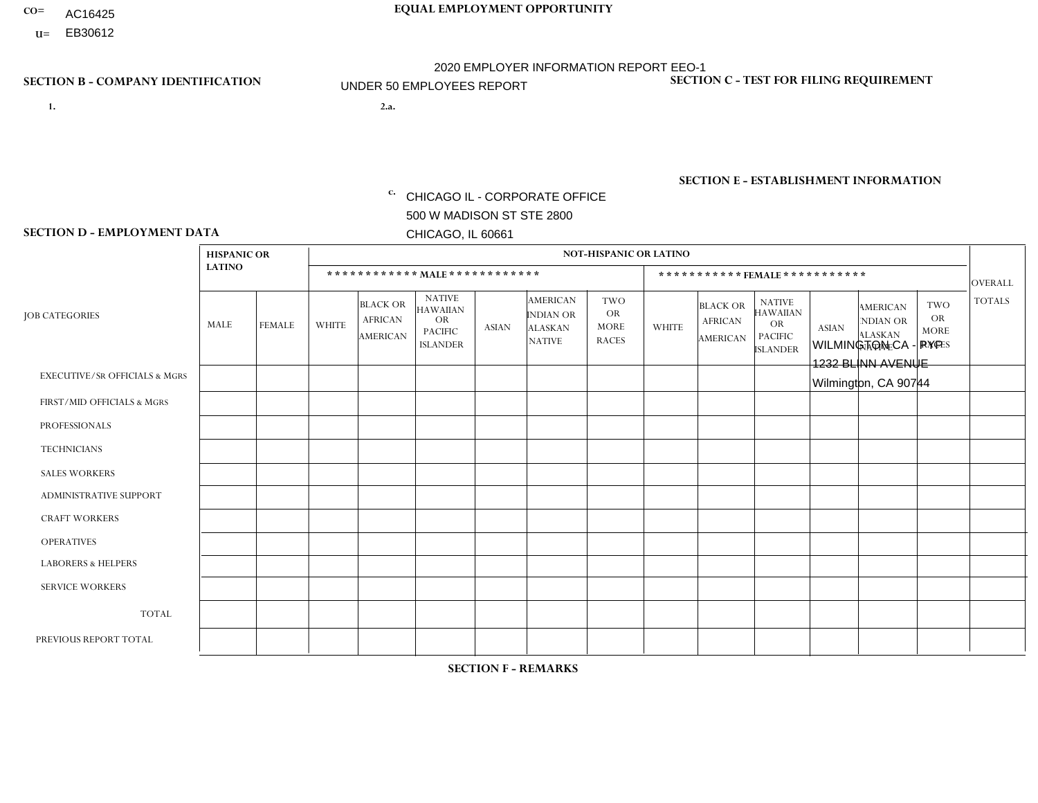- AC16425
- **U=**

**1. 2.a.** CHICAGO IL - CORPORATE OFFICE 500 W MADISON ST STE 2800 CHICAGO, IL 60661

2.a. WILMINGTON CA - PYP 1232 BLINN AVENUE Wilmington, CA 90744

EIN= 953406551

## **SECTION B - COMPANY IDENTIFICATION SECTION C - TEST FOR FILING REQUIREMENT**

1- Y 2- Y 3- N DUNS= 000123456

**SECTION E - ESTABLISHMENT INFORMATION c.** NAICS: 423140

### **SECTION D - EMPLOYMENT DATA**

|                                          | <b>HISPANIC OR</b> |                |                |                                                      |                                                                                    |              |                                                                        | <b>NOT-HISPANIC OR LATINO</b>                          |              |                                               |                                                                                    |              |                                                                |                                                        |                |
|------------------------------------------|--------------------|----------------|----------------|------------------------------------------------------|------------------------------------------------------------------------------------|--------------|------------------------------------------------------------------------|--------------------------------------------------------|--------------|-----------------------------------------------|------------------------------------------------------------------------------------|--------------|----------------------------------------------------------------|--------------------------------------------------------|----------------|
|                                          | <b>LATINO</b>      |                |                | ************ MALE ************                       |                                                                                    |              |                                                                        |                                                        |              |                                               | *********** FEMALE ***********                                                     |              |                                                                |                                                        | <b>OVERALL</b> |
| <b>JOB CATEGORIES</b>                    | <b>MALE</b>        | <b>FEMALE</b>  | <b>WHITE</b>   | <b>BLACK OR</b><br><b>AFRICAN</b><br><b>AMERICAN</b> | <b>NATIVE</b><br><b>HAWAIIAN</b><br><b>OR</b><br><b>PACIFIC</b><br><b>ISLANDER</b> | <b>ASIAN</b> | <b>AMERICAN</b><br><b>INDIAN OR</b><br><b>ALASKAN</b><br><b>NATIVE</b> | <b>TWO</b><br><b>OR</b><br><b>MORE</b><br><b>RACES</b> | <b>WHITE</b> | <b>BLACK OR</b><br><b>AFRICAN</b><br>AMERICAN | <b>NATIVE</b><br><b>HAWAIIAN</b><br><b>OR</b><br><b>PACIFIC</b><br><b>ISLANDER</b> | <b>ASIAN</b> | <b>AMERICAN</b><br>NDIAN OR<br><b>ALASKAN</b><br><b>NATIVE</b> | <b>TWO</b><br><b>OR</b><br><b>MORE</b><br><b>RACES</b> | <b>TOTALS</b>  |
| <b>EXECUTIVE/SR OFFICIALS &amp; MGRS</b> | $\Omega$           | $\Omega$       | $\mathbf{0}$   | $\Omega$                                             | $\Omega$                                                                           | $\Omega$     | $\Omega$                                                               | $\Omega$                                               | 0            | $\Omega$                                      | $\Omega$                                                                           | $\Omega$     | $\Omega$                                                       | $\Omega$                                               | $\Omega$       |
| FIRST/MID OFFICIALS & MGRS               |                    | $\Omega$       | $\mathbf{0}$   | $\mathbf 0$                                          | 1                                                                                  | $\Omega$     | $\Omega$                                                               | $\Omega$                                               | 0            | $\Omega$                                      | 0                                                                                  | $\Omega$     | $\Omega$                                                       | $\Omega$                                               | $\overline{2}$ |
| <b>PROFESSIONALS</b>                     | 2                  | $\Omega$       | $\Omega$       | $\mathbf 0$                                          | $\Omega$                                                                           | $\Omega$     | $\Omega$                                                               | $\Omega$                                               | $\Omega$     | $\Omega$                                      | 0                                                                                  | 0            | $\Omega$                                                       | $\mathbf 0$                                            | $\overline{2}$ |
| <b>TECHNICIANS</b>                       | $\Omega$           | $\Omega$       | $\Omega$       | $\Omega$                                             | $\Omega$                                                                           | $\Omega$     | $\Omega$                                                               | $\Omega$                                               | $\Omega$     | $\Omega$                                      | 0                                                                                  | $\mathbf 0$  | $\Omega$                                                       | $\mathbf 0$                                            | $\Omega$       |
| <b>SALES WORKERS</b>                     | 4                  | $\Omega$       | $\Omega$       | $\Omega$                                             | $\Omega$                                                                           | $\Omega$     | $\Omega$                                                               | $\Omega$                                               | $\Omega$     | $\Omega$                                      | $\Omega$                                                                           | $\Omega$     | $\Omega$                                                       | $\Omega$                                               | 4              |
| <b>ADMINISTRATIVE SUPPORT</b>            | 2                  | 3              | 1              | $\mathbf 0$                                          | 0                                                                                  | $\Omega$     | $\Omega$                                                               | $\Omega$                                               | 0            | $\Omega$                                      | 0                                                                                  | 3            | $\Omega$                                                       | $\Omega$                                               | 9              |
| <b>CRAFT WORKERS</b>                     | $\Omega$           | $\Omega$       | $\mathbf{0}$   | $\mathbf 0$                                          | $\Omega$                                                                           | $\Omega$     | $\Omega$                                                               | $\Omega$                                               | 0            | $\Omega$                                      | 0                                                                                  | $\Omega$     | $\Omega$                                                       | $\Omega$                                               | $\Omega$       |
| <b>OPERATIVES</b>                        | 22                 | $\Omega$       | $\Omega$       | $\mathbf 0$                                          | $\Omega$                                                                           | $\Omega$     | $\Omega$                                                               | $\Omega$                                               | 0            | $\Omega$                                      | 0                                                                                  | $\mathbf 0$  | $\Omega$                                                       | $\Omega$                                               | 22             |
| <b>LABORERS &amp; HELPERS</b>            | 6                  | $\Omega$       | -1             | $\overline{ }$                                       | $\Omega$                                                                           | $\Omega$     | $\Omega$                                                               | $\Omega$                                               | $\Omega$     | $\Omega$                                      | $\Omega$                                                                           | $\Omega$     | $\Omega$                                                       | $\Omega$                                               | 8              |
| <b>SERVICE WORKERS</b>                   | $\Omega$           | $\Omega$       | 0              | $\mathbf 0$                                          | $\mathbf 0$                                                                        | $\Omega$     | $\Omega$                                                               | $\Omega$                                               | 0            | $\Omega$                                      | $\Omega$                                                                           | $\mathbf 0$  | $\Omega$                                                       | $\Omega$                                               | $\mathbf 0$    |
| <b>TOTAL</b>                             | 37                 | 3              | $\overline{c}$ | $\overline{A}$                                       | 1                                                                                  | 0            | $\Omega$                                                               | $\Omega$                                               | 0            | $\Omega$                                      | 0                                                                                  | 3            | $\Omega$                                                       | $\mathbf 0$                                            | 47             |
| PREVIOUS REPORT TOTAL                    | 41                 | $\overline{4}$ |                | $\mathbf 0$                                          | $\overline{2}$                                                                     | $\Omega$     | $\Omega$                                                               | $\Omega$                                               | 0            | $\Omega$                                      | 0                                                                                  | 3            | $\Omega$                                                       | $\mathbf 0$                                            | 51             |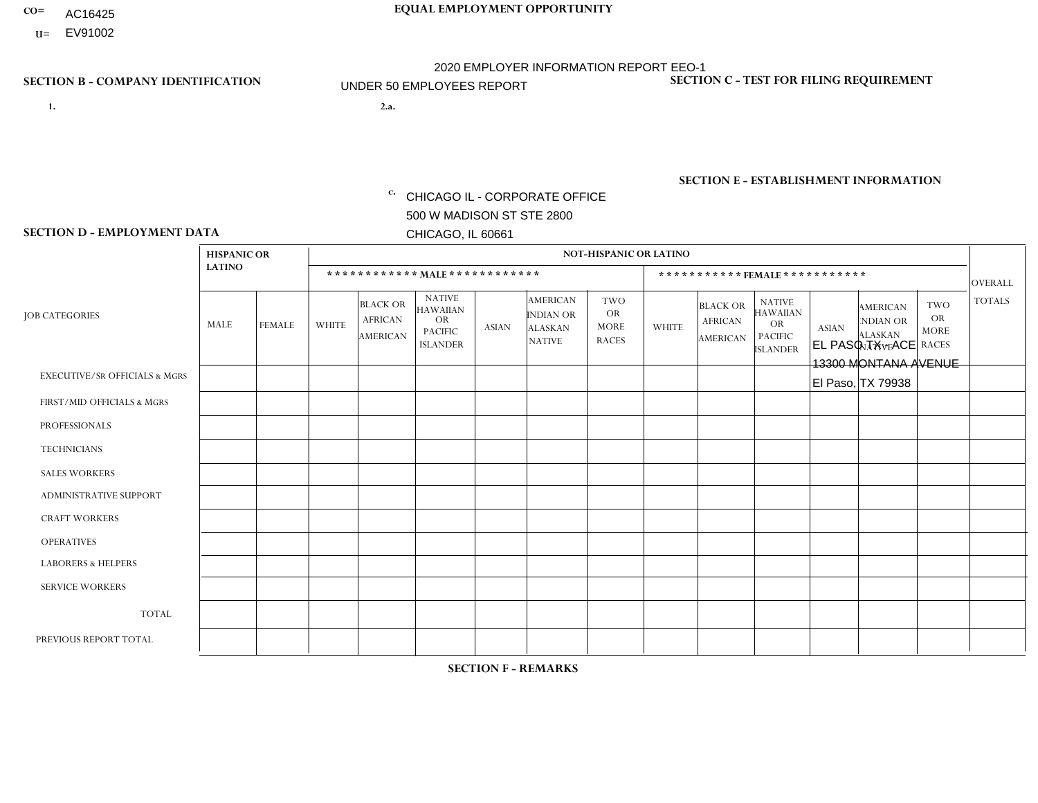- AC16425
- **U=** EV91002

**1. 2.a.** CHICAGO IL - CORPORATE OFFICE 500 W MADISON ST STE 2800 CHICAGO, IL 60661

2.a. EL PASO TX - ACE 13300 MONTANA AVENUE El Paso, TX 79938

c. EIN= 952920557

## **SECTION B - COMPANY IDENTIFICATION SECTION C - TEST FOR FILING REQUIREMENT**

1- Y 2- Y 3- N DUNS= 000123456

**SECTION E - ESTABLISHMENT INFORMATION c.** NAICS: 423140

### **SECTION D - EMPLOYMENT DATA**

|                                          | <b>HISPANIC OR</b> |                |                |                                                      |                                                                      |              |                                                                        | <b>NOT-HISPANIC OR LATINO</b>                   |              |                                               |                                                                                    |              |                                                                       |                                                        |                |
|------------------------------------------|--------------------|----------------|----------------|------------------------------------------------------|----------------------------------------------------------------------|--------------|------------------------------------------------------------------------|-------------------------------------------------|--------------|-----------------------------------------------|------------------------------------------------------------------------------------|--------------|-----------------------------------------------------------------------|--------------------------------------------------------|----------------|
|                                          | <b>LATINO</b>      |                |                |                                                      | ************ MAIE************                                        |              |                                                                        |                                                 |              | *********** FEMALE ***********                |                                                                                    |              |                                                                       |                                                        | <b>OVERALL</b> |
| <b>JOB CATEGORIES</b>                    | <b>MALE</b>        | <b>FEMALE</b>  | <b>WHITE</b>   | <b>BLACK OR</b><br><b>AFRICAN</b><br><b>AMERICAN</b> | <b>NATIVE</b><br>HAWAIIAN<br>OR<br><b>PACIFIC</b><br><b>ISLANDER</b> | <b>ASIAN</b> | <b>AMERICAN</b><br><b>INDIAN OR</b><br><b>ALASKAN</b><br><b>NATIVE</b> | TWO<br><b>OR</b><br><b>MORE</b><br><b>RACES</b> | <b>WHITE</b> | <b>BLACK OR</b><br><b>AFRICAN</b><br>AMERICAN | <b>NATIVE</b><br><b>HAWAIIAN</b><br><b>OR</b><br><b>PACIFIC</b><br><b>ISLANDER</b> | <b>ASIAN</b> | <b>AMERICAN</b><br><b>NDIAN OR</b><br><b>ALASKAN</b><br><b>NATIVE</b> | <b>TWO</b><br><b>OR</b><br><b>MORE</b><br><b>RACES</b> | <b>TOTALS</b>  |
| <b>EXECUTIVE/SR OFFICIALS &amp; MGRS</b> | $\mathbf 0$        | $\mathbf 0$    | $\mathbf 0$    | $\mathbf 0$                                          | $\mathbf{0}$                                                         | $\Omega$     | $\Omega$                                                               | $\Omega$                                        | $\Omega$     | $\Omega$                                      | $\mathbf 0$                                                                        | 0            | $\Omega$                                                              | $\mathbf 0$                                            | $\mathbf 0$    |
| FIRST/MID OFFICIALS & MGRS               | $\overline{2}$     |                | $\mathbf 0$    | 0                                                    | $\mathbf{0}$                                                         | $\Omega$     | $\Omega$                                                               | 0                                               | $\Omega$     | $\Omega$                                      | $\Omega$                                                                           | $\Omega$     | $\Omega$                                                              | 0                                                      | 3              |
| <b>PROFESSIONALS</b>                     | 0                  | $\Omega$       | $\Omega$       | $\Omega$                                             | $\Omega$                                                             | $\Omega$     | $\Omega$                                                               | 0                                               | $\Omega$     | $\Omega$                                      | $\Omega$                                                                           | $\Omega$     | $\Omega$                                                              | $\Omega$                                               | $\overline{0}$ |
| <b>TECHNICIANS</b>                       | 0                  | $\overline{0}$ | $\Omega$       | $\mathbf 0$                                          | $\Omega$                                                             | $\Omega$     | $\Omega$                                                               | 0                                               | $\Omega$     | $\Omega$                                      | $\mathbf 0$                                                                        | $\mathbf 0$  | $\Omega$                                                              | $\mathbf 0$                                            | $\mathbf 0$    |
| <b>SALES WORKERS</b>                     | $\overline{2}$     | $\Omega$       | $\overline{1}$ | $\mathbf 0$                                          | $\Omega$                                                             | $\Omega$     | $\Omega$                                                               | 1                                               | $\Omega$     | $\Omega$                                      | $\Omega$                                                                           | $\mathbf{0}$ | $\Omega$                                                              | $\Omega$                                               | $\overline{4}$ |
| ADMINISTRATIVE SUPPORT                   | 3                  | -4             | $\mathbf 0$    | $\mathbf 0$                                          | $\mathbf{0}$                                                         | $\Omega$     | $\Omega$                                                               | 0                                               | $\Omega$     | $\Omega$                                      | $\Omega$                                                                           | $\Omega$     | $\Omega$                                                              | $\mathbf 0$                                            | 4              |
| <b>CRAFT WORKERS</b>                     | 6                  | $\Omega$       | $\mathbf 0$    | $\Omega$                                             | $\mathbf{0}$                                                         | $\mathbf{0}$ | 0                                                                      | 0                                               | $\Omega$     | $\Omega$                                      | $\Omega$                                                                           | $\Omega$     | $\Omega$                                                              | $\Omega$                                               | 6              |
| <b>OPERATIVES</b>                        | 15                 | $\Omega$       | $\Omega$       | $\Omega$                                             | $\Omega$                                                             | $\Omega$     | $\Omega$                                                               | 1                                               | $\Omega$     | $\Omega$                                      | $\Omega$                                                                           | $\Omega$     | $\Omega$                                                              | $\Omega$                                               | 16             |
| <b>LABORERS &amp; HELPERS</b>            | $\overline{7}$     | $\Omega$       | $\mathbf 0$    | $\Omega$                                             | $\Omega$                                                             | $\Omega$     | $\Omega$                                                               | $\Omega$                                        | $\Omega$     | $\Omega$                                      | $\Omega$                                                                           | $\Omega$     | $\Omega$                                                              | $\Omega$                                               | $\overline{7}$ |
| <b>SERVICE WORKERS</b>                   | $\Omega$           | $\mathbf 0$    | $\mathbf 0$    | $\mathbf 0$                                          | $\Omega$                                                             | $\mathbf{0}$ | $\Omega$                                                               | 0                                               | $\Omega$     | $\Omega$                                      | $\Omega$                                                                           | $\mathbf 0$  | $\Omega$                                                              | $\mathbf 0$                                            | 0              |
| <b>TOTAL</b>                             | 35                 | $\overline{2}$ | $\mathbf 1$    | $\mathbf 0$                                          | $\Omega$                                                             | $\mathbf{0}$ | $\Omega$                                                               | $\overline{2}$                                  | $\Omega$     | $\Omega$                                      | $\mathbf 0$                                                                        | $\mathbf 0$  | $\Omega$                                                              | $\mathbf 0$                                            | 40             |
| PREVIOUS REPORT TOTAL                    | 47                 | 3              | 3              | $\mathbf{1}$                                         | $\Omega$                                                             | $\Omega$     | $\Omega$                                                               | 3                                               | $\Omega$     | $\Omega$                                      | $\Omega$                                                                           | $\Omega$     | $\Omega$                                                              | $\mathbf 0$                                            | 57             |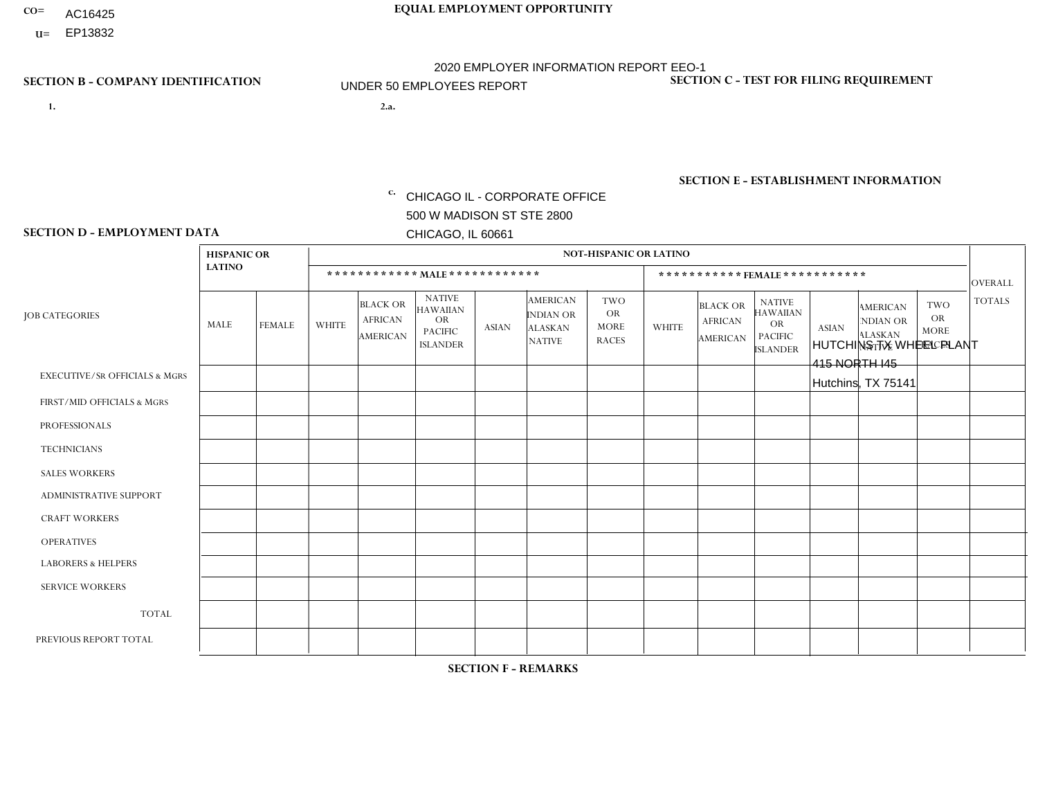- AC16425
- **U=**

**1. 2.a.** CHICAGO IL - CORPORATE OFFICE 500 W MADISON ST STE 2800 CHICAGO, IL 60661

2.a. HUTCHINS TX WHEEL PLANT 415 NORTH I45 Hutchins, TX 75141

EIN= 952920557

## **SECTION B - COMPANY IDENTIFICATION SECTION C - TEST FOR FILING REQUIREMENT**

1- Y 2- Y 3- N DUNS= 000123456

**SECTION E - ESTABLISHMENT INFORMATION c.** NAICS: 339999

### **SECTION D - EMPLOYMENT DATA**

|                                          | <b>HISPANIC OR</b> |                |                |                                                      |                                                                                    |              |                                                                 | <b>NOT-HISPANIC OR LATINO</b>                          |                |                                               |                                                                                    |              |                                                                |                                                        |                |
|------------------------------------------|--------------------|----------------|----------------|------------------------------------------------------|------------------------------------------------------------------------------------|--------------|-----------------------------------------------------------------|--------------------------------------------------------|----------------|-----------------------------------------------|------------------------------------------------------------------------------------|--------------|----------------------------------------------------------------|--------------------------------------------------------|----------------|
|                                          | <b>LATINO</b>      |                |                | ************ MALE ************                       |                                                                                    |              |                                                                 |                                                        |                | ***********FEMALE***********                  |                                                                                    |              |                                                                |                                                        | <b>OVERALL</b> |
| <b>JOB CATEGORIES</b>                    | MALE               | <b>FEMALE</b>  | <b>WHITE</b>   | <b>BLACK OR</b><br><b>AFRICAN</b><br><b>AMERICAN</b> | <b>NATIVE</b><br><b>HAWAIIAN</b><br><b>OR</b><br><b>PACIFIC</b><br><b>ISLANDER</b> | <b>ASIAN</b> | <b>AMERICAN</b><br>INDIAN OR<br><b>ALASKAN</b><br><b>NATIVE</b> | <b>TWO</b><br><b>OR</b><br><b>MORE</b><br><b>RACES</b> | <b>WHITE</b>   | <b>BLACK OR</b><br><b>AFRICAN</b><br>AMERICAN | <b>NATIVE</b><br><b>HAWAIIAN</b><br><b>OR</b><br><b>PACIFIC</b><br><b>ISLANDER</b> | <b>ASIAN</b> | <b>AMERICAN</b><br>NDIAN OR<br><b>ALASKAN</b><br><b>NATIVE</b> | <b>TWO</b><br><b>OR</b><br><b>MORE</b><br><b>RACES</b> | <b>TOTALS</b>  |
| <b>EXECUTIVE/SR OFFICIALS &amp; MGRS</b> | $\Omega$           | $\Omega$       | $\Omega$       | $\Omega$                                             | $\Omega$                                                                           | $\mathbf{0}$ | $\Omega$                                                        | $\Omega$                                               | 0              | $\Omega$                                      | $\Omega$                                                                           | $\Omega$     | $\Omega$                                                       | $\Omega$                                               | $\Omega$       |
| FIRST/MID OFFICIALS & MGRS               | 0                  | $\Omega$       | 1              | $\mathbf 0$                                          | $\Omega$                                                                           | $\mathbf{0}$ | $\mathbf{0}$                                                    | $\Omega$                                               | 0              | $\Omega$                                      | $\Omega$                                                                           | $\Omega$     | $\Omega$                                                       | $\Omega$                                               | $\mathbf{1}$   |
| <b>PROFESSIONALS</b>                     | 0                  | $\Omega$       | $\Omega$       | $\mathbf 0$                                          | $\Omega$                                                                           | $\Omega$     | $\Omega$                                                        | $\Omega$                                               | 0              | $\Omega$                                      | $\Omega$                                                                           | $\Omega$     | $\Omega$                                                       | $\Omega$                                               | $\mathbf{0}$   |
| <b>TECHNICIANS</b>                       | 0                  | $\mathbf 0$    | $\mathbf 0$    | $\mathbf 0$                                          | $\mathbf 0$                                                                        | $\Omega$     | $\Omega$                                                        | $\Omega$                                               | $\overline{0}$ | $\Omega$                                      | $\Omega$                                                                           | $\mathbf 0$  | $\mathbf 0$                                                    | $\mathbf 0$                                            | $\mathbf 0$    |
| <b>SALES WORKERS</b>                     | $\Omega$           | $\Omega$       | $\Omega$       | $\Omega$                                             | $\Omega$                                                                           | $\Omega$     | $\Omega$                                                        | $\Omega$                                               | $\overline{0}$ | $\Omega$                                      | $\Omega$                                                                           | $\Omega$     | $\Omega$                                                       | $\Omega$                                               | $\Omega$       |
| <b>ADMINISTRATIVE SUPPORT</b>            | 0                  | $\overline{1}$ | $\Omega$       | $\mathbf 0$                                          | $\Omega$                                                                           | $\mathbf{0}$ | $\mathbf{0}$                                                    | $\Omega$                                               | $\Omega$       | $\Omega$                                      | $\Omega$                                                                           | $\Omega$     | $\mathbf{0}$                                                   | $\Omega$                                               | $\mathbf{1}$   |
| <b>CRAFT WORKERS</b>                     | 0                  | $\Omega$       | $\mathbf 0$    | $\mathbf 0$                                          | $\Omega$                                                                           | $\Omega$     | $\Omega$                                                        | $\Omega$                                               | 0              | $\Omega$                                      | $\Omega$                                                                           | $\Omega$     | $\Omega$                                                       | $\Omega$                                               | $\Omega$       |
| <b>OPERATIVES</b>                        | 15                 | $\mathbf 0$    | $\Omega$       | 5                                                    | $\mathbf 0$                                                                        | $\Omega$     | $\overline{ }$                                                  | $\Omega$                                               | $\overline{0}$ | $\Omega$                                      | $\Omega$                                                                           | $\mathbf 0$  | $\mathbf 0$                                                    | $\mathbf 0$                                            | 21             |
| <b>LABORERS &amp; HELPERS</b>            | и                  | $\Omega$       | -1             | $\Omega$                                             | $\Omega$                                                                           | $\Omega$     | $\Omega$                                                        | $\Omega$                                               | 0              | $\Omega$                                      | $\Omega$                                                                           | $\Omega$     | $\Omega$                                                       | $\Omega$                                               | $\overline{2}$ |
| <b>SERVICE WORKERS</b>                   | 0                  | $\Omega$       | $\mathbf 0$    | 0                                                    | 0                                                                                  | $\Omega$     | $\mathbf{0}$                                                    | $\Omega$                                               | $\Omega$       | $\Omega$                                      | $\Omega$                                                                           | 0            | $\Omega$                                                       | $\mathbf 0$                                            | 0              |
| <b>TOTAL</b>                             | 16                 | $\mathbf{1}$   | $\overline{c}$ | 5                                                    | 0                                                                                  | $\mathbf 0$  | $\overline{\phantom{a}}$                                        | $\Omega$                                               | $\Omega$       | $\Omega$                                      | $\Omega$                                                                           | $\mathbf 0$  | 0                                                              | $\mathbf 0$                                            | 25             |
| PREVIOUS REPORT TOTAL                    | 16                 | $\mathbf{1}$   | 2              | 9                                                    | $\Omega$                                                                           | $\Omega$     | $\Omega$                                                        | $\Omega$                                               | 0              | $\Omega$                                      | $\Omega$                                                                           | $\Omega$     | $\Omega$                                                       | $\mathbf 0$                                            | 28             |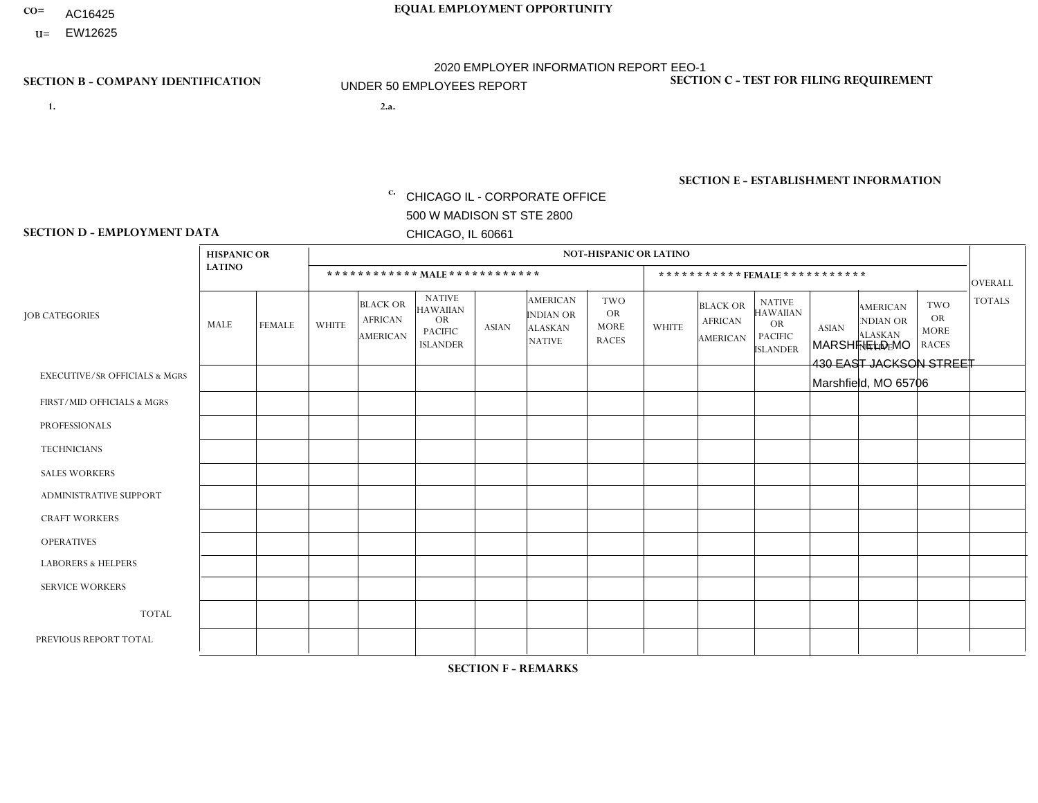- AC16425
- **U=**

- **1. 2.a.** CHICAGO IL CORPORATE OFFICE 500 W MADISON ST STE 2800 CHICAGO, IL 60661
- 2.a. MARSHFIELD MO 430 EAST JACKSON STREET Marshfield, MO 65706

EIN= 952920557

## **SECTION B - COMPANY IDENTIFICATION SECTION C - TEST FOR FILING REQUIREMENT**

1- Y 2- Y 3- N DUNS= 000123456

**SECTION E - ESTABLISHMENT INFORMATION c.** NAICS: 423140

### **SECTION D - EMPLOYMENT DATA**

|                                          | <b>HISPANIC OR</b> |                |              |                                               |                                                                                    |              |                                                                        | <b>NOT-HISPANIC OR LATINO</b>                          |                |                                               |                                                                                    |              |                                                                       |                                                        |                |
|------------------------------------------|--------------------|----------------|--------------|-----------------------------------------------|------------------------------------------------------------------------------------|--------------|------------------------------------------------------------------------|--------------------------------------------------------|----------------|-----------------------------------------------|------------------------------------------------------------------------------------|--------------|-----------------------------------------------------------------------|--------------------------------------------------------|----------------|
|                                          | <b>LATINO</b>      |                |              |                                               | ************ MALE************                                                      |              |                                                                        |                                                        |                | ***********FEMALE***********                  |                                                                                    |              |                                                                       |                                                        | <b>OVERALL</b> |
| <b>JOB CATEGORIES</b>                    | MALE               | <b>FEMALE</b>  | <b>WHITE</b> | <b>BLACK OR</b><br><b>AFRICAN</b><br>AMERICAN | <b>NATIVE</b><br><b>HAWAIIAN</b><br><b>OR</b><br><b>PACIFIC</b><br><b>ISLANDER</b> | ASIAN        | <b>AMERICAN</b><br><b>INDIAN OR</b><br><b>ALASKAN</b><br><b>NATIVE</b> | <b>TWO</b><br><b>OR</b><br><b>MORE</b><br><b>RACES</b> | <b>WHITE</b>   | <b>BLACK OR</b><br><b>AFRICAN</b><br>AMERICAN | <b>NATIVE</b><br><b>HAWAIIAN</b><br><b>OR</b><br><b>PACIFIC</b><br><b>ISLANDER</b> | <b>ASIAN</b> | <b>AMERICAN</b><br><b>NDIAN OR</b><br><b>ALASKAN</b><br><b>NATIVE</b> | <b>TWO</b><br><b>OR</b><br><b>MORE</b><br><b>RACES</b> | <b>TOTALS</b>  |
| <b>EXECUTIVE/SR OFFICIALS &amp; MGRS</b> | $\Omega$           | $\mathbf 0$    | $\Omega$     | $\mathbf 0$                                   | $\mathbf 0$                                                                        | $\Omega$     | $\Omega$                                                               | $\Omega$                                               | 0              | $\Omega$                                      | $\Omega$                                                                           | $\mathbf 0$  | $\mathbf 0$                                                           | $\mathbf 0$                                            | $\mathbf 0$    |
| FIRST/MID OFFICIALS & MGRS               | 0                  | $\Omega$       | 4            | $\Omega$                                      | $\Omega$                                                                           | $\Omega$     | $\Omega$                                                               | $\Omega$                                               |                | $\Omega$                                      | $\Omega$                                                                           | $\Omega$     | $\Omega$                                                              | $\mathbf{0}$                                           | $\overline{2}$ |
| <b>PROFESSIONALS</b>                     | 0                  | $\mathbf 0$    | $\mathbf 0$  | $\mathbf 0$                                   | $\mathbf 0$                                                                        | $\Omega$     | $\Omega$                                                               | $\Omega$                                               | 0              | $\Omega$                                      | $\Omega$                                                                           | $\mathbf{0}$ | $\Omega$                                                              | $\mathbf 0$                                            | $\mathbf{0}$   |
| <b>TECHNICIANS</b>                       | 0                  | $\mathbf{0}$   | $\Omega$     | $\mathbf 0$                                   | $\Omega$                                                                           | $\Omega$     | $\Omega$                                                               | $\Omega$                                               | $\Omega$       | $\Omega$                                      | $\Omega$                                                                           | $\Omega$     | $\Omega$                                                              | $\Omega$                                               | $\mathbf{0}$   |
| <b>SALES WORKERS</b>                     | $\Omega$           | $\Omega$       | 3            | $\Omega$                                      | $\Omega$                                                                           | $\Omega$     | $\Omega$                                                               | $\Omega$                                               | $\overline{0}$ | $\Omega$                                      | $\Omega$                                                                           | $\Omega$     | $\Omega$                                                              | $\Omega$                                               | 3              |
| <b>ADMINISTRATIVE SUPPORT</b>            | 0                  | $\Omega$       |              | $\mathbf 0$                                   | $\Omega$                                                                           | $\mathbf{0}$ | $\Omega$                                                               | $\Omega$                                               | 4              | $\Omega$                                      | $\Omega$                                                                           | $\Omega$     | $\mathbf{0}$                                                          | $\Omega$                                               | 5              |
| <b>CRAFT WORKERS</b>                     | 0                  | $\Omega$       | $\Omega$     | $\mathbf 0$                                   | $\Omega$                                                                           | $\Omega$     | $\Omega$                                                               | $\Omega$                                               | 0              | $\Omega$                                      | $\Omega$                                                                           | $\Omega$     | $\Omega$                                                              | $\Omega$                                               | $\Omega$       |
| <b>OPERATIVES</b>                        | 0                  | $\overline{0}$ | $\mathbf 0$  | $\mathbf 0$                                   | $\overline{0}$                                                                     | $\Omega$     | $\Omega$                                                               | $\Omega$                                               | $\overline{0}$ | $\Omega$                                      | $\Omega$                                                                           | $\mathbf 0$  | $\mathbf 0$                                                           | $\mathbf 0$                                            | $\mathbf 0$    |
| <b>LABORERS &amp; HELPERS</b>            | 0                  | $\Omega$       | 4            | $\Omega$                                      | $\Omega$                                                                           | $\Omega$     | $\Omega$                                                               | $\Omega$                                               | 4              | $\Omega$                                      | $\Omega$                                                                           | $\mathbf{0}$ | $\Omega$                                                              | $\Omega$                                               | 8              |
| <b>SERVICE WORKERS</b>                   | 0                  | $\mathbf 0$    | $\mathbf 0$  | $\mathbf 0$                                   | $\mathbf{0}$                                                                       | $\mathbf 0$  | $\Omega$                                                               | $\Omega$                                               | $\Omega$       | $\Omega$                                      | $\Omega$                                                                           | $\mathbf 0$  | 0                                                                     | $\mathbf 0$                                            | $\overline{0}$ |
| <b>TOTAL</b>                             | 0                  | 0              | 9            | 0                                             | $\mathbf{0}$                                                                       | $\Omega$     | $\Omega$                                                               | $\Omega$                                               | 9              | $\Omega$                                      | $\Omega$                                                                           | $\mathbf 0$  | 0                                                                     | $\mathbf 0$                                            | 18             |
| PREVIOUS REPORT TOTAL                    | 0                  | $\Omega$       | 11           | $\Omega$                                      | $\Omega$                                                                           | $\Omega$     | $\Omega$                                                               | $\Omega$                                               | 11             | $\Omega$                                      | $\Omega$                                                                           | $\Omega$     | $\Omega$                                                              | $\Omega$                                               | 22             |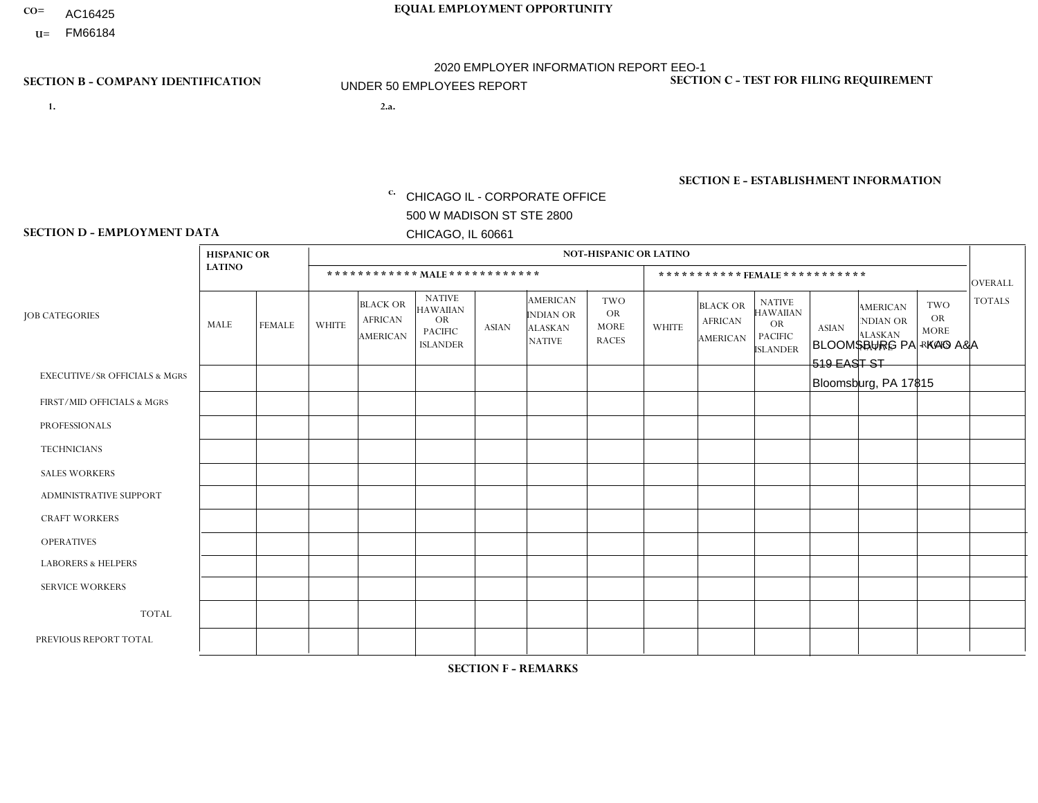- AC16425
- **U=**

**1. 2.a.** CHICAGO IL - CORPORATE OFFICE 500 W MADISON ST STE 2800 CHICAGO, IL 60661

BLOOMSBURG PA - KAO A&A 519 EAST ST Bloomsburg, PA 17815

c. EIN= 952920557

## **SECTION B - COMPANY IDENTIFICATION SECTION C - TEST FOR FILING REQUIREMENT**

1- Y 2- Y 3- N DUNS= 000123456

**SECTION E - ESTABLISHMENT INFORMATION c.** NAICS: 423140

### **SECTION D - EMPLOYMENT DATA**

|                                          | <b>HISPANIC OR</b> |               |                |                                                      |                                                                                    |              |                                                                 | <b>NOT-HISPANIC OR LATINO</b>                          |              |                                                      |                                                                                    |              |                                                                       |                                                        |                |
|------------------------------------------|--------------------|---------------|----------------|------------------------------------------------------|------------------------------------------------------------------------------------|--------------|-----------------------------------------------------------------|--------------------------------------------------------|--------------|------------------------------------------------------|------------------------------------------------------------------------------------|--------------|-----------------------------------------------------------------------|--------------------------------------------------------|----------------|
|                                          | <b>LATINO</b>      |               |                | ************ MALE ************                       |                                                                                    |              |                                                                 |                                                        |              |                                                      | ***********FEMALE***********                                                       |              |                                                                       |                                                        | <b>OVERALL</b> |
| <b>JOB CATEGORIES</b>                    | <b>MALE</b>        | <b>FEMALE</b> | <b>WHITE</b>   | <b>BLACK OR</b><br><b>AFRICAN</b><br><b>AMERICAN</b> | <b>NATIVE</b><br><b>HAWAIIAN</b><br><b>OR</b><br><b>PACIFIC</b><br><b>ISLANDER</b> | <b>ASIAN</b> | <b>AMERICAN</b><br>INDIAN OR<br><b>ALASKAN</b><br><b>NATIVE</b> | <b>TWO</b><br><b>OR</b><br><b>MORE</b><br><b>RACES</b> | <b>WHITE</b> | <b>BLACK OR</b><br><b>AFRICAN</b><br><b>AMERICAN</b> | <b>NATIVE</b><br><b>HAWAIIAN</b><br><b>OR</b><br><b>PACIFIC</b><br><b>ISLANDER</b> | <b>ASIAN</b> | <b>AMERICAN</b><br><b>NDIAN OR</b><br><b>ALASKAN</b><br><b>NATIVE</b> | <b>TWO</b><br><b>OR</b><br><b>MORE</b><br><b>RACES</b> | <b>TOTALS</b>  |
| <b>EXECUTIVE/SR OFFICIALS &amp; MGRS</b> | $\mathbf{0}$       | $\Omega$      | $\Omega$       | $\Omega$                                             | 0                                                                                  | $\Omega$     | $\Omega$                                                        | $\Omega$                                               | $\Omega$     | $\mathbf{0}$                                         | $\Omega$                                                                           | $\Omega$     | $\Omega$                                                              | $\Omega$                                               | $\Omega$       |
| FIRST/MID OFFICIALS & MGRS               | $\Omega$           | $\Omega$      | 1              | $\Omega$                                             | $\mathbf 0$                                                                        | $\Omega$     | $\Omega$                                                        | $\Omega$                                               | $\Omega$     | $\Omega$                                             | $\Omega$                                                                           | $\Omega$     | $\Omega$                                                              | $\Omega$                                               | $\mathbf{1}$   |
| <b>PROFESSIONALS</b>                     | $\Omega$           | $\Omega$      | $\mathbf 0$    | $\mathbf 0$                                          | $\overline{0}$                                                                     | $\Omega$     | $\Omega$                                                        | $\Omega$                                               | $\Omega$     | $\Omega$                                             | $\Omega$                                                                           | $\Omega$     | $\Omega$                                                              | $\Omega$                                               | $\mathbf 0$    |
| <b>TECHNICIANS</b>                       | $\Omega$           | $\Omega$      | $\Omega$       | $\Omega$                                             | 0                                                                                  | $\Omega$     | $\overline{0}$                                                  | $\Omega$                                               | $\Omega$     | $\Omega$                                             | $\Omega$                                                                           | $\Omega$     | $\mathbf{0}$                                                          | $\Omega$                                               | $\mathbf 0$    |
| <b>SALES WORKERS</b>                     | $\overline{1}$     | $\Omega$      | 3              | $\Omega$                                             | 0                                                                                  | $\Omega$     | $\Omega$                                                        | $\Omega$                                               | $\Omega$     | $\Omega$                                             | $\Omega$                                                                           | $\Omega$     | $\Omega$                                                              | $\Omega$                                               | $\overline{4}$ |
| <b>ADMINISTRATIVE SUPPORT</b>            | $\Omega$           | $\mathbf 0$   | $\Omega$       | $\mathbf 0$                                          | $\mathbf 0$                                                                        | $\mathbf 0$  | $\Omega$                                                        | $\Omega$                                               | $\Omega$     | $\Omega$                                             | $\Omega$                                                                           | $\Omega$     | $\Omega$                                                              | $\Omega$                                               | $\mathbf 0$    |
| <b>CRAFT WORKERS</b>                     | $\Omega$           | $\Omega$      | $\Omega$       | 0                                                    | 0                                                                                  | $\Omega$     | $\Omega$                                                        | $\Omega$                                               | $\Omega$     | $\Omega$                                             | $\Omega$                                                                           | $\Omega$     | $\Omega$                                                              | $\Omega$                                               | $\Omega$       |
| <b>OPERATIVES</b>                        | $\Omega$           | $\Omega$      | $\overline{c}$ | $\mathbf 0$                                          | 0                                                                                  | $\Omega$     | $\Omega$                                                        | $\Omega$                                               | $\Omega$     | $\Omega$                                             | $\Omega$                                                                           | $\Omega$     | $\Omega$                                                              | $\Omega$                                               | $\overline{2}$ |
| <b>LABORERS &amp; HELPERS</b>            | $\Omega$           | $\Omega$      | $\Omega$       | $\mathbf 0$                                          | 0                                                                                  | $\Omega$     | $\Omega$                                                        | $\Omega$                                               | $\Omega$     | $\Omega$                                             | $\Omega$                                                                           | $\Omega$     | $\Omega$                                                              | $\Omega$                                               | $\mathbf{0}$   |
| <b>SERVICE WORKERS</b>                   | $\Omega$           | $\Omega$      | $\Omega$       | 0                                                    | $\mathbf{0}$                                                                       | $\Omega$     | $\Omega$                                                        | $\Omega$                                               | $\Omega$     | $\Omega$                                             | $\Omega$                                                                           | $\Omega$     | $\Omega$                                                              | $\Omega$                                               | 0              |
| <b>TOTAL</b>                             | 1                  | $\mathbf 0$   | 6              | $\mathbf 0$                                          | 0                                                                                  | $\mathbf{0}$ | $\Omega$                                                        | $\Omega$                                               | 0            | $\Omega$                                             | $\Omega$                                                                           | $\mathbf 0$  | $\Omega$                                                              | $\mathbf 0$                                            | $\overline{7}$ |
| PREVIOUS REPORT TOTAL                    | $\Omega$           | $\Omega$      | 6              | $\mathbf 0$                                          | 0                                                                                  | $\Omega$     | $\overline{0}$                                                  | $\Omega$                                               | $\mathbf 1$  | $\Omega$                                             | $\mathbf{0}$                                                                       | $\Omega$     | $\Omega$                                                              | $\mathbf 0$                                            | $\overline{7}$ |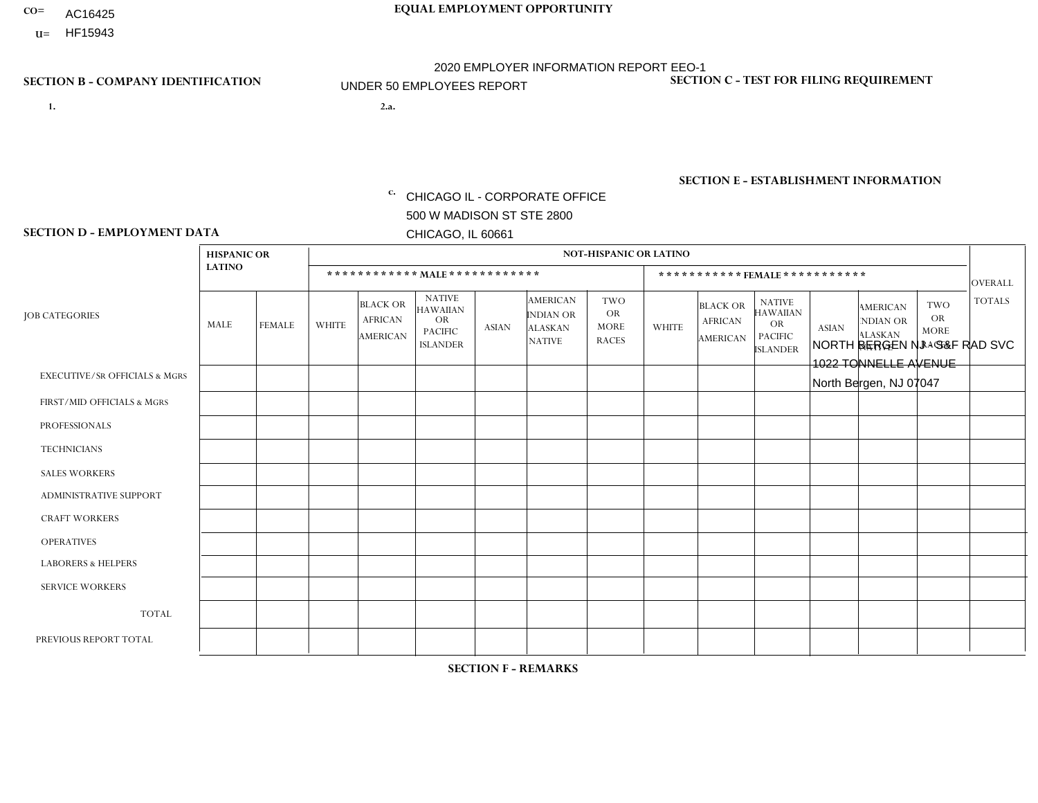- AC16425
- **U=**

**1. 2.a.** CHICAGO IL - CORPORATE OFFICE 500 W MADISON ST STE 2800 CHICAGO, IL 60661

2.a. NORTH BERGEN NJ - S&F RAD SVC 1022 TONNELLE AVENUE North Bergen, NJ 07047

c. EIN= 952920557

## **SECTION B - COMPANY IDENTIFICATION SECTION C - TEST FOR FILING REQUIREMENT**

1- Y 2- Y 3- N DUNS= 000123456

**SECTION E - ESTABLISHMENT INFORMATION c.** NAICS: 423140

### **SECTION D - EMPLOYMENT DATA**

|                                          | <b>HISPANIC OR</b> |                |              |                                                      |                                                                                    |              |                                                                 | <b>NOT-HISPANIC OR LATINO</b>                          |                |                                               |                                                                                    |              |                                                                |                                                        |                |
|------------------------------------------|--------------------|----------------|--------------|------------------------------------------------------|------------------------------------------------------------------------------------|--------------|-----------------------------------------------------------------|--------------------------------------------------------|----------------|-----------------------------------------------|------------------------------------------------------------------------------------|--------------|----------------------------------------------------------------|--------------------------------------------------------|----------------|
|                                          | <b>LATINO</b>      |                |              |                                                      | ************ MALE ************                                                     |              |                                                                 |                                                        |                | ***********FEMALE***********                  |                                                                                    |              |                                                                |                                                        | <b>OVERALL</b> |
| <b>JOB CATEGORIES</b>                    | MALE               | <b>FEMALE</b>  | <b>WHITE</b> | <b>BLACK OR</b><br><b>AFRICAN</b><br><b>AMERICAN</b> | <b>NATIVE</b><br><b>HAWAIIAN</b><br><b>OR</b><br><b>PACIFIC</b><br><b>ISLANDER</b> | <b>ASIAN</b> | <b>AMERICAN</b><br>INDIAN OR<br><b>ALASKAN</b><br><b>NATIVE</b> | <b>TWO</b><br><b>OR</b><br><b>MORE</b><br><b>RACES</b> | <b>WHITE</b>   | <b>BLACK OR</b><br><b>AFRICAN</b><br>AMERICAN | <b>NATIVE</b><br><b>HAWAIIAN</b><br><b>OR</b><br><b>PACIFIC</b><br><b>ISLANDER</b> | <b>ASIAN</b> | <b>AMERICAN</b><br>NDIAN OR<br><b>ALASKAN</b><br><b>NATIVE</b> | <b>TWO</b><br><b>OR</b><br><b>MORE</b><br><b>RACES</b> | <b>TOTALS</b>  |
| <b>EXECUTIVE/SR OFFICIALS &amp; MGRS</b> | $\Omega$           | $\Omega$       | $\Omega$     | $\Omega$                                             | $\Omega$                                                                           | $\mathbf{0}$ | $\Omega$                                                        | $\Omega$                                               | 0              | $\Omega$                                      | $\Omega$                                                                           | $\mathbf{0}$ | $\Omega$                                                       | $\Omega$                                               | $\Omega$       |
| FIRST/MID OFFICIALS & MGRS               |                    | $\mathbf{1}$   | $\Omega$     | $\mathbf 0$                                          | $\Omega$                                                                           | $\mathbf{0}$ | $\mathbf{0}$                                                    | $\Omega$                                               | 0              | $\Omega$                                      | $\Omega$                                                                           | $\Omega$     | $\Omega$                                                       | $\Omega$                                               | $\overline{2}$ |
| <b>PROFESSIONALS</b>                     | 0                  | $\Omega$       | $\Omega$     | $\mathbf 0$                                          | $\Omega$                                                                           | $\Omega$     | $\Omega$                                                        | $\Omega$                                               | 0              | $\Omega$                                      | $\Omega$                                                                           | $\Omega$     | $\Omega$                                                       | $\Omega$                                               | $\mathbf{0}$   |
| <b>TECHNICIANS</b>                       | 0                  | $\overline{0}$ | $\mathbf 0$  | $\mathbf 0$                                          | $\overline{0}$                                                                     | $\Omega$     | $\Omega$                                                        | $\Omega$                                               | $\overline{0}$ | $\Omega$                                      | $\Omega$                                                                           | $\mathbf 0$  | $\mathbf 0$                                                    | $\mathbf 0$                                            | $\mathbf 0$    |
| <b>SALES WORKERS</b>                     | $\overline{2}$     | $\Omega$       | $\Omega$     | $\Omega$                                             | $\Omega$                                                                           | $\Omega$     | $\Omega$                                                        | $\Omega$                                               | $\overline{0}$ | $\Omega$                                      | $\Omega$                                                                           | $\Omega$     | $\Omega$                                                       | $\mathbf{0}$                                           | $\overline{2}$ |
| <b>ADMINISTRATIVE SUPPORT</b>            | 0                  | $\Omega$       | $\Omega$     | $\mathbf 0$                                          | $\Omega$                                                                           | $\mathbf{0}$ | $\Omega$                                                        | $\Omega$                                               | $\Omega$       | $\Omega$                                      | $\Omega$                                                                           | $\Omega$     | $\mathbf{0}$                                                   | $\Omega$                                               | $\mathbf 0$    |
| <b>CRAFT WORKERS</b>                     | 0                  | $\Omega$       | $\mathbf 0$  | $\mathbf 0$                                          | $\Omega$                                                                           | $\Omega$     | $\Omega$                                                        | $\Omega$                                               | 0              | $\Omega$                                      | $\Omega$                                                                           | $\mathbf{0}$ | $\Omega$                                                       | $\mathbf{0}$                                           | $\mathbf 0$    |
| <b>OPERATIVES</b>                        | 4                  | $\Omega$       | $\Omega$     | $\mathbf 0$                                          | $\mathbf 0$                                                                        | $\Omega$     | $\Omega$                                                        | $\Omega$                                               | $\overline{0}$ | $\Omega$                                      | $\Omega$                                                                           | $\mathbf 0$  | $\mathbf 0$                                                    | $\mathbf 0$                                            | $\overline{4}$ |
| <b>LABORERS &amp; HELPERS</b>            | $\overline{2}$     | $\Omega$       | $\Omega$     | $\Omega$                                             | $\Omega$                                                                           | $\Omega$     | $\Omega$                                                        | $\Omega$                                               | 0              | $\Omega$                                      | $\Omega$                                                                           | $\mathbf{0}$ | $\Omega$                                                       | $\mathbf{0}$                                           | $\overline{2}$ |
| <b>SERVICE WORKERS</b>                   | 0                  | $\Omega$       | $\mathbf 0$  | 0                                                    | 0                                                                                  | $\Omega$     | $\mathbf{0}$                                                    | $\Omega$                                               | $\Omega$       | $\Omega$                                      | $\Omega$                                                                           | 0            | $\Omega$                                                       | $\mathbf 0$                                            | 0              |
| <b>TOTAL</b>                             | 9                  | $\mathbf{1}$   | $\mathbf 0$  | $\mathbf 0$                                          | 0                                                                                  | $\mathbf 0$  | $\Omega$                                                        | $\Omega$                                               | $\Omega$       | $\Omega$                                      | $\Omega$                                                                           | $\mathbf 0$  | 0                                                              | $\mathbf 0$                                            | 10             |
| PREVIOUS REPORT TOTAL                    | 12                 | 3              | $\Omega$     | $\mathbf 0$                                          | $\Omega$                                                                           | $\Omega$     | $\Omega$                                                        | $\Omega$                                               | 0              | $\Omega$                                      | $\Omega$                                                                           | $\Omega$     | $\Omega$                                                       | $\mathbf 0$                                            | 15             |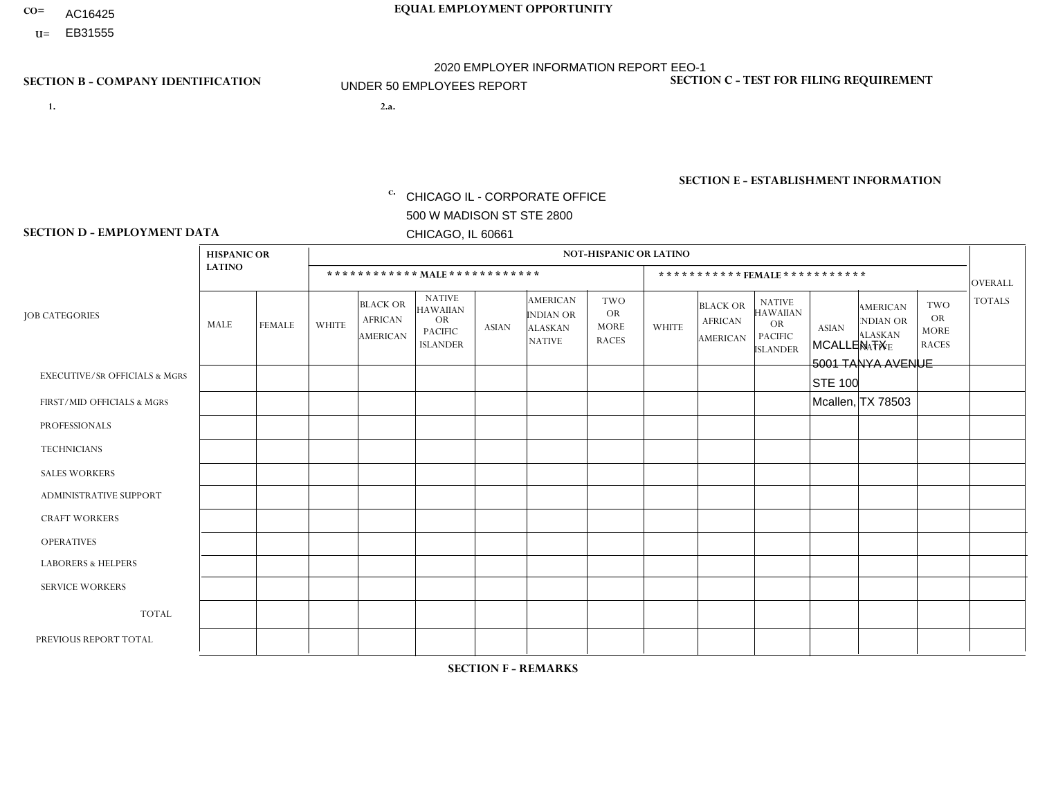- AC16425
- **U=**

- **1. 2.a.** CHICAGO IL CORPORATE OFFICE 500 W MADISON ST STE 2800 CHICAGO, IL 60661
- 2.a. MCALLEN TX 5001 TANYA AVENUE STE 100 Mcallen, TX 78503
	- EIN= 952920557

## **SECTION B - COMPANY IDENTIFICATION SECTION C - TEST FOR FILING REQUIREMENT**

1- Y 2- Y 3- N DUNS= 000123456

**SECTION E - ESTABLISHMENT INFORMATION c.** NAICS: 423140

### **SECTION D - EMPLOYMENT DATA**

|                                          | <b>HISPANIC OR</b> |                |                |                                                      |                                                                                    |          |                                                                        | <b>NOT-HISPANIC OR LATINO</b>                          |                |                                               |                                                                                    |              |                                                                       |                                                        |                |
|------------------------------------------|--------------------|----------------|----------------|------------------------------------------------------|------------------------------------------------------------------------------------|----------|------------------------------------------------------------------------|--------------------------------------------------------|----------------|-----------------------------------------------|------------------------------------------------------------------------------------|--------------|-----------------------------------------------------------------------|--------------------------------------------------------|----------------|
|                                          | <b>LATINO</b>      |                |                | ************ MALE ************                       |                                                                                    |          |                                                                        |                                                        |                | *********** FEMALE ***********                |                                                                                    |              |                                                                       |                                                        | <b>OVERALL</b> |
| <b>JOB CATEGORIES</b>                    | MALE               | <b>FEMALE</b>  | <b>WHITE</b>   | <b>BLACK OR</b><br><b>AFRICAN</b><br><b>AMERICAN</b> | <b>NATIVE</b><br><b>HAWAIIAN</b><br><b>OR</b><br><b>PACIFIC</b><br><b>ISLANDER</b> | ASIAN    | <b>AMERICAN</b><br><b>INDIAN OR</b><br><b>ALASKAN</b><br><b>NATIVE</b> | <b>TWO</b><br><b>OR</b><br><b>MORE</b><br><b>RACES</b> | <b>WHITE</b>   | <b>BLACK OR</b><br><b>AFRICAN</b><br>AMERICAN | <b>NATIVE</b><br><b>HAWAIIAN</b><br><b>OR</b><br><b>PACIFIC</b><br><b>ISLANDER</b> | <b>ASIAN</b> | <b>AMERICAN</b><br><b>NDIAN OR</b><br><b>ALASKAN</b><br><b>NATIVE</b> | <b>TWO</b><br><b>OR</b><br><b>MORE</b><br><b>RACES</b> | <b>TOTALS</b>  |
| <b>EXECUTIVE/SR OFFICIALS &amp; MGRS</b> | $\Omega$           | $\Omega$       | $\Omega$       | $\mathbf 0$                                          | 0                                                                                  | $\Omega$ | $\Omega$                                                               | $\Omega$                                               | $\Omega$       | $\Omega$                                      | $\Omega$                                                                           | $\mathbf 0$  | $\Omega$                                                              | $\mathbf 0$                                            | $\mathbf 0$    |
| FIRST/MID OFFICIALS & MGRS               | $\overline{2}$     | $\Omega$       | 1              | $\mathbf 0$                                          | $\Omega$                                                                           | $\Omega$ | $\Omega$                                                               |                                                        | 0              | $\Omega$                                      | $\Omega$                                                                           | $\mathbf{0}$ | $\Omega$                                                              | $\mathbf{0}$                                           | $\overline{4}$ |
| <b>PROFESSIONALS</b>                     | 0                  | $\Omega$       | $\Omega$       | $\pmb{0}$                                            | $\Omega$                                                                           | $\Omega$ | $\Omega$                                                               | $\Omega$                                               | 0              | $\Omega$                                      | $\Omega$                                                                           | $\mathbf{0}$ | $\Omega$                                                              | $\mathbf{0}$                                           | $\overline{0}$ |
| <b>TECHNICIANS</b>                       | 0                  | $\mathbf{0}$   | $\mathbf 0$    | $\mathbf 0$                                          | $\Omega$                                                                           | $\Omega$ | $\Omega$                                                               | $\Omega$                                               | 0              | $\Omega$                                      | $\Omega$                                                                           | $\mathbf 0$  | $\Omega$                                                              | $\Omega$                                               | $\overline{0}$ |
| <b>SALES WORKERS</b>                     | 10                 | $\mathbf 0$    | $\Omega$       | $\mathbf 0$                                          | $\Omega$                                                                           | $\Omega$ | $\Omega$                                                               |                                                        | $\Omega$       | $\Omega$                                      | $\Omega$                                                                           | $\mathbf 0$  | $\Omega$                                                              | $\Omega$                                               | 11             |
| ADMINISTRATIVE SUPPORT                   | $\Omega$           | $\overline{2}$ | $\Omega$       | $\mathbf 0$                                          | $\Omega$                                                                           | $\Omega$ | $\Omega$                                                               | $\Omega$                                               | $\Omega$       | $\Omega$                                      | $\Omega$                                                                           | $\Omega$     | $\Omega$                                                              | $\Omega$                                               | 2              |
| <b>CRAFT WORKERS</b>                     | 0                  | $\mathbf 0$    | $\mathbf 0$    | $\mathbf 0$                                          | 0                                                                                  | $\Omega$ | $\Omega$                                                               | $\Omega$                                               | $\Omega$       | $\Omega$                                      | $\Omega$                                                                           | $\Omega$     | $\mathbf{0}$                                                          | $\mathbf 0$                                            | $\mathbf 0$    |
| <b>OPERATIVES</b>                        | $\overline{2}$     | 0              | -1             | $\mathbf 0$                                          | 0                                                                                  | $\Omega$ | $\Omega$                                                               | $\Omega$                                               | 0              | $\Omega$                                      | $\Omega$                                                                           | $\Omega$     | $\Omega$                                                              | $\mathbf 0$                                            | 3              |
| <b>LABORERS &amp; HELPERS</b>            | 6                  | $\Omega$       | $\Omega$       | $\mathbf 0$                                          | $\Omega$                                                                           | $\Omega$ | $\Omega$                                                               | $\Omega$                                               | $\overline{0}$ | $\Omega$                                      | $\Omega$                                                                           | $\Omega$     | $\Omega$                                                              | $\Omega$                                               | 6              |
| <b>SERVICE WORKERS</b>                   | 0                  | $\Omega$       | $\Omega$       | $\mathbf 0$                                          | $\Omega$                                                                           | $\Omega$ | $\Omega$                                                               | $\Omega$                                               | $\Omega$       | $\Omega$                                      | $\Omega$                                                                           | $\Omega$     | $\Omega$                                                              | $\Omega$                                               | $\mathbf 0$    |
| <b>TOTAL</b>                             | 20                 | $\overline{2}$ | $\overline{c}$ | 0                                                    | 0                                                                                  | $\Omega$ | $\Omega$                                                               | $\overline{2}$                                         | $\Omega$       | $\Omega$                                      | $\Omega$                                                                           | $\mathbf 0$  | $\Omega$                                                              | $\Omega$                                               | 26             |
| PREVIOUS REPORT TOTAL                    | 25                 | $\overline{2}$ | 1              | $\mathbf 0$                                          | $\mathbf{0}$                                                                       | $\Omega$ | $\Omega$                                                               | 2                                                      | 0              | $\Omega$                                      | $\Omega$                                                                           | $\Omega$     | 0                                                                     | $\mathbf 0$                                            | 30             |
|                                          |                    |                |                |                                                      |                                                                                    |          |                                                                        |                                                        |                |                                               |                                                                                    |              |                                                                       |                                                        |                |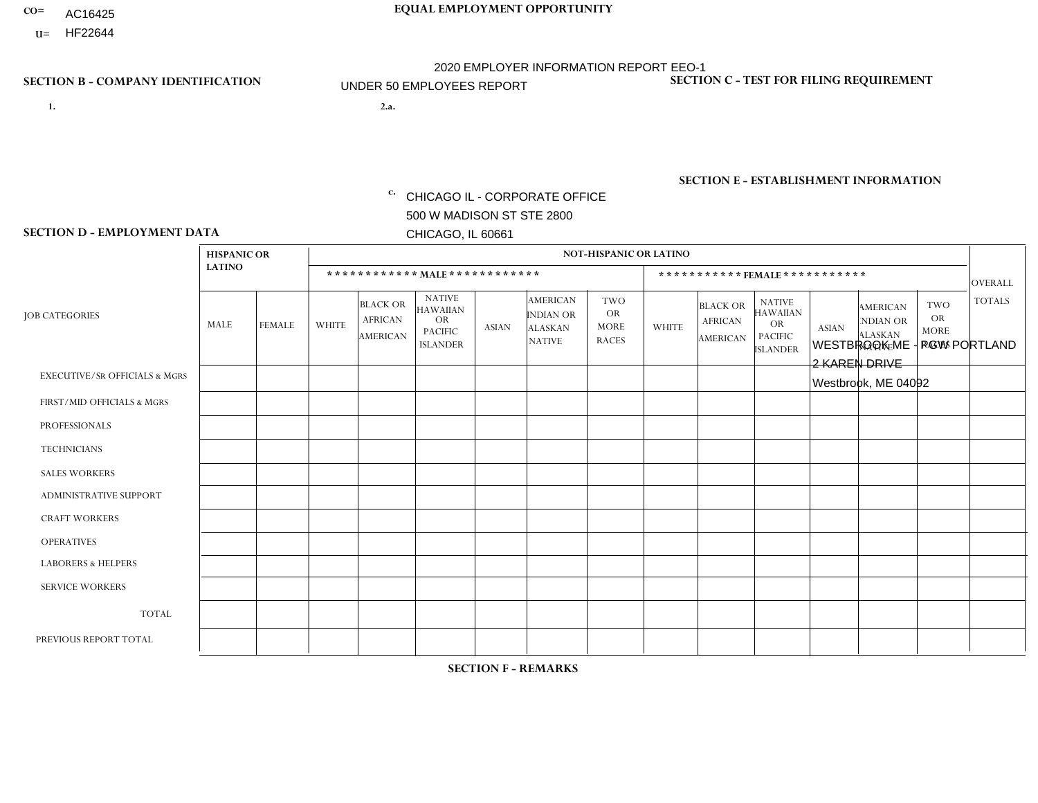- AC16425
- **U=**

**1. 2.a.** CHICAGO IL - CORPORATE OFFICE 500 W MADISON ST STE 2800 CHICAGO, IL 60661

2.a. WESTBROOK ME - PGW PORTLAND 2 KAREN DRIVE Westbrook, ME 04092

c. EIN= 952920557

## **SECTION B - COMPANY IDENTIFICATION SECTION C - TEST FOR FILING REQUIREMENT**

1- Y 2- Y 3- N DUNS= 000123456

**SECTION E - ESTABLISHMENT INFORMATION c.** NAICS: 811122

### **SECTION D - EMPLOYMENT DATA**

|                                          | <b>HISPANIC OR</b> |               |                |                                                      |                                                                                    |             |                                                                        | <b>NOT-HISPANIC OR LATINO</b>                          |                |                                               |                                                                             |              |                                                                       |                                                        |                |
|------------------------------------------|--------------------|---------------|----------------|------------------------------------------------------|------------------------------------------------------------------------------------|-------------|------------------------------------------------------------------------|--------------------------------------------------------|----------------|-----------------------------------------------|-----------------------------------------------------------------------------|--------------|-----------------------------------------------------------------------|--------------------------------------------------------|----------------|
|                                          | <b>LATINO</b>      |               |                | ************ MALE ************                       |                                                                                    |             |                                                                        |                                                        |                | ***********FEMALE***********                  |                                                                             |              |                                                                       |                                                        | <b>OVERALL</b> |
| <b>JOB CATEGORIES</b>                    | MALE               | <b>FEMALE</b> | <b>WHITE</b>   | <b>BLACK OR</b><br><b>AFRICAN</b><br><b>AMERICAN</b> | <b>NATIVE</b><br><b>HAWAIIAN</b><br><b>OR</b><br><b>PACIFIC</b><br><b>ISLANDER</b> | ASIAN       | <b>AMERICAN</b><br><b>INDIAN OR</b><br><b>ALASKAN</b><br><b>NATIVE</b> | <b>TWO</b><br><b>OR</b><br><b>MORE</b><br><b>RACES</b> | <b>WHITE</b>   | <b>BLACK OR</b><br><b>AFRICAN</b><br>AMERICAN | <b>NATIVE</b><br><b>HAWAIIAN</b><br>OR<br><b>PACIFIC</b><br><b>ISLANDER</b> | <b>ASIAN</b> | <b>AMERICAN</b><br><b>NDIAN OR</b><br><b>ALASKAN</b><br><b>NATIVE</b> | <b>TWO</b><br><b>OR</b><br><b>MORE</b><br><b>RACES</b> | <b>TOTALS</b>  |
| <b>EXECUTIVE/SR OFFICIALS &amp; MGRS</b> | $\Omega$           | $\Omega$      | $\Omega$       | $\mathbf 0$                                          | $\mathbf 0$                                                                        | $\Omega$    | $\Omega$                                                               | $\Omega$                                               | $\Omega$       | $\Omega$                                      | $\Omega$                                                                    | $\mathbf 0$  | $\Omega$                                                              | $\mathbf 0$                                            | $\mathbf{0}$   |
| FIRST/MID OFFICIALS & MGRS               | 0                  | 0             | 1              | $\mathbf 0$                                          | 0                                                                                  | $\Omega$    | $\Omega$                                                               | $\Omega$                                               | 0              | $\Omega$                                      | $\Omega$                                                                    | $\Omega$     | $\Omega$                                                              | $\mathbf 0$                                            | $\mathbf{1}$   |
| <b>PROFESSIONALS</b>                     | $\Omega$           | $\Omega$      | $\Omega$       | $\mathbf 0$                                          | $\Omega$                                                                           | $\Omega$    | $\Omega$                                                               | $\Omega$                                               | $\overline{0}$ | $\Omega$                                      | $\Omega$                                                                    | $\Omega$     | $\Omega$                                                              | $\Omega$                                               | $\mathbf 0$    |
| <b>TECHNICIANS</b>                       | 0                  | $\mathbf 0$   | $\Omega$       | $\mathbf 0$                                          | $\Omega$                                                                           | $\Omega$    | $\Omega$                                                               | $\Omega$                                               | $\Omega$       | $\Omega$                                      | $\Omega$                                                                    | $\Omega$     | $\Omega$                                                              | $\Omega$                                               | $\mathbf{0}$   |
| <b>SALES WORKERS</b>                     | $\Omega$           | $\Omega$      | $\Omega$       | $\mathbf 0$                                          | $\Omega$                                                                           | $\Omega$    | $\Omega$                                                               | $\Omega$                                               | $\overline{0}$ | $\Omega$                                      | $\Omega$                                                                    | $\Omega$     | $\Omega$                                                              | $\Omega$                                               | $\mathbf{0}$   |
| ADMINISTRATIVE SUPPORT                   | $\mathbf 0$        | 0             | $\mathbf 0$    | $\mathbf 0$                                          | 0                                                                                  | $\Omega$    | $\Omega$                                                               | $\Omega$                                               | $\Omega$       | $\Omega$                                      | $\Omega$                                                                    | $\Omega$     | $\mathbf{0}$                                                          | $\mathbf 0$                                            | $\mathbf 0$    |
| <b>CRAFT WORKERS</b>                     | 0                  | $\Omega$      | $\Omega$       | $\mathbf 0$                                          | $\Omega$                                                                           | $\Omega$    | $\Omega$                                                               | $\Omega$                                               | 0              | $\Omega$                                      | $\Omega$                                                                    | $\Omega$     | $\Omega$                                                              | $\Omega$                                               | $\Omega$       |
| <b>OPERATIVES</b>                        | $\overline{2}$     | $\Omega$      | 5              | $\mathbf 0$                                          | $\Omega$                                                                           | $\Omega$    | $\Omega$                                                               |                                                        | $\Omega$       | $\Omega$                                      | $\Omega$                                                                    | $\Omega$     | $\Omega$                                                              | $\Omega$                                               | 8              |
| <b>LABORERS &amp; HELPERS</b>            | $\Omega$           | $\Omega$      | $\overline{ }$ | $\mathbf 0$                                          | $\mathbf 0$                                                                        | $\Omega$    | $\Omega$                                                               | $\Omega$                                               | $\Omega$       | $\Omega$                                      | $\Omega$                                                                    | $\Omega$     | $\Omega$                                                              | $\Omega$                                               | $\mathbf{1}$   |
| <b>SERVICE WORKERS</b>                   | 0                  | $\mathbf 0$   | $\mathbf 0$    | $\mathbf 0$                                          | $\mathbf{0}$                                                                       | $\mathbf 0$ | $\Omega$                                                               | $\Omega$                                               | $\Omega$       | $\Omega$                                      | $\Omega$                                                                    | $\mathbf 0$  | $\Omega$                                                              | $\mathbf 0$                                            | $\overline{0}$ |
| <b>TOTAL</b>                             | $\overline{2}$     | 0             | $\overline{7}$ | 0                                                    | 0                                                                                  | $\Omega$    | $\Omega$                                                               |                                                        | $\Omega$       | $\Omega$                                      | $\Omega$                                                                    | $\mathbf 0$  | 0                                                                     | $\mathbf 0$                                            | 10             |
| PREVIOUS REPORT TOTAL                    | 0                  | $\Omega$      | 3              | $\mathbf 0$                                          | $\Omega$                                                                           | $\Omega$    | $\Omega$                                                               | $\Omega$                                               | 0              | $\Omega$                                      | $\Omega$                                                                    | $\Omega$     | $\Omega$                                                              | $\mathbf 0$                                            | 3              |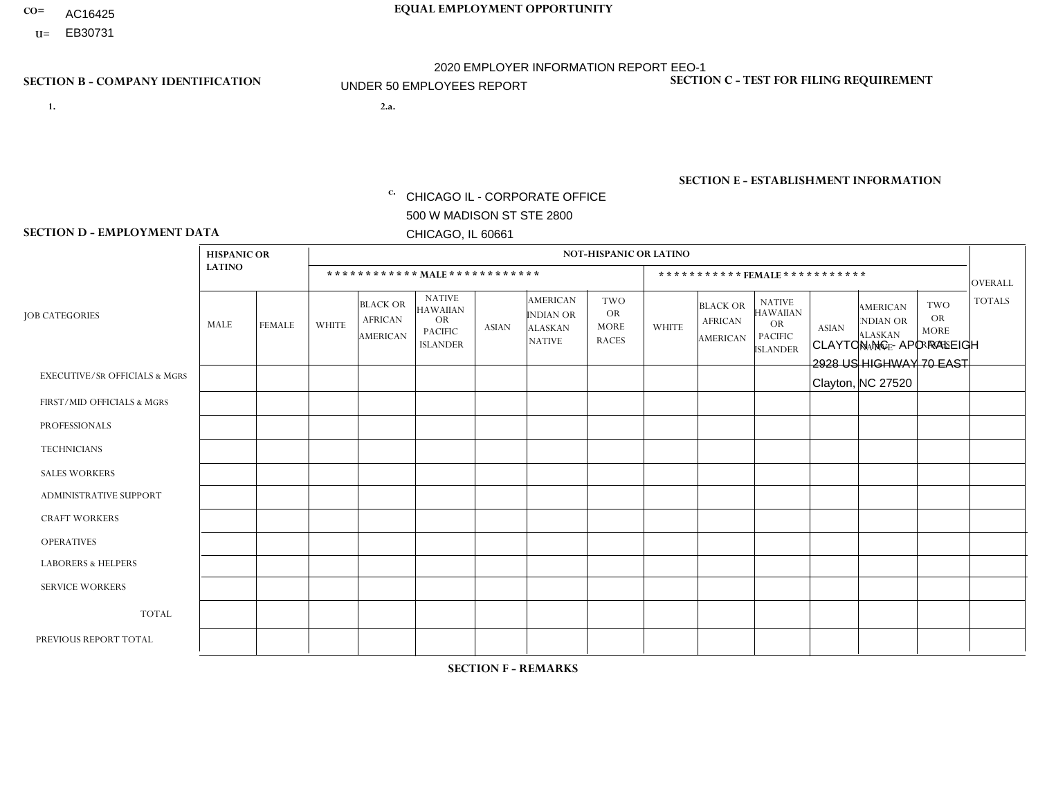- AC16425
- **U=**

- **1. 2.a.** CHICAGO IL CORPORATE OFFICE 500 W MADISON ST STE 2800 CHICAGO, IL 60661
- 2.a. CLAYTON NC APO RALEIGH 2928 US HIGHWAY 70 EAST Clayton, NC 27520

c. EIN= 952920557

## **SECTION B - COMPANY IDENTIFICATION SECTION C - TEST FOR FILING REQUIREMENT**

1- Y 2- Y 3- N DUNS= 000123456

**SECTION E - ESTABLISHMENT INFORMATION c.** NAICS: 423140

### **SECTION D - EMPLOYMENT DATA**

|                                          | <b>HISPANIC OR</b> |               |                |                                                      |                                                                             |              |                                                                        | <b>NOT-HISPANIC OR LATINO</b>                          |                         |                                               |                                                                                    |              |                                                                       |                                                        |                |
|------------------------------------------|--------------------|---------------|----------------|------------------------------------------------------|-----------------------------------------------------------------------------|--------------|------------------------------------------------------------------------|--------------------------------------------------------|-------------------------|-----------------------------------------------|------------------------------------------------------------------------------------|--------------|-----------------------------------------------------------------------|--------------------------------------------------------|----------------|
|                                          | <b>LATINO</b>      |               |                |                                                      | ************ MALE ************                                              |              |                                                                        |                                                        |                         | ***********FEMALE***********                  |                                                                                    |              |                                                                       |                                                        | <b>OVERALL</b> |
| <b>JOB CATEGORIES</b>                    | <b>MALE</b>        | <b>FEMALE</b> | <b>WHITE</b>   | <b>BLACK OR</b><br><b>AFRICAN</b><br><b>AMERICAN</b> | <b>NATIVE</b><br>HAWAIIAN<br><b>OR</b><br><b>PACIFIC</b><br><b>ISLANDER</b> | <b>ASIAN</b> | <b>AMERICAN</b><br><b>INDIAN OR</b><br><b>ALASKAN</b><br><b>NATIVE</b> | <b>TWO</b><br><b>OR</b><br><b>MORE</b><br><b>RACES</b> | <b>WHITE</b>            | <b>BLACK OR</b><br><b>AFRICAN</b><br>AMERICAN | <b>NATIVE</b><br><b>HAWAIIAN</b><br><b>OR</b><br><b>PACIFIC</b><br><b>ISLANDER</b> | <b>ASIAN</b> | <b>AMERICAN</b><br><b>NDIAN OR</b><br><b>ALASKAN</b><br><b>NATIVE</b> | <b>TWO</b><br><b>OR</b><br><b>MORE</b><br><b>RACES</b> | <b>TOTALS</b>  |
| <b>EXECUTIVE/SR OFFICIALS &amp; MGRS</b> | $\Omega$           | $\Omega$      | $\Omega$       | $\Omega$                                             | $\mathbf{0}$                                                                | $\Omega$     | $\Omega$                                                               | $\Omega$                                               | $\Omega$                | $\Omega$                                      | $\Omega$                                                                           | $\Omega$     | $\Omega$                                                              | $\Omega$                                               | $\Omega$       |
| FIRST/MID OFFICIALS & MGRS               | 0                  | $\mathbf 0$   | 1              | 0                                                    | $\Omega$                                                                    | $\mathbf{0}$ | $\Omega$                                                               | 0                                                      |                         | $\Omega$                                      | 0                                                                                  | 0            | $\Omega$                                                              | 0                                                      | $\overline{2}$ |
| <b>PROFESSIONALS</b>                     | 0                  | $\mathbf 0$   | $\mathbf 0$    | $\mathbf{1}$                                         | $\Omega$                                                                    | $\Omega$     | $\Omega$                                                               | 0                                                      | $\overline{\mathbf{A}}$ | $\Omega$                                      | 0                                                                                  | 0            | $\Omega$                                                              | $\mathbf 0$                                            | 2              |
| <b>TECHNICIANS</b>                       | 0                  | $\mathbf 0$   | $\mathbf 0$    | $\mathbf 0$                                          | $\Omega$                                                                    | $\Omega$     | $\Omega$                                                               | 0                                                      | $\Omega$                | $\Omega$                                      | $\mathbf 0$                                                                        | $\mathbf 0$  | $\Omega$                                                              | $\mathbf 0$                                            | $\mathbf 0$    |
| <b>SALES WORKERS</b>                     | $\mathbf 0$        | $\Omega$      | $\mathbf 0$    | $\Omega$                                             | $\Omega$                                                                    | $\Omega$     | $\Omega$                                                               | 0                                                      | $\Omega$                | $\Omega$                                      | $\Omega$                                                                           | $\mathbf{0}$ | $\Omega$                                                              | $\Omega$                                               | $\mathbf 0$    |
| ADMINISTRATIVE SUPPORT                   | $\Omega$           | $\Omega$      | $\overline{2}$ | $\Omega$                                             | $\mathbf{0}$                                                                | $\Omega$     | $\Omega$                                                               | 1                                                      | $\overline{2}$          | $\Omega$                                      | $\Omega$                                                                           | $\Omega$     | $\Omega$                                                              | $\Omega$                                               | 5              |
| <b>CRAFT WORKERS</b>                     | 0                  | $\Omega$      | $\mathbf 0$    | $\Omega$                                             | $\mathbf{0}$                                                                | $\Omega$     | $\Omega$                                                               | $\Omega$                                               | $\Omega$                | $\Omega$                                      | $\Omega$                                                                           | $\Omega$     | $\Omega$                                                              | $\Omega$                                               | $\Omega$       |
| <b>OPERATIVES</b>                        | 1                  | $\Omega$      | 5              | $\overline{2}$                                       | $\Omega$                                                                    | $\Omega$     | $\Omega$                                                               | 0                                                      | $\Omega$                | $\Omega$                                      | $\Omega$                                                                           | $\Omega$     | $\Omega$                                                              | $\Omega$                                               | 8              |
| <b>LABORERS &amp; HELPERS</b>            | $\Omega$           | $\Omega$      | 1              | $\mathbf{1}$                                         | $\Omega$                                                                    | $\Omega$     | $\Omega$                                                               | $\Omega$                                               | $\Omega$                | $\Omega$                                      | $\Omega$                                                                           | $\Omega$     | $\Omega$                                                              | $\Omega$                                               | $\overline{2}$ |
| <b>SERVICE WORKERS</b>                   | $\Omega$           | $\mathbf 0$   | 0              | $\mathbf 0$                                          | $\Omega$                                                                    | $\mathbf{0}$ | $\Omega$                                                               | 0                                                      | $\Omega$                | $\Omega$                                      | $\Omega$                                                                           | $\mathbf 0$  | $\Omega$                                                              | $\Omega$                                               | 0              |
| <b>TOTAL</b>                             | 1                  | $\mathbf 0$   | 9              | $\overline{4}$                                       | $\mathbf{0}$                                                                | $\mathbf{0}$ | $\Omega$                                                               | 1                                                      | 4                       | $\Omega$                                      | $\Omega$                                                                           | $\mathbf 0$  | $\Omega$                                                              | $\Omega$                                               | 19             |
| PREVIOUS REPORT TOTAL                    | 1                  | $\Omega$      | 8              | $\overline{7}$                                       | $\mathbf{0}$                                                                | $\Omega$     | $\Omega$                                                               | 1                                                      | 4                       | 1                                             | $\Omega$                                                                           | $\Omega$     | $\Omega$                                                              | $\Omega$                                               | 22             |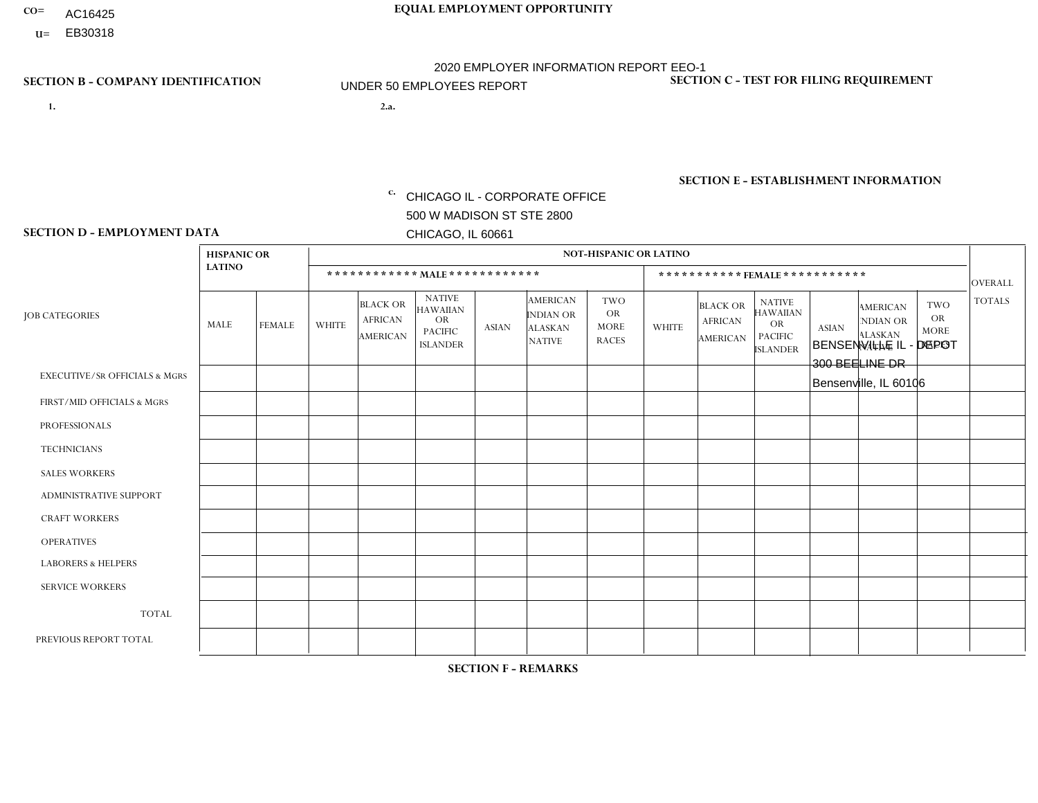- AC16425
- **U=**

**1. 2.a.** CHICAGO IL - CORPORATE OFFICE 500 W MADISON ST STE 2800 CHICAGO, IL 60661

2.a. BENSENVILLE IL - DEPOT 300 BEELINE DR Bensenville, IL 60106

EIN= 952920557

## **SECTION B - COMPANY IDENTIFICATION SECTION C - TEST FOR FILING REQUIREMENT**

1- Y 2- Y 3- N DUNS= 000123456

**SECTION E - ESTABLISHMENT INFORMATION c.** NAICS: 423140

### **SECTION D - EMPLOYMENT DATA**

|                                          | <b>HISPANIC OR</b> |               |              |                                                      |                                                                                    |              |                                                                        | <b>NOT-HISPANIC OR LATINO</b>                          |              |                                                      |                                                                                    |              |                                                                       |                                                        |                |
|------------------------------------------|--------------------|---------------|--------------|------------------------------------------------------|------------------------------------------------------------------------------------|--------------|------------------------------------------------------------------------|--------------------------------------------------------|--------------|------------------------------------------------------|------------------------------------------------------------------------------------|--------------|-----------------------------------------------------------------------|--------------------------------------------------------|----------------|
|                                          | <b>LATINO</b>      |               |              | ************ MALE ************                       |                                                                                    |              |                                                                        |                                                        |              |                                                      | *********** FEMALE ***********                                                     |              |                                                                       |                                                        | <b>OVERALL</b> |
| <b>JOB CATEGORIES</b>                    | <b>MALE</b>        | <b>FEMALE</b> | <b>WHITE</b> | <b>BLACK OR</b><br><b>AFRICAN</b><br><b>AMERICAN</b> | <b>NATIVE</b><br><b>HAWAIIAN</b><br><b>OR</b><br><b>PACIFIC</b><br><b>ISLANDER</b> | <b>ASIAN</b> | <b>AMERICAN</b><br><b>INDIAN OR</b><br><b>ALASKAN</b><br><b>NATIVE</b> | <b>TWO</b><br><b>OR</b><br><b>MORE</b><br><b>RACES</b> | <b>WHITE</b> | <b>BLACK OR</b><br><b>AFRICAN</b><br><b>AMERICAN</b> | <b>NATIVE</b><br><b>HAWAIIAN</b><br><b>OR</b><br><b>PACIFIC</b><br><b>ISLANDER</b> | <b>ASIAN</b> | <b>AMERICAN</b><br><b>NDIAN OR</b><br><b>ALASKAN</b><br><b>NATIVE</b> | <b>TWO</b><br><b>OR</b><br><b>MORE</b><br><b>RACES</b> | <b>TOTALS</b>  |
| <b>EXECUTIVE/SR OFFICIALS &amp; MGRS</b> | $\Omega$           | $\Omega$      | $\Omega$     | $\Omega$                                             | $\Omega$                                                                           | $\Omega$     | $\Omega$                                                               | $\Omega$                                               | $\Omega$     | $\mathbf{0}$                                         | $\mathbf{0}$                                                                       | $\Omega$     | $\Omega$                                                              | $\Omega$                                               | $\Omega$       |
| FIRST/MID OFFICIALS & MGRS               | $\Omega$           | $\Omega$      | $\Omega$     | $\mathbf 0$                                          | 0                                                                                  | $\Omega$     | $\Omega$                                                               | $\Omega$                                               | 1            | $\mathbf{0}$                                         | $\mathbf{0}$                                                                       | $\Omega$     | $\Omega$                                                              | $\Omega$                                               | $\mathbf{1}$   |
| <b>PROFESSIONALS</b>                     | $\Omega$           | $\Omega$      | $\mathbf 0$  | $\mathbf 0$                                          | $\overline{0}$                                                                     | $\Omega$     | $\overline{0}$                                                         | $\Omega$                                               | $\Omega$     | $\Omega$                                             | $\mathbf{0}$                                                                       | $\Omega$     | $\Omega$                                                              | $\Omega$                                               | $\mathbf 0$    |
| <b>TECHNICIANS</b>                       | $\mathbf 0$        | $\mathbf 0$   | $\Omega$     | $\mathbf 0$                                          | 0                                                                                  | $\Omega$     | $\overline{0}$                                                         | $\Omega$                                               | $\mathbf 0$  | $\mathbf 0$                                          | $\mathbf 0$                                                                        | $\mathbf 0$  | $\Omega$                                                              | $\Omega$                                               | $\mathbf 0$    |
| <b>SALES WORKERS</b>                     | $\Omega$           | $\Omega$      | $\Omega$     | $\Omega$                                             | $\Omega$                                                                           | $\Omega$     | $\Omega$                                                               | $\Omega$                                               | $\Omega$     | $\Omega$                                             | $\Omega$                                                                           | $\Omega$     | $\Omega$                                                              | $\Omega$                                               | $\mathbf 0$    |
| <b>ADMINISTRATIVE SUPPORT</b>            | $\Omega$           | $\Omega$      | $\Omega$     | 0                                                    | $\mathbf 0$                                                                        | $\Omega$     | $\Omega$                                                               | $\Omega$                                               | $\Omega$     | $\mathbf{0}$                                         | $\mathbf{0}$                                                                       | $\Omega$     | $\Omega$                                                              | $\Omega$                                               | $\mathbf 0$    |
| <b>CRAFT WORKERS</b>                     | $\Omega$           | $\Omega$      | $\mathbf 0$  | $\mathbf 0$                                          | 0                                                                                  | $\Omega$     | $\Omega$                                                               | $\Omega$                                               | $\Omega$     | $\Omega$                                             | $\Omega$                                                                           | $\Omega$     | $\Omega$                                                              | $\Omega$                                               | $\mathbf 0$    |
| <b>OPERATIVES</b>                        | 4                  | $\mathbf 0$   | 1            | $\mathbf{1}$                                         | 0                                                                                  | $\mathbf 0$  | $\overline{0}$                                                         |                                                        | $\Omega$     | $\Omega$                                             | $\Omega$                                                                           | $\Omega$     | $\Omega$                                                              | $\mathbf{0}$                                           | $\overline{7}$ |
| <b>LABORERS &amp; HELPERS</b>            | $\Omega$           | $\Omega$      | $\Omega$     | $\Omega$                                             | 0                                                                                  | $\Omega$     | $\Omega$                                                               | $\Omega$                                               | $\Omega$     | $\Omega$                                             | $\mathbf{0}$                                                                       | $\Omega$     | $\Omega$                                                              | $\Omega$                                               | 0              |
| <b>SERVICE WORKERS</b>                   | 0                  | 0             | 0            | 0                                                    | 0                                                                                  | $\mathbf 0$  | $\Omega$                                                               | $\Omega$                                               | $\Omega$     | $\Omega$                                             | $\mathbf{0}$                                                                       | $\Omega$     | $\Omega$                                                              | $\Omega$                                               | 0              |
| <b>TOTAL</b>                             | 4                  | $\mathbf 0$   | 1            | $\mathbf{1}$                                         | 0                                                                                  | $\mathbf 0$  | $\Omega$                                                               |                                                        | $\mathbf 1$  | $\mathbf{0}$                                         | $\Omega$                                                                           | $\mathbf 0$  | $\Omega$                                                              | $\mathbf 0$                                            | 8              |
| PREVIOUS REPORT TOTAL                    | 8                  | $\mathbf 0$   |              | 3                                                    | 0                                                                                  | $\Omega$     | $\overline{0}$                                                         |                                                        | $\mathbf 1$  | $\Omega$                                             | $\mathbf{0}$                                                                       | $\Omega$     | $\Omega$                                                              | $\mathbf 0$                                            | 14             |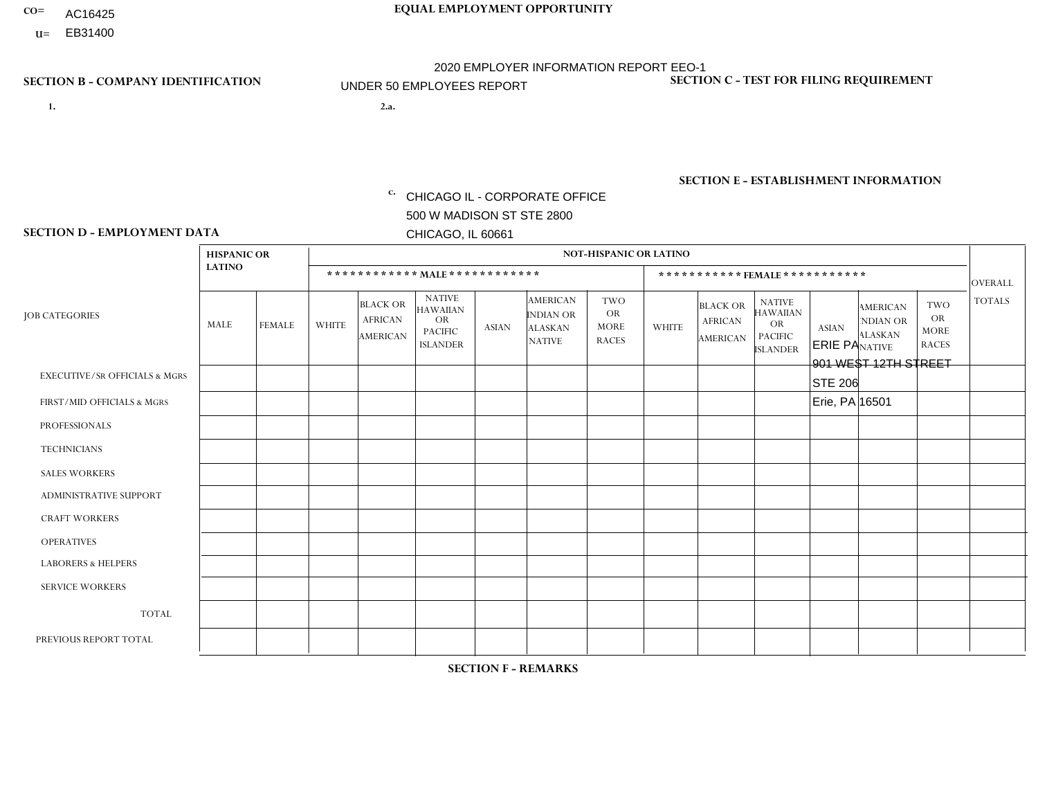- AC16425
- **U=**

- **1. 2.a.** CHICAGO IL CORPORATE OFFICE 500 W MADISON ST STE 2800 CHICAGO, IL 60661
- 2.a. ERIE PA 901 WEST 12TH STREET STE 206 Erie, PA 16501
	- EIN= 952920557

## **SECTION B - COMPANY IDENTIFICATION SECTION C - TEST FOR FILING REQUIREMENT**

1- Y 2- Y 3- N DUNS= 000123456

**SECTION E - ESTABLISHMENT INFORMATION c.** NAICS: 423140

## **SECTION D - EMPLOYMENT DATA**

|                                          | <b>HISPANIC OR</b> |                |                |                                                      |                                                                                    |              |                                                                        | <b>NOT-HISPANIC OR LATINO</b>                          |                              |                                               |                                                                                    |              |                                                                       |                                                        |                |  |
|------------------------------------------|--------------------|----------------|----------------|------------------------------------------------------|------------------------------------------------------------------------------------|--------------|------------------------------------------------------------------------|--------------------------------------------------------|------------------------------|-----------------------------------------------|------------------------------------------------------------------------------------|--------------|-----------------------------------------------------------------------|--------------------------------------------------------|----------------|--|
|                                          | <b>LATINO</b>      |                |                |                                                      | ************ MALE ************                                                     |              |                                                                        |                                                        | ***********FEMALE*********** |                                               |                                                                                    |              |                                                                       |                                                        |                |  |
| <b>JOB CATEGORIES</b>                    | MALE               | <b>FEMALE</b>  | <b>WHITE</b>   | <b>BLACK OR</b><br><b>AFRICAN</b><br><b>AMERICAN</b> | <b>NATIVE</b><br><b>HAWAIIAN</b><br><b>OR</b><br><b>PACIFIC</b><br><b>ISLANDER</b> | <b>ASIAN</b> | <b>AMERICAN</b><br><b>INDIAN OR</b><br><b>ALASKAN</b><br><b>NATIVE</b> | <b>TWO</b><br><b>OR</b><br><b>MORE</b><br><b>RACES</b> | <b>WHITE</b>                 | <b>BLACK OR</b><br><b>AFRICAN</b><br>AMERICAN | <b>NATIVE</b><br><b>HAWAIIAN</b><br><b>OR</b><br><b>PACIFIC</b><br><b>ISLANDER</b> | <b>ASIAN</b> | <b>AMERICAN</b><br><b>NDIAN OR</b><br><b>ALASKAN</b><br><b>NATIVE</b> | <b>TWO</b><br><b>OR</b><br><b>MORE</b><br><b>RACES</b> | <b>TOTALS</b>  |  |
| <b>EXECUTIVE/SR OFFICIALS &amp; MGRS</b> | $\mathbf 0$        | 0              | $\mathbf 0$    | $\mathbf 0$                                          | 0                                                                                  | $\mathbf 0$  | $\Omega$                                                               | $\Omega$                                               | $\Omega$                     | $\Omega$                                      | $\Omega$                                                                           | $\mathbf 0$  | 0                                                                     | $\mathbf 0$                                            | $\mathbf 0$    |  |
| FIRST/MID OFFICIALS & MGRS               | 0                  | $\Omega$       | $\overline{c}$ | $\Omega$                                             | $\Omega$                                                                           | $\mathbf{0}$ | $\Omega$                                                               | $\Omega$                                               | 0                            | $\Omega$                                      | $\Omega$                                                                           | $\Omega$     | $\Omega$                                                              | $\mathbf{0}$                                           | $\overline{2}$ |  |
| <b>PROFESSIONALS</b>                     | 0                  | 0              | $\Omega$       | $\pmb{0}$                                            | $\Omega$                                                                           | $\Omega$     | $\Omega$                                                               | $\Omega$                                               | 0                            | $\Omega$                                      | $\Omega$                                                                           | $\mathbf{0}$ | $\Omega$                                                              | $\mathbf{0}$                                           | $\mathbf 0$    |  |
| <b>TECHNICIANS</b>                       | $\Omega$           | $\overline{0}$ | $\mathbf 0$    | $\mathbf 0$                                          | $\Omega$                                                                           | $\Omega$     | $\Omega$                                                               | $\Omega$                                               | $\overline{0}$               | $\Omega$                                      | $\Omega$                                                                           | $\mathbf 0$  | $\Omega$                                                              | $\Omega$                                               | $\mathbf{0}$   |  |
| <b>SALES WORKERS</b>                     | $\mathbf 0$        | $\overline{0}$ | 1              | $\mathbf 0$                                          | $\overline{0}$                                                                     | $\Omega$     | $\Omega$                                                               | $\Omega$                                               | $\Omega$                     | $\Omega$                                      | $\Omega$                                                                           | $\mathbf 0$  | $\mathbf 0$                                                           | $\mathbf 0$                                            | $\mathbf{1}$   |  |
| <b>ADMINISTRATIVE SUPPORT</b>            | $\Omega$           | $\Omega$       | $\Omega$       | $\Omega$                                             | $\Omega$                                                                           | $\Omega$     | $\Omega$                                                               | $\Omega$                                               | 0                            | $\Omega$                                      | $\Omega$                                                                           | $\Omega$     | $\Omega$                                                              | $\mathbf{0}$                                           | $\Omega$       |  |
| <b>CRAFT WORKERS</b>                     | 0                  | $\Omega$       | $\Omega$       | $\mathbf 0$                                          | $\Omega$                                                                           | $\Omega$     | $\Omega$                                                               | $\Omega$                                               | $\Omega$                     | $\Omega$                                      | $\Omega$                                                                           | $\mathbf{0}$ | $\mathbf{0}$                                                          | $\mathbf 0$                                            | $\mathbf{0}$   |  |
| <b>OPERATIVES</b>                        | 0                  | $\Omega$       | 3              | $\mathbf 0$                                          | $\Omega$                                                                           | $\Omega$     | $\Omega$                                                               | $\Omega$                                               | $\Omega$                     | $\Omega$                                      | $\Omega$                                                                           | $\mathbf{0}$ | $\Omega$                                                              | $\mathbf{0}$                                           | 3              |  |
| <b>LABORERS &amp; HELPERS</b>            | 0                  | $\Omega$       | 3              | $\mathbf 0$                                          | $\mathbf 0$                                                                        | $\Omega$     | $\Omega$                                                               | $\Omega$                                               | $\Omega$                     | $\Omega$                                      | $\Omega$                                                                           | $\mathbf{0}$ | $\Omega$                                                              | $\mathbf{0}$                                           | 3              |  |
| <b>SERVICE WORKERS</b>                   | 0                  | $\Omega$       | $\mathbf 0$    | 0                                                    | $\Omega$                                                                           | $\Omega$     | $\Omega$                                                               | $\Omega$                                               | $\Omega$                     | $\Omega$                                      | $\Omega$                                                                           | $\mathbf{0}$ | $\Omega$                                                              | $\mathbf{0}$                                           | 0              |  |
| <b>TOTAL</b>                             | 0                  | 0              | 9              | 0                                                    | 0                                                                                  | $\Omega$     | $\Omega$                                                               | $\Omega$                                               | $\Omega$                     | $\Omega$                                      | $\Omega$                                                                           | $\mathbf 0$  | $\Omega$                                                              | $\mathbf 0$                                            | 9              |  |
| PREVIOUS REPORT TOTAL                    | 0                  | $\overline{0}$ | 10             | $\mathbf 0$                                          | 0                                                                                  | $\Omega$     | $\Omega$                                                               | $\Omega$                                               | 1                            | $\Omega$                                      | $\Omega$                                                                           | $\mathbf 0$  | 0                                                                     | $\mathbf 0$                                            | 11             |  |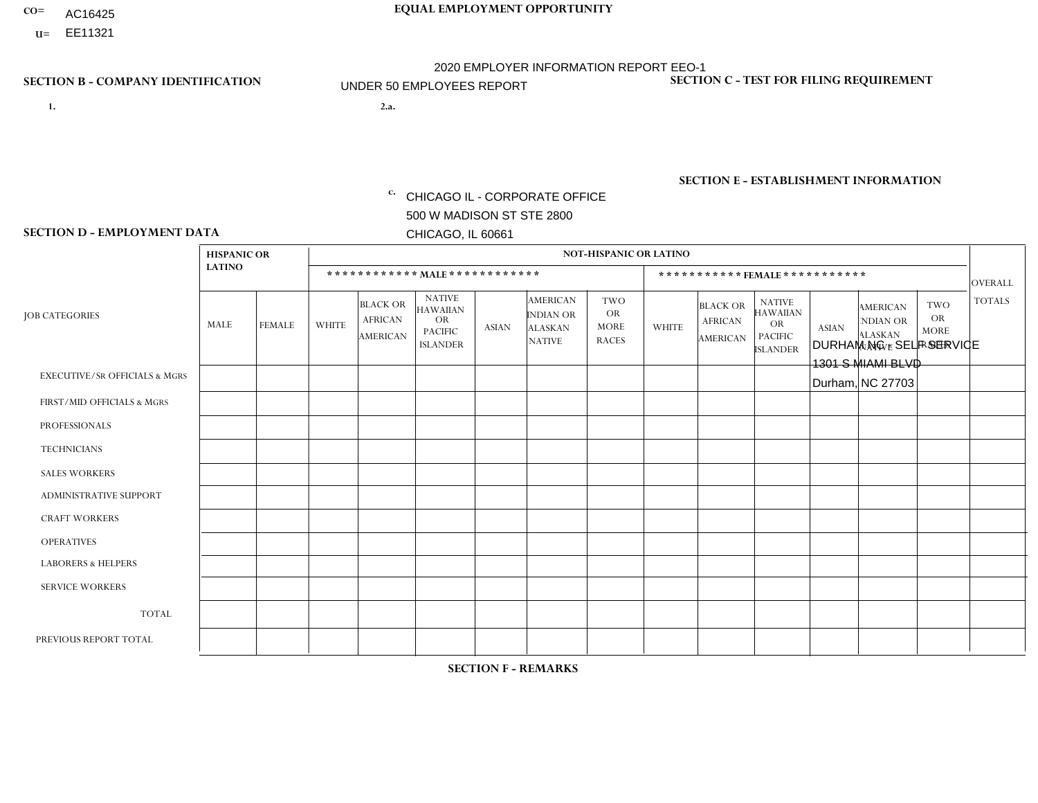- AC16425
- **U=**

**1. 2.a.** CHICAGO IL - CORPORATE OFFICE 500 W MADISON ST STE 2800 CHICAGO, IL 60661

2.a. DURHAM NC - SELF SERVICE 1301 S MIAMI BLVD Durham, NC 27703

**SECTION B - COMPANY IDENTIFICATION SECTION C - TEST FOR FILING REQUIREMENT** 

1- Y 2- Y 3- N DUNS= 000123456

|                   | <b>SECTION E - ESTABLISHMENT INFORMATION</b> |
|-------------------|----------------------------------------------|
| c. EIN= 952920557 | NAICS: 423140                                |

### **SECTION D - EMPLOYMENT DATA**

|                                          | <b>HISPANIC OR</b> |                |                |                                                      |                                                                                    |              |                                                                        | <b>NOT-HISPANIC OR LATINO</b>                          |                              |                                                      |                                                                                    |              |                                                                |                                                        |                |  |
|------------------------------------------|--------------------|----------------|----------------|------------------------------------------------------|------------------------------------------------------------------------------------|--------------|------------------------------------------------------------------------|--------------------------------------------------------|------------------------------|------------------------------------------------------|------------------------------------------------------------------------------------|--------------|----------------------------------------------------------------|--------------------------------------------------------|----------------|--|
|                                          | <b>LATINO</b>      |                |                | ************ MALE ************                       |                                                                                    |              |                                                                        |                                                        | ***********FEMALE*********** |                                                      |                                                                                    |              |                                                                |                                                        |                |  |
| <b>JOB CATEGORIES</b>                    | <b>MALE</b>        | <b>FEMALE</b>  | <b>WHITE</b>   | <b>BLACK OR</b><br><b>AFRICAN</b><br><b>AMERICAN</b> | <b>NATIVE</b><br><b>HAWAIIAN</b><br><b>OR</b><br><b>PACIFIC</b><br><b>ISLANDER</b> | <b>ASIAN</b> | <b>AMERICAN</b><br><b>INDIAN OR</b><br><b>ALASKAN</b><br><b>NATIVE</b> | <b>TWO</b><br><b>OR</b><br><b>MORE</b><br><b>RACES</b> | <b>WHITE</b>                 | <b>BLACK OR</b><br><b>AFRICAN</b><br><b>AMERICAN</b> | <b>NATIVE</b><br><b>HAWAIIAN</b><br><b>OR</b><br><b>PACIFIC</b><br><b>ISLANDER</b> | <b>ASIAN</b> | <b>AMERICAN</b><br>NDIAN OR<br><b>ALASKAN</b><br><b>NATIVE</b> | <b>TWO</b><br><b>OR</b><br><b>MORE</b><br><b>RACES</b> | <b>TOTALS</b>  |  |
| <b>EXECUTIVE/SR OFFICIALS &amp; MGRS</b> | $\Omega$           | $\Omega$       | $\Omega$       | $\Omega$                                             | $\Omega$                                                                           | $\Omega$     | $\Omega$                                                               | $\Omega$                                               | $\Omega$                     | $\Omega$                                             | $\Omega$                                                                           | $\Omega$     | $\Omega$                                                       | $\Omega$                                               | $\mathbf 0$    |  |
| FIRST/MID OFFICIALS & MGRS               | $\Omega$           | $\mathbf 0$    | 1              | $\mathbf 0$                                          | 0                                                                                  | $\mathbf 0$  | $\Omega$                                                               | $\Omega$                                               | $\Omega$                     | $\mathbf{0}$                                         | $\Omega$                                                                           | $\mathbf 0$  | $\Omega$                                                       | $\mathbf 0$                                            | $\mathbf{1}$   |  |
| <b>PROFESSIONALS</b>                     | $\Omega$           | $\overline{2}$ | $\Omega$       | $\mathbf 0$                                          | $\Omega$                                                                           | $\Omega$     | $\Omega$                                                               | $\Omega$                                               | $\mathbf{1}$                 | $\Omega$                                             | $\mathbf{0}$                                                                       | $\Omega$     | $\Omega$                                                       | $\Omega$                                               | 3              |  |
| <b>TECHNICIANS</b>                       | $\Omega$           | $\mathbf 0$    | $\Omega$       | $\mathbf 0$                                          | 0                                                                                  | $\Omega$     | $\overline{0}$                                                         | $\Omega$                                               | $\Omega$                     | $\Omega$                                             | $\Omega$                                                                           | $\Omega$     | $\Omega$                                                       | $\Omega$                                               | $\mathbf 0$    |  |
| <b>SALES WORKERS</b>                     | $\Omega$           | $\mathbf 0$    | $\Omega$       | $\mathbf 0$                                          | $\mathbf 0$                                                                        | $\Omega$     | $\Omega$                                                               | $\Omega$                                               | $\Omega$                     | $\Omega$                                             | $\Omega$                                                                           | $\Omega$     | $\Omega$                                                       | $\Omega$                                               | $\mathbf 0$    |  |
| <b>ADMINISTRATIVE SUPPORT</b>            | $\Omega$           | $\overline{2}$ | $\Omega$       | $\mathbf 0$                                          | 0                                                                                  | $\Omega$     | $\Omega$                                                               |                                                        | $\Omega$                     |                                                      | $\mathbf{0}$                                                                       | $\Omega$     | $\Omega$                                                       | $\Omega$                                               | $\overline{4}$ |  |
| <b>CRAFT WORKERS</b>                     | $\Omega$           | $\Omega$       | $\Omega$       | $\mathbf 0$                                          | 0                                                                                  | $\Omega$     | $\Omega$                                                               | $\Omega$                                               | $\Omega$                     | $\Omega$                                             | $\Omega$                                                                           | $\Omega$     | $\Omega$                                                       | $\Omega$                                               | $\mathbf{0}$   |  |
| <b>OPERATIVES</b>                        |                    | $\Omega$       | 1              | 2                                                    | 0                                                                                  | $\Omega$     | $\overline{0}$                                                         | 2                                                      | $\Omega$                     | $\Omega$                                             | $\mathbf{0}$                                                                       | $\Omega$     | $\Omega$                                                       | $\Omega$                                               | 6              |  |
| <b>LABORERS &amp; HELPERS</b>            | 4                  | $\Omega$       | 1              | $\mathbf 0$                                          | 0                                                                                  | $\Omega$     | $\Omega$                                                               | $\Omega$                                               | $\Omega$                     | $\Omega$                                             | $\Omega$                                                                           | $\Omega$     | $\Omega$                                                       | $\Omega$                                               | $\overline{2}$ |  |
| <b>SERVICE WORKERS</b>                   | $\Omega$           | $\Omega$       | 0              | 0                                                    | $\mathbf{0}$                                                                       | $\Omega$     | $\Omega$                                                               | $\Omega$                                               | $\Omega$                     | $\Omega$                                             | $\Omega$                                                                           | $\Omega$     | $\Omega$                                                       | $\Omega$                                               | 0              |  |
| <b>TOTAL</b>                             | $\overline{2}$     | $\overline{4}$ | 3              | $\overline{2}$                                       | 0                                                                                  | $\mathbf{0}$ | $\Omega$                                                               | 3                                                      | 1                            | -1                                                   | $\mathbf 0$                                                                        | $\mathbf 0$  | 0                                                              | $\mathbf 0$                                            | 16             |  |
| PREVIOUS REPORT TOTAL                    |                    | 4              | $\overline{c}$ | $\overline{2}$                                       | $\Omega$                                                                           | $\Omega$     | 0                                                                      | 3                                                      | 1                            | $\overline{2}$                                       | $\Omega$                                                                           | $\Omega$     | $\Omega$                                                       | $\mathbf{0}$                                           | 15             |  |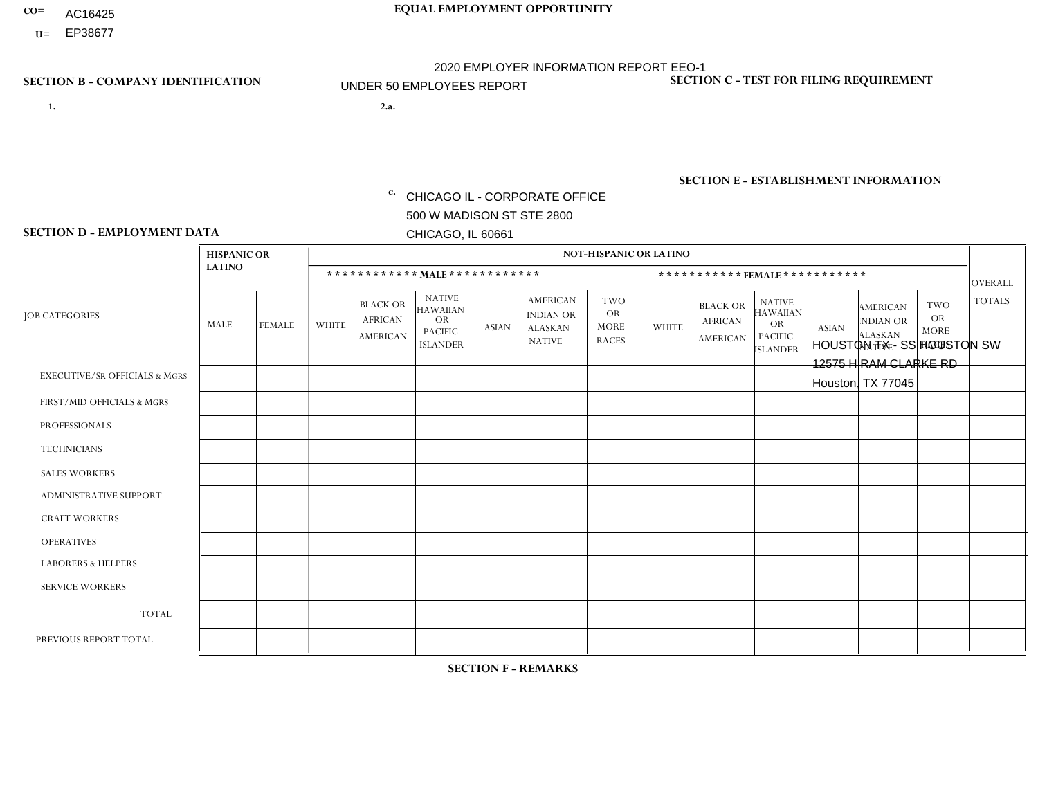- AC16425
- **U=**

**1. 2.a.** CHICAGO IL - CORPORATE OFFICE 500 W MADISON ST STE 2800 CHICAGO, IL 60661

2.a. HOUSTON TX - SS HOUSTON SW 12575 HIRAM CLARKE RD Houston, TX 77045

c. EIN= 952920557

## **SECTION B - COMPANY IDENTIFICATION SECTION C - TEST FOR FILING REQUIREMENT**

1- Y 2- Y 3- N DUNS= 000123456

**SECTION E - ESTABLISHMENT INFORMATION c.** NAICS: 423140

## **SECTION D - EMPLOYMENT DATA**

|                                          | <b>HISPANIC OR</b> |               |                |                                                      |                                                                                    |              |                                                                        | <b>NOT-HISPANIC OR LATINO</b>                          |                              |                                               |                                                                                    |              |                                                                |                                                        |                                 |  |
|------------------------------------------|--------------------|---------------|----------------|------------------------------------------------------|------------------------------------------------------------------------------------|--------------|------------------------------------------------------------------------|--------------------------------------------------------|------------------------------|-----------------------------------------------|------------------------------------------------------------------------------------|--------------|----------------------------------------------------------------|--------------------------------------------------------|---------------------------------|--|
|                                          | <b>LATINO</b>      |               |                | ************ MALE ************                       |                                                                                    |              |                                                                        |                                                        | ***********FEMALE*********** |                                               |                                                                                    |              |                                                                |                                                        |                                 |  |
| <b>JOB CATEGORIES</b>                    | <b>MALE</b>        | <b>FEMALE</b> | <b>WHITE</b>   | <b>BLACK OR</b><br><b>AFRICAN</b><br><b>AMERICAN</b> | <b>NATIVE</b><br><b>HAWAIIAN</b><br><b>OR</b><br><b>PACIFIC</b><br><b>ISLANDER</b> | <b>ASIAN</b> | <b>AMERICAN</b><br><b>INDIAN OR</b><br><b>ALASKAN</b><br><b>NATIVE</b> | <b>TWO</b><br><b>OR</b><br><b>MORE</b><br><b>RACES</b> | <b>WHITE</b>                 | <b>BLACK OR</b><br><b>AFRICAN</b><br>AMERICAN | <b>NATIVE</b><br><b>HAWAIIAN</b><br><b>OR</b><br><b>PACIFIC</b><br><b>ISLANDER</b> | <b>ASIAN</b> | <b>AMERICAN</b><br>NDIAN OR<br><b>ALASKAN</b><br><b>NATIVE</b> | <b>TWO</b><br><b>OR</b><br><b>MORE</b><br><b>RACES</b> | <b>OVERALL</b><br><b>TOTALS</b> |  |
| <b>EXECUTIVE/SR OFFICIALS &amp; MGRS</b> | $\Omega$           | $\mathbf 0$   | $\Omega$       | $\mathbf 0$                                          | 0                                                                                  | $\mathbf 0$  | $\Omega$                                                               | $\Omega$                                               | 0                            | $\mathbf 0$                                   | 0                                                                                  | $\mathbf 0$  | $\Omega$                                                       | $\mathbf 0$                                            | $\mathbf 0$                     |  |
| FIRST/MID OFFICIALS & MGRS               | $\Omega$           | $\Omega$      | -1             | $\overline{ }$                                       | $\Omega$                                                                           | $\Omega$     | $\Omega$                                                               | $\Omega$                                               | 0                            | $\Omega$                                      | 0                                                                                  | $\Omega$     | $\Omega$                                                       | $\Omega$                                               | $\overline{2}$                  |  |
| <b>PROFESSIONALS</b>                     | $\Omega$           | $\mathbf 0$   | $\mathbf 0$    | $\mathbf 0$                                          | $\mathbf 0$                                                                        | $\Omega$     | $\Omega$                                                               | $\Omega$                                               | $\Omega$                     | $\Omega$                                      | 0                                                                                  | $\mathbf 0$  | $\Omega$                                                       | $\mathbf 0$                                            | $\mathbf{0}$                    |  |
| <b>TECHNICIANS</b>                       | $\Omega$           | $\Omega$      | $\Omega$       | $\mathbf 0$                                          | $\Omega$                                                                           | $\Omega$     | $\Omega$                                                               | $\Omega$                                               | $\Omega$                     | $\Omega$                                      | $\Omega$                                                                           | $\mathbf 0$  | $\Omega$                                                       | $\Omega$                                               | $\overline{0}$                  |  |
| <b>SALES WORKERS</b>                     | 5                  | 5             | $\Omega$       | $\mathbf 0$                                          | $\Omega$                                                                           | $\Omega$     | $\Omega$                                                               | $\Omega$                                               | $\Omega$                     | $\Omega$                                      | 0                                                                                  | $\mathbf 0$  | $\Omega$                                                       | $\Omega$                                               | 10 <sup>°</sup>                 |  |
| ADMINISTRATIVE SUPPORT                   | $\Omega$           | 3             | $\Omega$       | $\mathbf 0$                                          | $\mathbf 0$                                                                        | $\Omega$     | $\Omega$                                                               | $\Omega$                                               | $\Omega$                     | $\Omega$                                      | 0                                                                                  | $\mathbf 0$  | 0                                                              | $\Omega$                                               | 3                               |  |
| <b>CRAFT WORKERS</b>                     | $\Omega$           | $\Omega$      | $\Omega$       | $\mathbf 0$                                          | $\Omega$                                                                           | $\Omega$     | $\Omega$                                                               | $\Omega$                                               | 0                            | $\Omega$                                      | 0                                                                                  | $\Omega$     | $\Omega$                                                       | $\Omega$                                               | $\mathbf 0$                     |  |
| <b>OPERATIVES</b>                        | $\overline{7}$     | $\Omega$      | $\overline{1}$ | 5                                                    | $\Omega$                                                                           | $\Omega$     | $\Omega$                                                               | $\mathbf{1}$                                           | $\Omega$                     | $\Omega$                                      | 0                                                                                  | $\Omega$     | $\Omega$                                                       | $\Omega$                                               | 14                              |  |
| <b>LABORERS &amp; HELPERS</b>            | 1                  | $\Omega$      | $\mathbf{0}$   | $\mathbf 0$                                          | $\Omega$                                                                           | $\Omega$     | $\Omega$                                                               | $\Omega$                                               | $\overline{0}$               | $\Omega$                                      | $\Omega$                                                                           | $\Omega$     | $\Omega$                                                       | $\Omega$                                               | $\mathbf{1}$                    |  |
| <b>SERVICE WORKERS</b>                   | $\Omega$           | $\Omega$      | $\mathbf 0$    | 0                                                    | $\mathbf 0$                                                                        | $\mathbf 0$  | $\Omega$                                                               | $\Omega$                                               | 0                            | $\Omega$                                      | $\Omega$                                                                           | $\mathbf 0$  | $\Omega$                                                       | $\mathbf 0$                                            | $\mathbf{0}$                    |  |
| <b>TOTAL</b>                             | 13                 | 8             | $\overline{c}$ | 6                                                    | 0                                                                                  | 0            | $\Omega$                                                               | $\mathbf{1}$                                           | 0                            | $\mathbf{0}$                                  | 0                                                                                  | 0            | 0                                                              | $\mathbf 0$                                            | 30                              |  |
| PREVIOUS REPORT TOTAL                    | 13                 | 8             | 4              | 5                                                    | $\Omega$                                                                           | $\Omega$     | $\Omega$                                                               | 1                                                      | 0                            | $\Omega$                                      | 0                                                                                  | $\mathbf 0$  | $\Omega$                                                       | 0                                                      | 31                              |  |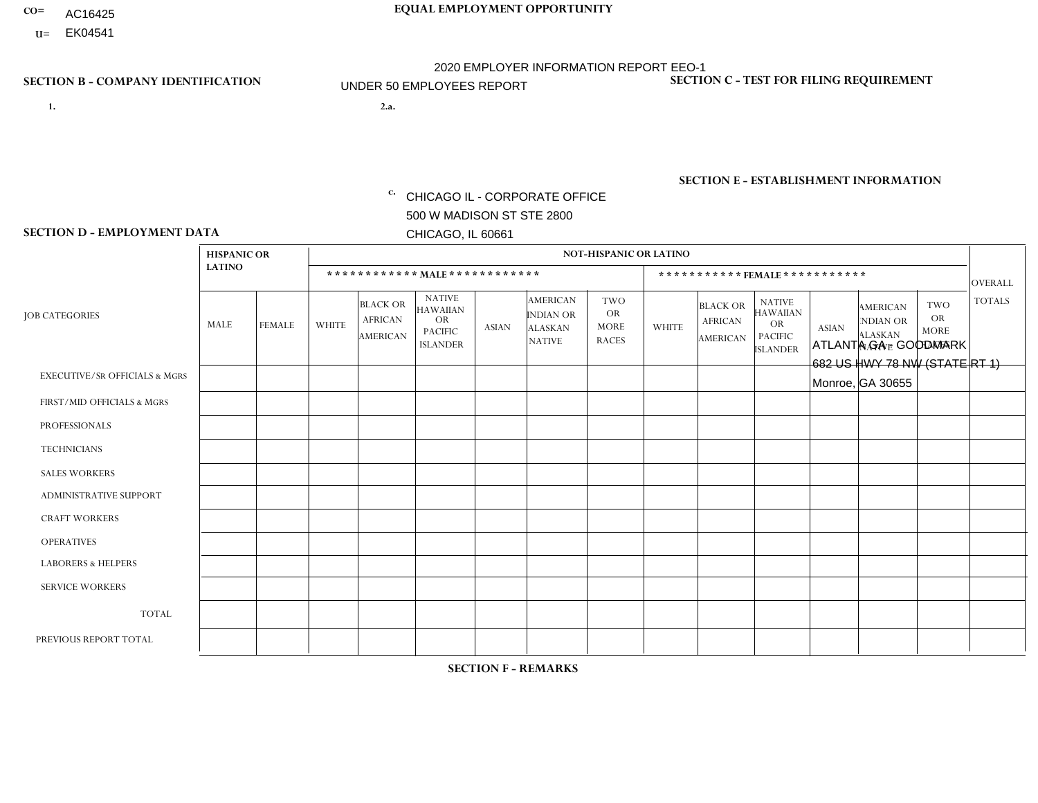- AC16425
- **U=**

- **1. 2.a.** CHICAGO IL CORPORATE OFFICE 500 W MADISON ST STE 2800 CHICAGO, IL 60661
- 2.a. ATLANTA GA GOODMARK 682 US HWY 78 NW (STATE RT 1) Monroe, GA 30655

c. EIN= 952920557

## **SECTION B - COMPANY IDENTIFICATION SECTION C - TEST FOR FILING REQUIREMENT**

1- Y 2- Y 3- N DUNS= 000123456

**SECTION E - ESTABLISHMENT INFORMATION c.** NAICS: 423140

## **SECTION D - EMPLOYMENT DATA**

|                                          | <b>HISPANIC OR</b> |               |                |                                                      |                                                                                    |             |                                                                        | <b>NOT-HISPANIC OR LATINO</b>                          |                              |                                               |                                                                             |              |                                                                       |                                                        |                |  |
|------------------------------------------|--------------------|---------------|----------------|------------------------------------------------------|------------------------------------------------------------------------------------|-------------|------------------------------------------------------------------------|--------------------------------------------------------|------------------------------|-----------------------------------------------|-----------------------------------------------------------------------------|--------------|-----------------------------------------------------------------------|--------------------------------------------------------|----------------|--|
|                                          | <b>LATINO</b>      |               |                | ************ MALE ************                       |                                                                                    |             |                                                                        |                                                        | ***********FEMALE*********** |                                               |                                                                             |              |                                                                       |                                                        |                |  |
| <b>JOB CATEGORIES</b>                    | MALE               | <b>FEMALE</b> | <b>WHITE</b>   | <b>BLACK OR</b><br><b>AFRICAN</b><br><b>AMERICAN</b> | <b>NATIVE</b><br><b>HAWAIIAN</b><br><b>OR</b><br><b>PACIFIC</b><br><b>ISLANDER</b> | ASIAN       | <b>AMERICAN</b><br><b>INDIAN OR</b><br><b>ALASKAN</b><br><b>NATIVE</b> | <b>TWO</b><br><b>OR</b><br><b>MORE</b><br><b>RACES</b> | <b>WHITE</b>                 | <b>BLACK OR</b><br><b>AFRICAN</b><br>AMERICAN | <b>NATIVE</b><br><b>HAWAIIAN</b><br>OR<br><b>PACIFIC</b><br><b>ISLANDER</b> | <b>ASIAN</b> | <b>AMERICAN</b><br><b>NDIAN OR</b><br><b>ALASKAN</b><br><b>NATIVE</b> | <b>TWO</b><br><b>OR</b><br><b>MORE</b><br><b>RACES</b> | <b>TOTALS</b>  |  |
| <b>EXECUTIVE/SR OFFICIALS &amp; MGRS</b> | $\Omega$           | $\Omega$      | $\Omega$       | $\mathbf 0$                                          | $\mathbf 0$                                                                        | $\Omega$    | $\Omega$                                                               | $\Omega$                                               | $\Omega$                     | $\Omega$                                      | $\Omega$                                                                    | $\mathbf 0$  | $\Omega$                                                              | $\mathbf 0$                                            | $\mathbf{0}$   |  |
| FIRST/MID OFFICIALS & MGRS               | 0                  | 0             | $\overline{4}$ | $\mathbf 0$                                          | 0                                                                                  | $\Omega$    | $\Omega$                                                               | $\Omega$                                               | 0                            | $\Omega$                                      | $\Omega$                                                                    | $\mathbf{0}$ | $\Omega$                                                              | $\mathbf 0$                                            | $\overline{4}$ |  |
| <b>PROFESSIONALS</b>                     | $\Omega$           | $\Omega$      | $\Omega$       | $\mathbf 0$                                          | $\Omega$                                                                           | $\Omega$    | $\Omega$                                                               | $\Omega$                                               | $\overline{0}$               | $\Omega$                                      | $\Omega$                                                                    | $\Omega$     | $\Omega$                                                              | $\Omega$                                               | $\mathbf 0$    |  |
| <b>TECHNICIANS</b>                       | 0                  | $\mathbf 0$   | $\Omega$       | $\mathbf 0$                                          | $\Omega$                                                                           | $\Omega$    | $\Omega$                                                               | $\Omega$                                               | $\Omega$                     | $\Omega$                                      | $\Omega$                                                                    | $\Omega$     | $\Omega$                                                              | $\Omega$                                               | $\mathbf{0}$   |  |
| <b>SALES WORKERS</b>                     | $\Omega$           | $\Omega$      | $\Omega$       | $\overline{1}$                                       | $\Omega$                                                                           | $\Omega$    | $\Omega$                                                               | $\Omega$                                               | $\overline{0}$               | $\Omega$                                      | $\Omega$                                                                    | $\Omega$     | $\Omega$                                                              | $\mathbf{0}$                                           | $\mathbf{1}$   |  |
| ADMINISTRATIVE SUPPORT                   |                    | 0             | $\mathbf 0$    | $\mathbf 0$                                          | 0                                                                                  | $\Omega$    | $\Omega$                                                               | $\Omega$                                               | $\overline{2}$               | $\Omega$                                      | $\Omega$                                                                    | $\Omega$     | $\mathbf{0}$                                                          | $\mathbf 0$                                            | 3              |  |
| <b>CRAFT WORKERS</b>                     | 0                  | $\Omega$      | $\Omega$       | $\overline{2}$                                       | $\Omega$                                                                           | $\Omega$    | $\Omega$                                                               | $\Omega$                                               | 0                            | $\Omega$                                      | $\Omega$                                                                    | $\Omega$     | $\Omega$                                                              | $\Omega$                                               | 2              |  |
| <b>OPERATIVES</b>                        | 0                  | $\Omega$      | 1              | 4                                                    | $\Omega$                                                                           | $\Omega$    | $\Omega$                                                               | $\Omega$                                               | $\Omega$                     | $\Omega$                                      | $\Omega$                                                                    | $\Omega$     | $\Omega$                                                              | $\Omega$                                               | 5              |  |
| <b>LABORERS &amp; HELPERS</b>            | 1                  | $\Omega$      | $\overline{ }$ | $\mathbf 0$                                          | $\mathbf 0$                                                                        | $\Omega$    | $\Omega$                                                               | $\Omega$                                               | $\Omega$                     | $\Omega$                                      | $\Omega$                                                                    | $\Omega$     | $\Omega$                                                              | $\Omega$                                               | $\overline{2}$ |  |
| <b>SERVICE WORKERS</b>                   | 0                  | $\mathbf 0$   | $\mathbf 0$    | $\mathbf 0$                                          | $\mathbf{0}$                                                                       | $\mathbf 0$ | $\Omega$                                                               | $\Omega$                                               | $\Omega$                     | $\Omega$                                      | $\Omega$                                                                    | $\mathbf 0$  | $\Omega$                                                              | $\mathbf 0$                                            | $\overline{0}$ |  |
| <b>TOTAL</b>                             | $\overline{2}$     | 0             | 6              | $\overline{7}$                                       | 0                                                                                  | $\Omega$    | $\Omega$                                                               | $\Omega$                                               | $\overline{2}$               | $\Omega$                                      | $\Omega$                                                                    | $\mathbf 0$  | $\Omega$                                                              | $\Omega$                                               | 17             |  |
| PREVIOUS REPORT TOTAL                    | 3                  | $\Omega$      | 9              | 3                                                    | $\Omega$                                                                           | $\Omega$    | $\Omega$                                                               | $\Omega$                                               | $\overline{2}$               | $\Omega$                                      | $\Omega$                                                                    | $\Omega$     | $\Omega$                                                              | $\mathbf 0$                                            | 17             |  |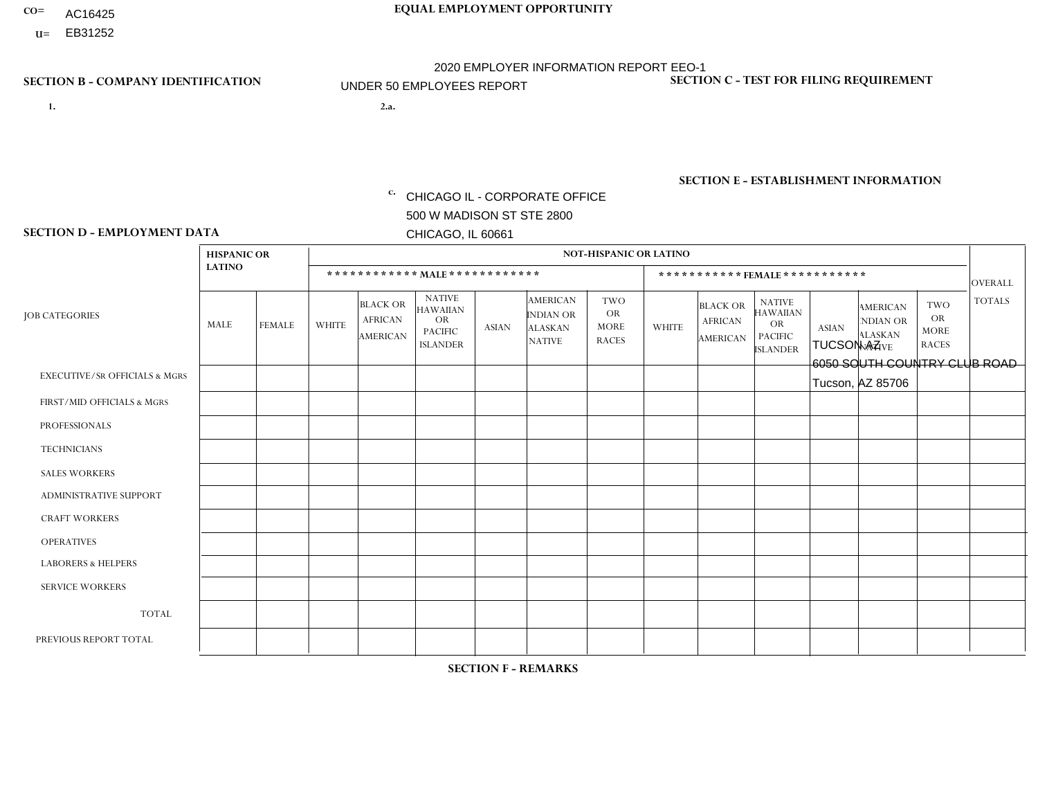- AC16425
- **U=**

- **1. 2.a.** CHICAGO IL CORPORATE OFFICE 500 W MADISON ST STE 2800 CHICAGO, IL 60661
- 2.a. TUCSON AZ 6050 SOUTH COUNTRY CLUB ROAD Tucson, AZ 85706

c. EIN= 952920557

## **SECTION B - COMPANY IDENTIFICATION SECTION C - TEST FOR FILING REQUIREMENT**

1- Y 2- Y 3- N DUNS= 000123456

**SECTION E - ESTABLISHMENT INFORMATION c.** NAICS: 423140

### **SECTION D - EMPLOYMENT DATA**

|                                          | <b>HISPANIC OR</b> |                |                |                                                      |                                                                                    |              |                                                                        | <b>NOT-HISPANIC OR LATINO</b>                          |                              |                                               |                                                                                    |              |                                                                |                                                        |                |  |
|------------------------------------------|--------------------|----------------|----------------|------------------------------------------------------|------------------------------------------------------------------------------------|--------------|------------------------------------------------------------------------|--------------------------------------------------------|------------------------------|-----------------------------------------------|------------------------------------------------------------------------------------|--------------|----------------------------------------------------------------|--------------------------------------------------------|----------------|--|
|                                          | <b>LATINO</b>      |                |                |                                                      | ************ MAIE************                                                      |              |                                                                        |                                                        | ***********FEMALE*********** |                                               |                                                                                    |              |                                                                |                                                        |                |  |
| <b>JOB CATEGORIES</b>                    | MALE               | FEMALE         | <b>WHITE</b>   | <b>BLACK OR</b><br><b>AFRICAN</b><br><b>AMERICAN</b> | <b>NATIVE</b><br><b>HAWAIIAN</b><br><b>OR</b><br><b>PACIFIC</b><br><b>ISLANDER</b> | <b>ASIAN</b> | <b>AMERICAN</b><br><b>INDIAN OR</b><br><b>ALASKAN</b><br><b>NATIVE</b> | <b>TWO</b><br><b>OR</b><br><b>MORE</b><br><b>RACES</b> | <b>WHITE</b>                 | <b>BLACK OR</b><br><b>AFRICAN</b><br>AMERICAN | <b>NATIVE</b><br><b>HAWAIIAN</b><br><b>OR</b><br><b>PACIFIC</b><br><b>ISLANDER</b> | <b>ASIAN</b> | <b>AMERICAN</b><br>NDIAN OR<br><b>ALASKAN</b><br><b>NATIVE</b> | <b>TWO</b><br><b>OR</b><br><b>MORE</b><br><b>RACES</b> | <b>TOTALS</b>  |  |
| <b>EXECUTIVE/SR OFFICIALS &amp; MGRS</b> | $\Omega$           | $\Omega$       | $\Omega$       | $\mathbf 0$                                          | $\Omega$                                                                           | $\mathbf{0}$ | $\Omega$                                                               | $\Omega$                                               | $\Omega$                     | $\Omega$                                      | $\Omega$                                                                           | $\Omega$     | $\Omega$                                                       | $\mathbf{0}$                                           | $\Omega$       |  |
| FIRST/MID OFFICIALS & MGRS               | 0                  | $\mathbf 0$    | $\overline{2}$ | $\mathbf 0$                                          | $\Omega$                                                                           | $\Omega$     | $\Omega$                                                               | $\Omega$                                               | 0                            | $\Omega$                                      | $\Omega$                                                                           | $\mathbf{0}$ | $\Omega$                                                       | $\mathbf 0$                                            | $\overline{2}$ |  |
| <b>PROFESSIONALS</b>                     | 0                  | $\overline{0}$ | $\mathbf 0$    | $\mathbf 0$                                          | $\overline{0}$                                                                     | $\Omega$     | $\Omega$                                                               | $\Omega$                                               | 0                            | $\Omega$                                      | $\Omega$                                                                           | $\mathbf 0$  | 0                                                              | $\mathbf 0$                                            | $\mathbf{0}$   |  |
| <b>TECHNICIANS</b>                       | 0                  | $\mathbf 0$    | $\mathbf 0$    | $\mathbf 0$                                          | $\mathbf 0$                                                                        | $\Omega$     | $\Omega$                                                               | $\Omega$                                               | $\Omega$                     | $\Omega$                                      | $\Omega$                                                                           | $\mathbf 0$  | $\Omega$                                                       | $\mathbf 0$                                            | $\mathbf 0$    |  |
| <b>SALES WORKERS</b>                     | 4                  | $\Omega$       | 2              | $\mathbf 0$                                          | $\Omega$                                                                           | $\Omega$     | $\Omega$                                                               | $\Omega$                                               | 0                            | $\Omega$                                      | $\Omega$                                                                           | $\Omega$     | $\Omega$                                                       | $\mathbf{0}$                                           | 6              |  |
| <b>ADMINISTRATIVE SUPPORT</b>            | 0                  | $\Omega$       | $\Omega$       | $\mathbf 0$                                          | $\Omega$                                                                           | $\Omega$     | $\Omega$                                                               | $\Omega$                                               | $\Omega$                     | $\Omega$                                      | $\Omega$                                                                           | $\mathbf{0}$ | $\mathbf{0}$                                                   | $\Omega$                                               | $\mathbf 0$    |  |
| <b>CRAFT WORKERS</b>                     | 0                  | $\Omega$       | $\Omega$       | $\mathbf 0$                                          | $\Omega$                                                                           | $\Omega$     | $\Omega$                                                               | $\Omega$                                               | 0                            | $\Omega$                                      | $\Omega$                                                                           | $\Omega$     | $\Omega$                                                       | $\Omega$                                               | $\Omega$       |  |
| <b>OPERATIVES</b>                        | 0                  | $\Omega$       | $\Omega$       | $\mathbf 0$                                          | $\Omega$                                                                           | $\Omega$     | $\Omega$                                                               | $\Omega$                                               | $\Omega$                     | $\Omega$                                      | $\Omega$                                                                           | $\Omega$     | $\Omega$                                                       | $\Omega$                                               | $\mathbf 0$    |  |
| <b>LABORERS &amp; HELPERS</b>            | $\overline{2}$     | $\Omega$       | $\Omega$       | $\mathbf 0$                                          | $\Omega$                                                                           | $\Omega$     | $\Omega$                                                               |                                                        | 0                            | $\Omega$                                      | $\Omega$                                                                           | $\Omega$     | $\Omega$                                                       | $\Omega$                                               | $\mathbf{3}$   |  |
| <b>SERVICE WORKERS</b>                   | 0                  | $\Omega$       | $\mathbf 0$    | 0                                                    | $\mathbf{0}$                                                                       | $\Omega$     | $\Omega$                                                               | $\Omega$                                               | $\Omega$                     | $\Omega$                                      | $\Omega$                                                                           | $\Omega$     | $\Omega$                                                       | $\Omega$                                               | $\overline{0}$ |  |
| <b>TOTAL</b>                             | 6                  | 0              | 4              | 0                                                    | $\mathbf{0}$                                                                       | $\mathbf 0$  | $\Omega$                                                               |                                                        | $\Omega$                     | $\Omega$                                      | $\Omega$                                                                           | $\mathbf 0$  | 0                                                              | $\mathbf 0$                                            | 11             |  |
| PREVIOUS REPORT TOTAL                    | 9                  | $\Omega$       | 5              | $\mathbf 0$                                          | $\Omega$                                                                           | $\Omega$     | $\Omega$                                                               | $\overline{2}$                                         | $\Omega$                     | $\Omega$                                      | $\Omega$                                                                           | $\Omega$     | $\Omega$                                                       | $\mathbf 0$                                            | 16             |  |